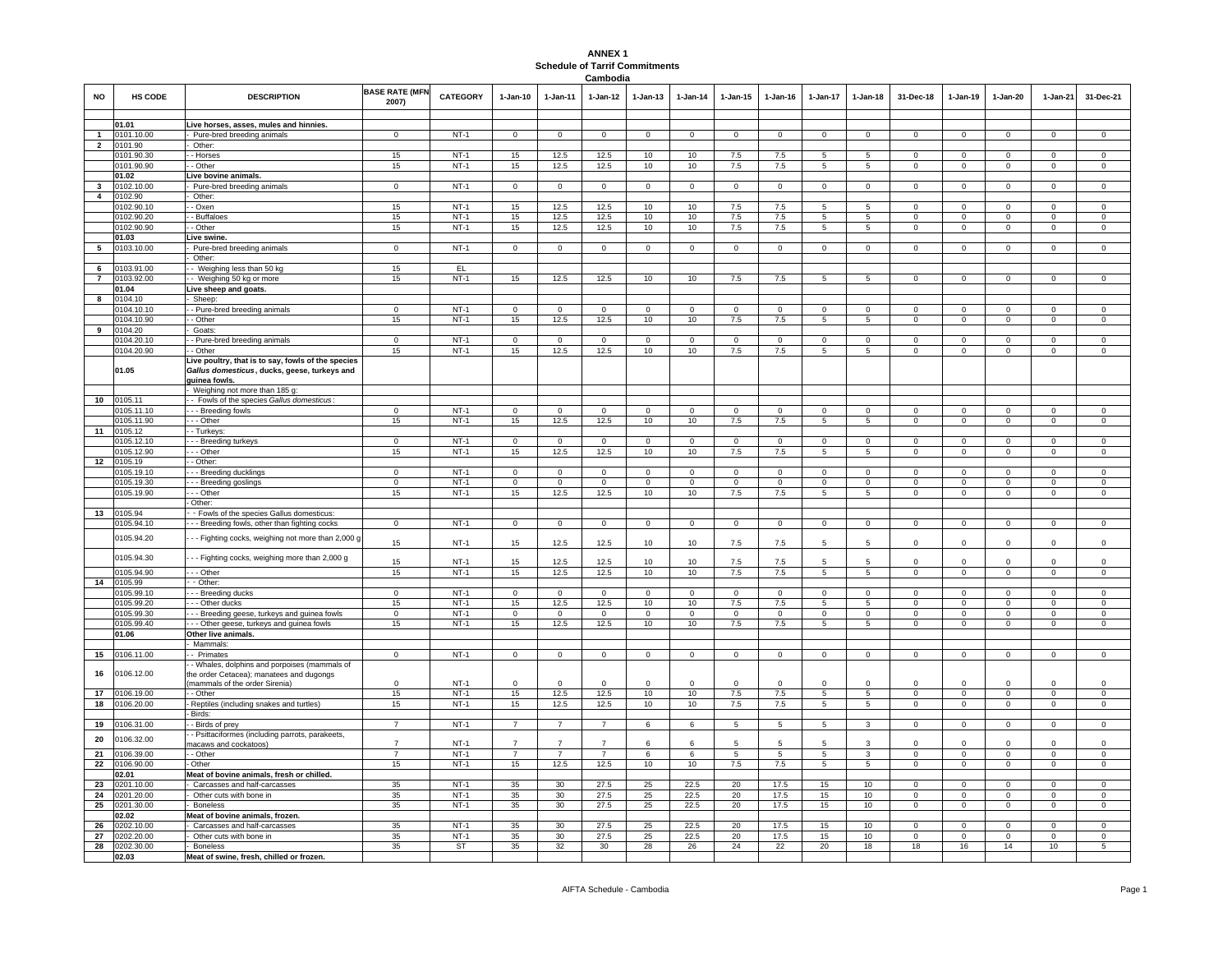## **ANNEX 1 Schedule of Tarrif Commitments Cambodia**

| <b>NO</b>                     | <b>HS CODE</b>           | <b>DESCRIPTION</b>                                                                                                             | <b>BASE RATE (MFN</b><br>2007) | <b>CATEGORY</b> | 1-Jan-10       | 1-Jan-11       | 1-Jan-12       | 1-Jan-13       | $1-Jan-14$  | $1 - Jan-15$    | $1 - Jan-16$   | 1-Jan-17        | 1-Jan-18        | 31-Dec-18      | 1-Jan-19       | 1-Jan-20       | 1-Jan-21       | 31-Dec-21               |
|-------------------------------|--------------------------|--------------------------------------------------------------------------------------------------------------------------------|--------------------------------|-----------------|----------------|----------------|----------------|----------------|-------------|-----------------|----------------|-----------------|-----------------|----------------|----------------|----------------|----------------|-------------------------|
|                               | 01.01                    | Live horses, asses, mules and hinnies.                                                                                         |                                |                 |                |                |                |                |             |                 |                |                 |                 |                |                |                |                |                         |
| $\mathbf{1}$                  | 0101.10.00               | Pure-bred breeding animals                                                                                                     | $\mathbf 0$                    | $NT-1$          | $\mathbf 0$    | $\mathbf 0$    | $\mathbf 0$    | $\mathbf 0$    | $\Omega$    | $\mathbf 0$     | $\mathbf 0$    | $\mathbf 0$     | $\Omega$        | $\mathbf 0$    | $\mathbf 0$    | $\Omega$       | $\Omega$       | $\Omega$                |
| $\overline{2}$                | 0101.90                  | Other                                                                                                                          |                                |                 |                |                |                |                |             |                 |                |                 |                 |                |                |                |                |                         |
|                               | 0101.90.30               | - Horses                                                                                                                       | 15                             | $NT-1$          | 15             | 12.5           | 12.5           | 10             | 10          | 7.5             | 7.5            | 5               | 5               | $\Omega$       | $\Omega$       | $\Omega$       | $\Omega$       | $\Omega$                |
|                               | 0101.90.90               | - Other                                                                                                                        | 15                             | $NT-1$          | 15             | 12.5           | 12.5           | 10             | 10          | 7.5             | 7.5            | 5               | 5               | $^{\circ}$     | $\mathbf 0$    | $\mathbf 0$    | $^{\circ}$     | $\overline{0}$          |
|                               | 01.02                    | Live bovine animals.                                                                                                           |                                |                 |                |                |                |                |             |                 |                |                 |                 | $\Omega$       |                |                |                |                         |
| $3^{\circ}$<br>$\overline{4}$ | 0102.10.00<br>0102.90    | Pure-bred breeding animals<br>Other:                                                                                           | $\overline{0}$                 | $NT-1$          | $\mathbf 0$    | $\circ$        | $\circ$        | $\mathbf{0}$   | $\mathbf 0$ | $\mathbf 0$     | $^{\circ}$     | $\Omega$        | $\circ$         |                | $\mathsf 0$    | $\mathbf 0$    | $^{\circ}$     | $\mathsf 0$             |
|                               | 0102.90.10               | - Oxen                                                                                                                         | 15                             | $NT-1$          | 15             | 12.5           | 12.5           | 10             | 10          | 7.5             | 7.5            | 5               | 5               | $\mathbf 0$    | $\mathbf 0$    | $\mathbf 0$    | $\mathbf 0$    | $\mathbf 0$             |
|                               | 0102.90.20               | - Buffaloes                                                                                                                    | 15                             | NT-1            | 15             | 12.5           | 12.5           | 10             | 10          | 7.5             | 7.5            | 5               | 5               | $\mathbf{0}$   | $\overline{0}$ | $\mathbf{0}$   | $\mathbf 0$    | $\mathbf{0}$            |
|                               | 0102.90.90               | - Other                                                                                                                        | 15                             | $NT-1$          | 15             | 12.5           | 12.5           | 10             | 10          | 7.5             | 7.5            | 5               | 5               | $\mathbf{0}$   | $\overline{0}$ | $\mathbf{0}$   | $\mathbf{0}$   | $\mathbf 0$             |
|                               | 01.03                    | Live swine.                                                                                                                    |                                |                 |                |                |                |                |             |                 |                |                 |                 |                |                |                |                |                         |
| $5^{\circ}$                   | 0103.10.00               | Pure-bred breeding animals                                                                                                     | $\overline{0}$                 | $NT-1$          | $\overline{0}$ | $\mathsf 0$    | $\circ$        | $\overline{0}$ | $\mathbf 0$ | $\mathsf 0$     | $\mathbf 0$    | $\circ$         | $\mathbf 0$     | $\mathbf 0$    | $\overline{0}$ | $\mathsf 0$    | $\overline{0}$ | $\overline{0}$          |
|                               |                          | Other:                                                                                                                         |                                |                 |                |                |                |                |             |                 |                |                 |                 |                |                |                |                |                         |
| 6<br>$\overline{7}$           | 0103.91.00<br>0103.92.00 | - Weighing less than 50 kg                                                                                                     | 15<br>15                       | EL<br>$NT-1$    | 15             | 12.5           | 12.5           | 10             | 10          | 7.5             | 7.5            | 5               | 5               | $\Omega$       | $\mathsf 0$    | $\mathbf 0$    | $\mathbf 0$    | $\mathsf 0$             |
|                               | 01.04                    | Weighing 50 kg or more<br>Live sheep and goats.                                                                                |                                |                 |                |                |                |                |             |                 |                |                 |                 |                |                |                |                |                         |
| 8                             | 0104.10                  | Sheep:                                                                                                                         |                                |                 |                |                |                |                |             |                 |                |                 |                 |                |                |                |                |                         |
|                               | 104.10.10                | - Pure-bred breeding animals                                                                                                   | $\mathbf 0$                    | $NT-1$          | $\mathbf 0$    | $\mathbf 0$    | $\mathbf 0$    | $\mathbf 0$    | $\mathbf 0$ | $\circ$         | $\mathbf 0$    | $\mathbf 0$     | $\mathsf 0$     | $\mathbf 0$    | $\mathbf 0$    | $\mathbf 0$    | $\mathbf 0$    | $\mathbf 0$             |
|                               | 0104.10.90               | - Other                                                                                                                        | 15                             | $NT-1$          | 15             | 12.5           | 12.5           | 10             | 10          | 7.5             | 7.5            | 5               | $\overline{5}$  | $\mathbf 0$    | $\overline{0}$ | $\overline{0}$ | $\mathbf 0$    | $\overline{0}$          |
| 9                             | 0104.20                  | Goats:                                                                                                                         |                                |                 |                |                |                |                |             |                 |                |                 |                 |                |                |                |                |                         |
|                               | 0104.20.10               | - Pure-bred breeding animals                                                                                                   | $\mathsf 0$                    | $NT-1$          | $\overline{0}$ | $\mathsf 0$    | $\mathbf 0$    | $\mathbf 0$    | $\Omega$    | $\mathbf 0$     | $^{\circ}$     | $\mathbf 0$     | $\mathsf 0$     | $\mathbf 0$    | $\mathbf 0$    | $\mathbf 0$    | $\mathbf 0$    | $\mathbf 0$             |
|                               | 0104.20.90<br>01.05      | - Other<br>Live poultry, that is to say, fowls of the species<br>Gallus domesticus, ducks, geese, turkeys and<br>quinea fowls. | 15                             | $NT-1$          | 15             | 12.5           | 12.5           | 10             | 10          | 7.5             | 7.5            | 5               | 5               | $\mathbf 0$    | $\mathsf 0$    | $\mathbf 0$    | $\mathbf 0$    | $\mathbf 0$             |
|                               |                          | Weighing not more than 185 g:                                                                                                  |                                |                 |                |                |                |                |             |                 |                |                 |                 |                |                |                |                |                         |
| 10                            | 0105.11                  | - Fowls of the species Gallus domesticus:                                                                                      |                                |                 |                |                |                |                |             |                 |                |                 |                 |                |                |                |                |                         |
|                               | 0105.11.10               | -- Breeding fowls                                                                                                              | $^{\circ}$                     | $NT-1$          | $\mathbf{0}$   | $\mathbf{0}$   | $\mathbf{0}$   | $\mathbf{0}$   | $\mathbf 0$ | $\mathbf{0}$    | $^{\circ}$     | $\mathbf{0}$    | $\mathbf{0}$    | $\mathbf{0}$   | $\mathbf{0}$   | $\mathbf 0$    | $\mathbf 0$    | 0                       |
|                               | 0105.11.90               | $-$ Other                                                                                                                      | 15                             | $NT-1$          | 15             | 12.5           | 12.5           | 10             | 10          | 7.5             | 7.5            | $5\overline{5}$ | 5               | $\overline{0}$ | $\overline{0}$ | $\overline{0}$ | $\overline{0}$ | $\overline{0}$          |
| 11                            | 0105.12<br>0105.12.10    | - Turkeys<br>--- Breeding turkeys                                                                                              | $\mathbf{0}$                   | $NT-1$          | $\mathbf{0}$   | $\mathbf 0$    | $^{\circ}$     | $\mathbf 0$    | $^{\circ}$  | $\overline{0}$  | $^{\circ}$     | $^{\circ}$      | $\mathbf 0$     | $^{\circ}$     | $\mathbf{0}$   | $\mathbf{0}$   | $\mathbf 0$    | $\mathbf 0$             |
|                               | 105.12.90                | - - Other                                                                                                                      | 15                             | $NT-1$          | 15             | 12.5           | 12.5           | 10             | 10          | 7.5             | 7.5            | 5               | $5\phantom{.0}$ | $\mathbf 0$    | $\overline{0}$ | $\mathsf 0$    | $\mathbf 0$    | $\overline{0}$          |
| 12                            | 0105.19                  | - Other:                                                                                                                       |                                |                 |                |                |                |                |             |                 |                |                 |                 |                |                |                |                |                         |
|                               | 0105.19.10               | - Breeding ducklings                                                                                                           | $\overline{0}$                 | $NT-1$          | $\overline{0}$ | $\Omega$       | $\Omega$       | $\overline{0}$ | $\Omega$    | $\Omega$        | $\Omega$       | $\Omega$        | $\Omega$        | $\Omega$       | $\overline{0}$ | $\Omega$       | $\Omega$       | $\overline{0}$          |
|                               | 0105.19.30               | - Breeding goslings                                                                                                            | $\mathbf 0$                    | $NT-1$          | $\mathbf 0$    | $\Omega$       | $\Omega$       | $\mathbf{0}$   | $\Omega$    | $\Omega$        | $\Omega$       | $\Omega$        | $\Omega$        | $\Omega$       | $\mathbf 0$    | $\Omega$       | $\Omega$       | $\mathsf 0$             |
|                               | 0105.19.90               | - - Other                                                                                                                      | 15                             | $NT-1$          | 15             | 12.5           | 12.5           | 10             | 10          | 7.5             | 7.5            | 5               | 5               | $\mathbf 0$    | $\mathbf 0$    | $\mathbf 0$    | $\mathbf 0$    | $\mathsf 0$             |
|                               |                          | Other:                                                                                                                         |                                |                 |                |                |                |                |             |                 |                |                 |                 |                |                |                |                |                         |
| 13                            | 0105.94<br>0105.94.10    | - Fowls of the species Gallus domesticus.<br>-- Breeding fowls, other than fighting cocks                                      | $\overline{0}$                 | $NT-1$          | $\overline{0}$ | $\mathsf 0$    | $\overline{0}$ | $\overline{0}$ | $\mathsf 0$ | $\overline{0}$  | $\mathbf 0$    | $\mathbf 0$     | $\mathsf 0$     | $\mathsf 0$    | $\overline{0}$ | $\mathsf 0$    | $\mathbf 0$    | $\mathsf 0$             |
|                               |                          |                                                                                                                                |                                |                 |                |                |                |                |             |                 |                |                 |                 |                |                |                |                |                         |
|                               | 0105.94.20<br>0105.94.30 | - - Fighting cocks, weighing not more than 2,000<br>- - Fighting cocks, weighing more than 2,000 g                             | 15                             | $NT-1$          | 15             | 12.5           | 12.5           | 10             | 10          | 7.5             | 7.5            | 5               | 5               | $\Omega$       | $\Omega$       | $\Omega$       | $\Omega$       | $\Omega$                |
|                               |                          |                                                                                                                                | 15                             | $NT-1$          | 15             | 12.5           | 12.5           | 10             | 10          | 7.5             | 7.5            | 5               |                 | $\Omega$       | $\Omega$       | $\Omega$       | $\Omega$       | $\bf 0$                 |
|                               | 0105.94.90               | - - Other                                                                                                                      | 15                             | $NT-1$          | 15             | 12.5           | 12.5           | 10             | 10          | 7.5             | 7.5            | $5\overline{5}$ | $5\phantom{.0}$ | $\overline{0}$ | $\overline{0}$ | $\overline{0}$ | $\mathbf 0$    | $\mathbf 0$             |
|                               | 14 0105.99<br>0105.99.10 | - Other:<br>- Breeding ducks                                                                                                   | $\circ$                        | $NT-1$          | $\circ$        | $\mathbf{0}$   | $\mathbf{O}$   | $\circ$        | $\mathbf 0$ | $\mathbf{0}$    | $\mathbf{0}$   | $\mathbf{0}$    | $\mathbf{0}$    | $\mathbf{0}$   | $\circ$        | $\mathbf 0$    | $\mathbf 0$    | $\mathbf 0$             |
|                               | 0105.99.20               | - - Other ducks                                                                                                                | 15                             | $NT-1$          | 15             | 12.5           | 12.5           | 10             | 10          | 7.5             | 7.5            | 5               | 5               | $\mathbf{0}$   | $\overline{0}$ | $\mathbf{0}$   | $\mathbf{0}$   | $\mathbf 0$             |
|                               | 0105.99.30               | - - Breeding geese, turkeys and guinea fowls                                                                                   | $\overline{0}$                 | $NT-1$          | $\overline{0}$ | $\Omega$       | $\Omega$       | $\circ$        | $\Omega$    | $\overline{0}$  | $\Omega$       | $\Omega$        | $\Omega$        | $\Omega$       | $\Omega$       | $\mathbf 0$    | $\mathbf 0$    | $\overline{\mathbf{0}}$ |
|                               | 0105.99.40               | - - Other geese, turkeys and guinea fowls                                                                                      | 15                             | $NT-1$          | 15             | 12.5           | 12.5           | 10             | 10          | $7.5\,$         | 7.5            | 5               | 5               | $\Omega$       | $\mathsf 0$    | $\mathbf 0$    | $\mathbf 0$    | $\mathbf 0$             |
|                               | 01.06                    | Other live animals.                                                                                                            |                                |                 |                |                |                |                |             |                 |                |                 |                 |                |                |                |                |                         |
|                               |                          | Mammals:                                                                                                                       |                                |                 |                |                |                |                |             |                 |                |                 |                 |                |                |                |                |                         |
| 15                            | 0106.11.00               | - Primates<br>Whales, dolphins and porpoises (mammals of                                                                       | $\overline{0}$                 | $NT-1$          | $\overline{0}$ | $\circ$        | $\mathbf{O}$   | $\circ$        | $\mathbf 0$ | $\circ$         | $\mathbf 0$    | $\mathbf 0$     | $\circ$         | $\mathbf 0$    | $\mathbf 0$    | $\mathbf 0$    | $\mathbf 0$    | $\mathbf 0$             |
| 16                            | 0106.12.00               | he order Cetacea); manatees and dugongs<br>(mammals of the order Sirenia)                                                      | $\mathsf 0$                    | $NT-1$          | $\Omega$       | $\Omega$       | $\Omega$       | $\Omega$       | $\Omega$    | $\Omega$        | $\Omega$       | $\Omega$        | $\Omega$        | $\Omega$       | $\Omega$       | $\Omega$       | $\Omega$       | $\Omega$                |
| 17                            | 106.19.00                | - Other                                                                                                                        | 15                             | $NT-1$          | 15             | 12.5           | 12.5           | 10             | 10          | 7.5             | 7.5            | 5               | 5               | $\mathbf 0$    | $\Omega$       | $\Omega$       | $\Omega$       | $\Omega$                |
| 18                            | 106.20.00                | Reptiles (including snakes and turtles)                                                                                        | 15                             | $NT-1$          | 15             | 12.5           | 12.5           | 10             | 10          | 7.5             | 7.5            | 5 <sup>5</sup>  | 5               | $\Omega$       | $\mathsf 0$    | $\mathbf 0$    | $\Omega$       | $\mathsf 0$             |
|                               |                          | Birds:                                                                                                                         |                                |                 |                |                |                |                |             |                 |                |                 |                 |                |                |                |                |                         |
| 19                            | 106.31.00                | - Birds of prey                                                                                                                | $\overline{7}$                 | $NT-1$          | $\overline{7}$ | $\overline{7}$ | $\overline{7}$ | 6              | 6           | 5               | 5              | $5^{\circ}$     | $\mathbf{3}$    | $\mathbf 0$    | $\mathbf 0$    | $\mathbf{0}$   | $\mathbf 0$    | $\mathbf 0$             |
| 20                            | 0106.32.00               | - Psittaciformes (including parrots, parakeets,                                                                                | $\overline{7}$                 | $NT-1$          | $\overline{7}$ | $\overline{7}$ | $\overline{7}$ | 6              | 6           | 5               | 5              | 5               | 3               | $\Omega$       | $\mathbf 0$    | $\mathbf 0$    | $\mathbf 0$    | $\mathbf{0}$            |
| 21                            | 0106.39.00               | nacaws and cockatoos)<br>- Other                                                                                               | $\overline{7}$                 | $NT-1$          | $\overline{7}$ | $\overline{7}$ | $\overline{7}$ | 6              | 6           | $5\overline{)}$ | $\overline{5}$ | 5               | $\overline{3}$  | $\Omega$       | $\overline{0}$ | $\overline{0}$ | $\overline{0}$ | $\overline{0}$          |
| 22                            | 0106.90.00               | Other                                                                                                                          | 15                             | $NT-1$          | 15             | 12.5           | 12.5           | 10             | 10          | 7.5             | 7.5            | 5               | 5               | $\mathsf 0$    | $\mathsf 0$    | $\mathbf 0$    | $\mathbf 0$    | $\mathsf 0$             |
|                               | 02.01                    | Meat of bovine animals, fresh or chilled.                                                                                      |                                |                 |                |                |                |                |             |                 |                |                 |                 |                |                |                |                |                         |
| 23                            | 0201.10.00               | Carcasses and half-carcasses                                                                                                   | 35                             | $NT-1$          | 35             | 30             | 27.5           | 25             | 22.5        | 20              | 17.5           | 15              | 10              | $\mathbf 0$    | $\mathbf 0$    | $\mathbf 0$    | $\mathbf 0$    | $\mathbf 0$             |
| 24                            | 0201.20.00               | Other cuts with bone in                                                                                                        | 35                             | $NT-1$          | 35             | 30             | 27.5           | 25             | 22.5        | 20              | 17.5           | 15              | 10              | 0              | $\overline{0}$ | $\mathbf 0$    | 0              | $\overline{0}$          |
| 25                            | 0201.30.00               | <b>Boneless</b>                                                                                                                | 35                             | $NT-1$          | 35             | 30             | 27.5           | 25             | 22.5        | 20              | 17.5           | 15              | 10              | $\mathsf 0$    | $\overline{0}$ | $\overline{0}$ | $\mathbf 0$    | $\overline{0}$          |
|                               | 02.02                    | Meat of bovine animals, frozen.                                                                                                | 35                             | $NT-1$          |                | 30             | 27.5           |                | 22.5        | 20              | 17.5           | 15              | 10              | $\mathbf 0$    | $\mathsf 0$    | $\mathbf 0$    | $^{\circ}$     | $\mathbf 0$             |
| 26<br>27                      | 0202.10.00<br>0202.20.00 | Carcasses and half-carcasses<br>Other cuts with bone in                                                                        | 35                             | $NT-1$          | 35<br>35       | 30             | 27.5           | 25<br>25       | 22.5        | 20              | 17.5           | 15              | 10              | $\mathbf 0$    | $\mathbf 0$    | $\mathbf 0$    | $\mathbf 0$    | $\mathbf 0$             |
| 28                            | 0202.30.00               | <b>Boneless</b>                                                                                                                | 35                             | ST              | 35             | 32             | 30             | 28             | 26          | 24              | 22             | 20              | 18              | 18             | 16             | 14             | 10             | 5                       |
|                               | 02.03                    | Meat of swine, fresh, chilled or frozen.                                                                                       |                                |                 |                |                |                |                |             |                 |                |                 |                 |                |                |                |                |                         |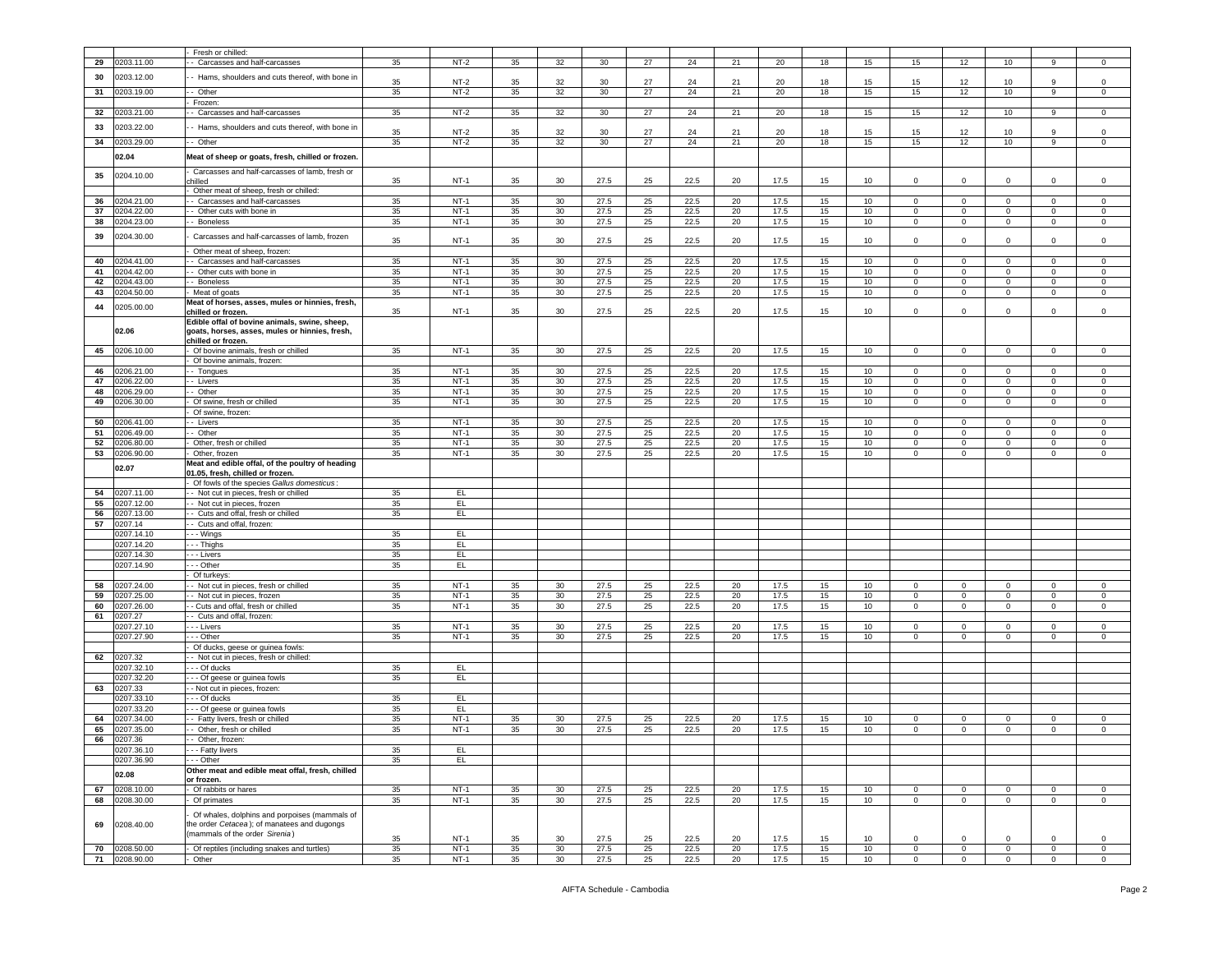|    |                             | Fresh or chilled:                                                            |          |                  |          |                 |              |          |              |          |              |                        |                  |                             |                               |                         |                    |                               |
|----|-----------------------------|------------------------------------------------------------------------------|----------|------------------|----------|-----------------|--------------|----------|--------------|----------|--------------|------------------------|------------------|-----------------------------|-------------------------------|-------------------------|--------------------|-------------------------------|
| 29 | 0203.11.00                  | - Carcasses and half-carcasses                                               | 35       | $NT-2$           | 35       | 32              | 30           | 27       | 24           | 21       | 20           | 18                     | 15               | 15                          | 12                            | 10                      | 9                  | $\Omega$                      |
| 30 | 0203.12.00                  | - Hams, shoulders and cuts thereof, with bone ir                             |          |                  |          |                 |              |          |              |          |              |                        |                  |                             |                               |                         |                    |                               |
|    |                             |                                                                              | 35       | $NT-2$           | 35       | 32              | 30           | 27       | 24           | 21       | 20           | 18                     | 15               | 15                          | 12                            | 10                      | 9                  | $\mathsf 0$                   |
| 31 | 0203.19.00                  | - Other                                                                      | 35       | $NT-2$           | 35       | 32              | 30           | 27       | 24           | 21       | 20           | 18                     | 15               | 15                          | 12                            | 10                      | 9                  | $\mathsf 0$                   |
|    |                             | Frozen:                                                                      |          |                  |          |                 |              |          |              |          |              |                        |                  |                             |                               |                         |                    |                               |
| 32 | 0203.21.00                  | - Carcasses and half-carcasses                                               | 35       | $NT-2$           | 35       | 32              | 30           | 27       | 24           | 21       | 20           | 18                     | 15               | 15                          | 12                            | 10                      | 9                  | $\mathbf 0$                   |
| 33 | 0203.22.00                  | Hams, shoulders and cuts thereof, with bone in                               |          |                  |          |                 |              |          |              |          |              |                        |                  |                             |                               |                         |                    |                               |
|    |                             |                                                                              | 35       | NT-2             | 35       | 32              | 30           | 27       | 24           | 21       | 20           | 18                     | 15               | 15                          | 12                            | 10                      | 9                  | $\mathbf 0$                   |
| 34 | 0203.29.00                  | - Other                                                                      | 35       | $NT-2$           | 35       | 32              | 30           | 27       | 24           | 21       | 20           | 18                     | 15               | 15                          | 12                            | 10                      | 9                  | $\mathsf 0$                   |
|    |                             |                                                                              |          |                  |          |                 |              |          |              |          |              |                        |                  |                             |                               |                         |                    |                               |
|    | 02.04                       | Meat of sheep or goats, fresh, chilled or frozen                             |          |                  |          |                 |              |          |              |          |              |                        |                  |                             |                               |                         |                    |                               |
| 35 | 0204.10.00                  | Carcasses and half-carcasses of lamb, fresh or                               |          |                  |          |                 |              |          |              |          |              |                        |                  |                             |                               |                         |                    |                               |
|    |                             | hilled                                                                       | 35       | $NT-1$           | 35       | 30              | 27.5         | 25       | 22.5         | 20       | 17.5         | 15                     | 10               | $\mathbf 0$                 | $\mathbf 0$                   | $\mathbf 0$             | 0                  | $\mathbf 0$                   |
|    |                             | Other meat of sheep, fresh or chilled:                                       |          |                  |          |                 |              |          |              |          |              |                        |                  |                             |                               |                         |                    |                               |
| 36 | 0204.21.00                  | - Carcasses and half-carcasses                                               | 35       | $NT-1$           | 35       | 30              | 27.5         | 25       | 22.5         | 20       | 17.5         | 15                     | 10               | $\circ$                     | $\mathbf 0$                   | $^{\circ}$              | 0                  | $\mathbf 0$                   |
| 37 | 0204.22.00                  | - Other cuts with bone in                                                    | 35       | $NT-1$           | 35       | 30              | 27.5         | 25       | 22.5         | 20       | 17.5         | 15                     | 10               | 0                           | $\mathbf 0$                   | $\mathbf 0$             | 0                  | 0                             |
| 38 | 0204.23.00                  | - Boneless                                                                   | 35       | $NT-1$           | 35       | 30              | 27.5         | 25       | 22.5         | 20       | 17.5         | 15 <sub>15</sub>       | 10               | $\circ$                     | $\mathbf 0$                   | $\circ$                 | $\mathbf 0$        | $\mathsf 0$                   |
|    |                             |                                                                              |          |                  |          |                 |              |          |              |          |              |                        |                  |                             |                               |                         |                    |                               |
| 39 | 0204.30.00                  | Carcasses and half-carcasses of lamb, frozen                                 | 35       | $NT-1$           | 35       | 30              | 27.5         | 25       | 22.5         | 20       | 17.5         | 15                     | 10               | 0                           | $\mathbf 0$                   | 0                       | $\mathbf 0$        | 0                             |
|    |                             | Other meat of sheep, frozen:                                                 |          |                  |          |                 |              |          |              |          |              |                        |                  |                             |                               |                         |                    |                               |
| 40 | 0204.41.00                  | - Carcasses and half-carcasses                                               | 35       | $NT-1$           | 35       | 30              | 27.5         | 25       | 22.5         | 20       | 17.5         | 15                     | 10               | $\Omega$                    | $\mathbf 0$                   | $\mathbf 0$             | $\mathbf 0$        | $\mathbf 0$                   |
| 41 | 0204.42.00                  | - Other cuts with bone in                                                    | 35       | $NT-1$           | 35       | 30              | 27.5         | 25       | 22.5         | 20       | 17.5         | 15                     | 10               | $\mathbf 0$                 | $\mathbf 0$                   | $\mathbf 0$             | 0                  | 0                             |
| 42 | 0204.43.00                  | - Boneless                                                                   | 35       | $NT-1$           | 35       | 30              | 27.5         | 25       | 22.5         | 20       | 17.5         | 15                     | 10               | 0                           | $\mathbf 0$                   | $\mathbf 0$             | 0                  | 0                             |
|    |                             |                                                                              |          |                  |          |                 |              |          |              |          |              |                        |                  |                             |                               |                         |                    |                               |
| 43 | 0204.50.00                  | Meat of goats                                                                | 35       | $NT-1$           | 35       | 30              | 27.5         | 25       | 22.5         | 20       | 17.5         | 15                     | 10               | $\mathsf 0$                 | $\mathbf 0$                   | $\mathsf 0$             | $\mathbf 0$        | 0                             |
| 44 | 0205.00.00                  | Meat of horses, asses, mules or hinnies, fresh,                              |          |                  |          |                 |              |          |              |          |              |                        |                  |                             |                               |                         |                    |                               |
|    |                             | chilled or frozen.                                                           | 35       | $NT-1$           | 35       | 30              | 27.5         | 25       | 22.5         | 20       | 17.5         | 15                     | 10               | 0                           | $\mathbf 0$                   | 0                       | 0                  | 0                             |
|    |                             | Edible offal of bovine animals, swine, sheep,                                |          |                  |          |                 |              |          |              |          |              |                        |                  |                             |                               |                         |                    |                               |
|    | 02.06                       | goats, horses, asses, mules or hinnies, fresh,                               |          |                  |          |                 |              |          |              |          |              |                        |                  |                             |                               |                         |                    |                               |
|    |                             | chilled or frozen.                                                           |          |                  |          |                 |              |          |              |          |              |                        |                  |                             |                               |                         |                    |                               |
| 45 | 0206.10.00                  | Of bovine animals, fresh or chilled                                          | 35       | $NT-1$           | 35       | 30              | 27.5         | 25       | 22.5         | 20       | 17.5         | 15                     | 10               | $\mathbf 0$                 | $\overline{0}$                | $^{\circ}$              | $\mathbf 0$        | $\circ$                       |
|    |                             | Of bovine animals, frozen:                                                   |          |                  |          |                 |              |          |              |          |              |                        |                  |                             |                               |                         |                    |                               |
| 46 | 0206.21.00                  | - Tongues                                                                    | 35       | $NT-1$           | 35       | 30              | 27.5         | 25       | 22.5         | 20       | 17.5         | 15                     | 10               | $\mathbf 0$                 | $\overline{0}$                | $\circ$                 | $\mathbf 0$        | $\mathsf 0$                   |
| 47 | 0206.22.00                  | - Livers                                                                     | 35       | $NT-1$           | 35       | 30              | 27.5         | 25       | 22.5         | 20       | 17.5         | 15                     | 10               | 0                           | $\mathbf 0$                   | 0                       | $\mathbf 0$        | 0                             |
| 48 | 0206.29.00                  | Other                                                                        | 35       | $NT-1$           | 35       | 30              | 27.5         | 25       | 22.5         | 20       | 17.5         | 15                     | 10               | 0                           | $\mathbf 0$                   | 0                       | 0                  | 0                             |
| 49 | 0206.30.00                  | Of swine, fresh or chilled                                                   | 35       | $NT-1$           | 35       | 30              | 27.5         | 25       | 22.5         | 20       | 17.5         | 15                     | 10 <sup>10</sup> | $\mathbf 0$                 | $\overline{0}$                | $\overline{0}$          | $\circ$            | $\mathbf 0$                   |
|    |                             | Of swine, frozen:                                                            |          |                  |          |                 |              |          |              |          |              |                        |                  |                             |                               |                         |                    |                               |
| 50 | 0206.41.00                  | - Livers                                                                     | 35       | $NT-1$           | 35       | 30              | 27.5         | 25       | 22.5         | 20       | 17.5         | 15                     | 10               | $\Omega$                    | $\mathbf 0$                   | $\mathbf 0$             | $\Omega$           | 0                             |
| 51 | 0206.49.00                  | - Other                                                                      | 35       | $NT-1$           | 35       | 30              | 27.5         | 25       | 22.5         | 20       | 17.5         | 15                     | 10               | 0                           | $\mathbf 0$                   | 0                       | $\mathbf 0$        | $\mathbf 0$                   |
| 52 | 0206.80.00                  | Other, fresh or chilled                                                      | 35       | $NT-1$           | 35       | 30              | 27.5         | 25       | 22.5         | 20       | 17.5         | 15                     | 10               | 0                           | $\mathbf 0$                   | 0                       | 0                  | $\mathbf 0$                   |
| 53 | 0206.90.00                  | Other, frozen                                                                | 35       | $NT-1$           | 35       | 30              | 27.5         | 25       | 22.5         | 20       | 17.5         | 15                     | 10               | $\mathbf{0}$                | $\overline{0}$                | $\mathbf{0}$            | $^{\circ}$         | $\mathbf 0$                   |
|    |                             | Meat and edible offal, of the poultry of heading                             |          |                  |          |                 |              |          |              |          |              |                        |                  |                             |                               |                         |                    |                               |
|    | 02.07                       | 01.05. fresh. chilled or frozen                                              |          |                  |          |                 |              |          |              |          |              |                        |                  |                             |                               |                         |                    |                               |
|    |                             | Of fowls of the species Gallus domesticus:                                   |          |                  |          |                 |              |          |              |          |              |                        |                  |                             |                               |                         |                    |                               |
| 54 | 0207.11.00                  |                                                                              |          |                  |          |                 |              |          |              |          |              |                        |                  |                             |                               |                         |                    |                               |
|    |                             |                                                                              |          |                  |          |                 |              |          |              |          |              |                        |                  |                             |                               |                         |                    |                               |
|    |                             | - Not cut in pieces, fresh or chilled                                        | 35       | E                |          |                 |              |          |              |          |              |                        |                  |                             |                               |                         |                    |                               |
| 55 | 0207.12.00                  | - Not cut in pieces, frozen                                                  | 35       | EL.              |          |                 |              |          |              |          |              |                        |                  |                             |                               |                         |                    |                               |
| 56 | 0207.13.00                  | - Cuts and offal, fresh or chilled                                           | 35       | EL.              |          |                 |              |          |              |          |              |                        |                  |                             |                               |                         |                    |                               |
| 57 | 0207.14                     | - Cuts and offal, frozen:                                                    |          |                  |          |                 |              |          |              |          |              |                        |                  |                             |                               |                         |                    |                               |
|    | 0207.14.10                  | - - Wings                                                                    | 35       | EL.              |          |                 |              |          |              |          |              |                        |                  |                             |                               |                         |                    |                               |
|    | 0207.14.20                  | - - Thighs                                                                   | 35       | E                |          |                 |              |          |              |          |              |                        |                  |                             |                               |                         |                    |                               |
|    | 0207.14.30                  | - - Livers                                                                   | 35       | EL.              |          |                 |              |          |              |          |              |                        |                  |                             |                               |                         |                    |                               |
|    | 0207.14.90                  | - - Other                                                                    | 35       | EL               |          |                 |              |          |              |          |              |                        |                  |                             |                               |                         |                    |                               |
|    |                             | Of turkeys:                                                                  |          |                  |          |                 |              |          |              |          |              |                        |                  |                             |                               |                         |                    |                               |
| 58 | 0207.24.00                  | - Not cut in pieces, fresh or chilled                                        | 35       | $NT-1$           | 35       | 30              | 27.5         | 25       | 22.5         | 20       | 17.5         | 15                     | 10               | $\mathbf 0$                 | $\overline{0}$                | $\mathbf 0$             | $\Omega$           | $\mathsf 0$                   |
| 59 | 0207.25.00                  | - Not cut in pieces, frozen                                                  | 35       | $NT-1$           | 35       | 30              | 27.5         | 25       | 22.5         | 20       | 17.5         | 15                     | 10               | $\circ$                     | $\overline{0}$                | $\circ$                 | $\mathbf 0$        | $\,0\,$                       |
| 60 | 0207.26.00                  | - Cuts and offal, fresh or chilled                                           | 35       | $NT-1$           | 35       | 30              | 27.5         | 25       | 22.5         | 20       | 17.5         | 15                     | 10 <sup>10</sup> | $\mathbf 0$                 | $\mathsf 0$                   | $\circ$                 | $\mathbf 0$        | $\mathbf 0$                   |
| 61 | 0207.27                     | - Cuts and offal, frozen:                                                    |          |                  |          |                 |              |          |              |          |              |                        |                  |                             |                               |                         |                    |                               |
|    | 0207.27.10                  | . - - Livers                                                                 | 35       | $NT-1$           | 35       | 30              | 27.5         | 25       | 22.5         | 20       | 17.5         | 15                     | 10               | $^{\circ}$                  | $^{\circ}$                    | $^{\circ}$              | $^{\circ}$         | $^{\circ}$                    |
|    | 0207.27.90                  | - - Other                                                                    | 35       | $NT-1$           | 35       | 30              | 27.5         | 25       | 22.5         | 20       | 17.5         | 15                     | 10               | $\mathbf 0$                 | $\mathbf 0$                   | $\mathbf 0$             | $\Omega$           | $\mathsf 0$                   |
|    |                             | Of ducks, geese or guinea fowls:                                             |          |                  |          |                 |              |          |              |          |              |                        |                  |                             |                               |                         |                    |                               |
| 62 | 0207.32                     | Not cut in pieces, fresh or chilled:                                         |          |                  |          |                 |              |          |              |          |              |                        |                  |                             |                               |                         |                    |                               |
|    | 0207.32.10                  | - - Of ducks                                                                 | 35       | EL.              |          |                 |              |          |              |          |              |                        |                  |                             |                               |                         |                    |                               |
|    | 0207.32.20                  | - - Of geese or guinea fowls                                                 | 35       | EL.              |          |                 |              |          |              |          |              |                        |                  |                             |                               |                         |                    |                               |
| 63 | 0207.33                     |                                                                              |          |                  |          |                 |              |          |              |          |              |                        |                  |                             |                               |                         |                    |                               |
|    | 0207.33.10                  | - Not cut in pieces, frozen:                                                 | 35       | E                |          |                 |              |          |              |          |              |                        |                  |                             |                               |                         |                    |                               |
|    |                             | $-$ Of ducks                                                                 |          |                  |          |                 |              |          |              |          |              |                        |                  |                             |                               |                         |                    |                               |
|    | 0207.33.20                  | - - Of geese or guinea fowls                                                 | 35       | EL.              |          |                 |              |          |              |          |              |                        |                  |                             |                               |                         |                    |                               |
| 64 | 0207.34.00                  | - Fatty livers, fresh or chilled                                             | 35       | $NT-1$           | 35       | 30              | 27.5         | 25       | 22.5         | 20       | 17.5         | 15                     | 10 <sup>10</sup> | $^{\circ}$                  | $\mathbf 0$                   | $^{\circ}$              | $\mathbf 0$        | $\mathbf 0$                   |
| 65 | 0207.35.00                  | - Other, fresh or chilled                                                    | 35       | $NT-1$           | 35       | 30              | 27.5         | 25       | 22.5         | 20       | 17.5         | 15 <sub>15</sub>       | 10 <sup>10</sup> | $\mathbf 0$                 | $\overline{0}$                | $\mathbf{0}$            | 0                  | $\mathbf 0$                   |
| 66 | 0207.36                     | Other frozen                                                                 |          |                  |          |                 |              |          |              |          |              |                        |                  |                             |                               |                         |                    |                               |
|    | 0207.36.10                  | -- Fatty livers                                                              | 35       | E                |          |                 |              |          |              |          |              |                        |                  |                             |                               |                         |                    |                               |
|    | 0207.36.90                  | - - Other                                                                    | 35       | EL.              |          |                 |              |          |              |          |              |                        |                  |                             |                               |                         |                    |                               |
|    | 02.08                       | Other meat and edible meat offal, fresh, chilled                             |          |                  |          |                 |              |          |              |          |              |                        |                  |                             |                               |                         |                    |                               |
|    |                             | or frozen.                                                                   |          |                  |          |                 |              |          |              |          |              |                        |                  |                             |                               |                         |                    |                               |
| 67 | 0208.10.00                  | Of rabbits or hares                                                          | 35       | $NT-1$           | 35       | 30 <sup>°</sup> | 27.5         | 25       | 22.5         | 20       | 17.5         | 15 <sub>15</sub>       | 10 <sup>10</sup> | $\mathbf 0$                 | $\mathbf 0$                   | $^{\circ}$              | $\mathbf 0$        | $\mathbf{0}$                  |
| 68 | 0208.30.00                  | Of primates                                                                  | 35       | $NT-1$           | 35       | 30              | 27.5         | 25       | 22.5         | 20       | 17.5         | 15                     | 10 <sup>10</sup> | $\mathbf 0$                 | $\mathbf 0$                   | $\mathbf{0}$            | $\mathbf 0$        | $\circ$                       |
|    |                             |                                                                              |          |                  |          |                 |              |          |              |          |              |                        |                  |                             |                               |                         |                    |                               |
|    |                             | Of whales, dolphins and porpoises (mammals of                                |          |                  |          |                 |              |          |              |          |              |                        |                  |                             |                               |                         |                    |                               |
| 69 | 0208.40.00                  | the order Cetacea); of manatees and dugongs<br>mammals of the order Sirenia) |          |                  |          |                 |              |          |              |          |              |                        |                  |                             |                               |                         |                    |                               |
|    |                             |                                                                              | 35       | $NT-1$           | 35       | 30              | 27.5         | 25       | 22.5         | 20       | 17.5         | 15                     | 10               | $\mathbf 0$                 | $\mathbf 0$                   | $\Omega$                | 0                  | $\mathbf 0$                   |
| 70 | 0208.50.00<br>71 0208.90.00 | Of reptiles (including snakes and turtles)<br>Other                          | 35<br>35 | $NT-1$<br>$NT-1$ | 35<br>35 | 30<br>30        | 27.5<br>27.5 | 25<br>25 | 22.5<br>22.5 | 20<br>20 | 17.5<br>17.5 | 15 <sub>15</sub><br>15 | 10<br>10         | $\mathbf 0$<br>$\mathbf{0}$ | $\mathbf 0$<br>$\overline{0}$ | $\circ$<br>$\mathbf{0}$ | $\circ$<br>$\circ$ | $\mathbf 0$<br>$\overline{0}$ |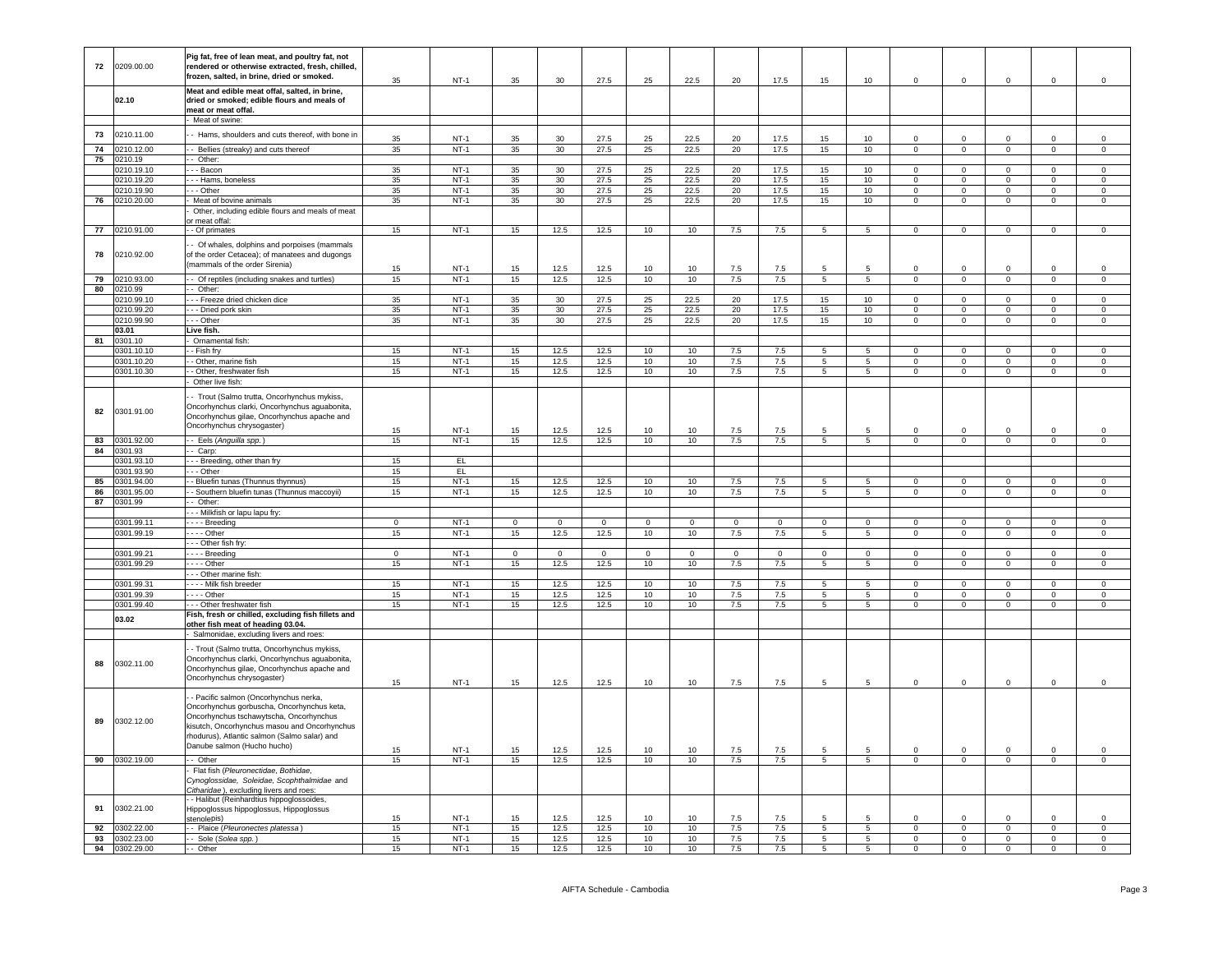| 72       | 0209.00.00               | Pig fat, free of lean meat, and poultry fat, not<br>rendered or otherwise extracted, fresh, chilled,<br>frozen, salted, in brine, dried or smoked.                                                                                                            | 35             | $NT-1$           | 35             | 30             | 27.5           | 25             | 22.5           | 20             | 17.5       | 15                   | 10                                | $\mathbf 0$             | $\mathbf 0$                      | $\mathbf 0$                    | $\mathbf 0$                   | $\mathsf 0$                   |
|----------|--------------------------|---------------------------------------------------------------------------------------------------------------------------------------------------------------------------------------------------------------------------------------------------------------|----------------|------------------|----------------|----------------|----------------|----------------|----------------|----------------|------------|----------------------|-----------------------------------|-------------------------|----------------------------------|--------------------------------|-------------------------------|-------------------------------|
|          | 02.10                    | Meat and edible meat offal, salted, in brine,<br>dried or smoked; edible flours and meals of<br>meat or meat offal.                                                                                                                                           |                |                  |                |                |                |                |                |                |            |                      |                                   |                         |                                  |                                |                               |                               |
|          |                          | Meat of swine:                                                                                                                                                                                                                                                |                |                  |                |                |                |                |                |                |            |                      |                                   |                         |                                  |                                |                               |                               |
| 73       | 0210.11.00               | - Hams, shoulders and cuts thereof, with bone in                                                                                                                                                                                                              |                |                  |                |                |                |                |                |                |            |                      |                                   |                         |                                  |                                |                               |                               |
|          |                          |                                                                                                                                                                                                                                                               | 35             | $NT-1$           | 35             | 30             | 27.5           | 25             | 22.5           | 20             | 17.5       | 15                   | 10                                | $\Omega$                | $\Omega$                         | $\Omega$                       | $\Omega$                      | $\Omega$                      |
| 74<br>75 | 210.12.00<br>0210.19     | - Bellies (streaky) and cuts thereof                                                                                                                                                                                                                          | 35             | $NT-1$           | 35             | 30             | 27.5           | 25             | 22.5           | 20             | 17.5       | 15                   | 10                                | $\overline{0}$          | $\overline{0}$                   | $\overline{0}$                 | $\overline{0}$                | $\overline{0}$                |
|          | 0210.19.10               | - Other:<br>- - Bacon                                                                                                                                                                                                                                         | 35             | $NT-1$           | 35             | 30             | 27.5           | 25             | 22.5           | 20             | 17.5       | 15                   | 10                                | $\Omega$                | $\Omega$                         | $\Omega$                       | $\Omega$                      | $\Omega$                      |
|          | 0210.19.20               | - - Hams, boneless                                                                                                                                                                                                                                            | 35             | $NT-1$           | 35             | 30             | 27.5           | 25             | 22.5           | 20             | 17.5       | 15                   | 10                                | $\mathbf{0}$            | $\overline{0}$                   | $\mathbf{0}$                   | $\overline{0}$                | $\overline{0}$                |
|          | 0210.19.90               | $-$ Other                                                                                                                                                                                                                                                     | $35\,$         | $NT-1$           | 35             | 30             | 27.5           | 25             | 22.5           | $20\,$         | 17.5       | $15\,$               | 10                                | $\mathbf{0}$            | $\overline{0}$                   | $\overline{0}$                 | $\mathbf{O}$                  | $\mathbf 0$                   |
| 76       | 210.20.00                | Meat of bovine animals                                                                                                                                                                                                                                        | 35             | $NT-1$           | 35             | 30             | 27.5           | 25             | 22.5           | 20             | 17.5       | 15                   | 10                                | $\overline{0}$          | $\overline{0}$                   | $\overline{0}$                 | $\overline{0}$                | $\overline{0}$                |
|          |                          | Other, including edible flours and meals of meat                                                                                                                                                                                                              |                |                  |                |                |                |                |                |                |            |                      |                                   |                         |                                  |                                |                               |                               |
|          |                          | or meat offal                                                                                                                                                                                                                                                 |                |                  |                |                |                |                |                |                |            |                      |                                   |                         |                                  |                                |                               |                               |
| 77       | 0210.91.00               | - Of primates                                                                                                                                                                                                                                                 | 15             | $NT-1$           | 15             | 12.5           | 12.5           | 10             | 10             | 7.5            | 7.5        | $5\overline{5}$      | $5\overline{5}$                   | $\mathsf 0$             | $\mathsf 0$                      | $\mathbf{0}$                   | $\mathsf 0$                   | $\mathsf 0$                   |
| 78       | 0210.92.00               | - Of whales, dolphins and porpoises (mammals<br>of the order Cetacea); of manatees and dugongs<br>(mammals of the order Sirenia)                                                                                                                              |                |                  |                |                |                |                |                |                | 7.5        | 5                    | 5                                 | $\Omega$                | $\Omega$                         |                                | $\Omega$                      | $\Omega$                      |
| 79       | 0210.93.00               | - Of reptiles (including snakes and turtles)                                                                                                                                                                                                                  | 15<br>15       | $NT-1$<br>$NT-1$ | 15<br>15       | 12.5<br>12.5   | 12.5<br>12.5   | 10<br>10       | 10<br>10       | 7.5<br>7.5     | 7.5        | $\overline{5}$       | 5                                 | $\Omega$                | $\overline{0}$                   | $\mathbf 0$<br>$\overline{0}$  | $\Omega$                      | $\overline{0}$                |
| 80       | 0210.99                  | - Other:                                                                                                                                                                                                                                                      |                |                  |                |                |                |                |                |                |            |                      |                                   |                         |                                  |                                |                               |                               |
|          | 0210.99.10               | - - Freeze dried chicken dice                                                                                                                                                                                                                                 | 35             | $NT-1$           | 35             | 30             | 27.5           | 25             | 22.5           | 20             | 17.5       | 15                   | 10 <sub>1</sub>                   | $\mathbf 0$             | $\mathsf 0$                      | $\mathbf{0}$                   | $\mathbf 0$                   | $\mathsf 0$                   |
|          | 0210.99.20               | - - Dried pork skin                                                                                                                                                                                                                                           | 35             | $NT-1$           | 35             | 30             | 27.5           | 25             | 22.5           | 20             | 17.5       | 15                   | 10 <sup>10</sup>                  | $\mathbf{0}$            | $\overline{0}$                   | $\overline{0}$                 | $\overline{0}$                | $\overline{0}$                |
|          | 0210.99.90               | $-$ Other                                                                                                                                                                                                                                                     | $35\,$         | $NT-1$           | 35             | 30             | 27.5           | 25             | 22.5           | 20             | 17.5       | 15                   | 10                                | $\overline{0}$          | $\mathbf{0}$                     | $\mathbf{0}$                   | $\overline{0}$                | $\overline{0}$                |
|          | 03.01                    | Live fish.                                                                                                                                                                                                                                                    |                |                  |                |                |                |                |                |                |            |                      |                                   |                         |                                  |                                |                               |                               |
| 81       | 301.10                   | Ornamental fish:                                                                                                                                                                                                                                              |                |                  |                |                |                |                |                |                |            |                      |                                   |                         |                                  |                                |                               |                               |
|          | 301.10.10                | - Fish fry                                                                                                                                                                                                                                                    | 15             | $NT-1$           | 15             | 12.5           | 12.5           | $10$           | $10$           | 7.5            | $7.5\,$    | 5                    | $\sqrt{5}$                        |                         | $\mathsf 0$                      | $\mathbf 0$                    | $\mathbf 0$                   | $\mathbf 0$                   |
|          | 0301.10.20               | - Other, marine fish                                                                                                                                                                                                                                          | 15             | $NT-1$           | 15             | 12.5           | 12.5           | 10             | 10             | 7.5            | 7.5        | 5<br>$\overline{5}$  | 5                                 | $\Omega$<br>$\mathbf 0$ | $\overline{0}$<br>$\overline{0}$ | $\overline{0}$                 | $\overline{0}$                | $\overline{0}$                |
|          | 0301.10.30               | - Other, freshwater fish<br>Other live fish:                                                                                                                                                                                                                  | 15             | $NT-1$           | 15             | 12.5           | 12.5           | 10             | 10             | 7.5            | 7.5        |                      | $\overline{5}$                    |                         |                                  | $\mathsf{O}\xspace$            | $\mathbf 0$                   | $\overline{0}$                |
| 82       | 0301.91.00               | - Trout (Salmo trutta, Oncorhynchus mykiss,<br>Oncorhynchus clarki, Oncorhynchus aguabonita<br>Oncorhynchus gilae, Oncorhynchus apache and<br>Oncorhynchus chrysogaster)                                                                                      | 15             | $NT-1$           | 15             | 12.5           | 12.5           | 10             | 10             | 7.5            | 7.5        |                      | 5                                 | $\Omega$                | $\mathbf 0$                      | $\Omega$                       | $\Omega$                      | $\Omega$                      |
| 83       | 0301.92.00               | - Eels (Anguilla spp.)                                                                                                                                                                                                                                        | 15             | $NT-1$           | 15             | 12.5           | 12.5           | 10             | 10             | 7.5            | 7.5        | 5 <sup>5</sup>       | $5\overline{5}$                   | $\overline{0}$          | $\overline{0}$                   | $\mathbf{0}$                   | $\overline{0}$                | $\overline{0}$                |
| 84       | 0301.93                  | - Carp:                                                                                                                                                                                                                                                       |                |                  |                |                |                |                |                |                |            |                      |                                   |                         |                                  |                                |                               |                               |
|          | 0301.93.10               | - - Breeding, other than fry                                                                                                                                                                                                                                  | 15             | EL               |                |                |                |                |                |                |            |                      |                                   |                         |                                  |                                |                               |                               |
|          | 301.93.90                | - - Other                                                                                                                                                                                                                                                     | 15             | EL               |                |                |                |                |                |                |            |                      |                                   |                         |                                  |                                |                               |                               |
| 85       | 301.94.00                | - Bluefin tunas (Thunnus thynnus)                                                                                                                                                                                                                             | 15             | $NT-1$           | 15             | 12.5           | 12.5           | 10             | 10             | 7.5            | 7.5        | $\overline{5}$       | 5                                 | $\overline{0}$          | $\overline{0}$                   | $\overline{0}$                 | $\overline{0}$                | $\overline{0}$                |
| 86       | 301.95.00                | Southern bluefin tunas (Thunnus maccoyii)<br>- Other:                                                                                                                                                                                                         | 15             | $NT-1$           | 15             | 12.5           | 12.5           | 10             | 10             | 7.5            | 7.5        | 5                    | $5\overline{5}$                   | $\Omega$                | $\mathbf 0$                      | $\mathbf{0}$                   | $\mathsf 0$                   | $\mathsf 0$                   |
| 87       | 0301.99                  | - - Milkfish or lapu lapu fry:                                                                                                                                                                                                                                |                |                  |                |                |                |                |                |                |            |                      |                                   |                         |                                  |                                |                               |                               |
|          | 301.99.11                | - - - - Breeding                                                                                                                                                                                                                                              | $\overline{0}$ | $NT-1$           | $\overline{0}$ | $\overline{0}$ | $\overline{0}$ | $\overline{0}$ | $\overline{0}$ | $\overline{0}$ | $\Omega$   | $\Omega$             | $\overline{0}$                    | $\Omega$                | $\overline{0}$                   | $\Omega$                       | $\overline{0}$                | $\overline{0}$                |
|          | 0301.99.19               | - - - - Other                                                                                                                                                                                                                                                 | 15             | $NT-1$           | 15             | 12.5           | 12.5           | 10             | 10             | 7.5            | 7.5        | 5                    | 5                                 | $\overline{0}$          | $\overline{0}$                   | $\overline{0}$                 | $\overline{0}$                | $\overline{0}$                |
|          |                          | - - Other fish fry:                                                                                                                                                                                                                                           |                |                  |                |                |                |                |                |                |            |                      |                                   |                         |                                  |                                |                               |                               |
|          | 0301.99.21               | --- Breeding                                                                                                                                                                                                                                                  | $\Omega$       | $NT-1$           | $\Omega$       | $\Omega$       | $\Omega$       | $\Omega$       | $\Omega$       | $\Omega$       | $\Omega$   | $\Omega$             | $\Omega$                          | $\Omega$                | $\Omega$                         | $\Omega$                       | $\Omega$                      | $\Omega$                      |
|          | 0301.99.29               | $- -$ Other                                                                                                                                                                                                                                                   | 15             | $NT-1$           | 15             | 12.5           | 12.5           | 10             | 10             | 7.5            | 7.5        | 5                    | $5\overline{5}$                   | $\overline{0}$          | $\overline{0}$                   | $\mathbf{0}$                   | $\overline{0}$                | $\mathbf 0$                   |
|          |                          | - - Other marine fish:                                                                                                                                                                                                                                        |                |                  |                |                |                |                |                |                |            |                      |                                   |                         |                                  |                                |                               |                               |
|          | 0301.99.31               | - - - Milk fish breeder                                                                                                                                                                                                                                       | 15             | $NT-1$           | 15             | 12.5           | 12.5           | 10             | 10             | 7.5            | 7.5        | 5                    | 5                                 | $\circ$                 | $\overline{0}$                   | $\overline{0}$                 | $\overline{0}$                | $\overline{0}$                |
|          | 301.99.39<br>0301.99.40  | --- Other<br>- - Other freshwater fish                                                                                                                                                                                                                        | 15<br>15       | $NT-1$<br>$NT-1$ | 15<br>15       | 12.5<br>12.5   | 12.5<br>12.5   | 10<br>10       | 10<br>10       | 7.5<br>7.5     | 7.5<br>7.5 | 5<br>$5^{\circ}$     | $\overline{5}$<br>$5\overline{5}$ | $\mathbf 0$<br>$\Omega$ | $\mathbf 0$<br>$\overline{0}$    | $\mathbf{0}$<br>$\overline{0}$ | $\mathsf 0$<br>$\mathbf 0$    | $\mathbf 0$<br>$\mathsf 0$    |
|          |                          | Fish, fresh or chilled, excluding fish fillets and                                                                                                                                                                                                            |                |                  |                |                |                |                |                |                |            |                      |                                   |                         |                                  |                                |                               |                               |
|          | 03.02                    | other fish meat of heading 03.04.                                                                                                                                                                                                                             |                |                  |                |                |                |                |                |                |            |                      |                                   |                         |                                  |                                |                               |                               |
|          |                          | Salmonidae, excluding livers and roes:                                                                                                                                                                                                                        |                |                  |                |                |                |                |                |                |            |                      |                                   |                         |                                  |                                |                               |                               |
| 88       | 0302.11.00               | - Trout (Salmo trutta, Oncorhynchus mykiss,<br>Oncorhynchus clarki, Oncorhynchus aguabonita,<br>Oncorhynchus gilae, Oncorhynchus apache and<br>Oncorhynchus chrysogaster)                                                                                     | 15             | $NT-1$           | 15             | 12.5           | 12.5           | 10             | 10             | 7.5            | 7.5        | 5                    | 5                                 | $\mathbf 0$             | $\mathsf 0$                      | $\mathbf 0$                    | $\mathbf 0$                   | $\mathbf 0$                   |
| 89       | 0302.12.00               | - Pacific salmon (Oncorhynchus nerka,<br>Oncorhynchus gorbuscha, Oncorhynchus keta,<br>Oncorhynchus tschawytscha, Oncorhynchus<br>kisutch, Oncorhynchus masou and Oncorhynchus<br>rhodurus), Atlantic salmon (Salmo salar) and<br>Danube salmon (Hucho hucho) | 15             | $NT-1$           | 15             | 12.5           | 12.5           | 10             | 10             | 7.5            | 7.5        | 5                    | 5                                 | $\Omega$                | $\Omega$                         | $^{\circ}$                     | $\mathbf 0$                   | $^{\circ}$                    |
| 90       | 0302.19.00               | - - Other                                                                                                                                                                                                                                                     | 15             | $NT-1$           | 15             | 12.5           | 12.5           | 10             | 10             | 7.5            | 7.5        | 5                    | $\overline{5}$                    | $\mathsf 0$             | $\overline{0}$                   | $\overline{0}$                 | $\mathbf 0$                   | $\overline{0}$                |
|          |                          | Flat fish (Pleuronectidae, Bothidae,<br>Cynoglossidae, Soleidae, Scophthalmidae and<br>Citharidae), excluding livers and roes:<br>- Halibut (Reinhardtius hippoglossoides,                                                                                    |                |                  |                |                |                |                |                |                |            |                      |                                   |                         |                                  |                                |                               |                               |
| 91       | 0302.21.00               | Hippoglossus hippoglossus, Hippoglossus<br>stenolepis)                                                                                                                                                                                                        | 15             | $NT-1$           | 15             | 12.5           | 12.5           | 10             | 10             | 7.5            | 7.5        |                      | 5                                 |                         | 0                                | 0                              | $\mathbf 0$                   | $\mathsf 0$                   |
| 92       | 0302.22.00               | - Plaice (Pleuronectes platessa)                                                                                                                                                                                                                              | 15             | $NT-1$           | 15             | 12.5           | 12.5           | 10             | 10             | 7.5            | 7.5        | $5\phantom{.0}$      | $5\overline{5}$                   | $\mathsf 0$             | $\overline{0}$                   | $\overline{0}$                 | $\overline{0}$                | $\mathbf 0$                   |
| 93<br>94 | 0302.23.00<br>0302.29.00 | - Sole (Solea spp.)<br>- Other                                                                                                                                                                                                                                | 15<br>15       | $NT-1$<br>$NT-1$ | 15<br>15       | 12.5<br>12.5   | 12.5<br>12.5   | 10<br>10       | 10<br>10       | 7.5<br>7.5     | 7.5<br>7.5 | $5\phantom{.0}$<br>5 | $5\overline{)}$<br>5              | $\mathbf 0$<br>$\Omega$ | $\mathbf{0}$<br>$\mathbf 0$      | $\mathbf{0}$<br>$\mathbf 0$    | $\overline{0}$<br>$\mathsf 0$ | $\overline{0}$<br>$\mathsf 0$ |
|          |                          |                                                                                                                                                                                                                                                               |                |                  |                |                |                |                |                |                |            |                      |                                   |                         |                                  |                                |                               |                               |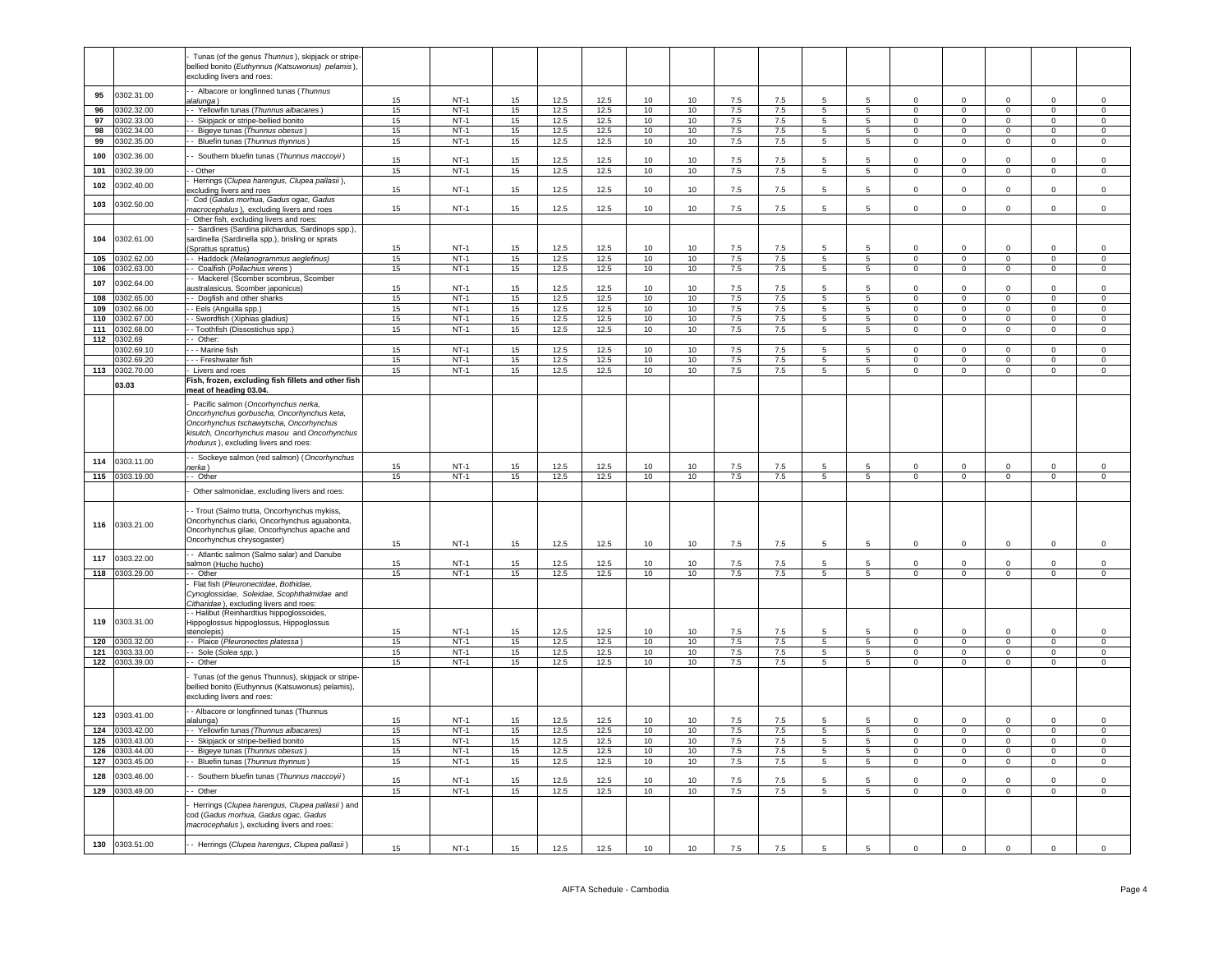|     |                          | Tunas (of the genus Thunnus), skipjack or stripe-<br>pellied bonito (Euthynnus (Katsuwonus) pelamis),<br>excluding livers and roes: |    |        |    |              |      |          |                  |            |     |                 |                 |                |                               |                               |                               |                               |
|-----|--------------------------|-------------------------------------------------------------------------------------------------------------------------------------|----|--------|----|--------------|------|----------|------------------|------------|-----|-----------------|-----------------|----------------|-------------------------------|-------------------------------|-------------------------------|-------------------------------|
| 95  | 0302.31.00               | - Albacore or longfinned tunas (Thunnus<br>alalunga)                                                                                | 15 | $NT-1$ | 15 | 12.5         | 12.5 | 10       | 10 <sup>10</sup> | 7.5        | 7.5 |                 |                 |                | $\Omega$                      | $\Omega$                      | $\Omega$                      | $\Omega$                      |
| 96  | 0302.32.00               | - Yellowfin tunas (Thunnus albacares)                                                                                               | 15 | $NT-1$ | 15 | 12.5         | 12.5 | 10       | 10               | 7.5        | 7.5 | $5\overline{5}$ | $5\overline{5}$ | $\mathsf 0$    | $\circ$                       | $\mathbf{0}$                  | $\mathsf 0$                   | $\mathsf 0$                   |
| 97  | 0302.33.00               | - Skipjack or stripe-bellied bonito                                                                                                 | 15 | $NT-1$ | 15 | 12.5         | 12.5 | 10       | 10               | 7.5        | 7.5 | 5 <sub>5</sub>  | 5               | $\circ$        | $\overline{0}$                | $\circ$                       | $\mathbf 0$                   | $\circ$                       |
| 98  |                          |                                                                                                                                     | 15 | $NT-1$ | 15 | 12.5         | 12.5 | 10       | 10               |            |     | 5               | $\overline{5}$  | $\Omega$       | $\overline{0}$                | $\mathbf{0}$                  | $\mathbf 0$                   | $\mathsf 0$                   |
|     | 0302.34.00               | - Bigeye tunas (Thunnus obesus)                                                                                                     |    |        |    |              |      |          |                  | 7.5        | 7.5 |                 |                 |                |                               |                               |                               |                               |
| 99  | 0302.35.00               | - Bluefin tunas (Thunnus thynnus)                                                                                                   | 15 | $NT-1$ | 15 | 12.5         | 12.5 | 10       | 10               | 7.5        | 7.5 | $\overline{5}$  | $\sqrt{5}$      | $\mathsf 0$    | $\overline{0}$                | $\mathbf 0$                   | $\mathbf 0$                   | $\mathsf 0$                   |
| 100 | 0302.36.00               | Southern bluefin tunas (Thunnus maccoyii)                                                                                           | 15 | $NT-1$ | 15 | 12.5         | 12.5 | 10       | 10               | 7.5        | 7.5 | 5               | 5               | $\Omega$       | $\Omega$                      | $^{\circ}$                    | $\Omega$                      | $\,0\,$                       |
| 101 | 0302.39.00               | - Other                                                                                                                             | 15 | $NT-1$ | 15 | 12.5         | 12.5 | 10       | 10               | 7.5        | 7.5 | $\overline{5}$  | 5               | $\overline{0}$ | $\overline{0}$                | $\overline{0}$                | $\overline{0}$                | $\overline{0}$                |
|     |                          | Herrings (Clupea harengus, Clupea pallasii),                                                                                        |    |        |    |              |      |          |                  |            |     |                 |                 |                |                               |                               |                               |                               |
| 102 | 0302.40.00               | xcluding livers and roes                                                                                                            | 15 | $NT-1$ | 15 | 12.5         | 12.5 | 10       | 10 <sup>1</sup>  | 7.5        | 7.5 | $\overline{5}$  | $5\overline{5}$ | $\Omega$       | $\mathbf 0$                   | $\Omega$                      | $\Omega$                      | $\Omega$                      |
| 103 | 0302.50.00               | Cod (Gadus morhua, Gadus ogac, Gadus<br>nacrocephalus), excluding livers and roes                                                   | 15 | $NT-1$ | 15 | 12.5         | 12.5 | 10       | 10               | 7.5        | 7.5 | 5.              | 5               | $\Omega$       | $\Omega$                      | $\Omega$                      | $\Omega$                      | $\mathbf 0$                   |
|     |                          |                                                                                                                                     |    |        |    |              |      |          |                  |            |     |                 |                 |                |                               |                               |                               |                               |
|     |                          | Other fish, excluding livers and roes:                                                                                              |    |        |    |              |      |          |                  |            |     |                 |                 |                |                               |                               |                               |                               |
|     |                          | - Sardines (Sardina pilchardus, Sardinops spp.)                                                                                     |    |        |    |              |      |          |                  |            |     |                 |                 |                |                               |                               |                               |                               |
| 104 | 0302.61.00               | sardinella (Sardinella spp.), brisling or sprats                                                                                    |    |        |    |              |      |          | 10 <sup>1</sup>  |            |     | $5\overline{5}$ | $5\overline{5}$ | $\Omega$       | $\Omega$                      | $\Omega$                      | $\Omega$                      | $\Omega$                      |
|     |                          | Sprattus sprattus)                                                                                                                  | 15 | $NT-1$ | 15 | 12.5         | 12.5 | 10       |                  | 7.5        | 7.5 |                 |                 |                |                               |                               |                               |                               |
| 105 | 0302.62.00               | - Haddock (Melanogrammus aeglefinus)                                                                                                | 15 | $NT-1$ | 15 | 12.5         | 12.5 | 10       | 10               | 7.5        | 7.5 | 5               | 5               | $^{\circ}$     | $\overline{0}$                | $\overline{0}$                | $\overline{0}$                | $\overline{0}$                |
| 106 | 0302.63.00               | Coalfish (Pollachius virens)                                                                                                        | 15 | $NT-1$ | 15 | 12.5         | 12.5 | 10       | 10               | 7.5        | 7.5 | 5               | $\overline{5}$  | $\mathsf 0$    | $\mathbf 0$                   | $\mathsf 0$                   | $\mathsf 0$                   | $\,0\,$                       |
| 107 | 0302.64.00               | - Mackerel (Scomber scombrus, Scomber                                                                                               |    |        |    |              |      |          |                  |            |     |                 |                 |                |                               |                               |                               |                               |
|     |                          | australasicus. Scomber iaponicus)                                                                                                   | 15 | $NT-1$ | 15 | 12.5         | 12.5 | 10       | 10               | 7.5        | 7.5 |                 |                 | $\Omega$       | $\Omega$                      | 0                             |                               | $\mathbf 0$                   |
| 108 | 0302.65.00               | - Dogfish and other sharks                                                                                                          | 15 | $NT-1$ | 15 | 12.5         | 12.5 | 10       | 10               | 7.5        | 7.5 | 5               | 5               | $\mathbf{0}$   | $\overline{0}$                | $\overline{0}$                | $\mathbf 0$                   | $\mathsf 0$                   |
| 109 | 0302.66.00               | - Eels (Anguilla spp.)                                                                                                              | 15 | $NT-1$ | 15 | 12.5         | 12.5 | 10       | 10               | 7.5        | 7.5 | 5               | $5\overline{5}$ | $\mathbf 0$    | $\overline{0}$                | $\mathbf 0$                   | $\mathbf 0$                   | $\mathsf 0$                   |
| 110 | 0302.67.00               | - Swordfish (Xiphias gladius)                                                                                                       | 15 | $NT-1$ | 15 | 12.5         | 12.5 | 10       | 10               | 7.5        | 7.5 | $\overline{5}$  | $5\overline{)}$ | $\overline{0}$ | $\overline{0}$                | $\overline{0}$                | $\overline{0}$                | $\overline{0}$                |
| 111 | 0302.68.00               | - Toothfish (Dissostichus spp.)                                                                                                     | 15 | $NT-1$ | 15 | 12.5         | 12.5 | 10       | 10               | 7.5        | 7.5 | 5               | 5               | $\mathsf 0$    | $\mathbf 0$                   | $\mathbf 0$                   | $\mathsf 0$                   | $\mathsf 0$                   |
| 112 | 0302.69                  | - Other:                                                                                                                            |    |        |    |              |      |          |                  |            |     |                 |                 |                |                               |                               |                               |                               |
|     | 0302.69.10               | - - Marine fish                                                                                                                     | 15 | $NT-1$ | 15 | 12.5         | 12.5 | 10       | 10               | 7.5        | 7.5 | 5               | 5               | $\Omega$       | $\overline{0}$                | $\overline{0}$                | $^{\circ}$                    | 0                             |
|     |                          |                                                                                                                                     | 15 | $NT-1$ | 15 |              |      |          |                  |            | 7.5 | 5               | $\overline{5}$  | $\Omega$       |                               |                               |                               |                               |
| 113 | 0302.69.20<br>0302.70.00 | - - Freshwater fish<br>Livers and roes                                                                                              | 15 | $NT-1$ | 15 | 12.5<br>12.5 | 12.5 | 10<br>10 | 10<br>10         | 7.5<br>7.5 | 7.5 | $\overline{5}$  | 5               | $\overline{0}$ | $\mathbf 0$<br>$\overline{0}$ | $\mathsf 0$<br>$\overline{0}$ | $\mathbf 0$<br>$\overline{0}$ | $\mathbf 0$<br>$\overline{0}$ |
|     |                          |                                                                                                                                     |    |        |    |              | 12.5 |          |                  |            |     |                 |                 |                |                               |                               |                               |                               |
|     | 03.03                    | Fish, frozen, excluding fish fillets and other fish                                                                                 |    |        |    |              |      |          |                  |            |     |                 |                 |                |                               |                               |                               |                               |
|     |                          | meat of heading 03.04.                                                                                                              |    |        |    |              |      |          |                  |            |     |                 |                 |                |                               |                               |                               |                               |
|     |                          | Pacific salmon (Oncorhynchus nerka,                                                                                                 |    |        |    |              |      |          |                  |            |     |                 |                 |                |                               |                               |                               |                               |
|     |                          | Oncorhynchus gorbuscha, Oncorhynchus keta,                                                                                          |    |        |    |              |      |          |                  |            |     |                 |                 |                |                               |                               |                               |                               |
|     |                          | Oncorhynchus tschawytscha, Oncorhynchus                                                                                             |    |        |    |              |      |          |                  |            |     |                 |                 |                |                               |                               |                               |                               |
|     |                          | kisutch, Oncorhynchus masou and Oncorhynchus                                                                                        |    |        |    |              |      |          |                  |            |     |                 |                 |                |                               |                               |                               |                               |
|     |                          | rhodurus), excluding livers and roes:                                                                                               |    |        |    |              |      |          |                  |            |     |                 |                 |                |                               |                               |                               |                               |
|     |                          |                                                                                                                                     |    |        |    |              |      |          |                  |            |     |                 |                 |                |                               |                               |                               |                               |
| 114 | 0303.11.00               | - Sockeye salmon (red salmon) (Oncorhynchus                                                                                         | 15 | $NT-1$ | 15 | 12.5         | 12.5 | 10       | 10               | 7.5        | 7.5 |                 | 5               | $\Omega$       | $\mathbf 0$                   | $\mathbf 0$                   | $\mathbf 0$                   | $\mathbf 0$                   |
|     |                          | erka)                                                                                                                               |    |        |    |              |      |          |                  |            |     |                 |                 |                |                               |                               |                               |                               |
|     | 115 0303.19.00           | - Other                                                                                                                             | 15 | $NT-1$ | 15 | 12.5         | 12.5 | 10       | 10               | 7.5        | 7.5 | $5\overline{5}$ | $5\overline{5}$ | $\overline{0}$ | $\overline{0}$                | $\overline{0}$                | $\mathsf 0$                   | $\overline{0}$                |
|     |                          | Other salmonidae, excluding livers and roes:                                                                                        |    |        |    |              |      |          |                  |            |     |                 |                 |                |                               |                               |                               |                               |
|     |                          |                                                                                                                                     |    |        |    |              |      |          |                  |            |     |                 |                 |                |                               |                               |                               |                               |
|     |                          |                                                                                                                                     |    |        |    |              |      |          |                  |            |     |                 |                 |                |                               |                               |                               |                               |
|     |                          |                                                                                                                                     |    |        |    |              |      |          |                  |            |     |                 |                 |                |                               |                               |                               |                               |
|     |                          | - Trout (Salmo trutta, Oncorhynchus mykiss,                                                                                         |    |        |    |              |      |          |                  |            |     |                 |                 |                |                               |                               |                               |                               |
| 116 | 0303.21.00               | Oncorhynchus clarki, Oncorhynchus aguabonita,                                                                                       |    |        |    |              |      |          |                  |            |     |                 |                 |                |                               |                               |                               |                               |
|     |                          | Oncorhynchus gilae, Oncorhynchus apache and                                                                                         |    |        |    |              |      |          |                  |            |     |                 |                 |                |                               |                               |                               |                               |
|     |                          | Oncorhynchus chrysogaster)                                                                                                          | 15 | $NT-1$ | 15 | 12.5         | 12.5 | 10       | 10               | 7.5        | 7.5 | 5               | 5               | $\mathbf 0$    | $\mathbf 0$                   | $\mathbf 0$                   | $\mathbf 0$                   | $\mathsf 0$                   |
| 117 |                          | - Atlantic salmon (Salmo salar) and Danube                                                                                          |    |        |    |              |      |          |                  |            |     |                 |                 |                |                               |                               |                               |                               |
|     | 0303.22.00               | salmon (Hucho hucho)                                                                                                                | 15 | $NT-1$ | 15 | 12.5         | 12.5 | 10       | 10 <sup>10</sup> | 7.5        | 7.5 |                 |                 |                | $\Omega$                      | $\Omega$                      | $\Omega$                      | $\Omega$                      |
|     | 118 0303.29.00           | - Other                                                                                                                             | 15 | $NT-1$ | 15 | 12.5         | 12.5 | 10       | 10               | 7.5        | 7.5 | $5\overline{5}$ | $5\overline{5}$ | $\overline{0}$ | $\overline{0}$                | $\overline{0}$                | $\mathbf{0}$                  | $\overline{0}$                |
|     |                          | Flat fish (Pleuronectidae, Bothidae,                                                                                                |    |        |    |              |      |          |                  |            |     |                 |                 |                |                               |                               |                               |                               |
|     |                          | Cynoglossidae, Soleidae, Scophthalmidae and                                                                                         |    |        |    |              |      |          |                  |            |     |                 |                 |                |                               |                               |                               |                               |
|     |                          | Citharidae), excluding livers and roes:                                                                                             |    |        |    |              |      |          |                  |            |     |                 |                 |                |                               |                               |                               |                               |
|     |                          | - Halibut (Reinhardtius hippoglossoides,                                                                                            |    |        |    |              |      |          |                  |            |     |                 |                 |                |                               |                               |                               |                               |
| 119 | 0303.31.00               | Hippoglossus hippoglossus, Hippoglossus                                                                                             |    |        |    |              |      |          |                  |            |     |                 |                 |                |                               |                               |                               |                               |
|     |                          | stenolepis)                                                                                                                         | 15 | $NT-1$ | 15 | 12.5         | 12.5 | 10       | 10               | 7.5        | 7.5 | 5               |                 | $\Omega$       | $\mathbf 0$                   | $\Omega$                      | $\Omega$                      | $\mathsf 0$                   |
| 120 | 0303.32.00               | - Plaice (Pleuronectes platessa)                                                                                                    | 15 | $NT-1$ | 15 | 12.5         | 12.5 | 10       | 10               | 7.5        | 7.5 | 5               | $5\overline{)}$ | $\mathsf 0$    | $\overline{0}$                | $\overline{0}$                | $\overline{0}$                | $\overline{0}$                |
| 121 | 0303.33.00               |                                                                                                                                     | 15 | $NT-1$ | 15 | 12.5         | 12.5 | 10       | 10               | 7.5        | 7.5 | 5               | 5               | $^{\circ}$     | $\mathbf 0$                   | $\mathsf 0$                   | $\mathsf 0$                   | $\mathbf 0$                   |
|     |                          | - Sole (Solea spp.)<br>- Other                                                                                                      | 15 | $NT-1$ |    | 12.5         |      |          |                  |            |     | $\overline{5}$  | $5\overline{5}$ | $\Omega$       | $\mathbf 0$                   | $\circ$                       | $\Omega$                      | $\mathsf 0$                   |
| 122 | 0303.39.00               |                                                                                                                                     |    |        | 15 |              | 12.5 | 10       | 10               | 7.5        | 7.5 |                 |                 |                |                               |                               |                               |                               |
|     |                          | Tunas (of the genus Thunnus), skipjack or stripe-                                                                                   |    |        |    |              |      |          |                  |            |     |                 |                 |                |                               |                               |                               |                               |
|     |                          | pellied bonito (Euthynnus (Katsuwonus) pelamis),                                                                                    |    |        |    |              |      |          |                  |            |     |                 |                 |                |                               |                               |                               |                               |
|     |                          | excluding livers and roes:                                                                                                          |    |        |    |              |      |          |                  |            |     |                 |                 |                |                               |                               |                               |                               |
|     |                          |                                                                                                                                     |    |        |    |              |      |          |                  |            |     |                 |                 |                |                               |                               |                               |                               |
| 123 | 0303.41.00               | - Albacore or longfinned tunas (Thunnus                                                                                             | 15 |        | 15 |              |      |          | 10               | 7.5        | 7.5 | 5               | 5               | $\mathbf 0$    | $\mathbf 0$                   | $\mathbf 0$                   | $\mathbf 0$                   | $\mathbf 0$                   |
|     |                          | alalunga)                                                                                                                           |    | $NT-1$ |    | 12.5         | 12.5 | 10       |                  |            |     |                 |                 |                |                               |                               |                               |                               |
| 124 | 0303.42.00               | - Yellowfin tunas (Thunnus albacares)                                                                                               | 15 | $NT-1$ | 15 | 12.5         | 12.5 | 10       | 10               | 7.5        | 7.5 | 5               | $5^{\circ}$     | $\overline{0}$ | $\overline{0}$                | $\circ$                       | $\mathbf 0$                   | $\circ$                       |
| 125 | 0303.43.00               | - Skipjack or stripe-bellied bonito                                                                                                 | 15 | $NT-1$ | 15 | 12.5         | 12.5 | 10       | 10               | 7.5        | 7.5 | $5\phantom{.0}$ | $5\overline{5}$ | $\overline{0}$ | $\overline{0}$                | $\overline{0}$                | $\mathsf 0$                   | $\mathsf 0$                   |
| 126 | 0303.44.00               | - Bigeye tunas (Thunnus obesus)                                                                                                     | 15 | $NT-1$ | 15 | 12.5         | 12.5 | 10       | 10               | 7.5        | 7.5 | 5               | $\overline{5}$  | $\overline{0}$ | $\overline{0}$                | $\overline{0}$                | $\mathbf{0}$                  | $\mathsf 0$                   |
| 127 | 0303.45.00               | - Bluefin tunas (Thunnus thynnus)                                                                                                   | 15 | $NT-1$ | 15 | 12.5         | 12.5 | 10       | 10               | $7.5\,$    | 7.5 | 5               | $\,$ 5 $\,$     | $\mathbf 0$    | $\mathsf 0$                   | $\mathbf 0$                   | $\mathsf 0$                   | $\mathbf 0$                   |
|     |                          |                                                                                                                                     |    |        |    |              |      |          |                  |            |     |                 |                 |                |                               |                               |                               |                               |
| 128 | 0303.46.00               | Southern bluefin tunas (Thunnus maccoyii)                                                                                           | 15 | $NT-1$ | 15 | 12.5         | 12.5 | 10       | 10               | 7.5        | 7.5 | 5               |                 | $\Omega$       | $\Omega$                      | $\Omega$                      | $\Omega$                      | $\mathbf 0$                   |
| 129 | 0303.49.00               | - Other                                                                                                                             | 15 | $NT-1$ | 15 | 12.5         | 12.5 | 10       | 10               | 7.5        | 7.5 | $5\overline{)}$ | $5\overline{)}$ | $\overline{0}$ | $\overline{0}$                | $\overline{0}$                | $\overline{0}$                | $\overline{0}$                |
|     |                          |                                                                                                                                     |    |        |    |              |      |          |                  |            |     |                 |                 |                |                               |                               |                               |                               |
|     |                          | Herrings (Clupea harengus, Clupea pallasii) and                                                                                     |    |        |    |              |      |          |                  |            |     |                 |                 |                |                               |                               |                               |                               |
|     |                          | cod (Gadus morhua, Gadus ogac, Gadus                                                                                                |    |        |    |              |      |          |                  |            |     |                 |                 |                |                               |                               |                               |                               |
|     |                          | macrocephalus), excluding livers and roes:                                                                                          |    |        |    |              |      |          |                  |            |     |                 |                 |                |                               |                               |                               |                               |
| 130 | 0303.51.00               | - Herrings (Clupea harengus, Clupea pallasii)                                                                                       | 15 | $NT-1$ | 15 | 12.5         | 12.5 | 10       | 10 <sup>1</sup>  | 7.5        | 7.5 | $5^{\circ}$     | -5              | $\Omega$       | $\Omega$                      | $\Omega$                      | $\Omega$                      | $\Omega$                      |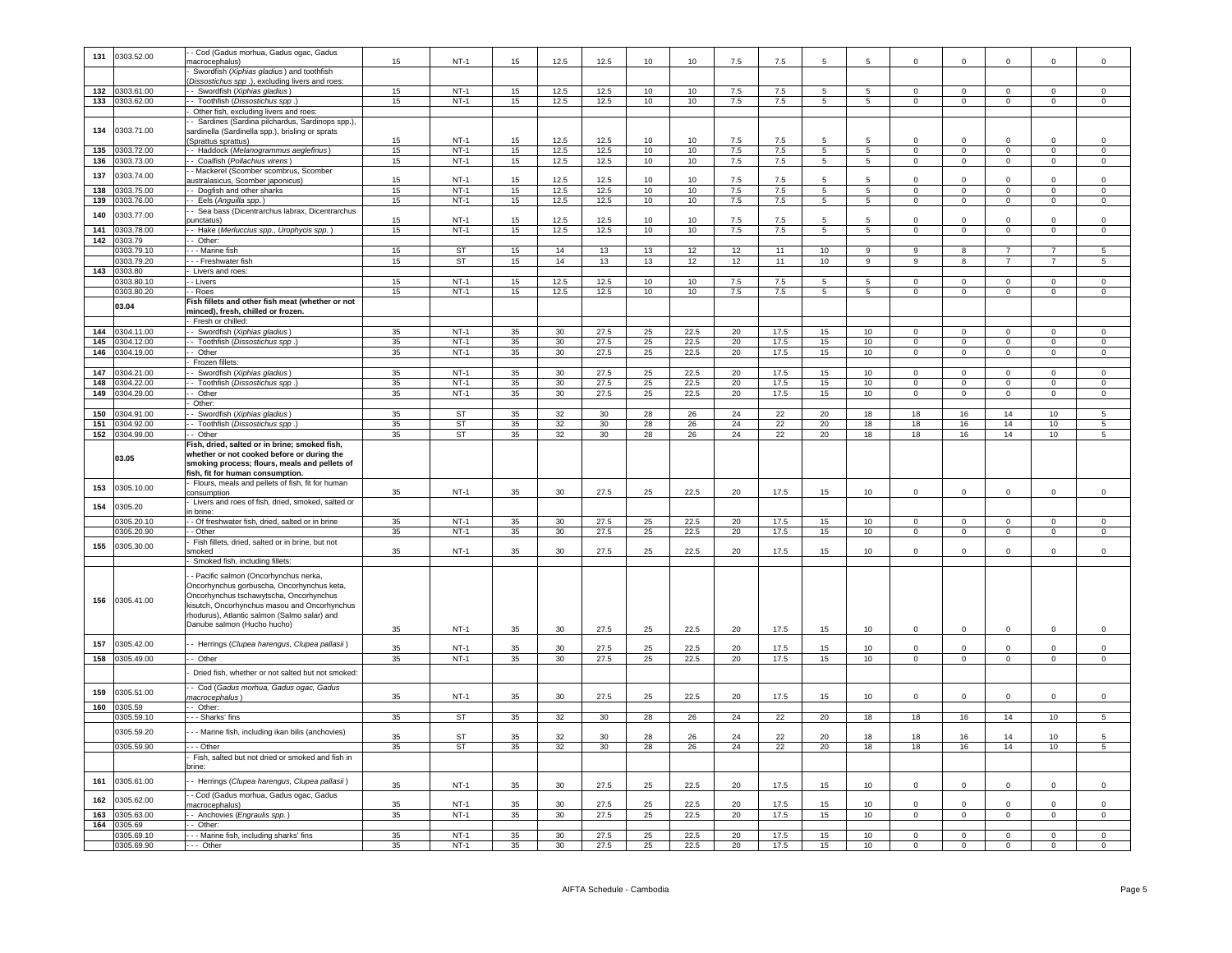| 131              | 0303.52.00     | - Cod (Gadus morhua, Gadus ogac, Gadus               |    |             |    |      |      |    |      |        |      |                 |                 |                |                |                |                |                |
|------------------|----------------|------------------------------------------------------|----|-------------|----|------|------|----|------|--------|------|-----------------|-----------------|----------------|----------------|----------------|----------------|----------------|
|                  |                | macrocephalus)                                       | 15 | $NT-1$      | 15 | 12.5 | 12.5 | 10 | 10   | 7.5    | 7.5  | 5               | 5               | $\Omega$       | $\Omega$       | $\Omega$       | $\Omega$       | $\Omega$       |
|                  |                | Swordfish (Xiphias gladius) and toothfish            |    |             |    |      |      |    |      |        |      |                 |                 |                |                |                |                |                |
|                  |                |                                                      |    |             |    |      |      |    |      |        |      |                 |                 |                |                |                |                |                |
|                  |                | Dissostichus spp.), excluding livers and roes:       |    |             |    |      |      |    |      |        |      |                 |                 |                |                |                |                |                |
| 132              | 0303.61.00     | - Swordfish (Xiphias gladius)                        | 15 | $NT-1$      | 15 | 12.5 | 12.5 | 10 | 10   | 7.5    | 7.5  | $5\phantom{.0}$ | $5\phantom{.0}$ | $\mathbf 0$    | $\,0\,$        | $\mathbf 0$    | $\Omega$       | $\,0\,$        |
| 133              | 0303.62.00     | - Toothfish (Dissostichus spp.                       | 15 | $NT-1$      | 15 | 12.5 | 12.5 | 10 | 10   | 7.5    | 7.5  | $\overline{5}$  | 5               | $\overline{0}$ | $\overline{0}$ | $\overline{0}$ | $\overline{0}$ | $\overline{0}$ |
|                  |                | Other fish, excluding livers and roes                |    |             |    |      |      |    |      |        |      |                 |                 |                |                |                |                |                |
|                  |                |                                                      |    |             |    |      |      |    |      |        |      |                 |                 |                |                |                |                |                |
|                  |                | - Sardines (Sardina pilchardus, Sardinops spp.),     |    |             |    |      |      |    |      |        |      |                 |                 |                |                |                |                |                |
| 134              | 0303.71.00     | sardinella (Sardinella spp.), brisling or sprats     |    |             |    |      |      |    |      |        |      |                 |                 |                |                |                |                |                |
|                  |                | (Sprattus sprattus)                                  | 15 | $NT-1$      | 15 | 12.5 | 12.5 | 10 | 10   | 7.5    | 7.5  | 5               | 5               | $^{\circ}$     | $\overline{0}$ | $\mathbf 0$    | $\mathbf 0$    | $\mathbf 0$    |
| 135              | 0303.72.00     | - Haddock (Melanogrammus aeglefinus)                 | 15 | $NT-1$      | 15 | 12.5 | 12.5 | 10 | 10   | 7.5    | 7.5  | $\overline{5}$  | $\overline{5}$  | $\Omega$       | $\mathbf 0$    | $\mathbf 0$    | $\Omega$       | $\mathbf 0$    |
|                  |                |                                                      |    |             |    |      |      |    |      |        |      |                 |                 |                |                |                |                |                |
| 136              | 0303.73.00     | - Coalfish (Pollachius virens)                       | 15 | $NT-1$      | 15 | 12.5 | 12.5 | 10 | 10   | 7.5    | 7.5  | $5\phantom{.0}$ | $\overline{5}$  | $\overline{0}$ | $\mathbf 0$    | $\mathbf 0$    | $\mathsf 0$    | $\mathsf 0$    |
|                  |                | - Mackerel (Scomber scombrus, Scomber                |    |             |    |      |      |    |      |        |      |                 |                 |                |                |                |                |                |
| 137              | 0303.74.00     | australasicus, Scomber japonicus)                    | 15 | $NT-1$      | 15 | 12.5 | 12.5 | 10 | 10   | 7.5    | 7.5  | 5               |                 | $\Omega$       | $\mathbf 0$    | $\Omega$       | $\Omega$       | $\Omega$       |
| 138              | 0303.75.00     | -- Dogfish and other sharks                          | 15 | $NT-1$      | 15 | 12.5 | 12.5 | 10 | 10   | 7.5    | 7.5  | $5\overline{5}$ | $5\overline{5}$ | $\overline{0}$ | $\overline{0}$ | $\overline{0}$ | $\circ$        | $\overline{0}$ |
|                  |                |                                                      |    |             |    |      |      |    |      |        |      |                 |                 |                |                |                |                |                |
| 139              | 303.76.00      | - Eels (Anguilla spp.)                               | 15 | $NT-1$      | 15 | 12.5 | 12.5 | 10 | 10   | 7.5    | 7.5  | $\overline{5}$  | $\overline{5}$  | $\mathbf 0$    | $\overline{0}$ | $\circ$        | $\overline{0}$ | $\overline{0}$ |
|                  |                | Sea bass (Dicentrarchus labrax, Dicentrarchus        |    |             |    |      |      |    |      |        |      |                 |                 |                |                |                |                |                |
| 140              | 0303.77.00     | ounctatus)                                           | 15 | $NT-1$      | 15 | 12.5 | 12.5 | 10 | 10   | 75     | 75   | 5               |                 | $\Omega$       | $\Omega$       | $\Omega$       | $\Omega$       | $\mathbf 0$    |
| 141              | 303.78.00      |                                                      | 15 | $NT-1$      | 15 | 12.5 | 12.5 | 10 | 10   | 7.5    | 7.5  | $\overline{5}$  | 5               | $\overline{0}$ | $\overline{0}$ | $\overline{0}$ | $\overline{0}$ | $\overline{0}$ |
|                  |                | - Hake (Merluccius spp., Urophycis spp.)             |    |             |    |      |      |    |      |        |      |                 |                 |                |                |                |                |                |
| 142              | 303.79         | - Other                                              |    |             |    |      |      |    |      |        |      |                 |                 |                |                |                |                |                |
|                  | 0303.79.10     | - - Marine fish                                      | 15 | <b>ST</b>   | 15 | 14   | 13   | 13 | 12   | 12     | 11   | 10              | 9               | 9              | 8              | $\overline{7}$ | $\overline{7}$ | 5              |
|                  |                |                                                      |    |             |    |      |      |    |      |        |      |                 |                 | 9              |                | $\overline{7}$ | $\overline{7}$ |                |
|                  | 1303.79.20     | - - - Freshwater fish                                | 15 | ST          | 15 | 14   | 13   | 13 | 12   | 12     | 11   | 10 <sub>1</sub> | 9               |                | 8              |                |                | 5              |
| $\overline{143}$ | 0303.80        | Livers and roes:                                     |    |             |    |      |      |    |      |        |      |                 |                 |                |                |                |                |                |
|                  | 303.80.10      | - Livers                                             | 15 | $NT-1$      | 15 | 12.5 | 12.5 | 10 | 10   | 7.5    | 7.5  | 5               | 5               | $\overline{0}$ | $\overline{0}$ | $\overline{0}$ | $\overline{0}$ | $\overline{0}$ |
|                  | 0303.80.20     | - Roes                                               | 15 | $NT-1$      | 15 | 12.5 | 12.5 | 10 | 10   | 7.5    | 7.5  | 5               | $5\phantom{.0}$ | $\Omega$       | $\mathsf 0$    | $\mathsf 0$    | $\mathsf 0$    | $\,0\,$        |
|                  |                |                                                      |    |             |    |      |      |    |      |        |      |                 |                 |                |                |                |                |                |
|                  | 03.04          | Fish fillets and other fish meat (whether or not     |    |             |    |      |      |    |      |        |      |                 |                 |                |                |                |                |                |
|                  |                | minced), fresh, chilled or frozen.                   |    |             |    |      |      |    |      |        |      |                 |                 |                |                |                |                |                |
|                  |                | - Fresh or chilled:                                  |    |             |    |      |      |    |      |        |      |                 |                 |                |                |                |                |                |
| 144              | 0304.11.00     | -- Swordfish (Xiphias gladius)                       | 35 | $NT-1$      | 35 | 30   | 27.5 | 25 | 22.5 | 20     | 17.5 | 15              | 10              | $\mathbf{0}$   | $\mathbf{0}$   | $\mathbf{0}$   | $\mathbf 0$    | $\circ$        |
|                  |                |                                                      |    |             |    |      |      |    |      |        |      |                 |                 |                |                |                |                |                |
| 145              | 0304.12.00     | - - Toothfish (Dissostichus spp.)                    | 35 | $NT-1$      | 35 | 30   | 27.5 | 25 | 22.5 | 20     | 17.5 | 15              | 10              | $\overline{0}$ | $\mathbf 0$    | $\overline{0}$ | $\mathbf 0$    | $\circ$        |
| 146              | 0304.19.00     | - Other                                              | 35 | $NT-1$      | 35 | 30   | 27.5 | 25 | 22.5 | 20     | 17.5 | 15              | 10              | $\overline{0}$ | $\overline{0}$ | $\overline{0}$ | $\overline{0}$ | $\overline{0}$ |
|                  |                | Frozen fillets:                                      |    |             |    |      |      |    |      |        |      |                 |                 |                |                |                |                |                |
| 147              |                |                                                      | 35 | $NT-1$      | 35 | 30   | 27.5 | 25 | 22.5 |        |      |                 | 10              | $\mathsf 0$    |                |                | $\Omega$       |                |
|                  | 0304.21.00     | Swordfish (Xiphias gladius)                          |    |             |    |      |      |    |      | 20     | 17.5 | 15              |                 |                | $\mathbf 0$    | $\mathbf 0$    |                | $\,0\,$        |
| 148              | 0304.22.00     | - Toothfish (Dissostichus spp.)                      | 35 | $NT-1$      | 35 | 30   | 27.5 | 25 | 22.5 | 20     | 17.5 | 15              | 10              | $\mathbf 0$    | $\mathbf 0$    | $\mathbf 0$    | $\mathbf 0$    | $\mathsf 0$    |
| 149              | 304.29.00      | - Other                                              | 35 | $NT-1$      | 35 | 30   | 27.5 | 25 | 22.5 | $20\,$ | 17.5 | 15              | 10              | $\Omega$       | $\mathbf 0$    | $\mathbf 0$    | $\mathbf 0$    | $\mathsf 0$    |
|                  |                | Other:                                               |    |             |    |      |      |    |      |        |      |                 |                 |                |                |                |                |                |
| 150              |                |                                                      |    |             |    |      |      |    |      |        |      |                 |                 | 18             |                |                | 10             | 5              |
|                  | 0304.91.00     | - Swordfish (Xiphias gladius)                        | 35 | ST          | 35 | 32   | 30   | 28 | 26   | 24     | 22   | 20              | 18              |                | 16             | 14             |                |                |
| 151              | 0304.92.00     | - Toothfish (Dissostichus spp.                       | 35 | ST          | 35 | 32   | 30   | 28 | 26   | $24\,$ | 22   | 20              | 18              | 18             | 16             | 14             | 10             | 5              |
|                  | 152 0304.99.00 | - Other                                              | 35 | ST          | 35 | 32   | 30   | 28 | 26   | 24     | 22   | 20              | 18              | 18             | 16             | 14             | 10             | 5              |
|                  |                | Fish, dried, salted or in brine; smoked fish,        |    |             |    |      |      |    |      |        |      |                 |                 |                |                |                |                |                |
|                  |                |                                                      |    |             |    |      |      |    |      |        |      |                 |                 |                |                |                |                |                |
|                  | 03.05          | whether or not cooked before or during the           |    |             |    |      |      |    |      |        |      |                 |                 |                |                |                |                |                |
|                  |                |                                                      |    |             |    |      |      |    |      |        |      |                 |                 |                |                |                |                |                |
|                  |                | smoking process; flours, meals and pellets of        |    |             |    |      |      |    |      |        |      |                 |                 |                |                |                |                |                |
|                  |                | fish, fit for human consumption.                     |    |             |    |      |      |    |      |        |      |                 |                 |                |                |                |                |                |
|                  |                |                                                      |    |             |    |      |      |    |      |        |      |                 |                 |                |                |                |                |                |
| 153              | 0305.10.00     | Flours, meals and pellets of fish, fit for human     |    |             |    |      |      |    |      |        |      |                 |                 | $\Omega$       | $\mathbf 0$    |                | $\Omega$       | $\mathbf 0$    |
|                  |                | consumption                                          | 35 | $NT-1$      | 35 | 30   | 27.5 | 25 | 22.5 | 20     | 17.5 | 15              | 10              |                |                | $\mathsf 0$    |                |                |
|                  |                | Livers and roes of fish, dried, smoked, salted or    |    |             |    |      |      |    |      |        |      |                 |                 |                |                |                |                |                |
| 154              | 0305.20        | n brine:                                             |    |             |    |      |      |    |      |        |      |                 |                 |                |                |                |                |                |
|                  | 305.20.10      | - Of freshwater fish, dried, salted or in brine      | 35 | $NT-1$      | 35 | 30   | 27.5 | 25 | 22.5 | 20     | 17.5 | 15              | 10 <sup>1</sup> | $\Omega$       | $\Omega$       | $\Omega$       | $\Omega$       | $\Omega$       |
|                  |                |                                                      |    |             |    |      |      |    |      |        |      |                 |                 |                |                |                |                |                |
|                  | 0305.20.90     | - Other                                              | 35 | $NT-1$      | 35 | 30   | 27.5 | 25 | 22.5 | 20     | 17.5 | 15              | 10              | $\mathsf 0$    | $\overline{0}$ | $\mathbf 0$    | $\mathbf 0$    | $\overline{0}$ |
| 155              | 0305.30.00     | Fish fillets, dried, salted or in brine, but not     |    |             |    |      |      |    |      |        |      |                 |                 |                |                |                |                |                |
|                  |                | moked                                                | 35 | <b>NT-1</b> | 35 | 30   | 27.5 | 25 | 22.5 | 20     | 17.5 | 15              | 10              | $\mathbf 0$    | $\mathbf 0$    | $\mathbf 0$    | $\mathbf 0$    | $\mathsf 0$    |
|                  |                | Smoked fish, including fillets:                      |    |             |    |      |      |    |      |        |      |                 |                 |                |                |                |                |                |
|                  |                |                                                      |    |             |    |      |      |    |      |        |      |                 |                 |                |                |                |                |                |
|                  |                | - Pacific salmon (Oncorhynchus nerka,                |    |             |    |      |      |    |      |        |      |                 |                 |                |                |                |                |                |
|                  |                |                                                      |    |             |    |      |      |    |      |        |      |                 |                 |                |                |                |                |                |
|                  |                | Oncorhynchus gorbuscha, Oncorhynchus keta,           |    |             |    |      |      |    |      |        |      |                 |                 |                |                |                |                |                |
| 156              | 0305.41.00     | Oncorhynchus tschawytscha, Oncorhynchus              |    |             |    |      |      |    |      |        |      |                 |                 |                |                |                |                |                |
|                  |                | kisutch, Oncorhynchus masou and Oncorhynchus         |    |             |    |      |      |    |      |        |      |                 |                 |                |                |                |                |                |
|                  |                | rhodurus), Atlantic salmon (Salmo salar) and         |    |             |    |      |      |    |      |        |      |                 |                 |                |                |                |                |                |
|                  |                | Danube salmon (Hucho hucho)                          |    |             |    |      |      |    |      |        |      |                 |                 |                |                |                |                |                |
|                  |                |                                                      | 35 | $NT-1$      | 35 | 30   | 27.5 | 25 | 22.5 | 20     | 17.5 | 15              | 10              | $\mathsf 0$    | $\mathbf 0$    | $\Omega$       | $\mathsf 0$    | $\,0\,$        |
|                  |                |                                                      |    |             |    |      |      |    |      |        |      |                 |                 |                |                |                |                |                |
| 157              | 0305.42.00     | - Herrings (Clupea harengus, Clupea pallasii)        | 35 | $NT-1$      | 35 | 30   | 27.5 | 25 | 22.5 | 20     | 17.5 | 15              | 10              | $\mathsf 0$    | $\overline{0}$ | $\mathbf 0$    | $\mathbf 0$    | $\mathsf 0$    |
| 158              | 0305.49.00     | - Other                                              | 35 | $NT-1$      | 35 | 30   | 27.5 | 25 | 22.5 | 20     | 17.5 | 15              | 10              | $\Omega$       | $\mathbf 0$    | $\overline{0}$ | $\Omega$       | $\mathbf 0$    |
|                  |                |                                                      |    |             |    |      |      |    |      |        |      |                 |                 |                |                |                |                |                |
|                  |                | Dried fish, whether or not salted but not smoked:    |    |             |    |      |      |    |      |        |      |                 |                 |                |                |                |                |                |
|                  |                |                                                      |    |             |    |      |      |    |      |        |      |                 |                 |                |                |                |                |                |
| 159              |                | - Cod (Gadus morhua, Gadus ogac, Gadus               |    |             |    |      |      |    |      |        |      |                 |                 |                |                |                |                |                |
|                  | 0305.51.00     | nacrocephalus)                                       | 35 | $NT-1$      | 35 | 30   | 27.5 | 25 | 22.5 | 20     | 17.5 | 15              | 10              | $\mathbf 0$    | $\,0\,$        | $\mathsf 0$    | $\mathsf 0$    | $\,0\,$        |
|                  |                |                                                      |    |             |    |      |      |    |      |        |      |                 |                 |                |                |                |                |                |
| 160              | 0305.59        | - Other:                                             |    |             |    |      |      |    |      |        |      |                 |                 |                |                |                |                |                |
|                  | 0305.59.10     | - - Sharks' fins                                     | 35 | ST          | 35 | 32   | 30   | 28 | 26   | $24\,$ | 22   | $20\,$          | 18              | 18             | $16\,$         | 14             | 10             | 5              |
|                  |                |                                                      |    |             |    |      |      |    |      |        |      |                 |                 |                |                |                |                |                |
|                  | 0305.59.20     | - Marine fish, including ikan bilis (anchovies)      | 35 | ST          | 35 | 32   | 30   | 28 | 26   | 24     | 22   | 20              | 18              | 18             | 16             | 14             | 10             | 5              |
|                  | 0305.59.90     | - - Other                                            | 35 | ST          | 35 | 32   | 30   | 28 | 26   | 24     | 22   | 20              | 18              | 18             | 16             | 14             | 10             | 5              |
|                  |                |                                                      |    |             |    |      |      |    |      |        |      |                 |                 |                |                |                |                |                |
|                  |                | Fish, salted but not dried or smoked and fish in     |    |             |    |      |      |    |      |        |      |                 |                 |                |                |                |                |                |
|                  |                |                                                      |    |             |    |      |      |    |      |        |      |                 |                 |                |                |                |                |                |
| 161              |                |                                                      |    |             |    |      |      |    |      |        |      |                 |                 |                |                |                |                |                |
|                  | 0305.61.00     | - Herrings (Clupea harengus, Clupea pallasii)        | 35 | $NT-1$      | 35 | 30   | 27.5 | 25 | 22.5 | 20     | 17.5 | 15              | 10              | $\mathbf{0}$   | $\mathbf 0$    | $\mathbf 0$    | $\mathbf 0$    | $\mathsf 0$    |
|                  |                |                                                      |    |             |    |      |      |    |      |        |      |                 |                 |                |                |                |                |                |
| 162              | 305.62.00      | - Cod (Gadus morhua, Gadus ogac, Gadus               |    |             |    |      |      |    |      |        |      |                 |                 | $\mathbf 0$    | $\mathbf 0$    | $\mathbf 0$    | $\mathbf 0$    |                |
|                  |                | macrocephalus)                                       | 35 | $NT-1$      | 35 | 30   | 27.5 | 25 | 22.5 | 20     | 17.5 | 15              | 10 <sub>1</sub> |                |                |                |                | $\overline{0}$ |
| 163              | 0305.63.00     | - Anchovies (Engraulis spp.)                         | 35 | $NT-1$      | 35 | 30   | 27.5 | 25 | 22.5 | 20     | 17.5 | 15              | 10              | $\Omega$       | $\overline{0}$ | $\mathbf 0$    | $\Omega$       | $\mathsf 0$    |
| 164              | 0305.69        | - Other:                                             |    |             |    |      |      |    |      |        |      |                 |                 |                |                |                |                |                |
|                  | 0305.69.10     |                                                      | 35 | $NT-1$      | 35 | 30   | 27.5 | 25 | 22.5 | 20     | 17.5 | 15              | 10              | $\Omega$       | $\mathsf 0$    | $\Omega$       | $\Omega$       | $\Omega$       |
|                  | 0305.69.90     | - - Marine fish, including sharks' fins<br>--- Other | 35 | $NT-1$      | 35 | 30   | 27.5 | 25 | 22.5 | 20     | 17.5 | 15              | 10              | $\Omega$       | $\mathbf 0$    | $\mathbf 0$    | $\Omega$       | $\mathbf 0$    |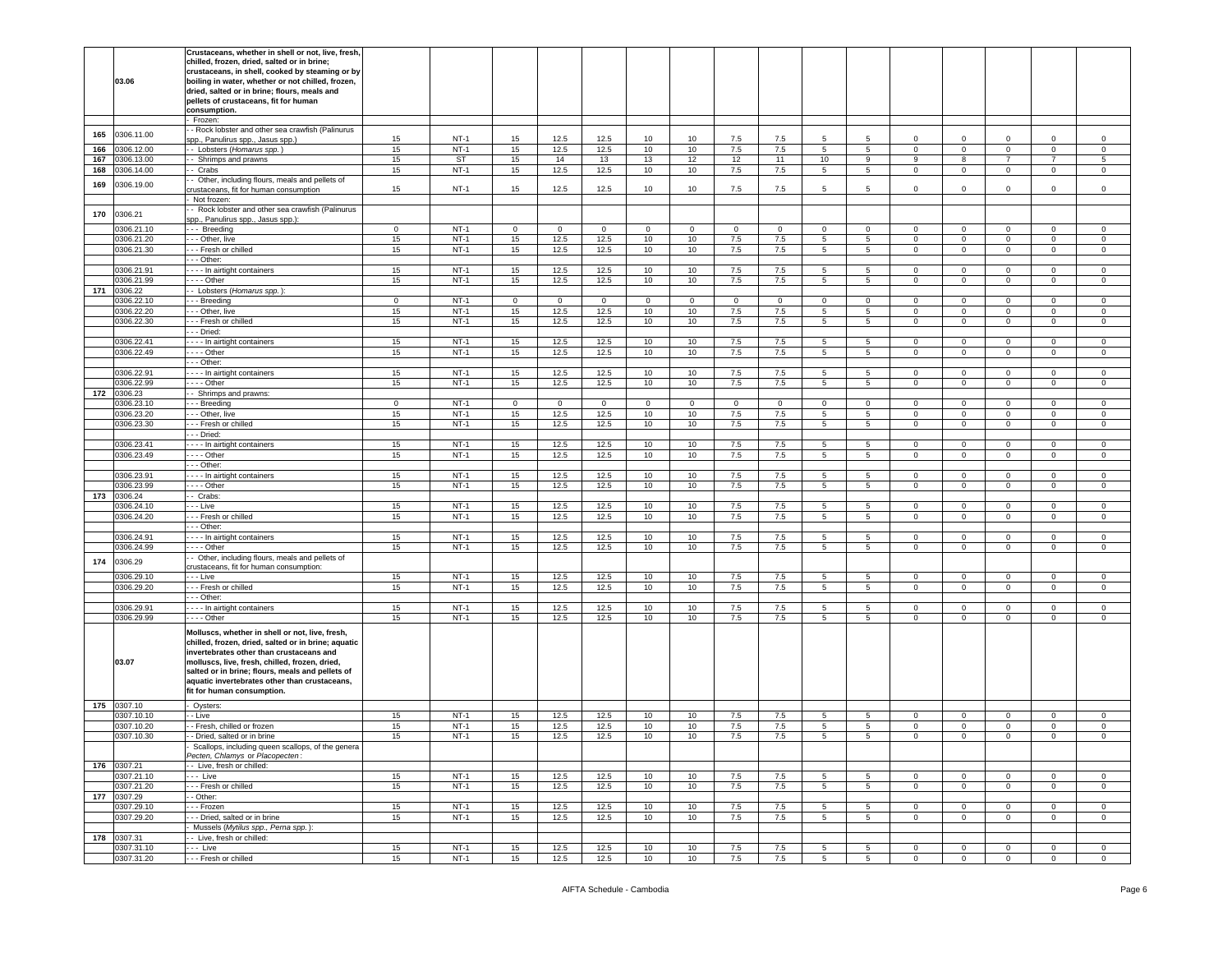|     |                           | Crustaceans, whether in shell or not, live, fresh,<br>chilled, frozen, dried, salted or in brine;                                                                                                                                                                                                                                       |             |                  |             |              |              |              |              |             |             |                  |                  |                             |                                  |                                  |                            |                            |
|-----|---------------------------|-----------------------------------------------------------------------------------------------------------------------------------------------------------------------------------------------------------------------------------------------------------------------------------------------------------------------------------------|-------------|------------------|-------------|--------------|--------------|--------------|--------------|-------------|-------------|------------------|------------------|-----------------------------|----------------------------------|----------------------------------|----------------------------|----------------------------|
|     | 03.06                     | crustaceans, in shell, cooked by steaming or by<br>boiling in water, whether or not chilled, frozen,                                                                                                                                                                                                                                    |             |                  |             |              |              |              |              |             |             |                  |                  |                             |                                  |                                  |                            |                            |
|     |                           | dried, salted or in brine; flours, meals and<br>pellets of crustaceans, fit for human<br>consumption.                                                                                                                                                                                                                                   |             |                  |             |              |              |              |              |             |             |                  |                  |                             |                                  |                                  |                            |                            |
|     |                           | Frozen:                                                                                                                                                                                                                                                                                                                                 |             |                  |             |              |              |              |              |             |             |                  |                  |                             |                                  |                                  |                            |                            |
| 165 | 0306.11.00                | - Rock lobster and other sea crawfish (Palinurus                                                                                                                                                                                                                                                                                        |             |                  |             |              |              |              |              |             |             |                  |                  |                             |                                  |                                  |                            |                            |
| 166 | 0306.12.00                | spp., Panulirus spp., Jasus spp.)<br>- Lobsters (Homarus spp.)                                                                                                                                                                                                                                                                          | 15<br>15    | $NT-1$<br>$NT-1$ | 15<br>15    | 12.5<br>12.5 | 12.5<br>12.5 | 10<br>10     | 10<br>10     | 7.5<br>7.5  | 7.5<br>7.5  | 5<br>5           | 5<br>$5^{\circ}$ | $\Omega$<br>$\mathbf 0$     | $\Omega$<br>$\mathbf 0$          | $\Omega$<br>$\circ$              | $\Omega$<br>$\mathbf 0$    | 0<br>$\mathsf 0$           |
| 167 | 0306.13.00                | Shrimps and prawns                                                                                                                                                                                                                                                                                                                      | 15          | <b>ST</b>        | 15          | 14           | 13           | 13           | 12           | 12          | 11          | 10               | $\boldsymbol{9}$ | 9                           | 8                                | $\overline{7}$                   | $\overline{7}$             | $\,$ 5                     |
| 168 | 0306.14.00                | - Crabs                                                                                                                                                                                                                                                                                                                                 | 15          | $NT-1$           | 15          | 12.5         | 12.5         | 10           | 10           | 7.5         | 7.5         | 5                | $5\overline{)}$  | $\mathbf 0$                 | $\mathbf 0$                      | $\circ$                          | 0                          | 0                          |
| 169 | 0306.19.00                | Other, including flours, meals and pellets of                                                                                                                                                                                                                                                                                           |             |                  |             |              |              |              |              |             |             |                  |                  |                             |                                  |                                  |                            |                            |
|     |                           | rustaceans, fit for human consumption<br>Not frozen:                                                                                                                                                                                                                                                                                    | 15          | $NT-1$           | 15          | 12.5         | 12.5         | 10           | 10           | 7.5         | 7.5         | 5                | 5                | 0                           | $\mathbf 0$                      | 0                                | 0                          | 0                          |
|     |                           | - Rock lobster and other sea crawfish (Palinurus                                                                                                                                                                                                                                                                                        |             |                  |             |              |              |              |              |             |             |                  |                  |                             |                                  |                                  |                            |                            |
| 170 | 0306.21                   | spp., Panulirus spp., Jasus spp.):                                                                                                                                                                                                                                                                                                      |             |                  |             |              |              |              |              |             |             |                  |                  |                             |                                  |                                  |                            |                            |
|     | 0306.21.10                | -- Breeding                                                                                                                                                                                                                                                                                                                             | $\mathbf 0$ | $NT-1$           | $\mathbf 0$ | $\circ$      | $\mathbf 0$  | $\mathbf{0}$ | $\mathbf{0}$ | $\mathbf 0$ | $\mathbf 0$ | $\mathbf 0$      | $\mathbf{0}$     | $\mathbf 0$                 | $\mathbf 0$                      | $\overline{0}$                   | $\mathbf 0$                | 0                          |
|     | 0306.21.20                | - - Other, live                                                                                                                                                                                                                                                                                                                         | 15          | $NT-1$           | 15          | 12.5         | 12.5         | 10           | 10           | 7.5         | 7.5         | $\overline{5}$   | 5                | $\circ$                     | $\overline{0}$                   | $\mathbf 0$                      | $\mathbf 0$                | $\mathsf 0$                |
|     | 0306.21.30                | - - Fresh or chilled<br>- - Other:                                                                                                                                                                                                                                                                                                      | 15          | $NT-1$           | 15          | 12.5         | 12.5         | 10           | 10           | 7.5         | 7.5         | 5                | 5                | $\mathbf 0$                 | $\mathbf 0$                      | $\circ$                          | $\mathbf 0$                | $\mathsf 0$                |
|     | 0306.21.91                | - - - In airtight containers                                                                                                                                                                                                                                                                                                            | 15          | $NT-1$           | 15          | 12.5         | 12.5         | 10           | 10           | 7.5         | 7.5         | 5                | 5                | 0                           | $\mathbf 0$                      | 0                                | 0                          | 0                          |
|     | 0306.21.99                | $- -$ Other                                                                                                                                                                                                                                                                                                                             | 15          | $NT-1$           | 15          | 12.5         | 12.5         | 10           | 10           | 7.5         | 7.5         | 5                | $5^{\circ}$      | $\mathbf{0}$                | $\mathbf 0$                      | $\overline{0}$                   | $\mathbf 0$                | $\mathsf 0$                |
| 171 | 0306.22                   | - Lobsters (Homarus spp.):                                                                                                                                                                                                                                                                                                              |             |                  |             |              |              |              |              |             |             |                  |                  |                             |                                  |                                  |                            |                            |
|     | 0306.22.10                | - - Breeding                                                                                                                                                                                                                                                                                                                            | $\mathbf 0$ | $NT-1$<br>$NT-1$ | $\mathbf 0$ | $\mathbf 0$  | $\mathbf 0$  | $\mathbf 0$  | $\mathbf 0$  | $\mathbf 0$ | $\mathbf 0$ | $\mathbf 0$      | $\circ$          | 0                           | $\mathbf 0$                      | $\mathbf 0$                      | $\mathbf 0$                | 0                          |
|     | 0306.22.20<br>0306.22.30  | - - Other, live<br>-- Fresh or chilled                                                                                                                                                                                                                                                                                                  | 15<br>15    | $NT-1$           | 15<br>15    | 12.5<br>12.5 | 12.5<br>12.5 | 10<br>10     | 10<br>10     | 7.5<br>7.5  | 7.5<br>7.5  | 5<br>5           | 5<br>5           | $\mathbf 0$<br>$\mathbf{0}$ | $\mathbf 0$<br>$\mathbf 0$       | $\overline{0}$<br>$\overline{0}$ | $\mathbf 0$<br>$\mathbf 0$ | $\mathbf 0$<br>$\mathbf 0$ |
|     |                           | - - Dried:                                                                                                                                                                                                                                                                                                                              |             |                  |             |              |              |              |              |             |             |                  |                  |                             |                                  |                                  |                            |                            |
|     | 0306.22.41                | - - - In airtight containers                                                                                                                                                                                                                                                                                                            | 15          | $NT-1$           | 15          | 12.5         | 12.5         | 10           | 10           | 7.5         | 7.5         | 5                | 5                | $\mathbf{0}$                | $\mathbf 0$                      | $\mathbf 0$                      | $\circ$                    | 0                          |
|     | 0306.22.49                | $- -$ Other                                                                                                                                                                                                                                                                                                                             | 15          | $NT-1$           | 15          | 12.5         | 12.5         | 10           | 10           | 7.5         | 7.5         | 5                | 5                | 0                           | $\mathbf 0$                      | $\circ$                          | $\mathbf 0$                | $\mathsf 0$                |
|     |                           | - - Other:                                                                                                                                                                                                                                                                                                                              |             |                  |             |              |              |              |              |             |             |                  |                  |                             |                                  |                                  |                            |                            |
|     | 0306.22.91<br>0306.22.99  | - - - In airtight containers<br>$- -$ Other                                                                                                                                                                                                                                                                                             | 15<br>15    | $NT-1$<br>$NT-1$ | 15<br>15    | 12.5<br>12.5 | 12.5<br>12.5 | 10<br>10     | 10<br>10     | 7.5<br>7.5  | 7.5<br>7.5  | 5<br>$5^{\circ}$ | 5<br>$5^{\circ}$ | $\mathbf 0$<br>$\mathbf 0$  | $\mathbf 0$<br>$\mathbf 0$       | $\mathbf 0$<br>$\overline{0}$    | 0<br>$\mathbf 0$           | 0<br>$\mathsf 0$           |
| 172 | 0306.23                   | - Shrimps and prawns:                                                                                                                                                                                                                                                                                                                   |             |                  |             |              |              |              |              |             |             |                  |                  |                             |                                  |                                  |                            |                            |
|     | 0306.23.10                | - - Breeding                                                                                                                                                                                                                                                                                                                            | $\mathbf 0$ | $NT-1$           | $\mathbf 0$ | $\mathbf 0$  | $\mathbf 0$  | $\mathbf 0$  | $\mathbf 0$  | $\mathbf 0$ | $\mathbf 0$ | $\mathbf 0$      | $\mathbf 0$      | $\mathbf 0$                 | $\mathbf 0$                      | $\mathbf 0$                      | $\mathbf 0$                | 0                          |
|     | 0306.23.20                | - - Other, live                                                                                                                                                                                                                                                                                                                         | 15          | $NT-1$           | 15          | 12.5         | 12.5         | 10           | 10           | 7.5         | 7.5         | 5                | 5                | $\circ$                     | $\mathbf 0$                      | $\mathbf 0$                      | $\mathbf 0$                | $\mathbf 0$                |
|     | 0306.23.30                | - - Fresh or chilled<br>- - Dried:                                                                                                                                                                                                                                                                                                      | 15          | $NT-1$           | 15          | 12.5         | 12.5         | 10           | 10           | 7.5         | 7.5         | 5                | 5                | $\mathbf 0$                 | $\mathbf 0$                      | $\overline{0}$                   | $\mathbf 0$                | $\mathbf 0$                |
|     | 0306.23.41                | - - - In airtight containers                                                                                                                                                                                                                                                                                                            | 15          | $NT-1$           | 15          | 12.5         | 12.5         | 10           | 10           | 7.5         | 7.5         | $\overline{5}$   | 5                | $\mathbf{0}$                | $\overline{0}$                   | $\circ$                          | $\circ$                    | 0                          |
|     | 0306.23.49                | $- -$ Other                                                                                                                                                                                                                                                                                                                             | 15          | $NT-1$           | 15          | 12.5         | 12.5         | 10           | 10           | 7.5         | 7.5         | 5                | $5^{\circ}$      | $\mathbf 0$                 | $\mathbf 0$                      | $\circ$                          | $\mathbf 0$                | $\mathsf 0$                |
|     |                           | - - Other:                                                                                                                                                                                                                                                                                                                              |             |                  |             |              |              |              |              |             |             |                  |                  |                             |                                  |                                  |                            |                            |
|     | 0306.23.91                | --- In airtight containers                                                                                                                                                                                                                                                                                                              | 15          | $NT-1$           | 15          | 12.5         | 12.5         | 10           | 10           | 7.5         | 7.5         | 5                | 5                | $\mathbf{0}$                | $\mathbf 0$                      | $\mathbf 0$                      | 0                          | 0                          |
| 173 | 0306.23.99<br>0306.24     | $- -$ Other<br>- Crabs:                                                                                                                                                                                                                                                                                                                 | 15          | $NT-1$           | 15          | 12.5         | 12.5         | 10           | 10           | 7.5         | 7.5         | 5 <sup>5</sup>   | $5^{\circ}$      | $\mathbf{0}$                | $\mathbf 0$                      | $\mathbf{0}$                     | 0                          | $\mathsf 0$                |
|     | 0306.24.10                | - - Live                                                                                                                                                                                                                                                                                                                                | 15          | $NT-1$           | 15          | 12.5         | 12.5         | 10           | 10           | 7.5         | 7.5         | 5                | 5                | $\mathbf 0$                 | $\mathbf 0$                      | $\mathbf 0$                      | $\mathbf 0$                | 0                          |
|     | 0306.24.20                | - - Fresh or chilled                                                                                                                                                                                                                                                                                                                    | 15          | $NT-1$           | 15          | 12.5         | 12.5         | 10           | 10           | 7.5         | 7.5         | 5                | $5\overline{)}$  | $\mathbf 0$                 | $\overline{0}$                   | $\circ$                          | $\mathsf 0$                | $\mathsf 0$                |
|     |                           | - - Other:                                                                                                                                                                                                                                                                                                                              |             |                  |             |              |              |              |              |             |             |                  |                  |                             |                                  |                                  |                            |                            |
|     | 0306.24.91                | - - - In airtight containers                                                                                                                                                                                                                                                                                                            | 15          | $NT-1$           | 15          | 12.5         | 12.5         | 10           | 10           | 7.5         | 7.5         | 5                | $5^{\circ}$      | $\mathbf{0}$                | $\mathbf 0$                      | $\mathbf 0$                      | $\mathbf 0$                | 0                          |
|     | 0306.24.99                | $--$ Other<br>- Other, including flours, meals and pellets of                                                                                                                                                                                                                                                                           | 15          | $NT-1$           | 15          | 12.5         | 12.5         | 10           | 10           | 7.5         | 7.5         | $\overline{5}$   | 5                | $\circ$                     | $\mathbf 0$                      | $\circ$                          | $\mathbf 0$                | $\mathsf 0$                |
| 174 | 0306.29                   | rustaceans, fit for human consumption:                                                                                                                                                                                                                                                                                                  |             |                  |             |              |              |              |              |             |             |                  |                  |                             |                                  |                                  |                            |                            |
|     | 0306.29.10                | - - Live                                                                                                                                                                                                                                                                                                                                | 15          | $NT-1$           | 15          | 12.5         | 12.5         | 10           | 10           | 7.5         | 7.5         | 5                | 5                | $\Omega$                    | $\mathsf 0$                      | $\mathbf 0$                      | $\mathbf 0$                | $\mathsf 0$                |
|     | 0306.29.20                | - - Fresh or chilled                                                                                                                                                                                                                                                                                                                    | 15          | $NT-1$           | 15          | 12.5         | 12.5         | 10           | 10           | 7.5         | 7.5         | $5^{\circ}$      | 5                | $\overline{0}$              | $\overline{0}$                   | $\mathbf{0}$                     | $\mathbf 0$                | $\circ$                    |
|     | 0306.29.91                | - - Other:<br>- - - In airtight containers                                                                                                                                                                                                                                                                                              | 15          | $NT-1$           | 15          | 12.5         | 12.5         | 10           | 10           | 7.5         | 7.5         | 5                | 5                | $\circ$                     | $\mathbf 0$                      | $\circ$                          | $\mathbf 0$                | 0                          |
|     | 0306.29.99                | $\cdots$ - Other                                                                                                                                                                                                                                                                                                                        | 15          | $NT-1$           | 15          | 12.5         | 12.5         | 10           | 10           | 7.5         | 7.5         | 5                | $5^{\circ}$      | 0                           | $\mathbf 0$                      | $\circ$                          | 0                          | $\mathsf 0$                |
|     | 03.07                     | Molluscs, whether in shell or not, live, fresh,<br>chilled, frozen, dried, salted or in brine; aquatic<br>invertebrates other than crustaceans and<br>molluscs, live, fresh, chilled, frozen, dried,<br>salted or in brine; flours, meals and pellets of<br>aquatic invertebrates other than crustaceans,<br>fit for human consumption. |             |                  |             |              |              |              |              |             |             |                  |                  |                             |                                  |                                  |                            |                            |
| 175 | 0307.10                   | Oysters:                                                                                                                                                                                                                                                                                                                                |             |                  |             |              |              |              |              |             |             |                  |                  |                             |                                  |                                  |                            |                            |
|     | 0307.10.10                | - Live                                                                                                                                                                                                                                                                                                                                  | 15          | $NT-1$           | 15          | 12.5         | 12.5         | 10           | 10           | 7.5         | 7.5         | 5                | 5                | $\mathbf{0}$                | $\mathbf 0$                      | 0                                | $\mathbf 0$                | 0                          |
|     | 0307.10.20<br>0307.10.30  | - Fresh, chilled or frozen<br>- Dried, salted or in brine                                                                                                                                                                                                                                                                               | 15          | $NT-1$<br>$NT-1$ | 15          | 12.5<br>12.5 | 12.5<br>12.5 | 10           | 10           | 7.5         | 7.5         | 5                | 5                | $\mathbf 0$                 | $\mathbf 0$                      | 0                                | $\mathbf 0$                | 0<br>$\mathbf 0$           |
|     |                           | Scallops, including queen scallops, of the genera<br>Pecten, Chlamys or Placopecten:                                                                                                                                                                                                                                                    | 15          |                  | 15          |              |              | 10           | 10           | 7.5         | 7.5         | 5                | $\overline{5}$   | $\circ$                     | $\mathbf 0$                      | $\mathbf 0$                      | 0                          |                            |
|     | 176 0307.21               | - Live, fresh or chilled:                                                                                                                                                                                                                                                                                                               |             |                  |             |              |              |              |              |             |             |                  |                  |                             |                                  |                                  |                            |                            |
|     | 0307.21.10                | . Live                                                                                                                                                                                                                                                                                                                                  | 15          | $NT-1$           | 15          | 12.5         | 12.5         | 10           | 10           | 7.5         | 7.5         | $5\overline{)}$  | $5\overline{)}$  | $\overline{0}$              | $\overline{0}$                   | $\mathbf{0}$                     | $\overline{0}$             | $\circ$                    |
|     | 0307.21.20                | - - Fresh or chilled                                                                                                                                                                                                                                                                                                                    | 15          | $NT-1$           | 15          | 12.5         | 12.5         | 10           | 10           | 7.5         | 7.5         | 5                | $5^{\circ}$      | $\mathbf 0$                 | $\mathbf 0$                      | $\circ$                          | $\circ$                    | $\mathbf 0$                |
|     | 177 0307.29<br>0307.29.10 | - Other:<br>- - Frozen                                                                                                                                                                                                                                                                                                                  | 15          | $NT-1$           | 15          | 12.5         | 12.5         | 10           | 10           | 7.5         | 7.5         | 5                | 5                | $\mathbf 0$                 | $\overline{0}$                   | $\mathbf{0}$                     | $\mathbf{0}$               | $\mathbf 0$                |
|     | 0307.29.20                | - - Dried, salted or in brine                                                                                                                                                                                                                                                                                                           | 15          | $NT-1$           | 15          | 12.5         | 12.5         | 10           | 10           | 7.5         | 7.5         | 5 <sup>5</sup>   | $5^{\circ}$      | $\circ$                     | $\mathbf 0$                      | $\mathbf{0}$                     | $\circ$                    | $\mathbf 0$                |
|     |                           | Mussels (Mytilus spp., Perna spp.):                                                                                                                                                                                                                                                                                                     |             |                  |             |              |              |              |              |             |             |                  |                  |                             |                                  |                                  |                            |                            |
| 178 | 0307.31                   | - Live, fresh or chilled:                                                                                                                                                                                                                                                                                                               |             |                  |             |              |              |              |              |             |             |                  |                  |                             |                                  |                                  |                            |                            |
|     | 0307.31.10                | -- Live<br>--- Fresh or chilled                                                                                                                                                                                                                                                                                                         | 15          | $NT-1$<br>$NT-1$ | 15          | 12.5         | 12.5         | 10           | 10           | 7.5         | 7.5         | $5^{\circ}$      | 5                | $\circ$                     | $\overline{0}$<br>$\overline{0}$ | $\mathbf{0}$                     | $\mathbf 0$                | $\mathsf 0$                |
|     | 0307.31.20                |                                                                                                                                                                                                                                                                                                                                         | 15          |                  | 15          | 12.5         | 12.5         | 10           | 10           | 7.5         | 7.5         | $5\overline{5}$  | $5\overline{5}$  | $\overline{0}$              |                                  | $\mathbf{0}$                     | $\overline{0}$             | $\overline{0}$             |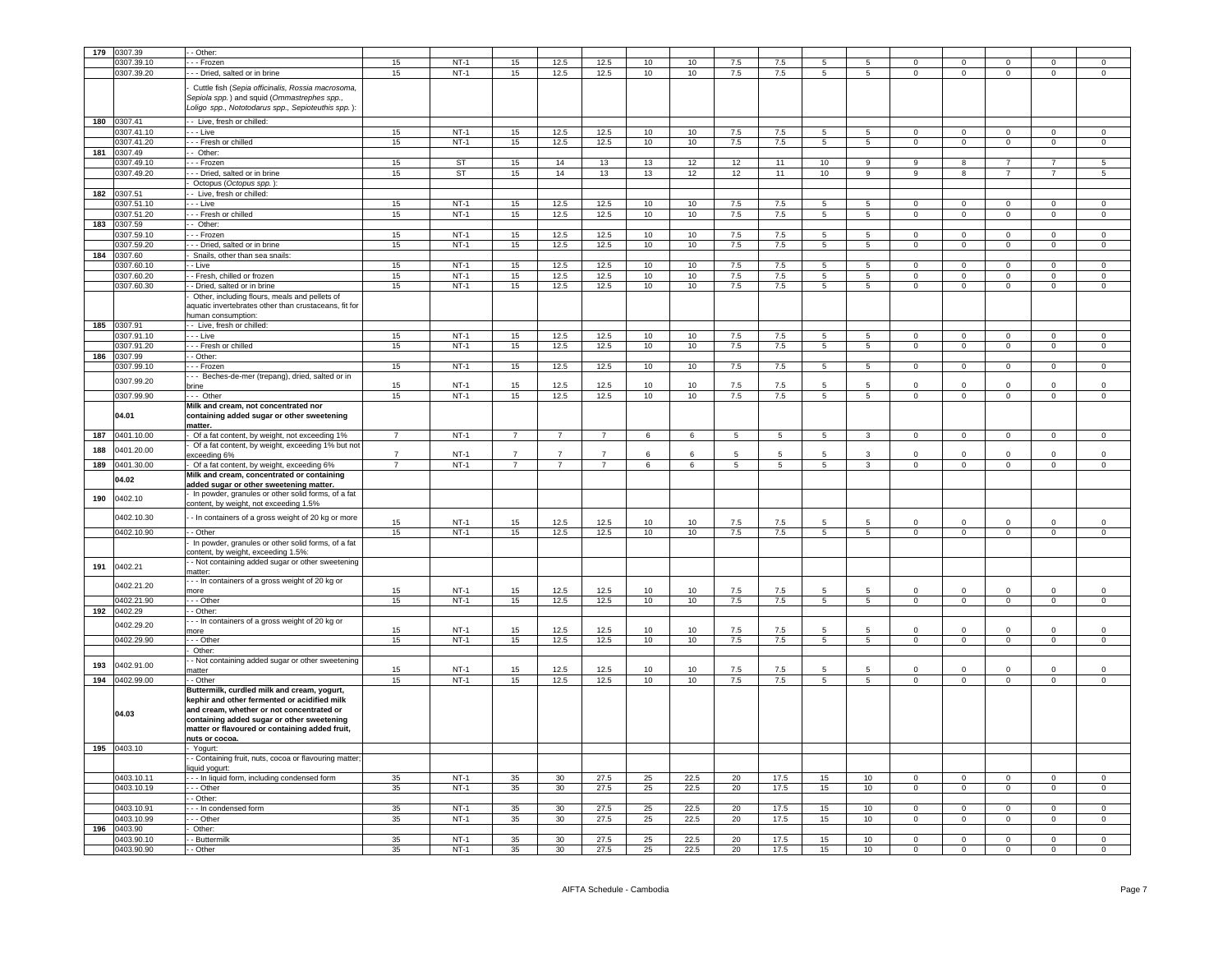| 179 | 307.39      | - Other                                                                                                                                                                                                                                                    |                |        |                |                |                |    |      |                 |                 |                 |                  |                |                         |                |                |                |
|-----|-------------|------------------------------------------------------------------------------------------------------------------------------------------------------------------------------------------------------------------------------------------------------------|----------------|--------|----------------|----------------|----------------|----|------|-----------------|-----------------|-----------------|------------------|----------------|-------------------------|----------------|----------------|----------------|
|     | 0307.39.10  | - - - Frozen                                                                                                                                                                                                                                               | 15             | $NT-1$ | 15             | 12.5           | 12.5           | 10 | 10   | 7.5             | 7.5             |                 | 5                |                |                         |                |                | $\mathbf 0$    |
|     |             |                                                                                                                                                                                                                                                            |                |        |                |                |                |    |      |                 |                 |                 |                  |                |                         |                |                |                |
|     | 0307.39.20  | --- Dried, salted or in brine                                                                                                                                                                                                                              | 15             | $NT-1$ | 15             | 12.5           | 12.5           | 10 | 10   | 7.5             | 7.5             | $5\overline{5}$ | 5 <sub>5</sub>   | $\overline{0}$ | $\mathbf{0}$            | $\mathbf{0}$   | $\mathbf{0}$   | $\circ$        |
|     |             | Cuttle fish (Sepia officinalis, Rossia macrosoma,<br>Sepiola spp.) and squid (Ommastrephes spp.,<br>Loligo spp., Nototodarus spp., Sepioteuthis spp.):                                                                                                     |                |        |                |                |                |    |      |                 |                 |                 |                  |                |                         |                |                |                |
| 180 | 0307.41     | -- Live, fresh or chilled:                                                                                                                                                                                                                                 |                |        |                |                |                |    |      |                 |                 |                 |                  |                |                         |                |                |                |
|     | 0307.41.10  | - - - Live                                                                                                                                                                                                                                                 | 15             | $NT-1$ | 15             | 12.5           | 12.5           | 10 | 10   | 7.5             | 7.5             | 5               | 5                | $\Omega$       | $\overline{0}$          | $\Omega$       | $\Omega$       | $\mathbf{0}$   |
|     | 0307.41.20  | - - - Fresh or chilled                                                                                                                                                                                                                                     | 15             | $NT-1$ | 15             | 12.5           | 12.5           | 10 | 10   | 7.5             | 7.5             | $5\phantom{.0}$ | $5\overline{5}$  | $\mathbf 0$    | $\overline{0}$          | $\overline{0}$ | $\mathbf 0$    | $\overline{0}$ |
| 181 | 307.49      | - Other:                                                                                                                                                                                                                                                   |                |        |                |                |                |    |      |                 |                 |                 |                  |                |                         |                |                |                |
|     | 307.49.10   | - - Frozen                                                                                                                                                                                                                                                 | 15             | ST     | 15             | 14             | 13             | 13 | 12   | 12              | 11              | 10              | 9                | 9              | 8                       | $\overline{7}$ | $\overline{7}$ | 5              |
|     |             |                                                                                                                                                                                                                                                            |                |        |                |                |                |    |      |                 |                 |                 |                  | 9              | 8                       | $\overline{7}$ |                | 5              |
|     | 0307.49.20  | - - Dried, salted or in brine                                                                                                                                                                                                                              | 15             | ST     | 15             | 14             | 13             | 13 | 12   | 12              | 11              | 10              | $\boldsymbol{9}$ |                |                         |                |                |                |
|     |             | Octopus (Octopus spp.)                                                                                                                                                                                                                                     |                |        |                |                |                |    |      |                 |                 |                 |                  |                |                         |                |                |                |
| 182 | 0307.51     | -- Live, fresh or chilled:                                                                                                                                                                                                                                 |                |        |                |                |                |    |      |                 |                 |                 |                  |                |                         |                |                |                |
|     | 0307.51.10  | $-$ - Live                                                                                                                                                                                                                                                 | 15             | $NT-1$ | 15             | 12.5           | 12.5           | 10 | 10   | 7.5             | 7.5             | 5               | 5                | $\Omega$       | $\Omega$                | $\Omega$       | $\Omega$       | $\Omega$       |
|     | 0307.51.20  | - - - Fresh or chilled                                                                                                                                                                                                                                     | 15             | $NT-1$ | 15             | 12.5           | 12.5           | 10 | 10   | 7.5             | 7.5             | 5               | $5\overline{)}$  | $\Omega$       | $\Omega$                | $\mathbf 0$    | $\Omega$       | $\overline{0}$ |
| 183 | 0307.59     | - Other:                                                                                                                                                                                                                                                   |                |        |                |                |                |    |      |                 |                 |                 |                  |                |                         |                |                |                |
|     | 0307.59.10  | - - - Frozen                                                                                                                                                                                                                                               | 15             | $NT-1$ | 15             | 12.5           | 12.5           | 10 | 10   | 7.5             | 7.5             | 5               | 5                | $\Omega$       | $\overline{0}$          | $\mathbf{0}$   | $^{\circ}$     | $\mathbf 0$    |
|     | 0307.59.20  |                                                                                                                                                                                                                                                            | 15             | $NT-1$ | 15             | 12.5           | 12.5           | 10 | 10   | 7.5             | 7.5             | 5               | $5\overline{5}$  | $\overline{0}$ | $\overline{0}$          | $\mathbf{0}$   | $\mathbf 0$    | $\mathsf 0$    |
|     | 0307.60     | - - - Dried, salted or in brine                                                                                                                                                                                                                            |                |        |                |                |                |    |      |                 |                 |                 |                  |                |                         |                |                |                |
| 184 |             | Snails, other than sea snails:                                                                                                                                                                                                                             |                |        |                |                |                |    |      |                 |                 |                 |                  |                |                         |                |                |                |
|     | 307.60.10   | - Live                                                                                                                                                                                                                                                     | 15             | $NT-1$ | 15             | 12.5           | 12.5           | 10 | 10   | 7.5             | 7.5             | 5               | $5\overline{)}$  | $\mathsf 0$    | $\mathbf 0$             | $\mathbf 0$    | $\mathsf 0$    | $\mathsf 0$    |
|     | 0307.60.20  | - Fresh, chilled or frozen                                                                                                                                                                                                                                 | 15             | $NT-1$ | 15             | 12.5           | 12.5           | 10 | 10   | $7.5$           | 7.5             | 5               | 5                | $\mathbf 0$    | $\mathbf 0$             | $\mathbf 0$    | $\mathsf 0$    | $\mathbf 0$    |
|     | 0307.60.30  | - Dried, salted or in brine                                                                                                                                                                                                                                | 15             | $NT-1$ | 15             | 12.5           | 12.5           | 10 | 10   | $7.5\,$         | 7.5             | $\overline{5}$  | $\overline{5}$   | $\mathbf 0$    | $\,0\,$                 | $\circ$        | $\mathbf 0$    | $\mathbf 0$    |
|     |             | Other, including flours, meals and pellets of<br>aquatic invertebrates other than crustaceans, fit for<br>human consumption:                                                                                                                               |                |        |                |                |                |    |      |                 |                 |                 |                  |                |                         |                |                |                |
| 185 | 0307.91     | - Live, fresh or chilled:                                                                                                                                                                                                                                  |                |        |                |                |                |    |      |                 |                 |                 |                  |                |                         |                |                |                |
|     | 307.91.10   | - - Live                                                                                                                                                                                                                                                   | 15             | $NT-1$ | 15             | 12.5           | 12.5           | 10 | 10   | 7.5             | 7.5             | 5               | 5                | $\mathbf 0$    | $\overline{0}$          | $\mathbf 0$    | $\mathsf 0$    | $\,0\,$        |
|     | 0307.91.20  | - - Fresh or chilled                                                                                                                                                                                                                                       | 15             | $NT-1$ | 15             | 12.5           | 12.5           | 10 | 10   | 7.5             | 7.5             | 5               | $\sqrt{5}$       | $\Omega$       | $\mathbf 0$             | $\mathsf 0$    | $\Omega$       | $\,0\,$        |
| 186 | 0307.99     | - - Other:                                                                                                                                                                                                                                                 |                |        |                |                |                |    |      |                 |                 |                 |                  |                |                         |                |                |                |
|     | 0307.99.10  | - - Frozen                                                                                                                                                                                                                                                 | 15             | $NT-1$ | 15             | 12.5           | 12.5           | 10 | 10   | 7.5             | 7.5             | $\overline{5}$  | 5                | $\overline{0}$ | $\overline{0}$          | $\overline{0}$ | $\overline{0}$ | $\overline{0}$ |
|     |             |                                                                                                                                                                                                                                                            |                |        |                |                |                |    |      |                 |                 |                 |                  |                |                         |                |                |                |
|     | 0307.99.20  | - - Beches-de-mer (trepang), dried, salted or in                                                                                                                                                                                                           | 15             | $NT-1$ | 15             | 12.5           |                | 10 | 10   | 7.5             |                 | 5               | 5                | $\Omega$       | $\mathbf 0$             | $\Omega$       | $\Omega$       | $\mathbf 0$    |
|     |             | brine                                                                                                                                                                                                                                                      |                |        |                |                | 12.5           |    |      |                 | 7.5             |                 |                  |                |                         |                |                |                |
|     | 0307.99.90  | $- -$ Other                                                                                                                                                                                                                                                | 15             | $NT-1$ | 15             | 12.5           | 12.5           | 10 | 10   | 7.5             | 7.5             | $\overline{5}$  | 5                | $\overline{0}$ | $\overline{0}$          | $\overline{0}$ | $\overline{0}$ | $\overline{0}$ |
|     | 04.01       | Milk and cream, not concentrated nor<br>containing added sugar or other sweetening<br>matter.                                                                                                                                                              |                |        |                |                |                |    |      |                 |                 |                 |                  |                |                         |                |                |                |
| 187 | 0401.10.00  | Of a fat content, by weight, not exceeding 1%                                                                                                                                                                                                              | $\overline{7}$ | $NT-1$ | $\overline{7}$ | $\overline{7}$ | $\overline{7}$ | 6  | 6    | $5\phantom{.0}$ | $5\phantom{.0}$ | 5               | 3                | $\overline{0}$ | $\mathbf 0$             | $\Omega$       | $\Omega$       | $\mathsf 0$    |
|     |             | Of a fat content, by weight, exceeding 1% but not                                                                                                                                                                                                          |                |        |                |                |                |    |      |                 |                 |                 |                  |                |                         |                |                |                |
| 188 | 0401.20.00  | exceeding 6%                                                                                                                                                                                                                                               |                | $NT-1$ |                |                | $\overline{7}$ | 6  | 6    | 5               | 5               | 5               | 3                | $\mathsf 0$    | $\mathbf 0$             | $\mathbf 0$    | $\mathbf 0$    | $\mathsf 0$    |
| 189 | 0401.30.00  | - Of a fat content, by weight, exceeding 6%                                                                                                                                                                                                                | $\overline{7}$ | $NT-1$ | $\overline{7}$ | $\overline{7}$ | $\overline{7}$ | 6  | 6    | 5               | 5               | $5 -$           | $\overline{3}$   | $\Omega$       | $\mathbf 0$             | $\mathbf{0}$   | $\Omega$       | $\mathbf 0$    |
|     |             | Milk and cream, concentrated or containing                                                                                                                                                                                                                 |                |        |                |                |                |    |      |                 |                 |                 |                  |                |                         |                |                |                |
|     | 04.02       | added sugar or other sweetening matter.                                                                                                                                                                                                                    |                |        |                |                |                |    |      |                 |                 |                 |                  |                |                         |                |                |                |
| 190 | 0402.10     | In powder, granules or other solid forms, of a fat<br>content, by weight, not exceeding 1.5%                                                                                                                                                               |                |        |                |                |                |    |      |                 |                 |                 |                  |                |                         |                |                |                |
|     |             |                                                                                                                                                                                                                                                            |                |        |                |                |                |    |      |                 |                 |                 |                  |                |                         |                |                |                |
|     | 0402.10.30  | - In containers of a gross weight of 20 kg or more                                                                                                                                                                                                         | 15             | $NT-1$ | 15             | 12.5           | 12.5           | 10 | 10   | 7.5             | 7.5             | 5               |                  | $\Omega$       | $\mathbf 0$             | 0              | $\mathbf 0$    | $\mathbf 0$    |
|     | 0402.10.90  | - Other                                                                                                                                                                                                                                                    | 15             | $NT-1$ | 15             | 12.5           | 12.5           | 10 | 10   | 7.5             | 7.5             | 5               | $5\overline{5}$  | $\overline{0}$ | $\overline{0}$          | $\mathbf 0$    | $\mathbf 0$    | $\mathbf 0$    |
|     |             | In powder, granules or other solid forms, of a fat                                                                                                                                                                                                         |                |        |                |                |                |    |      |                 |                 |                 |                  |                |                         |                |                |                |
|     |             | content, by weight, exceeding 1.5%:<br>- Not containing added sugar or other sweetening                                                                                                                                                                    |                |        |                |                |                |    |      |                 |                 |                 |                  |                |                         |                |                |                |
| 191 | 0402.21     | matter:                                                                                                                                                                                                                                                    |                |        |                |                |                |    |      |                 |                 |                 |                  |                |                         |                |                |                |
|     |             | - - In containers of a gross weight of 20 kg or                                                                                                                                                                                                            |                |        |                |                |                |    |      |                 |                 |                 |                  |                |                         |                |                |                |
|     | 0402.21.20  | more                                                                                                                                                                                                                                                       | 15             | $NT-1$ | 15             | 12.5           | 12.5           | 10 | 10   | 7.5             | 7.5             | 5               | 5                | $\mathbf 0$    | $\mathbf 0$             | $\mathsf 0$    | $\mathsf 0$    | $\mathsf 0$    |
|     | 1402.21.90  | - - Other                                                                                                                                                                                                                                                  | 15             | $NT-1$ | 15             | 12.5           | 12.5           | 10 | 10   | 7.5             | 7.5             | 5               | $5\overline{5}$  | $\mathbf{0}$   | $\mathbf 0$             | $\mathbf{0}$   | $\mathbf 0$    | $\mathbf 0$    |
| 192 | 0402.29     | - Other:                                                                                                                                                                                                                                                   |                |        |                |                |                |    |      |                 |                 |                 |                  |                |                         |                |                |                |
|     |             |                                                                                                                                                                                                                                                            |                |        |                |                |                |    |      |                 |                 |                 |                  |                |                         |                |                |                |
|     | 0402.29.20  | - - In containers of a gross weight of 20 kg or<br>more                                                                                                                                                                                                    | 15             | $NT-1$ | 15             | 12.5           | 12.5           | 10 | 10   | 7.5             | 7.5             | 5               |                  | $\Omega$       | $\mathbf 0$             | $\mathbf 0$    | $\Omega$       | $\mathsf 0$    |
|     | 0402.29.90  | --- Other                                                                                                                                                                                                                                                  | 15             | $NT-1$ | 15             | 12.5           | 12.5           | 10 | 10   | 7.5             | 7.5             | 5               | $5\phantom{.0}$  | $\overline{0}$ | $\overline{0}$          | $\overline{0}$ | $\mathbf 0$    | $\overline{0}$ |
|     |             | Other:                                                                                                                                                                                                                                                     |                |        |                |                |                |    |      |                 |                 |                 |                  |                |                         |                |                |                |
|     |             |                                                                                                                                                                                                                                                            |                |        |                |                |                |    |      |                 |                 |                 |                  |                |                         |                |                |                |
| 193 | 0402.91.00  | - Not containing added sugar or other sweetening                                                                                                                                                                                                           |                |        |                |                |                |    |      |                 |                 |                 |                  |                |                         |                |                |                |
|     |             | natter                                                                                                                                                                                                                                                     | 15             | $NT-1$ | 15             | 12.5           | 12.5           | 10 | 10   | 7.5             | 7.5             | 5               | -5               | $\Omega$       | $\Omega$                | $\Omega$       | $\Omega$       | $\mathbf 0$    |
| 194 | 0402.99.00  | - Other                                                                                                                                                                                                                                                    | 15             | $NT-1$ | 15             | 12.5           | 12.5           | 10 | 10   | 7.5             | 7.5             | $\overline{5}$  | $\overline{5}$   | $\Omega$       | $\overline{0}$          | $\Omega$       | $\overline{0}$ | $\overline{0}$ |
|     | 04.03       | Buttermilk, curdled milk and cream, yogurt,<br>kephir and other fermented or acidified milk<br>and cream, whether or not concentrated or<br>containing added sugar or other sweetening<br>matter or flavoured or containing added fruit,<br>nuts or cocoa. |                |        |                |                |                |    |      |                 |                 |                 |                  |                |                         |                |                |                |
|     | 195 0403.10 | - Yogurt:                                                                                                                                                                                                                                                  |                |        |                |                |                |    |      |                 |                 |                 |                  |                |                         |                |                |                |
|     |             |                                                                                                                                                                                                                                                            |                |        |                |                |                |    |      |                 |                 |                 |                  |                |                         |                |                |                |
|     |             | - Containing fruit, nuts, cocoa or flavouring matter                                                                                                                                                                                                       |                |        |                |                |                |    |      |                 |                 |                 |                  |                |                         |                |                |                |
|     |             | iquid yogurt:                                                                                                                                                                                                                                              |                |        |                |                |                |    |      |                 |                 |                 |                  |                |                         |                |                |                |
|     | 0403.10.11  | --- In liquid form, including condensed form                                                                                                                                                                                                               | 35             | $NT-1$ | 35             | 30             | 27.5           | 25 | 22.5 | 20              | 17.5            | 15              | 10 <sup>10</sup> | $\Omega$       | $\Omega$                | $\Omega$       | $\Omega$       | $\Omega$       |
|     | 0403.10.19  | - Other                                                                                                                                                                                                                                                    | 35             | $NT-1$ | 35             | 30             | 27.5           | 25 | 22.5 | 20              | 17.5            | 15              | 10 <sub>1</sub>  | $\mathsf 0$    | $\mathbf 0$             | $\mathsf 0$    | $\mathsf 0$    | $\mathsf 0$    |
|     |             | - Other:                                                                                                                                                                                                                                                   |                |        |                |                |                |    |      |                 |                 |                 |                  |                |                         |                |                |                |
|     | 0403.10.91  | - - In condensed form                                                                                                                                                                                                                                      | 35             | $NT-1$ | 35             | 30             | 27.5           | 25 | 22.5 | 20              | 17.5            | 15              | 10 <sup>10</sup> | $\mathbf{0}$   | $\mathbf 0$             | $\mathbf{0}$   | $\Omega$       | $\mathbf 0$    |
|     | 0403.10.99  | - - - Other                                                                                                                                                                                                                                                | 35             | $NT-1$ | 35             | 30             | 27.5           | 25 | 22.5 | 20              | 17.5            | 15              | 10 <sup>10</sup> | $\mathbf 0$    | $\overline{0}$          | $\mathbf 0$    | $\mathbf 0$    | $\mathsf 0$    |
| 196 | 0403.90     | Other:                                                                                                                                                                                                                                                     |                |        |                |                |                |    |      |                 |                 |                 |                  |                |                         |                |                |                |
|     | 1403.90.10  | - Buttermilk                                                                                                                                                                                                                                               | 35             | $NT-1$ | 35             | 30             | 27.5           | 25 | 22.5 | 20              | 17.5            | 15              | 10 <sub>1</sub>  | $\Omega$       | $\mathsf 0$             | $\Omega$       | $\mathsf 0$    | $\mathsf 0$    |
|     | 0403.90.90  |                                                                                                                                                                                                                                                            | 35             | $NT-1$ | 35             | 30             | 27.5           | 25 | 22.5 | 20              | 17.5            | 15              | 10               | $\mathbf 0$    | $\overline{\mathbf{0}}$ | $\mathbf 0$    | $\mathbf 0$    | $\mathbf 0$    |
|     |             | - Other                                                                                                                                                                                                                                                    |                |        |                |                |                |    |      |                 |                 |                 |                  |                |                         |                |                |                |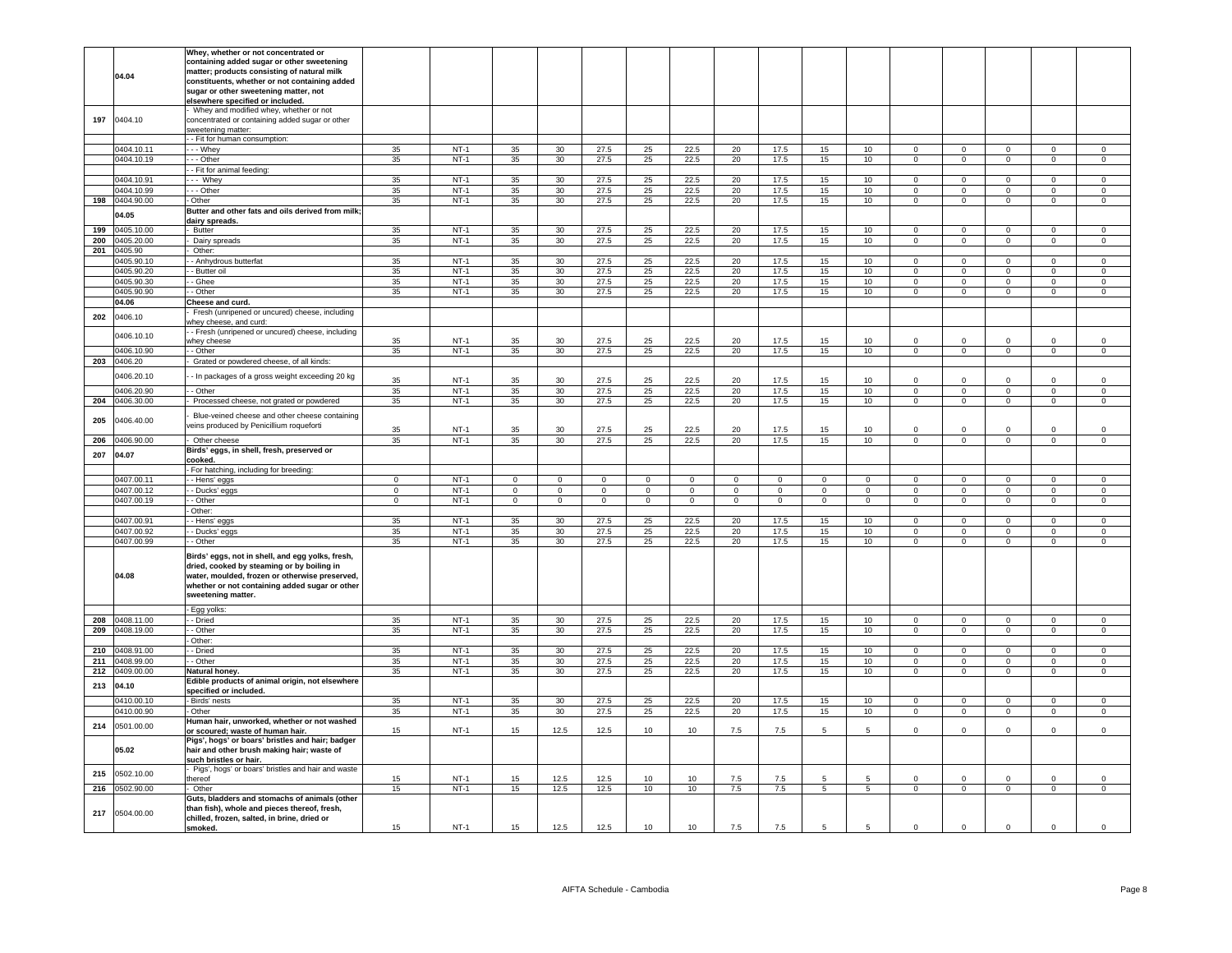|     |            | Whey, whether or not concentrated or                                                        |             |        |                            |                        |                             |                              |                               |                        |             |             |                        |                |                               |                             |                            |                            |
|-----|------------|---------------------------------------------------------------------------------------------|-------------|--------|----------------------------|------------------------|-----------------------------|------------------------------|-------------------------------|------------------------|-------------|-------------|------------------------|----------------|-------------------------------|-----------------------------|----------------------------|----------------------------|
|     |            | containing added sugar or other sweetening                                                  |             |        |                            |                        |                             |                              |                               |                        |             |             |                        |                |                               |                             |                            |                            |
|     |            | matter; products consisting of natural milk                                                 |             |        |                            |                        |                             |                              |                               |                        |             |             |                        |                |                               |                             |                            |                            |
|     | 04.04      | constituents, whether or not containing added                                               |             |        |                            |                        |                             |                              |                               |                        |             |             |                        |                |                               |                             |                            |                            |
|     |            | sugar or other sweetening matter, not                                                       |             |        |                            |                        |                             |                              |                               |                        |             |             |                        |                |                               |                             |                            |                            |
|     |            | elsewhere specified or included.                                                            |             |        |                            |                        |                             |                              |                               |                        |             |             |                        |                |                               |                             |                            |                            |
|     |            | Whey and modified whey, whether or not                                                      |             |        |                            |                        |                             |                              |                               |                        |             |             |                        |                |                               |                             |                            |                            |
| 197 | 0404.10    | concentrated or containing added sugar or other                                             |             |        |                            |                        |                             |                              |                               |                        |             |             |                        |                |                               |                             |                            |                            |
|     |            | sweetening matter:                                                                          |             |        |                            |                        |                             |                              |                               |                        |             |             |                        |                |                               |                             |                            |                            |
|     |            | - Fit for human consumption:                                                                |             |        |                            |                        |                             |                              |                               |                        |             |             |                        |                |                               |                             |                            |                            |
|     | 0404.10.11 | - - Whey                                                                                    | 35          | $NT-1$ | 35                         | 30 <sup>2</sup>        | 27.5                        | 25                           | 22.5                          | 20                     | 17.5        | 15          | 10                     | $\Omega$       | $\overline{0}$                | $\Omega$                    | $\Omega$                   | $\Omega$                   |
|     | 0404.10.19 | - - Other                                                                                   | 35          | $NT-1$ | 35                         | 30 <sup>°</sup>        | 27.5                        | 25                           | 22.5                          | 20                     | 17.5        | 15          | 10                     | $\mathbf 0$    | $\mathsf 0$                   | $\mathbf{0}$                | $\mathbf 0$                | $\mathsf 0$                |
|     |            | - Fit for animal feeding:                                                                   |             |        |                            |                        |                             |                              |                               |                        |             |             |                        |                |                               |                             |                            |                            |
|     | 0404.10.91 | $-$ Whey                                                                                    | 35          | $NT-1$ | 35                         | 30                     | 27.5                        | 25                           | 22.5                          | 20                     | 17.5        | 15          | 10                     | $\mathbf 0$    | $\mathbf 0$                   | $\mathbf 0$                 | $\mathbf 0$                | $\mathsf 0$                |
|     | 0404.10.99 | - Other                                                                                     | 35          | $NT-1$ | 35                         | 30                     | 27.5                        | 25                           | 22.5                          | 20                     | 17.5        | 15          | 10                     | $\mathbf 0$    | $\mathsf 0$                   | $\mathbf 0$                 | $\mathbf 0$                | $\mathsf 0$                |
| 198 | 0404.90.00 | Other                                                                                       | 35          | $NT-1$ | 35                         | 30                     | 27.5                        | 25                           | 22.5                          | 20                     | 17.5        | 15          | 10                     | $\mathbf 0$    | $\mathbf 0$                   | $\circ$                     | $\mathbf 0$                | $\mathsf 0$                |
|     | 04.05      | Butter and other fats and oils derived from milk;                                           |             |        |                            |                        |                             |                              |                               |                        |             |             |                        |                |                               |                             |                            |                            |
|     |            | dairy spreads.                                                                              |             |        |                            |                        |                             |                              |                               |                        |             |             |                        |                |                               |                             |                            |                            |
| 199 | 0405.10.00 | <b>Butter</b>                                                                               | 35          | $NT-1$ | 35                         | 30                     | 27.5                        | 25                           | 22.5                          | 20                     | 17.5        | 15          | 10                     | $\mathsf 0$    | $\mathbf 0$                   | $\mathsf 0$                 | $\Omega$                   | $\mathsf 0$                |
| 200 | 0405.20.00 | Dairy spreads                                                                               | 35          | $NT-1$ | 35                         | 30                     | 27.5                        | 25                           | 22.5                          | 20                     | 17.5        | 15          | 10                     | $\circ$        | $\overline{0}$                | $\overline{0}$              | $\overline{0}$             | $\overline{0}$             |
| 201 | 0405.90    | Other:                                                                                      |             |        |                            |                        |                             |                              |                               |                        |             |             |                        |                |                               |                             |                            |                            |
|     | 0405.90.10 | - Anhydrous butterfat                                                                       | 35          | $NT-1$ | 35                         | 30                     | 27.5                        | 25                           | 22.5                          | 20                     | 17.5        | 15          | 10                     | $\Omega$       | $\mathbf 0$                   | $\mathbf 0$                 | $\Omega$                   | $\Omega$                   |
|     | 0405.90.20 | - Butter oil                                                                                | 35          | $NT-1$ | 35                         | 30                     | 27.5                        | 25                           | 22.5                          | 20                     | 17.5        | 15          | 10 <sub>1</sub>        | $\Omega$       | $\Omega$                      | $\overline{0}$              | $\Omega$                   | $\Omega$                   |
|     | 0405.90.30 | - Ghee                                                                                      | 35          | $NT-1$ | 35                         | 30 <sup>°</sup>        | 27.5                        | 25                           | 22.5                          | 20                     | 17.5        | 15          | 10                     | $\mathbf 0$    | $\mathbf 0$                   | $\mathbf 0$                 | $\mathbf 0$                | $\mathsf 0$                |
|     | 0405.90.90 | - Other                                                                                     | 35          | $NT-1$ | 35                         | 30                     | 27.5                        | 25                           | 22.5                          | 20                     | 17.5        | 15          | 10                     | $\overline{0}$ | $\overline{0}$                | $\overline{0}$              | $\mathsf 0$                | $\mathsf{O}\xspace$        |
|     | 04.06      | Cheese and curd.                                                                            |             |        |                            |                        |                             |                              |                               |                        |             |             |                        |                |                               |                             |                            |                            |
| 202 | 0406.10    | Fresh (unripened or uncured) cheese, including                                              |             |        |                            |                        |                             |                              |                               |                        |             |             |                        |                |                               |                             |                            |                            |
|     |            | vhey cheese, and curd:                                                                      |             |        |                            |                        |                             |                              |                               |                        |             |             |                        |                |                               |                             |                            |                            |
|     | 0406.10.10 | - Fresh (unripened or uncured) cheese, including                                            | 35          | $NT-1$ | 35                         | 30                     | 27.5                        | 25                           | 22.5                          | 20                     | 17.5        | 15          | 10                     | $\Omega$       | $\Omega$                      | $\Omega$                    | $\Omega$                   | $\mathsf 0$                |
|     |            | whey cheese<br>- Other                                                                      | 35          | $NT-1$ |                            |                        |                             |                              |                               |                        |             |             |                        | $\overline{0}$ | $\overline{0}$                | $\overline{0}$              | $\overline{0}$             | $\overline{0}$             |
|     | 0406.10.90 |                                                                                             |             |        | 35                         | 30                     | 27.5                        | 25                           | 22.5                          | 20                     | 17.5        | 15          | 10                     |                |                               |                             |                            |                            |
| 203 | 0406.20    | Grated or powdered cheese, of all kinds:                                                    |             |        |                            |                        |                             |                              |                               |                        |             |             |                        |                |                               |                             |                            |                            |
|     | 0406.20.10 | - In packages of a gross weight exceeding 20 kg                                             | 35          | $NT-1$ | 35                         | 30                     | 27.5                        | 25                           | 22.5                          | 20                     | 17.5        | 15          | 10 <sup>1</sup>        | $\Omega$       | $\Omega$                      | $\Omega$                    | $\Omega$                   | $\Omega$                   |
|     | 0406.20.90 | - Other                                                                                     | 35          | $NT-1$ | 35                         | 30                     | 27.5                        | 25                           | 22.5                          | 20                     | 17.5        | 15          | 10 <sup>10</sup>       | $\Omega$       | $\mathsf 0$                   | $\overline{0}$              | $\mathbf 0$                | $\mathsf 0$                |
| 204 | 0406.30.00 | Processed cheese, not grated or powdered                                                    | 35          | $NT-1$ | 35                         | 30                     | 27.5                        | 25                           | 22.5                          | 20                     | 17.5        | 15          | 10 <sup>10</sup>       | $\mathbf 0$    | $\mathbf 0$                   | $\circ$                     | $\mathbf 0$                | $\mathsf 0$                |
|     |            |                                                                                             |             |        |                            |                        |                             |                              |                               |                        |             |             |                        |                |                               |                             |                            |                            |
| 205 | 0406.40.00 | Blue-veined cheese and other cheese containing                                              |             |        |                            |                        |                             |                              |                               |                        |             |             |                        |                |                               |                             |                            |                            |
|     |            | veins produced by Penicillium roqueforti                                                    | 35          | $NT-1$ | 35                         | 30                     | 27.5                        | 25                           | 22.5                          | 20                     | 17.5        | 15          | 10                     | $\Omega$       | $\Omega$                      | $\Omega$                    | $\Omega$                   | $\mathsf 0$                |
| 206 | 0406.90.00 | Other cheese                                                                                | 35          | $NT-1$ | 35                         | 30                     | 27.5                        | 25                           | 22.5                          | 20                     | 17.5        | 15          | 10                     | $\overline{0}$ | $\overline{0}$                | $\overline{0}$              | $\overline{0}$             | $\overline{0}$             |
|     |            | Birds' eggs, in shell, fresh, preserved or                                                  |             |        |                            |                        |                             |                              |                               |                        |             |             |                        |                |                               |                             |                            |                            |
| 207 | 04.07      | <u>cooked.</u>                                                                              |             |        |                            |                        |                             |                              |                               |                        |             |             |                        |                |                               |                             |                            |                            |
|     |            | For hatching, including for breeding:                                                       |             |        |                            |                        |                             |                              |                               |                        |             |             |                        |                |                               |                             |                            |                            |
|     |            |                                                                                             |             |        |                            |                        |                             |                              |                               |                        | $\mathbf 0$ |             |                        |                |                               |                             |                            |                            |
|     | 0407.00.11 |                                                                                             | $\mathbf 0$ | $NT-1$ |                            |                        |                             |                              |                               |                        |             | $\circ$     |                        | $\mathbf 0$    |                               |                             |                            |                            |
|     | 0407.00.12 | - Hens' eggs                                                                                | $\mathbf 0$ | $NT-1$ | $\mathsf 0$<br>$\mathbf 0$ | $\mathbf 0$<br>$\circ$ | $\mathbf{0}$<br>$\mathbf 0$ | $\mathbf{0}$<br>$\mathbf{0}$ | $\overline{0}$<br>$\mathbf 0$ | $\mathbf 0$<br>$\circ$ | $\mathbf 0$ | $\circ$     | $\mathbf 0$<br>$\circ$ | $\mathbf 0$    | $\mathsf 0$<br>$\overline{0}$ | $\mathbf 0$<br>$\mathbf{0}$ | $\mathsf 0$<br>$\mathbf 0$ | $\mathsf 0$<br>$\mathbf 0$ |
|     |            | Ducks' eggs                                                                                 |             |        |                            |                        |                             |                              |                               |                        |             |             |                        |                |                               |                             |                            |                            |
|     | 0407.00.19 | - Other<br>Other:                                                                           | $\mathbf 0$ | $NT-1$ | $\mathbf 0$                | $\mathbf 0$            | $\mathbf 0$                 | $\mathbf{0}$                 | $\mathbf 0$                   | $\mathbf 0$            | $\mathbf 0$ | $\mathbf 0$ | $\mathbf 0$            | $\mathbf 0$    | $\mathbf 0$                   | $\mathbf 0$                 | $\mathbf 0$                | $\mathsf 0$                |
|     | 0407.00.91 |                                                                                             | 35          | $NT-1$ |                            | 30                     |                             |                              | 22.5                          |                        | 17.5        | 15          |                        | $\mathsf 0$    | $\mathsf 0$                   | $\mathbf 0$                 | $\mathbf 0$                | $\mathsf 0$                |
|     | 0407.00.92 | - Hens' eggs                                                                                | 35          | $NT-1$ | 35                         | 30                     | 27.5                        | 25                           |                               | 20                     | 17.5        | 15          | 10                     | $\mathsf 0$    | $\mathsf 0$                   | $\mathbf 0$                 | $\mathbf 0$                |                            |
|     |            | - Ducks' eggs                                                                               | 35          |        | 35                         |                        | 27.5                        | 25                           | 22.5                          | 20                     |             |             | 10                     | $\Omega$       | $\overline{0}$                |                             | $\mathbf 0$                | $\,0\,$                    |
|     | 0407.00.99 | - Other                                                                                     |             | $NT-1$ | 35                         | 30                     | 27.5                        | 25                           | 22.5                          | 20                     | 17.5        | 15          | 10                     |                |                               | $\mathbf 0$                 |                            | $\,0\,$                    |
|     |            | Birds' eggs, not in shell, and egg yolks, fresh,                                            |             |        |                            |                        |                             |                              |                               |                        |             |             |                        |                |                               |                             |                            |                            |
|     |            | dried, cooked by steaming or by boiling in                                                  |             |        |                            |                        |                             |                              |                               |                        |             |             |                        |                |                               |                             |                            |                            |
|     | 04.08      | water, moulded, frozen or otherwise preserved,                                              |             |        |                            |                        |                             |                              |                               |                        |             |             |                        |                |                               |                             |                            |                            |
|     |            | whether or not containing added sugar or other                                              |             |        |                            |                        |                             |                              |                               |                        |             |             |                        |                |                               |                             |                            |                            |
|     |            | sweetening matter.                                                                          |             |        |                            |                        |                             |                              |                               |                        |             |             |                        |                |                               |                             |                            |                            |
|     |            | Egg yolks:                                                                                  |             |        |                            |                        |                             |                              |                               |                        |             |             |                        |                |                               |                             |                            |                            |
| 208 | 0408.11.00 | - Dried                                                                                     | 35          | $NT-1$ | 35                         | 30                     | 27.5                        | 25                           | 22.5                          | 20                     | 17.5        | 15          | 10                     | $\mathbf{0}$   | $\mathsf 0$                   | $\mathbf{0}$                | $\mathsf 0$                | $\mathsf 0$                |
| 209 | 0408.19.00 | - Other                                                                                     | 35          | $NT-1$ | 35                         | 30                     | 27.5                        | 25                           | 22.5                          | 20                     | 17.5        | 15          | 10                     | $\Omega$       | $\mathbf 0$                   | $\circ$                     | $\Omega$                   | $\mathbf 0$                |
|     |            | Other:                                                                                      |             |        |                            |                        |                             |                              |                               |                        |             |             |                        |                |                               |                             |                            |                            |
| 210 | 0408.91.00 | - Dried                                                                                     | 35          | $NT-1$ | 35                         | 30                     | 27.5                        | 25                           | 22.5                          | 20                     | 17.5        | 15          | 10                     | $\overline{0}$ | $\overline{0}$                | $\mathbf{0}$                | $\overline{0}$             | $\overline{0}$             |
| 211 | 0408.99.00 | - Other                                                                                     | 35          | $NT-1$ | 35                         | 30                     | 27.5                        | 25                           | 22.5                          | 20                     | 17.5        | 15          | 10                     | $\Omega$       | $\mathbf 0$                   | $\mathbf 0$                 | $\Omega$                   | $\mathbf 0$                |
| 212 | 0409.00.00 | Natural honey.                                                                              | 35          | $NT-1$ | 35                         | 30                     | 27.5                        | 25                           | 22.5                          | 20                     | 17.5        | 15          | 10 <sub>1</sub>        | $\Omega$       | $\mathsf 0$                   | $\mathbf 0$                 | $\mathsf 0$                | $\Omega$                   |
|     |            | Edible products of animal origin, not elsewhere                                             |             |        |                            |                        |                             |                              |                               |                        |             |             |                        |                |                               |                             |                            |                            |
| 213 | 04.10      | specified or included.                                                                      |             |        |                            |                        |                             |                              |                               |                        |             |             |                        |                |                               |                             |                            |                            |
|     | 0410.00.10 | Birds' nests                                                                                | 35          | $NT-1$ | 35                         | 30 <sup>2</sup>        | 27.5                        | 25                           | 22.5                          | 20                     | 17.5        | 15          | 10                     | $\Omega$       | $\overline{0}$                | $\overline{0}$              | $\mathbf 0$                | $\circ$                    |
|     | 0410.00.90 | Other                                                                                       | 35          | $NT-1$ | 35                         | 30 <sup>°</sup>        | 27.5                        | $25\,$                       | 22.5                          | 20                     | 17.5        | 15          | 10 <sub>1</sub>        | $\mathsf 0$    | $\mathsf 0$                   | $\mathbf 0$                 | $\mathsf 0$                | $\mathsf 0$                |
| 214 |            | Human hair, unworked, whether or not washed                                                 |             |        |                            |                        |                             |                              |                               |                        |             |             |                        |                |                               |                             |                            |                            |
|     | 0501.00.00 | or scoured; waste of human hair.                                                            | 15          | $NT-1$ | 15                         | 12.5                   | 12.5                        | 10                           | 10                            | 7.5                    | 7.5         | -5          | $5\overline{5}$        | $\Omega$       | $\mathsf 0$                   | $\mathbf 0$                 | $\Omega$                   | $\,0\,$                    |
|     |            | Pigs', hogs' or boars' bristles and hair; badger                                            |             |        |                            |                        |                             |                              |                               |                        |             |             |                        |                |                               |                             |                            |                            |
|     | 05.02      | hair and other brush making hair; waste of                                                  |             |        |                            |                        |                             |                              |                               |                        |             |             |                        |                |                               |                             |                            |                            |
|     |            | such bristles or hair.                                                                      |             |        |                            |                        |                             |                              |                               |                        |             |             |                        |                |                               |                             |                            |                            |
| 215 | 0502.10.00 | Pigs', hogs' or boars' bristles and hair and waste                                          |             |        |                            |                        |                             |                              |                               |                        |             | 5           | 5                      |                | $\mathbf 0$                   | $\mathbf 0$                 | $\mathbf 0$                | $\mathbf 0$                |
|     |            | ereof                                                                                       | 15          | $NT-1$ | 15                         | 12.5                   | 12.5                        | 10                           | 10                            | 7.5                    | 7.5         |             |                        | $\mathbf 0$    |                               |                             |                            |                            |
| 216 | 0502.90.00 | Other                                                                                       | 15          | $NT-1$ | 15                         | 12.5                   | 12.5                        | 10                           | 10                            | 7.5                    | 7.5         | 5           | 5                      | $\mathbf 0$    | $\mathbf 0$                   | $\mathbf 0$                 | $\mathbf 0$                | $\mathsf 0$                |
|     |            | Guts, bladders and stomachs of animals (other                                               |             |        |                            |                        |                             |                              |                               |                        |             |             |                        |                |                               |                             |                            |                            |
| 217 | 0504.00.00 | than fish), whole and pieces thereof, fresh,<br>chilled, frozen, salted, in brine, dried or |             |        |                            |                        |                             |                              |                               |                        |             |             |                        |                |                               |                             |                            |                            |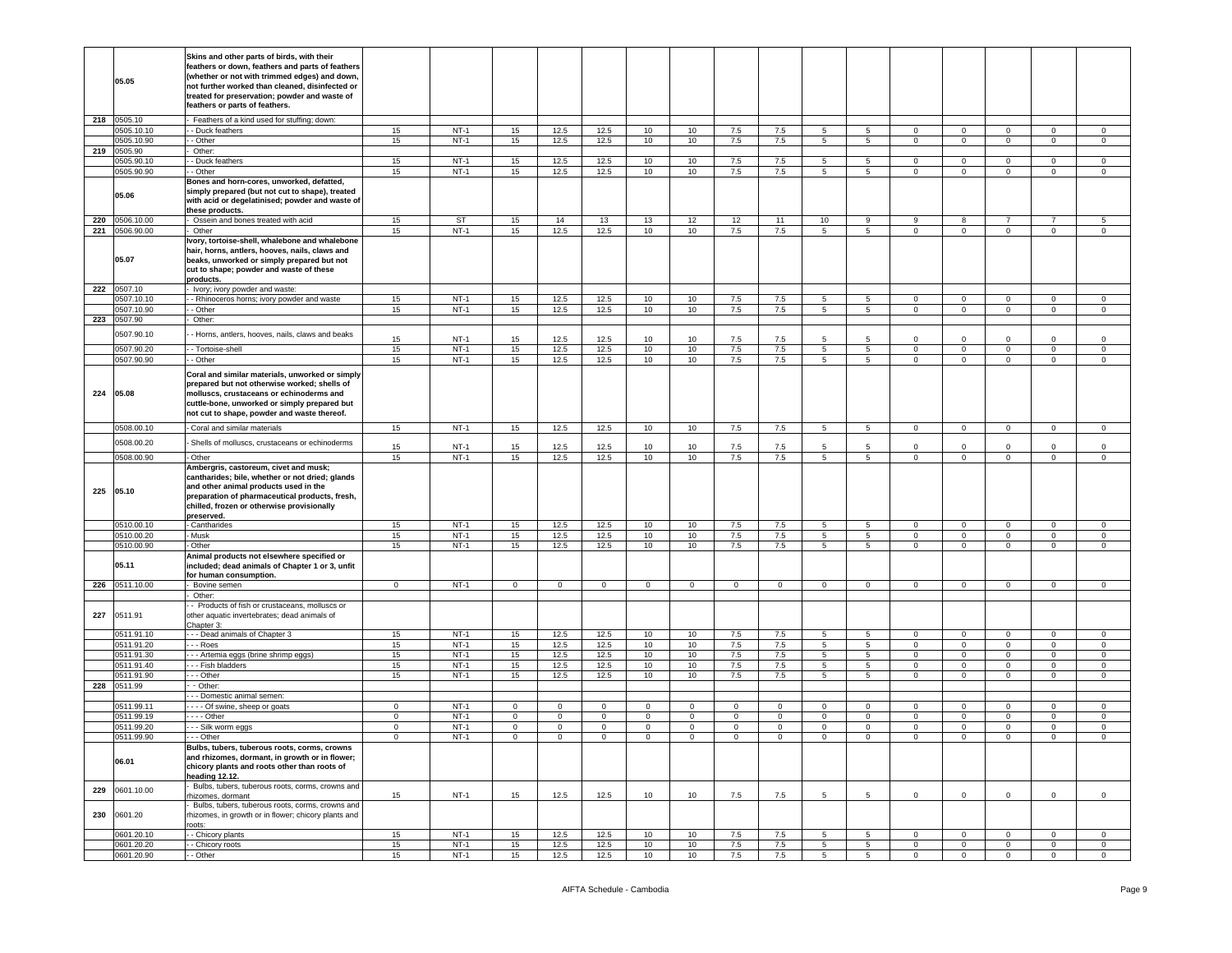|     | 05.05                 | Skins and other parts of birds, with their<br>feathers or down, feathers and parts of feathers<br>whether or not with trimmed edges) and down,<br>not further worked than cleaned, disinfected or<br>reated for preservation; powder and waste of<br>feathers or parts of feathers. |             |                  |                |              |              |              |              |              |             |                 |                 |                            |                            |                         |                               |                            |
|-----|-----------------------|-------------------------------------------------------------------------------------------------------------------------------------------------------------------------------------------------------------------------------------------------------------------------------------|-------------|------------------|----------------|--------------|--------------|--------------|--------------|--------------|-------------|-----------------|-----------------|----------------------------|----------------------------|-------------------------|-------------------------------|----------------------------|
|     | 218 0505.10           | Feathers of a kind used for stuffing; down:                                                                                                                                                                                                                                         |             |                  |                |              |              |              |              |              |             |                 |                 |                            |                            |                         |                               |                            |
|     | 0505.10.10            | - Duck feathers                                                                                                                                                                                                                                                                     | 15          | $NT-1$           | 15             | 12.5         | 12.5         | 10           | 10           | 7.5          | 7.5         | 5               | 5               | $\mathbf 0$                | $\mathbf 0$                | $\overline{0}$          | $\mathbf{0}$                  | $\mathbf 0$                |
|     | 0505.10.90            | - Other                                                                                                                                                                                                                                                                             | 15          | $NT-1$           | 15             | 12.5         | 12.5         | 10           | 10           | 7.5          | 7.5         | 5               | 5               | $\circ$                    | $\mathbf 0$                | $\circ$                 | $\mathbf 0$                   | $\mathbf 0$                |
| 219 | 0505.90               | Other:                                                                                                                                                                                                                                                                              |             |                  |                |              |              |              |              |              |             |                 |                 |                            |                            |                         |                               |                            |
|     | 0505.90.10            | - Duck feathers<br>- Other                                                                                                                                                                                                                                                          | 15          | $NT-1$<br>$NT-1$ | 15             | 12.5         | 12.5         | 10           | 10           | 7.5          | 7.5         | 5<br>5          | 5               | $\mathbf 0$                | $\mathsf 0$<br>$\mathsf 0$ | 0<br>$\mathsf 0$        | $\mathbf 0$<br>$\overline{0}$ | $\mathbf 0$<br>$\mathsf 0$ |
|     | 0505.90.90            | Bones and horn-cores, unworked, defatted,                                                                                                                                                                                                                                           | 15          |                  | 15             | 12.5         | 12.5         | 10           | 10           | $7.5\,$      | 7.5         |                 | 5               | $\circ$                    |                            |                         |                               |                            |
|     | 05.06                 | simply prepared (but not cut to shape), treated<br>with acid or degelatinised; powder and waste of<br>these products.                                                                                                                                                               |             |                  |                |              |              |              |              |              |             |                 |                 |                            |                            |                         |                               |                            |
| 220 | 0506.10.00            | Ossein and bones treated with acid                                                                                                                                                                                                                                                  | 15          | ST               | 15             | 14           | 13           | 13           | 12           | 12           | 11          | 10              | 9               | 9                          | 8                          | $\overline{7}$          | $\overline{7}$                | 5                          |
| 221 | 0506.90.00            | Other<br>vory, tortoise-shell, whalebone and whalebone                                                                                                                                                                                                                              | 15          | $NT-1$           | 15             | 12.5         | 12.5         | 10           | 10           | 7.5          | 7.5         | 5               | 5 <sub>5</sub>  | 0                          | $\mathbf 0$                | $\mathbf 0$             | $\mathbf{0}$                  | $\mathbf 0$                |
|     | 05.07                 | hair, horns, antlers, hooves, nails, claws and<br>beaks, unworked or simply prepared but not<br>cut to shape; powder and waste of these<br>products.                                                                                                                                |             |                  |                |              |              |              |              |              |             |                 |                 |                            |                            |                         |                               |                            |
|     | 222 0507.10           | Ivory; ivory powder and waste:                                                                                                                                                                                                                                                      |             |                  |                |              |              |              |              |              |             |                 |                 |                            |                            |                         |                               |                            |
|     | 0507.10.10            | - Rhinoceros horns; ivory powder and waste                                                                                                                                                                                                                                          | 15          | $NT-1$           | 15             | 12.5         | 12.5         | 10           | 10           | 7.5          | 7.5         | 5               | 5 <sup>5</sup>  | $\circ$                    | $\mathsf 0$                | $\circ$                 | $\mathbf 0$                   | $\mathbf 0$                |
|     | 0507.10.90            | - Other                                                                                                                                                                                                                                                                             | 15          | $NT-1$           | 15             | 12.5         | 12.5         | 10           | 10           | 7.5          | 7.5         | 5               | 5               | $\mathbf 0$                | $\mathbf 0$                | $\mathbf 0$             | $\overline{0}$                | $\mathsf 0$                |
| 223 | 0507.90<br>0507.90.10 | Other:<br>- Horns, antlers, hooves, nails, claws and beaks                                                                                                                                                                                                                          |             | $NT-1$           |                |              |              |              |              |              |             | 5               | $5\overline{5}$ |                            |                            | $\Omega$                |                               | $\Omega$                   |
|     | 0507.90.20            | - Tortoise-shell                                                                                                                                                                                                                                                                    | 15<br>15    | $NT-1$           | 15<br>15       | 12.5<br>12.5 | 12.5<br>12.5 | 10<br>10     | 10<br>10     | 7.5<br>7.5   | 7.5<br>7.5  | 5               | 5               | $\circ$<br>$\mathbf 0$     | $\mathbf 0$<br>$\mathbf 0$ | $\mathbf 0$             | $\mathbf 0$<br>$\mathbf{0}$   | $\mathbf 0$                |
|     | 0507.90.90            | - Other                                                                                                                                                                                                                                                                             | 15          | $NT-1$           | 15             | 12.5         | 12.5         | 10           | 10           | 7.5          | 7.5         | 5               | $5^{\circ}$     | $\mathbf 0$                | $\mathbf 0$                | $\mathbf 0$             | $\mathbf 0$                   | 0                          |
|     |                       |                                                                                                                                                                                                                                                                                     |             |                  |                |              |              |              |              |              |             |                 |                 |                            |                            |                         |                               |                            |
| 224 | 05.08                 | Coral and similar materials, unworked or simply<br>prepared but not otherwise worked; shells of<br>molluscs, crustaceans or echinoderms and<br>cuttle-bone, unworked or simply prepared but<br>not cut to shape, powder and waste thereof.                                          |             |                  |                |              |              |              |              |              |             |                 |                 |                            |                            |                         |                               |                            |
|     | 0508.00.10            | Coral and similar materials                                                                                                                                                                                                                                                         | 15          | $NT-1$           | 15             | 12.5         | 12.5         | 10           | 10           | 7.5          | 7.5         | $5\phantom{.0}$ | $5^{\circ}$     | $\overline{0}$             | $\mathsf 0$                | $\mathbf 0$             | $\mathbf{0}$                  | $\mathbf 0$                |
|     | 0508.00.20            | Shells of molluscs, crustaceans or echinoderms                                                                                                                                                                                                                                      |             |                  |                |              |              |              |              |              |             |                 |                 |                            |                            |                         |                               |                            |
|     | 0508.00.90            | - Other                                                                                                                                                                                                                                                                             | 15<br>15    | $NT-1$<br>$NT-1$ | 15<br>15       | 12.5<br>12.5 | 12.5<br>12.5 | 10<br>10     | 10<br>10     | 7.5<br>7.5   | 7.5<br>7.5  | 5<br>5          | 5<br>5          | $\mathbf 0$<br>$\mathbf 0$ | $\mathsf 0$<br>$\mathbf 0$ | $\Omega$<br>$\mathbf 0$ | $\mathbf{0}$<br>$\mathbf{0}$  | $\mathsf 0$<br>$\mathbf 0$ |
| 225 | 05.10                 | Ambergris, castoreum, civet and musk;<br>cantharides; bile, whether or not dried; glands<br>and other animal products used in the<br>preparation of pharmaceutical products, fresh,<br>chilled, frozen or otherwise provisionally<br>preserved.                                     |             |                  |                |              |              |              |              |              |             |                 |                 |                            |                            |                         |                               |                            |
|     | 0510.00.10            | Cantharides                                                                                                                                                                                                                                                                         | 15          | $NT-1$           | 15             | 12.5         | 12.5         | 10           | 10           | 7.5          | 7.5         | 5               | 5               | $\mathbf 0$                | $\mathsf 0$                | 0                       | $\mathbf{0}$                  | $\mathbf 0$                |
|     | 0510.00.20            | Musk                                                                                                                                                                                                                                                                                | 15          | $NT-1$           | 15             | 12.5         | 12.5         | 10           | 10           | $7.5\,$      | 7.5         | 5               | $5\overline{5}$ | $\overline{0}$             | $\mathsf 0$                | $\mathsf 0$             | $\mathbf 0$                   | $\mathsf 0$                |
|     | 0510.00.90            | Other                                                                                                                                                                                                                                                                               | 15          | $NT-1$           | 15             | 12.5         | 12.5         | 10           | 10           | 7.5          | 7.5         | 5               | 5               | $\overline{0}$             | $\mathbf 0$                | $\mathbf 0$             | $\mathbf{0}$                  | 0                          |
|     | 05.11                 | Animal products not elsewhere specified or<br>included; dead animals of Chapter 1 or 3, unfit<br>for human consumption.                                                                                                                                                             |             |                  |                |              |              |              |              |              |             |                 |                 |                            |                            |                         |                               |                            |
| 226 | 0511.10.00            | Bovine semen                                                                                                                                                                                                                                                                        | $\circ$     | $NT-1$           | $\overline{0}$ | $\mathbf 0$  | $\mathsf 0$  | $\mathbf 0$  | $\mathbf{0}$ | $\mathbf{0}$ | $\mathbf 0$ | $\mathbf{0}$    | $\mathbf 0$     | $\mathbf 0$                | $\mathbf 0$                | $\overline{0}$          | $\mathbf{0}$                  | $\mathbf 0$                |
| 227 | 0511.91               | Other:<br>- Products of fish or crustaceans, molluscs or<br>other aquatic invertebrates; dead animals of<br>Chapter 3:                                                                                                                                                              |             |                  |                |              |              |              |              |              |             |                 |                 |                            |                            |                         |                               |                            |
|     | 0511.91.10            | - - Dead animals of Chapter 3                                                                                                                                                                                                                                                       | 15          | $NT-1$           | 15             | 12.5         | 12.5         | 10           | 10           | 7.5          | 7.5         | 5               | 5               | $\mathbf 0$                | $\mathbf 0$                | 0                       | $\mathbf{0}$                  | $\mathbf 0$                |
|     | 0511.91.20            | - - Roes                                                                                                                                                                                                                                                                            | 15          | $NT-1$           | 15             | 12.5         | 12.5         | 10           | 10           | $7.5\,$      | 7.5         | $5\phantom{.0}$ | $5^{\circ}$     | $\mathbf 0$                | $\mathbf 0$                | $\mathbf 0$             | $\mathbf 0$                   | $\mathbf 0$                |
|     | 0511.91.30            | - - Artemia eggs (brine shrimp eggs)                                                                                                                                                                                                                                                | 15          | $NT-1$           | 15             | 12.5         | 12.5         | 10           | 10           | 7.5          | 7.5         | 5               | 5 <sub>5</sub>  | $\mathbf 0$                | $\mathsf 0$                | $\mathbf 0$             | $\mathbf 0$                   | $\mathsf 0$                |
|     | 0511.91.40            | - - Fish bladders                                                                                                                                                                                                                                                                   | 15          | $NT-1$           | 15             | 12.5         | 12.5         | 10           | 10           | 7.5          | 7.5         | 5               | $5^{\circ}$     | $\mathbf 0$                | $\mathsf 0$                | $\mathbf 0$             | $\mathbf 0$                   | $\mathbf 0$                |
| 228 | 0511.91.90<br>0511.99 | - - Other<br>- Other:                                                                                                                                                                                                                                                               | 15          | $NT-1$           | 15             | 12.5         | 12.5         | 10           | 10           | 7.5          | 7.5         | $5\phantom{.0}$ | $5^{\circ}$     | $\mathbf{0}$               | $\mathbf 0$                | $\mathbf 0$             | $\mathbf{0}$                  | $\mathsf 0$                |
|     |                       | - - Domestic animal semen:                                                                                                                                                                                                                                                          |             |                  |                |              |              |              |              |              |             |                 |                 |                            |                            |                         |                               |                            |
|     | 0511.99.11            | --- Of swine, sheep or goats                                                                                                                                                                                                                                                        | $\mathbf 0$ | $NT-1$           | $\mathbf{0}$   | $\circ$      | $\mathbf 0$  | $\mathbf 0$  | $\mathbf 0$  | $\mathbf 0$  | $\mathbf 0$ | $\mathbf 0$     | $\mathbf 0$     | $\mathbf 0$                | $\mathbf 0$                | 0                       | 0                             | $\mathbf 0$                |
|     | 0511.99.19            | --- Other                                                                                                                                                                                                                                                                           | $\mathbf 0$ | $NT-1$           | $\mathbf 0$    | $\mathbf 0$  | $\mathbf 0$  | $\mathbf 0$  | 0            | 0            | 0           | $\mathbf 0$     | 0               | $\mathbf 0$                | $\mathsf 0$                | $\mathbf 0$             | $\mathbf 0$                   | $\mathsf 0$                |
|     | 0511.99.20            | - - Silk worm eggs                                                                                                                                                                                                                                                                  | $\mathbf 0$ | $NT-1$           | $\mathbf{0}$   | $\circ$      | $\mathbf 0$  | $\mathbf{0}$ | 0            | $\mathbf 0$  | $\mathbf 0$ | $\circ$         | $\mathbf 0$     | $\mathbf 0$                | $\mathbf 0$                | $\mathbf 0$             | $\mathbf{0}$                  | $\mathsf 0$                |
|     | 0511.99.90<br>06.01   | - - Other<br>Bulbs, tubers, tuberous roots, corms, crowns<br>and rhizomes, dormant, in growth or in flower;<br>chicory plants and roots other than roots of<br>heading 12.12.                                                                                                       | 0           | $NT-1$           | $\mathbf{0}$   | $\mathbf{0}$ | $\mathbf 0$  | $\mathbf{0}$ | 0            | $\circ$      | 0           | $\mathbf 0$     | $\mathbf 0$     | $\mathbf 0$                | $\mathbf 0$                | $\mathbf 0$             | 0                             | 0                          |
| 229 | 0601.10.00            | Bulbs, tubers, tuberous roots, corms, crowns and<br>hizomes, dormant                                                                                                                                                                                                                | 15          | $NT-1$           | 15             | 12.5         | 12.5         | 10           | 10           | 7.5          | 7.5         | 5 <sup>5</sup>  | 5 <sub>5</sub>  | $\mathbf{0}$               | $\mathbf 0$                | $\circ$                 | $\mathbf{0}$                  | $\circ$                    |
| 230 | 0601.20               | Bulbs, tubers, tuberous roots, corms, crowns and<br>hizomes, in growth or in flower; chicory plants and<br>oots:                                                                                                                                                                    |             |                  |                |              |              |              |              |              |             |                 |                 |                            |                            |                         |                               |                            |
|     | 0601.20.10            | - Chicory plants                                                                                                                                                                                                                                                                    | 15          | $NT-1$           | 15             | 12.5         | 12.5         | 10           | 10           | 7.5          | 7.5         | $5\phantom{.0}$ | 5               | $\overline{0}$             | $\mathbf 0$                | $\mathbf 0$             | $\overline{0}$                | $\overline{0}$             |
|     | 0601.20.20            | - Chicory roots                                                                                                                                                                                                                                                                     | 15          | $NT-1$           | 15             | 12.5         | 12.5         | 10           | 10           | 7.5          | 7.5         | 5               | 5               | $\overline{0}$             | $\mathbf{0}$               | $\mathbf 0$             | 0                             | $\mathbf{0}$               |
|     | 0601.20.90            | - Other                                                                                                                                                                                                                                                                             | 15          | $NT-1$           | 15             | 12.5         | 12.5         | 10           | 10           | 7.5          | 7.5         | $5\overline{5}$ | 5 <sub>5</sub>  | $\mathbf 0$                | $\,0\,$                    | $\mathsf 0$             | $\mathbf 0$                   | $\mathsf 0$                |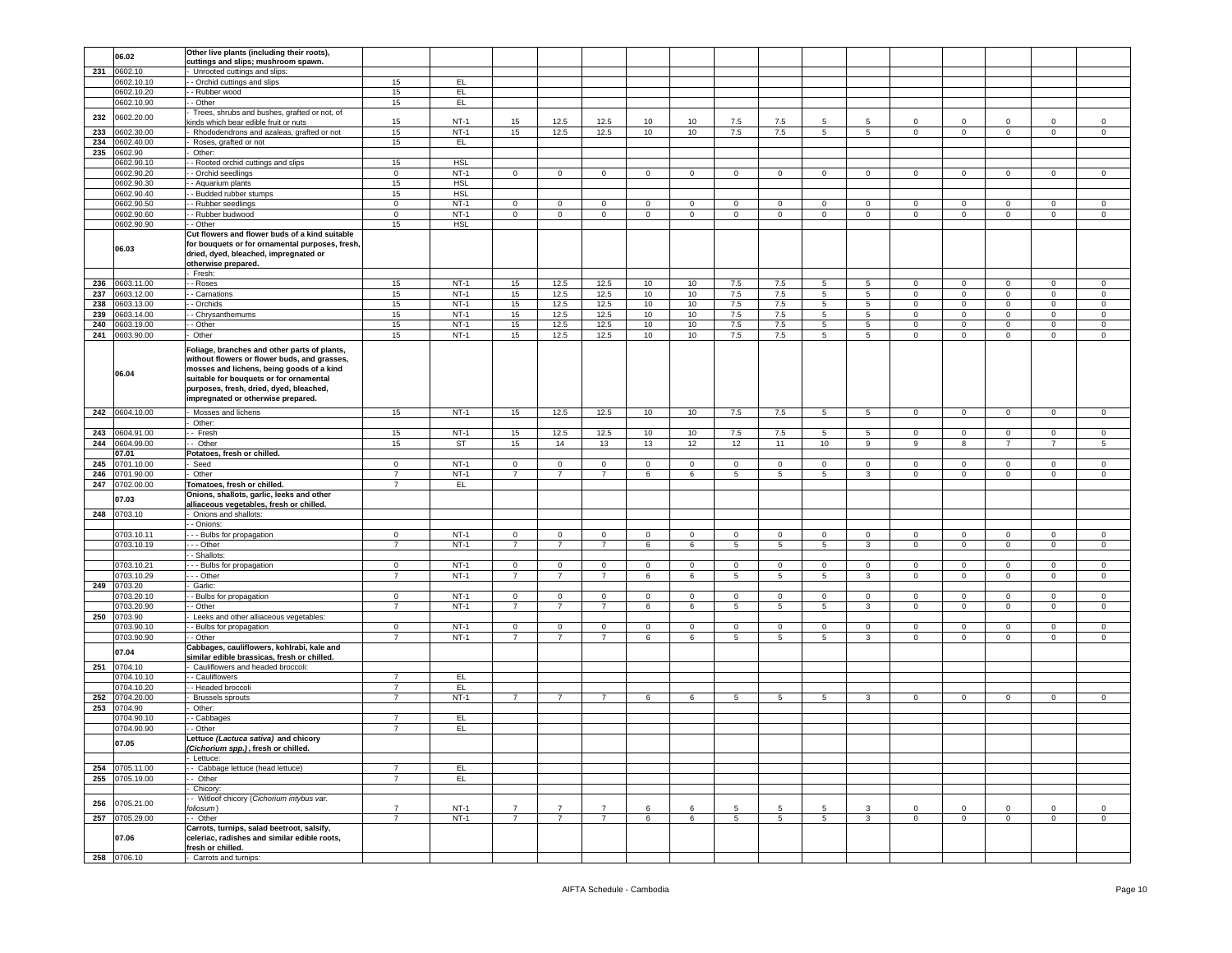|     | 06.02                   | Other live plants (including their roots),                                                                                                                                                                                                                            |                |             |                |                |                |                |             |             |                 |                 |                 |                |                |                |                |                |
|-----|-------------------------|-----------------------------------------------------------------------------------------------------------------------------------------------------------------------------------------------------------------------------------------------------------------------|----------------|-------------|----------------|----------------|----------------|----------------|-------------|-------------|-----------------|-----------------|-----------------|----------------|----------------|----------------|----------------|----------------|
|     |                         | cuttings and slips; mushroom spawn.                                                                                                                                                                                                                                   |                |             |                |                |                |                |             |             |                 |                 |                 |                |                |                |                |                |
| 231 | 0602.10                 | Unrooted cuttings and slips:                                                                                                                                                                                                                                          |                |             |                |                |                |                |             |             |                 |                 |                 |                |                |                |                |                |
|     | 0602.10.10              | - Orchid cuttings and slips                                                                                                                                                                                                                                           | 15             | EL.         |                |                |                |                |             |             |                 |                 |                 |                |                |                |                |                |
|     | 0602.10.20              | - Rubber wood                                                                                                                                                                                                                                                         | 15             | EL.         |                |                |                |                |             |             |                 |                 |                 |                |                |                |                |                |
|     | 0602.10.90              | - Other                                                                                                                                                                                                                                                               | 15             | E           |                |                |                |                |             |             |                 |                 |                 |                |                |                |                |                |
|     |                         | Trees, shrubs and bushes, grafted or not, of                                                                                                                                                                                                                          |                |             |                |                |                |                |             |             |                 |                 |                 |                |                |                |                |                |
| 232 | 0602.20.00              | inds which bear edible fruit or nuts                                                                                                                                                                                                                                  | 15             | $NT-1$      | 15             | 12.5           | 12.5           | 10             | 10          | 7.5         | 7.5             | 5               | 5               | 0              | 0              | $\mathbf 0$    | $\mathbf 0$    | $^{\circ}$     |
|     |                         |                                                                                                                                                                                                                                                                       |                |             |                |                |                |                |             |             |                 |                 |                 |                |                |                |                |                |
| 233 | 0602.30.00              | Rhododendrons and azaleas, grafted or not                                                                                                                                                                                                                             | 15             | $NT-1$      | 15             | 12.5           | 12.5           | 10             | 10          | 7.5         | 7.5             | $5^{\circ}$     | 5 <sub>5</sub>  | $\mathbf{0}$   | $\mathbf 0$    | $\mathbf{0}$   | $\overline{0}$ | $\overline{0}$ |
| 234 | 0602.40.00              | Roses, grafted or not                                                                                                                                                                                                                                                 | 15             | EL.         |                |                |                |                |             |             |                 |                 |                 |                |                |                |                |                |
| 235 | 0602.90                 | Other:                                                                                                                                                                                                                                                                |                |             |                |                |                |                |             |             |                 |                 |                 |                |                |                |                |                |
|     | 0602.90.10              | - Rooted orchid cuttings and slips                                                                                                                                                                                                                                    | 15             | <b>HSL</b>  |                |                |                |                |             |             |                 |                 |                 |                |                |                |                |                |
|     |                         |                                                                                                                                                                                                                                                                       |                | $NT-1$      |                |                |                |                |             | 0           |                 | $\circ$         | $^{\circ}$      | 0              |                | $\mathbf 0$    | $\mathbf 0$    | 0              |
|     | 0602.90.20              | - Orchid seedlings                                                                                                                                                                                                                                                    | 0              |             | $\mathbf{0}$   | $\mathbf{0}$   | $\mathbf{0}$   | $\overline{0}$ | $\mathbf 0$ |             | $\mathbf 0$     |                 |                 |                | $\mathbf 0$    |                |                |                |
|     | 0602.90.30              | - Aquarium plants                                                                                                                                                                                                                                                     | 15             | <b>HSL</b>  |                |                |                |                |             |             |                 |                 |                 |                |                |                |                |                |
|     | 0602.90.40              | - Budded rubber stumps                                                                                                                                                                                                                                                | 15             | <b>HSL</b>  |                |                |                |                |             |             |                 |                 |                 |                |                |                |                |                |
|     | 0602.90.50              | - Rubber seedlings                                                                                                                                                                                                                                                    | $\mathbf 0$    | $NT-1$      | 0              | $\Omega$       | $\Omega$       | 0              | $\Omega$    | $\Omega$    | $\Omega$        | $\Omega$        |                 | 0              | 0              | $\Omega$       | $\Omega$       | $\Omega$       |
|     | 0602.90.60              | - Rubber budwood                                                                                                                                                                                                                                                      | $\mathbf 0$    | $NT-1$      | $\mathbf 0$    | $\mathbf 0$    | $\mathsf 0$    | $\,0\,$        | $\mathsf 0$ | $\mathbf 0$ | $\mathbf 0$     | $\mathbf 0$     | $\mathbf 0$     | $\mathbf 0$    | $\mathbf 0$    | $\mathbf 0$    | $\mathsf 0$    | $\mathsf 0$    |
|     | 0602.90.90              | - Other                                                                                                                                                                                                                                                               | 15             | <b>HSL</b>  |                |                |                |                |             |             |                 |                 |                 |                |                |                |                |                |
|     |                         |                                                                                                                                                                                                                                                                       |                |             |                |                |                |                |             |             |                 |                 |                 |                |                |                |                |                |
|     | 06.03                   | Cut flowers and flower buds of a kind suitable<br>for bouquets or for ornamental purposes, fresh,<br>dried, dyed, bleached, impregnated or<br>otherwise prepared.                                                                                                     |                |             |                |                |                |                |             |             |                 |                 |                 |                |                |                |                |                |
|     |                         | - Fresh:                                                                                                                                                                                                                                                              |                |             |                |                |                |                |             |             |                 |                 |                 |                |                |                |                |                |
| 236 | 0603.11.00              | - Roses                                                                                                                                                                                                                                                               | 15             | $NT-1$      | 15             | 12.5           | 12.5           | 10             | 10          | 7.5         | 7.5             | $5\overline{5}$ | 5               | $\mathbf{0}$   | $\mathsf 0$    | $\circ$        | $\circ$        | $\circ$        |
| 237 | 0603.12.00              | - Carnations                                                                                                                                                                                                                                                          | 15             | $NT-1$      | 15             | 12.5           | 12.5           | 10             | 10          | 7.5         | 7.5             | 5               | 5               | 0              | $\mathbf 0$    | $\mathbf 0$    | $\mathbf 0$    | 0              |
| 238 | 0603.13.00              | - Orchids                                                                                                                                                                                                                                                             | 15             | $NT-1$      | 15             | 12.5           | 12.5           | 10             | 10          | 7.5         | 7.5             | 5               | 5               | 0              | $\mathsf 0$    | $\mathbf 0$    | $\mathbf 0$    | 0              |
| 239 | 0603.14.00              |                                                                                                                                                                                                                                                                       |                | $NT-1$      |                | 12.5           | 12.5           |                |             | $7.5\,$     | 7.5             |                 |                 |                |                | $\mathbf 0$    | $\mathbf 0$    |                |
|     |                         | - Chrysanthemums                                                                                                                                                                                                                                                      | 15             |             | 15             |                |                | 10             | 10          |             |                 | 5               | 5               | $\mathbf{0}$   | $\mathbf 0$    |                |                | $\mathbf 0$    |
| 240 | 0603.19.00              | - Other                                                                                                                                                                                                                                                               | 15             | $NT-1$      | 15             | 12.5           | 12.5           | 10             | 10          | 7.5         | 7.5             | 5               | 5               | $\mathbf{0}$   | $\mathbf 0$    | $\mathbf{0}$   | $\mathbf 0$    | 0              |
| 241 | 0603.90.00              | Other                                                                                                                                                                                                                                                                 | 15             | $NT-1$      | 15             | 12.5           | 12.5           | 10             | 10          | $7.5\,$     | 7.5             | $5^{\circ}$     | 5 <sub>5</sub>  | $\mathbf 0$    | $\mathsf 0$    | $\mathbf{0}$   | $\circ$        | $\mathsf 0$    |
|     | 06.04                   | Foliage, branches and other parts of plants,<br>without flowers or flower buds, and grasses,<br>mosses and lichens, being goods of a kind<br>suitable for bouquets or for ornamental<br>purposes, fresh, dried, dyed, bleached,<br>impregnated or otherwise prepared. |                |             |                |                |                |                |             |             |                 |                 |                 |                |                |                |                |                |
|     | 242 0604.10.00          | Mosses and lichens                                                                                                                                                                                                                                                    | 15             | $NT-1$      | 15             | 12.5           | 12.5           | 10             | 10          | 7.5         | 7.5             | $5\overline{5}$ | $5\overline{5}$ | $\overline{0}$ | $\overline{0}$ | $\mathbf{0}$   | $\mathbf 0$    | $\circ$        |
|     |                         |                                                                                                                                                                                                                                                                       |                |             |                |                |                |                |             |             |                 |                 |                 |                |                |                |                |                |
|     |                         | Other:                                                                                                                                                                                                                                                                |                |             |                |                |                |                |             |             |                 |                 |                 |                |                |                |                |                |
| 243 | 0604.91.00              | Fresh                                                                                                                                                                                                                                                                 | 15             | $NT-1$      | 15             | 12.5           | 12.5           | 10             | 10          | 7.5         | 7.5             | $\,$ 5 $\,$     | 5               | $\mathbf 0$    | $\mathbf 0$    | $\mathbf 0$    | $\mathbf 0$    | $\mathsf 0$    |
| 244 | 0604.99.00              | - Other                                                                                                                                                                                                                                                               | 15             | <b>ST</b>   | 15             | 14             | 13             | 13             | 12          | 12          | 11              | 10              | 9               | 9              | 8              | $\overline{7}$ | $\overline{7}$ | 5              |
|     | 07.01                   | Potatoes, fresh or chilled.                                                                                                                                                                                                                                           |                |             |                |                |                |                |             |             |                 |                 |                 |                |                |                |                |                |
| 245 | 0701.10.00              | Seed                                                                                                                                                                                                                                                                  | $\mathbf{0}$   | $NT-1$      | $\mathbf{0}$   | $\circ$        | $\mathbf 0$    | $\overline{0}$ | $^{\circ}$  | $\circ$     | $\mathbf 0$     | $\circ$         | $\Omega$        | $\mathbf{0}$   | $\mathbf 0$    | $^{\circ}$     | $\mathbf{0}$   | $^{\circ}$     |
|     |                         |                                                                                                                                                                                                                                                                       |                |             |                |                |                |                |             |             |                 |                 |                 |                |                |                |                |                |
|     |                         |                                                                                                                                                                                                                                                                       |                |             |                |                |                |                |             |             |                 |                 |                 |                |                |                |                |                |
| 246 | 0701.90.00              | Other                                                                                                                                                                                                                                                                 | $\overline{7}$ | $NT-1$      | $\overline{7}$ | $\overline{7}$ | $\overline{7}$ | 6              | 6           | 5           | 5               | 5               | 3               | $\mathbf 0$    | $\mathbf 0$    | $\mathbf 0$    | $\mathbf 0$    | $\mathsf 0$    |
| 247 | 0702.00.00              | Tomatoes, fresh or chilled.                                                                                                                                                                                                                                           | $\overline{7}$ | EL.         |                |                |                |                |             |             |                 |                 |                 |                |                |                |                |                |
|     |                         | Onions, shallots, garlic, leeks and other                                                                                                                                                                                                                             |                |             |                |                |                |                |             |             |                 |                 |                 |                |                |                |                |                |
|     | 07.03                   | alliaceous vegetables, fresh or chilled.                                                                                                                                                                                                                              |                |             |                |                |                |                |             |             |                 |                 |                 |                |                |                |                |                |
| 248 | 0703.10                 | Onions and shallots:                                                                                                                                                                                                                                                  |                |             |                |                |                |                |             |             |                 |                 |                 |                |                |                |                |                |
|     |                         |                                                                                                                                                                                                                                                                       |                |             |                |                |                |                |             |             |                 |                 |                 |                |                |                |                |                |
|     |                         | - Onions:                                                                                                                                                                                                                                                             |                |             |                |                |                |                |             |             |                 |                 |                 |                |                |                |                |                |
|     | 0703.10.1               | --- Bulbs for propagation                                                                                                                                                                                                                                             | $\mathbf{0}$   | <b>NT-1</b> | $\mathbf{0}$   | $\mathbf{0}$   | $\mathbf 0$    | $\mathbf 0$    | $\mathbf 0$ | $\mathbf 0$ | 0               | 0               | $^{\circ}$      | $\mathbf{0}$   | $\mathbf 0$    | $^{\circ}$     | $\mathbf{0}$   | 0              |
|     | 0703.10.19              | --- Other                                                                                                                                                                                                                                                             | $\overline{7}$ | $NT-1$      | $\overline{7}$ | $\overline{7}$ | $\overline{7}$ | 6              | 6           | 5           | 5               | 5               | 3               | $\circ$        | $\mathsf 0$    | $\mathbf 0$    | $\circ$        | $\Omega$       |
|     |                         | - Shallots:                                                                                                                                                                                                                                                           |                |             |                |                |                |                |             |             |                 |                 |                 |                |                |                |                |                |
|     | 0703.10.21              | - - Bulbs for propagation                                                                                                                                                                                                                                             | $\mathbf 0$    | $NT-1$      | $\mathbf 0$    | $\mathbf 0$    | $\mathbf 0$    | $\mathsf 0$    | $\mathbf 0$ | $\mathbf 0$ | $\mathbf 0$     | $\mathbf 0$     | $\mathbf 0$     | $\mathbf 0$    | $\mathsf 0$    | $\mathbf 0$    | $\mathbf 0$    | 0              |
|     | 0703.10.29              | - - Other                                                                                                                                                                                                                                                             | $\overline{7}$ | $NT-1$      | $\overline{7}$ | $\overline{7}$ | $\overline{7}$ | 6              | 6           | 5           | 5               | 5               | 3               | $\mathbf{0}$   | $\mathbf 0$    | $\mathbf 0$    | $\mathbf 0$    | $\circ$        |
| 249 | 0703.20                 | Garlic:                                                                                                                                                                                                                                                               |                |             |                |                |                |                |             |             |                 |                 |                 |                |                |                |                |                |
|     |                         |                                                                                                                                                                                                                                                                       | $\mathbf 0$    |             |                |                | $\mathbf 0$    |                |             | $\mathbf 0$ | $\Omega$        | $\Omega$        | $\mathbf 0$     | $\mathbf 0$    |                | $\mathbf 0$    | $\mathbf 0$    | $\Omega$       |
|     | 1703.20.10              | - Bulbs for propagation                                                                                                                                                                                                                                               |                | $NT-1$      | $\mathbf 0$    | $\mathbf 0$    |                | $\mathbf 0$    | $\mathbf 0$ |             |                 |                 |                 |                | $\mathsf 0$    |                |                |                |
|     | 1703.20.90              | - Other                                                                                                                                                                                                                                                               | $\overline{7}$ | $NT-1$      | $\overline{7}$ | $\overline{7}$ | $\overline{7}$ | 6              | 6           | 5           | 5               | $\overline{5}$  | 3               | $\mathbf 0$    | $\overline{0}$ | $\mathbf 0$    | $\overline{0}$ | $\mathsf 0$    |
| 250 | 0703.90                 | Leeks and other alliaceous vegetables:                                                                                                                                                                                                                                |                |             |                |                |                |                |             |             |                 |                 |                 |                |                |                |                |                |
|     | 0703.90.10              | - Bulbs for propagation                                                                                                                                                                                                                                               | $\mathsf 0$    | $NT-1$      | $\mathbf{0}$   | $\mathbf 0$    | $\mathsf 0$    | $\overline{0}$ | $\mathbf 0$ | $\circ$     | $\mathbf 0$     | $\mathbf{0}$    | $\mathbf 0$     | $\mathbf{0}$   | $\mathbf 0$    | $\mathbf 0$    | $\mathbf 0$    | 0              |
|     | 0703.90.90              | - Other                                                                                                                                                                                                                                                               | $\overline{7}$ | $NT-1$      | $\overline{7}$ | $\overline{7}$ | $\overline{7}$ | 6              | 6           | 5           | 5               | 5               | 3               | $\mathbf{0}$   | $\mathbf 0$    | $\mathbf{0}$   | $\mathbf 0$    | 0              |
|     | 07.04                   | Cabbages, cauliflowers, kohlrabi, kale and<br>similar edible brassicas, fresh or chilled.                                                                                                                                                                             |                |             |                |                |                |                |             |             |                 |                 |                 |                |                |                |                |                |
| 251 | 0704.10                 | Cauliflowers and headed broccoli                                                                                                                                                                                                                                      |                |             |                |                |                |                |             |             |                 |                 |                 |                |                |                |                |                |
|     | 0704.10.10              | - Cauliflowers                                                                                                                                                                                                                                                        | 7              | EL.         |                |                |                |                |             |             |                 |                 |                 |                |                |                |                |                |
|     | 0704.10.20              | - Headed broccoli                                                                                                                                                                                                                                                     | $\overline{7}$ | EL.         |                |                |                |                |             |             |                 |                 |                 |                |                |                |                |                |
| 252 | 0704.20.00              | <b>Brussels sprouts</b>                                                                                                                                                                                                                                               | 7              | $NT-1$      | 7              | 7              | 7              | 6              | 6           | 5           | 5               | 5               |                 | $\mathbf{0}$   | $\mathbf 0$    | $\mathbf 0$    | $\mathbf 0$    | 0              |
| 253 | 0704.90                 | Other:                                                                                                                                                                                                                                                                |                |             |                |                |                |                |             |             |                 |                 |                 |                |                |                |                |                |
|     |                         |                                                                                                                                                                                                                                                                       | $\overline{7}$ |             |                |                |                |                |             |             |                 |                 |                 |                |                |                |                |                |
|     | 0704.90.10              | - Cabbages                                                                                                                                                                                                                                                            | $\overline{7}$ | EL.         |                |                |                |                |             |             |                 |                 |                 |                |                |                |                |                |
|     | 0704.90.90              | - Other                                                                                                                                                                                                                                                               |                | EL.         |                |                |                |                |             |             |                 |                 |                 |                |                |                |                |                |
|     | 07.05                   | Lettuce (Lactuca sativa) and chicory<br>(Cichorium spp.), fresh or chilled.                                                                                                                                                                                           |                |             |                |                |                |                |             |             |                 |                 |                 |                |                |                |                |                |
|     |                         | - Lettuce:                                                                                                                                                                                                                                                            |                |             |                |                |                |                |             |             |                 |                 |                 |                |                |                |                |                |
| 254 | 0705.11.00              | - Cabbage lettuce (head lettuce)                                                                                                                                                                                                                                      | $\overline{7}$ | EL.         |                |                |                |                |             |             |                 |                 |                 |                |                |                |                |                |
| 255 | 0705.19.00              | - Other                                                                                                                                                                                                                                                               | $\overline{7}$ | EL.         |                |                |                |                |             |             |                 |                 |                 |                |                |                |                |                |
|     |                         | Chicory:                                                                                                                                                                                                                                                              |                |             |                |                |                |                |             |             |                 |                 |                 |                |                |                |                |                |
|     |                         | - Witloof chicory (Cichorium intybus var.                                                                                                                                                                                                                             |                |             |                |                |                |                |             |             |                 |                 |                 |                |                |                |                |                |
| 256 | 0705.21.00              | foliosum)                                                                                                                                                                                                                                                             | $\overline{7}$ | $NT-1$      | $\overline{7}$ | $\overline{7}$ | $\overline{7}$ | 6              | 6           | 5           | 5               | 5               | 3               | $\mathbf 0$    | $\mathsf 0$    | $\mathbf 0$    | $\mathbf 0$    | $\mathsf 0$    |
|     |                         |                                                                                                                                                                                                                                                                       | $\overline{7}$ |             | $\overline{7}$ |                |                |                |             |             |                 |                 |                 |                |                |                |                |                |
|     | 257 0705.29.00<br>07.06 | - Other<br>Carrots, turnips, salad beetroot, salsify,<br>celeriac, radishes and similar edible roots,                                                                                                                                                                 |                | $NT-1$      |                | $\overline{7}$ | $\overline{7}$ | 6              | 6           | 5           | $5\phantom{.0}$ | 5               | 3               | $\overline{0}$ | $\mathsf 0$    | $\mathbf{0}$   | $\mathsf 0$    | $\circ$        |
|     | 258 0706.10             | fresh or chilled.<br>- Carrots and turnips:                                                                                                                                                                                                                           |                |             |                |                |                |                |             |             |                 |                 |                 |                |                |                |                |                |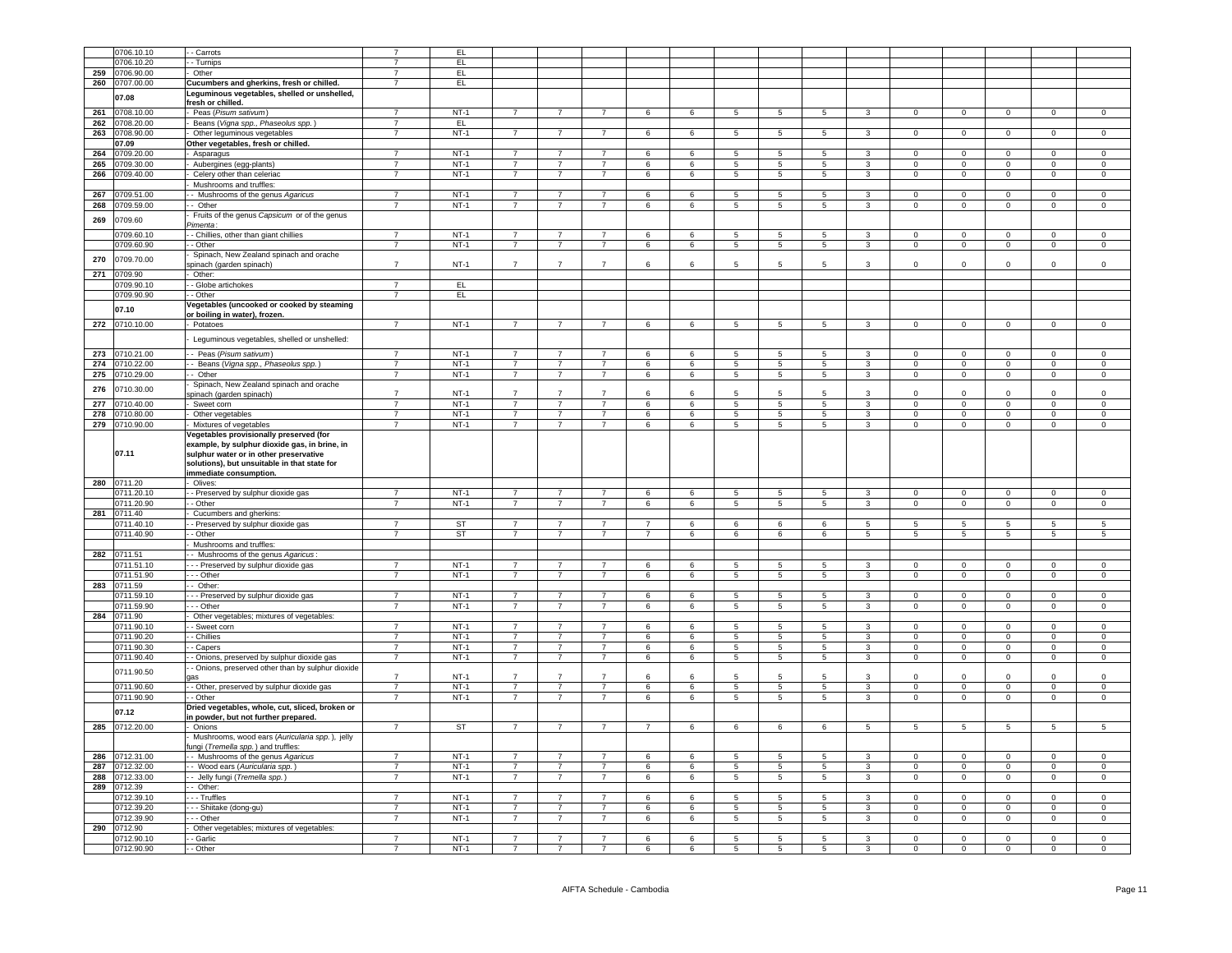|     | 0706.10.10     |                                                   |                |             |                |                |                |                |                 |                 |                 |                 |                |                 |                |                |                |                     |
|-----|----------------|---------------------------------------------------|----------------|-------------|----------------|----------------|----------------|----------------|-----------------|-----------------|-----------------|-----------------|----------------|-----------------|----------------|----------------|----------------|---------------------|
|     |                | - Carrots                                         |                | EL.         |                |                |                |                |                 |                 |                 |                 |                |                 |                |                |                |                     |
|     | 0706.10.20     | - Turnips                                         | $\overline{7}$ | EL.         |                |                |                |                |                 |                 |                 |                 |                |                 |                |                |                |                     |
| 259 | 0706.90.00     | - Other                                           | $\overline{7}$ | EL.         |                |                |                |                |                 |                 |                 |                 |                |                 |                |                |                |                     |
| 260 | 0707.00.00     | Cucumbers and gherkins, fresh or chilled.         | $\overline{7}$ | EL.         |                |                |                |                |                 |                 |                 |                 |                |                 |                |                |                |                     |
|     |                | Leguminous vegetables, shelled or unshelled,      |                |             |                |                |                |                |                 |                 |                 |                 |                |                 |                |                |                |                     |
|     | 07.08          |                                                   |                |             |                |                |                |                |                 |                 |                 |                 |                |                 |                |                |                |                     |
|     |                | fresh or chilled.                                 |                |             |                |                |                |                |                 |                 |                 |                 |                |                 |                |                |                |                     |
| 261 | 0708.10.00     | - Peas (Pisum sativum)                            | $\overline{7}$ | $NT-1$      | $\overline{7}$ | $\overline{7}$ | $\overline{7}$ | 6              | 6               | -5              | $\sqrt{5}$      | -5              | $\mathcal{R}$  | $\Omega$        | $\Omega$       | $\Omega$       | $\Omega$       | $\Omega$            |
| 262 | 0708.20.00     | Beans (Vigna spp., Phaseolus spp.)                | $\overline{7}$ | EL.         |                |                |                |                |                 |                 |                 |                 |                |                 |                |                |                |                     |
|     | 263 0708.90.00 | Other leguminous vegetables                       | $\overline{7}$ | $NT-1$      | $\overline{7}$ |                |                | 6              | 6               | 5               | 5               | 5               | 3              | $\overline{0}$  | $\mathbf 0$    | $\Omega$       | $\mathbf 0$    |                     |
|     |                |                                                   |                |             |                |                |                |                |                 |                 |                 |                 |                |                 |                |                |                |                     |
|     | 07.09          | Other vegetables, fresh or chilled.               |                |             |                |                |                |                |                 |                 |                 |                 |                |                 |                |                |                |                     |
| 264 | 0709.20.00     | Asparagus                                         | $\overline{7}$ | $NT-1$      | $\overline{7}$ | $\overline{7}$ | $\overline{7}$ | 6              | 6               | 5               | 5               | 5               | 3              | $\Omega$        | $\mathbf 0$    | $\mathbf 0$    | $\mathbf 0$    | $^{\circ}$          |
| 265 | 0709.30.00     | Aubergines (egg-plants)                           | $\overline{7}$ | $NT-1$      | $\overline{7}$ | $\overline{7}$ | $\overline{7}$ | 6              | 6               | 5               | -5              | $5^{\circ}$     | 3              | $\Omega$        | $\Omega$       | $\Omega$       | $\Omega$       | $\Omega$            |
| 266 | 0709.40.00     | Celery other than celeriac                        | $\overline{7}$ | $NT-1$      | $\overline{7}$ | $\overline{7}$ | $\overline{7}$ | 6              | 6               | 5               | $5\phantom{.0}$ | 5               | 3              | $\mathsf 0$     | $\mathsf 0$    | $\mathsf 0$    | $\mathsf 0$    | $\mathsf 0$         |
|     |                |                                                   |                |             |                |                |                |                |                 |                 |                 |                 |                |                 |                |                |                |                     |
|     |                | Mushrooms and truffles:                           |                |             |                |                |                |                |                 |                 |                 |                 |                |                 |                |                |                |                     |
| 267 | 0709.51.00     | - Mushrooms of the genus Agaricus                 | $\overline{7}$ | $NT-1$      | $\overline{7}$ | $\overline{7}$ | $\overline{7}$ | 6              | 6               | $\sqrt{5}$      | 5               | 5               | $\mathbf{R}$   | $\mathbf 0$     | $\mathsf 0$    | $\mathsf 0$    | $\mathbf 0$    | $^{\circ}$          |
| 268 | 0709.59.00     | - Other                                           | $\overline{7}$ | $NT-1$      | $\overline{7}$ | $\overline{7}$ | $\overline{7}$ | 6              | 6               | 5               | 5               | 5               | 3              | $\mathbf{0}$    | $\overline{0}$ | $\overline{0}$ | $\overline{0}$ | $\overline{0}$      |
|     |                |                                                   |                |             |                |                |                |                |                 |                 |                 |                 |                |                 |                |                |                |                     |
| 269 | 0709.60        | Fruits of the genus Capsicum or of the genus      |                |             |                |                |                |                |                 |                 |                 |                 |                |                 |                |                |                |                     |
|     |                | Pimenta:                                          |                |             |                |                |                |                |                 |                 |                 |                 |                |                 |                |                |                |                     |
|     | 0709.60.10     | - - Chillies, other than giant chillies           | $\overline{7}$ | $NT-1$      | $\overline{7}$ | $\overline{7}$ | $\overline{7}$ | 6              | 6               | 5               | -5              | 5               | 3              | $\mathbf{0}$    | $\mathbf 0$    | $\mathbf{0}$   | $\mathbf 0$    | $^{\circ}$          |
|     | 0709.60.90     | - Other                                           | $\overline{7}$ | $NT-1$      | $\overline{7}$ | $\overline{7}$ | $\overline{7}$ | 6              | 6               | $\overline{5}$  | $\overline{5}$  | $\overline{5}$  | $\overline{3}$ | $\overline{0}$  | $\overline{0}$ | $\overline{0}$ | $\overline{0}$ | $\overline{0}$      |
|     |                |                                                   |                |             |                |                |                |                |                 |                 |                 |                 |                |                 |                |                |                |                     |
| 270 | 0709.70.00     | Spinach, New Zealand spinach and orache           | $\overline{7}$ |             | $\overline{7}$ |                | $\overline{7}$ |                |                 |                 |                 |                 |                |                 |                |                |                |                     |
|     |                | pinach (garden spinach)                           |                | $NT-1$      |                | $\overline{7}$ |                | $\epsilon$     | 6               | 5               | 5               | 5               | $\mathbf{R}$   | $\Omega$        | $\Omega$       | $\Omega$       | $\Omega$       | $\Omega$            |
| 271 | 0709.90        | - Other:                                          |                |             |                |                |                |                |                 |                 |                 |                 |                |                 |                |                |                |                     |
|     | 0709.90.10     | - Globe artichokes                                | $\overline{7}$ | EL.         |                |                |                |                |                 |                 |                 |                 |                |                 |                |                |                |                     |
|     | 0709.90.90     | - - Other                                         | $\overline{7}$ | EL.         |                |                |                |                |                 |                 |                 |                 |                |                 |                |                |                |                     |
|     |                |                                                   |                |             |                |                |                |                |                 |                 |                 |                 |                |                 |                |                |                |                     |
|     | 07.10          | Vegetables (uncooked or cooked by steaming        |                |             |                |                |                |                |                 |                 |                 |                 |                |                 |                |                |                |                     |
|     |                | or boiling in water), frozen.                     |                |             |                |                |                |                |                 |                 |                 |                 |                |                 |                |                |                |                     |
|     | 272 0710.10.00 | Potatoes                                          | $\overline{7}$ | <b>NT-1</b> | $\overline{7}$ | $\overline{7}$ | $\overline{7}$ | 6              | 6               | 5               | $5\phantom{.0}$ | $5\phantom{.0}$ | $\mathbf{3}$   | $\overline{0}$  | $\mathsf 0$    | $\mathsf 0$    | $\mathbf 0$    | 0                   |
|     |                |                                                   |                |             |                |                |                |                |                 |                 |                 |                 |                |                 |                |                |                |                     |
|     |                | Leguminous vegetables, shelled or unshelled:      |                |             |                |                |                |                |                 |                 |                 |                 |                |                 |                |                |                |                     |
|     |                |                                                   |                |             |                |                |                |                |                 |                 |                 |                 |                |                 |                |                |                |                     |
|     | 273 0710.21.00 | - Peas (Pisum sativum)                            | $\overline{7}$ | $NT-1$      | $\overline{7}$ | $\overline{7}$ | $\overline{7}$ | 6              | 6               | 5               | 5               | 5               | 3              | $\overline{0}$  | $\mathbf 0$    | $\Omega$       | $\mathbf 0$    | $\Omega$            |
|     | 274 0710.22.00 | - Beans (Vigna spp., Phaseolus spp.)              | $\overline{7}$ | $NT-1$      | $\overline{7}$ | $\overline{7}$ | $\overline{7}$ | 6              | 6               | 5               | -5              | 5               | $\mathbf{3}$   | $\Omega$        | $\overline{0}$ | $\Omega$       | $\mathbf 0$    | $\mathbf 0$         |
| 275 | 0710.29.00     | - Other                                           | $\overline{7}$ | $NT-1$      | $\overline{7}$ | $\overline{7}$ | $\overline{7}$ | 6              | 6               | $\overline{5}$  | $5^{\circ}$     | $5^{\circ}$     | 3              | $\Omega$        | $\mathsf 0$    | $\Omega$       | $\mathsf 0$    | $\mathsf 0$         |
|     |                | Spinach, New Zealand spinach and orache           |                |             |                |                |                |                |                 |                 |                 |                 |                |                 |                |                |                |                     |
| 276 | 0710.30.00     |                                                   | $\overline{7}$ | $NT-1$      | $\overline{7}$ | $\overline{7}$ | $\overline{7}$ | 6              |                 | 5               | $\overline{a}$  |                 | $\mathbf{z}$   | $\Omega$        | $\Omega$       | $\Omega$       | $\Omega$       | $\Omega$            |
|     |                | spinach (garden spinach)                          |                |             |                |                |                |                | 6               |                 |                 | 5               |                |                 |                |                |                |                     |
| 277 | 710.40.00      | - Sweet corn                                      | $\overline{7}$ | $NT-1$      | $\overline{7}$ | $\overline{7}$ | $\overline{7}$ | 6              | 6               | $\overline{5}$  | 5               | 5               | 3              | $\mathbf 0$     | $\mathbf 0$    | $\mathbf{0}$   | $\mathbf 0$    | $\mathsf 0$         |
| 278 | 0710.80.00     | - Other vegetables                                | $\overline{7}$ | $NT-1$      | $\overline{7}$ | $\overline{7}$ | $\overline{7}$ | 6              | 6               | 5               | $5^{\circ}$     | 5               | 3              | $\Omega$        | $\mathsf 0$    | $\mathsf 0$    | $\Omega$       | $\mathsf{O}\xspace$ |
|     | 279 0710.90.00 | - Mixtures of vegetables                          | $\overline{7}$ | $NT-1$      | $\overline{7}$ | $\overline{7}$ | $\overline{7}$ | 6              | 6               | $5\phantom{.0}$ | $\overline{5}$  | $5\overline{5}$ | $\mathbf{3}$   | $\mathbf 0$     | $\overline{0}$ | $\mathbf{0}$   | $\mathsf 0$    | $\mathbf 0$         |
|     |                |                                                   |                |             |                |                |                |                |                 |                 |                 |                 |                |                 |                |                |                |                     |
|     |                | Vegetables provisionally preserved (for           |                |             |                |                |                |                |                 |                 |                 |                 |                |                 |                |                |                |                     |
|     |                | example, by sulphur dioxide gas, in brine, in     |                |             |                |                |                |                |                 |                 |                 |                 |                |                 |                |                |                |                     |
|     | 07.11          | sulphur water or in other preservative            |                |             |                |                |                |                |                 |                 |                 |                 |                |                 |                |                |                |                     |
|     |                | solutions), but unsuitable in that state for      |                |             |                |                |                |                |                 |                 |                 |                 |                |                 |                |                |                |                     |
|     |                | immediate consumption.                            |                |             |                |                |                |                |                 |                 |                 |                 |                |                 |                |                |                |                     |
|     |                |                                                   |                |             |                |                |                |                |                 |                 |                 |                 |                |                 |                |                |                |                     |
|     |                |                                                   |                |             |                |                |                |                |                 |                 |                 |                 |                |                 |                |                |                |                     |
|     | 280 0711.20    | Olives:                                           |                |             |                |                |                |                |                 |                 |                 |                 |                |                 |                |                |                |                     |
|     | 0711.20.10     | - Preserved by sulphur dioxide gas                | $\overline{7}$ | $NT-1$      | $\overline{7}$ | $\overline{7}$ | $\overline{7}$ | 6              | 6               | $\overline{5}$  | $\overline{5}$  | $\overline{5}$  | 3              | $\overline{0}$  | $\overline{0}$ | $\overline{0}$ | $\overline{0}$ | $\overline{0}$      |
|     |                |                                                   | $\overline{7}$ |             | $\overline{7}$ | $\overline{7}$ | $\overline{7}$ |                |                 |                 | $5^{\circ}$     | 5               |                |                 |                |                |                |                     |
|     | 1711.20.90     | - Other                                           |                | $NT-1$      |                |                |                | $\,6\,$        | 6               | 5               |                 |                 | $\mathbf{3}$   | $\mathsf 0$     | $\mathbf 0$    | $\mathsf 0$    | $\mathsf 0$    | $\mathsf 0$         |
|     | 281 0711.40    | Cucumbers and gherkins:                           |                |             |                |                |                |                |                 |                 |                 |                 |                |                 |                |                |                |                     |
|     | 0711.40.10     | - Preserved by sulphur dioxide gas                | $\overline{7}$ | ST          | $\overline{7}$ | $\overline{7}$ | $\overline{7}$ | $\overline{7}$ | 6               | 6               | 6               | 6               | -5             | -5              | 5              | -5             | 5              | 5                   |
|     | 1711.40.90     | - Other                                           | $\overline{7}$ | <b>ST</b>   | $\overline{7}$ | $\overline{7}$ | $\overline{7}$ | $\overline{7}$ | $\kappa$        | 6               | $\mathbf{6}$    | 6               | $5^{\circ}$    | $5\overline{2}$ | $\overline{5}$ | 5 <sub>1</sub> | 5              | $5^{\circ}$         |
|     |                |                                                   |                |             |                |                |                |                |                 |                 |                 |                 |                |                 |                |                |                |                     |
|     |                | Mushrooms and truffles:                           |                |             |                |                |                |                |                 |                 |                 |                 |                |                 |                |                |                |                     |
| 282 | 0711.51        | - Mushrooms of the genus Agaricus:                |                |             |                |                |                |                |                 |                 |                 |                 |                |                 |                |                |                |                     |
|     | 0711.51.10     | --- Preserved by sulphur dioxide gas              | $\overline{7}$ | $NT-1$      | $\overline{7}$ |                |                | 6              | 6               | 5               | 5               | 5               | $\mathcal{R}$  | $\Omega$        | $\mathbf 0$    | $\Omega$       | $\overline{0}$ | $\Omega$            |
|     | 0711.51.90     | $- -$ Other                                       | $\overline{7}$ | $NT-1$      | $\overline{7}$ | $\overline{7}$ | $\overline{7}$ | 6              | 6               | 5               | 5               | 5               | 3              | $\mathbf{0}$    | $\overline{0}$ | $\mathbf{0}$   | $\mathbf 0$    | $\mathbf{0}$        |
|     | 0711.59        |                                                   |                |             |                |                |                |                |                 |                 |                 |                 |                |                 |                |                |                |                     |
| 283 |                | - Other:                                          |                |             |                |                |                |                |                 |                 |                 |                 |                |                 |                |                |                |                     |
|     | 0711.59.10     | - - Preserved by sulphur dioxide gas              | $\overline{7}$ | $NT-1$      | $\overline{7}$ | $\overline{7}$ | $\overline{7}$ | 6              | 6               | $\overline{5}$  | 5               | 5               | 3              | $\overline{0}$  | $\overline{0}$ | $\overline{0}$ | $\overline{0}$ | $\overline{0}$      |
|     | 711.59.90      | - - Other                                         | $\overline{7}$ | $NT-1$      | $\overline{7}$ | $\overline{7}$ | $\overline{7}$ | 6              | 6               | 5               | 5               | 5               | 3              | $\mathbf 0$     | $\mathsf 0$    | $\mathbf 0$    | $\mathbf 0$    | $\mathsf 0$         |
| 284 | 0711.90        | Other vegetables; mixtures of vegetables:         |                |             |                |                |                |                |                 |                 |                 |                 |                |                 |                |                |                |                     |
|     | 1711.90.10     | - Sweet corn                                      | $\overline{7}$ | $NT-1$      | $\overline{7}$ | $\overline{7}$ | $\overline{7}$ | 6              | 6               | -5              | 5               | -5              | $\mathcal{R}$  | $\Omega$        | $\mathbf 0$    | $\Omega$       | $\Omega$       | $\Omega$            |
|     | 0711.90.20     | - Chillies                                        | $\overline{7}$ |             | $\overline{7}$ | $\overline{7}$ | $\overline{7}$ |                | $\epsilon$      | 5.              | -5              |                 | $\mathbf{R}$   | $\Omega$        |                | $\Omega$       | $\Omega$       | $\Omega$            |
|     |                |                                                   |                | $NT-1$      |                |                |                | 6              |                 |                 |                 | 5               |                |                 | $\mathsf 0$    |                |                |                     |
|     | 0711.90.30     | - Capers                                          | $\overline{7}$ | $NT-1$      | $\overline{7}$ | $\overline{7}$ | $\overline{7}$ | 6              | $6\overline{6}$ | $\overline{5}$  | 5               | $\overline{5}$  | 3              | $\overline{0}$  | $\overline{0}$ | $\overline{0}$ | $\overline{0}$ | $\overline{0}$      |
|     | 0711.90.40     | - Onions, preserved by sulphur dioxide gas        | $\overline{7}$ | $NT-1$      | $\overline{7}$ | $\overline{7}$ | $\overline{7}$ | 6              | 6               | 5               | $5^{\circ}$     | 5 <sup>5</sup>  | $\overline{3}$ | $\Omega$        | $\mathbf 0$    | $\mathbf{0}$   | $\mathbf 0$    | $\Omega$            |
|     |                | - Onions, preserved other than by sulphur dioxide |                |             |                |                |                |                |                 |                 |                 |                 |                |                 |                |                |                |                     |
|     | 0711.90.50     |                                                   | $\overline{7}$ | NT-1        | $\overline{7}$ | $\overline{7}$ | $\overline{7}$ | 6              | 6               | 5               | 5               | 5               | 3              | $\mathbf 0$     | $\mathsf 0$    | $\mathsf 0$    | $\mathsf 0$    | $\mathbf 0$         |
|     |                |                                                   |                |             |                |                | $\overline{7}$ |                | 6               |                 |                 |                 |                |                 |                |                |                |                     |
|     | 0711.90.60     | - Other, preserved by sulphur dioxide gas         | $\overline{7}$ | $NT-1$      | $\overline{7}$ | $\overline{7}$ |                | 6              |                 | $\overline{5}$  | 5               | 5               | 3              | $\overline{0}$  | $\overline{0}$ | $\overline{0}$ | $\overline{0}$ | $\overline{0}$      |
|     | 0711.90.90     | - Other                                           | $\overline{7}$ | $NT-1$      | $\overline{7}$ | $\overline{7}$ | $\overline{7}$ | 6              | 6               | $5\phantom{.0}$ | $\overline{5}$  | 5               | $\mathbf{3}$   | $\Omega$        | $\mathbf 0$    | $\mathsf 0$    | $\mathsf 0$    | $\mathsf 0$         |
|     |                | Dried vegetables, whole, cut, sliced, broken or   |                |             |                |                |                |                |                 |                 |                 |                 |                |                 |                |                |                |                     |
|     | 07.12          | in powder, but not further prepared.              |                |             |                |                |                |                |                 |                 |                 |                 |                |                 |                |                |                |                     |
|     |                |                                                   | $\overline{7}$ |             | $\overline{7}$ | $\overline{7}$ | $\overline{7}$ | $\overline{7}$ |                 |                 | 6               |                 | 5              |                 |                | 5              | $5^{\circ}$    | 5                   |
|     | 285 0712.20.00 | Onions                                            |                | ST          |                |                |                |                | 6               | 6               |                 | 6               |                | $5\overline{)}$ | $\sqrt{5}$     |                |                |                     |
|     |                | Mushrooms, wood ears (Auricularia spp.), jelly    |                |             |                |                |                |                |                 |                 |                 |                 |                |                 |                |                |                |                     |
|     |                | fungi (Tremella spp.) and truffles:               |                |             |                |                |                |                |                 |                 |                 |                 |                |                 |                |                |                |                     |
| 286 | 0712.31.00     | - - Mushrooms of the genus Agaricus               | $\overline{7}$ | $NT-1$      | $\overline{7}$ | $\overline{7}$ | $\overline{7}$ | 6              | $\kappa$        | -5              | -5              | -5              | $\mathcal{R}$  | $\Omega$        | $\mathbf 0$    | $\Omega$       | $\Omega$       | $\Omega$            |
| 287 | 0712.32.00     | - Wood ears (Auricularia spp.)                    | 7              | $NT-1$      | $\overline{7}$ | $\overline{7}$ | $\overline{7}$ | 6              | $\epsilon$      | $5^{\circ}$     | 5.              | 5               | $\mathbf{R}$   | $\Omega$        | $\mathsf 0$    | $\Omega$       | $\Omega$       | $\Omega$            |
|     |                |                                                   | $\overline{7}$ |             | $\overline{7}$ | $\overline{7}$ | $\overline{7}$ |                |                 |                 | $\overline{5}$  | $\overline{5}$  |                |                 |                |                |                |                     |
| 288 | 0712.33.00     | - Jelly fungi (Tremella spp.)                     |                | $NT-1$      |                |                |                | 6              | $6\overline{6}$ | $\overline{5}$  |                 |                 | 3              | $\overline{0}$  | $\overline{0}$ | $\overline{0}$ | $\overline{0}$ | $\overline{0}$      |
| 289 | 0712.39        | -- Other:                                         |                |             |                |                |                |                |                 |                 |                 |                 |                |                 |                |                |                |                     |
|     | 0712.39.10     | - - - Truffles                                    | $\overline{7}$ | $NT-1$      | $\overline{7}$ | $\overline{7}$ | $\overline{7}$ | 6              | 6               | 5               | 5               | 5               | 3              | $\mathsf 0$     | $\mathsf 0$    | $\mathbf 0$    | $\mathbf 0$    | $\mathbf 0$         |
|     |                |                                                   | $\overline{7}$ | $NT-1$      | $\overline{7}$ | $\overline{7}$ | $\overline{7}$ |                | 6               |                 | 5               | 5               | 3              | $\mathbf{0}$    |                | $\mathbf{0}$   | $\mathbf 0$    | $^{\circ}$          |
|     | 0712.39.20     | - - - Shiitake (dong-gu)                          |                |             |                |                |                | 6              |                 | 5               |                 |                 |                |                 | $\bf{0}$       |                |                |                     |
|     | 0712.39.90     | - - Other                                         | $\overline{7}$ | $NT-1$      | $\overline{7}$ | $\overline{7}$ | $\overline{7}$ | 6              | 6               | $5\phantom{.0}$ | $\overline{5}$  | 5               | $\mathbf{3}$   | $\circ$         | $\mathbf 0$    | $\mathsf 0$    | $\mathbf 0$    | $\mathsf 0$         |
| 290 | 0712.90        | Other vegetables; mixtures of vegetables:         |                |             |                |                |                |                |                 |                 |                 |                 |                |                 |                |                |                |                     |
|     | 0712.90.10     | - - Garlic                                        | $\overline{7}$ | $NT-1$      | $\overline{7}$ | $\overline{7}$ | $\overline{7}$ | 6              |                 | 5               | 5               | 5               | 3              | $\mathbf 0$     | $\mathsf 0$    | $\Omega$       | $\mathsf 0$    | $\mathbf 0$         |
|     | 0712.90.90     | - - Other                                         | 7              | $NT-1$      | $\overline{7}$ | $\overline{7}$ |                | 6              |                 | 5               | 5               | 5               | 3              | $\Omega$        | $\mathsf 0$    | $\mathsf 0$    | $\mathbf 0$    | $\mathbf 0$         |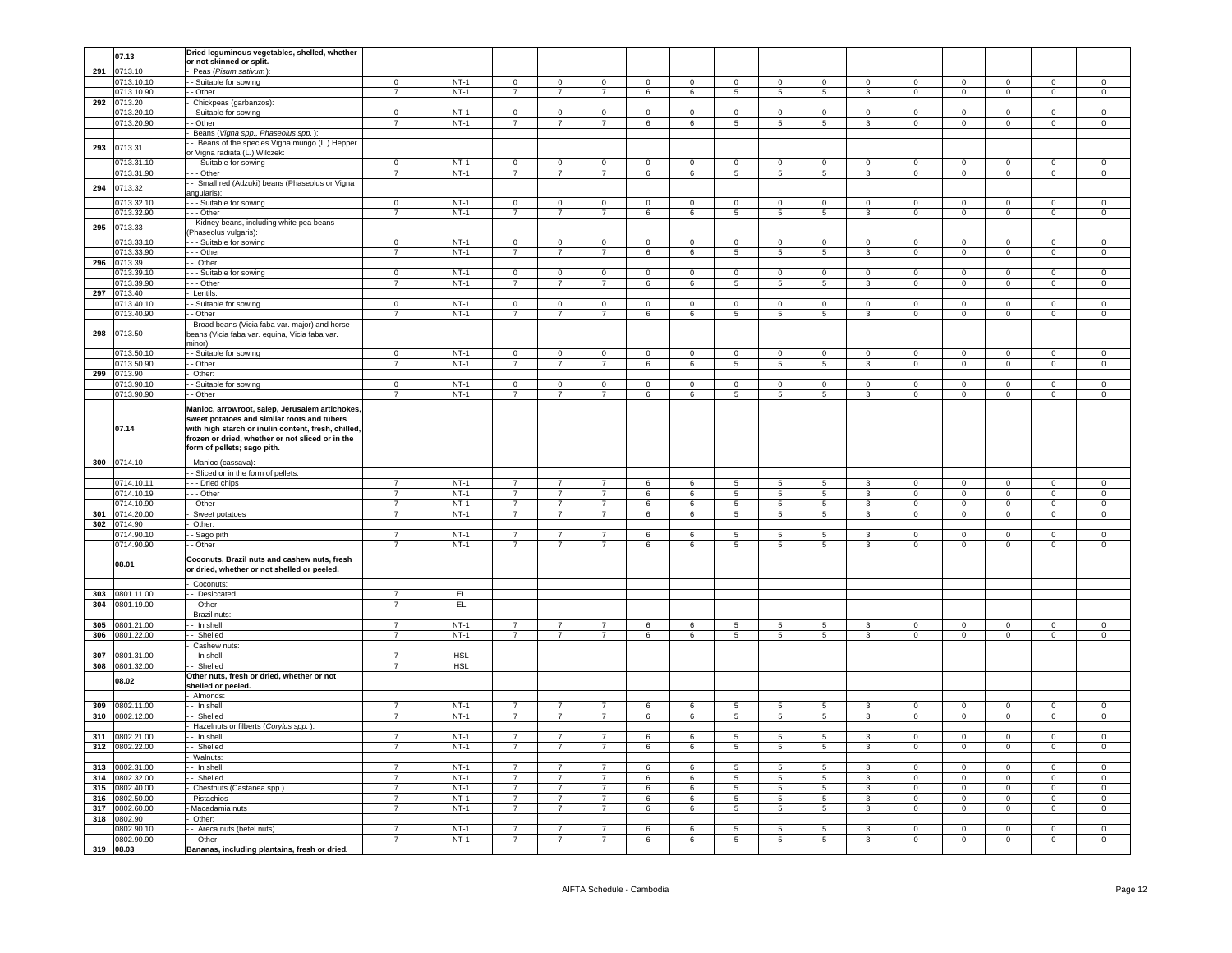|     | 07.13          | Dried leguminous vegetables, shelled, whether                                                                                                                                                                                            |                |            |                |                 |                |                |                 |                 |                 |                 |                         |                |                |                |                |                |
|-----|----------------|------------------------------------------------------------------------------------------------------------------------------------------------------------------------------------------------------------------------------------------|----------------|------------|----------------|-----------------|----------------|----------------|-----------------|-----------------|-----------------|-----------------|-------------------------|----------------|----------------|----------------|----------------|----------------|
|     |                | <u>or not skinned or split.</u>                                                                                                                                                                                                          |                |            |                |                 |                |                |                 |                 |                 |                 |                         |                |                |                |                |                |
| 291 | 0713.10        | Peas (Pisum sativum):                                                                                                                                                                                                                    |                |            |                |                 |                |                |                 |                 |                 |                 |                         |                |                |                |                |                |
|     | 0713.10.10     | - Suitable for sowing                                                                                                                                                                                                                    | $\overline{0}$ | $NT-1$     | $\overline{0}$ | $\overline{0}$  | $\overline{0}$ | $\overline{0}$ | $\circ$         | $\overline{0}$  | $\mathbf 0$     | $\overline{0}$  | $\overline{0}$          | $\circ$        | $\overline{0}$ | $\mathbf 0$    | $\circ$        | $\overline{0}$ |
|     | 0713.10.90     | - Other                                                                                                                                                                                                                                  | $\overline{7}$ | $NT-1$     | $7^{\circ}$    | $\overline{7}$  | $7^{\circ}$    | 6              | 6               | $5\overline{5}$ | $5\phantom{.0}$ | $5\overline{5}$ | $\mathbf{3}$            | $\overline{0}$ | $\overline{0}$ | $\overline{0}$ | $\overline{0}$ | $\overline{0}$ |
|     | 292 0713.20    | Chickpeas (garbanzos):                                                                                                                                                                                                                   |                |            |                |                 |                |                |                 |                 |                 |                 |                         |                |                |                |                |                |
|     | 0713.20.10     | - Suitable for sowing                                                                                                                                                                                                                    | $\overline{0}$ | $NT-1$     | $\Omega$       | $\overline{0}$  | $\Omega$       | $\overline{0}$ | $\Omega$        | $\overline{0}$  | $\Omega$        | $\Omega$        | $\Omega$                | $\Omega$       | $\overline{0}$ | $\Omega$       | $\Omega$       | $\Omega$       |
|     | 0713.20.90     |                                                                                                                                                                                                                                          |                | $NT-1$     |                |                 |                |                |                 |                 |                 |                 |                         |                |                |                |                |                |
|     |                | - Other                                                                                                                                                                                                                                  | $\overline{7}$ |            | $\overline{7}$ | $\overline{7}$  | $\overline{7}$ | 6              | 6               | 5               | $5\phantom{.0}$ | 5               | $\mathbf{3}$            | $\mathsf 0$    | $\circ$        | $\mathbf{0}$   | $\mathsf 0$    | $\mathsf 0$    |
|     |                | Beans (Vigna spp., Phaseolus spp.)                                                                                                                                                                                                       |                |            |                |                 |                |                |                 |                 |                 |                 |                         |                |                |                |                |                |
| 293 | 0713.31        | - Beans of the species Vigna mungo (L.) Hepper                                                                                                                                                                                           |                |            |                |                 |                |                |                 |                 |                 |                 |                         |                |                |                |                |                |
|     |                | or Vigna radiata (L.) Wilczek:                                                                                                                                                                                                           |                |            |                |                 |                |                |                 |                 |                 |                 |                         |                |                |                |                |                |
|     | 0713.31.10     | - - Suitable for sowing                                                                                                                                                                                                                  | $\mathbf 0$    | $NT-1$     | $\overline{0}$ | $\overline{0}$  | $\mathbf 0$    | $\overline{0}$ | $\pmb{0}$       | $\mathsf 0$     | $\pmb{0}$       | $\mathbf 0$     | $\mathbf 0$             | $\mathsf 0$    | $\mathbf 0$    | $\mathbf 0$    | $\mathbf 0$    | $\mathsf 0$    |
|     | 0713.31.90     | - - Other                                                                                                                                                                                                                                | $\overline{7}$ | $NT-1$     | $\overline{7}$ | $\overline{7}$  | $\overline{7}$ | $\overline{6}$ | 6               | 5               | 5               | $5\overline{5}$ | $\mathbf{3}$            | $\overline{0}$ | $\overline{0}$ | $\overline{0}$ | $\mathbf 0$    | $\overline{0}$ |
|     |                |                                                                                                                                                                                                                                          |                |            |                |                 |                |                |                 |                 |                 |                 |                         |                |                |                |                |                |
| 294 | 0713.32        | - Small red (Adzuki) beans (Phaseolus or Vigna                                                                                                                                                                                           |                |            |                |                 |                |                |                 |                 |                 |                 |                         |                |                |                |                |                |
|     |                | angularis):                                                                                                                                                                                                                              |                |            |                |                 |                |                |                 |                 |                 |                 |                         |                |                |                |                |                |
|     | 0713.32.10     | --- Suitable for sowing                                                                                                                                                                                                                  | $\Omega$       | $NT-1$     | $\overline{0}$ | $\mathbf{0}$    | $\mathbf 0$    | $\overline{0}$ | $\mathbf 0$     | $\overline{0}$  | $\mathbf 0$     | $\mathbf{0}$    | $\mathbf{0}$            | $\Omega$       | $\overline{0}$ | $\circ$        | $\mathbf 0$    | $\mathbf 0$    |
|     | 0713.32.90     | - - Other                                                                                                                                                                                                                                | $\overline{7}$ | $NT-1$     | $\overline{7}$ | $\overline{7}$  | $\overline{7}$ | 6              | 6               | 5               | 5               | 5               | $\overline{3}$          | $\mathbf 0$    | $\mathbf 0$    | $\mathbf{0}$   | $\mathbf 0$    | $\mathbf 0$    |
|     |                | - Kidney beans, including white pea beans                                                                                                                                                                                                |                |            |                |                 |                |                |                 |                 |                 |                 |                         |                |                |                |                |                |
| 295 | 0713.33        | Phaseolus vulgaris):                                                                                                                                                                                                                     |                |            |                |                 |                |                |                 |                 |                 |                 |                         |                |                |                |                |                |
|     | 0713.33.10     | - Suitable for sowing                                                                                                                                                                                                                    | $\mathbf 0$    | $NT-1$     | $\mathsf 0$    | $\mathbf 0$     | $\mathsf 0$    | $\overline{0}$ | $\pmb{0}$       | $\mathsf 0$     | $\pmb{0}$       | $\mathbf 0$     | $\mathbf 0$             | $\mathsf 0$    | $\mathbf 0$    | $\mathbf 0$    | $\mathbf 0$    | $\mathsf 0$    |
|     | 0713.33.90     | - Other                                                                                                                                                                                                                                  | $\overline{7}$ | $NT-1$     | $\overline{7}$ | $\overline{7}$  | $\overline{7}$ | $\,6\,$        | $\,6\,$         | $5\phantom{.0}$ | $5\phantom{.0}$ | 5               | $\mathbf{3}$            | $\mathbf 0$    | $\mathbf 0$    | $\mathbf 0$    | $\mathsf 0$    | $\mathsf 0$    |
|     |                |                                                                                                                                                                                                                                          |                |            |                |                 |                |                |                 |                 |                 |                 |                         |                |                |                |                |                |
| 296 | 0713.39        | Other:                                                                                                                                                                                                                                   |                |            |                |                 |                |                |                 |                 |                 |                 |                         |                |                |                |                |                |
|     | 0713.39.10     | - Suitable for sowing                                                                                                                                                                                                                    | $\Omega$       | $NT-1$     | $\overline{0}$ | $\overline{0}$  | $\overline{0}$ | $\overline{0}$ | $\Omega$        | $\overline{0}$  | $\Omega$        | $\Omega$        | $\Omega$                | $\Omega$       | $\overline{0}$ | $\Omega$       | $\overline{0}$ | $\mathbf 0$    |
|     | 0713.39.90     | - Other                                                                                                                                                                                                                                  | $\overline{7}$ | $NT-1$     | $\overline{7}$ | $\overline{7}$  | $\overline{7}$ | 6              | 6               | 5               | 5               | 5               | 3                       | $\mathbf 0$    | $\mathbf 0$    | $\mathbf 0$    | $\Omega$       | $\mathbf 0$    |
|     | 297 0713.40    | Lentils:                                                                                                                                                                                                                                 |                |            |                |                 |                |                |                 |                 |                 |                 |                         |                |                |                |                |                |
|     | 0713.40.10     | - Suitable for sowing                                                                                                                                                                                                                    | $\mathbf{0}$   | $NT-1$     | $\circ$        | $\mathbf{0}$    | $\mathbf 0$    | $\mathbf{0}$   | $\mathbf 0$     | $\mathbf 0$     | $\mathbf 0$     | $\mathbf 0$     | $\mathbf 0$             | $\mathbf 0$    | $\mathbf 0$    | $\mathbf 0$    | $\mathbf 0$    | $\mathbf 0$    |
|     |                | - Other                                                                                                                                                                                                                                  | $\overline{7}$ | $NT-1$     | $\overline{7}$ | $\overline{7}$  | $\overline{7}$ |                |                 |                 |                 | 5               |                         | $\mathbf 0$    |                | $\mathbf 0$    | $\mathbf 0$    | $\mathsf 0$    |
|     | 0713.40.90     |                                                                                                                                                                                                                                          |                |            |                |                 |                | 6              | 6               | 5               | 5               |                 | $\mathbf{3}$            |                | $\mathbf 0$    |                |                |                |
|     |                | Broad beans (Vicia faba var. major) and horse                                                                                                                                                                                            |                |            |                |                 |                |                |                 |                 |                 |                 |                         |                |                |                |                |                |
| 298 | 0713.50        | eans (Vicia faba var. equina, Vicia faba var.                                                                                                                                                                                            |                |            |                |                 |                |                |                 |                 |                 |                 |                         |                |                |                |                |                |
|     |                | ninor):                                                                                                                                                                                                                                  |                |            |                |                 |                |                |                 |                 |                 |                 |                         |                |                |                |                |                |
|     | 0713.50.10     | - Suitable for sowing                                                                                                                                                                                                                    | $\overline{0}$ | $NT-1$     | $\mathsf 0$    | $\mathbf 0$     | $\mathsf 0$    | $\overline{0}$ | $\mathsf 0$     | $\overline{0}$  | $\mathsf 0$     | $\mathbf 0$     | $\mathsf 0$             | $\mathsf 0$    | $\mathbf 0$    | $\mathsf 0$    | $\mathsf 0$    | $\mathsf 0$    |
|     | 0713.50.90     | - Other                                                                                                                                                                                                                                  | $\overline{7}$ | $NT-1$     | $\overline{7}$ | $7\overline{ }$ | $\overline{7}$ | 6              | 6               | $5\overline{5}$ | $5\overline{5}$ | $5\overline{5}$ | $\mathbf{3}$            | $\overline{0}$ | $\overline{0}$ | $\overline{0}$ | $\overline{0}$ | $\overline{0}$ |
|     | 299 0713.90    | Other:                                                                                                                                                                                                                                   |                |            |                |                 |                |                |                 |                 |                 |                 |                         |                |                |                |                |                |
|     |                |                                                                                                                                                                                                                                          | $\Omega$       | $NT-1$     |                |                 |                |                |                 |                 |                 |                 |                         | $\Omega$       |                |                |                |                |
|     | 0713.90.10     | - Suitable for sowing                                                                                                                                                                                                                    |                |            | $\overline{0}$ | $\overline{0}$  | $\mathbf 0$    | $\overline{0}$ | $\pmb{0}$       | $\overline{0}$  | $\mathbf 0$     | $\overline{0}$  | $\overline{0}$          |                | $\overline{0}$ | $\overline{0}$ | $\mathbf 0$    | $\mathbf 0$    |
|     | 0713.90.90     | - Other                                                                                                                                                                                                                                  | $\overline{7}$ | $NT-1$     | $\overline{7}$ | $\overline{7}$  | $\overline{7}$ | 6              | 6               | $\overline{5}$  | $\overline{5}$  | 5               | $\overline{3}$          | $\overline{0}$ | $\overline{0}$ | $\overline{0}$ | $\overline{0}$ | $\overline{0}$ |
|     | 07.14          | Manioc, arrowroot, salep, Jerusalem artichokes,<br>sweet potatoes and similar roots and tubers<br>with high starch or inulin content, fresh, chilled,<br>frozen or dried, whether or not sliced or in the<br>form of pellets; sago pith. |                |            |                |                 |                |                |                 |                 |                 |                 |                         |                |                |                |                |                |
|     |                |                                                                                                                                                                                                                                          |                |            |                |                 |                |                |                 |                 |                 |                 |                         |                |                |                |                |                |
|     | 300 0714.10    | Manioc (cassava):                                                                                                                                                                                                                        |                |            |                |                 |                |                |                 |                 |                 |                 |                         |                |                |                |                |                |
|     |                | - Sliced or in the form of pellets:                                                                                                                                                                                                      |                |            |                |                 |                |                |                 |                 |                 |                 |                         |                |                |                |                |                |
|     | 0714.10.11     | - - Dried chips                                                                                                                                                                                                                          | $\overline{7}$ | $NT-1$     | $\overline{7}$ |                 | $\overline{7}$ | 6              | 6               | 5               | $5\overline{5}$ | 5               | 3                       | $\mathbf{0}$   | $^{\circ}$     | $\Omega$       | $\Omega$       | $\mathbf 0$    |
|     | 0714.10.19     | - - Other                                                                                                                                                                                                                                | $\overline{7}$ | $NT-1$     | $\overline{7}$ | $\overline{7}$  | $\overline{7}$ | 6              | 6               | $5\phantom{.0}$ | $5\phantom{.0}$ | $5\overline{5}$ | 3                       | $\overline{0}$ | $\overline{0}$ | $\overline{0}$ | $\mathbf 0$    | $\overline{0}$ |
|     |                |                                                                                                                                                                                                                                          |                | $NT-1$     |                |                 |                |                |                 |                 |                 |                 |                         |                |                |                |                |                |
|     | 0714.10.90     | - Other                                                                                                                                                                                                                                  | $\overline{7}$ |            | $\overline{7}$ | $\overline{7}$  | $\overline{7}$ | 6              | 6               | $5\overline{)}$ | 5               | $5\overline{5}$ | $\overline{\mathbf{3}}$ | $\overline{0}$ | $\overline{0}$ | $\mathbf{0}$   | $\overline{0}$ | $\overline{0}$ |
|     | 301 0714.20.00 | Sweet potatoes                                                                                                                                                                                                                           | $\overline{7}$ | $NT-1$     | $\overline{7}$ | $\overline{7}$  | $\overline{7}$ | 6              | $\,6\,$         | $5\phantom{.0}$ | $\,$ 5 $\,$     | 5               | $\mathbf{3}$            | $\mathbf 0$    | $\mathbf 0$    | $\mathbf 0$    | $\mathbf 0$    | $\mathsf 0$    |
| 302 | 0714.90        | Other:                                                                                                                                                                                                                                   |                |            |                |                 |                |                |                 |                 |                 |                 |                         |                |                |                |                |                |
|     | 0714.90.10     | Sago pith                                                                                                                                                                                                                                | $\overline{7}$ | $NT-1$     | $\overline{7}$ | $\overline{7}$  | $\overline{7}$ | 6              | 6               | 5               | 5               | 5               | 3                       | $^{\circ}$     | $\,0\,$        | $^{\circ}$     | $\mathbf 0$    | $\mathbf 0$    |
|     | 0714.90.90     | - Other                                                                                                                                                                                                                                  | $\overline{7}$ | $NT-1$     | $\overline{7}$ | $\overline{7}$  | $\overline{7}$ | 6              | 6               | $\overline{5}$  | 5               | $5\phantom{.0}$ | $\overline{3}$          | $\,0\,$        | $\overline{0}$ | $\mathbf 0$    | $\overline{0}$ | $\mathbf 0$    |
|     |                |                                                                                                                                                                                                                                          |                |            |                |                 |                |                |                 |                 |                 |                 |                         |                |                |                |                |                |
|     | 08.01          | Coconuts, Brazil nuts and cashew nuts, fresh<br>or dried, whether or not shelled or peeled.<br>Coconuts:                                                                                                                                 |                |            |                |                 |                |                |                 |                 |                 |                 |                         |                |                |                |                |                |
| 303 | 0801.11.00     | - Desiccated                                                                                                                                                                                                                             | $\overline{7}$ | EL         |                |                 |                |                |                 |                 |                 |                 |                         |                |                |                |                |                |
|     |                |                                                                                                                                                                                                                                          |                |            |                |                 |                |                |                 |                 |                 |                 |                         |                |                |                |                |                |
| 304 | 0801.19.00     | Other                                                                                                                                                                                                                                    | $\overline{7}$ | EL         |                |                 |                |                |                 |                 |                 |                 |                         |                |                |                |                |                |
|     |                | Brazil nuts:                                                                                                                                                                                                                             |                |            |                |                 |                |                |                 |                 |                 |                 |                         |                |                |                |                |                |
| 305 | 0801.21.00     | - In shell                                                                                                                                                                                                                               | $\overline{7}$ | $NT-1$     | $\overline{7}$ | $\overline{7}$  | $\overline{7}$ | 6              | $6\overline{6}$ | $\overline{5}$  | 5               | 5               | 3                       | $\mathbf{0}$   | $\overline{0}$ | $\mathbf{0}$   | $\overline{0}$ | $\overline{0}$ |
| 306 | 0801.22.00     | - Shelled                                                                                                                                                                                                                                | $\overline{7}$ | $NT-1$     | $\overline{7}$ | $\overline{7}$  | $\overline{7}$ | 6              | 6               | $5\overline{5}$ | $5\phantom{.0}$ | $5\overline{5}$ | $\mathbf{3}$            | $\mathsf 0$    | $\circ$        | $\circ$        | $\mathbf 0$    | $\circ$        |
|     |                | Cashew nuts:                                                                                                                                                                                                                             |                |            |                |                 |                |                |                 |                 |                 |                 |                         |                |                |                |                |                |
|     | 307 0801.31.00 | - In shell                                                                                                                                                                                                                               | $\overline{7}$ | <b>HSL</b> |                |                 |                |                |                 |                 |                 |                 |                         |                |                |                |                |                |
|     |                | - Shelled                                                                                                                                                                                                                                | $\overline{7}$ |            |                |                 |                |                |                 |                 |                 |                 |                         |                |                |                |                |                |
| 308 | 0801.32.00     |                                                                                                                                                                                                                                          |                | <b>HSL</b> |                |                 |                |                |                 |                 |                 |                 |                         |                |                |                |                |                |
|     | 08.02          | Other nuts, fresh or dried, whether or not<br>shelled or peeled.<br>Almonds:                                                                                                                                                             |                |            |                |                 |                |                |                 |                 |                 |                 |                         |                |                |                |                |                |
|     | 309 0802.11.00 | - In shell                                                                                                                                                                                                                               | $\overline{7}$ | $NT-1$     | $\overline{7}$ | $\overline{7}$  | $\overline{7}$ | 6              | 6               | 5               | 5               | 5               | 3                       | $\Omega$       | $\Omega$       | $\Omega$       | $\Omega$       | $\Omega$       |
|     |                |                                                                                                                                                                                                                                          |                |            |                |                 |                |                |                 |                 |                 |                 |                         |                |                |                |                |                |
|     | 310 0802.12.00 | - Shelled                                                                                                                                                                                                                                | $\overline{7}$ | $NT-1$     | $\overline{7}$ | $7\overline{ }$ | $\overline{7}$ | 6              | 6               | $5\overline{5}$ | $5\phantom{.0}$ | $5\overline{5}$ | $\mathbf{3}$            | $\overline{0}$ | $\overline{0}$ | $\overline{0}$ | $\mathbf 0$    | $\overline{0}$ |
|     |                | Hazelnuts or filberts (Corylus spp.)                                                                                                                                                                                                     |                |            |                |                 |                |                |                 |                 |                 |                 |                         |                |                |                |                |                |
|     | 311 0802.21.00 | - In shell                                                                                                                                                                                                                               | $\overline{7}$ | $NT-1$     | $\overline{7}$ | $\overline{7}$  | $\overline{7}$ | 6              | 6               | $5\phantom{.0}$ | 5               | 5               | $\mathbf{3}$            | $\Omega$       | $\mathbf 0$    | $\mathbf{0}$   | $\mathsf 0$    | $\mathbf 0$    |
| 312 | 0802.22.00     | Shelled                                                                                                                                                                                                                                  | $\overline{7}$ | $NT-1$     | $\overline{7}$ | $\overline{7}$  | $\overline{7}$ | 6              | 6               | 5               | 5               | $5^{\circ}$     | 3                       | $\mathbf 0$    | $\mathbf{0}$   | $\mathbf{0}$   | $\mathbf 0$    | $\mathbf 0$    |
|     |                | Walnuts:                                                                                                                                                                                                                                 |                |            |                |                 |                |                |                 |                 |                 |                 |                         |                |                |                |                |                |
|     |                |                                                                                                                                                                                                                                          |                |            |                |                 |                |                |                 |                 |                 |                 |                         |                |                |                |                |                |
| 313 | 0802.31.00     | In shell                                                                                                                                                                                                                                 | $\overline{7}$ | $NT-1$     | $\overline{7}$ | $\overline{7}$  | $\overline{7}$ | 6              | 6               | $5 -$           | -5              | -5              | 3                       | $\Omega$       | $\mathbf 0$    | $\mathbf{0}$   | $\Omega$       | $\mathbf 0$    |
| 314 | 0802.32.00     | - Shelled                                                                                                                                                                                                                                | $\overline{7}$ | $NT-1$     | $\overline{7}$ | $\overline{7}$  | $\overline{7}$ | 6              | $\epsilon$      | 5.              | -5              | 5               | $\mathbf{3}$            | $\Omega$       | $\mathbf 0$    | $\mathbf 0$    | $\mathsf 0$    | $\mathbf 0$    |
| 315 | 0802.40.00     | Chestnuts (Castanea spp.)                                                                                                                                                                                                                | $\overline{7}$ | $NT-1$     |                | $\overline{7}$  | $\overline{7}$ | 6              | 6               | $\overline{5}$  | $5\overline{5}$ | $\overline{5}$  | $\overline{\mathbf{3}}$ | $\Omega$       | $\overline{0}$ | $\Omega$       | $\overline{0}$ | $\Omega$       |
|     | 316 0802.50.00 | Pistachios                                                                                                                                                                                                                               | $\overline{7}$ | $NT-1$     | $\overline{7}$ | $\overline{7}$  | $\overline{7}$ | 6              | 6               | $\overline{5}$  | 5               | $5\overline{)}$ | $\overline{3}$          | $\mathbf 0$    | $\overline{0}$ | $\mathbf 0$    | $\mathbf 0$    | $\overline{0}$ |
|     | 317 0802.60.00 | Macadamia nuts                                                                                                                                                                                                                           | $\overline{7}$ | $NT-1$     | $\overline{7}$ | $\overline{7}$  | $\overline{7}$ | 6              | 6               | $5\phantom{.0}$ | $5\phantom{.0}$ | $5\phantom{.0}$ | $\mathbf{3}$            | $\mathbf{0}$   | $\circ$        | $\mathbf{0}$   | $\mathbf 0$    | $\mathsf 0$    |
|     | 318 0802.90    | Other:                                                                                                                                                                                                                                   |                |            |                |                 |                |                |                 |                 |                 |                 |                         |                |                |                |                |                |
|     |                |                                                                                                                                                                                                                                          |                |            |                |                 |                |                |                 |                 |                 |                 |                         |                |                |                |                |                |
|     | 0802.90.10     | - Areca nuts (betel nuts)                                                                                                                                                                                                                | $\overline{7}$ | $NT-1$     | $\overline{7}$ | $\overline{7}$  | $\overline{7}$ | 6              | 6               | 5               | -5              | $5\phantom{.0}$ | $\mathbf{3}$            | $\mathsf 0$    | $\overline{0}$ | $\mathbf{0}$   | $\mathbf 0$    | $\mathbf 0$    |
|     | 0802.90.90     | - Other                                                                                                                                                                                                                                  | $\overline{7}$ | $NT-1$     | $\overline{7}$ | $\overline{7}$  | $\overline{7}$ | 6              | 6               | 5               | $5\phantom{.0}$ | 5               | $\mathbf{3}$            | $\mathsf 0$    | $\circ$        | $\mathbf{0}$   | $\mathbf 0$    | $\mathsf 0$    |
|     | 319 08.03      | Bananas, including plantains, fresh or dried.                                                                                                                                                                                            |                |            |                |                 |                |                |                 |                 |                 |                 |                         |                |                |                |                |                |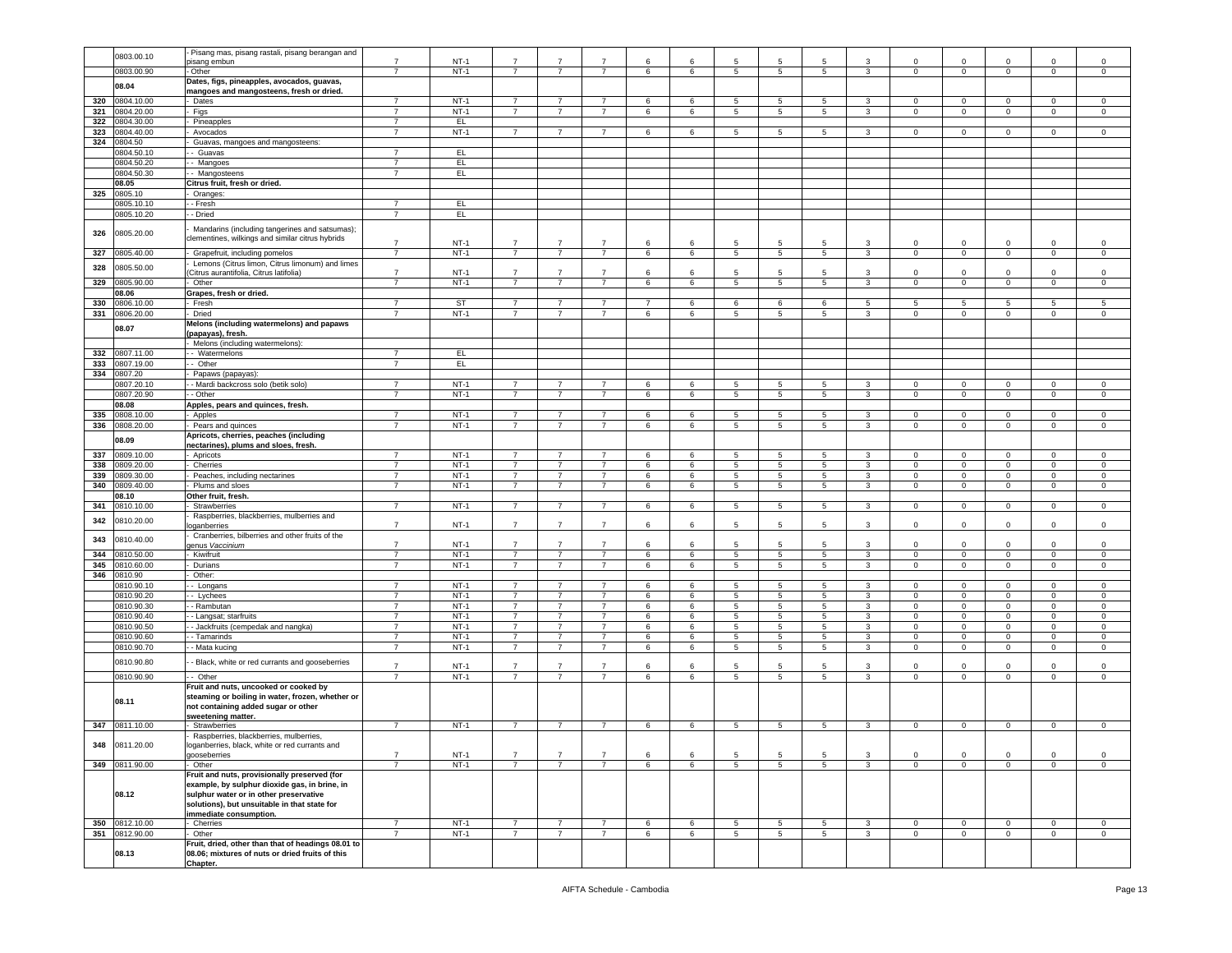|     | 0803.00.10     | Pisang mas, pisang rastali, pisang berangan and    |                |             |                |                |                |                |   |                 |                 |                 |              |                |                |                |                |                |
|-----|----------------|----------------------------------------------------|----------------|-------------|----------------|----------------|----------------|----------------|---|-----------------|-----------------|-----------------|--------------|----------------|----------------|----------------|----------------|----------------|
|     |                | isang embun                                        | $\overline{7}$ | <b>NT-1</b> | 7              |                |                | 6              | 6 | 5               | 5               | 5               | 3            | 0              | $\mathbf 0$    | 0              | $\mathbf 0$    | 0              |
|     | 0803.00.90     | Other                                              | $\overline{7}$ | $NT-1$      | $\overline{7}$ | $\overline{7}$ | $\overline{7}$ | 6              | 6 | 5               | $5\phantom{.0}$ | 5               | 3            | $\mathbf 0$    | $\mathbf 0$    | $\mathbf 0$    | $\mathbf 0$    | $\circ$        |
|     |                |                                                    |                |             |                |                |                |                |   |                 |                 |                 |              |                |                |                |                |                |
|     | 08.04          | Dates, figs, pineapples, avocados, guavas,         |                |             |                |                |                |                |   |                 |                 |                 |              |                |                |                |                |                |
|     |                | mangoes and mangosteens, fresh or dried.           |                |             |                |                |                |                |   |                 |                 |                 |              |                |                |                |                |                |
| 320 | 0804.10.00     | Dates                                              | $\overline{7}$ | $NT-1$      | $\overline{7}$ |                |                | 6              | 6 | 5               | 5               | 5               | 3            | $\Omega$       | $\mathbf 0$    | $\mathbf 0$    | $\Omega$       | 0              |
| 321 | 0804.20.00     | Figs                                               | $\overline{7}$ | $NT-1$      | $\overline{7}$ | $\overline{7}$ | $\overline{7}$ | 6              | 6 | 5               | $5\phantom{.0}$ | 5               | $\mathbf{3}$ | $\mathbf 0$    | $\mathbf 0$    | $\mathsf 0$    | $\Omega$       | $\mathsf 0$    |
| 322 | 0804.30.00     | Pineapples                                         | $\overline{7}$ | EL.         |                |                |                |                |   |                 |                 |                 |              |                |                |                |                |                |
|     |                |                                                    |                |             |                |                |                |                |   |                 |                 |                 |              |                |                |                |                |                |
| 323 | 0804.40.00     | Avocados                                           | $\overline{7}$ | $NT-1$      | $7^{\circ}$    | $\overline{7}$ | $\overline{7}$ | 6              | 6 | 5               | 5               | 5               | 3            | $\mathbf 0$    | $\overline{0}$ | $\overline{0}$ | $\overline{0}$ | $\mathsf 0$    |
| 324 | 0804.50        | Guavas, mangoes and mangosteens:                   |                |             |                |                |                |                |   |                 |                 |                 |              |                |                |                |                |                |
|     | 0804.50.1      | Guavas                                             | $\overline{7}$ | EL.         |                |                |                |                |   |                 |                 |                 |              |                |                |                |                |                |
|     |                |                                                    | $\overline{7}$ |             |                |                |                |                |   |                 |                 |                 |              |                |                |                |                |                |
|     | 0804.50.20     | Mangoes                                            |                | EL          |                |                |                |                |   |                 |                 |                 |              |                |                |                |                |                |
|     | 0804.50.30     | - Mangosteens                                      | $\overline{7}$ | EL.         |                |                |                |                |   |                 |                 |                 |              |                |                |                |                |                |
|     | 08.05          | Citrus fruit, fresh or dried.                      |                |             |                |                |                |                |   |                 |                 |                 |              |                |                |                |                |                |
| 325 | 0805.10        | Oranges                                            |                |             |                |                |                |                |   |                 |                 |                 |              |                |                |                |                |                |
|     |                |                                                    |                |             |                |                |                |                |   |                 |                 |                 |              |                |                |                |                |                |
|     | 0805.10.1      | - Fresh                                            | $\overline{7}$ | EL.         |                |                |                |                |   |                 |                 |                 |              |                |                |                |                |                |
|     | 0805.10.20     | - Dried                                            | $\overline{7}$ | EL.         |                |                |                |                |   |                 |                 |                 |              |                |                |                |                |                |
|     |                |                                                    |                |             |                |                |                |                |   |                 |                 |                 |              |                |                |                |                |                |
| 326 | 0805.20.00     | Mandarins (including tangerines and satsumas);     |                |             |                |                |                |                |   |                 |                 |                 |              |                |                |                |                |                |
|     |                | clementines, wilkings and similar citrus hybrids   | $\overline{7}$ | $NT-1$      | $\overline{7}$ | $\overline{7}$ |                | 6              | 6 | 5               | 5               | 5               | 3            | 0              | $\mathbf 0$    | 0              | $\mathbf 0$    | $\mathbf 0$    |
|     |                |                                                    |                |             |                |                |                |                |   |                 |                 |                 |              |                |                |                |                |                |
| 327 | 805.40.00      | Grapefruit, including pomelos                      | $\overline{7}$ | $NT-1$      | $\overline{7}$ | $\overline{7}$ | $\overline{7}$ | 6              | 6 | $5\overline{)}$ | $5\phantom{.0}$ | $5\phantom{.0}$ | $\mathbf{3}$ | $\mathbf 0$    | $\overline{0}$ | $\overline{0}$ | $\overline{0}$ | $\mathsf 0$    |
| 328 | 0805.50.00     | Lemons (Citrus limon, Citrus limonum) and limes    |                |             |                |                |                |                |   |                 |                 |                 |              |                |                |                |                |                |
|     |                | Citrus aurantifolia, Citrus latifolia)             | $\overline{7}$ | $NT-1$      | $\overline{7}$ | 7              |                | 6              | 6 | 5               | 5               | 5               | 3            | $\Omega$       | $\mathbf 0$    | $^{\circ}$     | $\Omega$       | $\mathsf 0$    |
| 329 | 0805.90.00     | Other                                              | $\overline{7}$ | $NT-1$      | $\overline{7}$ | $\overline{7}$ | $\overline{7}$ | 6              | 6 | 5               | 5               | 5               | $\mathbf{3}$ | $\mathbf{0}$   | $\mathbf 0$    | $\mathbf 0$    | $\mathbf 0$    | $\mathsf 0$    |
|     | 08.06          | Grapes, fresh or dried.                            |                |             |                |                |                |                |   |                 |                 |                 |              |                |                |                |                |                |
|     |                |                                                    |                |             |                |                |                |                |   |                 |                 |                 |              |                |                |                |                |                |
| 330 | 0806.10.00     | Fresh                                              | $\overline{7}$ | <b>ST</b>   | $\overline{7}$ | $\overline{7}$ | $\overline{7}$ | $\overline{7}$ | 6 | 6               | 6               | 6               | 5            | 5              | $\overline{5}$ | 5              | 5              | 5              |
| 331 | 0806.20.00     | Dried                                              | $\overline{7}$ | $NT-1$      | $\overline{7}$ | $\overline{7}$ | $\overline{7}$ | 6              | 6 | 5               | 5               | 5               | 3            | $\mathbf 0$    | $\mathbf 0$    | $\mathbf 0$    | 0              | $\mathbf 0$    |
|     |                | Melons (including watermelons) and papaws          |                |             |                |                |                |                |   |                 |                 |                 |              |                |                |                |                |                |
|     | 08.07          | (papayas), fresh.                                  |                |             |                |                |                |                |   |                 |                 |                 |              |                |                |                |                |                |
|     |                | Melons (including watermelons):                    |                |             |                |                |                |                |   |                 |                 |                 |              |                |                |                |                |                |
|     |                |                                                    |                |             |                |                |                |                |   |                 |                 |                 |              |                |                |                |                |                |
| 332 | 0807.11.00     | - Watermelons                                      | $\overline{7}$ | EL.         |                |                |                |                |   |                 |                 |                 |              |                |                |                |                |                |
| 333 | 0807.19.00     | - Other                                            | $\overline{7}$ | E           |                |                |                |                |   |                 |                 |                 |              |                |                |                |                |                |
| 334 | 0807.20        | Papaws (papayas):                                  |                |             |                |                |                |                |   |                 |                 |                 |              |                |                |                |                |                |
|     | 0807.20.10     | - Mardi backcross solo (betik solo)                | $\overline{7}$ | $NT-1$      | 7              | 7              | 7              | 6              | 6 | 5               | 5               | 5               | 3            | $^{\circ}$     | $\mathbf 0$    | $\mathbf 0$    | $\mathbf 0$    | $\mathsf 0$    |
|     |                |                                                    |                |             |                |                |                |                |   |                 |                 |                 |              |                |                |                |                |                |
|     | 0807.20.90     | - Other                                            | $\overline{7}$ | $NT-1$      | 7              | $\overline{7}$ | $\overline{7}$ | 6              | 6 | 5               | 5               | 5               | 3            | $\mathbf{0}$   | $\overline{0}$ | $\mathbf{0}$   | 0              | $\mathbf 0$    |
|     | 08.08          | Apples, pears and quinces, fresh.                  |                |             |                |                |                |                |   |                 |                 |                 |              |                |                |                |                |                |
| 335 | 0808.10.00     | Apples                                             | $\overline{7}$ | $NT-1$      | $\overline{7}$ | $\overline{7}$ | $\overline{7}$ | 6              | 6 | 5               | $5\phantom{.0}$ | 5               | $\mathbf{3}$ | $\mathbf{0}$   | $\,0\,$        | $\mathbf 0$    | $\mathbf 0$    | 0              |
| 336 | 0808.20.00     | Pears and quinces                                  | $\overline{7}$ | $NT-1$      | $\overline{7}$ | $\overline{7}$ | $\overline{7}$ | 6              | 6 | 5               | 5               | 5               | 3            | $\mathbf{0}$   | $\mathsf 0$    | $\circ$        | $\mathbf 0$    | $\mathsf 0$    |
|     |                |                                                    |                |             |                |                |                |                |   |                 |                 |                 |              |                |                |                |                |                |
|     | 08.09          | Apricots, cherries, peaches (including             |                |             |                |                |                |                |   |                 |                 |                 |              |                |                |                |                |                |
|     |                | nectarines), plums and sloes, fresh.               |                |             |                |                |                |                |   |                 |                 |                 |              |                |                |                |                |                |
| 337 | 0809.10.00     | Apricots                                           | 7              | $NT-1$      | 7              | 7              | $\overline{7}$ | 6              | 6 | 5               | 5               | 5               | 3            | $^{\circ}$     | $\mathbf{0}$   | $^{\circ}$     | $^{\circ}$     | 0              |
| 338 | 0809.20.00     | Cherries                                           | $\overline{7}$ | $NT-1$      | $\overline{7}$ | $\overline{7}$ | $\overline{7}$ | 6              | 6 | 5               | 5               | 5               | 3            | $\mathbf 0$    | $\mathbf 0$    | $\mathbf 0$    | $\mathbf 0$    | $\mathsf 0$    |
| 339 | 0809.30.00     | Peaches, including nectarines                      | $\overline{7}$ | $NT-1$      | $\overline{7}$ | $\overline{7}$ | $\overline{7}$ | 6              | 6 | 5               | $5\phantom{.0}$ | 5               | $\mathbf{3}$ | $\mathbf 0$    | $\mathbf 0$    | $\mathsf 0$    | $\mathbf 0$    | $\,0\,$        |
| 340 | 0809.40.00     | Plums and sloes                                    | $\overline{7}$ | $NT-1$      | $\overline{7}$ | $\overline{7}$ | $\overline{7}$ | 6              | 6 | 5               | 5               | 5               | $\mathbf{3}$ | $\mathbf 0$    | $\mathbf{0}$   | $\overline{0}$ | $\mathbf 0$    | 0              |
|     |                |                                                    |                |             |                |                |                |                |   |                 |                 |                 |              |                |                |                |                |                |
|     | 08.10          | Other fruit, fresh.                                |                |             |                |                |                |                |   |                 |                 |                 |              |                |                |                |                |                |
| 341 | 0810.10.00     | Strawberries                                       | $\overline{7}$ | $NT-1$      | $\overline{7}$ | $\overline{7}$ | $\overline{7}$ | 6              | 6 | 5               | 5               | 5               | 3            | $\overline{0}$ | $\overline{0}$ | $\overline{0}$ | $\overline{0}$ | $\mathbf{0}$   |
|     |                | Raspberries, blackberries, mulberries and          |                |             |                |                |                |                |   |                 |                 |                 |              |                |                |                |                |                |
| 342 | 0810.20.00     | oganberries                                        | $\overline{7}$ | NT-1        | $\overline{7}$ | $\overline{7}$ | $\overline{7}$ | 6              | 6 | 5               | 5               | 5               | 3            | $\mathbf 0$    | $\mathbf 0$    | $\mathbf 0$    | 0              | 0              |
|     |                | Cranberries, bilberries and other fruits of the    |                |             |                |                |                |                |   |                 |                 |                 |              |                |                |                |                |                |
| 343 | 0810.40.00     | enus Vaccinium                                     | $\overline{7}$ | $NT-1$      | 7              | $\overline{7}$ | $\overline{7}$ | 6              | 6 | 5               | 5               | 5               | 3            | $\mathbf 0$    | $\mathbf 0$    | 0              | $\Omega$       | 0              |
|     |                |                                                    | $\overline{7}$ |             | $\overline{7}$ | $\overline{7}$ | $\overline{7}$ |                |   |                 |                 |                 |              |                |                |                |                |                |
| 344 | 0810.50.00     | Kiwifruit                                          |                | $NT-1$      |                |                |                | 6              | 6 | 5               | $5\phantom{.0}$ | 5               | $\mathbf{3}$ | $\mathbf 0$    | $\mathbf 0$    | $\mathbf 0$    | $\mathbf 0$    | $\,0\,$        |
| 345 | 0810.60.00     | Durians                                            | $\overline{7}$ | $NT-1$      | 7              | 7              | $\overline{7}$ | 6              | 6 | 5               | 5               | 5               | 3            | 0              | $\overline{0}$ | $\mathbf 0$    | 0              | 0              |
| 346 | 0810.90        | Other:                                             |                |             |                |                |                |                |   |                 |                 |                 |              |                |                |                |                |                |
|     | 0810.90.1      | Longans                                            | $\overline{7}$ | $NT-1$      | 7              | 7              | $\overline{7}$ | 6              | 6 | 5               | 5               | 5               | 3            | 0              | $\mathbf 0$    | 0              | 0              | $\mathbf 0$    |
|     | 0810.90.20     | - Lychees                                          | $\overline{7}$ | $NT-1$      | $\overline{7}$ | $\overline{7}$ | $\overline{7}$ | 6              | 6 | 5               | 5               | 5               | 3            | $\Omega$       | $\mathbf 0$    | $\mathbf 0$    | 0              | $\mathsf 0$    |
|     |                |                                                    |                |             |                | $\overline{7}$ | $\overline{7}$ |                |   |                 |                 |                 |              |                |                |                |                |                |
|     | 0810.90.30     | - Rambutan                                         | $\overline{7}$ | $NT-1$      | $\overline{7}$ |                |                | 6              | 6 | 5               | 5               | 5               | $\mathbf{3}$ | $\Omega$       | $\mathbf 0$    | $\mathsf 0$    | $\mathbf 0$    | $\,0\,$        |
|     | 0810.90.40     | - Langsat; starfruits                              | 7              | $NT-1$      | $\overline{7}$ | $\overline{7}$ | 7              | 6              | 6 | 5               | 5               | 5               | 3            | 0              | $\mathbf 0$    | $\mathbf 0$    | 0              | 0              |
|     | 0810.90.50     | - Jackfruits (cempedak and nangka)                 | $\overline{7}$ | $NT-1$      | $\overline{7}$ | $\overline{7}$ | $\overline{7}$ | 6              | 6 | 5               | 5               | 5               | 3            | $\Omega$       | $\mathbf 0$    | $\mathbf 0$    | $\mathbf 0$    | $\,0\,$        |
|     | 0810.90.60     | - Tamarinds                                        | $\overline{7}$ | $NT-1$      | 7              | $\overline{7}$ | $\overline{7}$ | 6              | 6 | 5               | 5               | 5               | 3            | $\mathbf 0$    | $\mathbf 0$    | $\mathbf 0$    | 0              | $\mathbf 0$    |
|     | 0810.90.70     | - Mata kucing                                      | $\overline{7}$ | $NT-1$      | $\overline{7}$ | $\overline{7}$ | $\overline{7}$ | 6              | 6 | 5               | 5               | 5               | 3            | $\mathbf 0$    | $\mathbf 0$    | $\mathbf 0$    | $\mathbf 0$    | $\mathbf 0$    |
|     |                |                                                    |                |             |                |                |                |                |   |                 |                 |                 |              |                |                |                |                |                |
|     | 0810.90.80     | - Black, white or red currants and gooseberries    |                |             |                |                |                |                |   |                 |                 |                 |              |                |                |                |                |                |
|     |                |                                                    | $\overline{7}$ | $NT-1$      | $\overline{7}$ | $\overline{7}$ | $\overline{7}$ | 6              | 6 | 5               | 5               | -5              | 3            | $\mathbf 0$    | $\Omega$       | $\Omega$       | $\mathbf 0$    | $\mathsf 0$    |
|     | 0810.90.90     | - Other                                            | $\overline{7}$ | $NT-1$      | $\overline{7}$ | $\overline{7}$ | $\overline{7}$ | 6              | 6 | 5               | 5               | 5               | 3            | 0              | $\,0\,$        | 0              | $\mathbf 0$    | 0              |
|     |                | Fruit and nuts, uncooked or cooked by              |                |             |                |                |                |                |   |                 |                 |                 |              |                |                |                |                |                |
|     |                | steaming or boiling in water, frozen, whether or   |                |             |                |                |                |                |   |                 |                 |                 |              |                |                |                |                |                |
|     | 08.11          | not containing added sugar or other                |                |             |                |                |                |                |   |                 |                 |                 |              |                |                |                |                |                |
|     |                |                                                    |                |             |                |                |                |                |   |                 |                 |                 |              |                |                |                |                |                |
|     |                | sweetening matter.                                 |                |             |                |                |                |                |   |                 |                 |                 |              |                |                |                |                |                |
| 347 | 0811.10.00     | Strawberries                                       | 7              | $NT-1$      | 7              | 7              | 7              | 6              | 6 | 5               | 5               | 5               | 3            | $\mathbf 0$    | $\mathbf 0$    | 0              | $\mathbf 0$    | 0              |
|     |                | Raspberries, blackberries, mulberries              |                |             |                |                |                |                |   |                 |                 |                 |              |                |                |                |                |                |
| 348 | 0811.20.00     | loganberries, black, white or red currants and     |                |             |                |                |                |                |   |                 |                 |                 |              |                |                |                |                |                |
|     |                | gooseberries                                       | $\overline{7}$ | $NT-1$      |                | $\overline{7}$ | $\overline{7}$ | 6              | 6 | $5\overline{5}$ | 5               | 5               | 3            | $\Omega$       | $\mathbf 0$    | $\mathbf 0$    | $\mathbf 0$    | $\mathsf 0$    |
|     | 349 0811.90.00 | Other                                              | $\overline{7}$ | $NT-1$      | $\overline{7}$ | $\overline{7}$ | $\overline{7}$ | 6              | 6 | 5               | $5\phantom{.0}$ | 5               | $\mathbf{3}$ | $\mathbf 0$    | $\mathbf 0$    | $\mathsf 0$    | $\mathsf 0$    | $\mathsf 0$    |
|     |                | Fruit and nuts, provisionally preserved (for       |                |             |                |                |                |                |   |                 |                 |                 |              |                |                |                |                |                |
|     |                |                                                    |                |             |                |                |                |                |   |                 |                 |                 |              |                |                |                |                |                |
|     |                | example, by sulphur dioxide gas, in brine, in      |                |             |                |                |                |                |   |                 |                 |                 |              |                |                |                |                |                |
|     | 08.12          | sulphur water or in other preservative             |                |             |                |                |                |                |   |                 |                 |                 |              |                |                |                |                |                |
|     |                | solutions), but unsuitable in that state for       |                |             |                |                |                |                |   |                 |                 |                 |              |                |                |                |                |                |
|     |                | immediate consumption.                             |                |             |                |                |                |                |   |                 |                 |                 |              |                |                |                |                |                |
|     | 350 0812.10.00 | Cherries                                           | $\overline{7}$ | $NT-1$      | $\overline{7}$ | $\overline{7}$ | $\overline{7}$ | 6              | 6 | $5\overline{)}$ | $5\phantom{.0}$ | $5^{\circ}$     | $\mathbf{3}$ | $\overline{0}$ | $\overline{0}$ | $\mathbf{0}$   | $\overline{0}$ | $\overline{0}$ |
|     |                |                                                    |                |             |                |                |                |                |   |                 |                 |                 |              |                |                |                |                |                |
| 351 | 0812.90.00     | Other                                              | $\overline{7}$ | $NT-1$      | $\overline{7}$ | $\overline{7}$ | $\overline{7}$ | 6              | 6 | $5^{\circ}$     | $5\overline{5}$ | 5 <sup>5</sup>  | $\mathbf{3}$ | $\mathbf{0}$   | $\mathbf{0}$   | $\overline{0}$ | $\overline{0}$ | $\circ$        |
|     |                | Fruit, dried, other than that of headings 08.01 to |                |             |                |                |                |                |   |                 |                 |                 |              |                |                |                |                |                |
|     | 08.13          | 08.06; mixtures of nuts or dried fruits of this    |                |             |                |                |                |                |   |                 |                 |                 |              |                |                |                |                |                |
|     |                | Chapter.                                           |                |             |                |                |                |                |   |                 |                 |                 |              |                |                |                |                |                |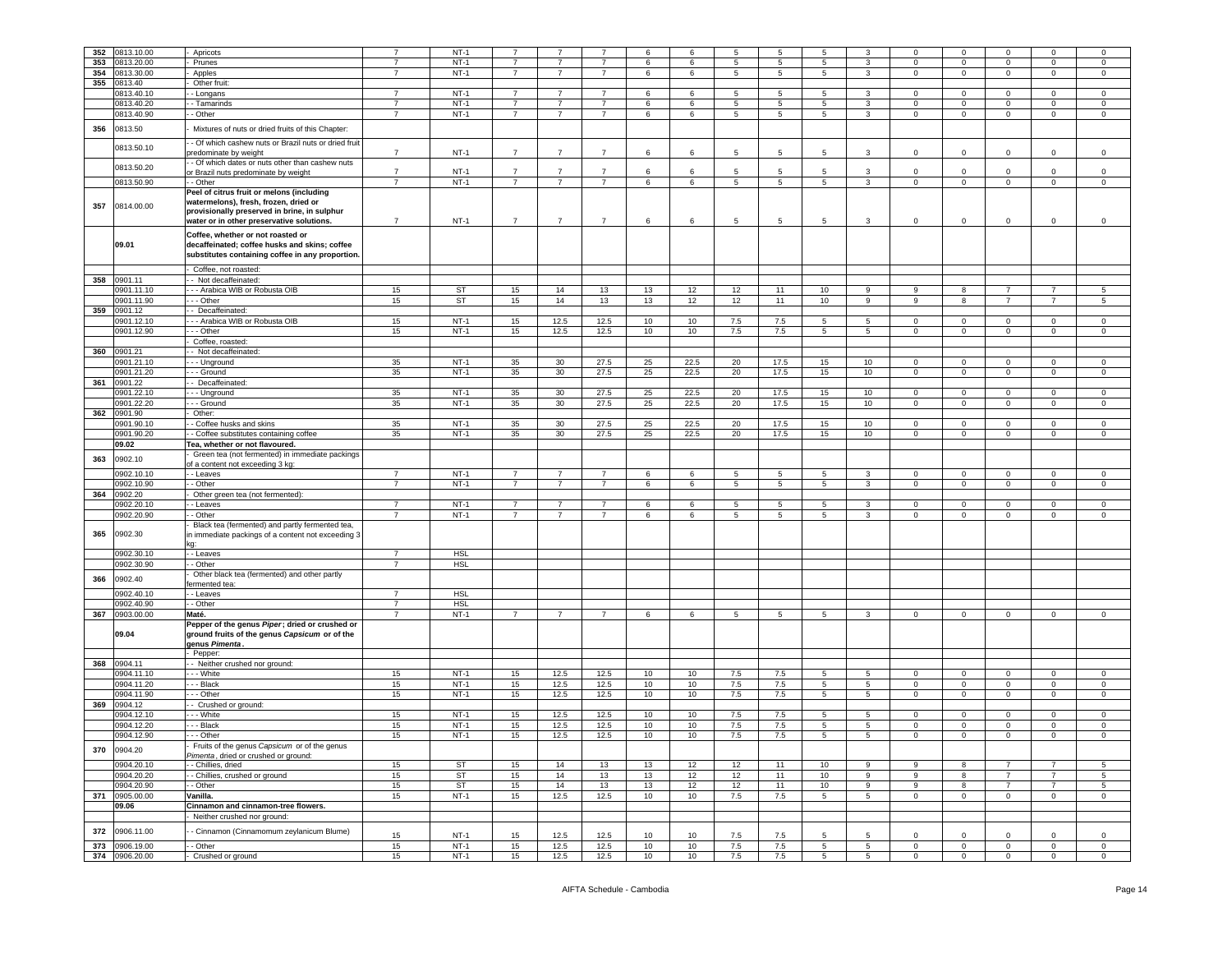| 352 | 0813.10.00     | Apricots                                             | $\overline{7}$ | $NT-1$     | $\overline{7}$ | $\overline{7}$  |                | 6  | 6    | 5   | 5               |                 | 3               |                | $\mathbf 0$    | $^{\circ}$     |                | $\overline{0}$  |
|-----|----------------|------------------------------------------------------|----------------|------------|----------------|-----------------|----------------|----|------|-----|-----------------|-----------------|-----------------|----------------|----------------|----------------|----------------|-----------------|
|     |                |                                                      |                |            |                |                 |                |    |      |     |                 | 5               |                 | 0              |                |                | $\mathbf 0$    |                 |
| 353 | 0813.20.00     | Prunes                                               | $\overline{7}$ | $NT-1$     | $\overline{7}$ | $\overline{7}$  | $\overline{7}$ | 6  | 6    | 5   | 5               | 5               | 3               | $\Omega$       | $\circ$        | $\mathbf 0$    | $\mathbf 0$    | $\mathbf 0$     |
| 354 | 0813.30.00     | Apples                                               | $\overline{7}$ | $NT-1$     | $\overline{7}$ | $\overline{7}$  | $\overline{7}$ | 6  | 6    | 5   | 5               | 5 <sup>5</sup>  | 3               | $\mathbf 0$    | $\mathbf 0$    | $\mathbf{0}$   | $\mathbf{0}$   | $\mathbf 0$     |
| 355 | 0813.40        | Other fruit:                                         |                |            |                |                 |                |    |      |     |                 |                 |                 |                |                |                |                |                 |
|     | 0813.40.10     | - Longans                                            | $\overline{7}$ | $NT-1$     | $\overline{7}$ | $\overline{7}$  | $\overline{7}$ | 6  | 6    | 5   | 5               | 5               | $\mathbf{3}$    | $\Omega$       | $\circ$        | $\mathbf 0$    | $\mathbf 0$    | $\mathsf 0$     |
|     |                |                                                      | $\overline{7}$ |            |                |                 | $\overline{7}$ |    |      |     |                 |                 |                 |                |                |                |                |                 |
|     | 0813.40.20     | - Tamarinds                                          |                | $NT-1$     | $\overline{7}$ | $\overline{7}$  |                | 6  | 6    | 5   | 5               | 5               | 3               | $\mathbf 0$    | $\mathbf 0$    | $\circ$        | $\mathsf 0$    | $\mathbf 0$     |
|     | 0813.40.90     | - Other                                              | $\overline{7}$ | $NT-1$     | $\overline{7}$ | $\overline{7}$  | $\overline{7}$ | 6  | 6    | 5   | 5               | $5^{\circ}$     | $\mathbf{3}$    | $\circ$        | $\circ$        | $\overline{0}$ | $\overline{0}$ | $\overline{0}$  |
|     |                |                                                      |                |            |                |                 |                |    |      |     |                 |                 |                 |                |                |                |                |                 |
| 356 | 0813.50        | Mixtures of nuts or dried fruits of this Chapter:    |                |            |                |                 |                |    |      |     |                 |                 |                 |                |                |                |                |                 |
|     |                | - Of which cashew nuts or Brazil nuts or dried fruit |                |            |                |                 |                |    |      |     |                 |                 |                 |                |                |                |                |                 |
|     | 0813.50.10     | predominate by weight                                | $\overline{7}$ | $NT-1$     | $\overline{7}$ | $\overline{7}$  | $\overline{7}$ | 6  | 6    | 5   | 5               | 5               | 3               | $\mathbf 0$    | 0              | $\circ$        | $\mathbf 0$    | $\mathsf 0$     |
|     |                | - Of which dates or nuts other than cashew nuts      |                |            |                |                 |                |    |      |     |                 |                 |                 |                |                |                |                |                 |
|     | 0813.50.20     |                                                      | $\overline{7}$ | $NT-1$     | $\overline{7}$ | $\overline{7}$  | $\overline{7}$ | 6  | 6    | 5   | 5               | -5              | 3               | $\Omega$       | $\Omega$       | $\mathbf 0$    | $\mathbf 0$    | $\overline{0}$  |
|     |                | or Brazil nuts predominate by weight                 |                |            |                |                 |                |    |      |     |                 |                 |                 |                |                |                |                |                 |
|     | 0813.50.90     | - Other                                              | $\overline{7}$ | $NT-1$     | $\overline{7}$ | $\overline{7}$  | $\overline{7}$ | 6  | 6    | 5   | $5\phantom{.0}$ | $5\overline{5}$ | $\mathbf{3}$    | $\mathbf 0$    | $\mathsf 0$    | $\mathbf 0$    | $\mathsf 0$    | $\mathsf 0$     |
|     |                | Peel of citrus fruit or melons (including            |                |            |                |                 |                |    |      |     |                 |                 |                 |                |                |                |                |                 |
|     |                | watermelons), fresh, frozen, dried or                |                |            |                |                 |                |    |      |     |                 |                 |                 |                |                |                |                |                 |
| 357 | 0814.00.00     | provisionally preserved in brine, in sulphur         |                |            |                |                 |                |    |      |     |                 |                 |                 |                |                |                |                |                 |
|     |                | water or in other preservative solutions.            | $\overline{7}$ | $NT-1$     | $\overline{7}$ | 7               | $\overline{7}$ | 6  | 6    | 5   | 5               | 5               | 3               | $\mathbf 0$    | 0              | $\mathbf 0$    | $\mathsf 0$    | $\mathbf 0$     |
|     |                |                                                      |                |            |                |                 |                |    |      |     |                 |                 |                 |                |                |                |                |                 |
|     |                | Coffee, whether or not roasted or                    |                |            |                |                 |                |    |      |     |                 |                 |                 |                |                |                |                |                 |
|     | 09.01          | decaffeinated; coffee husks and skins; coffee        |                |            |                |                 |                |    |      |     |                 |                 |                 |                |                |                |                |                 |
|     |                | substitutes containing coffee in any proportion.     |                |            |                |                 |                |    |      |     |                 |                 |                 |                |                |                |                |                 |
|     |                |                                                      |                |            |                |                 |                |    |      |     |                 |                 |                 |                |                |                |                |                 |
|     |                | Coffee, not roasted:                                 |                |            |                |                 |                |    |      |     |                 |                 |                 |                |                |                |                |                 |
| 358 | 0901.11        | - Not decaffeinated:                                 |                |            |                |                 |                |    |      |     |                 |                 |                 |                |                |                |                |                 |
|     | 901.11.10      | - - Arabica WIB or Robusta OIB                       | 15             | ST         | 15             | 14              | 13             | 13 | 12   | 12  | 11              | 10              | 9               | 9              | 8              | 7              | -7             | 5               |
|     | 901.11.90      | - - Other                                            | 15             | <b>ST</b>  | 15             | 14              | 13             | 13 | 12   | 12  | 11              | 10              | 9               | 9              | 8              | $\overline{7}$ | $\overline{7}$ | 5               |
|     |                |                                                      |                |            |                |                 |                |    |      |     |                 |                 |                 |                |                |                |                |                 |
| 359 | 0901.12        | - Decaffeinated:                                     |                |            |                |                 |                |    |      |     |                 |                 |                 |                |                |                |                |                 |
|     | 0901.12.10     | - - Arabica WIB or Robusta OIB                       | 15             | $NT-1$     | 15             | 12.5            | 12.5           | 10 | 10   | 7.5 | 7.5             | 5               | $5\overline{5}$ | $\mathbf 0$    | $\mathbf{0}$   | $\mathbf{0}$   | $\mathbf 0$    | $\mathbf 0$     |
|     | 0901.12.90     | - - Other                                            | 15             | $NT-1$     | 15             | 12.5            | 12.5           | 10 | 10   | 7.5 | 7.5             | 5               | $5\overline{)}$ | $\Omega$       | $\mathbf 0$    | $\mathbf 0$    | $\mathsf 0$    | $\mathbf 0$     |
|     |                | Coffee, roasted:                                     |                |            |                |                 |                |    |      |     |                 |                 |                 |                |                |                |                |                 |
| 360 | 0901.21        | - Not decaffeinated:                                 |                |            |                |                 |                |    |      |     |                 |                 |                 |                |                |                |                |                 |
|     |                |                                                      |                |            |                |                 |                |    |      |     |                 |                 |                 |                |                |                |                |                 |
|     | 0901.21.10     | -- Unground                                          | 35             | $NT-1$     | 35             | 30 <sup>°</sup> | 27.5           | 25 | 22.5 | 20  | 17.5            | 15              | 10              | $^{\circ}$     | $\mathbf 0$    | $\mathbf 0$    | $\mathbf{0}$   | $\mathbf{0}$    |
|     | 0901.21.20     | - - Ground                                           | 35             | $NT-1$     | 35             | 30              | 27.5           | 25 | 22.5 | 20  | 17.5            | 15              | 10              | $\Omega$       | $\circ$        | $\circ$        | $\mathbf 0$    | $\mathbf 0$     |
| 361 | 0901.22        | - Decaffeinated:                                     |                |            |                |                 |                |    |      |     |                 |                 |                 |                |                |                |                |                 |
|     | 901.22.10      | - - Unground                                         | 35             | $NT-1$     | 35             | 30              | 27.5           | 25 | 22.5 | 20  | 17.5            | 15              | 10              | $\mathbf 0$    | 0              | $\mathbf{0}$   | $\mathbf 0$    | $\mathbf 0$     |
|     | 901.22.20      | - - Ground                                           | 35             | $NT-1$     | 35             | 30 <sup>°</sup> | 27.5           | 25 | 22.5 | 20  | 17.5            | 15              | 10              | $\mathbf 0$    | $\mathbf 0$    | $\circ$        | $\mathbf 0$    | $\mathbf 0$     |
|     |                | Other:                                               |                |            |                |                 |                |    |      |     |                 |                 |                 |                |                |                |                |                 |
| 362 | 0901.90        |                                                      |                |            |                |                 |                |    |      |     |                 |                 |                 |                |                |                |                |                 |
|     | 0901.90.10     | - Coffee husks and skins                             | 35             | $NT-1$     | 35             | 30              | 27.5           | 25 | 22.5 | 20  | 17.5            | 15              | 10              | $\mathbf 0$    | $\mathbf{O}$   | $\mathbf{0}$   | $\mathbf 0$    | $\mathbf 0$     |
|     | 0901.90.20     | - Coffee substitutes containing coffee               | 35             | $NT-1$     | 35             | 30              | 27.5           | 25 | 22.5 | 20  | 17.5            | 15              | 10              | $\mathbf 0$    | $\mathbf 0$    | $\mathbf 0$    | $\mathsf 0$    | $\mathbf 0$     |
|     | 09.02          | Tea, whether or not flavoured.                       |                |            |                |                 |                |    |      |     |                 |                 |                 |                |                |                |                |                 |
|     |                | Green tea (not fermented) in immediate packings      |                |            |                |                 |                |    |      |     |                 |                 |                 |                |                |                |                |                 |
| 363 | 0902.10        | of a content not exceeding 3 kg:                     |                |            |                |                 |                |    |      |     |                 |                 |                 |                |                |                |                |                 |
|     |                |                                                      |                |            |                |                 |                |    |      |     |                 |                 |                 |                |                |                |                |                 |
|     | 0902.10.10     | - Leaves                                             | $\overline{7}$ | $NT-1$     | $\overline{7}$ | $\overline{7}$  | $\overline{7}$ | 6  | 6    | 5   | $5\phantom{.0}$ | 5               | $\mathbf{3}$    | $\mathbf 0$    | $\mathbf 0$    | $\mathbf{0}$   | $\mathbf{0}$   | $\mathbf 0$     |
|     | 0902.10.90     | - Other                                              | $\overline{7}$ | $NT-1$     | $\overline{7}$ | $\overline{7}$  | $\overline{7}$ | 6  | 6    | 5   | 5               | $5^{\circ}$     | 3               | $\mathbf 0$    | $\mathbf{0}$   | $\mathbf{0}$   | $\mathbf{0}$   | $\mathbf 0$     |
| 364 | 0902.20        | Other green tea (not fermented):                     |                |            |                |                 |                |    |      |     |                 |                 |                 |                |                |                |                |                 |
|     | 902.20.10      | - Leaves                                             | $\overline{7}$ | $NT-1$     | $\overline{7}$ | 7               | $\overline{7}$ | 6  | 6    | 5   | 5               | 5               | $\mathbf{3}$    | $\mathbf 0$    | 0              | $\mathbf 0$    | $\mathbf 0$    | $\mathbf 0$     |
|     | 902.20.90      | - Other                                              | $\overline{7}$ | $NT-1$     | $\overline{7}$ | $\overline{7}$  | $\overline{7}$ | 6  | 6    | 5   | 5               | 5               | $\mathbf{3}$    | $\mathbf 0$    | $\mathbf 0$    | $\mathbf{0}$   | $\mathbf 0$    | $\mathbf 0$     |
|     |                | Black tea (fermented) and partly fermented tea,      |                |            |                |                 |                |    |      |     |                 |                 |                 |                |                |                |                |                 |
| 365 | 0902.30        |                                                      |                |            |                |                 |                |    |      |     |                 |                 |                 |                |                |                |                |                 |
|     |                | in immediate packings of a content not exceeding 3   |                |            |                |                 |                |    |      |     |                 |                 |                 |                |                |                |                |                 |
|     |                |                                                      |                |            |                |                 |                |    |      |     |                 |                 |                 |                |                |                |                |                 |
|     | 0902.30.10     | - - Leaves                                           | $\overline{7}$ | <b>HSL</b> |                |                 |                |    |      |     |                 |                 |                 |                |                |                |                |                 |
|     | 0902.30.90     | - Other                                              | $\overline{7}$ | <b>HSL</b> |                |                 |                |    |      |     |                 |                 |                 |                |                |                |                |                 |
| 366 | 0902.40        | Other black tea (fermented) and other partly         |                |            |                |                 |                |    |      |     |                 |                 |                 |                |                |                |                |                 |
|     |                | ermented tea                                         |                |            |                |                 |                |    |      |     |                 |                 |                 |                |                |                |                |                 |
|     | 0902.40.10     | - Leaves                                             | $\overline{7}$ | <b>HSL</b> |                |                 |                |    |      |     |                 |                 |                 |                |                |                |                |                 |
|     | 0902.40.90     | - Other                                              | $\overline{7}$ | <b>HSL</b> |                |                 |                |    |      |     |                 |                 |                 |                |                |                |                |                 |
|     |                |                                                      | $\overline{7}$ | $NT-1$     | $\overline{7}$ | $\overline{7}$  | $\overline{7}$ |    |      |     |                 |                 |                 |                |                |                |                |                 |
| 367 | 0903.00.00     | Maté.                                                |                |            |                |                 |                | 6  | 6    | 5   | 5               | 5               | 3               | 0              | $\mathbf{0}$   | 0              | $\mathbf 0$    | $\mathbf 0$     |
|     |                | Pepper of the genus Piper; dried or crushed or       |                |            |                |                 |                |    |      |     |                 |                 |                 |                |                |                |                |                 |
|     | 09.04          | ground fruits of the genus Capsicum or of the        |                |            |                |                 |                |    |      |     |                 |                 |                 |                |                |                |                |                 |
|     |                | genus Pimenta.                                       |                |            |                |                 |                |    |      |     |                 |                 |                 |                |                |                |                |                 |
|     |                | Pepper:                                              |                |            |                |                 |                |    |      |     |                 |                 |                 |                |                |                |                |                 |
| 368 | 0904.11        | - Neither crushed nor ground:                        |                |            |                |                 |                |    |      |     |                 |                 |                 |                |                |                |                |                 |
|     | 0904.11.10     | - - - White                                          | 15             | $NT-1$     | 15             | 12.5            | 12.5           | 10 | 10   | 7.5 | 7.5             | 5               | $5\phantom{.0}$ | $\mathbf 0$    | $\mathbf{O}$   | $\mathbf 0$    | $\overline{0}$ | $\mathbf 0$     |
|     | 0904.11.20     | - - Black                                            |                | $NT-1$     | 15             | 12.5            | 12.5           |    |      | 7.5 |                 | 5               |                 | $\mathbf 0$    | $\mathbf{0}$   | $\mathbf 0$    | $\mathbf{0}$   | $\mathbf 0$     |
|     |                |                                                      | 15             |            |                |                 |                | 10 | 10   |     | 7.5             |                 | 5               |                |                |                |                |                 |
|     | 0904.11.90     | - - Other                                            | 15             | $NT-1$     | 15             | 12.5            | 12.5           | 10 | 10   | 7.5 | 7.5             | 5               | $5^{\circ}$     | 0              | $\mathbf{O}$   | $\mathbf{0}$   | $\mathbf 0$    | $\mathbf 0$     |
| 369 | 0904.12        | - Crushed or ground:                                 |                |            |                |                 |                |    |      |     |                 |                 |                 |                |                |                |                |                 |
|     | 0904.12.10     | - - White                                            | 15             | $NT-1$     | 15             | 12.5            | 12.5           | 10 | 10   | 7.5 | 7.5             | 5               | $5\overline{5}$ | 0              | $\mathbf{0}$   | $\mathbf 0$    | $\mathbf 0$    | $\mathbf 0$     |
|     | 0904.12.20     | - - Black                                            | 15             | $NT-1$     | 15             | 12.5            | 12.5           | 10 | 10   | 7.5 | 7.5             | 5               | $5\phantom{.0}$ | 0              | $\mathbf 0$    | $\mathbf 0$    | $\mathbf 0$    | $\mathsf 0$     |
|     | 0904.12.90     | - - Other                                            | 15             | $NT-1$     | 15             | 12.5            | 12.5           | 10 | 10   | 7.5 | $7.5\,$         | 5               | $5\overline{)}$ | 0              | $\mathbf 0$    | $\mathbf 0$    | $\mathbf 0$    | $\mathsf 0$     |
|     |                |                                                      |                |            |                |                 |                |    |      |     |                 |                 |                 |                |                |                |                |                 |
| 370 | 0904.20        | Fruits of the genus Capsicum or of the genus         |                |            |                |                 |                |    |      |     |                 |                 |                 |                |                |                |                |                 |
|     |                | Pimenta, dried or crushed or ground:                 |                |            |                |                 |                |    |      |     |                 |                 |                 |                |                |                |                |                 |
|     | 0904.20.10     | - Chillies, dried                                    | 15             | <b>ST</b>  | 15             | 14              | 13             | 13 | 12   | 12  | 11              | 10              | 9               | 9              | 8              | $7^{\circ}$    | $\overline{7}$ | $5\overline{5}$ |
|     | 0904.20.20     | - Chillies, crushed or ground                        | 15             | <b>ST</b>  | 15             | 14              | 13             | 13 | 12   | 12  | 11              | 10              | $\overline{9}$  | 9              | $\overline{8}$ | $\overline{7}$ | $\overline{7}$ | $5\phantom{.0}$ |
|     |                |                                                      | 15             | <b>ST</b>  | 15             | 14              | 13             | 13 | 12   | 12  | 11              | 10              | 9               | 9              | 8              | $\overline{7}$ | $\overline{7}$ | $5\overline{5}$ |
|     | 0904.20.90     | - Other                                              |                |            |                |                 |                |    |      |     |                 |                 |                 |                |                |                |                |                 |
|     |                |                                                      |                |            |                |                 |                |    |      |     |                 |                 |                 |                |                |                |                |                 |
|     | 371 0905.00.00 | Vanilla.                                             | 15             | $NT-1$     | 15             | 12.5            | 12.5           | 10 | 10   | 7.5 | 7.5             | 5 <sub>5</sub>  | $5\overline{)}$ | $\overline{0}$ | $\overline{0}$ | $\mathbf{0}$   | $\overline{0}$ | $\overline{0}$  |
|     | 09.06          | Cinnamon and cinnamon-tree flowers.                  |                |            |                |                 |                |    |      |     |                 |                 |                 |                |                |                |                |                 |
|     |                | Neither crushed nor ground:                          |                |            |                |                 |                |    |      |     |                 |                 |                 |                |                |                |                |                 |
|     |                |                                                      |                |            |                |                 |                |    |      |     |                 |                 |                 |                |                |                |                |                 |
| 372 | 0906.11.00     | - Cinnamon (Cinnamomum zeylanicum Blume)             | 15             | $NT-1$     | 15             | 12.5            | 12.5           | 10 | 10   | 7.5 | 7.5             | -5              | 5               | $\mathbf 0$    | $\Omega$       | $\mathbf 0$    | $\mathbf 0$    | $\mathbf 0$     |
| 373 | 0906.19.00     | - Other                                              | 15             | $NT-1$     | 15             | 12.5            | 12.5           | 10 | 10   | 7.5 | 7.5             | 5               | $5\overline{)}$ | $\mathbf 0$    | $\mathbf 0$    | $\mathbf{0}$   | $\mathsf 0$    | $\mathbf 0$     |
|     | 374 0906.20.00 | - Crushed or ground                                  | 15             | $NT-1$     | 15             | 12.5            | 12.5           | 10 | 10   | 7.5 | 7.5             | $5^{\circ}$     | $5\overline{5}$ | $\circ$        | $\overline{0}$ | $\overline{0}$ | $\overline{0}$ | $\overline{0}$  |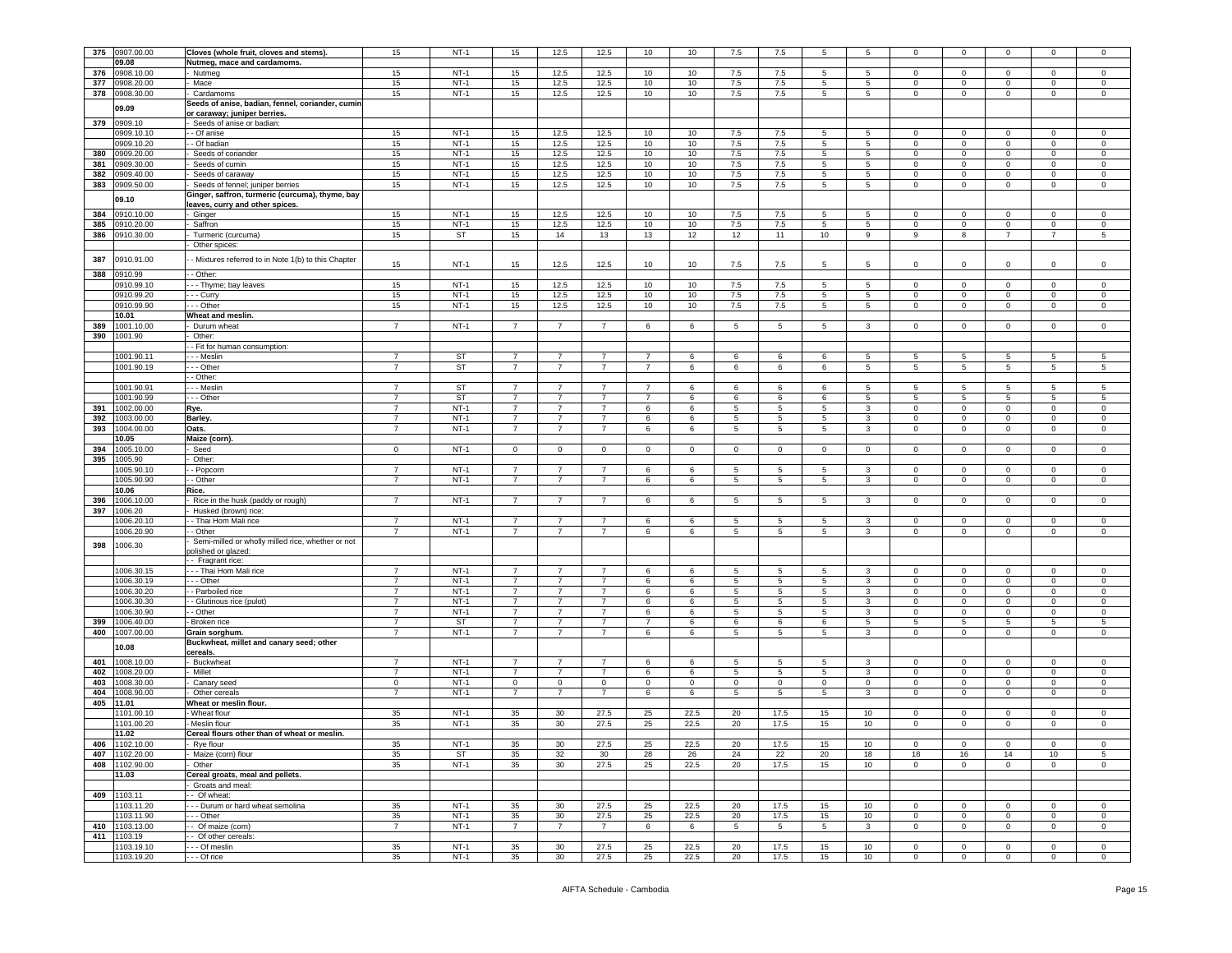| 375 | 0907.00.00     | Cloves (whole fruit, cloves and stems).                   | 15                  | NT-1      | 15             | 12.5            | 12.5           | 10             | 10          | 7.5         | 7.5             | 5                |                  | 0              | $\mathbf 0$             |                |                 | $\mathbf 0$     |
|-----|----------------|-----------------------------------------------------------|---------------------|-----------|----------------|-----------------|----------------|----------------|-------------|-------------|-----------------|------------------|------------------|----------------|-------------------------|----------------|-----------------|-----------------|
|     | 09.08          | Nutmeg, mace and cardamoms.                               |                     |           |                |                 |                |                |             |             |                 |                  |                  |                |                         |                |                 |                 |
| 376 | 0908.10.00     | Nutmeg                                                    | 15                  | $NT-1$    | 15             | 12.5            | 12.5           | 10             | 10          | 7.5         | 7.5             | 5                | 5                | $^{\circ}$     | $\mathbf 0$             | $^{\circ}$     | $^{\circ}$      | 0               |
| 377 | 0908.20.00     | Mace                                                      | 15                  | $NT-1$    | 15             | 12.5            | 12.5           | 10             | 10          | 7.5         | 7.5             | 5                | 5                | $\mathbf 0$    | $\mathbf 0$             | 0              | 0               | $\mathsf 0$     |
| 378 | 0908.30.00     |                                                           | 15                  | $NT-1$    |                | 12.5            |                | 10             | 10          |             |                 | 5 <sub>5</sub>   |                  | $\circ$        | $\mathsf 0$             |                | $\mathbf 0$     | $\,0\,$         |
|     |                | Cardamoms                                                 |                     |           | 15             |                 | 12.5           |                |             | 7.5         | 7.5             |                  | $5\phantom{.0}$  |                |                         | $\mathbf 0$    |                 |                 |
|     | 09.09          | Seeds of anise, badian, fennel, coriander, cumir          |                     |           |                |                 |                |                |             |             |                 |                  |                  |                |                         |                |                 |                 |
| 379 | 0909.10        | or caraway; juniper berries.<br>Seeds of anise or badian: |                     |           |                |                 |                |                |             |             |                 |                  |                  |                |                         |                |                 |                 |
|     | 0909.10.10     | - Of anise                                                |                     |           |                |                 |                |                |             |             |                 |                  |                  |                |                         |                |                 |                 |
|     |                |                                                           | 15                  | $NT-1$    | 15             | 12.5            | 12.5           | 10             | 10          | 7.5         | 7.5             | 5                | 5                | $^{\circ}$     | $\mathbf{0}$            | $\mathbf{0}$   | $\mathbf 0$     | 0               |
|     | 0909.10.20     | - Of badian                                               | 15                  | $NT-1$    | 15             | 12.5            | 12.5           | 10             | 10          | 7.5         | 7.5             | 5                | 5                | $\mathbf{0}$   | $\mathbf 0$             | $\mathbf 0$    | 0               | 0               |
| 380 | 0909.20.00     | Seeds of coriander                                        | 15                  | $NT-1$    | 15             | 12.5            | 12.5           | 10             | 10          | 7.5         | 7.5             | 5                | $5^{\circ}$      | 0              | $\mathbf 0$             | $\mathbf 0$    | 0               | 0               |
| 381 | 0909.30.00     | Seeds of cumin                                            | 15                  | $NT-1$    | 15             | 12.5            | 12.5           | 10             | 10          | 7.5         | 7.5             | 5                | 5                | 0              | $\mathsf 0$             | $\mathbf 0$    | $\mathbf 0$     | 0               |
| 382 | 0909.40.00     | Seeds of caraway                                          | 15                  | $NT-1$    | 15             | 12.5            | 12.5           | 10             | 10          | 7.5         | 7.5             | 5                | 5                | 0              | $\mathsf 0$             | $\mathbf 0$    | 0               | 0               |
| 383 | 0909.50.00     | Seeds of fennel; juniper berries                          | 15                  | $NT-1$    | 15             | 12.5            | 12.5           | 10             | 10          | 7.5         | 7.5             | 5                | $\overline{5}$   | $\circ$        | $\mathbf 0$             | $\mathsf 0$    | $\mathbf 0$     | $\,0\,$         |
|     | 09.10          | Ginger, saffron, turmeric (curcuma), thyme, bay           |                     |           |                |                 |                |                |             |             |                 |                  |                  |                |                         |                |                 |                 |
|     |                | eaves, curry and other spices.                            |                     |           |                |                 |                |                |             |             |                 |                  |                  |                |                         |                |                 |                 |
| 384 | 0910.10.00     | Ginger                                                    | 15                  | $NT-1$    | 15             | 12.5            | 12.5           | 10             | 10          | 7.5         | 7.5             | 5                | 5                | 0              | $\overline{0}$          | 0              | $\Omega$        | 0               |
| 385 | 0910.20.00     | Saffron                                                   | 15                  | $NT-1$    | 15             | 12.5            | 12.5           | 10             | 10          | 7.5         | 7.5             | 5                | 5                | $\mathbf 0$    | $\overline{0}$          | $\mathsf 0$    | $\mathbf 0$     | $\,0\,$         |
| 386 | 0910.30.00     | Turmeric (curcuma)                                        | 15                  | <b>ST</b> | 15             | 14              | 13             | 13             | 12          | 12          | 11              | 10               | 9                | 9              | 8                       | $\overline{7}$ | $\overline{7}$  | $\sqrt{5}$      |
|     |                | Other spices:                                             |                     |           |                |                 |                |                |             |             |                 |                  |                  |                |                         |                |                 |                 |
|     |                |                                                           |                     |           |                |                 |                |                |             |             |                 |                  |                  |                |                         |                |                 |                 |
| 387 | 0910.91.00     | - Mixtures referred to in Note 1(b) to this Chapter       | 15                  | $NT-1$    | 15             | 12.5            | 12.5           | 10             | 10          | 7.5         | 7.5             | 5                | 5                | 0              | $\mathbf 0$             | 0              | 0               | $\mathsf 0$     |
| 388 | 0910.99        | - Other:                                                  |                     |           |                |                 |                |                |             |             |                 |                  |                  |                |                         |                |                 |                 |
|     | 0910.99.10     |                                                           | 15                  | $NT-1$    | 15             | 12.5            | 12.5           | 10             | 10          | 7.5         | 7.5             | 5                | 5                | $\mathbf 0$    | $\overline{0}$          | $\mathbf 0$    | $\mathbf 0$     | $\mathsf 0$     |
|     | 0910.99.20     | - - Thyme; bay leaves                                     | 15                  | $NT-1$    | 15             |                 | 12.5           | 10             |             | 7.5         | 7.5             | 5                | $\overline{5}$   | 0              |                         |                | $\mathbf 0$     |                 |
|     |                | - - Curry                                                 |                     |           |                | 12.5            |                |                | 10          |             |                 |                  |                  |                | $\overline{0}$          | $\mathbf 0$    |                 | 0               |
|     | 0910.99.90     | - - Other                                                 | 15                  | $NT-1$    | 15             | 12.5            | 12.5           | 10             | 10          | 7.5         | 7.5             | 5                | 5                | 0              | $\mathbf 0$             | $\mathbf 0$    | 0               | 0               |
|     | 10.01          | Wheat and meslin.                                         |                     |           |                |                 |                |                |             |             |                 |                  |                  |                |                         |                |                 |                 |
| 389 | 1001.10.00     | Durum wheat                                               | $\overline{7}$      | $NT-1$    | 7              | 7               | $\overline{7}$ | 6              | 6           | 5           | 5               | 5                | 3                | $\mathbf 0$    | $\mathbf 0$             | $\mathbf 0$    | 0               | $\mathbf 0$     |
| 390 | 1001.90        | Other:                                                    |                     |           |                |                 |                |                |             |             |                 |                  |                  |                |                         |                |                 |                 |
|     |                | - Fit for human consumption:                              |                     |           |                |                 |                |                |             |             |                 |                  |                  |                |                         |                |                 |                 |
|     | 1001.90.11     | - - Meslin                                                | $\overline{7}$      | <b>ST</b> | 7              | $\overline{7}$  | $\overline{7}$ | $\overline{7}$ | 6           | 6           | 6               | 6                | 5                | 5              | 5                       | 5              | 5               | 5               |
|     | 1001.90.19     | - - Other                                                 | $\overline{7}$      | ST        | $\overline{7}$ | $\overline{7}$  | $\overline{7}$ | $\overline{7}$ | 6           | 6           | 6               | 6                | 5                | 5              | $5\phantom{.0}$         | 5              | $5\phantom{.0}$ | $\sqrt{5}$      |
|     |                | - Other:                                                  |                     |           |                |                 |                |                |             |             |                 |                  |                  |                |                         |                |                 |                 |
|     | 1001.90.91     | - - Meslir                                                | $\overline{7}$      | <b>ST</b> | $\overline{7}$ | $\overline{7}$  | $\overline{7}$ | $\overline{7}$ | 6           | 6           | 6               | 6                | 5                | 5              | 5                       | 5              | 5               | 5               |
|     | 1001.90.99     | - - Other                                                 | $\overline{7}$      | <b>ST</b> | 7              | $\overline{7}$  | $\overline{7}$ | $\overline{7}$ | 6           | 6           | 6               | 6                | $\overline{5}$   | 5              | 5                       | 5              | 5               | $\sqrt{5}$      |
| 391 | 1002.00.00     | ₹ye.                                                      | $\overline{7}$      | $NT-1$    | $\overline{7}$ | $\overline{7}$  | $\overline{7}$ | 6              | 6           | 5           | 5               | 5                | 3                | $\mathbf 0$    | $\mathbf 0$             | 0              | 0               | $\mathbf 0$     |
| 392 | 1003.00.00     | <b>Barley.</b>                                            | 7                   | $NT-1$    | 7              | 7               | 7              | 6              | 6           | 5           | 5               | 5                | 3                | $^{\circ}$     | $\mathbf 0$             | $^{\circ}$     | $^{\circ}$      | $\mathbf 0$     |
| 393 | 1004.00.00     | Oats.                                                     | 7                   | $NT-1$    | 7              | 7               | $\overline{7}$ | 6              | 6           | 5           | 5               | 5                | 3                | $\mathbf 0$    | $\mathbf 0$             | $\mathbf 0$    | 0               | $\mathbf 0$     |
|     | 10.05          | Maize (corn).                                             |                     |           |                |                 |                |                |             |             |                 |                  |                  |                |                         |                |                 |                 |
| 394 | 1005.10.00     | Seed                                                      | $\mathbf 0$         | $NT-1$    | $\mathbf 0$    | 0               | 0              | $\mathbf 0$    | $\mathbf 0$ | 0           | $\mathbf 0$     | $\mathbf 0$      | $\mathbf 0$      | $\mathbf 0$    | $\,0\,$                 | $\mathbf 0$    | $\mathbf 0$     | 0               |
| 395 | 1005.90        | Other:                                                    |                     |           |                |                 |                |                |             |             |                 |                  |                  |                |                         |                |                 |                 |
|     |                |                                                           |                     |           |                |                 |                |                |             |             |                 |                  |                  |                |                         |                |                 |                 |
|     | 005.90.10      | - Popcorn                                                 | 7                   | $NT-1$    | 7              | 7               | 7              | 6              | 6           | 5           | 5               | 5                | 3                | $\mathbf{0}$   | $\mathbf{0}$            | $\mathbf{0}$   | 0               | $\mathbf 0$     |
|     | 1005.90.90     | - Other                                                   | $\overline{7}$      | $NT-1$    | 7              | $\overline{7}$  | $\overline{7}$ | 6              | 6           | 5           | 5               | 5                | 3                | $\mathbf 0$    | $\overline{0}$          | $\overline{0}$ | 0               | $\mathbf 0$     |
|     | 10.06          | Rice.                                                     |                     |           |                |                 |                |                |             |             |                 |                  |                  |                |                         |                |                 |                 |
| 396 | 1006.10.00     | Rice in the husk (paddy or rough)                         | $\overline{7}$      | $NT-1$    | $\overline{7}$ | $\overline{7}$  | $\overline{7}$ | 6              | 6           | 5           | 5               | 5                | 3                | $\mathbf 0$    | $\mathbf 0$             | $\overline{0}$ | 0               | 0               |
| 397 | 1006.20        | Husked (brown) rice:                                      |                     |           |                |                 |                |                |             |             |                 |                  |                  |                |                         |                |                 |                 |
|     | 006.20.10      | - Thai Hom Mali rice                                      | $\overline{7}$      | $NT-1$    | 7              | 7               | 7              | 6              | 6           | 5           | 5               | 5                | 3                | $^{\circ}$     | $\mathbf 0$             | $^{\circ}$     | 0               | $\mathbf 0$     |
|     | 1006.20.90     | - Other                                                   | $\overline{7}$      | $NT-1$    | 7              | 7               | $\overline{7}$ | 6              | 6           | 5           | 5               | 5                | 3                | $\mathbf 0$    | $\mathbf 0$             | $\mathbf 0$    | 0               | $\mathbf 0$     |
| 398 | 1006.30        | Semi-milled or wholly milled rice, whether or not         |                     |           |                |                 |                |                |             |             |                 |                  |                  |                |                         |                |                 |                 |
|     |                | olished or glazed                                         |                     |           |                |                 |                |                |             |             |                 |                  |                  |                |                         |                |                 |                 |
|     |                | - Fragrant rice                                           |                     |           |                |                 |                |                |             |             |                 |                  |                  |                |                         |                |                 |                 |
|     | 1006.30.15     | - - Thai Hom Mali rice                                    | 7                   | NT-1      | 7              |                 |                | 6              | 6           | 5           | 5               | 5                | 3                | $^{\circ}$     | $\overline{0}$          | 0              | 0               | 0               |
|     | 1006.30.19     | - - Other                                                 | $\overline{7}$      | $NT-1$    | $\overline{7}$ | $\overline{7}$  | $\overline{7}$ | 6              | 6           | 5           | $5\phantom{.0}$ | 5                | 3                | $\Omega$       | $\mathbf 0$             | $\mathbf 0$    | $\mathbf 0$     | $\mathsf 0$     |
|     | 1006.30.20     | - Parboiled rice                                          | $\overline{7}$      | $NT-1$    | 7              | $\overline{7}$  | $\overline{7}$ | 6              | 6           | 5           | 5               | 5                | 3                | $\mathbf 0$    | $\mathbf 0$             | $\mathbf 0$    | 0               | $\mathbf 0$     |
|     | 1006.30.30     | - Glutinous rice (pulot)                                  | $\overline{7}$      | $NT-1$    | $\overline{7}$ | $\overline{7}$  | $\overline{7}$ | 6              | 6           | 5           | 5               | 5                | 3                | $\Omega$       | $\mathbf 0$             | $\mathbf 0$    | $\mathbf 0$     | $\mathbf 0$     |
|     | 1006.30.90     | - Other                                                   | $\overline{7}$      | $NT-1$    | $\overline{7}$ | $\overline{7}$  | $\overline{7}$ | 6              | 6           | 5           | 5               | 5                | 3                | $\mathbf 0$    | $\overline{\mathbf{0}}$ | $\mathbf 0$    | $\mathbf 0$     | $\,0\,$         |
| 399 | 1006.40.00     | Broken rice                                               | $\overline{7}$      | <b>ST</b> | 7              | 7               | $\overline{7}$ | $\overline{7}$ | 6           | 6           | 6               | 6                | 5                | 5              | 5                       | 5              | 5               | 5               |
| 400 | 1007.00.00     | Grain sorghum.                                            | $\overline{7}$      | $NT-1$    | $\overline{7}$ | $\overline{7}$  | $\overline{7}$ | 6              | 6           | 5           | 5               | 5                | 3                | $\mathbf 0$    | $\overline{0}$          | $\overline{0}$ | $\mathbf 0$     | $\mathsf 0$     |
|     |                | Buckwheat, millet and canary seed; other                  |                     |           |                |                 |                |                |             |             |                 |                  |                  |                |                         |                |                 |                 |
|     | 10.08          | cereals.                                                  |                     |           |                |                 |                |                |             |             |                 |                  |                  |                |                         |                |                 |                 |
| 401 | 1008.10.00     | Buckwheat                                                 | $\overline{7}$      | $NT-1$    | $\overline{7}$ |                 | $\overline{7}$ | 6              | 6           | 5           | -5              | 5                | 3                | $\Omega$       | $\mathbf 0$             | $\Omega$       | $\Omega$        | $\mathbf 0$     |
| 402 | 1008.20.00     | Millet                                                    | $\overline{7}$      | $NT-1$    | $\overline{7}$ | $\overline{7}$  | $\overline{7}$ | 6              | 6           | 5           | 5               | 5                | $\mathbf{3}$     | $\Omega$       | $\,0\,$                 | $\overline{0}$ | $\mathsf 0$     | $\mathbf 0$     |
| 403 | 1008.30.00     |                                                           |                     | $NT-1$    | $\mathsf 0$    | 0               |                |                |             |             |                 |                  | $\mathbf 0$      | 0              | $\mathbf 0$             |                | 0               |                 |
| 404 | 008.90.00      | Canary seed                                               | 0<br>$\overline{7}$ |           |                | $\overline{7}$  | 0              | 0              | $\mathbf 0$ | 0           | $\overline{0}$  | $\mathbf 0$      |                  |                |                         | $\mathbf 0$    |                 | 0               |
|     |                | Other cereals                                             |                     | $NT-1$    | 7              |                 | $\overline{7}$ | 6              | 6           | 5           | 5               | 5                | 3                | 0              | $\mathbf 0$             | $\mathbf 0$    | 0               | 0               |
| 405 | 11.01          | Wheat or meslin flour.                                    |                     |           |                |                 |                |                |             |             |                 |                  |                  |                |                         |                |                 |                 |
|     | 1101.00.10     | Wheat flour                                               | 35                  | $NT-1$    | 35             | 30              | 27.5           | 25             | 22.5        | 20          | 17.5            | 15               | 10               | 0              | $\mathbf 0$             | 0              | $\mathbf 0$     | 0               |
|     | 1101.00.20     | Meslin flour                                              | 35                  | $NT-1$    | 35             | 30              | 27.5           | 25             | 22.5        | 20          | 17.5            | 15               | 10               | $\circ$        | $\mathsf 0$             | $\mathbf 0$    | $\mathbf 0$     | $\mathsf 0$     |
|     | 11.02          | Cereal flours other than of wheat or meslin.              |                     |           |                |                 |                |                |             |             |                 |                  |                  |                |                         |                |                 |                 |
|     | 406 1102.10.00 | · Rye flour                                               | 35                  | N I - 1   | 35             | 30.             | 27.5           | 25             | 22.5        | zu          | 77.5            | 15               | 1υ.              | -0             |                         |                |                 | 0               |
|     | 407 1102.20.00 | Maize (corn) flour                                        | 35                  | ST        | 35             | 32              | 30             | 28             | 26          | 24          | 22              | 20               | 18               | 18             | 16                      | 14             | 10              | $5\phantom{.0}$ |
|     | 408 1102.90.00 | Other                                                     | 35                  | $NT-1$    | 35             | 30              | 27.5           | 25             | 22.5        | 20          | 17.5            | 15               | 10 <sup>10</sup> | $\mathbf{O}$   | $\overline{0}$          | $\circ$        | $\mathbf 0$     | $\circ$         |
|     | 11.03          | Cereal groats, meal and pellets.                          |                     |           |                |                 |                |                |             |             |                 |                  |                  |                |                         |                |                 |                 |
|     |                | Groats and meal:                                          |                     |           |                |                 |                |                |             |             |                 |                  |                  |                |                         |                |                 |                 |
|     | 409 1103.11    | - Of wheat:                                               |                     |           |                |                 |                |                |             |             |                 |                  |                  |                |                         |                |                 |                 |
|     | 1103.11.20     | - - Durum or hard wheat semolina                          | 35                  | $NT-1$    | 35             | 30 <sup>°</sup> | 27.5           | 25             | 22.5        | 20          | 17.5            | 15 <sub>15</sub> | 10 <sub>1</sub>  | $\mathbf{0}$   | $\overline{0}$          | $\overline{0}$ | $\overline{0}$  | $\overline{0}$  |
|     | 1103.11.90     | - - Other                                                 | 35                  | $NT-1$    | 35             | 30              | 27.5           | 25             | 22.5        | 20          | 17.5            | 15               | 10               | $\mathbf 0$    | $\mathbf 0$             | $\overline{0}$ | $\mathbf 0$     | $\mathbf 0$     |
| 410 | 1103.13.00     | - Of maize (corn)                                         | $\overline{7}$      | $NT-1$    | $7^{\circ}$    | $\overline{7}$  | $\overline{7}$ | 6              | 6           | $5^{\circ}$ | $5\phantom{.0}$ | 5 <sub>5</sub>   | $\mathbf{3}$     | $\overline{0}$ | $\overline{0}$          | $\overline{0}$ | $\mathsf 0$     | $\mathsf 0$     |
|     |                |                                                           |                     |           |                |                 |                |                |             |             |                 |                  |                  |                |                         |                |                 |                 |
|     | 411 1103.19    | - Of other cereals:                                       |                     |           |                |                 |                |                |             |             |                 |                  |                  |                |                         |                |                 |                 |
|     | 1103.19.10     | - - Of meslin                                             | 35                  | $NT-1$    | 35             | 30              | 27.5           | 25             | 22.5        | 20          | 17.5            | 15               | 10               | $\mathbf 0$    | $\mathbf 0$             | $\mathbf{0}$   | $\mathbf 0$     | 0               |
|     | 1103.19.20     | - - Of rice                                               | 35                  | $NT-1$    | 35             | 30 <sup>°</sup> | 27.5           | 25             | 22.5        | 20          | 17.5            | 15               | 10 <sup>10</sup> | $\mathbf 0$    | $\mathbf 0$             | $\overline{0}$ | $\mathsf 0$     | $\overline{0}$  |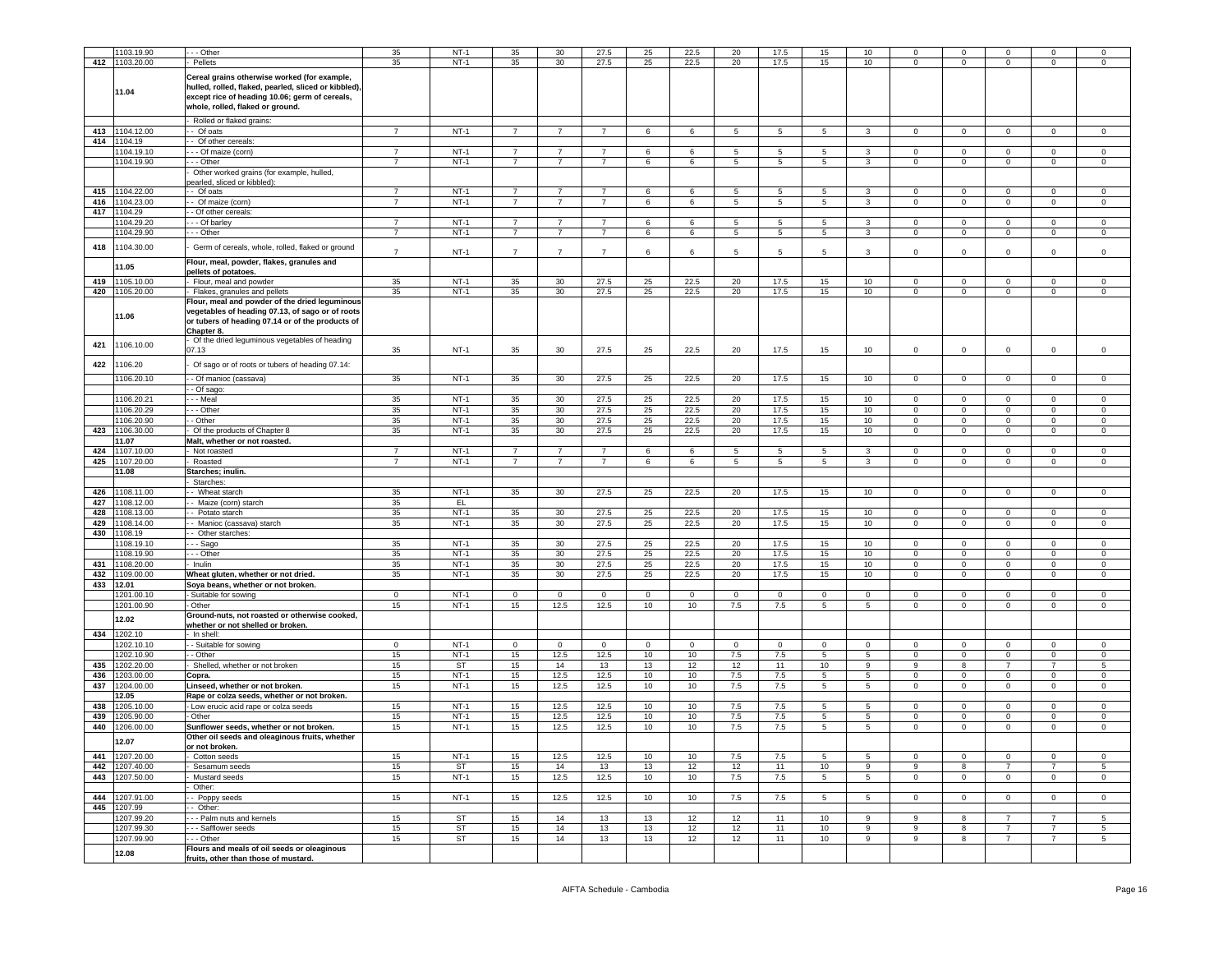|     | 1103.19.90     | .-- Other                                              | 35                               | $NT-1$    | 35                               | 30              | 27.5           | 25           | 22.5       | 20              | 17.5           | 15              | 10               |                | $\Omega$     |                | $\Omega$       | $\Omega$    |
|-----|----------------|--------------------------------------------------------|----------------------------------|-----------|----------------------------------|-----------------|----------------|--------------|------------|-----------------|----------------|-----------------|------------------|----------------|--------------|----------------|----------------|-------------|
|     | 412 1103.20.00 | Pellets                                                | 35                               | $NT-1$    | 35                               | 30 <sup>°</sup> | 27.5           | 25           | 22.5       | 20              | 17.5           | 15              | 10               | $\mathbf 0$    | $\mathbf{0}$ | $^{\circ}$     | $\mathbf{0}$   | 0           |
|     |                |                                                        |                                  |           |                                  |                 |                |              |            |                 |                |                 |                  |                |              |                |                |             |
|     |                | Cereal grains otherwise worked (for example,           |                                  |           |                                  |                 |                |              |            |                 |                |                 |                  |                |              |                |                |             |
|     | 11.04          | hulled, rolled, flaked, pearled, sliced or kibbled),   |                                  |           |                                  |                 |                |              |            |                 |                |                 |                  |                |              |                |                |             |
|     |                | except rice of heading 10.06; germ of cereals,         |                                  |           |                                  |                 |                |              |            |                 |                |                 |                  |                |              |                |                |             |
|     |                | whole, rolled, flaked or ground.                       |                                  |           |                                  |                 |                |              |            |                 |                |                 |                  |                |              |                |                |             |
|     |                | Rolled or flaked grains:                               |                                  |           |                                  |                 |                |              |            |                 |                |                 |                  |                |              |                |                |             |
| 413 | 1104.12.00     | - Of oats                                              | $\overline{7}$                   | $NT-1$    | $\overline{7}$                   | $\overline{7}$  | $\overline{7}$ | 6            | 6          | 5               | 5              | 5               | 3                | $\mathbf 0$    | $\mathbf 0$  | 0              | $\mathbf 0$    | $\mathbf 0$ |
| 414 | 1104.19        | - Of other cereals:                                    |                                  |           |                                  |                 |                |              |            |                 |                |                 |                  |                |              |                |                |             |
|     | 1104.19.10     | --- Of maize (corn)                                    | $\overline{7}$                   | $NT-1$    | 7                                | 7               | 7              | 6            | 6          | -5              | -5             | 5               | 3                | $\mathbf{0}$   | $^{\circ}$   | 0              | $\mathbf{0}$   | $\mathbf 0$ |
|     | 1104.19.90     | --- Other                                              | $\overline{7}$                   | $NT-1$    | $\overline{7}$                   | $\overline{7}$  | $\overline{7}$ | 6            | 6          |                 | 5              | 5               | 3                | $\overline{0}$ | $\mathbf 0$  | $\mathbf 0$    | $\mathbf 0$    | $\mathbf 0$ |
|     |                |                                                        |                                  |           |                                  |                 |                |              |            | $5\phantom{.0}$ |                |                 |                  |                |              |                |                |             |
|     |                | Other worked grains (for example, hulled,              |                                  |           |                                  |                 |                |              |            |                 |                |                 |                  |                |              |                |                |             |
| 415 | 1104.22.00     | earled, sliced or kibbled):<br>- Of oats               | $\overline{7}$                   | $NT-1$    | $\overline{7}$                   |                 | 7              | 6            | 6          | 5               | 5              | 5               | 3                | $\mathbf 0$    | 0            | $^{\circ}$     | 0              | $\mathbf 0$ |
|     |                |                                                        | $\overline{7}$                   | $NT-1$    | $\overline{7}$                   | $\overline{7}$  | $\overline{7}$ |              |            |                 |                |                 |                  |                |              | $\mathbf{0}$   |                |             |
| 416 | 1104.23.00     | - Of maize (corn)                                      |                                  |           |                                  |                 |                | 6            | 6          | $5\phantom{.0}$ | 5              | $5\overline{5}$ | 3                | $\overline{0}$ | $\mathbf 0$  |                | $\mathbf 0$    | $\mathbf 0$ |
| 417 | 1104.29        | - - Of other cereals:                                  |                                  |           |                                  |                 |                |              |            |                 |                |                 |                  |                |              |                |                |             |
|     | 1104.29.20     | - - Of barley                                          | $\overline{7}$<br>$\overline{7}$ | $NT-1$    | $\overline{7}$<br>$\overline{7}$ |                 | $\overline{7}$ | 6            | 6          | 5               | 5              | 5               | 3                | $\Omega$       | $^{\circ}$   | $\Omega$       | $\Omega$       | $\Omega$    |
|     | 1104.29.90     | $-$ Other                                              |                                  | $NT-1$    |                                  | $\overline{7}$  | $\overline{7}$ | $\,6$        | 6          | $5\phantom{.0}$ | $\overline{5}$ | 5               | 3                | $\mathbf 0$    | $\mathbf 0$  | $\mathbf 0$    | $\mathsf 0$    | $\Omega$    |
| 418 | 1104.30.00     | Germ of cereals, whole, rolled, flaked or ground       | $\overline{7}$                   |           |                                  |                 | $\overline{7}$ |              |            |                 |                |                 |                  |                |              |                |                |             |
|     |                |                                                        |                                  | $NT-1$    | $\overline{7}$                   | $\overline{7}$  |                | 6            | 6          | 5               | 5              | 5               | 3                | $\mathbf 0$    | $^{\circ}$   | 0              | 0              | $\mathbf 0$ |
|     | 11.05          | Flour, meal, powder, flakes, granules and              |                                  |           |                                  |                 |                |              |            |                 |                |                 |                  |                |              |                |                |             |
|     | 1105.10.00     | pellets of potatoes.                                   |                                  | $NT-1$    |                                  |                 |                |              |            | 20              |                |                 |                  |                |              | $\Omega$       |                |             |
| 419 |                | - Flour, meal and powder                               | 35                               |           | 35                               | 30              | 27.5           | 25           | 22.5       |                 | 17.5           | 15              | 10 <sup>10</sup> | $\overline{0}$ | $\mathbf 0$  |                | $\mathbf{0}$   | 0           |
| 420 | 1105.20.00     | - Flakes, granules and pellets                         | 35                               | $NT-1$    | 35                               | 30 <sup>°</sup> | 27.5           | 25           | 22.5       | 20              | 17.5           | 15              | 10               | $\mathbf{0}$   | 0            | $\mathbf 0$    | 0              | $\mathbf 0$ |
|     |                | Flour, meal and powder of the dried leguminous         |                                  |           |                                  |                 |                |              |            |                 |                |                 |                  |                |              |                |                |             |
|     | 11.06          | vegetables of heading 07.13, of sago or of roots       |                                  |           |                                  |                 |                |              |            |                 |                |                 |                  |                |              |                |                |             |
|     |                | or tubers of heading 07.14 or of the products of       |                                  |           |                                  |                 |                |              |            |                 |                |                 |                  |                |              |                |                |             |
|     |                | Chapter 8.                                             |                                  |           |                                  |                 |                |              |            |                 |                |                 |                  |                |              |                |                |             |
| 421 | 1106.10.00     | Of the dried leguminous vegetables of heading<br>07.13 | 35                               | $NT-1$    | 35                               | 30              | 27.5           | 25           | 22.5       | 20              | 17.5           | 15              | 10               | $\mathbf 0$    | $\mathbf 0$  | 0              | $\mathbf 0$    | $\mathbf 0$ |
|     |                |                                                        |                                  |           |                                  |                 |                |              |            |                 |                |                 |                  |                |              |                |                |             |
| 422 | 1106.20        | Of sago or of roots or tubers of heading 07.14:        |                                  |           |                                  |                 |                |              |            |                 |                |                 |                  |                |              |                |                |             |
|     | 1106.20.10     | - Of manioc (cassava)                                  | 35                               | $NT-1$    | 35                               | 30              | 27.5           | 25           | 22.5       | 20              | 17.5           | 15              | 10               | $\mathbf{0}$   | $\mathbf 0$  | $\Omega$       | $\mathbf 0$    | $\mathsf 0$ |
|     |                | - Of sago:                                             |                                  |           |                                  |                 |                |              |            |                 |                |                 |                  |                |              |                |                |             |
|     | 1106.20.21     | - - Meal                                               | 35                               | $NT-1$    | 35                               | 30              | 27.5           | 25           | 22.5       | 20              | 17.5           | 15              | 10               | $\mathbf 0$    | 0            | $\Omega$       | 0              | $\mathbf 0$ |
|     |                |                                                        |                                  |           |                                  |                 |                |              |            |                 |                |                 |                  |                |              |                |                |             |
|     | 1106.20.29     | - - Other                                              | 35                               | $NT-1$    | 35                               | 30 <sup>°</sup> | 27.5           | 25           | 22.5       | 20              | 17.5           | 15              | 10               | $\mathbf 0$    | $\mathbf 0$  | $\Omega$       | $\mathbf 0$    | $\mathsf 0$ |
|     | 1106.20.90     | - Other                                                | 35                               | $NT-1$    | 35                               | 30              | 27.5           | 25           | 22.5       | 20              | 17.5           | 15              | 10               | 0              | 0            | 0              | 0              | $\mathbf 0$ |
| 423 | 1106.30.00     | Of the products of Chapter 8                           | 35                               | $NT-1$    | 35                               | 30              | 27.5           | 25           | 22.5       | 20              | 17.5           | 15              | 10               | $\overline{0}$ | $\mathbf 0$  | $\mathbf 0$    | $\mathbf 0$    | $\mathsf 0$ |
|     | 11.07          | Malt, whether or not roasted.                          |                                  |           |                                  |                 |                |              |            |                 |                |                 |                  |                |              |                |                |             |
| 424 | 1107.10.00     | - Not roasted                                          | $\overline{7}$                   | $NT-1$    | $\overline{7}$                   | $\overline{7}$  | $\overline{7}$ | 6            | 6          | 5               | 5              | 5               | 3                | $\mathbf 0$    | 0            | 0              | $\mathbf{0}$   | $\mathbf 0$ |
| 425 | 1107.20.00     | Roasted                                                | $\overline{7}$                   | $NT-1$    | $\overline{7}$                   | $\overline{7}$  | $\overline{7}$ | 6            | 6          | $\overline{5}$  | $\overline{5}$ | 5               | 3                | $\overline{0}$ | $\mathbf 0$  | $\Omega$       | $\mathbf 0$    | $\mathbf 0$ |
|     | 11.08          | Starches; inulin.                                      |                                  |           |                                  |                 |                |              |            |                 |                |                 |                  |                |              |                |                |             |
|     |                | Starches:                                              |                                  |           |                                  |                 |                |              |            |                 |                |                 |                  |                |              |                |                |             |
| 426 | 1108.11.00     | - Wheat starch                                         | 35                               | $NT-1$    | 35                               | 30 <sup>°</sup> | 27.5           | 25           | 22.5       | 20              | 17.5           | 15              | 10               | $\mathbf 0$    | 0            | $\Omega$       | $\mathbf{0}$   | $\mathbf 0$ |
| 427 | 1108.12.00     | - Maize (corn) starch                                  | 35                               | EL.       |                                  |                 |                |              |            |                 |                |                 |                  |                |              |                |                |             |
| 428 | 1108.13.00     | Potato starch                                          | 35                               | $NT-1$    | 35                               | 30 <sup>°</sup> | 27.5           | 25           | 22.5       | 20              | 17.5           | 15              | 10               | $\mathbf 0$    | 0            | $\Omega$       | $\mathbf 0$    | $\mathsf 0$ |
| 429 | 1108.14.00     | - - Manioc (cassava) starch                            | 35                               | $NT-1$    | 35                               | 30              | 27.5           | 25           | 22.5       | 20              | 17.5           | 15              | 10               | 0              | 0            | 0              | 0              | $\mathbf 0$ |
| 430 | 1108.19        | - Other starches:                                      |                                  |           |                                  |                 |                |              |            |                 |                |                 |                  |                |              |                |                |             |
|     | 1108.19.10     | - - - Sago                                             | 35                               | $NT-1$    | 35                               | 30              | 27.5           | 25           | 22.5       | 20              | 17.5           | 15              | 10               | $\mathbf 0$    | $^{\circ}$   | $^{\circ}$     | $\mathbf{0}$   | $\mathbf 0$ |
|     | 1108.19.90     | --- Other                                              | 35                               | $NT-1$    | 35                               | 30              | 27.5           | 25           | 22.5       | 20              | 17.5           | 15              | 10               | $\mathbf 0$    | 0            | 0              | 0              | $\mathsf 0$ |
| 431 | 1108.20.00     | Inulin                                                 | 35                               | $NT-1$    | 35                               | 30 <sup>°</sup> | 27.5           | 25           | 22.5       | 20              | 17.5           | 15              | 10               | $\mathbf 0$    | 0            | 0              | $\mathbf 0$    | $\mathsf 0$ |
| 432 | 1109.00.00     | Wheat gluten, whether or not dried.                    | 35                               | $NT-1$    | 35                               | 30              | 27.5           | 25           | 22.5       | 20              | 17.5           | 15              | 10               | $\mathbf 0$    | 0            | $\mathbf 0$    | 0              | $\mathbf 0$ |
| 433 | 12.01          | Soya beans, whether or not broken.                     |                                  |           |                                  |                 |                |              |            |                 |                |                 |                  |                |              |                |                |             |
|     | 1201.00.10     | - Suitable for sowing                                  | $\mathbf 0$                      | $NT-1$    | $\mathbf 0$                      | $^{\circ}$      | $\mathbf 0$    | $\mathbf{0}$ | $^{\circ}$ | $\mathbf 0$     | $\mathbf{0}$   | $\overline{0}$  | $\mathbf{0}$     | $\mathbf 0$    | $^{\circ}$   | $^{\circ}$     | $\mathbf{0}$   | $\mathbf 0$ |
|     | 1201.00.90     | - Other                                                | 15                               | $NT-1$    | 15                               | 12.5            | 12.5           | 10           | 10         | 7.5             | 7.5            | 5               | 5                | $\mathbf 0$    | $\mathbf 0$  | 0              | $\mathbf 0$    | $\mathbf 0$ |
|     | 12.02          | Ground-nuts, not roasted or otherwise cooked,          |                                  |           |                                  |                 |                |              |            |                 |                |                 |                  |                |              |                |                |             |
|     |                | whether or not shelled or broken.                      |                                  |           |                                  |                 |                |              |            |                 |                |                 |                  |                |              |                |                |             |
| 434 | 1202.10        | · In shell:                                            |                                  |           |                                  |                 |                |              |            |                 |                |                 |                  |                |              |                |                |             |
|     | 202.10.10      | - Suitable for sowing                                  | $\mathbf 0$                      | $NT-1$    | 0                                | $\mathbf 0$     | $\mathbf 0$    | $\circ$      | 0          | $\mathbf 0$     | $\mathbf 0$    | $\circ$         | $\mathbf 0$      | 0              | 0            | 0              | 0              | $\mathbf 0$ |
|     | 202.10.90      | - Other                                                | 15                               | $NT-1$    | 15                               | 12.5            | 12.5           | 10           | 10         | 7.5             | 7.5            | $5\phantom{.0}$ | $5\phantom{.0}$  | $\mathbf 0$    | $\mathbf 0$  | $\mathsf 0$    | $\mathbf 0$    | $\mathsf 0$ |
| 435 | 1202.20.00     | Shelled, whether or not broken                         | 15                               | ST        | 15                               | 14              | 13             | 13           | 12         | 12              | 11             | 10              | 9                | 9              | 8            | 7              | 7              | 5           |
| 436 | 1203.00.00     | Copra.                                                 | 15                               | $NT-1$    | 15                               | 12.5            | 12.5           | 10           | 10         | 7.5             | 7.5            | $\overline{5}$  | 5                | $\mathbf 0$    | $\mathbf 0$  | $\mathbf 0$    | $\mathbf 0$    | $\Omega$    |
| 437 | 1204.00.00     | Linseed, whether or not broken.                        | 15                               | $NT-1$    | 15                               | 12.5            | 12.5           | 10           | 10         | 7.5             | 7.5            | $5\phantom{.0}$ | $5\phantom{.0}$  | 0              | 0            | 0              | $\mathbf 0$    | $\mathbf 0$ |
|     | 12.05          | Rape or colza seeds, whether or not broken.            |                                  |           |                                  |                 |                |              |            |                 |                |                 |                  |                |              |                |                |             |
| 438 | 1205.10.00     | - Low erucic acid rape or colza seeds                  | 15                               | $NT-1$    | 15                               | 12.5            | 12.5           | 10           | 10         | 7.5             | 7.5            | 5               | 5                | $\mathbf 0$    | $^{\circ}$   | $\Omega$       | $\mathbf{0}$   | $\mathbf 0$ |
| 439 | 1205.90.00     | - Other                                                | 15                               | $NT-1$    | 15                               | 12.5            | 12.5           | 10           | 10         | 7.5             | 7.5            | 5               | 5                | 0              | 0            | 0              | 0              | $\mathbf 0$ |
| 440 | 1206.00.00     | Sunflower seeds, whether or not broken.                | 15                               | $NT-1$    | 15                               | 12.5            | 12.5           | 10           | 10         | 7.5             | 7.5            | 5               | 5                | $\Omega$       | $\Omega$     | $\mathbf 0$    | $\mathbf 0$    | $\Omega$    |
|     |                | Other oil seeds and oleaginous fruits, whether         |                                  |           |                                  |                 |                |              |            |                 |                |                 |                  |                |              |                |                |             |
|     | 2.07           | or not broken.                                         |                                  |           |                                  |                 |                |              |            |                 |                |                 |                  |                |              |                |                |             |
| 441 | 1207.20.00     | - Cotton seeds                                         | 15                               | $NT-1$    | 15                               | 12.5            | 12.5           | 10           | 10         | 7.5             | 7.5            | 5               | 5                | 0              | 0            | $\mathbf 0$    | 0              | $\mathbf 0$ |
| 442 | 1207.40.00     | Sesamum seeds                                          | 15                               | ST        | 15                               | 14              | 13             | 13           | 12         | 12              | 11             | 10              | 9                | 9              | 8            | $\overline{7}$ | $\overline{7}$ | 5           |
| 443 | 1207.50.00     | Mustard seeds                                          | 15                               | $NT-1$    | 15                               | 12.5            | 12.5           | 10           | 10         | 7.5             | 7.5            | 5               | 5                | $\overline{0}$ | 0            | $\mathbf 0$    | $\mathbf{0}$   | $\mathbf 0$ |
|     |                | Other:                                                 |                                  |           |                                  |                 |                |              |            |                 |                |                 |                  |                |              |                |                |             |
| 444 | 1207.91.00     | - Poppy seeds                                          | 15                               | $NT-1$    | 15                               | 12.5            | 12.5           | 10           | 10         | $7.5\,$         | 7.5            | $\sqrt{5}$      | $5\phantom{.0}$  | $\mathbf 0$    | $\mathbf 0$  | $\mathbf 0$    | $\mathbf 0$    | $\mathsf 0$ |
| 445 | 1207.99        | - Other:                                               |                                  |           |                                  |                 |                |              |            |                 |                |                 |                  |                |              |                |                |             |
|     |                |                                                        |                                  |           |                                  |                 |                |              |            |                 |                |                 |                  |                |              | $\overline{7}$ | $\overline{7}$ |             |
|     | 1207.99.20     | - - Palm nuts and kernels                              | 15                               | <b>ST</b> | 15                               | 14              | 13             | 13           | 12         | 12              | 11             | 10              | 9                | 9              | 8            |                |                | 5           |
|     | 1207.99.30     | - - Safflower seeds                                    | 15                               | ST        | 15                               | 14              | 13             | 13           | 12         | 12              | 11             | 10              | 9                | 9              | 8            | $\overline{7}$ | 7              | 5           |
|     | 1207.99.90     | - - Other                                              | 15                               | ST        | 15                               | 14              | 13             | 13           | 12         | 12              | 11             | 10              | 9                | 9              | 8            | $\overline{7}$ | $\overline{7}$ | 5           |
|     | 12.08          | Flours and meals of oil seeds or oleaginous            |                                  |           |                                  |                 |                |              |            |                 |                |                 |                  |                |              |                |                |             |
|     |                | fruits, other than those of mustard.                   |                                  |           |                                  |                 |                |              |            |                 |                |                 |                  |                |              |                |                |             |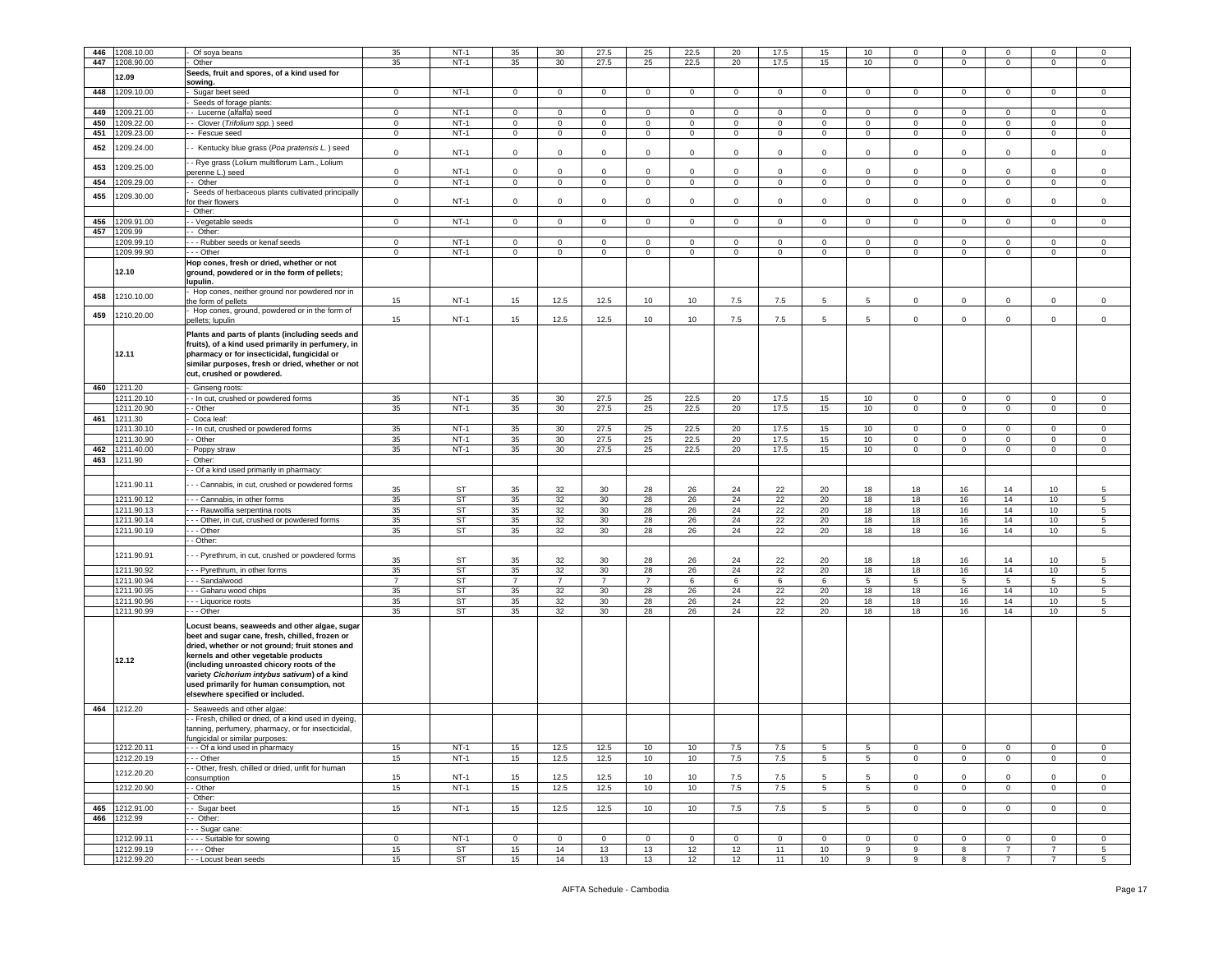| 446 | 1208.10.00               |                                                        |                | $NT-1$    | 35             | 30             | 27.5            | 25             | 22.5           | 20          | 17.5        | 15              | 10               | 0              | $\mathbf 0$    |                 |                                  | $\mathbf 0$     |
|-----|--------------------------|--------------------------------------------------------|----------------|-----------|----------------|----------------|-----------------|----------------|----------------|-------------|-------------|-----------------|------------------|----------------|----------------|-----------------|----------------------------------|-----------------|
| 447 | 1208.90.00               | Of soya beans<br>Other                                 | 35<br>35       | $NT-1$    | 35             | 30             | 27.5            | 25             | 22.5           | 20          | 17.5        | 15              | 10               | $\Omega$       | $\mathbf 0$    | 0               | 0                                | 0               |
|     |                          |                                                        |                |           |                |                |                 |                |                |             |             |                 |                  |                |                |                 |                                  |                 |
|     | 12.09                    | Seeds, fruit and spores, of a kind used for<br>sowing. |                |           |                |                |                 |                |                |             |             |                 |                  |                |                |                 |                                  |                 |
| 448 | 1209.10.00               | Sugar beet seed                                        | $\mathbf 0$    | $NT-1$    | $\circ$        | $\mathbf 0$    | $\mathbf 0$     | $\circ$        | $\mathbf 0$    | 0           | $\mathbf 0$ | $\mathbf 0$     | $\mathbf 0$      | $\mathbf 0$    | $\mathbf 0$    | $\mathbf 0$     | 0                                | 0               |
|     |                          | Seeds of forage plants:                                |                |           |                |                |                 |                |                |             |             |                 |                  |                |                |                 |                                  |                 |
| 449 | 209.21.00                | - - Lucerne (alfalfa) seed                             | $\mathbf 0$    | $NT-1$    | $\mathbf 0$    | $\circ$        | $\mathbf{0}$    | $\mathbf 0$    | $^{\circ}$     | $\circ$     | $\mathbf 0$ | $\circ$         | $\mathbf{0}$     | $\mathbf{0}$   | $\mathbf 0$    | $\overline{0}$  | $\mathbf{0}$                     | $\mathbf 0$     |
| 450 | 1209.22.00               | -- Clover (Trifolium spp.) seed                        | $\mathbf 0$    | $NT-1$    | $\mathbf 0$    | $\mathbf 0$    | $\mathbf 0$     | $\circ$        | $\mathbf 0$    | 0           | $\mathbf 0$ | 0               | $\mathbf 0$      | $\mathbf 0$    | $\mathbf 0$    | $\mathbf 0$     | $\mathbf 0$                      | $\mathsf 0$     |
| 451 | 209.23.00                | - - Fescue seed                                        | $\mathbf 0$    | $NT-1$    | $\mathbf 0$    | $\mathsf 0$    | $\mathbf 0$     | $\mathbf 0$    | $\mathbf 0$    | $\mathbf 0$ | $\mathsf 0$ | $\circ$         | $\mathbf 0$      | $\circ$        | $\mathbf 0$    | $\mathbf 0$     | $\mathbf 0$                      | $\,0\,$         |
|     |                          |                                                        |                |           |                |                |                 |                |                |             |             |                 |                  |                |                |                 |                                  |                 |
| 452 | 1209.24.00               | - Kentucky blue grass (Poa pratensis L.) seed          | $\mathbf 0$    | $NT-1$    | $\mathbf 0$    | $\circ$        | $\mathbf 0$     | $\mathbf 0$    | 0              | 0           | $\mathbf 0$ | 0               | $\mathsf 0$      | $\mathbf 0$    | $\mathbf 0$    | $\mathbf 0$     | $\mathbf 0$                      | $\,0\,$         |
|     |                          | - Rye grass (Lolium multiflorum Lam., Lolium           |                |           |                |                |                 |                |                |             |             |                 |                  |                |                |                 |                                  |                 |
| 453 | 209.25.00                | berenne L.) seed                                       | $\mathbf 0$    | $NT-1$    | $\mathbf 0$    | $\mathbf 0$    | $\mathbf 0$     | $\mathsf 0$    | 0              | $\mathbf 0$ | $\mathbf 0$ | 0               | $\mathsf 0$      | $\mathbf 0$    | $\mathsf 0$    | $\mathbf 0$     | $\mathbf 0$                      | $\mathsf 0$     |
| 454 | 209.29.00                | - Other                                                | $\mathbf 0$    | $NT-1$    | $\mathbf 0$    | $\circ$        | $\mathbf 0$     | $\mathbf 0$    | $\mathbf 0$    | $\mathbf 0$ | $\mathbf 0$ | $\circ$         | $\mathsf 0$      | $\mathbf 0$    | $\mathbf 0$    | $\circ$         | $\mathbf 0$                      | $\,0\,$         |
|     |                          | Seeds of herbaceous plants cultivated principally      |                |           |                |                |                 |                |                |             |             |                 |                  |                |                |                 |                                  |                 |
| 455 | 1209.30.00               | for their flowers                                      | $\mathbf 0$    | $NT-1$    | $\mathbf 0$    | $\mathbf 0$    | $\mathsf 0$     | $\mathbf 0$    | 0              | 0           | $\mathbf 0$ | $\circ$         | $\mathbf 0$      | $\circ$        | $\mathbf 0$    | $\mathbf 0$     | $\mathbf 0$                      | $\mathbf 0$     |
|     |                          | Other:                                                 |                |           |                |                |                 |                |                |             |             |                 |                  |                |                |                 |                                  |                 |
| 456 | 209.91.00                | - Vegetable seeds                                      | $\circ$        | $NT-1$    | $\circ$        | $\circ$        | $\mathbf 0$     | $\circ$        | $\mathbf{0}$   | $\mathbf 0$ | $\mathbf 0$ | $\circ$         | $\circ$          | $\circ$        | $\mathbf{0}$   | $\mathbf{0}$    | $\circ$                          | $\mathbf 0$     |
| 457 | 1209.99                  | - Other:                                               |                |           |                |                |                 |                |                |             |             |                 |                  |                |                |                 |                                  |                 |
|     | 209.99.10                | - - Rubber seeds or kenaf seeds                        | $\mathbf 0$    | $NT-1$    | 0              | $\mathbf 0$    | $\mathbf 0$     | $\mathbf 0$    | 0              | 0           | $\mathbf 0$ | 0               | $\mathbf 0$      | 0              | $\mathbf 0$    | $\mathbf 0$     | $\mathbf 0$                      | 0               |
|     | 1209.99.90               | - - Other                                              | $\mathbf 0$    | $NT-1$    | $\mathsf 0$    | $\mathbf 0$    | $\mathbf 0$     | $\mathbf 0$    | $\overline{0}$ | $\mathbf 0$ | $\mathsf 0$ | $\mathsf 0$     | $\mathbf 0$      | $\mathbf 0$    | $\mathbf 0$    | $\circ$         | $\mathsf 0$                      | $\mathsf 0$     |
|     |                          | Hop cones, fresh or dried, whether or not              |                |           |                |                |                 |                |                |             |             |                 |                  |                |                |                 |                                  |                 |
|     | 12.10                    | ground, powdered or in the form of pellets;            |                |           |                |                |                 |                |                |             |             |                 |                  |                |                |                 |                                  |                 |
|     |                          | lupulin.                                               |                |           |                |                |                 |                |                |             |             |                 |                  |                |                |                 |                                  |                 |
| 458 | 1210.10.00               | Hop cones, neither ground nor powdered nor in          |                |           |                |                |                 |                |                |             |             |                 |                  |                |                |                 |                                  |                 |
|     |                          | the form of pellets                                    | 15             | $NT-1$    | 15             | 12.5           | 12.5            | 10             | 10             | 7.5         | 7.5         | 5               | 5                | $\mathbf 0$    | $\mathbf 0$    | $\mathbf 0$     | $\mathbf 0$                      | $\mathsf 0$     |
| 459 | 1210.20.00               | Hop cones, ground, powdered or in the form of          |                |           |                |                |                 |                |                |             |             |                 |                  |                |                |                 |                                  |                 |
|     |                          | pellets; lupulin                                       | 15             | $NT-1$    | 15             | 12.5           | 12.5            | 10             | 10             | 7.5         | 7.5         | 5               | $5^{\circ}$      | $\circ$        | $\overline{0}$ | $\circ$         | $\circ$                          | $\mathsf 0$     |
|     |                          | Plants and parts of plants (including seeds and        |                |           |                |                |                 |                |                |             |             |                 |                  |                |                |                 |                                  |                 |
|     |                          | fruits), of a kind used primarily in perfumery, in     |                |           |                |                |                 |                |                |             |             |                 |                  |                |                |                 |                                  |                 |
|     | 12.11                    | pharmacy or for insecticidal, fungicidal or            |                |           |                |                |                 |                |                |             |             |                 |                  |                |                |                 |                                  |                 |
|     |                          | similar purposes, fresh or dried, whether or not       |                |           |                |                |                 |                |                |             |             |                 |                  |                |                |                 |                                  |                 |
|     |                          | cut, crushed or powdered.                              |                |           |                |                |                 |                |                |             |             |                 |                  |                |                |                 |                                  |                 |
|     | 460 1211.20              | - Ginseng roots:                                       |                |           |                |                |                 |                |                |             |             |                 |                  |                |                |                 |                                  |                 |
|     | 1211.20.10               | - In cut, crushed or powdered forms                    | 35             | $NT-1$    | 35             | 30             | 27.5            | 25             | 22.5           | 20          | 17.5        | 15              | 10               | 0              | $\mathbf 0$    | $\mathbf 0$     | $\mathbf 0$                      | 0               |
|     | 1211.20.90               | - Other                                                | 35             | $NT-1$    | 35             | 30             | 27.5            | 25             | 22.5           | 20          | 17.5        | 15              | 10               | $\circ$        | $\overline{0}$ | $\circ$         | $\mathbf 0$                      | $\mathsf 0$     |
| 461 | 1211.30                  | Coca leaf:                                             |                |           |                |                |                 |                |                |             |             |                 |                  |                |                |                 |                                  |                 |
|     | 1211.30.10               | - In cut, crushed or powdered forms                    | 35             | $NT-1$    | 35             | 30             | 27.5            | 25             | 22.5           | 20          | 17.5        | 15              | 10               | 0              | $\mathbf 0$    | 0               | 0                                | 0               |
|     | 1211.30.90               | - Other                                                | 35             | $NT-1$    | 35             | 30             | 27.5            | 25             | 22.5           | 20          | 17.5        | 15              | 10 <sup>10</sup> | $\mathbf 0$    | $\mathbf 0$    | $\overline{0}$  | $\mathbf{0}$                     | $\circ$         |
| 462 | 1211.40.00               | Poppy straw                                            | 35             | $NT-1$    | 35             | 30             | 27.5            | 25             | 22.5           | 20          | 17.5        | 15              | 10 <sup>10</sup> | $\mathbf 0$    | $\mathbf 0$    | $\mathbf 0$     | $\mathbf 0$                      | $\mathbf 0$     |
|     | 1211.90                  | Other:                                                 |                |           |                |                |                 |                |                |             |             |                 |                  |                |                |                 |                                  |                 |
| 463 |                          |                                                        |                |           |                |                |                 |                |                |             |             |                 |                  |                |                |                 |                                  |                 |
|     |                          | - Of a kind used primarily in pharmacy:                |                |           |                |                |                 |                |                |             |             |                 |                  |                |                |                 |                                  |                 |
|     |                          |                                                        |                |           |                |                |                 |                |                |             |             |                 |                  |                |                |                 |                                  |                 |
|     | 1211.90.11               | - - Cannabis, in cut, crushed or powdered forms        | 35             | ST        | 35             | 32             | 30              | 28             | 26             | 24          | 22          | 20              | 18               | 18             | 16             | 14              | 10                               | 5               |
|     | 1211.90.12               | --- Cannabis, in other forms                           | 35             | ST        | 35             | 32             | 30              | 28             | 26             | 24          | 22          | 20              | 18               | 18             | 16             | 14              | 10                               | 5               |
|     | 1211.90.13               | - - - Rauwolfia serpentina roots                       | 35             | ST        | 35             | 32             | 30 <sup>2</sup> | 28             | 26             | 24          | 22          | 20              | 18               | 18             | 16             | 14              | 10                               | 5               |
|     | 1211.90.14               | --- Other, in cut, crushed or powdered forms           | 35             | ST        | 35             | 32             | 30              | 28             | 26             | 24          | 22          | 20              | 18               | 18             | 16             | 14              | 10                               | $\sqrt{5}$      |
|     | 1211.90.19               | - - Other                                              | 35             | <b>ST</b> | 35             | 32             | 30 <sup>2</sup> | 28             | 26             | 24          | 22          | 20              | 18               | 18             | 16             | 14              | 10                               | 5               |
|     |                          | - Other:                                               |                |           |                |                |                 |                |                |             |             |                 |                  |                |                |                 |                                  |                 |
|     | 1211.90.91               |                                                        |                |           |                |                |                 |                |                |             |             |                 |                  |                |                |                 |                                  |                 |
|     |                          | - - Pyrethrum, in cut, crushed or powdered forms       | 35             | <b>ST</b> | 35             | 32             | 30              | 28             | 26             | 24          | 22          | 20              | 18               | 18             | 16             | 14              | 10 <sup>10</sup>                 | 5               |
|     | 1211.90.92               | -- Pyrethrum, in other forms                           | 35             | <b>ST</b> | 35             | 32             | 30 <sup>2</sup> | 28             | 26             | 24          | 22          | 20              | 18               | 18             | 16             | 14              | 10                               | 5               |
|     | 1211.90.94               | - - Sandalwood                                         | $\overline{7}$ | ST        | $\overline{7}$ | $\overline{7}$ | $\overline{7}$  | $\overline{7}$ | 6              | 6           | 6           | 6               | $5^{\circ}$      | 5              | 5              | $5\overline{5}$ | 5                                | 5               |
|     | 1211.90.95               | - - Gaharu wood chips                                  | 35             | ST        | 35             | 32             | 30              | 28             | 26             | 24          | 22          | 20              | 18               | 18             | 16             | 14              | 10                               | 5               |
|     | 1211.90.96               | - - Liquorice roots                                    | 35             | <b>ST</b> | 35             | 32             | 30              | 28             | 26             | 24          | 22          | 20              | 18               | 18             | 16             | 14              | 10                               | 5               |
|     | 1211.90.99               | - - - Other                                            | 35             | ST        | 35             | 32             | 30              | 28             | 26             | 24          | 22          | 20              | 18               | 18             | 16             | 14              | 10                               | 5               |
|     |                          | Locust beans, seaweeds and other algae, sugar          |                |           |                |                |                 |                |                |             |             |                 |                  |                |                |                 |                                  |                 |
|     |                          | beet and sugar cane, fresh, chilled, frozen or         |                |           |                |                |                 |                |                |             |             |                 |                  |                |                |                 |                                  |                 |
|     |                          | dried, whether or not ground; fruit stones and         |                |           |                |                |                 |                |                |             |             |                 |                  |                |                |                 |                                  |                 |
|     |                          | kernels and other vegetable products                   |                |           |                |                |                 |                |                |             |             |                 |                  |                |                |                 |                                  |                 |
|     | 12.12                    | (including unroasted chicory roots of the              |                |           |                |                |                 |                |                |             |             |                 |                  |                |                |                 |                                  |                 |
|     |                          | variety Cichorium intybus sativum) of a kind           |                |           |                |                |                 |                |                |             |             |                 |                  |                |                |                 |                                  |                 |
|     |                          | used primarily for human consumption, not              |                |           |                |                |                 |                |                |             |             |                 |                  |                |                |                 |                                  |                 |
|     |                          | elsewhere specified or included.                       |                |           |                |                |                 |                |                |             |             |                 |                  |                |                |                 |                                  |                 |
|     | 464 1212.20              | Seaweeds and other algae:                              |                |           |                |                |                 |                |                |             |             |                 |                  |                |                |                 |                                  |                 |
|     |                          | - Fresh, chilled or dried, of a kind used in dyeing,   |                |           |                |                |                 |                |                |             |             |                 |                  |                |                |                 |                                  |                 |
|     |                          | tanning, perfumery, pharmacy, or for insecticidal,     |                |           |                |                |                 |                |                |             |             |                 |                  |                |                |                 |                                  |                 |
|     |                          | fungicidal or similar purposes:                        |                |           |                |                |                 |                |                |             |             |                 |                  |                |                |                 |                                  |                 |
|     | 1212.20.11               | - - - Of a kind used in pharmacy                       | 15             | $NT-1$    | 15             | 12.5           | 12.5            | 10             | 10             | 7.5         | 7.5         | 5               | 5                | $\mathbf 0$    | $\mathbf 0$    | $\mathbf 0$     | $\mathbf 0$                      | $\mathbf 0$     |
|     | 1212.20.19               | - - - Other                                            | 15             | $NT-1$    | 15             | 12.5           | 12.5            | 10             | 10             | 7.5         | 7.5         | 5               | 5 <sub>5</sub>   | $\mathbf 0$    | $\mathbf 0$    | $\overline{0}$  | 0                                | $\mathbf 0$     |
|     | 1212.20.20               | - Other, fresh, chilled or dried, unfit for human      |                | $NT-1$    |                | 12.5           |                 | 10             | 10             |             |             | 5               | 5                | $\mathbf 0$    | $\mathbf 0$    | $\mathbf 0$     | $\mathbf 0$                      | $\,0\,$         |
|     |                          | consumption                                            | 15             |           | 15             |                | 12.5            |                |                | $7.5\,$     | 7.5         |                 |                  | $\mathbf 0$    |                |                 |                                  |                 |
|     | 1212.20.90               | - Other<br>Other:                                      | 15             | $NT-1$    | 15             | 12.5           | 12.5            | 10             | 10             | 7.5         | 7.5         | $5\phantom{.0}$ | 5 <sub>5</sub>   |                | $\mathbf 0$    | $\mathbf 0$     | $\mathbf 0$                      | $\mathsf 0$     |
|     | 465 1212.91.00           | - Sugar beet                                           | 15             | $NT-1$    | 15             | 12.5           | 12.5            | 10             | 10             | 7.5         | 7.5         | 5               | 5                | $\overline{0}$ | $\overline{0}$ | $\overline{0}$  | $\mathbf 0$                      | $\mathbf{0}$    |
|     | 466 1212.99              | - Other:                                               |                |           |                |                |                 |                |                |             |             |                 |                  |                |                |                 |                                  |                 |
|     |                          | - - - Sugar cane:                                      |                |           |                |                |                 |                |                |             |             |                 |                  |                |                |                 |                                  |                 |
|     | 1212.99.11               | ---- Suitable for sowing                               | $\mathbf 0$    | $NT-1$    | $\mathbf 0$    | $\circ$        | $\mathbf 0$     | $\mathbf 0$    | $\mathbf 0$    | 0           | $\mathbf 0$ | $\mathbf 0$     | $\mathbf 0$      | $\mathbf 0$    | $\mathbf 0$    | 0               | $\mathbf 0$                      | 0               |
|     | 1212.99.19<br>1212.99.20 | - - - - Other<br>- - - Locust bean seeds               | 15<br>15       | ST<br>ST  | 15<br>15       | 14<br>14       | 13<br>13        | 13<br>13       | 12<br>12       | 12<br>12    | 11<br>11    | 10<br>10        | 9<br>9           | 9<br>9         | 8<br>8         | $\overline{7}$  | $\overline{7}$<br>$\overline{7}$ | $\sqrt{5}$<br>5 |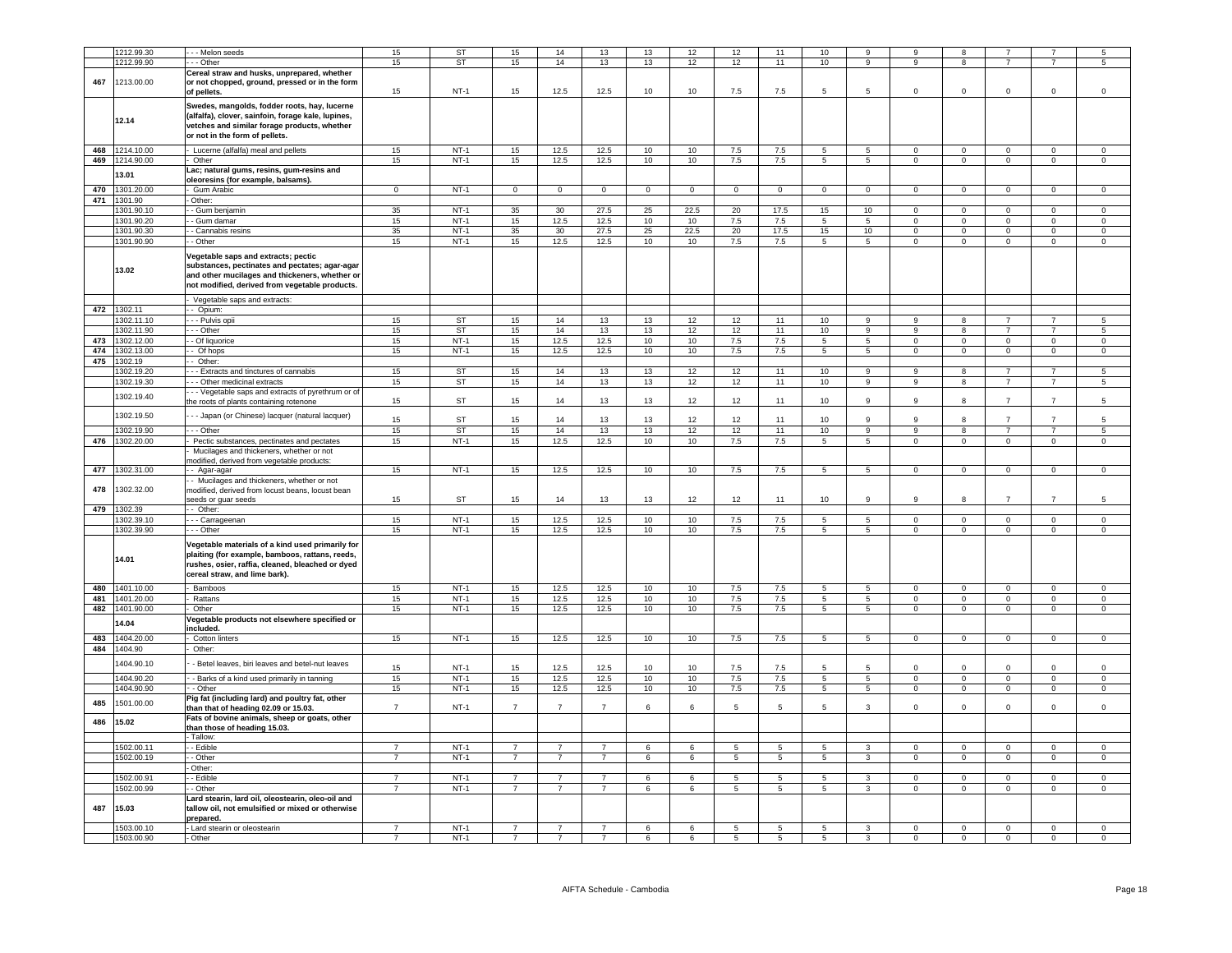|     | 1212.99.30     | - - Melon seeds                                           | 15             | <b>ST</b>   | 15             | 14             | 13             | 13          | 12          | 12             | 11              | 10              | 9                             | 9              | 8              |                            |                | 5              |
|-----|----------------|-----------------------------------------------------------|----------------|-------------|----------------|----------------|----------------|-------------|-------------|----------------|-----------------|-----------------|-------------------------------|----------------|----------------|----------------------------|----------------|----------------|
|     | 1212.99.90     | - - Other                                                 | 15             | <b>ST</b>   | 15             | 14             | 13             | 13          | 12          | 12             | 11              | 10              | 9                             | 9              | 8              |                            |                | 5              |
|     |                | Cereal straw and husks, unprepared, whether               |                |             |                |                |                |             |             |                |                 |                 |                               |                |                |                            |                |                |
| 467 | 1213.00.00     | or not chopped, ground, pressed or in the form            |                |             |                |                |                |             |             |                |                 |                 |                               |                |                |                            |                |                |
|     |                | of pellets.                                               | 15             | $NT-1$      | 15             | 12.5           | 12.5           | 10          | 10          | 7.5            | 7.5             | 5               | 5                             | $\mathbf 0$    | $\mathbf 0$    | $\mathbf 0$                | $\mathbf 0$    | $\mathsf 0$    |
|     |                | Swedes, mangolds, fodder roots, hay, lucerne              |                |             |                |                |                |             |             |                |                 |                 |                               |                |                |                            |                |                |
|     |                | (alfalfa), clover, sainfoin, forage kale, lupines,        |                |             |                |                |                |             |             |                |                 |                 |                               |                |                |                            |                |                |
|     | 12.14          | vetches and similar forage products, whether              |                |             |                |                |                |             |             |                |                 |                 |                               |                |                |                            |                |                |
|     |                | or not in the form of pellets.                            |                |             |                |                |                |             |             |                |                 |                 |                               |                |                |                            |                |                |
|     |                |                                                           |                |             |                |                |                |             |             |                |                 |                 |                               |                |                |                            |                |                |
|     | 468 1214.10.00 | Lucerne (alfalfa) meal and pellets                        | 15             | $NT-1$      | 15             | 12.5           | 12.5           | 10          | 10          | 7.5            | 7.5             | 5               | $5\overline{5}$               | $\overline{0}$ | $\mathbf{0}$   | $\mathbf{0}$               | $\mathbf{0}$   | $\mathbf{0}$   |
|     | 469 1214.90.00 | Other                                                     | 15             | $NT-1$      | 15             | 12.5           | 12.5           | 10          | 10          | 7.5            | 7.5             | 5               | 5                             | $\overline{0}$ | $\mathbf 0$    | $\mathbf 0$                | $\mathsf 0$    | $\mathsf 0$    |
|     | 3.01           | .ac; natural gums, resins, gum-resins and                 |                |             |                |                |                |             |             |                |                 |                 |                               |                |                |                            |                |                |
|     |                | pleoresins (for example, balsams).                        |                |             |                |                |                |             |             |                |                 |                 |                               |                |                |                            |                |                |
| 470 | 1301.20.00     | Gum Arabic                                                | $\Omega$       | $NT-1$      | $\Omega$       | $\overline{0}$ | $\mathbf 0$    | $\mathbf 0$ | $\mathbf 0$ | $\Omega$       | $\mathbf 0$     | $\Omega$        | $\mathbf 0$                   | $\Omega$       | $\mathbf 0$    | $\mathbf 0$                | $\Omega$       | $\Omega$       |
| 471 | 1301.90        | Other                                                     |                |             |                |                |                |             |             |                |                 |                 |                               |                |                |                            |                |                |
|     | 1301.90.10     | - Gum benjamin                                            | 35             | $NT-1$      | 35             | 30             | 27.5           | 25          | 22.5        | 20             | 17.5            | 15              | 10                            | $\mathbf 0$    | $\mathbf 0$    | $\mathbf 0$                | $\mathbf 0$    | $\mathsf 0$    |
|     | 1301.90.20     | - Gum damar                                               | 15             | $NT-1$      | 15             | 12.5           | 12.5           | 10          | 10          | 7.5            | 7.5             | 5               | $5^{\circ}$                   | $\Omega$       | $\Omega$       | $\mathbf 0$                | $\Omega$       | $\mathsf 0$    |
|     | 1301.90.30     | - Cannabis resins                                         | 35             | $NT-1$      | 35             | 30             | 27.5           | 25          | 22.5        | 20             | 17.5            | 15              | 10                            | $\mathbf 0$    | $\mathbf 0$    | $\mathbf 0$                | $\mathbf 0$    | $\mathbf 0$    |
|     | 1301.90.90     | - Other                                                   | 15             | <b>NT-1</b> | 15             | 12.5           | 12.5           | 10          | 10          | 7.5            | 7.5             | $5\overline{5}$ | 5 <sub>5</sub>                | $\mathbf{0}$   | $\overline{0}$ | $\overline{0}$             | $\overline{0}$ | $\overline{0}$ |
|     |                |                                                           |                |             |                |                |                |             |             |                |                 |                 |                               |                |                |                            |                |                |
|     |                | Vegetable saps and extracts; pectic                       |                |             |                |                |                |             |             |                |                 |                 |                               |                |                |                            |                |                |
|     |                | substances, pectinates and pectates; agar-agar            |                |             |                |                |                |             |             |                |                 |                 |                               |                |                |                            |                |                |
|     | 13.02          | and other mucilages and thickeners, whether or            |                |             |                |                |                |             |             |                |                 |                 |                               |                |                |                            |                |                |
|     |                | not modified, derived from vegetable products.            |                |             |                |                |                |             |             |                |                 |                 |                               |                |                |                            |                |                |
|     |                |                                                           |                |             |                |                |                |             |             |                |                 |                 |                               |                |                |                            |                |                |
|     |                | Vegetable saps and extracts:                              |                |             |                |                |                |             |             |                |                 |                 |                               |                |                |                            |                |                |
|     | 472 1302.11    | - Opium:                                                  |                |             |                |                |                |             |             |                |                 |                 |                               |                |                |                            |                |                |
|     | 1302.11.10     | - - Pulvis opii                                           | 15             | <b>ST</b>   | 15             | 14             | 13             | 13          | 12          | 12             | 11              | 10              | 9                             | 9              | 8              | 7                          | $\overline{7}$ | -5             |
|     | 1302.11.90     | - Other                                                   | 15             | ST          | 15             | 14             | 13             | 13          | 12          | 12             | 11              | 10              | 9                             | 9              | 8              | $\overline{7}$             | $\overline{7}$ | 5              |
| 473 | 1302.12.00     | - Of liquorice                                            | 15             | $NT-1$      | 15             | 12.5           | 12.5           | 10          | 10          | 7.5            | $7.5\,$         | $5\overline{5}$ | 5                             | $\Omega$       | $\mathbf 0$    | $\Omega$                   | $\mathsf 0$    | $\mathsf 0$    |
| 474 | 1302.13.00     | - Of hops                                                 | 15             | $NT-1$      | 15             | 12.5           | 12.5           | 10          | 10          | 7.5            | 7.5             | $5\overline{5}$ | $5\overline{5}$               | $\overline{0}$ | $\mathbf 0$    | $\mathbf 0$                | $\mathsf 0$    | $\mathsf 0$    |
| 475 | 1302.19        | Other:                                                    |                |             |                |                |                |             |             |                |                 |                 |                               |                |                |                            |                |                |
|     | 1302.19.20     | - Extracts and tinctures of cannabis                      | 15             | <b>ST</b>   | 15             | $14$           | $13\,$         | 13          | 12          | 12             | 11              | 10              | 9                             | 9              | 8              | $\overline{7}$             | $\overline{7}$ | 5              |
|     | 1302.19.30     | - Other medicinal extracts                                | 15             | <b>ST</b>   | 15             | 14             | 13             | 13          | 12          | 12             | 11              | 10              | $\overline{9}$                | $\overline{9}$ | $\overline{8}$ | $\overline{7}$             | $\overline{7}$ | 5              |
|     |                | - - Vegetable saps and extracts of pyrethrum or of        |                |             |                |                |                |             |             |                |                 |                 |                               |                |                |                            |                |                |
|     | 1302.19.40     | the roots of plants containing rotenone                   | 15             | ST          | 15             | 14             | 13             | 13          | 12          | 12             | 11              | 10              | 9                             | $\mathsf{Q}$   | 8              | $\overline{7}$             | $\overline{7}$ | 5              |
|     |                |                                                           |                |             |                |                |                |             |             |                |                 |                 |                               |                |                |                            |                |                |
|     | 302.19.50      | - - Japan (or Chinese) lacquer (natural lacquer)          | 15             | ST          | 15             | 14             | 13             | 13          | 12          | 12             | 11              | 10              | 9                             | 9              | 8              | $\overline{7}$             | $\overline{7}$ |                |
|     | 1302.19.90     | - - Othe                                                  | 15             | <b>ST</b>   | 15             | 14             | 13             | 13          | 12          | 12             | 11              | 10              | 9                             | 9              | 8              | $\overline{7}$             | $\overline{7}$ | $\,$ 5 $\,$    |
|     | 476 1302.20.00 | Pectic substances, pectinates and pectates                | 15             | $NT-1$      | 15             | 12.5           | 12.5           | 10          | 10          | 7.5            | 7.5             | 5               | 5                             | $\Omega$       | $\overline{0}$ | $\overline{0}$             | $\overline{0}$ | $\Omega$       |
|     |                | Mucilages and thickeners, whether or not                  |                |             |                |                |                |             |             |                |                 |                 |                               |                |                |                            |                |                |
|     |                | nodified, derived from vegetable products:                |                |             |                |                |                |             |             |                |                 |                 |                               |                |                |                            |                |                |
| 477 | 1302.31.00     | - Agar-agar                                               | 15             | $NT-1$      | 15             | 12.5           | 12.5           | 10          | 10          | $7.5\,$        | 7.5             | 5               | 5                             | $\mathbf 0$    | $\mathbf 0$    | $\mathbf 0$                | $\mathsf 0$    | $\mathbf 0$    |
|     |                | - Mucilages and thickeners, whether or not                |                |             |                |                |                |             |             |                |                 |                 |                               |                |                |                            |                |                |
| 478 | 1302.32.00     | nodified, derived from locust beans, locust bean          |                |             |                |                |                |             |             |                |                 |                 |                               |                |                |                            |                |                |
|     |                | seeds or quar seeds                                       | 15             | ST          | 15             | 14             | 13             | 13          | 12          | 12             | 11              | 10              | 9                             | 9              | 8              | $\overline{7}$             | $\overline{7}$ | 5              |
| 479 | 1302.39        | - Other:                                                  |                |             |                |                |                |             |             |                |                 |                 |                               |                |                |                            |                |                |
|     | 1302.39.10     | - - Carrageenan                                           | 15             | $NT-1$      | 15             | 12.5           | 12.5           | 10          | 10          | 7.5            | 7.5             | 5               | 5                             | $\mathbf 0$    | $\overline{0}$ | $\circ$                    | $\mathbf 0$    | $\mathbf 0$    |
|     | 1302.39.90     | - - Other                                                 | 15             | <b>NT-1</b> | 15             | 12.5           | 12.5           | 10          | 10          | 7.5            | 7.5             | $5\overline{5}$ | $5\overline{5}$               | $\mathbf{0}$   | $\overline{0}$ | $\mathbf{0}$               | $\overline{0}$ | $\mathbf 0$    |
|     |                |                                                           |                |             |                |                |                |             |             |                |                 |                 |                               |                |                |                            |                |                |
|     |                | Vegetable materials of a kind used primarily for          |                |             |                |                |                |             |             |                |                 |                 |                               |                |                |                            |                |                |
|     | 14.01          | plaiting (for example, bamboos, rattans, reeds,           |                |             |                |                |                |             |             |                |                 |                 |                               |                |                |                            |                |                |
|     |                | rushes, osier, raffia, cleaned, bleached or dyed          |                |             |                |                |                |             |             |                |                 |                 |                               |                |                |                            |                |                |
|     |                | cereal straw, and lime bark).                             |                |             |                |                |                |             |             |                |                 |                 |                               |                |                |                            |                |                |
|     | 480 1401.10.00 | Bamboos                                                   | 15             | $NT-1$      | 15             | 12.5           | 12.5           | 10          | 10          | 7.5            | 7.5             | 5               | 5                             | $\Omega$       | $\overline{0}$ | $\Omega$                   | $\mathbf 0$    | $\Omega$       |
| 481 | 1401.20.00     | Rattans                                                   | 15             | $NT-1$      | 15             | 12.5           | 12.5           |             | 10          | 7.5            | 7.5             | $5\overline{5}$ |                               | $\overline{0}$ | $\overline{0}$ |                            | $\mathsf 0$    | $\mathbf 0$    |
| 482 | 1401.90.00     | Other                                                     | 15             | $NT-1$      | 15             | 12.5           | 12.5           | 10<br>10    | 10          | 7.5            | 7.5             | $\overline{5}$  | 5<br>$\overline{\phantom{0}}$ | $\mathbf{0}$   | $\overline{0}$ | $\mathbf 0$<br>$\mathbf 0$ | $\overline{0}$ | $\mathbf 0$    |
|     |                |                                                           |                |             |                |                |                |             |             |                |                 |                 |                               |                |                |                            |                |                |
|     | 14.04          | Vegetable products not elsewhere specified or<br>ncluded. |                |             |                |                |                |             |             |                |                 |                 |                               |                |                |                            |                |                |
| 483 | 1404.20.00     | Cotton linters                                            | 15             | $NT-1$      | 15             | 12.5           | 12.5           | 10          | 10          | 7.5            | 7.5             | -5              | 5 <sup>5</sup>                | $\Omega$       | $\Omega$       | $\Omega$                   | $\Omega$       | $\Omega$       |
| 484 | 1404.90        | Other:                                                    |                |             |                |                |                |             |             |                |                 |                 |                               |                |                |                            |                |                |
|     |                |                                                           |                |             |                |                |                |             |             |                |                 |                 |                               |                |                |                            |                |                |
|     | 1404.90.10     | - Betel leaves, biri leaves and betel-nut leaves          | 15             | $NT-1$      | 15             | 12.5           | 12.5           | 10          | 10          | 7.5            | 7.5             | 5               | -5                            | $\Omega$       | $\Omega$       | $\Omega$                   | $\Omega$       | $\Omega$       |
|     | 1404.90.20     | - Barks of a kind used primarily in tanning               | 15             | $NT-1$      | 15             | 12.5           | 12.5           | 10          | 10          | 7.5            | 7.5             | $5\overline{)}$ | $5\overline{5}$               | $\circ$        | $\mathbf 0$    | $\mathbf 0$                | $\mathsf 0$    | $\circ$        |
|     |                |                                                           |                |             |                |                |                |             |             |                |                 |                 |                               |                |                |                            |                |                |
|     | 404.90.90      | - Other                                                   | 15             | $NT-1$      | 15             | 12.5           | 12.5           | 10          | 10          | 7.5            | 7.5             | $5\overline{)}$ | $5\overline{)}$               | $\mathbf 0$    | $\overline{0}$ | $\mathbf 0$                | $\overline{0}$ | $\mathsf 0$    |
| 485 | 1501.00.00     | ig fat (including lard) and poultry fat, other            | $\overline{7}$ |             | $\overline{7}$ | $\overline{7}$ | $\overline{7}$ | 6           | $\epsilon$  | 5              | 5               | 5               | $\mathcal{R}$                 | $\Omega$       | $\Omega$       |                            | $\Omega$       | $\Omega$       |
|     |                | than that of heading 02.09 or 15.03.                      |                | $NT-1$      |                |                |                |             |             |                |                 |                 |                               |                |                | $\Omega$                   |                |                |
| 486 | 15.02          | Fats of bovine animals, sheep or goats, other             |                |             |                |                |                |             |             |                |                 |                 |                               |                |                |                            |                |                |
|     |                | than those of heading 15.03.                              |                |             |                |                |                |             |             |                |                 |                 |                               |                |                |                            |                |                |
|     |                | Tallow:                                                   |                |             |                |                |                |             |             |                |                 |                 |                               |                |                |                            |                |                |
|     | 1502.00.11     | - Edible                                                  | 7              | $NT-1$      | $\overline{7}$ | $\overline{7}$ | $\overline{7}$ | 6           | 6           | 5              | 5               | 5               | 3                             | $\mathbf{0}$   | $\mathbf 0$    | $\mathbf 0$                | $\mathbf 0$    | $\mathsf 0$    |
|     | 1502.00.19     | - Other                                                   | $\overline{7}$ | $NT-1$      | $\overline{7}$ | $\overline{7}$ | $\overline{7}$ | 6           | 6           | 5              | $\,$ 5 $\,$     | $\sqrt{5}$      | $\mathbf{3}$                  | $\mathbf 0$    | $\mathbf 0$    | $\mathbf 0$                | $\mathsf 0$    | $\mathsf 0$    |
|     |                | Other:                                                    |                |             |                |                |                |             |             |                |                 |                 |                               |                |                |                            |                |                |
|     | 1502.00.91     | - Edible                                                  | $\overline{7}$ | $NT-1$      | $\overline{7}$ | $\overline{7}$ | $\overline{7}$ | 6           | 6           | $\overline{5}$ | $5\phantom{.0}$ | $\overline{5}$  | $\overline{3}$                | $\mathsf 0$    | $\,0\,$        | $\mathsf 0$                | $\mathsf 0$    | $^{\circ}$     |
|     | 1502.00.99     | - Other                                                   | $\overline{7}$ | $NT-1$      | $\overline{7}$ | $\overline{7}$ | $\overline{7}$ | 6           | 6           | 5              | $\overline{5}$  | 5               | $\overline{3}$                | $\Omega$       | $\mathbf 0$    | $\mathbf 0$                | $\overline{0}$ | $\Omega$       |
|     |                | ard stearin, lard oil, oleostearin, oleo-oil and          |                |             |                |                |                |             |             |                |                 |                 |                               |                |                |                            |                |                |
| 487 | 15.03          | tallow oil, not emulsified or mixed or otherwise          |                |             |                |                |                |             |             |                |                 |                 |                               |                |                |                            |                |                |
|     |                | prepared.                                                 |                |             |                |                |                |             |             |                |                 |                 |                               |                |                |                            |                |                |
|     | 1503.00.10     | Lard stearin or oleostearin                               | $\overline{7}$ | $NT-1$      | $\overline{7}$ | $\overline{7}$ | $\overline{7}$ | 6           | 6           | 5              | 5               | 5               | $\mathbf{3}$                  | $\mathbf 0$    | $\mathsf 0$    | $\mathsf 0$                | $\mathsf 0$    | $\mathsf 0$    |
|     | 1503.00.90     | Other                                                     |                | $NT-1$      | $\overline{7}$ | $\overline{7}$ |                | 6           | 6           | $\overline{5}$ | 5               | $\overline{5}$  | 3                             | $\overline{0}$ | $\overline{0}$ | $\mathbf 0$                | $\overline{0}$ | $^{\circ}$     |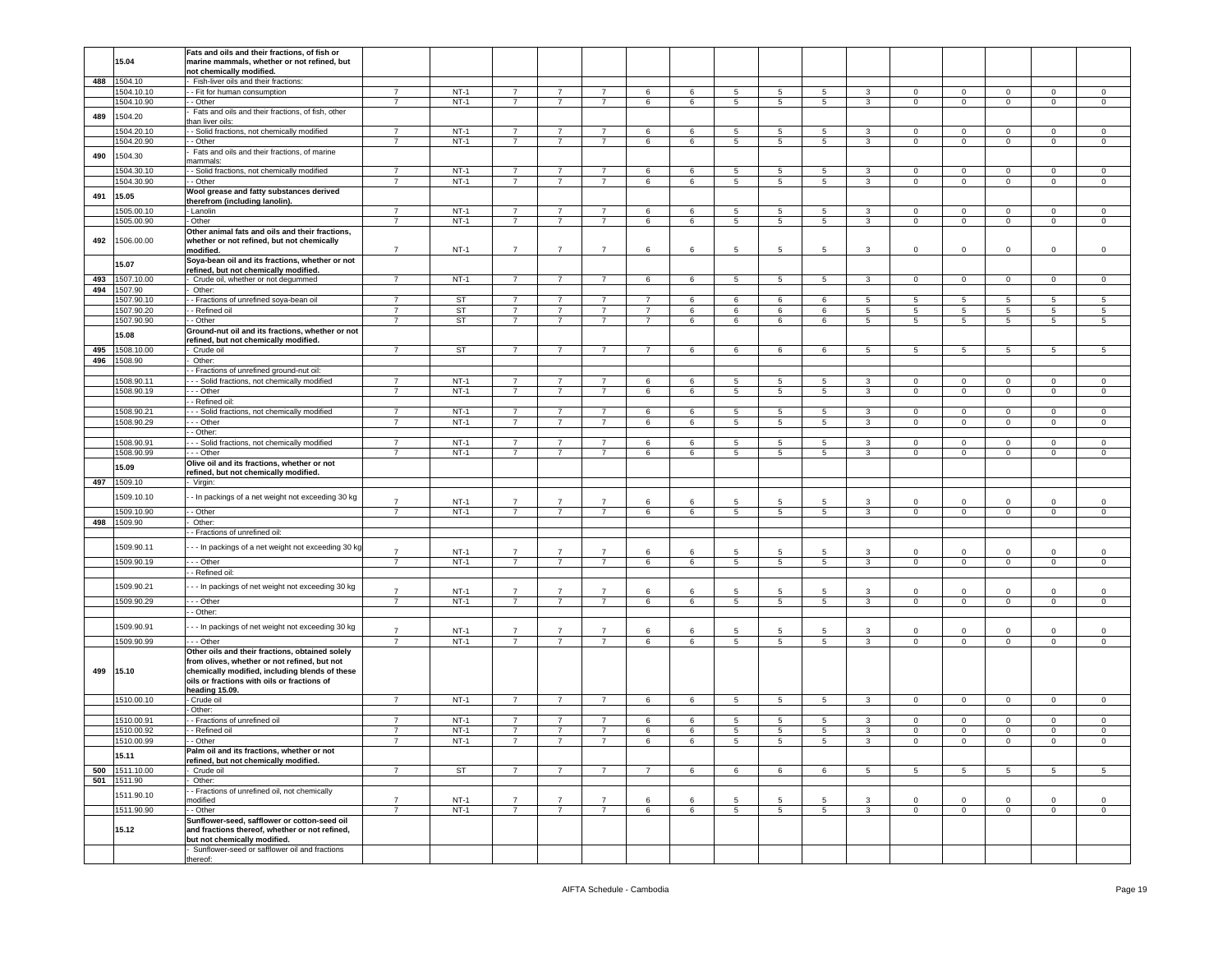|     |            | Fats and oils and their fractions, of fish or       |                          |           |                |                |                |                 |                 |                 |                 |                 |              |                |                 |                 |                |                |
|-----|------------|-----------------------------------------------------|--------------------------|-----------|----------------|----------------|----------------|-----------------|-----------------|-----------------|-----------------|-----------------|--------------|----------------|-----------------|-----------------|----------------|----------------|
|     | 15.04      | marine mammals, whether or not refined, but         |                          |           |                |                |                |                 |                 |                 |                 |                 |              |                |                 |                 |                |                |
|     |            |                                                     |                          |           |                |                |                |                 |                 |                 |                 |                 |              |                |                 |                 |                |                |
|     |            | not chemically modified.                            |                          |           |                |                |                |                 |                 |                 |                 |                 |              |                |                 |                 |                |                |
| 488 | 1504.10    | Fish-liver oils and their fractions:                |                          |           |                |                |                |                 |                 |                 |                 |                 |              |                |                 |                 |                |                |
|     | 1504.10.10 | - Fit for human consumption                         | $\overline{7}$           | $NT-1$    | $\overline{7}$ | 7              | $\overline{7}$ | 6               | 6               | 5               | 5               | 5               | 3            | $\mathbf 0$    | $\mathbf 0$     | 0               | $\mathbf 0$    | 0              |
|     |            |                                                     | $\overline{7}$           | $NT-1$    | $\overline{7}$ | $\overline{7}$ | $\overline{7}$ |                 |                 |                 | $5\phantom{.0}$ | $5\phantom{.0}$ |              | $\circ$        |                 |                 | $\mathsf 0$    |                |
|     | 1504.10.90 | - Other                                             |                          |           |                |                |                | 6               | 6               | $5\phantom{.0}$ |                 |                 | $\mathbf{3}$ |                | $\mathbf 0$     | $\mathsf 0$     |                | $\,0\,$        |
|     |            | Fats and oils and their fractions, of fish, other   |                          |           |                |                |                |                 |                 |                 |                 |                 |              |                |                 |                 |                |                |
| 489 | 1504.20    | han liver oils:                                     |                          |           |                |                |                |                 |                 |                 |                 |                 |              |                |                 |                 |                |                |
|     |            |                                                     | $\overline{7}$           |           | $\overline{7}$ |                |                |                 |                 |                 |                 |                 |              |                |                 |                 |                |                |
|     | 1504.20.10 | - Solid fractions, not chemically modified          |                          | $NT-1$    |                |                |                | 6               | 6               | 5               | 5               | 5               | 3            | 0              | $\mathbf 0$     | 0               | 0              | $\mathbf 0$    |
|     | 1504.20.90 | - Other                                             | $\overline{7}$           | $NT-1$    | $\overline{7}$ | $\overline{7}$ | $\overline{7}$ | 6               | 6               | $5\phantom{.0}$ | $\overline{5}$  | $5\overline{5}$ | $\mathbf{3}$ | $\overline{0}$ | $\mathbf 0$     | $\overline{0}$  | $\mathbf 0$    | $\overline{0}$ |
|     |            | Fats and oils and their fractions, of marine        |                          |           |                |                |                |                 |                 |                 |                 |                 |              |                |                 |                 |                |                |
| 490 | 1504.30    |                                                     |                          |           |                |                |                |                 |                 |                 |                 |                 |              |                |                 |                 |                |                |
|     |            | nammals:                                            |                          |           |                |                |                |                 |                 |                 |                 |                 |              |                |                 |                 |                |                |
|     | 1504.30.10 | - Solid fractions, not chemically modified          | $\overline{7}$           | $NT-1$    | $\overline{7}$ | $\overline{7}$ | $\overline{7}$ | 6               | 6               | 5               | 5               | 5               | 3            | 0              | $\mathbf 0$     | 0               | $\mathbf 0$    | $\mathbf 0$    |
|     | 1504.30.90 | - Other                                             | $\overline{7}$           | $NT-1$    | $\overline{7}$ | $\overline{7}$ | $\overline{7}$ | 6               | 6               | 5               | 5               | 5               | $\mathbf{3}$ | $\mathbf 0$    | $\mathbf 0$     | $\mathsf 0$     | $\mathsf 0$    | $\mathsf 0$    |
|     |            |                                                     |                          |           |                |                |                |                 |                 |                 |                 |                 |              |                |                 |                 |                |                |
| 491 | 15.05      | Wool grease and fatty substances derived            |                          |           |                |                |                |                 |                 |                 |                 |                 |              |                |                 |                 |                |                |
|     |            | herefrom (including lanolin).                       |                          |           |                |                |                |                 |                 |                 |                 |                 |              |                |                 |                 |                |                |
|     | 1505.00.10 | Lanolin                                             | $\overline{7}$           | $NT-1$    | $\overline{7}$ | $\overline{7}$ | $\overline{7}$ | 6               | 6               | 5               | 5               | 5               | 3            | 0              | $\mathbf 0$     | 0               | $\mathbf 0$    | $\mathbf 0$    |
|     |            |                                                     |                          |           |                |                |                |                 |                 |                 |                 |                 |              |                |                 |                 |                |                |
|     | 1505.00.90 | Other                                               | $\overline{7}$           | $NT-1$    | $\overline{7}$ | $\overline{7}$ | 7              | 6               | 6               | 5               | 5               | 5               | 3            | $\overline{0}$ | $\mathbf 0$     | $\mathbf{0}$    | $\mathbf 0$    | $\mathbf 0$    |
|     |            | Other animal fats and oils and their fractions,     |                          |           |                |                |                |                 |                 |                 |                 |                 |              |                |                 |                 |                |                |
|     |            |                                                     |                          |           |                |                |                |                 |                 |                 |                 |                 |              |                |                 |                 |                |                |
| 492 | 1506.00.00 | whether or not refined, but not chemically          |                          |           |                |                |                |                 |                 |                 |                 |                 |              |                |                 |                 |                |                |
|     |            | modified.                                           | $\overline{7}$           | $NT-1$    | $\overline{7}$ | $\overline{7}$ | $\overline{7}$ | 6               | 6               | 5               | 5               | 5               | 3            | 0              | $\mathbf 0$     | 0               | $\mathbf 0$    | $\mathsf 0$    |
|     |            | Soya-bean oil and its fractions, whether or not     |                          |           |                |                |                |                 |                 |                 |                 |                 |              |                |                 |                 |                |                |
|     | 15.07      |                                                     |                          |           |                |                |                |                 |                 |                 |                 |                 |              |                |                 |                 |                |                |
|     |            | efined, but not chemically modified.                |                          |           |                |                |                |                 |                 |                 |                 |                 |              |                |                 |                 |                |                |
| 493 | 1507.10.00 | Crude oil, whether or not degummed                  | $\overline{\phantom{a}}$ | $NT-1$    | $\overline{7}$ | $\overline{7}$ | $\overline{7}$ | 6               | 6               | $\overline{5}$  | $\overline{5}$  | $\overline{5}$  | $\mathbf{3}$ | $\mathbf 0$    | $\overline{0}$  | $\mathbf{0}$    | $\overline{0}$ | $\mathsf 0$    |
| 494 | 1507.90    | Other:                                              |                          |           |                |                |                |                 |                 |                 |                 |                 |              |                |                 |                 |                |                |
|     |            |                                                     |                          |           |                |                |                |                 |                 |                 |                 |                 |              |                |                 |                 |                |                |
|     | 1507.90.10 | - Fractions of unrefined soya-bean oil              | $\overline{7}$           | <b>ST</b> | $\overline{7}$ | $\overline{7}$ | $\overline{7}$ | 7               | 6               | 6               | 6               | 6               | 5            | 5              | $5\phantom{.0}$ | 5               | 5              | 5              |
|     | 1507.90.20 | - Refined oil                                       | $\overline{7}$           | ST        | 7              | 7              | 7              | $\overline{7}$  | 6               | 6               | 6               | 6               | 5            | 5              | 5               | 5               | 5              | 5              |
|     |            |                                                     |                          |           |                |                |                |                 |                 |                 |                 |                 |              |                |                 |                 |                |                |
|     | 1507.90.90 | - Other                                             | $\overline{7}$           | ST        | $\overline{7}$ | $\overline{7}$ | $\overline{7}$ | $\overline{7}$  | 6               | 6               | 6               | 6               | $5^{\circ}$  | 5              | $5\phantom{.0}$ | $5\overline{5}$ | 5              | 5              |
|     |            | Ground-nut oil and its fractions, whether or not    |                          |           |                |                |                |                 |                 |                 |                 |                 |              |                |                 |                 |                |                |
|     | 15.08      | efined, but not chemically modified.                |                          |           |                |                |                |                 |                 |                 |                 |                 |              |                |                 |                 |                |                |
|     |            |                                                     |                          |           |                |                |                |                 |                 |                 |                 |                 |              |                |                 |                 |                |                |
| 495 | 1508.10.00 | Crude oil                                           | $\overline{7}$           | ST        | $\overline{7}$ | 7              | $\overline{7}$ | $\overline{7}$  | 6               | 6               | 6               | 6               | 5            | 5              | 5               | 5               | 5              | 5              |
| 496 | 1508.90    | Other:                                              |                          |           |                |                |                |                 |                 |                 |                 |                 |              |                |                 |                 |                |                |
|     |            | - Fractions of unrefined ground-nut oil:            |                          |           |                |                |                |                 |                 |                 |                 |                 |              |                |                 |                 |                |                |
|     |            |                                                     |                          |           |                |                |                |                 |                 |                 |                 |                 |              |                |                 |                 |                |                |
|     | 1508.90.11 | - - Solid fractions, not chemically modified        | $\overline{7}$           | $NT-1$    | $\overline{7}$ | $\overline{7}$ | $\overline{7}$ | 6               | 6               | 5               | 5               | 5               | 3            | 0              | $\mathbf 0$     | 0               | $\mathbf 0$    | $\mathsf 0$    |
|     | 1508.90.19 | - - Other                                           | $\overline{7}$           | $NT-1$    | $\overline{7}$ | $\overline{7}$ | $\overline{7}$ | 6               | 6               | 5               | 5               | 5               | $\mathbf{3}$ | $\mathbf 0$    | $\mathbf 0$     | $\mathbf 0$     | $\mathsf 0$    | $\mathsf 0$    |
|     |            | - Refined oil:                                      |                          |           |                |                |                |                 |                 |                 |                 |                 |              |                |                 |                 |                |                |
|     |            |                                                     |                          |           |                |                |                |                 |                 |                 |                 |                 |              |                |                 |                 |                |                |
|     | 1508.90.21 | - - Solid fractions, not chemically modified        | $\overline{7}$           | $NT-1$    | $\overline{7}$ | $\overline{7}$ | $\overline{7}$ | 6               | 6               | 5               | 5               | 5               | 3            | $\mathbf 0$    | $\,0\,$         | $\mathbf 0$     | $\mathbf 0$    | $\mathsf 0$    |
|     | 1508.90.29 | - - Other                                           | $\overline{7}$           | $NT-1$    | 7              | $\overline{7}$ | 7              | 6               | 6               | 5               | 5               | 5               | 3            | $\overline{0}$ | $\mathbf 0$     | $\mathbf{0}$    | $\mathbf{0}$   | $\mathbf{0}$   |
|     |            |                                                     |                          |           |                |                |                |                 |                 |                 |                 |                 |              |                |                 |                 |                |                |
|     |            | - Other:                                            |                          |           |                |                |                |                 |                 |                 |                 |                 |              |                |                 |                 |                |                |
|     | 1508.90.91 | - Solid fractions, not chemically modified          | $\overline{7}$           | $NT-1$    | $\overline{7}$ | $\overline{7}$ | $\overline{7}$ | $\,6\,$         | 6               | 5               | 5               | 5               | 3            | $\mathbf 0$    | $\mathbf 0$     | 0               | $\mathbf 0$    | $\,0\,$        |
|     | 1508.90.99 | - - Other                                           | $\overline{7}$           | $NT-1$    | $\overline{7}$ | $\overline{7}$ | $\overline{7}$ | 6               | 6               | 5               | 5               | 5               | 3            | $\mathbf 0$    | $\mathbf 0$     | $\mathbf 0$     | $\mathbf 0$    | 0              |
|     |            |                                                     |                          |           |                |                |                |                 |                 |                 |                 |                 |              |                |                 |                 |                |                |
|     | 15.09      | Olive oil and its fractions, whether or not         |                          |           |                |                |                |                 |                 |                 |                 |                 |              |                |                 |                 |                |                |
|     |            | efined, but not chemically modified.                |                          |           |                |                |                |                 |                 |                 |                 |                 |              |                |                 |                 |                |                |
| 497 | 1509.10    | Virgin:                                             |                          |           |                |                |                |                 |                 |                 |                 |                 |              |                |                 |                 |                |                |
|     |            |                                                     |                          |           |                |                |                |                 |                 |                 |                 |                 |              |                |                 |                 |                |                |
|     | 1509.10.10 | - In packings of a net weight not exceeding 30 kg   |                          |           |                |                |                |                 |                 |                 |                 |                 |              |                |                 |                 |                |                |
|     |            |                                                     | $\overline{7}$           | $NT-1$    | $\overline{7}$ |                | $\overline{7}$ | 6               |                 | 5               |                 | 5               |              | 0              | $\mathbf 0$     |                 | $\mathbf 0$    | 0              |
|     | 1509.10.90 | - Other                                             | $\overline{7}$           | $NT-1$    | $\overline{7}$ | $\overline{7}$ | $\overline{7}$ | 6               | 6               | 5               | 5               | $5\overline{5}$ | $\mathbf{3}$ | $\mathbf 0$    | $\mathbf 0$     | $\circ$         | $\mathbf 0$    | $\mathbf 0$    |
|     |            |                                                     |                          |           |                |                |                |                 |                 |                 |                 |                 |              |                |                 |                 |                |                |
| 498 | 1509.90    | Other:                                              |                          |           |                |                |                |                 |                 |                 |                 |                 |              |                |                 |                 |                |                |
|     |            | - Fractions of unrefined oil:                       |                          |           |                |                |                |                 |                 |                 |                 |                 |              |                |                 |                 |                |                |
|     |            |                                                     |                          |           |                |                |                |                 |                 |                 |                 |                 |              |                |                 |                 |                |                |
|     | 1509.90.11 | - - In packings of a net weight not exceeding 30 kg | $\overline{7}$           | $NT-1$    | $\overline{7}$ | $\overline{7}$ | $\overline{7}$ | 6               | 6               | 5               | 5               | 5               |              |                | $\mathbf 0$     | $\mathbf 0$     |                | $\mathsf 0$    |
|     |            |                                                     |                          |           |                |                |                |                 |                 |                 |                 |                 | 3            | 0              |                 |                 | 0              |                |
|     | 1509.90.19 | $-$ Other                                           | $\overline{7}$           | $NT-1$    | $\overline{7}$ | $\overline{7}$ | $\overline{7}$ | $6\overline{6}$ | $6\overline{6}$ | $5\phantom{.0}$ | 5               | $5\overline{5}$ | 3            | $\overline{0}$ | $\overline{0}$  | $\mathbf{0}$    | $\overline{0}$ | $\overline{0}$ |
|     |            | - Refined oil:                                      |                          |           |                |                |                |                 |                 |                 |                 |                 |              |                |                 |                 |                |                |
|     |            |                                                     |                          |           |                |                |                |                 |                 |                 |                 |                 |              |                |                 |                 |                |                |
|     | 1509.90.21 | - - In packings of net weight not exceeding 30 kg   |                          |           |                |                |                |                 |                 |                 |                 |                 |              |                |                 |                 |                |                |
|     |            |                                                     | $\overline{7}$           | $NT-1$    | $\overline{7}$ | $\overline{7}$ | $\overline{7}$ | 6               | 6               | 5               | -5              | 5               | 3            | $\mathbf 0$    | $\overline{0}$  | $\mathbf 0$     | $\circ$        | $\mathsf 0$    |
|     | 1509.90.29 | $- -$ Other                                         | $\overline{7}$           | $NT-1$    | $\overline{7}$ | $\overline{7}$ | $\overline{7}$ | 6               | 6               | $\overline{5}$  | $\overline{5}$  | $\overline{5}$  | 3            | $\circ$        | $\overline{0}$  | $\overline{0}$  | $\overline{0}$ | $\mathsf 0$    |
|     |            | - Other:                                            |                          |           |                |                |                |                 |                 |                 |                 |                 |              |                |                 |                 |                |                |
|     |            |                                                     |                          |           |                |                |                |                 |                 |                 |                 |                 |              |                |                 |                 |                |                |
|     | 1509.90.91 | - - In packings of net weight not exceeding 30 kg   |                          |           |                |                |                |                 |                 |                 |                 |                 |              |                |                 |                 |                |                |
|     |            |                                                     | $\overline{7}$           | $NT-1$    | $\overline{7}$ | $\overline{7}$ | $\overline{7}$ | 6               | 6               | 5               | -5              | 5               | 3            | $\mathbf 0$    | $\Omega$        | $\Omega$        | $\mathbf 0$    | $\mathsf 0$    |
|     | 1509.90.99 | $\cdot$ - Other                                     | -7                       | $NT-1$    | $\overline{7}$ | $\overline{7}$ | $\overline{7}$ | 6               | 6               | 5               | 5               | 5               | 3            | $\mathbf 0$    | $\mathbf 0$     | $\mathbf 0$     | $\mathbf 0$    | $\mathsf 0$    |
|     |            |                                                     |                          |           |                |                |                |                 |                 |                 |                 |                 |              |                |                 |                 |                |                |
|     |            | Other oils and their fractions, obtained solely     |                          |           |                |                |                |                 |                 |                 |                 |                 |              |                |                 |                 |                |                |
|     |            | from olives, whether or not refined, but not        |                          |           |                |                |                |                 |                 |                 |                 |                 |              |                |                 |                 |                |                |
| 499 | 15.10      | chemically modified, including blends of these      |                          |           |                |                |                |                 |                 |                 |                 |                 |              |                |                 |                 |                |                |
|     |            |                                                     |                          |           |                |                |                |                 |                 |                 |                 |                 |              |                |                 |                 |                |                |
|     |            | oils or fractions with oils or fractions of         |                          |           |                |                |                |                 |                 |                 |                 |                 |              |                |                 |                 |                |                |
|     |            | eading 15.09.                                       |                          |           |                |                |                |                 |                 |                 |                 |                 |              |                |                 |                 |                |                |
|     | 1510.00.10 | Crude oil                                           | $\overline{\phantom{a}}$ | $NT-1$    | $\overline{7}$ | $\overline{7}$ | $\overline{7}$ | 6               | 6               | $5\overline{)}$ | $5\phantom{.0}$ | $\overline{5}$  | $\mathbf{3}$ | $\overline{0}$ | $\overline{0}$  | $\mathbf 0$     | $\mathbf 0$    | $\,0\,$        |
|     |            |                                                     |                          |           |                |                |                |                 |                 |                 |                 |                 |              |                |                 |                 |                |                |
|     |            | Other:                                              |                          |           |                |                |                |                 |                 |                 |                 |                 |              |                |                 |                 |                |                |
|     | 1510.00.91 | - Fractions of unrefined oil                        | $\overline{7}$           | $NT-1$    | $\overline{7}$ | 7              | 7              | 6               | 6               | 5               | 5               | 5               | 3            | $^{\circ}$     | $\mathbf{0}$    | $^{\circ}$      | $\mathbf 0$    | $\mathbf 0$    |
|     | 1510.00.92 | - Refined oil                                       | $\overline{7}$           | $NT-1$    | $\overline{7}$ | $\overline{7}$ | 7              | 6               | 6               | 5               | 5               | 5               | 3            | $\mathbf 0$    | $\mathbf 0$     | $\mathbf 0$     | 0              | $\mathbf 0$    |
|     |            |                                                     |                          |           |                |                |                |                 |                 |                 |                 |                 |              |                |                 |                 |                |                |
|     | 1510.00.99 | - Other                                             |                          | $NT-$     |                |                |                |                 |                 |                 |                 |                 |              |                |                 |                 |                |                |
|     |            | Palm oil and its fractions, whether or not          |                          |           |                |                |                |                 |                 |                 |                 |                 |              |                |                 |                 |                |                |
|     | 15.11      | refined, but not chemically modified.               |                          |           |                |                |                |                 |                 |                 |                 |                 |              |                |                 |                 |                |                |
|     |            |                                                     |                          |           |                |                |                |                 |                 |                 |                 |                 |              |                |                 |                 |                |                |
| 500 | 1511.10.00 | Crude oil                                           | $\overline{7}$           | ST        | $\overline{7}$ | $\overline{7}$ | $\overline{7}$ | $\overline{7}$  | 6               | 6               | 6               | 6               | 5            | 5              | 5               | 5               | 5              | 5              |
| 501 | 1511.90    | Other:                                              |                          |           |                |                |                |                 |                 |                 |                 |                 |              |                |                 |                 |                |                |
|     |            | - Fractions of unrefined oil, not chemically        |                          |           |                |                |                |                 |                 |                 |                 |                 |              |                |                 |                 |                |                |
|     | 1511.90.10 | nodified                                            | $\overline{7}$           | $NT-1$    | $\overline{7}$ | $\overline{7}$ | $\overline{7}$ | 6               | $\epsilon$      | 5               | -5              | 5               | 3            | $\Omega$       | $\mathbf 0$     | $\Omega$        | $\mathbf 0$    | $\mathbf 0$    |
|     |            |                                                     |                          |           |                |                |                |                 |                 |                 |                 |                 |              |                |                 |                 |                |                |
|     | 1511.90.90 | - Other                                             | $\overline{7}$           | $NT-1$    | $\overline{7}$ | $\overline{7}$ | $\overline{7}$ | 6               | 6               | 5               | 5               | $5\overline{5}$ | $\mathbf{3}$ | $\circ$        | $\overline{0}$  | $\mathbf{0}$    | $\mathbf 0$    | $\mathbf{0}$   |
|     |            | Sunflower-seed, safflower or cotton-seed oil        |                          |           |                |                |                |                 |                 |                 |                 |                 |              |                |                 |                 |                |                |
|     | 15.12      | and fractions thereof, whether or not refined,      |                          |           |                |                |                |                 |                 |                 |                 |                 |              |                |                 |                 |                |                |
|     |            |                                                     |                          |           |                |                |                |                 |                 |                 |                 |                 |              |                |                 |                 |                |                |
|     |            | but not chemically modified.                        |                          |           |                |                |                |                 |                 |                 |                 |                 |              |                |                 |                 |                |                |
|     |            | Sunflower-seed or safflower oil and fractions       |                          |           |                |                |                |                 |                 |                 |                 |                 |              |                |                 |                 |                |                |
|     |            | thereof:                                            |                          |           |                |                |                |                 |                 |                 |                 |                 |              |                |                 |                 |                |                |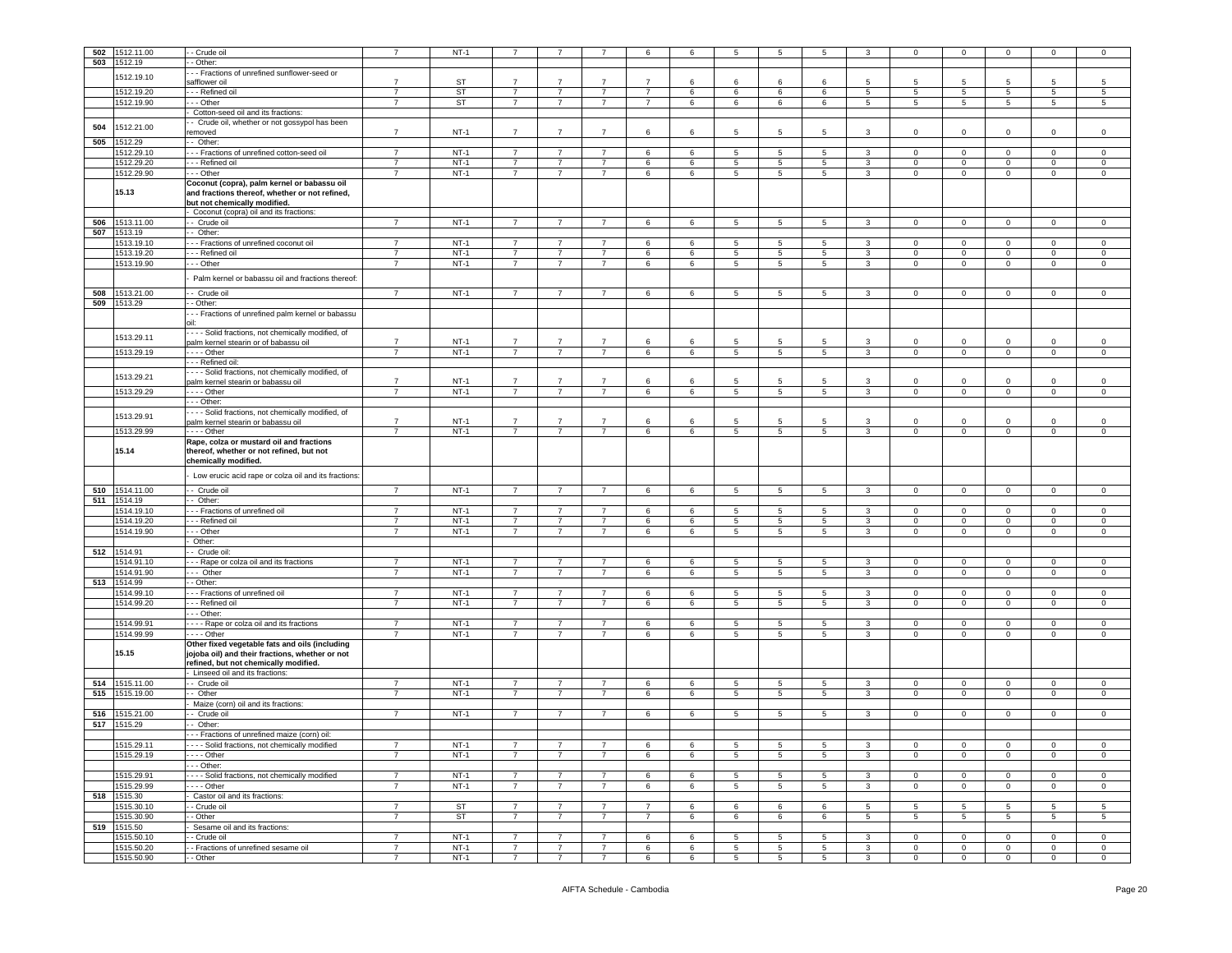|     |             |                                                                                                                               | $\overline{7}$ |             |                |                 |                | 6              |    | 5               |                 | 5               |                | $\Omega$        |                 | $\Omega$        | $\Omega$        |                 |
|-----|-------------|-------------------------------------------------------------------------------------------------------------------------------|----------------|-------------|----------------|-----------------|----------------|----------------|----|-----------------|-----------------|-----------------|----------------|-----------------|-----------------|-----------------|-----------------|-----------------|
| 502 | 1512.11.00  | - Crude oil                                                                                                                   |                | $NT-1$      |                |                 |                |                | 6  |                 | -5              |                 |                |                 | $\mathbf 0$     |                 |                 | $^{\circ}$      |
| 503 | 1512.19     | - Other:                                                                                                                      |                |             |                |                 |                |                |    |                 |                 |                 |                |                 |                 |                 |                 |                 |
|     | 1512.19.10  | - - Fractions of unrefined sunflower-seed or                                                                                  |                |             |                |                 |                |                |    |                 |                 |                 |                |                 |                 |                 |                 |                 |
|     |             | safflower oil                                                                                                                 | $\overline{7}$ | ST          | $\overline{7}$ | $\overline{7}$  | $\overline{7}$ | $\overline{7}$ | 6  | 6               | 6               | 6               | 5              | 5               | 5               |                 | 5               | -5              |
|     | 1512.19.20  | - - Refined oil                                                                                                               | $\overline{7}$ | ST          | $\overline{7}$ | $\overline{7}$  | $\overline{7}$ | $\overline{7}$ | 6  | 6               | 6               | 6               | 5              | 5               | $\sqrt{5}$      | 5               | 5               | 5               |
|     | 1512.19.90  | - - Other                                                                                                                     | $\overline{7}$ | <b>ST</b>   | $\overline{7}$ | $\overline{7}$  | $\overline{7}$ | $\overline{7}$ | 6  | 6               | 6               | 6               | $5^{\circ}$    | $5\overline{)}$ | $\overline{5}$  | $5\phantom{.0}$ | $\overline{5}$  | $\overline{5}$  |
|     |             | Cotton-seed oil and its fractions:                                                                                            |                |             |                |                 |                |                |    |                 |                 |                 |                |                 |                 |                 |                 |                 |
|     |             | - Crude oil, whether or not gossypol has been                                                                                 |                |             |                |                 |                |                |    |                 |                 |                 |                |                 |                 |                 |                 |                 |
| 504 | 1512.21.00  | emoved                                                                                                                        | $\overline{7}$ | $NT-1$      | $\overline{7}$ | $\overline{7}$  | $\overline{7}$ | 6              | 6  | 5               | 5               | 5               | 3              | $\mathbf{0}$    | $\mathbf 0$     | $\mathbf 0$     | $\mathbf 0$     | $\mathsf 0$     |
| 505 | 1512.29     | - Other:                                                                                                                      |                |             |                |                 |                |                |    |                 |                 |                 |                |                 |                 |                 |                 |                 |
|     | 1512.29.10  | - - Fractions of unrefined cotton-seed oil                                                                                    | $\overline{7}$ | $NT-1$      | $\overline{7}$ | $\overline{7}$  | $\overline{7}$ | 6              | 6  | 5               | 5               | 5               | $\mathbf{3}$   | $\mathbf{0}$    | $\mathbf 0$     | $\mathbf 0$     | $\mathbf 0$     | 0               |
|     | 1512.29.20  | - - Refined oil                                                                                                               | $\overline{7}$ | $NT-1$      | $\overline{7}$ | $\overline{7}$  | $\overline{7}$ | 6              | 6  | 5               | 5               | $\sqrt{5}$      | 3              | $\mathbf 0$     | $\mathbf 0$     | $\mathsf 0$     | $\mathbf 0$     | $^{\circ}$      |
|     |             |                                                                                                                               | $\overline{7}$ |             | $\overline{7}$ | $\overline{7}$  | $\overline{7}$ |                |    |                 |                 |                 |                |                 |                 |                 |                 |                 |
|     | 1512.29.90  | - - Other                                                                                                                     |                | $NT-1$      |                |                 |                | 6              | 6  | 5               | 5               | 5               | 3              | 0               | $\mathbf 0$     | $\mathbf 0$     | $\mathbf 0$     | 0               |
|     | 15.13       | Coconut (copra), palm kernel or babassu oil<br>and fractions thereof, whether or not refined,<br>but not chemically modified. |                |             |                |                 |                |                |    |                 |                 |                 |                |                 |                 |                 |                 |                 |
|     |             | Coconut (copra) oil and its fractions:                                                                                        |                |             |                |                 |                |                |    |                 |                 |                 |                |                 |                 |                 |                 |                 |
| 506 | 1513.11.00  | - Crude oil                                                                                                                   | $\overline{7}$ | $NT-1$      | $\overline{7}$ | $\overline{7}$  | $\overline{7}$ | 6              | 6  | 5               | 5               | 5               | 3              | $\mathbf 0$     | $\mathbf 0$     | $\Omega$        | $\Omega$        | 0               |
| 507 | 1513.19     | - Other:                                                                                                                      |                |             |                |                 |                |                |    |                 |                 |                 |                |                 |                 |                 |                 |                 |
|     | 1513.19.10  | - - Fractions of unrefined coconut oil                                                                                        | $\overline{7}$ | $NT-1$      | $\overline{7}$ | 7               | $\overline{7}$ | 6              | 6  | 5               | 5               | 5               | 3              | $\mathbf{0}$    | $\mathbf 0$     | $\mathbf 0$     | $\mathbf 0$     | 0               |
|     | 1513.19.20  | - - Refined oil                                                                                                               | $\overline{7}$ | $NT-1$      | $\overline{7}$ | $\overline{7}$  | $\overline{7}$ | 6              | 6  | 5               | $5\phantom{.0}$ | 5               | 3              | $\mathbf{0}$    | $\mathbf 0$     | $\mathbf 0$     | $\mathsf 0$     | $\mathsf 0$     |
|     | 1513.19.90  | - - Other                                                                                                                     | $\overline{7}$ | $NT-1$      | $\overline{7}$ | $\overline{7}$  | $\overline{7}$ | 6              | 6  | 5               | 5               | 5               | 3              | $\mathbf{0}$    | $\mathbf 0$     | $\mathbf 0$     | $\mathbf 0$     | 0               |
|     |             |                                                                                                                               |                |             |                |                 |                |                |    |                 |                 |                 |                |                 |                 |                 |                 |                 |
|     |             | Palm kernel or babassu oil and fractions thereof:                                                                             |                |             |                |                 |                |                |    |                 |                 |                 |                |                 |                 |                 |                 |                 |
| 508 |             | - Crude oil                                                                                                                   | $\overline{7}$ | $NT-1$      | $\overline{7}$ | $\overline{7}$  | $\overline{7}$ | 6              | 6  | 5               | 5               | $5^{\circ}$     | 3              | $\mathbf{0}$    | $\mathbf 0$     | $\mathbf 0$     | $\mathbf 0$     | $\mathsf 0$     |
|     | 1513.21.00  |                                                                                                                               |                |             |                |                 |                |                |    |                 |                 |                 |                |                 |                 |                 |                 |                 |
| 509 | 1513.29     | - Other:                                                                                                                      |                |             |                |                 |                |                |    |                 |                 |                 |                |                 |                 |                 |                 |                 |
|     |             | - - Fractions of unrefined palm kernel or babassu                                                                             |                |             |                |                 |                |                |    |                 |                 |                 |                |                 |                 |                 |                 |                 |
|     |             |                                                                                                                               |                |             |                |                 |                |                |    |                 |                 |                 |                |                 |                 |                 |                 |                 |
|     | 1513.29.11  | - - - Solid fractions, not chemically modified, of                                                                            |                |             |                |                 |                |                |    |                 |                 |                 |                |                 |                 |                 |                 |                 |
|     |             | palm kernel stearin or of babassu oil                                                                                         | $\overline{7}$ | $NT-1$      | $\overline{7}$ | $\overline{7}$  | $\overline{7}$ | 6              | 6  | 5               | -5              | 5               | 3              | $\circ$         | $\mathbf 0$     | $\Omega$        | $\circ$         | $\mathbf 0$     |
|     | 1513.29.19  | $- -$ Other                                                                                                                   | $\overline{7}$ | $NT-1$      | $\overline{7}$ | 7               | $\overline{7}$ | 6              | 6  | 5               | $5\phantom{.0}$ | 5               | 3              | $\overline{0}$  | $\overline{0}$  | $\mathbf 0$     | $\mathbf 0$     | $\circ$         |
|     |             | - - Refined oil:                                                                                                              |                |             |                |                 |                |                |    |                 |                 |                 |                |                 |                 |                 |                 |                 |
|     |             | --- Solid fractions, not chemically modified, of                                                                              |                |             |                |                 |                |                |    |                 |                 |                 |                |                 |                 |                 |                 |                 |
|     | 1513.29.21  | palm kernel stearin or babassu oil                                                                                            | $\overline{7}$ | $NT-1$      | $\overline{7}$ | $\overline{7}$  | $\overline{7}$ | 6              | 6  | 5               | $5\overline{5}$ | 5               | 3              | $\mathbf 0$     | $\mathbf 0$     | $\Omega$        | $\circ$         | $\mathbf 0$     |
|     | 1513.29.29  | $- -$ - Other                                                                                                                 | $\overline{7}$ | $NT-1$      | $\overline{7}$ | $\overline{7}$  | $\overline{7}$ | 6              | 6  | $\overline{5}$  | $\overline{5}$  | $\overline{5}$  | 3              | $\mathbf 0$     | $\overline{0}$  | $\overline{0}$  | $\overline{0}$  | $\mathsf 0$     |
|     |             | - - Other:                                                                                                                    |                |             |                |                 |                |                |    |                 |                 |                 |                |                 |                 |                 |                 |                 |
|     |             | - - - Solid fractions, not chemically modified, of                                                                            |                |             |                |                 |                |                |    |                 |                 |                 |                |                 |                 |                 |                 |                 |
|     | 1513.29.91  | palm kernel stearin or babassu oil                                                                                            | $\overline{7}$ | $NT-1$      | $\overline{7}$ | $\overline{7}$  | $\overline{7}$ | 6              | 6  | 5               | -5              | 5               | 3              | $\mathbf 0$     | $\mathbf 0$     | $\Omega$        | $\Omega$        | 0               |
|     | 1513.29.99  | $- -$ Other                                                                                                                   | $\overline{7}$ | $NT-1$      | $\overline{7}$ | $\overline{7}$  | $\overline{7}$ | 6              | 6  | 5               | 5               | $5^{\circ}$     | 3              | $\mathbf{0}$    | $\mathbf 0$     | $\mathbf{0}$    | $\mathbf 0$     | $\mathsf 0$     |
|     |             | Rape, colza or mustard oil and fractions                                                                                      |                |             |                |                 |                |                |    |                 |                 |                 |                |                 |                 |                 |                 |                 |
|     | 15.14       | thereof, whether or not refined, but not<br>chemically modified.                                                              |                |             |                |                 |                |                |    |                 |                 |                 |                |                 |                 |                 |                 |                 |
|     |             | Low erucic acid rape or colza oil and its fractions:                                                                          |                |             |                |                 |                |                |    |                 |                 |                 |                |                 |                 |                 |                 |                 |
|     |             |                                                                                                                               |                |             |                |                 |                |                |    |                 |                 |                 |                |                 |                 |                 |                 |                 |
| 510 | 1514.11.00  | - Crude oil                                                                                                                   | $\overline{7}$ | <b>NT-1</b> | $\overline{7}$ | $\overline{7}$  | $\overline{7}$ | 6              | 6  | 5               | 5               | 5               | 3              | $\overline{0}$  | $\mathbf 0$     | $\mathbf 0$     | $\mathbf 0$     | $\circ$         |
| 511 | 1514.19     | Other:                                                                                                                        |                |             |                |                 |                |                |    |                 |                 |                 |                |                 |                 |                 |                 |                 |
|     | 1514.19.10  | - - Fractions of unrefined oil                                                                                                | $\overline{7}$ | $NT-1$      | 7              | 7               | $\overline{7}$ | 6              | 6  | 5               | -5              | 5               | 3              | $\Omega$        | $\mathbf 0$     | $\Omega$        | $\Omega$        | 0               |
|     | 1514.19.20  | - - Refined oil                                                                                                               | $\overline{7}$ | $NT-1$      | $\overline{7}$ | $\overline{7}$  | $\overline{7}$ | 6              | 6  | 5               | 5               | 5               | 3              | $\mathbf 0$     | $\mathbf 0$     | 0               | $\mathbf 0$     | $\mathsf 0$     |
|     | 1514.19.90  | - - Other                                                                                                                     | $\overline{7}$ | $NT-1$      | $\overline{7}$ | $\overline{7}$  | $\overline{7}$ | 6              | 6  | 5               | 5               | 5 <sup>5</sup>  | 3              | $\circ$         | $\mathbf 0$     | $\mathbf 0$     | $\circ$         | $\mathsf 0$     |
|     |             | Other:                                                                                                                        |                |             |                |                 |                |                |    |                 |                 |                 |                |                 |                 |                 |                 |                 |
|     |             |                                                                                                                               |                |             |                |                 |                |                |    |                 |                 |                 |                |                 |                 |                 |                 |                 |
| 512 | 1514.91     | - Crude oil:                                                                                                                  |                |             |                |                 |                |                |    |                 |                 |                 |                |                 |                 |                 |                 |                 |
|     | 1514.91.10  | - - Rape or colza oil and its fractions                                                                                       | 7              | $NT-1$      | 7              | 7               | 7              | 6              | 6  | 5               | 5               | 5               | 3              | $\mathbf{0}$    | $\mathbf{0}$    | $^{\circ}$      | $\mathbf{0}$    | 0               |
|     | 1514.91.90  | -- Other                                                                                                                      | $\overline{7}$ | $NT-1$      | $\overline{7}$ | $\overline{7}$  | $\overline{7}$ | 6              | 6  | 5               | 5               | 5               | 3              | $\mathbf{0}$    | $\mathbf 0$     | $\mathbf 0$     | $\mathbf 0$     | $\mathsf 0$     |
| 513 | 1514.99     | - Other:                                                                                                                      |                |             |                |                 |                |                |    |                 |                 |                 |                |                 |                 |                 |                 |                 |
|     | 1514.99.10  | - - Fractions of unrefined oil                                                                                                | $\overline{7}$ | $NT-1$      | $\overline{7}$ | $\overline{7}$  | $\overline{7}$ | 6              | 6  | 5               | 5               | 5               | 3              | $\mathbf 0$     | $\mathbf 0$     | $\mathbf 0$     | $\mathbf 0$     | $^{\circ}$      |
|     | 1514.99.20  | - - Refined oil                                                                                                               | $\overline{7}$ | $NT-1$      | $\overline{7}$ | $\overline{7}$  | $\overline{7}$ | 6              | 6  | 5               | 5               | 5               | 3              | 0               | $\mathbf 0$     | 0               | $\mathbf 0$     | 0               |
|     |             | - - Other:                                                                                                                    |                |             |                |                 |                |                |    |                 |                 |                 |                |                 |                 |                 |                 |                 |
|     | 1514.99.91  | - - - Rape or colza oil and its fractions                                                                                     | $\overline{7}$ | $NT-1$      | $\overline{7}$ | $\overline{7}$  | $\overline{7}$ | 6              | 6  | 5               | 5               | 5               | 3              | $\mathbf 0$     | $\mathbf 0$     | $\mathbf 0$     | $\mathbf{0}$    | 0               |
|     | 1514.99.99  | $- -$ - Other                                                                                                                 | $\overline{7}$ | $NT-1$      | $\overline{7}$ | $\overline{7}$  | $\overline{7}$ | 6              | 6  | 5               | 5               | 5               | $\mathbf{3}$   | $\mathbf 0$     | $\mathbf 0$     | $\mathbf 0$     | $\circ$         | $\mathbf 0$     |
|     |             | Other fixed vegetable fats and oils (including                                                                                |                |             |                |                 |                |                |    |                 |                 |                 |                |                 |                 |                 |                 |                 |
|     | 15.15       | jojoba oil) and their fractions, whether or not                                                                               |                |             |                |                 |                |                |    |                 |                 |                 |                |                 |                 |                 |                 |                 |
|     |             | refined, but not chemically modified.                                                                                         |                |             |                |                 |                |                |    |                 |                 |                 |                |                 |                 |                 |                 |                 |
|     |             | Linseed oil and its fractions:                                                                                                |                |             |                |                 |                |                |    |                 |                 |                 |                |                 |                 |                 |                 |                 |
| 514 | 1515.11.00  | - Crude oil                                                                                                                   | 7              | $NT-1$      | 7              | 7               | 7              | 6              | 6  | 5               | 5               | 5               | 3              | $\mathbf{0}$    | $\mathbf{0}$    | $^{\circ}$      | $\mathbf{0}$    | $^{\circ}$      |
| 515 | 1515.19.00  | - Other                                                                                                                       | $\overline{7}$ | $NT-1$      | $\overline{7}$ | $\overline{7}$  | $\overline{7}$ | 6              | 6  | 5               | 5               | 5               | 3              | $\mathbf 0$     | $\mathbf 0$     | $\mathsf 0$     | $\mathbf 0$     | 0               |
|     |             | Maize (corn) oil and its fractions:                                                                                           |                |             |                |                 |                |                |    |                 |                 |                 |                |                 |                 |                 |                 |                 |
| 516 | 1515.21.00  | Crude oil                                                                                                                     | $\overline{7}$ | $NT-1$      | $\overline{7}$ | $\overline{7}$  | $\overline{7}$ | 6              | 6  | 5               | 5               | 5               | 3              | $\mathbf{0}$    | $\mathbf 0$     | $\pmb{0}$       | $\mathsf 0$     | 0               |
| 517 | 1515.29     | Other:                                                                                                                        |                |             |                |                 |                |                |    |                 |                 |                 |                |                 |                 |                 |                 |                 |
|     |             | - - Fractions of unrefined maize (corn) oil:                                                                                  |                |             |                |                 |                |                |    |                 |                 |                 |                |                 |                 |                 |                 |                 |
|     | 1515.29.11  | Solid fractions, not chemically modified                                                                                      | $\overline{7}$ | NT-1        | $\overline{7}$ |                 |                | 6              | -6 | 5               | 5               | 5               | 3              | 0               | $\mathbf 0$     | $\Omega$        | $\mathbf 0$     | 0               |
|     |             |                                                                                                                               |                |             |                |                 |                |                |    |                 |                 |                 |                |                 |                 |                 |                 |                 |
|     | 1515.29.19  | - - - - Other                                                                                                                 | $\overline{7}$ | $NT-1$      | $\overline{7}$ | $\overline{7}$  | $\overline{7}$ | 6              | 6  | 5               | 5               | $5^{\circ}$     | $\mathbf{3}$   | $\mathbf{0}$    | $\mathbf 0$     | $\mathbf 0$     | $\mathbf 0$     | $\mathsf 0$     |
|     |             | - - Other:                                                                                                                    |                |             |                |                 |                |                |    |                 |                 |                 |                |                 |                 |                 |                 |                 |
|     | 1515.29.91  | ---- Solid fractions, not chemically modified                                                                                 | $\overline{7}$ | $NT-1$      | $\overline{7}$ | 7               | $\overline{7}$ | 6              | 6  | 5               | 5               | 5               | 3              | $\mathbf{0}$    | $\mathbf 0$     | $\mathbf 0$     | $\mathbf 0$     | $\mathbf 0$     |
|     | 1515.29.99  | $\cdots$ - Other                                                                                                              | $\overline{7}$ | $NT-1$      | $\overline{7}$ | $7^{\circ}$     | $\overline{7}$ | 6              | 6  | $5\overline{5}$ | $5\phantom{.0}$ | $5\overline{5}$ | 3 <sup>1</sup> | $\overline{0}$  | $\overline{0}$  | $\overline{0}$  | $\overline{0}$  | $\overline{0}$  |
|     | 518 1515.30 | Castor oil and its fractions:                                                                                                 |                |             |                |                 |                |                |    |                 |                 |                 |                |                 |                 |                 |                 |                 |
|     | 1515.30.10  | - Crude oil                                                                                                                   | $\overline{7}$ | ST          | $7^{\circ}$    | $\overline{7}$  | $\overline{7}$ | $\overline{7}$ | 6  | 6               | 6               | 6               | 5 <sub>5</sub> | $5\overline{5}$ | $5\overline{5}$ | 5 <sup>5</sup>  | $5^{\circ}$     | $5\overline{5}$ |
|     | 1515.30.90  | - Other                                                                                                                       | $\overline{7}$ | <b>ST</b>   | $\overline{7}$ | $\overline{7}$  | $\overline{7}$ | $\overline{7}$ | 6  | 6               | 6               | 6               | 5              | $5\overline{5}$ | $5\phantom{.0}$ | $5\overline{5}$ | $5\phantom{.0}$ | $5\phantom{.0}$ |
|     | 519 1515.50 | Sesame oil and its fractions:                                                                                                 |                |             |                |                 |                |                |    |                 |                 |                 |                |                 |                 |                 |                 |                 |
|     | 1515.50.10  | - Crude oil                                                                                                                   | $\overline{7}$ | $NT-1$      | 7              | 7               | $\overline{7}$ | 6              |    | 5               |                 | $5\overline{5}$ |                |                 | $\overline{0}$  |                 | $\mathbf{0}$    | $\overline{0}$  |
|     | 1515.50.20  |                                                                                                                               |                |             |                |                 |                |                | 6  |                 | 5               |                 | 3              | $\mathbf{0}$    |                 | $\mathbf{0}$    |                 |                 |
|     |             | - Fractions of unrefined sesame oil                                                                                           | $\overline{7}$ | $NT-1$      | $\overline{7}$ | $\overline{7}$  | $\overline{7}$ | 6              | 6  | 5               | 5               | $5\overline{5}$ | $\mathbf{3}$   | $\mathbf{0}$    | $\mathbf 0$     | $\mathbf 0$     | $\mathbf 0$     | $\mathbf 0$     |
|     | 1515.50.90  | - Other                                                                                                                       | $\overline{7}$ | NT-1        | 7              | $7\overline{ }$ | $\overline{7}$ | 6              | 6  | $5\overline{5}$ | $5\phantom{.0}$ | $5\overline{5}$ | $\mathbf{3}$   | $\mathbf{0}$    | $\mathbf 0$     | $\overline{0}$  | $\mathsf 0$     | $\mathbf 0$     |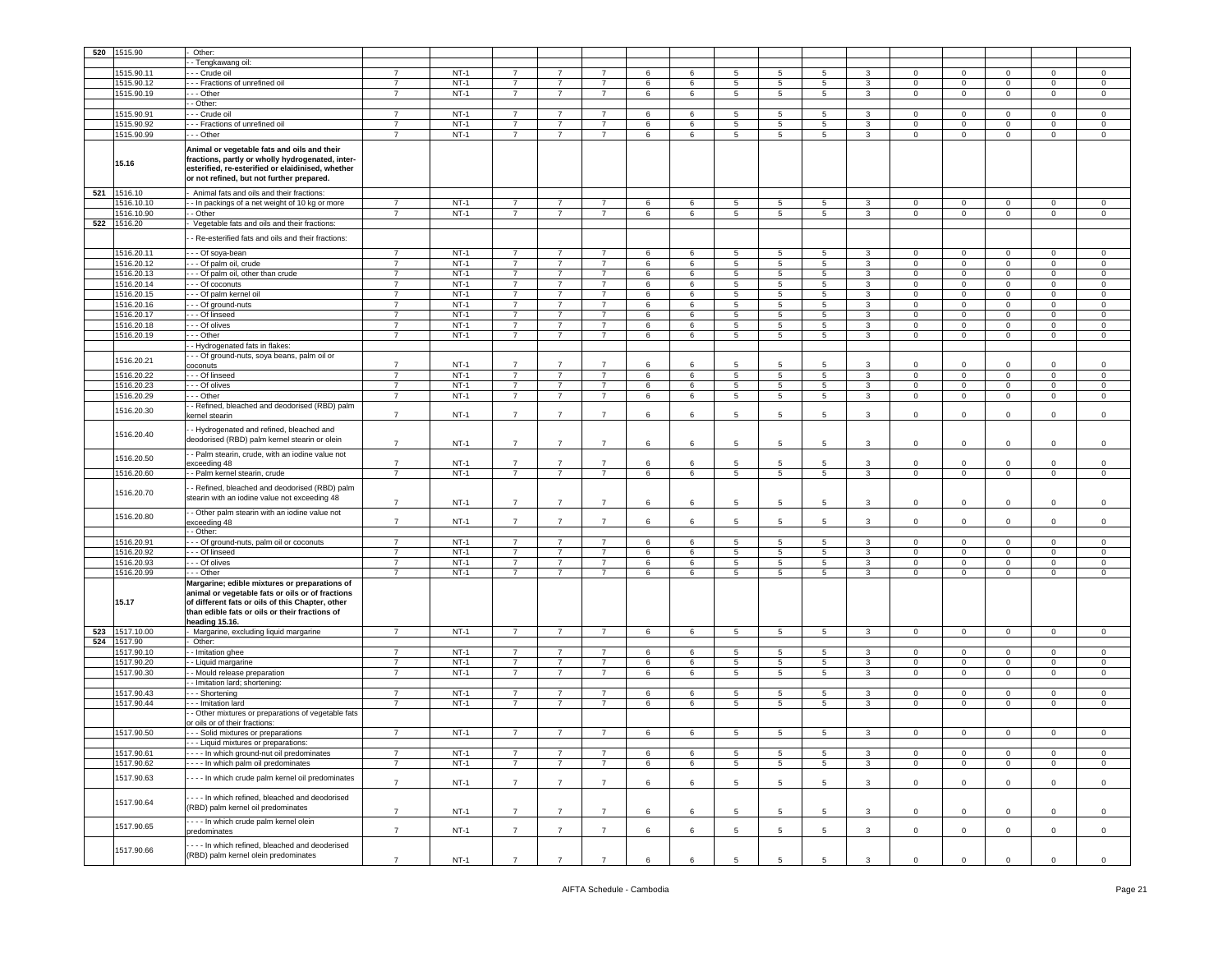| 520 | 1515.90    | Other:                                             |                |        |                |                |                |   |   |                 |                 |                 |              |                |             |              |              |                |
|-----|------------|----------------------------------------------------|----------------|--------|----------------|----------------|----------------|---|---|-----------------|-----------------|-----------------|--------------|----------------|-------------|--------------|--------------|----------------|
|     |            | - Tengkawang oil:                                  |                |        |                |                |                |   |   |                 |                 |                 |              |                |             |              |              |                |
|     | 1515.90.11 | - - Crude oil                                      | $\overline{7}$ | $NT-1$ | $\overline{7}$ | $\overline{7}$ | $\overline{7}$ | 6 | 6 | 5               | 5               | 5               | 3            | $\mathbf 0$    | $\mathbf 0$ | 0            | $\mathbf 0$  | $\mathbf 0$    |
|     | 1515.90.12 | - - Fractions of unrefined oil                     | $\overline{7}$ | $NT-1$ | $\overline{7}$ | $\overline{7}$ | $\overline{7}$ | 6 | 6 | $\sqrt{5}$      | 5               | 5               | $\mathbf{3}$ | $\mathbf 0$    | $\mathbf 0$ | $\mathbf 0$  | $\mathsf 0$  | $\mathsf 0$    |
|     | 1515.90.19 | - - Other                                          | $\overline{7}$ | $NT-1$ | $\overline{7}$ | $\overline{7}$ | $\overline{7}$ | 6 | 6 | $5\overline{)}$ | 5               | 5               | 3            | 0              | $\mathbf 0$ | $\mathbf 0$  | 0            | $\mathbf 0$    |
|     |            |                                                    |                |        |                |                |                |   |   |                 |                 |                 |              |                |             |              |              |                |
|     |            | - Other:                                           |                |        |                |                |                |   |   |                 |                 |                 |              |                |             |              |              |                |
|     | 1515.90.91 | - - - Crude oil                                    | $\overline{7}$ | $NT-1$ | -7             | 7              | 7              | 6 | 6 | 5               | 5               | 5               | 3            | $\mathbf 0$    | $\mathbf 0$ | $^{\circ}$   | $\mathbf{0}$ | $\mathbf 0$    |
|     | 1515.90.92 | - - Fractions of unrefined oil                     | $\overline{7}$ | $NT-1$ | $\overline{7}$ | $\overline{7}$ | $\overline{7}$ | 6 | 6 | 5               | 5               | 5               | 3            | $\mathbf 0$    | $\mathsf 0$ | $\mathbf 0$  | $\mathbf 0$  | $\mathbf 0$    |
|     | 1515.90.99 | - - Other                                          | $\overline{7}$ | $NT-1$ | $\overline{7}$ | $\overline{7}$ | $\overline{7}$ | 6 | 6 | $\sqrt{5}$      | 5               | $\sqrt{5}$      | 3            | $\mathbf 0$    | $\mathbf 0$ | $\mathbf 0$  | $\mathbf 0$  | $\mathsf 0$    |
|     |            |                                                    |                |        |                |                |                |   |   |                 |                 |                 |              |                |             |              |              |                |
|     |            | Animal or vegetable fats and oils and their        |                |        |                |                |                |   |   |                 |                 |                 |              |                |             |              |              |                |
|     |            | fractions, partly or wholly hydrogenated, inter-   |                |        |                |                |                |   |   |                 |                 |                 |              |                |             |              |              |                |
|     | 15.16      | esterified, re-esterified or elaidinised, whether  |                |        |                |                |                |   |   |                 |                 |                 |              |                |             |              |              |                |
|     |            | or not refined, but not further prepared.          |                |        |                |                |                |   |   |                 |                 |                 |              |                |             |              |              |                |
|     |            |                                                    |                |        |                |                |                |   |   |                 |                 |                 |              |                |             |              |              |                |
| 521 | 1516.10    | Animal fats and oils and their fractions:          |                |        |                |                |                |   |   |                 |                 |                 |              |                |             |              |              |                |
|     | 1516.10.10 | - - In packings of a net weight of 10 kg or more   | 7              | NT-1   | 7              | 7              | 7              | 6 | 6 | 5               | 5               | 5               | 3            | $\mathbf 0$    | $\mathbf 0$ | $^{\circ}$   | $\mathbf{0}$ | $\mathbf 0$    |
|     | 1516.10.90 | - Other                                            | $\overline{7}$ | $NT-1$ | $\overline{7}$ | $\overline{7}$ | $\overline{7}$ | 6 | 6 | $5\overline{5}$ | 5               | 5               | $\mathbf{3}$ | $\mathbf 0$    | $\mathsf 0$ | $\mathbf 0$  | $\mathbf 0$  | $\mathbf 0$    |
|     |            |                                                    |                |        |                |                |                |   |   |                 |                 |                 |              |                |             |              |              |                |
| 522 | 1516.20    | Vegetable fats and oils and their fractions:       |                |        |                |                |                |   |   |                 |                 |                 |              |                |             |              |              |                |
|     |            | - Re-esterified fats and oils and their fractions: |                |        |                |                |                |   |   |                 |                 |                 |              |                |             |              |              |                |
|     |            |                                                    |                |        |                |                |                |   |   |                 |                 |                 |              |                |             |              |              |                |
|     | 1516.20.11 | - - - Of soya-bean                                 | $\overline{7}$ | $NT-1$ | $\overline{7}$ | $\overline{7}$ | $\overline{7}$ | 6 | 6 | $5\phantom{.0}$ | 5               | 5               | 3            | $\overline{0}$ | $\,0\,$     | $\mathbf 0$  | $\mathbf 0$  | $\mathsf 0$    |
|     | 1516.20.12 | - - Of palm oil, crude                             | $\overline{7}$ | $NT-1$ | $\overline{7}$ | $\overline{7}$ | $\overline{7}$ | 6 | 6 | $5\overline{5}$ | 5               | $5\phantom{.0}$ | 3            | $\mathbf 0$    | $\mathbf 0$ | $\mathbf 0$  | $\mathbf 0$  | $\mathbf 0$    |
|     | 1516.20.13 | - - Of palm oil, other than crude                  | $\overline{7}$ | $NT-1$ | $\overline{7}$ | $\overline{7}$ | $\overline{7}$ | 6 | 6 | $5\overline{5}$ | 5               | 5               | 3            | 0              | $\mathbf 0$ | $\mathbf 0$  | 0            | $\mathbf 0$    |
|     |            |                                                    |                |        |                |                |                |   |   |                 |                 |                 |              |                |             |              |              |                |
|     | 1516.20.14 | - - Of coconuts                                    | $\overline{7}$ | $NT-1$ | $\overline{7}$ | $\overline{7}$ | $\overline{7}$ | 6 | 6 | $\sqrt{5}$      | 5               | $\,$ 5          | 3            | 0              | $\mathbf 0$ | $\mathbf 0$  | $\mathbf 0$  | $\mathsf 0$    |
|     | 1516.20.15 | - - Of palm kernel oil                             | $\overline{7}$ | $NT-1$ | $\overline{7}$ | $\overline{7}$ | 7              | 6 | 6 | 5               | 5               | 5               | 3            | 0              | $\mathbf 0$ | $\mathbf 0$  | 0            | $\mathbf 0$    |
|     | 1516.20.16 | - - Of ground-nuts                                 | $\overline{7}$ | $NT-1$ | $\overline{7}$ | $\overline{7}$ | $\overline{7}$ | 6 | 6 | $5\overline{)}$ | 5               | 5               | $\mathbf{3}$ | $\mathbf{0}$   | $\mathsf 0$ | $\mathbf 0$  | $\mathbf 0$  | $\mathbf 0$    |
|     | 1516.20.17 | -- Of linseed                                      | $\overline{7}$ | $NT-1$ | $\overline{7}$ | 7              | $\overline{7}$ | 6 | 6 | 5               | 5               | 5               | 3            | $\mathbf{0}$   | $\mathbf 0$ | 0            | 0            | 0              |
|     | 1516.20.18 | - - Of olives                                      | $\overline{7}$ | $NT-1$ | $\overline{7}$ | $\overline{7}$ | $\overline{7}$ | 6 | 6 | $5^{\circ}$     | 5               | 5               | 3            | 0              | $\mathsf 0$ | $\mathbf 0$  | 0            | $\mathbf 0$    |
|     |            |                                                    |                |        |                |                |                |   |   |                 |                 |                 |              |                |             |              |              |                |
|     | 1516.20.19 | --- Other                                          | $\overline{7}$ | $NT-1$ | $\overline{7}$ | $\overline{7}$ | $\overline{7}$ | 6 | 6 | $5\overline{5}$ | $\overline{5}$  | 5               | $\mathbf{3}$ | $\mathbf 0$    | $\mathsf 0$ | $\mathbf 0$  | $\mathsf 0$  | $\mathsf 0$    |
|     |            | - Hydrogenated fats in flakes:                     |                |        |                |                |                |   |   |                 |                 |                 |              |                |             |              |              |                |
|     | 1516.20.21 | - - Of ground-nuts, soya beans, palm oil or        |                |        |                |                |                |   |   |                 |                 |                 |              |                |             |              |              |                |
|     |            | coconuts                                           | $\overline{7}$ | $NT-1$ | $\overline{7}$ | $\overline{7}$ | $\overline{7}$ | 6 | 6 | 5               | 5               | 5               | 3            | 0              | $\mathbf 0$ | $\Omega$     | 0            | $\mathbf 0$    |
|     | 1516.20.22 | --- Of linseed                                     | $\overline{7}$ | $NT-1$ | $\overline{7}$ | $\overline{7}$ | $\overline{7}$ | 6 | 6 | $5\overline{5}$ | 5               | 5               | $\mathbf{3}$ | $\mathbf{0}$   | $\mathsf 0$ | $\mathbf 0$  | $\mathbf 0$  | $\mathsf 0$    |
|     |            |                                                    |                |        | $\overline{7}$ |                |                |   |   |                 |                 |                 |              |                |             |              |              |                |
|     | 1516.20.23 | - - - Of olives                                    | $\overline{7}$ | $NT-1$ |                | $\overline{7}$ | $\overline{7}$ | 6 | 6 | $5\overline{5}$ | 5               | 5               | 3            | $\mathbf 0$    | $\mathbf 0$ | $\mathbf 0$  | $\mathbf 0$  | $\mathbf 0$    |
|     | 1516.20.29 | --- Other                                          | $\overline{7}$ | $NT-1$ | $\overline{7}$ | $\overline{7}$ | $\overline{7}$ | 6 | 6 | $5\overline{5}$ | 5               | 5               | 3            | $\mathbf 0$    | $\mathbf 0$ | $\mathbf 0$  | $\mathbf 0$  | $\mathbf 0$    |
|     | 1516.20.30 | - Refined, bleached and deodorised (RBD) palm      |                |        |                |                |                |   |   |                 |                 |                 |              |                |             |              |              |                |
|     |            | kernel stearin                                     | $\overline{7}$ | $NT-1$ | $\overline{7}$ | $\overline{7}$ | $\overline{7}$ | 6 | 6 | 5               | -5              | 5               | 3            | $\mathsf 0$    | $\mathbf 0$ | 0            | $\mathbf 0$  | $\mathsf 0$    |
|     |            |                                                    |                |        |                |                |                |   |   |                 |                 |                 |              |                |             |              |              |                |
|     | 1516.20.40 | - Hydrogenated and refined, bleached and           |                |        |                |                |                |   |   |                 |                 |                 |              |                |             |              |              |                |
|     |            | deodorised (RBD) palm kernel stearin or olein      | $\overline{7}$ | $NT-1$ | $\overline{7}$ | 7              | $\overline{7}$ | 6 | 6 | 5               | 5               | 5               | 3            | $\mathbf 0$    | $\mathbf 0$ | 0            | 0            | $\mathsf 0$    |
|     |            | - Palm stearin, crude, with an iodine value not    |                |        |                |                |                |   |   |                 |                 |                 |              |                |             |              |              |                |
|     | 1516.20.50 |                                                    | $\overline{7}$ | $NT-1$ | $\overline{7}$ | $\overline{7}$ | $\overline{7}$ | 6 | 6 | 5               | 5               | 5               | 3            | $\mathbf{0}$   |             | $\mathbf 0$  | $\mathbf 0$  | $\mathbf 0$    |
|     |            | exceeding 48                                       |                |        |                |                |                |   |   |                 |                 |                 |              |                | $\mathsf 0$ |              |              |                |
|     | 1516.20.60 | - Palm kernel stearin, crude                       | $\overline{7}$ | $NT-1$ | $\overline{7}$ | $\overline{7}$ | $\overline{7}$ | 6 | 6 | $5\overline{5}$ | 5               | 5               | 3            | $\overline{0}$ | $\mathbf 0$ | $\mathbf 0$  | 0            | $\mathsf 0$    |
|     |            | - Refined, bleached and deodorised (RBD) palm      |                |        |                |                |                |   |   |                 |                 |                 |              |                |             |              |              |                |
|     | 1516.20.70 |                                                    |                |        |                |                |                |   |   |                 |                 |                 |              |                |             |              |              |                |
|     |            | stearin with an iodine value not exceeding 48      | $\overline{7}$ | $NT-1$ | $\overline{7}$ | $\overline{7}$ | $\overline{7}$ | 6 | 6 | 5               | 5               | 5               | 3            | 0              | $\mathbf 0$ | $\mathbf 0$  | 0            | $\mathbf 0$    |
|     |            | - Other palm stearin with an iodine value not      |                |        |                |                |                |   |   |                 |                 |                 |              |                |             |              |              |                |
|     | 1516.20.80 | exceeding 48                                       | $\overline{7}$ | $NT-1$ | $\overline{7}$ | $\overline{7}$ | $\overline{7}$ | 6 | 6 | 5               | 5               | 5               | 3            | $\circ$        | $\mathsf 0$ | $\mathbf 0$  | $\mathbf 0$  | $\mathbf 0$    |
|     |            | - Other:                                           |                |        |                |                |                |   |   |                 |                 |                 |              |                |             |              |              |                |
|     |            |                                                    | $\overline{7}$ |        | $\overline{7}$ | $\overline{7}$ | $\overline{7}$ |   |   |                 |                 |                 |              |                |             |              |              |                |
|     | 1516.20.91 | - - Of ground-nuts, palm oil or coconuts           |                | $NT-1$ |                |                |                | 6 | 6 | 5               | 5               | 5               | 3            | 0              | $\mathbf 0$ | 0            | 0            | $\mathbf 0$    |
|     | 1516.20.92 | - - Of linseed                                     | $\overline{7}$ | $NT-1$ | $\overline{7}$ | 7              | $\overline{7}$ | 6 | 6 | 5               | 5               | 5               | 3            | $\mathbf{0}$   | $\mathbf 0$ | $\mathbf 0$  | $\mathbf{0}$ | $\mathsf 0$    |
|     | 1516.20.93 | - - - Of olives                                    | 7              | $NT-1$ | 7              | 7              | 7              | 6 | 6 | 5               | 5               | 5               | 3            | $\mathbf{0}$   | $\mathbf 0$ | 0            | $\mathbf{0}$ | $\mathbf 0$    |
|     | 1516.20.99 | --- Other                                          | $\overline{7}$ | $NT-1$ | $\overline{7}$ | $\overline{7}$ | $\overline{7}$ | 6 | 6 | $5^{\circ}$     | 5               | 5               | $\mathbf{3}$ | $\circ$        | $\mathsf 0$ | $\mathbf 0$  | $\mathbf 0$  | $\mathbf 0$    |
|     |            | Margarine; edible mixtures or preparations of      |                |        |                |                |                |   |   |                 |                 |                 |              |                |             |              |              |                |
|     |            | animal or vegetable fats or oils or of fractions   |                |        |                |                |                |   |   |                 |                 |                 |              |                |             |              |              |                |
|     | 15.17      | of different fats or oils of this Chapter, other   |                |        |                |                |                |   |   |                 |                 |                 |              |                |             |              |              |                |
|     |            |                                                    |                |        |                |                |                |   |   |                 |                 |                 |              |                |             |              |              |                |
|     |            | than edible fats or oils or their fractions of     |                |        |                |                |                |   |   |                 |                 |                 |              |                |             |              |              |                |
|     |            | heading 15.16.                                     |                |        |                |                |                |   |   |                 |                 |                 |              |                |             |              |              |                |
| 523 | 1517.10.00 | Margarine, excluding liquid margarine              | $\overline{7}$ | $NT-1$ | $\overline{7}$ | $\overline{7}$ | $\overline{7}$ | 6 | 6 | $5\overline{5}$ | $5\phantom{.0}$ | $5\overline{5}$ | $\mathbf{3}$ | $\overline{0}$ | $\mathbf 0$ | $\mathbf{0}$ | $\mathbf 0$  | $\mathsf 0$    |
| 524 | 1517.90    | Other:                                             |                |        |                |                |                |   |   |                 |                 |                 |              |                |             |              |              |                |
|     | 1517.90.10 | - Imitation ghee                                   | $\overline{7}$ | $NT-1$ | $\overline{7}$ | $\overline{7}$ | $\overline{7}$ | 6 | 6 | 5               | 5               | 5               | 3            | $\mathbf 0$    | $\mathbf 0$ | 0            | 0            | $\mathsf 0$    |
|     | 1517.90.20 | - Liquid margarine                                 | $\overline{7}$ | $NT-1$ | $\overline{7}$ | $\overline{7}$ | $\overline{7}$ | 6 | 6 | $\sqrt{5}$      | 5               | 5               | 3            | $\mathbf 0$    | $\mathbf 0$ | $\mathbf 0$  | $\mathbf 0$  | $\mathsf 0$    |
|     | 1517.90.30 | - Mould release preparation                        | 7              | $NT-1$ | $\overline{7}$ | $\overline{7}$ | 7              | 6 | 6 | 5               | 5               | 5               | 3            | 0              | $\mathbf 0$ | $\mathbf 0$  | 0            | $\mathbf 0$    |
|     |            |                                                    |                |        |                |                |                |   |   |                 |                 |                 |              |                |             |              |              |                |
|     |            | - Imitation lard; shortening:                      |                |        |                |                |                |   |   |                 |                 |                 |              |                |             |              |              |                |
|     | 1517.90.43 | - - Shortening                                     | $\overline{7}$ | $NT-1$ | $\overline{7}$ | 7              | $\overline{7}$ | 6 | 6 | 5               | 5               | 5               | 3            | $\mathbf 0$    | $\mathbf 0$ | 0            | 0            | $\mathbf 0$    |
|     | 1517.90.44 | - - Imitation lard                                 | $\overline{7}$ | $NT-1$ | $\overline{7}$ | $\overline{7}$ | $\overline{7}$ | 6 | 6 | $5^{\circ}$     | -5              | 5               | 3            | 0              | $\mathsf 0$ | $\Omega$     | $\mathbf 0$  | $\Omega$       |
|     |            | - Other mixtures or preparations of vegetable fats |                |        |                |                |                |   |   |                 |                 |                 |              |                |             |              |              |                |
|     |            | or oils or of their fractions:                     |                |        |                |                |                |   |   |                 |                 |                 |              |                |             |              |              |                |
|     | 1517.90.50 | - - - Solid mixtures or preparations               | $\overline{7}$ | $NT-1$ | $\overline{7}$ | $\overline{7}$ |                | 6 | 6 | 5               | 5               | 5               | 3            | $\Omega$       | $\mathbf 0$ | 0            | 0            | $\mathbf 0$    |
|     |            |                                                    |                |        |                |                |                |   |   |                 |                 |                 |              |                |             |              |              |                |
|     |            | - - Liquid mixtures or preparations.               |                |        |                |                |                |   |   |                 |                 |                 |              |                |             |              |              |                |
|     | 1517.90.61 | - - - - In which ground-nut oil predominates       | $\overline{7}$ | $NT-1$ | $\overline{7}$ | $\overline{7}$ | $\overline{7}$ | 6 | 6 | $5\overline{5}$ | 5               | $5\phantom{.0}$ | 3            | $\mathbf 0$    | $\mathsf 0$ | $\mathbf 0$  | $\mathbf 0$  | $\mathsf 0$    |
|     | 1517.90.62 | - - - - In which palm oil predominates             | $\overline{7}$ | $NT-1$ | $\overline{7}$ | $\overline{7}$ | $\overline{7}$ | 6 | 6 | $5^{\circ}$     | 5               | 5               | 3            | $\overline{0}$ | $\mathsf 0$ | $\mathbf 0$  | $\mathbf 0$  | $\mathbf 0$    |
|     |            |                                                    |                |        |                |                |                |   |   |                 |                 |                 |              |                |             |              |              |                |
|     | 1517.90.63 | - - - In which crude palm kernel oil predominates  | $\overline{7}$ | $NT-1$ | $\overline{7}$ | $\overline{7}$ | $\overline{7}$ | 6 | 6 | 5               | 5               | 5               | $\mathbf{3}$ | $\mathsf 0$    | $\mathsf 0$ | $\circ$      | $\mathbf 0$  | $\mathbf 0$    |
|     |            |                                                    |                |        |                |                |                |   |   |                 |                 |                 |              |                |             |              |              |                |
|     | 1517.90.64 | --- In which refined, bleached and deodorised      |                |        |                |                |                |   |   |                 |                 |                 |              |                |             |              |              |                |
|     |            | (RBD) palm kernel oil predominates                 | $\overline{7}$ | $NT-1$ | $\overline{7}$ | $\overline{7}$ | $\overline{7}$ | 6 | 6 | 5               | $\overline{5}$  | 5               | 3            | $\mathsf 0$    | $\mathsf 0$ | $\mathbf 0$  | $\mathbf 0$  | $\mathsf 0$    |
|     |            | --- In which crude palm kernel olein               |                |        |                |                |                |   |   |                 |                 |                 |              |                |             |              |              |                |
|     | 1517.90.65 |                                                    | $\overline{7}$ | $NT-1$ | $\overline{7}$ | $\overline{7}$ | $\overline{7}$ | 6 |   | 5               | 5               | 5               |              | $\circ$        | $\mathsf 0$ | $\mathbf 0$  | $\mathbf 0$  | $\mathbf 0$    |
|     |            | predominates                                       |                |        |                |                |                |   | 6 |                 |                 |                 | 3            |                |             |              |              |                |
|     |            | --- In which refined, bleached and deoderised      |                |        |                |                |                |   |   |                 |                 |                 |              |                |             |              |              |                |
|     | 1517.90.66 | (RBD) palm kernel olein predominates               |                |        |                |                |                |   |   |                 |                 |                 |              |                |             |              |              |                |
|     |            |                                                    | $\overline{7}$ | $NT-1$ | $\overline{7}$ | $\overline{7}$ | $\overline{7}$ | 6 | 6 | $\sqrt{5}$      | 5               | 5               | 3            | $\mathbf{0}$   | $\mathbf 0$ | $\circ$      | $\mathbf{0}$ | $\overline{0}$ |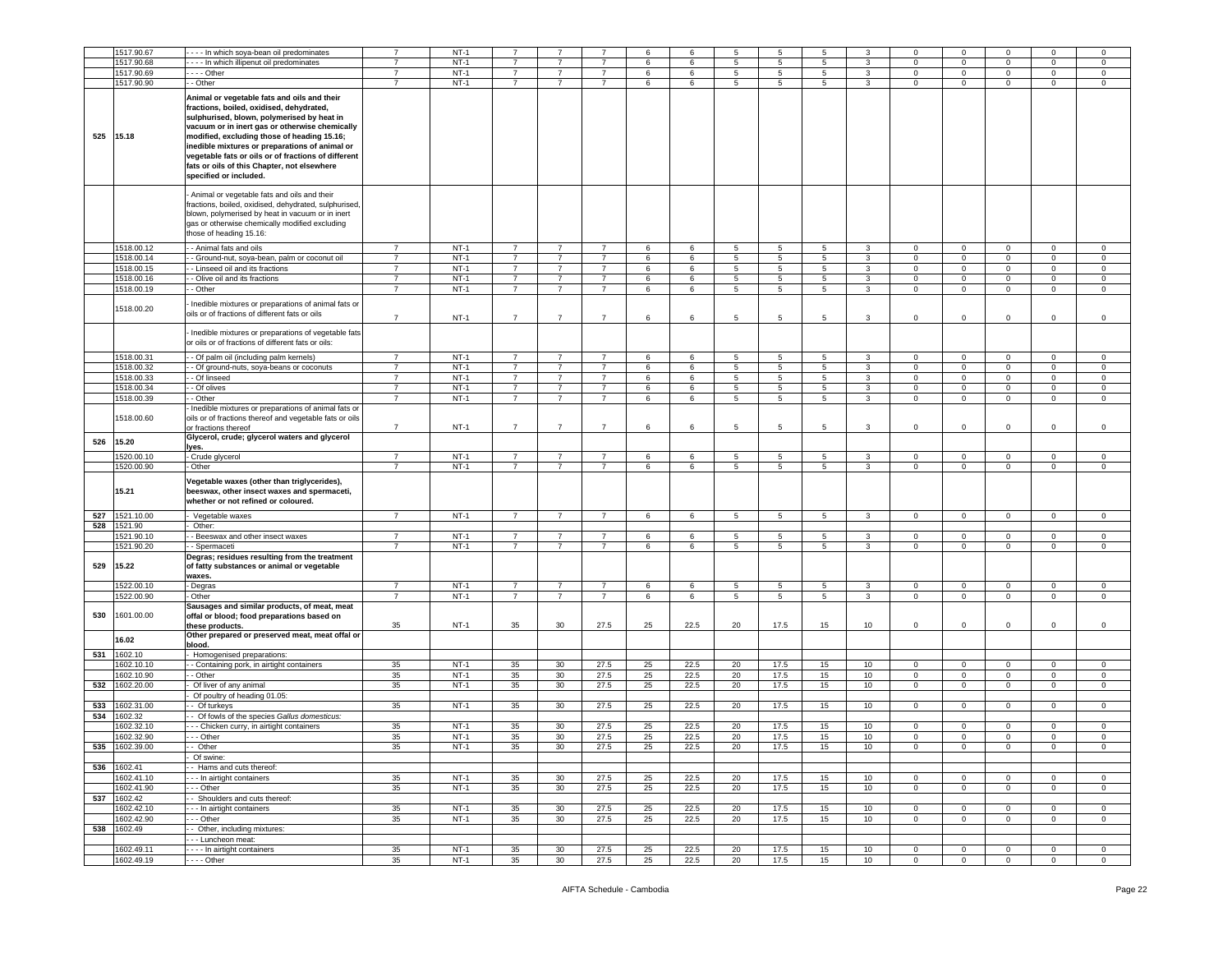|     | 1517.90.67               | --- In which soya-bean oil predominates                                                                                                                                                                                                                                                                                                                                                                                  | 7              | $NT-1$           |                      |                 |                        | 6        | 6            | 5               | 5               |                   |              |                        | $\Omega$                    | $\Omega$                    | $\mathbf 0$                |                             |
|-----|--------------------------|--------------------------------------------------------------------------------------------------------------------------------------------------------------------------------------------------------------------------------------------------------------------------------------------------------------------------------------------------------------------------------------------------------------------------|----------------|------------------|----------------------|-----------------|------------------------|----------|--------------|-----------------|-----------------|-------------------|--------------|------------------------|-----------------------------|-----------------------------|----------------------------|-----------------------------|
|     |                          |                                                                                                                                                                                                                                                                                                                                                                                                                          |                |                  |                      |                 |                        |          |              |                 |                 |                   |              |                        |                             |                             |                            |                             |
|     | 1517.90.68               | - - - In which illipenut oil predominates                                                                                                                                                                                                                                                                                                                                                                                | $\overline{7}$ | $NT-1$           |                      |                 |                        | 6        | 6            | 5               | 5               | 5                 | 3            | 0                      | 0                           | $\mathbf 0$                 | $\mathbf 0$                | $\mathbf 0$                 |
|     | 1517.90.69               | $- -$ - Other                                                                                                                                                                                                                                                                                                                                                                                                            | $\overline{7}$ | $NT-1$           | $\overline{7}$       | $\overline{7}$  | $\overline{7}$         | 6        | 6            | 5               | $5\phantom{.0}$ | $5^{\circ}$       | $\mathbf{3}$ | $\mathbf 0$            | $\mathbf{0}$                | $\mathsf 0$                 | $\mathbf 0$                | $\circ$                     |
|     | 1517.90.90               | - Other                                                                                                                                                                                                                                                                                                                                                                                                                  | $\overline{7}$ | $NT-1$           | $\overline{7}$       | $\overline{7}$  | $\overline{7}$         | 6        | 6            | 5               | 5               | $5^{\circ}$       | $\mathbf{3}$ | 0                      | $\mathbf{0}$                | $\overline{0}$              | $\mathbf 0$                | $\circ$                     |
| 525 | 15.18                    | Animal or vegetable fats and oils and their<br>fractions, boiled, oxidised, dehydrated,<br>sulphurised, blown, polymerised by heat in<br>vacuum or in inert gas or otherwise chemically<br>modified, excluding those of heading 15.16;<br>inedible mixtures or preparations of animal or<br>vegetable fats or oils or of fractions of different<br>fats or oils of this Chapter, not elsewhere<br>specified or included. |                |                  |                      |                 |                        |          |              |                 |                 |                   |              |                        |                             |                             |                            |                             |
|     |                          | Animal or vegetable fats and oils and their<br>fractions, boiled, oxidised, dehydrated, sulphurised,<br>blown, polymerised by heat in vacuum or in inert<br>gas or otherwise chemically modified excluding<br>those of heading 15.16:                                                                                                                                                                                    |                |                  |                      |                 |                        |          |              |                 |                 |                   |              |                        |                             |                             |                            |                             |
|     | 1518.00.12               | - Animal fats and oils                                                                                                                                                                                                                                                                                                                                                                                                   | $\overline{7}$ | $NT-1$           | $\overline{7}$       | $\overline{7}$  | $\overline{7}$         | 6        | 6            | 5               | $5\phantom{.0}$ | 5                 | 3            | 0                      | $\mathbf 0$                 | $\mathbf 0$                 | $\mathbf 0$                | $\mathbf 0$                 |
|     | 1518.00.14               | - Ground-nut, soya-bean, palm or coconut oil                                                                                                                                                                                                                                                                                                                                                                             | $\overline{7}$ | $NT-1$           | $\overline{7}$       | $\overline{7}$  | $\overline{7}$         |          |              |                 |                 | 5                 |              | 0                      | $\mathbf 0$                 | $\mathsf 0$                 | 0                          | $^{\circ}$                  |
|     |                          |                                                                                                                                                                                                                                                                                                                                                                                                                          |                |                  |                      |                 |                        | 6        | 6            | 5               | 5               |                   | 3            |                        |                             |                             |                            |                             |
|     | 1518.00.15               | - Linseed oil and its fractions                                                                                                                                                                                                                                                                                                                                                                                          | $\overline{7}$ | $NT-1$           | $\overline{7}$       | $\overline{7}$  | $\overline{7}$         | 6        | 6            | 5               | $5\phantom{.0}$ | $5^{\circ}$       | 3            | $\Omega$               | $\mathbf{0}$                | $\mathbf{0}$                | $\mathbf 0$                | $\circ$                     |
|     | 1518.00.16               | - Olive oil and its fractions                                                                                                                                                                                                                                                                                                                                                                                            | $\overline{7}$ | $NT-1$           | $\overline{7}$       | $\overline{7}$  | $\overline{7}$         | 6        | 6            | 5               | 5               | 5                 | 3            | 0                      | $\mathbf{0}$                | $\mathbf{0}$                | $\mathbf 0$                | $\mathbf 0$                 |
|     | 1518.00.19               | - Other                                                                                                                                                                                                                                                                                                                                                                                                                  | $\overline{7}$ | $NT-1$           | $\overline{7}$       | $\overline{7}$  | $\overline{7}$         | 6        | 6            | 5               | 5               | $5^{\circ}$       | $\mathbf{3}$ | 0                      | $\mathbf 0$                 | $\mathbf 0$                 | $\mathbf 0$                | 0                           |
|     | 1518.00.20               | - Inedible mixtures or preparations of animal fats or<br>oils or of fractions of different fats or oils                                                                                                                                                                                                                                                                                                                  | $\overline{7}$ | $NT-1$           | $\overline{7}$       | $\overline{7}$  | $\overline{7}$         | 6        | 6            | 5               | 5               | 5                 | 3            | 0                      | 0                           | $\mathsf 0$                 | $\mathbf 0$                | $\circ$                     |
|     |                          | Inedible mixtures or preparations of vegetable fats<br>or oils or of fractions of different fats or oils:                                                                                                                                                                                                                                                                                                                |                |                  |                      |                 |                        |          |              |                 |                 |                   |              |                        |                             |                             |                            |                             |
|     | 1518.00.31               | - - Of palm oil (including palm kernels)                                                                                                                                                                                                                                                                                                                                                                                 | $\overline{7}$ | $NT-1$           | $\overline{7}$       | $\overline{7}$  | $\overline{7}$         | 6        | 6            | 5               | 5               | 5                 | 3            | $\mathbf{0}$           | $\mathbf{0}$                | $\mathbf{0}$                | $\mathbf{0}$               | $\mathbf 0$                 |
|     | 1518.00.32               | - Of ground-nuts, soya-beans or coconuts                                                                                                                                                                                                                                                                                                                                                                                 | $\overline{7}$ | $NT-1$           | $\overline{7}$       | 7               | $\overline{7}$         | 6        | 6            | 5               | 5               | 5                 | 3            | $\mathbf 0$            | $\mathbf{0}$                | $\mathbf{0}$                | $\mathbf 0$                | $\mathbf 0$                 |
|     | 1518.00.33               | - Of linseed                                                                                                                                                                                                                                                                                                                                                                                                             | $\overline{7}$ | $NT-1$           | $\overline{7}$       | 7               | $\overline{7}$         | 6        | 6            | 5               | 5               | 5                 | $\mathbf{3}$ | 0                      | 0                           | $\mathbf{0}$                | $\mathbf 0$                | 0                           |
|     |                          |                                                                                                                                                                                                                                                                                                                                                                                                                          |                |                  |                      |                 |                        |          |              |                 |                 |                   |              |                        |                             |                             |                            |                             |
|     | 1518.00.34               | - Of olives                                                                                                                                                                                                                                                                                                                                                                                                              | $\overline{7}$ | $NT-1$           | $\overline{7}$       | $\overline{7}$  | $\overline{7}$         | 6        | 6            | 5               | $\,$ 5 $\,$     | 5                 | $\mathbf{3}$ | $\Omega$               | $\mathsf 0$                 | $\mathsf 0$                 | $\mathbf 0$                | $\mathbf 0$                 |
|     | 1518.00.39               | - Other                                                                                                                                                                                                                                                                                                                                                                                                                  | $\overline{7}$ | $NT-1$           | $\overline{7}$       | $\overline{7}$  | $\overline{7}$         | 6        | 6            | 5               | 5               | 5                 | 3            | 0                      | $\mathbf{0}$                | $\mathbf{0}$                | $\mathbf 0$                | $^{\circ}$                  |
|     | 1518.00.60               | Inedible mixtures or preparations of animal fats or<br>oils or of fractions thereof and vegetable fats or oils<br>or fractions thereof                                                                                                                                                                                                                                                                                   | $\overline{7}$ | $NT-1$           | $\overline{7}$       | $\overline{7}$  | $\overline{7}$         | 6        | 6            | 5               | 5               | 5                 | 3            | $\overline{0}$         | $\circ$                     | $\circ$                     | $\mathbf 0$                | $\circ$                     |
| 526 | 15.20                    | Glycerol, crude; glycerol waters and glycerol<br>lyes.                                                                                                                                                                                                                                                                                                                                                                   |                |                  |                      |                 |                        |          |              |                 |                 |                   |              |                        |                             |                             |                            |                             |
|     | 1520.00.10               | - Crude glycerol                                                                                                                                                                                                                                                                                                                                                                                                         | $\overline{7}$ | $NT-1$           | $\overline{7}$       | $\overline{7}$  | $\overline{7}$         | 6        | 6            | 5               | 5               | 5                 | 3            | 0                      | 0                           | $\mathbf 0$                 | $\mathbf 0$                | 0                           |
|     | 1520.00.90               | - Other                                                                                                                                                                                                                                                                                                                                                                                                                  | $\overline{7}$ | $NT-1$           | $\overline{7}$       | $\overline{7}$  | $\overline{7}$         | 6        | 6            | 5               | 5               | 5 <sub>5</sub>    | $\mathbf{3}$ | $\mathbf 0$            | $\mathbf{0}$                | $\mathsf 0$                 | $\mathsf 0$                | $\mathsf 0$                 |
|     |                          | Vegetable waxes (other than triglycerides),                                                                                                                                                                                                                                                                                                                                                                              |                |                  |                      |                 |                        |          |              |                 |                 |                   |              |                        |                             |                             |                            |                             |
|     | 15.21                    | beeswax, other insect waxes and spermaceti,<br>whether or not refined or coloured.                                                                                                                                                                                                                                                                                                                                       |                |                  |                      |                 |                        |          |              |                 |                 |                   |              |                        |                             |                             |                            |                             |
|     |                          |                                                                                                                                                                                                                                                                                                                                                                                                                          |                |                  |                      |                 |                        |          |              |                 |                 |                   |              |                        |                             |                             |                            |                             |
| 527 | 1521.10.00               | Vegetable waxes                                                                                                                                                                                                                                                                                                                                                                                                          | $\overline{7}$ | $NT-1$           | $\overline{7}$       | $\overline{7}$  | $\overline{7}$         | 6        | 6            | $5\phantom{.0}$ | $5\overline{5}$ | $5^{\circ}$       | $\mathbf{3}$ | $\mathbf{0}$           | $\overline{0}$              | $\overline{0}$              | $\mathbf 0$                | $\circ$                     |
| 528 | 1521.90                  | Other:                                                                                                                                                                                                                                                                                                                                                                                                                   |                |                  |                      |                 |                        |          |              |                 |                 |                   |              |                        |                             |                             |                            |                             |
|     | 1521.90.10               | - Beeswax and other insect waxes                                                                                                                                                                                                                                                                                                                                                                                         | $\overline{7}$ | $NT-1$           | $\overline{7}$       | $\overline{7}$  | $\overline{7}$         | 6        | 6            | 5               | 5               | 5                 | $\mathbf{3}$ | 0                      | 0                           | $\mathbf{0}$                | $\mathbf 0$                | $\circ$                     |
|     | 1521.90.20               | - Spermaceti                                                                                                                                                                                                                                                                                                                                                                                                             | $\overline{7}$ | $NT-1$           | $\overline{7}$       | $\overline{7}$  | $\overline{7}$         | 6        | 6            | 5               | $\,$ 5 $\,$     | 5                 | $\mathbf{3}$ | $\Omega$               | $\mathbf 0$                 | $\mathsf 0$                 | $\mathsf 0$                | $\mathbf 0$                 |
| 529 | 15.22                    | Degras; residues resulting from the treatment<br>of fatty substances or animal or vegetable<br>waxes.                                                                                                                                                                                                                                                                                                                    |                |                  |                      |                 |                        |          |              |                 |                 |                   |              |                        |                             |                             |                            |                             |
|     | 1522.00.10               | - Degras                                                                                                                                                                                                                                                                                                                                                                                                                 | $\overline{7}$ | $NT-1$           | $\overline{7}$       | $\overline{7}$  | $\overline{7}$         | 6        | 6            | 5               | $5\overline{5}$ | $5\overline{)}$   | 3            | $\mathbf{0}$           | $\mathbf{0}$                | $\overline{0}$              | $\circ$                    | $\circ$                     |
|     |                          |                                                                                                                                                                                                                                                                                                                                                                                                                          | $\overline{7}$ |                  |                      | $\overline{7}$  |                        |          |              |                 |                 |                   |              |                        |                             |                             |                            |                             |
| 530 | 1522.00.90<br>1601.00.00 | Other<br>Sausages and similar products, of meat, meat<br>offal or blood; food preparations based on<br>these products.                                                                                                                                                                                                                                                                                                   | 35             | $NT-1$<br>$NT-1$ | $\overline{7}$<br>35 | 30              | $\overline{7}$<br>27.5 | 6<br>25  | 6<br>22.5    | 5<br>20         | 5<br>17.5       | $5^{\circ}$<br>15 | 3<br>10      | $\mathbf{0}$<br>0      | $\mathbf{0}$<br>$\mathbf 0$ | $\mathbf{0}$<br>$\mathbf 0$ | $\mathbf 0$<br>$\mathbf 0$ | $\circ$<br>$\mathbf 0$      |
|     | 16.02                    | Other prepared or preserved meat, meat offal or<br>blood.                                                                                                                                                                                                                                                                                                                                                                |                |                  |                      |                 |                        |          |              |                 |                 |                   |              |                        |                             |                             |                            |                             |
| 531 | 1602.10                  | Homogenised preparations:                                                                                                                                                                                                                                                                                                                                                                                                |                |                  |                      |                 |                        |          |              |                 |                 |                   |              |                        |                             |                             |                            |                             |
|     | 1602.10.10               |                                                                                                                                                                                                                                                                                                                                                                                                                          | 35             | $NT-1$           | 35                   | 30              |                        |          | 22.5         | 20              |                 | 15                | 10           | 0                      | 0                           | $\mathbf 0$                 | $\mathbf 0$                | 0                           |
|     |                          | - Containing pork, in airtight containers                                                                                                                                                                                                                                                                                                                                                                                |                |                  |                      |                 | 27.5                   | 25       |              |                 | 17.5            |                   |              |                        |                             |                             |                            |                             |
|     | 1602.10.90               | - Other                                                                                                                                                                                                                                                                                                                                                                                                                  | 35             | $NT-1$           | 35                   | 30              | 27.5                   | 25       | 22.5         | 20              | 17.5            | 15                | 10           | $\mathbf{0}$           | $\mathbf 0$                 | $\mathsf 0$                 | $\overline{0}$             | $\mathbf 0$                 |
| 532 | 1602.20.00               | Of liver of any animal                                                                                                                                                                                                                                                                                                                                                                                                   | 35             | $NT-1$           | 35                   | 30              | 27.5                   | 25       | 22.5         | 20              | 17.5            | 15                | 10           | $\circ$                | $\mathbf{0}$                | $\mathbf{0}$                | $\circ$                    | $\circ$                     |
|     |                          | Of poultry of heading 01.05:                                                                                                                                                                                                                                                                                                                                                                                             |                |                  |                      |                 |                        |          |              |                 |                 |                   |              |                        |                             |                             |                            |                             |
| 533 | 1602.31.00               | - Of turkeys                                                                                                                                                                                                                                                                                                                                                                                                             | 35             | $NT-1$           | 35                   | 30              | 27.5                   | 25       | 22.5         | 20              | 17.5            | 15                | 10           | 0                      | $\overline{0}$              | $\overline{0}$              | $\circ$                    | $^{\circ}$                  |
| 534 | 1602.32                  | Of fowls of the species Gallus domesticus:                                                                                                                                                                                                                                                                                                                                                                               |                |                  |                      |                 |                        |          |              |                 |                 |                   |              |                        |                             |                             |                            |                             |
|     |                          |                                                                                                                                                                                                                                                                                                                                                                                                                          |                |                  |                      |                 |                        |          |              |                 |                 |                   |              |                        | $\Omega$                    |                             |                            |                             |
|     | 1602.32.10               | --- Chicken curry, in airtight containers                                                                                                                                                                                                                                                                                                                                                                                | 35             | $NT-1$           | 35                   | 30              | 27.5                   | 25       | 22.5         | 20              | 17.5            | 15                | 10           | $^{\circ}$             |                             | $\mathbf{0}$                | $\mathbf 0$                | $\circ$                     |
|     | 1602.32.90               | $- -$ Other                                                                                                                                                                                                                                                                                                                                                                                                              | 35             | $NT-1$           | 35                   | 30              | 27.5                   | 25       | 22.5         | 20              | 17.5            | 15                | 10           | $\Omega$               | $\mathbf 0$                 | $\mathbf 0$                 | $\circ$                    | $\circ$                     |
|     | 535 1602.39.00           | - Other                                                                                                                                                                                                                                                                                                                                                                                                                  | 35             | $NT-1$           | 35                   | 30              | 27.5                   | 25       | 22.5         | $20\,$          | 17.5            | 15                | 10           | $\mathbf 0$            | $\mathbf 0$                 | $\mathbf{0}$                | $\mathbf 0$                | $\,0\,$                     |
|     |                          | Of swine:                                                                                                                                                                                                                                                                                                                                                                                                                |                |                  |                      |                 |                        |          |              |                 |                 |                   |              |                        |                             |                             |                            |                             |
| 536 | 1602.41                  | - Hams and cuts thereof:                                                                                                                                                                                                                                                                                                                                                                                                 |                |                  |                      |                 |                        |          |              |                 |                 |                   |              |                        |                             |                             |                            |                             |
|     |                          |                                                                                                                                                                                                                                                                                                                                                                                                                          |                |                  |                      |                 |                        |          |              |                 |                 |                   |              |                        |                             |                             |                            |                             |
|     | 1602.41.10               | -- In airtight containers                                                                                                                                                                                                                                                                                                                                                                                                | 35             | $NT-1$           | 35                   | 30 <sup>°</sup> | 27.5                   | 25       | 22.5         | 20              | 17.5            | 15                | 10           | $\mathbf 0$            | $\mathbf{0}$                | $\overline{0}$              | $\overline{0}$             | $\circ$                     |
|     | 1602.41.90               | - - Other                                                                                                                                                                                                                                                                                                                                                                                                                | 35             | $NT-1$           | 35                   | 30              | 27.5                   | 25       | 22.5         | 20              | 17.5            | 15                | 10           | $\mathbf 0$            | $\mathbf{0}$                | $\mathbf{0}$                | $\mathbf{0}$               | $\circ$                     |
| 537 | 1602.42                  | - Shoulders and cuts thereof:                                                                                                                                                                                                                                                                                                                                                                                            |                |                  |                      |                 |                        |          |              |                 |                 |                   |              |                        |                             |                             |                            |                             |
|     | 1602.42.10               | -- In airtight containers                                                                                                                                                                                                                                                                                                                                                                                                | 35             | $NT-1$           | 35                   | 30              | 27.5                   | 25       | 22.5         | 20              | 17.5            | 15                | 10           | $\mathbf 0$            | $\mathbf{0}$                | $\circ$                     | $\circ$                    | $\mathbf 0$                 |
|     | 1602.42.90               | - - Other                                                                                                                                                                                                                                                                                                                                                                                                                | 35             | $NT-1$           | 35                   | 30              | 27.5                   | 25       | 22.5         | 20              | 17.5            | 15                | 10           | $\mathbf 0$            | $\mathbf{0}$                | $\mathbf{0}$                | $\mathbf 0$                | $\mathbf 0$                 |
|     |                          |                                                                                                                                                                                                                                                                                                                                                                                                                          |                |                  |                      |                 |                        |          |              |                 |                 |                   |              |                        |                             |                             |                            |                             |
|     | 538 1602.49              | - Other, including mixtures:                                                                                                                                                                                                                                                                                                                                                                                             |                |                  |                      |                 |                        |          |              |                 |                 |                   |              |                        |                             |                             |                            |                             |
|     |                          | - - - Luncheon meat:                                                                                                                                                                                                                                                                                                                                                                                                     |                |                  |                      |                 |                        |          |              |                 |                 |                   |              |                        |                             |                             |                            |                             |
|     | 1602.49.11<br>1602.49.19 | - - - - In airtight containers<br>$---$ Other                                                                                                                                                                                                                                                                                                                                                                            | 35<br>35       | $NT-1$<br>$NT-1$ | 35<br>35             | 30<br>30        | 27.5<br>27.5           | 25<br>25 | 22.5<br>22.5 | 20<br>20        | 17.5<br>17.5    | 15<br>15          | 10<br>10     | $\circ$<br>$\mathbf 0$ | $\mathbf 0$<br>$\circ$      | $\overline{0}$<br>$\circ$   | $\mathbf 0$<br>$\mathbf 0$ | $\mathbf{0}$<br>$\mathbf 0$ |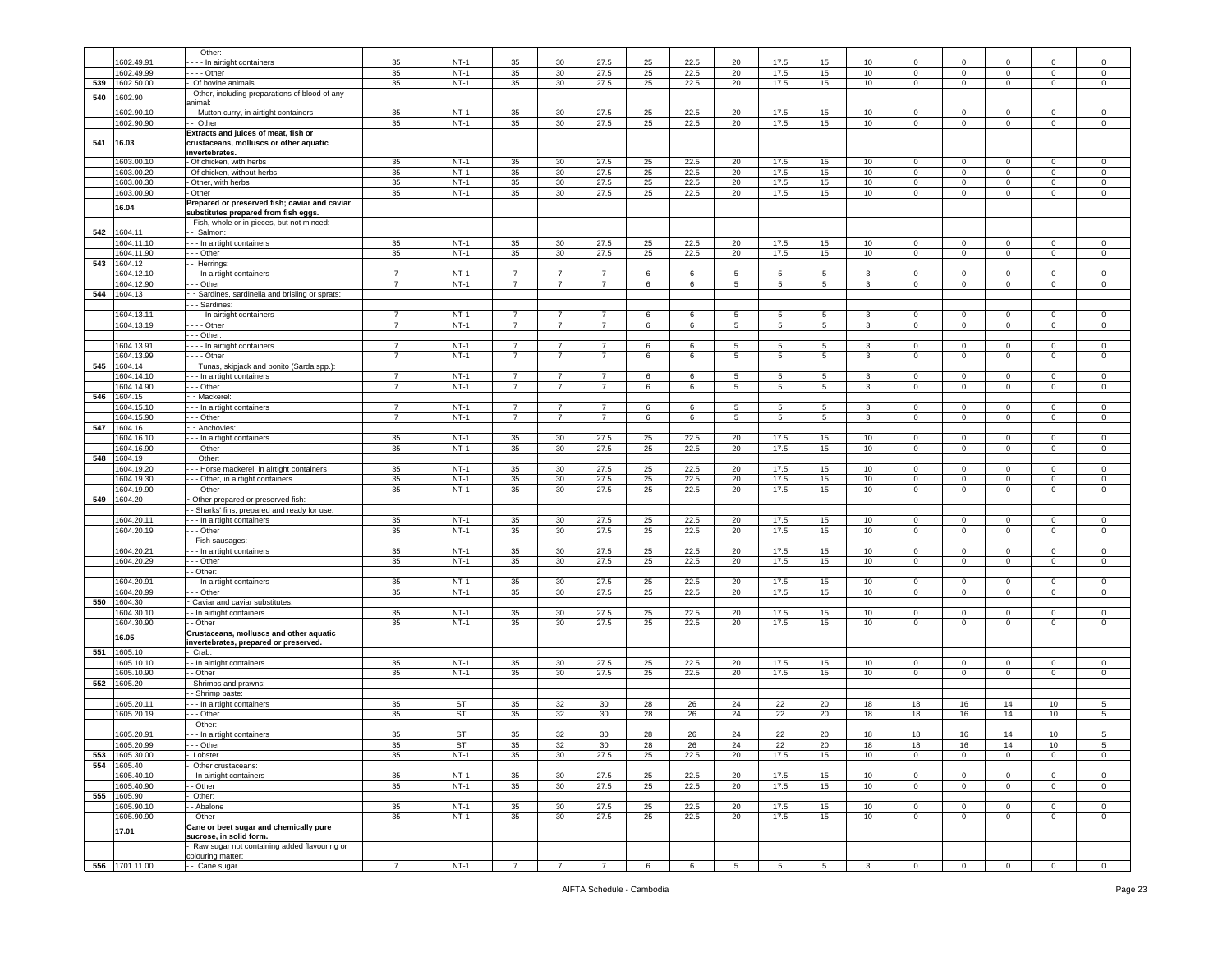|     |                | - - Other:                                     |                |        |                 |                 |                |                 |                 |             |                 |             |                         |                |                         |                |                |              |
|-----|----------------|------------------------------------------------|----------------|--------|-----------------|-----------------|----------------|-----------------|-----------------|-------------|-----------------|-------------|-------------------------|----------------|-------------------------|----------------|----------------|--------------|
|     | 1602.49.91     | ---- In airtight containers                    | 35             | $NT-1$ | 35              | 30              | 27.5           | 25              | 22.5            | 20          | 17.5            | 15          | 10                      | $\Omega$       | $\mathbf 0$             | $\Omega$       | $\mathbf 0$    | $\mathsf 0$  |
|     | 1602.49.99     | - - - - Other                                  | 35             | $NT-1$ | 35              | 30              | 27.5           | 25              | 22.5            | 20          | 17.5            | 15          | 10                      | 0              | $\mathbf 0$             | 0              | 0              | $\mathbf 0$  |
| 539 | 1602.50.00     | Of bovine animals                              | 35             | $NT-1$ | 35              | 30              | 27.5           | 25              | 22.5            | 20          | 17.5            | 15          | 10                      | $\mathbf 0$    | $\mathbf 0$             | $\mathbf 0$    | $\circ$        | $\mathsf 0$  |
|     |                | Other, including preparations of blood of any  |                |        |                 |                 |                |                 |                 |             |                 |             |                         |                |                         |                |                |              |
| 540 | 1602.90        |                                                |                |        |                 |                 |                |                 |                 |             |                 |             |                         |                |                         |                |                |              |
|     |                | animal:                                        |                |        |                 |                 |                |                 |                 |             |                 |             |                         |                |                         |                |                |              |
|     | 1602.90.10     | - Mutton curry, in airtight containers         | 35             | $NT-1$ | 35              | 30              | 27.5           | 25              | 22.5            | 20          | 17.5            | 15          | 10 <sup>10</sup>        | 0              | $\mathbf 0$             | $^{\circ}$     | 0              | $\mathbf 0$  |
|     | 1602.90.90     | -- Other                                       | 35             | $NT-1$ | 35              | 30              | 27.5           | 25              | 22.5            | 20          | 17.5            | 15          | 10 <sub>1</sub>         | $\mathbf 0$    | $\mathbf 0$             | $\circ$        | $\mathbf 0$    | $\mathsf 0$  |
|     |                | Extracts and juices of meat, fish or           |                |        |                 |                 |                |                 |                 |             |                 |             |                         |                |                         |                |                |              |
| 541 | 16.03          | crustaceans, molluscs or other aquatic         |                |        |                 |                 |                |                 |                 |             |                 |             |                         |                |                         |                |                |              |
|     |                |                                                |                |        |                 |                 |                |                 |                 |             |                 |             |                         |                |                         |                |                |              |
|     |                | invertebrates.                                 |                |        |                 |                 |                |                 |                 |             |                 |             |                         |                |                         |                |                |              |
|     | 1603.00.10     | - Of chicken, with herbs                       | 35             | $NT-1$ | 35              | 30              | 27.5           | 25              | 22.5            | 20          | 17.5            | 15          | 10                      | $\mathbf 0$    | $\mathbf 0$             | $\mathbf 0$    | 0              | $\mathsf 0$  |
|     | 1603.00.20     | - Of chicken, without herbs                    | 35             | $NT-1$ | 35              | 30              | 27.5           | 25              | 22.5            | 20          | 17.5            | 15          | 10                      | $\mathbf 0$    | $\mathbf 0$             | $\mathbf 0$    | $\mathbf 0$    | $\mathsf 0$  |
|     | 1603.00.30     | Other, with herbs                              | 35             | $NT-1$ | 35              | 30              | 27.5           | 25              | 22.5            | 20          | 17.5            | 15          | 10                      | $\mathbf 0$    | $\mathbf 0$             | $\mathbf 0$    | 0              | 0            |
|     |                | Other                                          |                | $NT-1$ |                 |                 | 27.5           |                 |                 |             |                 |             |                         |                |                         |                |                |              |
|     | 1603.00.90     |                                                | 35             |        | 35              | 30 <sup>°</sup> |                | 25              | 22.5            | 20          | 17.5            | 15          | 10                      | $\mathbf 0$    | $\mathbf 0$             | $\mathbf 0$    | $\mathsf 0$    | $\,0\,$      |
|     | 16.04          | Prepared or preserved fish; caviar and caviar  |                |        |                 |                 |                |                 |                 |             |                 |             |                         |                |                         |                |                |              |
|     |                | substitutes prepared from fish eggs.           |                |        |                 |                 |                |                 |                 |             |                 |             |                         |                |                         |                |                |              |
|     |                | - Fish, whole or in pieces, but not minced:    |                |        |                 |                 |                |                 |                 |             |                 |             |                         |                |                         |                |                |              |
| 542 | 1604.11        | -- Salmon:                                     |                |        |                 |                 |                |                 |                 |             |                 |             |                         |                |                         |                |                |              |
|     |                | - - - In airtight containers                   |                | $NT-1$ | 35              |                 | 27.5           | 25              | 22.5            |             |                 |             |                         |                |                         |                |                |              |
|     | 1604.11.10     |                                                | 35             |        |                 | 30              |                |                 |                 | 20          | 17.5            | 15          | 10                      | $\mathbf 0$    | $\overline{\mathbf{0}}$ | $^{\circ}$     | $\mathbf 0$    | 0            |
|     | 1604.11.90     | - - Other                                      | 35             | $NT-1$ | 35              | 30              | 27.5           | 25              | 22.5            | 20          | 17.5            | 15          | 10                      | $\mathbf 0$    | $\mathbf 0$             | $\circ$        | $\mathbf 0$    | $\mathsf 0$  |
| 543 | 1604.12        | -- Herrings:                                   |                |        |                 |                 |                |                 |                 |             |                 |             |                         |                |                         |                |                |              |
|     | 1604.12.10     | - - - In airtight containers                   | 7              | NT-1   | 7               | 7               | $\overline{7}$ | 6               | 6               | 5           | 5               | 5           | 3                       | $\mathbf 0$    | $\mathbf 0$             | $\mathbf 0$    | $^{\circ}$     | 0            |
|     |                |                                                |                |        |                 |                 |                |                 |                 |             |                 |             |                         |                |                         |                |                |              |
|     | 604.12.90      | --- Other                                      | $\overline{7}$ | $NT-1$ | $\overline{7}$  | $\overline{7}$  | $\overline{7}$ | 6               | 6               | 5           | 5               | 5           | $\mathbf{3}$            | $\mathbf 0$    | $\overline{0}$          | $\mathbf 0$    | $\Omega$       | $\mathsf 0$  |
| 544 | 1604.13        | - Sardines, sardinella and brisling or sprats: |                |        |                 |                 |                |                 |                 |             |                 |             |                         |                |                         |                |                |              |
|     |                | - - Sardines:                                  |                |        |                 |                 |                |                 |                 |             |                 |             |                         |                |                         |                |                |              |
|     | 1604.13.11     | - - - - In airtight containers                 | $\overline{7}$ | $NT-1$ | $\overline{7}$  | 7               | $\overline{7}$ | 6               | 6               | 5           | 5               | 5           | 3                       | 0              | $\mathbf 0$             | 0              | 0              | $\mathbf 0$  |
|     |                |                                                |                |        |                 |                 |                |                 |                 |             |                 |             |                         |                |                         |                |                |              |
|     | 1604.13.19     | - - - - Other                                  | 7              | $NT-1$ | 7               | 7               | $\overline{7}$ | 6               | 6               | 5           | 5               | 5           | 3                       | $\mathbf 0$    | $\mathbf 0$             | $\mathbf{0}$   | 0              | $\mathbf 0$  |
|     |                | - - Other:                                     |                |        |                 |                 |                |                 |                 |             |                 |             |                         |                |                         |                |                |              |
|     | 1604.13.91     | - - - - In airtight containers                 | $\overline{7}$ | $NT-1$ | $\overline{7}$  | $\overline{7}$  | $\overline{7}$ | 6               | 6               | 5           | 5               | 5           | 3                       | $\Omega$       | $\overline{\mathbf{0}}$ | $\mathbf 0$    | $\mathbf 0$    | 0            |
|     | 1604.13.99     | - - - - Other                                  | $\overline{7}$ | $NT-1$ | $\overline{7}$  | $\overline{7}$  | $\overline{7}$ | 6               | 6               | 5           | 5               | 5           | 3                       | 0              | $\mathbf 0$             | $\circ$        | $\mathbf 0$    | $\mathsf 0$  |
|     |                |                                                |                |        |                 |                 |                |                 |                 |             |                 |             |                         |                |                         |                |                |              |
| 545 | 1604.14        | - - Tunas, skipjack and bonito (Sarda spp.):   |                |        |                 |                 |                |                 |                 |             |                 |             |                         |                |                         |                |                |              |
|     | 1604.14.10     | - - - In airtight containers                   | 7              | NT-1   | 7               | 7               | 7              | 6               | 6               | 5           | -5              | 5           | 3                       | $\mathbf{0}$   | $\mathbf 0$             | $\mathbf 0$    | 0              | 0            |
|     | 1604.14.90     | $- -$ Other                                    | $\overline{7}$ | $NT-1$ | $\overline{7}$  | $\overline{7}$  | $\overline{7}$ | 6               | 6               | 5           | 5               | 5           | 3                       | $\mathbf 0$    | $\mathbf 0$             | $\mathbf 0$    | $\Omega$       | $\mathsf 0$  |
| 546 | 1604.15        | - Mackerel:                                    |                |        |                 |                 |                |                 |                 |             |                 |             |                         |                |                         |                |                |              |
|     |                |                                                |                |        |                 |                 |                |                 |                 |             |                 |             |                         |                |                         |                |                |              |
|     | 604.15.10      | - - In airtight containers                     | $\overline{7}$ | $NT-1$ | $\overline{7}$  | $\overline{7}$  | $\overline{7}$ | 6               | 6               | 5           | 5               | 5           | 3                       | 0              | $\mathbf 0$             | 0              | $\mathbf 0$    | 0            |
|     | 1604.15.90     | - - Other                                      | $\overline{7}$ | $NT-1$ | $\overline{7}$  | $\overline{7}$  | $\overline{7}$ | 6               | 6               | 5           | 5               | 5           | 3                       | $\mathbf 0$    | $\mathbf 0$             | $\mathbf{0}$   | $\mathbf 0$    | $\mathbf 0$  |
| 547 | 1604.16        | - - Anchovies:                                 |                |        |                 |                 |                |                 |                 |             |                 |             |                         |                |                         |                |                |              |
|     | 604.16.10      | - - In airtight containers                     | 35             | $NT-1$ | 35              | 30              | 27.5           | 25              | 22.5            | 20          | 17.5            | 15          | 10                      | $\mathbf 0$    | $\mathbf 0$             | $\Omega$       | $\Omega$       | $\mathsf 0$  |
|     |                |                                                |                |        |                 |                 |                |                 |                 |             |                 |             |                         |                |                         |                |                |              |
|     | 1604.16.90     | - - Other                                      | 35             | $NT-1$ | 35              | 30              | 27.5           | 25              | 22.5            | 20          | 17.5            | 15          | 10                      | $\mathbf 0$    | $\overline{0}$          | $\mathsf 0$    | $\mathbf 0$    | $\,0\,$      |
| 548 | 1604.19        | - Other:                                       |                |        |                 |                 |                |                 |                 |             |                 |             |                         |                |                         |                |                |              |
|     | 1604.19.20     | -- Horse mackerel, in airtight containers      | 35             | $NT-1$ | 35              | 30              | 27.5           | 25              | 22.5            | 20          | 17.5            | 15          | 10                      | $^{\circ}$     | $\mathbf{0}$            | $^{\circ}$     | $\mathbf{0}$   | $\mathbf 0$  |
|     | 1604.19.30     | --- Other, in airtight containers              | 35             | $NT-1$ | 35              | 30              | 27.5           | 25              | 22.5            | 20          | 17.5            | 15          | 10                      | $\circ$        | $\mathbf 0$             | $\mathbf{0}$   | 0              | $\mathbf 0$  |
|     |                |                                                |                |        |                 |                 |                |                 |                 |             |                 |             |                         |                |                         |                |                |              |
|     | 1604.19.90     | $- -$ Other                                    | 35             | $NT-1$ | 35              | 30              | 27.5           | 25              | 22.5            | 20          | 17.5            | 15          | 10                      | $\mathbf 0$    | $\mathbf 0$             | $\mathbf 0$    | $\Omega$       | $\mathsf 0$  |
| 549 | 1604.20        | Other prepared or preserved fish:              |                |        |                 |                 |                |                 |                 |             |                 |             |                         |                |                         |                |                |              |
|     |                | - Sharks' fins, prepared and ready for use:    |                |        |                 |                 |                |                 |                 |             |                 |             |                         |                |                         |                |                |              |
|     | 1604.20.11     | -- In airtight containers                      | 35             | $NT-1$ | 35              | 30              | 27.5           | 25              | 22.5            | 20          | 17.5            | 15          | 10                      | $\circ$        | $\mathbf 0$             | $^{\circ}$     | 0              | $\mathbf 0$  |
|     |                |                                                |                |        |                 |                 |                |                 |                 |             |                 |             |                         |                |                         |                |                |              |
|     | 1604.20.19     | - - - Other                                    | 35             | $NT-1$ | 35              | 30              | 27.5           | 25              | 22.5            | 20          | 17.5            | 15          | 10                      | $\mathbf 0$    | $\overline{0}$          | $\mathbf{0}$   | 0              | $\mathbf 0$  |
|     |                | - Fish sausages:                               |                |        |                 |                 |                |                 |                 |             |                 |             |                         |                |                         |                |                |              |
|     | 1604.20.21     | -- In airtight containers                      | 35             | $NT-1$ | 35              | 30              | 27.5           | 25              | 22.5            | 20          | 17.5            | 15          | 10                      | $\mathbf 0$    | $\,0\,$                 | $\mathbf 0$    | 0              | 0            |
|     | 1604.20.29     | - - Other                                      | 35             | $NT-1$ | 35              | 30              | 27.5           | 25              | 22.5            | 20          | 17.5            | 15          | 10 <sup>10</sup>        | 0              | $\mathbf 0$             | $\circ$        | $\mathbf 0$    | $\mathsf 0$  |
|     |                |                                                |                |        |                 |                 |                |                 |                 |             |                 |             |                         |                |                         |                |                |              |
|     |                | - Other:                                       |                |        |                 |                 |                |                 |                 |             |                 |             |                         |                |                         |                |                |              |
|     | 1604.20.91     | - - - In airtight containers                   | 35             | NT-1   | 35              | 30              | 27.5           | 25              | 22.5            | 20          | 17.5            | 15          | 10 <sup>10</sup>        | $\circ$        | $\mathbf 0$             | $^{\circ}$     | 0              | 0            |
|     | 1604.20.99     | --- Other                                      | 35             | $NT-1$ | 35              | 30              | 27.5           | 25              | 22.5            | 20          | 17.5            | 15          | 10                      | $\mathbf 0$    | $\overline{0}$          | $\mathbf 0$    | $\Omega$       | $\mathsf 0$  |
| 550 | 1604.30        | Caviar and caviar substitutes:                 |                |        |                 |                 |                |                 |                 |             |                 |             |                         |                |                         |                |                |              |
|     | 604.30.10      |                                                | 35             | $NT-1$ | 35              | 30              | 27.5           |                 | 22.5            | 20          | 17.5            | 15          | 10                      |                | $\mathbf 0$             |                |                |              |
|     |                | - In airtight containers                       |                |        |                 |                 |                | 25              |                 |             |                 |             |                         | $\mathbf 0$    |                         | 0              | 0              | 0            |
|     | 1604.30.90     | - Other                                        | 35             | $NT-1$ | 35              | 30              | 27.5           | 25              | 22.5            | 20          | 17.5            | 15          | 10                      | $\mathbf 0$    | $\overline{0}$          | $\overline{0}$ | $\mathbf 0$    | $\mathbf 0$  |
|     | 16.05          | Crustaceans, molluscs and other aquatic        |                |        |                 |                 |                |                 |                 |             |                 |             |                         |                |                         |                |                |              |
|     |                | invertebrates, prepared or preserved.          |                |        |                 |                 |                |                 |                 |             |                 |             |                         |                |                         |                |                |              |
| 551 | 1605.10        | Crab:                                          |                |        |                 |                 |                |                 |                 |             |                 |             |                         |                |                         |                |                |              |
|     | 1605.10.10     | - In airtight containers                       | 35             | $NT-1$ | 35              | 30              | 27.5           | 25              | 22.5            | 20          | 17.5            | 15          | 10                      | $\mathbf 0$    | $\overline{\mathbf{0}}$ | 0              | $\Omega$       | 0            |
|     |                |                                                |                |        |                 |                 |                |                 |                 |             |                 |             |                         |                |                         |                |                |              |
|     | 1605.10.90     | - Other                                        | 35             | $NT-1$ | 35              | 30              | 27.5           | 25              | 22.5            | 20          | 17.5            | 15          | 10                      | 0              | $\mathbf 0$             | $\mathbf 0$    | 0              | 0            |
| 552 | 1605.20        | Shrimps and prawns:                            |                |        |                 |                 |                |                 |                 |             |                 |             |                         |                |                         |                |                |              |
|     |                | - Shrimp paste:                                |                |        |                 |                 |                |                 |                 |             |                 |             |                         |                |                         |                |                |              |
|     | 1605.20.1      | -- In airtight containers                      | 35             | ST     | 35              | 32              | 30             | 28              | 26              | 24          | 22              | 20          | 18                      | 18             | 16                      | 14             | 10             | 5            |
|     |                |                                                |                |        |                 |                 |                |                 |                 |             |                 |             |                         |                |                         |                | 10             |              |
|     | 1605.20.19     | - - Other                                      | 35             | ST     | 35              | 32              | 30             | 28              | 26              | 24          | 22              | 20          | 18                      | 18             | 16                      | 14             |                | 5            |
|     |                | - Other:                                       |                |        |                 |                 |                |                 |                 |             |                 |             |                         |                |                         |                |                |              |
|     | 1605.20.91     | - - - In airtight containers                   | 35             | ST     | 35              | 32              | 30             | 28              | 26              | 24          | 22              | 20          | 18                      | 18             | 16                      | 14             | 10             | $\sqrt{5}$   |
|     | 1605.20.99     | ⊶ - Other                                      | 35             | sт     | 35              | 32              | 30             | 28              | 26              | 24          | 22              | 20          | 18                      | 18             | 16                      | 14             | 10             | 5            |
|     |                |                                                |                |        |                 |                 |                |                 |                 |             |                 |             |                         |                |                         |                |                |              |
| 553 | 1605.30.00     | - Lobster                                      | 35             | $NT-1$ | 35              | 30              | 27.5           | 25              | 22.5            | 20          | 17.5            | 15          | 10                      | $\mathbf 0$    | $\mathbf 0$             | $\circ$        | $\mathbf 0$    | $\mathbf 0$  |
| 554 | 1605.40        | Other crustaceans:                             |                |        |                 |                 |                |                 |                 |             |                 |             |                         |                |                         |                |                |              |
|     | 1605.40.10     | - In airtight containers                       | 35             | $NT-1$ | 35              | 30              | 27.5           | 25              | 22.5            | 20          | 17.5            | 15          | 10                      | $\mathbf 0$    | $\mathbf{0}$            | $\mathbf 0$    | $\mathbf 0$    | 0            |
|     | 1605.40.90     | - Other                                        | 35             | $NT-1$ | 35              | 30              | 27.5           | 25              | 22.5            | 20          | 17.5            | 15          | 10                      | $\mathbf 0$    | $\overline{0}$          | $\mathbf{0}$   | $\overline{0}$ | $\mathbf{0}$ |
|     |                |                                                |                |        |                 |                 |                |                 |                 |             |                 |             |                         |                |                         |                |                |              |
| 555 | 1605.90        | Other:                                         |                |        |                 |                 |                |                 |                 |             |                 |             |                         |                |                         |                |                |              |
|     | 1605.90.10     | - Abalone                                      | 35             | $NT-1$ | 35              | 30              | 27.5           | 25              | 22.5            | 20          | 17.5            | 15          | 10                      | $\mathbf 0$    | $\mathbf 0$             | $\circ$        | $\mathbf 0$    | $\mathbf 0$  |
|     | 1605.90.90     | - Other                                        | 35             | $NT-1$ | 35              | 30 <sup>°</sup> | 27.5           | 25              | 22.5            | 20          | 17.5            | 15          | 10                      | $\mathbf 0$    | $\mathbf 0$             | $\mathbf 0$    | $\mathbf 0$    | $\mathsf 0$  |
|     |                | Cane or beet sugar and chemically pure         |                |        |                 |                 |                |                 |                 |             |                 |             |                         |                |                         |                |                |              |
|     | 17.01          |                                                |                |        |                 |                 |                |                 |                 |             |                 |             |                         |                |                         |                |                |              |
|     |                | sucrose, in solid form.                        |                |        |                 |                 |                |                 |                 |             |                 |             |                         |                |                         |                |                |              |
|     |                | Raw sugar not containing added flavouring or   |                |        |                 |                 |                |                 |                 |             |                 |             |                         |                |                         |                |                |              |
|     |                | colouring matter:                              |                |        |                 |                 |                |                 |                 |             |                 |             |                         |                |                         |                |                |              |
|     | 556 1701.11.00 | - Cane sugar                                   | $7^{\circ}$    | $NT-1$ | $7\overline{ }$ | $\overline{7}$  | $\overline{7}$ | $6\overline{6}$ | $6\overline{6}$ | $5^{\circ}$ | $5\overline{5}$ | $5^{\circ}$ | $\overline{\mathbf{3}}$ | $\overline{0}$ | $\overline{0}$          | $\overline{0}$ | $\overline{0}$ | $\mathbf{0}$ |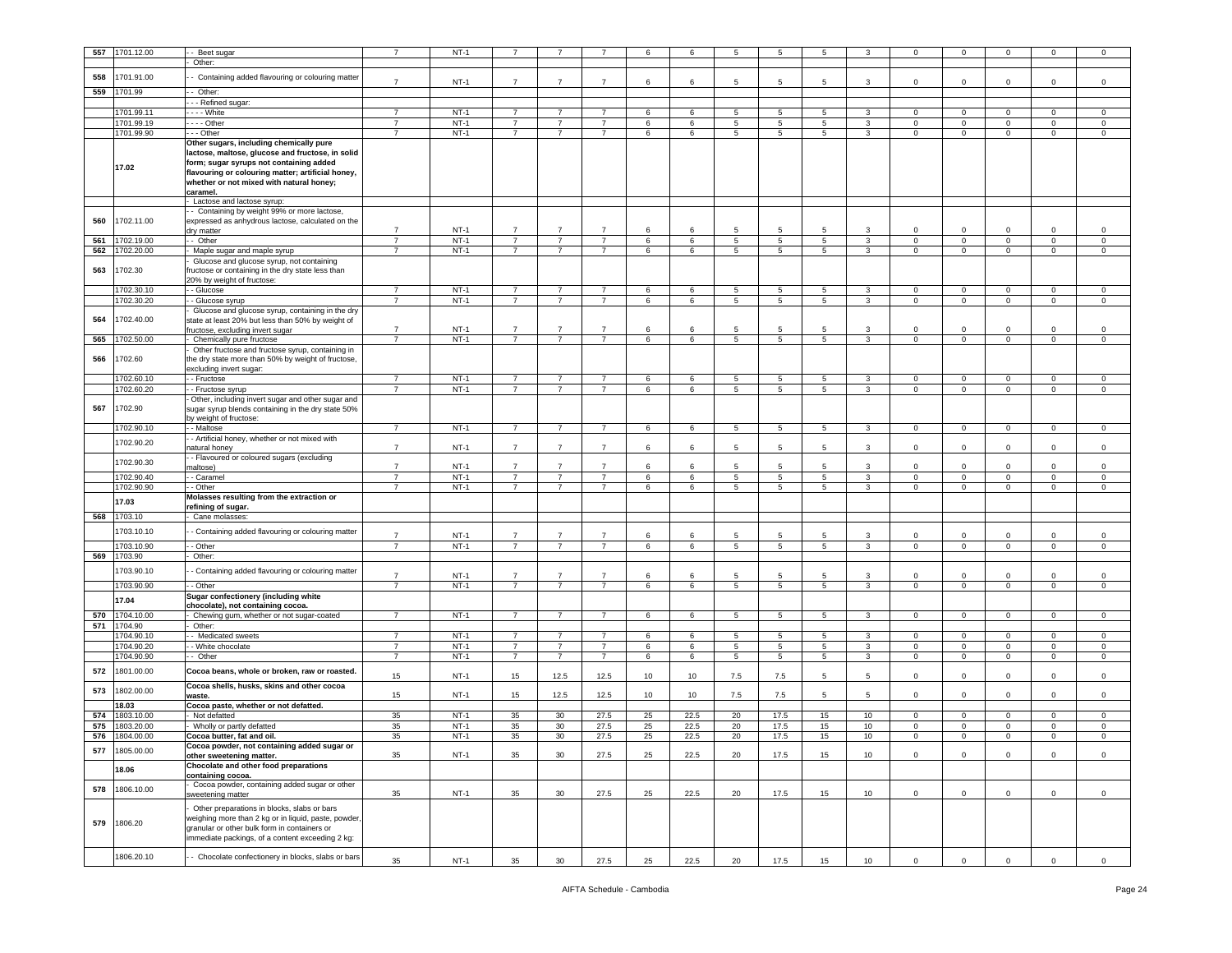| 557        | 1701.12.00               | Beet sugar                                                         | 7                                | $NT-1$           |                                  |                                  |                                  | 6          | 6       | 5      | 5                     | 5                |                   | $\mathbf{0}$                 | $\mathbf 0$                | $\Omega$                   | $\mathbf{0}$                | $^{\circ}$                |
|------------|--------------------------|--------------------------------------------------------------------|----------------------------------|------------------|----------------------------------|----------------------------------|----------------------------------|------------|---------|--------|-----------------------|------------------|-------------------|------------------------------|----------------------------|----------------------------|-----------------------------|---------------------------|
|            |                          | Other:                                                             |                                  |                  |                                  |                                  |                                  |            |         |        |                       |                  |                   |                              |                            |                            |                             |                           |
| 558        | 1701.91.00               | Containing added flavouring or colouring matter                    | $\overline{7}$                   | $NT-1$           | $\overline{7}$                   | $\overline{7}$                   | $\overline{7}$                   | 6          | 6       | 5      | -5                    | 5                | 3                 | 0                            | $\mathbf 0$                | $\Omega$                   | 0                           | $\mathsf 0$               |
| 559        | 1701.99                  | - Other:                                                           |                                  |                  |                                  |                                  |                                  |            |         |        |                       |                  |                   |                              |                            |                            |                             |                           |
|            |                          | -- Refined sugar:                                                  |                                  |                  |                                  |                                  |                                  |            |         |        |                       |                  |                   |                              |                            |                            |                             |                           |
|            | 1701.99.11               | - - - White                                                        | $\overline{7}$                   | $NT-1$           | $\overline{7}$                   | 7                                | 7                                | 6          | 6       | 5      | 5                     | 5                | 3                 | $\mathbf{0}$                 | $\mathbf 0$                | 0                          | $\mathbf{0}$                | $\circ$                   |
|            | 1701.99.19               | $--$ Other                                                         | $\overline{7}$                   | $NT-1$           | $\overline{7}$                   | $\overline{7}$                   | $\overline{7}$                   | 6          | 6       | 5      | 5                     | 5                | 3                 | 0                            | $\mathbf 0$                | 0                          | $\mathbf 0$                 | 0                         |
|            | 1701.99.90               | - - Other<br>Other sugars, including chemically pure               | $\overline{7}$                   | $NT-1$           | $\overline{7}$                   | $\overline{7}$                   | $\overline{7}$                   | 6          | 6       | 5      | 5                     | 5                | 3                 | 0                            | $\mathbf 0$                | 0                          | $\mathbf 0$                 | 0                         |
|            |                          | lactose, maltose, glucose and fructose, in solid                   |                                  |                  |                                  |                                  |                                  |            |         |        |                       |                  |                   |                              |                            |                            |                             |                           |
|            | 17.02                    | form; sugar syrups not containing added                            |                                  |                  |                                  |                                  |                                  |            |         |        |                       |                  |                   |                              |                            |                            |                             |                           |
|            |                          | flavouring or colouring matter; artificial honey,                  |                                  |                  |                                  |                                  |                                  |            |         |        |                       |                  |                   |                              |                            |                            |                             |                           |
|            |                          | whether or not mixed with natural honey;<br>caramel.               |                                  |                  |                                  |                                  |                                  |            |         |        |                       |                  |                   |                              |                            |                            |                             |                           |
|            |                          | Lactose and lactose syrup:                                         |                                  |                  |                                  |                                  |                                  |            |         |        |                       |                  |                   |                              |                            |                            |                             |                           |
|            |                          | - Containing by weight 99% or more lactose                         |                                  |                  |                                  |                                  |                                  |            |         |        |                       |                  |                   |                              |                            |                            |                             |                           |
| 560        | 1702.11.00               | expressed as anhydrous lactose, calculated on the                  | $\overline{7}$                   |                  | $\overline{7}$                   |                                  | $\overline{7}$                   |            |         | 5      |                       |                  |                   |                              |                            |                            |                             |                           |
| 561        | 1702.19.00               | dry matter<br>- Other                                              | $\overline{7}$                   | NT-1<br>$NT-1$   | $\overline{7}$                   | 7                                | $\overline{7}$                   | 6<br>6     | 6<br>6  | 5      | -5<br>5               | 5<br>$5^{\circ}$ | 3                 | $\mathbf 0$<br>$\mathbf 0$   | $\mathbf 0$<br>$\mathbf 0$ | 0                          | $\mathbf 0$<br>$\mathbf 0$  | $^{\circ}$<br>$\mathsf 0$ |
| 562        | 1702.20.00               | Maple sugar and maple syrup                                        | $\overline{7}$                   | $NT-1$           | $\overline{7}$                   | $\overline{7}$                   | $\overline{7}$                   | 6          | 6       | 5      | 5                     | 5                | $\mathbf{3}$      | $\mathbf 0$                  | $\,0\,$                    | $\mathsf 0$                | $\mathsf 0$                 | $\mathbf 0$               |
|            |                          | Glucose and glucose syrup, not containing                          |                                  |                  |                                  |                                  |                                  |            |         |        |                       |                  |                   |                              |                            |                            |                             |                           |
| 563        | 1702.30                  | ructose or containing in the dry state less than                   |                                  |                  |                                  |                                  |                                  |            |         |        |                       |                  |                   |                              |                            |                            |                             |                           |
|            | 1702.30.10               | 20% by weight of fructose:<br>- Glucose                            | $\overline{7}$                   | $NT-1$           | $\overline{7}$                   | $\overline{7}$                   | $\overline{7}$                   | 6          | 6       | 5      | 5                     | $5^{\circ}$      | 3                 | $\mathbf{0}$                 | $\mathbf 0$                | $\mathbf 0$                | $\mathbf 0$                 | $\mathbf 0$               |
|            | 1702.30.20               | - Glucose syrup                                                    | $\overline{7}$                   | $NT-1$           | $\overline{7}$                   | $\overline{7}$                   | $\overline{7}$                   | 6          | 6       | 5      | 5                     | 5                | 3                 | $\mathbf{0}$                 | $\mathbf 0$                | $\mathbf 0$                | $\mathbf 0$                 | 0                         |
|            |                          | Glucose and glucose syrup, containing in the dry                   |                                  |                  |                                  |                                  |                                  |            |         |        |                       |                  |                   |                              |                            |                            |                             |                           |
| 564        | 1702.40.00               | state at least 20% but less than 50% by weight of                  |                                  |                  |                                  |                                  |                                  |            |         |        |                       |                  |                   |                              |                            |                            |                             |                           |
| 565        | 1702.50.00               | ructose, excluding invert sugar<br>Chemically pure fructose        | $\overline{7}$<br>$\overline{7}$ | $NT-1$<br>$NT-1$ | $\overline{7}$<br>$\overline{7}$ | $\overline{7}$<br>$\overline{7}$ | $\overline{7}$<br>$\overline{7}$ | 6<br>$\,6$ | 6<br>6  | 5<br>5 | 5<br>5                | 5<br>5           | 3<br>$\mathbf{3}$ | 0<br>$\mathbf 0$             | $\mathbf 0$<br>$\mathbf 0$ | $\Omega$<br>$\mathbf 0$    | 0<br>$\mathbf 0$            | $^{\circ}$<br>$\Omega$    |
|            |                          | Other fructose and fructose syrup, containing in                   |                                  |                  |                                  |                                  |                                  |            |         |        |                       |                  |                   |                              |                            |                            |                             |                           |
| 566        | 1702.60                  | the dry state more than 50% by weight of fructose,                 |                                  |                  |                                  |                                  |                                  |            |         |        |                       |                  |                   |                              |                            |                            |                             |                           |
|            |                          | excluding invert sugar:                                            |                                  |                  |                                  |                                  |                                  |            |         |        |                       |                  |                   |                              |                            |                            |                             |                           |
|            | 1702.60.10<br>1702.60.20 | - Fructose<br>- Fructose syrup                                     | $\overline{7}$<br>$\overline{7}$ | $NT-1$<br>$NT-1$ | $\overline{7}$<br>$\overline{7}$ | $\overline{7}$<br>7              | $\overline{7}$<br>$\overline{7}$ | 6<br>6     | 6<br>6  | 5<br>5 | 5<br>5                | 5<br>5           | 3<br>3            | $\mathbf{0}$<br>$\mathbf{0}$ | $\mathbf 0$<br>$\mathbf 0$ | $\mathbf 0$<br>0           | $\mathbf 0$<br>$\mathbf{0}$ | $\mathsf 0$<br>0          |
|            |                          | Other, including invert sugar and other sugar and                  |                                  |                  |                                  |                                  |                                  |            |         |        |                       |                  |                   |                              |                            |                            |                             |                           |
| 567        | 1702.90                  | sugar syrup blends containing in the dry state 50%                 |                                  |                  |                                  |                                  |                                  |            |         |        |                       |                  |                   |                              |                            |                            |                             |                           |
|            |                          | by weight of fructose:                                             | $\overline{7}$                   |                  |                                  |                                  | $\overline{7}$                   |            |         |        |                       |                  |                   |                              |                            |                            |                             |                           |
|            | 1702.90.10               | - Maltose<br>- Artificial honey, whether or not mixed with         |                                  | $NT-1$           | $\overline{7}$                   | $\overline{7}$                   |                                  | 6          | 6       | 5      | 5                     | 5                | 3                 | $\mathbf 0$                  | $\mathbf 0$                | $\mathsf 0$                | $\mathbf 0$                 | $\mathsf 0$               |
|            | 1702.90.20               | atural honey                                                       | $\overline{7}$                   | $NT-1$           | $\overline{7}$                   | $\overline{7}$                   | $\overline{7}$                   | 6          | 6       | 5      | 5                     | 5                | 3                 | 0                            | $\mathbf 0$                | $\mathbf 0$                | $\mathbf 0$                 | $\mathsf 0$               |
|            | 1702.90.30               | - Flavoured or coloured sugars (excluding                          |                                  |                  |                                  |                                  |                                  |            |         |        |                       |                  |                   |                              |                            |                            |                             |                           |
|            | 1702.90.40               | naltose)<br>- Caramel                                              | $\overline{7}$<br>$\overline{7}$ | $NT-1$<br>$NT-1$ | $\overline{7}$<br>$\overline{7}$ | $\overline{7}$<br>$\overline{7}$ | $\overline{7}$<br>$\overline{7}$ | 6<br>6     | -6<br>6 | 5<br>5 | -5<br>$5\phantom{.0}$ | 5<br>$5^{\circ}$ | 3<br>3            | 0<br>$\mathbf{0}$            | $\mathbf 0$<br>$\mathbf 0$ | $\mathbf 0$<br>$\mathbf 0$ | $\Omega$<br>$\mathsf 0$     | 0<br>$\circ$              |
|            | 1702.90.90               | - Other                                                            | $\overline{7}$                   | $NT-1$           | $\overline{7}$                   | 7                                | $\overline{7}$                   | 6          | 6       | 5      | 5                     | 5                | 3                 | $\mathbf{0}$                 | $\mathbf 0$                | $\mathbf 0$                | $\mathbf{0}$                | 0                         |
|            | 17.03                    | Molasses resulting from the extraction or                          |                                  |                  |                                  |                                  |                                  |            |         |        |                       |                  |                   |                              |                            |                            |                             |                           |
|            |                          | refining of sugar.                                                 |                                  |                  |                                  |                                  |                                  |            |         |        |                       |                  |                   |                              |                            |                            |                             |                           |
| 568        | 1703.10                  | Cane molasses:                                                     |                                  |                  |                                  |                                  |                                  |            |         |        |                       |                  |                   |                              |                            |                            |                             |                           |
|            | 1703.10.10               | - Containing added flavouring or colouring matter                  | $\overline{7}$                   | NT-1             | $\overline{7}$                   | $\overline{7}$                   | $\overline{7}$                   | 6          | 6       | 5      | 5                     | 5                | 3                 | 0                            | $\mathbf 0$                | $\mathbf 0$                | 0                           | $^{\circ}$                |
|            | 1703.10.90               | - Other                                                            | $\overline{7}$                   | $NT-1$           | $\overline{7}$                   | $\overline{7}$                   | $\overline{7}$                   | 6          | 6       | 5      | 5                     | 5                | 3                 | 0                            | $\mathbf 0$                | $\mathbf 0$                | $\mathbf 0$                 | 0                         |
| 569        | 1703.90                  | Other:                                                             |                                  |                  |                                  |                                  |                                  |            |         |        |                       |                  |                   |                              |                            |                            |                             |                           |
|            | 1703.90.10               | - Containing added flavouring or colouring matter                  | $\overline{7}$                   | $NT-1$           | $\overline{7}$                   | $\overline{7}$                   | $\overline{7}$                   | 6          | 6       | 5      | 5                     | 5                | 3                 | 0                            | $\mathbf 0$                | $\Omega$                   | $\Omega$                    | $^{\circ}$                |
|            | 1703.90.90               | - Other                                                            | $\overline{7}$                   | $NT-1$           | $\overline{7}$                   | $\overline{7}$                   | $\overline{7}$                   | 6          | 6       | 5      | 5                     | $5^{\circ}$      | 3                 | $\mathbf 0$                  | $\mathbf 0$                | $\mathbf 0$                | $\mathbf 0$                 | $\mathsf 0$               |
|            | 17.04                    | Sugar confectionery (including white                               |                                  |                  |                                  |                                  |                                  |            |         |        |                       |                  |                   |                              |                            |                            |                             |                           |
|            |                          | chocolate), not containing cocoa                                   | $\overline{7}$                   | $NT-1$           | $\overline{7}$                   | $\overline{7}$                   | $\overline{7}$                   |            |         |        |                       |                  |                   |                              |                            |                            |                             |                           |
| 570<br>571 | 1704.10.00<br>1704.90    | Chewing gum, whether or not sugar-coated<br>Other:                 |                                  |                  |                                  |                                  |                                  | 6          | 6       | 5      | 5                     | 5                | 3                 | $\mathbf{0}$                 | $\mathbf 0$                | $\mathbf 0$                | $\mathbf 0$                 | $^{\circ}$                |
|            | 1704.90.10               | - Medicated sweets                                                 | 7                                | $NT-1$           | 7                                | 7                                | 7                                | 6          | 6       | 5      | 5                     | 5                | 3                 | $\mathbf{0}$                 | $\mathbf{0}$               | $^{\circ}$                 | $\mathbf{0}$                | $\mathbf 0$               |
|            | 1704.90.20               | - White chocolate                                                  | $\overline{7}$                   | $NT-1$           | $\overline{7}$                   | $\overline{7}$                   | $\overline{7}$                   | 6          | 6       | 5      | 5                     | 5                | 3                 | $\mathbf 0$                  | $\mathbf 0$                | $\mathbf 0$                | $\mathbf 0$                 | 0                         |
|            | 1704.90.90               | - Other                                                            | $\overline{7}$                   | $NT-1$           | $\overline{7}$                   | $\overline{7}$                   | $\overline{7}$                   | 6          | 6       | 5      | $5\phantom{.0}$       | $5\overline{)}$  | 3                 | $\mathbf{0}$                 | $\mathbf 0$                | $\mathbf 0$                | $\mathbf 0$                 | $\mathbf 0$               |
| 572        | 1801.00.00               | Cocoa beans, whole or broken, raw or roasted.                      | 15                               | $NT-1$           | 15                               | 12.5                             | 12.5                             | 10         | 10      | 7.5    | 7.5                   | 5                | 5                 | $\mathbf 0$                  | $\mathbf 0$                | $\mathbf 0$                | $\mathbf 0$                 | $\mathbf 0$               |
| 573        | 802.00.00                | Cocoa shells, husks, skins and other cocoa                         |                                  |                  |                                  |                                  |                                  |            |         |        |                       |                  |                   |                              |                            |                            |                             |                           |
|            |                          | waste.                                                             | 15                               | $NT-1$           | 15                               | 12.5                             | 12.5                             | 10         | 10      | 7.5    | 7.5                   | 5                | 5                 | 0                            | $\mathbf 0$                | 0                          | $\mathbf 0$                 | $\mathsf 0$               |
| 574        | 18.03<br>1803.10.00      | Cocoa paste, whether or not defatted.<br>Not defatted              | 35                               | $NT-1$           | 35                               | 30                               | 27.5                             | 25         | 22.5    | 20     | 17.5                  | 15               | 10                | $\mathbf{0}$                 | $\mathbf{0}$               | $^{\circ}$                 | $^{\circ}$                  | 0                         |
| 575        | 1803.20.00               | Wholly or partly defatted                                          | 35                               | $NT-1$           | 35                               | 30                               | 27.5                             | 25         | 22.5    | 20     | 17.5                  | 15               | 10                | $\mathbf 0$                  | $\mathbf 0$                | $\mathbf 0$                | $\mathbf 0$                 | $^{\circ}$                |
| 576        | 1804.00.00               | Cocoa butter, fat and oil.                                         | 35                               | $NT-1$           | 35                               | 30 <sup>°</sup>                  | 27.5                             | 25         | 22.5    | 20     | 17.5                  | 15               | $10$              | $\Omega$                     | $\Omega$                   | $\Omega$                   | $\Omega$                    | $\Omega$                  |
| 577        | 1805.00.00               | Cocoa powder, not containing added sugar or                        |                                  |                  |                                  |                                  |                                  |            |         |        |                       |                  |                   |                              |                            |                            |                             |                           |
|            |                          | other sweetening matter.<br>Chocolate and other food preparations  | 35                               | $NT-1$           | 35                               | 30                               | 27.5                             | 25         | 22.5    | 20     | 17.5                  | 15               | 10                | 0                            | $\mathbf 0$                | $\mathbf 0$                | 0                           | 0                         |
|            | 18.06                    | containing cocoa.                                                  |                                  |                  |                                  |                                  |                                  |            |         |        |                       |                  |                   |                              |                            |                            |                             |                           |
| 578        | 1806.10.00               | Cocoa powder, containing added sugar or other<br>sweetening matter | 35                               | $NT-1$           | 35                               | 30                               | 27.5                             | 25         | 22.5    | 20     | 17.5                  | 15               | 10                | $\mathbf{0}$                 | $\mathbf 0$                | $\mathbf 0$                | $\mathbf 0$                 | $\mathbf 0$               |
|            |                          | Other preparations in blocks, slabs or bars                        |                                  |                  |                                  |                                  |                                  |            |         |        |                       |                  |                   |                              |                            |                            |                             |                           |
|            |                          | weighing more than 2 kg or in liquid, paste, powder,               |                                  |                  |                                  |                                  |                                  |            |         |        |                       |                  |                   |                              |                            |                            |                             |                           |
| 579        | 1806.20                  | granular or other bulk form in containers or                       |                                  |                  |                                  |                                  |                                  |            |         |        |                       |                  |                   |                              |                            |                            |                             |                           |
|            |                          | immediate packings, of a content exceeding 2 kg:                   |                                  |                  |                                  |                                  |                                  |            |         |        |                       |                  |                   |                              |                            |                            |                             |                           |
|            | 1806.20.10               | - Chocolate confectionery in blocks, slabs or bars                 | 35                               | $NT-1$           | 35                               | 30                               | 27.5                             | 25         | 22.5    | 20     | 17.5                  | 15               | 10                | $\mathbf{0}$                 | $\mathbf 0$                | $\Omega$                   | $\mathbf 0$                 | $\mathsf 0$               |
|            |                          |                                                                    |                                  |                  |                                  |                                  |                                  |            |         |        |                       |                  |                   |                              |                            |                            |                             |                           |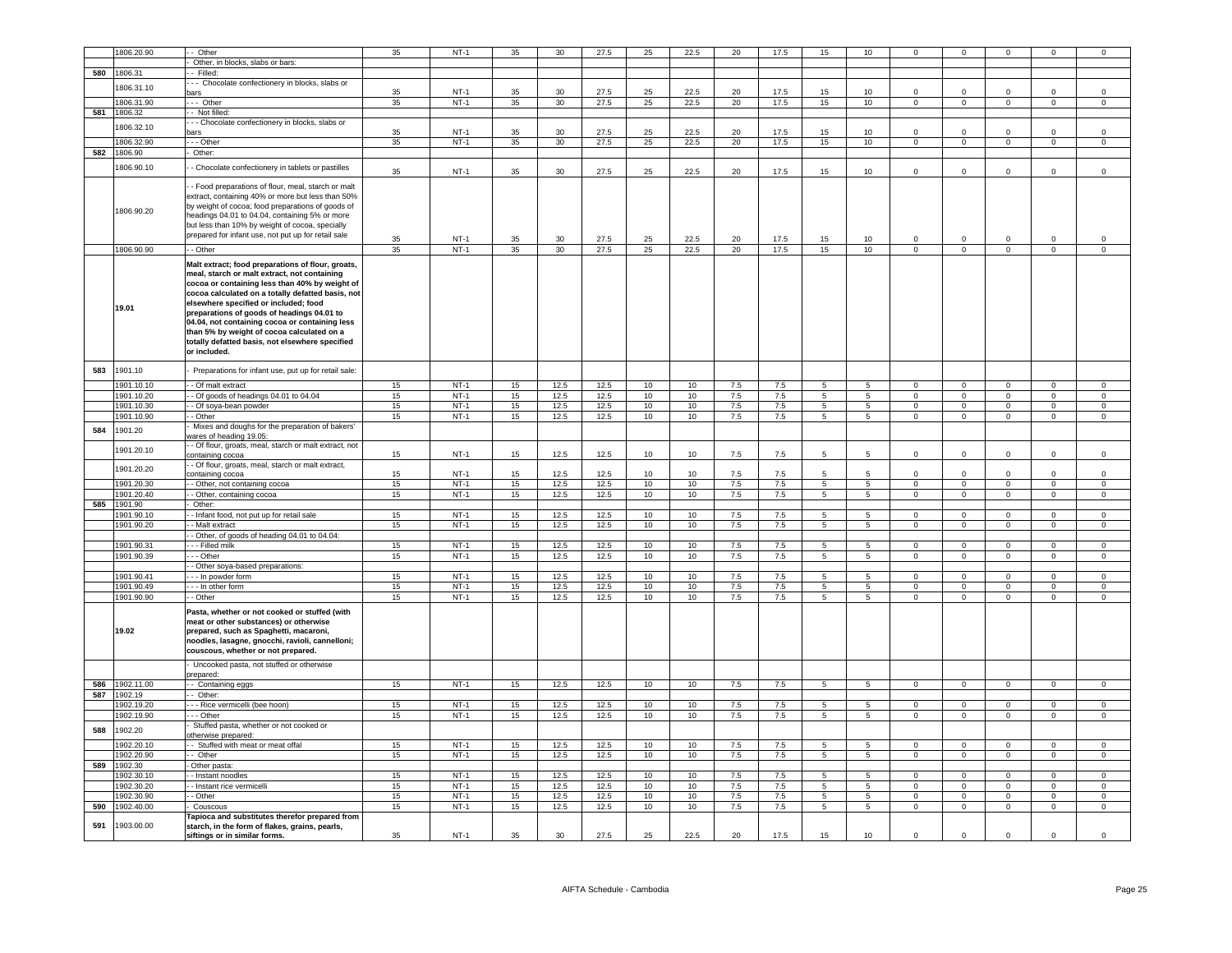|     | 1806.20.90            | - Other                                                                                                                                                                                                                                                                                                                                                                                                                                                            | 35 | $NT-1$           | 35       | 30           | 27.5         | 25       | 22.5             | 20      | 17.5       | 15              | 10 <sup>1</sup>        |                         |                           |                                  |                               |                                  |
|-----|-----------------------|--------------------------------------------------------------------------------------------------------------------------------------------------------------------------------------------------------------------------------------------------------------------------------------------------------------------------------------------------------------------------------------------------------------------------------------------------------------------|----|------------------|----------|--------------|--------------|----------|------------------|---------|------------|-----------------|------------------------|-------------------------|---------------------------|----------------------------------|-------------------------------|----------------------------------|
|     |                       |                                                                                                                                                                                                                                                                                                                                                                                                                                                                    |    |                  |          |              |              |          |                  |         |            |                 |                        |                         |                           |                                  |                               |                                  |
|     |                       | Other, in blocks, slabs or bars:                                                                                                                                                                                                                                                                                                                                                                                                                                   |    |                  |          |              |              |          |                  |         |            |                 |                        |                         |                           |                                  |                               |                                  |
| 580 | 1806.31               | - Filled:                                                                                                                                                                                                                                                                                                                                                                                                                                                          |    |                  |          |              |              |          |                  |         |            |                 |                        |                         |                           |                                  |                               |                                  |
|     | 806.31.10             | - - Chocolate confectionery in blocks, slabs or                                                                                                                                                                                                                                                                                                                                                                                                                    |    |                  |          |              |              |          |                  |         |            |                 |                        | $\Omega$                | $\Omega$                  | $\Omega$                         | $\Omega$                      | $\mathbf 0$                      |
|     | 1806.31.90            | bars<br>--- Other                                                                                                                                                                                                                                                                                                                                                                                                                                                  | 35 | $NT-1$<br>$NT-1$ | 35       | 30<br>30     | 27.5<br>27.5 | 25<br>25 | 22.5             | 20      | 17.5       | 15              | 10<br>10 <sup>10</sup> |                         | $\overline{0}$            | $\mathbf{0}$                     | $\mathbf{0}$                  | $\overline{0}$                   |
|     |                       |                                                                                                                                                                                                                                                                                                                                                                                                                                                                    | 35 |                  | 35       |              |              |          | 22.5             | 20      | 17.5       | 15              |                        | $\overline{0}$          |                           |                                  |                               |                                  |
| 581 | 1806.32               | - Not filled:                                                                                                                                                                                                                                                                                                                                                                                                                                                      |    |                  |          |              |              |          |                  |         |            |                 |                        |                         |                           |                                  |                               |                                  |
|     | 1806.32.10            | - Chocolate confectionery in blocks, slabs or<br>ars                                                                                                                                                                                                                                                                                                                                                                                                               | 35 | $NT-1$           | 35       | 30           | 27.5         | 25       | 22.5             | 20      | 17.5       | 15              | 10                     | $\Omega$                | $\mathbf 0$               | $\Omega$                         | $\Omega$                      | $\,0\,$                          |
|     |                       | - - Other                                                                                                                                                                                                                                                                                                                                                                                                                                                          | 35 | $NT-1$           | 35       | 30           | 27.5         | 25       | 22.5             | 20      | 17.5       | 15              | 10                     | $\overline{0}$          | $\overline{0}$            | $\overline{0}$                   | $\overline{0}$                | $\mathsf 0$                      |
| 582 | 1806.32.90<br>1806.90 | Other:                                                                                                                                                                                                                                                                                                                                                                                                                                                             |    |                  |          |              |              |          |                  |         |            |                 |                        |                         |                           |                                  |                               |                                  |
|     |                       |                                                                                                                                                                                                                                                                                                                                                                                                                                                                    |    |                  |          |              |              |          |                  |         |            |                 |                        |                         |                           |                                  |                               |                                  |
|     | 1806.90.10            | - Chocolate confectionery in tablets or pastilles                                                                                                                                                                                                                                                                                                                                                                                                                  | 35 | $NT-1$           | 35       | 30           | 27.5         | 25       | 22.5             | 20      | 17.5       | 15              | 10 <sup>10</sup>       | $\mathbf 0$             | $\mathsf 0$               | $^{\circ}$                       | $\mathbf 0$                   | $\,0\,$                          |
|     |                       |                                                                                                                                                                                                                                                                                                                                                                                                                                                                    |    |                  |          |              |              |          |                  |         |            |                 |                        |                         |                           |                                  |                               |                                  |
|     | 1806.90.20            | - Food preparations of flour, meal, starch or malt<br>extract, containing 40% or more but less than 50%<br>by weight of cocoa; food preparations of goods of<br>headings 04.01 to 04.04, containing 5% or more<br>but less than 10% by weight of cocoa, specially<br>prepared for infant use, not put up for retail sale                                                                                                                                           | 35 | $NT-1$           | 35       | 30           | 27.5         | 25       | 22.5             | 20      | 17.5       | 15              | 10                     | $\mathbf 0$             | $\mathbf 0$               | $\mathbf 0$                      | $\mathbf 0$                   | $\mathbf 0$                      |
|     | 1806.90.90            | - Other                                                                                                                                                                                                                                                                                                                                                                                                                                                            | 35 | $NT-1$           | 35       | 30           | 27.5         | 25       | 22.5             | 20      | 17.5       | 15              | 10                     | $\mathsf 0$             | $\mathsf 0$               | $\mathbf{0}$                     | $\mathsf 0$                   | $\mathsf 0$                      |
|     | 19.01                 | Malt extract; food preparations of flour, groats,<br>meal, starch or malt extract, not containing<br>cocoa or containing less than 40% by weight of<br>cocoa calculated on a totally defatted basis, not<br>elsewhere specified or included; food<br>preparations of goods of headings 04.01 to<br>04.04, not containing cocoa or containing less<br>than 5% by weight of cocoa calculated on a<br>totally defatted basis, not elsewhere specified<br>or included. |    |                  |          |              |              |          |                  |         |            |                 |                        |                         |                           |                                  |                               |                                  |
| 583 | 1901.10               | Preparations for infant use, put up for retail sale:                                                                                                                                                                                                                                                                                                                                                                                                               |    |                  |          |              |              |          |                  |         |            |                 |                        |                         |                           |                                  |                               |                                  |
|     | 1901.10.10            |                                                                                                                                                                                                                                                                                                                                                                                                                                                                    |    |                  |          |              |              |          |                  |         |            |                 |                        |                         |                           |                                  |                               |                                  |
|     |                       | - Of malt extract                                                                                                                                                                                                                                                                                                                                                                                                                                                  | 15 | $NT-1$           | 15       | 12.5         | 12.5         | 10       | 10               | 7.5     | 7.5        | 5               | 5                      | $\mathbf{0}$            | $^{\circ}$                | $\mathbf{0}$                     | $\mathbf{0}$                  | $\mathbf{0}$                     |
|     | 1901.10.20            | - Of goods of headings 04.01 to 04.04<br>- Of soya-bean powder                                                                                                                                                                                                                                                                                                                                                                                                     | 15 | $NT-1$<br>$NT-1$ | 15<br>15 | 12.5<br>12.5 | 12.5<br>12.5 | 10       | 10               | 7.5     | 7.5<br>7.5 | 5<br>5          | 5                      | $\mathsf 0$<br>$\Omega$ | $\circ$<br>$\overline{0}$ | $\overline{0}$<br>$\overline{0}$ | $\mathbf 0$<br>$\overline{0}$ | $\overline{0}$<br>$\overline{0}$ |
|     | 1901.10.30            |                                                                                                                                                                                                                                                                                                                                                                                                                                                                    | 15 |                  |          |              |              | 10       | 10               | 7.5     |            |                 | $5\phantom{.0}$        |                         |                           |                                  |                               |                                  |
|     | 1901.10.90            | - Other<br>Mixes and doughs for the preparation of bakers'                                                                                                                                                                                                                                                                                                                                                                                                         | 15 | $NT-1$           | 15       | 12.5         | 12.5         | 10       | 10               | 7.5     | 7.5        | $\overline{5}$  | 5                      | $\overline{0}$          | $\overline{0}$            | $\overline{0}$                   | $\overline{0}$                | $\overline{0}$                   |
| 584 | 1901.20               | vares of heading 19.05:                                                                                                                                                                                                                                                                                                                                                                                                                                            |    |                  |          |              |              |          |                  |         |            |                 |                        |                         |                           |                                  |                               |                                  |
|     |                       | - Of flour, groats, meal, starch or malt extract, not                                                                                                                                                                                                                                                                                                                                                                                                              |    |                  |          |              |              |          |                  |         |            |                 |                        |                         |                           |                                  |                               |                                  |
|     | 1901.20.10            | containing cocoa                                                                                                                                                                                                                                                                                                                                                                                                                                                   | 15 | $NT-1$           | 15       | 12.5         | 12.5         | 10       | 10               | 7.5     | 7.5        | 5               | 5                      | $\mathsf 0$             | $\mathsf 0$               | $\mathsf 0$                      | $\mathsf 0$                   | $\mathsf 0$                      |
|     |                       | Of flour, groats, meal, starch or malt extract,                                                                                                                                                                                                                                                                                                                                                                                                                    |    |                  |          |              |              |          |                  |         |            |                 |                        |                         |                           |                                  |                               |                                  |
|     | 1901.20.20            | ontaining cocoa                                                                                                                                                                                                                                                                                                                                                                                                                                                    | 15 | $NT-1$           | 15       | 12.5         | 12.5         | 10       | 10               | 7.5     | 7.5        | 5               | $5\overline{5}$        | $\mathbf 0$             | $\mathbf 0$               | $\mathbf 0$                      | $\mathbf 0$                   | $\mathsf 0$                      |
|     | 1901.20.30            | - Other, not containing cocoa                                                                                                                                                                                                                                                                                                                                                                                                                                      | 15 | $NT-1$           | 15       | 12.5         | 12.5         | 10       | 10               | $7.5\,$ | $7.5\,$    | 5               | $5\overline{5}$        | $\mathbf 0$             | $\mathbf 0$               | $\circ$                          | $\mathbf 0$                   | $\mathsf 0$                      |
|     | 1901.20.40            | - Other, containing cocoa                                                                                                                                                                                                                                                                                                                                                                                                                                          | 15 | $NT-1$           | 15       | 12.5         | 12.5         | 10       | 10               | 7.5     | 7.5        | $\overline{5}$  | $\overline{5}$         | $\overline{0}$          | $\overline{0}$            | $\overline{0}$                   | $\overline{0}$                | $\overline{0}$                   |
| 585 | 1901.90               | Other:                                                                                                                                                                                                                                                                                                                                                                                                                                                             |    |                  |          |              |              |          |                  |         |            |                 |                        |                         |                           |                                  |                               |                                  |
|     | 1901.90.10            | - Infant food, not put up for retail sale                                                                                                                                                                                                                                                                                                                                                                                                                          | 15 | $NT-1$           | 15       | 12.5         | 12.5         | 10       | 10               | 7.5     | 7.5        | 5               | $\overline{5}$         | $\overline{0}$          | $\overline{\mathbf{0}}$   | $\overline{0}$                   | $\overline{0}$                | $\overline{0}$                   |
|     | 1901.90.20            | - Malt extract                                                                                                                                                                                                                                                                                                                                                                                                                                                     | 15 | $NT-1$           | 15       | 12.5         | 12.5         | 10       | 10               | 7.5     | 7.5        | 5               | $5^{\circ}$            | $\Omega$                | $\overline{0}$            | $\circ$                          | $\Omega$                      | $\mathbf 0$                      |
|     |                       | - Other, of goods of heading 04.01 to 04.04:                                                                                                                                                                                                                                                                                                                                                                                                                       |    |                  |          |              |              |          |                  |         |            |                 |                        |                         |                           |                                  |                               |                                  |
|     | 1901.90.31            | - - Filled milk                                                                                                                                                                                                                                                                                                                                                                                                                                                    | 15 | $NT-1$           | 15       | 12.5         | 12.5         | 10       | 10               | 7.5     | 7.5        | $5^{\circ}$     | $5\overline{5}$        | $\Omega$                | $\Omega$                  | $\Omega$                         | $\Omega$                      | $\Omega$                         |
|     | 1901.90.39            | - - Other                                                                                                                                                                                                                                                                                                                                                                                                                                                          | 15 | $NT-1$           | 15       | 12.5         | 12.5         | 10       | 10               | 7.5     | 7.5        | $5\phantom{.0}$ | $5\overline{5}$        | $\overline{0}$          | $\mathbf 0$               | $\overline{0}$                   | $\mathbf 0$                   | $\mathsf 0$                      |
|     |                       | - Other soya-based preparations:                                                                                                                                                                                                                                                                                                                                                                                                                                   |    |                  |          |              |              |          |                  |         |            |                 |                        |                         |                           |                                  |                               |                                  |
|     | 1901.90.41            | - - In powder form                                                                                                                                                                                                                                                                                                                                                                                                                                                 | 15 | $NT-1$           | 15       | 12.5         | 12.5         | 10       | 10               | 7.5     | 7.5        | -5              | 5                      | $\Omega$                | $\Omega$                  | $\Omega$                         | $\Omega$                      | $\mathsf 0$                      |
|     | 1901.90.49            | $\overline{\cdot}$ in other form                                                                                                                                                                                                                                                                                                                                                                                                                                   | 15 | $NT-1$           | 15       | 12.5         | 12.5         | 10       | 10 <sup>10</sup> | 7.5     | 7.5        | 5               | 5                      | $\Omega$                | $\mathsf 0$               | $\circ$                          | $\mathsf 0$                   | $\mathbf 0$                      |
|     | 1901.90.90            | - Other                                                                                                                                                                                                                                                                                                                                                                                                                                                            | 15 | $NT-1$           | 15       | 12.5         | 12.5         | 10       | 10               | 7.5     | 7.5        | 5 <sub>5</sub>  | $5\overline{)}$        | $\Omega$                | $\overline{0}$            | $\mathbf 0$                      | $\mathsf 0$                   | $\mathsf 0$                      |
|     | 19.02                 | Pasta, whether or not cooked or stuffed (with<br>meat or other substances) or otherwise<br>prepared, such as Spaghetti, macaroni,<br>noodles, lasagne, gnocchi, ravioli, cannelloni;<br>couscous, whether or not prepared.                                                                                                                                                                                                                                         |    |                  |          |              |              |          |                  |         |            |                 |                        |                         |                           |                                  |                               |                                  |
|     |                       | Uncooked pasta, not stuffed or otherwise<br>prepared:                                                                                                                                                                                                                                                                                                                                                                                                              |    |                  |          |              |              |          |                  |         |            |                 |                        |                         |                           |                                  |                               |                                  |
|     | 586 1902.11.00        | - Containing eggs                                                                                                                                                                                                                                                                                                                                                                                                                                                  | 15 | $NT-1$           | 15       | 12.5         | 12.5         | 10       | 10               | 7.5     | 7.5        | 5               | 5                      | $\circ$                 | $\overline{0}$            | $\circ$                          | $\Omega$                      | $\circ$                          |
|     | 587 1902.19           | - Other:                                                                                                                                                                                                                                                                                                                                                                                                                                                           |    |                  |          |              |              |          |                  |         |            |                 |                        |                         |                           |                                  |                               |                                  |
|     | 1902.19.20            | - - Rice vermicelli (bee hoon)                                                                                                                                                                                                                                                                                                                                                                                                                                     | 15 | $NT-1$           | 15       | 12.5         | 12.5         | 10       | 10               | 7.5     | 7.5        | 5               | $5\overline{)}$        | $\mathbf{0}$            | $\circ$                   | $\mathbf{0}$                     | $\circ$                       | $\mathsf 0$                      |
|     | 1902.19.90            | - - Other                                                                                                                                                                                                                                                                                                                                                                                                                                                          | 15 | $NT-1$           | 15       | 12.5         | 12.5         | 10       | 10               | 7.5     | 7.5        | $\overline{5}$  | $\sqrt{5}$             | $\mathsf 0$             | $\overline{0}$            | $\mathbf{0}$                     | $\overline{0}$                | $\mathsf 0$                      |
|     |                       | Stuffed pasta, whether or not cooked or                                                                                                                                                                                                                                                                                                                                                                                                                            |    |                  |          |              |              |          |                  |         |            |                 |                        |                         |                           |                                  |                               |                                  |
| 588 | 1902.20               | otherwise prepared                                                                                                                                                                                                                                                                                                                                                                                                                                                 |    |                  |          |              |              |          |                  |         |            |                 |                        |                         |                           |                                  |                               |                                  |
|     | 1902.20.10            | - Stuffed with meat or meat offal                                                                                                                                                                                                                                                                                                                                                                                                                                  | 15 | $NT-1$           | 15       | 12.5         | 12.5         | 10       | 10               | 7.5     | 7.5        | -5              | 5                      | $\Omega$                | $\Omega$                  | $\Omega$                         | $\Omega$                      | $\Omega$                         |
|     | 1902.20.90            | - Other                                                                                                                                                                                                                                                                                                                                                                                                                                                            | 15 | $NT-1$           | 15       | 12.5         | 12.5         | 10       | 10               | 7.5     | 7.5        | 5               | 5 <sup>5</sup>         | $\mathbf 0$             | $\mathbf 0$               | $\overline{0}$                   | $\mathbf 0$                   | $\mathbf 0$                      |
| 589 | 1902.30               | Other pasta:                                                                                                                                                                                                                                                                                                                                                                                                                                                       |    |                  |          |              |              |          |                  |         |            |                 |                        |                         |                           |                                  |                               |                                  |
|     | 1902.30.10            | - Instant noodles                                                                                                                                                                                                                                                                                                                                                                                                                                                  | 15 | $NT-1$           | 15       | 12.5         | 12.5         | 10       | 10               | 7.5     | 7.5        | 5               | 5                      | $\mathbf 0$             | $\circ$                   | $\overline{0}$                   | $\mathbf 0$                   | $\mathbf 0$                      |
|     | 1902.30.20            | - Instant rice vermicelli                                                                                                                                                                                                                                                                                                                                                                                                                                          | 15 | $NT-1$           | 15       | 12.5         | 12.5         | 10       | 10               | 7.5     | 7.5        | 5               | $5^{\circ}$            | $\circ$                 | $\overline{0}$            | $\circ$                          | $\circ$                       | $\circ$                          |
|     | 1902.30.90            | - Other                                                                                                                                                                                                                                                                                                                                                                                                                                                            | 15 | $NT-1$           | 15       | 12.5         | 12.5         | 10       | 10               | 7.5     | 7.5        | 5               | 5                      | $\mathbf{0}$            | $^{\circ}$                | $\overline{0}$                   | $\mathbf{0}$                  | $\mathbf{0}$                     |
| 590 | 902.40.00             | Couscous                                                                                                                                                                                                                                                                                                                                                                                                                                                           | 15 | $NT-1$           | 15       | 12.5         | 12.5         | 10       | 10               | 7.5     | 7.5        | 5 <sup>5</sup>  | $5\overline{5}$        | $\mathbf 0$             | $\overline{0}$            | $\overline{0}$                   | $\mathbf 0$                   | $\mathbf 0$                      |
| 591 | 1903.00.00            | Tapioca and substitutes therefor prepared from<br>starch, in the form of flakes, grains, pearls,<br>siftings or in similar forms.                                                                                                                                                                                                                                                                                                                                  | 35 | $NT-1$           | 35       | 30           | 27.5         | 25       | 22.5             | 20      | 17.5       | 15              | 10                     | $\mathsf 0$             | $\Omega$                  | $\mathsf 0$                      | $\Omega$                      | $\mathsf 0$                      |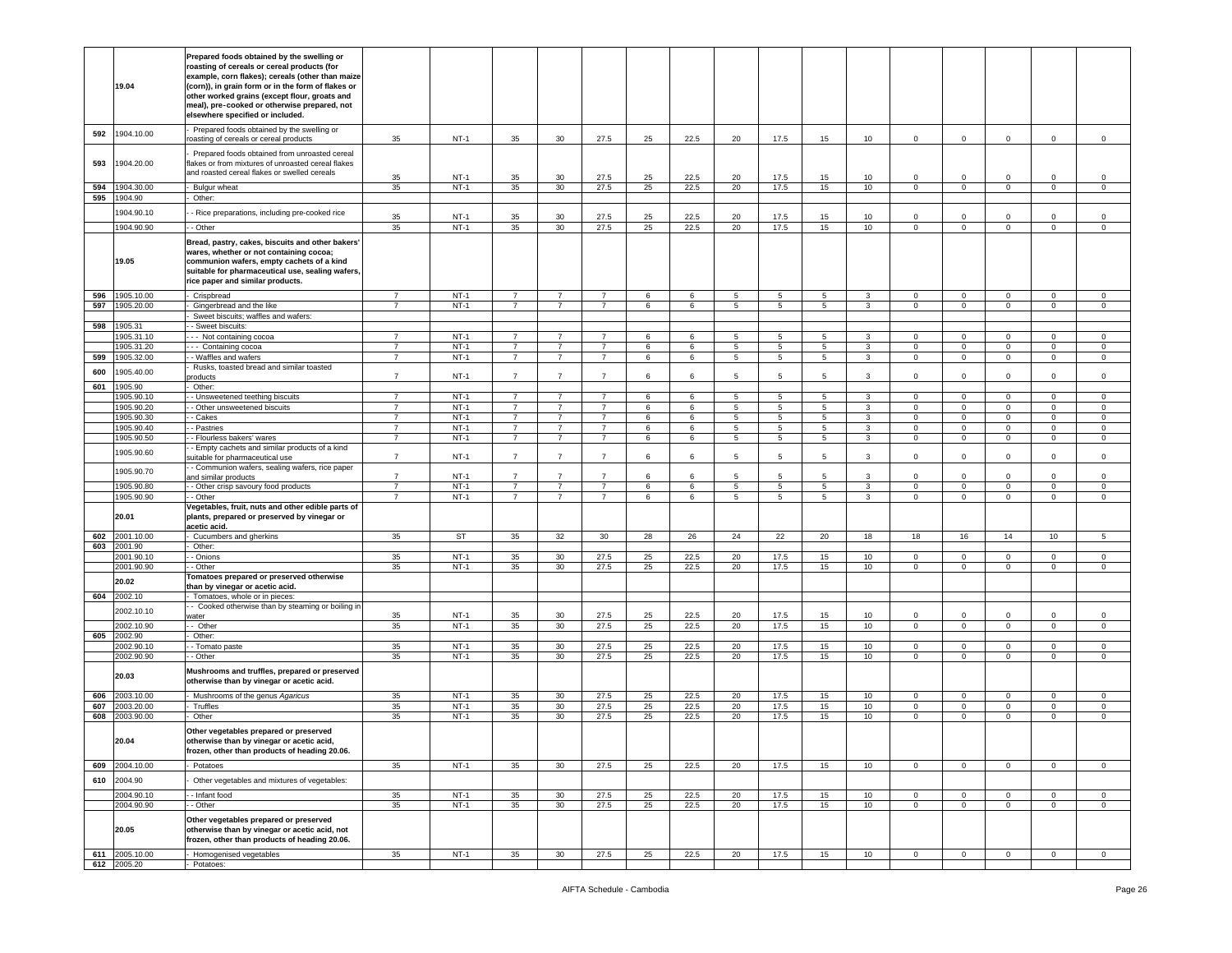|     | 19.04                 | Prepared foods obtained by the swelling or<br>roasting of cereals or cereal products (for<br>example, corn flakes); cereals (other than maize<br>(corn)), in grain form or in the form of flakes or<br>other worked grains (except flour, groats and<br>meal), pre-cooked or otherwise prepared, not<br>elsewhere specified or included. |                |        |                |                 |                |    |      |    |                                    |             |              |                |                |                |                |                  |
|-----|-----------------------|------------------------------------------------------------------------------------------------------------------------------------------------------------------------------------------------------------------------------------------------------------------------------------------------------------------------------------------|----------------|--------|----------------|-----------------|----------------|----|------|----|------------------------------------|-------------|--------------|----------------|----------------|----------------|----------------|------------------|
| 592 | 1904.10.00            | Prepared foods obtained by the swelling or<br>roasting of cereals or cereal products                                                                                                                                                                                                                                                     | 35             | $NT-1$ | 35             | 30              | 27.5           | 25 | 22.5 | 20 | 17.5                               | 15          | 10           | $\mathbf 0$    | $\mathbf 0$    | $\mathbf 0$    | $\mathbf 0$    | $\mathbf 0$      |
| 593 | 1904.20.00            | Prepared foods obtained from unroasted cereal<br>flakes or from mixtures of unroasted cereal flakes<br>and roasted cereal flakes or swelled cereals                                                                                                                                                                                      |                |        |                |                 |                |    |      |    |                                    |             |              |                |                |                |                |                  |
|     |                       |                                                                                                                                                                                                                                                                                                                                          | 35             | $NT-1$ | 35             | 30              | 27.5           | 25 | 22.5 | 20 | 17.5                               | 15          | 10           | $\mathbf 0$    | $\mathbf 0$    | $\Omega$       | $\mathbf 0$    | $\mathsf 0$      |
| 594 | 904.30.00             | Bulgur wheat                                                                                                                                                                                                                                                                                                                             | 35             | $NT-1$ | 35             | 30              | 27.5           | 25 | 22.5 | 20 | 17.5                               | 15          | 10           | $\overline{0}$ | $\overline{0}$ | $\overline{0}$ | $\mathbf 0$    | $\mathsf 0$      |
| 595 | 904.90                | Other:                                                                                                                                                                                                                                                                                                                                   |                |        |                |                 |                |    |      |    |                                    |             |              |                |                |                |                |                  |
|     | 1904.90.10            | - Rice preparations, including pre-cooked rice                                                                                                                                                                                                                                                                                           | 35             | $NT-1$ | 35             | 30              | 27.5           | 25 | 22.5 | 20 | 17.5                               | 15          | 10           | $\circ$        | $\Omega$       | $\mathbf 0$    | $\Omega$       | $\mathbf 0$      |
|     | 1904.90.90            | - Other                                                                                                                                                                                                                                                                                                                                  | 35             | $NT-1$ | 35             | 30 <sup>°</sup> | 27.5           | 25 | 22.5 | 20 | 17.5                               | 15          | 10           | $\mathbf 0$    | $\circ$        | $\overline{0}$ | $\mathbf 0$    | $\circ$          |
|     | 19.05                 | Bread, pastry, cakes, biscuits and other bakers'<br>wares, whether or not containing cocoa;<br>communion wafers, empty cachets of a kind<br>suitable for pharmaceutical use, sealing wafers,<br>rice paper and similar products.                                                                                                         |                | $NT-1$ |                |                 |                |    |      |    |                                    |             |              |                |                |                |                |                  |
| 596 | 1905.10.00            | Crispbread                                                                                                                                                                                                                                                                                                                               | $\overline{7}$ |        | $\overline{7}$ | 7               | $\overline{7}$ | 6  | 6    | 5  | $5\phantom{.0}$                    | 5           | 3            | $\mathbf 0$    | 0              | $\mathbf 0$    | $\mathbf 0$    | 0                |
|     | 597 1905.20.00        | Gingerbread and the like                                                                                                                                                                                                                                                                                                                 | $\overline{7}$ | $NT-1$ | $\overline{7}$ | $\overline{7}$  | $\overline{7}$ | 6  | 6    | 5  | $5\overline{5}$                    | $5^{\circ}$ | 3            | $\mathbf 0$    | $\overline{0}$ | $\mathbf{0}$   | $\circ$        | $\circ$          |
|     |                       | Sweet biscuits; waffles and wafers:                                                                                                                                                                                                                                                                                                      |                |        |                |                 |                |    |      |    |                                    |             |              |                |                |                |                |                  |
| 598 | 1905.31<br>1905.31.10 | - Sweet biscuits:                                                                                                                                                                                                                                                                                                                        | $\overline{7}$ | $NT-1$ | $\overline{7}$ | $\overline{7}$  | $\overline{7}$ | 6  | 6    | 5  |                                    | 5           | $\mathbf{3}$ | $\circ$        | $\mathbf 0$    | $\mathbf 0$    | $\mathbf 0$    |                  |
|     | 1905.31.20            | - - Not containing cocoa<br>-- Containing cocoa                                                                                                                                                                                                                                                                                          | $\overline{7}$ | $NT-1$ | $\overline{7}$ | 7               | $\overline{7}$ | 6  | 6    | 5  | $5\phantom{.0}$<br>$5\phantom{.0}$ | 5           | $\mathbf{3}$ | $\mathbf 0$    | $\mathbf 0$    | $\mathsf 0$    | $\mathbf 0$    | 0<br>$\mathsf 0$ |
| 599 | 1905.32.00            | - Waffles and wafers                                                                                                                                                                                                                                                                                                                     | $\overline{7}$ | $NT-1$ | $7^{\circ}$    | $\overline{7}$  | $\overline{7}$ | 6  | 6    | 5  | $5\overline{5}$                    | 5           | $\mathbf{3}$ | $\mathbf 0$    | $\overline{0}$ | $\overline{0}$ | $\overline{0}$ | $\mathsf 0$      |
|     |                       | Rusks, toasted bread and similar toasted                                                                                                                                                                                                                                                                                                 |                |        |                |                 |                |    |      |    |                                    |             |              |                |                |                |                |                  |
| 600 | 905.40.00             | products                                                                                                                                                                                                                                                                                                                                 | $\overline{7}$ | $NT-1$ | $\overline{7}$ | $\overline{7}$  | $\overline{7}$ | 6  | 6    | 5  | 5                                  | 5.          | $\mathbf{3}$ | $\circ$        | $\mathbf 0$    | $\mathbf 0$    | $\mathbf{0}$   | $\mathbf 0$      |
| 601 | 1905.90               | Other:                                                                                                                                                                                                                                                                                                                                   |                |        |                |                 |                |    |      |    |                                    |             |              |                |                |                |                |                  |
|     | 1905.90.10            | - Unsweetened teething biscuits                                                                                                                                                                                                                                                                                                          | $\overline{7}$ | $NT-1$ | $\overline{7}$ | $\overline{7}$  | $\overline{7}$ | 6  | 6    | 5  | $5\phantom{.0}$                    | $5^{\circ}$ | $\mathbf{3}$ | $\circ$        | $\overline{0}$ | $\mathbf{0}$   | $\mathbf 0$    | $\mathbf 0$      |
|     | 1905.90.20            | - Other unsweetened biscuits                                                                                                                                                                                                                                                                                                             | $\overline{7}$ | $NT-1$ | $\overline{7}$ | $\overline{7}$  | $\overline{7}$ | 6  | 6    | 5  | $5\phantom{.0}$                    | 5           | $\mathbf{3}$ | $\mathbf 0$    | $\mathsf 0$    | $\mathbf{0}$   | $\mathbf 0$    | $\mathsf 0$      |
|     | 905.90.30             | - Cakes                                                                                                                                                                                                                                                                                                                                  | $\overline{7}$ | $NT-1$ | $\overline{7}$ | $\overline{7}$  | $\overline{7}$ | 6  | 6    | 5  | 5                                  | 5           | 3            | $\mathbf 0$    | $\mathbf 0$    | $\mathbf{0}$   | $\mathbf 0$    | 0                |
|     | 1905.90.40            | - Pastries                                                                                                                                                                                                                                                                                                                               | $\overline{7}$ | $NT-1$ | $\overline{7}$ | $\overline{7}$  | $\overline{7}$ | 6  | 6    | 5  | $5\phantom{.0}$                    | 5           | 3            | $\mathbf 0$    | $\mathsf 0$    | $\mathbf{0}$   | $\mathbf 0$    | $\mathbf 0$      |
|     | 1905.90.50            | - Flourless bakers' wares                                                                                                                                                                                                                                                                                                                | $\overline{7}$ | $NT-1$ | $\overline{7}$ | $\overline{7}$  | $\overline{7}$ | 6  | 6    | 5  | 5                                  | $5^{\circ}$ | $\mathbf{3}$ | $\mathbf 0$    | $\overline{0}$ | $\mathbf{0}$   | $\mathbf 0$    | $\mathbf 0$      |
|     | 1905.90.60            | - Empty cachets and similar products of a kind<br>suitable for pharmaceutical use<br>- Communion wafers, sealing wafers, rice paper                                                                                                                                                                                                      | $\overline{7}$ | $NT-1$ | $\overline{7}$ | $\overline{7}$  | $\overline{7}$ | 6  | 6    | 5  | 5                                  | 5           | 3            | $\mathbf 0$    | $\mathbf 0$    | $\mathbf 0$    | $\mathbf 0$    | $\mathsf 0$      |
|     | 1905.90.70            | and similar products                                                                                                                                                                                                                                                                                                                     | $\overline{7}$ | $NT-1$ | $\overline{7}$ | $\overline{7}$  | $\overline{7}$ | 6  | 6    | 5  | 5                                  | 5           | 3            | $\mathbf 0$    | $\mathbf 0$    | $\mathbf 0$    | $\mathbf 0$    | $\mathsf 0$      |
|     | 1905.90.80            | - Other crisp savoury food products                                                                                                                                                                                                                                                                                                      | $\overline{7}$ | $NT-1$ | $\overline{7}$ | $\overline{7}$  | $\overline{7}$ | 6  | 6    | 5  | $5\phantom{.0}$                    | 5           | $\mathbf{3}$ | $\mathbf 0$    | 0              | $\mathsf 0$    | 0              | $\mathbf 0$      |
|     | 1905.90.90            | - Other                                                                                                                                                                                                                                                                                                                                  | $\overline{7}$ | $NT-1$ | $\overline{7}$ | $\overline{7}$  | $\overline{7}$ | 6  | 6    | 5  | $\,$ 5 $\,$                        | 5           | $\mathbf{3}$ | $\mathbf 0$    | $\mathsf 0$    | $\mathbf 0$    | $\mathbf 0$    | $\,0\,$          |
|     | 20.01                 | Vegetables, fruit, nuts and other edible parts of<br>plants, prepared or preserved by vinegar or<br>acetic acid.                                                                                                                                                                                                                         |                |        |                |                 |                |    |      |    |                                    |             |              |                |                |                |                |                  |
| 602 | 2001.10.00            | Cucumbers and gherkins                                                                                                                                                                                                                                                                                                                   | 35             | ST     | 35             | 32              | 30             | 28 | 26   | 24 | 22                                 | 20          | 18           | 18             | 16             | 14             | 10             | 5                |
| 603 | 2001.90               | Other:                                                                                                                                                                                                                                                                                                                                   |                |        |                |                 |                |    |      |    |                                    |             |              |                |                |                |                |                  |
|     | 001.90.10             | - Onions                                                                                                                                                                                                                                                                                                                                 | 35             | $NT-1$ | 35             | 30              | 27.5           | 25 | 22.5 | 20 | 17.5                               | 15          | 10           | $\mathbf 0$    | $\mathbf 0$    | $\mathbf{0}$   | $\mathbf 0$    | $\mathbf 0$      |
|     | 2001.90.90            | - Other                                                                                                                                                                                                                                                                                                                                  | 35             | $NT-1$ | 35             | 30 <sup>°</sup> | 27.5           | 25 | 22.5 | 20 | 17.5                               | 15          | 10           | $\mathbf 0$    | $\mathbf 0$    | $\mathbf 0$    | $\mathbf 0$    | $\mathsf 0$      |
|     | 20.02                 | <b>Tomatoes prepared or preserved otherwise</b><br>than by vinegar or acetic acid.                                                                                                                                                                                                                                                       |                |        |                |                 |                |    |      |    |                                    |             |              |                |                |                |                |                  |
|     | 604 2002.10           | Tomatoes, whole or in pieces:                                                                                                                                                                                                                                                                                                            |                |        |                |                 |                |    |      |    |                                    |             |              |                |                |                |                |                  |
|     |                       | - Cooked otherwise than by steaming or boiling in                                                                                                                                                                                                                                                                                        |                |        |                |                 |                |    |      |    |                                    |             |              |                |                |                |                |                  |
|     | 2002.10.10            | water                                                                                                                                                                                                                                                                                                                                    | 35             | $NT-1$ | 35             | 30              | 27.5           | 25 | 22.5 | 20 | 17.5                               | 15          | 10           | $\Omega$       | $\Omega$       | $\Omega$       | $\Omega$       | $\mathbf 0$      |
|     | 2002.10.90            | - Other                                                                                                                                                                                                                                                                                                                                  | 35             | $NT-1$ | 35             | 30              | 27.5           | 25 | 22.5 | 20 | 17.5                               | 15          | 10           | $\mathsf 0$    | $\mathbf 0$    | $\mathsf 0$    | $\mathbf 0$    | $\mathsf 0$      |
| 605 | 2002.90               | Other:                                                                                                                                                                                                                                                                                                                                   |                |        |                |                 |                |    |      |    |                                    |             |              |                |                |                |                |                  |
|     | 2002.90.10            | - Tomato paste                                                                                                                                                                                                                                                                                                                           | 35             | $NT-1$ | 35             | 30 <sub>o</sub> | 27.5           | 25 | 22.5 | 20 | 17.5                               | 15          | 10           | $\mathbf{0}$   | $\mathbf 0$    | $\mathbf{0}$   | $\mathbf 0$    | $\mathbf{0}$     |
|     | 2002.90.90<br>20.03   | - Other<br>Mushrooms and truffles, prepared or preserved                                                                                                                                                                                                                                                                                 | 35             | $NT-1$ | 35             | 30 <sup>°</sup> | 27.5           | 25 | 22.5 | 20 | 17.5                               | 15          | 10           | $\mathbf 0$    | $\mathbf 0$    | $\overline{0}$ | $\mathbf 0$    | $\mathbf 0$      |
| 606 | 2003.10.00            | otherwise than by vinegar or acetic acid.<br>Mushrooms of the genus Agaricus                                                                                                                                                                                                                                                             | 35             | $NT-1$ | 35             | 30              | 27.5           | 25 | 22.5 | 20 | 17.5                               | 15          | 10           | $\mathbf 0$    | $\mathbf 0$    | $\mathbf 0$    | $\mathsf 0$    | $\,0\,$          |
| 607 | 2003.20.00            | Truffles                                                                                                                                                                                                                                                                                                                                 | 35             | $NT-1$ | 35             | 30              | 27.5           | 25 | 22.5 | 20 | 17.5                               | 15          | 10           | $\mathbf 0$    | 0              | $\mathbf 0$    | 0              | 0                |
| 608 | 2003.90.00            | Other                                                                                                                                                                                                                                                                                                                                    | 35             | $NT-1$ | 35             | 30              | 27.5           | 25 | 22.5 | 20 | 17.5                               | 15          | 10           | $\mathbf 0$    | $\overline{0}$ | $\mathbf{0}$   | $\mathbf 0$    | $\mathbf 0$      |
|     | 20.04                 | Other vegetables prepared or preserved<br>otherwise than by vinegar or acetic acid<br>frozen, other than products of heading 20.06.                                                                                                                                                                                                      |                |        |                |                 |                |    |      |    |                                    |             |              |                |                |                |                |                  |
| 609 | 2004.10.00            | Potatoes                                                                                                                                                                                                                                                                                                                                 | 35             | $NT-1$ | 35             | 30              | 27.5           | 25 | 22.5 | 20 | 17.5                               | 15          | 10           | $\circ$        | $\overline{0}$ | $\mathbf{0}$   | $\mathbf 0$    | $\mathsf 0$      |
| 610 | 2004.90               | Other vegetables and mixtures of vegetables:                                                                                                                                                                                                                                                                                             |                |        |                |                 |                |    |      |    |                                    |             |              |                |                |                |                |                  |
|     | 2004.90.10            | - Infant food                                                                                                                                                                                                                                                                                                                            | 35             | $NT-1$ | 35             | 30              | 27.5           | 25 | 22.5 | 20 | 17.5                               | 15          | 10           | $\mathbf 0$    | $\mathbf 0$    | $\mathbf 0$    | 0              | $\mathbf 0$      |
|     | 2004.90.90            | - Other                                                                                                                                                                                                                                                                                                                                  | 35             | $NT-1$ | 35             | 30              | 27.5           | 25 | 22.5 | 20 | 17.5                               | 15          | 10           | $\overline{0}$ | $\overline{0}$ | $\overline{0}$ | $\overline{0}$ | $\overline{0}$   |
|     | 20.05                 | Other vegetables prepared or preserved<br>otherwise than by vinegar or acetic acid, not<br>frozen, other than products of heading 20.06.                                                                                                                                                                                                 |                |        |                |                 |                |    |      |    |                                    |             |              |                |                |                |                |                  |
| 611 | 2005.10.00            | Homogenised vegetables                                                                                                                                                                                                                                                                                                                   | 35             | $NT-1$ | 35             | 30              | 27.5           | 25 | 22.5 | 20 | 17.5                               | 15          | 10           | $\circ$        | $\overline{0}$ | $\mathbf{0}$   | $\mathbf 0$    | $\mathbf 0$      |
|     | 612 2005.20           | Potatoes:                                                                                                                                                                                                                                                                                                                                |                |        |                |                 |                |    |      |    |                                    |             |              |                |                |                |                |                  |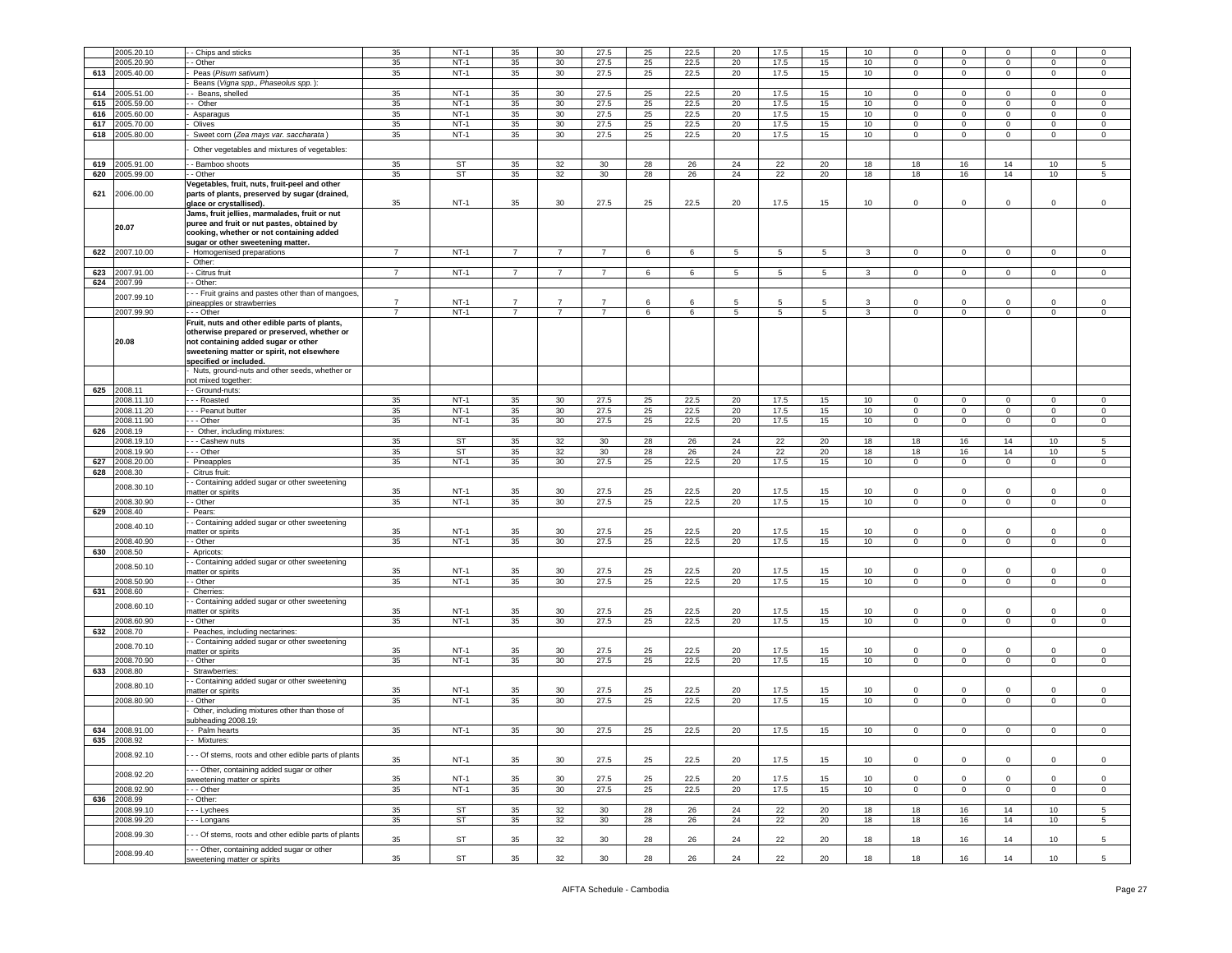|     | 2005.20.10     | - Chips and sticks                                   | 35             | $NT-1$    | 35             | 30              | 27.5            | 25     | 22.5       | 20 | 17.5 | 15              | 10 | $\Omega$    | $\mathbf 0$         |             | $\Omega$        | $\mathbf 0$     |
|-----|----------------|------------------------------------------------------|----------------|-----------|----------------|-----------------|-----------------|--------|------------|----|------|-----------------|----|-------------|---------------------|-------------|-----------------|-----------------|
|     | 2005.20.90     | Other                                                | 35             | $NT-1$    | 35             | 30              | 27.5            | 25     | 22.5       | 20 | 17.5 | 15              | 10 | 0           | $\mathbf 0$         | $^{\circ}$  | 0               | $\mathbf 0$     |
|     |                |                                                      |                |           |                |                 |                 |        |            |    |      |                 |    |             |                     |             |                 |                 |
| 613 | 2005.40.00     | Peas (Pisum sativum)                                 | 35             | $NT-1$    | 35             | 30              | 27.5            | 25     | 22.5       | 20 | 17.5 | 15              | 10 | $\mathbf 0$ | $\,0\,$             | $\mathbf 0$ | $\mathbf 0$     | $\,0\,$         |
|     |                | Beans (Vigna spp., Phaseolus spp.)                   |                |           |                |                 |                 |        |            |    |      |                 |    |             |                     |             |                 |                 |
| 614 | 2005.51.00     | - Beans, shelled                                     | 35             | $NT-1$    | 35             | 30              | 27.5            | 25     | 22.5       | 20 | 17.5 | 15              | 10 | $\Omega$    | $\mathbf 0$         | $\Omega$    | $\Omega$        | $\Omega$        |
| 615 | 2005.59.00     | Other                                                | 35             | $NT-1$    | 35             | 30              | 27.5            | 25     | 22.5       | 20 | 17.5 | 15              | 10 | $\mathbf 0$ | $\,0\,$             | $\mathbf 0$ | $\mathbf 0$     | $\,0\,$         |
| 616 | 2005.60.00     | Asparagus                                            | 35             | $NT-1$    | 35             | 30              | 27.5            | 25     | 22.5       | 20 | 17.5 | 15              | 10 | 0           | $\mathbf 0$         | 0           | 0               | 0               |
| 617 | 2005.70.00     | Olives                                               | 35             | $NT-1$    | 35             | 30              | 27.5            | $25\,$ | 22.5       | 20 | 17.5 | 15              | 10 | $\mathbf 0$ | $\,0\,$             | $\mathbf 0$ | $\mathbf 0$     | $\,0\,$         |
| 618 | 2005.80.00     | Sweet corn (Zea mays var. saccharata)                | 35             | $NT-1$    | 35             | 30              | 27.5            | 25     | 22.5       | 20 | 17.5 | 15              | 10 | $\mathbf 0$ | $\mathbf 0$         | $\mathbf 0$ | $\mathbf 0$     | $\mathbf 0$     |
|     |                |                                                      |                |           |                |                 |                 |        |            |    |      |                 |    |             |                     |             |                 |                 |
|     |                | Other vegetables and mixtures of vegetables:         |                |           |                |                 |                 |        |            |    |      |                 |    |             |                     |             |                 |                 |
|     |                |                                                      |                |           |                |                 |                 |        |            |    |      |                 |    |             |                     |             |                 |                 |
| 619 | 2005.91.00     | - Bamboo shoots                                      | 35             | ST        | 35             | 32              | 30              | 28     | 26         | 24 | 22   | 20              | 18 | 18          | 16                  | 14          | 10              | 5               |
| 620 | 2005.99.00     | - Other                                              | 35             | ST        | 35             | 32              | 30 <sup>°</sup> | 28     | 26         | 24 | 22   | 20              | 18 | 18          | 16                  | 14          | $10$            | 5               |
|     |                | Vegetables, fruit, nuts, fruit-peel and other        |                |           |                |                 |                 |        |            |    |      |                 |    |             |                     |             |                 |                 |
| 621 | 2006.00.00     | parts of plants, preserved by sugar (drained,        |                |           |                |                 |                 |        |            |    |      |                 |    |             |                     |             |                 |                 |
|     |                | glace or crystallised).                              | 35             | $NT-1$    | 35             | 30              | 27.5            | 25     | 22.5       | 20 | 17.5 | 15              | 10 | $\mathbf 0$ | 0                   | 0           | 0               | $\mathbf 0$     |
|     |                | Jams, fruit jellies, marmalades, fruit or nut        |                |           |                |                 |                 |        |            |    |      |                 |    |             |                     |             |                 |                 |
|     | 20.07          | puree and fruit or nut pastes, obtained by           |                |           |                |                 |                 |        |            |    |      |                 |    |             |                     |             |                 |                 |
|     |                | cooking, whether or not containing added             |                |           |                |                 |                 |        |            |    |      |                 |    |             |                     |             |                 |                 |
|     |                | sugar or other sweetening matter.                    |                |           |                |                 |                 |        |            |    |      |                 |    |             |                     |             |                 |                 |
|     | 622 2007.10.00 | Homogenised preparations                             | $\overline{7}$ | $NT-1$    |                |                 | $\overline{7}$  | 6      | 6          | 5  | -5   | -5              | 3  | $\Omega$    | $\mathbf 0$         | $\Omega$    | $\Omega$        | 0               |
|     |                | Other:                                               |                |           |                |                 |                 |        |            |    |      |                 |    |             |                     |             |                 |                 |
| 623 | 2007.91.00     | - Citrus fruit                                       | $\overline{7}$ | $NT-1$    | $\overline{7}$ | 7               | $\overline{7}$  | 6      | 6          | 5  | 5    | 5               | 3  | 0           | $\mathbf 0$         | $\mathbf 0$ | $\mathbf 0$     | 0               |
| 624 | 2007.99        | - Other:                                             |                |           |                |                 |                 |        |            |    |      |                 |    |             |                     |             |                 |                 |
|     |                |                                                      |                |           |                |                 |                 |        |            |    |      |                 |    |             |                     |             |                 |                 |
|     | 2007.99.10     | - - Fruit grains and pastes other than of mangoes    | $\overline{7}$ | $NT-1$    | 7              | -7              | $\overline{7}$  | 6      | $\epsilon$ | 5  |      | 5               | 3  | $\Omega$    | $^{\circ}$          | $\Omega$    | $\Omega$        |                 |
|     |                | bineapples or strawberries                           |                |           |                |                 |                 |        |            |    | -5   |                 |    |             |                     |             |                 | 0               |
|     | 2007.99.90     | - - Other                                            | $\overline{7}$ | $NT-1$    | $\overline{7}$ | $\overline{7}$  | $\overline{7}$  | 6      | 6          | 5  | 5    | $5\overline{5}$ | 3  | $\mathbf 0$ | $\mathbf{0}$        | $\mathbf 0$ | $\mathbf 0$     | $\mathsf 0$     |
|     |                | Fruit, nuts and other edible parts of plants,        |                |           |                |                 |                 |        |            |    |      |                 |    |             |                     |             |                 |                 |
|     |                | otherwise prepared or preserved, whether or          |                |           |                |                 |                 |        |            |    |      |                 |    |             |                     |             |                 |                 |
|     | 20.08          | not containing added sugar or other                  |                |           |                |                 |                 |        |            |    |      |                 |    |             |                     |             |                 |                 |
|     |                | sweetening matter or spirit, not elsewhere           |                |           |                |                 |                 |        |            |    |      |                 |    |             |                     |             |                 |                 |
|     |                | specified or included.                               |                |           |                |                 |                 |        |            |    |      |                 |    |             |                     |             |                 |                 |
|     |                | Nuts, ground-nuts and other seeds, whether or        |                |           |                |                 |                 |        |            |    |      |                 |    |             |                     |             |                 |                 |
|     |                | ot mixed together:                                   |                |           |                |                 |                 |        |            |    |      |                 |    |             |                     |             |                 |                 |
| 625 | 2008.11        | - Ground-nuts:                                       |                |           |                |                 |                 |        |            |    |      |                 |    |             |                     |             |                 |                 |
|     | 2008.11.10     | - - Roasted                                          | 35             | $NT-1$    | 35             | 30 <sup>°</sup> | 27.5            | 25     | 22.5       | 20 | 17.5 | 15              | 10 | $\mathbf 0$ | $\mathbf 0$         | $^{\circ}$  | $\mathbf 0$     | $\mathbf 0$     |
|     | 2008.11.20     | - - Peanut butter                                    | 35             | $NT-1$    | 35             | 30              | 27.5            | 25     | 22.5       | 20 | 17.5 | 15              | 10 | 0           | $\mathbf 0$         | 0           | $\mathbf 0$     | $\mathsf 0$     |
|     | 2008.11.90     | - Other                                              | 35             | $NT-1$    | 35             | 30              | 27.5            | 25     | 22.5       | 20 | 17.5 | 15              | 10 | $\mathbf 0$ | $\mathbf 0$         | $\mathbf 0$ | $\mathbf 0$     | $\,0\,$         |
| 626 | 2008.19        | - Other, including mixtures:                         |                |           |                |                 |                 |        |            |    |      |                 |    |             |                     |             |                 |                 |
|     |                |                                                      |                |           |                |                 |                 |        |            |    |      |                 |    |             |                     |             |                 |                 |
|     | 008.19.10      | - - Cashew nuts                                      | 35             | <b>ST</b> | 35             | 32              | 30              | 28     | 26         | 24 | 22   | 20              | 18 | 18          | 16                  | 14          | 10              | 5               |
|     | 2008.19.90     | - - Other                                            | 35             | ST        | 35             | 32              | 30              | 28     | 26         | 24 | 22   | 20              | 18 | 18          | 16                  | 14          | 10              | 5               |
| 627 | 2008.20.00     | Pineapples                                           | 35             | $NT-1$    | 35             | 30              | 27.5            | 25     | 22.5       | 20 | 17.5 | 15              | 10 | $\circ$     | $\mathbf 0$         | 0           | $\mathbf 0$     | $\mathsf 0$     |
| 628 | 2008.30        | Citrus fruit:                                        |                |           |                |                 |                 |        |            |    |      |                 |    |             |                     |             |                 |                 |
|     |                | - Containing added sugar or other sweetening         |                |           |                |                 |                 |        |            |    |      |                 |    |             |                     |             |                 |                 |
|     | 2008.30.10     | natter or spirits                                    | 35             | $NT-1$    | 35             | 30              | 27.5            | 25     | 22.5       | 20 | 17.5 | 15              | 10 | $\mathbf 0$ | $\mathbf 0$         | $\mathbf 0$ | $\mathbf 0$     | $\,0\,$         |
|     | 2008.30.90     | - Other                                              | 35             | $NT-1$    | 35             | 30              | 27.5            | 25     | 22.5       | 20 | 17.5 | 15              | 10 | 0           | $^{\circ}$          | $\mathbf 0$ | 0               | 0               |
| 629 | 2008.40        | Pears:                                               |                |           |                |                 |                 |        |            |    |      |                 |    |             |                     |             |                 |                 |
|     |                | - Containing added sugar or other sweetening         |                |           |                |                 |                 |        |            |    |      |                 |    |             |                     |             |                 |                 |
|     | 2008.40.10     | natter or spirits                                    | 35             | $NT-1$    | 35             | 30              | 27.5            | 25     | 22.5       | 20 | 17.5 | 15              | 10 | $\mathbf 0$ | $\mathbf 0$         |             | $\mathbf 0$     | 0               |
|     | 2008.40.90     | - Other                                              | 35             | $NT-1$    | 35             | 30              | 27.5            | 25     | 22.5       | 20 | 17.5 | 15              | 10 | $\mathbf 0$ | $\mathbf 0$         | $\mathbf 0$ | $\mathbf 0$     | $\mathbf 0$     |
| 630 | 2008.50        | Apricots:                                            |                |           |                |                 |                 |        |            |    |      |                 |    |             |                     |             |                 |                 |
|     |                |                                                      |                |           |                |                 |                 |        |            |    |      |                 |    |             |                     |             |                 |                 |
|     | 2008.50.10     | - Containing added sugar or other sweetening         | 35             | $NT-1$    | 35             | 30              | 27.5            | 25     | 22.5       | 20 | 17.5 | 15              | 10 | 0           | $^{\circ}$          | 0           | $\mathbf 0$     | 0               |
|     | 2008.50.90     | natter or spirits<br>- Other                         | 35             | $NT-1$    | 35             | 30 <sup>°</sup> | 27.5            | 25     | 22.5       | 20 | 17.5 | 15              | 10 | 0           | $\mathbf 0$         | $\mathbf 0$ | $\mathbf 0$     | 0               |
|     |                |                                                      |                |           |                |                 |                 |        |            |    |      |                 |    |             |                     |             |                 |                 |
| 631 | 2008.60        | Cherries:                                            |                |           |                |                 |                 |        |            |    |      |                 |    |             |                     |             |                 |                 |
|     | 2008.60.10     | - Containing added sugar or other sweetening         |                |           |                |                 |                 |        |            |    |      |                 |    |             |                     |             |                 |                 |
|     |                | natter or spirits                                    | 35             | $NT-1$    | 35             | 30              | 27.5            | 25     | 22.5       | 20 | 17.5 | 15              | 10 | 0           | $\mathbf 0$         | 0           | $\mathbf 0$     | 0               |
|     | 2008.60.90     | - Other                                              | 35             | $NT-1$    | 35             | 30              | 27.5            | 25     | 22.5       | 20 | 17.5 | 15              | 10 | 0           | $\mathbf 0$         | $\mathbf 0$ | $\mathbf 0$     | $\mathsf 0$     |
| 632 | 2008.70        | Peaches, including nectarines:                       |                |           |                |                 |                 |        |            |    |      |                 |    |             |                     |             |                 |                 |
|     | 2008.70.10     | - Containing added sugar or other sweetening         |                |           |                |                 |                 |        |            |    |      |                 |    |             |                     |             |                 |                 |
|     |                | natter or spirits                                    | 35             | $NT-1$    | 35             | 30              | 27.5            | 25     | 22.5       | 20 | 17.5 | 15              | 10 | 0           | $^{\circ}$          | 0           | $\mathbf 0$     | 0               |
|     | 008.70.90      | - Other                                              | 35             | $NT-1$    | 35             | 30 <sup>°</sup> | 27.5            | 25     | 22.5       | 20 | 17.5 | 15              | 10 | $\mathbf 0$ | $\mathbf 0$         | $\mathbf 0$ | $\mathbf 0$     | $\mathsf 0$     |
|     | 633 2008.80    | <b>Strawberries</b>                                  |                |           |                |                 |                 |        |            |    |      |                 |    |             |                     |             |                 |                 |
|     |                | - Containing added sugar or other sweetening         |                |           |                |                 |                 |        |            |    |      |                 |    |             |                     |             |                 |                 |
|     | 2008.80.10     | natter or spirits                                    | 35             | $NT-1$    | 35             | 30              | 27.5            | 25     | 22.5       | 20 | 17.5 | 15              | 10 | 0           | $\mathbf 0$         |             | $\Omega$        | $\mathbf 0$     |
|     | 2008.80.90     | - Other                                              | 35             | $NT-1$    | 35             | 30              | 27.5            | 25     | 22.5       | 20 | 17.5 | 15              | 10 | $\circ$     | $\mathbf 0$         | $\mathbf 0$ | $\circ$         | $\mathsf 0$     |
|     |                | Other, including mixtures other than those of        |                |           |                |                 |                 |        |            |    |      |                 |    |             |                     |             |                 |                 |
|     |                | ubheading 2008.19:                                   |                |           |                |                 |                 |        |            |    |      |                 |    |             |                     |             |                 |                 |
| 634 | 2008.91.00     | - Palm hearts                                        | 35             | $NT-1$    | 35             | 30              | 27.5            | 25     | 22.5       | 20 | 17.5 | 15              | 10 | 0           | 0                   | $^{\circ}$  | 0               | 0               |
| 635 | 2008.92        | - Mixtures:                                          |                |           |                |                 |                 |        |            |    |      |                 |    |             |                     |             |                 |                 |
|     |                |                                                      |                |           |                |                 |                 |        |            |    |      |                 |    |             |                     |             |                 |                 |
|     | 2008.92.10     | - - Of stems, roots and other edible parts of plants | 35             | $NT-1$    | 35             | 30 <sup>°</sup> | 27.5            | 25     | 22.5       | 20 | 17.5 | 15              | 10 | $\mathbf 0$ | $\mathsf{O}\xspace$ | $\mathbf 0$ | $\mathbf{0}$    | $\mathsf 0$     |
|     |                |                                                      |                |           |                |                 |                 |        |            |    |      |                 |    |             |                     |             |                 |                 |
|     | 2008.92.20     | - - Other, containing added sugar or other           |                |           |                |                 |                 |        |            |    |      |                 |    |             |                     |             |                 |                 |
|     |                | sweetening matter or spirits                         | 35             | $NT-1$    | 35             | 30              | 27.5            | 25     | 22.5       | 20 | 17.5 | 15              | 10 | 0           | 0                   | $\mathbf 0$ | 0               | $\mathsf 0$     |
|     | 2008.92.90     | - - Other                                            | 35             | $NT-1$    | 35             | 30 <sup>°</sup> | 27.5            | 25     | 22.5       | 20 | 17.5 | 15              | 10 | $\mathbf 0$ | $\mathbf 0$         | $\circ$     | $\mathbf{0}$    | $\circ$         |
| 636 | 2008.99        | - Other:                                             |                |           |                |                 |                 |        |            |    |      |                 |    |             |                     |             |                 |                 |
|     | 2008.99.10     | - Lychees                                            | 35             | <b>ST</b> | 35             | 32              | 30 <sup>°</sup> | 28     | 26         | 24 | 22   | 20              | 18 | 18          | 16                  | 14          | 10 <sub>1</sub> | 5               |
|     | 2008.99.20     | - - Longans                                          | 35             | <b>ST</b> | 35             | 32              | 30              | 28     | 26         | 24 | 22   | 20              | 18 | 18          | 16                  | 14          | 10              | 5               |
|     |                |                                                      |                |           |                |                 |                 |        |            |    |      |                 |    |             |                     |             |                 |                 |
|     | 2008.99.30     | - - Of stems, roots and other edible parts of plants | 35             | ST        | 35             | 32              | 30 <sup>°</sup> | 28     | 26         | 24 | 22   | 20              | 18 | 18          | 16                  | 14          | 10              | $\sqrt{5}$      |
|     |                | -- Other, containing added sugar or other            |                |           |                |                 |                 |        |            |    |      |                 |    |             |                     |             |                 |                 |
|     | 2008.99.40     | sweetening matter or spirits                         | 35             | ST        | 35             | 32              | 30 <sup>°</sup> | 28     | 26         | 24 | 22   | 20              | 18 | 18          | 16                  | 14          | 10              | $5\phantom{.0}$ |
|     |                |                                                      |                |           |                |                 |                 |        |            |    |      |                 |    |             |                     |             |                 |                 |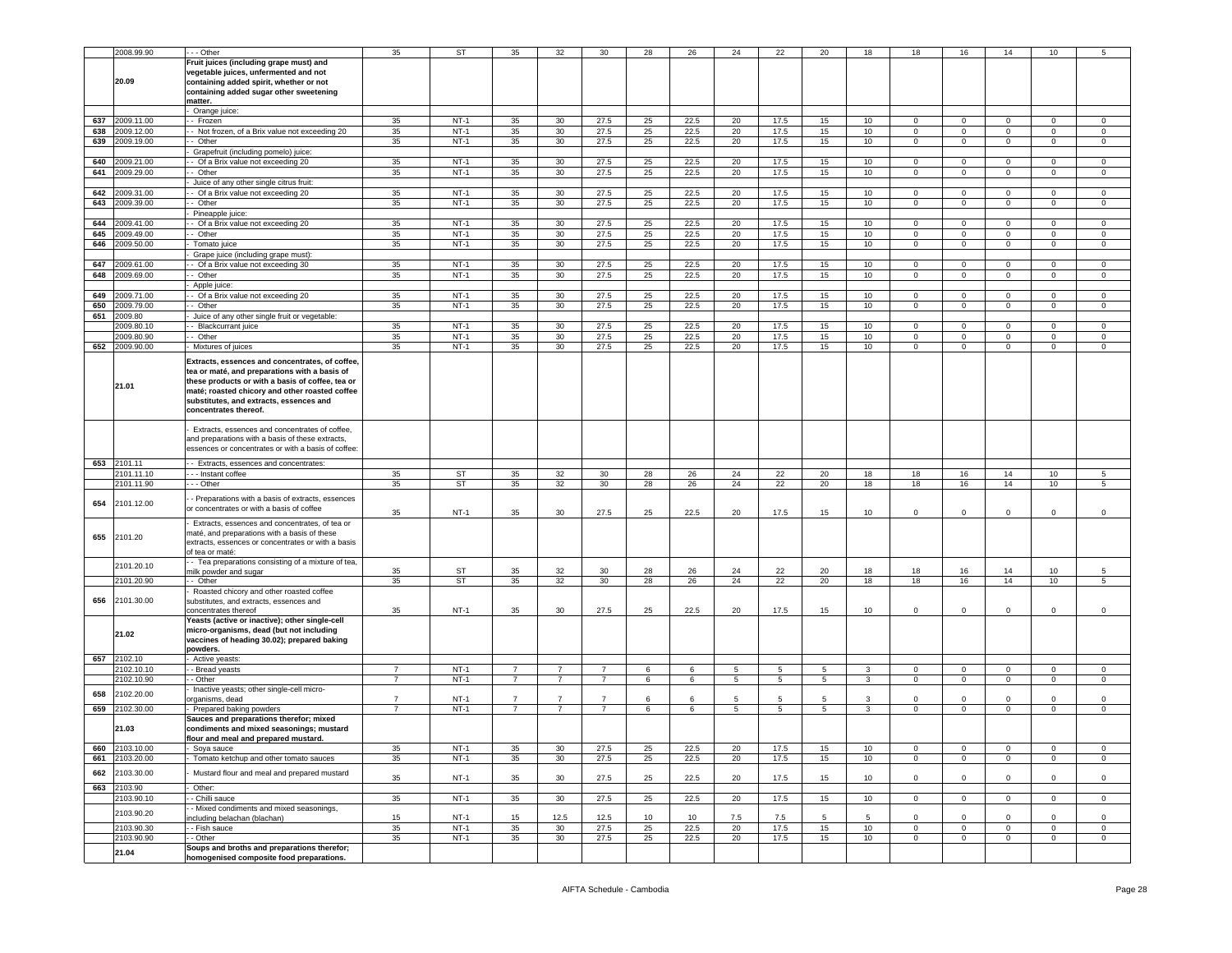|     | 2008.99.90 | - - - Other                                                                                    | 35             | <b>ST</b> | 35             | 32              | 30             | 28 | 26   | 24              | 22   | 20              | 18           | 18             | 16             | 14           | 10             | 5              |
|-----|------------|------------------------------------------------------------------------------------------------|----------------|-----------|----------------|-----------------|----------------|----|------|-----------------|------|-----------------|--------------|----------------|----------------|--------------|----------------|----------------|
|     |            | Fruit juices (including grape must) and                                                        |                |           |                |                 |                |    |      |                 |      |                 |              |                |                |              |                |                |
|     |            | vegetable juices, unfermented and not                                                          |                |           |                |                 |                |    |      |                 |      |                 |              |                |                |              |                |                |
|     | 20.09      | containing added spirit, whether or not                                                        |                |           |                |                 |                |    |      |                 |      |                 |              |                |                |              |                |                |
|     |            | containing added sugar other sweetening                                                        |                |           |                |                 |                |    |      |                 |      |                 |              |                |                |              |                |                |
|     |            | matter.                                                                                        |                |           |                |                 |                |    |      |                 |      |                 |              |                |                |              |                |                |
|     |            | Orange juice:                                                                                  |                |           |                |                 |                |    |      |                 |      |                 |              |                |                |              |                |                |
| 637 | 2009.11.00 | - Frozen                                                                                       | 35             | $NT-1$    | 35             | 30              | 27.5           | 25 | 22.5 | 20              | 17.5 | 15              | 10           | $\overline{0}$ | 0              | 0            | $\mathbf 0$    | $\mathbf 0$    |
|     |            |                                                                                                |                |           |                |                 |                |    |      |                 |      |                 |              |                |                |              |                |                |
| 638 | 2009.12.00 | - Not frozen, of a Brix value not exceeding 20                                                 | 35             | $NT-1$    | 35             | 30              | 27.5           | 25 | 22.5 | 20              | 17.5 | 15              | 10           | $\overline{0}$ | $\mathbf 0$    | $\mathbf 0$  | $\overline{0}$ | $\overline{0}$ |
| 639 | 2009.19.00 | Other                                                                                          | 35             | $NT-1$    | 35             | 30              | 27.5           | 25 | 22.5 | 20              | 17.5 | 15              | 10           | $\mathbf 0$    | $\mathbf 0$    | $\mathsf 0$  | $\mathbf 0$    | $\mathbf 0$    |
|     |            | Grapefruit (including pomelo) juice:                                                           |                |           |                |                 |                |    |      |                 |      |                 |              |                |                |              |                |                |
| 640 | 009.21.00  | - Of a Brix value not exceeding 20                                                             | 35             | $NT-1$    | 35             | 30              | 27.5           | 25 | 22.5 | 20              | 17.5 | 15              | 10           | $\mathbf 0$    | 0              | 0            | $\mathbf{0}$   | $\mathbf 0$    |
| 641 | 2009.29.00 | - Other                                                                                        | 35             | $NT-1$    | 35             | 30              | 27.5           | 25 | 22.5 | 20              | 17.5 | 15              | 10           | $\mathbf 0$    | $\mathbf 0$    | $\Omega$     | $\mathbf 0$    | $\mathbf 0$    |
|     |            | Juice of any other single citrus fruit:                                                        |                |           |                |                 |                |    |      |                 |      |                 |              |                |                |              |                |                |
| 642 | 2009.31.00 | - Of a Brix value not exceeding 20                                                             | 35             | $NT-1$    | 35             | 30              | 27.5           | 25 | 22.5 | 20              | 17.5 | 15              | 10           | $\mathbf 0$    | 0              | 0            | $\mathbf 0$    | $\mathsf 0$    |
| 643 | 2009.39.00 | - Other                                                                                        | 35             | $NT-1$    | 35             | 30              | 27.5           | 25 | 22.5 | 20              | 17.5 | 15              | 10           | $\overline{0}$ | $\mathbf 0$    | $\mathbf{0}$ | $\mathbf 0$    | $\mathbf 0$    |
|     |            | Pineapple juice:                                                                               |                |           |                |                 |                |    |      |                 |      |                 |              |                |                |              |                |                |
| 644 | 2009.41.00 | - Of a Brix value not exceeding 20                                                             | 35             | $NT-1$    | 35             | 30              | 27.5           | 25 | 22.5 | 20              | 17.5 | 15              | 10           | $\mathbf 0$    | 0              | 0            | $\mathbf 0$    | $\mathsf 0$    |
| 645 | 2009.49.00 | $-$ Other                                                                                      | 35             | $NT-1$    | 35             | 30              | 27.5           | 25 | 22.5 | 20              | 17.5 | 15              | 10           | $\overline{0}$ | $\mathbf 0$    | $\mathbf 0$  | $\overline{0}$ | $\overline{0}$ |
| 646 | 009.50.00  | Tomato juice                                                                                   | 35             | $NT-1$    | 35             | 30 <sup>°</sup> | 27.5           | 25 | 22.5 | 20              | 17.5 | 15              | 10           | $\mathbf 0$    | $\mathbf 0$    | $\mathbf 0$  | $\mathbf 0$    | $\mathbf 0$    |
|     |            | Grape juice (including grape must):                                                            |                |           |                |                 |                |    |      |                 |      |                 |              |                |                |              |                |                |
| 647 | 009.61.00  | - Of a Brix value not exceeding 30                                                             | 35             | $NT-1$    | 35             | 30 <sup>°</sup> | 27.5           | 25 | 22.5 | 20              | 17.5 | 15              | 10           | $\mathbf 0$    | 0              | $\mathbf{0}$ | $\mathbf{0}$   | $\mathbf 0$    |
| 648 | 2009.69.00 | - Other                                                                                        | 35             | $NT-1$    | 35             | 30              | 27.5           | 25 | 22.5 | 20              | 17.5 | 15              | 10           | $\mathbf 0$    | $\mathbf 0$    | $\mathbf{0}$ | $\mathbf 0$    | $\mathbf 0$    |
|     |            | Apple juice:                                                                                   |                |           |                |                 |                |    |      |                 |      |                 |              |                |                |              |                |                |
| 649 | 2009.71.00 | - Of a Brix value not exceeding 20                                                             | 35             | $NT-1$    | 35             | 30              | 27.5           | 25 | 22.5 | 20              | 17.5 | 15              | 10           | $\mathbf 0$    | $\mathbf 0$    | $\mathsf 0$  | $\mathbf 0$    | $\mathbf 0$    |
| 650 | 2009.79.00 | - Other                                                                                        | 35             | $NT-1$    | 35             | 30              | 27.5           | 25 | 22.5 | 20              | 17.5 | 15              | 10           | $\overline{0}$ | $\mathbf 0$    | $\mathbf 0$  | $\mathbf 0$    | $\mathbf 0$    |
| 651 | 2009.80    | Juice of any other single fruit or vegetable:                                                  |                |           |                |                 |                |    |      |                 |      |                 |              |                |                |              |                |                |
|     | 2009.80.10 | - Blackcurrant juice                                                                           | 35             | $NT-1$    | 35             | 30              | 27.5           | 25 | 22.5 | 20              | 17.5 | 15              | 10           | $\mathsf 0$    | 0              | $\Omega$     | 0              | $\mathbf 0$    |
|     | 2009.80.90 | - Other                                                                                        | 35             | $NT-1$    | 35             | 30              | 27.5           | 25 | 22.5 | 20              | 17.5 | 15              | 10           | $\overline{0}$ | $\overline{0}$ | $\mathbf 0$  | $\overline{0}$ | $\overline{0}$ |
| 652 | 2009.90.00 | Mixtures of juices                                                                             | 35             | $NT-1$    | 35             | 30 <sup>°</sup> | 27.5           | 25 | 22.5 | 20              | 17.5 | 15              | 10           | $\mathbf 0$    | $\mathbf 0$    | $\mathbf 0$  | $\mathbf 0$    | $\mathbf 0$    |
|     |            |                                                                                                |                |           |                |                 |                |    |      |                 |      |                 |              |                |                |              |                |                |
|     |            | Extracts, essences and concentrates, of coffee,                                                |                |           |                |                 |                |    |      |                 |      |                 |              |                |                |              |                |                |
|     |            | tea or maté, and preparations with a basis of                                                  |                |           |                |                 |                |    |      |                 |      |                 |              |                |                |              |                |                |
|     | 21.01      | these products or with a basis of coffee, tea or                                               |                |           |                |                 |                |    |      |                 |      |                 |              |                |                |              |                |                |
|     |            | maté; roasted chicory and other roasted coffee                                                 |                |           |                |                 |                |    |      |                 |      |                 |              |                |                |              |                |                |
|     |            | substitutes, and extracts, essences and                                                        |                |           |                |                 |                |    |      |                 |      |                 |              |                |                |              |                |                |
|     |            | concentrates thereof.                                                                          |                |           |                |                 |                |    |      |                 |      |                 |              |                |                |              |                |                |
|     |            |                                                                                                |                |           |                |                 |                |    |      |                 |      |                 |              |                |                |              |                |                |
|     |            | Extracts, essences and concentrates of coffee,                                                 |                |           |                |                 |                |    |      |                 |      |                 |              |                |                |              |                |                |
|     |            | and preparations with a basis of these extracts,                                               |                |           |                |                 |                |    |      |                 |      |                 |              |                |                |              |                |                |
|     |            | essences or concentrates or with a basis of coffee:                                            |                |           |                |                 |                |    |      |                 |      |                 |              |                |                |              |                |                |
| 653 | 2101.11    | - Extracts, essences and concentrates:                                                         |                |           |                |                 |                |    |      |                 |      |                 |              |                |                |              |                |                |
|     | 2101.11.10 | --- Instant coffee                                                                             | 35             | ST        | 35             | 32              | 30             | 28 | 26   | 24              | 22   | 20              | 18           | 18             | 16             | 14           | 10             | 5              |
|     | 2101.11.90 | - - - Other                                                                                    | 35             | ST        | 35             | 32              | 30             | 28 | 26   | 24              | 22   | 20              | 18           | 18             | 16             | 14           | 10             | 5              |
|     |            |                                                                                                |                |           |                |                 |                |    |      |                 |      |                 |              |                |                |              |                |                |
| 654 | 2101.12.00 | - Preparations with a basis of extracts, essences<br>or concentrates or with a basis of coffee |                |           |                |                 |                |    |      |                 |      |                 |              |                |                |              |                |                |
|     |            |                                                                                                | 35             | $NT-1$    | 35             | 30              | 27.5           | 25 | 22.5 | 20              | 17.5 | 15              | 10           | $\mathbf 0$    | 0              | 0            | 0              | $\mathbf 0$    |
|     |            | Extracts, essences and concentrates, of tea or                                                 |                |           |                |                 |                |    |      |                 |      |                 |              |                |                |              |                |                |
| 655 | 2101.20    | maté, and preparations with a basis of these                                                   |                |           |                |                 |                |    |      |                 |      |                 |              |                |                |              |                |                |
|     |            | extracts, essences or concentrates or with a basis                                             |                |           |                |                 |                |    |      |                 |      |                 |              |                |                |              |                |                |
|     |            | of tea or maté:                                                                                |                |           |                |                 |                |    |      |                 |      |                 |              |                |                |              |                |                |
|     | 2101.20.10 |                                                                                                |                |           |                |                 |                |    |      |                 |      |                 |              |                |                |              |                |                |
|     |            | - Tea preparations consisting of a mixture of tea,                                             |                |           |                |                 |                |    |      |                 |      |                 |              |                |                |              |                |                |
|     |            | milk powder and sugar                                                                          | 35             | ST        | 35             | 32              | 30             | 28 | 26   | 24              | 22   | 20              | 18           | 18             | 16             | 14           | 10             | 5              |
|     | 2101.20.90 | -- Other                                                                                       | 35             | ST        | 35             | 32              | 30             | 28 | 26   | 24              | 22   | 20              | 18           | 18             | 16             | 14           | 10             | 5              |
|     |            | Roasted chicory and other roasted coffee                                                       |                |           |                |                 |                |    |      |                 |      |                 |              |                |                |              |                |                |
| 656 | 2101.30.00 | substitutes, and extracts, essences and                                                        |                |           |                |                 |                |    |      |                 |      |                 |              |                |                |              |                |                |
|     |            | concentrates thereof                                                                           | 35             | $NT-1$    | 35             | 30              | 27.5           | 25 | 22.5 | 20              | 17.5 | 15              | 10           | $\mathbf 0$    | 0              | 0            | $\mathbf{0}$   | $\mathbf 0$    |
|     |            | Yeasts (active or inactive); other single-cell                                                 |                |           |                |                 |                |    |      |                 |      |                 |              |                |                |              |                |                |
|     | 21.02      | micro-organisms, dead (but not including                                                       |                |           |                |                 |                |    |      |                 |      |                 |              |                |                |              |                |                |
|     |            | vaccines of heading 30.02); prepared baking                                                    |                |           |                |                 |                |    |      |                 |      |                 |              |                |                |              |                |                |
|     |            | powders.                                                                                       |                |           |                |                 |                |    |      |                 |      |                 |              |                |                |              |                |                |
| 657 | 2102.10    | Active yeasts:                                                                                 | $\overline{7}$ |           | $\overline{7}$ | $\overline{7}$  | $\overline{7}$ |    |      |                 |      |                 |              |                |                |              |                |                |
|     | 102.10.10  | - Bread yeasts                                                                                 |                | $NT-1$    |                |                 |                | 6  | 6    | 5               | 5    | 5               | 3            | $\mathbf 0$    | 0              | 0            | $\mathbf 0$    | $\mathbf 0$    |
|     | 2102.10.90 | - Other                                                                                        | $\overline{7}$ | $NT-1$    | $\overline{7}$ | $\overline{7}$  | $\overline{7}$ | 6  | 6    | $5\overline{5}$ | 5    | $5\overline{5}$ | $\mathbf{3}$ | $\overline{0}$ | $\mathbf 0$    | $\mathbf 0$  | 0              | $\mathsf 0$    |
| 658 | 2102.20.00 | Inactive yeasts; other single-cell micro-                                                      | $\overline{7}$ |           | 7              |                 | $\overline{7}$ | 6  | 6    | 5               | 5    | 5               | 3            | $\Omega$       | $^{\circ}$     | $\Omega$     | $\Omega$       | $\Omega$       |
|     |            | organisms, dead                                                                                | $\overline{7}$ | $NT-1$    | $\overline{7}$ | $\overline{7}$  | $\overline{7}$ |    |      |                 |      |                 |              |                |                |              |                |                |
| 659 | 2102.30.00 | Prepared baking powders                                                                        |                | $NT-1$    |                |                 |                | 6  | 6    | $5^{\circ}$     | 5    | $5\overline{5}$ | 3            | $\mathbf{0}$   | $\mathbf 0$    | $\mathbf 0$  | $\mathbf 0$    | $\mathbf 0$    |
|     | 21.03      | Sauces and preparations therefor; mixed                                                        |                |           |                |                 |                |    |      |                 |      |                 |              |                |                |              |                |                |
|     |            | condiments and mixed seasonings; mustard<br>flour and meal and prepared mustard.               |                |           |                |                 |                |    |      |                 |      |                 |              |                |                |              |                |                |
| 660 | 2103.10.00 | Soya sauce                                                                                     | 35             | $NT-1$    | 35             | 30              | 27.5           | 25 | 22.5 | 20              | 17.5 | 15              | 10           | 0              | 0              | 0            | 0              | 0              |
| 661 | 2103.20.00 | Tomato ketchup and other tomato sauces                                                         | 35             | $NT-1$    | 35             | 30 <sup>°</sup> | 27.5           | 25 | 22.5 | 20              | 17.5 | 15              | 10           | $\mathbf{0}$   | $\mathbf 0$    | $\mathbf 0$  | $\mathbf 0$    | $\mathsf 0$    |
|     |            |                                                                                                |                |           |                |                 |                |    |      |                 |      |                 |              |                |                |              |                |                |
| 662 | 2103.30.00 | Mustard flour and meal and prepared mustard                                                    | 35             | $NT-1$    | 35             | 30              | 27.5           | 25 | 22.5 | 20              | 17.5 | 15              | 10           | $\mathbf 0$    | $\mathbf 0$    | $\mathbf 0$  | $\mathbf{0}$   | $\mathsf 0$    |
| 663 | 2103.90    | Other:                                                                                         |                |           |                |                 |                |    |      |                 |      |                 |              |                |                |              |                |                |
|     | 2103.90.10 | - Chilli sauce                                                                                 | 35             | $NT-1$    | 35             | 30 <sup>°</sup> | 27.5           | 25 | 22.5 | 20              | 17.5 | 15              | 10           | $\mathbf{0}$   | $\mathbf 0$    | $\mathbf 0$  | $\mathbf{0}$   | $\mathbf 0$    |
|     |            | - Mixed condiments and mixed seasonings,                                                       |                |           |                |                 |                |    |      |                 |      |                 |              |                |                |              |                |                |
|     | 2103.90.20 | including belachan (blachan)                                                                   | 15             | $NT-1$    | 15             | 12.5            | 12.5           | 10 | 10   | 7.5             | 7.5  | 5               | 5            | $\mathbf 0$    | 0              | 0            | $\Omega$       | $\mathbf 0$    |
|     | 2103.90.30 | - Fish sauce                                                                                   | 35             | $NT-1$    | 35             | 30              | 27.5           | 25 | 22.5 | 20              | 17.5 | 15              | 10           | $\mathsf 0$    | 0              | 0            | $\mathbf 0$    | $\mathbf 0$    |
|     | 2103.90.90 | - Other                                                                                        | 35             | $NT-1$    | 35             | 30 <sup>°</sup> | 27.5           | 25 | 22.5 | 20              | 17.5 | 15              | 10           | $\overline{0}$ | $\mathsf 0$    | $\mathbf 0$  | $\mathbf 0$    | $\mathsf 0$    |
|     | 21.04      | Soups and broths and preparations therefor;<br>homogenised composite food preparations.        |                |           |                |                 |                |    |      |                 |      |                 |              |                |                |              |                |                |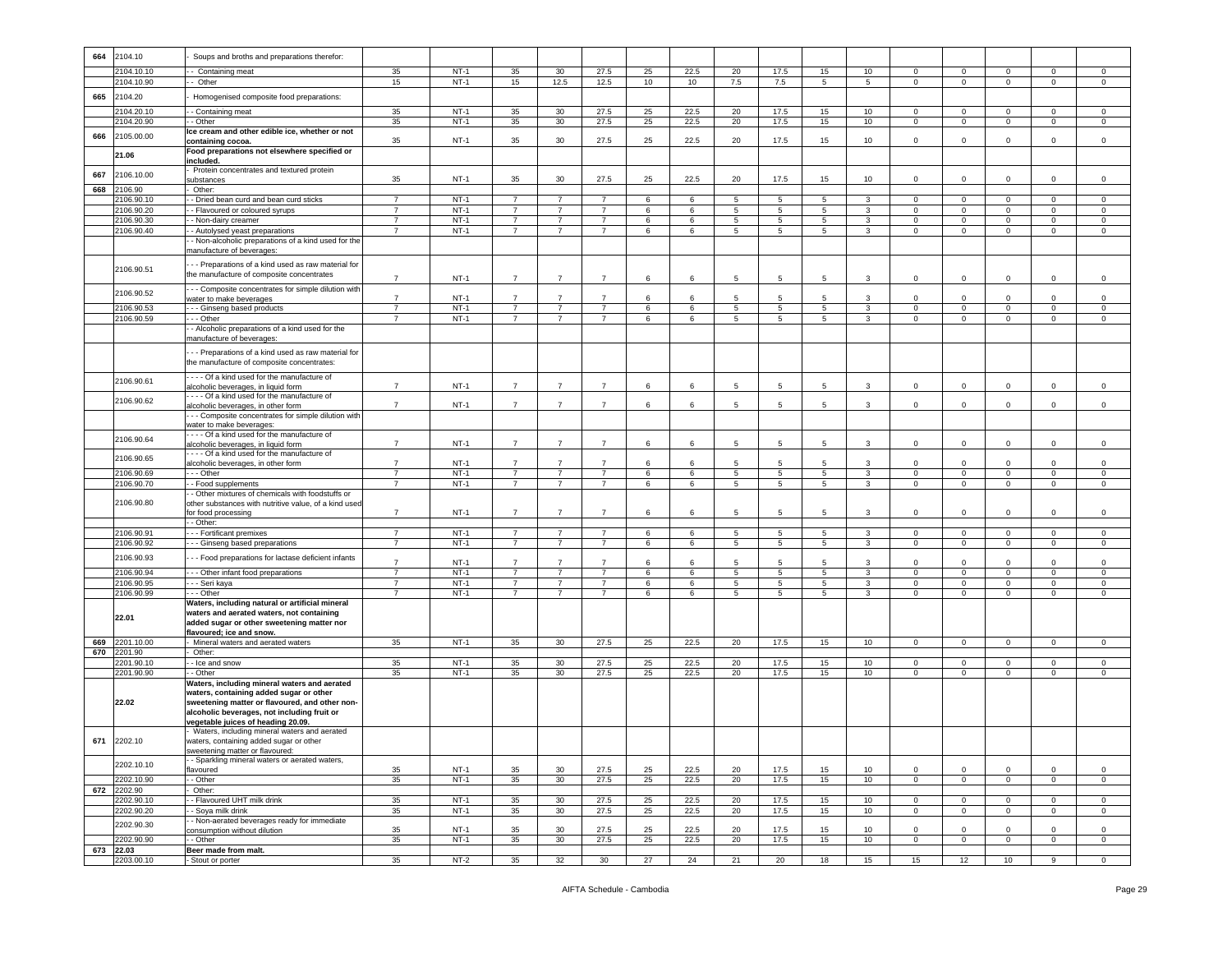| 664 | 2104.10                  | Soups and broths and preparations therefor:                                                               |                                  |                  |                                  |                                  |                                  |          |              |                |                                |                 |                              |                             |                               |                                  |                              |                               |
|-----|--------------------------|-----------------------------------------------------------------------------------------------------------|----------------------------------|------------------|----------------------------------|----------------------------------|----------------------------------|----------|--------------|----------------|--------------------------------|-----------------|------------------------------|-----------------------------|-------------------------------|----------------------------------|------------------------------|-------------------------------|
|     | 104.10.10                | Containing meat                                                                                           | 35                               | $NT-1$           | 35                               | $30\,$                           | 27.5                             | 25       | 22.5         | 20             | 17.5                           | 15              | 10                           | $\mathbf 0$                 | $\mathsf 0$                   | 0                                | $\mathbf 0$                  | $\mathsf 0$                   |
|     | 2104.10.90               | - Other                                                                                                   | 15                               | $NT-1$           | 15                               | 12.5                             | 12.5                             | 10       | 10           | 7.5            | 7.5                            | 5               | 5                            | $\circ$                     | $\overline{0}$                | $\mathbf{0}$                     | $\mathbf 0$                  | $\circ$                       |
| 665 | 2104.20                  | Homogenised composite food preparations:                                                                  |                                  |                  |                                  |                                  |                                  |          |              |                |                                |                 |                              |                             |                               |                                  |                              |                               |
|     | 104.20.10                | - Containing meat                                                                                         | 35                               | $NT-1$           | 35                               | $30\,$                           | 27.5                             | 25       | 22.5         | 20             | 17.5                           | 15              | 10                           | $\mathbf 0$                 | $^{\circ}$                    | $\mathbf 0$                      | $\Omega$                     | $\mathsf 0$                   |
|     | 2104.20.90               | - Other                                                                                                   | 35                               | $NT-1$           | 35                               | 30                               | 27.5                             | 25       | 22.5         | 20             | 17.5                           | 15              | 10                           | $\mathbf 0$                 | $\overline{0}$                | $\mathsf 0$                      | $\mathsf 0$                  | $\,0\,$                       |
| 666 | 2105.00.00               | Ice cream and other edible ice, whether or not<br>containing cocoa.                                       | 35                               | $NT-1$           | 35                               | 30                               | 27.5                             | 25       | 22.5         | 20             | 17.5                           | 15              | 10                           | 0                           | $\mathbf 0$                   | $\mathbf 0$                      | $\mathbf 0$                  | $\mathsf 0$                   |
|     |                          | Food preparations not elsewhere specified or                                                              |                                  |                  |                                  |                                  |                                  |          |              |                |                                |                 |                              |                             |                               |                                  |                              |                               |
|     | 21.06                    | included.                                                                                                 |                                  |                  |                                  |                                  |                                  |          |              |                |                                |                 |                              |                             |                               |                                  |                              |                               |
| 667 | 2106.10.00               | Protein concentrates and textured protein<br>substances                                                   | 35                               | $NT-1$           | 35                               | 30                               | 27.5                             | 25       | 22.5         | 20             | 17.5                           | 15              | 10                           | $\circ$                     | $\mathbf 0$                   | $\mathbf 0$                      | $\mathbf 0$                  | $\mathsf 0$                   |
| 668 | 2106.90                  | Other:                                                                                                    |                                  |                  |                                  |                                  |                                  |          |              |                |                                |                 |                              |                             |                               |                                  |                              |                               |
|     | 106.90.10                | - Dried bean curd and bean curd sticks                                                                    | $\overline{7}$                   | $NT-1$           | $\overline{7}$                   | $\overline{7}$                   | $\overline{7}$                   | 6        | 6            | 5              | 5                              | 5               | 3                            | $\mathbf 0$                 | $\mathbf 0$                   | $\mathbf 0$                      | $\mathbf 0$                  | $\mathsf 0$                   |
|     | 2106.90.20               | - Flavoured or coloured syrups                                                                            | $\overline{7}$                   | $NT-1$           | $\overline{7}$                   | $\overline{7}$                   | $\overline{7}$                   | 6        | 6            | 5              | 5                              | $5\overline{)}$ | $\overline{3}$               | $\mathbf{0}$                | $\overline{0}$                | $\circ$                          | $\mathbf 0$                  | $\mathsf 0$                   |
|     | 2106.90.30<br>2106.90.40 | - Non-dairy creamer<br>- Autolysed yeast preparations                                                     | $\overline{7}$<br>$\overline{7}$ | $NT-1$<br>$NT-1$ | $\overline{7}$<br>$\overline{7}$ | $\overline{7}$<br>$\overline{7}$ | $\overline{7}$<br>$\overline{7}$ | 6<br>6   | 6<br>6       | 5<br>5         | 5<br>5                         | 5<br>5          | $\mathbf{3}$<br>3            | $\mathbf 0$<br>$\mathbf 0$  | $\mathbf 0$<br>$\mathbf 0$    | $\mathbf 0$<br>$\mathbf{0}$      | $\mathbf 0$<br>$\mathbf 0$   | $\mathsf 0$<br>$\mathsf 0$    |
|     |                          | - Non-alcoholic preparations of a kind used for the                                                       |                                  |                  |                                  |                                  |                                  |          |              |                |                                |                 |                              |                             |                               |                                  |                              |                               |
|     |                          | manufacture of beverages:                                                                                 |                                  |                  |                                  |                                  |                                  |          |              |                |                                |                 |                              |                             |                               |                                  |                              |                               |
|     | 2106.90.51               | --- Preparations of a kind used as raw material for                                                       |                                  |                  |                                  |                                  |                                  |          |              |                |                                |                 |                              |                             |                               |                                  |                              |                               |
|     |                          | the manufacture of composite concentrates                                                                 | $\overline{7}$                   | $NT-1$           | $\overline{7}$                   | $\overline{7}$                   | $\overline{7}$                   | 6        | 6            | 5              | 5                              | 5               | 3                            | 0                           | $\mathbf 0$                   | 0                                | 0                            | $\mathsf 0$                   |
|     | 2106.90.52               | --- Composite concentrates for simple dilution with                                                       |                                  |                  |                                  | $\overline{7}$                   |                                  |          |              | 5              |                                | $5\overline{5}$ |                              |                             |                               |                                  |                              |                               |
|     | 2106.90.53               | water to make beverages<br>- - - Ginseng based products                                                   | $\overline{7}$<br>$\overline{7}$ | $NT-1$<br>$NT-1$ | $\overline{7}$<br>$\overline{7}$ | $\overline{7}$                   | $\overline{7}$<br>$\overline{7}$ | 6<br>6   | 6<br>6       | $\overline{5}$ | 5<br>5                         | $5\overline{)}$ | 3<br>$\overline{3}$          | $\mathbf 0$<br>$\circ$      | $^{\circ}$<br>$\overline{0}$  | $\mathbf 0$<br>$\mathbf 0$       | $\mathbf 0$<br>$\mathbf 0$   | $\mathsf 0$<br>$\,0\,$        |
|     | 2106.90.59               | - - Other                                                                                                 | $\overline{7}$                   | $NT-1$           | $\overline{7}$                   | $\overline{7}$                   | $\overline{7}$                   | 6        | 6            | 5              | 5                              | 5               | 3                            | $\mathbf 0$                 | $\mathbf 0$                   | $\mathbf 0$                      | $\mathbf 0$                  | $\mathsf 0$                   |
|     |                          | - Alcoholic preparations of a kind used for the                                                           |                                  |                  |                                  |                                  |                                  |          |              |                |                                |                 |                              |                             |                               |                                  |                              |                               |
|     |                          | manufacture of beverages:                                                                                 |                                  |                  |                                  |                                  |                                  |          |              |                |                                |                 |                              |                             |                               |                                  |                              |                               |
|     |                          | -- Preparations of a kind used as raw material for                                                        |                                  |                  |                                  |                                  |                                  |          |              |                |                                |                 |                              |                             |                               |                                  |                              |                               |
|     |                          | the manufacture of composite concentrates:                                                                |                                  |                  |                                  |                                  |                                  |          |              |                |                                |                 |                              |                             |                               |                                  |                              |                               |
|     | 2106.90.61               | Of a kind used for the manufacture of<br>alcoholic beverages, in liquid form                              | $\overline{7}$                   | $NT-1$           | $\overline{7}$                   | $\overline{7}$                   | $\overline{7}$                   | 6        | 6            | 5              | 5                              | 5               | 3                            | $\mathbf 0$                 | $\mathbf 0$                   | 0                                | $\mathbf 0$                  | $\mathsf 0$                   |
|     |                          | --- Of a kind used for the manufacture of                                                                 |                                  |                  |                                  |                                  |                                  |          |              |                |                                |                 |                              |                             |                               |                                  |                              |                               |
|     | 2106.90.62               | alcoholic beverages, in other form                                                                        | $\overline{7}$                   | $NT-1$           | $\overline{7}$                   | $\overline{7}$                   | $\overline{7}$                   | 6        | 6            | 5              | 5                              | 5               | 3                            | $\circ$                     | $\mathbf 0$                   | $\circ$                          | $\mathbf 0$                  | $\mathsf 0$                   |
|     |                          | -- Composite concentrates for simple dilution with<br>water to make beverages:                            |                                  |                  |                                  |                                  |                                  |          |              |                |                                |                 |                              |                             |                               |                                  |                              |                               |
|     |                          | --- Of a kind used for the manufacture of                                                                 |                                  |                  |                                  |                                  |                                  |          |              |                |                                |                 |                              |                             |                               |                                  |                              |                               |
|     | 2106.90.64               | alcoholic beverages, in liquid form                                                                       | $\overline{7}$                   | $NT-1$           | $\overline{7}$                   | $\overline{7}$                   | $\overline{7}$                   | 6        | 6            | 5              | 5                              | 5               | 3                            | $\mathsf 0$                 | $\mathbf 0$                   | $\mathbf 0$                      | $\mathsf 0$                  | $\,0\,$                       |
|     | 2106.90.65               | --- Of a kind used for the manufacture of<br>alcoholic beverages, in other form                           | $\overline{7}$                   | $NT-1$           | $\overline{7}$                   | $\overline{7}$                   | $\overline{7}$                   | 6        | 6            | 5              | 5                              | 5               | 3                            | 0                           | $\mathbf 0$                   | $\mathbf 0$                      | $\mathbf 0$                  | $\mathsf 0$                   |
|     | 2106.90.69               | - - Other                                                                                                 | $\overline{7}$                   | $NT-1$           | $\overline{7}$                   | $\overline{7}$                   | $\overline{7}$                   | 6        | 6            | 5              | 5                              | 5               | $\mathbf{3}$                 | $\mathbf{0}$                | $\mathbf 0$                   | $\circ$                          | $\mathbf 0$                  | $\mathsf 0$                   |
|     | 2106.90.70               | - Food supplements                                                                                        | $\overline{7}$                   | $NT-1$           | $\overline{7}$                   | $\overline{7}$                   | $\overline{7}$                   | 6        | 6            | 5              | 5                              | 5               | 3                            | $\mathbf{0}$                | $\mathbf 0$                   | $\overline{0}$                   | 0                            | $\mathbf 0$                   |
|     | 2106.90.80               | - Other mixtures of chemicals with foodstuffs or<br>other substances with nutritive value, of a kind used |                                  |                  |                                  |                                  |                                  |          |              |                |                                |                 |                              |                             |                               |                                  |                              |                               |
|     |                          | for food processing                                                                                       | $\overline{7}$                   | $NT-1$           | $\overline{7}$                   | $\overline{7}$                   | $\overline{7}$                   | 6        | 6            | 5              | 5                              | $5\overline{5}$ | 3                            | $\Omega$                    | $\Omega$                      | $\Omega$                         | $\Omega$                     | $\mathsf 0$                   |
|     |                          | - Other:                                                                                                  |                                  |                  |                                  |                                  |                                  |          |              |                |                                |                 |                              |                             |                               |                                  |                              |                               |
|     | 2106.90.91               | - - - Fortificant premixes                                                                                | 7                                | $NT-1$           | $\overline{7}$                   | 7                                | $\overline{7}$                   | 6        | 6            | 5              | 5                              | 5               | 3                            | 0                           | $\mathbf 0$                   | $\mathbf 0$                      | 0                            | 0                             |
|     | 2106.90.92               | - - - Ginseng based preparations                                                                          | $\overline{7}$                   | $NT-1$           | $\overline{7}$                   | $\overline{7}$                   | $\overline{7}$                   | 6        | 6            | 5              | $5\phantom{.0}$                | 5               | $\mathbf{3}$                 | $\mathbf{0}$                | $\mathbf 0$                   | $\mathbf{0}$                     | $\mathbf{0}$                 | $\mathsf 0$                   |
|     | 2106.90.93               | -- Food preparations for lactase deficient infants                                                        | $\overline{7}$                   | $NT-1$           | $\overline{7}$                   | $\overline{7}$                   | $\overline{7}$                   | 6        | -6           | 5              | 5                              | 5               | 3                            | $\Omega$                    | $\mathbf 0$                   | $\mathbf 0$                      | $\Omega$                     | $\mathsf 0$                   |
|     | 2106.90.94               | --- Other infant food preparations                                                                        | $\overline{7}$                   | $NT-1$           | $\overline{7}$                   | $\overline{7}$                   | $\overline{7}$                   | 6        | 6            | 5              | 5                              | 5               | $\mathbf{3}$                 | $\mathbf 0$                 | $\overline{0}$                | $\mathbf 0$                      | $\mathbf 0$                  | $\mathbf 0$                   |
|     | 2106.90.95<br>2106.90.99 | - - - Seri kaya<br>- - - Other                                                                            | $\overline{7}$<br>$\overline{7}$ | $NT-1$<br>$NT-1$ | $\overline{7}$<br>$\overline{7}$ | $\overline{7}$<br>$\overline{7}$ | $\overline{7}$<br>$\overline{7}$ | 6<br>6   | 6<br>6       | 5<br>5         | $5\phantom{.0}$<br>$\,$ 5 $\,$ | 5<br>5          | $\mathbf{3}$<br>$\mathbf{3}$ | $\circ$<br>$\mathbf 0$      | $\mathbf 0$<br>$\mathsf 0$    | $\circ$<br>$\mathbf 0$           | $\mathbf 0$<br>$\mathsf 0$   | $\,0\,$<br>$\mathsf 0$        |
|     |                          | Waters, including natural or artificial mineral                                                           |                                  |                  |                                  |                                  |                                  |          |              |                |                                |                 |                              |                             |                               |                                  |                              |                               |
|     | 22.01                    | waters and aerated waters, not containing                                                                 |                                  |                  |                                  |                                  |                                  |          |              |                |                                |                 |                              |                             |                               |                                  |                              |                               |
|     |                          | added sugar or other sweetening matter nor<br>flavoured; ice and snow.                                    |                                  |                  |                                  |                                  |                                  |          |              |                |                                |                 |                              |                             |                               |                                  |                              |                               |
| 669 | 2201.10.00               | Mineral waters and aerated waters                                                                         | 35                               | $NT-1$           | 35                               | 30                               | 27.5                             | 25       | 22.5         | 20             | 17.5                           | 15              | 10                           | $\mathbf 0$                 | $\mathbf 0$                   | $\mathbf 0$                      | 0                            | $\mathbf 0$                   |
| 670 | 2201.90                  | Other:                                                                                                    |                                  |                  |                                  |                                  |                                  |          |              |                |                                |                 |                              |                             |                               |                                  |                              |                               |
|     | 2201.90.10               | - Ice and snow                                                                                            | 35                               | $NT-1$           | 35                               | 30                               | 27.5                             | 25       | 22.5         | 20             | 17.5                           | 15              | 10                           | $\mathbf 0$                 | $\mathbf 0$                   | $\mathbf 0$                      | $\mathbf 0$                  | $\,0\,$                       |
|     | 2201.90.90               | - Other<br>Waters, including mineral waters and aerated                                                   | 35                               | $NT-1$           | 35                               | 30                               | 27.5                             | 25       | 22.5         | 20             | 17.5                           | 15              | 10                           | 0                           | $\mathbf 0$                   | $\mathbf 0$                      | 0                            | 0                             |
|     |                          | waters, containing added sugar or other                                                                   |                                  |                  |                                  |                                  |                                  |          |              |                |                                |                 |                              |                             |                               |                                  |                              |                               |
|     | 22.02                    | sweetening matter or flavoured, and other non-                                                            |                                  |                  |                                  |                                  |                                  |          |              |                |                                |                 |                              |                             |                               |                                  |                              |                               |
|     |                          | alcoholic beverages, not including fruit or<br>vegetable juices of heading 20.09.                         |                                  |                  |                                  |                                  |                                  |          |              |                |                                |                 |                              |                             |                               |                                  |                              |                               |
|     |                          | - Waters, including mineral waters and aerated                                                            |                                  |                  |                                  |                                  |                                  |          |              |                |                                |                 |                              |                             |                               |                                  |                              |                               |
| 671 | 2202.10                  | waters, containing added sugar or other                                                                   |                                  |                  |                                  |                                  |                                  |          |              |                |                                |                 |                              |                             |                               |                                  |                              |                               |
|     |                          | sweetening matter or flavoured:<br>- Sparkling mineral waters or aerated waters,                          |                                  |                  |                                  |                                  |                                  |          |              |                |                                |                 |                              |                             |                               |                                  |                              |                               |
|     | 2202.10.10               | flavoured                                                                                                 | 35                               | $NT-1$           | 35                               | 30                               | 27.5                             | 25       | 22.5         | 20             | 17.5                           | 15              | 10 <sub>1</sub>              | $\circ$                     | $\mathbf 0$                   | $\mathbf{0}$                     | $\mathbf{0}$                 | $\mathbf 0$                   |
|     | 2202.10.90               | - Other                                                                                                   | 35                               | $NT-1$           | 35                               | 30                               | 27.5                             | 25       | 22.5         | 20             | 17.5                           | 15              | 10                           | $\overline{0}$              | $\overline{0}$                | $\overline{0}$                   | $\overline{0}$               | $\mathsf 0$                   |
| 672 | 2202.90                  | Other:                                                                                                    |                                  |                  |                                  |                                  |                                  |          |              |                |                                |                 |                              |                             |                               |                                  |                              |                               |
|     | 2202.90.10<br>2202.90.20 | - Flavoured UHT milk drink<br>- Soya milk drink                                                           | 35<br>35                         | $NT-1$<br>$NT-1$ | 35<br>35                         | 30<br>30 <sup>°</sup>            | 27.5<br>27.5                     | 25<br>25 | 22.5<br>22.5 | 20<br>20       | 17.5<br>17.5                   | 15<br>15        | 10<br>10                     | $\mathbf 0$<br>$\mathbf{0}$ | $\mathbf 0$<br>$\overline{0}$ | $\overline{0}$<br>$\overline{0}$ | $\mathbf{0}$<br>$\mathbf{0}$ | $\mathsf 0$<br>$\overline{0}$ |
|     | 2202.90.30               | - Non-aerated beverages ready for immediate                                                               |                                  |                  |                                  |                                  |                                  |          |              |                |                                |                 |                              |                             |                               |                                  |                              |                               |
|     |                          | consumption without dilution                                                                              | 35                               | $NT-1$           | 35                               | 30                               | 27.5                             | 25       | 22.5         | 20             | 17.5                           | 15              | 10                           | $\Omega$                    | $\mathbf 0$                   | $\Omega$                         | $\Omega$                     | 0                             |
| 673 | 2202.90.90<br>22.03      | - Other<br>Beer made from malt.                                                                           | 35                               | $NT-1$           | 35                               | 30                               | 27.5                             | 25       | 22.5         | 20             | 17.5                           | 15              | 10                           | $\circ$                     | $\mathbf 0$                   | $\circ$                          | $\mathbf 0$                  | $\mathsf 0$                   |
|     | 2203.00.10               | - Stout or porter                                                                                         | 35                               | $NT-2$           | 35                               | $32\,$                           | 30                               | 27       | 24           | $21\,$         | 20                             | 18              | 15                           | 15                          | $12\,$                        | 10                               | 9                            | $\mathsf 0$                   |
|     |                          |                                                                                                           |                                  |                  |                                  |                                  |                                  |          |              |                |                                |                 |                              |                             |                               |                                  |                              |                               |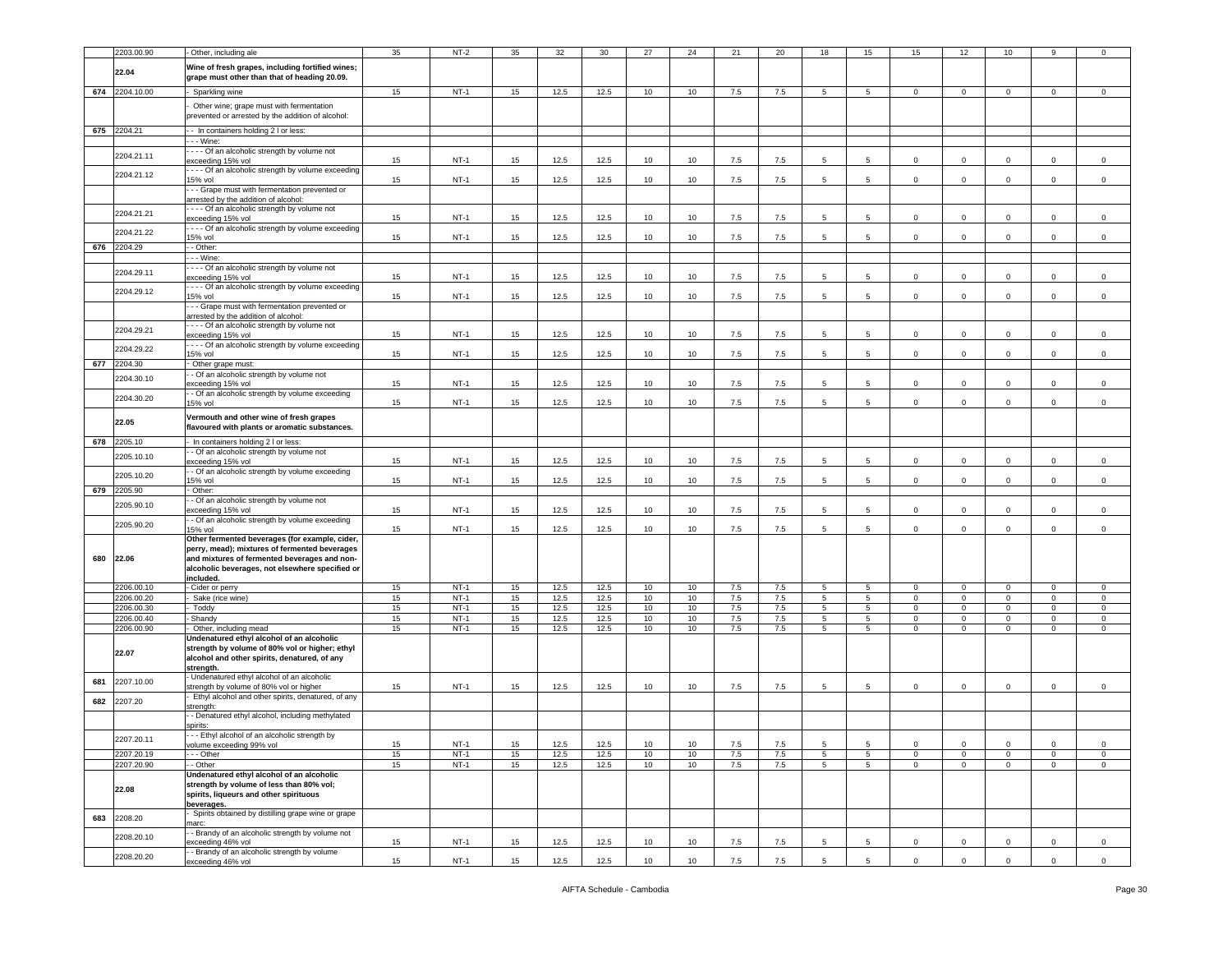|     | 2203.00.90     | Other, including ale                                                                 | 35  | $NT-2$ | 35 | 32   | 30   | 27 | 24 | 21      | 20      | 18              | 15              | 15             | 12             | 10          |             |              |
|-----|----------------|--------------------------------------------------------------------------------------|-----|--------|----|------|------|----|----|---------|---------|-----------------|-----------------|----------------|----------------|-------------|-------------|--------------|
|     |                | Wine of fresh grapes, including fortified wines;                                     |     |        |    |      |      |    |    |         |         |                 |                 |                |                |             |             |              |
|     | 22.04          | grape must other than that of heading 20.09.                                         |     |        |    |      |      |    |    |         |         |                 |                 |                |                |             |             |              |
|     |                |                                                                                      |     |        |    |      |      |    |    |         |         |                 |                 |                |                |             |             |              |
|     | 674 2204.10.00 | Sparkling wine                                                                       | 15  | $NT-1$ | 15 | 12.5 | 12.5 | 10 | 10 | 7.5     | 7.5     | 5               | 5               | $\mathbf 0$    | $\mathbf 0$    | $\Omega$    | $\mathbf 0$ | $\mathsf 0$  |
|     |                | Other wine; grape must with fermentation                                             |     |        |    |      |      |    |    |         |         |                 |                 |                |                |             |             |              |
|     |                | prevented or arrested by the addition of alcohol:                                    |     |        |    |      |      |    |    |         |         |                 |                 |                |                |             |             |              |
|     | 675 2204.21    | -- In containers holding 2 I or less:                                                |     |        |    |      |      |    |    |         |         |                 |                 |                |                |             |             |              |
|     |                | - - Wine:                                                                            |     |        |    |      |      |    |    |         |         |                 |                 |                |                |             |             |              |
|     |                | - - - Of an alcoholic strength by volume not                                         |     |        |    |      |      |    |    |         |         |                 |                 |                |                |             |             |              |
|     | 2204.21.11     | exceeding 15% vol                                                                    | 15  | $NT-1$ | 15 | 12.5 | 12.5 | 10 | 10 | 7.5     | 7.5     | 5               | 5               | $\mathbf 0$    | $\mathbf 0$    | $\Omega$    | $\mathbf 0$ | $^{\circ}$   |
|     | 2204.21.12     | - - - Of an alcoholic strength by volume exceeding                                   |     |        |    |      |      |    |    |         |         |                 |                 |                |                |             |             |              |
|     |                | 5% vol                                                                               | 15  | $NT-1$ | 15 | 12.5 | 12.5 | 10 | 10 | 7.5     | 7.5     | 5               | 5               | $\mathbf 0$    | $\mathbf 0$    | $\mathbf 0$ | $\mathbf 0$ | $\mathsf 0$  |
|     |                | - - Grape must with fermentation prevented or                                        |     |        |    |      |      |    |    |         |         |                 |                 |                |                |             |             |              |
|     |                | arrested by the addition of alcohol:<br>- - - Of an alcoholic strength by volume not |     |        |    |      |      |    |    |         |         |                 |                 |                |                |             |             |              |
|     | 2204.21.21     | exceeding 15% vol                                                                    | 15  | $NT-1$ | 15 | 12.5 | 12.5 | 10 | 10 | 7.5     | 7.5     | 5               | 5               | 0              | $^{\circ}$     | $\mathbf 0$ | 0           | 0            |
|     | 2204.21.22     | - - - Of an alcoholic strength by volume exceeding                                   |     |        |    |      |      |    |    |         |         |                 |                 |                |                |             |             |              |
|     |                | 15% vol                                                                              | 15  | $NT-1$ | 15 | 12.5 | 12.5 | 10 | 10 | 7.5     | 7.5     | 5               | 5               | $\mathbf 0$    | $\mathbf 0$    | $\Omega$    | 0           | $\Omega$     |
| 676 | 2204.29        | - Other:                                                                             |     |        |    |      |      |    |    |         |         |                 |                 |                |                |             |             |              |
|     |                | - - Wine:                                                                            |     |        |    |      |      |    |    |         |         |                 |                 |                |                |             |             |              |
|     | 2204.29.11     | --- Of an alcoholic strength by volume not                                           |     |        |    |      |      |    |    |         |         | 5               |                 |                |                |             |             |              |
|     |                | exceeding 15% vol<br>- - - Of an alcoholic strength by volume exceeding              | 15  | $NT-1$ | 15 | 12.5 | 12.5 | 10 | 10 | 7.5     | 7.5     |                 | 5               | 0              | $^{\circ}$     | $\mathbf 0$ | $\mathbf 0$ | $^{\circ}$   |
|     | 2204.29.12     | 5% vol                                                                               | 15  | $NT-1$ | 15 | 12.5 | 12.5 | 10 | 10 | 7.5     | 7.5     | 5               | 5               | $\mathbf 0$    | $\mathbf 0$    | $\circ$     | $\circ$     | $\mathbf 0$  |
|     |                | - - Grape must with fermentation prevented or                                        |     |        |    |      |      |    |    |         |         |                 |                 |                |                |             |             |              |
|     |                | arrested by the addition of alcohol:                                                 |     |        |    |      |      |    |    |         |         |                 |                 |                |                |             |             |              |
|     | 2204.29.21     | --- Of an alcoholic strength by volume not                                           |     |        |    |      |      |    |    |         |         |                 |                 |                |                |             |             |              |
|     |                | exceeding 15% vol                                                                    | 15  | $NT-1$ | 15 | 12.5 | 12.5 | 10 | 10 | 7.5     | 7.5     | 5               | 5               | 0              | $^{\circ}$     | $\Omega$    | $\mathbf 0$ | $^{\circ}$   |
|     | 2204.29.22     | ---- Of an alcoholic strength by volume exceeding<br>15% vol                         | 15  | $NT-1$ | 15 | 12.5 | 12.5 | 10 | 10 | 7.5     | 7.5     | 5               | -5              | $\mathbf 0$    | $^{\circ}$     | $\Omega$    | $\Omega$    | $\mathbf 0$  |
| 677 | 2204.30        | Other grape must:                                                                    |     |        |    |      |      |    |    |         |         |                 |                 |                |                |             |             |              |
|     |                | - Of an alcoholic strength by volume not                                             |     |        |    |      |      |    |    |         |         |                 |                 |                |                |             |             |              |
|     | 2204.30.10     | exceeding 15% vol                                                                    | 15  | $NT-1$ | 15 | 12.5 | 12.5 | 10 | 10 | 7.5     | 7.5     | 5               | -5              | $\mathbf 0$    | $\mathbf 0$    | $\Omega$    | $\mathbf 0$ | $\Omega$     |
|     | 2204.30.20     | - Of an alcoholic strength by volume exceeding                                       |     |        |    |      |      |    |    |         |         |                 |                 |                |                |             |             |              |
|     |                | 15% vol                                                                              | 15  | $NT-1$ | 15 | 12.5 | 12.5 | 10 | 10 | 7.5     | 7.5     | 5               | 5               | 0              | $\mathbf 0$    | 0           | $\mathbf 0$ | 0            |
|     |                | Vermouth and other wine of fresh grapes                                              |     |        |    |      |      |    |    |         |         |                 |                 |                |                |             |             |              |
|     | 22.05          | flavoured with plants or aromatic substances.                                        |     |        |    |      |      |    |    |         |         |                 |                 |                |                |             |             |              |
| 678 | 2205.10        | - In containers holding 2 I or less:                                                 |     |        |    |      |      |    |    |         |         |                 |                 |                |                |             |             |              |
|     |                | - Of an alcoholic strength by volume not                                             |     |        |    |      |      |    |    |         |         |                 |                 |                |                |             |             |              |
|     | 2205.10.10     | exceeding 15% vol                                                                    | 15  | $NT-1$ | 15 | 12.5 | 12.5 | 10 | 10 | 7.5     | 7.5     | 5               | 5               | 0              | $\mathbf 0$    | $\mathbf 0$ | $\mathbf 0$ | $\mathsf 0$  |
|     | 2205.10.20     | - Of an alcoholic strength by volume exceeding                                       |     |        |    |      |      |    |    |         |         |                 |                 |                |                |             |             |              |
|     |                | 5% vol                                                                               | 15  | $NT-1$ | 15 | 12.5 | 12.5 | 10 | 10 | 7.5     | 7.5     | 5               | -5              | $\mathbf 0$    | $\mathbf 0$    | $\Omega$    | 0           | 0            |
| 679 | 2205.90        | Other:                                                                               |     |        |    |      |      |    |    |         |         |                 |                 |                |                |             |             |              |
|     | 2205.90.10     | - Of an alcoholic strength by volume not<br>xceeding 15% vol                         | 15  | $NT-1$ | 15 | 12.5 | 12.5 | 10 | 10 | 7.5     | 7.5     | 5               | 5               | $\mathbf 0$    | $\mathbf 0$    | 0           | $\mathbf 0$ | $\mathsf 0$  |
|     |                | - Of an alcoholic strength by volume exceeding                                       |     |        |    |      |      |    |    |         |         |                 |                 |                |                |             |             |              |
|     | 2205.90.20     | 5% vol                                                                               | 15  | $NT-1$ | 15 | 12.5 | 12.5 | 10 | 10 | 7.5     | 7.5     | 5               | 5               | $\mathbf 0$    | $\mathbf 0$    | $\mathbf 0$ | $\mathbf 0$ | $\mathsf 0$  |
|     |                | Other fermented beverages (for example, cider,                                       |     |        |    |      |      |    |    |         |         |                 |                 |                |                |             |             |              |
|     |                | perry, mead); mixtures of fermented beverages                                        |     |        |    |      |      |    |    |         |         |                 |                 |                |                |             |             |              |
| 680 | 22.06          | and mixtures of fermented beverages and non-                                         |     |        |    |      |      |    |    |         |         |                 |                 |                |                |             |             |              |
|     |                | alcoholic beverages, not elsewhere specified or                                      |     |        |    |      |      |    |    |         |         |                 |                 |                |                |             |             |              |
|     | 2206.00.10     | included.<br>- Cider or perry                                                        | 15  | $NT-1$ | 15 | 12.5 | 12.5 | 10 | 10 | 7.5     | 7.5     | 5               | 5               | $\mathbf 0$    | $\mathbf 0$    | $\mathbf 0$ | $\mathbf 0$ | $\mathsf 0$  |
|     | 2206.00.20     | Sake (rice wine)                                                                     | 15  | $NT-1$ | 15 | 12.5 | 12.5 | 10 | 10 | 7.5     | 7.5     | $5^{\circ}$     | $5\overline{5}$ | $\mathbf 0$    | $\mathbf 0$    | $\mathbf 0$ | $\mathbf 0$ | $\mathbf 0$  |
|     | 2206.00.30     | Toddy                                                                                | 15  | $NT-1$ | 15 | 12.5 | 12.5 | 10 | 10 | 7.5     | 7.5     | 5               | $5\overline{)}$ | 0              | $\mathbf 0$    | 0           | $\mathbf 0$ | $^{\circ}$   |
|     | 2206.00.40     | Shandy                                                                               | 15  | $NT-1$ | 15 | 12.5 | 12.5 | 10 | 10 | $7.5\,$ | $7.5\,$ | 5               | $\overline{5}$  | $\mathbf 0$    | $\mathbf 0$    | $\mathsf 0$ | $\mathsf 0$ | $\mathsf 0$  |
|     | 2206.00.90     | Other, including mead                                                                | 15  | $NT-1$ | 15 | 12.5 | 12.5 | 10 | 10 | 7.5     | 7.5     | $5\overline{)}$ | 5               | $\mathbf{0}$   | $\overline{0}$ | $\mathbf 0$ | $\mathsf 0$ | $\mathbf 0$  |
|     |                | Undenatured ethyl alcohol of an alcoholic                                            |     |        |    |      |      |    |    |         |         |                 |                 |                |                |             |             |              |
|     | 22.07          | strength by volume of 80% vol or higher; ethyl                                       |     |        |    |      |      |    |    |         |         |                 |                 |                |                |             |             |              |
|     |                | alcohol and other spirits, denatured, of any<br>strength.                            |     |        |    |      |      |    |    |         |         |                 |                 |                |                |             |             |              |
|     |                | Undenatured ethyl alcohol of an alcoholic                                            |     |        |    |      |      |    |    |         |         |                 |                 |                |                |             |             |              |
| 681 | 2207.10.00     | strength by volume of 80% vol or higher                                              | 15  | $NT-1$ | 15 | 12.5 | 12.5 | 10 | 10 | 7.5     | 7.5     | 5               | 5               | $\mathbf 0$    | $\,0\,$        | $\mathbf 0$ | $\mathbf 0$ | $\mathbf 0$  |
| 682 | 2207.20        | Ethyl alcohol and other spirits, denatured, of any                                   |     |        |    |      |      |    |    |         |         |                 |                 |                |                |             |             |              |
|     |                | strength:                                                                            |     |        |    |      |      |    |    |         |         |                 |                 |                |                |             |             |              |
|     |                | - Denatured ethyl alcohol, including methylated                                      |     |        |    |      |      |    |    |         |         |                 |                 |                |                |             |             |              |
|     |                | :pirits:                                                                             |     |        |    |      |      |    |    |         |         |                 |                 |                |                |             |             |              |
|     | 2207.20.11     | - - Ethyl alcohol of an alcoholic strength by<br>volume exceeding 99% vol            | 15. | $NT-1$ |    | 12.5 | 12.5 | 10 | 10 | $\sim$  | 7.5     |                 |                 |                |                |             |             | $^{\circ}$   |
|     | 2207.20.19     | - - - Other                                                                          | 15  | $NT-1$ | 15 | 12.5 | 12.5 | 10 | 10 | 7.5     | 7.5     | $5\overline{5}$ | $5\overline{)}$ | $\overline{0}$ | $\mathbf 0$    | $\mathbf 0$ | $\mathbf 0$ | $\mathbf 0$  |
|     | 2207.20.90     | - Other                                                                              | 15  | $NT-1$ | 15 | 12.5 | 12.5 | 10 | 10 | 7.5     | 7.5     | $5\overline{5}$ | 5 <sub>5</sub>  | $\mathbf 0$    | $\mathbf 0$    | $\mathbf 0$ | $\mathbf 0$ | $\mathbf 0$  |
|     |                | Undenatured ethyl alcohol of an alcoholic                                            |     |        |    |      |      |    |    |         |         |                 |                 |                |                |             |             |              |
|     | 22.08          | strength by volume of less than 80% vol;                                             |     |        |    |      |      |    |    |         |         |                 |                 |                |                |             |             |              |
|     |                | spirits, liqueurs and other spirituous                                               |     |        |    |      |      |    |    |         |         |                 |                 |                |                |             |             |              |
|     |                | beverages.<br>Spirits obtained by distilling grape wine or grape                     |     |        |    |      |      |    |    |         |         |                 |                 |                |                |             |             |              |
| 683 | 2208.20        | arc:                                                                                 |     |        |    |      |      |    |    |         |         |                 |                 |                |                |             |             |              |
|     |                | - Brandy of an alcoholic strength by volume not                                      |     |        |    |      |      |    |    |         |         |                 |                 |                |                |             |             |              |
|     | 2208.20.10     | exceeding 46% vol                                                                    | 15  | $NT-1$ | 15 | 12.5 | 12.5 | 10 | 10 | 7.5     | 7.5     | 5               | 5               | $\mathbf 0$    | $\mathbf 0$    | $\mathbf 0$ | $\mathbf 0$ | $\mathbf 0$  |
|     | 2208.20.20     | - Brandy of an alcoholic strength by volume                                          |     |        |    |      |      |    |    |         |         |                 |                 |                |                |             |             |              |
|     |                | exceeding 46% vol                                                                    | 15  | $NT-1$ | 15 | 12.5 | 12.5 | 10 | 10 | 7.5     | 7.5     | 5               | 5               | $\mathbf 0$    | $\mathbf 0$    | $\Omega$    | $\mathbf 0$ | $\mathbf{0}$ |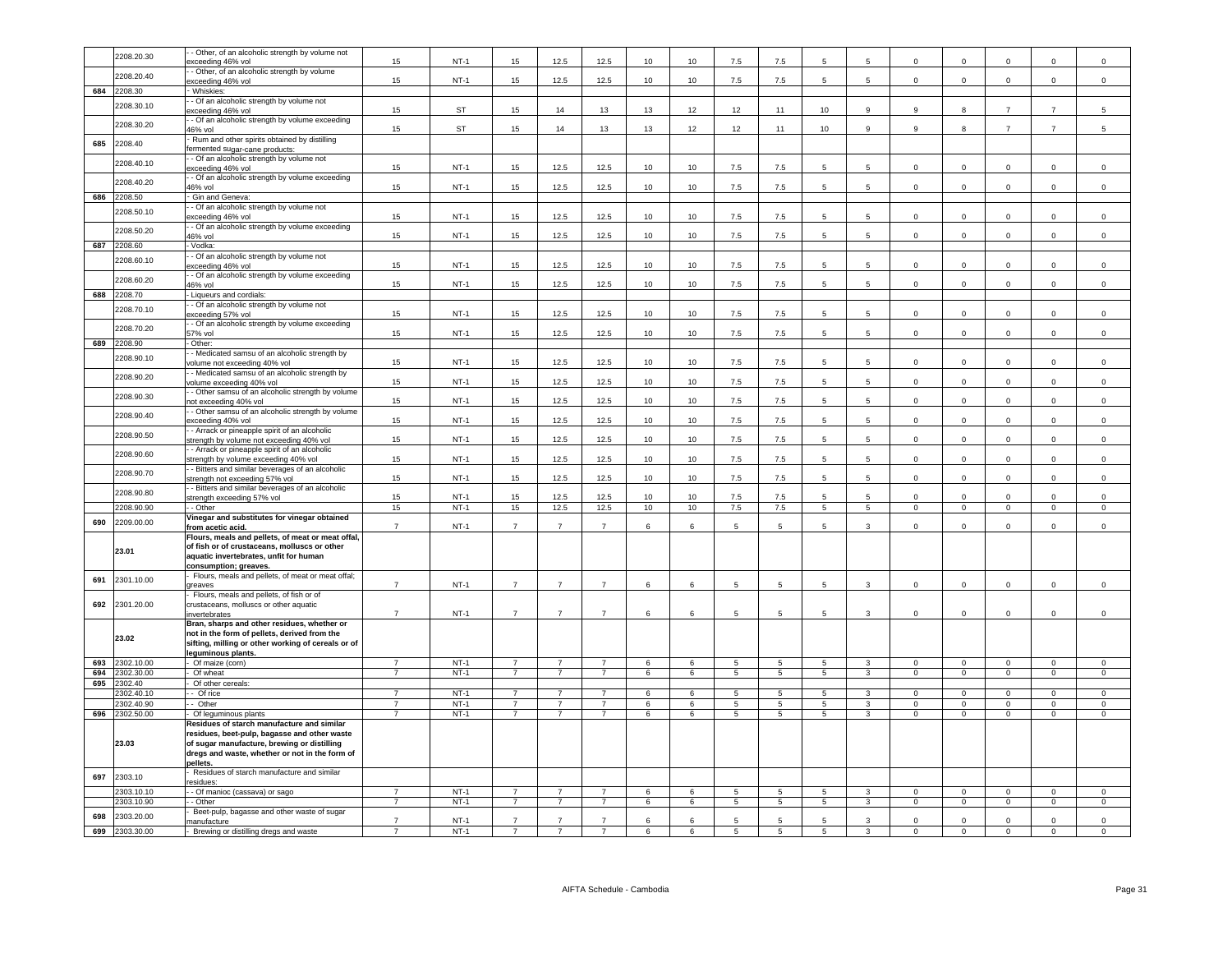|            | 2208.20.30               | - Other, of an alcoholic strength by volume not<br>exceeding 46% vol                        | 15                               | $NT-1$           | 15                               | 12.5                             | 12.5                             | 10                   | 10                   | 7.5                          | 7.5                               |                                  | 5                   | $\mathbf 0$                      | $^{\circ}$                       | 0                                | $^{\circ}$                       | $\mathbf 0$                      |
|------------|--------------------------|---------------------------------------------------------------------------------------------|----------------------------------|------------------|----------------------------------|----------------------------------|----------------------------------|----------------------|----------------------|------------------------------|-----------------------------------|----------------------------------|---------------------|----------------------------------|----------------------------------|----------------------------------|----------------------------------|----------------------------------|
|            | 2208.20.40               | - Other, of an alcoholic strength by volume                                                 |                                  |                  |                                  |                                  |                                  |                      |                      |                              |                                   |                                  |                     |                                  |                                  |                                  |                                  |                                  |
|            |                          | exceeding 46% vol                                                                           | 15                               | $NT-1$           | 15                               | 12.5                             | 12.5                             | 10                   | 10                   | 7.5                          | 7.5                               | 5                                | 5                   | $\mathsf 0$                      | $\mathsf 0$                      | $\circ$                          | $\mathbf 0$                      | $\mathsf 0$                      |
| 684        | 2208.30                  | Whiskies:<br>- Of an alcoholic strength by volume not                                       |                                  |                  |                                  |                                  |                                  |                      |                      |                              |                                   |                                  |                     |                                  |                                  |                                  |                                  |                                  |
|            | 2208.30.10               | xceeding 46% vol                                                                            | 15                               | <b>ST</b>        | 15                               | 14                               | 13                               | 13                   | 12                   | 12                           | 11                                | 10                               | 9                   | 9                                | 8                                | $\overline{7}$                   | $\overline{7}$                   | 5                                |
|            | 2208.30.20               | - Of an alcoholic strength by volume exceeding                                              |                                  |                  |                                  |                                  |                                  |                      |                      |                              |                                   |                                  |                     |                                  |                                  |                                  |                                  |                                  |
|            |                          | 46% vol<br>Rum and other spirits obtained by distilling                                     | 15                               | ST               | 15                               | 14                               | 13                               | 13                   | 12                   | 12                           | 11                                | 10                               | 9                   | 9                                | 8                                | $\overline{7}$                   | $\overline{7}$                   | 5                                |
| 685        | 2208.40                  | ermented sugar-cane products:                                                               |                                  |                  |                                  |                                  |                                  |                      |                      |                              |                                   |                                  |                     |                                  |                                  |                                  |                                  |                                  |
|            | 2208.40.10               | - Of an alcoholic strength by volume not                                                    |                                  |                  |                                  |                                  |                                  |                      |                      |                              |                                   |                                  |                     |                                  |                                  |                                  |                                  |                                  |
|            |                          | exceeding 46% vol<br>- Of an alcoholic strength by volume exceeding                         | 15                               | $NT-1$           | 15                               | 12.5                             | 12.5                             | 10 <sub>1</sub>      | 10                   | 7.5                          | $7.5\,$                           | 5                                | 5                   | $\mathsf 0$                      | 0                                | $\mathbf 0$                      | $\mathsf 0$                      | $\mathbf 0$                      |
|            | 2208.40.20               | 16% vol                                                                                     | 15                               | $NT-1$           | 15                               | 12.5                             | 12.5                             | 10                   | 10                   | 7.5                          | 7.5                               | 5                                | 5                   | $\mathsf 0$                      | $\mathsf 0$                      | $\mathsf 0$                      | $\mathsf 0$                      | $\mathbf 0$                      |
|            | 686 2208.50              | Gin and Geneva:                                                                             |                                  |                  |                                  |                                  |                                  |                      |                      |                              |                                   |                                  |                     |                                  |                                  |                                  |                                  |                                  |
|            | 2208.50.10               | - Of an alcoholic strength by volume not                                                    | 15                               | $NT-1$           | 15                               | 12.5                             | 12.5                             | 10                   | $10$                 | 7.5                          | 7.5                               | 5                                | 5                   | $\Omega$                         | $^{\circ}$                       | $\mathsf 0$                      | $\Omega$                         | $\Omega$                         |
|            |                          | xceeding 46% vol<br>- Of an alcoholic strength by volume exceeding                          |                                  |                  |                                  |                                  |                                  |                      |                      |                              |                                   |                                  |                     |                                  |                                  |                                  |                                  |                                  |
|            | 2208.50.20               | 46% vol                                                                                     | 15                               | $NT-1$           | 15                               | 12.5                             | 12.5                             | 10                   | 10                   | 7.5                          | $7.5\,$                           | -5                               | 5                   | $^{\circ}$                       | $^{\circ}$                       | $\mathsf 0$                      | $\mathbf 0$                      | $\mathsf{O}\xspace$              |
|            | 687 2208.60              | - Vodka:                                                                                    |                                  |                  |                                  |                                  |                                  |                      |                      |                              |                                   |                                  |                     |                                  |                                  |                                  |                                  |                                  |
|            | 2208.60.10               | - Of an alcoholic strength by volume not<br>xceeding 46% vol                                | 15                               | $NT-1$           | 15                               | 12.5                             | 12.5                             | 10                   | 10                   | 7.5                          | 7.5                               | 5                                | 5                   | $\mathbf 0$                      | $\mathbf 0$                      | $\mathbf 0$                      | $\mathbf 0$                      | $\mathbf 0$                      |
|            | 2208.60.20               | - Of an alcoholic strength by volume exceeding                                              |                                  |                  |                                  |                                  |                                  |                      |                      |                              |                                   |                                  |                     |                                  |                                  |                                  |                                  |                                  |
| 688        | 2208.70                  | 46% vol                                                                                     | 15                               | $NT-1$           | 15                               | 12.5                             | 12.5                             | 10                   | 10                   | 7.5                          | $7.5\,$                           | 5                                | 5                   | $\mathsf 0$                      | $\mathsf 0$                      | $\mathsf 0$                      | $\mathsf 0$                      | $\mathbf 0$                      |
|            |                          | - Liqueurs and cordials:<br>- Of an alcoholic strength by volume not                        |                                  |                  |                                  |                                  |                                  |                      |                      |                              |                                   |                                  |                     |                                  |                                  |                                  |                                  |                                  |
|            | 2208.70.10               | exceeding 57% vol                                                                           | 15                               | $NT-1$           | 15                               | 12.5                             | 12.5                             | 10                   | 10                   | 7.5                          | 7.5                               | $5^{\circ}$                      | 5                   | $\mathbf 0$                      | $\mathbf 0$                      | $\mathsf{O}\xspace$              | $\mathbf 0$                      | $\mathsf 0$                      |
|            | 2208.70.20               | - Of an alcoholic strength by volume exceeding                                              | 15                               | $NT-1$           | 15                               | 12.5                             | 12.5                             | 10                   | 10                   | 7.5                          | 7.5                               | -5                               | 5                   | $\Omega$                         | $\Omega$                         | $\Omega$                         | $\Omega$                         | $\Omega$                         |
| 689        | 2208.90                  | 57% vol<br>- Other:                                                                         |                                  |                  |                                  |                                  |                                  |                      |                      |                              |                                   |                                  |                     |                                  |                                  |                                  |                                  |                                  |
|            | 2208.90.10               | - Medicated samsu of an alcoholic strength by                                               |                                  |                  |                                  |                                  |                                  |                      |                      |                              |                                   |                                  |                     |                                  |                                  |                                  |                                  |                                  |
|            |                          | volume not exceeding 40% vol                                                                | 15                               | $NT-1$           | 15                               | 12.5                             | 12.5                             | 10                   | 10                   | 7.5                          | 7.5                               | -5                               | 5                   | $\mathbf 0$                      | $\mathbf 0$                      | $\mathsf 0$                      | $\mathbf 0$                      | $\mathbf 0$                      |
|            | 2208.90.20               | - Medicated samsu of an alcoholic strength by<br>olume exceeding 40% vol                    | 15                               | $NT-1$           | 15                               | 12.5                             | 12.5                             | 10                   | 10                   | 7.5                          | 7.5                               | 5                                | 5                   | $\mathbf 0$                      | $\mathbf 0$                      | $\mathsf 0$                      | $\mathbf 0$                      | $\mathsf 0$                      |
|            | 2208.90.30               | - Other samsu of an alcoholic strength by volume                                            |                                  |                  |                                  |                                  |                                  |                      |                      |                              |                                   |                                  |                     |                                  |                                  |                                  |                                  |                                  |
|            |                          | not exceeding 40% vol<br>- Other samsu of an alcoholic strength by volume                   | 15                               | $NT-1$           | 15                               | 12.5                             | 12.5                             | 10                   | 10                   | 7.5                          | $7.5\,$                           | 5                                | 5                   | $\mathsf 0$                      | $\mathsf 0$                      | $\mathbf 0$                      | $\mathsf 0$                      | $\mathbf 0$                      |
|            | 2208.90.40               | exceeding 40% vol                                                                           | 15                               | $NT-1$           | 15                               | 12.5                             | 12.5                             | 10                   | 10                   | 7.5                          | 7.5                               | 5                                | 5                   | $\mathsf 0$                      | $\mathsf 0$                      | $\mathsf 0$                      | $\mathsf 0$                      | $\mathsf{O}\xspace$              |
|            | 2208.90.50               | - Arrack or pineapple spirit of an alcoholic                                                |                                  |                  |                                  |                                  |                                  |                      |                      |                              |                                   |                                  |                     |                                  |                                  |                                  |                                  |                                  |
|            |                          | strength by volume not exceeding 40% vol<br>- Arrack or pineapple spirit of an alcoholic    | $15\,$                           | $NT-1$           | 15                               | 12.5                             | 12.5                             | 10                   | $10$                 | 7.5                          | $7.5\,$                           | 5                                | 5                   | $\mathsf 0$                      | $\mathsf 0$                      | $\mathsf{O}\xspace$              | $\mathsf 0$                      | $\mathsf{O}\xspace$              |
|            | 2208.90.60               | strength by volume exceeding 40% vol                                                        | 15                               | <b>NT-1</b>      | 15                               | 12.5                             | 12.5                             | 10                   | 10                   | 7.5                          | 7.5                               | -5                               | 5                   | $^{\circ}$                       | $^{\circ}$                       | $\mathsf 0$                      | $\mathsf 0$                      | $\mathbf 0$                      |
|            | 2208.90.70               | - Bitters and similar beverages of an alcoholic                                             |                                  |                  |                                  |                                  |                                  |                      |                      |                              |                                   |                                  |                     |                                  |                                  |                                  |                                  |                                  |
|            |                          | strength not exceeding 57% vol<br>- Bitters and similar beverages of an alcoholic           | 15                               | $NT-1$           | 15                               | 12.5                             | 12.5                             | 10                   | 10                   | 7.5                          | $7.5\,$                           | 5                                | 5                   | $\mathsf 0$                      | $\mathsf 0$                      | $\mathsf 0$                      | $\mathsf 0$                      | $\mathbf 0$                      |
|            | 2208.90.80               | strength exceeding 57% vol                                                                  | 15                               | $NT-1$           | 15                               | 12.5                             | 12.5                             | 10                   | 10                   | 7.5                          | 7.5                               | -5                               | 5                   | $\Omega$                         | $\Omega$                         | $\Omega$                         | $\Omega$                         | $\Omega$                         |
|            | 2208.90.90               | - - Other                                                                                   | 15                               | $NT-1$           | 15                               | 12.5                             | 12.5                             | 10                   | 10                   | 7.5                          | 7.5                               | $\overline{5}$                   | 5                   | $\mathsf 0$                      | $\mathsf 0$                      | $\overline{0}$                   | $\mathbf 0$                      | $\mathsf 0$                      |
| 690        | 2209.00.00               | Vinegar and substitutes for vinegar obtained<br>from acetic acid.                           | $\overline{7}$                   | $NT-1$           | $\overline{7}$                   | $\overline{7}$                   | $\overline{7}$                   | 6                    | $6\overline{6}$      | 5                            | 5                                 | -5                               | 3                   | $\Omega$                         | $\Omega$                         | $\Omega$                         | $\mathbf 0$                      | $\mathsf{O}\xspace$              |
|            |                          | Flours, meals and pellets, of meat or meat offal,                                           |                                  |                  |                                  |                                  |                                  |                      |                      |                              |                                   |                                  |                     |                                  |                                  |                                  |                                  |                                  |
|            | 23.01                    | of fish or of crustaceans, molluscs or other                                                |                                  |                  |                                  |                                  |                                  |                      |                      |                              |                                   |                                  |                     |                                  |                                  |                                  |                                  |                                  |
|            |                          | aquatic invertebrates, unfit for human<br>consumption; greaves.                             |                                  |                  |                                  |                                  |                                  |                      |                      |                              |                                   |                                  |                     |                                  |                                  |                                  |                                  |                                  |
| 691        | 2301.10.00               | Flours, meals and pellets, of meat or meat offal;                                           |                                  |                  |                                  |                                  |                                  |                      |                      |                              |                                   |                                  |                     |                                  |                                  |                                  |                                  |                                  |
|            |                          | greaves<br>Flours, meals and pellets, of fish or of                                         | $\overline{7}$                   | $NT-1$           | $\overline{7}$                   | $\overline{7}$                   | $\overline{7}$                   | 6                    | 6                    | 5                            | 5                                 | 5                                | $\mathbf{3}$        | $\mathbf 0$                      | $\mathsf 0$                      | $\circ$                          | $\mathbf 0$                      | $\mathsf 0$                      |
| 692        | 2301.20.00               | crustaceans, molluscs or other aquatic                                                      |                                  |                  |                                  |                                  |                                  |                      |                      |                              |                                   |                                  |                     |                                  |                                  |                                  |                                  |                                  |
|            |                          | invertebrates                                                                               | $\overline{7}$                   | $NT-1$           | $\overline{7}$                   | $\overline{7}$                   | $\overline{7}$                   | 6                    | 6                    | 5                            | 5                                 | 5                                | $\mathbf{3}$        | $\mathsf 0$                      | $\mathbf 0$                      | $\mathsf 0$                      | $\mathbf 0$                      | $\mathsf{O}\xspace$              |
|            |                          | Bran, sharps and other residues, whether or<br>not in the form of pellets, derived from the |                                  |                  |                                  |                                  |                                  |                      |                      |                              |                                   |                                  |                     |                                  |                                  |                                  |                                  |                                  |
|            | 23.02                    | sifting, milling or other working of cereals or of                                          |                                  |                  |                                  |                                  |                                  |                      |                      |                              |                                   |                                  |                     |                                  |                                  |                                  |                                  |                                  |
|            |                          | eguminous plants.                                                                           |                                  |                  |                                  |                                  |                                  |                      |                      |                              |                                   |                                  |                     |                                  |                                  |                                  |                                  |                                  |
| 693<br>694 | 2302.10.00<br>2302.30.00 | - Of maize (corn)<br>Of wheat                                                               | $\overline{7}$<br>$\overline{7}$ | $NT-1$<br>$NT-1$ | $\overline{7}$<br>$\overline{7}$ | $\overline{7}$<br>$\overline{7}$ | $\overline{7}$<br>$\overline{7}$ | $6\overline{6}$<br>6 | 6<br>6               | 5<br>$\overline{5}$          | $5\overline{)}$<br>$\overline{5}$ | $\overline{5}$<br>$\overline{5}$ | 3<br>$\overline{3}$ | $\overline{0}$<br>$\overline{0}$ | $\overline{0}$<br>$\overline{0}$ | $\overline{0}$<br>$\overline{0}$ | $\overline{0}$<br>$\overline{0}$ | $\overline{0}$<br>$\overline{0}$ |
| 695        | 2302.40                  | Of other cereals:                                                                           |                                  |                  |                                  |                                  |                                  |                      |                      |                              |                                   |                                  |                     |                                  |                                  |                                  |                                  |                                  |
|            | 302.40.1                 | - Of rice                                                                                   | $\overline{7}$                   | $NT-1$           | $\overline{7}$                   |                                  |                                  | 6                    | 6                    | $5\overline{5}$              | 5                                 | 5                                | 3                   | $\Omega$                         | $\Omega$                         | $\Omega$                         | $\Omega$                         | $\Omega$                         |
|            | 2302.40.90               | - Other                                                                                     | $\overline{7}$<br>$\overline{7}$ | $NT-1$           | $\overline{7}$                   | $\overline{7}$                   | $\overline{7}$                   | 6                    | 6                    | $5\overline{5}$              | 5                                 | $5^{\circ}$                      | 3                   | $\Omega$                         | $\Omega$                         | $\Omega$                         | $\Omega$                         | $\Omega$                         |
|            | 696 2302.50.00           | Of leguminous plants<br>Residues of starch manufacture and similar                          |                                  | $NT-1$           | $\overline{7}$                   | $\overline{7}$                   | $\overline{7}$                   | 6                    | 6                    | 5                            | $5^{\circ}$                       | $5^{\circ}$                      | 3                   | $\mathbf{O}$                     | $\mathbf{0}$                     | $\mathbf{0}$                     | $\overline{0}$                   | $\mathbf 0$                      |
|            |                          | residues, beet-pulp, bagasse and other waste                                                |                                  |                  |                                  |                                  |                                  |                      |                      |                              |                                   |                                  |                     |                                  |                                  |                                  |                                  |                                  |
|            | 23.03                    | of sugar manufacture, brewing or distilling                                                 |                                  |                  |                                  |                                  |                                  |                      |                      |                              |                                   |                                  |                     |                                  |                                  |                                  |                                  |                                  |
|            |                          | dregs and waste, whether or not in the form of<br>pellets.                                  |                                  |                  |                                  |                                  |                                  |                      |                      |                              |                                   |                                  |                     |                                  |                                  |                                  |                                  |                                  |
|            |                          | Residues of starch manufacture and similar                                                  |                                  |                  |                                  |                                  |                                  |                      |                      |                              |                                   |                                  |                     |                                  |                                  |                                  |                                  |                                  |
| 697        | 2303.10                  | esidues:                                                                                    |                                  |                  |                                  |                                  |                                  |                      |                      |                              |                                   |                                  |                     |                                  |                                  |                                  |                                  |                                  |
|            | 2303.10.10<br>303.10.90  | - Of manioc (cassava) or sago<br>- Other                                                    | $\overline{7}$<br>$\overline{7}$ | $NT-1$<br>$NT-1$ | $\overline{7}$<br>$\overline{7}$ | $\overline{7}$<br>$\overline{7}$ | $\overline{7}$<br>$\overline{7}$ | 6<br>6               | 6<br>$6\overline{6}$ | $\sqrt{5}$<br>$\overline{5}$ | 5<br>$\overline{5}$               | 5<br>$5^{\circ}$                 | 3<br>$\overline{3}$ | $\Omega$<br>$\mathsf 0$          | $\mathbf 0$<br>$\overline{0}$    | $\mathsf 0$<br>$\overline{0}$    | $\mathbf{0}$<br>$\overline{0}$   | $\mathbf{0}$<br>$\overline{0}$   |
|            |                          | Beet-pulp, bagasse and other waste of sugar                                                 |                                  |                  |                                  |                                  |                                  |                      |                      |                              |                                   |                                  |                     |                                  |                                  |                                  |                                  |                                  |
| 698        | 2303.20.00               | nanufacture                                                                                 |                                  | $NT-1$           |                                  |                                  |                                  |                      | 6                    |                              |                                   |                                  |                     |                                  | $\Omega$                         | $\Omega$                         | $\Omega$                         | $\Omega$                         |
| 699        | 2303.30.00               | Brewing or distilling dregs and waste                                                       | $\overline{7}$                   | $NT-1$           | $\overline{7}$                   | $\overline{7}$                   | $\overline{7}$                   | $\epsilon$           | 6                    | 5                            | 5                                 | 5                                | 3                   | $\mathbf 0$                      | $\mathsf 0$                      | $\mathsf 0$                      | $\Omega$                         | $\Omega$                         |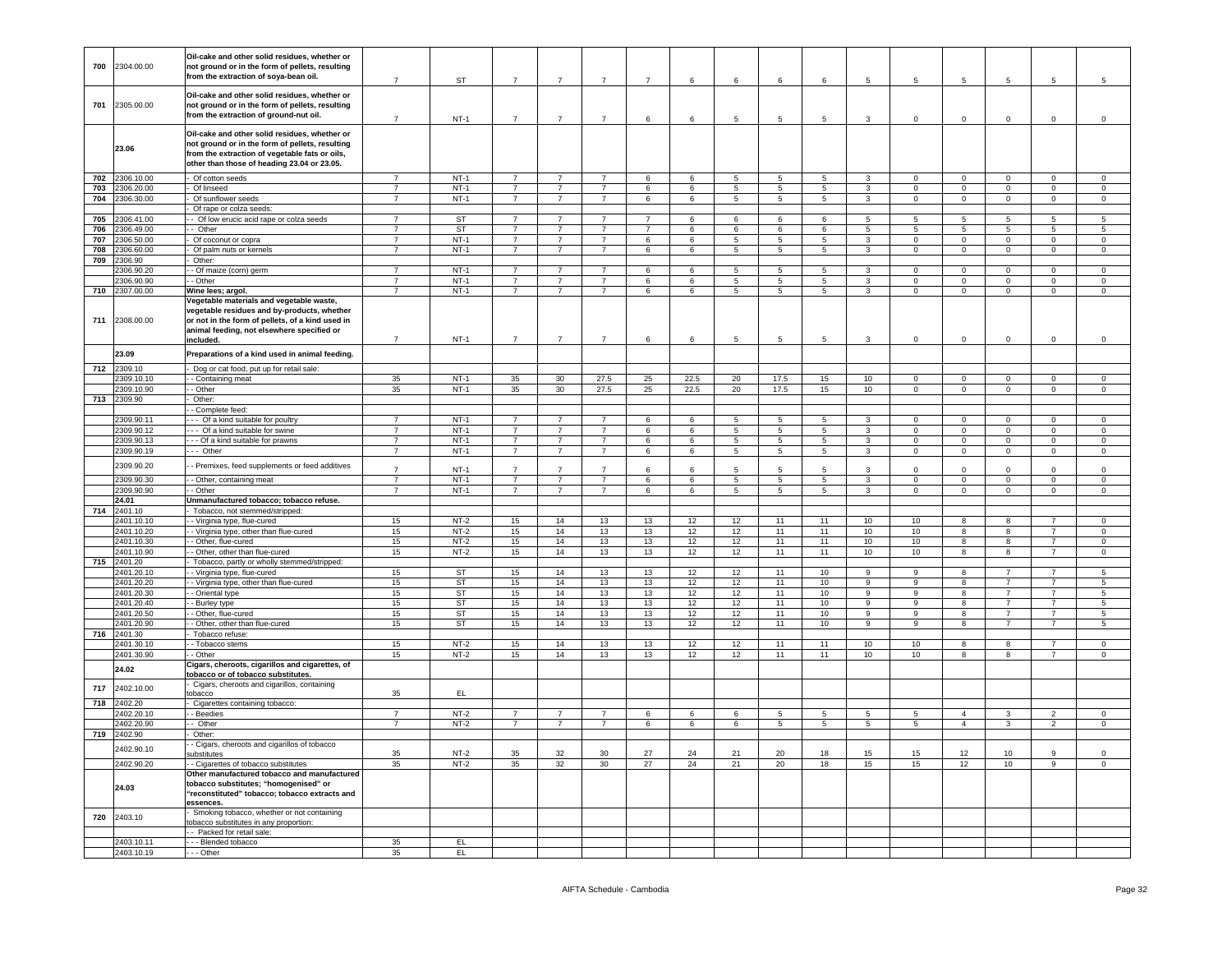| 700        | 2304.00.00                | Oil-cake and other solid residues, whether or<br>not ground or in the form of pellets, resulting<br>from the extraction of soya-bean oil.                                                              | $\overline{7}$                   | <b>ST</b>           | $\overline{7}$                   | $\overline{7}$                   | $\overline{7}$                   | $\overline{7}$      | 6                | 6                    | 6                   | 6               | 5                            | 5                       | 5                       | 5                             | 5                             | 5                             |
|------------|---------------------------|--------------------------------------------------------------------------------------------------------------------------------------------------------------------------------------------------------|----------------------------------|---------------------|----------------------------------|----------------------------------|----------------------------------|---------------------|------------------|----------------------|---------------------|-----------------|------------------------------|-------------------------|-------------------------|-------------------------------|-------------------------------|-------------------------------|
| 701        | 2305.00.00                | Oil-cake and other solid residues, whether or<br>not ground or in the form of pellets, resulting<br>from the extraction of ground-nut oil.                                                             | $\overline{7}$                   | $NT-1$              | $\overline{7}$                   | $\overline{7}$                   | $\overline{7}$                   | 6                   | 6                | $\overline{5}$       | 5                   | 5               | $\mathbf{3}$                 | $\mathbf 0$             | $\mathbf 0$             | $\mathbf 0$                   | $\mathsf 0$                   | $\mathsf 0$                   |
|            | 23.06                     | Oil-cake and other solid residues, whether or<br>not ground or in the form of pellets, resulting<br>from the extraction of vegetable fats or oils,<br>other than those of heading 23.04 or 23.05.      |                                  |                     |                                  |                                  |                                  |                     |                  |                      |                     |                 |                              |                         |                         |                               |                               |                               |
| 702        | 2306.10.00                | Of cotton seeds                                                                                                                                                                                        | $\overline{7}$                   | $NT-1$              | $\overline{7}$                   | $\overline{7}$                   | $\overline{7}$                   | 6                   | 6                | $\overline{5}$       | $\overline{5}$      | $\overline{5}$  | $\mathbf{3}$                 | $\Omega$                | $\overline{0}$          | $\Omega$                      | $\Omega$                      | $\overline{0}$                |
| 703        | 2306.20.00                | Of linseed                                                                                                                                                                                             | $\overline{7}$                   | $NT-1$              | $\overline{7}$                   | $\overline{7}$                   | $\overline{7}$                   | 6                   | 6                | $5\overline{)}$      | $\overline{5}$      | $5\overline{)}$ | $\overline{3}$               | $\Omega$                | $\overline{0}$          | $\mathbf 0$                   | $\mathbf 0$                   | $\overline{0}$                |
| 704        | 2306.30.00                | Of sunflower seeds                                                                                                                                                                                     | $\overline{7}$                   | $NT-1$              | $\overline{7}$                   | $\overline{7}$                   | $\overline{7}$                   | 6                   | 6                | $\overline{5}$       | $5\overline{)}$     | 5               | $\overline{3}$               | $\circ$                 | $\overline{0}$          | $\overline{0}$                | $\overline{0}$                | $\overline{0}$                |
|            |                           | Of rape or colza seeds:                                                                                                                                                                                |                                  |                     |                                  |                                  |                                  |                     |                  |                      |                     |                 |                              |                         |                         |                               |                               |                               |
| 705        | 2306.41.00                | - Of low erucic acid rape or colza seeds                                                                                                                                                               | $\overline{7}$<br>$\overline{7}$ | ST                  | $\overline{7}$                   | $\overline{7}$                   | $\overline{7}$<br>$\overline{7}$ | $\overline{7}$      | 6                | 6                    | 6                   | 6               | $5\overline{5}$              | -5                      | 5                       | 5                             | 5                             | $5\phantom{.0}$               |
| 706<br>707 | 2306.49.00<br>306.50.00   | - Other<br>Of coconut or copra                                                                                                                                                                         | $\overline{7}$                   | <b>ST</b><br>$NT-1$ | $\overline{7}$<br>$\overline{7}$ | $\overline{7}$<br>$\overline{7}$ | $\overline{7}$                   | $\overline{7}$<br>6 | $6^{\circ}$<br>6 | 6<br>5               | 6<br>$\overline{5}$ | 6<br>5          | 5<br>$\overline{3}$          | -5<br>$\mathbf 0$       | 5<br>$\overline{0}$     | $5^{\circ}$<br>$\overline{0}$ | $5^{\circ}$<br>$\mathbf 0$    | $\sqrt{5}$<br>$\overline{0}$  |
| 708        | 306.60.00                 | Of palm nuts or kernels                                                                                                                                                                                | $\overline{7}$                   | $NT-1$              | $\overline{7}$                   | $\overline{7}$                   | $\overline{7}$                   | 6                   | 6                | $5\phantom{.0}$      | $5\phantom{.0}$     | -5              | $\mathbf{3}$                 | $\Omega$                | $\overline{0}$          | $\mathbf 0$                   | $\mathbf 0$                   | $\mathsf 0$                   |
| 709        | 306.90                    | Other:                                                                                                                                                                                                 |                                  |                     |                                  |                                  |                                  |                     |                  |                      |                     |                 |                              |                         |                         |                               |                               |                               |
|            | 2306.90.20                | - Of maize (corn) germ                                                                                                                                                                                 | $\overline{7}$                   | $NT-1$              | $\overline{7}$                   | $\overline{7}$                   | $\overline{\phantom{a}}$         | 6                   | 6                | $\overline{5}$       | $5\overline{)}$     | 5               | $\overline{3}$               | $\Omega$                | $\overline{0}$          | $\Omega$                      | $\Omega$                      | $\overline{0}$                |
|            | 306.90.90                 | - Other                                                                                                                                                                                                | $\overline{7}$                   | $NT-1$              | $\overline{7}$                   | $\overline{7}$                   | $\overline{7}$                   | 6                   | 6                | 5                    | $5\phantom{.0}$     | 5               | $\mathbf{3}$                 | $\Omega$                | $\mathbf 0$             | $\mathbf 0$                   | $\mathsf 0$                   | $\mathbf 0$                   |
| 710        | 2307.00.00                | Wine lees; argol.                                                                                                                                                                                      | $\overline{7}$                   | $NT-1$              | $\overline{7}$                   | $\overline{7}$                   | $\overline{7}$                   | 6                   | 6                | $5\phantom{.0}$      | 5                   | $5^{\circ}$     | $\mathbf{3}$                 | $\mathsf 0$             | $\overline{0}$          | $\overline{0}$                | $\overline{0}$                | $\overline{0}$                |
| 711        | 2308.00.00                | Vegetable materials and vegetable waste,<br>vegetable residues and by-products, whether<br>or not in the form of pellets, of a kind used in<br>animal feeding, not elsewhere specified or<br>included. | $\overline{7}$                   | $NT-1$              | $\overline{7}$                   | $\overline{7}$                   | $\overline{7}$                   | 6                   | 6                | 5                    | 5                   | 5               | $\mathbf{3}$                 | $\mathbf 0$             | $\mathbf 0$             | $\mathbf 0$                   | $\mathbf 0$                   | $\mathbf 0$                   |
|            | 23.09                     | Preparations of a kind used in animal feeding.                                                                                                                                                         |                                  |                     |                                  |                                  |                                  |                     |                  |                      |                     |                 |                              |                         |                         |                               |                               |                               |
|            |                           |                                                                                                                                                                                                        |                                  |                     |                                  |                                  |                                  |                     |                  |                      |                     |                 |                              |                         |                         |                               |                               |                               |
| 712        | 2309.10                   | - Dog or cat food, put up for retail sale:                                                                                                                                                             |                                  |                     |                                  |                                  |                                  |                     |                  |                      |                     |                 |                              | $\overline{0}$          |                         |                               |                               |                               |
|            | 309.10.1                  | - Containing meat<br>$-$ Other                                                                                                                                                                         | 35                               | $NT-1$<br>$NT-1$    | 35                               | 30                               | 27.5                             | 25                  | 22.5             | 20                   | 17.5                | 15              | 10                           | $\Omega$                | $\overline{0}$          | $\overline{0}$<br>$\Omega$    | $\overline{0}$<br>$\mathbf 0$ | $\overline{0}$<br>$\mathbf 0$ |
|            | 2309.10.90<br>713 2309.90 | Other:                                                                                                                                                                                                 | 35                               |                     | 35                               | 30                               | 27.5                             | 25                  | 22.5             | 20                   | 17.5                | 15              | 10                           |                         | $\mathbf 0$             |                               |                               |                               |
|            |                           | - Complete feed:                                                                                                                                                                                       |                                  |                     |                                  |                                  |                                  |                     |                  |                      |                     |                 |                              |                         |                         |                               |                               |                               |
|            | 309.90.11                 | -- Of a kind suitable for poultry                                                                                                                                                                      | $\overline{7}$                   | $NT-1$              | $\overline{7}$                   | $\overline{7}$                   | $\overline{7}$                   | 6                   | 6                | $5\overline{)}$      | $5\overline{)}$     | 5               | $\overline{3}$               | $\mathbf 0$             | $\overline{0}$          | $\overline{0}$                | $\overline{0}$                | $\overline{0}$                |
|            | 309.90.12                 | -- Of a kind suitable for swine                                                                                                                                                                        | $\overline{7}$                   | $NT-1$              | $\overline{7}$                   | $\overline{7}$                   | $\overline{7}$                   | 6                   | 6                | $5\phantom{.0}$      | 5                   | 5               | $\mathbf{3}$                 | $\mathbf 0$             | $\mathsf 0$             | $\overline{0}$                | $\mathbf 0$                   | $\mathbf 0$                   |
|            | 2309.90.13                | - - Of a kind suitable for prawns                                                                                                                                                                      | $\overline{7}$                   | $NT-1$              | $\overline{7}$                   | $\overline{7}$                   | $\overline{7}$                   | 6                   | 6                | $\,$ 5 $\,$          | 5                   | 5               | $\mathbf{3}$                 | $\mathbf 0$             | $\mathsf 0$             | $\mathbf 0$                   | $\mathsf 0$                   | $\,0\,$                       |
|            | 2309.90.19                | --- Other                                                                                                                                                                                              | $\overline{7}$                   | $NT-1$              | $\overline{7}$                   | $\overline{7}$                   | $\overline{7}$                   | 6                   | 6                | $\overline{5}$       | $\overline{5}$      | $\overline{5}$  | $\overline{3}$               | $\Omega$                | $\overline{0}$          | $\overline{0}$                | $\overline{0}$                | $\overline{0}$                |
|            | 2309.90.20<br>2309.90.30  | - Premixes, feed supplements or feed additives<br>- Other, containing meat                                                                                                                             | $\overline{7}$<br>$\overline{7}$ | $NT-1$<br>$NT-1$    | $\overline{7}$<br>$\overline{7}$ | $\overline{7}$<br>$\overline{7}$ | $\overline{7}$<br>$\overline{7}$ | 6<br>6              | ĥ                | 5<br>$5\phantom{.0}$ | 5<br>5              | 5<br>5          | $\mathbf{3}$<br>$\mathbf{3}$ | $\Omega$<br>$\mathbf 0$ | $\Omega$<br>$\circ$     | $\mathbf 0$<br>$\mathbf 0$    | $\Omega$<br>$\mathsf 0$       | $^{\circ}$<br>$\mathbb O$     |
|            | 309.90.90                 | - Other                                                                                                                                                                                                | $\overline{7}$                   | $NT-1$              | $\overline{7}$                   | $\overline{7}$                   | $\overline{7}$                   | 6                   | 6<br>6           | $\overline{5}$       | 5                   | 5               | 3                            | $\overline{0}$          | $\overline{0}$          | $\overline{0}$                | $\overline{0}$                | $\overline{0}$                |
|            | 24.01                     | Unmanufactured tobacco; tobacco refuse.                                                                                                                                                                |                                  |                     |                                  |                                  |                                  |                     |                  |                      |                     |                 |                              |                         |                         |                               |                               |                               |
| 714        | 2401.10                   | Tobacco, not stemmed/stripped:                                                                                                                                                                         |                                  |                     |                                  |                                  |                                  |                     |                  |                      |                     |                 |                              |                         |                         |                               |                               |                               |
|            | 2401.10.10                | - - Virginia type, flue-cured                                                                                                                                                                          | 15                               | $NT-2$              | 15                               | 14                               | 13                               | 13                  | 12               | 12                   | 11                  | 11              | 10                           | 10 <sup>1</sup>         | 8                       | 8                             | $\overline{7}$                | $\mathbf 0$                   |
|            | 2401.10.20                | - Virginia type, other than flue-cured                                                                                                                                                                 | 15                               | $NT-2$              | 15                               | 14                               | 13                               | 13                  | 12               | 12                   | 11                  | 11              | 10                           | 10                      | $\overline{\mathbf{g}}$ | 8                             |                               | $\overline{0}$                |
|            | 2401.10.30                | - - Other, flue-cured                                                                                                                                                                                  | 15                               | $NT-2$              | 15                               | 14                               | 13                               | 13                  | 12               | 12                   | 11                  | 11              | 10                           | 10                      | $\overline{\mathbf{8}}$ | $\overline{8}$                | $\overline{7}$                | $\overline{0}$                |
|            | 2401.10.90                | - Other, other than flue-cured                                                                                                                                                                         | 15                               | $NT-2$              | 15                               | 14                               | 13                               | 13                  | 12               | 12                   | 11                  | 11              | 10                           | 10                      | 8                       | 8                             | $\overline{7}$                | $\mathbf{0}$                  |
|            | 715 2401.20<br>2401.20.10 | Tobacco, partly or wholly stemmed/stripped:                                                                                                                                                            |                                  | ST                  | 15                               | 14                               | 13                               | 13                  |                  | 12                   | 11                  | 10              |                              | 9                       | 8                       | $\overline{7}$                |                               |                               |
|            | 2401.20.20                | - Virginia type, flue-cured<br>- Virginia type, other than flue-cured                                                                                                                                  | 15<br>15                         | <b>ST</b>           | 15                               | 14                               | 13                               | 13                  | 12<br>12         | 12                   | 11                  | 10              | 9<br>9                       | 9                       | 8                       | $\overline{7}$                | -7<br>$\overline{7}$          | -5<br>$5\phantom{.0}$         |
|            | 2401.20.30                | - Oriental type                                                                                                                                                                                        | 15                               | <b>ST</b>           | 15                               | 14                               | 13                               | 13                  | 12               | 12                   | 11                  | 10              | $\overline{9}$               | 9                       | $\overline{\mathbf{8}}$ | $\overline{7}$                | $\overline{7}$                | 5                             |
|            | 2401.20.40                | - Burley type                                                                                                                                                                                          | 15                               | ST                  | 15                               | 14                               | 13                               | 13                  | 12               | 12                   | 11                  | 10              | $\overline{9}$               | $\mathbf{Q}$            | 8                       | $\overline{7}$                | $\overline{7}$                | $5\phantom{.0}$               |
|            | 2401.20.50                | - Other, flue-cured                                                                                                                                                                                    | 15                               | <b>ST</b>           | 15                               | 14                               | 13                               | 13                  | 12               | 12                   | 11                  | 10              | $\overline{9}$               | $\mathbf{Q}$            | $\overline{8}$          | $\overline{7}$                | $\overline{7}$                | $\overline{5}$                |
|            | 2401.20.90                | - Other, other than flue-cured                                                                                                                                                                         | 15                               | ST                  | 15                               | 14                               | 13                               | 13                  | 12               | 12                   | 11                  | 10              | $\overline{9}$               | $\overline{a}$          | $\overline{8}$          | $\overline{7}$                | $\overline{7}$                | $5\overline{5}$               |
| 716        | 2401.30                   | Tobacco refuse                                                                                                                                                                                         |                                  |                     |                                  |                                  |                                  |                     |                  |                      |                     |                 |                              |                         |                         |                               |                               |                               |
|            | 2401.30.10                | - Tobacco stems                                                                                                                                                                                        | 15                               | $NT-2$              | 15                               | 14                               | 13                               | 13                  | 12               | 12                   | 11                  | 11              | 10                           | 10                      | 8                       | 8                             | $\overline{7}$                | $\circ$                       |
|            | 2401.30.90<br>24.02       | - Other<br>Cigars, cheroots, cigarillos and cigarettes, of<br>tobacco or of tobacco substitutes.                                                                                                       | 15                               | $NT-2$              | 15                               | 14                               | 13                               | 13                  | 12               | 12                   | 11                  | 11              | 10                           | 10                      | 8                       | 8                             | $\overline{7}$                | $\mathbf{0}$                  |
| 717        | 2402.10.00                | Cigars, cheroots and cigarillos, containing<br>tobacco                                                                                                                                                 | 35                               | EL.                 |                                  |                                  |                                  |                     |                  |                      |                     |                 |                              |                         |                         |                               |                               |                               |
| 718        | 2402.20                   | Cigarettes containing tobacco:                                                                                                                                                                         |                                  |                     |                                  |                                  |                                  |                     |                  |                      |                     |                 |                              |                         |                         |                               |                               |                               |
|            | 402.20.10                 | - Beedies                                                                                                                                                                                              | $\overline{7}$                   | $NT-2$              | $\overline{7}$                   | $\overline{7}$                   | $\overline{7}$                   | 6                   | 6                | 6                    | 5                   | 5               | 5                            | 5                       | $\overline{4}$          | 3                             | $\overline{2}$                | $\overline{0}$                |
|            | 402.20.90                 | - Other                                                                                                                                                                                                | $\overline{7}$                   | $NT-2$              | $\overline{7}$                   | $\overline{7}$                   | $\overline{7}$                   | 6                   | 6                | 6                    | $\overline{5}$      | $5\overline{)}$ | $\overline{5}$               | $5^{\circ}$             | $\overline{4}$          | $\overline{3}$                | $\overline{2}$                | $\overline{0}$                |
| 719        | 2402.90                   | Other:                                                                                                                                                                                                 |                                  |                     |                                  |                                  |                                  |                     |                  |                      |                     |                 |                              |                         |                         |                               |                               |                               |
|            | 2402.90.10                | - Cigars, cheroots and cigarillos of tobacco<br>substitutes                                                                                                                                            | 35                               | $NT-2$              | 35                               | 32                               | 30                               | 27                  | 24               | 21                   | 20                  | 18              | 15                           | 15                      | 12                      | 10                            | 9                             | $\mathbf 0$                   |
|            | 2402.90.20                | - Cigarettes of tobacco substitutes                                                                                                                                                                    | 35                               | $NT-2$              | 35                               | 32                               | 30                               | 27                  | 24               | 21                   | 20                  | 18              | 15                           | 15                      | 12                      | 10                            | 9                             | $\mathbf 0$                   |
|            | 24.03                     | Other manufactured tobacco and manufactured<br>tobacco substitutes; "homogenised" or<br>"reconstituted" tobacco; tobacco extracts and<br>essences.                                                     |                                  |                     |                                  |                                  |                                  |                     |                  |                      |                     |                 |                              |                         |                         |                               |                               |                               |
| 720        | 2403.10                   | Smoking tobacco, whether or not containing<br>obacco substitutes in any proportion:<br>- Packed for retail sale:                                                                                       |                                  |                     |                                  |                                  |                                  |                     |                  |                      |                     |                 |                              |                         |                         |                               |                               |                               |
|            | 2403.10.11                | - - - Blended tobacco                                                                                                                                                                                  | 35                               | EL                  |                                  |                                  |                                  |                     |                  |                      |                     |                 |                              |                         |                         |                               |                               |                               |
|            | 2403.10.19                | - - Other                                                                                                                                                                                              | 35                               | EL.                 |                                  |                                  |                                  |                     |                  |                      |                     |                 |                              |                         |                         |                               |                               |                               |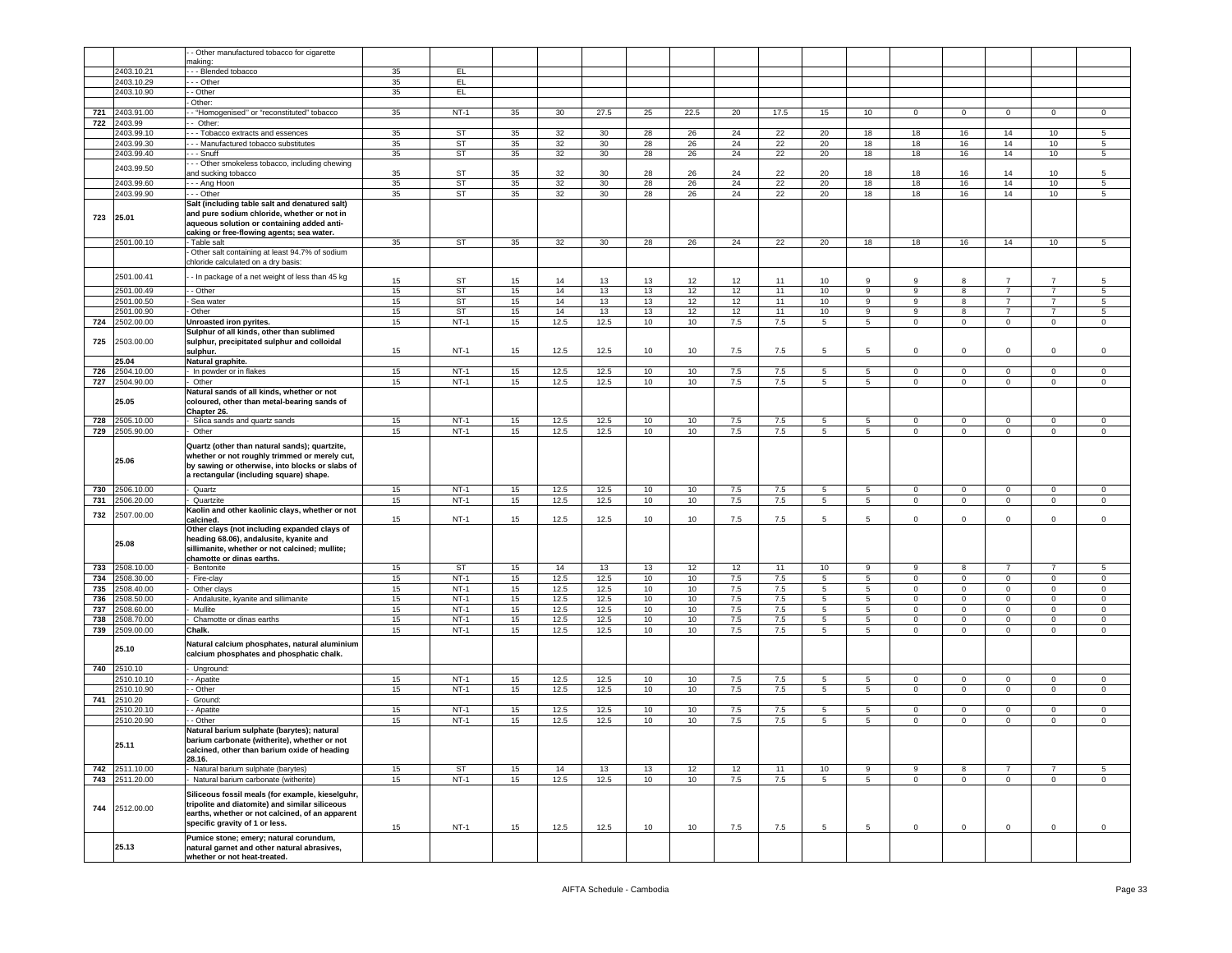|     |            | - Other manufactured tobacco for cigarette                                                                                                                                                   |    |           |    |                 |      |    |      |         |      |                 |                 |                |             |                |                |                |
|-----|------------|----------------------------------------------------------------------------------------------------------------------------------------------------------------------------------------------|----|-----------|----|-----------------|------|----|------|---------|------|-----------------|-----------------|----------------|-------------|----------------|----------------|----------------|
|     |            | naking:                                                                                                                                                                                      |    |           |    |                 |      |    |      |         |      |                 |                 |                |             |                |                |                |
|     | 2403.10.21 | - - Blended tobacco                                                                                                                                                                          | 35 | EL.       |    |                 |      |    |      |         |      |                 |                 |                |             |                |                |                |
|     | 2403.10.29 | - - Other                                                                                                                                                                                    | 35 | EL.       |    |                 |      |    |      |         |      |                 |                 |                |             |                |                |                |
|     | 2403.10.90 | - Other                                                                                                                                                                                      | 35 | EL.       |    |                 |      |    |      |         |      |                 |                 |                |             |                |                |                |
|     |            | Other:                                                                                                                                                                                       |    |           |    |                 |      |    |      |         |      |                 |                 |                |             |                |                |                |
| 721 | 2403.91.00 | - "Homogenised" or "reconstituted" tobacco                                                                                                                                                   | 35 | $NT-1$    | 35 | 30 <sup>°</sup> | 27.5 | 25 | 22.5 | 20      | 17.5 | 15              | 10              | $\mathbf{0}$   | $\mathbf 0$ | 0              | 0              | $\mathbf 0$    |
| 722 | 2403.99    | Other:                                                                                                                                                                                       |    |           |    |                 |      |    |      |         |      |                 |                 |                |             |                |                |                |
|     | 2403.99.10 | --- Tobacco extracts and essences                                                                                                                                                            | 35 | ST        | 35 | 32              | 30   | 28 | 26   | 24      | 22   | 20              | 18              | 18             | 16          | 14             | 10             | 5              |
|     | 2403.99.30 | -- Manufactured tobacco substitutes                                                                                                                                                          | 35 | ST        | 35 | 32              | 30   | 28 | 26   | 24      | 22   | 20              | 18              | 18             | 16          | 14             | 10             | 5              |
|     | 2403.99.40 | - - Snuff                                                                                                                                                                                    | 35 | <b>ST</b> | 35 | 32              | 30   | 28 | 26   | 24      | 22   | 20              | 18              | 18             | 16          | 14             | 10             | 5              |
|     |            | - - Other smokeless tobacco, including chewing                                                                                                                                               |    |           |    |                 |      |    |      |         |      |                 |                 |                |             |                |                |                |
|     | 2403.99.50 | and sucking tobacco                                                                                                                                                                          | 35 | ST        | 35 | 32              | 30   | 28 | 26   | 24      | 22   | 20              | 18              | 18             | 16          | 14             | 10             | 5              |
|     | 2403.99.60 | - - - Ang Hoon                                                                                                                                                                               | 35 | <b>ST</b> | 35 | 32              | 30   | 28 | 26   | 24      | 22   | 20              | 18              | 18             | 16          | 14             | 10             | 5              |
|     | 2403.99.90 | - - Other                                                                                                                                                                                    | 35 | ST        | 35 | 32              | 30   | 28 |      | 24      | 22   | 20              |                 | 18             | 16          | 14             | 10             | 5              |
|     |            | Salt (including table salt and denatured salt)                                                                                                                                               |    |           |    |                 |      |    | 26   |         |      |                 | 18              |                |             |                |                |                |
| 723 | 25.01      | and pure sodium chloride, whether or not in<br>aqueous solution or containing added anti-                                                                                                    |    |           |    |                 |      |    |      |         |      |                 |                 |                |             |                |                |                |
|     |            | caking or free-flowing agents; sea water.                                                                                                                                                    |    |           |    |                 |      |    |      |         |      |                 |                 |                |             |                |                |                |
|     | 2501.00.10 | - Table salt                                                                                                                                                                                 | 35 | <b>ST</b> | 35 | 32              | 30   | 28 | 26   | 24      | 22   | 20              | 18              | 18             | 16          | 14             | 10             | 5              |
|     |            | Other salt containing at least 94.7% of sodium<br>chloride calculated on a dry basis:                                                                                                        |    |           |    |                 |      |    |      |         |      |                 |                 |                |             |                |                |                |
|     | 2501.00.41 | - In package of a net weight of less than 45 kg                                                                                                                                              | 15 | ST        | 15 | 14              | 13   | 13 | 12   | 12      | 11   | 10              | 9               | 9              | 8           |                | $\overline{7}$ | 5              |
|     | 2501.00.49 | - Other                                                                                                                                                                                      | 15 | <b>ST</b> | 15 | 14              | 13   | 13 | 12   | 12      | 11   | 10              | 9               | 9              | 8           | $\overline{7}$ | 7              | 5              |
|     | 2501.00.50 | Sea water                                                                                                                                                                                    | 15 | ST        | 15 | 14              | 13   | 13 | 12   | 12      | 11   | 10              | 9               | 9              | 8           | $\overline{7}$ | 7              | 5              |
|     | 2501.00.90 | - Other                                                                                                                                                                                      | 15 | ST        | 15 | 14              | 13   | 13 | 12   | 12      | 11   | 10              | 9               | 9              | 8           | $\overline{7}$ | $\overline{7}$ | 5              |
| 724 | 2502.00.00 | Unroasted iron pyrites.                                                                                                                                                                      | 15 | $NT-1$    | 15 | 12.5            | 12.5 | 10 | 10   | 7.5     | 7.5  | 5               | $5\overline{5}$ | 0              | $\mathbf 0$ | 0              | $\mathbf 0$    | $\mathbf 0$    |
| 725 | 2503.00.00 | Sulphur of all kinds, other than sublimed<br>sulphur, precipitated sulphur and colloidal                                                                                                     |    |           |    |                 |      |    |      |         |      |                 |                 |                |             |                |                |                |
|     |            | sulphur.                                                                                                                                                                                     | 15 | $NT-1$    | 15 | 12.5            | 12.5 | 10 | 10   | 7.5     | 7.5  | 5               | 5               | $\mathbf 0$    | $\mathbf 0$ | 0              | $\mathbf 0$    | $\mathsf 0$    |
|     | 25.04      | Natural graphite.                                                                                                                                                                            |    |           |    |                 |      |    |      |         |      |                 |                 |                |             |                |                |                |
| 726 | 2504.10.00 | - In powder or in flakes                                                                                                                                                                     | 15 | $NT-1$    | 15 | 12.5            | 12.5 | 10 | 10   | 7.5     | 7.5  | 5               | 5               | 0              | $\mathbf 0$ | $\Omega$       | $\mathbf{0}$   | $\mathbf 0$    |
| 727 | 2504.90.00 | Other                                                                                                                                                                                        | 15 | $NT-1$    | 15 | 12.5            | 12.5 | 10 | 10   | $7.5\,$ | 7.5  | $5\phantom{.0}$ | $5\overline{)}$ | $\mathbf 0$    | $\mathbf 0$ | $\mathbf 0$    | $\mathbf 0$    | $\mathbf 0$    |
|     | 25.05      | Natural sands of all kinds, whether or not<br>coloured, other than metal-bearing sands of<br>Chapter 26.                                                                                     |    |           |    |                 |      |    |      |         |      |                 |                 |                |             |                |                |                |
| 728 | 2505.10.00 | Silica sands and quartz sands                                                                                                                                                                | 15 | $NT-1$    | 15 | 12.5            | 12.5 | 10 | 10   | 7.5     | 7.5  | 5               | 5               | $\mathbf 0$    | $\mathbf 0$ | 0              | 0              | 0              |
| 729 | 2505.90.00 | Other                                                                                                                                                                                        | 15 | $NT-1$    | 15 | 12.5            | 12.5 | 10 | 10   | 7.5     | 7.5  | 5               | $5^{\circ}$     | $\mathbf 0$    | $\mathbf 0$ | $\mathbf{0}$   | $\mathbf 0$    | $\mathbf 0$    |
|     |            |                                                                                                                                                                                              |    |           |    |                 |      |    |      |         |      |                 |                 |                |             |                |                |                |
|     | 25.06      | Quartz (other than natural sands); quartzite,<br>whether or not roughly trimmed or merely cut,<br>by sawing or otherwise, into blocks or slabs of<br>a rectangular (including square) shape. |    |           |    |                 |      |    |      |         |      |                 |                 |                |             |                |                |                |
|     |            |                                                                                                                                                                                              |    |           |    |                 |      |    |      |         |      |                 |                 |                |             |                |                |                |
| 730 | 2506.10.00 | Quartz                                                                                                                                                                                       | 15 | $NT-1$    | 15 | 12.5            | 12.5 | 10 | 10   | 7.5     | 7.5  | 5               | 5               | $\mathbf 0$    | $\mathbf 0$ | $\mathbf{0}$   | $\mathbf{0}$   | $\mathbf 0$    |
| 731 | 1506.20.00 | Quartzite                                                                                                                                                                                    | 15 | $NT-1$    | 15 | 12.5            | 12.5 | 10 | 10   | 7.5     | 7.5  | 5               | 5               | $\mathbf 0$    | $\mathsf 0$ | $\mathbf 0$    | $\mathbf 0$    | $\mathbf 0$    |
| 732 | 2507.00.00 | Kaolin and other kaolinic clays, whether or not<br>calcined.                                                                                                                                 | 15 | $NT-1$    | 15 | 12.5            | 12.5 | 10 | 10   | 7.5     | 7.5  | 5               | 5               | $\mathbf 0$    | $\mathsf 0$ | $\mathbf 0$    | $\mathbf 0$    | $\mathbf 0$    |
|     | 25.08      | Other clays (not including expanded clays of<br>heading 68.06), andalusite, kyanite and<br>sillimanite, whether or not calcined; mullite;<br>chamotte or dinas earths.                       |    |           |    |                 |      |    |      |         |      |                 |                 |                |             |                |                |                |
| 733 | 2508.10.00 | Bentonite                                                                                                                                                                                    | 15 | ST        | 15 | $14$            | 13   | 13 | 12   | 12      | 11   | 10              | 9               | 9              | 8           | $\overline{7}$ | $\overline{7}$ | 5              |
| 734 | 2508.30.00 | Fire-clay                                                                                                                                                                                    | 15 | $NT-1$    | 15 | 12.5            | 12.5 | 10 | 10   | 7.5     | 7.5  | $5^{\circ}$     | 5               | $\overline{0}$ | $\mathbf 0$ | $\mathbf 0$    | $\overline{0}$ | $\overline{0}$ |
| 735 | 2508.40.00 | Other clays                                                                                                                                                                                  | 15 | $NT-1$    | 15 | 12.5            | 12.5 | 10 | 10   | 7.5     | 7.5  | 5               | 5               | 0              | $\mathbf 0$ | $\mathbf 0$    | $\mathbf 0$    | $\mathsf 0$    |
| 736 | 2508.50.00 | Andalusite, kyanite and sillimanite                                                                                                                                                          | 15 | $NT-1$    | 15 | 12.5            | 12.5 | 10 | 10   | 7.5     | 7.5  | $5\phantom{.0}$ | $5\overline{)}$ | $\mathbf{0}$   | $\mathbf 0$ | $\mathbf{0}$   | $\mathbf{0}$   | $\mathsf 0$    |
| 737 | .508.60.00 | Mullite                                                                                                                                                                                      | 15 | $NT-1$    | 15 | 12.5            | 12.5 | 10 | 10   | 7.5     | 7.5  | 5               | 5               | $\mathbf 0$    | $\mathbf 0$ | 0              | $\mathbf{0}$   | $\mathbf 0$    |
| 738 | 2508.70.00 | Chamotte or dinas earths                                                                                                                                                                     | 15 | $NT-1$    | 15 | 12.5            | 12.5 | 10 | 10   | 7.5     | 7.5  | 5               | 5               | $\circ$        | $\mathsf 0$ | $\mathbf 0$    | $\mathbf 0$    | $\mathbf 0$    |
| 739 | 2509.00.00 | Chalk.                                                                                                                                                                                       | 15 | $NT-1$    | 15 | 12.5            | 12.5 | 10 | 10   | 7.5     | 7.5  | $5^{\circ}$     | $5^{\circ}$     | $\mathbf 0$    | $\mathbf 0$ | $\mathbf 0$    | $\mathbf 0$    | $\mathbf 0$    |
|     | 25.10      | Natural calcium phosphates, natural aluminium<br>calcium phosphates and phosphatic chalk.                                                                                                    |    |           |    |                 |      |    |      |         |      |                 |                 |                |             |                |                |                |
| 740 | 2510.10    | Unground:                                                                                                                                                                                    |    |           |    |                 |      |    |      |         |      |                 |                 |                |             |                |                |                |
|     | 2510.10.10 | - Apatite                                                                                                                                                                                    | 15 | NT-1      | 15 | 12.5            | 12.5 | 10 | 10   | 7.5     | 7.5  | 5               | 5               | $\mathbf{0}$   | $\mathbf 0$ | $\mathbf 0$    | $\mathbf{0}$   | $\mathbf 0$    |
|     | 2510.10.90 | - Other                                                                                                                                                                                      | 15 | $NT-1$    | 15 | 12.5            | 12.5 | 10 | 10   | 7.5     | 7.5  | 5               | 5               | $\Omega$       | $\mathbf 0$ | $\mathbf 0$    | $\mathbf 0$    | $\mathbf 0$    |
| 741 | 2510.20    | Ground:                                                                                                                                                                                      |    |           |    |                 |      |    |      |         |      |                 |                 |                |             |                |                |                |
|     | 2510.20.10 | - Apatite                                                                                                                                                                                    | 15 | $NT-1$    | 15 | 12.5            | 12.5 | 10 | 10   | 7.5     | 7.5  | 5               | 5               | 0              | $\mathbf 0$ | $\mathbf 0$    | 0              | $\mathbf 0$    |
|     | 2510.20.90 | - Other                                                                                                                                                                                      | 15 | $NT-1$    | 15 | 12.5            | 12.5 | 10 | 10   | 7.5     | 7.5  | $5\phantom{.0}$ | 5               | $\mathbf 0$    | $\mathsf 0$ | $\mathbf 0$    | $\mathbf 0$    | $\mathbf 0$    |
|     | 25.11      | Natural barium sulphate (barytes); natural<br>barium carbonate (witherite), whether or not<br>calcined, other than barium oxide of heading<br>28.16.                                         |    |           |    |                 |      |    |      |         |      |                 |                 |                |             |                |                |                |
| 742 | 2511.10.00 | - Natural barium sulphate (barytes)                                                                                                                                                          | 15 | <b>ST</b> | 15 | 14              | 13   | 13 | 12   | 12      | 11   | 10              | 9               | 9              | 8           | $\overline{7}$ | $\overline{7}$ | $5^{\circ}$    |
| 743 | 2511.20.00 | Natural barium carbonate (witherite)                                                                                                                                                         | 15 | $NT-1$    | 15 | 12.5            | 12.5 | 10 | 10   | 7.5     | 7.5  | $5\overline{)}$ | 5               | $\mathbf 0$    | $\mathsf 0$ | $\mathbf{0}$   | $\mathbf 0$    | $\mathsf 0$    |
| 744 | 2512.00.00 | Siliceous fossil meals (for example, kieselguhr,<br>tripolite and diatomite) and similar siliceous<br>earths, whether or not calcined, of an apparent<br>specific gravity of 1 or less.      | 15 | $NT-1$    | 15 | 12.5            | 12.5 | 10 | 10   | 7.5     | 7.5  | 5               | 5               | $\overline{0}$ | $\mathbf 0$ | $\mathbf 0$    | $\mathbf 0$    | $\mathsf 0$    |
|     | 25.13      | Pumice stone; emery; natural corundum,<br>natural garnet and other natural abrasives,<br>whether or not heat-treated.                                                                        |    |           |    |                 |      |    |      |         |      |                 |                 |                |             |                |                |                |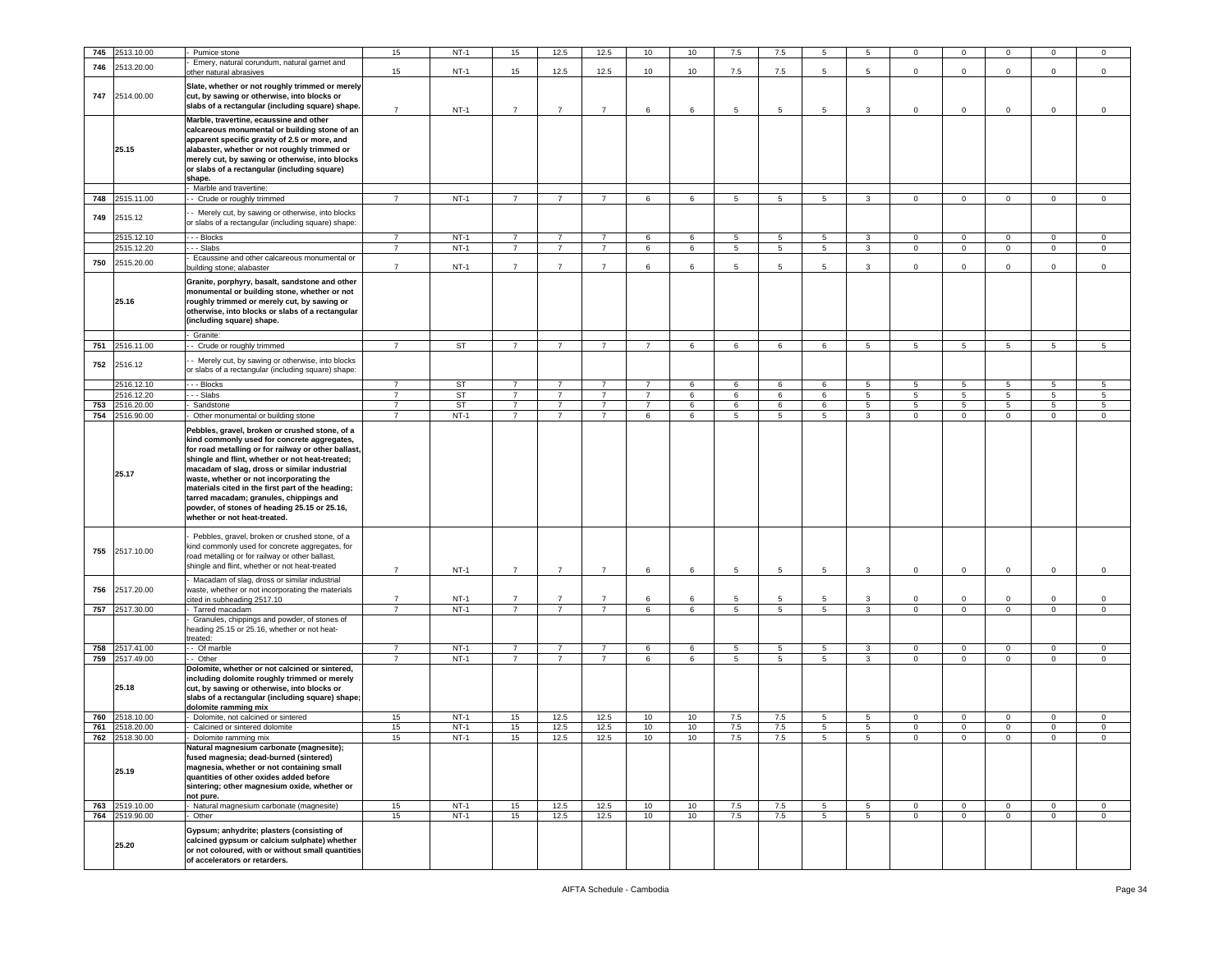| 745        | 2513.10.00               | Pumice stone                                                                                                                                                                                                                                                                                                                                                                                                                                                                       | 15                               | $NT-1$       | 15                               | 12.5                             | 12.5                             | 10             | 10     | 7.5     | 7.5                  | 5                |                   | 0                | $\mathbf 0$             |                                 |                  | $\mathbf 0$      |
|------------|--------------------------|------------------------------------------------------------------------------------------------------------------------------------------------------------------------------------------------------------------------------------------------------------------------------------------------------------------------------------------------------------------------------------------------------------------------------------------------------------------------------------|----------------------------------|--------------|----------------------------------|----------------------------------|----------------------------------|----------------|--------|---------|----------------------|------------------|-------------------|------------------|-------------------------|---------------------------------|------------------|------------------|
| 746        | 2513.20.00               | Emery, natural corundum, natural garnet and                                                                                                                                                                                                                                                                                                                                                                                                                                        |                                  |              |                                  |                                  |                                  |                |        |         |                      |                  |                   |                  |                         |                                 |                  |                  |
| 747        | 2514.00.00               | other natural abrasives<br>Slate, whether or not roughly trimmed or merely<br>cut, by sawing or otherwise, into blocks or                                                                                                                                                                                                                                                                                                                                                          | 15                               | $NT-1$       | 15                               | 12.5                             | 12.5                             | 10             | 10     | 7.5     | 7.5                  | 5                | 5                 | $\mathbf 0$      | $\mathsf 0$             | $\mathbf 0$                     | $\mathbf 0$      | $\mathsf 0$      |
|            | 25.15                    | slabs of a rectangular (including square) shape.<br>Marble, travertine, ecaussine and other<br>calcareous monumental or building stone of an<br>apparent specific gravity of 2.5 or more, and<br>alabaster, whether or not roughly trimmed or<br>merely cut, by sawing or otherwise, into blocks<br>or slabs of a rectangular (including square)<br>shape.                                                                                                                         | $\overline{7}$                   | $NT-1$       | $\overline{7}$                   | $\overline{7}$                   | $\overline{7}$                   | 6              | 6      | 5       | 5                    | 5                | 3                 | $\mathbf 0$      | $\mathbf 0$             | $\mathbf 0$                     | $\mathbf 0$      | $\mathbf 0$      |
|            |                          | Marble and travertine:                                                                                                                                                                                                                                                                                                                                                                                                                                                             |                                  |              |                                  |                                  |                                  |                |        |         |                      |                  |                   |                  |                         |                                 |                  |                  |
| 748        | 2515.11.00               | - Crude or roughly trimmed                                                                                                                                                                                                                                                                                                                                                                                                                                                         | $\overline{7}$                   | $NT-1$       | $\overline{7}$                   | $\overline{7}$                   | $\overline{7}$                   | 6              | 6      | 5       | 5                    | 5                | $\mathbf{3}$      | $\mathbf{O}$     | $\overline{0}$          | $\overline{0}$                  | $\overline{0}$   | $\mathsf 0$      |
| 749        | 2515.12                  | Merely cut, by sawing or otherwise, into blocks<br>or slabs of a rectangular (including square) shape:                                                                                                                                                                                                                                                                                                                                                                             |                                  |              |                                  |                                  |                                  |                |        |         |                      |                  |                   |                  |                         |                                 |                  |                  |
|            | 2515.12.10               | - - - Blocks                                                                                                                                                                                                                                                                                                                                                                                                                                                                       | $\overline{7}$                   | $NT-1$       | $\overline{7}$                   | $\overline{7}$                   | $\overline{7}$                   | 6              | 6      | 5       | 5                    | 5                | 3                 | $\mathbf 0$      | $\mathbf 0$             | $\mathbf{0}$                    | $\mathbf 0$      | $\mathsf 0$      |
|            | 2515.12.20               | -- Slabs<br>Ecaussine and other calcareous monumental or                                                                                                                                                                                                                                                                                                                                                                                                                           | $\overline{7}$                   | $NT-1$       | $\overline{7}$                   | $\overline{7}$                   | $\overline{7}$                   | 6              | 6      | 5       | $5\phantom{.0}$      | 5                | $\mathbf{3}$      | $\mathbf 0$      | $\mathbf 0$             | $\mathsf 0$                     | $\mathsf 0$      | $\mathsf 0$      |
| 750        | 2515.20.00               | puilding stone: alabaster                                                                                                                                                                                                                                                                                                                                                                                                                                                          | $\overline{7}$                   | $NT-1$       | $\overline{7}$                   | $\overline{7}$                   | $\overline{7}$                   | 6              | 6      | 5       | 5                    | 5                | 3                 | $\mathbf 0$      | $\overline{0}$          | $\mathbf 0$                     | $\mathbf 0$      | $\mathsf 0$      |
|            | 25.16                    | Granite, porphyry, basalt, sandstone and other<br>monumental or building stone, whether or not<br>roughly trimmed or merely cut, by sawing or<br>otherwise, into blocks or slabs of a rectangular<br>(including square) shape.                                                                                                                                                                                                                                                     |                                  |              |                                  |                                  |                                  |                |        |         |                      |                  |                   |                  |                         |                                 |                  |                  |
| 751        | 2516.11.00               | Granite:<br>- Crude or roughly trimmed                                                                                                                                                                                                                                                                                                                                                                                                                                             | $\overline{7}$                   | ST           | $\overline{7}$                   | $\overline{7}$                   | $\overline{7}$                   | $\overline{7}$ | 6      | 6       | 6                    | 6                | 5                 | 5                | 5                       | 5                               | 5                | 5                |
| 752        | 2516.12                  | - Merely cut, by sawing or otherwise, into blocks<br>or slabs of a rectangular (including square) shape:                                                                                                                                                                                                                                                                                                                                                                           |                                  |              |                                  |                                  |                                  |                |        |         |                      |                  |                   |                  |                         |                                 |                  |                  |
|            | 2516.12.10               | - - Blocks                                                                                                                                                                                                                                                                                                                                                                                                                                                                         | 7                                | ST           | $\overline{7}$                   | $\overline{7}$                   | $\overline{7}$                   | $\overline{7}$ | 6      | 6       | 6                    | 6                | 5                 | 5                | 5                       | 5                               | 5                | 5                |
|            | 2516.12.20               | - - Slabs                                                                                                                                                                                                                                                                                                                                                                                                                                                                          | $\overline{7}$                   | ST           | $\overline{7}$                   | $\overline{7}$                   | $\overline{7}$                   | $\overline{7}$ | 6      | 6       | $\,6\,$              | 6                | $5\phantom{.0}$   | $5\phantom{.0}$  | $\sqrt{5}$              | 5                               | $\sqrt{5}$       | $\sqrt{5}$       |
| 753<br>754 | 2516.20.00<br>2516.90.00 | Sandstone<br>Other monumental or building stone                                                                                                                                                                                                                                                                                                                                                                                                                                    | $\overline{7}$<br>$\overline{7}$ | ST<br>$NT-1$ | $\overline{7}$<br>$\overline{7}$ | $\overline{7}$<br>$\overline{7}$ | $\overline{7}$<br>$\overline{7}$ | 7<br>6         | 6<br>6 | 6<br>5  | 6<br>$5\phantom{.0}$ | 6<br>$5^{\circ}$ | 5<br>$\mathbf{3}$ | 5<br>$\mathbf 0$ | 5<br>$\overline{0}$     | $5\overline{5}$<br>$\mathbf{0}$ | 5<br>$\mathbf 0$ | 5<br>$\mathsf 0$ |
|            | 25.17                    | Pebbles, gravel, broken or crushed stone, of a<br>kind commonly used for concrete aggregates,<br>for road metalling or for railway or other ballast,<br>shingle and flint, whether or not heat-treated;<br>macadam of slag, dross or similar industrial<br>waste, whether or not incorporating the<br>materials cited in the first part of the heading;<br>tarred macadam; granules, chippings and<br>powder, of stones of heading 25.15 or 25.16,<br>whether or not heat-treated. |                                  |              |                                  |                                  |                                  |                |        |         |                      |                  |                   |                  |                         |                                 |                  |                  |
| 755        | 2517.10.00               | Pebbles, gravel, broken or crushed stone, of a<br>kind commonly used for concrete aggregates, for<br>road metalling or for railway or other ballast,<br>shingle and flint, whether or not heat-treated                                                                                                                                                                                                                                                                             | $\overline{7}$                   | $NT-1$       | $\overline{7}$                   | $\overline{7}$                   | $\overline{7}$                   | $\,6\,$        | 6      | 5       | 5                    | 5                | 3                 | $\mathbf 0$      | $\mathbf 0$             | $\mathbf 0$                     | $\mathbf 0$      | $\mathsf 0$      |
| 756        | 2517.20.00               | Macadam of slag, dross or similar industrial                                                                                                                                                                                                                                                                                                                                                                                                                                       |                                  |              |                                  |                                  |                                  |                |        |         |                      |                  |                   |                  |                         |                                 |                  |                  |
|            |                          | waste, whether or not incorporating the materials<br>cited in subheading 2517.10                                                                                                                                                                                                                                                                                                                                                                                                   | $\overline{7}$                   | $NT-1$       | $\overline{7}$                   | $\overline{7}$                   | $\overline{7}$                   | 6              | 6      | 5       | 5                    | 5                | 3                 | 0                | $\overline{\mathbf{0}}$ | $\mathbf 0$                     | $\mathbf 0$      | 0                |
|            | 757 2517.30.00           | Tarred macadam                                                                                                                                                                                                                                                                                                                                                                                                                                                                     | $\overline{7}$                   | $NT-1$       | $\overline{7}$                   | $\overline{7}$                   | $\overline{7}$                   | 6              | 6      | 5       | $5\overline{)}$      | 5                | $\overline{3}$    | $\mathbf 0$      | $\overline{0}$          | $\mathbf{0}$                    | $\overline{0}$   | $\mathbf 0$      |
|            |                          | Granules, chippings and powder, of stones of<br>heading 25.15 or 25.16, whether or not heat-<br>treated:                                                                                                                                                                                                                                                                                                                                                                           |                                  |              |                                  |                                  |                                  |                |        |         |                      |                  |                   |                  |                         |                                 |                  |                  |
| 758        | 2517.41.00               | - Of marble                                                                                                                                                                                                                                                                                                                                                                                                                                                                        | $\overline{7}$<br>$\overline{7}$ | $NT-1$       | $\overline{7}$<br>$\overline{7}$ | $\overline{7}$<br>$\overline{7}$ | $\overline{7}$<br>$\overline{7}$ | 6              | 6      | 5       | 5                    | 5                | 3                 | $\mathbf 0$      | $\mathbf 0$             | $\mathbf{0}$                    | 0                | 0                |
| 759        | 2517.49.00<br>25.18      | - Other<br>Dolomite, whether or not calcined or sintered,<br>including dolomite roughly trimmed or merely<br>cut, by sawing or otherwise, into blocks or<br>slabs of a rectangular (including square) shape;<br>dolomite ramming mix                                                                                                                                                                                                                                               |                                  | $NT-1$       |                                  |                                  |                                  | 6              | 6      | 5       | $5\phantom{.0}$      | 5                | $\mathbf{3}$      | $\mathbf 0$      | $\mathbf 0$             | $\mathbf{0}$                    | $\mathsf 0$      | $\mathsf 0$      |
| 760        | 2518.10.00               | Dolomite, not calcined or sintered                                                                                                                                                                                                                                                                                                                                                                                                                                                 | 15                               | $NT-1$       | 15                               | 12.5                             | 12.5                             | 10             | 10     | $7.5\,$ | $7.5\,$              | 5                | 5                 | $\mathbf 0$      | $\mathbf 0$             | $\mathbf 0$                     | $\mathbf 0$      | $\mathsf 0$      |
| 761        | 2518.20.00               | Calcined or sintered dolomite                                                                                                                                                                                                                                                                                                                                                                                                                                                      | 15                               | $NT-1$       | 15                               | 12.5                             | 12.5                             | 10             | 10     | 7.5     | 7.5                  | 5                | 5                 | $\mathsf 0$      | $\overline{0}$          | $\mathbf 0$                     | $\mathbf 0$      | $\mathsf 0$      |
| 762        | 2518.30.00<br>25.19      | Dolomite ramming mix<br>Natural magnesium carbonate (magnesite);<br>fused magnesia; dead-burned (sintered)<br>magnesia, whether or not containing small<br>quantities of other oxides added before<br>sintering; other magnesium oxide, whether or<br>not pure.                                                                                                                                                                                                                    | 15                               | $NT-1$       | 15                               | 12.5                             | 12.5                             | 10             | 10     | 7.5     | 7.5                  | 5                | 5                 | $\mathbf 0$      | $\overline{0}$          | $\mathbf 0$                     | $\Omega$         | $\mathbf 0$      |
|            | 763 2519.10.00           | Natural magnesium carbonate (magnesite)                                                                                                                                                                                                                                                                                                                                                                                                                                            | 15                               | $NT-1$       | 15                               | 12.5                             | 12.5                             | 10             | 10     | 7.5     | 7.5                  | 5                | $5^{\circ}$       | $\overline{0}$   | $\mathbf 0$             | $\overline{0}$                  | $\overline{0}$   | $\circ$          |
|            | 764 2519.90.00<br>25.20  | Other<br>Gypsum; anhydrite; plasters (consisting of<br>calcined gypsum or calcium sulphate) whether<br>or not coloured, with or without small quantities<br>of accelerators or retarders.                                                                                                                                                                                                                                                                                          | 15                               | $NT-1$       | 15                               | 12.5                             | 12.5                             | 10             | 10     | 7.5     | 7.5                  | $5^{\circ}$      | 5 <sub>5</sub>    | $\mathbf{O}$     | $\overline{0}$          | $\overline{0}$                  | $\mathbf 0$      | $\circ$          |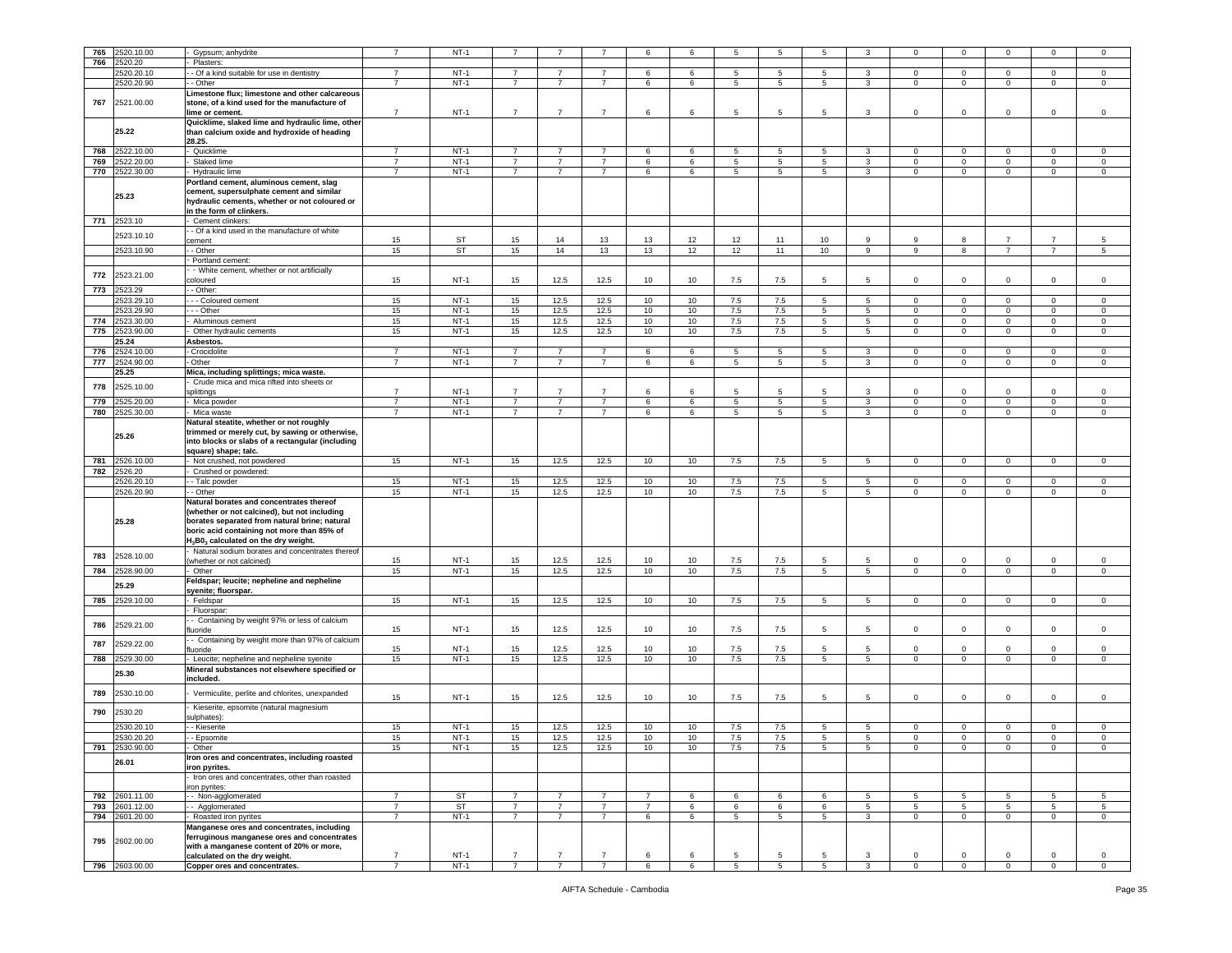| 765 | 2520.10.00     | Gypsum; anhydrite                                              |                                  | <b>NT-1</b>      |                                  |                                  |                                  | 6              | 6      | 5                    |                 |                 |                   | $\Omega$         | 0                             |                   |                  | 0                   |
|-----|----------------|----------------------------------------------------------------|----------------------------------|------------------|----------------------------------|----------------------------------|----------------------------------|----------------|--------|----------------------|-----------------|-----------------|-------------------|------------------|-------------------------------|-------------------|------------------|---------------------|
| 766 | 520.20         | Plasters:                                                      |                                  |                  |                                  |                                  |                                  |                |        |                      |                 |                 |                   |                  |                               |                   |                  |                     |
|     |                |                                                                |                                  |                  |                                  |                                  |                                  |                |        |                      |                 |                 |                   |                  |                               |                   |                  |                     |
|     | 2520.20.10     | - Of a kind suitable for use in dentistry                      | 7                                | $NT-1$           | $\overline{7}$                   | 7                                | $\overline{7}$                   | 6              | 6      | 5                    | 5               | 5               | 3                 | $\mathbf{0}$     | $\overline{0}$                | $\mathbf{0}$      | 0                | $\mathbf 0$         |
|     | 2520.20.90     | - Other                                                        | $\overline{7}$                   | $NT-1$           | $\overline{7}$                   | $\overline{7}$                   | $\overline{7}$                   | 6              | 6      | 5                    | 5               | 5               | $\mathbf{3}$      | $\circ$          | $\mathbf 0$                   | $\circ$           | $\mathbf 0$      | $\mathbf 0$         |
|     |                |                                                                |                                  |                  |                                  |                                  |                                  |                |        |                      |                 |                 |                   |                  |                               |                   |                  |                     |
|     |                | Limestone flux; limestone and other calcareous                 |                                  |                  |                                  |                                  |                                  |                |        |                      |                 |                 |                   |                  |                               |                   |                  |                     |
| 767 | 2521.00.00     | stone, of a kind used for the manufacture of                   |                                  |                  |                                  |                                  |                                  |                |        |                      |                 |                 |                   |                  |                               |                   |                  |                     |
|     |                |                                                                |                                  |                  |                                  |                                  |                                  |                |        |                      |                 |                 |                   |                  |                               |                   |                  |                     |
|     |                | lime or cement.                                                | $\overline{7}$                   | $NT-1$           | $\overline{7}$                   | $\overline{7}$                   | $\overline{7}$                   | 6              | 6      | 5                    | 5               | $5\overline{5}$ | 3                 | $\mathbf 0$      | $^{\circ}$                    | $\mathbf 0$       | $\mathbf 0$      | $\mathsf 0$         |
|     |                | Quicklime, slaked lime and hydraulic lime, other               |                                  |                  |                                  |                                  |                                  |                |        |                      |                 |                 |                   |                  |                               |                   |                  |                     |
|     |                |                                                                |                                  |                  |                                  |                                  |                                  |                |        |                      |                 |                 |                   |                  |                               |                   |                  |                     |
|     | 25.22          | than calcium oxide and hydroxide of heading                    |                                  |                  |                                  |                                  |                                  |                |        |                      |                 |                 |                   |                  |                               |                   |                  |                     |
|     |                | 28.25.                                                         |                                  |                  |                                  |                                  |                                  |                |        |                      |                 |                 |                   |                  |                               |                   |                  |                     |
| 768 | 522.10.00      |                                                                | $\overline{7}$                   | $NT-1$           | $\overline{7}$                   |                                  |                                  |                |        | 5                    | 5               | 5               | 3                 |                  |                               |                   |                  |                     |
|     |                | Quicklime                                                      |                                  |                  |                                  |                                  |                                  | 6              | 6      |                      |                 |                 |                   | 0                | $\mathbf 0$                   | 0                 | 0                | 0                   |
| 769 | 2522.20.00     | Slaked lime                                                    | $\overline{7}$                   | $NT-1$           | $\overline{7}$                   | $\overline{7}$                   | $\overline{7}$                   | 6              | 6      | 5                    | $5\phantom{.0}$ | 5               | 3                 | $\mathbf 0$      | $\mathbf 0$                   | $\circ$           | $\mathbf 0$      | $\mathsf{O}\xspace$ |
|     |                |                                                                |                                  |                  |                                  |                                  |                                  |                |        |                      |                 |                 |                   |                  |                               |                   |                  |                     |
| 770 | 2522.30.00     | - Hydraulic lime                                               | $\overline{7}$                   | $NT-1$           | $\overline{7}$                   | $\overline{7}$                   | $\overline{7}$                   | 6              | 6      | 5                    | 5               | 5               | $\mathbf{3}$      | $\mathbf 0$      | $\mathbf 0$                   | $\circ$           | $\mathbf 0$      | $\mathbf 0$         |
|     |                | Portland cement, aluminous cement, slag                        |                                  |                  |                                  |                                  |                                  |                |        |                      |                 |                 |                   |                  |                               |                   |                  |                     |
|     |                |                                                                |                                  |                  |                                  |                                  |                                  |                |        |                      |                 |                 |                   |                  |                               |                   |                  |                     |
|     | 25.23          | cement, supersulphate cement and similar                       |                                  |                  |                                  |                                  |                                  |                |        |                      |                 |                 |                   |                  |                               |                   |                  |                     |
|     |                | hydraulic cements, whether or not coloured or                  |                                  |                  |                                  |                                  |                                  |                |        |                      |                 |                 |                   |                  |                               |                   |                  |                     |
|     |                |                                                                |                                  |                  |                                  |                                  |                                  |                |        |                      |                 |                 |                   |                  |                               |                   |                  |                     |
|     |                | in the form of clinkers.                                       |                                  |                  |                                  |                                  |                                  |                |        |                      |                 |                 |                   |                  |                               |                   |                  |                     |
| 771 | 2523.10        | Cement clinkers:                                               |                                  |                  |                                  |                                  |                                  |                |        |                      |                 |                 |                   |                  |                               |                   |                  |                     |
|     |                |                                                                |                                  |                  |                                  |                                  |                                  |                |        |                      |                 |                 |                   |                  |                               |                   |                  |                     |
|     | 2523.10.10     | - Of a kind used in the manufacture of white                   |                                  |                  |                                  |                                  |                                  |                |        |                      |                 |                 |                   |                  |                               |                   |                  |                     |
|     |                | ement                                                          | 15                               | ST               | 15                               | 14                               | 13                               | 13             | 12     | 12                   | 11              | 10              | 9                 | 9                | 8                             | $\overline{7}$    | $\overline{7}$   | 5                   |
|     |                |                                                                |                                  |                  |                                  |                                  |                                  |                |        |                      |                 |                 |                   |                  |                               |                   |                  |                     |
|     | 2523.10.90     | - Other                                                        | 15                               | ST               | 15                               | 14                               | 13                               | 13             | 12     | 12                   | 11              | 10              | 9                 | 9                | 8                             | $\overline{7}$    | $\overline{7}$   | 5                   |
|     |                | Portland cement:                                               |                                  |                  |                                  |                                  |                                  |                |        |                      |                 |                 |                   |                  |                               |                   |                  |                     |
|     |                |                                                                |                                  |                  |                                  |                                  |                                  |                |        |                      |                 |                 |                   |                  |                               |                   |                  |                     |
| 772 | 2523.21.00     | - White cement, whether or not artificially                    |                                  |                  |                                  |                                  |                                  |                |        |                      |                 |                 |                   |                  |                               |                   |                  |                     |
|     |                | coloured                                                       | 15                               | $NT-1$           | 15                               | 12.5                             | 12.5                             | 10             | 10     | 7.5                  | 7.5             | 5               | 5                 | $\mathbf 0$      | $\mathbf 0$                   | $\mathbf 0$       | $\mathbf 0$      | $\mathsf 0$         |
|     |                |                                                                |                                  |                  |                                  |                                  |                                  |                |        |                      |                 |                 |                   |                  |                               |                   |                  |                     |
| 773 | 2523.29        | $-$ Other:                                                     |                                  |                  |                                  |                                  |                                  |                |        |                      |                 |                 |                   |                  |                               |                   |                  |                     |
|     | 523.29.10      | - - Coloured cement                                            | 15                               | $NT-1$           | 15                               | 12.5                             | 12.5                             | 10             | 10     | 7.5                  | 7.5             | 5               | 5                 | $\mathbf 0$      | $\mathbf 0$                   | $\mathbf 0$       | $\mathbf 0$      | 0                   |
|     |                |                                                                |                                  |                  |                                  |                                  |                                  |                |        |                      |                 |                 |                   |                  |                               |                   |                  |                     |
|     | 2523.29.90     | - - Other                                                      | 15                               | $NT-1$           | 15                               | 12.5                             | 12.5                             | 10             | 10     | 7.5                  | 7.5             | 5               | $5\phantom{.0}$   | $\mathbf 0$      | $\mathbf 0$                   | $\mathbf 0$       | $\mathbf 0$      | $\mathsf 0$         |
| 774 | 2523.30.00     | Aluminous cement                                               | 15                               | $NT-1$           | 15                               | 12.5                             | 12.5                             | 10             | 10     | 7.5                  | 7.5             | 5               | 5                 | $\circ$          | $\mathbf 0$                   | $\overline{0}$    | $\mathbf 0$      | $\mathbf 0$         |
|     |                |                                                                |                                  |                  |                                  |                                  |                                  |                |        |                      |                 |                 |                   |                  |                               |                   |                  |                     |
| 775 | 2523.90.00     | Other hydraulic cements                                        | 15                               | $NT-1$           | 15                               | 12.5                             | 12.5                             | 10             | 10     | 7.5                  | 7.5             | 5               | 5 <sub>5</sub>    | $\mathbf{0}$     | $\mathbf 0$                   | $\circ$           | $\mathbf 0$      | 0                   |
|     | 25.24          | Asbestos.                                                      |                                  |                  |                                  |                                  |                                  |                |        |                      |                 |                 |                   |                  |                               |                   |                  |                     |
|     |                |                                                                |                                  |                  |                                  |                                  |                                  |                |        |                      |                 |                 |                   |                  |                               |                   |                  |                     |
| 776 | 2524.10.00     | Crocidolite                                                    | $\overline{7}$                   | $NT-1$           | $\overline{7}$                   | $\overline{7}$                   | $\overline{7}$                   | 6              | 6      | 5                    | 5               | 5               | 3                 | $\mathbf 0$      | $\mathbf 0$                   | $\mathbf 0$       | $\mathbf 0$      | 0                   |
| 777 | 2524.90.00     | - Other                                                        | $\overline{7}$                   | $NT-1$           | $\overline{7}$                   | $\overline{7}$                   | $\overline{7}$                   | 6              | 6      | 5                    | $5\phantom{.0}$ | 5               | 3                 | $\circ$          | $\mathbf 0$                   | $\mathbf{0}$      | $\mathbf 0$      | $\mathbf 0$         |
|     |                |                                                                |                                  |                  |                                  |                                  |                                  |                |        |                      |                 |                 |                   |                  |                               |                   |                  |                     |
|     | 25.25          | Mica, including splittings; mica waste.                        |                                  |                  |                                  |                                  |                                  |                |        |                      |                 |                 |                   |                  |                               |                   |                  |                     |
|     |                | Crude mica and mica rifted into sheets or                      |                                  |                  |                                  |                                  |                                  |                |        |                      |                 |                 |                   |                  |                               |                   |                  |                     |
| 778 | 2525.10.00     |                                                                |                                  |                  |                                  |                                  |                                  |                |        |                      |                 |                 |                   |                  |                               |                   |                  |                     |
|     |                | splittings                                                     | $\overline{7}$                   | $NT-1$           | $\overline{7}$                   | $\overline{7}$                   | $\overline{7}$                   | 6              | 6      | 5                    | 5               | 5               | 3                 | $\Omega$         | $\Omega$                      | $\Omega$          | $\Omega$         | 0                   |
| 779 | !525.20.00     | - Mica powder                                                  | $\overline{7}$                   | $NT-1$           | $\overline{7}$                   | $\overline{7}$                   | $\overline{7}$                   | 6              | 6      | 5                    | 5               | 5               | $\mathbf{3}$      | $\circ$          | $\mathbf 0$                   | $\circ$           | $\mathbf 0$      | $\,0\,$             |
|     |                |                                                                |                                  |                  |                                  |                                  |                                  |                |        |                      |                 |                 |                   |                  |                               |                   |                  |                     |
| 780 | !525.30.00     | Mica waste                                                     | $\overline{7}$                   | $NT-1$           | $\overline{7}$                   | $\overline{7}$                   | $\overline{7}$                   | 6              | 6      | 5                    | 5               | 5               | 3                 | 0                | $\mathbf 0$                   | $\mathbf 0$       | 0                | $\mathsf 0$         |
|     |                |                                                                |                                  |                  |                                  |                                  |                                  |                |        |                      |                 |                 |                   |                  |                               |                   |                  |                     |
|     |                | Natural steatite, whether or not roughly                       |                                  |                  |                                  |                                  |                                  |                |        |                      |                 |                 |                   |                  |                               |                   |                  |                     |
|     |                | trimmed or merely cut, by sawing or otherwise,                 |                                  |                  |                                  |                                  |                                  |                |        |                      |                 |                 |                   |                  |                               |                   |                  |                     |
|     | 25.26          |                                                                |                                  |                  |                                  |                                  |                                  |                |        |                      |                 |                 |                   |                  |                               |                   |                  |                     |
|     |                | into blocks or slabs of a rectangular (including               |                                  |                  |                                  |                                  |                                  |                |        |                      |                 |                 |                   |                  |                               |                   |                  |                     |
|     |                | square) shape; talc.                                           |                                  |                  |                                  |                                  |                                  |                |        |                      |                 |                 |                   |                  |                               |                   |                  |                     |
| 781 | 2526.10.00     | - Not crushed, not powdered                                    | 15                               | $NT-1$           | 15                               | 12.5                             | 12.5                             | 10             | 10     | 7.5                  | 7.5             | 5               | 5                 | $\mathbf{0}$     | $\overline{0}$                | $\overline{0}$    | $\mathbf{0}$     | $\circ$             |
|     |                |                                                                |                                  |                  |                                  |                                  |                                  |                |        |                      |                 |                 |                   |                  |                               |                   |                  |                     |
|     | 2526.20        | Crushed or powdered:                                           |                                  |                  |                                  |                                  |                                  |                |        |                      |                 |                 |                   |                  |                               |                   |                  |                     |
| 782 |                |                                                                |                                  |                  |                                  |                                  |                                  |                |        |                      |                 |                 |                   |                  |                               |                   |                  |                     |
|     |                |                                                                |                                  |                  |                                  |                                  |                                  |                |        |                      |                 |                 |                   |                  |                               |                   |                  |                     |
|     | 2526.20.10     | - Talc powder                                                  | 15                               | $NT-1$           | 15                               | 12.5                             | 12.5                             | 10             | 10     | 7.5                  | 7.5             | 5               | $\overline{5}$    | $\mathbf{0}$     | $\mathbf 0$                   | $\mathbf{0}$      | $\mathbf 0$      | 0                   |
|     |                |                                                                |                                  |                  |                                  |                                  |                                  |                |        |                      |                 |                 |                   |                  |                               |                   |                  |                     |
|     | 2526.20.90     | - Other                                                        | 15                               | $NT-1$           | 15                               | 12.5                             | 12.5                             | 10             | 10     | 7.5                  | 7.5             | 5               | $5^{\circ}$       | $\mathbf 0$      | $\mathbf 0$                   | $\circ$           | $\mathbf 0$      | $\mathbf 0$         |
|     |                | Natural borates and concentrates thereof                       |                                  |                  |                                  |                                  |                                  |                |        |                      |                 |                 |                   |                  |                               |                   |                  |                     |
|     |                | (whether or not calcined), but not including                   |                                  |                  |                                  |                                  |                                  |                |        |                      |                 |                 |                   |                  |                               |                   |                  |                     |
|     |                |                                                                |                                  |                  |                                  |                                  |                                  |                |        |                      |                 |                 |                   |                  |                               |                   |                  |                     |
|     | 25.28          | borates separated from natural brine; natural                  |                                  |                  |                                  |                                  |                                  |                |        |                      |                 |                 |                   |                  |                               |                   |                  |                     |
|     |                | boric acid containing not more than 85% of                     |                                  |                  |                                  |                                  |                                  |                |        |                      |                 |                 |                   |                  |                               |                   |                  |                     |
|     |                |                                                                |                                  |                  |                                  |                                  |                                  |                |        |                      |                 |                 |                   |                  |                               |                   |                  |                     |
|     |                | H <sub>3</sub> B0 <sub>3</sub> calculated on the dry weight.   |                                  |                  |                                  |                                  |                                  |                |        |                      |                 |                 |                   |                  |                               |                   |                  |                     |
|     |                | Natural sodium borates and concentrates thereof                |                                  |                  |                                  |                                  |                                  |                |        |                      |                 |                 |                   |                  |                               |                   |                  |                     |
| 783 | 2528.10.00     |                                                                |                                  |                  |                                  |                                  |                                  |                |        |                      |                 |                 |                   |                  |                               |                   |                  |                     |
|     |                | whether or not calcined)                                       | 15                               | $NT-1$           | 15                               | 12.5                             | 12.5                             | 10             | 10     | 7.5                  | 7.5             | 5               | 5                 | $\mathbf 0$      | $\mathbf 0$                   | $\mathbf 0$       | $\mathbf 0$      | $\,0\,$             |
| 784 | !528.90.00     | Other                                                          | 15                               | $NT-1$           | 15                               | 12.5                             | 12.5                             | 10             | 10     | 7.5                  | 7.5             | 5               | $5^{\circ}$       | 0                | $\mathbf 0$                   | $\overline{0}$    | $\mathbf 0$      | 0                   |
|     |                |                                                                |                                  |                  |                                  |                                  |                                  |                |        |                      |                 |                 |                   |                  |                               |                   |                  |                     |
|     | 25.29          | Feldspar; leucite; nepheline and nepheline                     |                                  |                  |                                  |                                  |                                  |                |        |                      |                 |                 |                   |                  |                               |                   |                  |                     |
|     |                | syenite; fluorspar.                                            |                                  |                  |                                  |                                  |                                  |                |        |                      |                 |                 |                   |                  |                               |                   |                  |                     |
| 785 | 2529.10.00     | Feldspar                                                       | 15                               | $NT-1$           | 15                               | 12.5                             | 12.5                             | 10             | 10     | 7.5                  | 7.5             | $5\phantom{.0}$ | $5\overline{5}$   | $\mathbf 0$      | $\mathbf 0$                   | $\overline{0}$    | $\overline{0}$   | $\circ$             |
|     |                |                                                                |                                  |                  |                                  |                                  |                                  |                |        |                      |                 |                 |                   |                  |                               |                   |                  |                     |
|     |                | - Fluorspar:                                                   |                                  |                  |                                  |                                  |                                  |                |        |                      |                 |                 |                   |                  |                               |                   |                  |                     |
|     |                | - Containing by weight 97% or less of calcium                  |                                  |                  |                                  |                                  |                                  |                |        |                      |                 |                 |                   |                  |                               |                   |                  |                     |
| 786 | 2529.21.00     | fluoride                                                       | 15                               | $NT-1$           | 15                               | 12.5                             | 12.5                             | 10             | 10     | 7.5                  | 7.5             | 5               | 5                 | 0                | $\mathbf 0$                   | $\mathbf 0$       | $\Omega$         | $\mathsf 0$         |
|     |                |                                                                |                                  |                  |                                  |                                  |                                  |                |        |                      |                 |                 |                   |                  |                               |                   |                  |                     |
|     |                | - Containing by weight more than 97% of calcium                |                                  |                  |                                  |                                  |                                  |                |        |                      |                 |                 |                   |                  |                               |                   |                  |                     |
| 787 | 2529.22.00     | fluoride                                                       | 15                               | $NT-1$           | 15                               | 12.5                             | 12.5                             | 10             | 10     | 7.5                  | 7.5             | $5\overline{5}$ | 5                 | $\mathbf 0$      | $^{\circ}$                    | $\mathbf 0$       | $\mathbf 0$      | $\mathsf 0$         |
|     |                |                                                                |                                  |                  |                                  |                                  |                                  |                |        |                      |                 |                 |                   |                  |                               |                   |                  |                     |
| 788 | !529.30.00     | Leucite; nepheline and nepheline syenite                       | 15                               | $NT-1$           | 15                               | 12.5                             | 12.5                             | 10             | 10     | $7.5\,$              | 7.5             | 5               | 5                 | $\mathbf 0$      | $\mathbf 0$                   | $\mathbf 0$       | $\mathbf 0$      | $\mathsf 0$         |
|     |                | Mineral substances not elsewhere specified or                  |                                  |                  |                                  |                                  |                                  |                |        |                      |                 |                 |                   |                  |                               |                   |                  |                     |
|     | 25.30          |                                                                |                                  |                  |                                  |                                  |                                  |                |        |                      |                 |                 |                   |                  |                               |                   |                  |                     |
|     |                | included.                                                      |                                  |                  |                                  |                                  |                                  |                |        |                      |                 |                 |                   |                  |                               |                   |                  |                     |
|     |                |                                                                |                                  |                  |                                  |                                  |                                  |                |        |                      |                 |                 |                   |                  |                               |                   |                  |                     |
| 789 | 2530.10.00     | Vermiculite, perlite and chlorites, unexpanded                 |                                  |                  |                                  |                                  |                                  |                |        |                      |                 |                 |                   |                  |                               |                   |                  |                     |
|     |                |                                                                | 15                               | $NT-1$           | 15                               | 12.5                             | 12.5                             | 10             | 10     | 7.5                  | 7.5             | 5               | 5                 | $\circ$          | $\mathbf 0$                   | 0                 | $\mathbf 0$      | $\,0\,$             |
|     |                | Kieserite, epsomite (natural magnesium                         |                                  |                  |                                  |                                  |                                  |                |        |                      |                 |                 |                   |                  |                               |                   |                  |                     |
| 790 | 2530.20        |                                                                |                                  |                  |                                  |                                  |                                  |                |        |                      |                 |                 |                   |                  |                               |                   |                  |                     |
|     |                | sulphates)                                                     |                                  |                  |                                  |                                  |                                  |                |        |                      |                 |                 |                   |                  |                               |                   |                  |                     |
|     | 2530.20.10     | - Kieserite                                                    | 15                               | <b>NT-1</b>      | 15                               | 12.5                             | 12.5                             | 10             | 10     | 7.5                  | 7.5             | 5               | 5                 | $^{\circ}$       | $\mathbf 0$                   | 0                 | $\Omega$         | 0                   |
|     |                |                                                                |                                  |                  |                                  |                                  |                                  |                |        |                      |                 |                 |                   |                  |                               |                   |                  |                     |
|     | 2530.20.20     | - Epsomite                                                     | 15                               | $NT-1$           | 15                               | 12.5                             | 12.5                             | 10             | 10     | 7.5                  | 7.5             | 5               | 5                 | $\mathbf 0$      | $^{\circ}$                    | $\mathbf 0$       | $\Omega$         | $\mathbf 0$         |
| 791 | 2530.90.00     | Other                                                          | 15                               | $NT-1$           | 15                               | 12.5                             | 12.5                             | 10             | 10     | 7.5                  | 7.5             | $\overline{5}$  | 5                 | $\mathbf 0$      | $\overline{0}$                | $\mathbf 0$       | $\mathbf 0$      | $\mathbf 0$         |
|     |                |                                                                |                                  |                  |                                  |                                  |                                  |                |        |                      |                 |                 |                   |                  |                               |                   |                  |                     |
|     |                | Iron ores and concentrates, including roasted                  |                                  |                  |                                  |                                  |                                  |                |        |                      |                 |                 |                   |                  |                               |                   |                  |                     |
|     | 26.01          | iron pyrites.                                                  |                                  |                  |                                  |                                  |                                  |                |        |                      |                 |                 |                   |                  |                               |                   |                  |                     |
|     |                |                                                                |                                  |                  |                                  |                                  |                                  |                |        |                      |                 |                 |                   |                  |                               |                   |                  |                     |
|     |                | Iron ores and concentrates, other than roasted                 |                                  |                  |                                  |                                  |                                  |                |        |                      |                 |                 |                   |                  |                               |                   |                  |                     |
|     |                | iron pyrites:                                                  |                                  |                  |                                  |                                  |                                  |                |        |                      |                 |                 |                   |                  |                               |                   |                  |                     |
|     |                |                                                                |                                  |                  |                                  |                                  |                                  |                |        |                      |                 |                 |                   |                  |                               |                   |                  |                     |
|     | 792 2601.11.00 | - Non-agglomerated                                             | $\overline{7}$                   | ST               | $\overline{7}$                   | $\overline{7}$                   | $\overline{7}$                   | $\overline{7}$ | 6      | 6                    | 6               | 6               | 5                 | 5                | $5\overline{5}$               | 5                 | 5                | 5                   |
| 793 | 2601.12.00     | - - Agglomerated                                               | $\overline{7}$                   | ST               | $\overline{7}$                   | $\overline{7}$                   | $\overline{7}$                   | $\overline{7}$ | 6      | 6                    | 6               | 6               | 5 <sub>5</sub>    | 5 <sub>5</sub>   | 5                             | 5 <sub>5</sub>    | 5                | 5                   |
|     |                |                                                                |                                  |                  |                                  |                                  |                                  |                |        |                      |                 |                 |                   |                  |                               |                   |                  |                     |
| 794 | 2601.20.00     | - Roasted iron pyrites                                         | $\overline{7}$                   | $NT-1$           | $\overline{7}$                   | $\overline{7}$                   | $\overline{7}$                   | 6              | 6      | 5                    | 5               | 5               | $\mathbf{3}$      | $\circ$          | $\mathbf{0}$                  | $\mathbf{0}$      | $\mathbf{0}$     | $\mathbf 0$         |
|     |                |                                                                |                                  |                  |                                  |                                  |                                  |                |        |                      |                 |                 |                   |                  |                               |                   |                  |                     |
|     |                | Manganese ores and concentrates, including                     |                                  |                  |                                  |                                  |                                  |                |        |                      |                 |                 |                   |                  |                               |                   |                  |                     |
|     |                | ferruginous manganese ores and concentrates                    |                                  |                  |                                  |                                  |                                  |                |        |                      |                 |                 |                   |                  |                               |                   |                  |                     |
| 795 | 2602.00.00     | with a manganese content of 20% or more.                       |                                  |                  |                                  |                                  |                                  |                |        |                      |                 |                 |                   |                  |                               |                   |                  |                     |
|     |                |                                                                |                                  |                  |                                  |                                  |                                  |                |        |                      |                 |                 |                   |                  |                               |                   |                  |                     |
|     | 796 2603.00.00 | calculated on the dry weight.<br>Copper ores and concentrates. | $\overline{7}$<br>$\overline{7}$ | $NT-1$<br>$NT-1$ | $\overline{7}$<br>$\overline{7}$ | $\overline{7}$<br>$\overline{7}$ | $\overline{7}$<br>$\overline{7}$ | 6<br>6         | 6<br>6 | 5<br>$5\overline{5}$ | 5<br>5          | 5<br>5          | 3<br>$\mathbf{3}$ | 0<br>$\mathbf 0$ | $\mathbf 0$<br>$\overline{0}$ | 0<br>$\mathbf{0}$ | 0<br>$\mathbf 0$ | 0<br>$\circ$        |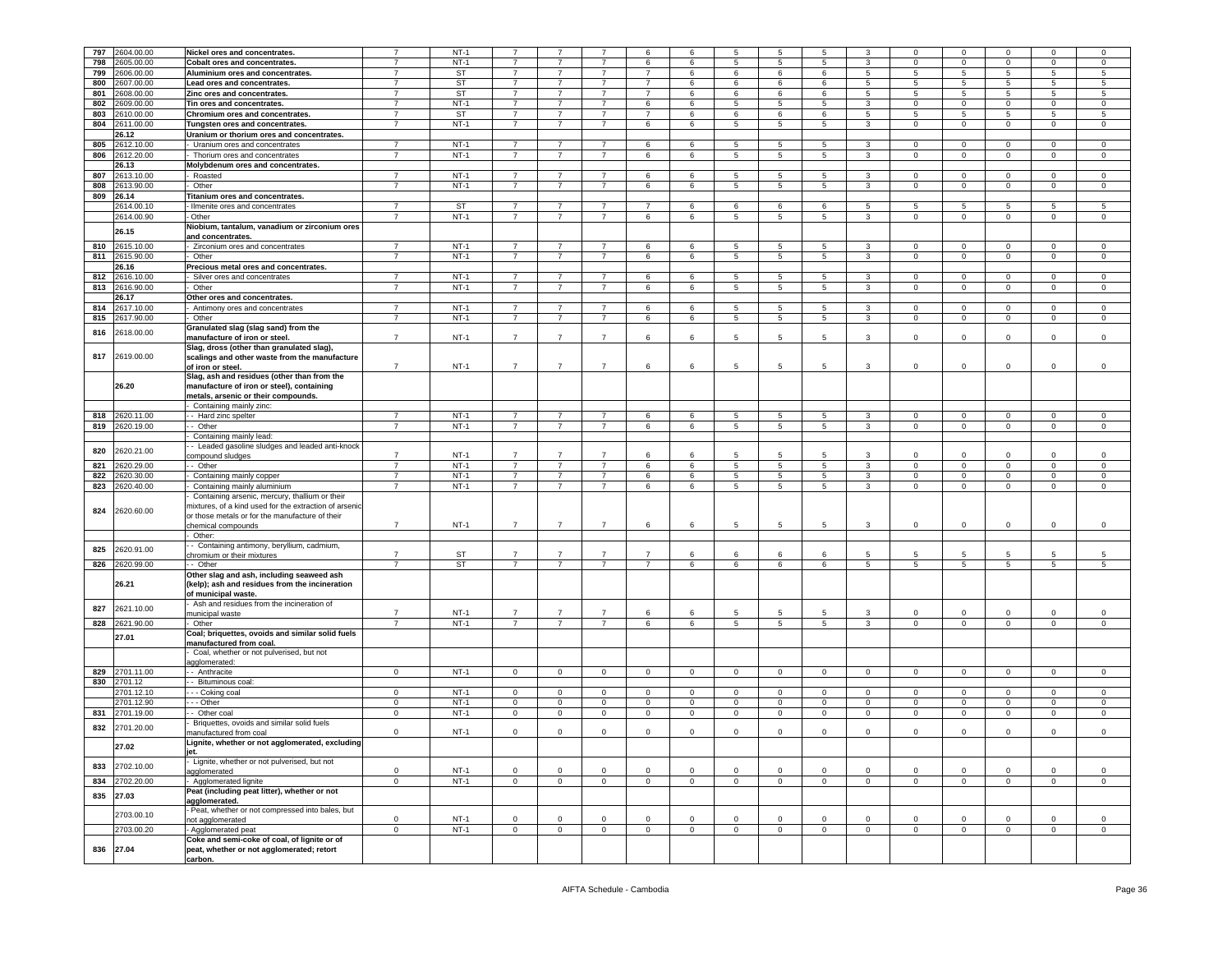| 797 | 2604.00.00     | Nickel ores and concentrates.                          |                | $NT-1$    | $\overline{7}$ | $\overline{7}$ |                | 6              | 6            | 5           | 5               | 5           | 3               | $\mathbf 0$  | $\mathsf 0$             |                 |             |              |
|-----|----------------|--------------------------------------------------------|----------------|-----------|----------------|----------------|----------------|----------------|--------------|-------------|-----------------|-------------|-----------------|--------------|-------------------------|-----------------|-------------|--------------|
|     |                |                                                        | $\overline{7}$ |           |                |                |                |                |              |             |                 |             |                 |              |                         | $\mathbf 0$     | 0           | 0            |
| 798 | 00.00.00       | <b>Cobalt ores and concentrates.</b>                   | $\overline{7}$ | $NT-1$    | $\overline{7}$ | $\overline{7}$ | $\overline{7}$ | 6              | 6            | 5           | $5\phantom{.0}$ | 5           | 3               | $\circ$      | $\mathbf 0$             | $\mathbf 0$     | $\mathbf 0$ | $\mathsf 0$  |
| 799 | 2606.00.00     | Aluminium ores and concentrates.                       | $\overline{7}$ | <b>ST</b> | $\overline{7}$ | 7              | $\overline{7}$ | 7              | 6            | 6           | 6               | 6           | 5               | 5            | 5                       | 5               | 5           | 5            |
| 800 | 2607.00.00     | Lead ores and concentrates.                            | $\overline{7}$ | <b>ST</b> | $\overline{7}$ | $\overline{7}$ | $\overline{7}$ | $\overline{7}$ | 6            | 6           | 6               | 6           | 5               | 5            | 5                       | $5\overline{5}$ | 5           | 5            |
| 801 | 2608.00.00     | Zinc ores and concentrates.                            | $\overline{7}$ | <b>ST</b> | $\overline{7}$ | $\overline{7}$ | $\overline{7}$ | $\overline{7}$ | 6            | 6           | 6               | 6           | $5\overline{)}$ | 5            | 5                       | $5\overline{)}$ | 5           | 5            |
|     |                |                                                        | $\overline{7}$ | $NT-1$    | $\overline{7}$ |                | $\overline{7}$ |                |              |             | 5               |             |                 |              |                         |                 |             |              |
| 802 | 00.00.00       | Tin ores and concentrates.                             |                |           |                | $\overline{7}$ |                | 6              | 6            | 5           |                 | 5           | 3               | $\mathbf 0$  | $\mathbf 0$             | $\mathbf{0}$    | $\mathbf 0$ | 0            |
| 803 | 2610.00.00     | Chromium ores and concentrates.                        | $\overline{7}$ | <b>ST</b> | $\overline{7}$ | $\overline{7}$ | $\overline{7}$ | $\overline{7}$ | 6            | 6           | 6               | 6           | 5               | 5            | 5                       | 5               | 5           | 5            |
| 804 | 2611.00.00     | Tungsten ores and concentrates.                        | $\overline{7}$ | $NT-1$    | $\overline{7}$ | 7              | $\overline{7}$ | 6              | 6            | 5           | 5               | 5           | $\mathbf{3}$    | $\mathbf 0$  | $\mathbf 0$             | $\mathbf{0}$    | 0           | $\mathbf 0$  |
|     | 26.12          | Uranium or thorium ores and concentrates.              |                |           |                |                |                |                |              |             |                 |             |                 |              |                         |                 |             |              |
| 805 | 2612.10.00     | Uranium ores and concentrates                          | $\overline{7}$ | $NT-1$    | $\overline{7}$ | $\overline{7}$ | $\overline{7}$ | 6              | 6            | 5           | $\overline{5}$  | $5^{\circ}$ | $\mathbf{3}$    | $\Omega$     | $\overline{0}$          | $\mathbf{0}$    | $\mathbf 0$ | 0            |
|     |                |                                                        |                |           |                |                |                |                |              |             |                 |             |                 |              |                         |                 |             |              |
| 806 | 2612.20.00     | Thorium ores and concentrates                          | $\overline{7}$ | $NT-1$    | $\overline{7}$ | $\overline{7}$ | $\overline{7}$ | 6              | 6            | 5           | 5               | 5           | 3               | $\mathbf 0$  | $\mathbf 0$             | $\mathbf{0}$    | $\mathbf 0$ | $\mathsf 0$  |
|     | 26.13          | Molybdenum ores and concentrates.                      |                |           |                |                |                |                |              |             |                 |             |                 |              |                         |                 |             |              |
| 807 | 2613.10.00     | Roasted                                                | $\overline{7}$ | $NT-1$    | $\overline{7}$ | $\overline{7}$ | $\overline{7}$ | 6              | 6            | 5           | 5               | 5           | 3               | $\mathbf 0$  | 0                       | $\mathbf 0$     | 0           | 0            |
| 808 | 2613.90.00     | Other                                                  | $\overline{7}$ | $NT-1$    | $\overline{7}$ | $\overline{7}$ | $\overline{7}$ | 6              | 6            | 5           | 5               | 5           | 3               | $\circ$      | $\mathbf 0$             | $\mathbf{0}$    | $\mathbf 0$ | $\mathsf 0$  |
| 809 | 26.14          | <b>Titanium ores and concentrates.</b>                 |                |           |                |                |                |                |              |             |                 |             |                 |              |                         |                 |             |              |
|     |                | Ilmenite ores and concentrates                         |                | <b>ST</b> |                |                |                |                |              |             |                 |             |                 |              |                         |                 |             |              |
|     | 2614.00.10     |                                                        | $\overline{7}$ |           | $\overline{7}$ | 7              | $\overline{7}$ | 7              | 6            | 6           | 6               | 6           | 5               | 5            | 5                       | 5               | 5           | 5            |
|     | 2614.00.90     | - Other                                                | $\overline{7}$ | $NT-1$    | $\overline{7}$ | $\overline{7}$ | $\overline{7}$ | 6              | 6            | 5           | $5\phantom{.0}$ | $5^{\circ}$ | 3               | $\mathbf 0$  | $\overline{0}$          | $\mathbf{0}$    | $\mathbf 0$ | $\mathsf 0$  |
|     | 26.15          | Niobium, tantalum, vanadium or zirconium ores          |                |           |                |                |                |                |              |             |                 |             |                 |              |                         |                 |             |              |
|     |                | and concentrates.                                      |                |           |                |                |                |                |              |             |                 |             |                 |              |                         |                 |             |              |
| 810 | 2615.10.00     | Zirconium ores and concentrates                        | $\overline{7}$ | $NT-1$    | $\overline{7}$ | 7              | $\overline{7}$ | 6              | 6            | 5           | 5               | 5           | 3               | $\mathbf 0$  | $\overline{0}$          | $\mathbf 0$     | $\mathbf 0$ | $\mathbf 0$  |
| 811 | 2615.90.00     | Other                                                  | $\overline{7}$ | $NT-1$    | $\overline{7}$ | $\overline{7}$ | $\overline{7}$ | 6              | 6            | 5           | 5               | 5           | $\mathbf{3}$    | $\circ$      | $\overline{\mathbf{0}}$ | $\mathbf{0}$    | $\mathbf 0$ | $\,0\,$      |
|     |                |                                                        |                |           |                |                |                |                |              |             |                 |             |                 |              |                         |                 |             |              |
|     | 26.16          | Precious metal ores and concentrates.                  |                |           |                |                |                |                |              |             |                 |             |                 |              |                         |                 |             |              |
| 812 | 2616.10.00     | Silver ores and concentrates                           | $\overline{7}$ | $NT-1$    | $\overline{7}$ | $\overline{7}$ | $\overline{7}$ | 6              | 6            | 5           | 5               | 5           | 3               | $\mathbf 0$  | $\circ$                 | $\mathbf 0$     | $\circ$     | $\mathsf 0$  |
| 813 | 2616.90.00     | Other                                                  | $\overline{7}$ | $NT-1$    | 7              | 7              | $\overline{7}$ | 6              | 6            | 5           | 5               | 5           | $\mathbf{3}$    | $\mathbf{0}$ | $\overline{0}$          | $\overline{0}$  | 0           | $\mathbf 0$  |
|     | 26.17          | Other ores and concentrates.                           |                |           |                |                |                |                |              |             |                 |             |                 |              |                         |                 |             |              |
| 814 | 2617.10.00     | Antimony ores and concentrates                         | $\overline{7}$ | $NT-1$    | $\overline{7}$ | $\overline{7}$ | $\overline{7}$ | 6              | 6            | 5           | $\overline{5}$  | 5           | $\mathbf{3}$    | $\circ$      | $\overline{0}$          | $\mathbf{0}$    | $\mathbf 0$ | 0            |
|     | 2617.90.00     | Other                                                  | $\overline{7}$ | $NT-1$    | $\overline{7}$ | $\overline{7}$ | $\overline{7}$ |                | 6            | 5           | $5\phantom{.0}$ | $5^{\circ}$ | $\mathbf{3}$    | $\mathbf 0$  | $\mathbf 0$             | $\overline{0}$  | 0           | $\,0\,$      |
| 815 |                |                                                        |                |           |                |                |                | 6              |              |             |                 |             |                 |              |                         |                 |             |              |
| 816 | 2618.00.00     | Granulated slag (slag sand) from the                   |                |           |                |                |                |                |              |             |                 |             |                 |              |                         |                 |             |              |
|     |                | manufacture of iron or steel.                          | $\overline{7}$ | $NT-1$    | $\overline{7}$ | $\overline{7}$ | $\overline{7}$ | 6              | 6            | 5           | 5               | 5           | 3               | $\mathbf 0$  | $\mathbf 0$             | $\mathbf 0$     | 0           | $\mathsf 0$  |
|     |                | Slag, dross (other than granulated slag),              |                |           |                |                |                |                |              |             |                 |             |                 |              |                         |                 |             |              |
| 817 | 2619.00.00     | scalings and other waste from the manufacture          |                |           |                |                |                |                |              |             |                 |             |                 |              |                         |                 |             |              |
|     |                | of iron or steel.                                      | $\overline{7}$ | $NT-1$    | $\overline{7}$ | $\overline{7}$ | $\overline{7}$ | 6              | 6            | 5           | 5               | 5           | $\mathbf{3}$    | $\mathsf 0$  | $\mathsf 0$             | $\mathbf 0$     | 0           | $\,0\,$      |
|     |                | Slag, ash and residues (other than from the            |                |           |                |                |                |                |              |             |                 |             |                 |              |                         |                 |             |              |
|     | 26.20          |                                                        |                |           |                |                |                |                |              |             |                 |             |                 |              |                         |                 |             |              |
|     |                | manufacture of iron or steel), containing              |                |           |                |                |                |                |              |             |                 |             |                 |              |                         |                 |             |              |
|     |                | metals, arsenic or their compounds.                    |                |           |                |                |                |                |              |             |                 |             |                 |              |                         |                 |             |              |
|     |                | Containing mainly zinc:                                |                |           |                |                |                |                |              |             |                 |             |                 |              |                         |                 |             |              |
| 818 | 2620.11.00     | - Hard zinc spelter                                    | $\overline{7}$ | $NT-1$    | $\overline{7}$ | $\overline{7}$ | $\overline{7}$ | 6              | 6            | 5           | $\overline{5}$  | 5           | 3               | $\mathbf 0$  | $\overline{\mathbf{0}}$ | $\mathbf 0$     | $\mathbf 0$ | 0            |
| 819 | 620.19.00      | - Other                                                | $\overline{7}$ | $NT-1$    | $\overline{7}$ | 7              | $\overline{7}$ | 6              | 6            | 5           | 5               | 5           | 3               | $\mathbf 0$  | $\mathbf 0$             | $\mathbf{0}$    | $\mathbf 0$ | $\mathsf 0$  |
|     |                | Containing mainly lead:                                |                |           |                |                |                |                |              |             |                 |             |                 |              |                         |                 |             |              |
|     |                |                                                        |                |           |                |                |                |                |              |             |                 |             |                 |              |                         |                 |             |              |
| 820 | 2620.21.00     | - Leaded gasoline sludges and leaded anti-knock        |                |           |                |                |                |                |              |             |                 |             |                 |              |                         |                 |             |              |
|     |                | compound sludges                                       | $\overline{7}$ | $NT-1$    | $\overline{7}$ | $\overline{7}$ | $\overline{7}$ | 6              | 6            | 5           | 5               | 5           | 3               | $\Omega$     | $\Omega$                | $\Omega$        | $\Omega$    | $\mathbf 0$  |
| 821 | 620.29.00      | - Other                                                | $\overline{7}$ | $NT-1$    | $\overline{7}$ | $\overline{7}$ | $\overline{7}$ | 6              | 6            | 5           | 5               | 5           | $\mathbf{3}$    | $\mathbf 0$  | $\mathbf 0$             | $\mathbf{0}$    | $\mathbf 0$ | $\mathsf 0$  |
| 822 | 620.30.00      | Containing mainly copper                               | $\overline{7}$ | $NT-1$    | $\overline{7}$ | $\overline{7}$ | $\overline{7}$ | 6              | $\,6\,$      | 5           | $\,$ 5 $\,$     | 5           | $\mathbf{3}$    | $\circ$      | $\mathsf 0$             | $\mathsf 0$     | $\mathbf 0$ | $\,0\,$      |
| 823 | 620.40.00      | Containing mainly aluminium                            | $\overline{7}$ | $NT-1$    | $\overline{7}$ | 7              | $\overline{7}$ | 6              | 6            | 5           | 5               | 5           | $\mathbf{3}$    | $\mathbf 0$  | $\mathbf{0}$            | $\overline{0}$  | $\mathbf 0$ | 0            |
|     |                | Containing arsenic, mercury, thallium or their         |                |           |                |                |                |                |              |             |                 |             |                 |              |                         |                 |             |              |
|     |                | mixtures, of a kind used for the extraction of arsenic |                |           |                |                |                |                |              |             |                 |             |                 |              |                         |                 |             |              |
| 824 | 2620.60.00     |                                                        |                |           |                |                |                |                |              |             |                 |             |                 |              |                         |                 |             |              |
|     |                | or those metals or for the manufacture of their        |                |           |                |                |                |                |              |             |                 |             |                 |              |                         |                 |             |              |
|     |                | chemical compounds                                     | $\overline{7}$ | $NT-1$    | $\overline{7}$ | $\overline{7}$ | $\overline{7}$ | 6              | 6            | 5           | 5               | 5           | 3               | $\circ$      | $\mathbf 0$             | $\mathbf 0$     | 0           | $\mathbf 0$  |
|     |                | Other:                                                 |                |           |                |                |                |                |              |             |                 |             |                 |              |                         |                 |             |              |
|     |                | - Containing antimony, beryllium, cadmium,             |                |           |                |                |                |                |              |             |                 |             |                 |              |                         |                 |             |              |
| 825 | 2620.91.00     | chromium or their mixtures                             | $\overline{7}$ | <b>ST</b> | $\overline{7}$ | 7              | $\overline{7}$ | 7              | 6            | 6           | 6               | 6           | 5               | 5            | 5                       | 5               | -5          | 5            |
| 826 | 2620.99.00     | - Other                                                | $\overline{7}$ | <b>ST</b> | $\overline{7}$ | $\overline{7}$ | $\overline{7}$ | $\overline{7}$ | 6            | 6           | $\,6$           | 6           | 5               | 5            | $\overline{5}$          | 5               | 5           | 5            |
|     |                | Other slag and ash, including seaweed ash              |                |           |                |                |                |                |              |             |                 |             |                 |              |                         |                 |             |              |
|     | 26.21          |                                                        |                |           |                |                |                |                |              |             |                 |             |                 |              |                         |                 |             |              |
|     |                | (kelp); ash and residues from the incineration         |                |           |                |                |                |                |              |             |                 |             |                 |              |                         |                 |             |              |
|     |                | of municipal waste.                                    |                |           |                |                |                |                |              |             |                 |             |                 |              |                         |                 |             |              |
| 827 | 2621.10.00     | Ash and residues from the incineration of              |                |           |                |                |                |                |              |             |                 |             |                 |              |                         |                 |             |              |
|     |                | municipal waste                                        | $\overline{7}$ | $NT-1$    | $\overline{7}$ | $\overline{7}$ | $\overline{7}$ | 6              | 6            | 5           | 5               | 5           | 3               | $\mathsf 0$  | $\mathsf 0$             | $\mathbf 0$     | $\mathbf 0$ | $\mathsf 0$  |
|     | 828 2621.90.00 | Other                                                  | $\overline{7}$ | $NT-1$    | $\overline{7}$ | 7              | $\overline{7}$ | 6              | 6            | 5           | $5\phantom{.0}$ | 5           | 3               | $\mathbf 0$  | $\overline{0}$          | $\mathbf{0}$    | $\mathbf 0$ | $\circ$      |
|     |                | Coal; briquettes, ovoids and similar solid fuels       |                |           |                |                |                |                |              |             |                 |             |                 |              |                         |                 |             |              |
|     | 27.01          | manufactured from coal.                                |                |           |                |                |                |                |              |             |                 |             |                 |              |                         |                 |             |              |
|     |                | Coal, whether or not pulverised, but not               |                |           |                |                |                |                |              |             |                 |             |                 |              |                         |                 |             |              |
|     |                | agglomerated:                                          |                |           |                |                |                |                |              |             |                 |             |                 |              |                         |                 |             |              |
| 829 | 2701.11.00     | - Anthracite                                           | $\mathbf 0$    | $NT-1$    | $\mathbf{0}$   | $\mathbf 0$    | $\mathbf 0$    | $\circ$        | $\mathbf 0$  | $\circ$     | $\mathbf 0$     | $\circ$     | $\circ$         | $\circ$      | $\overline{0}$          | $\mathbf{0}$    | $\mathbf 0$ | $\mathsf 0$  |
|     |                |                                                        |                |           |                |                |                |                |              |             |                 |             |                 |              |                         |                 |             |              |
| 830 | 2701.12        | - Bituminous coal:                                     |                |           |                |                |                |                |              |             |                 |             |                 |              |                         |                 |             |              |
|     | 701.12.10      | - - Coking coal                                        | $\mathbf 0$    | $NT-1$    | $\mathbf 0$    | $\mathbf 0$    | $\mathbf 0$    | $\mathbf 0$    | $\mathbf 0$  | $\mathsf 0$ | $\pmb{0}$       | $\mathbf 0$ | $\mathbf 0$     | $\circ$      | $\mathbf 0$             | $\mathbf 0$     | $\mathbf 0$ | $\,0\,$      |
|     | 2701.12.90     | - - Other                                              | $\mathbf{0}$   | $NT-1$    | $\overline{0}$ | $\circ$        | $\mathbf 0$    | $\mathbf{0}$   | $\mathbf{0}$ | $\mathbf 0$ | $\mathbf 0$     | $\circ$     | $\mathbf{0}$    | $\mathbf 0$  | $\mathbf 0$             | $\mathbf{0}$    | $\mathbf 0$ | $\mathbf 0$  |
| 831 | 2701.19.00     | - Other coal                                           | $\mathbf 0$    | $NT-1$    | $\mathbf 0$    | $\mathbf 0$    | $\mathbf 0$    | $\circ$        | $\mathbf{0}$ | $\mathbf 0$ | $\mathbf 0$     | $\mathbf 0$ | $\circ$         | $\mathbf 0$  | $\overline{0}$          | $\mathbf{0}$    | $\mathbf 0$ | $\mathsf 0$  |
|     |                | Briquettes, ovoids and similar solid fuels             |                |           |                |                |                |                |              |             |                 |             |                 |              |                         |                 |             |              |
| 832 | 2701.20.00     | nanufactured from coal                                 | $\mathbf 0$    | $NT-1$    | $\mathbf 0$    | $\mathbf 0$    | $\mathsf 0$    | $\mathsf 0$    | $\mathbf 0$  | $\mathbf 0$ | $\mathbf 0$     | $\Omega$    | $\mathbf 0$     | $\mathbf 0$  | $\mathsf 0$             | $\mathbf 0$     | $\mathbf 0$ | $\mathsf 0$  |
|     |                |                                                        |                |           |                |                |                |                |              |             |                 |             |                 |              |                         |                 |             |              |
|     | 27.02          | ignite, whether or not agglomerated, excludin.         |                |           |                |                |                |                |              |             |                 |             |                 |              |                         |                 |             |              |
|     |                |                                                        |                |           |                |                |                |                |              |             |                 |             |                 |              |                         |                 |             |              |
| 833 | 2702.10.00     | Lignite, whether or not pulverised, but not            |                |           |                |                |                |                |              |             |                 |             |                 |              |                         |                 |             |              |
|     |                | agglomerated                                           | $\mathbf 0$    | $NT-1$    | $\mathbf 0$    | $\mathbf 0$    | $\mathbf{0}$   | $\circ$        | $\mathbf{0}$ | $\mathsf 0$ | $\mathbf 0$     | $\circ$     | $\circ$         | $\mathbf 0$  | $\mathbf 0$             | $\mathbf{0}$    | $\mathbf 0$ | $\mathbf 0$  |
| 834 | 2702.20.00     | Agglomerated lignite                                   | $\mathbf 0$    | $NT-1$    | $\mathbf 0$    | $\mathbf 0$    | $\mathsf 0$    | $\mathbf 0$    | $\mathbf 0$  | $\circ$     | $\mathbf 0$     | $\circ$     | $\mathbf 0$     | $\mathbf 0$  | $\overline{0}$          | $\mathbf 0$     | $\mathbf 0$ | $\mathbf 0$  |
|     |                | Peat (including peat litter), whether or not           |                |           |                |                |                |                |              |             |                 |             |                 |              |                         |                 |             |              |
| 835 | 27.03          | agglomerated.                                          |                |           |                |                |                |                |              |             |                 |             |                 |              |                         |                 |             |              |
|     |                |                                                        |                |           |                |                |                |                |              |             |                 |             |                 |              |                         |                 |             |              |
|     | 2703.00.10     | Peat, whether or not compressed into bales, but        |                |           |                |                |                |                |              |             |                 |             |                 |              |                         |                 |             |              |
|     |                | not agglomerated                                       | $\mathbf 0$    | $NT-1$    | $\Omega$       | $\circ$        | $\mathbf{0}$   | $\Omega$       | 0            | $\Omega$    | $\mathbf 0$     | $\Omega$    | $\mathbf 0$     | $\Omega$     | $\mathbf 0$             | $\mathbf 0$     | $\Omega$    | $\mathbf 0$  |
|     | 2703.00.20     | Agglomerated peat                                      | $\mathbf{0}$   | $NT-1$    | $\mathbf 0$    | $\mathbf 0$    | $\mathbf{0}$   | $\circ$        | $\mathbf{0}$ | $\mathbf 0$ | $\overline{0}$  | $\mathbf 0$ | $\circ$         | $\mathbf{0}$ | $\overline{0}$          | $\mathbf{0}$    | $\mathbf 0$ | $\mathbf{0}$ |
|     |                | Coke and semi-coke of coal, of lignite or of           |                |           |                |                |                |                |              |             |                 |             |                 |              |                         |                 |             |              |
|     | 836 27.04      | peat, whether or not agglomerated; retort              |                |           |                |                |                |                |              |             |                 |             |                 |              |                         |                 |             |              |
|     |                | carbon.                                                |                |           |                |                |                |                |              |             |                 |             |                 |              |                         |                 |             |              |
|     |                |                                                        |                |           |                |                |                |                |              |             |                 |             |                 |              |                         |                 |             |              |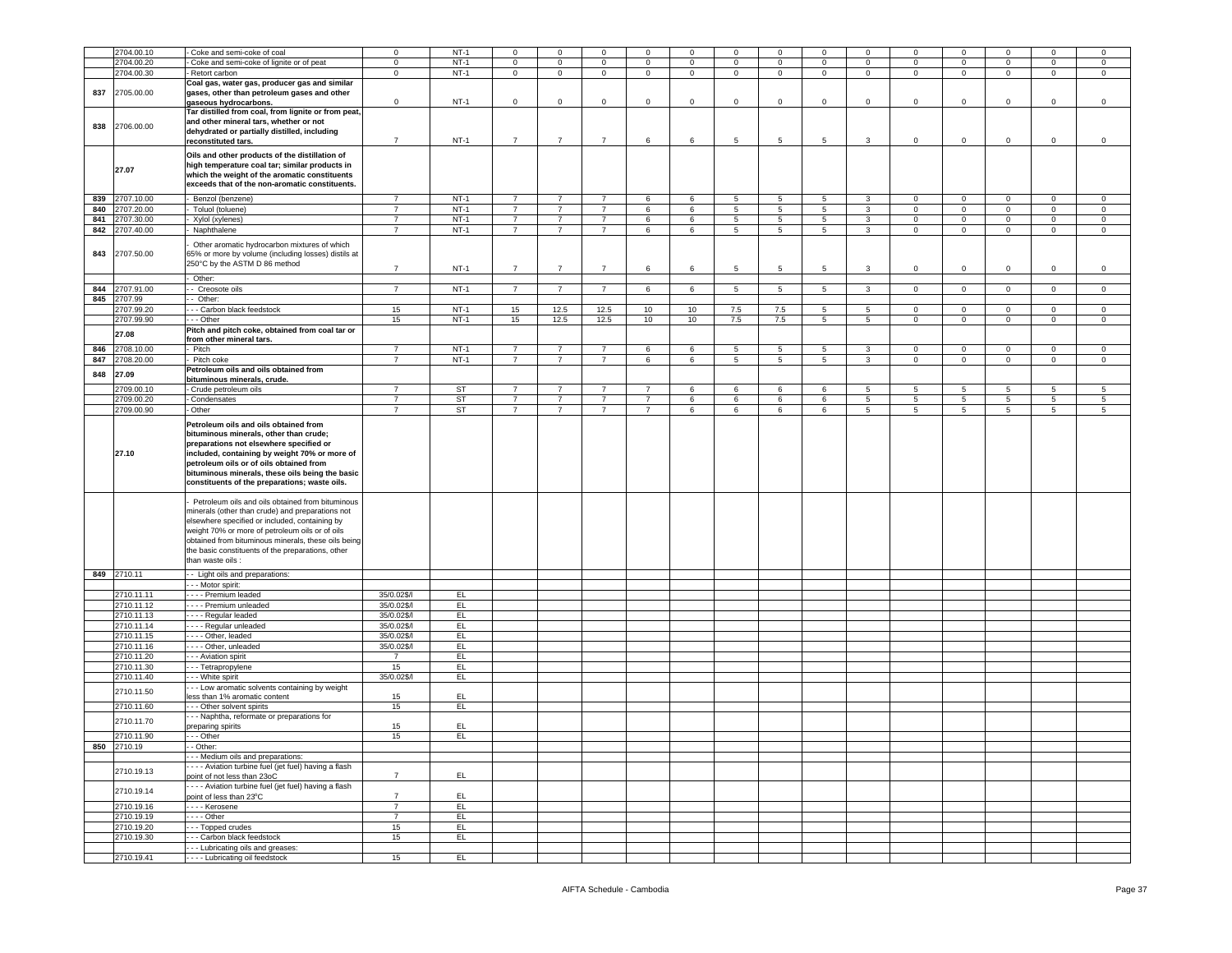|     | 2704.00.10  |                                                                     |                | $NT-1$    | $\mathbf 0$    | $\mathbf 0$    |                |                 | $\mathbf 0$  |                | $\mathbf 0$    | $\mathbf 0$ | $\Omega$        | $\Omega$       | $\Omega$       | $\Omega$       | $\Omega$       |             |
|-----|-------------|---------------------------------------------------------------------|----------------|-----------|----------------|----------------|----------------|-----------------|--------------|----------------|----------------|-------------|-----------------|----------------|----------------|----------------|----------------|-------------|
|     |             | Coke and semi-coke of coal                                          | $\mathbf 0$    |           |                |                | $\mathsf 0$    | $\mathbf 0$     |              | $\mathbf 0$    |                |             |                 |                |                |                |                | 0           |
|     | 2704.00.20  | Coke and semi-coke of lignite or of peat                            | $\overline{0}$ | $NT-1$    | $\mathbf 0$    | $\mathbf 0$    | $\overline{0}$ | $\overline{0}$  | $\mathbf{0}$ | $\mathbf 0$    | $\mathbf{0}$   | $\circ$     | $\circ$         | $\mathbf{0}$   | $\mathbf{0}$   | $\mathbf{0}$   | $\mathsf 0$    | $\circ$     |
|     | 2704.00.30  | Retort carbon                                                       | $\mathbf 0$    | $NT-1$    | $\mathbf{0}$   | $\mathbf 0$    | $\mathbf 0$    | $\mathbf{0}$    | $\mathbf 0$  | $\mathbf 0$    | $\mathbf 0$    | $\mathbf 0$ | $\circ$         | $\mathbf 0$    | $\mathbf{0}$   | $\mathbf{0}$   | $\mathbf 0$    | $\mathbf 0$ |
|     |             | Coal gas, water gas, producer gas and similar                       |                |           |                |                |                |                 |              |                |                |             |                 |                |                |                |                |             |
| 837 | 2705.00.00  | gases, other than petroleum gases and other                         |                |           |                |                |                |                 |              |                |                |             |                 |                |                |                |                |             |
|     |             |                                                                     | $\mathbf 0$    | $NT-1$    |                | $\mathbf 0$    | $\mathsf 0$    |                 |              |                | $\mathbf 0$    |             | $\circ$         | $\mathbf 0$    | $\mathbf 0$    | $\mathbf 0$    | $\mathbf 0$    |             |
|     |             | gaseous hydrocarbons.                                               |                |           | $\mathbf 0$    |                |                | $\mathbf 0$     | $\pmb{0}$    | $\mathsf 0$    |                | $\mathsf 0$ |                 |                |                |                |                | $\,0\,$     |
|     |             | Tar distilled from coal, from lignite or from peat,                 |                |           |                |                |                |                 |              |                |                |             |                 |                |                |                |                |             |
|     |             | and other mineral tars, whether or not                              |                |           |                |                |                |                 |              |                |                |             |                 |                |                |                |                |             |
| 838 | 2706.00.00  | dehydrated or partially distilled, including                        |                |           |                |                |                |                 |              |                |                |             |                 |                |                |                |                |             |
|     |             | reconstituted tars.                                                 | $\overline{7}$ | $NT-1$    | $\overline{7}$ | $\overline{7}$ | $\overline{7}$ | 6               | 6            | 5              | 5              | 5           | 3               | $\mathbf 0$    | $\mathsf 0$    | $\mathbf 0$    | $\mathbf 0$    | $\mathsf 0$ |
|     |             |                                                                     |                |           |                |                |                |                 |              |                |                |             |                 |                |                |                |                |             |
|     |             | Oils and other products of the distillation of                      |                |           |                |                |                |                 |              |                |                |             |                 |                |                |                |                |             |
|     |             |                                                                     |                |           |                |                |                |                 |              |                |                |             |                 |                |                |                |                |             |
|     | 27.07       | high temperature coal tar; similar products in                      |                |           |                |                |                |                 |              |                |                |             |                 |                |                |                |                |             |
|     |             | which the weight of the aromatic constituents                       |                |           |                |                |                |                 |              |                |                |             |                 |                |                |                |                |             |
|     |             | exceeds that of the non-aromatic constituents.                      |                |           |                |                |                |                 |              |                |                |             |                 |                |                |                |                |             |
|     |             |                                                                     |                |           |                |                |                |                 |              |                |                |             |                 |                |                |                |                |             |
| 839 | 2707.10.00  | Benzol (benzene)                                                    | $\overline{7}$ | $NT-1$    | $\overline{7}$ | 7              | $\overline{7}$ | 6               | 6            | 5              | 5              | 5           | 3               | $\mathbf 0$    | $\overline{0}$ | $\mathbf{0}$   | $\mathbf 0$    | $\mathbf 0$ |
| 840 | 2707.20.00  | Toluol (toluene)                                                    | $\overline{7}$ | $NT-1$    | $\overline{7}$ | $\overline{7}$ | $\overline{7}$ | 6               | 6            | 5              | $\,$ 5         | 5           | $\mathbf{3}$    | $\mathsf 0$    | $\mathbf 0$    | $\mathsf 0$    | $\mathsf 0$    | $\mathbf 0$ |
| 841 |             |                                                                     | $\overline{7}$ | $NT-1$    | $\overline{7}$ | $\overline{7}$ | $\overline{7}$ | 6               | 6            |                | 5              | 5           | 3               |                | $\overline{0}$ | $\mathbf{0}$   |                |             |
|     | 2707.30.00  | Xylol (xylenes)                                                     |                |           |                |                |                |                 |              | 5              |                |             |                 | $\mathbf{0}$   |                |                | 0              | $\mathsf 0$ |
| 842 | 2707.40.00  | Naphthalene                                                         | $\overline{7}$ | $NT-1$    | $\overline{7}$ | $\overline{7}$ | $\overline{7}$ | 6               | 6            | 5              | $\overline{5}$ | 5           | 3               | $\circ$        | $\mathbf{0}$   | $\mathbf 0$    | $\mathbf 0$    | $\mathsf 0$ |
|     |             |                                                                     |                |           |                |                |                |                 |              |                |                |             |                 |                |                |                |                |             |
|     |             | Other aromatic hydrocarbon mixtures of which                        |                |           |                |                |                |                 |              |                |                |             |                 |                |                |                |                |             |
| 843 | 2707.50.00  | 65% or more by volume (including losses) distils at                 |                |           |                |                |                |                 |              |                |                |             |                 |                |                |                |                |             |
|     |             | 250°C by the ASTM D 86 method                                       |                |           |                |                |                |                 |              |                |                |             |                 |                |                |                |                |             |
|     |             |                                                                     | $\overline{7}$ | $NT-1$    | $\overline{7}$ | $\overline{7}$ | $\overline{7}$ | 6               | 6            | 5              | 5              | 5           | 3               | $\mathbf 0$    | $\mathsf 0$    | $\mathbf 0$    | $\mathbf 0$    | $\mathbf 0$ |
|     |             | Other:                                                              |                |           |                |                |                |                 |              |                |                |             |                 |                |                |                |                |             |
| 844 | 2707.91.00  | - Creosote oils                                                     | $\overline{7}$ | $NT-1$    | $\overline{7}$ | $\overline{7}$ | $\overline{7}$ | $6\overline{6}$ | 6            | $\overline{5}$ | 5              | 5           | $\overline{3}$  | $\overline{0}$ | $\overline{0}$ | $\overline{0}$ | $\overline{0}$ | $\mathbf 0$ |
|     |             |                                                                     |                |           |                |                |                |                 |              |                |                |             |                 |                |                |                |                |             |
| 845 | 2707.99     | - Other:                                                            |                |           |                |                |                |                 |              |                |                |             |                 |                |                |                |                |             |
|     | 2707.99.20  | - - Carbon black feedstock                                          | 15             | $NT-1$    | 15             | 12.5           | 12.5           | 10              | 10           | 7.5            | 7.5            | 5           | 5               | $\circ$        | $\mathbf{0}$   | $\mathbf{0}$   | $\mathbf 0$    | $\circ$     |
|     | 2707.99.90  | $- -$ Other                                                         | 15             | $NT-1$    | 15             | 12.5           | 12.5           | 10              | 10           | 7.5            | 7.5            | 5           | $5^{\circ}$     | $\mathbf 0$    | $\mathbf{0}$   | $\overline{0}$ | $\mathbf 0$    | $\mathbf 0$ |
|     |             | Pitch and pitch coke, obtained from coal tar or                     |                |           |                |                |                |                 |              |                |                |             |                 |                |                |                |                |             |
|     | 27.08       |                                                                     |                |           |                |                |                |                 |              |                |                |             |                 |                |                |                |                |             |
|     |             | from other mineral tars.                                            |                |           |                |                |                |                 |              |                |                |             |                 |                |                |                |                |             |
| 846 | 2708.10.00  | Pitch                                                               | $\overline{7}$ | $NT-1$    | $\overline{7}$ | $\overline{7}$ | $\overline{7}$ | 6               | 6            | 5              | $\,$ 5 $\,$    | 5           | $\mathbf{3}$    | $\mathbf 0$    | $\mathbf 0$    | $\mathbf{0}$   | $\mathbf 0$    | $\mathbf 0$ |
| 847 | 2708.20.00  | Pitch coke                                                          | $\overline{7}$ | $NT-1$    | $\overline{7}$ | $\overline{7}$ | $\overline{7}$ | 6               | 6            | 5              | 5              | 5           | $\mathbf{3}$    | $\mathbf 0$    | $\overline{0}$ | $\overline{0}$ | 0              | $\mathbf 0$ |
|     |             | Petroleum oils and oils obtained from                               |                |           |                |                |                |                 |              |                |                |             |                 |                |                |                |                |             |
| 848 | 27.09       |                                                                     |                |           |                |                |                |                 |              |                |                |             |                 |                |                |                |                |             |
|     |             | bituminous minerals, crude.                                         |                |           |                |                |                |                 |              |                |                |             |                 |                |                |                |                |             |
|     | 2709.00.10  | Crude petroleum oils                                                | $\overline{7}$ | <b>ST</b> | $\overline{7}$ | $\overline{7}$ | $\overline{7}$ | $\overline{7}$  | 6            | 6              | 6              | 6           | 5               | 5              | 5              | 5              | 5              | 5           |
|     | 2709.00.20  | Condensates                                                         | $\overline{7}$ | ST        | $\overline{7}$ | 7              | $\overline{7}$ | 7               | 6            | 6              | 6              | 6           | 5               | 5              | 5              | 5              | 5              | 5           |
|     |             |                                                                     |                |           |                |                |                |                 |              |                |                |             |                 |                |                |                |                |             |
|     | 2709.00.90  | - Other                                                             | $\overline{7}$ | <b>ST</b> | $\overline{7}$ | $\overline{7}$ | $\overline{7}$ | $\overline{7}$  | 6            | 6              | 6              | 6           | $5\overline{5}$ | 5              | 5              | 5 <sub>5</sub> | 5              | 5           |
|     |             | Petroleum oils and oils obtained from                               |                |           |                |                |                |                 |              |                |                |             |                 |                |                |                |                |             |
|     |             |                                                                     |                |           |                |                |                |                 |              |                |                |             |                 |                |                |                |                |             |
|     |             | bituminous minerals, other than crude;                              |                |           |                |                |                |                 |              |                |                |             |                 |                |                |                |                |             |
|     |             | preparations not elsewhere specified or                             |                |           |                |                |                |                 |              |                |                |             |                 |                |                |                |                |             |
|     | 27.10       | included, containing by weight 70% or more of                       |                |           |                |                |                |                 |              |                |                |             |                 |                |                |                |                |             |
|     |             |                                                                     |                |           |                |                |                |                 |              |                |                |             |                 |                |                |                |                |             |
|     |             | petroleum oils or of oils obtained from                             |                |           |                |                |                |                 |              |                |                |             |                 |                |                |                |                |             |
|     |             | bituminous minerals, these oils being the basic                     |                |           |                |                |                |                 |              |                |                |             |                 |                |                |                |                |             |
|     |             | constituents of the preparations; waste oils.                       |                |           |                |                |                |                 |              |                |                |             |                 |                |                |                |                |             |
|     |             |                                                                     |                |           |                |                |                |                 |              |                |                |             |                 |                |                |                |                |             |
|     |             |                                                                     |                |           |                |                |                |                 |              |                |                |             |                 |                |                |                |                |             |
|     |             | Petroleum oils and oils obtained from bituminous                    |                |           |                |                |                |                 |              |                |                |             |                 |                |                |                |                |             |
|     |             | minerals (other than crude) and preparations not                    |                |           |                |                |                |                 |              |                |                |             |                 |                |                |                |                |             |
|     |             | elsewhere specified or included, containing by                      |                |           |                |                |                |                 |              |                |                |             |                 |                |                |                |                |             |
|     |             | weight 70% or more of petroleum oils or of oils                     |                |           |                |                |                |                 |              |                |                |             |                 |                |                |                |                |             |
|     |             |                                                                     |                |           |                |                |                |                 |              |                |                |             |                 |                |                |                |                |             |
|     |             | obtained from bituminous minerals, these oils being                 |                |           |                |                |                |                 |              |                |                |             |                 |                |                |                |                |             |
|     |             | the basic constituents of the preparations, other                   |                |           |                |                |                |                 |              |                |                |             |                 |                |                |                |                |             |
|     |             | than waste oils :                                                   |                |           |                |                |                |                 |              |                |                |             |                 |                |                |                |                |             |
|     |             |                                                                     |                |           |                |                |                |                 |              |                |                |             |                 |                |                |                |                |             |
|     | 849 2710.11 | - - Light oils and preparations:                                    |                |           |                |                |                |                 |              |                |                |             |                 |                |                |                |                |             |
|     |             | - - - Motor spirit:                                                 |                |           |                |                |                |                 |              |                |                |             |                 |                |                |                |                |             |
|     | 2710.11.11  | - - - - Premium leaded                                              | 35/0.02\$/l    | EL.       |                |                |                |                 |              |                |                |             |                 |                |                |                |                |             |
|     |             |                                                                     |                |           |                |                |                |                 |              |                |                |             |                 |                |                |                |                |             |
|     | 2710.11.12  | - - - - Premium unleaded                                            | 35/0.02\$/l    | EL.       |                |                |                |                 |              |                |                |             |                 |                |                |                |                |             |
|     | 2710.11.13  | Regular leaded                                                      | 35/0.02\$/l    | EL.       |                |                |                |                 |              |                |                |             |                 |                |                |                |                |             |
|     | 2710.11.14  | Regular unleaded                                                    | 35/0.02\$/l    | EL        |                |                |                |                 |              |                |                |             |                 |                |                |                |                |             |
|     |             |                                                                     | 35/0.02\$/l    | EL        |                |                |                |                 |              |                |                |             |                 |                |                |                |                |             |
|     | 2710.11.15  | Other, leaded                                                       |                |           |                |                |                |                 |              |                |                |             |                 |                |                |                |                |             |
|     | 2710.11.16  | - Other, unleaded                                                   | 35/0.02\$/l    | EL.       |                |                |                |                 |              |                |                |             |                 |                |                |                |                |             |
|     | 2710.11.20  | -- Aviation spirit                                                  | $\overline{7}$ | EL.       |                |                |                |                 |              |                |                |             |                 |                |                |                |                |             |
|     | 2710.11.30  | - - Tetrapropylene                                                  | 15             | EL.       |                |                |                |                 |              |                |                |             |                 |                |                |                |                |             |
|     |             |                                                                     |                |           |                |                |                |                 |              |                |                |             |                 |                |                |                |                |             |
|     | 2710.11.40  | - - White spirit                                                    | 35/0.02\$/l    | E         |                |                |                |                 |              |                |                |             |                 |                |                |                |                |             |
|     |             | - - Low aromatic solvents containing by weight                      |                |           |                |                |                |                 |              |                |                |             |                 |                |                |                |                |             |
|     | 2710.11.50  | less than 1% aromatic content                                       | 15             | EL.       |                |                |                |                 |              |                |                |             |                 |                |                |                |                |             |
|     | 2710.11.60  | --- Other solvent spirits                                           | 15             | E         |                |                |                |                 |              |                |                |             |                 |                |                |                |                |             |
|     |             |                                                                     |                |           |                |                |                |                 |              |                |                |             |                 |                |                |                |                |             |
|     | 2710.11.70  | --- Naphtha, reformate or preparations for                          |                |           |                |                |                |                 |              |                |                |             |                 |                |                |                |                |             |
|     |             | preparing spirits                                                   | 15             | EL.       |                |                |                |                 |              |                |                |             |                 |                |                |                |                |             |
|     | 2710.11.90  | --- Other                                                           | 15             | EL.       |                |                |                |                 |              |                |                |             |                 |                |                |                |                |             |
|     | 850 2710.19 |                                                                     |                |           |                |                |                |                 |              |                |                |             |                 |                |                |                |                |             |
|     |             | - - Other:                                                          |                |           |                |                |                |                 |              |                |                |             |                 |                |                |                |                |             |
|     |             | - - Medium oils and preparations:                                   |                |           |                |                |                |                 |              |                |                |             |                 |                |                |                |                |             |
|     |             |                                                                     |                |           |                |                |                |                 |              |                |                |             |                 |                |                |                |                |             |
|     |             |                                                                     |                |           |                |                |                |                 |              |                |                |             |                 |                |                |                |                |             |
|     | 2710.19.13  | ---- Aviation turbine fuel (jet fuel) having a flash                |                |           |                |                |                |                 |              |                |                |             |                 |                |                |                |                |             |
|     |             | point of not less than 23oC                                         | $\overline{7}$ | EL.       |                |                |                |                 |              |                |                |             |                 |                |                |                |                |             |
|     |             | - - - - Aviation turbine fuel (jet fuel) having a flash             |                |           |                |                |                |                 |              |                |                |             |                 |                |                |                |                |             |
|     | 2710.19.14  | point of less than 23°C                                             | $\overline{7}$ | EL.       |                |                |                |                 |              |                |                |             |                 |                |                |                |                |             |
|     |             |                                                                     |                |           |                |                |                |                 |              |                |                |             |                 |                |                |                |                |             |
|     | 2710.19.16  | - - - Kerosene                                                      | $\overline{7}$ | EL.       |                |                |                |                 |              |                |                |             |                 |                |                |                |                |             |
|     | 2710.19.19  | $\cdots$ Other                                                      | $\overline{7}$ | E         |                |                |                |                 |              |                |                |             |                 |                |                |                |                |             |
|     | 2710.19.20  | - - Topped crudes                                                   | 15             | EL.       |                |                |                |                 |              |                |                |             |                 |                |                |                |                |             |
|     |             |                                                                     |                |           |                |                |                |                 |              |                |                |             |                 |                |                |                |                |             |
|     | 2710.19.30  | --- Carbon black feedstock                                          | 15             | E         |                |                |                |                 |              |                |                |             |                 |                |                |                |                |             |
|     | 2710.19.41  | - - Lubricating oils and greases:<br>---- Lubricating oil feedstock | 15             | EL.       |                |                |                |                 |              |                |                |             |                 |                |                |                |                |             |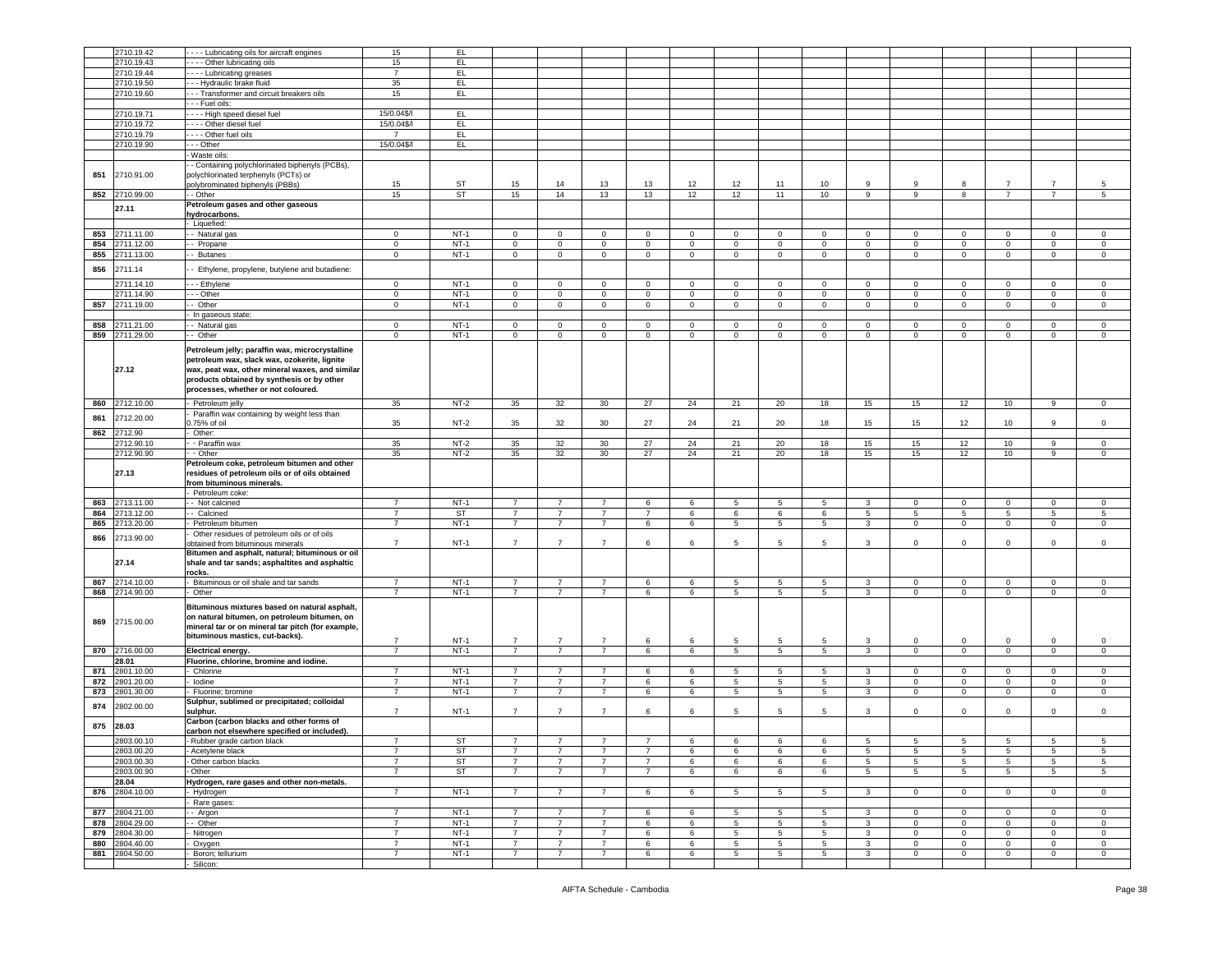|     | 2710.19.42     | Lubricating oils for aircraft engines             | 15             | EL        |                |                |                |                |             |                 |              |                |                |                |                |                |                |                |
|-----|----------------|---------------------------------------------------|----------------|-----------|----------------|----------------|----------------|----------------|-------------|-----------------|--------------|----------------|----------------|----------------|----------------|----------------|----------------|----------------|
|     |                |                                                   |                |           |                |                |                |                |             |                 |              |                |                |                |                |                |                |                |
|     | 2710.19.43     | - - - - Other lubricating oils                    | 15             | EL.       |                |                |                |                |             |                 |              |                |                |                |                |                |                |                |
|     | 2710.19.44     | ---- Lubricating greases                          | $\overline{7}$ | EL.       |                |                |                |                |             |                 |              |                |                |                |                |                |                |                |
|     | 2710.19.50     | --- Hydraulic brake fluid                         | 35             | EL.       |                |                |                |                |             |                 |              |                |                |                |                |                |                |                |
|     | 2710.19.60     | --- Transformer and circuit breakers oils         | 15             | EL.       |                |                |                |                |             |                 |              |                |                |                |                |                |                |                |
|     |                | - - - Fuel oils:                                  |                |           |                |                |                |                |             |                 |              |                |                |                |                |                |                |                |
|     |                |                                                   |                |           |                |                |                |                |             |                 |              |                |                |                |                |                |                |                |
|     | 2710.19.71     | - - - - High speed diesel fuel                    | 15/0.04\$/l    | EL.       |                |                |                |                |             |                 |              |                |                |                |                |                |                |                |
|     | 2710.19.72     | - - - - Other diesel fuel                         | 15/0.04\$/     | EL.       |                |                |                |                |             |                 |              |                |                |                |                |                |                |                |
|     | 2710.19.79     | - - - - Other fuel oils                           | $\overline{7}$ | EL.       |                |                |                |                |             |                 |              |                |                |                |                |                |                |                |
|     | 2710.19.90     | - - - Other                                       | 15/0.04\$/     | EL.       |                |                |                |                |             |                 |              |                |                |                |                |                |                |                |
|     |                |                                                   |                |           |                |                |                |                |             |                 |              |                |                |                |                |                |                |                |
|     |                | Waste oils:                                       |                |           |                |                |                |                |             |                 |              |                |                |                |                |                |                |                |
|     |                | - Containing polychlorinated biphenyls (PCBs),    |                |           |                |                |                |                |             |                 |              |                |                |                |                |                |                |                |
| 851 | 2710.91.00     | polychlorinated terphenyls (PCTs) or              |                |           |                |                |                |                |             |                 |              |                |                |                |                |                |                |                |
|     |                | oolybrominated biphenyls (PBBs)                   | 15             | ST        | 15             | 14             | 13             | 13             | 12          | 12              | 11           | 10             | 9              | 9              | 8              | $\overline{7}$ | $\overline{7}$ | 5              |
|     | 852 2710.99.00 | $-$ Other                                         | 15             | <b>ST</b> | 15             | 14             | 13             | 13             | 12          | 12              | 11           | 10             | 9              | 9              | 8              | $\overline{7}$ | $\overline{7}$ | 5              |
|     |                | Petroleum gases and other gaseous                 |                |           |                |                |                |                |             |                 |              |                |                |                |                |                |                |                |
|     | 27.11          |                                                   |                |           |                |                |                |                |             |                 |              |                |                |                |                |                |                |                |
|     |                | hydrocarbons.                                     |                |           |                |                |                |                |             |                 |              |                |                |                |                |                |                |                |
|     |                | - Liquefied:                                      |                |           |                |                |                |                |             |                 |              |                |                |                |                |                |                |                |
| 853 | 2711.11.00     | - - Natural gas                                   | $\mathbf 0$    | $NT-1$    | $\overline{0}$ | $\overline{0}$ | $\mathbf 0$    | $\overline{0}$ | $\mathbf 0$ | $\overline{0}$  | $\mathbf 0$  | $\overline{0}$ | $\mathbf 0$    | 0              | $\,0\,$        | $\Omega$       | $\Omega$       | $\mathbf 0$    |
| 854 | 2711.12.00     | - Propane                                         | $\mathbf 0$    | $NT-1$    | $\mathbf 0$    | $\circ$        | $\mathbf 0$    | $\mathbf 0$    | $\mathbf 0$ | $\mathbf 0$     | $\mathbf{0}$ | $\mathbf 0$    | $\mathbf 0$    | $\mathbf 0$    | $\mathsf 0$    | $\mathbf 0$    | $\mathbf 0$    | $\mathbf 0$    |
| 855 | 2711.13.00     | - Butanes                                         | $\mathsf 0$    | $NT-1$    | $\overline{0}$ | $\overline{0}$ | $\mathsf 0$    | $\overline{0}$ | $\mathsf 0$ | $\circ$         | $\mathbf 0$  | $\overline{0}$ | $\mathbf 0$    | $\overline{0}$ | $\mathbf 0$    | $\mathbf 0$    | $\overline{0}$ | $\mathsf{O}$   |
|     |                |                                                   |                |           |                |                |                |                |             |                 |              |                |                |                |                |                |                |                |
| 856 | 2711.14        | Ethylene, propylene, butylene and butadiene:      |                |           |                |                |                |                |             |                 |              |                |                |                |                |                |                |                |
|     |                |                                                   |                |           |                |                |                |                |             |                 |              |                |                |                |                |                |                |                |
|     | 2711.14.10     | --- Ethylene                                      | $\mathbf 0$    | $NT-1$    | $\mathbf{0}$   | $\circ$        | $\mathbf 0$    | $\mathbf{0}$   | $\mathbf 0$ | $\mathbf{0}$    | $\mathbf{0}$ | $\mathbf 0$    | $\mathbf 0$    | $\mathbf 0$    | $\mathbf 0$    | $\mathbf 0$    | $\mathbf 0$    | $\mathbf 0$    |
|     | 2711.14.90     | - - Other                                         | $\mathbf 0$    | $NT-1$    | $\mathbf 0$    | $\mathbf{0}$   | $\mathbf 0$    | $\mathsf 0$    | $\circ$     | $\mathbf 0$     | $\mathbf{0}$ | $\mathbf 0$    | $\circ$        | $\mathbf 0$    | $\mathsf 0$    | $\circ$        | $\mathbf 0$    | $\mathbf 0$    |
| 857 | 2711.19.00     | - Other                                           | $\mathbf{0}$   | $NT-1$    | $\mathbf 0$    | $\overline{0}$ | $\mathsf 0$    | $\mathbf 0$    | $\mathbf 0$ | $\overline{0}$  | $\mathbf 0$  | $\overline{0}$ | $\mathbf 0$    | 0              | $\mathbf 0$    | $\mathbf 0$    | $\mathbf 0$    | $\mathbf 0$    |
|     |                | In gaseous state:                                 |                |           |                |                |                |                |             |                 |              |                |                |                |                |                |                |                |
| 858 | 2711.21.00     | - Natural gas                                     | $\mathbf 0$    | $NT-1$    | $\mathbf{0}$   | $\overline{0}$ | $\mathbf{0}$   | $\overline{0}$ | $\mathbf 0$ | $\overline{0}$  | $\mathbf 0$  | $\mathbf{0}$   | $\mathbf{0}$   | $\mathbf{0}$   | $\mathbf 0$    | $^{\circ}$     | $\mathbf{0}$   | 0              |
|     |                |                                                   |                |           |                |                |                |                |             |                 |              |                |                |                |                |                |                |                |
| 859 | 2711.29.00     | - Other                                           | $\mathbf 0$    | $NT-1$    | $\mathbf 0$    | $\circ$        | $\mathbf 0$    | $\mathbf 0$    | $\mathbf 0$ | $\mathbf 0$     | $\mathbf{0}$ | $\mathbf 0$    | $\mathbf 0$    | $\mathbf 0$    | $\mathsf 0$    | $\mathbf 0$    | $\mathbf 0$    | $\mathbf 0$    |
|     |                | Petroleum jelly; paraffin wax, microcrystalline   |                |           |                |                |                |                |             |                 |              |                |                |                |                |                |                |                |
|     |                |                                                   |                |           |                |                |                |                |             |                 |              |                |                |                |                |                |                |                |
|     |                | petroleum wax, slack wax, ozokerite, lignite      |                |           |                |                |                |                |             |                 |              |                |                |                |                |                |                |                |
|     | 27.12          | wax, peat wax, other mineral waxes, and similar   |                |           |                |                |                |                |             |                 |              |                |                |                |                |                |                |                |
|     |                | products obtained by synthesis or by other        |                |           |                |                |                |                |             |                 |              |                |                |                |                |                |                |                |
|     |                | processes, whether or not coloured.               |                |           |                |                |                |                |             |                 |              |                |                |                |                |                |                |                |
|     |                |                                                   |                |           |                |                |                |                |             |                 |              |                |                |                |                |                |                |                |
| 860 | 2712.10.00     | Petroleum jelly                                   | $35\,$         | $NT-2$    | 35             | 32             | 30             | 27             | 24          | 21              | 20           | 18             | 15             | 15             | 12             | 10             | 9              | $\mathsf 0$    |
| 861 | 2712.20.00     | Paraffin wax containing by weight less than       |                |           |                |                |                |                |             |                 |              |                |                |                |                |                |                |                |
|     |                | .75% of oil                                       | 35             | $NT-2$    | 35             | 32             | 30             | 27             | 24          | 21              | 20           | 18             | 15             | 15             | 12             | 10             | 9              | $\mathbf 0$    |
| 862 | 2712.90        | Other:                                            |                |           |                |                |                |                |             |                 |              |                |                |                |                |                |                |                |
|     | 2712.90.10     | - Paraffin wax                                    | $35\,$         | $NT-2$    | 35             | 32             | 30             | 27             | 24          | 21              | 20           | 18             | 15             | 15             | 12             | 10             | 9              | $\mathbf 0$    |
|     | 2712.90.90     | - Other                                           | 35             | $NT-2$    | 35             | 32             | 30             | 27             | 24          | 21              | 20           | 18             | 15             | 15             | 12             | 10             | $\overline{9}$ | $\mathsf 0$    |
|     |                |                                                   |                |           |                |                |                |                |             |                 |              |                |                |                |                |                |                |                |
|     |                | Petroleum coke, petroleum bitumen and other       |                |           |                |                |                |                |             |                 |              |                |                |                |                |                |                |                |
|     | 27.13          | residues of petroleum oils or of oils obtained    |                |           |                |                |                |                |             |                 |              |                |                |                |                |                |                |                |
|     |                | from bituminous minerals.                         |                |           |                |                |                |                |             |                 |              |                |                |                |                |                |                |                |
|     |                | Petroleum coke:                                   |                |           |                |                |                |                |             |                 |              |                |                |                |                |                |                |                |
|     | 2713.11.00     | - Not calcined                                    | 7              | $NT-1$    | $\overline{7}$ | 7              | 7              | 6              | 6           | $5\overline{5}$ | 5            | 5              | 3              | $\mathbf{0}$   | $\mathbf 0$    | $^{\circ}$     | $\mathbf{0}$   | $\mathbf 0$    |
| 863 |                |                                                   |                |           | $\overline{7}$ | $\overline{7}$ | $\overline{7}$ | $\overline{7}$ | 6           | 6               | 6            | 6              | 5 <sup>5</sup> |                |                |                | 5              | 5              |
|     |                |                                                   |                |           |                |                |                |                |             |                 |              |                |                |                |                |                |                |                |
| 864 | 2713.12.00     | - Calcined                                        | $\overline{7}$ | ST        |                |                |                |                |             |                 |              |                |                | 5              | 5              | 5              |                |                |
| 865 | 2713.20.00     | Petroleum bitumen                                 | $\overline{7}$ | $NT-1$    | $\overline{7}$ | $\overline{7}$ | $\overline{7}$ | 6              | 6           | $\overline{5}$  | 5            | 5              | $\mathbf{3}$   | $\mathsf 0$    | $\mathbf 0$    | $\mathsf 0$    | $\mathsf 0$    | $\overline{0}$ |
|     | 2713.90.00     | Other residues of petroleum oils or of oils       |                |           |                |                |                |                |             |                 |              |                |                |                |                |                |                |                |
| 866 |                | obtained from bituminous minerals                 | $\overline{7}$ | $NT-1$    | $\overline{7}$ | $\overline{7}$ | $\overline{7}$ | 6              | 6           | 5               | 5            | 5              | 3              | 0              | $\mathbf 0$    | 0              | 0              | $\mathsf 0$    |
|     |                | Bitumen and asphalt, natural; bituminous or oil   |                |           |                |                |                |                |             |                 |              |                |                |                |                |                |                |                |
|     | 27.14          | shale and tar sands; asphaltites and asphaltic    |                |           |                |                |                |                |             |                 |              |                |                |                |                |                |                |                |
|     |                | rocks.                                            |                |           |                |                |                |                |             |                 |              |                |                |                |                |                |                |                |
|     |                |                                                   | $\overline{7}$ | $NT-1$    | $\overline{7}$ | $\overline{7}$ | $\overline{7}$ |                | 6           |                 | 5            |                | 3              | $\mathbf 0$    |                | 0              |                |                |
| 867 | 2714.10.00     | Bituminous or oil shale and tar sands             |                |           |                |                |                | 6              |             | $5\overline{5}$ |              | 5              |                |                | $\mathbf 0$    |                | 0              | $\mathbf 0$    |
| 868 | 2714.90.00     | Other                                             | $\overline{7}$ | $NT-1$    | $\overline{7}$ | $\overline{7}$ | $\overline{7}$ | 6              | 6           | $5\overline{5}$ | 5            | 5              | 3              | $\mathbf 0$    | $\mathsf 0$    | $\mathbf 0$    | $\mathbf 0$    | $\mathbf 0$    |
|     |                | Bituminous mixtures based on natural asphalt,     |                |           |                |                |                |                |             |                 |              |                |                |                |                |                |                |                |
|     |                |                                                   |                |           |                |                |                |                |             |                 |              |                |                |                |                |                |                |                |
| 869 | 2715.00.00     | on natural bitumen, on petroleum bitumen, on      |                |           |                |                |                |                |             |                 |              |                |                |                |                |                |                |                |
|     |                | mineral tar or on mineral tar pitch (for example, |                |           |                |                |                |                |             |                 |              |                |                |                |                |                |                |                |
|     |                | bituminous mastics, cut-backs).                   | $\overline{7}$ | $NT-1$    | $\overline{7}$ | $\overline{7}$ | $\overline{7}$ | 6              | 6           | 5               | 5            | 5              | 3              | $\mathbf 0$    | $\mathbf 0$    | $\mathbf 0$    | 0              | $\mathbf 0$    |
| 870 | 2716.00.00     | Electrical energy.                                | $\overline{7}$ | $NT-1$    | $\overline{7}$ | $\overline{7}$ | $\overline{7}$ | 6              | 6           | $5^{\circ}$     | 5            | 5              | 3              | 0              | $\mathsf 0$    | $\mathbf 0$    | $\mathbf 0$    | $\mathbf 0$    |
|     | 28.01          | Fluorine, chlorine, bromine and iodine.           |                |           |                |                |                |                |             |                 |              |                |                |                |                |                |                |                |
|     |                |                                                   |                |           |                |                |                |                |             |                 |              |                |                |                |                |                |                |                |
| 871 | 2801.10.00     | Chlorine                                          | $\overline{7}$ | $NT-1$    | $\overline{7}$ | $\overline{7}$ | $\overline{7}$ | 6              | 6           | $5\overline{5}$ | 5            | 5              | 3              | 0              | $\mathbf 0$    | 0              | 0              | $\mathbf 0$    |
| 872 | 2801.20.00     | lodine                                            | $\overline{7}$ | $NT-1$    | $\overline{7}$ | $\overline{7}$ | $\overline{7}$ | 6              | 6           | $5\overline{5}$ | 5            | 5              | $\mathbf{3}$   | $\circ$        | $\mathbf 0$    | $\circ$        | $\mathbf{0}$   | $\mathbf 0$    |
| 873 | 2801.30.00     | Fluorine; bromine                                 | $\overline{7}$ | $NT-1$    | $\overline{7}$ | $\overline{7}$ | $\overline{7}$ | 6              | 6           | $5\overline{5}$ | 5            | 5              | $\mathbf{3}$   | $\mathbf 0$    | $\mathsf 0$    | $\mathbf 0$    | $\mathbf 0$    | $\mathsf 0$    |
|     |                | Sulphur, sublimed or precipitated; colloidal      |                |           |                |                |                |                |             |                 |              |                |                |                |                |                |                |                |
| 874 | 2802.00.00     | sulphur.                                          | $\overline{7}$ | $NT-1$    | $\overline{7}$ | $\overline{7}$ | $\overline{7}$ | 6              | 6           | 5               | 5            | 5              | 3              | $\mathbf 0$    | $\mathbf 0$    | 0              | $\mathbf 0$    | $\mathbf 0$    |
|     |                | Carbon (carbon blacks and other forms of          |                |           |                |                |                |                |             |                 |              |                |                |                |                |                |                |                |
| 875 | 28.03          |                                                   |                |           |                |                |                |                |             |                 |              |                |                |                |                |                |                |                |
|     |                | carbon not elsewhere specified or included).      |                |           |                |                |                |                |             |                 |              |                |                |                |                |                |                |                |
|     | 2803.00.10     | - Rubber grade carbon black                       |                | ST        |                |                |                |                |             |                 |              |                |                |                |                |                |                | 5              |
|     | 2803.00.20     | - Acetylene black                                 | $\overline{7}$ | ST        | $\overline{7}$ | $\overline{7}$ | $\overline{7}$ | $\overline{7}$ | 6           | 6               | 6            | 6              | 5              | 5              | 5              | 5              | 5              | 5              |
|     | 2803.00.30     | - Other carbon blacks                             | $\overline{7}$ | ST        | $\overline{7}$ | $\overline{7}$ | $\overline{7}$ | $\overline{7}$ | 6           | 6               | 6            | 6              | 5              | 5              | 5              | 5              | 5              | 5              |
|     | 2803.00.90     | - Other                                           | $\overline{7}$ | <b>ST</b> | $\overline{7}$ | $\overline{7}$ | $\overline{7}$ | $\overline{7}$ | 6           | 6               | 6            | 6              | $5^{\circ}$    | 5              | $\overline{5}$ | 5              | 5              | 5              |
|     | 28.04          |                                                   |                |           |                |                |                |                |             |                 |              |                |                |                |                |                |                |                |
|     |                | Hydrogen, rare gases and other non-metals.        |                |           | 7              | 7              | 7              |                |             |                 |              |                | 3              |                |                | $\mathbf{0}$   |                |                |
|     | 876 2804.10.00 | - Hydrogen                                        | $\overline{7}$ | $NT-1$    |                |                |                | 6              | 6           | $5\overline{5}$ | 5            | 5              |                | $\overline{0}$ | $\mathbf{0}$   |                | $\overline{0}$ | 0              |
|     |                | Rare gases:                                       |                |           |                |                |                |                |             |                 |              |                |                |                |                |                |                |                |
| 877 | 2804.21.00     | - Argon                                           | $\overline{7}$ | $NT-1$    | $\overline{7}$ | $\overline{7}$ | $\overline{7}$ | 6              | 6           | 5               | 5            | 5              | $\mathbf{3}$   | $\mathbf 0$    | $\mathsf 0$    | $\mathbf{0}$   | $\mathbf 0$    | $\mathbf 0$    |
| 878 | 2804.29.00     | - Other                                           | $\overline{7}$ | $NT-1$    | $\overline{7}$ | 7              | $\overline{7}$ | 6              | 6           | 5               | 5            | 5              | 3              | $\mathbf 0$    | $\mathbf 0$    | 0              | 0              | 0              |
| 879 | 2804.30.00     | Nitrogen                                          | $\overline{7}$ | $NT-1$    | $\overline{7}$ | $\overline{7}$ | $\overline{7}$ | 6              | 6           | 5               | 5            | 5              | 3              | $\overline{0}$ | $\mathsf 0$    | $\mathbf 0$    | $\mathbf 0$    | $\mathsf 0$    |
|     |                |                                                   | $\overline{7}$ |           | $\overline{7}$ | $\overline{7}$ |                |                |             |                 |              |                | 3              |                |                | $\mathbf 0$    |                |                |
| 880 | 2804.40.00     | Oxygen                                            |                | $NT-1$    |                |                | $\overline{7}$ | 6              | 6           | $5\overline{5}$ | 5            | 5              |                | $\overline{0}$ | $\mathbf{0}$   |                | $\overline{0}$ | $\mathbf 0$    |
| 881 | 2804.50.00     | Boron; tellurium<br>Silicon:                      | $\overline{7}$ | $NT-1$    | $\overline{7}$ | $\overline{7}$ | $\overline{7}$ | 6              | 6           | $5^{\circ}$     | 5            | 5              | 3              | $\overline{0}$ | $\mathbf 0$    | $\mathbf 0$    | $\mathbf 0$    | $\mathsf 0$    |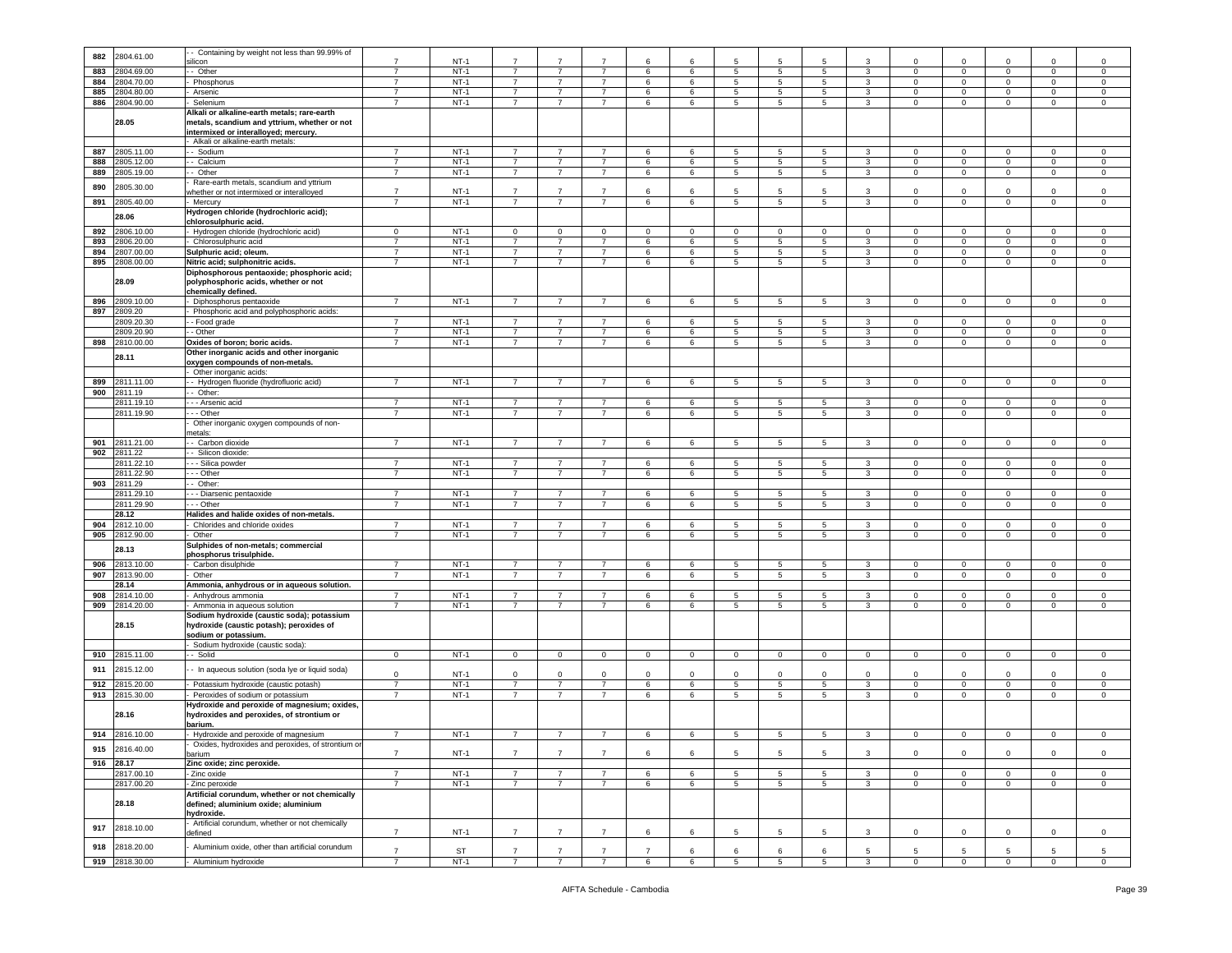|     |                     | Containing by weight not less than 99.99% of                                                                                                  |                |             |                |                |                |                |            |                  |                 |                     |                              |              |                |                |              |              |
|-----|---------------------|-----------------------------------------------------------------------------------------------------------------------------------------------|----------------|-------------|----------------|----------------|----------------|----------------|------------|------------------|-----------------|---------------------|------------------------------|--------------|----------------|----------------|--------------|--------------|
| 882 | 2804.61.00          | silicon                                                                                                                                       | $\overline{7}$ | $NT-1$      | $\overline{7}$ | $\overline{7}$ | $\overline{7}$ | 6              | -6         | 5                |                 | 5                   | -3                           | $\Omega$     | $\Omega$       | $\Omega$       | $\Omega$     | 0            |
| 883 | 2804.69.00          | - Other                                                                                                                                       | $\overline{7}$ | $NT-1$      | $\overline{7}$ | $\overline{7}$ | $\overline{7}$ | 6              | 6          | 5                | 5               | 5                   | 3                            | $\mathbf 0$  | $\mathbf 0$    | 0              | $\mathbf 0$  | 0            |
| 884 | 2804.70.00          | Phosphorus                                                                                                                                    | $\overline{7}$ | $NT-1$      | 7              | $\overline{7}$ | $\overline{7}$ | 6              | 6          | 5                | 5               | 5                   | 3                            | 0            | $^{\circ}$     | 0              | 0            | $\mathsf 0$  |
| 885 | 2804.80.00          | Arsenic                                                                                                                                       | $\overline{7}$ | $NT-1$      | $\overline{7}$ | $\overline{7}$ | $\overline{7}$ | 6              | 6          | 5                | 5               | 5                   | 3                            | 0            | $\mathbf 0$    | $\mathbf 0$    | 0            | $\mathbf 0$  |
| 886 | 2804.90.00          | Selenium                                                                                                                                      | 7              | $NT-1$      | $\overline{7}$ | 7              | $\overline{7}$ | 6              | 6          | 5                | 5               | $5\overline{5}$     | 3                            | 0            | $\mathbf 0$    | $\mathbf 0$    | 0            | 0            |
|     |                     | Alkali or alkaline-earth metals; rare-earth                                                                                                   |                |             |                |                |                |                |            |                  |                 |                     |                              |              |                |                |              |              |
|     | 28.05               | metals, scandium and yttrium, whether or not                                                                                                  |                |             |                |                |                |                |            |                  |                 |                     |                              |              |                |                |              |              |
|     |                     | intermixed or interalloyed; mercury.                                                                                                          |                |             |                |                |                |                |            |                  |                 |                     |                              |              |                |                |              |              |
|     |                     | Alkali or alkaline-earth metals:                                                                                                              |                |             |                |                |                |                |            |                  |                 |                     |                              |              |                |                |              |              |
| 887 | 2805.11.00          | - Sodium                                                                                                                                      | $\overline{7}$ | $NT-1$      | 7              |                | $\overline{7}$ | 6              | 6          | 5                | 5               | 5                   | 3                            | 0            | $\circ$        | 0              | 0            | 0            |
| 888 | 2805.12.00          | - Calcium                                                                                                                                     | $\overline{7}$ | $NT-1$      | $\overline{7}$ | 7              | $\overline{7}$ | 6              | 6          | 5                | 5               | $5\overline{)}$     | 3                            | $\mathbf 0$  | $\mathbf 0$    | $\mathbf 0$    | $\mathbf 0$  | $\mathsf 0$  |
| 889 | 2805.19.00          | -- Other                                                                                                                                      | 7              | $NT-1$      | $\overline{7}$ | 7              | $\overline{7}$ | 6              | 6          | 5                | 5               | $5\overline{5}$     | 3                            | $\mathbf{0}$ | $\mathbf{0}$   | $\mathbf 0$    | $\mathbf 0$  | $\mathbf 0$  |
| 890 | 2805.30.00          | Rare-earth metals, scandium and yttrium                                                                                                       |                |             |                |                |                |                |            |                  |                 |                     |                              |              |                |                |              |              |
|     |                     | whether or not intermixed or interalloyed                                                                                                     | $\overline{7}$ | $NT-1$      | $\overline{7}$ | $\overline{7}$ | $\overline{7}$ | 6              | 6          | 5                | 5               | 5                   | 3                            | 0            | $\mathbf 0$    | 0              | 0            | 0            |
| 891 | 2805.40.00          | · Mercury                                                                                                                                     | $\overline{7}$ | $NT-1$      | $\overline{7}$ | $\overline{7}$ | $\overline{7}$ | 6              | 6          | $\overline{5}$   | 5               | 5                   | $\overline{3}$               | $\mathbf 0$  | $\mathbf 0$    | $\mathbf 0$    | $\mathbf 0$  | $\,0\,$      |
|     | 28.06               | Hydrogen chloride (hydrochloric acid);                                                                                                        |                |             |                |                |                |                |            |                  |                 |                     |                              |              |                |                |              |              |
|     |                     | chlorosulphuric acid.                                                                                                                         |                |             |                |                |                |                |            |                  |                 |                     |                              |              |                |                |              |              |
| 892 | 2806.10.00          | Hydrogen chloride (hydrochloric acid)                                                                                                         | $\mathbf 0$    | $NT-1$      | $\mathbf 0$    | $\mathbf 0$    | $\mathsf 0$    | $\mathbf 0$    | $\Omega$   | $\mathsf 0$      | 0               | $\mathbf 0$         | $\mathbf 0$                  | $\Omega$     | $\mathbf 0$    | $\Omega$       | $\Omega$     | $\mathsf 0$  |
| 893 | 2806.20.00          | Chlorosulphuric acid                                                                                                                          | $\overline{7}$ | $NT-1$      | $\overline{7}$ | $\overline{7}$ | 7              | 6              | 6          | 5                | 5               | 5                   | 3                            | $\mathbf{0}$ | $\mathbf 0$    | $^{\circ}$     | $\mathbf 0$  | $\mathsf 0$  |
| 894 | 2807.00.00          | Sulphuric acid; oleum.                                                                                                                        | $\overline{7}$ | $NT-1$      | $\overline{7}$ | $\overline{7}$ | $\overline{7}$ | 6              | 6          | 5                | 5               | 5                   | 3                            | 0            | $\mathbf 0$    | 0              | $\mathbf 0$  | $\mathsf 0$  |
| 895 | 2808.00.00          | Nitric acid; sulphonitric acids.                                                                                                              | $\overline{7}$ | $NT-1$      | $\overline{7}$ | $\overline{7}$ | $\overline{7}$ | 6              | 6          | 5                | 5               | 5                   | $\mathbf{3}$                 | $\mathbf 0$  | $\mathbf 0$    | $\mathsf 0$    | $\mathbf 0$  | $\,0\,$      |
|     | 28.09               | Diphosphorous pentaoxide; phosphoric acid;<br>polyphosphoric acids, whether or not<br>chemically defined.                                     |                |             |                |                |                |                |            |                  |                 |                     |                              |              |                |                |              |              |
| 896 | 2809.10.00          | Diphosphorus pentaoxide                                                                                                                       | $\overline{7}$ | $NT-1$      | $\overline{7}$ | $\overline{7}$ | $\overline{7}$ | 6              | 6          | $5\phantom{.0}$  | $5\phantom{.0}$ | 5                   | $\mathbf{3}$                 | $\mathbf 0$  | $\mathbf 0$    | $\mathbf 0$    | $\mathbf 0$  | $\mathsf 0$  |
| 897 | 2809.20             | Phosphoric acid and polyphosphoric acids:                                                                                                     |                |             |                |                |                |                |            |                  |                 |                     |                              |              |                |                |              |              |
|     | 2809.20.3           | - - Food grade                                                                                                                                | $\overline{7}$ | $NT-1$      | $\overline{7}$ | $\overline{7}$ | $\overline{7}$ | 6              | 6          | 5                | 5               | 5                   | 3                            | $\mathbf 0$  | $\mathbf 0$    | $\mathbf 0$    | $\mathbf 0$  | $\mathsf 0$  |
|     | 2809.20.90          | - Other                                                                                                                                       | $\overline{7}$ | $NT-1$      | $\overline{7}$ | $\overline{7}$ | $\overline{7}$ | 6              | 6          | 5                | 5               | 5                   | 3                            | $\Omega$     | $\mathbf 0$    | 0              | $\mathbf 0$  | $\,0\,$      |
| 898 | 2810.00.00          | Oxides of boron; boric acids.                                                                                                                 | $\overline{7}$ | $NT-1$      | $\overline{7}$ | 7              | $\overline{7}$ | 6              | 6          | 5                | 5               | 5                   | $\mathbf{3}$                 | 0            | $\mathbf 0$    | $\mathbf 0$    | $\mathbf 0$  | 0            |
|     | 28.11               | Other inorganic acids and other inorganic                                                                                                     |                |             |                |                |                |                |            |                  |                 |                     |                              |              |                |                |              |              |
|     |                     | oxygen compounds of non-metals.<br>Other inorganic acids:                                                                                     |                |             |                |                |                |                |            |                  |                 |                     |                              |              |                |                |              |              |
| 899 | 2811.11.00          | - Hydrogen fluoride (hydrofluoric acid)                                                                                                       | 7              | NT-1        | -7             | 7              | -7             |                | -6         |                  | -5              | 5                   | 3                            | $\mathbf{0}$ | $\mathbf 0$    | $^{\circ}$     | $\mathbf{0}$ | $\mathbf 0$  |
|     | 2811.19             |                                                                                                                                               |                |             |                |                |                | 6              |            | 5                |                 |                     |                              |              |                |                |              |              |
| 900 | 2811.19.10          | - Other:                                                                                                                                      | $\overline{7}$ | $NT-1$      | $\overline{7}$ | $\overline{7}$ | $\overline{7}$ | 6              | 6          | 5                | 5               | 5                   | 3                            | $^{\circ}$   | $\,0\,$        | $\mathbf 0$    | $\mathbf 0$  | 0            |
|     | 2811.19.90          | - - Arsenic acid<br>- - Other                                                                                                                 | $\overline{7}$ | $NT-1$      | $\overline{7}$ | $\overline{7}$ | $\overline{7}$ | 6              | 6          | 5                | 5               | 5                   | $\mathbf{3}$                 | 0            | $\mathbf 0$    | $\mathbf 0$    | $\mathbf 0$  | $\mathsf 0$  |
|     |                     | Other inorganic oxygen compounds of non-                                                                                                      |                |             |                |                |                |                |            |                  |                 |                     |                              |              |                |                |              |              |
|     |                     | netals:                                                                                                                                       |                |             |                |                |                |                |            |                  |                 |                     |                              |              |                |                |              |              |
| 901 | 2811.21.00          | - Carbon dioxide                                                                                                                              | $\overline{7}$ | $NT-1$      | $\overline{7}$ | 7              | $\overline{7}$ | 6              | 6          | 5                | 5               | 5                   | 3                            | $\mathbf{0}$ | $\mathbf 0$    | $\mathbf 0$    | 0            | $\mathbf 0$  |
| 902 | 2811.22             | Silicon dioxide                                                                                                                               |                |             |                |                |                |                |            |                  |                 |                     |                              |              |                |                |              |              |
|     | 2811.22.10          | - - Silica powder                                                                                                                             | $\overline{7}$ | $NT-1$      | $\overline{7}$ | $\overline{7}$ | $\overline{7}$ | 6              | 6          | 5                | 5               | 5                   | 3                            | $\mathbf 0$  | $\mathsf 0$    | $^{\circ}$     | $\mathbf 0$  | 0            |
|     | 2811.22.90          | - - - Other                                                                                                                                   | $\overline{7}$ | $NT-1$      | $\overline{7}$ | 7              | $\overline{7}$ | 6              | 6          | 5                | 5               | 5                   | 3                            | 0            | $\mathbf 0$    | $\mathbf 0$    | 0            | 0            |
| 903 | 2811.29             | - Other:                                                                                                                                      |                |             |                |                |                |                |            |                  |                 |                     |                              |              |                |                |              |              |
|     | 2811.29.10          | - - - Diarsenic pentaoxide                                                                                                                    | $\overline{7}$ | $NT-1$      | 7              | 7              | 7              | 6              | 6          | 5                | 5               | 5                   | 3                            | 0            | $\mathbf 0$    | $^{\circ}$     | 0            | 0            |
|     | 2811.29.90          | - - Other                                                                                                                                     | $\overline{7}$ | $NT-1$      | $\overline{7}$ | $\overline{7}$ | $\overline{7}$ | 6              | 6          | 5                | 5               | 5                   | 3                            | 0            | $\mathbf 0$    | 0              | $\mathbf 0$  | $\mathsf 0$  |
|     | 28.12               | Halides and halide oxides of non-metals.                                                                                                      |                |             |                |                |                |                |            |                  |                 |                     |                              |              |                |                |              |              |
| 904 | 2812.10.00          | Chlorides and chloride oxides                                                                                                                 | $\overline{7}$ | NT-1        | 7              | 7              | 7              | 6              | 6          | 5                | 5               | 5                   | 3                            | 0            | $\mathbf 0$    | 0              | 0            | 0            |
| 905 | 2812.90.00          | Other                                                                                                                                         | $\overline{7}$ | $NT-1$      | $\overline{7}$ | $\overline{7}$ | $\overline{7}$ | 6              | 6          | 5                | $\overline{5}$  | 5                   | $\mathbf{3}$                 | $\mathbf 0$  | $\mathbf 0$    | $\mathsf 0$    | $\mathbf 0$  | $\,0\,$      |
|     | 28.13               | Sulphides of non-metals; commercial                                                                                                           |                |             |                |                |                |                |            |                  |                 |                     |                              |              |                |                |              |              |
|     |                     | phosphorus trisulphide                                                                                                                        |                |             |                |                |                |                |            |                  |                 |                     |                              |              |                |                |              |              |
| 906 | 2813.10.00          | Carbon disulphide                                                                                                                             | $\overline{7}$ | NT-1        | -7             | 7              | -7             | 6              | 6          | 5                | 5               | 5                   | 3                            | $\mathbf{0}$ | $\mathbf 0$    | $^{\circ}$     | 0            | 0            |
| 907 | 2813.90.00          | Other                                                                                                                                         | $\overline{7}$ | $NT-1$      | $\overline{7}$ | $\overline{7}$ | $\overline{7}$ | 6              | 6          | 5                | 5               | 5                   | $\mathbf{3}$                 | $\circ$      | $\mathbf 0$    | $\mathbf 0$    | $\circ$      | $\mathsf 0$  |
|     | 28.14               | Ammonia, anhydrous or in aqueous solution.                                                                                                    |                |             |                |                |                |                |            |                  |                 |                     |                              |              |                |                |              |              |
| 908 | 2814.10.00          | Anhydrous ammonia                                                                                                                             | $\overline{7}$ | $NT-1$      | 7              | $\overline{7}$ | $\overline{7}$ | 6              | 6          | 5                | 5               | 5                   | 3                            | 0            | $^{\circ}$     | 0              | 0            | $\mathbf 0$  |
| 909 | 2814.20.00<br>28.15 | Ammonia in aqueous solution<br>Sodium hydroxide (caustic soda); potassium<br>hydroxide (caustic potash); peroxides of<br>sodium or potassium. | $\overline{7}$ | $NT-1$      | 7              | 7              | 7              | 6              | 6          | 5                | 5               | 5                   | 3                            | $\mathbf{0}$ | $\mathbf{0}$   | $\mathbf{0}$   | $\mathbf 0$  | $\mathsf 0$  |
|     |                     | Sodium hydroxide (caustic soda):                                                                                                              |                |             |                |                |                |                |            |                  |                 |                     |                              |              |                |                |              |              |
| 910 | 2815.11.00          | - Solid                                                                                                                                       | 0              | $NT-1$      | $\mathbf 0$    | $\mathbf{0}$   | $\mathbf 0$    | $\mathsf 0$    | $\pmb{0}$  | $\mathbf 0$      | $\mathbf 0$     | $\mathbf 0$         | $\mathbf 0$                  | $\mathbf{0}$ | $\mathbf 0$    | $\mathbf 0$    | $\mathbf 0$  | $\mathsf 0$  |
| 911 | 2815.12.00          | - In aqueous solution (soda lye or liquid soda)                                                                                               | 0              | <b>NT-1</b> | $\mathbf 0$    | 0              | $\mathbf 0$    | $\mathbf 0$    | $^{\circ}$ | 0                | $^{\circ}$      | $\mathbf 0$         | $\mathbf 0$                  | 0            | $^{\circ}$     | $^{\circ}$     | 0            | $\mathbf 0$  |
| 912 | 2815.20.00          | Potassium hydroxide (caustic potash)                                                                                                          | $\overline{7}$ | $NT-1$      | $\overline{7}$ | $\overline{7}$ | $\overline{7}$ | 6              | 6          | 5                | $5\phantom{.0}$ | 5                   | $\mathbf{3}$                 | $\mathbf 0$  | $\mathbf 0$    | $\mathbf 0$    | $\mathbf 0$  | $\mathsf 0$  |
| 913 | 2815.30.00          | Peroxides of sodium or potassium                                                                                                              | $\overline{7}$ | $NT-1$      | $\overline{7}$ | 7              | $\overline{7}$ | 6              | 6          | 5                | 5               | $5\overline{)}$     | 3                            | $\mathbf 0$  | $\mathbf 0$    | $\mathbf 0$    | $\mathbf 0$  | $\mathbf 0$  |
|     | 28.16               | Hydroxide and peroxide of magnesium; oxides,<br>hydroxides and peroxides, of strontium or<br>barium.                                          |                |             |                |                |                |                |            |                  |                 |                     |                              |              |                |                |              |              |
| 914 | 2816.10.00          | - Hydroxide and peroxide of magnesium                                                                                                         | $\overline{7}$ | $NT-1$      | $\overline{7}$ | $\overline{7}$ | $\overline{7}$ | 6              | 6          | 5                | 5               | 5                   | 3                            | $\circ$      | $\overline{0}$ | $\mathbf 0$    | $\mathbf 0$  | $\mathsf 0$  |
| 915 | 2816.40.00          | Oxides, hydroxides and peroxides, of strontium                                                                                                |                |             |                |                |                |                |            |                  |                 |                     |                              |              |                |                |              |              |
|     | $916$ 28.17         | oarium                                                                                                                                        | $\overline{7}$ | $NT-1$      | $\overline{7}$ | $\overline{7}$ | $\overline{7}$ | 6              | 6          | 5                | 5               | 5                   | 3                            | $\mathbf 0$  | $\mathbf 0$    | $\mathbf 0$    | $\mathbf 0$  | $\mathsf 0$  |
|     | 2817.00.10          | Zinc oxide; zinc peroxide.<br>- Zinc oxide                                                                                                    | $\overline{7}$ | $NT-1$      | $\overline{7}$ | 7              | 7              | 6              | -6         |                  |                 |                     |                              | $\mathbf{0}$ | $\overline{0}$ | $\overline{0}$ | $\mathbf{0}$ | $\mathbf{0}$ |
|     | 2817.00.20          | - Zinc peroxide                                                                                                                               | $\overline{7}$ | $NT-1$      | $\overline{7}$ | $\overline{7}$ | $\overline{7}$ | 6              | 6          | 5<br>$5^{\circ}$ | 5<br>5          | 5<br>5 <sub>5</sub> | $\mathbf{3}$<br>$\mathbf{3}$ | $\mathbf 0$  | $\mathbf{0}$   | $\mathbf{0}$   | $\mathbf 0$  | $\mathbf 0$  |
|     | 28.18               | Artificial corundum, whether or not chemically<br>defined; aluminium oxide; aluminium<br>hydroxide.                                           |                |             |                |                |                |                |            |                  |                 |                     |                              |              |                |                |              |              |
| 917 | 2818.10.00          | Artificial corundum, whether or not chemically<br>defined                                                                                     | $\overline{7}$ | $NT-1$      | $\overline{7}$ | $\overline{7}$ | $\overline{7}$ | 6              | 6          | 5                | $\overline{5}$  | 5                   | $\mathbf{3}$                 | $\mathsf 0$  | $\mathbf 0$    | $\mathbf 0$    | $\mathbf 0$  | $\mathsf 0$  |
| 918 | 2818.20.00          | Aluminium oxide, other than artificial corundum                                                                                               | $\overline{7}$ | ST          | $\overline{7}$ | $\overline{7}$ | $\overline{7}$ | $\overline{7}$ | 6          | 6                | 6               | 6                   | 5                            | 5            | 5              | 5              | 5            | 5            |
|     | 919 2818.30.00      | Aluminium hydroxide                                                                                                                           | $\overline{7}$ | $NT-1$      | $\overline{7}$ | $\overline{7}$ | $\overline{7}$ | 6              | 6          | $5\phantom{.0}$  | $5\phantom{.0}$ | 5                   | 3                            | $\mathbf 0$  | $\mathbf 0$    | $\mathbf{0}$   | $\mathbf{0}$ | $\mathbf{0}$ |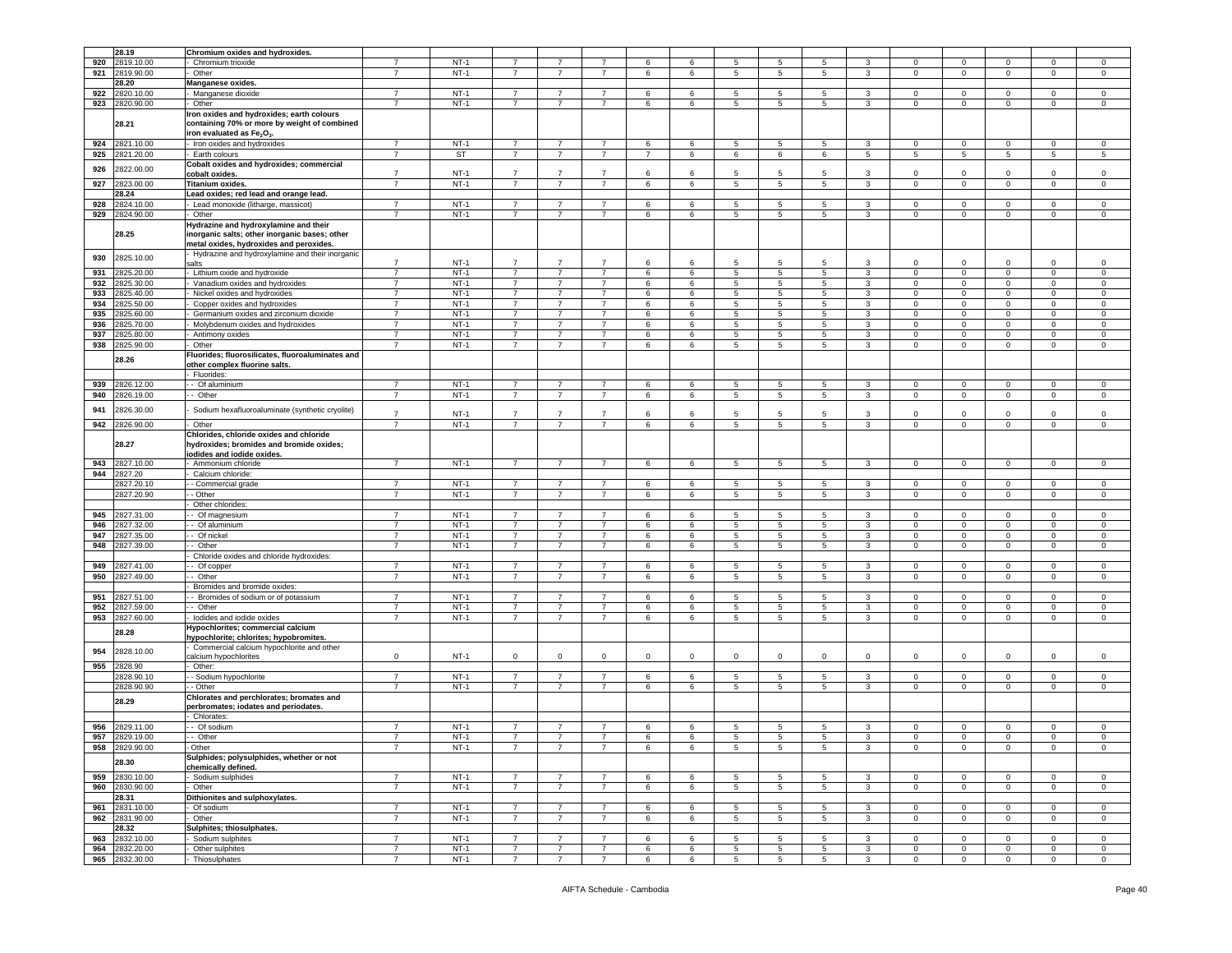|     | 28.19                            | Chromium oxides and hydroxides.                                                                                                   |                                  |                  |                                  |                                  |                                  |                |        |                                   |                 |                      |                   |                             |                               |                            |                            |                            |
|-----|----------------------------------|-----------------------------------------------------------------------------------------------------------------------------------|----------------------------------|------------------|----------------------------------|----------------------------------|----------------------------------|----------------|--------|-----------------------------------|-----------------|----------------------|-------------------|-----------------------------|-------------------------------|----------------------------|----------------------------|----------------------------|
| 920 | 2819.10.00                       | Chromium trioxide                                                                                                                 | 7                                | $NT-1$           | -7                               | 7                                | -7                               | 6              | 6      | 5                                 | 5               | 5                    | 3                 | $\mathbf{0}$                | $\mathbf{0}$                  | $^{\circ}$                 | $^{\circ}$                 | $\mathbf 0$                |
| 921 | 2819.90.00                       | Other                                                                                                                             | $\overline{7}$                   | $NT-1$           | $\overline{7}$                   | $\overline{7}$                   | $\overline{7}$                   | 6              | 6      | 5                                 | 5               | 5                    | 3                 | $\mathbf 0$                 | $\mathbf 0$                   | 0                          | $\mathbf 0$                | $\mathsf 0$                |
|     | 28.20                            | Manganese oxides.                                                                                                                 |                                  |                  |                                  |                                  |                                  |                |        |                                   |                 |                      |                   |                             |                               |                            |                            |                            |
| 922 | 2820.10.00                       | Manganese dioxide                                                                                                                 | 7                                | $NT-1$           | 7                                | 7                                |                                  | 6              | 6      | 5                                 | 5               | 5                    | 3                 | $\mathbf 0$                 | $^{\circ}$                    | 0                          | 0                          | $^{\circ}$                 |
|     |                                  |                                                                                                                                   | $\overline{7}$                   | $NT-1$           | $\overline{7}$                   | $\overline{7}$                   | $\overline{7}$                   |                |        |                                   |                 |                      |                   |                             |                               |                            |                            |                            |
| 923 | 2820.90.00                       | Other                                                                                                                             |                                  |                  |                                  |                                  |                                  | 6              | 6      | 5                                 | $\overline{5}$  | 5                    | $\mathbf{3}$      | $\mathbf 0$                 | $\,0\,$                       | $\mathbf 0$                | $\mathbf 0$                | $\,0\,$                    |
|     |                                  | Iron oxides and hydroxides; earth colours                                                                                         |                                  |                  |                                  |                                  |                                  |                |        |                                   |                 |                      |                   |                             |                               |                            |                            |                            |
|     | 28.21                            | containing 70% or more by weight of combined                                                                                      |                                  |                  |                                  |                                  |                                  |                |        |                                   |                 |                      |                   |                             |                               |                            |                            |                            |
|     |                                  | iron evaluated as Fe <sub>2</sub> O <sub>3</sub>                                                                                  |                                  |                  |                                  |                                  |                                  |                |        |                                   |                 |                      |                   |                             |                               |                            |                            |                            |
| 924 | 2821.10.00                       | Iron oxides and hydroxides                                                                                                        | $\overline{7}$                   | $NT-1$           | $\overline{7}$                   | $\overline{7}$                   | $\overline{7}$                   | $\,6\,$        | 6      | $\,$ 5 $\,$                       | 5               | $\,$ 5 $\,$          | 3                 | $\mathbf 0$                 | $\,0\,$                       | $\mathbf 0$                | $\mathbf 0$                | $\,0\,$                    |
| 925 | 2821.20.00                       | Earth colours                                                                                                                     | $\overline{7}$                   | ST               | 7                                | $\overline{7}$                   | $\overline{7}$                   | $\overline{7}$ | 6      | 6                                 | 6               | 6                    | 5                 | 5                           | 5                             | 5                          | 5                          | 5                          |
|     |                                  |                                                                                                                                   |                                  |                  |                                  |                                  |                                  |                |        |                                   |                 |                      |                   |                             |                               |                            |                            |                            |
| 926 | 2822.00.00                       | Cobalt oxides and hydroxides; commercial                                                                                          |                                  |                  |                                  |                                  |                                  |                |        |                                   |                 |                      |                   |                             |                               |                            |                            |                            |
|     |                                  | cobalt oxides.                                                                                                                    | $\overline{7}$                   | $NT-1$           | 7                                | $\overline{7}$                   | $\overline{7}$                   | 6              | 6      | 5                                 | 5               | 5                    | 3                 | 0                           | $^{\circ}$                    | 0                          | 0                          | 0                          |
|     | 927 2823.00.00                   | Titanium oxides.                                                                                                                  | $\overline{7}$                   | $NT-1$           | $\overline{7}$                   | 7                                | $\overline{7}$                   | 6              | 6      | 5                                 | $5\phantom{.0}$ | $5\phantom{.0}$      | 3                 | $\overline{0}$              | $\mathbf 0$                   | $\mathbf 0$                | $\mathbf 0$                | $\mathbf 0$                |
|     | 28.24                            | Lead oxides; red lead and orange lead.                                                                                            |                                  |                  |                                  |                                  |                                  |                |        |                                   |                 |                      |                   |                             |                               |                            |                            |                            |
| 928 | 2824.10.00                       | Lead monoxide (litharge, massicot)                                                                                                | $\overline{7}$                   | $NT-1$           | $\overline{7}$                   | $\overline{7}$                   | $\overline{7}$                   | 6              | 6      | 5                                 | 5               | 5                    | 3                 | $\Omega$                    | $\overline{0}$                | $\Omega$                   | $\Omega$                   | 0                          |
|     |                                  |                                                                                                                                   |                                  | $NT-1$           | $\overline{7}$                   | $\overline{7}$                   | $\overline{7}$                   |                |        | 5                                 |                 | 5                    |                   |                             |                               |                            |                            |                            |
| 929 | 2824.90.00                       | Other                                                                                                                             |                                  |                  |                                  |                                  |                                  | 6              | 6      |                                   | 5               |                      | 3                 | $\mathbf 0$                 | $\mathbf 0$                   | 0                          | $\mathbf 0$                | $\mathsf 0$                |
|     | 28.25                            | Hydrazine and hydroxylamine and their<br>inorganic salts; other inorganic bases; other<br>metal oxides, hydroxides and peroxides. |                                  |                  |                                  |                                  |                                  |                |        |                                   |                 |                      |                   |                             |                               |                            |                            |                            |
| 930 | 2825.10.00                       | Hydrazine and hydroxylamine and their inorganic                                                                                   |                                  |                  |                                  |                                  |                                  |                |        |                                   |                 |                      |                   |                             |                               |                            |                            |                            |
|     |                                  | salts                                                                                                                             | $\overline{7}$                   | $NT-1$           | $\overline{7}$                   | $\overline{7}$                   | $\overline{7}$                   | 6              | 6      | 5                                 | -5              | 5                    | 3                 | $\Omega$                    | $\mathbf 0$                   | $\Omega$                   | 0                          | $\mathsf 0$                |
| 931 | 2825.20.00                       | - Lithium oxide and hydroxide                                                                                                     | $\overline{7}$                   | $NT-1$           | $\overline{7}$                   | 7                                | $\overline{7}$                   | 6              | 6      | 5                                 | 5               | 5                    | 3                 | $\mathbf{0}$                | $\mathbf 0$                   | 0                          | $\mathbf 0$                | 0                          |
| 932 | 825.30.00                        | Vanadium oxides and hydroxides                                                                                                    | $\overline{7}$                   | $NT-1$           | $\overline{7}$                   | $\overline{7}$                   | $\overline{7}$                   | 6              | 6      | 5                                 | 5               | 5                    | 3                 | $\mathbf 0$                 | $\mathbf 0$                   | $\mathbf 0$                | $\mathbf 0$                | $\mathsf 0$                |
| 933 | 2825.40.00                       | Nickel oxides and hydroxides                                                                                                      | $\overline{7}$                   | $NT-1$           | $\overline{7}$                   | $\overline{7}$                   | $\overline{7}$                   | 6              | 6      | $\overline{5}$                    | $\overline{5}$  | $\overline{5}$       | $\mathbf{3}$      | 0                           | $\mathbf 0$                   | 0                          | 0                          | 0                          |
| 934 | 2825.50.00                       | Copper oxides and hydroxides                                                                                                      | $\overline{7}$                   | $NT-1$           | $\overline{7}$                   | $\overline{7}$                   | $\overline{7}$                   | 6              | 6      | 5                                 | 5               | 5                    | 3                 | 0                           | $\mathbf 0$                   | 0                          | $\mathbf 0$                | 0                          |
|     |                                  |                                                                                                                                   | $\overline{7}$                   |                  | $\overline{7}$                   | $\overline{7}$                   |                                  |                |        |                                   |                 |                      |                   | $\Omega$                    |                               |                            |                            |                            |
| 935 | 2825.60.00                       | Germanium oxides and zirconium dioxide                                                                                            |                                  | $NT-1$           |                                  |                                  | $\overline{7}$                   | 6              | 6      | 5                                 | 5               | 5                    | 3                 |                             | $\mathbf 0$                   | 0                          | $\mathbf 0$                | $\mathsf 0$                |
| 936 | 825.70.00                        | Molybdenum oxides and hydroxides                                                                                                  | 7                                | $NT-1$           | $\overline{7}$                   | 7                                | $\overline{7}$                   | 6              | 6      | 5                                 | 5               | 5                    | 3                 | 0                           | $\mathbf 0$                   | 0                          | 0                          | 0                          |
| 937 | 825.80.00                        | Antimony oxides                                                                                                                   | $\overline{7}$                   | $NT-1$           | $\overline{7}$                   | $\overline{7}$                   | $\overline{7}$                   | 6              | 6      | 5                                 | 5               | 5                    | 3                 | $\Omega$                    | $\mathbf 0$                   | $\mathbf 0$                | $\Omega$                   | $\,0\,$                    |
| 938 | 2825.90.00                       | Other                                                                                                                             | $\overline{7}$                   | $NT-1$           | $\overline{7}$                   | $\overline{7}$                   | $\overline{7}$                   | 6              | 6      | 5                                 | 5               | 5                    | 3                 | $\mathbf 0$                 | $\overline{0}$                | $\mathsf 0$                | $\mathbf 0$                | $\,0\,$                    |
|     | 28.26                            | Fluorides; fluorosilicates, fluoroaluminates and<br>other complex fluorine salts.                                                 |                                  |                  |                                  |                                  |                                  |                |        |                                   |                 |                      |                   |                             |                               |                            |                            |                            |
|     |                                  | Fluorides:                                                                                                                        |                                  |                  |                                  |                                  |                                  |                |        |                                   |                 |                      |                   |                             |                               |                            |                            |                            |
| 939 | 2826.12.00                       | - Of aluminium                                                                                                                    | 7                                | $NT-1$           | 7                                | 7                                | 7                                | 6              | 6      | 5                                 | 5               | 5                    | 3                 | $^{\circ}$                  | $\mathbf 0$                   | $\mathbf 0$                | $^{\circ}$                 | 0                          |
| 940 | 826.19.00                        | - Other                                                                                                                           | $\overline{7}$                   | $NT-1$           | $\overline{7}$                   | $\overline{7}$                   | $\overline{7}$                   | 6              | 6      | 5                                 | 5               | 5                    | $\mathbf{3}$      | $\mathbf 0$                 | $\mathbf 0$                   | $\mathbf 0$                | $\mathbf 0$                | $\mathsf 0$                |
|     |                                  |                                                                                                                                   |                                  |                  |                                  |                                  |                                  |                |        |                                   |                 |                      |                   |                             |                               |                            |                            |                            |
| 941 | 2826.30.00                       | Sodium hexafluoroaluminate (synthetic cryolite)                                                                                   | $\overline{7}$                   | $NT-1$           | $\overline{7}$                   | $\overline{7}$                   | $\overline{7}$                   | 6              | 6      | 5                                 | 5               | 5                    | $\mathbf{3}$      | $\Omega$                    | $\Omega$                      | $\Omega$                   | $\mathbf 0$                | 0                          |
| 942 | 2826.90.00                       | Other                                                                                                                             | 7                                | $NT-1$           | $\overline{7}$                   | $\overline{7}$                   | $\overline{7}$                   | 6              | 6      | 5                                 | $\overline{5}$  | 5                    | 3                 | 0                           | $\mathbf 0$                   | $\mathbf 0$                | $\mathbf 0$                | 0                          |
|     |                                  |                                                                                                                                   |                                  |                  |                                  |                                  |                                  |                |        |                                   |                 |                      |                   |                             |                               |                            |                            |                            |
|     | 28.27                            | Chlorides, chloride oxides and chloride<br>hydroxides; bromides and bromide oxides;<br>iodides and iodide oxides.                 |                                  |                  |                                  |                                  |                                  |                |        |                                   |                 |                      |                   |                             |                               |                            |                            |                            |
| 943 | 2827.10.00                       | Ammonium chloride                                                                                                                 | $\overline{7}$                   | $NT-1$           | $\overline{7}$                   | 7                                | $\overline{7}$                   | 6              | 6      | 5                                 | 5               | 5                    | 3                 | $\mathsf 0$                 | $\mathbf 0$                   | $\mathbf 0$                | $\mathbf 0$                | $\mathsf 0$                |
| 944 | 2827.20                          | Calcium chloride:                                                                                                                 |                                  |                  |                                  |                                  |                                  |                |        |                                   |                 |                      |                   |                             |                               |                            |                            |                            |
|     | 2827.20.10                       | - Commercial grade                                                                                                                | $\overline{7}$                   | $NT-1$           | $\overline{7}$                   | $\overline{7}$                   | $\overline{7}$                   | 6              | 6      | 5                                 | 5               | 5                    | 3                 | $\mathbf 0$                 | $\overline{0}$                | $\Omega$                   | $\Omega$                   | $\mathsf 0$                |
|     | 2827.20.90                       | - Other                                                                                                                           | $\overline{7}$                   | $NT-1$           | $\overline{7}$                   | $\overline{7}$                   | $\overline{7}$                   | 6              | 6      | 5                                 | 5               | 5                    | $\mathbf{3}$      | 0                           | $\mathbf 0$                   | $\mathbf 0$                | $\mathbf 0$                | 0                          |
|     |                                  |                                                                                                                                   |                                  |                  |                                  |                                  |                                  |                |        |                                   |                 |                      |                   |                             |                               |                            |                            |                            |
|     |                                  | Other chlorides:                                                                                                                  |                                  |                  |                                  |                                  |                                  |                |        |                                   |                 |                      |                   |                             |                               |                            |                            |                            |
| 945 | 2827.31.00                       | - Of magnesium                                                                                                                    | $\overline{7}$                   | $NT-1$           | 7                                | 7                                | 7                                | 6              | 6      | 5                                 | 5               | 5                    | 3                 | $^{\circ}$                  | $\mathbf{0}$                  |                            | $\mathbf{0}$               | 0                          |
| 946 | 2827.32.00                       | - - Of aluminium                                                                                                                  | 7                                | $NT-1$           | 7                                | 7                                | 7                                | 6              | 6      | 5                                 | 5               | 5                    | 3                 |                             |                               | $\mathbf 0$                |                            |                            |
| 947 | 2827.35.00                       |                                                                                                                                   |                                  |                  |                                  |                                  |                                  |                |        |                                   |                 |                      |                   | $\mathbf 0$                 | $\mathbf 0$                   | 0                          | 0                          | $\mathbf 0$                |
|     |                                  |                                                                                                                                   |                                  |                  |                                  |                                  |                                  |                |        |                                   |                 |                      |                   |                             |                               |                            |                            |                            |
|     |                                  | - Of nickel                                                                                                                       | $\overline{7}$                   | $NT-1$           | $\overline{7}$                   | $\overline{7}$                   | $\overline{7}$                   | 6              | 6      | 5                                 | 5               | 5                    | 3                 | $\mathbf 0$                 | $\mathbf 0$                   | $\mathbf 0$                | $\mathbf 0$                | $\mathsf 0$                |
| 948 | 2827.39.00                       | - Other                                                                                                                           | $\overline{7}$                   | $NT-1$           | $\overline{7}$                   | $\overline{7}$                   | $\overline{7}$                   | 6              | 6      | 5                                 | 5               | $\overline{5}$       | $\mathbf{3}$      | $\mathbf 0$                 | $\,0\,$                       | $\mathbf 0$                | 0                          | 0                          |
|     |                                  | Chloride oxides and chloride hydroxides:                                                                                          |                                  |                  |                                  |                                  |                                  |                |        |                                   |                 |                      |                   |                             |                               |                            |                            |                            |
| 949 | 2827.41.00                       | Of copper                                                                                                                         | $\overline{7}$                   | $NT-1$           | $\overline{7}$                   | 7                                | 7                                | 6              | 6      | 5                                 | 5               | 5                    | 3                 | 0                           | $\,0\,$                       | $\mathbf 0$                | 0                          | 0                          |
| 950 | 2827.49.00                       | - Other                                                                                                                           | 7                                | $NT-1$           | $\overline{7}$                   | 7                                | 7                                | 6              | 6      | 5                                 | 5               | 5                    | 3                 | 0                           | $\mathbf 0$                   | 0                          | 0                          | $\mathbf 0$                |
|     |                                  |                                                                                                                                   |                                  |                  |                                  |                                  |                                  |                |        |                                   |                 |                      |                   |                             |                               |                            |                            |                            |
|     |                                  | Bromides and bromide oxides                                                                                                       |                                  |                  | $\overline{7}$                   | -7                               | 7                                |                |        |                                   |                 |                      |                   |                             |                               |                            |                            |                            |
| 951 | 2827.51.00                       | - Bromides of sodium or of potassium                                                                                              | $\overline{7}$                   | $NT-1$           |                                  |                                  |                                  | 6              | 6      | 5                                 | 5               | 5                    | 3                 | 0                           | $\mathbf 0$                   | 0                          | 0                          | 0                          |
| 952 | 2827.59.00                       | - Other                                                                                                                           | $\overline{7}$                   | $NT-1$           | 7                                | $\overline{7}$                   | $\overline{7}$                   | 6              | 6      | 5                                 | 5               | 5                    | 3                 | 0                           | $\mathbf 0$                   | 0                          | $\mathbf 0$                | $\mathbf 0$                |
| 953 | 2827.60.00                       | lodides and iodide oxides                                                                                                         | $\overline{7}$                   | $NT-1$           | $\overline{7}$                   | 7                                | $\overline{7}$                   | 6              | 6      | 5                                 | 5               | $5\overline{)}$      | 3                 | $\mathbf 0$                 | $\mathbf 0$                   | $\overline{0}$             | $\mathbf 0$                | $\circ$                    |
|     | 28.28                            | Hypochlorites; commercial calcium<br>hypochlorite; chlorites; hypobromites                                                        |                                  |                  |                                  |                                  |                                  |                |        |                                   |                 |                      |                   |                             |                               |                            |                            |                            |
| 954 | 2828.10.00                       | Commercial calcium hypochlorite and other                                                                                         |                                  |                  |                                  |                                  |                                  |                |        |                                   |                 |                      |                   |                             |                               |                            |                            |                            |
|     |                                  | calcium hypochlorites                                                                                                             | $\mathbf 0$                      | $NT-1$           | $\mathbf 0$                      | $\mathbf 0$                      | 0                                | $\mathbf 0$    | 0      | $\mathbf 0$                       | 0               | $\mathbf 0$          | $\mathbf 0$       | 0                           | $^{\circ}$                    | $\Omega$                   | $\Omega$                   | $\mathbf 0$                |
| 955 | 2828.90                          | Other:                                                                                                                            |                                  |                  |                                  |                                  |                                  |                |        |                                   |                 |                      |                   |                             |                               |                            |                            |                            |
|     | 2828.90.10                       | - Sodium hypochlorite                                                                                                             | $\overline{7}$                   | $NT-1$           | $\overline{7}$                   | $\overline{7}$                   | $\overline{7}$                   | 6              | 6      | 5                                 | 5               | 5                    | 3                 | $\mathbf 0$                 | $\mathbf 0$                   | 0                          | $\mathbf 0$                | 0                          |
|     | 2828.90.90                       | - Other                                                                                                                           | $\overline{7}$                   | $NT-1$           | 7                                | $\overline{7}$                   | 7                                | 6              | 6      | 5                                 | 5               | 5                    | 3                 | 0                           | 0                             | 0                          | 0                          | $\mathbf 0$                |
|     | 28.29                            | Chlorates and perchlorates; bromates and<br>perbromates; iodates and periodates.                                                  |                                  |                  |                                  |                                  |                                  |                |        |                                   |                 |                      |                   |                             |                               |                            |                            |                            |
|     |                                  | Chlorates:                                                                                                                        |                                  |                  |                                  |                                  |                                  |                |        |                                   |                 |                      |                   |                             |                               |                            |                            |                            |
| 956 | 2829.11.00                       | - Of sodium                                                                                                                       | $\overline{7}$                   | $NT-1$           | $\overline{7}$                   | $\overline{7}$                   | $\overline{7}$                   | 6              | 6      | 5                                 | 5               | 5                    | $\mathbf{3}$      | $\Omega$                    | $\mathbf 0$                   | $\Omega$                   | $\Omega$                   | $\Omega$                   |
|     | 957 2829.19.00                   | - Other                                                                                                                           | $\overline{7}$                   | $NT-1$           | $\overline{7}$                   | $\overline{7}$                   |                                  | 6              | 6      | $\overline{5}$                    | 5               | $\overline{5}$       | 3                 | $\Omega$                    | $\mathbf 0$                   | 0                          | $\Omega$                   | $\Omega$                   |
|     |                                  | Other                                                                                                                             |                                  |                  | $\overline{7}$                   | $\overline{7}$                   | $\overline{7}$                   |                | 6      |                                   |                 |                      |                   | $\mathbf 0$                 | $\mathbf 0$                   | $\mathbf{0}$               |                            |                            |
|     | 958 2829.90.00<br>28.30          | Sulphides; polysulphides, whether or not<br>chemically defined.                                                                   | $\overline{7}$                   | NT-1             |                                  |                                  |                                  | 6              |        | 5                                 | 5               | 5                    | 3                 |                             |                               |                            | $\mathbf 0$                | $\mathbf{0}$               |
|     |                                  | - Sodium sulphides                                                                                                                |                                  | $NT-1$           | $\overline{7}$                   | $\overline{7}$                   | $\overline{7}$                   |                | 6      |                                   |                 |                      |                   | $\overline{0}$              | $\mathbf{0}$                  | $\overline{0}$             | $\mathbf{0}$               | $\overline{0}$             |
|     | 959 2830.10.00                   |                                                                                                                                   | $\overline{7}$                   |                  |                                  |                                  |                                  | 6              |        | 5                                 | 5               | 5                    | 3                 |                             |                               |                            |                            |                            |
| 960 | 2830.90.00                       | Other                                                                                                                             | $\overline{7}$                   | $NT-1$           | $\overline{7}$                   | $\overline{7}$                   | $\overline{7}$                   | 6              | 6      | 5                                 | 5               | $5\overline{5}$      | $\mathbf{3}$      | $\overline{0}$              | $\mathbf 0$                   | $\circ$                    | $\mathbf{0}$               | $\circ$                    |
|     | 28.31                            | Dithionites and sulphoxylates.                                                                                                    |                                  |                  |                                  |                                  |                                  |                |        |                                   |                 |                      |                   |                             |                               |                            |                            |                            |
| 961 | 2831.10.00                       | Of sodium                                                                                                                         | $\overline{7}$                   | $NT-1$           | $\overline{7}$                   | 7                                | $\overline{7}$                   | 6              | 6      | 5                                 | 5               | 5                    | 3                 | $\mathbf 0$                 | $\mathbf 0$                   | $\mathbf 0$                | $\mathbf 0$                | 0                          |
|     | 962 2831.90.00                   | Other                                                                                                                             | $\overline{7}$                   | $NT-1$           | $\overline{7}$                   | $\overline{7}$                   | $\overline{7}$                   | 6              | 6      | 5                                 | $\overline{5}$  | 5                    | $\mathbf{3}$      | $\mathbf 0$                 | $\mathbf 0$                   | $\mathbf 0$                | $\mathbf 0$                | $\,0\,$                    |
|     | 28.32                            |                                                                                                                                   |                                  |                  |                                  |                                  |                                  |                |        |                                   |                 |                      |                   |                             |                               |                            |                            |                            |
|     |                                  | Sulphites; thiosulphates.                                                                                                         |                                  |                  |                                  |                                  | $\overline{7}$                   |                |        |                                   |                 |                      |                   |                             |                               |                            |                            |                            |
| 963 | 2832.10.00                       | Sodium sulphites                                                                                                                  | $\overline{7}$                   | $NT-1$           | $\overline{7}$                   | $\overline{7}$                   |                                  | 6              | 6      | 5                                 | 5               | 5                    | 3                 | $\mathbf 0$                 | $\mathbf 0$                   | 0                          | $\mathbf 0$                | $\mathbf 0$                |
|     | 964 2832.20.00<br>965 2832.30.00 | Other sulphites<br>- Thiosulphates                                                                                                | $\overline{7}$<br>$\overline{7}$ | $NT-1$<br>$NT-1$ | $\overline{7}$<br>$\overline{7}$ | $\overline{7}$<br>$\overline{7}$ | $\overline{7}$<br>$\overline{7}$ | $\,6\,$<br>6   | 6<br>6 | $5\phantom{.0}$<br>$\overline{5}$ | 5<br>5          | $5\phantom{.0}$<br>5 | $\mathbf{3}$<br>3 | $\mathbf{0}$<br>$\mathbf 0$ | $\mathbf 0$<br>$\overline{0}$ | $\mathbf 0$<br>$\mathbf 0$ | $\mathbf 0$<br>$\mathbf 0$ | $\mathbf 0$<br>$\mathsf 0$ |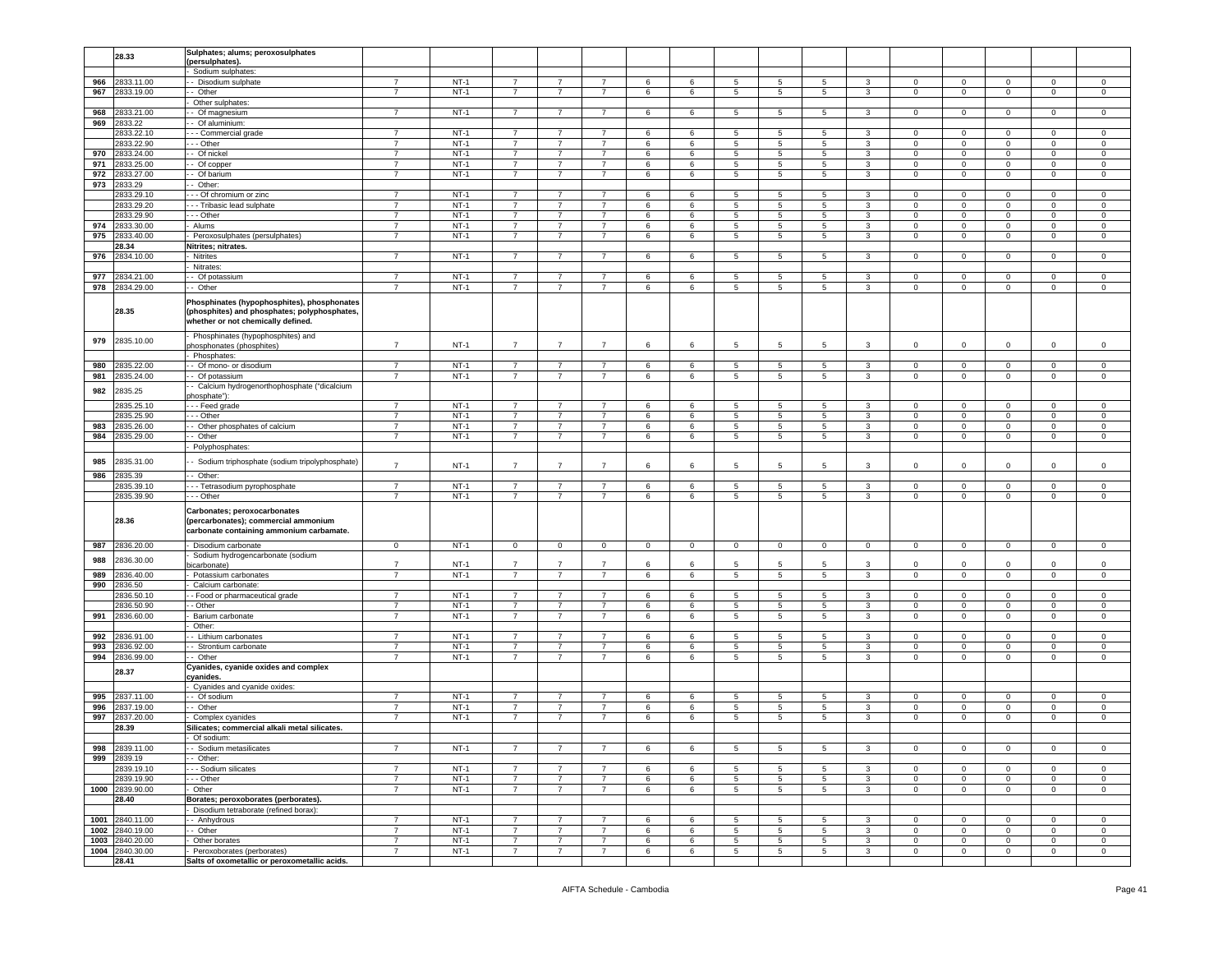|     | 28.33                    | Sulphates; alums; peroxosulphates                                                                                                 |                                  |        |                |                |                |             |              |                 |                 |                 |                |                |                |                |              |                |
|-----|--------------------------|-----------------------------------------------------------------------------------------------------------------------------------|----------------------------------|--------|----------------|----------------|----------------|-------------|--------------|-----------------|-----------------|-----------------|----------------|----------------|----------------|----------------|--------------|----------------|
|     |                          | (persulphates).                                                                                                                   |                                  |        |                |                |                |             |              |                 |                 |                 |                |                |                |                |              |                |
|     |                          | Sodium sulphates:                                                                                                                 |                                  |        |                |                |                |             |              |                 |                 |                 |                |                |                |                |              |                |
| 966 | 2833.11.00               | - Disodium sulphate                                                                                                               | $\overline{7}$                   | $NT-1$ |                |                | $\overline{7}$ | 6           | 6            | 5               | 5               | 5               | 3              | 0              | $\mathbf 0$    | 0              | $\Omega$     | $\mathbf 0$    |
| 967 | 2833.19.00               | - Other                                                                                                                           | $\overline{7}$                   | $NT-1$ | $\overline{7}$ | $\overline{7}$ | $\overline{7}$ | 6           | 6            | 5               | 5               | 5               | $\mathbf{3}$   | $\mathbf 0$    | $\mathbf 0$    | $\mathbf 0$    | $\mathsf 0$  | $\,0\,$        |
|     |                          | Other sulphates:                                                                                                                  |                                  |        |                |                |                |             |              |                 |                 |                 |                |                |                |                |              |                |
| 968 | 2833.21.00               | - Of magnesium                                                                                                                    | $\overline{7}$                   | $NT-1$ | $\overline{7}$ | 7              | $\overline{7}$ | 6           | 6            | $5\overline{)}$ | 5               | $5\overline{)}$ | $\mathbf{3}$   | $\mathbf{0}$   | $\overline{0}$ | $\overline{0}$ | $\mathbf 0$  | $\mathsf 0$    |
| 969 | 2833.22                  | - Of aluminium:                                                                                                                   |                                  |        |                |                |                |             |              |                 |                 |                 |                |                |                |                |              |                |
|     | 2833.22.10               | - - Commercial grade                                                                                                              | $\overline{7}$                   | $NT-1$ | $\overline{7}$ | $\overline{7}$ | $\overline{7}$ | 6           | 6            | 5               | 5               | 5               | 3              | 0              | $\mathbf 0$    | 0              | 0            | $\mathbf 0$    |
|     | 2833.22.90               | - - Other                                                                                                                         | $\overline{7}$                   | $NT-1$ | $\overline{7}$ | $\overline{7}$ | $\overline{7}$ | $\,6$       | 6            | 5               | 5               | $\sqrt{5}$      | 3              | $\mathbf 0$    | $\mathbf 0$    | $\mathbf 0$    | $\mathbf 0$  | 0              |
| 970 | 2833.24.00               | - Of nickel                                                                                                                       | $\overline{7}$                   | $NT-1$ | $\overline{7}$ | $\overline{7}$ | $\overline{7}$ | 6           | 6            | 5               | 5               | 5               | 3              | 0              | $\mathbf 0$    | $\mathbf 0$    | 0            | 0              |
| 971 | 2833.25.00               | Of copper                                                                                                                         | $\overline{7}$                   | $NT-1$ | $\overline{7}$ | $\overline{7}$ | $\overline{7}$ | 6           | 6            | 5               | 5               | 5               | 3              | $\Omega$       | $\mathbf 0$    | $\mathbf 0$    | $\mathbf 0$  | $\mathsf 0$    |
| 972 | 2833.27.00               | - Of barium                                                                                                                       | $\overline{7}$                   | $NT-1$ | $\overline{7}$ | 7              | $\overline{7}$ | 6           | 6            | 5               | 5               | 5               | 3              | 0              | $\mathbf 0$    | 0              | $\mathbf 0$  | $\mathsf 0$    |
| 973 | 2833.29                  | - Other:                                                                                                                          |                                  |        |                |                |                |             |              |                 |                 |                 |                |                |                |                |              |                |
|     | 2833.29.10               | - - Of chromium or zinc                                                                                                           | $\overline{7}$                   | $NT-1$ | $\overline{7}$ | $\overline{7}$ | $\overline{7}$ | 6           | 6            | 5               | 5               | 5               | 3              | $\Omega$       | $\,0\,$        | 0              | $\mathbf 0$  | 0              |
|     | 2833.29.20               | --- Tribasic lead sulphate                                                                                                        | $\overline{7}$                   | $NT-1$ | $\overline{7}$ | $\overline{7}$ | $\overline{7}$ | 6           | 6            | 5               | 5               | 5               | 3              | 0              | $\,0\,$        | $\mathbf 0$    | $\mathbf 0$  | 0              |
|     | 2833.29.90               | --- Other                                                                                                                         | $\overline{7}$                   | $NT-1$ | $\overline{7}$ | $\overline{7}$ | $\overline{7}$ | 6           | 6            | 5               | 5               | 5               | $\mathbf{3}$   | $\mathbf{0}$   | $\mathsf 0$    | $\mathbf 0$    | $\mathbf 0$  | $\mathsf 0$    |
| 974 | 2833.30.00               | - Alums                                                                                                                           | $\overline{7}$                   | $NT-1$ | $\overline{7}$ | $\overline{7}$ | $\overline{7}$ | 6           | 6            | 5               | 5               | 5               | 3              | 0              | $\mathbf 0$    | 0              | $\mathbf 0$  | 0              |
| 975 | 2833.40.00               | Peroxosulphates (persulphates)                                                                                                    | $\overline{7}$                   | $NT-1$ | $\overline{7}$ | $\overline{7}$ | $\overline{7}$ | 6           | 6            | 5               | 5               | 5               | 3              | 0              | $\mathbf 0$    | 0              | 0            | $\mathbf 0$    |
|     |                          |                                                                                                                                   |                                  |        |                |                |                |             |              |                 |                 |                 |                |                |                |                |              |                |
|     | 28.34                    | Nitrites; nitrates.                                                                                                               |                                  |        |                |                |                |             |              |                 |                 |                 |                |                |                |                |              |                |
| 976 | 2834.10.00               | Nitrites                                                                                                                          | $\overline{7}$                   | $NT-1$ | $\overline{7}$ | $\overline{7}$ | $\overline{7}$ | 6           | 6            | 5               | 5               | 5               | 3              | 0              | $\mathbf 0$    | $\mathbf 0$    | 0            | 0              |
|     |                          | Nitrates:                                                                                                                         |                                  |        |                |                |                |             |              |                 |                 |                 |                |                |                |                |              |                |
| 977 | 2834.21.00               | - Of potassium                                                                                                                    | $\overline{7}$                   | $NT-1$ | $\overline{7}$ | $\overline{7}$ | $\overline{7}$ | 6           | 6            | 5               | 5               | 5               | 3              | 0              | $\mathbf 0$    | 0              | 0            | $\mathbf 0$    |
| 978 | 2834.29.00               | - Other                                                                                                                           | $\overline{7}$                   | $NT-1$ | $\overline{7}$ | $\overline{7}$ | $\overline{7}$ | 6           | 6            | 5               | 5               | $5^{\circ}$     | 3              | $\Omega$       | $\mathbf 0$    | $\mathbf 0$    | $\mathbf 0$  | $\mathsf 0$    |
|     | 28.35                    | Phosphinates (hypophosphites), phosphonates<br>(phosphites) and phosphates; polyphosphates,<br>whether or not chemically defined. |                                  |        |                |                |                |             |              |                 |                 |                 |                |                |                |                |              |                |
| 979 | 2835.10.00               | Phosphinates (hypophosphites) and<br>ohosphonates (phosphites)<br>Phosphates:                                                     | $\overline{7}$                   | $NT-1$ | $\overline{7}$ | $\overline{7}$ | $\overline{7}$ | 6           | 6            | 5               | 5               | 5               | 3              | 0              | $\mathbf 0$    | 0              | $\mathbf 0$  | $\mathbf 0$    |
| 980 | 835.22.00                | - Of mono- or disodium                                                                                                            | $\overline{7}$                   | $NT-1$ | $\overline{7}$ | 7              | $\overline{7}$ | 6           | 6            | 5               | 5               | 5               | 3              | $\mathbf 0$    | $\mathbf{0}$   | $\mathbf 0$    | $\mathbf 0$  | $\mathbf 0$    |
| 981 | 2835.24.00               | - Of potassium                                                                                                                    | $\overline{7}$                   | $NT-1$ | $\overline{7}$ | $\overline{7}$ | $\overline{7}$ | 6           | 6            | 5               | 5               | $5^{\circ}$     | 3              | $\Omega$       | $\mathbf 0$    | $\mathbf 0$    | 0            | $\mathbf 0$    |
|     |                          | - Calcium hydrogenorthophosphate ("dicalcium                                                                                      |                                  |        |                |                |                |             |              |                 |                 |                 |                |                |                |                |              |                |
| 982 | 2835.25                  | phosphate"):                                                                                                                      |                                  |        |                |                |                |             |              |                 |                 |                 |                |                |                |                |              |                |
|     | 835.25.10                | --- Feed grade                                                                                                                    | $\overline{7}$                   | $NT-1$ | $\overline{7}$ | $\overline{7}$ | $\overline{7}$ | 6           | 6            | 5               | 5               | 5               | 3              | 0              | $\mathbf 0$    | 0              | $\mathbf 0$  | $\mathbf 0$    |
|     | 2835.25.90               | - - Other                                                                                                                         |                                  | $NT-1$ | 7              | 7              |                | 6           | 6            | 5               | 5               | 5               | 3              | $\mathbf 0$    | $\mathbf 0$    | 0              | $\mathbf 0$  | $\mathbf 0$    |
| 983 | 2835.26.00               | - Other phosphates of calcium                                                                                                     | $\overline{7}$                   | $NT-1$ | $\overline{7}$ | $\overline{7}$ | 7              | 6           | 6            | 5               | 5               | 5               | 3              | $\mathbf 0$    | $\mathbf 0$    | $\mathbf 0$    | $\mathbf 0$  | $\mathbf 0$    |
| 984 | 2835.29.00               | - Other                                                                                                                           | $\overline{7}$                   | $NT-1$ | $\overline{7}$ | $\overline{7}$ | $\overline{7}$ | 6           | 6            | 5               | 5               | $5\overline{5}$ | 3              | 0              | $\mathbf 0$    | $\mathbf 0$    | $\mathbf 0$  | $\mathsf 0$    |
|     |                          | Polyphosphates:                                                                                                                   |                                  |        |                |                |                |             |              |                 |                 |                 |                |                |                |                |              |                |
|     |                          |                                                                                                                                   |                                  |        |                |                |                |             |              |                 |                 |                 |                |                |                |                |              |                |
| 985 | 2835.31.00               | Sodium triphosphate (sodium tripolyphosphate)                                                                                     | $\overline{7}$                   | $NT-1$ | $\overline{7}$ | $\overline{7}$ | $\overline{7}$ | 6           | 6            | 5               | 5               | 5               | 3              | $\Omega$       | $\mathbf 0$    | $\mathbf 0$    | $\Omega$     | $\mathsf 0$    |
| 986 | 2835.39                  | - Other:                                                                                                                          |                                  |        |                |                |                |             |              |                 |                 |                 |                |                |                |                |              |                |
|     | 2835.39.10               |                                                                                                                                   |                                  |        |                |                |                |             |              |                 | 5               | 5               |                |                |                |                |              |                |
|     |                          |                                                                                                                                   |                                  |        |                |                |                |             |              |                 |                 |                 |                |                |                |                |              |                |
|     |                          | - - - Tetrasodium pyrophosphate                                                                                                   | $\overline{7}$                   | $NT-1$ | -7             | 7              | 7              | 6           | 6            | 5               |                 |                 | 3              | $\mathbf{0}$   | $\mathbf{0}$   | $\mathbf 0$    | $\mathbf{0}$ | 0              |
|     | 2835.39.90               | - - - Other                                                                                                                       | 7                                | $NT-1$ | $\overline{7}$ | 7              | $\overline{7}$ | 6           | 6            | 5               | 5               | 5               | 3              | $\mathbf 0$    | $\mathbf{0}$   | $\mathbf 0$    | $\mathbf{0}$ | $\mathbf 0$    |
|     | 28.36                    | Carbonates; peroxocarbonates<br>(percarbonates); commercial ammonium<br>carbonate containing ammonium carbamate.                  |                                  |        |                |                |                |             |              |                 |                 |                 |                |                |                |                |              |                |
| 987 | 2836.20.00               | Disodium carbonate                                                                                                                | $\overline{0}$                   | $NT-1$ | $\overline{0}$ | $\mathbf{0}$   | $\circ$        | $\mathsf 0$ | $\mathbf{0}$ | $\mathbf 0$     | $\mathbf 0$     | $\overline{0}$  | $\mathbf 0$    | $\overline{0}$ | $\mathbf 0$    | $\mathbf 0$    | $\mathbf 0$  | $\mathbf 0$    |
|     |                          | Sodium hydrogencarbonate (sodium                                                                                                  |                                  |        |                |                |                |             |              |                 |                 |                 |                |                |                |                |              |                |
| 988 | 2836.30.00               | vicarbonate)                                                                                                                      | $\overline{7}$                   | $NT-1$ | $\overline{7}$ | $\overline{7}$ | $\overline{7}$ | 6           | 6            | 5               | -5              | 5               | 3              | 0              | $^{\circ}$     | 0              | 0            | $\mathbf 0$    |
| 989 | 2836.40.00               | Potassium carbonates                                                                                                              | $\overline{7}$                   | $NT-1$ | $\overline{7}$ | 7              | $\overline{7}$ | 6           | 6            | 5               | 5               | $5^{\circ}$     | 3              | $\mathbf{0}$   | $\mathbf 0$    | $\mathbf{0}$   | $\mathbf 0$  | $\mathsf 0$    |
| 990 | 2836.50                  | Calcium carbonate:                                                                                                                |                                  |        |                |                |                |             |              |                 |                 |                 |                |                |                |                |              |                |
|     | 2836.50.10               | - Food or pharmaceutical grade                                                                                                    | $\overline{7}$                   | $NT-1$ | $\overline{7}$ | $\overline{7}$ | $\overline{7}$ | 6           | 6            | 5               | 5               | 5               | 3              | $\mathbf 0$    | $\mathbf 0$    | $\mathbf 0$    | $\Omega$     | $\mathsf 0$    |
|     | 2836.50.90               | - Other                                                                                                                           | $\overline{7}$                   | $NT-1$ | $\overline{7}$ | $\overline{7}$ | $\overline{7}$ | 6           | 6            | $\overline{5}$  | $5\phantom{.0}$ | $5\overline{)}$ | $\mathbf{3}$   | $\mathbf 0$    | $\overline{0}$ | $\mathsf 0$    | $\mathbf 0$  | 0              |
| 991 | 2836.60.00               | Barium carbonate                                                                                                                  | $\overline{7}$                   | $NT-1$ | $\overline{7}$ | $\overline{7}$ | $\overline{7}$ | 6           | 6            | 5               | 5               | 5               | 3              | $\mathbf 0$    | $\mathbf 0$    | $\mathbf 0$    | $\mathbf 0$  | $\mathsf 0$    |
|     |                          | Other:                                                                                                                            |                                  |        |                |                |                |             |              |                 |                 |                 |                |                |                |                |              |                |
| 992 | 836.91.00                | - Lithium carbonates                                                                                                              | $\overline{7}$                   | NT-1   | $\overline{7}$ | 7              | 7              | 6           | 6            | 5               | 5               | 5               | 3              | $\mathbf{0}$   | $\mathbf 0$    | 0              | $\mathbf 0$  | 0              |
| 993 | 2836.92.00               | - Strontium carbonate                                                                                                             | $\overline{7}$                   | $NT-1$ | $\overline{7}$ | $\overline{7}$ | $\overline{7}$ | 6           | 6            | 5               | 5               | 5               | 3              | $\mathbf 0$    | $\mathbf 0$    | $\mathbf 0$    | $\mathbf 0$  | $\mathsf 0$    |
| 994 | 2836.99.00               | - Other                                                                                                                           | $\overline{7}$                   | $NT-1$ | $\overline{7}$ | $\overline{7}$ | $\overline{7}$ | 6           | 6            | 5               | 5               | 5               | $\overline{3}$ | $\mathbf 0$    | $\overline{0}$ | $\mathsf 0$    | $\mathbf 0$  | $\,0\,$        |
|     | 28.37                    | Cyanides, cyanide oxides and complex<br>cyanides.                                                                                 |                                  |        |                |                |                |             |              |                 |                 |                 |                |                |                |                |              |                |
|     |                          | Cyanides and cyanide oxides:                                                                                                      |                                  |        |                |                |                |             |              |                 |                 |                 |                |                |                |                |              |                |
| 995 | 2837.11.00               | - Of sodium                                                                                                                       | 7                                | $NT-1$ | 7              |                |                | 6           | 6            | 5               | 5               | 5               | 3              | $^{\circ}$     | $\mathbf 0$    | $\mathbf 0$    | 0            | 0              |
| 996 | 2837.19.00               | - Other                                                                                                                           | $\overline{7}$                   | $NT-1$ | 7              | $\overline{7}$ | $\overline{7}$ | 6           | 6            | 5               | 5               | 5               | 3              | 0              | $\mathbf 0$    | $\mathbf 0$    | $\mathbf 0$  | $\mathsf 0$    |
| 997 | 2837.20.00               | Complex cyanides                                                                                                                  | $\overline{7}$                   | $NT-1$ | $\overline{7}$ | $\overline{7}$ | $\overline{7}$ | 6           | 6            | 5               | 5               | $5\overline{5}$ | $\mathbf{3}$   | $\mathbf 0$    | $\mathbf 0$    | $\mathsf 0$    | $\mathsf 0$  | $\,0\,$        |
|     | 28.39                    | Silicates; commercial alkali metal silicates.                                                                                     |                                  |        |                |                |                |             |              |                 |                 |                 |                |                |                |                |              |                |
|     |                          |                                                                                                                                   |                                  |        |                |                |                |             |              |                 |                 |                 |                |                |                |                |              |                |
|     | 998 2839.11.00           | Of sodium:<br>- - Sodium metasilicates                                                                                            | 7                                | NT-1   | -7             | 7              | 7              | 6           | 6            | 5               | 5               | 5               | 3              | $\mathbf{0}$   | $\overline{0}$ | $\mathbf{0}$   | $\mathbf{0}$ | $\mathbf{0}$   |
| 999 | 2839.19                  | - Other:                                                                                                                          |                                  |        |                |                |                |             |              |                 |                 |                 |                |                |                |                |              |                |
|     |                          |                                                                                                                                   |                                  |        | $\overline{7}$ | $\overline{7}$ | $\overline{7}$ |             |              |                 |                 |                 |                |                |                |                |              |                |
|     | 2839.19.10               | - - Sodium silicates                                                                                                              | $\overline{7}$<br>$\overline{7}$ | $NT-1$ | $\overline{7}$ | $\overline{7}$ |                | 6           | 6            | 5               | 5               | $5\phantom{.0}$ | 3              | $\mathbf 0$    | $\mathbf 0$    | $\mathbf 0$    | $\mathbf 0$  | $\mathsf 0$    |
|     | 2839.19.90               | . - - Other                                                                                                                       |                                  | $NT-1$ |                |                | $\overline{7}$ | 6           | 6            | 5               | 5               | 5               | 3              | $\mathbf 0$    | $\mathbf 0$    | $\mathbf 0$    | $\mathbf 0$  | 0              |
|     | 1000 2839,90.00          | Other                                                                                                                             | $\overline{7}$                   | $NT-1$ | $\overline{7}$ | $\overline{7}$ | $\overline{7}$ | 6           | 6            | 5               | 5               | $5^{\circ}$     | $\mathbf{3}$   | $\mathbf{0}$   | $\mathbf 0$    | $\mathbf{0}$   | $\mathbf 0$  | $\mathbf 0$    |
|     | 28.40                    | Borates; peroxoborates (perborates).                                                                                              |                                  |        |                |                |                |             |              |                 |                 |                 |                |                |                |                |              |                |
|     |                          | Disodium tetraborate (refined borax):                                                                                             |                                  |        |                |                |                |             |              |                 |                 |                 |                |                |                |                |              |                |
|     | 1001 2840.11.00          | - - Anhydrous                                                                                                                     | $\overline{7}$                   | $NT-1$ | $\overline{7}$ | $\overline{7}$ | $\overline{7}$ | 6           | 6            | 5               | 5               | $5\phantom{.0}$ | 3              | $\mathbf{0}$   | $\mathbf 0$    | $\mathbf 0$    | $\mathbf 0$  | $\,0\,$        |
|     | 1002 2840.19.00          | -- Other                                                                                                                          | $\overline{7}$                   | $NT-1$ | $\overline{7}$ | $\overline{7}$ | $\overline{7}$ | 6           | 6            | 5               | 5               | $5\overline{)}$ | $\mathbf{3}$   | $\mathbf 0$    | $\,0\,$        | $\mathbf 0$    | $\mathbf 0$  | $\mathbf 0$    |
|     | 1003 2840.20.00          | Other borates                                                                                                                     | $\overline{7}$                   | $NT-1$ | $\overline{7}$ | $\overline{7}$ | $\overline{7}$ | 6           | 6            | 5               | 5               | 5               | $\mathbf{3}$   | $\mathbf 0$    | $\mathbf 0$    | $\mathbf 0$    | $\mathbf 0$  | $\,0\,$        |
|     | 1004 2840.30.00<br>28.41 | Peroxoborates (perborates)<br>Salts of oxometallic or peroxometallic acids.                                                       | 7                                | $NT-1$ | 7              | 7              | 7              | 6           | 6            | 5               | 5               | 5               | 3              | $\overline{0}$ | $\mathbf 0$    | $\mathbf{0}$   | $\mathbf{0}$ | $\overline{0}$ |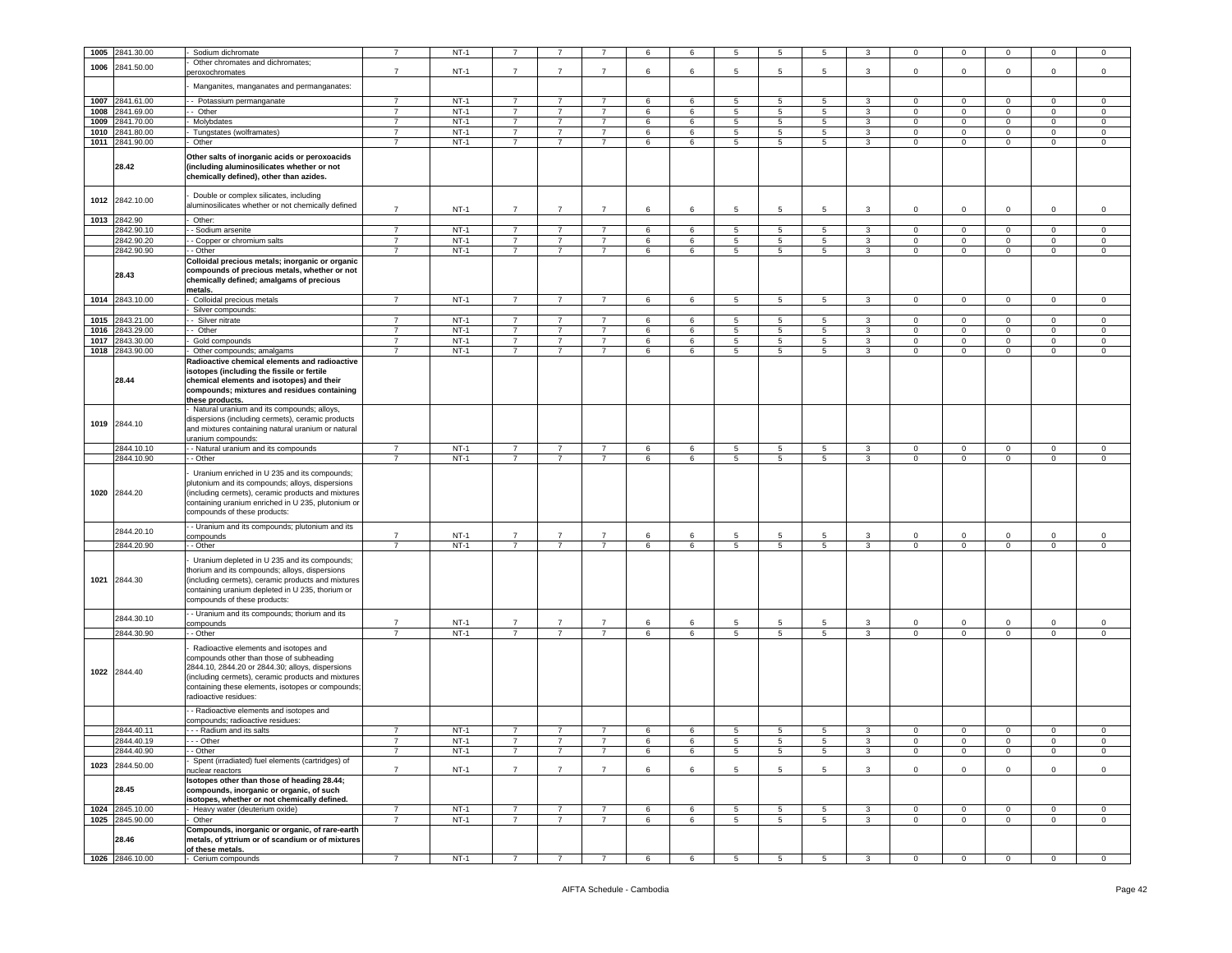| 1005 | 2841.30.00                 | Sodium dichromate                                                                                                                                                                                                                                                       | $\overline{7}$ | $NT-1$           |                |                |                | 6      | 6       | 5              | 5               | 5               | 3              | 0            | $\mathbf 0$                   | $^{\circ}$        | $\mathbf 0$       | 0                      |
|------|----------------------------|-------------------------------------------------------------------------------------------------------------------------------------------------------------------------------------------------------------------------------------------------------------------------|----------------|------------------|----------------|----------------|----------------|--------|---------|----------------|-----------------|-----------------|----------------|--------------|-------------------------------|-------------------|-------------------|------------------------|
|      |                            | Other chromates and dichromates;                                                                                                                                                                                                                                        |                |                  |                |                |                |        |         |                |                 |                 |                |              |                               |                   |                   |                        |
| 1006 | 2841.50.00                 | peroxochromates                                                                                                                                                                                                                                                         | $\overline{7}$ | $NT-1$           | $\overline{7}$ | $\overline{7}$ | $\overline{7}$ | 6      | 6       | 5              | 5               | 5               | $\mathbf{3}$   | $\circ$      | $\mathbf 0$                   | $\mathbf 0$       | $\mathbf 0$       | $\,0\,$                |
|      |                            |                                                                                                                                                                                                                                                                         |                |                  |                |                |                |        |         |                |                 |                 |                |              |                               |                   |                   |                        |
|      |                            | Manganites, manganates and permanganates:                                                                                                                                                                                                                               |                |                  |                |                |                |        |         |                |                 |                 |                |              |                               |                   |                   |                        |
| 1007 | 2841.61.00                 | - Potassium permanganate                                                                                                                                                                                                                                                | $\overline{7}$ | $NT-1$           | $\overline{7}$ | 7              | $\overline{7}$ | 6      | 6       | 5              | 5               | 5               | 3              | $\mathbf{0}$ | $\mathbf 0$                   | $\mathbf 0$       | 0                 | $\mathbf 0$            |
| 1008 | 2841.69.00                 | - Other                                                                                                                                                                                                                                                                 | $\overline{7}$ | $NT-1$           | $\overline{7}$ | $\overline{7}$ | $\overline{7}$ | 6      | 6       | 5              | $5\phantom{.0}$ | 5               | $\mathbf{3}$   | $\mathbf 0$  | $\mathbf 0$                   | $\mathsf 0$       | $\mathbf 0$       | $\,0\,$                |
| 1009 | 2841.70.00                 | Molybdates                                                                                                                                                                                                                                                              | $\overline{7}$ | $NT-1$           | $\overline{7}$ | $\overline{7}$ | $\overline{7}$ | 6      | 6       | $\overline{5}$ | $5\phantom{.0}$ | $\overline{5}$  | $\overline{3}$ | $\mathsf 0$  | $\overline{0}$                | $\overline{0}$    | $\mathsf 0$       | $\,0\,$                |
| 1010 | 2841.80.00                 | Tungstates (wolframates)                                                                                                                                                                                                                                                | $\overline{7}$ | $NT-1$           | $\overline{7}$ | $\overline{7}$ | $\overline{7}$ | 6      | 6       | 5              | 5               | 5               | 3              | 0            | $\mathbf 0$                   | $\mathbf 0$       | $\mathbf 0$       | $\mathsf 0$            |
|      |                            |                                                                                                                                                                                                                                                                         |                |                  |                |                |                |        |         |                |                 |                 |                |              |                               |                   |                   |                        |
| 1011 | 2841.90.00                 | Other                                                                                                                                                                                                                                                                   | $\overline{7}$ | $NT-1$           | $\overline{7}$ | $\overline{7}$ | $\overline{7}$ | 6      | 6       | 5              | $5\phantom{.0}$ | 5               | 3              | $\mathsf 0$  | $\mathbf 0$                   | $\overline{0}$    | $\mathsf 0$       | $\mathsf 0$            |
|      | 28.42                      | Other salts of inorganic acids or peroxoacids<br>(including aluminosilicates whether or not<br>chemically defined), other than azides.                                                                                                                                  |                |                  |                |                |                |        |         |                |                 |                 |                |              |                               |                   |                   |                        |
| 1012 | 2842.10.00                 | Double or complex silicates, including<br>aluminosilicates whether or not chemically defined                                                                                                                                                                            | $\overline{7}$ | $NT-1$           | $\overline{7}$ | $\overline{7}$ | $\overline{7}$ | 6      | 6       | 5              | $5\phantom{.0}$ | 5               | 3              | $\mathbf 0$  | $\mathsf 0$                   | $\mathbf 0$       | $\mathbf 0$       | $\,0\,$                |
| 1013 | 2842.90                    | Other:                                                                                                                                                                                                                                                                  |                |                  |                |                |                |        |         |                |                 |                 |                |              |                               |                   |                   |                        |
|      | 2842.90.10                 | - Sodium arsenite                                                                                                                                                                                                                                                       | $\overline{7}$ | $NT-1$           | $\overline{7}$ | $\overline{7}$ | $\overline{7}$ | 6      | 6       | 5              | 5               | 5               | 3              | $\mathbf 0$  | $\mathbf 0$                   | $\mathbf 0$       | $\circ$           | $\mathsf 0$            |
|      | 2842.90.20                 | - Copper or chromium salts                                                                                                                                                                                                                                              | 7              | $NT-1$           | 7              | 7              | 7              | 6      | 6       | 5              | 5               | 5               | 3              | $\mathbf{0}$ | $\overline{0}$                | $\mathbf{0}$      | $\mathbf 0$       | 0                      |
|      | 2842.90.90<br>28.43        | - Other<br>Colloidal precious metals; inorganic or organic<br>compounds of precious metals, whether or not<br>chemically defined; amalgams of precious<br>metals.                                                                                                       | $\overline{7}$ | $NT-1$           | $\overline{7}$ | $\overline{7}$ | $\overline{7}$ | 6      | 6       | 5              | 5               | 5               | $\mathbf{3}$   | $\mathbf 0$  | $\mathbf 0$                   | $\circ$           | $\mathbf 0$       | $\mathsf 0$            |
| 1014 | 2843.10.00                 | Colloidal precious metals                                                                                                                                                                                                                                               | $\overline{7}$ | $NT-1$           | $\overline{7}$ | $\overline{7}$ | $\overline{7}$ | 6      | 6       | 5              | 5               | 5               | 3              | $\mathbf 0$  | $\mathbf 0$                   | $\circ$           | $\mathbf 0$       | $\mathsf 0$            |
|      |                            | Silver compounds:                                                                                                                                                                                                                                                       |                |                  |                |                |                |        |         |                |                 |                 |                |              |                               |                   |                   |                        |
| 1015 | 2843.21.00                 | - Silver nitrate                                                                                                                                                                                                                                                        | $\overline{7}$ | $NT-1$           | $\overline{7}$ | $\overline{7}$ | $\overline{7}$ | 6      | 6       | 5              | 5               | 5               | 3              | $\mathbf{0}$ | $\mathbf 0$                   | $\mathbf 0$       | $\mathbf 0$       | $\mathbf 0$            |
| 1016 | 2843.29.00                 | - Other                                                                                                                                                                                                                                                                 | $\overline{7}$ | $NT-1$           | $\overline{7}$ | $\overline{7}$ | $\overline{7}$ | 6      | 6       | 5              | 5               | 5               | 3              | $\circ$      | $\mathbf 0$                   | $\mathbf 0$       | $\circ$           | $\mathsf 0$            |
| 1017 | 2843.30.00                 | Gold compounds                                                                                                                                                                                                                                                          | $\overline{7}$ | $NT-1$           | $\overline{7}$ | $\overline{7}$ | $\overline{7}$ | 6      | 6       | $\overline{5}$ | $\overline{5}$  | $\overline{5}$  | $\overline{3}$ | $\mathbf 0$  | $\overline{0}$                | $\mathsf 0$       | $\mathbf 0$       | 0                      |
| 1018 | 2843.90.00                 | Other compounds; amalgams                                                                                                                                                                                                                                               | $\overline{7}$ | $NT-1$           | $\overline{7}$ | $\overline{7}$ | $\overline{7}$ | 6      | 6       | 5              | 5               | 5               | 3              | $\mathbf 0$  | $\mathbf 0$                   | $\circ$           | $\mathbf 0$       | $\mathsf 0$            |
|      | 28.44                      | Radioactive chemical elements and radioactive<br>isotopes (including the fissile or fertile<br>chemical elements and isotopes) and their<br>compounds; mixtures and residues containing<br>these products.                                                              |                |                  |                |                |                |        |         |                |                 |                 |                |              |                               |                   |                   |                        |
|      | 1019 2844.10<br>2844.10.10 | Natural uranium and its compounds; alloys,<br>dispersions (including cermets), ceramic products<br>and mixtures containing natural uranium or natural<br>uranium compounds:<br>- Natural uranium and its compounds                                                      | $\overline{7}$ | $NT-1$           | $\overline{7}$ | $\overline{7}$ | $\overline{7}$ | 6      | 6       | 5              | 5               | 5               | 3              | $\mathbf 0$  | $\,0\,$                       | $\mathbf 0$       | 0                 | 0                      |
|      | 2844.10.90                 | - Other                                                                                                                                                                                                                                                                 | $\overline{7}$ | $NT-1$           | $\overline{7}$ | $\overline{7}$ | $\overline{7}$ | 6      | 6       | 5              | 5               | 5               | 3              | $\mathbf 0$  | $\mathbf 0$                   | $\circ$           | $\mathbf 0$       | $\mathsf 0$            |
|      | 1020 2844.20               | Uranium enriched in U 235 and its compounds;<br>plutonium and its compounds; alloys, dispersions<br>including cermets), ceramic products and mixtures<br>containing uranium enriched in U 235, plutonium or<br>compounds of these products:                             |                |                  |                |                |                |        |         |                |                 |                 |                |              |                               |                   |                   |                        |
|      |                            | - Uranium and its compounds; plutonium and its                                                                                                                                                                                                                          |                |                  |                |                |                |        |         |                |                 |                 |                |              |                               |                   |                   |                        |
|      | 2844.20.10                 | ompounds                                                                                                                                                                                                                                                                | $\overline{7}$ | $NT-1$           | $\overline{7}$ | $\overline{7}$ | $\overline{7}$ | 6      | 6       | 5              | 5               | 5               | 3              | 0            | $\mathbf 0$                   | $\Omega$          | 0                 | 0                      |
|      | 2844.20.90                 | - Other                                                                                                                                                                                                                                                                 | $\overline{7}$ | $NT-1$           | $\overline{7}$ | $\overline{7}$ | $\overline{7}$ | 6      | 6       | 5              | 5               | 5               | $\mathbf{3}$   | $\circ$      | $\overline{0}$                | $\circ$           | $\mathbf 0$       | $\mathsf 0$            |
| 1021 | 2844.30                    | Uranium depleted in U 235 and its compounds;<br>horium and its compounds; alloys, dispersions<br>including cermets), ceramic products and mixtures<br>containing uranium depleted in U 235, thorium or<br>compounds of these products:                                  |                |                  |                |                |                |        |         |                |                 |                 |                |              |                               |                   |                   |                        |
|      | 2844.30.10                 | - Uranium and its compounds; thorium and its                                                                                                                                                                                                                            | $\overline{7}$ |                  | $\overline{7}$ | $\overline{7}$ | $\overline{7}$ |        |         | 5              |                 | 5               |                | $\Omega$     |                               |                   |                   |                        |
|      | 2844.30.90                 | ompounds<br>- Other                                                                                                                                                                                                                                                     | $\overline{7}$ | $NT-1$<br>$NT-1$ | $\overline{7}$ | $\overline{7}$ | $\overline{7}$ | 6<br>6 | 6<br>6  | 5              | 5<br>5          | 5               | 3<br>3         | $\mathbf{0}$ | $\mathsf 0$<br>$\overline{0}$ | 0<br>$\mathbf{0}$ | 0<br>$\mathbf{0}$ | $\mathsf 0$<br>$\circ$ |
|      | 1022 2844.40               | Radioactive elements and isotopes and<br>compounds other than those of subheading<br>2844.10, 2844.20 or 2844.30; alloys, dispersions<br>including cermets), ceramic products and mixtures<br>containing these elements, isotopes or compounds;<br>adioactive residues: |                |                  |                |                |                |        |         |                |                 |                 |                |              |                               |                   |                   |                        |
|      |                            | - Radioactive elements and isotopes and<br>compounds; radioactive residues:                                                                                                                                                                                             |                |                  |                |                |                |        |         |                |                 |                 |                |              |                               |                   |                   |                        |
|      | 2844.40.11                 | - - Radium and its salts                                                                                                                                                                                                                                                | $\overline{7}$ | $NT-1$           | $\overline{7}$ | $\overline{7}$ | $\overline{7}$ | 6      | 6       | 5              | $\overline{5}$  | 5               | 3              | $\mathbf 0$  | $\mathbf 0$                   | $\mathbf 0$       | 0                 | $\mathsf 0$            |
|      | 2844.40.19                 | - - Other                                                                                                                                                                                                                                                               |                | $NT-1$           |                |                |                | 6      | 6       | 5              | 5               | 5               | 3              | $^{\circ}$   | $^{\circ}$                    | $\mathbf 0$       | 0                 | 0                      |
|      | 2844.40.90                 | - Other                                                                                                                                                                                                                                                                 | $\overline{7}$ | $NT-1$           | $\overline{7}$ | $\overline{7}$ | $\overline{7}$ | 6      | 6       | 5              | $\overline{5}$  | 5               | $\mathbf{3}$   | $\mathbf 0$  | $\mathbf 0$                   | $\mathsf 0$       | $\mathbf 0$       | $\,0\,$                |
|      |                            | Spent (irradiated) fuel elements (cartridges) of                                                                                                                                                                                                                        |                |                  |                |                |                |        |         |                |                 |                 |                |              |                               |                   |                   |                        |
| 1023 | 2844.50.00                 | nuclear reactors                                                                                                                                                                                                                                                        | $\overline{7}$ | $NT-1$           | $\overline{7}$ | $\overline{7}$ | $\overline{7}$ | 6      | 6       | 5              | $5\phantom{.0}$ | 5               | 3              | $\mathsf 0$  | $\mathbf 0$                   | $\mathsf 0$       | $\mathsf 0$       | $\,0\,$                |
|      | 28.45                      | Isotopes other than those of heading 28.44;<br>compounds, inorganic or organic, of such<br>sotopes, whether or not chemically defined.<br>Heavy water (deuterium oxide)                                                                                                 | $\overline{7}$ | $NT-1$           | $\overline{7}$ | $\overline{7}$ | $\overline{7}$ |        |         |                |                 |                 |                |              |                               |                   |                   |                        |
|      | 1024 2845.10.00            |                                                                                                                                                                                                                                                                         |                |                  |                |                |                | 6      | 6       | 5              | $5\phantom{.0}$ | $5\overline{5}$ | $\mathbf{3}$   | $\mathbf{O}$ | $\mathbf{0}$                  | $\mathbf{0}$      | $\mathbf 0$       | $\mathbf 0$            |
|      | 1025 2845.90.00            | Other                                                                                                                                                                                                                                                                   | $\overline{7}$ | $NT-1$           | $\overline{7}$ | $\overline{7}$ | $\overline{7}$ | 6      | 6       | 5              | 5               | $5^{\circ}$     | 3              | $\mathbf 0$  | $\mathbf{0}$                  | $\overline{0}$    | $\mathbf 0$       | $\circ$                |
|      | 28.46                      | Compounds, inorganic or organic, of rare-earth<br>metals, of yttrium or of scandium or of mixtures<br>of these metals.                                                                                                                                                  |                |                  |                |                |                |        |         |                |                 |                 |                |              |                               |                   |                   |                        |
|      | 1026 2846.10.00            | Cerium compounds                                                                                                                                                                                                                                                        | $\overline{7}$ | $NT-1$           | $\overline{7}$ | $\overline{7}$ | $\overline{7}$ | 6      | $\,6\,$ | 5              | $\sqrt{5}$      | 5               | $\mathbf{3}$   | $\mathbf 0$  | $\overline{\mathbf{0}}$       | $\mathbf 0$       | $\mathbf 0$       | $\circ$                |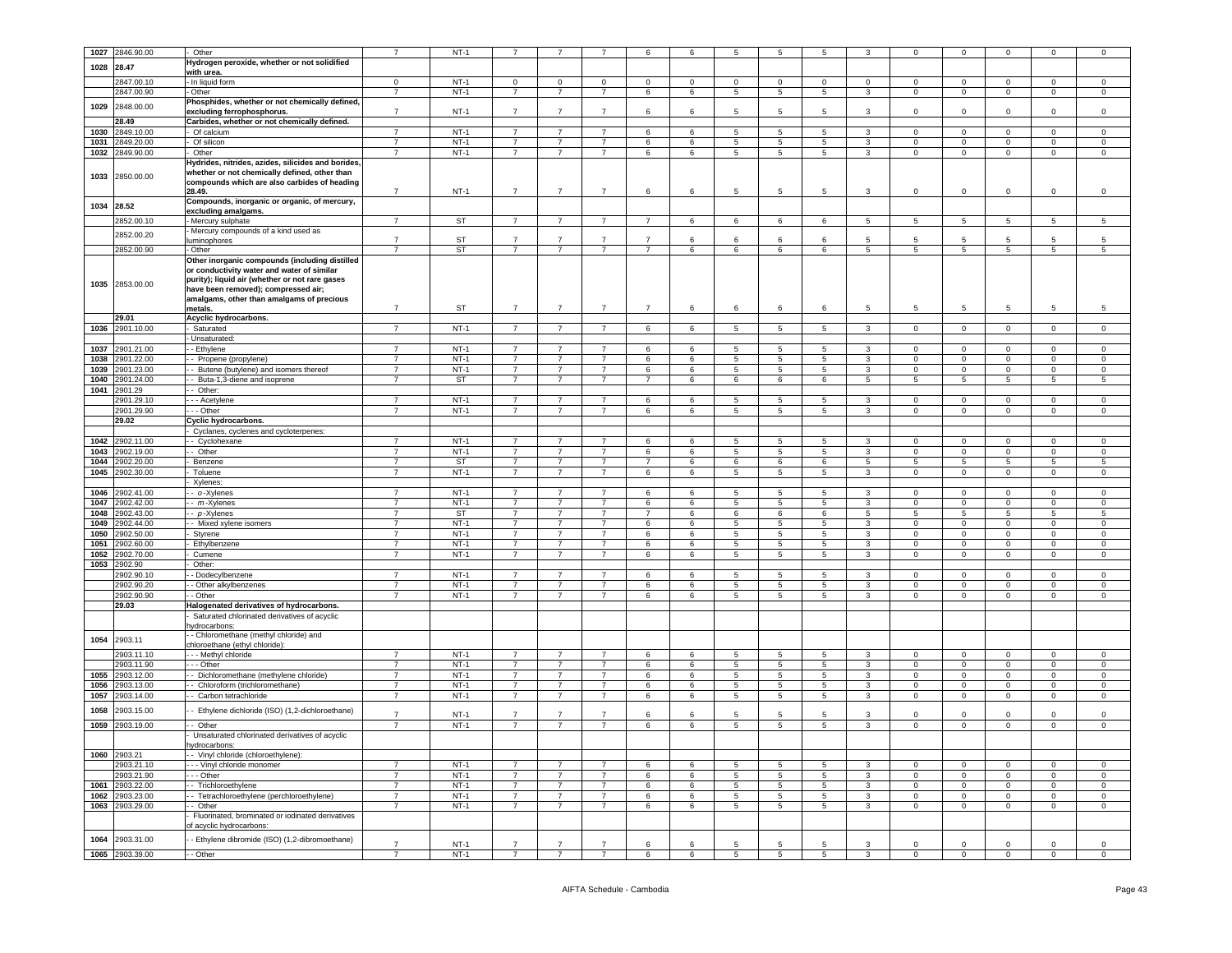|      | 1027 2846.90.00 | Other                                              | $\overline{7}$           | $NT-1$    | 7              |                |                | 6              | 6               |         | 5               |          |              |                |                |             |                 |              |
|------|-----------------|----------------------------------------------------|--------------------------|-----------|----------------|----------------|----------------|----------------|-----------------|---------|-----------------|----------|--------------|----------------|----------------|-------------|-----------------|--------------|
|      |                 |                                                    |                          |           |                |                |                |                |                 | 5       |                 | 5        | -3           | $\mathbf 0$    | $\mathbf 0$    | 0           | $\mathbf 0$     | $\mathbf 0$  |
| 1028 | 28.47           | Hydrogen peroxide, whether or not solidified       |                          |           |                |                |                |                |                 |         |                 |          |              |                |                |             |                 |              |
|      |                 | with urea.                                         |                          |           |                |                |                |                |                 |         |                 |          |              |                |                |             |                 |              |
|      | 2847.00.10      | - In liquid form                                   | $\mathbf 0$              | $NT-1$    | $\mathbf 0$    | $\Omega$       | $\Omega$       | $\Omega$       | $\mathbf 0$     | $\circ$ | $\Omega$        | $\Omega$ | $\Omega$     | $\Omega$       | $\Omega$       | $\Omega$    | $\Omega$        | $\Omega$     |
|      | 2847.00.90      | - Other                                            | $\overline{7}$           | $NT-1$    | $\overline{7}$ | $\overline{7}$ | $\overline{7}$ | 6              | $\,6\,$         | 5       | $5\phantom{.0}$ | 5        | $\mathbf{3}$ | $\mathsf 0$    | $\mathsf 0$    | $\mathbf 0$ | $\mathsf 0$     | $\mathsf 0$  |
| 1029 | 2848.00.00      | Phosphides, whether or not chemically defined,     |                          |           |                |                |                |                |                 |         |                 |          |              |                |                |             |                 |              |
|      |                 | excluding ferrophosphorus.                         | $\overline{7}$           | $NT-1$    | $\overline{7}$ | $\overline{7}$ | $\overline{7}$ | 6              | 6               | 5       | 5               | 5        | 3            | $\mathbf 0$    | $\mathbf 0$    | 0           | $\mathbf 0$     | $\mathsf 0$  |
|      | 28.49           | Carbides, whether or not chemically defined.       |                          |           |                |                |                |                |                 |         |                 |          |              |                |                |             |                 |              |
| 1030 | 2849.10.00      | - Of calcium                                       | $\overline{7}$           | $NT-1$    | $\overline{7}$ | $\overline{7}$ | 7              | 6              | 6               | 5       | 5               | -5       | 3            | $\mathbf 0$    | $\mathbf{0}$   | $\mathbf 0$ | $^{\circ}$      | $\mathbf 0$  |
| 1031 | 2849.20.00      | Of silicon                                         | $\overline{7}$           | $NT-1$    | $\overline{7}$ | $\overline{7}$ | $\overline{7}$ | 6              | 6               | 5       | 5               | 5        | 3            | $\mathbf 0$    | $\mathbf 0$    | $\mathbf 0$ | $\mathbf 0$     | $\mathbf 0$  |
| 1032 | 2849.90.00      | Other                                              | $\overline{7}$           | $NT-1$    | $\overline{7}$ | $\overline{7}$ | $\overline{7}$ | 6              | 6               | 5       | 5               | 5        | 3            | $\circ$        | $\mathbf{0}$   | $\mathbf 0$ | $\circ$         | $\circ$      |
|      |                 | Hydrides, nitrides, azides, silicides and borides, |                          |           |                |                |                |                |                 |         |                 |          |              |                |                |             |                 |              |
|      |                 | whether or not chemically defined, other than      |                          |           |                |                |                |                |                 |         |                 |          |              |                |                |             |                 |              |
| 1033 | 2850.00.00      |                                                    |                          |           |                |                |                |                |                 |         |                 |          |              |                |                |             |                 |              |
|      |                 | compounds which are also carbides of heading       | $\overline{7}$           | $NT-1$    | $\overline{7}$ | $\overline{7}$ | $\overline{7}$ |                |                 |         | 5               |          |              | $\mathbf 0$    | $\mathbf 0$    | $^{\circ}$  |                 |              |
|      |                 | 28.49.                                             |                          |           |                |                |                | 6              | 6               | 5       |                 | 5        | 3            |                |                |             | $\mathbf 0$     | $\mathbf 0$  |
| 1034 | 28.52           | Compounds, inorganic or organic, of mercury,       |                          |           |                |                |                |                |                 |         |                 |          |              |                |                |             |                 |              |
|      |                 | excluding amalgams.                                |                          |           |                |                |                |                |                 |         |                 |          |              |                |                |             |                 |              |
|      | 2852.00.10      | - Mercury sulphate                                 | $\overline{7}$           | <b>ST</b> | -7             | $\overline{7}$ | 7              | 7              | 6               | 6       | 6               | 6        | 5            | 5              | 5              | -5          | 5               | 5            |
|      | 2852.00.20      | Mercury compounds of a kind used as                |                          |           |                |                |                |                |                 |         |                 |          |              |                |                |             |                 |              |
|      |                 | luminophores                                       | $\overline{7}$           | ST        | $\overline{7}$ | $\overline{7}$ | $\overline{7}$ | $\overline{7}$ | 6               | 6       | 6               | 6        | 5            | 5              | 5              | 5           | 5               | -5           |
|      | 2852.00.90      | - Other                                            | $\overline{7}$           | <b>ST</b> | $\overline{7}$ | $\overline{7}$ | $\overline{7}$ | $\overline{7}$ | 6               | 6       | 6               | 6        | 5            | 5              | 5              | 5           | $5\overline{5}$ | 5            |
|      |                 | Other inorganic compounds (including distilled     |                          |           |                |                |                |                |                 |         |                 |          |              |                |                |             |                 |              |
|      |                 | or conductivity water and water of similar         |                          |           |                |                |                |                |                 |         |                 |          |              |                |                |             |                 |              |
|      |                 | purity); liquid air (whether or not rare gases     |                          |           |                |                |                |                |                 |         |                 |          |              |                |                |             |                 |              |
| 1035 | 2853.00.00      | have been removed); compressed air;                |                          |           |                |                |                |                |                 |         |                 |          |              |                |                |             |                 |              |
|      |                 | amalgams, other than amalgams of precious          |                          |           |                |                |                |                |                 |         |                 |          |              |                |                |             |                 |              |
|      |                 | metals.                                            | $\overline{7}$           | ST        | $\overline{7}$ | $\overline{7}$ | $\overline{7}$ | $\overline{7}$ | 6               | 6       | 6               | 6        | 5            | 5              | 5              | 5           | 5               | 5            |
|      | 29.01           | Acyclic hydrocarbons.                              |                          |           |                |                |                |                |                 |         |                 |          |              |                |                |             |                 |              |
| 1036 | 2901.10.00      | - Saturated                                        | $\overline{7}$           | $NT-1$    | $\overline{7}$ | $\overline{7}$ | $\overline{7}$ | 6              | 6               | 5       | 5               | 5        | 3            | $\mathbf{0}$   | $\mathbf{0}$   | 0           | $\mathbf{0}$    | $\mathbf 0$  |
|      |                 |                                                    |                          |           |                |                |                |                |                 |         |                 |          |              |                |                |             |                 |              |
|      |                 | - Unsaturated:                                     |                          |           |                |                |                |                |                 |         |                 |          |              |                |                |             |                 |              |
| 1037 | 2901.21.00      | - Ethylene                                         | $\overline{7}$           | $NT-1$    | $\overline{7}$ | $\overline{7}$ | $\overline{7}$ | 6              | 6               | 5       | $5\phantom{.0}$ | 5        | $\mathbf{3}$ | $\mathbf 0$    | $\mathbf{0}$   | $\mathbf 0$ | $\mathbf 0$     | $\Omega$     |
| 1038 | 2901.22.00      | - Propene (propylene)                              | $\overline{7}$           | $NT-1$    | $\overline{7}$ | $\overline{7}$ | $\overline{7}$ | 6              | 6               | 5       | 5               | 5        | 3            | $\mathbf 0$    | $\mathbf 0$    | 0           | $\mathsf 0$     | $\mathsf 0$  |
| 1039 | 2901.23.00      | - Butene (butylene) and isomers thereof            | $\overline{7}$           | $NT-1$    | $\overline{7}$ | $\overline{7}$ | $\overline{7}$ | 6              | 6               | 5       | 5               | 5        | 3            | $\mathbf 0$    | $\mathbf{0}$   | $\mathbf 0$ | $\mathbf 0$     | $\mathbf 0$  |
| 1040 | 2901.24.00      | - Buta-1,3-diene and isoprene                      | $\overline{7}$           | ST        | $\overline{7}$ | $\overline{7}$ | $\overline{7}$ | $\overline{7}$ | 6               | 6       | 6               | 6        | 5            | 5              | 5              | 5           | 5               | 5            |
| 1041 | 2901.29         | - Other:                                           |                          |           |                |                |                |                |                 |         |                 |          |              |                |                |             |                 |              |
|      | 2901.29.10      | - - Acetylene                                      | $\overline{7}$           | $NT-1$    | $\overline{7}$ | $\overline{7}$ | $\overline{7}$ | 6              | 6               | 5       | 5               | 5        | $\mathbf{3}$ | $\mathbf 0$    | $\overline{0}$ | 0           | $\Omega$        | $\Omega$     |
|      | 2901.29.90      | - - Other                                          | $\overline{7}$           | $NT-1$    | $\overline{7}$ | $\overline{7}$ | $\overline{7}$ | 6              | 6               | 5       | 5               | 5        | 3            | $\mathbf 0$    | $\mathbf 0$    | $\mathbf 0$ | $\mathbf 0$     | $\mathsf 0$  |
|      | 29.02           | Cyclic hydrocarbons.                               |                          |           |                |                |                |                |                 |         |                 |          |              |                |                |             |                 |              |
|      |                 | - Cyclanes, cyclenes and cycloterpenes:            |                          |           |                |                |                |                |                 |         |                 |          |              |                |                |             |                 |              |
|      |                 |                                                    |                          |           |                |                |                |                |                 |         |                 |          |              |                |                |             |                 |              |
| 1042 | 2902.11.00      | -- Cyclohexane                                     | $\overline{7}$           | $NT-1$    | $\overline{7}$ | $\overline{7}$ | $\overline{7}$ | 6              | 6               | 5       | 5               | 5        | 3            | $\circ$        | $\overline{0}$ | $\mathbf 0$ | $\mathbf 0$     | $\mathbf 0$  |
| 1043 | 2902.19.00      | - Other                                            | $\overline{\phantom{a}}$ | $NT-1$    | $\overline{7}$ | $\overline{7}$ | $\overline{7}$ | 6              | $6\overline{6}$ | 5       | 5               | 5        | $\mathbf{3}$ | $\overline{0}$ | $\overline{0}$ | $\mathbf 0$ | $\mathbf 0$     | $\circ$      |
| 1044 | 2902.20.00      | Benzene                                            | $\overline{7}$           | <b>ST</b> | $\overline{7}$ | $\overline{7}$ | $\overline{7}$ | $\overline{7}$ | 6               | 6       | 6               | 6        | 5            | 5              | 5              | 5           | 5               | 5            |
| 1045 | 2902.30.00      | Toluene                                            | $\overline{7}$           | $NT-1$    | $\overline{7}$ | $\overline{7}$ | $\overline{7}$ | 6              | 6               | 5       | 5               | 5        | 3            | $\mathbf 0$    | $\mathbf 0$    | 0           | $\mathbf 0$     | $\mathbf 0$  |
|      |                 | Xylenes:                                           |                          |           |                |                |                |                |                 |         |                 |          |              |                |                |             |                 |              |
| 1046 | 2902.41.00      | - o-Xylenes                                        | $\overline{7}$           | $NT-1$    | $\overline{7}$ | $\overline{7}$ | $\overline{7}$ | 6              | 6               | 5       | 5               | 5        | 3            | $\mathbf 0$    | $\circ$        | $\Omega$    | $\mathbf 0$     | $\mathbf 0$  |
| 1047 | 2902.42.00      | - m-Xylenes                                        | $\overline{7}$           | $NT-1$    | $\overline{7}$ | $\overline{7}$ | $\overline{7}$ | 6              | $6\overline{6}$ | 5       | $\overline{5}$  | 5        | $\mathbf{3}$ | $\overline{0}$ | $\overline{0}$ | $\mathbf 0$ | $\overline{0}$  | $\mathsf 0$  |
| 1048 | 2902.43.00      | - p-Xylenes                                        | $\overline{7}$           | <b>ST</b> | $\overline{7}$ | $\overline{7}$ | $\overline{7}$ | $\overline{7}$ | 6               | 6       | 6               | 6        | 5            | 5              | 5              | 5           | 5               | 5            |
| 1049 | 2902.44.00      | - Mixed xylene isomers                             | $\overline{7}$           | $NT-1$    | $\overline{7}$ | $\overline{7}$ | $\overline{7}$ | 6              | 6               | 5       | 5               | 5        | 3            | $\mathbf 0$    | $\mathbf 0$    | $\mathbf 0$ | $\mathbf 0$     | $\mathbf{0}$ |
| 1050 | 2902.50.00      | - Styrene                                          | $\overline{7}$           | $NT-1$    | $\overline{7}$ | $\overline{7}$ | $\overline{7}$ | 6              | 6               | 5       | 5               | 5        | 3            | $\mathbf 0$    | 0              | 0           | 0               | $\mathbf 0$  |
| 1051 | 2902.60.00      |                                                    | $\overline{7}$           | $NT-1$    | $\overline{7}$ | $\overline{7}$ | $\overline{7}$ | 6              | 6               | 5       | 5               | 5        | 3            | $\circ$        | $\circ$        | $\mathbf 0$ | $\circ$         | $\mathbf 0$  |
|      |                 | - Ethylbenzene                                     | $\overline{\phantom{a}}$ | $NT-1$    | $\overline{7}$ | $\overline{7}$ | $\overline{7}$ |                |                 |         | 5               | 5        |              | $\overline{0}$ | $\overline{0}$ |             |                 |              |
| 1052 | 2902.70.00      | Cumene                                             |                          |           |                |                |                | 6              | 6               | 5       |                 |          | $\mathbf{3}$ |                |                | $\mathbf 0$ | $\mathbf 0$     | $\circ$      |
| 1053 | 2902.90         | Other:                                             |                          |           |                |                |                |                |                 |         |                 |          |              |                |                |             |                 |              |
|      | 2902.90.10      | - Dodecylbenzene                                   | $\overline{7}$           | $NT-1$    | $\overline{7}$ | $\overline{7}$ | $\overline{7}$ | 6              | 6               | 5       | 5               | 5        | 3            | $\mathbf 0$    | $\overline{0}$ | $\mathbf 0$ | $\Omega$        | $\mathbf 0$  |
|      | 2902.90.20      | - Other alkylbenzenes                              | $\overline{7}$           | $NT-1$    | $\overline{7}$ | 7              | $\overline{7}$ | 6              | 6               | 5       | 5               | 5        | 3            | $\mathbf 0$    | $\mathbf 0$    | 0           | $\mathbf 0$     | $\mathbf 0$  |
|      | 2902.90.90      | - Other                                            | $\overline{7}$           | $NT-1$    | $\overline{7}$ | $\overline{7}$ | $\overline{7}$ | 6              | 6               | 5       | 5               | 5        | 3            | $\circ$        | $\mathbf{0}$   | $\mathbf 0$ | $\circ$         | $\mathbf 0$  |
|      | 29.03           | Halogenated derivatives of hydrocarbons.           |                          |           |                |                |                |                |                 |         |                 |          |              |                |                |             |                 |              |
|      |                 | Saturated chlorinated derivatives of acyclic       |                          |           |                |                |                |                |                 |         |                 |          |              |                |                |             |                 |              |
|      |                 | hydrocarbons:                                      |                          |           |                |                |                |                |                 |         |                 |          |              |                |                |             |                 |              |
| 1054 | 2903.11         | - Chloromethane (methyl chloride) and              |                          |           |                |                |                |                |                 |         |                 |          |              |                |                |             |                 |              |
|      |                 | chloroethane (ethyl chloride):                     |                          |           |                |                |                |                |                 |         |                 |          |              |                |                |             |                 |              |
|      | 2903.11.10      | --- Methyl chloride                                | $\overline{7}$           | $NT-1$    | $\overline{7}$ | $\overline{7}$ | $\overline{7}$ | 6              | 6               | 5       | 5               | 5        | 3            | $\mathbf 0$    | $\overline{0}$ | $\mathbf 0$ | $\mathbf 0$     | $\mathbf{0}$ |
|      | 2903.11.90      | --- Other                                          | $\overline{7}$           | $NT-1$    | $\overline{7}$ | $\overline{7}$ | $\overline{7}$ | 6              | 6               | 5       | 5               | 5        | 3            | $\mathbf 0$    | $\mathbf{0}$   | 0           | $\mathbf 0$     | $\mathbf 0$  |
| 1055 | 2903.12.00      | - - Dichloromethane (methylene chloride)           | $\overline{7}$           | $NT-1$    | $\overline{7}$ | $\overline{7}$ | $\overline{7}$ | 6              | 6               | 5       | 5               | 5        | 3            | $\circ$        | $\overline{0}$ | $\mathbf 0$ | $\circ$         | $\circ$      |
| 1056 | 2903.13.00      | Chloroform (trichloromethane)                      | $\overline{7}$           | $NT-1$    | $\overline{7}$ | $\overline{7}$ | $\overline{7}$ | 6              | 6               | 5       | 5               | 5        | 3            | $\mathbf 0$    | $\mathbf 0$    | $^{\circ}$  | $\mathbf 0$     | $\mathbf 0$  |
| 1057 | 903.14.00       | - Carbon tetrachloride                             | $\overline{7}$           | $NT-1$    | $\overline{7}$ | $\overline{7}$ | $\overline{7}$ | 6              | 6               | 5       | 5               | 5        | 3            | $\mathbf 0$    | 0              | 0           | $\mathbf 0$     | $\mathbf 0$  |
|      |                 |                                                    |                          |           |                |                |                |                |                 |         |                 |          |              |                |                |             |                 |              |
| 1058 | 2903.15.00      | - Ethylene dichloride (ISO) (1,2-dichloroethane)   | $\overline{7}$           | $NT-1$    | $\overline{7}$ | $\overline{7}$ | $\overline{7}$ | 6              | 6               | 5       | 5               | 5        | $\mathbf{3}$ | $\Omega$       | $\Omega$       | $\mathbf 0$ | $\mathbf 0$     | $\mathbf 0$  |
|      |                 |                                                    |                          | $NT-1$    |                | $\overline{7}$ |                |                |                 |         |                 |          |              |                |                |             |                 |              |
| 1059 | 2903.19.00      | - Other                                            | $\overline{7}$           |           | $\overline{7}$ |                | $\overline{7}$ | 6              | 6               | 5       | 5               | 5        | 3            | $\mathbf 0$    | $\mathbf{0}$   | 0           | 0               | $\mathbf 0$  |
|      |                 | Unsaturated chlorinated derivatives of acyclic     |                          |           |                |                |                |                |                 |         |                 |          |              |                |                |             |                 |              |
|      |                 | hydrocarbons:                                      |                          |           |                |                |                |                |                 |         |                 |          |              |                |                |             |                 |              |
|      | 1060 2903.21    | - - Vinyl chloride (chloroethylene):               |                          |           |                |                |                |                |                 |         |                 |          |              |                |                |             |                 |              |
|      | 2903.21.10      | -- Vinyl chloride monomer                          | $\overline{7}$           | $NT-1$    | $\overline{7}$ | $\overline{7}$ | $\overline{7}$ | 6              | 6               | 5       | 5               | 5        | 3            | $\mathbf 0$    | $\mathbf 0$    | $^{\circ}$  | $\mathbf 0$     | $\mathbf 0$  |
|      | 2903.21.90      | - - Other                                          | $\overline{7}$           | $NT-1$    | $\overline{7}$ | $\overline{7}$ | $\overline{7}$ | 6              | 6               | 5       | 5               | 5        | 3            | $\mathbf 0$    | 0              | 0           | 0               | $\mathbf 0$  |
| 1061 | 2903.22.00      | -- Trichloroethylene                               | $\overline{7}$           | $NT-1$    | $\overline{7}$ | $\overline{7}$ | $\overline{7}$ | 6              | 6               | 5       | 5               | 5        | 3            | $\mathbf 0$    | $\mathbf{0}$   | 0           | $\mathbf{0}$    | $\mathbf{0}$ |
| 1062 | 2903.23.00      | -- Tetrachloroethylene (perchloroethylene)         | $\overline{7}$           | $NT-1$    | $\overline{7}$ | $\overline{7}$ | $\overline{7}$ | 6              | 6               | 5       | 5               | 5        | 3            | $\mathbf 0$    | $\mathbf 0$    | 0           | $\mathbf 0$     | $\mathbf 0$  |
| 1063 | 2903.29.00      | - Other                                            | $\overline{7}$           | $NT-1$    | $\overline{7}$ | $\overline{7}$ | $\overline{7}$ | 6              | 6               | 5       | 5               | 5        | 3            | $\mathbf 0$    | $\mathbf{0}$   | $\Omega$    | $\mathbf{0}$    | $\mathbf{0}$ |
|      |                 |                                                    |                          |           |                |                |                |                |                 |         |                 |          |              |                |                |             |                 |              |
|      |                 | Fluorinated, brominated or iodinated derivatives   |                          |           |                |                |                |                |                 |         |                 |          |              |                |                |             |                 |              |
|      |                 | of acyclic hydrocarbons:                           |                          |           |                |                |                |                |                 |         |                 |          |              |                |                |             |                 |              |
| 1064 | 2903.31.00      | - Ethylene dibromide (ISO) (1,2-dibromoethane)     |                          |           |                |                |                |                |                 |         |                 |          |              |                |                |             |                 |              |
|      |                 |                                                    | $\overline{7}$           | $NT-1$    | $\overline{7}$ | 7              | $\overline{7}$ | 6              | 6               | 5       | 5               | 5        | 3            | 0              | $\mathbf 0$    | 0           | $\mathbf 0$     | $\mathbf 0$  |
|      | 1065 2903.39.00 | - Other                                            | $\overline{7}$           | $NT-1$    | $\overline{7}$ | $\overline{7}$ | $\overline{7}$ | 6              | 6               | 5       | 5               | 5        | $\mathbf{3}$ | $\mathbf 0$    | $\mathbf 0$    | $\mathbf 0$ | $\mathbf 0$     | $\mathbf 0$  |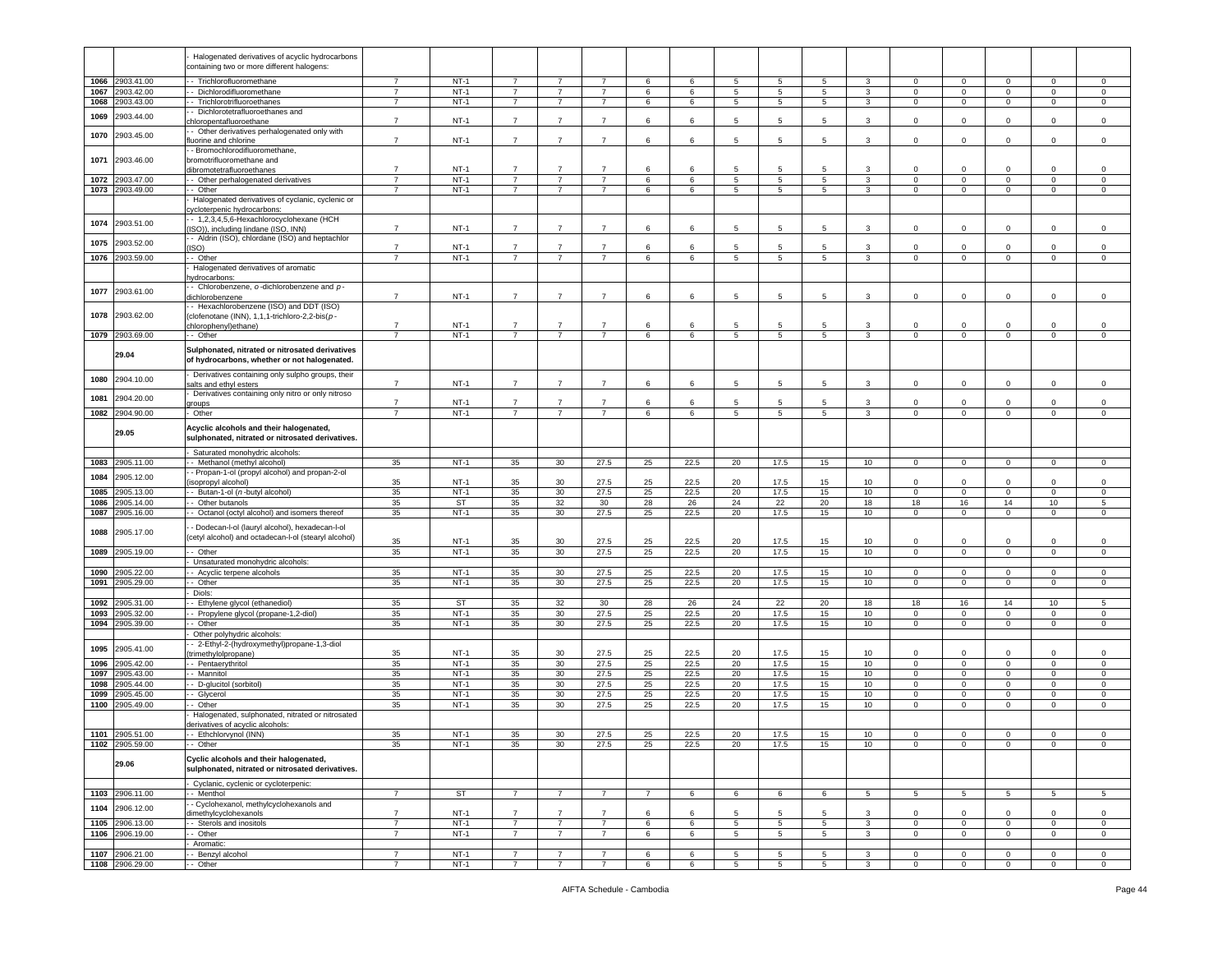|      |                 | Halogenated derivatives of acyclic hydrocarbons     |                |             |                |                |                |                |      |                 |             |                 |                  |                 |                         |                |              |                |
|------|-----------------|-----------------------------------------------------|----------------|-------------|----------------|----------------|----------------|----------------|------|-----------------|-------------|-----------------|------------------|-----------------|-------------------------|----------------|--------------|----------------|
|      |                 | containing two or more different halogens:          |                |             |                |                |                |                |      |                 |             |                 |                  |                 |                         |                |              |                |
|      |                 |                                                     |                |             |                |                |                |                |      |                 |             |                 |                  |                 |                         |                |              |                |
| 1066 | 2903.41.00      | - - Trichlorofluoromethane                          | $\overline{7}$ | $NT-1$      | $\overline{7}$ | $\overline{7}$ | $\overline{7}$ | 6              | 6    | 5               | 5           | 5               | 3                | $\mathbf 0$     | $\mathbf 0$             | $\overline{0}$ | $\mathbf 0$  | $\mathsf 0$    |
| 1067 | 2903.42.00      | -- Dichlorodifluoromethane                          | 7              | $NT-1$      | $\overline{7}$ | 7              | $\overline{7}$ | 6              | 6    | 5               | 5           | 5               | 3                | $\mathbf 0$     | $\mathbf 0$             | $\mathbf 0$    | 0            | $\mathbf 0$    |
| 1068 | 903.43.00       |                                                     | $\overline{7}$ | $NT-1$      | $\overline{7}$ | $\overline{7}$ | $\overline{7}$ | 6              | 6    | 5               | 5           | 5               |                  | $\mathbf 0$     | $\mathbf 0$             | $\mathbf 0$    | $\mathbf 0$  | $\mathsf 0$    |
|      |                 | - - Trichlorotrifluoroethanes                       |                |             |                |                |                |                |      |                 |             |                 | $\mathbf{3}$     |                 |                         |                |              |                |
| 1069 | 2903.44.00      | - Dichlorotetrafluoroethanes and                    |                |             |                |                |                |                |      |                 |             |                 |                  |                 |                         |                |              |                |
|      |                 | chloropentafluoroethane                             | $\overline{7}$ | $NT-1$      | $\overline{7}$ | $\overline{7}$ | $\overline{7}$ | 6              | 6    | 5               | 5           | 5               | 3                | $\Omega$        | $\mathbf 0$             | $\mathbf 0$    | $\Omega$     | $\mathsf 0$    |
|      |                 | - Other derivatives perhalogenated only with        |                |             |                |                |                |                |      |                 |             |                 |                  |                 |                         |                |              |                |
| 1070 | 2903.45.00      | fluorine and chlorine                               | $\overline{7}$ | $NT-1$      | $\overline{7}$ | $\overline{7}$ | $\overline{7}$ | 6              | 6    | 5               | 5           | 5               | 3                | 0               | $\overline{\mathbf{0}}$ | $\mathbf 0$    | $\mathbf 0$  | $\,0\,$        |
|      |                 |                                                     |                |             |                |                |                |                |      |                 |             |                 |                  |                 |                         |                |              |                |
|      |                 | - Bromochlorodifluoromethane,                       |                |             |                |                |                |                |      |                 |             |                 |                  |                 |                         |                |              |                |
| 1071 | 2903.46.00      | bromotrifluoromethane and                           |                |             |                |                |                |                |      |                 |             |                 |                  |                 |                         |                |              |                |
|      |                 | dibromotetrafluoroethanes                           | 7              | $NT-1$      | $\overline{7}$ |                | $\overline{7}$ | 6              | -6   | 5               | 5           | 5               | 3                | 0               | $\mathbf 0$             | 0              | $\Omega$     | 0              |
| 1072 | 2903.47.00      | - Other perhalogenated derivatives                  | $\overline{7}$ | $NT-1$      | $\overline{7}$ | $\overline{7}$ | $\overline{7}$ | $\,6\,$        | 6    | 5               | $\,$ 5 $\,$ | 5               | $\mathbf{3}$     | $\mathbf 0$     | $\mathbf 0$             | $\mathbf 0$    | $\mathbf 0$  | $\mathsf 0$    |
|      |                 |                                                     |                |             |                |                |                |                |      |                 |             |                 |                  |                 |                         |                |              |                |
| 1073 | 2903.49.00      | - Other                                             | 7              | $NT-1$      | $\overline{7}$ | $\overline{7}$ | $\overline{7}$ | 6              | 6    | 5               | 5           | 5               | 3                | $\mathbf{0}$    | $\overline{0}$          | $\overline{0}$ | $\mathbf{0}$ | $\mathbf 0$    |
|      |                 | Halogenated derivatives of cyclanic, cyclenic or    |                |             |                |                |                |                |      |                 |             |                 |                  |                 |                         |                |              |                |
|      |                 | cycloterpenic hydrocarbons:                         |                |             |                |                |                |                |      |                 |             |                 |                  |                 |                         |                |              |                |
|      |                 | - 1,2,3,4,5,6-Hexachlorocyclohexane (HCH            |                |             |                |                |                |                |      |                 |             |                 |                  |                 |                         |                |              |                |
| 1074 | 2903.51.00      |                                                     | $\overline{7}$ | $NT-1$      | $\overline{7}$ | $\overline{7}$ | $\overline{7}$ | 6              | 6    | 5               | 5           | 5               | 3                | $\mathbf{0}$    | $\overline{0}$          | $\mathbf 0$    | $\mathbf 0$  | $\mathsf 0$    |
|      |                 | (ISO)), including lindane (ISO, INN)                |                |             |                |                |                |                |      |                 |             |                 |                  |                 |                         |                |              |                |
| 1075 | 2903.52.00      | - Aldrin (ISO), chlordane (ISO) and heptachlor      |                |             |                |                |                |                |      |                 |             |                 |                  |                 |                         |                |              |                |
|      |                 | ISO)                                                | $\overline{7}$ | $NT-1$      | $\overline{7}$ | $\overline{7}$ | $\overline{7}$ | 6              | 6    | 5               | -5          | 5               | 3                | 0               | $\mathbf 0$             | 0              | $\mathbf 0$  | 0              |
| 1076 | 2903.59.00      | - Other                                             | $\overline{7}$ | $NT-1$      | $\overline{7}$ | $\overline{7}$ | $\overline{7}$ | 6              | 6    | 5               | 5           | 5               | 3                | 0               | $\mathbf 0$             | $\mathbf 0$    | $\mathbf 0$  | $\mathsf 0$    |
|      |                 | Halogenated derivatives of aromatic                 |                |             |                |                |                |                |      |                 |             |                 |                  |                 |                         |                |              |                |
|      |                 |                                                     |                |             |                |                |                |                |      |                 |             |                 |                  |                 |                         |                |              |                |
|      |                 | hydrocarbons:                                       |                |             |                |                |                |                |      |                 |             |                 |                  |                 |                         |                |              |                |
| 1077 | 2903.61.00      | - Chlorobenzene, $o$ -dichlorobenzene and $p$ -     |                |             |                |                |                |                |      |                 |             |                 |                  |                 |                         |                |              |                |
|      |                 | dichlorobenzene                                     | $\overline{7}$ | $NT-1$      | $\overline{7}$ | $\overline{7}$ | $\overline{7}$ | 6              | 6    | 5               | 5           | 5               | 3                | 0               | $\mathbf 0$             | 0              | $\Omega$     | $\mathsf 0$    |
|      |                 | - Hexachlorobenzene (ISO) and DDT (ISO)             |                |             |                |                |                |                |      |                 |             |                 |                  |                 |                         |                |              |                |
| 1078 | 2903.62.00      |                                                     |                |             |                |                |                |                |      |                 |             |                 |                  |                 |                         |                |              |                |
|      |                 | (clofenotane (INN), 1,1,1-trichloro-2,2-bis(p-      | $\overline{7}$ |             | $\overline{7}$ |                | $\overline{7}$ |                |      |                 |             |                 |                  |                 |                         |                |              |                |
|      |                 | chlorophenyl)ethane)                                |                | <b>NT-1</b> |                | 7              |                | 6              |      | 5               | 5           | 5               | 3                | 0               | $\mathbf 0$             | 0              | $\Omega$     | 0              |
| 1079 | 2903.69.00      | $-$ Other                                           | $\overline{7}$ | $NT-1$      | $\overline{7}$ | $\overline{7}$ | $\overline{7}$ | 6              | 6    | 5               | 5           | 5               | 3                | $\mathbf 0$     | $\mathbf 0$             | $\mathbf 0$    | $\mathbf 0$  | $\mathsf 0$    |
|      |                 |                                                     |                |             |                |                |                |                |      |                 |             |                 |                  |                 |                         |                |              |                |
|      | 29.04           | Sulphonated, nitrated or nitrosated derivatives     |                |             |                |                |                |                |      |                 |             |                 |                  |                 |                         |                |              |                |
|      |                 | of hydrocarbons, whether or not halogenated.        |                |             |                |                |                |                |      |                 |             |                 |                  |                 |                         |                |              |                |
|      |                 |                                                     |                |             |                |                |                |                |      |                 |             |                 |                  |                 |                         |                |              |                |
|      |                 | Derivatives containing only sulpho groups, their    |                |             |                |                |                |                |      |                 |             |                 |                  |                 |                         |                |              |                |
| 1080 | 2904.10.00      | salts and ethyl esters                              | $\overline{7}$ | NT-1        | $\overline{7}$ | $\overline{7}$ | $\overline{7}$ | 6              | 6    | 5               | 5           | 5               | 3                | 0               | $\overline{0}$          | 0              | $\mathbf 0$  | $\mathsf 0$    |
|      |                 | Derivatives containing only nitro or only nitroso   |                |             |                |                |                |                |      |                 |             |                 |                  |                 |                         |                |              |                |
| 1081 | 2904.20.00      |                                                     | $\overline{7}$ | $NT-1$      | $\overline{7}$ | $\overline{7}$ | $\overline{7}$ | 6              | 6    | 5               | 5           | 5               | 3                | 0               | $\mathbf 0$             | 0              | 0            | $\mathsf 0$    |
|      |                 | groups                                              |                |             |                |                |                |                |      |                 |             |                 |                  |                 |                         |                |              |                |
| 1082 | 2904.90.00      | - Other                                             | $\overline{7}$ | $NT-1$      | $\overline{7}$ | $\overline{7}$ | $\overline{7}$ | 6              | 6    | 5               | 5           | $5\phantom{.0}$ | $\mathbf{3}$     | $\mathbf 0$     | $\mathbf 0$             | $\overline{0}$ | $\mathbf 0$  | $\overline{0}$ |
|      |                 |                                                     |                |             |                |                |                |                |      |                 |             |                 |                  |                 |                         |                |              |                |
|      | 29.05           | Acyclic alcohols and their halogenated,             |                |             |                |                |                |                |      |                 |             |                 |                  |                 |                         |                |              |                |
|      |                 | sulphonated, nitrated or nitrosated derivatives     |                |             |                |                |                |                |      |                 |             |                 |                  |                 |                         |                |              |                |
|      |                 |                                                     |                |             |                |                |                |                |      |                 |             |                 |                  |                 |                         |                |              |                |
|      |                 | Saturated monohydric alcohols:                      |                |             |                |                |                |                |      |                 |             |                 |                  |                 |                         |                |              |                |
| 1083 | 2905.11.00      | - Methanol (methyl alcohol)                         | 35             | $NT-1$      | 35             | 30             | 27.5           | 25             | 22.5 | 20              | 17.5        | 15              | 10               | $\mathbf{0}$    | $\mathbf 0$             | $\mathbf{0}$   | $\mathbf 0$  | $\mathsf 0$    |
|      |                 |                                                     |                |             |                |                |                |                |      |                 |             |                 |                  |                 |                         |                |              |                |
|      |                 |                                                     |                |             |                |                |                |                |      |                 |             |                 |                  |                 |                         |                |              |                |
| 1084 | 2905.12.00      | - Propan-1-ol (propyl alcohol) and propan-2-ol      |                |             |                |                |                |                |      |                 |             |                 |                  |                 |                         |                |              |                |
|      |                 | isopropyl alcohol)                                  | 35             | $NT-1$      | 35             | 30             | 27.5           | 25             | 22.5 | 20              | 17.5        | 15              | 10               | 0               | $\mathbf 0$             | 0              | $\Omega$     | 0              |
| 1085 | 905.13.00       | - Butan-1-ol (n-butyl alcohol)                      | 35             | $NT-1$      | 35             | 30             | 27.5           | 25             | 22.5 | 20              | 17.5        | 15              | 10 <sup>10</sup> | $\circ$         | $\mathbf 0$             | $\mathbf 0$    | $\mathbf 0$  | $\mathsf 0$    |
| 1086 | 905.14.00       | - Other butanols                                    | 35             | ST          | 35             | 32             | 30             | 28             | 26   | 24              | 22          | 20              | 18               | 18              | 16                      | 14             | 10           | $\sqrt{5}$     |
|      |                 |                                                     |                |             |                |                |                |                |      |                 |             |                 |                  |                 |                         |                |              |                |
| 1087 | 905.16.00       | - Octanol (octyl alcohol) and isomers thereof       | 35             | $NT-1$      | 35             | 30             | 27.5           | 25             | 22.5 | 20              | 17.5        | 15              | 10               | $\mathbf 0$     | $\mathbf 0$             | $\mathsf 0$    | $\mathbf 0$  | $\mathsf 0$    |
|      |                 |                                                     |                |             |                |                |                |                |      |                 |             |                 |                  |                 |                         |                |              |                |
| 1088 | 2905.17.00      | - Dodecan-l-ol (lauryl alcohol), hexadecan-l-ol     |                |             |                |                |                |                |      |                 |             |                 |                  |                 |                         |                |              |                |
|      |                 | cetyl alcohol) and octadecan-I-ol (stearyl alcohol) | 35             | $NT-1$      | 35             | 30             | 27.5           | 25             | 22.5 | 20              | 17.5        | 15              | 10               | $\Omega$        | $\mathbf 0$             | 0              | $\Omega$     | $\overline{0}$ |
|      |                 |                                                     |                |             |                |                |                |                |      |                 |             |                 |                  |                 |                         |                |              |                |
| 1089 | 905.19.00       | - Other                                             | 35             | $NT-1$      | 35             | 30             | 27.5           | 25             | 22.5 | 20              | 17.5        | 15              | 10               | $\mathbf 0$     | $\mathbf 0$             | $\circ$        | $\mathbf 0$  | $\mathsf 0$    |
|      |                 | Unsaturated monohydric alcohols:                    |                |             |                |                |                |                |      |                 |             |                 |                  |                 |                         |                |              |                |
| 1090 | 905.22.00       | - Acyclic terpene alcohols                          | 35             | $NT-1$      | 35             | 30             | 27.5           | 25             | 22.5 | 20              | 17.5        | 15              | 10               | 0               | $\mathbf 0$             | $\mathbf 0$    | 0            | 0              |
| 1091 | 2905.29.00      | - Other                                             |                | $NT-1$      | 35             | 30             | 27.5           | 25             | 22.5 | 20              | 17.5        | 15              | 10               | $\mathbf 0$     | $\mathbf 0$             | $\mathbf 0$    | $\Omega$     | $\mathsf 0$    |
|      |                 |                                                     | 35             |             |                |                |                |                |      |                 |             |                 |                  |                 |                         |                |              |                |
|      |                 | Diols:                                              |                |             |                |                |                |                |      |                 |             |                 |                  |                 |                         |                |              |                |
| 1092 | 2905.31.00      | Ethylene glycol (ethanediol)                        | 35             | ST          | 35             | 32             | 30             | 28             | 26   | 24              | 22          | 20              | 18               | 18              | 16                      | 14             | 10           | 5              |
| 1093 | 2905.32.00      | - Propylene glycol (propane-1,2-diol)               | 35             | $NT-1$      | 35             | 30             | 27.5           | 25             | 22.5 | 20              | 17.5        | 15              | 10               | $\Omega$        | $\mathbf 0$             | $\mathbf 0$    | $\mathbf 0$  | $\mathsf 0$    |
| 1094 | 2905.39.00      | - Other                                             | 35             | $NT-1$      | 35             | 30             | 27.5           | 25             | 22.5 | 20              | 17.5        | 15              | 10               | $\mathbf{0}$    | $\mathbf 0$             | $\mathbf 0$    | 0            | $\mathbf 0$    |
|      |                 |                                                     |                |             |                |                |                |                |      |                 |             |                 |                  |                 |                         |                |              |                |
|      |                 | Other polyhydric alcohols:                          |                |             |                |                |                |                |      |                 |             |                 |                  |                 |                         |                |              |                |
|      |                 | - 2-Ethyl-2-(hydroxymethyl)propane-1,3-diol         |                |             |                |                |                |                |      |                 |             |                 |                  |                 |                         |                |              |                |
| 1095 | 2905.41.00      | (trimethylolpropane)                                | 35             | $NT-1$      | 35             | 30             | 27.5           | 25             | 22.5 | 20              | 17.5        | 15              | 10               | $\Omega$        | $\overline{0}$          | $\mathbf 0$    | $\Omega$     | $\,0\,$        |
| 1096 | 905.42.00       | -- Pentaerythritol                                  | 35             | $NT-1$      | 35             | 30             | 27.5           | 25             | 22.5 | 20              | 17.5        | 15              | 10               | 0               | $\overline{0}$          | $\mathbf 0$    | 0            | 0              |
|      |                 |                                                     |                |             |                |                |                |                |      |                 |             |                 |                  |                 |                         |                |              |                |
| 1097 | 905.43.00       | - Mannitol                                          | 35             | $NT-1$      | 35             | 30             | 27.5           | 25             | 22.5 | 20              | 17.5        | 15              | 10               | $\mathbf 0$     | $\mathbf 0$             | $\mathbf 0$    | $\mathbf 0$  | $\mathsf 0$    |
| 1098 | 2905.44.00      | - - D-glucitol (sorbitol)                           | 35             | $NT-1$      | 35             | 30             | 27.5           | 25             | 22.5 | 20              | 17.5        | 15              | 10               | $\mathbf 0$     | $\mathbf{0}$            | $\mathbf{0}$   | 0            | 0              |
| 1099 | 2905.45.00      | - Glycerol                                          | 35             | $NT-1$      | 35             | 30             | 27.5           | 25             | 22.5 | 20              | 17.5        | 15              | 10               | $\mathbf 0$     | $\mathbf 0$             | $\mathbf 0$    | $\mathbf 0$  | 0              |
|      |                 |                                                     |                |             |                |                |                |                |      |                 |             |                 |                  |                 |                         |                |              |                |
| 1100 | 2905.49.00      | - Other                                             | 35             | $NT-1$      | 35             | 30             | 27.5           | 25             | 22.5 | 20              | 17.5        | 15              | 10               | $\mathbf 0$     | $\overline{\mathbf{0}}$ | $\mathsf 0$    | $\mathbf 0$  | $\mathsf 0$    |
|      |                 | Halogenated, sulphonated, nitrated or nitrosated    |                |             |                |                |                |                |      |                 |             |                 |                  |                 |                         |                |              |                |
|      |                 | derivatives of acyclic alcohols:                    |                |             |                |                |                |                |      |                 |             |                 |                  |                 |                         |                |              |                |
| 1101 | 2905.51.00      | - Ethchlorvynol (INN)                               | 35             | $NT-1$      | 35             | 30             | 27.5           | 25             | 22.5 | 20              | 17.5        | 15              | 10               | 0               | $\mathbf 0$             | 0              | $\mathbf 0$  | 0              |
|      |                 |                                                     |                |             |                |                |                |                |      |                 |             |                 |                  | 0               |                         |                |              | 0              |
|      | 1102 2905.59.00 | -- Other                                            | 35             | NT-1        | 35             | 30             | 27.5           | 25             | 22.5 | 20              | 17.5        | 15              | 10               |                 |                         |                |              |                |
|      |                 | Cyclic alcohols and their halogenated,              |                |             |                |                |                |                |      |                 |             |                 |                  |                 |                         |                |              |                |
|      | 29.06           |                                                     |                |             |                |                |                |                |      |                 |             |                 |                  |                 |                         |                |              |                |
|      |                 | sulphonated, nitrated or nitrosated derivatives.    |                |             |                |                |                |                |      |                 |             |                 |                  |                 |                         |                |              |                |
|      |                 |                                                     |                |             |                |                |                |                |      |                 |             |                 |                  |                 |                         |                |              |                |
|      |                 | Cyclanic, cyclenic or cycloterpenic:                |                |             |                |                |                |                |      |                 |             |                 |                  |                 |                         |                |              |                |
|      | 1103 2906.11.00 | - Menthol                                           | $\overline{7}$ | <b>ST</b>   | $\overline{7}$ | $\overline{7}$ | $\overline{7}$ | $\overline{7}$ | 6    | 6               | 6           | 6               | 5                | $5\phantom{.0}$ | $\overline{5}$          | 5              | 5            | $\sqrt{5}$     |
|      |                 | - Cyclohexanol, methylcyclohexanols and             |                |             |                |                |                |                |      |                 |             |                 |                  |                 |                         |                |              |                |
| 1104 | 2906.12.00      | dimethylcyclohexanols                               | $\overline{7}$ | $NT-1$      | $\overline{7}$ | $\overline{7}$ | $\overline{7}$ | 6              | 6    | 5               | 5           | 5               | 3                | 0               | $\mathbf 0$             | $\mathbf 0$    | $\mathbf 0$  | $\mathsf 0$    |
|      |                 |                                                     | $\overline{7}$ |             | $\overline{7}$ |                |                |                |      |                 |             |                 |                  | $\mathbf{0}$    |                         |                |              |                |
| 1105 | 2906.13.00      | - Sterols and inositols                             |                | $NT-1$      |                | $\overline{7}$ | $\overline{7}$ | 6              | 6    | 5               | 5           | 5               | $\mathbf{3}$     |                 | $\mathbf 0$             | $\circ$        | $\mathbf{0}$ | $\mathbf 0$    |
| 1106 | 2906.19.00      | - Other                                             | $\overline{7}$ | $NT-1$      | $\overline{7}$ | $\overline{7}$ | $\overline{7}$ | 6              | 6    | 5               | 5           | 5               | 3                | $\mathbf{0}$    | $\overline{0}$          | $\mathbf{0}$   | $\mathbf{0}$ | $\mathbf 0$    |
|      |                 | Aromatic:                                           |                |             |                |                |                |                |      |                 |             |                 |                  |                 |                         |                |              |                |
| 1107 | 2906.21.00      | - Benzyl alcohol                                    | $\overline{7}$ | $NT-1$      | $\overline{7}$ | $\overline{7}$ | $\overline{7}$ | 6              | 6    | 5               | 5           | 5               | 3                | $\circ$         | $\mathbf 0$             | 0              | 0            | $\,0\,$        |
|      | 1108 2906.29.00 | - Other                                             | $\overline{7}$ | $NT-1$      | $\overline{7}$ | $\overline{7}$ | $\overline{7}$ | 6              | 6    | $5\phantom{.0}$ | 5           | 5               | $\mathbf{3}$     | $\mathbf{0}$    | $\mathbf 0$             | $\overline{0}$ | $\mathbf 0$  | 0              |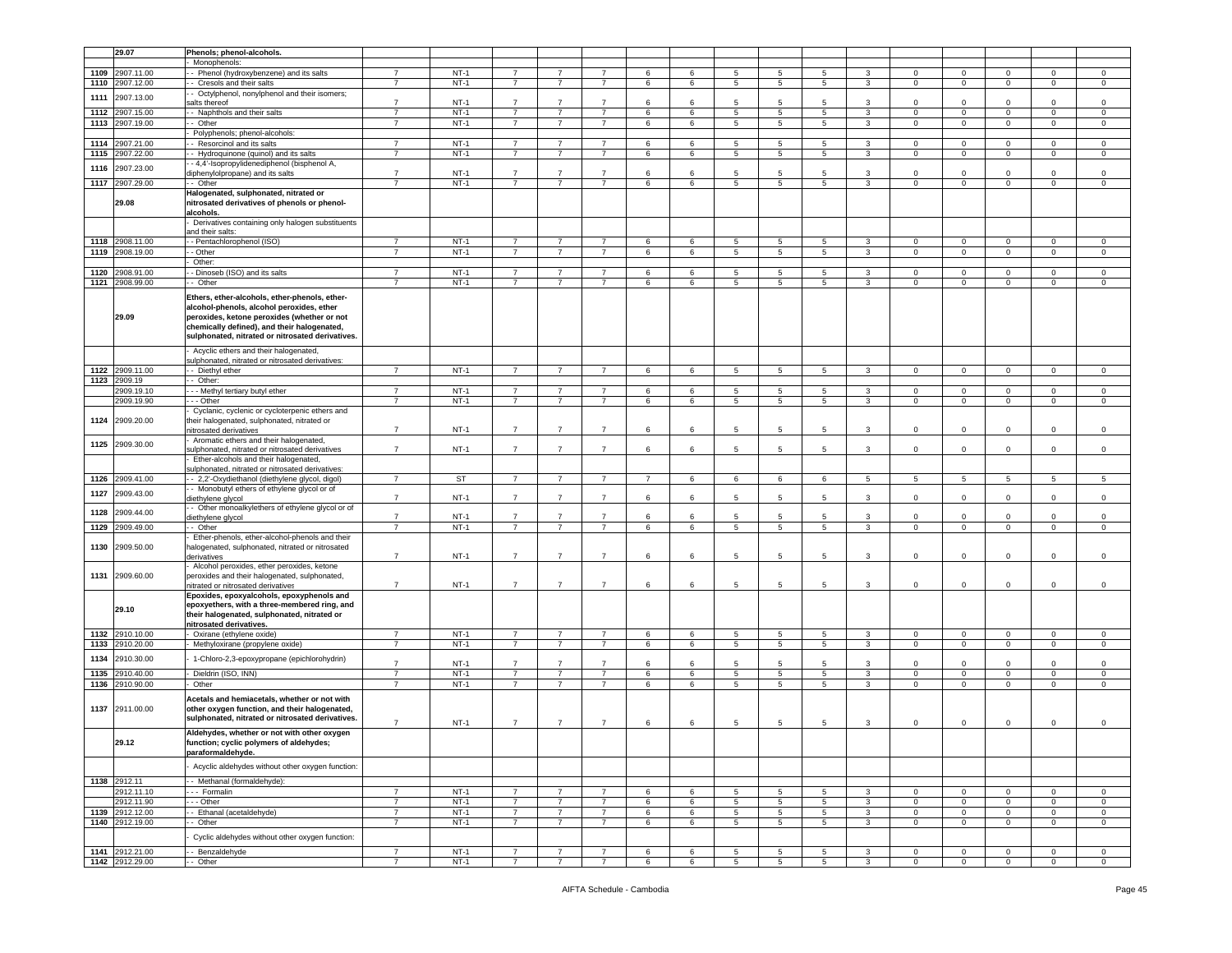|      | 29.07           | Phenols; phenol-alcohols.                                   |                |        |                |                |                |                |                 |                 |                |                 |                |                |                |                |                 |                |
|------|-----------------|-------------------------------------------------------------|----------------|--------|----------------|----------------|----------------|----------------|-----------------|-----------------|----------------|-----------------|----------------|----------------|----------------|----------------|-----------------|----------------|
|      |                 | Monophenols:                                                |                |        |                |                |                |                |                 |                 |                |                 |                |                |                |                |                 |                |
| 1109 | 2907.11.00      | - Phenol (hydroxybenzene) and its salts                     | $\overline{7}$ | $NT-1$ | $\overline{7}$ | $\overline{7}$ | $\overline{7}$ | 6              | 6               | 5               | 5              | 5               | 3              | $\mathbf 0$    | 0              | 0              | $\mathbf 0$     | $\mathbf 0$    |
|      |                 |                                                             |                |        |                |                |                |                |                 |                 |                |                 |                |                |                |                |                 |                |
| 1110 | 2907.12.00      | Cresols and their salts                                     | $\overline{7}$ | $NT-1$ | $\overline{7}$ | $\overline{7}$ | $\overline{7}$ | 6              | 6               | 5               | $\overline{5}$ | $\overline{5}$  | $\mathbf{3}$   | $\mathsf 0$    | $\mathsf 0$    | $\mathbf 0$    | $\mathsf 0$     | $\mathsf 0$    |
| 1111 | 2907.13.00      | - Octylphenol, nonylphenol and their isomers;               |                |        |                |                |                |                |                 |                 |                |                 |                |                |                |                |                 |                |
|      |                 | salts thereof                                               | $\overline{7}$ | $NT-1$ | $\overline{7}$ | $\overline{7}$ | $\overline{7}$ | $\,6$          | 6               | 5               | 5              | 5               | 3              | $\mathbf 0$    | $\mathbf 0$    | $\mathsf 0$    | $\mathbf 0$     | $\mathbf 0$    |
| 1112 | 2907.15.00      | - Naphthols and their salts                                 | $\overline{7}$ | $NT-1$ | $\overline{7}$ | $\overline{7}$ | $\overline{7}$ | 6              | 6               | 5               | 5              | 5               | $\mathbf{3}$   | $\mathbf 0$    | $\mathbf 0$    | $\mathsf 0$    | $\mathbf 0$     | $\mathsf 0$    |
| 1113 | 2907.19.00      | - Other                                                     | $\overline{7}$ | $NT-1$ | $\overline{7}$ | $\overline{7}$ | $\overline{7}$ | $\,6\,$        | 6               | $5\phantom{.0}$ | $\sqrt{5}$     | $\sqrt{5}$      | $\mathbf{3}$   | $\mathbf 0$    | $\mathsf 0$    | $\mathbf 0$    | $\mathbf 0$     | $\mathsf 0$    |
|      |                 |                                                             |                |        |                |                |                |                |                 |                 |                |                 |                |                |                |                |                 |                |
|      |                 | Polyphenols; phenol-alcohols:                               |                |        |                |                |                |                |                 |                 |                |                 |                |                |                |                |                 |                |
| 1114 | 2907.21.00      | - Resorcinol and its salts                                  | $\overline{7}$ | $NT-1$ | $\overline{7}$ | $\overline{7}$ | $\overline{7}$ | 6              | 6               | 5               | 5              | 5               | 3              | $\circ$        | $\mathbf 0$    | $\mathbf 0$    | $\mathbf 0$     | $\mathbf 0$    |
| 1115 | 907.22.00       | - Hydroquinone (quinol) and its salts                       | 7              | $NT-1$ | $\overline{7}$ | $\overline{7}$ | $\overline{7}$ | 6              | 6               | 5               | 5              | 5               | $\mathbf{3}$   | $\mathbf 0$    | $\mathbf 0$    | $\mathsf 0$    | $\mathbf 0$     | $\mathbf 0$    |
|      |                 | - 4,4'-Isopropylidenediphenol (bisphenol A,                 |                |        |                |                |                |                |                 |                 |                |                 |                |                |                |                |                 |                |
| 1116 | 2907.23.00      | diphenylolpropane) and its salts                            | $\overline{7}$ | $NT-1$ | $\overline{7}$ | $\overline{7}$ | $\overline{7}$ | 6              | 6               | 5               | 5              | 5               | 3              | $\mathbf 0$    | $\mathbf 0$    | 0              | $\mathbf 0$     | $\mathbf 0$    |
|      |                 | - Other                                                     | $\overline{7}$ | $NT-1$ | $\overline{7}$ | $\overline{7}$ | $\overline{7}$ |                |                 |                 |                |                 | 3              |                |                | $\mathbf{0}$   |                 |                |
|      | 1117 2907.29.00 |                                                             |                |        |                |                |                | 6              | 6               | $5\phantom{.0}$ | 5              | 5               |                | $\mathbf 0$    | $\mathbf 0$    |                | $\mathbf 0$     | $\mathbf 0$    |
|      |                 | Halogenated, sulphonated, nitrated or                       |                |        |                |                |                |                |                 |                 |                |                 |                |                |                |                |                 |                |
|      | 29.08           | nitrosated derivatives of phenols or phenol-                |                |        |                |                |                |                |                 |                 |                |                 |                |                |                |                |                 |                |
|      |                 | alcohols.                                                   |                |        |                |                |                |                |                 |                 |                |                 |                |                |                |                |                 |                |
|      |                 | Derivatives containing only halogen substituents            |                |        |                |                |                |                |                 |                 |                |                 |                |                |                |                |                 |                |
|      |                 | and their salts:                                            |                |        |                |                |                |                |                 |                 |                |                 |                |                |                |                |                 |                |
|      | 1118 2908.11.00 | - - Pentachlorophenol (ISO)                                 | $\overline{7}$ | $NT-1$ | $\overline{7}$ | $\overline{7}$ | $\overline{7}$ | 6              | 6               | $5\overline{5}$ | 5              | $5\overline{5}$ | 3              | $\mathbf{0}$   | $\mathbf 0$    | $\Omega$       | $\mathbf{0}$    | $\circ$        |
|      |                 |                                                             |                |        |                |                |                |                |                 |                 |                |                 |                |                |                |                |                 |                |
| 1119 | 2908.19.00      | - Other                                                     | $\overline{7}$ | $NT-1$ | $\overline{7}$ | $\overline{7}$ | $\overline{7}$ | 6              | 6               | $\overline{5}$  | 5              | $5\phantom{.0}$ | $\mathbf{3}$   | $\mathsf 0$    | $\mathbf 0$    | $\mathsf 0$    | $\mathsf 0$     | $\mathsf 0$    |
|      |                 | Other:                                                      |                |        |                |                |                |                |                 |                 |                |                 |                |                |                |                |                 |                |
| 1120 | 2908.91.00      | - Dinoseb (ISO) and its salts                               | $\overline{7}$ | $NT-1$ | 7              | $\overline{7}$ | 7              | 6              | 6               | 5               | -5             | 5               | 3              | $\mathbf 0$    | $^{\circ}$     | $^{\circ}$     | $\mathbf{0}$    | $\circ$        |
| 1121 | 2908.99.00      | - Other                                                     | $\overline{7}$ | $NT-1$ | $\overline{7}$ | $\overline{7}$ | $\overline{7}$ | 6              | 6               | 5               | 5              | 5               | 3              | $\overline{0}$ | $\mathbf 0$    | $\mathbf 0$    | $\mathbf 0$     | $\mathbf 0$    |
|      |                 |                                                             |                |        |                |                |                |                |                 |                 |                |                 |                |                |                |                |                 |                |
|      |                 | Ethers, ether-alcohols, ether-phenols, ether-               |                |        |                |                |                |                |                 |                 |                |                 |                |                |                |                |                 |                |
|      |                 | alcohol-phenols, alcohol peroxides, ether                   |                |        |                |                |                |                |                 |                 |                |                 |                |                |                |                |                 |                |
|      | 29.09           | peroxides, ketone peroxides (whether or not                 |                |        |                |                |                |                |                 |                 |                |                 |                |                |                |                |                 |                |
|      |                 |                                                             |                |        |                |                |                |                |                 |                 |                |                 |                |                |                |                |                 |                |
|      |                 | chemically defined), and their halogenated,                 |                |        |                |                |                |                |                 |                 |                |                 |                |                |                |                |                 |                |
|      |                 | sulphonated, nitrated or nitrosated derivatives.            |                |        |                |                |                |                |                 |                 |                |                 |                |                |                |                |                 |                |
|      |                 | Acyclic ethers and their halogenated,                       |                |        |                |                |                |                |                 |                 |                |                 |                |                |                |                |                 |                |
|      |                 | sulphonated, nitrated or nitrosated derivatives:            |                |        |                |                |                |                |                 |                 |                |                 |                |                |                |                |                 |                |
|      | 1122 2909.11.00 |                                                             |                |        |                |                |                |                |                 |                 |                |                 |                |                |                |                |                 |                |
|      |                 | - Diethyl ether                                             | $\overline{7}$ | $NT-1$ |                |                | $\overline{7}$ | 6              | 6               | $5\phantom{.0}$ | 5              | 5               | 3              | $\mathbf 0$    | 0              | $\Omega$       | $\mathbf 0$     | $\mathbf 0$    |
|      | 1123 2909.19    | - Other:                                                    |                |        |                |                |                |                |                 |                 |                |                 |                |                |                |                |                 |                |
|      | 2909.19.10      | --- Methyl tertiary butyl ether                             | $\overline{7}$ | $NT-1$ | $\overline{7}$ | $\overline{7}$ | $\overline{7}$ | 6              | 6               | 5               | 5              | 5               | 3              | $\overline{0}$ | $\mathbf 0$    | $\mathbf 0$    | $\mathbf 0$     | $\mathbf 0$    |
|      | 2909.19.90      | - - - Other                                                 | 7              | $NT-1$ | $\overline{7}$ | $\overline{7}$ | $\overline{7}$ | 6              | $6\overline{6}$ | $5\overline{)}$ | $\overline{5}$ | $\overline{5}$  | $\overline{3}$ | $\overline{0}$ | $\mathbf 0$    | $\mathbf 0$    | $\overline{0}$  | $\overline{0}$ |
|      |                 | Cyclanic, cyclenic or cycloterpenic ethers and              |                |        |                |                |                |                |                 |                 |                |                 |                |                |                |                |                 |                |
|      |                 |                                                             |                |        |                |                |                |                |                 |                 |                |                 |                |                |                |                |                 |                |
| 1124 | 2909.20.00      | their halogenated, sulphonated, nitrated or                 |                |        |                |                |                |                |                 |                 |                |                 |                |                |                |                |                 |                |
|      |                 | nitrosated derivatives                                      | $\overline{7}$ | $NT-1$ | $\overline{7}$ | $\overline{7}$ | $\overline{7}$ | 6              | 6               | 5               | 5              | 5               | 3              | $\mathbf 0$    | $\mathbf 0$    | $\mathsf 0$    | $\mathbf 0$     | $\mathbf 0$    |
| 1125 | 2909.30.00      | Aromatic ethers and their halogenated,                      |                |        |                |                |                |                |                 |                 |                |                 |                |                |                |                |                 |                |
|      |                 | sulphonated, nitrated or nitrosated derivatives             | $\overline{7}$ | $NT-1$ | $\overline{7}$ | $\overline{7}$ | $\overline{7}$ | 6              | 6               | 5               | $\overline{5}$ | 5               | 3              | $\mathsf 0$    | $\mathbf 0$    | $\mathbf 0$    | $\mathbf{0}$    | $\Omega$       |
|      |                 | Ether-alcohols and their halogenated,                       |                |        |                |                |                |                |                 |                 |                |                 |                |                |                |                |                 |                |
|      |                 | sulphonated, nitrated or nitrosated derivatives:            |                |        |                |                |                |                |                 |                 |                |                 |                |                |                |                |                 |                |
| 1126 | 2909.41.00      | - - 2,2'-Oxydiethanol (diethylene glycol, digol)            | $\overline{7}$ | ST     | $\overline{7}$ | 7              | $\overline{7}$ | $\overline{7}$ | 6               | 6               | 6              | 6               | 5              | 5              | 5              | 5              | $5\overline{5}$ | 5              |
|      |                 |                                                             |                |        |                |                |                |                |                 |                 |                |                 |                |                |                |                |                 |                |
| 1127 | 2909.43.00      | - Monobutyl ethers of ethylene glycol or of                 |                |        |                |                |                |                |                 |                 |                |                 |                |                |                |                |                 |                |
|      |                 | diethylene glycol                                           | $\overline{7}$ | $NT-1$ | $\overline{7}$ | $\overline{7}$ | $\overline{7}$ | 6              | 6               | 5               | 5              | 5               | 3              | $\mathbf 0$    | $\mathbf 0$    | 0              | $\mathbf 0$     | $\mathbf 0$    |
| 1128 | 2909.44.00      | - Other monoalkylethers of ethylene glycol or of            |                |        |                |                |                |                |                 |                 |                |                 |                |                |                |                |                 |                |
|      |                 | diethylene glycol                                           | $\overline{7}$ | $NT-1$ | $\overline{7}$ | $\overline{7}$ | $\overline{7}$ | 6              | 6               | 5               | $\overline{5}$ | 5               | 3              | $\mathbf 0$    | $\mathbf 0$    | $\mathbf 0$    | $\mathbf 0$     | $\mathbf 0$    |
| 1129 | 2909.49.00      | - Other                                                     | $\overline{7}$ | $NT-1$ | $\overline{7}$ | $\overline{7}$ | $\overline{7}$ | 6              | 6               | 5               | $\,$ 5 $\,$    | $\overline{5}$  | $\mathbf{3}$   | $\mathbf 0$    | $\mathbf 0$    | $\mathsf 0$    | $\mathbf 0$     | $\mathbf 0$    |
|      |                 | Ether-phenols, ether-alcohol-phenols and their              |                |        |                |                |                |                |                 |                 |                |                 |                |                |                |                |                 |                |
| 1130 | 2909.50.00      |                                                             |                |        |                |                |                |                |                 |                 |                |                 |                |                |                |                |                 |                |
|      |                 | halogenated, sulphonated, nitrated or nitrosated            | $\overline{7}$ |        |                |                |                |                |                 |                 |                |                 |                |                |                |                |                 |                |
|      |                 | derivatives                                                 |                | $NT-1$ | $\overline{7}$ | 7              | $\overline{7}$ | 6              | 6               | 5               | 5              | 5               | 3              | $\mathbf 0$    | 0              | 0              | $\mathbf 0$     | $\mathbf 0$    |
|      |                 | Alcohol peroxides, ether peroxides, ketone                  |                |        |                |                |                |                |                 |                 |                |                 |                |                |                |                |                 |                |
| 1131 | 2909.60.00      | peroxides and their halogenated, sulphonated,               |                |        |                |                |                |                |                 |                 |                |                 |                |                |                |                |                 |                |
|      |                 | nitrated or nitrosated derivatives                          | $\overline{7}$ | $NT-1$ | $\overline{7}$ | $\overline{7}$ | $\overline{7}$ | $\,6$          | 6               | 5               | 5              | 5               | 3              | $\mathbf 0$    | 0              | 0              | 0               | $\mathbf 0$    |
|      |                 | Epoxides, epoxyalcohols, epoxyphenols and                   |                |        |                |                |                |                |                 |                 |                |                 |                |                |                |                |                 |                |
|      |                 | epoxyethers, with a three-membered ring, and                |                |        |                |                |                |                |                 |                 |                |                 |                |                |                |                |                 |                |
|      | 29.10           | their halogenated, sulphonated, nitrated or                 |                |        |                |                |                |                |                 |                 |                |                 |                |                |                |                |                 |                |
|      |                 | nitrosated derivatives                                      |                |        |                |                |                |                |                 |                 |                |                 |                |                |                |                |                 |                |
|      |                 |                                                             | $\overline{7}$ |        | $\overline{7}$ |                |                |                |                 |                 |                |                 |                |                |                |                |                 |                |
| 1132 | 2910.10.00      | Oxirane (ethylene oxide)                                    |                | $NT-1$ |                | $\overline{7}$ | $\overline{7}$ | $\,6$          | 6               | 5               | 5              | 5               | 3              | $\mathbf 0$    | $\mathbf 0$    | $\mathsf 0$    | $\mathbf 0$     | $\mathsf 0$    |
| 1133 | 2910.20.00      | Methyloxirane (propylene oxide)                             | $\overline{7}$ | $NT-1$ | $\overline{7}$ | $\overline{7}$ | $\overline{7}$ | 6              | 6               | $5\overline{)}$ | 5              | $\overline{5}$  | 3              | 0              | 0              | 0              | 0               | $\mathbf 0$    |
|      | 2910.30.00      |                                                             |                |        |                |                |                |                |                 |                 |                |                 |                |                |                |                |                 |                |
| 1134 |                 | 1-Chloro-2,3-epoxypropane (epichlorohydrin)                 | $\overline{7}$ | $NT-1$ | $\overline{7}$ | $\overline{7}$ | $\overline{7}$ | 6              | 6               | 5               | 5              | 5               | 3              | $\mathbf 0$    | $\mathbf 0$    | $\mathsf 0$    | 0               | $\mathbf 0$    |
| 1135 | 2910.40.00      | Dieldrin (ISO, INN)                                         | $\overline{7}$ | $NT-1$ | $\overline{7}$ | $\overline{7}$ | $\overline{7}$ | 6              | 6               | $5\overline{)}$ | 5              | $\overline{5}$  | 3              | $\overline{0}$ | $\overline{0}$ | $\mathbf 0$    | $\mathbf 0$     | $\overline{0}$ |
| 1136 | 2910.90.00      | Other                                                       | $\overline{7}$ | $NT-1$ | $\overline{7}$ | $\overline{7}$ | $\overline{7}$ | 6              | 6               | $5\overline{5}$ | 5              | $5\overline{5}$ | 3              | $\overline{0}$ | $\mathbf 0$    | $\mathbf 0$    | $\mathbf 0$     | $\mathbf 0$    |
|      |                 |                                                             |                |        |                |                |                |                |                 |                 |                |                 |                |                |                |                |                 |                |
|      |                 | Acetals and hemiacetals, whether or not with                |                |        |                |                |                |                |                 |                 |                |                 |                |                |                |                |                 |                |
|      | 1137 2911.00.00 | other oxygen function, and their halogenated,               |                |        |                |                |                |                |                 |                 |                |                 |                |                |                |                |                 |                |
|      |                 | sulphonated, nitrated or nitrosated derivatives.            |                |        |                |                |                |                |                 |                 |                |                 |                |                |                |                |                 |                |
|      |                 |                                                             | $\overline{7}$ | $NT-1$ | $\overline{7}$ | $\overline{7}$ | $\overline{7}$ | 6              | 6               | 5               | 5              | 5               | 3              | $\mathbf 0$    | 0              | 0              | 0               | $\mathsf 0$    |
|      |                 | Aldehydes, whether or not with other oxygen                 |                |        |                |                |                |                |                 |                 |                |                 |                |                |                |                |                 |                |
|      | 29.12           |                                                             |                |        |                |                |                |                |                 |                 |                |                 |                |                |                |                |                 |                |
|      |                 | unction; cyclic polymers or aldenydes;<br>paraformaldehyde. |                |        |                |                |                |                |                 |                 |                |                 |                |                |                |                |                 |                |
|      |                 |                                                             |                |        |                |                |                |                |                 |                 |                |                 |                |                |                |                |                 |                |
|      |                 | Acyclic aldehydes without other oxygen function:            |                |        |                |                |                |                |                 |                 |                |                 |                |                |                |                |                 |                |
|      |                 |                                                             |                |        |                |                |                |                |                 |                 |                |                 |                |                |                |                |                 |                |
|      | 1138 2912.11    | - Methanal (formaldehyde):                                  |                |        |                |                |                |                |                 |                 |                |                 |                |                |                |                |                 |                |
|      | 2912.11.10      | --- Formalin                                                | $\overline{7}$ | $NT-1$ | $\overline{7}$ | $\overline{7}$ | $\overline{7}$ | 6              | 6               | $5\overline{5}$ | 5              | $5\overline{5}$ | 3              | $\overline{0}$ | $\mathbf 0$    | 0              | $\mathbf 0$     | $\mathbf 0$    |
|      | 2912.11.90      | --- Other                                                   | $\overline{7}$ | $NT-1$ | $\overline{7}$ | $\overline{7}$ | $\overline{7}$ | 6              | 6               | $5\overline{5}$ | 5              | $5\overline{5}$ | $\mathbf{3}$   | $\overline{0}$ | $\mathbf 0$    | $\mathbf{0}$   | $\mathbf 0$     | $\circ$        |
|      |                 |                                                             | $\overline{7}$ |        |                | $\overline{7}$ | $\overline{7}$ |                |                 |                 |                |                 |                |                |                |                |                 |                |
|      | 1139 2912.12.00 | - Ethanal (acetaldehyde)                                    |                | $NT-1$ | $\overline{7}$ |                |                | 6              | 6               | $5\phantom{.0}$ | 5              | $\sqrt{5}$      | $\mathbf{3}$   | $\mathbf 0$    | 0              | $\mathsf 0$    | $\mathbf 0$     | $\mathbf 0$    |
|      | 1140 2912.19.00 | - Other                                                     | $\overline{7}$ | $NT-1$ | $\overline{7}$ | $\overline{7}$ | $\overline{7}$ | 6              | 6               | $5\phantom{.0}$ | 5              | 5               | $\mathbf{3}$   | $\overline{0}$ | 0              | $\mathbf 0$    | $\mathbf 0$     | $\mathsf 0$    |
|      |                 |                                                             |                |        |                |                |                |                |                 |                 |                |                 |                |                |                |                |                 |                |
|      |                 | Cyclic aldehydes without other oxygen function:             |                |        |                |                |                |                |                 |                 |                |                 |                |                |                |                |                 |                |
|      | 1141 2912.21.00 | -- Benzaldehyde                                             | $\overline{7}$ | $NT-1$ | 7              | 7              | 7              | 6              | 6               | 5               | 5              | 5               | 3              | $\mathbf 0$    | 0              | $^{\circ}$     | $\mathbf{0}$    | $\mathbf 0$    |
|      | 1142 2912.29.00 | - Other                                                     | $\overline{7}$ | $NT-1$ | $\overline{7}$ | $\overline{7}$ | $\overline{7}$ | 6              | 6               | 5               | 5              | 5               | $\mathbf{3}$   | $\overline{0}$ | $\mathbf 0$    | $\overline{0}$ | $\overline{0}$  | $\mathbf 0$    |
|      |                 |                                                             |                |        |                |                |                |                |                 |                 |                |                 |                |                |                |                |                 |                |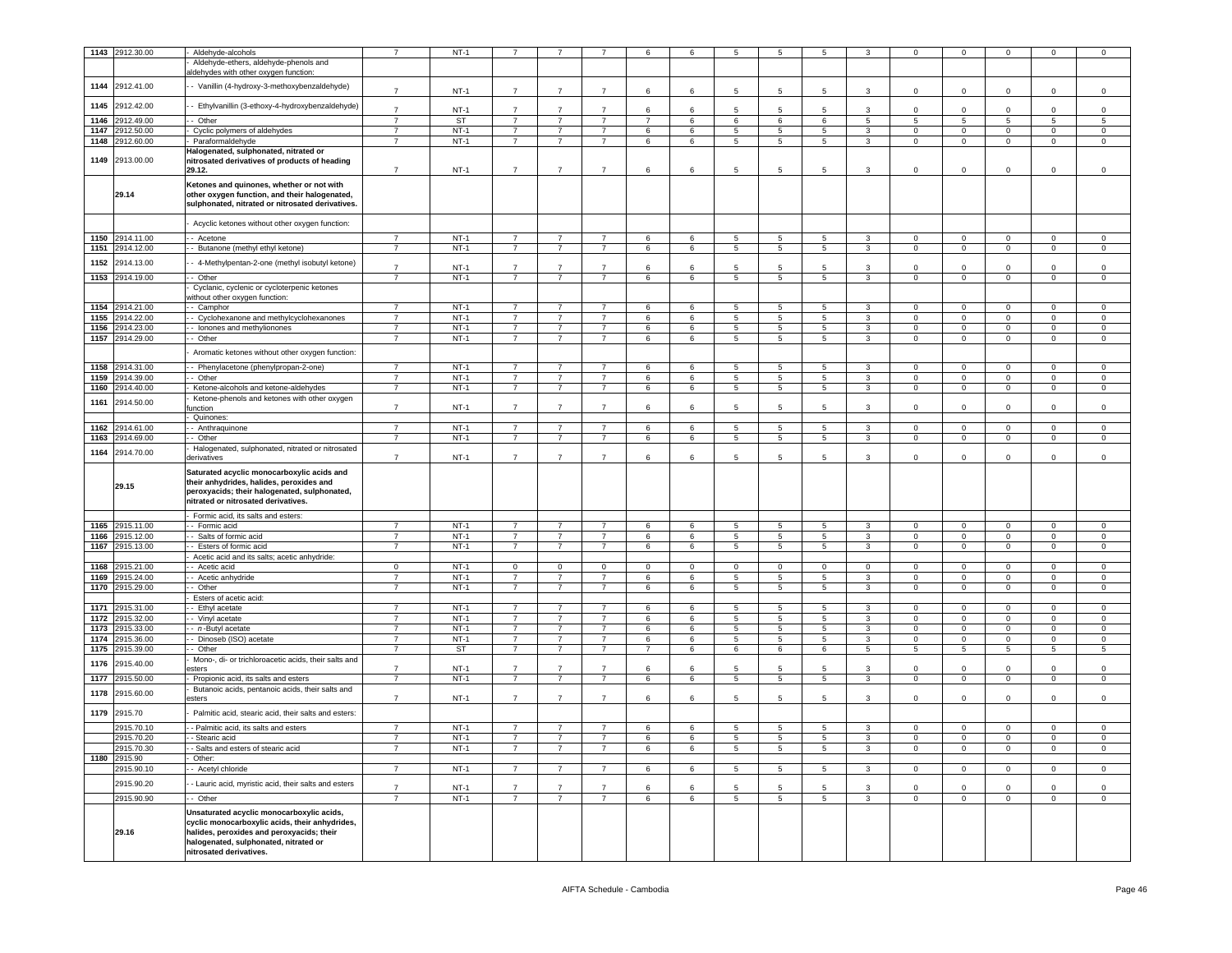|      | 1143 2912.30.00 | Aldehyde-alcohols                                          | $\overline{7}$ | $NT-1$    |                |                |                | 6              | 6           | 5              | 5               | 5               | 3               | 0            | $\mathbf 0$    | $\mathbf 0$     | $\mathbf 0$    | $\overline{0}$ |
|------|-----------------|------------------------------------------------------------|----------------|-----------|----------------|----------------|----------------|----------------|-------------|----------------|-----------------|-----------------|-----------------|--------------|----------------|-----------------|----------------|----------------|
|      |                 |                                                            |                |           |                |                |                |                |             |                |                 |                 |                 |              |                |                 |                |                |
|      |                 | Aldehyde-ethers, aldehyde-phenols and                      |                |           |                |                |                |                |             |                |                 |                 |                 |              |                |                 |                |                |
|      |                 | aldehydes with other oxygen function:                      |                |           |                |                |                |                |             |                |                 |                 |                 |              |                |                 |                |                |
| 1144 | 2912.41.00      | - Vanillin (4-hydroxy-3-methoxybenzaldehyde)               | $\overline{7}$ | $NT-1$    | $\overline{7}$ | $\overline{7}$ | $\overline{7}$ | 6              | 6           | 5              | 5               | 5               | 3               | $\Omega$     | $\mathbf 0$    | $\Omega$        | $\mathsf 0$    | $\mathsf 0$    |
|      |                 |                                                            |                |           |                |                |                |                |             |                |                 |                 |                 |              |                |                 |                |                |
| 1145 | 2912.42.00      | - Ethylvanillin (3-ethoxy-4-hydroxybenzaldehyde)           | $\overline{7}$ |           | $\overline{7}$ | $\overline{7}$ | $\overline{7}$ |                |             |                |                 |                 |                 | $\Omega$     |                |                 |                | $\mathbf 0$    |
|      |                 |                                                            |                | $NT-1$    |                |                |                | 6              | 6           | 5              | 5               | 5               | 3               |              | $\mathbf 0$    | $\mathbf 0$     | $\mathbf 0$    |                |
| 1146 | 2912.49.00      | - Other                                                    | $\overline{7}$ | ST        | $\overline{7}$ | $\overline{7}$ | $\overline{7}$ | $\overline{7}$ | 6           | 6              | 6               | 6               | $5\overline{5}$ | 5            | 5              | $5\overline{5}$ | 5              | 5              |
| 1147 | 2912.50.00      | Cyclic polymers of aldehydes                               | $\overline{7}$ | $NT-1$    | $\overline{7}$ | $\overline{7}$ | $\overline{7}$ | 6              | $\,6$       | $\,$ 5 $\,$    | $\sqrt{5}$      | 5               | $\mathbf{3}$    | $\mathbf 0$  | $\mathbf 0$    | $\mathbf 0$     | $\mathbf 0$    | $\mathbf 0$    |
| 1148 | 2912.60.00      | Paraformaldehyde                                           | $\overline{7}$ | $NT-1$    | $\overline{7}$ | $\overline{7}$ | $\overline{7}$ | 6              | 6           | 5              | 5               | 5               | 3               | $\mathbf 0$  | 0              | $\mathbf 0$     | $\mathbf 0$    | $\mathbf 0$    |
|      |                 | Halogenated, sulphonated, nitrated or                      |                |           |                |                |                |                |             |                |                 |                 |                 |              |                |                 |                |                |
| 1149 | 2913.00.00      | nitrosated derivatives of products of heading              |                |           |                |                |                |                |             |                |                 |                 |                 |              |                |                 |                |                |
|      |                 | 29.12.                                                     | $\overline{7}$ | $NT-1$    | $\overline{7}$ | $\overline{7}$ | $\overline{7}$ | 6              | 6           | 5              | 5               | 5               | 3               | $\circ$      | $\mathbf 0$    | $\mathbf 0$     | $\circ$        | $\mathbf 0$    |
|      |                 |                                                            |                |           |                |                |                |                |             |                |                 |                 |                 |              |                |                 |                |                |
|      |                 | Ketones and quinones, whether or not with                  |                |           |                |                |                |                |             |                |                 |                 |                 |              |                |                 |                |                |
|      | 29.14           | other oxygen function, and their halogenated,              |                |           |                |                |                |                |             |                |                 |                 |                 |              |                |                 |                |                |
|      |                 | sulphonated, nitrated or nitrosated derivatives.           |                |           |                |                |                |                |             |                |                 |                 |                 |              |                |                 |                |                |
|      |                 |                                                            |                |           |                |                |                |                |             |                |                 |                 |                 |              |                |                 |                |                |
|      |                 | Acyclic ketones without other oxygen function:             |                |           |                |                |                |                |             |                |                 |                 |                 |              |                |                 |                |                |
| 1150 |                 |                                                            | $\overline{7}$ | $NT-1$    | $\overline{7}$ | $\overline{7}$ | $\overline{7}$ |                |             | 5              |                 | 5               | 3               | $\Omega$     |                |                 | $\mathsf 0$    |                |
|      | 2914.11.00      | - Acetone                                                  |                |           |                |                |                | 6              | 6           |                | $\overline{5}$  |                 |                 |              | 0              | $\mathbf 0$     |                | $\mathsf 0$    |
| 1151 | 2914.12.00      | - Butanone (methyl ethyl ketone)                           | $\overline{7}$ | $NT-1$    | $\overline{7}$ | $\overline{7}$ | $\overline{7}$ | 6              | 6           | 5              | 5               | 5               | 3               | 0            | 0              | $\mathbf 0$     | $\mathbf 0$    | $\mathbf 0$    |
| 1152 | 2914.13.00      | - 4-Methylpentan-2-one (methyl isobutyl ketone)            |                |           |                |                |                |                |             |                |                 |                 |                 |              |                |                 |                |                |
|      |                 |                                                            | $\overline{7}$ | $NT-1$    | $\overline{7}$ | $\overline{7}$ | $\overline{7}$ | 6              | 6           | 5              | 5               | 5               | 3               | $\mathsf 0$  | $\mathbf 0$    | $\mathbf 0$     | $\mathsf 0$    | $\mathbf 0$    |
|      | 1153 2914.19.00 | - Other                                                    |                | $NT-1$    | $\overline{7}$ | $\overline{7}$ | $\overline{7}$ | 6              | 6           | 5              | $\overline{5}$  | 5               | $\mathbf{3}$    | $\mathbf 0$  | $\mathbf 0$    | $\mathbf 0$     | $\circ$        | $\overline{0}$ |
|      |                 | Cyclanic, cyclenic or cycloterpenic ketones                |                |           |                |                |                |                |             |                |                 |                 |                 |              |                |                 |                |                |
|      |                 | vithout other oxygen function:                             |                |           |                |                |                |                |             |                |                 |                 |                 |              |                |                 |                |                |
| 1154 | 2914.21.00      | - Camphor                                                  | $\overline{7}$ | $NT-1$    | $\overline{7}$ | $\overline{7}$ | $\overline{7}$ | 6              | 6           | 5              | 5               | 5               | $\mathbf{3}$    | $\mathbf 0$  | $\Omega$       | $\Omega$        | $\mathbf 0$    | $\mathbf 0$    |
| 1155 | 2914.22.00      | - Cyclohexanone and methylcyclohexanones                   | $\overline{7}$ | $NT-1$    | $\overline{7}$ | $\overline{7}$ | $\overline{7}$ | 6              | 6           | $\overline{5}$ | 5               | 5               | $\overline{3}$  | $\circ$      | $\overline{0}$ | $\overline{0}$  | $\mathbf 0$    | $\overline{0}$ |
| 1156 | 2914.23.00      | - lonones and methylionones                                | $\overline{7}$ | $NT-1$    | $\overline{7}$ | $\overline{7}$ | $\overline{7}$ | 6              | 6           | 5              | 5               | 5               | 3               | $\mathbf 0$  | $\mathbf 0$    | $\mathbf 0$     | $\mathsf 0$    | $\mathbf 0$    |
| 1157 | 2914.29.00      | - Other                                                    | $\overline{7}$ | $NT-1$    | $\overline{7}$ | $\overline{7}$ | $\overline{7}$ | 6              | 6           | 5              | $5\phantom{.0}$ | $5\overline{)}$ | $\mathbf{3}$    | $\mathbf 0$  | $\circ$        | $\overline{0}$  | $\overline{0}$ | $\mathbf 0$    |
|      |                 |                                                            |                |           |                |                |                |                |             |                |                 |                 |                 |              |                |                 |                |                |
|      |                 | Aromatic ketones without other oxygen function:            |                |           |                |                |                |                |             |                |                 |                 |                 |              |                |                 |                |                |
| 1158 | 2914.31.00      |                                                            | $\overline{7}$ | $NT-1$    | $\overline{7}$ | $\overline{7}$ | $\overline{7}$ | 6              | 6           | 5              | 5               | 5               | 3               | $\mathbf 0$  | $\mathbf 0$    | $\mathbf 0$     | $\circ$        | $\mathbf 0$    |
|      |                 | - Phenylacetone (phenylpropan-2-one)<br>- Other            | $\overline{7}$ |           | $\overline{7}$ | $\overline{7}$ | $\overline{7}$ |                |             |                |                 |                 |                 | $\circ$      | $\mathbf 0$    |                 |                |                |
| 1159 | 2914.39.00      |                                                            |                | $NT-1$    |                |                |                | 6              | 6           | 5              | $\overline{5}$  | 5               | $\mathbf{3}$    |              |                | $\mathsf 0$     | $\mathsf 0$    | $\mathsf 0$    |
| 1160 | 2914.40.00      | Ketone-alcohols and ketone-aldehydes                       | $\overline{7}$ | $NT-1$    | $\overline{7}$ | $\overline{7}$ | $\overline{7}$ | 6              | 6           | 5              | $5\phantom{.0}$ | $5\overline{)}$ | $\mathbf{3}$    | $\mathbf 0$  | $\mathbf 0$    | $\overline{0}$  | $\mathbf 0$    | $\mathbf 0$    |
| 1161 | 2914.50.00      | Ketone-phenols and ketones with other oxygen               |                |           |                |                |                |                |             |                |                 |                 |                 |              |                |                 |                |                |
|      |                 | unction                                                    | $\overline{7}$ | $NT-1$    | $\overline{7}$ | $\overline{7}$ | $\overline{7}$ | 6              | 6           | 5              | 5               | 5               | 3               | $\mathbf 0$  | $\mathbf 0$    | $\mathbf 0$     | $\mathsf 0$    | $\mathbf 0$    |
|      |                 | Quinones:                                                  |                |           |                |                |                |                |             |                |                 |                 |                 |              |                |                 |                |                |
| 1162 | 2914.61.00      | - Anthraquinone                                            | $\overline{7}$ | $NT-1$    | $\overline{7}$ | 7              | $\overline{7}$ | 6              | 6           | 5              | 5               | 5               | 3               | $\mathbf 0$  | 0              | $\mathbf 0$     | $\mathbf 0$    | $\circ$        |
| 1163 | 2914.69.00      | - Other                                                    | $\overline{7}$ | $NT-1$    | $\overline{7}$ | $\overline{7}$ | $\overline{7}$ | 6              | 6           | 5              | $\overline{5}$  | 5               | $\mathbf{3}$    | $\mathbf 0$  | $\mathbf 0$    | $\mathbf 0$     | $\mathsf 0$    | $\mathbf 0$    |
|      |                 | Halogenated, sulphonated, nitrated or nitrosated           |                |           |                |                |                |                |             |                |                 |                 |                 |              |                |                 |                |                |
| 1164 | 2914.70.00      | derivatives                                                | $\overline{7}$ | $NT-1$    | $\overline{7}$ | $\overline{7}$ | $\overline{7}$ | 6              | 6           | 5              | 5               | 5               | 3               | $\Omega$     | $\mathbf 0$    | $\mathbf 0$     | $\mathsf 0$    | $\mathbf 0$    |
|      |                 |                                                            |                |           |                |                |                |                |             |                |                 |                 |                 |              |                |                 |                |                |
|      |                 | Saturated acyclic monocarboxylic acids and                 |                |           |                |                |                |                |             |                |                 |                 |                 |              |                |                 |                |                |
|      | 29.15           | their anhydrides, halides, peroxides and                   |                |           |                |                |                |                |             |                |                 |                 |                 |              |                |                 |                |                |
|      |                 | peroxyacids; their halogenated, sulphonated,               |                |           |                |                |                |                |             |                |                 |                 |                 |              |                |                 |                |                |
|      |                 | nitrated or nitrosated derivatives.                        |                |           |                |                |                |                |             |                |                 |                 |                 |              |                |                 |                |                |
|      |                 | Formic acid, its salts and esters:                         |                |           |                |                |                |                |             |                |                 |                 |                 |              |                |                 |                |                |
| 1165 | 2915.11.00      | - Formic acid                                              | $\overline{7}$ | $NT-1$    | $\overline{7}$ | $\overline{7}$ | $\overline{7}$ | 6              | 6           | 5              | 5               | 5               | 3               | $\mathbf 0$  | $\mathbf 0$    | $\mathbf{0}$    | $\circ$        | $\mathbf 0$    |
| 1166 | 2915.12.00      | - Salts of formic acid                                     | $\overline{7}$ | $NT-1$    | $\overline{7}$ | $\overline{7}$ | $\overline{7}$ | 6              | 6           | 5              | $5\phantom{.0}$ | $5^{\circ}$     | $\mathbf{3}$    | $\circ$      | $\mathbf 0$    | $\mathbf 0$     | $\mathsf 0$    | $\mathbf 0$    |
|      |                 |                                                            |                |           |                | $\overline{7}$ | $\overline{7}$ |                |             |                |                 |                 |                 |              |                |                 |                |                |
| 1167 | 2915.13.00      | - Esters of formic acid                                    | $\overline{7}$ | $NT-1$    | $\overline{7}$ |                |                | 6              | 6           | 5              | 5               | 5               | $\mathbf{3}$    | $\mathbf 0$  | $\mathbf 0$    | $\mathbf 0$     | $\mathsf 0$    | $\mathsf 0$    |
|      |                 | Acetic acid and its salts; acetic anhydride:               |                |           |                |                |                |                |             |                |                 |                 |                 |              |                |                 |                |                |
| 1168 | 2915.21.00      | - Acetic acid                                              | $\mathbf 0$    | $NT-1$    | $^{\circ}$     | $^{\circ}$     | $\mathbf{0}$   | $\mathbf{0}$   | $\mathbf 0$ | $^{\circ}$     | $\mathbf 0$     | $^{\circ}$      | $\circ$         | $^{\circ}$   | $\mathbf{0}$   | $\mathbf 0$     | $\mathbf 0$    | $\mathbf 0$    |
| 1169 | 2915.24.00      | - Acetic anhydride                                         | $\overline{7}$ | $NT-1$    | $\overline{7}$ | $\overline{7}$ | $\overline{7}$ | 6              | 6           | 5              | 5               | 5               | 3               | $\mathbf 0$  | $\mathbf 0$    | 0               | $\mathsf 0$    | $\mathbf 0$    |
| 1170 | 2915.29.00      | - Other                                                    | $\overline{7}$ | $NT-1$    | $\overline{7}$ | $\overline{7}$ | $\overline{7}$ | 6              | 6           | 5              | $\overline{5}$  | 5 <sup>5</sup>  | $\mathbf{3}$    | $\mathbf 0$  | $\mathbf 0$    | $\mathbf 0$     | $\mathsf 0$    | $\mathbf 0$    |
|      |                 | Esters of acetic acid:                                     |                |           |                |                |                |                |             |                |                 |                 |                 |              |                |                 |                |                |
| 1171 | 2915.31.00      | - Ethyl acetate                                            | $\overline{7}$ | $NT-1$    | $\overline{7}$ | $\overline{7}$ | $\overline{7}$ | 6              | 6           | 5              | 5               | 5               | 3               | $\mathbf 0$  | 0              | 0               | $\mathbf 0$    | $\mathbf 0$    |
| 1172 | 2915.32.00      | Vinyl acetate                                              | $\overline{7}$ | $NT-1$    | $\overline{7}$ | $\overline{7}$ | $\overline{7}$ | 6              | 6           | 5              | $\overline{5}$  | 5               | $\mathbf{3}$    | $\mathbf 0$  | $\mathbf{O}$   | $\mathbf{0}$    | $\mathbf{0}$   | $\overline{0}$ |
| 1173 | 2915.33.00      | - n-Butyl acetate                                          | $\overline{7}$ | $NT-1$    | $\overline{7}$ | $\overline{7}$ | $\overline{7}$ | 6              | 6           | 5              | 5               | 5               | 3               | $\mathbf 0$  | $\mathbf 0$    | $\mathbf 0$     | $\mathsf 0$    | $\mathbf 0$    |
| 1174 | 2915.36.00      | - Dinoseb (ISO) acetate                                    | $\overline{7}$ | $NT-1$    | $\overline{7}$ | $\overline{7}$ | $\overline{7}$ | 6              | 6           | 5              | $\overline{5}$  | 5 <sup>5</sup>  | $\mathbf{3}$    | $\circ$      | $\circ$        | $\mathbf 0$     | $\mathsf 0$    | $\mathbf 0$    |
| 1175 | 2915.39.00      | - Other                                                    | $\overline{7}$ | <b>ST</b> | $\overline{7}$ | $\overline{7}$ | $\overline{7}$ | $\overline{7}$ | 6           | 6              | 6               | 6               | 5               | 5            | 5              | 5               | 5              | 5              |
|      |                 | Mono-, di- or trichloroacetic acids, their salts and       |                |           |                |                |                |                |             |                |                 |                 |                 |              |                |                 |                |                |
| 1176 | 2915.40.00      | sters                                                      | $\overline{7}$ | $NT-1$    | $\overline{7}$ | $\overline{7}$ | $\overline{7}$ | 6              | 6           | 5              | 5               | 5               | 3               | $\mathbf 0$  | $\mathbf 0$    | $\mathbf 0$     | $\mathsf 0$    | $^{\circ}$     |
| 1177 | 2915.50.00      | Propionic acid, its salts and esters                       | $\overline{7}$ | $NT-1$    | $\overline{7}$ | $\overline{7}$ | $\overline{7}$ | 6              | 6           | 5              | $\overline{5}$  | 5               | $\mathbf{3}$    | $\mathbf 0$  | $\mathsf 0$    | $\mathbf 0$     | $\mathbf 0$    | $\mathbf 0$    |
|      |                 |                                                            |                |           |                |                |                |                |             |                |                 |                 |                 |              |                |                 |                |                |
| 1178 | 2915.60.00      | Butanoic acids, pentanoic acids, their salts and<br>esters | $\overline{7}$ | $NT-1$    | $\overline{7}$ | $\overline{7}$ | $\overline{7}$ | 6              | 6           | 5              | 5               | 5               | 3               | $\Omega$     | $\mathbf 0$    | 0               | $\mathsf 0$    | $\mathbf 0$    |
|      |                 |                                                            |                |           |                |                |                |                |             |                |                 |                 |                 |              |                |                 |                |                |
| 1179 | 2915.70         | Palmitic acid, stearic acid, their salts and esters:       |                |           |                |                |                |                |             |                |                 |                 |                 |              |                |                 |                |                |
|      |                 |                                                            | $\overline{7}$ | $NT-1$    | $\overline{7}$ | $\overline{7}$ |                | 6              | 6           | 5              | 5               | 5               | 3               | $\Omega$     | $\Omega$       | $\Omega$        | $\Omega$       | $\Omega$       |
|      | 2915.70.10      | - Palmitic acid, its salts and esters                      |                |           |                |                |                |                |             |                |                 |                 |                 |              |                |                 |                |                |
|      | 2915.70.20      | - Stearic acid                                             |                | $NT-1$    |                | $\overline{7}$ |                | 6              | 6           | 5              | 5               | 5               | 3               | $\Omega$     | $\mathbf 0$    | $\mathbf 0$     | $\Omega$       | $\Omega$       |
|      | 2915.70.30      | - Salts and esters of stearic acid                         | $\overline{7}$ | $NT-1$    | 7              | $\overline{7}$ | $\overline{7}$ | 6              | 6           | 5              | $5\overline{5}$ | 5               | $\mathbf{3}$    | $\mathbf{0}$ | $\mathbf{O}$   | $\overline{0}$  | $\mathbf{0}$   | $\overline{0}$ |
|      | 1180 2915.90    | Other:                                                     |                |           |                |                |                |                |             |                |                 |                 |                 |              |                |                 |                |                |
|      | 2915.90.10      | - Acetyl chloride                                          | $\overline{7}$ | $NT-1$    | $\overline{7}$ | 7              | $\overline{7}$ | 6              | 6           | 5              | 5               | 5 <sub>5</sub>  | $\mathbf{3}$    | $\mathbf{0}$ | $\mathbf{0}$   | $\overline{0}$  | $\overline{0}$ | $\overline{0}$ |
|      |                 |                                                            |                |           |                |                |                |                |             |                |                 |                 |                 |              |                |                 |                |                |
|      | 2915.90.20      | - Lauric acid, myristic acid, their salts and esters       | $\overline{7}$ | $NT-1$    | $\overline{7}$ | $\overline{7}$ | $\overline{7}$ | 6              | 6           | 5              | 5               | 5               | 3               | $\mathbf 0$  | $\mathbf 0$    | 0               | $\mathbf 0$    | $\mathsf 0$    |
|      | 2915.90.90      | - Other                                                    | $\overline{7}$ | $NT-1$    | $\overline{7}$ | $\overline{7}$ | $\overline{7}$ | 6              | 6           | 5              | $5\phantom{.0}$ | $5\overline{5}$ | $\mathbf{3}$    | $\mathbf 0$  | $\mathsf 0$    | $\mathbf 0$     | $\mathsf 0$    | $\mathbf 0$    |
|      |                 |                                                            |                |           |                |                |                |                |             |                |                 |                 |                 |              |                |                 |                |                |
|      |                 | Unsaturated acyclic monocarboxylic acids,                  |                |           |                |                |                |                |             |                |                 |                 |                 |              |                |                 |                |                |
|      |                 | cyclic monocarboxylic acids, their anhydrides,             |                |           |                |                |                |                |             |                |                 |                 |                 |              |                |                 |                |                |
|      | 29.16           | halides, peroxides and peroxyacids; their                  |                |           |                |                |                |                |             |                |                 |                 |                 |              |                |                 |                |                |
|      |                 | halogenated, sulphonated, nitrated or                      |                |           |                |                |                |                |             |                |                 |                 |                 |              |                |                 |                |                |
|      |                 | nitrosated derivatives.                                    |                |           |                |                |                |                |             |                |                 |                 |                 |              |                |                 |                |                |
|      |                 |                                                            |                |           |                |                |                |                |             |                |                 |                 |                 |              |                |                 |                |                |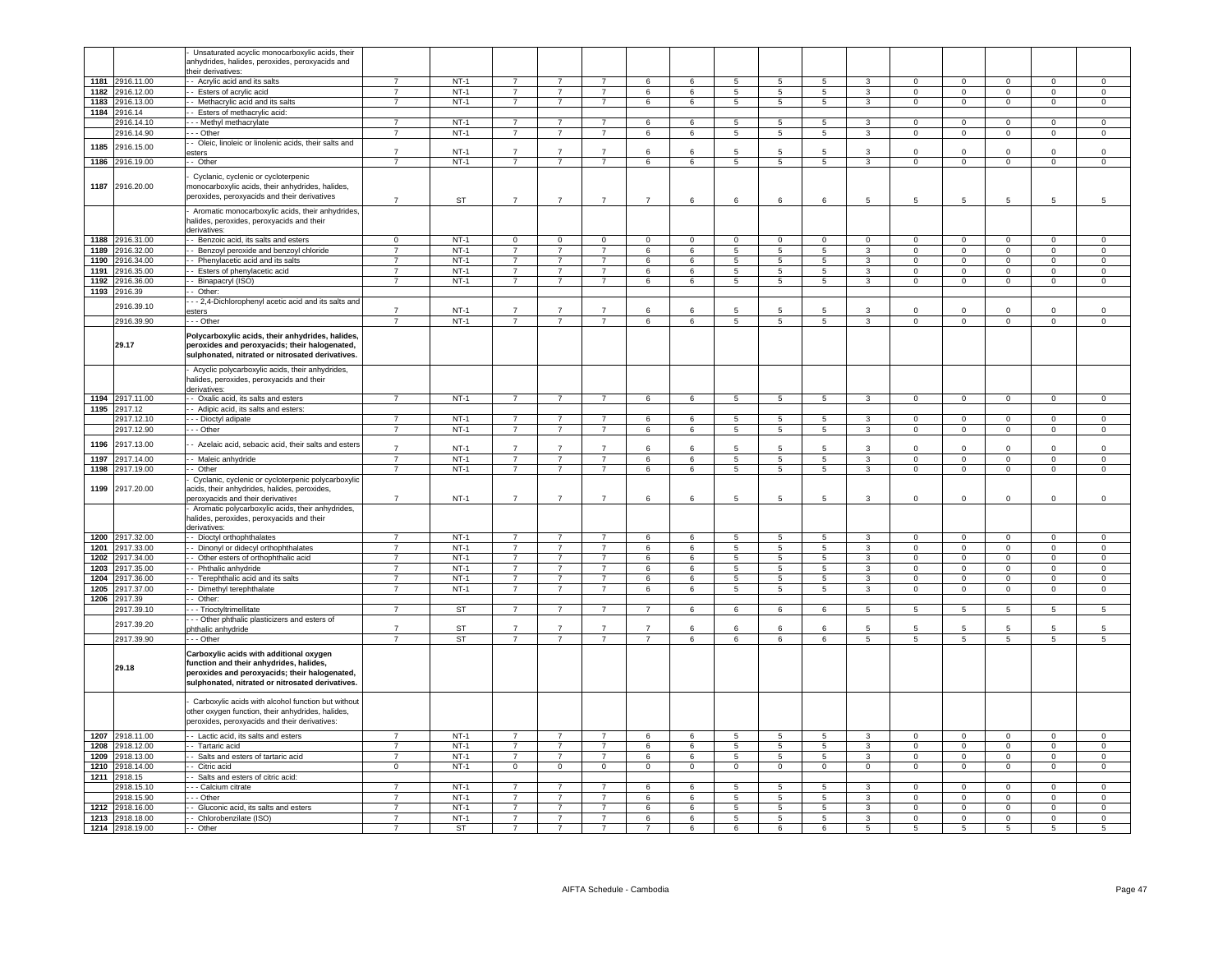|      |                 | Unsaturated acyclic monocarboxylic acids, their       |                |           |                |                |                |                |                |                          |                          |                 |                         |                |                 |                     |                 |                     |
|------|-----------------|-------------------------------------------------------|----------------|-----------|----------------|----------------|----------------|----------------|----------------|--------------------------|--------------------------|-----------------|-------------------------|----------------|-----------------|---------------------|-----------------|---------------------|
|      |                 | anhydrides, halides, peroxides, peroxyacids and       |                |           |                |                |                |                |                |                          |                          |                 |                         |                |                 |                     |                 |                     |
|      |                 | their derivatives:                                    |                |           |                |                |                |                |                |                          |                          |                 |                         |                |                 |                     |                 |                     |
|      | 1181 2916.11.00 |                                                       | $\overline{7}$ | $NT-1$    | $\overline{7}$ | $\overline{7}$ | $\overline{7}$ | 6              | $6^{\circ}$    | 5                        | $\overline{5}$           |                 |                         | $\Omega$       | $\Omega$        | $\Omega$            | $\Omega$        | $\Omega$            |
|      |                 | -- Acrylic acid and its salts                         |                |           |                |                |                |                |                |                          |                          | 5               | 3                       |                |                 |                     |                 |                     |
|      | 1182 2916.12.00 | -- Esters of acrylic acid                             | $\overline{7}$ | $NT-1$    | $\overline{7}$ | $\overline{7}$ | $\overline{7}$ | $6^{\circ}$    | $6^{\circ}$    | 5                        | 5                        | 5               | $3 -$                   | $\Omega$       | $\mathbf{0}$    | $\circ$             | $\mathbf{0}$    | $\circ$             |
|      | 1183 2916.13.00 | - - Methacrylic acid and its salts                    | $\overline{7}$ | $NT-1$    | $\overline{7}$ | $\overline{7}$ | $\overline{7}$ | 6              | 6              | 5                        | 5                        | 5 <sup>5</sup>  | $\mathbf{3}$            | $\Omega$       | $\mathbf{0}$    | $\mathbf 0$         | $\mathbf{0}$    | $\circ$             |
|      | 1184 2916.14    | - Esters of methacrylic acid:                         |                |           |                |                |                |                |                |                          |                          |                 |                         |                |                 |                     |                 |                     |
|      |                 |                                                       |                |           |                |                |                |                |                |                          |                          |                 |                         |                |                 |                     |                 |                     |
|      | 2916.14.10      | - - Methyl methacrylate                               | $\overline{7}$ | $NT-1$    | $\overline{7}$ | $\overline{7}$ | $\overline{7}$ | 6              | 6              | 5                        | $5\phantom{.0}$          | $5\overline{)}$ | $\mathbf{3}$            | $\Omega$       | $\overline{0}$  | $\overline{0}$      | $\Omega$        | $\Omega$            |
|      | 2916.14.90      | --- Other                                             | $\overline{7}$ | $NT-1$    | $\overline{7}$ | $\overline{7}$ | $\overline{7}$ | 6              | 6              | $5\phantom{.0}$          | $5\phantom{.0}$          | $5\overline{5}$ | $\mathbf{3}$            | $\Omega$       | $\overline{0}$  | $\overline{0}$      | $\mathbf 0$     | $\mathsf 0$         |
|      |                 | - Oleic, linoleic or linolenic acids, their salts and |                |           |                |                |                |                |                |                          |                          |                 |                         |                |                 |                     |                 |                     |
| 1185 | 2916.15.00      |                                                       | $\overline{7}$ |           | $\overline{7}$ | $\overline{7}$ | $\overline{7}$ |                | 6              | 5                        | 5                        | 5               | 3                       | $\Omega$       | $\mathbf 0$     | $\Omega$            | $\Omega$        |                     |
|      |                 | sters                                                 |                | $NT-1$    |                |                |                | 6              |                |                          |                          |                 |                         |                |                 |                     |                 | $\,0\,$             |
| 1186 | 2916.19.00      | - Other                                               | $\overline{7}$ | $NT-1$    | $\overline{7}$ | $\overline{7}$ | $\overline{7}$ | $\,6\,$        | $\,6\,$        | $\overline{5}$           | $\overline{\phantom{a}}$ | $\overline{5}$  | $\overline{3}$          | $\Omega$       | $\mathbf 0$     | $\mathbf 0$         | $\mathbf 0$     | $\mathbf 0$         |
|      |                 |                                                       |                |           |                |                |                |                |                |                          |                          |                 |                         |                |                 |                     |                 |                     |
|      |                 | Cyclanic, cyclenic or cycloterpenic                   |                |           |                |                |                |                |                |                          |                          |                 |                         |                |                 |                     |                 |                     |
|      | 1187 2916.20.00 | monocarboxylic acids, their anhydrides, halides,      |                |           |                |                |                |                |                |                          |                          |                 |                         |                |                 |                     |                 |                     |
|      |                 | peroxides, peroxyacids and their derivatives          |                |           |                |                |                |                |                |                          |                          |                 |                         |                |                 |                     |                 |                     |
|      |                 |                                                       | $\overline{7}$ | <b>ST</b> | $\overline{7}$ | $\overline{7}$ | $\overline{7}$ | $\overline{7}$ | 6              | 6                        | 6                        | 6               | 5                       | $\overline{5}$ | 5               | $\overline{5}$      | 5               | 5                   |
|      |                 | Aromatic monocarboxylic acids, their anhydrides,      |                |           |                |                |                |                |                |                          |                          |                 |                         |                |                 |                     |                 |                     |
|      |                 |                                                       |                |           |                |                |                |                |                |                          |                          |                 |                         |                |                 |                     |                 |                     |
|      |                 | nalides, peroxides, peroxyacids and their             |                |           |                |                |                |                |                |                          |                          |                 |                         |                |                 |                     |                 |                     |
|      |                 | derivatives:                                          |                |           |                |                |                |                |                |                          |                          |                 |                         |                |                 |                     |                 |                     |
|      | 1188 2916.31.00 | - - Benzoic acid, its salts and esters                | $\Omega$       | $NT-1$    | $\Omega$       | $\Omega$       | $\Omega$       | $\Omega$       | $\Omega$       | $\Omega$                 | $\Omega$                 | $\Omega$        | $\Omega$                | $\Omega$       | $\Omega$        | $\Omega$            | $\Omega$        | $\Omega$            |
| 1189 | 2916.32.00      | - Benzoyl peroxide and benzoyl chloride               | $\overline{7}$ | $NT-1$    | $\overline{7}$ | $\overline{7}$ | $\overline{7}$ | $6^{\circ}$    | $6^{\circ}$    | 5                        | $\overline{5}$           | 5               | 3                       | $\Omega$       | $\Omega$        | $\Omega$            | $\Omega$        | $\Omega$            |
|      |                 |                                                       |                |           |                |                |                |                |                |                          |                          |                 |                         |                |                 |                     |                 |                     |
|      | 1190 2916.34.00 | - Phenylacetic acid and its salts                     | $\overline{7}$ | $NT-1$    | $\overline{7}$ | $\overline{7}$ | $\overline{7}$ | 6              | 6              | 5                        | 5                        | 5 <sup>5</sup>  | $\mathbf{3}$            | $\Omega$       | $\mathbf{0}$    | $\Omega$            | $\mathbf 0$     | $\mathbf 0$         |
|      | 1191 2916.35.00 | -- Esters of phenylacetic acid                        | $\overline{7}$ | $NT-1$    | $\overline{7}$ | $\overline{7}$ | $\overline{7}$ | 6              | 6              | 5                        | $5\phantom{.0}$          | $5\overline{5}$ | $\mathbf{3}$            | $\overline{0}$ | $\overline{0}$  | $\overline{0}$      | $\mathbf 0$     | $\overline{0}$      |
|      | 1192 2916.36.00 | - Binapacryl (ISO)                                    | $\overline{7}$ | $NT-1$    | 7              | $\overline{7}$ | 7              | 6              | 6              | $5\overline{5}$          | $5\phantom{.0}$          | $5\overline{5}$ | $\mathbf{3}$            | $\overline{0}$ | $\overline{0}$  | $\overline{0}$      | $\overline{0}$  | $\overline{0}$      |
|      |                 |                                                       |                |           |                |                |                |                |                |                          |                          |                 |                         |                |                 |                     |                 |                     |
|      | 1193 2916.39    | -- Other:                                             |                |           |                |                |                |                |                |                          |                          |                 |                         |                |                 |                     |                 |                     |
|      |                 | - - 2,4-Dichlorophenyl acetic acid and its salts and  |                |           |                |                |                |                |                |                          |                          |                 |                         |                |                 |                     |                 |                     |
|      | 2916.39.10      | sters                                                 | $\overline{7}$ | $NT-1$    | $\overline{7}$ |                |                | 6              | 6              | 5                        | 5                        | 5               | 3                       | $\Omega$       | $\mathbf 0$     | $\mathbf 0$         | $\Omega$        | $\mathbf 0$         |
|      | 2916.39.90      |                                                       | $\overline{7}$ | $NT-1$    | $\overline{7}$ | $\overline{7}$ | $\overline{7}$ | 6              | $\,6\,$        | $\overline{\phantom{0}}$ | $\sqrt{5}$               | 5               | $\overline{3}$          | $\Omega$       | $\mathbf 0$     | $\mathbf 0$         | $\mathbf 0$     | $\mathbf 0$         |
|      |                 | - - Other                                             |                |           |                |                |                |                |                |                          |                          |                 |                         |                |                 |                     |                 |                     |
|      |                 | Polycarboxylic acids, their anhydrides, halides,      |                |           |                |                |                |                |                |                          |                          |                 |                         |                |                 |                     |                 |                     |
|      |                 |                                                       |                |           |                |                |                |                |                |                          |                          |                 |                         |                |                 |                     |                 |                     |
|      | 29.17           | peroxides and peroxyacids; their halogenated,         |                |           |                |                |                |                |                |                          |                          |                 |                         |                |                 |                     |                 |                     |
|      |                 | sulphonated, nitrated or nitrosated derivatives.      |                |           |                |                |                |                |                |                          |                          |                 |                         |                |                 |                     |                 |                     |
|      |                 |                                                       |                |           |                |                |                |                |                |                          |                          |                 |                         |                |                 |                     |                 |                     |
|      |                 | Acyclic polycarboxylic acids, their anhydrides,       |                |           |                |                |                |                |                |                          |                          |                 |                         |                |                 |                     |                 |                     |
|      |                 | nalides, peroxides, peroxyacids and their             |                |           |                |                |                |                |                |                          |                          |                 |                         |                |                 |                     |                 |                     |
|      |                 | derivatives:                                          |                |           |                |                |                |                |                |                          |                          |                 |                         |                |                 |                     |                 |                     |
|      | 1194 2917.11.00 | - - Oxalic acid, its salts and esters                 | $\overline{7}$ | $NT-1$    | $\overline{7}$ | $\overline{7}$ | $\overline{7}$ | 6              | 6              | $5\overline{5}$          | 5                        | 5               | $\mathbf{3}$            | $\Omega$       | $\Omega$        | $\Omega$            | $\overline{0}$  | $\Omega$            |
|      |                 |                                                       |                |           |                |                |                |                |                |                          |                          |                 |                         |                |                 |                     |                 |                     |
|      | 1195 2917.12    | - Adipic acid, its salts and esters:                  |                |           |                |                |                |                |                |                          |                          |                 |                         |                |                 |                     |                 |                     |
|      | 2917.12.10      | - - - Dioctyl adipate                                 | $\overline{7}$ | $NT-1$    | $\overline{7}$ | $\overline{7}$ | $\overline{7}$ | $6^{\circ}$    | 6              | 5                        | $\overline{5}$           | -5              | $\mathbf{3}$            | $\Omega$       | $\Omega$        | $\Omega$            | $\Omega$        | $\Omega$            |
|      | 2917.12.90      | - - - Other                                           | $\overline{7}$ | $NT-1$    | $\overline{7}$ | $\overline{7}$ | $\overline{7}$ | 6              | 6              | $5\overline{5}$          | $5\phantom{.0}$          | $5\overline{5}$ | 3 <sup>1</sup>          | $\overline{0}$ | $\overline{0}$  | $\overline{0}$      | $\overline{0}$  | $\overline{0}$      |
|      |                 |                                                       |                |           |                |                |                |                |                |                          |                          |                 |                         |                |                 |                     |                 |                     |
| 1196 | 2917.13.00      | Azelaic acid, sebacic acid, their salts and esters    |                |           |                |                |                |                |                |                          |                          |                 |                         |                |                 |                     |                 |                     |
|      |                 |                                                       | $\overline{7}$ | $NT-1$    | $\overline{7}$ | $\overline{7}$ | $\overline{7}$ | 6              | 6              | 5                        | 5                        | 5               | 3                       | $\Omega$       | $\mathbf 0$     | $\Omega$            | $\Omega$        | $\mathbf 0$         |
| 1197 | 2917.14.00      | - - Maleic anhydride                                  | $\overline{7}$ | $NT-1$    | $\overline{7}$ | $\overline{7}$ | $\overline{7}$ | 6              | 6              | 5                        | 5                        | $\sqrt{5}$      | $\mathbf{3}$            | $\Omega$       | $\mathbf 0$     | $\mathsf{O}\xspace$ | $\mathbf 0$     | $\mathbf 0$         |
| 1198 | 2917.19.00      | - Other                                               | $\overline{7}$ | $NT-1$    | $\overline{7}$ | $\overline{7}$ | $\overline{7}$ | 6              | 6              | 5                        | 5                        | $5\overline{5}$ | $\overline{3}$          | $\Omega$       | $\mathbf 0$     | $\mathsf 0$         | $\mathsf 0$     | $\,0\,$             |
|      |                 |                                                       |                |           |                |                |                |                |                |                          |                          |                 |                         |                |                 |                     |                 |                     |
|      |                 | Cyclanic, cyclenic or cycloterpenic polycarboxylic    |                |           |                |                |                |                |                |                          |                          |                 |                         |                |                 |                     |                 |                     |
| 1199 | 2917.20.00      | acids, their anhydrides, halides, peroxides,          |                |           |                |                |                |                |                |                          |                          |                 |                         |                |                 |                     |                 |                     |
|      |                 | peroxyacids and their derivatives                     | $\overline{7}$ | $NT-1$    | $\overline{7}$ | $\overline{7}$ | $\overline{7}$ | 6              | 6              | 5                        | 5                        | 5               | 3                       | $\mathbf 0$    | $\mathbf 0$     | $\mathbf 0$         | $\mathbf 0$     | $\mathsf 0$         |
|      |                 | Aromatic polycarboxylic acids, their anhydrides,      |                |           |                |                |                |                |                |                          |                          |                 |                         |                |                 |                     |                 |                     |
|      |                 |                                                       |                |           |                |                |                |                |                |                          |                          |                 |                         |                |                 |                     |                 |                     |
|      |                 | nalides, peroxides, peroxyacids and their             |                |           |                |                |                |                |                |                          |                          |                 |                         |                |                 |                     |                 |                     |
|      |                 | derivatives:                                          |                |           |                |                |                |                |                |                          |                          |                 |                         |                |                 |                     |                 |                     |
|      | 1200 2917.32.00 | - - Dioctyl orthophthalates                           | $\overline{7}$ | $NT-1$    | $\overline{7}$ | $\overline{7}$ | $\overline{7}$ | 6              | 6              | 5                        | -5                       | -5              | $\mathbf{3}$            | $\Omega$       | $\overline{0}$  | $\mathbf{0}$        | $\Omega$        | $\mathbf 0$         |
| 1201 | 2917.33.00      |                                                       | $\overline{7}$ | $NT-1$    | $\overline{7}$ | $\overline{7}$ | $\overline{7}$ | 6              | 6              | $\overline{5}$           | 5                        | 5               | $\overline{3}$          | $\Omega$       | $\overline{0}$  | $\mathbf{0}$        | $\mathbf 0$     | $\mathsf 0$         |
|      |                 | - - Dinonyl or didecyl orthophthalates                |                |           |                |                |                |                |                |                          |                          |                 |                         |                |                 |                     |                 |                     |
| 1202 | 2917.34.00      | - Other esters of orthophthalic acid                  | $\overline{7}$ | $NT-1$    | $\overline{7}$ | $\overline{7}$ | $\overline{7}$ | 6              | 6              | $\overline{5}$           | 5                        | 5               | $\overline{3}$          | $\overline{0}$ | $\overline{0}$  | $\overline{0}$      | $\overline{0}$  | $\overline{0}$      |
| 1203 | 2917.35.00      | - Phthalic anhydride                                  | $\overline{7}$ | $NT-1$    | $\overline{7}$ | $\overline{7}$ | $\overline{7}$ | 6              | 6              | 5                        | 5                        | 5               | $\mathbf{3}$            | $\mathbf 0$    | $\Omega$        | $\mathbf{0}$        | $\mathbf 0$     | $\mathbf 0$         |
| 1204 | 2917.36.00      | -- Terephthalic acid and its salts                    | $\overline{7}$ | $NT-1$    | $\overline{7}$ | $\overline{7}$ | $\overline{7}$ | 6              | 6              | 5                        | $5\phantom{.0}$          | 5               | $\overline{\mathbf{3}}$ | $\Omega$       | $\Omega$        | $\mathbf 0$         | $\Omega$        | $\Omega$            |
|      |                 |                                                       | $\overline{7}$ |           | $\overline{7}$ |                | $\overline{7}$ |                |                |                          |                          |                 |                         | $\Omega$       |                 | $\Omega$            | $\Omega$        | $\Omega$            |
| 1205 | 2917.37.00      | - - Dimethyl terephthalate                            |                | $NT-1$    |                | $\overline{7}$ |                | 6              | 6              | $5\overline{)}$          | $\overline{5}$           | 5               | $\overline{\mathbf{3}}$ |                | $\overline{0}$  |                     |                 |                     |
| 1206 | 2917.39         | - - Other:                                            |                |           |                |                |                |                |                |                          |                          |                 |                         |                |                 |                     |                 |                     |
|      | 2917.39.10      | --- Trioctyltrimellitate                              | $\overline{7}$ | ST        | $\overline{7}$ | $\overline{7}$ | $\overline{7}$ | $\overline{7}$ | 6              | 6                        | 6                        | 6               | $5^{\circ}$             | 5              | $5\overline{5}$ | 5 <sub>5</sub>      | $5\overline{5}$ | $5\phantom{.0}$     |
|      |                 | - - Other phthalic plasticizers and esters of         |                |           |                |                |                |                |                |                          |                          |                 |                         |                |                 |                     |                 |                     |
|      | 2917.39.20      | hthalic anhydride                                     | $\overline{7}$ | ST        |                |                |                | $\overline{7}$ | 6              | 6                        | 6                        | 6               | 5                       | 5              | 5               |                     |                 | 5                   |
|      |                 |                                                       |                |           |                |                |                |                |                |                          |                          |                 |                         |                |                 |                     |                 |                     |
|      | 2917.39.90      | - - Other                                             | $\overline{7}$ | <b>ST</b> | $\overline{7}$ | $\overline{7}$ | $\overline{7}$ | $\overline{7}$ | 6              | 6                        | 6                        | 6               | 5 <sub>5</sub>          | 5              | 5               | 5                   | 5               | 5                   |
|      |                 |                                                       |                |           |                |                |                |                |                |                          |                          |                 |                         |                |                 |                     |                 |                     |
|      |                 | Carboxylic acids with additional oxygen               |                |           |                |                |                |                |                |                          |                          |                 |                         |                |                 |                     |                 |                     |
|      | 29.18           | function and their anhydrides, halides,               |                |           |                |                |                |                |                |                          |                          |                 |                         |                |                 |                     |                 |                     |
|      |                 | peroxides and peroxyacids; their halogenated,         |                |           |                |                |                |                |                |                          |                          |                 |                         |                |                 |                     |                 |                     |
|      |                 | sulphonated, nitrated or nitrosated derivatives.      |                |           |                |                |                |                |                |                          |                          |                 |                         |                |                 |                     |                 |                     |
|      |                 |                                                       |                |           |                |                |                |                |                |                          |                          |                 |                         |                |                 |                     |                 |                     |
|      |                 |                                                       |                |           |                |                |                |                |                |                          |                          |                 |                         |                |                 |                     |                 |                     |
|      |                 | Carboxylic acids with alcohol function but without    |                |           |                |                |                |                |                |                          |                          |                 |                         |                |                 |                     |                 |                     |
|      |                 | other oxygen function, their anhydrides, halides,     |                |           |                |                |                |                |                |                          |                          |                 |                         |                |                 |                     |                 |                     |
|      |                 | peroxides, peroxyacids and their derivatives:         |                |           |                |                |                |                |                |                          |                          |                 |                         |                |                 |                     |                 |                     |
|      |                 |                                                       |                |           |                |                |                |                |                |                          |                          |                 |                         |                |                 |                     |                 |                     |
|      | 1207 2918.11.00 | - - Lactic acid, its salts and esters                 | $\overline{7}$ | $NT-1$    | $\overline{7}$ | $\overline{7}$ | $\overline{7}$ | 6              | 6              | 5                        | 5                        | 5               | 3                       | $\overline{0}$ | $\mathbf{0}$    | $\mathbf{0}$        | $\mathbf{0}$    | $\mathbf{0}$        |
|      | 1208 2918.12.00 | -- Tartaric acid                                      | $\overline{7}$ | $NT-1$    | $\overline{7}$ | $\overline{7}$ | $\overline{7}$ | 6              | 6              | $5\phantom{.0}$          | $\overline{5}$           | $5^{\circ}$     | $\mathbf{3}$            | $\overline{0}$ | $\mathbf 0$     | $\mathbf{0}$        | $\mathbf 0$     | $\mathsf{O}\xspace$ |
|      |                 |                                                       |                |           |                |                |                |                |                |                          |                          |                 |                         |                |                 |                     |                 |                     |
|      | 1209 2918.13.00 | -- Salts and esters of tartaric acid                  | $\overline{7}$ | $NT-1$    | $\overline{7}$ | $\overline{7}$ | $\overline{7}$ | 6              | 6              | $\overline{5}$           | $5\overline{)}$          | 5               | $\overline{3}$          | $\overline{0}$ | $\overline{0}$  | $\overline{0}$      | $\overline{0}$  | $\overline{0}$      |
|      | 1210 2918,14.00 | - Citric acid                                         | $\overline{0}$ | $NT-1$    | $\overline{0}$ | $\overline{0}$ | $\overline{0}$ | $\overline{0}$ | $\overline{0}$ | $\overline{0}$           | $\overline{0}$           | $\overline{0}$  | $\overline{0}$          | $\overline{0}$ | $\overline{0}$  | $\overline{0}$      | $\overline{0}$  | $\overline{0}$      |
| 1211 | 2918.15         | Salts and esters of citric acid:                      |                |           |                |                |                |                |                |                          |                          |                 |                         |                |                 |                     |                 |                     |
|      |                 |                                                       | $\overline{7}$ |           | $\overline{7}$ | $\overline{7}$ | $\overline{7}$ |                | 6              |                          |                          |                 |                         |                |                 |                     |                 |                     |
|      | 2918.15.10      | - - - Calcium citrate                                 |                | $NT-1$    |                |                |                | 6              |                | 5                        | $\overline{5}$           | 5               | $\mathbf{3}$            | $\mathsf 0$    | $\mathbf 0$     | $\mathsf 0$         | $\mathsf 0$     | $\,0\,$             |
|      | 2918.15.90      | - - Other                                             | $\overline{7}$ | $NT-1$    | $\overline{7}$ | $\overline{7}$ | $\overline{7}$ | 6              | 6              | 5                        | 5                        | $\,$ 5 $\,$     | $\mathbf{3}$            | $\mathbf 0$    | $\mathbf 0$     | $\mathbf 0$         | $\mathsf 0$     | $\,0\,$             |
|      | 1212 2918.16.00 | - Gluconic acid, its salts and esters                 | $\overline{7}$ | $NT-1$    | $\overline{7}$ | $\overline{7}$ | $\overline{7}$ | 6              | 6              | 5                        | $\overline{5}$           | $5\phantom{.0}$ | $\overline{3}$          | $\mathsf 0$    | $\overline{0}$  | $\mathsf 0$         | $\mathbf 0$     | $\,0\,$             |
|      | 1213 2918.18.00 | - Chlorobenzilate (ISO)                               | $\overline{7}$ | $NT-1$    | $\overline{7}$ | $\overline{7}$ | $\overline{7}$ | 6              | 6              | 5                        | $\overline{5}$           | 5               | $\overline{3}$          | $\mathbf 0$    | $\overline{0}$  | $\overline{0}$      | $\overline{0}$  | 0                   |
|      |                 |                                                       |                |           |                |                |                |                |                |                          |                          |                 |                         |                |                 |                     |                 |                     |
|      | 1214 2918.19.00 | Other                                                 | $\overline{7}$ | <b>ST</b> | $\overline{7}$ | $\overline{7}$ | 7              | $\overline{7}$ | 6              | $\overline{6}$           | 6                        | 6               | $\overline{5}$          | $\overline{5}$ | $\overline{5}$  | $\overline{5}$      | $\overline{5}$  | 5                   |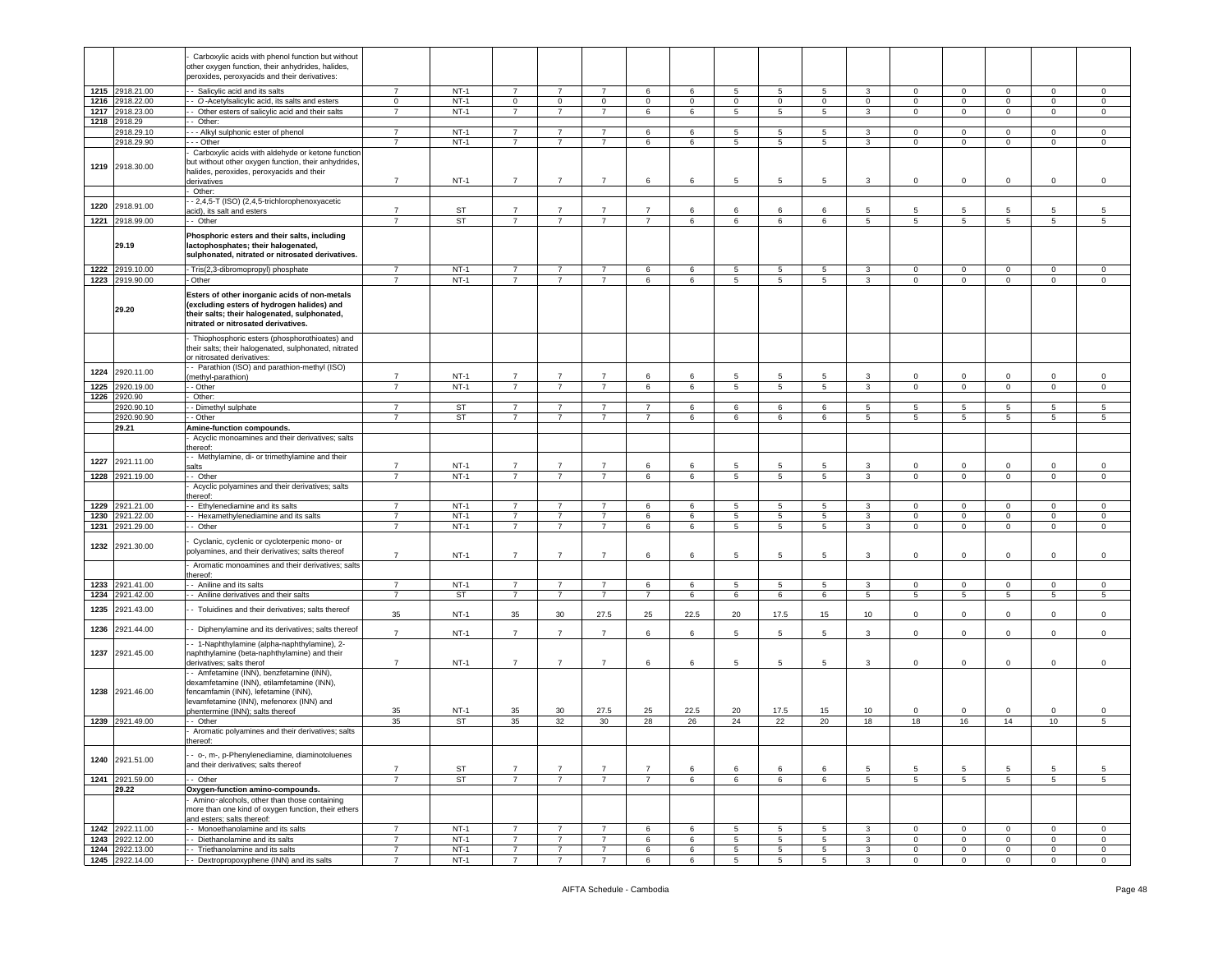|      |                 | Carboxylic acids with phenol function but without                                                  |                |           |                |                |                |                |                |                 |                 |                 |                 |                 |                 |                 |                 |                |
|------|-----------------|----------------------------------------------------------------------------------------------------|----------------|-----------|----------------|----------------|----------------|----------------|----------------|-----------------|-----------------|-----------------|-----------------|-----------------|-----------------|-----------------|-----------------|----------------|
|      |                 | other oxygen function, their anhydrides, halides,                                                  |                |           |                |                |                |                |                |                 |                 |                 |                 |                 |                 |                 |                 |                |
|      |                 | peroxides, peroxyacids and their derivatives:                                                      |                |           |                |                |                |                |                |                 |                 |                 |                 |                 |                 |                 |                 |                |
| 1215 | 2918.21.00      | - Salicylic acid and its salts                                                                     | $\overline{7}$ | $NT-1$    | $\overline{7}$ | $\overline{7}$ | $\overline{7}$ | 6              | 6              | 5               | $5\phantom{.0}$ | 5               | 3               | $\circ$         | $\mathbf 0$     | $\mathbf 0$     | $\mathbf 0$     | $\mathbf 0$    |
| 1216 | 2918.22.00      | - O-Acetylsalicylic acid, its salts and esters                                                     | $\mathbf 0$    | $NT-1$    | $\mathbf 0$    | $\circ$        | $\mathbf{0}$   | $\mathbf 0$    | $\overline{0}$ | 0               | $\mathbf 0$     | $\mathbf 0$     | $\mathbf{0}$    | $\mathbf 0$     | $\mathbf{0}$    | $\overline{0}$  | $\mathbf 0$     | $\circ$        |
| 1217 | 2918.23.00      | - Other esters of salicylic acid and their salts                                                   | $\overline{7}$ | $NT-1$    | $\overline{7}$ | $\overline{7}$ | $\overline{7}$ | 6              | 6              | 5               | 5               | 5               | $\mathbf{3}$    | $\mathbf 0$     | $\mathbf 0$     | $\mathbf{0}$    | $\mathbf 0$     | $\mathbf 0$    |
| 1218 | 2918.29         | - Other:                                                                                           |                |           |                |                |                |                |                |                 |                 |                 |                 |                 |                 |                 |                 |                |
|      | 2918.29.10      | --- Alkyl sulphonic ester of phenol                                                                | $\overline{7}$ | $NT-1$    | $\overline{7}$ | $\overline{7}$ | $\overline{7}$ | 6              | 6              | 5               | 5               | 5               | 3               | $\mathbf 0$     | $\mathbf 0$     | $\overline{0}$  | $\mathbf 0$     | 0              |
|      | 2918.29.90      | --- Other                                                                                          | $\overline{7}$ | $NT-1$    | $\overline{7}$ | $\overline{7}$ | $\overline{7}$ | 6              | 6              | 5               | $5\phantom{.0}$ | 5               | $\mathbf{3}$    | $\mathbf 0$     | $\overline{0}$  | $\mathbf{0}$    | $\mathbf{0}$    | $\mathsf 0$    |
|      |                 | Carboxylic acids with aldehyde or ketone function                                                  |                |           |                |                |                |                |                |                 |                 |                 |                 |                 |                 |                 |                 |                |
|      | 1219 2918.30.00 | but without other oxygen function, their anhydrides,<br>halides, peroxides, peroxyacids and their  |                |           |                |                |                |                |                |                 |                 |                 |                 |                 |                 |                 |                 |                |
|      |                 | derivatives                                                                                        | $\overline{7}$ | $NT-1$    | $\overline{7}$ | 7              | $\overline{7}$ | 6              | 6              | 5               | 5               | 5               | 3               | $\mathbf{0}$    | $\mathsf 0$     | $\mathbf 0$     | 0               | $\mathbf 0$    |
|      |                 | - Other:                                                                                           |                |           |                |                |                |                |                |                 |                 |                 |                 |                 |                 |                 |                 |                |
| 1220 | 2918.91.00      | - 2,4,5-T (ISO) (2,4,5-trichlorophenoxyacetic                                                      |                |           |                |                |                |                |                |                 |                 |                 |                 |                 |                 |                 |                 |                |
|      |                 | acid), its salt and esters                                                                         | $\overline{7}$ | ST        | $\overline{7}$ | $\overline{7}$ | $\overline{7}$ | $\overline{7}$ | 6              | 6               | 6               | 6               | 5               | 5               | 5               | -5              | 5               | 5              |
|      | 1221 2918.99.00 | - Other                                                                                            |                | <b>ST</b> | $\overline{7}$ | $\overline{7}$ | $\overline{7}$ | $\overline{7}$ | 6              | 6               | 6               | 6               | 5               | 5               | 5               | 5               | 5               | 5              |
|      |                 | Phosphoric esters and their salts, including                                                       |                |           |                |                |                |                |                |                 |                 |                 |                 |                 |                 |                 |                 |                |
|      | 29.19           | lactophosphates; their halogenated,                                                                |                |           |                |                |                |                |                |                 |                 |                 |                 |                 |                 |                 |                 |                |
|      |                 | sulphonated, nitrated or nitrosated derivatives.                                                   |                |           |                |                |                |                |                |                 |                 |                 |                 |                 |                 |                 |                 |                |
|      | 1222 2919.10.00 | - Tris(2,3-dibromopropyl) phosphate                                                                | 7              | $NT-1$    | 7              | 7              | 7              | 6              | 6              | 5               | 5               | 5               | 3               | $\mathbf 0$     | $\mathbf 0$     | $\mathbf 0$     | $^{\circ}$      | $\mathbf 0$    |
| 1223 | 2919.90.00      | - Other                                                                                            | $\overline{7}$ | $NT-1$    | $\overline{7}$ | $\overline{7}$ | $\overline{7}$ | 6              | 6              | 5               | 5               | 5               | $\mathbf{3}$    | $\circ$         | $\mathbf{0}$    | $\mathbf{0}$    | $\circ$         | $\mathsf 0$    |
|      |                 |                                                                                                    |                |           |                |                |                |                |                |                 |                 |                 |                 |                 |                 |                 |                 |                |
|      |                 | Esters of other inorganic acids of non-metals                                                      |                |           |                |                |                |                |                |                 |                 |                 |                 |                 |                 |                 |                 |                |
|      | 29.20           | (excluding esters of hydrogen halides) and                                                         |                |           |                |                |                |                |                |                 |                 |                 |                 |                 |                 |                 |                 |                |
|      |                 | their salts; their halogenated, sulphonated,<br>nitrated or nitrosated derivatives.                |                |           |                |                |                |                |                |                 |                 |                 |                 |                 |                 |                 |                 |                |
|      |                 |                                                                                                    |                |           |                |                |                |                |                |                 |                 |                 |                 |                 |                 |                 |                 |                |
|      |                 | Thiophosphoric esters (phosphorothioates) and                                                      |                |           |                |                |                |                |                |                 |                 |                 |                 |                 |                 |                 |                 |                |
|      |                 | their salts; their halogenated, sulphonated, nitrated                                              |                |           |                |                |                |                |                |                 |                 |                 |                 |                 |                 |                 |                 |                |
|      |                 | or nitrosated derivatives:<br>- Parathion (ISO) and parathion-methyl (ISO)                         |                |           |                |                |                |                |                |                 |                 |                 |                 |                 |                 |                 |                 |                |
| 1224 | 2920.11.00      | (methyl-parathion)                                                                                 | 7              | $NT-1$    | $\overline{7}$ | $\overline{7}$ | $\overline{7}$ | 6              | -6             | 5               | -5              | 5               | 3               | $\Omega$        | $\mathsf 0$     | 0               | 0               | $\mathsf 0$    |
| 1225 | 2920.19.00      | - Other                                                                                            | $\overline{7}$ | $NT-1$    | $\overline{7}$ | $\overline{7}$ | $\overline{7}$ | 6              | 6              | 5               | 5               | 5               | $\mathbf{3}$    | $\mathbf 0$     | $\mathbf 0$     | $\circ$         | $\mathbf{0}$    | $\circ$        |
| 1226 | 2920.90         | Other:                                                                                             |                |           |                |                |                |                |                |                 |                 |                 |                 |                 |                 |                 |                 |                |
|      | 2920.90.10      | - Dimethyl sulphate                                                                                | $\overline{7}$ | <b>ST</b> | $\overline{7}$ | $\overline{7}$ | $\overline{7}$ | $\overline{7}$ | 6              | 6               | 6               | 6               | 5               | 5               | 5               | 5               | 5               | 5              |
|      | 2920.90.90      | - Other                                                                                            | $\overline{7}$ | ST        | $\overline{7}$ | $\overline{7}$ | $\overline{7}$ | $\overline{7}$ | 6              | 6               | 6               | 6               | 5               | 5               | 5               | 5               | 5               | 5              |
|      | 29.21           | Amine-function compounds.                                                                          |                |           |                |                |                |                |                |                 |                 |                 |                 |                 |                 |                 |                 |                |
|      |                 | Acyclic monoamines and their derivatives; salts                                                    |                |           |                |                |                |                |                |                 |                 |                 |                 |                 |                 |                 |                 |                |
|      |                 | thereof:                                                                                           |                |           |                |                |                |                |                |                 |                 |                 |                 |                 |                 |                 |                 |                |
| 1227 | 2921.11.00      | - Methylamine, di- or trimethylamine and their<br>salts                                            | $\overline{7}$ | $NT-1$    | $\overline{7}$ | $\overline{7}$ | $\overline{7}$ | 6              | 6              | 5               | 5               | 5               | 3               | $\Omega$        | $\Omega$        | $\Omega$        | $\Omega$        | 0              |
| 1228 | 2921.19.00      | - Other                                                                                            | $\overline{7}$ | $NT-1$    | $\overline{7}$ | $\overline{7}$ | $\overline{7}$ | 6              | 6              | 5               | 5               | 5               | $\mathbf{3}$    | $\circ$         | $\mathbf 0$     | $\mathbf{0}$    | $\circ$         | $\mathsf 0$    |
|      |                 | Acyclic polyamines and their derivatives; salts                                                    |                |           |                |                |                |                |                |                 |                 |                 |                 |                 |                 |                 |                 |                |
|      |                 | thereof:                                                                                           |                |           |                |                |                |                |                |                 |                 |                 |                 |                 |                 |                 |                 |                |
| 1229 | 2921.21.00      | - Ethylenediamine and its salts                                                                    | $\overline{7}$ | $NT-1$    | $\overline{7}$ | $\overline{7}$ | $\overline{7}$ | 6              | 6              | 5               | 5               | 5               | 3               | 0               | $\mathbf 0$     | $\mathbf 0$     | $\mathbf 0$     | 0              |
| 1230 | 2921.22.00      | - Hexamethylenediamine and its salts                                                               | $\overline{7}$ | $NT-1$    | $\overline{7}$ | $\overline{7}$ | $\overline{7}$ | 6              | 6              | 5               | $5\phantom{.0}$ | $5\phantom{.0}$ | $\mathbf{3}$    | $\mathbf 0$     | $\mathbf 0$     | $\overline{0}$  | $\mathbf 0$     | $\circ$        |
| 1231 | 2921.29.00      | - - Other                                                                                          | 7              | $NT-1$    | $\overline{7}$ | 7              | $\overline{7}$ | 6              | 6              | 5               | 5               | 5               | 3               | $\mathbf{0}$    | $\overline{0}$  | $\overline{0}$  | $\mathbf{0}$    | $\mathbf 0$    |
|      |                 | Cyclanic, cyclenic or cycloterpenic mono- or                                                       |                |           |                |                |                |                |                |                 |                 |                 |                 |                 |                 |                 |                 |                |
|      | 1232 2921.30.00 | polyamines, and their derivatives; salts thereof                                                   | $\overline{7}$ | $NT-1$    | $\overline{7}$ | $\overline{7}$ | $\overline{7}$ | 6              | 6              | 5               | 5               | 5               | 3               | $\mathbf 0$     | $\mathbf 0$     | $\circ$         | $\mathbf 0$     | $\mathsf 0$    |
|      |                 | Aromatic monoamines and their derivatives; salts                                                   |                |           |                |                |                |                |                |                 |                 |                 |                 |                 |                 |                 |                 |                |
|      |                 | thereof:                                                                                           |                |           |                |                |                |                |                |                 |                 |                 |                 |                 |                 |                 |                 |                |
| 1233 | 2921.41.00      | - Aniline and its salts                                                                            | 7              | $NT-1$    | $\overline{7}$ | 7              | $\overline{7}$ | 6              | 6              | 5               | 5               | 5               | 3               | 0               | $\mathbf 0$     | $\mathbf 0$     | $\mathbf 0$     | 0              |
| 1234 | 2921.42.00      | - Aniline derivatives and their salts                                                              | $\overline{7}$ | ST        | $\overline{7}$ | $\overline{7}$ | $\overline{7}$ | $\overline{7}$ | 6              | 6               | 6               | 6               | $5\overline{)}$ | $5\overline{ }$ | $5\overline{5}$ | $5\phantom{.0}$ | $5\phantom{.0}$ | $\sqrt{5}$     |
| 1235 | 2921.43.00      | - Toluidines and their derivatives; salts thereof                                                  |                |           |                |                |                |                |                |                 |                 |                 |                 |                 |                 |                 |                 |                |
|      |                 |                                                                                                    | 35             | $NT-1$    | 35             | 30             | 27.5           | 25             | 22.5           | 20              | 17.5            | 15              | 10              | $\mathbf 0$     | $\mathsf 0$     | $\mathbf 0$     | $\mathbf 0$     | $\,0\,$        |
| 1236 | 2921.44.00      | - Diphenylamine and its derivatives; salts thereof                                                 | $\overline{7}$ | $NT-1$    | $\overline{7}$ | $\overline{7}$ | $\overline{7}$ | 6              | 6              | 5               | 5               | 5               | 3               | $\mathbf 0$     | $\mathsf 0$     | 0               | $\mathbf 0$     | $\mathsf 0$    |
|      |                 | - 1-Naphthylamine (alpha-naphthylamine), 2-                                                        |                |           |                |                |                |                |                |                 |                 |                 |                 |                 |                 |                 |                 |                |
| 1237 | 2921.45.00      | naphthylamine (beta-naphthylamine) and their                                                       |                |           |                |                |                |                |                |                 |                 |                 |                 |                 |                 |                 |                 |                |
|      |                 | derivatives; salts therof                                                                          | $\overline{7}$ | $NT-1$    | $\overline{7}$ | $\overline{7}$ | $\overline{7}$ | 6              | 6              | 5               | 5               | 5               | 3               | $\mathbf 0$     | $\mathbf 0$     | $\mathbf 0$     | $\mathbf 0$     | $\mathsf 0$    |
|      |                 | - Amfetamine (INN), benzfetamine (INN),                                                            |                |           |                |                |                |                |                |                 |                 |                 |                 |                 |                 |                 |                 |                |
|      |                 | dexamfetamine (INN), etilamfetamine (INN),                                                         |                |           |                |                |                |                |                |                 |                 |                 |                 |                 |                 |                 |                 |                |
|      | 1238 2921.46.00 | fencamfamin (INN), lefetamine (INN),                                                               |                |           |                |                |                |                |                |                 |                 |                 |                 |                 |                 |                 |                 |                |
|      |                 | levamfetamine (INN), mefenorex (INN) and<br>phentermine (INN); salts thereof                       | 35             | $NT-1$    | 35             | 30             | 27.5           | 25             | 22.5           | 20              | 17.5            | 15              | 10              | 0               | $\mathbf 0$     | 0               | $\mathbf 0$     | 0              |
|      | 1239 2921.49.00 | -- Other                                                                                           | 35             | ST        | 35             | 32             | 30             | 28             | 26             | 24              | 22              | 20              | 18              | 18              | 16              | 14              | 10              | 5              |
|      |                 | Aromatic polyamines and their derivatives; salts                                                   |                |           |                |                |                |                |                |                 |                 |                 |                 |                 |                 |                 |                 |                |
|      |                 | thereof:                                                                                           |                |           |                |                |                |                |                |                 |                 |                 |                 |                 |                 |                 |                 |                |
|      |                 |                                                                                                    |                |           |                |                |                |                |                |                 |                 |                 |                 |                 |                 |                 |                 |                |
|      | 1240 2921.51.00 | - o-, m-, p-Phenylenediamine, diaminotoluenes<br>and their derivatives: salts thereof              |                |           |                |                |                |                |                |                 |                 |                 |                 |                 |                 |                 |                 |                |
|      |                 |                                                                                                    | 7              | ST        | $\overline{7}$ | $\overline{7}$ | $\overline{7}$ | $\overline{7}$ | 6              | 6               | 6               | 6               | 5               | 5               | 5               | 5               | 5               | 5              |
|      | 1241 2921.59.00 | - Other                                                                                            | $\overline{7}$ | ST        | $\overline{7}$ | $\overline{7}$ | $\overline{7}$ | $\overline{7}$ | 6              | 6               | 6               | 6               | $5\overline{5}$ | 5 <sup>5</sup>  | $5\phantom{.0}$ | 5 <sub>5</sub>  | $5^{\circ}$     | 5              |
|      | 29.22           | Oxygen-function amino-compounds.                                                                   |                |           |                |                |                |                |                |                 |                 |                 |                 |                 |                 |                 |                 |                |
|      |                 | Amino-alcohols, other than those containing<br>more than one kind of oxygen function, their ethers |                |           |                |                |                |                |                |                 |                 |                 |                 |                 |                 |                 |                 |                |
|      |                 | and esters; salts thereof:                                                                         |                |           |                |                |                |                |                |                 |                 |                 |                 |                 |                 |                 |                 |                |
|      | 1242 2922.11.00 | - Monoethanolamine and its salts                                                                   | $\overline{7}$ | $NT-1$    | $\overline{7}$ | $\overline{7}$ | $\overline{7}$ | 6              | 6              | 5               | 5               | $5\phantom{.0}$ | 3               | $\mathbf{0}$    | $\overline{0}$  | $\overline{0}$  | $\mathbf{0}$    | $\overline{0}$ |
|      | 1243 2922.12.00 | - - Diethanolamine and its salts                                                                   | $\overline{7}$ | $NT-1$    | $\overline{7}$ | $\overline{7}$ | $\overline{7}$ | 6              | 6              | 5               | 5               | 5               | 3               | $\mathbf{0}$    | $\overline{0}$  | $\overline{0}$  | $\mathbf{0}$    | $\overline{0}$ |
| 1244 | 2922.13.00      | - - Triethanolamine and its salts                                                                  | $\overline{7}$ | $NT-1$    | $\overline{7}$ | $\overline{7}$ | $\overline{7}$ | 6              | 6              | 5               | 5               | 5               | $\mathbf{3}$    | $\circ$         | $\mathbf 0$     | $\circ$         | $\mathbf 0$     | $\,0\,$        |
|      | 1245 2922.14.00 | - - Dextropropoxyphene (INN) and its salts                                                         | $\overline{7}$ | $NT-1$    | $\overline{7}$ | $\overline{7}$ | $\overline{7}$ | 6              | 6              | $5\overline{)}$ | $\overline{5}$  | $5\overline{)}$ | $\overline{3}$  | $\mathsf 0$     | $\overline{0}$  | $\overline{0}$  | $\mathbf 0$     | 0              |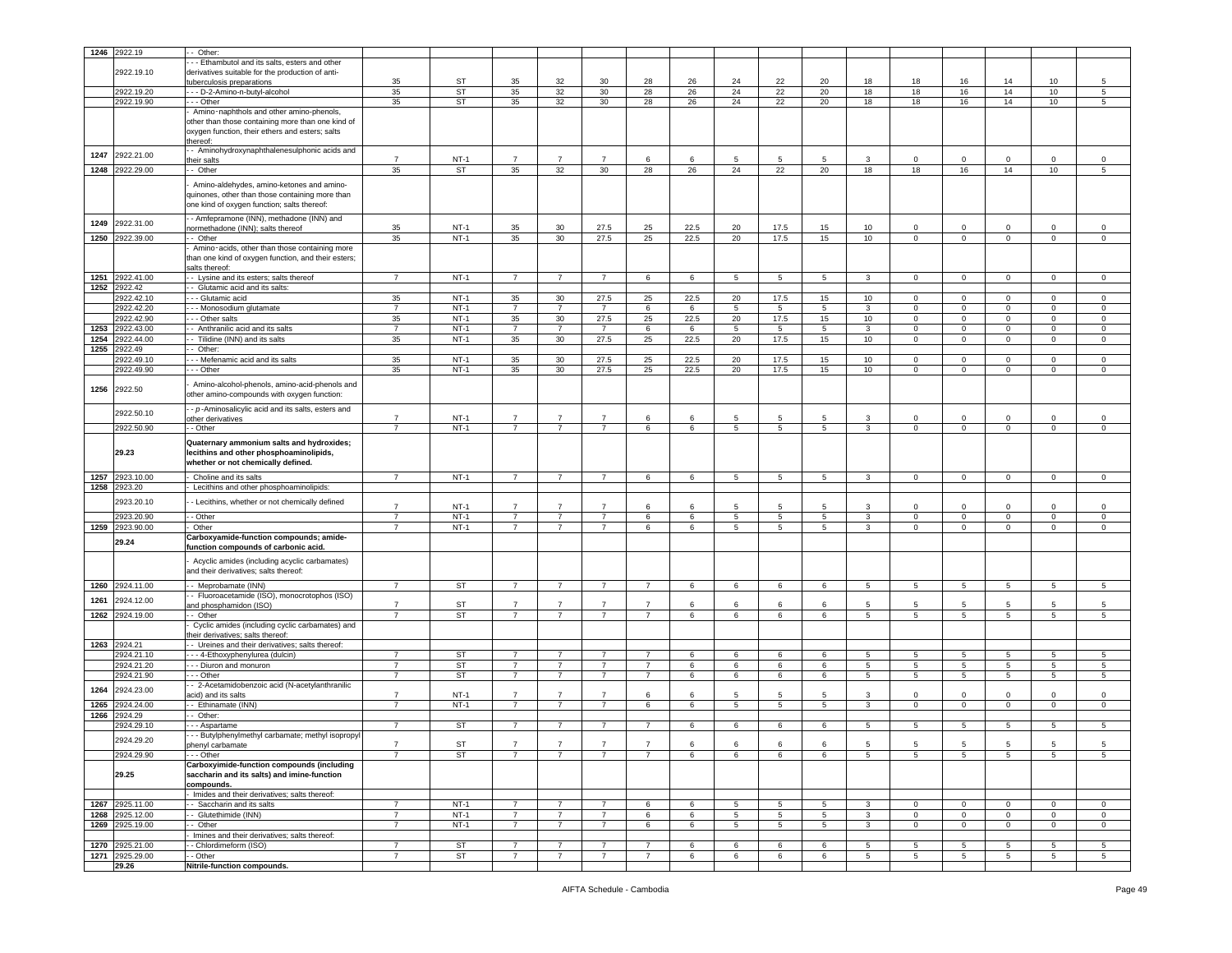|      | 1246 2922.19             | - Other:                                            |                |           |                |                 |                |                |      |    |                 |             |                 |              |                         |                 |                 |             |
|------|--------------------------|-----------------------------------------------------|----------------|-----------|----------------|-----------------|----------------|----------------|------|----|-----------------|-------------|-----------------|--------------|-------------------------|-----------------|-----------------|-------------|
|      |                          | - - Ethambutol and its salts, esters and other      |                |           |                |                 |                |                |      |    |                 |             |                 |              |                         |                 |                 |             |
|      | 2922.19.10               | derivatives suitable for the production of anti-    |                |           |                |                 |                |                |      |    |                 |             |                 |              |                         |                 |                 |             |
|      |                          |                                                     | 35             | ST        | 35             | 32              | 30             | 28             | 26   | 24 | 22              | 20          | 18              | 18           | 16                      | 14              | 10              | 5           |
|      |                          | uberculosis preparations                            |                |           |                |                 |                |                |      |    |                 |             |                 |              |                         |                 |                 |             |
|      | 2922.19.20               | - - D-2-Amino-n-butyl-alcohol                       | 35             | <b>ST</b> | 35             | 32              | 30             | 28             | 26   | 24 | 22              | 20          | 18              | 18           | 16                      | 14              | 10              | $\sqrt{5}$  |
|      | 2922.19.90               | - - Other                                           | 35             | ST        | 35             | 32              | 30             | 28             | 26   | 24 | 22              | 20          | 18              | 18           | 16                      | 14              | 10              | 5           |
|      |                          | Amino-naphthols and other amino-phenols,            |                |           |                |                 |                |                |      |    |                 |             |                 |              |                         |                 |                 |             |
|      |                          | other than those containing more than one kind of   |                |           |                |                 |                |                |      |    |                 |             |                 |              |                         |                 |                 |             |
|      |                          | oxygen function, their ethers and esters; salts     |                |           |                |                 |                |                |      |    |                 |             |                 |              |                         |                 |                 |             |
|      |                          | thereof:                                            |                |           |                |                 |                |                |      |    |                 |             |                 |              |                         |                 |                 |             |
| 1247 | 2922.21.00               | - Aminohydroxynaphthalenesulphonic acids and        |                |           |                |                 |                |                |      |    |                 |             |                 |              |                         |                 |                 |             |
|      |                          | neir salts                                          | $\overline{7}$ | $NT-1$    | $\overline{7}$ | $\overline{7}$  | $\overline{7}$ | 6              | 6    | 5  | 5               | 5           | 3               | 0            | $\mathsf 0$             | $\mathbf 0$     | 0               | $\mathbf 0$ |
| 1248 | 2922.29.00               | - Other                                             | 35             | ST        | 35             | 32              | 30             | 28             | 26   | 24 | 22              | 20          | 18              | 18           | 16                      | 14              | 10              | 5           |
|      |                          | Amino-aldehydes, amino-ketones and amino-           |                |           |                |                 |                |                |      |    |                 |             |                 |              |                         |                 |                 |             |
|      |                          |                                                     |                |           |                |                 |                |                |      |    |                 |             |                 |              |                         |                 |                 |             |
|      |                          | quinones, other than those containing more than     |                |           |                |                 |                |                |      |    |                 |             |                 |              |                         |                 |                 |             |
|      |                          | one kind of oxygen function; salts thereof:         |                |           |                |                 |                |                |      |    |                 |             |                 |              |                         |                 |                 |             |
|      |                          | - Amfepramone (INN), methadone (INN) and            |                |           |                |                 |                |                |      |    |                 |             |                 |              |                         |                 |                 |             |
| 1249 | 2922.31.00               | normethadone (INN); salts thereof                   | 35             | $NT-1$    | 35             | 30              | 27.5           | 25             | 22.5 | 20 | 17.5            | 15          | 10              | $\mathbf 0$  | $\mathbf 0$             | $\mathbf 0$     | 0               | $\mathbf 0$ |
| 1250 | 2922.39.00               | - Other                                             | 35             | $NT-1$    | 35             | 30              | 27.5           | 25             | 22.5 | 20 | 17.5            | 15          | 10              | $\mathbf{0}$ | $\overline{0}$          | $\mathbf{0}$    | $\overline{0}$  | $\mathbf 0$ |
|      |                          | Amino-acids, other than those containing more       |                |           |                |                 |                |                |      |    |                 |             |                 |              |                         |                 |                 |             |
|      |                          | than one kind of oxygen function, and their esters; |                |           |                |                 |                |                |      |    |                 |             |                 |              |                         |                 |                 |             |
|      |                          | salts thereof                                       |                |           |                |                 |                |                |      |    |                 |             |                 |              |                         |                 |                 |             |
| 1251 | 2922.41.00               | - Lysine and its esters; salts thereof              | $\overline{7}$ | $NT-1$    | $\overline{7}$ | $\overline{7}$  | $\overline{7}$ | 6              | 6    | 5  | 5               | 5           | 3               | $\mathbf 0$  | $\mathbf 0$             | $\mathbf 0$     | $\mathbf 0$     | $\mathbf 0$ |
| 1252 | 2922.42                  | - Glutamic acid and its salts:                      |                |           |                |                 |                |                |      |    |                 |             |                 |              |                         |                 |                 |             |
|      | 2922.42.10               | - - Glutamic acid                                   | 35             | $NT-1$    | 35             | 30              | 27.5           | 25             | 22.5 | 20 | 17.5            | 15          | 10              | $\mathbf 0$  | $\overline{0}$          | $\mathbf 0$     | $\mathbf 0$     | $\mathsf 0$ |
|      | 2922.42.20               |                                                     | $\overline{7}$ | $NT-1$    | $\overline{7}$ | $\overline{7}$  | $\overline{7}$ | 6              | 6    | 5  | $5\phantom{.0}$ | 5           |                 | $\circ$      | $\overline{\mathbf{0}}$ | $\mathsf 0$     | $\mathbf 0$     | $\,0\,$     |
|      |                          | - - Monosodium glutamate                            |                |           |                |                 |                |                |      |    |                 |             | $\mathbf{3}$    |              |                         |                 |                 |             |
|      | 2922.42.90               | - - Other salts                                     | 35             | $NT-1$    | 35             | 30              | 27.5           | 25             | 22.5 | 20 | 17.5            | 15          | 10              | $\mathbf 0$  | $\mathbf 0$             | $\mathsf 0$     | $\mathbf 0$     | $\,0\,$     |
| 1253 | 2922.43.00               | - Anthranilic acid and its salts                    | $\overline{7}$ | $NT-1$    | $\overline{7}$ | $\overline{7}$  | $\overline{7}$ | 6              | 6    | 5  | 5               | 5           | 3               | $\mathbf 0$  | $\mathsf 0$             | $\mathbf{0}$    | $\mathbf 0$     | $\mathbf 0$ |
| 1254 | 2922.44.00               | - Tilidine (INN) and its salts                      | 35             | $NT-1$    | 35             | 30 <sup>°</sup> | 27.5           | 25             | 22.5 | 20 | 17.5            | 15          | 10              | $\mathbf 0$  | $\mathbf 0$             | $\mathbf{0}$    | $\mathbf 0$     | $\mathsf 0$ |
| 1255 | 2922.49                  | - Other:                                            |                |           |                |                 |                |                |      |    |                 |             |                 |              |                         |                 |                 |             |
|      | 2922.49.10               | - - Mefenamic acid and its salts                    | 35             | $NT-1$    | 35             | 30              | 27.5           | 25             | 22.5 | 20 | 17.5            | 15          | 10              | $\circ$      | $\overline{0}$          | $\mathbf 0$     | $\circ$         | $\mathsf 0$ |
|      | 2922.49.90               | - - Other                                           | 35             | $NT-1$    | 35             | 30              | 27.5           | 25             | 22.5 | 20 | 17.5            | 15          | 10              | $\mathbf 0$  | $\mathsf 0$             | $\mathbf 0$     | $\mathbf 0$     | $\mathsf 0$ |
|      |                          |                                                     |                |           |                |                 |                |                |      |    |                 |             |                 |              |                         |                 |                 |             |
| 1256 | 2922.50                  | Amino-alcohol-phenols, amino-acid-phenols and       |                |           |                |                 |                |                |      |    |                 |             |                 |              |                         |                 |                 |             |
|      |                          | other amino-compounds with oxygen function:         |                |           |                |                 |                |                |      |    |                 |             |                 |              |                         |                 |                 |             |
|      |                          | - p-Aminosalicylic acid and its salts, esters and   |                |           |                |                 |                |                |      |    |                 |             |                 |              |                         |                 |                 |             |
|      | 2922.50.10               | other derivatives                                   | $\overline{7}$ | $NT-1$    | $\overline{7}$ | $\overline{7}$  | $\overline{7}$ | 6              | 6    | 5  | 5               | -5          | 3               | $\circ$      | $\mathbf 0$             | $\mathbf 0$     | $\mathbf 0$     | $\mathsf 0$ |
|      | 2922.50.90               | - - Other                                           |                | $NT-1$    | $\overline{7}$ | $\overline{7}$  | $\overline{7}$ | 6              | 6    | 5  | 5               | 5           | 3               | $\mathbf 0$  | $\mathbf{0}$            | $\mathbf 0$     | 0               | $\circ$     |
|      |                          |                                                     |                |           |                |                 |                |                |      |    |                 |             |                 |              |                         |                 |                 |             |
|      |                          | Quaternary ammonium salts and hydroxides;           |                |           |                |                 |                |                |      |    |                 |             |                 |              |                         |                 |                 |             |
|      | 29.23                    | lecithins and other phosphoaminolipids,             |                |           |                |                 |                |                |      |    |                 |             |                 |              |                         |                 |                 |             |
|      |                          | whether or not chemically defined.                  |                |           |                |                 |                |                |      |    |                 |             |                 |              |                         |                 |                 |             |
| 1257 | 2923.10.00               |                                                     | $\overline{7}$ | $NT-1$    | $\overline{7}$ | $\overline{7}$  | $\overline{7}$ | 6              | 6    | 5  | 5               | 5           | 3               | $\mathbf 0$  | $\overline{0}$          | $\mathbf{0}$    | $\mathbf 0$     | $\mathsf 0$ |
|      |                          | Choline and its salts                               |                |           |                |                 |                |                |      |    |                 |             |                 |              |                         |                 |                 |             |
| 1258 | 2923.20                  | Lecithins and other phosphoaminolipids:             |                |           |                |                 |                |                |      |    |                 |             |                 |              |                         |                 |                 |             |
|      | 2923.20.10               | - Lecithins, whether or not chemically defined      | $\overline{7}$ |           |                |                 |                |                |      |    |                 |             |                 |              |                         |                 |                 |             |
|      |                          |                                                     |                | $NT-1$    | $\overline{7}$ | $\overline{7}$  | $\overline{7}$ | 6              | 6    | -5 | 5               | -5          | 3               | $\Omega$     | $\mathbf 0$             | $\mathbf 0$     | $\Omega$        | $\mathsf 0$ |
|      | 2923.20.90               | - - Other                                           | 7              | $NT-1$    | $\overline{7}$ | $\overline{7}$  | $\overline{7}$ | 6              | 6    | 5  | 5               | 5           | 3               | $\mathbf 0$  | $\overline{0}$          | $\mathbf 0$     | 0               | $\mathbf 0$ |
| 1259 | 2923.90.00               | Other                                               | $\overline{7}$ | $NT-1$    | $\overline{7}$ | $\overline{7}$  | $\overline{7}$ | 6              | 6    | 5  | 5               | 5           | 3               | $\mathbf{0}$ | $\overline{0}$          | $\mathbf 0$     | $\mathbf 0$     | 0           |
|      | 29.24                    | Carboxyamide-function compounds; amide-             |                |           |                |                 |                |                |      |    |                 |             |                 |              |                         |                 |                 |             |
|      |                          | function compounds of carbonic acid.                |                |           |                |                 |                |                |      |    |                 |             |                 |              |                         |                 |                 |             |
|      |                          | Acyclic amides (including acyclic carbamates)       |                |           |                |                 |                |                |      |    |                 |             |                 |              |                         |                 |                 |             |
|      |                          | and their derivatives; salts thereof:               |                |           |                |                 |                |                |      |    |                 |             |                 |              |                         |                 |                 |             |
|      |                          |                                                     |                |           |                |                 |                |                |      |    |                 |             |                 |              |                         |                 |                 |             |
|      | 1260 2924.11.00          | - Meprobamate (INN)                                 | $\overline{7}$ | <b>ST</b> | $\overline{7}$ |                 |                | $\overline{7}$ | 6    | 6  | 6               | 6           | 5               | 5            | 5                       | 5               | 5               | $\sqrt{5}$  |
| 1261 | 2924.12.00               | - Fluoroacetamide (ISO), monocrotophos (ISO)        |                |           |                |                 |                |                |      |    |                 |             |                 |              |                         |                 |                 |             |
|      |                          | and phosphamidon (ISO)                              | $\overline{7}$ | <b>ST</b> | $\overline{7}$ | $\overline{7}$  | $\overline{7}$ | $\overline{7}$ | 6    | 6  | 6               | 6           | 5               | 5            | 5                       | 5               | 5               | 5           |
|      | 1262 2924.19.00          | - Other                                             | $\overline{7}$ | ST        | $\overline{7}$ | $\overline{7}$  | $\overline{7}$ | 7              | 6    | 6  | 6               | 6           | $5^{\circ}$     | 5            | 5                       | 5               | 5               | 5           |
|      |                          | Cyclic amides (including cyclic carbamates) and     |                |           |                |                 |                |                |      |    |                 |             |                 |              |                         |                 |                 |             |
|      |                          | heir derivatives; salts thereof:                    |                |           |                |                 |                |                |      |    |                 |             |                 |              |                         |                 |                 |             |
|      | 1263 2924.21             | - Ureines and their derivatives; salts thereof:     |                |           |                |                 |                |                |      |    |                 |             |                 |              |                         |                 |                 |             |
|      | 2924.21.10               | - - 4-Ethoxyphenylurea (dulcin)                     | 7              | ST        | $\overline{7}$ | $\overline{7}$  | 7              | 7              | 6    | 6  | 6               | 6           | 5               | 5            | 5                       | 5               | 5               | 5           |
|      | 2924.21.20               | - - Diuron and monuron                              | $\overline{7}$ | ST        | $\overline{7}$ | $\overline{7}$  | $\overline{7}$ | $\overline{7}$ | 6    | 6  | 6               | 6           | $\overline{5}$  | 5            | $5\phantom{.0}$         | $5\phantom{.0}$ | $5\phantom{.0}$ | 5           |
|      | 2924.21.90               | - - Other                                           | $\overline{7}$ | ST        | $\overline{7}$ | $\overline{7}$  | $\overline{7}$ | $\overline{7}$ | 6    | 6  | 6               | 6           | 5 <sub>5</sub>  | 5            | 5                       | $5\overline{5}$ | 5               | 5           |
|      |                          | - 2-Acetamidobenzoic acid (N-acetylanthranilic      |                |           |                |                 |                |                |      |    |                 |             |                 |              |                         |                 |                 |             |
| 1264 | 2924.23.00               | acid) and its salts                                 | $\overline{7}$ | $NT-1$    | $\overline{7}$ | $\overline{7}$  | $\overline{7}$ | 6              | 6    | 5  | 5               | 5           | 3               | $\Omega$     | $\mathbf 0$             | $\mathbf 0$     | $\Omega$        | $\mathbf 0$ |
| 1265 | 2924.24.00               | - Ethinamate (INN)                                  | $\overline{7}$ | $NT-1$    | $\overline{7}$ | $\overline{7}$  | $\overline{7}$ | 6              | 6    | 5  | $5\phantom{.0}$ | $5^{\circ}$ | $\mathbf{3}$    | $\circ$      | $\mathbf 0$             | $\mathbf{0}$    | $\mathbf 0$     | $\,0\,$     |
| 1266 | 2924.29                  | - Other:                                            |                |           |                |                 |                |                |      |    |                 |             |                 |              |                         |                 |                 |             |
|      | 2924.29.10               |                                                     | $\overline{7}$ | ST        | $\overline{7}$ | $\overline{7}$  | $\overline{7}$ | $\overline{7}$ |      |    | 6               |             | 5               |              | 5                       | 5               | 5               |             |
|      |                          | - Aspartame                                         |                |           |                |                 |                |                | 6    | 6  |                 | 6           |                 | 5            |                         |                 |                 | 5           |
|      | 2924.29.20               | - - Butylphenylmethyl carbamate; methyl isopropyl   |                |           |                |                 |                |                |      |    |                 |             |                 |              |                         |                 |                 |             |
|      |                          | phenyl carbamate                                    |                | SI.       |                |                 |                |                |      | 6  | 6               |             |                 |              |                         |                 |                 | 5           |
|      | 2924.29.90               | - - Other                                           | $\overline{7}$ | <b>ST</b> | $\overline{7}$ | $\overline{7}$  | $\overline{7}$ | $\overline{7}$ | 6    | 6  | 6               | 6           | 5               | 5            | 5                       | $5\overline{5}$ | 5               | 5           |
|      |                          | Carboxyimide-function compounds (including          |                |           |                |                 |                |                |      |    |                 |             |                 |              |                         |                 |                 |             |
|      | 29.25                    | saccharin and its salts) and imine-function         |                |           |                |                 |                |                |      |    |                 |             |                 |              |                         |                 |                 |             |
|      |                          | compounds.                                          |                |           |                |                 |                |                |      |    |                 |             |                 |              |                         |                 |                 |             |
|      |                          | Imides and their derivatives; salts thereof:        |                |           |                |                 |                |                |      |    |                 |             |                 |              |                         |                 |                 |             |
|      |                          | - Saccharin and its salts                           | $\overline{7}$ | $NT-1$    | $\overline{7}$ | $\overline{7}$  | $\overline{7}$ | 6              | 6    | 5  | 5               | 5           | 3               | $\mathbf 0$  | $\mathbf{0}$            | $\mathbf{0}$    | $\circ$         | $\mathbf 0$ |
|      | 1267 2925.11.00          |                                                     |                |           |                |                 |                |                |      |    |                 |             |                 |              |                         |                 |                 |             |
|      | 1268 2925.12.00          | -- Glutethimide (INN)                               | $\overline{7}$ | $NT-1$    | $\overline{7}$ | $\overline{7}$  | $\overline{7}$ | 6              | 6    | 5  | 5               | $5^{\circ}$ | $\mathbf{3}$    | $\circ$      | $\mathbf{0}$            | $\mathbf{0}$    | $\overline{0}$  | $\circ$     |
| 1269 | 2925.19.00               | - Other                                             | $\overline{7}$ | $NT-1$    | $\overline{7}$ | $\overline{7}$  | $\overline{7}$ | 6              | 6    | 5  | 5               | 5           | 3               | $\mathbf 0$  | $\mathbf{0}$            | $\overline{0}$  | $\mathbf 0$     | $\mathbf 0$ |
|      |                          | Imines and their derivatives; salts thereof:        |                |           |                |                 |                |                |      |    |                 |             |                 |              |                         |                 |                 |             |
|      |                          |                                                     | $\overline{7}$ |           | $\overline{7}$ | $\overline{7}$  | $\overline{7}$ | $\overline{7}$ | 6    |    |                 |             | 5               | 5            |                         | 5               | 5               |             |
|      | 1270 2925.21.00          | - Chlordimeform (ISO)                               |                | <b>ST</b> |                |                 |                |                |      | 6  | 6               | 6           |                 |              | $5\phantom{.0}$         |                 |                 | 5           |
|      | 1271 2925.29.00<br>29.26 | - Other<br>Nitrile-function compounds.              | $\overline{7}$ | ST        | $\overline{7}$ | $\overline{7}$  | $\overline{7}$ | $\overline{7}$ | 6    | 6  | 6               | 6           | $5\phantom{.0}$ | 5            | $5\phantom{.0}$         | $5\phantom{.0}$ | $5\phantom{.0}$ | 5           |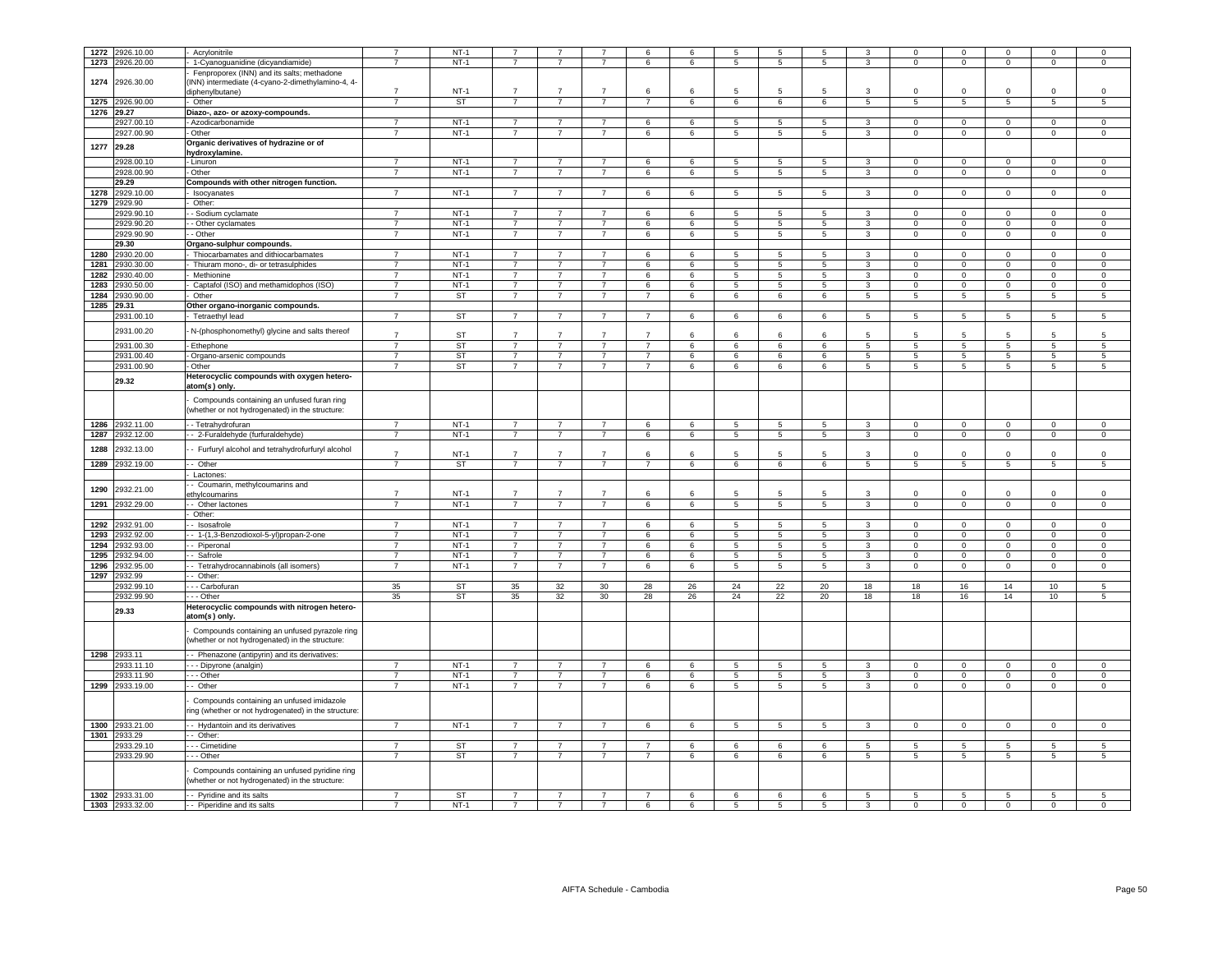| 1272       | 2926.10.00                         | Acrylonitrile                                                                                    | $\overline{7}$                   | $NT-1$              | $\overline{7}$                   | $\overline{7}$                   | $\overline{7}$                   | 6                   | 6           | 5                    | 5                   | 5                    | 3                   | $\mathbf 0$             | $\mathbf 0$                  | $^{\circ}$        | $\mathbf 0$         | $\mathsf 0$              |
|------------|------------------------------------|--------------------------------------------------------------------------------------------------|----------------------------------|---------------------|----------------------------------|----------------------------------|----------------------------------|---------------------|-------------|----------------------|---------------------|----------------------|---------------------|-------------------------|------------------------------|-------------------|---------------------|--------------------------|
| 1273       | 2926.20.00                         | 1-Cyanoguanidine (dicyandiamide)                                                                 | $\overline{7}$                   | $NT-1$              | $\overline{7}$                   | $\overline{7}$                   | $\overline{7}$                   | 6                   | 6           | 5                    | 5                   | 5                    | 3                   | $\mathbf 0$             | $\mathbf 0$                  | $\mathbf 0$       | $\mathbf 0$         | $\mathsf 0$              |
|            |                                    |                                                                                                  |                                  |                     |                                  |                                  |                                  |                     |             |                      |                     |                      |                     |                         |                              |                   |                     |                          |
| 1274       | 2926.30.00                         | Fenproporex (INN) and its salts; methadone<br>INN) intermediate (4-cyano-2-dimethylamino-4, 4-   |                                  |                     |                                  |                                  |                                  |                     |             |                      |                     |                      |                     |                         |                              |                   |                     |                          |
|            |                                    |                                                                                                  | $\overline{7}$                   | $NT-1$              | $\overline{7}$                   | $\overline{7}$                   | $\overline{7}$                   | 6                   | 6           | 5                    | $5\overline{5}$     | 5                    | -3                  | $\Omega$                | $\mathbf 0$                  | $^{\circ}$        | $\Omega$            | $\mathbf 0$              |
|            |                                    | liphenylbutane)                                                                                  | $\overline{7}$                   | <b>ST</b>           | $\overline{7}$                   | $\overline{7}$                   | $\overline{7}$                   | $\overline{7}$      |             |                      |                     | 6                    |                     |                         |                              | $\overline{5}$    | $\overline{5}$      | $\overline{5}$           |
| 1275       | 2926.90.00                         | Other                                                                                            |                                  |                     |                                  |                                  |                                  |                     | 6           | $6\overline{6}$      | $6\phantom{.}6$     |                      | $\overline{5}$      | 5                       | $\overline{5}$               |                   |                     |                          |
| 1276 29.27 |                                    | Diazo-, azo- or azoxy-compounds.                                                                 |                                  |                     |                                  |                                  |                                  |                     |             |                      |                     |                      |                     |                         |                              |                   |                     |                          |
|            | 927.00.10                          | Azodicarbonamide                                                                                 | $\overline{7}$                   | $NT-1$              | $\overline{7}$                   | $\overline{7}$                   | $\overline{7}$                   | 6                   | 6           | $\overline{5}$       | 5                   | 5                    | $\overline{3}$      | $\Omega$                | $\mathbf 0$                  | $\Omega$          | $\mathbf 0$         | $\mathbf 0$              |
|            | 2927.00.90                         | - Other                                                                                          | $\overline{7}$                   | $NT-1$              | $\overline{7}$                   | $\overline{7}$                   | $\overline{7}$                   | 6                   | 6           | 5                    | $\overline{5}$      | 5                    | $\overline{3}$      | $\overline{0}$          | $\overline{0}$               | $\overline{0}$    | $\overline{0}$      | $\overline{0}$           |
| 1277       | 29.28                              | Organic derivatives of hydrazine or of                                                           |                                  |                     |                                  |                                  |                                  |                     |             |                      |                     |                      |                     |                         |                              |                   |                     |                          |
|            |                                    | hydroxylamine.                                                                                   |                                  |                     |                                  |                                  |                                  |                     |             |                      |                     |                      |                     |                         |                              |                   |                     |                          |
|            | 2928.00.10                         | - Linuron                                                                                        | $\overline{7}$                   | $NT-1$              | $\overline{7}$                   | $\overline{7}$                   | $\overline{7}$                   | 6                   | 6           | 5                    | - 5                 | 5                    | 3                   | $^{\circ}$              | $^{\circ}$                   | $^{\circ}$        | $\mathbf 0$         | $\mathbf 0$              |
|            | 2928.00.90                         | - Other                                                                                          | $\overline{7}$                   | $NT-1$              | $\overline{7}$                   | $\overline{7}$                   | $\overline{7}$                   | 6                   | 6           | 5                    | 5                   | $5^{\circ}$          | $\mathbf{3}$        | $\mathbf 0$             | $\overline{0}$               | $\circ$           | $\mathbf{0}$        | $\circ$                  |
|            | 29.29                              | Compounds with other nitrogen function.                                                          |                                  |                     |                                  |                                  |                                  |                     |             |                      |                     |                      |                     |                         |                              |                   |                     |                          |
| 1278       | 2929.10.00                         | - Isocyanates                                                                                    | $\overline{7}$                   | $NT-1$              | $\overline{7}$                   | $\overline{7}$                   | $\overline{7}$                   | 6                   | $6^{\circ}$ | 5                    | 5                   | $5\phantom{.0}$      | $3 -$               | $\Omega$                | $\mathbf{0}$                 | $\mathbf 0$       | $\Omega$            | $\mathbf 0$              |
|            | 1279 2929.90                       | - Other:                                                                                         |                                  |                     |                                  |                                  |                                  |                     |             |                      |                     |                      |                     |                         |                              |                   |                     |                          |
|            | 2929.90.10                         | - - Sodium cyclamate                                                                             | $\overline{7}$                   | $NT-1$              | $\overline{7}$                   | $\overline{7}$                   | $\overline{7}$                   | 6                   | 6           | 5                    | -5                  | 5                    | $\mathbf{3}$        | $\Omega$                | $\mathsf 0$                  | $\mathbf 0$       | $\Omega$            | $\mathsf 0$              |
|            | 2929.90.20                         | - - Other cyclamates                                                                             | $\overline{7}$                   | $NT-1$              | $\overline{7}$                   | $\overline{7}$                   | $\overline{7}$                   | 6                   | 6           | 5                    | 5                   | $5^{\circ}$          | $\mathbf{3}$        | $\mathbf 0$             | $\overline{0}$               | $\circ$           | $\mathbf 0$         | $\circ$                  |
|            |                                    |                                                                                                  | $\overline{7}$                   |                     |                                  |                                  |                                  |                     |             |                      |                     |                      |                     |                         |                              |                   |                     |                          |
|            | 2929.90.90                         | - - Other                                                                                        |                                  | $NT-1$              | $\overline{7}$                   | $\overline{7}$                   | $\overline{7}$                   | 6                   | 6           | 5                    | 5                   | $5\overline{5}$      | $\mathbf{3}$        | $\mathbf 0$             | $\overline{0}$               | $\circ$           | $\mathbf{0}$        | $\circ$                  |
|            | 29.30                              | Organo-sulphur compounds.                                                                        |                                  |                     |                                  |                                  |                                  |                     |             |                      |                     |                      |                     |                         |                              |                   |                     |                          |
| 1280       | 2930.20.00                         | - Thiocarbamates and dithiocarbamates                                                            | $\overline{7}$                   | $NT-1$              | $\overline{7}$                   | $\overline{7}$                   | $\overline{7}$                   | 6                   | 6           | 5                    | - 5                 | 5                    | $\mathbf{3}$        | $\mathbf 0$             | $\mathbf 0$                  | $\circ$           | $\Omega$            | $\mathbf 0$              |
|            | 1281 2930.30.00                    | - Thiuram mono-, di- or tetrasulphides                                                           | $\overline{7}$                   | $NT-1$              | $\overline{7}$                   | $\overline{7}$                   | $\overline{7}$                   | 6                   | 6           | 5                    | -5                  | 5                    | $\mathbf{3}$        | $\Omega$                | $\mathbf 0$                  | $\Omega$          | $\Omega$            | $\mathsf 0$              |
| 1282       | 2930.40.00                         | Methionine                                                                                       | $\overline{7}$                   | $NT-1$              | $\overline{7}$                   | $\overline{7}$                   | $\overline{7}$                   | 6                   | 6           | 5                    | 5                   | $5^{\circ}$          | $\mathbf{3}$        | $\mathbf 0$             | $\mathbf 0$                  | $\mathbf 0$       | $\mathbf 0$         | $\mathbf 0$              |
| 1283       | 2930.50.00                         | Captafol (ISO) and methamidophos (ISO)                                                           | $\overline{7}$                   | $NT-1$              | $\overline{7}$                   | $\overline{7}$                   | $\overline{7}$                   | 6                   | 6           | 5                    | 5                   | 5                    | 3                   | $\mathbf{0}$            | $\mathbf 0$                  | $\mathbf 0$       | $\mathbf 0$         | $\mathbf 0$              |
| 1284       | 2930.90.00                         | Other                                                                                            | $\overline{7}$                   | <b>ST</b>           | $\overline{7}$                   | $\overline{7}$                   | $\overline{7}$                   | $\overline{7}$      | 6           | 6                    | 6                   | 6                    | 5 <sub>5</sub>      | 5                       | $5\phantom{.0}$              | 5 <sub>5</sub>    | 5                   | 5                        |
|            | 1285 29.31                         | Other organo-inorganic compounds.                                                                |                                  |                     |                                  |                                  |                                  |                     |             |                      |                     |                      |                     |                         |                              |                   |                     |                          |
|            | 2931.00.10                         | - Tetraethyl lead                                                                                | $\overline{7}$                   | ST                  | $\overline{7}$                   | $\overline{7}$                   | $\overline{7}$                   | $\overline{7}$      | $\,6\,$     | 6                    | $\,6\,$             | 6                    | 5 <sub>5</sub>      | 5                       | $5\phantom{.0}$              | $5\overline{5}$   | $5^{\circ}$         | 5                        |
|            |                                    |                                                                                                  |                                  |                     |                                  |                                  |                                  |                     |             |                      |                     |                      |                     |                         |                              |                   |                     |                          |
|            | 2931.00.20                         | N-(phosphonomethyl) glycine and salts thereof                                                    | $\overline{7}$                   | <b>ST</b>           | $\overline{7}$                   | $\overline{7}$                   | $\overline{7}$                   | $\overline{7}$      | $\epsilon$  | $\epsilon$           | $\epsilon$          | $\epsilon$           | 5                   | -5                      | 5                            | -5                | 5                   | 5                        |
|            | 2931.00.30                         | - Ethephone                                                                                      | $\overline{7}$                   | <b>ST</b>           | $\overline{7}$                   | $\overline{7}$                   | $\overline{7}$                   | $\overline{7}$      | 6           | 6                    | 6                   | 6                    | $5\overline{5}$     | 5                       | $5\overline{)}$              | $5\phantom{.0}$   | $5\phantom{.0}$     | $\overline{5}$           |
|            | 2931.00.40                         | - Organo-arsenic compounds                                                                       | $\overline{7}$                   | ST                  | $\overline{7}$                   | $\overline{7}$                   | $\overline{7}$                   | $\overline{7}$      | 6           | 6                    | 6                   | 6                    | $\overline{5}$      | 5                       | $\overline{5}$               | $\overline{5}$    | $5\overline{)}$     | $\overline{5}$           |
|            | 2931.00.90                         | · Other                                                                                          | $\overline{7}$                   | <b>ST</b>           | $\overline{7}$                   | $\overline{7}$                   | $\overline{7}$                   | $\overline{7}$      | 6           | 6                    | $\,6\,$             | 6                    | $5\overline{5}$     | 5                       | $\overline{5}$               | $5\phantom{.0}$   | $5\phantom{.0}$     | $\sqrt{5}$               |
|            |                                    | Heterocyclic compounds with oxygen hetero-                                                       |                                  |                     |                                  |                                  |                                  |                     |             |                      |                     |                      |                     |                         |                              |                   |                     |                          |
|            | 29.32                              | atom(s) only.                                                                                    |                                  |                     |                                  |                                  |                                  |                     |             |                      |                     |                      |                     |                         |                              |                   |                     |                          |
|            |                                    | Compounds containing an unfused furan ring<br>whether or not hydrogenated) in the structure:     |                                  |                     |                                  |                                  |                                  |                     |             |                      |                     |                      |                     |                         |                              |                   |                     |                          |
| 1286       | 2932.11.00                         | - Tetrahydrofuran                                                                                | $\overline{7}$                   | $NT-1$              | $\overline{7}$                   | $\overline{7}$                   | $\overline{7}$                   | 6                   | 6           | 5                    | 5                   | 5                    | $\overline{3}$      | $\mathbf 0$             | $\Omega$                     | $\Omega$          | $\Omega$            | $\mathbf 0$              |
| 1287       | 2932.12.00                         | - 2-Furaldehyde (furfuraldehyde)                                                                 | $\overline{7}$                   | $NT-1$              | $\overline{7}$                   | $\overline{7}$                   | $\overline{7}$                   | 6                   | 6           | $\overline{5}$       | 5                   | 5                    | $\mathbf{3}$        | $\mathbf 0$             | $\mathbf 0$                  | $\mathbf 0$       | $\mathbf 0$         | $\mathsf 0$              |
| 1288       | 2932.13.00                         |                                                                                                  |                                  |                     |                                  |                                  |                                  |                     |             |                      |                     |                      |                     |                         |                              |                   |                     |                          |
|            |                                    | - Furfuryl alcohol and tetrahydrofurfuryl alcohol                                                | $\overline{7}$                   | $NT-1$              | 7                                | $\overline{7}$                   | $\overline{7}$                   | 6                   | 6           | 5                    | 5                   | 5                    | 3                   | $\Omega$                | $^{\circ}$                   | $\Omega$          | $\Omega$            | $\mathbf 0$              |
|            | 1289 2932.19.00                    | - Other                                                                                          | $\overline{7}$                   | ST                  | $\overline{7}$                   | $\overline{7}$                   | $\overline{7}$                   | $\overline{7}$      | 6           | 6                    | 6                   | 6                    | $5\overline{5}$     | 5                       | 5                            | $5\overline{5}$   | 5                   | $5\overline{)}$          |
|            |                                    | Lactones:                                                                                        |                                  |                     |                                  |                                  |                                  |                     |             |                      |                     |                      |                     |                         |                              |                   |                     |                          |
| 1290       | 2932.21.00                         | - Coumarin, methylcoumarins and                                                                  |                                  |                     |                                  |                                  |                                  |                     |             |                      |                     |                      |                     |                         |                              |                   |                     |                          |
|            |                                    | ethylcoumarins                                                                                   | $\overline{7}$                   | $NT-1$              | $\overline{7}$                   | $\overline{7}$                   | $\overline{7}$                   | 6                   | 6           | 5                    | -5                  | 5                    | $\mathbf{3}$        | $\Omega$                | $\mathbf 0$                  | $\Omega$          | $\Omega$            | $\Omega$                 |
|            | 1291 2932.29.00                    | - Other lactones                                                                                 | $\overline{7}$                   | $NT-1$              | $\overline{7}$                   | $\overline{7}$                   | $\overline{7}$                   | 6                   | 6           | $\overline{5}$       | 5                   | $\overline{5}$       | $\overline{3}$      | $\overline{0}$          | $\overline{0}$               | $\overline{0}$    | $\overline{0}$      | $\overline{0}$           |
|            |                                    | Other:                                                                                           |                                  |                     |                                  |                                  |                                  |                     |             |                      |                     |                      |                     |                         |                              |                   |                     |                          |
| 1292       | 2932.91.00                         | Isosafrole                                                                                       | $\overline{7}$                   | $NT-1$              | $\overline{7}$                   | $\overline{7}$                   | $\overline{7}$                   | 6                   | 6           | 5                    | 5                   | 5                    | 3                   | $\mathbf 0$             | $\mathbf 0$                  | $\mathbf 0$       | $\mathbf 0$         | $\mathsf 0$              |
| 1293       | 2932.92.00                         | 1-(1,3-Benzodioxol-5-yl)propan-2-one                                                             | $\overline{7}$                   | $NT-1$              | $\overline{7}$                   | $\overline{7}$                   | $\overline{7}$                   | 6                   | 6           | 5                    | 5                   | 5                    | $\mathbf{3}$        | $\Omega$                | $\mathbf 0$                  | $\mathbf{0}$      | $\mathsf 0$         | $\mathsf 0$              |
| 1294       | 2932.93.00                         | - Piperonal                                                                                      | $\overline{7}$                   | $NT-1$              | $\overline{7}$                   | $\overline{7}$                   | $\overline{7}$                   | 6                   | 6           | 5                    | $5\phantom{.0}$     | $5\overline{5}$      | $\mathbf{3}$        | $\mathbf 0$             | $\mathbf 0$                  | $\mathbf{0}$      | $\mathbf 0$         | $\,0\,$                  |
| 1295       | 2932.94.00                         | Safrole                                                                                          | $\overline{7}$                   | $NT-1$              | $\overline{7}$                   | $\overline{7}$                   | $\overline{7}$                   | 6                   | 6           | $\overline{5}$       | $5\phantom{.0}$     | $5\overline{)}$      | $\overline{3}$      | $\Omega$                | $\overline{0}$               | $\overline{0}$    | $\overline{0}$      | $\overline{0}$           |
| 1296       | 2932.95.00                         | - Tetrahydrocannabinols (all isomers)                                                            | $\overline{7}$                   | $NT-1$              | $\overline{7}$                   | $\overline{7}$                   | $\overline{7}$                   | 6                   | 6           | $5\phantom{.0}$      | $\sqrt{5}$          | $5\phantom{.0}$      | $\mathbf{3}$        | $\mathbf 0$             | $\mathbf 0$                  | $\mathbf{0}$      | $\mathsf 0$         | $\,0\,$                  |
| 1297       | 2932.99                            | Other:                                                                                           |                                  |                     |                                  |                                  |                                  |                     |             |                      |                     |                      |                     |                         |                              |                   |                     |                          |
|            | 2932.99.10                         | - Carbofuran                                                                                     | 35                               | <b>ST</b>           | 35                               | 32                               | 30                               | 28                  | 26          | 24                   | 22                  | 20                   | 18                  | 18                      | 16                           | 14                | 10                  | 5                        |
|            | 2932.99.90                         | - - Other                                                                                        | 35                               | ST                  | 35                               | 32                               | 30                               | 28                  | 26          | $24\,$               | 22                  | 20                   | 18                  | 18                      | 16                           | 14                | 10                  | $\sqrt{5}$               |
|            | 29.33                              | Heterocyclic compounds with nitrogen hetero-<br>atom(s) only.                                    |                                  |                     |                                  |                                  |                                  |                     |             |                      |                     |                      |                     |                         |                              |                   |                     |                          |
|            |                                    | Compounds containing an unfused pyrazole ring<br>(whether or not hydrogenated) in the structure: |                                  |                     |                                  |                                  |                                  |                     |             |                      |                     |                      |                     |                         |                              |                   |                     |                          |
| 1298       | 2933.11                            | - Phenazone (antipyrin) and its derivatives:                                                     |                                  |                     |                                  |                                  |                                  |                     |             |                      |                     |                      |                     |                         |                              |                   |                     |                          |
|            | 2933.11.10                         | - - - Dipyrone (analgin)                                                                         |                                  | $NT-1$              |                                  | $\overline{7}$                   |                                  | 6                   | 6           | 5                    | 5                   | 5                    | 3                   | $\Omega$                | $\Omega$                     | $\Omega$          | $\Omega$            | $\Omega$                 |
|            | 2933.11.90                         | --- Other                                                                                        | $\overline{7}$                   | $NT-1$              | $\overline{7}$                   | $\overline{7}$                   | $\overline{7}$                   | 6                   | 6           | 5                    | 5                   | $5\overline{5}$      | $\mathbf{3}$        | $\mathbf 0$             | $\mathbf 0$                  | $\mathbf 0$       | $\mathsf 0$         | $\mathbf 0$              |
| 1299       | 2933.19.00                         | - Other                                                                                          | $\overline{7}$                   | $NT-1$              | $\overline{7}$                   | $\overline{7}$                   | $\overline{7}$                   | 6                   | 6           | 5                    | $5\overline{)}$     | $5\overline{)}$      | $\overline{3}$      | $\Omega$                | $\overline{0}$               | $\Omega$          | $\overline{0}$      | $\overline{0}$           |
|            |                                    | Compounds containing an unfused imidazole<br>ing (whether or not hydrogenated) in the structure: |                                  |                     |                                  |                                  |                                  |                     |             |                      |                     |                      |                     |                         |                              |                   |                     |                          |
|            | 1300 2933.21.00                    | - Hydantoin and its derivatives                                                                  | $\overline{7}$                   | $NT-1$              | $\overline{7}$                   | $\overline{7}$                   | $\overline{7}$                   | 6                   | 6           | 5                    | $5\phantom{.0}$     | 5                    | $\mathbf{3}$        | $\mathbf 0$             | $\mathbf 0$                  | $\mathbf{0}$      | $\mathbf 0$         | $\,0\,$                  |
|            | 1301 2933.29                       | - Other:                                                                                         |                                  |                     |                                  |                                  |                                  |                     |             |                      |                     |                      |                     |                         |                              |                   |                     |                          |
|            | 2933.29.10                         | - - Cimetidine                                                                                   | $\overline{7}$                   | <b>ST</b>           | $\overline{7}$                   | $\overline{7}$                   | $\overline{7}$                   | $\overline{7}$      | 6           | 6                    | 6                   | 6                    | $5\overline{5}$     | 5                       | $5\overline{5}$              | 5                 | 5                   | 5                        |
|            | 2933.29.90                         | $- -$ Other                                                                                      | $\overline{7}$                   | <b>ST</b>           | $\overline{7}$                   | $\overline{7}$                   | $\overline{7}$                   | $\overline{7}$      | 6           | $6\overline{6}$      | 6                   | 6                    | $5\overline{5}$     | $\overline{5}$          | $5\overline{)}$              | $5\overline{5}$   | 5                   | 5                        |
|            |                                    |                                                                                                  |                                  |                     |                                  |                                  |                                  |                     |             |                      |                     |                      |                     |                         |                              |                   |                     |                          |
|            |                                    | Compounds containing an unfused pyridine ring<br>whether or not hydrogenated) in the structure:  |                                  |                     |                                  |                                  |                                  |                     |             |                      |                     |                      |                     |                         |                              |                   |                     |                          |
|            |                                    |                                                                                                  |                                  |                     |                                  |                                  |                                  |                     |             |                      |                     |                      |                     |                         |                              |                   |                     |                          |
|            | 1302 2933.31.00<br>1303 2933.32.00 | - Pyridine and its salts<br>-- Piperidine and its salts                                          | $\overline{7}$<br>$\overline{7}$ | <b>ST</b><br>$NT-1$ | $\overline{7}$<br>$\overline{7}$ | $\overline{7}$<br>$\overline{7}$ | $\overline{7}$<br>$\overline{7}$ | $\overline{7}$<br>6 | 6<br>6      | 6<br>$5\overline{5}$ | 6<br>$\overline{5}$ | 6<br>$5\overline{)}$ | 5<br>$\overline{3}$ | $\,$ 5 $\,$<br>$\Omega$ | $\sqrt{5}$<br>$\overline{0}$ | 5<br>$\mathbf{0}$ | 5<br>$\overline{0}$ | $\,$ 5<br>$\overline{0}$ |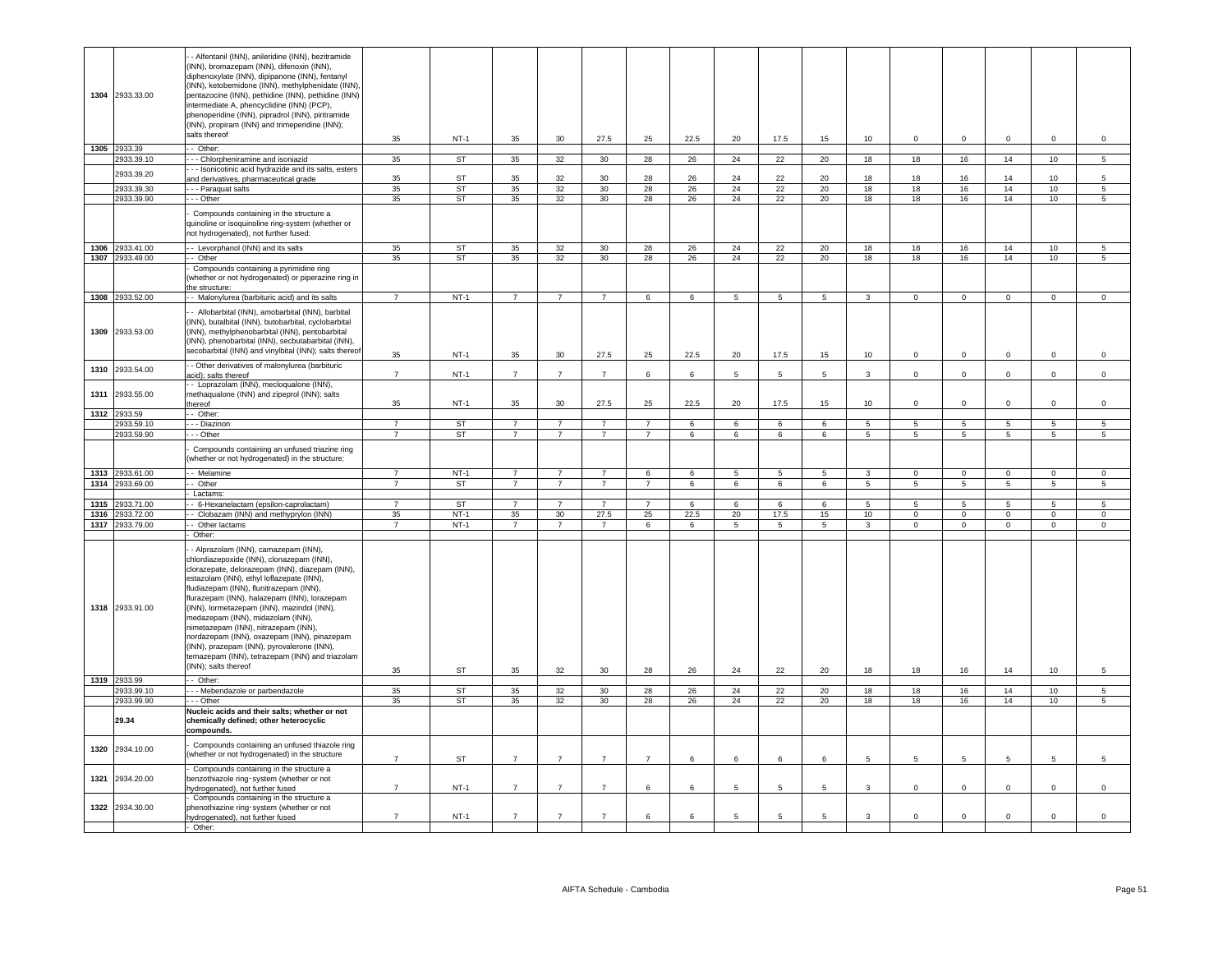|      |                 | - Alfentanil (INN), anileridine (INN), bezitramide                                         |                |           |                |                |                 |                |      |                |                 |                 |                 |                |                          |                |                 |                     |
|------|-----------------|--------------------------------------------------------------------------------------------|----------------|-----------|----------------|----------------|-----------------|----------------|------|----------------|-----------------|-----------------|-----------------|----------------|--------------------------|----------------|-----------------|---------------------|
|      |                 | (INN), bromazepam (INN), difenoxin (INN),                                                  |                |           |                |                |                 |                |      |                |                 |                 |                 |                |                          |                |                 |                     |
|      |                 | diphenoxylate (INN), dipipanone (INN), fentanyl                                            |                |           |                |                |                 |                |      |                |                 |                 |                 |                |                          |                |                 |                     |
|      |                 | (INN), ketobemidone (INN), methylphenidate (INN),                                          |                |           |                |                |                 |                |      |                |                 |                 |                 |                |                          |                |                 |                     |
|      | 1304 2933.33.00 | pentazocine (INN), pethidine (INN), pethidine (INN)                                        |                |           |                |                |                 |                |      |                |                 |                 |                 |                |                          |                |                 |                     |
|      |                 | intermediate A, phencyclidine (INN) (PCP),                                                 |                |           |                |                |                 |                |      |                |                 |                 |                 |                |                          |                |                 |                     |
|      |                 | phenoperidine (INN), pipradrol (INN), piritramide                                          |                |           |                |                |                 |                |      |                |                 |                 |                 |                |                          |                |                 |                     |
|      |                 | (INN), propiram (INN) and trimeperidine (INN);                                             |                |           |                |                |                 |                |      |                |                 |                 |                 |                |                          |                |                 |                     |
|      |                 | salts thereof                                                                              |                |           |                |                |                 |                |      |                |                 |                 |                 |                |                          |                |                 |                     |
|      |                 |                                                                                            | 35             | $NT-1$    | 35             | 30             | 27.5            | 25             | 22.5 | 20             | 17.5            | 15              | 10              | $\mathbf{0}$   | $\mathbf{0}$             | $\mathbf{0}$   | $\mathbf 0$     | $\circ$             |
|      | 1305 2933.39    | - Other:                                                                                   |                |           |                |                |                 |                |      |                |                 |                 |                 |                |                          |                |                 |                     |
|      | 933.39.10       | - - Chlorpheniramine and isoniazid                                                         | 35             | <b>ST</b> | 35             | 32             | 30 <sup>°</sup> | 28             | 26   | 24             | 22              | 20              | 18              | 18             | 16                       | 14             | 10 <sub>1</sub> | $\overline{5}$      |
|      | 2933.39.20      | - - Isonicotinic acid hydrazide and its salts, esters                                      |                |           |                |                |                 |                |      |                |                 |                 |                 |                |                          |                |                 |                     |
|      |                 | ind derivatives, pharmaceutical grade                                                      | 35             | <b>ST</b> | 35             | 32             | 30              | 28             | 26   | 24             | 22              | 20              | 18              | 18             | 16                       | 14             | 10 <sub>1</sub> | 5                   |
|      | 2933.39.30      | - - Paraquat salts                                                                         | 35             | ST        | 35             | 32             | 30              | 28             | 26   | 24             | 22              | 20              | 18              | 18             | 16                       | 14             | 10              | 5                   |
|      | 2933.39.90      | - - Other                                                                                  | 35             | <b>ST</b> | 35             | 32             | 30              | 28             | 26   | 24             | 22              | 20              | 18              | 18             | 16                       | 14             | 10              | $5^{\circ}$         |
|      |                 |                                                                                            |                |           |                |                |                 |                |      |                |                 |                 |                 |                |                          |                |                 |                     |
|      |                 | Compounds containing in the structure a                                                    |                |           |                |                |                 |                |      |                |                 |                 |                 |                |                          |                |                 |                     |
|      |                 | quinoline or isoquinoline ring-system (whether or<br>not hydrogenated), not further fused: |                |           |                |                |                 |                |      |                |                 |                 |                 |                |                          |                |                 |                     |
|      |                 |                                                                                            |                |           |                |                |                 |                |      |                |                 |                 |                 |                |                          |                |                 |                     |
|      | 1306 2933.41.00 | - Levorphanol (INN) and its salts                                                          | 35             | <b>ST</b> | 35             | 32             | 30              | 28             | 26   | 24             | 22              | 20              | 18              | 18             | 16                       | 14             | 10              | 5                   |
|      | 1307 2933.49.00 | - Other                                                                                    | 35             | ST        | 35             | 32             | 30              | 28             | 26   | 24             | 22              | 20              | 18              | 18             | 16                       | 14             | 10              | 5                   |
|      |                 | Compounds containing a pyrimidine ring                                                     |                |           |                |                |                 |                |      |                |                 |                 |                 |                |                          |                |                 |                     |
|      |                 | (whether or not hydrogenated) or piperazine ring in                                        |                |           |                |                |                 |                |      |                |                 |                 |                 |                |                          |                |                 |                     |
|      |                 | he structure:                                                                              |                |           |                |                |                 |                |      |                |                 |                 |                 |                |                          |                |                 |                     |
|      | 1308 2933.52.00 | - Malonylurea (barbituric acid) and its salts                                              | $\overline{7}$ | $NT-1$    | $\overline{7}$ | $\overline{7}$ | $\overline{7}$  | 6              | 6    | 5              | 5               | 5               | $\mathbf{3}$    | $\overline{0}$ | $\overline{0}$           | $\mathbf{0}$   | $\mathbf{0}$    | $\mathbf{0}$        |
|      |                 |                                                                                            |                |           |                |                |                 |                |      |                |                 |                 |                 |                |                          |                |                 |                     |
|      |                 | - Allobarbital (INN), amobarbital (INN), barbital                                          |                |           |                |                |                 |                |      |                |                 |                 |                 |                |                          |                |                 |                     |
|      |                 | (INN), butalbital (INN), butobarbital, cyclobarbital                                       |                |           |                |                |                 |                |      |                |                 |                 |                 |                |                          |                |                 |                     |
|      | 1309 2933.53.00 | (INN), methylphenobarbital (INN), pentobarbital                                            |                |           |                |                |                 |                |      |                |                 |                 |                 |                |                          |                |                 |                     |
|      |                 | (INN), phenobarbital (INN), secbutabarbital (INN),                                         |                |           |                |                |                 |                |      |                |                 |                 |                 |                |                          |                |                 |                     |
|      |                 | secobarbital (INN) and vinylbital (INN); salts thereof                                     | 35             | $NT-1$    | 35             | 30             | 27.5            | 25             | 22.5 | 20             | 17.5            | 15              | 10              | $\mathbf 0$    | $\mathbf 0$              | $\mathbf 0$    | $\mathsf 0$     | $\mathsf 0$         |
| 1310 | 2933.54.00      | - Other derivatives of malonylurea (barbituric                                             |                |           |                |                |                 |                |      |                |                 |                 |                 |                |                          |                |                 |                     |
|      |                 | acid); salts thereof                                                                       | $\overline{7}$ | $NT-1$    | $\overline{7}$ | $\overline{7}$ | $\overline{7}$  | 6              | 6    | 5              | $5\phantom{.0}$ | 5               | $\mathbf{3}$    | $\mathsf 0$    | $\mathsf 0$              | $\mathbf 0$    | $\mathsf 0$     | $\mathsf 0$         |
|      |                 | - Loprazolam (INN), mecloqualone (INN),                                                    |                |           |                |                |                 |                |      |                |                 |                 |                 |                |                          |                |                 |                     |
| 1311 | 2933.55.00      | methaqualone (INN) and zipeprol (INN); salts                                               |                |           |                |                |                 |                |      |                |                 |                 |                 |                |                          |                |                 |                     |
|      |                 | hereof                                                                                     | 35             | $NT-1$    | 35             | 30             | 27.5            | 25             | 22.5 | 20             | 17.5            | 15              | 10              | $\mathbf 0$    | $\mathbf 0$              |                | $\Omega$        | $\mathsf 0$         |
|      | 1312 2933.59    | - Other:                                                                                   |                |           |                |                |                 |                |      |                |                 |                 |                 |                |                          |                |                 |                     |
|      | 2933.59.10      | - - Diazinon                                                                               | $\overline{7}$ | ST        | $\overline{7}$ | $\overline{7}$ | $\overline{7}$  | $\overline{7}$ | 6    | 6              | 6               | 6               | 5 <sub>5</sub>  | 5              | 5                        | 5              | $5^{\circ}$     | 5                   |
|      | 2933.59.90      | - - Other                                                                                  | $\overline{7}$ | ST        | $\overline{7}$ | $\overline{7}$ | $\overline{7}$  | $\overline{7}$ | 6    | 6              | 6               | 6               | $5\overline{5}$ | 5              | 5                        | -5             | 5               | 5                   |
|      |                 |                                                                                            |                |           |                |                |                 |                |      |                |                 |                 |                 |                |                          |                |                 |                     |
|      |                 | Compounds containing an unfused triazine ring                                              |                |           |                |                |                 |                |      |                |                 |                 |                 |                |                          |                |                 |                     |
|      |                 | whether or not hydrogenated) in the structure:                                             |                |           |                |                |                 |                |      |                |                 |                 |                 |                |                          |                |                 |                     |
|      | 1313 2933.61.00 | - Melamine                                                                                 | $\overline{7}$ | $NT-1$    | $\overline{7}$ | $\overline{7}$ | $\overline{7}$  | 6              | 6    | 5              | $5\phantom{.0}$ | -5              | $\mathbf{3}$    | $\Omega$       | $\overline{0}$           | $\Omega$       | $\Omega$        | $\Omega$            |
| 1314 | 933.69.00       | - Other                                                                                    | $\overline{7}$ | <b>ST</b> | $\overline{7}$ | $\overline{7}$ | $\overline{7}$  | $\overline{7}$ | 6    | 6              | 6               | 6               | $\overline{5}$  | 5              | $\overline{\phantom{a}}$ | 5              | $\overline{5}$  | $\overline{5}$      |
|      |                 | Lactams:                                                                                   |                |           |                |                |                 |                |      |                |                 |                 |                 |                |                          |                |                 |                     |
| 1315 | 2933.71.00      |                                                                                            |                |           |                |                |                 |                |      |                |                 |                 |                 |                |                          |                |                 |                     |
|      | 2933.72.00      |                                                                                            |                |           |                |                |                 |                |      |                |                 |                 |                 |                |                          |                |                 |                     |
|      |                 | - 6-Hexanelactam (epsilon-caprolactam)                                                     | $\overline{7}$ | ST        | $\overline{7}$ | $\overline{7}$ | $\overline{7}$  | $\overline{7}$ | 6    | 6              | 6               | 6               | 5               | $\overline{5}$ | $\overline{5}$           | $\overline{5}$ | $\overline{5}$  | $\overline{5}$      |
| 1316 |                 | Clobazam (INN) and methyprylon (INN)                                                       | 35             | $NT-1$    | 35             | 30             | 27.5            | 25             | 22.5 | 20             | 17.5            | 15              | 10 <sub>1</sub> | $\mathbf 0$    | $\mathbf 0$              | $\mathbf{0}$   | $\mathbf 0$     | $\mathbf 0$         |
| 1317 | 2933.79.00      | - Other lactams                                                                            | $\overline{7}$ | $NT-1$    | $\overline{7}$ | $\overline{7}$ | $\overline{7}$  | 6              | 6    | $\overline{5}$ | $5\overline{5}$ | 5               | $\overline{3}$  | $\Omega$       | $\Omega$                 | $\overline{0}$ | $\overline{0}$  | $\Omega$            |
|      |                 | Other:                                                                                     |                |           |                |                |                 |                |      |                |                 |                 |                 |                |                          |                |                 |                     |
|      |                 | - Alprazolam (INN), camazepam (INN),                                                       |                |           |                |                |                 |                |      |                |                 |                 |                 |                |                          |                |                 |                     |
|      |                 | chlordiazepoxide (INN), clonazepam (INN),                                                  |                |           |                |                |                 |                |      |                |                 |                 |                 |                |                          |                |                 |                     |
|      |                 | clorazepate, delorazepam (INN), diazepam (INN),                                            |                |           |                |                |                 |                |      |                |                 |                 |                 |                |                          |                |                 |                     |
|      |                 | estazolam (INN), ethyl loflazepate (INN),                                                  |                |           |                |                |                 |                |      |                |                 |                 |                 |                |                          |                |                 |                     |
|      |                 | fludiazepam (INN), flunitrazepam (INN),                                                    |                |           |                |                |                 |                |      |                |                 |                 |                 |                |                          |                |                 |                     |
|      |                 | flurazepam (INN), halazepam (INN), lorazepam                                               |                |           |                |                |                 |                |      |                |                 |                 |                 |                |                          |                |                 |                     |
|      | 1318 2933.91.00 | (INN), lormetazepam (INN), mazindol (INN),                                                 |                |           |                |                |                 |                |      |                |                 |                 |                 |                |                          |                |                 |                     |
|      |                 | medazepam (INN), midazolam (INN),                                                          |                |           |                |                |                 |                |      |                |                 |                 |                 |                |                          |                |                 |                     |
|      |                 | nimetazepam (INN), nitrazepam (INN),                                                       |                |           |                |                |                 |                |      |                |                 |                 |                 |                |                          |                |                 |                     |
|      |                 | nordazepam (INN), oxazepam (INN), pinazepam                                                |                |           |                |                |                 |                |      |                |                 |                 |                 |                |                          |                |                 |                     |
|      |                 | (INN), prazepam (INN), pyrovalerone (INN),                                                 |                |           |                |                |                 |                |      |                |                 |                 |                 |                |                          |                |                 |                     |
|      |                 | temazepam (INN), tetrazepam (INN) and triazolam                                            |                |           |                |                |                 |                |      |                |                 |                 |                 |                |                          |                |                 |                     |
|      |                 | (INN); salts thereof                                                                       |                | ST        |                |                |                 |                |      |                |                 |                 |                 |                |                          |                |                 | 5                   |
|      | 1319 2933.99    | - Other:                                                                                   | 35             |           | 35             | 32             | 30              | 28             | 26   | 24             | 22              | 20              | 18              | 18             | 16                       | 14             | 10              |                     |
|      | 2933.99.10      | - Mebendazole or parbendazole                                                              | 35             | <b>ST</b> | 35             | 32             | 30              | 28             | 26   | 24             | 22              | 20              | 18              | 18             | 16                       | 14             | 10              | 5                   |
|      | 2933.99.90      | - - Other                                                                                  | 35             | <b>ST</b> | 35             | 32             | 30              | 28             | 26   | 24             | 22              | 20              | 18              | 18             | 16                       | 14             | 10              | 5                   |
|      |                 | Nucleic acids and their salts; whether or not                                              |                |           |                |                |                 |                |      |                |                 |                 |                 |                |                          |                |                 |                     |
|      | 29.34           | chemically defined; other heterocyclic                                                     |                |           |                |                |                 |                |      |                |                 |                 |                 |                |                          |                |                 |                     |
|      |                 | compounds.                                                                                 |                |           |                |                |                 |                |      |                |                 |                 |                 |                |                          |                |                 |                     |
|      |                 |                                                                                            |                |           |                |                |                 |                |      |                |                 |                 |                 |                |                          |                |                 |                     |
| 1320 | 2934.10.00      | Compounds containing an unfused thiazole ring                                              |                |           |                |                |                 |                |      |                |                 |                 |                 |                |                          |                |                 |                     |
|      |                 | (whether or not hydrogenated) in the structure                                             | $\overline{7}$ | <b>ST</b> | $\overline{7}$ | $\overline{7}$ | $\overline{7}$  | $\overline{7}$ | 6    | 6              | 6               | 6               | -5              | $\overline{5}$ | 5                        | -5             | $\overline{5}$  | 5                   |
|      |                 | Compounds containing in the structure a                                                    |                |           |                |                |                 |                |      |                |                 |                 |                 |                |                          |                |                 |                     |
| 1321 | 2934.20.00      | benzothiazole ring-system (whether or not                                                  |                |           |                |                |                 |                |      |                |                 |                 |                 |                |                          |                |                 |                     |
|      |                 | hydrogenated), not further fused                                                           | $\overline{7}$ | $NT-1$    | $\overline{7}$ | $\overline{7}$ | $\overline{7}$  | 6              | 6    | 5              | $5\phantom{.0}$ | 5               | $\mathbf{3}$    | $\mathsf 0$    | $\mathbf 0$              | $\mathbf 0$    | $\mathsf 0$     | $\mathsf{O}\xspace$ |
|      |                 | Compounds containing in the structure a                                                    |                |           |                |                |                 |                |      |                |                 |                 |                 |                |                          |                |                 |                     |
|      | 1322 2934.30.00 | phenothiazine ring-system (whether or not                                                  |                |           |                |                |                 |                |      |                |                 |                 |                 |                |                          |                |                 |                     |
|      |                 | ydrogenated), not further fused<br>Other:                                                  | $\overline{7}$ | $NT-1$    | $\overline{7}$ | $\overline{7}$ | $\overline{7}$  | 6              | 6    | 5              | $5^{\circ}$     | $5\overline{5}$ | 3               | $\Omega$       | $\mathbf 0$              | $\Omega$       | $\Omega$        | $\Omega$            |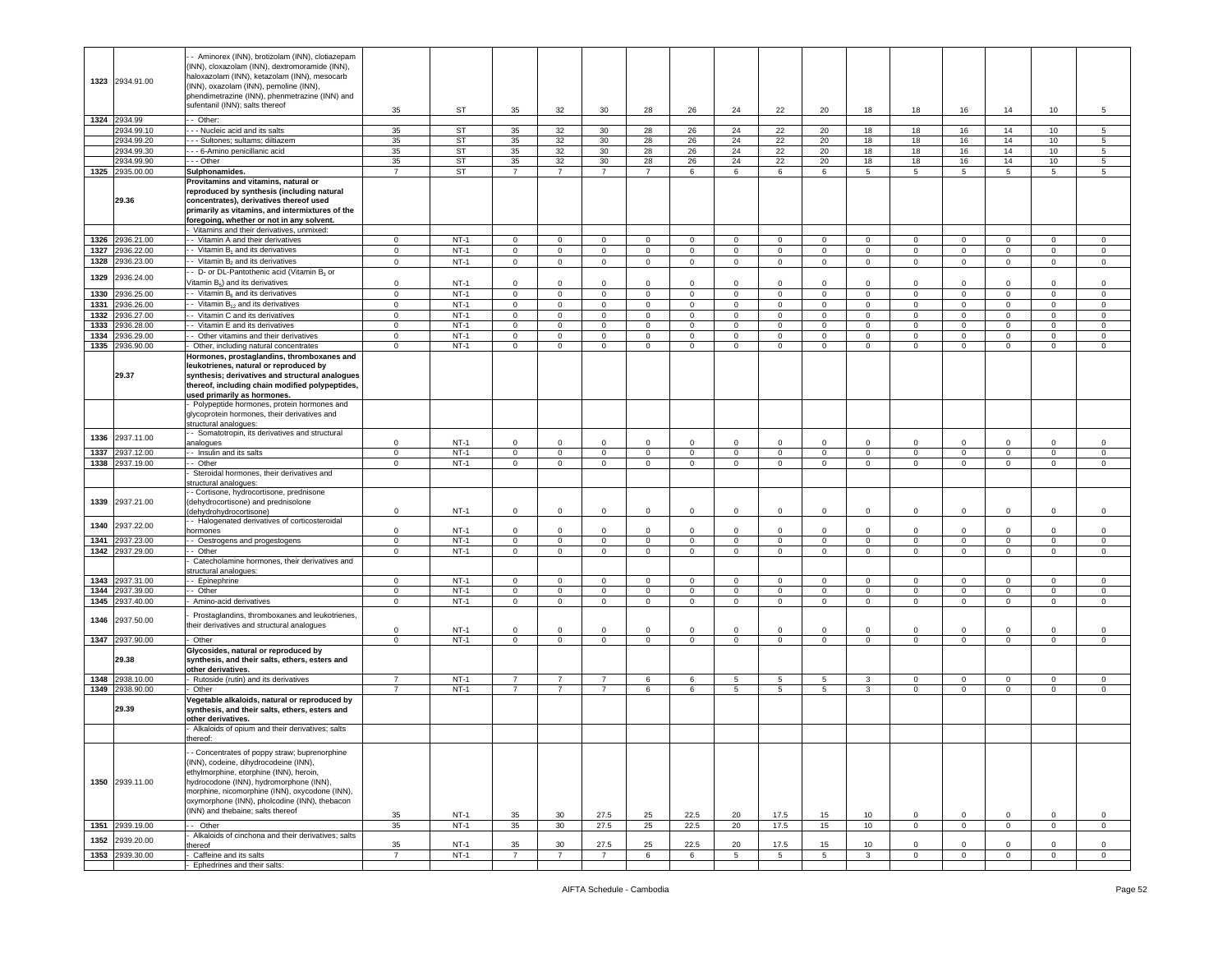|              | 1323 2934.91.00          | - Aminorex (INN), brotizolam (INN), clotiazepam<br>(INN), cloxazolam (INN), dextromoramide (INN),<br>naloxazolam (INN), ketazolam (INN), mesocarb<br>(INN), oxazolam (INN), pemoline (INN),<br>phendimetrazine (INN), phenmetrazine (INN) and<br>sufentanil (INN); salts thereof                                    | 35                         | ST               | 35                          | 32                            | 30                          | 28                         | 26                          | 24                         | 22                             | 20                         | 18                         | 18                          | 16                         | 14                           | 10                         | 5                          |
|--------------|--------------------------|---------------------------------------------------------------------------------------------------------------------------------------------------------------------------------------------------------------------------------------------------------------------------------------------------------------------|----------------------------|------------------|-----------------------------|-------------------------------|-----------------------------|----------------------------|-----------------------------|----------------------------|--------------------------------|----------------------------|----------------------------|-----------------------------|----------------------------|------------------------------|----------------------------|----------------------------|
|              | 1324 2934.99             | - Other:                                                                                                                                                                                                                                                                                                            |                            |                  |                             |                               |                             |                            |                             |                            |                                |                            |                            |                             |                            |                              |                            |                            |
|              | 2934.99.10               | --- Nucleic acid and its salts                                                                                                                                                                                                                                                                                      | 35                         | <b>ST</b>        | 35                          | 32                            | 30                          | 28                         | 26                          | 24                         | 22                             | 20                         | 18                         | 18                          | 16                         | 14                           | 10                         | 5                          |
|              | 2934.99.20               | - - Sultones; sultams; diltiazem                                                                                                                                                                                                                                                                                    | 35                         | <b>ST</b>        | 35                          | 32                            | 30                          | 28                         | 26                          | 24                         | 22                             | $20\,$                     | 18                         | 18                          | 16                         | 14                           | 10                         | 5                          |
|              | 2934.99.30               | - - - 6-Amino penicillanic acid                                                                                                                                                                                                                                                                                     | 35                         | <b>ST</b>        | 35                          | 32                            | 30                          | 28                         | 26                          | 24                         | 22                             | 20                         | 18                         | 18                          | 16                         | 14                           | 10                         | 5                          |
|              | 2934.99.90               | --- Other                                                                                                                                                                                                                                                                                                           | 35                         | <b>ST</b>        | 35                          | 32                            | 30                          | 28                         | 26                          | 24                         | 22                             | 20                         | 18                         | 18                          | 16                         | 14                           | 10                         | 5                          |
| 1325         | 2935.00.00               | Sulphonamides.                                                                                                                                                                                                                                                                                                      | $\overline{7}$             | ST               | $\overline{7}$              | 7                             | 7                           | $\overline{7}$             | 6                           | 6                          | 6                              | 6                          | 5                          | 5                           | 5                          | 5                            | 5                          | 5                          |
|              | 29.36                    | Provitamins and vitamins, natural or<br>reproduced by synthesis (including natural<br>concentrates), derivatives thereof used<br>primarily as vitamins, and intermixtures of the<br>foregoing, whether or not in any solvent.                                                                                       |                            |                  |                             |                               |                             |                            |                             |                            |                                |                            |                            |                             |                            |                              |                            |                            |
| 1326         | 2936.21.00               | Vitamins and their derivatives, unmixed:<br>- Vitamin A and their derivatives                                                                                                                                                                                                                                       | $\mathsf 0$                | $NT-1$           | $\mathbf 0$                 | $\mathbf 0$                   | $\mathbf 0$                 | $\mathbf 0$                | $\mathsf 0$                 | $\mathsf 0$                | $\mathbf 0$                    | $\mathbf 0$                | $\mathbf 0$                | 0                           | $\mathbf 0$                | $\mathbf{0}$                 | 0                          | $\mathbf 0$                |
|              |                          | - Vitamin B <sub>1</sub> and its derivatives                                                                                                                                                                                                                                                                        | $\mathbf 0$                | $NT-1$           |                             |                               |                             |                            |                             |                            |                                |                            |                            |                             |                            |                              |                            |                            |
| 1327<br>1328 | 2936.22.00<br>2936.23.00 | - Vitamin B <sub>2</sub> and its derivatives                                                                                                                                                                                                                                                                        | $\mathsf 0$                | $NT-1$           | $\mathbf{0}$<br>$\mathbf 0$ | $\mathbf 0$<br>$\mathbf 0$    | $\mathbf{0}$<br>$\mathbf 0$ | $\mathbf 0$<br>$\mathbf 0$ | $\mathbf 0$<br>$\mathbf 0$  | $\mathbf 0$<br>$\mathsf 0$ | $\overline{0}$<br>$\mathbf{0}$ | $\mathbf 0$<br>$\mathbf 0$ | $\mathbf 0$<br>$\circ$     | $\mathbf 0$<br>$\mathbf 0$  | $\mathbf 0$<br>$\mathbf 0$ | $\mathbf 0$<br>$\mathbf{0}$  | $\mathbf 0$<br>$\mathbf 0$ | $\circ$<br>$\circ$         |
|              |                          |                                                                                                                                                                                                                                                                                                                     |                            |                  |                             |                               |                             |                            |                             |                            |                                |                            |                            |                             |                            |                              |                            |                            |
| 1329         | 2936.24.00               | - D- or DL-Pantothenic acid (Vitamin B <sub>3</sub> or<br>Vitamin B <sub>5</sub> ) and its derivatives                                                                                                                                                                                                              |                            |                  |                             |                               |                             |                            |                             |                            |                                |                            |                            |                             |                            |                              |                            |                            |
|              | 2936.25.00               | -- Vitamin B <sub>6</sub> and its derivatives                                                                                                                                                                                                                                                                       | 0                          | NT-1<br>$NT-1$   | $\mathbf 0$<br>$\mathbf 0$  | $\mathbf 0$<br>$\overline{0}$ | $\Omega$<br>$\circ$         | 0<br>$\circ$               | 0<br>$\mathsf 0$            | $\mathbf 0$<br>$\mathsf 0$ | 0<br>$\circ$                   | $\mathbf 0$<br>$\circ$     | $\mathbf 0$<br>$\circ$     | $\mathbf 0$<br>$\mathbf{0}$ | 0<br>$\mathbf 0$           | $\mathbf 0$<br>$\mathbf{0}$  | 0<br>$\mathbf 0$           | $\mathbf 0$<br>$\mathbf 0$ |
| 1330         |                          | - Vitamin B <sub>12</sub> and its derivatives                                                                                                                                                                                                                                                                       | $\mathsf 0$                |                  |                             |                               |                             |                            |                             |                            |                                |                            |                            |                             |                            |                              |                            |                            |
| 1331<br>1332 | 2936.26.00               | - Vitamin C and its derivatives                                                                                                                                                                                                                                                                                     | $\mathbf 0$<br>$\mathbf 0$ | $NT-1$<br>$NT-1$ | $\mathbf 0$<br>$\mathbf 0$  | $\mathbf 0$<br>$\mathbf 0$    | $\mathbf 0$<br>$\mathbf 0$  | $\circ$<br>$\mathbf 0$     | $\mathsf 0$<br>$\mathbf 0$  | $\mathsf 0$<br>$\mathbf 0$ | $\mathbf 0$<br>$\Omega$        | $\mathbf 0$<br>$\mathbf 0$ | $\mathsf 0$                | $\mathbf 0$<br>$\mathbf{0}$ | $\mathbf 0$<br>$\mathbf 0$ | $\mathbf{0}$<br>$\mathbf{0}$ | $\mathbf 0$                | $\mathbf 0$<br>$\circ$     |
| 1333         | 2936.27.00               |                                                                                                                                                                                                                                                                                                                     |                            | $NT-1$           |                             |                               |                             |                            |                             |                            |                                |                            | $\mathbf 0$                |                             |                            |                              | 0                          |                            |
| 1334         | 2936.28.00<br>2936.29.00 | - Vitamin E and its derivatives<br>- Other vitamins and their derivatives                                                                                                                                                                                                                                           | 0<br>0                     | $NT-1$           | $\mathbf 0$<br>$\mathbf 0$  | $\mathbf 0$<br>0              | $\mathbf 0$<br>$\mathbf 0$  | $\circ$<br>$\circ$         | $\mathbf{0}$<br>$\mathsf 0$ | $\mathbf 0$<br>$\mathsf 0$ | $\mathbf 0$<br>$\mathbf 0$     | $\mathbf 0$<br>$\mathbf 0$ | $\mathbf 0$<br>$\mathbf 0$ | $\mathbf 0$<br>$\mathbf 0$  | $\mathbf 0$<br>$\mathbf 0$ | $\mathbf 0$<br>$\mathbf 0$   | 0<br>$\mathbf 0$           | $\circ$<br>0               |
| 1335         | 2936.90.00               | Other, including natural concentrates                                                                                                                                                                                                                                                                               | $\overline{0}$             | $NT-1$           | $\overline{0}$              | $\overline{0}$                | $\overline{0}$              | $\overline{0}$             | $\overline{0}$              | $\overline{0}$             | $\overline{0}$                 | $\overline{0}$             | $\overline{0}$             | $\overline{0}$              | $\overline{0}$             | $\overline{0}$               | $\mathbf 0$                | $\mathsf 0$                |
|              | 29.37                    | Hormones, prostaglandins, thromboxanes and<br>leukotrienes, natural or reproduced by<br>synthesis; derivatives and structural analogues<br>thereof, including chain modified polypeptides,<br>used primarily as hormones.                                                                                           |                            |                  |                             |                               |                             |                            |                             |                            |                                |                            |                            |                             |                            |                              |                            |                            |
|              |                          | Polypeptide hormones, protein hormones and<br>glycoprotein hormones, their derivatives and<br>structural analogues:                                                                                                                                                                                                 |                            |                  |                             |                               |                             |                            |                             |                            |                                |                            |                            |                             |                            |                              |                            |                            |
| 1336         | 2937.11.00               | - Somatotropin, its derivatives and structural<br>analogues                                                                                                                                                                                                                                                         | 0                          | NT-1             | $\mathbf 0$                 | $\mathbf 0$                   | $\Omega$                    | $\mathbf 0$                | 0                           | $\mathbf 0$                | 0                              | $\mathbf 0$                | $\mathbf 0$                | $\mathbf 0$                 | 0                          | $\mathbf 0$                  | 0                          | $\mathbf 0$                |
| 1337         | 2937.12.00               | - Insulin and its salts                                                                                                                                                                                                                                                                                             | $\mathsf 0$                | $NT-1$           | $\mathbf 0$                 | $\mathbf 0$                   | $\circ$                     | $\mathbf 0$                | $\mathsf 0$                 | $\mathbf 0$                | $\mathbf 0$                    | $\mathbf 0$                | $\mathbf 0$                | $\mathbf{0}$                | $\mathbf 0$                | $\mathbf{0}$                 | $\mathbf 0$                | $\mathbf 0$                |
| 1338         | 2937.19.00               | - Other                                                                                                                                                                                                                                                                                                             | $\mathsf 0$                | $NT-1$           | $\mathbf 0$                 | $\mathbf 0$                   | $\mathsf 0$                 | $\mathbf 0$                | $\mathbf 0$                 | $\mathbf 0$                | $\mathbf 0$                    | 0                          | $\mathbf 0$                | $\mathsf 0$                 | $\,0\,$                    | $\mathbf 0$                  | 0                          | $\mathbf 0$                |
|              |                          | Steroidal hormones, their derivatives and<br>structural analogues:                                                                                                                                                                                                                                                  |                            |                  |                             |                               |                             |                            |                             |                            |                                |                            |                            |                             |                            |                              |                            |                            |
| 1339         | 2937.21.00               | - Cortisone, hydrocortisone, prednisone<br>(dehydrocortisone) and prednisolone<br>dehydrohydrocortisone)                                                                                                                                                                                                            | $\mathbf 0$                | $NT-1$           | $\mathbf 0$                 | $\mathbf 0$                   | $\mathbf 0$                 | $\circ$                    | $\mathsf 0$                 | $\mathbf 0$                | $\circ$                        | $\mathbf 0$                | $\mathbf 0$                | $\mathbf 0$                 | $\mathbf{0}$               | $\mathbf{0}$                 | $\mathbf 0$                | $\mathbf 0$                |
| 1340         | 2937.22.00               | - Halogenated derivatives of corticosteroidal                                                                                                                                                                                                                                                                       |                            |                  |                             |                               |                             |                            |                             |                            |                                |                            |                            |                             |                            |                              |                            |                            |
|              |                          | hormones                                                                                                                                                                                                                                                                                                            | $\mathsf 0$                | $NT-1$           | $\mathbf 0$                 | $\mathsf 0$                   | $\mathbf 0$                 | $\mathbf 0$                | $\mathbf 0$                 | $\mathsf 0$                | $\Omega$                       | $\Omega$                   | $\Omega$                   | $\mathbf{0}$                | $\mathbf 0$                | $\Omega$                     | $\Omega$                   | $\circ$                    |
| 1341         | 2937.23.00               | - Oestrogens and progestogens                                                                                                                                                                                                                                                                                       | $\mathsf 0$                | $NT-1$           | $\mathbf 0$                 | $\mathbf 0$                   | $\mathbf 0$                 | $\circ$                    | $\mathbf 0$                 | $\mathsf 0$                | $\mathbf 0$                    | $\mathbf 0$                | $\circ$                    | $\mathbf 0$                 | $\mathbf 0$                | $\mathbf 0$                  | $\mathbf 0$                | $\mathbf 0$                |
| 1342         | 2937.29.00               | - Other                                                                                                                                                                                                                                                                                                             | $\mathsf 0$                | $NT-1$           | $\mathbf 0$                 | $\mathbf 0$                   | $\mathbf{0}$                | $\overline{0}$             | $\mathbf 0$                 | $\mathbf 0$                | $\mathbf{0}$                   | $\mathbf 0$                | $\circ$                    | $\mathbf{0}$                | $\mathbf 0$                | $\mathbf{0}$                 | $\mathbf 0$                | $\circ$                    |
|              |                          | Catecholamine hormones, their derivatives and                                                                                                                                                                                                                                                                       |                            |                  |                             |                               |                             |                            |                             |                            |                                |                            |                            |                             |                            |                              |                            |                            |
| 1343         | 2937.31.00               | structural analogues:<br>- Epinephrine                                                                                                                                                                                                                                                                              | $\mathbf 0$                | $NT-1$           | 0                           | $\mathbf 0$                   | $\mathbf{0}$                | $\mathbf 0$                | $\mathbf 0$                 | $\mathbf 0$                | $\mathbf 0$                    | $\mathbf 0$                | $\mathbf 0$                | $\mathbf 0$                 | $\mathbf 0$                | $\mathbf 0$                  | 0                          | $\circ$                    |
| 1344         | 2937.39.00               | - Other                                                                                                                                                                                                                                                                                                             | $\mathbf 0$                | $NT-1$           | $\mathbf 0$                 | $\circ$                       | $\mathbf 0$                 | $\mathbf{0}$               | $\mathbf 0$                 | $\overline{0}$             | $\mathbf{0}$                   | $\circ$                    | $\circ$                    | $\circ$                     | $\overline{0}$             | $\mathbf 0$                  | $\circ$                    | $\mathbf 0$                |
| 1345         | 2937.40.00               | Amino-acid derivatives                                                                                                                                                                                                                                                                                              | $\circ$                    | $NT-1$           | $\mathbf{0}$                | $\mathbf 0$                   | $\mathbf{0}$                | $\mathbf 0$                | $\mathbf 0$                 | 0                          | $\mathbf{0}$                   | $\mathbf{0}$               | $\mathbf 0$                | $\mathbf{0}$                | $\overline{0}$             | $\mathbf 0$                  | $\mathbf 0$                | $\circ$                    |
| 1346         | 2937.50.00               | Prostaglandins, thromboxanes and leukotrienes,<br>their derivatives and structural analogues                                                                                                                                                                                                                        |                            |                  |                             |                               |                             |                            |                             |                            |                                |                            |                            |                             |                            |                              |                            |                            |
|              |                          |                                                                                                                                                                                                                                                                                                                     | $\mathsf 0$                | $NT-1$           | $\mathbf 0$                 | $\mathbf 0$                   | 0                           | $\mathbf 0$                | $\mathsf 0$                 | $\mathsf 0$                | 0                              | $\mathbf 0$                | $\mathbf 0$                | $\mathbf 0$                 | $\mathbf 0$                | $\mathbf 0$                  | 0                          | $\mathsf 0$                |
| 1347         | 2937.90.00               | Other                                                                                                                                                                                                                                                                                                               | $\overline{0}$             | $NT-1$           | $\overline{0}$              | $\mathbf 0$                   | $\mathbf 0$                 | $\overline{0}$             | $\overline{0}$              | $\overline{0}$             | $\overline{0}$                 | $\overline{0}$             | $\overline{0}$             | $\overline{0}$              | $\overline{0}$             | $\overline{0}$               | $\mathbf 0$                | $\overline{0}$             |
|              | 29.38                    | Glycosides, natural or reproduced by<br>synthesis, and their salts, ethers, esters and<br>other derivatives.                                                                                                                                                                                                        |                            |                  |                             |                               |                             |                            |                             |                            |                                |                            |                            |                             |                            |                              |                            |                            |
|              | 1348 2938.10.00          | Rutoside (rutin) and its derivatives                                                                                                                                                                                                                                                                                | $\overline{7}$             | $NT-1$           | $\overline{7}$              | $\overline{7}$                | $\overline{7}$              | 6                          | 6                           | $5\phantom{.0}$            | 5                              | 5                          | 3                          | $\mathbf{0}$                | $\mathbf 0$                | $\mathbf{0}$                 | $\mathbf 0$                | $\mathbf 0$                |
|              | 1349 2938.90.00          | Other                                                                                                                                                                                                                                                                                                               | $\overline{7}$             | $NT-1$           | $\overline{7}$              | 7                             | 7                           | 6                          | 6                           | 5                          | 5                              | 5                          | 3                          | $\mathbf 0$                 | $\mathbf 0$                | $\mathbf 0$                  | $\mathbf 0$                | $\circ$                    |
|              | 29.39                    | Vegetable alkaloids, natural or reproduced by<br>synthesis, and their salts, ethers, esters and<br>other derivatives.                                                                                                                                                                                               |                            |                  |                             |                               |                             |                            |                             |                            |                                |                            |                            |                             |                            |                              |                            |                            |
|              |                          | Alkaloids of opium and their derivatives; salts<br>thereof:                                                                                                                                                                                                                                                         |                            |                  |                             |                               |                             |                            |                             |                            |                                |                            |                            |                             |                            |                              |                            |                            |
|              | 1350 2939.11.00          | - Concentrates of poppy straw; buprenorphine<br>(INN), codeine, dihydrocodeine (INN),<br>ethylmorphine, etorphine (INN), heroin,<br>hydrocodone (INN), hydromorphone (INN),<br>morphine, nicomorphine (INN), oxycodone (INN),<br>oxymorphone (INN), pholcodine (INN), thebacon<br>(INN) and thebaine; salts thereof | 35                         | $NT-1$           | 35                          | 30                            | 27.5                        | 25                         | 22.5                        | 20                         | 17.5                           | 15                         | 10                         | $\mathbf 0$                 | $\mathbf 0$                | $\mathbf 0$                  | $\Omega$                   | $\circ$                    |
| 1351         | 2939.19.00               | -- Other                                                                                                                                                                                                                                                                                                            | 35                         | $NT-1$           | 35                          | 30                            | 27.5                        | 25                         | 22.5                        | 20                         | 17.5                           | 15                         | 10                         | $\mathbf{0}$                | $\overline{0}$             | $\mathbf{0}$                 | $\circ$                    | $\mathbf 0$                |
| 1352         | 2939.20.00               | Alkaloids of cinchona and their derivatives; salts                                                                                                                                                                                                                                                                  |                            |                  |                             |                               |                             |                            |                             |                            |                                |                            |                            |                             |                            |                              |                            |                            |
|              |                          | thereof                                                                                                                                                                                                                                                                                                             | 35                         | $NT-1$           | 35                          | 30                            | 27.5                        | 25                         | 22.5                        | 20                         | 17.5                           | 15                         | 10                         | $\circ$                     | $\mathbf 0$                | $\mathbf 0$                  | $\mathbf 0$                | $\mathbf 0$                |
| 1353         | 2939.30.00               | Caffeine and its salts                                                                                                                                                                                                                                                                                              | $\overline{7}$             | $NT-1$           | $\overline{7}$              | $\overline{7}$                | $\overline{7}$              | 6                          | 6                           | 5                          | $5\overline{5}$                | $\overline{5}$             | $\overline{3}$             | $\overline{0}$              | $\overline{0}$             | $\overline{0}$               | $\overline{0}$             | $\overline{0}$             |
|              |                          | Ephedrines and their salts:                                                                                                                                                                                                                                                                                         |                            |                  |                             |                               |                             |                            |                             |                            |                                |                            |                            |                             |                            |                              |                            |                            |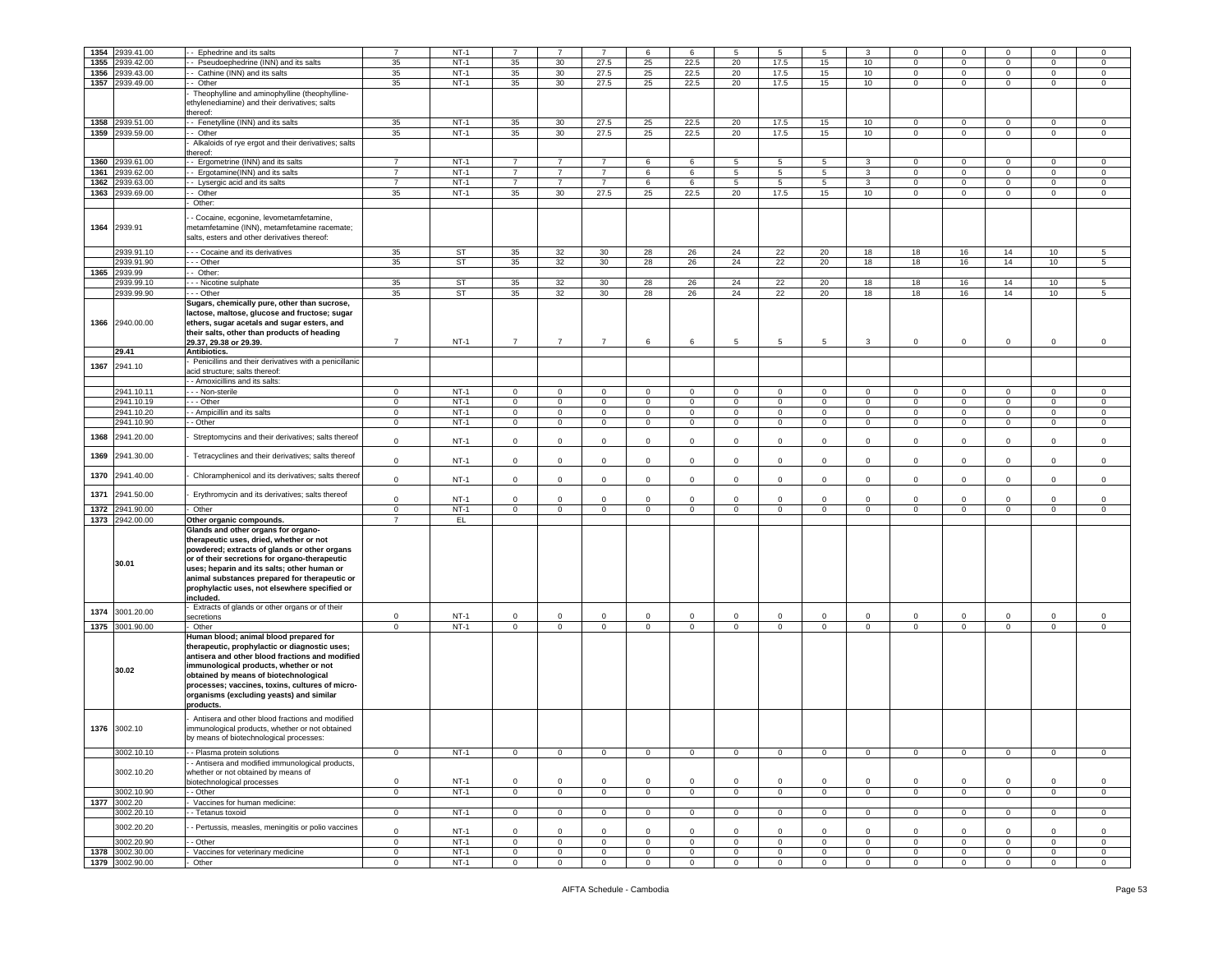|      | 2939.41.00      |                                                       | $\overline{7}$ |           | $\overline{7}$ | $\overline{7}$  |                |                |              |                |                 |                |                |                |                |                | $\Omega$        |              |
|------|-----------------|-------------------------------------------------------|----------------|-----------|----------------|-----------------|----------------|----------------|--------------|----------------|-----------------|----------------|----------------|----------------|----------------|----------------|-----------------|--------------|
| 1354 |                 | - Ephedrine and its salts                             |                | $NT-1$    |                |                 |                | 6              | 6            | 5              | 5               | 5              | 3              | $\Omega$       | $\mathbf 0$    | $\Omega$       |                 | 0            |
| 1355 | 2939.42.00      | - Pseudoephedrine (INN) and its salts                 | 35             | $NT-1$    | 35             | 30              | 27.5           | 25             | 22.5         | 20             | 17.5            | 15             | 10             | 0              | $\mathbf 0$    | 0              | 0               | 0            |
| 1356 | 2939.43.00      | - Cathine (INN) and its salts                         | 35             | $NT-1$    | 35             | 30 <sup>°</sup> | 27.5           | 25             | 22.5         | 20             | 17.5            | 15             | 10             | $\mathbf 0$    | $\mathbf 0$    | $\circ$        | $\mathbf 0$     | $\mathbf 0$  |
|      |                 |                                                       |                |           |                |                 |                |                |              |                |                 |                |                |                |                |                |                 |              |
| 1357 | 2939.49.00      | - Other                                               | 35             | $NT-1$    | 35             | 30              | 27.5           | 25             | 22.5         | 20             | 17.5            | 15             | 10             | $\mathbf 0$    | $\mathbf{0}$   | $\circ$        | $\mathbf 0$     | $\mathbf 0$  |
|      |                 | Theophylline and aminophylline (theophylline-         |                |           |                |                 |                |                |              |                |                 |                |                |                |                |                |                 |              |
|      |                 | ethylenediamine) and their derivatives; salts         |                |           |                |                 |                |                |              |                |                 |                |                |                |                |                |                 |              |
|      |                 |                                                       |                |           |                |                 |                |                |              |                |                 |                |                |                |                |                |                 |              |
|      |                 | hereof:                                               |                |           |                |                 |                |                |              |                |                 |                |                |                |                |                |                 |              |
| 1358 | 2939.51.00      | - Fenetylline (INN) and its salts                     | 35             | $NT-1$    | 35             | 30              | 27.5           | 25             | 22.5         | 20             | 17.5            | 15             | 10             | $\mathbf 0$    | $\mathbf 0$    | $\mathsf 0$    | $\mathbf 0$     | 0            |
| 1359 | 2939.59.00      | - Other                                               | 35             | $NT-1$    | 35             | 30              | 27.5           | 25             | 22.5         | 20             | 17.5            | 15             | 10             | $\mathbf 0$    | $\mathbf 0$    | $\circ$        | $\mathbf 0$     | $\mathsf 0$  |
|      |                 |                                                       |                |           |                |                 |                |                |              |                |                 |                |                |                |                |                |                 |              |
|      |                 | Alkaloids of rye ergot and their derivatives; salts   |                |           |                |                 |                |                |              |                |                 |                |                |                |                |                |                 |              |
|      |                 | hereof:                                               |                |           |                |                 |                |                |              |                |                 |                |                |                |                |                |                 |              |
| 1360 | 2939.61.00      | - Ergometrine (INN) and its salts                     | $\overline{7}$ | $NT-1$    | 7              | $\overline{7}$  | $\overline{7}$ | 6              | 6            | 5              | 5               | 5              | 3              | $\mathbf 0$    | $\mathbf 0$    | $\mathbf 0$    | 0               | $\mathbf 0$  |
|      |                 |                                                       |                |           |                |                 |                |                |              |                |                 |                |                |                |                |                |                 |              |
| 1361 | 2939.62.00      | - Ergotamine(INN) and its salts                       | $\overline{7}$ | $NT-1$    | $\overline{7}$ | $\overline{7}$  | $\overline{7}$ | 6              | 6            | 5              | 5               | 5              | $\mathbf{3}$   | $\mathbf 0$    | $\mathbf 0$    | $\mathbf 0$    | $\mathbf 0$     | $\mathsf 0$  |
| 1362 | 2939.63.00      | - Lysergic acid and its salts                         | $\overline{7}$ | $NT-1$    | $\overline{7}$ | $\overline{7}$  | $\overline{7}$ | 6              | 6            | $\overline{5}$ | $\overline{5}$  | 5              | $\overline{3}$ | $\circ$        | $\overline{0}$ | $\circ$        | $\mathbf 0$     | $\mathsf 0$  |
|      |                 |                                                       |                |           |                |                 |                |                |              |                |                 |                |                |                |                |                |                 |              |
| 1363 | 2939.69.00      | Other                                                 | 35             | $NT-1$    | 35             | 30              | 27.5           | 25             | 22.5         | 20             | 17.5            | 15             | 10             | 0              | $\mathbf 0$    | $\circ$        | $\mathbf 0$     | $\mathsf 0$  |
|      |                 | Other:                                                |                |           |                |                 |                |                |              |                |                 |                |                |                |                |                |                 |              |
|      |                 |                                                       |                |           |                |                 |                |                |              |                |                 |                |                |                |                |                |                 |              |
|      |                 | - Cocaine, ecgonine, levometamfetamine,               |                |           |                |                 |                |                |              |                |                 |                |                |                |                |                |                 |              |
| 1364 | 2939.91         | metamfetamine (INN), metamfetamine racemate;          |                |           |                |                 |                |                |              |                |                 |                |                |                |                |                |                 |              |
|      |                 |                                                       |                |           |                |                 |                |                |              |                |                 |                |                |                |                |                |                 |              |
|      |                 | salts, esters and other derivatives thereof:          |                |           |                |                 |                |                |              |                |                 |                |                |                |                |                |                 |              |
|      |                 |                                                       |                |           |                |                 |                |                |              |                |                 |                |                |                |                |                |                 |              |
|      | 2939.91.10      | - - Cocaine and its derivatives                       | 35             | <b>ST</b> | 35             | 32              | 30             | 28             | 26           | 24             | 22              | 20             | 18             | 18             | 16             | 14             | 10 <sub>1</sub> | 5            |
|      | 2939.91.90      | - - Other                                             | 35             | <b>ST</b> | 35             | 32              | 30             | 28             | 26           | 24             | 22              | 20             | 18             | 18             | 16             | 14             | 10              | 5            |
|      |                 |                                                       |                |           |                |                 |                |                |              |                |                 |                |                |                |                |                |                 |              |
| 1365 | 2939.99         | - Other:                                              |                |           |                |                 |                |                |              |                |                 |                |                |                |                |                |                 |              |
|      | 2939.99.10      | - - Nicotine sulphate                                 | 35             | ST        | 35             | 32              | 30             | 28             | 26           | 24             | 22              | 20             | 18             | 18             | 16             | 14             | 10 <sub>1</sub> | 5            |
|      | 2939.99.90      | - - Other                                             | 35             | ST        | 35             | 32              | 30             | 28             | 26           | 24             | 22              | 20             | 18             | 18             | 16             | 14             | 10              | 5            |
|      |                 |                                                       |                |           |                |                 |                |                |              |                |                 |                |                |                |                |                |                 |              |
|      |                 | Sugars, chemically pure, other than sucrose,          |                |           |                |                 |                |                |              |                |                 |                |                |                |                |                |                 |              |
|      |                 | lactose, maltose, glucose and fructose; sugar         |                |           |                |                 |                |                |              |                |                 |                |                |                |                |                |                 |              |
|      | 1366 2940.00.00 | ethers, sugar acetals and sugar esters, and           |                |           |                |                 |                |                |              |                |                 |                |                |                |                |                |                 |              |
|      |                 |                                                       |                |           |                |                 |                |                |              |                |                 |                |                |                |                |                |                 |              |
|      |                 | their salts, other than products of heading           |                |           |                |                 |                |                |              |                |                 |                |                |                |                |                |                 |              |
|      |                 | 29.37, 29.38 or 29.39.                                | $\overline{7}$ | $NT-1$    | $\overline{7}$ | $\overline{7}$  | $\overline{7}$ | 6              | 6            | 5              | $5\phantom{.0}$ | 5              | $\mathbf{3}$   | $\mathbf 0$    | $\mathbf 0$    | $\mathbf 0$    | $\mathbf 0$     | 0            |
|      | 29.41           | Antibiotics.                                          |                |           |                |                 |                |                |              |                |                 |                |                |                |                |                |                 |              |
|      |                 |                                                       |                |           |                |                 |                |                |              |                |                 |                |                |                |                |                |                 |              |
| 1367 | 2941.10         | Penicillins and their derivatives with a penicillanic |                |           |                |                 |                |                |              |                |                 |                |                |                |                |                |                 |              |
|      |                 | acid structure; salts thereof:                        |                |           |                |                 |                |                |              |                |                 |                |                |                |                |                |                 |              |
|      |                 | - Amoxicillins and its salts:                         |                |           |                |                 |                |                |              |                |                 |                |                |                |                |                |                 |              |
|      |                 |                                                       |                |           |                |                 |                |                |              |                |                 |                |                |                |                |                |                 |              |
|      | 2941.10.11      | - - Non-sterile                                       | $\mathbf 0$    | $NT-1$    | $\mathbf 0$    | 0               | 0              | $\mathbf 0$    | $\mathbf 0$  | $\mathbf 0$    | $\mathbf 0$     | $\mathbf 0$    | $\mathbf 0$    | $\mathbf{0}$   | $\mathbf 0$    | $\mathbf 0$    | 0               | $\mathbf 0$  |
|      | 2941.10.19      | - - Other                                             | $\circ$        | $NT-1$    | $\circ$        | $\mathbf 0$     | $\mathbf 0$    | $\mathbf 0$    | $\mathbf 0$  | $\mathbf 0$    | $\mathbf 0$     | $\mathbf 0$    | $\mathbf 0$    | $\circ$        | $\mathbf 0$    | $\circ$        | $\mathbf 0$     | $\,0\,$      |
|      | 2941.10.20      | - Ampicillin and its salts                            | $\mathbf 0$    | $NT-1$    | $\mathbf{0}$   | 0               | 0              | 0              | $\mathbf 0$  | 0              | $\overline{0}$  | 0              | $\overline{0}$ | $\mathbf{0}$   | $\mathbf 0$    | $\mathbf 0$    | 0               | 0            |
|      |                 |                                                       |                |           |                |                 |                |                |              |                |                 |                |                |                |                |                |                 |              |
|      | 2941.10.90      | - Other                                               | $\mathbf 0$    | $NT-1$    | $\mathsf 0$    | $\mathbf 0$     | $\mathbf 0$    | $\mathbf 0$    | $\mathsf 0$  | $\mathsf 0$    | $\mathsf 0$     | $\mathbf 0$    | $\mathbf 0$    | $\mathsf 0$    | $\mathbf 0$    | $\mathbf 0$    | $\mathbf 0$     | $\,0\,$      |
|      |                 |                                                       |                |           |                |                 |                |                |              |                |                 |                |                |                |                |                |                 |              |
| 1368 | 2941.20.00      | Streptomycins and their derivatives; salts thereof    | $\mathbf 0$    | $NT-1$    | $\mathbf 0$    | $\mathbf 0$     | $\mathbf 0$    | $\mathbf 0$    | $\mathbf 0$  | $\mathbf 0$    | $\mathbf 0$     | $\mathbf 0$    | $\circ$        | $\mathbf 0$    | $\mathsf 0$    | $\mathbf 0$    | $\mathbf 0$     | $\mathsf 0$  |
|      |                 |                                                       |                |           |                |                 |                |                |              |                |                 |                |                |                |                |                |                 |              |
|      |                 |                                                       |                |           |                |                 |                |                |              |                |                 |                |                |                |                |                |                 |              |
| 1369 | 2941.30.00      | Tetracyclines and their derivatives; salts thereof    | 0              | $NT-1$    | 0              | $\mathbf{0}$    | $\mathbf 0$    | 0              | $\mathbf 0$  | $\mathbf 0$    | $\mathbf 0$     | $\mathbf 0$    | $\mathbf 0$    | 0              | $\mathsf 0$    | 0              | 0               | $\mathsf 0$  |
|      |                 |                                                       |                |           |                |                 |                |                |              |                |                 |                |                |                |                |                |                 |              |
| 1370 | 2941.40.00      | Chloramphenicol and its derivatives; salts thereof    |                |           |                |                 |                |                |              |                |                 |                |                |                |                |                |                 |              |
|      |                 |                                                       | $\mathbf 0$    | $NT-1$    | $\mathbf{0}$   | $\mathbf 0$     | $\mathbf 0$    | $\mathbf 0$    | $\mathbf 0$  | $\mathbf 0$    | $\mathbf 0$     | $\mathbf 0$    | $\mathbf 0$    | $\mathbf{0}$   | $\mathbf 0$    | $\mathbf 0$    | $\mathbf 0$     | $\mathsf 0$  |
|      |                 |                                                       |                |           |                |                 |                |                |              |                |                 |                |                |                |                |                |                 |              |
| 1371 | 2941.50.00      | Erythromycin and its derivatives; salts thereof       | $\mathbf 0$    | $NT-1$    | $\mathbf 0$    | $\mathbf 0$     | $\mathbf 0$    | $\mathbf 0$    | $\mathbf 0$  | $\mathbf 0$    | $\mathbf 0$     | $\mathbf 0$    | $\mathsf 0$    | $\mathbf 0$    | $\mathbf 0$    | $\mathbf 0$    | $\mathbf 0$     | $\mathsf 0$  |
|      |                 |                                                       |                |           |                |                 |                |                |              |                |                 |                |                |                |                |                |                 |              |
| 1372 | 2941.90.00      | Other                                                 | $\mathbf 0$    | $NT-1$    | $\overline{0}$ | 0               | $\mathbf 0$    | $\overline{0}$ | $\mathbf 0$  | $\mathbf 0$    | $\mathsf 0$     | $\mathbf{0}$   | $\mathbf 0$    | $\mathbf{0}$   | $\overline{0}$ | $\mathsf 0$    | $\mathbf 0$     | $\,0\,$      |
| 1373 | 2942.00.00      | Other organic compounds.                              | $\overline{7}$ | EL.       |                |                 |                |                |              |                |                 |                |                |                |                |                |                 |              |
|      |                 | Glands and other organs for organo-                   |                |           |                |                 |                |                |              |                |                 |                |                |                |                |                |                 |              |
|      |                 |                                                       |                |           |                |                 |                |                |              |                |                 |                |                |                |                |                |                 |              |
|      |                 | therapeutic uses, dried, whether or not               |                |           |                |                 |                |                |              |                |                 |                |                |                |                |                |                 |              |
|      |                 | powdered; extracts of glands or other organs          |                |           |                |                 |                |                |              |                |                 |                |                |                |                |                |                 |              |
|      |                 |                                                       |                |           |                |                 |                |                |              |                |                 |                |                |                |                |                |                 |              |
|      | 30.01           | or of their secretions for organo-therapeutic         |                |           |                |                 |                |                |              |                |                 |                |                |                |                |                |                 |              |
|      |                 | uses; heparin and its salts; other human or           |                |           |                |                 |                |                |              |                |                 |                |                |                |                |                |                 |              |
|      |                 | animal substances prepared for therapeutic or         |                |           |                |                 |                |                |              |                |                 |                |                |                |                |                |                 |              |
|      |                 | prophylactic uses, not elsewhere specified or         |                |           |                |                 |                |                |              |                |                 |                |                |                |                |                |                 |              |
|      |                 |                                                       |                |           |                |                 |                |                |              |                |                 |                |                |                |                |                |                 |              |
|      |                 | included.                                             |                |           |                |                 |                |                |              |                |                 |                |                |                |                |                |                 |              |
| 1374 | 3001.20.00      | Extracts of glands or other organs or of their        |                |           |                |                 |                |                |              |                |                 |                |                |                |                |                |                 |              |
|      |                 | secretions                                            | $\circ$        | $NT-1$    | $\circ$        | $\mathbf 0$     | $\mathbf 0$    | $\circ$        | $\mathbf 0$  | $\mathbf 0$    | $\mathbf 0$     | $\mathbf 0$    | $\mathbf 0$    | $\circ$        | $\mathbf 0$    | $\mathbf 0$    | $\mathbf 0$     | $\,0\,$      |
| 1375 | 3001.90.00      | Other                                                 | $\mathbf 0$    | $NT-1$    | $\mathsf 0$    | $\mathbf 0$     | $\mathbf 0$    | $\mathsf 0$    | $\mathsf 0$  | $\mathsf 0$    | $\mathbf 0$     | $\mathsf 0$    | $\mathbf 0$    | $\mathbf 0$    | $\mathbf 0$    | $\mathbf 0$    | $\mathsf 0$     | $\mathsf 0$  |
|      |                 |                                                       |                |           |                |                 |                |                |              |                |                 |                |                |                |                |                |                 |              |
|      |                 | Human blood; animal blood prepared for                |                |           |                |                 |                |                |              |                |                 |                |                |                |                |                |                 |              |
|      |                 | therapeutic, prophylactic or diagnostic uses;         |                |           |                |                 |                |                |              |                |                 |                |                |                |                |                |                 |              |
|      |                 | antisera and other blood fractions and modified       |                |           |                |                 |                |                |              |                |                 |                |                |                |                |                |                 |              |
|      |                 |                                                       |                |           |                |                 |                |                |              |                |                 |                |                |                |                |                |                 |              |
|      | 30.02           | immunological products, whether or not                |                |           |                |                 |                |                |              |                |                 |                |                |                |                |                |                 |              |
|      |                 | obtained by means of biotechnological                 |                |           |                |                 |                |                |              |                |                 |                |                |                |                |                |                 |              |
|      |                 | processes; vaccines, toxins, cultures of micro-       |                |           |                |                 |                |                |              |                |                 |                |                |                |                |                |                 |              |
|      |                 |                                                       |                |           |                |                 |                |                |              |                |                 |                |                |                |                |                |                 |              |
|      |                 | organisms (excluding yeasts) and similar              |                |           |                |                 |                |                |              |                |                 |                |                |                |                |                |                 |              |
|      |                 | products.                                             |                |           |                |                 |                |                |              |                |                 |                |                |                |                |                |                 |              |
|      |                 |                                                       |                |           |                |                 |                |                |              |                |                 |                |                |                |                |                |                 |              |
|      |                 | Antisera and other blood fractions and modified       |                |           |                |                 |                |                |              |                |                 |                |                |                |                |                |                 |              |
|      | 1376 3002.10    | immunological products, whether or not obtained       |                |           |                |                 |                |                |              |                |                 |                |                |                |                |                |                 |              |
|      |                 | by means of biotechnological processes:               |                |           |                |                 |                |                |              |                |                 |                |                |                |                |                |                 |              |
|      |                 |                                                       |                |           |                |                 |                |                |              |                |                 |                |                |                |                |                |                 |              |
|      | 3002.10.10      | - Plasma protein solutions                            | $\mathbf 0$    | $NT-1$    | $\mathbf 0$    | 0               | 0              | $\mathbf 0$    | $\mathbf 0$  | 0              | $\overline{0}$  | $\mathbf 0$    | $\mathbf{0}$   | $\mathbf 0$    | $\mathbf 0$    | 0              | $\mathbf 0$     | $\mathbf 0$  |
|      |                 | - Antisera and modified immunological products,       |                |           |                |                 |                |                |              |                |                 |                |                |                |                |                |                 |              |
|      |                 |                                                       |                |           |                |                 |                |                |              |                |                 |                |                |                |                |                |                 |              |
|      | 3002.10.20      | whether or not obtained by means of                   |                |           |                |                 |                |                |              |                |                 |                |                |                |                |                |                 |              |
|      |                 | biotechnological processes                            | $\mathbf 0$    | $NT-1$    | $\mathbf 0$    | $\mathbf 0$     | $\mathbf 0$    | $\mathbf 0$    | $\mathbf 0$  | $\mathbf 0$    | $\mathbf 0$     | $\mathbf 0$    | $\mathbf 0$    | $\circ$        | $\mathbf 0$    | $\mathbf 0$    | $\mathbf 0$     | $\mathbf 0$  |
|      | 3002.10.90      | - Other                                               | $\mathbf 0$    | $NT-1$    | $\circ$        | $\mathbf 0$     | $\overline{0}$ | $\overline{0}$ | $\mathbf{0}$ | $\circ$        | $\overline{0}$  | $\overline{0}$ | $\overline{0}$ | $\overline{0}$ | $\mathbf{0}$   | $\overline{0}$ | $\mathbf{0}$    | $\circ$      |
|      |                 |                                                       |                |           |                |                 |                |                |              |                |                 |                |                |                |                |                |                 |              |
| 1377 | 3002.20         | Vaccines for human medicine:                          |                |           |                |                 |                |                |              |                |                 |                |                |                |                |                |                 |              |
|      | 3002.20.10      | - Tetanus toxoid                                      | $\mathbf 0$    | $NT-1$    | $\circ$        | $\mathbf 0$     | $\mathbf 0$    | $\mathbf 0$    | $\mathbf 0$  | $\mathbf 0$    | $\mathbf 0$     | $\circ$        | $\mathsf 0$    | $\circ$        | $\mathbf 0$    | $\mathbf 0$    | $\mathbf 0$     | $\,0\,$      |
|      |                 |                                                       |                |           |                |                 |                |                |              |                |                 |                |                |                |                |                |                 |              |
|      | 3002.20.20      | - Pertussis, measles, meningitis or polio vaccines    |                |           |                |                 |                |                |              |                |                 |                |                |                |                |                |                 |              |
|      |                 |                                                       | $\mathbf 0$    | $NT-1$    | $\mathbf 0$    | $\mathbf 0$     | $\mathbf 0$    | $\mathbf 0$    | $\mathbf 0$  | $\mathbf 0$    | $\mathbf 0$     | $\mathbf 0$    | $\mathsf 0$    | $\mathbf 0$    | $\overline{0}$ | $\mathbf 0$    | $\mathbf 0$     | $\,0\,$      |
|      | 3002.20.90      | - Other                                               | $\mathbf 0$    | $NT-1$    | $\mathbf 0$    | $\mathbf 0$     | 0              | $\mathbf 0$    | $\mathbf 0$  | $\mathbf 0$    | $\mathbf 0$     | 0              | $\mathbf 0$    | 0              | $\overline{0}$ | $\mathbf 0$    | $\mathbf 0$     | 0            |
|      | 1378 3002.30.00 | Vaccines for veterinary medicine                      | $\mathbf 0$    | $NT-1$    | $\mathbf 0$    | $\mathbf 0$     | $\mathbf 0$    | $\mathbf 0$    | $\mathbf{0}$ | $\mathbf 0$    | $\mathbf 0$     | $\mathbf 0$    | $\mathbf 0$    | $\mathsf 0$    | $\mathbf 0$    | $\mathbf 0$    | $\mathsf 0$     | $\mathsf 0$  |
|      |                 |                                                       |                |           |                |                 |                |                |              |                |                 |                |                |                |                |                |                 |              |
|      | 1379 3002.90.00 | Other                                                 | $\mathbf 0$    | $NT-1$    | $\mathbf{0}$   | $\mathbf{0}$    | $\mathbf 0$    | $\mathbf 0$    | $\mathbf{0}$ | $\mathbf{0}$   | $\mathbf{0}$    | $\mathbf{0}$   | $\mathbf{0}$   | $\mathbf 0$    | $\overline{0}$ | $\overline{0}$ | $\mathbf 0$     | $\mathbf{0}$ |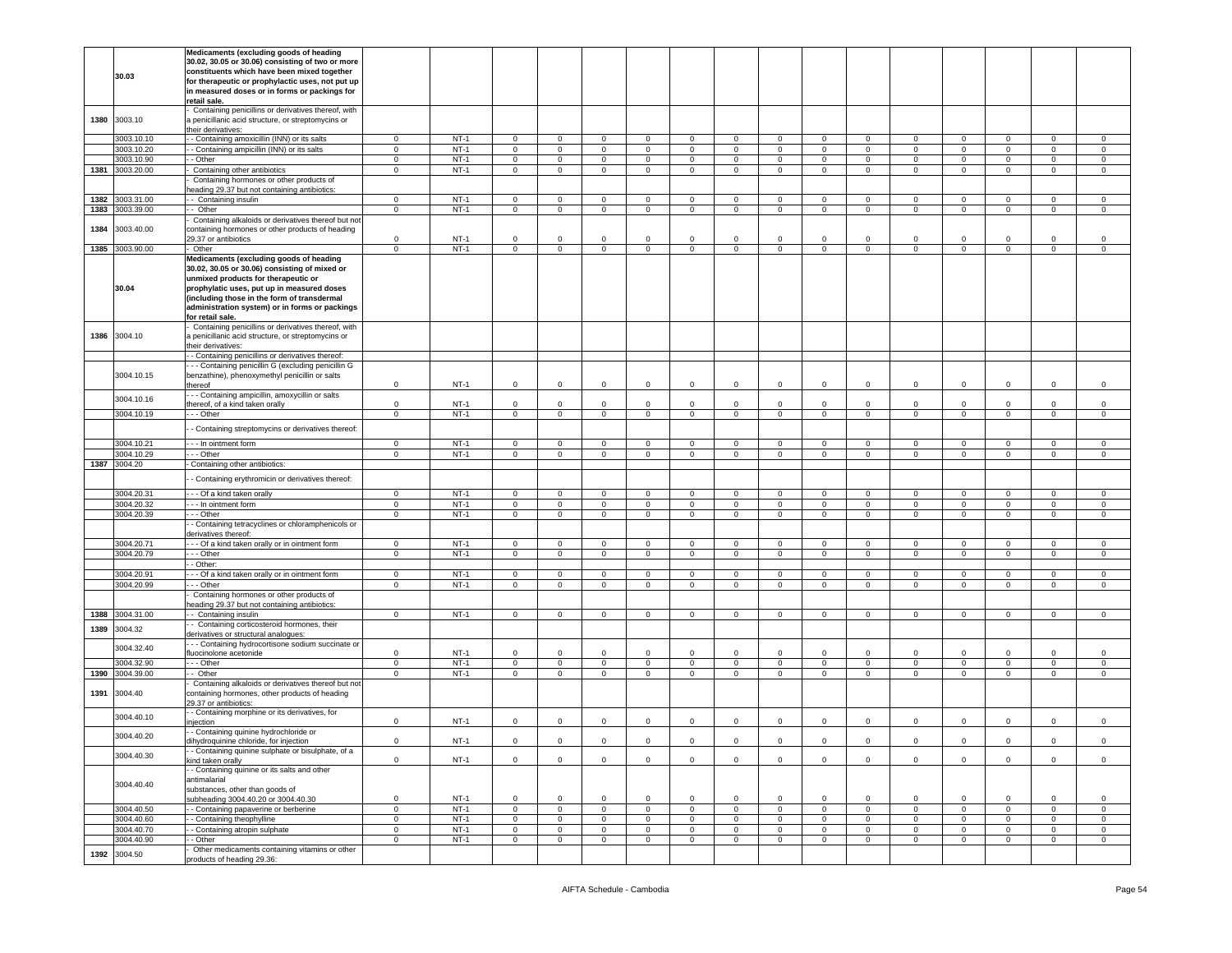|      |                            | Medicaments (excluding goods of heading                                                               |                     |                  |              |                            |                             |                             |             |                            |             |                            |                |                |             |                     |                            |                  |
|------|----------------------------|-------------------------------------------------------------------------------------------------------|---------------------|------------------|--------------|----------------------------|-----------------------------|-----------------------------|-------------|----------------------------|-------------|----------------------------|----------------|----------------|-------------|---------------------|----------------------------|------------------|
|      |                            | 30.02, 30.05 or 30.06) consisting of two or more                                                      |                     |                  |              |                            |                             |                             |             |                            |             |                            |                |                |             |                     |                            |                  |
|      |                            | constituents which have been mixed together                                                           |                     |                  |              |                            |                             |                             |             |                            |             |                            |                |                |             |                     |                            |                  |
|      | 30.03                      | for therapeutic or prophylactic uses, not put up                                                      |                     |                  |              |                            |                             |                             |             |                            |             |                            |                |                |             |                     |                            |                  |
|      |                            | in measured doses or in forms or packings for                                                         |                     |                  |              |                            |                             |                             |             |                            |             |                            |                |                |             |                     |                            |                  |
|      |                            | retail sale.                                                                                          |                     |                  |              |                            |                             |                             |             |                            |             |                            |                |                |             |                     |                            |                  |
|      |                            | Containing penicillins or derivatives thereof, with                                                   |                     |                  |              |                            |                             |                             |             |                            |             |                            |                |                |             |                     |                            |                  |
| 1380 | 3003.10                    | a penicillanic acid structure, or streptomycins or                                                    |                     |                  |              |                            |                             |                             |             |                            |             |                            |                |                |             |                     |                            |                  |
|      |                            | their derivatives:                                                                                    |                     |                  |              |                            |                             |                             |             |                            |             |                            |                |                |             |                     |                            |                  |
|      | 3003.10.10                 | - Containing amoxicillin (INN) or its salts                                                           | $\mathbf 0$         | $NT-1$           | $\mathbf 0$  | $\mathbf 0$                | $\mathbf 0$                 | $\mathbf 0$                 | $\mathbf 0$ | $\mathbf 0$                | 0           | $\circ$                    | 0              | $\mathbf 0$    | $\mathsf 0$ | $\Omega$            | 0                          | $\mathsf 0$      |
|      | 3003.10.20                 | - Containing ampicillin (INN) or its salts                                                            | $\circ$             | $NT-1$           | $\mathbf{0}$ | $\overline{0}$             | $\circ$                     | $\mathbf{0}$                | $\mathbf 0$ | $\circ$                    | $\mathbf 0$ | $\mathbf 0$                | $\circ$        | $\mathbf{0}$   | $\mathsf 0$ | $\mathbf{0}$        | $\mathbf 0$                | $\mathbf 0$      |
|      | 3003.10.90                 | - Other                                                                                               | $\mathbf 0$         | $NT-1$           | $\mathsf 0$  | $\overline{0}$             | $\mathsf 0$                 | $\mathbf 0$                 | $\mathbf 0$ | $\mathsf 0$                | 0           | $\mathbf 0$                | $\mathsf 0$    | $\mathbf 0$    | $\mathsf 0$ | $\mathsf{O}\xspace$ | $\mathsf 0$                | $\mathsf 0$      |
| 1381 | 3003.20.00                 | Containing other antibiotics                                                                          | 0                   | $NT-1$           | $\mathbf 0$  | $\mathbf 0$                | $\mathbf 0$                 | $\mathbf 0$                 | $\mathbf 0$ | $\mathbf 0$                | $\mathbf 0$ | 0                          | $\mathbf 0$    | $\mathbf 0$    | $\mathsf 0$ | $\mathbf 0$         | $\mathbf 0$                | $\mathsf 0$      |
|      |                            |                                                                                                       |                     |                  |              |                            |                             |                             |             |                            |             |                            |                |                |             |                     |                            |                  |
|      |                            | Containing hormones or other products of<br>heading 29.37 but not containing antibiotics:             |                     |                  |              |                            |                             |                             |             |                            |             |                            |                |                |             |                     |                            |                  |
| 1382 | 3003.31.00                 | - - Containing insulin                                                                                | $\mathbf{0}$        | $NT-1$           | 0            | $\mathbf{0}$               | $\mathbf 0$                 | $\mathbf{0}$                | $\mathbf 0$ | $\mathbf 0$                | 0           | 0                          | $\mathbf 0$    | $\mathbf{0}$   | 0           | $\mathbf 0$         | $\mathbf{0}$               | 0                |
| 1383 | 3003.39.00                 | - - Other                                                                                             | $\mathbf 0$         | $NT-1$           | $\mathbf{0}$ | $\mathbf{0}$               | $\mathbf 0$                 | $\mathbf{0}$                | $\mathbf 0$ | $\mathbf 0$                | $\mathbf 0$ | $\mathbf 0$                | $\mathbf 0$    | $\mathbf{0}$   | $\mathbf 0$ | $\mathbf 0$         | $\mathbf 0$                | 0                |
|      |                            |                                                                                                       |                     |                  |              |                            |                             |                             |             |                            |             |                            |                |                |             |                     |                            |                  |
|      | 3003.40.00                 | Containing alkaloids or derivatives thereof but not                                                   |                     |                  |              |                            |                             |                             |             |                            |             |                            |                |                |             |                     |                            |                  |
| 1384 |                            | containing hormones or other products of heading<br>29.37 or antibiotics                              | $\mathbf 0$         | $NT-1$           | 0            | $\mathsf 0$                | $\mathbf 0$                 | $\,0\,$                     | $\Omega$    | $\mathbf 0$                | 0           | $\mathbf 0$                | $\Omega$       | $\mathbf 0$    | $\mathsf 0$ | $\mathbf 0$         | $\circ$                    | $^{\circ}$       |
|      | 1385 3003.90.00            |                                                                                                       | $\mathbf 0$         | $NT-1$           | $\mathbf 0$  | $\mathbf 0$                | $\mathbf 0$                 | $\mathbf 0$                 | $\mathbf 0$ | $\mathbf 0$                | $\mathbf 0$ | 0                          | $\mathbf 0$    | $\mathbf 0$    | $\mathsf 0$ | $\mathbf 0$         | $\mathbf 0$                | $\mathsf 0$      |
|      |                            | Other                                                                                                 |                     |                  |              |                            |                             |                             |             |                            |             |                            |                |                |             |                     |                            |                  |
|      |                            | Medicaments (excluding goods of heading                                                               |                     |                  |              |                            |                             |                             |             |                            |             |                            |                |                |             |                     |                            |                  |
|      |                            | 30.02, 30.05 or 30.06) consisting of mixed or                                                         |                     |                  |              |                            |                             |                             |             |                            |             |                            |                |                |             |                     |                            |                  |
|      |                            | unmixed products for therapeutic or                                                                   |                     |                  |              |                            |                             |                             |             |                            |             |                            |                |                |             |                     |                            |                  |
|      | 30.04                      | prophylatic uses, put up in measured doses                                                            |                     |                  |              |                            |                             |                             |             |                            |             |                            |                |                |             |                     |                            |                  |
|      |                            | (including those in the form of transdermal                                                           |                     |                  |              |                            |                             |                             |             |                            |             |                            |                |                |             |                     |                            |                  |
|      |                            | administration system) or in forms or packings                                                        |                     |                  |              |                            |                             |                             |             |                            |             |                            |                |                |             |                     |                            |                  |
|      |                            | for retail sale.                                                                                      |                     |                  |              |                            |                             |                             |             |                            |             |                            |                |                |             |                     |                            |                  |
| 1386 | 3004.10                    | Containing penicillins or derivatives thereof, with                                                   |                     |                  |              |                            |                             |                             |             |                            |             |                            |                |                |             |                     |                            |                  |
|      |                            | a penicillanic acid structure, or streptomycins or                                                    |                     |                  |              |                            |                             |                             |             |                            |             |                            |                |                |             |                     |                            |                  |
|      |                            | their derivatives:<br>- Containing penicillins or derivatives thereof:                                |                     |                  |              |                            |                             |                             |             |                            |             |                            |                |                |             |                     |                            |                  |
|      |                            |                                                                                                       |                     |                  |              |                            |                             |                             |             |                            |             |                            |                |                |             |                     |                            |                  |
|      | 3004.10.15                 | - - Containing penicillin G (excluding penicillin G<br>benzathine), phenoxymethyl penicillin or salts |                     |                  |              |                            |                             |                             |             |                            |             |                            |                |                |             |                     |                            |                  |
|      |                            | thereof                                                                                               | $\mathbf 0$         | $NT-1$           | $\mathbf 0$  | $\mathbf 0$                | $\mathbf 0$                 | $\mathbf 0$                 | $\mathbf 0$ | $\mathbf 0$                | 0           | $\mathbf 0$                | $\mathbf 0$    | $\mathbf 0$    | $\mathsf 0$ | $\mathbf 0$         | $\mathbf 0$                | $\mathsf 0$      |
|      |                            | - - Containing ampicillin, amoxycillin or salts                                                       |                     |                  |              |                            |                             |                             |             |                            |             |                            |                |                |             |                     |                            |                  |
|      | 3004.10.16                 | thereof, of a kind taken orally                                                                       | $\mathbf 0$         | $NT-1$           | $\mathbf 0$  | $\mathbf 0$                | $\mathbf{0}$                | $\mathbf{0}$                | $\Omega$    | $\Omega$                   | $\mathbf 0$ | $\Omega$                   | $\circ$        | $\mathbf{0}$   | $\mathsf 0$ | $\circ$             | $\mathbf{0}$               | $\mathsf 0$      |
|      | 3004.10.19                 | --- Other                                                                                             | $\mathbf{0}$        | $NT-1$           | $\mathbf 0$  | $\circ$                    | $\mathbf 0$                 | $\mathbf 0$                 | $\mathbf 0$ | 0                          | $\mathbf 0$ | $\mathbf 0$                | $\circ$        | $\mathbf{0}$   | $\mathbf 0$ | $\mathbf 0$         | $\mathbf 0$                | $\mathsf 0$      |
|      |                            |                                                                                                       |                     |                  |              |                            |                             |                             |             |                            |             |                            |                |                |             |                     |                            |                  |
|      |                            | - Containing streptomycins or derivatives thereof:                                                    |                     |                  |              |                            |                             |                             |             |                            |             |                            |                |                |             |                     |                            |                  |
|      | 3004.10.21                 | - - - In ointment form                                                                                | $\mathbf 0$         | $NT-1$           | $\mathbf{0}$ | $\mathbf{0}$               | $\mathbf 0$                 | $\mathbf{0}$                | $\mathbf 0$ | $\circ$                    | $\mathbf 0$ | $\mathbf 0$                | $\mathbf 0$    | $\mathbf{0}$   | $\mathsf 0$ | $\mathbf 0$         | $\mathbf 0$                | $\mathbf 0$      |
|      | 3004.10.29                 | - - Other                                                                                             | $\mathbf 0$         | $NT-1$           | $\mathbf 0$  | $\overline{0}$             | $\mathsf 0$                 | $\mathbf 0$                 | $\mathbf 0$ | 0                          | $\mathbf 0$ | 0                          | $\mathbf 0$    | $\mathbf{0}$   | $\mathbf 0$ | $\mathbf{0}$        | $\mathsf 0$                | 0                |
| 1387 | 3004.20                    | - Containing other antibiotics:                                                                       |                     |                  |              |                            |                             |                             |             |                            |             |                            |                |                |             |                     |                            |                  |
|      |                            |                                                                                                       |                     |                  |              |                            |                             |                             |             |                            |             |                            |                |                |             |                     |                            |                  |
|      |                            | - Containing erythromicin or derivatives thereof:                                                     |                     |                  |              |                            |                             |                             |             |                            |             |                            |                |                |             |                     |                            |                  |
|      | 3004.20.31                 | --- Of a kind taken orally                                                                            | $\mathbf{0}$        | $NT-1$           | $\mathbf{0}$ | $\mathbf{0}$               | $\mathbf 0$                 | $\mathbf{0}$                | $\mathbf 0$ | $\circ$                    | 0           | 0                          | $\mathbf 0$    | $\mathbf{0}$   | $\mathbf 0$ | $\mathbf 0$         | $\mathbf{0}$               | 0                |
|      | 3004.20.32                 | -- In ointment form                                                                                   | $\mathbf 0$         | $NT-1$           | $\mathsf 0$  | $\mathbf 0$                | $\mathbf 0$                 | $\mathbf 0$                 | $\mathbf 0$ | $\mathbf 0$                | $\mathbf 0$ | $\mathbf 0$                | $\mathbf 0$    | $\mathbf 0$    | $\mathsf 0$ | $\mathbf 0$         | $\mathbf 0$                | $\mathsf 0$      |
|      | 3004.20.39                 | - - - Other                                                                                           | $\mathbf 0$         | $NT-1$           | $\mathbf 0$  | $\overline{0}$             | $\overline{0}$              | $\overline{0}$              | $\mathbf 0$ | $\overline{0}$             | $\pmb{0}$   | $\mathbf 0$                | $\overline{0}$ | $\mathbf 0$    | $\mathsf 0$ | $\mathsf 0$         | $\overline{0}$             | $\mathsf 0$      |
|      |                            |                                                                                                       |                     |                  |              |                            |                             |                             |             |                            |             |                            |                |                |             |                     |                            |                  |
|      |                            | - Containing tetracyclines or chloramphenicols or<br>derivatives thereof:                             |                     |                  |              |                            |                             |                             |             |                            |             |                            |                |                |             |                     |                            |                  |
|      | 3004.20.71                 | --- Of a kind taken orally or in ointment form                                                        | $\mathsf 0$         | $NT-1$           | $\mathbf 0$  | $\mathbf 0$                | $\mathsf 0$                 | $\overline{0}$              | $\mathbf 0$ | $\mathbf 0$                | $\mathbf 0$ | $\mathbf{0}$               | $\mathbf 0$    | $\overline{0}$ | $\mathbf 0$ | $\mathbf 0$         | $\mathbf 0$                | $\mathbf{0}$     |
|      |                            |                                                                                                       |                     | $NT-1$           |              |                            |                             |                             |             |                            |             |                            |                |                |             |                     |                            |                  |
|      | 3004.20.79                 | - - Other<br>- Other:                                                                                 | $\mathbf{0}$        |                  | $\mathbf 0$  | $\circ$                    | $\mathbf 0$                 | $\mathbf{0}$                | $\mathbf 0$ | $\circ$                    | $\mathbf 0$ | $\circ$                    | $\mathbf{0}$   | $\overline{0}$ | $\mathbf 0$ | $\mathbf{0}$        | $\mathbf 0$                | 0                |
|      |                            |                                                                                                       |                     |                  |              |                            |                             |                             |             |                            |             |                            |                |                |             |                     |                            |                  |
|      | 3004.20.91                 | - - Of a kind taken orally or in ointment form                                                        | $\mathsf{O}\xspace$ | $NT-1$<br>$NT-1$ | $\mathbf 0$  | $\mathbb O$<br>$\mathbf 0$ | $\mathbf 0$                 | $\,0\,$                     | $\mathbf 0$ | $\mathbf 0$<br>$\mathbf 0$ | 0           | $\mathbf 0$<br>$\mathbf 0$ | $\mathbf 0$    | $\mathbf 0$    | $\mathsf 0$ | $\mathbf 0$         | $\mathbf 0$<br>$\mathbf 0$ | 0<br>$^{\circ}$  |
|      | 3004.20.99                 | - - Other                                                                                             | 0                   |                  | 0            |                            | 0                           | $\mathbf 0$                 | 0           |                            | 0           |                            | 0              | 0              | 0           | $\mathbf 0$         |                            |                  |
|      |                            | Containing hormones or other products of                                                              |                     |                  |              |                            |                             |                             |             |                            |             |                            |                |                |             |                     |                            |                  |
|      | 1388 3004.31.00            | heading 29.37 but not containing antibiotics:                                                         | $\mathbf 0$         | $NT-1$           | $\mathbf{0}$ | $\overline{0}$             | $\mathbf 0$                 | $\overline{0}$              | $\mathbf 0$ | $\circ$                    | $\mathbf 0$ | $\circ$                    | $\mathbf 0$    | $\mathbf{0}$   | $\mathbf 0$ | $\mathbf 0$         | $\mathbf 0$                | $\mathsf 0$      |
|      |                            | - Containing insulin<br>- Containing corticosteroid hormones, their                                   |                     |                  |              |                            |                             |                             |             |                            |             |                            |                |                |             |                     |                            |                  |
| 1389 | 3004.32                    | derivatives or structural analogues:                                                                  |                     |                  |              |                            |                             |                             |             |                            |             |                            |                |                |             |                     |                            |                  |
|      |                            | - - Containing hydrocortisone sodium succinate or                                                     |                     |                  |              |                            |                             |                             |             |                            |             |                            |                |                |             |                     |                            |                  |
|      | 3004.32.40                 | fluocinolone acetonide                                                                                | 0                   | $NT-1$           | $\mathbf 0$  | $\mathbf 0$                | $\mathbf 0$                 | $\mathsf 0$                 | $\mathbf 0$ | $\mathbf 0$                | 0           | $\mathbf 0$                | $\Omega$       | $\mathbf 0$    | 0           | $\Omega$            | $\Omega$                   | $^{\circ}$       |
|      | 3004.32.90                 | - - Other                                                                                             | $\mathbf 0$         | $NT-1$           | $\mathbf{0}$ | $\overline{0}$             | $\mathbf 0$                 | $\mathbf 0$                 | $\mathbf 0$ | $\mathbf 0$                | $\mathbf 0$ | $\mathbf 0$                | $\circ$        | $\mathbf 0$    | $\mathsf 0$ | $\mathbf 0$         | $\mathbf 0$                | $\mathsf 0$      |
| 1390 | 3004.39.00                 | - Other                                                                                               | 0                   | $NT-1$           | $\mathbf 0$  | $\overline{0}$             | $\mathbf 0$                 | $\mathbf 0$                 | $\mathbf 0$ | 0                          | 0           | 0                          | $\mathbf 0$    | 0              | $\mathsf 0$ | $\mathbf 0$         | $\mathbf 0$                | 0                |
|      |                            | Containing alkaloids or derivatives thereof but not                                                   |                     |                  |              |                            |                             |                             |             |                            |             |                            |                |                |             |                     |                            |                  |
| 1391 | 3004.40                    |                                                                                                       |                     |                  |              |                            |                             |                             |             |                            |             |                            |                |                |             |                     |                            |                  |
|      |                            |                                                                                                       |                     |                  |              |                            |                             |                             |             |                            |             |                            |                |                |             |                     |                            |                  |
|      |                            | containing hormones, other products of heading                                                        |                     |                  |              |                            |                             |                             |             |                            |             |                            |                |                |             |                     |                            |                  |
|      |                            | 29.37 or antibiotics:                                                                                 |                     |                  |              |                            |                             |                             |             |                            |             |                            |                |                |             |                     |                            |                  |
|      | 3004.40.10                 | - Containing morphine or its derivatives, for                                                         | $\mathbf 0$         | $NT-1$           | $\mathbf{0}$ |                            |                             |                             | $\mathbf 0$ | $\mathbf 0$                | $\mathbf 0$ | $\mathbf 0$                | $\mathbf 0$    | $\mathbf{0}$   | $\mathbf 0$ | $\mathbf 0$         | $\mathbf 0$                | $\mathsf 0$      |
|      |                            | injection                                                                                             |                     |                  |              | $\mathbf 0$                | $\mathsf 0$                 | $\overline{0}$              |             |                            |             |                            |                |                |             |                     |                            |                  |
|      | 3004.40.20                 | - Containing quinine hydrochloride or<br>tihvdroauinine chloride, for iniection                       | 0                   | $NT-1$           | $\mathbf 0$  | $\circ$                    | $\mathbf 0$                 | $\mathsf 0$                 | $\mathbf 0$ | $\mathbf 0$                | $\mathbf 0$ | $\mathbf 0$                | $\mathbf 0$    | $\mathbf 0$    | $\mathsf 0$ | $\mathbf 0$         | $\mathbf{0}$               | $\mathsf 0$      |
|      |                            |                                                                                                       |                     |                  |              |                            |                             |                             |             |                            |             |                            |                |                |             |                     |                            |                  |
|      | 3004.40.30                 | - Containing quinine sulphate or bisulphate, of a<br>kind taken orally                                | $\mathbf 0$         | $NT-1$           | $\mathbf 0$  | $\circ$                    | $\mathbf 0$                 | $\mathbf{0}$                | $\mathbf 0$ | $\mathbf 0$                | $\mathbf 0$ | $\mathbf 0$                | $\circ$        | $\mathbf{0}$   | $\mathbf 0$ | $\mathbf 0$         | $\mathbf 0$                | $\mathsf 0$      |
|      |                            |                                                                                                       |                     |                  |              |                            |                             |                             |             |                            |             |                            |                |                |             |                     |                            |                  |
|      |                            | - Containing quinine or its salts and other                                                           |                     |                  |              |                            |                             |                             |             |                            |             |                            |                |                |             |                     |                            |                  |
|      | 3004.40.40                 | antimalarial                                                                                          |                     |                  |              |                            |                             |                             |             |                            |             |                            |                |                |             |                     |                            |                  |
|      |                            | substances, other than goods of                                                                       | $\mathsf 0$         |                  | $\mathbf 0$  | $\mathbf 0$                | $\mathbf 0$                 | $\mathbf 0$                 | $\mathbf 0$ | $\mathbf 0$                | $\mathbf 0$ | $\mathsf 0$                | $\Omega$       | $\mathbf{0}$   | $\mathsf 0$ | $\Omega$            | $\circ$                    | $\mathbf 0$      |
|      | 3004.40.50                 | subheading 3004.40.20 or 3004.40.30                                                                   | 0                   | $NT-1$<br>$NT-1$ | 0            | $\mathbf 0$                |                             |                             | $\mathbf 0$ |                            | 0           | 0                          | $\mathbf 0$    | $\mathbf 0$    | 0           | $\mathbf 0$         | 0                          |                  |
|      | 3004.40.60                 | - Containing papaverine or berberine                                                                  | $\mathbf 0$         | $NT-1$           | $\mathbf 0$  | $\circ$                    | $\mathbf{0}$<br>$\mathbf 0$ | $\mathbf 0$<br>$\mathbf{0}$ | $\mathbf 0$ | 0<br>$\circ$               | $\mathbf 0$ | $\circ$                    | $\circ$        | $\mathbf{0}$   | $\mathbf 0$ | $\mathbf{0}$        | $\mathbf 0$                | 0<br>$\mathbf 0$ |
|      |                            | - Containing theophylline                                                                             |                     |                  |              |                            |                             |                             |             |                            |             |                            |                |                |             |                     |                            |                  |
|      | 3004.40.70                 | - Containing atropin sulphate                                                                         | $\mathbf 0$         | $NT-1$           | $\mathbf{0}$ | $\mathbf 0$                | $\mathbf 0$                 | $\mathbf{0}$                | $\mathbf 0$ | $\mathbf 0$                | 0           | $\circ$                    | $\mathbf 0$    | $\mathbf{0}$   | $\mathsf 0$ | $\mathbf{0}$        | $\mathbf{O}$               | $\mathbf 0$      |
|      | 3004.40.90<br>1392 3004.50 | - Other<br>Other medicaments containing vitamins or other                                             | $\circ$             | $NT-1$           | $\mathbf{0}$ | $\circ$                    | $\mathbf 0$                 | $\mathbf{0}$                | $\mathbf 0$ | $\mathbf 0$                | $\mathbf 0$ | $\circ$                    | $\mathbf{0}$   | $\mathbf 0$    | $\mathbf 0$ | $\mathbf{0}$        | $\mathbf 0$                | $\mathbf 0$      |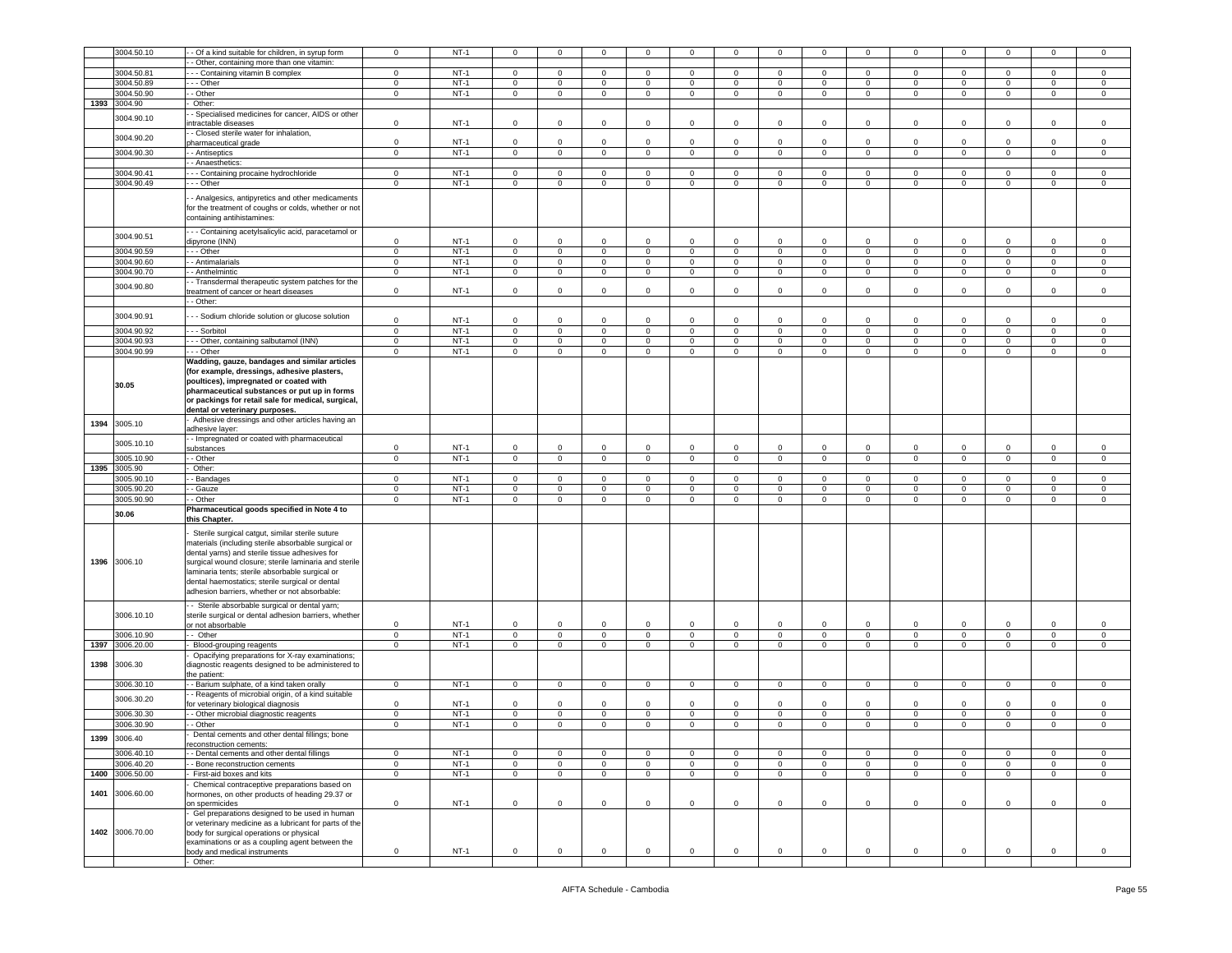|      | 3004.50.10      |                                                                                                                                                                                                                                                                                                                                                                                           | $\mathsf 0$    | $NT-1$ | $\mathbf 0$    |                |                |                |                |                | $\mathbf 0$    | $\mathbf 0$    |                | $\mathbf 0$         | $\mathbf 0$    | $\mathbf 0$    |                | $\mathbf 0$    |
|------|-----------------|-------------------------------------------------------------------------------------------------------------------------------------------------------------------------------------------------------------------------------------------------------------------------------------------------------------------------------------------------------------------------------------------|----------------|--------|----------------|----------------|----------------|----------------|----------------|----------------|----------------|----------------|----------------|---------------------|----------------|----------------|----------------|----------------|
|      |                 | - Of a kind suitable for children, in syrup form                                                                                                                                                                                                                                                                                                                                          |                |        |                | $\mathbf 0$    | 0              | $\mathbf 0$    | $\mathbf 0$    | $\mathbf 0$    |                |                | $\circ$        |                     |                |                | 0              |                |
|      |                 | Other, containing more than one vitamin:                                                                                                                                                                                                                                                                                                                                                  |                |        |                |                |                |                |                |                |                |                |                |                     |                |                |                |                |
|      | 3004.50.81      | - - Containing vitamin B complex                                                                                                                                                                                                                                                                                                                                                          | $\mathbf 0$    | $NT-1$ | 0              | $^{\circ}$     | 0              | $\mathbf 0$    | $\mathbf{0}$   | $\mathbf 0$    | $\mathbf{0}$   | $\mathbf 0$    | 0              | $\mathbf 0$         | $\mathbf 0$    | $\mathbf 0$    | 0              | $\circ$        |
|      |                 |                                                                                                                                                                                                                                                                                                                                                                                           |                |        |                |                |                |                |                |                |                |                |                |                     |                |                |                |                |
|      | 3004.50.89      | - - Other                                                                                                                                                                                                                                                                                                                                                                                 | $\mathsf 0$    | $NT-1$ | $\mathbf 0$    | $\mathsf 0$    | $\mathbf 0$    | $\mathsf 0$    | $\mathbf 0$    | $\mathsf 0$    | $\mathbf 0$    | $\mathbf 0$    | $\mathsf 0$    | $\circ$             | $\mathbf 0$    | $\mathbf 0$    | $\mathbf 0$    | $\mathbf 0$    |
|      | 3004.50.90      | - Other                                                                                                                                                                                                                                                                                                                                                                                   | $\mathbf 0$    | $NT-1$ | $\overline{0}$ | $\overline{0}$ | $\overline{0}$ | $\overline{0}$ | $\overline{0}$ | $\overline{0}$ | $\overline{0}$ | $\overline{0}$ | $\mathbf 0$    | $\overline{0}$      | $\overline{0}$ | $\overline{0}$ | $\overline{0}$ | $\overline{0}$ |
| 1393 | 3004.90         | Other:                                                                                                                                                                                                                                                                                                                                                                                    |                |        |                |                |                |                |                |                |                |                |                |                     |                |                |                |                |
|      |                 | Specialised medicines for cancer, AIDS or other                                                                                                                                                                                                                                                                                                                                           |                |        |                |                |                |                |                |                |                |                |                |                     |                |                |                |                |
|      | 3004.90.10      |                                                                                                                                                                                                                                                                                                                                                                                           |                |        |                |                |                |                |                |                |                |                |                |                     |                |                |                |                |
|      |                 | ntractable diseases                                                                                                                                                                                                                                                                                                                                                                       | $\mathsf 0$    | $NT-1$ | $\mathbf 0$    | $\Omega$       | $\mathbf 0$    | $\mathbf 0$    | $\mathbf 0$    | $\circ$        | $\mathbf{0}$   | $\circ$        | $\Omega$       | $\mathbf 0$         | $\mathbf 0$    | $\circ$        | $\mathbf 0$    | $\mathbf 0$    |
|      |                 | - Closed sterile water for inhalation,                                                                                                                                                                                                                                                                                                                                                    |                |        |                |                |                |                |                |                |                |                |                |                     |                |                |                |                |
|      | 3004.90.20      | pharmaceutical grade                                                                                                                                                                                                                                                                                                                                                                      | $\mathsf 0$    | $NT-1$ | $\mathbf 0$    | $\Omega$       | $\Omega$       | $\Omega$       | $\Omega$       | $\circ$        | $\mathbf{0}$   | $\Omega$       | $\Omega$       | $\Omega$            | $\mathbf 0$    | $\Omega$       | $\Omega$       | $\circ$        |
|      | 3004.90.30      | - - Antiseptics                                                                                                                                                                                                                                                                                                                                                                           | $\mathbf{0}$   | $NT-1$ |                |                |                |                |                |                |                |                |                |                     | $\mathbf{0}$   |                |                |                |
|      |                 |                                                                                                                                                                                                                                                                                                                                                                                           |                |        | $\mathbf 0$    | $\mathbf 0$    | $\mathbf{0}$   | $\mathbf{0}$   | $\mathbf 0$    | $\mathbf 0$    | $\mathbf{0}$   | $\mathbf 0$    | $\circ$        | $\mathbf{0}$        |                | $\mathbf 0$    | $\mathbf{0}$   | $\circ$        |
|      |                 | - Anaesthetics:                                                                                                                                                                                                                                                                                                                                                                           |                |        |                |                |                |                |                |                |                |                |                |                     |                |                |                |                |
|      | 3004.90.41      | - - Containing procaine hydrochloride                                                                                                                                                                                                                                                                                                                                                     | $\mathbf 0$    | $NT-1$ | $\mathbf 0$    | $\mathsf 0$    | $\mathbf 0$    | 0              | $\mathbf 0$    | $\mathbf 0$    | $\pmb{0}$      | $\mathbf 0$    | $\mathbf 0$    | 0                   | $\overline{0}$ | $\mathbf 0$    | 0              | $\mathsf 0$    |
|      | 3004.90.49      | - - Other                                                                                                                                                                                                                                                                                                                                                                                 | $\mathsf 0$    | $NT-1$ | $\mathbf 0$    | $\mathsf 0$    | $\mathbf 0$    | $\mathbf 0$    | $\mathbf 0$    | $\mathsf 0$    | $\mathbf 0$    | $\mathbf 0$    | $\mathbf 0$    | $\mathbf 0$         | $\mathbf 0$    | $\mathbf 0$    |                | $\mathbf 0$    |
|      |                 |                                                                                                                                                                                                                                                                                                                                                                                           |                |        |                |                |                |                |                |                |                |                |                |                     |                |                | 0              |                |
|      |                 | - Analgesics, antipyretics and other medicaments<br>for the treatment of coughs or colds, whether or not<br>containing antihistamines:                                                                                                                                                                                                                                                    |                |        |                |                |                |                |                |                |                |                |                |                     |                |                |                |                |
|      | 3004.90.51      | --- Containing acetylsalicylic acid, paracetamol or                                                                                                                                                                                                                                                                                                                                       |                |        |                |                |                |                |                |                |                |                |                |                     |                |                |                |                |
|      |                 | dipyrone (INN)                                                                                                                                                                                                                                                                                                                                                                            | $\mathsf 0$    | $NT-1$ | $\mathbf 0$    | $\mathbf 0$    | 0              | $\mathbf 0$    | $\mathbf 0$    | $\mathsf 0$    | $\mathbf 0$    | $\mathbf 0$    | $^{\circ}$     | $\Omega$            | $\mathbf 0$    | $\mathbf 0$    | $\mathbf 0$    | $\mathbf 0$    |
|      | 3004.90.59      | --- Other                                                                                                                                                                                                                                                                                                                                                                                 | $\mathsf 0$    | $NT-1$ | $\mathbf 0$    | $\mathsf 0$    | $\mathbf 0$    | $\circ$        | $\mathbf 0$    | $\mathsf 0$    | $\overline{0}$ | $\circ$        | $\mathbf 0$    | $\mathbf 0$         | $\mathbf 0$    | $\mathbf{0}$   | $\mathbf 0$    | $\mathbf 0$    |
|      |                 |                                                                                                                                                                                                                                                                                                                                                                                           |                | $NT-1$ |                |                |                |                |                |                |                |                |                |                     |                |                |                | $\overline{0}$ |
|      | 3004.90.60      | - Antimalarials                                                                                                                                                                                                                                                                                                                                                                           | $\mathbf 0$    |        | $\mathsf 0$    | $\overline{0}$ | $\mathsf 0$    | $\mathsf 0$    | $\overline{0}$ | $\mathbf 0$    | $\mathbf 0$    | $\mathsf 0$    | $\mathsf 0$    | $\mathbf 0$         | $\overline{0}$ | $\mathbf 0$    | $\mathsf 0$    |                |
|      | 3004.90.70      | - Anthelmintic                                                                                                                                                                                                                                                                                                                                                                            | $\mathsf 0$    | $NT-1$ | $\mathbf 0$    | $\mathbf 0$    | $\mathbf 0$    | $\circ$        | $\mathbf 0$    | $\mathsf 0$    | $\mathbf{0}$   | $\mathbf 0$    | $\mathsf 0$    | $\mathbf 0$         | $\mathbf 0$    | $\mathbf 0$    | $\mathbf 0$    | $\mathsf 0$    |
|      |                 | - Transdermal therapeutic system patches for the                                                                                                                                                                                                                                                                                                                                          |                |        |                |                |                |                |                |                |                |                |                |                     |                |                |                |                |
|      | 3004.90.80      | treatment of cancer or heart diseases                                                                                                                                                                                                                                                                                                                                                     | $\mathsf 0$    | $NT-1$ | $\mathbf 0$    | $\mathbf 0$    | $\mathbf 0$    | $\mathbf 0$    | $\mathbf 0$    | $\circ$        | $\mathbf 0$    | $\mathbf 0$    | $\Omega$       | $\mathbf 0$         | $\mathbf 0$    | $\circ$        | $\mathbf 0$    | $\mathbf 0$    |
|      |                 |                                                                                                                                                                                                                                                                                                                                                                                           |                |        |                |                |                |                |                |                |                |                |                |                     |                |                |                |                |
|      |                 | - Other:                                                                                                                                                                                                                                                                                                                                                                                  |                |        |                |                |                |                |                |                |                |                |                |                     |                |                |                |                |
|      | 3004.90.91      |                                                                                                                                                                                                                                                                                                                                                                                           |                |        |                |                |                |                |                |                |                |                |                |                     |                |                |                |                |
|      |                 | - - Sodium chloride solution or glucose solution                                                                                                                                                                                                                                                                                                                                          | $\mathsf 0$    | $NT-1$ | $\mathbf 0$    | $\mathbf 0$    | 0              | $\mathbf 0$    | 0              | $\mathsf 0$    | $\mathbf 0$    | $\mathbf 0$    | $\Omega$       | $\Omega$            | $\mathbf 0$    | $\Omega$       | 0              | $\mathbf 0$    |
|      | 3004.90.92      | - - Sorbitol                                                                                                                                                                                                                                                                                                                                                                              | $\overline{0}$ | $NT-1$ | $\mathbf 0$    | $\mathsf 0$    | $\circ$        | $\mathbf 0$    | $\mathbf 0$    | $\mathsf 0$    | $\circ$        | $\circ$        | $\mathbf 0$    | $\mathbf 0$         | $\overline{0}$ | $\circ$        | $\mathbf 0$    | $\mathbf 0$    |
|      |                 |                                                                                                                                                                                                                                                                                                                                                                                           |                |        |                |                |                |                |                |                |                |                |                |                     |                |                |                |                |
|      | 3004.90.93      | - - Other, containing salbutamol (INN)                                                                                                                                                                                                                                                                                                                                                    | $\mathbf 0$    | $NT-1$ | $\mathbf 0$    | $\mathsf 0$    | $\mathsf 0$    | $\mathsf 0$    | $\mathbf 0$    | $\mathsf 0$    | $\mathsf 0$    | $\mathbf 0$    | $\mathbf 0$    | $\mathbf 0$         | $\mathbf 0$    | $\mathbf 0$    | $\mathbf 0$    | $\mathsf 0$    |
|      | 3004.90.99      | - - Other                                                                                                                                                                                                                                                                                                                                                                                 | $\mathsf 0$    | $NT-1$ | 0              | $\mathbf 0$    | $\mathbf 0$    | $\circ$        | $\mathbf 0$    | $\mathsf 0$    | $\mathbf 0$    | $\mathbf 0$    | 0              | $\mathbf 0$         | $\mathbf 0$    | $\mathbf 0$    | 0              | $\mathsf 0$    |
|      | 30.05           | Wadding, gauze, bandages and similar articles<br>(for example, dressings, adhesive plasters,<br>poultices), impregnated or coated with<br>pharmaceutical substances or put up in forms<br>or packings for retail sale for medical, surgical,<br>dental or veterinary purposes.                                                                                                            |                |        |                |                |                |                |                |                |                |                |                |                     |                |                |                |                |
|      |                 | Adhesive dressings and other articles having an                                                                                                                                                                                                                                                                                                                                           |                |        |                |                |                |                |                |                |                |                |                |                     |                |                |                |                |
| 1394 | 3005.10         |                                                                                                                                                                                                                                                                                                                                                                                           |                |        |                |                |                |                |                |                |                |                |                |                     |                |                |                |                |
|      |                 | adhesive layer:                                                                                                                                                                                                                                                                                                                                                                           |                |        |                |                |                |                |                |                |                |                |                |                     |                |                |                |                |
|      | 3005.10.10      | - Impregnated or coated with pharmaceutical                                                                                                                                                                                                                                                                                                                                               |                |        |                |                |                |                |                |                |                |                |                |                     |                |                |                |                |
|      |                 | substances                                                                                                                                                                                                                                                                                                                                                                                | $\mathsf 0$    | $NT-1$ | $\mathbf 0$    | $\mathsf 0$    | $\mathbf 0$    | $\mathbf 0$    | $\mathbf 0$    | $\mathbf 0$    | $\mathbf 0$    | $\mathbf 0$    | $\mathbf 0$    | $\mathbf 0$         | $\mathbf 0$    | $\circ$        | $\mathbf 0$    | $\mathbf 0$    |
|      | 3005.10.90      | - Other                                                                                                                                                                                                                                                                                                                                                                                   | $\mathbf 0$    | $NT-1$ | $\mathbf 0$    | $\mathsf 0$    | $\mathbf 0$    | $\overline{0}$ | $\mathbf 0$    | $\mathbf 0$    | $\mathbf 0$    | $\mathbf 0$    | $\mathbf 0$    | $\mathbf 0$         | $\mathbf 0$    | $\mathbf 0$    | $\mathbf 0$    | $\mathsf 0$    |
|      |                 |                                                                                                                                                                                                                                                                                                                                                                                           |                |        |                |                |                |                |                |                |                |                |                |                     |                |                |                |                |
|      |                 |                                                                                                                                                                                                                                                                                                                                                                                           |                |        |                |                |                |                |                |                |                |                |                |                     |                |                |                |                |
| 1395 | 3005.90         | Other:                                                                                                                                                                                                                                                                                                                                                                                    |                |        |                |                |                |                |                |                |                |                |                |                     |                |                |                |                |
|      | 3005.90.10      | - Bandages                                                                                                                                                                                                                                                                                                                                                                                | $\mathbf{0}$   | $NT-1$ | 0              | $\mathbf 0$    | $^{\circ}$     | $\circ$        | $\mathbf 0$    | $\mathbf{0}$   | $\mathbf 0$    | $\mathbf 0$    | $^{\circ}$     | $^{\circ}$          | $\overline{0}$ | $\mathbf 0$    | $\mathbf{0}$   | $\circ$        |
|      | 3005.90.20      | - Gauze                                                                                                                                                                                                                                                                                                                                                                                   | $\mathsf 0$    | $NT-1$ | $\mathbf 0$    | $\mathbf 0$    | $\mathbf 0$    | $\circ$        | $\mathbf 0$    | $\mathsf 0$    | $\mathbf 0$    | $\mathbf 0$    | 0              | $\mathbf 0$         | $\mathbf 0$    | $\mathbf 0$    | $\mathbf 0$    | $\mathbf 0$    |
|      |                 | - Other                                                                                                                                                                                                                                                                                                                                                                                   |                |        |                |                |                |                |                |                |                |                |                |                     |                |                |                |                |
|      | 3005.90.90      |                                                                                                                                                                                                                                                                                                                                                                                           | $\mathsf 0$    | $NT-1$ | $\mathbf 0$    | $\mathsf 0$    | $\mathbf 0$    | $\mathsf 0$    | $\mathbf 0$    | $\mathsf 0$    | $\mathbf 0$    | $\mathbf 0$    | $\mathsf 0$    | $\mathbf 0$         | $\mathbf 0$    | $\mathbf 0$    | $\mathbf 0$    | $\mathsf 0$    |
|      | 30.06           | Pharmaceutical goods specified in Note 4 to                                                                                                                                                                                                                                                                                                                                               |                |        |                |                |                |                |                |                |                |                |                |                     |                |                |                |                |
| 1396 | 3006.10         | this Chapter.<br>Sterile surgical catgut, similar sterile suture<br>naterials (including sterile absorbable surgical or<br>dental yarns) and sterile tissue adhesives for<br>surgical wound closure; sterile laminaria and sterile<br>laminaria tents; sterile absorbable surgical or<br>dental haemostatics; sterile surgical or dental<br>adhesion barriers, whether or not absorbable: |                |        |                |                |                |                |                |                |                |                |                |                     |                |                |                |                |
|      |                 | - Sterile absorbable surgical or dental yarn;                                                                                                                                                                                                                                                                                                                                             |                |        |                |                |                |                |                |                |                |                |                |                     |                |                |                |                |
|      | 3006.10.10      | sterile surgical or dental adhesion barriers, whether                                                                                                                                                                                                                                                                                                                                     |                |        |                |                |                |                |                |                |                |                |                |                     |                |                |                |                |
|      |                 | or not absorbable                                                                                                                                                                                                                                                                                                                                                                         | $\mathsf 0$    | $NT-1$ | $\mathbf 0$    | $\mathsf 0$    | $\mathbf 0$    | $\mathbf 0$    | $\mathbf 0$    | $\mathsf 0$    | $\mathbf 0$    | $\mathbf 0$    | $\mathsf 0$    | $\mathbf 0$         | $\mathbf 0$    | $\mathbf 0$    | $\mathbf 0$    | $\mathbf 0$    |
|      | 3006.10.90      | - Other                                                                                                                                                                                                                                                                                                                                                                                   | $\overline{0}$ | $NT-1$ | $\overline{0}$ | $\overline{0}$ | $\overline{0}$ | $\overline{0}$ | $\overline{0}$ | $\overline{0}$ | $\overline{0}$ | $\overline{0}$ | $\overline{0}$ | $\overline{0}$      | $\overline{0}$ | $\overline{0}$ | $\overline{0}$ | $\overline{0}$ |
|      | 3006.20.00      | Blood-grouping reagents                                                                                                                                                                                                                                                                                                                                                                   | $\mathsf 0$    | $NT-1$ | $\mathbf 0$    | $\mathsf 0$    | $\mathbf 0$    | $\circ$        | $\mathbf 0$    | $\mathsf 0$    | $\mathbf{0}$   | $\mathbf 0$    | $\mathsf 0$    | $\mathbf 0$         | $\mathbf 0$    | $\mathbf 0$    | $\mathbf 0$    | $\mathsf 0$    |
| 1397 |                 |                                                                                                                                                                                                                                                                                                                                                                                           |                |        |                |                |                |                |                |                |                |                |                |                     |                |                |                |                |
|      |                 | Opacifying preparations for X-ray examinations;                                                                                                                                                                                                                                                                                                                                           |                |        |                |                |                |                |                |                |                |                |                |                     |                |                |                |                |
| 1398 | 3006.30         | diagnostic reagents designed to be administered to                                                                                                                                                                                                                                                                                                                                        |                |        |                |                |                |                |                |                |                |                |                |                     |                |                |                |                |
|      |                 | the patient:                                                                                                                                                                                                                                                                                                                                                                              |                |        |                |                |                |                |                |                |                |                |                |                     |                |                |                |                |
|      | 3006.30.10      | - Barium sulphate, of a kind taken orally                                                                                                                                                                                                                                                                                                                                                 | $\mathbf 0$    | $NT-1$ | $\mathbf{O}$   | $\circ$        | $\mathbf 0$    | $\circ$        | $\mathbf 0$    | $\circ$        | $\mathbf 0$    | $\mathbf 0$    | $\mathbf 0$    | $\mathbf 0$         | $\mathbf{0}$   | $\mathbf 0$    | $\mathbf 0$    | $\mathbf 0$    |
|      |                 |                                                                                                                                                                                                                                                                                                                                                                                           |                |        |                |                |                |                |                |                |                |                |                |                     |                |                |                |                |
|      | 3006.30.20      | - Reagents of microbial origin, of a kind suitable                                                                                                                                                                                                                                                                                                                                        |                |        |                |                |                |                |                |                |                |                |                |                     |                |                |                |                |
|      |                 | for veterinary biological diagnosis                                                                                                                                                                                                                                                                                                                                                       | $\mathsf 0$    | $NT-1$ | $\mathbf 0$    | $\mathbf 0$    | 0              | 0              | $\mathbf 0$    | $\mathsf 0$    | $\mathbf 0$    | $\mathbf 0$    | $\Omega$       | $\Omega$            | $\mathbf 0$    | $\Omega$       | $\mathbf 0$    | $\mathbf 0$    |
|      | 3006.30.30      | - Other microbial diagnostic reagents                                                                                                                                                                                                                                                                                                                                                     | $\mathbf 0$    | $NT-1$ | $\mathbf 0$    | $\,0\,$        | $\mathbf 0$    | $\circ$        | $\mathbf 0$    | $\mathsf 0$    | $\mathbf 0$    | $\circ$        | $\mathsf 0$    | $\circ$             | $\mathbf 0$    | $\mathbf{0}$   | $\mathbf 0$    | $\mathbf 0$    |
|      |                 | - Other                                                                                                                                                                                                                                                                                                                                                                                   | $\mathsf 0$    | $NT-1$ | 0              | $\mathbf 0$    | $\mathbf 0$    | $\circ$        | $\mathbf 0$    | $\mathbf 0$    | $\mathbf{0}$   | $\mathbf 0$    | $\mathbf 0$    | $\mathbf{0}$        | $\mathbf 0$    | $\mathbf 0$    | 0              | $\mathbf 0$    |
|      | 3006.30.90      |                                                                                                                                                                                                                                                                                                                                                                                           |                |        |                |                |                |                |                |                |                |                |                |                     |                |                |                |                |
| 1399 | 3006.40         | Dental cements and other dental fillings; bone                                                                                                                                                                                                                                                                                                                                            |                |        |                |                |                |                |                |                |                |                |                |                     |                |                |                |                |
|      |                 | reconstruction cements                                                                                                                                                                                                                                                                                                                                                                    |                |        |                |                |                |                |                |                |                |                |                |                     |                |                |                |                |
|      | 3006.40.10      | - Dental cements and other dental fillings                                                                                                                                                                                                                                                                                                                                                | $\mathbf 0$    | $NT-1$ | $\mathbf 0$    | $\mathbf 0$    | $\mathbf 0$    | $\circ$        | $\mathbf 0$    | $\mathbf 0$    | $\mathbf{0}$   | $\mathsf 0$    | $\mathbf{0}$   | $\mathbf 0$         | $\circ$        | $\mathbf{0}$   | $\mathbf 0$    | $\mathsf 0$    |
|      |                 |                                                                                                                                                                                                                                                                                                                                                                                           |                |        |                |                |                |                |                |                |                |                |                |                     |                |                |                |                |
|      | 3006.40.20      | - Bone reconstruction cements                                                                                                                                                                                                                                                                                                                                                             | $\mathbf{0}$   | $NT-1$ | $\mathbf{O}$   | $\mathbf{0}$   | $\mathbf 0$    | $\circ$        | $\mathbf 0$    | $\mathbf 0$    | $\mathbf{0}$   | $\mathbf 0$    | $\mathbf{0}$   | $\mathbf 0$         | $\mathbf{0}$   | $\mathbf{0}$   | $\mathbf{0}$   | $\circ$        |
| 1400 | 3006.50.00      | First-aid boxes and kits                                                                                                                                                                                                                                                                                                                                                                  | $\mathsf 0$    | $NT-1$ | $\mathbf 0$    | $\mathbf{0}$   | $\mathbf{0}$   | $\circ$        | $\mathbf{0}$   | $\mathsf 0$    | $\overline{0}$ | $\circ$        | $\circ$        | $\mathbf{0}$        | $\mathbf 0$    | $\mathbf{0}$   | $\mathbf 0$    | $\mathbf 0$    |
|      |                 | Chemical contraceptive preparations based on                                                                                                                                                                                                                                                                                                                                              |                |        |                |                |                |                |                |                |                |                |                |                     |                |                |                |                |
|      |                 |                                                                                                                                                                                                                                                                                                                                                                                           |                |        |                |                |                |                |                |                |                |                |                |                     |                |                |                |                |
| 1401 | 3006.60.00      | hormones, on other products of heading 29.37 or                                                                                                                                                                                                                                                                                                                                           |                |        |                |                |                |                |                |                |                |                |                |                     |                |                |                |                |
|      | 1402 3006.70.00 | on spermicides<br>Gel preparations designed to be used in human<br>or veterinary medicine as a lubricant for parts of the<br>body for surgical operations or physical<br>examinations or as a coupling agent between the                                                                                                                                                                  | $\mathsf 0$    | $NT-1$ | $\mathsf 0$    | $\mathsf 0$    | $\mathsf 0$    | $\circ$        | $\mathbf 0$    | $\mathbf 0$    | $\mathbf 0$    | $\mathsf 0$    | $\mathbf 0$    | $\mathsf{O}\xspace$ | $\mathsf 0$    | $\mathsf 0$    | $\mathsf 0$    | $\mathsf 0$    |
|      |                 | body and medical instruments<br>Other:                                                                                                                                                                                                                                                                                                                                                    | $\mathbf 0$    | $NT-1$ | $\mathbf{O}$   | $\mathbf{0}$   | $\mathbf 0$    | $\circ$        | $\mathbf{0}$   | $\mathbf{0}$   | $\overline{0}$ | $\overline{0}$ | $\mathbf{0}$   | $\mathbf{O}$        | $\mathbf 0$    | $\overline{0}$ | $\mathbf 0$    | $\mathbf 0$    |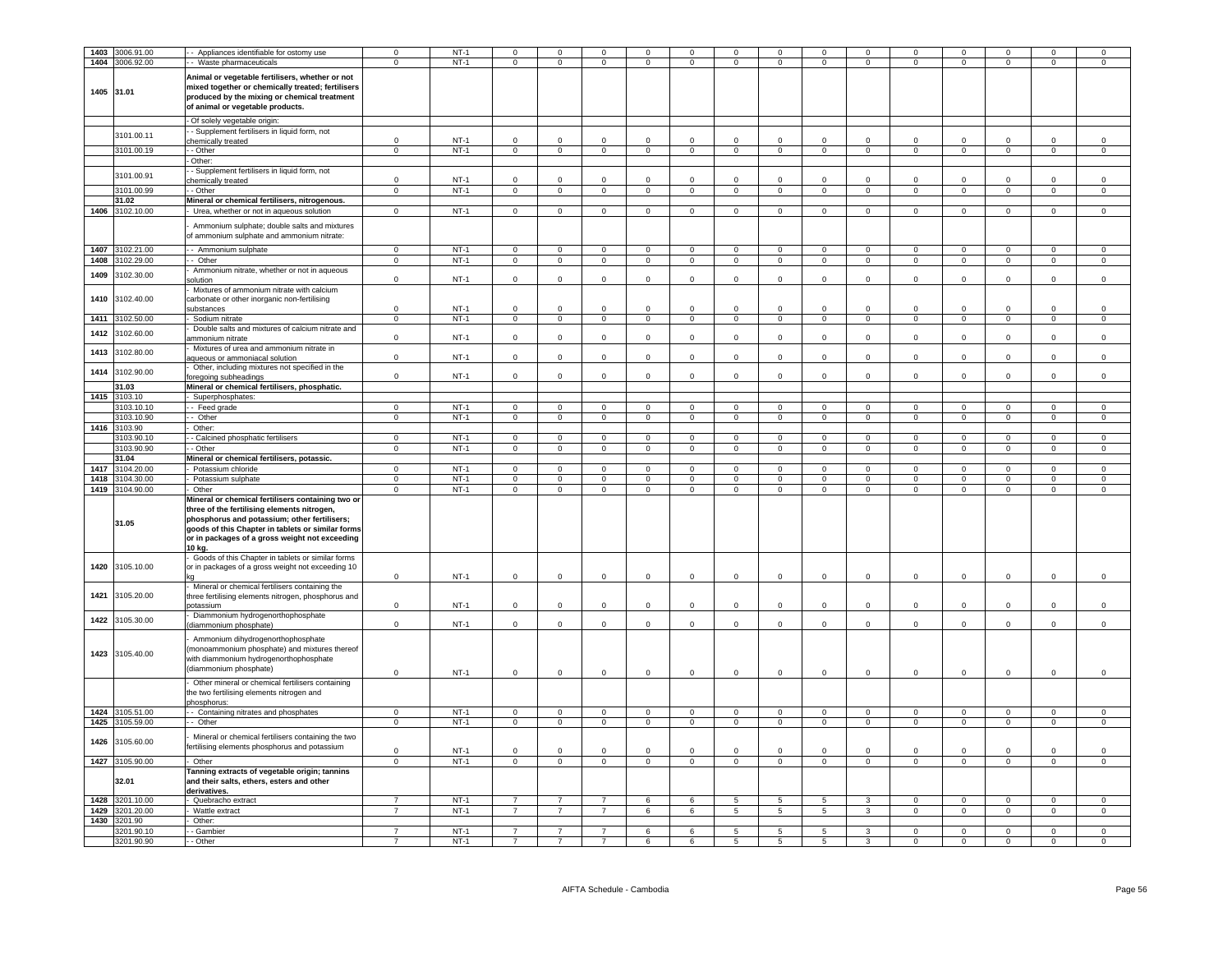| 1403       | 3006.91.00               | - Appliances identifiable for ostomy use                                                   |                                  | $NT-1$           | $\mathbf 0$                      |                                  |                                  |                     | $^{\circ}$           | $\overline{0}$      | $\mathbf 0$                       | $\mathbf 0$          |                     | $\mathbf 0$                | $\mathbf 0$                   |                            |                            |                            |
|------------|--------------------------|--------------------------------------------------------------------------------------------|----------------------------------|------------------|----------------------------------|----------------------------------|----------------------------------|---------------------|----------------------|---------------------|-----------------------------------|----------------------|---------------------|----------------------------|-------------------------------|----------------------------|----------------------------|----------------------------|
|            |                          |                                                                                            | $\Omega$                         |                  | $\circ$                          | $\mathbf 0$                      | $\mathbf 0$                      | $\mathbf 0$         | $\mathbf 0$          | $\mathbf 0$         |                                   | $\mathbf 0$          | $\mathbf 0$         | $\mathbf 0$                |                               | $\mathbf 0$                | $\Omega$                   |                            |
|            | 1404 3006.92.00          | - Waste pharmaceuticals                                                                    |                                  | $NT-1$           |                                  |                                  |                                  |                     |                      |                     | $\mathbf 0$                       |                      |                     |                            | $\mathbf 0$                   |                            |                            | 0                          |
|            |                          | Animal or vegetable fertilisers, whether or not                                            |                                  |                  |                                  |                                  |                                  |                     |                      |                     |                                   |                      |                     |                            |                               |                            |                            |                            |
|            |                          | mixed together or chemically treated; fertilisers                                          |                                  |                  |                                  |                                  |                                  |                     |                      |                     |                                   |                      |                     |                            |                               |                            |                            |                            |
| 1405 31.01 |                          | produced by the mixing or chemical treatment                                               |                                  |                  |                                  |                                  |                                  |                     |                      |                     |                                   |                      |                     |                            |                               |                            |                            |                            |
|            |                          | of animal or vegetable products.                                                           |                                  |                  |                                  |                                  |                                  |                     |                      |                     |                                   |                      |                     |                            |                               |                            |                            |                            |
|            |                          |                                                                                            |                                  |                  |                                  |                                  |                                  |                     |                      |                     |                                   |                      |                     |                            |                               |                            |                            |                            |
|            |                          | - Of solely vegetable origin:                                                              |                                  |                  |                                  |                                  |                                  |                     |                      |                     |                                   |                      |                     |                            |                               |                            |                            |                            |
|            | 3101.00.11               | - Supplement fertilisers in liquid form, not                                               |                                  |                  | $\Omega$                         | $\Omega$                         |                                  |                     |                      |                     |                                   |                      |                     |                            |                               |                            |                            |                            |
|            |                          | chemically treated                                                                         | $\Omega$                         | $NT-1$           |                                  |                                  | $\Omega$                         | $\Omega$            | $\Omega$             | $\Omega$            | $\Omega$                          | $\Omega$             | $\Omega$            | $\Omega$                   | $\Omega$                      | $\Omega$                   | $\Omega$                   | $\Omega$                   |
|            | 3101.00.19               | - Other                                                                                    | $\overline{0}$                   | $NT-1$           | $\overline{0}$                   | $\overline{0}$                   | $\overline{0}$                   | $\overline{0}$      | $\mathbf{0}$         | $\overline{0}$      | $\overline{0}$                    | $\overline{0}$       | $\overline{0}$      | $\mathbf{0}$               | $\overline{0}$                | $\overline{0}$             | $\overline{0}$             | $\overline{0}$             |
|            |                          | Other:                                                                                     |                                  |                  |                                  |                                  |                                  |                     |                      |                     |                                   |                      |                     |                            |                               |                            |                            |                            |
|            | 3101.00.91               | - Supplement fertilisers in liquid form, not                                               |                                  |                  |                                  |                                  |                                  |                     |                      |                     |                                   |                      |                     |                            |                               |                            |                            |                            |
|            |                          | chemically treated                                                                         | $\Omega$                         | $NT-1$           | $\Omega$                         | $\Omega$                         | $\Omega$                         | $\mathbf 0$         | $\Omega$             | $\Omega$            | $\mathbf 0$                       | $\Omega$             | $\Omega$            | $\Omega$                   | $\mathbf 0$                   | $\Omega$                   | $\Omega$                   | $\Omega$                   |
|            | 3101.00.99               | - Other                                                                                    | $\overline{0}$                   | $NT-1$           | $\overline{0}$                   | $\overline{0}$                   | $\overline{0}$                   | $\overline{0}$      | $\overline{0}$       | $\overline{0}$      | $\overline{0}$                    | $\overline{0}$       | $\overline{0}$      | $\overline{0}$             | $\overline{0}$                | $\overline{0}$             | $\overline{0}$             | $\overline{0}$             |
|            | 31.02                    | Mineral or chemical fertilisers, nitrogenous.                                              |                                  |                  |                                  |                                  |                                  |                     |                      |                     |                                   |                      |                     |                            |                               |                            |                            |                            |
|            | 1406 3102.10.00          | Urea, whether or not in aqueous solution                                                   | $\overline{0}$                   | NT-1             | $\overline{0}$                   | $\overline{0}$                   | $\overline{0}$                   | $\overline{0}$      | $\overline{0}$       | $\Omega$            | $\overline{0}$                    | $\overline{0}$       | $\overline{0}$      | $\Omega$                   | $\overline{0}$                | $\overline{0}$             | $\mathbf{0}$               | $\Omega$                   |
|            |                          |                                                                                            |                                  |                  |                                  |                                  |                                  |                     |                      |                     |                                   |                      |                     |                            |                               |                            |                            |                            |
|            |                          | Ammonium sulphate; double salts and mixtures<br>of ammonium sulphate and ammonium nitrate: |                                  |                  |                                  |                                  |                                  |                     |                      |                     |                                   |                      |                     |                            |                               |                            |                            |                            |
|            |                          |                                                                                            |                                  |                  |                                  |                                  |                                  |                     |                      |                     |                                   |                      |                     |                            |                               |                            |                            |                            |
| 1407       | 3102.21.00               | - Ammonium sulphate                                                                        | $\Omega$                         | $NT-1$           | $\mathsf 0$                      | $\mathsf 0$                      | $\mathsf 0$                      | $\mathbf 0$         | $\mathbf 0$          | $\mathsf 0$         | $\mathsf 0$                       | $\mathsf 0$          | $\Omega$            | $\mathsf 0$                | $\,0\,$                       | $\Omega$                   | $\Omega$                   | $\Omega$                   |
| 1408       | 3102.29.00               | - Other                                                                                    | $\overline{0}$                   | $NT-1$           | $\overline{0}$                   | $\overline{0}$                   | $\overline{0}$                   | $\overline{0}$      | $\overline{0}$       | $\overline{0}$      | $\overline{0}$                    | $\overline{0}$       | $\overline{0}$      | $\overline{0}$             | $\overline{0}$                | $\overline{0}$             | $\overline{0}$             | $\overline{0}$             |
|            |                          | Ammonium nitrate, whether or not in aqueous                                                |                                  |                  |                                  |                                  |                                  |                     |                      |                     |                                   |                      |                     |                            |                               |                            |                            |                            |
| 1409       | 3102.30.00               | olution                                                                                    | $\Omega$                         | $NT-1$           | $\Omega$                         | $\Omega$                         | $\Omega$                         | $\Omega$            | $\Omega$             | $\Omega$            | $\Omega$                          | $\Omega$             | $\Omega$            | $\Omega$                   | $\Omega$                      | $\Omega$                   | $\Omega$                   | $\Omega$                   |
|            |                          | Mixtures of ammonium nitrate with calcium                                                  |                                  |                  |                                  |                                  |                                  |                     |                      |                     |                                   |                      |                     |                            |                               |                            |                            |                            |
| 1410       | 3102.40.00               | carbonate or other inorganic non-fertilising                                               |                                  |                  |                                  |                                  |                                  |                     |                      |                     |                                   |                      |                     |                            |                               |                            |                            |                            |
|            |                          | substances                                                                                 | $\mathsf 0$                      | $NT-1$           | $\mathbf 0$                      | $\Omega$                         | $\mathsf 0$                      | $\mathsf{O}\xspace$ | $\Omega$             | $\Omega$            | $\mathbf 0$                       | $\mathbf 0$          | $\Omega$            | $\Omega$                   | $^{\circ}$                    | $\Omega$                   | $\Omega$                   | $\Omega$                   |
| 1411       | 3102.50.00               | Sodium nitrate                                                                             | $\overline{0}$                   | $NT-1$           | $\overline{0}$                   | $\overline{0}$                   | $\overline{0}$                   | $\overline{0}$      | $\overline{0}$       | $\overline{0}$      | $\overline{0}$                    | $\overline{0}$       | $\overline{0}$      | $\overline{0}$             | $\overline{0}$                | $\overline{0}$             | $\overline{0}$             | $\overline{0}$             |
|            |                          | Double salts and mixtures of calcium nitrate and                                           |                                  |                  |                                  |                                  |                                  |                     |                      |                     |                                   |                      |                     |                            |                               |                            |                            |                            |
| 1412       | 3102.60.00               | ammonium nitrate                                                                           | $\mathbf 0$                      | $NT-1$           | $\mathsf{O}\xspace$              | $\mathsf{O}\xspace$              | $\mathsf 0$                      | $\mathsf{O}\xspace$ | $\mathsf 0$          | $\mathbf 0$         | $\mathbf 0$                       | $\mathsf{O}\xspace$  | $\mathsf{O}\xspace$ | $\mathsf 0$                | $\mathbf 0$                   | $\mathsf 0$                | $\mathsf 0$                | $\mathbf 0$                |
|            |                          | Mixtures of urea and ammonium nitrate in                                                   |                                  |                  |                                  |                                  |                                  |                     |                      |                     |                                   |                      |                     |                            |                               |                            |                            |                            |
| 1413       | 3102.80.00               | aqueous or ammoniacal solution                                                             | $\mathsf 0$                      | $NT-1$           | $\mathsf 0$                      | $\mathbf 0$                      | $\mathsf 0$                      | $\mathsf{O}\xspace$ | $\Omega$             | $\mathbf 0$         | $\mathsf 0$                       | $\mathsf 0$          | $\Omega$            | $\mathsf 0$                | $\mathbf 0$                   | $\Omega$                   | $\mathbf 0$                | $\mathsf{O}\xspace$        |
|            |                          | Other, including mixtures not specified in the                                             |                                  |                  |                                  |                                  |                                  |                     |                      |                     |                                   |                      |                     |                            |                               |                            |                            |                            |
| 1414       | 3102.90.00               | pregoing subheadings                                                                       | $\mathbf{0}$                     | $NT-1$           | $\mathbf{0}$                     | $\mathbf{0}$                     | $\mathbf{0}$                     | $\mathsf 0$         | $\Omega$             | $\Omega$            | $\mathbf 0$                       | $\Omega$             | $\circ$             | $\Omega$                   | $\mathbf{0}$                  | $\Omega$                   | $\mathbf{0}$               | $\mathbf 0$                |
|            | 31.03                    | Mineral or chemical fertilisers, phosphatic.                                               |                                  |                  |                                  |                                  |                                  |                     |                      |                     |                                   |                      |                     |                            |                               |                            |                            |                            |
| 1415       | 3103.10                  | Superphosphates:                                                                           |                                  |                  |                                  |                                  |                                  |                     |                      |                     |                                   |                      |                     |                            |                               |                            |                            |                            |
|            |                          |                                                                                            |                                  |                  |                                  |                                  |                                  |                     |                      |                     |                                   |                      |                     |                            |                               |                            |                            |                            |
|            | 3103.10.10               | - Feed grade                                                                               | $\mathsf 0$                      | $NT-1$           | $\mathbf 0$                      | 0                                | $\mathbf 0$                      | $\mathbf 0$         | $^{\circ}$           | 0                   | $^{\circ}$                        | $\mathbf 0$          | $^{\circ}$          | $\mathbf 0$                | $\mathbf 0$                   | $\mathbf 0$                | $\mathbf 0$                | $^{\circ}$                 |
|            | 3103.10.90               | - Other                                                                                    | $\mathbf 0$                      | $NT-1$           | $\mathsf 0$                      | $\mathsf{O}\xspace$              | $\mathbf 0$                      | $\mathsf 0$         | $\mathbf 0$          | 0                   | $\mathbf 0$                       | $\mathsf 0$          | $\mathsf 0$         | $\mathbf 0$                | $\mathbf 0$                   | $\pmb{0}$                  | $\mathsf 0$                | $\mathbf 0$                |
| 1416       | 3103.90                  | Other:                                                                                     |                                  |                  |                                  |                                  |                                  |                     |                      |                     |                                   |                      |                     |                            |                               |                            |                            |                            |
|            | 3103.90.10               | - Calcined phosphatic fertilisers                                                          | $\overline{0}$                   | $NT-1$           | $\overline{0}$                   | $\overline{0}$                   | $\overline{0}$                   | $\overline{0}$      | $\Omega$             | $\Omega$            | $\Omega$                          | $\Omega$             | $\Omega$            | $\Omega$                   | $\overline{0}$                | $\overline{0}$             | $\overline{0}$             | $\Omega$                   |
|            | 3103.90.90               | - Other                                                                                    | $\overline{0}$                   | $NT-1$           | $\mathbf 0$                      | $\overline{0}$                   | $\overline{0}$                   | $\overline{0}$      | $\mathbf 0$          | $\overline{0}$      | $\mathbf 0$                       | $\overline{0}$       | $\overline{0}$      | $\mathbf 0$                | $\overline{0}$                | $\overline{0}$             | $\Omega$                   | $\mathsf 0$                |
|            | 31.04                    | Mineral or chemical fertilisers, potassic.                                                 |                                  |                  |                                  |                                  |                                  |                     |                      |                     |                                   |                      |                     |                            |                               |                            |                            |                            |
| 1417       | 3104.20.00               | Potassium chloride                                                                         | $\mathbf 0$                      | $NT-1$           | $\mathbf 0$                      | $\circ$                          | $\mathbf{0}$                     | $\circ$             | $\mathbf{0}$         | $\mathbf 0$         | $\mathbf 0$                       | $\mathbf 0$          | $\mathbf{0}$        | $\mathbf{0}$               | $\mathbf 0$                   | $\mathbf 0$                | $\mathbf{O}$               | $\mathsf 0$                |
|            | 1418 3104.30.00          | Potassium sulphate                                                                         | $\mathbf 0$                      | $NT-1$           | $\overline{0}$                   | $\overline{0}$                   | $\mathbf 0$                      | $\overline{0}$      | $^{\circ}$           | $\mathbf{0}$        | $\mathbf{0}$                      | $\mathbf{0}$         | $^{\circ}$          | $^{\circ}$                 | $\overline{0}$                | $\overline{0}$             | $\mathbf 0$                | $\mathbf{0}$               |
|            | 1419 3104.90.00          | Other                                                                                      | $\mathsf 0$                      | $NT-1$           | $\overline{0}$                   | $\overline{0}$                   | $\overline{0}$                   | $\overline{0}$      | $\overline{0}$       | $\mathbf 0$         | $\mathbf 0$                       | $\overline{0}$       | $\circ$             | $\circ$                    | $\overline{0}$                | $\mathbf{0}$               | $\overline{0}$             | $\mathsf 0$                |
|            |                          | Mineral or chemical fertilisers containing two or                                          |                                  |                  |                                  |                                  |                                  |                     |                      |                     |                                   |                      |                     |                            |                               |                            |                            |                            |
|            |                          | three of the fertilising elements nitrogen,                                                |                                  |                  |                                  |                                  |                                  |                     |                      |                     |                                   |                      |                     |                            |                               |                            |                            |                            |
|            | 31.05                    | phosphorus and potassium; other fertilisers;                                               |                                  |                  |                                  |                                  |                                  |                     |                      |                     |                                   |                      |                     |                            |                               |                            |                            |                            |
|            |                          | goods of this Chapter in tablets or similar forms                                          |                                  |                  |                                  |                                  |                                  |                     |                      |                     |                                   |                      |                     |                            |                               |                            |                            |                            |
|            |                          | or in packages of a gross weight not exceeding                                             |                                  |                  |                                  |                                  |                                  |                     |                      |                     |                                   |                      |                     |                            |                               |                            |                            |                            |
|            |                          | 10 kg.                                                                                     |                                  |                  |                                  |                                  |                                  |                     |                      |                     |                                   |                      |                     |                            |                               |                            |                            |                            |
|            |                          | Goods of this Chapter in tablets or similar forms                                          |                                  |                  |                                  |                                  |                                  |                     |                      |                     |                                   |                      |                     |                            |                               |                            |                            |                            |
| 1420       | 3105.10.00               | or in packages of a gross weight not exceeding 10                                          |                                  |                  |                                  |                                  |                                  |                     |                      |                     |                                   |                      |                     |                            |                               |                            |                            |                            |
|            |                          |                                                                                            | $\mathbf 0$                      | <b>NT-1</b>      | $\mathsf 0$                      | $\mathbf{0}$                     | $\mathbf 0$                      | $\mathsf 0$         | $\mathsf 0$          | 0                   | $\mathbf 0$                       | $\mathbf 0$          | $\mathbf 0$         | $\mathbf 0$                | $\mathbf 0$                   | $\pmb{0}$                  | $\mathbf 0$                | $\mathsf 0$                |
|            |                          | Mineral or chemical fertilisers containing the                                             |                                  |                  |                                  |                                  |                                  |                     |                      |                     |                                   |                      |                     |                            |                               |                            |                            |                            |
| 1421       | 3105.20.00               | three fertilising elements nitrogen, phosphorus and                                        |                                  |                  |                                  |                                  |                                  |                     |                      |                     |                                   |                      |                     |                            |                               |                            |                            |                            |
|            |                          | potassium                                                                                  | $\Omega$                         | $NT-1$           | $\Omega$                         | $\Omega$                         | $\Omega$                         | $\mathbf 0$         | $\Omega$             | $\Omega$            | $\Omega$                          | $\mathbf 0$          | $\Omega$            | $\Omega$                   | $\mathbf 0$                   | $\Omega$                   | $\Omega$                   | $\Omega$                   |
| 1422       | 3105.30.00               | Diammonium hydrogenorthophosphate                                                          |                                  |                  |                                  |                                  |                                  |                     |                      |                     |                                   |                      |                     |                            |                               |                            |                            |                            |
|            |                          | diammonium phosphate)                                                                      | $\Omega$                         | $NT-1$           | $\mathbf 0$                      | $\circ$                          | $\mathsf 0$                      | $\mathbf{0}$        | $^{\circ}$           | $\mathbf 0$         | $\mathbf 0$                       | $\mathbf 0$          | $\circ$             | $\Omega$                   | $\mathbf 0$                   | $\mathbf 0$                | $\Omega$                   | $\mathsf 0$                |
|            |                          | Ammonium dihydrogenorthophosphate                                                          |                                  |                  |                                  |                                  |                                  |                     |                      |                     |                                   |                      |                     |                            |                               |                            |                            |                            |
|            |                          | monoammonium phosphate) and mixtures thereof                                               |                                  |                  |                                  |                                  |                                  |                     |                      |                     |                                   |                      |                     |                            |                               |                            |                            |                            |
|            | 1423 3105.40.00          | with diammonium hydrogenorthophosphate                                                     |                                  |                  |                                  |                                  |                                  |                     |                      |                     |                                   |                      |                     |                            |                               |                            |                            |                            |
|            |                          | (diammonium phosphate)                                                                     |                                  |                  |                                  |                                  |                                  |                     |                      |                     |                                   |                      |                     |                            |                               |                            |                            |                            |
|            |                          |                                                                                            | $\Omega$                         | $NT-1$           | $\mathbf 0$                      | $\mathbf{0}$                     | $\mathbf 0$                      | $\mathbf{0}$        | $\mathbf{0}$         | $\mathbf 0$         | $\mathbf 0$                       | $\mathbf 0$          | $\mathbf 0$         | $\mathbf 0$                | $\mathbf 0$                   | $\mathbf 0$                | $\mathbf 0$                | $\mathbf 0$                |
|            |                          | Other mineral or chemical fertilisers containing                                           |                                  |                  |                                  |                                  |                                  |                     |                      |                     |                                   |                      |                     |                            |                               |                            |                            |                            |
|            |                          | the two fertilising elements nitrogen and                                                  |                                  |                  |                                  |                                  |                                  |                     |                      |                     |                                   |                      |                     |                            |                               |                            |                            |                            |
|            |                          | phosphorus:                                                                                |                                  |                  |                                  |                                  |                                  |                     |                      |                     |                                   |                      |                     |                            |                               |                            |                            |                            |
|            | 1424 3105.51.00          | - Containing nitrates and phosphates                                                       | $\Omega$                         | $NT-1$           | $\Omega$                         | $\Omega$                         | $\Omega$                         | $\mathsf 0$         | $\mathbf 0$          | $\Omega$            | $\mathbf 0$                       | $\mathbf 0$          | $\Omega$            | $\mathbf 0$                | $\mathbf 0$                   | $\Omega$                   | $\Omega$                   | $\Omega$                   |
|            | 1425 3105.59.00          | - Other                                                                                    | $\mathsf 0$                      | $NT-1$           | $\mathbf 0$                      | $\mathsf 0$                      | $\mathsf 0$                      | $\mathsf 0$         | $\mathsf 0$          | $\mathsf 0$         | $\mathsf 0$                       | $\overline{0}$       | $\mathbf 0$         | $\Omega$                   | $\mathbf 0$                   | $\mathbf{0}$               | $\mathsf 0$                | $\Omega$                   |
|            |                          |                                                                                            |                                  |                  |                                  |                                  |                                  |                     |                      |                     |                                   |                      |                     |                            |                               |                            |                            |                            |
| 1426       | 3105.60.00               | Mineral or chemical fertilisers containing the two                                         |                                  |                  |                                  |                                  |                                  |                     |                      |                     |                                   |                      |                     |                            |                               |                            |                            |                            |
|            |                          | fertilising elements phosphorus and potassium                                              | $\mathsf 0$                      | $NT-1$           | $^{\circ}$                       | $\mathbf 0$                      | $\mathsf 0$                      | $\,0\,$             | $\mathbf 0$          | $\mathbf 0$         | $\mathbf 0$                       | $\mathbf 0$          | 0                   | $^{\circ}$                 | $\mathbf 0$                   | $\mathbf 0$                | $\mathbf 0$                | 0                          |
|            |                          |                                                                                            |                                  |                  |                                  |                                  | $\mathbf 0$                      | $\mathbf{0}$        |                      |                     |                                   |                      |                     |                            |                               |                            |                            | $\Omega$                   |
|            |                          | Other                                                                                      | $\Omega$                         |                  | $\mathbf{0}$                     |                                  |                                  |                     |                      |                     |                                   | $\circ$              |                     | $\mathbf{0}$               |                               |                            | $\mathbf 0$                |                            |
| 1427       | 3105.90.00               |                                                                                            |                                  | $NT-1$           |                                  | $\mathbf 0$                      |                                  |                     | $\mathbf 0$          | $\mathsf{O}\xspace$ | $\mathsf 0$                       |                      | $\mathsf 0$         |                            | $\mathbf 0$                   | $\mathbf 0$                |                            |                            |
|            |                          | Tanning extracts of vegetable origin; tannins                                              |                                  |                  |                                  |                                  |                                  |                     |                      |                     |                                   |                      |                     |                            |                               |                            |                            |                            |
|            | 32.01                    | and their salts, ethers, esters and other                                                  |                                  |                  |                                  |                                  |                                  |                     |                      |                     |                                   |                      |                     |                            |                               |                            |                            |                            |
|            |                          | derivatives.                                                                               |                                  |                  |                                  |                                  |                                  |                     |                      |                     |                                   |                      |                     |                            |                               |                            |                            |                            |
| 1428       | 3201.10.00               | Quebracho extract                                                                          | $\overline{7}$                   | $NT-1$           | $\overline{7}$                   |                                  | $\overline{7}$                   | 6                   | 6                    | 5                   | 5                                 | 5                    | 3                   | $\mathbf{0}$               | $\mathbf 0$                   | $\Omega$                   | $\mathbf 0$                | $\mathsf 0$                |
| 1429       | 3201.20.00               | Wattle extract                                                                             | $\overline{7}$                   | $NT-1$           | $\overline{7}$                   | $\overline{7}$                   | $\overline{7}$                   | 6                   | 6                    | 5                   | 5                                 | 5                    | 3                   | $\mathsf 0$                | $\mathsf 0$                   | $\mathsf 0$                | $\mathsf 0$                | $\mathbf 0$                |
|            | 1430 3201.90             | Other:                                                                                     |                                  |                  |                                  |                                  |                                  |                     |                      |                     |                                   |                      |                     |                            |                               |                            |                            |                            |
|            | 3201.90.10<br>3201.90.90 | - Gambier<br>- Other                                                                       | $\overline{7}$<br>$\overline{7}$ | $NT-1$<br>$NT-1$ | $\overline{7}$<br>$\overline{7}$ | $\overline{7}$<br>$\overline{7}$ | $\overline{7}$<br>$\overline{7}$ | 6<br>6              | 6<br>$6\overline{6}$ | 5<br>$\overline{5}$ | $5\overline{5}$<br>$\overline{5}$ | 5<br>$5\overline{5}$ | $\mathcal{R}$<br>3  | $\Omega$<br>$\overline{0}$ | $\mathbf 0$<br>$\overline{0}$ | $\Omega$<br>$\overline{0}$ | $\Omega$<br>$\overline{0}$ | $\Omega$<br>$\overline{0}$ |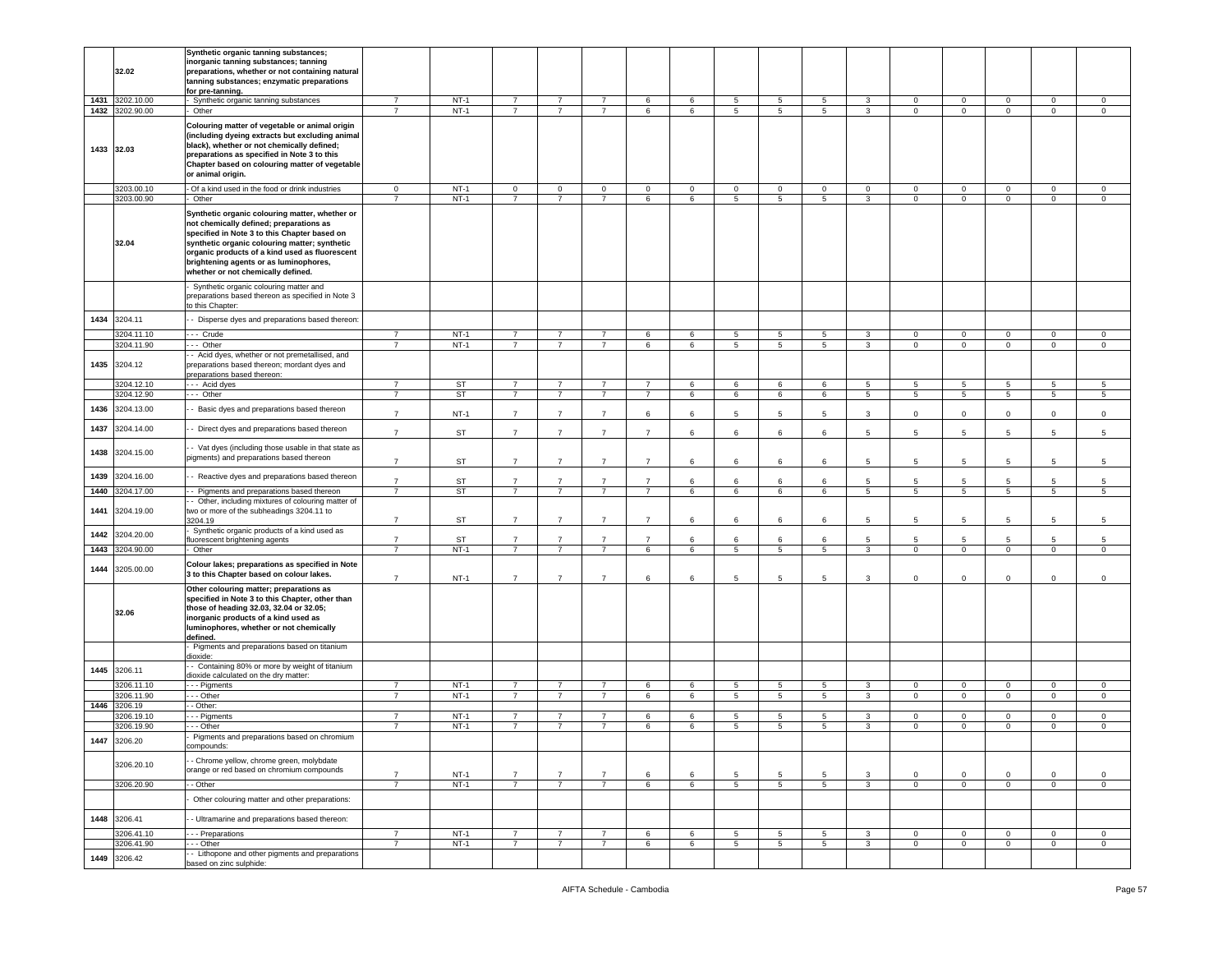|      |                 | Synthetic organic tanning substances;               |                |           |                |                |                |                |             |                |                 |                 |                 |                 |                |                     |                |                |
|------|-----------------|-----------------------------------------------------|----------------|-----------|----------------|----------------|----------------|----------------|-------------|----------------|-----------------|-----------------|-----------------|-----------------|----------------|---------------------|----------------|----------------|
|      |                 | norganic tanning substances; tanning                |                |           |                |                |                |                |             |                |                 |                 |                 |                 |                |                     |                |                |
|      | 32.02           | preparations, whether or not containing natural     |                |           |                |                |                |                |             |                |                 |                 |                 |                 |                |                     |                |                |
|      |                 | tanning substances; enzymatic preparations          |                |           |                |                |                |                |             |                |                 |                 |                 |                 |                |                     |                |                |
|      |                 | for pre-tanning.                                    |                |           |                |                |                |                |             |                |                 |                 |                 |                 |                |                     |                |                |
|      | 1431 3202.10.00 | Synthetic organic tanning substances                | $\overline{7}$ | $NT-1$    | $\overline{7}$ | $\overline{7}$ | $\overline{7}$ | 6              | 6           | 5              | 5               | 5               | 3               | $\mathbf 0$     | $\mathbf 0$    | $\mathbf{0}$        | $\mathbf 0$    | $\mathbf 0$    |
|      | 1432 3202.90.00 | Other                                               | $\overline{7}$ | $NT-1$    | $\overline{7}$ | $\overline{7}$ | $\overline{7}$ | 6              | 6           | 5              | 5               | 5               | $\mathbf{3}$    | $\mathbf 0$     | $\mathbf 0$    | $\mathbf{0}$        | $\mathbf 0$    | $\circ$        |
|      |                 |                                                     |                |           |                |                |                |                |             |                |                 |                 |                 |                 |                |                     |                |                |
|      |                 | Colouring matter of vegetable or animal origin      |                |           |                |                |                |                |             |                |                 |                 |                 |                 |                |                     |                |                |
|      |                 | (including dyeing extracts but excluding animal     |                |           |                |                |                |                |             |                |                 |                 |                 |                 |                |                     |                |                |
|      | 1433 32.03      | black), whether or not chemically defined;          |                |           |                |                |                |                |             |                |                 |                 |                 |                 |                |                     |                |                |
|      |                 | preparations as specified in Note 3 to this         |                |           |                |                |                |                |             |                |                 |                 |                 |                 |                |                     |                |                |
|      |                 | Chapter based on colouring matter of vegetable      |                |           |                |                |                |                |             |                |                 |                 |                 |                 |                |                     |                |                |
|      |                 | or animal origin.                                   |                |           |                |                |                |                |             |                |                 |                 |                 |                 |                |                     |                |                |
|      |                 |                                                     |                |           |                |                |                |                |             |                |                 |                 |                 |                 |                |                     |                |                |
|      | 3203.00.10      | - Of a kind used in the food or drink industries    | $\mathbf{0}$   | $NT-1$    | $\mathbf 0$    | $\mathbf 0$    | $\mathbf 0$    | $\mathbf 0$    | $\mathbf 0$ | 0              | $\mathbf 0$     | 0               | $\mathbf 0$     | $\mathbf 0$     | 0              | $\mathbf 0$         | 0              | 0              |
|      | 3203.00.90      | Other                                               | $\overline{7}$ | $NT-1$    | $\overline{7}$ | $\overline{7}$ | $\overline{7}$ | 6              | $\,6\,$     | 5              | $\overline{5}$  | 5               | $\mathbf{3}$    | $\mathsf 0$     | $\mathsf 0$    | $\mathsf{O}\xspace$ | $\mathbf 0$    | $\mathsf 0$    |
|      |                 | Synthetic organic colouring matter, whether or      |                |           |                |                |                |                |             |                |                 |                 |                 |                 |                |                     |                |                |
|      |                 | not chemically defined; preparations as             |                |           |                |                |                |                |             |                |                 |                 |                 |                 |                |                     |                |                |
|      |                 | specified in Note 3 to this Chapter based on        |                |           |                |                |                |                |             |                |                 |                 |                 |                 |                |                     |                |                |
|      | 32.04           | synthetic organic colouring matter; synthetic       |                |           |                |                |                |                |             |                |                 |                 |                 |                 |                |                     |                |                |
|      |                 | organic products of a kind used as fluorescent      |                |           |                |                |                |                |             |                |                 |                 |                 |                 |                |                     |                |                |
|      |                 | brightening agents or as luminophores,              |                |           |                |                |                |                |             |                |                 |                 |                 |                 |                |                     |                |                |
|      |                 |                                                     |                |           |                |                |                |                |             |                |                 |                 |                 |                 |                |                     |                |                |
|      |                 | whether or not chemically defined.                  |                |           |                |                |                |                |             |                |                 |                 |                 |                 |                |                     |                |                |
|      |                 | Synthetic organic colouring matter and              |                |           |                |                |                |                |             |                |                 |                 |                 |                 |                |                     |                |                |
|      |                 | preparations based thereon as specified in Note 3   |                |           |                |                |                |                |             |                |                 |                 |                 |                 |                |                     |                |                |
|      |                 | o this Chapter:                                     |                |           |                |                |                |                |             |                |                 |                 |                 |                 |                |                     |                |                |
| 1434 |                 |                                                     |                |           |                |                |                |                |             |                |                 |                 |                 |                 |                |                     |                |                |
|      | 3204.11         | - Disperse dyes and preparations based thereon:     |                |           |                |                |                |                |             |                |                 |                 |                 |                 |                |                     |                |                |
|      | 3204.11.10      | -- Crude                                            | $\overline{7}$ | $NT-1$    | $\overline{7}$ | $\overline{7}$ | $\overline{7}$ | 6              | 6           | 5              | 5               | 5               | 3               | $\mathbf 0$     | $\mathbf 0$    | $\mathbf 0$         | 0              | $\mathbf 0$    |
|      | 3204.11.90      | -- Other                                            | $\overline{7}$ | $NT-1$    | $\overline{7}$ | $\overline{7}$ | $\overline{7}$ | 6              | 6           | 5              | 5               | $5^{\circ}$     | $\mathbf{3}$    | $\mathbf 0$     | $\circ$        | $\mathbf{0}$        | $\mathbf 0$    | $\mathbf 0$    |
|      |                 | - Acid dyes, whether or not premetallised, and      |                |           |                |                |                |                |             |                |                 |                 |                 |                 |                |                     |                |                |
|      | 1435 3204.12    | preparations based thereon; mordant dyes and        |                |           |                |                |                |                |             |                |                 |                 |                 |                 |                |                     |                |                |
|      |                 | preparations based thereon:                         |                |           |                |                |                |                |             |                |                 |                 |                 |                 |                |                     |                |                |
|      | 3204.12.10      | --- Acid dyes                                       | $\overline{7}$ | <b>ST</b> | $\overline{7}$ | 7              | $\overline{7}$ | $\overline{7}$ | 6           | 6              | 6               | 6               | 5               | 5               | 5              | 5                   | 5              | 5              |
|      | 3204.12.90      | $-$ Other                                           | $\overline{7}$ | <b>ST</b> | $\overline{7}$ | $\overline{7}$ | $\overline{7}$ | $\overline{7}$ | 6           | 6              | 6               | $6\overline{6}$ | $5\overline{)}$ | $5\phantom{.0}$ | 5              | $5\overline{)}$     | 5              | $\overline{5}$ |
|      |                 |                                                     |                |           |                |                |                |                |             |                |                 |                 |                 |                 |                |                     |                |                |
| 1436 | 3204.13.00      | - Basic dyes and preparations based thereon         | $\overline{7}$ | $NT-1$    | $\overline{7}$ | $\overline{7}$ | $\overline{7}$ | 6              | 6           | 5              | 5               | 5               | $\mathbf{3}$    | $\mathbf 0$     | $\mathsf 0$    | $\mathsf 0$         | $\mathsf 0$    | $\mathbf 0$    |
|      |                 |                                                     |                |           |                |                |                |                |             |                |                 |                 |                 |                 |                |                     |                |                |
| 1437 | 3204.14.00      | - Direct dyes and preparations based thereon        | $\overline{7}$ | <b>ST</b> | $\overline{7}$ | $\overline{7}$ | $\overline{7}$ | $\overline{7}$ | 6           | 6              | 6               | 6               | 5               | 5               | 5              | 5                   | 5              | 5              |
|      |                 |                                                     |                |           |                |                |                |                |             |                |                 |                 |                 |                 |                |                     |                |                |
| 1438 | 3204.15.00      | - Vat dyes (including those usable in that state as |                |           |                |                |                |                |             |                |                 |                 |                 |                 |                |                     |                |                |
|      |                 | pigments) and preparations based thereon            | $\overline{7}$ | ST        | $\overline{7}$ | $\overline{7}$ | $\overline{7}$ | $\overline{7}$ | 6           | 6              | 6               | 6               | 5               | 5               | 5              | $5\overline{5}$     | 5              | 5              |
|      |                 |                                                     |                |           |                |                |                |                |             |                |                 |                 |                 |                 |                |                     |                |                |
| 1439 | 3204.16.00      | - Reactive dyes and preparations based thereon      | $\overline{7}$ | ST        | $\overline{7}$ | $\overline{7}$ | $\overline{7}$ | $\overline{7}$ | 6           | 6              | 6               | 6               | 5               | 5               | 5              | 5                   | 5              | 5              |
| 1440 | 3204.17.00      | - Pigments and preparations based thereon           | $\overline{7}$ | ST        | $\overline{7}$ | $\overline{7}$ | $\overline{7}$ | 7              | 6           | 6              | 6               | 6               | 5               | 5               | 5              | 5                   | 5              | 5              |
|      |                 |                                                     |                |           |                |                |                |                |             |                |                 |                 |                 |                 |                |                     |                |                |
|      |                 | - Other, including mixtures of colouring matter of  |                |           |                |                |                |                |             |                |                 |                 |                 |                 |                |                     |                |                |
| 1441 | 3204.19.00      | wo or more of the subheadings 3204.11 to            | $\overline{7}$ | ST        | $\overline{7}$ | $\overline{7}$ | $\overline{7}$ | $\overline{7}$ | 6           | 6              | 6               | 6               | 5               | 5               | 5              | 5                   | 5              | 5              |
|      |                 | 3204.19                                             |                |           |                |                |                |                |             |                |                 |                 |                 |                 |                |                     |                |                |
| 1442 | 3204.20.00      | Synthetic organic products of a kind used as        | $\overline{7}$ | <b>ST</b> | $\overline{7}$ | $\overline{7}$ | $\overline{7}$ | $\overline{7}$ | 6           | 6              | 6               | 6               | $5\overline{5}$ | 5               | 5              | 5                   | 5              | 5              |
|      |                 | luorescent brightening agents                       | $\overline{7}$ | $NT-1$    | $\overline{7}$ |                | $\overline{7}$ |                |             |                |                 |                 |                 |                 |                |                     |                |                |
|      | 1443 3204.90.00 | Other                                               |                |           |                | 7              |                | 6              | 6           | 5              | 5               | 5               | $\mathbf{3}$    | $\mathbf 0$     | $\mathbf 0$    | $\overline{0}$      | 0              | $\mathbf 0$    |
|      |                 | Colour lakes; preparations as specified in Note     |                |           |                |                |                |                |             |                |                 |                 |                 |                 |                |                     |                |                |
| 1444 | 3205.00.00      | 3 to this Chapter based on colour lakes.            |                |           |                |                |                |                |             |                |                 |                 |                 |                 |                |                     |                |                |
|      |                 |                                                     | $\overline{7}$ | $NT-1$    | $\overline{7}$ | $\overline{7}$ | $\overline{7}$ | 6              | 6           | 5              | 5               | 5               | 3               | $\circ$         | $\mathsf 0$    | $\mathbf 0$         | $\circ$        | $\mathsf 0$    |
|      |                 | Other colouring matter; preparations as             |                |           |                |                |                |                |             |                |                 |                 |                 |                 |                |                     |                |                |
|      |                 | specified in Note 3 to this Chapter, other than     |                |           |                |                |                |                |             |                |                 |                 |                 |                 |                |                     |                |                |
|      | 32.06           | those of heading 32.03, 32.04 or 32.05;             |                |           |                |                |                |                |             |                |                 |                 |                 |                 |                |                     |                |                |
|      |                 | inorganic products of a kind used as                |                |           |                |                |                |                |             |                |                 |                 |                 |                 |                |                     |                |                |
|      |                 | luminophores, whether or not chemically             |                |           |                |                |                |                |             |                |                 |                 |                 |                 |                |                     |                |                |
|      |                 | defined.                                            |                |           |                |                |                |                |             |                |                 |                 |                 |                 |                |                     |                |                |
|      |                 | Pigments and preparations based on titanium         |                |           |                |                |                |                |             |                |                 |                 |                 |                 |                |                     |                |                |
|      |                 | dioxide:                                            |                |           |                |                |                |                |             |                |                 |                 |                 |                 |                |                     |                |                |
| 1445 | 3206.11         | - Containing 80% or more by weight of titanium      |                |           |                |                |                |                |             |                |                 |                 |                 |                 |                |                     |                |                |
|      |                 | dioxide calculated on the dry matter:               |                |           |                |                |                |                |             |                |                 |                 |                 |                 |                |                     |                |                |
|      | 3206.11.10      | - - Pigments                                        | $\overline{7}$ | $NT-1$    | $\overline{7}$ | 7              | $\overline{7}$ | 6              | 6           | 5              | 5               | 5               | 3               | $\mathbf 0$     | $\overline{0}$ | $\mathbf 0$         | $\mathbf 0$    | $\mathbf 0$    |
|      | 3206.11.90      | - - Other                                           | $\overline{7}$ | $NT-1$    | $\overline{7}$ | $\overline{7}$ | $\overline{7}$ | 6              | 6           | 5              | 5               | 5               | $\mathbf{3}$    | $\circ$         | $\overline{0}$ | $\mathbf{0}$        | $\circ$        | $\mathsf 0$    |
| 1446 | 3206.19         | - Other:                                            |                |           |                |                |                |                |             |                |                 |                 |                 |                 |                |                     |                |                |
|      | 206.19.10       | - - Pigments                                        | $\overline{7}$ | $NT-1$    | $\overline{7}$ | $\overline{7}$ | $\overline{7}$ | 6              | 6           | 5              | 5               | 5               | 3               | $\mathbf 0$     | $\mathbf 0$    | $\mathbf 0$         | $\mathbf 0$    | $\mathsf 0$    |
|      | 3206.19.90      | - - Other                                           | $\overline{7}$ | $NT-1$    | $\overline{7}$ | $\overline{7}$ | $\overline{7}$ | 6              | 6           | 5              | $5\phantom{.0}$ | 5               | 3               | $\mathbf{0}$    | $\mathbf 0$    | $\mathbf{0}$        | $\mathbf 0$    | $\mathbf 0$    |
| 1447 | 3206.20         | Pigments and preparations based on chromium         |                |           |                |                |                |                |             |                |                 |                 |                 |                 |                |                     |                |                |
|      |                 | compounds:                                          |                |           |                |                |                |                |             |                |                 |                 |                 |                 |                |                     |                |                |
|      |                 | - Chrome yellow, chrome green, molybdate            |                |           |                |                |                |                |             |                |                 |                 |                 |                 |                |                     |                |                |
|      | 3206.20.10      |                                                     |                |           |                |                |                |                |             |                |                 |                 |                 |                 |                |                     |                |                |
|      |                 | orange or red based on chromium compounds           | $\overline{7}$ | $NT-1$    | $\overline{7}$ | $\overline{7}$ | $\overline{7}$ | 6              | 6           | 5              | 5               | 5               | 3               | $\mathbf 0$     | $\mathbf 0$    | $\mathbf 0$         | $\mathbf 0$    | $\mathsf 0$    |
|      | 3206.20.90      | - Other                                             | $\overline{7}$ | $NT-1$    | $\overline{7}$ | $\overline{7}$ | $\overline{7}$ | 6              | 6           | $\overline{5}$ | 5               | 5               | $\mathbf{3}$    | $\overline{0}$  | $\overline{0}$ | $\overline{0}$      | $\overline{0}$ | $\overline{0}$ |
|      |                 |                                                     |                |           |                |                |                |                |             |                |                 |                 |                 |                 |                |                     |                |                |
|      |                 | Other colouring matter and other preparations:      |                |           |                |                |                |                |             |                |                 |                 |                 |                 |                |                     |                |                |
|      |                 |                                                     |                |           |                |                |                |                |             |                |                 |                 |                 |                 |                |                     |                |                |
| 1448 | 3206.41         | - Ultramarine and preparations based thereon:       |                |           |                |                |                |                |             |                |                 |                 |                 |                 |                |                     |                |                |
|      | 3206.41.10      | - - Preparations                                    | $\overline{7}$ | $NT-1$    | $\overline{7}$ | $\overline{7}$ | $\overline{7}$ | 6              | 6           | 5              | $5\phantom{.0}$ | 5               | $\mathbf{3}$    | $\overline{0}$  | $\mathsf 0$    | $\mathbf{0}$        | $\overline{0}$ | $\overline{0}$ |
|      | 3206.41.90      | $-$ Other                                           | $\overline{7}$ | $NT-1$    | $\overline{7}$ | $\overline{7}$ | $\overline{7}$ | 6              | 6           | 5              | 5               | 5               | $\mathbf{3}$    | $\mathbf{0}$    | $\mathbf 0$    | $\overline{0}$      | $\overline{0}$ | $\overline{0}$ |
|      |                 | - Lithopone and other pigments and preparations     |                |           |                |                |                |                |             |                |                 |                 |                 |                 |                |                     |                |                |
| 1449 | 3206.42         | based on zinc sulphide:                             |                |           |                |                |                |                |             |                |                 |                 |                 |                 |                |                     |                |                |
|      |                 |                                                     |                |           |                |                |                |                |             |                |                 |                 |                 |                 |                |                     |                |                |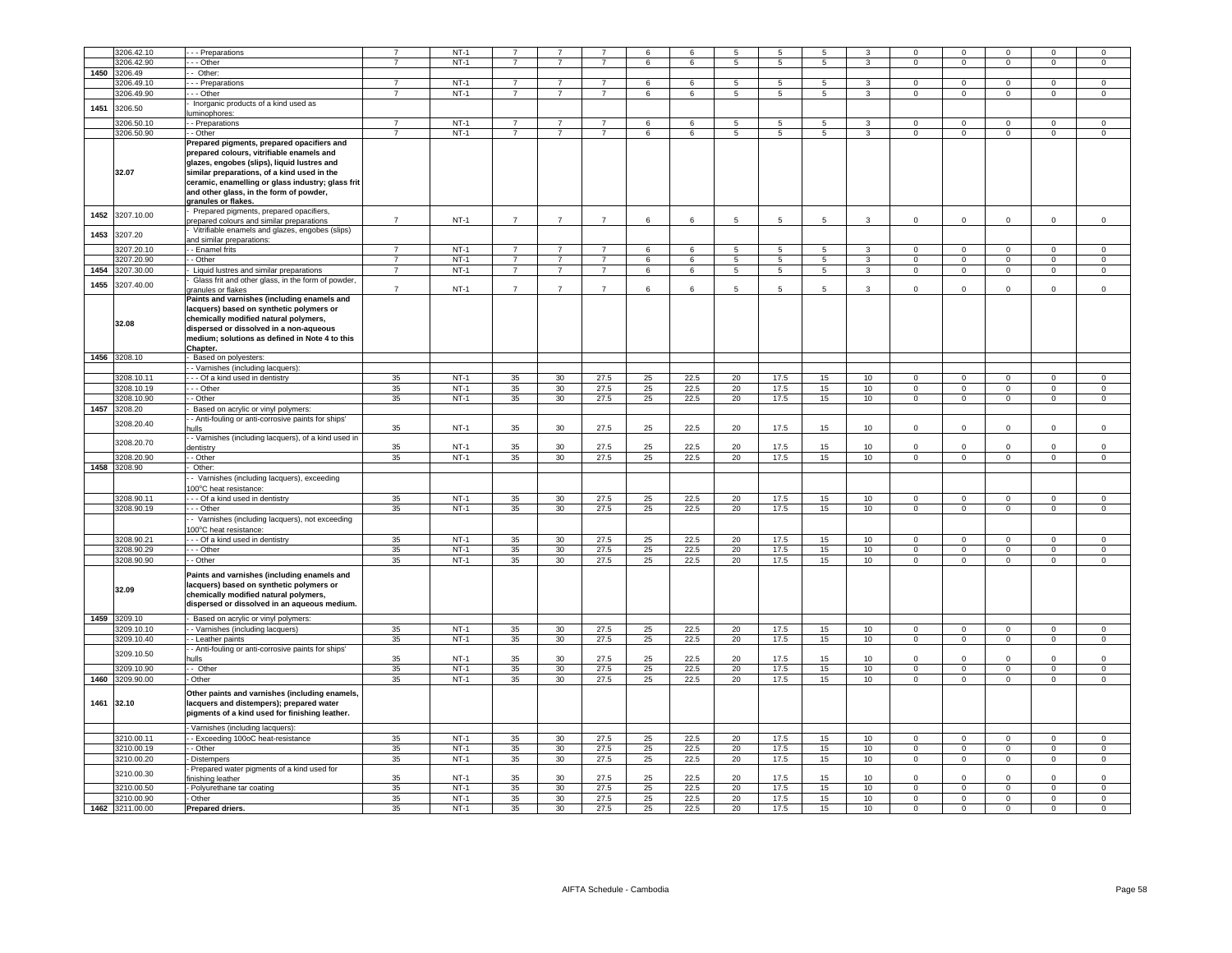|            | 3206.42.10      |                                                                                            |                | $NT-1$ |                |                |                |    |      | 5              |                 | 5                |                  | $\Omega$       | $\Omega$       |                |                |                |
|------------|-----------------|--------------------------------------------------------------------------------------------|----------------|--------|----------------|----------------|----------------|----|------|----------------|-----------------|------------------|------------------|----------------|----------------|----------------|----------------|----------------|
|            |                 | - Preparations                                                                             | $\overline{7}$ |        | $\overline{7}$ | $\overline{7}$ | $\overline{7}$ | 6  | 6    | $\overline{5}$ | $\overline{5}$  | -5               | $\overline{3}$   | $\Omega$       | $\overline{0}$ | $\Omega$       | $\Omega$       | $\Omega$       |
|            | 3206.42.90      | $\overline{-}$ Other                                                                       |                | $NT-1$ |                |                |                |    |      |                |                 |                  |                  |                |                |                |                |                |
| 1450       | 3206.49         | Other:                                                                                     |                |        |                |                |                |    |      |                |                 |                  |                  |                |                |                |                |                |
|            | 8206.49.10      | - - Preparations                                                                           | $\overline{7}$ | $NT-1$ | $\overline{7}$ | $\overline{7}$ | $\overline{7}$ | 6  | 6    | 5              | 5               | 5                | 3                | $\mathbf 0$    | $\,0\,$        | $^{\circ}$     | $\Omega$       | 0              |
|            | 3206.49.90      | - - - Other                                                                                | $\overline{7}$ | $NT-1$ | $\overline{7}$ | $\overline{7}$ | $\overline{7}$ | 6  | 6    | $\overline{5}$ | 5               | 5                | $\overline{3}$   | $\Omega$       | $\overline{0}$ | $\overline{0}$ | $\overline{0}$ | $\overline{0}$ |
| 1451       | 3206.50         | Inorganic products of a kind used as                                                       |                |        |                |                |                |    |      |                |                 |                  |                  |                |                |                |                |                |
|            |                 | luminophores:                                                                              |                |        |                |                |                |    |      |                |                 |                  |                  |                |                |                |                |                |
|            | 3206.50.1       | - Preparations                                                                             | $\overline{7}$ | $NT-1$ | $\overline{7}$ | $\overline{7}$ | $\overline{7}$ | 6  | 6    | 5              | $5\overline{5}$ | 5                | 3                | $\Omega$       | $\Omega$       | $\Omega$       | $\Omega$       | $\Omega$       |
|            | 3206.50.90      | - - Other                                                                                  | $\overline{7}$ | $NT-1$ | $\overline{7}$ | $\overline{7}$ | $\overline{7}$ | 6  | 6    | 5              | 5               | $5^{\circ}$      | $\mathbf{3}$     | $\mathbf 0$    | $\mathbf{0}$   | $\circ$        | $\mathbf 0$    | $\circ$        |
|            |                 | Prepared pigments, prepared opacifiers and                                                 |                |        |                |                |                |    |      |                |                 |                  |                  |                |                |                |                |                |
|            |                 | prepared colours, vitrifiable enamels and                                                  |                |        |                |                |                |    |      |                |                 |                  |                  |                |                |                |                |                |
|            |                 |                                                                                            |                |        |                |                |                |    |      |                |                 |                  |                  |                |                |                |                |                |
|            | 32.07           | glazes, engobes (slips), liquid lustres and<br>similar preparations, of a kind used in the |                |        |                |                |                |    |      |                |                 |                  |                  |                |                |                |                |                |
|            |                 |                                                                                            |                |        |                |                |                |    |      |                |                 |                  |                  |                |                |                |                |                |
|            |                 | ceramic, enamelling or glass industry; glass frit                                          |                |        |                |                |                |    |      |                |                 |                  |                  |                |                |                |                |                |
|            |                 | and other glass, in the form of powder,                                                    |                |        |                |                |                |    |      |                |                 |                  |                  |                |                |                |                |                |
|            |                 | granules or flakes.                                                                        |                |        |                |                |                |    |      |                |                 |                  |                  |                |                |                |                |                |
| 1452       | 3207.10.00      | Prepared pigments, prepared opacifiers,                                                    |                |        |                |                |                |    |      |                |                 |                  |                  |                |                |                |                |                |
|            |                 | prepared colours and similar preparations                                                  | $\overline{7}$ | $NT-1$ | $\overline{7}$ | $\overline{7}$ | $\overline{7}$ | 6  | 6    | 5              | $5\overline{5}$ | 5                | 3                | $\Omega$       | $\mathbf 0$    | $\Omega$       | $\mathbf 0$    | $\mathsf 0$    |
| 1453       | 3207.20         | Vitrifiable enamels and glazes, engobes (slips)                                            |                |        |                |                |                |    |      |                |                 |                  |                  |                |                |                |                |                |
|            |                 | and similar preparations:                                                                  |                |        |                |                |                |    |      |                |                 |                  |                  |                |                |                |                |                |
|            | 207.20.10       | - Enamel frits                                                                             | $\overline{7}$ | $NT-1$ | $\overline{7}$ | $\overline{7}$ | $\overline{7}$ | 6  | 6    | 5              | 5               | 5                | 3                | $\Omega$       | $\mathbf 0$    | $\Omega$       | $\Omega$       | $\mathsf 0$    |
|            | 207.20.90       | - Other                                                                                    | $\overline{7}$ | $NT-1$ | 7              | $\overline{7}$ | $\overline{7}$ | 6  | 6    | 5              | 5               | 5                | 3                | $\mathbf 0$    | $\mathbf 0$    | $^{\circ}$     | $\mathbf 0$    | $\mathsf 0$    |
| 1454       | 207.30.00       | Liquid lustres and similar preparations                                                    | $\overline{7}$ | $NT-1$ | $\overline{7}$ | $\overline{7}$ | $\overline{7}$ | 6  | 6    | 5              | 5               | 5                | $\mathbf{3}$     | $\Omega$       | $\mathbf 0$    | $\mathsf 0$    | $\mathsf 0$    | $\mathbf 0$    |
|            |                 | Glass frit and other glass, in the form of powder,                                         |                |        |                |                |                |    |      |                |                 |                  |                  |                |                |                |                |                |
| 1455       | 3207.40.00      | ranules or flakes                                                                          | $\overline{7}$ | $NT-1$ | $\overline{7}$ | $\overline{7}$ | $\overline{7}$ | 6  | 6    | 5              | $5\overline{5}$ | 5                | 3                | $^{\circ}$     | $^{\circ}$     | $^{\circ}$     | $\Omega$       | $\mathsf 0$    |
|            |                 | Paints and varnishes (including enamels and                                                |                |        |                |                |                |    |      |                |                 |                  |                  |                |                |                |                |                |
|            |                 | lacquers) based on synthetic polymers or                                                   |                |        |                |                |                |    |      |                |                 |                  |                  |                |                |                |                |                |
|            |                 |                                                                                            |                |        |                |                |                |    |      |                |                 |                  |                  |                |                |                |                |                |
|            | 32.08           | chemically modified natural polymers,                                                      |                |        |                |                |                |    |      |                |                 |                  |                  |                |                |                |                |                |
|            |                 | dispersed or dissolved in a non-aqueous                                                    |                |        |                |                |                |    |      |                |                 |                  |                  |                |                |                |                |                |
|            |                 | medium; solutions as defined in Note 4 to this                                             |                |        |                |                |                |    |      |                |                 |                  |                  |                |                |                |                |                |
|            |                 | Chapter.                                                                                   |                |        |                |                |                |    |      |                |                 |                  |                  |                |                |                |                |                |
|            | 1456 3208.10    | - Based on polyesters:                                                                     |                |        |                |                |                |    |      |                |                 |                  |                  |                |                |                |                |                |
|            |                 | - Varnishes (including lacquers):                                                          |                |        |                |                |                |    |      |                |                 |                  |                  |                |                |                |                |                |
|            | 3208.10.11      | --- Of a kind used in dentistry                                                            | 35             | $NT-1$ | 35             | 30             | 27.5           | 25 | 22.5 | 20             | 17.5            | 15               | 10               | $\mathsf 0$    | $\mathbf 0$    | $\mathbf 0$    | $\mathbf 0$    | $\,0\,$        |
|            | 3208.10.19      | --- Other                                                                                  | 35             | $NT-1$ | 35             | 30             | 27.5           | 25 | 22.5 | 20             | 17.5            | 15               | 10               | $\Omega$       | $\overline{0}$ | $\overline{0}$ | $\overline{0}$ | $\mathsf 0$    |
|            | 3208.10.90      | - Other                                                                                    | 35             | $NT-1$ | 35             | 30             | 27.5           | 25 | 22.5 | 20             | 17.5            | 15               | 10               | $\mathbf 0$    | $\,0\,$        | $\mathbf 0$    | $^{\circ}$     | 0              |
| 1457       | 3208.20         | Based on acrylic or vinyl polymers:                                                        |                |        |                |                |                |    |      |                |                 |                  |                  |                |                |                |                |                |
|            |                 | - Anti-fouling or anti-corrosive paints for ships'                                         |                |        |                |                |                |    |      |                |                 |                  |                  |                |                |                |                |                |
|            | 3208.20.40      | ulls                                                                                       | 35             | $NT-1$ | 35             | 30             | 27.5           | 25 | 22.5 | 20             | 17.5            | 15               | 10               | $\Omega$       | $\Omega$       | $\Omega$       | $\Omega$       | $\mathsf 0$    |
|            |                 | - Varnishes (including lacquers), of a kind used in                                        |                |        |                |                |                |    |      |                |                 |                  |                  |                |                |                |                |                |
|            | 3208.20.70      | dentistry                                                                                  | 35             | $NT-1$ | 35             | 30             | 27.5           | 25 | 22.5 | 20             | 17.5            | 15               | 10               | $\Omega$       | $\mathbf 0$    | $\Omega$       | $\Omega$       | $\mathsf 0$    |
|            | 3208.20.90      | - Other                                                                                    | 35             | $NT-1$ | 35             | 30             | 27.5           | 25 | 22.5 | 20             | 17.5            | 15               | 10               | $\mathsf 0$    | $\overline{0}$ | $\overline{0}$ | $\overline{0}$ | $\overline{0}$ |
|            | 1458 3208.90    |                                                                                            |                |        |                |                |                |    |      |                |                 |                  |                  |                |                |                |                |                |
|            |                 | Other:                                                                                     |                |        |                |                |                |    |      |                |                 |                  |                  |                |                |                |                |                |
|            |                 | - Varnishes (including lacquers), exceeding                                                |                |        |                |                |                |    |      |                |                 |                  |                  |                |                |                |                |                |
|            |                 | 00°C heat resistance:                                                                      |                |        |                |                |                |    |      |                |                 |                  |                  |                |                |                |                |                |
|            | 3208.90.11      | - - Of a kind used in dentistry                                                            | 35             | $NT-1$ | 35             | 30             | 27.5           | 25 | 22.5 | 20             | 17.5            | 15               | 10               | $\Omega$       | $\mathbf 0$    | $\mathbf 0$    | $\mathsf 0$    | $\mathsf 0$    |
|            | 3208.90.19      | $-$ Other                                                                                  | 35             | $NT-1$ | 35             | 30             | 27.5           | 25 | 22.5 | 20             | 17.5            | 15               | 10               | $\Omega$       | $\overline{0}$ | $\mathbf{0}$   | $\overline{0}$ | $\overline{0}$ |
|            |                 | Varnishes (including lacquers), not exceeding                                              |                |        |                |                |                |    |      |                |                 |                  |                  |                |                |                |                |                |
|            |                 | 00°C heat resistance:                                                                      |                |        |                |                |                |    |      |                |                 |                  |                  |                |                |                |                |                |
|            | 3208.90.21      | - - Of a kind used in dentistry                                                            | 35             | $NT-1$ | 35             | 30             | 27.5           | 25 | 22.5 | 20             | 17.5            | 15               | 10               | $\Omega$       | $\mathbf 0$    | $\Omega$       | $\mathbf 0$    | $\mathbf 0$    |
|            | 3208.90.29      | - - Other                                                                                  | 35             | $NT-1$ | 35             | 30             | 27.5           | 25 | 22.5 | 20             | 17.5            | 15               | 10 <sub>1</sub>  | $\mathbf 0$    | $\mathbf 0$    | $\mathbf{0}$   | $\mathbf 0$    | $\mathsf 0$    |
|            | 3208.90.90      | - Other                                                                                    | 35             | $NT-1$ | 35             | 30             | 27.5           | 25 | 22.5 | 20             | 17.5            | 15               | 10               | $\overline{0}$ | $\overline{0}$ | $\overline{0}$ | $\overline{0}$ | $\overline{0}$ |
|            |                 |                                                                                            |                |        |                |                |                |    |      |                |                 |                  |                  |                |                |                |                |                |
|            |                 | Paints and varnishes (including enamels and                                                |                |        |                |                |                |    |      |                |                 |                  |                  |                |                |                |                |                |
|            | 32.09           | lacquers) based on synthetic polymers or                                                   |                |        |                |                |                |    |      |                |                 |                  |                  |                |                |                |                |                |
|            |                 | chemically modified natural polymers,                                                      |                |        |                |                |                |    |      |                |                 |                  |                  |                |                |                |                |                |
|            |                 | dispersed or dissolved in an aqueous medium.                                               |                |        |                |                |                |    |      |                |                 |                  |                  |                |                |                |                |                |
|            | 1459 3209.10    |                                                                                            |                |        |                |                |                |    |      |                |                 |                  |                  |                |                |                |                |                |
|            |                 | - Based on acrylic or vinyl polymers:                                                      |                |        |                |                |                |    |      |                |                 |                  |                  |                |                |                |                |                |
|            | 3209.10.10      | - Varnishes (including lacquers)                                                           | 35             | $NT-1$ | 35             | 30             | 27.5           | 25 | 22.5 | 20             | 17.5            | 15               | 10               | $\mathbf{0}$   | $\mathbf 0$    | $^{\circ}$     | $^{\circ}$     | $\circ$        |
|            | 3209.10.40      | - - Leather paints                                                                         | 35             | $NT-1$ | 35             | 30             | 27.5           | 25 | 22.5 | 20             | 17.5            | 15               | 10               | $\overline{0}$ | $\overline{0}$ | $\mathbf 0$    | $\mathbf 0$    | $\mathbf{0}$   |
|            | 3209.10.50      | - Anti-fouling or anti-corrosive paints for ships'                                         |                |        |                |                |                |    |      |                |                 |                  |                  |                |                |                |                |                |
|            |                 | hulls                                                                                      | 35             | $NT-1$ | 35             | 30             | 27.5           | 25 | 22.5 | 20             | 17.5            | 15               | 10               | $\mathbf 0$    | $\mathbf 0$    | $\mathbf 0$    | $\mathbf 0$    | $\mathsf 0$    |
|            | 3209.10.90      | $-$ Other                                                                                  | 35             | $NT-1$ | 35             | 30             | 27.5           | 25 | 22.5 | 20             | 17.5            | 15               | 10               | $\overline{0}$ | $\overline{0}$ | $\overline{0}$ | $\overline{0}$ | $\overline{0}$ |
| 1460       | 3209.90.00      | Other                                                                                      | 35             | $NT-1$ | 35             | 30             | 27.5           | 25 | 22.5 | 20             | 17.5            | 15               | 10 <sub>1</sub>  | $\mathbf 0$    | $\mathbf 0$    | $\mathbf{0}$   | $\mathsf 0$    | $\mathsf 0$    |
|            |                 |                                                                                            |                |        |                |                |                |    |      |                |                 |                  |                  |                |                |                |                |                |
|            |                 | Other paints and varnishes (including enamels,                                             |                |        |                |                |                |    |      |                |                 |                  |                  |                |                |                |                |                |
| 1461 32.10 |                 | lacquers and distempers); prepared water                                                   |                |        |                |                |                |    |      |                |                 |                  |                  |                |                |                |                |                |
|            |                 | pigments of a kind used for finishing leather.                                             |                |        |                |                |                |    |      |                |                 |                  |                  |                |                |                |                |                |
|            |                 | Varnishes (including lacquers):                                                            |                |        |                |                |                |    |      |                |                 |                  |                  |                |                |                |                |                |
|            | 3210.00.11      | - Exceeding 100oC heat-resistance                                                          | 35             | $NT-1$ | 35             | 30             | 27.5           | 25 | 22.5 | 20             | 17.5            | 15               | 10               | $\Omega$       | $\Omega$       | $\Omega$       | $\Omega$       | $\Omega$       |
|            |                 |                                                                                            |                |        | 35             |                | 27.5           |    |      |                |                 |                  |                  |                |                |                |                |                |
|            | 3210.00.19      | - Other                                                                                    | 35             | $NT-1$ |                | 30             |                | 25 | 22.5 | 20             | 17.5            | 15 <sub>15</sub> | 10               | $\mathsf 0$    | $\mathbf 0$    | $\mathsf 0$    | $\mathsf 0$    | $\mathsf 0$    |
|            | 3210.00.20      | Distempers                                                                                 | 35             | $NT-1$ | 35             | 30             | 27.5           | 25 | 22.5 | 20             | 17.5            | 15               | 10               | $\mathbf 0$    | $\mathbf 0$    | $\mathbf 0$    | $\Omega$       | $\mathsf 0$    |
|            | 3210.00.30      | Prepared water pigments of a kind used for                                                 |                |        |                |                |                |    |      |                |                 |                  |                  |                |                |                |                |                |
|            |                 | inishing leather                                                                           | 35             | $NT-1$ | 35             | 30             | 27.5           | 25 | 22.5 | 20             | 17.5            | 15               | 10 <sup>10</sup> | $\Omega$       | $\Omega$       | $\Omega$       | $\Omega$       | $\Omega$       |
|            | 3210.00.50      | Polyurethane tar coating                                                                   | 35             | $NT-1$ | 35             | 30             | 27.5           | 25 | 22.5 | 20             | 17.5            | 15               | 10               | $\circ$        | $\mathbf 0$    | $\mathbf{0}$   | $\mathsf 0$    | $\mathsf 0$    |
|            | 3210.00.90      | - Other                                                                                    | 35             | $NT-1$ | 35             | 30             | 27.5           | 25 | 22.5 | 20             | 17.5            | 15               | 10 <sub>1</sub>  | $\Omega$       | $\mathbf 0$    | $\mathbf{0}$   | $\mathbf 0$    | $\mathbf 0$    |
|            | 1462 3211.00.00 | Prepared driers.                                                                           | 35             | $NT-1$ | 35             | 30             | 27.5           | 25 | 22.5 | 20             | 17.5            | 15               | 10               | $\Omega$       | $\mathbf 0$    | 0              | 0              | 0              |
|            |                 |                                                                                            |                |        |                |                |                |    |      |                |                 |                  |                  |                |                |                |                |                |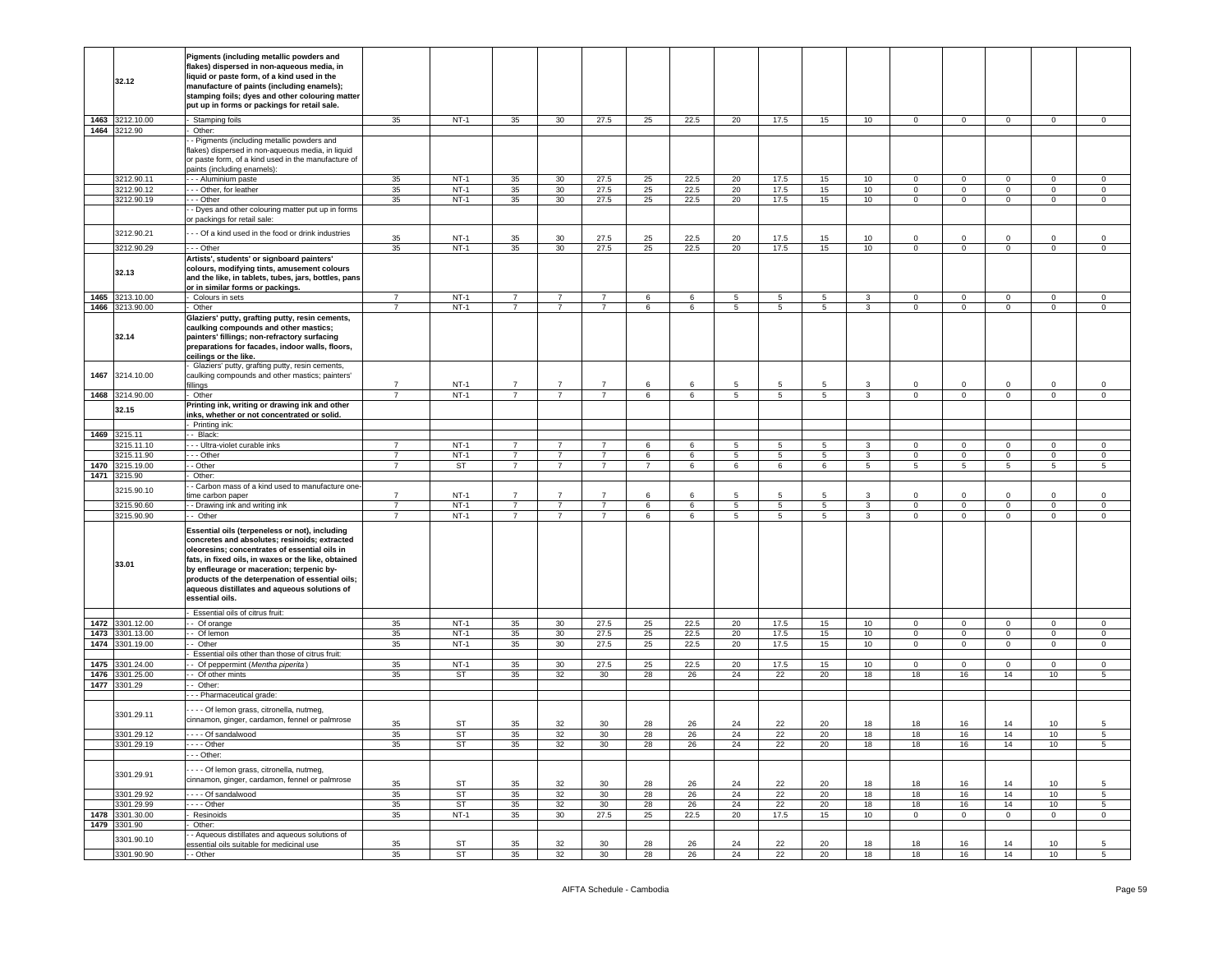|      | 32.12                    | Pigments (including metallic powders and<br>lakes) dispersed in non-aqueous media, in<br>iquid or paste form, of a kind used in the<br>manufacture of paints (including enamels);<br>stamping foils; dyes and other colouring matter<br>put up in forms or packings for retail sale.                                                                                        |                                  |                        |                |                 |                |          |                 |                 |                 |                 |                |                 |                                  |                           |                                  |                                   |
|------|--------------------------|-----------------------------------------------------------------------------------------------------------------------------------------------------------------------------------------------------------------------------------------------------------------------------------------------------------------------------------------------------------------------------|----------------------------------|------------------------|----------------|-----------------|----------------|----------|-----------------|-----------------|-----------------|-----------------|----------------|-----------------|----------------------------------|---------------------------|----------------------------------|-----------------------------------|
|      | 1463 3212.10.00          | Stamping foils                                                                                                                                                                                                                                                                                                                                                              | 35                               | <b>NT-1</b>            | 35             | 30              | 27.5           | 25       | 22.5            | 20              | 17.5            | 15              | 10             | $\overline{0}$  | $\overline{0}$                   | $\overline{0}$            | $\mathsf 0$                      | $\mathsf 0$                       |
|      | 1464 3212.90             | Other:<br>- Pigments (including metallic powders and<br>flakes) dispersed in non-aqueous media, in liquid<br>or paste form, of a kind used in the manufacture of<br>paints (including enamels):                                                                                                                                                                             | 35                               | $NT-1$                 |                |                 |                |          |                 |                 |                 |                 |                | $\Omega$        |                                  |                           |                                  |                                   |
|      | 3212.90.11<br>3212.90.12 | - - - Aluminium paste<br>- Other, for leather                                                                                                                                                                                                                                                                                                                               | 35                               | $NT-1$                 | 35<br>35       | 30<br>30        | 27.5<br>27.5   | 25<br>25 | 22.5<br>22.5    | 20<br>20        | 17.5<br>17.5    | 15<br>15        | 10<br>10       | $\overline{0}$  | $\overline{0}$<br>$\overline{0}$ | $\circ$<br>$\overline{0}$ | $\overline{0}$<br>$\overline{0}$ | $\mathbf 0$<br>$\overline{0}$     |
|      | 3212.90.19               | -- Other                                                                                                                                                                                                                                                                                                                                                                    | 35                               | $NT-1$                 | 35             | 30              | 27.5           | 25       | 22.5            | 20              | 17.5            | 15              | 10             | $\overline{0}$  | $\overline{0}$                   | $\overline{0}$            | $\overline{0}$                   | $\overline{0}$                    |
|      |                          | - Dyes and other colouring matter put up in forms<br>r packings for retail sale:                                                                                                                                                                                                                                                                                            |                                  |                        |                |                 |                |          |                 |                 |                 |                 |                |                 |                                  |                           |                                  |                                   |
|      | 3212.90.21               | - - Of a kind used in the food or drink industries                                                                                                                                                                                                                                                                                                                          | 35                               | $NT-1$                 | 35             | 30              | 27.5           | 25       | 22.5            | 20              | 17.5            | 15              | 10             | $\Omega$        | $\Omega$                         | $\Omega$                  | $\Omega$                         | $\Omega$                          |
|      | 3212.90.29               | - - Other                                                                                                                                                                                                                                                                                                                                                                   | 35                               | $NT-1$                 | 35             | 30 <sup>°</sup> | 27.5           | 25       | 22.5            | 20              | 17.5            | 15              | 10             | $\mathbf 0$     | $\mathbf 0$                      | $\mathbf{0}$              | $\mathsf 0$                      | $\mathsf 0$                       |
|      | 32.13                    | Artists', students' or signboard painters'<br>colours, modifying tints, amusement colours<br>and the like, in tablets, tubes, jars, bottles, pans<br>or in similar forms or packings.                                                                                                                                                                                       |                                  |                        |                |                 |                |          |                 |                 |                 |                 |                |                 |                                  |                           |                                  |                                   |
|      | 1465 3213.10.00          | Colours in sets                                                                                                                                                                                                                                                                                                                                                             | $\overline{7}$<br>$\overline{7}$ | $NT-1$                 | $\overline{7}$ | $\overline{7}$  | $\overline{7}$ | 6        | $6^{\circ}$     | $5^{\circ}$     | -5              | -5              | 3              | $\Omega$        | $\Omega$                         | $\Omega$                  | $\Omega$                         | $\Omega$                          |
|      | 1466 3213.90.00<br>32.14 | Other<br>Glaziers' putty, grafting putty, resin cements,<br>caulking compounds and other mastics;<br>painters' fillings; non-refractory surfacing<br>preparations for facades, indoor walls, floors,<br>ceilings or the like.                                                                                                                                               |                                  | <b>NT-1</b>            | $\overline{7}$ | $\overline{7}$  | $\overline{7}$ | 6        | 6               | $5\overline{5}$ | $5\overline{5}$ | $5\overline{5}$ | 3 <sup>1</sup> | $\overline{0}$  | $\overline{0}$                   | $\overline{0}$            | $\overline{0}$                   | $\overline{0}$                    |
| 1467 | 3214.10.00               | Glaziers' putty, grafting putty, resin cements,<br>caulking compounds and other mastics; painters'<br>illinas                                                                                                                                                                                                                                                               |                                  | $NT-1$                 |                |                 |                | 6        |                 |                 |                 |                 |                | $\Omega$        | $\Omega$                         |                           | $\Omega$                         | $\Omega$                          |
|      | 1468 3214.90.00          | Other                                                                                                                                                                                                                                                                                                                                                                       | $\overline{7}$                   | $NT-1$                 | $\overline{7}$ | $\overline{7}$  | $\overline{7}$ | 6        | 6               | $5\phantom{.0}$ | 5               | $5\overline{5}$ | $\mathbf{3}$   | $\mathbf{0}$    | $\mathbf 0$                      | $\overline{0}$            | $\circ$                          | $\circ$                           |
|      | 32.15                    | Printing ink, writing or drawing ink and other<br>nks, whether or not concentrated or solid.<br>Printing ink:                                                                                                                                                                                                                                                               |                                  |                        |                |                 |                |          |                 |                 |                 |                 |                |                 |                                  |                           |                                  |                                   |
|      | 1469 3215.11             | - Black:                                                                                                                                                                                                                                                                                                                                                                    |                                  |                        |                |                 |                |          |                 |                 |                 |                 |                |                 |                                  |                           |                                  |                                   |
|      | 3215.11.10               | - - Ultra-violet curable inks                                                                                                                                                                                                                                                                                                                                               | $\overline{7}$                   | $NT-1$                 | $\overline{7}$ | $\overline{7}$  | $\overline{7}$ | 6        | $6\overline{6}$ | $\overline{5}$  | $\overline{5}$  | $\overline{5}$  | 3              | $\Omega$        | $\overline{0}$                   | $\Omega$                  | $\overline{0}$                   | $\Omega$                          |
|      | 3215.11.90               | - - Other                                                                                                                                                                                                                                                                                                                                                                   | $\overline{7}$                   | $NT-1$                 | $\overline{7}$ | $\overline{7}$  | $\overline{7}$ | 6        | 6               | 5               | $5\phantom{.0}$ | $5\overline{)}$ | $\overline{3}$ | $\Omega$        | $\mathbf 0$                      | $\overline{0}$            | $\mathbf 0$                      | $\mathbf 0$                       |
|      | 1470 3215.19.00          | - Other                                                                                                                                                                                                                                                                                                                                                                     | $\overline{7}$                   | <b>ST</b>              | 7              | $\overline{7}$  | $\overline{7}$ | 7        | 6               | 6               | 6               | 6               | 5 <sub>5</sub> | $5\overline{5}$ | $5\overline{5}$                  | 5 <sub>5</sub>            | $5\phantom{.0}$                  | $5\phantom{.0}$                   |
|      | 1471 3215.90             | Other:                                                                                                                                                                                                                                                                                                                                                                      |                                  |                        |                |                 |                |          |                 |                 |                 |                 |                |                 |                                  |                           |                                  |                                   |
|      | 3215.90.10               | - Carbon mass of a kind used to manufacture one<br>me carbon paper                                                                                                                                                                                                                                                                                                          | $\overline{7}$                   | $NT-1$                 | $\overline{7}$ | $\overline{7}$  | $\overline{7}$ | $\,6\,$  | $6\overline{6}$ | 5               | 5               | 5               | 3              | $\mathsf 0$     | $\,0\,$                          | $\Omega$                  | $\Omega$                         | $\mathsf{O}\xspace$               |
|      | 3215.90.60               | - Drawing ink and writing ink                                                                                                                                                                                                                                                                                                                                               | $\overline{7}$                   | $NT-1$                 | $\overline{7}$ | $\overline{7}$  | $\overline{7}$ | 6        | 6               | $\overline{5}$  | $\overline{5}$  | $5\overline{)}$ | $\overline{3}$ | $\overline{0}$  | $\overline{0}$                   | $\overline{0}$            | $\overline{0}$                   | $\overline{0}$                    |
|      | 3215.90.90               | - Other                                                                                                                                                                                                                                                                                                                                                                     | 7                                | $NT-1$                 | $\overline{7}$ | $\overline{7}$  | $\overline{7}$ | 6        | 6               | $\overline{5}$  | $\overline{5}$  | 5               | $\overline{3}$ | $\overline{0}$  | $\overline{0}$                   | $\overline{0}$            | $\overline{0}$                   | $\overline{0}$                    |
|      | 33.01                    | Essential oils (terpeneless or not), including<br>concretes and absolutes; resinoids; extracted<br>oleoresins; concentrates of essential oils in<br>fats, in fixed oils, in waxes or the like, obtained<br>by enfleurage or maceration; terpenic by-<br>products of the deterpenation of essential oils;<br>aqueous distillates and aqueous solutions of<br>essential oils. |                                  |                        |                |                 |                |          |                 |                 |                 |                 |                |                 |                                  |                           |                                  |                                   |
|      | 1472 3301.12.00          | Essential oils of citrus fruit:<br>- Of orange                                                                                                                                                                                                                                                                                                                              | 35                               | $NT-1$                 | 35             | 30              | 27.5           | 25       | 22.5            | 20              | 17.5            | 15              | 10             | $\overline{0}$  | $\overline{0}$                   | $\mathbf{0}$              | $\overline{0}$                   | $\mathbf{0}$                      |
|      | 1473 3301.13.00          | - Of lemon                                                                                                                                                                                                                                                                                                                                                                  | 35                               | $NT-1$                 | 35             | 30 <sup>°</sup> | 27.5           | 25       | 22.5            | 20              | 17.5            | 15              | 10             | $\overline{0}$  | $\mathbf 0$                      | $\mathbf 0$               | $\mathbf 0$                      | $\mathbf 0$                       |
|      | 1474 3301.19.00          | - Other                                                                                                                                                                                                                                                                                                                                                                     | 35                               | $NT-1$                 | 35             | 30              | 27.5           | 25       | 22.5            | 20              | 17.5            | 15              | 10             | $\mathbf{0}$    | $\overline{0}$                   | $\overline{0}$            | $\overline{0}$                   | $\circ$                           |
|      |                          | Essential oils other than those of citrus fruit:                                                                                                                                                                                                                                                                                                                            |                                  |                        |                |                 |                |          |                 |                 |                 |                 |                |                 |                                  |                           |                                  |                                   |
| 1475 | 3301.24.00               | Of peppermint (Mentha piperita)                                                                                                                                                                                                                                                                                                                                             | 35                               | $NT-1$                 | 35             | 30              | 27.5           | 25       | 22.5            | 20              | 17.5            | 15              | 10             | $\overline{0}$  | $\mathbf 0$                      | $\mathsf 0$               | $\mathsf 0$                      | $\mathsf 0$                       |
| 1476 | 3301.25.00               | Of other mints<br>- Other:                                                                                                                                                                                                                                                                                                                                                  | 35                               | ST                     | 35             | 32              | 30             | 28       | 26              | 24              | 22              | 20              | 18             | 18              | 16                               | 14                        | 10                               | 5                                 |
| 1477 | 3301.29                  | - - Pharmaceutical grade:                                                                                                                                                                                                                                                                                                                                                   |                                  |                        |                |                 |                |          |                 |                 |                 |                 |                |                 |                                  |                           |                                  |                                   |
|      | 3301.29.11               | - - - Of lemon grass, citronella, nutmeg,<br>cinnamon, ginger, cardamon, fennel or palmrose                                                                                                                                                                                                                                                                                 |                                  |                        |                |                 |                |          |                 |                 |                 |                 |                |                 |                                  |                           |                                  |                                   |
|      |                          |                                                                                                                                                                                                                                                                                                                                                                             | 35                               | <b>ST</b>              | 35             | 32              | 30             | 28       | 26              | 24              | 22              | 20              | 18             | 18              | 16                               | 14                        | 10                               | 5                                 |
|      | 3301.29.12<br>3301.29.19 | Of sandalwood<br>$- -$ Other                                                                                                                                                                                                                                                                                                                                                | 35<br>35                         | <b>ST</b><br>ST        | 35<br>35       | 32<br>32        | 30<br>30       | 28<br>28 | 26<br>26        | 24<br>24        | 22<br>22        | 20              | 18<br>18       | 18<br>18        | 16                               | 14<br>14                  | 10<br>10                         | $5\overline{)}$<br>$\overline{5}$ |
|      |                          | - - Other:                                                                                                                                                                                                                                                                                                                                                                  |                                  |                        |                |                 |                |          |                 |                 |                 | 20              |                |                 | 16                               |                           |                                  |                                   |
|      | 3301.29.91<br>3301.29.92 | - - - Of lemon grass, citronella, nutmeg,<br>cinnamon, ginger, cardamon, fennel or palmrose<br>- Of sandalwood                                                                                                                                                                                                                                                              | 35<br>35                         | <b>ST</b><br><b>ST</b> | 35<br>35       | 32<br>32        | 30<br>30       | 28<br>28 | 26<br>26        | 24<br>24        | 22<br>22        | 20<br>20        | 18<br>18       | 18<br>18        | 16<br>16                         | 14<br>14                  | 10<br>10                         | 5                                 |
|      | 3301.29.99               | . - - - Other                                                                                                                                                                                                                                                                                                                                                               | 35                               | ST                     | 35             | 32              | 30             | 28       | 26              | 24              | 22              | 20              | 18             | 18              | 16                               | 14                        | 10                               | 5                                 |
| 1478 | 3301.30.00               | Resinoids                                                                                                                                                                                                                                                                                                                                                                   | 35                               | $NT-1$                 | 35             | 30 <sup>2</sup> | 27.5           | 25       | 22.5            | 20              | 17.5            | 15              | 10             | $\overline{0}$  | $\overline{0}$                   | $\overline{0}$            | $\overline{0}$                   | $\overline{0}$                    |
| 1479 | 3301.90                  | Other:<br>- Aqueous distillates and aqueous solutions of                                                                                                                                                                                                                                                                                                                    |                                  |                        |                |                 |                |          |                 |                 |                 |                 |                |                 |                                  |                           |                                  |                                   |
|      | 3301.90.10<br>3301.90.90 | essential oils suitable for medicinal use<br>- - Other                                                                                                                                                                                                                                                                                                                      | 35<br>35                         | ST<br><b>ST</b>        | 35<br>35       | 32<br>32        | 30<br>30       | 28<br>28 | 26<br>26        | 24<br>24        | 22<br>22        | 20<br>20        | 18<br>18       | 18<br>18        | 16<br>16                         | 14<br>14                  | 10<br>10                         | 5<br>5                            |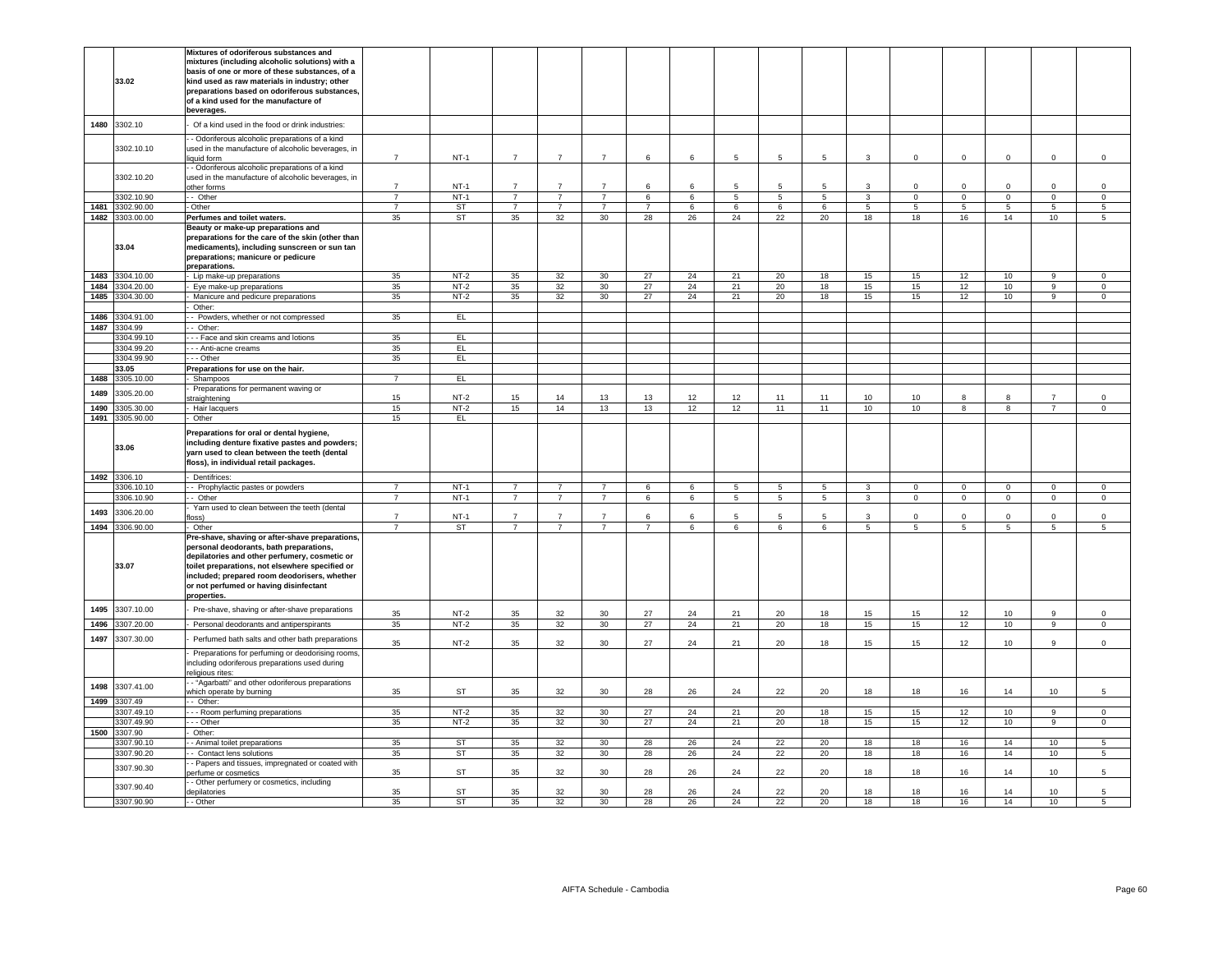|      |                 | Mixtures of odoriferous substances and             |                |           |                |                |                 |                |            |       |                 |                |                 |             |                |                |                |                |
|------|-----------------|----------------------------------------------------|----------------|-----------|----------------|----------------|-----------------|----------------|------------|-------|-----------------|----------------|-----------------|-------------|----------------|----------------|----------------|----------------|
|      |                 |                                                    |                |           |                |                |                 |                |            |       |                 |                |                 |             |                |                |                |                |
|      |                 | mixtures (including alcoholic solutions) with a    |                |           |                |                |                 |                |            |       |                 |                |                 |             |                |                |                |                |
|      |                 | basis of one or more of these substances, of a     |                |           |                |                |                 |                |            |       |                 |                |                 |             |                |                |                |                |
|      | 33.02           | kind used as raw materials in industry; other      |                |           |                |                |                 |                |            |       |                 |                |                 |             |                |                |                |                |
|      |                 | preparations based on odoriferous substances,      |                |           |                |                |                 |                |            |       |                 |                |                 |             |                |                |                |                |
|      |                 | of a kind used for the manufacture of              |                |           |                |                |                 |                |            |       |                 |                |                 |             |                |                |                |                |
|      |                 | beverages.                                         |                |           |                |                |                 |                |            |       |                 |                |                 |             |                |                |                |                |
| 1480 | 3302.10         | Of a kind used in the food or drink industries:    |                |           |                |                |                 |                |            |       |                 |                |                 |             |                |                |                |                |
|      |                 | - Odoriferous alcoholic preparations of a kind     |                |           |                |                |                 |                |            |       |                 |                |                 |             |                |                |                |                |
|      | 3302.10.10      | used in the manufacture of alcoholic beverages, in |                |           |                |                |                 |                |            |       |                 |                |                 |             |                |                |                |                |
|      |                 | liquid form                                        | $\overline{7}$ | $NT-1$    | $\overline{7}$ | $\overline{7}$ | $\overline{7}$  | 6              | 6          | 5     | 5               | 5              | 3               | $\mathbf 0$ | $\Omega$       | $\mathbf 0$    | $\Omega$       | $\mathsf 0$    |
|      |                 | - Odoriferous alcoholic preparations of a kind     |                |           |                |                |                 |                |            |       |                 |                |                 |             |                |                |                |                |
|      | 3302.10.20      |                                                    |                |           |                |                |                 |                |            |       |                 |                |                 |             |                |                |                |                |
|      |                 | used in the manufacture of alcoholic beverages, in |                |           |                |                |                 |                |            |       |                 |                |                 |             |                |                |                |                |
|      |                 | other forms                                        | $\overline{7}$ | $NT-1$    | $\overline{7}$ | $\overline{7}$ | $\overline{7}$  | 6              | $\epsilon$ | 5.    | 5               | 5.             | 3               | $\Omega$    | $\mathsf 0$    | $\Omega$       | $\Omega$       | $\mathsf 0$    |
|      | 3302.10.90      | - Other                                            | $\overline{7}$ | $NT-1$    | $\overline{7}$ | $\overline{7}$ | $\overline{7}$  | 6              | 6          | 5     | $5\phantom{.0}$ | 5              | $\mathbf{3}$    | $\mathsf 0$ | $\overline{0}$ | $\circ$        | $\mathsf 0$    | $\overline{0}$ |
| 1481 | 3302.90.00      | Other                                              | $\overline{7}$ | <b>ST</b> | $\overline{7}$ | $\overline{7}$ | $\overline{7}$  | $\overline{7}$ | 6          | 6     | 6               | 6              | $5\phantom{.0}$ | 5           | 5              | 5              | 5              | 5              |
|      | 1482 3303.00.00 | Perfumes and toilet waters.                        | 35             | <b>ST</b> | 35             | 32             | 30              | 28             | 26         | 24    | 22              | 20             | 18              | 18          | 16             | 14             | 10             | 5              |
|      |                 |                                                    |                |           |                |                |                 |                |            |       |                 |                |                 |             |                |                |                |                |
|      |                 | Beauty or make-up preparations and                 |                |           |                |                |                 |                |            |       |                 |                |                 |             |                |                |                |                |
|      |                 | preparations for the care of the skin (other than  |                |           |                |                |                 |                |            |       |                 |                |                 |             |                |                |                |                |
|      | 33.04           | medicaments), including sunscreen or sun tan       |                |           |                |                |                 |                |            |       |                 |                |                 |             |                |                |                |                |
|      |                 | preparations; manicure or pedicure                 |                |           |                |                |                 |                |            |       |                 |                |                 |             |                |                |                |                |
|      |                 | preparations.                                      |                |           |                |                |                 |                |            |       |                 |                |                 |             |                |                |                |                |
| 1483 | 3304.10.00      | - Lip make-up preparations                         | 35             | $NT-2$    | 35             | 32             | 30              | 27             | 24         | 21    | 20              | 18             | 15              | 15          | 12             | 10             | $\overline{9}$ | $\overline{0}$ |
| 1484 | 3304.20.00      | Eye make-up preparations                           | 35             | $NT-2$    | 35             | 32             | 30              | 27             | 24         | 21    | 20              | 18             | 15              | 15          | 12             | 10             | 9              | $\mathsf 0$    |
| 1485 | 3304.30.00      | Manicure and pedicure preparations                 | 35             | $NT-2$    | 35             | 32             | 30              | 27             | 24         | 21    | 20              | 18             | 15              | 15          | 12             | 10             | $\overline{9}$ | $\overline{0}$ |
|      |                 |                                                    |                |           |                |                |                 |                |            |       |                 |                |                 |             |                |                |                |                |
|      |                 | Other:                                             |                |           |                |                |                 |                |            |       |                 |                |                 |             |                |                |                |                |
| 1486 | 3304.91.00      | - Powders, whether or not compressed               | 35             | EL        |                |                |                 |                |            |       |                 |                |                 |             |                |                |                |                |
| 1487 | 3304.99         | - Other:                                           |                |           |                |                |                 |                |            |       |                 |                |                 |             |                |                |                |                |
|      | 3304.99.10      | - - Face and skin creams and lotions               | 35             | EL.       |                |                |                 |                |            |       |                 |                |                 |             |                |                |                |                |
|      | 3304.99.20      | - - Anti-acne creams                               | 35             | E         |                |                |                 |                |            |       |                 |                |                 |             |                |                |                |                |
|      | 3304.99.90      | - - Other                                          | 35             | EL.       |                |                |                 |                |            |       |                 |                |                 |             |                |                |                |                |
|      |                 |                                                    |                |           |                |                |                 |                |            |       |                 |                |                 |             |                |                |                |                |
|      | 33.05           | Preparations for use on the hair.                  |                |           |                |                |                 |                |            |       |                 |                |                 |             |                |                |                |                |
| 1488 | 3305.10.00      | Shampoos                                           | $\overline{7}$ | EL        |                |                |                 |                |            |       |                 |                |                 |             |                |                |                |                |
| 1489 | 3305.20.00      | Preparations for permanent waving or               |                |           |                |                |                 |                |            |       |                 |                |                 |             |                |                |                |                |
|      |                 | traightening                                       | 15             | $NT-2$    | 15             | 14             | 13              | 13             | 12         | 12    | 11              | 11             | 10              | 10          | 8              | 8              | $\overline{7}$ | $\Omega$       |
| 1490 | 305.30.00       | Hair lacquers                                      | 15             | $NT-2$    | 15             | 14             | 13              | 13             | 12         | 12    | 11              | 11             | 10              | 10          | $\overline{R}$ | $\overline{8}$ | $\overline{7}$ | $\overline{0}$ |
| 1491 | 3305.90.00      | Other                                              | 15             | EL        |                |                |                 |                |            |       |                 |                |                 |             |                |                |                |                |
|      |                 |                                                    |                |           |                |                |                 |                |            |       |                 |                |                 |             |                |                |                |                |
|      |                 | Preparations for oral or dental hygiene,           |                |           |                |                |                 |                |            |       |                 |                |                 |             |                |                |                |                |
|      |                 |                                                    |                |           |                |                |                 |                |            |       |                 |                |                 |             |                |                |                |                |
|      |                 |                                                    |                |           |                |                |                 |                |            |       |                 |                |                 |             |                |                |                |                |
|      | 33.06           | including denture fixative pastes and powders;     |                |           |                |                |                 |                |            |       |                 |                |                 |             |                |                |                |                |
|      |                 | yarn used to clean between the teeth (dental       |                |           |                |                |                 |                |            |       |                 |                |                 |             |                |                |                |                |
|      |                 | floss), in individual retail packages.             |                |           |                |                |                 |                |            |       |                 |                |                 |             |                |                |                |                |
|      | 1492 3306.10    | Dentifrices:                                       |                |           |                |                |                 |                |            |       |                 |                |                 |             |                |                |                |                |
|      |                 |                                                    |                |           |                |                |                 |                |            |       |                 |                |                 |             |                |                |                |                |
|      | 3306.10.10      | - Prophylactic pastes or powders                   | $\overline{7}$ | $NT-1$    | $\overline{7}$ | $\overline{7}$ | $\overline{7}$  | 6              | 6          | $5 -$ | 5               | $5^{\circ}$    | $\mathbf{3}$    | $\Omega$    | $\overline{0}$ | $\Omega$       | $\overline{0}$ | $\mathbf{0}$   |
|      | 3306.10.90      | - Other                                            | $\overline{7}$ | $NT-1$    | $\overline{7}$ | $\overline{7}$ | $\overline{7}$  | 6              | 6          | 5     | $\overline{5}$  | $\overline{5}$ | $\overline{3}$  | $\mathsf 0$ | $\overline{0}$ | $\mathbf{0}$   | $\overline{0}$ | $\overline{0}$ |
|      |                 | Yarn used to clean between the teeth (dental       |                |           |                |                |                 |                |            |       |                 |                |                 |             |                |                |                |                |
| 1493 | 3306.20.00      | (azo                                               | $\overline{7}$ | $NT-1$    | $\overline{7}$ | $\overline{7}$ | $\overline{7}$  | 6              | 6          | 5     | 5               | 5              | $\mathbf{3}$    | $\mathbf 0$ | $\mathsf 0$    | $\mathbf 0$    | $\Omega$       | $\mathsf 0$    |
| 1494 | 3306.90.00      | Other                                              |                | ST        | $\overline{7}$ | $\overline{7}$ | $\overline{7}$  | $\overline{7}$ | 6          | 6     | 6               | 6              | 5               | 5           | 5              | 5              | 5              | 5              |
|      |                 | Pre-shave, shaving or after-shave preparations,    |                |           |                |                |                 |                |            |       |                 |                |                 |             |                |                |                |                |
|      |                 |                                                    |                |           |                |                |                 |                |            |       |                 |                |                 |             |                |                |                |                |
|      |                 | personal deodorants, bath preparations,            |                |           |                |                |                 |                |            |       |                 |                |                 |             |                |                |                |                |
|      |                 | depilatories and other perfumery, cosmetic or      |                |           |                |                |                 |                |            |       |                 |                |                 |             |                |                |                |                |
|      | 33.07           | toilet preparations, not elsewhere specified or    |                |           |                |                |                 |                |            |       |                 |                |                 |             |                |                |                |                |
|      |                 | included; prepared room deodorisers, whether       |                |           |                |                |                 |                |            |       |                 |                |                 |             |                |                |                |                |
|      |                 | or not perfumed or having disinfectant             |                |           |                |                |                 |                |            |       |                 |                |                 |             |                |                |                |                |
|      |                 | properties.                                        |                |           |                |                |                 |                |            |       |                 |                |                 |             |                |                |                |                |
| 1495 |                 |                                                    |                |           |                |                |                 |                |            |       |                 |                |                 |             |                |                |                |                |
|      | 3307.10.00      | Pre-shave, shaving or after-shave preparations     | 35             | $NT-2$    | 35             | 32             | 30              | 27             | 24         | 21    | 20              | 18             | 15              | 15          | 12             | 10             | 9              | $\mathbf 0$    |
| 1496 | 3307.20.00      | Personal deodorants and antiperspirants            | 35             | $NT-2$    | 35             | 32             | 30              | 27             | 24         | 21    | 20              | 18             | 15              | 15          | 12             | 10             | 9              | $\mathsf 0$    |
|      |                 |                                                    |                |           |                |                |                 |                |            |       |                 |                |                 |             |                |                |                |                |
| 1497 | 3307.30.00      | Perfumed bath salts and other bath preparations    | 35             | $NT-2$    | 35             | 32             | 30              | 27             | 24         | 21    | 20              | 18             | 15              | 15          | 12             | 10             | 9              | $\mathsf 0$    |
|      |                 |                                                    |                |           |                |                |                 |                |            |       |                 |                |                 |             |                |                |                |                |
|      |                 | Preparations for perfuming or deodorising rooms,   |                |           |                |                |                 |                |            |       |                 |                |                 |             |                |                |                |                |
|      |                 | including odoriferous preparations used during     |                |           |                |                |                 |                |            |       |                 |                |                 |             |                |                |                |                |
|      |                 | religious rites:                                   |                |           |                |                |                 |                |            |       |                 |                |                 |             |                |                |                |                |
| 1498 | 3307.41.00      | - "Agarbatti" and other odoriferous preparations   |                |           |                |                |                 |                |            |       |                 |                |                 |             |                |                |                |                |
|      |                 | which operate by burning                           | 35             | <b>ST</b> | 35             | 32             | 30              | 28             | 26         | 24    | 22              | 20             | 18              | 18          | 16             | 14             | 10             | 5              |
| 1499 | 3307.49         | $-$ Other:                                         |                |           |                |                |                 |                |            |       |                 |                |                 |             |                |                |                |                |
|      | 3307.49.10      | --- Room perfuming preparations                    | 35             | $NT-2$    | 35             | 32             | 30              | 27             | 24         | 21    | 20              | 18             | 15              | 15          | 12             | 10             | 9              | $\mathbf 0$    |
|      | 3307.49.90      |                                                    |                |           |                |                |                 |                |            |       |                 |                |                 |             |                |                | 9              |                |
|      |                 | - - Other                                          | 35             | $NT-2$    | 35             | 32             | 30 <sup>°</sup> | 27             | 24         | 21    | 20              | 18             | 15              | 15          | 12             | 10             |                | $\overline{0}$ |
|      | 1500 3307.90    | Other:                                             |                |           |                |                |                 |                |            |       |                 |                |                 |             |                |                |                |                |
|      | 3307.90.10      | - Animal toilet preparations                       | 35             | ST        | 35             | 32             | 30              | 28             | 26         | 24    | 22              | 20             | 18              | 18          | 16             | 14             | 10             | 5              |
|      | 3307.90.20      | - Contact lens solutions                           | 35             | ST        | 35             | 32             | 30 <sup>°</sup> | 28             | 26         | 24    | 22              | 20             | 18              | 18          | 16             | 14             | 10             | 5              |
|      |                 | - Papers and tissues, impregnated or coated with   |                |           |                |                |                 |                |            |       |                 |                |                 |             |                |                |                |                |
|      | 3307.90.30      | erfume or cosmetics                                | 35             | <b>ST</b> | 35             | 32             | 30              | 28             | 26         | 24    | 22              | 20             | 18              | 18          | 16             | 14             | 10             | 5              |
|      |                 | - Other perfumery or cosmetics, including          |                |           |                |                |                 |                |            |       |                 |                |                 |             |                |                |                |                |
|      | 3307.90.40      | lepilatories                                       | 35             | <b>ST</b> | 35             | 32             | 30              | 28             | 26         | 24    | 22              | 20             | 18              | 18          | 16             | 14             | 10             | 5              |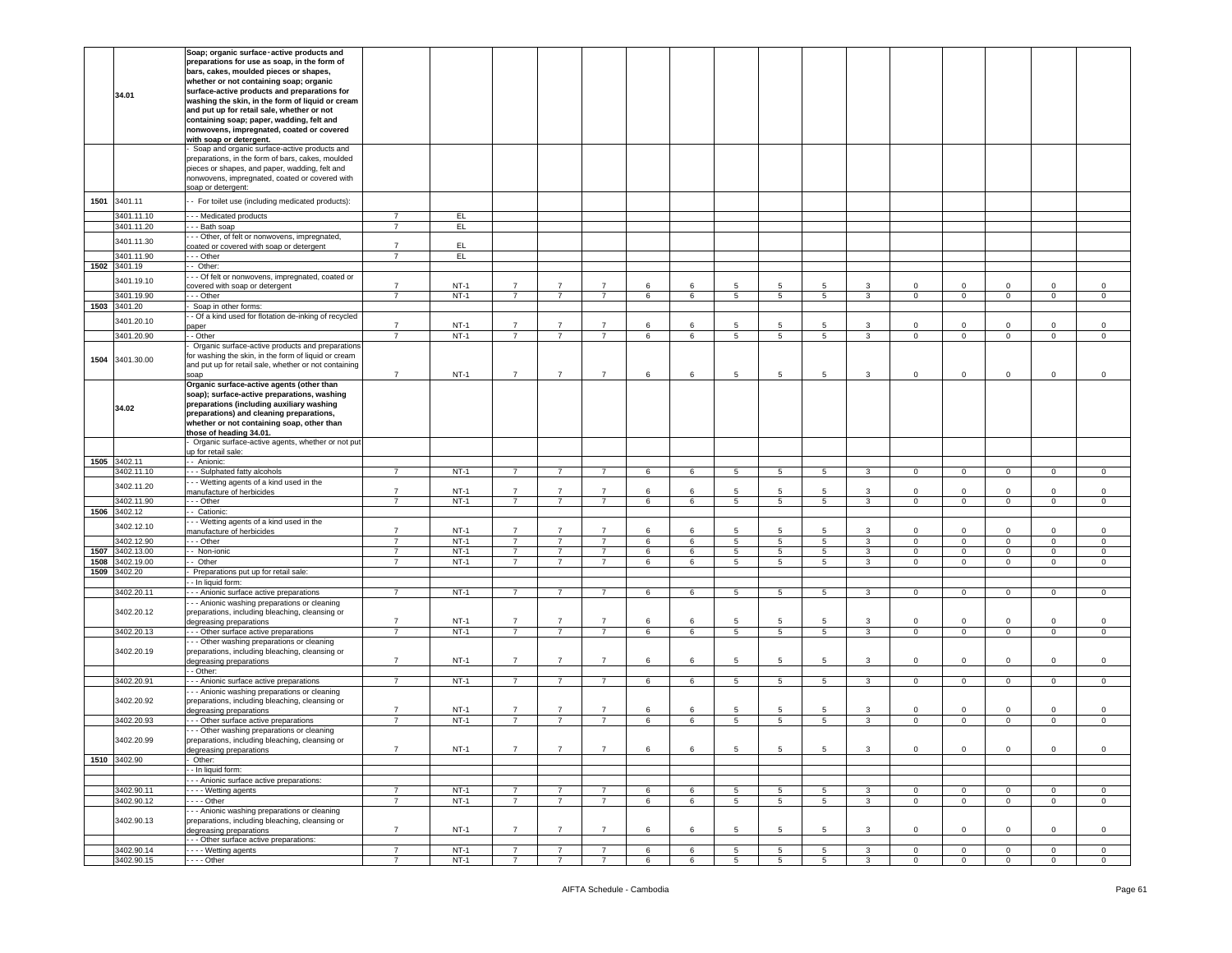|              |                          | Soap; organic surface-active products and             |                                  |                  |                                  |                                  |                |         |                 |                                    |                |                 |                |                               |                        |                               |                             |                            |
|--------------|--------------------------|-------------------------------------------------------|----------------------------------|------------------|----------------------------------|----------------------------------|----------------|---------|-----------------|------------------------------------|----------------|-----------------|----------------|-------------------------------|------------------------|-------------------------------|-----------------------------|----------------------------|
|              |                          | preparations for use as soap, in the form of          |                                  |                  |                                  |                                  |                |         |                 |                                    |                |                 |                |                               |                        |                               |                             |                            |
|              |                          |                                                       |                                  |                  |                                  |                                  |                |         |                 |                                    |                |                 |                |                               |                        |                               |                             |                            |
|              |                          | bars, cakes, moulded pieces or shapes,                |                                  |                  |                                  |                                  |                |         |                 |                                    |                |                 |                |                               |                        |                               |                             |                            |
|              |                          | whether or not containing soap; organic               |                                  |                  |                                  |                                  |                |         |                 |                                    |                |                 |                |                               |                        |                               |                             |                            |
|              | 34.01                    | surface-active products and preparations for          |                                  |                  |                                  |                                  |                |         |                 |                                    |                |                 |                |                               |                        |                               |                             |                            |
|              |                          | washing the skin, in the form of liquid or cream      |                                  |                  |                                  |                                  |                |         |                 |                                    |                |                 |                |                               |                        |                               |                             |                            |
|              |                          | and put up for retail sale, whether or not            |                                  |                  |                                  |                                  |                |         |                 |                                    |                |                 |                |                               |                        |                               |                             |                            |
|              |                          | containing soap; paper, wadding, felt and             |                                  |                  |                                  |                                  |                |         |                 |                                    |                |                 |                |                               |                        |                               |                             |                            |
|              |                          | nonwovens, impregnated, coated or covered             |                                  |                  |                                  |                                  |                |         |                 |                                    |                |                 |                |                               |                        |                               |                             |                            |
|              |                          | with soap or detergent.                               |                                  |                  |                                  |                                  |                |         |                 |                                    |                |                 |                |                               |                        |                               |                             |                            |
|              |                          | Soap and organic surface-active products and          |                                  |                  |                                  |                                  |                |         |                 |                                    |                |                 |                |                               |                        |                               |                             |                            |
|              |                          | preparations, in the form of bars, cakes, moulded     |                                  |                  |                                  |                                  |                |         |                 |                                    |                |                 |                |                               |                        |                               |                             |                            |
|              |                          | pieces or shapes, and paper, wadding, felt and        |                                  |                  |                                  |                                  |                |         |                 |                                    |                |                 |                |                               |                        |                               |                             |                            |
|              |                          |                                                       |                                  |                  |                                  |                                  |                |         |                 |                                    |                |                 |                |                               |                        |                               |                             |                            |
|              |                          | nonwovens, impregnated, coated or covered with        |                                  |                  |                                  |                                  |                |         |                 |                                    |                |                 |                |                               |                        |                               |                             |                            |
|              |                          | soap or detergent:                                    |                                  |                  |                                  |                                  |                |         |                 |                                    |                |                 |                |                               |                        |                               |                             |                            |
| 1501         | 3401.11                  | - For toilet use (including medicated products):      |                                  |                  |                                  |                                  |                |         |                 |                                    |                |                 |                |                               |                        |                               |                             |                            |
|              |                          |                                                       |                                  |                  |                                  |                                  |                |         |                 |                                    |                |                 |                |                               |                        |                               |                             |                            |
|              | 3401.11.10               | -- Medicated products                                 | $\overline{7}$                   | EL.              |                                  |                                  |                |         |                 |                                    |                |                 |                |                               |                        |                               |                             |                            |
|              | 3401.11.20               | - - Bath soap                                         | $\overline{7}$                   | E                |                                  |                                  |                |         |                 |                                    |                |                 |                |                               |                        |                               |                             |                            |
|              |                          | - Other, of felt or nonwovens, impregnated,           |                                  |                  |                                  |                                  |                |         |                 |                                    |                |                 |                |                               |                        |                               |                             |                            |
|              | 3401.11.30               | coated or covered with soap or detergent              | $\overline{7}$                   | EL.              |                                  |                                  |                |         |                 |                                    |                |                 |                |                               |                        |                               |                             |                            |
|              | 3401.11.90               | - - Other                                             | $\overline{7}$                   | EL.              |                                  |                                  |                |         |                 |                                    |                |                 |                |                               |                        |                               |                             |                            |
| 1502         | 3401.19                  | Other:                                                |                                  |                  |                                  |                                  |                |         |                 |                                    |                |                 |                |                               |                        |                               |                             |                            |
|              |                          | - - Of felt or nonwovens, impregnated, coated or      |                                  |                  |                                  |                                  |                |         |                 |                                    |                |                 |                |                               |                        |                               |                             |                            |
|              | 3401.19.10               |                                                       | $\overline{7}$                   | $NT-1$           | $\overline{7}$                   | $\overline{7}$                   | $\overline{7}$ | $\,6\,$ | 6               | 5                                  | 5              | 5               | 3              | $\mathsf 0$                   | $\mathbf 0$            | $\mathbf 0$                   | $\mathbf 0$                 | $\mathsf 0$                |
|              |                          | covered with soap or detergent                        |                                  |                  | $\overline{7}$                   |                                  |                |         |                 |                                    |                |                 |                |                               |                        |                               |                             |                            |
|              | 3401.19.90               | - - Other                                             | $\overline{7}$                   | $NT-1$           |                                  | $\overline{7}$                   | $\overline{7}$ | 6       | 6               | $5^{\circ}$                        | 5              | 5               | 3              | $\mathbf 0$                   | $\mathsf 0$            | $\mathbf 0$                   | $\mathbf 0$                 | $\mathbf 0$                |
|              | 1503 3401.20             | Soap in other forms:                                  |                                  |                  |                                  |                                  |                |         |                 |                                    |                |                 |                |                               |                        |                               |                             |                            |
|              | 3401.20.10               | - Of a kind used for flotation de-inking of recycled  |                                  |                  |                                  |                                  |                |         |                 |                                    |                |                 |                |                               |                        |                               |                             |                            |
|              |                          | paper                                                 | $\overline{7}$                   | $NT-1$           | $\overline{7}$                   | $\overline{7}$                   | $\overline{7}$ | 6       | 6               | 5                                  | 5              | 5               | 3              | 0                             | $\mathbf 0$            | $\Omega$                      | 0                           | $\mathbf 0$                |
|              | 3401.20.90               | - - Other                                             | $\overline{7}$                   | $NT-1$           | $\overline{7}$                   | $\overline{7}$                   | $\overline{7}$ | 6       | 6               | $5\overline{5}$                    | 5              | 5               | 3              | $\mathbf 0$                   | $\mathbf 0$            | $\mathbf 0$                   | $\mathbf 0$                 | $\mathbf 0$                |
|              |                          | Organic surface-active products and preparations      |                                  |                  |                                  |                                  |                |         |                 |                                    |                |                 |                |                               |                        |                               |                             |                            |
|              |                          | for washing the skin, in the form of liquid or cream  |                                  |                  |                                  |                                  |                |         |                 |                                    |                |                 |                |                               |                        |                               |                             |                            |
|              | 1504 3401.30.00          | and put up for retail sale, whether or not containing |                                  |                  |                                  |                                  |                |         |                 |                                    |                |                 |                |                               |                        |                               |                             |                            |
|              |                          | soap                                                  | $\overline{7}$                   | $NT-1$           | $\overline{7}$                   | $\overline{7}$                   | $\overline{7}$ | 6       | 6               | 5                                  | 5              | 5               | 3              | $\mathsf 0$                   | $\mathbf 0$            | $\mathbf 0$                   | $\mathbf 0$                 | $\mathsf{O}$               |
|              |                          |                                                       |                                  |                  |                                  |                                  |                |         |                 |                                    |                |                 |                |                               |                        |                               |                             |                            |
|              |                          | Organic surface-active agents (other than             |                                  |                  |                                  |                                  |                |         |                 |                                    |                |                 |                |                               |                        |                               |                             |                            |
|              |                          | soap); surface-active preparations, washing           |                                  |                  |                                  |                                  |                |         |                 |                                    |                |                 |                |                               |                        |                               |                             |                            |
|              | 34.02                    | preparations (including auxiliary washing             |                                  |                  |                                  |                                  |                |         |                 |                                    |                |                 |                |                               |                        |                               |                             |                            |
|              |                          | preparations) and cleaning preparations,              |                                  |                  |                                  |                                  |                |         |                 |                                    |                |                 |                |                               |                        |                               |                             |                            |
|              |                          | whether or not containing soap, other than            |                                  |                  |                                  |                                  |                |         |                 |                                    |                |                 |                |                               |                        |                               |                             |                            |
|              |                          | those of heading 34.01.                               |                                  |                  |                                  |                                  |                |         |                 |                                    |                |                 |                |                               |                        |                               |                             |                            |
|              |                          | Organic surface-active agents, whether or not put     |                                  |                  |                                  |                                  |                |         |                 |                                    |                |                 |                |                               |                        |                               |                             |                            |
|              |                          | up for retail sale:                                   |                                  |                  |                                  |                                  |                |         |                 |                                    |                |                 |                |                               |                        |                               |                             |                            |
|              |                          | - - Anionic:                                          |                                  |                  |                                  |                                  |                |         |                 |                                    |                |                 |                |                               |                        |                               |                             |                            |
| 1505 3402.11 |                          |                                                       |                                  |                  |                                  |                                  |                |         |                 |                                    |                |                 |                |                               |                        |                               |                             |                            |
|              |                          |                                                       |                                  |                  |                                  |                                  |                |         |                 |                                    |                |                 |                |                               |                        |                               |                             |                            |
|              | 3402.11.10               | -- Sulphated fatty alcohols                           | $\overline{7}$                   | $NT-1$           | $\overline{7}$                   | $\overline{7}$                   | $\overline{7}$ | 6       | 6               | $5\phantom{.0}$                    | 5              | $5\phantom{.0}$ | $\mathbf{3}$   | $\overline{0}$                | $\mathbf 0$            | $\mathbf 0$                   | $\mathbf{0}$                | $\mathsf 0$                |
|              | 3402.11.20               | - - Wetting agents of a kind used in the              |                                  |                  |                                  |                                  |                |         |                 |                                    |                |                 |                |                               |                        |                               |                             |                            |
|              |                          | nanufacture of herbicides                             | $\overline{7}$                   | $NT-1$           | $\overline{7}$                   | $\overline{7}$                   | $\overline{7}$ | 6       | 6               | 5                                  | 5              | 5               | 3              | $\mathbf 0$                   | $\mathsf 0$            | 0                             | $\mathbf 0$                 | $\mathsf 0$                |
|              | 3402.11.90               | - - Other                                             | $\overline{7}$                   | $NT-1$           | $\overline{7}$                   | $\overline{7}$                   | $\overline{7}$ | 6       | 6               | 5                                  | 5              | 5               | 3              | 0                             | $\mathsf 0$            | 0                             | $\mathbf 0$                 | $\mathbf 0$                |
|              | 1506 3402.12             | - Cationic:                                           |                                  |                  |                                  |                                  |                |         |                 |                                    |                |                 |                |                               |                        |                               |                             |                            |
|              |                          | --- Wetting agents of a kind used in the              |                                  |                  |                                  |                                  |                |         |                 |                                    |                |                 |                |                               |                        |                               |                             |                            |
|              | 3402.12.10               | manufacture of herbicides                             | $\overline{7}$                   | $NT-1$           | $\overline{7}$                   | $\overline{7}$                   | $\overline{7}$ | 6       | 6               | 5                                  | 5              | 5               | 3              | 0                             | $\mathsf 0$            | $\Omega$                      | $\mathbf 0$                 | $\mathsf 0$                |
|              | 3402.12.90               | - - - Other                                           | $\overline{7}$                   | $NT-1$           | $\overline{7}$                   | $\overline{7}$                   | $\overline{7}$ | 6       | 6               | $5\overline{5}$                    | 5              | 5               | $\mathbf{3}$   | $\circ$                       | $\mathsf 0$            | $\mathbf 0$                   | $\mathbf 0$                 | $\mathbf 0$                |
| 1507         | 3402.13.00               | - Non-ionic                                           | $\overline{7}$                   | $NT-1$           | $\overline{7}$                   | $\overline{7}$                   | $\overline{7}$ | 6       | $6\overline{6}$ | $5\overline{)}$                    | $\overline{5}$ | $5\overline{)}$ | $\overline{3}$ | $\overline{0}$                | $\overline{0}$         | $\overline{0}$                | $\overline{0}$              | $\overline{0}$             |
| 1508         | 3402.19.00               | - Other                                               | $\overline{7}$                   | $NT-1$           | $\overline{7}$                   | $\overline{7}$                   | $\overline{7}$ | 6       | 6               | $5\overline{5}$                    | 5              | 5               | $\mathbf{3}$   | $\mathbf 0$                   | $\mathsf 0$            | $\mathbf 0$                   | $\mathbf 0$                 | $\mathbf 0$                |
|              |                          |                                                       |                                  |                  |                                  |                                  |                |         |                 |                                    |                |                 |                |                               |                        |                               |                             |                            |
| 1509         | 3402.20                  | Preparations put up for retail sale:                  |                                  |                  |                                  |                                  |                |         |                 |                                    |                |                 |                |                               |                        |                               |                             |                            |
|              |                          | - - In liquid form:                                   |                                  |                  |                                  |                                  |                |         |                 |                                    |                |                 |                |                               |                        |                               |                             |                            |
|              | 3402.20.11               | - - - Anionic surface active preparations             | $\overline{7}$                   | $NT-1$           | $\overline{7}$                   | $\overline{7}$                   | $7^{\circ}$    | 6       | 6               | $5\overline{5}$                    | 5              | $5\overline{5}$ | $\mathbf{3}$   | $\mathbf{0}$                  | $\mathbf 0$            | $\mathbf{0}$                  | $\mathbf{0}$                | $\mathbf 0$                |
|              |                          | - - Anionic washing preparations or cleaning          |                                  |                  |                                  |                                  |                |         |                 |                                    |                |                 |                |                               |                        |                               |                             |                            |
|              | 3402.20.12               | preparations, including bleaching, cleansing or       |                                  |                  |                                  |                                  |                |         |                 |                                    |                |                 |                |                               |                        |                               |                             |                            |
|              |                          | legreasing preparations                               | $\overline{7}$                   | $NT-1$           | $\overline{7}$                   | $\overline{7}$                   | $\overline{7}$ | $\,6\,$ | 6               | 5                                  | 5              | 5               | 3              | $\mathbf 0$                   | $\mathsf 0$            | 0                             | $\mathbf 0$                 | $\mathbf 0$                |
|              | 3402.20.13               | - - Other surface active preparations                 | $\overline{7}$                   | $NT-1$           | $\overline{7}$                   | $\overline{7}$                   | $\overline{7}$ | 6       | 6               | 5                                  | 5              | 5               | 3              | $\mathbf 0$                   | $\mathsf 0$            | $\mathbf 0$                   | $\mathbf 0$                 | $\mathbf 0$                |
|              |                          | - - Other washing preparations or cleaning            |                                  |                  |                                  |                                  |                |         |                 |                                    |                |                 |                |                               |                        |                               |                             |                            |
|              | 3402.20.19               | preparations, including bleaching, cleansing or       |                                  |                  |                                  |                                  |                |         |                 |                                    |                |                 |                |                               |                        |                               |                             |                            |
|              |                          | degreasing preparations                               | $\overline{7}$                   | $NT-1$           | $\overline{7}$                   | $\overline{7}$                   | $\overline{7}$ | 6       | 6               | 5                                  | 5              | 5               | 3              | $\mathbf{0}$                  | $\mathsf 0$            | $\mathbf 0$                   | $\mathbf 0$                 | $\mathbf 0$                |
|              |                          | - - Other:                                            |                                  |                  |                                  |                                  |                |         |                 |                                    |                |                 |                |                               |                        |                               |                             |                            |
|              | 3402.20.91               | - - Anionic surface active preparations               | $\overline{7}$                   | $NT-1$           | $\overline{7}$                   | $\overline{7}$                   | $\overline{7}$ | 6       | 6               | $5\overline{5}$                    | 5              | 5               | $\mathbf{3}$   | $\mathbf 0$                   | $\mathsf 0$            | $\mathbf 0$                   | $\mathbf 0$                 | $\mathbf 0$                |
|              |                          |                                                       |                                  |                  |                                  |                                  |                |         |                 |                                    |                |                 |                |                               |                        |                               |                             |                            |
|              |                          | - - Anionic washing preparations or cleaning          |                                  |                  |                                  |                                  |                |         |                 |                                    |                |                 |                |                               |                        |                               |                             |                            |
|              | 3402.20.92               | preparations, including bleaching, cleansing or       |                                  |                  | $\overline{7}$                   | $\overline{7}$                   | $\overline{7}$ |         |                 |                                    | 5              |                 | 3              |                               |                        |                               |                             |                            |
|              |                          | degreasing preparations                               | $\overline{7}$                   | $NT-1$           |                                  |                                  |                | 6       | 6               | 5                                  |                | 5               |                | 0                             | $\mathsf 0$            | 0                             | $\mathbf 0$                 | $\mathsf 0$                |
|              | 3402.20.93               | - - Other surface active preparations                 | $\overline{7}$                   | $NT-1$           | $\overline{7}$                   | $\overline{7}$                   | $\overline{7}$ | 6       | 6               | $5\overline{5}$                    | 5              | 5               | 3              | $\mathbf 0$                   | $\mathsf 0$            | $\mathbf 0$                   | $\mathbf 0$                 | $\mathbf 0$                |
|              |                          | - - Other washing preparations or cleaning            |                                  |                  |                                  |                                  |                |         |                 |                                    |                |                 |                |                               |                        |                               |                             |                            |
|              | 3402.20.99               | preparations, including bleaching, cleansing or       |                                  |                  |                                  |                                  |                |         |                 |                                    |                |                 |                |                               |                        |                               |                             |                            |
|              |                          | degreasing preparations                               | $\overline{7}$                   | $NT-1$           | $\overline{7}$                   | $\overline{7}$                   | $\overline{7}$ | 6       | 6               | $5\overline{5}$                    | 5              | 5               | $\mathbf{3}$   | $\overline{0}$                | $\mathbf 0$            | $\mathbf{0}$                  | $\mathbf{0}$                | $\mathbf 0$                |
|              | 1510 3402.90             | - Other:                                              |                                  |                  |                                  |                                  |                |         |                 |                                    |                |                 |                |                               |                        |                               |                             |                            |
|              |                          | - - In liquid form:                                   |                                  |                  |                                  |                                  |                |         |                 |                                    |                |                 |                |                               |                        |                               |                             |                            |
|              |                          |                                                       |                                  |                  |                                  |                                  |                |         |                 |                                    |                |                 |                |                               |                        |                               |                             |                            |
|              |                          | - - - Anionic surface active preparations:            |                                  |                  |                                  |                                  |                |         |                 |                                    |                |                 |                |                               |                        |                               |                             |                            |
|              | 3402.90.11               | Wetting agents                                        | $\overline{7}$                   | $NT-1$           | $\overline{7}$                   | $\overline{7}$                   | $\overline{7}$ | 6       | 6               | $5\overline{5}$                    | 5              | 5               | $\mathbf{3}$   | $\mathbf 0$                   | $\mathbf 0$            | $\mathbf{0}$                  | $\mathbf{0}$                | $\mathbf 0$                |
|              | 3402.90.12               | $---$ Other                                           | $\overline{7}$                   | $NT-1$           | $\overline{7}$                   | $\overline{7}$                   | $\overline{7}$ | 6       | 6               | $5\overline{)}$                    | 5              | $5^{\circ}$     | $\mathbf{3}$   | $\overline{0}$                | $\mathbf 0$            | $\circ$                       | $\overline{0}$              | $\mathsf 0$                |
|              |                          | - - Anionic washing preparations or cleaning          |                                  |                  |                                  |                                  |                |         |                 |                                    |                |                 |                |                               |                        |                               |                             |                            |
|              | 3402.90.13               | preparations, including bleaching, cleansing or       |                                  |                  |                                  |                                  |                |         |                 |                                    |                |                 |                |                               |                        |                               |                             |                            |
|              |                          | degreasing preparations                               | $\overline{7}$                   | $NT-1$           | $\overline{7}$                   | $\overline{7}$                   | $\overline{7}$ | 6       | 6               | 5                                  | 5              | 5               | 3              | $\mathbf 0$                   | $\mathbf 0$            | $\Omega$                      | $\mathbf{0}$                | $\mathbf 0$                |
|              |                          | - - - Other surface active preparations:              |                                  |                  |                                  |                                  |                |         |                 |                                    |                |                 |                |                               |                        |                               |                             |                            |
|              | 3402.90.14<br>3402.90.15 | - - - - Wetting agents<br>$- -$ Other                 | $\overline{7}$<br>$\overline{7}$ | $NT-1$<br>$NT-1$ | $\overline{7}$<br>$\overline{7}$ | $\overline{7}$<br>$\overline{7}$ | $\overline{7}$ | 6<br>6  | 6<br>6          | $5\overline{)}$<br>$5\overline{5}$ | 5<br>5         | 5<br>5          | 3<br>3         | $\overline{0}$<br>$\mathbf 0$ | $\,0\,$<br>$\mathbf 0$ | $\overline{0}$<br>$\mathbf 0$ | $\mathbf{0}$<br>$\mathbf 0$ | $\mathsf 0$<br>$\mathsf 0$ |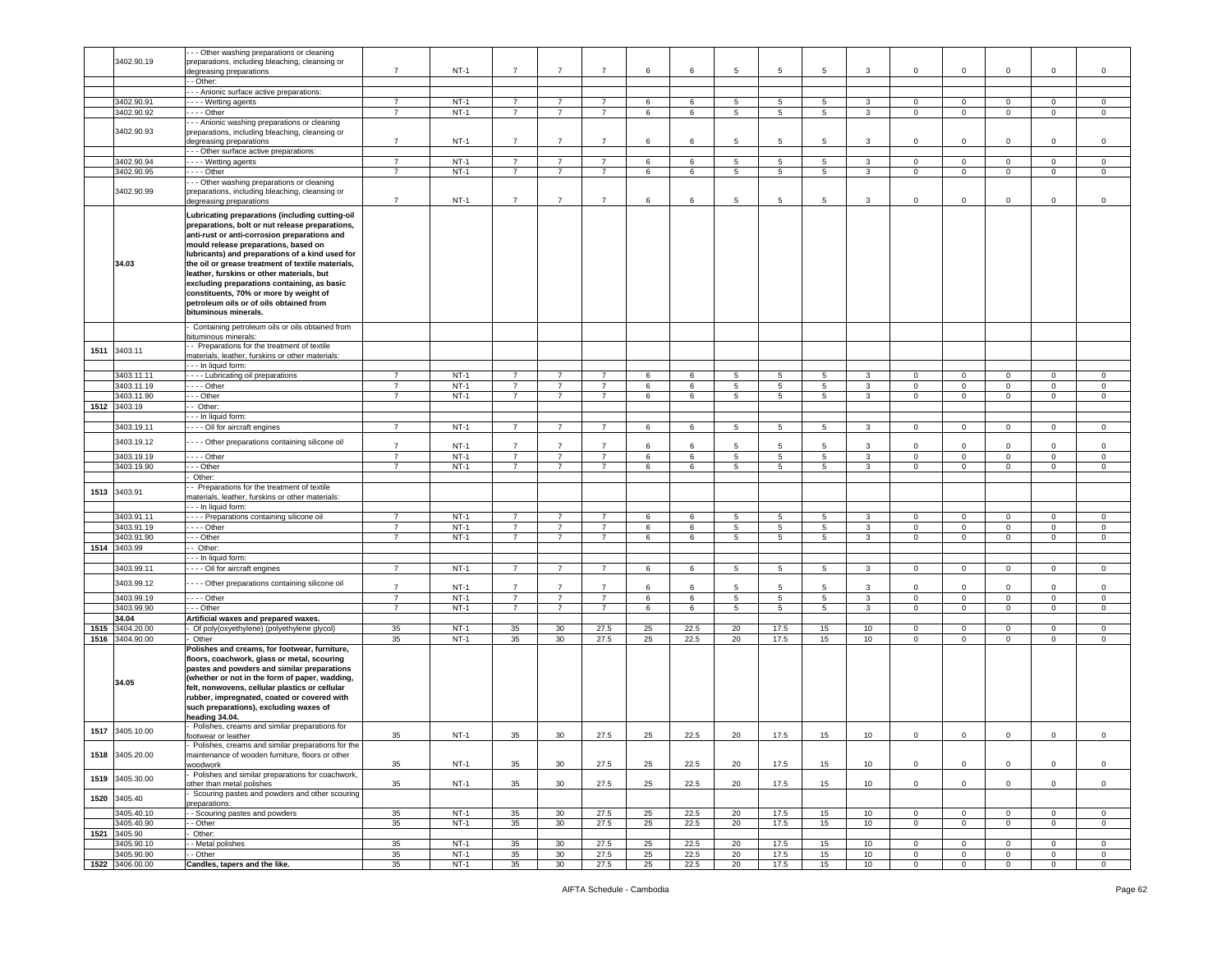|      |                               | - - Other washing preparations or cleaning                                                            |                |                  |                |                       |                |          |              |                 |                 |                 |                  |                            |                            |                            |                   |                        |
|------|-------------------------------|-------------------------------------------------------------------------------------------------------|----------------|------------------|----------------|-----------------------|----------------|----------|--------------|-----------------|-----------------|-----------------|------------------|----------------------------|----------------------------|----------------------------|-------------------|------------------------|
|      | 3402.90.19                    | preparations, including bleaching, cleansing or                                                       |                |                  |                |                       |                |          |              |                 |                 |                 |                  |                            |                            |                            |                   |                        |
|      |                               | degreasing preparations                                                                               | $\overline{7}$ | $NT-1$           | $\overline{7}$ | $\overline{7}$        | $\overline{7}$ | 6        | 6            | 5               | $5\phantom{.0}$ | 5               | $\mathbf{3}$     | $\mathbf 0$                | $\mathbf 0$                | $\mathbf 0$                | $\circ$           | $\mathsf 0$            |
|      |                               | - Other:                                                                                              |                |                  |                |                       |                |          |              |                 |                 |                 |                  |                            |                            |                            |                   |                        |
|      |                               | - - Anionic surface active preparations:                                                              |                |                  |                |                       |                |          |              |                 |                 |                 |                  |                            |                            |                            |                   |                        |
|      | 3402.90.91                    | - - - Wetting agents                                                                                  | $\overline{7}$ | $NT-1$           | $\overline{7}$ | $\overline{7}$        | $\overline{7}$ | 6        | 6            | 5               | 5               | 5               | 3                | $\mathbf 0$                | $\mathbf 0$                | $\mathbf 0$                | $\mathbf 0$       | $\,0\,$                |
|      | 3402.90.92                    | . - - - Other                                                                                         | $\overline{7}$ | $NT-1$           | $\overline{7}$ | $\overline{7}$        | $\overline{7}$ | 6        | 6            | 5               | 5               | 5               | 3                | $\mathbf 0$                | $\mathbf 0$                | $\circ$                    | $\mathbf 0$       | $\mathsf 0$            |
|      |                               |                                                                                                       |                |                  |                |                       |                |          |              |                 |                 |                 |                  |                            |                            |                            |                   |                        |
|      |                               | - - Anionic washing preparations or cleaning                                                          |                |                  |                |                       |                |          |              |                 |                 |                 |                  |                            |                            |                            |                   |                        |
|      | 3402.90.93                    | preparations, including bleaching, cleansing or                                                       |                |                  |                |                       |                |          |              |                 |                 |                 |                  |                            |                            |                            |                   |                        |
|      |                               | degreasing preparations                                                                               | $\overline{7}$ | $NT-1$           | $\overline{7}$ | $\overline{7}$        | $\overline{7}$ | 6        | 6            | $5\overline{5}$ | 5               | $5\overline{5}$ | 3                | $\circ$                    | $\mathbf 0$                | $\mathbf 0$                | $\mathbf 0$       | $\mathsf 0$            |
|      |                               | - - - Other surface active preparations:                                                              |                |                  |                |                       |                |          |              |                 |                 |                 |                  |                            |                            |                            |                   |                        |
|      | 3402.90.94                    | Wetting agents                                                                                        | $\overline{7}$ | $NT-1$           | $\overline{7}$ | $\overline{7}$        | $\overline{7}$ | 6        | 6            | 5               | 5               | 5               | $\mathbf{3}$     | $\mathbf 0$                | $\mathbf 0$                | $\mathbf{0}$               | $\mathbf 0$       | $\mathbf 0$            |
|      | 3402.90.95                    | $- -$ Other                                                                                           | $\overline{7}$ | $NT-1$           | $\overline{7}$ | $\overline{7}$        | $\overline{7}$ | 6        | 6            | 5               | $5\phantom{.0}$ | 5               | $\mathbf{3}$     | $\mathbf 0$                | $\mathbf 0$                | $\mathsf 0$                | $\Omega$          | $\mathsf 0$            |
|      |                               | - - Other washing preparations or cleaning                                                            |                |                  |                |                       |                |          |              |                 |                 |                 |                  |                            |                            |                            |                   |                        |
|      | 3402.90.99                    | preparations, including bleaching, cleansing or                                                       |                |                  |                |                       |                |          |              |                 |                 |                 |                  |                            |                            |                            |                   |                        |
|      |                               | degreasing preparations                                                                               | $\overline{7}$ | $NT-1$           | $\overline{7}$ | $\overline{7}$        | $\overline{7}$ | 6        | 6            | 5               | 5               | 5               | 3                | $\mathbf 0$                | $\mathbf 0$                | $\mathbf 0$                | $\mathbf 0$       | $\mathsf 0$            |
|      |                               |                                                                                                       |                |                  |                |                       |                |          |              |                 |                 |                 |                  |                            |                            |                            |                   |                        |
|      |                               | Lubricating preparations (including cutting-oil                                                       |                |                  |                |                       |                |          |              |                 |                 |                 |                  |                            |                            |                            |                   |                        |
|      |                               | preparations, bolt or nut release preparations,                                                       |                |                  |                |                       |                |          |              |                 |                 |                 |                  |                            |                            |                            |                   |                        |
|      |                               | anti-rust or anti-corrosion preparations and                                                          |                |                  |                |                       |                |          |              |                 |                 |                 |                  |                            |                            |                            |                   |                        |
|      |                               | mould release preparations, based on                                                                  |                |                  |                |                       |                |          |              |                 |                 |                 |                  |                            |                            |                            |                   |                        |
|      |                               | lubricants) and preparations of a kind used for                                                       |                |                  |                |                       |                |          |              |                 |                 |                 |                  |                            |                            |                            |                   |                        |
|      | 34.03                         | the oil or grease treatment of textile materials,                                                     |                |                  |                |                       |                |          |              |                 |                 |                 |                  |                            |                            |                            |                   |                        |
|      |                               |                                                                                                       |                |                  |                |                       |                |          |              |                 |                 |                 |                  |                            |                            |                            |                   |                        |
|      |                               | leather, furskins or other materials, but                                                             |                |                  |                |                       |                |          |              |                 |                 |                 |                  |                            |                            |                            |                   |                        |
|      |                               | excluding preparations containing, as basic                                                           |                |                  |                |                       |                |          |              |                 |                 |                 |                  |                            |                            |                            |                   |                        |
|      |                               | constituents, 70% or more by weight of                                                                |                |                  |                |                       |                |          |              |                 |                 |                 |                  |                            |                            |                            |                   |                        |
|      |                               | petroleum oils or of oils obtained from                                                               |                |                  |                |                       |                |          |              |                 |                 |                 |                  |                            |                            |                            |                   |                        |
|      |                               | bituminous minerals.                                                                                  |                |                  |                |                       |                |          |              |                 |                 |                 |                  |                            |                            |                            |                   |                        |
|      |                               |                                                                                                       |                |                  |                |                       |                |          |              |                 |                 |                 |                  |                            |                            |                            |                   |                        |
|      |                               | Containing petroleum oils or oils obtained from                                                       |                |                  |                |                       |                |          |              |                 |                 |                 |                  |                            |                            |                            |                   |                        |
|      |                               | ituminous minerals:                                                                                   |                |                  |                |                       |                |          |              |                 |                 |                 |                  |                            |                            |                            |                   |                        |
| 1511 | 3403.11                       | - Preparations for the treatment of textile                                                           |                |                  |                |                       |                |          |              |                 |                 |                 |                  |                            |                            |                            |                   |                        |
|      |                               | materials, leather, furskins or other materials:                                                      |                |                  |                |                       |                |          |              |                 |                 |                 |                  |                            |                            |                            |                   |                        |
|      |                               | - - In liquid form:                                                                                   |                |                  |                |                       |                |          |              |                 |                 |                 |                  |                            |                            |                            |                   |                        |
|      | 3403.11.11                    | Lubricating oil preparations                                                                          | $\overline{7}$ | $NT-1$           | 7              | 7                     | $\overline{7}$ | 6        | 6            | 5               | 5               | 5               | 3                | $\mathbf 0$                | $\mathbf 0$                | $\mathbf 0$                | 0                 | $\mathbf 0$            |
|      | 3403.11.19                    | --- Other                                                                                             | $\overline{7}$ | $NT-1$           | $\overline{7}$ | $\overline{7}$        | $\overline{7}$ | 6        | 6            | 5               | 5               | 5               | 3                | $\circ$                    | $\mathbf 0$                | $\mathbf 0$                | $\mathbf 0$       | $\mathsf 0$            |
|      | 3403.11.90                    | - - Other                                                                                             | $\overline{7}$ | $NT-1$           | $\overline{7}$ | $\overline{7}$        | $\overline{7}$ | 6        | 6            | 5               | 5               | 5               | $\overline{3}$   | $\circ$                    | $\overline{0}$             | $\overline{0}$             | $\overline{0}$    | $\mathsf 0$            |
|      | 1512 3403.19                  | - Other:                                                                                              |                |                  |                |                       |                |          |              |                 |                 |                 |                  |                            |                            |                            |                   |                        |
|      |                               | - - In liquid form:                                                                                   |                |                  |                |                       |                |          |              |                 |                 |                 |                  |                            |                            |                            |                   |                        |
|      | 3403.19.11                    | Dil for aircraft engines                                                                              | $\overline{7}$ | $NT-1$           | 7              | 7                     | $\overline{7}$ | 6        | 6            | 5               | 5               | 5               | 3                | $\mathbf 0$                | $\mathbf 0$                | $\mathbf{0}$               | 0                 | $\mathbf 0$            |
|      |                               |                                                                                                       |                |                  |                |                       |                |          |              |                 |                 |                 |                  |                            |                            |                            |                   |                        |
|      | 3403.19.12                    | --- Other preparations containing silicone oil                                                        | $\overline{7}$ | $NT-1$           | $\overline{7}$ | $\overline{7}$        | $\overline{7}$ | 6        | 6            | 5               | 5               | 5               | 3                | $\Omega$                   | $\Omega$                   | $\Omega$                   | $\Omega$          | 0                      |
|      | 3403.19.19                    | $\overline{\cdots}$ - Other                                                                           | $\overline{7}$ | $NT-1$           | $\overline{7}$ | $\overline{7}$        | $\overline{7}$ | 6        | 6            | 5               | $5\phantom{.0}$ | 5               | $\mathbf{3}$     | $\mathbf 0$                | $\mathbf 0$                | $\mathbf 0$                | $\mathsf 0$       | $\mathbf 0$            |
|      | 3403.19.90                    | - - Other                                                                                             | $\overline{7}$ | $NT-1$           | $\overline{7}$ | $\overline{7}$        | $\overline{7}$ | 6        | 6            | 5               | 5               | 5               | $\mathbf{3}$     | $\mathbf 0$                | $\mathbf 0$                | $\circ$                    | $\mathbf 0$       | $\mathsf 0$            |
|      |                               |                                                                                                       |                |                  |                |                       |                |          |              |                 |                 |                 |                  |                            |                            |                            |                   |                        |
|      |                               | Other:                                                                                                |                |                  |                |                       |                |          |              |                 |                 |                 |                  |                            |                            |                            |                   |                        |
| 1513 | 3403.91                       | - Preparations for the treatment of textile                                                           |                |                  |                |                       |                |          |              |                 |                 |                 |                  |                            |                            |                            |                   |                        |
|      |                               | materials, leather, furskins or other materials:                                                      |                |                  |                |                       |                |          |              |                 |                 |                 |                  |                            |                            |                            |                   |                        |
|      |                               | - - - In liquid form:                                                                                 |                |                  |                |                       |                |          |              |                 |                 |                 |                  |                            |                            |                            |                   |                        |
|      | 3403.91.11                    | - - - Preparations containing silicone oil                                                            | $\overline{7}$ | $NT-1$           | $\overline{7}$ | $\overline{7}$        | $\overline{7}$ | 6        | 6            | 5               | 5               | 5               | $\mathbf{3}$     | $\circ$                    | $\mathbf 0$                | $\mathbf 0$                | $\mathbf 0$       | $\mathsf 0$            |
|      | 3403.91.19                    | --- Other                                                                                             | $\overline{7}$ | $NT-1$           | $\overline{7}$ | $\overline{7}$        | $\overline{7}$ | 6        | 6            | $\overline{5}$  | $\overline{5}$  | 5               | $\mathbf{3}$     | $\mathbf 0$                | $\,0\,$                    | $\mathsf 0$                | $\mathbf 0$       | $\,0\,$                |
|      | 3403.91.90                    | - - Other                                                                                             | $\overline{7}$ | $NT-1$           | $\overline{7}$ | $\overline{7}$        | $\overline{7}$ | 6        | 6            | 5               | 5               | 5               | 3                | $\mathbf 0$                | $\mathbf 0$                | $\circ$                    | $\mathbf 0$       | $\mathsf 0$            |
|      | 1514 3403.99                  | Other:                                                                                                |                |                  |                |                       |                |          |              |                 |                 |                 |                  |                            |                            |                            |                   |                        |
|      |                               | - - In liquid form:                                                                                   |                |                  |                |                       |                |          |              |                 |                 |                 |                  |                            |                            |                            |                   |                        |
|      | 3403.99.11                    | - - - Oil for aircraft engines                                                                        | $\overline{7}$ | $NT-1$           | $\overline{7}$ | $\overline{7}$        | $\overline{7}$ | 6        | 6            | 5               | 5               | 5               | 3                | $\mathbf 0$                | $\mathbf{0}$               | $\mathbf 0$                | $\mathbf 0$       | $\mathsf 0$            |
|      |                               |                                                                                                       |                |                  |                |                       |                |          |              |                 |                 |                 |                  |                            |                            |                            |                   |                        |
|      | 3403.99.12                    | - - - Other preparations containing silicone oil                                                      | $\overline{7}$ | $NT-1$           | $\overline{7}$ | $\overline{7}$        | $\overline{7}$ | 6        | 6            | $5\overline{5}$ | 5               | 5               | 3                | $\mathbf 0$                | $\overline{0}$             | $\mathbf 0$                | $\mathbf 0$       | $\mathsf 0$            |
|      | 3403.99.19                    | $\cdots$ - Other                                                                                      | $\overline{7}$ | $NT-1$           | 7              | $\overline{7}$        | $\overline{7}$ | 6        | 6            | 5               | 5               | 5               | 3                | 0                          | $\overline{0}$             | $\mathbf 0$                | 0                 | 0                      |
|      | 3403.99.90                    | $-$ Other                                                                                             | $\overline{7}$ | $NT-1$           | $\overline{7}$ | $\overline{7}$        | $\overline{7}$ | 6        | 6            | 5               | $\overline{5}$  | 5               | $\mathbf{3}$     | $\mathbf 0$                | $\overline{0}$             | $\circ$                    | $\mathbf 0$       | $\mathbf 0$            |
|      | 34.04                         | Artificial waxes and prepared waxes.                                                                  |                |                  |                |                       |                |          |              |                 |                 |                 |                  |                            |                            |                            |                   |                        |
| 1515 | 3404.20.00                    | Of poly(oxyethylene) (polyethylene glycol)                                                            | 35             | $NT-1$           | 35             | 30                    | 27.5           | 25       | 22.5         | 20              | 17.5            | 15              | 10 <sup>10</sup> | $\mathsf 0$                | $\mathbf 0$                | $\mathbf 0$                | $\mathbf 0$       | 0                      |
|      |                               |                                                                                                       | 35             | $NT-1$           |                |                       | 27.5           |          | 22.5         |                 |                 |                 |                  | $\circ$                    | $\mathbf 0$                |                            |                   |                        |
| 1516 | 3404.90.00                    | Other                                                                                                 |                |                  | 35             | 30                    |                | 25       |              | 20              | 17.5            | 15              | 10               |                            |                            | $\circ$                    | $\mathbf 0$       | $\mathsf 0$            |
|      |                               | Polishes and creams, for footwear, furniture,                                                         |                |                  |                |                       |                |          |              |                 |                 |                 |                  |                            |                            |                            |                   |                        |
|      |                               | floors, coachwork, glass or metal, scouring                                                           |                |                  |                |                       |                |          |              |                 |                 |                 |                  |                            |                            |                            |                   |                        |
|      |                               |                                                                                                       |                |                  |                |                       |                |          |              |                 |                 |                 |                  |                            |                            |                            |                   |                        |
|      |                               | pastes and powders and similar preparations                                                           |                |                  |                |                       |                |          |              |                 |                 |                 |                  |                            |                            |                            |                   |                        |
|      |                               | whether or not in the form of paper, wadding,                                                         |                |                  |                |                       |                |          |              |                 |                 |                 |                  |                            |                            |                            |                   |                        |
|      | 34.05                         | elt, nonwovens, cellular plastics or cellular                                                         |                |                  |                |                       |                |          |              |                 |                 |                 |                  |                            |                            |                            |                   |                        |
|      |                               | rubber, impregnated, coated or covered with                                                           |                |                  |                |                       |                |          |              |                 |                 |                 |                  |                            |                            |                            |                   |                        |
|      |                               | such preparations), excluding waxes of                                                                |                |                  |                |                       |                |          |              |                 |                 |                 |                  |                            |                            |                            |                   |                        |
|      |                               | heading 34.04.                                                                                        |                |                  |                |                       |                |          |              |                 |                 |                 |                  |                            |                            |                            |                   |                        |
|      |                               | Polishes, creams and similar preparations for                                                         |                |                  |                |                       |                |          |              |                 |                 |                 |                  |                            |                            |                            |                   |                        |
| 1517 | 3405.10.00                    | ootwear or leather                                                                                    | 35             | $NT-1$           | 35             | 30                    | 27.5           | 25       | 22.5         | 20              | 17.5            | 15              | 10 <sup>10</sup> | $\mathbf 0$                | $\mathsf 0$                | $\mathbf 0$                | 0                 | $\mathsf 0$            |
|      |                               |                                                                                                       |                |                  |                |                       |                |          |              |                 |                 |                 |                  |                            |                            |                            |                   |                        |
|      | 1518 3405.20.00               | Polishes, creams and similar preparations for the<br>maintenance of wooden furniture, floors or other |                |                  |                |                       |                |          |              |                 |                 |                 |                  |                            |                            |                            |                   |                        |
|      |                               |                                                                                                       |                |                  |                | 30                    |                |          | 22.5         | 20              |                 |                 |                  | $\mathbf 0$                | $\mathbf 0$                | $\mathbf 0$                | $\mathbf 0$       |                        |
|      |                               | woodwork                                                                                              | 35             | $NT-1$           | 35             |                       | 27.5           | 25       |              |                 | 17.5            | 15              | 10               |                            |                            |                            |                   | $\,0\,$                |
| 1519 | 3405.30.00                    | Polishes and similar preparations for coachwork,                                                      |                |                  |                |                       |                |          |              |                 |                 |                 |                  |                            |                            |                            |                   |                        |
|      |                               | other than metal polishes                                                                             | 35             | $NT-1$           | 35             | 30                    | 27.5           | 25       | 22.5         | 20              | 17.5            | 15              | 10               | $\mathbf 0$                | $\mathbf 0$                | $\mathbf 0$                | $\mathsf 0$       | $\mathsf 0$            |
| 1520 | 3405.40                       | Scouring pastes and powders and other scouring                                                        |                |                  |                |                       |                |          |              |                 |                 |                 |                  |                            |                            |                            |                   |                        |
|      |                               | reparations:                                                                                          |                |                  |                |                       |                |          |              |                 |                 |                 |                  |                            |                            |                            |                   |                        |
|      | 3405.40.10                    | - Scouring pastes and powders                                                                         | 35             | $NT-1$           | 35             | 30                    | 27.5           | 25       | 22.5         | 20              | 17.5            | 15              | 10 <sup>10</sup> | $\mathbf 0$                | $\mathbf 0$                | $\mathbf 0$                | $\mathbf 0$       | 0                      |
|      | 3405.40.90                    | - Other                                                                                               | 35             | $NT-1$           | 35             | 30                    | 27.5           | 25       | 22.5         | 20              | 17.5            | 15              | 10               | $\overline{0}$             | $\overline{0}$             | $\mathbf{0}$               | $\overline{0}$    | $\circ$                |
| 1521 | 3405.90                       | Other:                                                                                                |                |                  |                |                       |                |          |              |                 |                 |                 |                  |                            |                            |                            |                   |                        |
|      | 3405.90.10                    | Metal polishes                                                                                        | 35             | $NT-1$           | 35             | 30                    | 27.5           | 25       | 22.5         | 20              | 17.5            | 15              | 10 <sup>10</sup> | $\mathbf{0}$               | $\mathbf 0$                | $\circ$                    | $\mathbf 0$       | $\,0\,$                |
|      | 3405.90.90<br>1522 3406.00.00 | - Other<br>Candles, tapers and the like.                                                              | 35<br>35       | $NT-1$<br>$NT-1$ | 35<br>35       | 30<br>30 <sub>o</sub> | 27.5<br>27.5   | 25<br>25 | 22.5<br>22.5 | 20<br>20        | 17.5<br>17.5    | 15<br>15        | 10<br>10         | $\mathbf 0$<br>$\mathbf 0$ | $\mathbf 0$<br>$\mathbf 0$ | $\mathbf 0$<br>$\mathbf 0$ | 0<br>$\mathbf{0}$ | $\,0\,$<br>$\mathbf 0$ |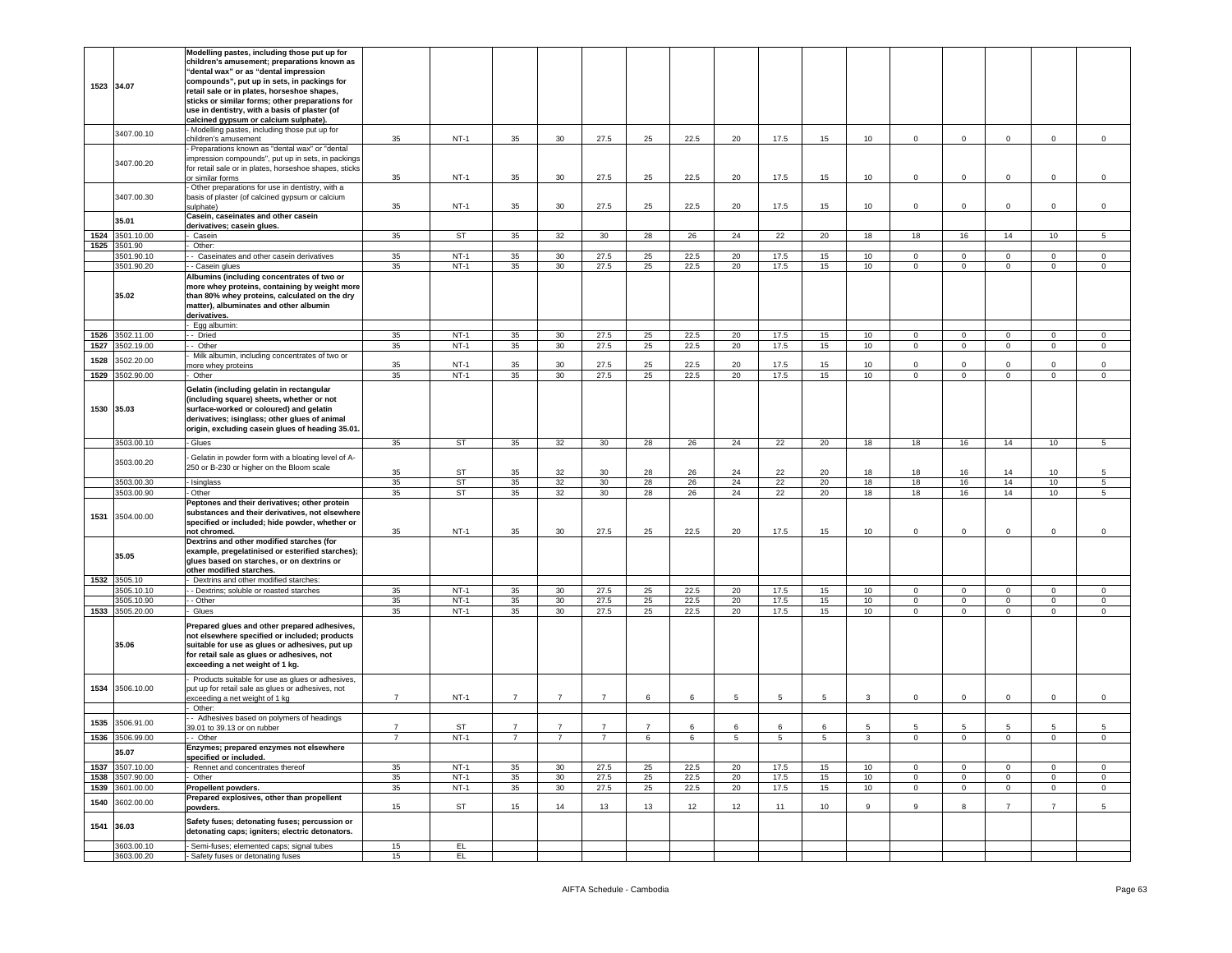|              | 1523 34.07                 | Modelling pastes, including those put up for<br>children's amusement; preparations known as<br>"dental wax" or as "dental impression<br>compounds", put up in sets, in packings for<br>retail sale or in plates, horseshoe shapes,<br>sticks or similar forms; other preparations for |                |                     |                |                                    |                |                |              |          |                |          |                                      |                           |                            |                             |                            |                   |
|--------------|----------------------------|---------------------------------------------------------------------------------------------------------------------------------------------------------------------------------------------------------------------------------------------------------------------------------------|----------------|---------------------|----------------|------------------------------------|----------------|----------------|--------------|----------|----------------|----------|--------------------------------------|---------------------------|----------------------------|-----------------------------|----------------------------|-------------------|
|              |                            | use in dentistry, with a basis of plaster (of<br>calcined gypsum or calcium sulphate).<br>- Modelling pastes, including those put up for                                                                                                                                              |                |                     |                |                                    |                |                |              |          |                |          |                                      |                           |                            |                             |                            |                   |
|              | 3407.00.10                 | children's amusement                                                                                                                                                                                                                                                                  | 35             | $NT-1$              | 35             | 30                                 | 27.5           | 25             | 22.5         | 20       | 17.5           | 15       | 10 <sup>10</sup>                     | $\mathbf 0$               | $\mathbf 0$                | 0                           | $\mathbf 0$                | $\mathsf 0$       |
|              | 3407.00.20                 | - Preparations known as "dental wax" or "dental<br>impression compounds", put up in sets, in packings<br>for retail sale or in plates, horseshoe shapes, sticks<br>or similar forms                                                                                                   | 35             | $NT-1$              | 35             | 30                                 | 27.5           | 25             | 22.5         | 20       | 17.5           | 15       | 10                                   | $\circ$                   | $\mathbf 0$                | $\Omega$                    | $\mathbf 0$                | $\Omega$          |
|              | 3407.00.30                 | Other preparations for use in dentistry, with a<br>basis of plaster (of calcined gypsum or calcium<br>sulphate)                                                                                                                                                                       | 35             | $NT-1$              | 35             | 30                                 | 27.5           | 25             | 22.5         | 20       | 17.5           | 15       | 10                                   | $\mathbf 0$               | $\mathbf 0$                | $\mathsf 0$                 | $\mathsf 0$                | $\mathsf 0$       |
|              | 35.01                      | Casein, caseinates and other casein                                                                                                                                                                                                                                                   |                |                     |                |                                    |                |                |              |          |                |          |                                      |                           |                            |                             |                            |                   |
| 1524         | 3501.10.00                 | derivatives; casein glues.<br>Casein                                                                                                                                                                                                                                                  | 35             | ST                  | 35             | 32                                 | 30             | 28             | 26           | 24       | 22             | 20       | 18                                   | 18                        | 16                         | 14                          | 10                         | 5                 |
| 1525         | 3501.90                    | Other:                                                                                                                                                                                                                                                                                |                |                     |                |                                    |                |                |              |          |                |          |                                      |                           |                            |                             |                            |                   |
|              | 3501.90.10                 | - Caseinates and other casein derivatives                                                                                                                                                                                                                                             | 35             | $NT-1$              | 35             | 30                                 | 27.5           | 25             | 22.5         | 20       | 17.5           | 15       | 10 <sup>10</sup>                     | $\mathbf 0$               | $\mathbf 0$                | $\mathbf{0}$                | $\mathbf 0$                | 0                 |
|              | 3501.90.20<br>35.02        | - Casein glues<br>Albumins (including concentrates of two or<br>more whey proteins, containing by weight more<br>than 80% whey proteins, calculated on the dry<br>matter), albuminates and other albumin<br>derivatives.<br>Egg albumin:                                              | 35             | $NT-1$              | 35             | 30                                 | 27.5           | 25             | 22.5         | 20       | 17.5           | 15       | 10                                   | $\circ$                   | $\mathbf 0$                | $\mathbf 0$                 | $\mathsf 0$                | $\mathbf 0$       |
| 1526         | 3502.11.00                 | - Dried                                                                                                                                                                                                                                                                               | 35             | $NT-1$              | 35             | 30                                 | 27.5           | 25             | 22.5         | 20       | 17.5           | 15       | 10                                   | $\mathbf 0$               | $\mathbf 0$                | 0                           | $\mathbf 0$                | 0                 |
| 1527         | 3502.19.00                 | - Other                                                                                                                                                                                                                                                                               | 35             | $NT-1$              | 35             | 30                                 | 27.5           | 25             | 22.5         | 20       | 17.5           | 15       | 10                                   | $\circ$                   | $\mathbf 0$                | $\mathbf{0}$                | $\mathbf 0$                | $\mathsf 0$       |
| 1528         | 3502.20.00                 | Milk albumin, including concentrates of two or                                                                                                                                                                                                                                        | 35             | $NT-1$              | 35             | 30 <sup>°</sup>                    | 27.5           | 25             | 22.5         | 20       | 17.5           | 15       | 10                                   | $\mathbf 0$               | $\mathbf 0$                | $\Omega$                    | $\mathbf 0$                | $\mathbf 0$       |
| 1529         | 3502.90.00                 | nore whey proteins<br>Other                                                                                                                                                                                                                                                           | 35             | $NT-1$              | 35             | 30                                 | 27.5           | 25             | 22.5         | 20       | 17.5           | 15       | 10                                   | $\mathbf 0$               | $\mathbf 0$                | $\mathbf 0$                 | $\mathbf 0$                | $\mathsf 0$       |
|              | 1530 35.03                 | Gelatin (including gelatin in rectangular<br>(including square) sheets, whether or not<br>surface-worked or coloured) and gelatin<br>derivatives; isinglass; other glues of animal<br>origin, excluding casein glues of heading 35.01.                                                |                |                     |                |                                    |                |                |              |          |                |          |                                      |                           |                            |                             |                            |                   |
|              | 3503.00.10                 | - Glues                                                                                                                                                                                                                                                                               | 35             | ST                  | 35             | 32                                 | 30             | 28             | 26           | 24       | 22             | 20       | 18                                   | 18                        | 16                         | 14                          | 10                         | 5                 |
|              | 3503.00.20                 | Gelatin in powder form with a bloating level of A-<br>250 or B-230 or higher on the Bloom scale                                                                                                                                                                                       | 35             | ST                  | 35             | 32                                 | 30             | 28             | 26           | 24       | 22             | 20       | 18                                   | 18                        | 16                         | 14                          | 10                         | 5                 |
|              | 3503.00.30<br>3503.00.90   | Isinglass<br>Other                                                                                                                                                                                                                                                                    | 35             | <b>ST</b>           | 35             | 32<br>32                           | 30<br>30       | 28             | 26           | 24       | 22             | 20       | 18                                   | 18                        | 16                         | 14                          | 10                         | 5                 |
| 1531         | 3504.00.00                 | Peptones and their derivatives; other protein<br>substances and their derivatives, not elsewhere<br>specified or included; hide powder, whether or<br>not chromed.                                                                                                                    | 35<br>35       | <b>ST</b><br>$NT-1$ | 35<br>35       | 30                                 | 27.5           | 28<br>25       | 26<br>22.5   | 24<br>20 | 22<br>17.5     | 20<br>15 | 18<br>10                             | 18<br>0                   | 16<br>$^{\circ}$           | 14<br>$\Omega$              | 10<br>$\mathbf 0$          | 5<br>0            |
|              | 35.05                      | Dextrins and other modified starches (for<br>example, pregelatinised or esterified starches);<br>glues based on starches, or on dextrins or<br>other modified starches.                                                                                                               |                |                     |                |                                    |                |                |              |          |                |          |                                      |                           |                            |                             |                            |                   |
|              | 1532 3505.10<br>3505.10.10 | Dextrins and other modified starches:                                                                                                                                                                                                                                                 |                | $NT-1$              | 35             |                                    | 27.5           |                |              |          |                |          | 10 <sup>10</sup>                     | $\circ$                   | $\mathbf 0$                | $\mathbf 0$                 |                            | $\mathbf 0$       |
|              | 3505.10.90                 | - Dextrins; soluble or roasted starches<br>- Other                                                                                                                                                                                                                                    | 35<br>35       | $NT-1$              | 35             | 30 <sup>°</sup><br>30 <sup>°</sup> | 27.5           | 25<br>25       | 22.5<br>22.5 | 20<br>20 | 17.5<br>17.5   | 15<br>15 | 10                                   | $\mathbf{0}$              | $\mathbf 0$                | $\mathbf 0$                 | $\mathsf 0$<br>$\mathsf 0$ | 0                 |
| 1533         | 3505.20.00                 | Glues                                                                                                                                                                                                                                                                                 | 35             | $NT-1$              | 35             | 30                                 | 27.5           | 25             | 22.5         | 20       | 17.5           | 15       | 10 <sup>10</sup>                     | $\Omega$                  | $\mathbf 0$                | $\Omega$                    | $\mathbf 0$                | $\Omega$          |
|              | 35.06                      | Prepared glues and other prepared adhesives,<br>not elsewhere specified or included; products<br>suitable for use as glues or adhesives, put up<br>for retail sale as glues or adhesives, not<br>exceeding a net weight of 1 kg.                                                      |                |                     |                |                                    |                |                |              |          |                |          |                                      |                           |                            |                             |                            |                   |
|              | 1534 3506.10.00            | Products suitable for use as glues or adhesives,<br>put up for retail sale as glues or adhesives, not<br>exceeding a net weight of 1 kg                                                                                                                                               | $\overline{7}$ | $NT-1$              | $\overline{7}$ | $\overline{7}$                     | $\overline{7}$ | 6              | 6            | 5        | $\overline{5}$ | 5        | 3                                    | $\mathbf 0$               | $\mathbf 0$                | $\mathbf 0$                 | $\mathbf 0$                | $\mathbf 0$       |
|              |                            | Other:<br>- Adhesives based on polymers of headings                                                                                                                                                                                                                                   |                |                     |                |                                    |                |                |              |          |                |          |                                      |                           |                            |                             |                            |                   |
| 1535         | 3506.91.00                 | 39.01 to 39.13 or on rubber                                                                                                                                                                                                                                                           | $\overline{7}$ | <b>ST</b>           |                | $\overline{7}$                     |                | $\overline{7}$ | 6            | 6        | 6              | 6        |                                      | 5                         | 5                          |                             | 5                          |                   |
| 1536         | 3506.99.00<br>35.07        | - Other<br>Enzymes; prepared enzymes not elsewhere                                                                                                                                                                                                                                    | $\overline{7}$ | $NT-1$              | $\overline{7}$ | $\overline{7}$                     | $\overline{7}$ | 6              | 6            | 5        | $\overline{5}$ | 5        | 3                                    | $\mathbf 0$               | $\mathbf 0$                | $\mathsf 0$                 | $\mathbf 0$                | $\Omega$          |
|              |                            | specified or included.                                                                                                                                                                                                                                                                |                |                     |                |                                    |                |                |              |          |                |          |                                      |                           |                            |                             |                            |                   |
| 1537<br>1538 | 3507.10.00<br>3507.90.00   | Rennet and concentrates thereof<br>Other                                                                                                                                                                                                                                              | 35<br>35       | $NT-1$<br>$NT-1$    | 35<br>35       | 30 <sup>°</sup><br>30              | 27.5<br>27.5   | 25<br>25       | 22.5<br>22.5 | 20<br>20 | 17.5<br>17.5   | 15<br>15 | 10 <sup>10</sup><br>10 <sup>10</sup> | $\circ$<br>$\overline{0}$ | $\mathbf 0$<br>$\mathbf 0$ | $\mathbf 0$<br>$\mathbf{0}$ | $\mathbf 0$<br>$\mathbf 0$ | 0<br>$\mathbf{0}$ |
| 1539         | 3601.00.00                 | Propellent powders.                                                                                                                                                                                                                                                                   | 35             | $NT-1$              | 35             | 30 <sup>°</sup>                    | 27.5           | 25             | 22.5         | 20       | 17.5           | 15       | 10                                   | $\mathbf{0}$              | $\mathbf{0}$               | $\mathbf 0$                 | $\mathbf{0}$               | $\mathbf 0$       |
| 1540         | 3602.00.00                 | Prepared explosives, other than propellent                                                                                                                                                                                                                                            |                |                     |                |                                    |                |                |              |          |                |          |                                      |                           |                            |                             |                            |                   |
|              | 1541 36.03                 | powders.<br>Safety fuses; detonating fuses; percussion or<br>detonating caps; igniters; electric detonators.                                                                                                                                                                          | 15             | ST                  | 15             | 14                                 | 13             | 13             | 12           | 12       | 11             | 10       | 9                                    | 9                         | 8                          | $\overline{7}$              | $\overline{7}$             | 5                 |
|              | 3603.00.10                 | Semi-fuses; elemented caps; signal tubes                                                                                                                                                                                                                                              | 15             | EL.                 |                |                                    |                |                |              |          |                |          |                                      |                           |                            |                             |                            |                   |
|              | 3603.00.20                 | - Safety fuses or detonating fuses                                                                                                                                                                                                                                                    | 15             | EL.                 |                |                                    |                |                |              |          |                |          |                                      |                           |                            |                             |                            |                   |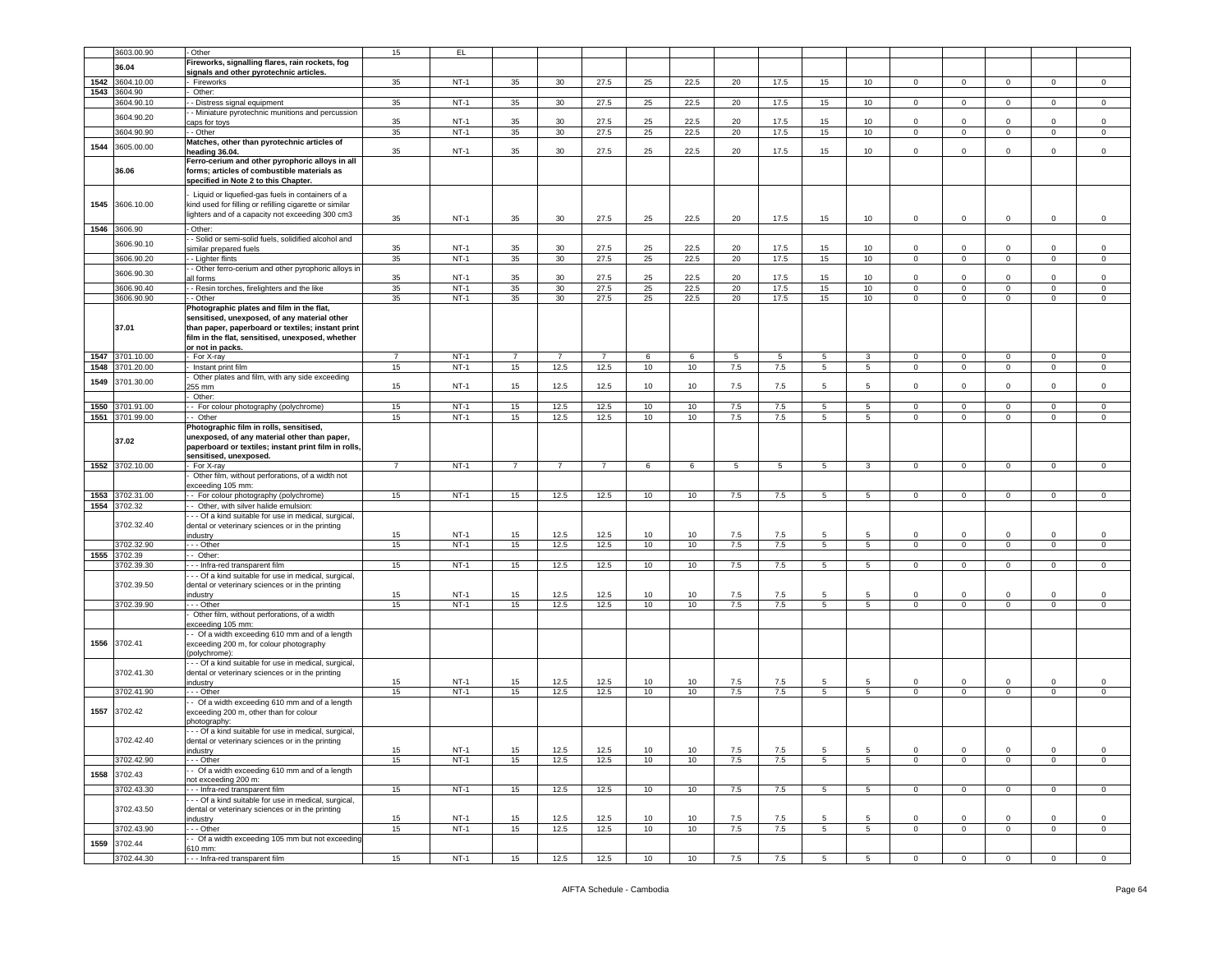|      | 3603.00.90            | Other                                                                                                                                                                                                                  | 15             | EL.    |                |                 |                |    |      |     |      |                  |                  |              |                |                |             |                |
|------|-----------------------|------------------------------------------------------------------------------------------------------------------------------------------------------------------------------------------------------------------------|----------------|--------|----------------|-----------------|----------------|----|------|-----|------|------------------|------------------|--------------|----------------|----------------|-------------|----------------|
|      |                       | Fireworks, signalling flares, rain rockets, fog                                                                                                                                                                        |                |        |                |                 |                |    |      |     |      |                  |                  |              |                |                |             |                |
|      | 36.04                 |                                                                                                                                                                                                                        |                |        |                |                 |                |    |      |     |      |                  |                  |              |                |                |             |                |
|      |                       | signals and other pyrotechnic articles.                                                                                                                                                                                |                | $NT-1$ |                | 30 <sup>2</sup> |                |    |      |     |      |                  |                  |              |                |                |             |                |
|      | 1542 3604.10.00       | Fireworks                                                                                                                                                                                                              | 35             |        | 35             |                 | 27.5           | 25 | 22.5 | 20  | 17.5 | 15               | 10               | $\circ$      | $\mathbf{0}$   | $\mathbf{0}$   | $\mathbf 0$ | $\circ$        |
| 1543 | 3604.90               | Other:                                                                                                                                                                                                                 |                |        |                |                 |                |    |      |     |      |                  |                  |              |                |                |             |                |
|      | 3604.90.10            | - Distress signal equipment                                                                                                                                                                                            | 35             | $NT-1$ | 35             | 30              | 27.5           | 25 | 22.5 | 20  | 17.5 | 15               | 10 <sup>10</sup> | $\mathbf 0$  | $\mathbf 0$    | $\mathbf 0$    | $\mathbf 0$ | $\mathsf 0$    |
|      | 3604.90.20            | - Miniature pyrotechnic munitions and percussion                                                                                                                                                                       |                |        |                |                 |                |    |      |     |      |                  |                  |              |                |                |             |                |
|      |                       | aps for toys                                                                                                                                                                                                           | 35             | $NT-1$ | 35             | 30              | 27.5           | 25 | 22.5 | 20  | 17.5 | 15               | 10               | $\mathbf 0$  | $\,0\,$        | $\mathbf 0$    | $\mathbf 0$ | $\,0\,$        |
|      | 3604.90.90            | - Other                                                                                                                                                                                                                | 35             | $NT-1$ | 35             | 30              | 27.5           | 25 | 22.5 | 20  | 17.5 | 15               | 10               | $\mathbf 0$  | $\mathbf 0$    | $\mathbf{0}$   | $\mathbf 0$ | $\mathsf 0$    |
| 1544 | 3605.00.00            | Matches, other than pyrotechnic articles of                                                                                                                                                                            |                |        |                |                 |                |    |      |     |      |                  |                  |              |                |                |             |                |
|      |                       | heading 36.04.                                                                                                                                                                                                         | 35             | $NT-1$ | 35             | 30              | 27.5           | 25 | 22.5 | 20  | 17.5 | 15               | 10               | $\circ$      | $\mathbf 0$    | $\mathbf 0$    | $\mathbf 0$ | $\mathsf 0$    |
|      | 36.06                 | Ferro-cerium and other pyrophoric alloys in all<br>forms; articles of combustible materials as<br>specified in Note 2 to this Chapter.                                                                                 |                |        |                |                 |                |    |      |     |      |                  |                  |              |                |                |             |                |
| 1545 | 3606.10.00            | Liquid or liquefied-gas fuels in containers of a<br>kind used for filling or refilling cigarette or similar<br>lighters and of a capacity not exceeding 300 cm3                                                        | 35             | $NT-1$ | 35             | 30              | 27.5           | 25 | 22.5 | 20  | 17.5 | 15               | 10               | $\mathbf 0$  | $\mathbf 0$    | $\mathbf 0$    | $\mathbf 0$ | $\mathsf 0$    |
| 1546 | 3606.90               | Other:                                                                                                                                                                                                                 |                |        |                |                 |                |    |      |     |      |                  |                  |              |                |                |             |                |
|      |                       | - Solid or semi-solid fuels, solidified alcohol and                                                                                                                                                                    |                |        |                |                 |                |    |      |     |      |                  |                  |              |                |                |             |                |
|      | 3606.90.10            | imilar prepared fuels                                                                                                                                                                                                  | 35             | $NT-1$ | 35             | 30              | 27.5           | 25 | 22.5 | 20  | 17.5 | 15               | 10               | 0            | $\mathbf 0$    | $\mathbf 0$    | 0           | $\mathbf 0$    |
|      | 3606.90.20            | - Lighter flints                                                                                                                                                                                                       | 35             | $NT-1$ | 35             | 30              | 27.5           | 25 | 22.5 | 20  | 17.5 | 15 <sub>15</sub> | 10               | $\circ$      | $\mathbf 0$    | $\mathbf 0$    | $\mathbf 0$ | $\,0\,$        |
|      |                       | - Other ferro-cerium and other pyrophoric alloys in                                                                                                                                                                    |                |        |                |                 |                |    |      |     |      |                  |                  |              |                |                |             |                |
|      | 3606.90.30            | all forms                                                                                                                                                                                                              | 35             | $NT-1$ | 35             | 30              | 27.5           | 25 | 22.5 | 20  | 17.5 | 15               | 10               | $\mathbf 0$  | $\mathbf 0$    | $\mathbf 0$    | $\Omega$    | $\mathsf 0$    |
|      | 3606.90.40            | - Resin torches, firelighters and the like                                                                                                                                                                             | 35             | $NT-1$ | 35             | 30              | 27.5           | 25 | 22.5 | 20  | 17.5 | 15 <sub>15</sub> | 10 <sub>1</sub>  | $\mathbf 0$  | $\mathbf 0$    | $\circ$        | $\mathbf 0$ | $\mathsf 0$    |
|      | 3606.90.90            | - Other                                                                                                                                                                                                                | 35             | $NT-1$ | 35             | 30              | 27.5           | 25 | 22.5 | 20  | 17.5 | 15               | 10               | $\circ$      | $\mathbf{0}$   | $\circ$        | $\mathbf 0$ | $\mathsf 0$    |
|      | 37.01                 | Photographic plates and film in the flat,<br>sensitised, unexposed, of any material other<br>than paper, paperboard or textiles; instant print<br>film in the flat, sensitised, unexposed, whether<br>or not in packs. |                |        |                |                 |                |    |      |     |      |                  |                  |              |                |                |             |                |
| 1547 | 3701.10.00            | For X-ray                                                                                                                                                                                                              | $\overline{7}$ | $NT-1$ | $\overline{7}$ | $\overline{7}$  | $\overline{7}$ | 6  | 6    | 5   | 5    | 5                | 3                | $\mathbf 0$  | $\mathbf 0$    | $\mathbf{0}$   | $\mathbf 0$ | $\mathsf 0$    |
| 1548 | 3701.20.00            | Instant print film                                                                                                                                                                                                     | 15             | $NT-1$ | 15             | 12.5            | 12.5           | 10 | 10   | 7.5 | 7.5  | 5                | $5^{\circ}$      | $\mathbf{0}$ | $\overline{0}$ | $\mathbf{0}$   | $\mathbf 0$ | $\circ$        |
| 1549 | 3701.30.00            | Other plates and film, with any side exceeding                                                                                                                                                                         |                |        |                |                 |                |    |      |     |      |                  |                  |              |                |                |             |                |
|      |                       | 255 mm                                                                                                                                                                                                                 | 15             | $NT-1$ | 15             | 12.5            | 12.5           | 10 | 10   | 7.5 | 7.5  | 5                | 5                | 0            | $\mathbf 0$    | $\mathbf 0$    | $\mathbf 0$ | $\mathsf 0$    |
|      |                       | Other:                                                                                                                                                                                                                 |                |        |                |                 |                |    |      |     |      |                  |                  |              |                |                |             |                |
| 1550 | 3701.91.00            | - For colour photography (polychrome)                                                                                                                                                                                  | 15             | $NT-1$ | 15             | 12.5            | 12.5           | 10 | 10   | 7.5 | 7.5  | 5                | 5                | $\mathbf 0$  | $\mathbf 0$    | $\mathbf{0}$   | $\mathbf 0$ | $\mathbf 0$    |
|      | 1551 3701.99.00       | - Other                                                                                                                                                                                                                | 15             | $NT-1$ | 15             | 12.5            | 12.5           | 10 | 10   | 7.5 | 7.5  | 5                | $\overline{5}$   | $\mathbf 0$  | $\mathbf 0$    | $\mathbf 0$    | $\mathbf 0$ | $\mathsf 0$    |
|      | 37.02                 | Photographic film in rolls, sensitised,<br>unexposed, of any material other than paper,<br>paperboard or textiles; instant print film in rolls,                                                                        |                |        |                |                 |                |    |      |     |      |                  |                  |              |                |                |             |                |
|      |                       | sensitised, unexposed.                                                                                                                                                                                                 |                |        |                |                 |                |    |      |     |      |                  |                  |              |                |                |             |                |
|      | 1552 3702.10.00       | For X-ray<br>Other film, without perforations, of a width not<br>exceeding 105 mm:                                                                                                                                     | $\overline{7}$ | $NT-1$ | $\overline{7}$ | $\overline{7}$  | $\overline{7}$ | 6  | 6    | 5   | 5    | 5                | 3                | $\circ$      | $\mathbf{0}$   | $\circ$        | $\mathbf 0$ | $\mathbf 0$    |
| 1553 | 3702.31.00            | - For colour photography (polychrome)                                                                                                                                                                                  | 15             | $NT-1$ | 15             | 12.5            | 12.5           | 10 | 10   | 7.5 | 7.5  | 5                | $5^{\circ}$      | $\mathbf 0$  | $\mathbf 0$    | $\mathbf{0}$   | 0           | $\mathbf 0$    |
|      | 1554 3702.32          | - Other, with silver halide emulsion:                                                                                                                                                                                  |                |        |                |                 |                |    |      |     |      |                  |                  |              |                |                |             |                |
|      | 3702.32.40            | - - Of a kind suitable for use in medical, surgical,<br>dental or veterinary sciences or in the printing<br>ndustry                                                                                                    | 15             | $NT-1$ | 15             | 12.5            | 12.5           | 10 | 10   | 7.5 | 7.5  | 5                | 5                | $\Omega$     | $\mathbf 0$    | $\mathbf 0$    | 0           | $\mathsf 0$    |
|      | 3702.32.90            | - - Other                                                                                                                                                                                                              | 15             | $NT-1$ | 15             | 12.5            | 12.5           | 10 | 10   | 7.5 | 7.5  | 5                | $5^{\circ}$      | $\mathbf 0$  | $\mathbf 0$    | $\overline{0}$ | $\mathbf 0$ | $\mathbf 0$    |
| 1555 | 3702.39               | - Other:                                                                                                                                                                                                               |                |        |                |                 |                |    |      |     |      |                  |                  |              |                |                |             |                |
|      | 3702.39.30            | - - Infra-red transparent film                                                                                                                                                                                         | 15             | $NT-1$ | 15             | 12.5            | 12.5           | 10 | 10   | 7.5 | 7.5  | 5                | 5                | $\mathbf 0$  | $\mathbf 0$    | $\mathbf{0}$   | $\mathbf 0$ | $\mathbf 0$    |
|      |                       | - - Of a kind suitable for use in medical, surgical,                                                                                                                                                                   |                |        |                |                 |                |    |      |     |      |                  |                  |              |                |                |             |                |
|      | 3702.39.50            | dental or veterinary sciences or in the printing                                                                                                                                                                       |                |        |                |                 |                |    |      |     |      |                  |                  |              |                |                |             |                |
|      |                       | ndustry                                                                                                                                                                                                                | 15             | $NT-1$ | 15             | 12.5            | 12.5           | 10 | 10   | 7.5 | 7.5  | $5\overline{5}$  | 5                | $\mathbf 0$  | $\mathbf 0$    | $\mathbf 0$    | $\mathbf 0$ | $\mathsf 0$    |
|      | 3702.39.90            | .-- Other                                                                                                                                                                                                              | 15             | $NT-1$ | 15             | 12.5            | 12.5           | 10 | 10   | 7.5 | 7.5  | 5                | 5                | $\mathbf 0$  | $\mathbf 0$    | $\mathbf{0}$   | $\mathbf 0$ | $\mathbf 0$    |
|      |                       | Other film, without perforations, of a width                                                                                                                                                                           |                |        |                |                 |                |    |      |     |      |                  |                  |              |                |                |             |                |
| 1556 | 3702.41               | exceeding 105 mm:<br>- Of a width exceeding 610 mm and of a length<br>exceeding 200 m, for colour photography<br>(polychrome):                                                                                         |                |        |                |                 |                |    |      |     |      |                  |                  |              |                |                |             |                |
|      | 3702.41.30            | - - Of a kind suitable for use in medical, surgical,<br>dental or veterinary sciences or in the printing                                                                                                               |                |        |                |                 |                |    |      |     |      |                  |                  |              |                |                |             |                |
|      |                       | ndustry                                                                                                                                                                                                                | 15             | $NT-1$ | 15             | 12.5            | 12.5           | 10 | 10   | 7.5 | 7.5  | 5                | 5                | 0            | $\,0\,$        | $\mathbf 0$    | 0           | 0              |
|      | 3702.41.90            | - - Other                                                                                                                                                                                                              | 15             | $NT-1$ | 15             | 12.5            | 12.5           | 10 | 10   | 7.5 | 7.5  | 5                | $5^{\circ}$      | 0            | $\mathbf 0$    | $\circ$        | $\mathbf 0$ | $\mathsf 0$    |
| 1557 |                       |                                                                                                                                                                                                                        |                |        |                |                 |                |    |      |     |      |                  |                  |              |                |                |             |                |
|      | 3702.42               | - Of a width exceeding 610 mm and of a length<br>exceeding 200 m, other than for colour<br>bhotography:                                                                                                                |                |        |                |                 |                |    |      |     |      |                  |                  |              |                |                |             |                |
|      | 3702.42.40            | -- Of a kind suitable for use in medical, surgical,<br>dental or veterinary sciences or in the printing                                                                                                                |                | $NT-1$ |                |                 |                | 10 | 10   |     |      | 5                | 5                | 0            | $\mathbf 0$    | 0              | 0           | $\mathbf 0$    |
|      |                       | industry                                                                                                                                                                                                               | 15             |        | 15             | 12.5            | 12.5           |    |      | 7.5 | 7.5  | 5                |                  | $\circ$      | $\mathbf 0$    |                |             |                |
|      | 3702.42.90            | - - Other                                                                                                                                                                                                              | 15             | $NT-1$ | 15             | 12.5            | 12.5           | 10 | 10   | 7.5 | 7.5  |                  | $5\overline{5}$  |              |                | $\circ$        | $\mathbf 0$ | $\mathsf 0$    |
| 1558 | 3702.43               | - Of a width exceeding 610 mm and of a length                                                                                                                                                                          |                |        |                |                 |                |    |      |     |      |                  |                  |              |                |                |             |                |
|      |                       | ot exceeding 200 m:                                                                                                                                                                                                    |                |        |                |                 |                |    |      |     |      |                  |                  |              |                |                |             |                |
|      | 3702.43.30            | -- Infra-red transparent film                                                                                                                                                                                          | 15             | $NT-1$ | 15             | 12.5            | 12.5           | 10 | 10   | 7.5 | 7.5  | 5                | 5                | $\mathbf{0}$ | $\mathbf{0}$   | $\overline{0}$ | $\mathbf 0$ | $\overline{0}$ |
|      |                       | - - Of a kind suitable for use in medical, surgical,<br>dental or veterinary sciences or in the printing                                                                                                               |                |        |                |                 |                |    |      |     |      |                  |                  |              |                |                |             |                |
|      | 3702.43.50            | ndustry                                                                                                                                                                                                                | 15             | $NT-1$ | 15             | 12.5            | 12.5           | 10 | 10   | 7.5 | 7.5  | 5                | 5                | $\circ$      | $\mathbf 0$    | $\Omega$       | 0           | $\mathbf 0$    |
|      | 3702.43.90            | - - Other                                                                                                                                                                                                              | 15             | $NT-1$ | 15             | 12.5            | 12.5           | 10 | 10   | 7.5 | 7.5  | 5                | 5                | $\mathbf 0$  | $\overline{0}$ | $\mathbf{0}$   | $\mathbf 0$ | $\circ$        |
|      |                       | - Of a width exceeding 105 mm but not exceeding                                                                                                                                                                        |                |        |                |                 |                |    |      |     |      |                  |                  |              |                |                |             |                |
| 1559 | 3702.44<br>3702.44.30 | 310 mm:<br>-- Infra-red transparent film                                                                                                                                                                               | 15             | $NT-1$ | 15             | 12.5            | 12.5           | 10 | 10   | 7.5 | 7.5  | 5                | $5\overline{5}$  | $\mathbf 0$  | $\overline{0}$ | $\mathbf{0}$   | $\mathbf 0$ | $\overline{0}$ |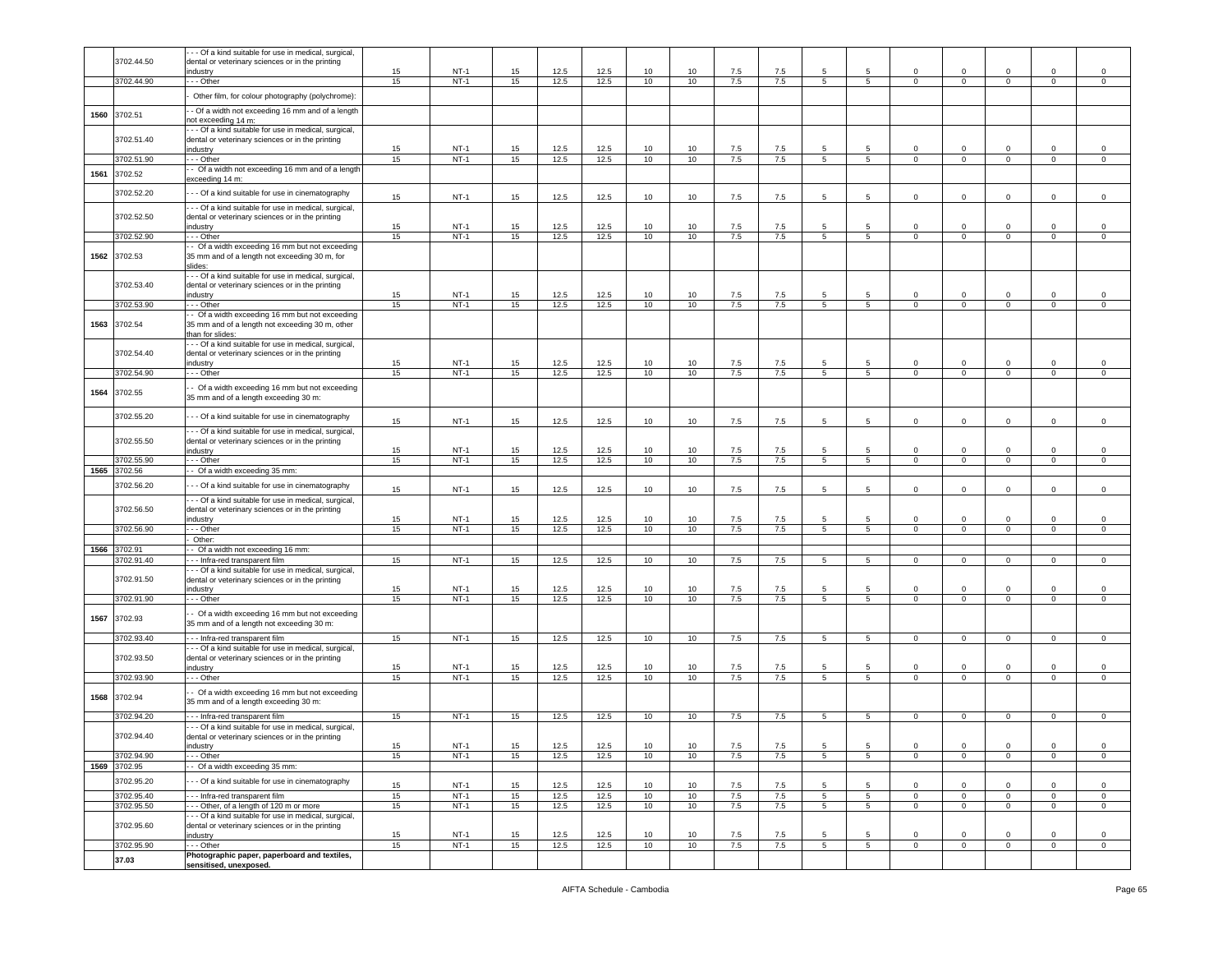|      |                       | - - Of a kind suitable for use in medical, surgical,                                                     |          |                  |          |              |              |                  |                  |            |            |                      |                      |                            |                               |                            |                             |                               |
|------|-----------------------|----------------------------------------------------------------------------------------------------------|----------|------------------|----------|--------------|--------------|------------------|------------------|------------|------------|----------------------|----------------------|----------------------------|-------------------------------|----------------------------|-----------------------------|-------------------------------|
|      | 3702.44.50            | dental or veterinary sciences or in the printing                                                         |          |                  |          |              |              |                  |                  |            |            |                      |                      |                            |                               |                            |                             |                               |
|      | 3702.44.90            | ndustry<br>- - Other                                                                                     | 15<br>15 | $NT-1$<br>$NT-1$ | 15<br>15 | 12.5<br>12.5 | 12.5<br>12.5 | 10<br>10         | 10<br>10         | 7.5<br>7.5 | 7.5<br>7.5 | 5<br>$5^{\circ}$     | 5<br>$5\overline{5}$ | $\mathbf 0$<br>$\mathbf 0$ | $\mathbf 0$<br>$\overline{0}$ | $\Omega$<br>$\mathbf 0$    | $\Omega$<br>$\mathbf 0$     | $^{\circ}$<br>$\mathbf 0$     |
|      |                       |                                                                                                          |          |                  |          |              |              |                  |                  |            |            |                      |                      |                            |                               |                            |                             |                               |
|      |                       | Other film, for colour photography (polychrome):                                                         |          |                  |          |              |              |                  |                  |            |            |                      |                      |                            |                               |                            |                             |                               |
| 1560 | 3702.51               | - Of a width not exceeding 16 mm and of a length<br>not exceeding 14 m:                                  |          |                  |          |              |              |                  |                  |            |            |                      |                      |                            |                               |                            |                             |                               |
|      |                       | - - Of a kind suitable for use in medical, surgical,                                                     |          |                  |          |              |              |                  |                  |            |            |                      |                      |                            |                               |                            |                             |                               |
|      | 3702.51.40            | dental or veterinary sciences or in the printing<br>ndustry                                              | 15       | $NT-1$           | 15       | 12.5         | 12.5         | 10               | 10               | 7.5        | 7.5        | 5                    | 5                    | $\Omega$                   | $\Omega$                      | $\mathbf 0$                | $\mathsf 0$                 | $\mathbf 0$                   |
|      | 3702.51.90            | - - Other                                                                                                | 15       | $NT-1$           | 15       | 12.5         | 12.5         | 10               | 10               | 7.5        | 7.5        | $5\overline{)}$      | $5\overline{)}$      | $\mathbf 0$                | $\mathsf 0$                   | $\overline{0}$             | $\mathbf 0$                 | $\overline{0}$                |
| 1561 | 3702.52               | - Of a width not exceeding 16 mm and of a length                                                         |          |                  |          |              |              |                  |                  |            |            |                      |                      |                            |                               |                            |                             |                               |
|      |                       | exceeding 14 m:                                                                                          |          |                  |          |              |              |                  |                  |            |            |                      |                      |                            |                               |                            |                             |                               |
|      | 3702.52.20            | - - Of a kind suitable for use in cinematography                                                         | 15       | $NT-1$           | 15       | 12.5         | 12.5         | 10               | 10               | 7.5        | 7.5        | 5                    | 5                    | $\mathbf 0$                | $\mathbf 0$                   | $\mathbf 0$                | $\mathsf 0$                 | $\mathbf 0$                   |
|      | 3702.52.50            | -- Of a kind suitable for use in medical, surgical,                                                      |          |                  |          |              |              |                  |                  |            |            |                      |                      |                            |                               |                            |                             |                               |
|      |                       | dental or veterinary sciences or in the printing<br>industry                                             | 15       | $NT-1$           | 15       | 12.5         | 12.5         | 10               | 10               | 7.5        | 7.5        | 5                    | 5                    | $\Omega$                   | 0                             | $\mathsf 0$                | $\mathsf 0$                 | $\mathsf 0$                   |
|      | 3702.52.90            | - - Other                                                                                                | 15       | $NT-1$           | 15       | 12.5         | 12.5         | 10               | 10               | 7.5        | 7.5        | $5^{\circ}$          | $5\overline{5}$      | $\mathbf 0$                | $\mathbf{O}$                  | $\mathbf{0}$               | $\mathbf{0}$                | $\mathbf 0$                   |
| 1562 | 3702.53               | - Of a width exceeding 16 mm but not exceeding<br>35 mm and of a length not exceeding 30 m, for          |          |                  |          |              |              |                  |                  |            |            |                      |                      |                            |                               |                            |                             |                               |
|      |                       | slides:                                                                                                  |          |                  |          |              |              |                  |                  |            |            |                      |                      |                            |                               |                            |                             |                               |
|      |                       | -- Of a kind suitable for use in medical, surgical,                                                      |          |                  |          |              |              |                  |                  |            |            |                      |                      |                            |                               |                            |                             |                               |
|      | 3702.53.40            | dental or veterinary sciences or in the printing<br>dustry                                               | 15       | $NT-1$           | 15       | 12.5         | 12.5         | 10               | 10               | 7.5        | 7.5        | 5                    | 5                    | $\mathbf 0$                | $\mathbf 0$                   | 0                          | $\mathbf 0$                 | $\mathbf 0$                   |
|      | 3702.53.90            | - - Other                                                                                                | 15       | $NT-1$           | 15       | 12.5         | 12.5         | 10               | 10               | 7.5        | 7.5        | 5                    | 5                    | 0                          | $\mathbf 0$                   | $\mathbf 0$                | $\mathbf 0$                 | $\mathbf 0$                   |
| 1563 | 3702.54               | - Of a width exceeding 16 mm but not exceeding                                                           |          |                  |          |              |              |                  |                  |            |            |                      |                      |                            |                               |                            |                             |                               |
|      |                       | 35 mm and of a length not exceeding 30 m, other<br>than for slides:                                      |          |                  |          |              |              |                  |                  |            |            |                      |                      |                            |                               |                            |                             |                               |
|      |                       | -- Of a kind suitable for use in medical, surgical,                                                      |          |                  |          |              |              |                  |                  |            |            |                      |                      |                            |                               |                            |                             |                               |
|      | 3702.54.40            | dental or veterinary sciences or in the printing<br>industrv                                             | 15       | $NT-1$           | 15       | 12.5         | 12.5         | 10               | 10               | 7.5        | 7.5        | 5                    | 5                    | $\Omega$                   | $\Omega$                      | $\Omega$                   | $\Omega$                    | $^{\circ}$                    |
|      | 3702.54.90            | - - Other                                                                                                | 15       | $NT-1$           | 15       | 12.5         | 12.5         | 10               | 10               | 7.5        | 7.5        | 5 <sub>5</sub>       | $5\overline{5}$      | $\mathbf 0$                | $\mathbf 0$                   | $\mathbf 0$                | $\mathsf 0$                 | $\circ$                       |
|      |                       | - Of a width exceeding 16 mm but not exceeding                                                           |          |                  |          |              |              |                  |                  |            |            |                      |                      |                            |                               |                            |                             |                               |
| 1564 | 3702.55               | 35 mm and of a length exceeding 30 m:                                                                    |          |                  |          |              |              |                  |                  |            |            |                      |                      |                            |                               |                            |                             |                               |
|      | 3702.55.20            | - - Of a kind suitable for use in cinematography                                                         |          |                  |          |              |              |                  |                  |            |            |                      |                      |                            |                               |                            |                             |                               |
|      |                       | - - Of a kind suitable for use in medical, surgical,                                                     | 15       | $NT-1$           | 15       | 12.5         | 12.5         | 10               | 10               | 7.5        | 7.5        | 5                    | 5                    | $\mathbf 0$                | $\mathbf 0$                   | $\mathbf 0$                | $\mathsf 0$                 | $\mathsf 0$                   |
|      | 3702.55.50            | dental or veterinary sciences or in the printing                                                         |          |                  |          |              |              |                  |                  |            |            |                      |                      |                            |                               |                            |                             |                               |
|      |                       | industry                                                                                                 | 15       | $NT-1$           | 15       | 12.5         | 12.5         | 10               | 10               | 7.5        | 7.5        | -5                   | 5                    | $\Omega$                   | $\circ$                       | $\circ$                    | $\mathbf{0}$                | $\mathsf 0$                   |
| 1565 | 3702.55.90<br>3702.56 | . - - Other<br>- Of a width exceeding 35 mm:                                                             | 15       | $NT-1$           | 15       | 12.5         | 12.5         | 10               | 10               | 7.5        | 7.5        | $5^{\circ}$          | $5\phantom{.0}$      | $\mathbf{0}$               | $\mathbf 0$                   | $\mathbf{0}$               | $\mathbf{0}$                | $\mathbf{0}$                  |
|      | 3702.56.20            |                                                                                                          |          |                  |          |              |              |                  |                  |            |            |                      |                      |                            |                               |                            |                             |                               |
|      |                       | - - Of a kind suitable for use in cinematography                                                         | 15       | $NT-1$           | 15       | 12.5         | 12.5         | 10               | 10               | 7.5        | 7.5        | 5                    | 5                    | $\circ$                    | $\mathbf 0$                   | $\mathbf 0$                | $\mathbf 0$                 | $\mathsf 0$                   |
|      | 3702.56.50            | --- Of a kind suitable for use in medical, surgical,<br>dental or veterinary sciences or in the printing |          |                  |          |              |              |                  |                  |            |            |                      |                      |                            |                               |                            |                             |                               |
|      |                       | dustry                                                                                                   | 15       | $NT-1$           | 15       | 12.5         | 12.5         | 10               | 10               | 7.5        | 7.5        | 5                    | 5                    | $\mathbf 0$                | $\mathbf 0$                   | $\mathbf 0$                | $\mathsf 0$                 | $\mathbf 0$                   |
|      | 3702.56.90            | - - Other<br>Other:                                                                                      | 15       | $NT-1$           | 15       | 12.5         | 12.5         | 10               | 10               | 7.5        | 7.5        | 5                    | 5                    | $\mathbf 0$                | $\mathbf 0$                   | $\mathsf 0$                | $\mathsf 0$                 | $\mathsf 0$                   |
| 1566 | 3702.91               | - Of a width not exceeding 16 mm:                                                                        |          |                  |          |              |              |                  |                  |            |            |                      |                      |                            |                               |                            |                             |                               |
|      | 3702.91.40            | -- Infra-red transparent film                                                                            | 15       | $NT-1$           | 15       | 12.5         | 12.5         | 10               | 10               | 7.5        | 7.5        | $5^{\circ}$          | $5\overline{5}$      | $\circ$                    | $\mathbf 0$                   | $\mathbf 0$                | $\mathsf 0$                 | $\mathbf 0$                   |
|      | 3702.91.50            | - - Of a kind suitable for use in medical, surgical,<br>dental or veterinary sciences or in the printing |          |                  |          |              |              |                  |                  |            |            |                      |                      |                            |                               |                            |                             |                               |
|      |                       | ndustry                                                                                                  | 15       | $NT-1$           | 15       | 12.5         | 12.5         | 10               | 10               | 7.5        | 7.5        | 5                    | 5                    | $\mathbf 0$                | $\mathbf 0$                   | $\mathbf 0$                | $\mathsf 0$                 | $\mathbf 0$                   |
|      | 3702.91.90            | - - Other                                                                                                | 15       | $NT-1$           | 15       | 12.5         | 12.5         | 10               | 10 <sup>10</sup> | 7.5        | 7.5        | $5^{\circ}$          | $5\overline{5}$      | $\circ$                    | $\mathbf{O}$                  | $\mathbf 0$                | $\mathbf 0$                 | $\mathbf 0$                   |
| 1567 | 3702.93               | - Of a width exceeding 16 mm but not exceeding                                                           |          |                  |          |              |              |                  |                  |            |            |                      |                      |                            |                               |                            |                             |                               |
|      |                       | 35 mm and of a length not exceeding 30 m:                                                                |          |                  |          |              |              |                  |                  |            |            |                      |                      |                            |                               |                            |                             |                               |
|      | 3702.93.40            | --- Infra-red transparent film<br>- - Of a kind suitable for use in medical, surgical,                   | 15       | $NT-1$           | 15       | 12.5         | 12.5         | 10               | 10               | 7.5        | 7.5        | 5 <sub>5</sub>       | 5 <sub>5</sub>       | $\mathbf{0}$               | $\overline{0}$                | $\mathbf{0}$               | $\overline{0}$              | $\mathbf{0}$                  |
|      | 3702.93.50            | dental or veterinary sciences or in the printing                                                         |          |                  |          |              |              |                  |                  |            |            |                      |                      |                            |                               |                            |                             |                               |
|      |                       | industry                                                                                                 | 15       | $NT-1$           | 15       | 12.5         | 12.5         | 10               | 10               | 7.5        | 7.5        | 5                    | 5                    | $\mathbf 0$                | $\mathbf 0$                   | $\mathbf 0$                | $\mathsf 0$                 | $\mathbf 0$                   |
|      | 3702.93.90            | - - Other                                                                                                | 15       | $NT-1$           | 15       | 12.5         | 12.5         | 10               | 10               | 7.5        | 7.5        | 5                    | 5                    | $\mathbf 0$                | $\mathbf{0}$                  | $\mathbf 0$                | $\mathbf 0$                 | $\mathbf 0$                   |
| 1568 | 3702.94               | - Of a width exceeding 16 mm but not exceeding<br>35 mm and of a length exceeding 30 m:                  |          |                  |          |              |              |                  |                  |            |            |                      |                      |                            |                               |                            |                             |                               |
|      | 3702.94.20            |                                                                                                          | 15       | $NT-1$           |          | 12.5         | 12.5         |                  |                  |            |            |                      |                      |                            | $\mathbf{O}$                  |                            |                             | $\overline{0}$                |
|      |                       | --- Infra-red transparent film<br>- - Of a kind suitable for use in medical, surgical,                   |          |                  | 15       |              |              | 10 <sup>10</sup> | 10               | 7.5        | 7.5        | 5                    | 5                    | $\mathbf 0$                |                               | $\mathbf{0}$               | $\mathbf 0$                 |                               |
|      | 3702.94.40            | dental or veterinary sciences or in the printing                                                         |          |                  |          |              |              |                  |                  |            |            |                      |                      |                            |                               |                            |                             |                               |
|      | 3702.94.90            | industry<br>- - Other                                                                                    | 15<br>15 | $NT-1$<br>$NT-1$ | 15<br>15 | 12.5<br>12.5 | 12.5<br>12.5 | 10<br>10         | 10<br>10         | 7.5<br>7.5 | 7.5<br>7.5 | 5<br>5               | 5<br>$5\phantom{.0}$ | $\Omega$<br>$\Omega$       | $\mathbf 0$<br>$\mathbf 0$    | 0<br>$\mathbf 0$           | $\mathbf 0$<br>$\mathsf 0$  | $\mathbf 0$<br>$\mathbf 0$    |
| 1569 | 3702.95               | - Of a width exceeding 35 mm:                                                                            |          |                  |          |              |              |                  |                  |            |            |                      |                      |                            |                               |                            |                             |                               |
|      | 3702.95.20            | - Of a kind suitable for use in cinematography                                                           |          |                  |          |              |              |                  |                  |            |            |                      |                      |                            |                               |                            |                             |                               |
|      | 3702.95.40            | --- Infra-red transparent film                                                                           | 15<br>15 | $NT-1$<br>$NT-1$ | 15<br>15 | 12.5<br>12.5 | 12.5<br>12.5 | 10<br>10         | 10<br>10         | 7.5<br>7.5 | 7.5<br>7.5 | 5<br>$5\overline{5}$ | 5<br>$5\phantom{.0}$ | 0<br>$\mathbf{0}$          | $\mathbf 0$<br>$\mathsf 0$    | $\mathsf 0$<br>$\mathbf 0$ | $\mathbf 0$<br>$\mathbf{0}$ | $\mathsf 0$<br>$\overline{0}$ |
|      | 3702.95.50            | --- Other, of a length of 120 m or more                                                                  | 15       | $NT-1$           | 15       | 12.5         | 12.5         | 10               | 10               | 7.5        | 7.5        | $5^{\circ}$          | $5^{\circ}$          | $\mathbf{0}$               | $\mathbf{0}$                  | $\mathbf{0}$               | $\overline{0}$              | $\circ$                       |
|      |                       | - - Of a kind suitable for use in medical, surgical,                                                     |          |                  |          |              |              |                  |                  |            |            |                      |                      |                            |                               |                            |                             |                               |
|      | 3702.95.60            | dental or veterinary sciences or in the printing<br>ndustry                                              | 15       | $NT-1$           | 15       | 12.5         | 12.5         | 10               | 10               | 7.5        | 7.5        | -5                   | 5                    | $\circ$                    | $\mathbf 0$                   | $\pmb{0}$                  | $\mathbf 0$                 | $\mathbf 0$                   |
|      | 3702.95.90            | - - Other                                                                                                | 15       | $NT-1$           | 15       | 12.5         | 12.5         | 10               | 10               | 7.5        | 7.5        | $5\overline{)}$      | $5\overline{)}$      | $\mathbf 0$                | $\mathbf 0$                   | $\overline{0}$             | $\,0\,$                     | $\overline{0}$                |
|      | 37.03                 | Photographic paper, paperboard and textiles,                                                             |          |                  |          |              |              |                  |                  |            |            |                      |                      |                            |                               |                            |                             |                               |
|      |                       | sensitised, unexposed.                                                                                   |          |                  |          |              |              |                  |                  |            |            |                      |                      |                            |                               |                            |                             |                               |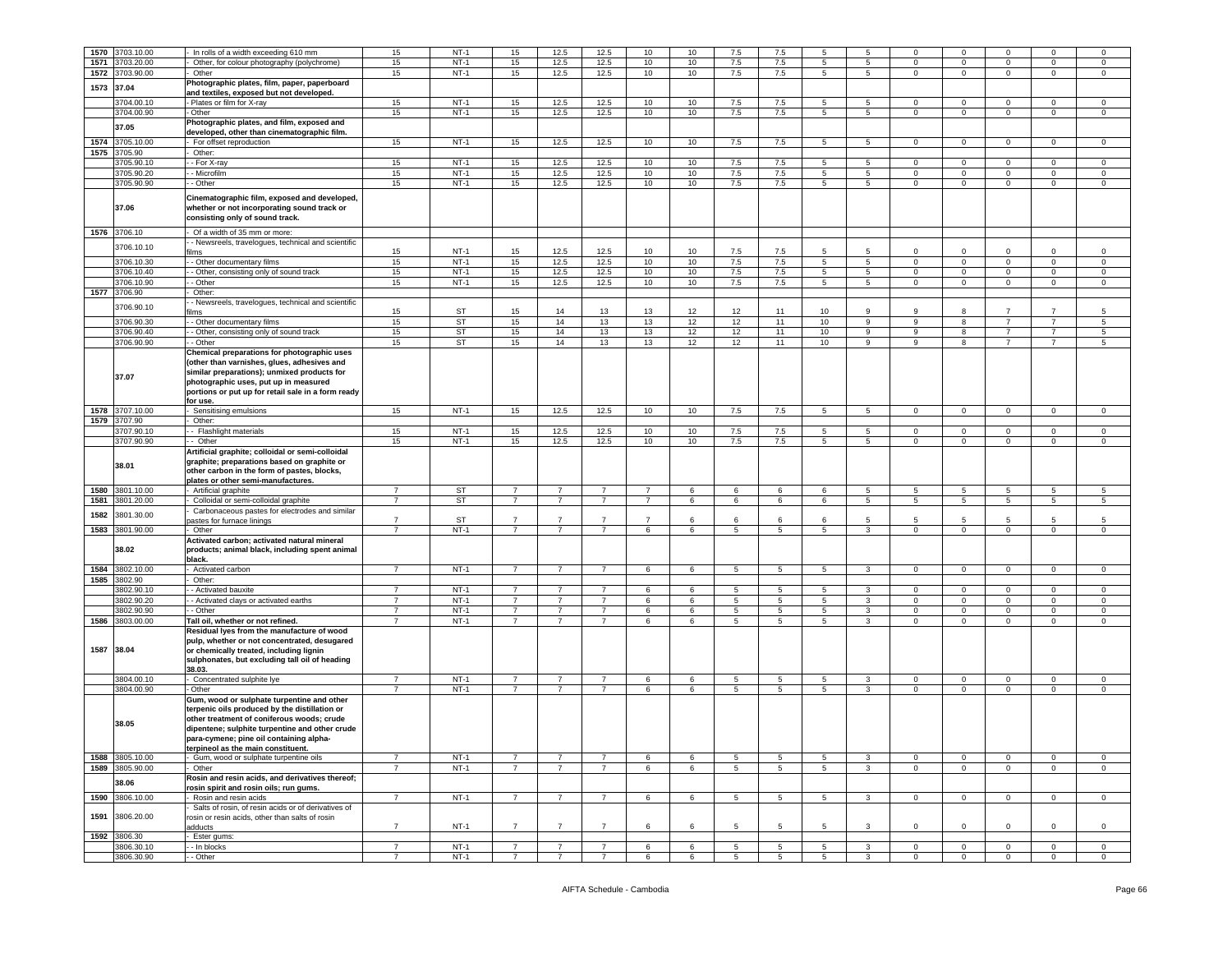| 1570 | 3703.10.00          | In rolls of a width exceeding 610 mm                                                                                                                                                                                                                                                  | 15             | $NT-1$    | 15             | 12.5           | 12.5           | 10             | 10 | 7.5             |                 | 5               | 5               |                | $\mathbf 0$    | $\Omega$       | $\Omega$       |                |
|------|---------------------|---------------------------------------------------------------------------------------------------------------------------------------------------------------------------------------------------------------------------------------------------------------------------------------|----------------|-----------|----------------|----------------|----------------|----------------|----|-----------------|-----------------|-----------------|-----------------|----------------|----------------|----------------|----------------|----------------|
|      |                     |                                                                                                                                                                                                                                                                                       |                |           |                |                |                |                |    |                 | 7.5             |                 |                 | 0              |                |                |                | 0              |
| 1571 | 3703.20.00          | Other, for colour photography (polychrome)                                                                                                                                                                                                                                            | 15             | $NT-1$    | 15             | 12.5           | 12.5           | 10             | 10 | 7.5             | 7.5             | 5               | $\overline{5}$  | $\Omega$       | $\mathbf 0$    | $\mathbf 0$    | $\mathbf 0$    | $\mathsf 0$    |
| 1572 | 3703.90.00          | Other                                                                                                                                                                                                                                                                                 | 15             | $NT-1$    | 15             | 12.5           | 12.5           | 10             | 10 | 7.5             | 7.5             | $5^{\circ}$     | 5               | $\mathbf{0}$   | $\overline{0}$ | $\mathbf 0$    | $\mathbf 0$    | $\mathbf 0$    |
|      |                     | Photographic plates, film, paper, paperboard                                                                                                                                                                                                                                          |                |           |                |                |                |                |    |                 |                 |                 |                 |                |                |                |                |                |
| 1573 | 37.04               | and textiles, exposed but not developed.                                                                                                                                                                                                                                              |                |           |                |                |                |                |    |                 |                 |                 |                 |                |                |                |                |                |
|      | 3704.00.10          | Plates or film for X-ray                                                                                                                                                                                                                                                              | 15             | $NT-1$    | 15             | 12.5           | 12.5           | 10             | 10 | 7.5             | 7.5             | 5               | 5               | $\circ$        | $\mathbf 0$    | $\mathbf{0}$   | $\mathbf 0$    | $\,0\,$        |
|      |                     |                                                                                                                                                                                                                                                                                       |                | $NT-1$    |                |                |                |                |    |                 |                 |                 |                 |                |                |                |                |                |
|      | 3704.00.90          | Other                                                                                                                                                                                                                                                                                 | 15             |           | 15             | 12.5           | 12.5           | 10             | 10 | 7.5             | 7.5             | 5               | $5^{\circ}$     | $\mathbf 0$    | $\mathbf 0$    | $\circ$        | 0              | $\mathsf 0$    |
|      | 37.05               | Photographic plates, and film, exposed and                                                                                                                                                                                                                                            |                |           |                |                |                |                |    |                 |                 |                 |                 |                |                |                |                |                |
|      |                     | developed, other than cinematographic film.                                                                                                                                                                                                                                           |                |           |                |                |                |                |    |                 |                 |                 |                 |                |                |                |                |                |
| 1574 | 3705.10.00          | For offset reproduction                                                                                                                                                                                                                                                               | 15             | $NT-1$    | 15             | 12.5           | 12.5           | 10             | 10 | 7.5             | 7.5             | $5^{\circ}$     | 5               | $\overline{0}$ | $\circ$        | $\overline{0}$ | $\overline{0}$ | $\circ$        |
|      | 1575 3705.90        | Other:                                                                                                                                                                                                                                                                                |                |           |                |                |                |                |    |                 |                 |                 |                 |                |                |                |                |                |
|      |                     |                                                                                                                                                                                                                                                                                       |                |           |                |                |                |                |    |                 |                 |                 |                 |                |                |                |                |                |
|      | 3705.90.10          | - For X-ray                                                                                                                                                                                                                                                                           | 15             | $NT-1$    | 15             | 12.5           | 12.5           | 10             | 10 | 7.5             | 7.5             | 5               | 5               | $\circ$        | $\mathbf{0}$   | $\mathbf{0}$   | $\mathbf 0$    | $\mathsf 0$    |
|      | 3705.90.20          | - Microfilm                                                                                                                                                                                                                                                                           | 15             | $NT-1$    | 15             | 12.5           | 12.5           | 10             | 10 | 7.5             | 7.5             | 5               | 5               | $\mathbf 0$    | $\,0\,$        | $\mathbf 0$    | 0              | 0              |
|      | 3705.90.90          | - Other                                                                                                                                                                                                                                                                               | 15             | $NT-1$    | 15             | 12.5           | 12.5           | 10             | 10 | 7.5             | 7.5             | 5               | 5               | 0              | $\mathbf 0$    | $\mathbf 0$    | $\mathbf 0$    | $\mathsf 0$    |
|      | 37.06               | Cinematographic film, exposed and developed,<br>whether or not incorporating sound track or<br>consisting only of sound track.                                                                                                                                                        |                |           |                |                |                |                |    |                 |                 |                 |                 |                |                |                |                |                |
|      | 1576 3706.10        | Of a width of 35 mm or more:                                                                                                                                                                                                                                                          |                |           |                |                |                |                |    |                 |                 |                 |                 |                |                |                |                |                |
|      |                     | - Newsreels, travelogues, technical and scientific                                                                                                                                                                                                                                    |                |           |                |                |                |                |    |                 |                 |                 |                 |                |                |                |                |                |
|      | 3706.10.10          |                                                                                                                                                                                                                                                                                       |                |           |                |                |                |                |    |                 |                 | 5               | 5               | $\circ$        | $\mathbf{0}$   | $\mathbf 0$    | $\mathbf 0$    |                |
|      |                     | lms                                                                                                                                                                                                                                                                                   | 15             | $NT-1$    | 15             | 12.5           | 12.5           | 10             | 10 | 7.5             | 7.5             |                 |                 |                |                |                |                | $\mathsf 0$    |
|      | 3706.10.30          | - Other documentary films                                                                                                                                                                                                                                                             | 15             | $NT-1$    | 15             | 12.5           | 12.5           | 10             | 10 | 7.5             | 7.5             | $\overline{5}$  | $5\overline{)}$ | $\mathbf 0$    | $\overline{0}$ | $\mathbf 0$    | $\mathsf 0$    | $\,0\,$        |
|      | 3706.10.40          | - Other, consisting only of sound track                                                                                                                                                                                                                                               | 15             | $NT-1$    | 15             | 12.5           | 12.5           | 10             | 10 | 7.5             | 7.5             | 5               | 5               | $\mathbf 0$    | $\mathbf 0$    | $\mathbf 0$    | $\mathbf 0$    | $\mathsf 0$    |
|      | 3706.10.90          | - Other                                                                                                                                                                                                                                                                               | 15             | $NT-1$    | 15             | 12.5           | 12.5           | 10             | 10 | 7.5             | 7.5             | $5^{\circ}$     | $5\overline{)}$ | $\mathbf 0$    | $\overline{0}$ | $\overline{0}$ | $\mathbf 0$    | $\circ$        |
| 1577 | 3706.90             | Other:                                                                                                                                                                                                                                                                                |                |           |                |                |                |                |    |                 |                 |                 |                 |                |                |                |                |                |
|      |                     |                                                                                                                                                                                                                                                                                       |                |           |                |                |                |                |    |                 |                 |                 |                 |                |                |                |                |                |
|      | 3706.90.10          | - Newsreels, travelogues, technical and scientific                                                                                                                                                                                                                                    |                |           |                |                |                |                |    |                 |                 |                 |                 |                |                |                |                |                |
|      |                     | ïlms                                                                                                                                                                                                                                                                                  | 15             | ST        | 15             | 14             | 13             | 13             | 12 | 12              | 11              | 10              | 9               | 9              | 8              | $\overline{7}$ | $\overline{7}$ | 5              |
|      | 3706.90.30          | - Other documentary films                                                                                                                                                                                                                                                             | 15             | ST        | 15             | 14             | 13             | 13             | 12 | 12              | 11              | 10              | 9               | 9              | 8              | $\overline{7}$ | $\overline{7}$ | $\,$ 5         |
|      | 3706.90.40          | - Other, consisting only of sound track                                                                                                                                                                                                                                               | 15             | <b>ST</b> | 15             | 14             | 13             | 13             | 12 | 12              | 11              | 10              | 9               | 9              | 8              | $\overline{7}$ | $\overline{7}$ | $\sqrt{5}$     |
|      | 3706.90.90          | - Other                                                                                                                                                                                                                                                                               | 15             |           |                |                |                |                |    |                 |                 |                 |                 |                |                | $\overline{7}$ | $\overline{7}$ |                |
|      |                     |                                                                                                                                                                                                                                                                                       |                | ST        | 15             | 14             | 13             | 13             | 12 | 12              | 11              | 10              | 9               | 9              | 8              |                |                | 5              |
|      | 37.07               | Chemical preparations for photographic uses<br>(other than varnishes, glues, adhesives and<br>similar preparations); unmixed products for<br>photographic uses, put up in measured<br>portions or put up for retail sale in a form ready<br>for use.                                  |                |           |                |                |                |                |    |                 |                 |                 |                 |                |                |                |                |                |
| 1578 | 3707.10.00          | Sensitising emulsions                                                                                                                                                                                                                                                                 | 15             | $NT-1$    | 15             | 12.5           | 12.5           | 10             | 10 | 7.5             | 7.5             | 5               | $5\overline{5}$ | $\circ$        | $\mathsf 0$    | $\circ$        | $\mathbf 0$    | $\mathsf 0$    |
| 1579 | 3707.90             | Other:                                                                                                                                                                                                                                                                                |                |           |                |                |                |                |    |                 |                 |                 |                 |                |                |                |                |                |
|      |                     |                                                                                                                                                                                                                                                                                       |                |           |                |                |                |                |    |                 |                 |                 |                 |                |                |                |                |                |
|      | 3707.90.10          | - Flashlight materials                                                                                                                                                                                                                                                                | 15             | $NT-1$    | 15             | 12.5           | 12.5           | 10             | 10 | 7.5             | 7.5             | 5               | 5               | $\mathbf{0}$   | $\mathbf 0$    | $\mathbf{0}$   | $\mathbf 0$    | $\mathsf 0$    |
|      | 3707.90.90          | - Other                                                                                                                                                                                                                                                                               | 15             | $NT-1$    | 15             | 12.5           | 12.5           | 10             | 10 | 7.5             | 7.5             | 5               | 5               | $\mathbf{0}$   | $\overline{0}$ | $\mathbf{0}$   | $\mathbf 0$    | $\mathbf 0$    |
|      | 38.01               | Artificial graphite; colloidal or semi-colloidal<br>graphite; preparations based on graphite or<br>other carbon in the form of pastes, blocks,<br>plates or other semi-manufactures.                                                                                                  |                |           |                |                |                |                |    |                 |                 |                 |                 |                |                |                |                |                |
| 1580 | 3801.10.00          | Artificial graphite                                                                                                                                                                                                                                                                   | 7              | ST        | $\overline{7}$ | $\overline{7}$ | $\overline{7}$ | $\overline{7}$ | 6  | 6               | 6               | 6               | $5\phantom{.0}$ | 5              | $\overline{5}$ | 5              | 5              | 5              |
| 1581 | 3801.20.00          | Colloidal or semi-colloidal graphite                                                                                                                                                                                                                                                  | $\overline{7}$ | ST        | $\overline{7}$ | $\overline{7}$ | $\overline{7}$ | $\overline{7}$ | 6  | 6               | 6               | 6               | 5               | 5              | 5              | 5              | 5              | 5              |
|      |                     |                                                                                                                                                                                                                                                                                       |                |           |                |                |                |                |    |                 |                 |                 |                 |                |                |                |                |                |
| 1582 | 3801.30.00          | Carbonaceous pastes for electrodes and similar                                                                                                                                                                                                                                        |                |           |                |                |                |                |    |                 |                 |                 |                 |                |                |                |                |                |
|      |                     | bastes for furnace linings                                                                                                                                                                                                                                                            | $\overline{7}$ | <b>ST</b> | $\overline{7}$ | $\overline{7}$ | $\overline{7}$ | $\overline{7}$ | 6  | 6               | -6              | 6               | 5               | 5              | 5              | 5              | 5              | 5              |
| 1583 | 3801.90.00<br>38.02 | Other<br>Activated carbon; activated natural mineral<br>products; animal black, including spent animal<br>black.                                                                                                                                                                      | $\overline{7}$ | $NT-1$    | $\overline{7}$ | $\overline{7}$ | $\overline{7}$ | 6              | 6  | 5               | $5\phantom{.0}$ | 5               | 3               | $\mathbf{0}$   | $\overline{0}$ | $\mathbf{0}$   | 0              | $\mathbf 0$    |
| 1584 | 3802.10.00          | Activated carbon                                                                                                                                                                                                                                                                      | $\overline{7}$ | $NT-1$    | $\overline{7}$ | $\overline{7}$ | $\overline{7}$ | 6              | 6  | 5               | $5\phantom{.0}$ | 5               | $\mathbf{3}$    | $\mathsf 0$    | $\mathbf 0$    | $\mathbf 0$    | $\mathbf 0$    | $\mathsf 0$    |
| 1585 | 3802.90             | Other:                                                                                                                                                                                                                                                                                |                |           |                |                |                |                |    |                 |                 |                 |                 |                |                |                |                |                |
|      | 3802.90.10          | - Activated bauxite                                                                                                                                                                                                                                                                   | $\overline{7}$ | $NT-1$    | $\overline{7}$ | $\overline{7}$ | $\overline{7}$ | 6              | 6  | 5               | 5               | 5               | $\mathbf{3}$    | $\mathbf{0}$   | $\overline{0}$ | $\mathbf 0$    | $\mathsf 0$    | $\mathsf 0$    |
|      | 3802.90.20          | - Activated clays or activated earths                                                                                                                                                                                                                                                 | $\overline{7}$ | $NT-1$    | $\overline{7}$ | $\overline{7}$ | $\overline{7}$ | 6              | 6  | 5               | 5               | 5               | 3               | $\mathbf 0$    | $\mathbf 0$    | $\overline{0}$ | $\mathbf 0$    | $\mathsf 0$    |
|      |                     |                                                                                                                                                                                                                                                                                       |                |           |                |                |                |                |    |                 |                 |                 |                 |                |                |                |                |                |
|      | 3802.90.90          | - Other                                                                                                                                                                                                                                                                               | $\overline{7}$ | $NT-1$    | $\overline{7}$ | $\overline{7}$ | $\overline{7}$ | 6              | 6  | 5               | 5               | 5               | $\mathbf{3}$    | $\mathbf{0}$   | $\mathbf 0$    | $\mathbf{0}$   | $\mathbf 0$    | 0              |
| 1586 | 3803.00.00          | Tall oil, whether or not refined.                                                                                                                                                                                                                                                     | $\overline{7}$ | $NT-1$    | $\overline{7}$ | $\overline{7}$ | $\overline{7}$ | 6              | 6  | 5               | $\,$ 5          | 5               | $\mathbf{3}$    | $\mathbf 0$    | $\mathbf 0$    | $\mathsf 0$    | $\mathbf 0$    | $\,0\,$        |
|      | 1587 38.04          | Residual lyes from the manufacture of wood<br>pulp, whether or not concentrated, desugared<br>or chemically treated, including lignin                                                                                                                                                 |                |           |                |                |                |                |    |                 |                 |                 |                 |                |                |                |                |                |
|      |                     | sulphonates, but excluding tall oil of heading<br>38.03.                                                                                                                                                                                                                              |                |           |                |                |                |                |    |                 |                 |                 |                 |                |                |                |                |                |
|      | 3804.00.10          |                                                                                                                                                                                                                                                                                       | $\overline{7}$ | $NT-1$    | 7              | 7              | 7              | 6              | 6  | 5               | 5               | 5               | 3               | $\mathbf{0}$   | $\mathbf 0$    | $\mathbf{0}$   | $\mathbf 0$    | $\mathbf 0$    |
|      |                     | Concentrated sulphite lye                                                                                                                                                                                                                                                             |                |           |                |                |                |                |    |                 |                 |                 |                 |                |                |                |                |                |
|      | 3804.00.90<br>38.05 | Other<br>Gum, wood or sulphate turpentine and other<br>terpenic oils produced by the distillation or<br>other treatment of coniferous woods; crude<br>dipentene; sulphite turpentine and other crude<br>para-cymene; pine oil containing alpha-<br>terpineol as the main constituent. | $\overline{7}$ | $NT-1$    | $\overline{7}$ | $\overline{7}$ | $\overline{7}$ | 6              | 6  | 5               | 5               | 5 <sup>5</sup>  | $\mathbf{3}$    | $\circ$        | $\mathbf 0$    | $\circ$        | $\mathbf 0$    | $\mathbf 0$    |
|      |                     |                                                                                                                                                                                                                                                                                       | $\overline{7}$ |           | $\overline{7}$ | $\overline{7}$ |                |                |    |                 |                 |                 |                 |                |                |                |                |                |
| 1588 | 3805.10.00          | Gum, wood or sulphate turpentine oils                                                                                                                                                                                                                                                 |                | $NT-1$    |                |                |                | 6              | 6  | 5               | 5               | 5               | 3               | $\mathbf 0$    | $\mathbf 0$    | 0              | 0              | 0              |
|      | 1589 3805.90.00     | Other                                                                                                                                                                                                                                                                                 | $\overline{7}$ | $NT-1$    | $\overline{7}$ | $\overline{7}$ | $\overline{7}$ | 6              | 6  | $5\overline{5}$ | 5               | 5 <sup>5</sup>  | $\mathbf{3}$    | $\mathbf{0}$   | $\overline{0}$ | $\mathbf{0}$   | $\mathbf{0}$   | $\overline{0}$ |
|      |                     | Rosin and resin acids, and derivatives thereof;                                                                                                                                                                                                                                       |                |           |                |                |                |                |    |                 |                 |                 |                 |                |                |                |                |                |
|      | 38.06               | rosin spirit and rosin oils; run gums.                                                                                                                                                                                                                                                |                |           |                |                |                |                |    |                 |                 |                 |                 |                |                |                |                |                |
| 1590 |                     | Rosin and resin acids                                                                                                                                                                                                                                                                 | $7^{\circ}$    | $NT-1$    | $7^{\circ}$    | $\overline{7}$ | $\overline{7}$ | 6              | 6  | 5               | 5               | 5 <sup>5</sup>  | $\mathbf{3}$    | $\overline{0}$ | $\mathbf{0}$   | $\circ$        | $\mathbf{0}$   | $\mathbf 0$    |
|      | 3806.10.00          |                                                                                                                                                                                                                                                                                       |                |           |                |                |                |                |    |                 |                 |                 |                 |                |                |                |                |                |
| 1591 | 3806.20.00          | Salts of rosin, of resin acids or of derivatives of<br>rosin or resin acids, other than salts of rosin                                                                                                                                                                                |                |           |                |                |                |                |    |                 |                 |                 |                 |                |                |                |                |                |
|      |                     | adducts                                                                                                                                                                                                                                                                               | $\overline{7}$ | $NT-1$    | $\overline{7}$ | $\overline{7}$ | $\overline{7}$ | 6              | 6  | 5               | -5              | 5               | 3               | $\mathbf 0$    | $\mathbf 0$    | $\mathbf 0$    | $\circ$        | $\mathbf 0$    |
| 1592 | 3806.30             | Ester gums:                                                                                                                                                                                                                                                                           |                |           |                |                |                |                |    |                 |                 |                 |                 |                |                |                |                |                |
|      | 3806.30.10          | - In blocks                                                                                                                                                                                                                                                                           | $\overline{7}$ | $NT-1$    | $\overline{7}$ | $\overline{7}$ | $\overline{7}$ | 6              | 6  | $5^{\circ}$     | 5               | $5^{\circ}$     | 3               | $\mathbf{O}$   | $\mathbf{0}$   | $\mathbf{0}$   | $\mathbf{0}$   | $\overline{0}$ |
|      | 3806.30.90          | - Other                                                                                                                                                                                                                                                                               | $\overline{7}$ | $NT-1$    | $\overline{7}$ | $\overline{7}$ | $\overline{7}$ | 6              | 6  | 5               | 5               | $5\overline{5}$ | $\mathbf{3}$    | $\overline{0}$ | $\overline{0}$ | $\mathbf{0}$   | $\mathbf 0$    | $\mathbf{0}$   |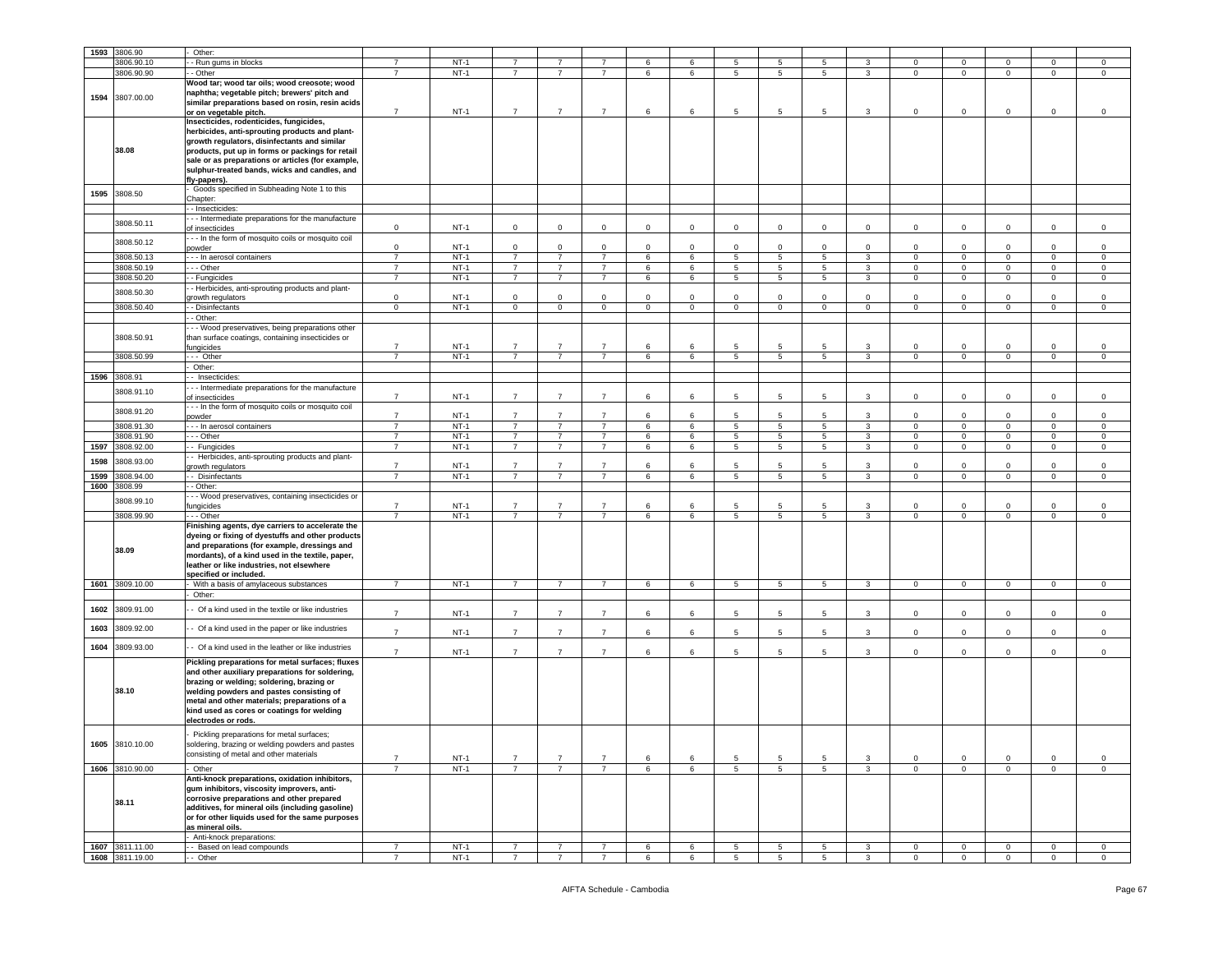| 1593 | 3806.90         | Other:                                                                                                                                                                                                                                                                                                              |                                  |                  |                 |                |                |              |             |                 |                 |                 |                |                |                |                               |                |                     |
|------|-----------------|---------------------------------------------------------------------------------------------------------------------------------------------------------------------------------------------------------------------------------------------------------------------------------------------------------------------|----------------------------------|------------------|-----------------|----------------|----------------|--------------|-------------|-----------------|-----------------|-----------------|----------------|----------------|----------------|-------------------------------|----------------|---------------------|
|      |                 |                                                                                                                                                                                                                                                                                                                     |                                  |                  |                 |                |                |              |             |                 |                 |                 |                |                |                |                               |                |                     |
|      | 3806.90.10      | - Run gums in blocks                                                                                                                                                                                                                                                                                                |                                  | $NT-1$           | $\overline{7}$  |                |                | 6            | 6           | 5               | 5               | 5               | 3              | 0              | $\mathbf 0$    | $\mathbf 0$                   | $\mathbf 0$    | 0                   |
|      | 3806.90.90      | - Other                                                                                                                                                                                                                                                                                                             | 7                                | $NT-1$           | $\overline{7}$  | $\overline{7}$ | $\overline{7}$ | 6            | 6           | 5               | $5\phantom{.0}$ | $5^{\circ}$     | 3              | $\mathbf{0}$   | $\mathbf{0}$   | $\mathbf 0$                   | $\mathsf 0$    | $\mathsf 0$         |
| 1594 | 3807.00.00      | Wood tar; wood tar oils; wood creosote; wood<br>naphtha; vegetable pitch; brewers' pitch and<br>similar preparations based on rosin, resin acids<br>or on vegetable pitch.                                                                                                                                          | $\overline{7}$                   | $NT-1$           | $\overline{7}$  | $\overline{7}$ | $\overline{7}$ | 6            | 6           | 5               | 5               | 5               | 3              | $\mathbf 0$    | $\mathbf 0$    | $\mathbf 0$                   | $\mathbf 0$    | 0                   |
|      | 38.08           | Insecticides, rodenticides, fungicides,<br>herbicides, anti-sprouting products and plant-<br>growth regulators, disinfectants and similar<br>products, put up in forms or packings for retail<br>sale or as preparations or articles (for example,<br>sulphur-treated bands, wicks and candles, and<br>fly-papers). |                                  |                  |                 |                |                |              |             |                 |                 |                 |                |                |                |                               |                |                     |
| 1595 | 3808.50         | Goods specified in Subheading Note 1 to this<br>Chapter:                                                                                                                                                                                                                                                            |                                  |                  |                 |                |                |              |             |                 |                 |                 |                |                |                |                               |                |                     |
|      |                 | - Insecticides:                                                                                                                                                                                                                                                                                                     |                                  |                  |                 |                |                |              |             |                 |                 |                 |                |                |                |                               |                |                     |
|      | 3808.50.11      | - - Intermediate preparations for the manufacture<br>of insecticides                                                                                                                                                                                                                                                | $\mathsf 0$                      | $NT-1$           | $\mathbf 0$     | $\mathbf 0$    | $\mathbf{0}$   | $\circ$      | $\mathbf 0$ | $\mathbf 0$     | $\mathbf 0$     | $\mathbf 0$     | $\mathsf 0$    | $\mathbf{0}$   | $\mathbf 0$    | $\mathsf 0$                   | $\mathbf 0$    | $\mathsf 0$         |
|      | 3808.50.12      | - - In the form of mosquito coils or mosquito coil<br>powder                                                                                                                                                                                                                                                        | $\mathbf 0$                      | $NT-1$           | $\mathbf 0$     | $\mathbf 0$    | $\mathbf 0$    | $\circ$      | $\mathbf 0$ | $\mathbf 0$     | $\mathbf 0$     | $\mathbf 0$     | $\mathsf 0$    | $\mathbf 0$    | $\mathbf 0$    | $\mathsf 0$                   | $\mathbf 0$    | $\mathsf 0$         |
|      | 3808.50.13      | - - In aerosol containers                                                                                                                                                                                                                                                                                           | $\overline{7}$                   | $NT-1$           | $\overline{7}$  | $\overline{7}$ | $\overline{7}$ | 6            | 6           | $\overline{5}$  | $\overline{5}$  | $\overline{5}$  | $\overline{3}$ | $\overline{0}$ | $\overline{0}$ | $\overline{0}$                | $\overline{0}$ | $\overline{0}$      |
|      |                 |                                                                                                                                                                                                                                                                                                                     | $\overline{7}$                   | $NT-1$           | $\overline{7}$  | $\overline{7}$ | $\overline{7}$ |              |             |                 |                 |                 |                |                |                |                               |                |                     |
|      | 3808.50.19      | - - Other                                                                                                                                                                                                                                                                                                           |                                  |                  |                 |                |                | 6            | 6           | 5               | 5               | 5               | 3              | $\mathbf 0$    | $\mathbf 0$    | $\mathbf 0$                   | $\mathbf 0$    | $\mathsf 0$         |
|      | 3808.50.20      | - Fungicides                                                                                                                                                                                                                                                                                                        | $\overline{7}$                   | $NT-1$           | $\overline{7}$  | $\overline{7}$ | $\overline{7}$ | 6            | 6           | 5               | $5\phantom{.0}$ | $5\overline{5}$ | 3              | $\mathbf{0}$   | $\mathbf 0$    | $\mathbf 0$                   | $\mathbf 0$    | $\mathbf 0$         |
|      | 3808.50.30      | - Herbicides, anti-sprouting products and plant-<br>growth regulators                                                                                                                                                                                                                                               | $\mathbf 0$                      | $NT-1$           | $\mathbf 0$     | $\mathsf 0$    | $\mathbf 0$    | $\mathsf 0$  | $\mathbf 0$ | $\mathbf 0$     | $\mathbf 0$     | $\mathbf 0$     | $\mathbf 0$    | $\mathbf 0$    | $\mathbf 0$    | $\Omega$                      | $\mathbf 0$    | $\mathsf 0$         |
|      | 3808.50.40      | - Disinfectants                                                                                                                                                                                                                                                                                                     | $\mathbf 0$                      | $NT-1$           | $\mathbf 0$     | $\mathbf 0$    | $\mathbf{0}$   | $\mathbf{0}$ | $\mathbf 0$ | $\mathbf 0$     | $\mathbf 0$     | $\circ$         | $\circ$        | $\mathbf{0}$   | $\mathbf 0$    | $\mathbf 0$                   | $\mathbf 0$    | $\mathbf 0$         |
|      |                 | - Other:                                                                                                                                                                                                                                                                                                            |                                  |                  |                 |                |                |              |             |                 |                 |                 |                |                |                |                               |                |                     |
|      | 3808.50.91      | - - Wood preservatives, being preparations other<br>than surface coatings, containing insecticides or<br>ungicides                                                                                                                                                                                                  | $\overline{7}$                   | $NT-1$           | $\overline{7}$  | $\overline{7}$ | $\overline{7}$ | 6            | 6           | 5               | 5               | 5               | 3              | $\mathbf 0$    | $\mathbf 0$    | $\mathbf 0$                   | $\mathbf 0$    | $^{\circ}$          |
|      | 3808.50.99      | - Other                                                                                                                                                                                                                                                                                                             | $\overline{7}$                   | $NT-1$           | $\overline{7}$  | $\overline{7}$ | $\overline{7}$ | 6            | 6           | 5               | 5               | 5               | 3              | $\mathbf{0}$   | $\mathbf 0$    | $\mathbf 0$                   | $\mathsf 0$    | $\mathsf 0$         |
|      |                 | Other:                                                                                                                                                                                                                                                                                                              |                                  |                  |                 |                |                |              |             |                 |                 |                 |                |                |                |                               |                |                     |
| 1596 | 3808.91         | - Insecticides                                                                                                                                                                                                                                                                                                      |                                  |                  |                 |                |                |              |             |                 |                 |                 |                |                |                |                               |                |                     |
|      | 3808.91.10      | - - Intermediate preparations for the manufacture                                                                                                                                                                                                                                                                   |                                  |                  |                 |                |                |              |             |                 |                 |                 |                |                |                |                               |                |                     |
|      |                 | of insecticides<br>- - In the form of mosquito coils or mosquito coil                                                                                                                                                                                                                                               | $\overline{7}$                   | $NT-1$           | $\overline{7}$  | $\overline{7}$ | $\overline{7}$ | 6            | 6           | 5               | 5               | 5               | $\mathbf{3}$   | $\mathbf{0}$   | $\mathbf 0$    | $\mathbf 0$                   | $\circ$        | $\mathbf 0$         |
|      | 3808.91.20      | oowder                                                                                                                                                                                                                                                                                                              | $\overline{7}$                   | $NT-1$           | $\overline{7}$  | $\overline{7}$ | $\overline{7}$ | 6            | 6           | 5               | 5               | 5               | 3              | $\mathbf{0}$   | $\mathbf 0$    | $\Omega$                      | $\mathbf 0$    | $\mathsf 0$         |
|      | 3808.91.30      | -- In aerosol containers                                                                                                                                                                                                                                                                                            | $\overline{7}$                   | $NT-1$           | $\overline{7}$  | $\overline{7}$ | $\overline{7}$ | 6            | 6           | 5               | 5               | 5               | 3              | 0              | $\mathbf 0$    | $\mathbf 0$                   | 0              | 0                   |
|      | 3808.91.90      | - - Other                                                                                                                                                                                                                                                                                                           | $\overline{7}$                   | $NT-1$           | $\overline{7}$  | $\overline{7}$ | $\overline{7}$ | 6            | 6           | 5               | $5\phantom{.0}$ | $5^{\circ}$     | 3              | $\mathbf{0}$   | $\mathbf 0$    | $\mathbf 0$                   | $\mathsf 0$    | $\mathsf 0$         |
|      |                 |                                                                                                                                                                                                                                                                                                                     |                                  |                  |                 |                |                |              |             |                 |                 |                 |                |                |                |                               |                |                     |
| 1597 | 3808.92.00      | - Fungicides                                                                                                                                                                                                                                                                                                        | $\overline{7}$                   | $NT-1$           | $\overline{7}$  | $\overline{7}$ | $\overline{7}$ | 6            | 6           | 5               | 5               | $5^{\circ}$     | 3              | $\mathbf{0}$   | $\mathbf 0$    | $\mathbf 0$                   | $\mathbf 0$    | 0                   |
| 1598 | 3808.93.00      | - Herbicides, anti-sprouting products and plant-<br>growth regulators                                                                                                                                                                                                                                               | $\overline{7}$                   | $NT-1$           | $\overline{7}$  | $\overline{7}$ | $\overline{7}$ | 6            | 6           | 5               | 5               | 5               | 3              | 0              | $\mathbf 0$    | $\Omega$                      | $\Omega$       | $^{\circ}$          |
|      |                 |                                                                                                                                                                                                                                                                                                                     |                                  |                  |                 |                |                |              |             |                 |                 |                 |                |                |                |                               |                |                     |
| 1599 | 3808.94.00      | - Disinfectants                                                                                                                                                                                                                                                                                                     | $\overline{7}$                   | $NT-1$           | $\overline{7}$  | $\overline{7}$ | $\overline{7}$ | 6            | 6           | 5               | 5               | $5\overline{5}$ | $\overline{3}$ | $\mathbf{0}$   | $\overline{0}$ | $\overline{0}$                | $\overline{0}$ | $\mathsf 0$         |
| 1600 | 3808.99         | - Other:                                                                                                                                                                                                                                                                                                            |                                  |                  |                 |                |                |              |             |                 |                 |                 |                |                |                |                               |                |                     |
|      | 3808.99.10      | - - Wood preservatives, containing insecticides or                                                                                                                                                                                                                                                                  |                                  |                  |                 |                |                |              |             |                 |                 |                 |                |                |                |                               |                |                     |
|      | 3808.99.90      | ungicides<br>- - Other                                                                                                                                                                                                                                                                                              | $\overline{7}$<br>$\overline{7}$ | $NT-1$<br>$NT-1$ | $\overline{7}$  | $\overline{7}$ | $\overline{7}$ | 6            | 6           | 5               | 5               | 5               | 3              | 0              | $\mathbf 0$    | $\mathbf 0$<br>$\overline{0}$ | $\mathbf 0$    | 0<br>$\overline{0}$ |
|      | 38.09           | Finishing agents, dye carriers to accelerate the<br>dyeing or fixing of dyestuffs and other products<br>and preparations (for example, dressings and<br>mordants), of a kind used in the textile, paper,<br>leather or like industries, not elsewhere<br>specified or included.                                     |                                  |                  | $\overline{7}$  | $\overline{7}$ | $\overline{7}$ | 6            | 6           | 5               | $5\phantom{.0}$ | $5^{\circ}$     | $\overline{3}$ | $\mathbf{0}$   | $\mathbf 0$    |                               | $\overline{0}$ |                     |
| 1601 | 3809.10.00      | With a basis of amylaceous substances                                                                                                                                                                                                                                                                               | $\overline{7}$                   | $NT-1$           | $\overline{7}$  | $\overline{7}$ | $\overline{7}$ | 6            | 6           | $5\overline{)}$ | $5\overline{)}$ | $5\overline{)}$ | $\mathbf{3}$   | $\overline{0}$ | $\overline{0}$ | $\mathbf{0}$                  | $\overline{0}$ | $\mathbf 0$         |
|      |                 | Other:                                                                                                                                                                                                                                                                                                              |                                  |                  |                 |                |                |              |             |                 |                 |                 |                |                |                |                               |                |                     |
| 1602 | 3809.91.00      | - Of a kind used in the textile or like industries                                                                                                                                                                                                                                                                  | $\overline{7}$                   | $NT-1$           | $\overline{7}$  | $\overline{7}$ | $\overline{7}$ | 6            | 6           | 5               | 5               | 5               | 3              | $\mathbf{0}$   | $\mathbf 0$    | $\mathbf 0$                   | $\mathbf 0$    | $\mathbf 0$         |
| 1603 | 3809.92.00      | - Of a kind used in the paper or like industries                                                                                                                                                                                                                                                                    | $\overline{7}$                   | $NT-1$           | $\overline{7}$  | $\overline{7}$ | $\overline{7}$ | 6            | 6           | 5               | 5               | 5               | 3              | $\mathbf{0}$   | $\mathsf 0$    | $\mathbf 0$                   | $\mathsf 0$    | $\mathsf{O}\xspace$ |
| 1604 | 3809.93.00      | - Of a kind used in the leather or like industries                                                                                                                                                                                                                                                                  | $\overline{7}$                   | NT-1             | $\overline{7}$  | $\overline{7}$ | $\overline{7}$ | 6            | 6           | 5               | 5               | 5               | 3              | $\mathbf 0$    | $\mathbf 0$    | $\mathsf 0$                   | $\mathbf 0$    | $\mathsf{O}\xspace$ |
|      | 38.10           | Pickling preparations for metal surfaces; fluxes<br>and other auxiliary preparations for soldering,<br>brazing or welding; soldering, brazing or<br>welding powders and pastes consisting of<br>metal and other materials; preparations of a<br>kind used as cores or coatings for welding<br>electrodes or rods.   |                                  |                  |                 |                |                |              |             |                 |                 |                 |                |                |                |                               |                |                     |
|      | 1605 3810.10.00 | Pickling preparations for metal surfaces;<br>soldering, brazing or welding powders and pastes<br>consisting of metal and other materials                                                                                                                                                                            | $\overline{7}$                   | $NT-1$           | $\overline{7}$  | $\overline{7}$ | $\overline{7}$ | 6            | 6           | 5               | 5               | 5               | 3              | $\mathbf{0}$   | $\mathbf 0$    | $\mathbf 0$                   | $\mathbf 0$    | $\mathsf 0$         |
|      | 1606 3810.90.00 | Other                                                                                                                                                                                                                                                                                                               | $\overline{7}$                   | $NT-1$           | $\overline{7}$  | $\overline{7}$ | $\overline{7}$ | 6            | 6           | $5\overline{)}$ | $5\overline{)}$ | 5               | $\mathbf{3}$   | $\overline{0}$ | $\overline{0}$ | $\overline{0}$                | $\overline{0}$ | $\overline{0}$      |
|      | 38.11           | Anti-knock preparations, oxidation inhibitors,<br>gum inhibitors, viscosity improvers, anti-<br>corrosive preparations and other prepared<br>additives, for mineral oils (including gasoline)<br>or for other liquids used for the same purposes<br>as mineral oils.                                                |                                  |                  |                 |                |                |              |             |                 |                 |                 |                |                |                |                               |                |                     |
|      |                 | Anti-knock preparations:                                                                                                                                                                                                                                                                                            |                                  |                  |                 |                |                |              |             |                 |                 |                 |                |                |                |                               |                |                     |
|      | 1607 3811.11.00 | Based on lead compounds                                                                                                                                                                                                                                                                                             | $\overline{7}$                   | $NT-1$           | $\overline{7}$  | $\overline{7}$ | $\overline{7}$ | 6            | 6           | 5               | $\overline{5}$  | 5               | 3              | $\mathbf{0}$   | $\mathbf 0$    | $\mathbf 0$                   | $\mathsf 0$    | $\mathsf 0$         |
|      | 1608 3811.19.00 | - Other                                                                                                                                                                                                                                                                                                             | $\overline{7}$                   | $NT-1$           | $7\overline{ }$ | $\overline{7}$ | $\overline{7}$ | 6            | 6           | $5\overline{5}$ | $5\overline{5}$ | $5\overline{)}$ | $\mathbf{3}$   | $\overline{0}$ | $\overline{0}$ | $\overline{0}$                | $\overline{0}$ | $\circ$             |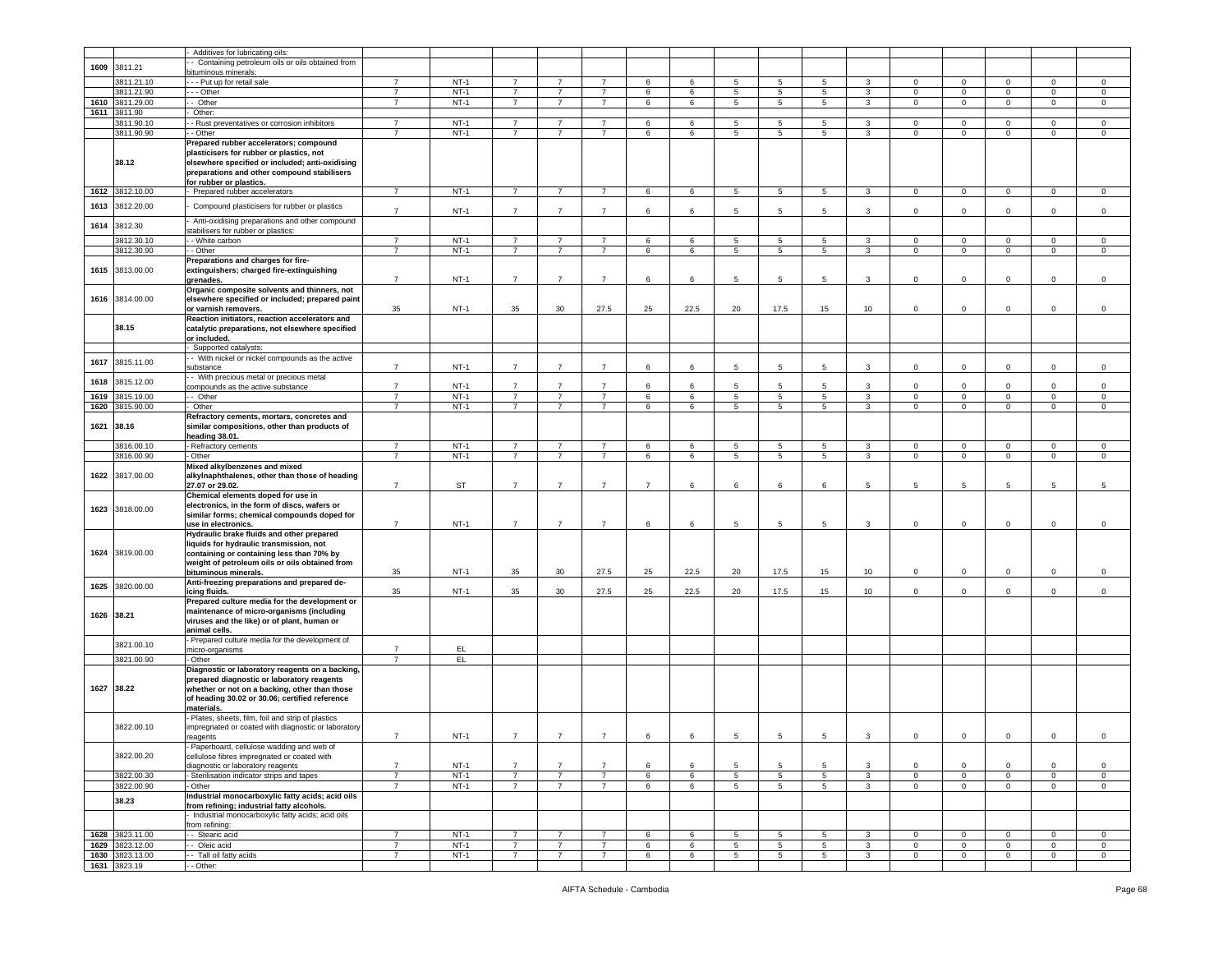|            |                          | Additives for lubricating oils:                                                                                                                             |                                  |            |                |                |                |                |      |                 |                |                 |                         |                |                |                |                |                |
|------------|--------------------------|-------------------------------------------------------------------------------------------------------------------------------------------------------------|----------------------------------|------------|----------------|----------------|----------------|----------------|------|-----------------|----------------|-----------------|-------------------------|----------------|----------------|----------------|----------------|----------------|
|            |                          | Containing petroleum oils or oils obtained from                                                                                                             |                                  |            |                |                |                |                |      |                 |                |                 |                         |                |                |                |                |                |
| 1609       | 3811.21                  | bituminous minerals:                                                                                                                                        |                                  |            |                |                |                |                |      |                 |                |                 |                         |                |                |                |                |                |
|            | 3811.21.10               | --- Put up for retail sale                                                                                                                                  | $\overline{7}$                   | $NT-1$     | $\overline{7}$ | 7              | 7              | 6              | 6    | 5               | 5              | 5               | 3                       | $\overline{0}$ | $\mathbf 0$    | $\mathbf 0$    | 0              | $\circ$        |
|            | 3811.21.90               | - - Other                                                                                                                                                   | $\overline{7}$                   | $NT-1$     | $\overline{7}$ | $\overline{7}$ | $\overline{7}$ | 6              | 6    | $5\phantom{.0}$ | 5              | $\,$ 5 $\,$     | 3                       | $\,0\,$        | $\mathbf 0$    | $\mathbf 0$    | $\mathsf 0$    | $\mathbf 0$    |
| 1610       | 3811.29.00               | - Other                                                                                                                                                     | $\overline{7}$                   | $NT-1$     | $\overline{7}$ | $\overline{7}$ | $\overline{7}$ | 6              | 6    | $5\overline{)}$ | $\overline{5}$ | 5               | $\overline{\mathbf{3}}$ | $\overline{0}$ | $\overline{0}$ | $\overline{0}$ | $\overline{0}$ | $\overline{0}$ |
| 1611       | 3811.90                  | Other:                                                                                                                                                      |                                  |            |                |                |                |                |      |                 |                |                 |                         |                |                |                |                |                |
|            | 3811.90.10               | - Rust preventatives or corrosion inhibitors                                                                                                                | $\overline{7}$                   | $NT-1$     | $\overline{7}$ | $\overline{7}$ | $\overline{7}$ | $\,6\,$        | 6    | $5\phantom{.0}$ | 5              | $\overline{5}$  | 3                       | $\overline{0}$ | $\mathbf 0$    | $\mathbf 0$    | 0              | $\mathbf 0$    |
|            | 3811.90.90               | - Other                                                                                                                                                     | $\overline{7}$                   | $NT-1$     | $\overline{7}$ | $\overline{7}$ | $\overline{7}$ | 6              | 6    | 5               | 5              | 5               | 3                       | $\overline{0}$ | $\mathbf 0$    | $\mathbf 0$    | $\mathbf{0}$   | $\circ$        |
|            |                          | Prepared rubber accelerators; compound                                                                                                                      |                                  |            |                |                |                |                |      |                 |                |                 |                         |                |                |                |                |                |
|            | 38.12                    | plasticisers for rubber or plastics, not<br>elsewhere specified or included; anti-oxidising<br>preparations and other compound stabilisers                  |                                  |            |                |                |                |                |      |                 |                |                 |                         |                |                |                |                |                |
|            |                          | for rubber or plastics.                                                                                                                                     |                                  |            |                |                |                |                |      |                 |                |                 |                         |                |                |                |                |                |
| 1612       | 3812.10.00               | Prepared rubber accelerators                                                                                                                                | $\overline{7}$                   | $NT-1$     | $\overline{7}$ | -7             | $\overline{7}$ | 6              | 6    | 5               | 5              | 5               | $\mathbf{3}$            | $\mathbf{0}$   | $\mathbf 0$    | $\mathbf{0}$   | 0              | 0              |
| 1613       | 3812.20.00               | Compound plasticisers for rubber or plastics                                                                                                                | $\overline{7}$                   | $NT-1$     | $\overline{7}$ | $\overline{7}$ | $\overline{7}$ | 6              | 6    | 5               | 5              | 5               | 3                       | $\mathsf 0$    | $\mathbf 0$    | $\mathbf 0$    | 0              | $\mathbf 0$    |
| 1614       | 3812.30                  | Anti-oxidising preparations and other compound<br>stabilisers for rubber or plastics:                                                                       |                                  |            |                |                |                |                |      |                 |                |                 |                         |                |                |                |                |                |
|            | 3812.30.10               | - White carbon                                                                                                                                              | $\overline{7}$                   | $NT-1$     | $\overline{7}$ | 7              | 7              | 6              | 6    | 5               | 5              | 5               | 3                       | $\overline{0}$ | $\mathbf 0$    | $\mathbf 0$    | 0              | $\mathbf 0$    |
|            | 3812.30.90               | - Other                                                                                                                                                     | $\overline{7}$                   | $NT-1$     | $\overline{7}$ | $\overline{7}$ | $\overline{7}$ | 6              | 6    | $5\phantom{.0}$ | 5              | $5\phantom{.0}$ | 3                       | $\overline{0}$ | $\mathbf 0$    | $\circ$        | $\mathbf 0$    | $\mathbf 0$    |
|            | 1615 3813.00.00          | Preparations and charges for fire-<br>extinguishers; charged fire-extinguishing<br>grenades.                                                                | $\overline{7}$                   | $NT-1$     | $\overline{7}$ | $\overline{7}$ | $\overline{7}$ | 6              | 6    | 5               | 5              | 5               | 3                       | $\mathbf 0$    | $\Omega$       | $\mathbf 0$    | $\mathbf 0$    | $\mathbf 0$    |
|            | 1616 3814.00.00          | Organic composite solvents and thinners, not<br>elsewhere specified or included; prepared paint                                                             |                                  |            |                |                |                |                |      |                 |                |                 |                         |                |                |                |                |                |
|            |                          | or varnish removers.                                                                                                                                        | 35                               | $NT-1$     | 35             | 30             | 27.5           | 25             | 22.5 | 20              | 17.5           | 15              | 10                      | $\mathbf 0$    | $\mathbf 0$    | $\mathbf 0$    | 0              | $\mathbf 0$    |
|            | 38.15                    | Reaction initiators, reaction accelerators and<br>catalytic preparations, not elsewhere specified                                                           |                                  |            |                |                |                |                |      |                 |                |                 |                         |                |                |                |                |                |
|            |                          | or included.                                                                                                                                                |                                  |            |                |                |                |                |      |                 |                |                 |                         |                |                |                |                |                |
|            |                          | Supported catalysts:                                                                                                                                        |                                  |            |                |                |                |                |      |                 |                |                 |                         |                |                |                |                |                |
| 1617       | 3815.11.00               | - With nickel or nickel compounds as the active<br>substance                                                                                                | $\overline{7}$                   | $NT-1$     | $\overline{7}$ | $\overline{7}$ | $\overline{7}$ | 6              | 6    | 5               | 5              | 5               | 3                       | $\mathbf 0$    | $\mathbf 0$    | $\mathbf 0$    | 0              | $\mathbf 0$    |
| 1618       | 3815.12.00               | - With precious metal or precious metal<br>compounds as the active substance                                                                                | $\overline{7}$                   | $NT-1$     | $\overline{7}$ | $\overline{7}$ | $\overline{7}$ | 6              | 6    | 5               | 5              | 5               | 3                       | $\overline{0}$ | $\mathsf 0$    | $\mathbf 0$    | $\mathbf{0}$   | $\mathbf 0$    |
| 1619       | 3815.19.00               | - Other                                                                                                                                                     | $\overline{7}$                   | $NT-1$     | $\overline{7}$ | $\overline{7}$ | $\overline{7}$ | 6              | 6    | $\overline{5}$  | 5              | 5               | 3                       | $\,0\,$        | $\mathbf 0$    | $\mathsf 0$    | $\overline{0}$ | $\mathsf 0$    |
| 1620       | 3815.90.00               | Other                                                                                                                                                       | $\overline{7}$                   | $NT-1$     | $\overline{7}$ | $\overline{7}$ | $\overline{7}$ | 6              | 6    | 5               | 5              | 5               | 3                       | $\mathbf 0$    | $\mathbf 0$    | $\mathbf 0$    | $\mathbf 0$    | $\mathbf 0$    |
|            |                          | Refractory cements, mortars, concretes and                                                                                                                  |                                  |            |                |                |                |                |      |                 |                |                 |                         |                |                |                |                |                |
| 1621       | 38.16                    | similar compositions, other than products of<br>heading 38.01.                                                                                              |                                  |            |                |                |                |                |      |                 |                |                 |                         |                |                |                |                |                |
|            | 3816.00.10               | - Refractory cements                                                                                                                                        | $\overline{7}$                   | $NT-1$     | 7              | 7              | 7              | 6              | 6    | 5               | 5              | 5               | 3                       | $\overline{0}$ | $\mathbf 0$    | $\mathbf 0$    | 0              | $\circ$        |
|            | 3816.00.90               | - Other                                                                                                                                                     | $\overline{7}$                   | $NT-1$     | $\overline{7}$ | $\overline{7}$ | $\overline{7}$ | $\,6$          | 6    | $5\phantom{.0}$ | 5              | $5\phantom{.0}$ | $\mathbf{3}$            | $\mathbf 0$    | $\mathbf 0$    | $\mathbf{0}$   | $\mathbf 0$    | $\mathbf 0$    |
| 1622       | 3817.00.00               | Mixed alkylbenzenes and mixed<br>alkylnaphthalenes, other than those of heading<br>27.07 or 29.02.                                                          | $\overline{7}$                   | ST         | $\overline{7}$ | $\overline{7}$ | $\overline{7}$ | $\overline{7}$ | 6    | 6               | 6              | 6               | 5                       | $\overline{5}$ | 5              | 5              | 5              | 5              |
|            | 1623 3818.00.00          | Chemical elements doped for use in<br>electronics, in the form of discs, wafers or                                                                          |                                  |            |                |                |                |                |      |                 |                |                 |                         |                |                |                |                |                |
|            |                          | similar forms; chemical compounds doped for<br>use in electronics.                                                                                          | $\overline{7}$                   | $NT-1$     | $\overline{7}$ | $\overline{7}$ | $\overline{7}$ | 6              | 6    | 5               | 5              | 5               | 3                       | $\mathbf 0$    | $\mathbf 0$    | $\mathbf 0$    | $\mathbf 0$    | $\mathbf 0$    |
|            |                          | Hydraulic brake fluids and other prepared                                                                                                                   |                                  |            |                |                |                |                |      |                 |                |                 |                         |                |                |                |                |                |
| 1624       | 3819.00.00               | liquids for hydraulic transmission, not<br>containing or containing less than 70% by<br>weight of petroleum oils or oils obtained from                      |                                  | $NT-1$     | 35             | 30             |                |                | 22.5 |                 |                |                 |                         | $\mathbf 0$    |                |                |                |                |
|            |                          | bituminous minerals.<br>Anti-freezing preparations and prepared de-                                                                                         | 35                               |            |                |                | 27.5           | 25             |      | 20              | 17.5           | 15              | 10                      |                | 0              | $\mathbf 0$    | 0              | $\mathbf 0$    |
| 1625       | 3820.00.00               | icing fluids.                                                                                                                                               | 35                               | $NT-1$     | 35             | 30             | 27.5           | 25             | 22.5 | 20              | 17.5           | 15              | 10                      | $\mathbf 0$    | 0              | $\mathbf 0$    | 0              | $\mathbf 0$    |
| 1626 38.21 |                          | Prepared culture media for the development or<br>maintenance of micro-organisms (including<br>viruses and the like) or of plant, human or                   |                                  |            |                |                |                |                |      |                 |                |                 |                         |                |                |                |                |                |
|            |                          | animal cells.<br>Prepared culture media for the development of                                                                                              |                                  |            |                |                |                |                |      |                 |                |                 |                         |                |                |                |                |                |
|            | 3821.00.10<br>3821.00.90 | nicro-organisms<br>Other                                                                                                                                    | $\overline{7}$<br>$\overline{7}$ | EL.<br>EL. |                |                |                |                |      |                 |                |                 |                         |                |                |                |                |                |
|            |                          | Diagnostic or laboratory reagents on a backing,                                                                                                             |                                  |            |                |                |                |                |      |                 |                |                 |                         |                |                |                |                |                |
| 1627 38.22 |                          | prepared diagnostic or laboratory reagents<br>whether or not on a backing, other than those<br>of heading 30.02 or 30.06; certified reference<br>materials. |                                  |            |                |                |                |                |      |                 |                |                 |                         |                |                |                |                |                |
|            | 3822.00.10               | Plates, sheets, film, foil and strip of plastics<br>mpregnated or coated with diagnostic or laboratory<br>reagents                                          | $\overline{7}$                   | $NT-1$     | $\overline{7}$ | $\overline{7}$ | $\overline{7}$ | 6              | 6    | 5               | 5              | 5               | 3                       | $\mathbf 0$    | $\mathbf 0$    | $\mathbf{0}$   | $\mathbf 0$    | $\mathbf 0$    |
|            | 3822.00.20               | Paperboard, cellulose wadding and web of<br>cellulose fibres impregnated or coated with                                                                     |                                  |            |                |                |                |                |      |                 |                |                 |                         |                |                |                |                |                |
|            |                          | diagnostic or laboratory reagents                                                                                                                           | $\overline{7}$                   | $NT-1$     | $\overline{7}$ | $\overline{7}$ | $\overline{7}$ | 6              | 6    | 5               | 5              | 5               | 3                       | $\mathbf 0$    | $\mathbf 0$    | $\mathbf 0$    | 0              | $\mathbf 0$    |
|            | 3822.00.30               | Sterilisation indicator strips and tapes                                                                                                                    | $\overline{7}$                   | $NT-1$     | $\overline{7}$ | $\overline{7}$ | $\overline{7}$ | 6              | 6    | $5\phantom{.0}$ | 5              | $\overline{5}$  | 3                       | $\mathbf 0$    | $\mathbf 0$    | $\mathbf 0$    | $\mathbf 0$    | $\mathbf 0$    |
|            | 3822.00.90               | Other                                                                                                                                                       | $\overline{7}$                   | $NT-1$     | $\overline{7}$ | $\overline{7}$ | $\overline{7}$ | 6              | 6    | $5\overline{)}$ | 5              | $5\overline{)}$ | $\mathbf{3}$            | $\overline{0}$ | $\mathbf 0$    | $\mathbf{0}$   | $\mathbf 0$    | $\mathbf{0}$   |
|            | 38.23                    | Industrial monocarboxylic fatty acids; acid oils                                                                                                            |                                  |            |                |                |                |                |      |                 |                |                 |                         |                |                |                |                |                |
|            |                          | from refining; industrial fatty alcohols.<br>Industrial monocarboxylic fatty acids; acid oils                                                               |                                  |            |                |                |                |                |      |                 |                |                 |                         |                |                |                |                |                |
|            |                          | from refining:                                                                                                                                              |                                  |            |                |                |                |                |      |                 |                |                 |                         |                |                |                |                |                |
| 1628       | 3823.11.00               | - Stearic acid                                                                                                                                              | $\overline{7}$                   | $NT-1$     | $\overline{7}$ | $\overline{7}$ | $\overline{7}$ | 6              | 6    | 5               | 5              | $5\phantom{.0}$ | $\mathbf{3}$            | $\overline{0}$ | $\mathbf 0$    | $\overline{0}$ | $\mathbf 0$    | $\circ$        |
| 1629       | 3823.12.00               | - Oleic acid                                                                                                                                                | $\overline{7}$                   | $NT-1$     | $\overline{7}$ | $\overline{7}$ | $\overline{7}$ | 6              | 6    | 5               | 5              | 5               | 3                       | $\mathbf 0$    | $\mathbf 0$    | $\mathbf{0}$   | 0              | 0              |
| 1630       | 3823.13.00               | - Tall oil fatty acids                                                                                                                                      | $\overline{7}$                   | $NT-1$     | $\overline{7}$ | $\overline{7}$ | $\overline{7}$ | 6              | 6    | $5\overline{5}$ | 5              | $5\overline{5}$ | 3                       | $\overline{0}$ | $\mathbf 0$    | $\overline{0}$ | $\overline{0}$ | $\circ$        |
|            | 1631 3823.19             | - - Other:                                                                                                                                                  |                                  |            |                |                |                |                |      |                 |                |                 |                         |                |                |                |                |                |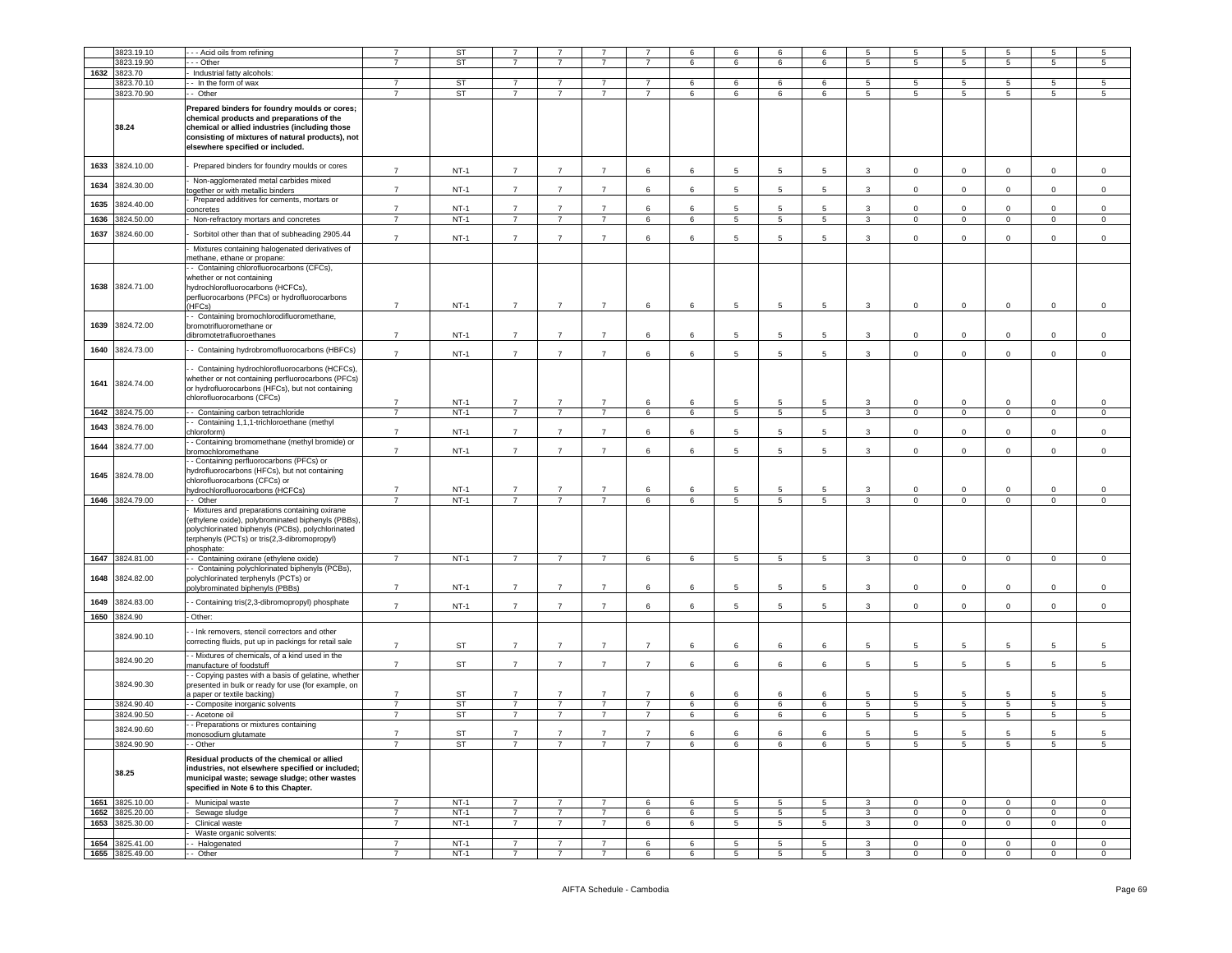|      | 3823.19.10          |                                                                                                                                                                                                                                      | $\overline{7}$ | <b>ST</b> | $\overline{7}$ |                |                | $\overline{7}$  |                 | 6               |                 | 6               |                         |                | 5               |                 |                | 5           |
|------|---------------------|--------------------------------------------------------------------------------------------------------------------------------------------------------------------------------------------------------------------------------------|----------------|-----------|----------------|----------------|----------------|-----------------|-----------------|-----------------|-----------------|-----------------|-------------------------|----------------|-----------------|-----------------|----------------|-------------|
|      |                     | - - Acid oils from refining                                                                                                                                                                                                          |                |           |                |                |                |                 | 6               |                 | 6               |                 | 5                       | 5              |                 | 5               | 5              |             |
|      | 3823.19.90          | - - Other                                                                                                                                                                                                                            | $\overline{7}$ | ST        | $\overline{7}$ | $\overline{7}$ | $\overline{7}$ | $\overline{7}$  | 6               | 6               | 6               | 6               | 5                       | 5              | $5\overline{5}$ | 5               | 5              | $\sqrt{5}$  |
| 1632 | 3823.70             | Industrial fatty alcohols:                                                                                                                                                                                                           |                |           |                |                |                |                 |                 |                 |                 |                 |                         |                |                 |                 |                |             |
|      | 3823.70.10          | - In the form of wax                                                                                                                                                                                                                 | $\overline{7}$ | <b>ST</b> | $\overline{7}$ | $\overline{7}$ | $\overline{7}$ | $\overline{7}$  | 6               | 6               | 6               | 6               | 5                       | 5              | 5               | 5               | 5              | 5           |
|      | 3823.70.90          | - Other                                                                                                                                                                                                                              | $\overline{7}$ | <b>ST</b> | $\overline{7}$ | $\overline{7}$ | $\overline{7}$ | $\overline{7}$  | $6\overline{6}$ | 6               | 6               | 6               | 5                       | $\overline{5}$ | 5               | $5\overline{5}$ | 5              | 5           |
|      |                     |                                                                                                                                                                                                                                      |                |           |                |                |                |                 |                 |                 |                 |                 |                         |                |                 |                 |                |             |
|      | 38.24               | Prepared binders for foundry moulds or cores;<br>chemical products and preparations of the<br>chemical or allied industries (including those<br>consisting of mixtures of natural products), not<br>elsewhere specified or included. |                |           |                |                |                |                 |                 |                 |                 |                 |                         |                |                 |                 |                |             |
| 1633 | 3824.10.00          | Prepared binders for foundry moulds or cores                                                                                                                                                                                         | $\overline{7}$ | $NT-1$    | $\overline{7}$ | $\overline{7}$ | $\overline{7}$ | 6               | 6               | 5               | 5               | 5               | 3                       | $\mathbf 0$    | $\mathsf 0$     | $\mathbf 0$     | $\mathsf 0$    | $\mathsf 0$ |
| 1634 | 3824.30.00          | Non-agglomerated metal carbides mixed<br>ogether or with metallic binders                                                                                                                                                            | $\overline{7}$ | $NT-1$    | $\overline{7}$ | $\overline{7}$ | $\overline{7}$ | 6               | 6               | 5               | 5               | 5               | 3                       | $\mathbf 0$    | $\mathsf 0$     | $\circ$         | $\mathbf 0$    | $\mathsf 0$ |
| 1635 | 3824.40.00          | Prepared additives for cements, mortars or<br>oncretes                                                                                                                                                                               | $\overline{7}$ | $NT-1$    | $\overline{7}$ | $\overline{7}$ | $\overline{7}$ | 6               | 6               | 5               | 5               | 5               | 3                       | $\mathbf 0$    | $\mathbf 0$     | 0               | 0              | $\mathsf 0$ |
| 1636 | 3824.50.00          | Non-refractory mortars and concretes                                                                                                                                                                                                 | $\overline{7}$ | $NT-1$    | $\overline{7}$ | $\overline{7}$ | $\overline{7}$ | $\,6\,$         | 6               | 5               | $5\phantom{.0}$ | 5               | $\mathbf{3}$            | $\mathbf 0$    | $\mathbf 0$     | $\mathbf 0$     | $\mathbf 0$    | $\mathsf 0$ |
| 1637 | 3824.60.00          | Sorbitol other than that of subheading 2905.44                                                                                                                                                                                       | $\overline{7}$ | $NT-1$    | $\overline{7}$ | $\overline{7}$ | $\overline{7}$ | 6               | 6               | 5               | 5               | 5               | 3                       | $\mathbf 0$    | $\mathsf 0$     | $\mathbf 0$     | $\mathbf 0$    | $\mathsf 0$ |
|      |                     | Mixtures containing halogenated derivatives of<br>nethane, ethane or propane:                                                                                                                                                        |                |           |                |                |                |                 |                 |                 |                 |                 |                         |                |                 |                 |                |             |
|      | 1638 3824.71.00     | - Containing chlorofluorocarbons (CFCs),<br>whether or not containing<br>hydrochlorofluorocarbons (HCFCs),<br>perfluorocarbons (PFCs) or hydrofluorocarbons<br>HFCs)                                                                 | $\overline{7}$ | $NT-1$    | $\overline{7}$ | $\overline{7}$ | $\overline{7}$ | 6               | 6               | 5               | $5\phantom{.0}$ | 5               | 3                       | $\mathbf 0$    | $\mathsf 0$     | $\mathbf 0$     | 0              | $\mathsf 0$ |
| 1639 | 3824.72.00          | - Containing bromochlorodifluoromethane,<br>bromotrifluoromethane or                                                                                                                                                                 |                |           |                |                |                |                 |                 |                 |                 |                 |                         |                |                 |                 |                |             |
| 1640 | 3824.73.00          | dibromotetrafluoroethanes<br>- Containing hydrobromofluorocarbons (HBFCs)                                                                                                                                                            | $\overline{7}$ | $NT-1$    | $\overline{7}$ | $\overline{7}$ | $\overline{7}$ | 6               | 6               | 5               | 5               | 5               | 3                       | 0              | $\mathbf 0$     | 0               | $\mathbf 0$    | $\mathsf 0$ |
|      |                     | Containing hydrochlorofluorocarbons (HCFCs),                                                                                                                                                                                         | $\overline{7}$ | $NT-1$    | $\overline{7}$ | $\overline{7}$ | $\overline{7}$ | 6               | 6               | 5               | 5               | 5               | $\mathbf{3}$            | $\circ$        | $\mathbf 0$     | $\mathbf 0$     | $\mathbf 0$    | $\mathsf 0$ |
| 1641 | 3824.74.00          | whether or not containing perfluorocarbons (PFCs)<br>or hydrofluorocarbons (HFCs), but not containing<br>chlorofluorocarbons (CFCs)                                                                                                  | $\overline{7}$ | $NT-1$    | $\overline{7}$ | $\overline{7}$ | $\overline{7}$ | 6               | 6               | 5               | 5               | 5               | 3                       | 0              | $\mathbf 0$     | 0               | $\mathbf 0$    | 0           |
| 1642 | 3824.75.00          | - Containing carbon tetrachloride                                                                                                                                                                                                    | $\overline{7}$ | $NT-1$    | $\overline{7}$ | $\overline{7}$ | $\overline{7}$ | $6\overline{6}$ | 6               | 5               | $5\overline{)}$ | 5               | $\overline{\mathbf{3}}$ | $\circ$        | $\overline{0}$  | $\overline{0}$  | $\overline{0}$ | $\mathbf 0$ |
| 1643 | 3824.76.00          | - Containing 1,1,1-trichloroethane (methyl                                                                                                                                                                                           |                |           |                |                |                |                 |                 |                 |                 |                 |                         |                |                 |                 |                |             |
|      |                     | chloroform)<br>- Containing bromomethane (methyl bromide) or                                                                                                                                                                         | $\overline{7}$ | $NT-1$    | $\overline{7}$ | $\overline{7}$ | $\overline{7}$ | 6               | 6               | 5               | 5               | 5               | 3                       | $\mathbf 0$    | $\mathsf 0$     | $\mathbf 0$     | $\mathsf 0$    | $\mathsf 0$ |
| 1644 | 3824.77.00          | bromochloromethane<br>- Containing perfluorocarbons (PFCs) or                                                                                                                                                                        | $\overline{7}$ | $NT-1$    | $\overline{7}$ | $\overline{7}$ | $\overline{7}$ | 6               | 6               | 5               | 5               | 5               | 3                       | $\mathbf 0$    | $\mathsf 0$     | $\mathbf 0$     | $\mathbf 0$    | $\mathbf 0$ |
| 1645 | 3824.78.00          | hydrofluorocarbons (HFCs), but not containing<br>chlorofluorocarbons (CFCs) or<br>ydrochlorofluorocarbons (HCFCs)                                                                                                                    | $\overline{7}$ | $NT-1$    | $\overline{7}$ | $\overline{7}$ | $\overline{7}$ | 6               | 6               | 5               | 5               | 5               | 3                       | $\mathbf 0$    | $\mathbf 0$     | 0               | $\mathbf 0$    | $\,0\,$     |
| 1646 | 3824.79.00          | - Other                                                                                                                                                                                                                              | $\overline{7}$ | $NT-1$    | $\overline{7}$ | $\overline{7}$ | $\overline{7}$ | 6               | 6               | $\overline{5}$  | $5\phantom{.0}$ | 5               | $\mathbf{3}$            | $\mathsf 0$    | $\mathbf 0$     | $\mathsf 0$     | $\mathsf 0$    | $\mathsf 0$ |
|      |                     | Mixtures and preparations containing oxirane<br>(ethylene oxide), polybrominated biphenyls (PBBs),<br>polychlorinated biphenyls (PCBs), polychlorinated<br>terphenyls (PCTs) or tris(2,3-dibromopropyl)<br>phosphate:                |                |           |                |                |                |                 |                 |                 |                 |                 |                         |                |                 |                 |                |             |
| 1647 | 3824.81.00          | - Containing oxirane (ethylene oxide)                                                                                                                                                                                                | $\overline{7}$ | $NT-1$    | $\overline{7}$ | $\overline{7}$ | $\overline{7}$ | 6               | 6               | 5               | 5               | 5               | 3                       | $\mathbf{0}$   | $\mathbf{0}$    | $\mathbf{0}$    | 0              | $\mathbf 0$ |
| 1648 | 3824.82.00          | - Containing polychlorinated biphenyls (PCBs),<br>polychlorinated terphenyls (PCTs) or<br>polybrominated biphenyls (PBBs)                                                                                                            | $\overline{7}$ | $NT-1$    | $\overline{7}$ | $\overline{7}$ | $\overline{7}$ | 6               | 6               | $5\overline{5}$ | 5               | $5\overline{5}$ | 3                       | $\circ$        | $^{\circ}$      | $\mathbf 0$     | $\mathbf 0$    | $\mathsf 0$ |
| 1649 | 3824.83.00          | - Containing tris(2,3-dibromopropyl) phosphate                                                                                                                                                                                       | $\overline{7}$ | $NT-1$    | $\overline{7}$ | $\overline{7}$ | $\overline{7}$ | 6               | 6               | 5               | 5               | 5               | 3                       | $\circ$        | $\mathbf 0$     | $\mathbf 0$     | $\circ$        | $\,0\,$     |
| 1650 | 3824.90             | Other:                                                                                                                                                                                                                               |                |           |                |                |                |                 |                 |                 |                 |                 |                         |                |                 |                 |                |             |
|      | 3824.90.10          | - Ink removers, stencil correctors and other<br>correcting fluids, put up in packings for retail sale                                                                                                                                | $\overline{7}$ | <b>ST</b> | $\overline{7}$ | $\overline{7}$ | $\overline{7}$ | $\overline{7}$  | 6               | 6               | 6               | 6               | 5                       | 5              | 5               | 5               | 5              | 5           |
|      | 3824.90.20          | - Mixtures of chemicals, of a kind used in the                                                                                                                                                                                       |                |           |                |                |                |                 |                 |                 |                 |                 |                         |                |                 |                 |                |             |
|      |                     | manufacture of foodstuff<br>- Copying pastes with a basis of gelatine, whether                                                                                                                                                       | $\overline{7}$ | <b>ST</b> | $\overline{7}$ | $\overline{7}$ | $\overline{7}$ | $\overline{7}$  | 6               | 6               | 6               | 6               | $\overline{5}$          | 5              | 5               | 5               | 5              | 5           |
|      | 3824.90.30          | presented in bulk or ready for use (for example, on<br>a paper or textile backing)                                                                                                                                                   | $\overline{7}$ | ST        | $\overline{7}$ | $\overline{7}$ | $\overline{7}$ | $\overline{7}$  | 6               | 6               | 6               | 6               | 5                       | 5              | 5               | 5               | 5              | 5           |
|      | 3824.90.40          | - Composite inorganic solvents                                                                                                                                                                                                       | $\overline{7}$ | ST        | $\overline{7}$ | $\overline{7}$ | $\overline{7}$ | $\overline{7}$  | 6               | 6               | $\,6\,$         | 6               | $5\overline{5}$         | 5              | $\sqrt{5}$      | 5 <sub>5</sub>  | $\overline{5}$ | $\sqrt{5}$  |
|      | 3824.90.50          | - Acetone oil                                                                                                                                                                                                                        | $\overline{7}$ | <b>ST</b> | $\overline{7}$ | $\overline{7}$ | $\overline{7}$ | $\overline{7}$  | 6               | 6               | 6               | 6               | $5\overline{)}$         | 5              | $\overline{5}$  | $5\overline{)}$ | 5              | $\sqrt{5}$  |
|      |                     | - Preparations or mixtures containing                                                                                                                                                                                                |                |           |                |                |                |                 |                 |                 |                 |                 |                         |                |                 |                 |                |             |
|      | 3824.90.60          | monosodium glutamate                                                                                                                                                                                                                 | $\overline{7}$ | <b>ST</b> | $\overline{7}$ | $\overline{7}$ | $\overline{7}$ | $\overline{7}$  | 6               | 6               | 6               | 6               | 5                       | 5              | 5               | 5               | 5              | 5           |
|      | 3824.90.90<br>38.25 | - Other<br>Residual products of the chemical or allied<br>industries, not elsewhere specified or included;<br>municipal waste; sewage sludge; other wastes<br>specified in Note 6 to this Chapter.                                   |                | SI.       |                |                |                |                 |                 |                 |                 |                 |                         |                |                 |                 |                |             |
|      | 1651 3825.10.00     | Municipal waste                                                                                                                                                                                                                      | $\overline{7}$ | $NT-1$    | $\overline{7}$ | $\overline{7}$ | $\overline{7}$ | 6               | 6               | 5               | 5               | 5               | $\mathbf{3}$            | $\circ$        | $\mathbf{0}$    | $\mathbf{0}$    | $\circ$        | $\mathsf 0$ |
|      |                     |                                                                                                                                                                                                                                      | $\overline{7}$ | $NT-1$    |                | $\overline{7}$ |                |                 |                 |                 |                 |                 |                         |                |                 |                 |                |             |
| 1652 | 3825.20.00          | Sewage sludge                                                                                                                                                                                                                        |                |           | $\overline{7}$ |                | $\overline{7}$ | 6               | 6               | 5               | 5               | 5               | $\mathbf{3}$            | $\mathbf 0$    | $\mathbf 0$     | $\circ$         | $\mathbf 0$    | $\mathsf 0$ |
| 1653 | 3825.30.00          | Clinical waste                                                                                                                                                                                                                       | $\overline{7}$ | $NT-1$    | $\overline{7}$ | $\overline{7}$ | $\overline{7}$ | 6               | 6               | 5               | 5               | 5               | 3                       | $\mathbf 0$    | $\mathbf 0$     | $\mathbf 0$     | $\mathbf 0$    | $\mathsf 0$ |
|      |                     | Waste organic solvents:                                                                                                                                                                                                              |                |           |                |                |                |                 |                 |                 |                 |                 |                         |                |                 |                 |                |             |
| 1654 | 3825.41.00          | - Halogenated                                                                                                                                                                                                                        | $\overline{7}$ | $NT-1$    | $\overline{7}$ | $\overline{7}$ | $\overline{7}$ | 6               | 6               | 5               | 5               | 5               | 3                       | $\mathbf{0}$   | $\mathbf 0$     | $\mathbf 0$     | $\mathbf 0$    | $\mathbf 0$ |
|      | 1655 3825.49.00     | - Other                                                                                                                                                                                                                              | $\overline{7}$ | $NT-1$    | $\overline{7}$ | $\overline{7}$ | $\overline{7}$ | 6               | 6               | $5^{\circ}$     | 5               | 5 <sub>5</sub>  | $\mathbf{3}$            | $\Omega$       | $\mathbf 0$     | $\mathbf 0$     | $\mathbf 0$    | $\mathbf 0$ |
|      |                     |                                                                                                                                                                                                                                      |                |           |                |                |                |                 |                 |                 |                 |                 |                         |                |                 |                 |                |             |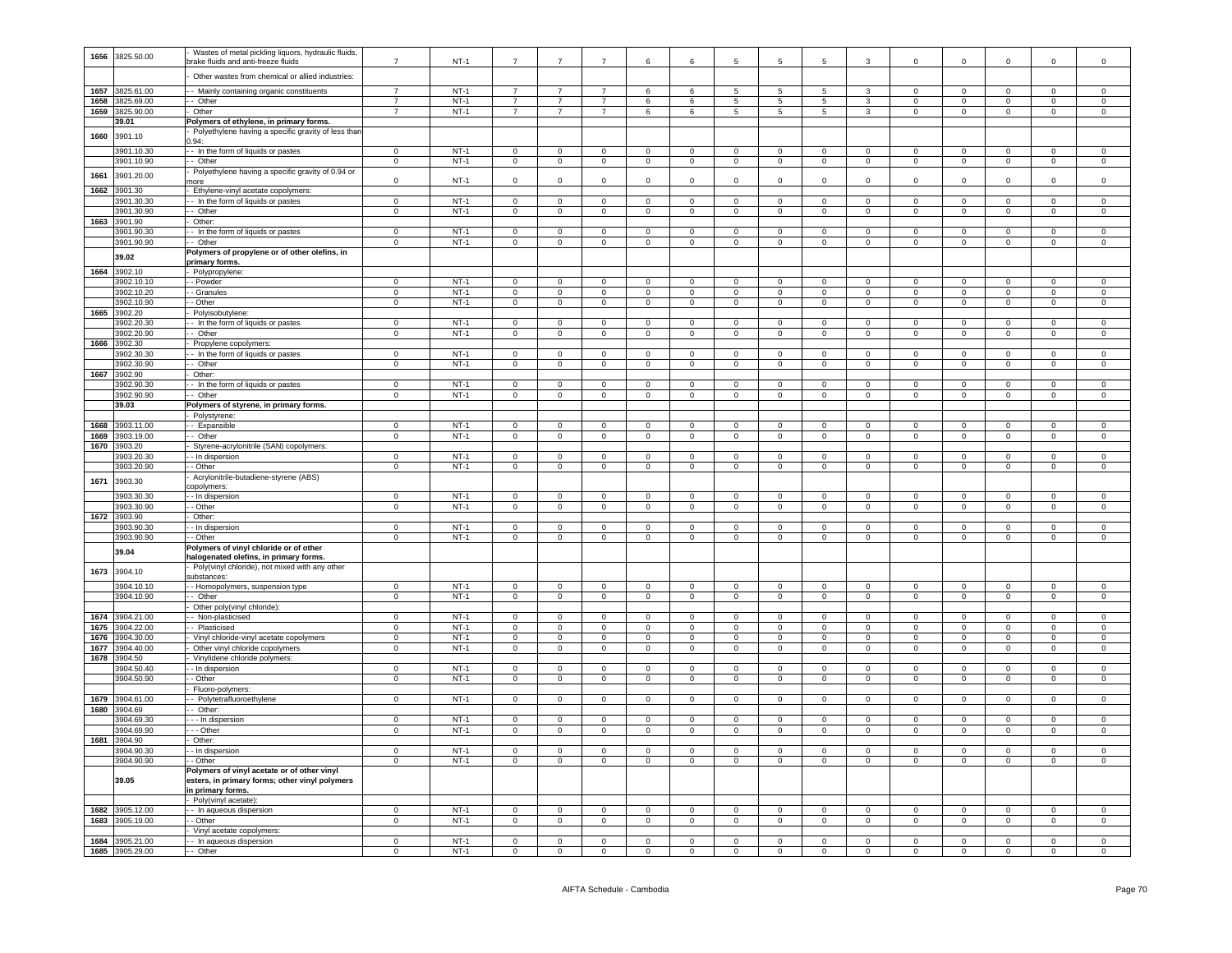| 1656         | 3825.50.00               | Wastes of metal pickling liquors, hydraulic fluids,<br>orake fluids and anti-freeze fluids                         | $\overline{7}$                | $NT-1$           | $\overline{7}$                | $\overline{7}$                | $\overline{7}$                | 6                             | 6                             | 5                             | 5                             |                               | 3                             | $\overline{0}$                | $\mathbf 0$                   | $\mathsf 0$                   | $\mathbf 0$                    | $\Omega$                      |
|--------------|--------------------------|--------------------------------------------------------------------------------------------------------------------|-------------------------------|------------------|-------------------------------|-------------------------------|-------------------------------|-------------------------------|-------------------------------|-------------------------------|-------------------------------|-------------------------------|-------------------------------|-------------------------------|-------------------------------|-------------------------------|--------------------------------|-------------------------------|
|              |                          | Other wastes from chemical or allied industries:                                                                   |                               |                  |                               |                               |                               |                               |                               |                               |                               |                               |                               |                               |                               |                               |                                |                               |
|              | 1657 3825.61.00          | - Mainly containing organic constituents                                                                           | $\overline{7}$                | $NT-1$           | $\overline{7}$                | $\overline{7}$                | $\overline{7}$                | 6                             | 6                             | 5                             | -5                            | -5                            | 3                             | $\Omega$                      | $\Omega$                      | $\Omega$                      | $\Omega$                       | $\ddot{\rm{o}}$               |
|              | 1658 3825.69.00          | - Other                                                                                                            | $\overline{7}$                | $NT-1$           | $\overline{7}$                | $\overline{7}$                | $\overline{7}$                | 6                             | 6                             | 5                             | 5                             | 5                             | 3                             | $\mathbf 0$                   | $\circ$                       | $\mathbf{0}$                  | $\mathbf 0$                    | $\circ$                       |
| 1659         | 3825.90.00<br>39.01      | Other<br>Polymers of ethylene, in primary forms.                                                                   | $\overline{7}$                | $NT-1$           | $\overline{7}$                | $\overline{7}$                | $\overline{7}$                | 6                             | 6                             | 5                             | 5                             | $5\overline{5}$               | $\mathbf{3}$                  | $\mathbf 0$                   | $\mathbf 0$                   | $\circ$                       | $\mathbf{0}$                   | $\mathbf 0$                   |
| 1660         | 3901.10                  | Polyethylene having a specific gravity of less thar<br>0.94:                                                       |                               |                  |                               |                               |                               |                               |                               |                               |                               |                               |                               |                               |                               |                               |                                |                               |
|              | 3901.10.30               | - In the form of liquids or pastes                                                                                 | $\overline{0}$                | $NT-1$           | $\mathbf 0$                   | $\mathbf 0$                   | $\circ$                       | $\mathbf 0$                   | $\overline{0}$                | $\mathbf 0$                   | $\mathbf 0$                   | $\mathbf 0$                   | $\circ$                       | $\mathbf 0$                   | $\mathbf 0$                   | $\mathbf{0}$                  | $\circ$                        | $\mathbf 0$                   |
|              | 3901.10.90               | - Other                                                                                                            | $\mathbf 0$                   | $NT-1$           | $\overline{0}$                | $\mathbf{0}$                  | $\overline{0}$                | $\overline{0}$                | $\overline{0}$                | $\mathsf 0$                   | $\overline{0}$                | $\mathbf{0}$                  | $\overline{0}$                | $\overline{0}$                | $\overline{0}$                | $\overline{0}$                | $\overline{0}$                 | $\mathbf 0$                   |
| 1661         | 3901.20.00               | Polyethylene having a specific gravity of 0.94 or<br>nore                                                          | $\mathbf 0$                   | $NT-1$           | $\mathbf 0$                   | $\mathbf 0$                   | $\mathsf 0$                   | $\mathsf 0$                   | $\mathbf 0$                   | $\mathbf 0$                   | $\mathbf 0$                   | $\mathbf 0$                   | $\mathbf 0$                   | $\mathbf 0$                   | $\mathbf 0$                   | $\mathbf 0$                   | $\mathbf 0$                    | $\mathbf 0$                   |
| 1662         | 3901.30                  | - Ethylene-vinyl acetate copolymers:                                                                               |                               |                  |                               |                               |                               |                               |                               |                               |                               |                               |                               |                               |                               |                               |                                |                               |
|              | 3901.30.30               | - In the form of liquids or pastes                                                                                 | $\Omega$                      | $NT-1$           | $\Omega$                      | $\Omega$                      | $\Omega$                      | $\Omega$                      | $\overline{0}$                | $\overline{0}$                | $\Omega$                      | $\Omega$                      | $\overline{0}$                | $\Omega$                      | $\Omega$                      | $\overline{0}$                | $\Omega$                       | $\Omega$                      |
|              | 3901.30.90               | - Other                                                                                                            | $\overline{0}$                | $NT-1$           | $\overline{0}$                | $\overline{0}$                | $\overline{0}$                | $\overline{0}$                | $\overline{0}$                | $\overline{0}$                | $\Omega$                      | $\Omega$                      | $\overline{0}$                | $\Omega$                      | $\Omega$                      | $\overline{0}$                | $\Omega$                       | $\overline{0}$                |
|              | 1663 3901.90             | Other:                                                                                                             |                               |                  |                               |                               |                               |                               |                               |                               |                               |                               |                               |                               |                               |                               |                                |                               |
|              | 3901.90.30               | - In the form of liquids or pastes<br>- Other                                                                      | $\mathbf 0$                   | $NT-1$<br>$NT-1$ | $\mathsf 0$                   | $\mathbf 0$                   | $\mathbf 0$                   | $\mathbf 0$                   | $\mathbf 0$                   | $\mathsf 0$                   | $\mathbf 0$                   | $\mathbf 0$                   | $\mathbf 0$                   | $\mathbf 0$                   | $\mathbf 0$<br>$\overline{0}$ | $\mathsf 0$                   | $\mathbf 0$                    | $\mathbf 0$                   |
|              | 3901.90.90               | Polymers of propylene or of other olefins, in                                                                      | $\overline{0}$                |                  | $\overline{0}$                | $\overline{0}$                | $\overline{0}$                | $\mathbf{0}$                  | $\mathbf{0}$                  | $\mathbf{0}$                  | $\overline{0}$                | $\overline{0}$                | $\overline{0}$                | $^{\circ}$                    |                               | $\overline{0}$                | $\overline{0}$                 | $\overline{0}$                |
|              | 39.02                    | primary forms.                                                                                                     |                               |                  |                               |                               |                               |                               |                               |                               |                               |                               |                               |                               |                               |                               |                                |                               |
| 1664         | 3902.10                  | Polypropylene:                                                                                                     |                               |                  |                               |                               |                               |                               |                               |                               |                               |                               |                               |                               |                               |                               |                                |                               |
|              | 3902.10.10               | - Powder                                                                                                           | $\mathbf 0$                   | $NT-1$           | $\mathbf 0$                   | $\mathbf 0$                   | $\mathbf 0$                   | $\mathbf 0$                   | $\mathbf 0$                   | $\mathbf 0$                   | $\mathbf 0$                   | $\mathbf 0$                   | $\mathbf 0$                   | $\mathbf 0$                   | 0                             | 0                             | $\mathbf 0$                    | $\mathbf 0$                   |
|              | 3902.10.20               | - Granules                                                                                                         | $\mathbf 0$                   | $NT-1$           | $\mathbf{0}$                  | $\mathbf{0}$                  | $\overline{0}$                | $\circ$                       | $\overline{0}$                | $\mathbf 0$                   | $\overline{0}$                | $\circ$                       | $\circ$                       | $\mathbf{O}$                  | $\mathbf 0$                   | $\overline{0}$                | $\mathbf 0$                    | $\mathbf{0}$                  |
|              | 3902.10.90               | - Other                                                                                                            | $\overline{0}$                | $NT-1$           | $\overline{0}$                | $\overline{0}$                | $\overline{0}$                | $\overline{0}$                | $\overline{0}$                | $\mathsf 0$                   | $\overline{0}$                | $\overline{0}$                | $\overline{0}$                | $\overline{0}$                | $\overline{0}$                | $\overline{0}$                | $\overline{0}$                 | $\overline{0}$                |
|              | 1665 3902.20             | Polyisobutylene:                                                                                                   |                               |                  |                               |                               |                               |                               |                               |                               |                               |                               |                               |                               |                               |                               |                                |                               |
|              | 3902.20.30<br>3902.20.90 | - In the form of liquids or pastes<br>- Other                                                                      | $\mathbf 0$<br>$\overline{0}$ | $NT-1$<br>$NT-1$ | $\mathbf 0$<br>$\overline{0}$ | $\mathsf 0$<br>$\overline{0}$ | $\mathbf 0$<br>$\overline{0}$ | $\mathsf 0$<br>$\overline{0}$ | $\mathbf 0$<br>$\overline{0}$ | $\mathsf 0$<br>$\overline{0}$ | $\mathbf 0$<br>$\overline{0}$ | $\mathsf 0$<br>$\overline{0}$ | $\mathbf 0$<br>$\overline{0}$ | $\mathbf 0$<br>$^{\circ}$     | $\mathbf 0$<br>$\overline{0}$ | $\mathsf 0$<br>$\overline{0}$ | $\mathbf{0}$<br>$\overline{0}$ | $\mathbf 0$<br>$\overline{0}$ |
| 1666         | 3902.30                  | Propylene copolymers:                                                                                              |                               |                  |                               |                               |                               |                               |                               |                               |                               |                               |                               |                               |                               |                               |                                |                               |
|              | 3902.30.30               | - In the form of liquids or pastes                                                                                 | $\mathbf 0$                   | $NT-1$           | $\Omega$                      | $\mathbf 0$                   | $\mathsf 0$                   | $\Omega$                      | $\Omega$                      | $\Omega$                      | $\Omega$                      | $\Omega$                      | $\overline{0}$                | $\Omega$                      | $\mathbf 0$                   | $\overline{0}$                | $\mathsf 0$                    | $\Omega$                      |
|              | 3902.30.90               | - Other                                                                                                            | $\overline{0}$                | $NT-1$           | $\overline{0}$                | $\overline{0}$                | $\overline{0}$                | $\overline{0}$                | $\overline{0}$                | $\overline{0}$                | $\overline{0}$                | $\overline{0}$                | $\overline{0}$                | $\overline{0}$                | $\overline{0}$                | $\overline{0}$                | $\overline{0}$                 | $\overline{0}$                |
| 1667         | 3902.90                  | Other:                                                                                                             |                               |                  |                               |                               |                               |                               |                               |                               |                               |                               |                               |                               |                               |                               |                                |                               |
|              | 3902.90.30               | - In the form of liquids or pastes                                                                                 | $\Omega$                      | $NT-1$           | $\Omega$                      | $\Omega$                      | $\Omega$                      | $\Omega$                      | $\Omega$                      | $\Omega$                      | $\Omega$                      | $\Omega$                      | $\Omega$                      | $\Omega$                      | $\Omega$                      | $\Omega$                      | $\Omega$                       | $\Omega$                      |
|              | 3902.90.90               | - Other                                                                                                            | $\mathbf{0}$                  | $NT-1$           | $\mathbf 0$                   | $\mathbf{0}$                  | $\overline{0}$                | $\overline{0}$                | $\overline{0}$                | $\mathbf 0$                   | $\mathsf 0$                   | $\mathbf{0}$                  | $\overline{0}$                | $\overline{0}$                | $\overline{0}$                | $\overline{0}$                | $\mathbf 0$                    | $\mathbf{0}$                  |
|              | 39.03                    | Polymers of styrene, in primary forms.                                                                             |                               |                  |                               |                               |                               |                               |                               |                               |                               |                               |                               |                               |                               |                               |                                |                               |
|              |                          | Polystyrene:                                                                                                       |                               |                  |                               |                               |                               |                               |                               |                               |                               |                               |                               |                               |                               |                               |                                |                               |
| 1668         | 3903.11.00               | - Expansible<br>- Other                                                                                            | $\mathbf 0$                   | $NT-1$<br>$NT-1$ | $\mathbf 0$<br>$\mathbf{0}$   | $\mathsf 0$<br>$\overline{0}$ | $\mathbf 0$                   | $\mathbf 0$<br>$\mathbf{0}$   | $\mathbf 0$<br>$\overline{0}$ | $\mathsf 0$<br>$\mathbf{0}$   | $\mathsf 0$<br>$\overline{0}$ | $\mathbf 0$<br>$\mathbf 0$    | $\mathsf 0$<br>$\overline{0}$ | $\mathbf 0$<br>$\mathbf 0$    | $\mathsf 0$<br>$^{\circ}$     | $\mathsf 0$<br>$\overline{0}$ | $\mathsf 0$                    | $\mathbf 0$<br>$\mathbf{0}$   |
| 1669<br>1670 | 3903.19.00<br>3903.20    | Styrene-acrylonitrile (SAN) copolymers:                                                                            | 0                             |                  |                               |                               | $\overline{0}$                |                               |                               |                               |                               |                               |                               |                               |                               |                               | $\mathbf{0}$                   |                               |
|              | 3903.20.30               | - In dispersion                                                                                                    | $\Omega$                      | $NT-1$           | $\Omega$                      | $\overline{0}$                | $\Omega$                      | $\overline{0}$                | $\overline{0}$                | $\Omega$                      | $\Omega$                      | $\Omega$                      | $\overline{0}$                | $\Omega$                      | $\Omega$                      | $\overline{0}$                | $\overline{0}$                 | $\Omega$                      |
|              | 3903.20.90               | - Other                                                                                                            | $\overline{0}$                | $NT-1$           | $\overline{0}$                | $\overline{0}$                | $\overline{0}$                | $\overline{0}$                | $\overline{0}$                | $\overline{0}$                | $\overline{0}$                | $\overline{0}$                | $\overline{0}$                | $\Omega$                      | $\overline{0}$                | $\overline{0}$                | $\overline{0}$                 | $\overline{0}$                |
| 1671         | 3903.30                  | Acrylonitrile-butadiene-styrene (ABS)<br>opolymers:                                                                |                               |                  |                               |                               |                               |                               |                               |                               |                               |                               |                               |                               |                               |                               |                                |                               |
|              | 3903.30.30               | - In dispersion                                                                                                    | $\mathsf 0$                   | $NT-1$           | $\mathbf 0$                   | $\mathsf 0$                   | $\mathbf 0$                   | $\mathsf 0$                   | $\overline{0}$                | $\mathbf 0$                   | $\overline{0}$                | $\mathbf 0$                   | $\mathsf 0$                   | $\mathbf 0$                   | $\mathsf 0$                   | $\mathbf 0$                   | $\mathbf 0$                    | $\mathbf 0$                   |
|              | 3903.30.90               | - Other                                                                                                            | $\Omega$                      | $NT-1$           | $\mathbf{0}$                  | $\overline{0}$                | $\mathbf 0$                   | $\Omega$                      | $\overline{0}$                | $\overline{0}$                | $\Omega$                      | $\Omega$                      | $\overline{0}$                | $\Omega$                      | $\Omega$                      | $\overline{0}$                | $\mathbf 0$                    | $\Omega$                      |
| 1672         | 3903.90                  | Other:                                                                                                             |                               |                  |                               |                               |                               |                               |                               |                               |                               |                               |                               |                               |                               |                               |                                |                               |
|              | 3903.90.30<br>3903.90.90 | - In dispersion<br>- Other                                                                                         | $\overline{0}$<br>$\mathbf 0$ | $NT-1$<br>$NT-1$ | $\overline{0}$<br>$\mathbf 0$ | $\overline{0}$<br>$\mathbf 0$ | $\overline{0}$<br>$\mathbf 0$ | $\overline{0}$<br>$\mathbf 0$ | $\overline{0}$<br>$\mathbf 0$ | $\overline{0}$<br>$\mathbf 0$ | $\overline{0}$<br>$\mathbf 0$ | $\overline{0}$<br>$\mathbf 0$ | $\overline{0}$<br>$\mathbf 0$ | $\overline{0}$<br>$\mathbf 0$ | $\overline{0}$<br>$\mathbf 0$ | $\overline{0}$<br>$\mathbf 0$ | $\overline{0}$<br>$\mathbf 0$  | $\Omega$<br>$\mathbf 0$       |
|              |                          | Polymers of vinyl chloride or of other                                                                             |                               |                  |                               |                               |                               |                               |                               |                               |                               |                               |                               |                               |                               |                               |                                |                               |
|              | 39.04                    | nalogenated olefins, in primary forms.                                                                             |                               |                  |                               |                               |                               |                               |                               |                               |                               |                               |                               |                               |                               |                               |                                |                               |
| 1673         | 3904.10                  | Poly(vinyl chloride), not mixed with any other<br>substances:                                                      |                               |                  |                               |                               |                               |                               |                               |                               |                               |                               |                               |                               |                               |                               |                                |                               |
|              | 3904.10.10               | - Homopolymers, suspension type                                                                                    | $\mathbf 0$                   | $NT-1$           | $\mathbf 0$                   | $\mathbf 0$                   | $\mathbf 0$                   | $\mathbf 0$                   | $\overline{0}$                | $\mathbf 0$                   | $\mathbf 0$                   | $\mathbf 0$                   | $\mathbf 0$                   | $\mathbf 0$                   | $\mathbf 0$                   | $\circ$                       | $\circ$                        | $\mathbf 0$                   |
|              | 3904.10.90               | - Other<br>Other poly(vinyl chloride):                                                                             | $\overline{0}$                | $NT-1$           | $\overline{0}$                | $\overline{0}$                | $\overline{0}$                | $\overline{0}$                | $\overline{0}$                | $\mathsf 0$                   | $\overline{0}$                | $\overline{0}$                | $\overline{0}$                | $\overline{0}$                | $\overline{0}$                | $\overline{0}$                | $\overline{0}$                 | $\mathbf{0}$                  |
| 1674         | 3904.21.00               | - Non-plasticised                                                                                                  | $\overline{0}$                | $NT-1$           | $\overline{0}$                | $\overline{0}$                | $\overline{0}$                | $\overline{0}$                | $\overline{0}$                | $\overline{0}$                | $\overline{0}$                | $\overline{0}$                | $\overline{0}$                | $\overline{0}$                | $\overline{0}$                | $\overline{0}$                | $\overline{0}$                 | $\overline{0}$                |
| 1675         | 3904.22.00               | - Plasticised                                                                                                      | $\mathbf 0$                   | $NT-1$           | $\mathsf 0$                   | $\mathbf 0$                   | $\mathbf 0$                   | $\mathbf 0$                   | $\mathsf 0$                   | $\mathsf 0$                   | $\mathbf 0$                   | $\mathsf 0$                   | $\mathbf 0$                   | $\mathbf 0$                   | $\mathbf 0$                   | $\mathbf 0$                   | $\mathsf 0$                    | $\mathbf 0$                   |
| 1676         | 3904.30.00               | Vinyl chloride-vinyl acetate copolymers                                                                            | $^{\circ}$                    | $NT-1$           | $\mathsf 0$                   | $\mathsf 0$                   | $\mathsf 0$                   | $\mathsf{O}\xspace$           | $\mathbf 0$                   | $\mathbf 0$                   | $\mathbf 0$                   | $\mathsf 0$                   | $\mathbf 0$                   | $^{\circ}$                    | $\mathsf{O}\xspace$           | $\circ$                       | $\mathsf 0$                    | $\mathsf{O}\xspace$           |
| 1677         | 3904.40.00               | Other vinyl chloride copolymers                                                                                    | $\Omega$                      | $NT-1$           | $\overline{0}$                | $\overline{0}$                | $\mathbf 0$                   | $\Omega$                      | $\overline{0}$                | $\overline{0}$                | $\Omega$                      | $\overline{0}$                | $\overline{0}$                | $\Omega$                      | $\Omega$                      | $\overline{0}$                | $\mathbf 0$                    | $\Omega$                      |
| 1678         | 3904.50                  | Vinylidene chloride polymers                                                                                       |                               |                  |                               |                               |                               |                               |                               |                               |                               |                               |                               |                               |                               |                               |                                |                               |
|              | 3904.50.40               | - In dispersion                                                                                                    | $\Omega$                      | $NT-1$           | $\Omega$                      | $\Omega$                      | $\Omega$                      | $\mathsf 0$                   | $\Omega$                      | $\Omega$                      | $\Omega$                      | $\Omega$                      | $\Omega$                      | $\Omega$                      | $\Omega$                      | $\Omega$                      | $\Omega$                       | $\Omega$                      |
|              | 3904.50.90               | - Other                                                                                                            | $\overline{0}$                | $NT-1$           | $\overline{0}$                | $\overline{0}$                | $\overline{0}$                | $\overline{0}$                | $\overline{0}$                | $\overline{0}$                | $\mathbf 0$                   | $\overline{0}$                | $\overline{0}$                | $\mathbf 0$                   | $\overline{0}$                | $\overline{0}$                | $\overline{0}$                 | $\mathbf 0$                   |
|              | 1679 3904.61.00          | Fluoro-polymers:<br>- Polytetrafluoroethylene                                                                      | $\mathbf 0$                   | $NT-1$           | $\overline{0}$                | $\circ$                       | $\overline{0}$                | $\overline{0}$                | $\overline{0}$                | $\mathsf 0$                   | $\mathbf{0}$                  | $\circ$                       | $\overline{0}$                | $\mathbf{0}$                  | $\overline{0}$                | $\overline{0}$                | $\overline{0}$                 | $\overline{0}$                |
| 1680         | 3904.69                  | Other:                                                                                                             |                               |                  |                               |                               |                               |                               |                               |                               |                               |                               |                               |                               |                               |                               |                                |                               |
|              | 3904.69.30               | - - In dispersion                                                                                                  | $\mathbf 0$                   | $NT-1$           | $\mathbf 0$                   | $\overline{0}$                | $\overline{0}$                | $\mathbf 0$                   | $\mathbf 0$                   | $\mathbf 0$                   | $\mathsf 0$                   | $\mathbf 0$                   | $\overline{0}$                | $\mathbf 0$                   | $\overline{0}$                | $\overline{0}$                | $\mathsf 0$                    | $\mathsf 0$                   |
|              | 3904.69.90               | - Other                                                                                                            | $\mathbf 0$                   | $NT-1$           | $\mathbf 0$                   | $\mathbf 0$                   | $\mathbf 0$                   | $\mathsf 0$                   | $\mathbf 0$                   | $\mathbf 0$                   | $\mathbf 0$                   | $\mathsf 0$                   | $\overline{0}$                | $^{\circ}$                    | $\mathbf 0$                   | $\mathsf 0$                   | $\mathsf 0$                    | $\mathsf 0$                   |
| 1681         | 3904.90                  | Other:                                                                                                             |                               |                  |                               |                               |                               |                               |                               |                               |                               |                               |                               |                               |                               |                               |                                |                               |
|              | 3904.90.30               | - In dispersion                                                                                                    | $\Omega$                      | $NT-1$           | $\Omega$                      | $\Omega$                      | $\overline{0}$                | $\Omega$                      | $\Omega$                      | $\Omega$                      | $\Omega$                      | $\Omega$                      | $\overline{0}$                | $\Omega$                      | $\Omega$                      | $\overline{0}$                | $\overline{0}$                 | $\Omega$                      |
|              | 3904.90.90               | - Other                                                                                                            | $\mathsf 0$                   | $NT-1$           | $\mathsf 0$                   | $\mathsf 0$                   | $\mathsf 0$                   | $\mathsf 0$                   | $\mathbf 0$                   | $\mathsf 0$                   | $\mathbf 0$                   | $\mathsf 0$                   | $\mathbf 0$                   | $\mathsf 0$                   | $\mathbf 0$                   | $\mathsf{O}\xspace$           | $\mathsf 0$                    | $\Omega$                      |
|              | 39.05                    | Polymers of vinyl acetate or of other vinyl<br>esters, in primary forms; other vinyl polymers<br>in primary forms. |                               |                  |                               |                               |                               |                               |                               |                               |                               |                               |                               |                               |                               |                               |                                |                               |
|              | 3905.12.00               | - Poly(vinyl acetate)                                                                                              | $\Omega$                      | $NT-1$           | $\Omega$                      | $\Omega$                      |                               | $\Omega$                      | $\Omega$                      | $\Omega$                      | $\Omega$                      | $\Omega$                      | $\Omega$                      | $\Omega$                      | $\Omega$                      | $\Omega$                      | $\Omega$                       | $\Omega$                      |
| 1682         | 1683 3905.19.00          | - In aqueous dispersion<br>- Other                                                                                 | $\Omega$                      | $NT-1$           | $\mathbf 0$                   | $\mathbf 0$                   | $\mathsf 0$<br>$\mathbf 0$    | $\mathbf 0$                   | $\mathsf 0$                   | $\Omega$                      | $\Omega$                      | $\Omega$                      | $\mathbf 0$                   | $\Omega$                      | $\Omega$                      | $\mathsf 0$                   | $\mathsf 0$                    | $\overline{0}$                |
|              |                          | Vinyl acetate copolymers:                                                                                          |                               |                  |                               |                               |                               |                               |                               |                               |                               |                               |                               |                               |                               |                               |                                |                               |
|              | 1684 3905.21.00          | - In aqueous dispersion                                                                                            | $\Omega$                      | $NT-1$           | $\Omega$                      | $\Omega$                      | $\Omega$                      | $\mathbf{0}$                  | $\ddot{\mathbf{0}}$           | $\mathbf{0}$                  | $\Omega$                      | $\Omega$                      | $\Omega$                      | $\Omega$                      | $\Omega$                      | $\mathbf 0$                   | $\Omega$                       | $\Omega$                      |
|              | 1685 3905.29.00          | -- Other                                                                                                           | $^{\circ}$                    | $NT-1$           | $\mathbf 0$                   | $\circ$                       | $\overline{0}$                | $\circ$                       | $\mathbf 0$                   | $\mathbf 0$                   | $\overline{0}$                | $\overline{0}$                | $\overline{0}$                | $^{\circ}$                    | $\overline{0}$                | $\mathbf{0}$                  | $\circ$                        | $\Omega$                      |
|              |                          |                                                                                                                    |                               |                  |                               |                               |                               |                               |                               |                               |                               |                               |                               |                               |                               |                               |                                |                               |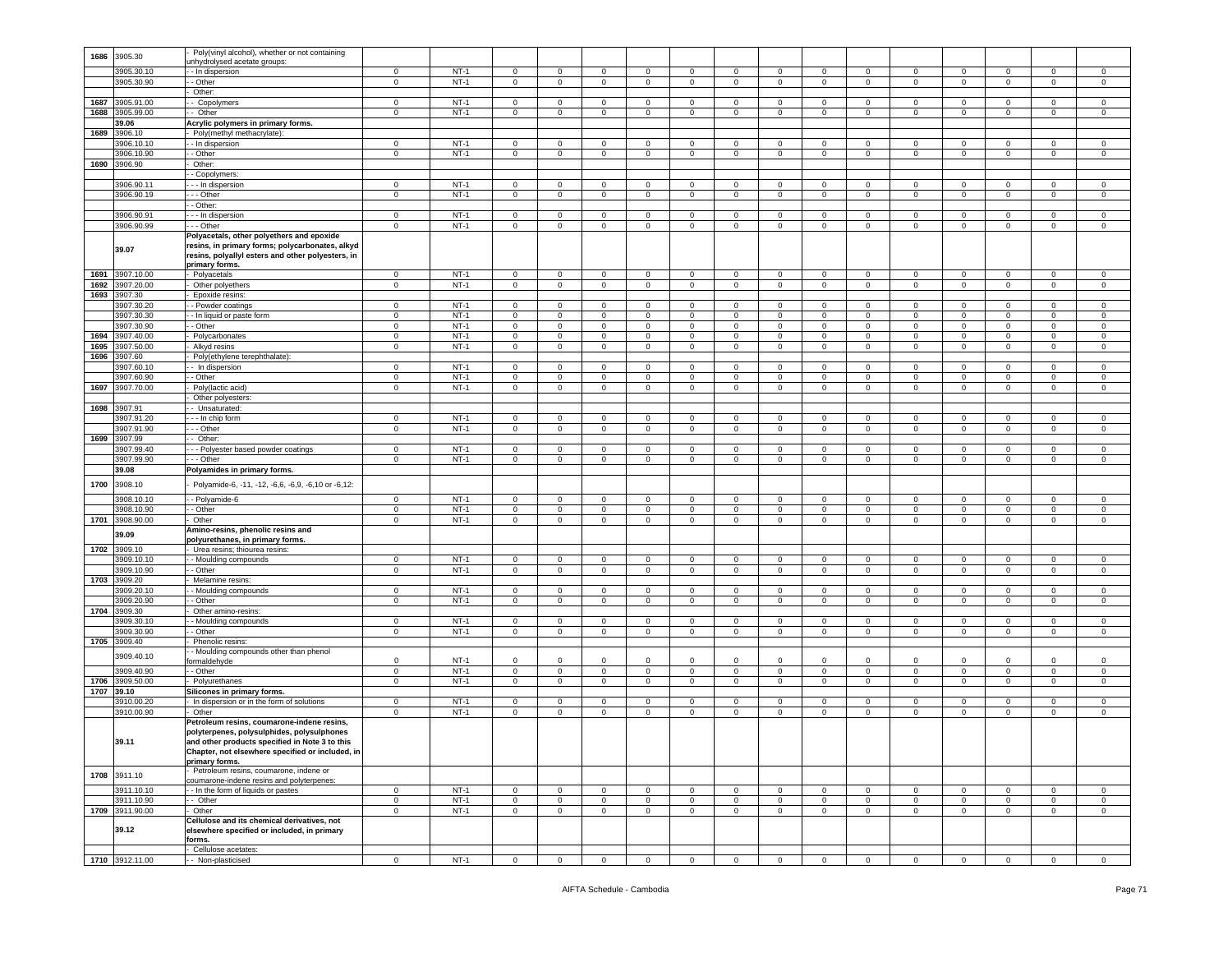| 1686 | 3905.30         | Poly(vinyl alcohol), whether or not containing                                                                                                                      |                     |        |                         |                     |                |                |                |                |                     |                |                |                |                         |                |                |                |
|------|-----------------|---------------------------------------------------------------------------------------------------------------------------------------------------------------------|---------------------|--------|-------------------------|---------------------|----------------|----------------|----------------|----------------|---------------------|----------------|----------------|----------------|-------------------------|----------------|----------------|----------------|
|      |                 | unhydrolysed acetate groups:                                                                                                                                        |                     |        |                         |                     |                |                |                |                |                     |                |                |                |                         |                |                |                |
|      | 3905.30.10      | - In dispersion                                                                                                                                                     | $\mathbf 0$         | $NT-1$ | $\mathbf 0$             | $\mathbf 0$         | $\mathbf 0$    | $\circ$        | $\mathbf 0$    | 0              | $\mathbf 0$         | $\circ$        | $\mathbf 0$    | $\mathbf{0}$   | $\mathbf 0$             | $\mathbf 0$    | $\mathbf 0$    | $\circ$        |
|      | 3905.30.90      | - Other                                                                                                                                                             | $\mathbf{0}$        | $NT-1$ | $\mathbf{0}$            | $\circ$             | $\mathbf 0$    | $\mathbf 0$    | $\mathbf{0}$   | $\mathbf{0}$   | $\mathbf 0$         | $\mathbf 0$    | $\mathbf{0}$   | $\mathbf{0}$   | $\overline{0}$          | $\mathbf{0}$   | 0              | $\mathbf 0$    |
|      |                 | Other:                                                                                                                                                              |                     |        |                         |                     |                |                |                |                |                     |                |                |                |                         |                |                |                |
| 1687 | 3905.91.00      | - Copolymers                                                                                                                                                        | 0                   | $NT-1$ | $\mathbf{0}$            | $\mathsf 0$         | $\mathbf 0$    | $\mathbf 0$    | $\mathbf 0$    | 0              | $\mathbf 0$         | $\mathbf{0}$   | $\overline{0}$ | $\mathbf 0$    | $\,0\,$                 | $\overline{0}$ | $\mathbf 0$    | 0              |
| 1688 | 3905.99.00      | Other                                                                                                                                                               | $\mathbf 0$         | $NT-1$ | $\mathbf 0$             | $\mathbf 0$         | $\mathbf 0$    | $\mathbf 0$    | $\mathbf 0$    | $\mathbf 0$    | $\mathbf 0$         | $\mathbf 0$    | $\circ$        | $\mathbf 0$    | $\mathbf 0$             | $\circ$        | $\mathbf 0$    | $\mathsf 0$    |
|      | 39.06           | Acrylic polymers in primary forms.                                                                                                                                  |                     |        |                         |                     |                |                |                |                |                     |                |                |                |                         |                |                |                |
| 1689 | 3906.10         | - Poly(methyl methacrylate):                                                                                                                                        |                     |        |                         |                     |                |                |                |                |                     |                |                |                |                         |                |                |                |
|      | 3906.10.10      | - - In dispersion                                                                                                                                                   | $\mathbf 0$         | $NT-1$ | $\circ$                 | $\mathbf 0$         | $\mathbf 0$    | $\circ$        | $\mathbf 0$    | $\mathbf 0$    | $\mathbf 0$         | $\circ$        | $\mathsf 0$    | $\mathbf 0$    | $\overline{0}$          | $\mathbf 0$    | $\circ$        | $\mathsf 0$    |
|      | 3906.10.90      | - Other                                                                                                                                                             | $\mathbf 0$         | $NT-1$ | $\mathbf 0$             | $\mathsf 0$         | $\mathbf 0$    | 0              | $\mathbf 0$    | $\mathbf 0$    | $\mathbf 0$         | $\mathbf 0$    | $\mathbf 0$    | 0              | $\overline{\mathbf{0}}$ | $\mathbf 0$    | $\mathbf 0$    | 0              |
| 1690 | 3906.90         | Other:                                                                                                                                                              |                     |        |                         |                     |                |                |                |                |                     |                |                |                |                         |                |                |                |
|      |                 | - Copolymers:                                                                                                                                                       |                     |        |                         |                     |                |                |                |                |                     |                |                |                |                         |                |                |                |
|      | 3906.90.1       | - - - In dispersion                                                                                                                                                 | $\mathbf 0$         | NT-1   | $\mathbf 0$             | 0                   | 0              | $\circ$        | $\mathbf 0$    | $\circ$        | $\mathbf 0$         | 0              | $\mathbf 0$    | $\mathbf 0$    | $\mathbf 0$             | 0              | $^{\circ}$     | 0              |
|      | 3906.90.19      | - - Other                                                                                                                                                           | $\mathbf 0$         | $NT-1$ | $\mathbf 0$             | $\mathbf 0$         | $\mathbf 0$    | $\mathsf 0$    | $\mathbf 0$    | $\mathbf 0$    | $\mathbf 0$         | $\mathbf 0$    | $\mathbf 0$    | $\mathbf 0$    | $\mathbf 0$             | $\mathbf 0$    | $\mathbf 0$    | $\mathsf 0$    |
|      |                 | - Other:                                                                                                                                                            |                     |        |                         |                     |                |                |                |                |                     |                |                |                |                         |                |                |                |
|      | 3906.90.91      | - - In dispersion                                                                                                                                                   | 0                   | $NT-1$ | 0                       | $\mathbf 0$         | $\mathbf 0$    | $\mathbf 0$    | 0              | 0              | $\mathbf 0$         | $\mathbf 0$    | $\mathbf 0$    | 0              | $\overline{0}$          | $\mathbf 0$    | $\mathbf 0$    | 0              |
|      |                 |                                                                                                                                                                     |                     |        |                         |                     |                |                |                |                |                     |                |                |                |                         |                |                |                |
|      | 3906.90.99      | - - Other                                                                                                                                                           | $\mathbf 0$         | $NT-1$ | $\mathbf 0$             | $\mathsf{O}\xspace$ | $\mathbf 0$    | $\mathbf 0$    | $\mathbf 0$    | 0              | $\mathsf{O}\xspace$ | $\mathbf 0$    | $\mathbf 0$    | $\mathbf 0$    | $\mathbf 0$             | $\circ$        | $\mathsf 0$    | $\mathsf 0$    |
|      | 39.07           | Polyacetals, other polyethers and epoxide<br>resins, in primary forms; polycarbonates, alkyd<br>resins, polyallyl esters and other polyesters, in<br>primary forms. |                     |        |                         |                     |                |                |                |                |                     |                |                |                |                         |                |                |                |
| 1691 | 3907.10.00      | Polyacetals                                                                                                                                                         | $\mathsf{O}\xspace$ | $NT-1$ | $\mathbf 0$             | $\mathsf{O}\xspace$ | $\mathbf 0$    | $\mathsf 0$    | $\mathbf 0$    | $\mathbf 0$    | $\mathsf 0$         | $\mathsf 0$    | $\mathsf 0$    | $\mathsf 0$    | $\mathbf 0$             | $\mathsf 0$    | $\mathbf 0$    | $\,0\,$        |
| 1692 | 3907.20.00      | Other polyethers                                                                                                                                                    | $\mathbf 0$         | $NT-1$ | $\mathbf{0}$            | $\mathsf 0$         | $\mathbf 0$    | $\mathbf 0$    | $\mathbf 0$    | 0              | $\mathbf 0$         | $\mathsf 0$    | $\mathbf 0$    | $\mathbf 0$    | $\,0\,$                 | $\overline{0}$ | $\mathbf 0$    | 0              |
| 1693 | 3907.30         | Epoxide resins:                                                                                                                                                     |                     |        |                         |                     |                |                |                |                |                     |                |                |                |                         |                |                |                |
|      | 3907.30.20      | - Powder coatings                                                                                                                                                   | $\mathbf 0$         | $NT-1$ | $\mathbf 0$             | $\circ$             | $\mathbf 0$    | $\circ$        | $^{\circ}$     | $\circ$        | $\mathbf 0$         | $\mathbf 0$    | $\mathbf 0$    | $\mathbf 0$    | $\mathbf 0$             | $^{\circ}$     | 0              | 0              |
|      | 3907.30.30      | - In liquid or paste form                                                                                                                                           | $\mathbf 0$         | $NT-1$ | $\mathbf 0$             | $\mathbf 0$         | $\mathbf 0$    | $\mathbf 0$    | 0              | 0              | $\mathbf 0$         | $\mathbf 0$    | $\mathbf 0$    | 0              | $\mathbf 0$             | 0              | 0              | $\mathsf 0$    |
|      | 3907.30.90      | $-$ Other                                                                                                                                                           | $\mathbf 0$         | $NT-1$ | $\mathbf 0$             | $\mathsf{O}\xspace$ | $\mathbf 0$    | $\mathsf 0$    | $\mathbf 0$    | $\mathbf 0$    | $\mathsf 0$         | $\mathbf 0$    | $\mathbf 0$    | $\mathbf 0$    | $\mathbf 0$             | $\mathbf 0$    | $\mathbf 0$    | $\,0\,$        |
| 1694 | 3907.40.00      | Polycarbonates                                                                                                                                                      | 0                   | $NT-1$ | 0                       | $\mathbf 0$         | $\mathbf 0$    | 0              | 0              | 0              | $\mathbf 0$         | 0              | $\mathbf 0$    | 0              | $\mathbf 0$             | $\mathbf 0$    | 0              | 0              |
| 1695 | 907.50.00       | Alkyd resins                                                                                                                                                        | $\mathsf 0$         | $NT-1$ | $\mathbf 0$             | $\mathsf 0$         | $\mathbf 0$    | $\overline{0}$ | $\mathbf 0$    | $\mathbf 0$    | $\mathbf 0$         | $\mathbf 0$    | $\mathsf 0$    | $\mathbf 0$    | $\mathbf 0$             | $\mathbf 0$    | $\mathbf 0$    | $\,0\,$        |
| 1696 | 3907.60         | - Poly(ethylene terephthalate):                                                                                                                                     |                     |        |                         |                     |                |                |                |                |                     |                |                |                |                         |                |                |                |
|      | 3907.60.10      | - In dispersion                                                                                                                                                     | $\mathbf 0$         | $NT-1$ | $\mathbf 0$             | $\mathbf 0$         | $\mathbf 0$    | $\circ$        | $\mathbf 0$    | 0              | $\mathbf 0$         | $\mathbf 0$    | $\mathbf 0$    | $\mathbf 0$    | $\mathbf 0$             | $\mathbf 0$    | $\mathbf 0$    | 0              |
|      | 3907.60.90      | - Other                                                                                                                                                             | $\mathsf 0$         | $NT-1$ | $\mathbf 0$             | $\mathsf{O}\xspace$ | $\mathbf 0$    | $\mathbf 0$    | 0              | $\overline{0}$ | $\mathbf 0$         | $\mathbf 0$    | $\mathsf 0$    | $\mathbf 0$    | $\overline{\mathbf{0}}$ | $\mathbf 0$    | $\mathbf 0$    | $\,0\,$        |
| 1697 | 3907.70.00      | Poly(lactic acid)                                                                                                                                                   | $\mathbf 0$         | $NT-1$ | $\mathbf{0}$            | $\mathsf 0$         | $\mathbf 0$    | $\mathbf 0$    | $\mathbf 0$    | 0              | $\mathbf 0$         | $\mathbf{0}$   | $\mathbf 0$    | $\mathbf 0$    | $\mathbf{0}$            | $\overline{0}$ | $\mathbf 0$    | 0              |
|      |                 | Other polyesters:                                                                                                                                                   |                     |        |                         |                     |                |                |                |                |                     |                |                |                |                         |                |                |                |
| 1698 | 3907.91         | - Unsaturated:                                                                                                                                                      |                     |        |                         |                     |                |                |                |                |                     |                |                |                |                         |                |                |                |
|      | 3907.91.20      | - - In chip form                                                                                                                                                    | $\mathbf 0$         | $NT-1$ | 0                       | $\mathbf 0$         | $\mathbf 0$    | $\circ$        | 0              | 0              | $\mathbf 0$         | $\mathbf 0$    | $\mathbf 0$    | 0              | $\mathbf 0$             | 0              | 0              | 0              |
|      | 3907.91.90      | - - Other                                                                                                                                                           | $\mathsf 0$         | $NT-1$ | $\mathsf 0$             | $\mathsf 0$         | $\mathsf 0$    | $\bf 0$        | $\mathbf 0$    | $\mathbf 0$    | $\mathbf 0$         | $\mathbf 0$    | $\mathsf 0$    | $\mathbf 0$    | $\mathbf 0$             | $\mathsf 0$    | $\mathbf 0$    | $\,0\,$        |
| 1699 | 3907.99         | - Other:                                                                                                                                                            |                     |        |                         |                     |                |                |                |                |                     |                |                |                |                         |                |                |                |
|      | 3907.99.40      | --- Polyester based powder coatings                                                                                                                                 | $\mathbf 0$         | $NT-1$ | $\mathbf 0$             | $\mathbf 0$         | $\mathbf 0$    | $\circ$        | 0              | $\mathbf 0$    | $\mathbf 0$         | $\mathbf 0$    | $\mathsf 0$    | $\circ$        | $\mathbf 0$             | 0              | $\mathbf 0$    | $\,0\,$        |
|      | 3907.99.90      | --- Other                                                                                                                                                           | $\mathbf 0$         | $NT-1$ | $\mathbf{0}$            | $\mathbf 0$         | $\mathbf{0}$   | $\overline{0}$ | $\mathbf{0}$   | 0              | $\mathbf 0$         | $\mathbf{0}$   | $\mathbf{0}$   | $\mathbf{0}$   | $\overline{0}$          | $\mathbf{0}$   | $\mathbf{0}$   | $\mathsf 0$    |
|      | 39.08           | Polyamides in primary forms.                                                                                                                                        |                     |        |                         |                     |                |                |                |                |                     |                |                |                |                         |                |                |                |
|      |                 |                                                                                                                                                                     |                     |        |                         |                     |                |                |                |                |                     |                |                |                |                         |                |                |                |
| 1700 | 3908.10         | Polyamide-6, -11, -12, -6,6, -6,9, -6,10 or -6,12:                                                                                                                  |                     |        |                         |                     |                |                |                |                |                     |                |                |                |                         |                |                |                |
|      | 3908.10.10      | - - Polyamide-6                                                                                                                                                     | $\mathbf 0$         | $NT-1$ | $\overline{\mathbf{0}}$ | $\mathsf 0$         | $\mathbf 0$    | $\mathsf 0$    | $\mathbf 0$    | 0              | $\mathbf 0$         | $\overline{0}$ | 0              | $\mathbf{0}$   | $\,0\,$                 | $\mathbf 0$    | $\mathbf 0$    | 0              |
|      | 908.10.90       | - Other                                                                                                                                                             | $\mathbf 0$         | $NT-1$ | $\mathbf 0$             | $\mathbf 0$         | $\mathbf 0$    | $\circ$        | 0              | 0              | $\mathbf 0$         | $\mathbf 0$    | $\mathbf 0$    | 0              | $\mathbf 0$             | $\mathbf 0$    | $\mathbf 0$    | $\mathsf 0$    |
| 1701 | 3908.90.00      | Other                                                                                                                                                               | $\mathbf 0$         | $NT-1$ | $\mathbf 0$             | $\mathbf 0$         | $\mathbf 0$    | $\mathbf 0$    | $\mathbf 0$    | 0              | $\mathsf 0$         | $\mathbf 0$    | $\mathbf{0}$   | $\mathbf 0$    | $\mathbf 0$             | $\overline{0}$ | $\mathbf 0$    | $\mathbf 0$    |
|      |                 | Amino-resins, phenolic resins and                                                                                                                                   |                     |        |                         |                     |                |                |                |                |                     |                |                |                |                         |                |                |                |
|      | 39.09           | polyurethanes, in primary forms.                                                                                                                                    |                     |        |                         |                     |                |                |                |                |                     |                |                |                |                         |                |                |                |
| 1702 | 3909.10         | Urea resins; thiourea resins:                                                                                                                                       |                     |        |                         |                     |                |                |                |                |                     |                |                |                |                         |                |                |                |
|      | 3909.10.10      | - Moulding compounds                                                                                                                                                | $\mathbf 0$         | $NT-1$ | $\mathbf 0$             | $\mathbf 0$         | $\mathbf 0$    | $\mathsf 0$    | 0              | $\mathbf 0$    | $\mathsf 0$         | $\mathbf 0$    | $\mathsf 0$    | $\mathbf 0$    | $\mathbf 0$             | 0              | $\mathbf 0$    | 0              |
|      | 3909.10.90      | - Other                                                                                                                                                             | 0                   | $NT-1$ | 0                       | 0                   | $\mathbf 0$    | $\mathbf 0$    | $\mathbf 0$    | 0              | $\mathbf 0$         | 0              | $\mathbf 0$    | 0              | $\overline{0}$          | $\mathbf 0$    | $\mathbf 0$    | 0              |
| 1703 | 3909.20         | Melamine resins:                                                                                                                                                    |                     |        |                         |                     |                |                |                |                |                     |                |                |                |                         |                |                |                |
|      | 3909.20.10      | - Moulding compounds                                                                                                                                                | $\mathbf 0$         | $NT-1$ | $\mathbf 0$             | $\mathbf 0$         | $\mathbf 0$    | $\mathbf 0$    | $\mathbf 0$    | 0              | $\mathbf 0$         | 0              | $\mathbf 0$    | $\mathbf 0$    | $\mathbf 0$             | $\mathbf 0$    | 0              | 0              |
|      | 3909.20.90      | - Other                                                                                                                                                             | $\mathbf 0$         | $NT-1$ | $\mathbf 0$             | $\mathbf 0$         | $\mathbf 0$    | $\mathbf 0$    | $\mathbf 0$    | 0              | $\mathbf 0$         | $\circ$        | $\circ$        | $\Omega$       | $\mathbf 0$             | $\mathbf 0$    | $\Omega$       | 0              |
| 1704 | 3909.30         | Other amino-resins:                                                                                                                                                 |                     |        |                         |                     |                |                |                |                |                     |                |                |                |                         |                |                |                |
|      | 3909.30.10      | - Moulding compounds                                                                                                                                                | $\mathbf 0$         | $NT-1$ | $\mathbf{0}$            | 0                   | $\mathbf 0$    | $\mathbf 0$    | $\mathbf 0$    | $\mathbf 0$    | $\mathbf 0$         | $\mathbf{0}$   | $\mathbf 0$    | 0              | $\mathbf 0$             | $\mathbf 0$    | $\mathbf 0$    | 0              |
|      | 3909.30.90      | - Other                                                                                                                                                             | $\mathbf 0$         | $NT-1$ | $\mathbf 0$             | $\mathsf 0$         | $\mathbf 0$    | $\mathbf{0}$   | $\mathbf{0}$   | 0              | $\mathbf{0}$        | $\circ$        | $\mathbf{0}$   | $\mathbf 0$    | $\mathbf{0}$            | $\mathbf{0}$   | $\mathbf 0$    | $\mathsf 0$    |
| 1705 | 3909.40         | Phenolic resins:                                                                                                                                                    |                     |        |                         |                     |                |                |                |                |                     |                |                |                |                         |                |                |                |
|      |                 | - Moulding compounds other than phenol                                                                                                                              |                     |        |                         |                     |                |                |                |                |                     |                |                |                |                         |                |                |                |
|      | 3909.40.10      | formaldehyde                                                                                                                                                        | $\mathbf 0$         | $NT-1$ | 0                       | $\Omega$            | $\Omega$       | $\mathbf 0$    | $\Omega$       | $\Omega$       | $\mathbf 0$         | $\Omega$       | $\Omega$       | $\Omega$       | $\Omega$                | $\Omega$       | $\Omega$       | 0              |
|      | 3909.40.90      | - - Other                                                                                                                                                           | $\mathbf 0$         | $NT-1$ | $\mathbf 0$             | $\mathsf 0$         | $\mathbf 0$    | $\mathbf 0$    | $\mathbf 0$    | $\mathbf 0$    | $\mathsf 0$         | $\mathbf 0$    | $\overline{0}$ | $\circ$        | $\,0\,$                 | $\mathbf 0$    | $\mathbf 0$    | $\,0\,$        |
| 1706 | 3909.50.00      | Polyurethanes                                                                                                                                                       | $\mathsf 0$         | $NT-1$ | $\mathbf 0$             | $\mathsf{O}\xspace$ | $\mathbf 0$    | $\mathbf 0$    | $\mathsf 0$    | $\mathbf 0$    | $\mathsf 0$         | $\mathsf 0$    | $\mathsf 0$    | $\mathbf 0$    | $\mathbf 0$             | $\mathbf 0$    | $\mathbf 0$    | $\,0\,$        |
| 1707 | 39.10           | Silicones in primary forms.                                                                                                                                         |                     |        |                         |                     |                |                |                |                |                     |                |                |                |                         |                |                |                |
|      | 3910.00.20      | - In dispersion or in the form of solutions                                                                                                                         | $\mathbf 0$         | $NT-1$ | $^{\circ}$              | $\mathbf 0$         | $\mathbf{0}$   | $\circ$        | $^{\circ}$     | $\circ$        | $\mathbf 0$         | $\mathbf{0}$   | $\mathbf 0$    | $\mathbf{0}$   | $\mathbf{0}$            | $^{\circ}$     | $\mathbf{0}$   | $\mathbf 0$    |
|      | 3910.00.90      | Other                                                                                                                                                               | $\mathbf 0$         | $NT-1$ | $\mathbf 0$             | $\mathbf 0$         | $\mathbf 0$    | $\circ$        | $\mathbf 0$    | 0              | $\mathbf 0$         | $\mathbf 0$    | $\mathbf 0$    | $\mathbf 0$    | $\mathbf 0$             | $\mathbf 0$    | $\mathbf 0$    | $\mathsf 0$    |
|      |                 | Petroleum resins, coumarone-indene resins,                                                                                                                          |                     |        |                         |                     |                |                |                |                |                     |                |                |                |                         |                |                |                |
|      | 39.11           | polyterpenes, polysulphides, polysulphones<br>and other products specified in Note 3 to this<br>Chapter, not elsewhere specified or included, in<br>primary forms.  |                     |        |                         |                     |                |                |                |                |                     |                |                |                |                         |                |                |                |
|      | 1708 3911.10    | Petroleum resins, coumarone, indene or                                                                                                                              |                     |        |                         |                     |                |                |                |                |                     |                |                |                |                         |                |                |                |
|      |                 | coumarone-indene resins and polyterpenes:                                                                                                                           |                     |        |                         |                     |                |                |                |                |                     |                |                |                |                         |                |                |                |
|      | 3911.10.10      | - In the form of liquids or pastes                                                                                                                                  | $\mathsf 0$         | $NT-1$ | $\mathbf 0$             | $\mathbf{0}$        | $\mathsf 0$    | $\mathbf 0$    | $\mathbf 0$    | $\mathbf 0$    | $\mathbf 0$         | $\circ$        | $\mathbf 0$    | $\circ$        | $\mathbf 0$             | $\mathbf 0$    | $\mathbf 0$    | $\mathbf 0$    |
|      | 3911.10.90      | -- Other                                                                                                                                                            | $\overline{0}$      | $NT-1$ | $\mathbf{0}$            | $\overline{0}$      | $\overline{0}$ | $\overline{0}$ | $\overline{0}$ | $\overline{0}$ | $\mathbf{0}$        | $\circ$        | $\overline{0}$ | $\overline{0}$ | $\overline{0}$          | $\overline{0}$ | $\overline{0}$ | $\overline{0}$ |
|      | 1709 3911.90.00 | - Other                                                                                                                                                             | $\mathbf 0$         | $NT-1$ | $\mathbf 0$             | $\circ$             | $\mathbf{0}$   | $\mathbf{0}$   | $\circ$        | $\mathbf 0$    | $\mathbf 0$         | $\overline{0}$ | $\circ$        | $\mathbf 0$    | $\overline{0}$          | $\mathbf{0}$   | $\mathbf{0}$   | $\circ$        |
|      | 39.12           | Cellulose and its chemical derivatives, not<br>elsewhere specified or included, in primary<br>forms.<br>- Cellulose acetates:                                       |                     |        |                         |                     |                |                |                |                |                     |                |                |                |                         |                |                |                |
|      | 1710 3912.11.00 | - - Non-plasticised                                                                                                                                                 |                     |        |                         |                     |                |                |                |                |                     |                |                |                |                         |                |                |                |
|      |                 |                                                                                                                                                                     | $\mathsf 0$         | $NT-1$ | $\overline{0}$          | $\overline{0}$      | $\overline{0}$ | $\overline{0}$ | $\overline{0}$ | $\overline{0}$ | $\overline{0}$      | $\circ$        | $\mathbf{0}$   | $\mathbf 0$    | $\overline{0}$          | $\mathbf{0}$   | $\overline{0}$ | $\overline{0}$ |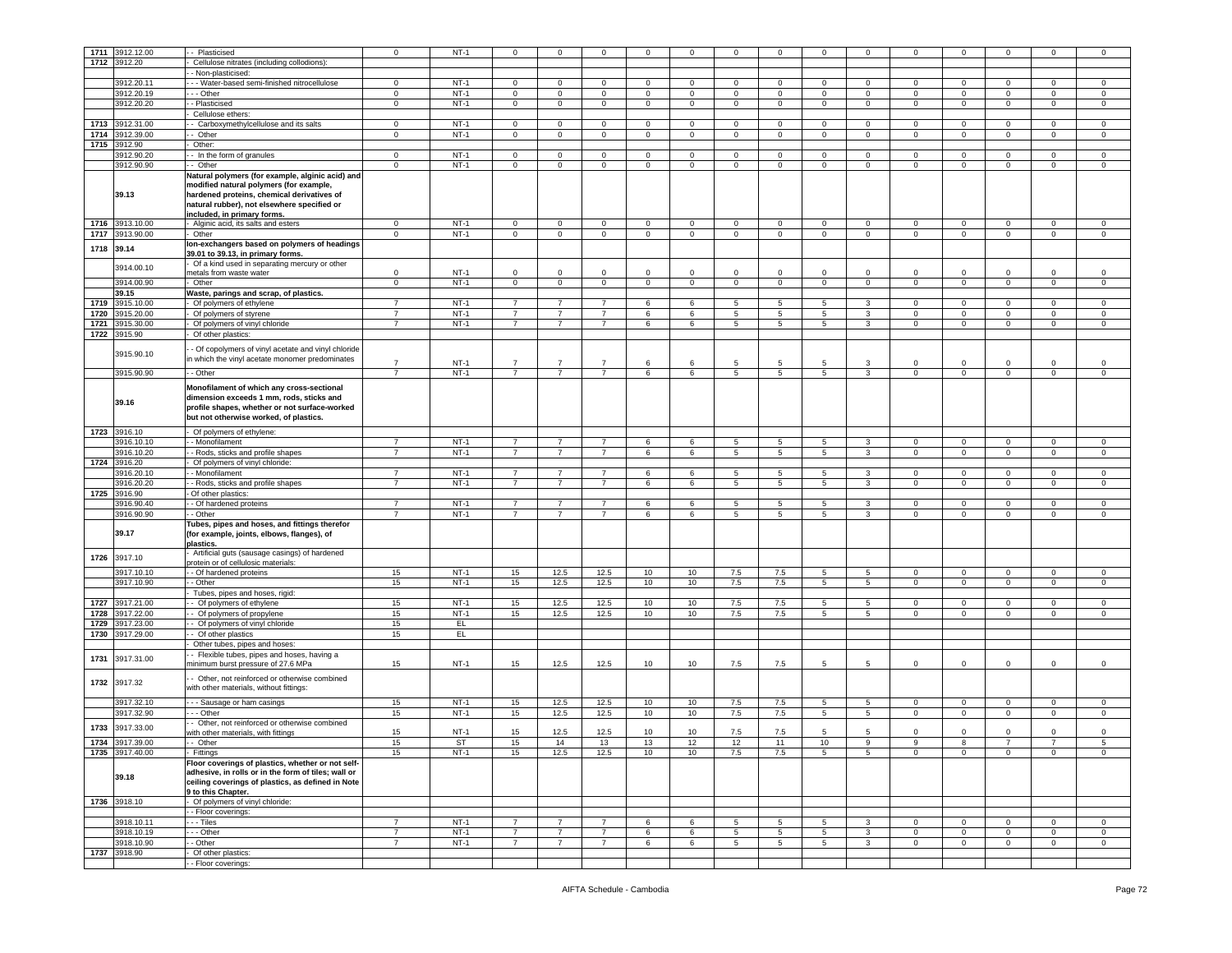| 1711 | 3912.12.00      | - Plasticised                                       | $\mathbf 0$    | $NT-1$      | $\Omega$       | $\mathbf 0$    | $\Omega$       | $\mathsf 0$    | $\Omega$    | $\mathbf 0$     | $\Omega$    | $\Omega$        | $\Omega$        | $\Omega$       | $\Omega$       | $\Omega$       | $\Omega$       | $\Omega$       |
|------|-----------------|-----------------------------------------------------|----------------|-------------|----------------|----------------|----------------|----------------|-------------|-----------------|-------------|-----------------|-----------------|----------------|----------------|----------------|----------------|----------------|
|      | 1712 3912.20    | Cellulose nitrates (including collodions):          |                |             |                |                |                |                |             |                 |             |                 |                 |                |                |                |                |                |
|      |                 | - Non-plasticised:                                  |                |             |                |                |                |                |             |                 |             |                 |                 |                |                |                |                |                |
|      | 3912.20.11      | - Water-based semi-finished nitrocellulose          | $\mathbf 0$    | $NT-1$      | $\mathbf 0$    | $\circ$        | $\mathbf 0$    | $\mathbf 0$    | $\circ$     | $\mathbf 0$     | $\Omega$    | $\mathbf 0$     | $\circ$         | $\mathbf 0$    | $\mathsf 0$    | $\circ$        | $\circ$        | $\Omega$       |
|      | 3912.20.19      | - - - Other                                         |                | $NT-1$      | $\mathbf 0$    | $\mathbf{0}$   |                | $\mathsf 0$    | $\mathbf 0$ | $\mathbf 0$     | $\mathbf 0$ | $^{\circ}$      | $\mathbf 0$     | $\mathbf 0$    | 0              | $\mathbf 0$    | $\mathbf 0$    | $^{\circ}$     |
|      |                 |                                                     | $\mathbf 0$    |             |                |                | $\mathbf 0$    |                |             |                 |             |                 |                 |                |                |                |                |                |
|      | 3912.20.20      | - Plasticised                                       | $\mathbf{0}$   | $NT-1$      | $\mathbf 0$    | $\mathbf 0$    | $\mathbf 0$    | $\overline{0}$ | $\mathbf 0$ | $\overline{0}$  | $\mathbf 0$ | $\circ$         | $\mathsf 0$     | $\circ$        | $\mathsf 0$    | $\mathbf 0$    | $\mathbf 0$    | $\mathsf 0$    |
|      |                 | Cellulose ethers:                                   |                |             |                |                |                |                |             |                 |             |                 |                 |                |                |                |                |                |
| 1713 | 3912.31.00      | - Carboxymethylcellulose and its salts              | $\mathbf{0}$   | $NT-1$      | $\mathbf 0$    | $\mathbf{0}$   | $\mathbf 0$    | $\mathbf 0$    | $\mathbf 0$ | $\mathbf{0}$    | $\mathbf 0$ | $\mathbf 0$     | $\mathbf 0$     | $\circ$        | 0              | $\mathbf 0$    | $\mathbf 0$    | $\mathbf 0$    |
| 1714 | 3912.39.00      | - Other                                             | $\mathbf 0$    | $NT-1$      | $\mathsf 0$    | $\mathbf 0$    | $\mathsf 0$    | $\mathbf 0$    | $\mathbf 0$ | $\mathbf 0$     | $\mathbf 0$ | $\mathbf 0$     | $\mathbf 0$     | $\mathbf 0$    | $\mathsf 0$    | $\mathbf 0$    | $\circ$        | $\mathbf 0$    |
| 1715 |                 |                                                     |                |             |                |                |                |                |             |                 |             |                 |                 |                |                |                |                |                |
|      | 912.90          | Other:                                              |                |             |                |                |                |                |             |                 |             |                 |                 |                |                |                |                |                |
|      | 3912.90.20      | - In the form of granules                           | $\mathbf 0$    | $NT-1$      | $\mathbf 0$    | $\mathsf 0$    | $\mathbf 0$    | $\mathbf 0$    | $\mathbf 0$ | $\mathbf 0$     | $\circ$     | $\mathsf 0$     | $\mathbf 0$     | $\Omega$       | $\mathsf 0$    | $\Omega$       | $\mathbf 0$    | $\Omega$       |
|      | 3912.90.90      | - Other                                             | $\mathbf 0$    | $NT-1$      | $\mathbf{0}$   | $\overline{0}$ | $\mathbf 0$    | $\overline{0}$ | $\mathbf 0$ | $\mathbf{0}$    | $\mathbf 0$ | $\mathbf{0}$    | $\mathbf 0$     | $\mathbf 0$    | $\circ$        | $\mathbf 0$    | $\mathbf{0}$   | 0              |
|      |                 | Natural polymers (for example, alginic acid) and    |                |             |                |                |                |                |             |                 |             |                 |                 |                |                |                |                |                |
|      |                 | modified natural polymers (for example,             |                |             |                |                |                |                |             |                 |             |                 |                 |                |                |                |                |                |
|      | 39.13           |                                                     |                |             |                |                |                |                |             |                 |             |                 |                 |                |                |                |                |                |
|      |                 | hardened proteins, chemical derivatives of          |                |             |                |                |                |                |             |                 |             |                 |                 |                |                |                |                |                |
|      |                 | natural rubber), not elsewhere specified or         |                |             |                |                |                |                |             |                 |             |                 |                 |                |                |                |                |                |
|      |                 | included, in primary forms.                         |                |             |                |                |                |                |             |                 |             |                 |                 |                |                |                |                |                |
|      | 1716 3913.10.00 | Alginic acid, its salts and esters                  | $\mathbf 0$    | $NT-1$      | $\mathbf 0$    | $\overline{0}$ | $\mathsf 0$    | $\mathbf 0$    | $\mathsf 0$ | $\overline{0}$  | $\mathbf 0$ | $\mathsf 0$     | 0               | $\mathbf 0$    | $\mathsf 0$    | $\mathbf 0$    | $\mathsf 0$    | 0              |
| 1717 | 3913.90.00      | Other                                               | $\mathbf 0$    | $NT-1$      | $\mathbf 0$    | $\mathbf{0}$   | $\mathbf 0$    | $\mathbf 0$    | $\mathbf 0$ | $\overline{0}$  | $\mathbf 0$ | $\circ$         | $\circ$         | $\mathbf 0$    | $\mathbf 0$    | $\mathbf{0}$   | $\mathbf 0$    | $\mathsf 0$    |
|      |                 | Ion-exchangers based on polymers of headings        |                |             |                |                |                |                |             |                 |             |                 |                 |                |                |                |                |                |
| 1718 | 39.14           |                                                     |                |             |                |                |                |                |             |                 |             |                 |                 |                |                |                |                |                |
|      |                 | 39.01 to 39.13, in primary forms.                   |                |             |                |                |                |                |             |                 |             |                 |                 |                |                |                |                |                |
|      | 3914.00.10      | Of a kind used in separating mercury or other       |                |             |                |                |                |                |             |                 |             |                 |                 |                |                |                |                |                |
|      |                 | metals from waste water                             | $\mathbf 0$    | $NT-1$      | 0              | 0              | $\Omega$       | $\mathbf 0$    | $\Omega$    | $\mathbf 0$     | $\Omega$    | 0               | $\Omega$        | 0              | $\mathsf 0$    | $\Omega$       | 0              | $\Omega$       |
|      | 3914.00.90      | Other                                               | $\mathbf{0}$   | $NT-1$      | $\circ$        | $\circ$        | $\mathbf 0$    | $\mathbf{0}$   | $\mathbf 0$ | $\mathbf{0}$    | $\mathbf 0$ | $\circ$         | $\circ$         | $\circ$        | $\mathbf 0$    | $\mathbf{0}$   | $\mathbf 0$    | $\mathsf 0$    |
|      | 39.15           | Waste, parings and scrap, of plastics.              |                |             |                |                |                |                |             |                 |             |                 |                 |                |                |                |                |                |
| 1719 | 3915.10.00      | Of polymers of ethylene                             | $\overline{7}$ | $NT-1$      | $\overline{7}$ | $\overline{7}$ | $\overline{7}$ | 6              | 6           | 5               | 5           | 5               | 3               | $\mathbf{0}$   | $\mathsf 0$    | $\mathbf 0$    | $\mathbf{0}$   | $^{\circ}$     |
|      |                 |                                                     | $\overline{7}$ |             |                | $\overline{7}$ |                |                |             |                 |             |                 |                 |                |                |                |                |                |
| 1720 | 3915.20.00      | Of polymers of styrene                              |                | $NT-1$      |                |                |                | 6              | 6           | 5               | 5           | 5               | 3               | $\mathbf 0$    | 0              | $\mathbf 0$    | $\mathbf 0$    | $^{\circ}$     |
| 1721 | 3915.30.00      | Of polymers of vinyl chloride                       | $\overline{7}$ | $NT-1$      | $\overline{7}$ | $\overline{7}$ | $\overline{7}$ | 6              | 6           | $5\phantom{.0}$ | 5           | 5               | 3               | $\overline{0}$ | $\circ$        | $\mathbf{0}$   | $\mathsf 0$    | $\mathbf 0$    |
| 1722 | 3915.90         | Of other plastics:                                  |                |             |                |                |                |                |             |                 |             |                 |                 |                |                |                |                |                |
|      |                 |                                                     |                |             |                |                |                |                |             |                 |             |                 |                 |                |                |                |                |                |
|      | 3915.90.10      | - Of copolymers of vinyl acetate and vinyl chloride |                |             |                |                |                |                |             |                 |             |                 |                 |                |                |                |                |                |
|      |                 | in which the vinyl acetate monomer predominates     | $\overline{7}$ | $NT-1$      | $\overline{7}$ | $\overline{7}$ | $\overline{7}$ | 6              | 6           | 5               | 5           | 5               | 3               | $\Omega$       | $\mathsf 0$    | $\Omega$       | $\Omega$       | $\mathsf 0$    |
|      |                 |                                                     |                |             |                |                |                |                |             |                 |             |                 |                 |                |                |                |                |                |
|      | 3915.90.90      | - Other                                             | 7              | $NT-1$      | $\overline{7}$ | $\overline{7}$ | $\overline{7}$ | 6              | 6           | $\overline{5}$  | 5           | 5               | $\mathbf{3}$    | $\mathbf 0$    | $\mathsf 0$    | $\mathsf 0$    | $\mathsf 0$    | $\mathsf 0$    |
|      |                 | Monofilament of which any cross-sectional           |                |             |                |                |                |                |             |                 |             |                 |                 |                |                |                |                |                |
|      |                 |                                                     |                |             |                |                |                |                |             |                 |             |                 |                 |                |                |                |                |                |
|      | 39.16           | dimension exceeds 1 mm, rods, sticks and            |                |             |                |                |                |                |             |                 |             |                 |                 |                |                |                |                |                |
|      |                 | profile shapes, whether or not surface-worked       |                |             |                |                |                |                |             |                 |             |                 |                 |                |                |                |                |                |
|      |                 | but not otherwise worked, of plastics.              |                |             |                |                |                |                |             |                 |             |                 |                 |                |                |                |                |                |
|      |                 |                                                     |                |             |                |                |                |                |             |                 |             |                 |                 |                |                |                |                |                |
|      | 1723 3916.10    | - Of polymers of ethylene:                          |                |             |                |                |                |                |             |                 |             |                 |                 |                |                |                |                |                |
|      | 3916.10.10      | - Monofilament                                      | $\overline{7}$ | $NT-1$      | $\overline{7}$ | $\overline{7}$ | $\overline{7}$ | 6              | 6           | 5               | 5           | $5\overline{5}$ | $\mathbf{3}$    | $\overline{0}$ | $\mathsf 0$    | $\mathbf{0}$   | $\circ$        | $\mathbf 0$    |
|      | 3916.10.20      | - Rods, sticks and profile shapes                   | $\overline{7}$ | $NT-1$      | $\overline{7}$ | $\overline{7}$ | $\overline{7}$ | 6              | 6           | $\overline{5}$  | 5           | $\overline{5}$  | 3               | $\mathbf{O}$   | $\mathsf 0$    | $\mathbf{0}$   | $\overline{0}$ | $\mathbf 0$    |
| 1724 | 3916.20         | Of polymers of vinyl chloride:                      |                |             |                |                |                |                |             |                 |             |                 |                 |                |                |                |                |                |
|      |                 |                                                     |                |             |                |                |                |                |             |                 |             |                 |                 |                |                |                |                |                |
|      | 3916.20.10      | - Monofilament                                      | $\overline{7}$ | $NT-1$      | $\overline{7}$ | $\overline{7}$ | $\overline{7}$ | 6              | 6           | 5               | 5           | 5               | 3               | $\Omega$       | $\mathbf 0$    | $\Omega$       | $\mathbf{0}$   | $\circ$        |
|      | 3916.20.20      |                                                     |                |             |                |                |                |                |             |                 |             |                 |                 |                |                |                |                |                |
|      |                 | - Rods, sticks and profile shapes                   | $\overline{7}$ | $NT-1$      | 7              | 7              | 7              | 6              | 6           | 5               | 5           | 5               | 3               | $\mathbf{0}$   | $\mathbf 0$    | $\mathbf{0}$   | $\mathbf{0}$   | 0              |
|      |                 |                                                     |                |             |                |                |                |                |             |                 |             |                 |                 |                |                |                |                |                |
| 1725 | 3916.90         | Of other plastics:                                  |                |             |                |                |                |                |             |                 |             |                 |                 |                |                |                |                |                |
|      | 3916.90.40      | - Of hardened proteins                              | $\overline{7}$ | $NT-1$      | $\overline{7}$ | $\overline{7}$ | $\overline{7}$ | 6              | 6           | 5               | 5           | $5\phantom{.0}$ | 3               | $\mathbf{0}$   | $\mathbf 0$    | $\mathbf 0$    | $\mathbf 0$    | $^{\circ}$     |
|      | 3916.90.90      | - Other                                             | $\overline{7}$ | $NT-1$      | $\overline{7}$ | $\overline{7}$ | $\overline{7}$ | 6              | 6           | 5               | 5           | 5               | 3               | $\mathbf 0$    | $\mathsf 0$    | $\mathbf 0$    | $\mathbf 0$    | $\mathsf 0$    |
|      |                 | Tubes, pipes and hoses, and fittings therefor       |                |             |                |                |                |                |             |                 |             |                 |                 |                |                |                |                |                |
|      | 39.17           | (for example, joints, elbows, flanges), of          |                |             |                |                |                |                |             |                 |             |                 |                 |                |                |                |                |                |
|      |                 | plastics.                                           |                |             |                |                |                |                |             |                 |             |                 |                 |                |                |                |                |                |
|      |                 |                                                     |                |             |                |                |                |                |             |                 |             |                 |                 |                |                |                |                |                |
| 1726 | 3917.10         | Artificial guts (sausage casings) of hardened       |                |             |                |                |                |                |             |                 |             |                 |                 |                |                |                |                |                |
|      |                 | protein or of cellulosic materials:                 |                |             |                |                |                |                |             |                 |             |                 |                 |                |                |                |                |                |
|      | 3917.10.10      | - - Of hardened proteins                            | 15             | $NT-1$      | 15             | 12.5           | 12.5           | 10             | 10          | 7.5             | 7.5         | 5               | 5               | $\overline{0}$ | $\overline{0}$ | $\mathbf{0}$   | $\mathbf 0$    | $\mathbf 0$    |
|      | 3917.10.90      | - Other                                             | 15             | $NT-1$      | 15             | 12.5           | 12.5           | 10             | 10          | 7.5             | 7.5         | 5               | $5\overline{5}$ | $\mathbf{O}$   | $\mathsf 0$    | $\mathbf 0$    | $\mathsf 0$    | $\mathsf 0$    |
|      |                 | Tubes, pipes and hoses, rigid:                      |                |             |                |                |                |                |             |                 |             |                 |                 |                |                |                |                |                |
| 1727 | 3917.21.00      | - Of polymers of ethylene                           | 15             | $NT-1$      | 15             | 12.5           | 12.5           | 10             | 10          | 7.5             | 7.5         | 5               | 5               | $\mathbf{0}$   | $\mathsf 0$    | $\Omega$       | $\mathbf 0$    | $\mathbf 0$    |
| 1728 | 3917.22.00      | - Of polymers of propylene                          | 15             | $NT-1$      | 15             | 12.5           | 12.5           | 10             | 10          | 7.5             | 7.5         | 5               | -5              | $\mathbf{0}$   | $\mathbf 0$    | $\mathbf{0}$   | $\mathbf 0$    | 0              |
| 1729 | 3917.23.00      |                                                     | 15             | EL.         |                |                |                |                |             |                 |             |                 |                 |                |                |                |                |                |
|      |                 | - Of polymers of vinyl chloride                     |                |             |                |                |                |                |             |                 |             |                 |                 |                |                |                |                |                |
| 1730 | 917.29.00       | Of other plastics                                   | 15             | EL.         |                |                |                |                |             |                 |             |                 |                 |                |                |                |                |                |
|      |                 | Other tubes, pipes and hoses:                       |                |             |                |                |                |                |             |                 |             |                 |                 |                |                |                |                |                |
|      |                 | - Flexible tubes, pipes and hoses, having a         |                |             |                |                |                |                |             |                 |             |                 |                 |                |                |                |                |                |
| 1731 | 3917.31.00      | minimum burst pressure of 27.6 MPa                  | 15             | $NT-1$      | 15             | 12.5           | 12.5           | 10             | 10          | 7.5             | 7.5         | 5               | 5               | $\mathbf 0$    | 0              | $\mathbf 0$    | $\mathbf 0$    | $\mathsf 0$    |
|      |                 |                                                     |                |             |                |                |                |                |             |                 |             |                 |                 |                |                |                |                |                |
|      |                 | - Other, not reinforced or otherwise combined       |                |             |                |                |                |                |             |                 |             |                 |                 |                |                |                |                |                |
| 1732 | 3917.32         | with other materials, without fittings:             |                |             |                |                |                |                |             |                 |             |                 |                 |                |                |                |                |                |
|      |                 |                                                     |                |             |                |                |                |                |             |                 |             |                 |                 |                |                |                |                |                |
|      | 3917.32.10      | - - - Sausage or ham casings                        | 15             | $NT-1$      | 15             | 12.5           | 12.5           | 10             | 10          | 7.5             | 7.5         | 5               | 5               | $\mathbf{0}$   | 0              | $^{\circ}$     | $\mathbf 0$    | 0              |
|      | 3917.32.90      | --- Other                                           | 15             | $NT-1$      | 15             | 12.5           | 12.5           | 10             | 10          | 7.5             | 7.5         | 5               | 5               | $\circ$        | $\mathsf 0$    | $\mathbf 0$    | $\circ$        | $\Omega$       |
|      |                 |                                                     |                |             |                |                |                |                |             |                 |             |                 |                 |                |                |                |                |                |
| 1733 | 3917.33.00      | - Other, not reinforced or otherwise combined       |                | $NT-1$      |                |                |                |                | 10          |                 |             | 5               | 5               | $\mathbf 0$    | 0              | $\mathbf 0$    | $\mathbf{0}$   | $\Omega$       |
|      |                 | with other materials, with fittings                 | 15             |             | 15             | 12.5           | 12.5           | 10             |             | 7.5             | 7.5         |                 |                 |                |                |                |                |                |
|      | 1734 3917.39.00 | . Uthel                                             | 15             | ১।          |                | 14             | 13             | 13             |             | 12              |             |                 |                 |                |                |                |                |                |
|      | 1735 3917.40.00 | - Fittings                                          | 15             | <b>NT-1</b> | 15             | 12.5           | 12.5           | 10             | 10          | 7.5             | 7.5         | $5\overline{5}$ | $5^{\circ}$     | $\mathbf{0}$   | $\mathbf 0$    | $\mathbf{0}$   | $\mathbf 0$    | $\overline{0}$ |
|      |                 | Floor coverings of plastics, whether or not self-   |                |             |                |                |                |                |             |                 |             |                 |                 |                |                |                |                |                |
|      |                 | adhesive, in rolls or in the form of tiles; wall or |                |             |                |                |                |                |             |                 |             |                 |                 |                |                |                |                |                |
|      | 39.18           |                                                     |                |             |                |                |                |                |             |                 |             |                 |                 |                |                |                |                |                |
|      |                 | ceiling coverings of plastics, as defined in Note   |                |             |                |                |                |                |             |                 |             |                 |                 |                |                |                |                |                |
|      |                 | 9 to this Chapter.                                  |                |             |                |                |                |                |             |                 |             |                 |                 |                |                |                |                |                |
|      | 1736 3918.10    | Of polymers of vinyl chloride:                      |                |             |                |                |                |                |             |                 |             |                 |                 |                |                |                |                |                |
|      |                 | - Floor coverings:                                  |                |             |                |                |                |                |             |                 |             |                 |                 |                |                |                |                |                |
|      | 3918.10.11      | - - - Tiles                                         | $\overline{7}$ | $NT-1$      | $\overline{7}$ | $\overline{7}$ | $\overline{7}$ | 6              | 6           | 5               | 5           | 5               | 3               | $\mathbf{O}$   | $\mathsf 0$    | $\mathbf 0$    | $\mathbf 0$    | $\mathsf 0$    |
|      |                 |                                                     |                |             | $\overline{7}$ |                |                |                |             |                 |             |                 |                 |                |                |                |                |                |
|      | 3918.10.19      | - - Other                                           | $\overline{7}$ | $NT-1$      |                | $\overline{7}$ | $\overline{7}$ | 6              | 6           | $5\phantom{.0}$ | 5           | 5               | 3               | $\overline{0}$ | $\mathsf 0$    | $\mathbf{0}$   | $\mathbf 0$    | $\mathbf 0$    |
|      | 3918.10.90      | - - Other                                           | $\overline{7}$ | $NT-1$      | 7              | $\overline{7}$ | $\overline{7}$ | 6              | 6           | 5               | 5           | 5               | 3               | $\mathbf{0}$   | $\mathbf 0$    | $\overline{0}$ | $\mathbf{0}$   | $\circ$        |
| 1737 | 3918.90         | Of other plastics:<br>- Floor coverings:            |                |             |                |                |                |                |             |                 |             |                 |                 |                |                |                |                |                |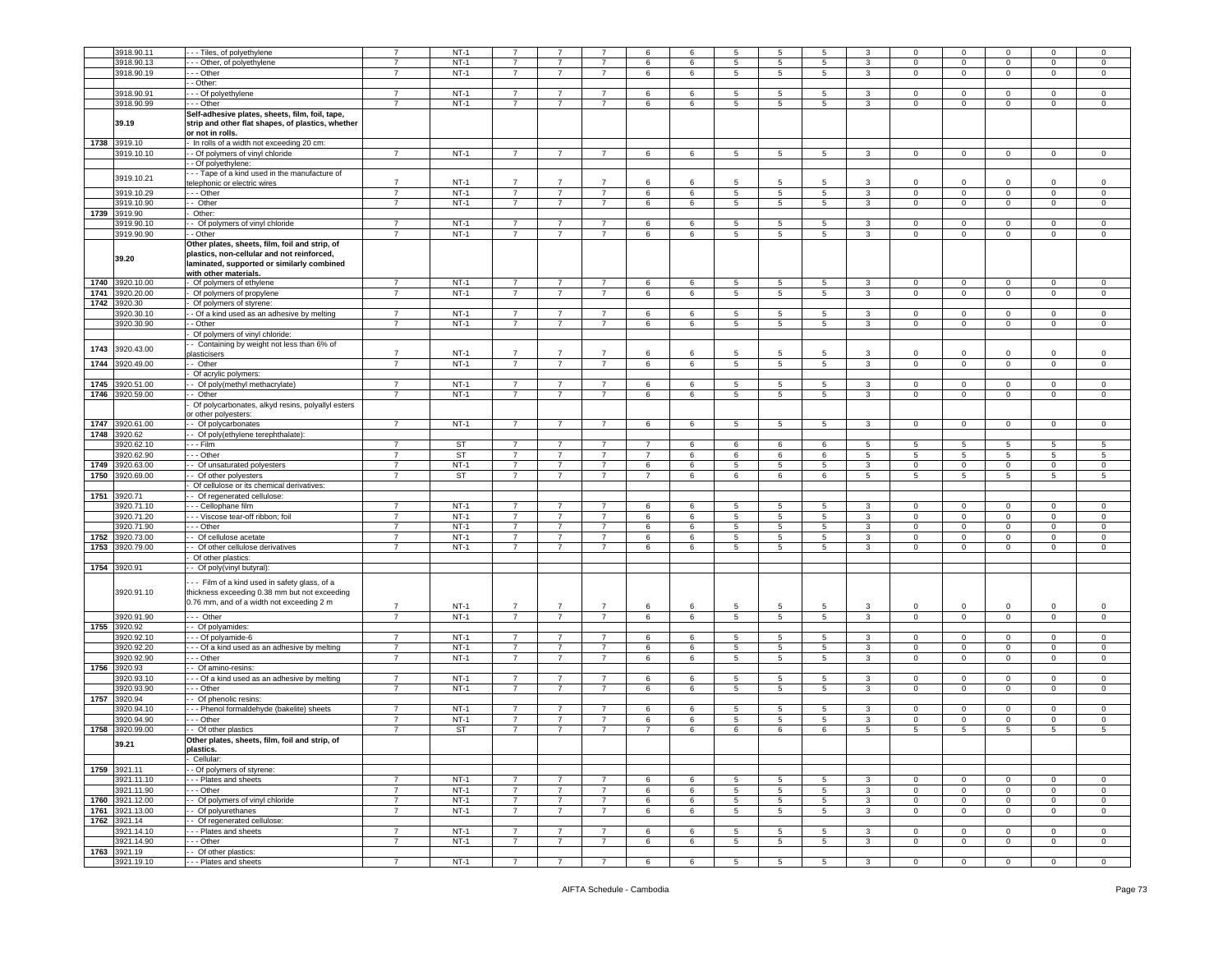|      |                 | -- Tiles, of polyethylene                                                                                                                                           |                |           |                |                |                |                | 6               |                 |                 |                 |                |                |                |                |                |                |
|------|-----------------|---------------------------------------------------------------------------------------------------------------------------------------------------------------------|----------------|-----------|----------------|----------------|----------------|----------------|-----------------|-----------------|-----------------|-----------------|----------------|----------------|----------------|----------------|----------------|----------------|
|      | 3918.90.11      |                                                                                                                                                                     | $\overline{7}$ | $NT-1$    |                |                |                | 6              |                 | 5               | 5               | 5               |                |                | $\mathbf 0$    |                | $\mathbf 0$    | $\mathbf 0$    |
|      | 3918.90.13      | - - Other, of polyethylene                                                                                                                                          | $\overline{7}$ | $NT-1$    | $\overline{7}$ | $\overline{7}$ | $\overline{7}$ | 6              | 6               | 5               | 5               | 5               | 3              | 0              | $\mathbf 0$    | 0              | 0              | $\mathbf 0$    |
|      | 3918.90.19      | - - - Other                                                                                                                                                         | $\overline{7}$ | $NT-1$    | $\overline{7}$ | $\overline{7}$ | $\overline{7}$ | 6              | 6               | $5\overline{5}$ | 5               | 5               | $\mathbf{3}$   | $\mathbf 0$    | $\mathbf 0$    | $\mathbf 0$    | $\mathbf 0$    | $\mathsf 0$    |
|      |                 | - Other:                                                                                                                                                            |                |           |                |                |                |                |                 |                 |                 |                 |                |                |                |                |                |                |
|      | 3918.90.91      | --- Of polyethylene                                                                                                                                                 | $\overline{7}$ | $NT-1$    | $\overline{7}$ | $\overline{7}$ | $\overline{7}$ | 6              | 6               | 5               | 5               | $5\phantom{.0}$ | 3              | 0              | $\mathbf 0$    | $\Omega$       | 0              | $\mathbf 0$    |
|      | 3918.90.99      | - - - Other                                                                                                                                                         | $\overline{7}$ | $NT-1$    | $\overline{7}$ | $\overline{7}$ | $\overline{7}$ | 6              | 6               | $\overline{5}$  | 5               | 5               | $\mathbf{3}$   | $\mathbf 0$    | $\mathsf 0$    | $\mathbf 0$    | $\mathsf 0$    | $\mathsf 0$    |
|      |                 |                                                                                                                                                                     |                |           |                |                |                |                |                 |                 |                 |                 |                |                |                |                |                |                |
|      | 39.19           | Self-adhesive plates, sheets, film, foil, tape,<br>strip and other flat shapes, of plastics, whether<br>or not in rolls.                                            |                |           |                |                |                |                |                 |                 |                 |                 |                |                |                |                |                |                |
|      | 1738 3919.10    |                                                                                                                                                                     |                |           |                |                |                |                |                 |                 |                 |                 |                |                |                |                |                |                |
|      |                 | - In rolls of a width not exceeding 20 cm:                                                                                                                          |                |           |                |                |                |                |                 |                 |                 |                 |                |                |                |                |                |                |
|      | 3919.10.10      | - Of polymers of vinyl chloride                                                                                                                                     | $\overline{7}$ | $NT-1$    | $\overline{7}$ | $\overline{7}$ | $\overline{7}$ | 6              | 6               | $5\overline{5}$ | 5               | $5\overline{5}$ | 3              | $\mathbf 0$    | $\mathbf 0$    | $\mathbf 0$    | $\mathbf 0$    | $\mathbf 0$    |
|      |                 | - Of polyethylene                                                                                                                                                   |                |           |                |                |                |                |                 |                 |                 |                 |                |                |                |                |                |                |
|      | 3919.10.21      | -- Tape of a kind used in the manufacture of<br>telephonic or electric wires                                                                                        | $\overline{7}$ | $NT-1$    | $\overline{7}$ | $\overline{7}$ | $\overline{7}$ | 6              | 6               | 5               | 5               | 5               | 3              | $\mathbf 0$    | $\mathsf 0$    | $\Omega$       | $\mathbf 0$    | $\mathbf 0$    |
|      | 3919.10.29      | - - Other                                                                                                                                                           | $\overline{7}$ | $NT-1$    | $\overline{7}$ | $\overline{7}$ | $\overline{7}$ | 6              | 6               | 5               | 5               | 5               | 3              | 0              | $\mathsf 0$    | 0              | $\mathbf 0$    | $\mathsf 0$    |
|      | 3919.10.90      | - Other                                                                                                                                                             | $\overline{7}$ | $NT-1$    | $\overline{7}$ | $\overline{7}$ | $\overline{7}$ | 6              | 6               | $5\overline{5}$ | 5               | 5               | $\mathbf{3}$   | $\circ$        | $\mathsf 0$    | $\mathbf 0$    | $\mathbf 0$    | $\mathbf 0$    |
| 1739 | 3919.90         | Other:                                                                                                                                                              |                |           |                |                |                |                |                 |                 |                 |                 |                |                |                |                |                |                |
|      | 3919.90.10      | - Of polymers of vinyl chloride                                                                                                                                     | $\overline{7}$ | $NT-1$    | $\overline{7}$ | $\overline{7}$ | $\overline{7}$ | 6              | 6               | 5               | 5               | 5               | 3              | $\mathbf 0$    | $\mathbf 0$    | 0              | 0              | $\mathbf 0$    |
|      | 3919.90.90      | - - Other                                                                                                                                                           | $\overline{7}$ | $NT-1$    | $\overline{7}$ | $\overline{7}$ | $\overline{7}$ | 6              | 6               | $5\overline{)}$ | $\overline{5}$  | 5               | $\mathbf{3}$   | $\mathbf 0$    |                | $\mathbf 0$    | $\mathbf 0$    | $\overline{0}$ |
|      |                 |                                                                                                                                                                     |                |           |                |                |                |                |                 |                 |                 |                 |                |                | $\mathbf 0$    |                |                |                |
|      | 39.20           | Other plates, sheets, film, foil and strip, of<br>plastics, non-cellular and not reinforced,<br>laminated, supported or similarly combined<br>with other materials. |                |           |                |                |                |                |                 |                 |                 |                 |                |                |                |                |                |                |
| 1740 | 3920.10.00      | Of polymers of ethylene                                                                                                                                             | $\overline{7}$ | $NT-1$    | $\overline{7}$ | $\overline{7}$ | $\overline{7}$ | 6              |                 | $5\overline{5}$ |                 | $5\phantom{.0}$ | 3              | $\mathbf 0$    | $\mathbf 0$    | $\mathbf 0$    | $\mathbf{0}$   | $\mathsf 0$    |
|      |                 |                                                                                                                                                                     |                |           |                |                |                |                | 6               |                 | 5               |                 |                |                |                |                |                |                |
| 1741 | 3920.20.00      | Of polymers of propylene                                                                                                                                            | $\overline{7}$ | $NT-1$    | $\overline{7}$ | $\overline{7}$ | $\overline{7}$ | 6              | 6               | $5\overline{5}$ | 5               | 5               | 3              | $\mathbf 0$    | $\mathbf 0$    | $\mathbf 0$    | $\mathbf 0$    | $\mathbf 0$    |
| 1742 | 3920.30         | Of polymers of styrene:                                                                                                                                             |                |           |                |                |                |                |                 |                 |                 |                 |                |                |                |                |                |                |
|      | 8920.30.10      | - Of a kind used as an adhesive by melting                                                                                                                          | $\overline{7}$ | $NT-1$    | $\overline{7}$ | $\overline{7}$ | $\overline{7}$ | 6              | 6               | $5\phantom{.0}$ | 5               | 5               | 3              | 0              | $\mathsf 0$    | $\mathbf 0$    | $\mathbf 0$    | $\mathsf 0$    |
|      | 3920.30.90      | - Other                                                                                                                                                             | $\overline{7}$ | $NT-1$    | $\overline{7}$ | 7              | $\overline{7}$ | 6              | 6               | 5               | 5               | 5               | 3              | 0              | $\mathbf 0$    | 0              | 0              | $\mathbf 0$    |
|      |                 | Of polymers of vinyl chloride:                                                                                                                                      |                |           |                |                |                |                |                 |                 |                 |                 |                |                |                |                |                |                |
|      |                 | - Containing by weight not less than 6% of                                                                                                                          |                |           |                |                |                |                |                 |                 |                 |                 |                |                |                |                |                |                |
| 1743 | 3920.43.00      | plasticisers                                                                                                                                                        | $\overline{7}$ | $NT-1$    | $\overline{7}$ | $\overline{7}$ | $\overline{7}$ | 6              |                 | 5               |                 | 5               |                | $\Omega$       | $\mathbf 0$    | $\Omega$       | 0              | $\mathbf 0$    |
| 1744 | 3920.49.00      | - Other                                                                                                                                                             | $\overline{7}$ | $NT-1$    | $\overline{7}$ | $\overline{7}$ | $\overline{7}$ | 6              | 6               | $5\overline{5}$ | 5               | 5               | $\mathbf{3}$   | $\mathbf 0$    | $\mathsf 0$    | $\mathbf 0$    | $\mathbf 0$    | $\mathbf 0$    |
|      |                 |                                                                                                                                                                     |                |           |                |                |                |                |                 |                 |                 |                 |                |                |                |                |                |                |
|      |                 | Of acrylic polymers:                                                                                                                                                |                |           |                |                |                |                |                 |                 |                 |                 |                |                |                |                |                |                |
| 1745 | 3920.51.00      | Of poly(methyl methacrylate)                                                                                                                                        | $\overline{7}$ | $NT-1$    | $\overline{7}$ | $\overline{7}$ | $\overline{7}$ | 6              | 6               | 5               | 5               | 5               | 3              | $\mathbf 0$    | $\mathsf 0$    | 0              | $\mathbf 0$    | $\mathbf 0$    |
| 1746 | 3920.59.00      | - Other                                                                                                                                                             | $\overline{7}$ | $NT-1$    | $\overline{7}$ | $\overline{7}$ | $\overline{7}$ | 6              | 6               | $5\phantom{.0}$ | $5\phantom{.0}$ | $5\phantom{.0}$ | $\mathbf{3}$   | $\mathbf 0$    | $\mathsf 0$    | $\mathbf 0$    | $\mathbf 0$    | $\mathbf 0$    |
|      |                 | Of polycarbonates, alkyd resins, polyallyl esters                                                                                                                   |                |           |                |                |                |                |                 |                 |                 |                 |                |                |                |                |                |                |
|      |                 | or other polyesters:                                                                                                                                                |                |           |                |                |                |                |                 |                 |                 |                 |                |                |                |                |                |                |
| 1747 | 3920.61.00      | - Of polycarbonates                                                                                                                                                 | $\overline{7}$ | $NT-1$    | $\overline{7}$ | $\overline{7}$ | $\overline{7}$ | 6              | 6               | $5\overline{5}$ | 5               | 5               | 3              | $\mathbf 0$    | $\mathsf 0$    | $\mathbf 0$    | $\mathbf 0$    | $\mathbf 0$    |
| 1748 | 3920.62         | Of poly(ethylene terephthalate):                                                                                                                                    |                |           |                |                |                |                |                 |                 |                 |                 |                |                |                |                |                |                |
|      |                 |                                                                                                                                                                     |                | <b>ST</b> |                |                |                | $\overline{7}$ |                 |                 |                 |                 |                |                |                |                |                |                |
|      | 920.62.10       | - - Film                                                                                                                                                            | $\overline{7}$ |           | $\overline{7}$ | $\overline{7}$ | $\overline{7}$ |                | 6               | 6               | 6               | 6               | 5              | 5              | 5              | 5              | 5              | 5              |
|      | 920.62.90       | - - Other                                                                                                                                                           | $\overline{7}$ | <b>ST</b> | $\overline{7}$ | $\overline{7}$ | $\overline{7}$ | $\overline{7}$ | 6               | 6               | 6               | 6               | 5              | 5              | $\overline{5}$ | 5              | 5              | 5              |
| 1749 | 3920.63.00      | - Of unsaturated polyesters                                                                                                                                         | $\overline{7}$ | $NT-1$    | $\overline{7}$ | $\overline{7}$ | $\overline{7}$ | 6              | 6               | $5\overline{5}$ | 5               | $5\phantom{.0}$ | 3              | $\mathbf 0$    | $\mathbf 0$    | $\mathbf 0$    | $\mathbf 0$    | $\mathsf 0$    |
| 1750 | 3920.69.00      | - Of other polyesters                                                                                                                                               | $\overline{7}$ | ST        | $\overline{7}$ | $\overline{7}$ | $\overline{7}$ | $\overline{7}$ | 6               | 6               | 6               | 6               | $5^{\circ}$    | 5              | 5              | 5              | 5              | 5              |
|      |                 | Of cellulose or its chemical derivatives:                                                                                                                           |                |           |                |                |                |                |                 |                 |                 |                 |                |                |                |                |                |                |
| 1751 | 3920.71         | -- Of regenerated cellulose:                                                                                                                                        |                |           |                |                |                |                |                 |                 |                 |                 |                |                |                |                |                |                |
|      | 3920.71.10      | - - - Cellophane film                                                                                                                                               | $\overline{7}$ | $NT-1$    | $\overline{7}$ | $\overline{7}$ | $\overline{7}$ | 6              | 6               | 5               | 5               | 5               | 3              | $\circ$        | $\mathsf 0$    | $\mathbf 0$    | $\mathbf{0}$   | $\mathsf 0$    |
|      | 3920.71.20      | - - - Viscose tear-off ribbon; foil                                                                                                                                 | $\overline{7}$ | $NT-1$    | 7              | $\overline{7}$ | 7              | 6              | 6               | $5\overline{5}$ | 5               | 5               | 3              | $\overline{0}$ | $\mathbf 0$    | $\mathbf 0$    | 0              | 0              |
|      | 3920.71.90      | --- Other                                                                                                                                                           | $\overline{7}$ | $NT-1$    | $\overline{7}$ |                | $\overline{7}$ | 6              |                 | $5\overline{5}$ |                 | 5               |                | $\circ$        | $\mathbf 0$    |                | $\mathbf 0$    | $\mathsf 0$    |
|      |                 |                                                                                                                                                                     |                |           |                | 7              |                |                | 6               |                 | 5               |                 | 3              |                |                | 0              |                |                |
| 1752 | 3920.73.00      | - Of cellulose acetate                                                                                                                                              | $\overline{7}$ | $NT-1$    | $\overline{7}$ | $\overline{7}$ | $\overline{7}$ | 6              | 6               | $5^{\circ}$     | 5               | 5               | $\mathbf{3}$   | $\mathbf 0$    | $\mathsf 0$    | $\mathbf 0$    | $\mathbf 0$    | $\mathsf 0$    |
| 1753 | 920.79.00       | - Of other cellulose derivatives                                                                                                                                    | $\overline{7}$ | $NT-1$    | $\overline{7}$ | $\overline{7}$ | $\overline{7}$ | 6              | 6               | 5               | 5               | 5               | 3              | 0              | $\mathbf 0$    | $\mathbf 0$    | $\mathbf 0$    | $\mathbf 0$    |
|      |                 | Of other plastics:                                                                                                                                                  |                |           |                |                |                |                |                 |                 |                 |                 |                |                |                |                |                |                |
| 1754 | 3920.91         | - Of poly(vinyl butyral)                                                                                                                                            |                |           |                |                |                |                |                 |                 |                 |                 |                |                |                |                |                |                |
|      | 3920.91.10      | -- Film of a kind used in safety glass, of a<br>thickness exceeding 0.38 mm but not exceeding                                                                       |                |           |                |                |                |                |                 |                 |                 |                 |                |                |                |                |                |                |
|      |                 | 0.76 mm, and of a width not exceeding 2 m                                                                                                                           | $\overline{7}$ | $NT-1$    | $\overline{7}$ | $\overline{7}$ | $\overline{7}$ | 6              | 6               | 5               | 5               | 5               | 3              | $\mathbf 0$    | $\mathsf 0$    | $^{\circ}$     | $\mathbf 0$    | $\mathsf 0$    |
|      | 3920.91.90      | $--$ Other                                                                                                                                                          | $\overline{7}$ | $NT-1$    | $\overline{7}$ | $\overline{7}$ | $\overline{7}$ | 6              | $6\overline{6}$ | $5\overline{)}$ | $\overline{5}$  | 5               | $\overline{3}$ | $\overline{0}$ | $\overline{0}$ | $\overline{0}$ | $\overline{0}$ | $\overline{0}$ |
|      |                 |                                                                                                                                                                     |                |           |                |                |                |                |                 |                 |                 |                 |                |                |                |                |                |                |
| 1755 | 3920.92         | - Of polyamides:                                                                                                                                                    |                |           |                |                |                |                |                 |                 |                 |                 |                |                |                |                |                |                |
|      | 3920.92.10      | - - Of polyamide-6                                                                                                                                                  | $\overline{7}$ | $NT-1$    | $\overline{7}$ | $\overline{7}$ | $\overline{7}$ | 6              | 6               | $5\phantom{.0}$ | 5               | $5\phantom{.0}$ | 3              | $\mathsf 0$    | $\mathbf 0$    | $\mathbf 0$    | $\mathbf 0$    | $\mathsf 0$    |
|      | 3920.92.20      | - - Of a kind used as an adhesive by melting                                                                                                                        | $\overline{7}$ | $NT-1$    | $\overline{7}$ | $\overline{7}$ | $\overline{7}$ | 6              | 6               | $5\overline{5}$ | 5               | 5               | 3              | $\mathbf{0}$   | $\mathbf 0$    | $\mathbf 0$    | 0              | $\mathbf 0$    |
|      | 3920.92.90      | - - Other                                                                                                                                                           | $\overline{7}$ | $NT-1$    | $\overline{7}$ | $\overline{7}$ | $\overline{7}$ | 6              | 6               | $5\overline{5}$ | 5               | 5               | 3              | $\mathbf 0$    | $\mathsf 0$    | $\mathbf 0$    | $\mathbf 0$    | $\mathbf 0$    |
| 1756 | 3920.93         | - Of amino-resins:                                                                                                                                                  |                |           |                |                |                |                |                 |                 |                 |                 |                |                |                |                |                |                |
|      | 3920.93.10      | - - Of a kind used as an adhesive by melting                                                                                                                        | $\overline{7}$ | $NT-1$    | $\overline{7}$ | $\overline{7}$ | $\overline{7}$ | 6              | 6               | 5               | 5               | 5               | 3              | $\mathbf 0$    | $\mathsf 0$    | 0              | $\mathbf 0$    | $\mathsf 0$    |
|      | 3920.93.90      | - - - Other                                                                                                                                                         | $\overline{7}$ | $NT-1$    | $\overline{7}$ | $\overline{7}$ | $\overline{7}$ | 6              | 6               | $5\overline{)}$ | 5               | $5\phantom{.0}$ | 3              | $\mathbf 0$    | $\mathsf 0$    | $\circ$        | $\mathbf 0$    | $\mathsf 0$    |
| 1757 | 3920.94         | -- Of phenolic resins:                                                                                                                                              |                |           |                |                |                |                |                 |                 |                 |                 |                |                |                |                |                |                |
|      | 3920.94.10      | --- Phenol formaldehyde (bakelite) sheets                                                                                                                           | $\overline{7}$ | $NT-1$    | $\overline{7}$ | $\overline{7}$ | $\overline{7}$ | 6              | 6               | 5               | 5               | 5               | 3              | $\mathbf 0$    | $\mathbf 0$    | 0              | 0              | $\mathsf 0$    |
|      |                 |                                                                                                                                                                     |                |           |                |                |                |                |                 |                 |                 |                 |                |                |                |                |                |                |
|      | 3920.94.90      | --- Other                                                                                                                                                           | $\overline{7}$ | $NT-1$    | $\overline{7}$ | $\overline{7}$ | $\overline{7}$ | 6              | 6               | $5\overline{)}$ | 5               | 5               | $\overline{3}$ | $\mathbf 0$    | $\mathbf 0$    | $\mathbf 0$    | $\mathbf 0$    | $\overline{0}$ |
| 1758 | 3920.99.00      | - Of other plastics                                                                                                                                                 | $\overline{7}$ | ST        | $\overline{7}$ | $\overline{7}$ | $\overline{7}$ | $\overline{7}$ | 6               | 6               | 6               | 6               | 5              | 5              | 5              | 5              | 5              | 5              |
|      | 39.21           | Other plates, sheets, film, foil and strip, of<br>plastics.                                                                                                         |                |           |                |                |                |                |                 |                 |                 |                 |                |                |                |                |                |                |
|      |                 | - Cellular:                                                                                                                                                         |                |           |                |                |                |                |                 |                 |                 |                 |                |                |                |                |                |                |
|      | 1759 3921.11    | - - Of polymers of styrene:                                                                                                                                         |                |           |                |                |                |                |                 |                 |                 |                 |                |                |                |                |                |                |
|      | 3921.11.10      | --- Plates and sheets                                                                                                                                               | $\overline{7}$ | $NT-1$    | $\overline{7}$ | $\overline{7}$ | $\overline{7}$ | 6              | 6               | $5\overline{5}$ | 5               | 5               | $\mathbf{3}$   | $\overline{0}$ | $\mathbf 0$    | $\circ$        | $\mathbf{0}$   | $\mathbf 0$    |
|      | 3921.11.90      | - - - Other                                                                                                                                                         | $\overline{7}$ | $NT-1$    | $\overline{7}$ | $\overline{7}$ | $\overline{7}$ | 6              | 6               | 5               | 5               | 5               | 3              | 0              | $\mathbf 0$    | $\mathbf 0$    | $\mathbf{0}$   | 0              |
| 1760 | 3921.12.00      | Of polymers of vinyl chloride                                                                                                                                       | $\overline{7}$ | $NT-1$    | $\overline{7}$ | $\overline{7}$ | $\overline{7}$ | 6              | 6               | 5               | 5               | 5               | 3              | $\mathbf 0$    | $\mathsf 0$    | $\mathbf 0$    | $\mathbf 0$    | $\mathsf 0$    |
|      | 1761 3921.13.00 | - Of polyurethanes                                                                                                                                                  | $\overline{7}$ | $NT-1$    | $\overline{7}$ | $\overline{7}$ |                | 6              |                 | $5\overline{5}$ |                 | $5\overline{5}$ | $\mathbf{3}$   | $\mathbf{0}$   | $\overline{0}$ | $\overline{0}$ | $\overline{0}$ | $\mathsf 0$    |
|      |                 |                                                                                                                                                                     |                |           |                |                | $\overline{7}$ |                | 6               |                 | 5               |                 |                |                |                |                |                |                |
| 1762 | 3921.14         | - Of regenerated cellulose:                                                                                                                                         |                |           |                |                |                |                |                 |                 |                 |                 |                |                |                |                |                |                |
|      | 3921.14.10      | - Plates and sheets                                                                                                                                                 | $\overline{7}$ | $NT-1$    | $\overline{7}$ | $\overline{7}$ | $\overline{7}$ | 6              | 6               | 5               | 5               | 5               | $\mathbf{3}$   | $\mathbf 0$    | $\mathsf 0$    | $\mathbf 0$    | $\mathbf 0$    | $\mathbf 0$    |
|      | 3921.14.90      | $-$ - Other                                                                                                                                                         | $\overline{7}$ | $NT-1$    | $\overline{7}$ | $\overline{7}$ | $\overline{7}$ | 6              | 6               | 5               | 5               | 5               | 3              | $\mathbf 0$    | $\mathbf 0$    | 0              | 0              | $\mathbf 0$    |
| 1763 | 3921.19         | Of other plastics:                                                                                                                                                  |                |           |                |                |                |                |                 |                 |                 |                 |                |                |                |                |                |                |
|      | 3921.19.10      | --- Plates and sheets                                                                                                                                               | $\overline{7}$ | $NT-1$    | $\overline{7}$ | $\overline{7}$ | 7              | 6              | 6               | $5\overline{5}$ | 5               | $5\overline{5}$ | 3              | $\mathbf{0}$   | $\overline{0}$ | $\overline{0}$ | $\mathbf{0}$   | $\overline{0}$ |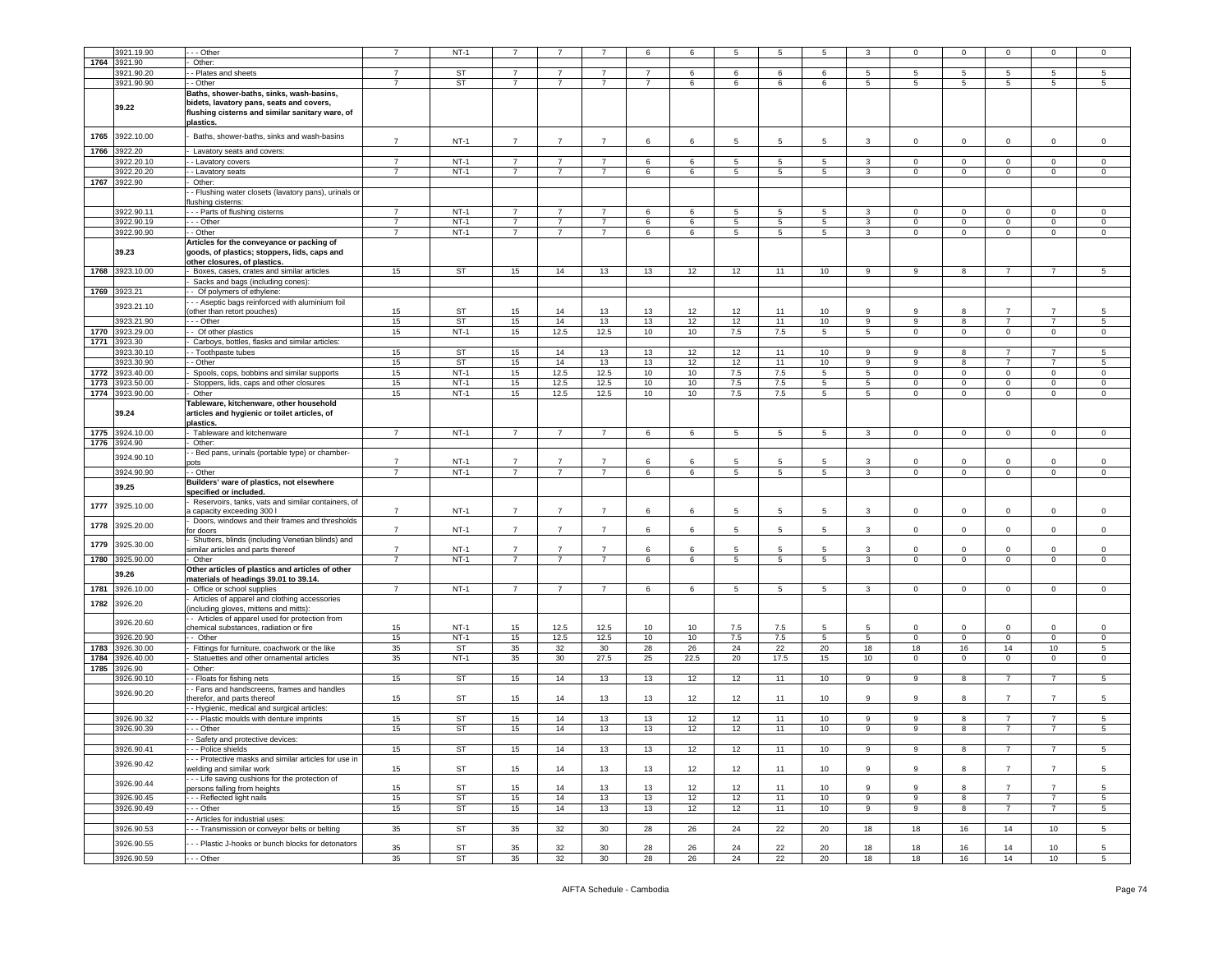|      | 3921.19.90   | - Other                                                                                                                   |                | $NT-1$      |                |                |                 | 6              | 6    | 5       | 5    | 5                |                | $\mathbf 0$    | $\mathbf 0$    | $\Omega$       | 0              | $\mathbf 0$    |
|------|--------------|---------------------------------------------------------------------------------------------------------------------------|----------------|-------------|----------------|----------------|-----------------|----------------|------|---------|------|------------------|----------------|----------------|----------------|----------------|----------------|----------------|
|      |              |                                                                                                                           |                |             |                |                |                 |                |      |         |      |                  |                |                |                |                |                |                |
| 1764 | 3921.90      | Other:                                                                                                                    |                |             |                |                |                 |                |      |         |      |                  |                |                |                |                |                |                |
|      | 3921.90.20   | - Plates and sheets                                                                                                       | 7              | ST          | 7              | 7              | $\overline{7}$  | 7              | 6    | 6       | 6    | 6                | 5              | 5              | 5              | 5              | 5              | 5              |
|      | 3921.90.90   | - Other                                                                                                                   | $\overline{7}$ | ST          | $\overline{7}$ | $\overline{7}$ | $\overline{7}$  | $\overline{7}$ | 6    | 6       | 6    | 6                | $5^{\circ}$    | 5              | 5              | 5              | 5 <sup>5</sup> | 5              |
|      |              | Baths, shower-baths, sinks, wash-basins,                                                                                  |                |             |                |                |                 |                |      |         |      |                  |                |                |                |                |                |                |
|      | 39.22        | bidets, lavatory pans, seats and covers,<br>flushing cisterns and similar sanitary ware, of<br>plastics.                  |                |             |                |                |                 |                |      |         |      |                  |                |                |                |                |                |                |
| 1765 | 3922.10.00   | Baths, shower-baths, sinks and wash-basins                                                                                | $\overline{7}$ | $NT-1$      | $\overline{7}$ | $\overline{7}$ | $\overline{7}$  | 6              | 6    | 5       | 5    | 5                | 3              | $\mathbf 0$    | $\mathbf 0$    | 0              | 0              | $\mathbf 0$    |
| 1766 | 3922.20      | Lavatory seats and covers:                                                                                                |                |             |                |                |                 |                |      |         |      |                  |                |                |                |                |                |                |
|      | 3922.20.10   | - Lavatory covers                                                                                                         | $\overline{7}$ | $NT-1$      | $\overline{7}$ | 7              | $\overline{7}$  | 6              | 6    | 5       | 5    | 5                | 3              | $\mathbf 0$    | $\mathbf 0$    | $\mathbf 0$    | $\mathbf{0}$   | $\mathbf 0$    |
|      | 3922.20.20   | - Lavatory seats                                                                                                          | $\overline{7}$ | $NT-1$      | $\overline{7}$ | $\overline{7}$ | $\overline{7}$  | 6              | 6    | 5       | 5    | 5                | 3              | $\Omega$       | $\mathbf 0$    | $\mathbf 0$    | $\mathbf 0$    | $\Omega$       |
| 1767 | 3922.90      |                                                                                                                           |                |             |                |                |                 |                |      |         |      |                  |                |                |                |                |                |                |
|      |              | Other:                                                                                                                    |                |             |                |                |                 |                |      |         |      |                  |                |                |                |                |                |                |
|      |              | - Flushing water closets (lavatory pans), urinals or<br>ushing cisterns:                                                  |                |             |                |                |                 |                |      |         |      |                  |                |                |                |                |                |                |
|      | 3922.90.11   | - - Parts of flushing cisterns                                                                                            | $\overline{7}$ | $NT-1$      | $\overline{7}$ | $\overline{7}$ | $\overline{7}$  | 6              | 6    | 5       | 5    | 5                | 3              | $\Omega$       | $\mathsf 0$    | $\Omega$       | $\mathbf 0$    | $\mathbf 0$    |
|      | 3922.90.19   | - - Other                                                                                                                 | $\overline{7}$ | $NT-1$      | $\overline{7}$ | 7              | $\overline{7}$  | 6              | 6    | 5       | 5    | $5\phantom{.0}$  | 3              | $\overline{0}$ | $\mathbf 0$    | $\mathbf 0$    | $\mathbf 0$    | $\mathsf 0$    |
|      | 3922.90.90   | - Other                                                                                                                   | $\overline{7}$ | $NT-1$      | $\overline{7}$ | $\overline{7}$ | $\overline{7}$  | 6              | 6    | 5       | 5    | 5                | 3              | $\mathbf 0$    | $\mathsf 0$    | $\mathbf 0$    | $\mathbf 0$    | $\mathbf 0$    |
|      | 39.23        | Articles for the conveyance or packing of<br>goods, of plastics; stoppers, lids, caps and<br>other closures, of plastics. |                |             |                |                |                 |                |      |         |      |                  |                |                |                |                |                |                |
| 1768 | 3923.10.00   | Boxes, cases, crates and similar articles                                                                                 | 15             | <b>ST</b>   | 15             | 14             | 13              | 13             | 12   | 12      | 11   | 10 <sup>1</sup>  | 9              | 9              | 8              | $\overline{7}$ | 7              | 5              |
|      |              |                                                                                                                           |                |             |                |                |                 |                |      |         |      |                  |                |                |                |                |                |                |
|      |              | Sacks and bags (including cones):                                                                                         |                |             |                |                |                 |                |      |         |      |                  |                |                |                |                |                |                |
|      | 1769 3923.21 | Of polymers of ethylene:                                                                                                  |                |             |                |                |                 |                |      |         |      |                  |                |                |                |                |                |                |
|      | 3923.21.10   | - - Aseptic bags reinforced with aluminium foil                                                                           |                |             |                |                |                 |                |      |         |      |                  |                |                |                |                |                |                |
|      |              | other than retort pouches)                                                                                                | 15             | ST          | 15             | 14             | 13              | 13             | 12   | 12      | 11   | 10               |                | 9              | 8              |                |                | 5              |
|      | 3923.21.90   | - - Other                                                                                                                 | 15             | ST          | 15             | 14             | 13              | 13             | 12   | 12      | 11   | 10               | 9              | 9              | 8              | $\overline{7}$ | $\overline{7}$ | 5              |
| 1770 | 3923.29.00   | - Of other plastics                                                                                                       | 15             | $NT-1$      | 15             | 12.5           | 12.5            | 10             | 10   | 7.5     | 7.5  | $5\phantom{.0}$  | $5^{\circ}$    | $\mathbf{0}$   | $\mathbf 0$    | $\mathbf{0}$   | $\mathbf 0$    | $\mathbf 0$    |
| 1771 | 3923.30      | Carboys, bottles, flasks and similar articles:                                                                            |                |             |                |                |                 |                |      |         |      |                  |                |                |                |                |                |                |
|      | 3923.30.10   | Toothpaste tubes                                                                                                          | 15             | ST          | 15             | 14             | 13              | 13             | 12   | 12      | 11   | 10               | 9              | 9              | 8              | 7              | 7              | 5              |
|      |              |                                                                                                                           |                |             |                |                |                 |                |      |         |      |                  |                |                |                |                |                |                |
|      | 3923.30.90   | - Other                                                                                                                   | 15             | ST          | 15             | 14             | 13              | 13             | 12   | 12      | 11   | 10               | 9              | 9              | 8              | 7              | 7              | 5              |
| 1772 | 3923.40.00   | Spools, cops, bobbins and similar supports                                                                                | 15             | $NT-1$      | 15             | 12.5           | 12.5            | 10             | 10   | $7.5\,$ | 7.5  | 5                | 5 <sup>5</sup> | $\circ$        | $\mathsf 0$    | $\mathbf 0$    | $\mathbf 0$    | $\mathbf 0$    |
| 1773 | 3923.50.00   | Stoppers, lids, caps and other closures                                                                                   | 15             | $NT-1$      | 15             | 12.5           | 12.5            | 10             | 10   | 7.5     | 7.5  | 5                | 5              | $\mathsf 0$    | $\mathbf 0$    | 0              | $\mathbf 0$    | $\mathsf 0$    |
| 1774 | 3923.90.00   | Other                                                                                                                     | 15             | $NT-1$      | 15             | 12.5           | 12.5            | 10             | 10   | 7.5     | 7.5  | 5                | 5              | $\mathbf 0$    | $\mathsf 0$    | $\mathbf 0$    | $\mathbf 0$    | $\mathbf 0$    |
|      | 39.24        | Tableware, kitchenware, other household<br>articles and hygienic or toilet articles, of<br>plastics.                      |                |             |                |                |                 |                |      |         |      |                  |                |                |                |                |                |                |
| 1775 | 3924.10.00   | Tableware and kitchenware                                                                                                 | $\overline{7}$ | $NT-1$      | $\overline{7}$ | $\overline{7}$ | $\overline{7}$  | 6              | 6    | 5       | 5    | 5                | 3              | $\mathbf{0}$   | $\overline{0}$ | $\overline{0}$ | $\mathbf{0}$   | $\mathbf{0}$   |
| 1776 | 3924.90      | Other:                                                                                                                    |                |             |                |                |                 |                |      |         |      |                  |                |                |                |                |                |                |
|      |              |                                                                                                                           |                |             |                |                |                 |                |      |         |      |                  |                |                |                |                |                |                |
|      | 3924.90.10   | - Bed pans, urinals (portable type) or chamber-                                                                           | $\overline{7}$ |             | $\overline{7}$ | $\overline{7}$ | $\overline{7}$  |                |      |         |      |                  |                |                |                |                |                | $\Omega$       |
|      |              | ots                                                                                                                       |                | $NT-1$      |                |                |                 | 6              | 6    | 5       |      | 5                | 3              | $\mathbf 0$    | $\mathbf 0$    | $\Omega$       | $\Omega$       |                |
|      | 3924.90.90   | - Other                                                                                                                   | $\overline{7}$ | $NT-1$      | $\overline{7}$ | $\overline{7}$ | $\overline{7}$  | 6              | 6    | 5       | 5    | 5                | 3              | 0              | $\mathbf 0$    | $\mathbf 0$    | 0              | $\mathbf 0$    |
|      | 39.25        | Builders' ware of plastics, not elsewhere                                                                                 |                |             |                |                |                 |                |      |         |      |                  |                |                |                |                |                |                |
|      |              | specified or included.                                                                                                    |                |             |                |                |                 |                |      |         |      |                  |                |                |                |                |                |                |
| 1777 | 3925.10.00   | Reservoirs, tanks, vats and similar containers, of<br>capacity exceeding 300 l                                            | $\overline{7}$ | $NT-1$      | $\overline{7}$ | $\overline{7}$ | $\overline{7}$  | 6              | 6    | 5       | 5    | 5                | 3              | $\mathbf{0}$   | $\mathsf 0$    | $\Omega$       | $\mathbf{0}$   | $\mathsf 0$    |
|      |              | Doors, windows and their frames and thresholds                                                                            |                |             |                |                |                 |                |      |         |      |                  |                |                |                |                |                |                |
| 1778 | 3925.20.00   | or doors                                                                                                                  | $\overline{7}$ | $NT-1$      | $\overline{7}$ | $\overline{7}$ | $\overline{7}$  | 6              | 6    | 5       | -5   | 5                | 3              | $\mathbf{0}$   | $\mathsf 0$    | $\Omega$       | $\Omega$       | $\mathsf 0$    |
|      |              | Shutters, blinds (including Venetian blinds) and                                                                          |                |             |                |                |                 |                |      |         |      |                  |                |                |                |                |                |                |
| 1779 | 3925.30.00   | similar articles and parts thereof                                                                                        | $\overline{7}$ | <b>NT-1</b> | 7              | $\overline{7}$ | $\overline{7}$  | 6              |      | 5       | -5   | 5                | 3              | $\mathbf 0$    | $\mathbf 0$    | $\Omega$       | 0              | $\mathbf 0$    |
|      |              |                                                                                                                           |                |             |                |                |                 |                |      |         |      |                  |                |                |                |                |                | $\mathbf 0$    |
| 1780 | 3925.90.00   | Other                                                                                                                     | $\overline{7}$ | $NT-1$      | $\overline{7}$ | $\overline{7}$ | $\overline{7}$  | 6              | 6    | 5       | 5    | 5                | 3              | $\mathbf 0$    | $\mathsf 0$    | $\mathbf{0}$   | $\mathbf 0$    |                |
|      | 39.26        | Other articles of plastics and articles of other                                                                          |                |             |                |                |                 |                |      |         |      |                  |                |                |                |                |                |                |
|      |              | materials of headings 39.01 to 39.14.                                                                                     |                |             |                |                |                 |                |      |         |      |                  |                |                |                |                |                |                |
| 1781 | 3926.10.00   | Office or school supplies                                                                                                 | $\overline{7}$ | $NT-1$      | $\overline{7}$ | 7              | $\overline{7}$  | 6              | 6    | 5       | 5    | 5                | 3              | $\mathbf 0$    | $\mathbf 0$    | $\mathbf 0$    | 0              | $\mathbf 0$    |
| 1782 | 3926.20      | Articles of apparel and clothing accessories<br>including gloves, mittens and mitts):                                     |                |             |                |                |                 |                |      |         |      |                  |                |                |                |                |                |                |
|      | 3926.20.60   | - Articles of apparel used for protection from                                                                            |                |             |                |                |                 |                |      |         |      |                  |                |                |                |                |                |                |
|      |              | chemical substances, radiation or fire                                                                                    | 15             | $NT-1$      | 15             | 12.5           | 12.5            | 10             | 10   | 7.5     | 7.5  | 5                | 5              | $\Omega$       | $\mathbf 0$    | $\Omega$       | $\Omega$       | $\Omega$       |
|      | 3926.20.90   | - Other                                                                                                                   | 15             | $NT-1$      | 15             | 12.5           | 12.5            | 10             | 10   | 7.5     | 7.5  | 5                | 5              | $\overline{0}$ | $\mathbf 0$    | $\mathbf 0$    | $\mathbf{0}$   | $\mathbf 0$    |
| 1783 | 3926.30.00   | Fittings for furniture, coachwork or the like                                                                             | 35             | ST          | 35             | 32             | 30              | 28             | 26   | 24      | 22   | 20               | 18             | 18             | 16             | 14             | 10             | 5              |
| 1784 | 3926.40.00   | Statuettes and other ornamental articles                                                                                  | 35             | $NT-1$      | 35             | 30             | 27.5            | 25             | 22.5 | 20      | 17.5 | 15               | 10             | $\mathbf 0$    | $\mathbf 0$    | $\mathbf 0$    | $\mathbf 0$    | $\mathbf 0$    |
| 1785 | 3926.90      | Other:                                                                                                                    |                |             |                |                |                 |                |      |         |      |                  |                |                |                |                |                |                |
|      |              |                                                                                                                           |                |             |                |                |                 |                |      |         |      |                  |                |                |                | $\overline{7}$ | $\overline{7}$ |                |
|      | 3926.90.10   | - Floats for fishing nets                                                                                                 | 15             | ST          | 15             | 14             | 13              | 13             | 12   | 12      | 11   | 10 <sup>1</sup>  | 9              | 9              | 8              |                |                | 5              |
|      | 3926.90.20   | - Fans and handscreens, frames and handles                                                                                | 15             | ST          |                | 14             | 13              | 13             |      |         |      |                  | 9              | 9              | 8              | 7              | $\overline{7}$ | 5              |
|      |              | herefor, and parts thereof                                                                                                |                |             | 15             |                |                 |                | 12   | 12      | 11   | 10               |                |                |                |                |                |                |
|      |              | - Hygienic, medical and surgical articles:                                                                                |                |             |                |                |                 |                |      |         |      |                  |                |                |                |                |                |                |
|      | 3926.90.32   | - - Plastic moulds with denture imprints                                                                                  | 15             | ST          | 15             | 14             | 13              | 13             | 12   | 12      | 11   | 10               | 9              | 9              | 8              | 7              | $\overline{7}$ | 5              |
|      | 3926.90.39   | - - Other                                                                                                                 | 15             | <b>ST</b>   | 15             | 14             | 13              | 13             | 12   | 12      | 11   | 10               | 9              | 9              | 8              | $\overline{7}$ | $\overline{7}$ | 5              |
|      |              | Safety and protective devices:                                                                                            |                |             |                |                |                 |                |      |         |      |                  |                |                |                |                |                |                |
|      | 3926.90.41   | - - Police shields                                                                                                        | 15             | ST          | 15             | 14             | 13              | 13             | 12   | 12      | 11   | 10 <sup>10</sup> | 9              | 9              | 8              | $7^{\circ}$    | $\overline{7}$ | 5 <sub>5</sub> |
|      |              | - - Protective masks and similar articles for use in                                                                      |                |             |                |                |                 |                |      |         |      |                  |                |                |                |                |                |                |
|      | 3926.90.42   | welding and similar work                                                                                                  | 15             | <b>ST</b>   | 15             | 14             | 13              | 13             | 12   | 12      | 11   | 10               | 9              | 9              | 8              | $\overline{7}$ | $\overline{7}$ | 5              |
|      |              | - - Life saving cushions for the protection of                                                                            |                |             |                |                |                 |                |      |         |      |                  |                |                |                |                |                |                |
|      | 3926.90.44   |                                                                                                                           | 15             | ST          | 15             | 14             | 13              | 13             | 12   | 12      | 11   | 10               | 9              | 9              | 8              | $\overline{7}$ | $\overline{7}$ | 5              |
|      |              | bersons falling from heights                                                                                              |                |             |                |                |                 |                |      |         |      |                  |                |                |                | $\overline{7}$ |                |                |
|      | 3926.90.45   | - - Reflected light nails                                                                                                 | 15             | <b>ST</b>   | 15             | 14             | 13              | 13             | 12   | 12      | 11   | 10               | 9              | 9              | 8              |                | $\overline{7}$ | 5              |
|      | 3926.90.49   | - - Other                                                                                                                 | 15             | <b>ST</b>   | 15             | 14             | 13              | 13             | 12   | 12      | 11   | 10               | 9              | 9              | 8              | 7              | $\overline{7}$ | 5              |
|      |              | - Articles for industrial uses:                                                                                           |                |             |                |                |                 |                |      |         |      |                  |                |                |                |                |                |                |
|      | 3926.90.53   | - Transmission or conveyor belts or belting                                                                               | 35             | ST          | 35             | 32             | 30 <sup>°</sup> | 28             | 26   | 24      | 22   | 20               | 18             | 18             | 16             | 14             | 10             | 5              |
|      |              |                                                                                                                           |                |             |                |                |                 |                |      |         |      |                  |                |                |                |                |                |                |
|      | 3926.90.55   | - - Plastic J-hooks or bunch blocks for detonators                                                                        | 35             | ST          | 35             | 32             | 30              | 28             | 26   | 24      | 22   | 20               | 18             | 18             | 16             | 14             | 10             | 5              |
|      | 3926.90.59   | - - Other                                                                                                                 | 35             | <b>ST</b>   | 35             | 32             | 30              | 28             | 26   | 24      | 22   | 20               | 18             | 18             | 16             | 14             | 10             | 5              |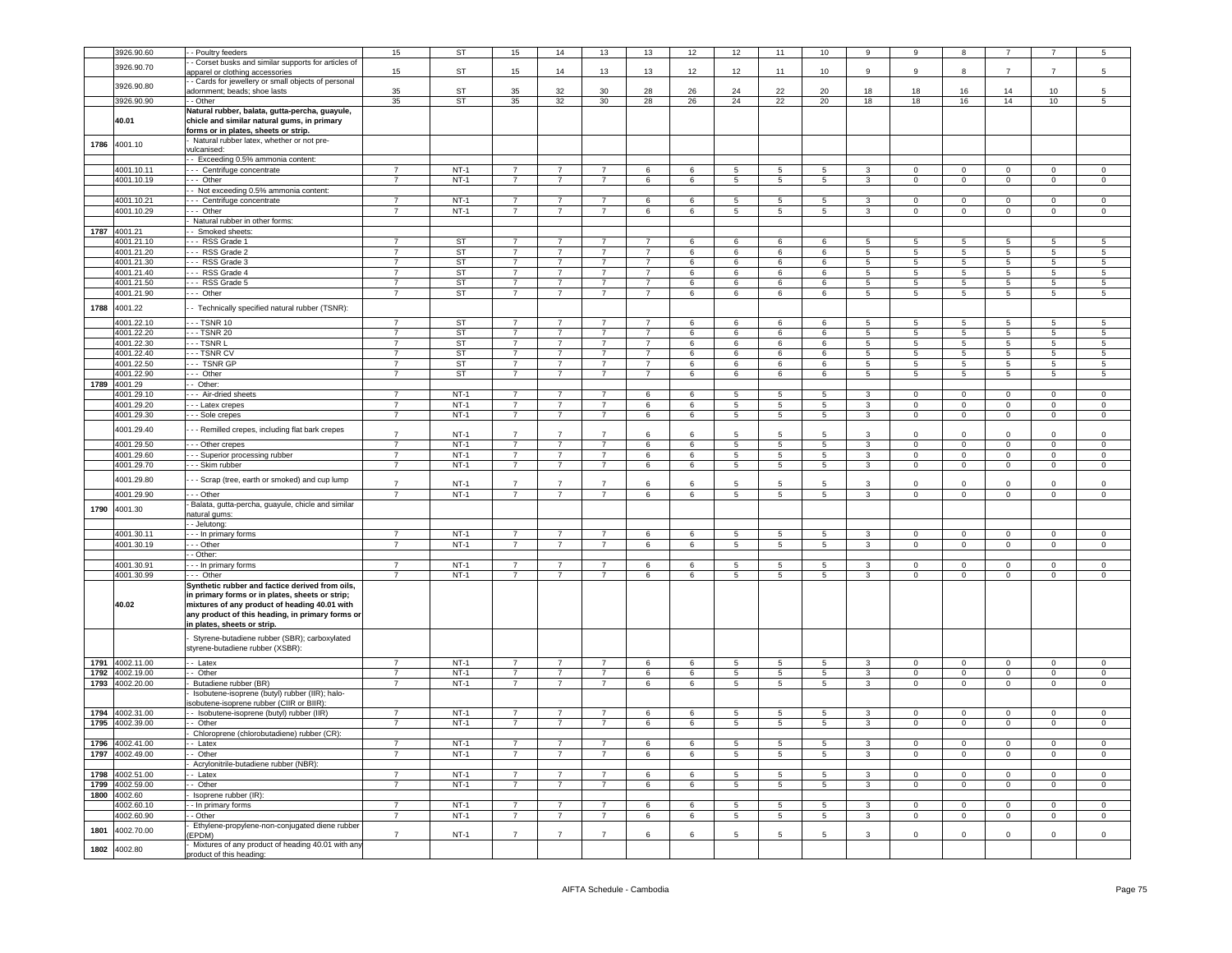|      | 3926.90.60                    | - Poultry feeders                                                                                                                                                                   | 15                               | <b>ST</b>              | 15                               | 14                               | 13                               | 13                               | 12                   | 12                               | 11                                | 10                   | 9                                | 9                             |                                  |                                  |                               |                                  |
|------|-------------------------------|-------------------------------------------------------------------------------------------------------------------------------------------------------------------------------------|----------------------------------|------------------------|----------------------------------|----------------------------------|----------------------------------|----------------------------------|----------------------|----------------------------------|-----------------------------------|----------------------|----------------------------------|-------------------------------|----------------------------------|----------------------------------|-------------------------------|----------------------------------|
|      | 3926.90.70                    | - Corset busks and similar supports for articles of                                                                                                                                 | 15                               | ST                     | 15                               | 14                               | 13                               | 13                               | 12                   | 12                               | 11                                | 10                   | $\mathsf g$                      | 9                             | 8                                | $\overline{7}$                   |                               | $\overline{5}$                   |
|      |                               | apparel or clothing accessories<br>- Cards for jewellery or small objects of personal                                                                                               |                                  |                        |                                  |                                  |                                  |                                  |                      |                                  |                                   |                      |                                  |                               |                                  |                                  |                               |                                  |
|      | 3926.90.80                    | adornment; beads; shoe lasts                                                                                                                                                        | 35                               | ST                     | 35                               | 32                               | 30                               | 28                               | 26                   | 24                               | 22                                | 20                   | 18                               | 18                            | 16                               | 14                               | 10                            | 5                                |
|      | 3926.90.90                    | - Other                                                                                                                                                                             | 35                               | ST                     | 35                               | 32                               | 30 <sup>2</sup>                  | 28                               | 26                   | 24                               | 22                                | 20                   | 18                               | 18                            | 16                               | 14                               | 10                            | $\overline{5}$                   |
|      | 40.01                         | Natural rubber, balata, gutta-percha, guayule,<br>chicle and similar natural gums, in primary<br>forms or in plates, sheets or strip.                                               |                                  |                        |                                  |                                  |                                  |                                  |                      |                                  |                                   |                      |                                  |                               |                                  |                                  |                               |                                  |
| 1786 | 4001.10                       | Natural rubber latex, whether or not pre-                                                                                                                                           |                                  |                        |                                  |                                  |                                  |                                  |                      |                                  |                                   |                      |                                  |                               |                                  |                                  |                               |                                  |
|      |                               | vulcanised:<br>- Exceeding 0.5% ammonia content:                                                                                                                                    |                                  |                        |                                  |                                  |                                  |                                  |                      |                                  |                                   |                      |                                  |                               |                                  |                                  |                               |                                  |
|      | 4001.10.11                    | - Centrifuge concentrate                                                                                                                                                            | $\overline{7}$                   | $NT-1$                 | $\overline{7}$                   | $\overline{7}$                   | $\overline{7}$                   | 6                                | 6                    | 5                                | $\overline{5}$                    | 5                    | $\overline{3}$                   | $\overline{0}$                | $\overline{0}$                   | $\overline{0}$                   | $\overline{0}$                | $\overline{0}$                   |
|      | 4001.10.19                    | - Other                                                                                                                                                                             | $\overline{7}$                   | $NT-1$                 | $\overline{7}$                   | $\overline{7}$                   | $\overline{7}$                   | 6                                | 6                    | 5                                | $5\phantom{.0}$                   | 5                    | $\mathbf{3}$                     | $\mathbf 0$                   | $\mathsf 0$                      | $\mathsf 0$                      | $\mathsf 0$                   | $\mathsf 0$                      |
|      |                               | - Not exceeding 0.5% ammonia content:                                                                                                                                               |                                  |                        |                                  |                                  |                                  |                                  |                      |                                  |                                   |                      |                                  |                               |                                  |                                  |                               |                                  |
|      | 4001.10.21                    | - - Centrifuge concentrate                                                                                                                                                          | $\overline{7}$                   | $NT-1$                 | $\overline{7}$                   | $\overline{7}$<br>$\overline{7}$ | $\overline{7}$<br>$\overline{7}$ | 6                                | 6                    | $\overline{5}$                   | $\overline{5}$                    | $\overline{5}$       | $\overline{3}$                   | $\Omega$                      | $\overline{0}$                   | $\mathbf 0$                      | $\overline{0}$                | $\mathsf 0$                      |
|      | 4001.10.29                    | - Other<br>Natural rubber in other forms:                                                                                                                                           |                                  | $NT-1$                 | $\overline{7}$                   |                                  |                                  | 6                                | 6                    | 5                                | 5                                 | 5                    | 3                                | $\overline{0}$                | $\overline{0}$                   | $\overline{0}$                   | $\overline{0}$                | $\overline{0}$                   |
|      | 1787 4001.21                  | - Smoked sheets:                                                                                                                                                                    |                                  |                        |                                  |                                  |                                  |                                  |                      |                                  |                                   |                      |                                  |                               |                                  |                                  |                               |                                  |
|      | 4001.21.10                    | -- RSS Grade 1                                                                                                                                                                      | $\overline{7}$                   | ST                     | $\overline{7}$                   | 7                                | 7                                | $\overline{7}$                   | 6                    | 6                                | 6                                 | 6                    | 5                                | -5                            | 5                                | 5                                | -5                            | 5                                |
|      | 4001.21.20                    | - - RSS Grade 2                                                                                                                                                                     | $\overline{7}$                   | <b>ST</b>              | $\overline{7}$                   | $\overline{7}$                   | $\overline{7}$                   | $\overline{7}$                   | 6                    | 6                                | 6                                 | 6                    | $5\phantom{.0}$                  | 5                             | $\overline{5}$                   | $5\phantom{.0}$                  | $\,$ 5 $\,$                   | $\sqrt{5}$                       |
|      | 4001.21.30                    | -- RSS Grade 3                                                                                                                                                                      | $\overline{7}$                   | <b>ST</b>              | $\overline{7}$                   | $\overline{7}$                   | $\overline{7}$                   | $\overline{7}$                   | $6\overline{6}$      | 6                                | 6                                 | 6                    | $\overline{5}$                   | $\overline{5}$                | $\overline{5}$                   | $\overline{5}$                   | $\overline{5}$                | 5                                |
|      | 4001.21.40                    | -- RSS Grade 4                                                                                                                                                                      | $\overline{7}$                   | <b>ST</b>              | $\overline{7}$                   | $\overline{7}$                   | $\overline{7}$                   | $\overline{7}$                   | 6                    | 6                                | 6                                 | 6                    | 5                                | 5                             | $\overline{5}$                   | $\overline{5}$                   | 5                             | 5                                |
|      | 4001.21.50<br>4001.21.90      | - - RSS Grade 5<br>-- Other                                                                                                                                                         | $\overline{7}$<br>$\overline{7}$ | <b>ST</b><br>ST        | $\overline{7}$<br>$\overline{7}$ | $\overline{7}$<br>$\overline{7}$ | $\overline{7}$<br>$\overline{7}$ | $\overline{7}$<br>$\overline{7}$ | 6<br>6               | 6<br>6                           | 6<br>6                            | 6<br>$6\overline{6}$ | 5<br>$\overline{5}$              | 5<br>$\overline{5}$           | 5<br>$\overline{5}$              | 5<br>5                           | 5<br>$\overline{5}$           | 5<br>$\overline{5}$              |
| 1788 |                               |                                                                                                                                                                                     |                                  |                        |                                  |                                  |                                  |                                  |                      |                                  |                                   |                      |                                  |                               |                                  |                                  |                               |                                  |
|      | 4001.22                       | - Technically specified natural rubber (TSNR):                                                                                                                                      |                                  |                        |                                  |                                  |                                  |                                  |                      |                                  |                                   |                      |                                  |                               |                                  |                                  |                               |                                  |
|      | 4001.22.10                    | - TSNR 10<br>-- TSNR 20                                                                                                                                                             | $\overline{7}$                   | <b>ST</b><br><b>ST</b> | $\overline{7}$<br>$\overline{7}$ | $\overline{7}$<br>$\overline{7}$ | $\overline{7}$                   | $\overline{7}$                   | 6                    | 6                                | 6                                 | $6\overline{6}$      | 5                                | $5^{\circ}$                   | $\overline{5}$                   | 5                                | $\overline{5}$                | 5                                |
|      | 4001.22.20<br>4001.22.30      | $-$ TSNR L                                                                                                                                                                          | $\overline{7}$                   | <b>ST</b>              | $\overline{7}$                   | $\overline{7}$                   | $\overline{7}$                   | $\overline{7}$<br>$\overline{7}$ | 6<br>6               | 6<br>6                           | 6<br>6                            | 6<br>6               | 5<br>5                           | 5<br>5                        | 5<br>$\overline{5}$              | 5<br>5                           | 5<br>$\overline{5}$           | 5<br>5                           |
|      | 4001.22.40                    | - - TSNR CV                                                                                                                                                                         | $\overline{7}$                   | ST                     | $\overline{7}$                   | $\overline{7}$                   | $\overline{7}$                   | $\overline{7}$                   | 6                    | 6                                | 6                                 | 6                    | $\sqrt{5}$                       | 5                             | $\sqrt{5}$                       | 5                                | $\overline{5}$                | $\sqrt{5}$                       |
|      | 4001.22.50                    | TSNR GP                                                                                                                                                                             | $\overline{7}$                   | ST                     | $\overline{7}$                   | $\overline{7}$                   | $\overline{7}$                   | $\overline{7}$                   | $6\overline{6}$      | 6                                | 6                                 | 6                    | $\overline{5}$                   | $\overline{5}$                | $\overline{5}$                   | $\overline{5}$                   | $\overline{5}$                | 5                                |
|      | 4001.22.90                    | -- Other                                                                                                                                                                            | $\overline{7}$                   | ST                     | $\overline{7}$                   | $\overline{7}$                   | $\overline{7}$                   | $\overline{7}$                   | 6                    | 6                                | $6\phantom{1}$                    | 6                    | 5 <sup>5</sup>                   | 5                             | 5                                | 5                                | $\overline{5}$                | 5                                |
| 1789 | 4001.29                       | $-$ Other:                                                                                                                                                                          |                                  |                        |                                  |                                  |                                  |                                  |                      |                                  |                                   |                      |                                  |                               |                                  |                                  |                               |                                  |
|      | 4001.29.10                    | - - Air-dried sheets                                                                                                                                                                | $\overline{7}$                   | $NT-1$                 | $\overline{7}$                   | 7                                |                                  | 6                                | 6                    | $5^{\circ}$                      | 5                                 | 5                    | 3                                | $\Omega$                      | $\mathsf 0$                      | $\mathbf 0$                      | $\Omega$                      | $\mathbf 0$                      |
|      | 4001.29.20<br>4001.29.30      | - - Latex crepes<br>- - Sole crepes                                                                                                                                                 | $\overline{7}$<br>$\overline{7}$ | $NT-1$<br>$NT-1$       | $7^{\circ}$<br>$\overline{7}$    | $\overline{7}$<br>$\overline{7}$ | $\overline{7}$<br>$\overline{7}$ | 6<br>6                           | 6<br>6               | $5\overline{)}$<br>5             | $5\phantom{.0}$<br>5              | $5^{\circ}$<br>5     | $\mathbf{3}$<br>3                | $\mathbf{0}$<br>$\mathbf 0$   | $\overline{0}$<br>$\overline{0}$ | $\overline{0}$<br>$\mathbf{0}$   | $\circ$<br>$\mathbf 0$        | $\mathsf 0$<br>$\mathbf 0$       |
|      | 4001.29.40                    | - - Remilled crepes, including flat bark crepes                                                                                                                                     |                                  |                        |                                  |                                  |                                  |                                  |                      |                                  |                                   |                      |                                  |                               |                                  |                                  |                               |                                  |
|      | 4001.29.50                    | - - Other crepes                                                                                                                                                                    | $\overline{7}$<br>$\overline{7}$ | $NT-1$<br>$NT-1$       | $\overline{7}$<br>$\overline{7}$ | $\overline{7}$<br>$\overline{7}$ | $\overline{7}$<br>$\overline{7}$ | 6<br>6                           | 6<br>6               | 5<br>5                           | 5<br>$5\phantom{.0}$              | 5<br>5               | 3<br>$\mathbf{3}$                | $\Omega$<br>$\mathsf 0$       | $\Omega$<br>$\mathbf 0$          | $\Omega$<br>$\mathsf 0$          | $\Omega$<br>$\mathsf 0$       | $\Omega$<br>$\mathsf 0$          |
|      | 4001.29.60                    | - - Superior processing rubber                                                                                                                                                      | $\overline{7}$                   | $NT-1$                 | $\overline{7}$                   | $\overline{7}$                   | $\overline{7}$                   | 6                                | 6                    | 5                                | $\overline{5}$                    | 5                    | $\overline{3}$                   | $\overline{0}$                | $\overline{0}$                   | $\overline{0}$                   | $\overline{0}$                | $\overline{0}$                   |
|      | 4001.29.70                    | - - Skim rubber                                                                                                                                                                     | $\overline{7}$                   | $NT-1$                 | $\overline{7}$                   | $\overline{7}$                   | $\overline{7}$                   | 6                                | 6                    | 5                                | $\overline{5}$                    | $5\phantom{.0}$      | $\mathbf{3}$                     | $\mathbf 0$                   | $\overline{0}$                   | $\overline{0}$                   | $\mathsf 0$                   | $\mathsf 0$                      |
|      | 4001.29.80                    | - - Scrap (tree, earth or smoked) and cup lump                                                                                                                                      | $\overline{7}$                   | $NT-1$                 | $\overline{7}$                   |                                  | $\overline{7}$                   | 6                                | 6                    | 5                                | 5                                 | 5                    | 3                                | $\mathsf 0$                   | $\mathbf 0$                      | $\mathbf 0$                      | $\mathbf 0$                   | $\mathsf 0$                      |
|      | 4001.29.90                    | $-$ Other                                                                                                                                                                           | $\overline{7}$                   | $NT-1$                 | $\overline{7}$                   | $\overline{7}$                   | $\overline{7}$                   | 6                                | 6                    | $\overline{5}$                   | $\overline{5}$                    | $5\phantom{.0}$      | $\overline{\mathbf{3}}$          | $\overline{0}$                | $\overline{0}$                   | $\overline{0}$                   | $\overline{0}$                | $\overline{0}$                   |
| 1790 | 4001.30                       | Balata, gutta-percha, guayule, chicle and similar                                                                                                                                   |                                  |                        |                                  |                                  |                                  |                                  |                      |                                  |                                   |                      |                                  |                               |                                  |                                  |                               |                                  |
|      |                               | natural gums:<br>- Jelutong:                                                                                                                                                        |                                  |                        |                                  |                                  |                                  |                                  |                      |                                  |                                   |                      |                                  |                               |                                  |                                  |                               |                                  |
|      | 4001.30.11                    | - In primary forms                                                                                                                                                                  | $\overline{7}$                   | $NT-1$                 | $\overline{7}$                   | 7                                | 7                                | 6                                | 6                    | 5                                | 5                                 | 5                    | 3                                | $\Omega$                      | $\overline{0}$                   | $\Omega$                         | $\Omega$                      | $\Omega$                         |
|      | 4001.30.19                    | - Other                                                                                                                                                                             | $\overline{7}$                   | $NT-1$                 | $\overline{7}$                   | $\overline{7}$                   | $\overline{7}$                   | 6                                | 6                    | 5                                | $5\phantom{.0}$                   | 5                    | 3                                | $\mathbf 0$                   | $\overline{0}$                   | $\mathsf 0$                      | $\mathsf 0$                   | $\,0\,$                          |
|      |                               | - Other:                                                                                                                                                                            |                                  |                        |                                  |                                  |                                  |                                  |                      |                                  |                                   |                      |                                  |                               |                                  |                                  |                               |                                  |
|      | 4001.30.91<br>4001.30.99      | - - In primary forms<br>- Other                                                                                                                                                     | $\overline{7}$<br>$\overline{7}$ | $NT-1$<br>$NT-1$       | $\overline{7}$<br>$\overline{7}$ | $\overline{7}$<br>$\overline{7}$ | $\overline{7}$<br>$\overline{7}$ | 6<br>6                           | 6<br>6               | 5<br>$\overline{5}$              | $5\phantom{.0}$<br>$\overline{5}$ | 5<br>$\overline{5}$  | 3<br>$\overline{3}$              | $\Omega$<br>$\Omega$          | $\mathbf 0$<br>$\overline{0}$    | 0<br>$\overline{0}$              | $\mathbf 0$<br>$\overline{0}$ | $\mathbf 0$<br>$\overline{0}$    |
|      |                               | Synthetic rubber and factice derived from oils,                                                                                                                                     |                                  |                        |                                  |                                  |                                  |                                  |                      |                                  |                                   |                      |                                  |                               |                                  |                                  |                               |                                  |
|      | 40.02                         | in primary forms or in plates, sheets or strip;<br>mixtures of any product of heading 40.01 with<br>any product of this heading, in primary forms or<br>in plates, sheets or strip. |                                  |                        |                                  |                                  |                                  |                                  |                      |                                  |                                   |                      |                                  |                               |                                  |                                  |                               |                                  |
|      |                               | Styrene-butadiene rubber (SBR); carboxylated<br>styrene-butadiene rubber (XSBR):                                                                                                    |                                  |                        |                                  |                                  |                                  |                                  |                      |                                  |                                   |                      |                                  |                               |                                  |                                  |                               |                                  |
| 1791 | 4002.11.00                    | - Latex                                                                                                                                                                             | $\overline{7}$<br>$\overline{7}$ | $NT-1$                 | $\overline{7}$                   | $\overline{7}$                   | $\overline{7}$                   | $\,6\,$                          | 6                    | 5                                | $5^{\circ}$                       | 5                    | $\mathbf{3}$                     | $\Omega$                      | $\mathbf 0$                      | $\mathbf 0$                      | $\Omega$                      | $\mathsf 0$                      |
| 1792 | 4002.19.00<br>1793 4002.20.00 | - Other<br>Butadiene rubber (BR)                                                                                                                                                    | $\overline{7}$                   | $NT-1$<br>$NT-1$       | $\overline{7}$<br>$\overline{7}$ | $\overline{7}$<br>$\overline{7}$ | $\overline{7}$<br>$\overline{7}$ | 6<br>6                           | $6\overline{6}$<br>6 | 5<br>$\overline{5}$              | $\overline{5}$<br>$5^{\circ}$     | 5<br>$5^{\circ}$     | $\overline{3}$<br>$\overline{3}$ | $\overline{0}$<br>$\Omega$    | $\overline{0}$<br>$\overline{0}$ | $\overline{0}$<br>$\overline{0}$ | $\overline{0}$<br>$\Omega$    | $\overline{0}$<br>$\overline{0}$ |
|      |                               | Isobutene-isoprene (butyl) rubber (IIR); halo-                                                                                                                                      |                                  |                        |                                  |                                  |                                  |                                  |                      |                                  |                                   |                      |                                  |                               |                                  |                                  |                               |                                  |
|      |                               | sobutene-isoprene rubber (CIIR or BIIR):                                                                                                                                            |                                  |                        |                                  |                                  |                                  |                                  |                      |                                  |                                   |                      |                                  |                               |                                  |                                  |                               |                                  |
| 1794 | 4002.31.00<br>1795 4002.39.00 | - Isobutene-isoprene (butyl) rubber (IIR)<br>- Other                                                                                                                                | $\overline{7}$<br>$\overline{7}$ | $NT-1$<br>$NT-1$       | $\overline{7}$<br>$\overline{7}$ | $\overline{7}$<br>$\overline{7}$ | $\overline{7}$<br>$\overline{7}$ | 6<br>6                           | 6<br>6               | $\overline{5}$<br>$\overline{5}$ | 5<br>$\overline{5}$               | 5<br>5               | 3<br>$\overline{3}$              | $\mathbf 0$<br>$\overline{0}$ | $\,0\,$<br>$\overline{0}$        | $\mathsf 0$<br>$\overline{0}$    | $\mathsf 0$<br>$\overline{0}$ | $\,0\,$<br>$\overline{0}$        |
|      |                               | Chloroprene (chlorobutadiene) rubber (CR):                                                                                                                                          |                                  |                        |                                  |                                  |                                  |                                  |                      |                                  |                                   |                      |                                  |                               |                                  |                                  |                               |                                  |
| 1796 | 4002.41.00                    | - Latex                                                                                                                                                                             | $\overline{7}$                   | $NT-1$                 |                                  |                                  |                                  | 6                                | 6                    | 5                                | 5                                 | $\overline{5}$       | 3                                | $\overline{0}$                | $\overline{0}$                   | $\overline{0}$                   | $\overline{0}$                | $\overline{0}$                   |
|      | 1797 4002.49.00               | $\cdot$ - Other                                                                                                                                                                     | $\overline{7}$                   | $NT-1$                 | $\overline{7}$                   | $\overline{7}$                   | $\overline{7}$                   | 6                                | 6                    | $\overline{5}$                   | $5^{\circ}$                       | $5 -$                | $\overline{3}$                   | $\Omega$                      | $\overline{0}$                   | $\mathbf 0$                      | $\Omega$                      | $\overline{0}$                   |
|      |                               | Acrylonitrile-butadiene rubber (NBR):                                                                                                                                               |                                  |                        |                                  |                                  |                                  |                                  |                      |                                  |                                   |                      |                                  |                               |                                  |                                  |                               |                                  |
| 1799 | 1798 4002.51.00<br>4002.59.00 | - Latex<br>- Other                                                                                                                                                                  | $\overline{7}$<br>$\overline{7}$ | $NT-1$<br>$NT-1$       | $\overline{7}$<br>$\overline{7}$ | $\overline{7}$<br>$\overline{7}$ | $\overline{7}$<br>$\overline{7}$ | 6<br>6                           | 6                    | 5<br>$\overline{5}$              | 5                                 | 5<br>$\overline{5}$  | 3                                | $\Omega$<br>$\mathsf 0$       | $\mathbf 0$<br>$\overline{0}$    | $\mathbf{0}$<br>$\mathbf{0}$     | $\mathbf 0$                   | $\mathbf 0$<br>$\overline{0}$    |
| 1800 | 4002.60                       | Isoprene rubber (IR):                                                                                                                                                               |                                  |                        |                                  |                                  |                                  |                                  | $\,6\,$              |                                  | $\sqrt{5}$                        |                      | $\mathbf{3}$                     |                               |                                  |                                  | $\mathbf 0$                   |                                  |
|      | 4002.60.10                    | - In primary forms                                                                                                                                                                  | $\overline{7}$                   | $NT-1$                 | $\overline{7}$                   | $\overline{7}$                   | $\overline{7}$                   | 6                                | 6                    | $\overline{5}$                   | $\overline{5}$                    | 5                    | 3                                | $\mathbf 0$                   | $\overline{0}$                   | $\overline{0}$                   | $\mathsf 0$                   | $\overline{0}$                   |
|      | 4002.60.90                    | - Other                                                                                                                                                                             | $\overline{7}$                   | $NT-1$                 | $\overline{7}$                   | $\overline{7}$                   | $\overline{7}$                   | 6                                | 6                    | 5                                | $\overline{5}$                    | 5                    | $\mathbf{3}$                     | $\mathbf 0$                   | $\,0\,$                          | $\mathbf 0$                      | $\mathsf 0$                   | $\,0\,$                          |
| 1801 | 4002.70.00                    | Ethylene-propylene-non-conjugated diene rubbe                                                                                                                                       |                                  |                        |                                  |                                  |                                  |                                  |                      |                                  |                                   |                      |                                  |                               |                                  |                                  |                               |                                  |
|      | 4002.80                       | EPDM)<br>Mixtures of any product of heading 40.01 with an                                                                                                                           | $\overline{7}$                   | $NT-1$                 | $\overline{7}$                   | $\overline{7}$                   | $\overline{7}$                   | 6                                | 6                    | 5                                | 5                                 | 5                    | 3                                | $\mathbf 0$                   | $\mathbf 0$                      | 0                                | $\mathbf 0$                   | $\mathsf 0$                      |
| 1802 |                               | product of this heading:                                                                                                                                                            |                                  |                        |                                  |                                  |                                  |                                  |                      |                                  |                                   |                      |                                  |                               |                                  |                                  |                               |                                  |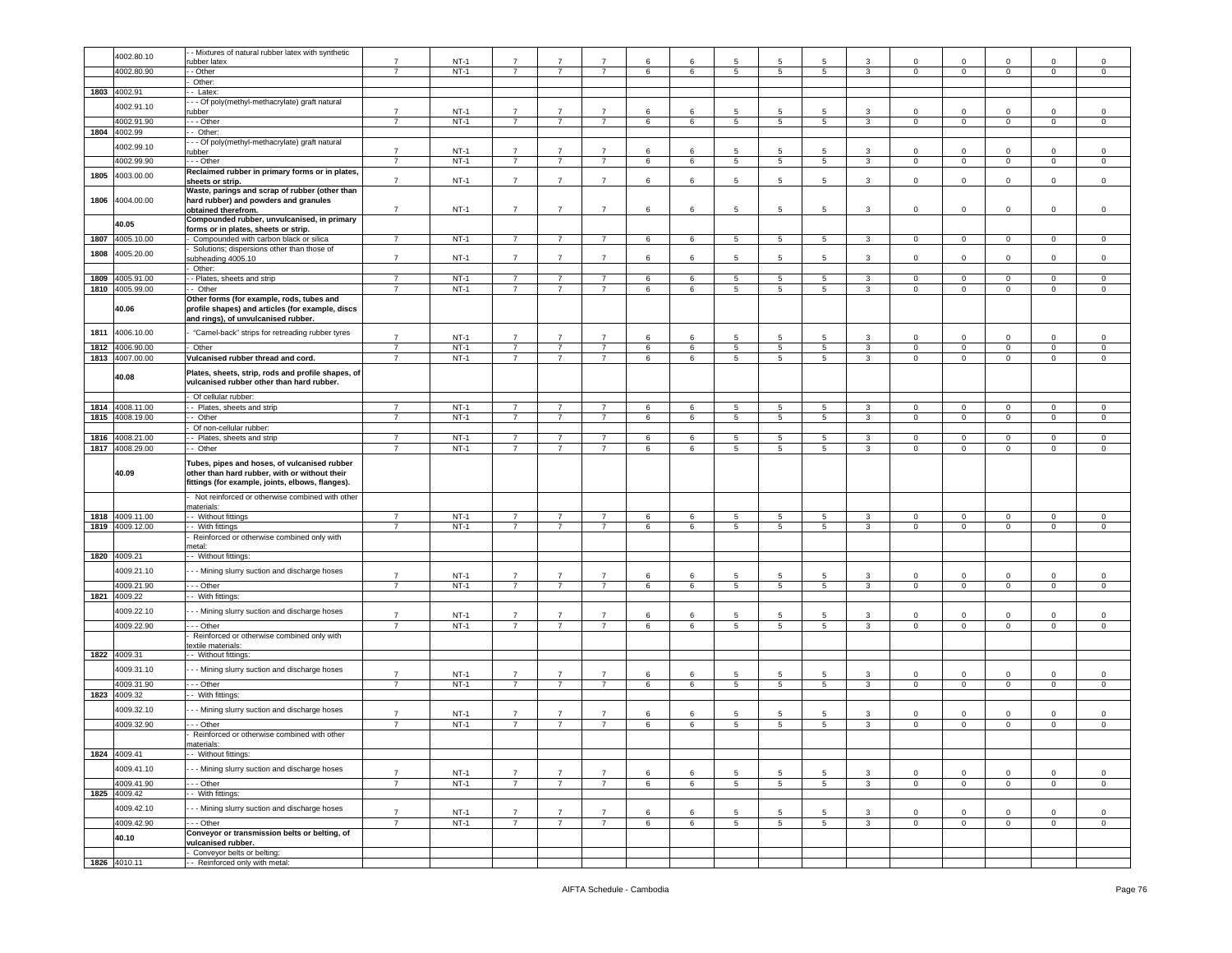|      |                 | - Mixtures of natural rubber latex with synthetic                                                 |                                  |                  |                                  |                |                |         |        |                 |                      |                 |              |                             |                             |                   |                            |                  |
|------|-----------------|---------------------------------------------------------------------------------------------------|----------------------------------|------------------|----------------------------------|----------------|----------------|---------|--------|-----------------|----------------------|-----------------|--------------|-----------------------------|-----------------------------|-------------------|----------------------------|------------------|
|      | 4002.80.10      | ubber latex                                                                                       | $\overline{7}$                   | $NT-1$           | $\overline{7}$                   | $\overline{7}$ | 7              | 6       | 6      | 5               | 5                    | 5               | 3            | $\Omega$                    | $\Omega$                    | $\Omega$          | $\Omega$                   | 0                |
|      | 4002.80.90      | - Other                                                                                           | $\overline{7}$                   | $NT-1$           | $\overline{7}$                   | $\overline{7}$ | $\overline{7}$ | 6       | 6      | 5               | 5                    | 5               | 3            | $\mathbf 0$                 | $\mathbf 0$                 | $\circ$           | $\mathbf 0$                | $\mathsf 0$      |
|      |                 | Other:                                                                                            |                                  |                  |                                  |                |                |         |        |                 |                      |                 |              |                             |                             |                   |                            |                  |
|      | 1803 4002.91    | - Latex:                                                                                          |                                  |                  |                                  |                |                |         |        |                 |                      |                 |              |                             |                             |                   |                            |                  |
|      |                 | - - Of poly(methyl-methacrylate) graft natural                                                    |                                  |                  |                                  |                |                |         |        |                 |                      |                 |              |                             |                             |                   |                            |                  |
|      | 4002.91.10      | ubber                                                                                             | $\overline{7}$                   | $NT-1$           | $\overline{7}$                   | $\overline{7}$ | $\overline{7}$ | 6       | 6      | 5               | 5                    | 5               | 3            | $\Omega$                    | $\Omega$                    | $\Omega$          | $\Omega$                   | $\Omega$         |
|      | 4002.91.90      | - - Other                                                                                         | $\overline{7}$                   | $NT-1$           | $\overline{7}$                   | $\overline{7}$ | $\overline{7}$ | 6       | 6      | 5               | 5                    | $5^{\circ}$     | $\mathbf{3}$ | $\circ$                     | $\mathbf 0$                 | $\mathbf{0}$      | $\mathbf 0$                | $\mathsf 0$      |
| 1804 | 4002.99         | - Other:                                                                                          |                                  |                  |                                  |                |                |         |        |                 |                      |                 |              |                             |                             |                   |                            |                  |
|      | 4002.99.10      | - - Of poly(methyl-methacrylate) graft natural                                                    |                                  |                  |                                  |                |                |         |        |                 |                      |                 |              |                             |                             |                   |                            |                  |
|      |                 | ubber                                                                                             | $\overline{7}$                   | $NT-1$           | $\overline{7}$                   |                |                | 6       | 6      | 5               | 5                    | 5               | 3            | 0                           | $\mathbf 0$                 | 0                 | 0                          | 0                |
|      | 4002.99.90      | - - Other                                                                                         | $\overline{7}$                   | $NT-1$           | $\overline{7}$                   | $\overline{7}$ | $\overline{7}$ | 6       | 6      | $\sqrt{5}$      | $\sqrt{5}$           | 5 <sub>5</sub>  | $\mathbf{3}$ | $\overline{0}$              | $\mathbf 0$                 | $\overline{0}$    | $\mathbf 0$                | $\mathsf 0$      |
| 1805 | 4003.00.00      | Reclaimed rubber in primary forms or in plates,                                                   |                                  |                  |                                  |                |                |         |        |                 |                      |                 |              |                             |                             |                   |                            |                  |
|      |                 | sheets or strip.                                                                                  | $\overline{7}$                   | $NT-1$           | $\overline{7}$                   | $\overline{7}$ | $\overline{7}$ | 6       | 6      | 5               | 5                    | 5               | 3            | $\mathbf 0$                 | $\mathsf 0$                 | $\mathbf 0$       | $\mathbf 0$                | $\mathsf 0$      |
|      |                 | Waste, parings and scrap of rubber (other than                                                    |                                  |                  |                                  |                |                |         |        |                 |                      |                 |              |                             |                             |                   |                            |                  |
| 1806 | 4004.00.00      | hard rubber) and powders and granules                                                             |                                  |                  |                                  |                |                |         |        |                 | 5                    |                 |              |                             |                             |                   |                            |                  |
|      |                 | obtained therefrom.<br>Compounded rubber, unvulcanised, in primary                                | $\overline{7}$                   | $NT-1$           | $\overline{7}$                   | $\overline{7}$ | $\overline{7}$ | 6       | 6      | 5               |                      | 5               | 3            | $\mathbf 0$                 | $\mathsf 0$                 | $\mathbf 0$       | $\mathbf 0$                | $\mathsf 0$      |
|      | 40.05           | forms or in plates, sheets or strip.                                                              |                                  |                  |                                  |                |                |         |        |                 |                      |                 |              |                             |                             |                   |                            |                  |
| 1807 | 4005.10.00      | Compounded with carbon black or silica                                                            | $\overline{7}$                   | $NT-1$           | $\overline{7}$                   | $\overline{7}$ | $\overline{7}$ | $\,6\,$ | 6      | 5               | 5                    | 5               | 3            | $\mathbf 0$                 | $\mathbf 0$                 | $\mathbf{0}$      | $\mathbf 0$                | $\mathsf 0$      |
|      |                 | Solutions; dispersions other than those of                                                        |                                  |                  |                                  |                |                |         |        |                 |                      |                 |              |                             |                             |                   |                            |                  |
| 1808 | 1005.20.00      | ubheading 4005.10                                                                                 | $\overline{7}$                   | $NT-1$           | $\overline{7}$                   | $\overline{7}$ | $\overline{7}$ | 6       | 6      | 5               | 5                    | 5               | 3            | $\mathbf 0$                 | $\mathbf 0$                 | $\mathbf 0$       | $\mathbf 0$                | $\mathsf 0$      |
|      |                 | Other:                                                                                            |                                  |                  |                                  |                |                |         |        |                 |                      |                 |              |                             |                             |                   |                            |                  |
| 1809 | 4005.91.00      | - Plates, sheets and strip                                                                        | $\overline{7}$                   | $NT-1$           | 7                                | $\overline{7}$ | $\overline{7}$ | 6       | 6      | 5               | 5                    | 5               | 3            | $\mathbf 0$                 | $\mathbf 0$                 | $\mathbf 0$       | 0                          | 0                |
|      | 1810 4005.99.00 | - Other                                                                                           | $\overline{7}$                   | $NT-1$           | $\overline{7}$                   | $\overline{7}$ | $\overline{7}$ | 6       | 6      | $5^{\circ}$     | 5                    | $5^{\circ}$     | $\mathbf{3}$ | $\mathbf 0$                 | $\mathbf 0$                 | $\circ$           | $\mathbf 0$                | $\mathsf 0$      |
|      |                 | Other forms (for example, rods, tubes and                                                         |                                  |                  |                                  |                |                |         |        |                 |                      |                 |              |                             |                             |                   |                            |                  |
|      | 40.06           | profile shapes) and articles (for example, discs                                                  |                                  |                  |                                  |                |                |         |        |                 |                      |                 |              |                             |                             |                   |                            |                  |
|      |                 | and rings), of unvulcanised rubber.                                                               |                                  |                  |                                  |                |                |         |        |                 |                      |                 |              |                             |                             |                   |                            |                  |
| 1811 | 4006.10.00      | "Camel-back" strips for retreading rubber tyres                                                   | $\overline{7}$                   | $NT-1$           | $\overline{7}$                   | $\overline{7}$ | $\overline{7}$ |         |        | 5               |                      |                 |              |                             | $\mathbf 0$                 |                   |                            |                  |
| 1812 | 4006.90.00      | Other                                                                                             | $\overline{7}$                   | $NT-1$           | $\overline{7}$                   | $\overline{7}$ | $\overline{7}$ | 6<br>6  | 6<br>6 | 5               | 5<br>$5\phantom{.0}$ | 5<br>5          | 3<br>3       | 0<br>$\mathbf 0$            | $\mathbf 0$                 | 0<br>$\mathbf 0$  | 0<br>$\mathbf 0$           | 0<br>$\mathbf 0$ |
|      | 1813 4007.00.00 | Vulcanised rubber thread and cord.                                                                | $\overline{7}$                   | $NT-1$           | $\overline{7}$                   | $\overline{7}$ | $\overline{7}$ | 6       | 6      | 5               | $\overline{5}$       | $\overline{5}$  | 3            | $\overline{0}$              | $\overline{0}$              | $\circ$           | $\mathbf{0}$               | $\overline{0}$   |
|      |                 |                                                                                                   |                                  |                  |                                  |                |                |         |        |                 |                      |                 |              |                             |                             |                   |                            |                  |
|      | 40.08           | Plates, sheets, strip, rods and profile shapes, of                                                |                                  |                  |                                  |                |                |         |        |                 |                      |                 |              |                             |                             |                   |                            |                  |
|      |                 | vulcanised rubber other than hard rubber.                                                         |                                  |                  |                                  |                |                |         |        |                 |                      |                 |              |                             |                             |                   |                            |                  |
|      |                 | Of cellular rubber:                                                                               |                                  |                  |                                  |                |                |         |        |                 |                      |                 |              |                             |                             |                   |                            |                  |
| 1814 | 4008.11.00      | - Plates, sheets and strip                                                                        | $\overline{7}$                   | $NT-1$           | $\overline{7}$                   | $\overline{7}$ | $\overline{7}$ | 6       | 6      | 5               | 5                    | 5               | $\mathbf{3}$ | $\mathbf 0$                 | $\mathbf 0$                 | $\mathbf{0}$      | $\mathbf 0$                | $\mathbf 0$      |
|      | 1815 4008.19.00 | - Other                                                                                           | $\overline{7}$                   | $NT-1$           | $\overline{7}$                   | $\overline{7}$ | $\overline{7}$ | 6       | 6      | 5               | 5                    | 5               | $\mathbf{3}$ | $\mathbf 0$                 | $\mathbf 0$                 | $\mathbf 0$       | $\mathbf 0$                | $\mathsf 0$      |
|      |                 | Of non-cellular rubber:                                                                           |                                  |                  |                                  |                |                |         |        |                 |                      |                 |              |                             |                             |                   |                            |                  |
| 1816 | 4008.21.00      | - Plates, sheets and strip                                                                        | $\overline{7}$                   | $NT-1$           | $\overline{7}$                   | $\overline{7}$ | $\overline{7}$ | 6       | 6      | 5               | 5                    | 5               | 3            | $\mathbf 0$                 | $\mathbf 0$                 | $\mathbf 0$       | $\mathbf 0$                | $\mathsf 0$      |
| 1817 | 4008.29.00      | - Other                                                                                           | $\overline{7}$                   | $NT-1$           | $\overline{7}$                   | $\overline{7}$ | $\overline{7}$ | 6       | 6      | 5               | 5                    | 5               | $\mathbf{3}$ | $\mathbf 0$                 | $\mathbf 0$                 | $\circ$           | $\mathbf 0$                | $\,0\,$          |
|      |                 | Tubes, pipes and hoses, of vulcanised rubber                                                      |                                  |                  |                                  |                |                |         |        |                 |                      |                 |              |                             |                             |                   |                            |                  |
|      | 40.09           | other than hard rubber, with or without their<br>fittings (for example, joints, elbows, flanges). |                                  |                  |                                  |                |                |         |        |                 |                      |                 |              |                             |                             |                   |                            |                  |
|      |                 | Not reinforced or otherwise combined with other                                                   |                                  |                  |                                  |                |                |         |        |                 |                      |                 |              |                             |                             |                   |                            |                  |
|      |                 | materials:                                                                                        |                                  |                  |                                  |                |                |         |        |                 |                      |                 |              |                             |                             |                   |                            |                  |
|      | 1818 4009.11.00 | - Without fittings                                                                                | 7                                | $NT-1$           | 7                                | 7              | 7              | 6       | 6      | 5               | 5                    | 5               | 3            | $\overline{0}$              | $\mathbf{0}$                | $^{\circ}$        | $\mathbf 0$                | $\mathbf 0$      |
|      | 1819 4009.12.00 | - With fittings                                                                                   | $\overline{7}$                   | $NT-1$           | $\overline{7}$                   | $\overline{7}$ | $\overline{7}$ | 6       | 6      | 5               | 5                    | 5               | $\mathbf{3}$ | $\mathbf 0$                 | $\mathbf 0$                 | $\circ$           | $\mathbf 0$                | $\mathbf 0$      |
|      |                 | Reinforced or otherwise combined only with                                                        |                                  |                  |                                  |                |                |         |        |                 |                      |                 |              |                             |                             |                   |                            |                  |
|      |                 | metal                                                                                             |                                  |                  |                                  |                |                |         |        |                 |                      |                 |              |                             |                             |                   |                            |                  |
|      | 1820 4009.21    | - Without fittings:                                                                               |                                  |                  |                                  |                |                |         |        |                 |                      |                 |              |                             |                             |                   |                            |                  |
|      | 4009.21.10      | - - Mining slurry suction and discharge hoses                                                     |                                  |                  |                                  | $\overline{7}$ | $\overline{7}$ |         |        |                 | 5                    |                 |              |                             |                             |                   |                            |                  |
|      | 4009.21.90      | - - Other                                                                                         | $\overline{7}$<br>$\overline{7}$ | $NT-1$<br>$NT-1$ | $\overline{7}$<br>$\overline{7}$ | $\overline{7}$ | $\overline{7}$ | 6       | 6      | 5               |                      | 5               | 3            | $\mathbf 0$<br>$\mathbf{O}$ | $\mathbf 0$<br>$\mathbf{0}$ | 0<br>$\mathbf{0}$ | $\mathbf 0$<br>$\mathbf 0$ | $\mathsf 0$      |
|      | 1821 4009.22    | - With fittings:                                                                                  |                                  |                  |                                  |                |                | 6       | 6      | $5\overline{)}$ | $5\phantom{.0}$      | $5^{\circ}$     | $\mathbf{3}$ |                             |                             |                   |                            | $\overline{0}$   |
|      |                 |                                                                                                   |                                  |                  |                                  |                |                |         |        |                 |                      |                 |              |                             |                             |                   |                            |                  |
|      | 4009.22.10      | - Mining slurry suction and discharge hoses                                                       | $\overline{7}$                   | $NT-1$           | $\overline{7}$                   |                | $\overline{7}$ | 6       | 6      | 5               | 5                    |                 |              | $\Omega$                    | $\Omega$                    | $\Omega$          | $\Omega$                   | $\Omega$         |
|      | 4009.22.90      | - - Other                                                                                         | $\overline{7}$                   | $NT-1$           | $\overline{7}$                   | $\overline{7}$ | $\overline{7}$ | 6       | 6      | 5               | $5\phantom{.0}$      | 5 <sup>5</sup>  | $\mathbf{3}$ | $\circ$                     | $\mathbf 0$                 | $\mathbf 0$       | $\mathbf 0$                | $\mathsf 0$      |
|      |                 | Reinforced or otherwise combined only with                                                        |                                  |                  |                                  |                |                |         |        |                 |                      |                 |              |                             |                             |                   |                            |                  |
|      |                 | extile materials:                                                                                 |                                  |                  |                                  |                |                |         |        |                 |                      |                 |              |                             |                             |                   |                            |                  |
|      | 1822 4009.31    | - Without fittings:                                                                               |                                  |                  |                                  |                |                |         |        |                 |                      |                 |              |                             |                             |                   |                            |                  |
|      | 4009.31.10      | - - Mining slurry suction and discharge hoses                                                     | $\overline{7}$                   | $NT-1$           | $\overline{7}$                   | $\overline{7}$ | $\overline{7}$ | 6       | 6      | $5\overline{5}$ | -5                   | 5               | 3            | $\circ$                     | $\mathbf{0}$                | $\mathbf 0$       | $\mathbf 0$                | $\mathsf 0$      |
|      | 4009.31.90      | $\cdot$ - Other                                                                                   | $\overline{7}$                   | $NT-1$           | $\overline{7}$                   | $\overline{7}$ | $\overline{7}$ | 6       | 6      | 5               | $5\phantom{.0}$      | $5^{\circ}$     | $\mathbf{3}$ | $\overline{0}$              | $\overline{0}$              | $\overline{0}$    | $\mathbf{0}$               | $\circ$          |
| 1823 | 4009.32         | - With fittings:                                                                                  |                                  |                  |                                  |                |                |         |        |                 |                      |                 |              |                             |                             |                   |                            |                  |
|      |                 |                                                                                                   |                                  |                  |                                  |                |                |         |        |                 |                      |                 |              |                             |                             |                   |                            |                  |
|      | 4009.32.10      | - - Mining slurry suction and discharge hoses                                                     | $\overline{7}$                   | $NT-1$           | $\overline{7}$                   | $\overline{7}$ | $\overline{7}$ | 6       | 6      | $5\overline{5}$ | -5                   | 5               | 3            | $\mathbf 0$                 | $^{\circ}$                  | $\mathbf 0$       | $\mathbf 0$                | $\mathsf 0$      |
|      | 4009.32.90      | - - Other                                                                                         |                                  | $NT-1$           | $\overline{7}$                   | $\overline{7}$ | $\overline{7}$ | 6       | 6      | $\overline{5}$  | $\overline{5}$       | 5               | 3            | $\mathbf 0$                 | $\,0\,$                     | $\mathsf 0$       | $\mathbf 0$                | $\mathsf 0$      |
|      |                 | Reinforced or otherwise combined with other                                                       |                                  |                  |                                  |                |                |         |        |                 |                      |                 |              |                             |                             |                   |                            |                  |
|      |                 | nateriais:                                                                                        |                                  |                  |                                  |                |                |         |        |                 |                      |                 |              |                             |                             |                   |                            |                  |
|      | 1824 4009.41    | - Without fittings:                                                                               |                                  |                  |                                  |                |                |         |        |                 |                      |                 |              |                             |                             |                   |                            |                  |
|      | 4009.41.10      | - - Mining slurry suction and discharge hoses                                                     | $\overline{7}$                   | $NT-1$           | $\overline{7}$                   | $\overline{7}$ | $\overline{7}$ | 6       | 6      | 5               | 5                    | 5               | 3            | $\mathsf 0$                 | $\mathsf 0$                 | $\mathbf 0$       | $\mathbf 0$                | $\mathsf 0$      |
|      | 4009.41.90      | - - Other                                                                                         | $\overline{7}$                   | $NT-1$           | $\overline{7}$                   | $\overline{7}$ | $\overline{7}$ | 6       | 6      | $5^{\circ}$     | 5                    | $5\overline{5}$ | $\mathbf{3}$ | $\mathbf{0}$                | $\overline{0}$              | $\mathbf{0}$      | $\mathbf 0$                | $\mathbf{0}$     |
|      | 1825 4009.42    | - With fittings:                                                                                  |                                  |                  |                                  |                |                |         |        |                 |                      |                 |              |                             |                             |                   |                            |                  |
|      | 4009.42.10      |                                                                                                   |                                  |                  |                                  |                |                |         |        |                 |                      |                 |              |                             |                             |                   |                            |                  |
|      |                 | - - Mining slurry suction and discharge hoses                                                     | $\overline{7}$                   | $NT-1$           | $\overline{7}$                   | $\overline{7}$ | $\overline{7}$ | 6       | 6      | $5\overline{5}$ | 5                    | 5               | 3            | $\mathbf 0$                 | $\mathbf 0$                 | $\mathbf 0$       | $\mathbf 0$                | $\,0\,$          |
|      | 4009.42.90      | - - Other                                                                                         | $\overline{7}$                   | $NT-1$           | $\overline{7}$                   | $\overline{7}$ | $\overline{7}$ | 6       | 6      | 5               | 5                    | 5               | $\mathbf{3}$ | $\mathbf 0$                 | $\mathbf 0$                 | $\mathbf{0}$      | $\mathbf 0$                | $\mathbf 0$      |
|      | 40.10           | Conveyor or transmission belts or belting, of                                                     |                                  |                  |                                  |                |                |         |        |                 |                      |                 |              |                             |                             |                   |                            |                  |
|      |                 | vulcanised rubber.                                                                                |                                  |                  |                                  |                |                |         |        |                 |                      |                 |              |                             |                             |                   |                            |                  |
|      | 1826 4010.11    | Conveyor belts or belting:<br>- Reinforced only with metal:                                       |                                  |                  |                                  |                |                |         |        |                 |                      |                 |              |                             |                             |                   |                            |                  |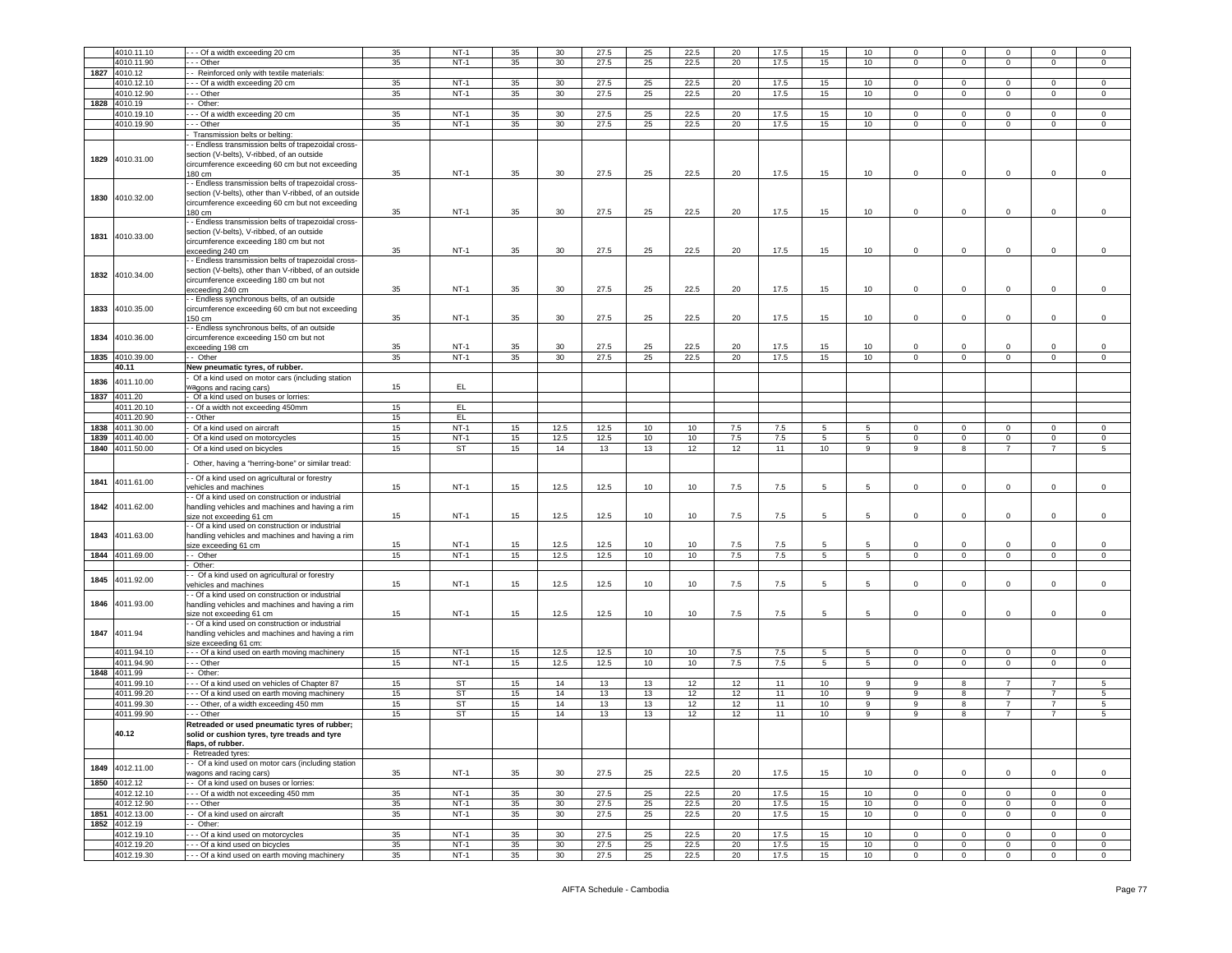|      | 4010.11.10               | - - Of a width exceeding 20 cm                                                 | 35       | $NT-1$           | 35       | 30              | 27.5         | 25       | 22.5         | 20       | 17.5         | 15              | 10               | $\mathbf 0$    | $\mathbf 0$                | $\Omega$                   | $\mathbf 0$    | $\overline{0}$   |
|------|--------------------------|--------------------------------------------------------------------------------|----------|------------------|----------|-----------------|--------------|----------|--------------|----------|--------------|-----------------|------------------|----------------|----------------------------|----------------------------|----------------|------------------|
|      |                          |                                                                                |          | $NT-1$           |          |                 |              |          |              |          | 17.5         |                 |                  |                |                            |                            |                |                  |
|      | 4010.11.90               | - - Other                                                                      | 35       |                  | 35       | 30              | 27.5         | 25       | 22.5         | 20       |              | 15              | 10               | $\mathbf 0$    | $\mathbf{0}$               | $\overline{0}$             | $\mathbf 0$    | $\circ$          |
| 1827 | 4010.12                  | - Reinforced only with textile materials:                                      |          |                  |          |                 |              |          |              |          |              |                 |                  |                |                            |                            |                |                  |
|      | 4010.12.10               | - Of a width exceeding 20 cm                                                   | 35       | $NT-1$           | 35       | 30              | 27.5         | 25       | 22.5         | 20       | 17.5         | 15              | 10               | $\mathbf 0$    | $\mathbf 0$                | $\mathbf 0$                | $\mathbf 0$    | $\mathsf 0$      |
|      | 4010.12.90               | - - Other                                                                      | 35       | $NT-1$           | 35       | 30              | 27.5         | 25       | 22.5         | 20       | 17.5         | 15              | 10               | $\mathbf 0$    | $\mathbf 0$                | $\mathbf{0}$               | 0              | 0                |
| 1828 | 4010.19                  | Other:                                                                         |          |                  |          |                 |              |          |              |          |              |                 |                  |                |                            |                            |                |                  |
|      | 4010.19.10               | - - Of a width exceeding 20 cm                                                 | 35       | $NT-1$           | 35       | 30              | 27.5         | 25       | 22.5         | 20       | 17.5         | 15              | 10               | $\mathbf 0$    | $\mathbf 0$                | $\overline{0}$             | $\mathbf 0$    | $\mathbf 0$      |
|      | 4010.19.90               | - - Other                                                                      | 35       | $NT-1$           | 35       | 30              | 27.5         | 25       | 22.5         | 20       | 17.5         | 15              | 10 <sup>10</sup> | $\mathbf 0$    | $\mathbf 0$                | $\mathbf{0}$               | $\mathbf 0$    | $\mathbf 0$      |
|      |                          | Transmission belts or belting:                                                 |          |                  |          |                 |              |          |              |          |              |                 |                  |                |                            |                            |                |                  |
|      |                          | - Endless transmission belts of trapezoidal cross-                             |          |                  |          |                 |              |          |              |          |              |                 |                  |                |                            |                            |                |                  |
|      |                          | section (V-belts), V-ribbed, of an outside                                     |          |                  |          |                 |              |          |              |          |              |                 |                  |                |                            |                            |                |                  |
| 1829 | 4010.31.00               | circumference exceeding 60 cm but not exceeding                                |          |                  |          |                 |              |          |              |          |              |                 |                  |                |                            |                            |                |                  |
|      |                          | 180 cm                                                                         | 35       | $NT-1$           | 35       | 30              | 27.5         | 25       | 22.5         | 20       | 17.5         | 15              | 10               | $\mathbf 0$    | $\mathbf 0$                | $\mathbf 0$                | $\mathbf 0$    | 0                |
|      |                          | - Endless transmission belts of trapezoidal cross-                             |          |                  |          |                 |              |          |              |          |              |                 |                  |                |                            |                            |                |                  |
|      |                          |                                                                                |          |                  |          |                 |              |          |              |          |              |                 |                  |                |                            |                            |                |                  |
| 1830 | 4010.32.00               | section (V-belts), other than V-ribbed, of an outside                          |          |                  |          |                 |              |          |              |          |              |                 |                  |                |                            |                            |                |                  |
|      |                          | circumference exceeding 60 cm but not exceeding                                |          |                  |          |                 |              |          |              |          |              |                 |                  |                |                            |                            |                |                  |
|      |                          | 180 cm                                                                         | 35       | $NT-1$           | 35       | 30              | 27.5         | 25       | 22.5         | 20       | 17.5         | 15              | 10               | $\mathbf 0$    | $\mathbf 0$                | 0                          | 0              | 0                |
|      |                          | - Endless transmission belts of trapezoidal cross-                             |          |                  |          |                 |              |          |              |          |              |                 |                  |                |                            |                            |                |                  |
| 1831 | 4010.33.00               | section (V-belts), V-ribbed, of an outside                                     |          |                  |          |                 |              |          |              |          |              |                 |                  |                |                            |                            |                |                  |
|      |                          | circumference exceeding 180 cm but not                                         |          |                  |          |                 |              |          |              |          |              |                 |                  |                |                            |                            |                |                  |
|      |                          | exceeding 240 cm                                                               | 35       | $NT-1$           | 35       | 30              | 27.5         | 25       | 22.5         | 20       | 17.5         | 15              | 10 <sup>10</sup> | 0              | $\mathbf 0$                | 0                          | 0              | 0                |
|      |                          | - Endless transmission belts of trapezoidal cross-                             |          |                  |          |                 |              |          |              |          |              |                 |                  |                |                            |                            |                |                  |
| 1832 | 4010.34.00               | section (V-belts), other than V-ribbed, of an outside                          |          |                  |          |                 |              |          |              |          |              |                 |                  |                |                            |                            |                |                  |
|      |                          | circumference exceeding 180 cm but not                                         |          |                  |          |                 |              |          |              |          |              |                 |                  |                |                            |                            |                |                  |
|      |                          | exceeding 240 cm                                                               | 35       | $NT-1$           | 35       | 30              | 27.5         | 25       | 22.5         | 20       | 17.5         | 15              | 10               | $\mathsf 0$    | $\,0\,$                    | $\mathbf 0$                | 0              | 0                |
|      |                          | - Endless synchronous belts, of an outside                                     |          |                  |          |                 |              |          |              |          |              |                 |                  |                |                            |                            |                |                  |
| 1833 | 4010.35.00               | circumference exceeding 60 cm but not exceeding                                |          |                  |          |                 |              |          |              |          |              |                 |                  |                |                            |                            |                |                  |
|      |                          | 150 cm                                                                         | 35       | $NT-1$           | 35       | 30              | 27.5         | 25       | 22.5         | 20       | 17.5         | 15              | 10               | $\mathbf 0$    | $\mathbf 0$                | $\mathbf 0$                | 0              | $\mathsf 0$      |
|      |                          | - Endless synchronous belts, of an outside                                     |          |                  |          |                 |              |          |              |          |              |                 |                  |                |                            |                            |                |                  |
| 1834 | 4010.36.00               | circumference exceeding 150 cm but not                                         |          |                  |          |                 |              |          |              |          |              |                 |                  |                |                            |                            |                |                  |
|      |                          | exceeding 198 cm                                                               | 35       | $NT-1$           | 35       | 30              | 27.5         | 25       | 22.5         | 20       | 17.5         | 15              | 10 <sup>10</sup> | $\Omega$       | $\mathbf 0$                | $\Omega$                   | $^{\circ}$     | 0                |
| 1835 | 4010.39.00               | - Other                                                                        | 35       | $NT-1$           | 35       | 30 <sup>2</sup> | 27.5         | 25       | 22.5         | 20       | 17.5         | 15              | 10               | $\mathbf 0$    | $\overline{0}$             | $\overline{0}$             | $\mathbf 0$    | $\circ$          |
|      | 40.11                    | New pneumatic tyres, of rubber.                                                |          |                  |          |                 |              |          |              |          |              |                 |                  |                |                            |                            |                |                  |
|      |                          | Of a kind used on motor cars (including station                                |          |                  |          |                 |              |          |              |          |              |                 |                  |                |                            |                            |                |                  |
| 1836 | 4011.10.00               | agons and racing cars)                                                         | 15       | EL.              |          |                 |              |          |              |          |              |                 |                  |                |                            |                            |                |                  |
| 1837 | 4011.20                  | Of a kind used on buses or lorries:                                            |          |                  |          |                 |              |          |              |          |              |                 |                  |                |                            |                            |                |                  |
|      | 4011.20.10               | - Of a width not exceeding 450mm                                               | 15       | EL               |          |                 |              |          |              |          |              |                 |                  |                |                            |                            |                |                  |
|      |                          |                                                                                |          |                  |          |                 |              |          |              |          |              |                 |                  |                |                            |                            |                |                  |
|      | 4011.20.90               | - Other                                                                        | 15       | EL.              |          |                 |              |          |              |          |              |                 |                  |                |                            |                            |                |                  |
| 1838 | 4011.30.00               | Of a kind used on aircraft                                                     | 15       | $NT-1$           | 15       | 12.5            | 12.5         | 10       | 10           | 7.5      | 7.5          | -5              | -5               | $\Omega$       | $\mathbf 0$                | $\Omega$                   | $\Omega$       | 0                |
| 1839 | 4011.40.00               | Of a kind used on motorcycles                                                  | 15       | $NT-1$           | 15       | 12.5            | 12.5         | 10       | 10           | $7.5\,$  | 7.5          | 5               | $5\overline{5}$  | $\mathbf 0$    | $\mathbf 0$                | $\mathbf 0$                | $\mathbf 0$    | $\,0\,$          |
| 1840 | 4011.50.00               | Of a kind used on bicycles                                                     | 15       | <b>ST</b>        | 15       | 14              | 13           | 13       | 12           | 12       | 11           | 10              | 9                | 9              | 8                          | $\overline{7}$             | $\overline{7}$ | 5                |
|      |                          | Other, having a "herring-bone" or similar tread:                               |          |                  |          |                 |              |          |              |          |              |                 |                  |                |                            |                            |                |                  |
|      |                          |                                                                                |          |                  |          |                 |              |          |              |          |              |                 |                  |                |                            |                            |                |                  |
| 1841 | 4011.61.00               | - Of a kind used on agricultural or forestry                                   |          |                  |          |                 |              |          |              |          |              |                 |                  |                |                            |                            |                |                  |
|      |                          | vehicles and machines                                                          | 15       | $NT-1$           | 15       | 12.5            | 12.5         | 10       | 10           | 7.5      | 7.5          | 5               | 5                | $\mathbf 0$    | $\mathbf 0$                | $\circ$                    | $\mathbf 0$    | $\mathbf 0$      |
|      |                          | - Of a kind used on construction or industrial                                 |          |                  |          |                 |              |          |              |          |              |                 |                  |                |                            |                            |                |                  |
| 1842 | 4011.62.00               | handling vehicles and machines and having a rim                                |          |                  |          |                 |              |          |              |          |              |                 |                  |                |                            |                            |                |                  |
|      |                          | size not exceeding 61 cm                                                       | 15       | $NT-1$           | 15       | 12.5            | 12.5         | 10       | 10           | 7.5      | 7.5          | 5               | 5                | $\mathbf 0$    | $\mathsf 0$                | $\circ$                    | 0              | $\mathbf 0$      |
|      |                          | - Of a kind used on construction or industrial                                 |          |                  |          |                 |              |          |              |          |              |                 |                  |                |                            |                            |                |                  |
| 1843 | 4011.63.00               | handling vehicles and machines and having a rim                                |          |                  |          |                 |              |          |              |          |              |                 |                  |                |                            |                            |                |                  |
|      |                          | size exceeding 61 cm                                                           | 15       | $NT-1$           | 15       | 12.5            | 12.5         | 10       | 10           | 7.5      | 7.5          | -5              | -5               | $\circ$        | $\overline{0}$             | $\Omega$                   | $\Omega$       | $\mathsf 0$      |
| 1844 | 4011.69.00               | - Other                                                                        | 15       | $NT-1$           | 15       | 12.5            | 12.5         | 10       | 10           | 7.5      | 7.5          | $\overline{5}$  | 5                | $\mathbf{0}$   | $\overline{0}$             | $\circ$                    | $\mathbf 0$    | $\mathsf 0$      |
|      |                          | Other:                                                                         |          |                  |          |                 |              |          |              |          |              |                 |                  |                |                            |                            |                |                  |
| 1845 | 4011.92.00               | - Of a kind used on agricultural or forestry                                   |          |                  |          |                 |              |          |              |          |              |                 |                  |                |                            |                            |                |                  |
|      |                          | rehicles and machines                                                          | 15       | $NT-1$           | 15       | 12.5            | 12.5         | 10       | 10           | 7.5      | 7.5          | 5               | 5                | $\circ$        | $\mathbf 0$                | $\mathbf 0$                | $\mathbf 0$    | $\mathsf 0$      |
|      |                          | - Of a kind used on construction or industrial                                 |          |                  |          |                 |              |          |              |          |              |                 |                  |                |                            |                            |                |                  |
| 1846 | 4011.93.00               | handling vehicles and machines and having a rim                                |          |                  |          |                 |              |          |              |          |              |                 |                  |                |                            |                            |                |                  |
|      |                          | size not exceeding 61 cm                                                       | 15       | $NT-1$           | 15       | 12.5            | 12.5         | 10       | 10           | 7.5      | 7.5          | 5               | 5                | $\mathbf 0$    | $\mathsf 0$                | 0                          | 0              | $\mathsf 0$      |
|      |                          | - Of a kind used on construction or industrial                                 |          |                  |          |                 |              |          |              |          |              |                 |                  |                |                            |                            |                |                  |
| 1847 | 4011.94                  | handling vehicles and machines and having a rim                                |          |                  |          |                 |              |          |              |          |              |                 |                  |                |                            |                            |                |                  |
|      |                          | size exceeding 61 cm:                                                          |          |                  |          |                 |              |          |              |          |              |                 |                  |                |                            |                            |                |                  |
|      | 4011.94.10               | - - Of a kind used on earth moving machinery                                   | 15       | $NT-1$           | 15       | 12.5            | 12.5         | 10       | 10           | 7.5      | 7.5          | 5               | 5                | $\circ$        | $\mathbf 0$                | $\overline{0}$             | $\mathbf 0$    | $\mathsf 0$      |
|      | 4011.94.90               | .-- Other                                                                      | 15       | $NT-1$           | 15       | 12.5            | 12.5         | 10       | 10           | 7.5      | 7.5          | 5               | $5\overline{)}$  | $\mathbf{0}$   | $\mathbf 0$                | $\overline{0}$             | $\mathbf 0$    | $\mathbf 0$      |
|      | 1848 4011.99             | - Other:                                                                       |          |                  |          |                 |              |          |              |          |              |                 |                  |                |                            |                            |                |                  |
|      | 4011.99.10               | - - Of a kind used on vehicles of Chapter 87                                   | 15       | ST               | 15       | 14              | 13           | 13       | 12           | 12       | 11           | 10 <sub>1</sub> | 9                | -9             | 8                          | $\overline{7}$             | 7              | 5                |
|      | 4011.99.20               | - - Of a kind used on earth moving machinery                                   | 15       | ST               | 15       | 14              | 13           | 13       | 12           | 12       | 11           | 10              | 9                | 9              | 8                          | $\overline{7}$             | $\overline{7}$ | 5                |
|      | 4011.99.30               | - - Other, of a width exceeding 450 mm                                         | 15       | ST               | 15       | 14              | 13           | 13       | 12           | 12       | 11           | 10              | 9                | 9              | 8                          | $\overline{7}$             | $\overline{7}$ | $\,$ 5           |
|      | 4011.99.90               | - - Other                                                                      | 15       | ST               | 15       | 14              | 13           | 13       | 12           | 12       | 11           | 10              | $\overline{9}$   | 9              | 8                          | $\overline{7}$             | $\overline{7}$ | 5                |
|      |                          | Retreaded or used pneumatic tyres of rubber;                                   |          |                  |          |                 |              |          |              |          |              |                 |                  |                |                            |                            |                |                  |
|      |                          |                                                                                |          |                  |          |                 |              |          |              |          |              |                 |                  |                |                            |                            |                |                  |
|      |                          |                                                                                |          |                  |          |                 |              |          |              |          |              |                 |                  |                |                            |                            |                |                  |
|      | 40.12                    | solid or cushion tyres, tyre treads and tyre                                   |          |                  |          |                 |              |          |              |          |              |                 |                  |                |                            |                            |                |                  |
|      |                          | flaps, of rubber.                                                              |          |                  |          |                 |              |          |              |          |              |                 |                  |                |                            |                            |                |                  |
|      |                          | Retreaded tyres:                                                               |          |                  |          |                 |              |          |              |          |              |                 |                  |                |                            |                            |                |                  |
|      | 1849 4012.11.00          | - Of a kind used on motor cars (including station                              |          |                  |          |                 |              |          |              |          |              |                 |                  |                |                            |                            |                |                  |
|      |                          | wagons and racing cars)                                                        | 35       | $NT-1$           | 35       | 30              | 27.5         | 25       | 22.5         | 20       | 17.5         | 15              | 10               | $\mathbf 0$    | $\mathbf 0$                | $\circ$                    | $\mathbf 0$    | $\circ$          |
|      | 1850 4012.12             | - Of a kind used on buses or lorries:                                          |          |                  |          |                 |              |          |              |          |              |                 |                  |                |                            |                            |                |                  |
|      | 4012.12.10               | -- Of a width not exceeding 450 mm                                             | 35       | $NT-1$           | 35       | 30              | 27.5         | 25       | 22.5         | 20       | 17.5         | 15              | 10               | $\circ$        | $\overline{\mathbf{0}}$    | $\mathbf 0$                | 0              | 0                |
|      | 4012.12.90               | - - Other                                                                      | 35       | $NT-1$           | 35       | 30              | 27.5         | 25       | 22.5         | 20       | 17.5         | 15              | 10               | $\mathbf 0$    | $\mathbf 0$                | $\circ$                    | $\mathbf 0$    | $\mathsf 0$      |
|      | 1851 4012.13.00          | - Of a kind used on aircraft                                                   | 35       | $NT-1$           | 35       | 30 <sup>°</sup> | 27.5         | 25       | 22.5         | 20       | 17.5         | 15              | 10 <sub>10</sub> | $\overline{0}$ | $\circ$                    | $\overline{0}$             | $\mathbf{0}$   | $\circ$          |
|      | 1852 4012.19             | - Other:                                                                       |          |                  |          |                 |              |          |              |          |              |                 |                  |                |                            |                            |                |                  |
|      | 4012.19.10               | - - Of a kind used on motorcycles                                              | 35       | $NT-1$           | 35       | 30              | 27.5         | 25       | 22.5         | 20       | 17.5         | 15              | 10               | $\mathbf{0}$   | $\mathbf 0$                | $\mathbf 0$                | $\circ$        | $\mathsf 0$      |
|      |                          |                                                                                |          |                  |          |                 |              |          |              |          |              |                 |                  | $\circ$        |                            |                            | 0              |                  |
|      | 4012.19.20<br>4012.19.30 | - - Of a kind used on bicycles<br>- - Of a kind used on earth moving machinery | 35<br>35 | $NT-1$<br>$NT-1$ | 35<br>35 | 30<br>30        | 27.5<br>27.5 | 25<br>25 | 22.5<br>22.5 | 20<br>20 | 17.5<br>17.5 | 15<br>15        | 10<br>10         | 0              | $\mathsf 0$<br>$\mathbf 0$ | $\mathbf 0$<br>$\mathbf 0$ | $\mathbf 0$    | 0<br>$\mathsf 0$ |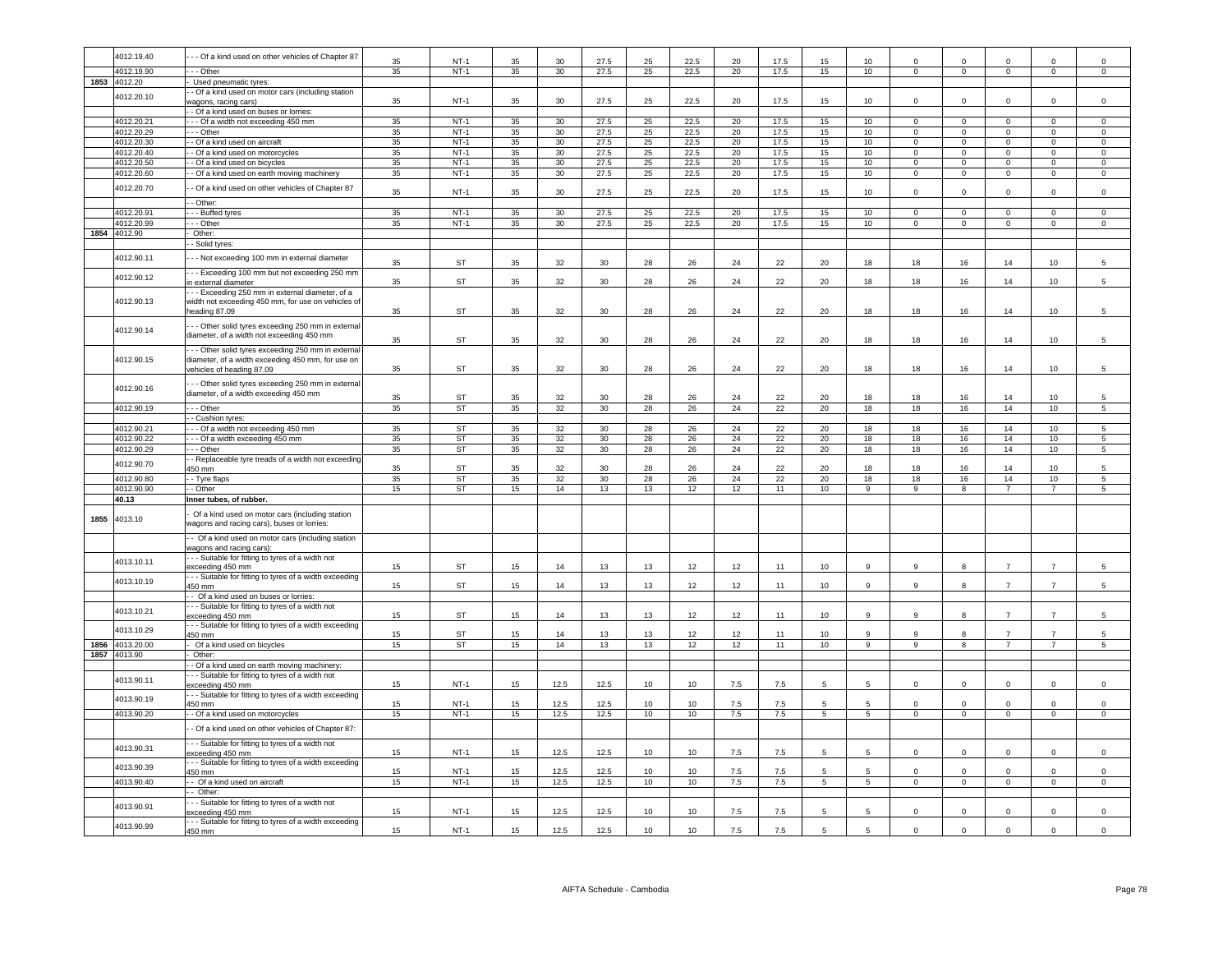|      | 4012.19.40      | - - Of a kind used on other vehicles of Chapter 87               | 35 | $NT-1$    | 35 | 30              | 27.5 | 25              | 22.5 | 20     | 17.5 | 15               | 10              |                |                |                |                |                 |
|------|-----------------|------------------------------------------------------------------|----|-----------|----|-----------------|------|-----------------|------|--------|------|------------------|-----------------|----------------|----------------|----------------|----------------|-----------------|
|      | 4012.19.90      | - - - Other                                                      | 35 | $NT-1$    | 35 | 30              | 27.5 | 25              | 22.5 | 20     | 17.5 | 15               | 10              | $\mathbf 0$    | $\mathbf{0}$   | $\mathbf{0}$   | $\mathbf{0}$   | $\circ$         |
|      | 1853 4012.20    | Used pneumatic tyres:                                            |    |           |    |                 |      |                 |      |        |      |                  |                 |                |                |                |                |                 |
|      |                 | - Of a kind used on motor cars (including station                |    |           |    |                 |      |                 |      |        |      |                  |                 |                |                |                |                |                 |
|      | 4012.20.10      | vagons, racing cars'                                             | 35 | $NT-1$    | 35 | 30              | 27.5 | 25              | 22.5 | 20     | 17.5 | 15               | 10              | $\Omega$       | $\mathbf 0$    | $\mathsf 0$    | $\mathsf 0$    | $\Omega$        |
|      |                 | - Of a kind used on buses or lorries:                            |    |           |    |                 |      |                 |      |        |      |                  |                 |                |                |                |                |                 |
|      | 4012.20.21      | - - Of a width not exceeding 450 mm                              | 35 | $NT-1$    | 35 | 30              | 27.5 | 25              | 22.5 | 20     | 17.5 | 15               | 10              | $\Omega$       | $\Omega$       | $\Omega$       | $\Omega$       | $\Omega$        |
|      | 4012.20.29      | $- -$ Other                                                      | 35 | $NT-1$    | 35 | 30              | 27.5 | 25              | 22.5 | 20     | 17.5 | 15               | 10              | $\Omega$       | $\overline{0}$ | $\overline{0}$ | $\Omega$       | $\overline{0}$  |
|      | 4012.20.30      | - Of a kind used on aircraft                                     | 35 | $NT-1$    | 35 | 30              | 27.5 | 25              | 22.5 | 20     | 17.5 | 15               | 10              | $\Omega$       | $\Omega$       | $\Omega$       | $\Omega$       | $\overline{0}$  |
|      | 4012.20.40      | - Of a kind used on motorcycles                                  | 35 | $NT-1$    | 35 | 30              | 27.5 | 25              | 22.5 | 20     | 17.5 | 15               | 10              | $\overline{0}$ | $\overline{0}$ | $\overline{0}$ | $\overline{0}$ | $\overline{0}$  |
|      | 4012.20.50      | - Of a kind used on bicycles                                     | 35 | $NT-1$    | 35 | 30              | 27.5 | 25              | 22.5 | 20     | 17.5 | 15               | 10              | $\Omega$       | $\mathbf 0$    | $\Omega$       | $\Omega$       | $\mathsf 0$     |
|      | 4012.20.60      | - Of a kind used on earth moving machinery                       | 35 | $NT-1$    | 35 | 30 <sup>°</sup> | 27.5 | 25              | 22.5 | 20     | 17.5 | 15               | 10              | $^{\circ}$     | $\mathbf 0$    | $\mathbf{0}$   | $\mathbf 0$    | $\mathbf 0$     |
|      |                 |                                                                  |    |           |    |                 |      |                 |      |        |      |                  |                 |                |                |                |                |                 |
|      | 4012.20.70      | - Of a kind used on other vehicles of Chapter 87                 | 35 | $NT-1$    | 35 | 30              | 27.5 | 25              | 22.5 | 20     | 17.5 | 15               | 10              | $\mathbf 0$    | $\mathbf 0$    | $\mathsf 0$    | $\mathsf 0$    | $\mathbf 0$     |
|      |                 | $-$ Other:                                                       |    |           |    |                 |      |                 |      |        |      |                  |                 |                |                |                |                |                 |
|      | 4012.20.91      | - - Buffed tyres                                                 | 35 | $NT-1$    | 35 | 30 <sup>°</sup> | 27.5 | 25              | 22.5 | $20\,$ | 17.5 | 15               | 10              | $\Omega$       | $\mathbf 0$    | $\mathsf 0$    | $\mathbf 0$    | $\mathsf 0$     |
|      | 4012.20.99      | - - Other                                                        | 35 | $NT-1$    | 35 | 30              | 27.5 | 25              | 22.5 | 20     | 17.5 | 15               | 10              | $\Omega$       | $\mathsf 0$    | $\mathbf 0$    | $\mathbf 0$    | $\mathsf 0$     |
| 1854 | 4012.90         | Other:                                                           |    |           |    |                 |      |                 |      |        |      |                  |                 |                |                |                |                |                 |
|      |                 | - Solid tyres:                                                   |    |           |    |                 |      |                 |      |        |      |                  |                 |                |                |                |                |                 |
|      | 4012.90.11      | - - Not exceeding 100 mm in external diameter                    |    |           |    |                 |      |                 |      |        |      |                  |                 |                |                |                |                |                 |
|      |                 |                                                                  | 35 | <b>ST</b> | 35 | 32              | 30   | 28              | 26   | 24     | 22   | 20               | 18              | 18             | 16             | 14             | 10             | 5               |
|      | 4012.90.12      | - - Exceeding 100 mm but not exceeding 250 mm                    |    |           |    |                 |      |                 |      |        |      |                  |                 |                |                |                |                |                 |
|      |                 | n external diameter                                              | 35 | <b>ST</b> | 35 | 32              | 30   | 28              | 26   | 24     | 22   | 20               | 18              | 18             | 16             | 14             | 10             | 5               |
|      |                 | --- Exceeding 250 mm in external diameter, of a                  |    |           |    |                 |      |                 |      |        |      |                  |                 |                |                |                |                |                 |
|      | 4012.90.13      | width not exceeding 450 mm, for use on vehicles of               |    |           |    |                 |      |                 |      |        |      |                  |                 |                |                |                |                |                 |
|      |                 | heading 87.09                                                    | 35 | <b>ST</b> | 35 | 32              | 30   | 28              | 26   | 24     | 22   | 20               | 18              | 18             | 16             | 14             | 10             | 5               |
|      | 4012.90.14      | - - Other solid tyres exceeding 250 mm in external               |    |           |    |                 |      |                 |      |        |      |                  |                 |                |                |                |                |                 |
|      |                 | diameter, of a width not exceeding 450 mm                        | 35 | <b>ST</b> | 35 | 32              | 30   | 28              | 26   | 24     | 22   | 20               | 18              | 18             | 16             | 14             | 10             | 5               |
|      |                 | - - Other solid tyres exceeding 250 mm in external               |    |           |    |                 |      |                 |      |        |      |                  |                 |                |                |                |                |                 |
|      | 4012.90.15      | diameter, of a width exceeding 450 mm, for use on                |    |           |    |                 |      |                 |      |        |      |                  |                 |                |                |                |                |                 |
|      |                 | ehicles of heading 87.09                                         | 35 | <b>ST</b> | 35 | 32              | 30   | 28              | 26   | 24     | 22   | 20               | 18              | 18             | 16             | 14             | 10             | 5               |
|      |                 |                                                                  |    |           |    |                 |      |                 |      |        |      |                  |                 |                |                |                |                |                 |
|      | 4012.90.16      | - - Other solid tyres exceeding 250 mm in external               |    |           |    |                 |      |                 |      |        |      |                  |                 |                |                |                |                |                 |
|      |                 | diameter, of a width exceeding 450 mm                            | 35 | <b>ST</b> | 35 | 32              | 30   | 28              | 26   | 24     | 22   | 20               | 18              | 18             | 16             | 14             | 10             | 5               |
|      | 4012.90.19      | $--$ Other                                                       | 35 | ST        | 35 | 32              | 30   | 28              | 26   | 24     | 22   | 20               | 18              | 18             | 16             | 14             | 10             | $\overline{5}$  |
|      |                 | - Cushion tyres:                                                 |    |           |    |                 |      |                 |      |        |      |                  |                 |                |                |                |                |                 |
|      | 4012.90.21      | - - Of a width not exceeding 450 mm                              | 35 | <b>ST</b> | 35 | 32              | 30   | 28              | 26   | 24     | 22   | 20               | 18              | 18             | 16             | 14             | 10             | 5               |
|      | 4012.90.22      | - - Of a width exceeding 450 mm                                  | 35 | <b>ST</b> | 35 | 32              | 30   | 28              | 26   | 24     | 22   | 20               | 18              | 18             | 16             | 14             | 10             | 5               |
|      | 4012.90.29      | --- Other                                                        | 35 | <b>ST</b> | 35 | 32              | 30   | 28              | 26   | 24     | 22   | 20               | 18              | 18             | 16             | 14             | 10             | 5               |
|      |                 | - Replaceable tyre treads of a width not exceeding               |    |           |    |                 |      |                 |      |        |      |                  |                 |                |                |                |                |                 |
|      | 4012.90.70      | 450 mm                                                           | 35 | <b>ST</b> | 35 | 32              | 30   | 28              | 26   | 24     | 22   | 20               | 18              | 18             | 16             | 14             | 10             | 5               |
|      | 4012.90.80      | - Tyre flaps                                                     | 35 | <b>ST</b> | 35 | 32              | 30   | 28              | 26   | 24     | 22   | 20               | 18              | 18             | 16             | 14             | 10             | 5               |
|      | 4012.90.90      | $-$ Other                                                        | 15 | <b>ST</b> | 15 | 14              | 13   | 13              | 12   | 12     | 11   | 10               | 9               | 9              | 8              |                | $\overline{7}$ | $5\overline{5}$ |
|      | 40.13           | Inner tubes, of rubber.                                          |    |           |    |                 |      |                 |      |        |      |                  |                 |                |                | $\overline{7}$ |                |                 |
|      |                 |                                                                  |    |           |    |                 |      |                 |      |        |      |                  |                 |                |                |                |                |                 |
| 1855 | 4013.10         |                                                                  |    |           |    |                 |      |                 |      |        |      |                  |                 |                |                |                |                |                 |
|      |                 | Of a kind used on motor cars (including station                  |    |           |    |                 |      |                 |      |        |      |                  |                 |                |                |                |                |                 |
|      |                 | wagons and racing cars), buses or lorries:                       |    |           |    |                 |      |                 |      |        |      |                  |                 |                |                |                |                |                 |
|      |                 | - Of a kind used on motor cars (including station                |    |           |    |                 |      |                 |      |        |      |                  |                 |                |                |                |                |                 |
|      |                 | wagons and racing cars):                                         |    |           |    |                 |      |                 |      |        |      |                  |                 |                |                |                |                |                 |
|      | 4013.10.11      | - - Suitable for fitting to tyres of a width not                 |    |           |    |                 |      |                 |      |        |      |                  |                 |                |                |                |                |                 |
|      |                 | exceeding 450 mm                                                 | 15 | <b>ST</b> | 15 | 14              | 13   | 13              | 12   | 12     | 11   | 10               | $\mathsf{Q}$    |                | R              |                |                |                 |
|      | 4013.10.19      | -- Suitable for fitting to tyres of a width exceeding            |    |           |    |                 |      |                 |      |        |      |                  |                 | $\mathbf{Q}$   |                | $\overline{7}$ | $\overline{7}$ |                 |
|      |                 | 450 mm                                                           | 15 | ST        | 15 | 14              | 13   | 13              | 12   | $12\,$ | 11   | 10               | $\mathsf g$     |                | 8              |                |                | 5               |
|      |                 | - Of a kind used on buses or lorries:                            |    |           |    |                 |      |                 |      |        |      |                  |                 |                |                |                |                |                 |
|      | 4013.10.21      | - - Suitable for fitting to tyres of a width not                 |    |           |    |                 |      |                 |      |        |      |                  | 9               | 9              | 8              | $\overline{7}$ | $\overline{z}$ | 5               |
|      |                 | exceeding 450 mm                                                 | 15 | <b>ST</b> | 15 | 14              | 13   | 13              | 12   | 12     | 11   | 10 <sub>1</sub>  |                 |                |                |                |                |                 |
|      | 4013.10.29      | --- Suitable for fitting to tyres of a width exceeding<br>450 mm | 15 | <b>ST</b> | 15 | 14              | 13   | 13              | 12   | 12     | 11   | 10               | 9               | $\alpha$       | R              | $\overline{7}$ | $\overline{7}$ | 5               |
|      | 1856 4013.20.00 | Of a kind used on bicycles                                       | 15 | <b>ST</b> | 15 | 14              | 13   | 13              | 12   | 12     | 11   | 10 <sup>10</sup> | 9               | 9              | 8              | $\overline{7}$ | $\overline{7}$ | $5\overline{5}$ |
|      | 1857 4013.90    | Other:                                                           |    |           |    |                 |      |                 |      |        |      |                  |                 |                |                |                |                |                 |
|      |                 | - Of a kind used on earth moving machinery:                      |    |           |    |                 |      |                 |      |        |      |                  |                 |                |                |                |                |                 |
|      |                 | - - Suitable for fitting to tyres of a width not                 |    |           |    |                 |      |                 |      |        |      |                  |                 |                |                |                |                |                 |
|      | 4013.90.11      | xceeding 450 mm                                                  | 15 | $NT-1$    | 15 | 12.5            | 12.5 | 10              | 10   | 7.5    | 7.5  | 5                | 5               | $\Omega$       | $\mathbf 0$    | $\mathbf 0$    | $\mathsf 0$    | $\mathbf 0$     |
|      |                 | - - Suitable for fitting to tyres of a width exceeding           |    |           |    |                 |      |                 |      |        |      |                  |                 |                |                |                |                |                 |
|      | 4013.90.19      | 450 mm                                                           | 15 | $NT-1$    | 15 | 12.5            | 12.5 | 10              | 10   | 7.5    | 7.5  |                  | 5               |                | $\Omega$       | $\Omega$       | $\Omega$       | $\mathbf 0$     |
|      | 4013.90.20      | - - Of a kind used on motorcycles                                | 15 | $NT-1$    | 15 | 12.5            | 12.5 | 10              | 10   | 7.5    | 7.5  | $5^{\circ}$      | $5\overline{5}$ | $\mathbf 0$    | $\mathbf{O}$   | $\mathbf{0}$   | $\mathbf 0$    | $\mathbf{0}$    |
|      |                 |                                                                  |    |           |    |                 |      |                 |      |        |      |                  |                 |                |                |                |                |                 |
|      |                 | - Of a kind used on other vehicles of Chapter 87:                |    |           |    |                 |      |                 |      |        |      |                  |                 |                |                |                |                |                 |
|      | 4013.90.31      | - - Suitable for fitting to tyres of a width not                 |    |           |    |                 |      |                 |      |        |      |                  |                 |                |                |                |                |                 |
|      |                 | exceeding 450 mm                                                 | 15 | $NT-1$    | 15 | 12.5            | 12.5 | 10              | 10   | 7.5    | 7.5  | 5                | 5               | $\Omega$       | $\Omega$       | $\Omega$       | $\Omega$       | $\Omega$        |
|      | 4013.90.39      | - - Suitable for fitting to tyres of a width exceeding           |    |           |    |                 |      |                 |      |        |      |                  |                 |                |                |                |                |                 |
|      |                 | 450 mm                                                           | 15 | $NT-1$    | 15 | 12.5            | 12.5 | 10 <sup>1</sup> | 10   | 7.5    | 7.5  | 5                | 5               | $\Omega$       | $\Omega$       | $\Omega$       | $\Omega$       | $\Omega$        |
|      | 4013.90.40      | - Of a kind used on aircraft                                     | 15 | $NT-1$    | 15 | 12.5            | 12.5 | 10              | 10   | 7.5    | 7.5  | $5^{\circ}$      | $\overline{5}$  | $\Omega$       | $\Omega$       | $\overline{0}$ | $\overline{0}$ | $\overline{0}$  |
|      |                 | - Other:                                                         |    |           |    |                 |      |                 |      |        |      |                  |                 |                |                |                |                |                 |
|      | 4013.90.91      | - - Suitable for fitting to tyres of a width not                 |    |           |    |                 |      |                 |      |        |      | 5                |                 |                |                |                |                |                 |
|      |                 | xceeding 450 mm                                                  | 15 | $NT-1$    | 15 | 12.5            | 12.5 | 10              | 10   | 7.5    | 7.5  |                  | 5               | $\Omega$       | $\Omega$       | $\mathbf 0$    | $\Omega$       | $\Omega$        |
|      | 4013.90.99      | --- Suitable for fitting to tyres of a width exceeding<br>450 mm | 15 | $NT-1$    | 15 | 12.5            | 12.5 | 10              | 10   | 7.5    | 7.5  | 5                | 5               | $\Omega$       | $\mathbf 0$    | $\mathbf 0$    | $\mathbf 0$    | $\mathbf 0$     |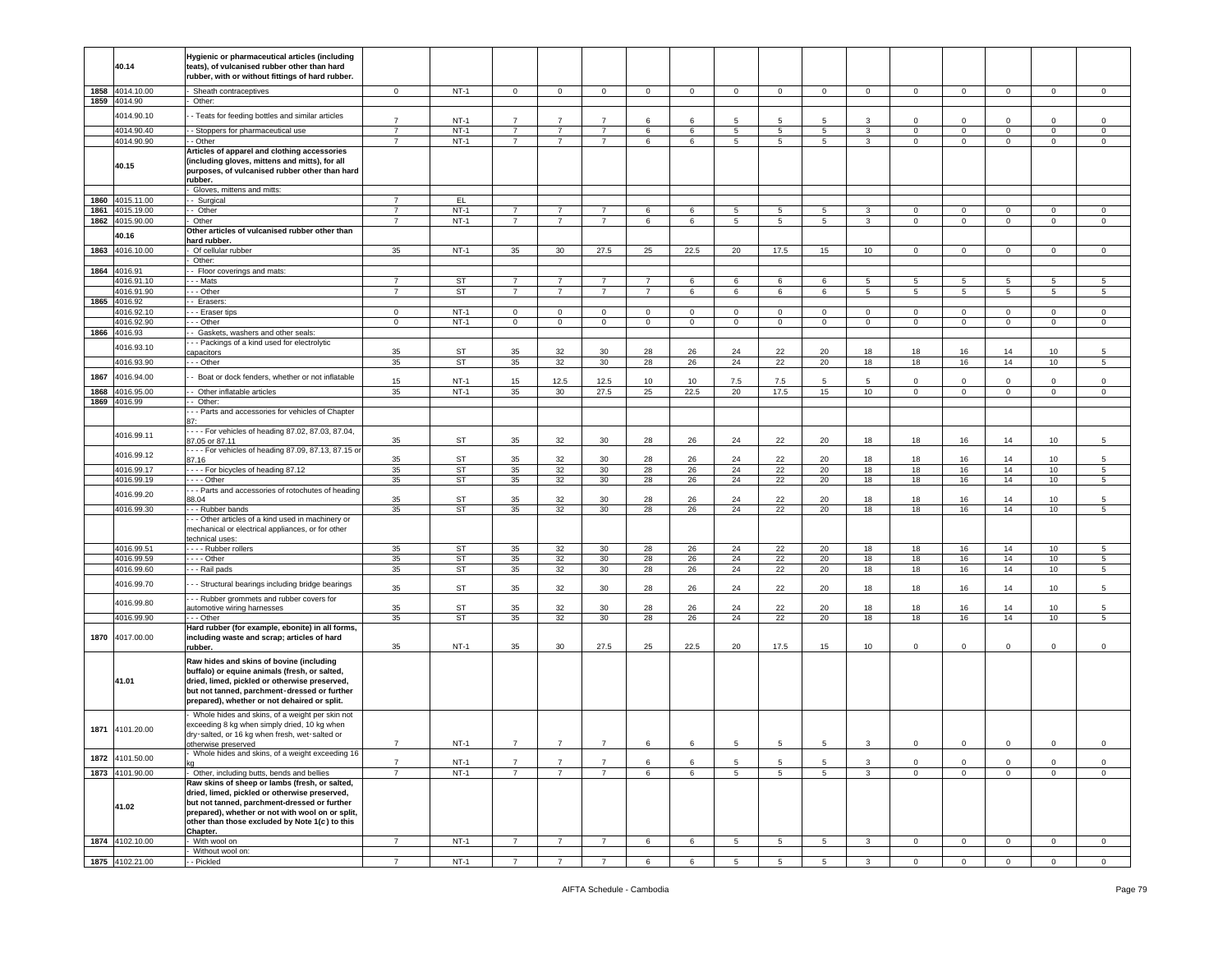|      |                 | Hygienic or pharmaceutical articles (including      |                |           |                |                 |                |                |             |                 |                 |                 |                         |              |                |                |                 |                |
|------|-----------------|-----------------------------------------------------|----------------|-----------|----------------|-----------------|----------------|----------------|-------------|-----------------|-----------------|-----------------|-------------------------|--------------|----------------|----------------|-----------------|----------------|
|      | 40.14           | teats), of vulcanised rubber other than hard        |                |           |                |                 |                |                |             |                 |                 |                 |                         |              |                |                |                 |                |
|      |                 | rubber, with or without fittings of hard rubber.    |                |           |                |                 |                |                |             |                 |                 |                 |                         |              |                |                |                 |                |
|      | 1858 4014.10.00 | Sheath contraceptives                               | $\mathbf 0$    | $NT-1$    | $\mathbf{0}$   | $\mathbf 0$     | $\overline{0}$ | $\overline{0}$ | $\mathbf 0$ | $\mathsf 0$     | $\mathbf 0$     | $\mathbf 0$     | $\circ$                 | $\mathbf{O}$ | $\mathbf{0}$   | $\mathsf 0$    | $\mathbf 0$     | $\circ$        |
|      |                 |                                                     |                |           |                |                 |                |                |             |                 |                 |                 |                         |              |                |                |                 |                |
|      | 1859 4014.90    | Other:                                              |                |           |                |                 |                |                |             |                 |                 |                 |                         |              |                |                |                 |                |
|      | 4014.90.10      | - Teats for feeding bottles and similar articles    | $\overline{7}$ |           | $\overline{7}$ | $\overline{7}$  | $\overline{7}$ | 6              | 6           | 5               |                 | 5               | 3                       | $\Omega$     |                | $\Omega$       |                 |                |
|      |                 |                                                     |                | $NT-1$    |                |                 |                |                |             |                 | 5               |                 |                         |              | $\mathbf 0$    |                | $\mathbf 0$     | 0              |
|      | 4014.90.40      | - Stoppers for pharmaceutical use                   | $\overline{7}$ | $NT-1$    | $\overline{7}$ | $\overline{7}$  | $\overline{7}$ | 6              | 6           | $\overline{5}$  | $5\phantom{.0}$ | $5^{\circ}$     | $\mathbf{3}$            | $\circ$      | $\overline{0}$ | $\overline{0}$ | $\overline{0}$  | $\overline{0}$ |
|      | 4014.90.90      | - Other                                             | $\overline{7}$ | $NT-1$    | $\overline{7}$ | $\overline{7}$  | $\overline{7}$ | 6              | 6           | 5               | $5\phantom{.0}$ | 5               | $\mathbf{3}$            | $\mathbf 0$  | $\mathsf 0$    | $\mathsf 0$    | $\mathbf 0$     | $\mathsf 0$    |
|      |                 | Articles of apparel and clothing accessories        |                |           |                |                 |                |                |             |                 |                 |                 |                         |              |                |                |                 |                |
|      |                 | (including gloves, mittens and mitts), for all      |                |           |                |                 |                |                |             |                 |                 |                 |                         |              |                |                |                 |                |
|      | 40.15           | purposes, of vulcanised rubber other than hard      |                |           |                |                 |                |                |             |                 |                 |                 |                         |              |                |                |                 |                |
|      |                 | rubber.                                             |                |           |                |                 |                |                |             |                 |                 |                 |                         |              |                |                |                 |                |
|      |                 | Gloves, mittens and mitts:                          |                |           |                |                 |                |                |             |                 |                 |                 |                         |              |                |                |                 |                |
| 1860 | 4015.11.00      | - Surgical                                          | $\overline{7}$ | EL.       |                |                 |                |                |             |                 |                 |                 |                         |              |                |                |                 |                |
| 1861 | 4015.19.00      | - Other                                             | $\overline{7}$ | $NT-1$    | $\overline{7}$ | $\overline{7}$  | $\overline{7}$ | 6              | 6           | 5               | $5\phantom{.0}$ | 5               | 3                       | $\mathbf 0$  | $\mathbf 0$    | $\mathbf 0$    | 0               | 0              |
|      |                 |                                                     | $\overline{7}$ | $NT-1$    | $\overline{7}$ | $\overline{7}$  | $\overline{7}$ |                |             |                 |                 |                 |                         |              |                |                |                 |                |
|      | 1862 4015.90.00 | Other                                               |                |           |                |                 |                | 6              | 6           | 5               | 5               | 5               | 3                       | 0            | $\mathbf 0$    | $\mathbf 0$    | 0               | $\,0\,$        |
|      | 40.16           | Other articles of vulcanised rubber other than      |                |           |                |                 |                |                |             |                 |                 |                 |                         |              |                |                |                 |                |
|      |                 | hard rubber.                                        |                |           |                |                 |                |                |             |                 |                 |                 |                         |              |                |                |                 |                |
|      | 1863 4016.10.00 | Of cellular rubber                                  | 35             | $NT-1$    | 35             | 30              | 27.5           | 25             | 22.5        | 20              | 17.5            | 15              | 10 <sub>1</sub>         | $\mathbf{0}$ | $\mathbf{0}$   | $\mathbf{0}$   | $\mathbf 0$     | $\circ$        |
|      |                 | Other:                                              |                |           |                |                 |                |                |             |                 |                 |                 |                         |              |                |                |                 |                |
|      | 1864 4016.91    | - Floor coverings and mats:                         |                |           |                |                 |                |                |             |                 |                 |                 |                         |              |                |                |                 |                |
|      | 4016.91.10      | --- Mats                                            | $\overline{7}$ | <b>ST</b> | $\overline{7}$ | $\overline{7}$  | $\overline{7}$ | $\overline{7}$ | 6           | 6               | 6               | 6               | 5                       | 5            | 5              | 5              | 5               | 5              |
|      | 4016.91.90      | - - Other                                           | $\overline{7}$ | <b>ST</b> | $\overline{7}$ | $\overline{7}$  | $\overline{7}$ | $\overline{7}$ | 6           | 6               | 6               | 6               | $5\phantom{.0}$         | 5            | 5              | 5              | 5               | 5              |
|      | 1865 4016.92    | - Erasers:                                          |                |           |                |                 |                |                |             |                 |                 |                 |                         |              |                |                |                 |                |
|      | 4016.92.10      | - - Eraser tips                                     | $\mathbf 0$    | $NT-1$    | $\mathbf 0$    | $\mathbf 0$     | $\mathbf 0$    | $\mathbf{0}$   | $\mathbf 0$ | $\mathbf 0$     | $\mathbf 0$     | $\mathbf 0$     | $\circ$                 | $\mathbf 0$  | $\overline{0}$ | $\mathbf{0}$   | $\mathbf 0$     | $\mathsf 0$    |
|      | 4016.92.90      | - - Other                                           | $\mathbf 0$    | $NT-1$    | $\mathbf{0}$   | $\mathbf 0$     | $\mathsf 0$    | $\circ$        | $\mathbf 0$ | $\mathbf 0$     | $\mathbf 0$     | $\mathbf 0$     | $\circ$                 | $\circ$      | $\overline{0}$ | $\mathbf{0}$   | $\mathbf 0$     | $\mathsf 0$    |
|      |                 |                                                     |                |           |                |                 |                |                |             |                 |                 |                 |                         |              |                |                |                 |                |
| 1866 | 4016.93         | - Gaskets, washers and other seals:                 |                |           |                |                 |                |                |             |                 |                 |                 |                         |              |                |                |                 |                |
|      | 4016.93.10      | -- Packings of a kind used for electrolytic         |                |           |                |                 |                |                |             |                 |                 |                 |                         |              |                |                |                 |                |
|      |                 | apacitors                                           | 35             | ST        | 35             | 32              | 30             | 28             | 26          | 24              | 22              | 20              | 18                      | 18           | 16             | 14             | 10              | 5              |
|      | 4016.93.90      | - - Other                                           | 35             | ST        | 35             | 32              | 30             | 28             | 26          | 24              | 22              | 20              | 18                      | 18           | 16             | 14             | 10 <sub>1</sub> | 5              |
| 1867 | 4016.94.00      | Boat or dock fenders, whether or not inflatable     |                |           |                |                 |                |                |             |                 |                 |                 |                         |              |                |                |                 |                |
|      |                 |                                                     | 15             | $NT-1$    | 15             | 12.5            | 12.5           | 10             | 10          | 7.5             | 7.5             | 5               | 5                       | $\mathbf 0$  | $\mathsf 0$    | $\Omega$       | $\mathbf 0$     | $\mathsf 0$    |
| 1868 | 4016.95.00      | - Other inflatable articles                         | 35             | $NT-1$    | 35             | 30              | 27.5           | 25             | 22.5        | 20              | 17.5            | 15              | 10                      | $\mathbf 0$  | $\overline{0}$ | $\mathbf{0}$   | $\mathbf 0$     | $\mathbf 0$    |
| 1869 | 4016.99         | - Other:                                            |                |           |                |                 |                |                |             |                 |                 |                 |                         |              |                |                |                 |                |
|      |                 | - - Parts and accessories for vehicles of Chapter   |                |           |                |                 |                |                |             |                 |                 |                 |                         |              |                |                |                 |                |
|      |                 | 87:                                                 |                |           |                |                 |                |                |             |                 |                 |                 |                         |              |                |                |                 |                |
|      |                 | ---- For vehicles of heading 87.02, 87.03, 87.04,   |                |           |                |                 |                |                |             |                 |                 |                 |                         |              |                |                |                 |                |
|      | 4016.99.11      | 87.05 or 87.11                                      | 35             | ST        | 35             | 32              | 30             | 28             | 26          | 24              | 22              | 20              | 18                      | 18           | 16             | 14             | 10 <sub>1</sub> | 5              |
|      |                 | ---- For vehicles of heading 87.09, 87.13, 87.15 or |                |           |                |                 |                |                |             |                 |                 |                 |                         |              |                |                |                 |                |
|      | 4016.99.12      | 87.16                                               | 35             | ST        | 35             | 32              | 30             | 28             | 26          | 24              | 22              | 20              | 18                      | 18           | 16             | 14             | 10              | 5              |
|      | 4016.99.17      | ---- For bicycles of heading 87.12                  | 35             | ST        | 35             | 32              | 30             | 28             | 26          | 24              | 22              | 20              | 18                      | 18           | 16             | 14             | 10              | $\sqrt{5}$     |
|      | 4016.99.19      | - - - - Other                                       | 35             | <b>ST</b> | 35             | 32              | 30             | 28             | 26          | 24              | 22              | 20              | 18                      | 18           | 16             | 14             | 10              | 5              |
|      |                 | - - Parts and accessories of rotochutes of heading  |                |           |                |                 |                |                |             |                 |                 |                 |                         |              |                |                |                 |                |
|      | 4016.99.20      | 88.04                                               | 35             | ST        | 35             | 32              | 30             | 28             | 26          | 24              | 22              | 20              | 18                      | 18           | 16             | 14             | 10              | 5              |
|      | 4016.99.30      |                                                     | 35             | <b>ST</b> | 35             | 32              | 30             | 28             | 26          | 24              | 22              | 20              | 18                      | 18           | 16             | 14             | 10              | 5              |
|      |                 | - - Rubber bands                                    |                |           |                |                 |                |                |             |                 |                 |                 |                         |              |                |                |                 |                |
|      |                 | - - Other articles of a kind used in machinery or   |                |           |                |                 |                |                |             |                 |                 |                 |                         |              |                |                |                 |                |
|      |                 | mechanical or electrical appliances, or for other   |                |           |                |                 |                |                |             |                 |                 |                 |                         |              |                |                |                 |                |
|      |                 | echnical uses:                                      |                |           |                |                 |                |                |             |                 |                 |                 |                         |              |                |                |                 |                |
|      | 4016.99.51      | --- Rubber rollers                                  | 35             | <b>ST</b> | 35             | 32              | 30             | 28             | 26          | 24              | 22              | 20              | 18                      | 18           | 16             | 14             | 10 <sub>1</sub> | 5              |
|      | 4016.99.59      | $\cdots$ - Other                                    | 35             | ST        | 35             | 32              | 30             | 28             | 26          | 24              | 22              | 20              | 18                      | 18           | 16             | 14             | 10              | 5              |
|      | 4016.99.60      | - - - Rail pads                                     | 35             | ST        | 35             | 32              | 30             | 28             | 26          | 24              | 22              | 20              | 18                      | 18           | 16             | 14             | 10              | 5              |
|      | 4016.99.70      | - - Structural bearings including bridge bearings   |                |           |                |                 |                |                |             |                 |                 |                 |                         |              |                |                |                 |                |
|      |                 |                                                     | 35             | <b>ST</b> | 35             | 32              | 30             | 28             | 26          | 24              | 22              | 20              | 18                      | 18           | 16             | 14             | 10              | 5              |
|      | 4016.99.80      | --- Rubber grommets and rubber covers for           |                |           |                |                 |                |                |             |                 |                 |                 |                         |              |                |                |                 |                |
|      |                 | automotive wiring harnesses                         | 35             | ST        | 35             | 32              | 30             | 28             | 26          | 24              | 22              | 20              | 18                      | 18           | 16             | 14             | 10 <sub>1</sub> | $\sqrt{5}$     |
|      | 4016.99.90      | - - Other                                           | 35             | ST        | 35             | 32              | 30             | 28             | 26          | 24              | 22              | 20              | 18                      | 18           | 16             | 14             | 10              | 5              |
|      |                 | Hard rubber (for example, ebonite) in all forms,    |                |           |                |                 |                |                |             |                 |                 |                 |                         |              |                |                |                 |                |
| 1870 | 4017.00.00      | including waste and scrap; articles of hard         |                |           |                |                 |                |                |             |                 |                 |                 |                         |              |                |                |                 |                |
|      |                 | rubber.                                             | 35             | $NT-1$    | 35             | 30 <sup>°</sup> | 27.5           | 25             | 22.5        | 20              | 17.5            | 15              | 10                      | $\mathbf 0$  | $\mathsf 0$    | $\mathbf 0$    | $\mathbf 0$     | $\mathbf 0$    |
|      |                 |                                                     |                |           |                |                 |                |                |             |                 |                 |                 |                         |              |                |                |                 |                |
|      |                 | Raw hides and skins of bovine (including            |                |           |                |                 |                |                |             |                 |                 |                 |                         |              |                |                |                 |                |
|      |                 | buffalo) or equine animals (fresh, or salted,       |                |           |                |                 |                |                |             |                 |                 |                 |                         |              |                |                |                 |                |
|      | 41.01           | dried, limed, pickled or otherwise preserved,       |                |           |                |                 |                |                |             |                 |                 |                 |                         |              |                |                |                 |                |
|      |                 | but not tanned, parchment-dressed or further        |                |           |                |                 |                |                |             |                 |                 |                 |                         |              |                |                |                 |                |
|      |                 | prepared), whether or not dehaired or split.        |                |           |                |                 |                |                |             |                 |                 |                 |                         |              |                |                |                 |                |
|      |                 | Whole hides and skins, of a weight per skin not     |                |           |                |                 |                |                |             |                 |                 |                 |                         |              |                |                |                 |                |
|      |                 | exceeding 8 kg when simply dried, 10 kg when        |                |           |                |                 |                |                |             |                 |                 |                 |                         |              |                |                |                 |                |
| 1871 | 4101.20.00      | dry-salted, or 16 kg when fresh, wet-salted or      |                |           |                |                 |                |                |             |                 |                 |                 |                         |              |                |                |                 |                |
|      |                 | therwise preserved                                  |                | $NT-1$    |                |                 | $\overline{7}$ | $\epsilon$     |             |                 |                 |                 |                         |              |                |                |                 |                |
|      |                 | Whole hides and skins, of a weight exceeding 16     |                |           |                |                 |                |                |             |                 |                 |                 |                         |              |                |                |                 |                |
| 1872 | 4101.50.00      |                                                     | $\overline{7}$ | $NT-1$    | $\overline{7}$ | $\overline{7}$  | $\overline{7}$ | 6              | 6           | 5               | 5               | 5               | 3                       | $\mathbf 0$  | $\mathsf 0$    | $\mathbf 0$    | $\mathbf 0$     | $\mathsf 0$    |
|      | 1873 4101.90.00 | Other, including butts, bends and bellies           | $\overline{7}$ | $NT-1$    | $\overline{7}$ | $\overline{7}$  | $\overline{7}$ | 6              |             |                 |                 |                 |                         |              | $\mathbf 0$    |                |                 | $\circ$        |
|      |                 |                                                     |                |           |                |                 |                |                | 6           | 5               | 5               | $5^{\circ}$     | $\mathbf{3}$            | $\mathbf{0}$ |                | $\overline{0}$ | $\mathbf 0$     |                |
|      |                 | Raw skins of sheep or lambs (fresh, or salted,      |                |           |                |                 |                |                |             |                 |                 |                 |                         |              |                |                |                 |                |
|      |                 | dried, limed, pickled or otherwise preserved,       |                |           |                |                 |                |                |             |                 |                 |                 |                         |              |                |                |                 |                |
|      | 41.02           | but not tanned, parchment-dressed or further        |                |           |                |                 |                |                |             |                 |                 |                 |                         |              |                |                |                 |                |
|      |                 | prepared), whether or not with wool on or split,    |                |           |                |                 |                |                |             |                 |                 |                 |                         |              |                |                |                 |                |
|      |                 | other than those excluded by Note 1(c) to this      |                |           |                |                 |                |                |             |                 |                 |                 |                         |              |                |                |                 |                |
|      |                 | Chapter.                                            |                |           |                |                 |                |                |             |                 |                 |                 |                         |              |                |                |                 |                |
|      | 1874 4102.10.00 | - With wool on                                      | $\overline{7}$ | $NT-1$    | $\overline{7}$ | $\overline{7}$  | $\overline{7}$ | 6              | 6           | $5\overline{)}$ | 5               | $5\overline{)}$ | $\overline{\mathbf{3}}$ | $\mathbf 0$  | $\overline{0}$ | $\overline{0}$ | $\mathbf 0$     | $\mathsf 0$    |
|      |                 | Without wool on:                                    |                |           |                |                 |                |                |             |                 |                 |                 |                         |              |                |                |                 |                |
|      | 1875 4102.21.00 | - - Pickled                                         | $\overline{7}$ | $NT-1$    | $\overline{7}$ |                 |                | 6              | 6           | 5               | 5               | -5              |                         | $\Omega$     | $\Omega$       |                |                 | $\Omega$       |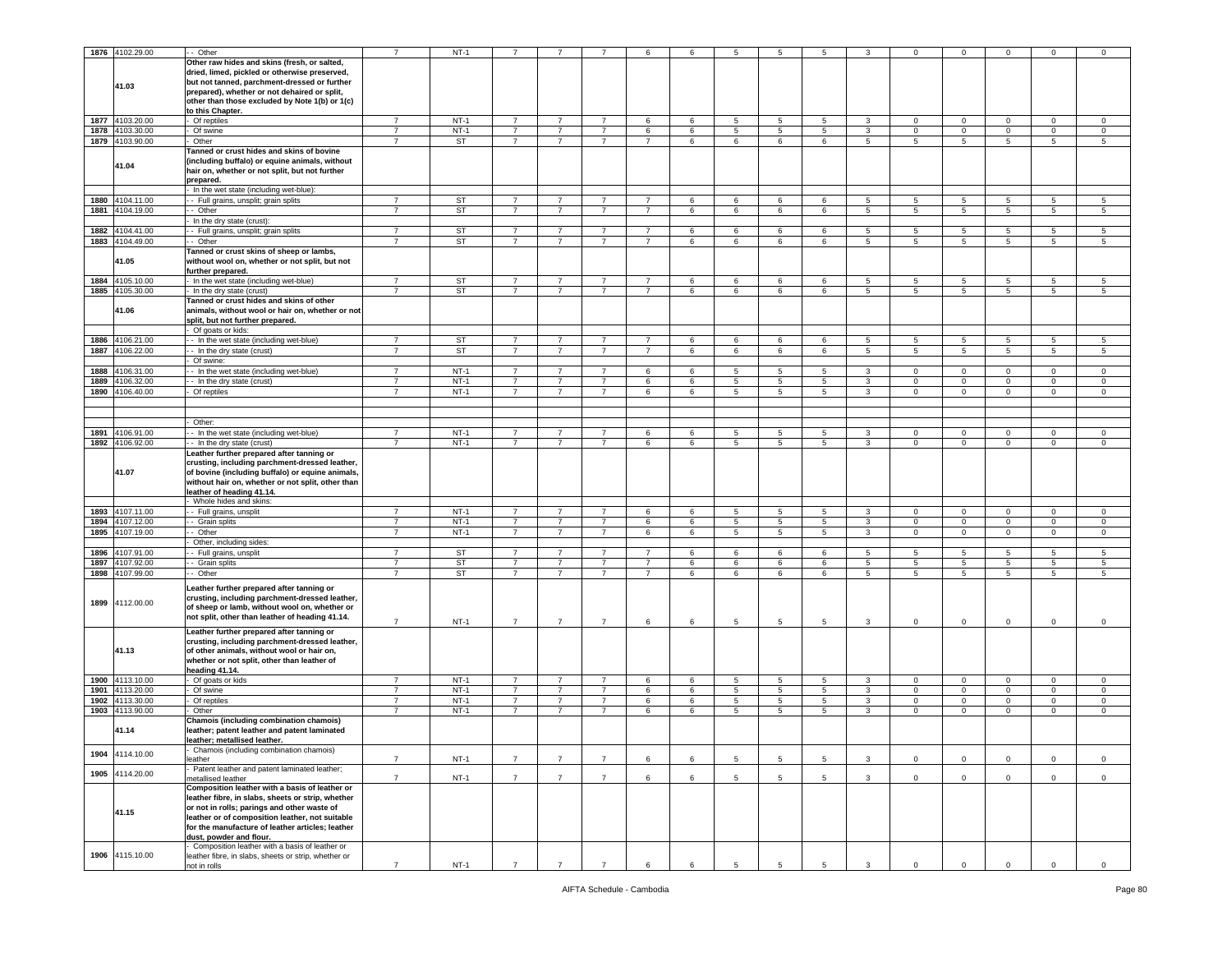|      | 1876 4102.29.00 | - Other                                                            | $\overline{7}$ | $NT-1$    |                |                |                | 6              | 6 | 5               | 5               | 5               | 3               | $\Omega$        | $^{\circ}$      | $\mathbf 0$     | $\mathbf 0$  | 0                   |
|------|-----------------|--------------------------------------------------------------------|----------------|-----------|----------------|----------------|----------------|----------------|---|-----------------|-----------------|-----------------|-----------------|-----------------|-----------------|-----------------|--------------|---------------------|
|      |                 |                                                                    |                |           |                |                |                |                |   |                 |                 |                 |                 |                 |                 |                 |              |                     |
|      |                 | Other raw hides and skins (fresh, or salted,                       |                |           |                |                |                |                |   |                 |                 |                 |                 |                 |                 |                 |              |                     |
|      |                 | dried, limed, pickled or otherwise preserved,                      |                |           |                |                |                |                |   |                 |                 |                 |                 |                 |                 |                 |              |                     |
|      | 41.03           | but not tanned, parchment-dressed or further                       |                |           |                |                |                |                |   |                 |                 |                 |                 |                 |                 |                 |              |                     |
|      |                 | prepared), whether or not dehaired or split,                       |                |           |                |                |                |                |   |                 |                 |                 |                 |                 |                 |                 |              |                     |
|      |                 | other than those excluded by Note 1(b) or 1(c)                     |                |           |                |                |                |                |   |                 |                 |                 |                 |                 |                 |                 |              |                     |
|      |                 | to this Chapter.                                                   |                |           |                |                |                |                |   |                 |                 |                 |                 |                 |                 |                 |              |                     |
|      | 1877 4103.20.00 | Of reptiles                                                        | $\overline{7}$ | $NT-1$    | $\overline{7}$ | $\overline{7}$ | $\overline{7}$ | 6              | 6 | 5               | 5               | 5               | 3               | $\mathbf 0$     | $\mathbf 0$     | $\mathbf 0$     | $\mathbf 0$  | $\mathbf 0$         |
|      | 1878 4103.30.00 | Of swine                                                           | $\overline{7}$ | $NT-1$    | $\overline{7}$ | $\overline{7}$ | $7^{\circ}$    | 6              | 6 | 5               | $5\overline{5}$ | 5               | $\mathbf{3}$    | $\mathbf{0}$    | $\mathbf 0$     | $\mathbf{0}$    | $\mathbf 0$  | $\mathbf 0$         |
|      | 1879 4103.90.00 | Other                                                              | $\overline{7}$ | <b>ST</b> | $\overline{7}$ | $\overline{7}$ | $\overline{7}$ | $\overline{7}$ | 6 | 6               | 6               | 6               | 5               | $5\phantom{.0}$ | 5               | $5\phantom{.0}$ | 5            | 5                   |
|      |                 |                                                                    |                |           |                |                |                |                |   |                 |                 |                 |                 |                 |                 |                 |              |                     |
|      |                 | Tanned or crust hides and skins of bovine                          |                |           |                |                |                |                |   |                 |                 |                 |                 |                 |                 |                 |              |                     |
|      | 41.04           | including buffalo) or equine animals, without                      |                |           |                |                |                |                |   |                 |                 |                 |                 |                 |                 |                 |              |                     |
|      |                 | hair on, whether or not split, but not further                     |                |           |                |                |                |                |   |                 |                 |                 |                 |                 |                 |                 |              |                     |
|      |                 | prepared.                                                          |                |           |                |                |                |                |   |                 |                 |                 |                 |                 |                 |                 |              |                     |
|      |                 | In the wet state (including wet-blue):                             |                |           |                |                |                |                |   |                 |                 |                 |                 |                 |                 |                 |              |                     |
| 1880 | 4104.11.00      | - Full grains, unsplit; grain splits                               | $\overline{7}$ | <b>ST</b> | $\overline{7}$ | $\overline{7}$ | 7              | $\overline{7}$ | 6 | 6               | 6               | 6               | 5               | 5               | 5               | 5               | 5            | 5                   |
| 1881 | 4104.19.00      | - Other                                                            | $\overline{7}$ | <b>ST</b> | $\overline{7}$ |                | $\overline{7}$ | $\overline{7}$ | 6 | 6               | 6               | 6               | $\overline{5}$  | 5               | 5               | 5               | 5            | 5                   |
|      |                 | In the dry state (crust):                                          |                |           |                |                |                |                |   |                 |                 |                 |                 |                 |                 |                 |              |                     |
| 1882 | 4104.41.00      | - Full grains, unsplit; grain splits                               | $\overline{7}$ | <b>ST</b> | $\overline{7}$ | $\overline{7}$ | $\overline{7}$ | $\overline{7}$ | 6 | 6               | 6               | 6               | 5               | 5               | $5\overline{)}$ | 5               | 5            | 5                   |
|      | 1883 4104.49.00 | - Other                                                            | $\overline{7}$ | <b>ST</b> | $\overline{7}$ | $\overline{7}$ | $\overline{7}$ | $\overline{7}$ | 6 | 6               | 6               | 6               | 5               | 5               | 5               | 5               | 5            | 5                   |
|      |                 | Tanned or crust skins of sheep or lambs,                           |                |           |                |                |                |                |   |                 |                 |                 |                 |                 |                 |                 |              |                     |
|      | 41.05           |                                                                    |                |           |                |                |                |                |   |                 |                 |                 |                 |                 |                 |                 |              |                     |
|      |                 | without wool on, whether or not split, but not                     |                |           |                |                |                |                |   |                 |                 |                 |                 |                 |                 |                 |              |                     |
|      |                 | further prepared.                                                  |                |           |                | $\overline{7}$ | $\overline{7}$ |                |   |                 |                 |                 |                 |                 |                 |                 |              |                     |
| 1884 | 4105.10.00      | In the wet state (including wet-blue)                              | $\overline{7}$ | <b>ST</b> | $\overline{7}$ |                |                | $\overline{7}$ | 6 | $\,6\,$         | 6               | 6               | 5               | 5               | 5               | 5               | 5            | 5                   |
| 1885 | 4105.30.00      | In the dry state (crust)                                           | $\overline{7}$ | ST        | $\overline{7}$ | 7              | $\overline{7}$ | $\overline{7}$ | 6 | 6               | 6               | 6               | $5\overline{5}$ | $5\phantom{.0}$ | $5\overline{5}$ | 5               | 5            | 5                   |
|      |                 | Tanned or crust hides and skins of other                           |                |           |                |                |                |                |   |                 |                 |                 |                 |                 |                 |                 |              |                     |
|      | 41.06           | animals, without wool or hair on, whether or not                   |                |           |                |                |                |                |   |                 |                 |                 |                 |                 |                 |                 |              |                     |
|      |                 | split, but not further prepared.                                   |                |           |                |                |                |                |   |                 |                 |                 |                 |                 |                 |                 |              |                     |
|      |                 | Of goats or kids:                                                  |                |           |                |                |                |                |   |                 |                 |                 |                 |                 |                 |                 |              |                     |
| 1886 | 4106.21.00      | - In the wet state (including wet-blue)                            | $\overline{7}$ | ST        | $\overline{7}$ | $\overline{7}$ | $\overline{7}$ | $\overline{7}$ | 6 | 6               | 6               | 6               | 5               | 5               | 5               | 5               | 5            | 5                   |
| 1887 | 4106.22.00      | - In the dry state (crust)                                         | $\overline{7}$ | <b>ST</b> | $\overline{7}$ | $\overline{7}$ | $\overline{7}$ | $\overline{7}$ | 6 | 6               | 6               | 6               | $\overline{5}$  | 5               | 5               | 5               | 5            | 5                   |
|      |                 | Of swine:                                                          |                |           |                |                |                |                |   |                 |                 |                 |                 |                 |                 |                 |              |                     |
| 1888 | 4106.31.00      | - In the wet state (including wet-blue)                            | $\overline{7}$ | $NT-1$    | $\overline{7}$ | $\overline{7}$ | $\overline{7}$ | 6              | 6 | $5\phantom{.0}$ | 5               | 5               | 3               | $\mathbf 0$     | $\mathbf 0$     | $\mathbf{0}$    | $\mathbf{O}$ | $\mathbf 0$         |
| 1889 | 4106.32.00      | - In the dry state (crust)                                         | $\overline{7}$ | $NT-1$    | $\overline{7}$ | $\overline{7}$ | 7              | 6              | 6 | $5\phantom{.0}$ | 5               | 5               | 3               | $\mathbf 0$     | $\mathbf 0$     | $\mathbf 0$     | $\mathbf{0}$ | $\circ$             |
|      | 1890 4106.40.00 | Of reptiles                                                        | $\overline{7}$ | $NT-1$    | $\overline{7}$ | $\overline{7}$ | $\overline{7}$ | 6              | 6 | 5               | $5\overline{5}$ | 5               | 3               | $\mathbf{0}$    | $\mathbf 0$     | $\Omega$        | $\mathbf 0$  | $\mathbf 0$         |
|      |                 |                                                                    |                |           |                |                |                |                |   |                 |                 |                 |                 |                 |                 |                 |              |                     |
|      |                 |                                                                    |                |           |                |                |                |                |   |                 |                 |                 |                 |                 |                 |                 |              |                     |
|      |                 |                                                                    |                |           |                |                |                |                |   |                 |                 |                 |                 |                 |                 |                 |              |                     |
|      |                 | Other:                                                             |                |           |                |                |                |                |   |                 |                 |                 |                 |                 |                 |                 |              |                     |
| 1891 | 4106.91.00      | - - In the wet state (including wet-blue)                          | $\overline{7}$ | $NT-1$    | $\overline{7}$ | $\overline{7}$ | 7              | 6              | 6 | 5               | 5               | 5               | 3               | $\mathbf 0$     | $\mathbf 0$     | $\mathbf 0$     | 0            | $\circ$             |
|      | 1892 4106.92.00 | -- In the dry state (crust)                                        | $\overline{7}$ | $NT-1$    | $\overline{7}$ | $\overline{7}$ | $\overline{7}$ | 6              | 6 | 5               | 5               | 5               | 3               | 0               | $\mathbf 0$     | $\mathbf 0$     | $\mathbf 0$  | $\mathbf 0$         |
|      |                 | Leather further prepared after tanning or                          |                |           |                |                |                |                |   |                 |                 |                 |                 |                 |                 |                 |              |                     |
|      |                 | crusting, including parchment-dressed leather,                     |                |           |                |                |                |                |   |                 |                 |                 |                 |                 |                 |                 |              |                     |
|      | 41.07           | of bovine (including buffalo) or equine animals,                   |                |           |                |                |                |                |   |                 |                 |                 |                 |                 |                 |                 |              |                     |
|      |                 | without hair on, whether or not split, other than                  |                |           |                |                |                |                |   |                 |                 |                 |                 |                 |                 |                 |              |                     |
|      |                 | eather of heading 41.14.                                           |                |           |                |                |                |                |   |                 |                 |                 |                 |                 |                 |                 |              |                     |
|      |                 | Whole hides and skins:                                             |                |           |                |                |                |                |   |                 |                 |                 |                 |                 |                 |                 |              |                     |
| 1893 | 4107.11.00      | - Full grains, unsplit                                             | $\overline{7}$ | $NT-1$    | $\overline{7}$ | $\overline{7}$ | $\overline{7}$ | 6              | 6 | 5               | $5\phantom{.0}$ | 5               | 3               | $\mathbf{0}$    | $\overline{0}$  | $\mathbf 0$     | $\mathbf{0}$ | $\mathbf 0$         |
| 1894 | 4107.12.00      | - Grain splits                                                     | $\overline{7}$ | $NT-1$    | $\overline{7}$ | $\overline{7}$ | $\overline{7}$ | 6              | 6 | 5               | 5               | 5               | $\mathbf{3}$    | $\mathbf 0$     | $\mathbf 0$     | $\mathbf{0}$    | $\mathbf 0$  | $\mathbf 0$         |
| 1895 | 4107.19.00      | - Other                                                            | $\overline{7}$ | $NT-1$    | $\overline{7}$ | $\overline{7}$ | $\overline{7}$ | 6              | 6 | 5               | $5\overline{5}$ | 5               | $\mathbf{3}$    | $\mathbf{0}$    | $\mathbf 0$     | $\mathbf{0}$    | $\mathbf 0$  | $\circ$             |
|      |                 | Other, including sides:                                            |                |           |                |                |                |                |   |                 |                 |                 |                 |                 |                 |                 |              |                     |
| 1896 | 4107.91.00      | - Full grains, unsplit                                             | $\overline{7}$ | <b>ST</b> | $\overline{7}$ | $\overline{7}$ | $\overline{7}$ | $\overline{7}$ | 6 | 6               | 6               | 6               | 5               | 5               | $5\overline{)}$ | 5               | 5            | 5                   |
| 1897 | 4107.92.00      |                                                                    | $\overline{7}$ | ST        |                | $\overline{7}$ | $\overline{7}$ | $\overline{7}$ |   |                 |                 |                 |                 |                 |                 |                 |              |                     |
|      |                 | - Grain splits                                                     |                |           | $\overline{7}$ |                |                |                | 6 | 6               | 6               | 6               | 5               | $5\phantom{.0}$ | $5\overline{5}$ | 5               | 5            | 5                   |
| 1898 | 4107.99.00      | - Other                                                            | $\overline{7}$ | <b>ST</b> | $\overline{7}$ | $\overline{7}$ | $\overline{7}$ | $\overline{7}$ | 6 | 6               | 6               | 6               | 5               | 5               | 5               | 5               | $5^{\circ}$  | 5                   |
|      |                 | Leather further prepared after tanning or                          |                |           |                |                |                |                |   |                 |                 |                 |                 |                 |                 |                 |              |                     |
|      |                 | crusting, including parchment-dressed leather,                     |                |           |                |                |                |                |   |                 |                 |                 |                 |                 |                 |                 |              |                     |
| 1899 | 4112.00.00      | of sheep or lamb, without wool on, whether or                      |                |           |                |                |                |                |   |                 |                 |                 |                 |                 |                 |                 |              |                     |
|      |                 | not split, other than leather of heading 41.14.                    |                |           |                |                |                |                |   |                 |                 |                 |                 |                 |                 |                 |              |                     |
|      |                 |                                                                    | $\overline{7}$ | $NT-1$    | $\overline{7}$ | $\overline{7}$ | $\overline{7}$ | 6              | 6 | 5               | $\overline{5}$  | $5\phantom{.0}$ | $\mathbf{3}$    | $\mathsf 0$     | $\mathbf 0$     | $\mathbf 0$     | $\mathbf 0$  | $\mathbf 0$         |
|      |                 | Leather further prepared after tanning or                          |                |           |                |                |                |                |   |                 |                 |                 |                 |                 |                 |                 |              |                     |
|      |                 | crusting, including parchment-dressed leather,                     |                |           |                |                |                |                |   |                 |                 |                 |                 |                 |                 |                 |              |                     |
|      | 41.13           | of other animals, without wool or hair on,                         |                |           |                |                |                |                |   |                 |                 |                 |                 |                 |                 |                 |              |                     |
|      |                 | whether or not split, other than leather of                        |                |           |                |                |                |                |   |                 |                 |                 |                 |                 |                 |                 |              |                     |
|      |                 | heading 41.14.                                                     |                |           |                |                |                |                |   |                 |                 |                 |                 |                 |                 |                 |              |                     |
|      | 1900 4113.10.00 | Of goats or kids                                                   | $\overline{7}$ | $NT-1$    | $\overline{7}$ | $\overline{7}$ | $\overline{7}$ | 6              | 6 | $5\phantom{.0}$ | $5\overline{5}$ | 5               | 3               | $\mathbf 0$     | $\overline{0}$  | $\mathbf 0$     | $\circ$      | $\mathbf 0$         |
| 1901 | 4113.20.00      | Of swine                                                           | $\overline{7}$ | $NT-1$    | $\overline{7}$ | $\overline{7}$ | $\overline{7}$ | 6              | 6 | 5               | 5               | 5               | 3               | $\circ$         | $\mathbf 0$     | $\mathbf{0}$    | $\mathbf 0$  | $\mathbf 0$         |
| 1902 | 4113.30.00      | Of reptiles                                                        | $\overline{7}$ | $NT-1$    | $\overline{7}$ | $\overline{7}$ | $\overline{7}$ | 6              | 6 | $\overline{5}$  | 5               | 5               | 3               | $\mathbf 0$     | $\mathsf 0$     | $\mathbf{0}$    | $\mathbf 0$  | $\mathbf 0$         |
|      | 1903 4113.90.00 | Other                                                              | $\overline{7}$ | $NT-1$    | $\overline{7}$ | 7              | $\overline{7}$ | 6              | 6 | 5               | 5               | 5               | $\mathbf{3}$    | $\mathbf{0}$    | $\,0\,$         | $\mathbf 0$     | 0            | $\mathbf 0$         |
|      |                 | Chamois (including combination chamois)                            |                |           |                |                |                |                |   |                 |                 |                 |                 |                 |                 |                 |              |                     |
|      | 41.14           | leather; patent leather and patent laminated                       |                |           |                |                |                |                |   |                 |                 |                 |                 |                 |                 |                 |              |                     |
|      |                 | leather; metallised leather.                                       |                |           |                |                |                |                |   |                 |                 |                 |                 |                 |                 |                 |              |                     |
| 1904 | 4114.10.00      | Chamois (including combination chamois)                            |                |           |                |                |                |                |   |                 |                 |                 |                 |                 |                 |                 |              |                     |
|      |                 | eather                                                             | $\overline{7}$ | $NT-1$    | $\overline{7}$ | $\overline{7}$ | $\overline{7}$ | 6              | 6 | $\overline{5}$  | 5               | 5               | 3               | $\mathbf 0$     | $\mathbf 0$     | $\mathbf{0}$    | $\mathbf{O}$ | $\mathsf 0$         |
| 1905 | 4114.20.00      | Patent leather and patent laminated leather;                       |                |           |                |                |                |                |   |                 |                 |                 |                 |                 |                 |                 |              |                     |
|      |                 | metallised leather                                                 | $\overline{7}$ | $NT-1$    | $\overline{7}$ | $\overline{7}$ | $\overline{7}$ | 6              | 6 | 5               | 5               | 5               | 3               | $\mathbf 0$     | $\mathsf 0$     | $\mathbf{0}$    | $\mathbf{O}$ | $\mathsf 0$         |
|      |                 | Composition leather with a basis of leather or                     |                |           |                |                |                |                |   |                 |                 |                 |                 |                 |                 |                 |              |                     |
|      |                 | leather fibre, in slabs, sheets or strip, whether                  |                |           |                |                |                |                |   |                 |                 |                 |                 |                 |                 |                 |              |                     |
|      |                 | or not in rolls; parings and other waste of                        |                |           |                |                |                |                |   |                 |                 |                 |                 |                 |                 |                 |              |                     |
|      | 41.15           | leather or of composition leather, not suitable                    |                |           |                |                |                |                |   |                 |                 |                 |                 |                 |                 |                 |              |                     |
|      |                 | for the manufacture of leather articles; leather                   |                |           |                |                |                |                |   |                 |                 |                 |                 |                 |                 |                 |              |                     |
|      |                 | dust, powder and flour.                                            |                |           |                |                |                |                |   |                 |                 |                 |                 |                 |                 |                 |              |                     |
|      |                 | Composition leather with a basis of leather or                     |                |           |                |                |                |                |   |                 |                 |                 |                 |                 |                 |                 |              |                     |
|      |                 |                                                                    |                |           |                |                |                |                |   |                 |                 |                 |                 |                 |                 |                 |              |                     |
| 1906 | 4115.10.00      |                                                                    |                |           |                |                |                |                |   |                 |                 |                 |                 |                 |                 |                 |              |                     |
|      |                 | eather fibre, in slabs, sheets or strip, whether or<br>ot in rolls | $\overline{7}$ | $NT-1$    | $\overline{7}$ | $\overline{7}$ | $\overline{7}$ | 6              | 6 | $\,$ 5 $\,$     | $\sqrt{5}$      | $\sqrt{5}$      | 3               | $\mathsf 0$     | $\mathbf 0$     | $\mathbf 0$     | $\mathbf 0$  | $\mathsf{O}\xspace$ |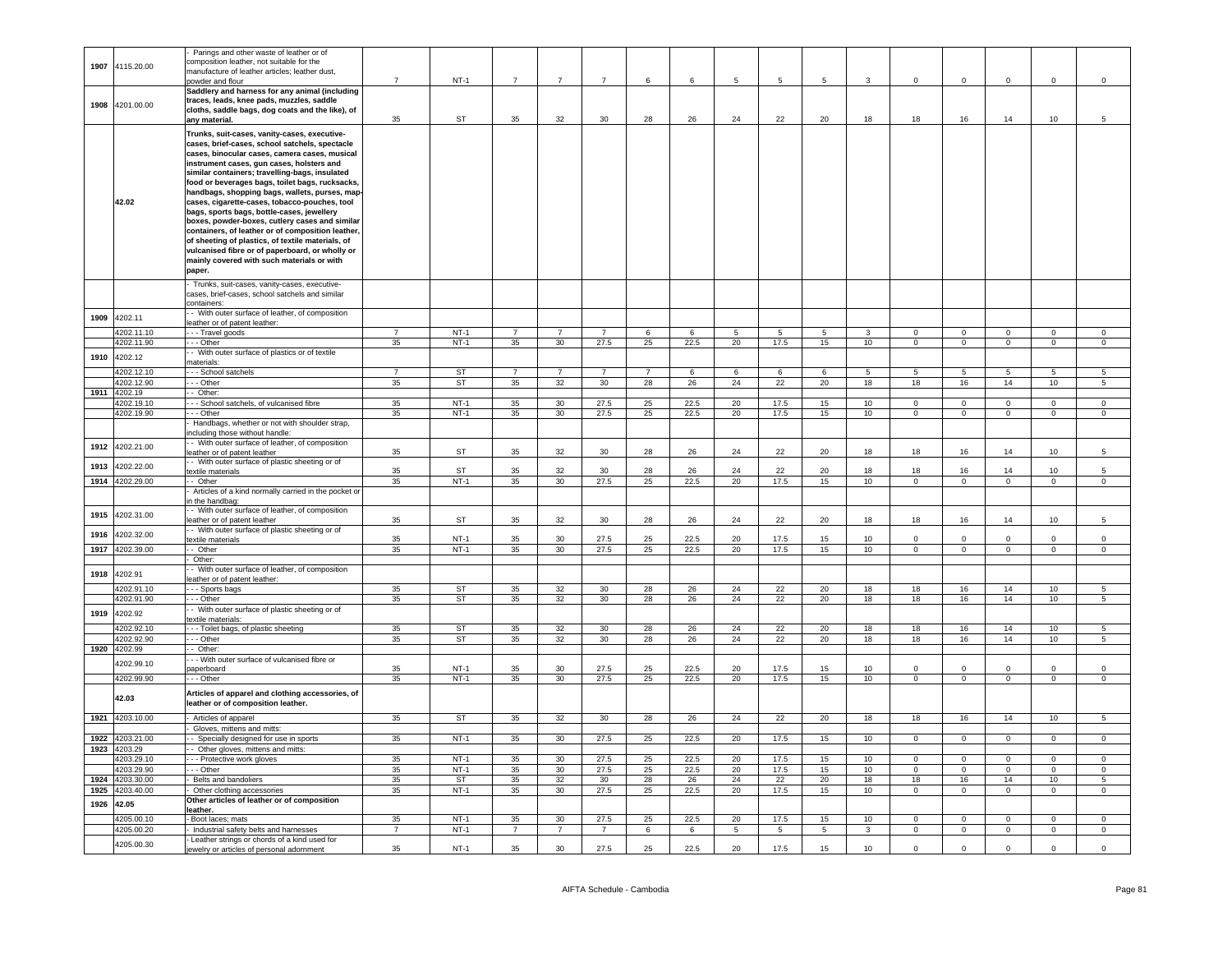|      |                 | Parings and other waste of leather or of             |                |           |                |                 |                |    |      |             |                 |                 |                 |                |                |                |                |                 |
|------|-----------------|------------------------------------------------------|----------------|-----------|----------------|-----------------|----------------|----|------|-------------|-----------------|-----------------|-----------------|----------------|----------------|----------------|----------------|-----------------|
|      |                 | composition leather, not suitable for the            |                |           |                |                 |                |    |      |             |                 |                 |                 |                |                |                |                |                 |
| 1907 | 4115.20.00      | manufacture of leather articles: leather dust.       |                |           |                |                 |                |    |      |             |                 |                 |                 |                |                |                |                |                 |
|      |                 | powder and flour                                     | $\overline{7}$ | $NT-1$    | $\overline{7}$ | $\overline{7}$  | $\overline{7}$ | 6  | 6    | $\,$ 5 $\,$ | $\,$ 5 $\,$     | 5               | $\mathbf{3}$    | $\mathbf 0$    | 0              | $\mathbf 0$    | $\mathbf 0$    | $\mathsf 0$     |
|      |                 | Saddlery and harness for any animal (including       |                |           |                |                 |                |    |      |             |                 |                 |                 |                |                |                |                |                 |
|      |                 |                                                      |                |           |                |                 |                |    |      |             |                 |                 |                 |                |                |                |                |                 |
| 1908 | 4201.00.00      | traces, leads, knee pads, muzzles, saddle            |                |           |                |                 |                |    |      |             |                 |                 |                 |                |                |                |                |                 |
|      |                 | cloths, saddle bags, dog coats and the like), of     |                |           |                |                 |                |    |      |             |                 |                 |                 |                |                |                |                |                 |
|      |                 | any material.                                        | 35             | <b>ST</b> | 35             | 32              | 30             | 28 | 26   | 24          | 22              | 20              | 18              | 18             | 16             | 14             | 10             | 5               |
|      |                 | Trunks, suit-cases, vanity-cases, executive-         |                |           |                |                 |                |    |      |             |                 |                 |                 |                |                |                |                |                 |
|      |                 | cases, brief-cases, school satchels, spectacle       |                |           |                |                 |                |    |      |             |                 |                 |                 |                |                |                |                |                 |
|      |                 | cases, binocular cases, camera cases, musical        |                |           |                |                 |                |    |      |             |                 |                 |                 |                |                |                |                |                 |
|      |                 | instrument cases, gun cases, holsters and            |                |           |                |                 |                |    |      |             |                 |                 |                 |                |                |                |                |                 |
|      |                 |                                                      |                |           |                |                 |                |    |      |             |                 |                 |                 |                |                |                |                |                 |
|      |                 | similar containers; travelling-bags, insulated       |                |           |                |                 |                |    |      |             |                 |                 |                 |                |                |                |                |                 |
|      |                 | food or beverages bags, toilet bags, rucksacks,      |                |           |                |                 |                |    |      |             |                 |                 |                 |                |                |                |                |                 |
|      |                 | handbags, shopping bags, wallets, purses, map        |                |           |                |                 |                |    |      |             |                 |                 |                 |                |                |                |                |                 |
|      | 42.02           | cases, cigarette-cases, tobacco-pouches, tool        |                |           |                |                 |                |    |      |             |                 |                 |                 |                |                |                |                |                 |
|      |                 | bags, sports bags, bottle-cases, jewellery           |                |           |                |                 |                |    |      |             |                 |                 |                 |                |                |                |                |                 |
|      |                 | boxes, powder-boxes, cutlery cases and similar       |                |           |                |                 |                |    |      |             |                 |                 |                 |                |                |                |                |                 |
|      |                 | containers, of leather or of composition leather,    |                |           |                |                 |                |    |      |             |                 |                 |                 |                |                |                |                |                 |
|      |                 | of sheeting of plastics, of textile materials, of    |                |           |                |                 |                |    |      |             |                 |                 |                 |                |                |                |                |                 |
|      |                 | vulcanised fibre or of paperboard, or wholly or      |                |           |                |                 |                |    |      |             |                 |                 |                 |                |                |                |                |                 |
|      |                 | mainly covered with such materials or with           |                |           |                |                 |                |    |      |             |                 |                 |                 |                |                |                |                |                 |
|      |                 | paper.                                               |                |           |                |                 |                |    |      |             |                 |                 |                 |                |                |                |                |                 |
|      |                 |                                                      |                |           |                |                 |                |    |      |             |                 |                 |                 |                |                |                |                |                 |
|      |                 | Trunks, suit-cases, vanity-cases, executive-         |                |           |                |                 |                |    |      |             |                 |                 |                 |                |                |                |                |                 |
|      |                 | cases, brief-cases, school satchels and similar      |                |           |                |                 |                |    |      |             |                 |                 |                 |                |                |                |                |                 |
|      |                 | containers:                                          |                |           |                |                 |                |    |      |             |                 |                 |                 |                |                |                |                |                 |
| 1909 | 4202.11         | - With outer surface of leather, of composition      |                |           |                |                 |                |    |      |             |                 |                 |                 |                |                |                |                |                 |
|      |                 | leather or of patent leather:                        |                |           |                |                 |                |    |      |             |                 |                 |                 |                |                |                |                |                 |
|      | 4202.11.10      | - - Travel goods                                     | $\overline{7}$ | $NT-1$    | $\overline{7}$ | $\overline{7}$  | $\overline{7}$ | 6  | 6    | 5           | 5               | $5\overline{)}$ | $\mathbf{3}$    | $\overline{0}$ | $\circ$        | $\mathbf 0$    | $\overline{0}$ | $\circ$         |
|      | 4202.11.90      | - - Other                                            | 35             | $NT-1$    | 35             | 30              | 27.5           | 25 | 22.5 | 20          | 17.5            | 15              | 10              | $\Omega$       | $\overline{0}$ | $\overline{0}$ | $\overline{0}$ | $\overline{0}$  |
|      |                 | - With outer surface of plastics or of textile       |                |           |                |                 |                |    |      |             |                 |                 |                 |                |                |                |                |                 |
| 1910 | 4202.12         | naterials:                                           |                |           |                |                 |                |    |      |             |                 |                 |                 |                |                |                |                |                 |
|      | 4202.12.10      | - - School satchels                                  | $\overline{7}$ | <b>ST</b> |                | $\overline{7}$  | $\overline{7}$ |    | 6    | 6           | 6               | 6               | 5               | $5^{\circ}$    | 5              | 5              | 5              | 5               |
|      | 4202.12.90      |                                                      | 35             | <b>ST</b> | 35             | 32              | 30             | 28 | 26   | 24          | 22              | 20              | 18              | 18             | 16             | 14             | 10             | 5               |
|      |                 | - - Other                                            |                |           |                |                 |                |    |      |             |                 |                 |                 |                |                |                |                |                 |
|      | 1911 4202.19    | - Other:                                             |                |           |                |                 |                |    |      |             |                 |                 |                 |                |                |                |                |                 |
|      | 4202.19.10      | - School satchels, of vulcanised fibre               | 35             | $NT-1$    | 35             | 30              | 27.5           | 25 | 22.5 | 20          | 17.5            | 15              | 10              | $\mathbf 0$    | $\mathbf 0$    | $\mathbf{0}$   | $\mathbf{0}$   | $\mathbf 0$     |
|      | 4202.19.90      | - - Other                                            | 35             | $NT-1$    | 35             | 30              | 27.5           | 25 | 22.5 | 20          | 17.5            | 15              | 10              | $\Omega$       | $\overline{0}$ | $\overline{0}$ | $\overline{0}$ | $\overline{0}$  |
|      |                 | Handbags, whether or not with shoulder strap,        |                |           |                |                 |                |    |      |             |                 |                 |                 |                |                |                |                |                 |
|      |                 | ncluding those without handle:                       |                |           |                |                 |                |    |      |             |                 |                 |                 |                |                |                |                |                 |
|      | 4202.21.00      | - With outer surface of leather, of composition      |                |           |                |                 |                |    |      |             |                 |                 |                 |                |                |                |                |                 |
| 1912 |                 | leather or of patent leather                         | 35             | ST        | 35             | 32              | 30             | 28 | 26   | 24          | 22              | 20              | 18              | 18             | 16             | 14             | 10             | 5               |
|      |                 | - With outer surface of plastic sheeting or of       |                |           |                |                 |                |    |      |             |                 |                 |                 |                |                |                |                |                 |
| 1913 | 202.22.00       | extile materials                                     | 35             | ST        | 35             | 32              | 30             | 28 | 26   | 24          | 22              | 20              | 18              | 18             | 16             | 14             | 10             | 5               |
| 1914 | 4202.29.00      | - Other                                              | 35             | $NT-1$    | 35             | 30              | 27.5           | 25 | 22.5 | 20          | 17.5            | 15              | 10              | $\overline{0}$ | $\overline{0}$ | $\overline{0}$ | $\overline{0}$ | $\overline{0}$  |
|      |                 | Articles of a kind normally carried in the pocket or |                |           |                |                 |                |    |      |             |                 |                 |                 |                |                |                |                |                 |
|      |                 | n the handbag:                                       |                |           |                |                 |                |    |      |             |                 |                 |                 |                |                |                |                |                 |
|      |                 | - With outer surface of leather, of composition      |                |           |                |                 |                |    |      |             |                 |                 |                 |                |                |                |                |                 |
| 1915 | 1202.31.00      |                                                      | 35             | ST        | 35             | 32              | 30             | 28 | 26   | 24          | 22              | 20              | 18              | 18             | 16             | 14             | 10             | 5               |
|      |                 | eather or of patent leather                          |                |           |                |                 |                |    |      |             |                 |                 |                 |                |                |                |                |                 |
| 1916 | 1202.32.00      | - With outer surface of plastic sheeting or of       |                |           |                |                 |                |    |      |             |                 |                 |                 |                |                |                |                |                 |
|      |                 | textile materials                                    | 35             | $NT-1$    | 35             | 30              | 27.5           | 25 | 22.5 | 20          | 17.5            | 15              | 10              | $\mathbf 0$    |                | $\mathbf 0$    | $\mathbf 0$    | $\mathbf 0$     |
| 1917 | 4202.39.00      | - Other                                              | 35             | $NT-1$    | 35             | 30              | 27.5           | 25 | 22.5 | 20          | 17.5            | 15              | 10              | $^{\circ}$     | $\circ$        | $\overline{0}$ | $\overline{0}$ | $\mathbf{0}$    |
|      |                 | Other:                                               |                |           |                |                 |                |    |      |             |                 |                 |                 |                |                |                |                |                 |
| 1918 | 4202.91         | - With outer surface of leather, of composition      |                |           |                |                 |                |    |      |             |                 |                 |                 |                |                |                |                |                 |
|      |                 | eather or of patent leather:                         |                |           |                |                 |                |    |      |             |                 |                 |                 |                |                |                |                |                 |
|      | 4202.91.10      | --- Sports bags                                      | 35             | ST        | 35             | 32              | 30             | 28 | 26   | 24          | 22              | 20              | 18              | 18             | 16             | 14             | 10             | $5\overline{5}$ |
|      | 4202.91.90      | - - Other                                            | 35             | ST        | 35             | 32              | 30             | 28 | 26   | 24          | 22              | 20              | 18              | 18             | 16             | 14             | 10             | $5^{\circ}$     |
| 1919 | 4202.92         | - With outer surface of plastic sheeting or of       |                |           |                |                 |                |    |      |             |                 |                 |                 |                |                |                |                |                 |
|      |                 | extile materials:                                    |                |           |                |                 |                |    |      |             |                 |                 |                 |                |                |                |                |                 |
|      | 1202.92.10      | - - Toilet bags, of plastic sheeting                 | 35             | <b>ST</b> | 35             | 32              | 30             | 28 | 26   | 24          | 22              | 20              | 18              | 18             | 16             | 14             | 10             | 5               |
|      | 4202.92.90      | - Other                                              | 35             | <b>ST</b> | 35             | 32              | 30             | 28 | 26   | 24          | 22              | 20              | 18              | 18             | 16             | 14             | 10             | $5\overline{5}$ |
| 1920 | 4202.99         | - Other:                                             |                |           |                |                 |                |    |      |             |                 |                 |                 |                |                |                |                |                 |
|      |                 | - With outer surface of vulcanised fibre or          |                |           |                |                 |                |    |      |             |                 |                 |                 |                |                |                |                |                 |
|      | 4202.99.10      | paperboard                                           | 35             | $NT-1$    | 35             | 30              | 27.5           | 25 | 22.5 | 20          | 17.5            | 15              | 10              | $\mathbf 0$    | $\mathbf 0$    | 0              | $\mathsf 0$    | $\mathbf 0$     |
|      | 4202.99.90      | $-$ Other                                            | 35             | $NT-1$    | 35             | 30              | 27.5           | 25 | 22.5 | 20          | 17.5            | 15              | 10              | $\overline{0}$ | $\overline{0}$ | $\overline{0}$ | $\overline{0}$ | $\overline{0}$  |
|      |                 |                                                      |                |           |                |                 |                |    |      |             |                 |                 |                 |                |                |                |                |                 |
|      |                 | Articles of apparel and clothing accessories, of     |                |           |                |                 |                |    |      |             |                 |                 |                 |                |                |                |                |                 |
|      | 42.03           | leather or of composition leather.                   |                |           |                |                 |                |    |      |             |                 |                 |                 |                |                |                |                |                 |
|      |                 |                                                      |                |           |                |                 |                |    |      |             |                 |                 |                 |                |                |                |                |                 |
|      | 1921 4203.10.00 | Articles of apparel                                  | 35             | <b>ST</b> | 35             | 32              | 30             | 28 | 26   | 24          | 22              | 20              | 18              | 18             | 16             | 14             | 10             | $5^{\circ}$     |
|      |                 | Gloves, mittens and mitts:                           |                |           |                |                 |                |    |      |             |                 |                 |                 |                |                |                |                |                 |
|      | 1922 4203.21.00 | - Specially designed for use in sports               | 35             | $NT-1$    | $35\,$         | 30              | 27.5           | 25 | 22.5 | 20          | 17.5            | 15              | 10              | $\mathbf{0}$   | $\mathbf 0$    | $\circ$        | $\overline{0}$ | $\mathbf{0}$    |
|      | 1923 4203.29    | - Other gloves, mittens and mitts:                   |                |           |                |                 |                |    |      |             |                 |                 |                 |                |                |                |                |                 |
|      | 1203.29.10      | - - Protective work gloves                           | 35             | $NT-1$    | 35             | 30              | 27.5           | 25 | 22.5 | 20          | 17.5            | 15              | 10              | $\Omega$       | $\mathbf 0$    | $\overline{0}$ | $\mathbf 0$    | $\mathbf 0$     |
|      | 4203.29.90      | - - Other                                            | 35             | $NT-1$    | 35             | 30              | 27.5           | 25 | 22.5 | 20          | 17.5            | 15              | 10              | $\mathbf 0$    | $\mathbf 0$    | $\mathsf 0$    | $\overline{0}$ | $\mathsf 0$     |
| 1924 | 4203.30.00      | Belts and bandoliers                                 | 35             | <b>ST</b> | 35             | 32              | 30             | 28 | 26   | 24          | 22              | 20              | 18              | 18             | 16             | 14             | 10             | -5              |
| 1925 | 4203.40.00      | Other clothing accessories                           | 35             | $NT-1$    | 35             | $30\,$          | 27.5           | 25 | 22.5 | 20          | 17.5            | 15              | $10\,$          | $\mathbf 0$    | $\mathbf 0$    | $\overline{0}$ | $\mathbf 0$    | $\mathbf 0$     |
|      |                 | Other articles of leather or of composition          |                |           |                |                 |                |    |      |             |                 |                 |                 |                |                |                |                |                 |
| 1926 | 42.05           |                                                      |                |           |                |                 |                |    |      |             |                 |                 |                 |                |                |                |                |                 |
|      |                 | leather.                                             |                |           |                |                 |                |    |      |             |                 |                 |                 |                |                |                |                |                 |
|      | 4205.00.10      | Boot laces: mats                                     | 35             | $NT-1$    | 35             | 30 <sup>2</sup> | 27.5           | 25 | 22.5 | 20          | 17.5            | 15              | 10 <sup>1</sup> | $\Omega$       | $\Omega$       | $\Omega$       | $\Omega$       | $\Omega$        |
|      | 4205.00.20      | Industrial safety belts and harnesses                | $\overline{7}$ | $NT-1$    | $\overline{7}$ | $\overline{7}$  | $\overline{7}$ | 6  | 6    | 5           | $5\overline{5}$ | $5\overline{5}$ | $\overline{3}$  | $\mathsf 0$    | $\mathsf 0$    | $\overline{0}$ | $\circ$        | $\mathbf 0$     |
|      | 4205.00.30      | Leather strings or chords of a kind used for         |                |           |                |                 |                |    |      |             |                 |                 |                 |                |                |                |                |                 |
|      |                 | ewelry or articles of personal adornment             | 35             | $NT-1$    | 35             | 30              | 27.5           | 25 | 22.5 | 20          | 17.5            | 15              | 10              | $\mathsf 0$    | $\Omega$       | $\mathsf 0$    | $\mathsf 0$    | $\Omega$        |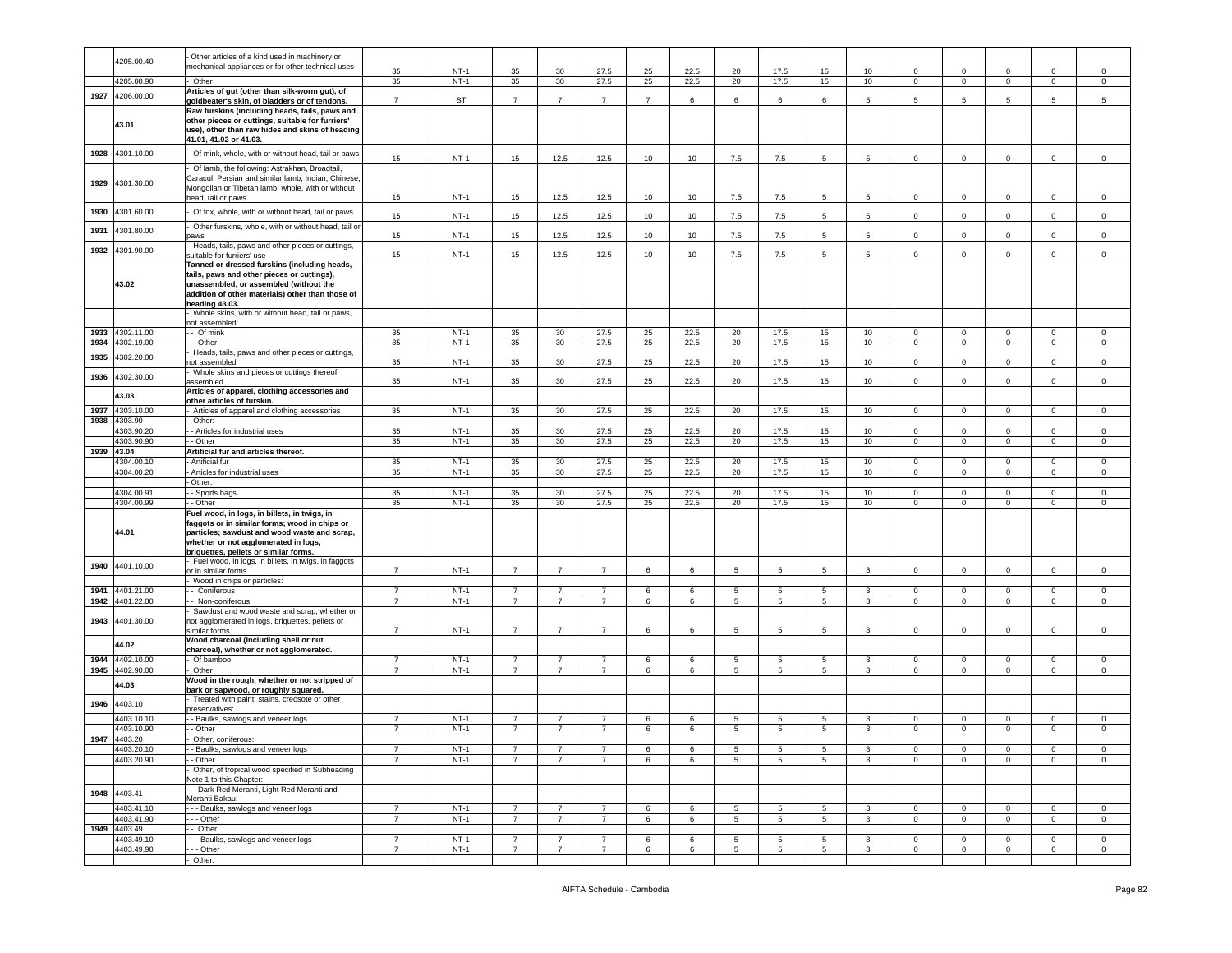|      |                 | Other articles of a kind used in machinery or        |                |           |                |                |                |                |      |                |                |                |                |              |              |                     |                |                     |
|------|-----------------|------------------------------------------------------|----------------|-----------|----------------|----------------|----------------|----------------|------|----------------|----------------|----------------|----------------|--------------|--------------|---------------------|----------------|---------------------|
|      | 4205.00.40      |                                                      |                |           |                |                |                |                |      |                |                |                |                |              |              |                     |                |                     |
|      |                 | mechanical appliances or for other technical uses    | 35             | $NT-1$    | 35             | 30             | 27.5           | 25             | 22.5 | 20             | 17.5           | 15             | 10             | $\mathbf 0$  | 0            | $\mathbf 0$         | $\mathbf 0$    | $\mathsf 0$         |
|      |                 |                                                      | 35             | $NT-1$    |                | 30             |                |                |      |                | 17.5           |                | 10             |              |              |                     |                |                     |
|      | 4205.00.90      | Other                                                |                |           | 35             |                | 27.5           | 25             | 22.5 | 20             |                | 15             |                | 0            | $\mathbf 0$  | $\mathbf{0}$        | $\mathbf 0$    | $\mathbf 0$         |
|      |                 | Articles of gut (other than silk-worm gut), of       |                |           |                |                |                |                |      |                |                |                |                |              |              |                     |                |                     |
| 1927 | 4206.00.00      | goldbeater's skin, of bladders or of tendons.        | $\overline{7}$ | <b>ST</b> | $\overline{7}$ | $\overline{7}$ | $\overline{7}$ | $\overline{7}$ | 6    | 6              | 6              | 6              | 5              | 5            | 5            | 5                   | 5              | 5                   |
|      |                 |                                                      |                |           |                |                |                |                |      |                |                |                |                |              |              |                     |                |                     |
|      |                 | Raw furskins (including heads, tails, paws and       |                |           |                |                |                |                |      |                |                |                |                |              |              |                     |                |                     |
|      |                 | other pieces or cuttings, suitable for furriers'     |                |           |                |                |                |                |      |                |                |                |                |              |              |                     |                |                     |
|      | 43.01           | use), other than raw hides and skins of heading      |                |           |                |                |                |                |      |                |                |                |                |              |              |                     |                |                     |
|      |                 |                                                      |                |           |                |                |                |                |      |                |                |                |                |              |              |                     |                |                     |
|      |                 | 41.01, 41.02 or 41.03.                               |                |           |                |                |                |                |      |                |                |                |                |              |              |                     |                |                     |
|      |                 |                                                      |                |           |                |                |                |                |      |                |                |                |                |              |              |                     |                |                     |
| 1928 | 4301.10.00      | Of mink, whole, with or without head, tail or paws   | 15             | $NT-1$    | 15             | 12.5           | 12.5           | 10             | 10   | 7.5            | 7.5            | 5              | 5              | 0            | 0            | $\mathbf 0$         | $\mathbf 0$    | $\mathbf 0$         |
|      |                 |                                                      |                |           |                |                |                |                |      |                |                |                |                |              |              |                     |                |                     |
|      |                 | Of lamb, the following: Astrakhan, Broadtail,        |                |           |                |                |                |                |      |                |                |                |                |              |              |                     |                |                     |
|      | 4301.30.00      | Caracul, Persian and similar lamb, Indian, Chinese,  |                |           |                |                |                |                |      |                |                |                |                |              |              |                     |                |                     |
| 1929 |                 | Mongolian or Tibetan lamb, whole, with or without    |                |           |                |                |                |                |      |                |                |                |                |              |              |                     |                |                     |
|      |                 |                                                      |                |           |                |                |                |                |      |                |                |                |                |              |              |                     |                |                     |
|      |                 | head, tail or paws                                   | 15             | $NT-1$    | 15             | 12.5           | 12.5           | 10             | 10   | 7.5            | 7.5            | 5              | 5              | $\mathbf 0$  | $\mathbf 0$  | $\mathbf 0$         | $\mathbf 0$    | $\mathsf 0$         |
|      |                 |                                                      |                |           |                |                |                |                |      |                |                |                |                |              |              |                     |                |                     |
| 1930 | 4301.60.00      | Of fox, whole, with or without head, tail or paws    | 15             | $NT-1$    | 15             | 12.5           | 12.5           | 10             | 10   | 7.5            | 7.5            | 5              | 5              | $\mathbf 0$  | $\mathbf 0$  | $\mathsf 0$         | $\mathsf 0$    | $\mathsf 0$         |
|      |                 | Other furskins, whole, with or without head, tail or |                |           |                |                |                |                |      |                |                |                |                |              |              |                     |                |                     |
| 1931 | 4301.80.00      |                                                      |                |           |                |                |                |                |      |                |                |                |                |              |              |                     |                |                     |
|      |                 | aws                                                  | 15             | $NT-1$    | 15             | 12.5           | 12.5           | 10             | 10   | 7.5            | 7.5            | 5              | 5              | $\mathbf 0$  | $\mathbf 0$  | $\mathbf 0$         | $\mathbf 0$    | $\mathbf 0$         |
|      |                 | Heads, tails, paws and other pieces or cuttings,     |                |           |                |                |                |                |      |                |                |                |                |              |              |                     |                |                     |
| 1932 | 4301.90.00      | suitable for furriers' use                           | 15             | $NT-1$    | 15             | 12.5           | 12.5           | 10             | 10   | 7.5            | 7.5            | 5              | 5              | $\mathbf 0$  | $\circ$      | $\mathsf 0$         | $\mathsf 0$    | $\mathsf{O}\xspace$ |
|      |                 |                                                      |                |           |                |                |                |                |      |                |                |                |                |              |              |                     |                |                     |
|      |                 | Tanned or dressed furskins (including heads,         |                |           |                |                |                |                |      |                |                |                |                |              |              |                     |                |                     |
|      |                 | tails, paws and other pieces or cuttings),           |                |           |                |                |                |                |      |                |                |                |                |              |              |                     |                |                     |
|      | 43.02           | unassembled, or assembled (without the               |                |           |                |                |                |                |      |                |                |                |                |              |              |                     |                |                     |
|      |                 |                                                      |                |           |                |                |                |                |      |                |                |                |                |              |              |                     |                |                     |
|      |                 | addition of other materials) other than those of     |                |           |                |                |                |                |      |                |                |                |                |              |              |                     |                |                     |
|      |                 | heading 43.03.                                       |                |           |                |                |                |                |      |                |                |                |                |              |              |                     |                |                     |
|      |                 | Whole skins, with or without head, tail or paws,     |                |           |                |                |                |                |      |                |                |                |                |              |              |                     |                |                     |
|      |                 |                                                      |                |           |                |                |                |                |      |                |                |                |                |              |              |                     |                |                     |
|      |                 | not assembled:                                       |                |           |                |                |                |                |      |                |                |                |                |              |              |                     |                |                     |
| 1933 | 4302.11.00      | - Of mink                                            | 35             | $NT-1$    | 35             | 30             | 27.5           | 25             | 22.5 | 20             | 17.5           | 15             | 10             | $\mathbf 0$  | $\mathbf 0$  | $\circ$             | $\mathbf 0$    | $\mathsf 0$         |
| 1934 | 4302.19.00      | - Other                                              | 35             | $NT-1$    | 35             | 30             | 27.5           | 25             | 22.5 | 20             | 17.5           | 15             | 10             | $\mathbf 0$  | $\mathbf{0}$ | $\overline{0}$      | $\mathbf 0$    | $\circ$             |
|      |                 |                                                      |                |           |                |                |                |                |      |                |                |                |                |              |              |                     |                |                     |
| 1935 | 1302.20.00      | Heads, tails, paws and other pieces or cuttings,     |                |           |                |                |                |                |      |                |                |                |                |              |              |                     |                |                     |
|      |                 | ot assembled                                         | 35             | $NT-1$    | 35             | 30             | 27.5           | 25             | 22.5 | 20             | 17.5           | 15             | 10             | $\mathbf 0$  | $\mathbf 0$  | $\mathbf{0}$        | $\mathbf 0$    | $\mathsf 0$         |
|      |                 | Whole skins and pieces or cuttings thereof,          |                |           |                |                |                |                |      |                |                |                |                |              |              |                     |                |                     |
| 1936 | 4302.30.00      |                                                      | 35             | $NT-1$    | 35             | 30             | 27.5           | 25             | 22.5 | 20             | 17.5           | 15             | 10             | $\mathbf 0$  | $\mathbf 0$  | $\mathsf 0$         | $\mathbf{0}$   | $\mathsf 0$         |
|      |                 | assembled                                            |                |           |                |                |                |                |      |                |                |                |                |              |              |                     |                |                     |
|      |                 | Articles of apparel, clothing accessories and        |                |           |                |                |                |                |      |                |                |                |                |              |              |                     |                |                     |
|      | 43.03           | other articles of furskin.                           |                |           |                |                |                |                |      |                |                |                |                |              |              |                     |                |                     |
|      | 4303.10.00      |                                                      | 35             | $NT-1$    |                |                | 27.5           |                |      |                |                |                |                |              | $\mathbf{0}$ |                     |                |                     |
| 1937 |                 | Articles of apparel and clothing accessories         |                |           | 35             | 30             |                | 25             | 22.5 | 20             | 17.5           | 15             | 10             | $\circ$      |              | $\mathbf{0}$        | $\mathbf 0$    | $\mathbf 0$         |
| 1938 | 4303.90         | Other:                                               |                |           |                |                |                |                |      |                |                |                |                |              |              |                     |                |                     |
|      | 4303.90.20      | - Articles for industrial uses                       | 35             | $NT-1$    | 35             | 30             | 27.5           | 25             | 22.5 | 20             | 17.5           | 15             | 10             | $\circ$      | $\mathbf{0}$ | $\overline{0}$      | $\mathbf 0$    | 0                   |
|      |                 |                                                      |                |           |                |                |                |                |      |                |                |                |                |              |              |                     |                |                     |
|      | 4303.90.90      | - Other                                              | 35             | $NT-1$    | 35             | 30             | 27.5           | 25             | 22.5 | 20             | 17.5           | 15             | 10             | $\mathbf 0$  | $\mathbf{0}$ | $\mathsf 0$         | $\mathbf 0$    | $\mathsf 0$         |
|      | 1939 43.04      | Artificial fur and articles thereof.                 |                |           |                |                |                |                |      |                |                |                |                |              |              |                     |                |                     |
|      | 4304.00.10      | Artificial fur                                       | 35             | $NT-1$    | 35             | 30             | 27.5           | 25             | 22.5 | 20             | 17.5           | 15             | 10             | $\mathbf 0$  | $\mathbf{0}$ | $\mathbf{0}$        | $\mathbf 0$    | $\circ$             |
|      |                 |                                                      |                |           |                |                |                |                |      |                |                |                |                |              |              |                     |                |                     |
|      |                 |                                                      |                |           |                |                |                |                |      |                |                |                |                |              |              |                     |                |                     |
|      | 4304.00.20      | Articles for industrial uses                         | 35             | $NT-1$    | 35             | 30             | 27.5           | 25             | 22.5 | 20             | 17.5           | 15             | 10             | $\mathbf 0$  | $\mathbf 0$  | $\mathbf{0}$        | $\mathsf 0$    | $\mathbf 0$         |
|      |                 |                                                      |                |           |                |                |                |                |      |                |                |                |                |              |              |                     |                |                     |
|      |                 | Other:                                               |                |           |                |                |                |                |      |                |                |                |                |              |              |                     |                |                     |
|      | 4304.00.91      | - Sports bags                                        | 35             | $NT-1$    | 35             | 30             | 27.5           | 25             | 22.5 | 20             | 17.5           | 15             | 10             | $\mathbf 0$  | $\mathbf 0$  | $\mathbf 0$         | $\Omega$       | $\mathsf 0$         |
|      | 4304.00.99      | - Other                                              | 35             | $NT-1$    | 35             | 30             | 27.5           | 25             | 22.5 | 20             | 17.5           | 15             | 10             | $\mathbf 0$  | $\mathbf{0}$ | $\mathbf{0}$        | $\mathbf{0}$   | $\mathbf 0$         |
|      |                 |                                                      |                |           |                |                |                |                |      |                |                |                |                |              |              |                     |                |                     |
|      |                 | Fuel wood, in logs, in billets, in twigs, in         |                |           |                |                |                |                |      |                |                |                |                |              |              |                     |                |                     |
|      |                 | faggots or in similar forms; wood in chips or        |                |           |                |                |                |                |      |                |                |                |                |              |              |                     |                |                     |
|      | 44.01           |                                                      |                |           |                |                |                |                |      |                |                |                |                |              |              |                     |                |                     |
|      |                 | particles; sawdust and wood waste and scrap,         |                |           |                |                |                |                |      |                |                |                |                |              |              |                     |                |                     |
|      |                 | whether or not agglomerated in logs,                 |                |           |                |                |                |                |      |                |                |                |                |              |              |                     |                |                     |
|      |                 | briquettes, pellets or similar forms.                |                |           |                |                |                |                |      |                |                |                |                |              |              |                     |                |                     |
|      |                 | Fuel wood, in logs, in billets, in twigs, in faggots |                |           |                |                |                |                |      |                |                |                |                |              |              |                     |                |                     |
| 1940 | 4401.10.00      | or in similar forms                                  | $\overline{7}$ | $NT-1$    | $\overline{7}$ | $\overline{7}$ | $\overline{7}$ | 6              | 6    | 5              | $\overline{5}$ | 5.             | $\mathbf{3}$   | $\mathbf 0$  | $\mathbf{0}$ | $\overline{0}$      | $\mathsf 0$    | $\mathbf 0$         |
|      |                 |                                                      |                |           |                |                |                |                |      |                |                |                |                |              |              |                     |                |                     |
|      |                 | Wood in chips or particles:                          |                |           |                |                |                |                |      |                |                |                |                |              |              |                     |                |                     |
| 1941 | 4401.21.00      | - Coniferous                                         | $\overline{7}$ | $NT-1$    | $\overline{7}$ | $\overline{7}$ | $\overline{7}$ | 6              | 6    | 5              | 5              | 5              | $\mathbf{3}$   | $\mathbf 0$  | $\mathbf 0$  | $\mathsf{O}\xspace$ | $\circ$        | $\circ$             |
| 1942 | 4401.22.00      | - Non-coniferous                                     | $\overline{7}$ | $NT-1$    | $\overline{7}$ | $\overline{7}$ | $\overline{7}$ | 6              | 6    | 5              | 5              | 5 <sub>5</sub> | $\mathbf{3}$   | $\mathbf 0$  | $\mathbf 0$  | $\mathbf{0}$        | $\mathbf{0}$   | $\mathbf 0$         |
|      |                 |                                                      |                |           |                |                |                |                |      |                |                |                |                |              |              |                     |                |                     |
|      |                 | Sawdust and wood waste and scrap, whether or         |                |           |                |                |                |                |      |                |                |                |                |              |              |                     |                |                     |
| 1943 | 4401.30.00      | not agglomerated in logs, briquettes, pellets or     |                |           |                |                |                |                |      |                |                |                |                |              |              |                     |                |                     |
|      |                 | similar forms                                        | $\overline{7}$ | $NT-1$    | $\overline{7}$ | $\overline{7}$ | $\overline{7}$ | 6              | 6    | 5              | 5              | 5              | 3              | $\mathbf 0$  | $\mathbf 0$  | $\mathbf 0$         | $\mathbf 0$    | $\mathbf 0$         |
|      |                 | Wood charcoal (including shell or nut                |                |           |                |                |                |                |      |                |                |                |                |              |              |                     |                |                     |
|      | 44.02           |                                                      |                |           |                |                |                |                |      |                |                |                |                |              |              |                     |                |                     |
|      |                 | charcoal), whether or not agglomerated.              |                |           |                |                |                |                |      |                |                |                |                |              |              |                     |                |                     |
| 1944 | 4402.10.00      | Of bamboo                                            | $\overline{7}$ | $NT-1$    | $\overline{7}$ | $\overline{7}$ | $\overline{7}$ | 6              | 6    | $\overline{5}$ | 5              | 5              | 3              | 0            | $\mathbf 0$  | $\mathbf 0$         | $\mathbf 0$    | $^{\circ}$          |
|      | 1945 4402.90.00 | Other                                                | $\overline{7}$ | $NT-1$    | $\overline{7}$ | $\overline{7}$ | $\overline{7}$ | 6              | 6    | 5              | 5              | -5             | 3              | 0            | $\mathbf 0$  | $\mathbf{0}$        | $\mathbf 0$    | $\mathbf 0$         |
|      |                 |                                                      |                |           |                |                |                |                |      |                |                |                |                |              |              |                     |                |                     |
|      | 44.03           | Wood in the rough, whether or not stripped of        |                |           |                |                |                |                |      |                |                |                |                |              |              |                     |                |                     |
|      |                 | bark or sapwood, or roughly squared.                 |                |           |                |                |                |                |      |                |                |                |                |              |              |                     |                |                     |
|      |                 | Treated with paint, stains, creosote or other        |                |           |                |                |                |                |      |                |                |                |                |              |              |                     |                |                     |
| 1946 | 4403.10         | reservatives:                                        |                |           |                |                |                |                |      |                |                |                |                |              |              |                     |                |                     |
|      |                 |                                                      |                |           |                |                |                |                |      |                |                |                |                |              |              |                     |                |                     |
|      | 4403.10.10      | - Baulks, sawlogs and veneer logs                    | $\overline{7}$ | $NT-1$    | $\overline{7}$ | $\overline{7}$ | $\overline{7}$ | 6              | 6    | 5              | 5              | 5              | 3              | 0            | $\mathbf 0$  | $\mathbf 0$         | $\mathbf 0$    | $\mathbf 0$         |
|      | 4403.10.90      | - Other                                              | $\overline{7}$ | $NT-1$    | $\overline{7}$ | $\overline{7}$ | $\overline{7}$ | 6              | 6    | 5              | 5              | 5              | 3              | $\mathbf 0$  | $\mathbf 0$  | $\mathbf 0$         | $\mathbf 0$    | $\Omega$            |
|      | 1947 4403.20    | Other, coniferous:                                   |                |           |                |                |                |                |      |                |                |                |                |              |              |                     |                |                     |
|      |                 |                                                      |                |           |                |                |                |                |      |                |                |                |                |              |              |                     |                |                     |
|      | 4403.20.10      | - Baulks, sawlogs and veneer logs                    | $\overline{7}$ | $NT-1$    | $\overline{7}$ | $\overline{7}$ | $\overline{7}$ | 6              | 6    | 5              | 5              | -5             | 3              | $^{\circ}$   | $\mathbf{0}$ | $\mathbf{0}$        | $\mathbf{0}$   | $\circ$             |
|      | 4403.20.90      | - Other                                              | $\overline{7}$ | $NT-1$    |                | $\overline{7}$ | $\overline{7}$ | 6              | 6    | 5              | 5              | 5              | 3              | $\mathbf 0$  | $\mathbf 0$  | $\mathbf{0}$        | $\overline{0}$ | $\mathbf{0}$        |
|      |                 |                                                      |                |           |                |                |                |                |      |                |                |                |                |              |              |                     |                |                     |
|      |                 | Other, of tropical wood specified in Subheading      |                |           |                |                |                |                |      |                |                |                |                |              |              |                     |                |                     |
|      |                 | Note 1 to this Chapter:                              |                |           |                |                |                |                |      |                |                |                |                |              |              |                     |                |                     |
|      |                 | - Dark Red Meranti, Light Red Meranti and            |                |           |                |                |                |                |      |                |                |                |                |              |              |                     |                |                     |
| 1948 | 4403.41         | Meranti Bakau:                                       |                |           |                |                |                |                |      |                |                |                |                |              |              |                     |                |                     |
|      |                 |                                                      |                |           |                |                | $\overline{7}$ |                |      |                |                |                |                |              |              |                     |                |                     |
|      | 4403.41.10      | - - Baulks, sawlogs and veneer logs                  | $\overline{7}$ | $NT-1$    | $\overline{7}$ | $\overline{7}$ |                | 6              | 6    | 5              | 5              | 5              | $\mathbf{3}$   | $\mathbf 0$  | $\mathbf{0}$ | $\overline{0}$      | $\circ$        | $\mathbf 0$         |
|      | 4403.41.90      | - - Other                                            | $\overline{7}$ | $NT-1$    | $\overline{7}$ | $\overline{7}$ | $\overline{7}$ | 6              | 6    | 5              | 5              | 5 <sub>5</sub> | $\overline{3}$ | $\mathbf{0}$ | $\mathbf{0}$ | $\overline{0}$      | $\circ$        | $\mathbf{0}$        |
|      | 1949 4403.49    | $-$ Other:                                           |                |           |                |                |                |                |      |                |                |                |                |              |              |                     |                |                     |
|      |                 |                                                      |                |           | 7              |                | $\overline{7}$ |                |      |                |                |                |                |              |              |                     |                |                     |
|      | 4403.49.10      | - - Baulks, sawlogs and veneer logs                  | 7              | $NT-1$    |                | $\overline{7}$ |                | 6              | 6    | 5              | 5              | 5              | 3              | 0            | 0            | $\mathbf 0$         | $\mathbf 0$    | $\circ$             |
|      | 4403.49.90      | - - Other<br>Other:                                  | $\overline{7}$ | $NT-1$    | $\overline{7}$ | $\overline{7}$ | $\overline{7}$ | 6              | 6    | 5              | 5              | 5 <sup>5</sup> | $\mathbf{3}$   | $\mathbf{0}$ | $\mathbf{0}$ | $\mathbf{0}$        | $\circ$        | $\mathbf{0}$        |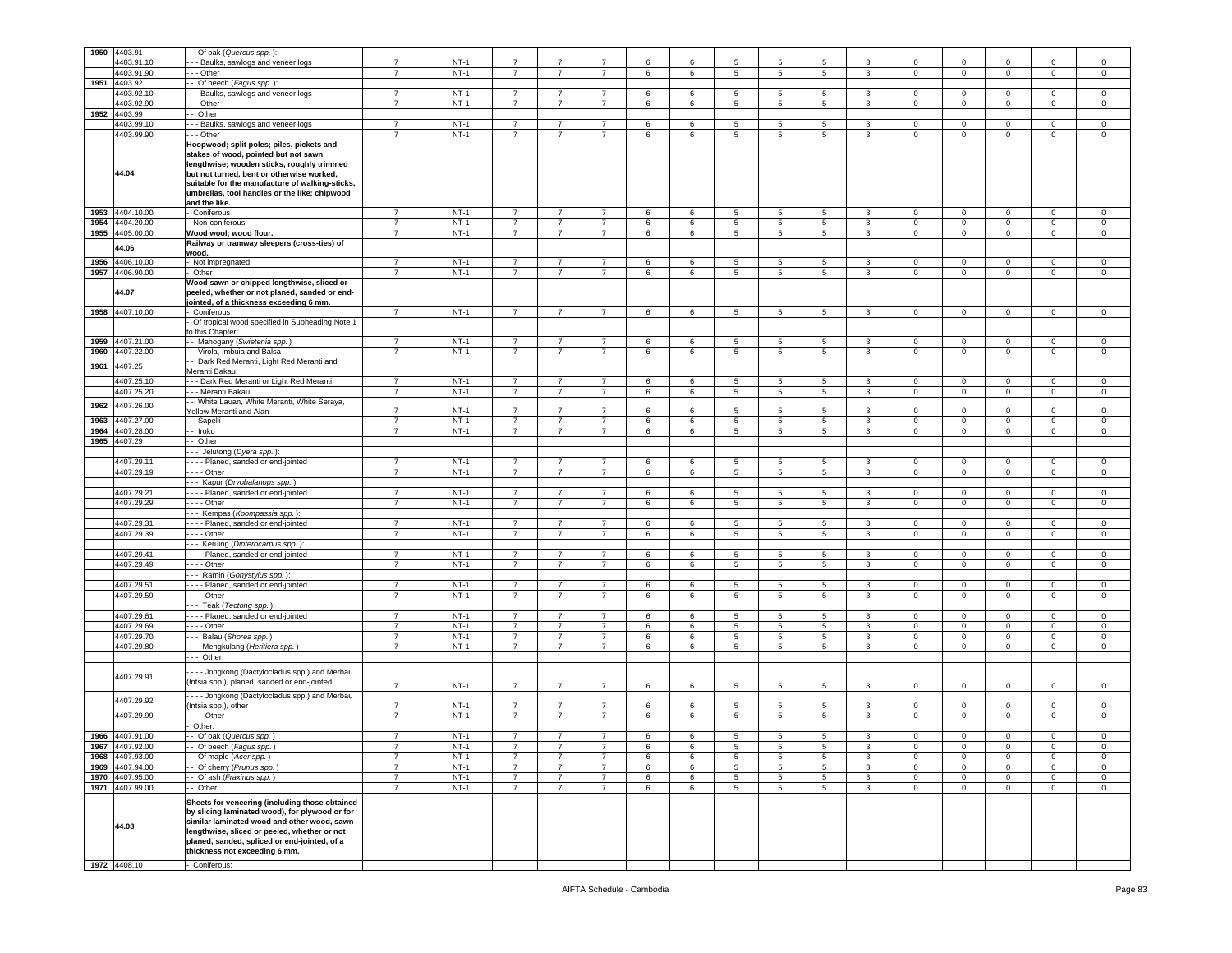| 1950 | 4403.91         | - Of oak (Quercus spp.)                         |                |        |                |                |                |       |    |                |                 |                 |              |              |                |                |              |              |
|------|-----------------|-------------------------------------------------|----------------|--------|----------------|----------------|----------------|-------|----|----------------|-----------------|-----------------|--------------|--------------|----------------|----------------|--------------|--------------|
|      | 4403.91.10      | - - Baulks, sawlogs and veneer logs             | $\overline{7}$ | $NT-1$ |                |                | $\overline{7}$ | 6     | 6  | 5              | 5               | 5               | 3            | $\Omega$     | $^{\circ}$     | $\Omega$       | $\Omega$     | 0            |
|      | 4403.91.90      | - - Other                                       | $\overline{7}$ | $NT-1$ | $\overline{7}$ | $\overline{7}$ | $\overline{7}$ | 6     | 6  | $\,$ 5 $\,$    | $5\phantom{.0}$ | 5               | $\mathbf{3}$ | $\mathbf 0$  | $\mathbf 0$    | $\mathbf 0$    | $\mathsf 0$  | $\,0\,$      |
| 1951 | 4403.92         | - Of beech (Fagus spp.):                        |                |        |                |                |                |       |    |                |                 |                 |              |              |                |                |              |              |
|      | 4403.92.10      | --- Baulks, sawlogs and veneer logs             | $\overline{7}$ | $NT-1$ | $\overline{7}$ | $\overline{7}$ | $\overline{7}$ | 6     | 6  | 5              | 5               | $5^{\circ}$     | 3            | $\Omega$     | $\mathbf 0$    | $\mathbf 0$    | $\mathbf 0$  | 0            |
|      | 4403.92.90      | --- Other                                       | $\overline{7}$ | $NT-1$ | $\overline{7}$ | 7              | $\overline{7}$ | 6     | 6  | 5              | 5               | 5               | 3            | $\mathbf 0$  | $\mathbf 0$    | $\mathbf 0$    | $\mathbf 0$  | $\mathbf 0$  |
| 1952 | 4403.99         | - Other:                                        |                |        |                |                |                |       |    |                |                 |                 |              |              |                |                |              |              |
|      | 4403.99.10      | - - Baulks, sawlogs and veneer logs             | $\overline{7}$ | $NT-1$ | $\overline{7}$ | $\overline{7}$ | $\overline{7}$ | 6     | 6  | 5              | 5               | 5               | $\mathbf{3}$ | $\mathbf 0$  | $\mathbf 0$    | $\mathbf 0$    | $\mathbf 0$  | $\,0\,$      |
|      | 4403.99.90      | - - Other                                       | $\overline{7}$ | $NT-1$ | $\overline{7}$ | $\overline{7}$ | $\overline{7}$ | 6     | 6  | 5              | 5               | 5               | 3            | $\mathbf 0$  | $\mathbf 0$    | $\circ$        | $\mathbf 0$  | $\mathsf 0$  |
|      |                 |                                                 |                |        |                |                |                |       |    |                |                 |                 |              |              |                |                |              |              |
|      |                 | Hoopwood; split poles; piles, pickets and       |                |        |                |                |                |       |    |                |                 |                 |              |              |                |                |              |              |
|      |                 | stakes of wood, pointed but not sawn            |                |        |                |                |                |       |    |                |                 |                 |              |              |                |                |              |              |
|      |                 | lengthwise; wooden sticks, roughly trimmed      |                |        |                |                |                |       |    |                |                 |                 |              |              |                |                |              |              |
|      | 44.04           | but not turned, bent or otherwise worked,       |                |        |                |                |                |       |    |                |                 |                 |              |              |                |                |              |              |
|      |                 | suitable for the manufacture of walking-sticks, |                |        |                |                |                |       |    |                |                 |                 |              |              |                |                |              |              |
|      |                 | umbrellas, tool handles or the like; chipwood   |                |        |                |                |                |       |    |                |                 |                 |              |              |                |                |              |              |
|      |                 | and the like.                                   |                |        |                |                |                |       |    |                |                 |                 |              |              |                |                |              |              |
| 1953 | 4404.10.00      | Coniferous                                      | $\overline{7}$ | $NT-1$ | $\overline{7}$ | $\overline{7}$ | $\overline{7}$ | 6     | 6  | 5              | 5               | 5               | 3            | $\mathbf 0$  | $\mathbf 0$    | $\mathbf 0$    | $\mathbf 0$  | $\,0\,$      |
| 1954 | 4404.20.00      | Non-coniferous                                  | $\overline{7}$ | $NT-1$ | $\overline{7}$ | $\overline{7}$ | $\overline{7}$ | 6     | 6  | 5              | 5               | $\sqrt{5}$      | $\mathbf{3}$ | $\mathbf 0$  | $\mathbf 0$    | $\mathbf 0$    | $\mathbf 0$  | $\,0\,$      |
| 1955 | 4405.00.00      | Wood wool; wood flour.                          | $\overline{7}$ | $NT-1$ | $\overline{7}$ | $\overline{7}$ | $\overline{7}$ | 6     | 6  | 5              | 5               | $5^{\circ}$     | 3            | $\mathbf 0$  | $\mathbf 0$    | $\circ$        | $\mathbf 0$  | $\mathsf 0$  |
|      |                 | Railway or tramway sleepers (cross-ties) of     |                |        |                |                |                |       |    |                |                 |                 |              |              |                |                |              |              |
|      | 44.06           |                                                 |                |        |                |                |                |       |    |                |                 |                 |              |              |                |                |              |              |
|      |                 | wood.                                           |                |        |                |                |                |       |    |                |                 |                 |              |              |                |                |              |              |
| 1956 | 4406.10.00      | Not impregnated                                 | $\overline{7}$ | $NT-1$ | $\overline{7}$ | $\overline{7}$ | $\overline{7}$ | 6     | 6  | 5              | 5               | 5               | 3            | $\mathbf{0}$ | 0              | 0              | 0            | $\mathbf 0$  |
| 1957 | 4406.90.00      | Other                                           | $\overline{7}$ | $NT-1$ | $\overline{7}$ | $\overline{7}$ | $\overline{7}$ | 6     | 6  | 5              | 5               | $5^{\circ}$     | $\mathbf{3}$ | $\mathbf 0$  | $\mathbf 0$    | $\mathbf 0$    | $\mathbf 0$  | $\mathsf 0$  |
|      |                 | Wood sawn or chipped lengthwise, sliced or      |                |        |                |                |                |       |    |                |                 |                 |              |              |                |                |              |              |
|      | 44.07           | peeled, whether or not planed, sanded or end-   |                |        |                |                |                |       |    |                |                 |                 |              |              |                |                |              |              |
|      |                 | jointed, of a thickness exceeding 6 mm.         |                |        |                |                |                |       |    |                |                 |                 |              |              |                |                |              |              |
| 1958 | 4407.10.00      | Coniferous                                      | $\overline{7}$ | $NT-1$ | $\overline{7}$ | $\overline{7}$ | $\overline{7}$ | 6     | 6  | 5              | 5               | 5               | 3            | $\mathbf 0$  | $\mathbf 0$    | $\mathbf{0}$   | $\mathbf 0$  | $\mathsf 0$  |
|      |                 | Of tropical wood specified in Subheading Note 1 |                |        |                |                |                |       |    |                |                 |                 |              |              |                |                |              |              |
|      |                 | o this Chapter:                                 |                |        |                |                |                |       |    |                |                 |                 |              |              |                |                |              |              |
| 1959 | 4407.21.00      | - Mahogany (Swietenia spp.)                     | $\overline{7}$ | $NT-1$ | $\overline{7}$ | 7              | 7              | 6     | 6  | 5              | 5               | 5               | 3            | $\mathbf 0$  | $\mathbf 0$    | $^{\circ}$     | $^{\circ}$   | 0            |
|      |                 |                                                 | $\overline{7}$ | $NT-1$ | $\overline{7}$ | $\overline{7}$ | $\overline{7}$ | 6     | 6  | 5              | 5               | 5               | 3            | $\mathbf 0$  | $\mathbf 0$    | $\mathbf 0$    | $\mathbf 0$  | $\mathsf 0$  |
| 1960 | 4407.22.00      | - Virola, Imbuia and Balsa                      |                |        |                |                |                |       |    |                |                 |                 |              |              |                |                |              |              |
| 1961 | 4407.25         | - Dark Red Meranti, Light Red Meranti and       |                |        |                |                |                |       |    |                |                 |                 |              |              |                |                |              |              |
|      |                 | Meranti Bakau:                                  |                |        |                |                |                |       |    |                |                 |                 |              |              |                |                |              |              |
|      | 4407.25.10      | - - - Dark Red Meranti or Light Red Meranti     | $\overline{7}$ | $NT-1$ | $\overline{7}$ | $\overline{7}$ | $\overline{7}$ | 6     | 6  | $\overline{5}$ | 5               | $\overline{5}$  | 3            | $\mathbf 0$  | $\overline{0}$ | $\mathbf 0$    | $\mathbf 0$  | 0            |
|      | 4407.25.20      | - - - Meranti Bakau                             | $\overline{7}$ | $NT-1$ | $\overline{7}$ | $\overline{7}$ | $\overline{7}$ | 6     | 6  | 5              | 5               | 5               | $\mathbf{3}$ | $\mathbf 0$  | $\mathbf 0$    | $\mathbf 0$    | $\mathbf 0$  | $\mathsf 0$  |
| 1962 | 4407.26.00      | - White Lauan, White Meranti, White Seraya,     |                |        |                |                |                |       |    |                |                 |                 |              |              |                |                |              |              |
|      |                 | Yellow Meranti and Alan                         | $\overline{7}$ | $NT-1$ | $\overline{7}$ | $\overline{7}$ | $\overline{7}$ | 6     | 6  | 5              | 5               | 5               | 3            | $\mathbf 0$  | $\mathbf 0$    | $\mathbf 0$    | 0            | $\mathsf 0$  |
| 1963 | 4407.27.00      | -- Sapelli                                      | $\overline{7}$ | $NT-1$ | $\overline{7}$ | 7              | $\overline{7}$ | 6     | 6  | 5              | 5               | 5               | 3            | $\mathbf 0$  | $\mathbf 0$    | $\overline{0}$ | $\mathbf 0$  | $\mathsf 0$  |
| 1964 | 4407.28.00      | - Iroko                                         | $\overline{7}$ | $NT-1$ | $\overline{7}$ | $\overline{7}$ | $\overline{7}$ | 6     | 6  | 5              | 5               | $5^{\circ}$     | $\mathbf{3}$ | $\Omega$     | $\mathbf 0$    | $\mathbf 0$    | $\mathbf 0$  | $\mathsf 0$  |
| 1965 | 1407.29         | Other:                                          |                |        |                |                |                |       |    |                |                 |                 |              |              |                |                |              |              |
|      |                 | --- Jelutong (Dyera spp.)                       |                |        |                |                |                |       |    |                |                 |                 |              |              |                |                |              |              |
|      |                 |                                                 |                |        |                |                |                |       |    |                |                 |                 |              |              |                |                |              |              |
|      | 4407.29.11      | - - - - Planed, sanded or end-jointed           | $\overline{7}$ | $NT-1$ | $\overline{7}$ | $\overline{7}$ | $\overline{7}$ | 6     | 6  | 5              | 5               | 5               | 3            | $\mathbf 0$  | $\mathbf 0$    | $\mathbf 0$    | $\mathbf 0$  | $\mathsf 0$  |
|      | 4407.29.19      | - - - - Other                                   | 7              | $NT-1$ | 7              | 7              | 7              | 6     | 6  | 5              | 5               | 5               | 3            | $\mathbf 0$  | $\,0\,$        | $^{\circ}$     | 0            | 0            |
|      |                 | --- Kapur (Dryobalanops spp.)                   |                |        |                |                |                |       |    |                |                 |                 |              |              |                |                |              |              |
|      | 4407.29.21      | - - - - Planed, sanded or end-jointed           | $\overline{7}$ | $NT-1$ | $\overline{7}$ | $\overline{7}$ | $\overline{7}$ | 6     | 6  | 5              | 5               | 5               | 3            | 0            | $\,0\,$        | 0              | $\mathbf 0$  | 0            |
|      | 4407.29.29      | $- - -$ Other                                   | $\overline{7}$ | $NT-1$ | $\overline{7}$ | $\overline{7}$ | $\overline{7}$ | 6     | 6  | 5              | $\overline{5}$  | 5               | $\mathbf{3}$ | 0            | $\,0\,$        | $\overline{0}$ | 0            | 0            |
|      |                 | --- Kempas (Koompassia spp.)                    |                |        |                |                |                |       |    |                |                 |                 |              |              |                |                |              |              |
|      | 4407.29.31      | - - - - Planed, sanded or end-jointed           | 7              | $NT-1$ | 7              | 7              | -7             | 6     | 6  | 5              | 5               | 5               | 3            | $^{\circ}$   | $\mathbf 0$    | $\mathbf{0}$   | $\mathbf 0$  | $\mathbf 0$  |
|      | 4407.29.39      | - - - - Other                                   | $\overline{7}$ | $NT-1$ | $\overline{7}$ | $\overline{7}$ | $\overline{7}$ | 6     | 6  | 5              | 5               | $5^{\circ}$     | 3            | 0            | $\mathbf 0$    | $\mathbf 0$    | $\mathbf 0$  | $\mathsf 0$  |
|      |                 |                                                 |                |        |                |                |                |       |    |                |                 |                 |              |              |                |                |              |              |
|      |                 | - - Keruing (Dipterocarpus spp.)                |                |        |                |                |                |       |    |                |                 |                 |              |              |                |                |              |              |
|      | 4407.29.41      | - - - - Planed, sanded or end-jointed           | $\overline{7}$ | $NT-1$ | $\overline{7}$ | $\overline{7}$ | $\overline{7}$ | 6     | 6  | 5              | 5               | 5               | 3            | 0            | $\mathbf 0$    | 0              | $\mathbf 0$  | 0            |
|      | 4407.29.49      | $\cdots$ - Other                                | $\overline{7}$ | $NT-1$ | $\overline{7}$ | $\overline{7}$ | $\overline{7}$ | 6     | 6  | 5              | $\overline{5}$  | 5               | $\mathbf{3}$ | $\mathbf 0$  | $\,0\,$        | $\mathbf 0$    | $\mathbf 0$  | $\,0\,$      |
|      |                 | --- Ramin (Gonystylus spp.)                     |                |        |                |                |                |       |    |                |                 |                 |              |              |                |                |              |              |
|      | 4407.29.51      | - - - - Planed, sanded or end-jointed           | $\overline{7}$ | $NT-1$ | $\overline{7}$ | $\overline{7}$ | $\overline{7}$ | 6     | 6  | 5              | 5               | 5               | 3            | $\Omega$     | $\mathbf 0$    | $\Omega$       | $\Omega$     | 0            |
|      | 4407.29.59      | - - - - Other                                   | $\overline{7}$ | $NT-1$ | $\overline{7}$ | $\overline{7}$ | $\overline{7}$ | $\,6$ | 6  | 5              | 5               | 5               | $\mathbf{3}$ | $\mathbf 0$  | $\mathbf 0$    | $\mathbf 0$    | $\mathbf 0$  | $\,0\,$      |
|      |                 | --- Teak (Tectong spp.):                        |                |        |                |                |                |       |    |                |                 |                 |              |              |                |                |              |              |
|      | 4407.29.61      | - - - - Planed, sanded or end-jointed           | $\overline{7}$ | $NT-1$ | $\overline{7}$ | $\overline{7}$ | $\overline{7}$ | 6     | 6  | 5              | 5               | 5               | 3            | $\mathbf 0$  | $\,0\,$        | $\mathbf 0$    | $\mathbf 0$  | $\,0\,$      |
|      | 4407.29.69      | - - - - Other                                   | 7              | $NT-1$ | 7              | 7              | 7              | 6     |    |                | 5               | 5               |              | $\mathbf 0$  | $\,0\,$        |                | $\mathbf 0$  | $\mathbf 0$  |
|      |                 |                                                 |                |        |                |                |                |       | 6  | 5              |                 |                 | 3            |              |                | $\mathbf{0}$   |              |              |
|      | 4407.29.70      | --- Balau (Shorea spp.)                         | $\overline{7}$ | $NT-1$ | $\overline{7}$ | $\overline{7}$ | $\overline{7}$ | 6     | 6  | 5              | 5               | 5               | 3            | 0            | $\mathbf 0$    | 0              | $\mathbf 0$  | 0            |
|      | 4407.29.80      | - - Mengkulang (Heritiera spp.)                 | $\overline{7}$ | $NT-1$ | $\overline{7}$ | $\overline{7}$ | $\overline{7}$ | $\,6$ | 6  | 5              | 5               | $5\overline{5}$ | $\mathbf{3}$ | $\mathbf 0$  | $\,0\,$        | $\mathsf 0$    | $\mathsf 0$  | $\,0\,$      |
|      |                 | --- Other:                                      |                |        |                |                |                |       |    |                |                 |                 |              |              |                |                |              |              |
|      |                 | --- Jongkong (Dactylocladus spp.) and Merbau    |                |        |                |                |                |       |    |                |                 |                 |              |              |                |                |              |              |
|      | 4407.29.91      |                                                 |                |        |                |                |                |       |    |                |                 |                 |              |              |                |                |              |              |
|      |                 | (Intsia spp.), planed, sanded or end-jointed    | $\overline{7}$ | $NT-1$ | $\overline{7}$ | $\overline{7}$ | $\overline{7}$ | 6     | 6  | 5              | 5               | 5               | 3            | $\circ$      | $\mathbf 0$    | 0              | $\mathbf 0$  | $\,0\,$      |
|      |                 | Jongkong (Dactylocladus spp.) and Merbau        |                |        |                |                |                |       |    |                |                 |                 |              |              |                |                |              |              |
|      | 4407.29.92      | Intsia spp.), other                             | $\overline{7}$ | $NT-1$ | $\overline{7}$ | $\overline{7}$ | $\overline{7}$ | 6     | -6 | 5              | -5              | 5               | 3            | $\Omega$     | $\mathbf 0$    | $\Omega$       | $\mathbf 0$  | $\mathsf 0$  |
|      | 4407.29.99      | $--$ Other                                      | $\overline{7}$ | $NT-1$ | $\overline{7}$ | 7              | $\overline{7}$ | 6     | 6  | 5              | 5               | 5               | 3            | $\mathbf 0$  | $\mathbf 0$    | 0              | 0            | $\mathsf 0$  |
|      |                 | Other:                                          |                |        |                |                |                |       |    |                |                 |                 |              |              |                |                |              |              |
|      | 1966 4407.91.00 | -- Of oak (Quercus spp.)                        | $\overline{7}$ | $NT-1$ | $\overline{7}$ | $\overline{7}$ | $\overline{7}$ | 6     | 6  | 5              | 5               | 5               | $\mathbf{3}$ | $\mathbf 0$  | $\overline{0}$ | 0              | $\Omega$     | $\mathbf 0$  |
|      |                 |                                                 |                |        |                |                |                |       |    |                |                 |                 |              |              |                |                |              |              |
|      | 1967 4407.92.00 | - - Of beech (Fagus spp.)                       | $\overline{7}$ | NT-1   | $\overline{7}$ | $\overline{7}$ |                | 6     | 6  | 5              | 5               | 5               | 3            | 0            | 0              | $\mathbf 0$    | 0            | 0            |
| 1968 | 4407.93.00      | - Of maple (Acer spp.)                          | $\overline{7}$ | $NT-1$ | $\overline{7}$ | $\overline{7}$ | $\overline{7}$ | 6     | 6  | 5              | $\overline{5}$  | 5               | 3            | $\mathbf 0$  | $\mathbf 0$    | $\mathbf 0$    | $\mathsf 0$  | $\mathsf 0$  |
| 1969 | 4407.94.00      | - - Of cherry (Prunus spp.)                     | 7              | $NT-1$ | -7             | $\overline{7}$ | $\overline{7}$ | 6     | 6  | 5              | 5               | $5\overline{5}$ | 3            | $\mathbf 0$  | $\mathbf{0}$   | $\mathbf 0$    | $\mathbf{0}$ | $\mathbf{0}$ |
|      | 1970 4407.95.00 | - Of ash (Fraxinus spp.)                        | $\overline{7}$ | $NT-1$ | $\overline{7}$ | $\overline{7}$ | $\overline{7}$ | 6     | 6  | 5              | $\overline{5}$  | $5^{\circ}$     | $\mathbf{3}$ | $\circ$      | $\,0\,$        | $\mathsf 0$    | $\mathbf 0$  | $\,0\,$      |
|      | 1971 4407.99.00 | $-$ Other                                       | $\overline{7}$ | $NT-1$ | $\overline{7}$ | $\overline{7}$ | $\overline{7}$ | 6     | 6  | 5              | $5\phantom{.0}$ | $5\overline{5}$ | $\mathbf{3}$ | $\mathbf 0$  | $\mathbf 0$    | $\mathbf 0$    | $\mathsf 0$  | $\mathbf 0$  |
|      |                 |                                                 |                |        |                |                |                |       |    |                |                 |                 |              |              |                |                |              |              |
|      |                 | Sheets for veneering (including those obtained  |                |        |                |                |                |       |    |                |                 |                 |              |              |                |                |              |              |
|      |                 | by slicing laminated wood), for plywood or for  |                |        |                |                |                |       |    |                |                 |                 |              |              |                |                |              |              |
|      | 44.08           | similar laminated wood and other wood, sawn     |                |        |                |                |                |       |    |                |                 |                 |              |              |                |                |              |              |
|      |                 | lengthwise, sliced or peeled, whether or not    |                |        |                |                |                |       |    |                |                 |                 |              |              |                |                |              |              |
|      |                 | planed, sanded, spliced or end-jointed, of a    |                |        |                |                |                |       |    |                |                 |                 |              |              |                |                |              |              |
|      |                 | thickness not exceeding 6 mm.                   |                |        |                |                |                |       |    |                |                 |                 |              |              |                |                |              |              |
|      |                 |                                                 |                |        |                |                |                |       |    |                |                 |                 |              |              |                |                |              |              |
|      | 1972 4408.10    | Coniferous:                                     |                |        |                |                |                |       |    |                |                 |                 |              |              |                |                |              |              |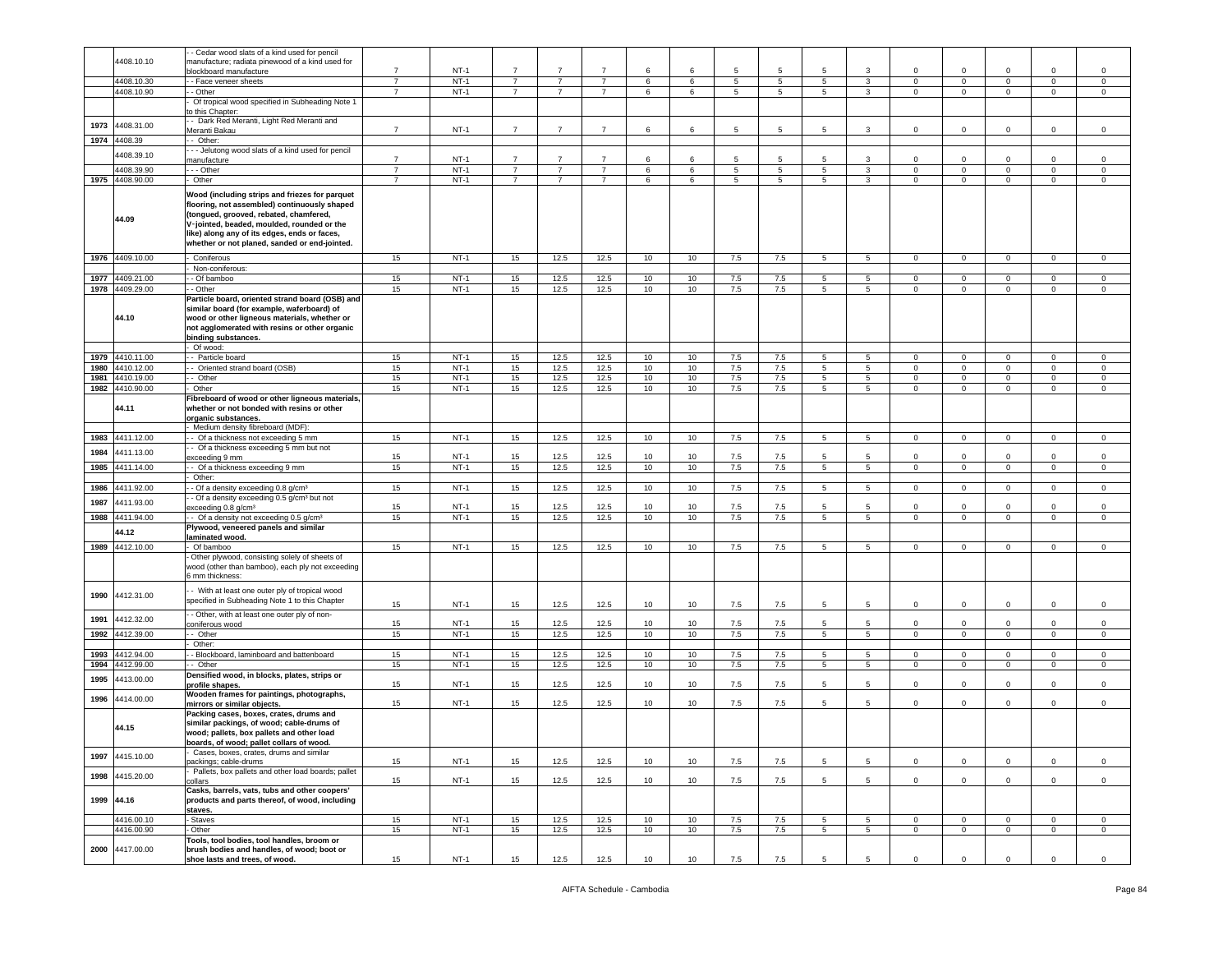|            |                 | - Cedar wood slats of a kind used for pencil                                                   |                                  |                  |                                  |                                  |                                  |        |        |         |                |                                |                                |                            |                              |                           |                               |                               |
|------------|-----------------|------------------------------------------------------------------------------------------------|----------------------------------|------------------|----------------------------------|----------------------------------|----------------------------------|--------|--------|---------|----------------|--------------------------------|--------------------------------|----------------------------|------------------------------|---------------------------|-------------------------------|-------------------------------|
|            | 4408.10.10      | manufacture; radiata pinewood of a kind used for<br>olockboard manufacture                     | $\overline{7}$                   | $NT-1$           | $\overline{7}$                   | $\overline{7}$                   | $\overline{7}$                   | 6      | 6      | 5       | 5              | -5                             | 3                              | $\mathbf 0$                | $\mathbf 0$                  | $\Omega$                  | $\mathbf 0$                   | $\mathbf 0$                   |
|            | 4408.10.30      | - Face veneer sheets                                                                           | $\overline{7}$                   | $NT-1$           | $\overline{7}$                   | $\overline{7}$                   | $\overline{7}$                   | 6      | 6      | 5       | $\overline{5}$ | $5\overline{)}$                | $\mathbf{3}$                   | $\mathbf 0$                | $\mathbf{0}$                 | $\mathbf 0$               | $\overline{0}$                | $\overline{0}$                |
|            | 4408.10.90      | - Other                                                                                        | $\overline{7}$                   | $NT-1$           | $\overline{7}$                   | $\overline{7}$                   | $\overline{7}$                   | 6      | 6      | 5       | 5              | $5^{\circ}$                    | $\mathbf{3}$                   | $\Omega$                   | $\mathbf{0}$                 | $\circ$                   | $\mathbf 0$                   | $\circ$                       |
|            |                 | Of tropical wood specified in Subheading Note 1                                                |                                  |                  |                                  |                                  |                                  |        |        |         |                |                                |                                |                            |                              |                           |                               |                               |
|            |                 | o this Chapter:<br>- Dark Red Meranti, Light Red Meranti and                                   |                                  |                  |                                  |                                  |                                  |        |        |         |                |                                |                                |                            |                              |                           |                               |                               |
| 1973       | 4408.31.00      | Meranti Bakau                                                                                  | $\overline{7}$                   | $NT-1$           | $\overline{7}$                   | $\overline{7}$                   | $\overline{7}$                   | 6      | 6      | 5       | 5              | 5                              | 3                              | $\mathbf 0$                | $\mathbf 0$                  | $\circ$                   | $\mathbf 0$                   | $\mathsf 0$                   |
| 1974       | 4408.39         | - Other:                                                                                       |                                  |                  |                                  |                                  |                                  |        |        |         |                |                                |                                |                            |                              |                           |                               |                               |
|            | 408.39.10       | - - Jelutong wood slats of a kind used for pencil                                              |                                  |                  |                                  |                                  |                                  |        |        |         |                |                                |                                |                            |                              |                           |                               |                               |
|            | 4408.39.90      | nanufacture                                                                                    | $\overline{7}$<br>$\overline{7}$ | $NT-1$<br>$NT-1$ | $\overline{7}$<br>$\overline{7}$ | $\overline{7}$<br>$\overline{7}$ | $\overline{7}$<br>$\overline{7}$ | 6      | 6      | 5       | 5              | 5                              | 3                              | 0                          | $\mathbf 0$                  | $\mathbf 0$               | $\mathbf 0$<br>$\overline{0}$ | $\mathbf 0$<br>$\overline{0}$ |
| 1975       | 4408.90.00      | - - - Other<br>Other                                                                           | $\overline{7}$                   | $NT-1$           | $\overline{7}$                   | $\overline{7}$                   | $\overline{7}$                   | 6<br>6 | 6<br>6 | 5<br>5  | 5<br>5         | $5\overline{)}$<br>$5^{\circ}$ | $\overline{3}$<br>$\mathbf{3}$ | $\mathbf 0$<br>0           | $\mathbf{0}$<br>$\mathbf{0}$ | $\overline{0}$<br>$\circ$ | $\mathbf 0$                   | $\circ$                       |
|            |                 |                                                                                                |                                  |                  |                                  |                                  |                                  |        |        |         |                |                                |                                |                            |                              |                           |                               |                               |
|            |                 | Wood (including strips and friezes for parquet<br>flooring, not assembled) continuously shaped |                                  |                  |                                  |                                  |                                  |        |        |         |                |                                |                                |                            |                              |                           |                               |                               |
|            |                 | (tongued, grooved, rebated, chamfered,                                                         |                                  |                  |                                  |                                  |                                  |        |        |         |                |                                |                                |                            |                              |                           |                               |                               |
|            | 44.09           | V-jointed, beaded, moulded, rounded or the                                                     |                                  |                  |                                  |                                  |                                  |        |        |         |                |                                |                                |                            |                              |                           |                               |                               |
|            |                 | like) along any of its edges, ends or faces,                                                   |                                  |                  |                                  |                                  |                                  |        |        |         |                |                                |                                |                            |                              |                           |                               |                               |
|            |                 | whether or not planed, sanded or end-jointed.                                                  |                                  |                  |                                  |                                  |                                  |        |        |         |                |                                |                                |                            |                              |                           |                               |                               |
|            | 1976 4409.10.00 | Coniferous                                                                                     | 15                               | $NT-1$           | 15                               | 12.5                             | 12.5                             | 10     | 10     | 7.5     | 7.5            | $5\overline{)}$                | $5\overline{5}$                | $\mathsf 0$                | $\mathbf{0}$                 | $\overline{0}$            | $\mathbf{0}$                  | $\mathbf{0}$                  |
|            |                 | Non-coniferous:                                                                                |                                  |                  |                                  |                                  |                                  |        |        |         |                |                                |                                |                            |                              |                           |                               |                               |
| 1977       | 4409.21.00      | - Of bamboo                                                                                    | 15                               | $NT-1$           | 15                               | 12.5                             | 12.5                             | 10     | 10     | 7.5     | 7.5            | 5                              | $5\overline{5}$                | 0                          | $\mathbf 0$                  | $\mathbf{0}$              | $\mathbf 0$                   | 0                             |
| 1978       | 4409.29.00      | - Other                                                                                        | 15                               | $NT-1$           | 15                               | 12.5                             | 12.5                             | 10     | 10     | $7.5\,$ | 7.5            | $5\overline{5}$                | 5                              | $\mathbf 0$                | $\mathsf 0$                  | $\mathsf 0$               | $\mathsf 0$                   | $\mathbf 0$                   |
|            |                 | Particle board, oriented strand board (OSB) and<br>similar board (for example, waferboard) of  |                                  |                  |                                  |                                  |                                  |        |        |         |                |                                |                                |                            |                              |                           |                               |                               |
|            | 44.10           | wood or other ligneous materials, whether or                                                   |                                  |                  |                                  |                                  |                                  |        |        |         |                |                                |                                |                            |                              |                           |                               |                               |
|            |                 | not agglomerated with resins or other organic                                                  |                                  |                  |                                  |                                  |                                  |        |        |         |                |                                |                                |                            |                              |                           |                               |                               |
|            |                 | binding substances.                                                                            |                                  |                  |                                  |                                  |                                  |        |        |         |                |                                |                                |                            |                              |                           |                               |                               |
| 1979       | 4410.11.00      | Of wood:<br>- - Particle board                                                                 | 15                               | $NT-1$           | 15                               |                                  |                                  | 10     | 10     | 7.5     | 7.5            | 5                              | $5\overline{5}$                |                            | $\mathbf{0}$                 | $\mathbf{0}$              |                               | $\mathbf{0}$                  |
| 1980       | 1410.12.00      | - Oriented strand board (OSB)                                                                  | 15                               | $NT-1$           | 15                               | 12.5<br>12.5                     | 12.5<br>12.5                     | 10     | 10     | 7.5     | 7.5            | $5^{\circ}$                    | $5\overline{5}$                | $\mathbf 0$<br>$\mathbf 0$ | $\mathbf{0}$                 | $\circ$                   | $\mathbf 0$<br>$\mathsf 0$    | $\mathsf 0$                   |
| 1981       | 4410.19.00      | - Other                                                                                        | 15                               | $NT-1$           | 15                               | 12.5                             | 12.5                             | 10     | 10     | $7.5\,$ | 7.5            | $5\overline{5}$                | $5\overline{5}$                | $\mathbf 0$                | $\mathsf 0$                  | $\mathsf 0$               | $\mathbf 0$                   | $\mathbf 0$                   |
| 1982       | 4410.90.00      | Other                                                                                          | 15                               | $NT-1$           | 15                               | 12.5                             | 12.5                             | 10     | 10     | 7.5     | 7.5            | $5^{\circ}$                    | $5\overline{)}$                | 0                          | $\mathbf 0$                  | $\circ$                   | $\mathbf 0$                   | 0                             |
|            |                 | Fibreboard of wood or other ligneous materials,                                                |                                  |                  |                                  |                                  |                                  |        |        |         |                |                                |                                |                            |                              |                           |                               |                               |
|            | 44.11           | whether or not bonded with resins or other                                                     |                                  |                  |                                  |                                  |                                  |        |        |         |                |                                |                                |                            |                              |                           |                               |                               |
|            |                 | organic substances.<br>Medium density fibreboard (MDF):                                        |                                  |                  |                                  |                                  |                                  |        |        |         |                |                                |                                |                            |                              |                           |                               |                               |
| 1983       | 4411.12.00      | -- Of a thickness not exceeding 5 mm                                                           | 15                               | $NT-1$           | 15                               | 12.5                             | 12.5                             | 10     | 10     | 7.5     | 7.5            | 5 <sub>5</sub>                 | $5\overline{5}$                | $\mathbf 0$                | $\mathbf{0}$                 | $\circ$                   | $\mathbf 0$                   | $\circ$                       |
|            | 4411.13.00      | - Of a thickness exceeding 5 mm but not                                                        |                                  |                  |                                  |                                  |                                  |        |        |         |                |                                |                                |                            |                              |                           |                               |                               |
| 1984       |                 | exceeding 9 mm                                                                                 | 15                               | $NT-1$           | 15                               | 12.5                             | 12.5                             | 10     | 10     | 7.5     | 7.5            | 5.                             | 5                              | $\Omega$                   | $\Omega$                     | $\circ$                   | $\mathbf 0$                   | $\mathbf 0$                   |
| 1985       | 4411.14.00      | - Of a thickness exceeding 9 mm                                                                | 15                               | $NT-1$           | 15 <sub>15</sub>                 | 12.5                             | 12.5                             | 10     | 10     | 7.5     | 7.5            | $5^{\circ}$                    | $5\overline{5}$                | $\mathbf 0$                | $\mathbf 0$                  | $\mathbf{0}$              | $\mathbf 0$                   | $\circ$                       |
| 1986       | 4411.92.00      | Other:<br>- Of a density exceeding 0.8 g/cm <sup>3</sup>                                       | 15                               | $NT-1$           | 15                               | 12.5                             | 12.5                             | 10     | 10     | 7.5     | 7.5            | 5                              | $5^{\circ}$                    | $\mathbf 0$                | $\mathbf{0}$                 | $\mathbf{0}$              | $\mathbf{0}$                  | $\mathbf 0$                   |
|            |                 | - Of a density exceeding 0.5 g/cm <sup>3</sup> but not                                         |                                  |                  |                                  |                                  |                                  |        |        |         |                |                                |                                |                            |                              |                           |                               |                               |
| 1987       | 4411.93.00      | exceeding 0.8 g/cm <sup>3</sup>                                                                | 15                               | $NT-1$           | 15                               | 12.5                             | 12.5                             | 10     | 10     | 7.5     | 7.5            | 5                              | 5                              | $\Omega$                   | $\mathbf 0$                  | 0                         | 0                             | $\mathbf 0$                   |
| 1988       | 411.94.00       | - Of a density not exceeding 0.5 g/cm <sup>3</sup>                                             | 15                               | $NT-1$           | 15                               | 12.5                             | 12.5                             | 10     | 10     | 7.5     | $7.5\,$        | 5                              | $5\overline{5}$                | $\mathbf 0$                | $\mathsf 0$                  | $\mathbf 0$               | $\mathsf 0$                   | $\Omega$                      |
|            | 44.12           | Plywood, veneered panels and similar                                                           |                                  |                  |                                  |                                  |                                  |        |        |         |                |                                |                                |                            |                              |                           |                               |                               |
| 1989       | 4412.10.00      | laminated wood.<br>Of bamboo                                                                   | 15                               | $NT-1$           | 15                               | 12.5                             | 12.5                             | 10     | 10     | 7.5     | 7.5            | 5                              | 5                              | 0                          | $\mathbf{0}$                 | $\mathbf 0$               | $\mathbf 0$                   | 0                             |
|            |                 | Other plywood, consisting solely of sheets of                                                  |                                  |                  |                                  |                                  |                                  |        |        |         |                |                                |                                |                            |                              |                           |                               |                               |
|            |                 | wood (other than bamboo), each ply not exceeding                                               |                                  |                  |                                  |                                  |                                  |        |        |         |                |                                |                                |                            |                              |                           |                               |                               |
|            |                 | 6 mm thickness:                                                                                |                                  |                  |                                  |                                  |                                  |        |        |         |                |                                |                                |                            |                              |                           |                               |                               |
| 1990       | 4412.31.00      | - With at least one outer ply of tropical wood                                                 |                                  |                  |                                  |                                  |                                  |        |        |         |                |                                |                                |                            |                              |                           |                               |                               |
|            |                 | specified in Subheading Note 1 to this Chapter                                                 | 15                               | $NT-1$           | 15                               | 12.5                             | 12.5                             | 10     | 10     | 7.5     | 7.5            | 5                              | 5                              | $\mathbf 0$                | 0                            | 0                         | $\mathbf 0$                   | $\mathbf 0$                   |
| 1991       | 1412.32.00      | - Other, with at least one outer ply of non-                                                   |                                  |                  |                                  |                                  |                                  |        |        |         |                |                                |                                |                            |                              |                           |                               |                               |
|            |                 | coniferous wood                                                                                | 15                               | $NT-1$           | 15                               | 12.5                             | 12.5                             | 10     | 10     | 7.5     | 7.5            | 5                              | 5                              | $\Omega$                   | $\mathbf 0$                  | 0                         | $\mathbf 0$                   | $\mathbf 0$                   |
| 1992       | 412.39.00       | - Other<br>Other:                                                                              | 15                               | $NT-1$           | 15                               | 12.5                             | 12.5                             | 10     | 10     | 7.5     | 7.5            | 5 <sup>5</sup>                 | $5\overline{5}$                | $\mathbf 0$                | $\mathsf 0$                  | $\mathsf 0$               | $\mathsf 0$                   | $\mathsf{O}\xspace$           |
| 1993       | 412.94.00       | - Blockboard, laminboard and battenboard                                                       | 15                               | $NT-1$           | 15                               | 12.5                             | 12.5                             | 10     | 10     | 7.5     | 7.5            | $5\overline{)}$                | $5\phantom{.0}$                | $\circ$                    | $\mathbf 0$                  | $\mathbf 0$               | $\overline{0}$                | $\mathbf 0$                   |
| 1994       | 4412.99.00      | - Other                                                                                        | 15                               | $NT-1$           | 15                               | 12.5                             | 12.5                             | 10     | 10     | 7.5     | 7.5            | $5^{\circ}$                    | $5\overline{5}$                | $\mathbf 0$                | $\mathbf 0$                  | $\overline{0}$            | $\mathbf 0$                   | $\circ$                       |
| 1995       | 4413.00.00      | Densified wood, in blocks, plates, strips or                                                   |                                  |                  |                                  |                                  |                                  |        |        |         |                |                                |                                |                            |                              |                           |                               |                               |
|            |                 |                                                                                                |                                  |                  |                                  |                                  |                                  |        |        |         |                |                                |                                |                            |                              |                           |                               |                               |
| 1996       |                 | profile shapes.                                                                                | 15                               | $NT-1$           | 15                               | 12.5                             | 12.5                             | 10     | 10     | 7.5     | 7.5            | 5                              | 5                              | 0                          | $\mathbf 0$                  | 0                         | $\mathbf 0$                   | $^{\circ}$                    |
|            | 4414.00.00      | Wooden frames for paintings, photographs,                                                      |                                  |                  |                                  |                                  |                                  |        |        |         |                |                                |                                |                            |                              |                           |                               |                               |
|            |                 | mirrors or similar objects.<br>Packing cases, boxes, crates, drums and                         | 15                               | $NT-1$           | 15                               | 12.5                             | 12.5                             | 10     | 10     | 7.5     | 7.5            | 5                              | $5\phantom{.0}$                | $\mathbf 0$                | $\mathbf 0$                  | $\circ$                   | $\mathbf 0$                   | $\mathbf 0$                   |
|            |                 | similar packings, of wood; cable-drums of                                                      |                                  |                  |                                  |                                  |                                  |        |        |         |                |                                |                                |                            |                              |                           |                               |                               |
|            | 44.15           | wood; pallets, box pallets and other load                                                      |                                  |                  |                                  |                                  |                                  |        |        |         |                |                                |                                |                            |                              |                           |                               |                               |
|            |                 | boards, of wood; pallet collars of wood.                                                       |                                  |                  |                                  |                                  |                                  |        |        |         |                |                                |                                |                            |                              |                           |                               |                               |
| 1997       | 4415.10.00      | Cases, boxes, crates, drums and similar<br>ackings; cable-drums                                | 15                               | $NT-1$           | 15                               | 12.5                             | 12.5                             | 10     | 10     | 7.5     | 7.5            | 5                              | 5                              | $\mathbf 0$                | $\mathbf 0$                  | $\circ$                   | $\mathbf 0$                   | $\mathsf 0$                   |
|            |                 | Pallets, box pallets and other load boards; pallet                                             |                                  |                  |                                  |                                  |                                  |        |        |         |                |                                |                                |                            |                              |                           |                               |                               |
| 1998       | 4415.20.00      | collars                                                                                        | 15                               | $NT-1$           | 15                               | 12.5                             | 12.5                             | 10     | 10     | 7.5     | 7.5            | 5                              | $5\phantom{.0}$                | $\mathsf 0$                | $\mathbf{0}$                 | $\mathbf 0$               | $\mathbf{0}$                  | $\mathbf 0$                   |
|            |                 | Casks, barrels, vats, tubs and other coopers'                                                  |                                  |                  |                                  |                                  |                                  |        |        |         |                |                                |                                |                            |                              |                           |                               |                               |
| 1999 44.16 |                 | products and parts thereof, of wood, including<br>staves.                                      |                                  |                  |                                  |                                  |                                  |        |        |         |                |                                |                                |                            |                              |                           |                               |                               |
|            | 4416.00.10      | Staves                                                                                         | 15                               | $NT-1$           | 15                               | 12.5                             | 12.5                             | 10     | 10     | 7.5     | 7.5            | 5                              | 5                              | $\mathbf 0$                | $\mathbf 0$                  | $\mathbf{0}$              | $\mathbf 0$                   | $\mathbf 0$                   |
|            | 4416.00.90      | Other                                                                                          | 15                               | $NT-1$           | 15                               | 12.5                             | 12.5                             | 10     | 10     | $7.5\,$ | 7.5            | $5\phantom{.0}$                | $5\phantom{.0}$                | $\mathbf 0$                | $\mathsf 0$                  | $\mathbf 0$               | $\mathbf 0$                   | $\mathsf{O}\xspace$           |
| 2000       | 4417.00.00      | Tools, tool bodies, tool handles, broom or<br>brush bodies and handles, of wood; boot or       |                                  |                  |                                  |                                  |                                  |        |        |         |                |                                |                                |                            |                              |                           |                               |                               |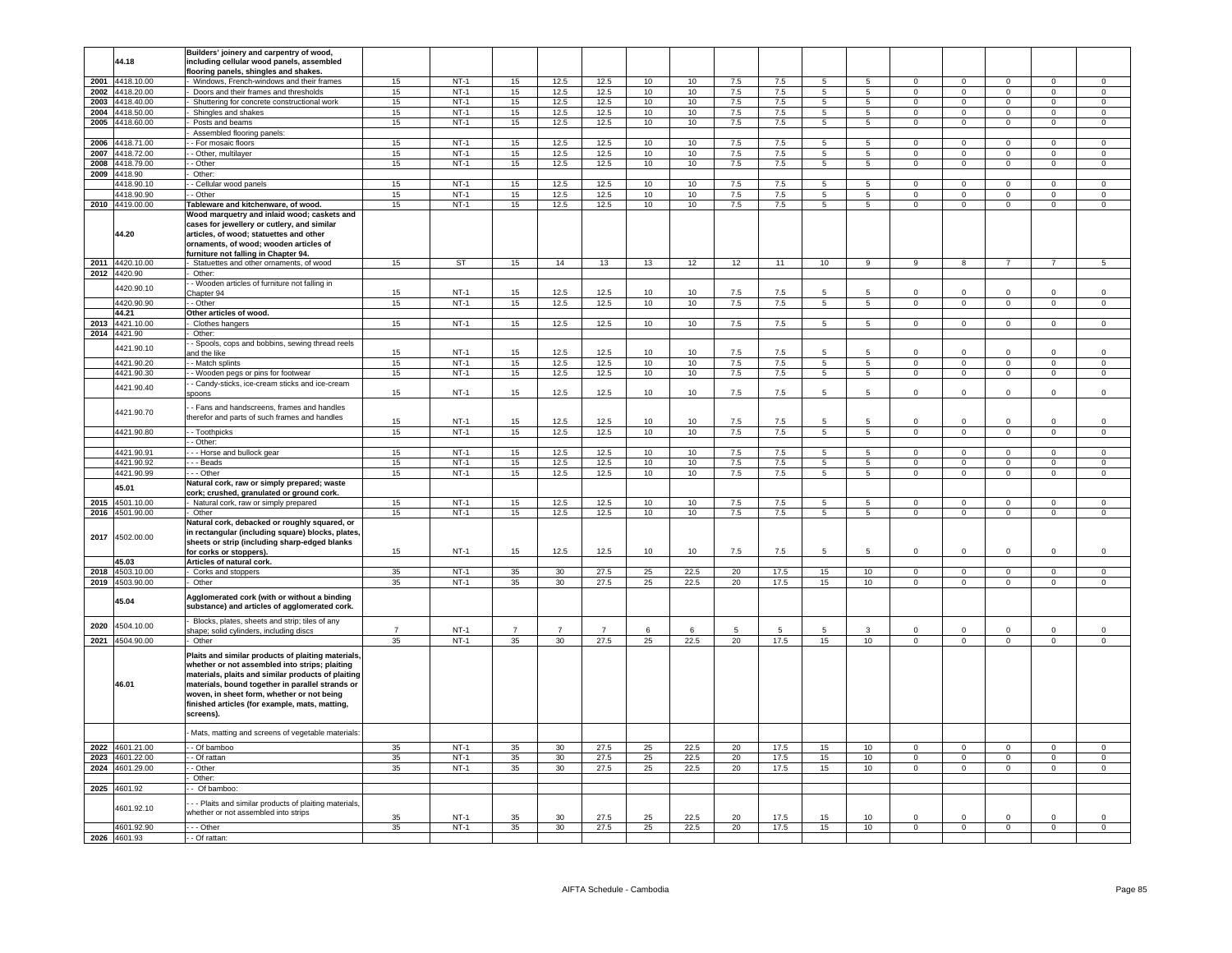|      |                 | Builders' joinery and carpentry of wood,             |                |           |                |                |                |                  |                  |       |         |                 |                 |                |                |                |                |                     |
|------|-----------------|------------------------------------------------------|----------------|-----------|----------------|----------------|----------------|------------------|------------------|-------|---------|-----------------|-----------------|----------------|----------------|----------------|----------------|---------------------|
|      | 44.18           | including cellular wood panels, assembled            |                |           |                |                |                |                  |                  |       |         |                 |                 |                |                |                |                |                     |
|      |                 |                                                      |                |           |                |                |                |                  |                  |       |         |                 |                 |                |                |                |                |                     |
|      |                 | looring panels, shingles and shakes.                 |                |           |                |                |                |                  |                  |       |         |                 |                 |                |                |                |                |                     |
|      | 2001 4418.10.00 | Windows, French-windows and their frames             | 15             | $NT-1$    | 15             | 12.5           | 12.5           | 10               | 10               | 7.5   | 7.5     | 5               | 5               | $\mathbf{0}$   | $\mathbf 0$    | $^{\circ}$     | $\mathbf 0$    | $\overline{0}$      |
|      | 2002 4418.20.00 | Doors and their frames and thresholds                | 15             | $NT-1$    | 15             | 12.5           | 12.5           | 10               | 10               | 7.5   | 7.5     | $5\overline{5}$ | $5\overline{5}$ | $\overline{0}$ | $\overline{0}$ | $\circ$        | $\mathbf{0}$   | $\circ$             |
|      |                 |                                                      |                |           |                |                |                |                  |                  |       |         |                 |                 |                |                |                |                |                     |
|      | 2003 4418.40.00 | Shuttering for concrete constructional work          | 15             | $NT-1$    | 15             | 12.5           | 12.5           | 10               | 10               | 7.5   | 7.5     | $5\phantom{.0}$ | 5               | $\overline{0}$ | $\overline{0}$ | $\mathbf 0$    | $\mathbf 0$    | $\mathsf 0$         |
|      | 2004 4418.50.00 | Shingles and shakes                                  | 15             | $NT-1$    | 15             | 12.5           | 12.5           | 10 <sup>10</sup> | 10               | 7.5   | 7.5     | $5\overline{5}$ | $5\overline{5}$ | $\overline{0}$ | $\overline{0}$ | $\overline{0}$ | $\overline{0}$ | $\overline{0}$      |
|      | 2005 4418.60.00 | Posts and beams                                      | 15             | $NT-1$    | 15             | 12.5           | 12.5           | 10               | 10               | 7.5   | 7.5     | $\overline{5}$  | 5 <sub>5</sub>  | $\mathbf 0$    | $\overline{0}$ | $\mathbf 0$    | $\overline{0}$ | $\mathsf{O}\xspace$ |
|      |                 |                                                      |                |           |                |                |                |                  |                  |       |         |                 |                 |                |                |                |                |                     |
|      |                 | Assembled flooring panels:                           |                |           |                |                |                |                  |                  |       |         |                 |                 |                |                |                |                |                     |
| 2006 | 1418.71.00      | - For mosaic floors                                  | 15             | $NT-1$    | 15             | 12.5           | 12.5           | 10               | 10               | 7.5   | $7.5\,$ | 5               | 5               | $\mathsf 0$    | $\mathbf 0$    | $\mathbf 0$    | $\mathsf 0$    | $\,0\,$             |
|      |                 |                                                      |                |           |                |                |                |                  |                  |       |         |                 |                 |                |                |                |                |                     |
| 2007 | 4418.72.00      | - Other, multilayer                                  | 15             | $NT-1$    | 15             | 12.5           | 12.5           | $10$             | 10               | $7.5$ | $7.5\,$ | 5               | 5               | $\mathbf 0$    | $\mathbf 0$    | $\mathbf 0$    | $\mathbf 0$    | $\,0\,$             |
|      | 2008 4418.79.00 | - Other                                              | 15             | $NT-1$    | 15             | 12.5           | 12.5           | 10               | 10               | 7.5   | 7.5     | $\overline{5}$  | $5^{\circ}$     | $\circ$        | $\overline{0}$ | $\overline{0}$ | $\overline{0}$ | $\mathbf 0$         |
|      |                 |                                                      |                |           |                |                |                |                  |                  |       |         |                 |                 |                |                |                |                |                     |
| 2009 | 4418.90         | Other:                                               |                |           |                |                |                |                  |                  |       |         |                 |                 |                |                |                |                |                     |
|      | 4418.90.10      | - Cellular wood panels                               | 15             | $NT-1$    | 15             | 12.5           | 12.5           | 10               | 10               | 7.5   | 7.5     | $\overline{5}$  | $\overline{5}$  | $\Omega$       | $\overline{0}$ | $\Omega$       | $\Omega$       | $\Omega$            |
|      |                 |                                                      |                |           |                |                |                |                  |                  |       |         |                 |                 |                |                |                |                |                     |
|      | 4418.90.90      | - Other                                              | 15             | $NT-1$    | 15             | 12.5           | 12.5           | 10               | 10               | 7.5   | 7.5     | 5               | 5               | $\mathsf 0$    | $\mathbf 0$    | $\mathsf 0$    | $\mathsf 0$    | $\mathsf 0$         |
|      | 2010 4419.00.00 | Tableware and kitchenware, of wood.                  | 15             | $NT-1$    | 15             | 12.5           | 12.5           | 10               | 10 <sup>10</sup> | 7.5   | 7.5     | $5\phantom{.0}$ | 5 <sub>5</sub>  | $\Omega$       | $\mathbf 0$    | $\mathbf 0$    | $\Omega$       | $\mathsf 0$         |
|      |                 |                                                      |                |           |                |                |                |                  |                  |       |         |                 |                 |                |                |                |                |                     |
|      |                 | Wood marquetry and inlaid wood; caskets and          |                |           |                |                |                |                  |                  |       |         |                 |                 |                |                |                |                |                     |
|      |                 | cases for jewellery or cutlery, and similar          |                |           |                |                |                |                  |                  |       |         |                 |                 |                |                |                |                |                     |
|      | 44.20           | articles, of wood; statuettes and other              |                |           |                |                |                |                  |                  |       |         |                 |                 |                |                |                |                |                     |
|      |                 |                                                      |                |           |                |                |                |                  |                  |       |         |                 |                 |                |                |                |                |                     |
|      |                 | ornaments, of wood; wooden articles of               |                |           |                |                |                |                  |                  |       |         |                 |                 |                |                |                |                |                     |
|      |                 | furniture not falling in Chapter 94.                 |                |           |                |                |                |                  |                  |       |         |                 |                 |                |                |                |                |                     |
|      |                 |                                                      |                |           |                |                |                |                  |                  |       |         |                 |                 |                |                |                |                |                     |
|      | 2011 4420.10.00 | Statuettes and other ornaments, of wood              | 15             | <b>ST</b> | 15             | 14             | 13             | 13               | 12               | 12    | 11      | 10              | 9               | 9              | 8              | $\overline{7}$ | $\overline{7}$ | 5                   |
|      | 2012 4420.90    | Other:                                               |                |           |                |                |                |                  |                  |       |         |                 |                 |                |                |                |                |                     |
|      |                 | - Wooden articles of furniture not falling in        |                |           |                |                |                |                  |                  |       |         |                 |                 |                |                |                |                |                     |
|      | 4420.90.10      |                                                      |                |           |                |                |                |                  |                  |       |         |                 |                 |                |                |                |                |                     |
|      |                 | hapter 94                                            | 15             | $NT-1$    | 15             | 12.5           | 12.5           | 10               | 10               | 7.5   | 7.5     | 5               |                 | $\mathbf 0$    | $\overline{0}$ |                | $\mathbf 0$    | $\mathsf 0$         |
|      | 4420.90.90      | - Other                                              | 15             | $NT-1$    | 15             | 12.5           | 12.5           | 10               | 10               | 7.5   | 7.5     | 5               | $5\overline{5}$ | $\mathbf 0$    | $\mathbf 0$    | $\mathbf 0$    | $\mathbf 0$    | $\mathsf 0$         |
|      | 44.21           |                                                      |                |           |                |                |                |                  |                  |       |         |                 |                 |                |                |                |                |                     |
|      |                 | Other articles of wood.                              |                |           |                |                |                |                  |                  |       |         |                 |                 |                |                |                |                |                     |
|      | 2013 4421.10.00 | Clothes hangers                                      | 15             | $NT-1$    | 15             | 12.5           | 12.5           | 10               | 10               | 7.5   | 7.5     | $\overline{5}$  | $\overline{5}$  | $\overline{0}$ | $\overline{0}$ | $\overline{0}$ | $\overline{0}$ | $\overline{0}$      |
|      | 2014 4421.90    | Other:                                               |                |           |                |                |                |                  |                  |       |         |                 |                 |                |                |                |                |                     |
|      |                 |                                                      |                |           |                |                |                |                  |                  |       |         |                 |                 |                |                |                |                |                     |
|      |                 | - Spools, cops and bobbins, sewing thread reels      |                |           |                |                |                |                  |                  |       |         |                 |                 |                |                |                |                |                     |
|      | 4421.90.10      | nd the like                                          | 15             | $NT-1$    | 15             | 12.5           | 12.5           | 10               | 10               | 7.5   | 7.5     | 5               | 5               | $\Omega$       | $\Omega$       | $\Omega$       | $\Omega$       | $\mathsf 0$         |
|      |                 |                                                      |                |           |                |                |                |                  |                  |       |         |                 |                 |                |                |                |                |                     |
|      | 4421.90.20      | - Match splints                                      | 15             | $NT-1$    | 15             | 12.5           | 12.5           | 10               | 10               | 7.5   | 7.5     | $\overline{5}$  | 5               | $\Omega$       | $\overline{0}$ | $\overline{0}$ | $\overline{0}$ | $\overline{0}$      |
|      | 4421.90.30      | - Wooden pegs or pins for footwear                   | 15             | $NT-1$    | 15             | 12.5           | 12.5           | 10               | 10               | 7.5   | 7.5     | 5               | $5\phantom{.0}$ | $\mathbf 0$    | $\mathbf 0$    | $\mathbf{0}$   | $\mathsf 0$    | $\mathsf 0$         |
|      |                 |                                                      |                |           |                |                |                |                  |                  |       |         |                 |                 |                |                |                |                |                     |
|      | 4421.90.40      | - Candy-sticks, ice-cream sticks and ice-cream       |                |           |                |                |                |                  |                  |       |         |                 |                 |                |                |                |                |                     |
|      |                 | poons                                                | 15             | $NT-1$    | 15             | 12.5           | 12.5           | 10               | 10               | 7.5   | 7.5     | 5               | 5               | $\mathsf 0$    | $\overline{0}$ | $\mathbf 0$    | $\mathsf 0$    | $\mathbf 0$         |
|      |                 |                                                      |                |           |                |                |                |                  |                  |       |         |                 |                 |                |                |                |                |                     |
|      |                 | - Fans and handscreens, frames and handles           |                |           |                |                |                |                  |                  |       |         |                 |                 |                |                |                |                |                     |
|      | 4421.90.70      |                                                      |                |           |                |                |                |                  |                  |       |         |                 |                 |                |                |                |                |                     |
|      |                 | herefor and parts of such frames and handles         | 15             | $NT-1$    | 15             | 12.5           | 12.5           | 10               | 10               | 7.5   | 7.5     | 5               | 5               | $\mathbf 0$    | $\mathbf 0$    | $\mathbf 0$    | $\mathbf 0$    | $\mathsf 0$         |
|      |                 |                                                      |                |           |                |                |                |                  |                  |       |         |                 |                 |                |                |                |                |                     |
|      | 4421.90.80      | - Toothpicks                                         | 15             | $NT-1$    | 15             | 12.5           | 12.5           | 10               | 10               | 7.5   | 7.5     | $5\overline{)}$ | $5\overline{)}$ | $\mathsf 0$    | $\overline{0}$ | $\overline{0}$ | $\overline{0}$ | $\mathsf 0$         |
|      |                 | - Other:                                             |                |           |                |                |                |                  |                  |       |         |                 |                 |                |                |                |                |                     |
|      | 4421.90.91      | - - Horse and bullock gear                           | 15             | $NT-1$    | 15             | 12.5           | 12.5           | 10               | 10               | 7.5   | 7.5     | 5               | 5               | $\mathbf 0$    | $\overline{0}$ | $\mathbf 0$    | $\mathbf 0$    | $\mathsf 0$         |
|      |                 |                                                      |                |           |                |                |                |                  |                  |       |         |                 |                 |                |                |                |                |                     |
|      | 4421.90.92      | - Beads                                              | 15             | $NT-1$    | 15             | 12.5           | 12.5           | $10$             | 10               | 7.5   | 7.5     | 5               | 5               | $\Omega$       | $\mathbf 0$    | $\mathsf 0$    | $\mathbf 0$    | $\mathbf 0$         |
|      | 4421.90.99      | - - Other                                            | 15             | $NT-1$    | 15             | 12.5           | 12.5           | 10               | 10               | 7.5   | 7.5     | 5               | 5               | $\overline{0}$ | $\overline{0}$ | $\overline{0}$ | $\overline{0}$ | $\overline{0}$      |
|      |                 |                                                      |                |           |                |                |                |                  |                  |       |         |                 |                 |                |                |                |                |                     |
|      | 45.01           | Natural cork, raw or simply prepared; waste          |                |           |                |                |                |                  |                  |       |         |                 |                 |                |                |                |                |                     |
|      |                 | cork; crushed, granulated or ground cork.            |                |           |                |                |                |                  |                  |       |         |                 |                 |                |                |                |                |                     |
|      | 2015 4501.10.00 |                                                      | 15             | $NT-1$    | 15             | 12.5           | 12.5           | 10               | 10               | 7.5   | 7.5     | 5               | 5               | $\Omega$       | $\mathbf 0$    | $\mathbf{0}$   | $\mathsf 0$    | $\mathsf{O}\xspace$ |
|      |                 | Natural cork, raw or simply prepared                 |                |           |                |                |                |                  |                  |       |         |                 |                 |                |                |                |                |                     |
|      | 2016 4501.90.00 | Other                                                | 15             | $NT-1$    | 15             | 12.5           | 12.5           | 10               | 10               | 7.5   | 7.5     | $5\overline{5}$ | $5\overline{5}$ | $\circ$        | $\overline{0}$ | $\mathbf{0}$   | $\overline{0}$ | $\mathbf{0}$        |
|      |                 | Natural cork, debacked or roughly squared, or        |                |           |                |                |                |                  |                  |       |         |                 |                 |                |                |                |                |                     |
|      |                 |                                                      |                |           |                |                |                |                  |                  |       |         |                 |                 |                |                |                |                |                     |
| 2017 | 4502.00.00      | in rectangular (including square) blocks, plates     |                |           |                |                |                |                  |                  |       |         |                 |                 |                |                |                |                |                     |
|      |                 | sheets or strip (including sharp-edged blanks        |                |           |                |                |                |                  |                  |       |         |                 |                 |                |                |                |                |                     |
|      |                 | for corks or stoppers).                              | 15             | $NT-1$    | 15             | 12.5           | 12.5           | 10               | 10               | 7.5   | 7.5     | 5               | 5               | $\mathsf 0$    | $\mathbf 0$    | $\mathbf 0$    | $\Omega$       | $\mathsf 0$         |
|      |                 |                                                      |                |           |                |                |                |                  |                  |       |         |                 |                 |                |                |                |                |                     |
|      | 45.03           | Articles of natural cork.                            |                |           |                |                |                |                  |                  |       |         |                 |                 |                |                |                |                |                     |
|      | 2018 4503.10.00 | Corks and stoppers                                   | 35             | $NT-1$    | 35             | 30             | 27.5           | 25               | 22.5             | 20    | 17.5    | 15              | 10              | $\Omega$       | $\overline{0}$ | $^{\circ}$     | $\overline{0}$ | $\overline{0}$      |
|      |                 |                                                      |                |           |                |                |                |                  |                  |       |         |                 |                 |                |                |                |                |                     |
|      | 2019 4503.90.00 | Other                                                | 35             | $NT-1$    | 35             | 30             | 27.5           | 25               | 22.5             | 20    | 17.5    | 15              | 10 <sub>1</sub> | $\mathbf{0}$   | $\mathbf 0$    | $\circ$        | $\mathsf 0$    | $\mathsf 0$         |
|      |                 |                                                      |                |           |                |                |                |                  |                  |       |         |                 |                 |                |                |                |                |                     |
|      | 45.04           | Agglomerated cork (with or without a binding         |                |           |                |                |                |                  |                  |       |         |                 |                 |                |                |                |                |                     |
|      |                 | substance) and articles of agglomerated cork.        |                |           |                |                |                |                  |                  |       |         |                 |                 |                |                |                |                |                     |
|      |                 |                                                      |                |           |                |                |                |                  |                  |       |         |                 |                 |                |                |                |                |                     |
| 2020 | 4504.10.00      | Blocks, plates, sheets and strip; tiles of any       |                |           |                |                |                |                  |                  |       |         |                 |                 |                |                |                |                |                     |
|      |                 | hape; solid cylinders, including discs               | $\overline{7}$ | $NT-1$    | $\overline{7}$ | $\overline{7}$ | $\overline{7}$ | 6                | 6                | 5     | 5       | 5               | 3               | $\mathbf 0$    | $\mathbf 0$    | $\mathbf 0$    | $\mathsf 0$    | $\mathsf 0$         |
|      | 2021 4504.90.00 |                                                      | 35             | $NT-1$    | 35             | 30             | 27.5           | 25               |                  |       | 17.5    |                 |                 |                |                |                |                |                     |
|      |                 | Other                                                |                |           |                |                |                |                  | 22.5             | 20    |         | 15              | 10              | $\mathsf 0$    | $\mathbf 0$    | $\mathbf 0$    | $\mathsf 0$    | $\mathsf 0$         |
|      |                 |                                                      |                |           |                |                |                |                  |                  |       |         |                 |                 |                |                |                |                |                     |
|      |                 | Plaits and similar products of plaiting materials,   |                |           |                |                |                |                  |                  |       |         |                 |                 |                |                |                |                |                     |
|      |                 | whether or not assembled into strips; plaiting       |                |           |                |                |                |                  |                  |       |         |                 |                 |                |                |                |                |                     |
|      |                 | materials, plaits and similar products of plaiting   |                |           |                |                |                |                  |                  |       |         |                 |                 |                |                |                |                |                     |
|      |                 |                                                      |                |           |                |                |                |                  |                  |       |         |                 |                 |                |                |                |                |                     |
|      | 46.01           | materials, bound together in parallel strands or     |                |           |                |                |                |                  |                  |       |         |                 |                 |                |                |                |                |                     |
|      |                 | woven, in sheet form, whether or not being           |                |           |                |                |                |                  |                  |       |         |                 |                 |                |                |                |                |                     |
|      |                 |                                                      |                |           |                |                |                |                  |                  |       |         |                 |                 |                |                |                |                |                     |
|      |                 | finished articles (for example, mats, matting,       |                |           |                |                |                |                  |                  |       |         |                 |                 |                |                |                |                |                     |
|      |                 | screens).                                            |                |           |                |                |                |                  |                  |       |         |                 |                 |                |                |                |                |                     |
|      |                 |                                                      |                |           |                |                |                |                  |                  |       |         |                 |                 |                |                |                |                |                     |
|      |                 |                                                      |                |           |                |                |                |                  |                  |       |         |                 |                 |                |                |                |                |                     |
|      |                 | Mats, matting and screens of vegetable materials     |                |           |                |                |                |                  |                  |       |         |                 |                 |                |                |                |                |                     |
|      |                 |                                                      |                |           |                |                |                |                  |                  |       |         |                 |                 |                |                |                |                |                     |
| 2022 | 4601.21.00      | - Of bamboo                                          | 35             | $NT-1$    | 35             | 30             | 27.5           | 25               | 22.5             | 20    | 17.5    | 15              | 10              | $\mathbf 0$    | $\mathbf 0$    | $\mathbf 0$    | $\mathbf 0$    | $\mathsf 0$         |
| 2023 | 4601.22.00      | Of rattan                                            | 35             | $NT-1$    | 35             | 30             | 27.5           | 25               | 22.5             | 20    | 17.5    | 15              | 10              | $\mathbf 0$    | $\mathbf 0$    | $\mathbf 0$    | $\mathbf 0$    | $\mathsf 0$         |
|      | 4601.29.00      | Other                                                | 35             | $NT-1$    | 35             | 30             | 27.5           |                  | 22.5             | 20    | 17.5    | 15              | 10              | $\overline{0}$ | $\mathbf 0$    | $\overline{0}$ | $\mathbf 0$    | $\mathsf 0$         |
| 2024 |                 |                                                      |                |           |                |                |                | 25               |                  |       |         |                 |                 |                |                |                |                |                     |
|      |                 | Other:                                               |                |           |                |                |                |                  |                  |       |         |                 |                 |                |                |                |                |                     |
|      | 2025 4601.92    | - Of bamboo:                                         |                |           |                |                |                |                  |                  |       |         |                 |                 |                |                |                |                |                     |
|      |                 |                                                      |                |           |                |                |                |                  |                  |       |         |                 |                 |                |                |                |                |                     |
|      |                 | - Plaits and similar products of plaiting materials, |                |           |                |                |                |                  |                  |       |         |                 |                 |                |                |                |                |                     |
|      | 1601.92.10      |                                                      |                |           |                |                |                |                  |                  |       |         |                 |                 |                |                |                |                |                     |
|      |                 | whether or not assembled into strips                 | 35             | $NT-1$    | 35             | 30             | 27.5           | 25               | 22.5             | 20    | 17.5    | 15              | 10 <sup>1</sup> | $\Omega$       | $\Omega$       | $\Omega$       | $\Omega$       | $\Omega$            |
|      | 4601.92.90      |                                                      |                |           |                |                |                |                  |                  |       |         |                 |                 |                |                |                |                |                     |
|      |                 | - - Other                                            | 35             | $NT-1$    | 35             | 30             | 27.5           | 25               | 22.5             | 20    | 17.5    | 15              | 10              | $\overline{0}$ | $\overline{0}$ | $\overline{0}$ | $\overline{0}$ | $\overline{0}$      |
|      | 2026 4601.93    | - Of rattan:                                         |                |           |                |                |                |                  |                  |       |         |                 |                 |                |                |                |                |                     |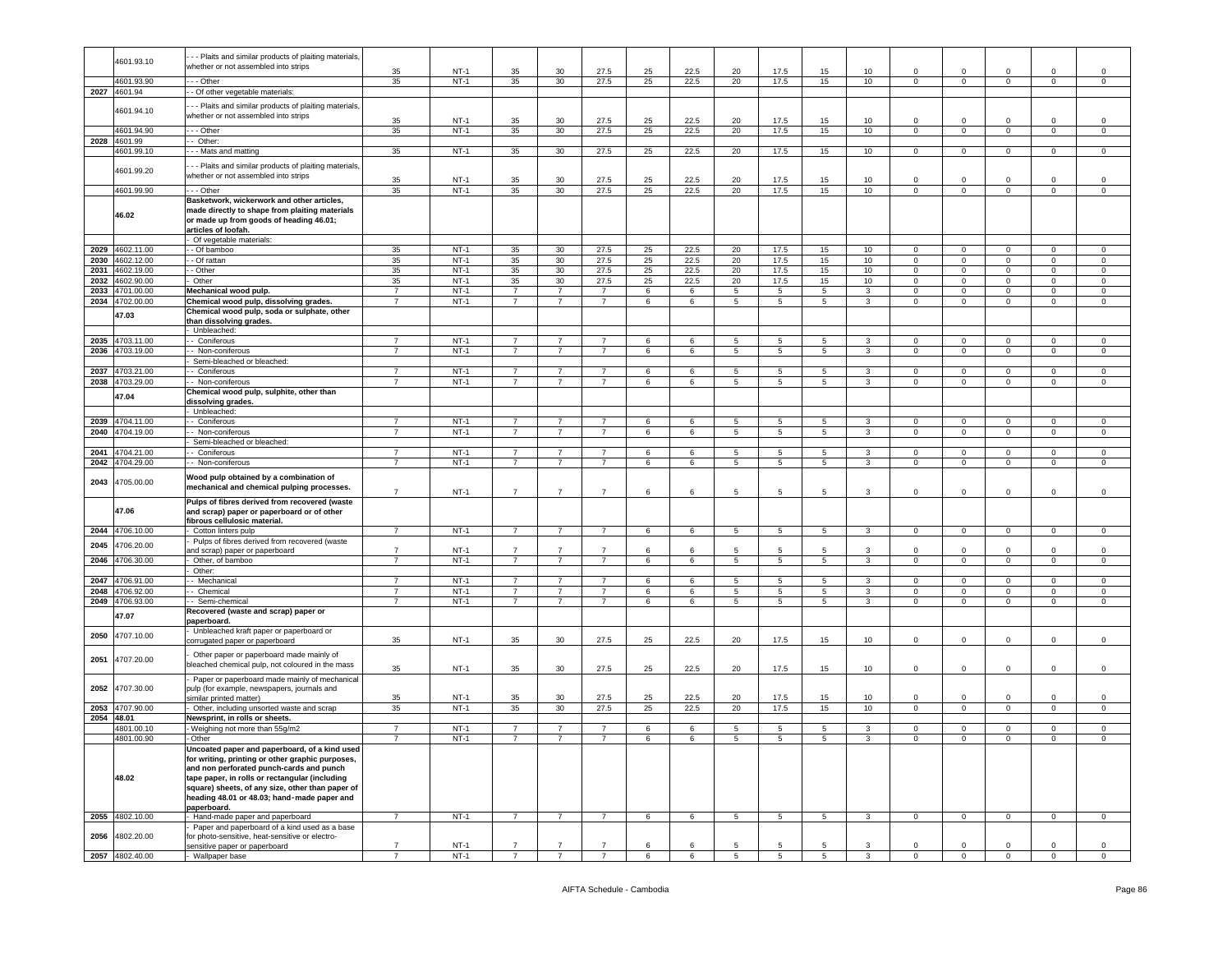|      | 4601.93.10                    | - - Plaits and similar products of plaiting materials                                                                                                                                                                                                                                              |                                  |                  |                                  |                                  |                                  |            |                      |                 |                      |                     |                |                               |                            |                                    |                                  |                               |
|------|-------------------------------|----------------------------------------------------------------------------------------------------------------------------------------------------------------------------------------------------------------------------------------------------------------------------------------------------|----------------------------------|------------------|----------------------------------|----------------------------------|----------------------------------|------------|----------------------|-----------------|----------------------|---------------------|----------------|-------------------------------|----------------------------|------------------------------------|----------------------------------|-------------------------------|
|      |                               | whether or not assembled into strips                                                                                                                                                                                                                                                               | 35                               | $NT-1$           | 35                               | 30                               | 27.5                             | 25         | 22.5                 | 20              | 17.5                 | 15                  | 10             | $\Omega$                      | $\Omega$                   | $\Omega$                           | $\Omega$                         | $\Omega$                      |
|      | 4601.93.90                    | $-$ Other                                                                                                                                                                                                                                                                                          | 35                               | $NT-1$           | 35                               | 30                               | 27.5                             | 25         | 22.5                 | 20              | 17.5                 | 15                  | 10             | $\overline{0}$                | $\overline{0}$             | $\overline{0}$                     | $\overline{0}$                   | $\overline{0}$                |
|      | 2027 4601.94                  | - Of other vegetable materials:                                                                                                                                                                                                                                                                    |                                  |                  |                                  |                                  |                                  |            |                      |                 |                      |                     |                |                               |                            |                                    |                                  |                               |
|      | 4601.94.10                    | - - Plaits and similar products of plaiting materials,<br>whether or not assembled into strips                                                                                                                                                                                                     |                                  |                  |                                  |                                  |                                  |            |                      |                 |                      |                     |                |                               |                            |                                    |                                  |                               |
|      | 4601.94.90                    | $-$ Other                                                                                                                                                                                                                                                                                          | 35<br>35                         | $NT-1$<br>$NT-1$ | 35<br>35                         | 30<br>30                         | 27.5<br>27.5                     | 25<br>25   | 22.5<br>22.5         | 20<br>20        | 17.5<br>17.5         | 15<br>15            | 10<br>10       | $\Omega$<br>$\overline{0}$    | $\Omega$<br>$\overline{0}$ | $\Omega$<br>$\overline{0}$         | $\Omega$<br>$\overline{0}$       | $\Omega$<br>$\overline{0}$    |
| 2028 | 4601.99                       | - Other:                                                                                                                                                                                                                                                                                           |                                  |                  |                                  |                                  |                                  |            |                      |                 |                      |                     |                |                               |                            |                                    |                                  |                               |
|      | 4601.99.10                    | - - Mats and matting                                                                                                                                                                                                                                                                               | 35                               | NT-1             | 35                               | 30                               | 27.5                             | 25         | 22.5                 | 20              | 17.5                 | 15                  | 10             | $\overline{0}$                | $\overline{0}$             | $\overline{0}$                     | $\overline{0}$                   | $\overline{0}$                |
|      | 4601.99.20                    | - Plaits and similar products of plaiting materials,<br>whether or not assembled into strips                                                                                                                                                                                                       |                                  |                  |                                  |                                  |                                  |            |                      |                 |                      |                     |                |                               |                            |                                    |                                  |                               |
|      |                               |                                                                                                                                                                                                                                                                                                    | 35                               | $NT-1$           | 35                               | 30                               | 27.5                             | 25         | 22.5                 | 20              | 17.5                 | 15                  | 10             | $\Omega$                      | $\Omega$                   | $\Omega$                           | $\Omega$                         | $\Omega$<br>$\Omega$          |
|      | 4601.99.90<br>46.02           | - - Other<br>Basketwork, wickerwork and other articles,<br>made directly to shape from plaiting materials                                                                                                                                                                                          | 35                               | $NT-1$           | 35                               | 30                               | 27.5                             | 25         | 22.5                 | 20              | 17.5                 | 15                  | 10             | $\mathbf 0$                   | $\mathbf 0$                | $\mathbf 0$                        | $\mathbf 0$                      |                               |
|      |                               | or made up from goods of heading 46.01;<br>articles of loofah.<br>Of vegetable materials:                                                                                                                                                                                                          |                                  |                  |                                  |                                  |                                  |            |                      |                 |                      |                     |                |                               |                            |                                    |                                  |                               |
|      | 2029 4602.11.00               | - Of bamboo                                                                                                                                                                                                                                                                                        | 35                               | $NT-1$           | 35                               | 30                               | 27.5                             | 25         | 22.5                 | 20              | 17.5                 | 15                  | 10             | $\mathbf 0$                   | $\mathbf 0$                | $\circ$                            | $\mathbf{0}$                     | $\mathbf 0$                   |
|      | 2030 4602.12.00               | - Of rattan                                                                                                                                                                                                                                                                                        | 35                               | $NT-1$           | 35                               | 30                               | 27.5                             | 25         | 22.5                 | 20              | 17.5                 | 15                  | 10             | $\mathbf{0}$                  | $\circ$                    | $\mathbf{0}$                       | $\mathbf{0}$                     | $\mathbf{0}$                  |
|      | 2031 4602.19.00               | - Other                                                                                                                                                                                                                                                                                            | 35                               | $NT-1$           | 35                               | 30                               | 27.5                             | 25         | 22.5                 | 20              | 17.5                 | 15                  | 10             | $\mathbf 0$                   | $\overline{0}$             | $\overline{0}$                     | $\overline{0}$                   | $\overline{0}$                |
|      | 2032 4602.90.00               | Other                                                                                                                                                                                                                                                                                              | 35                               | $NT-1$           | 35                               | 30 <sup>2</sup>                  | 27.5                             | 25         | 22.5                 | 20              | 17.5                 | 15                  | 10             | $\overline{0}$                | $\Omega$                   | $\mathbf{0}$                       | $\mathbf 0$                      | $\circ$                       |
|      | 2033 4701.00.00               | Mechanical wood pulp.                                                                                                                                                                                                                                                                              | $\overline{7}$                   | $NT-1$           | $\overline{7}$                   | $\overline{7}$                   | $\overline{7}$                   | 6          | 6                    | 5               | 5                    | 5                   | 3              | $\mathbf 0$                   | $\mathsf 0$                | $\mathsf 0$                        | $\mathsf 0$                      | $\mathbf 0$                   |
|      | 2034 4702.00.00               | Chemical wood pulp, dissolving grades.                                                                                                                                                                                                                                                             | $\overline{7}$                   | $NT-1$           | $\overline{7}$                   | $\overline{7}$                   | $\overline{7}$                   | 6          | 6                    | 5               | 5                    | 5                   | 3              | $\mathsf 0$                   | $\mathbf 0$                | $\mathbf{0}$                       | $\mathbf 0$                      | $\mathsf 0$                   |
|      | 47.03                         | Chemical wood pulp, soda or sulphate, other<br>than dissolving grades.                                                                                                                                                                                                                             |                                  |                  |                                  |                                  |                                  |            |                      |                 |                      |                     |                |                               |                            |                                    |                                  |                               |
|      |                               | Unbleached:                                                                                                                                                                                                                                                                                        |                                  |                  |                                  |                                  |                                  |            |                      |                 |                      |                     |                |                               |                            |                                    |                                  |                               |
|      | 2035 4703.11.00               | - Coniferous                                                                                                                                                                                                                                                                                       | $\overline{7}$<br>$\overline{7}$ | $NT-1$<br>$NT-1$ | $\overline{7}$<br>$\overline{7}$ | $\overline{7}$<br>$\overline{7}$ | $\overline{7}$<br>$\overline{7}$ | 6          | 6                    | 5               | 5<br>5               | 5                   | 3              | $^{\circ}$                    | $\Omega$<br>$\mathbf 0$    | $\circ$                            | $\mathbf{0}$                     | $\circ$                       |
|      | 2036 4703.19.00               | - Non-coniferous<br>Semi-bleached or bleached:                                                                                                                                                                                                                                                     |                                  |                  |                                  |                                  |                                  | 6          | 6                    | $\sqrt{5}$      |                      | 5                   | 3              | $\Omega$                      |                            | $\mathsf 0$                        | $\mathbf 0$                      | $\mathsf 0$                   |
| 2037 | 4703.21.00                    | Coniferous                                                                                                                                                                                                                                                                                         | $\overline{7}$                   | $NT-1$           | $\overline{7}$                   | $\overline{7}$                   | $\overline{7}$                   | 6          | 6                    | 5               | 5                    | 5                   | 3              | $\mathbf 0$                   | $\mathsf 0$                | $\mathsf 0$                        | $\mathsf 0$                      | $\mathsf 0$                   |
|      | 2038 4703.29.00               | - Non-coniferous                                                                                                                                                                                                                                                                                   | $\overline{7}$                   | $NT-1$           | $\overline{7}$                   | $\overline{7}$                   | $\overline{7}$                   | 6          | $\,6\,$              | 5               | $\overline{5}$       | 5                   | $\overline{3}$ | $\mathsf 0$                   | $\mathbf 0$                | $\overline{0}$                     | $\mathbf 0$                      | $\mathsf 0$                   |
|      | 47.04                         | Chemical wood pulp, sulphite, other than<br>dissolving grades.                                                                                                                                                                                                                                     |                                  |                  |                                  |                                  |                                  |            |                      |                 |                      |                     |                |                               |                            |                                    |                                  |                               |
|      |                               | Unbleached:                                                                                                                                                                                                                                                                                        |                                  |                  |                                  |                                  |                                  |            |                      |                 |                      |                     |                |                               |                            |                                    |                                  |                               |
| 2039 | 704.11.00                     | - Coniferous                                                                                                                                                                                                                                                                                       | $\overline{7}$                   | $NT-1$           | $\overline{7}$                   | $\overline{7}$                   | $\overline{7}$                   | 6          | 6                    | $\overline{5}$  | $5^{\circ}$          | $\overline{5}$      | $\mathbf{3}$   | $\Omega$                      | $\Omega$                   | $\mathsf{O}\xspace$                | $\mathbf 0$                      | $\mathbf 0$                   |
|      | 2040 4704.19.00               | Non-coniferous                                                                                                                                                                                                                                                                                     | $\overline{7}$                   | $NT-1$           | $\overline{7}$                   | $\overline{7}$                   | $\overline{7}$                   | 6          | 6                    | $\overline{5}$  | $\overline{5}$       | $5\overline{5}$     | $\overline{3}$ | $\overline{0}$                | $\overline{0}$             | $\overline{0}$                     | $\overline{0}$                   | $\overline{0}$                |
|      |                               | Semi-bleached or bleached:                                                                                                                                                                                                                                                                         | $\overline{7}$                   |                  | $\overline{7}$                   | $\overline{7}$                   | $\overline{7}$                   |            |                      |                 |                      |                     | $\overline{3}$ |                               |                            |                                    |                                  |                               |
| 2041 | 4704.21.00<br>2042 4704.29.00 | - Coniferous<br>- - Non-coniferous                                                                                                                                                                                                                                                                 |                                  | $NT-1$<br>$NT-1$ | $\overline{7}$                   | $\overline{7}$                   | $\overline{7}$                   | 6<br>6     | $6\overline{6}$<br>6 | 5<br>5          | 5<br>5               | 5<br>$\overline{5}$ | $\overline{3}$ | $\mathbf 0$<br>$\overline{0}$ | $\circ$<br>$\overline{0}$  | $\overline{0}$<br>$\overline{0}$   | $\overline{0}$<br>$\overline{0}$ | $\mathbf 0$<br>$\overline{0}$ |
|      |                               |                                                                                                                                                                                                                                                                                                    |                                  |                  |                                  |                                  |                                  |            |                      |                 |                      |                     |                |                               |                            |                                    |                                  |                               |
| 2043 | 4705.00.00                    | Wood pulp obtained by a combination of<br>mechanical and chemical pulping processes.                                                                                                                                                                                                               | $\overline{7}$                   | $NT-1$           | $\overline{7}$                   | $\overline{7}$                   | $\overline{7}$                   | 6          | 6                    | 5               | 5                    | 5                   | 3              | $\mathbf 0$                   | $\mathsf 0$                | $\mathsf 0$                        | $\mathbf 0$                      | $\mathsf 0$                   |
|      | 47.06                         | Pulps of fibres derived from recovered (waste<br>and scrap) paper or paperboard or of other<br>fibrous cellulosic material.                                                                                                                                                                        |                                  |                  |                                  |                                  |                                  |            |                      |                 |                      |                     |                |                               |                            |                                    |                                  |                               |
| 2044 | 4706.10.00                    | Cotton linters pulp                                                                                                                                                                                                                                                                                | $\overline{7}$                   | $NT-1$           | $\overline{7}$                   | $\overline{7}$                   | $\overline{7}$                   | 6          | 6                    | $\overline{5}$  | $\overline{5}$       | 5                   | $\overline{3}$ | $\mathsf 0$                   | $\overline{0}$             | $\overline{0}$                     | $\overline{0}$                   | $\overline{0}$                |
| 2045 | 4706.20.00                    | Pulps of fibres derived from recovered (waste                                                                                                                                                                                                                                                      |                                  |                  |                                  |                                  |                                  |            |                      |                 |                      |                     |                |                               |                            |                                    |                                  |                               |
|      |                               | and scrap) paper or paperboard                                                                                                                                                                                                                                                                     | $\overline{7}$<br>7              | $NT-1$           | $\overline{7}$                   | $\overline{7}$                   | $\overline{7}$<br>$\overline{7}$ | $\epsilon$ | 6                    |                 | 5                    |                     | 3              | $\Omega$                      | $\Omega$                   | $\Omega$                           | $\Omega$                         | $\Omega$                      |
| 2046 | 1706.30.00                    | Other, of bamboo<br>Other:                                                                                                                                                                                                                                                                         |                                  | $NT-1$           | $\overline{7}$                   | $\overline{7}$                   |                                  | 6          | 6                    | $\overline{5}$  | $\overline{5}$       | $\overline{5}$      | 3              | $\overline{0}$                | $\overline{0}$             | $\overline{0}$                     | $\overline{0}$                   | $\overline{0}$                |
|      | 2047 4706.91.00               | - Mechanical                                                                                                                                                                                                                                                                                       | $\overline{7}$                   | $NT-1$           | $\overline{7}$                   | $\overline{7}$                   | $\overline{7}$                   | 6          | 6                    | 5               | 5                    | 5                   | 3              | $\mathbf 0$                   | $\mathbf 0$                | $\mathbf{0}$                       | $\mathbf 0$                      | $\mathbf 0$                   |
|      | 2048 4706.92.00               | - Chemical                                                                                                                                                                                                                                                                                         | $\overline{7}$                   | $NT-1$           | $\overline{7}$                   | $\overline{7}$                   | $\overline{7}$                   | 6          | 6                    | 5               | 5                    | 5                   | 3              | $\Omega$                      | $\Omega$                   | $\Omega$                           | $\mathbf 0$                      | $\mathbf 0$                   |
|      | 2049 4706.93.00               | - Semi-chemical                                                                                                                                                                                                                                                                                    | $\overline{7}$                   | $NT-1$           | $\overline{7}$                   | $\overline{7}$                   | $\overline{7}$                   | 6          | 6                    | 5               | $\overline{5}$       | 5                   | $\mathbf{3}$   | $^{\circ}$                    | $\Omega$                   | $\mathsf{O}\xspace$                | $\overline{0}$                   | $\Omega$                      |
|      | 47.07                         | Recovered (waste and scrap) paper or<br>paperboard                                                                                                                                                                                                                                                 |                                  |                  |                                  |                                  |                                  |            |                      |                 |                      |                     |                |                               |                            |                                    |                                  |                               |
| 2050 | 4707.10.00                    | Unbleached kraft paper or paperboard or<br>corrugated paper or paperboard                                                                                                                                                                                                                          | 35                               | $NT-1$           | 35                               | 30                               | 27.5                             | 25         | 22.5                 | 20              | 17.5                 | 15                  | 10             | $\Omega$                      | $\Omega$                   | $\Omega$                           | $\mathbf 0$                      | $\mathsf 0$                   |
| 2051 | 4707.20.00                    | Other paper or paperboard made mainly of<br>bleached chemical pulp, not coloured in the mass                                                                                                                                                                                                       |                                  | $NT-1$           | 35                               | 30                               | 27.5                             | 25         |                      | 20              | 17.5                 | 15                  | 10             | $\Omega$                      | $\Omega$                   | $\Omega$                           | $\Omega$                         | $\mathbf 0$                   |
|      |                               |                                                                                                                                                                                                                                                                                                    |                                  |                  |                                  |                                  |                                  |            |                      |                 |                      |                     |                |                               |                            |                                    |                                  |                               |
| 2052 | 4707.30.00                    | Paper or paperboard made mainly of mechanical<br>pulp (for example, newspapers, journals and                                                                                                                                                                                                       | 35                               |                  |                                  |                                  |                                  |            | 22.5                 |                 |                      |                     |                |                               |                            |                                    |                                  |                               |
|      |                               | similar printed matter)                                                                                                                                                                                                                                                                            | 35                               | $NT-1$           | 35                               | 30                               | 27.5                             | 25         | 22.5                 | 20              | 17.5                 | 15                  | 10             | $\Omega$                      | 0                          | $\mathsf 0$                        | $\mathbf 0$                      | 0                             |
| 2053 | 4707.90.00                    | Other, including unsorted waste and scrap                                                                                                                                                                                                                                                          | 35                               | $NT-1$           | 35                               | 30                               | 27.5                             | 25         | 22.5                 | 20              | 17.5                 | 15                  | 10             | $\mathbf{0}$                  | $\mathbf{0}$               | $\overline{0}$                     | $\mathbf 0$                      | $\mathsf 0$                   |
|      | 2054 48.01                    | Newsprint, in rolls or sheets.                                                                                                                                                                                                                                                                     |                                  |                  |                                  |                                  |                                  |            |                      | 5               |                      |                     |                | $\Omega$                      |                            |                                    |                                  |                               |
|      | 4801.00.10<br>4801.00.90      | Weighing not more than 55g/m2<br>Other                                                                                                                                                                                                                                                             | $\overline{7}$<br>$\overline{7}$ | $NT-1$<br>$NT-1$ | $\overline{7}$<br>$\overline{7}$ | $\overline{7}$<br>$\overline{7}$ | $\overline{7}$<br>$\overline{7}$ | 6<br>6     | 6<br>6               | 5               | 5<br>$5\phantom{.0}$ | 5<br>5              | 3<br>3         | $\mathbf{0}$                  | $\mathsf 0$<br>$\mathbf 0$ | $\mathsf{O}\xspace$<br>$\mathsf 0$ | $\circ$<br>$\overline{0}$        | $\mathbf 0$<br>$\Omega$       |
|      | 48.02                         | Uncoated paper and paperboard, of a kind used<br>for writing, printing or other graphic purposes,<br>and non perforated punch-cards and punch<br>tape paper, in rolls or rectangular (including<br>square) sheets, of any size, other than paper of<br>heading 48.01 or 48.03; hand-made paper and |                                  |                  |                                  |                                  |                                  |            |                      |                 |                      |                     |                |                               |                            |                                    |                                  |                               |
|      |                               | paperboard.                                                                                                                                                                                                                                                                                        |                                  |                  |                                  |                                  |                                  |            |                      |                 |                      |                     |                |                               |                            |                                    |                                  |                               |
| 2055 | 4802.10.00                    | Hand-made paper and paperboard                                                                                                                                                                                                                                                                     | $\overline{7}$                   | $NT-1$           | $\overline{7}$                   | $\overline{7}$                   | $\overline{7}$                   | 6          | 6                    | $5\phantom{.0}$ | $5\overline{5}$      | 5 <sub>5</sub>      | $\mathbf{3}$   | $\mathbf 0$                   | $\mathbf 0$                | $\overline{0}$                     | $\mathbf 0$                      | $\mathbf 0$                   |
| 2056 | 4802.20.00                    | Paper and paperboard of a kind used as a base<br>for photo-sensitive, heat-sensitive or electro-<br>sensitive paper or paperboard                                                                                                                                                                  | $\overline{7}$                   | $NT-1$           | $\overline{7}$                   | $\overline{7}$                   | $\overline{7}$                   | 6          | 6                    | 5               | 5                    | -5                  | 3              | $\mathbf 0$                   | $^{\circ}$                 | $\mathbf 0$                        | $\mathsf 0$                      | $\mathsf 0$                   |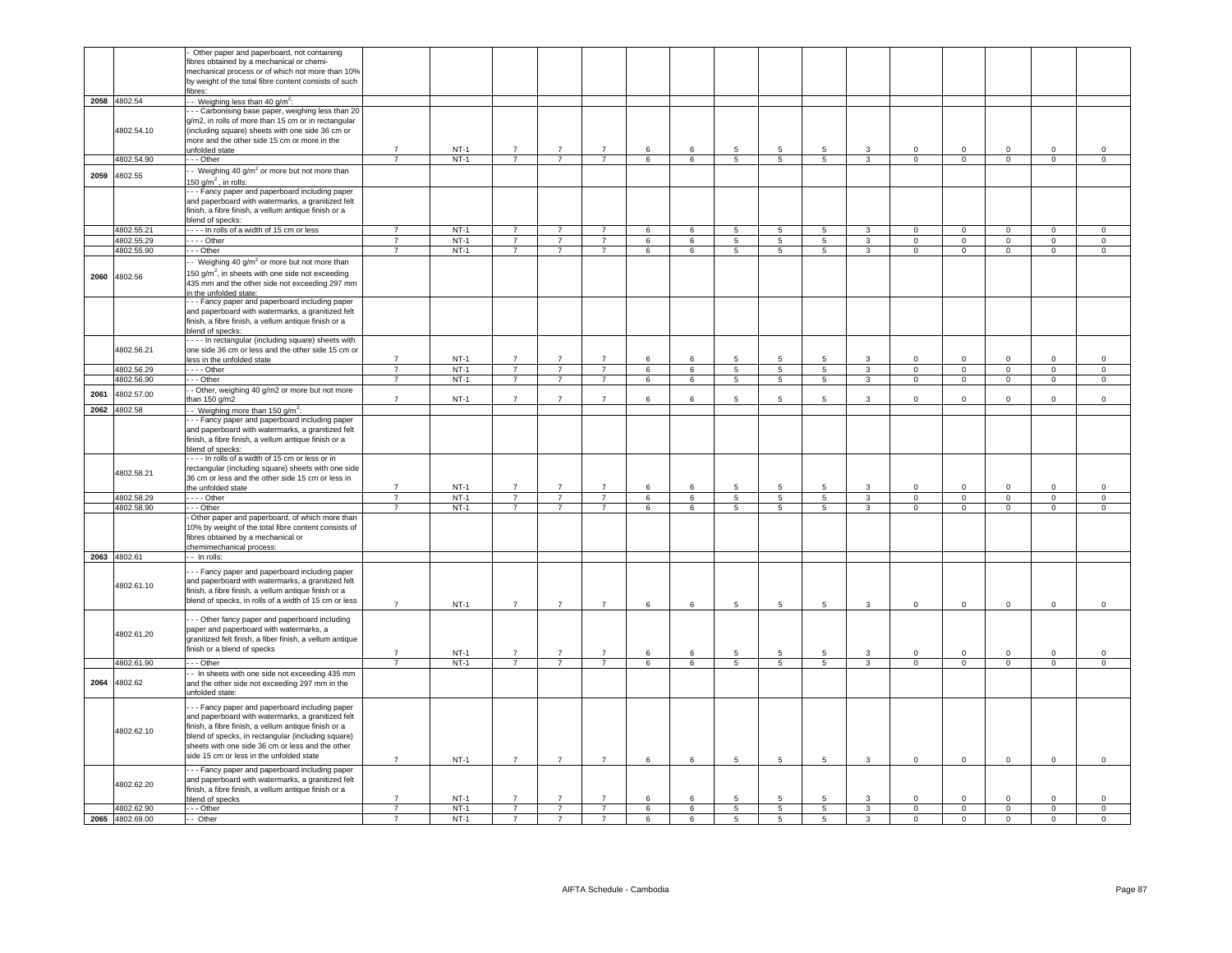|      |                          | Other paper and paperboard, not containing<br>fibres obtained by a mechanical or chemi-<br>mechanical process or of which not more than 10%<br>by weight of the total fibre content consists of such<br>ibres:                                                                                                                                                      |                                  |                  |                                  |                |                                  |                 |                 |                                   |                 |                 |                         |                               |                               |                            |                            |                            |
|------|--------------------------|---------------------------------------------------------------------------------------------------------------------------------------------------------------------------------------------------------------------------------------------------------------------------------------------------------------------------------------------------------------------|----------------------------------|------------------|----------------------------------|----------------|----------------------------------|-----------------|-----------------|-----------------------------------|-----------------|-----------------|-------------------------|-------------------------------|-------------------------------|----------------------------|----------------------------|----------------------------|
|      | 2058 4802.54             | Weighing less than 40 $q/m^2$ :<br>- - Carbonising base paper, weighing less than 20                                                                                                                                                                                                                                                                                |                                  |                  |                                  |                |                                  |                 |                 |                                   |                 |                 |                         |                               |                               |                            |                            |                            |
|      | 4802.54.10               | g/m2, in rolls of more than 15 cm or in rectangular<br>(including square) sheets with one side 36 cm or<br>more and the other side 15 cm or more in the<br>unfolded state                                                                                                                                                                                           | $\overline{7}$                   | $NT-1$           | $\overline{7}$                   | $\overline{7}$ | $\overline{7}$                   | 6               | 6               | 5                                 | 5               | 5               | -3                      | $\Omega$                      | $\mathbf 0$                   | $\Omega$                   | $\Omega$                   | $\Omega$                   |
|      | 4802.54.90               | $-$ - Other                                                                                                                                                                                                                                                                                                                                                         |                                  | $NT-1$           | $\overline{7}$                   | $\overline{7}$ | $\overline{7}$                   | 6               | 6               | $\overline{5}$                    | 5               | 5               | 3                       | $\overline{0}$                | $\overline{0}$                | $\overline{0}$             | $\overline{0}$             | $\overline{0}$             |
| 2059 | 4802.55                  | - Weighing 40 $g/m^2$ or more but not more than<br>150 g/m <sup>2</sup> , in rolls:                                                                                                                                                                                                                                                                                 |                                  |                  |                                  |                |                                  |                 |                 |                                   |                 |                 |                         |                               |                               |                            |                            |                            |
|      |                          | - - Fancy paper and paperboard including paper<br>and paperboard with watermarks, a granitized felt<br>finish, a fibre finish, a vellum antique finish or a<br>blend of specks:                                                                                                                                                                                     |                                  |                  |                                  |                |                                  |                 |                 |                                   |                 |                 |                         |                               |                               |                            |                            |                            |
|      | 4802.55.21               | ---- In rolls of a width of 15 cm or less                                                                                                                                                                                                                                                                                                                           | $\overline{7}$                   | $NT-1$           | $\overline{7}$                   | $\overline{7}$ | $\overline{7}$                   | $6\overline{6}$ | 6               | $5\overline{)}$                   | 5               | $5\overline{)}$ | $\mathbf{3}$            | $\overline{0}$                | $\overline{0}$                | $\overline{0}$             | $\overline{0}$             | $\mathbf 0$                |
|      | 4802.55.29               | $\cdots$ - Other                                                                                                                                                                                                                                                                                                                                                    | $\overline{7}$                   | $NT-1$           | $\overline{7}$                   | $\overline{7}$ | $\overline{7}$                   | $6\overline{6}$ | 6               | $\overline{5}$                    | $5\overline{)}$ | $5\overline{5}$ | $\overline{\mathbf{3}}$ | $\Omega$                      | $\overline{0}$                | $\overline{0}$             | $\overline{0}$             | $\overline{0}$             |
|      | 4802.55.90               | - - Other                                                                                                                                                                                                                                                                                                                                                           | $\overline{7}$                   | $NT-1$           | $\overline{7}$                   | $\overline{7}$ | $\overline{7}$                   | 6               | 6               | $\overline{5}$                    | $\overline{5}$  | 5               | $\overline{3}$          | $\mathbf 0$                   | $\overline{0}$                | $\overline{0}$             | $\overline{0}$             | $\mathsf{O}\xspace$        |
| 2060 | 4802.56                  | - Weighing 40 $g/m^2$ or more but not more than<br>150 g/m <sup>2</sup> , in sheets with one side not exceeding<br>435 mm and the other side not exceeding 297 mm<br>in the unfolded state:                                                                                                                                                                         |                                  |                  |                                  |                |                                  |                 |                 |                                   |                 |                 |                         |                               |                               |                            |                            |                            |
|      |                          | --- Fancy paper and paperboard including paper<br>and paperboard with watermarks, a granitized felt<br>finish, a fibre finish, a vellum antique finish or a<br>blend of specks:                                                                                                                                                                                     |                                  |                  |                                  |                |                                  |                 |                 |                                   |                 |                 |                         |                               |                               |                            |                            |                            |
|      | 4802.56.21               | --- In rectangular (including square) sheets with<br>one side 36 cm or less and the other side 15 cm or<br>less in the unfolded state                                                                                                                                                                                                                               | $\overline{7}$                   | $NT-1$           | $\overline{7}$                   | $\overline{7}$ | $\overline{7}$                   | 6               | 6               | 5                                 | 5               | 5               | 3                       | $\mathbf 0$                   | $\mathbf 0$                   | $\Omega$                   | $\mathbf{0}$               | $\mathbf 0$                |
|      | 4802.56.29               | $---$ Other                                                                                                                                                                                                                                                                                                                                                         | $\overline{7}$                   | $NT-1$           | $\overline{7}$                   | $\overline{7}$ | $\overline{7}$                   | 6               | 6               | $\overline{5}$                    | 5               | $5\overline{5}$ | $\overline{3}$          | $\overline{0}$                | $\overline{0}$                | $\overline{0}$             | $\overline{0}$             | $\overline{0}$             |
|      | 4802.56.90               | $- -$ Other                                                                                                                                                                                                                                                                                                                                                         | $\overline{7}$                   | $NT-1$           | $\overline{7}$                   | $\overline{7}$ | $\overline{7}$                   | $6\overline{6}$ | 6               | $5\overline{5}$                   | $\overline{5}$  | $5\overline{5}$ | $\overline{3}$          | $\overline{0}$                | $\overline{0}$                | $\overline{0}$             | $\overline{0}$             | $\overline{0}$             |
| 2061 | 4802.57.00               | - Other, weighing 40 g/m2 or more but not more<br>than 150 g/m2                                                                                                                                                                                                                                                                                                     | $\overline{7}$                   | $NT-1$           | $\overline{7}$                   | $\overline{7}$ | $\overline{7}$                   | 6               | 6               | 5                                 | 5               | 5               | $\mathbf{3}$            | $\mathbf{0}$                  | $\mathbf 0$                   | $\mathbf 0$                | $\mathbf{0}$               | $\mathsf 0$                |
|      | 2062 4802.58             | - Weighing more than 150 g/m <sup>2</sup> :<br>- - Fancy paper and paperboard including paper<br>and paperboard with watermarks, a granitized felt<br>finish, a fibre finish, a vellum antique finish or a<br>blend of specks:                                                                                                                                      |                                  |                  |                                  |                |                                  |                 |                 |                                   |                 |                 |                         |                               |                               |                            |                            |                            |
|      | 4802.58.21               | --- In rolls of a width of 15 cm or less or in<br>rectangular (including square) sheets with one side<br>36 cm or less and the other side 15 cm or less in<br>the unfolded state                                                                                                                                                                                    | $\overline{7}$                   | $NT-1$           | $\overline{7}$                   | $\overline{7}$ | $\overline{7}$                   | 6               | 6               | 5                                 | 5               | 5               | 3                       | $\Omega$                      | $\mathbf 0$                   | $\Omega$                   | $\Omega$                   | $\Omega$                   |
|      | 4802.58.29               | $- -$ - Other                                                                                                                                                                                                                                                                                                                                                       | $\overline{7}$                   | $NT-1$           | $\overline{7}$                   | $\overline{7}$ | $\overline{7}$                   | 6               | 6               | $5\phantom{.0}$                   | $5\phantom{.0}$ | $5\phantom{.0}$ | $\mathbf{3}$            | $\overline{0}$                | $\overline{0}$                | $\mathbf{0}$               | $\mathsf 0$                | $\mathbf 0$                |
|      | 4802.58.90               | - - Other                                                                                                                                                                                                                                                                                                                                                           |                                  | $NT-1$           | $\overline{7}$                   | $\overline{7}$ | $\overline{7}$                   | 6               | $6\overline{6}$ | 5                                 | 5               | 5               | 3                       | $\overline{0}$                | $\overline{0}$                | $\overline{0}$             | $\overline{0}$             | $\overline{0}$             |
|      |                          | Other paper and paperboard, of which more than<br>10% by weight of the total fibre content consists of<br>fibres obtained by a mechanical or<br>chemimechanical process:                                                                                                                                                                                            |                                  |                  |                                  |                |                                  |                 |                 |                                   |                 |                 |                         |                               |                               |                            |                            |                            |
|      | 2063 4802.61             | - - In rolls:                                                                                                                                                                                                                                                                                                                                                       |                                  |                  |                                  |                |                                  |                 |                 |                                   |                 |                 |                         |                               |                               |                            |                            |                            |
|      | 4802.61.10               | - - Fancy paper and paperboard including paper<br>and paperboard with watermarks, a granitized felt<br>finish, a fibre finish, a vellum antique finish or a<br>blend of specks, in rolls of a width of 15 cm or less                                                                                                                                                | $\overline{7}$                   | $NT-1$           | $\overline{7}$                   | $\overline{7}$ | $\overline{7}$                   | 6               | 6               | $\sqrt{5}$                        | 5               | $5^{\circ}$     | $\mathbf{3}$            | $\overline{0}$                | $\mathbf 0$                   | $\mathbf 0$                | $\mathsf 0$                | $\mathbf 0$                |
|      | 4802.61.20               | - - Other fancy paper and paperboard including<br>paper and paperboard with watermarks, a<br>granitized felt finish, a fiber finish, a vellum antique<br>finish or a blend of specks                                                                                                                                                                                | $\overline{7}$                   | $NT-1$           |                                  |                | $\overline{7}$                   |                 | 6               | 5                                 |                 |                 |                         | $\mathbf 0$                   |                               | $\Omega$                   | $\Omega$                   | $\Omega$                   |
|      | 4802.61.90               | - - Other                                                                                                                                                                                                                                                                                                                                                           | $\overline{7}$                   | $NT-1$           | $\overline{7}$                   | $\overline{7}$ | $\overline{7}$                   | 6<br>6          | 6               | 5                                 | 5               | 5 <sup>5</sup>  | $\mathbf{3}$            | $\mathbf{0}$                  | $\mathbf 0$<br>$\mathbf{0}$   | $\overline{0}$             | $\mathbf{0}$               | $\mathbf 0$                |
| 2064 | 4802.62                  | - In sheets with one side not exceeding 435 mm<br>and the other side not exceeding 297 mm in the<br>unfolded state:                                                                                                                                                                                                                                                 |                                  |                  |                                  |                |                                  |                 |                 |                                   |                 |                 |                         |                               |                               |                            |                            |                            |
|      | 4802.62.10               | - - Fancy paper and paperboard including paper<br>and paperboard with watermarks, a granitized felt<br>finish, a fibre finish, a vellum antique finish or a<br>blend of specks, in rectangular (including square)<br>sheets with one side 36 cm or less and the other<br>side 15 cm or less in the unfolded state<br>- - Fancy paper and paperboard including paper | $\overline{7}$                   | $NT-1$           | $\overline{7}$                   | $\overline{7}$ | $\overline{7}$                   | 6               | 6               | 5                                 | 5               | 5               | $\mathbf{3}$            | $\mathbf 0$                   | $\mathsf{O}\xspace$           | $\mathbf{0}$               | $\mathbf 0$                | $\mathbf 0$                |
|      | 4802.62.20<br>4802.62.90 | and paperboard with watermarks, a granitized felt<br>finish, a fibre finish, a vellum antique finish or a<br>blend of specks<br>- - Other                                                                                                                                                                                                                           | $\overline{7}$<br>$\overline{7}$ | $NT-1$<br>$NT-1$ | $\overline{7}$<br>$\overline{7}$ | $\overline{7}$ | $\overline{7}$<br>$\overline{7}$ | 6               | 6<br>6          | 5                                 | 5<br>5          | 5<br>5          | $\mathbf{3}$            | $\mathbf 0$<br>$\overline{0}$ | $\mathbf 0$<br>$\overline{0}$ | $\mathbf 0$<br>$\mathbf 0$ | $\mathbf 0$<br>$\mathbf 0$ | $\mathbf 0$<br>$\mathsf 0$ |
|      | 2065 4802.69.00          | -- Other                                                                                                                                                                                                                                                                                                                                                            | $\overline{\phantom{a}}$         | $NT-1$           | $\overline{7}$                   | $\overline{7}$ | $\overline{7}$                   | 6<br>6          | 6               | $5\phantom{.0}$<br>$\overline{5}$ | 5               | 5               | $\mathbf{3}$            | $\mathbf 0$                   | $\overline{0}$                | $\Omega$                   | $\mathsf 0$                | $\Omega$                   |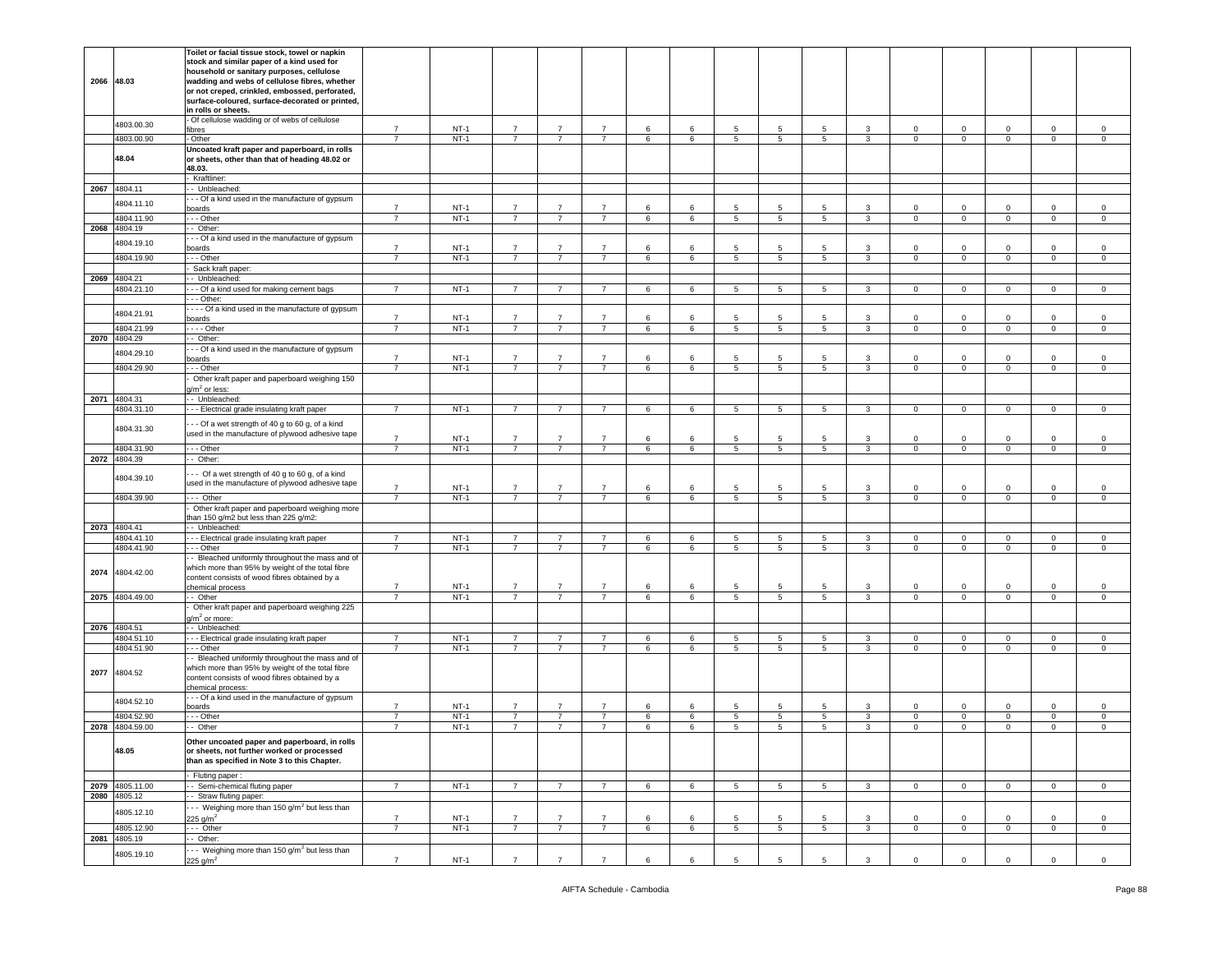|      |                 | Toilet or facial tissue stock, towel or napkin                                |                |        |                |                |                |   |         |            |                 |                 |              |              |                |                |                |             |
|------|-----------------|-------------------------------------------------------------------------------|----------------|--------|----------------|----------------|----------------|---|---------|------------|-----------------|-----------------|--------------|--------------|----------------|----------------|----------------|-------------|
|      |                 | stock and similar paper of a kind used for                                    |                |        |                |                |                |   |         |            |                 |                 |              |              |                |                |                |             |
|      |                 | household or sanitary purposes, cellulose                                     |                |        |                |                |                |   |         |            |                 |                 |              |              |                |                |                |             |
|      | 2066 48.03      | wadding and webs of cellulose fibres, whether                                 |                |        |                |                |                |   |         |            |                 |                 |              |              |                |                |                |             |
|      |                 | or not creped, crinkled, embossed, perforated,                                |                |        |                |                |                |   |         |            |                 |                 |              |              |                |                |                |             |
|      |                 | surface-coloured, surface-decorated or printed,                               |                |        |                |                |                |   |         |            |                 |                 |              |              |                |                |                |             |
|      |                 | in rolls or sheets.                                                           |                |        |                |                |                |   |         |            |                 |                 |              |              |                |                |                |             |
|      | 4803.00.30      | Of cellulose wadding or of webs of cellulose                                  |                |        |                |                |                |   |         |            |                 |                 |              |              |                |                |                |             |
|      |                 | fibres                                                                        | $\overline{7}$ | $NT-1$ | $\overline{7}$ | $\overline{7}$ | $\overline{7}$ | 6 | 6       | 5          | 5               | 5.              | 3            | $\mathbf 0$  | $\mathsf 0$    | $\mathbf 0$    | $\mathbf 0$    | $\mathbf 0$ |
|      | 4803.00.90      | - Other                                                                       | $\overline{7}$ | $NT-1$ | $\overline{7}$ | $\overline{7}$ | $\overline{7}$ | 6 | 6       | 5          | 5               | $5^{\circ}$     | $\mathbf{3}$ | $\mathbf 0$  | $\overline{0}$ | $\mathbf{0}$   | $\mathbf 0$    | $\mathsf 0$ |
|      |                 | Uncoated kraft paper and paperboard, in rolls                                 |                |        |                |                |                |   |         |            |                 |                 |              |              |                |                |                |             |
|      | 48.04           | or sheets, other than that of heading 48.02 or                                |                |        |                |                |                |   |         |            |                 |                 |              |              |                |                |                |             |
|      |                 | 48.03.                                                                        |                |        |                |                |                |   |         |            |                 |                 |              |              |                |                |                |             |
|      |                 | Kraftliner:                                                                   |                |        |                |                |                |   |         |            |                 |                 |              |              |                |                |                |             |
|      | 2067 4804.11    | - Unbleached:                                                                 |                |        |                |                |                |   |         |            |                 |                 |              |              |                |                |                |             |
|      |                 | - - Of a kind used in the manufacture of gypsum                               |                |        |                |                |                |   |         |            |                 |                 |              |              |                |                |                |             |
|      | 4804.11.10      | oards                                                                         | $\overline{7}$ | $NT-1$ | $\overline{7}$ | $\overline{7}$ | $\overline{7}$ | 6 | 6       | 5          | 5               | 5               | 3            | $\circ$      | $\mathbf 0$    | $\mathbf 0$    | $\mathbf 0$    | $\mathsf 0$ |
|      | 4804.11.90      | - - Other                                                                     | $\overline{7}$ | $NT-1$ | $\overline{7}$ | $\overline{7}$ | $\overline{7}$ | 6 | 6       | 5          | 5               | $5^{\circ}$     | $\mathbf{3}$ | $\mathbf 0$  | $\circ$        | $\mathbf{0}$   | $\circ$        | $\circ$     |
| 2068 | 4804.19         | - Other:                                                                      |                |        |                |                |                |   |         |            |                 |                 |              |              |                |                |                |             |
|      |                 | - - Of a kind used in the manufacture of gypsum                               |                |        |                |                |                |   |         |            |                 |                 |              |              |                |                |                |             |
|      | 4804.19.10      | poards                                                                        | $\overline{7}$ | $NT-1$ | $\overline{7}$ | $\overline{7}$ | $\overline{7}$ | 6 | 6       | 5          | 5               | 5               | 3            | $\circ$      | $\mathsf 0$    | $\mathbf 0$    | $\mathsf 0$    | $\mathsf 0$ |
|      | 4804.19.90      | - - Other                                                                     | $\overline{7}$ | $NT-1$ | $\overline{7}$ | $\overline{7}$ | $\overline{7}$ | 6 | 6       | 5          | 5               | 5               | 3            | $\mathbf 0$  | $\mathbf 0$    | $\mathbf{0}$   | 0              | 0           |
|      |                 | Sack kraft paper:                                                             |                |        |                |                |                |   |         |            |                 |                 |              |              |                |                |                |             |
|      | 2069 4804.21    | - Unbleached:                                                                 |                |        |                |                |                |   |         |            |                 |                 |              |              |                |                |                |             |
|      | 4804.21.10      | - - Of a kind used for making cement bags                                     | $\overline{7}$ | $NT-1$ | $\overline{7}$ | $\overline{7}$ | $\overline{7}$ | 6 | 6       | 5          | 5               | 5               | $\mathbf{3}$ | $\mathbf 0$  | $\overline{0}$ | $\mathbf{0}$   | $\mathbf 0$    | $\mathbf 0$ |
|      |                 | - - Other:                                                                    |                |        |                |                |                |   |         |            |                 |                 |              |              |                |                |                |             |
|      |                 |                                                                               |                |        |                |                |                |   |         |            |                 |                 |              |              |                |                |                |             |
|      | 4804.21.91      | - - - Of a kind used in the manufacture of gypsum                             | $\overline{7}$ | $NT-1$ | $\overline{7}$ | $\overline{7}$ | $\overline{7}$ | 6 | 6       | 5          | 5               | 5               | $\mathbf{3}$ | $\mathsf 0$  | $\mathbf 0$    | $\mathsf 0$    | $\mathsf 0$    |             |
|      |                 | oards                                                                         |                |        |                |                |                |   |         |            |                 |                 |              |              |                |                |                | $\,0\,$     |
|      | 4804.21.99      | $- -$ Other                                                                   | $\overline{7}$ | $NT-1$ | $\overline{7}$ | $\overline{7}$ | $\overline{7}$ | 6 | 6       | 5          | 5               | 5               | $\mathbf{3}$ | $\mathbf 0$  | $\mathbf 0$    | $\mathbf{0}$   | $\mathbf 0$    | $\mathsf 0$ |
| 2070 | 4804.29         | - Other:                                                                      |                |        |                |                |                |   |         |            |                 |                 |              |              |                |                |                |             |
|      | 4804.29.10      | - - Of a kind used in the manufacture of gypsum                               |                |        |                |                |                |   |         |            |                 |                 |              |              |                |                |                |             |
|      |                 | ooards                                                                        | $\overline{7}$ | $NT-1$ | $\overline{7}$ | $\overline{7}$ | $\overline{7}$ | 6 | 6       | 5          | 5               | 5               | 3            | $\mathbf 0$  | $\Omega$       | $\mathbf 0$    | 0              | 0           |
|      | 4804.29.90      | - - Other                                                                     | $\overline{7}$ | $NT-1$ | $\overline{7}$ | $\overline{7}$ | $\overline{7}$ | 6 | 6       | 5          | 5               | 5 <sub>5</sub>  | $\mathbf{3}$ | $\mathbf 0$  | $\mathbf 0$    | $\overline{0}$ | $\mathbf 0$    | $\mathbf 0$ |
|      |                 | Other kraft paper and paperboard weighing 150                                 |                |        |                |                |                |   |         |            |                 |                 |              |              |                |                |                |             |
|      |                 | $1/m2$ or less:                                                               |                |        |                |                |                |   |         |            |                 |                 |              |              |                |                |                |             |
|      | 2071 4804.31    | - Unbleached:                                                                 |                |        |                |                |                |   |         |            |                 |                 |              |              |                |                |                |             |
|      | 4804.31.10      | - - Electrical grade insulating kraft paper                                   | $\overline{7}$ | $NT-1$ | $\overline{7}$ | $\overline{7}$ | $\overline{7}$ | 6 | 6       | 5          | $5\overline{5}$ | 5               | 3            | $\mathbf 0$  | $\mathbf 0$    | $\mathbf{0}$   | 0              | $\mathbf 0$ |
|      |                 | -- Of a wet strength of 40 g to 60 g, of a kind                               |                |        |                |                |                |   |         |            |                 |                 |              |              |                |                |                |             |
|      | 4804.31.30      | used in the manufacture of plywood adhesive tape                              |                |        |                |                |                |   |         |            |                 |                 |              |              |                |                |                |             |
|      |                 |                                                                               | $\overline{7}$ | $NT-1$ | $\overline{7}$ | $\overline{7}$ | $\overline{7}$ | 6 | 6       | 5          | 5               | 5               | 3            | $\Omega$     | $\Omega$       | $\Omega$       | $\mathbf 0$    | 0           |
|      | 4804.31.90      | - - Other                                                                     | $\overline{7}$ | $NT-1$ | $\overline{7}$ | $\overline{7}$ | $\overline{7}$ | 6 | $\,6\,$ | 5          | $\sqrt{5}$      | $5\overline{5}$ | $\mathbf{3}$ | $\mathbf 0$  | $\mathsf 0$    | $\mathbf 0$    | $\mathbf 0$    | $\mathsf 0$ |
| 2072 | 4804.39         | - Other:                                                                      |                |        |                |                |                |   |         |            |                 |                 |              |              |                |                |                |             |
|      |                 |                                                                               |                |        |                |                |                |   |         |            |                 |                 |              |              |                |                |                |             |
|      | 4804.39.10      | -- Of a wet strength of 40 g to 60 g, of a kind                               |                |        |                |                |                |   |         |            |                 |                 |              |              |                |                |                |             |
|      |                 | used in the manufacture of plywood adhesive tape                              | $\overline{7}$ | $NT-1$ | $\overline{7}$ | $\overline{7}$ | $\overline{7}$ | 6 | 6       | 5          | 5               | -5              | 3            | $\circ$      | $\mathbf 0$    | $\mathbf 0$    | $\mathbf 0$    | $\mathsf 0$ |
|      | 4804.39.90      | - Other                                                                       | $\overline{7}$ | $NT-1$ | $\overline{7}$ | $\overline{7}$ | $\overline{7}$ | 6 | 6       | 5          | 5               | $5^{\circ}$     | $\mathbf{3}$ | $\mathbf 0$  | $\mathbf 0$    | $\overline{0}$ | $\mathbf 0$    | $\mathbf 0$ |
|      |                 | Other kraft paper and paperboard weighing more                                |                |        |                |                |                |   |         |            |                 |                 |              |              |                |                |                |             |
|      |                 | han 150 g/m2 but less than 225 g/m2:                                          |                |        |                |                |                |   |         |            |                 |                 |              |              |                |                |                |             |
| 2073 | 4804.41         | - Unbleached:                                                                 |                |        |                |                |                |   |         |            |                 |                 |              |              |                |                |                |             |
|      | 4804.41.10      | - - Electrical grade insulating kraft paper                                   | $\overline{7}$ | $NT-1$ | $\overline{7}$ | $\overline{7}$ | $\overline{7}$ | 6 | 6       | $\sqrt{5}$ | 5               | 5               | $\mathbf{3}$ | $\mathbf 0$  | $\mathbf 0$    | $\overline{0}$ | $\mathbf 0$    | $\mathbf 0$ |
|      | 4804.41.90      | - - Other                                                                     | $\overline{7}$ | $NT-1$ | $\overline{7}$ | $\overline{7}$ | $\overline{7}$ | 6 | 6       | 5          | 5               | $5^{\circ}$     | 3            | $\mathbf 0$  | $\mathbf 0$    | $\mathbf{0}$   | $\mathbf 0$    | $\mathsf 0$ |
|      |                 | - Bleached uniformly throughout the mass and of                               |                |        |                |                |                |   |         |            |                 |                 |              |              |                |                |                |             |
|      |                 | which more than 95% by weight of the total fibre                              |                |        |                |                |                |   |         |            |                 |                 |              |              |                |                |                |             |
| 2074 | 4804.42.00      | content consists of wood fibres obtained by a                                 |                |        |                |                |                |   |         |            |                 |                 |              |              |                |                |                |             |
|      |                 | chemical process                                                              | $\overline{7}$ | $NT-1$ | $\overline{7}$ | $\overline{7}$ | $\overline{7}$ | 6 | 6       | 5          | 5               | 5               | 3            | $\mathbf 0$  | 0              | $\mathbf 0$    | 0              | 0           |
|      | 2075 4804.49.00 | - Other                                                                       | $\overline{7}$ | $NT-1$ | $\overline{7}$ | $\overline{7}$ | $\overline{7}$ | 6 | 6       | 5          | 5               | 5               | 3            | $\circ$      | $\mathbf 0$    | $\mathbf{0}$   | $\mathbf 0$    | $\circ$     |
|      |                 | Other kraft paper and paperboard weighing 225                                 |                |        |                |                |                |   |         |            |                 |                 |              |              |                |                |                |             |
|      |                 | $1/m2$ or more:                                                               |                |        |                |                |                |   |         |            |                 |                 |              |              |                |                |                |             |
|      | 2076 4804.51    | - Unbleached:                                                                 |                |        |                |                |                |   |         |            |                 |                 |              |              |                |                |                |             |
|      | 4804.51.10      | - - Electrical grade insulating kraft paper                                   | $\overline{7}$ | $NT-1$ | 7              | $\overline{7}$ | $\overline{7}$ | 6 | 6       | 5          | 5               | 5               | 3            | $\mathbf 0$  | 0              | $\mathbf 0$    | 0              | 0           |
|      | 4804.51.90      | - - Other                                                                     | $\overline{7}$ | $NT-1$ | $\overline{7}$ | $\overline{7}$ | $\overline{7}$ | 6 | 6       | 5          | 5               | 5 <sub>5</sub>  | $\mathbf{3}$ | $\mathbf 0$  | $\mathbf 0$    | $\mathbf{0}$   | $\mathbf 0$    | $\mathbf 0$ |
|      |                 | - Bleached uniformly throughout the mass and of                               |                |        |                |                |                |   |         |            |                 |                 |              |              |                |                |                |             |
|      |                 | which more than 95% by weight of the total fibre                              |                |        |                |                |                |   |         |            |                 |                 |              |              |                |                |                |             |
|      | 2077 4804.52    | content consists of wood fibres obtained by a                                 |                |        |                |                |                |   |         |            |                 |                 |              |              |                |                |                |             |
|      |                 | chemical process:                                                             |                |        |                |                |                |   |         |            |                 |                 |              |              |                |                |                |             |
|      |                 | - - Of a kind used in the manufacture of gypsum                               |                |        |                |                |                |   |         |            |                 |                 |              |              |                |                |                |             |
|      | 4804.52.10      | oards                                                                         | $\overline{7}$ | $NT-1$ | $\overline{7}$ | $\overline{7}$ | $\overline{7}$ | 6 | 6       | 5          | 5               | 5               | 3            | $\mathsf 0$  | $\mathsf 0$    | $\mathbf 0$    | $\mathbf 0$    | $\mathsf 0$ |
|      | 4804.52.90      | - - Other                                                                     | $\overline{7}$ | $NT-1$ | $\overline{7}$ | $\overline{7}$ | $\overline{7}$ | 6 | 6       | 5          | $5\phantom{.0}$ | 5               | 3            | $\circ$      | $\mathbf 0$    | $\mathbf 0$    | $\mathbf 0$    | $\mathbf 0$ |
|      | 2078 4804.59.00 | - Other                                                                       | 7              | $NT-1$ | $\overline{7}$ | $\overline{7}$ | $\overline{7}$ | 6 | 6       | 5          | 5               | 5               | 3            | $\mathbf 0$  | $\mathbf 0$    | $\mathbf{0}$   | 0              | $\mathbf 0$ |
|      |                 |                                                                               |                |        |                |                |                |   |         |            |                 |                 |              |              |                |                |                |             |
|      |                 | Other uncoated paper and paperboard, in rolls                                 |                |        |                |                |                |   |         |            |                 |                 |              |              |                |                |                |             |
|      | 48.05           | or sheets, not further worked or processed                                    |                |        |                |                |                |   |         |            |                 |                 |              |              |                |                |                |             |
|      |                 |                                                                               |                |        |                |                |                |   |         |            |                 |                 |              |              |                |                |                |             |
|      |                 | than as specified in Note 3 to this Chapter.                                  |                |        |                |                |                |   |         |            |                 |                 |              |              |                |                |                |             |
|      |                 |                                                                               |                |        |                |                |                |   |         |            |                 |                 |              |              |                |                |                |             |
|      |                 | Fluting paper:                                                                |                |        |                |                |                |   |         |            |                 |                 |              |              |                |                |                |             |
|      | 2079 4805.11.00 | - Semi-chemical fluting paper                                                 | $\overline{7}$ | $NT-1$ | $\overline{7}$ | $\overline{7}$ | $\overline{7}$ | 6 | 6       | 5          | 5               | $5^{\circ}$     | $\mathbf{3}$ | $\mathbf 0$  | $\overline{0}$ | $\overline{0}$ | $\overline{0}$ | $\circ$     |
|      | 2080 4805.12    | - Straw fluting paper:                                                        |                |        |                |                |                |   |         |            |                 |                 |              |              |                |                |                |             |
|      | 4805.12.10      | - - Weighing more than 150 g/m <sup>2</sup> but less than                     |                |        |                |                |                |   |         |            |                 |                 |              |              |                |                |                |             |
|      |                 | $25 \text{ g/m}^2$                                                            | $\overline{7}$ | $NT-1$ | $\overline{7}$ | $\overline{7}$ | $\overline{7}$ | 6 | 6       | 5          | 5               | 5               | $\mathbf{3}$ | $\mathbf 0$  | $\mathbf 0$    | $\mathbf 0$    | $\mathbf 0$    | $\mathbf 0$ |
|      | 4805.12.90      | $\cdots$ Other                                                                | $\overline{7}$ | NT-1   | $\overline{7}$ | $\overline{7}$ | $\overline{7}$ | 6 | 6       | 5          | 5               | $5^{\circ}$     | 3            | $\mathbf{0}$ | $\circ$        | $\mathbf{0}$   | $\circ$        | $\mathbf 0$ |
|      | 2081 4805.19    | - Other:                                                                      |                |        |                |                |                |   |         |            |                 |                 |              |              |                |                |                |             |
|      | 4805.19.10      | - Weighing more than 150 g/m <sup>2</sup> but less than<br>$25 \text{ g/m}^2$ | $\overline{7}$ | $NT-1$ | $\overline{7}$ | $\overline{7}$ | $\overline{7}$ | 6 | 6       | 5          | $\,$ 5 $\,$     | 5               | $\mathbf{3}$ | $\mathbf 0$  | $\mathsf 0$    | $\mathsf 0$    | $\mathsf 0$    | $\mathsf 0$ |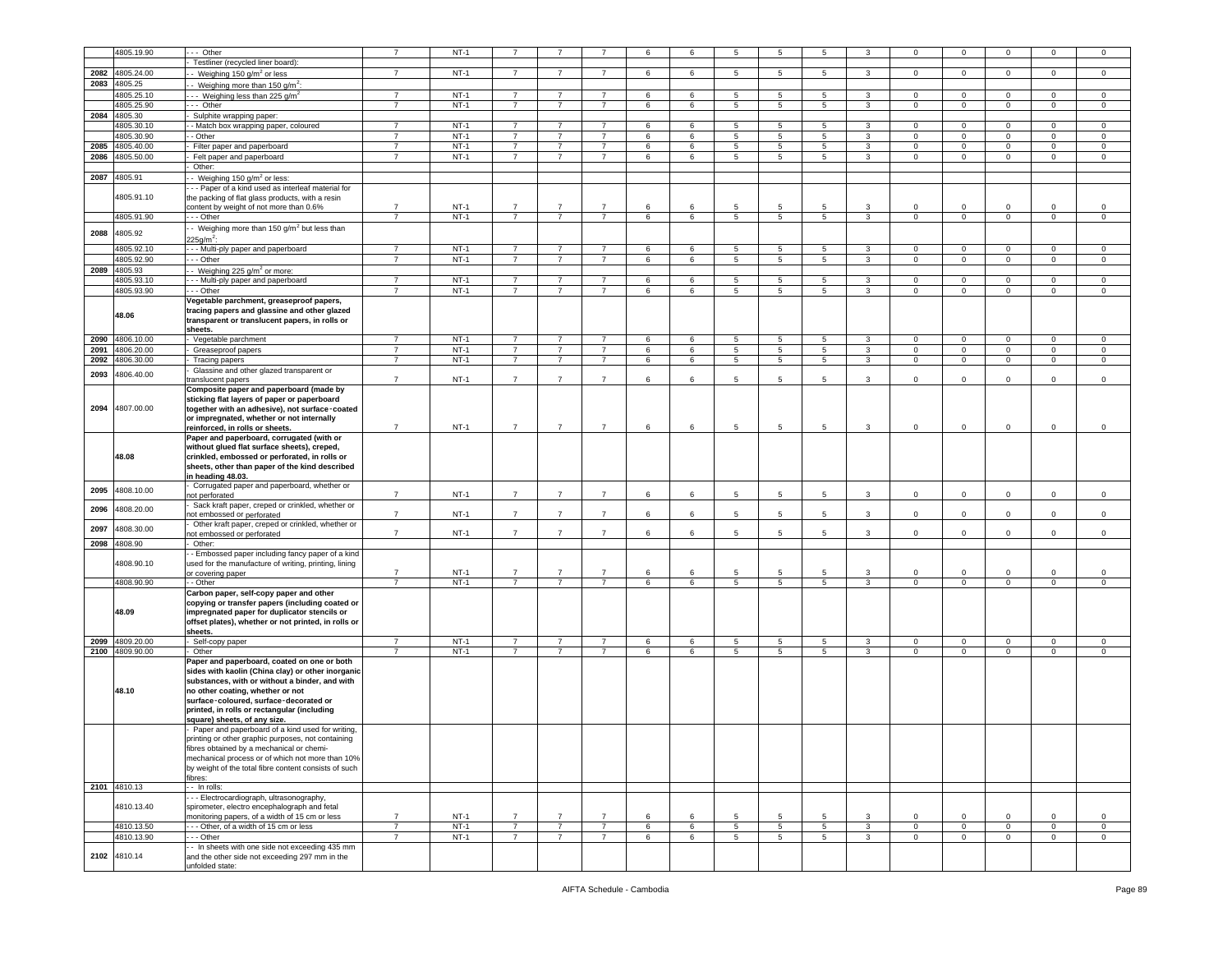|      | 4805.19.90      | - Other                                                                                                                                                                                                                          | $\overline{7}$ | $NT-1$ | 7              |                |                | 6       | 6 | 5               | 5               | 5               |                         | $\mathbf 0$    | 0           | $\Omega$            | 0              | $^{\circ}$     |
|------|-----------------|----------------------------------------------------------------------------------------------------------------------------------------------------------------------------------------------------------------------------------|----------------|--------|----------------|----------------|----------------|---------|---|-----------------|-----------------|-----------------|-------------------------|----------------|-------------|---------------------|----------------|----------------|
|      |                 |                                                                                                                                                                                                                                  |                |        |                |                |                |         |   |                 |                 |                 |                         |                |             |                     |                |                |
|      |                 | Testliner (recycled liner board):                                                                                                                                                                                                |                |        |                |                |                |         |   |                 |                 |                 |                         |                |             |                     |                |                |
| 2082 | 4805.24.00      | - Weighing 150 $q/m^2$ or less                                                                                                                                                                                                   | 7              | $NT-1$ | $\overline{7}$ | 7              | $\overline{7}$ | 6       | 6 | 5               | 5               | 5               | 3                       | $\mathbf{0}$   | $\circ$     | $\mathbf{0}$        | $\mathbf 0$    | 0              |
| 2083 | 4805.25         | - Weighing more than 150 g/m <sup>2</sup> :                                                                                                                                                                                      |                |        |                |                |                |         |   |                 |                 |                 |                         |                |             |                     |                |                |
|      | 4805.25.10      | $\cdot$ - Weighing less than 225 g/m <sup>2</sup>                                                                                                                                                                                | $\overline{7}$ | $NT-1$ | $\overline{7}$ | $\overline{7}$ | $\overline{7}$ | 6       | 6 | 5               | 5               | 5               | 3                       | $\mathbf{0}$   | $\mathsf 0$ | $\mathbf 0$         | $\mathbf 0$    | 0              |
|      |                 |                                                                                                                                                                                                                                  |                |        |                |                |                |         |   |                 |                 |                 |                         |                |             |                     |                |                |
|      | 4805.25.90      | --- Other                                                                                                                                                                                                                        | $\overline{7}$ | $NT-1$ | $\overline{7}$ | $\overline{7}$ | $\overline{7}$ | 6       | 6 | $5\phantom{.0}$ | $\,$ 5 $\,$     | 5               | $\mathbf{3}$            | $\overline{0}$ | $\mathsf 0$ | $\mathsf{O}\xspace$ | $\mathsf 0$    | $\mathsf 0$    |
| 2084 | 4805.30         | Sulphite wrapping paper:                                                                                                                                                                                                         |                |        |                |                |                |         |   |                 |                 |                 |                         |                |             |                     |                |                |
|      | 4805.30.10      | - Match box wrapping paper, coloured                                                                                                                                                                                             | $\overline{7}$ | $NT-1$ | $\overline{7}$ | $\overline{7}$ | $\overline{7}$ | 6       | 6 | 5               | 5               | 5               | 3                       | $\circ$        | $\mathbf 0$ | $\circ$             | $\circ$        | $\Omega$       |
|      | 4805.30.90      | - Other                                                                                                                                                                                                                          | $\overline{7}$ | $NT-1$ | $\overline{7}$ | $\overline{7}$ | $\overline{7}$ | 6       | 6 | 5               | $5\phantom{.0}$ | $5\phantom{.0}$ | 3                       | $\mathbf{0}$   | $\mathbf 0$ | $\mathbf 0$         | $\mathbf 0$    | $\mathsf 0$    |
| 2085 | 4805.40.00      | Filter paper and paperboard                                                                                                                                                                                                      | $\overline{7}$ | $NT-1$ | $\overline{7}$ | $\overline{7}$ | $\overline{7}$ | 6       | 6 | 5               | 5               | 5               | 3                       | $\mathbf 0$    | $\mathsf 0$ | $\mathbf 0$         | $\mathbf 0$    | $\mathsf 0$    |
|      |                 |                                                                                                                                                                                                                                  |                |        |                |                |                |         |   |                 |                 |                 |                         |                |             |                     |                |                |
| 2086 | 4805.50.00      | Felt paper and paperboard                                                                                                                                                                                                        | $\overline{7}$ | $NT-1$ | $\overline{7}$ | $\overline{7}$ | $\overline{7}$ | 6       | 6 | 5               | 5               | 5               | 3                       | $\mathbf{0}$   | $\circ$     | $\mathbf 0$         | $\mathbf 0$    | $\mathbf 0$    |
|      |                 | Other:                                                                                                                                                                                                                           |                |        |                |                |                |         |   |                 |                 |                 |                         |                |             |                     |                |                |
|      | 2087 4805.91    | - Weighing 150 g/m <sup>2</sup> or less:                                                                                                                                                                                         |                |        |                |                |                |         |   |                 |                 |                 |                         |                |             |                     |                |                |
|      |                 | - - Paper of a kind used as interleaf material for                                                                                                                                                                               |                |        |                |                |                |         |   |                 |                 |                 |                         |                |             |                     |                |                |
|      | 4805.91.10      | the packing of flat glass products, with a resin                                                                                                                                                                                 |                |        |                |                |                |         |   |                 |                 |                 |                         |                |             |                     |                |                |
|      |                 | content by weight of not more than 0.6%                                                                                                                                                                                          | $\overline{7}$ | $NT-1$ | $\overline{7}$ | $\overline{7}$ | $\overline{7}$ | 6       | 6 | 5               | 5               | 5               | 3                       | $\mathbf 0$    | 0           | $\mathbf 0$         | $\mathbf 0$    | $^{\circ}$     |
|      | 4805.91.90      | $- -$ Other                                                                                                                                                                                                                      | $\overline{7}$ | $NT-1$ | $\overline{7}$ | $\overline{7}$ | $\overline{7}$ | 6       | 6 | $5\phantom{.0}$ | $5\phantom{.0}$ | $5\overline{5}$ | $\mathbf{3}$            | $\mathbf{0}$   | $\mathbf 0$ | $\mathbf{0}$        | $\overline{0}$ | $\overline{0}$ |
|      |                 |                                                                                                                                                                                                                                  |                |        |                |                |                |         |   |                 |                 |                 |                         |                |             |                     |                |                |
| 2088 | 4805.92         | - Weighing more than 150 g/m <sup>2</sup> but less than                                                                                                                                                                          |                |        |                |                |                |         |   |                 |                 |                 |                         |                |             |                     |                |                |
|      |                 | 225q/m <sup>2</sup> :                                                                                                                                                                                                            |                |        |                |                |                |         |   |                 |                 |                 |                         |                |             |                     |                |                |
|      | 4805.92.10      | - - Multi-ply paper and paperboard                                                                                                                                                                                               | $\overline{7}$ | $NT-1$ | $\overline{7}$ | $\overline{7}$ | $\overline{7}$ | 6       | 6 | 5               | 5               | 5               | 3                       | $\mathbf 0$    | $\mathsf 0$ | $\mathbf 0$         | $\mathbf 0$    | 0              |
|      | 4805.92.90      | - - Other                                                                                                                                                                                                                        | $\overline{7}$ | $NT-1$ | $\overline{7}$ | $\overline{7}$ | $\overline{7}$ | 6       | 6 | $5\phantom{.0}$ | $5\phantom{.0}$ | $5\overline{5}$ | $\mathbf{3}$            | $\mathbf{0}$   | $\mathbf 0$ | $\mathbf{0}$        | $\mathbf 0$    | $\mathbf 0$    |
|      |                 |                                                                                                                                                                                                                                  |                |        |                |                |                |         |   |                 |                 |                 |                         |                |             |                     |                |                |
| 2089 | 4805.93         | ⋅ Weighing 225 g/m <sup>2</sup> or more:                                                                                                                                                                                         |                |        |                |                |                |         |   |                 |                 |                 |                         |                |             |                     |                |                |
|      | 4805.93.10      | - - Multi-ply paper and paperboard                                                                                                                                                                                               | $\overline{7}$ | $NT-1$ | $\overline{7}$ | $\overline{7}$ | $\overline{7}$ | 6       | 6 | 5               | 5               | 5               | 3                       | $\mathbf 0$    | $\mathbf 0$ | $\circ$             | $\mathbf 0$    | $\mathsf 0$    |
|      | 4805.93.90      | - - - Other                                                                                                                                                                                                                      | 7              | $NT-1$ | $\overline{7}$ | $\overline{7}$ | $\overline{7}$ | 6       | 6 | 5               | 5               | 5               | 3                       | $\mathbf 0$    | $\mathbf 0$ | $\mathbf 0$         | $\mathsf 0$    | 0              |
|      |                 | Vegetable parchment, greaseproof papers,                                                                                                                                                                                         |                |        |                |                |                |         |   |                 |                 |                 |                         |                |             |                     |                |                |
|      | 48.06           | tracing papers and glassine and other glazed<br>transparent or translucent papers, in rolls or<br>sheets.                                                                                                                        |                |        |                |                |                |         |   |                 |                 |                 |                         |                |             |                     |                |                |
| 2090 | 4806.10.00      | Vegetable parchment                                                                                                                                                                                                              | 7              | $NT-1$ | $\overline{7}$ | 7              | $\overline{7}$ | 6       | 6 | 5               | 5               | 5               | 3                       | $\mathbf{0}$   | $\mathbf 0$ | $\mathbf 0$         | $\mathbf{0}$   | 0              |
| 2091 | 4806.20.00      | Greaseproof papers                                                                                                                                                                                                               | $\overline{7}$ | $NT-1$ | $\overline{7}$ | $\overline{7}$ | $\overline{7}$ | 6       | 6 | 5 <sub>5</sub>  | 5               | $5\overline{5}$ | $\mathbf{3}$            | $\mathbf{0}$   | $\mathbf 0$ | $\mathbf{0}$        | $\mathbf 0$    | $\mathsf 0$    |
| 2092 | 4806.30.00      | Tracing papers                                                                                                                                                                                                                   | $\overline{7}$ | $NT-1$ | $\overline{7}$ | $\overline{7}$ | $\overline{7}$ | 6       | 6 | $\overline{5}$  | 5               | $5\overline{)}$ | $\overline{\mathbf{3}}$ | $\mathbf{0}$   | $\mathbf 0$ | $\overline{0}$      | $\overline{0}$ | $\mathsf 0$    |
|      |                 | Glassine and other glazed transparent or                                                                                                                                                                                         |                |        |                |                |                |         |   |                 |                 |                 |                         |                |             |                     |                |                |
| 2093 | 4806.40.00      | translucent papers                                                                                                                                                                                                               | $\overline{7}$ | $NT-1$ | $\overline{7}$ | $\overline{7}$ | $\overline{7}$ | 6       | 6 | 5               | 5               | 5               | 3                       | $\mathbf 0$    | $\mathsf 0$ | $\mathbf 0$         | $\mathbf 0$    | $\mathbf 0$    |
|      |                 | Composite paper and paperboard (made by                                                                                                                                                                                          |                |        |                |                |                |         |   |                 |                 |                 |                         |                |             |                     |                |                |
|      | 2094 4807.00.00 | sticking flat layers of paper or paperboard<br>together with an adhesive), not surface-coated<br>or impregnated, whether or not internally<br>reinforced, in rolls or sheets.                                                    | $\overline{7}$ | $NT-1$ | $\overline{7}$ | $\overline{7}$ | $\overline{7}$ | 6       | 6 | 5               | 5               | 5               | 3                       | $\mathbf{0}$   | $\mathbf 0$ | $\mathbf 0$         | $\mathbf 0$    | $\mathsf 0$    |
|      | 48.08           | Paper and paperboard, corrugated (with or<br>without glued flat surface sheets), creped,<br>crinkled, embossed or perforated, in rolls or<br>sheets, other than paper of the kind described<br>in heading 48.03.                 |                |        |                |                |                |         |   |                 |                 |                 |                         |                |             |                     |                |                |
| 2095 | 4808.10.00      | Corrugated paper and paperboard, whether or<br>not perforated                                                                                                                                                                    | $\overline{7}$ | $NT-1$ | $\overline{7}$ | $\overline{7}$ | $\overline{7}$ | 6       | 6 | 5               | 5               | 5               | $\mathbf{3}$            | $\mathbf{0}$   | $\mathsf 0$ | $\circ$             | $\circ$        | $\mathbf 0$    |
| 2096 | 4808.20.00      | Sack kraft paper, creped or crinkled, whether or                                                                                                                                                                                 |                |        |                |                |                |         |   |                 |                 |                 |                         |                |             |                     |                |                |
|      |                 | not embossed or perforated<br>Other kraft paper, creped or crinkled, whether or                                                                                                                                                  | $\overline{7}$ | $NT-1$ | $\overline{7}$ | $\overline{7}$ | $\overline{7}$ | $\,6\,$ | 6 | 5               | 5               | 5               | 3                       | $\mathbf 0$    | $\mathsf 0$ | $\mathbf 0$         | $\circ$        | $\mathbf 0$    |
| 2097 | 4808.30.00      | not embossed or perforated                                                                                                                                                                                                       | $\overline{7}$ | $NT-1$ | $\overline{7}$ | $\overline{7}$ | $\overline{7}$ | 6       | 6 | 5               | 5               | 5               | 3                       | $\mathbf 0$    | $\mathsf 0$ | $\mathbf 0$         | $\mathbf 0$    | $\mathsf 0$    |
| 2098 | 4808.90         | Other:                                                                                                                                                                                                                           |                |        |                |                |                |         |   |                 |                 |                 |                         |                |             |                     |                |                |
|      | 4808.90.10      | - Embossed paper including fancy paper of a kind<br>used for the manufacture of writing, printing, lining<br>or covering paper                                                                                                   | $\overline{7}$ | $NT-1$ | 7              | $\overline{7}$ | $\overline{7}$ | 6       | 6 | 5               | -5              | 5               | 3                       | $\mathbf 0$    | $\mathsf 0$ | $\Omega$            | 0              | 0              |
|      | 4808.90.90      | - - Other                                                                                                                                                                                                                        | $\overline{7}$ | $NT-1$ | $\overline{7}$ | $\overline{7}$ | $\overline{7}$ | 6       | 6 | 5               | 5               | 5               | $\mathbf{3}$            | $\overline{0}$ | $\mathbf 0$ | $\mathbf{0}$        | $\mathbf 0$    | $\mathsf 0$    |
|      | 48.09           | Carbon paper, self-copy paper and other<br>copying or transfer papers (including coated or<br>impregnated paper for duplicator stencils or<br>offset plates), whether or not printed, in rolls or<br>sheets.                     |                |        |                |                |                |         |   |                 |                 |                 |                         |                |             |                     |                |                |
| 2099 | 4809.20.00      | Self-copy paper                                                                                                                                                                                                                  | 7              | $NT-1$ | $\overline{7}$ | $\overline{7}$ | $\overline{7}$ | 6       | 6 | 5               | 5               | 5               | 3                       | 0              | 0           | $\mathbf 0$         | $\mathbf 0$    | 0              |
|      | 2100 4809.90.00 | Other                                                                                                                                                                                                                            | $\overline{7}$ | $NT-1$ | $\overline{7}$ | $\overline{7}$ | $\overline{7}$ | 6       | 6 | 5               | 5               | 5               | 3                       | $\mathbf{0}$   | $\circ$     | $\mathbf{0}$        | $\mathsf 0$    | $\circ$        |
|      | 48.10           | Paper and paperboard, coated on one or both<br>sides with kaolin (China clay) or other inorganic<br>substances, with or without a binder, and with<br>no other coating, whether or not<br>surface-coloured, surface-decorated or |                |        |                |                |                |         |   |                 |                 |                 |                         |                |             |                     |                |                |
|      |                 | printed, in rolls or rectangular (including<br>square) sheets, of any size.<br>Paper and paperboard of a kind used for writing,<br>printing or other graphic purposes, not containing                                            |                |        |                |                |                |         |   |                 |                 |                 |                         |                |             |                     |                |                |
|      |                 | fibres obtained by a mechanical or chemi-<br>mechanical process or of which not more than 10%<br>by weight of the total fibre content consists of such<br>fibres:                                                                |                |        |                |                |                |         |   |                 |                 |                 |                         |                |             |                     |                |                |
|      | 2101 4810.13    | $-$ In rolls:                                                                                                                                                                                                                    |                |        |                |                |                |         |   |                 |                 |                 |                         |                |             |                     |                |                |
|      |                 | - - Electrocardiograph, ultrasonography,                                                                                                                                                                                         |                |        |                |                |                |         |   |                 |                 |                 |                         |                |             |                     |                |                |
|      | 4810.13.40      | spirometer, electro encephalograph and fetal                                                                                                                                                                                     |                |        |                |                |                |         |   |                 |                 |                 |                         |                |             |                     |                |                |
|      |                 | monitoring papers, of a width of 15 cm or less                                                                                                                                                                                   | 7              | $NT-1$ | 7              | $\overline{7}$ | $\overline{7}$ | 6       | 6 | 5               | 5               | 5               | 3                       | $\mathbf 0$    | $\mathbf 0$ | $\Omega$            | $\Omega$       | 0              |
|      | 4810.13.50      | - - Other, of a width of 15 cm or less                                                                                                                                                                                           | $\overline{7}$ | $NT-1$ | $\overline{7}$ | $\overline{7}$ | $\overline{7}$ | 6       | 6 | $\overline{5}$  | 5               | 5               | $\mathbf{3}$            | $\mathbf{0}$   | $\mathsf 0$ | $\mathbf{0}$        | $\circ$        | $\mathsf 0$    |
|      | 4810.13.90      | $-$ - Other                                                                                                                                                                                                                      | $\overline{7}$ | $NT-1$ | $\overline{7}$ | $\overline{7}$ | $\overline{7}$ | 6       | 6 | 5               | 5               | 5               | 3                       | $\overline{0}$ | $\mathbf 0$ | $\mathbf{0}$        | $\mathbf 0$    | 0              |
|      | 2102 4810.14    | - In sheets with one side not exceeding 435 mm<br>and the other side not exceeding 297 mm in the<br>unfolded state:                                                                                                              |                |        |                |                |                |         |   |                 |                 |                 |                         |                |             |                     |                |                |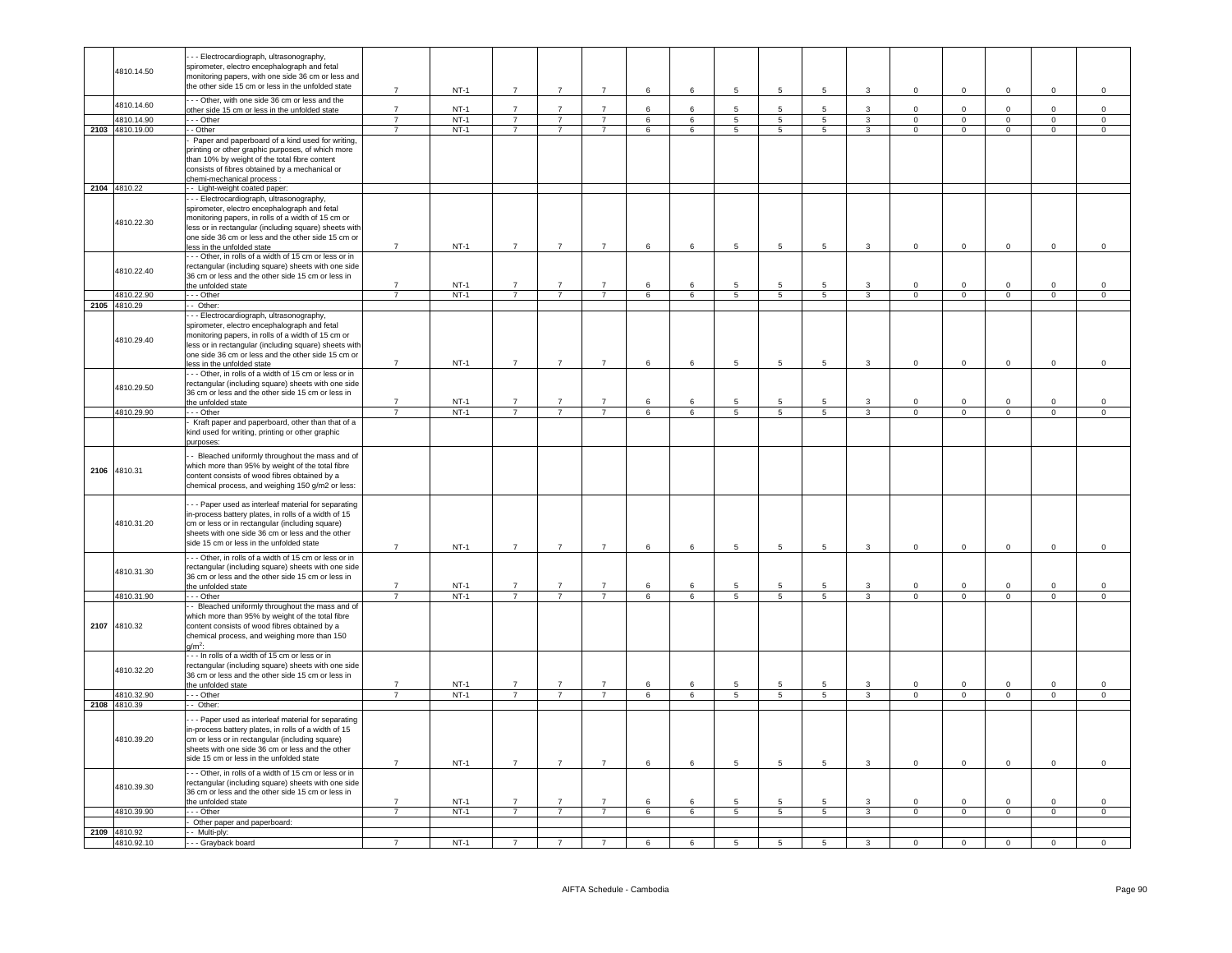|                 | - - Electrocardiograph, ultrasonography,<br>spirometer, electro encephalograph and fetal                    |                                  |                  |                |                                  |                                  |             |                 |                     |                     |                     |                              |                            |                               |                            |                |                |
|-----------------|-------------------------------------------------------------------------------------------------------------|----------------------------------|------------------|----------------|----------------------------------|----------------------------------|-------------|-----------------|---------------------|---------------------|---------------------|------------------------------|----------------------------|-------------------------------|----------------------------|----------------|----------------|
| 4810.14.50      | monitoring papers, with one side 36 cm or less and                                                          |                                  |                  |                |                                  |                                  |             |                 |                     |                     |                     |                              |                            |                               |                            |                |                |
|                 | the other side 15 cm or less in the unfolded state                                                          | $\overline{7}$                   | $NT-1$           | $\overline{7}$ | $\overline{7}$                   | $\overline{7}$                   | $\,6\,$     | $6\phantom{.}$  | 5                   | $\,$ 5 $\,$         | 5                   | $\mathbf{3}$                 | $\mathsf 0$                | $\,0\,$                       | $\mathsf 0$                | $\mathsf 0$    | $\mathbf 0$    |
|                 | - - Other, with one side 36 cm or less and the                                                              |                                  |                  |                |                                  |                                  |             |                 |                     |                     |                     |                              |                            |                               |                            |                |                |
| 4810.14.60      | other side 15 cm or less in the unfolded state                                                              | $\overline{7}$                   | $NT-1$           | $\overline{7}$ | $\overline{7}$                   | $\overline{7}$                   | 6           | $6\overline{6}$ | 5                   | $5\phantom{.0}$     | 5                   | $\mathbf{3}$                 | $\Omega$                   | $\mathbf{0}$                  | $\Omega$                   | $\mathsf 0$    | $\mathsf 0$    |
| 4810.14.90      | $-$ Other                                                                                                   | $\overline{7}$                   | $NT-1$           | $\overline{7}$ | $\overline{7}$                   | $\overline{7}$                   | 6           | 6               | $\overline{5}$      | $\overline{5}$      | $\overline{5}$      | 3                            | $\overline{0}$             | $\overline{0}$                | $\overline{0}$             | $\overline{0}$ | $\overline{0}$ |
| 2103 4810.19.00 | - Other                                                                                                     | $\overline{7}$                   | $NT-1$           | $\overline{7}$ | $\overline{7}$                   | $\overline{7}$                   | 6           | 6               | 5                   | 5                   | $5^{\circ}$         | $\mathbf{3}$                 | $\mathbf 0$                | $\overline{0}$                | $\overline{0}$             | $\mathbf{0}$   | $\circ$        |
|                 | Paper and paperboard of a kind used for writing,                                                            |                                  |                  |                |                                  |                                  |             |                 |                     |                     |                     |                              |                            |                               |                            |                |                |
|                 | printing or other graphic purposes, of which more<br>than 10% by weight of the total fibre content          |                                  |                  |                |                                  |                                  |             |                 |                     |                     |                     |                              |                            |                               |                            |                |                |
|                 | consists of fibres obtained by a mechanical or                                                              |                                  |                  |                |                                  |                                  |             |                 |                     |                     |                     |                              |                            |                               |                            |                |                |
|                 | chemi-mechanical process :                                                                                  |                                  |                  |                |                                  |                                  |             |                 |                     |                     |                     |                              |                            |                               |                            |                |                |
| 2104 4810.22    | - Light-weight coated paper:                                                                                |                                  |                  |                |                                  |                                  |             |                 |                     |                     |                     |                              |                            |                               |                            |                |                |
|                 | - - Electrocardiograph, ultrasonography,                                                                    |                                  |                  |                |                                  |                                  |             |                 |                     |                     |                     |                              |                            |                               |                            |                |                |
|                 | spirometer, electro encephalograph and fetal                                                                |                                  |                  |                |                                  |                                  |             |                 |                     |                     |                     |                              |                            |                               |                            |                |                |
| 4810.22.30      | monitoring papers, in rolls of a width of 15 cm or<br>less or in rectangular (including square) sheets with |                                  |                  |                |                                  |                                  |             |                 |                     |                     |                     |                              |                            |                               |                            |                |                |
|                 | one side 36 cm or less and the other side 15 cm or                                                          |                                  |                  |                |                                  |                                  |             |                 |                     |                     |                     |                              |                            |                               |                            |                |                |
|                 | ess in the unfolded state                                                                                   | $\overline{7}$                   | $NT-1$           | $\overline{7}$ | $\overline{7}$                   | $\overline{7}$                   | $\,$ 6 $\,$ | 6               | $\,$ 5 $\,$         | $\,$ 5 $\,$         | 5                   | $\mathbf{3}$                 | $\mathsf 0$                | $\overline{0}$                | $\mathbf{0}$               | $\mathbf 0$    | $\mathsf{O}$   |
|                 | -- Other, in rolls of a width of 15 cm or less or in                                                        |                                  |                  |                |                                  |                                  |             |                 |                     |                     |                     |                              |                            |                               |                            |                |                |
| 4810.22.40      | rectangular (including square) sheets with one side                                                         |                                  |                  |                |                                  |                                  |             |                 |                     |                     |                     |                              |                            |                               |                            |                |                |
|                 | 36 cm or less and the other side 15 cm or less in<br>he unfolded state                                      | $\overline{7}$                   | $NT-1$           | $\overline{7}$ |                                  | $\overline{7}$                   | 6           | 6               | 5                   | $5\phantom{.0}$     | 5                   | 3                            | $\mathbf 0$                | $\mathsf 0$                   | $\mathbf 0$                | $\mathbf 0$    | $\mathsf 0$    |
| 4810.22.90      | - - Other                                                                                                   | $\overline{7}$                   | $NT-1$           | $\overline{7}$ | $\overline{7}$                   | $\overline{7}$                   | 6           | 6               | $5\overline{5}$     | 5                   | 5                   | $\mathbf{3}$                 | $\mathbf{0}$               | $\overline{0}$                | $\overline{0}$             | $\mathbf{0}$   | $\mathbf{0}$   |
| 2105 4810.29    | - Other:                                                                                                    |                                  |                  |                |                                  |                                  |             |                 |                     |                     |                     |                              |                            |                               |                            |                |                |
|                 | - - Electrocardiograph, ultrasonography,                                                                    |                                  |                  |                |                                  |                                  |             |                 |                     |                     |                     |                              |                            |                               |                            |                |                |
|                 | spirometer, electro encephalograph and fetal                                                                |                                  |                  |                |                                  |                                  |             |                 |                     |                     |                     |                              |                            |                               |                            |                |                |
| 4810.29.40      | monitoring papers, in rolls of a width of 15 cm or                                                          |                                  |                  |                |                                  |                                  |             |                 |                     |                     |                     |                              |                            |                               |                            |                |                |
|                 | less or in rectangular (including square) sheets with<br>one side 36 cm or less and the other side 15 cm or |                                  |                  |                |                                  |                                  |             |                 |                     |                     |                     |                              |                            |                               |                            |                |                |
|                 | less in the unfolded state                                                                                  | $\overline{7}$                   | $NT-1$           | $7^{\circ}$    | $\overline{7}$                   | $\overline{7}$                   | 6           | 6               | 5                   | $\sqrt{5}$          | 5                   | 3                            | $\mathbf 0$                | $\,0\,$                       | $\Omega$                   | $\mathbf{0}$   | $\mathsf 0$    |
|                 | - - Other, in rolls of a width of 15 cm or less or in                                                       |                                  |                  |                |                                  |                                  |             |                 |                     |                     |                     |                              |                            |                               |                            |                |                |
| 4810.29.50      | rectangular (including square) sheets with one side                                                         |                                  |                  |                |                                  |                                  |             |                 |                     |                     |                     |                              |                            |                               |                            |                |                |
|                 | 36 cm or less and the other side 15 cm or less in                                                           |                                  |                  |                |                                  |                                  |             |                 |                     |                     |                     |                              |                            |                               |                            |                |                |
| 4810.29.90      | the unfolded state                                                                                          | $\overline{7}$<br>$\overline{7}$ | $NT-1$<br>$NT-1$ | $\overline{7}$ | $\overline{7}$<br>$\overline{7}$ | $\overline{7}$<br>$\overline{7}$ | 6<br>6      | 6<br>6          | 5<br>$\overline{5}$ | 5<br>$\overline{5}$ | 5<br>$\overline{5}$ | 3<br>$\overline{\mathbf{3}}$ | $\Omega$<br>$\overline{0}$ | $\mathbf 0$<br>$\overline{0}$ | $\Omega$<br>$\overline{0}$ | $\Omega$       | 0              |
|                 | - - - Other<br>Kraft paper and paperboard, other than that of a                                             |                                  |                  |                |                                  |                                  |             |                 |                     |                     |                     |                              |                            |                               |                            | $\mathsf 0$    | $\mathsf 0$    |
|                 | kind used for writing, printing or other graphic                                                            |                                  |                  |                |                                  |                                  |             |                 |                     |                     |                     |                              |                            |                               |                            |                |                |
|                 | ourposes:                                                                                                   |                                  |                  |                |                                  |                                  |             |                 |                     |                     |                     |                              |                            |                               |                            |                |                |
|                 | - Bleached uniformly throughout the mass and of                                                             |                                  |                  |                |                                  |                                  |             |                 |                     |                     |                     |                              |                            |                               |                            |                |                |
| 2106 4810.31    | which more than 95% by weight of the total fibre                                                            |                                  |                  |                |                                  |                                  |             |                 |                     |                     |                     |                              |                            |                               |                            |                |                |
|                 | content consists of wood fibres obtained by a                                                               |                                  |                  |                |                                  |                                  |             |                 |                     |                     |                     |                              |                            |                               |                            |                |                |
|                 | chemical process, and weighing 150 g/m2 or less:                                                            |                                  |                  |                |                                  |                                  |             |                 |                     |                     |                     |                              |                            |                               |                            |                |                |
|                 | - - Paper used as interleaf material for separating                                                         |                                  |                  |                |                                  |                                  |             |                 |                     |                     |                     |                              |                            |                               |                            |                |                |
|                 | n-process battery plates, in rolls of a width of 15                                                         |                                  |                  |                |                                  |                                  |             |                 |                     |                     |                     |                              |                            |                               |                            |                |                |
| 4810.31.20      | cm or less or in rectangular (including square)                                                             |                                  |                  |                |                                  |                                  |             |                 |                     |                     |                     |                              |                            |                               |                            |                |                |
|                 | sheets with one side 36 cm or less and the other<br>side 15 cm or less in the unfolded state                |                                  |                  |                |                                  |                                  |             |                 |                     |                     |                     |                              |                            |                               |                            |                |                |
|                 |                                                                                                             | $\overline{7}$                   | $NT-1$           | $\overline{7}$ | $\overline{7}$                   | $\overline{7}$                   | 6           | 6               | 5                   | 5                   | 5                   | $\mathbf{3}$                 | $\mathsf 0$                | $\overline{0}$                | $\mathbf{0}$               | $\mathbf 0$    | $\mathsf 0$    |
|                 | -- Other, in rolls of a width of 15 cm or less or in                                                        |                                  |                  |                |                                  |                                  |             |                 |                     |                     |                     |                              |                            |                               |                            |                |                |
| 4810.31.30      | rectangular (including square) sheets with one side<br>36 cm or less and the other side 15 cm or less in    |                                  |                  |                |                                  |                                  |             |                 |                     |                     |                     |                              |                            |                               |                            |                |                |
|                 | the unfolded state                                                                                          | $\overline{7}$                   | $NT-1$           | $\overline{7}$ | $\overline{7}$                   | $\overline{7}$                   | 6           | 6               | 5                   | 5                   | 5                   | 3                            | $\mathsf 0$                | $\mathsf 0$                   | $\mathbf 0$                | $\mathbf 0$    | $\mathsf 0$    |
| 4810.31.90      | - - Other                                                                                                   | $\overline{7}$                   | $NT-1$           | $\overline{7}$ | $\overline{7}$                   | $\overline{7}$                   | 6           | $6\phantom{.0}$ | 5                   | 5                   | 5                   | $\overline{3}$               | $\Omega$                   | $\mathbf 0$                   | $\mathbf{0}$               | $\mathsf 0$    | $\mathbf 0$    |
|                 | - Bleached uniformly throughout the mass and of                                                             |                                  |                  |                |                                  |                                  |             |                 |                     |                     |                     |                              |                            |                               |                            |                |                |
|                 | which more than 95% by weight of the total fibre                                                            |                                  |                  |                |                                  |                                  |             |                 |                     |                     |                     |                              |                            |                               |                            |                |                |
| 2107 4810.32    | content consists of wood fibres obtained by a                                                               |                                  |                  |                |                                  |                                  |             |                 |                     |                     |                     |                              |                            |                               |                            |                |                |
|                 | chemical process, and weighing more than 150<br>$q/m^2$ :                                                   |                                  |                  |                |                                  |                                  |             |                 |                     |                     |                     |                              |                            |                               |                            |                |                |
|                 | -- In rolls of a width of 15 cm or less or in                                                               |                                  |                  |                |                                  |                                  |             |                 |                     |                     |                     |                              |                            |                               |                            |                |                |
| 4810.32.20      | rectangular (including square) sheets with one side                                                         |                                  |                  |                |                                  |                                  |             |                 |                     |                     |                     |                              |                            |                               |                            |                |                |
|                 | 36 cm or less and the other side 15 cm or less in                                                           |                                  |                  |                |                                  |                                  |             |                 |                     |                     |                     |                              |                            |                               |                            |                |                |
| 4810.32.90      | the unfolded state                                                                                          | $\overline{7}$                   | $NT-1$<br>$NT-1$ | $\overline{7}$ | $\overline{7}$                   | $\overline{7}$                   | 6           |                 | 5                   | 5                   |                     | 3                            | $\Omega$                   | $\mathbf 0$                   | $\mathbf 0$                | $\mathbf 0$    | $\mathbf 0$    |
| 2108 4810.39    | - - Other<br>- Other:                                                                                       | $7\overline{ }$                  |                  | $\overline{7}$ | $\overline{7}$                   | $\overline{7}$                   | 6           | 6               | 5                   | 5                   | 5                   | $\mathbf{3}$                 | $\mathbf{0}$               | $\overline{0}$                | $\overline{0}$             | $\overline{0}$ | $\overline{0}$ |
|                 |                                                                                                             |                                  |                  |                |                                  |                                  |             |                 |                     |                     |                     |                              |                            |                               |                            |                |                |
|                 | - - Paper used as interleaf material for separating                                                         |                                  |                  |                |                                  |                                  |             |                 |                     |                     |                     |                              |                            |                               |                            |                |                |
| 4810.39.20      | n-process battery plates, in rolls of a width of 15<br>cm or less or in rectangular (including square)      |                                  |                  |                |                                  |                                  |             |                 |                     |                     |                     |                              |                            |                               |                            |                |                |
|                 | sheets with one side 36 cm or less and the other                                                            |                                  |                  |                |                                  |                                  |             |                 |                     |                     |                     |                              |                            |                               |                            |                |                |
|                 | side 15 cm or less in the unfolded state                                                                    | $\overline{7}$                   | $NT-1$           | $\overline{7}$ | $\overline{7}$                   | $\overline{7}$                   | 6           | 6               | 5                   | $5\overline{5}$     | 5                   | $\mathbf{3}$                 | $\circ$                    | $\overline{0}$                | $\overline{0}$             | $\mathbf 0$    | $\mathbf 0$    |
|                 | - - Other, in rolls of a width of 15 cm or less or in                                                       |                                  |                  |                |                                  |                                  |             |                 |                     |                     |                     |                              |                            |                               |                            |                |                |
| 4810.39.30      | rectangular (including square) sheets with one side                                                         |                                  |                  |                |                                  |                                  |             |                 |                     |                     |                     |                              |                            |                               |                            |                |                |
|                 | 36 cm or less and the other side 15 cm or less in                                                           |                                  |                  |                |                                  |                                  |             |                 |                     |                     |                     |                              |                            |                               |                            |                |                |
| 4810.39.90      | the unfolded state                                                                                          | $\overline{7}$                   | $NT-1$<br>$NT-1$ | $\overline{7}$ | $\overline{7}$                   | $\overline{7}$                   | 6           | 6               | 5                   | 5                   | 5                   | $\mathbf{3}$                 | $\mathbf 0$                | $\mathsf 0$                   | $\mathbf 0$                | $\mathsf 0$    | $\mathsf 0$    |
|                 | - - Other                                                                                                   | $\overline{7}$                   |                  | $\overline{7}$ | $\overline{7}$                   | $\overline{7}$                   | 6           | 6               | $\overline{5}$      | $\overline{5}$      | 5                   | $\overline{\mathbf{3}}$      | $\overline{0}$             | $\overline{0}$                | $\overline{0}$             | $\overline{0}$ | $\overline{0}$ |
|                 |                                                                                                             |                                  |                  |                |                                  |                                  |             |                 |                     |                     |                     |                              |                            |                               |                            |                |                |
| 2109 4810.92    | Other paper and paperboard:<br>- Multi-ply:                                                                 |                                  |                  |                |                                  |                                  |             |                 |                     |                     |                     |                              |                            |                               |                            |                |                |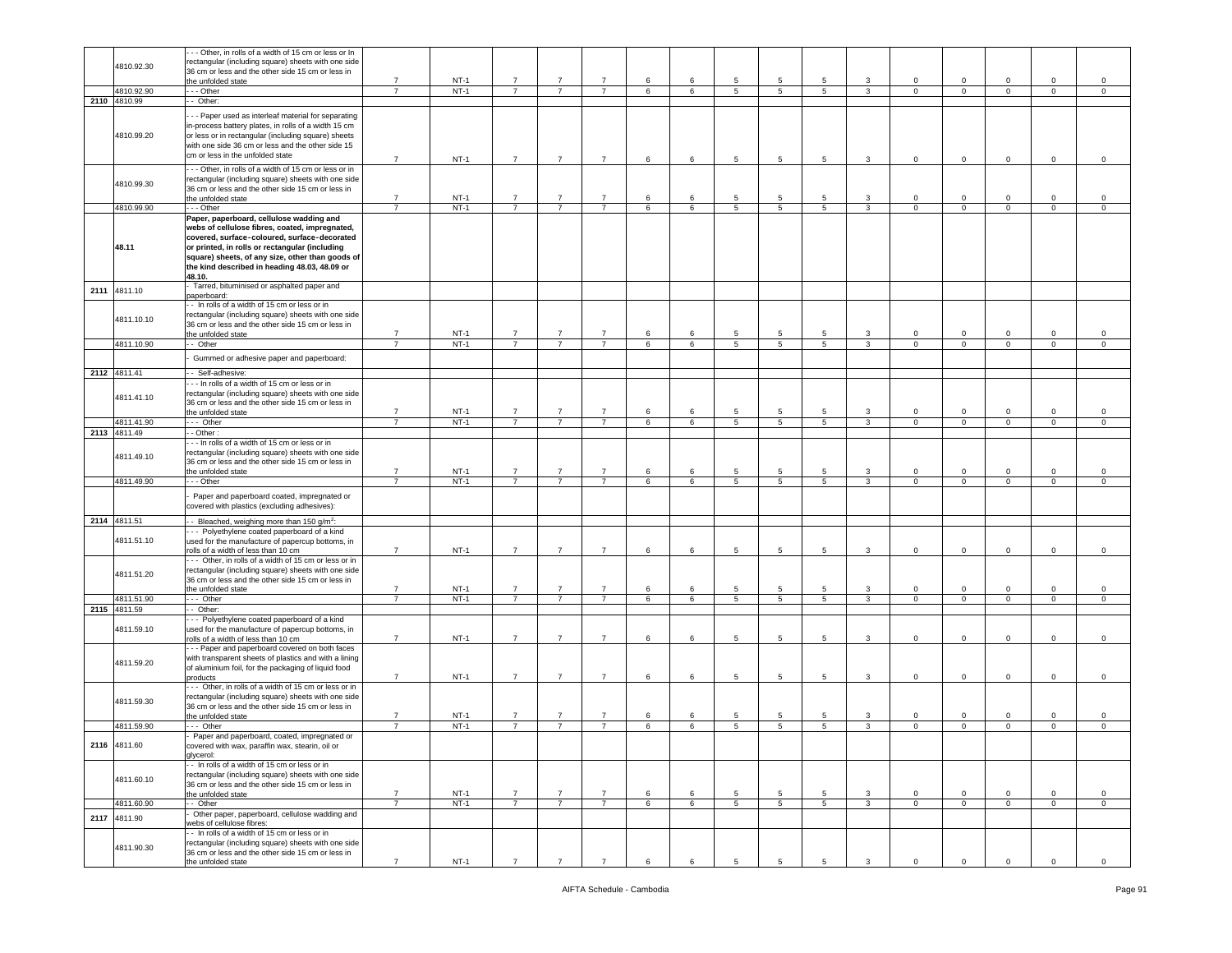|      |              | - - Other, in rolls of a width of 15 cm or less or In                       |                |        |                |                |                |   |                 |                 |                 |                 |                |                |                |             |                |                     |
|------|--------------|-----------------------------------------------------------------------------|----------------|--------|----------------|----------------|----------------|---|-----------------|-----------------|-----------------|-----------------|----------------|----------------|----------------|-------------|----------------|---------------------|
|      |              |                                                                             |                |        |                |                |                |   |                 |                 |                 |                 |                |                |                |             |                |                     |
|      | 4810.92.30   | rectangular (including square) sheets with one side                         |                |        |                |                |                |   |                 |                 |                 |                 |                |                |                |             |                |                     |
|      |              | 36 cm or less and the other side 15 cm or less in                           |                |        |                |                |                |   |                 |                 |                 |                 |                |                |                |             |                |                     |
|      |              | the unfolded state                                                          | $\overline{7}$ | $NT-1$ | $\overline{7}$ | $\overline{7}$ | $\overline{7}$ | 6 | 6               | $5\phantom{.0}$ | 5               | 5               | 3              | $\mathbf 0$    | $\mathsf 0$    | $\mathbf 0$ | $\mathbf 0$    | $\mathbf 0$         |
|      | 4810.92.90   | $\cdots$ Other                                                              | $\overline{7}$ | $NT-1$ | $\overline{7}$ | $\overline{7}$ | $\overline{7}$ | 6 | $6\overline{6}$ | 5               | $5\overline{)}$ | 5               | $\mathbf{3}$   | $\overline{0}$ | $\overline{0}$ | $\mathbf 0$ | $\overline{0}$ | $\overline{0}$      |
|      | 2110 4810.99 | - Other:                                                                    |                |        |                |                |                |   |                 |                 |                 |                 |                |                |                |             |                |                     |
|      |              |                                                                             |                |        |                |                |                |   |                 |                 |                 |                 |                |                |                |             |                |                     |
|      |              | - - Paper used as interleaf material for separating                         |                |        |                |                |                |   |                 |                 |                 |                 |                |                |                |             |                |                     |
|      |              | in-process battery plates, in rolls of a width 15 cm                        |                |        |                |                |                |   |                 |                 |                 |                 |                |                |                |             |                |                     |
|      | 4810.99.20   | or less or in rectangular (including square) sheets                         |                |        |                |                |                |   |                 |                 |                 |                 |                |                |                |             |                |                     |
|      |              | with one side 36 cm or less and the other side 15                           |                |        |                |                |                |   |                 |                 |                 |                 |                |                |                |             |                |                     |
|      |              | cm or less in the unfolded state                                            |                |        |                |                |                |   |                 |                 |                 |                 |                |                |                |             |                |                     |
|      |              |                                                                             | $\overline{7}$ | $NT-1$ | $\overline{7}$ | $\overline{7}$ | $\overline{7}$ | 6 | 6               | $5\phantom{.0}$ | 5               | 5               | $\mathbf{3}$   | $\mathbf 0$    | $\mathsf 0$    | $\mathbf 0$ | $\mathbf 0$    | $\circ$             |
|      |              | -- Other, in rolls of a width of 15 cm or less or in                        |                |        |                |                |                |   |                 |                 |                 |                 |                |                |                |             |                |                     |
|      | 4810.99.30   | rectangular (including square) sheets with one side                         |                |        |                |                |                |   |                 |                 |                 |                 |                |                |                |             |                |                     |
|      |              | 36 cm or less and the other side 15 cm or less in                           |                |        |                |                |                |   |                 |                 |                 |                 |                |                |                |             |                |                     |
|      |              | the unfolded state                                                          | $\overline{7}$ | $NT-1$ | $\overline{7}$ |                | $\overline{7}$ | 6 | 6               | $5\phantom{.0}$ | 5               | 5               | 3              | $\circ$        | $\mathsf 0$    | $\circ$     | $\mathbf 0$    | $\circ$             |
|      | 4810.99.90   | - - - Other                                                                 | $\overline{7}$ | $NT-1$ | $\overline{7}$ | $\overline{7}$ | $\overline{7}$ | 6 | 6               | $5\overline{5}$ | $5\phantom{.0}$ | $5\overline{5}$ | $\mathbf{3}$   | $\mathbf 0$    | $\circ$        | $\mathbf 0$ | $\mathbf{O}$   | $\circ$             |
|      |              | Paper, paperboard, cellulose wadding and                                    |                |        |                |                |                |   |                 |                 |                 |                 |                |                |                |             |                |                     |
|      |              | webs of cellulose fibres, coated, impregnated,                              |                |        |                |                |                |   |                 |                 |                 |                 |                |                |                |             |                |                     |
|      |              |                                                                             |                |        |                |                |                |   |                 |                 |                 |                 |                |                |                |             |                |                     |
|      |              | covered, surface-coloured, surface-decorated                                |                |        |                |                |                |   |                 |                 |                 |                 |                |                |                |             |                |                     |
|      | 48.11        | or printed, in rolls or rectangular (including                              |                |        |                |                |                |   |                 |                 |                 |                 |                |                |                |             |                |                     |
|      |              | square) sheets, of any size, other than goods of                            |                |        |                |                |                |   |                 |                 |                 |                 |                |                |                |             |                |                     |
|      |              | the kind described in heading 48.03, 48.09 or                               |                |        |                |                |                |   |                 |                 |                 |                 |                |                |                |             |                |                     |
|      |              | 48.10.                                                                      |                |        |                |                |                |   |                 |                 |                 |                 |                |                |                |             |                |                     |
|      |              | Tarred, bituminised or asphalted paper and                                  |                |        |                |                |                |   |                 |                 |                 |                 |                |                |                |             |                |                     |
| 2111 | 4811.10      | aperboard:                                                                  |                |        |                |                |                |   |                 |                 |                 |                 |                |                |                |             |                |                     |
|      |              | - In rolls of a width of 15 cm or less or in                                |                |        |                |                |                |   |                 |                 |                 |                 |                |                |                |             |                |                     |
|      |              | rectangular (including square) sheets with one side                         |                |        |                |                |                |   |                 |                 |                 |                 |                |                |                |             |                |                     |
|      | 4811.10.10   |                                                                             |                |        |                |                |                |   |                 |                 |                 |                 |                |                |                |             |                |                     |
|      |              | 36 cm or less and the other side 15 cm or less in                           |                |        |                |                |                |   |                 |                 |                 |                 |                |                |                |             |                |                     |
|      |              | the unfolded state                                                          | $\overline{7}$ | $NT-1$ | $\overline{7}$ | $\overline{7}$ | $\overline{7}$ | 6 | 6               | $5\phantom{.0}$ | 5               | 5               | 3              | $\Omega$       | $\mathsf 0$    | $\mathbf 0$ | $\mathbf 0$    | $\circ$             |
|      | 4811.10.90   | -- Other                                                                    | $\overline{7}$ | $NT-1$ | $\overline{7}$ | $\overline{7}$ | $\overline{7}$ | 6 | 6               | 5 <sub>5</sub>  | 5               | 5 <sup>5</sup>  | 3              | $\mathbf{0}$   | $\mathbf{0}$   | $\mathbf 0$ | $\mathbf{O}$   | $\circ$             |
|      |              | Gummed or adhesive paper and paperboard:                                    |                |        |                |                |                |   |                 |                 |                 |                 |                |                |                |             |                |                     |
|      |              |                                                                             |                |        |                |                |                |   |                 |                 |                 |                 |                |                |                |             |                |                     |
|      | 2112 4811.41 | - Self-adhesive:                                                            |                |        |                |                |                |   |                 |                 |                 |                 |                |                |                |             |                |                     |
|      |              | In rolls of a width of 15 cm or less or in                                  |                |        |                |                |                |   |                 |                 |                 |                 |                |                |                |             |                |                     |
|      |              | rectangular (including square) sheets with one side                         |                |        |                |                |                |   |                 |                 |                 |                 |                |                |                |             |                |                     |
|      | 4811.41.10   | 36 cm or less and the other side 15 cm or less in                           |                |        |                |                |                |   |                 |                 |                 |                 |                |                |                |             |                |                     |
|      |              | the unfolded state                                                          | $\overline{7}$ | $NT-1$ | $\overline{7}$ |                | $\overline{7}$ | 6 | 6               | 5               | 5               | 5               | 3              | $\mathbf 0$    | $\mathbf 0$    | $\mathbf 0$ | $\mathbf 0$    | $\circ$             |
|      | 4811.41.90   | -- Other                                                                    | $\overline{7}$ | $NT-1$ | $\overline{7}$ | $\overline{7}$ | $\overline{7}$ | 6 | 6               | $\overline{5}$  | $5\phantom{.0}$ | $5\phantom{.0}$ | $\mathbf{3}$   | $\mathbf 0$    | $\overline{0}$ | $\mathbf 0$ | $\mathsf 0$    | $\mathbf 0$         |
|      |              |                                                                             |                |        |                |                |                |   |                 |                 |                 |                 |                |                |                |             |                |                     |
|      | 2113 4811.49 | - Other:                                                                    |                |        |                |                |                |   |                 |                 |                 |                 |                |                |                |             |                |                     |
|      |              | - - In rolls of a width of 15 cm or less or in                              |                |        |                |                |                |   |                 |                 |                 |                 |                |                |                |             |                |                     |
|      | 4811.49.10   | rectangular (including square) sheets with one side                         |                |        |                |                |                |   |                 |                 |                 |                 |                |                |                |             |                |                     |
|      |              | 36 cm or less and the other side 15 cm or less in                           |                |        |                |                |                |   |                 |                 |                 |                 |                |                |                |             |                |                     |
|      |              | the unfolded state                                                          | $\overline{7}$ | $NT-1$ | $\overline{7}$ | $\overline{7}$ | $\overline{7}$ | 6 | 6               | $5\phantom{.0}$ | 5               | 5               | $\overline{3}$ | $\mathbf 0$    | $\mathsf 0$    | $\mathbf 0$ | $\mathbf 0$    | $\circ$             |
|      | 4811.49.90   | - - Other                                                                   | $\overline{7}$ | $NT-1$ | $\overline{7}$ | $\overline{7}$ | $\overline{7}$ | 6 | 6               | $\overline{5}$  | 5               | 5               | 3              | 0              | $\overline{0}$ | $\mathbf 0$ | 0              | $\circ$             |
|      |              |                                                                             |                |        |                |                |                |   |                 |                 |                 |                 |                |                |                |             |                |                     |
|      |              | Paper and paperboard coated, impregnated or                                 |                |        |                |                |                |   |                 |                 |                 |                 |                |                |                |             |                |                     |
|      |              | covered with plastics (excluding adhesives):                                |                |        |                |                |                |   |                 |                 |                 |                 |                |                |                |             |                |                     |
|      | 2114 4811.51 | - Bleached, weighing more than 150 $q/m^2$ .                                |                |        |                |                |                |   |                 |                 |                 |                 |                |                |                |             |                |                     |
|      |              | - - Polyethylene coated paperboard of a kind                                |                |        |                |                |                |   |                 |                 |                 |                 |                |                |                |             |                |                     |
|      | 4811.51.10   |                                                                             |                |        |                |                |                |   |                 |                 |                 |                 |                |                |                |             |                |                     |
|      |              | used for the manufacture of papercup bottoms, in                            | $\overline{7}$ | $NT-1$ | $\overline{7}$ | $\overline{7}$ | $\overline{7}$ | 6 | 6               | $5\phantom{.0}$ | 5               | 5               | 3              | $\mathbf 0$    | $\mathsf 0$    | $\mathbf 0$ | $\mathbf 0$    | $\circ$             |
|      |              | rolls of a width of less than 10 cm                                         |                |        |                |                |                |   |                 |                 |                 |                 |                |                |                |             |                |                     |
|      |              | -- Other, in rolls of a width of 15 cm or less or in                        |                |        |                |                |                |   |                 |                 |                 |                 |                |                |                |             |                |                     |
|      | 4811.51.20   | rectangular (including square) sheets with one side                         |                |        |                |                |                |   |                 |                 |                 |                 |                |                |                |             |                |                     |
|      |              | 36 cm or less and the other side 15 cm or less in                           |                |        |                |                |                |   |                 |                 |                 |                 |                |                |                |             |                |                     |
|      |              | the unfolded state                                                          | $\overline{7}$ | $NT-1$ | $\overline{7}$ | $\overline{7}$ | $\overline{7}$ | 6 | 6               | 5               | 5               | 5               | 3              | $\mathbf 0$    | $\overline{0}$ | $\mathbf 0$ | $\mathbf 0$    | $\circ$             |
|      | 4811.51.90   | - Other                                                                     | $\overline{7}$ | $NT-1$ | $\overline{7}$ | $\overline{7}$ | $\overline{7}$ | 6 | 6               | $5\phantom{.0}$ | $5\phantom{.0}$ | $5\overline{5}$ | $\mathbf{3}$   | $\mathsf 0$    | $\mathbf 0$    | $\mathbf 0$ | $\mathsf 0$    | $\mathsf{O}\xspace$ |
|      | 2115 4811.59 | - Other:                                                                    |                |        |                |                |                |   |                 |                 |                 |                 |                |                |                |             |                |                     |
|      |              | - Polyethylene coated paperboard of a kind                                  |                |        |                |                |                |   |                 |                 |                 |                 |                |                |                |             |                |                     |
|      | 4811.59.10   | used for the manufacture of papercup bottoms, in                            |                |        |                |                |                |   |                 |                 |                 |                 |                |                |                |             |                |                     |
|      |              | rolls of a width of less than 10 cm                                         | $\overline{7}$ | $NT-1$ | $\overline{7}$ | $\overline{7}$ | $\overline{7}$ | 6 | 6               | 5               | 5               | 5               | $\mathbf{3}$   | $\mathbf 0$    | $\overline{0}$ | $\mathbf 0$ | $\mathbf 0$    | $\circ$             |
|      |              |                                                                             |                |        |                |                |                |   |                 |                 |                 |                 |                |                |                |             |                |                     |
|      |              | - - Paper and paperboard covered on both faces                              |                |        |                |                |                |   |                 |                 |                 |                 |                |                |                |             |                |                     |
|      | 4811.59.20   | with transparent sheets of plastics and with a lining                       |                |        |                |                |                |   |                 |                 |                 |                 |                |                |                |             |                |                     |
|      |              | of aluminium foil, for the packaging of liquid food                         |                |        |                |                |                |   |                 |                 |                 |                 |                |                |                |             |                |                     |
|      |              | products                                                                    | $\overline{7}$ | $NT-1$ | $\overline{7}$ | $\overline{7}$ | $\overline{7}$ | 6 | 6               | $\sqrt{5}$      | $5\phantom{.0}$ | $5\phantom{.0}$ | $\mathbf{3}$   | $\mathbf 0$    | $\mathbf 0$    | $\pmb{0}$   | $\mathsf 0$    | $\mathsf 0$         |
|      |              | --- Other, in rolls of a width of 15 cm or less or in                       |                |        |                |                |                |   |                 |                 |                 |                 |                |                |                |             |                |                     |
|      | 4811.59.30   | rectangular (including square) sheets with one side                         |                |        |                |                |                |   |                 |                 |                 |                 |                |                |                |             |                |                     |
|      |              | 36 cm or less and the other side 15 cm or less in                           |                |        |                |                |                |   |                 |                 |                 |                 |                |                |                |             |                |                     |
|      |              | the unfolded state                                                          | $\overline{7}$ | $NT-1$ | $\overline{7}$ | $\overline{7}$ | $\overline{7}$ | 6 | 6               | $\overline{5}$  | $5\phantom{.0}$ | 5               | 3              | $\mathbf 0$    | $\mathsf 0$    | $\mathbf 0$ | $\mathbf 0$    | $\mathbf 0$         |
|      | 4811.59.90   | $--$ Other                                                                  | $\overline{7}$ | $NT-1$ | $\overline{7}$ | $\overline{7}$ | $\overline{7}$ | 6 | 6               | $5\overline{)}$ | $5\overline{5}$ | $5\overline{5}$ | 3              | $\mathbf{0}$   | $\overline{0}$ | $\mathbf 0$ | $\mathbf{O}$   | $\circ$             |
|      |              | Paper and paperboard, coated, impregnated or                                |                |        |                |                |                |   |                 |                 |                 |                 |                |                |                |             |                |                     |
|      | 2116 4811.60 |                                                                             |                |        |                |                |                |   |                 |                 |                 |                 |                |                |                |             |                |                     |
|      |              | covered with wax, paraffin wax, stearin, oil or                             |                |        |                |                |                |   |                 |                 |                 |                 |                |                |                |             |                |                     |
|      |              | glycerol:                                                                   |                |        |                |                |                |   |                 |                 |                 |                 |                |                |                |             |                |                     |
|      |              | -- In rolls of a width of 15 cm or less or in                               |                |        |                |                |                |   |                 |                 |                 |                 |                |                |                |             |                |                     |
|      | 4811.60.10   | rectangular (including square) sheets with one side                         |                |        |                |                |                |   |                 |                 |                 |                 |                |                |                |             |                |                     |
|      |              | 36 cm or less and the other side 15 cm or less in                           |                |        |                |                |                |   |                 |                 |                 |                 |                |                |                |             |                |                     |
|      |              | the unfolded state                                                          | $\overline{7}$ | $NT-1$ | $\overline{7}$ | $\overline{7}$ | $\overline{7}$ | 6 | 6               | $5\phantom{.0}$ | 5               | 5               | $\mathbf{3}$   | $\mathbf 0$    | $\mathbf 0$    | $\mathbf 0$ | $\mathbf 0$    | $\circ$             |
|      | 4811.60.90   | - Other                                                                     | $\overline{7}$ | $NT-1$ | $\overline{7}$ | $\overline{7}$ | $\overline{7}$ | 6 | 6               | $\overline{5}$  | $5\overline{5}$ | $5\overline{)}$ | 3              | $\mathbf 0$    | $\overline{0}$ | $\mathbf 0$ | $\mathsf 0$    | $\mathbf 0$         |
|      |              |                                                                             |                |        |                |                |                |   |                 |                 |                 |                 |                |                |                |             |                |                     |
|      |              |                                                                             |                |        |                |                |                |   |                 |                 |                 |                 |                |                |                |             |                |                     |
| 2117 | 4811.90      | Other paper, paperboard, cellulose wadding and<br>webs of cellulose fibres: |                |        |                |                |                |   |                 |                 |                 |                 |                |                |                |             |                |                     |
|      |              |                                                                             |                |        |                |                |                |   |                 |                 |                 |                 |                |                |                |             |                |                     |
|      |              | - In rolls of a width of 15 cm or less or in                                |                |        |                |                |                |   |                 |                 |                 |                 |                |                |                |             |                |                     |
|      | 4811.90.30   | rectangular (including square) sheets with one side                         |                |        |                |                |                |   |                 |                 |                 |                 |                |                |                |             |                |                     |
|      |              | 36 cm or less and the other side 15 cm or less in<br>the unfolded state     | $\overline{7}$ | $NT-1$ | $\overline{7}$ | $\overline{7}$ | $\overline{7}$ | 6 | 6               | 5               | 5               | 5               | 3              | $\mathbf 0$    | $\mathsf 0$    | $\mathsf 0$ | $\mathbf 0$    | $\circ$             |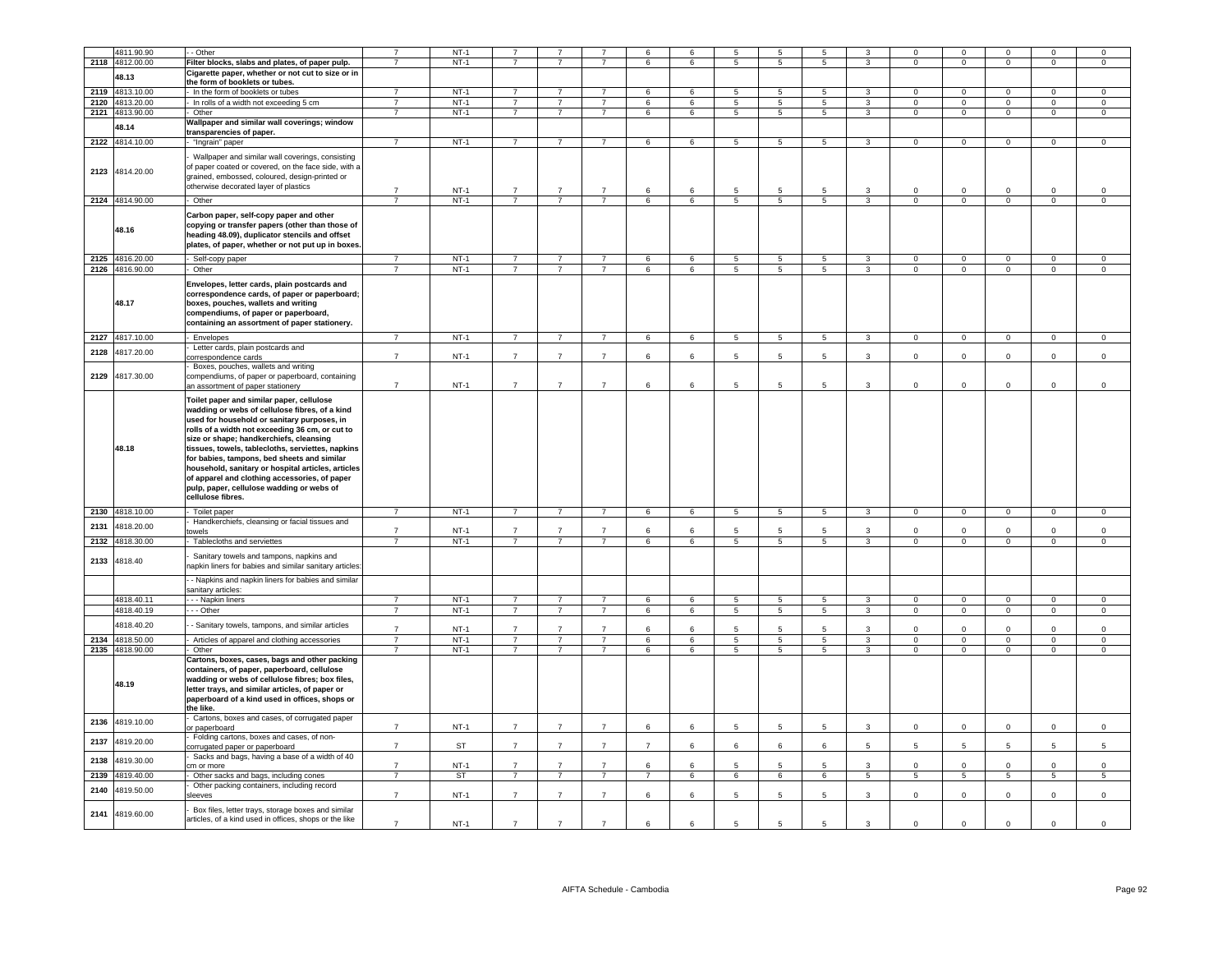|      | 4811.90.90      | - Other                                                                                                                                                                                                                                                                                                                                                                                                                                                                                                               | $\overline{7}$ | $NT-1$    |                |                |                                  | 6              | 6               | 5                        | 5                        | 5               |                         | $\Omega$            | $\mathbf 0$    | $\Omega$       | $\Omega$       | $\Omega$       |
|------|-----------------|-----------------------------------------------------------------------------------------------------------------------------------------------------------------------------------------------------------------------------------------------------------------------------------------------------------------------------------------------------------------------------------------------------------------------------------------------------------------------------------------------------------------------|----------------|-----------|----------------|----------------|----------------------------------|----------------|-----------------|--------------------------|--------------------------|-----------------|-------------------------|---------------------|----------------|----------------|----------------|----------------|
| 2118 | 4812.00.00      | Filter blocks, slabs and plates, of paper pulp.                                                                                                                                                                                                                                                                                                                                                                                                                                                                       | $\overline{7}$ | $NT-1$    |                |                |                                  | 6              | 6               | 5                        | 5                        | 5               | 3                       | $^{\circ}$          | $\overline{0}$ | $\mathbf 0$    | $\mathbf 0$    | $\overline{0}$ |
|      | 48.13           | Cigarette paper, whether or not cut to size or in                                                                                                                                                                                                                                                                                                                                                                                                                                                                     |                |           |                |                |                                  |                |                 |                          |                          |                 |                         |                     |                |                |                |                |
|      |                 | the form of booklets or tubes                                                                                                                                                                                                                                                                                                                                                                                                                                                                                         |                |           |                |                |                                  |                |                 |                          |                          |                 |                         |                     |                |                |                |                |
| 2119 | 4813.10.00      | - In the form of booklets or tubes                                                                                                                                                                                                                                                                                                                                                                                                                                                                                    | $\overline{7}$ | $NT-1$    | $\overline{7}$ | $\overline{7}$ | $\overline{7}$                   | 6              | $6^{\circ}$     | 5                        | $\overline{5}$           | 5               | $\mathbf{3}$            | $\Omega$            | $\Omega$       | $\mathsf 0$    | $\Omega$       | $\Omega$       |
| 2120 | 4813.20.00      | - In rolls of a width not exceeding 5 cm                                                                                                                                                                                                                                                                                                                                                                                                                                                                              | $\overline{7}$ | $NT-1$    | $\overline{7}$ | $\overline{7}$ | $\overline{7}$<br>$\overline{7}$ | 6              | 6               | 5                        | 5                        | $\overline{5}$  | $\overline{3}$          | $\circ$             | $\overline{0}$ | $\mathbf 0$    | $\mathbf 0$    | $\overline{0}$ |
|      | 2121 4813.90.00 | - Other                                                                                                                                                                                                                                                                                                                                                                                                                                                                                                               | $\overline{7}$ | $NT-1$    | $\overline{7}$ | $\overline{7}$ |                                  | 6              | 6               | 5                        | $5\overline{)}$          | $5\overline{5}$ | $\overline{3}$          | $\circ$             | $\overline{0}$ | $\overline{0}$ | $\overline{0}$ | $\overline{0}$ |
|      | 48.14           | Wallpaper and similar wall coverings; window                                                                                                                                                                                                                                                                                                                                                                                                                                                                          |                |           |                |                |                                  |                |                 |                          |                          |                 |                         |                     |                |                |                |                |
|      | 2122 4814.10.00 | transparencies of paper.<br>"Ingrain" paper                                                                                                                                                                                                                                                                                                                                                                                                                                                                           | $\overline{7}$ | $NT-1$    | $7^{\circ}$    | $\overline{7}$ | $\overline{7}$                   | 6              | 6               | 5                        | $\sqrt{5}$               | $5\phantom{.0}$ | $\mathbf{3}$            | $\overline{0}$      | $\mathbf 0$    | $\overline{0}$ | $\mathbf 0$    | $\circ$        |
|      |                 |                                                                                                                                                                                                                                                                                                                                                                                                                                                                                                                       |                |           |                |                |                                  |                |                 |                          |                          |                 |                         |                     |                |                |                |                |
|      | 2123 4814.20.00 | Wallpaper and similar wall coverings, consisting<br>of paper coated or covered, on the face side, with a<br>grained, embossed, coloured, design-printed or<br>otherwise decorated layer of plastics                                                                                                                                                                                                                                                                                                                   | $\overline{7}$ | $NT-1$    | $\overline{7}$ | $\overline{7}$ | $\overline{7}$                   | 6              | $\epsilon$      | 5                        | 5                        | 5               | 3                       | $\Omega$            | $\mathbf 0$    | $\Omega$       | $\Omega$       | $\Omega$       |
|      | 2124 4814.90.00 | - Other                                                                                                                                                                                                                                                                                                                                                                                                                                                                                                               | $\overline{7}$ | $NT-1$    | $\overline{7}$ | $\overline{7}$ | $\overline{7}$                   | 6              | $\,6\,$         | $\overline{\phantom{0}}$ | $\overline{\phantom{a}}$ | 5               | $\overline{\mathbf{3}}$ | $\overline{0}$      | $\overline{0}$ | $\overline{0}$ | $\overline{0}$ | $\overline{0}$ |
|      | 48.16           | Carbon paper, self-copy paper and other<br>copying or transfer papers (other than those of<br>heading 48.09), duplicator stencils and offset<br>plates, of paper, whether or not put up in boxes.                                                                                                                                                                                                                                                                                                                     |                |           |                |                |                                  |                |                 |                          |                          |                 |                         |                     |                |                |                |                |
|      | 2125 4816.20.00 | - Self-copy paper                                                                                                                                                                                                                                                                                                                                                                                                                                                                                                     | $\overline{7}$ | $NT-1$    | $\overline{7}$ | $\overline{7}$ | $\overline{7}$                   | 6              | 6               | 5                        | 5                        | 5               | 3                       | $\mathbf{0}$        | $^{\circ}$     | $\mathbf{0}$   | $\mathbf{0}$   | $\mathbf{0}$   |
|      | 2126 4816.90.00 | - Other                                                                                                                                                                                                                                                                                                                                                                                                                                                                                                               | $\overline{7}$ | $NT-1$    | $\overline{7}$ | $\overline{7}$ | $\overline{7}$                   | 6              | 6               | $5\phantom{.0}$          | $\sqrt{5}$               | 5               | $\mathbf{3}$            | $\overline{0}$      | $\overline{0}$ | $\mathbf{0}$   | $\mathbf{0}$   | $\circ$        |
|      | 48.17           | Envelopes, letter cards, plain postcards and<br>correspondence cards, of paper or paperboard;<br>boxes, pouches, wallets and writing<br>compendiums, of paper or paperboard,<br>containing an assortment of paper stationery.                                                                                                                                                                                                                                                                                         |                |           |                |                |                                  |                |                 |                          |                          |                 |                         |                     |                |                |                |                |
|      | 2127 4817.10.00 | - Envelopes                                                                                                                                                                                                                                                                                                                                                                                                                                                                                                           | $\overline{7}$ | $NT-1$    | $\overline{7}$ | $\overline{7}$ | $\overline{7}$                   | 6              | 6               | 5                        | $5\phantom{.0}$          | $5\overline{)}$ | $\mathbf{3}$            | $\overline{0}$      | $\overline{0}$ | $\overline{0}$ | $\overline{0}$ | $\overline{0}$ |
| 2128 | 4817.20.00      | Letter cards, plain postcards and<br>correspondence cards                                                                                                                                                                                                                                                                                                                                                                                                                                                             | $\overline{7}$ | $NT-1$    | $\overline{7}$ | $\overline{7}$ | $\overline{7}$                   | $\,6\,$        | 6               | $\sqrt{5}$               | 5                        | 5               | $\mathbf{3}$            | $\mathsf{O}\xspace$ | $\mathbf 0$    | $\mathsf 0$    | $\mathbf{0}$   | $\mathsf 0$    |
|      |                 | Boxes, pouches, wallets and writing                                                                                                                                                                                                                                                                                                                                                                                                                                                                                   |                |           |                |                |                                  |                |                 |                          |                          |                 |                         |                     |                |                |                |                |
| 2129 | 4817.30.00      | compendiums, of paper or paperboard, containing<br>an assortment of paper stationery                                                                                                                                                                                                                                                                                                                                                                                                                                  | $\overline{7}$ | $NT-1$    | $\overline{7}$ | $\overline{7}$ | $\overline{7}$                   | 6              | 6               | 5                        | 5                        | 5               | 3                       | $\mathbf 0$         | $\mathsf 0$    | $\mathbf 0$    | $\mathbf 0$    | $\mathbf 0$    |
|      | 48.18           | Toilet paper and similar paper, cellulose<br>wadding or webs of cellulose fibres, of a kind<br>used for household or sanitary purposes, in<br>rolls of a width not exceeding 36 cm, or cut to<br>size or shape; handkerchiefs, cleansing<br>tissues, towels, tablecloths, serviettes, napkins<br>for babies, tampons, bed sheets and similar<br>household, sanitary or hospital articles, articles<br>of apparel and clothing accessories, of paper<br>pulp, paper, cellulose wadding or webs of<br>cellulose fibres. |                |           |                |                |                                  |                |                 |                          |                          |                 |                         |                     |                |                |                |                |
|      | 2130 4818.10.00 | - Toilet paper                                                                                                                                                                                                                                                                                                                                                                                                                                                                                                        | $\overline{7}$ | $NT-1$    | $\overline{7}$ | $\overline{7}$ | $\overline{7}$                   | 6              | 6               | 5                        | $5\overline{5}$          | 5               | $\overline{\mathbf{3}}$ | $\overline{0}$      | $\overline{0}$ | $\overline{0}$ | $\mathbf{0}$   | $\overline{0}$ |
|      |                 | Handkerchiefs, cleansing or facial tissues and                                                                                                                                                                                                                                                                                                                                                                                                                                                                        |                |           |                |                |                                  |                |                 |                          |                          |                 |                         |                     |                |                |                |                |
| 2131 | 4818.20.00      | owels                                                                                                                                                                                                                                                                                                                                                                                                                                                                                                                 | $\overline{7}$ | $NT-1$    | $\overline{7}$ | $\overline{7}$ | $\overline{7}$                   | 6              | 6               | 5                        | $\overline{5}$           | 5               | $\mathbf{3}$            | $\mathsf 0$         | $\mathbf 0$    | $\mathsf 0$    | $\mathsf 0$    | $\mathsf 0$    |
| 2132 | 4818.30.00      | Tablecloths and serviettes                                                                                                                                                                                                                                                                                                                                                                                                                                                                                            | $\overline{7}$ | $NT-1$    | $\overline{7}$ | $\overline{7}$ | $\overline{7}$                   | 6              | $6\overline{6}$ | $\overline{5}$           | $\overline{5}$           | 5               | $\overline{3}$          | $\mathbf 0$         | $\overline{0}$ | $\overline{0}$ | $\overline{0}$ | $\overline{0}$ |
| 2133 | 4818.40         | Sanitary towels and tampons, napkins and<br>apkin liners for babies and similar sanitary articles:<br>- Napkins and napkin liners for babies and similar                                                                                                                                                                                                                                                                                                                                                              |                |           |                |                |                                  |                |                 |                          |                          |                 |                         |                     |                |                |                |                |
|      |                 | sanitary articles:                                                                                                                                                                                                                                                                                                                                                                                                                                                                                                    |                |           |                |                |                                  |                |                 |                          |                          |                 |                         |                     |                |                |                |                |
|      | 4818.40.11      | - - Napkin liners                                                                                                                                                                                                                                                                                                                                                                                                                                                                                                     | $\overline{7}$ | $NT-1$    | $\overline{7}$ | $\overline{7}$ | $\overline{7}$                   | 6              | 6               | -5                       | -5                       | -5              | 3                       | $\Omega$            | $\overline{0}$ | $\Omega$       | $\Omega$       | $\Omega$       |
|      | 4818.40.19      | - - Other                                                                                                                                                                                                                                                                                                                                                                                                                                                                                                             | $\overline{7}$ | $NT-1$    | $\overline{7}$ | $\overline{7}$ | $\overline{7}$                   | 6              | 6               | 5                        | 5                        | 5               | 3                       | $\Omega$            | $\mathsf 0$    | $\mathbf{0}$   | $\mathbf 0$    | $\mathbf 0$    |
|      | 4818.40.20      | - Sanitary towels, tampons, and similar articles                                                                                                                                                                                                                                                                                                                                                                                                                                                                      | $\overline{7}$ | $NT-1$    | $\overline{7}$ | $\overline{7}$ | $\overline{7}$                   | 6              | 6               | 5                        | 5                        | 5               | 3                       | $\mathbf 0$         | $\overline{0}$ | $\mathbf 0$    | $\mathsf 0$    | $\mathbf 0$    |
|      | 2134 4818.50.00 | - Articles of apparel and clothing accessories                                                                                                                                                                                                                                                                                                                                                                                                                                                                        | $\overline{7}$ | $NT-1$    | $\overline{7}$ | $\overline{7}$ | $\overline{7}$                   | 6              | $\epsilon$      | $\overline{5}$           | $\overline{5}$           | $\overline{5}$  | $\overline{3}$          | $\overline{0}$      | $\overline{0}$ | $\overline{0}$ | $\overline{0}$ | $\mathsf 0$    |
|      | 2135 4818.90.00 | Other                                                                                                                                                                                                                                                                                                                                                                                                                                                                                                                 | $\overline{7}$ | $NT-1$    | $\overline{7}$ | $\overline{7}$ | $\overline{7}$                   | 6              | 6               | $\overline{5}$           | $\overline{5}$           | $\overline{5}$  | $\overline{3}$          | $\Omega$            | $\overline{0}$ | $\mathbf 0$    | $\mathsf 0$    | $\mathsf 0$    |
|      | 48.19           | Cartons, boxes, cases, bags and other packing<br>containers, of paper, paperboard, cellulose<br>wadding or webs of cellulose fibres; box files,<br>letter trays, and similar articles, of paper or<br>paperboard of a kind used in offices, shops or<br>the like.                                                                                                                                                                                                                                                     |                |           |                |                |                                  |                |                 |                          |                          |                 |                         |                     |                |                |                |                |
| 2136 | 4819.10.00      | Cartons, boxes and cases, of corrugated paper<br>or paperboard                                                                                                                                                                                                                                                                                                                                                                                                                                                        | $\overline{7}$ | $NT-1$    | $\overline{7}$ | $\overline{7}$ | $\overline{7}$                   | 6              | 6               | 5                        | 5                        | 5               | 3                       | $\mathbf 0$         | $\mathsf 0$    | $\mathbf 0$    | $\mathbf 0$    | $\mathsf 0$    |
| 2137 | 4819.20.00      | Folding cartons, boxes and cases, of non-<br>corrugated paper or paperboard                                                                                                                                                                                                                                                                                                                                                                                                                                           | $\overline{7}$ | ST        | $\overline{7}$ | $\overline{7}$ | $\overline{7}$                   | $\overline{7}$ | 6               | 6                        | 6                        | 6               | $5\overline{5}$         | 5                   | 5              | 5 <sub>5</sub> | 5 <sup>5</sup> | 5              |
| 2138 | 4819.30.00      | Sacks and bags, having a base of a width of 40<br>cm or more                                                                                                                                                                                                                                                                                                                                                                                                                                                          | $\overline{7}$ | $NT-1$    | $\overline{7}$ | $\overline{7}$ | $\overline{7}$                   | 6              | 6               | 5                        | -5                       | 5               | 3                       | $\Omega$            | $\Omega$       | $\mathbf{0}$   | $\Omega$       | $\mathsf 0$    |
| 2139 | 4819.40.00      | Other sacks and bags, including cones                                                                                                                                                                                                                                                                                                                                                                                                                                                                                 | $\overline{7}$ | <b>ST</b> | $\overline{7}$ | $\overline{7}$ | $\overline{7}$                   | $\overline{7}$ | 6               | 6                        | 6                        | 6               | $\overline{5}$          | $\overline{5}$      | $\overline{5}$ | 5              | $\overline{5}$ | 5              |
| 2140 | 4819.50.00      | Other packing containers, including record<br>sleeves                                                                                                                                                                                                                                                                                                                                                                                                                                                                 | $\overline{7}$ | $NT-1$    | $\overline{7}$ | $\overline{7}$ | $\overline{7}$                   | 6              | 6               | 5                        | $5\overline{5}$          | 5               | 3                       | $\mathbf 0$         | $\mathsf 0$    | $\mathbf 0$    | $\mathbf 0$    | $\mathsf 0$    |
| 2141 | 4819.60.00      | Box files, letter trays, storage boxes and similar<br>articles, of a kind used in offices, shops or the like                                                                                                                                                                                                                                                                                                                                                                                                          | $\overline{7}$ | $NT-1$    | $\overline{7}$ | $\overline{7}$ | $\overline{7}$                   | 6              | 6               | $\overline{5}$           | 5                        | 5               | 3                       | $\Omega$            | $\overline{0}$ | $\Omega$       | $\Omega$       | $\mathsf 0$    |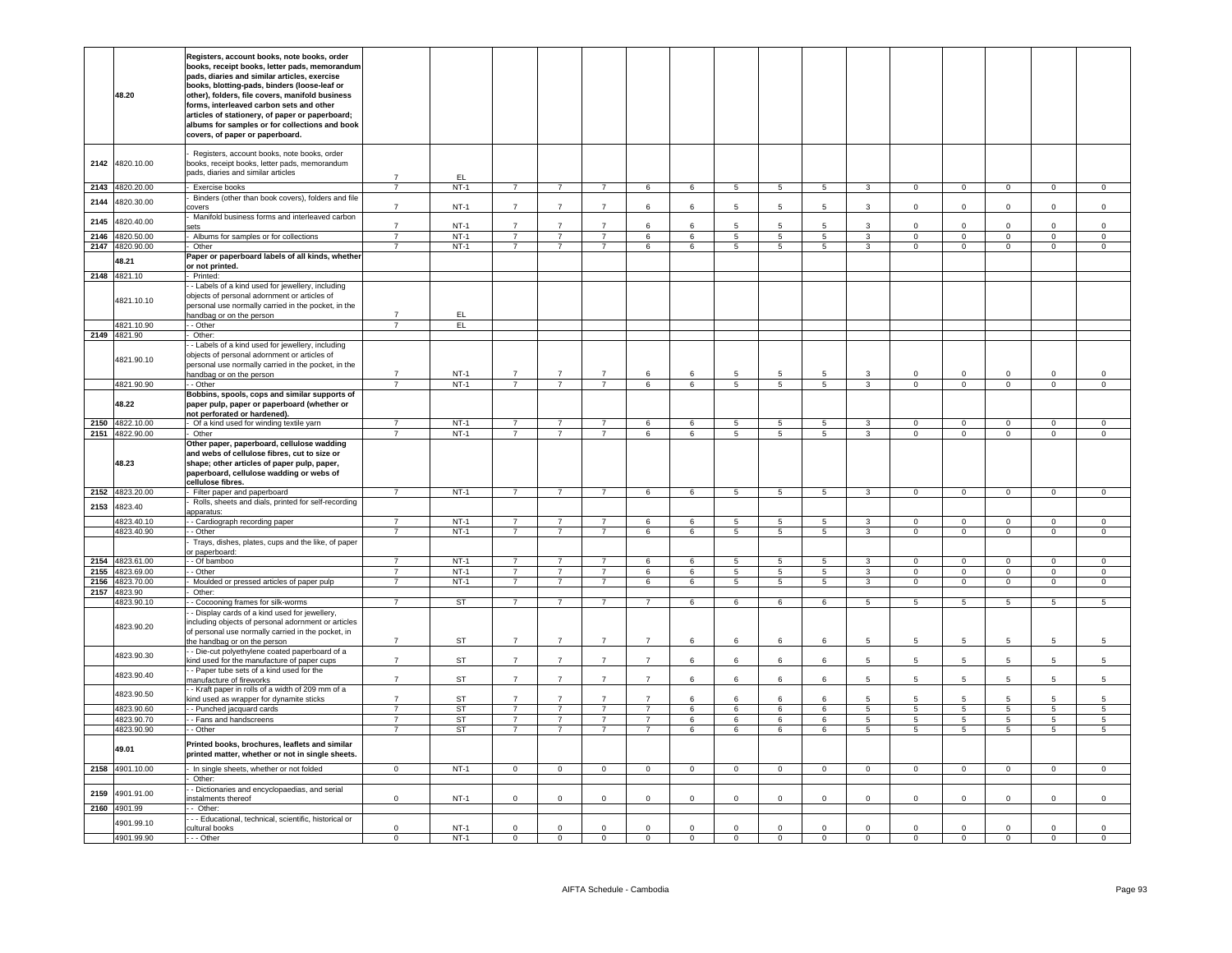|      | 48.20                              | Registers, account books, note books, order<br>books, receipt books, letter pads, memorandum<br>pads, diaries and similar articles, exercise<br>books, blotting-pads, binders (loose-leaf or<br>other), folders, file covers, manifold business<br>forms, interleaved carbon sets and other<br>articles of stationery, of paper or paperboard;<br>albums for samples or for collections and book<br>covers, of paper or paperboard. |                                  |                  |                                  |                                  |                                  |                                  |                |                     |                 |                     |                                   |                               |                                  |                               |                               |                               |
|------|------------------------------------|-------------------------------------------------------------------------------------------------------------------------------------------------------------------------------------------------------------------------------------------------------------------------------------------------------------------------------------------------------------------------------------------------------------------------------------|----------------------------------|------------------|----------------------------------|----------------------------------|----------------------------------|----------------------------------|----------------|---------------------|-----------------|---------------------|-----------------------------------|-------------------------------|----------------------------------|-------------------------------|-------------------------------|-------------------------------|
| 2142 | 4820.10.00                         | Registers, account books, note books, order<br>books, receipt books, letter pads, memorandum<br>bads, diaries and similar articles                                                                                                                                                                                                                                                                                                  |                                  | EL.              |                                  |                                  |                                  |                                  |                |                     |                 |                     |                                   |                               |                                  |                               |                               |                               |
|      | 2143 4820.20.00                    | Exercise books                                                                                                                                                                                                                                                                                                                                                                                                                      | $\overline{7}$                   | $NT-1$           | $\overline{7}$                   | $\overline{7}$                   | $\overline{7}$                   | $6\overline{6}$                  | 6              | $\overline{5}$      | $5\phantom{.0}$ | $5\overline{5}$     | $\mathbf{3}$                      | $\overline{0}$                | $\overline{0}$                   | $\overline{0}$                | $\mathbf{0}$                  | $\mathbf 0$                   |
| 2144 | 4820.30.00                         | Binders (other than book covers), folders and file<br>covers<br>Manifold business forms and interleaved carbon                                                                                                                                                                                                                                                                                                                      | $\overline{7}$                   | $NT-1$           | $\overline{7}$                   | $\overline{7}$                   | $\overline{7}$                   | 6                                | 6              | 5                   | 5               | 5                   | 3                                 | $\mathbf 0$                   | $\mathbf 0$                      | $\mathbf 0$                   | $\mathbf 0$                   | $\mathsf 0$                   |
| 2145 | 4820.40.00                         | ets:                                                                                                                                                                                                                                                                                                                                                                                                                                | $\overline{7}$                   | $NT-1$           | $\overline{7}$                   | $\overline{7}$                   | $\overline{7}$                   | 6                                | 6              | 5                   | 5               | 5                   | 3                                 | $\mathbf 0$                   | $\mathbf 0$                      | $\mathbf 0$                   | $\mathbf 0$                   | $\mathbf 0$                   |
| 2146 | 4820.50.00                         | Albums for samples or for collections                                                                                                                                                                                                                                                                                                                                                                                               | $\overline{7}$                   | $NT-1$           | $\overline{7}$                   | $\overline{7}$                   | $\overline{7}$                   | 6                                | 6              | 5                   | 5               | 5                   | $\mathbf{3}$                      | $\mathbf 0$                   | $\mathbf 0$                      | $\mathsf{O}\xspace$           | $\mathsf 0$                   | $\mathbf 0$                   |
|      | 2147 4820.90.00<br>48.21           | Other<br>Paper or paperboard labels of all kinds, whether                                                                                                                                                                                                                                                                                                                                                                           | $\overline{7}$                   | $NT-1$           | $\overline{7}$                   | $\overline{7}$                   | $\overline{7}$                   | 6                                | 6              | 5                   | 5               | $5\phantom{.0}$     | $\mathbf{3}$                      | $\mathsf 0$                   | $\mathbf 0$                      | $\mathsf 0$                   | $\mathsf 0$                   | $\mathsf 0$                   |
|      | 2148 4821.10                       | or not printed.<br>- Printed:                                                                                                                                                                                                                                                                                                                                                                                                       |                                  |                  |                                  |                                  |                                  |                                  |                |                     |                 |                     |                                   |                               |                                  |                               |                               |                               |
|      | 4821.10.10                         | - Labels of a kind used for jewellery, including<br>objects of personal adornment or articles of<br>bersonal use normally carried in the pocket, in the<br>handbag or on the person                                                                                                                                                                                                                                                 | $\overline{7}$                   | EL.              |                                  |                                  |                                  |                                  |                |                     |                 |                     |                                   |                               |                                  |                               |                               |                               |
|      | 4821.10.90                         | - Other                                                                                                                                                                                                                                                                                                                                                                                                                             | $\overline{7}$                   | EL               |                                  |                                  |                                  |                                  |                |                     |                 |                     |                                   |                               |                                  |                               |                               |                               |
|      | 2149 4821.90                       | Other:                                                                                                                                                                                                                                                                                                                                                                                                                              |                                  |                  |                                  |                                  |                                  |                                  |                |                     |                 |                     |                                   |                               |                                  |                               |                               |                               |
|      | 4821.90.10                         | - Labels of a kind used for jewellery, including<br>objects of personal adornment or articles of<br>bersonal use normally carried in the pocket, in the<br>handbag or on the person                                                                                                                                                                                                                                                 | $\overline{7}$                   | $NT-1$           | $\overline{7}$                   | $\overline{7}$                   | $\overline{7}$                   | 6                                | 6              | 5                   | 5               | 5                   | 3                                 | $\Omega$                      | $\,0\,$                          | $^{\circ}$                    | $\Omega$                      | $\,0\,$                       |
|      | 4821.90.90                         | - - Other                                                                                                                                                                                                                                                                                                                                                                                                                           | $\overline{7}$                   | $NT-1$           | $\overline{7}$                   | $\overline{7}$                   | $\overline{7}$                   | 6                                | 6              | $5\overline{5}$     | $5\overline{)}$ | $5\overline{5}$     | $\overline{3}$                    | $\overline{0}$                | $\overline{0}$                   | $\overline{0}$                | $\overline{0}$                | $\overline{0}$                |
|      | 48.22                              | Bobbins, spools, cops and similar supports of<br>paper pulp, paper or paperboard (whether or<br>not perforated or hardened).                                                                                                                                                                                                                                                                                                        |                                  |                  |                                  |                                  |                                  |                                  |                |                     |                 |                     |                                   |                               |                                  |                               |                               |                               |
|      | 2150 4822.10.00<br>2151 4822.90.00 | Of a kind used for winding textile yarn<br>- Other                                                                                                                                                                                                                                                                                                                                                                                  | $\overline{7}$                   | $NT-1$<br>$NT-1$ | $\overline{7}$<br>$\overline{7}$ | $\overline{7}$<br>$\overline{7}$ | $\overline{7}$<br>$\overline{7}$ | 6<br>6                           | 6<br>6         | 5<br>5              | 5<br>5          | 5<br>5              | 3<br>3                            | $\mathbf 0$<br>$\Omega$       | $\mathbf 0$<br>$\overline{0}$    | $\mathbf 0$<br>$\mathbf{0}$   | $\mathbf 0$<br>$\mathbf 0$    | $\mathsf 0$<br>$\mathsf 0$    |
|      | 48.23                              | Other paper, paperboard, cellulose wadding<br>and webs of cellulose fibres, cut to size or<br>shape; other articles of paper pulp, paper,<br>paperboard, cellulose wadding or webs of<br>cellulose fibres.                                                                                                                                                                                                                          |                                  |                  |                                  |                                  |                                  |                                  |                |                     |                 |                     |                                   |                               |                                  |                               |                               |                               |
|      | 2152 4823.20.00                    | - Filter paper and paperboard                                                                                                                                                                                                                                                                                                                                                                                                       | $\overline{7}$                   | $NT-1$           | $\overline{7}$                   | $\overline{7}$                   | $\overline{7}$                   | $6\overline{6}$                  | 6              | 5                   | 5               | 5                   | $\overline{\mathbf{3}}$           | $\overline{0}$                | $\overline{0}$                   | $\overline{0}$                | $\overline{0}$                | $\mathbf{0}$                  |
| 2153 | 4823.40                            | Rolls, sheets and dials, printed for self-recording<br>apparatus:                                                                                                                                                                                                                                                                                                                                                                   |                                  |                  |                                  |                                  |                                  |                                  |                |                     |                 |                     |                                   |                               |                                  |                               |                               |                               |
|      | 4823.40.10                         | - Cardiograph recording paper                                                                                                                                                                                                                                                                                                                                                                                                       | $\overline{7}$                   | $NT-1$           | $\overline{7}$                   | $\overline{7}$                   | $\overline{7}$                   | 6                                | 6              | 5                   | 5               | $5^{\circ}$         | $\mathbf{3}$                      | $\overline{0}$                | $\overline{0}$                   | $\circ$                       | $\mathbf 0$                   | $\circ$                       |
|      | 4823.40.90                         | - Other<br>Trays, dishes, plates, cups and the like, of paper<br>or paperboard:                                                                                                                                                                                                                                                                                                                                                     | $\overline{7}$                   | $NT-1$           | $\overline{7}$                   | $\overline{7}$                   | $\overline{7}$                   | 6                                | 6              | $5\overline{5}$     | $5\phantom{.0}$ | $5\overline{5}$     | $\mathbf{3}$                      | $\Omega$                      | $\overline{0}$                   | $\overline{0}$                | $\overline{0}$                | $\overline{0}$                |
|      | 2154 4823.61.00                    | - Of bamboo                                                                                                                                                                                                                                                                                                                                                                                                                         | $\overline{7}$                   | $NT-1$           | $\overline{7}$                   | $\overline{7}$                   | $\overline{7}$                   | 6                                | 6              | $\overline{5}$      | 5               | -5                  | $\overline{3}$                    | $\overline{0}$                | $\overline{0}$                   | $\overline{0}$                | $\mathbf{0}$                  | $\mathbf{0}$                  |
| 2156 | 2155 4823.69.00<br>4823.70.00      | - Other<br>Moulded or pressed articles of paper pulp                                                                                                                                                                                                                                                                                                                                                                                | $\overline{7}$<br>$\overline{7}$ | $NT-1$<br>$NT-1$ | $\overline{7}$<br>$\overline{7}$ | $\overline{7}$<br>$\overline{7}$ | $\overline{7}$<br>$\overline{7}$ | 6<br>6                           | $\,6\,$<br>6   | $\overline{5}$<br>5 | $\sqrt{5}$<br>5 | $\overline{5}$<br>5 | $\overline{3}$<br>$\overline{3}$  | $\mathbf 0$<br>$\overline{0}$ | $\overline{0}$<br>$\overline{0}$ | $\mathbf 0$<br>$\overline{0}$ | $\mathbf 0$<br>$\overline{0}$ | $\mathsf 0$<br>$\overline{0}$ |
| 2157 | 4823.90                            | Other:                                                                                                                                                                                                                                                                                                                                                                                                                              |                                  |                  |                                  |                                  |                                  |                                  |                |                     |                 |                     |                                   |                               |                                  |                               |                               |                               |
|      | 4823.90.10                         | - Cocooning frames for silk-worms                                                                                                                                                                                                                                                                                                                                                                                                   | $\overline{7}$                   | <b>ST</b>        | $\overline{7}$                   | $\overline{7}$                   | $\overline{7}$                   | $\overline{7}$                   | 6              | $6\overline{6}$     | 6               | 6                   | 5                                 | 5                             | $\overline{5}$                   | 5                             | 5                             | 5                             |
|      | 4823.90.20                         | - Display cards of a kind used for jewellery,<br>including objects of personal adornment or articles<br>of personal use normally carried in the pocket, in<br>he handbag or on the person                                                                                                                                                                                                                                           | $\overline{7}$                   | <b>ST</b>        | $\overline{7}$                   | $\overline{7}$                   | $\overline{7}$                   | $\overline{7}$                   | 6              | 6                   | 6               | 6                   | 5                                 | 5                             | 5                                | 5                             | 5                             | 5                             |
|      | 4823.90.30                         | - Die-cut polyethylene coated paperboard of a<br>kind used for the manufacture of paper cups                                                                                                                                                                                                                                                                                                                                        | $\overline{7}$                   | <b>ST</b>        | $\overline{7}$                   | $\overline{7}$                   | $\overline{7}$                   | $\overline{7}$                   | 6              | 6                   | 6               | 6                   | 5                                 | 5                             | 5                                | 5                             | 5                             | 5                             |
|      | 4823.90.40                         | - Paper tube sets of a kind used for the<br>manufacture of fireworks                                                                                                                                                                                                                                                                                                                                                                | $\overline{7}$                   | <b>ST</b>        | $\overline{7}$                   | $\overline{7}$                   | $\overline{7}$                   | $\overline{7}$                   | 6              | 6                   | 6               | 6                   | 5 <sup>5</sup>                    | 5                             | 5                                | 5 <sup>5</sup>                | 5                             | 5                             |
|      | 4823.90.50                         | - Kraft paper in rolls of a width of 209 mm of a<br>kind used as wrapper for dynamite sticks                                                                                                                                                                                                                                                                                                                                        | $\overline{7}$                   | ST               | $\overline{7}$                   | $\overline{7}$                   | $\overline{7}$                   | $\overline{7}$                   | $\epsilon$     | 6                   | $\mathbf{6}$    | 6                   | 5                                 | 5                             | 5                                |                               |                               | 5                             |
|      | 4823.90.60                         | - - Punched jacquard cards                                                                                                                                                                                                                                                                                                                                                                                                          | $\overline{7}$                   | <b>ST</b>        | $\overline{7}$                   | $\overline{7}$                   | $\overline{7}$                   | $\overline{7}$                   | 6              | $6\overline{6}$     | 6               | 6                   | 5                                 | 5                             | $5\overline{)}$                  | 5                             | 5                             | $5\overline{)}$               |
|      | 4823.90.70<br>4823.90.90           | - Fans and handscreens<br>- Other                                                                                                                                                                                                                                                                                                                                                                                                   | $\overline{7}$<br>$\overline{7}$ | ST<br>ST         | $\overline{7}$<br>$\overline{7}$ | $\overline{7}$<br>$\overline{7}$ | $\overline{7}$<br>$\overline{7}$ | $\overline{7}$<br>$\overline{7}$ | 6<br>6         | 6<br>6              | 6<br>6          | 6<br>6              | 5 <sub>5</sub><br>$5\overline{5}$ | 5<br>5                        | 5<br>5                           | $5\overline{5}$<br>5          | 5<br>5                        | 5<br>5                        |
|      | 49.01                              | Printed books, brochures, leaflets and similar<br>printed matter, whether or not in single sheets.                                                                                                                                                                                                                                                                                                                                  |                                  |                  |                                  |                                  |                                  |                                  |                |                     |                 |                     |                                   |                               |                                  |                               |                               |                               |
|      | 2158 4901.10.00                    | - In single sheets, whether or not folded                                                                                                                                                                                                                                                                                                                                                                                           | $\overline{0}$                   | $NT-1$           | $\overline{0}$                   | $\overline{0}$                   | $\overline{0}$                   | $\overline{0}$                   | $\Omega$       | $\overline{0}$      | $\Omega$        | $\Omega$            | $\circ$                           | $\Omega$                      | $\overline{0}$                   | $\Omega$                      | $\overline{0}$                | $\overline{0}$                |
|      |                                    | Other:                                                                                                                                                                                                                                                                                                                                                                                                                              |                                  |                  |                                  |                                  |                                  |                                  |                |                     |                 |                     |                                   |                               |                                  |                               |                               |                               |
| 2159 | 4901.91.00                         | - Dictionaries and encyclopaedias, and serial<br>nstalments thereof                                                                                                                                                                                                                                                                                                                                                                 | $\mathbf{0}$                     | $NT-1$           | $\Omega$                         | $\mathbf 0$                      | $\mathbf{0}$                     | $\mathbf{0}$                     | $\Omega$       | $\Omega$            | $\Omega$        | $\Omega$            | $\Omega$                          | $\Omega$                      | $\mathbf 0$                      | $\Omega$                      | $\mathbf{0}$                  | $\mathbf 0$                   |
|      | 2160 4901.99<br>4901.99.10         | - Other:<br>- - Educational, technical, scientific, historical or<br>cultural books                                                                                                                                                                                                                                                                                                                                                 | $\mathbf 0$                      | $NT-1$           | $\Omega$                         | $\Omega$                         | $\Omega$                         | $\mathbf 0$                      | $\Omega$       | $\Omega$            | $\mathbf 0$     | $\Omega$            | $\Omega$                          | $\Omega$                      | $\overline{0}$                   | $\Omega$                      | $\Omega$                      | $\mathbf 0$                   |
|      | 4901.99.90                         | $- -$ Other                                                                                                                                                                                                                                                                                                                                                                                                                         | $\overline{0}$                   | $NT-1$           | $\overline{0}$                   | $\overline{0}$                   | $\overline{0}$                   | $\overline{0}$                   | $\overline{0}$ | $\overline{0}$      | $\overline{0}$  | $\overline{0}$      | $\overline{0}$                    | $\overline{0}$                | $\overline{0}$                   | $\overline{0}$                | $\overline{0}$                | $\overline{0}$                |
|      |                                    |                                                                                                                                                                                                                                                                                                                                                                                                                                     |                                  |                  |                                  |                                  |                                  |                                  |                |                     |                 |                     |                                   |                               |                                  |                               |                               |                               |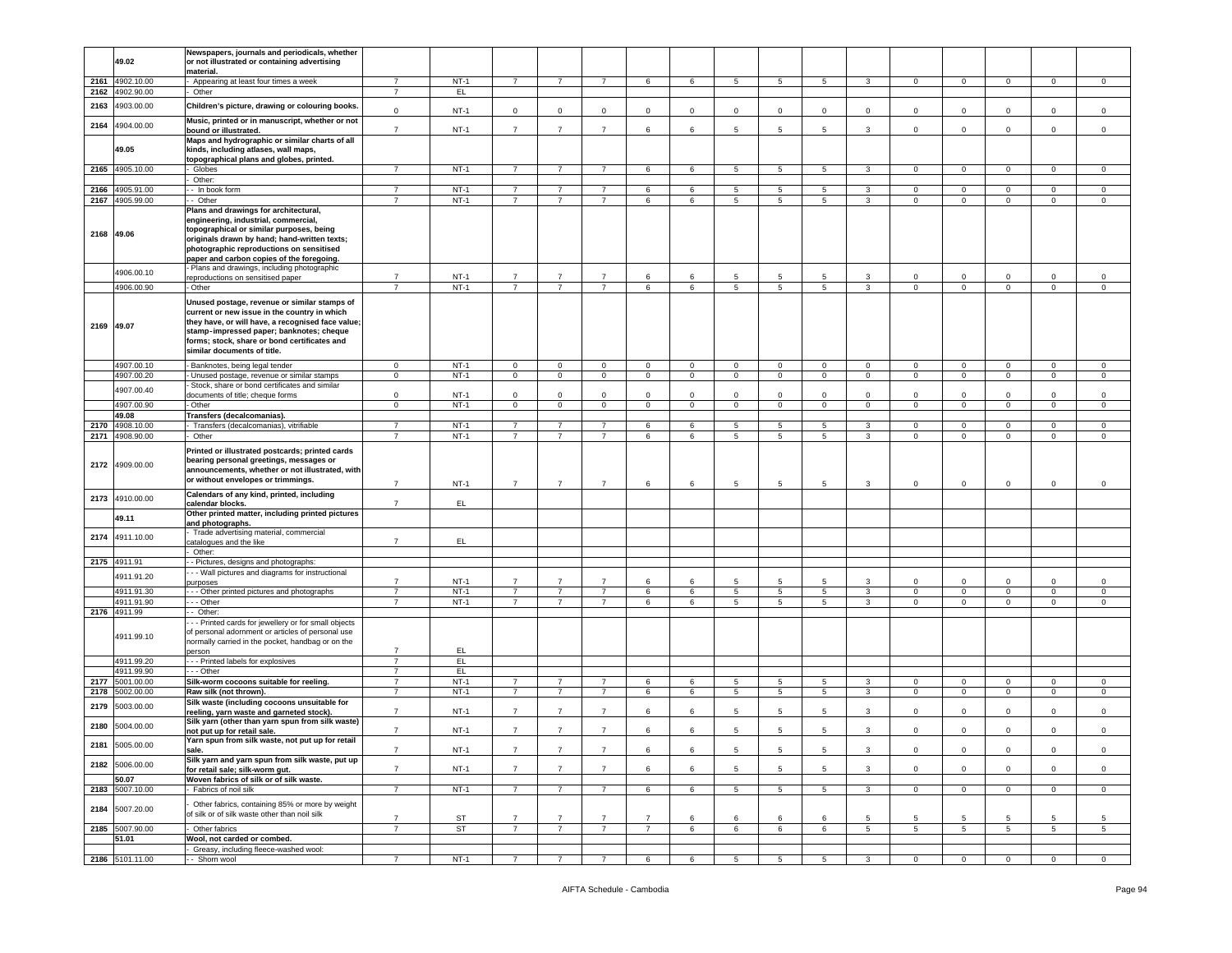|            |                 | Newspapers, journals and periodicals, whether        |                |        |                |                |                |                |             |                 |                 |                 |                |                |                |                |                |                |
|------------|-----------------|------------------------------------------------------|----------------|--------|----------------|----------------|----------------|----------------|-------------|-----------------|-----------------|-----------------|----------------|----------------|----------------|----------------|----------------|----------------|
|            | 49.02           | or not illustrated or containing advertising         |                |        |                |                |                |                |             |                 |                 |                 |                |                |                |                |                |                |
|            |                 |                                                      |                |        |                |                |                |                |             |                 |                 |                 |                |                |                |                |                |                |
|            |                 | material.                                            |                |        |                |                |                |                |             |                 |                 |                 |                |                |                |                |                |                |
|            | 2161 4902.10.00 | Appearing at least four times a week                 | $\overline{7}$ | $NT-1$ | $\overline{7}$ | 7              | $\overline{7}$ | 6              | 6           | 5               | 5               | 5               | 3              | $\mathbf 0$    | $\overline{0}$ | $\mathbf{0}$   | $\mathbf{0}$   | $\mathbf 0$    |
| 2162       | 4902.90.00      | Other                                                | $\overline{7}$ | EL.    |                |                |                |                |             |                 |                 |                 |                |                |                |                |                |                |
|            |                 |                                                      |                |        |                |                |                |                |             |                 |                 |                 |                |                |                |                |                |                |
| 2163       | 4903.00.00      | Children's picture, drawing or colouring books.      |                |        |                |                |                |                |             |                 |                 |                 |                |                |                |                |                |                |
|            |                 |                                                      | $\mathbf 0$    | $NT-1$ | $\mathbf 0$    | $\mathbf 0$    | $\mathbf{0}$   | $\mathbf 0$    | $\mathbf 0$ | $\Omega$        | 0               | $\mathbf 0$     | $\mathsf 0$    | $\mathbf 0$    | $\mathbf 0$    | $\Omega$       | $\mathbf 0$    | $\mathsf 0$    |
|            |                 | Music, printed or in manuscript, whether or not      |                |        |                |                |                |                |             |                 |                 |                 |                |                |                |                |                |                |
| 2164       | 4904.00.00      |                                                      |                |        |                |                |                |                |             |                 |                 |                 |                |                |                |                |                |                |
|            |                 | bound or illustrated.                                | $\overline{7}$ | $NT-1$ | $\overline{7}$ | $\overline{7}$ | $\overline{7}$ | 6              | 6           | 5               | 5               | 5               | 3              | $\mathbf 0$    | $\mathbf 0$    | $\mathbf 0$    | $\mathbf 0$    | $\mathsf 0$    |
|            |                 | Maps and hydrographic or similar charts of all       |                |        |                |                |                |                |             |                 |                 |                 |                |                |                |                |                |                |
|            | 49.05           | kinds, including atlases, wall maps,                 |                |        |                |                |                |                |             |                 |                 |                 |                |                |                |                |                |                |
|            |                 |                                                      |                |        |                |                |                |                |             |                 |                 |                 |                |                |                |                |                |                |
|            |                 | topographical plans and globes, printed.             |                |        |                |                |                |                |             |                 |                 |                 |                |                |                |                |                |                |
|            | 2165 4905.10.00 | Globes                                               | $\overline{7}$ | $NT-1$ | $\overline{7}$ | $\overline{7}$ | $\overline{7}$ | 6              | 6           | $5\overline{5}$ | 5               | $5\overline{5}$ | $\mathbf{3}$   | $\mathbf{0}$   | $\mathbf{0}$   | $\mathbf{0}$   | $\mathbf{0}$   | $\overline{0}$ |
|            |                 |                                                      |                |        |                |                |                |                |             |                 |                 |                 |                |                |                |                |                |                |
|            |                 | Other:                                               |                |        |                |                |                |                |             |                 |                 |                 |                |                |                |                |                |                |
| 2166       | 4905.91.00      | - In book form                                       | $\overline{7}$ | $NT-1$ | $\overline{7}$ | $\overline{7}$ | $\overline{7}$ | 6              | 6           | 5               | 5               | 5               | $\mathbf{3}$   | $\mathbf{0}$   | $\mathbf 0$    | $\mathbf{0}$   | $\circ$        | $\mathsf 0$    |
|            |                 |                                                      |                |        |                |                |                |                |             |                 |                 |                 |                |                |                |                |                |                |
|            | 2167 4905.99.00 | - Other                                              | $\overline{7}$ | $NT-1$ | $\overline{7}$ | $\overline{7}$ | $\overline{7}$ | 6              | 6           | 5               | 5               | 5               | 3              | $\mathbf 0$    | $\mathbf 0$    | $\mathbf 0$    | $\mathbf 0$    | $\mathsf 0$    |
|            |                 | Plans and drawings for architectural,                |                |        |                |                |                |                |             |                 |                 |                 |                |                |                |                |                |                |
|            |                 | engineering, industrial, commercial,                 |                |        |                |                |                |                |             |                 |                 |                 |                |                |                |                |                |                |
|            |                 |                                                      |                |        |                |                |                |                |             |                 |                 |                 |                |                |                |                |                |                |
|            |                 | topographical or similar purposes, being             |                |        |                |                |                |                |             |                 |                 |                 |                |                |                |                |                |                |
| 2168 49.06 |                 | originals drawn by hand; hand-written texts;         |                |        |                |                |                |                |             |                 |                 |                 |                |                |                |                |                |                |
|            |                 |                                                      |                |        |                |                |                |                |             |                 |                 |                 |                |                |                |                |                |                |
|            |                 | photographic reproductions on sensitised             |                |        |                |                |                |                |             |                 |                 |                 |                |                |                |                |                |                |
|            |                 | paper and carbon copies of the foregoing.            |                |        |                |                |                |                |             |                 |                 |                 |                |                |                |                |                |                |
|            |                 |                                                      |                |        |                |                |                |                |             |                 |                 |                 |                |                |                |                |                |                |
|            | 4906.00.10      | - Plans and drawings, including photographic         |                |        |                |                |                |                |             |                 |                 |                 |                |                |                |                |                |                |
|            |                 | reproductions on sensitised paper                    | $\overline{7}$ | $NT-1$ | $\overline{7}$ | $\overline{7}$ | $\overline{7}$ | 6              | 6           | 5               | 5               | 5               | 3              | 0              | 0              | 0              | 0              | 0              |
|            | 4906.00.90      | - Other                                              | $\overline{7}$ | $NT-1$ | $\overline{7}$ | $\overline{7}$ | $\overline{7}$ | 6              | 6           | 5               | $5\phantom{.0}$ | $5\overline{5}$ | $\mathbf{3}$   | $\circ$        | $\mathbf 0$    | $\circ$        | $\mathsf 0$    | $\mathsf 0$    |
|            |                 |                                                      |                |        |                |                |                |                |             |                 |                 |                 |                |                |                |                |                |                |
|            |                 |                                                      |                |        |                |                |                |                |             |                 |                 |                 |                |                |                |                |                |                |
|            |                 | Unused postage, revenue or similar stamps of         |                |        |                |                |                |                |             |                 |                 |                 |                |                |                |                |                |                |
|            |                 | current or new issue in the country in which         |                |        |                |                |                |                |             |                 |                 |                 |                |                |                |                |                |                |
|            |                 | they have, or will have, a recognised face value;    |                |        |                |                |                |                |             |                 |                 |                 |                |                |                |                |                |                |
| 2169 49.07 |                 |                                                      |                |        |                |                |                |                |             |                 |                 |                 |                |                |                |                |                |                |
|            |                 | stamp-impressed paper; banknotes; cheque             |                |        |                |                |                |                |             |                 |                 |                 |                |                |                |                |                |                |
|            |                 | forms; stock, share or bond certificates and         |                |        |                |                |                |                |             |                 |                 |                 |                |                |                |                |                |                |
|            |                 |                                                      |                |        |                |                |                |                |             |                 |                 |                 |                |                |                |                |                |                |
|            |                 | similar documents of title.                          |                |        |                |                |                |                |             |                 |                 |                 |                |                |                |                |                |                |
|            |                 |                                                      |                |        |                |                |                |                |             |                 |                 |                 |                |                |                |                |                |                |
|            | 4907.00.10      | - Banknotes, being legal tender                      | $\overline{0}$ | $NT-1$ | $\mathbf{0}$   | $\overline{0}$ | $\mathsf 0$    | $\overline{0}$ | $\mathbf 0$ | 0               | $\mathbf 0$     | $\mathbf{0}$    | $\mathbf{0}$   | $\mathbf{0}$   | $\mathbf 0$    | $\mathbf{0}$   | $\mathbf{0}$   | $\mathbf 0$    |
|            | 4907.00.20      | - Unused postage, revenue or similar stamps          | $\overline{0}$ | $NT-1$ | $\mathbf{0}$   | $\mathbf{0}$   | $\mathbf 0$    | $\mathbf{0}$   | $\mathbf 0$ | $\mathbf 0$     | $\mathbf 0$     | $\circ$         | $\circ$        | $\mathbf 0$    | $\mathbf 0$    | $\circ$        | $\mathbf 0$    | $\mathbf 0$    |
|            |                 |                                                      |                |        |                |                |                |                |             |                 |                 |                 |                |                |                |                |                |                |
|            | 4907.00.40      | Stock, share or bond certificates and similar        |                |        |                |                |                |                |             |                 |                 |                 |                |                |                |                |                |                |
|            |                 | documents of title; cheque forms                     | $\mathbf 0$    | $NT-1$ | $\mathbf 0$    | $\circ$        | $\mathbf{0}$   | $\overline{0}$ | $\circ$     | $\Omega$        | $\mathbf 0$     | $\Omega$        | $\mathbf 0$    | $\mathbf 0$    | $\overline{0}$ | $\mathbf 0$    | $\circ$        | $\mathsf 0$    |
|            | 4907.00.90      |                                                      | $\overline{0}$ | $NT-1$ | $\overline{0}$ | $\overline{0}$ | $\overline{0}$ | $\overline{0}$ | $\mathbf 0$ | $\overline{0}$  |                 | $\overline{0}$  | $\overline{0}$ | $\mathbf{0}$   | $\overline{0}$ | $\overline{0}$ | $\overline{0}$ |                |
|            |                 | - Other                                              |                |        |                |                |                |                |             |                 | $\mathsf 0$     |                 |                |                |                |                |                | $\,0\,$        |
|            | 49.08           | Transfers (decalcomanias).                           |                |        |                |                |                |                |             |                 |                 |                 |                |                |                |                |                |                |
|            | 2170 4908.10.00 | Transfers (decalcomanias), vitrifiable               | $\overline{7}$ | $NT-1$ | $\overline{7}$ | 7              | $\overline{7}$ | 6              | 6           |                 |                 | 5               | 3              | $\Omega$       | $\mathbf 0$    | $\mathbf 0$    | $\mathbf 0$    | $\mathbf 0$    |
|            |                 |                                                      |                |        |                |                |                |                |             | 5               | 5               |                 |                |                |                |                |                |                |
|            | 2171 4908.90.00 | Other                                                | 7              | $NT-1$ | $\overline{7}$ | 7              | $\overline{7}$ | 6              | 6           | 5               | 5               | 5               | 3              | $\mathbf 0$    | $\overline{0}$ | $\overline{0}$ | 0              | $\mathbf 0$    |
|            |                 |                                                      |                |        |                |                |                |                |             |                 |                 |                 |                |                |                |                |                |                |
|            |                 | Printed or illustrated postcards; printed cards      |                |        |                |                |                |                |             |                 |                 |                 |                |                |                |                |                |                |
|            |                 | bearing personal greetings, messages or              |                |        |                |                |                |                |             |                 |                 |                 |                |                |                |                |                |                |
|            | 2172 4909.00.00 |                                                      |                |        |                |                |                |                |             |                 |                 |                 |                |                |                |                |                |                |
|            |                 | announcements, whether or not illustrated, with      |                |        |                |                |                |                |             |                 |                 |                 |                |                |                |                |                |                |
|            |                 | or without envelopes or trimmings.                   |                |        |                |                |                |                |             |                 |                 |                 |                |                |                |                |                |                |
|            |                 |                                                      | $\overline{7}$ | $NT-1$ | $\overline{7}$ | $\overline{7}$ | $\overline{7}$ | 6              | 6           | 5               | 5               | 5               | 3              | $\mathbf 0$    | $\mathbf 0$    | 0              | $\mathbf 0$    | 0              |
|            |                 | Calendars of any kind, printed, including            |                |        |                |                |                |                |             |                 |                 |                 |                |                |                |                |                |                |
| 2173       | 4910.00.00      | calendar blocks.                                     | $\overline{7}$ | EL.    |                |                |                |                |             |                 |                 |                 |                |                |                |                |                |                |
|            |                 |                                                      |                |        |                |                |                |                |             |                 |                 |                 |                |                |                |                |                |                |
|            | 49.11           | Other printed matter, including printed pictures     |                |        |                |                |                |                |             |                 |                 |                 |                |                |                |                |                |                |
|            |                 | and photographs.                                     |                |        |                |                |                |                |             |                 |                 |                 |                |                |                |                |                |                |
|            |                 | Trade advertising material, commercial               |                |        |                |                |                |                |             |                 |                 |                 |                |                |                |                |                |                |
| 2174       | 4911.10.00      |                                                      |                |        |                |                |                |                |             |                 |                 |                 |                |                |                |                |                |                |
|            |                 | catalogues and the like                              | $\overline{7}$ | EL.    |                |                |                |                |             |                 |                 |                 |                |                |                |                |                |                |
|            |                 | Other:                                               |                |        |                |                |                |                |             |                 |                 |                 |                |                |                |                |                |                |
|            |                 |                                                      |                |        |                |                |                |                |             |                 |                 |                 |                |                |                |                |                |                |
|            | 2175 4911.91    | - Pictures, designs and photographs:                 |                |        |                |                |                |                |             |                 |                 |                 |                |                |                |                |                |                |
|            |                 | - - Wall pictures and diagrams for instructional     |                |        |                |                |                |                |             |                 |                 |                 |                |                |                |                |                |                |
|            | 4911.91.20      |                                                      | $\overline{7}$ | $NT-1$ | $\overline{7}$ | $\overline{7}$ | $\overline{7}$ | 6              | 6           | 5               | 5               | 5               | 3              | $\mathbf 0$    | $\mathbf 0$    | 0              | $\mathbf 0$    | $\,0\,$        |
|            |                 | purposes                                             |                |        |                |                |                |                |             |                 |                 |                 |                |                |                |                |                |                |
|            | 4911.91.30      | - - Other printed pictures and photographs           | $\overline{7}$ | $NT-1$ | $\overline{7}$ | $\overline{7}$ | $\overline{7}$ | 6              | 6           | $\overline{5}$  | $\overline{5}$  | $\overline{5}$  | 3              | $\circ$        | $\overline{0}$ | $\mathbf 0$    | $\overline{0}$ | $\mathsf 0$    |
|            | 4911.91.90      | - - Other                                            | $\overline{7}$ | $NT-1$ | $\overline{7}$ | $\overline{7}$ | $\overline{7}$ | 6              | 6           | 5               | 5               | 5               | 3              | $\mathbf 0$    | $\mathbf 0$    | $\mathbf 0$    | $\mathbf 0$    | $\mathsf 0$    |
|            |                 |                                                      |                |        |                |                |                |                |             |                 |                 |                 |                |                |                |                |                |                |
|            | 2176 4911.99    | - Other:                                             |                |        |                |                |                |                |             |                 |                 |                 |                |                |                |                |                |                |
|            |                 | - - Printed cards for jewellery or for small objects |                |        |                |                |                |                |             |                 |                 |                 |                |                |                |                |                |                |
|            |                 | of personal adornment or articles of personal use    |                |        |                |                |                |                |             |                 |                 |                 |                |                |                |                |                |                |
|            | 4911.99.10      |                                                      |                |        |                |                |                |                |             |                 |                 |                 |                |                |                |                |                |                |
|            |                 | normally carried in the pocket, handbag or on the    |                |        |                |                |                |                |             |                 |                 |                 |                |                |                |                |                |                |
|            |                 | person                                               | $\overline{7}$ | EL.    |                |                |                |                |             |                 |                 |                 |                |                |                |                |                |                |
|            | 4911.99.20      | --- Printed labels for explosives                    | $\overline{7}$ | EL     |                |                |                |                |             |                 |                 |                 |                |                |                |                |                |                |
|            |                 |                                                      |                |        |                |                |                |                |             |                 |                 |                 |                |                |                |                |                |                |
|            | 4911.99.90      | - - Other                                            | $\overline{7}$ | EL.    |                |                |                |                |             |                 |                 |                 |                |                |                |                |                |                |
| 2177       | 5001.00.00      | Silk-worm cocoons suitable for reeling.              | $\overline{7}$ | $NT-1$ | 7              | $\overline{7}$ | $\overline{7}$ | 6              | 6           | 5               | 5               | 5               | 3              | 0              | $\,0\,$        | $\mathbf 0$    | 0              | 0              |
|            |                 |                                                      |                |        |                |                |                |                |             |                 |                 |                 |                |                |                |                |                |                |
| 2178       | 5002.00.00      | Raw silk (not thrown).                               | $\overline{7}$ | $NT-1$ | $\overline{7}$ | $\overline{7}$ | $\overline{7}$ | 6              | 6           | $5\phantom{.0}$ | $5\phantom{.0}$ | $5\overline{)}$ | $\mathbf{3}$   | $\overline{0}$ | $\overline{0}$ | $\overline{0}$ | $\overline{0}$ | $\overline{0}$ |
|            |                 | Silk waste (including cocoons unsuitable for         |                |        |                |                |                |                |             |                 |                 |                 |                |                |                |                |                |                |
| 2179       | 5003.00.00      |                                                      |                |        |                |                |                |                |             |                 |                 |                 |                |                |                |                |                |                |
|            |                 | reeling, yarn waste and garneted stock).             | $\overline{7}$ | $NT-1$ | $\overline{7}$ | $\overline{7}$ | $\overline{7}$ | 6              | 6           | 5               | 5               | 5               | 3              | $\mathbf 0$    | 0              | $\mathbf 0$    | $\mathbf 0$    | $\mathsf 0$    |
|            |                 | Silk yarn (other than yarn spun from silk waste)     |                |        |                |                |                |                |             |                 |                 |                 |                |                |                |                |                |                |
| 2180       | 5004.00.00      |                                                      | $\overline{7}$ | $NT-1$ | $\overline{7}$ | $\overline{7}$ | $\overline{7}$ | 6              | 6           | 5               | 5               | 5               | 3              | 0              | $\mathbf 0$    | $\Omega$       | $\mathbf 0$    | $\mathsf 0$    |
|            |                 | not put up for retail sale.                          |                |        |                |                |                |                |             |                 |                 |                 |                |                |                |                |                |                |
|            |                 | Yarn spun from silk waste, not put up for retail     |                |        |                |                |                |                |             |                 |                 |                 |                |                |                |                |                |                |
|            | 2181 5005.00.00 | sale.                                                | $\overline{7}$ | $NT-1$ | $\overline{7}$ | $\overline{7}$ | $\overline{7}$ | 6              | 6           | 5               | 5               | 5               | 3              | $\overline{0}$ | $\mathbf 0$    | $\mathbf 0$    | $\mathbf 0$    | $\,0\,$        |
|            |                 |                                                      |                |        |                |                |                |                |             |                 |                 |                 |                |                |                |                |                |                |
|            | 2182 5006.00.00 | Silk yarn and yarn spun from silk waste, put up      |                |        |                |                |                |                |             |                 |                 |                 |                |                |                |                |                |                |
|            |                 | for retail sale; silk-worm gut.                      | $\overline{7}$ | $NT-1$ | $\overline{7}$ | $\overline{7}$ | $\overline{7}$ | 6              | 6           | 5               | 5               | $5\overline{5}$ | $\mathbf{3}$   | $\mathsf 0$    | $\mathbf 0$    | $\circ$        | $\mathbf 0$    | $\mathsf 0$    |
|            | 50.07           |                                                      |                |        |                |                |                |                |             |                 |                 |                 |                |                |                |                |                |                |
|            |                 | Woven fabrics of silk or of silk waste.              |                |        |                |                |                |                |             |                 |                 |                 |                |                |                |                |                |                |
|            | 2183 5007.10.00 | Fabrics of noil silk                                 | $\overline{7}$ | $NT-1$ | $\overline{7}$ | $\overline{7}$ | $\overline{7}$ | 6              | 6           | 5               | $5\phantom{.0}$ | $5\overline{5}$ | $\mathbf{3}$   | $\mathbf{0}$   | $\overline{0}$ | $\mathbf{0}$   | $\mathbf{0}$   | $\overline{0}$ |
|            |                 |                                                      |                |        |                |                |                |                |             |                 |                 |                 |                |                |                |                |                |                |
|            |                 | Other fabrics, containing 85% or more by weight      |                |        |                |                |                |                |             |                 |                 |                 |                |                |                |                |                |                |
|            | 2184 5007.20.00 | of silk or of silk waste other than noil silk        |                |        |                |                |                |                |             |                 |                 |                 |                |                |                |                |                |                |
|            |                 |                                                      | $\overline{7}$ | ST     | 7              | $\overline{7}$ | $\overline{7}$ | $\overline{7}$ | -6          | 6               | 6               | 6               |                | 5              | 5              | -5             | 5              | 5              |
|            |                 |                                                      |                |        |                |                |                |                |             |                 |                 |                 |                |                |                |                |                |                |
|            | 2185 5007.90.00 | Other fabrics                                        | $\overline{7}$ | ST     | $\overline{7}$ | $\overline{7}$ | $\overline{7}$ | $\overline{7}$ | 6           | 6               | 6               | 6               | 5              | 5              | 5              | 5              | 5              | 5              |
|            | 51.01           | Wool, not carded or combed.                          |                |        |                |                |                |                |             |                 |                 |                 |                |                |                |                |                |                |
|            |                 |                                                      |                |        |                |                |                |                |             |                 |                 |                 |                |                |                |                |                |                |
|            |                 | Greasy, including fleece-washed wool:                |                |        |                |                |                |                |             |                 |                 |                 |                |                |                |                |                |                |
|            | 2186 5101.11.00 | - Shorn wool                                         | $\overline{7}$ | $NT-1$ | $\overline{7}$ | $\overline{7}$ | $\overline{7}$ | 6              | 6           | $5\overline{5}$ | $5\phantom{.0}$ | $5\overline{5}$ | 3              | $\mathbf{0}$   | $\overline{0}$ | $\mathbf{0}$   | $\overline{0}$ | $\overline{0}$ |
|            |                 |                                                      |                |        |                |                |                |                |             |                 |                 |                 |                |                |                |                |                |                |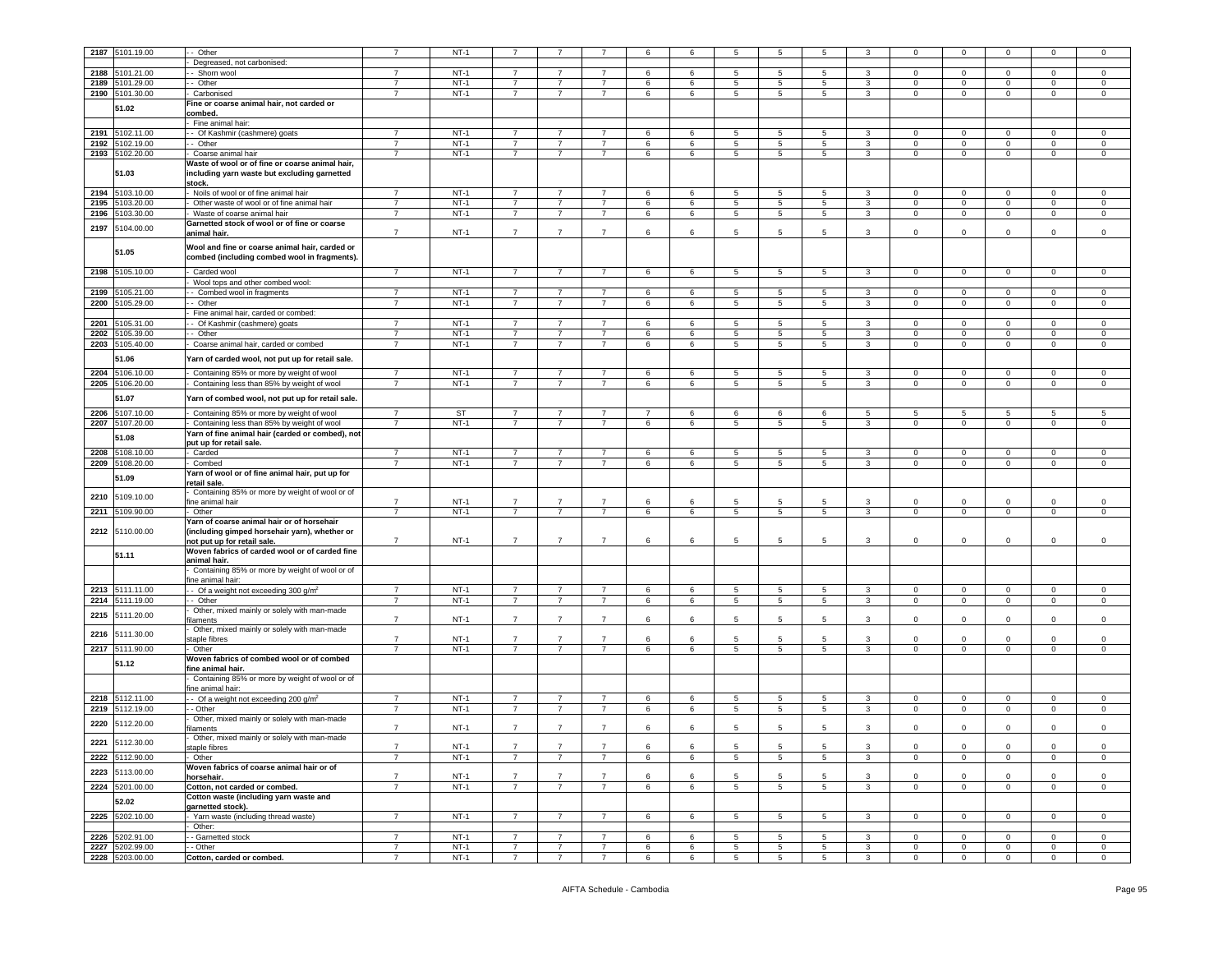|      |                                    | - Other                                          | $\overline{7}$                   | $NT-1$                |                               |                               |                                  | 6              |        | 5               |                 |                                |                   | $\Omega$                    | $\mathbf 0$                      |                           |                              |                               |
|------|------------------------------------|--------------------------------------------------|----------------------------------|-----------------------|-------------------------------|-------------------------------|----------------------------------|----------------|--------|-----------------|-----------------|--------------------------------|-------------------|-----------------------------|----------------------------------|---------------------------|------------------------------|-------------------------------|
| 2187 | 5101.19.00                         |                                                  |                                  |                       |                               |                               |                                  |                | 6      |                 |                 |                                |                   |                             |                                  |                           |                              | 0                             |
|      |                                    | Degreased, not carbonised:                       |                                  |                       |                               |                               |                                  |                |        |                 |                 |                                |                   |                             |                                  |                           |                              |                               |
| 2188 | 5101.21.00                         | - Shorn wool                                     | 7                                | $NT-1$                | $\overline{7}$                |                               | $\overline{7}$                   | 6              | 6      | 5               | 5               | 5                              | 3                 | $\Omega$                    | $\mathbf 0$                      | $\mathbf 0$               | 0                            | $\mathbf 0$                   |
|      |                                    |                                                  |                                  |                       |                               |                               |                                  |                |        |                 |                 |                                |                   |                             |                                  |                           |                              |                               |
| 2189 | 5101.29.00                         | -- Other                                         | $\overline{7}$                   | $NT-1$                | $\overline{7}$                | $\overline{7}$                | $\overline{7}$                   | 6              | 6      | 5               | 5               | 5                              | $\mathbf{3}$      | $\mathbf 0$                 | $\mathbf 0$                      | $\mathbf 0$               | $\mathbf 0$                  | $\mathbf 0$                   |
| 2190 | 5101.30.00                         | Carbonised                                       | $\overline{7}$                   | $NT-1$                | $\overline{7}$                | $\overline{7}$                | $\overline{7}$                   | 6              | 6      | 5               | 5               | 5                              | $\mathbf{3}$      | $\circ$                     | $\,0\,$                          | $\mathbf 0$               | $\mathbf 0$                  | $\,0\,$                       |
|      |                                    | Fine or coarse animal hair, not carded or        |                                  |                       |                               |                               |                                  |                |        |                 |                 |                                |                   |                             |                                  |                           |                              |                               |
|      | 51.02                              |                                                  |                                  |                       |                               |                               |                                  |                |        |                 |                 |                                |                   |                             |                                  |                           |                              |                               |
|      |                                    | combed.                                          |                                  |                       |                               |                               |                                  |                |        |                 |                 |                                |                   |                             |                                  |                           |                              |                               |
|      |                                    | Fine animal hair:                                |                                  |                       |                               |                               |                                  |                |        |                 |                 |                                |                   |                             |                                  |                           |                              |                               |
| 2191 | 5102.11.00                         | - Of Kashmir (cashmere) goats                    | $\overline{7}$                   | $NT-1$                | $\overline{7}$                | 7                             | $\overline{7}$                   | 6              | 6      | 5               | 5               | 5                              | 3                 | $\mathbf{0}$                | $\mathbf 0$                      | $\overline{0}$            | $\mathbf{0}$                 | $\mathsf 0$                   |
|      |                                    |                                                  |                                  |                       |                               |                               |                                  |                |        |                 |                 |                                |                   |                             |                                  |                           |                              |                               |
| 2192 | 5102.19.00                         | - Other                                          | 7                                | $NT-1$                | $\overline{7}$                | $\overline{7}$                | $\overline{7}$                   | 6              | 6      | 5               | 5               | 5                              | 3                 | $\mathbf{0}$                | $\mathbf 0$                      | $\overline{0}$            | $\mathbf 0$                  | $\mathbf 0$                   |
| 2193 | 5102.20.00                         | Coarse animal hair                               | $\overline{7}$                   | $NT-1$                | $\overline{7}$                | $\overline{7}$                | $\overline{7}$                   | 6              | 6      | 5               | 5               | 5                              | $\mathbf{3}$      | $\mathbf{0}$                | $\mathbf 0$                      | $\mathbf 0$               | $\mathbf 0$                  | $\mathsf 0$                   |
|      |                                    |                                                  |                                  |                       |                               |                               |                                  |                |        |                 |                 |                                |                   |                             |                                  |                           |                              |                               |
|      |                                    | Waste of wool or of fine or coarse animal hair,  |                                  |                       |                               |                               |                                  |                |        |                 |                 |                                |                   |                             |                                  |                           |                              |                               |
|      | 51.03                              | including yarn waste but excluding garnetted     |                                  |                       |                               |                               |                                  |                |        |                 |                 |                                |                   |                             |                                  |                           |                              |                               |
|      |                                    | stock.                                           |                                  |                       |                               |                               |                                  |                |        |                 |                 |                                |                   |                             |                                  |                           |                              |                               |
|      |                                    |                                                  |                                  |                       |                               |                               |                                  |                |        |                 |                 |                                |                   |                             |                                  |                           |                              |                               |
| 2194 | 5103.10.00                         | Noils of wool or of fine animal hair             | $\overline{7}$                   | $NT-1$                | $\overline{7}$                | $\overline{7}$                | $\overline{7}$                   | 6              | 6      | 5               | 5               | 5                              | 3                 | $\mathbf 0$                 | $\mathbf 0$                      | $\mathbf 0$               | $\mathbf 0$                  | $\mathbf 0$                   |
| 2195 | 103.20.00                          | Other waste of wool or of fine animal hair       | $\overline{7}$                   | $NT-1$                | $\overline{7}$                | $\overline{7}$                | $\overline{7}$                   | 6              | 6      | 5               | 5               | 5                              | $\mathbf{3}$      | $\mathbf 0$                 | $\mathbf 0$                      | $\overline{0}$            | $\mathbf 0$                  | $\mathsf 0$                   |
|      |                                    |                                                  |                                  |                       |                               |                               |                                  |                |        |                 |                 |                                |                   |                             |                                  |                           |                              |                               |
| 2196 | 5103.30.00                         | Waste of coarse animal hair                      | $\overline{7}$                   | $NT-1$                | $\overline{7}$                | $\overline{7}$                | $\overline{7}$                   | 6              | 6      | 5               | 5               | 5                              | 3                 | $\mathbf 0$                 | $\mathbf 0$                      | $\overline{0}$            | $\mathbf 0$                  | $\mathbf 0$                   |
|      |                                    | Garnetted stock of wool or of fine or coarse     |                                  |                       |                               |                               |                                  |                |        |                 |                 |                                |                   |                             |                                  |                           |                              |                               |
| 2197 | 5104.00.00                         | animal hair.                                     | $\overline{7}$                   | $NT-1$                | $\overline{7}$                | $\overline{7}$                | $\overline{7}$                   | 6              | 6      | 5               | 5               | 5                              | 3                 | 0                           | $\mathbf 0$                      | $\Omega$                  | $\Omega$                     | $\mathbf 0$                   |
|      |                                    |                                                  |                                  |                       |                               |                               |                                  |                |        |                 |                 |                                |                   |                             |                                  |                           |                              |                               |
|      |                                    | Wool and fine or coarse animal hair, carded or   |                                  |                       |                               |                               |                                  |                |        |                 |                 |                                |                   |                             |                                  |                           |                              |                               |
|      | 51.05                              |                                                  |                                  |                       |                               |                               |                                  |                |        |                 |                 |                                |                   |                             |                                  |                           |                              |                               |
|      |                                    | combed (including combed wool in fragments).     |                                  |                       |                               |                               |                                  |                |        |                 |                 |                                |                   |                             |                                  |                           |                              |                               |
|      |                                    |                                                  |                                  |                       |                               |                               |                                  |                |        |                 |                 |                                |                   |                             |                                  |                           |                              |                               |
| 2198 | 5105.10.00                         | Carded wool                                      | $\overline{7}$                   | $NT-1$                | $\overline{7}$                | $\overline{7}$                | $\overline{7}$                   | 6              | 6      | 5               | 5               | 5                              | 3                 | $\mathbf 0$                 | $\mathbf 0$                      | $\overline{0}$            | $\mathbf 0$                  | $\mathbf 0$                   |
|      |                                    | Wool tops and other combed wool:                 |                                  |                       |                               |                               |                                  |                |        |                 |                 |                                |                   |                             |                                  |                           |                              |                               |
|      | 105.21.00                          |                                                  | $\overline{7}$                   | $NT-1$                | $\overline{7}$                | 7                             | 7                                |                | 6      |                 |                 | 5                              |                   | $^{\circ}$                  | $\mathbf 0$                      | $^{\circ}$                | $\mathbf 0$                  | $\mathbf 0$                   |
| 2199 |                                    | - Combed wool in fragments                       |                                  |                       |                               |                               |                                  | 6              |        | 5               | 5               |                                | 3                 |                             |                                  |                           |                              |                               |
| 2200 | 5105.29.00                         | - Other                                          | 7                                | $NT-1$                | $\overline{7}$                | $\overline{7}$                | $\overline{7}$                   | 6              | 6      | 5               | 5               | 5                              | $\mathbf{3}$      | $\mathbf{0}$                | $\mathbf 0$                      | $\mathbf 0$               | $\mathbf 0$                  | $\mathsf 0$                   |
|      |                                    | - Fine animal hair, carded or combed:            |                                  |                       |                               |                               |                                  |                |        |                 |                 |                                |                   |                             |                                  |                           |                              |                               |
|      |                                    |                                                  |                                  |                       |                               |                               |                                  |                |        |                 |                 |                                |                   |                             |                                  |                           |                              |                               |
| 2201 | 5105.31.00                         | - Of Kashmir (cashmere) goats                    | 7                                | NT-1                  | $\overline{7}$                | $\overline{7}$                | $\overline{7}$                   | 6              | 6      | 5               | 5               | 5                              | 3                 | 0                           | $\mathbf 0$                      | $\mathbf 0$               | 0                            | 0                             |
| 2202 | 105.39.00                          | - Other                                          | $\overline{7}$                   | $NT-1$                | $\overline{7}$                | $\overline{7}$                | $\overline{7}$                   | 6              | 6      | 5               | 5               | 5                              | 3                 | $\Omega$                    | $\mathsf 0$                      | 0                         | $\mathbf 0$                  | $\mathsf 0$                   |
|      |                                    |                                                  |                                  |                       |                               |                               |                                  |                |        |                 |                 |                                |                   |                             |                                  |                           |                              |                               |
| 2203 | 5105.40.00                         | - Coarse animal hair, carded or combed           | 7                                | $NT-1$                | 7                             | 7                             | 7                                | 6              | 6      | 5               | 5               | 5                              | 3                 | $\mathbf 0$                 | $\overline{0}$                   | $\overline{0}$            | $\mathbf 0$                  | $\mathbf 0$                   |
|      | 51.06                              |                                                  |                                  |                       |                               |                               |                                  |                |        |                 |                 |                                |                   |                             |                                  |                           |                              |                               |
|      |                                    | Yarn of carded wool, not put up for retail sale. |                                  |                       |                               |                               |                                  |                |        |                 |                 |                                |                   |                             |                                  |                           |                              |                               |
|      |                                    |                                                  | $\overline{7}$                   | $NT-1$                | $\overline{7}$                | $\overline{7}$                | $\overline{7}$                   |                | 6      | 5               | 5               | 5                              | 3                 | $\mathbf 0$                 | $^{\circ}$                       | $\mathbf 0$               | $\Omega$                     |                               |
| 2204 | 106.10.00                          | Containing 85% or more by weight of wool         |                                  |                       |                               |                               |                                  | 6              |        |                 |                 |                                |                   |                             |                                  |                           |                              | $\mathsf 0$                   |
| 2205 | 5106.20.00                         | Containing less than 85% by weight of wool       | $\overline{7}$                   | $NT-1$                | $\overline{7}$                | $\overline{7}$                | $\overline{7}$                   | 6              | 6      | $\overline{5}$  | 5               | $5\overline{)}$                | $\overline{3}$    | $\mathbf 0$                 | $\overline{0}$                   | $\overline{0}$            | $\mathbf 0$                  | $\,0\,$                       |
|      |                                    |                                                  |                                  |                       |                               |                               |                                  |                |        |                 |                 |                                |                   |                             |                                  |                           |                              |                               |
|      | 51.07                              | Yarn of combed wool, not put up for retail sale. |                                  |                       |                               |                               |                                  |                |        |                 |                 |                                |                   |                             |                                  |                           |                              |                               |
|      |                                    |                                                  |                                  |                       |                               |                               |                                  |                |        |                 |                 |                                |                   |                             |                                  |                           |                              |                               |
| 2206 | 5107.10.00                         | - Containing 85% or more by weight of wool       | $\overline{7}$                   | ST                    | $\overline{7}$                | 7                             | $\overline{7}$                   | $\overline{7}$ | 6      | 6               | 6               | 6                              | 5                 | 5                           | 5                                | 5                         | 5                            | 5                             |
| 2207 | 5107.20.00                         | Containing less than 85% by weight of wool       | $\overline{7}$                   | $NT-1$                | $\overline{7}$                | $\overline{7}$                | $\overline{7}$                   | 6              | 6      | 5               | 5               | 5                              | 3                 | $\mathbf 0$                 | $\mathbf{0}$                     | $\overline{0}$            | $\mathbf 0$                  | $\circ$                       |
|      |                                    |                                                  |                                  |                       |                               |                               |                                  |                |        |                 |                 |                                |                   |                             |                                  |                           |                              |                               |
|      | 51.08                              | Yarn of fine animal hair (carded or combed), not |                                  |                       |                               |                               |                                  |                |        |                 |                 |                                |                   |                             |                                  |                           |                              |                               |
|      |                                    | put up for retail sale.                          |                                  |                       |                               |                               |                                  |                |        |                 |                 |                                |                   |                             |                                  |                           |                              |                               |
| 2208 | 108.10.00                          | - Carded                                         | $\overline{7}$                   | $NT-1$                | $\overline{7}$                | $\overline{7}$                | $\overline{7}$                   | 6              | 6      | 5               | 5               | 5                              | 3                 | $\circ$                     | $\mathbf 0$                      | $\mathbf 0$               | $\mathbf 0$                  | 0                             |
|      |                                    |                                                  | $\overline{7}$                   |                       |                               |                               |                                  |                |        |                 |                 |                                |                   |                             |                                  |                           |                              |                               |
| 2209 | 5108.20.00                         | Combed                                           |                                  | $NT-1$                | $\overline{7}$                | $\overline{7}$                | $\overline{7}$                   | 6              | 6      | 5               | 5               | 5                              | $\mathbf{3}$      | $\mathbf 0$                 | $\mathbf 0$                      | $\mathbf 0$               | $\mathbf 0$                  | $\mathsf 0$                   |
|      |                                    |                                                  |                                  |                       |                               |                               |                                  |                |        |                 |                 |                                |                   |                             |                                  |                           |                              |                               |
|      |                                    |                                                  |                                  |                       |                               |                               |                                  |                |        |                 |                 |                                |                   |                             |                                  |                           |                              |                               |
|      | 51.09                              | Yarn of wool or of fine animal hair, put up for  |                                  |                       |                               |                               |                                  |                |        |                 |                 |                                |                   |                             |                                  |                           |                              |                               |
|      |                                    | retail sale.                                     |                                  |                       |                               |                               |                                  |                |        |                 |                 |                                |                   |                             |                                  |                           |                              |                               |
|      |                                    | Containing 85% or more by weight of wool or of   |                                  |                       |                               |                               |                                  |                |        |                 |                 |                                |                   |                             |                                  |                           |                              |                               |
| 2210 | 5109.10.00                         | fine animal hair                                 | $\overline{7}$                   | $NT-1$                | $\overline{7}$                | $\overline{7}$                | $\overline{7}$                   | 6              | 6      | 5               | 5               | $5\overline{5}$                | 3                 | $\mathbf 0$                 | $\mathsf 0$                      | $\mathbf 0$               | $\Omega$                     | $\mathsf 0$                   |
|      |                                    |                                                  | $\overline{7}$                   |                       |                               | $\overline{7}$                |                                  |                |        |                 |                 |                                |                   |                             |                                  |                           |                              |                               |
| 2211 | 5109.90.00                         | Other                                            |                                  | $NT-1$                | $\overline{7}$                |                               | $\overline{7}$                   | 6              | 6      | $5\phantom{.0}$ | $5\phantom{.0}$ | 5                              | 3                 | $\mathbf 0$                 | $\overline{0}$                   | $\mathbf{0}$              | $\mathbf 0$                  | $\circ$                       |
|      |                                    | Yarn of coarse animal hair or of horsehair       |                                  |                       |                               |                               |                                  |                |        |                 |                 |                                |                   |                             |                                  |                           |                              |                               |
|      | 2212 5110.00.00                    |                                                  |                                  |                       |                               |                               |                                  |                |        |                 |                 |                                |                   |                             |                                  |                           |                              |                               |
|      |                                    | (including gimped horsehair yarn), whether or    |                                  |                       |                               |                               |                                  |                |        |                 |                 |                                |                   |                             |                                  |                           |                              |                               |
|      |                                    | not put up for retail sale.                      | $\overline{7}$                   | $NT-1$                | $\overline{7}$                | $\overline{7}$                | $\overline{7}$                   | 6              | -6     | 5               | 5               | 5                              | 3                 | 0                           | $\mathbf 0$                      | 0                         | $\Omega$                     | 0                             |
|      |                                    | Woven fabrics of carded wool or of carded fine   |                                  |                       |                               |                               |                                  |                |        |                 |                 |                                |                   |                             |                                  |                           |                              |                               |
|      | 51.11                              | animal hair.                                     |                                  |                       |                               |                               |                                  |                |        |                 |                 |                                |                   |                             |                                  |                           |                              |                               |
|      |                                    |                                                  |                                  |                       |                               |                               |                                  |                |        |                 |                 |                                |                   |                             |                                  |                           |                              |                               |
|      |                                    | Containing 85% or more by weight of wool or of   |                                  |                       |                               |                               |                                  |                |        |                 |                 |                                |                   |                             |                                  |                           |                              |                               |
|      |                                    | fine animal hair:                                |                                  |                       |                               |                               |                                  |                |        |                 |                 |                                |                   |                             |                                  |                           |                              |                               |
| 2213 | 5111.11.00                         | - Of a weight not exceeding 300 $q/m^2$          | 7                                | $NT-1$                | $\overline{7}$                | $\overline{7}$                | $\overline{7}$                   | 6              | 6      | 5               | 5               | 5                              | 3                 | 0                           | $\overline{0}$                   | $\mathbf 0$               | 0                            | 0                             |
|      |                                    |                                                  |                                  |                       |                               |                               |                                  |                |        |                 |                 |                                |                   |                             |                                  |                           |                              |                               |
| 2214 | 5111.19.00                         | - Other                                          | $\overline{7}$                   | $NT-1$                | $\overline{7}$                | $\overline{7}$                | $\overline{7}$                   | 6              | 6      | $5\overline{5}$ | $\sqrt{5}$      | $5\phantom{.0}$                | $\mathbf{3}$      | $\mathsf 0$                 | $\mathbf 0$                      | $\mathbf 0$               | $\mathsf 0$                  | $\mathsf 0$                   |
|      |                                    | Other, mixed mainly or solely with man-made      |                                  |                       |                               |                               |                                  |                |        |                 |                 |                                |                   |                             |                                  |                           |                              |                               |
| 2215 | 5111.20.00                         | ilaments                                         | $\overline{7}$                   | $NT-1$                | $\overline{7}$                | $\overline{7}$                | $\overline{7}$                   | 6              | 6      | 5               | 5               | 5                              | 3                 | 0                           | $\mathsf 0$                      | 0                         | 0                            | 0                             |
|      |                                    | Other, mixed mainly or solely with man-made      |                                  |                       |                               |                               |                                  |                |        |                 |                 |                                |                   |                             |                                  |                           |                              |                               |
| 2216 | 5111.30.00                         |                                                  | $\overline{7}$                   |                       | $\overline{7}$                | $\overline{7}$                | $\overline{7}$                   | 6              | -6     | 5               | 5               | 5                              |                   |                             | $\mathbf 0$                      |                           | $\mathbf 0$                  |                               |
|      |                                    | staple fibres                                    |                                  | $NT-1$                |                               |                               |                                  |                |        |                 |                 |                                | 3                 | 0                           |                                  | 0                         |                              | 0                             |
| 2217 | 5111.90.00                         | Other                                            | $\overline{7}$                   | $NT-1$                | $\overline{7}$                | $\overline{7}$                | $\overline{7}$                   | 6              | 6      | 5               | 5               | 5                              | $\mathbf{3}$      | $\circ$                     | $\mathbf 0$                      | $\circ$                   | $\mathbf 0$                  | $\mathsf 0$                   |
|      |                                    | Woven fabrics of combed wool or of combed        |                                  |                       |                               |                               |                                  |                |        |                 |                 |                                |                   |                             |                                  |                           |                              |                               |
|      | 51.12                              |                                                  |                                  |                       |                               |                               |                                  |                |        |                 |                 |                                |                   |                             |                                  |                           |                              |                               |
|      |                                    | fine animal hair.                                |                                  |                       |                               |                               |                                  |                |        |                 |                 |                                |                   |                             |                                  |                           |                              |                               |
|      |                                    | Containing 85% or more by weight of wool or of   |                                  |                       |                               |                               |                                  |                |        |                 |                 |                                |                   |                             |                                  |                           |                              |                               |
|      |                                    | ine animal hair:                                 |                                  |                       |                               |                               |                                  |                |        |                 |                 |                                |                   |                             |                                  |                           |                              |                               |
|      |                                    |                                                  | $\overline{7}$                   |                       | $\overline{7}$                | 7                             | 7                                |                |        |                 |                 |                                |                   |                             |                                  |                           |                              |                               |
| 2218 | 5112.11.00                         | - Of a weight not exceeding 200 g/m <sup>2</sup> |                                  | $NT-1$                |                               |                               |                                  | 6              | 6      | 5               | 5               | 5                              | 3                 | $\mathbf{0}$                | $\mathbf 0$                      | $^{\circ}$                | $\mathbf 0$                  | $\mathsf 0$                   |
| 2219 | 5112.19.00                         | - Other                                          | $\overline{7}$                   | $NT-1$                | $\overline{7}$                | $\overline{7}$                | $\overline{7}$                   | 6              | 6      | 5               | 5               | 5                              | $\mathbf{3}$      | $\mathbf 0$                 | $\mathbf 0$                      | $\mathbf 0$               | $\mathbf 0$                  | $\mathsf 0$                   |
|      |                                    | Other, mixed mainly or solely with man-made      |                                  |                       |                               |                               |                                  |                |        |                 |                 |                                |                   |                             |                                  |                           |                              |                               |
| 2220 | 5112.20.00                         |                                                  |                                  |                       | $\overline{7}$                | $\overline{7}$                | $\overline{7}$                   |                | 6      |                 |                 |                                |                   |                             |                                  |                           | $\Omega$                     |                               |
|      |                                    | filaments                                        | $\overline{7}$                   | $NT-1$                |                               |                               |                                  | 6              |        | 5               | 5               | 5                              | 3                 | $\mathbf 0$                 | $\mathbf 0$                      | $\mathbf 0$               |                              | $\mathsf 0$                   |
|      |                                    | - Other, mixed mainly or solely with man-made    |                                  |                       |                               |                               |                                  |                |        |                 |                 |                                |                   |                             |                                  |                           |                              |                               |
|      | 2221 5112.30.00                    | staple fibres                                    | $\overline{7}$                   | $NT-1$                | $\overline{7}$                | $\overline{7}$                | $\overline{7}$                   | 6              | -6     | 5               | 5               | $5\overline{5}$                | 3                 | $\mathbf 0$                 | $\mathbf 0$                      | $\mathbf 0$               | $\mathbf 0$                  | $\,0\,$                       |
|      |                                    |                                                  | $\overline{7}$                   |                       | $\overline{7}$                | $\overline{7}$                | $\overline{7}$                   |                | 6      |                 | 5               | 5                              |                   | 0                           | $\mathbf 0$                      | $\mathbf 0$               | $\mathbf 0$                  | $\mathbf 0$                   |
|      | 2222 5112.90.00                    | - Other                                          |                                  | $NT-1$                |                               |                               |                                  | 6              |        | 5               |                 |                                | $\mathbf{3}$      |                             |                                  |                           |                              |                               |
|      |                                    | Woven fabrics of coarse animal hair or of        |                                  |                       |                               |                               |                                  |                |        |                 |                 |                                |                   |                             |                                  |                           |                              |                               |
|      | 2223 5113.00.00                    | horsehair.                                       | $\overline{7}$                   | $NT-1$                | $\overline{7}$                | $\overline{7}$                | $\overline{7}$                   | 6              | 6      | 5               | 5               | 5                              | 3                 | 0                           | $\mathbf 0$                      | 0                         | 0                            | 0                             |
|      |                                    |                                                  | $\overline{7}$                   | $NT-1$                | $\overline{7}$                |                               |                                  |                |        |                 |                 |                                |                   |                             |                                  |                           |                              | $\overline{0}$                |
|      | 2224 5201.00.00                    | Cotton, not carded or combed.                    |                                  |                       |                               | $\overline{7}$                | $\overline{7}$                   | 6              | 6      | $\sqrt{5}$      | $5\phantom{.0}$ | $5\phantom{.0}$                | $\mathbf{3}$      | $\overline{0}$              | $\mathbf 0$                      | $\overline{0}$            | $\overline{0}$               |                               |
|      |                                    | Cotton waste (including yarn waste and           |                                  |                       |                               |                               |                                  |                |        |                 |                 |                                |                   |                             |                                  |                           |                              |                               |
|      | 52.02                              | garnetted stock).                                |                                  |                       |                               |                               |                                  |                |        |                 |                 |                                |                   |                             |                                  |                           |                              |                               |
|      | 2225 5202.10.00                    | - Yarn waste (including thread waste)            | $\overline{7}$                   | $NT-1$                | $\overline{7}$                | $\overline{7}$                | $\overline{7}$                   | 6              | 6      | 5               | 5               | 5                              | $\mathbf{3}$      | $\mathbf 0$                 | $\mathbf 0$                      | $\overline{0}$            | $\mathbf{0}$                 | $\mathbf 0$                   |
|      |                                    |                                                  |                                  |                       |                               |                               |                                  |                |        |                 |                 |                                |                   |                             |                                  |                           |                              |                               |
|      |                                    | Other:                                           |                                  |                       |                               |                               |                                  |                |        |                 |                 |                                |                   |                             |                                  |                           |                              |                               |
| 2226 | 5202.91.00                         | - Garnetted stock                                | $\overline{7}$                   | $NT-1$                | $\overline{7}$                | $\overline{7}$                | $\overline{7}$                   | 6              | 6      | 5               | 5               | 5                              | 3                 | $\mathbf{0}$                | $\mathbf 0$                      | $\mathbf 0$               | $\mathbf 0$                  | 0                             |
|      |                                    |                                                  |                                  |                       |                               |                               |                                  |                |        |                 |                 |                                |                   |                             |                                  |                           |                              |                               |
|      | 2227 5202.99.00<br>2228 5203.00.00 | - Other<br>Cotton, carded or combed.             | $\overline{7}$<br>$\overline{7}$ | $NT-1$<br><b>NT-1</b> | $\overline{7}$<br>$7^{\circ}$ | $\overline{7}$<br>$7^{\circ}$ | $\overline{7}$<br>$\overline{7}$ | 6<br>6         | 6<br>6 | 5<br>5          | 5<br>5          | $5\phantom{.0}$<br>$5^{\circ}$ | $\mathbf{3}$<br>3 | $\mathbf 0$<br>$\mathbf{0}$ | $\overline{0}$<br>$\overline{0}$ | $\circ$<br>$\overline{0}$ | $\mathbf{0}$<br>$\mathbf{0}$ | $\mathsf 0$<br>$\overline{0}$ |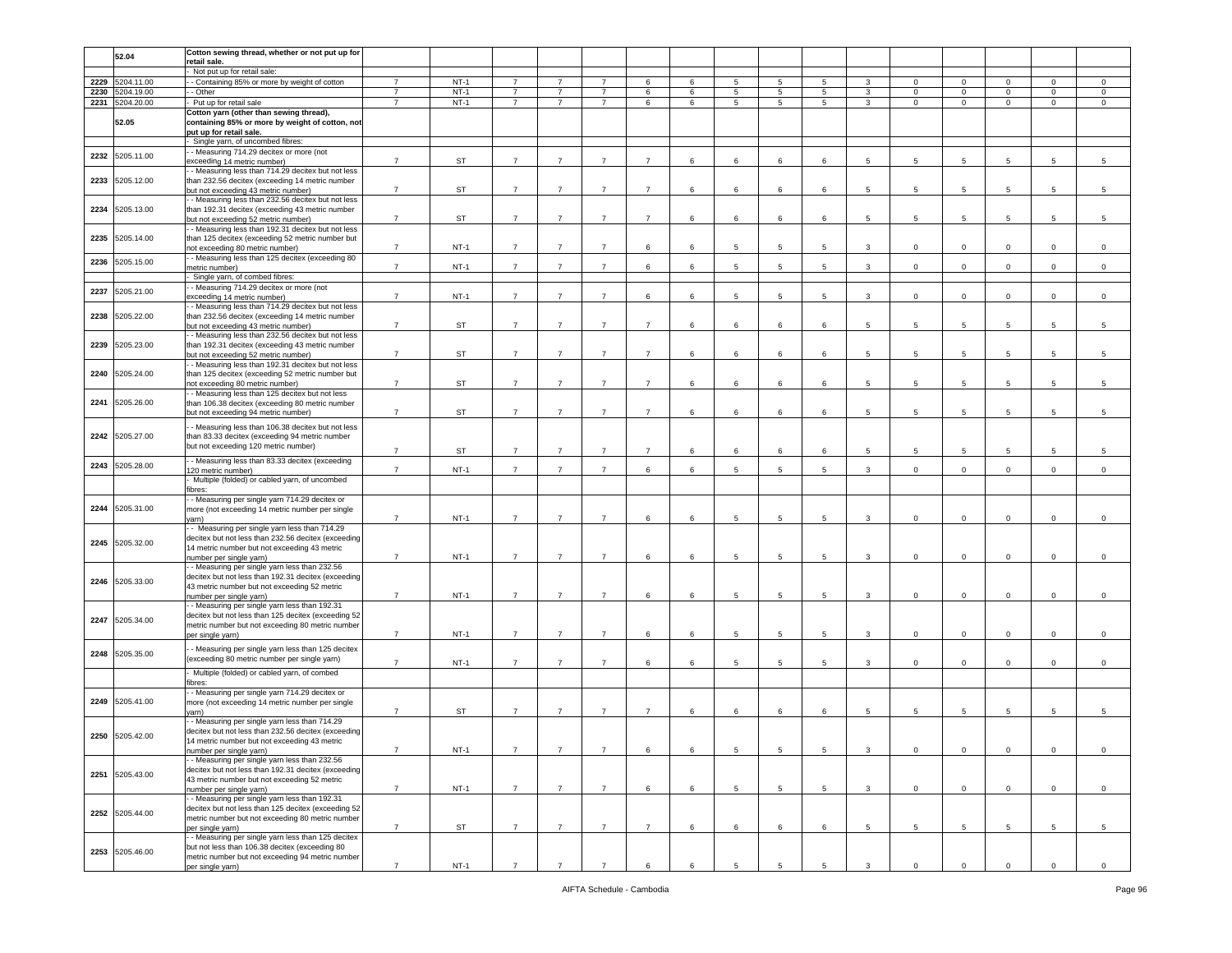|      |                 | Cotton sewing thread, whether or not put up for     |                |           |                |                |                |                 |   |   |                |                 |              |                 |              |                 |             |                 |
|------|-----------------|-----------------------------------------------------|----------------|-----------|----------------|----------------|----------------|-----------------|---|---|----------------|-----------------|--------------|-----------------|--------------|-----------------|-------------|-----------------|
|      | 52.04           |                                                     |                |           |                |                |                |                 |   |   |                |                 |              |                 |              |                 |             |                 |
|      |                 | retail sale.                                        |                |           |                |                |                |                 |   |   |                |                 |              |                 |              |                 |             |                 |
|      |                 | Not put up for retail sale:                         |                |           |                |                |                |                 |   |   |                |                 |              |                 |              |                 |             |                 |
| 2229 | 5204.11.00      | - Containing 85% or more by weight of cotton        | $\overline{7}$ | $NT-1$    | $\overline{7}$ | $\overline{7}$ | $\overline{7}$ | 6               | 6 | 5 | 5              | $5\overline{5}$ | $\mathbf{3}$ | $\mathbf{0}$    | $\mathbf 0$  | $\mathbf{0}$    | $\mathbf 0$ | $\mathbf 0$     |
| 2230 | 5204.19.00      | - Other                                             | $\overline{7}$ | $NT-1$    | $\overline{7}$ | 7              | $\overline{7}$ | 6               | 6 | 5 | 5              | 5               | 3            | $\mathbf 0$     | $\mathbf 0$  | $\mathbf 0$     | $\mathbf 0$ | $\mathbf 0$     |
|      | 2231 5204.20.00 | Put up for retail sale                              | $\overline{7}$ | $NT-1$    | $\overline{7}$ | $\overline{7}$ | $\overline{7}$ | 6               | 6 | 5 | 5              | $5\overline{5}$ | $\mathbf{3}$ | $\mathbf 0$     | $\mathbf 0$  | $\circ$         | $\mathbf 0$ | $\mathbf 0$     |
|      |                 | Cotton yarn (other than sewing thread),             |                |           |                |                |                |                 |   |   |                |                 |              |                 |              |                 |             |                 |
|      |                 |                                                     |                |           |                |                |                |                 |   |   |                |                 |              |                 |              |                 |             |                 |
|      | 52.05           | containing 85% or more by weight of cotton, not     |                |           |                |                |                |                 |   |   |                |                 |              |                 |              |                 |             |                 |
|      |                 | put up for retail sale.                             |                |           |                |                |                |                 |   |   |                |                 |              |                 |              |                 |             |                 |
|      |                 | Single yarn, of uncombed fibres:                    |                |           |                |                |                |                 |   |   |                |                 |              |                 |              |                 |             |                 |
|      |                 | - Measuring 714.29 decitex or more (not             |                |           |                |                |                |                 |   |   |                |                 |              |                 |              |                 |             |                 |
| 2232 | 5205.11.00      | exceeding 14 metric number)                         | $\overline{7}$ | <b>ST</b> | $\overline{7}$ | $\overline{7}$ | $\overline{7}$ | $\overline{7}$  | 6 | 6 | 6              | 6               | 5            | 5               | 5            | 5               | 5           | $\sqrt{5}$      |
|      |                 | - Measuring less than 714.29 decitex but not less   |                |           |                |                |                |                 |   |   |                |                 |              |                 |              |                 |             |                 |
|      | 5205.12.00      |                                                     |                |           |                |                |                |                 |   |   |                |                 |              |                 |              |                 |             |                 |
| 2233 |                 | than 232.56 decitex (exceeding 14 metric number     |                |           |                |                |                |                 |   |   |                |                 |              |                 |              |                 |             |                 |
|      |                 | but not exceeding 43 metric number)                 | $\overline{7}$ | <b>ST</b> | $\overline{7}$ | $\overline{7}$ | $\overline{7}$ | $\overline{7}$  | 6 | 6 | 6              | 6               | 5            | 5               | 5            | 5               | 5           | 5               |
|      |                 | - Measuring less than 232.56 decitex but not less   |                |           |                |                |                |                 |   |   |                |                 |              |                 |              |                 |             |                 |
| 2234 | 5205.13.00      | than 192.31 decitex (exceeding 43 metric number     |                |           |                |                |                |                 |   |   |                |                 |              |                 |              |                 |             |                 |
|      |                 | but not exceeding 52 metric number)                 | $\overline{7}$ | ST        | $\overline{7}$ | $\overline{7}$ | $\overline{7}$ | $\overline{7}$  | 6 | 6 | 6              | 6               | 5            | 5               | 5            | 5               | 5           | 5               |
|      |                 | - Measuring less than 192.31 decitex but not less   |                |           |                |                |                |                 |   |   |                |                 |              |                 |              |                 |             |                 |
| 2235 | 5205.14.00      | than 125 decitex (exceeding 52 metric number but    |                |           |                |                |                |                 |   |   |                |                 |              |                 |              |                 |             |                 |
|      |                 | not exceeding 80 metric number)                     | $\overline{7}$ | $NT-1$    | $\overline{7}$ | $\overline{7}$ | 7              | 6               | 6 | 5 | 5              | 5               | $\mathbf{3}$ | $\mathbf 0$     | $\mathbf 0$  | $\mathbf 0$     | $\mathbf 0$ | $\,0\,$         |
|      |                 |                                                     |                |           |                |                |                |                 |   |   |                |                 |              |                 |              |                 |             |                 |
| 2236 | 5205.15.00      | - Measuring less than 125 decitex (exceeding 80     |                |           |                |                |                |                 |   |   |                |                 |              |                 |              |                 |             |                 |
|      |                 | netric number)                                      | $\overline{7}$ | $NT-1$    | $\overline{7}$ | $\overline{7}$ | $\overline{7}$ | 6               | 6 | 5 | 5              | 5               | 3            | $\mathsf 0$     | $\mathbf 0$  | $\circ$         | $\mathsf 0$ | $\,0\,$         |
|      |                 | Single yarn, of combed fibres:                      |                |           |                |                |                |                 |   |   |                |                 |              |                 |              |                 |             |                 |
|      |                 | - Measuring 714.29 decitex or more (not             |                |           |                |                |                |                 |   |   |                |                 |              |                 |              |                 |             |                 |
| 2237 | 5205.21.00      | exceeding 14 metric number)                         | $\overline{7}$ | $NT-1$    | $\overline{7}$ | $\overline{7}$ | $\overline{7}$ | 6               | 6 | 5 | 5              | 5               | 3            | $\mathbf 0$     | $\mathbf 0$  | $\mathbf 0$     | $\mathbf 0$ | $\mathsf 0$     |
|      |                 | - Measuring less than 714.29 decitex but not less   |                |           |                |                |                |                 |   |   |                |                 |              |                 |              |                 |             |                 |
| 2238 | 5205.22.00      |                                                     |                |           |                |                |                |                 |   |   |                |                 |              |                 |              |                 |             |                 |
|      |                 | than 232.56 decitex (exceeding 14 metric number     | $\overline{7}$ |           |                |                | $\overline{7}$ |                 |   |   |                |                 |              |                 |              |                 |             |                 |
|      |                 | but not exceeding 43 metric number)                 |                | ST        | $\overline{7}$ | $\overline{7}$ |                | $\overline{7}$  | 6 | 6 | 6              | 6               | 5            | 5               | 5            | 5               | 5           | 5               |
|      |                 | - Measuring less than 232.56 decitex but not less   |                |           |                |                |                |                 |   |   |                |                 |              |                 |              |                 |             |                 |
| 2239 | 5205.23.00      | than 192.31 decitex (exceeding 43 metric number     |                |           |                |                |                |                 |   |   |                |                 |              |                 |              |                 |             |                 |
|      |                 | but not exceeding 52 metric number)                 | $\overline{7}$ | ST        | $\overline{7}$ | $\overline{7}$ | $\overline{7}$ | $\overline{7}$  | 6 | 6 | 6              | 6               | 5            | 5               | 5            | $5\overline{5}$ | 5           | 5               |
|      |                 | - Measuring less than 192.31 decitex but not less   |                |           |                |                |                |                 |   |   |                |                 |              |                 |              |                 |             |                 |
|      | 2240 5205.24.00 | than 125 decitex (exceeding 52 metric number but    |                |           |                |                |                |                 |   |   |                |                 |              |                 |              |                 |             |                 |
|      |                 |                                                     | $\overline{7}$ | <b>ST</b> | $\overline{7}$ | $\overline{7}$ | $\overline{7}$ | $\overline{7}$  | 6 | 6 | 6              | 6               | 5            | 5               | 5            | 5               | 5           | 5               |
|      |                 | not exceeding 80 metric number)                     |                |           |                |                |                |                 |   |   |                |                 |              |                 |              |                 |             |                 |
|      |                 | - Measuring less than 125 decitex but not less      |                |           |                |                |                |                 |   |   |                |                 |              |                 |              |                 |             |                 |
| 2241 | 5205.26.00      | than 106.38 decitex (exceeding 80 metric number     |                |           |                |                |                |                 |   |   |                |                 |              |                 |              |                 |             |                 |
|      |                 | but not exceeding 94 metric number)                 | $\overline{7}$ | <b>ST</b> | $\overline{7}$ | $\overline{7}$ | $\overline{7}$ | $\overline{7}$  | 6 | 6 | 6              | 6               | 5            | 5               | 5            | 5               | 5           | 5               |
|      |                 |                                                     |                |           |                |                |                |                 |   |   |                |                 |              |                 |              |                 |             |                 |
|      |                 | - Measuring less than 106.38 decitex but not less   |                |           |                |                |                |                 |   |   |                |                 |              |                 |              |                 |             |                 |
|      | 2242 5205.27.00 | than 83.33 decitex (exceeding 94 metric number      |                |           |                |                |                |                 |   |   |                |                 |              |                 |              |                 |             |                 |
|      |                 | but not exceeding 120 metric number)                | $\overline{7}$ | <b>ST</b> | $\overline{7}$ | $\overline{7}$ | $\overline{7}$ | $\overline{7}$  | 6 | 6 | 6              | 6               | 5            | 5               | 5            | 5               | 5           | 5               |
|      |                 |                                                     |                |           |                |                |                |                 |   |   |                |                 |              |                 |              |                 |             |                 |
| 2243 | 5205.28.00      | - - Measuring less than 83.33 decitex (exceeding    |                |           |                |                |                |                 |   |   |                |                 |              |                 |              |                 |             |                 |
|      |                 | 120 metric number)                                  | $\overline{7}$ | $NT-1$    | $\overline{7}$ | $\overline{7}$ | $\overline{7}$ | 6               | 6 | 5 | 5              | 5               | 3            | $\mathbf 0$     | $\mathbf 0$  | $\mathbf 0$     | $\mathbf 0$ | $\mathsf 0$     |
|      |                 | Multiple (folded) or cabled yarn, of uncombed       |                |           |                |                |                |                 |   |   |                |                 |              |                 |              |                 |             |                 |
|      |                 | fibres:                                             |                |           |                |                |                |                 |   |   |                |                 |              |                 |              |                 |             |                 |
|      |                 | - Measuring per single yarn 714.29 decitex or       |                |           |                |                |                |                 |   |   |                |                 |              |                 |              |                 |             |                 |
| 2244 | 5205.31.00      | more (not exceeding 14 metric number per single     |                |           |                |                |                |                 |   |   |                |                 |              |                 |              |                 |             |                 |
|      |                 | varn).                                              | $\overline{7}$ | $NT-1$    | $\overline{7}$ | $\overline{7}$ | $\overline{7}$ | 6               | 6 | 5 | 5              | 5               | $\mathbf{3}$ | $\mathbf{0}$    | $\mathbf{0}$ | $\mathbf{0}$    | $\circ$     | $\mathsf 0$     |
|      |                 | - Measuring per single yarn less than 714.29        |                |           |                |                |                |                 |   |   |                |                 |              |                 |              |                 |             |                 |
|      |                 |                                                     |                |           |                |                |                |                 |   |   |                |                 |              |                 |              |                 |             |                 |
|      | 2245 5205.32.00 | decitex but not less than 232.56 decitex (exceeding |                |           |                |                |                |                 |   |   |                |                 |              |                 |              |                 |             |                 |
|      |                 | 14 metric number but not exceeding 43 metric        |                |           |                |                |                |                 |   |   |                |                 |              |                 |              |                 |             |                 |
|      |                 | number per single yarn)                             | $\overline{7}$ | $NT-1$    | $\overline{7}$ | $\overline{7}$ | $\overline{7}$ | 6               | 6 | 5 | 5              | 5               | 3            | $\mathbf 0$     | $\mathbf 0$  | 0               | $\mathbf 0$ | 0               |
|      |                 | - Measuring per single yarn less than 232.56        |                |           |                |                |                |                 |   |   |                |                 |              |                 |              |                 |             |                 |
|      | 2246 5205.33.00 | decitex but not less than 192.31 decitex (exceeding |                |           |                |                |                |                 |   |   |                |                 |              |                 |              |                 |             |                 |
|      |                 | 43 metric number but not exceeding 52 metric        |                |           |                |                |                |                 |   |   |                |                 |              |                 |              |                 |             |                 |
|      |                 | number per single yarn)                             | $\overline{7}$ | $NT-1$    | $\overline{7}$ | $\overline{7}$ | $\overline{7}$ | 6               | 6 | 5 | 5              | 5               | 3            | $\mathbf 0$     | $\,0\,$      | 0               | $\mathbf 0$ | $\mathsf 0$     |
|      |                 | - Measuring per single yarn less than 192.31        |                |           |                |                |                |                 |   |   |                |                 |              |                 |              |                 |             |                 |
|      |                 | decitex but not less than 125 decitex (exceeding 52 |                |           |                |                |                |                 |   |   |                |                 |              |                 |              |                 |             |                 |
|      | 2247 5205.34.00 |                                                     |                |           |                |                |                |                 |   |   |                |                 |              |                 |              |                 |             |                 |
|      |                 | metric number but not exceeding 80 metric number    |                |           |                |                |                |                 |   |   |                |                 |              |                 |              |                 |             |                 |
|      |                 | per single yarn)                                    | $\overline{7}$ | $NT-1$    | $\overline{7}$ | $\overline{7}$ | $\overline{7}$ | 6               | 6 | 5 | 5              | 5               | $\mathbf{3}$ | $\mathbf 0$     | $\mathbf 0$  | $\Omega$        | $\Omega$    | $\mathsf 0$     |
|      |                 | - Measuring per single yarn less than 125 decitex   |                |           |                |                |                |                 |   |   |                |                 |              |                 |              |                 |             |                 |
|      | 2248 5205.35.00 |                                                     |                |           |                |                |                |                 |   |   |                |                 |              |                 |              |                 |             |                 |
|      |                 | exceeding 80 metric number per single yarn)         | $\overline{7}$ | $NT-1$    | $\overline{7}$ | $\overline{7}$ | $\overline{7}$ | 6               | 6 | 5 | 5              | 5               | 3            | $\mathbf 0$     | $\mathbf 0$  | $\mathbf 0$     | $\mathbf 0$ | $\,0\,$         |
|      |                 | Multiple (folded) or cabled yarn, of combed         |                |           |                |                |                |                 |   |   |                |                 |              |                 |              |                 |             |                 |
|      |                 | fibres:                                             |                |           |                |                |                |                 |   |   |                |                 |              |                 |              |                 |             |                 |
|      |                 | - Measuring per single yarn 714.29 decitex or       |                |           |                |                |                |                 |   |   |                |                 |              |                 |              |                 |             |                 |
| 2249 | 5205.41.00      |                                                     |                |           |                |                |                |                 |   |   |                |                 |              |                 |              |                 |             |                 |
|      |                 | more (not exceeding 14 metric number per single     |                |           |                |                |                |                 |   |   |                |                 |              |                 |              |                 |             |                 |
|      |                 | varn)                                               | $\overline{7}$ | ST        | $\overline{7}$ | $\overline{7}$ | $\overline{7}$ | $\overline{7}$  | 6 | 6 | 6              | 6               | 5            | 5               | 5            | 5               | 5           | 5               |
|      |                 | - Measuring per single yarn less than 714.29        |                |           |                |                |                |                 |   |   |                |                 |              |                 |              |                 |             |                 |
|      | 2250 5205.42.00 | decitex but not less than 232.56 decitex (exceeding |                |           |                |                |                |                 |   |   |                |                 |              |                 |              |                 |             |                 |
|      |                 | 14 metric number but not exceeding 43 metric        |                |           |                |                |                |                 |   |   |                |                 |              |                 |              |                 |             |                 |
|      |                 | number per single yarn)                             | $\overline{7}$ | $NT-1$    | $\overline{7}$ | $\overline{7}$ | $\overline{7}$ | $6\overline{6}$ | 6 | 5 | 5              | 5               | 3            | $\mathbf{0}$    | $\mathbf 0$  | $\circ$         | $\mathbf 0$ | $\overline{0}$  |
|      |                 | - Measuring per single yarn less than 232.56        |                |           |                |                |                |                 |   |   |                |                 |              |                 |              |                 |             |                 |
|      |                 | decitex but not less than 192.31 decitex (exceeding |                |           |                |                |                |                 |   |   |                |                 |              |                 |              |                 |             |                 |
|      | 2251 5205.43.00 |                                                     |                |           |                |                |                |                 |   |   |                |                 |              |                 |              |                 |             |                 |
|      |                 | 43 metric number but not exceeding 52 metric        |                |           |                |                |                |                 |   |   |                |                 |              |                 |              |                 |             |                 |
|      |                 | number per single yarn)                             | $\overline{7}$ | $NT-1$    | $\overline{7}$ | $\overline{7}$ | $7^{\circ}$    | 6               | 6 | 5 | $\overline{5}$ | 5               | $\mathbf{3}$ | $\overline{0}$  | $\mathbf 0$  | $\mathbf 0$     | $\mathbf 0$ | $\mathsf 0$     |
|      |                 | - - Measuring per single yarn less than 192.31      |                |           |                |                |                |                 |   |   |                |                 |              |                 |              |                 |             |                 |
|      |                 | decitex but not less than 125 decitex (exceeding 52 |                |           |                |                |                |                 |   |   |                |                 |              |                 |              |                 |             |                 |
|      | 2252 5205.44.00 | metric number but not exceeding 80 metric number    |                |           |                |                |                |                 |   |   |                |                 |              |                 |              |                 |             |                 |
|      |                 | ber single yarn)                                    | $\overline{7}$ | ST        | $\overline{7}$ | $\overline{7}$ | $\overline{7}$ | $\overline{7}$  | 6 | 6 | 6              | 6               | 5            | $5\overline{5}$ | 5            | 5               | 5           | $5\phantom{.0}$ |
|      |                 |                                                     |                |           |                |                |                |                 |   |   |                |                 |              |                 |              |                 |             |                 |
|      |                 | - Measuring per single yarn less than 125 decitex   |                |           |                |                |                |                 |   |   |                |                 |              |                 |              |                 |             |                 |
|      | 2253 5205.46.00 | but not less than 106.38 decitex (exceeding 80      |                |           |                |                |                |                 |   |   |                |                 |              |                 |              |                 |             |                 |
|      |                 | metric number but not exceeding 94 metric number    |                |           |                |                |                |                 |   |   |                |                 |              |                 |              |                 |             |                 |
|      |                 | per single yarn)                                    | $\overline{7}$ | $NT-1$    | $\overline{7}$ | $\overline{7}$ | $\overline{7}$ | 6               | 6 | 5 | 5              | 5               | $\mathbf{3}$ | $\mathbf 0$     | $\mathbf 0$  | $\mathbf{0}$    | $\mathbf 0$ | $\circ$         |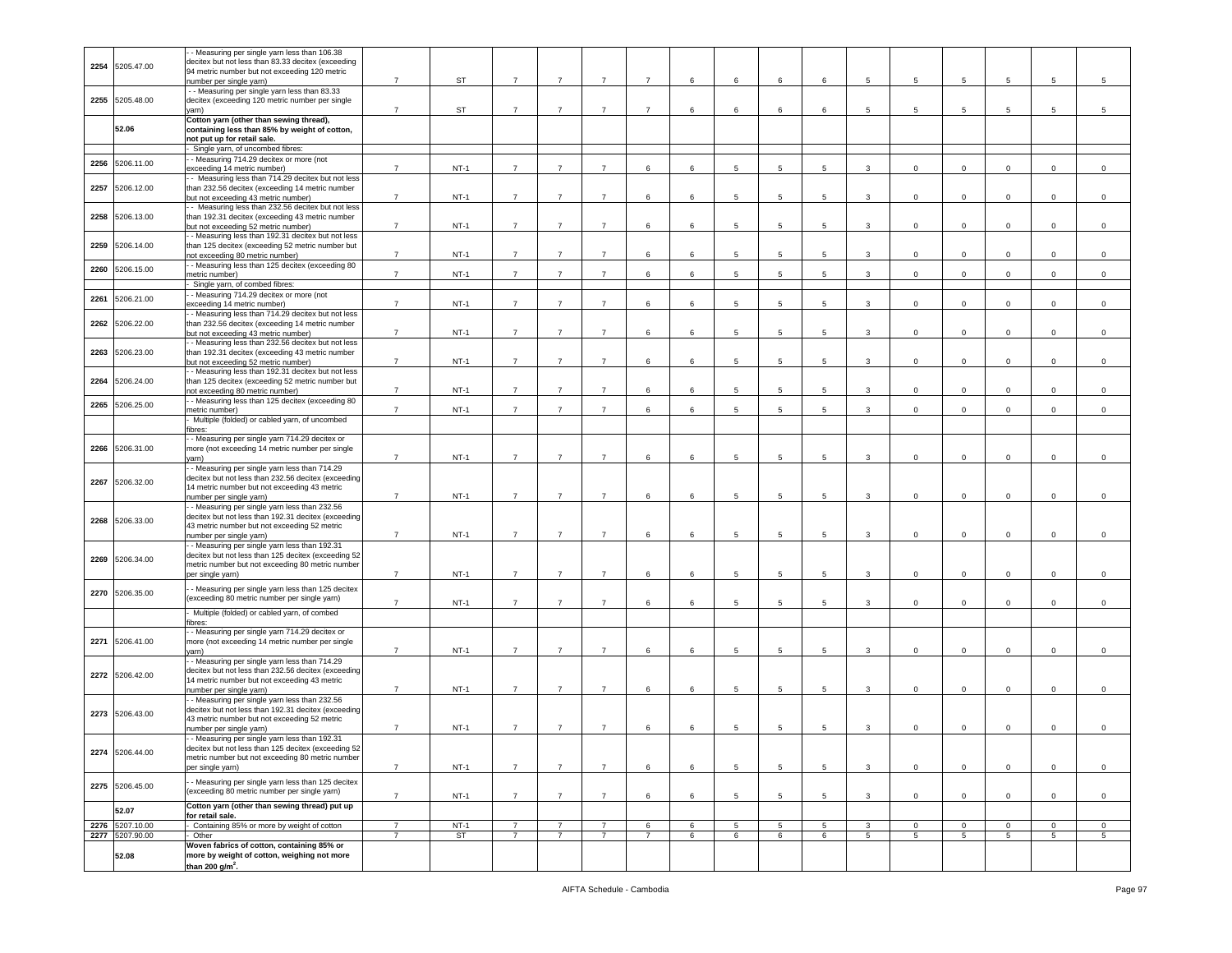|      |                 | - Measuring per single yarn less than 106.38        |                |           |                |                |                |                |   |                 |                 |   |                 |                |                 |                 |                |                 |
|------|-----------------|-----------------------------------------------------|----------------|-----------|----------------|----------------|----------------|----------------|---|-----------------|-----------------|---|-----------------|----------------|-----------------|-----------------|----------------|-----------------|
|      |                 |                                                     |                |           |                |                |                |                |   |                 |                 |   |                 |                |                 |                 |                |                 |
| 2254 | 5205.47.00      | decitex but not less than 83.33 decitex (exceeding  |                |           |                |                |                |                |   |                 |                 |   |                 |                |                 |                 |                |                 |
|      |                 | 94 metric number but not exceeding 120 metric       |                |           |                |                |                |                |   |                 |                 |   |                 |                |                 |                 |                |                 |
|      |                 | number per single yarn)                             | $\overline{7}$ | ST        | $\overline{7}$ | $\overline{7}$ | $\overline{7}$ | $\overline{7}$ | 6 | 6               | 6               | 6 | 5               | 5              | $\overline{5}$  | 5               | 5              | $\overline{5}$  |
|      |                 | - - Measuring per single yarn less than 83.33       |                |           |                |                |                |                |   |                 |                 |   |                 |                |                 |                 |                |                 |
|      | 2255 5205.48.00 | decitex (exceeding 120 metric number per single     |                |           |                |                |                |                |   |                 |                 |   |                 |                |                 |                 |                |                 |
|      |                 |                                                     |                |           |                |                |                |                |   |                 |                 |   |                 |                |                 |                 |                |                 |
|      |                 | yarn)                                               | $\overline{7}$ | ST        | $\overline{7}$ | $\overline{7}$ | $\overline{7}$ | $\overline{7}$ | 6 | 6               | 6               | 6 | 5               | 5              | 5               | 5               | 5              | 5               |
|      |                 | Cotton yarn (other than sewing thread),             |                |           |                |                |                |                |   |                 |                 |   |                 |                |                 |                 |                |                 |
|      | 52.06           | containing less than 85% by weight of cotton,       |                |           |                |                |                |                |   |                 |                 |   |                 |                |                 |                 |                |                 |
|      |                 | not put up for retail sale.                         |                |           |                |                |                |                |   |                 |                 |   |                 |                |                 |                 |                |                 |
|      |                 | Single yarn, of uncombed fibres:                    |                |           |                |                |                |                |   |                 |                 |   |                 |                |                 |                 |                |                 |
|      |                 |                                                     |                |           |                |                |                |                |   |                 |                 |   |                 |                |                 |                 |                |                 |
| 2256 | 5206.11.00      | - - Measuring 714.29 decitex or more (not           |                |           |                |                |                |                |   |                 |                 |   |                 |                |                 |                 |                |                 |
|      |                 | exceeding 14 metric number)                         | $\overline{7}$ | $NT-1$    | $\overline{7}$ | $\overline{7}$ | $\overline{7}$ | 6              | 6 | 5               | 5               | 5 | $\mathbf{3}$    | $\mathbf 0$    | $\mathbf 0$     | $\mathbf 0$     | $\mathsf 0$    | $\mathsf 0$     |
|      |                 | - Measuring less than 714.29 decitex but not less   |                |           |                |                |                |                |   |                 |                 |   |                 |                |                 |                 |                |                 |
| 2257 | 5206.12.00      | than 232.56 decitex (exceeding 14 metric number     |                |           |                |                |                |                |   |                 |                 |   |                 |                |                 |                 |                |                 |
|      |                 |                                                     |                |           |                |                |                |                |   |                 |                 |   |                 |                |                 |                 |                |                 |
|      |                 | but not exceeding 43 metric number)                 | $\overline{7}$ | $NT-1$    | $\overline{7}$ | $\overline{7}$ | $\overline{7}$ | 6              | 6 | 5               | 5               | 5 | 3               | $\mathbf 0$    | 0               | $\mathbf 0$     | $\mathbf 0$    | $\mathbf 0$     |
|      |                 | - Measuring less than 232.56 decitex but not less   |                |           |                |                |                |                |   |                 |                 |   |                 |                |                 |                 |                |                 |
| 2258 | 5206.13.00      | than 192.31 decitex (exceeding 43 metric number     |                |           |                |                |                |                |   |                 |                 |   |                 |                |                 |                 |                |                 |
|      |                 | but not exceeding 52 metric number)                 | $\overline{7}$ | $NT-1$    | $\overline{7}$ | $\overline{7}$ | $\overline{7}$ | 6              | 6 | $5\phantom{.0}$ | $5\phantom{.0}$ | 5 | 3               | $\mathbf 0$    | $\mathbf 0$     | $\mathbf 0$     | $\mathbf 0$    | $\mathbf 0$     |
|      |                 |                                                     |                |           |                |                |                |                |   |                 |                 |   |                 |                |                 |                 |                |                 |
|      |                 | - Measuring less than 192.31 decitex but not less   |                |           |                |                |                |                |   |                 |                 |   |                 |                |                 |                 |                |                 |
| 2259 | 5206.14.00      | than 125 decitex (exceeding 52 metric number but    |                |           |                |                |                |                |   |                 |                 |   |                 |                |                 |                 |                |                 |
|      |                 | not exceeding 80 metric number)                     | $\overline{7}$ | $NT-1$    | $\overline{7}$ | $\overline{7}$ | $\overline{7}$ | 6              | 6 | 5               | 5               | 5 | $\mathbf{3}$    | 0              | 0               | $\mathbf{0}$    | $\mathbf 0$    | $\mathbf 0$     |
|      |                 | - Measuring less than 125 decitex (exceeding 80     |                |           |                |                |                |                |   |                 |                 |   |                 |                |                 |                 |                |                 |
| 2260 | 5206.15.00      | metric number)                                      | $\overline{7}$ | $NT-1$    | $\overline{7}$ | $\overline{7}$ | $\overline{7}$ | 6              | 6 | 5               | 5               | 5 | $\mathbf{3}$    | $\mathbf 0$    | 0               | $\mathbf 0$     | $\mathbf 0$    | $\mathsf 0$     |
|      |                 |                                                     |                |           |                |                |                |                |   |                 |                 |   |                 |                |                 |                 |                |                 |
|      |                 | Single yarn, of combed fibres:                      |                |           |                |                |                |                |   |                 |                 |   |                 |                |                 |                 |                |                 |
| 2261 | 5206.21.00      | - Measuring 714.29 decitex or more (not             |                |           |                |                |                |                |   |                 |                 |   |                 |                |                 |                 |                |                 |
|      |                 | exceeding 14 metric number)                         | $\overline{7}$ | $NT-1$    | $\overline{7}$ | $\overline{7}$ | $\overline{7}$ | 6              | 6 | $5\phantom{.0}$ | 5               | 5 | 3               | $\mathbf 0$    | $\mathbf 0$     | $\mathbf 0$     | $\mathbf 0$    | $\mathsf 0$     |
|      |                 | - Measuring less than 714.29 decitex but not less   |                |           |                |                |                |                |   |                 |                 |   |                 |                |                 |                 |                |                 |
| 2262 | 5206.22.00      |                                                     |                |           |                |                |                |                |   |                 |                 |   |                 |                |                 |                 |                |                 |
|      |                 | than 232.56 decitex (exceeding 14 metric number     |                |           |                |                |                |                |   |                 |                 |   |                 |                |                 |                 |                |                 |
|      |                 | but not exceeding 43 metric number)                 | $\overline{7}$ | $NT-1$    | $\overline{7}$ | $\overline{7}$ | $\overline{7}$ | 6              | 6 | 5               | 5               | 5 | 3               | $\mathbf 0$    | $\mathbf 0$     | $\mathbf 0$     | $\mathsf 0$    | $\mathbf 0$     |
|      |                 | - Measuring less than 232.56 decitex but not less   |                |           |                |                |                |                |   |                 |                 |   |                 |                |                 |                 |                |                 |
| 2263 | 5206.23.00      | than 192.31 decitex (exceeding 43 metric number     |                |           |                |                |                |                |   |                 |                 |   |                 |                |                 |                 |                |                 |
|      |                 |                                                     | $\overline{7}$ | $NT-1$    | $\overline{7}$ | $\overline{7}$ | $\overline{7}$ | 6              | 6 | 5               | 5               | 5 | 3               | $\mathbf 0$    | 0               | $\mathbf 0$     | $\mathbf 0$    | $\mathsf 0$     |
|      |                 | but not exceeding 52 metric number)                 |                |           |                |                |                |                |   |                 |                 |   |                 |                |                 |                 |                |                 |
|      |                 | - Measuring less than 192.31 decitex but not less   |                |           |                |                |                |                |   |                 |                 |   |                 |                |                 |                 |                |                 |
| 2264 | 5206.24.00      | than 125 decitex (exceeding 52 metric number but    |                |           |                |                |                |                |   |                 |                 |   |                 |                |                 |                 |                |                 |
|      |                 | not exceeding 80 metric number)                     | $\overline{7}$ | $NT-1$    | $\overline{7}$ | $\overline{7}$ | $\overline{7}$ | 6              | 6 | 5               | 5               | 5 | 3               | 0              | $\mathbf 0$     | 0               | $\mathsf 0$    | $^{\circ}$      |
|      |                 | - Measuring less than 125 decitex (exceeding 80     |                |           |                |                |                |                |   |                 |                 |   |                 |                |                 |                 |                |                 |
| 2265 | 5206.25.00      |                                                     | $\overline{7}$ | $NT-1$    | $\overline{7}$ | $\overline{7}$ | $\overline{7}$ | 6              | 6 | 5               | 5               |   | 3               |                | $\mathbf 0$     |                 | $\mathsf 0$    | $\mathbf 0$     |
|      |                 | metric number)                                      |                |           |                |                |                |                |   |                 |                 | 5 |                 | 0              |                 | 0               |                |                 |
|      |                 | Multiple (folded) or cabled yarn, of uncombed       |                |           |                |                |                |                |   |                 |                 |   |                 |                |                 |                 |                |                 |
|      |                 | fibres:                                             |                |           |                |                |                |                |   |                 |                 |   |                 |                |                 |                 |                |                 |
|      |                 | - - Measuring per single yarn 714.29 decitex or     |                |           |                |                |                |                |   |                 |                 |   |                 |                |                 |                 |                |                 |
|      | 2266 5206.31.00 |                                                     |                |           |                |                |                |                |   |                 |                 |   |                 |                |                 |                 |                |                 |
|      |                 | more (not exceeding 14 metric number per single     |                |           |                |                |                |                |   |                 |                 |   |                 |                |                 |                 |                |                 |
|      |                 | /arn)                                               | $\overline{7}$ | $NT-1$    | $\overline{7}$ | $\overline{7}$ | $\overline{7}$ | 6              | 6 | $\overline{5}$  | 5               | 5 | 3               | $\mathbf 0$    | 0               | $\mathbf 0$     | $\mathbf 0$    | $\mathbf 0$     |
|      |                 | - Measuring per single yarn less than 714.29        |                |           |                |                |                |                |   |                 |                 |   |                 |                |                 |                 |                |                 |
|      | 2267 5206.32.00 | decitex but not less than 232.56 decitex (exceeding |                |           |                |                |                |                |   |                 |                 |   |                 |                |                 |                 |                |                 |
|      |                 | 14 metric number but not exceeding 43 metric        |                |           |                |                |                |                |   |                 |                 |   |                 |                |                 |                 |                |                 |
|      |                 |                                                     | $\overline{7}$ | $NT-1$    | $\overline{7}$ | $\overline{7}$ | $\overline{7}$ | 6              | 6 | $\overline{5}$  | 5               | 5 | 3               | $\mathbf 0$    | $\mathsf 0$     | $\mathbf 0$     | $\mathbf 0$    | $\mathbf 0$     |
|      |                 | number per single yarn)                             |                |           |                |                |                |                |   |                 |                 |   |                 |                |                 |                 |                |                 |
|      |                 | - Measuring per single yarn less than 232.56        |                |           |                |                |                |                |   |                 |                 |   |                 |                |                 |                 |                |                 |
| 2268 | 5206.33.00      | decitex but not less than 192.31 decitex (exceeding |                |           |                |                |                |                |   |                 |                 |   |                 |                |                 |                 |                |                 |
|      |                 | 43 metric number but not exceeding 52 metric        |                |           |                |                |                |                |   |                 |                 |   |                 |                |                 |                 |                |                 |
|      |                 | number per single yarn)                             | $\overline{7}$ | $NT-1$    | $\overline{7}$ | $\overline{7}$ | $\overline{7}$ | 6              | 6 | 5               | 5               | 5 | 3               | $\mathbf 0$    | $\mathbf 0$     | $\mathbf{0}$    | $\mathbf 0$    | $\mathsf 0$     |
|      |                 |                                                     |                |           |                |                |                |                |   |                 |                 |   |                 |                |                 |                 |                |                 |
|      |                 | - Measuring per single yarn less than 192.31        |                |           |                |                |                |                |   |                 |                 |   |                 |                |                 |                 |                |                 |
|      | 2269 5206.34.00 | decitex but not less than 125 decitex (exceeding 52 |                |           |                |                |                |                |   |                 |                 |   |                 |                |                 |                 |                |                 |
|      |                 | metric number but not exceeding 80 metric number    |                |           |                |                |                |                |   |                 |                 |   |                 |                |                 |                 |                |                 |
|      |                 | per single yarn)                                    | $\overline{7}$ | $NT-1$    | $\overline{7}$ | $\overline{7}$ | $\overline{7}$ | 6              | 6 | $\overline{5}$  | $5\phantom{.0}$ | 5 | 3               | $\mathbf 0$    | $\mathbf 0$     | $\mathbf 0$     | $\mathsf 0$    | $\mathsf 0$     |
|      |                 |                                                     |                |           |                |                |                |                |   |                 |                 |   |                 |                |                 |                 |                |                 |
|      | 2270 5206.35.00 | - Measuring per single yarn less than 125 decitex   |                |           |                |                |                |                |   |                 |                 |   |                 |                |                 |                 |                |                 |
|      |                 | (exceeding 80 metric number per single yarn)        |                |           |                |                |                |                |   |                 |                 |   |                 |                |                 |                 |                |                 |
|      |                 |                                                     | $\overline{7}$ | $NT-1$    | $\overline{7}$ | $\overline{7}$ | $\overline{7}$ | 6              | 6 | $\overline{5}$  | 5               | 5 | $\mathbf{3}$    | $\mathbf 0$    | $\mathbf 0$     | $\mathbf 0$     | $\mathbf 0$    | $\mathbf 0$     |
|      |                 | Multiple (folded) or cabled yarn, of combed         |                |           |                |                |                |                |   |                 |                 |   |                 |                |                 |                 |                |                 |
|      |                 | fibres:                                             |                |           |                |                |                |                |   |                 |                 |   |                 |                |                 |                 |                |                 |
|      |                 | - Measuring per single yarn 714.29 decitex or       |                |           |                |                |                |                |   |                 |                 |   |                 |                |                 |                 |                |                 |
|      | 5206.41.00      |                                                     |                |           |                |                |                |                |   |                 |                 |   |                 |                |                 |                 |                |                 |
| 2271 |                 | more (not exceeding 14 metric number per single     |                |           |                |                |                |                |   |                 |                 |   |                 |                |                 |                 |                |                 |
|      |                 | yarn)                                               | $\overline{7}$ | $NT-1$    | $\overline{7}$ | $\overline{7}$ | $\overline{7}$ | 6              | 6 | 5               | 5               | 5 | 3               | $\mathbf 0$    | 0               | $\mathbf{0}$    | $\mathbf 0$    | $\mathsf 0$     |
|      |                 | - Measuring per single yarn less than 714.29        |                |           |                |                |                |                |   |                 |                 |   |                 |                |                 |                 |                |                 |
|      |                 | decitex but not less than 232.56 decitex (exceeding |                |           |                |                |                |                |   |                 |                 |   |                 |                |                 |                 |                |                 |
|      | 2272 5206.42.00 | 14 metric number but not exceeding 43 metric        |                |           |                |                |                |                |   |                 |                 |   |                 |                |                 |                 |                |                 |
|      |                 |                                                     | $\overline{7}$ | $NT-1$    | $\overline{7}$ | $\overline{7}$ | $\overline{7}$ | 6              | 6 | 5               | 5               | 5 | 3               | 0              | $\mathbf 0$     | 0               | $\mathsf 0$    | $^{\circ}$      |
|      |                 | number per single yarn)                             |                |           |                |                |                |                |   |                 |                 |   |                 |                |                 |                 |                |                 |
|      |                 | - - Measuring per single yarn less than 232.56      |                |           |                |                |                |                |   |                 |                 |   |                 |                |                 |                 |                |                 |
|      | 2273 5206.43.00 | decitex but not less than 192.31 decitex (exceeding |                |           |                |                |                |                |   |                 |                 |   |                 |                |                 |                 |                |                 |
|      |                 | 43 metric number but not exceeding 52 metric        |                |           |                |                |                |                |   |                 |                 |   |                 |                |                 |                 |                |                 |
|      |                 | number per single yarn)                             | $\overline{7}$ | $NT-1$    | $\overline{7}$ | $\overline{7}$ | $\overline{7}$ | 6              | 6 | 5               | 5               | 5 | 3               | $\mathbf 0$    | $^{\circ}$      | 0               | $\mathbf 0$    | $^{\circ}$      |
|      |                 |                                                     |                |           |                |                |                |                |   |                 |                 |   |                 |                |                 |                 |                |                 |
|      |                 | - - Measuring per single yarn less than 192.31      |                |           |                |                |                |                |   |                 |                 |   |                 |                |                 |                 |                |                 |
|      | 2274 5206.44.00 | decitex but not less than 125 decitex (exceeding 52 |                |           |                |                |                |                |   |                 |                 |   |                 |                |                 |                 |                |                 |
|      |                 | metric number but not exceeding 80 metric number    |                |           |                |                |                |                |   |                 |                 |   |                 |                |                 |                 |                |                 |
|      |                 | per single yarn)                                    | $\overline{7}$ | $NT-1$    | $\overline{7}$ | $\overline{7}$ | $\overline{7}$ | 6              | 6 | 5               | 5               | 5 | $\mathbf{3}$    | $\mathbf 0$    | $\mathbf 0$     | $\mathbf 0$     | $\mathsf 0$    | $\mathbf 0$     |
|      |                 |                                                     |                |           |                |                |                |                |   |                 |                 |   |                 |                |                 |                 |                |                 |
|      |                 | - Measuring per single yarn less than 125 decitex   |                |           |                |                |                |                |   |                 |                 |   |                 |                |                 |                 |                |                 |
|      | 2275 5206.45.00 | (exceeding 80 metric number per single yarn)        |                |           |                |                |                |                |   |                 |                 |   |                 |                |                 |                 |                |                 |
|      |                 |                                                     | $\overline{7}$ | $NT-1$    | $\overline{7}$ | $\overline{7}$ | $\overline{7}$ | 6              | 6 | 5               | $\,$ 5 $\,$     | 5 | $\mathbf{3}$    | $\mathsf 0$    | $\mathbf 0$     | $\mathbf{0}$    | $\mathbf{0}$   | $\mathbf{0}$    |
|      | 52.07           | Cotton yarn (other than sewing thread) put up       |                |           |                |                |                |                |   |                 |                 |   |                 |                |                 |                 |                |                 |
|      |                 | for retail sale.                                    |                |           |                |                |                |                |   |                 |                 |   |                 |                |                 |                 |                |                 |
| 2276 | 5207.10.00      | Containing 85% or more by weight of cotton          | $\overline{7}$ | $NT-1$    | $\overline{7}$ | $\overline{7}$ | $\overline{7}$ | 6              | 6 | 5               | $5\phantom{.0}$ | 5 | 3               | $\circ$        | $\mathbf 0$     | $\mathbf 0$     | $\mathsf 0$    | $\mathbf 0$     |
|      |                 |                                                     | $\overline{7}$ |           | $\overline{7}$ |                | $\overline{7}$ |                |   |                 |                 |   |                 |                |                 |                 |                |                 |
| 2277 | 5207.90.00      | Other                                               |                | <b>ST</b> |                | $\overline{7}$ |                | $\overline{7}$ | 6 | 6               | 6               | 6 | $5\overline{5}$ | $\overline{5}$ | $5\overline{)}$ | $5\overline{5}$ | $\overline{5}$ | $5\overline{5}$ |
|      |                 | Woven fabrics of cotton, containing 85% or          |                |           |                |                |                |                |   |                 |                 |   |                 |                |                 |                 |                |                 |
|      |                 | more by weight of cotton, weighing not more         |                |           |                |                |                |                |   |                 |                 |   |                 |                |                 |                 |                |                 |
|      |                 |                                                     |                |           |                |                |                |                |   |                 |                 |   |                 |                |                 |                 |                |                 |
|      | 52.08           | than 200 $g/m^2$ .                                  |                |           |                |                |                |                |   |                 |                 |   |                 |                |                 |                 |                |                 |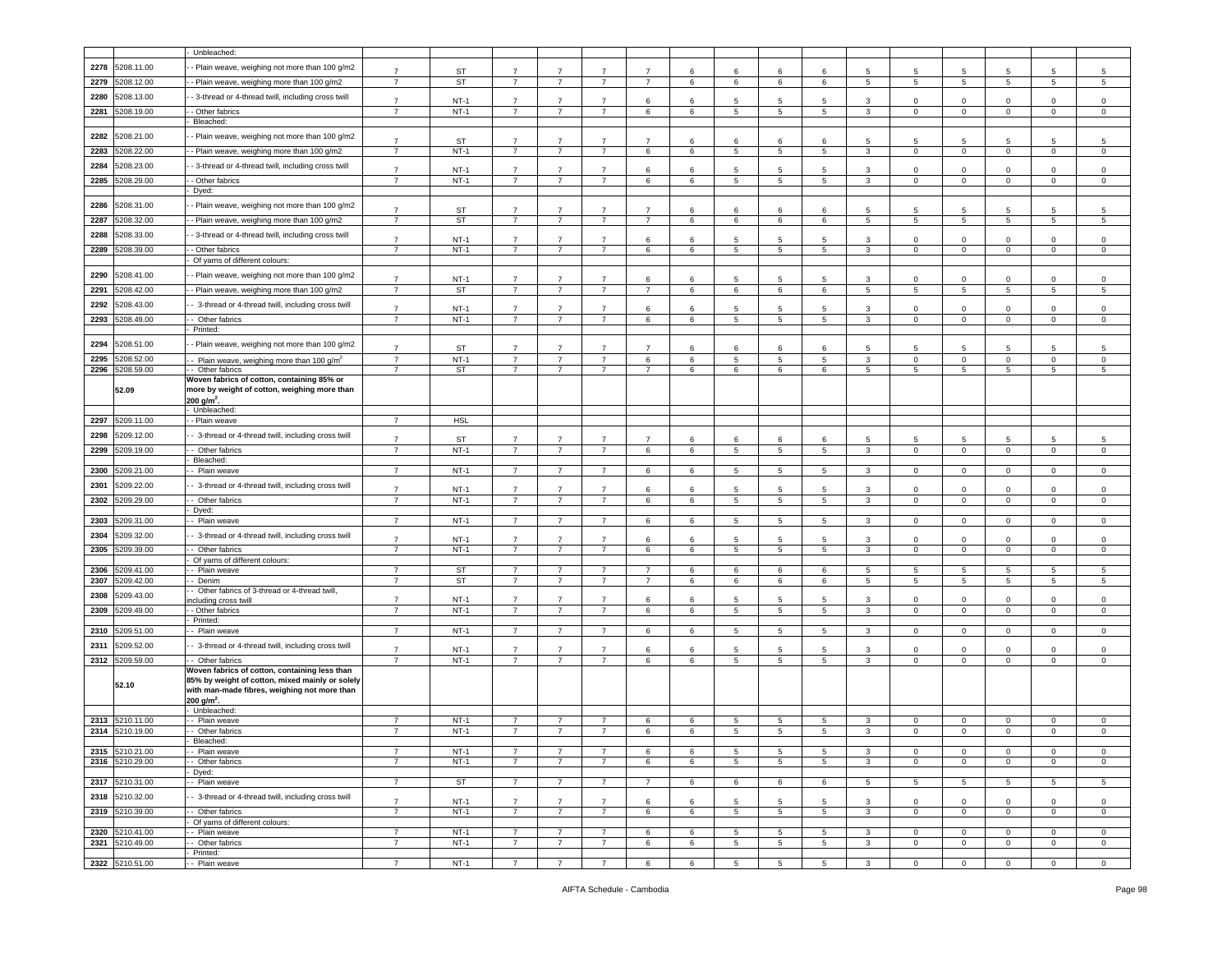|      |                 | Unbleached:                                         |                |                  |                |                |                |                |    |                 |                      |                 |                 |                |                 |                            |                 |                 |
|------|-----------------|-----------------------------------------------------|----------------|------------------|----------------|----------------|----------------|----------------|----|-----------------|----------------------|-----------------|-----------------|----------------|-----------------|----------------------------|-----------------|-----------------|
|      |                 |                                                     |                |                  |                |                |                |                |    |                 |                      |                 |                 |                |                 |                            |                 |                 |
| 2278 | 5208.11.00      | - Plain weave, weighing not more than 100 g/m2      | $\overline{7}$ | ST               | $\overline{7}$ | $\overline{7}$ | $\overline{7}$ | $\overline{7}$ | 6  | 6               | 6                    | 6               | 5               | 5              | 5               | 5                          | 5               | 5               |
| 2279 | 208.12.00       | - - Plain weave, weighing more than 100 g/m2        | $\overline{7}$ | ST               | $\overline{7}$ | $\overline{7}$ | $\overline{7}$ | $\overline{7}$ | 6  | 6               | 6                    | 6               | 5               | -5             | 5               | 5                          | 5               | 5               |
|      |                 |                                                     |                |                  |                |                |                |                |    |                 |                      |                 |                 |                |                 |                            |                 |                 |
| 2280 | 5208.13.00      | - 3-thread or 4-thread twill, including cross twill | $\overline{7}$ | $NT-1$           | $\overline{7}$ | $\overline{7}$ | $\overline{7}$ | 6              | 6  | 5               | 5                    | -5              | 3               | $\mathbf 0$    | $\Omega$        | $\mathbf 0$                | $\mathbf 0$     | $\Omega$        |
| 2281 | 208.19.00       | - Other fabrics                                     | $\overline{7}$ | $NT-1$           | $\overline{7}$ | $\overline{7}$ | $\overline{7}$ | 6              | 6  | 5               | 5                    | 5               | 3               | $\mathbf 0$    | $\mathbf 0$     | $\mathbf 0$                | 0               | $\mathsf 0$     |
|      |                 | Bleached:                                           |                |                  |                |                |                |                |    |                 |                      |                 |                 |                |                 |                            |                 |                 |
|      |                 |                                                     |                |                  |                |                |                |                |    |                 |                      |                 |                 |                |                 |                            |                 |                 |
| 2282 | 5208.21.00      | - Plain weave, weighing not more than 100 g/m2      | $\overline{7}$ | <b>ST</b>        | $\overline{7}$ | $\overline{7}$ | $\overline{7}$ | $\overline{7}$ | 6  | 6               | 6                    | 6               | 5               | -5             | 5               | 5                          | -5              | 5               |
| 2283 | 5208.22.00      | -- Plain weave, weighing more than 100 g/m2         | $\overline{7}$ | $NT-1$           | $\overline{7}$ | $\overline{7}$ | $\overline{7}$ | 6              | 6  | 5               | 5                    | 5               | 3               | $\mathbf 0$    | $\mathbf{0}$    | $\mathbf{0}$               | $\mathbf 0$     | $\mathbf 0$     |
| 2284 | 5208.23.00      |                                                     |                |                  |                |                |                |                |    |                 |                      |                 |                 |                |                 |                            |                 |                 |
|      |                 | - 3-thread or 4-thread twill, including cross twill | $\overline{7}$ | $NT-1$           | $\overline{7}$ | $\overline{7}$ | $\overline{7}$ | 6              | 6  | 5               | 5                    | 5               | 3               | $\Omega$       | $\mathbf 0$     | $\mathbf 0$                | 0               | $\mathbf 0$     |
| 2285 | 5208.29.00      | - Other fabrics                                     | $\overline{7}$ | $NT-1$           | $\overline{7}$ | $\overline{7}$ | $\overline{7}$ | 6              | 6  | 5               | $\,$ 5               | 5               | $\mathbf{3}$    | $\circ$        | $\mathbf 0$     | $\mathbf 0$                | $\mathbf 0$     | $\,0\,$         |
|      |                 | Dyed:                                               |                |                  |                |                |                |                |    |                 |                      |                 |                 |                |                 |                            |                 |                 |
| 2286 | 5208.31.00      | - Plain weave, weighing not more than 100 g/m2      |                |                  |                |                |                |                |    |                 |                      |                 |                 |                |                 |                            |                 |                 |
|      |                 |                                                     | $\overline{7}$ | <b>ST</b>        | $\overline{7}$ | $\overline{7}$ |                | $\overline{7}$ | 6  | 6               | 6                    | 6               | 5               | 5              | 5               | 5                          | 5               | 5               |
| 2287 | 5208.32.00      | - Plain weave, weighing more than 100 g/m2          | $\overline{7}$ | ST               | $\overline{7}$ | $\overline{7}$ | $\overline{7}$ | $\overline{7}$ | 6  | 6               | 6                    | 6               | $5\phantom{.0}$ | 5              | 5               | $\overline{5}$             | 5               | $5\phantom{.0}$ |
| 2288 | 5208.33.00      | - 3-thread or 4-thread twill, including cross twill |                |                  |                |                | $\overline{7}$ |                |    |                 |                      |                 |                 |                |                 |                            |                 |                 |
|      |                 |                                                     | $\overline{7}$ | $NT-1$           | $\overline{7}$ | $\overline{7}$ |                | 6              | 6  | 5               | 5                    | 5               | 3               | $\Omega$       | $\Omega$        | $\mathbf 0$                | $\mathbf 0$     | $\mathbf 0$     |
| 2289 | 5208.39.00      | - Other fabrics                                     | $\overline{7}$ | $NT-1$           | $\overline{7}$ | $\overline{7}$ | $\overline{7}$ | 6              | 6  | 5               | 5                    | 5               | $\mathbf{3}$    | $\mathbf 0$    | $\mathbf 0$     | $\mathbf 0$                | $\mathbf 0$     | $\mathbf 0$     |
|      |                 | Of yarns of different colours:                      |                |                  |                |                |                |                |    |                 |                      |                 |                 |                |                 |                            |                 |                 |
| 2290 | 5208.41.00      | - Plain weave, weighing not more than 100 g/m2      | $\overline{7}$ | $NT-1$           | $\overline{7}$ | $\overline{7}$ | $\overline{7}$ | 6              | 6  | 5               | 5                    | 5               | 3               | $\mathbf 0$    | $\mathbf 0$     | $\mathbf 0$                | 0               | $\overline{0}$  |
| 2291 | 5208.42.00      | - Plain weave, weighing more than 100 g/m2          | $\overline{7}$ | ST               | $\overline{7}$ | $\overline{7}$ | $\overline{7}$ | $\overline{7}$ | 6  | 6               | 6                    | 6               | $5\phantom{.0}$ | 5              | 5               | 5                          | $5\phantom{.0}$ | $\overline{5}$  |
|      |                 |                                                     |                |                  |                |                |                |                |    |                 |                      |                 |                 |                |                 |                            |                 |                 |
| 2292 | 5208.43.00      | - 3-thread or 4-thread twill, including cross twill | $\overline{7}$ | $NT-1$           | $\overline{7}$ | $\overline{7}$ | $\overline{7}$ | 6              | 6  | 5               | 5                    | -5              | 3               | $\Omega$       | $\Omega$        | $\circ$                    | $\circ$         | $\mathbf 0$     |
| 2293 | 5208.49.00      | - Other fabrics                                     | $\overline{7}$ | $NT-1$           | $\overline{7}$ | $\overline{7}$ | $\overline{7}$ | 6              | 6  | 5               | 5                    | 5               | $\mathbf{3}$    | $\mathbf 0$    | $\mathbf 0$     | $\mathbf{0}$               | $\mathbf 0$     | $\mathbf 0$     |
|      |                 | Printed:                                            |                |                  |                |                |                |                |    |                 |                      |                 |                 |                |                 |                            |                 |                 |
|      |                 |                                                     |                |                  |                |                |                |                |    |                 |                      |                 |                 |                |                 |                            |                 |                 |
| 2294 | 5208.51.00      | - Plain weave, weighing not more than 100 g/m2      | $\overline{7}$ | <b>ST</b>        | $\overline{7}$ | $\overline{7}$ | $\overline{7}$ | $\overline{7}$ | 6  | 6               | 6                    | 6               | 5               | 5              | 5               | 5                          | 5               | 5               |
| 2295 | 5208.52.00      | - Plain weave, weighing more than 100 $g/m^2$       | $\overline{7}$ | $NT-1$           | $\overline{7}$ | $\overline{7}$ | $\overline{7}$ | 6              | 6  | 5               | 5                    | 5               | 3               | $\mathbf 0$    | $\mathbf 0$     | $\mathbf 0$                | $\mathbf 0$     | $\mathbf 0$     |
| 2296 | 5208.59.00      | - Other fabrics                                     | $\overline{7}$ | ST               | $\overline{7}$ | $\overline{7}$ | $\overline{7}$ | $\overline{7}$ | 6  | 6               | 6                    | 6               | $5\phantom{.0}$ | 5              | $5\phantom{.0}$ | $5\phantom{.0}$            | 5               | $\,$ 5 $\,$     |
|      |                 | Woven fabrics of cotton, containing 85% or          |                |                  |                |                |                |                |    |                 |                      |                 |                 |                |                 |                            |                 |                 |
|      | 52.09           | more by weight of cotton, weighing more than        |                |                  |                |                |                |                |    |                 |                      |                 |                 |                |                 |                            |                 |                 |
|      |                 | 200 g/m <sup>2</sup> .                              |                |                  |                |                |                |                |    |                 |                      |                 |                 |                |                 |                            |                 |                 |
|      |                 | - Unbleached:                                       |                |                  |                |                |                |                |    |                 |                      |                 |                 |                |                 |                            |                 |                 |
| 2297 | 5209.11.00      | - Plain weave                                       | $\overline{7}$ | <b>HSL</b>       |                |                |                |                |    |                 |                      |                 |                 |                |                 |                            |                 |                 |
|      |                 |                                                     |                |                  |                |                |                |                |    |                 |                      |                 |                 |                |                 |                            |                 |                 |
| 2298 | 5209.12.00      | - 3-thread or 4-thread twill, including cross twill | $\overline{7}$ | <b>ST</b>        | $\overline{7}$ | $\overline{7}$ | $\overline{7}$ | $\overline{7}$ | 6  | 6               | 6                    | 6               | 5               | -5             | 5               | 5                          | 5               | 5               |
| 2299 | 5209.19.00      | - - Other fabrics                                   | $\overline{7}$ | $NT-1$           | $\overline{7}$ | $\overline{7}$ | $\overline{7}$ | 6              | 6  | 5               | 5                    | 5               | $\mathbf{3}$    | $\mathbf 0$    | $\mathbf 0$     | $\mathbf{0}$               | $\mathbf 0$     | $\mathbf{0}$    |
|      |                 | Bleached:                                           |                |                  |                |                |                |                |    |                 |                      |                 |                 |                |                 |                            |                 |                 |
| 2300 | 5209.21.00      | - Plain weave                                       | $\overline{7}$ | $NT-1$           | $\overline{7}$ | $\overline{7}$ | $\overline{7}$ | 6              | 6  | $\overline{5}$  | $5\phantom{.0}$      | 5               | $\mathbf{3}$    | $\mathbf 0$    | $\mathsf 0$     | $\mathbf{0}$               | 0               | $\mathsf 0$     |
| 2301 | 5209.22.00      | - 3-thread or 4-thread twill, including cross twill |                |                  |                |                |                |                |    |                 |                      |                 |                 |                |                 |                            |                 |                 |
|      |                 |                                                     | $\overline{7}$ | $NT-1$           | $\overline{7}$ | $\overline{7}$ | $\overline{7}$ | 6              | 6  | 5               | 5                    | 5               | 3               | $\mathbf 0$    | $\mathbf 0$     | $\mathbf 0$                | 0               | $^{\circ}$      |
| 2302 | 5209.29.00      | - Other fabrics                                     | $\overline{7}$ | $NT-1$           | $\overline{7}$ | $\overline{7}$ | $\overline{7}$ | 6              | 6  | 5               | $5\phantom{.0}$      | 5               | 3               | $\mathbf 0$    | 0               | $\mathsf 0$                | $\mathbf 0$     | $\mathbf 0$     |
|      |                 | Dyed:                                               |                |                  |                |                |                |                |    |                 |                      |                 |                 |                |                 |                            |                 |                 |
| 2303 | 5209.31.00      | - Plain weave                                       | $\overline{7}$ | $NT-1$           | $\overline{7}$ | $\overline{7}$ | $\overline{7}$ | 6              | 6  | 5               | 5                    | 5               | 3               | $\mathbf 0$    | 0               | 0                          | 0               | $^{\circ}$      |
| 2304 | 5209.32.00      | - 3-thread or 4-thread twill, including cross twill | $\overline{7}$ |                  | $\overline{7}$ | $\overline{7}$ | $\overline{7}$ |                | -6 | $5\overline{5}$ |                      | -5              |                 | $\mathbf 0$    | $\mathbf 0$     |                            |                 | $\mathbf 0$     |
|      |                 |                                                     |                | $NT-1$<br>$NT-1$ | $\overline{7}$ | $\overline{7}$ | $\overline{7}$ | 6              |    |                 | 5<br>$5\phantom{.0}$ |                 | 3               |                |                 | $\mathbf 0$<br>$\mathbf 0$ | $\mathbf 0$     | $\mathbf 0$     |
| 2305 | 209.39.00       | - Other fabrics<br>Of yarns of different colours:   | $\overline{7}$ |                  |                |                |                | $\,6\,$        | 6  | 5               |                      | 5               | $\mathbf{3}$    | $\mathbf 0$    | $\mathbf 0$     |                            | $\mathbf 0$     |                 |
| 2306 | 5209.41.00      | - Plain weave                                       | $\overline{7}$ | ST               | $\overline{7}$ | 7              | $\overline{7}$ | 7              | 6  | 6               | 6                    | 6               | 5               | -5             | 5               | 5                          | 5               | 5               |
| 2307 | 5209.42.00      | - Denim                                             | $\overline{7}$ | ST               | 7              | $\overline{7}$ | $\overline{7}$ | $\overline{7}$ | 6  | 6               | 6                    | 6               | 5               | 5              | 5               | 5                          | 5               | 5               |
|      |                 | - Other fabrics of 3-thread or 4-thread twill,      |                |                  |                |                |                |                |    |                 |                      |                 |                 |                |                 |                            |                 |                 |
| 2308 | 5209.43.00      | including cross twill                               | $\overline{7}$ | $NT-1$           | $\overline{7}$ | $\overline{7}$ | $\overline{7}$ | 6              | 6  | 5               | 5                    | 5               | 3               | $\Omega$       | $\Omega$        | $\mathbf 0$                | 0               | $\Omega$        |
| 2309 | 5209.49.00      | - Other fabrics                                     | $\overline{7}$ | $NT-1$           | $\overline{7}$ | $\overline{7}$ | $\overline{7}$ | $\,6\,$        | 6  | 5               | $\,$ 5               | 5               | $\mathbf{3}$    | $\mathbf 0$    | $\mathsf 0$     | $\mathbf 0$                | $\mathbf 0$     | $\mathbf 0$     |
|      |                 | Printed:                                            |                |                  |                |                |                |                |    |                 |                      |                 |                 |                |                 |                            |                 |                 |
| 2310 | 5209.51.00      | - Plain weave                                       | $\overline{7}$ | $NT-1$           | $\overline{7}$ | $\overline{7}$ | $\overline{7}$ | 6              | 6  | 5               | 5                    | 5               | 3               | $\mathbf 0$    | $\mathbf 0$     | $\mathbf 0$                | $\mathbf 0$     | $\mathsf 0$     |
|      |                 |                                                     |                |                  |                |                |                |                |    |                 |                      |                 |                 |                |                 |                            |                 |                 |
| 2311 | 5209.52.00      | - 3-thread or 4-thread twill, including cross twill | $\overline{7}$ | $NT-1$           | $\overline{7}$ | $\overline{7}$ | $\overline{7}$ | 6              | 6  | 5               | 5                    | 5               | 3               | $\Omega$       | 0               | $\mathbf 0$                | $\mathbf 0$     | $\mathbf 0$     |
| 2312 | 5209.59.00      | - - Other fabrics                                   | $\overline{7}$ | $NT-1$           | $\overline{7}$ | $\overline{7}$ | $\overline{7}$ | 6              | 6  | 5               | 5                    | 5               | 3               | $\mathbf 0$    | $\mathbf 0$     | $\mathbf 0$                | $\mathbf 0$     | $\mathbf 0$     |
|      |                 | Woven fabrics of cotton, containing less than       |                |                  |                |                |                |                |    |                 |                      |                 |                 |                |                 |                            |                 |                 |
|      | 52.10           | 85% by weight of cotton, mixed mainly or solely     |                |                  |                |                |                |                |    |                 |                      |                 |                 |                |                 |                            |                 |                 |
|      |                 | with man-made fibres, weighing not more than        |                |                  |                |                |                |                |    |                 |                      |                 |                 |                |                 |                            |                 |                 |
|      |                 | 200 g/m <sup>2</sup> .                              |                |                  |                |                |                |                |    |                 |                      |                 |                 |                |                 |                            |                 |                 |
|      |                 | - Unbleached:                                       |                |                  |                |                |                |                |    |                 |                      |                 |                 |                |                 |                            |                 |                 |
| 2313 | 5210.11.00      | - - Plain weave                                     | 7              | NT-1             | 7              | 7              | 7              | 6              | 6  | 5               | 5                    | 5               | 3               | $\mathbf 0$    | 0               | $\mathbf 0$                | $\mathbf 0$     | $\mathbf{0}$    |
| 2314 | 5210.19.00      | - Other fabrics                                     | $\overline{7}$ | $NT-1$           | $\overline{7}$ | $\overline{7}$ | $\overline{7}$ | 6              | 6  | 5               | $5\phantom{.0}$      | 5               | 3               | $\Omega$       | $\mathbf 0$     | $\mathsf 0$                | $\mathbf 0$     | $\Omega$        |
|      |                 |                                                     |                |                  |                |                |                |                |    |                 |                      |                 |                 |                |                 |                            |                 |                 |
|      | 2315 5210.21.00 | - Plain weave                                       | $\overline{7}$ | $NT-1$           | $\overline{7}$ | $\overline{7}$ | $\overline{7}$ | 6              | 6  | 5               | 5                    | 5               | 3               | $\mathbf 0$    | $\mathbf 0$     | $\mathbf 0$                | $\mathbf 0$     | $\mathbf 0$     |
|      | 2316 5210.29.00 | - Other fabrics                                     | $\overline{7}$ | $NT-1$           | $\overline{7}$ | $\overline{7}$ | $\overline{7}$ | 6              | 6  | 5               | 5                    | 5               | $\mathbf{3}$    | $\mathbf 0$    | $\mathbf{0}$    | $\overline{0}$             | $\overline{0}$  | $\mathbf 0$     |
|      |                 | - Dyed:                                             |                |                  |                |                |                |                |    |                 |                      |                 |                 |                |                 |                            |                 |                 |
|      | 2317 5210.31.00 | - - Plain weave                                     | $\overline{7}$ | <b>ST</b>        | $\overline{7}$ | $\overline{7}$ | $\overline{7}$ | $\overline{7}$ | 6  | 6               | 6                    | 6               | $5\overline{5}$ | 5              | 5 <sub>5</sub>  | 5                          | 5               | $5\phantom{.0}$ |
|      | 2318 5210.32.00 | - 3-thread or 4-thread twill, including cross twill |                |                  |                |                |                |                |    |                 |                      |                 |                 |                |                 |                            |                 |                 |
|      |                 |                                                     | $\overline{7}$ | $NT-1$           | $\overline{7}$ | $\overline{7}$ | $\overline{7}$ | 6              | -6 | 5               | 5                    | 5               | 3               | $\mathbf 0$    | 0               | $\mathbf 0$                | $\mathbf 0$     | $\mathsf 0$     |
|      | 2319 5210.39.00 | - - Other fabrics                                   | $\overline{7}$ | $NT-1$           | $\overline{7}$ | $\overline{7}$ | $\overline{7}$ | 6              | 6  | 5               | $\overline{5}$       | $5\phantom{.0}$ | $\mathbf{3}$    | $\mathbf 0$    | $\mathbf 0$     | $\overline{0}$             | $\mathbf 0$     | $\mathbf 0$     |
|      |                 | - Of yarns of different colours:                    |                |                  |                |                |                |                |    |                 |                      |                 |                 |                |                 |                            |                 |                 |
| 2320 | 5210.41.00      | - - Plain weave                                     | 7              | $NT-1$           | 7              | 7              | 7              | 6              | 6  | 5               | 5                    | 5               | 3               | $\mathbf{0}$   | 0               | $\mathbf{0}$               | $\mathbf{0}$    | $\mathbf{0}$    |
| 2321 | 5210.49.00      | - Other fabrics                                     | $\overline{7}$ | $NT-1$           | $\overline{7}$ | $\overline{7}$ | $\overline{7}$ | 6              | 6  | 5               | 5                    | 5               | $\mathbf{3}$    | $\mathbf 0$    | $\mathbf 0$     | $\mathbf 0$                | $\mathbf 0$     | $\mathbf 0$     |
|      | 2322 5210.51.00 | Printed:<br>- - Plain weave                         |                | $NT-1$           |                |                |                |                |    |                 |                      |                 |                 |                |                 |                            |                 |                 |
|      |                 |                                                     | $\overline{7}$ |                  | $\overline{7}$ | $\overline{7}$ | $\overline{7}$ | 6              | 6  | 5               | $5\overline{5}$      | 5 <sup>5</sup>  | $\overline{3}$  | $\overline{0}$ | $\overline{0}$  | $\overline{0}$             | $\overline{0}$  | $\overline{0}$  |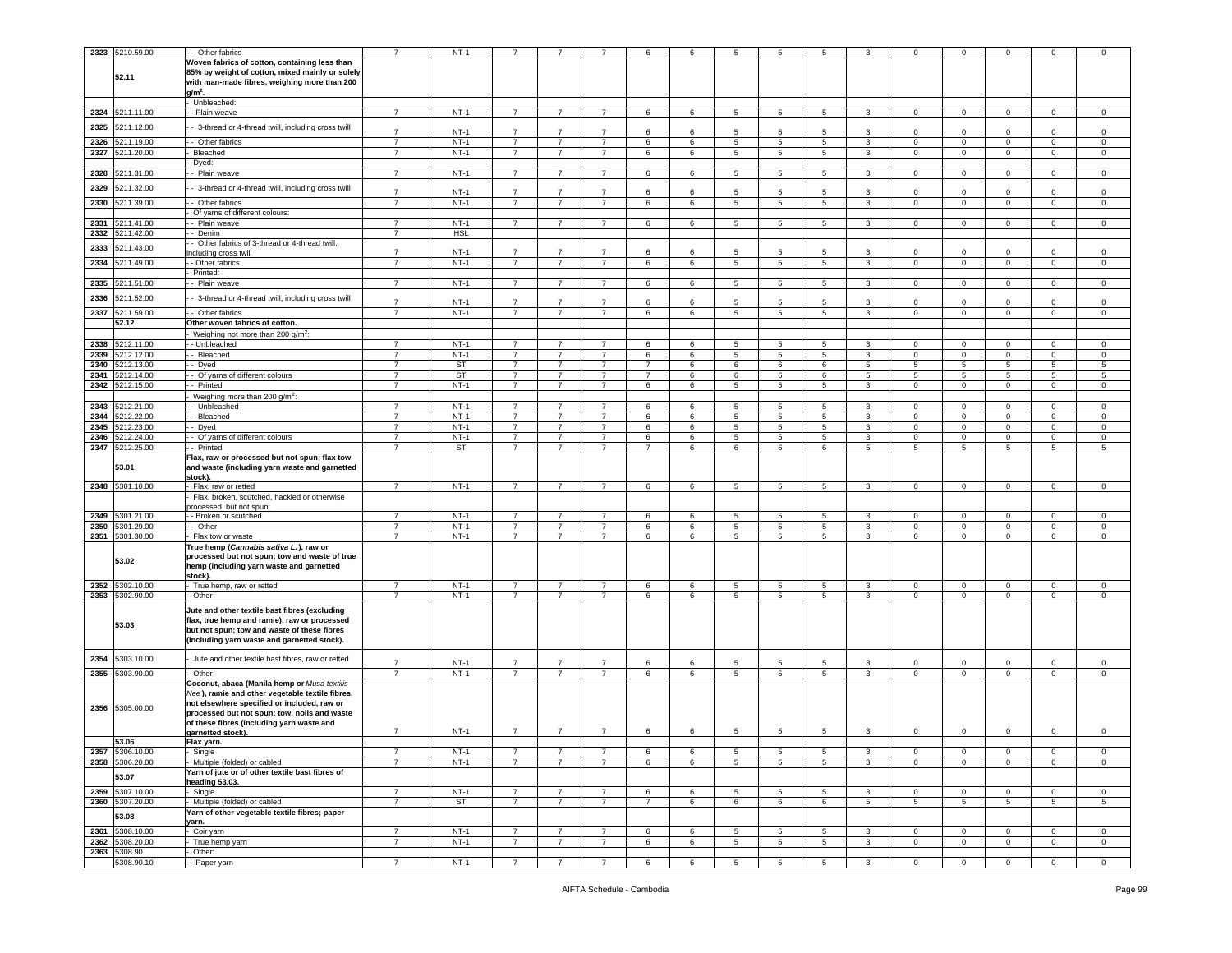|              | 2323 5210.59.00          | - Other fabrics                                                          | $\overline{7}$ | $NT-1$      |                                  |                     |                     | 6              |        | 5                    | 5               | 5               |              |                 | $^{\circ}$                 | 0                          | 0                | $\mathbf 0$                |
|--------------|--------------------------|--------------------------------------------------------------------------|----------------|-------------|----------------------------------|---------------------|---------------------|----------------|--------|----------------------|-----------------|-----------------|--------------|-----------------|----------------------------|----------------------------|------------------|----------------------------|
|              |                          | Woven fabrics of cotton, containing less than                            |                |             |                                  |                     |                     |                |        |                      |                 |                 |              |                 |                            |                            |                  |                            |
|              |                          | 85% by weight of cotton, mixed mainly or solely                          |                |             |                                  |                     |                     |                |        |                      |                 |                 |              |                 |                            |                            |                  |                            |
|              | 52.11                    | with man-made fibres, weighing more than 200                             |                |             |                                  |                     |                     |                |        |                      |                 |                 |              |                 |                            |                            |                  |                            |
|              |                          | $g/m2$ .                                                                 |                |             |                                  |                     |                     |                |        |                      |                 |                 |              |                 |                            |                            |                  |                            |
|              |                          | - Unbleached:                                                            |                |             |                                  |                     |                     |                |        |                      |                 |                 |              |                 |                            |                            |                  |                            |
| 2324         | 5211.11.00               | - - Plain weave                                                          | $\overline{7}$ | $NT-1$      | $\overline{7}$                   | $\overline{7}$      | $\overline{7}$      | 6              | 6      | $5\overline{)}$      | 5               | $\overline{5}$  | $\mathbf{3}$ | $\mathbf 0$     | $\mathbf 0$                | $\mathbf{0}$               | $\mathbf{0}$     | $\mathbf 0$                |
|              |                          |                                                                          |                |             |                                  |                     |                     |                |        |                      |                 |                 |              |                 |                            |                            |                  |                            |
| 2325         | 5211.12.00               | 3-thread or 4-thread twill, including cross twill                        | $\overline{7}$ | <b>NT-1</b> | $\overline{7}$                   | $\overline{7}$      | $\overline{7}$      | 6              | 6      | 5                    | 5               | 5               | 3            | 0               | $\mathbf 0$                | $^{\circ}$                 | 0                | $\mathbf 0$                |
| 2326         | 5211.19.00               | - Other fabrics                                                          | $\overline{7}$ | $NT-1$      | $\overline{7}$                   | $\overline{7}$      | $\overline{7}$      | 6              | 6      | $5\phantom{.0}$      | 5               | 5               | 3            | $\mathbf 0$     | $\mathbf 0$                | $\mathbf{0}$               | $\mathbf 0$      | $\mathbf 0$                |
| 2327         | 5211.20.00               | Bleached                                                                 | $\overline{7}$ | $NT-1$      | $\overline{7}$                   | $\overline{7}$      | 7                   | 6              | 6      | $5\overline{5}$      | 5               | 5               | 3            | $\overline{0}$  | $\mathbf{0}$               | $\mathbf 0$                | $\mathbf{0}$     | 0                          |
|              |                          | Dyed:                                                                    |                |             |                                  |                     |                     |                |        |                      |                 |                 |              |                 |                            |                            |                  |                            |
| 2328         | 5211.31.00               | - Plain weave                                                            | $\overline{7}$ | $NT-1$      | $\overline{7}$                   | $\overline{7}$      | $\overline{7}$      | 6              | 6      | $5\overline{5}$      | 5               | 5               | 3            | $\mathbf 0$     | $\mathbf 0$                | $\mathbf{0}$               | $\mathbf 0$      | $\mathbf 0$                |
|              |                          |                                                                          |                |             |                                  |                     |                     |                |        |                      |                 |                 |              |                 |                            |                            |                  |                            |
| 2329         | 5211.32.00               | - 3-thread or 4-thread twill, including cross twill                      | $\overline{7}$ | $NT-1$      | $\overline{7}$                   | $\overline{7}$      | $\overline{7}$      | 6              | 6      | 5                    | 5               | 5               | 3            | $\mathsf 0$     | $\mathbf 0$                | 0                          | 0                | $\mathsf 0$                |
| 2330         | 5211.39.00               | Other fabrics                                                            | $\overline{7}$ | $NT-1$      | $\overline{7}$                   | $\overline{7}$      | $\overline{7}$      | 6              | 6      | 5                    | 5               | 5               | 3            | 0               | $\mathbf 0$                | 0                          | 0                | $\mathsf 0$                |
|              |                          | Of yarns of different colours:                                           |                |             |                                  |                     |                     |                |        |                      |                 |                 |              |                 |                            |                            |                  |                            |
| 2331         | 5211.41.00               | - Plain weave                                                            | $\overline{7}$ | $NT-1$      | $\overline{7}$                   | 7                   | 7                   | 6              | 6      | $5\overline{5}$      | 5               | 5               | 3            | $\mathbf{0}$    | $\mathbf 0$                | $\mathbf 0$                | $\mathbf{0}$     | $\mathbf 0$                |
| 2332         | 5211.42.00               | - Denim                                                                  | $\overline{7}$ | <b>HSL</b>  |                                  |                     |                     |                |        |                      |                 |                 |              |                 |                            |                            |                  |                            |
| 2333         | 5211.43.00               | Other fabrics of 3-thread or 4-thread twill,                             |                |             |                                  |                     |                     |                |        |                      |                 |                 |              |                 |                            |                            |                  |                            |
|              |                          | ncluding cross twill                                                     | $\overline{7}$ | $NT-1$      | $\overline{7}$                   | $\overline{7}$      | $\overline{7}$      | 6              | 6      | 5                    | 5               | 5               | 3            | 0               | $\mathbf 0$                | $\Omega$                   | $\Omega$         | $\mathbf 0$                |
| 2334         | 5211.49.00               | - Other fabrics                                                          | $\overline{7}$ | $NT-1$      | $\overline{7}$                   | $\overline{7}$      | $\overline{7}$      | 6              | 6      | 5                    | 5               | 5               | 3            | 0               | $\mathbf 0$                | $\mathbf 0$                | 0                | $\mathbf 0$                |
|              |                          | Printed:                                                                 |                |             |                                  |                     |                     |                |        |                      |                 |                 |              |                 |                            |                            |                  |                            |
| 2335         | 211.51.00                | - Plain weave                                                            | $\overline{7}$ | $NT-1$      | $\overline{7}$                   | $\overline{7}$      | $\overline{7}$      | 6              | 6      | $5\overline{5}$      | 5               | 5               | 3            | $\mathbf{0}$    | $\mathbf 0$                | $\mathbf 0$                | $\mathbf{0}$     | $\mathbf 0$                |
| 2336         | 5211.52.00               | - 3-thread or 4-thread twill, including cross twill                      |                |             |                                  |                     |                     |                |        |                      |                 |                 |              |                 |                            |                            |                  |                            |
|              |                          |                                                                          | $\overline{7}$ | $NT-1$      | $\overline{7}$<br>$\overline{7}$ | $\overline{7}$      | $\overline{7}$      | 6              | 6      | 5                    | -5              | 5               | 3            | 0               | $\mathbf 0$                | 0                          | 0                | $\mathbf 0$                |
| 2337         | 5211.59.00               | - Other fabrics                                                          | $\overline{7}$ | $NT-1$      |                                  | $\overline{7}$      | $\overline{7}$      | 6              | 6      | $5\overline{)}$      | 5               | 5               | $\mathbf{3}$ | $\circ$         | $\mathsf 0$                | $\mathbf{0}$               | $\mathbf{0}$     | $\mathbf 0$                |
|              | 52.12                    | Other woven fabrics of cotton.                                           |                |             |                                  |                     |                     |                |        |                      |                 |                 |              |                 |                            |                            |                  |                            |
|              |                          | Weighing not more than 200 $q/m^2$ :                                     | $\overline{7}$ | $NT-1$      | $\overline{7}$                   |                     |                     |                |        |                      |                 |                 |              | 0               |                            |                            |                  |                            |
| 2338<br>2339 | 5212.11.00<br>5212.12.00 | - Unbleached<br>- Bleached                                               | $\overline{7}$ | $NT-1$      | $\overline{7}$                   | 7<br>$\overline{7}$ | 7<br>$\overline{7}$ | 6<br>6         | 6<br>6 | 5<br>$5\overline{5}$ | 5<br>5          | 5<br>5          | 3<br>3       | $\mathbf 0$     | $\mathbf 0$<br>$\mathsf 0$ | $^{\circ}$<br>$\mathbf 0$  | 0<br>$\mathbf 0$ | $\mathbf 0$<br>$\mathbf 0$ |
| 2340         | 5212.13.00               | - Dyed                                                                   | $\overline{7}$ | <b>ST</b>   | $\overline{7}$                   | $\overline{7}$      | $\overline{7}$      | $\overline{7}$ | 6      | 6                    | 6               | 6               | 5            | $5\overline{)}$ | $\overline{5}$             | 5                          | $5\overline{)}$  | $\overline{5}$             |
| 2341         | 5212.14.00               | - Of varns of different colours                                          | $\overline{7}$ | ST          | $\overline{7}$                   | $\overline{7}$      | $\overline{7}$      | $\overline{7}$ | 6      | 6                    | 6               | 6               | 5            | 5               | 5                          | 5                          | 5                | 5                          |
| 2342         | 5212.15.00               | - Printed                                                                | $\overline{7}$ | $NT-1$      | $\overline{7}$                   | $\overline{7}$      | $\overline{7}$      | 6              | 6      | $5\phantom{.0}$      | $5\phantom{.0}$ | 5               | $\mathbf{3}$ | $\overline{0}$  | $\,0\,$                    | $\mathbf 0$                | $\mathbf{0}$     | $\mathsf 0$                |
|              |                          | Weighing more than 200 g/m <sup>2</sup> :                                |                |             |                                  |                     |                     |                |        |                      |                 |                 |              |                 |                            |                            |                  |                            |
| 2343         | 5212.21.00               | - Unbleached                                                             | $\overline{7}$ | $NT-1$      | $\overline{7}$                   | $\overline{7}$      | $\overline{7}$      | 6              | 6      | 5                    | 5               | 5               | 3            | $\mathbf 0$     | $\mathbf 0$                | $\mathbf 0$                | $\mathbf 0$      | $\mathbf 0$                |
| 2344         | 5212.22.00               | - Bleached                                                               | $\overline{7}$ | $NT-1$      | $\overline{7}$                   | $\overline{7}$      | $\overline{7}$      | 6              | 6      | 5                    | 5               | 5               | 3            | 0               | $\mathbf 0$                | 0                          | 0                | $\mathbf 0$                |
| 2345         | 212.23.00                | - Dyed                                                                   | $\overline{7}$ | $NT-1$      | $\overline{7}$                   | $\overline{7}$      | $\overline{7}$      | 6              | 6      | 5                    | 5               | 5               | 3            | $\mathbf 0$     | $\mathsf 0$                | $\mathbf 0$                | $\mathbf 0$      | $\mathsf 0$                |
| 2346         | 5212.24.00               | - Of yarns of different colours                                          | $\overline{7}$ | $NT-1$      | $\overline{7}$                   | 7                   | $\overline{7}$      | 6              | 6      | $5\overline{5}$      | 5               | 5               | 3            | $\mathbf{0}$    | $\mathbf 0$                | $\mathbf 0$                | 0                | 0                          |
| 2347         | 5212.25.00               | -- Printed                                                               | $\overline{7}$ | ST          | $\overline{7}$                   | $\overline{7}$      | $\overline{7}$      | $\overline{7}$ | 6      | 6                    | 6               | 6               | $5^{\circ}$  | 5               | 5                          | 5                          | 5                | 5                          |
|              |                          | Flax, raw or processed but not spun; flax tow                            |                |             |                                  |                     |                     |                |        |                      |                 |                 |              |                 |                            |                            |                  |                            |
|              | 53.01                    | and waste (including yarn waste and garnetted                            |                |             |                                  |                     |                     |                |        |                      |                 |                 |              |                 |                            |                            |                  |                            |
|              |                          | stock).                                                                  |                |             |                                  |                     |                     |                |        |                      |                 |                 |              |                 |                            |                            |                  |                            |
|              | 2348 5301.10.00          | - Flax, raw or retted                                                    | $\overline{7}$ | $NT-1$      | $\overline{7}$                   | $\overline{7}$      | $\overline{7}$      | 6              | 6      | $5\overline{5}$      | 5               | 5               | 3            | $\mathbf{0}$    | $\mathbf 0$                | $\mathbf 0$                | 0                | $\mathbf 0$                |
|              |                          | Flax, broken, scutched, hackled or otherwise<br>processed, but not spun: |                |             |                                  |                     |                     |                |        |                      |                 |                 |              |                 |                            |                            |                  |                            |
| 2349         | 5301.21.00               | - Broken or scutched                                                     | $\overline{7}$ | $NT-1$      | $\overline{7}$                   | 7                   | $\overline{7}$      | 6              | 6      | $5\phantom{.0}$      | 5               | 5               | 3            | $\mathbf{0}$    | $\,0\,$                    | $\mathbf 0$                | $\mathbf{0}$     | $\mathsf 0$                |
| 2350         | 5301.29.00               | - - Other                                                                | $\overline{7}$ | $NT-1$      | 7                                | $\overline{7}$      | $\overline{7}$      | 6              | 6      | $5\overline{5}$      | 5               | 5               | 3            | $\overline{0}$  | $\mathbf 0$                | $\mathbf 0$                | 0                | 0                          |
| 2351         | 5301.30.00               | Flax tow or waste                                                        | $\overline{7}$ | $NT-1$      | $\overline{7}$                   | $\overline{7}$      | $\overline{7}$      | 6              | 6      | $5\overline{)}$      | 5               | 5               | 3            | $\mathbf 0$     | $\mathbf 0$                | $\mathbf 0$                | $\mathbf 0$      | $\mathsf 0$                |
|              |                          | True hemp ( <i>Cannabis sativa L.</i> ), raw or                          |                |             |                                  |                     |                     |                |        |                      |                 |                 |              |                 |                            |                            |                  |                            |
|              |                          | processed but not spun; tow and waste of true                            |                |             |                                  |                     |                     |                |        |                      |                 |                 |              |                 |                            |                            |                  |                            |
|              | 53.02                    | hemp (including yarn waste and garnetted                                 |                |             |                                  |                     |                     |                |        |                      |                 |                 |              |                 |                            |                            |                  |                            |
|              |                          | stock).                                                                  |                |             |                                  |                     |                     |                |        |                      |                 |                 |              |                 |                            |                            |                  |                            |
|              | 2352 5302.10.00          | True hemp, raw or retted                                                 | $\overline{7}$ | $NT-1$      | $\overline{7}$                   | $\overline{7}$      | $\overline{7}$      | 6              | 6      | $\overline{5}$       | 5               | 5               | 3            | $\mathbf 0$     | $\mathsf 0$                | $\mathbf 0$                | $\mathbf 0$      | $\mathsf 0$                |
|              | 2353 5302.90.00          | - Other                                                                  | $\overline{7}$ | $NT-1$      | 7                                | $\overline{7}$      | $\overline{7}$      | 6              | 6      | $5\overline{5}$      | 5               | 5               | 3            | $\mathbf 0$     | $\mathbf{0}$               | $\mathbf 0$                | $\mathbf{0}$     | $\mathsf 0$                |
|              |                          | Jute and other textile bast fibres (excluding                            |                |             |                                  |                     |                     |                |        |                      |                 |                 |              |                 |                            |                            |                  |                            |
|              | 53.03                    | flax, true hemp and ramie), raw or processed                             |                |             |                                  |                     |                     |                |        |                      |                 |                 |              |                 |                            |                            |                  |                            |
|              |                          | but not spun; tow and waste of these fibres                              |                |             |                                  |                     |                     |                |        |                      |                 |                 |              |                 |                            |                            |                  |                            |
|              |                          | (including yarn waste and garnetted stock).                              |                |             |                                  |                     |                     |                |        |                      |                 |                 |              |                 |                            |                            |                  |                            |
|              |                          |                                                                          |                |             |                                  |                     |                     |                |        |                      |                 |                 |              |                 |                            |                            |                  |                            |
| 2354         | 5303.10.00               | Jute and other textile bast fibres, raw or retted                        | $\overline{7}$ | $NT-1$      | $\overline{7}$                   | $\overline{7}$      | $\overline{7}$      | 6              | 6      | 5                    | -5              | 5               | 3            | $\mathbf 0$     | $\mathbf 0$                | $^{\circ}$                 | 0                | $\mathbf 0$                |
| 2355         | 5303.90.00               | Other                                                                    | $\overline{7}$ | $NT-1$      | $\overline{7}$                   | $\overline{7}$      | $\overline{7}$      | 6              | 6      | 5                    | 5               | 5               | 3            | 0               | $\mathbf 0$                | $\mathbf 0$                | 0                | $\mathbf 0$                |
|              |                          | Coconut, abaca (Manila hemp or Musa textilis                             |                |             |                                  |                     |                     |                |        |                      |                 |                 |              |                 |                            |                            |                  |                            |
|              |                          | Nee), ramie and other vegetable textile fibres,                          |                |             |                                  |                     |                     |                |        |                      |                 |                 |              |                 |                            |                            |                  |                            |
| 2356         | 5305.00.00               | not elsewhere specified or included, raw or                              |                |             |                                  |                     |                     |                |        |                      |                 |                 |              |                 |                            |                            |                  |                            |
|              |                          | processed but not spun; tow, noils and waste                             |                |             |                                  |                     |                     |                |        |                      |                 |                 |              |                 |                            |                            |                  |                            |
|              |                          | of these fibres (including yarn waste and<br>garnetted stock).           | $\overline{7}$ | $NT-1$      | $\overline{7}$                   | $\overline{7}$      | $\overline{7}$      | 6              | 6      | 5                    | 5               | 5               | 3            | 0               | $\mathbf 0$                | $\mathbf 0$                | 0                | $\mathbf 0$                |
|              | 53.06                    | Flax varn.                                                               |                |             |                                  |                     |                     |                |        |                      |                 |                 |              |                 |                            |                            |                  |                            |
| 2357         | 5306.10.00               | Single                                                                   | $\overline{7}$ | $NT-1$      | $\overline{7}$                   | $\overline{7}$      | $\overline{7}$      | 6              | 6      | 5                    | 5               | 5               | 3            | $\mathbf 0$     | $\mathsf 0$                | $\mathbf 0$                | $\mathbf 0$      | $\mathsf 0$                |
|              | 2358 5306.20.00          | Multiple (folded) or cabled                                              | $\overline{7}$ | $NT-1$      | $\overline{7}$                   | $\overline{7}$      | $\overline{7}$      | 6              | 6      | $5\overline{5}$      | 5               | 5               | 3            | $\mathbf 0$     | $\mathbf 0$                | $\mathbf 0$                | 0                | $\mathbf 0$                |
|              |                          | Yarn of jute or of other textile bast fibres of                          |                |             |                                  |                     |                     |                |        |                      |                 |                 |              |                 |                            |                            |                  |                            |
|              | 53.07                    | heading 53.03.                                                           |                |             |                                  |                     |                     |                |        |                      |                 |                 |              |                 |                            |                            |                  |                            |
|              | 2359 5307.10.00          | Single                                                                   | $\overline{7}$ | $NT-1$      | $\overline{7}$                   | $\overline{7}$      | $\overline{7}$      | 6              | 6      | $5\overline{5}$      | 5               | $5\phantom{.0}$ | 3            | $\mathbf 0$     | $\mathbf 0$                | $\mathbf 0$                | $\overline{0}$   | $\mathsf 0$                |
|              | 2360 5307.20.00          | Multiple (folded) or cabled                                              | $\overline{7}$ | ST          | $\overline{7}$                   | $\overline{7}$      | $\overline{7}$      | $\overline{7}$ | 6      | 6                    | 6               | 6               | $5^{\circ}$  | 5 <sub>5</sub>  | 5                          | $5\overline{5}$            | 5                | 5                          |
|              | 53.08                    | Yarn of other vegetable textile fibres; paper                            |                |             |                                  |                     |                     |                |        |                      |                 |                 |              |                 |                            |                            |                  |                            |
|              | 5308.10.00               | yarn.                                                                    | $\overline{7}$ | $NT-1$      | $\overline{7}$                   | $\overline{7}$      | $\overline{7}$      | 6              |        | $5\overline{)}$      |                 |                 |              | $\circ$         |                            |                            | $\mathbf{0}$     |                            |
| 2361<br>2362 | 5308.20.00               | Coir yarn<br>True hemp yarn                                              | $\overline{7}$ | $NT-1$      | $\overline{7}$                   | $\overline{7}$      | $\overline{7}$      | 6              | 6<br>6 | $5\overline{)}$      | 5<br>5          | 5<br>5          | 3<br>3       | $\mathbf 0$     | $\mathsf 0$<br>$\mathbf 0$ | $\mathbf 0$<br>$\mathbf 0$ | $\mathbf{0}$     | $\mathsf 0$<br>$\mathbf 0$ |
|              | 2363 5308.90             | Other:                                                                   |                |             |                                  |                     |                     |                |        |                      |                 |                 |              |                 |                            |                            |                  |                            |
|              | 5308.90.10               | - Paper yarn                                                             | $\overline{7}$ | $NT-1$      | $\overline{7}$                   | $\overline{7}$      | $\overline{7}$      | 6              | 6      | $5\overline{5}$      | 5               | 5               | 3            | $\overline{0}$  | $\mathbf 0$                | $\mathbf 0$                | $\mathbf{0}$     | $\overline{0}$             |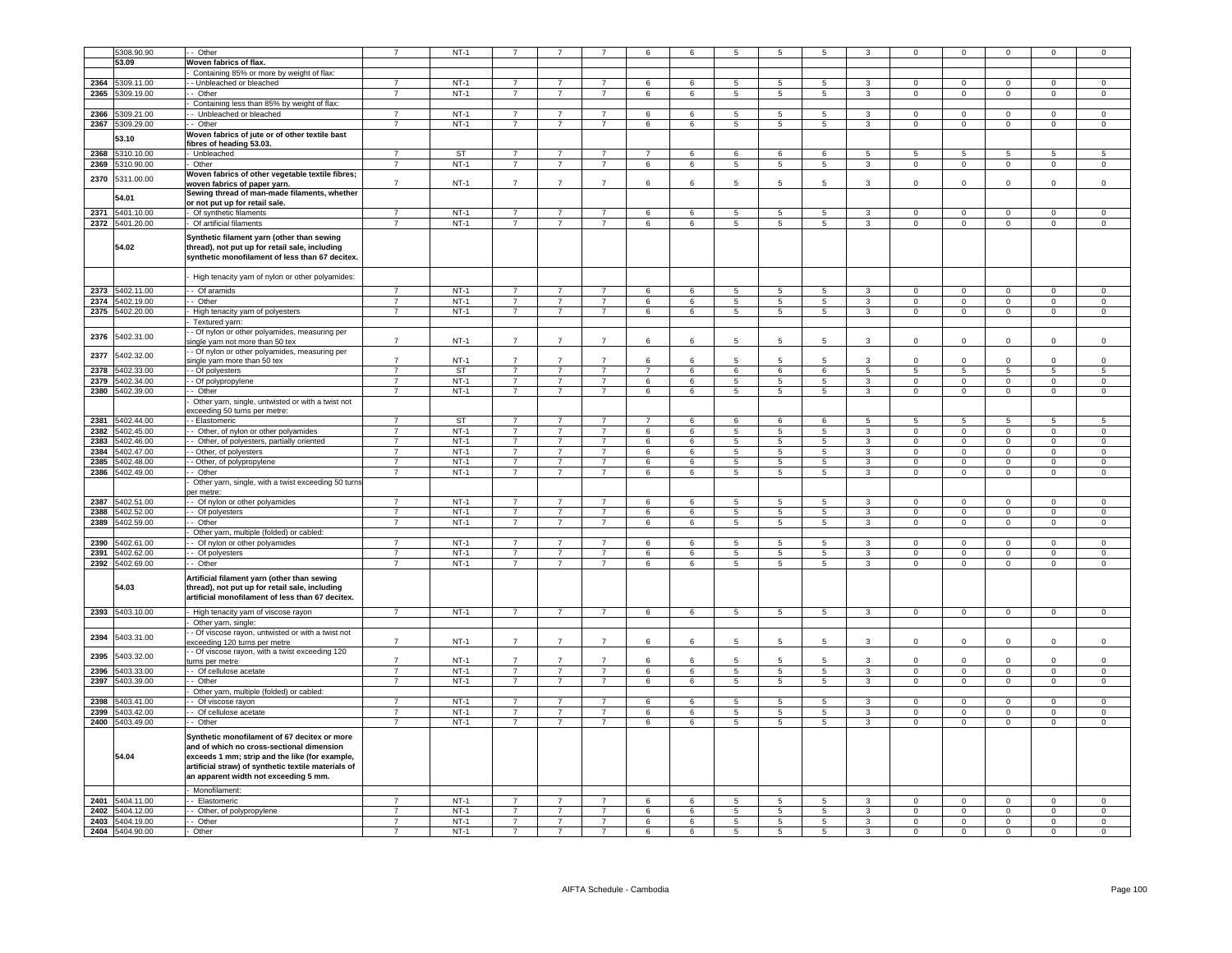|      |                     | - Other                                                                                                                                                                                                                                                      |                                  | $NT-1$           |                                  |                |                | 6              | 6               | 5               |                 |                 |                         | $\mathbf 0$    | $\Omega$        |                | $\Omega$       | $\mathbf 0$    |
|------|---------------------|--------------------------------------------------------------------------------------------------------------------------------------------------------------------------------------------------------------------------------------------------------------|----------------------------------|------------------|----------------------------------|----------------|----------------|----------------|-----------------|-----------------|-----------------|-----------------|-------------------------|----------------|-----------------|----------------|----------------|----------------|
|      | 5308.90.90<br>53.09 |                                                                                                                                                                                                                                                              |                                  |                  |                                  |                |                |                |                 |                 |                 |                 |                         |                |                 |                |                |                |
|      |                     | Woven fabrics of flax.                                                                                                                                                                                                                                       |                                  |                  |                                  |                |                |                |                 |                 |                 |                 |                         |                |                 |                |                |                |
|      |                     | Containing 85% or more by weight of flax:                                                                                                                                                                                                                    | $\overline{7}$                   |                  |                                  |                |                |                |                 |                 |                 |                 |                         |                |                 |                |                |                |
| 2364 | 5309.11.00          | - Unbleached or bleached                                                                                                                                                                                                                                     |                                  | $NT-1$           | $\overline{7}$                   | $\overline{7}$ | $\overline{7}$ | 6              | 6               | $\overline{5}$  | 5               | 5               | 3                       | $\Omega$       | $\Omega$        | $\Omega$       | $\Omega$       | $\mathsf 0$    |
| 2365 | 5309.19.00          | - Other                                                                                                                                                                                                                                                      | $\overline{7}$                   | $NT-1$           | $\overline{7}$                   | $\overline{7}$ | $\overline{7}$ | 6              | $6\overline{6}$ | $\overline{5}$  | $\overline{5}$  | $\overline{5}$  | 3                       | $\overline{0}$ | $\overline{0}$  | $\overline{0}$ | $\overline{0}$ | $\overline{0}$ |
|      |                     | Containing less than 85% by weight of flax:                                                                                                                                                                                                                  |                                  |                  |                                  |                |                |                |                 |                 |                 |                 |                         |                |                 |                |                |                |
| 2366 | 5309.21.00          | - Unbleached or bleached                                                                                                                                                                                                                                     | $\overline{7}$                   | $NT-1$           | $\overline{7}$                   | $\overline{7}$ | $\overline{7}$ | 6              | 6               | 5               | 5               | 5               | 3                       | $\mathbf 0$    | $\mathbf 0$     | $\mathbf 0$    | $\Omega$       | $\mathbf 0$    |
|      | 2367 5309.29.00     | - Other                                                                                                                                                                                                                                                      | $\overline{7}$                   | $NT-1$           | $\overline{7}$                   | $\overline{7}$ | $\overline{7}$ | 6              | 6               | $5\phantom{.0}$ | $\overline{5}$  | $5\overline{5}$ | 3                       | $\overline{0}$ | $\mathbf 0$     | $\overline{0}$ | $\mathbf 0$    | $\mathbf{0}$   |
|      | 53.10               | Woven fabrics of jute or of other textile bast                                                                                                                                                                                                               |                                  |                  |                                  |                |                |                |                 |                 |                 |                 |                         |                |                 |                |                |                |
|      |                     | ibres of heading 53.03.                                                                                                                                                                                                                                      |                                  |                  |                                  |                |                |                |                 |                 |                 |                 |                         |                |                 |                |                |                |
|      | 2368 5310.10.00     | Unbleached                                                                                                                                                                                                                                                   | $\overline{7}$                   | ST               | $\overline{7}$                   | $\overline{7}$ |                | $\overline{7}$ | 6               | 6               | 6               | 6               | 5                       | 5              | $5\phantom{.0}$ | 5              | 5              | 5              |
|      | 2369 5310.90.00     | Other                                                                                                                                                                                                                                                        | $\overline{7}$                   | $NT-1$           | $\overline{7}$                   | $\overline{7}$ | $\overline{7}$ | 6              | 6               | $\overline{5}$  | $\overline{5}$  | $\overline{5}$  | $\overline{3}$          | $\mathbf 0$    | $\overline{0}$  | $\overline{0}$ | $\overline{0}$ | $\overline{0}$ |
| 2370 | 5311.00.00          | Woven fabrics of other vegetable textile fibres;                                                                                                                                                                                                             |                                  |                  |                                  |                |                |                |                 |                 |                 |                 |                         |                |                 |                |                |                |
|      |                     | woven fabrics of paper yarn.                                                                                                                                                                                                                                 | $\overline{7}$                   | $NT-1$           | $\overline{7}$                   | $\overline{7}$ |                | 6              |                 | 5               |                 | 5               |                         | $\mathbf 0$    | 0               | $\mathbf 0$    | $\mathbf 0$    | $\mathsf 0$    |
|      | 54.01               | Sewing thread of man-made filaments, whether                                                                                                                                                                                                                 |                                  |                  |                                  |                |                |                |                 |                 |                 |                 |                         |                |                 |                |                |                |
|      |                     | or not put up for retail sale.                                                                                                                                                                                                                               |                                  |                  |                                  |                |                |                |                 |                 |                 |                 |                         |                |                 |                |                |                |
|      | 2371 5401.10.00     | Of synthetic filaments                                                                                                                                                                                                                                       | $\overline{7}$                   | $NT-1$           | $\overline{7}$                   | $\overline{7}$ | $\overline{7}$ | 6              | 6               | 5               | $5\overline{5}$ | 5               | 3                       | $\mathbf 0$    | $\mathbf 0$     | $\Omega$       | $\mathbf 0$    | $\mathsf 0$    |
|      | 2372 5401.20.00     | Of artificial filaments                                                                                                                                                                                                                                      | $\overline{7}$                   | $NT-1$           | $\overline{7}$                   | $\overline{7}$ | $\overline{7}$ | 6              | 6               | 5               | 5               | 5               | 3                       | $\mathbf 0$    | $\mathbf 0$     | $\mathsf 0$    | $\mathbf 0$    | $\mathsf 0$    |
|      | 54.02               | Synthetic filament yarn (other than sewing<br>thread), not put up for retail sale, including<br>synthetic monofilament of less than 67 decitex.                                                                                                              |                                  |                  |                                  |                |                |                |                 |                 |                 |                 |                         |                |                 |                |                |                |
|      |                     | High tenacity yarn of nylon or other polyamides:                                                                                                                                                                                                             |                                  |                  |                                  |                |                |                |                 |                 |                 |                 |                         |                |                 |                |                |                |
|      | 2373 5402.11.00     |                                                                                                                                                                                                                                                              | $\overline{7}$                   | $NT-1$           | $\overline{7}$                   | $\overline{7}$ | $\overline{7}$ | 6              | $6\overline{6}$ | $\overline{5}$  | $\overline{5}$  | $\overline{5}$  | 3                       | $\overline{0}$ | $\overline{0}$  | $\Omega$       | $\overline{0}$ | $\overline{0}$ |
|      |                     | - Of aramids                                                                                                                                                                                                                                                 |                                  |                  |                                  |                |                |                |                 |                 |                 |                 |                         |                |                 |                |                |                |
|      | 2374 5402.19.00     | - Other                                                                                                                                                                                                                                                      | $\overline{7}$                   | $NT-1$           | $\overline{7}$                   | $\overline{7}$ | $\overline{7}$ | 6              | 6               | $\overline{5}$  | -5              | $\overline{5}$  | $\overline{3}$          | $\Omega$       | $\overline{0}$  | $\Omega$       | $\overline{0}$ | $\overline{0}$ |
| 2375 | 5402.20.00          | High tenacity yarn of polyesters                                                                                                                                                                                                                             | $\overline{7}$                   | $NT-1$           | $\overline{7}$                   | $\overline{7}$ | $\overline{7}$ | 6              | 6               | $\overline{5}$  | 5               | 5               | $\overline{3}$          | $\mathbf 0$    | $\overline{0}$  | $\circ$        | $\mathbf 0$    | $\circ$        |
|      |                     | Textured yarn:                                                                                                                                                                                                                                               |                                  |                  |                                  |                |                |                |                 |                 |                 |                 |                         |                |                 |                |                |                |
| 2376 | 5402.31.00          | - Of nylon or other polyamides, measuring per<br>ingle yarn not more than 50 tex                                                                                                                                                                             | $\overline{7}$                   | $NT-1$           | $\overline{7}$                   | $\overline{7}$ | $\overline{7}$ | 6              | 6               | 5               | $5\overline{5}$ | 5               | 3                       | $\Omega$       | $\Omega$        | $\Omega$       | $\Omega$       | $\mathbf 0$    |
| 2377 | 5402.32.00          | - Of nylon or other polyamides, measuring per                                                                                                                                                                                                                | $\overline{7}$                   | $NT-1$           | $\overline{7}$                   | $\overline{7}$ | $\overline{7}$ | 6              | $\epsilon$      | 5               | 5               | 5               | $\mathbf{B}$            | $\Omega$       | $\Omega$        | $\Omega$       | $\Omega$       | $\mathsf 0$    |
| 2378 | 5402.33.00          | ingle yarn more than 50 tex<br>- Of polyesters                                                                                                                                                                                                               | $\overline{7}$                   | <b>ST</b>        | $\overline{7}$                   | $\overline{7}$ | $\overline{7}$ | $\overline{7}$ | 6               | 6               | $6\overline{6}$ | 6               | $\overline{5}$          | 5              | $\overline{5}$  | 5              | 5              | 5              |
| 2379 | 5402.34.00          | - Of polypropylene                                                                                                                                                                                                                                           | $\overline{7}$                   | $NT-1$           | $\overline{7}$                   | $\overline{7}$ | $\overline{7}$ | 6              | 6               | 5               | 5               | $\overline{5}$  | $\mathbf{3}$            | $\mathsf 0$    | $\mathbf 0$     | $\mathsf 0$    | $\mathsf 0$    | $\mathsf 0$    |
|      | 5402.39.00          |                                                                                                                                                                                                                                                              | $\overline{7}$                   | $NT-1$           | $\overline{7}$                   | $\overline{7}$ | $\overline{7}$ | 6              |                 | $\overline{5}$  | $\overline{5}$  | 5               | $\overline{3}$          |                |                 |                |                |                |
| 2380 |                     | - Other                                                                                                                                                                                                                                                      |                                  |                  |                                  |                |                |                | 6               |                 |                 |                 |                         | $\mathbf 0$    | $\mathbf 0$     | $\circ$        | $\mathbf 0$    | $\mathbf 0$    |
|      |                     | Other yarn, single, untwisted or with a twist not                                                                                                                                                                                                            |                                  |                  |                                  |                |                |                |                 |                 |                 |                 |                         |                |                 |                |                |                |
|      | 2381 5402.44.00     | exceeding 50 turns per metre:<br>Elastomeric                                                                                                                                                                                                                 | $\overline{7}$                   | ST               | $\overline{7}$                   | $\overline{7}$ | $\overline{7}$ | $\overline{7}$ | 6               | 6               | 6               | 6               | 5                       | 5              | 5               | 5              | 5              | 5              |
|      |                     |                                                                                                                                                                                                                                                              |                                  |                  | $\overline{7}$                   |                |                |                |                 |                 |                 |                 |                         |                |                 |                |                |                |
| 2382 | 5402.45.00          | - Other, of nylon or other polyamides                                                                                                                                                                                                                        | $\overline{7}$<br>$\overline{7}$ | $NT-1$           | $\overline{7}$                   | $\overline{7}$ | $\overline{7}$ | 6              | 6               | 5               | 5               | 5               | 3                       | $\mathbf 0$    | $\overline{0}$  | $\mathbf 0$    | $\mathsf 0$    | $\mathbf 0$    |
|      | 2383 5402.46.00     | - Other, of polyesters, partially oriented                                                                                                                                                                                                                   |                                  | $NT-1$           |                                  | $\overline{7}$ | $\overline{7}$ | 6              | 6               | $5\phantom{.0}$ | $\overline{5}$  | 5               | $\overline{3}$          | $\Omega$       | $\mathbf 0$     | $\mathbf 0$    | $\mathsf 0$    | $\mathsf 0$    |
|      | 2384 5402.47.00     | - Other, of polyesters                                                                                                                                                                                                                                       | $\overline{7}$                   | $NT-1$           | $\overline{7}$                   | $\overline{7}$ | $\overline{7}$ | $\,6\,$        | 6               | $\overline{5}$  | 5               | $5\phantom{.0}$ | $\overline{\mathbf{3}}$ | $\overline{0}$ | $\overline{0}$  | $\mathbf 0$    | $\mathsf 0$    | $\mathsf 0$    |
|      | 2385 5402.48.00     | - Other, of polypropylene                                                                                                                                                                                                                                    | $\overline{7}$                   | $NT-1$           | $\overline{7}$                   | $\overline{7}$ | $\overline{7}$ | 6              | 6               | $\overline{5}$  | $\overline{5}$  | 5               | $\overline{\mathbf{3}}$ | $\overline{0}$ | $\overline{0}$  | $\overline{0}$ | $\overline{0}$ | $\overline{0}$ |
|      | 2386 5402.49.00     | - Other                                                                                                                                                                                                                                                      | 7                                | $NT-1$           | $\overline{7}$                   | $\overline{7}$ | $\overline{7}$ | 6              | 6               | $\overline{5}$  | $\overline{5}$  | 5               | $\overline{3}$          | $\overline{0}$ | $\overline{0}$  | $\overline{0}$ | $\overline{0}$ | $\overline{0}$ |
|      |                     | Other yarn, single, with a twist exceeding 50 turns                                                                                                                                                                                                          |                                  |                  |                                  |                |                |                |                 |                 |                 |                 |                         |                |                 |                |                |                |
|      |                     | er metre:                                                                                                                                                                                                                                                    |                                  |                  |                                  |                |                |                |                 |                 |                 |                 |                         |                |                 |                |                |                |
|      | 2387 5402.51.00     | - Of nylon or other polyamides                                                                                                                                                                                                                               | $\overline{7}$                   | $NT-1$           | $\overline{7}$                   | $\overline{7}$ | $\overline{7}$ | 6              | 6               | $5\phantom{.0}$ | 5               | $5^{\circ}$     | 3                       | $\Omega$       | $\mathbf 0$     | $\Omega$       | $\Omega$       | $\mathsf 0$    |
|      | 2388 5402.52.00     | Of polyesters                                                                                                                                                                                                                                                | $\overline{7}$                   | $NT-1$           | $\overline{7}$                   | $\overline{7}$ | $\overline{7}$ | 6              | 6               | $5\phantom{.0}$ | -5              | $5^{\circ}$     | 3                       | $\Omega$       | $\overline{0}$  | $\Omega$       | $\Omega$       | $\Omega$       |
|      | 2389 5402.59.00     | Other                                                                                                                                                                                                                                                        | $\overline{7}$                   | $NT-1$           | $\overline{7}$                   | $\overline{7}$ | $\overline{7}$ | 6              | 6               | 5               | $5\phantom{.0}$ | 5               | $\overline{3}$          | $\mathsf 0$    | $\mathbf 0$     | $\mathbf 0$    | $\mathsf 0$    | $\mathsf 0$    |
|      |                     | Other yarn, multiple (folded) or cabled:                                                                                                                                                                                                                     |                                  |                  |                                  |                |                |                |                 |                 |                 |                 |                         |                |                 |                |                |                |
| 2390 | 5402.61.00          | Of nylon or other polyamides                                                                                                                                                                                                                                 | $\overline{7}$                   | $NT-1$           | $\overline{7}$                   | $\overline{7}$ | $\overline{7}$ | 6              | 6               | 5               | 5               | 5               | 3                       | $^{\circ}$     | $\mathbf 0$     | $^{\circ}$     | $\mathbf 0$    | $\mathbf 0$    |
|      | 2391 5402.62.00     | Of polyesters                                                                                                                                                                                                                                                | $\overline{7}$                   | $NT-1$           | $\overline{7}$                   | $\overline{7}$ |                | 6              | 6               | 5               | 5               | 5               | 3                       | $\mathbf 0$    | $\mathbf 0$     | $\mathbf 0$    | $\mathbf 0$    | $\mathsf 0$    |
|      | 2392 5402.69.00     | - Other                                                                                                                                                                                                                                                      | $\overline{7}$                   | $NT-1$           | $\overline{7}$                   | $\overline{7}$ | $\overline{7}$ | 6              | 6               | 5               | 5               | 5               | $\overline{\mathbf{3}}$ | $\Omega$       | $\overline{0}$  | $\overline{0}$ | $\overline{0}$ | $\overline{0}$ |
|      |                     |                                                                                                                                                                                                                                                              |                                  |                  |                                  |                |                |                |                 |                 |                 |                 |                         |                |                 |                |                |                |
|      | 54.03               | Artificial filament yarn (other than sewing<br>thread), not put up for retail sale, including<br>artificial monofilament of less than 67 decitex.                                                                                                            |                                  |                  |                                  |                |                |                |                 |                 |                 |                 |                         |                |                 |                |                |                |
|      | 2393 5403.10.00     | High tenacity yarn of viscose rayon                                                                                                                                                                                                                          | $\overline{7}$                   | $NT-1$           | $\overline{7}$                   | $\overline{7}$ | $\overline{7}$ | 6              | 6               | $5\overline{)}$ | 5               | $\overline{5}$  | 3                       | $\overline{0}$ | $\overline{0}$  | $\overline{0}$ | $\overline{0}$ | $\overline{0}$ |
|      |                     | Other yarn, single:                                                                                                                                                                                                                                          |                                  |                  |                                  |                |                |                |                 |                 |                 |                 |                         |                |                 |                |                |                |
| 2394 | 5403.31.00          | - Of viscose rayon, untwisted or with a twist not                                                                                                                                                                                                            |                                  |                  |                                  |                |                |                |                 |                 |                 |                 |                         |                |                 |                |                |                |
|      |                     | xceeding 120 turns per metre                                                                                                                                                                                                                                 | $\overline{7}$                   | $NT-1$           | $\overline{7}$                   | $\overline{7}$ | $\overline{7}$ | 6              | 6               | 5               | 5               | 5               | 3                       | $\Omega$       | $\Omega$        | $\Omega$       | $\Omega$       | $\mathsf 0$    |
| 2395 | 5403.32.00          | - Of viscose rayon, with a twist exceeding 120                                                                                                                                                                                                               | $\overline{7}$                   | $NT-1$           | $\overline{7}$                   | $\overline{7}$ | $\overline{7}$ | $6\phantom{a}$ | -6              | $5\overline{5}$ | 5               | 5               | 3                       | $\Omega$       | $\mathbf{0}$    | $\Omega$       | $\Omega$       | $\Omega$       |
| 2396 | 5403.33.00          | urns per metre<br>Of cellulose acetate                                                                                                                                                                                                                       | $\overline{7}$                   | $NT-1$           | $\overline{7}$                   | $\overline{7}$ | $\overline{7}$ | 6              | 6               | 5               | 5               | 5               | 3                       | $\mathbf 0$    | $\mathbf 0$     | $\mathbf 0$    | $\mathbf 0$    | $\mathsf 0$    |
| 2397 | 5403.39.00          | Other                                                                                                                                                                                                                                                        | $\overline{7}$                   | $NT-1$           | $\overline{7}$                   | $\overline{7}$ | $\overline{7}$ | 6              | 6               | 5               | $\overline{5}$  | 5               | 3                       | $\mathsf 0$    | $\mathbf 0$     | $\mathbf 0$    | $\mathsf 0$    | $\mathbf 0$    |
|      |                     | Other yarn, multiple (folded) or cabled:                                                                                                                                                                                                                     |                                  |                  |                                  |                |                |                |                 |                 |                 |                 |                         |                |                 |                |                |                |
| 2398 | 5403.41.00          | Of viscose rayon                                                                                                                                                                                                                                             | $\overline{7}$                   | $NT-1$           | $\overline{7}$                   | $\overline{7}$ | 7              | 6              | 6               | 5               | 5               | 5               | $\mathcal{R}$           | $\mathbf 0$    | $\,0\,$         | $\mathbf 0$    | $\mathbf 0$    | $\,0\,$        |
|      | 2399 5403.42.00     |                                                                                                                                                                                                                                                              | $\overline{7}$                   | $NT-1$           | $\overline{7}$                   | $\overline{7}$ | $\overline{7}$ | 6              | 6               | 5               | -5              | 5               | 3                       | $\Omega$       | $\mathbf 0$     | $\mathbf 0$    | $\Omega$       | $\mathsf 0$    |
|      | 2400 5403.49.00     | - Of cellulose acetate<br>- Other                                                                                                                                                                                                                            | $\overline{7}$                   | $NT-1$           | $\overline{7}$                   | $\overline{7}$ | $\overline{7}$ | 6              | 6               | $\overline{5}$  | -5              | $\overline{5}$  | $\overline{3}$          | $\Omega$       | $\overline{0}$  | $\mathbf{0}$   | $\mathbf 0$    | $\mathbf 0$    |
|      | 54.04               | Synthetic monofilament of 67 decitex or more<br>and of which no cross-sectional dimension<br>exceeds 1 mm; strip and the like (for example,<br>artificial straw) of synthetic textile materials of<br>an apparent width not exceeding 5 mm.<br>Monofilament: |                                  |                  |                                  |                |                |                |                 |                 |                 |                 |                         |                |                 |                |                |                |
|      | 2401 5404.11.00     | - Elastomeric                                                                                                                                                                                                                                                | $\overline{ }$                   | $NT-1$           | $\overline{7}$                   | $\overline{7}$ | $\overline{7}$ | 6              | 6               | 5               | 5               | 5               | $\mathbf{R}$            | $\mathbf 0$    | $\mathbf 0$     | $\mathbf 0$    | $\mathbf 0$    | $\mathbf 0$    |
|      |                     |                                                                                                                                                                                                                                                              | $\overline{7}$                   | $NT-1$           | $\overline{7}$                   |                | $\overline{7}$ |                |                 |                 |                 |                 |                         | $\mathbf{0}$   |                 |                | $\circ$        |                |
|      | 2402 5404.12.00     | - Other, of polypropylene                                                                                                                                                                                                                                    |                                  |                  |                                  | $\overline{7}$ |                | 6              | 6               | $5\phantom{.0}$ | $5\phantom{.0}$ | $5\overline{5}$ | 3 <sup>1</sup>          |                | $\overline{0}$  | $\overline{0}$ |                | $\overline{0}$ |
|      | 2403 5404.19.00     | - Other<br>Other                                                                                                                                                                                                                                             | $\overline{7}$                   | $NT-1$<br>$NT-1$ | $\overline{7}$<br>$\overline{7}$ | $\overline{7}$ | $\overline{7}$ | 6              | 6               | 5               | 5               | 5               | 3                       | $\mathbf{0}$   | $\mathbf 0$     | $\mathsf 0$    | $\mathbf 0$    | $\mathsf 0$    |
|      | 2404 5404.90.00     |                                                                                                                                                                                                                                                              | $\overline{7}$                   |                  |                                  | $\overline{7}$ | $\overline{7}$ | 6              | 6               | $\mathbf{5}$    | 5               | 5               | 3                       | $\mathbf{0}$   | $\overline{0}$  | $\overline{0}$ | $\mathbf 0$    | $\mathsf 0$    |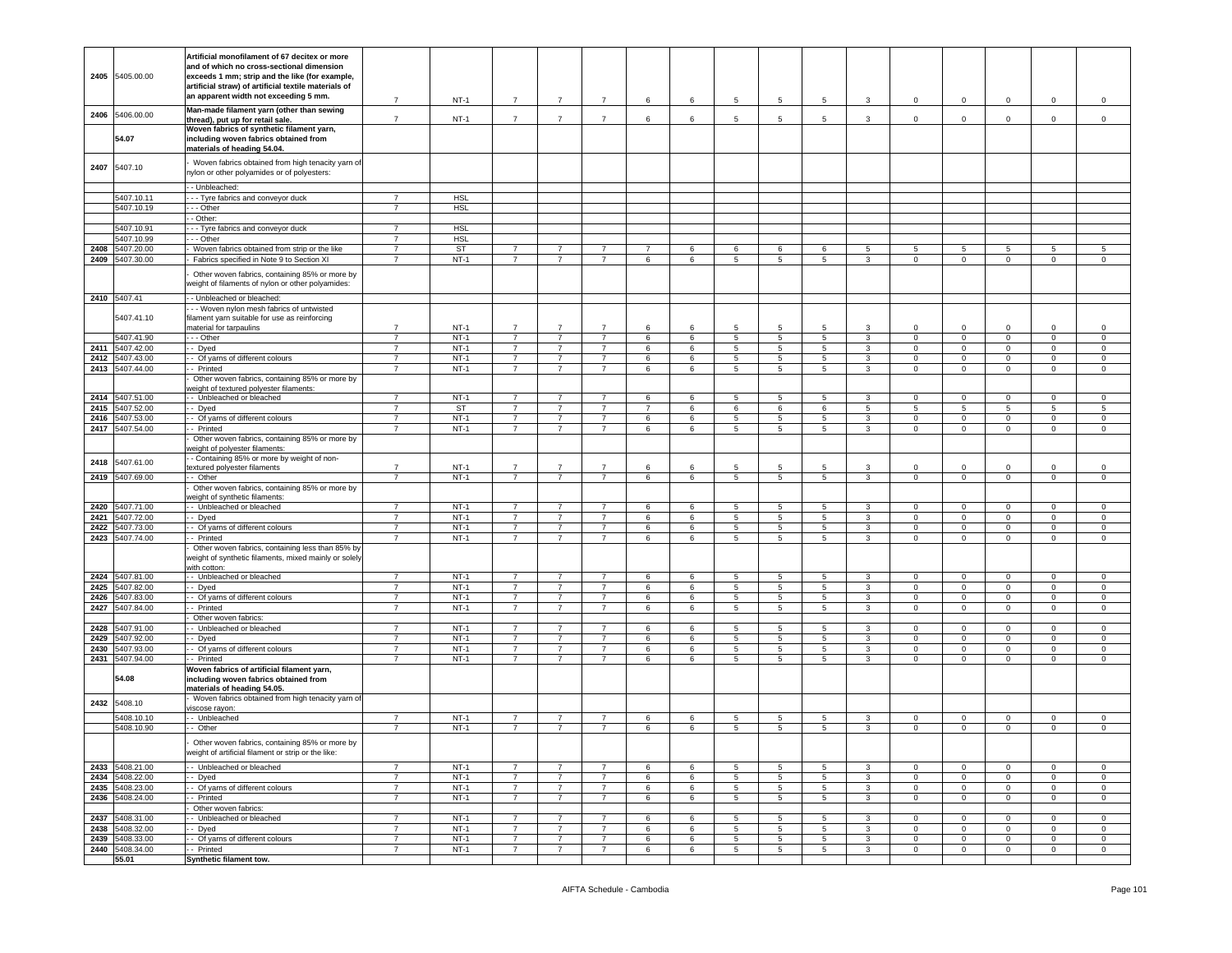| 2405         | 5405.00.00                         | Artificial monofilament of 67 decitex or more<br>and of which no cross-sectional dimension<br>exceeds 1 mm; strip and the like (for example,<br>artificial straw) of artificial textile materials of<br>an apparent width not exceeding 5 mm. | $\overline{7}$                   | $NT-1$           | $\overline{7}$                   | $\overline{7}$                   | $\overline{7}$                   | 6              | 6      | 5      | 5               | 5                   | 3                              | $\mathbf 0$                | $\mathbf 0$                  | $\mathbf 0$                 | $\mathbf 0$                   | $\circ$                        |
|--------------|------------------------------------|-----------------------------------------------------------------------------------------------------------------------------------------------------------------------------------------------------------------------------------------------|----------------------------------|------------------|----------------------------------|----------------------------------|----------------------------------|----------------|--------|--------|-----------------|---------------------|--------------------------------|----------------------------|------------------------------|-----------------------------|-------------------------------|--------------------------------|
| 2406         | 5406.00.00                         | Man-made filament yarn (other than sewing                                                                                                                                                                                                     |                                  |                  |                                  |                                  |                                  |                |        |        |                 |                     |                                |                            |                              |                             |                               |                                |
|              | 54.07                              | thread), put up for retail sale.<br>Woven fabrics of synthetic filament yarn,<br>including woven fabrics obtained from<br>materials of heading 54.04.                                                                                         | $\overline{7}$                   | $NT-1$           | $\overline{7}$                   | $\overline{7}$                   | $\overline{7}$                   | 6              | 6      | 5      | 5               | 5                   | 3                              | $\mathbf 0$                | $\mathbf{O}$                 | $\mathbf{0}$                | $\mathsf 0$                   | $\mathsf 0$                    |
| 2407         | 5407.10                            | Woven fabrics obtained from high tenacity yarn of<br>nylon or other polyamides or of polyesters:                                                                                                                                              |                                  |                  |                                  |                                  |                                  |                |        |        |                 |                     |                                |                            |                              |                             |                               |                                |
|              |                                    | - - Unbleached:                                                                                                                                                                                                                               |                                  |                  |                                  |                                  |                                  |                |        |        |                 |                     |                                |                            |                              |                             |                               |                                |
|              | 5407.10.11                         | - - Tyre fabrics and conveyor duck                                                                                                                                                                                                            | $\overline{7}$                   | <b>HSL</b>       |                                  |                                  |                                  |                |        |        |                 |                     |                                |                            |                              |                             |                               |                                |
|              | 5407.10.19                         | - - Other                                                                                                                                                                                                                                     | $\overline{7}$                   | <b>HSL</b>       |                                  |                                  |                                  |                |        |        |                 |                     |                                |                            |                              |                             |                               |                                |
|              | 5407.10.91                         | - Other:<br>- - Tyre fabrics and conveyor duck                                                                                                                                                                                                | $\overline{7}$                   | <b>HSL</b>       |                                  |                                  |                                  |                |        |        |                 |                     |                                |                            |                              |                             |                               |                                |
|              | 5407.10.99                         | - - Other                                                                                                                                                                                                                                     | $\overline{7}$                   | <b>HSL</b>       |                                  |                                  |                                  |                |        |        |                 |                     |                                |                            |                              |                             |                               |                                |
| 2408         | 5407.20.00                         | Woven fabrics obtained from strip or the like                                                                                                                                                                                                 | $\overline{7}$                   | <b>ST</b>        | $\overline{7}$                   | 7                                | $\overline{7}$                   | $\overline{7}$ | 6      | 6      | 6               | 6                   | 5                              | 5                          | 5                            | 5                           | 5                             | 5                              |
|              | 2409 5407.30.00                    | Fabrics specified in Note 9 to Section XI<br>Other woven fabrics, containing 85% or more by<br>weight of filaments of nylon or other polyamides:                                                                                              | $\overline{7}$                   | $NT-1$           | $\overline{7}$                   | $\overline{7}$                   | $\overline{7}$                   | 6              | 6      | 5      | 5               | 5                   | 3                              | 0                          | $\mathbf{O}$                 | $\mathbf 0$                 | $\mathbf 0$                   | $\mathbf 0$                    |
|              | 2410 5407.41<br>5407.41.10         | - Unbleached or bleached:<br>- - Woven nylon mesh fabrics of untwisted<br>filament yarn suitable for use as reinforcing                                                                                                                       |                                  |                  |                                  |                                  |                                  |                |        |        |                 |                     |                                |                            |                              |                             |                               |                                |
|              |                                    | material for tarpaulins                                                                                                                                                                                                                       | $\overline{7}$                   | $NT-1$           | $\overline{7}$                   | $\overline{7}$                   | $\overline{7}$                   | 6              | 6      | 5      | 5               | -5                  | $\mathbf{3}$                   | $\Omega$                   | $\mathbf 0$                  | 0                           | $\mathsf 0$                   | $\mathbf 0$                    |
|              | 5407.41.90                         | - - Other                                                                                                                                                                                                                                     | $\overline{7}$                   | $NT-1$           | $\overline{7}$                   | $\overline{7}$                   | $\overline{7}$                   | 6              | 6      | 5      | 5               | 5                   | $\mathbf{3}$                   | 0                          | $\mathbf 0$                  | $\circ$                     | $\mathsf 0$                   | $\mathbf 0$                    |
| 2411         | 5407.42.00                         | - Dyed                                                                                                                                                                                                                                        | $\overline{7}$                   | $NT-1$           | $\overline{7}$                   | $\overline{7}$                   | $\overline{7}$                   | 6              | 6      | 5      | 5               | $5\phantom{.0}$     | $\mathbf{3}$                   | $\mathbf 0$                | $\mathbf 0$                  | $\mathsf 0$                 | $\mathbf 0$                   | $\mathbf 0$                    |
| 2412<br>2413 | 5407.43.00<br>5407.44.00           | - Of yarns of different colours<br>- Printed                                                                                                                                                                                                  | $\overline{7}$<br>$\overline{7}$ | $NT-1$<br>$NT-1$ | $\overline{7}$<br>$\overline{7}$ | $\overline{7}$<br>$\overline{7}$ | $\overline{7}$<br>$\overline{7}$ | 6<br>6         | 6<br>6 | 5<br>5 | 5<br>5          | 5<br>5              | $\mathbf{3}$<br>$\mathbf{3}$   | 0<br>0                     | $\mathbf{0}$<br>$\mathbf 0$  | $\overline{0}$<br>$\circ$   | $\mathbf 0$<br>$\mathbf 0$    | $\overline{0}$<br>$\mathbf 0$  |
|              |                                    | Other woven fabrics, containing 85% or more by<br>veight of textured polyester filaments:                                                                                                                                                     |                                  |                  |                                  |                                  |                                  |                |        |        |                 |                     |                                |                            |                              |                             |                               |                                |
| 2414         | 5407.51.00                         | - Unbleached or bleached                                                                                                                                                                                                                      | $\overline{7}$                   | $NT-1$           | $\overline{7}$                   | 7                                | $\overline{7}$                   | 6              | 6      | 5      | 5               | 5                   | 3                              | $^{\circ}$                 | $\mathbf{0}$                 | $\mathbf 0$                 | $\mathbf 0$                   | $\mathbf 0$                    |
| 2415         | 5407.52.00                         | - Dyed                                                                                                                                                                                                                                        | $\overline{7}$                   | <b>ST</b>        | $\overline{7}$                   | $\overline{7}$                   | $\overline{7}$                   | $\overline{7}$ | 6      | 6      | 6               | 6                   | 5                              | 5                          | 5                            | 5                           | $\overline{5}$                | $\overline{5}$                 |
| 2416         | 5407.53.00                         | - Of yarns of different colours                                                                                                                                                                                                               | $\overline{7}$                   | $NT-1$           | $\overline{7}$                   | $\overline{7}$                   | $\overline{7}$                   | 6              | 6      | 5      | 5               | 5                   | $\mathbf{3}$                   | $\mathbf 0$                | $\mathbf{O}$                 | $\mathbf{0}$                | $\mathbf{0}$                  | $\overline{0}$                 |
|              | 2417 5407.54.00                    | - Printed<br>Other woven fabrics, containing 85% or more by<br>veight of polyester filaments:                                                                                                                                                 | $\overline{7}$                   | $NT-1$           | $\overline{7}$                   | $\overline{7}$                   | $\overline{7}$                   | 6              | 6      | 5      | 5               | 5                   | $\mathbf{3}$                   | $\Omega$                   | $\mathbf 0$                  | $\circ$                     | $\mathsf 0$                   | $\mathbf 0$                    |
| 2418         | 5407.61.00                         | - Containing 85% or more by weight of non-<br>extured polyester filaments                                                                                                                                                                     | $\overline{7}$                   | $NT-1$           | $\overline{7}$                   | $\overline{7}$                   | $\overline{7}$                   | 6              | 6      | 5      | 5               | -5                  | 3                              | $\Omega$                   | $\mathbf 0$                  | $\mathbf 0$                 | $\mathsf 0$                   | $\mathbf 0$                    |
| 2419         | 5407.69.00                         | - Other                                                                                                                                                                                                                                       | $\overline{7}$                   | $NT-1$           | $\overline{7}$                   | 7                                | $\overline{7}$                   | 6              | 6      | 5      | 5               | 5                   | 3                              | 0                          | 0                            | $\mathbf 0$                 | $\mathbf 0$                   | $\mathbf 0$                    |
|              |                                    | Other woven fabrics, containing 85% or more by                                                                                                                                                                                                |                                  |                  |                                  |                                  |                                  |                |        |        |                 |                     |                                |                            |                              |                             |                               |                                |
|              | 2420 5407.71.00                    | veight of synthetic filaments:<br>- Unbleached or bleached                                                                                                                                                                                    | $\overline{7}$                   | $NT-1$           | $\overline{7}$                   | $\overline{7}$                   | $\overline{7}$                   | 6              | 6      | 5      | $5\phantom{.0}$ | 5                   | $\mathbf{3}$                   | $\mathbf 0$                | $\mathbf 0$                  | $\circ$                     | $\mathbf{0}$                  | $\overline{0}$                 |
| 2421         | 5407.72.00                         | - Dyed                                                                                                                                                                                                                                        | $\overline{7}$                   | $NT-1$           | $\overline{7}$                   | $\overline{7}$                   | $\overline{7}$                   | 6              | 6      | 5      | 5               | 5                   | $\mathbf{3}$                   | $\mathbf 0$                | $\mathbf{O}$                 | $\circ$                     | $\mathbf 0$                   | $\mathbf 0$                    |
| 2422         | 5407.73.00                         | - Of yarns of different colours                                                                                                                                                                                                               | $\overline{7}$                   | $NT-1$           | $\overline{7}$                   | $\overline{7}$                   | $\overline{7}$                   | 6              | 6      | 5      | 5               | 5                   | $\mathbf{3}$                   | $\mathbf 0$                | $\mathbf 0$                  | $\mathbf 0$                 | $\mathsf 0$                   | $\mathbf 0$                    |
|              | 2423 5407.74.00                    | - Printed<br>Other woven fabrics, containing less than 85% by<br>weight of synthetic filaments, mixed mainly or solely<br>with cotton:                                                                                                        | $\overline{7}$                   | $NT-1$           | $\overline{7}$                   | $\overline{7}$                   | $\overline{7}$                   | 6              | 6      | 5      | 5               | $5\overline{5}$     | $\mathbf{3}$                   | 0                          | $\mathbf 0$                  | $\mathbf{0}$                | $\mathsf 0$                   | $\mathbf 0$                    |
|              | 2424 5407.81.00                    | - Unbleached or bleached                                                                                                                                                                                                                      | $\overline{7}$                   | $NT-1$           | $\overline{7}$                   | 7                                | $\overline{7}$                   | 6              | 6      | 5      | $5\phantom{.0}$ | 5                   | 3                              | 0                          | $\circ$                      | $\circ$                     | $\mathbf{0}$                  | $\mathbb O$                    |
| 2425         | 5407.82.00                         | - Dyed                                                                                                                                                                                                                                        | $\overline{7}$                   | $NT-1$           | $\overline{7}$                   | $\overline{7}$                   | $\overline{7}$                   | 6              | 6      | 5      | 5               | 5                   | $\mathbf{3}$                   | $\mathbf 0$                | $\circ$                      | $\mathbf 0$                 | $\mathsf 0$                   | $\mathbf 0$                    |
| 2426         | 5407.83.00<br>5407.84.00           | - Of yarns of different colours<br>- Printed                                                                                                                                                                                                  | $\overline{7}$<br>$\overline{7}$ | $NT-1$<br>$NT-1$ | $\overline{7}$<br>$\overline{7}$ | $\overline{7}$<br>$\overline{7}$ | $\overline{7}$<br>$\overline{7}$ | 6<br>6         | 6<br>6 | 5<br>5 | 5<br>5          | 5 <sup>5</sup><br>5 | $\mathbf{3}$<br>$\overline{3}$ | $\mathbf 0$<br>$\mathbf 0$ | $\mathbf 0$<br>$\mathbf 0$   | $\mathbf 0$<br>$\mathbf{0}$ | $\mathbf 0$<br>$\mathsf 0$    | $\mathsf 0$<br>$\mathsf 0$     |
| 2427         |                                    | Other woven fabrics:                                                                                                                                                                                                                          |                                  |                  |                                  |                                  |                                  |                |        |        |                 |                     |                                |                            |                              |                             |                               |                                |
| 2428         | 5407.91.00                         | - Unbleached or bleached                                                                                                                                                                                                                      | $\overline{7}$                   | $NT-1$           | $\overline{7}$                   | $\overline{7}$                   | $\overline{7}$                   | 6              | 6      | 5      | 5               | 5                   | $\mathbf{3}$                   | $^{\circ}$                 | $\mathbf 0$                  | $\circ$                     | $\mathbf{0}$                  | $\mathbf 0$                    |
| 2429         | 5407.92.00                         | - Dyed                                                                                                                                                                                                                                        | $\overline{7}$                   | $NT-1$           | $\overline{7}$                   | $\overline{7}$                   | $\overline{7}$                   | 6              | 6      | 5      | 5               | 5                   | $\mathbf{3}$                   | $\mathbf 0$                | $\mathbf 0$                  | $\circ$                     | $\mathbf 0$                   | $\mathbf 0$                    |
| 2430         | 5407.93.00                         | - Of yarns of different colours                                                                                                                                                                                                               | $\overline{7}$                   | $NT-1$           | $\overline{7}$                   | $\overline{7}$                   | $\overline{7}$                   | 6              | 6      | 5      | 5               | 5                   | $\mathbf{3}$                   | $\mathbf 0$                | $\mathbf{0}$                 | $\mathbf 0$                 | $\mathsf 0$                   | $\mathbf 0$                    |
|              | 2431 5407.94.00<br>54.08           | - Printed<br>Woven fabrics of artificial filament yarn,<br>including woven fabrics obtained from<br>materials of heading 54.05.                                                                                                               | $\overline{7}$                   | $NT-1$           | $\overline{7}$                   | $\overline{7}$                   | $\overline{7}$                   | 6              | 6      | 5      | 5               | 5 <sub>5</sub>      | $\mathbf{3}$                   | 0                          | $\mathbf 0$                  | $\mathbf 0$                 | $\mathsf 0$                   | $\mathbf 0$                    |
| 2432         | 5408.10                            | Woven fabrics obtained from high tenacity yarn of<br>viscose rayon:                                                                                                                                                                           |                                  |                  |                                  |                                  |                                  |                |        |        |                 |                     |                                |                            |                              |                             |                               |                                |
|              | 5408.10.10<br>5408.10.90           | - Unbleached<br>- Other                                                                                                                                                                                                                       | 7<br>$\overline{7}$              | $NT-1$<br>$NT-1$ | -7<br>$\overline{7}$             | 7<br>$\overline{7}$              | $\overline{7}$<br>$\overline{7}$ | 6<br>6         | 6<br>6 | 5<br>5 | 5<br>5          | 5<br>5              | 3<br>3                         | $\mathbf 0$<br>$\Omega$    | 0<br>$\mathbf{0}$            | $\mathbf 0$<br>0            | $\mathbf 0$<br>$\mathsf 0$    | $\circ$<br>$\mathbf 0$         |
|              |                                    | Other woven fabrics, containing 85% or more by<br>weight of artificial filament or strip or the like:                                                                                                                                         |                                  |                  |                                  |                                  |                                  |                |        |        |                 |                     |                                |                            |                              |                             |                               |                                |
|              |                                    |                                                                                                                                                                                                                                               |                                  |                  |                                  |                                  |                                  |                |        |        |                 |                     |                                |                            |                              |                             |                               |                                |
|              | 2433 5408.21.00<br>2434 5408.22.00 | - Unbleached or bleached<br>- Dyed                                                                                                                                                                                                            | $\overline{7}$<br>$\overline{7}$ | $NT-1$<br>$NT-1$ | $\overline{7}$<br>$\overline{7}$ | $\overline{7}$<br>$\overline{7}$ | $\overline{7}$<br>$\overline{7}$ | 6<br>6         | 6<br>6 | 5<br>5 | 5<br>5          | 5<br>5              | $\mathbf{3}$<br>$\mathbf{3}$   | $\mathbf 0$<br>$\mathbf 0$ | $\mathbf 0$<br>$\mathbf{0}$  | $\mathbf 0$<br>$\circ$      | $\mathbf 0$<br>$\overline{0}$ | $\mathbf 0$<br>$\mathbf{0}$    |
|              | 2435 5408.23.00                    | - Of yarns of different colours                                                                                                                                                                                                               | $\overline{7}$                   | $NT-1$           | 7                                | $\overline{7}$                   | $\overline{7}$                   | 6              | 6      | 5      | 5               | 5                   | 3                              | $\mathbf 0$                | $\mathbf{0}$                 | $\mathbf{0}$                | $\mathbf{0}$                  | $\overline{0}$                 |
|              | 2436 5408.24.00                    | - Printed                                                                                                                                                                                                                                     | $\overline{7}$                   | $NT-1$           | $\overline{7}$                   | $\overline{7}$                   | $\overline{7}$                   | 6              | 6      | 5      | 5               | 5                   | $\mathbf{3}$                   | 0                          | $\mathbf{0}$                 | $\mathbf{0}$                | $\mathbf 0$                   | $\mathbf 0$                    |
|              |                                    | Other woven fabrics:                                                                                                                                                                                                                          |                                  |                  |                                  |                                  |                                  |                |        |        |                 |                     |                                |                            |                              |                             |                               |                                |
|              | 2437 5408.31.00                    | - Unbleached or bleached                                                                                                                                                                                                                      | $\overline{7}$                   | $NT-1$<br>$NT-1$ | $\overline{7}$<br>$\overline{7}$ | $\overline{7}$<br>$\overline{7}$ | $\overline{7}$<br>$\overline{7}$ | 6              | 6      | 5      | 5               | 5                   | 3                              | $\mathbf 0$                | $\mathbf{O}$<br>$\mathbf{0}$ | $\mathbf{0}$                | $\mathbf 0$                   | $\mathbf 0$                    |
|              | 2438 5408.32.00<br>2439 5408.33.00 | - Dyed<br>- Of yarns of different colours                                                                                                                                                                                                     | $\overline{7}$<br>$\overline{7}$ | $NT-1$           | $\overline{7}$                   | 7                                | $\overline{7}$                   | 6<br>6         | 6<br>6 | 5<br>5 | 5<br>5          | 5<br>5              | 3<br>3                         | $\Omega$<br>$\mathbf 0$    | $\mathbf{0}$                 | $\mathbf 0$<br>$\mathbf 0$  | $\mathbf{0}$<br>$\mathbf{0}$  | $\mathbf{0}$<br>$\overline{0}$ |
|              | 2440 5408.34.00                    | - Printed                                                                                                                                                                                                                                     | $\overline{7}$                   | $NT-1$           | $\overline{7}$                   | $\overline{7}$                   | $\overline{7}$                   | 6              | 6      | 5      | $5\overline{5}$ | 5 <sub>5</sub>      | $\mathbf{3}$                   | $\mathbf 0$                | $\mathbf{0}$                 | $\mathbf{0}$                | $\mathbf 0$                   | $\mathbf{0}$                   |
|              | 55.01                              | Synthetic filament tow.                                                                                                                                                                                                                       |                                  |                  |                                  |                                  |                                  |                |        |        |                 |                     |                                |                            |                              |                             |                               |                                |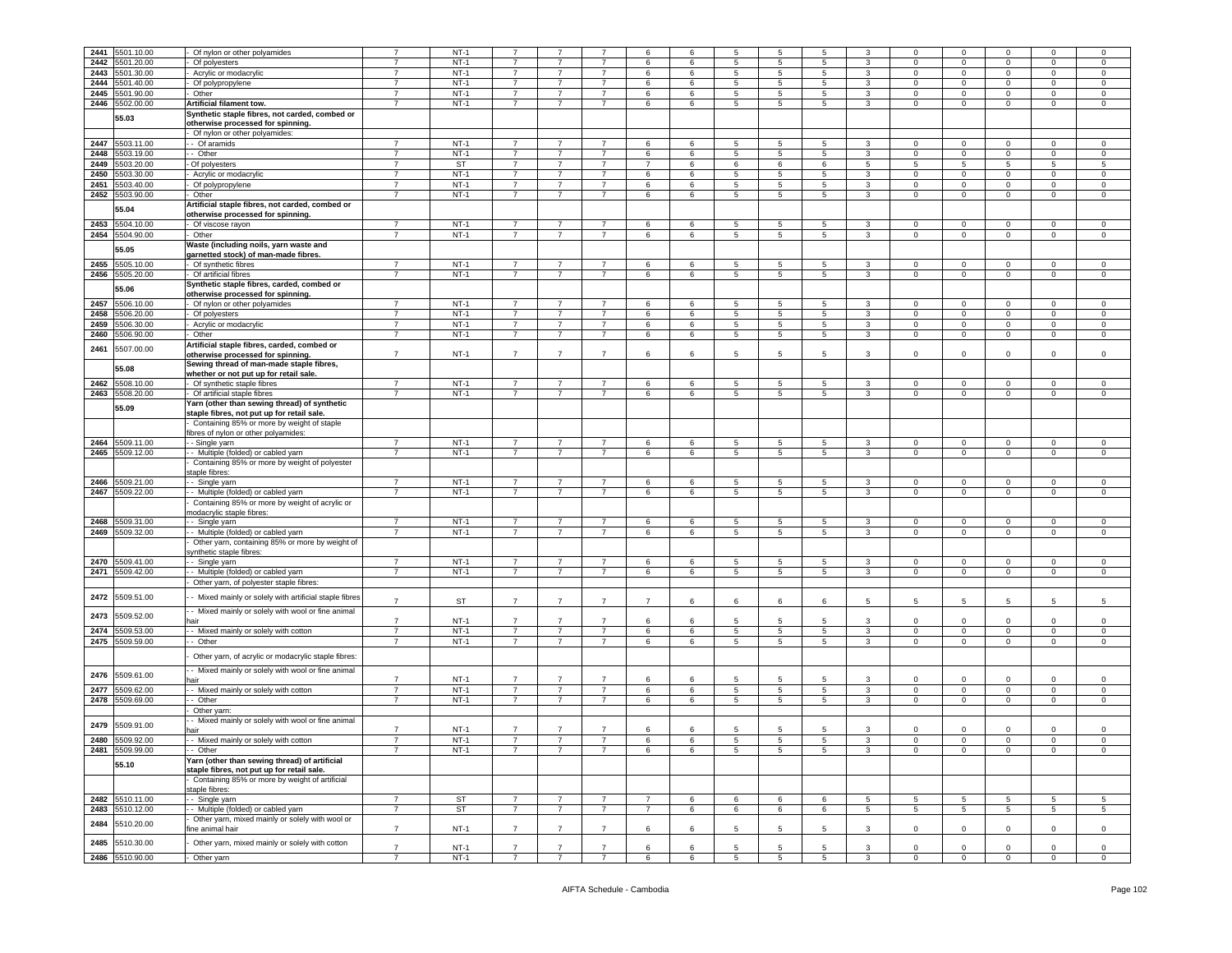| 2441 | 5501.10.00      | Of nylon or other polyamides                           |                | $NT-1$    |                |                |                | 6              | 6 | 5               | 5               | 5               |                 | $\Omega$     | $\mathbf 0$             |                | $\Omega$       | $\mathbf 0$    |
|------|-----------------|--------------------------------------------------------|----------------|-----------|----------------|----------------|----------------|----------------|---|-----------------|-----------------|-----------------|-----------------|--------------|-------------------------|----------------|----------------|----------------|
| 2442 | 5501.20.00      | Of polyesters                                          |                | $NT-1$    |                |                |                | 6              | 6 | 5               | 5               | 5               | 3               | $\mathbf 0$  | $\mathbf 0$             | 0              | $\mathbf 0$    | 0              |
| 2443 | 5501.30.00      | Acrylic or modacrylic                                  | $\overline{7}$ | $NT-1$    | $\overline{7}$ | $\overline{7}$ | $\overline{7}$ | 6              | 6 | 5               | $\overline{5}$  | 5               | 3               | $\mathbf 0$  | $\mathbf 0$             | $\mathbf 0$    | $\mathbf 0$    | $\mathbf 0$    |
|      |                 |                                                        |                |           |                |                |                |                |   |                 |                 |                 |                 |              |                         |                |                |                |
| 2444 | 5501.40.00      | Of polypropylene                                       | $\overline{7}$ | $NT-1$    | $\overline{7}$ | $\overline{7}$ | $\overline{7}$ | 6              | 6 | 5               | 5               | 5               | $\mathbf{3}$    | $\mathbf 0$  | $\mathbf 0$             | $\mathbf 0$    | $\mathbf 0$    | $\mathsf 0$    |
| 2445 | 5501.90.00      | Other                                                  | $\overline{7}$ | $NT-1$    | $\overline{7}$ | $\overline{7}$ | $\overline{7}$ | 6              | 6 | 5               | $\overline{5}$  | 5               | $\mathbf{3}$    | $\circ$      | $\mathbf 0$             | $\mathbf 0$    | $\mathsf 0$    | $\,0\,$        |
| 2446 | 5502.00.00      |                                                        | $\overline{7}$ | $NT-1$    | $\overline{7}$ | $\overline{7}$ | $\overline{7}$ | 6              | 6 | 5               | $5\phantom{.0}$ | 5               | $\mathbf{3}$    | $\mathbf 0$  | $\mathsf 0$             | $\mathbf 0$    | $\mathsf 0$    | $\mathsf 0$    |
|      |                 | Artificial filament tow.                               |                |           |                |                |                |                |   |                 |                 |                 |                 |              |                         |                |                |                |
|      | 55.03           | Synthetic staple fibres, not carded, combed or         |                |           |                |                |                |                |   |                 |                 |                 |                 |              |                         |                |                |                |
|      |                 | otherwise processed for spinning.                      |                |           |                |                |                |                |   |                 |                 |                 |                 |              |                         |                |                |                |
|      |                 | Of nylon or other polyamides:                          |                |           |                |                |                |                |   |                 |                 |                 |                 |              |                         |                |                |                |
|      |                 |                                                        |                |           |                |                |                |                |   |                 |                 |                 |                 |              |                         |                |                |                |
| 2447 | 5503.11.00      | - Of aramids                                           | $\overline{7}$ | $NT-1$    | $\overline{7}$ | $\overline{7}$ | $\overline{7}$ | 6              | 6 | 5               | 5               | 5               | 3               | $\mathbf{0}$ | $\mathbf 0$             | $\mathbf 0$    | 0              | 0              |
| 2448 | 5503.19.00      | - Other                                                | $\overline{7}$ | $NT-1$    | $\overline{7}$ | $\overline{7}$ | $\overline{7}$ | 6              | 6 | $5^{\circ}$     | 5               | 5               | $\mathbf{3}$    | $\mathbf{0}$ | $\mathbf 0$             | $\circ$        | $\mathbf 0$    | $\mathsf 0$    |
|      |                 |                                                        |                |           |                |                | $\overline{7}$ | $\overline{7}$ |   |                 |                 |                 |                 |              |                         |                |                |                |
| 2449 | 5503.20.00      | Of polyesters                                          | $\overline{7}$ | <b>ST</b> | $\overline{7}$ | $\overline{7}$ |                |                | 6 | 6               | 6               | 6               | 5               | 5            | $\overline{5}$          | 5              | 5              | 5              |
| 2450 | 5503.30.00      | Acrylic or modacrylic                                  | $\overline{7}$ | $NT-1$    | $\overline{7}$ | $\overline{7}$ | $\overline{7}$ | 6              | 6 | 5               | 5               | 5               | 3               | $\mathbf 0$  | $\mathsf 0$             | $\mathbf 0$    | $\mathbf 0$    | $\mathsf 0$    |
| 2451 | 5503.40.00      | Of polypropylene                                       | $\overline{7}$ | $NT-1$    | $\overline{7}$ | $\overline{7}$ | $\overline{7}$ | 6              | 6 | 5               | $\overline{5}$  | 5               | $\mathbf{3}$    | $\circ$      | $\mathbf 0$             | $\mathbf 0$    | $\mathbf 0$    | $\mathsf 0$    |
|      |                 |                                                        |                |           |                |                |                |                |   |                 |                 |                 |                 |              |                         |                |                |                |
| 2452 | 5503.90.00      | Other                                                  | $\overline{7}$ | $NT-1$    | $\overline{7}$ | $\overline{7}$ | $\overline{7}$ | 6              | 6 | 5               | 5               | 5               | 3               | $\mathbf 0$  | $\mathbf 0$             | $\mathbf 0$    | 0              | $\mathbf 0$    |
|      |                 | Artificial staple fibres, not carded, combed or        |                |           |                |                |                |                |   |                 |                 |                 |                 |              |                         |                |                |                |
|      | 55.04           | otherwise processed for spinning.                      |                |           |                |                |                |                |   |                 |                 |                 |                 |              |                         |                |                |                |
|      |                 |                                                        |                |           |                |                |                |                |   |                 |                 |                 |                 |              |                         |                |                |                |
| 2453 | 5504.10.00      | Of viscose rayon                                       | $\overline{7}$ | $NT-1$    | $\overline{7}$ | $\overline{7}$ | $\overline{7}$ | 6              | 6 | 5               | 5               | 5               | 3               | $\mathbf 0$  | $\mathbf 0$             | $\mathbf 0$    | $\mathbf 0$    | $\,0\,$        |
| 2454 | 5504.90.00      | Other                                                  | $\overline{7}$ | $NT-1$    | $\overline{7}$ | $\overline{7}$ | $\overline{7}$ | 6              | 6 | 5               | 5               | 5               | $\mathbf{3}$    | $\mathbf 0$  | $\mathbf 0$             | $\mathbf 0$    | 0              | $\mathsf 0$    |
|      |                 | Waste (including noils, yarn waste and                 |                |           |                |                |                |                |   |                 |                 |                 |                 |              |                         |                |                |                |
|      | 55.05           |                                                        |                |           |                |                |                |                |   |                 |                 |                 |                 |              |                         |                |                |                |
|      |                 | garnetted stock) of man-made fibres.                   |                |           |                |                |                |                |   |                 |                 |                 |                 |              |                         |                |                |                |
|      | 2455 5505.10.00 | Of synthetic fibres                                    | $\overline{7}$ | $NT-1$    | $\overline{7}$ | $\overline{7}$ | $\overline{7}$ | 6              | 6 | 5               | $\overline{5}$  | 5               | 3               | $\mathbf 0$  | $\overline{0}$          | $\overline{0}$ | $\mathbf{0}$   | $\circ$        |
|      | 2456 5505.20.00 | Of artificial fibres                                   | $\overline{7}$ | $NT-1$    | 7              | $\overline{7}$ | $\overline{7}$ | 6              | 6 | 5               | 5               | 5               | 3               | $\mathbf 0$  | $\overline{0}$          | $\overline{0}$ | $\mathbf 0$    | $\circ$        |
|      |                 |                                                        |                |           |                |                |                |                |   |                 |                 |                 |                 |              |                         |                |                |                |
|      | 55.06           | Synthetic staple fibres, carded, combed or             |                |           |                |                |                |                |   |                 |                 |                 |                 |              |                         |                |                |                |
|      |                 | otherwise processed for spinning                       |                |           |                |                |                |                |   |                 |                 |                 |                 |              |                         |                |                |                |
| 2457 | 5506.10.00      | Of nylon or other polyamides                           | $\overline{7}$ | $NT-1$    | $\overline{7}$ | $\overline{7}$ | $\overline{7}$ | $\,6\,$        | 6 | 5               | 5               | 5               | 3               | $\mathbf 0$  | $\mathsf 0$             | $\mathbf 0$    | $\mathbf 0$    | $\,0\,$        |
|      |                 |                                                        | $\overline{7}$ | $NT-1$    | $\overline{7}$ |                |                |                |   |                 |                 |                 |                 |              |                         |                |                |                |
| 2458 | 5506.20.00      | Of polyesters                                          |                |           |                | $\overline{7}$ | $\overline{7}$ | 6              | 6 | 5               | 5               | 5               | 3               | 0            | $\overline{\mathbf{0}}$ | $\mathbf 0$    | 0              | 0              |
| 2459 | 5506.30.00      | Acrylic or modacrylic                                  | $\overline{7}$ | $NT-1$    | $\overline{7}$ | $\overline{7}$ | $\overline{7}$ | 6              | 6 | 5               | $5\phantom{.0}$ | 5               | 3               | $\circ$      | $\mathbf 0$             | $\mathbf 0$    | $\mathbf 0$    | $\mathsf 0$    |
| 2460 | 5506.90.00      | Other                                                  | $\overline{7}$ | $NT-1$    | $\overline{7}$ | $\overline{7}$ | $\overline{7}$ | 6              | 6 | 5               | 5               | 5               | 3               | $\mathbf{0}$ | $\mathbf{0}$            | $\overline{0}$ | 0              | $\mathbf 0$    |
|      |                 |                                                        |                |           |                |                |                |                |   |                 |                 |                 |                 |              |                         |                |                |                |
| 2461 | 5507.00.00      | Artificial staple fibres, carded, combed or            |                |           |                |                |                |                |   |                 |                 |                 |                 |              |                         |                |                |                |
|      |                 | otherwise processed for spinning.                      | $\overline{7}$ | $NT-1$    | $\overline{7}$ | $\overline{7}$ | $\overline{7}$ | 6              | 6 | 5               | 5               | 5               | 3               | $\Omega$     | $\mathbf 0$             | $\Omega$       | $\mathbf 0$    | $\mathbf 0$    |
|      |                 | Sewing thread of man-made staple fibres,               |                |           |                |                |                |                |   |                 |                 |                 |                 |              |                         |                |                |                |
|      | 55.08           |                                                        |                |           |                |                |                |                |   |                 |                 |                 |                 |              |                         |                |                |                |
|      |                 | whether or not put up for retail sale.                 |                |           |                |                |                |                |   |                 |                 |                 |                 |              |                         |                |                |                |
| 2462 | 5508.10.00      | Of synthetic staple fibres                             | $\overline{7}$ | $NT-1$    | $\overline{7}$ | $\overline{7}$ | $\overline{7}$ | 6              | 6 | 5               | $5\phantom{.0}$ | 5               | 3               | $\circ$      | $\overline{0}$          | $\mathbf 0$    | $\mathbf 0$    | $\mathsf 0$    |
| 2463 | 5508.20.00      | Of artificial staple fibres                            | $\overline{7}$ | $NT-1$    | $\overline{7}$ | $\overline{7}$ | $\overline{7}$ | 6              | 6 | 5               | 5               | 5               | $\mathbf{3}$    | $\mathbf 0$  | $\mathbf 0$             | $\circ$        | $\mathbf 0$    | $\mathsf 0$    |
|      |                 |                                                        |                |           |                |                |                |                |   |                 |                 |                 |                 |              |                         |                |                |                |
|      | 55.09           | Yarn (other than sewing thread) of synthetic           |                |           |                |                |                |                |   |                 |                 |                 |                 |              |                         |                |                |                |
|      |                 | staple fibres, not put up for retail sale.             |                |           |                |                |                |                |   |                 |                 |                 |                 |              |                         |                |                |                |
|      |                 | Containing 85% or more by weight of staple             |                |           |                |                |                |                |   |                 |                 |                 |                 |              |                         |                |                |                |
|      |                 |                                                        |                |           |                |                |                |                |   |                 |                 |                 |                 |              |                         |                |                |                |
|      |                 | ibres of nylon or other polyamides:                    |                |           |                |                |                |                |   |                 |                 |                 |                 |              |                         |                |                |                |
| 2464 | 5509.11.00      | - Single yarn                                          | $\overline{7}$ | $NT-1$    | 7              | 7              | $\overline{7}$ | 6              | 6 | 5               | 5               | 5               | 3               | $\mathbf{0}$ | $\mathbf 0$             | 0              | 0              | $\mathbf 0$    |
| 2465 | 5509.12.00      | - Multiple (folded) or cabled yarn                     | $\overline{7}$ | $NT-1$    | $\overline{7}$ | $\overline{7}$ | $\overline{7}$ | 6              | 6 | 5               | 5               | 5               | $\mathbf{3}$    | $\circ$      | $\mathbf 0$             | $\mathbf 0$    | $\mathbf 0$    | $\mathbf 0$    |
|      |                 |                                                        |                |           |                |                |                |                |   |                 |                 |                 |                 |              |                         |                |                |                |
|      |                 | Containing 85% or more by weight of polyester          |                |           |                |                |                |                |   |                 |                 |                 |                 |              |                         |                |                |                |
|      |                 | taple fibres:                                          |                |           |                |                |                |                |   |                 |                 |                 |                 |              |                         |                |                |                |
| 2466 | 5509.21.00      | - Single yarn                                          | $\overline{7}$ | $NT-1$    | $\overline{7}$ | 7              | 7              | 6              | 6 | 5               | 5               | 5               | 3               | 0            | $\mathbf 0$             | 0              | 0              | 0              |
|      |                 |                                                        |                |           |                |                |                |                |   |                 |                 |                 |                 |              |                         |                |                |                |
|      | 2467 5509.22.00 | - Multiple (folded) or cabled yarn                     | $\overline{7}$ | $NT-1$    | $\overline{7}$ | $\overline{7}$ | $\overline{7}$ | 6              | 6 | 5               | $5\phantom{.0}$ | 5               | 3               | $\mathbf 0$  | $\mathbf 0$             | $\circ$        | $\mathbf 0$    | $\mathbf 0$    |
|      |                 | Containing 85% or more by weight of acrylic or         |                |           |                |                |                |                |   |                 |                 |                 |                 |              |                         |                |                |                |
|      |                 | nodacrylic staple fibres:                              |                |           |                |                |                |                |   |                 |                 |                 |                 |              |                         |                |                |                |
|      |                 |                                                        |                |           |                |                |                |                |   |                 |                 |                 |                 |              |                         |                |                |                |
|      | 2468 5509.31.00 | - Single yarn                                          | $\overline{7}$ | $NT-1$    | $\overline{7}$ | $\overline{7}$ | $\overline{7}$ | 6              | 6 | 5               | 5               | 5               | 3               | $\mathbf 0$  | $\mathbf 0$             | 0              | 0              | 0              |
|      | 2469 5509.32.00 | - Multiple (folded) or cabled yarn                     | $\overline{7}$ | $NT-1$    | $\overline{7}$ | $\overline{7}$ | $\overline{7}$ | 6              | 6 | 5               | $5\phantom{.0}$ | 5 <sup>5</sup>  | $\mathbf{3}$    | $\circ$      | $\mathbf 0$             | $\mathbf 0$    | $\mathbf 0$    | $\mathsf 0$    |
|      |                 | Other yarn, containing 85% or more by weight of        |                |           |                |                |                |                |   |                 |                 |                 |                 |              |                         |                |                |                |
|      |                 |                                                        |                |           |                |                |                |                |   |                 |                 |                 |                 |              |                         |                |                |                |
|      |                 | synthetic staple fibres:                               |                |           |                |                |                |                |   |                 |                 |                 |                 |              |                         |                |                |                |
| 2470 | 5509.41.00      | - Single yarn                                          | $\overline{7}$ | $NT-1$    | $\overline{7}$ | $\overline{7}$ | $\overline{7}$ | 6              | 6 | 5               | 5               | 5               | 3               | $\mathbf 0$  | $\mathbf 0$             | $\mathbf 0$    | $\mathbf 0$    | 0              |
|      | 2471 5509.42.00 | - Multiple (folded) or cabled yarn                     | $\overline{7}$ | $NT-1$    | $7^{\circ}$    | $\overline{7}$ | $\overline{7}$ | 6              | 6 | $5\overline{)}$ | $5\phantom{.0}$ | 5 <sub>5</sub>  | $\mathbf{3}$    | $\mathbf 0$  | $\overline{0}$          | $\overline{0}$ | $\overline{0}$ | $\mathsf 0$    |
|      |                 |                                                        |                |           |                |                |                |                |   |                 |                 |                 |                 |              |                         |                |                |                |
|      |                 | Other yarn, of polyester staple fibres:                |                |           |                |                |                |                |   |                 |                 |                 |                 |              |                         |                |                |                |
| 2472 | 5509.51.00      |                                                        |                |           |                |                |                |                |   |                 |                 |                 |                 |              |                         |                |                |                |
|      |                 | - Mixed mainly or solely with artificial staple fibres | $\overline{7}$ | ST        | $\overline{7}$ | $\overline{7}$ | $\overline{7}$ | $\overline{7}$ | 6 | 6               | 6               | 6               | 5               | 5            | 5                       | 5              | -5             | 5              |
|      |                 | - Mixed mainly or solely with wool or fine animal      |                |           |                |                |                |                |   |                 |                 |                 |                 |              |                         |                |                |                |
| 2473 | 5509.52.00      |                                                        | $\overline{7}$ | $NT-1$    | $\overline{7}$ | $\overline{7}$ | $\overline{7}$ | 6              | 6 | 5               | 5               | $5\overline{5}$ | 3               | $\mathbf 0$  | $^{\circ}$              | $\mathbf 0$    | $\mathbf 0$    | $\mathsf 0$    |
|      |                 | hair                                                   |                |           |                |                |                |                |   |                 |                 |                 |                 |              |                         |                |                |                |
| 2474 | 5509.53.00      | - Mixed mainly or solely with cotton                   | $\overline{7}$ | $NT-1$    | $\overline{7}$ | $\overline{7}$ | $\overline{7}$ | 6              | 6 | $\overline{5}$  | $\overline{5}$  | 5               | 3               | $\mathbf 0$  | $\overline{\mathbf{0}}$ | $\mathbf 0$    | $\mathbf 0$    | 0              |
| 2475 | 5509.59.00      | - Other                                                | $\overline{7}$ | $NT-1$    | $\overline{7}$ | $\overline{7}$ | $\overline{7}$ | 6              | 6 | 5               | 5               | 5               | 3               | $\mathbf 0$  | $\mathsf 0$             | $\mathbf 0$    | $\mathbf 0$    | $\mathsf 0$    |
|      |                 |                                                        |                |           |                |                |                |                |   |                 |                 |                 |                 |              |                         |                |                |                |
|      |                 | Other yarn, of acrylic or modacrylic staple fibres:    |                |           |                |                |                |                |   |                 |                 |                 |                 |              |                         |                |                |                |
|      |                 |                                                        |                |           |                |                |                |                |   |                 |                 |                 |                 |              |                         |                |                |                |
|      |                 | - Mixed mainly or solely with wool or fine animal      |                |           |                |                |                |                |   |                 |                 |                 |                 |              |                         |                |                |                |
| 2476 | 5509.61.00      | hair                                                   | $\overline{7}$ | $NT-1$    | $\overline{7}$ | $\overline{7}$ | $\overline{7}$ | 6              | 6 | 5               | 5               | $5\overline{5}$ | 3               | $\circ$      | $\mathbf 0$             | $\Omega$       | $\mathbf 0$    | $\mathsf 0$    |
|      |                 | - Mixed mainly or solely with cotton                   | $\overline{7}$ | $NT-1$    | $\overline{7}$ | $\overline{7}$ | $\overline{7}$ |                |   |                 |                 |                 |                 |              |                         |                |                |                |
| 2477 | 5509.62.00      |                                                        |                |           |                |                |                | 6              | 6 | 5               | 5               | 5               | $\mathbf{3}$    | $\mathbf 0$  | $\mathbf 0$             | $\mathbf 0$    | $\mathbf 0$    | $\mathbf 0$    |
|      | 2478 5509.69.00 | - Other                                                | $\overline{7}$ | $NT-1$    | $\overline{7}$ | $\overline{7}$ | $\overline{7}$ | 6              | 6 | 5               | 5               | 5 <sup>5</sup>  | $\mathbf{3}$    | $\circ$      | $\mathbf 0$             | $\mathbf 0$    | $\mathbf 0$    | $\mathsf 0$    |
|      |                 | Other yarn:                                            |                |           |                |                |                |                |   |                 |                 |                 |                 |              |                         |                |                |                |
|      |                 |                                                        |                |           |                |                |                |                |   |                 |                 |                 |                 |              |                         |                |                |                |
| 2479 | 5509.91.00      | - Mixed mainly or solely with wool or fine animal      |                |           |                |                |                |                |   |                 |                 |                 |                 |              |                         |                |                |                |
|      |                 | iair                                                   | $\overline{7}$ | $NT-1$    |                |                |                | 6              | 6 | 5               | 5               | 5               | 3               | $\mathbf 0$  | $\mathbf 0$             | 0              | $\mathbf 0$    | $\mathbf 0$    |
|      | 2480 5509.92.00 | - Mixed mainly or solely with cotton                   |                | $NT-1$    |                | 7              |                | 6              | 6 | 5               | $\sqrt{5}$      | 5               | 3               | $\mathbf 0$  | $\overline{0}$          | $\mathbf 0$    | $\pmb{0}$      | 0              |
|      |                 |                                                        |                |           |                |                |                |                |   |                 |                 |                 |                 |              |                         |                |                |                |
|      | 2481 5509.99.00 | - Other                                                | $\overline{7}$ | NT-1      | $\overline{7}$ | $\overline{7}$ | $\overline{7}$ | 6              | 6 | 5               | 5               | 5               | 3               | $\mathbf{0}$ | $\mathbf{0}$            | $\overline{0}$ | $\overline{0}$ | $\overline{0}$ |
|      |                 | Yarn (other than sewing thread) of artificial          |                |           |                |                |                |                |   |                 |                 |                 |                 |              |                         |                |                |                |
|      | 55.10           | staple fibres, not put up for retail sale.             |                |           |                |                |                |                |   |                 |                 |                 |                 |              |                         |                |                |                |
|      |                 |                                                        |                |           |                |                |                |                |   |                 |                 |                 |                 |              |                         |                |                |                |
|      |                 | Containing 85% or more by weight of artificial         |                |           |                |                |                |                |   |                 |                 |                 |                 |              |                         |                |                |                |
|      |                 | staple fibres:                                         |                |           |                |                |                |                |   |                 |                 |                 |                 |              |                         |                |                |                |
| 2482 | 5510.11.00      | - Single yarn                                          | $\overline{7}$ | <b>ST</b> | $\overline{7}$ | $\overline{7}$ | $\overline{7}$ | $\overline{7}$ | 6 | 6               | 6               | 6               | $5\phantom{.0}$ | 5            | $5\phantom{.0}$         | 5              | 5              | $\sqrt{5}$     |
|      |                 |                                                        |                |           |                |                |                |                |   |                 |                 |                 |                 |              |                         |                |                |                |
| 2483 | 5510.12.00      | - Multiple (folded) or cabled yarn                     | $\overline{7}$ | ST        | $\overline{7}$ | $\overline{7}$ | $\overline{7}$ | $\overline{7}$ | 6 | 6               | 6               | 6               | 5               | 5            | 5                       | 5              | 5              | 5              |
| 2484 | 5510.20.00      | Other yarn, mixed mainly or solely with wool or        |                |           |                |                |                |                |   |                 |                 |                 |                 |              |                         |                |                |                |
|      |                 | ne animal hair                                         | $\overline{7}$ | $NT-1$    | $\overline{7}$ | $\overline{7}$ | $\overline{7}$ | 6              | 6 | $5\overline{5}$ | 5               | 5               | 3               | $\circ$      | $\mathbf 0$             | $\mathbf 0$    | $\mathbf 0$    | $\mathsf 0$    |
|      |                 |                                                        |                |           |                |                |                |                |   |                 |                 |                 |                 |              |                         |                |                |                |
| 2485 | 5510.30.00      | Other yarn, mixed mainly or solely with cotton         |                |           |                |                |                |                |   |                 |                 |                 |                 |              |                         |                |                |                |
|      |                 |                                                        | $\overline{7}$ | $NT-1$    | $\overline{7}$ | $\overline{7}$ | $\overline{7}$ | 6              | 6 | 5               | 5               | $5\overline{5}$ | 3               | $\circ$      | $\mathbf 0$             | $\mathbf 0$    | $\mathbf 0$    | $\circ$        |
|      |                 |                                                        |                |           |                |                |                |                |   |                 |                 |                 |                 |              |                         |                |                |                |
|      | 2486 5510.90.00 | Other yarn                                             | $\overline{7}$ | $NT-1$    | $\overline{7}$ | $\overline{7}$ | $\overline{7}$ | 6              | 6 | 5               | 5               | 5               | $\mathbf{3}$    | $\mathbf 0$  | $\overline{0}$          | $\circ$        | $\mathbf 0$    | $\mathbf{0}$   |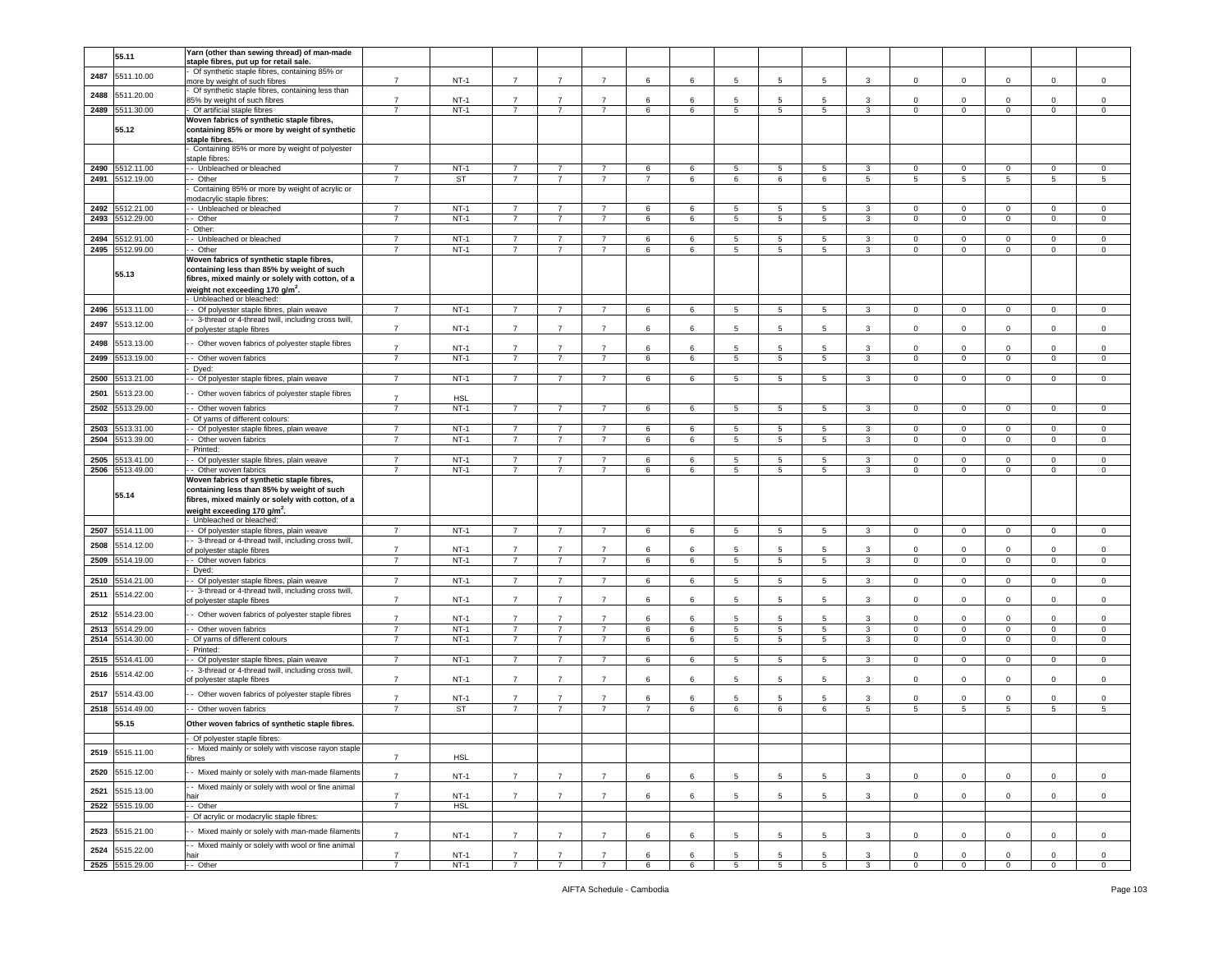|      | 55.11           | Yarn (other than sewing thread) of man-made          |                |            |                |                |                |                |   |                 |                 |    |              |                 |                 |              |             |                     |
|------|-----------------|------------------------------------------------------|----------------|------------|----------------|----------------|----------------|----------------|---|-----------------|-----------------|----|--------------|-----------------|-----------------|--------------|-------------|---------------------|
|      |                 | staple fibres, put up for retail sale.               |                |            |                |                |                |                |   |                 |                 |    |              |                 |                 |              |             |                     |
| 2487 | 5511.10.00      | Of synthetic staple fibres, containing 85% or        |                |            |                |                |                |                |   |                 |                 |    |              |                 |                 |              |             |                     |
|      |                 | nore by weight of such fibres                        | $\overline{7}$ | $NT-1$     | $\overline{7}$ | $\overline{7}$ | $\overline{7}$ | 6              | 6 | 5               | 5               | 5  | 3            | 0               | $\mathbf 0$     | $\mathbf 0$  | 0           | $\circ$             |
| 2488 | 5511.20.00      | Of synthetic staple fibres, containing less than     |                |            |                |                |                |                |   |                 |                 |    |              |                 |                 |              |             |                     |
|      |                 | 35% by weight of such fibres                         | $\overline{7}$ | $NT-1$     | $\overline{7}$ | $\overline{7}$ | $\overline{7}$ | 6              | 6 | 5               | 5               | -5 | $\mathbf{3}$ | $\circ$         | $\mathbf 0$     | $\mathbf 0$  | $\Omega$    | $\circ$             |
| 2489 | 5511.30.00      | Of artificial staple fibres                          | $\overline{7}$ | $NT-1$     | $\overline{7}$ | $\overline{7}$ | $\overline{7}$ | 6              | 6 | 5               | 5               | 5  | 3            | $\mathbf 0$     | $\mathbf 0$     | $\mathbf 0$  | 0           | $\circ$             |
|      |                 | Woven fabrics of synthetic staple fibres,            |                |            |                |                |                |                |   |                 |                 |    |              |                 |                 |              |             |                     |
|      | 55.12           | containing 85% or more by weight of synthetic        |                |            |                |                |                |                |   |                 |                 |    |              |                 |                 |              |             |                     |
|      |                 | staple fibres.                                       |                |            |                |                |                |                |   |                 |                 |    |              |                 |                 |              |             |                     |
|      |                 | Containing 85% or more by weight of polyester        |                |            |                |                |                |                |   |                 |                 |    |              |                 |                 |              |             |                     |
|      |                 |                                                      |                |            |                |                |                |                |   |                 |                 |    |              |                 |                 |              |             |                     |
|      |                 | staple fibres                                        |                |            |                |                |                |                |   |                 |                 |    |              |                 |                 |              |             |                     |
| 2490 | 5512.11.00      | - Unbleached or bleached                             | $\overline{7}$ | $NT-1$     | $\overline{7}$ | $\overline{7}$ | $\overline{7}$ | 6              | 6 | 5               | 5               | 5  | 3            | 0               | $\mathsf 0$     | $\mathbf 0$  | 0           | $\mathbf 0$         |
| 2491 | 5512.19.00      | · Other                                              | $\overline{7}$ | ST         | $\overline{7}$ | $\overline{7}$ | $\overline{7}$ | $\overline{7}$ | 6 | 6               | 6               | 6  | 5            | 5               | $5\phantom{.0}$ | 5            | 5           | 5                   |
|      |                 | Containing 85% or more by weight of acrylic or       |                |            |                |                |                |                |   |                 |                 |    |              |                 |                 |              |             |                     |
|      |                 | nodacrylic staple fibres:                            |                |            |                |                |                |                |   |                 |                 |    |              |                 |                 |              |             |                     |
| 2492 | 5512.21.00      | - Unbleached or bleached                             | $\overline{7}$ | $NT-1$     | $\overline{7}$ | -7             | 7              | 6              | 6 | 5               | 5               | 5  | 3            | $\mathbf{0}$    | $\mathbf 0$     | $\mathbf 0$  | 0           | $\circ$             |
| 2493 | 5512.29.00      | - Other                                              | $\overline{7}$ | $NT-1$     | $\overline{7}$ | $\overline{7}$ | $\overline{7}$ | 6              | 6 | 5               | 5               | 5  | $\mathbf{3}$ | $\circ$         | $\mathbf 0$     | $\mathbf{0}$ | $\mathbf 0$ | $\circ$             |
|      |                 |                                                      |                |            |                |                |                |                |   |                 |                 |    |              |                 |                 |              |             |                     |
|      |                 | Other:                                               |                |            |                |                |                |                |   |                 |                 |    |              |                 |                 |              |             |                     |
| 2494 | 5512.91.00      | Unbleached or bleached                               | $\overline{7}$ | $NT-1$     | $\overline{7}$ | $\overline{7}$ | $\overline{7}$ | 6              | 6 | 5               | 5               | 5  | 3            | 0               | $\mathbf 0$     | $\mathbf 0$  | 0           | $\mathbf 0$         |
| 2495 | 5512.99.00      | - Other                                              | $\overline{7}$ | $NT-1$     | $\overline{7}$ | $\overline{7}$ | $\overline{7}$ | 6              | 6 | 5               | 5               | 5  | 3            | $\mathbf 0$     | $\mathbf 0$     | $\mathbf 0$  | 0           | $\mathbf 0$         |
|      |                 | Woven fabrics of synthetic staple fibres,            |                |            |                |                |                |                |   |                 |                 |    |              |                 |                 |              |             |                     |
|      |                 | containing less than 85% by weight of such           |                |            |                |                |                |                |   |                 |                 |    |              |                 |                 |              |             |                     |
|      | 55.13           | fibres, mixed mainly or solely with cotton, of a     |                |            |                |                |                |                |   |                 |                 |    |              |                 |                 |              |             |                     |
|      |                 |                                                      |                |            |                |                |                |                |   |                 |                 |    |              |                 |                 |              |             |                     |
|      |                 | weight not exceeding 170 g/m <sup>2</sup> .          |                |            |                |                |                |                |   |                 |                 |    |              |                 |                 |              |             |                     |
|      |                 | - Unbleached or bleached:                            |                |            |                |                |                |                |   |                 |                 |    |              |                 |                 |              |             |                     |
| 2496 | 5513.11.00      | - Of polyester staple fibres, plain weave            | $\overline{7}$ | $NT-1$     | $\overline{7}$ | $\overline{7}$ | $\overline{7}$ | 6              | 6 | $5\phantom{.0}$ | 5               | 5  | 3            | $\mathbf 0$     | $\overline{0}$  | $\mathsf 0$  | $\mathbf 0$ | $\mathbf 0$         |
|      |                 | - 3-thread or 4-thread twill, including cross twill, |                |            |                |                |                |                |   |                 |                 |    |              |                 |                 |              |             |                     |
| 2497 | 5513.12.00      | of polyester staple fibres                           | $\overline{7}$ | $NT-1$     | $\overline{7}$ | -7             | $\overline{7}$ | 6              | 6 | 5               | 5               | 5  | 3            | $\mathbf 0$     | $\mathbf 0$     | $\mathbf 0$  | 0           | $\mathbf 0$         |
|      |                 |                                                      |                |            |                |                |                |                |   |                 |                 |    |              |                 |                 |              |             |                     |
| 2498 | 5513.13.00      | - Other woven fabrics of polyester staple fibres     | $\overline{7}$ | NT-1       | 7              |                |                | 6              | 6 | 5               | 5               |    | 3            | $\Omega$        | $\mathbf 0$     | $\Omega$     | 0           | $\mathbf 0$         |
| 2499 | 5513.19.00      | - Other woven fabrics                                | $\overline{7}$ | $NT-1$     | $\overline{7}$ | $\overline{7}$ | $\overline{7}$ | 6              | 6 | 5               | 5               | 5  | 3            | 0               | $\mathbf 0$     | $\mathbf 0$  | 0           | $\mathbf 0$         |
|      |                 |                                                      |                |            |                |                |                |                |   |                 |                 |    |              |                 |                 |              |             |                     |
|      |                 | Dyed:                                                |                |            |                |                |                |                |   |                 |                 |    |              |                 |                 |              |             |                     |
| 2500 | 5513.21.00      | - Of polyester staple fibres, plain weave            | $\overline{7}$ | NT-1       | $\overline{7}$ | $\overline{7}$ | $\overline{7}$ | 6              | 6 | 5               | 5               | 5  | 3            | $\mathbf 0$     | $\mathbf{0}$    | $\mathbf 0$  | 0           | $\mathbf 0$         |
| 2501 | 5513.23.00      |                                                      |                |            |                |                |                |                |   |                 |                 |    |              |                 |                 |              |             |                     |
|      |                 | - Other woven fabrics of polyester staple fibres     | $\overline{7}$ | <b>HSL</b> |                |                |                |                |   |                 |                 |    |              |                 |                 |              |             |                     |
| 2502 | 5513.29.00      | - Other woven fabrics                                | $\overline{7}$ | $NT-1$     | $\overline{7}$ | -7             | 7              | 6              | 6 | 5               | 5               | 5  | 3            | $^{\circ}$      | $\overline{0}$  | $\mathbf 0$  | 0           | $\mathbf 0$         |
|      |                 | Of varns of different colours:                       |                |            |                |                |                |                |   |                 |                 |    |              |                 |                 |              |             |                     |
|      |                 |                                                      | $\overline{7}$ | $NT-1$     | $\overline{7}$ | $\overline{7}$ | $\overline{7}$ | 6              | 6 | 5               | 5               | 5  | 3            | $\Omega$        | $\mathbf 0$     | $\circ$      | $\Omega$    | $\circ$             |
| 2503 | 5513.31.00      | - Of polyester staple fibres, plain weave            |                |            |                |                |                |                |   |                 |                 |    |              |                 |                 |              |             |                     |
| 2504 | 5513.39.00      | - Other woven fabrics                                | $\overline{7}$ | $NT-1$     | $\overline{7}$ | $\overline{7}$ | $\overline{7}$ | 6              | 6 | 5               | 5               | 5  | 3            | $\mathbf 0$     | $\,0\,$         | $\mathbf 0$  | 0           | $\mathsf 0$         |
|      |                 | Printed:                                             |                |            |                |                |                |                |   |                 |                 |    |              |                 |                 |              |             |                     |
| 2505 | 5513.41.00      | - Of polyester staple fibres, plain weave            | 7              | $NT-1$     | 7              | 7              | 7              | 6              | 6 | 5               | 5               | 5  | 3            | $\mathbf{0}$    | $\mathbf{0}$    | $\mathbf{0}$ | 0           | $\mathbf 0$         |
|      |                 |                                                      |                |            |                |                |                |                |   |                 |                 |    |              |                 |                 |              |             |                     |
|      |                 |                                                      |                |            |                | $\overline{7}$ | $\overline{7}$ |                |   |                 |                 |    |              |                 |                 |              |             |                     |
| 2506 | 5513.49.00      | - Other woven fabrics                                | $\overline{7}$ | $NT-1$     | $\overline{7}$ |                |                | 6              | 6 | 5               | 5               | 5  | 3            | $\mathbf 0$     | $\mathbf 0$     | $\mathbf 0$  | $\mathbf 0$ | $\mathbf 0$         |
|      |                 | Woven fabrics of synthetic staple fibres,            |                |            |                |                |                |                |   |                 |                 |    |              |                 |                 |              |             |                     |
|      | 55.14           | containing less than 85% by weight of such           |                |            |                |                |                |                |   |                 |                 |    |              |                 |                 |              |             |                     |
|      |                 | fibres, mixed mainly or solely with cotton, of a     |                |            |                |                |                |                |   |                 |                 |    |              |                 |                 |              |             |                     |
|      |                 | weight exceeding 170 g/m <sup>2</sup> .              |                |            |                |                |                |                |   |                 |                 |    |              |                 |                 |              |             |                     |
|      |                 | Unbleached or bleached:                              |                |            |                |                |                |                |   |                 |                 |    |              |                 |                 |              |             |                     |
| 2507 | 5514.11.00      | - Of polyester staple fibres, plain weave            | $\overline{7}$ | $NT-1$     | $\overline{7}$ | 7              | $\overline{7}$ | 6              | 6 | 5               | 5               | 5  | 3            | 0               | $\mathbf 0$     | $\mathbf 0$  | 0           | $\circ$             |
|      |                 |                                                      |                |            |                |                |                |                |   |                 |                 |    |              |                 |                 |              |             |                     |
| 2508 | 5514.12.00      | - 3-thread or 4-thread twill, including cross twill, | $\overline{7}$ | $NT-1$     | $\overline{7}$ |                | $\overline{7}$ | 6              | 6 | 5               | 5               | -5 | 3            | $\Omega$        | $^{\circ}$      | $\Omega$     | 0           | $\mathbf 0$         |
|      |                 | of polyester staple fibres                           |                |            |                |                |                |                |   |                 |                 |    |              |                 |                 |              |             |                     |
| 2509 | 5514.19.00      | - Other woven fabrics                                | $\overline{7}$ | $NT-1$     | $\overline{7}$ | $\overline{7}$ | $\overline{7}$ | 6              | 6 | $5\phantom{.0}$ | 5               | 5  | 3            | $\mathbf 0$     | $\,0\,$         | $\mathbf 0$  | $\mathbf 0$ | $\mathbf 0$         |
|      |                 | Dyed:                                                |                |            |                |                |                |                |   |                 |                 |    |              |                 |                 |              |             |                     |
| 2510 | 5514.21.00      | - Of polyester staple fibres, plain weave            | $\overline{7}$ | $NT-1$     | $\overline{7}$ | $\overline{7}$ | $\overline{7}$ | 6              | 6 | $\overline{5}$  | $5\phantom{.0}$ | 5  | $\mathbf{3}$ | $\mathbf 0$     | $\mathbf 0$     | $\mathsf 0$  | $\mathsf 0$ | $\mathbf 0$         |
|      |                 | - 3-thread or 4-thread twill, including cross twill, |                |            |                |                |                |                |   |                 |                 |    |              |                 |                 |              |             |                     |
| 2511 | 5514.22.00      | of polyester staple fibres                           | $\overline{7}$ | $NT-1$     | $\overline{7}$ | $\overline{7}$ | $\overline{7}$ | 6              | 6 | 5               | 5               | 5  | 3            | $\mathbf{0}$    | $\mathbf 0$     | $\mathbf 0$  | 0           | $\mathbf 0$         |
|      |                 |                                                      |                |            |                |                |                |                |   |                 |                 |    |              |                 |                 |              |             |                     |
| 2512 | 5514.23.00      | - Other woven fabrics of polyester staple fibres     | $\overline{7}$ | NT-1       | $\overline{7}$ | 7              | 7              | 6              | 6 | 5               | 5               | 5  | 3            | $\Omega$        | 0               | $\Omega$     | $\mathbf 0$ | $\mathbf 0$         |
| 2513 | 5514.29.00      | - Other woven fabrics                                | $\overline{7}$ | $NT-1$     | $\overline{7}$ | $\overline{7}$ | $\overline{7}$ | 6              | 6 | 5               | 5               | 5  | $\mathbf{3}$ | $\Omega$        | $\mathbf 0$     | $\Omega$     | $\mathbf 0$ | $\mathbf 0$         |
|      |                 |                                                      | $\overline{7}$ |            |                | $\overline{7}$ | $\overline{7}$ |                |   |                 |                 |    |              |                 |                 |              |             |                     |
| 2514 | 5514.30.00      | Of yarns of different colours                        |                | $NT-1$     | $\overline{7}$ |                |                | 6              | 6 | $\,$ 5 $\,$     | $5\phantom{.0}$ | 5  | 3            | $\mathsf 0$     | $\mathbf 0$     | $\mathsf 0$  | $\mathsf 0$ | $\mathsf{O}\xspace$ |
|      |                 | Printed:                                             |                |            |                |                |                |                |   |                 |                 |    |              |                 |                 |              |             |                     |
| 2515 | 5514.41.00      | - Of polyester staple fibres, plain weave            | $\overline{7}$ | $NT-1$     | $\overline{7}$ | $\overline{7}$ | $\overline{7}$ | 6              | 6 | $5\phantom{.0}$ | $5\overline{5}$ | 5  | 3            | $\mathbf 0$     | $\overline{0}$  | $\mathbf 0$  | $\mathbf 0$ | $\mathbf 0$         |
| 2516 |                 | - 3-thread or 4-thread twill, including cross twill, |                |            |                |                |                |                |   |                 |                 |    |              |                 |                 |              |             |                     |
|      | 5514.42.00      | of polyester staple fibres                           | $\overline{7}$ | $NT-1$     | $\overline{7}$ |                | $\overline{7}$ | 6              | 6 | 5               | 5               | 5  | 3            | $\mathbf 0$     | $\mathbf 0$     | $\Omega$     | 0           | $\mathbf 0$         |
|      |                 |                                                      |                |            |                |                |                |                |   |                 |                 |    |              |                 |                 |              |             |                     |
| 2517 | 5514.43.00      | - Other woven fabrics of polyester staple fibres     | $\overline{7}$ | NT-1       | $\overline{7}$ |                |                |                | 6 | 5               | 5               |    | 3            | $^{\circ}$      | 0               | $\Omega$     | $\mathbf 0$ | $\mathbf 0$         |
| 2518 | 5514.49.00      |                                                      | $\overline{7}$ | <b>ST</b>  | $\overline{7}$ | $\overline{7}$ | $\overline{7}$ | $\overline{7}$ | 6 | 6               | 6               | 6  | 5            | $5\overline{5}$ | 5               | 5            | 5           | 5                   |
|      |                 | - - Other woven fabrics                              |                |            |                |                |                |                |   |                 |                 |    |              |                 |                 |              |             |                     |
|      | 55.15           | Other woven fabrics of synthetic staple fibres.      |                |            |                |                |                |                |   |                 |                 |    |              |                 |                 |              |             |                     |
|      |                 |                                                      |                |            |                |                |                |                |   |                 |                 |    |              |                 |                 |              |             |                     |
|      |                 | - Of polyester staple fibres:                        |                |            |                |                |                |                |   |                 |                 |    |              |                 |                 |              |             |                     |
| 2519 | 5515.11.00      | - Mixed mainly or solely with viscose rayon staple   |                |            |                |                |                |                |   |                 |                 |    |              |                 |                 |              |             |                     |
|      |                 | fibres                                               | $\overline{7}$ | <b>HSL</b> |                |                |                |                |   |                 |                 |    |              |                 |                 |              |             |                     |
|      |                 |                                                      |                |            |                |                |                |                |   |                 |                 |    |              |                 |                 |              |             |                     |
| 2520 | 5515.12.00      | - Mixed mainly or solely with man-made filaments     | $\overline{7}$ | $NT-1$     | $\overline{7}$ | $\overline{7}$ | $\overline{7}$ | 6              | 6 | $\overline{5}$  | 5               | 5  | $\mathbf{3}$ | $\mathbf 0$     | $\mathbf 0$     | $\mathbf 0$  | $\mathbf 0$ | $\mathbf 0$         |
|      |                 | - Mixed mainly or solely with wool or fine animal    |                |            |                |                |                |                |   |                 |                 |    |              |                 |                 |              |             |                     |
| 2521 | 5515.13.00      | hair                                                 | $\overline{7}$ | $NT-1$     | $\overline{7}$ | $\overline{7}$ | $\overline{7}$ | 6              | 6 | 5               | 5               | 5  | $\mathbf{3}$ | $\mathbf 0$     | $\mathbf 0$     | $\mathbf 0$  | $\mathbf 0$ | $\mathbf 0$         |
|      | 5515.19.00      | -- Other                                             | $\overline{7}$ | <b>HSL</b> |                |                |                |                |   |                 |                 |    |              |                 |                 |              |             |                     |
| 2522 |                 |                                                      |                |            |                |                |                |                |   |                 |                 |    |              |                 |                 |              |             |                     |
|      |                 | Of acrylic or modacrylic staple fibres:              |                |            |                |                |                |                |   |                 |                 |    |              |                 |                 |              |             |                     |
| 2523 | 5515.21.00      | - Mixed mainly or solely with man-made filaments     |                |            |                |                |                |                |   |                 |                 |    |              |                 |                 |              |             |                     |
|      |                 |                                                      | $\overline{7}$ | $NT-1$     | $\overline{7}$ | $\overline{7}$ | $\overline{7}$ | 6              | 6 | $\overline{5}$  | 5               | 5  | 3            | $\mathbf 0$     | $\mathbf 0$     | $\mathsf 0$  | $\mathbf 0$ | $\mathsf 0$         |
|      |                 | - Mixed mainly or solely with wool or fine animal    |                |            |                |                |                |                |   |                 |                 |    |              |                 |                 |              |             |                     |
| 2524 | 5515.22.00      | mir                                                  | $\overline{7}$ | $NT-1$     | $\overline{7}$ | $\overline{7}$ | $\overline{7}$ | 6              | 6 | $\overline{5}$  | 5               | 5  | 3            | $\mathbf 0$     | $\mathbf 0$     | $\mathbf 0$  | $\mathbf 0$ | $\mathbf 0$         |
|      | 2525 5515.29.00 | - Other                                              | $\overline{7}$ | $NT-1$     | $\overline{7}$ | $\overline{7}$ | $\overline{7}$ | 6              | 6 | 5               | 5               | 5  | 3            | $\mathsf 0$     | $\,0\,$         | $\mathsf 0$  | $\mathsf 0$ | $\mathbf 0$         |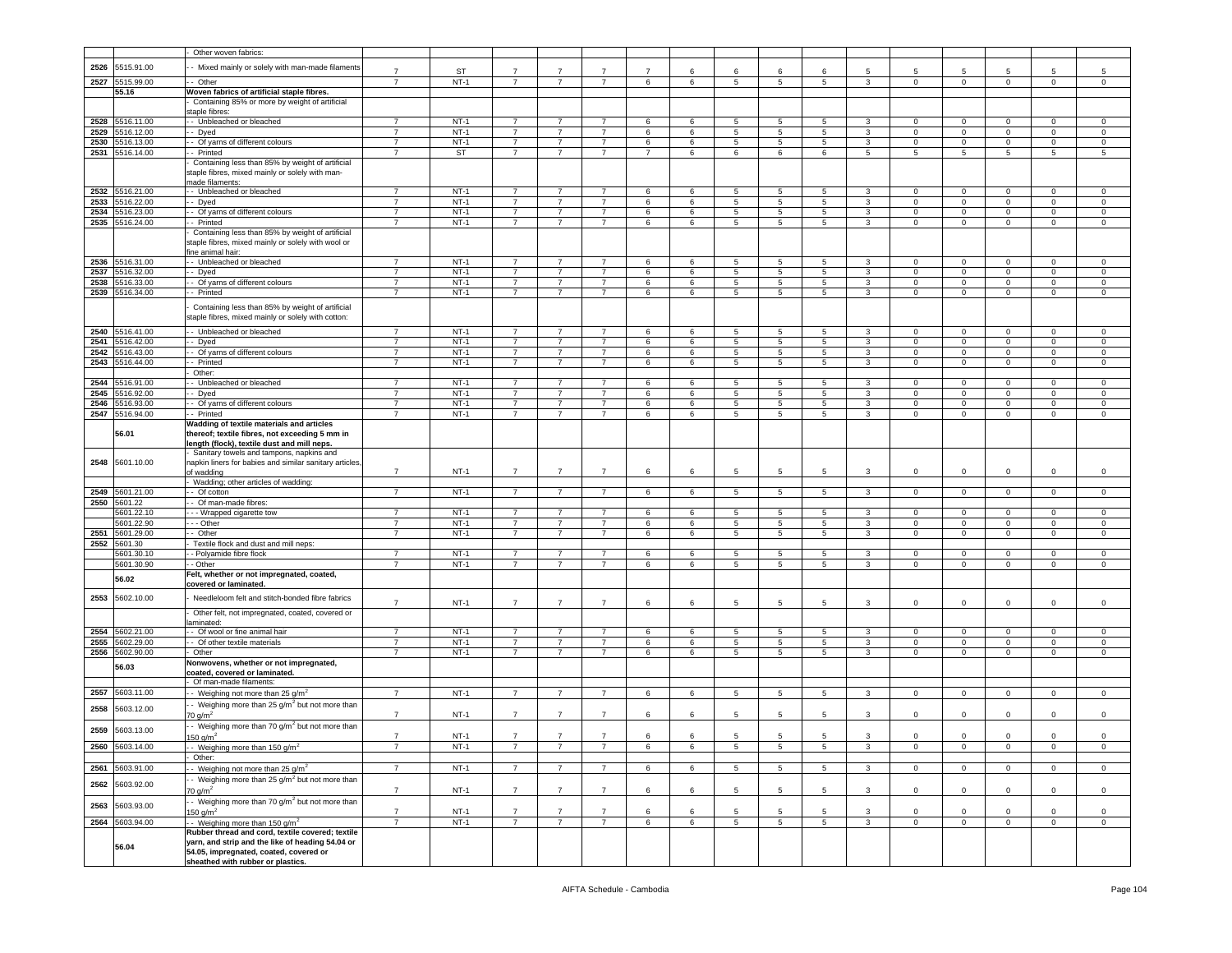|      |                 | Other woven fabrics:                                                                                   |                |           |                |                |                |                |   |                 |                 |                 |              |                |                         |                |                     |                     |
|------|-----------------|--------------------------------------------------------------------------------------------------------|----------------|-----------|----------------|----------------|----------------|----------------|---|-----------------|-----------------|-----------------|--------------|----------------|-------------------------|----------------|---------------------|---------------------|
| 2526 | 5515.91.00      | - Mixed mainly or solely with man-made filaments                                                       |                |           |                |                |                |                |   |                 |                 |                 |              |                |                         |                |                     |                     |
|      |                 |                                                                                                        | $\overline{7}$ | <b>ST</b> | $\overline{7}$ | $\overline{7}$ | $\overline{7}$ | $\overline{7}$ | 6 | 6               | 6               | 6               | 5            | 5              | 5                       | -5             | 5                   | 5                   |
|      | 2527 5515.99.00 | - Other                                                                                                | $\overline{7}$ | $NT-1$    | $\overline{7}$ | $\overline{7}$ | $\overline{7}$ | 6              | 6 | $\overline{5}$  | 5               | 5               | 3            | $\overline{0}$ | $\overline{0}$          | $\mathbf 0$    | $\mathbf 0$         | $\circ$             |
|      | 55.16           | Woven fabrics of artificial staple fibres.                                                             |                |           |                |                |                |                |   |                 |                 |                 |              |                |                         |                |                     |                     |
|      |                 | Containing 85% or more by weight of artificial                                                         |                |           |                |                |                |                |   |                 |                 |                 |              |                |                         |                |                     |                     |
| 2528 | 5516.11.00      | staple fibres<br>-- Unbleached or bleached                                                             | $\overline{7}$ | $NT-1$    | $\overline{7}$ | 7              | $\overline{7}$ | 6              | 6 | 5               | 5               | 5               | 3            | 0              | $\mathsf 0$             | $\mathbf 0$    | 0                   | $^{\circ}$          |
| 2529 | 5516.12.00      | - Dyed                                                                                                 | $\overline{7}$ | $NT-1$    | $\overline{7}$ | $\overline{7}$ | $\overline{7}$ | 6              | 6 | 5               | 5               | 5               | 3            | $\mathbf 0$    | $\mathsf 0$             | $\mathbf 0$    | $\mathbf 0$         | $\mathsf 0$         |
| 2530 | 5516.13.00      | - Of yarns of different colours                                                                        | $\overline{7}$ | $NT-1$    | $\overline{7}$ | 7              | $\overline{7}$ | 6              | 6 | 5               | 5               | 5 <sub>5</sub>  | 3            | $\overline{0}$ | $\mathbf 0$             | $\mathbf 0$    | $\mathbf 0$         | $\mathsf 0$         |
| 2531 | 5516.14.00      | -- Printed                                                                                             | -7             | ST        | 7              | 7              | 7              | $\overline{7}$ | 6 | 6               | 6               | 6               | 5            | 5              | 5                       | 5              | 5                   | 5                   |
|      |                 | Containing less than 85% by weight of artificial                                                       |                |           |                |                |                |                |   |                 |                 |                 |              |                |                         |                |                     |                     |
|      |                 | staple fibres, mixed mainly or solely with man-                                                        |                |           |                |                |                |                |   |                 |                 |                 |              |                |                         |                |                     |                     |
|      |                 | made filaments:                                                                                        |                |           |                |                |                |                |   |                 |                 |                 |              |                |                         |                |                     |                     |
| 2532 | 5516.21.00      | - Unbleached or bleached                                                                               | $\overline{7}$ | $NT-1$    | $\overline{7}$ | $\overline{7}$ | $\overline{7}$ | 6              | 6 | 5               | 5               | $\overline{5}$  | 3            | $\overline{0}$ | $\overline{\mathbf{0}}$ | $\mathbf 0$    | $\mathsf 0$         | $\mathbf 0$         |
| 2533 | 5516.22.00      | - Dyed                                                                                                 | $\overline{7}$ | $NT-1$    | $\overline{7}$ | $\overline{7}$ | $\overline{7}$ | 6              | 6 | 5               | 5               | 5               | 3            | 0              | $\mathsf 0$             | $\mathbf 0$    | $\mathbf 0$         | $\mathsf 0$         |
| 2534 | 5516.23.00      | - Of yarns of different colours                                                                        | $\overline{7}$ | $NT-1$    | $\overline{7}$ | $\overline{7}$ | $\overline{7}$ | $\,6\,$        | 6 | 5               | 5               | 5               | 3            | $\mathbf 0$    | $\mathbf 0$             | $\mathbf 0$    | $\mathbf 0$         | $\mathsf 0$         |
|      | 2535 5516.24.00 | - Printed                                                                                              | 7              | $NT-1$    | $\overline{7}$ | $\overline{7}$ | $\overline{7}$ | 6              | 6 | 5               | 5               | 5               | 3            | $\mathbf{0}$   | $\mathbf 0$             | $\mathbf 0$    | $\mathbf{0}$        | 0                   |
|      |                 | Containing less than 85% by weight of artificial                                                       |                |           |                |                |                |                |   |                 |                 |                 |              |                |                         |                |                     |                     |
|      |                 | staple fibres, mixed mainly or solely with wool or                                                     |                |           |                |                |                |                |   |                 |                 |                 |              |                |                         |                |                     |                     |
|      | 2536 5516.31.00 | fine animal hair:<br>-- Unbleached or bleached                                                         | $\overline{7}$ | $NT-1$    | $\overline{7}$ | $\overline{7}$ | $\overline{7}$ | 6              | 6 | 5               | 5               | 5               | 3            | $\mathbf{0}$   | $\mathbf 0$             | $\mathbf 0$    | 0                   | 0                   |
| 2537 | 5516.32.00      | - Dyed                                                                                                 | $\overline{7}$ | $NT-1$    | $\overline{7}$ | $\overline{7}$ | $\overline{7}$ | 6              | 6 | 5               | 5               | 5               | 3            | $\mathbf 0$    | $\mathsf 0$             | $\mathbf 0$    | $\mathbf 0$         | $\mathsf 0$         |
| 2538 | 5516.33.00      | - Of yarns of different colours                                                                        | $\overline{7}$ | $NT-1$    | $\overline{7}$ | $\overline{7}$ | $\overline{7}$ | $\,6\,$        | 6 | $5\phantom{.0}$ | 5               | 5               | 3            | $\mathbf 0$    | $\mathbf 0$             | $\mathbf 0$    | $\mathsf 0$         | $\mathsf 0$         |
| 2539 | 5516.34.00      | -- Printed                                                                                             | -7             | $NT-1$    | 7              | $\overline{7}$ | $\overline{7}$ | 6              | 6 | 5               | 5               | 5               | 3            | $\mathbf{0}$   | $\mathbf 0$             | $\mathbf 0$    | $\mathbf{0}$        | 0                   |
|      |                 |                                                                                                        |                |           |                |                |                |                |   |                 |                 |                 |              |                |                         |                |                     |                     |
|      |                 | Containing less than 85% by weight of artificial<br>staple fibres, mixed mainly or solely with cotton: |                |           |                |                |                |                |   |                 |                 |                 |              |                |                         |                |                     |                     |
|      |                 |                                                                                                        |                |           |                |                |                |                |   |                 |                 |                 |              |                |                         |                |                     |                     |
| 2540 | 5516.41.00      | - Unbleached or bleached                                                                               | $\overline{7}$ | $NT-1$    | $\overline{7}$ | $\overline{7}$ | $\overline{7}$ | 6              | 6 | 5               | 5               | 5               | 3            | $\mathbf{0}$   | $\mathsf 0$             | $\mathbf 0$    | 0                   | $^{\circ}$          |
| 2541 | 5516.42.00      | - Dyed                                                                                                 | 7              | $NT-1$    | $\overline{7}$ | $\overline{7}$ | $\overline{7}$ | 6              | 6 | 5               | 5               | 5               | 3            | $\mathbf 0$    | $\mathsf 0$             | $\mathbf 0$    | $\mathbf 0$         | $\mathsf 0$         |
| 2542 | 5516.43.00      | - Of yarns of different colours                                                                        | $\overline{7}$ | $NT-1$    | $\overline{7}$ | 7              | $\overline{7}$ | 6              | 6 | 5               | 5               | 5               | 3            | $\mathbf{0}$   | $\mathbf 0$             | $\mathbf 0$    | $\mathbf{0}$        | $\circ$             |
| 2543 | 5516.44.00      | - Printed<br>Other:                                                                                    | $\overline{7}$ | $NT-1$    | $\overline{7}$ | 7              | 7              | 6              | 6 | 5               | 5               | 5               | 3            | $\mathbf{0}$   | $\mathbf 0$             | $\mathbf 0$    | $\mathbf{0}$        | 0                   |
| 2544 | 5516.91.00      | - Unbleached or bleached                                                                               | $\overline{7}$ | $NT-1$    | $\overline{7}$ | $\overline{7}$ | $\overline{7}$ | 6              | 6 | 5               | 5               | 5               | 3            | $\mathbf 0$    | $\mathbf 0$             | $\mathbf 0$    | 0                   | 0                   |
| 2545 | 5516.92.00      | - Dyed                                                                                                 | $\overline{7}$ | $NT-1$    | $\overline{7}$ | $\overline{7}$ | $\overline{7}$ | 6              | 6 | 5               | 5               | 5               | 3            | 0              | $\mathsf 0$             | $\mathbf 0$    | $\mathbf 0$         | $\mathsf 0$         |
| 2546 | 5516.93.00      | - Of yarns of different colours                                                                        | $\overline{7}$ | $NT-1$    | $\overline{7}$ | $\overline{7}$ | $\overline{7}$ | $\,6\,$        | 6 | 5               | 5               | 5               | 3            | $\mathbf{O}$   | $\mathbf 0$             | $\mathbf 0$    | $\mathsf 0$         | $\mathsf 0$         |
|      | 2547 5516.94.00 | -- Printed                                                                                             | -7             | $NT-1$    | $\overline{7}$ | $\overline{7}$ | 7              | 6              | 6 | 5               | 5               | 5               | 3            | $\mathbf{0}$   | $\mathbf 0$             | $\mathbf{0}$   | $\mathbf 0$         | 0                   |
|      |                 | Wadding of textile materials and articles                                                              |                |           |                |                |                |                |   |                 |                 |                 |              |                |                         |                |                     |                     |
|      | 56.01           | thereof; textile fibres, not exceeding 5 mm in                                                         |                |           |                |                |                |                |   |                 |                 |                 |              |                |                         |                |                     |                     |
|      |                 | length (flock), textile dust and mill neps.                                                            |                |           |                |                |                |                |   |                 |                 |                 |              |                |                         |                |                     |                     |
|      |                 | Sanitary towels and tampons, napkins and                                                               |                |           |                |                |                |                |   |                 |                 |                 |              |                |                         |                |                     |                     |
| 2548 | 5601.10.00      | napkin liners for babies and similar sanitary articles,                                                |                |           |                |                |                |                |   |                 |                 |                 |              |                |                         |                |                     |                     |
|      |                 | of wadding                                                                                             | $\overline{7}$ | $NT-1$    | $\overline{7}$ | $\overline{7}$ | $\overline{7}$ | 6              | 6 | $5\phantom{.0}$ | 5               | 5               | 3            | $\mathbf 0$    | $\mathbf 0$             | $\mathsf 0$    | $\mathsf 0$         | $\mathsf 0$         |
|      | 2549 5601.21.00 | Wadding; other articles of wadding:<br>- Of cotton                                                     | $\overline{7}$ | $NT-1$    |                |                | $\overline{7}$ |                |   |                 |                 |                 |              |                | $\mathbf 0$             |                |                     | $\mathsf 0$         |
|      | 2550 5601.22    | - Of man-made fibres:                                                                                  |                |           | 7              | 7              |                | 6              | 6 | $5\phantom{.0}$ | 5               | 5               | 3            | $\mathbf{0}$   |                         | $\mathbf 0$    | $\mathbf 0$         |                     |
|      | 5601.22.10      | - - Wrapped cigarette tow                                                                              | $\overline{7}$ | $NT-1$    | $\overline{7}$ | $\overline{7}$ | $\overline{7}$ | 6              | 6 | 5               | 5               | 5               | 3            | $\mathbf 0$    | $\mathsf 0$             | $\Omega$       | $\mathbf 0$         | $\Omega$            |
|      | 5601.22.90      | - - Other                                                                                              | $\overline{7}$ | $NT-1$    | $\overline{7}$ | $\overline{7}$ | $\overline{7}$ | 6              | 6 | 5               | 5               | 5               | 3            | $\mathbf 0$    | $\mathbf 0$             | $\mathbf 0$    | $\mathsf 0$         | 0                   |
| 2551 | 5601.29.00      | - Other                                                                                                | $\overline{7}$ | $NT-1$    | $\overline{7}$ | $\overline{7}$ | $\overline{7}$ | 6              | 6 | 5               | 5               | 5               | 3            | $\mathbf 0$    | $\mathsf 0$             | $\mathbf 0$    | $\mathbf 0$         | $^{\circ}$          |
|      | 2552 5601.30    | Textile flock and dust and mill neps:                                                                  |                |           |                |                |                |                |   |                 |                 |                 |              |                |                         |                |                     |                     |
|      | 5601.30.1       | - - Polyamide fibre flock                                                                              | $\overline{7}$ | NT-1      | 7              | 7              | 7              | 6              | 6 | 5               | 5               | 5               | 3            | $\mathbf{0}$   | 0                       | $^{\circ}$     | $\mathbf 0$         | $^{\circ}$          |
|      | 5601.30.90      | - - Other                                                                                              | $\overline{7}$ | $NT-1$    | $\overline{7}$ | $\overline{7}$ | $\overline{7}$ | 6              | 6 | 5               | 5               | 5               | 3            | $\circ$        | $\mathsf 0$             | $\circ$        | $\circ$             | $\Omega$            |
|      | 56.02           | Felt, whether or not impregnated, coated,                                                              |                |           |                |                |                |                |   |                 |                 |                 |              |                |                         |                |                     |                     |
|      |                 | covered or laminated.                                                                                  |                |           |                |                |                |                |   |                 |                 |                 |              |                |                         |                |                     |                     |
| 2553 | 5602.10.00      | Needleloom felt and stitch-bonded fibre fabrics                                                        | $\overline{7}$ | $NT-1$    | $\overline{7}$ | $\overline{7}$ | $\overline{7}$ | 6              | 6 | 5               | 5               | 5               | 3            | $\mathbf 0$    | 0                       | $\mathbf 0$    | $\mathbf 0$         | $\mathsf 0$         |
|      |                 | Other felt, not impregnated, coated, covered or                                                        |                |           |                |                |                |                |   |                 |                 |                 |              |                |                         |                |                     |                     |
|      |                 | aminated:                                                                                              |                |           |                |                |                |                |   |                 |                 |                 |              |                |                         |                |                     |                     |
| 2554 | 5602.21.00      | - Of wool or fine animal hair                                                                          | $\overline{7}$ | $NT-1$    | $\overline{7}$ | $\overline{7}$ | $\overline{7}$ | 6              | 6 | 5               | 5               | 5               | 3            | $\Omega$       | 0                       | $\Omega$       | $\Omega$            | $\circ$             |
| 2555 | 5602.29.00      | - Of other textile materials                                                                           | $\overline{7}$ | $NT-1$    | $\overline{7}$ | $\overline{7}$ | $\overline{7}$ | 6              | 6 | 5               | 5               | 5               | 3            | $\mathbf{0}$   | $\mathbf 0$             | $\mathbf 0$    | $\mathbf 0$         | $\mathbf 0$         |
| 2556 | 5602.90.00      | Other                                                                                                  | $\overline{7}$ | $NT-1$    | $\overline{7}$ | $\overline{7}$ | $\overline{7}$ | 6              | 6 | 5               | 5               | 5               | 3            | $\mathbf 0$    | $\mathsf 0$             | $\circ$        | $\circ$             | $\mathbf 0$         |
|      | 56.03           | Nonwovens, whether or not impregnated,                                                                 |                |           |                |                |                |                |   |                 |                 |                 |              |                |                         |                |                     |                     |
|      |                 | coated, covered or laminated.                                                                          |                |           |                |                |                |                |   |                 |                 |                 |              |                |                         |                |                     |                     |
|      | 5603.11.00      | - Of man-made filaments:                                                                               |                |           | $\overline{7}$ |                |                |                |   |                 |                 |                 |              |                |                         |                |                     |                     |
| 2557 |                 | - Weighing not more than 25 $g/m^2$                                                                    | $\overline{7}$ | $NT-1$    |                | $\overline{7}$ | $\overline{7}$ | 6              | 6 | $5\phantom{.0}$ | 5               | 5               | 3            | $\overline{0}$ | $\mathbf 0$             | $\mathbf 0$    | $\mathsf 0$         | $\mathsf 0$         |
| 2558 | 5603.12.00      | - Weighing more than 25 g/m <sup>2</sup> but not more than                                             | $\overline{7}$ |           | $\overline{7}$ |                | $\overline{7}$ |                |   |                 |                 |                 |              |                |                         |                |                     |                     |
|      |                 | 70 g/m <sup>2</sup><br>- Weighing more than 70 $q/m^2$ but not more than                               |                | $NT-1$    |                | $\overline{7}$ |                | 6              | 6 | 5               | 5               | 5               | 3            | 0              | 0                       | $\mathbf 0$    | 0                   | $^{\circ}$          |
| 2559 | 5603.13.00      |                                                                                                        | $\overline{7}$ | $NT-1$    | $\overline{7}$ | $\overline{7}$ | $\overline{7}$ | 6              |   | 5               | 5               | 5               | 3            | $\Omega$       | $\mathbf 0$             | $\Omega$       | $\Omega$            | $\Omega$            |
|      | 2560 5603.14.00 | 150 $q/m^2$<br>- Weighing more than 150 g/m <sup>2</sup>                                               | $\overline{7}$ | $NT-1$    | $\overline{7}$ | $\overline{7}$ | $\overline{7}$ | 6              | 6 | $\sqrt{5}$      | 5               | $\,$ 5 $\,$     | $\mathbf{3}$ | $\mathbf{0}$   | $\mathbf 0$             | $\mathsf 0$    | $\mathsf{O}\xspace$ | $\,0\,$             |
|      |                 | Other:                                                                                                 |                |           |                |                |                |                |   |                 |                 |                 |              |                |                         |                |                     |                     |
|      | 2561 5603.91.00 | - Weighing not more than 25 g/m <sup>2</sup>                                                           | $\overline{7}$ | $NT-1$    | $\overline{7}$ | $\overline{7}$ | $\overline{7}$ | 6              | 6 | $5\phantom{.0}$ | 5               | 5 <sub>5</sub>  | $\mathbf{3}$ | $\overline{0}$ | $\mathbf{0}$            | $\overline{0}$ | $\mathbf{0}$        | $\overline{0}$      |
|      |                 | - Weighing more than 25 g/m <sup>2</sup> but not more than                                             |                |           |                |                |                |                |   |                 |                 |                 |              |                |                         |                |                     |                     |
| 2562 | 5603.92.00      | 70 g/m <sup>2</sup>                                                                                    | $\overline{7}$ | $NT-1$    | $\overline{7}$ | $\overline{7}$ | $\overline{7}$ | 6              | 6 | 5               | 5               | 5               | 3            | $\circ$        | $\mathbf 0$             | $\mathbf 0$    | $\mathbf{0}$        | $\mathsf 0$         |
|      |                 | - Weighing more than 70 $q/m^2$ but not more than                                                      |                |           |                |                |                |                |   |                 |                 |                 |              |                |                         |                |                     |                     |
| 2563 | 5603.93.00      | 150 $q/m2$                                                                                             | $\overline{7}$ | $NT-1$    | $\overline{7}$ | $\overline{7}$ | $\overline{7}$ | 6              | 6 | 5               | 5               | 5               | $\mathbf{3}$ | $\overline{0}$ | $\mathsf 0$             | $\mathbf{0}$   | $\circ$             | $\mathbf 0$         |
| 2564 | 5603.94.00      | $\cdot$ - Weighing more than 150 g/m <sup>2</sup>                                                      | 7              | $NT-1$    | $\overline{7}$ | $\overline{7}$ | $\overline{7}$ | 6              | 6 | $\overline{5}$  | $5\phantom{.0}$ | $5\phantom{.0}$ | $\mathbf{3}$ | $\mathsf 0$    | $\mathsf 0$             | $\mathsf 0$    | $\mathsf 0$         | $\mathsf{O}\xspace$ |
|      |                 | Rubber thread and cord, textile covered; textile                                                       |                |           |                |                |                |                |   |                 |                 |                 |              |                |                         |                |                     |                     |
|      |                 | yarn, and strip and the like of heading 54.04 or                                                       |                |           |                |                |                |                |   |                 |                 |                 |              |                |                         |                |                     |                     |
|      | 56.04           | 54.05, impregnated, coated, covered or                                                                 |                |           |                |                |                |                |   |                 |                 |                 |              |                |                         |                |                     |                     |
|      |                 | sheathed with rubber or plastics.                                                                      |                |           |                |                |                |                |   |                 |                 |                 |              |                |                         |                |                     |                     |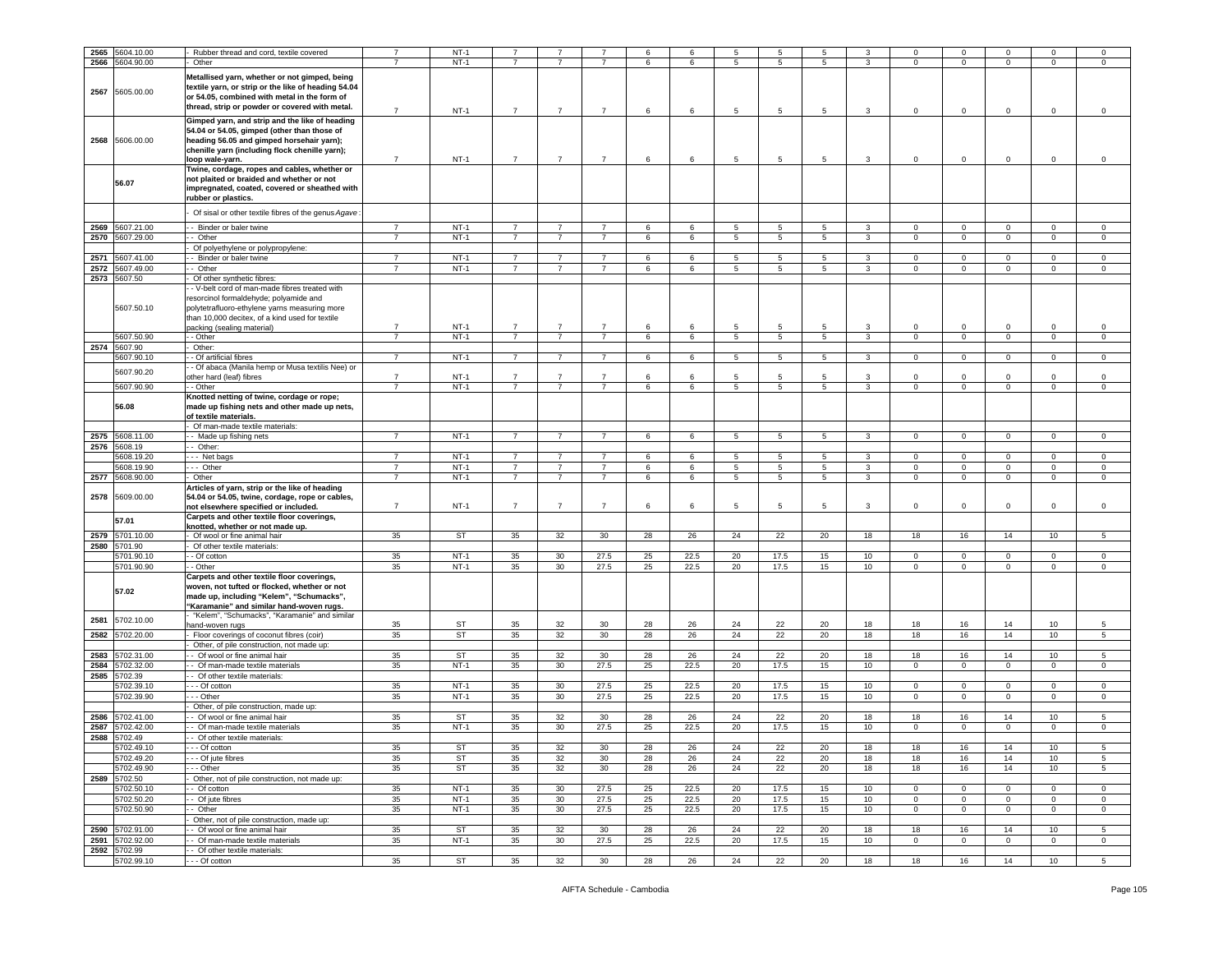| 2565 | 5604.10.00      | Rubber thread and cord, textile covered              |                | $NT-1$    |                |                 |                | 6  | 6               | 5              | 5               | 5               |                  | $\Omega$       | $\Omega$       | $\Omega$            | $\Omega$        | $\Omega$        |
|------|-----------------|------------------------------------------------------|----------------|-----------|----------------|-----------------|----------------|----|-----------------|----------------|-----------------|-----------------|------------------|----------------|----------------|---------------------|-----------------|-----------------|
|      | 2566 5604.90.00 | Other                                                | $\overline{7}$ | $NT-1$    | $\overline{7}$ | 7               | $\overline{7}$ | 6  | 6               | 5              | 5               | 5               | 3                | $\mathbf 0$    | $\mathbf{0}$   | $\mathbf{0}$        | $\mathbf 0$     | $\mathbf 0$     |
|      |                 |                                                      |                |           |                |                 |                |    |                 |                |                 |                 |                  |                |                |                     |                 |                 |
|      |                 | Metallised yarn, whether or not gimped, being        |                |           |                |                 |                |    |                 |                |                 |                 |                  |                |                |                     |                 |                 |
|      |                 | textile yarn, or strip or the like of heading 54.04  |                |           |                |                 |                |    |                 |                |                 |                 |                  |                |                |                     |                 |                 |
| 2567 | 5605.00.00      | or 54.05, combined with metal in the form of         |                |           |                |                 |                |    |                 |                |                 |                 |                  |                |                |                     |                 |                 |
|      |                 | thread, strip or powder or covered with metal.       |                |           |                |                 |                |    |                 |                |                 |                 |                  |                |                |                     |                 |                 |
|      |                 |                                                      | $\overline{7}$ | $NT-1$    | $\overline{7}$ | $\overline{7}$  | $\overline{7}$ | 6  | 6               | 5              | $\overline{5}$  | 5               | 3                | $\circ$        | $\overline{0}$ | $\mathbf 0$         | $\mathbf 0$     | $\mathsf 0$     |
|      |                 | Gimped yarn, and strip and the like of heading       |                |           |                |                 |                |    |                 |                |                 |                 |                  |                |                |                     |                 |                 |
|      |                 | 54.04 or 54.05, gimped (other than those of          |                |           |                |                 |                |    |                 |                |                 |                 |                  |                |                |                     |                 |                 |
| 2568 | 5606.00.00      | heading 56.05 and gimped horsehair yarn);            |                |           |                |                 |                |    |                 |                |                 |                 |                  |                |                |                     |                 |                 |
|      |                 | chenille yarn (including flock chenille yarn);       |                |           |                |                 |                |    |                 |                |                 |                 |                  |                |                |                     |                 |                 |
|      |                 | loop wale-yarn.                                      | $\overline{7}$ | $NT-1$    | $\overline{7}$ | $\overline{7}$  | $\overline{7}$ | 6  | 6               | 5              | 5               | 5               | 3                | 0              | $\mathbf 0$    | $\mathbf 0$         | 0               | 0               |
|      |                 | Twine, cordage, ropes and cables, whether or         |                |           |                |                 |                |    |                 |                |                 |                 |                  |                |                |                     |                 |                 |
|      |                 |                                                      |                |           |                |                 |                |    |                 |                |                 |                 |                  |                |                |                     |                 |                 |
|      | 56.07           | not plaited or braided and whether or not            |                |           |                |                 |                |    |                 |                |                 |                 |                  |                |                |                     |                 |                 |
|      |                 | impregnated, coated, covered or sheathed with        |                |           |                |                 |                |    |                 |                |                 |                 |                  |                |                |                     |                 |                 |
|      |                 | rubber or plastics.                                  |                |           |                |                 |                |    |                 |                |                 |                 |                  |                |                |                     |                 |                 |
|      |                 | Of sisal or other textile fibres of the genus Agave: |                |           |                |                 |                |    |                 |                |                 |                 |                  |                |                |                     |                 |                 |
|      |                 |                                                      |                |           |                |                 |                |    |                 |                |                 |                 |                  |                |                |                     |                 |                 |
| 2569 | 5607.21.00      | - Binder or baler twine                              | $\overline{7}$ | $NT-1$    | $\overline{7}$ | $\overline{7}$  | $\overline{7}$ | 6  | 6               | 5              | 5               | 5               | 3                | $\mathbf 0$    | $\overline{0}$ | $\mathbf{0}$        | 0               | 0               |
| 2570 | 5607.29.00      | - Other                                              | $\overline{7}$ | $NT-1$    | $\overline{7}$ | $\overline{7}$  | $\overline{7}$ | 6  | 6               | 5              | $5\phantom{.0}$ | 5               | $\mathbf{3}$     | $\circ$        | $\mathbf 0$    | $\mathsf{O}\xspace$ | $\mathsf 0$     | $\mathsf 0$     |
|      |                 | Of polyethylene or polypropylene:                    |                |           |                |                 |                |    |                 |                |                 |                 |                  |                |                |                     |                 |                 |
|      |                 |                                                      |                |           |                |                 |                |    |                 |                |                 |                 |                  |                |                |                     |                 |                 |
| 2571 | 5607.41.00      | Binder or baler twine                                | $\overline{7}$ | $NT-1$    | $\overline{7}$ | $\overline{7}$  | $\overline{7}$ | 6  | 6               | 5              | $5\phantom{.0}$ | 5               | 3                | $\circ$        | $\mathbf 0$    | $\mathbf 0$         | $\mathbf 0$     | $\mathsf 0$     |
| 2572 | 5607.49.00      | - Other                                              | $\overline{7}$ | $NT-1$    | $\overline{7}$ | $\overline{7}$  | $\overline{7}$ | 6  | 6               | 5              | 5               | 5               | 3                | $\mathbf 0$    | $\mathbf{0}$   | $\mathbf{0}$        | 0               | $\circ$         |
| 2573 | 5607.50         | Of other synthetic fibres:                           |                |           |                |                 |                |    |                 |                |                 |                 |                  |                |                |                     |                 |                 |
|      |                 | - V-belt cord of man-made fibres treated with        |                |           |                |                 |                |    |                 |                |                 |                 |                  |                |                |                     |                 |                 |
|      |                 | resorcinol formaldehyde; polyamide and               |                |           |                |                 |                |    |                 |                |                 |                 |                  |                |                |                     |                 |                 |
|      | 5607.50.10      | polytetrafluoro-ethylene yarns measuring more        |                |           |                |                 |                |    |                 |                |                 |                 |                  |                |                |                     |                 |                 |
|      |                 | than 10,000 decitex, of a kind used for textile      |                |           |                |                 |                |    |                 |                |                 |                 |                  |                |                |                     |                 |                 |
|      |                 | backing (sealing material)                           | $\overline{7}$ | $NT-1$    | $\overline{7}$ | $\overline{7}$  | $\overline{7}$ | 6  | 6               | 5              | 5               | 5               | 3                | 0              | $\mathbf 0$    | $\mathbf 0$         | 0               | 0               |
|      | 5607.50.90      | - Other                                              | $\overline{7}$ | $NT-1$    | $\overline{7}$ | $\overline{7}$  | $\overline{7}$ | 6  |                 |                | 5               |                 | 3                |                | $\overline{0}$ | $\mathbf{0}$        | $\mathbf 0$     |                 |
|      |                 |                                                      |                |           |                |                 |                |    | 6               | 5              |                 | 5               |                  | $\mathbf 0$    |                |                     |                 | 0               |
|      | 2574 5607.90    | Other:                                               |                |           |                |                 |                |    |                 |                |                 |                 |                  |                |                |                     |                 |                 |
|      | 5607.90.10      | - Of artificial fibres                               | $\overline{7}$ | $NT-1$    | $\overline{7}$ | $\overline{7}$  | $\overline{7}$ | 6  | 6               | 5              | 5               | $5\overline{5}$ | $\mathbf{3}$     | $\mathbf{O}$   | $\mathbf{0}$   | $\overline{0}$      | $\mathbf 0$     | $\mathbf 0$     |
|      | 5607.90.20      | - Of abaca (Manila hemp or Musa textilis Nee) or     |                |           |                |                 |                |    |                 |                |                 |                 |                  |                |                |                     |                 |                 |
|      |                 | other hard (leaf) fibres                             | $\overline{7}$ | $NT-1$    | $\overline{7}$ | $\overline{7}$  | $\overline{7}$ | 6  | 6               | 5              | 5               | -5              | 3                | $\mathbf 0$    | $\mathbf 0$    | $\mathbf 0$         | $\mathbf 0$     | $\mathsf 0$     |
|      | 5607.90.90      | - - Other                                            | $\overline{7}$ | $NT-1$    | $\overline{7}$ | $\overline{7}$  | $\overline{7}$ | 6  | $6\overline{6}$ | 5              | $\overline{5}$  | 5               | 3                | $\circ$        | $\overline{0}$ | $\mathbf{0}$        | $\mathbf 0$     | $\mathsf 0$     |
|      |                 | Knotted netting of twine, cordage or rope;           |                |           |                |                 |                |    |                 |                |                 |                 |                  |                |                |                     |                 |                 |
|      | 56.08           | made up fishing nets and other made up nets,         |                |           |                |                 |                |    |                 |                |                 |                 |                  |                |                |                     |                 |                 |
|      |                 | of textile materials.                                |                |           |                |                 |                |    |                 |                |                 |                 |                  |                |                |                     |                 |                 |
|      |                 | Of man-made textile materials:                       |                |           |                |                 |                |    |                 |                |                 |                 |                  |                |                |                     |                 |                 |
|      |                 |                                                      |                |           |                |                 |                |    |                 |                |                 |                 |                  |                |                |                     |                 |                 |
| 2575 | 5608.11.00      | - Made up fishing nets                               | $\overline{7}$ | $NT-1$    | $\overline{7}$ | $\overline{7}$  | $\overline{7}$ | 6  | 6               | 5              | 5               | 5               | 3                | $\mathbf 0$    | $\mathbf{0}$   | $\overline{0}$      | $\mathbf 0$     | $\mathbf 0$     |
| 2576 | 5608.19         | - Other:                                             |                |           |                |                 |                |    |                 |                |                 |                 |                  |                |                |                     |                 |                 |
|      | 5608.19.20      | --- Net bags                                         | $\overline{7}$ | $NT-1$    | $\overline{7}$ | $\overline{7}$  | $\overline{7}$ | 6  | 6               | $\overline{5}$ | 5               | 5               | 3                | $\circ$        | $\overline{0}$ | $\mathbf{0}$        | $\mathbf 0$     | $\mathsf 0$     |
|      | 5608.19.90      | - Other                                              | $\overline{7}$ | $NT-1$    | $\overline{7}$ | $\overline{7}$  | $\overline{7}$ | 6  | 6               | 5              | 5               | 5               | 3                | $\mathbf 0$    | $\overline{0}$ | $\mathbf{0}$        | $\mathbf 0$     | $\mathsf 0$     |
| 2577 | 5608.90.00      | Other                                                | $\overline{7}$ | $NT-1$    | $\overline{7}$ | $\overline{7}$  | $\overline{7}$ | 6  | 6               | 5              | 5               | 5               | $\mathbf{3}$     | $\circ$        | $\mathbf{0}$   | $\overline{0}$      | $\mathbf{0}$    | $\circ$         |
|      |                 | Articles of yarn, strip or the like of heading       |                |           |                |                 |                |    |                 |                |                 |                 |                  |                |                |                     |                 |                 |
| 2578 | 5609.00.00      | 54.04 or 54.05, twine, cordage, rope or cables,      |                |           |                |                 |                |    |                 |                |                 |                 |                  |                |                |                     |                 |                 |
|      |                 |                                                      | $\overline{7}$ | $NT-1$    | $\overline{7}$ | $\overline{7}$  | $\overline{7}$ | 6  |                 | 5              | 5               | 5               | 3                |                | $\mathbf 0$    | $\mathbf{0}$        |                 | $\mathbf 0$     |
|      |                 | not elsewhere specified or included.                 |                |           |                |                 |                |    | 6               |                |                 |                 |                  | $\mathbf 0$    |                |                     | $\mathbf 0$     |                 |
|      | 57.01           | Carpets and other textile floor coverings,           |                |           |                |                 |                |    |                 |                |                 |                 |                  |                |                |                     |                 |                 |
|      |                 | knotted, whether or not made up.                     |                |           |                |                 |                |    |                 |                |                 |                 |                  |                |                |                     |                 |                 |
| 2579 | 5701.10.00      | Of wool or fine animal hair                          | 35             | ST        | 35             | 32              | 30             | 28 | 26              | 24             | 22              | 20              | 18               | 18             | 16             | 14                  | 10              | 5               |
| 2580 | 5701.90         | Of other textile materials:                          |                |           |                |                 |                |    |                 |                |                 |                 |                  |                |                |                     |                 |                 |
|      | 5701.90.10      | - Of cotton                                          | 35             | $NT-1$    | 35             | 30              | 27.5           | 25 | 22.5            | 20             | 17.5            | 15              | 10               | $\Omega$       | $\mathsf 0$    | $\mathbf 0$         | $\mathbf 0$     | $\mathsf 0$     |
|      | 5701.90.90      | - Other                                              | 35             | $NT-1$    | 35             | 30              | 27.5           | 25 | 22.5            | 20             | 17.5            | 15              | 10 <sub>1</sub>  | $\mathbf 0$    | $\mathbf{0}$   | $\mathbf{0}$        | $\circ$         | $\circ$         |
|      |                 | Carpets and other textile floor coverings,           |                |           |                |                 |                |    |                 |                |                 |                 |                  |                |                |                     |                 |                 |
|      |                 |                                                      |                |           |                |                 |                |    |                 |                |                 |                 |                  |                |                |                     |                 |                 |
|      | 57.02           | woven, not tufted or flocked, whether or not         |                |           |                |                 |                |    |                 |                |                 |                 |                  |                |                |                     |                 |                 |
|      |                 | made up, including "Kelem", "Schumacks",             |                |           |                |                 |                |    |                 |                |                 |                 |                  |                |                |                     |                 |                 |
|      |                 | "Karamanie" and similar hand-woven rugs.             |                |           |                |                 |                |    |                 |                |                 |                 |                  |                |                |                     |                 |                 |
| 2581 | 5702.10.00      | "Kelem", "Schumacks", "Karamanie" and similar        |                |           |                |                 |                |    |                 |                |                 |                 |                  |                |                |                     |                 |                 |
|      |                 | hand-woven rugs                                      | 35             | <b>ST</b> | 35             | 32              | 30             | 28 | 26              | 24             | 22              | 20              | 18               | 18             | 16             | 14                  | 10 <sub>1</sub> | 5               |
| 2582 | 5702.20.00      | Floor coverings of coconut fibres (coir)             | 35             | ST        | 35             | 32              | 30             | 28 | 26              | 24             | 22              | 20              | 18               | 18             | 16             | 14                  | 10              | 5               |
|      |                 | Other, of pile construction, not made up:            |                |           |                |                 |                |    |                 |                |                 |                 |                  |                |                |                     |                 |                 |
| 2583 | 5702.31.00      | - Of wool or fine animal hair                        | 35             | ST        | 35             | 32              | 30             | 28 | 26              | 24             | 22              | 20              | 18               | 18             | 16             | 14                  | 10 <sub>1</sub> | 5               |
| 2584 | 5702.32.00      | - Of man-made textile materials                      | 35             | $NT-1$    | 35             | 30              | 27.5           | 25 | 22.5            | 20             | 17.5            | 15              | 10 <sub>1</sub>  | $\mathbf 0$    | $\mathbf{0}$   | $\mathbf{0}$        | $\mathbf 0$     | $\mathbf 0$     |
|      |                 |                                                      |                |           |                |                 |                |    |                 |                |                 |                 |                  |                |                |                     |                 |                 |
| 2585 | 5702.39         | Of other textile materials:                          |                |           |                |                 |                |    |                 |                |                 |                 |                  |                |                |                     |                 |                 |
|      | 5702.39.10      | - - Of cotton                                        | 35             | $NT-1$    | 35             | 30              | 27.5           | 25 | 22.5            | 20             | 17.5            | 15              | 10               | $\mathbf 0$    | $\overline{0}$ | $\mathbf{0}$        | $\mathbf 0$     | 0               |
|      | 5702.39.90      | - - Other                                            | 35             | $NT-1$    | 35             | 30              | 27.5           | 25 | 22.5            | 20             | 17.5            | 15              | 10 <sub>1</sub>  | $\mathbf 0$    | $\mathbf 0$    | $\mathbf 0$         | $\mathbf 0$     | $\,0\,$         |
|      |                 | Other, of pile construction, made up:                |                |           |                |                 |                |    |                 |                |                 |                 |                  |                |                |                     |                 |                 |
| 2586 | 5702.41.00      | - Of wool or fine animal hair                        | 35             | <b>ST</b> | 35             | 32              | 30             | 28 | 26              | 24             | 22              | 20              | 18               | 18             | 16             | 14                  | 10              | 5               |
| 2587 | 5702.42.00      | - Of man-made textile materials                      | 35             | $NT-1$    | 35             | 30              | 27.5           | 25 | 22.5            | 20             | 17.5            | 15              | 10               | $\mathbf 0$    | $\mathsf 0$    | $\mathbf 0$         | $\Omega$        | $\mathsf 0$     |
|      |                 |                                                      |                |           |                |                 |                |    |                 |                |                 |                 |                  |                |                |                     |                 |                 |
|      | 2588 5702.49    | - - Of other textile materials:                      |                |           |                |                 |                |    |                 |                |                 |                 |                  |                |                |                     |                 |                 |
|      | 5702.49.10      | --- Of cotton                                        | 35             | ST        | 35             | 32              | 30             | 28 | 26              | 24             | 22              | 20              | 18               | 18             | 16             | 14                  | 10              | 5               |
|      | 5702.49.20      | --- Of jute fibres                                   | 35             | ST        | 35             | 32              | 30             | 28 | 26              | 24             | 22              | 20              | 18               | 18             | 16             | 14                  | 10 <sub>1</sub> | 5               |
|      | 5702.49.90      | - - - Other                                          | 35             | ST        | 35             | 32              | 30             | 28 | 26              | 24             | 22              | 20              | 18               | 18             | 16             | 14                  | 10              | 5               |
|      | 2589 5702.50    | Other, not of pile construction, not made up:        |                |           |                |                 |                |    |                 |                |                 |                 |                  |                |                |                     |                 |                 |
|      | 5702.50.10      | - Of cotton                                          | 35             | $NT-1$    | 35             | 30              | 27.5           | 25 | 22.5            | 20             | 17.5            | 15              | 10               | $\mathbf 0$    | $\overline{0}$ | $\mathbf{0}$        | $\mathbf 0$     | $\mathbf 0$     |
|      |                 |                                                      |                |           |                |                 |                |    |                 |                |                 |                 |                  |                |                |                     |                 |                 |
|      | 5702.50.20      | - Of jute fibres                                     | 35             | $NT-1$    | 35             | 30              | 27.5           | 25 | 22.5            | 20             | 17.5            | 15              | 10 <sub>1</sub>  | $\mathbf 0$    | $\mathbf 0$    | $\mathbf 0$         | $\mathbf 0$     | $\mathsf 0$     |
|      | 5702.50.90      | - Other                                              | 35             | $NT-1$    | 35             | 30 <sup>2</sup> | 27.5           | 25 | 22.5            | 20             | 17.5            | 15              | 10 <sup>10</sup> | $\overline{0}$ | $\overline{0}$ | $\overline{0}$      | $\overline{0}$  | $\overline{0}$  |
|      |                 | Other, not of pile construction, made up:            |                |           |                |                 |                |    |                 |                |                 |                 |                  |                |                |                     |                 |                 |
| 2590 | 5702.91.00      | - Of wool or fine animal hair                        | 35             | ST        | 35             | 32              | 30             | 28 | 26              | 24             | 22              | 20              | 18               | 18             | 16             | 14                  | 10              | $\,$ 5          |
|      | 2591 5702.92.00 | - Of man-made textile materials                      | 35             | $NT-1$    | 35             | 30              | 27.5           | 25 | 22.5            | 20             | 17.5            | 15              | 10 <sub>1</sub>  | $\mathbf 0$    | $\overline{0}$ | $\mathbf{0}$        | $\mathbf 0$     | 0               |
|      | 2592 5702.99    | - Of other textile materials:                        |                |           |                |                 |                |    |                 |                |                 |                 |                  |                |                |                     |                 |                 |
|      | 5702.99.10      | - - - Of cotton                                      | 35             | <b>ST</b> | 35             |                 |                | 28 |                 |                |                 |                 |                  |                |                |                     |                 |                 |
|      |                 |                                                      |                |           |                | 32              | 30             |    | 26              | 24             | 22              | 20              | 18               | 18             | 16             | 14                  | 10 <sup>1</sup> | $5\overline{5}$ |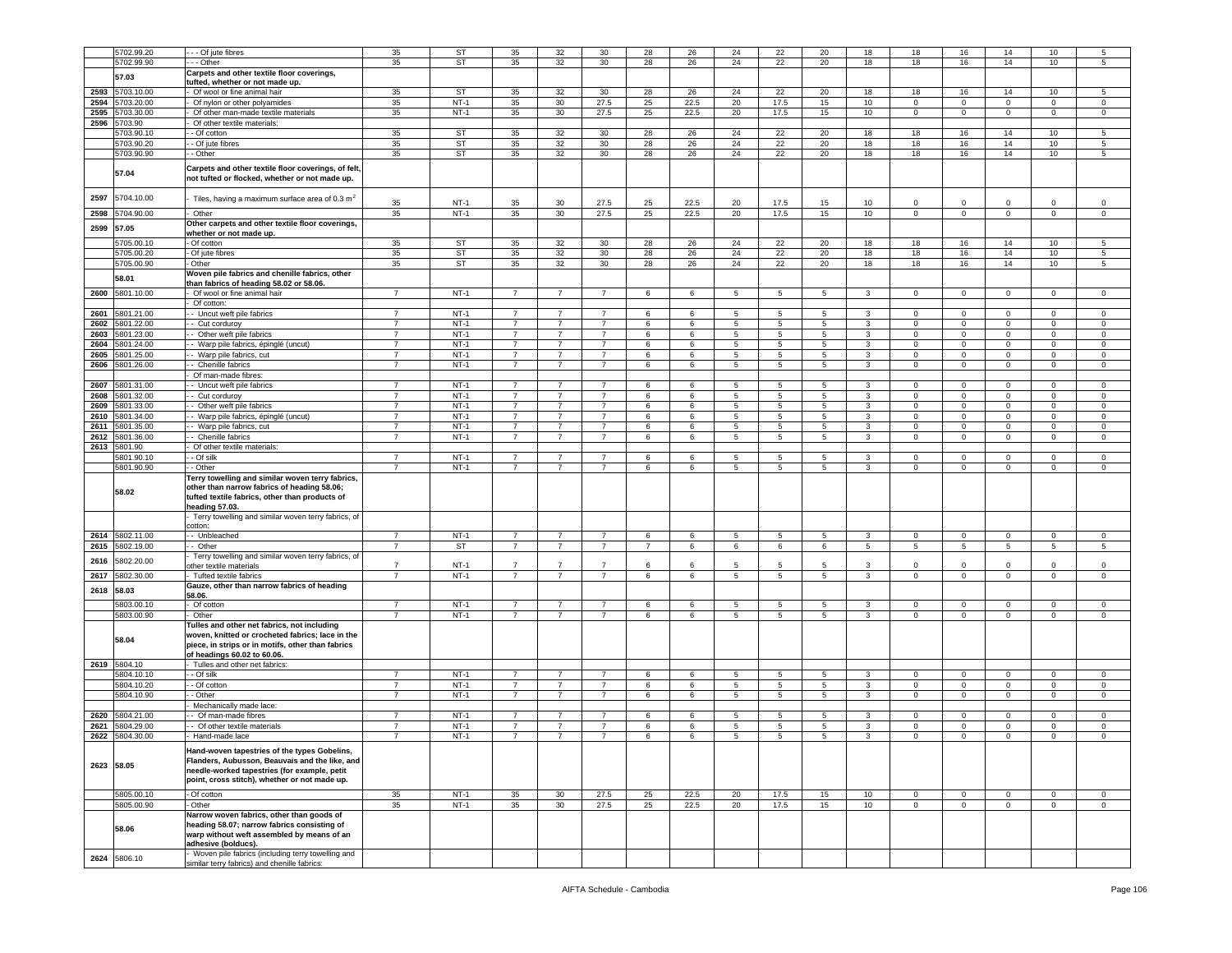|              | 5702.99.20               | - - - Of jute fibres                                                                                                                                                                                                          | 35                               | <b>ST</b>        | 35             | 32              | 30             | 28          | 26              | 24              | 22              | 20              | 18         | 18                         | 16                    | 14                         | 10               | 5                                  |
|--------------|--------------------------|-------------------------------------------------------------------------------------------------------------------------------------------------------------------------------------------------------------------------------|----------------------------------|------------------|----------------|-----------------|----------------|-------------|-----------------|-----------------|-----------------|-----------------|------------|----------------------------|-----------------------|----------------------------|------------------|------------------------------------|
|              | 5702.99.90               | - - Other                                                                                                                                                                                                                     | 35                               | ST               | 35             | 32              | 30             | 28          | 26              | 24              | 22              | 20              | 18         | 18                         | 16                    | 14                         | 10               | 5                                  |
|              |                          |                                                                                                                                                                                                                               |                                  |                  |                |                 |                |             |                 |                 |                 |                 |            |                            |                       |                            |                  |                                    |
|              | 57.03                    | Carpets and other textile floor coverings,                                                                                                                                                                                    |                                  |                  |                |                 |                |             |                 |                 |                 |                 |            |                            |                       |                            |                  |                                    |
|              |                          | tufted, whether or not made up.                                                                                                                                                                                               |                                  |                  |                |                 |                |             |                 |                 |                 |                 |            |                            |                       |                            |                  |                                    |
| 2593         | 5703.10.00               | Of wool or fine animal hair                                                                                                                                                                                                   | 35                               | <b>ST</b>        | 35             | 32              | 30             | 28          | 26              | 24              | 22              | 20              | 18         | 18                         | 16                    | 14                         | 10               | 5                                  |
| 2594         | 5703.20.00               | Of nylon or other polyamides                                                                                                                                                                                                  | 35                               | $NT-1$           | 35             | 30              | 27.5           | 25          | 22.5            | 20              | 17.5            | 15              | 10         | 0                          | $\mathbf 0$           | $\mathbf 0$                | 0                | 0                                  |
| 2595         | 703.30.00                | Of other man-made textile materials                                                                                                                                                                                           | 35                               | $NT-1$           | 35             | 30              | 27.5           | 25          | 22.5            | 20              | 17.5            | 15              | 10         | $\mathbf 0$                | $\overline{0}$        | $\mathsf 0$                | $\mathbf 0$      | $\mathbf 0$                        |
| 2596         | 5703.90                  | Of other textile materials:                                                                                                                                                                                                   |                                  |                  |                |                 |                |             |                 |                 |                 |                 |            |                            |                       |                            |                  |                                    |
|              | 5703.90.1                | - Of cotton                                                                                                                                                                                                                   | 35                               | <b>ST</b>        | 35             | 32              | 30             | 28          | 26              | 24              | 22              | 20              | 18         | 18                         | 16                    | 14                         | 10               | 5                                  |
|              | 5703.90.20               | - Of jute fibres                                                                                                                                                                                                              | 35                               | ST               | 35             | 32              | 30             | 28          | 26              | 24              | 22              | 20              | 18         | 18                         | 16                    | 14                         | 10               | $\,$ 5 $\,$                        |
|              | 5703.90.90               | - Other                                                                                                                                                                                                                       | 35                               | <b>ST</b>        | 35             | 32              | 30             | 28          | 26              | 24              | 22              | 20              | 18         | 18                         | 16                    | 14                         | 10               | 5                                  |
|              |                          |                                                                                                                                                                                                                               |                                  |                  |                |                 |                |             |                 |                 |                 |                 |            |                            |                       |                            |                  |                                    |
|              | 57.04                    | Carpets and other textile floor coverings, of felt,<br>not tufted or flocked, whether or not made up.                                                                                                                         |                                  |                  |                |                 |                |             |                 |                 |                 |                 |            |                            |                       |                            |                  |                                    |
| 2597<br>2598 | 5704.10.00<br>5704.90.00 | Tiles, having a maximum surface area of 0.3 $m2$<br>Other                                                                                                                                                                     | 35<br>35                         | $NT-1$<br>$NT-1$ | 35<br>35       | 30<br>30        | 27.5<br>27.5   | 25<br>25    | 22.5<br>22.5    | 20<br>20        | 17.5<br>17.5    | 15<br>15        | 10<br>$10$ | $\mathbf 0$<br>$\mathsf 0$ | $^{\circ}$<br>$\,0\,$ | $\mathbf 0$<br>$\mathsf 0$ | 0<br>$\mathsf 0$ | $\mathbf 0$<br>$\mathsf{O}\xspace$ |
| 2599         | 57.05                    | Other carpets and other textile floor coverings,                                                                                                                                                                              |                                  |                  |                |                 |                |             |                 |                 |                 |                 |            |                            |                       |                            |                  |                                    |
|              | 5705.00.10               | whether or not made up.<br>- Of cotton                                                                                                                                                                                        | 35                               | <b>ST</b>        | 35             | 32              | 30             | 28          | 26              | 24              | 22              | 20              | 18         | 18                         | 16                    | 14                         | 10               | 5                                  |
|              |                          |                                                                                                                                                                                                                               |                                  |                  |                |                 |                |             |                 |                 |                 |                 |            |                            |                       |                            |                  |                                    |
|              | 5705.00.20               | - Of jute fibres                                                                                                                                                                                                              | 35                               | <b>ST</b>        | 35             | 32              | 30             | 28          | 26              | 24              | 22              | 20              | 18         | 18                         | 16                    | 14                         | 10               | 5                                  |
|              | 5705.00.90               | - Other                                                                                                                                                                                                                       | 35                               | <b>ST</b>        | 35             | 32              | 30             | 28          | 26              | 24              | 22              | 20              | 18         | 18                         | 16                    | 14                         | 10               | 5                                  |
|              | 58.01                    | Woven pile fabrics and chenille fabrics, other<br>than fabrics of heading 58.02 or 58.06.                                                                                                                                     |                                  |                  |                |                 |                |             |                 |                 |                 |                 |            |                            |                       |                            |                  |                                    |
| 2600         | 5801.10.00               | Of wool or fine animal hair                                                                                                                                                                                                   | $\overline{7}$                   | $NT-1$           | $\overline{7}$ | $\overline{7}$  | $\overline{7}$ | 6           | 6               | $\overline{5}$  | $5\overline{5}$ | 5               | 3          | $\mathbf{O}$               | $\overline{0}$        | $\mathbf 0$                | $\mathbf 0$      | $\overline{0}$                     |
|              |                          | Of cotton:                                                                                                                                                                                                                    |                                  |                  |                |                 |                |             |                 |                 |                 |                 |            |                            |                       |                            |                  |                                    |
| 2601         | 5801.21.00               | - Uncut weft pile fabrics                                                                                                                                                                                                     | 7                                | $NT-1$           | $\overline{7}$ | -7              | $\overline{7}$ | 6           | 6               | 5               | 5               | 5               | 3          | $\mathbf 0$                | $\mathbf 0$           | $\mathbf 0$                | 0                | $\Omega$                           |
| 2602         | 5801.22.00               | - Cut corduroy                                                                                                                                                                                                                | $\overline{7}$                   | $NT-1$           | $\overline{7}$ | -7              | 7              | 6           | 6               | 5               | 5               | 5               | 3          | $\mathbf 0$                | $\mathbf 0$           | $\mathbf 0$                | 0                | $\circ$                            |
| 2603         | 5801.23.00               | - Other weft pile fabrics                                                                                                                                                                                                     | $\overline{7}$                   | $NT-1$           | $\overline{7}$ | $\overline{7}$  | $\overline{7}$ | 6           | 6               | 5               | 5               | 5               | 3          | $\circ$                    | $\mathbf 0$           | $\mathbf 0$                | $\mathbf 0$      | $\mathbf 0$                        |
| 2604         | 5801.24.00               | - Warp pile fabrics, épinglé (uncut)                                                                                                                                                                                          | $\overline{7}$                   | $NT-1$           | $\overline{7}$ | $\overline{7}$  | $\overline{7}$ | 6           | 6               | 5               | $5\overline{)}$ | 5               | 3          | $\mathbf 0$                | $\overline{0}$        | $\mathbf 0$                | $\overline{0}$   | $\mathbf 0$                        |
| 2605         | 5801.25.00               | - Warp pile fabrics, cut                                                                                                                                                                                                      | $\overline{7}$                   | $NT-1$           | $\overline{7}$ | $\overline{7}$  | $\overline{7}$ | 6           | 6               | 5               | 5               | 5               | 3          | $\mathbf 0$                | $\mathbf 0$           | $\mathbf 0$                | 0                | $\mathsf 0$                        |
| 2606         |                          | - Chenille fabrics                                                                                                                                                                                                            | $\overline{7}$                   |                  |                | $\overline{7}$  |                |             |                 |                 |                 |                 |            |                            |                       |                            |                  |                                    |
|              | 5801.26.00               |                                                                                                                                                                                                                               |                                  | $NT-1$           | $\overline{7}$ |                 | $\overline{7}$ | 6           | 6               | $5\phantom{.0}$ | $5\phantom{.0}$ | 5               | 3          | $\mathsf 0$                | $\mathbf 0$           | $\mathsf 0$                | 0                | $\mathbf 0$                        |
|              |                          | Of man-made fibres:                                                                                                                                                                                                           |                                  |                  |                |                 |                |             |                 |                 |                 |                 |            |                            |                       |                            |                  |                                    |
| 2607         | 5801.31.00               | - Uncut weft pile fabrics                                                                                                                                                                                                     | $\overline{7}$                   | $NT-1$           | $\overline{7}$ | $\overline{7}$  | $\overline{7}$ | 6           | 6               | 5               | 5               | 5               | 3          | $\circ$                    | $\mathbf 0$           | $\mathbf{0}$               | $\mathbf 0$      | $\mathbf 0$                        |
| 2608         | 5801.32.00               | - Cut corduroy                                                                                                                                                                                                                | $\overline{7}$                   | $NT-1$           | $\overline{7}$ | $\overline{7}$  | $\overline{7}$ | 6           | $6\overline{6}$ | 5               | 5               | 5               | 3          | $\circ$                    | $\mathbf 0$           | $\mathbf{0}$               | $\mathbf 0$      | $\mathbf 0$                        |
| 2609         | 5801.33.00               | Other weft pile fabrics                                                                                                                                                                                                       | $\overline{7}$                   | $NT-1$           | $\overline{7}$ | $\overline{7}$  | $\overline{7}$ | 6           | 6               | 5               | 5               | 5               | 3          | $\mathbf 0$                | $\mathbf 0$           | $\mathbf 0$                | 0                | $\mathsf 0$                        |
| 2610         | 5801.34.00               | - Warp pile fabrics, épinglé (uncut)                                                                                                                                                                                          | $\overline{7}$                   | $NT-1$           | $\overline{7}$ | $\overline{7}$  | $\overline{7}$ | 6           | 6               | $\overline{5}$  | 5               | 5               | 3          | $\mathbf 0$                | $\mathsf 0$           | $\mathbf 0$                | 0                | $\mathbf 0$                        |
| 2611         | 5801.35.00               | - Warp pile fabrics, cut                                                                                                                                                                                                      | $\overline{7}$                   | $NT-1$           | $\overline{7}$ | $\overline{7}$  | 7              | 6           | 6               | 5               | 5               | 5               | 3          | $\mathbf{0}$               | $\mathbf 0$           | $\mathbf 0$                | 0                | $\circ$                            |
| 2612         | 5801.36.00               | - Chenille fabrics                                                                                                                                                                                                            | $\overline{7}$                   | $NT-1$           | $\overline{7}$ | $\overline{7}$  | $\overline{7}$ | 6           | 6               | 5               | $5\overline{5}$ | 5               | 3          | $\circ$                    | $\mathbf 0$           | $\mathbf 0$                | $\mathbf 0$      | $\mathbf 0$                        |
|              | 2613 5801.90             | Of other textile materials:                                                                                                                                                                                                   |                                  |                  |                |                 |                |             |                 |                 |                 |                 |            |                            |                       |                            |                  |                                    |
|              | 5801.90.10               | - Of silk                                                                                                                                                                                                                     | $\overline{7}$                   | $NT-1$           | $\overline{7}$ | $\overline{7}$  | $\overline{7}$ | 6           | 6               | 5               | 5               | 5               | 3          | 0                          | $\mathbf 0$           | $\mathbf 0$                | 0                | $\circ$                            |
|              | 5801.90.90               | - Other                                                                                                                                                                                                                       | $\overline{7}$                   | $NT-1$           | $\overline{7}$ | $\overline{7}$  | $\overline{7}$ | 6           | 6               | $5\phantom{.0}$ | 5               | 5               | 3          | $\mathbf 0$                | $\mathbf 0$           | $\mathbf 0$                | $\mathbf 0$      | $\mathbf 0$                        |
|              | 58.02                    | Terry towelling and similar woven terry fabrics,<br>other than narrow fabrics of heading 58.06;                                                                                                                               |                                  |                  |                |                 |                |             |                 |                 |                 |                 |            |                            |                       |                            |                  |                                    |
|              |                          | tufted textile fabrics, other than products of<br>heading 57.03.                                                                                                                                                              |                                  |                  |                |                 |                |             |                 |                 |                 |                 |            |                            |                       |                            |                  |                                    |
|              |                          | Terry towelling and similar woven terry fabrics, of<br>cotton:                                                                                                                                                                |                                  |                  |                |                 |                |             |                 |                 |                 |                 |            |                            |                       |                            |                  |                                    |
|              |                          |                                                                                                                                                                                                                               | $\overline{7}$                   |                  |                | $\overline{7}$  | $\overline{7}$ |             |                 |                 |                 | 5               |            | $\circ$                    |                       |                            |                  |                                    |
| 2614         | 5802.11.00               | - Unbleached                                                                                                                                                                                                                  |                                  | $NT-1$           | $\overline{7}$ | $\overline{7}$  |                | 6           | $6\overline{6}$ | 5               | $5\overline{)}$ |                 | 3          |                            | $\overline{0}$        | $\mathbf 0$                | $\mathbf 0$      | $\mathbf 0$                        |
| 2615         | 5802.19.00               | Other                                                                                                                                                                                                                         | $\overline{7}$                   | <b>ST</b>        | $\overline{7}$ |                 | $\overline{7}$ | 7           | 6               | 6               | 6               | 6               | 5          | 5                          | 5                     | 5                          | 5                | 5                                  |
| 2616         | 5802.20.00               | Terry towelling and similar woven terry fabrics, of                                                                                                                                                                           |                                  |                  | $\overline{7}$ | $\overline{7}$  | $\overline{7}$ | 6           |                 |                 | 5               | 5               | 3          | $\Omega$                   |                       |                            | $\Omega$         |                                    |
|              |                          | other textile materials                                                                                                                                                                                                       | $\overline{7}$<br>$\overline{7}$ | $NT-1$           |                | -7              |                |             | 6               | 5               |                 |                 |            |                            | $\mathbf 0$           | $\mathbf 0$                |                  | $\mathbf 0$                        |
| 2617         | 5802.30.00               | Tufted textile fabrics                                                                                                                                                                                                        |                                  | $NT-1$           | 7              |                 | 7              | $6^{\circ}$ | 6               | 5               | 5               | 5               | 3          | $^{\circ}$                 | $\,0\,$               | $^{\circ}$                 | 0                | $\mathbf 0$                        |
| 2618         | 58.03                    | Gauze, other than narrow fabrics of heading                                                                                                                                                                                   |                                  |                  |                |                 |                |             |                 |                 |                 |                 |            |                            |                       |                            |                  |                                    |
|              |                          | 58.06.                                                                                                                                                                                                                        | $\overline{7}$                   |                  |                | $\overline{7}$  |                |             |                 |                 |                 |                 |            |                            |                       |                            |                  |                                    |
|              | 5803.00.10               | Of cotton                                                                                                                                                                                                                     |                                  | $NT-1$           | $\overline{7}$ |                 | $\overline{7}$ | 6           | 6               | 5               | 5               | 5               | 3          | $\mathbf 0$                | $\mathbf 0$           | $\mathbf 0$                | $\mathbf 0$      | $\mathbf 0$                        |
|              | 5803.00.90<br>58.04      | Other<br>Tulles and other net fabrics, not including<br>woven, knitted or crocheted fabrics; lace in the<br>piece, in strips or in motifs, other than fabrics                                                                 | $\overline{7}$                   | $NT-1$           | $\overline{7}$ | $\overline{7}$  | $\overline{7}$ | 6           | 6               | 5               | 5               | 5               | 3          | $\mathbf 0$                | $\mathbf 0$           | $\mathbf 0$                | $\mathbf 0$      | $\mathsf 0$                        |
|              |                          | of headings 60.02 to 60.06.                                                                                                                                                                                                   |                                  |                  |                |                 |                |             |                 |                 |                 |                 |            |                            |                       |                            |                  |                                    |
|              | 2619 5804.10             | Tulles and other net fabrics:                                                                                                                                                                                                 |                                  |                  |                |                 |                |             |                 |                 |                 |                 |            |                            |                       |                            |                  |                                    |
|              | 5804.10.10               | - Of silk                                                                                                                                                                                                                     | $\overline{7}$                   | $NT-1$           | $\overline{7}$ | $\overline{7}$  | $\overline{7}$ | 6           | 6               | 5               | 5               | 5               | 3          | $\mathbf 0$                | $\mathbf 0$           | $\mathbf 0$                | 0                | 0                                  |
|              | 5804.10.20               | - Of cotton                                                                                                                                                                                                                   | $\overline{7}$                   | $NT-1$           | $\overline{7}$ | $\overline{7}$  | $\overline{7}$ | 6           | 6               | $\overline{5}$  | 5               | $5\overline{5}$ | 3          | $\mathbf 0$                | $\,0\,$               | $\mathbf 0$                | $\mathbf 0$      | $\mathsf{O}\xspace$                |
|              | 5804.10.90               | - Other                                                                                                                                                                                                                       | $\overline{7}$                   | $NT-1$           | $\overline{7}$ | -7              | $\overline{7}$ | 6           | 6               | 5               | 5               | 5               | 3          | 0                          | $\mathbf 0$           | $\mathbf 0$                | 0                | $\mathbf 0$                        |
|              |                          | Mechanically made lace:                                                                                                                                                                                                       |                                  |                  |                |                 |                |             |                 |                 |                 |                 |            |                            |                       |                            |                  |                                    |
| 2620         | 5804.21.00               | - Of man-made fibres                                                                                                                                                                                                          | $\overline{7}$                   | $NT-1$           | 7              |                 | 7              | 6           | 6               | 5               | 5               | 5               | 3          | $^{\circ}$                 | 0                     | $\mathbf 0$                | $\mathbf{0}$     | $^{\circ}$                         |
| 2621         | 5804.29.00               | - Of other textile materials                                                                                                                                                                                                  | $\overline{7}$                   | $NT-1$           | $\overline{7}$ | $\overline{7}$  | $\overline{7}$ | 6           | 6               | 5               | 5               | 5               | 3          | $\Omega$                   | $\mathbf 0$           | $\mathbf 0$                | 0                | 0                                  |
| 2622         | 5804.30.00               | Hand-made lace                                                                                                                                                                                                                | $\overline{7}$                   | $NT-1$           | $\overline{7}$ | $\overline{7}$  | $\overline{7}$ | 6           | 6               | $\overline{5}$  | 5               | 5               | 3          | $\Omega$                   | $\overline{0}$        | $\Omega$                   | $\Omega$         | $\mathbf 0$                        |
|              | 2623 58.05               | Hand-woven tapestries of the types Gobelins,<br>Flanders, Aubusson, Beauvais and the like, and<br>needle-worked tapestries (for example, petit<br>point, cross stitch), whether or not made up.                               |                                  |                  |                |                 |                |             |                 |                 |                 |                 |            |                            |                       |                            |                  |                                    |
|              |                          |                                                                                                                                                                                                                               |                                  |                  |                |                 |                |             |                 |                 |                 |                 |            |                            |                       |                            |                  |                                    |
|              | 5805.00.10               | Of cotton                                                                                                                                                                                                                     | 35                               | $NT-1$           | 35             | 30 <sup>°</sup> | 27.5           | 25          | 22.5            | 20              | 17.5            | 15              | 10         | $\overline{0}$             | $\overline{0}$        | $\mathsf 0$                | $\mathbf 0$      | $\mathbf 0$                        |
|              | 5805.00.90<br>58.06      | - Other<br>Narrow woven fabrics, other than goods of<br>heading 58.07; narrow fabrics consisting of<br>warp without weft assembled by means of an<br>adhesive (bolducs).<br>Woven pile fabrics (including terry towelling and | 35                               | $NT-1$           | 35             | 30              | 27.5           | 25          | 22.5            | 20              | 17.5            | 15              | 10         | $\mathbf{0}$               | $\overline{0}$        | $\overline{0}$             | $\mathbf{0}$     | $\mathbf{0}$                       |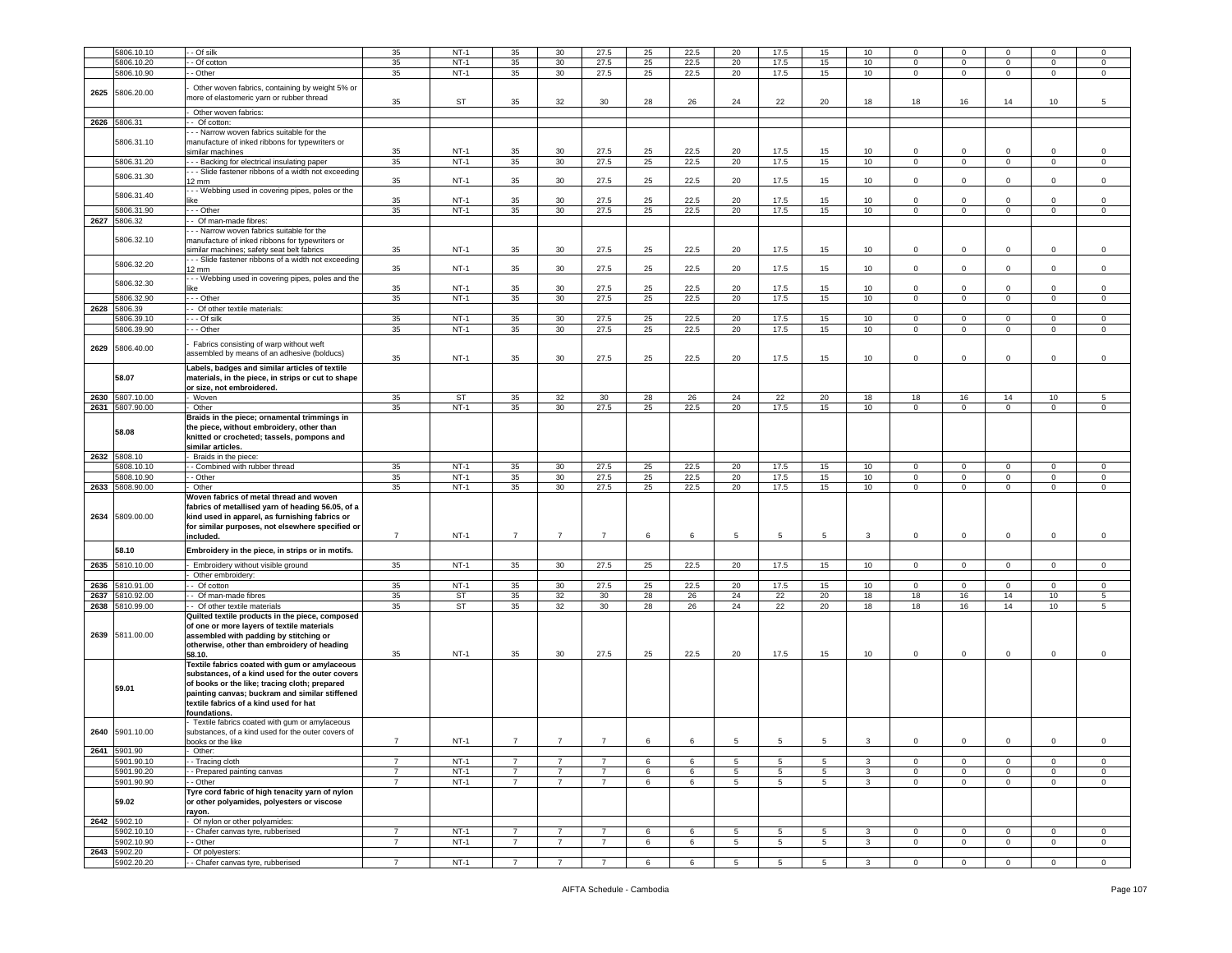|      | 5806.10.10                 | $-$ Of silk                                         | 35             | $NT-1$      | 35             | 30             | 27.5           | 25 | 22.5       | 20              | 17.5           | 15              | 10            | $\Omega$       | $\Omega$       |                | $\Omega$       | $\Omega$       |
|------|----------------------------|-----------------------------------------------------|----------------|-------------|----------------|----------------|----------------|----|------------|-----------------|----------------|-----------------|---------------|----------------|----------------|----------------|----------------|----------------|
|      | 5806.10.20                 | - Of cotton                                         | 35             | $NT-1$      | 35             | 30             | 27.5           | 25 | 22.5       | 20              | 17.5           | 15              | 10            | $\overline{0}$ | $\mathbf 0$    | $\mathbf 0$    | $\mathsf 0$    | 0              |
|      | 5806.10.90                 | - Other                                             | 35             | $NT-1$      | 35             | 30             | 27.5           | 25 | 22.5       | 20              | 17.5           | 15              | 10            | $\mathbf{0}$   | $\mathbf 0$    | $\mathbf 0$    | $\mathbf 0$    | $\mathsf 0$    |
|      |                            |                                                     |                |             |                |                |                |    |            |                 |                |                 |               |                |                |                |                |                |
|      |                            | Other woven fabrics, containing by weight 5% or     |                |             |                |                |                |    |            |                 |                |                 |               |                |                |                |                |                |
| 2625 | 5806.20.00                 |                                                     |                |             |                |                |                |    |            |                 |                |                 |               |                |                |                |                |                |
|      |                            | more of elastomeric yarn or rubber thread           | 35             | ST          | 35             | 32             | 30             | 28 | 26         | 24              | 22             | 20              | 18            | 18             | 16             | 14             | 10             | 5              |
|      |                            | Other woven fabrics:                                |                |             |                |                |                |    |            |                 |                |                 |               |                |                |                |                |                |
|      |                            |                                                     |                |             |                |                |                |    |            |                 |                |                 |               |                |                |                |                |                |
| 2626 | 5806.31                    | - Of cotton:                                        |                |             |                |                |                |    |            |                 |                |                 |               |                |                |                |                |                |
|      |                            | -- Narrow woven fabrics suitable for the            |                |             |                |                |                |    |            |                 |                |                 |               |                |                |                |                |                |
|      | 5806.31.10                 |                                                     |                |             |                |                |                |    |            |                 |                |                 |               |                |                |                |                |                |
|      |                            | manufacture of inked ribbons for typewriters or     |                |             |                |                |                |    |            |                 |                |                 |               |                |                |                |                |                |
|      |                            | similar machines                                    | 35             | $NT-1$      | 35             | 30             | 27.5           | 25 | 22.5       | 20              | 17.5           | 15              | 10            | $\mathbf{0}$   | $\mathsf 0$    | $\Omega$       | 0              | 0              |
|      | 5806.31.20                 | --- Backing for electrical insulating paper         | 35             | $NT-1$      | 35             | 30             | 27.5           | 25 | 22.5       | 20              | 17.5           | 15              | 10            | $\mathbf{0}$   | $\mathbf 0$    | $\mathbf{0}$   | $\mathbf 0$    | $\mathsf 0$    |
|      |                            | - - Slide fastener ribbons of a width not exceeding |                |             |                |                |                |    |            |                 |                |                 |               |                |                |                |                |                |
|      | 5806.31.30                 |                                                     |                | $NT-1$      | 35             | 30             | 27.5           | 25 | 22.5       | 20              | 17.5           | 15              | 10            | $\mathbf{0}$   | $\mathsf 0$    | $\mathbf 0$    | $\circ$        | $\mathbf 0$    |
|      |                            | 12 mm                                               | 35             |             |                |                |                |    |            |                 |                |                 |               |                |                |                |                |                |
|      | 5806.31.40                 | - - Webbing used in covering pipes, poles or the    |                |             |                |                |                |    |            |                 |                |                 |               |                |                |                |                |                |
|      |                            |                                                     | 35             | $NT-1$      | 35             | 30             | 27.5           | 25 | 22.5       | 20              | 17.5           | 15              | 10            | $\mathbf 0$    | $\mathsf 0$    | $\Omega$       | $\mathbf 0$    | $\Omega$       |
|      | 5806.31.90                 | - - - Other                                         | 35             | $NT-1$      | 35             | 30             | 27.5           | 25 | 22.5       | 20              | 17.5           | 15              | 10            | $\mathbf 0$    | $\mathbf 0$    | $\mathbf 0$    | $\mathbf 0$    | 0              |
|      |                            |                                                     |                |             |                |                |                |    |            |                 |                |                 |               |                |                |                |                |                |
|      | 2627 5806.32               | - Of man-made fibres:                               |                |             |                |                |                |    |            |                 |                |                 |               |                |                |                |                |                |
|      |                            | - - Narrow woven fabrics suitable for the           |                |             |                |                |                |    |            |                 |                |                 |               |                |                |                |                |                |
|      | 5806.32.10                 | manufacture of inked ribbons for typewriters or     |                |             |                |                |                |    |            |                 |                |                 |               |                |                |                |                |                |
|      |                            |                                                     |                |             |                |                |                |    |            |                 |                |                 |               |                |                |                |                |                |
|      |                            | similar machines; safety seat belt fabrics          | 35             | $NT-1$      | 35             | 30             | 27.5           | 25 | 22.5       | 20              | 17.5           | 15              | 10            | 0              | 0              | $\mathbf 0$    | 0              | $^{\circ}$     |
|      |                            | - - Slide fastener ribbons of a width not exceeding |                |             |                |                |                |    |            |                 |                |                 |               |                |                |                |                |                |
|      | 5806.32.20                 | $12 \text{ mm}$                                     | 35             | $NT-1$      | 35             | 30             | 27.5           | 25 | 22.5       | 20              | 17.5           | 15              | 10            | $\mathbf 0$    | $\mathbf 0$    | $\mathbf 0$    | $\mathbf 0$    | $\mathbf 0$    |
|      |                            | - - Webbing used in covering pipes, poles and the   |                |             |                |                |                |    |            |                 |                |                 |               |                |                |                |                |                |
|      | 5806.32.30                 |                                                     |                |             |                |                |                |    |            |                 |                |                 |               |                |                |                |                |                |
|      |                            | like                                                | 35             | $NT-1$      | 35             | 30             | 27.5           | 25 | 22.5       | 20              | 17.5           | 15              | 10            | $\circ$        | $\mathsf 0$    | $\circ$        | $\mathbf 0$    | $\Omega$       |
|      | 5806.32.90                 | - - - Other                                         | 35             | $NT-1$      | 35             | 30             | 27.5           | 25 | 22.5       | 20              | 17.5           | 15              | 10            | $\overline{0}$ | $\overline{0}$ | $\overline{0}$ | $\overline{0}$ | $\mathsf 0$    |
| 2628 | 5806.39                    | Of other textile materials:                         |                |             |                |                |                |    |            |                 |                |                 |               |                |                |                |                |                |
|      |                            |                                                     |                |             |                |                |                |    |            |                 |                |                 |               |                |                |                |                |                |
|      | 5806.39.10                 | - - Of silk                                         | 35             | $NT-1$      | 35             | 30             | 27.5           | 25 | 22.5       | 20              | 17.5           | 15              | 10            | $\mathbf{0}$   | $\mathbf 0$    | $\mathbf 0$    | $\mathsf 0$    | $\mathsf 0$    |
|      | 5806.39.90                 | $-$ Other                                           | 35             | $NT-1$      | 35             | 30             | 27.5           | 25 | 22.5       | 20              | 17.5           | 15              | 10            | $\overline{0}$ | $\mathbf 0$    | $\mathbf{0}$   | $\mathbf 0$    | 0              |
|      |                            |                                                     |                |             |                |                |                |    |            |                 |                |                 |               |                |                |                |                |                |
|      |                            | Fabrics consisting of warp without weft             |                |             |                |                |                |    |            |                 |                |                 |               |                |                |                |                |                |
| 2629 | 5806.40.00                 | assembled by means of an adhesive (bolducs)         |                |             |                |                |                |    |            |                 |                |                 |               |                |                |                |                |                |
|      |                            |                                                     | 35             | $NT-1$      | 35             | 30             | 27.5           | 25 | 22.5       | 20              | 17.5           | 15              | 10            | $\mathbf{0}$   | $\mathsf 0$    | $\circ$        | $\circ$        | $\mathsf 0$    |
|      |                            | Labels, badges and similar articles of textile      |                |             |                |                |                |    |            |                 |                |                 |               |                |                |                |                |                |
|      | 58.07                      | materials, in the piece, in strips or cut to shape  |                |             |                |                |                |    |            |                 |                |                 |               |                |                |                |                |                |
|      |                            |                                                     |                |             |                |                |                |    |            |                 |                |                 |               |                |                |                |                |                |
|      |                            | or size, not embroidered.                           |                |             |                |                |                |    |            |                 |                |                 |               |                |                |                |                |                |
|      | 2630 5807.10.00            | Woven                                               | 35             | ST          | 35             | 32             | 30             | 28 | 26         | 24              | 22             | 20              | 18            | 18             | 16             | 14             | 10             | 5              |
|      | 2631 5807.90.00            | Other                                               | 35             | $NT-1$      | 35             | 30             | 27.5           | 25 | 22.5       | 20              | 17.5           | 15              | 10            | $\mathbf{0}$   | $\mathbf 0$    | $\mathbf 0$    | $\mathbf 0$    | $\mathsf 0$    |
|      |                            |                                                     |                |             |                |                |                |    |            |                 |                |                 |               |                |                |                |                |                |
|      |                            | Braids in the piece; ornamental trimmings in        |                |             |                |                |                |    |            |                 |                |                 |               |                |                |                |                |                |
|      |                            | the piece, without embroidery, other than           |                |             |                |                |                |    |            |                 |                |                 |               |                |                |                |                |                |
|      | 58.08                      | knitted or crocheted; tassels, pompons and          |                |             |                |                |                |    |            |                 |                |                 |               |                |                |                |                |                |
|      |                            |                                                     |                |             |                |                |                |    |            |                 |                |                 |               |                |                |                |                |                |
|      |                            | similar articles.                                   |                |             |                |                |                |    |            |                 |                |                 |               |                |                |                |                |                |
| 2632 | 5808.10                    | Braids in the piece:                                |                |             |                |                |                |    |            |                 |                |                 |               |                |                |                |                |                |
|      |                            |                                                     |                |             |                |                |                |    |            |                 |                |                 |               |                |                |                |                |                |
|      |                            |                                                     |                |             |                |                |                |    |            |                 |                |                 |               |                |                |                |                | $^{\circ}$     |
|      | 5808.10.10                 | - Combined with rubber thread                       | 35             | $NT-1$      | 35             | 30             | 27.5           | 25 | 22.5       | 20              | 17.5           | 15              | 10            | $\mathbf 0$    | $\mathsf 0$    | $\mathbf 0$    | $\mathbf 0$    |                |
|      | 5808.10.90                 | - Other                                             | 35             | $NT-1$      | 35             | 30             | 27.5           | 25 | 22.5       | 20              | 17.5           | 15              | 10            | $\mathbf 0$    | $\mathsf 0$    | $\mathbf 0$    | $\mathbf 0$    | $\mathsf 0$    |
| 2633 | 5808.90.00                 | Other                                               | 35             | $NT-1$      | 35             | 30             | 27.5           | 25 | 22.5       | 20              | 17.5           | 15              | 10            | $\overline{0}$ | $\mathbf 0$    | $\mathbf 0$    | $\mathbf 0$    | $\mathsf 0$    |
|      |                            |                                                     |                |             |                |                |                |    |            |                 |                |                 |               |                |                |                |                |                |
|      |                            | Woven fabrics of metal thread and woven             |                |             |                |                |                |    |            |                 |                |                 |               |                |                |                |                |                |
|      |                            | fabrics of metallised yarn of heading 56.05, of a   |                |             |                |                |                |    |            |                 |                |                 |               |                |                |                |                |                |
|      | 2634 5809.00.00            | kind used in apparel, as furnishing fabrics or      |                |             |                |                |                |    |            |                 |                |                 |               |                |                |                |                |                |
|      |                            | for similar purposes, not elsewhere specified or    |                |             |                |                |                |    |            |                 |                |                 |               |                |                |                |                |                |
|      |                            |                                                     | $\overline{7}$ |             | $\overline{7}$ | $\overline{7}$ | $\overline{7}$ |    |            |                 |                |                 |               | $\overline{0}$ |                |                | $\mathbf 0$    | $\mathbf 0$    |
|      |                            | included.                                           |                | $NT-1$      |                |                |                | 6  | 6          | 5               | $\overline{5}$ | $5\phantom{.0}$ | $\mathbf{3}$  |                | $\mathsf 0$    | $\mathsf 0$    |                |                |
|      | 58.10                      | Embroidery in the piece, in strips or in motifs.    |                |             |                |                |                |    |            |                 |                |                 |               |                |                |                |                |                |
|      |                            |                                                     |                |             |                |                |                |    |            |                 |                |                 |               |                |                |                |                |                |
|      | 2635 5810.10.00            | Embroidery without visible ground                   | 35             | $NT-1$      | 35             | 30             | 27.5           | 25 | 22.5       | 20              | 17.5           | 15              | 10            | $\mathbf{0}$   | $\mathbf 0$    | $\mathbf{0}$   | $\mathbf 0$    | $^{\circ}$     |
|      |                            | Other embroidery:                                   |                |             |                |                |                |    |            |                 |                |                 |               |                |                |                |                |                |
|      |                            |                                                     |                |             |                |                |                |    |            |                 |                |                 |               |                |                |                |                |                |
| 2636 | 5810.91.00                 | - Of cotton                                         | 35             | $NT-1$      | 35             | 30             | 27.5           | 25 | 22.5       | 20              | 17.5           | 15              | 10            | $\Omega$       | $\mathbf 0$    | $\mathbf 0$    | $\mathbf 0$    | 0              |
| 2637 | 5810.92.00                 | - Of man-made fibres                                | 35             | ST          | 35             | 32             | 30             | 28 | 26         | 24              | 22             | 20              | 18            | 18             | 16             | 14             | 10             | 5              |
| 2638 | 5810.99.00                 | - Of other textile materials                        | 35             | ST          | 35             | 32             | 30             | 28 | 26         | 24              | 22             | 20              | 18            | 18             | 16             | 14             | 10             | 5              |
|      |                            |                                                     |                |             |                |                |                |    |            |                 |                |                 |               |                |                |                |                |                |
|      |                            | Quilted textile products in the piece, composed     |                |             |                |                |                |    |            |                 |                |                 |               |                |                |                |                |                |
|      |                            | of one or more layers of textile materials          |                |             |                |                |                |    |            |                 |                |                 |               |                |                |                |                |                |
| 2639 | 5811.00.00                 | assembled with padding by stitching or              |                |             |                |                |                |    |            |                 |                |                 |               |                |                |                |                |                |
|      |                            | otherwise, other than embroidery of heading         |                |             |                |                |                |    |            |                 |                |                 |               |                |                |                |                |                |
|      |                            | 58.10.                                              | 35             | $NT-1$      | 35             | 30             | 27.5           | 25 | 22.5       | 20              | 17.5           | 15              | 10            | $\mathbf 0$    | $\mathbf 0$    | $\mathbf 0$    | $\mathbf 0$    | 0              |
|      |                            |                                                     |                |             |                |                |                |    |            |                 |                |                 |               |                |                |                |                |                |
|      |                            | Textile fabrics coated with gum or amylaceous       |                |             |                |                |                |    |            |                 |                |                 |               |                |                |                |                |                |
|      |                            | substances, of a kind used for the outer covers     |                |             |                |                |                |    |            |                 |                |                 |               |                |                |                |                |                |
|      |                            | of books or the like; tracing cloth; prepared       |                |             |                |                |                |    |            |                 |                |                 |               |                |                |                |                |                |
|      | 59.01                      |                                                     |                |             |                |                |                |    |            |                 |                |                 |               |                |                |                |                |                |
|      |                            | painting canvas; buckram and similar stiffened      |                |             |                |                |                |    |            |                 |                |                 |               |                |                |                |                |                |
|      |                            | textile fabrics of a kind used for hat              |                |             |                |                |                |    |            |                 |                |                 |               |                |                |                |                |                |
|      |                            | foundations                                         |                |             |                |                |                |    |            |                 |                |                 |               |                |                |                |                |                |
|      |                            | Textile fabrics coated with gum or amylaceous       |                |             |                |                |                |    |            |                 |                |                 |               |                |                |                |                |                |
|      | 2640 5901.10.00            | substances, of a kind used for the outer covers of  |                |             |                |                |                |    |            |                 |                |                 |               |                |                |                |                |                |
|      |                            | ooke or the like                                    | $\overline{7}$ | <b>NT-1</b> | $\overline{7}$ | $\overline{7}$ | $\overline{7}$ | 6  | $\epsilon$ | 5.              | 5.             | 5.              | $\mathcal{R}$ | $\Omega$       | $\Omega$       | $\Omega$       | $\Omega$       | $\Omega$       |
|      |                            |                                                     |                |             |                |                |                |    |            |                 |                |                 |               |                |                |                |                |                |
| 2641 | 5901.90                    | Other:                                              |                |             |                |                |                |    |            |                 |                |                 |               |                |                |                |                |                |
|      | 5901.90.10                 | - Tracing cloth                                     | $\overline{7}$ | $NT-1$      | $\overline{7}$ | $\overline{7}$ | $\overline{7}$ | 6  | 6          | 5               | 5              | 5               | 3             | $\mathbf 0$    | $\mathsf 0$    | $\mathbf 0$    | $\mathbf 0$    | $\mathsf 0$    |
|      |                            |                                                     | $\overline{7}$ |             | $\overline{7}$ |                |                |    |            |                 |                |                 |               |                |                |                |                |                |
|      | 5901.90.20                 | - Prepared painting canvas                          |                | $NT-1$      |                | 7              | $\overline{7}$ | 6  | 6          | 5               | 5              | $5\overline{5}$ | 3             | $\overline{0}$ | $\mathbf 0$    | $\mathbf 0$    | $\mathsf 0$    | $\mathbf{0}$   |
|      | 5901.90.90                 | - Other                                             | 7              | $NT-1$      | 7              | $\overline{7}$ | $\overline{7}$ | 6  | 6          | 5               | 5              | $5\overline{5}$ | 3             | $\mathbf{0}$   | $\mathbf 0$    | $\mathbf{0}$   | $\mathbf 0$    | $\circ$        |
|      |                            | Tyre cord fabric of high tenacity yarn of nylon     |                |             |                |                |                |    |            |                 |                |                 |               |                |                |                |                |                |
|      | 59.02                      |                                                     |                |             |                |                |                |    |            |                 |                |                 |               |                |                |                |                |                |
|      |                            | or other polyamides, polyesters or viscose          |                |             |                |                |                |    |            |                 |                |                 |               |                |                |                |                |                |
|      |                            | rayon.                                              |                |             |                |                |                |    |            |                 |                |                 |               |                |                |                |                |                |
| 2642 | 5902.10                    | Of nylon or other polyamides:                       |                |             |                |                |                |    |            |                 |                |                 |               |                |                |                |                |                |
|      | 5902.10.10                 | - Chafer canvas tyre, rubberised                    | $\overline{7}$ | $NT-1$      | $\overline{7}$ | $\overline{7}$ | $\overline{7}$ | 6  | 6          | 5               | 5              | 5               | 3             | $\mathbf 0$    | $\mathbf 0$    | $\mathbf 0$    | $\mathbf 0$    | 0              |
|      |                            |                                                     |                |             |                |                |                |    |            |                 |                |                 |               |                |                |                |                |                |
|      | 5902.10.90                 | - Other                                             | $\overline{7}$ | $NT-1$      | $\overline{7}$ | 7              | $\overline{7}$ | 6  | 6          | 5               | 5              | 5               | 3             | $\overline{0}$ | $\mathsf 0$    | $\mathbf 0$    | $\mathbf 0$    | $\overline{0}$ |
|      | 2643 5902.20<br>5902.20.20 | Of polyesters:<br>- Chafer canvas tyre, rubberised  | $\overline{7}$ | $NT-1$      | $\overline{7}$ | $\overline{7}$ | $\overline{7}$ | 6  | 6          | $5\overline{5}$ | 5              | 5               | 3             | $\mathbf 0$    | $\mathsf 0$    | $\mathbf 0$    | $\mathbf 0$    | $\Omega$       |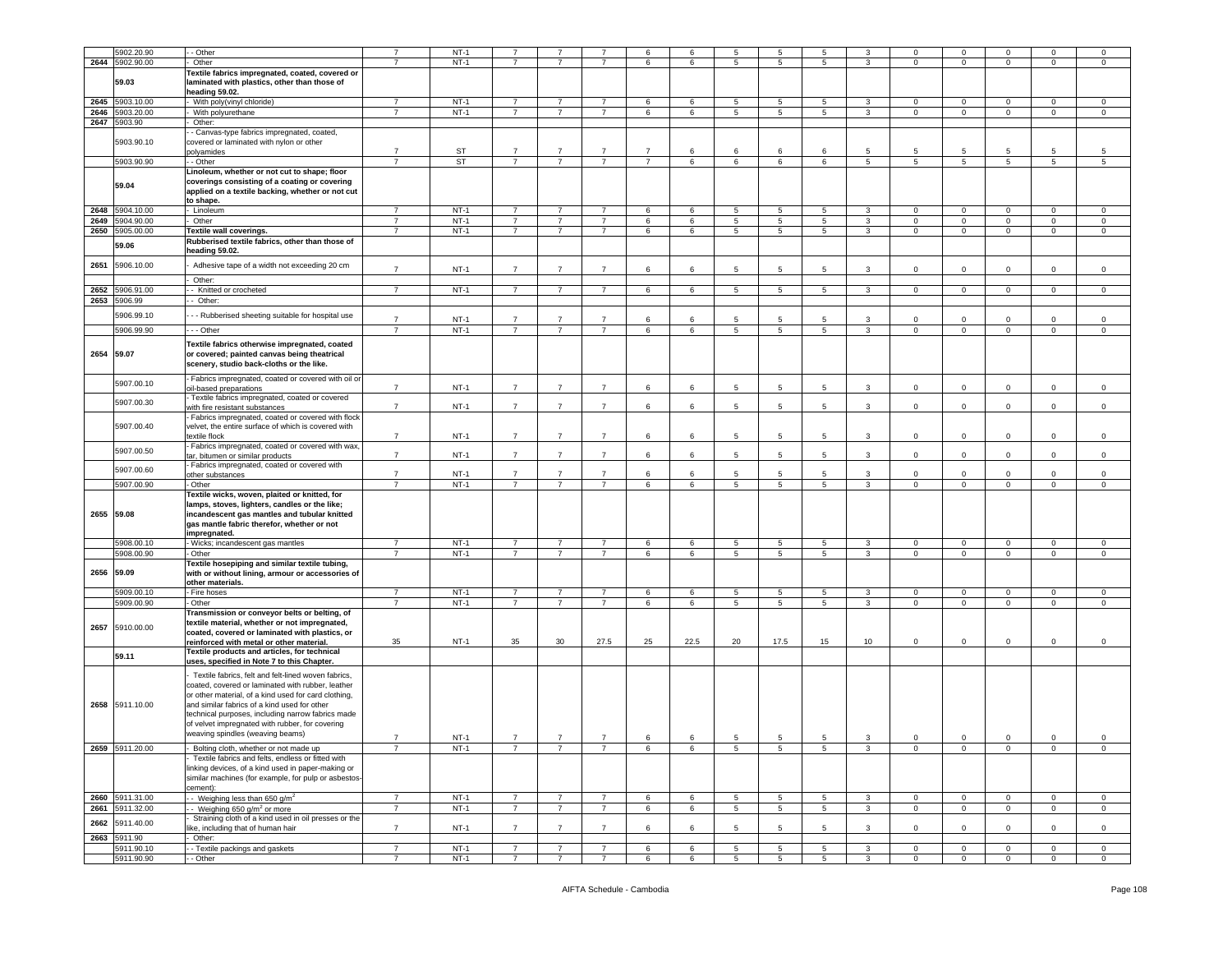|            | 5902.20.90      | - Other                                                | $\overline{7}$ | $NT-1$ |                |                |                | 6              | 6    | 5               | 5               | 5               |              | $\mathbf{0}$    | $\mathbf 0$    | $\Omega$       | $\Omega$       | 0              |
|------------|-----------------|--------------------------------------------------------|----------------|--------|----------------|----------------|----------------|----------------|------|-----------------|-----------------|-----------------|--------------|-----------------|----------------|----------------|----------------|----------------|
|            | 2644 5902.90.00 | Other                                                  | $\overline{7}$ | $NT-1$ | 7              | $\overline{7}$ | $\overline{7}$ | 6              | 6    | 5               | 5               | 5               | 3            | 0               | $\mathbf 0$    | $\mathbf 0$    | $\mathbf{0}$   | $\mathbf 0$    |
|            |                 | <b>Textile fabrics impregnated, coated, covered or</b> |                |        |                |                |                |                |      |                 |                 |                 |              |                 |                |                |                |                |
|            | 59.03           | laminated with plastics, other than those of           |                |        |                |                |                |                |      |                 |                 |                 |              |                 |                |                |                |                |
|            |                 | heading 59.02.                                         |                |        |                |                |                |                |      |                 |                 |                 |              |                 |                |                |                |                |
| 2645       | 5903.10.00      | With poly(vinyl chloride)                              | $\overline{7}$ | $NT-1$ | $\overline{7}$ | $\overline{7}$ | $\overline{7}$ | 6              | 6    | 5               | 5               | 5               | 3            | $\mathbf 0$     | $\mathsf 0$    | $\mathbf 0$    | 0              | $\mathbf 0$    |
| 2646       | 903.20.00       | With polyurethane                                      | $\overline{7}$ | $NT-1$ | $\overline{7}$ | $\overline{7}$ | $\overline{7}$ | 6              | 6    | 5               | 5               | $5^{\circ}$     | 3            | $\mathbf{0}$    | $\mathbf 0$    | $\mathbf 0$    | $\mathbf 0$    | $\mathbf 0$    |
| 2647       | 5903.90         | Other:                                                 |                |        |                |                |                |                |      |                 |                 |                 |              |                 |                |                |                |                |
|            |                 |                                                        |                |        |                |                |                |                |      |                 |                 |                 |              |                 |                |                |                |                |
|            |                 | - Canvas-type fabrics impregnated, coated,             |                |        |                |                |                |                |      |                 |                 |                 |              |                 |                |                |                |                |
|            | 5903.90.10      | covered or laminated with nylon or other               |                |        |                |                |                |                |      |                 |                 |                 |              |                 |                |                |                |                |
|            |                 | polyamides                                             | $\overline{7}$ | ST     | $\overline{7}$ | $\overline{7}$ | $\overline{7}$ | $\overline{7}$ | 6    | 6               | 6               | 6               | 5            | 5               | 5              | 5              | 5              | 5              |
|            | 5903.90.90      | - Other                                                | $\overline{7}$ | ST     | $\overline{7}$ | $\overline{7}$ | $\overline{7}$ | $\overline{7}$ | 6    | 6               | 6               | 6               | 5            | $5\overline{5}$ | $\,$ 5 $\,$    | 5 <sup>5</sup> | 5              | 5 <sup>5</sup> |
|            |                 | Linoleum, whether or not cut to shape; floor           |                |        |                |                |                |                |      |                 |                 |                 |              |                 |                |                |                |                |
|            |                 | coverings consisting of a coating or covering          |                |        |                |                |                |                |      |                 |                 |                 |              |                 |                |                |                |                |
|            | 59.04           |                                                        |                |        |                |                |                |                |      |                 |                 |                 |              |                 |                |                |                |                |
|            |                 | applied on a textile backing, whether or not cut       |                |        |                |                |                |                |      |                 |                 |                 |              |                 |                |                |                |                |
|            |                 | to shape.                                              |                |        |                |                |                |                |      |                 |                 |                 |              |                 |                |                |                |                |
| 2648       | 5904.10.00      | Linoleum                                               | $\overline{7}$ | $NT-1$ | $\overline{7}$ | $\overline{7}$ | $\overline{7}$ | 6              | 6    | 5               | 5               | 5               | 3            | $\mathbf 0$     | $\mathbf 0$    | $\mathbf 0$    | $\mathbf 0$    | $\mathsf 0$    |
| 2649       | 5904.90.00      | Other                                                  | $\overline{7}$ | $NT-1$ | $\overline{7}$ | $\overline{7}$ | $\overline{7}$ | 6              | 6    | $5\phantom{.0}$ | 5               | $5\overline{)}$ | 3            | $\mathbf{0}$    | $\mathbf 0$    | $\overline{0}$ | $\mathbf 0$    | $\mathsf 0$    |
| 2650       | 5905.00.00      | Textile wall coverings.                                | $\overline{7}$ | $NT-1$ | $\overline{7}$ | $\overline{7}$ | $\overline{7}$ | 6              | 6    | 5               | 5               | $5\overline{5}$ | 3            | $\mathbf 0$     | $\mathsf 0$    | $\mathbf 0$    | $\mathbf 0$    | $\mathbf 0$    |
|            |                 | Rubberised textile fabrics, other than those of        |                |        |                |                |                |                |      |                 |                 |                 |              |                 |                |                |                |                |
|            | 59.06           | heading 59.02.                                         |                |        |                |                |                |                |      |                 |                 |                 |              |                 |                |                |                |                |
|            |                 |                                                        |                |        |                |                |                |                |      |                 |                 |                 |              |                 |                |                |                |                |
| 2651       | 5906.10.00      | Adhesive tape of a width not exceeding 20 cm           | $\overline{7}$ | $NT-1$ | $\overline{7}$ | $\overline{7}$ | $\overline{7}$ | 6              | 6    | 5               | 5               | 5               | 3            | 0               | $\mathsf 0$    | $\Omega$       | $\mathbf 0$    | $\mathbf 0$    |
|            |                 |                                                        |                |        |                |                |                |                |      |                 |                 |                 |              |                 |                |                |                |                |
|            |                 | Other:                                                 |                |        |                |                |                |                |      |                 |                 |                 |              |                 |                |                |                |                |
| 2652       | 5906.91.00      | - Knitted or crocheted                                 | $\overline{7}$ | $NT-1$ | $7^{\circ}$    | $\overline{7}$ | $\overline{7}$ | 6              | 6    | $5\phantom{.0}$ | $\overline{5}$  | $5\overline{5}$ | $\mathbf{3}$ | $\overline{0}$  | $\overline{0}$ | $\mathbf 0$    | $\overline{0}$ | $\mathsf 0$    |
| 2653       | 5906.99         | Other:                                                 |                |        |                |                |                |                |      |                 |                 |                 |              |                 |                |                |                |                |
|            |                 |                                                        |                |        |                |                |                |                |      |                 |                 |                 |              |                 |                |                |                |                |
|            | 5906.99.10      | - - Rubberised sheeting suitable for hospital use      |                | $NT-1$ | $\overline{7}$ | $\overline{7}$ | $\overline{7}$ | 6              | -6   | 5               | -5              | 5               | 3            | $\mathbf 0$     | $\mathbf 0$    | $\Omega$       | 0              | $\mathbf 0$    |
|            | 5906.99.90      | - - Other                                              | $\overline{7}$ | $NT-1$ | $\overline{7}$ | $\overline{7}$ | $\overline{7}$ | 6              | 6    | 5               | 5               | $5^{\circ}$     | 3            | $\mathbf{0}$    | $\mathsf 0$    | $\mathbf{0}$   | $\mathbf 0$    | $\mathbf 0$    |
|            |                 |                                                        |                |        |                |                |                |                |      |                 |                 |                 |              |                 |                |                |                |                |
|            |                 | Textile fabrics otherwise impregnated, coated          |                |        |                |                |                |                |      |                 |                 |                 |              |                 |                |                |                |                |
| 2654 59.07 |                 | or covered; painted canvas being theatrical            |                |        |                |                |                |                |      |                 |                 |                 |              |                 |                |                |                |                |
|            |                 | scenery, studio back-cloths or the like.               |                |        |                |                |                |                |      |                 |                 |                 |              |                 |                |                |                |                |
|            |                 |                                                        |                |        |                |                |                |                |      |                 |                 |                 |              |                 |                |                |                |                |
|            | 5907.00.10      | Fabrics impregnated, coated or covered with oil or     |                |        |                |                |                |                |      |                 |                 |                 |              |                 |                |                |                |                |
|            |                 | bil-based preparations                                 | $\overline{7}$ | $NT-1$ | $\overline{7}$ | $\overline{7}$ | $\overline{7}$ | 6              | 6    | 5               | 5               | 5               | 3            | $\overline{0}$  | $\mathsf 0$    | $\mathbf 0$    | $\mathbf 0$    | $\mathsf 0$    |
|            | 5907.00.30      | Textile fabrics impregnated, coated or covered         |                |        |                |                |                |                |      |                 |                 |                 |              |                 |                |                |                |                |
|            |                 | with fire resistant substances                         | $\overline{7}$ | $NT-1$ | $\overline{7}$ | $\overline{7}$ | $\overline{7}$ | 6              | 6    | 5               | 5               | 5               | 3            | $\mathbf{0}$    | $\mathsf 0$    | $\mathbf 0$    | $\mathbf 0$    | $\mathbf 0$    |
|            |                 | Fabrics impregnated, coated or covered with flock      |                |        |                |                |                |                |      |                 |                 |                 |              |                 |                |                |                |                |
|            | 5907.00.40      | velvet, the entire surface of which is covered with    |                |        |                |                |                |                |      |                 |                 |                 |              |                 |                |                |                |                |
|            |                 | extile flock                                           | $\overline{7}$ | $NT-1$ | $\overline{7}$ | $\overline{7}$ | $\overline{7}$ | 6              | 6    | 5               | 5               | 5               | 3            | 0               | $\mathbf 0$    | $\mathbf 0$    | 0              | $\mathbf 0$    |
|            |                 | Fabrics impregnated, coated or covered with wax,       |                |        |                |                |                |                |      |                 |                 |                 |              |                 |                |                |                |                |
|            | 5907.00.50      | ar, bitumen or similar products                        | $\overline{7}$ | $NT-1$ | $\overline{7}$ | $\overline{7}$ | $\overline{7}$ | 6              | 6    | 5               | $5\overline{5}$ | 5               | 3            | $\mathbf 0$     | $\mathsf 0$    | $\Omega$       | $\Omega$       | $\mathbf 0$    |
|            |                 |                                                        |                |        |                |                |                |                |      |                 |                 |                 |              |                 |                |                |                |                |
|            | 5907.00.60      | Fabrics impregnated, coated or covered with            | $\overline{7}$ | $NT-1$ | $\overline{7}$ | $\overline{7}$ | $\overline{7}$ | 6              | 6    | 5               | 5               | 5               | 3            | $\mathbf 0$     | $\mathsf 0$    | $\mathbf 0$    | $\mathbf 0$    | $\mathbf 0$    |
|            |                 | other substances                                       |                |        |                |                |                |                |      |                 |                 |                 |              |                 |                |                |                |                |
|            | 5907.00.90      | Other                                                  | $\overline{7}$ | $NT-1$ | $\overline{7}$ | $\overline{7}$ | $\overline{7}$ | 6              | 6    | 5               | 5               | 5               | 3            | $\mathbf 0$     | $\mathsf 0$    | $\mathbf 0$    | $\mathbf 0$    | $\mathsf 0$    |
|            |                 | Textile wicks, woven, plaited or knitted, for          |                |        |                |                |                |                |      |                 |                 |                 |              |                 |                |                |                |                |
|            |                 | lamps, stoves, lighters, candles or the like;          |                |        |                |                |                |                |      |                 |                 |                 |              |                 |                |                |                |                |
|            | 2655 59.08      | incandescent gas mantles and tubular knitted           |                |        |                |                |                |                |      |                 |                 |                 |              |                 |                |                |                |                |
|            |                 | gas mantle fabric therefor, whether or not             |                |        |                |                |                |                |      |                 |                 |                 |              |                 |                |                |                |                |
|            |                 | impregnated.                                           |                |        |                |                |                |                |      |                 |                 |                 |              |                 |                |                |                |                |
|            | 5908.00.10      | - Wicks; incandescent gas mantles                      | $\overline{7}$ | $NT-1$ | $\overline{7}$ | $\overline{7}$ | $\overline{7}$ | 6              | 6    | 5               | 5               | 5               | 3            | $\mathbf{0}$    | $\mathbf 0$    | $\mathbf 0$    | $\mathbf{0}$   | 0              |
|            | 5908.00.90      | - Other                                                | $\overline{7}$ | $NT-1$ | $\overline{7}$ | $\overline{7}$ | $\overline{7}$ | 6              | 6    | 5               | 5               | $5^{\circ}$     | 3            | $\mathbf{0}$    | $\mathbf 0$    | $\mathbf 0$    | $\mathbf 0$    | $\mathbf 0$    |
|            |                 |                                                        |                |        |                |                |                |                |      |                 |                 |                 |              |                 |                |                |                |                |
| 2656 59.09 |                 | Textile hosepiping and similar textile tubing,         |                |        |                |                |                |                |      |                 |                 |                 |              |                 |                |                |                |                |
|            |                 | with or without lining, armour or accessories of       |                |        |                |                |                |                |      |                 |                 |                 |              |                 |                |                |                |                |
|            |                 | other materials.                                       |                |        |                |                |                |                |      |                 |                 |                 |              |                 |                |                |                |                |
|            | 5909.00.10      | Fire hoses                                             | 7              | $NT-1$ | $\overline{7}$ | $\overline{7}$ | $\overline{7}$ | 6              | 6    | 5               | 5               | 5               | 3            | $\mathbf{0}$    | $\mathbf 0$    | $\mathbf 0$    | 0              | $\mathbf 0$    |
|            | 5909.00.90      | Other                                                  | $\overline{7}$ | $NT-1$ | $\overline{7}$ | $\overline{7}$ | $\overline{7}$ | 6              | 6    | 5               | $5\phantom{.0}$ | $5\overline{)}$ | $\mathbf{3}$ | $\mathbf{0}$    | $\mathbf 0$    | $\mathsf 0$    | $\mathbf 0$    | $\mathsf 0$    |
|            |                 | Transmission or conveyor belts or belting, of          |                |        |                |                |                |                |      |                 |                 |                 |              |                 |                |                |                |                |
|            |                 | textile material, whether or not impregnated,          |                |        |                |                |                |                |      |                 |                 |                 |              |                 |                |                |                |                |
| 2657       | 5910.00.00      | coated, covered or laminated with plastics, or         |                |        |                |                |                |                |      |                 |                 |                 |              |                 |                |                |                |                |
|            |                 | reinforced with metal or other material.               | 35             | $NT-1$ | 35             | 30             | 27.5           | 25             | 22.5 | 20              | 17.5            | 15              | 10           | 0               | $\mathbf 0$    | $\mathbf 0$    | 0              | $\mathbf 0$    |
|            |                 | Textile products and articles, for technical           |                |        |                |                |                |                |      |                 |                 |                 |              |                 |                |                |                |                |
|            | 59.11           | uses, specified in Note 7 to this Chapter.             |                |        |                |                |                |                |      |                 |                 |                 |              |                 |                |                |                |                |
|            |                 |                                                        |                |        |                |                |                |                |      |                 |                 |                 |              |                 |                |                |                |                |
|            |                 | Textile fabrics, felt and felt-lined woven fabrics,    |                |        |                |                |                |                |      |                 |                 |                 |              |                 |                |                |                |                |
|            |                 | coated, covered or laminated with rubber, leather      |                |        |                |                |                |                |      |                 |                 |                 |              |                 |                |                |                |                |
|            |                 | or other material, of a kind used for card clothing,   |                |        |                |                |                |                |      |                 |                 |                 |              |                 |                |                |                |                |
|            | 2658 5911.10.00 | and similar fabrics of a kind used for other           |                |        |                |                |                |                |      |                 |                 |                 |              |                 |                |                |                |                |
|            |                 | echnical purposes, including narrow fabrics made       |                |        |                |                |                |                |      |                 |                 |                 |              |                 |                |                |                |                |
|            |                 | of velvet impregnated with rubber, for covering        |                |        |                |                |                |                |      |                 |                 |                 |              |                 |                |                |                |                |
|            |                 |                                                        |                |        |                |                |                |                |      |                 |                 |                 |              |                 |                |                |                |                |
|            |                 | weaving spindles (weaving beams)                       | $\overline{7}$ | $NT-1$ | $\overline{7}$ | $\overline{7}$ | $\overline{7}$ | 6              | 6    | $\overline{5}$  | 5               | $\overline{5}$  | $\mathbf{3}$ | $\mathbf 0$     | $\,0\,$        | $\mathbf 0$    | $\mathbf 0$    | $\mathsf 0$    |
|            | 2659 5911.20.00 | Bolting cloth, whether or not made up                  | 7              | $NT-1$ | 7              | 7              | $\overline{7}$ | 6              | 6    | 5               | 5               | $5^{\circ}$     | 3            | $\mathbf{0}$    | $\overline{0}$ | $\mathbf{0}$   | $\mathbf{0}$   | $\overline{0}$ |
|            |                 | Textile fabrics and felts, endless or fitted with      |                |        |                |                |                |                |      |                 |                 |                 |              |                 |                |                |                |                |
|            |                 | linking devices, of a kind used in paper-making or     |                |        |                |                |                |                |      |                 |                 |                 |              |                 |                |                |                |                |
|            |                 | similar machines (for example, for pulp or asbestos-   |                |        |                |                |                |                |      |                 |                 |                 |              |                 |                |                |                |                |
|            |                 | cement):                                               |                |        |                |                |                |                |      |                 |                 |                 |              |                 |                |                |                |                |
|            | 2660 5911.31.00 | - Weighing less than 650 $a/m^2$                       | $\overline{7}$ | $NT-1$ | $\overline{7}$ | $\overline{7}$ | $\overline{7}$ | 6              |      | 5               |                 | 5               |              |                 |                |                |                | $\mathsf 0$    |
|            |                 |                                                        |                |        |                |                |                |                | 6    |                 | 5               |                 | 3            | $\overline{0}$  | $\mathbf 0$    | $\mathbf 0$    | $\mathbf{0}$   |                |
|            | 2661 5911.32.00 | - Weighing 650 g/m <sup>2</sup> or more                | $\overline{7}$ | $NT-1$ | $\overline{7}$ | $\overline{7}$ | $\overline{7}$ | 6              | 6    | 5               | $5\phantom{.0}$ | $5\overline{)}$ | 3            | $\overline{0}$  | $\mathbf 0$    | $\mathbf 0$    | $\overline{0}$ | $\mathsf 0$    |
| 2662       | 5911.40.00      | Straining cloth of a kind used in oil presses or the   |                |        |                |                |                |                |      |                 |                 |                 |              |                 |                |                |                |                |
|            |                 | ike, including that of human hair                      | $\overline{7}$ | $NT-1$ | $\overline{7}$ | $\overline{7}$ | $\overline{7}$ | 6              | 6    | 5               | 5               | 5               | 3            | $\mathbf 0$     | $\mathsf 0$    | $\Omega$       | $\mathbf 0$    | $\mathbf 0$    |
|            | 2663 5911.90    | Other:                                                 |                |        |                |                |                |                |      |                 |                 |                 |              |                 |                |                |                |                |
|            | 5911.90.10      | - Textile packings and gaskets                         | $\overline{7}$ | $NT-1$ | $\overline{7}$ | $\overline{7}$ | $\overline{7}$ | 6              | 6    | $5\phantom{.0}$ | $5\phantom{.0}$ | $5\phantom{.0}$ | $\mathbf{3}$ | $\mathbf 0$     | $\mathbf 0$    | $\mathbf 0$    | $\mathbf 0$    | $\mathsf 0$    |
|            | 5911.90.90      | - Other                                                | $\overline{7}$ | $NT-1$ | $\overline{7}$ |                | $\overline{7}$ | 6              | 6    | $5\phantom{.0}$ | 5               | 5               |              | $\mathbf 0$     | $\mathbf 0$    | 0              | 0              | $\mathsf 0$    |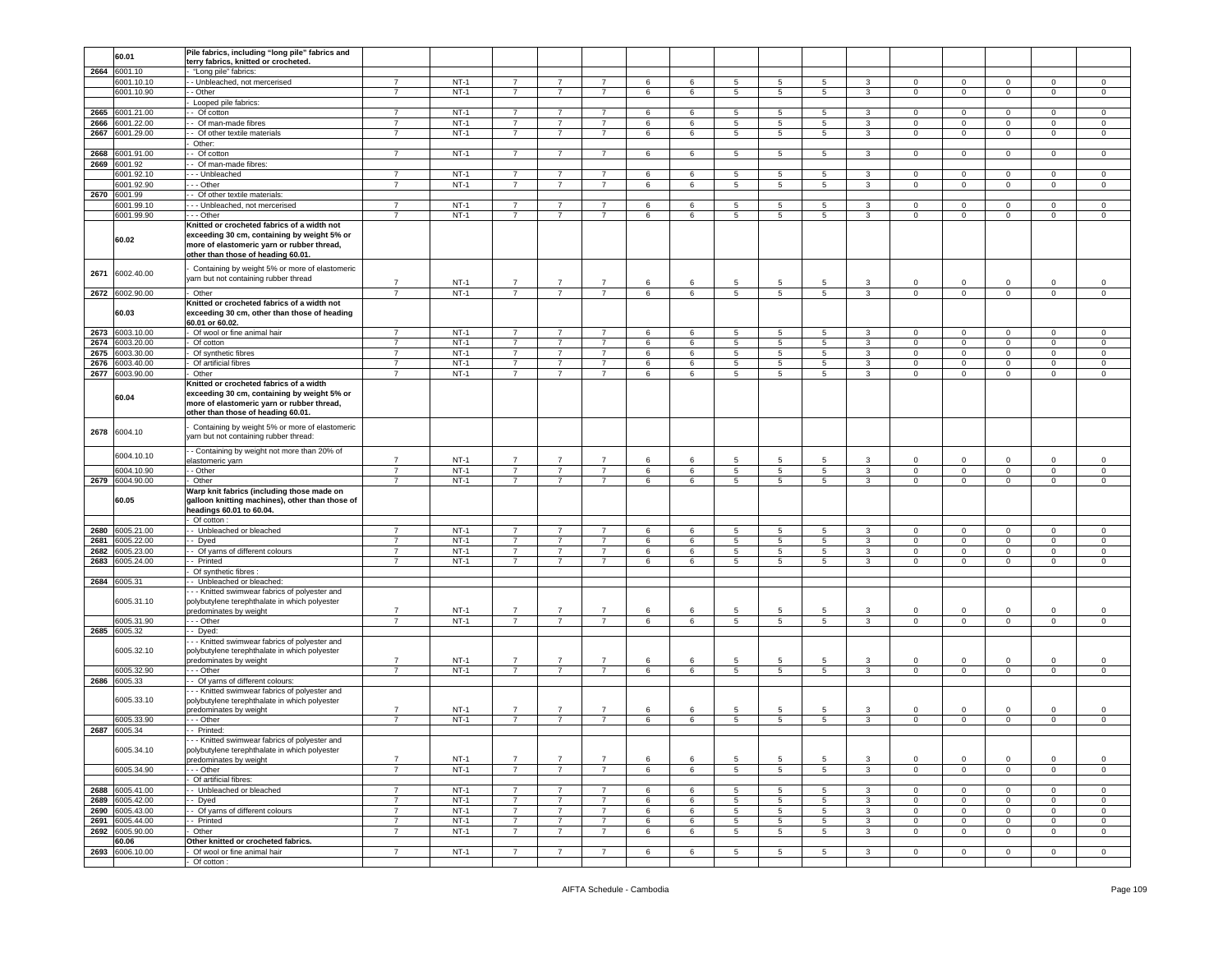|      | 60.01           | Pile fabrics, including "long pile" fabrics and                                                                                                                                |                |        |                |                |                |   |   |                |                 |                 |              |              |                |                |                |                |
|------|-----------------|--------------------------------------------------------------------------------------------------------------------------------------------------------------------------------|----------------|--------|----------------|----------------|----------------|---|---|----------------|-----------------|-----------------|--------------|--------------|----------------|----------------|----------------|----------------|
|      |                 | terry fabrics, knitted or crocheted.                                                                                                                                           |                |        |                |                |                |   |   |                |                 |                 |              |              |                |                |                |                |
| 2664 | 6001.10         | "Long pile" fabrics:                                                                                                                                                           |                |        |                |                |                |   |   |                |                 |                 |              |              |                |                |                |                |
|      | 6001.10.10      | - Unbleached, not mercerised                                                                                                                                                   | $\overline{7}$ | $NT-1$ | 7              | $\overline{7}$ | $\overline{7}$ | 6 | 6 | 5              | 5               | 5               | 3            | 0            | $\mathbf 0$    | 0              | 0              | 0              |
|      | 6001.10.90      | - Other                                                                                                                                                                        | $\overline{7}$ | $NT-1$ | $\overline{7}$ | $\overline{7}$ | $\overline{7}$ | 6 | 6 | 5              | $5\phantom{.0}$ | 5               | $\mathbf{3}$ | $\mathbf 0$  | $\mathbf 0$    | $\mathsf 0$    | $\mathsf 0$    | $\mathsf 0$    |
|      |                 |                                                                                                                                                                                |                |        |                |                |                |   |   |                |                 |                 |              |              |                |                |                |                |
|      |                 | Looped pile fabrics:                                                                                                                                                           |                |        |                |                |                |   |   |                |                 |                 |              |              |                |                |                |                |
| 2665 | 6001.21.00      | - Of cotton                                                                                                                                                                    | $\overline{7}$ | $NT-1$ | $\overline{7}$ | $\overline{7}$ | $\overline{7}$ | 6 | 6 | 5              | 5               | 5               | $\mathbf{3}$ | $\mathbf{0}$ | $\mathbf 0$    | $\mathbf{0}$   | $\mathbf{0}$   | $\mathsf 0$    |
| 2666 | 6001.22.00      | - Of man-made fibres                                                                                                                                                           | $\overline{7}$ | $NT-1$ | 7              | $\overline{7}$ | $\overline{7}$ | 6 | 6 | 5              | 5               | 5               | 3            | $\mathbf{0}$ | $\mathbf 0$    | $\mathbf 0$    | $\mathbf 0$    | $\mathbf 0$    |
| 2667 | 6001.29.00      | - Of other textile materials                                                                                                                                                   | $\overline{7}$ | $NT-1$ | $\overline{7}$ | $\overline{7}$ | $\overline{7}$ | 6 | 6 | 5              | 5               | $5^{\circ}$     | $\mathbf{3}$ | $\mathbf{0}$ | $\mathbf 0$    | $\mathbf 0$    | $\mathbf 0$    | 0              |
|      |                 | Other:                                                                                                                                                                         |                |        |                |                |                |   |   |                |                 |                 |              |              |                |                |                |                |
| 2668 |                 | - Of cotton                                                                                                                                                                    | $\overline{7}$ |        |                |                |                |   |   |                |                 |                 |              |              |                |                |                |                |
|      | 6001.91.00      |                                                                                                                                                                                |                | $NT-1$ | $\overline{7}$ | $\overline{7}$ | $\overline{7}$ | 6 | 6 | 5              | 5               | 5               | 3            | 0            | $\mathbf 0$    | $\mathbf 0$    | 0              | 0              |
| 2669 | 6001.92         | - Of man-made fibres:                                                                                                                                                          |                |        |                |                |                |   |   |                |                 |                 |              |              |                |                |                |                |
|      | 6001.92.10      | -- Unbleached                                                                                                                                                                  | $\overline{7}$ | $NT-1$ | $\overline{7}$ | 7              | $\overline{7}$ | 6 | 6 | 5              | 5               | 5               | 3            | 0            | $\mathbf 0$    | 0              | 0              | 0              |
|      | 6001.92.90      | --- Other                                                                                                                                                                      | $\overline{7}$ | $NT-1$ | $\overline{7}$ | $\overline{7}$ | $\overline{7}$ | 6 | 6 | 5              | 5               | $5^{\circ}$     | $\mathbf{3}$ | 0            | $\mathbf 0$    | $\circ$        | $\mathbf 0$    | $\mathsf 0$    |
| 2670 | 6001.99         | - Of other textile materials:                                                                                                                                                  |                |        |                |                |                |   |   |                |                 |                 |              |              |                |                |                |                |
|      | 6001.99.10      | --- Unbleached, not mercerised                                                                                                                                                 | $\overline{7}$ | $NT-1$ | $\overline{7}$ | $\overline{7}$ | $\overline{7}$ | 6 | 6 | 5              | 5               | 5               | 3            | 0            | $\mathbf 0$    | $\mathbf 0$    | 0              | 0              |
|      |                 |                                                                                                                                                                                |                |        |                |                |                |   |   |                |                 |                 |              |              |                |                |                |                |
|      | 6001.99.90      | --- Other                                                                                                                                                                      | $\overline{7}$ | $NT-1$ | $\overline{7}$ | $\overline{7}$ | $\overline{7}$ | 6 | 6 | 5              | $5\phantom{.0}$ | 5               | $\mathbf{3}$ | $\mathbf 0$  | $\mathbf 0$    | $\circ$        | $\mathbf{0}$   | $\mathsf 0$    |
|      | 60.02           | Knitted or crocheted fabrics of a width not<br>exceeding 30 cm, containing by weight 5% or<br>more of elastomeric yarn or rubber thread,<br>other than those of heading 60.01. |                |        |                |                |                |   |   |                |                 |                 |              |              |                |                |                |                |
| 2671 | 6002.40.00      | Containing by weight 5% or more of elastomeric<br>yarn but not containing rubber thread                                                                                        | $\overline{7}$ | $NT-1$ | $\overline{7}$ | $\overline{7}$ | $\overline{7}$ | 6 | 6 | 5              | 5               | 5               | 3            | $\mathbf 0$  | $\mathbf 0$    | $\mathbf 0$    | $\mathbf 0$    | $\,0\,$        |
| 2672 | 6002.90.00      | Other                                                                                                                                                                          | 7              | $NT-1$ | $\overline{7}$ | $\overline{7}$ | $\overline{7}$ | 6 | 6 | 5              | 5               | 5               | $\mathbf{3}$ | $\mathbf 0$  | $\mathbf 0$    | $\mathbf 0$    | $\mathsf 0$    | $\mathsf 0$    |
|      | 60.03           | Knitted or crocheted fabrics of a width not<br>exceeding 30 cm, other than those of heading<br>60.01 or 60.02.                                                                 |                |        |                |                |                |   |   |                |                 |                 |              |              |                |                |                |                |
|      | 2673 6003.10.00 | Of wool or fine animal hair                                                                                                                                                    | $\overline{7}$ | $NT-1$ | $\overline{7}$ | $\overline{7}$ | $\overline{7}$ | 6 | 6 | 5              | $5\phantom{.0}$ | 5               | 3            | $\mathbf 0$  | $\mathbf 0$    | $\mathbf 0$    | $\mathbf 0$    | $\mathbf 0$    |
| 2674 | 6003.20.00      | Of cotton                                                                                                                                                                      | $\overline{7}$ | $NT-1$ | $\overline{7}$ | 7              | $\overline{7}$ | 6 | 6 | 5              | 5               | 5               | 3            | $\mathbf 0$  | $\mathbf 0$    | $\mathbf 0$    | 0              | $\mathbf 0$    |
| 2675 | 6003.30.00      | Of synthetic fibres                                                                                                                                                            | $\overline{7}$ | $NT-1$ | $\overline{7}$ | $\overline{7}$ | $\overline{7}$ | 6 | 6 | 5              | 5               | 5 <sup>5</sup>  | $\mathbf{3}$ | $\mathbf 0$  | $\mathbf 0$    | $\mathbf 0$    | $\circ$        | $\mathsf 0$    |
|      |                 | Of artificial fibres                                                                                                                                                           | $\overline{7}$ | $NT-1$ | $\overline{7}$ | $\overline{7}$ | $\overline{7}$ | 6 | 6 | 5              | 5               | 5               | 3            | $\mathbf 0$  | $\mathbf 0$    | $\mathbf 0$    | $\mathbf 0$    |                |
| 2676 | 6003.40.00      |                                                                                                                                                                                |                |        | $\overline{7}$ | $\overline{7}$ |                |   |   |                |                 |                 |              |              |                |                |                | $\,0\,$        |
| 2677 | 6003.90.00      | Other                                                                                                                                                                          | $\overline{7}$ | $NT-1$ |                |                | $\overline{7}$ | 6 | 6 | 5              | 5               | 5               | 3            | $\mathbf 0$  | $\mathbf 0$    | $\mathbf 0$    | $\mathbf 0$    | $\mathsf 0$    |
|      | 60.04           | Knitted or crocheted fabrics of a width<br>exceeding 30 cm, containing by weight 5% or<br>more of elastomeric yarn or rubber thread,<br>other than those of heading 60.01.     |                |        |                |                |                |   |   |                |                 |                 |              |              |                |                |                |                |
| 2678 | 6004.10         | Containing by weight 5% or more of elastomeric<br>yarn but not containing rubber thread:                                                                                       |                |        |                |                |                |   |   |                |                 |                 |              |              |                |                |                |                |
|      | 6004.10.10      | - Containing by weight not more than 20% of<br>elastomeric yarn                                                                                                                | $\overline{7}$ | $NT-1$ | $\overline{7}$ | $\overline{7}$ | $\overline{7}$ | 6 | 6 | 5              | 5               | 5               | 3            | $\mathbf 0$  | $\overline{0}$ | $\mathbf 0$    | $\mathbf 0$    | $\mathsf 0$    |
|      | 6004.10.90      | - Other                                                                                                                                                                        | $\overline{7}$ | $NT-1$ | $\overline{7}$ | $\overline{7}$ | $\overline{7}$ | 6 | 6 | 5              | 5               | 5               | 3            | $\mathbf 0$  | $\mathbf 0$    | $\mathbf 0$    | $\mathbf 0$    | $\,0\,$        |
| 2679 | 6004.90.00      | Other                                                                                                                                                                          | $\overline{7}$ | $NT-1$ | $\overline{7}$ | $\overline{7}$ | $\overline{7}$ | 6 | 6 | 5              | 5               | 5               | 3            | 0            | $\mathbf 0$    | $\mathbf 0$    | $\mathbf 0$    | $\mathsf 0$    |
|      |                 | Warp knit fabrics (including those made on                                                                                                                                     |                |        |                |                |                |   |   |                |                 |                 |              |              |                |                |                |                |
|      | 60.05           | galloon knitting machines), other than those of<br>headings 60.01 to 60.04.                                                                                                    |                |        |                |                |                |   |   |                |                 |                 |              |              |                |                |                |                |
|      |                 | Of cotton:                                                                                                                                                                     |                |        |                |                |                |   |   |                |                 |                 |              |              |                |                |                |                |
| 2680 | 6005.21.00      | - Unbleached or bleached                                                                                                                                                       | $\overline{7}$ | $NT-1$ | $\overline{7}$ | $\overline{7}$ | $\overline{7}$ | 6 | 6 | 5              | 5               | 5               | 3            | $\mathbf 0$  | $\mathbf 0$    | $\mathbf 0$    | $\mathbf 0$    | $\mathsf 0$    |
| 2681 | 005.22.00       | - Dyed                                                                                                                                                                         | $\overline{7}$ | $NT-1$ | $\overline{7}$ | $\overline{7}$ | $\overline{7}$ | 6 | 6 | 5              | 5               | 5               | 3            | $\mathbf 0$  | $\mathbf 0$    | $\mathbf 0$    | $\mathbf 0$    | $\,0\,$        |
| 2682 | 005.23.00       | - Of yarns of different colours                                                                                                                                                | $\overline{7}$ | $NT-1$ | $\overline{7}$ | $\overline{7}$ | $\overline{7}$ | 6 | 6 | 5              | 5               | 5               | 3            | $\mathbf 0$  | $\mathbf 0$    | $\mathbf 0$    | $\mathbf 0$    | $\mathsf 0$    |
|      |                 |                                                                                                                                                                                |                |        |                |                |                |   |   |                |                 |                 |              |              |                |                |                |                |
| 2683 | 3005.24.00      | - Printed                                                                                                                                                                      | $\overline{7}$ | $NT-1$ | $\overline{7}$ | $\overline{7}$ | $\overline{7}$ | 6 | 6 | 5              | $5\phantom{.0}$ | $5\overline{)}$ | $\mathbf{3}$ | $\circ$      | $\mathbf 0$    | $\circ$        | $\mathbf{0}$   | $\mathsf 0$    |
|      |                 | Of synthetic fibres:                                                                                                                                                           |                |        |                |                |                |   |   |                |                 |                 |              |              |                |                |                |                |
| 2684 | 6005.31         | - Unbleached or bleached:                                                                                                                                                      |                |        |                |                |                |   |   |                |                 |                 |              |              |                |                |                |                |
|      |                 | - - Knitted swimwear fabrics of polyester and                                                                                                                                  |                |        |                |                |                |   |   |                |                 |                 |              |              |                |                |                |                |
|      | 6005.31.10      | polybutylene terephthalate in which polyester                                                                                                                                  |                |        |                |                |                |   |   |                |                 |                 |              |              |                |                |                |                |
|      |                 | predominates by weight                                                                                                                                                         | $\overline{7}$ | $NT-1$ | $\overline{7}$ | $\overline{7}$ | $\overline{7}$ | 6 | 6 | 5              | 5               | 5               | 3            | 0            | $\mathbf 0$    | 0              | 0              | 0              |
|      | 6005.31.90      | - - Other                                                                                                                                                                      | $\overline{7}$ | $NT-1$ | $\overline{7}$ | $\overline{7}$ | $\overline{7}$ | 6 | 6 | 5              | 5               | 5               | 3            | $\mathbf 0$  | $\mathbf 0$    | $\circ$        | $\mathbf 0$    | $\mathsf 0$    |
|      | 2685 6005.32    | - Dyed:                                                                                                                                                                        |                |        |                |                |                |   |   |                |                 |                 |              |              |                |                |                |                |
|      | 6005.32.10      | - - Knitted swimwear fabrics of polyester and<br>polybutylene terephthalate in which polyester<br>predominates by weight                                                       | $\overline{7}$ | $NT-1$ | 7              | $\overline{7}$ | $\overline{7}$ | 6 | 6 | 5              | 5               | 5               | -3           | 0            | $\mathbf 0$    | $\mathbf 0$    | $\mathbf 0$    | 0              |
|      | 6005.32.90      | - - - Other                                                                                                                                                                    | $\overline{7}$ | $NT-1$ | $\overline{7}$ | $\overline{7}$ | $\overline{7}$ | 6 | 6 | 5              | $5\phantom{.0}$ | $5\overline{5}$ | $\mathbf{3}$ | $\circ$      | $\mathbf 0$    | $\circ$        | $\mathbf 0$    | $\mathsf 0$    |
| 2686 | 6005.33         | - Of yarns of different colours:                                                                                                                                               |                |        |                |                |                |   |   |                |                 |                 |              |              |                |                |                |                |
|      | 6005.33.10      | - - Knitted swimwear fabrics of polyester and<br>polybutylene terephthalate in which polyester<br>predominates by weight                                                       | $\overline{7}$ | $NT-1$ | 7              | $\overline{7}$ | $\overline{7}$ | 6 | 6 | 5              | 5               | 5               | -3           | 0            | $^{\circ}$     | 0              | 0              | 0              |
|      | 6005.33.90      | $-$ - Other                                                                                                                                                                    | $\overline{7}$ | $NT-1$ | $\overline{7}$ | $\overline{7}$ | $\overline{7}$ | 6 | 6 | 5              | $\sqrt{5}$      | $5\overline{5}$ | $\mathbf{3}$ | $\mathsf 0$  | $\mathbf 0$    | $\overline{0}$ | $\mathsf 0$    | $\mathsf 0$    |
|      | 2687 6005.34    | - - Printed:                                                                                                                                                                   |                |        |                |                |                |   |   |                |                 |                 |              |              |                |                |                |                |
|      | 6005.34.10      | Knitted swimwear fabrics of polyester and<br>polybutylene terephthalate in which polyester<br>predominates by weight                                                           | $\overline{7}$ | $NT-1$ | $\overline{7}$ | $\overline{7}$ | $\overline{7}$ | 6 | 6 | 5              | 5               | 5               | 3            | $\circ$      | $\mathbf 0$    | $\mathbf 0$    | $\mathbf 0$    | $\,0\,$        |
|      | 6005.34.90      | - - - Other                                                                                                                                                                    | $\overline{7}$ | $NT-1$ | $\overline{7}$ | $\overline{7}$ | $\overline{7}$ | 6 | 6 | 5              | $5\phantom{.0}$ | $5\overline{5}$ | $\mathbf{3}$ | $\mathbf 0$  | $\mathbf 0$    | $\mathbf 0$    | $\mathsf 0$    | $\mathsf 0$    |
|      |                 | Of artificial fibres:                                                                                                                                                          |                |        |                |                |                |   |   |                |                 |                 |              |              |                |                |                |                |
|      | 2688 6005.41.00 | - Unbleached or bleached                                                                                                                                                       | $\overline{7}$ | $NT-1$ | $\overline{7}$ | $\overline{7}$ | $\overline{7}$ | 6 | 6 | 5              | $\overline{5}$  | 5               | 3            | $\mathbf 0$  | $\mathbf 0$    | $\mathbf 0$    | $\mathbf 0$    | $\circ$        |
|      | 2689 6005.42.00 | - Dyed                                                                                                                                                                         | $\overline{7}$ | $NT-1$ | $\overline{7}$ | $\overline{7}$ | $\overline{7}$ | 6 | 6 | 5              | 5               | 5               | 3            | $\mathbf 0$  | $\overline{0}$ | $\mathbf{0}$   | $\mathbf 0$    | $\circ$        |
|      | 2690 6005.43.00 | - Of yarns of different colours                                                                                                                                                | $\overline{7}$ | $NT-1$ | $\overline{7}$ | $\overline{7}$ | $\overline{7}$ | 6 | 6 | 5              | $5\phantom{.0}$ | $5\overline{5}$ | $\mathbf{3}$ | $\mathbf 0$  | $\mathbf 0$    | $\circ$        | $\mathbf 0$    | $\,0\,$        |
|      |                 |                                                                                                                                                                                |                |        |                |                |                |   |   |                |                 |                 |              |              |                |                |                |                |
| 2691 | 6005.44.00      | - Printed                                                                                                                                                                      | $\overline{7}$ | $NT-1$ | $\overline{7}$ | $\overline{7}$ | $\overline{7}$ | 6 | 6 | $\overline{5}$ | $\overline{5}$  | $5\overline{5}$ | $\mathbf{3}$ | $\mathbf 0$  | $\mathbf 0$    | $\mathbf 0$    | $\mathbf 0$    | $\,0\,$        |
| 2692 | 6005.90.00      | Other                                                                                                                                                                          | $\overline{7}$ | $NT-1$ | $\overline{7}$ | $\overline{7}$ | $\overline{7}$ | 6 | 6 | 5              | 5               | $5^{\circ}$     | $\mathbf{3}$ | $\mathbf 0$  | $\mathbf 0$    | $\circ$        | $\mathbf{0}$   | $\mathsf 0$    |
|      | 60.06           | Other knitted or crocheted fabrics.                                                                                                                                            |                |        |                |                |                |   |   |                |                 |                 |              |              |                |                |                |                |
|      | 2693 6006.10.00 | - Of wool or fine animal hair                                                                                                                                                  | $\overline{7}$ | $NT-1$ | $\overline{7}$ | $\overline{7}$ | $\overline{7}$ | 6 | 6 | 5              | 5               | $5\overline{5}$ | $\mathbf{3}$ | $\mathbf{0}$ | $\overline{0}$ | $\overline{0}$ | $\overline{0}$ | $\overline{0}$ |
|      |                 | Of cotton:                                                                                                                                                                     |                |        |                |                |                |   |   |                |                 |                 |              |              |                |                |                |                |
|      |                 |                                                                                                                                                                                |                |        |                |                |                |   |   |                |                 |                 |              |              |                |                |                |                |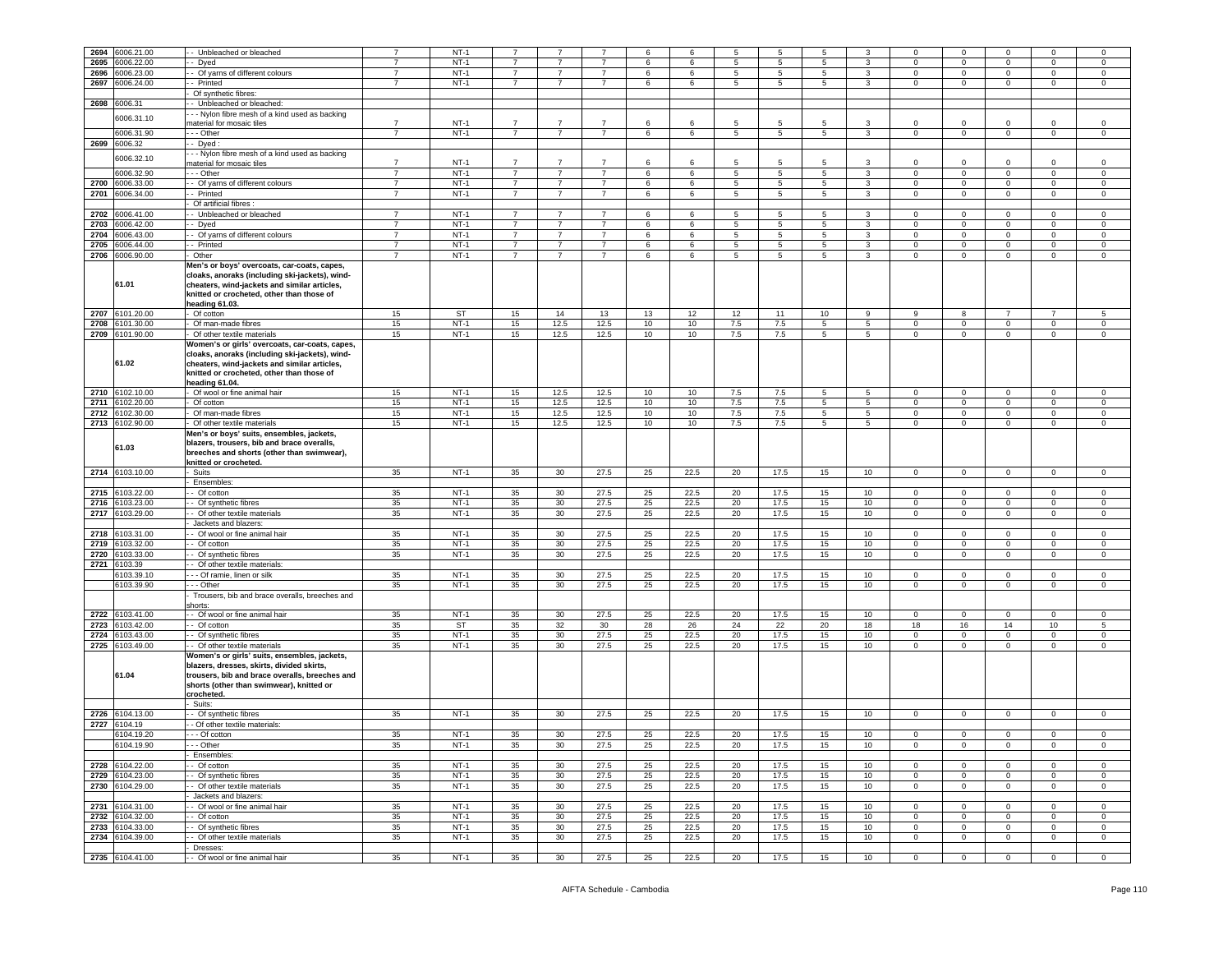|      |                 |                                                | 7              |           |                |                 |                |    |      |     |                |    |                  |              | $\mathbf 0$    |                |                |              |
|------|-----------------|------------------------------------------------|----------------|-----------|----------------|-----------------|----------------|----|------|-----|----------------|----|------------------|--------------|----------------|----------------|----------------|--------------|
| 2694 | 6006.21.00      | - Unbleached or bleached                       |                | $NT-1$    |                |                 |                | 6  | 6    | 5   | -5             | 5  | 3                | $\Omega$     |                |                | $\Omega$       | $\mathbf 0$  |
| 2695 | 6006.22.00      | Dyed                                           |                | $NT-1$    |                |                 |                | 6  | 6    | 5   | 5              | 5  | 3                | $\mathbf 0$  | $\mathbf 0$    | 0              | $\mathbf 0$    | 0            |
| 2696 | 6006.23.00      | - Of yarns of different colours                | $\overline{7}$ | $NT-1$    | $\overline{7}$ | $\overline{7}$  | $\overline{7}$ | 6  | 6    | 5   | 5              | 5  | 3                | $\mathbf{0}$ | $\mathbf 0$    | $\mathbf 0$    | $\mathbf 0$    | $\mathbf 0$  |
|      |                 |                                                |                |           |                |                 |                |    |      |     |                |    |                  |              |                |                |                |              |
| 2697 | 6006.24.00      | - Printed                                      | $\overline{7}$ | $NT-1$    | $\overline{7}$ | $\overline{7}$  | $\overline{7}$ | 6  | 6    | 5   | 5              | 5  | $\mathbf{3}$     | $\Omega$     | $\mathbf 0$    | $\circ$        | $\mathbf 0$    | $\mathbf 0$  |
|      |                 | Of synthetic fibres:                           |                |           |                |                 |                |    |      |     |                |    |                  |              |                |                |                |              |
|      |                 |                                                |                |           |                |                 |                |    |      |     |                |    |                  |              |                |                |                |              |
| 2698 | 6006.31         | - Unbleached or bleached:                      |                |           |                |                 |                |    |      |     |                |    |                  |              |                |                |                |              |
|      | 6006.31.10      | - - Nylon fibre mesh of a kind used as backing |                |           |                |                 |                |    |      |     |                |    |                  |              |                |                |                |              |
|      |                 | naterial for mosaic tiles                      | $\overline{7}$ | $NT-1$    | $\overline{7}$ |                 |                | 6  | 6    | 5   | 5              | 5  | 3                | 0            | $\mathbf 0$    | 0              | 0              | 0            |
|      | 6006.31.90      |                                                | $\overline{7}$ | $NT-1$    | $\overline{7}$ |                 | $\overline{7}$ |    |      |     |                |    |                  |              |                |                |                |              |
|      |                 | - - Other                                      |                |           |                | $\overline{7}$  |                | 6  | 6    | 5   | $\overline{5}$ | 5  | $\mathbf{3}$     | $\mathbf 0$  | $\overline{0}$ | $\overline{0}$ | $\overline{0}$ | $\circ$      |
| 2699 | 6006.32         | - Dyed:                                        |                |           |                |                 |                |    |      |     |                |    |                  |              |                |                |                |              |
|      |                 | - - Nylon fibre mesh of a kind used as backing |                |           |                |                 |                |    |      |     |                |    |                  |              |                |                |                |              |
|      | 6006.32.10      |                                                |                |           |                |                 |                |    |      |     |                |    |                  |              |                |                |                |              |
|      |                 | naterial for mosaic tiles                      | $\overline{7}$ | $NT-1$    | $\overline{7}$ |                 |                | 6  | 6    | 5   | 5              |    | 3                | $\Omega$     | $\mathbf 0$    | $\mathbf 0$    | $\Omega$       | $\mathbf 0$  |
|      | 6006.32.90      | - - Other                                      | $\overline{7}$ | $NT-1$    | $\overline{7}$ | $\overline{7}$  | $\overline{7}$ | 6  | 6    | 5   | 5              | 5  | 3                | $\circ$      | $\overline{0}$ | $\mathbf 0$    | $\mathbf 0$    | $\mathsf 0$  |
|      |                 |                                                |                |           |                |                 |                |    |      |     |                |    |                  |              |                |                |                |              |
| 2700 | 6006.33.00      | - Of yarns of different colours                | $\overline{7}$ | $NT-1$    | 7              | $\overline{7}$  | $\overline{7}$ | 6  | 6    | 5   | 5              | 5  | 3                | 0            | $\mathbf 0$    | $\mathbf 0$    | 0              | 0            |
| 2701 | 6006.34.00      | Printed                                        | $\overline{7}$ | $NT-1$    | $\overline{7}$ | $\overline{7}$  | $\overline{7}$ | 6  | 6    | 5   | $\overline{5}$ | 5  | $\mathbf{3}$     | $\mathbf 0$  | $\mathbf 0$    | $\mathbf 0$    | $\mathbf 0$    | $\,0\,$      |
|      |                 | Of artificial fibres :                         |                |           |                |                 |                |    |      |     |                |    |                  |              |                |                |                |              |
|      |                 |                                                |                |           |                |                 |                |    |      |     |                |    |                  |              |                |                |                |              |
| 2702 | 6006.41.00      | - Unbleached or bleached                       | $\overline{7}$ | $NT-1$    | $\overline{7}$ | $\overline{7}$  | $\overline{7}$ | 6  | 6    | 5   | 5              | 5  | 3                | 0            | $\mathbf 0$    | 0              | 0              | 0            |
| 2703 | 6006.42.00      | - Dyed                                         | $\overline{7}$ | $NT-1$    | $\overline{7}$ | $\overline{7}$  | $\overline{7}$ | 6  | 6    | 5   | 5              | 5  | 3                | $\mathbf 0$  | $\mathbf 0$    | $\mathbf 0$    | $\mathbf 0$    | $\,0\,$      |
|      |                 |                                                |                |           |                |                 |                |    |      |     |                |    |                  |              |                |                |                |              |
| 2704 | 6006.43.00      | - Of yarns of different colours                | $\overline{7}$ | $NT-1$    | $\overline{7}$ | $\overline{7}$  | $\overline{7}$ | 6  | 6    | 5   | 5              | 5  | 3                | 0            | $\mathbf 0$    | $\mathbf 0$    | 0              | 0            |
| 2705 | 3006.44.00      | - Printed                                      | $\overline{7}$ | $NT-1$    | $\overline{7}$ | $\overline{7}$  | $\overline{7}$ | 6  | 6    | 5   | 5              | 5  | $\mathbf{3}$     | $\circ$      | $\mathbf 0$    | $\mathbf 0$    | $\mathbf 0$    | $\mathsf 0$  |
|      |                 |                                                |                |           |                |                 |                |    |      |     |                |    |                  |              |                |                |                |              |
| 2706 | 6006.90.00      | Other                                          | 7              | $NT-1$    | 7              | $\overline{7}$  | $\overline{7}$ | 6  | 6    | 5   | 5              | 5  | 3                | $\mathbf 0$  | $\overline{0}$ | $\overline{0}$ | $\mathsf 0$    | $\mathbf 0$  |
|      |                 | Men's or boys' overcoats, car-coats, capes,    |                |           |                |                 |                |    |      |     |                |    |                  |              |                |                |                |              |
|      |                 | cloaks, anoraks (including ski-jackets), wind- |                |           |                |                 |                |    |      |     |                |    |                  |              |                |                |                |              |
|      | 61.01           |                                                |                |           |                |                 |                |    |      |     |                |    |                  |              |                |                |                |              |
|      |                 | cheaters, wind-jackets and similar articles,   |                |           |                |                 |                |    |      |     |                |    |                  |              |                |                |                |              |
|      |                 | knitted or crocheted, other than those of      |                |           |                |                 |                |    |      |     |                |    |                  |              |                |                |                |              |
|      |                 | heading 61.03.                                 |                |           |                |                 |                |    |      |     |                |    |                  |              |                |                |                |              |
|      |                 |                                                |                |           |                |                 |                |    |      |     |                |    |                  |              |                |                |                |              |
| 2707 | 6101.20.00      | Of cotton                                      | 15             | <b>ST</b> | 15             | 14              | 13             | 13 | 12   | 12  | 11             | 10 | 9                | 9            | 8              | $\overline{7}$ | $\overline{7}$ | $\sqrt{5}$   |
| 2708 | 6101.30.00      | Of man-made fibres                             | 15             | $NT-1$    | 15             | 12.5            | 12.5           | 10 | 10   | 7.5 | 7.5            | 5  | 5                | 0            | $\mathsf 0$    | $\mathbf 0$    | $\mathbf 0$    | $\mathsf 0$  |
|      | 2709 6101.90.00 | Of other textile materials                     | 15             | $NT-1$    |                |                 | 12.5           |    |      |     |                |    |                  | $\mathbf 0$  |                |                |                | $\mathbf 0$  |
|      |                 |                                                |                |           | 15             | 12.5            |                | 10 | 10   | 7.5 | 7.5            | 5  | $\overline{5}$   |              | $\overline{0}$ | $\overline{0}$ | $\mathbf 0$    |              |
|      |                 | Women's or girls' overcoats, car-coats, capes, |                |           |                |                 |                |    |      |     |                |    |                  |              |                |                |                |              |
|      |                 | cloaks, anoraks (including ski-jackets), wind- |                |           |                |                 |                |    |      |     |                |    |                  |              |                |                |                |              |
|      |                 |                                                |                |           |                |                 |                |    |      |     |                |    |                  |              |                |                |                |              |
|      | 61.02           | cheaters, wind-jackets and similar articles,   |                |           |                |                 |                |    |      |     |                |    |                  |              |                |                |                |              |
|      |                 | knitted or crocheted, other than those of      |                |           |                |                 |                |    |      |     |                |    |                  |              |                |                |                |              |
|      |                 | heading 61.04.                                 |                |           |                |                 |                |    |      |     |                |    |                  |              |                |                |                |              |
|      |                 |                                                |                |           |                |                 |                |    |      |     |                |    |                  |              |                |                |                |              |
| 2710 | 6102.10.00      | Of wool or fine animal hair                    | 15             | $NT-1$    | 15             | 12.5            | 12.5           | 10 | 10   | 7.5 | 7.5            | 5  | $\overline{5}$   | $\mathsf 0$  | $\mathbf 0$    | $\mathbf 0$    | $\mathbf 0$    | $\mathsf 0$  |
| 2711 | 6102.20.00      | Of cotton                                      | 15             | $NT-1$    | 15             | 12.5            | 12.5           | 10 | 10   | 7.5 | 7.5            | 5  | $5\overline{)}$  | 0            | $\overline{0}$ | $\mathbf 0$    | 0              | 0            |
|      |                 |                                                |                |           |                |                 |                |    |      |     |                |    |                  |              |                |                |                |              |
| 2712 | 6102.30.00      | Of man-made fibres                             | 15             | $NT-1$    | 15             | 12.5            | 12.5           | 10 | 10   | 7.5 | 7.5            | 5  | 5                | $\circ$      | $\mathbf 0$    | $\mathbf 0$    | $\mathbf 0$    | $\mathbf 0$  |
| 2713 | 6102.90.00      | Of other textile materials                     | 15             | $NT-1$    | 15             | 12.5            | 12.5           | 10 | 10   | 7.5 | 7.5            | 5  | 5                | $\mathbf{0}$ | $\mathbf 0$    | $\mathbf 0$    | $\mathbf{0}$   | $\mathbf 0$  |
|      |                 |                                                |                |           |                |                 |                |    |      |     |                |    |                  |              |                |                |                |              |
|      |                 | Men's or boys' suits, ensembles, jackets,      |                |           |                |                 |                |    |      |     |                |    |                  |              |                |                |                |              |
|      | 61.03           | blazers, trousers, bib and brace overalls,     |                |           |                |                 |                |    |      |     |                |    |                  |              |                |                |                |              |
|      |                 | breeches and shorts (other than swimwear),     |                |           |                |                 |                |    |      |     |                |    |                  |              |                |                |                |              |
|      |                 |                                                |                |           |                |                 |                |    |      |     |                |    |                  |              |                |                |                |              |
|      |                 | knitted or crocheted.                          |                |           |                |                 |                |    |      |     |                |    |                  |              |                |                |                |              |
| 2714 | 6103.10.00      | Suits                                          | 35             | $NT-1$    | 35             | 30              | 27.5           | 25 | 22.5 | 20  | 17.5           | 15 | 10               | $\mathbf 0$  | $\overline{0}$ | $\overline{0}$ | $\mathbf 0$    | $\mathsf 0$  |
|      |                 | Ensembles:                                     |                |           |                |                 |                |    |      |     |                |    |                  |              |                |                |                |              |
|      |                 |                                                |                |           |                |                 |                |    |      |     |                |    |                  |              |                |                |                |              |
| 2715 | 6103.22.00      | Of cotton                                      | 35             | $NT-1$    | 35             | 30              | 27.5           | 25 | 22.5 | 20  | 17.5           | 15 | 10               | $\mathbf{0}$ | $\mathbf 0$    | $^{\circ}$     | 0              | $\mathbf 0$  |
| 2716 | 6103.23.00      | - Of synthetic fibres                          | 35             | $NT-1$    | 35             | 30              | 27.5           | 25 | 22.5 | 20  | 17.5           | 15 | 10               | $\mathbf{0}$ | $\mathbf 0$    | $\mathbf 0$    | 0              | $\mathbf 0$  |
|      |                 |                                                |                |           |                |                 |                |    |      |     |                |    |                  |              |                |                |                |              |
| 2717 | 6103.29.00      | - Of other textile materials                   | 35             | $NT-1$    | 35             | 30              | 27.5           | 25 | 22.5 | 20  | 17.5           | 15 | 10               | $\circ$      | $\mathbf{0}$   | $\mathbf 0$    | $\Omega$       | $\mathsf 0$  |
|      |                 | Jackets and blazers:                           |                |           |                |                 |                |    |      |     |                |    |                  |              |                |                |                |              |
|      |                 |                                                |                |           |                |                 |                |    |      |     |                |    |                  |              |                |                |                |              |
| 2718 | 6103.31.00      | - Of wool or fine animal hair                  | 35             | $NT-1$    | 35             | 30              | 27.5           | 25 | 22.5 | 20  | 17.5           | 15 | 10 <sup>10</sup> | $\mathsf 0$  | $\mathbf 0$    | $\mathbf 0$    | $\mathbf 0$    | 0            |
| 2719 | 6103.32.00      | - Of cotton                                    | 35             | $NT-1$    | 35             | 30 <sup>°</sup> | 27.5           | 25 | 22.5 | 20  | 17.5           | 15 | 10 <sup>10</sup> | $\mathsf 0$  | $\overline{0}$ | $\overline{0}$ | $\mathbf 0$    | $\mathsf 0$  |
|      |                 |                                                |                | $NT-1$    |                |                 |                |    |      |     |                |    |                  |              |                |                |                |              |
| 2720 | 6103.33.00      | - Of synthetic fibres                          | 35             |           | 35             | 30 <sup>°</sup> | 27.5           | 25 | 22.5 | 20  | 17.5           | 15 | 10 <sup>10</sup> | $\mathbf 0$  | $\overline{0}$ | $\overline{0}$ | $\mathbf 0$    | $\mathbf 0$  |
| 2721 | 6103.39         | Of other textile materials:                    |                |           |                |                 |                |    |      |     |                |    |                  |              |                |                |                |              |
|      | 6103.39.10      | - - Of ramie, linen or silk                    | 35             | $NT-1$    | 35             | 30              | 27.5           | 25 | 22.5 | 20  | 17.5           | 15 | 10               | $\circ$      | $\mathbf 0$    | $\mathbf 0$    | $\mathbf 0$    | 0            |
|      |                 |                                                |                |           |                |                 |                |    |      |     |                |    |                  |              |                |                |                |              |
|      | 6103.39.90      | - Other                                        | 35             | $NT-1$    | 35             | 30              | 27.5           | 25 | 22.5 | 20  | 17.5           | 15 | 10               | 0            | $\mathsf 0$    | $\mathbf 0$    | $\mathbf 0$    | 0            |
|      |                 | Trousers, bib and brace overalls, breeches and |                |           |                |                 |                |    |      |     |                |    |                  |              |                |                |                |              |
|      |                 |                                                |                |           |                |                 |                |    |      |     |                |    |                  |              |                |                |                |              |
|      |                 | horts:                                         |                |           |                |                 |                |    |      |     |                |    |                  |              |                |                |                |              |
| 2722 | 6103.41.00      | - Of wool or fine animal hair                  | 35             | $NT-1$    | 35             | 30              | 27.5           | 25 | 22.5 | 20  | 17.5           | 15 | 10               | 0            | $\mathbf 0$    | 0              | $\mathbf 0$    | 0            |
| 2723 | 6103.42.00      | Of cotton                                      | 35             | ST        | 35             | 32              | 30             | 28 | 26   | 24  | 22             | 20 | 18               | 18           | 16             | 14             | 10             | 5            |
|      |                 |                                                |                |           |                |                 |                |    |      |     |                |    |                  |              |                |                |                |              |
| 2724 | 6103.43.00      | Of synthetic fibres                            | 35             | $NT-1$    | 35             | 30              | 27.5           | 25 | 22.5 | 20  | 17.5           | 15 | 10               | $\mathbf 0$  | $\mathbf 0$    | $\mathsf 0$    | $\mathbf 0$    | $\,0\,$      |
| 2725 | 6103.49.00      | - Of other textile materials                   | 35             | $NT-1$    | 35             | 30              | 27.5           | 25 | 22.5 | 20  | 17.5           | 15 | 10               | 0            | $\mathbf 0$    | $\mathbf 0$    | 0              | 0            |
|      |                 | Women's or girls' suits, ensembles, jackets,   |                |           |                |                 |                |    |      |     |                |    |                  |              |                |                |                |              |
|      |                 |                                                |                |           |                |                 |                |    |      |     |                |    |                  |              |                |                |                |              |
|      |                 | blazers, dresses, skirts, divided skirts,      |                |           |                |                 |                |    |      |     |                |    |                  |              |                |                |                |              |
|      | 61.04           | trousers, bib and brace overalls, breeches and |                |           |                |                 |                |    |      |     |                |    |                  |              |                |                |                |              |
|      |                 |                                                |                |           |                |                 |                |    |      |     |                |    |                  |              |                |                |                |              |
|      |                 | shorts (other than swimwear), knitted or       |                |           |                |                 |                |    |      |     |                |    |                  |              |                |                |                |              |
|      |                 | crocheted.                                     |                |           |                |                 |                |    |      |     |                |    |                  |              |                |                |                |              |
|      |                 | Suits:                                         |                |           |                |                 |                |    |      |     |                |    |                  |              |                |                |                |              |
| 2726 |                 |                                                |                | $NT-1$    |                |                 |                |    | 22.5 |     |                |    |                  | $\mathbf{O}$ | $\mathbf 0$    |                | $\mathbf 0$    |              |
|      | 6104.13.00      | - Of synthetic fibres                          | 35             |           | 35             | 30 <sup>°</sup> | 27.5           | 25 |      | 20  | 17.5           | 15 | 10               |              |                | $\mathbf{0}$   |                | $\mathsf 0$  |
| 2727 |                 |                                                |                |           |                |                 |                |    |      |     |                |    |                  |              |                |                |                |              |
|      | 6104.19         | - Of other textile materials:                  |                |           |                | 30              | 27.5           | 25 | 22.5 | 20  | 17.5           | 15 | 10               | $\mathbf 0$  | $\mathbf 0$    | 0              | 0              | $\mathbf 0$  |
|      |                 |                                                |                |           |                |                 |                |    |      |     |                |    |                  |              |                |                |                |              |
|      | 6104.19.20      | - - Of cotton                                  | 35             | $NT-1$    | 35             |                 |                |    |      |     |                |    |                  |              |                |                |                |              |
|      | 6104.19.90      | - - - Other                                    | 35             | NT-1      | 35             | 30              | 27.5           | 25 | 22.5 | 20  | 17.5           | 15 | 10               | 0            | 0              | 0              | 0              | $\mathbf{0}$ |
|      |                 |                                                |                |           |                |                 |                |    |      |     |                |    |                  |              |                |                |                |              |
|      |                 | Ensembles:                                     |                |           |                |                 |                |    |      |     |                |    |                  |              |                |                |                |              |
|      | 2728 6104.22.00 | - Of cotton                                    | 35             | $NT-1$    | 35             | 30              | 27.5           | 25 | 22.5 | 20  | 17.5           | 15 | 10               | $\circ$      | $\mathbf 0$    | $\mathbf{0}$   | $\mathbf 0$    | $\mathsf 0$  |
|      |                 |                                                |                |           |                |                 |                |    |      |     |                |    |                  |              |                |                |                |              |
|      | 2729 6104.23.00 | - Of synthetic fibres                          | 35             | $NT-1$    | 35             | 30              | 27.5           | 25 | 22.5 | 20  | 17.5           | 15 | 10               | $\mathbf 0$  | $\mathbf 0$    | $\circ$        | $\mathbf 0$    | 0            |
|      | 2730 6104.29.00 | - Of other textile materials                   | 35             | $NT-1$    | 35             | 30              | 27.5           | 25 | 22.5 | 20  | 17.5           | 15 | 10 <sup>10</sup> | $\mathbf 0$  | $\mathbf 0$    | $\mathbf{0}$   | $\mathbf 0$    | 0            |
|      |                 |                                                |                |           |                |                 |                |    |      |     |                |    |                  |              |                |                |                |              |
|      |                 | Jackets and blazers:                           |                |           |                |                 |                |    |      |     |                |    |                  |              |                |                |                |              |
|      | 2731 6104.31.00 | - Of wool or fine animal hair                  | 35             | $NT-1$    | 35             | 30              | 27.5           | 25 | 22.5 | 20  | 17.5           | 15 | 10 <sup>10</sup> | $\circ$      | $\mathbf 0$    | $\mathbf 0$    | $\mathbf 0$    | 0            |
|      | 2732 6104.32.00 | - Of cotton                                    | 35             | $NT-1$    | 35             | 30              | 27.5           | 25 | 22.5 | 20  | 17.5           | 15 | 10               | $\circ$      | $\overline{0}$ | $\Omega$       | $\Omega$       | $\mathsf 0$  |
|      |                 |                                                |                |           |                |                 |                |    |      |     |                |    |                  |              |                |                |                |              |
|      | 2733 6104.33.00 | - Of synthetic fibres                          | 35             | $NT-1$    | 35             | 30              | 27.5           | 25 | 22.5 | 20  | 17.5           | 15 | 10               | $\mathbf{0}$ | $\mathbf 0$    | $\mathbf 0$    | $\mathbf 0$    | 0            |
|      | 2734 6104.39.00 | - Of other textile materials                   | 35             | $NT-1$    | 35             | 30              | 27.5           | 25 | 22.5 | 20  | 17.5           | 15 | 10 <sup>10</sup> | $\mathbf{0}$ | $\mathbf 0$    | $\mathbf{0}$   | $\mathbf 0$    | $\mathbf 0$  |
|      |                 |                                                |                |           |                |                 |                |    |      |     |                |    |                  |              |                |                |                |              |
|      | 2735 6104.41.00 | Dresses:<br>- Of wool or fine animal hair      | 35             | $NT-1$    | 35             | 30              | 27.5           | 25 | 22.5 | 20  | 17.5           | 15 | 10               | $\circ$      | $\overline{0}$ | $\mathbf{0}$   | $\mathbf 0$    | $\mathbf{0}$ |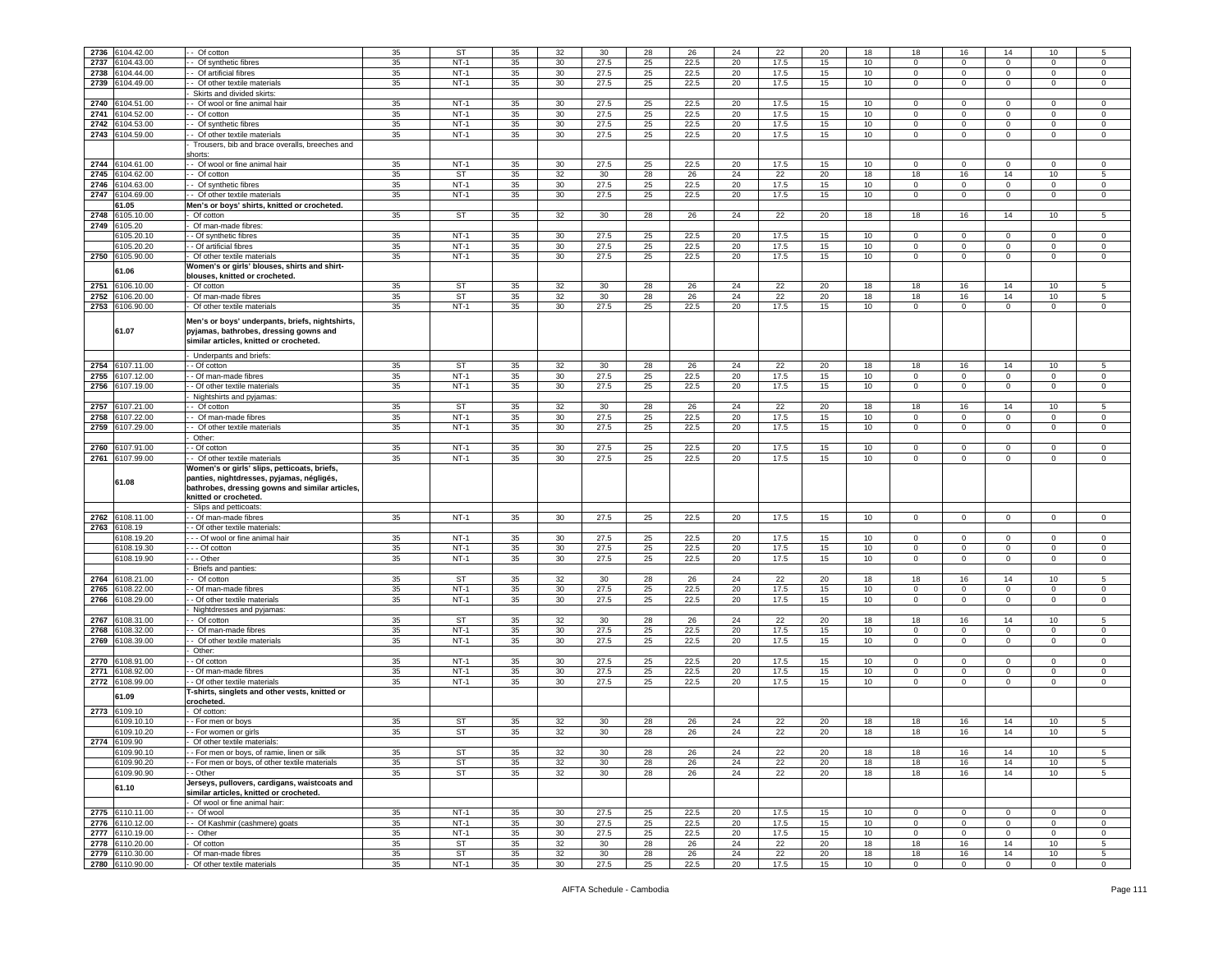| 2736 | 6104.42.00      | - Of cotton                                     | 35 | <b>ST</b> | 35 | 32              | 30   | 28 | 26   | 24 | 22   | 20 | 18 | 18             | 16             | 14             | 10               | 5              |
|------|-----------------|-------------------------------------------------|----|-----------|----|-----------------|------|----|------|----|------|----|----|----------------|----------------|----------------|------------------|----------------|
| 2737 | 6104.43.00      | - Of synthetic fibres                           | 35 | $NT-1$    | 35 | 30              | 27.5 | 25 | 22.5 | 20 | 17.5 | 15 | 10 | $\Omega$       | $\mathbf 0$    | $\mathbf 0$    | $\mathbf 0$      | $\circ$        |
| 2738 | 104.44.00       | - Of artificial fibres                          | 35 | $NT-1$    | 35 | 30              | 27.5 | 25 | 22.5 | 20 | 17.5 | 15 | 10 | 0              | 0              | $\mathbf 0$    | $\mathbf 0$      | $\circ$        |
|      |                 |                                                 |    |           |    |                 |      |    |      |    |      |    |    |                |                |                |                  |                |
| 2739 | 104.49.00       | - Of other textile materials                    | 35 | $NT-1$    | 35 | 30              | 27.5 | 25 | 22.5 | 20 | 17.5 | 15 | 10 | $\mathbf 0$    | $\mathbf 0$    | $\mathbf 0$    | $\overline{0}$   | $\mathbf 0$    |
|      |                 | Skirts and divided skirts:                      |    |           |    |                 |      |    |      |    |      |    |    |                |                |                |                  |                |
| 2740 | 104.51.00       | - Of wool or fine animal hair                   | 35 | $NT-1$    | 35 | 30              | 27.5 | 25 | 22.5 | 20 | 17.5 | 15 | 10 | 0              | 0              | $\mathbf 0$    | $\mathbf 0$      | $\mathbf 0$    |
| 2741 | 104.52.00       | - Of cotton                                     | 35 | $NT-1$    | 35 | 30              | 27.5 | 25 | 22.5 | 20 | 17.5 | 15 | 10 | $\mathbf{0}$   | $\mathbf{0}$   | $\mathbf 0$    | $\mathbf 0$      | $\mathbf 0$    |
| 2742 | 104.53.00       | - Of synthetic fibres                           | 35 | $NT-1$    | 35 | 30              | 27.5 | 25 | 22.5 | 20 | 17.5 | 15 | 10 | $\mathbf{0}$   | 0              | $\mathbf 0$    | $\mathbf 0$      | $\circ$        |
|      |                 |                                                 |    |           |    |                 |      |    |      |    |      |    |    | $\mathbf 0$    |                |                |                  | $\mathbf 0$    |
| 2743 | 104.59.00       | - Of other textile materials                    | 35 | $NT-1$    | 35 | 30              | 27.5 | 25 | 22.5 | 20 | 17.5 | 15 | 10 |                | $\mathbf 0$    | $\mathbf 0$    | $\mathbf 0$      |                |
|      |                 | Trousers, bib and brace overalls, breeches and  |    |           |    |                 |      |    |      |    |      |    |    |                |                |                |                  |                |
|      |                 | shorts:                                         |    |           |    |                 |      |    |      |    |      |    |    |                |                |                |                  |                |
| 2744 | 104.61.00       | - Of wool or fine animal hair                   | 35 | $NT-1$    | 35 | 30              | 27.5 | 25 | 22.5 | 20 | 17.5 | 15 | 10 | $^{\circ}$     | 0              | $\mathbf 0$    | $\mathbf 0$      | 0              |
| 2745 | 104.62.00       | - Of cotton                                     | 35 | <b>ST</b> | 35 | 32              | 30   | 28 | 26   | 24 | 22   | 20 | 18 | 18             | 16             | 14             | 10               | 5              |
| 2746 | 104.63.00       | - Of synthetic fibres                           | 35 | $NT-1$    | 35 | 30 <sup>°</sup> | 27.5 | 25 | 22.5 | 20 | 17.5 | 15 | 10 | $^{\circ}$     | $\Omega$       | $\mathbf{0}$   | $\overline{0}$   | $\circ$        |
|      |                 |                                                 |    |           |    |                 |      |    |      |    |      |    |    |                |                |                |                  |                |
| 2747 | 6104.69.00      | - Of other textile materials                    | 35 | $NT-1$    | 35 | 30              | 27.5 | 25 | 22.5 | 20 | 17.5 | 15 | 10 | 0              | 0              | $\mathbf 0$    | $\mathbf 0$      | $\mathbf 0$    |
|      | 61.05           | Men's or boys' shirts, knitted or crocheted.    |    |           |    |                 |      |    |      |    |      |    |    |                |                |                |                  |                |
| 2748 | 6105.10.00      | Of cotton                                       | 35 | ST        | 35 | 32              | 30   | 28 | 26   | 24 | 22   | 20 | 18 | 18             | 16             | 14             | 10               | 5              |
|      | 2749 6105.20    | Of man-made fibres:                             |    |           |    |                 |      |    |      |    |      |    |    |                |                |                |                  |                |
|      | 105.20.1        | - Of synthetic fibres                           | 35 | $NT-1$    | 35 | 30              | 27.5 | 25 | 22.5 | 20 | 17.5 | 15 | 10 | 0              | $\Omega$       | 0              | $\mathbf{0}$     | $^{\circ}$     |
|      | 3105.20.20      | - Of artificial fibres                          | 35 | $NT-1$    | 35 | 30              | 27.5 | 25 | 22.5 | 20 | 17.5 | 15 | 10 | 0              | 0              | $\mathbf 0$    | $\mathbf 0$      | 0              |
|      |                 |                                                 |    |           |    |                 |      |    |      |    |      |    |    |                |                |                |                  |                |
| 2750 | 6105.90.00      | Of other textile materials                      | 35 | $NT-1$    | 35 | 30              | 27.5 | 25 | 22.5 | 20 | 17.5 | 15 | 10 | 0              | 0              | $\mathsf 0$    | $\mathbf 0$      | $\mathsf 0$    |
|      | 61.06           | Women's or girls' blouses, shirts and shirt-    |    |           |    |                 |      |    |      |    |      |    |    |                |                |                |                  |                |
|      |                 | blouses, knitted or crocheted.                  |    |           |    |                 |      |    |      |    |      |    |    |                |                |                |                  |                |
| 2751 | 106.10.00       | Of cotton                                       | 35 | <b>ST</b> | 35 | 32              | 30   | 28 | 26   | 24 | 22   | 20 | 18 | 18             | 16             | 14             | 10               | 5              |
| 2752 | 6106.20.00      | Of man-made fibres                              | 35 | <b>ST</b> | 35 | 32              | 30   | 28 | 26   | 24 | 22   | 20 | 18 | 18             | 16             | 14             | 10               | 5              |
|      | 2753 6106.90.00 | Of other textile materials                      | 35 | NT-1      | 35 | 30              | 27.5 | 25 | 22.5 | 20 | 17.5 | 15 | 10 | $^{\circ}$     | $\mathbf{0}$   | $\mathbf{0}$   | $\mathbf 0$      | $\circ$        |
|      |                 |                                                 |    |           |    |                 |      |    |      |    |      |    |    |                |                |                |                  |                |
|      |                 | Men's or boys' underpants, briefs, nightshirts, |    |           |    |                 |      |    |      |    |      |    |    |                |                |                |                  |                |
|      | 61.07           | pyjamas, bathrobes, dressing gowns and          |    |           |    |                 |      |    |      |    |      |    |    |                |                |                |                  |                |
|      |                 | similar articles, knitted or crocheted.         |    |           |    |                 |      |    |      |    |      |    |    |                |                |                |                  |                |
|      |                 |                                                 |    |           |    |                 |      |    |      |    |      |    |    |                |                |                |                  |                |
|      |                 | Underpants and briefs:                          |    |           |    |                 |      |    |      |    |      |    |    |                |                |                |                  |                |
| 2754 | 6107.11.00      | - Of cotton                                     | 35 | <b>ST</b> | 35 | 32              | 30   | 28 | 26   | 24 | 22   | 20 | 18 | 18             | 16             | 14             | 10               | 5              |
| 2755 | 107.12.00       | - Of man-made fibres                            | 35 | $NT-1$    | 35 | 30              | 27.5 | 25 | 22.5 | 20 | 17.5 | 15 | 10 | $^{\circ}$     | $^{\circ}$     | $\mathbf{0}$   | $\overline{0}$   | $\circ$        |
|      |                 |                                                 |    |           |    |                 |      |    |      |    |      |    |    |                |                |                |                  |                |
| 2756 | 6107.19.00      | - Of other textile materials                    | 35 | $NT-1$    | 35 | 30              | 27.5 | 25 | 22.5 | 20 | 17.5 | 15 | 10 | 0              | 0              | $\mathbf{0}$   | $\mathbf 0$      | $\circ$        |
|      |                 | Nightshirts and pyjamas:                        |    |           |    |                 |      |    |      |    |      |    |    |                |                |                |                  |                |
| 2757 | 107.21.00       | - Of cotton                                     | 35 | <b>ST</b> | 35 | 32              | 30   | 28 | 26   | 24 | 22   | 20 | 18 | 18             | 16             | 14             | 10               | 5              |
| 2758 | 107.22.00       | - Of man-made fibres                            | 35 | $NT-1$    | 35 | 30              | 27.5 | 25 | 22.5 | 20 | 17.5 | 15 | 10 | $^{\circ}$     | $\Omega$       | $\mathbf 0$    | $^{\circ}$       | $\mathbf 0$    |
| 2759 | 6107.29.00      | - Of other textile materials                    | 35 | $NT-1$    | 35 | 30 <sup>°</sup> | 27.5 | 25 | 22.5 | 20 | 17.5 | 15 | 10 | $^{\circ}$     | $\mathbf 0$    | $\mathbf{0}$   | $\overline{0}$   | $\mathbf 0$    |
|      |                 |                                                 |    |           |    |                 |      |    |      |    |      |    |    |                |                |                |                  |                |
|      |                 | Other:                                          |    |           |    |                 |      |    |      |    |      |    |    |                |                |                |                  |                |
| 2760 | 6107.91.00      | $-$ Of cotton                                   | 35 | $NT-1$    | 35 | 30              | 27.5 | 25 | 22.5 | 20 | 17.5 | 15 | 10 | 0              | $\Omega$       | $\mathbf 0$    | $\mathbf 0$      | 0              |
| 2761 | 6107.99.00      | - Of other textile materials                    | 35 | $NT-1$    | 35 | 30              | 27.5 | 25 | 22.5 | 20 | 17.5 | 15 | 10 | 0              | $\mathbf{0}$   | $\mathbf 0$    | $\mathbf{0}$     | $\mathbf 0$    |
|      |                 |                                                 |    |           |    |                 |      |    |      |    |      |    |    |                |                |                |                  |                |
|      |                 | Women's or girls' slips, petticoats, briefs,    |    |           |    |                 |      |    |      |    |      |    |    |                |                |                |                  |                |
|      |                 |                                                 |    |           |    |                 |      |    |      |    |      |    |    |                |                |                |                  |                |
|      | 61.08           | panties, nightdresses, pyjamas, négligés,       |    |           |    |                 |      |    |      |    |      |    |    |                |                |                |                  |                |
|      |                 | bathrobes, dressing gowns and similar articles, |    |           |    |                 |      |    |      |    |      |    |    |                |                |                |                  |                |
|      |                 | knitted or crocheted.                           |    |           |    |                 |      |    |      |    |      |    |    |                |                |                |                  |                |
|      |                 | Slips and petticoats                            |    |           |    |                 |      |    |      |    |      |    |    |                |                |                |                  |                |
| 2762 | 6108.11.00      | - Of man-made fibres                            | 35 | $NT-1$    | 35 | 30              | 27.5 | 25 | 22.5 | 20 | 17.5 | 15 | 10 | $\circ$        | $\mathbf{0}$   | $\mathbf{0}$   | $\mathbf 0$      | $\overline{0}$ |
| 2763 | 108.19          | - Of other textile materials:                   |    |           |    |                 |      |    |      |    |      |    |    |                |                |                |                  |                |
|      | 108.19.20       | - - Of wool or fine animal hair                 | 35 | $NT-1$    | 35 | 30              | 27.5 | 25 | 22.5 | 20 | 17.5 | 15 | 10 | 0              | 0              | $\mathbf 0$    | $\mathbf 0$      | 0              |
|      | 6108.19.30      |                                                 |    | $NT-1$    |    |                 |      |    |      |    | 17.5 |    |    | 0              | $\mathbf{0}$   |                |                  | $\circ$        |
|      |                 | - - Of cotton                                   | 35 |           | 35 | 30              | 27.5 | 25 | 22.5 | 20 |      | 15 | 10 |                |                | $\mathbf{0}$   | $\mathbf{0}$     |                |
|      | 108.19.90       | - - Other                                       | 35 | $NT-1$    | 35 | 30              | 27.5 | 25 | 22.5 | 20 | 17.5 | 15 | 10 | $\mathbf{0}$   | $\mathbf{0}$   | $\mathbf 0$    | $\mathbf 0$      | $\circ$        |
|      |                 | Briefs and panties:                             |    |           |    |                 |      |    |      |    |      |    |    |                |                |                |                  |                |
| 2764 | 6108.21.00      | - Of cotton                                     | 35 | <b>ST</b> | 35 | 32              | 30   | 28 | 26   | 24 | 22   | 20 | 18 | 18             | 16             | 14             | 10               | 5              |
| 2765 | 108.22.00       | - Of man-made fibres                            | 35 | $NT-1$    | 35 | 30              | 27.5 | 25 | 22.5 | 20 | 17.5 | 15 | 10 | 0              | 0              | $\mathbf 0$    | $\mathbf 0$      | $\mathsf 0$    |
| 2766 | 6108.29.00      | - Of other textile materials                    | 35 | $NT-1$    | 35 | 30 <sup>°</sup> | 27.5 | 25 | 22.5 | 20 | 17.5 | 15 | 10 | $\mathbf 0$    | $\mathbf 0$    | $\mathsf 0$    | $\overline{0}$   | $\circ$        |
|      |                 | Nightdresses and pyjamas:                       |    |           |    |                 |      |    |      |    |      |    |    |                |                |                |                  |                |
| 2767 | 108.31.00       |                                                 | 35 | <b>ST</b> | 35 |                 | 30   | 28 | 26   | 24 | 22   | 20 |    | 18             | 16             |                | 10               | 5              |
|      |                 | - Of cotton                                     |    |           |    | 32              |      |    |      |    |      |    | 18 | $\Omega$       |                | 14             |                  | $\mathbf 0$    |
| 2768 | 108.32.00       | - Of man-made fibres                            | 35 | $NT-1$    | 35 | 30              | 27.5 | 25 | 22.5 | 20 | 17.5 | 15 | 10 |                | 0              | $\mathbf 0$    | $\mathbf 0$      |                |
| 2769 | 108.39.00       | - Of other textile materials                    | 35 | $NT-1$    | 35 | 30              | 27.5 | 25 | 22.5 | 20 | 17.5 | 15 | 10 | $\mathbf{0}$   | 0              | $\mathbf 0$    | $\mathbf 0$      | 0              |
|      |                 | Other:                                          |    |           |    |                 |      |    |      |    |      |    |    |                |                |                |                  |                |
| 2770 | 108.91.00       | - Of cotton                                     | 35 | NT-1      | 35 | 30              | 27.5 | 25 | 22.5 | 20 | 17.5 | 15 | 10 | 0              | $^{\circ}$     | 0              | 0                | $\mathbf 0$    |
| 2771 | 108.92.00       | - Of man-made fibres                            | 35 | $NT-1$    | 35 | 30              | 27.5 | 25 | 22.5 | 20 | 17.5 | 15 | 10 | $\mathsf 0$    | $\mathbf 0$    | $\mathbf 0$    | $\mathbf 0$      | $\mathbf 0$    |
|      |                 |                                                 |    |           |    |                 |      |    |      |    |      |    |    |                |                |                |                  | $\mathsf 0$    |
| 2772 | 6108.99.00      | - Of other textile materials                    | 35 | $NT-1$    | 35 | 30              | 27.5 | 25 | 22.5 | 20 | 17.5 | 15 | 10 | 0              | $\mathsf 0$    | $\mathsf 0$    | $\mathbf 0$      |                |
|      | 61.09           | -shirts, singlets and other vests, knitted or   |    |           |    |                 |      |    |      |    |      |    |    |                |                |                |                  |                |
|      |                 | rocheted.                                       |    |           |    |                 |      |    |      |    |      |    |    |                |                |                |                  |                |
| 2773 | 6109.10         | Of cotton:                                      |    |           |    |                 |      |    |      |    |      |    |    |                |                |                |                  |                |
|      | 6109.10.1       | - For men or boys                               | 35 | ST        | 35 | 32              | 30   | 28 | 26   | 24 | 22   | 20 | 18 | 18             | 16             | 14             | 10               | 5              |
|      | 6109.10.20      | - For women or girls                            | 35 | <b>ST</b> | 35 | 32              | 30   | 28 | 26   | 24 | 22   | 20 | 18 | 18             | 16             | 14             | 10               | 5              |
| 2774 | 6109.90         | Of other textile materi                         |    |           |    |                 |      |    |      |    |      |    |    |                |                |                |                  |                |
|      |                 |                                                 |    |           |    |                 |      |    |      |    |      |    |    |                |                |                |                  |                |
|      | 6109.90.10      | - For men or boys, of ramie, linen or silk      | 35 | <b>ST</b> | 35 | 32              | 30   | 28 | 26   | 24 | 22   | 20 | 18 | 18             | 16             | 14             | 10               | 5              |
|      | 6109.90.20      | - For men or boys, of other textile materials   | 35 | <b>ST</b> | 35 | 32              | 30   | 28 | 26   | 24 | 22   | 20 | 18 | 18             | 16             | 14             | 10               | 5              |
|      | 6109.90.90      | - Other                                         | 35 | <b>ST</b> | 35 | 32              | 30   | 28 | 26   | 24 | 22   | 20 | 18 | 18             | 16             | 14             | 10 <sup>10</sup> | 5              |
|      |                 | Jerseys, pullovers, cardigans, waistcoats and   |    |           |    |                 |      |    |      |    |      |    |    |                |                |                |                  |                |
|      | 61.10           | similar articles, knitted or crocheted.         |    |           |    |                 |      |    |      |    |      |    |    |                |                |                |                  |                |
|      |                 | Of wool or fine animal hair:                    |    |           |    |                 |      |    |      |    |      |    |    |                |                |                |                  |                |
|      |                 | - Of wool                                       |    |           |    |                 |      |    |      |    |      |    |    |                |                |                |                  |                |
|      | 2775 6110.11.00 |                                                 | 35 | $NT-1$    | 35 | 30              | 27.5 | 25 | 22.5 | 20 | 17.5 | 15 | 10 | $\mathbf 0$    | $\overline{0}$ | $\mathsf 0$    | $\mathbf 0$      | $\mathbf 0$    |
|      | 2776 6110.12.00 | - Of Kashmir (cashmere) goats                   | 35 | $NT-1$    | 35 | 30              | 27.5 | 25 | 22.5 | 20 | 17.5 | 15 | 10 | $\mathbf{0}$   | $\mathbf 0$    | $\mathbf 0$    | $\mathbf 0$      | $\mathbf 0$    |
|      | 2777 6110.19.00 | - Other                                         | 35 | $NT-1$    | 35 | 30 <sup>°</sup> | 27.5 | 25 | 22.5 | 20 | 17.5 | 15 | 10 | $\overline{0}$ | $\mathbf 0$    | $\mathsf 0$    | $\overline{0}$   | $\mathbf 0$    |
|      | 2778 6110.20.00 | Of cotton                                       | 35 | ST        | 35 | 32              | 30   | 28 | 26   | 24 | 22   | 20 | 18 | 18             | 16             | 14             | 10               | 5              |
|      | 2779 6110.30.00 | Of man-made fibres                              | 35 | <b>ST</b> | 35 | 32              | 30   | 28 | 26   | 24 | 22   | 20 | 18 | 18             | 16             | 14             | 10               | 5              |
|      | 2780 6110.90.00 | Of other textile materials                      | 35 | $NT-1$    | 35 | 30              | 27.5 | 25 | 22.5 | 20 | 17.5 | 15 | 10 | $\overline{0}$ | $\overline{0}$ | $\overline{0}$ | $\mathbf 0$      | $\overline{0}$ |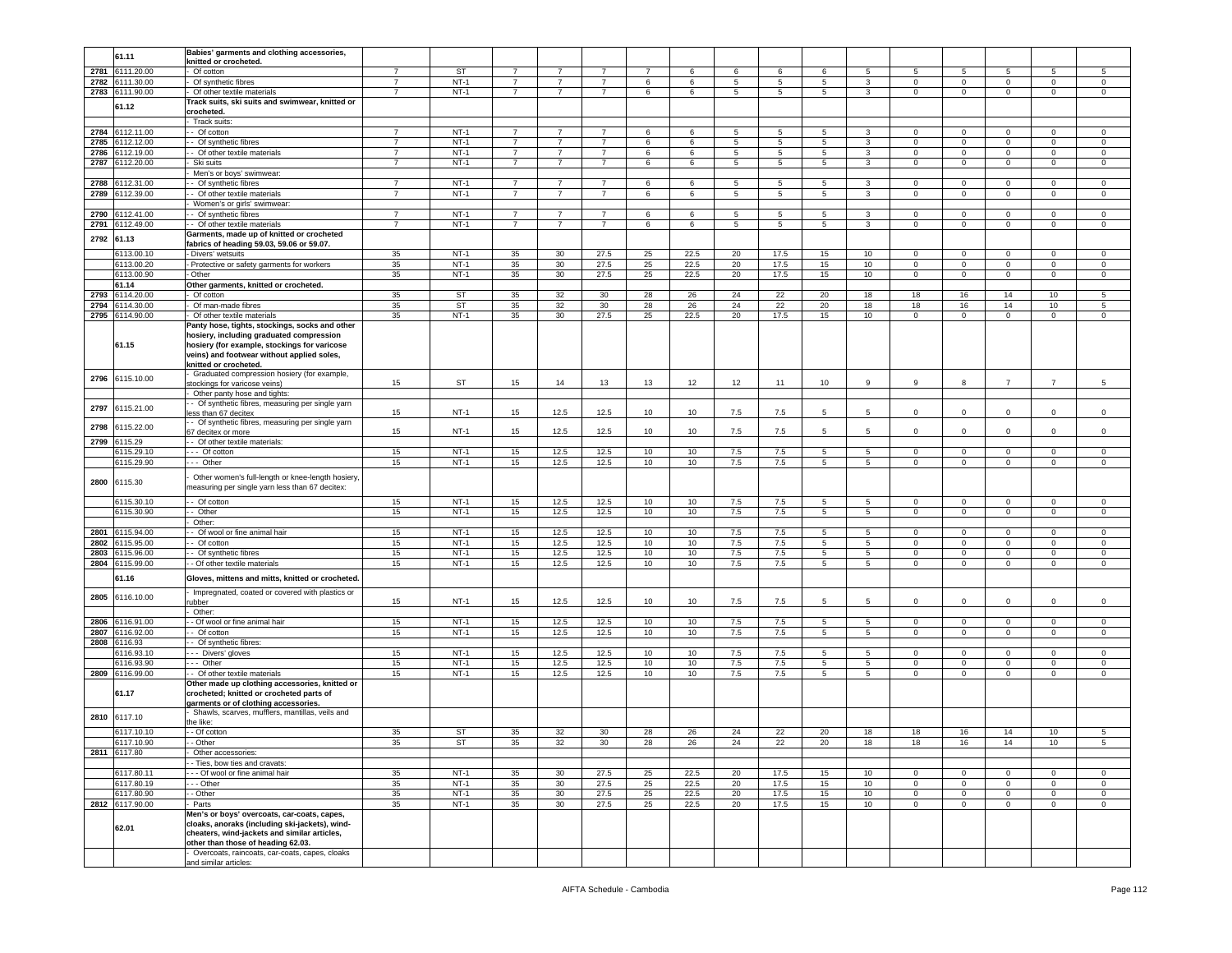|      | 61.11                      | Babies' garments and clothing accessories,                                                                                                             |                |        |                |                 |                |    |      |     |      |             |                 |              |              |                |                |                |
|------|----------------------------|--------------------------------------------------------------------------------------------------------------------------------------------------------|----------------|--------|----------------|-----------------|----------------|----|------|-----|------|-------------|-----------------|--------------|--------------|----------------|----------------|----------------|
|      |                            | knitted or crocheted.                                                                                                                                  |                |        |                |                 |                |    |      |     |      |             |                 |              |              |                |                |                |
| 2781 | 6111.20.00                 | Of cotton                                                                                                                                              | 7              | ST     | 7              | 7               | 7              | 7  | 6    | 6   | 6    | 6           | 5               | 5            | 5            | 5              | 5              | 5              |
| 2782 | 6111.30.00                 | Of synthetic fibres                                                                                                                                    | $\overline{7}$ | $NT-1$ | 7              | $\overline{7}$  | $\overline{7}$ | 6  | 6    | 5   | 5    | 5           | 3               | 0            | $\mathbf 0$  | 0              | 0              | $\mathsf 0$    |
|      |                            |                                                                                                                                                        | $\overline{7}$ | $NT-1$ | $\overline{7}$ | $\overline{7}$  | $\overline{7}$ | 6  |      | 5   |      | 5           | $\mathbf{3}$    | $\mathbf 0$  | $\mathbf 0$  |                | $\mathbf 0$    |                |
| 2783 | 6111.90.00                 | Of other textile materials                                                                                                                             |                |        |                |                 |                |    | 6    |     | 5    |             |                 |              |              | $\mathsf 0$    |                | $\mathsf 0$    |
|      | 61.12                      | Track suits, ski suits and swimwear, knitted or                                                                                                        |                |        |                |                 |                |    |      |     |      |             |                 |              |              |                |                |                |
|      |                            | crocheted.                                                                                                                                             |                |        |                |                 |                |    |      |     |      |             |                 |              |              |                |                |                |
|      |                            | Track suits:                                                                                                                                           |                |        |                |                 |                |    |      |     |      |             |                 |              |              |                |                |                |
| 2784 | 6112.11.00                 | - Of cotton                                                                                                                                            | 7              | $NT-1$ | -7             | 7               | 7              | 6  | 6    | 5   | 5    | 5           | 3               | $^{\circ}$   | $\mathbf{0}$ | $\mathbf 0$    | $\mathbf{0}$   | $^{\circ}$     |
|      |                            |                                                                                                                                                        |                |        | $\overline{7}$ | $\overline{7}$  | $\overline{7}$ |    |      |     |      |             |                 |              |              |                |                |                |
| 2785 | 3112.12.00                 | - Of synthetic fibres                                                                                                                                  | $\overline{7}$ | $NT-1$ |                |                 |                | 6  | 6    | 5   | 5    | 5           | 3               | 0            | $\mathbf 0$  | 0              | $\mathbf 0$    | $\mathsf 0$    |
| 2786 | 112.19.00                  | - Of other textile materials                                                                                                                           | $\overline{7}$ | $NT-1$ | $\overline{7}$ | $\overline{7}$  | $\overline{7}$ | 6  | 6    | 5   | 5    | 5           | $\mathbf{3}$    | $\Omega$     | $\mathbf 0$  | $\mathbf 0$    | $\mathbf 0$    | $\,0\,$        |
| 2787 | 6112.20.00                 | Ski suits                                                                                                                                              | $\overline{7}$ | $NT-1$ | $\overline{7}$ | $\overline{7}$  | $\overline{7}$ | 6  | 6    | 5   | 5    | 5           | $\mathbf{3}$    | 0            | $\,0\,$      | $\mathsf 0$    | $\mathbf 0$    | 0              |
|      |                            | Men's or boys' swimwear:                                                                                                                               |                |        |                |                 |                |    |      |     |      |             |                 |              |              |                |                |                |
|      |                            |                                                                                                                                                        |                |        |                |                 |                |    |      |     |      |             |                 |              |              |                |                |                |
| 2788 | 3112.31.00                 | - Of synthetic fibres                                                                                                                                  | $\overline{7}$ | $NT-1$ | -7             | 7               | 7              | 6  | 6    | 5   | -5   | 5           | 3               | $^{\circ}$   | $\mathbf 0$  | $^{\circ}$     | 0              | $\mathbf 0$    |
| 2789 | 3112.39.00                 | - Of other textile materials                                                                                                                           | $\overline{7}$ | $NT-1$ | $\overline{7}$ | $\overline{7}$  | $\overline{7}$ | 6  | 6    | 5   | 5    | 5           | 3               | 0            | $\mathbf 0$  | 0              | $\mathbf 0$    | $\mathsf 0$    |
|      |                            | Women's or girls' swimwear:                                                                                                                            |                |        |                |                 |                |    |      |     |      |             |                 |              |              |                |                |                |
| 2790 | 112.41.00                  | - Of synthetic fibres                                                                                                                                  | $\overline{7}$ | $NT-1$ | $\overline{7}$ | $\overline{7}$  | $\overline{7}$ | 6  | 6    | 5   | 5    | 5           | 3               | 0            | $\mathbf 0$  | 0              | 0              | 0              |
|      |                            |                                                                                                                                                        |                |        |                |                 |                |    |      |     |      |             |                 |              |              |                |                |                |
| 2791 | 6112.49.00                 | - Of other textile materials                                                                                                                           | $\overline{7}$ | $NT-1$ | 7              | $\overline{7}$  | $\overline{7}$ | 6  | 6    | 5   | 5    | 5           | 3               | 0            | $\mathbf 0$  | $\mathbf 0$    | $\mathbf 0$    | $\mathsf 0$    |
|      |                            | Garments, made up of knitted or crocheted                                                                                                              |                |        |                |                 |                |    |      |     |      |             |                 |              |              |                |                |                |
| 2792 | 61.13                      | fabrics of heading 59.03, 59.06 or 59.07.                                                                                                              |                |        |                |                 |                |    |      |     |      |             |                 |              |              |                |                |                |
|      | 6113.00.1                  | - Divers' wetsuits                                                                                                                                     | 35             | $NT-1$ | 35             | 30              | 27.5           | 25 | 22.5 | 20  | 17.5 | 15          | 10              | $\mathbf 0$  | 0            | $\Omega$       | $\mathbf{0}$   | 0              |
|      |                            |                                                                                                                                                        |                |        |                |                 |                |    |      |     |      |             |                 |              |              |                |                |                |
|      | 6113.00.20                 | - Protective or safety garments for workers                                                                                                            | 35             | $NT-1$ | 35             | 30              | 27.5           | 25 | 22.5 | 20  | 17.5 | 15          | 10              | $\circ$      | $\mathbf 0$  | $\mathbf 0$    | $\mathbf 0$    | $\mathsf 0$    |
|      | 6113.00.90                 | Other                                                                                                                                                  | 35             | $NT-1$ | 35             | 30              | 27.5           | 25 | 22.5 | 20  | 17.5 | 15          | 10              | $\mathbf 0$  | $\,0\,$      | $\mathbf 0$    | $\mathbf 0$    | 0              |
|      | 61.14                      | Other garments, knitted or crocheted.                                                                                                                  |                |        |                |                 |                |    |      |     |      |             |                 |              |              |                |                |                |
| 2793 | 6114.20.00                 | Of cotton                                                                                                                                              | 35             | ST     | 35             | 32              | 30             | 28 | 26   | 24  | 22   | 20          | 18              | 18           | 16           | 14             | 10             | 5              |
|      |                            |                                                                                                                                                        |                |        |                |                 |                |    |      |     |      |             |                 |              |              |                |                |                |
| 2794 | 114.30.00                  | Of man-made fibres                                                                                                                                     | 35             | ST     | 35             | 32              | 30             | 28 | 26   | 24  | 22   | 20          | 18              | 18           | 16           | 14             | 10             | 5              |
| 2795 | 3114.90.00                 | Of other textile materials                                                                                                                             | 35             | $NT-1$ | 35             | 30              | 27.5           | 25 | 22.5 | 20  | 17.5 | 15          | 10 <sub>1</sub> | $\mathbf 0$  | $\mathbf 0$  | $\mathsf 0$    | $\mathbf 0$    | $\mathsf 0$    |
|      |                            | Panty hose, tights, stockings, socks and other                                                                                                         |                |        |                |                 |                |    |      |     |      |             |                 |              |              |                |                |                |
|      | 61.15                      | hosiery, including graduated compression<br>hosiery (for example, stockings for varicose                                                               |                |        |                |                 |                |    |      |     |      |             |                 |              |              |                |                |                |
|      |                            | veins) and footwear without applied soles,<br>knitted or crocheted.                                                                                    |                |        |                |                 |                |    |      |     |      |             |                 |              |              |                |                |                |
| 2796 | 6115.10.00                 | Graduated compression hosiery (for example,<br>stockings for varicose veins)                                                                           | 15             | ST     | 15             | 14              | 13             | 13 | 12   | 12  | 11   | 10          | 9               | 9            | 8            | $\overline{7}$ | $\overline{7}$ | 5              |
|      |                            | Other panty hose and tights:                                                                                                                           |                |        |                |                 |                |    |      |     |      |             |                 |              |              |                |                |                |
|      |                            | - Of synthetic fibres, measuring per single yarn                                                                                                       |                |        |                |                 |                |    |      |     |      |             |                 |              |              |                |                |                |
| 2797 | 6115.21.00                 | less than 67 decitex                                                                                                                                   | 15             | $NT-1$ | 15             | 12.5            | 12.5           | 10 | 10   | 7.5 | 7.5  | 5           | 5               | 0            | $\mathbf 0$  | 0              | 0              | $\mathsf 0$    |
|      |                            |                                                                                                                                                        |                |        |                |                 |                |    |      |     |      |             |                 |              |              |                |                |                |
| 2798 | 6115.22.00                 | - Of synthetic fibres, measuring per single yarn                                                                                                       |                |        |                |                 |                |    |      |     |      |             |                 |              |              |                |                |                |
|      |                            | 67 decitex or more                                                                                                                                     | 15             | $NT-1$ | 15             | 12.5            | 12.5           | 10 | 10   | 7.5 | 7.5  | 5           | 5               | 0            | $^{\circ}$   | $\Omega$       | $\Omega$       | 0              |
| 2799 | 115.29                     | - - Of other textile materials:                                                                                                                        |                |        |                |                 |                |    |      |     |      |             |                 |              |              |                |                |                |
|      | 115.29.10                  | --- Of cotton                                                                                                                                          | 15             | $NT-1$ | 15             | 12.5            | 12.5           | 10 | 10   | 7.5 | 7.5  | 5           | 5               | $\mathbf 0$  | $\mathbf 0$  | 0              | $\mathbf 0$    | 0              |
|      | 3115.29.90                 | --- Other                                                                                                                                              | 15             | $NT-1$ | 15             | 12.5            | 12.5           | 10 | 10   | 7.5 | 7.5  | 5           | 5               | 0            | $^{\circ}$   | 0              | 0              | 0              |
|      |                            |                                                                                                                                                        |                |        |                |                 |                |    |      |     |      |             |                 |              |              |                |                |                |
| 2800 | 6115.30                    | Other women's full-length or knee-length hosiery,<br>measuring per single yarn less than 67 decitex:                                                   |                |        |                |                 |                |    |      |     |      |             |                 |              |              |                |                |                |
|      | 6115.30.10                 | - Of cotton                                                                                                                                            | 15             | $NT-1$ | 15             | 12.5            | 12.5           | 10 | 10   | 7.5 | 7.5  | 5           | 5               | 0            | $\mathbf 0$  | 0              | $\mathbf 0$    | 0              |
|      | 115.30.90                  | - Other                                                                                                                                                | 15             | $NT-1$ | 15             | 12.5            | 12.5           | 10 | 10   | 7.5 | 7.5  | $5^{\circ}$ | $5\overline{)}$ | $\mathbf 0$  | $\mathbf 0$  | $\mathsf 0$    | $\mathbf 0$    | $\,0\,$        |
|      |                            |                                                                                                                                                        |                |        |                |                 |                |    |      |     |      |             |                 |              |              |                |                |                |
|      |                            | Other:                                                                                                                                                 |                |        |                |                 |                |    |      |     |      |             |                 |              |              |                |                |                |
| 2801 | 115.94.00                  | Of wool or fine animal hair                                                                                                                            | 15             | $NT-1$ | 15             | 12.5            | 12.5           | 10 | 10   | 7.5 | 7.5  | 5           | 5               | 0            | $\mathbf 0$  | $\mathbf 0$    | $\mathbf 0$    | 0              |
| 2802 | 3115.95.00                 | - Of cotton                                                                                                                                            | 15             | $NT-1$ | 15             | 12.5            | 12.5           | 10 | 10   | 7.5 | 7.5  | 5           | 5               | $\mathbf 0$  | $\mathbf 0$  | $\mathbf{0}$   | $\mathbf 0$    | $\mathbf 0$    |
| 2803 | 115.96.00                  | - Of synthetic fibres                                                                                                                                  | 15             | $NT-1$ | 15             | 12.5            | 12.5           | 10 | 10   | 7.5 | 7.5  | 5           | 5               | 0            | $\mathbf 0$  | 0              | $\mathbf 0$    | 0              |
|      |                            |                                                                                                                                                        |                |        |                |                 |                |    |      |     |      |             |                 |              |              |                |                |                |
| 2804 | 115.99.00                  | - - Of other textile materials                                                                                                                         | 15             | $NT-1$ | 15             | 12.5            | 12.5           | 10 | 10   | 7.5 | 7.5  | $5^{\circ}$ | $5\phantom{.0}$ | $\mathbf 0$  | $\mathbf 0$  | $\mathbf 0$    | $\mathbf 0$    | $\mathsf 0$    |
|      | 61.16                      | Gloves, mittens and mitts, knitted or crocheted.                                                                                                       |                |        |                |                 |                |    |      |     |      |             |                 |              |              |                |                |                |
|      |                            | Impregnated, coated or covered with plastics or                                                                                                        |                |        |                |                 |                |    |      |     |      |             |                 |              |              |                |                |                |
| 2805 | 6116.10.00                 | ubber                                                                                                                                                  | 15             | $NT-1$ | 15             | 12.5            | 12.5           | 10 | 10   | 7.5 | 7.5  | 5           | 5               | 0            | 0            | 0              | 0              | $\mathsf 0$    |
|      |                            | Other:                                                                                                                                                 |                |        |                |                 |                |    |      |     |      |             |                 |              |              |                |                |                |
|      |                            |                                                                                                                                                        |                |        |                |                 |                |    |      |     |      |             |                 |              |              |                |                |                |
| 2806 | 116.91.00                  | - Of wool or fine animal hair                                                                                                                          | 15             | $NT-1$ | 15             | 12.5            | 12.5           | 10 | 10   | 7.5 | 7.5  | 5           | 5               | $^{\circ}$   | $\mathbf 0$  | $^{\circ}$     | $\mathbf{0}$   | 0              |
| 2807 | 116.92.00                  | - Of cotton                                                                                                                                            | 15             | $NT-1$ | 15             | 12.5            | 12.5           | 10 | 10   | 7.5 | 7.5  | 5           | 5               | $\Omega$     | $\mathbf 0$  | $\mathbf 0$    | $\Omega$       | $\mathsf 0$    |
| 2808 | 116.93                     | - Of synthetic fibres:                                                                                                                                 |                |        |                |                 |                |    |      |     |      |             |                 |              |              |                |                |                |
|      | 116.93.10                  | --- Divers' gloves                                                                                                                                     | 15             | $NT-1$ | 15             | 12.5            | 12.5           | 10 | 10   | 7.5 | 7.5  | 5           | 5               | 0            | $\mathbf 0$  | $^{\circ}$     | 0              | 0              |
|      |                            |                                                                                                                                                        |                | $NT-1$ |                |                 |                |    |      |     |      |             |                 |              |              |                |                |                |
|      | 116.93.90                  | --- Other                                                                                                                                              | 15             |        | 15             | 12.5            | 12.5           | 10 | 10   | 7.5 | 7.5  | 5           | $5\phantom{.0}$ | 0            | $\mathbf 0$  | 0              | $\mathsf 0$    | $\,0\,$        |
| 2809 | 6116.99.00                 | - Of other textile materials                                                                                                                           | 15             | $NT-1$ | 15             | 12.5            | 12.5           | 10 | 10   | 7.5 | 7.5  | 5           | 5               | $\mathbf 0$  | $\mathsf 0$  | $\mathbf{0}$   | $\mathsf 0$    | $\mathbf 0$    |
|      | 61.17                      | Other made up clothing accessories, knitted or<br>crocheted; knitted or crocheted parts of<br>garments or of clothing accessories.                     |                |        |                |                 |                |    |      |     |      |             |                 |              |              |                |                |                |
| 2810 | 6117.10                    | Shawls, scarves, mufflers, mantillas, veils and<br>the like:                                                                                           |                |        |                |                 |                |    |      |     |      |             |                 |              |              |                |                |                |
|      | 6117.10.10                 | - Of cotton                                                                                                                                            | 35             | ST     | 35             | 32              | 30             | 28 | 26   | 24  | 22   | 20          | 18              | 18           | 16           | 14             | 10             | 5              |
|      |                            |                                                                                                                                                        |                |        |                |                 |                |    |      |     |      |             |                 |              |              |                |                |                |
|      | 6117.10.90<br>2811 6117.80 | - Other<br>Other accessories:                                                                                                                          | 35             | 51     | 35             |                 | 30             | 28 | Z6   | 24  | 22   | ZU          | 18.             | 18           | 16.          |                | 1υ             |                |
|      |                            | - - Ties, bow ties and cravats:                                                                                                                        |                |        |                |                 |                |    |      |     |      |             |                 |              |              |                |                |                |
|      | 6117.80.11                 | - - - Of wool or fine animal hair                                                                                                                      | 35             | $NT-1$ | 35             | 30              | 27.5           | 25 | 22.5 | 20  | 17.5 | 15          | 10 <sub>1</sub> | $\circ$      | $\mathbf 0$  | $\circ$        | $\mathbf 0$    | $\mathsf 0$    |
|      |                            |                                                                                                                                                        |                |        |                |                 |                |    |      |     |      |             |                 |              |              |                |                |                |
|      | 6117.80.19                 | - - - Other                                                                                                                                            | 35             | $NT-1$ | 35             | 30              | 27.5           | 25 | 22.5 | 20  | 17.5 | 15          | 10              | $\mathbf 0$  | $\mathbf 0$  | $\mathbf 0$    | $\mathsf 0$    | $\mathsf 0$    |
|      |                            | - Other                                                                                                                                                | 35             | $NT-1$ | 35             | 30              | 27.5           | 25 | 22.5 | 20  | 17.5 | 15          | 10              | $\mathbf 0$  | $\mathbf 0$  | $\circ$        | $\mathbf{0}$   | $\mathbf 0$    |
|      | 6117,80.90                 |                                                                                                                                                        |                |        |                |                 |                |    |      |     |      |             |                 |              |              |                |                |                |
|      |                            |                                                                                                                                                        |                |        |                |                 |                |    |      |     |      |             |                 |              |              |                |                |                |
|      | 2812 6117.90.00<br>62.01   | Parts<br>Men's or boys' overcoats, car-coats, capes,<br>cloaks, anoraks (including ski-jackets), wind-<br>cheaters, wind-jackets and similar articles, | 35             | $NT-1$ | 35             | 30 <sup>°</sup> | 27.5           | 25 | 22.5 | 20  | 17.5 | 15          | 10              | $\mathbf{0}$ | $\mathbf 0$  | $\overline{0}$ | $\overline{0}$ | $\overline{0}$ |
|      |                            | other than those of heading 62.03.<br>Overcoats, raincoats, car-coats, capes, cloaks<br>and similar articles:                                          |                |        |                |                 |                |    |      |     |      |             |                 |              |              |                |                |                |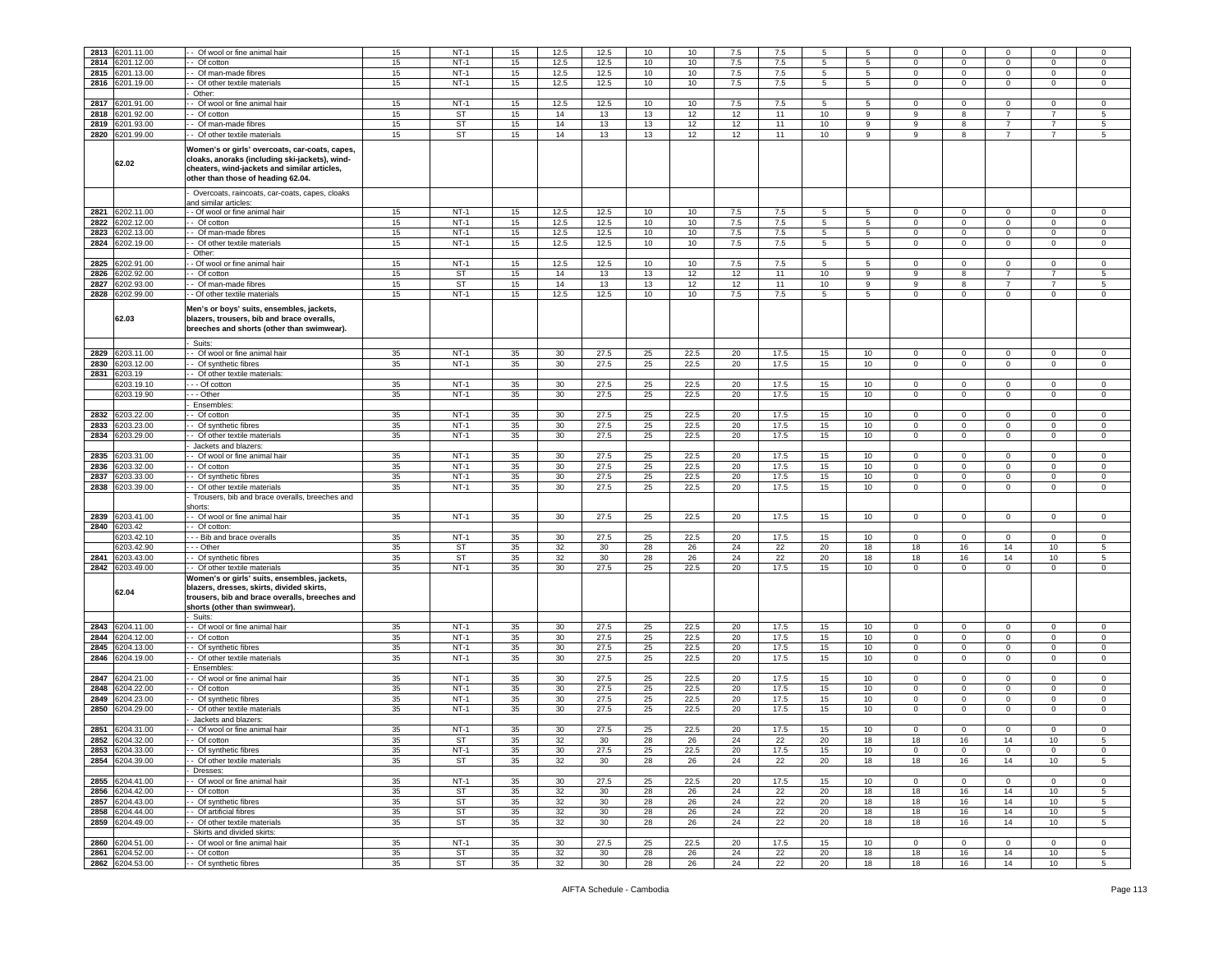| 2813 | 6201.11.00      | Of wool or fine animal hair                                                                                                                                                            | 15 | $NT-1$    | 15 | 12.5 | 12.5 | 10 | 10   | 7.5 | 7.5  | 5  | -5 | $\mathbf 0$    | $^{\circ}$     | $\Omega$       | $\mathbf 0$    | 0           |
|------|-----------------|----------------------------------------------------------------------------------------------------------------------------------------------------------------------------------------|----|-----------|----|------|------|----|------|-----|------|----|----|----------------|----------------|----------------|----------------|-------------|
| 2814 | 6201.12.00      | - Of cotton                                                                                                                                                                            | 15 | $NT-1$    | 15 | 12.5 | 12.5 | 10 | 10   | 7.5 | 7.5  | 5  | 5  | $\Omega$       | $\mathbf 0$    | $\Omega$       | $\circ$        | $\mathsf 0$ |
| 2815 | 3201.13.00      | - Of man-made fibres                                                                                                                                                                   | 15 | $NT-1$    | 15 | 12.5 | 12.5 | 10 | 10   | 7.5 | 7.5  | 5  | 5  | 0              | $\mathbf 0$    | 0              | $\mathbf 0$    | 0           |
| 2816 | 3201.19.00      | - Of other textile materials                                                                                                                                                           | 15 | $NT-1$    | 15 | 12.5 | 12.5 | 10 | 10   | 7.5 | 7.5  | 5  | 5  | $\mathbf 0$    | $\overline{0}$ | $\mathbf 0$    | $\mathbf 0$    | $\mathsf 0$ |
|      |                 |                                                                                                                                                                                        |    |           |    |      |      |    |      |     |      |    |    |                |                |                |                |             |
|      |                 | Other:                                                                                                                                                                                 |    |           |    |      |      |    |      |     |      |    |    |                |                |                |                |             |
| 2817 | 201.91.00       | - Of wool or fine animal hair                                                                                                                                                          | 15 | $NT-1$    | 15 | 12.5 | 12.5 | 10 | 10   | 7.5 | 7.5  | 5  | 5  | 0              | 0              | 0              | 0              | 0           |
| 2818 | 3201.92.00      | - Of cotton                                                                                                                                                                            | 15 | <b>ST</b> | 15 | 14   | 13   | 13 | 12   | 12  | 11   | 10 | 9  | 9              | 8              | $\overline{7}$ | 7              | 5           |
|      |                 |                                                                                                                                                                                        |    | ST        |    |      |      |    |      |     |      |    |    |                |                |                |                |             |
| 2819 | 201.93.00       | - Of man-made fibres                                                                                                                                                                   | 15 |           | 15 | 14   | 13   | 13 | 12   | 12  | 11   | 10 | 9  | 9              | 8              | $\overline{7}$ | $\overline{7}$ | 5           |
| 2820 | 201.99.00       | - Of other textile materials                                                                                                                                                           | 15 | ST        | 15 | 14   | 13   | 13 | 12   | 12  | 11   | 10 | 9  | 9              | 8              | $\overline{7}$ | $\overline{7}$ | 5           |
|      |                 |                                                                                                                                                                                        |    |           |    |      |      |    |      |     |      |    |    |                |                |                |                |             |
|      | 62.02           | Women's or girls' overcoats, car-coats, capes,<br>cloaks, anoraks (including ski-jackets), wind-<br>cheaters, wind-jackets and similar articles,<br>other than those of heading 62.04. |    |           |    |      |      |    |      |     |      |    |    |                |                |                |                |             |
|      |                 | Overcoats, raincoats, car-coats, capes, cloaks<br>and similar articles:                                                                                                                |    |           |    |      |      |    |      |     |      |    |    |                |                |                |                |             |
|      | 2821 6202.11.00 | - Of wool or fine animal hair                                                                                                                                                          | 15 | $NT-1$    | 15 | 12.5 | 12.5 | 10 | 10   | 7.5 | 7.5  | 5  | 5  | $^{\circ}$     | $\mathbf 0$    | $\Omega$       | $\mathbf 0$    | $\mathbf 0$ |
| 2822 | 6202.12.00      | - Of cotton                                                                                                                                                                            | 15 | $NT-1$    | 15 | 12.5 | 12.5 | 10 | 10   | 7.5 | 7.5  | 5  | 5  | 0              | $\mathbf 0$    | $^{\circ}$     | 0              | $\mathbf 0$ |
| 2823 | 3202.13.00      | - Of man-made fibres                                                                                                                                                                   | 15 | $NT-1$    | 15 | 12.5 | 12.5 | 10 | 10   | 7.5 | 7.5  | 5  | 5  | $\mathbf 0$    | $\mathbf 0$    | $\mathbf 0$    | $\mathbf 0$    | $\mathsf 0$ |
| 2824 | 6202.19.00      | - Of other textile materials                                                                                                                                                           | 15 | $NT-1$    | 15 | 12.5 | 12.5 | 10 | 10   | 7.5 | 7.5  | 5  | 5  | $\mathbf 0$    | $\mathbf 0$    | $\mathbf 0$    | $\mathbf 0$    | 0           |
|      |                 |                                                                                                                                                                                        |    |           |    |      |      |    |      |     |      |    |    |                |                |                |                |             |
|      |                 | Other:                                                                                                                                                                                 |    |           |    |      |      |    |      |     |      |    |    |                |                |                |                |             |
| 2825 | 6202.91.00      | - Of wool or fine animal hair                                                                                                                                                          | 15 | $NT-1$    | 15 | 12.5 | 12.5 | 10 | 10   | 7.5 | 7.5  | 5  | 5  | $^{\circ}$     | $\mathbf{0}$   | $^{\circ}$     | $\mathbf 0$    | $\mathbf 0$ |
| 2826 | 3202.92.00      | - Of cotton                                                                                                                                                                            | 15 | ST        | 15 | 14   | 13   | 13 | 12   | 12  | 11   | 10 | 9  | 9              | 8              | 7              | 7              | 5           |
| 2827 | 3202.93.00      | - Of man-made fibres                                                                                                                                                                   | 15 | <b>ST</b> | 15 | 14   | 13   | 13 | 12   | 12  | 11   | 10 | 9  | 9              | 8              | $\overline{7}$ | $\overline{7}$ | $\sqrt{5}$  |
| 2828 | 6202.99.00      | - Of other textile materials                                                                                                                                                           | 15 | $NT-1$    | 15 | 12.5 | 12.5 | 10 | 10   | 7.5 | 7.5  | 5  | 5  | 0              | $\,0\,$        | $\mathbf 0$    | $\mathsf 0$    | 0           |
|      | 62.03           | Men's or boys' suits, ensembles, jackets,<br>blazers, trousers, bib and brace overalls,<br>breeches and shorts (other than swimwear).<br>Suits:                                        |    |           |    |      |      |    |      |     |      |    |    |                |                |                |                |             |
| 2829 | 6203.11.00      | - Of wool or fine animal hair                                                                                                                                                          | 35 | $NT-1$    | 35 | 30   | 27.5 | 25 | 22.5 | 20  | 17.5 | 15 | 10 | 0              | $\mathbf 0$    | $\Omega$       | $\Omega$       | $\mathbf 0$ |
|      |                 |                                                                                                                                                                                        |    |           |    |      |      |    |      |     |      |    |    |                |                |                | $\Omega$       |             |
| 2830 | 6203.12.00      | - Of synthetic fibres                                                                                                                                                                  | 35 | $NT-1$    | 35 | 30   | 27.5 | 25 | 22.5 | 20  | 17.5 | 15 | 10 | $\mathbf 0$    | $\mathbf 0$    | $\mathbf 0$    |                | $\mathsf 0$ |
| 2831 | 6203.19         | - Of other textile materials:                                                                                                                                                          |    |           |    |      |      |    |      |     |      |    |    |                |                |                |                |             |
|      | 3203.19.10      | - - Of cotton                                                                                                                                                                          | 35 | $NT-1$    | 35 | 30   | 27.5 | 25 | 22.5 | 20  | 17.5 | 15 | 10 | $\Omega$       | $\mathbf 0$    | $\Omega$       | $\mathbf 0$    | $\mathsf 0$ |
|      | 6203.19.90      | .-- Other                                                                                                                                                                              | 35 | $NT-1$    | 35 | 30   | 27.5 | 25 | 22.5 | 20  | 17.5 | 15 | 10 | $\overline{0}$ | $\mathbf{0}$   | $\mathbf{0}$   | $\mathbf 0$    | $\mathbf 0$ |
|      |                 |                                                                                                                                                                                        |    |           |    |      |      |    |      |     |      |    |    |                |                |                |                |             |
|      |                 | Ensembles:                                                                                                                                                                             |    |           |    |      |      |    |      |     |      |    |    |                |                |                |                |             |
| 2832 | 6203.22.00      | Of cotton                                                                                                                                                                              | 35 | $NT-1$    | 35 | 30   | 27.5 | 25 | 22.5 | 20  | 17.5 | 15 | 10 | $\circ$        | $\mathbf 0$    | $\Omega$       | $\circ$        | $\,0\,$     |
| 2833 | 3203.23.00      | Of synthetic fibres                                                                                                                                                                    | 35 | $NT-1$    | 35 | 30   | 27.5 | 25 | 22.5 | 20  | 17.5 | 15 | 10 | 0              | $\mathbf 0$    | 0              | $\mathbf 0$    | $\mathbf 0$ |
| 2834 | 3203.29.00      | Of other textile materials                                                                                                                                                             | 35 | $NT-1$    | 35 | 30   | 27.5 | 25 | 22.5 | 20  | 17.5 | 15 | 10 | 0              | $\mathbf 0$    | $\mathbf 0$    | $\mathsf 0$    | $\,0\,$     |
|      |                 |                                                                                                                                                                                        |    |           |    |      |      |    |      |     |      |    |    |                |                |                |                |             |
|      |                 | Jackets and blazers:                                                                                                                                                                   |    |           |    |      |      |    |      |     |      |    |    |                |                |                |                |             |
| 2835 | 3203.31.00      | - Of wool or fine animal hair                                                                                                                                                          | 35 | $NT-1$    | 35 | 30   | 27.5 | 25 | 22.5 | 20  | 17.5 | 15 | 10 | $\Omega$       | $\mathbf 0$    | $\Omega$       | $\Omega$       | $\mathbf 0$ |
| 2836 | 3203.32.00      | - Of cotton                                                                                                                                                                            | 35 | $NT-1$    | 35 | 30   | 27.5 | 25 | 22.5 | 20  | 17.5 | 15 | 10 | $\mathbf 0$    | $\mathbf 0$    | 0              | $\mathbf 0$    | $\,0\,$     |
| 2837 | 203.33.00       | - Of synthetic fibres                                                                                                                                                                  | 35 | $NT-1$    | 35 | 30   | 27.5 | 25 | 22.5 | 20  | 17.5 | 15 | 10 | 0              | $\mathbf 0$    | 0              | 0              | 0           |
| 2838 | 3203.39.00      | - Of other textile materials                                                                                                                                                           | 35 | $NT-1$    | 35 | 30   | 27.5 | 25 | 22.5 | 20  | 17.5 | 15 | 10 | $\mathbf 0$    | $\mathbf 0$    | $\mathbf 0$    | $\mathbf 0$    | $\mathsf 0$ |
|      |                 | Trousers, bib and brace overalls, breeches and<br>shorts:                                                                                                                              |    |           |    |      |      |    |      |     |      |    |    |                |                |                |                |             |
| 2839 | 6203.41.00      | - Of wool or fine animal hair                                                                                                                                                          | 35 | $NT-1$    | 35 | 30   | 27.5 | 25 | 22.5 | 20  | 17.5 | 15 | 10 | $\mathbf 0$    | $\mathbf 0$    | $^{\circ}$     | $\mathbf{0}$   | $\mathbf 0$ |
|      |                 |                                                                                                                                                                                        |    |           |    |      |      |    |      |     |      |    |    |                |                |                |                |             |
| 2840 | 3203.42         | - Of cotton:                                                                                                                                                                           |    |           |    |      |      |    |      |     |      |    |    |                |                |                |                |             |
|      | 6203.42.10      | - - Bib and brace overalls                                                                                                                                                             | 35 | $NT-1$    | 35 | 30   | 27.5 | 25 | 22.5 | 20  | 17.5 | 15 | 10 | $\mathbf 0$    | $\,0\,$        | $\mathbf 0$    | $\mathbf 0$    | 0           |
|      | 3203.42.90      | - Other                                                                                                                                                                                | 35 | <b>ST</b> | 35 | 32   | 30   | 28 | 26   | 24  | 22   | 20 | 18 | 18             | 16             | 14             | 10             | 5           |
| 2841 | 6203.43.00      | Of synthetic fibres                                                                                                                                                                    | 35 | <b>ST</b> | 35 | 32   | 30   | 28 | 26   | 24  | 22   | 20 | 18 | 18             | 16             | 14             | 10             | $\sqrt{5}$  |
| 2842 | 6203.49.00      | - Of other textile materials                                                                                                                                                           | 35 | $NT-1$    | 35 | 30   | 27.5 | 25 | 22.5 | 20  | 17.5 | 15 | 10 | 0              | $\mathbf 0$    | 0              | 0              | $\mathbf 0$ |
|      | 62.04           | Women's or girls' suits, ensembles, jackets,<br>blazers, dresses, skirts, divided skirts,<br>trousers, bib and brace overalls, breeches and<br>shorts (other than swimwear).<br>Suits: |    |           |    |      |      |    |      |     |      |    |    |                |                |                |                |             |
| 2843 | 3204.11.00      | - Of wool or fine animal hair                                                                                                                                                          | 35 | $NT-1$    | 35 | 30   | 27.5 | 25 | 22.5 | 20  | 17.5 | 15 | 10 | $\mathbf 0$    | $\mathbf 0$    | 0              | $\mathbf 0$    | $\mathsf 0$ |
| 2844 | 6204.12.00      | - Of cotton                                                                                                                                                                            | 35 | $NT-1$    | 35 | 30   | 27.5 | 25 | 22.5 | 20  | 17.5 | 15 | 10 | $\mathbf 0$    | $\mathbf 0$    | $\mathbf 0$    | $\mathbf 0$    | $\mathbf 0$ |
|      |                 |                                                                                                                                                                                        |    |           |    |      |      |    |      |     |      |    |    |                |                |                |                |             |
| 2845 | 3204.13.00      | - Of synthetic fibres                                                                                                                                                                  | 35 | $NT-1$    | 35 | 30   | 27.5 | 25 | 22.5 | 20  | 17.5 | 15 | 10 | 0              | $\mathbf 0$    | 0              | $\mathbf 0$    | 0           |
| 2846 | 3204.19.00      | - Of other textile materials                                                                                                                                                           | 35 | $NT-1$    | 35 | 30   | 27.5 | 25 | 22.5 | 20  | 17.5 | 15 | 10 | $\mathbf 0$    | $\mathbf 0$    | 0              | $\mathbf 0$    | 0           |
|      |                 | Ensembles:                                                                                                                                                                             |    |           |    |      |      |    |      |     |      |    |    |                |                |                |                |             |
| 2847 | 3204.21.00      | - Of wool or fine animal hair                                                                                                                                                          | 35 | $NT-1$    | 35 | 30   | 27.5 | 25 | 22.5 | 20  | 17.5 | 15 | 10 | $\Omega$       | $\mathbf 0$    | $\Omega$       | $\Omega$       | $\mathsf 0$ |
| 2848 | 6204.22.00      | - Of cotton                                                                                                                                                                            | 35 | $NT-1$    | 35 | 30   | 27.5 | 25 | 22.5 | 20  | 17.5 | 15 | 10 | $\mathbf{0}$   | $\mathbf{0}$   | $^{\circ}$     | $\mathbf{0}$   | $\mathbf 0$ |
|      |                 |                                                                                                                                                                                        |    |           |    |      |      |    |      |     |      |    |    |                |                |                |                |             |
| 2849 | 3204.23.00      | - Of synthetic fibres                                                                                                                                                                  | 35 | $NT-1$    | 35 | 30   | 27.5 | 25 | 22.5 | 20  | 17.5 | 15 | 10 | 0              | $\mathbf 0$    | 0              | $\mathbf 0$    | 0           |
| 2850 | 3204.29.00      | Of other textile materials                                                                                                                                                             | 35 | $NT-1$    | 35 | 30   | 27.5 | 25 | 22.5 | 20  | 17.5 | 15 | 10 | $\Omega$       | $\mathbf 0$    | $\mathbf 0$    | $\Omega$       | $\mathsf 0$ |
|      |                 | Jackets and blazers                                                                                                                                                                    |    |           |    |      |      |    |      |     |      |    |    |                |                |                |                |             |
| 2851 | 6204.31.00      | Of wool or fine animal hair                                                                                                                                                            | 35 | $NT-1$    | 35 | 30   | 27.5 | 25 | 22.5 | 20  | 17.5 | 15 | 10 | $\Omega$       | $\mathbf 0$    | $\Omega$       | $\mathbf 0$    | 0           |
|      |                 |                                                                                                                                                                                        |    |           |    |      |      |    |      |     |      |    |    |                |                |                |                |             |
| 2852 | 6204.32.00      | Of cotton                                                                                                                                                                              | 35 | ST        | 35 | 32   | 30   | 28 | 26   | 24  | 22   | 20 | 18 | 18             | 16             | 14             | 10             | 5           |
| 2853 | 6204.33.00      | - Of synthetic fibres                                                                                                                                                                  | 35 | $NT-1$    | 35 | 30   | 27.5 | 25 | 22.5 | 20  | 17.5 | 15 | 10 | 0              | $\mathbf 0$    | 0              | 0              | 0           |
| 2854 | 6204.39.00      | - Of other textile materials                                                                                                                                                           | 35 | <b>ST</b> | 35 | 32   | 30   | 28 | 26   | 24  | 22   | 20 | 18 | 18             | 16             | 14             | 10             | $\sqrt{5}$  |
|      |                 | Dresses:                                                                                                                                                                               |    |           |    |      |      |    |      |     |      |    |    |                |                |                |                |             |
|      |                 |                                                                                                                                                                                        |    |           |    |      |      |    |      |     |      |    |    |                |                |                |                |             |
| 2855 | 6204.41.00      | - Of wool or fine animal hair                                                                                                                                                          | 35 | $NT-1$    | 35 | 30   | 27.5 | 25 | 22.5 | 20  | 17.5 | 15 | 10 | $\mathbf 0$    | $\mathbf 0$    | $\Omega$       | $\mathbf 0$    | $\mathsf 0$ |
|      | 2856 6204.42.00 | - Of cotton                                                                                                                                                                            | 35 | <b>ST</b> | 35 | 32   | 30   | 28 | 26   | 24  | 22   | 20 | 18 | 18             | 16             | 14             | 10             | 5           |
| 2857 | 6204.43.00      | - Of synthetic fibres                                                                                                                                                                  | 35 | ST        | 35 | 32   | 30   | 28 | 26   | 24  | 22   | 20 | 18 | 18             | 16             | 14             | 10             | 5           |
| 2858 | 6204.44.00      | - Of artificial fibres                                                                                                                                                                 | 35 | <b>ST</b> | 35 | 32   | 30   | 28 | 26   | 24  | 22   | 20 | 18 | 18             | 16             | 14             | 10             | $\sqrt{5}$  |
|      |                 |                                                                                                                                                                                        |    |           |    |      |      |    |      |     |      |    |    |                |                |                |                |             |
| 2859 | 6204.49.00      | - Of other textile materials<br>Skirts and divided skirts:                                                                                                                             | 35 | ST        | 35 | 32   | 30   | 28 | 26   | 24  | 22   | 20 | 18 | 18             | 16             | 14             | 10             | $\sqrt{5}$  |
| 2860 | 6204.51.00      | - Of wool or fine animal hair                                                                                                                                                          | 35 | $NT-1$    | 35 | 30   | 27.5 | 25 | 22.5 | 20  | 17.5 | 15 | 10 | $^{\circ}$     | $\mathbf{0}$   | $^{\circ}$     | $\mathbf{0}$   | $\mathbf 0$ |
|      | 2861 6204.52.00 | - Of cotton                                                                                                                                                                            | 35 | ST        | 35 | 32   | 30   | 28 | 26   | 24  | 22   | 20 | 18 | 18             | 16             | 14             | 10             | 5           |
|      |                 |                                                                                                                                                                                        |    |           |    |      |      |    |      |     |      |    |    |                |                |                |                |             |
|      | 2862 6204.53.00 | - Of synthetic fibres                                                                                                                                                                  | 35 | ST        | 35 | 32   | 30   | 28 | 26   | 24  | 22   | 20 | 18 | 18             | 16             | 14             | 10             | 5           |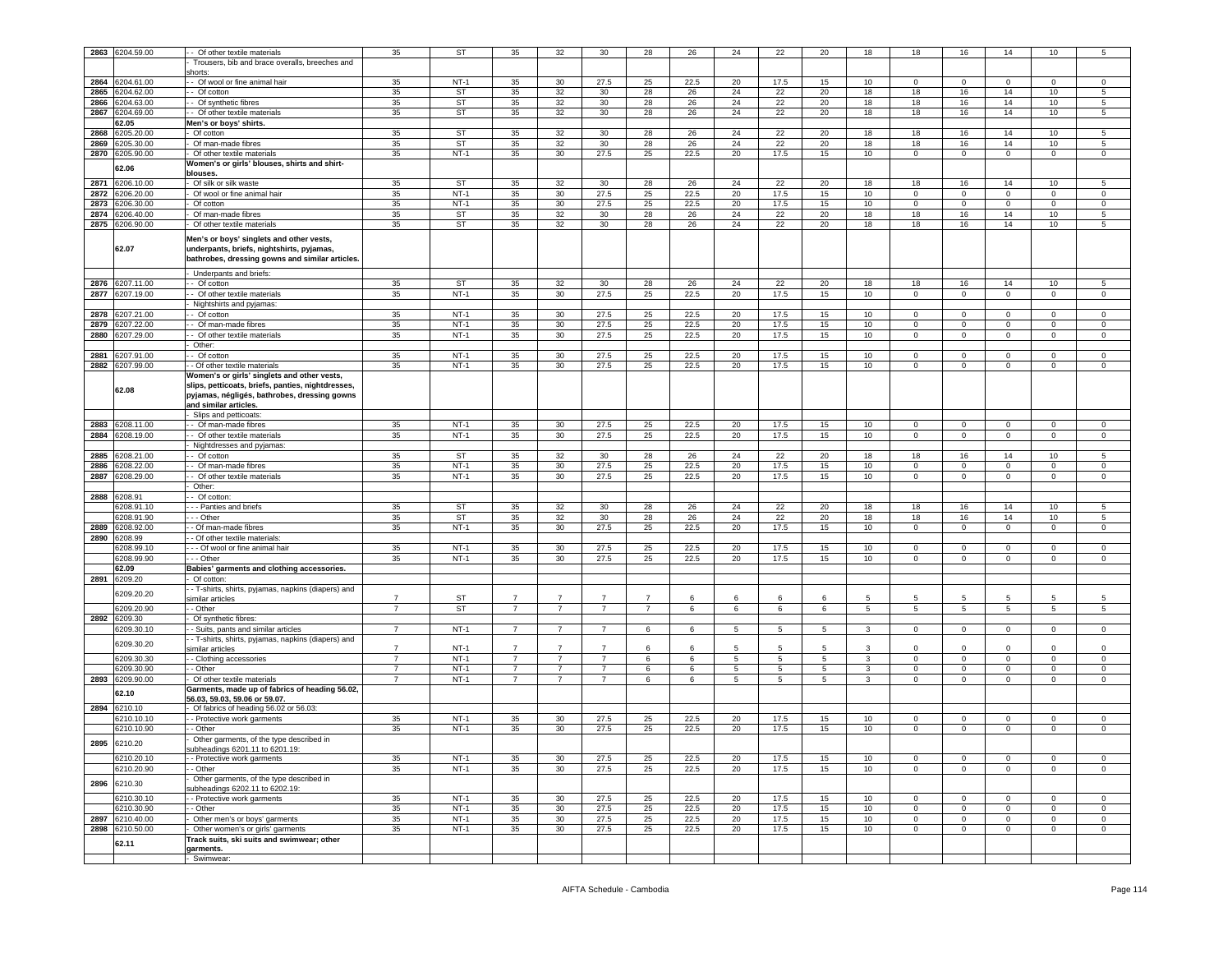| 2863 | 6204.59.00      | Of other textile materials                                                                                                               | 35             | ST          | 35             | 32              | 30             | 28             | 26   | 24 | 22   | 20               | 18               | 18           | 16             | 14             | 10              | 5           |
|------|-----------------|------------------------------------------------------------------------------------------------------------------------------------------|----------------|-------------|----------------|-----------------|----------------|----------------|------|----|------|------------------|------------------|--------------|----------------|----------------|-----------------|-------------|
|      |                 | Trousers, bib and brace overalls, breeches and                                                                                           |                |             |                |                 |                |                |      |    |      |                  |                  |              |                |                |                 |             |
|      |                 | horts                                                                                                                                    |                |             |                |                 |                |                |      |    |      |                  |                  |              |                |                |                 |             |
| 2864 | 6204.61.00      | - Of wool or fine animal hair                                                                                                            | 35             | $NT-1$      | 35             | 30              | 27.5           | 25             | 22.5 | 20 | 17.5 | 15               | 10               | $\mathbf 0$  | $\mathbf{0}$   | $\Omega$       | $\Omega$        | $\mathsf 0$ |
| 2865 | 3204.62.00      | - Of cotton                                                                                                                              | 35             | ST          | 35             | 32              | 30             | 28             | 26   | 24 | 22   | 20               | 18               | 18           | 16             | 14             | 10              | $\sqrt{5}$  |
| 2866 | 204.63.00       | Of synthetic fibres                                                                                                                      | 35             | ST          | 35             | 32              | 30             | 28             | 26   | 24 | 22   | 20               | 18               | 18           | 16             | 14             | 10              | 5           |
| 2867 | 6204.69.00      | Of other textile materials                                                                                                               | 35             | ST          | 35             | 32              | 30             | 28             | 26   | 24 | 22   | 20               | 18               | 18           | 16             | 14             | 10              | 5           |
|      | 62.05           |                                                                                                                                          |                |             |                |                 |                |                |      |    |      |                  |                  |              |                |                |                 |             |
| 2868 | 3205.20.00      | Men's or boys' shirts.                                                                                                                   | 35             | ST          | 35             | 32              | 30             | 28             | 26   | 24 | 22   | 20               | 18               | 18           | 16             | 14             | 10              | $\sqrt{5}$  |
|      |                 | Of cotton                                                                                                                                |                |             |                |                 |                |                |      |    |      |                  |                  |              |                |                |                 |             |
| 2869 | 3205.30.00      | Of man-made fibres                                                                                                                       | 35             | <b>ST</b>   | 35             | 32              | 30             | 28             | 26   | 24 | 22   | 20               | 18               | 18           | 16             | 14             | 10              | 5           |
| 2870 | 6205.90.00      | Of other textile materials                                                                                                               | 35             | $NT-1$      | 35             | 30              | 27.5           | 25             | 22.5 | 20 | 17.5 | 15               | 10               | 0            | $\mathbf 0$    | $\mathbf 0$    | 0               | 0           |
|      | 62.06           | Women's or girls' blouses, shirts and shirt-                                                                                             |                |             |                |                 |                |                |      |    |      |                  |                  |              |                |                |                 |             |
|      |                 | blouses.                                                                                                                                 |                |             |                |                 |                |                |      |    |      |                  |                  |              |                |                |                 |             |
| 2871 | 6206.10.00      | Of silk or silk waste                                                                                                                    | 35             | ST          | 35             | 32              | 30             | 28             | 26   | 24 | 22   | 20               | 18               | 18           | 16             | 14             | 10              | 5           |
| 2872 | 6206.20.00      | Of wool or fine animal hair                                                                                                              | 35             | $NT-1$      | 35             | 30              | 27.5           | 25             | 22.5 | 20 | 17.5 | 15               | 10               | $\mathbf 0$  | $\mathbf 0$    | $\mathbf 0$    | $\Omega$        | $\,0\,$     |
| 2873 | 6206.30.00      | Of cotton                                                                                                                                | 35             | $NT-1$      | 35             | 30              | 27.5           | 25             | 22.5 | 20 | 17.5 | 15               | 10               | 0            | $\,0\,$        | $\overline{0}$ | $\mathsf 0$     | $\,0\,$     |
| 2874 | 6206.40.00      | Of man-made fibres                                                                                                                       | 35             | <b>ST</b>   | 35             | 32              | 30             | 28             | 26   | 24 | 22   | 20               | 18               | 18           | 16             | 14             | 10              | $\sqrt{5}$  |
| 2875 | 6206.90.00      | Of other textile materials                                                                                                               | 35             | ST          | 35             | 32              | 30             | 28             | 26   | 24 | 22   | 20               | 18               | 18           | 16             | 14             | 10 <sub>1</sub> | 5           |
|      | 62.07           | Men's or boys' singlets and other vests,<br>underpants, briefs, nightshirts, pyjamas,<br>bathrobes, dressing gowns and similar articles. |                |             |                |                 |                |                |      |    |      |                  |                  |              |                |                |                 |             |
|      |                 | Underpants and briefs:                                                                                                                   |                |             |                |                 |                |                |      |    |      |                  |                  |              |                |                |                 |             |
| 2876 | 6207.11.00      | Of cotton                                                                                                                                | 35             | <b>ST</b>   | 35             | 32              | 30             | 28             | 26   | 24 | 22   | 20               | 18               | 18           | 16             | 14             | 10              | 5           |
| 2877 | 6207.19.00      | - Of other textile materials                                                                                                             | 35             | $NT-1$      | 35             | 30              | 27.5           | 25             | 22.5 | 20 | 17.5 | 15               | 10               | 0            | $\mathbf 0$    | $\mathbf 0$    | 0               | 0           |
|      |                 | Nightshirts and pyjamas:                                                                                                                 |                |             |                |                 |                |                |      |    |      |                  |                  |              |                |                |                 |             |
| 2878 | 6207.21.00      | Of cotton                                                                                                                                | 35             | $NT-1$      | 35             | 30              | 27.5           | 25             | 22.5 | 20 | 17.5 | 15               | 10               | 0            | $\mathbf 0$    | 0              | $\mathbf 0$     | 0           |
| 2879 | 6207.22.00      | Of man-made fibres                                                                                                                       | 35             | $NT-1$      | 35             | 30              | 27.5           | 25             | 22.5 | 20 | 17.5 | 15               | 10               | $\circ$      | $\mathbf 0$    | $\mathsf 0$    | $\mathbf 0$     | $\,0\,$     |
| 2880 | 3207.29.00      | Of other textile materials                                                                                                               | 35             | $NT-1$      | 35             | 30              | 27.5           | 25             | 22.5 | 20 | 17.5 | 15               | 10               | 0            | $\mathbf 0$    | $\mathsf 0$    | 0               | 0           |
|      |                 | Other:                                                                                                                                   |                |             |                |                 |                |                |      |    |      |                  |                  |              |                |                |                 |             |
| 2881 | 3207.91.00      | - Of cotton                                                                                                                              | 35             | <b>NT-1</b> | 35             | 30              | 27.5           | 25             | 22.5 | 20 | 17.5 | 15               | 10               | $^{\circ}$   | $\mathbf 0$    | $^{\circ}$     | $^{\circ}$      | $\mathbf 0$ |
| 2882 | 6207.99.00      | - Of other textile materials                                                                                                             | 35             | $NT-1$      | 35             | 30              | 27.5           | 25             | 22.5 | 20 | 17.5 | 15               | 10               | 0            | $\mathbf 0$    | 0              | $\mathbf 0$     | $\mathsf 0$ |
|      |                 | Women's or girls' singlets and other vests,                                                                                              |                |             |                |                 |                |                |      |    |      |                  |                  |              |                |                |                 |             |
|      | 62.08           | slips, petticoats, briefs, panties, nightdresses,<br>pyjamas, négligés, bathrobes, dressing gowns<br>and similar articles.               |                |             |                |                 |                |                |      |    |      |                  |                  |              |                |                |                 |             |
|      |                 | Slips and petticoats:                                                                                                                    |                |             |                |                 |                |                |      |    |      |                  |                  |              |                |                |                 |             |
| 2883 | 6208.11.00      | - Of man-made fibres                                                                                                                     | 35             | $NT-1$      | 35             | 30              | 27.5           | 25             | 22.5 | 20 | 17.5 | 15               | 10               | $\mathbf 0$  | $\mathbf 0$    | $\mathbf 0$    | $\mathbf 0$     | $\mathsf 0$ |
| 2884 | 6208.19.00      | Of other textile materials                                                                                                               | 35             | $NT-1$      | 35             | 30              | 27.5           | 25             | 22.5 | 20 | 17.5 | 15               | 10               | $\mathbf 0$  | $\mathbf 0$    | $\mathbf 0$    | 0               | $\mathbf 0$ |
|      |                 | Nightdresses and pyjamas:                                                                                                                |                |             |                |                 |                |                |      |    |      |                  |                  |              |                |                |                 |             |
| 2885 | 6208.21.00      | - Of cotton                                                                                                                              | 35             | ST          | 35             | 32              | 30             | 28             | 26   | 24 | 22   | 20               | 18               | 18           | 16             | 14             | 10              | 5           |
| 2886 | 6208.22.00      | - Of man-made fibres                                                                                                                     | 35             | $NT-1$      | 35             | 30              | 27.5           | 25             | 22.5 | 20 | 17.5 | 15               | 10 <sup>10</sup> | 0            | $\mathsf 0$    | $\mathbf 0$    | 0               | $\mathsf 0$ |
| 2887 | 6208.29.00      | - Of other textile materials                                                                                                             | 35             | $NT-1$      | 35             | 30 <sup>°</sup> | 27.5           | 25             | 22.5 | 20 | 17.5 | 15               | 10 <sup>10</sup> | $\mathbf{0}$ | $\overline{0}$ | $\overline{0}$ | $\overline{0}$  | $\mathsf 0$ |
|      |                 |                                                                                                                                          |                |             |                |                 |                |                |      |    |      |                  |                  |              |                |                |                 |             |
| 2888 | 6208.91         | Other:<br>- Of cotton                                                                                                                    |                |             |                |                 |                |                |      |    |      |                  |                  |              |                |                |                 |             |
|      | 6208.91.10      |                                                                                                                                          | 35             | <b>ST</b>   | 35             | 32              |                |                |      |    |      | 20               |                  |              | 16             |                |                 |             |
|      |                 | - Panties and briefs                                                                                                                     |                |             |                |                 | 30             | 28             | 26   | 24 | 22   |                  | 18               | 18           |                | 14             | 10              | $\sqrt{5}$  |
|      | 6208.91.90      | - Other                                                                                                                                  | 35             | ST          | 35             | 32              | 30             | 28             | 26   | 24 | 22   | 20               | 18               | 18           | 16             | 14             | 10              | 5           |
| 2889 | 6208.92.00      | - Of man-made fibres                                                                                                                     | 35             | $NT-1$      | 35             | 30              | 27.5           | 25             | 22.5 | 20 | 17.5 | 15               | 10 <sup>10</sup> | $\circ$      | $\overline{0}$ | $\overline{0}$ | $\circ$         | $\mathsf 0$ |
| 2890 | 6208.99         | - Of other textile materials                                                                                                             |                |             |                |                 |                |                |      |    |      |                  |                  |              |                |                |                 |             |
|      | 6208.99.1       | - Of wool or fine animal hair                                                                                                            | 35             | $NT-1$      | 35             | 30              | 27.5           | 25             | 22.5 | 20 | 17.5 | 15               | 10               | $\Omega$     | $\mathbf 0$    | $\Omega$       | $\Omega$        | 0           |
|      | 6208.99.90      | - - Other                                                                                                                                | 35             | $NT-1$      | 35             | 30              | 27.5           | 25             | 22.5 | 20 | 17.5 | 15               | 10               | $\mathbf 0$  | $\mathbf 0$    | $\mathsf 0$    | $\mathbf 0$     | $\mathbf 0$ |
|      | 62.09           | Babies' garments and clothing accessories.                                                                                               |                |             |                |                 |                |                |      |    |      |                  |                  |              |                |                |                 |             |
| 2891 | 6209.20         | Of cotton                                                                                                                                |                |             |                |                 |                |                |      |    |      |                  |                  |              |                |                |                 |             |
|      | 3209.20.20      | - T-shirts, shirts, pyjamas, napkins (diapers) and                                                                                       |                |             |                |                 |                |                |      |    |      |                  |                  |              |                |                |                 |             |
|      |                 | similar articles                                                                                                                         | 7              | ST          | 7              | 7               | 7              | 7              | 6    | 6  | -6   | 6                | 5                | -5           | 5              | 5              | -5              | 5           |
|      | 6209.20.90      | - Other                                                                                                                                  | $\overline{7}$ | <b>ST</b>   | $\overline{7}$ | $\overline{7}$  | $\overline{7}$ | $\overline{7}$ | 6    | 6  | 6    | 6                | 5 <sup>5</sup>   | 5            | 5              | 5 <sub>5</sub> | 5               | 5           |
| 2892 | 6209.30         | Of synthetic fibres:                                                                                                                     |                |             |                |                 |                |                |      |    |      |                  |                  |              |                |                |                 |             |
|      | 6209.30.10      | - Suits, pants and similar articles                                                                                                      | $\overline{7}$ | $NT-1$      | $\overline{7}$ | $\overline{7}$  | $\overline{7}$ | 6              | 6    | 5  | 5    | 5                | $\mathbf{3}$     | $\mathbf 0$  | $\mathbf 0$    | $\mathbf 0$    | $\mathbf 0$     | 0           |
|      | 6209.30.20      | - T-shirts, shirts, pyjamas, napkins (diapers) and                                                                                       |                |             |                |                 |                |                |      |    |      |                  |                  |              |                |                |                 |             |
|      |                 | imilar articles                                                                                                                          | $\overline{7}$ | $NT-1$      | $\overline{7}$ |                 |                | 6              | 6    | 5  | 5    | 5                | 3                | $\Omega$     | $\mathbf 0$    | $\Omega$       | $\Omega$        | 0           |
|      | 6209.30.30      | - Clothing accessories                                                                                                                   | $\overline{7}$ | $NT-1$      | $\overline{7}$ | 7               | $\overline{7}$ | 6              | 6    | 5  | 5    | 5                | 3                | $\mathbf 0$  | $\mathbf 0$    | $\mathbf 0$    | 0               | $\mathsf 0$ |
|      | 6209.30.90      | - Other                                                                                                                                  | 7              | <b>NT-1</b> | 7              | 7               | 7              | 6              | 6    | 5  | 5    | 5                | 3                | $\mathbf{0}$ | $\mathbf 0$    | 0              | 0               | 0           |
| 2893 | 6209.90.00      | Of other textile materials                                                                                                               | $\overline{7}$ | $NT-1$      | $\overline{7}$ | $\overline{7}$  | $\overline{7}$ | 6              | 6    | 5  | 5    | 5                | 3                | $\mathbf 0$  | $\mathsf 0$    | $\mathbf 0$    | $\Omega$        | $\mathsf 0$ |
|      | 62.10           | Garments, made up of fabrics of heading 56.02,                                                                                           |                |             |                |                 |                |                |      |    |      |                  |                  |              |                |                |                 |             |
|      |                 | 56.03, 59.03, 59.06 or 59.07.                                                                                                            |                |             |                |                 |                |                |      |    |      |                  |                  |              |                |                |                 |             |
| 2894 | 6210.10         | Of fabrics of heading 56.02 or 56.03:                                                                                                    |                |             |                |                 |                |                |      |    |      |                  |                  |              |                |                |                 |             |
|      | 6210.10.10      | - Protective work garments                                                                                                               | 35             | $NT-1$      | 35             | 30              | 27.5           | 25             | 22.5 | 20 | 17.5 | 15               | 10               | $\Omega$     | $\mathbf 0$    | $\Omega$       | 0               | $\,0\,$     |
|      | 6210.10.90      | - Other                                                                                                                                  | 35             | $NT-1$      | 35             | 30              | 27.5           | 25             | 22.5 | 20 | 17.5 | 15               | 10               | $^{\circ}$   | $\mathbf 0$    | $^{\circ}$     | 0               | $\mathbf 0$ |
|      |                 | Other garments, of the type described in                                                                                                 |                |             |                |                 |                |                |      |    |      |                  |                  |              |                |                |                 |             |
|      | 2895 6210.20    | subheadings 6201.11 to 6201.19:                                                                                                          |                |             |                |                 |                |                |      |    |      |                  |                  |              |                |                |                 |             |
|      | 6210.20.10      | - Protective work garments                                                                                                               | 35             | $NT-1$      | 35             | 30              | 27.5           | 25             | 22.5 | 20 | 17.5 | 15               | 10               | $\circ$      | $\mathbf 0$    | $\mathbf 0$    | $\mathbf 0$     | 0           |
|      | 6210.20.90      | - Other                                                                                                                                  | 35             | $NT-1$      | 35             | 30              | 27.5           | 25             | 22.5 | 20 | 17.5 | 15               | 10               | $\mathbf 0$  | $\mathsf 0$    | $\mathbf 0$    | $\mathbf 0$     | $\mathbf 0$ |
|      |                 | Other garments, of the type described in                                                                                                 |                |             |                |                 |                |                |      |    |      |                  |                  |              |                |                |                 |             |
| 2896 | 6210.30         | ubheadings 6202.11 to 6202.19:                                                                                                           |                |             |                |                 |                |                |      |    |      |                  |                  |              |                |                |                 |             |
|      | 6210.30.10      | - Protective work garments                                                                                                               | 35             | $NT-1$      | 35             | 30 <sup>°</sup> | 27.5           | 25             | 22.5 | 20 | 17.5 | 15               | 10 <sup>10</sup> | $\circ$      | $\mathbf{0}$   | $\mathbf{0}$   | $\mathbf 0$     | $\mathbf 0$ |
|      | 6210.30.90      | - Other                                                                                                                                  | 35             | $NT-1$      | 35             | 30 <sup>°</sup> | 27.5           | 25             | 22.5 | 20 | 17.5 | 15               | 10 <sup>10</sup> | $\mathbf{0}$ | $\mathbf{0}$   | $\overline{0}$ | $\mathbf 0$     | $\circ$     |
| 2897 | 6210.40.00      | Other men's or boys' garments                                                                                                            | 35             | $NT-1$      | 35             | 30              | 27.5           | 25             | 22.5 | 20 | 17.5 | 15               | 10               | $\mathbf 0$  | $\mathbf 0$    | $\circ$        | $\mathbf 0$     | $\mathbf 0$ |
|      | 2898 6210.50.00 | Other women's or girls' garments                                                                                                         | 35             | $NT-1$      | 35             | 30              | 27.5           | 25             | 22.5 | 20 | 17.5 | 15 <sub>15</sub> | 10               | $\mathsf 0$  | $\mathbf 0$    | $\mathsf 0$    | $\mathbf 0$     | $\mathsf 0$ |
|      |                 | Track suits, ski suits and swimwear; other                                                                                               |                |             |                |                 |                |                |      |    |      |                  |                  |              |                |                |                 |             |
|      | 62.11           | arments.                                                                                                                                 |                |             |                |                 |                |                |      |    |      |                  |                  |              |                |                |                 |             |
|      |                 | Swimwear:                                                                                                                                |                |             |                |                 |                |                |      |    |      |                  |                  |              |                |                |                 |             |
|      |                 |                                                                                                                                          |                |             |                |                 |                |                |      |    |      |                  |                  |              |                |                |                 |             |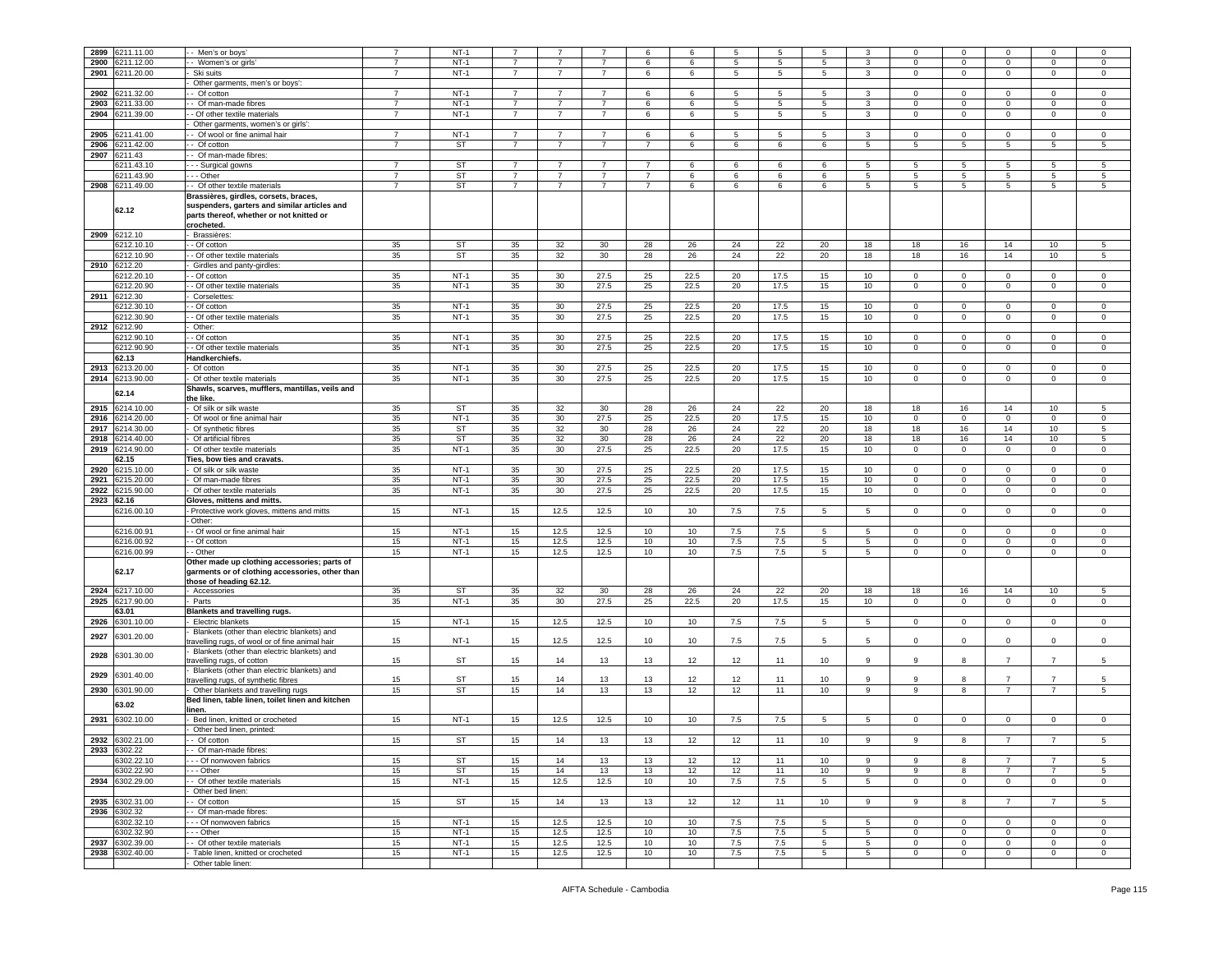|              |                          |                                                                                                                                                 |                | $NT-1$    |                |                |                |                |          |                 |          |                 |                 |                |              |                |                |                |
|--------------|--------------------------|-------------------------------------------------------------------------------------------------------------------------------------------------|----------------|-----------|----------------|----------------|----------------|----------------|----------|-----------------|----------|-----------------|-----------------|----------------|--------------|----------------|----------------|----------------|
| 2899         | 211.11.00                | -- Men's or boys'                                                                                                                               |                |           |                |                |                | 6              |          | 5               | 5        | 5               | 3               | $\Omega$       | $\Omega$     |                | $\Omega$       | $\Omega$       |
| 2900         | 6211.12.00               | - - Women's or girls'                                                                                                                           | $\overline{7}$ | $NT-1$    | -7             | 7              | $\overline{7}$ | 6              | 6        | 5               | 5        | $5\overline{5}$ | 3               | $\mathbf 0$    | $\mathbf 0$  | $\mathbf{0}$   | 0              | $\mathbf 0$    |
| 2901         | 6211.20.00               | Ski suits                                                                                                                                       | $\overline{7}$ | $NT-1$    | $\overline{7}$ | $\overline{7}$ | $\overline{7}$ | 6              | 6        | $5\overline{5}$ | 5        | $5\overline{5}$ | 3               | $\circ$        | $\mathbf 0$  | $\mathsf 0$    | $\mathbf 0$    | $\mathbf 0$    |
|              |                          | Other garments, men's or boys':                                                                                                                 |                |           |                |                |                |                |          |                 |          |                 |                 |                |              |                |                |                |
| 2902         | 211.32.00                | - Of cotton                                                                                                                                     | $\overline{7}$ | $NT-1$    | $\overline{7}$ | 7              | 7              | 6              | 6        | 5               | 5        | 5               | 3               | 0              | 0            | 0              | 0              | $\mathbf 0$    |
|              |                          |                                                                                                                                                 | $\overline{7}$ | $NT-1$    | $\overline{7}$ | $\overline{7}$ |                |                |          |                 |          |                 |                 |                |              |                |                |                |
| 2903         | 6211.33.00               | - Of man-made fibres                                                                                                                            |                |           |                |                | $\overline{7}$ | 6              | 6        | $5\phantom{.0}$ | 5        | 5               | 3               | $\circ$        | $\mathbf 0$  | $\mathbf 0$    | $\mathbf 0$    | $\mathsf 0$    |
| 2904         | 3211.39.00               | - Of other textile materials                                                                                                                    | $\overline{7}$ | $NT-1$    | $\overline{7}$ | $\overline{7}$ | $\overline{7}$ | 6              | 6        | $5\overline{5}$ | 5        | $5\overline{5}$ | 3               | $\mathbf{0}$   | $\mathbf 0$  | $\mathbf{0}$   | $\mathbf 0$    | $\mathsf 0$    |
|              |                          | Other garments, women's or girls':                                                                                                              |                |           |                |                |                |                |          |                 |          |                 |                 |                |              |                |                |                |
| 2905         | 211.41.00                | - Of wool or fine animal hair                                                                                                                   | $\overline{7}$ | $NT-1$    | $\overline{7}$ | $\overline{7}$ | $\overline{7}$ | 6              | 6        | 5               | 5        | $5\phantom{.0}$ | 3               | $\mathbf 0$    | 0            | 0              | $\mathbf{0}$   | $\mathsf 0$    |
| 2906         | 211.42.00                | - Of cotton                                                                                                                                     | 7              | <b>ST</b> | $\overline{7}$ | $\overline{7}$ | $\overline{7}$ | $\overline{7}$ | 6        | 6               | 6        | 6               | 5               | 5              | 5            | 5              | 5              | 5              |
| 2907         | 211.43                   | - Of man-made fibres:                                                                                                                           |                |           |                |                |                |                |          |                 |          |                 |                 |                |              |                |                |                |
|              |                          |                                                                                                                                                 |                |           |                |                |                |                |          |                 |          |                 |                 |                |              |                |                |                |
|              | 3211.43.10               | - - - Surgical gowns                                                                                                                            | $\overline{7}$ | <b>ST</b> | 7              | 7              | 7              | 7              | 6        | 6               | 6        | 6               | 5               | -5             | 5            | 5              | 5              | 5              |
|              | 6211.43.90               | --- Other                                                                                                                                       | $\overline{7}$ | ST        | $\overline{7}$ | $\overline{7}$ | $\overline{7}$ | $\overline{7}$ | 6        | 6               | 6        | 6               | 5               | 5              | 5            | 5              | 5              | 5              |
| 2908         | 211.49.00                | - Of other textile materials                                                                                                                    | $\overline{7}$ | <b>ST</b> | $\overline{7}$ | $\overline{7}$ | $\overline{7}$ | $\overline{7}$ | 6        | 6               | 6        | $\,6\,$         | $5\overline{5}$ | 5              | $\,$ 5 $\,$  | 5              | 5              | 5              |
|              | 62.12                    | Brassières, girdles, corsets, braces,<br>suspenders, garters and similar articles and<br>parts thereof, whether or not knitted or<br>crocheted. |                |           |                |                |                |                |          |                 |          |                 |                 |                |              |                |                |                |
| 2909         | 6212.10                  | - Brassières:                                                                                                                                   |                |           |                |                |                |                |          |                 |          |                 |                 |                |              |                |                |                |
|              | 6212.10.10               | $-$ Of cotton                                                                                                                                   | 35             | ST        | 35             | 32             | 30             | 28             | 26       | 24              | 22       | 20              | 18              | 18             | 16           | 14             | 10             | 5              |
|              | 6212.10.90               |                                                                                                                                                 |                | ST        | 35             | 32             | 30             |                |          | 24              |          | 20              |                 | 18             |              | 14             | 10             | 5              |
|              |                          | - Of other textile materials                                                                                                                    | 35             |           |                |                |                | 28             | 26       |                 | 22       |                 | 18              |                | 16           |                |                |                |
| 2910         | 6212.20                  | Girdles and panty-girdles:                                                                                                                      |                |           |                |                |                |                |          |                 |          |                 |                 |                |              |                |                |                |
|              | 6212.20.10               | - Of cotton                                                                                                                                     | 35             | $NT-1$    | 35             | 30             | 27.5           | 25             | 22.5     | 20              | 17.5     | 15              | 10              | $\mathbf 0$    | 0            | 0              | $\mathbf 0$    | $\mathsf 0$    |
|              | 3212.20.90               | - Of other textile materials                                                                                                                    | 35             | $NT-1$    | 35             | 30             | 27.5           | 25             | 22.5     | 20              | 17.5     | 15              | 10              | $\circ$        | $\mathbf 0$  | $\mathbf 0$    | $\mathbf 0$    | $\mathsf 0$    |
| 2911         | 6212.30                  | Corselettes:                                                                                                                                    |                |           |                |                |                |                |          |                 |          |                 |                 |                |              |                |                |                |
|              | 3212.30.10               | - Of cotton                                                                                                                                     | 35             | $NT-1$    | 35             | 30             | 27.5           | 25             | 22.5     | 20              | 17.5     | 15              | 10              | $\mathsf 0$    | $\mathbf 0$  | $\mathbf 0$    | $\mathbf 0$    | $\Omega$       |
|              | 6212.30.90               | - Of other textile materials                                                                                                                    | 35             | $NT-1$    | 35             | 30             | 27.5           | 25             | 22.5     | 20              | 17.5     | 15              | 10              | $\overline{0}$ | $\mathbf 0$  | $\mathsf 0$    | $\overline{0}$ | $\overline{0}$ |
|              |                          |                                                                                                                                                 |                |           |                |                |                |                |          |                 |          |                 |                 |                |              |                |                |                |
| 2912         | 6212.90                  | Other:                                                                                                                                          |                |           |                |                |                |                |          |                 |          |                 |                 |                |              |                |                |                |
|              | 6212.90.10               | - Of cotton                                                                                                                                     | 35             | $NT-1$    | 35             | 30             | 27.5           | 25             | 22.5     | 20              | 17.5     | 15              | 10 <sub>1</sub> | $\mathbf{0}$   | $\mathbf 0$  | 0              | $\mathbf{0}$   | 0              |
|              | 6212.90.90               | - - Of other textile materials                                                                                                                  | 35             | $NT-1$    | 35             | 30             | 27.5           | 25             | 22.5     | 20              | 17.5     | 15              | 10              | $\mathbf{0}$   | $\mathbf{0}$ | $\mathbf 0$    | $\mathbf{0}$   | $\mathbf 0$    |
|              | 62.13                    | Handkerchiefs.                                                                                                                                  |                |           |                |                |                |                |          |                 |          |                 |                 |                |              |                |                |                |
| 2913         | 6213.20.00               | Of cotton                                                                                                                                       | 35             | $NT-1$    | 35             | 30             | 27.5           | 25             | 22.5     | 20              | 17.5     | 15              | 10              | $\circ$        | 0            | $\mathbf 0$    | $\mathbf 0$    | $\mathbf 0$    |
| 2914         | 6213.90.00               | Of other textile materials                                                                                                                      | 35             | $NT-1$    | 35             | 30             | 27.5           | 25             | 22.5     | 20              | 17.5     | 15              | 10              | $\mathbf 0$    | 0            | 0              | $\mathbf 0$    | $\mathbf 0$    |
|              |                          | Shawls, scarves, mufflers, mantillas, veils and                                                                                                 |                |           |                |                |                |                |          |                 |          |                 |                 |                |              |                |                |                |
|              | 62.14                    |                                                                                                                                                 |                |           |                |                |                |                |          |                 |          |                 |                 |                |              |                |                |                |
|              |                          | the like.                                                                                                                                       |                |           |                |                |                |                |          |                 |          |                 |                 |                |              |                |                |                |
| 2915         | 6214.10.00               | Of silk or silk waste                                                                                                                           | 35             | <b>ST</b> | 35             | 32             | 30             | 28             | 26       | 24              | 22       | 20              | 18              | 18             | 16           | 14             | 10             | 5              |
| 2916         | 6214.20.00               | Of wool or fine animal hair                                                                                                                     | 35             | $NT-1$    | 35             | 30             | 27.5           | 25             | 22.5     | 20              | 17.5     | 15              | 10              | $\mathbf 0$    | $\mathbf 0$  | 0              | $\mathbf 0$    | $\mathbf 0$    |
| 2917         | 6214.30.00               | Of synthetic fibres                                                                                                                             | 35             | <b>ST</b> | 35             | 32             | 30             | 28             | 26       | 24              | 22       | 20              | 18              | 18             | 16           | 14             | $10$           | $\,$ 5 $\,$    |
| 2918         | 214.40.00                | Of artificial fibres                                                                                                                            | 35             | ST        | 35             | 32             | 30             | 28             | 26       | 24              | 22       | 20              | 18              | 18             | 16           | 14             | 10             | 5              |
| 2919         | 6214.90.00               | Of other textile materials                                                                                                                      | $35\,$         | $NT-1$    | 35             | 30             | 27.5           | 25             | 22.5     | 20              | 17.5     | 15              | 10              | $\overline{0}$ | $\mathbf 0$  | $\mathsf 0$    | $\mathbf 0$    | $\mathbf 0$    |
|              |                          |                                                                                                                                                 |                |           |                |                |                |                |          |                 |          |                 |                 |                |              |                |                |                |
|              | 62.15                    | Ties, bow ties and cravats.                                                                                                                     |                |           |                |                |                |                |          |                 |          |                 |                 |                |              |                |                |                |
| 2920         | 6215.10.00               | Of silk or silk waste                                                                                                                           | 35             | $NT-1$    | 35             | 30             | 27.5           | 25             | 22.5     | 20              | 17.5     | 15              | 10              | $\overline{0}$ | 0            | 0              | $\mathbf{0}$   | $\mathbf 0$    |
| 2921         | 3215.20.00               | Of man-made fibres                                                                                                                              | 35             | $NT-1$    | 35             | 30             | 27.5           | 25             | 22.5     | 20              | 17.5     | 15              | $10$            | $\mathsf 0$    | $^{\circ}$   | $\mathbf 0$    | $\mathbf 0$    | $\mathbf 0$    |
| 2922         | 215.90.00                | Of other textile materials                                                                                                                      | 35             | $NT-1$    | 35             | 30             | 27.5           | 25             | 22.5     | 20              | 17.5     | 15              | 10              | $\mathbf 0$    | 0            | 0              | $\mathbf 0$    | $\mathbf 0$    |
| 2923         | 62.16                    | Gloves, mittens and mitts.                                                                                                                      |                |           |                |                |                |                |          |                 |          |                 |                 |                |              |                |                |                |
|              | 6216.00.10               | - Protective work gloves, mittens and mitts                                                                                                     | 15             | $NT-1$    | 15             | 12.5           | 12.5           | 10             | 10       | 7.5             | 7.5      | 5               | -5              | $\mathbf 0$    | 0            | $\Omega$       | $\mathbf{0}$   | $\mathbf 0$    |
|              |                          | - Other:                                                                                                                                        |                |           |                |                |                |                |          |                 |          |                 |                 |                |              |                |                |                |
|              |                          |                                                                                                                                                 |                |           |                |                |                |                |          |                 |          |                 |                 |                |              |                |                |                |
|              | 6216.00.91               | - Of wool or fine animal hair                                                                                                                   | 15             | $NT-1$    | 15             | 12.5           | 12.5           | 10             | 10       | 7.5             | 7.5      | 5               | 5               | $\mathbf 0$    | 0            | $\Omega$       | $\Omega$       | $\mathsf 0$    |
|              | 6216.00.92               | - - Of cotton                                                                                                                                   | 15             | $NT-1$    | 15             | 12.5           | 12.5           | 10             | 10       | 7.5             | 7.5      | 5               | 5               | 0              | 0            | 0              | 0              | $\mathbf 0$    |
|              | 6216.00.99               | - - Other                                                                                                                                       | 15             | $NT-1$    | 15             | 12.5           | 12.5           | 10             | 10       | 7.5             | 7.5      | 5               | $5\phantom{.0}$ | $\circ$        | $\mathbf 0$  | $\mathbf 0$    | $\mathbf 0$    | $\mathsf 0$    |
|              | 62.17                    | Other made up clothing accessories; parts of<br>garments or of clothing accessories, other than<br>those of heading 62.12.                      |                |           |                |                |                |                |          |                 |          |                 |                 |                |              |                |                |                |
| 2924         | 6217.10.00               | - Accessories                                                                                                                                   | 35             | ST        | 35             | 32             | 30             | 28             | 26       | 24              | 22       | 20              | 18              | 18             | 16           | 14             | 10             | 5              |
| 2925         | 6217.90.00               | Parts                                                                                                                                           | 35             | $NT-1$    | 35             | 30             | 27.5           | 25             | 22.5     | 20              | 17.5     | 15              | 10              | $\mathbf 0$    | $\mathbf 0$  | $\mathsf 0$    | $\mathsf 0$    | $\mathsf 0$    |
|              | 63.01                    | Blankets and travelling rugs.                                                                                                                   |                |           |                |                |                |                |          |                 |          |                 |                 |                |              |                |                |                |
| 2926         | 6301.10.00               | Electric blankets                                                                                                                               | 15             | $NT-1$    | 15             | 12.5           | 12.5           | 10             | 10       | 7.5             | 7.5      | 5               | $5\phantom{.0}$ | $\circ$        | $\mathbf 0$  | 0              | $\mathbf 0$    | $\mathsf 0$    |
|              |                          | Blankets (other than electric blankets) and                                                                                                     |                |           |                |                |                |                |          |                 |          |                 |                 |                |              |                |                |                |
| 2927<br>2928 | 6301.20.00<br>6301.30.00 | travelling rugs, of wool or of fine animal hair<br>Blankets (other than electric blankets) and                                                  | 15             | $NT-1$    | 15             | 12.5           | 12.5           | 10             | 10       | 7.5             | 7.5      | 5               | 5               | $\circ$        | 0            | 0              | $\mathbf{0}$   | $\mathbf 0$    |
| 2929         | 6301.40.00               | travelling rugs, of cotton<br>Blankets (other than electric blankets) and<br>travelling rugs, of synthetic fibres                               | 15<br>15       | ST<br>ST  | 15<br>15       | 14<br>14       | 13<br>13       | 13<br>13       | 12<br>12 | 12<br>12        | 11<br>11 | 10<br>10        | 9               | 9<br>9         | 8<br>8       |                | 7              | 5<br>5         |
| 2930         | 6301.90.00               | Other blankets and travelling rugs                                                                                                              | 15             | ST        | 15             | 14             | 13             | 13             | 12       | 12              | 11       | 10              | 9               | 9              | 8            | $\overline{7}$ | $\overline{7}$ | 5              |
|              |                          | Bed linen, table linen, toilet linen and kitchen                                                                                                |                |           |                |                |                |                |          |                 |          |                 |                 |                |              |                |                |                |
|              | 63.02                    | linen.                                                                                                                                          |                |           |                |                |                |                |          |                 |          |                 |                 |                |              |                |                |                |
| 2931         | 6302.10.00               | Bed linen, knitted or crocheted                                                                                                                 | 15             | $NT-1$    | 15             | 12.5           | 12.5           | 10             | 10       | $7.5\,$         | 7.5      | 5               | 5               | $\mathbf 0$    | $\mathbf 0$  | 0              | $\mathbf 0$    | $\mathbf 0$    |
|              |                          | Other bed linen, printed:                                                                                                                       |                |           |                |                |                |                |          |                 |          |                 |                 |                |              |                |                |                |
|              | 2932 6302.21.00          | - Of cotton                                                                                                                                     | 15             | ST        | 15             | 14             | 13             | 13             | 12       | 12              | 11       | 10              | 9               | 9              |              |                |                |                |
|              | 2933 6302.22             | - Of man-made fibres:                                                                                                                           |                |           |                |                |                |                |          |                 |          |                 |                 |                |              |                |                |                |
|              | 6302.22.10               | --- Of nonwoven fabrics                                                                                                                         | 15             | ST        | 15             | 14             | 13             | 13             | 12       | 12              | 11       | 10              | 9               | 9              | 8            | $\overline{7}$ | $\overline{7}$ | 5              |
|              |                          |                                                                                                                                                 |                |           |                |                |                |                |          |                 |          |                 |                 |                |              |                |                |                |
|              | 6302.22.90               | - - Other                                                                                                                                       | 15             | <b>ST</b> | 15             | 14             | 13             | 13             | 12       | 12              | 11       | 10              | 9               | 9              | 8            | $\overline{7}$ | $\overline{7}$ | 5              |
|              | 2934 6302.29.00          | - Of other textile materials                                                                                                                    | 15             | $NT-1$    | 15             | 12.5           | 12.5           | 10             | 10       | 7.5             | 7.5      | $5\overline{5}$ | $5\overline{)}$ | $\overline{0}$ | $\mathbf 0$  | $\mathbf 0$    | $\mathbf{0}$   | $\mathsf 0$    |
|              |                          | - Other bed linen:                                                                                                                              |                |           |                |                |                |                |          |                 |          |                 |                 |                |              |                |                |                |
|              | 2935 6302.31.00          | - Of cotton                                                                                                                                     | 15             | <b>ST</b> | 15             | 14             | 13             | 13             | 12       | 12              | 11       | 10              | 9               | 9              | 8            | $\overline{7}$ | $\overline{7}$ | 5              |
|              | 2936 6302.32             | - - Of man-made fibres:                                                                                                                         |                |           |                |                |                |                |          |                 |          |                 |                 |                |              |                |                |                |
|              |                          |                                                                                                                                                 |                |           |                |                |                |                |          |                 |          |                 |                 |                |              |                |                |                |
|              | 6302.32.10               | - - - Of nonwoven fabrics                                                                                                                       | 15             | $NT-1$    | 15             | 12.5           | 12.5           | 10             | 10       | 7.5             | 7.5      | 5               | 5               | $\mathbf 0$    | 0            | 0              | $\mathbf 0$    | $\mathbf 0$    |
|              | 6302.32.90               | - - - Other                                                                                                                                     | 15             | $NT-1$    | 15             | 12.5           | 12.5           | 10             | 10       | 7.5             | 7.5      | $5\overline{5}$ | 5               | $\overline{0}$ | $\mathbf 0$  | $\Omega$       | $\mathbf{0}$   | $\mathsf 0$    |
|              | 2937 6302.39.00          | - - Of other textile materials                                                                                                                  | 15             | $NT-1$    | 15             | 12.5           | 12.5           | 10             | 10       | 7.5             | 7.5      | $5\overline{5}$ | 5               | $\overline{0}$ | 0            | $\mathbf{0}$   | 0              | $\mathbf 0$    |
| 2938         | 6302.40.00               | Table linen, knitted or crocheted                                                                                                               | 15             | $NT-1$    | 15             | 12.5           | 12.5           | 10             | 10       | 7.5             | 7.5      | $5\phantom{.0}$ | $5^{\circ}$     | $\mathbf 0$    | $\mathbf 0$  | $\mathbf 0$    | $\mathbf 0$    | $\mathbf 0$    |
|              |                          | Other table linen:                                                                                                                              |                |           |                |                |                |                |          |                 |          |                 |                 |                |              |                |                |                |
|              |                          |                                                                                                                                                 |                |           |                |                |                |                |          |                 |          |                 |                 |                |              |                |                |                |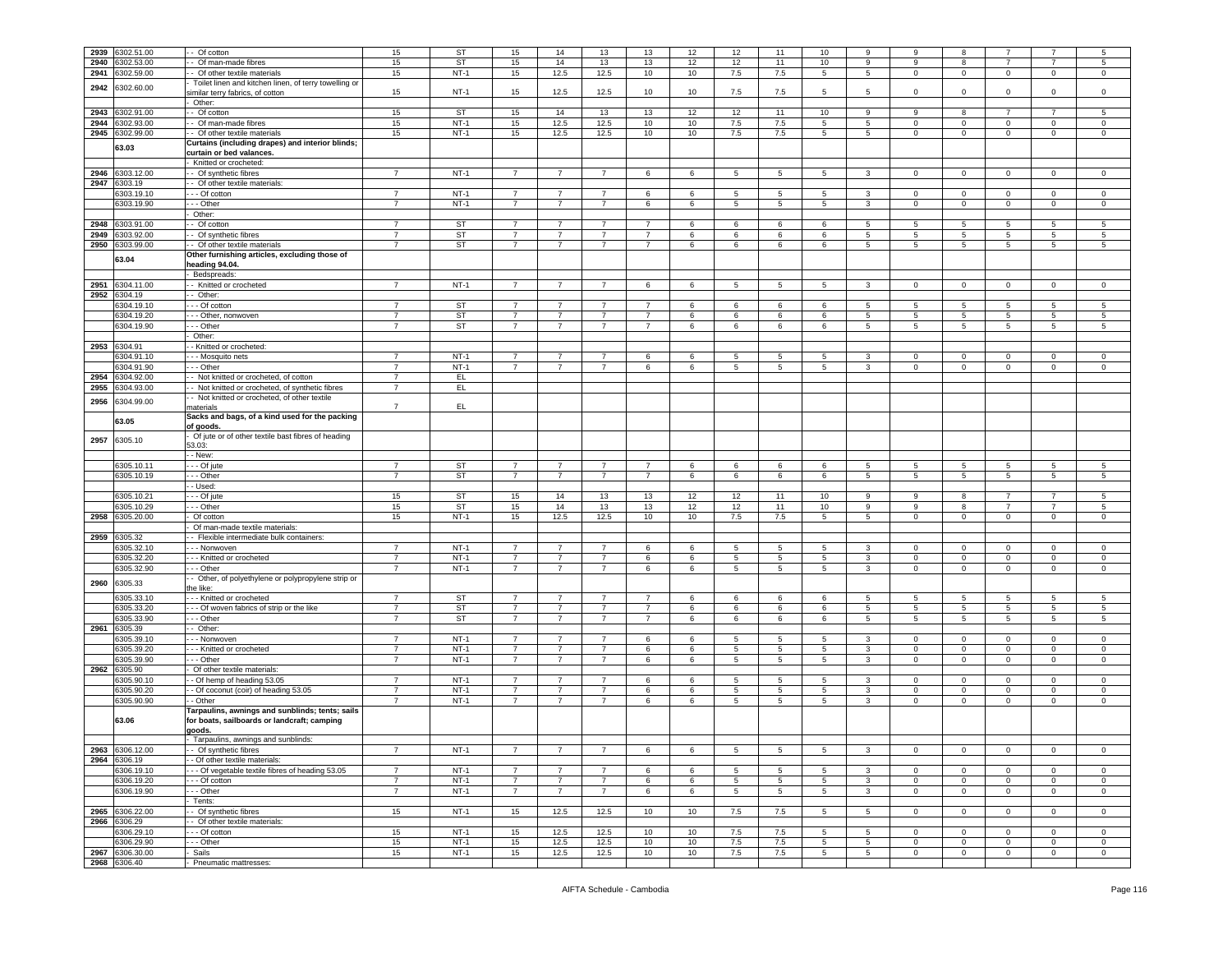| 2939 | 6302.51.00                      | Of cotton                                             | 15             | ST        | 15             | 14             | 13             | 13              | 12 | 12              | 11              | 10              |                 |                | 8               |                 |                |                |
|------|---------------------------------|-------------------------------------------------------|----------------|-----------|----------------|----------------|----------------|-----------------|----|-----------------|-----------------|-----------------|-----------------|----------------|-----------------|-----------------|----------------|----------------|
|      |                                 |                                                       |                |           |                |                |                |                 |    |                 |                 |                 | 9               | 9              |                 |                 |                | 5              |
| 2940 | 3302.53.00                      | - Of man-made fibres                                  | 15             | <b>ST</b> | 15             | 14             | 13             | 13              | 12 | 12              | 11              | 10              | 9               | 9              | 8               | $\overline{7}$  | $\overline{7}$ | $\sqrt{5}$     |
| 2941 | 3302.59.00                      | - Of other textile materials                          | 15             | $NT-1$    | 15             | 12.5           | 12.5           | 10              | 10 | 7.5             | 7.5             | 5               | 5               | $\mathbf 0$    | $\overline{0}$  | 0               | $\mathbf 0$    | $\mathbf 0$    |
|      |                                 | Toilet linen and kitchen linen, of terry towelling or |                |           |                |                |                |                 |    |                 |                 |                 |                 |                |                 |                 |                |                |
| 2942 | 6302.60.00                      | similar terry fabrics, of cotton                      | 15             | $NT-1$    | 15             | 12.5           | 12.5           | 10              | 10 | 7.5             | 7.5             | 5               | -5              | 0              | $^{\circ}$      | 0               | $\Omega$       | $\mathsf 0$    |
|      |                                 | Other:                                                |                |           |                |                |                |                 |    |                 |                 |                 |                 |                |                 |                 |                |                |
|      |                                 |                                                       |                |           |                |                |                |                 |    |                 |                 |                 |                 |                |                 | $\overline{7}$  |                |                |
| 2943 | 302.91.00                       | - Of cotton                                           | 15             | <b>ST</b> | 15             | 14             | 13             | 13              | 12 | 12              | 11              | 10              | 9               | 9              | 8               |                 |                | 5              |
| 2944 | 3302.93.00                      | - Of man-made fibres                                  | 15             | $NT-1$    | 15             | 12.5           | 12.5           | 10              | 10 | 7.5             | 7.5             | 5               | $\overline{5}$  | $\Omega$       | $\mathbf 0$     | $\mathbf 0$     | $\mathbf 0$    | $\mathsf 0$    |
| 2945 | 6302.99.00                      | - - Of other textile materials                        | 15             | $NT-1$    | 15             | 12.5           | 12.5           | 10              | 10 | 7.5             | 7.5             | 5               | 5               | $\mathbf{0}$   | $\mathbf{0}$    | $\mathbf{0}$    | $\mathbf 0$    | $\mathbf{0}$   |
|      |                                 | Curtains (including drapes) and interior blinds;      |                |           |                |                |                |                 |    |                 |                 |                 |                 |                |                 |                 |                |                |
|      | 63.03                           | curtain or bed valances.                              |                |           |                |                |                |                 |    |                 |                 |                 |                 |                |                 |                 |                |                |
|      |                                 | - Knitted or crocheted:                               |                |           |                |                |                |                 |    |                 |                 |                 |                 |                |                 |                 |                |                |
|      |                                 |                                                       |                |           |                |                |                |                 |    |                 |                 |                 |                 |                |                 |                 |                |                |
| 2946 | 6303.12.00                      | - Of synthetic fibres                                 | $\overline{7}$ | $NT-1$    | $\overline{7}$ | $\overline{7}$ | $\overline{7}$ | 6               | 6  | $5\overline{)}$ | $5\phantom{.0}$ | $5\overline{5}$ | 3               | $\overline{0}$ | $\,0\,$         | $\mathbf 0$     | $\mathbf 0$    | $\mathbf 0$    |
| 2947 | 3303.19                         | - Of other textile materials:                         |                |           |                |                |                |                 |    |                 |                 |                 |                 |                |                 |                 |                |                |
|      | 6303.19.10                      | - - Of cotton                                         | $\overline{7}$ | $NT-1$    | $\overline{7}$ | 7              | 7              | 6               | 6  | 5               | 5               | 5               | 3               | 0              | $\mathbf 0$     | $^{\circ}$      | $\mathbf 0$    | $\mathsf 0$    |
|      | 6303.19.90                      | --- Other                                             | 7              | $NT-1$    | $\overline{7}$ | 7              | $\overline{7}$ | 6               | 6  | 5               | 5               | $5\overline{5}$ | 3               | $\mathbf{0}$   | $\mathbf 0$     | $\mathbf 0$     | $\mathbf 0$    | $\mathbf 0$    |
|      |                                 | Other:                                                |                |           |                |                |                |                 |    |                 |                 |                 |                 |                |                 |                 |                |                |
|      |                                 |                                                       |                |           |                |                |                |                 |    |                 |                 |                 |                 |                |                 |                 |                |                |
| 2948 | 6303.91.00                      | - Of cotton                                           | $\overline{7}$ | <b>ST</b> | $\overline{7}$ | $\overline{7}$ | 7              | $\overline{7}$  | 6  | 6               | 6               | 6               | 5               | 5              | 5               | 5               | 5              | 5              |
| 2949 | 303.92.00                       | - Of synthetic fibres                                 | $\overline{7}$ | ST        | $\overline{7}$ | $\overline{7}$ | $\overline{7}$ | $\overline{7}$  | 6  | 6               | 6               | 6               | 5               | 5              | 5               | 5               | 5              | $\sqrt{5}$     |
| 2950 | 6303.99.00                      | - Of other textile materials                          | $\overline{7}$ | ST        | $\overline{7}$ | 7              | $\overline{7}$ | $\overline{7}$  | 6  | 6               | 6               | 6               | 5               | 5              | $5\overline{)}$ | 5               | 5              | 5              |
|      |                                 | Other furnishing articles, excluding those of         |                |           |                |                |                |                 |    |                 |                 |                 |                 |                |                 |                 |                |                |
|      | 63.04                           | heading 94.04.                                        |                |           |                |                |                |                 |    |                 |                 |                 |                 |                |                 |                 |                |                |
|      |                                 | Bedspreads:                                           |                |           |                |                |                |                 |    |                 |                 |                 |                 |                |                 |                 |                |                |
|      |                                 |                                                       |                |           |                |                |                |                 |    |                 |                 |                 |                 |                |                 |                 |                |                |
| 2951 | 6304.11.00                      | - Knitted or crocheted                                | $\overline{7}$ | $NT-1$    | $\overline{7}$ | $\overline{7}$ | $\overline{7}$ | 6               | 6  | $5\overline{)}$ | $5\phantom{.0}$ | $5\overline{5}$ | $\mathbf{3}$    | $\mathbf 0$    | $\mathbf 0$     | $\mathbf 0$     | $\mathbf 0$    | $\mathsf 0$    |
| 2952 | 3304.19                         | - Other:                                              |                |           |                |                |                |                 |    |                 |                 |                 |                 |                |                 |                 |                |                |
|      | 3304.19.10                      | - - - Of cotton                                       | $\overline{7}$ | ST        | $\overline{7}$ | $\overline{7}$ | $\overline{7}$ | $\overline{7}$  | 6  | 6               | 6               | 6               | 5               | 5              | 5               | -5              | 5              | 5              |
|      | 6304.19.20                      | - - - Other, nonwoven                                 | $\overline{7}$ | ST        | $\overline{7}$ | $\overline{7}$ | $\overline{7}$ | 7               | 6  | 6               | 6               | 6               | 5               | 5              | 5               | 5               | 5              | 5              |
|      | 6304.19.90                      | - - Other                                             | $\overline{7}$ | ST        | $\overline{7}$ | $\overline{7}$ | $\overline{7}$ | $\overline{7}$  | 6  | 6               | 6               | 6               | $5^{\circ}$     | 5              | 5               | $5\overline{5}$ | 5              | 5              |
|      |                                 |                                                       |                |           |                |                |                |                 |    |                 |                 |                 |                 |                |                 |                 |                |                |
|      |                                 | Other:                                                |                |           |                |                |                |                 |    |                 |                 |                 |                 |                |                 |                 |                |                |
| 2953 | 6304.91                         | - Knitted or crocheted:                               |                |           |                |                |                |                 |    |                 |                 |                 |                 |                |                 |                 |                |                |
|      | 3304.91.10                      | - - Mosquito nets                                     | $\overline{7}$ | $NT-1$    | $\overline{7}$ | 7              | $\overline{7}$ | 6               | 6  | 5               | 5               | 5               | 3               | $\mathbf{0}$   | $\mathbf 0$     | $\mathbf 0$     | $\mathbf 0$    | $\mathsf 0$    |
|      | 5304.91.90                      | - - Other                                             | $\overline{7}$ | $NT-1$    | $\overline{7}$ | 7              | $\overline{7}$ | 6               | 6  | 5               | 5               | 5               | 3               | $\mathbf 0$    | $\mathbf 0$     | $\mathbf 0$     | $\mathbf 0$    | $\mathbf 0$    |
| 2954 | 304.92.00                       | - Not knitted or crocheted, of cotton                 | $\overline{7}$ | EL.       |                |                |                |                 |    |                 |                 |                 |                 |                |                 |                 |                |                |
| 2955 | 3304.93.00                      | - Not knitted or crocheted, of synthetic fibres       | $\overline{7}$ | EL.       |                |                |                |                 |    |                 |                 |                 |                 |                |                 |                 |                |                |
|      |                                 |                                                       |                |           |                |                |                |                 |    |                 |                 |                 |                 |                |                 |                 |                |                |
| 2956 | 3304.99.00                      | - Not knitted or crocheted, of other textile          |                |           |                |                |                |                 |    |                 |                 |                 |                 |                |                 |                 |                |                |
|      |                                 | naterials                                             | $\overline{7}$ | EL.       |                |                |                |                 |    |                 |                 |                 |                 |                |                 |                 |                |                |
|      | 63.05                           | Sacks and bags, of a kind used for the packing        |                |           |                |                |                |                 |    |                 |                 |                 |                 |                |                 |                 |                |                |
|      |                                 | of goods.                                             |                |           |                |                |                |                 |    |                 |                 |                 |                 |                |                 |                 |                |                |
|      |                                 | Of jute or of other textile bast fibres of heading    |                |           |                |                |                |                 |    |                 |                 |                 |                 |                |                 |                 |                |                |
| 2957 | 6305.10                         | 3.03:                                                 |                |           |                |                |                |                 |    |                 |                 |                 |                 |                |                 |                 |                |                |
|      |                                 | - New:                                                |                |           |                |                |                |                 |    |                 |                 |                 |                 |                |                 |                 |                |                |
|      | 6305.10.11                      | - - Of jute                                           | $\overline{7}$ | ST        | -7             | $\overline{7}$ | $\overline{7}$ | $\overline{7}$  | 6  | 6               | 6               | 6               |                 |                |                 | -5              | 5              | 5              |
|      |                                 |                                                       |                |           |                |                |                |                 |    |                 |                 |                 |                 |                |                 |                 |                |                |
|      |                                 |                                                       |                |           |                |                |                |                 |    |                 |                 |                 | 5               | 5              | 5               |                 |                |                |
|      | 6305.10.19                      | .-- Other                                             | $\overline{7}$ | ST        | $\overline{7}$ | $\overline{7}$ | $\overline{7}$ | $\overline{7}$  | 6  | 6               | 6               | 6               | $5\overline{)}$ | 5              | $5\phantom{.0}$ | $5\phantom{.0}$ | 5              | $\sqrt{5}$     |
|      |                                 | - Used:                                               |                |           |                |                |                |                 |    |                 |                 |                 |                 |                |                 |                 |                |                |
|      |                                 | - - Of jute                                           |                | ST        | 15             |                |                |                 |    |                 | 11              | 10              | 9               | 9              | 8               | $\overline{7}$  | 7              |                |
|      | 6305.10.21                      |                                                       | 15             |           |                | 14             | 13             | 13              | 12 | 12              |                 |                 |                 |                |                 | 7               |                | $\sqrt{5}$     |
|      | 6305.10.29                      | --- Other                                             | 15             | ST        | 15             | 14             | 13             | 13              | 12 | 12              | 11              | 10              | 9               | 9              | 8               |                 | 7              | 5              |
| 2958 | 6305.20.00                      | Of cotton                                             | 15             | $NT-1$    | 15             | 12.5           | 12.5           | 10              | 10 | 7.5             | 7.5             | 5               | 5               | 0              | $\mathbf 0$     | 0               | $\mathbf 0$    | $\mathsf 0$    |
|      |                                 | Of man-made textile materials:                        |                |           |                |                |                |                 |    |                 |                 |                 |                 |                |                 |                 |                |                |
| 2959 | 3305.32                         | - Flexible intermediate bulk containers:              |                |           |                |                |                |                 |    |                 |                 |                 |                 |                |                 |                 |                |                |
|      | 3305.32.10                      | - - Nonwoven                                          | $\overline{7}$ | $NT-1$    | $\overline{7}$ | $\overline{7}$ | $\overline{7}$ | 6               | 6  | 5               | 5               | 5               | 3               | $\mathbf 0$    | $\mathbf 0$     | 0               | $\mathbf 0$    | $\,0\,$        |
|      | 6305.32.20                      | --- Knitted or crocheted                              | $\overline{7}$ | $NT-1$    | $\overline{7}$ | $\overline{7}$ | $\overline{7}$ | 6               | 6  | 5               | 5               | $5\overline{5}$ | 3               | $\mathbf 0$    | $\mathbf 0$     | $\mathbf 0$     | $\mathbf 0$    | $\mathbf 0$    |
|      | 6305.32.90                      | - - Other                                             | $\overline{7}$ | $NT-1$    | $\overline{7}$ | $\overline{7}$ | $\overline{7}$ | 6               | 6  | 5               | 5               | $5^{\circ}$     | 3               | 0              | $\mathbf 0$     | 0               | $\mathbf 0$    | $\mathsf 0$    |
|      |                                 |                                                       |                |           |                |                |                |                 |    |                 |                 |                 |                 |                |                 |                 |                |                |
| 2960 | 6305.33                         | - Other, of polyethylene or polypropylene strip or    |                |           |                |                |                |                 |    |                 |                 |                 |                 |                |                 |                 |                |                |
|      |                                 | the like:                                             |                |           |                |                |                |                 |    |                 |                 |                 |                 |                |                 |                 |                |                |
|      | 6305.33.10                      | --- Knitted or crocheted                              | $\overline{7}$ | <b>ST</b> | $\overline{7}$ | $\overline{7}$ | $\overline{7}$ | $\overline{7}$  | 6  | 6               | 6               | 6               | 5               | 5              | 5               | 5               | 5              | $\sqrt{5}$     |
|      | 6305.33.20                      | - - Of woven fabrics of strip or the like             | $\overline{7}$ | ST        | $\overline{7}$ | $\overline{7}$ | $\overline{7}$ | $\overline{7}$  | 6  | 6               | 6               | 6               | $5\overline{)}$ | 5              | 5               | 5               | 5              | $\sqrt{5}$     |
|      | 6305.33.90                      | - - - Other                                           | $\overline{7}$ | ST        | $\overline{7}$ | 7              | $\overline{7}$ | $\overline{7}$  | 6  | 6               | 6               | 6               | $5\phantom{.0}$ | 5              | $5\overline{)}$ | 5               | 5              | 5              |
| 2961 | 6305.39                         | -- Other:                                             |                |           |                |                |                |                 |    |                 |                 |                 |                 |                |                 |                 |                |                |
|      | 6305.39.10                      |                                                       | $\overline{7}$ | $NT-1$    | $\overline{7}$ | $\overline{7}$ | $\overline{7}$ | 6               | 6  | 5               | 5               | 5               | 3               | $\mathbf 0$    | $\mathbf 0$     | $\mathbf 0$     | $\circ$        | $\mathsf 0$    |
|      |                                 | - - - Nonwoven                                        | $\overline{7}$ |           | $\overline{7}$ | $\overline{7}$ | $\overline{7}$ |                 |    | 5               |                 |                 |                 | $\mathbf 0$    |                 |                 | 0              |                |
|      | 6305.39.20                      | - - - Knitted or crocheted                            |                | $NT-1$    |                |                |                | 6               | 6  |                 | 5               | 5               | $\mathbf{3}$    |                | $\mathbf 0$     | $\mathbf 0$     |                | 0              |
|      | 305.39.90                       | - - Other                                             | $\overline{7}$ | $NT-1$    | $\overline{7}$ | $\overline{7}$ | $\overline{7}$ | 6               | 6  | 5               | 5               | 5               | $\mathbf{3}$    | 0              | $\mathbf 0$     | $\mathbf 0$     | 0              | $\mathsf 0$    |
| 2962 | 6305.90                         | Of other textile materials:                           |                |           |                |                |                |                 |    |                 |                 |                 |                 |                |                 |                 |                |                |
|      | 6305.90.1                       | - Of hemp of heading 53.05                            | $\overline{7}$ | NT-1      | -7             | 7              | -7             | 6               | 6  | 5               | -5              | 5               | 3               | $^{\circ}$     | $\mathbf 0$     | $\mathbf 0$     | 0              | 0              |
|      | 6305.90.20                      | - Of coconut (coir) of heading 53.05                  | $\overline{7}$ | $NT-1$    | $\overline{7}$ | $\overline{7}$ | $\overline{7}$ | 6               | 6  | 5               | 5               | 5               | $\mathbf{3}$    | $\mathbf 0$    | $\mathbf 0$     | $\mathbf 0$     | $\mathbf 0$    | $\,0\,$        |
|      | 6305.90.90                      | - Other                                               | $\overline{7}$ | $NT-1$    | $\overline{7}$ | $\overline{7}$ | $\overline{7}$ | 6               | 6  | 5               | $\overline{5}$  | $5\overline{)}$ | $\mathbf{3}$    | 0              | $\mathsf 0$     | $\mathbf 0$     | $\mathbf 0$    | $\,0\,$        |
|      |                                 |                                                       |                |           |                |                |                |                 |    |                 |                 |                 |                 |                |                 |                 |                |                |
|      |                                 | Tarpaulins, awnings and sunblinds; tents; sails       |                |           |                |                |                |                 |    |                 |                 |                 |                 |                |                 |                 |                |                |
|      | 63.06                           | for boats, sailboards or landcraft; camping           |                |           |                |                |                |                 |    |                 |                 |                 |                 |                |                 |                 |                |                |
|      |                                 | goods.                                                |                |           |                |                |                |                 |    |                 |                 |                 |                 |                |                 |                 |                |                |
|      |                                 | - Tarpaulins, awnings and sunblinds:                  |                |           |                |                |                |                 |    |                 |                 |                 |                 |                |                 |                 |                |                |
|      | 2963 6306.12.00                 | - - Of synthetic fibres                               | $\overline{7}$ | NT-1      | 7              | 7              | -7             | 6               | 6  | 5               | 5               | 5               | 3               | $\mathbf{0}$   | $\mathbf 0$     | $^{\circ}$      | $\mathbf{0}$   | $\mathbf 0$    |
|      | 2964 6306.19                    | - - Of other textile materials:                       |                |           |                |                |                |                 |    |                 |                 |                 |                 |                |                 |                 |                |                |
|      | 6306.19.10                      | --- Of vegetable textile fibres of heading 53.05      | $\overline{7}$ | $NT-1$    | $\overline{7}$ | $\overline{7}$ | $\overline{7}$ | 6               | 6  | $5\phantom{.0}$ | $5\phantom{.0}$ | $5\overline{5}$ | $\mathbf{3}$    | $\overline{0}$ | $\mathbf 0$     | $\mathbf 0$     | $\mathbf 0$    | 0              |
|      | 6306.19.20                      | - - Of cotton                                         | $\overline{7}$ | $NT-1$    | $\overline{7}$ | $\overline{7}$ | $\overline{7}$ | 6               | 6  |                 | 5               | 5               | 3               | 0              | $\mathbf 0$     | $\mathbf 0$     | $\mathbf 0$    | $\mathsf 0$    |
|      |                                 |                                                       |                |           |                |                |                |                 |    | 5               |                 |                 |                 |                |                 |                 |                |                |
|      | 6306.19.90                      | - - Other                                             | $\overline{7}$ | $NT-1$    | $\overline{7}$ | $\overline{7}$ | $\overline{7}$ | 6               | 6  | 5               | $5\phantom{.0}$ | $5\overline{5}$ | $\mathbf{3}$    | $\overline{0}$ | $\overline{0}$  | $\overline{0}$  | $\mathbf 0$    | $\overline{0}$ |
|      |                                 | Tents:                                                |                |           |                |                |                |                 |    |                 |                 |                 |                 |                |                 |                 |                |                |
| 2965 | 6306.22.00                      | - Of synthetic fibres                                 | 15             | $NT-1$    | 15             | 12.5           | 12.5           | 10              | 10 | 7.5             | 7.5             | 5               | 5               | $\mathbf 0$    | $\mathbf 0$     | $\mathbf 0$     | $\circ$        | $\mathsf 0$    |
|      | 2966 6306.29                    | - Of other textile materials:                         |                |           |                |                |                |                 |    |                 |                 |                 |                 |                |                 |                 |                |                |
|      | 3306.29.10                      | --- Of cotton                                         | 15             | $NT-1$    | 15             | 12.5           | 12.5           | 10              | 10 | 7.5             | 7.5             | 5               | 5               | 0              | $\mathbf 0$     | 0               | $\mathbf 0$    | 0              |
|      |                                 |                                                       |                |           |                |                |                |                 |    |                 |                 |                 |                 |                |                 |                 |                |                |
|      | 6306.29.90                      | - - - Other                                           | 15             | $NT-1$    | 15             | 12.5           | 12.5           | 10              | 10 | 7.5             | 7.5             | 5               | 5               | $\mathbf{0}$   | $\overline{0}$  | $\overline{0}$  | $\mathbf{0}$   | $\overline{0}$ |
|      | 2967 6306.30.00<br>2968 6306.40 | - Sails<br>- Pneumatic mattresses:                    | 15             | $NT-1$    | 15             | 12.5           | 12.5           | 10 <sup>1</sup> | 10 | 7.5             | 7.5             | 5               | $5^{\circ}$     | $\mathbf{0}$   | $\overline{0}$  | $\mathbf{0}$    | $\overline{0}$ | $\overline{0}$ |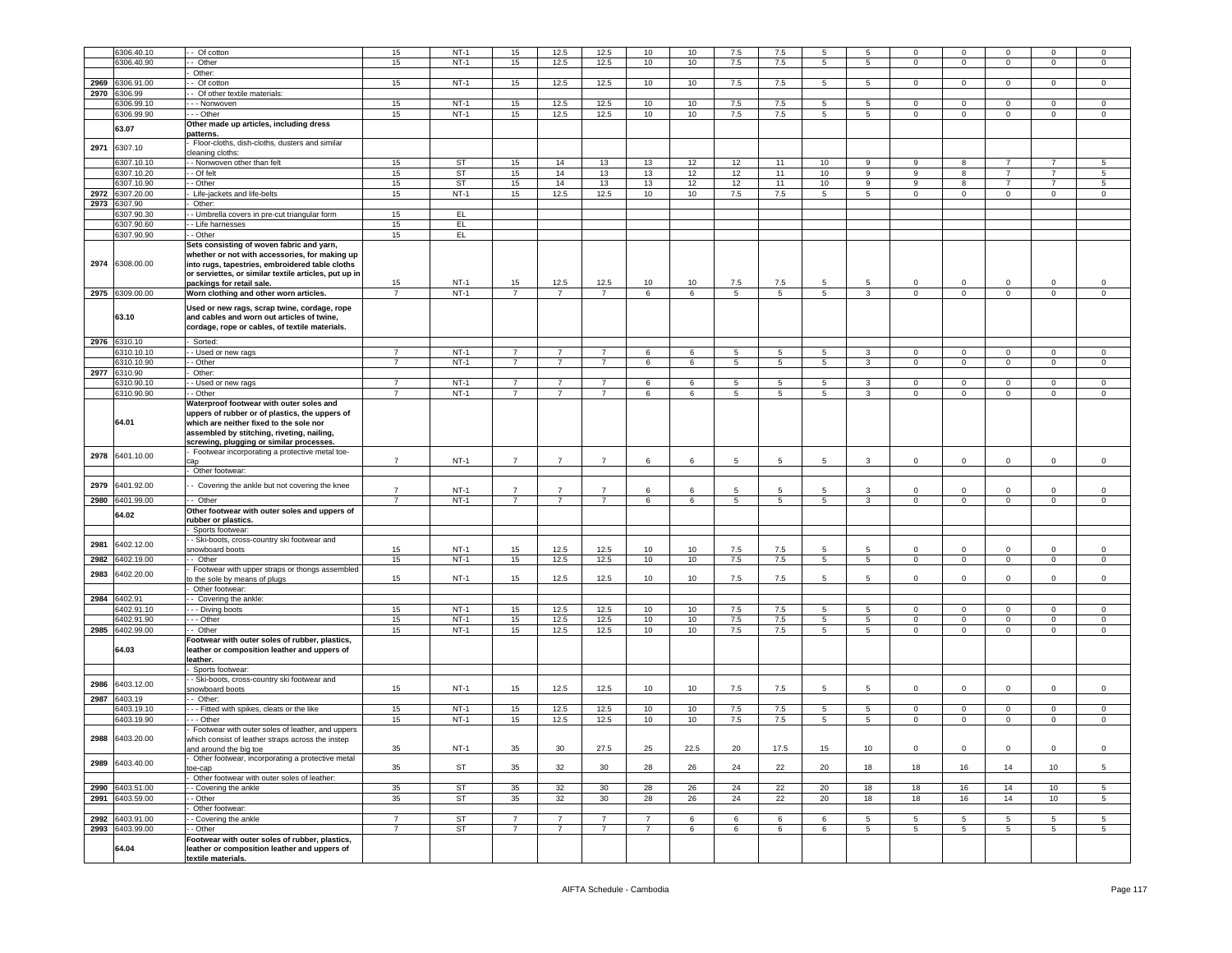|      | 6306.40.10          | - Of cotton                                                                                                                                                                                                                          | 15             | $NT-1$      | 15             | 12.5           | 12.5           | 10             | 10   | 7.5     | 7.5     | 5           | -5             | $\mathbf 0$  | 0               | $\Omega$       | $\mathbf 0$     | 0               |
|------|---------------------|--------------------------------------------------------------------------------------------------------------------------------------------------------------------------------------------------------------------------------------|----------------|-------------|----------------|----------------|----------------|----------------|------|---------|---------|-------------|----------------|--------------|-----------------|----------------|-----------------|-----------------|
|      |                     |                                                                                                                                                                                                                                      |                |             |                |                |                |                |      |         |         |             |                |              |                 |                |                 |                 |
|      | 306.40.90           | - Other                                                                                                                                                                                                                              | 15             | $NT-1$      | 15             | 12.5           | 12.5           | 10             | 10   | 7.5     | 7.5     | 5           | 5              | 0            | 0               | $\mathbf 0$    | $\mathbf 0$     | $^{\circ}$      |
|      |                     | Other:                                                                                                                                                                                                                               |                |             |                |                |                |                |      |         |         |             |                |              |                 |                |                 |                 |
| 2969 | 6306.91.00          | - Of cotton                                                                                                                                                                                                                          | 15             | $NT-1$      | 15             | 12.5           | 12.5           | 10             | 10   | 7.5     | 7.5     | 5           | -5             | $\mathbf{O}$ | $\mathbf 0$     | $\Omega$       | $\circ$         | 0               |
| 2970 | 6306.99             | - Of other textile materials:                                                                                                                                                                                                        |                |             |                |                |                |                |      |         |         |             |                |              |                 |                |                 |                 |
|      |                     |                                                                                                                                                                                                                                      | 15             | $NT-1$      | 15             | 12.5           | 12.5           |                | 10   | 7.5     | 7.5     | 5           | 5              | $\mathbf 0$  | $\mathsf 0$     |                | $\mathbf 0$     | $^{\circ}$      |
|      | 3306.99.10          | - - - Nonwoven                                                                                                                                                                                                                       |                |             |                |                |                | 10             |      |         |         |             |                |              |                 | $\mathbf 0$    |                 |                 |
|      | 6306.99.90          | --- Other                                                                                                                                                                                                                            | 15             | $NT-1$      | 15             | 12.5           | 12.5           | 10             | 10   | 7.5     | 7.5     | 5           | 5              | $\mathbf 0$  | $\mathbf 0$     | $\mathbf{0}$   | $\mathbf 0$     | $\mathsf 0$     |
|      | 63.07               | Other made up articles, including dress                                                                                                                                                                                              |                |             |                |                |                |                |      |         |         |             |                |              |                 |                |                 |                 |
|      |                     | patterns.                                                                                                                                                                                                                            |                |             |                |                |                |                |      |         |         |             |                |              |                 |                |                 |                 |
|      |                     | Floor-cloths, dish-cloths, dusters and similar                                                                                                                                                                                       |                |             |                |                |                |                |      |         |         |             |                |              |                 |                |                 |                 |
| 2971 | 6307.10             | cleaning cloths:                                                                                                                                                                                                                     |                |             |                |                |                |                |      |         |         |             |                |              |                 |                |                 |                 |
|      | 6307.10.10          | - Nonwoven other than felt                                                                                                                                                                                                           | 15             | ST          | 15             | 14             | 13             | 13             | 12   | 12      | 11      | 10          | 9              | 9            | 8               | $\overline{7}$ | 7               | 5               |
|      |                     |                                                                                                                                                                                                                                      |                |             |                |                |                |                |      |         |         |             |                |              |                 |                | $\overline{7}$  |                 |
|      | 6307.10.20          | - Of felt                                                                                                                                                                                                                            | 15             | <b>ST</b>   | 15             | 14             | 13             | 13             | 12   | 12      | 11      | 10          | 9              | 9            | 8               | $\overline{7}$ |                 | 5               |
|      | 6307.10.90          | - Other                                                                                                                                                                                                                              | 15             | ST          | 15             | 14             | 13             | 13             | 12   | 12      | 11      | 10          | 9              | 9            | 8               | $\overline{7}$ | $\overline{7}$  | 5               |
| 2972 | 3307.20.00          | Life-jackets and life-belts                                                                                                                                                                                                          | 15             | $NT-1$      | 15             | 12.5           | 12.5           | 10             | 10   | 7.5     | $7.5\,$ | 5           | 5              | $\mathbf 0$  | $\mathbf 0$     | $\mathbf 0$    | $\mathbf 0$     | 0               |
| 2973 | 6307.90             | Other:                                                                                                                                                                                                                               |                |             |                |                |                |                |      |         |         |             |                |              |                 |                |                 |                 |
|      | 6307.90.30          | - Umbrella covers in pre-cut triangular form                                                                                                                                                                                         | 15             | EL.         |                |                |                |                |      |         |         |             |                |              |                 |                |                 |                 |
|      | 6307.90.60          |                                                                                                                                                                                                                                      |                | EL.         |                |                |                |                |      |         |         |             |                |              |                 |                |                 |                 |
|      |                     | - Life harnesses                                                                                                                                                                                                                     | 15             |             |                |                |                |                |      |         |         |             |                |              |                 |                |                 |                 |
|      | 6307.90.90          | - Other                                                                                                                                                                                                                              | 15             | EL          |                |                |                |                |      |         |         |             |                |              |                 |                |                 |                 |
|      | 2974 6308.00.00     | Sets consisting of woven fabric and yarn,<br>whether or not with accessories, for making up<br>into rugs, tapestries, embroidered table cloths<br>or serviettes, or similar textile articles, put up in<br>packings for retail sale. | 15             | $NT-1$      | 15             | 12.5           | 12.5           | 10             | 10   | 7.5     | 7.5     | 5           | -5             | $\mathbf{0}$ | 0               | $\Omega$       | $\Omega$        | $\Omega$        |
|      | 2975 6309.00.00     | Worn clothing and other worn articles.                                                                                                                                                                                               | $\overline{7}$ | $NT-1$      | $\overline{7}$ | $\overline{7}$ | $\overline{7}$ | 6              | 6    | 5       | 5       | 5           | 3              | $\mathbf{0}$ | $\mathbf 0$     | $\mathbf{0}$   | $\mathbf{0}$    | 0               |
|      | 63.10               | Used or new rags, scrap twine, cordage, rope<br>and cables and worn out articles of twine,<br>cordage, rope or cables, of textile materials.                                                                                         |                |             |                |                |                |                |      |         |         |             |                |              |                 |                |                 |                 |
| 2976 | 6310.10             | Sorted:                                                                                                                                                                                                                              |                |             |                |                |                |                |      |         |         |             |                |              |                 |                |                 |                 |
|      | 310.10.10           | - Used or new rags                                                                                                                                                                                                                   | $\overline{7}$ | $NT-1$      | $\overline{7}$ | $\overline{7}$ | $\overline{7}$ | 6              | 6    | 5       | 5       | 5           | 3              | $\mathbf 0$  | $\mathsf 0$     | $\mathbf 0$    | $\mathbf 0$     | $\mathbf 0$     |
|      | 6310.10.90          | - Other                                                                                                                                                                                                                              | $\overline{7}$ | $NT-1$      | $\overline{7}$ | $\overline{7}$ | $\overline{7}$ | 6              | 6    | 5       | 5       | $5^{\circ}$ | 3              | $\mathbf{0}$ | $\overline{0}$  | $\mathbf{0}$   | $\mathbf 0$     | $\mathbf 0$     |
| 2977 | 6310.90             | Other:                                                                                                                                                                                                                               |                |             |                |                |                |                |      |         |         |             |                |              |                 |                |                 |                 |
|      | 6310.90.10          | - Used or new rags                                                                                                                                                                                                                   | $\overline{7}$ | $NT-1$      | $\overline{7}$ | $\overline{7}$ | $\overline{7}$ | 6              | 6    | 5       | 5       | 5           | $\mathbf{3}$   | $\mathbf 0$  | $\mathsf 0$     | $\circ$        | $\circ$         | $\mathbf 0$     |
|      | 6310.90.90          | - Other                                                                                                                                                                                                                              | $\overline{7}$ | $NT-1$      | $\overline{7}$ | $\overline{7}$ | $\overline{7}$ | 6              | 6    | 5       | 5       | 5           | 3              | 0            | $\mathsf 0$     | $\mathbf 0$    | $\mathbf 0$     | $^{\circ}$      |
|      | 64.01               | Waterproof footwear with outer soles and<br>uppers of rubber or of plastics, the uppers of<br>which are neither fixed to the sole nor<br>assembled by stitching, riveting, nailing,<br>screwing, plugging or similar processes.      |                |             |                |                |                |                |      |         |         |             |                |              |                 |                |                 |                 |
|      |                     | Footwear incorporating a protective metal toe-                                                                                                                                                                                       |                |             |                |                |                |                |      |         |         |             |                |              |                 |                |                 |                 |
| 2978 | 6401.10.00          |                                                                                                                                                                                                                                      | $\overline{7}$ | $NT-1$      | $\overline{7}$ | 7              | $\overline{7}$ | 6              | 6    | 5       | 5       | 5           | 3              | $\mathbf{0}$ | $\mathbf 0$     | $\mathbf 0$    | $\mathbf{0}$    | $\mathsf 0$     |
|      |                     | - Other footwear:                                                                                                                                                                                                                    |                |             |                |                |                |                |      |         |         |             |                |              |                 |                |                 |                 |
|      |                     |                                                                                                                                                                                                                                      |                |             |                |                |                |                |      |         |         |             |                |              |                 |                |                 |                 |
| 2979 | 6401.92.00          | - Covering the ankle but not covering the knee                                                                                                                                                                                       | $\overline{7}$ | $NT-1$      | $\overline{7}$ | $\overline{7}$ | $\overline{7}$ | 6              | 6    | 5       | 5       | 5           | 3              | $\mathbf 0$  | $\mathsf 0$     | $\mathbf 0$    | $\circ$         | $\Omega$        |
| 2980 | 6401.99.00          | $-$ Other                                                                                                                                                                                                                            | $\overline{7}$ | $NT-1$      | $\overline{7}$ | $\overline{7}$ | $\overline{7}$ | 6              | 6    | 5       | 5       | 5           | 3              | $\mathbf 0$  | $\mathsf 0$     | $\mathbf 0$    | $\mathbf 0$     | $^{\circ}$      |
|      |                     | Other footwear with outer soles and uppers of                                                                                                                                                                                        |                |             |                |                |                |                |      |         |         |             |                |              |                 |                |                 |                 |
|      | 64.02               | rubber or plastics.                                                                                                                                                                                                                  |                |             |                |                |                |                |      |         |         |             |                |              |                 |                |                 |                 |
|      |                     |                                                                                                                                                                                                                                      |                |             |                |                |                |                |      |         |         |             |                |              |                 |                |                 |                 |
|      |                     | Sports footwear:                                                                                                                                                                                                                     |                |             |                |                |                |                |      |         |         |             |                |              |                 |                |                 |                 |
| 2981 | 6402.12.00          | - Ski-boots, cross-country ski footwear and                                                                                                                                                                                          |                |             |                |                |                |                |      |         |         |             |                |              |                 |                |                 |                 |
|      |                     | snowboard boots                                                                                                                                                                                                                      | 15             | $NT-1$      | 15             | 12.5           | 12.5           | 10             | 10   | 7.5     | 7.5     | 5           | -5             | $\Omega$     | $\mathsf 0$     | $\Omega$       | $\mathbf 0$     | $\Omega$        |
| 2982 | 3402.19.00          | - Other                                                                                                                                                                                                                              | 15             | $NT-1$      | 15             | 12.5           | 12.5           | 10             | 10   | 7.5     | 7.5     | 5           | 5              | $\mathbf{O}$ | $\mathbf 0$     | $\mathbf 0$    | $\mathbf 0$     | $\mathsf 0$     |
|      |                     | Footwear with upper straps or thongs assembled                                                                                                                                                                                       |                |             |                |                |                |                |      |         |         |             |                |              |                 |                |                 |                 |
| 2983 | 6402.20.00          | to the sole by means of plugs                                                                                                                                                                                                        | 15             | $NT-1$      | 15             | 12.5           | 12.5           | 10             | 10   | 7.5     | 7.5     | 5           | 5              | $\mathbf 0$  | $\mathbf 0$     | $\mathbf{0}$   | $\mathbf 0$     | $\Omega$        |
|      |                     | Other footwear:                                                                                                                                                                                                                      |                |             |                |                |                |                |      |         |         |             |                |              |                 |                |                 |                 |
| 2984 | 402.91              | - Covering the ankle:                                                                                                                                                                                                                |                |             |                |                |                |                |      |         |         |             |                |              |                 |                |                 |                 |
|      | 3402.91.10          | - - Diving boots                                                                                                                                                                                                                     | 15             | $NT-1$      | 15             | 12.5           | 12.5           | 10             | 10   | 7.5     | 7.5     | 5           |                |              | $\mathbf 0$     | $\mathbf 0$    | $\mathbf{0}$    | 0               |
|      | 3402.91.90          | $- -$ Other                                                                                                                                                                                                                          |                |             |                |                |                |                |      |         |         |             | 5              | $\mathbf{0}$ |                 |                |                 |                 |
|      |                     |                                                                                                                                                                                                                                      | 15             | $NT-1$      | 15             | 12.5           | 12.5           | 10             | 10   | 7.5     | 7.5     | 5           | 5              | $\mathbf{0}$ | $\mathbf 0$     | $\mathbf 0$    | $\mathbf 0$     | 0<br>$\Omega$   |
| 2985 | 6402.99.00<br>64.03 | - Other<br>Footwear with outer soles of rubber, plastics,<br>leather or composition leather and uppers of<br>leather.                                                                                                                | 15             | $NT-1$      | 15             | 12.5           | 12.5           | 10             | 10   | $7.5\,$ | 7.5     | 5           | 5 <sup>5</sup> | $\mathbf 0$  | $\mathsf 0$     | $\mathbf 0$    | $\mathbf 0$     |                 |
|      |                     | Sports footwear:                                                                                                                                                                                                                     |                |             |                |                |                |                |      |         |         |             |                |              |                 |                |                 |                 |
|      |                     | - Ski-boots, cross-country ski footwear and                                                                                                                                                                                          |                |             |                |                |                |                |      |         |         |             |                |              |                 |                |                 |                 |
| 2986 | 6403.12.00          | snowboard boots                                                                                                                                                                                                                      | 15             | $NT-1$      | 15             | 12.5           | 12.5           | 10             | 10   | 7.5     | 7.5     | 5           | 5              | $\mathbf{0}$ | $\mathbf 0$     | $\circ$        | $\mathbf 0$     | $\circ$         |
| 2987 | 6403.19             | - Other:                                                                                                                                                                                                                             |                |             |                |                |                |                |      |         |         |             |                |              |                 |                |                 |                 |
|      | 6403.19.10          | --- Fitted with spikes, cleats or the like                                                                                                                                                                                           | 15             | $NT-1$      | 15             | 12.5           | 12.5           | 10             | 10   | 7.5     | 7.5     | 5           | 5              | $\mathbf 0$  | 0               | $\Omega$       | $\mathbf 0$     | $^{\circ}$      |
|      |                     |                                                                                                                                                                                                                                      |                |             |                |                |                |                |      |         |         |             |                |              |                 |                |                 |                 |
|      | 6403.19.90          | - - Other                                                                                                                                                                                                                            | 15             | $NT-1$      | 15             | 12.5           | 12.5           | 10             | 10   | $7.5\,$ | $7.5\,$ | 5           | 5              | $\mathbf 0$  | $\mathsf 0$     | $\mathbf 0$    | $\mathsf 0$     | $\mathbf 0$     |
|      |                     | Footwear with outer soles of leather, and uppers                                                                                                                                                                                     |                |             |                |                |                |                |      |         |         |             |                |              |                 |                |                 |                 |
| 2988 | 6403.20.00          | which consist of leather straps across the instep<br>and around the big toe<br>Other footwear, incorporating a protective metal                                                                                                      | 35             | <b>NT-1</b> | 35             | 30             | 27.5           | 25             | 22.5 | 20      | 17.5    | 15          | 10             | $\mathbf 0$  | $\mathbf 0$     | $\mathbf 0$    | 0               | $\mathbf 0$     |
| 2989 | 6403.40.00          | toe-cap                                                                                                                                                                                                                              | 35             | ST          | 35             | 32             | 30             | 28             | 26   | 24      | 22      | 20          | 18             | 18           | 16              | 14             | 10              | 5               |
|      |                     | Other footwear with outer soles of leather:                                                                                                                                                                                          |                |             |                |                |                |                |      |         |         |             |                |              |                 |                |                 |                 |
|      |                     |                                                                                                                                                                                                                                      |                |             |                |                |                |                |      |         |         |             |                |              |                 |                |                 |                 |
| 2990 | 6403.51.00          | - Covering the ankle                                                                                                                                                                                                                 | 35             | ST          | 35             | 32             | 30             | 28             | 26   | 24      | 22      | 20          | 18             | 18           | 16              | 14             | 10              | $5\overline{5}$ |
| 2991 | 6403.59.00          | - Other                                                                                                                                                                                                                              | 35             | <b>ST</b>   | 35             | 32             | 30             | 28             | 26   | 24      | 22      | 20          | 18             | 18           | 16              | 14             | 10              | 5               |
|      |                     | Other footwear:                                                                                                                                                                                                                      |                |             |                |                |                |                |      |         |         |             |                |              |                 |                |                 |                 |
| 2992 | 6403.91.00          | - Covering the ankle                                                                                                                                                                                                                 | $\overline{7}$ | ST          | $\overline{7}$ | $\overline{7}$ | $\overline{7}$ | $\overline{7}$ | 6    | 6       | 6       | 6           | 5              | 5            | 5               | 5              | 5               | 5               |
|      | 2993 6403.99.00     | - Other                                                                                                                                                                                                                              | $\overline{7}$ | ST          | $\overline{7}$ | 7              | $\overline{7}$ | $\overline{7}$ | 6    | 6       | 6       | 6           | 5              | 5            | $5\phantom{.0}$ | 5              | $5\overline{ }$ | 5               |
|      |                     | Footwear with outer soles of rubber, plastics,                                                                                                                                                                                       |                |             |                |                |                |                |      |         |         |             |                |              |                 |                |                 |                 |
|      | 64.04               | leather or composition leather and uppers of<br>textile materials.                                                                                                                                                                   |                |             |                |                |                |                |      |         |         |             |                |              |                 |                |                 |                 |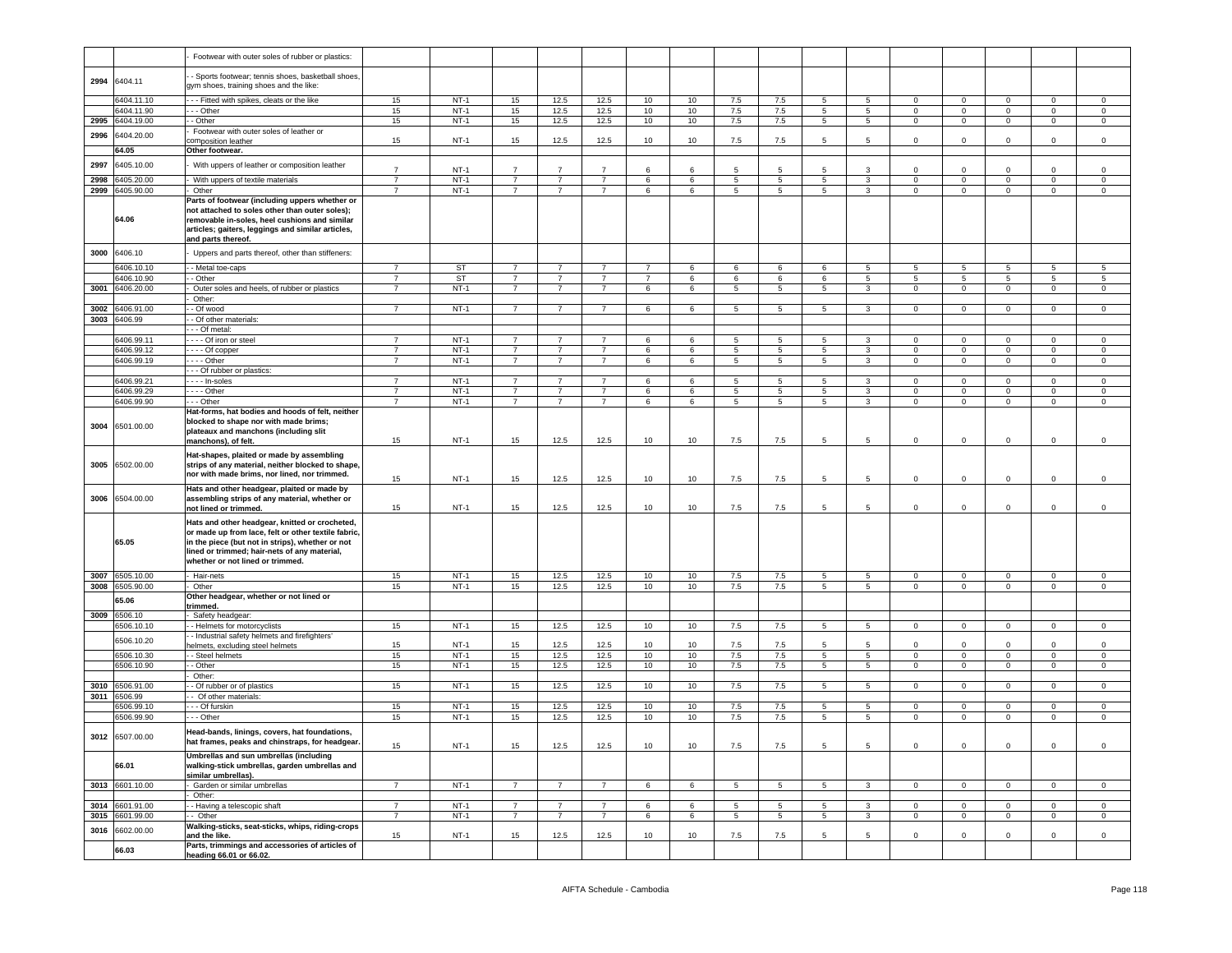|              |                          | Footwear with outer soles of rubber or plastics:                                                                                                                                                                                              |                                  |                  |                                  |                                  |                                  |                |        |                |         |                 |                 |                            |                            |                            |                             |                         |
|--------------|--------------------------|-----------------------------------------------------------------------------------------------------------------------------------------------------------------------------------------------------------------------------------------------|----------------------------------|------------------|----------------------------------|----------------------------------|----------------------------------|----------------|--------|----------------|---------|-----------------|-----------------|----------------------------|----------------------------|----------------------------|-----------------------------|-------------------------|
|              | 2994 6404.11             | Sports footwear; tennis shoes, basketball shoes,<br>gym shoes, training shoes and the like:                                                                                                                                                   |                                  |                  |                                  |                                  |                                  |                |        |                |         |                 |                 |                            |                            |                            |                             |                         |
|              | 6404.11.10               | - - Fitted with spikes, cleats or the like                                                                                                                                                                                                    | 15                               | $NT-1$           | 15                               | 12.5                             | 12.5                             | 10             | 10     | 7.5            | 7.5     | 5               | 5               | $\overline{0}$             | $\mathbf 0$                | $\mathbf 0$                | $\mathbf{0}$                | $\mathsf 0$             |
|              | 6404.11.90               | - - Other                                                                                                                                                                                                                                     | 15                               | $NT-1$           | 15                               | 12.5                             | 12.5                             | 10             | 10     | 7.5            | 7.5     | 5               | $5^{\circ}$     | $\overline{0}$             | $\mathsf 0$                | $\mathbf 0$                | $\mathbf 0$                 | $\mathbf 0$             |
| 2995         | 6404.19.00               | - Other                                                                                                                                                                                                                                       | 15                               | $NT-1$           | 15                               | 12.5                             | 12.5                             | 10             | 10     | 7.5            | 7.5     | 5               | $5^{\circ}$     | $\mathbf 0$                | $\mathsf 0$                | $\mathbf 0$                | $\mathbf 0$                 | $\mathbf 0$             |
| 2996         | 6404.20.00               | Footwear with outer soles of leather or<br>omposition leather                                                                                                                                                                                 | 15                               | $NT-1$           | 15                               | 12.5                             | 12.5                             | 10             | 10     | 7.5            | 7.5     | 5               | 5               | $\mathbf 0$                | $\mathsf 0$                | $\mathbf 0$                | $\mathbf 0$                 | $\mathsf 0$             |
|              | 64.05                    | Other footwear.                                                                                                                                                                                                                               |                                  |                  |                                  |                                  |                                  |                |        |                |         |                 |                 |                            |                            |                            |                             |                         |
| 2997         | 6405.10.00               | With uppers of leather or composition leather                                                                                                                                                                                                 |                                  |                  |                                  |                                  |                                  |                |        |                |         |                 |                 |                            |                            |                            |                             |                         |
|              |                          |                                                                                                                                                                                                                                               | $\overline{7}$                   | $NT-1$           | $\overline{7}$                   | $\overline{7}$                   | $\overline{7}$                   | 6              | 6      | -5             | -5      | 5               | 3               | $\circ$                    | $\mathbf 0$                | $\Omega$                   | $\mathbf 0$                 | $\Omega$                |
| 2998<br>2999 | 6405.20.00<br>6405.90.00 | With uppers of textile materials<br>Other                                                                                                                                                                                                     | $\overline{7}$<br>$\overline{7}$ | $NT-1$<br>$NT-1$ | $\overline{7}$<br>$\overline{7}$ | $\overline{7}$<br>$\overline{7}$ | $\overline{7}$<br>$\overline{7}$ | 6<br>6         | 6<br>6 | 5<br>5         | 5<br>-5 | 5<br>5          | 3<br>3          | $\mathbf 0$<br>$\mathbf 0$ | $\mathbf 0$<br>$\mathbf 0$ | $\mathbf 0$<br>$\mathbf 0$ | $\mathbf{0}$<br>$\mathbf 0$ | $\mathbf 0$<br>$\Omega$ |
|              | 64.06                    | Parts of footwear (including uppers whether or<br>not attached to soles other than outer soles);<br>removable in-soles, heel cushions and similar<br>articles; gaiters, leggings and similar articles,<br>and parts thereof.                  |                                  |                  |                                  |                                  |                                  |                |        |                |         |                 |                 |                            |                            |                            |                             |                         |
| 3000         | 6406.10                  | Uppers and parts thereof, other than stiffeners:                                                                                                                                                                                              |                                  |                  |                                  |                                  |                                  |                |        |                |         |                 |                 |                            |                            |                            |                             |                         |
|              | 6406.10.10               | - Metal toe-caps                                                                                                                                                                                                                              | $\overline{7}$                   | ST               | $\overline{7}$                   | $\overline{7}$                   | $\overline{7}$                   | $\overline{7}$ | 6      | 6              | 6       | 6               | 5               | 5                          | $5\phantom{.0}$            | 5                          | 5                           | 5                       |
|              | 6406.10.90               | - Other                                                                                                                                                                                                                                       | $\overline{7}$                   | ST               | $\overline{7}$                   | 7                                | $\overline{7}$                   | $\overline{7}$ | 6      | 6              | 6       | 6               | 5               | 5                          | 5                          | 5                          | 5                           | 5                       |
| 3001         | 6406.20.00               | Outer soles and heels, of rubber or plastics                                                                                                                                                                                                  | $\overline{7}$                   | $NT-1$           | $\overline{7}$                   | $\overline{7}$                   | $\overline{7}$                   | 6              | 6      | 5              | 5       | 5               | $\mathbf{3}$    | $\circ$                    | $\mathsf 0$                | $\circ$                    | $\mathbf{0}$                | $\circ$                 |
| 3002         | 6406.91.00               | Other:<br>- Of wood                                                                                                                                                                                                                           | $\overline{7}$                   | $NT-1$           | $\overline{7}$                   | $\overline{7}$                   | $\overline{7}$                   | 6              | 6      | 5              | 5       | 5               | 3               | $\mathbf 0$                | $\mathsf 0$                | $\mathbf 0$                | $\mathbf 0$                 | $\mathsf 0$             |
|              | 3003 6406.99             | - Of other materials:                                                                                                                                                                                                                         |                                  |                  |                                  |                                  |                                  |                |        |                |         |                 |                 |                            |                            |                            |                             |                         |
|              |                          | - Of metal:                                                                                                                                                                                                                                   |                                  |                  |                                  |                                  |                                  |                |        |                |         |                 |                 |                            |                            |                            |                             |                         |
|              | 6406.99.11               | - - - Of iron or steel                                                                                                                                                                                                                        | $\overline{7}$                   | $NT-1$           | $\overline{7}$                   | $\overline{7}$                   | $\overline{7}$                   | 6              | 6      | 5              | 5       | 5               | 3               | $\mathbf 0$                | $\mathsf 0$                | $\mathbf 0$                | $\mathbf 0$                 | $\mathbf 0$             |
|              | 6406.99.12               | --- Of copper                                                                                                                                                                                                                                 | $\overline{7}$                   | $NT-1$           | $\overline{7}$                   | $\overline{7}$                   | $\overline{7}$                   | 6              | 6      | $\overline{5}$ | 5       | $\overline{5}$  | $\mathbf{3}$    | $\circ$                    | $\mathsf 0$                | $\circ$                    | $\mathbf 0$                 | $\mathbf 0$             |
|              | 6406.99.19               | --- Other                                                                                                                                                                                                                                     | $\overline{7}$                   | $NT-1$           | $\overline{7}$                   | $\overline{7}$                   | $\overline{7}$                   | 6              | 6      | 5              | 5       | 5               | 3               | 0                          | $\mathsf 0$                | $\mathbf 0$                | $\mathbf 0$                 | $\mathbf 0$             |
|              | 6406.99.21               | - - Of rubber or plastics:                                                                                                                                                                                                                    | $\overline{7}$                   | $NT-1$           | $\overline{7}$                   | 7                                | $\overline{7}$                   | 6              | 6      |                | 5       | 5               | 3               | $\mathbf{0}$               | $\mathbf 0$                | $\mathbf 0$                | $\mathbf{0}$                | $\mathbf 0$             |
|              | 6406.99.29               | · - - - In-soles<br>$- -$ Other                                                                                                                                                                                                               | $\overline{7}$                   | $NT-1$           | $\overline{7}$                   | $\overline{7}$                   | $\overline{7}$                   | 6              | 6      | 5<br>5         | 5       | 5               | $\mathbf{3}$    | $\circ$                    | $\mathsf 0$                | $\circ$                    | $\mathbf{0}$                | $\circ$                 |
|              | 6406.99.90               | - - Other                                                                                                                                                                                                                                     | $\overline{7}$                   | $NT-1$           | $\overline{7}$                   | $\overline{7}$                   | $\overline{7}$                   | 6              | 6      | $\overline{5}$ | 5       | 5               | $\overline{3}$  | $\mathbf 0$                | $\mathbf 0$                | $\mathbf 0$                | $\overline{0}$              | $\overline{0}$          |
| 3004         | 6501.00.00               | Hat-forms, hat bodies and hoods of felt, neither<br>blocked to shape nor with made brims;<br>plateaux and manchons (including slit<br>manchons), of felt.                                                                                     | 15                               | $NT-1$           | 15                               | 12.5                             | 12.5                             | 10             | 10     | 7.5            | 7.5     | 5               | 5               | $\mathbf 0$                | $\mathsf 0$                | $\mathbf 0$                | $\mathbf 0$                 | $\mathsf 0$             |
| 3005         | 6502.00.00               | Hat-shapes, plaited or made by assembling<br>strips of any material, neither blocked to shape,<br>nor with made brims, nor lined, nor trimmed.                                                                                                | 15                               | $NT-1$           | 15                               | 12.5                             | 12.5                             | 10             | 10     | 7.5            | 7.5     | 5               | 5               | $\mathbf 0$                | $\mathbf 0$                | $\mathbf 0$                | 0                           | $\mathbf 0$             |
| 3006         | 6504.00.00               | Hats and other headgear, plaited or made by<br>assembling strips of any material, whether or<br>not lined or trimmed.                                                                                                                         | 15                               | $NT-1$           | 15                               | 12.5                             | 12.5                             | 10             | 10     | 7.5            | 7.5     | 5               | 5               | $\mathbf 0$                | $\mathsf 0$                | $\mathbf 0$                | $\mathbf 0$                 | $\mathbf 0$             |
|              | 65.05                    | Hats and other headgear, knitted or crocheted,<br>or made up from lace, felt or other textile fabric,<br>in the piece (but not in strips), whether or not<br>lined or trimmed; hair-nets of any material,<br>whether or not lined or trimmed. |                                  |                  |                                  |                                  |                                  |                |        |                |         |                 |                 |                            |                            |                            |                             |                         |
| 3007         | 6505.10.00               | Hair-nets                                                                                                                                                                                                                                     | 15                               | $NT-1$           | 15                               | 12.5                             | 12.5                             | 10             | 10     | $7.5\,$        | 7.5     | $5^{\circ}$     | $5\overline{)}$ | $\overline{0}$             | $\mathbf 0$                | $\mathbf 0$                | $\mathbf 0$                 | $\mathsf 0$             |
| 3008         | 6505.90.00               | Other<br>Other headgear, whether or not lined or                                                                                                                                                                                              | 15                               | $NT-1$           | 15                               | 12.5                             | 12.5                             | 10             | 10     | 7.5            | 7.5     | 5               | $5^{\circ}$     | $\mathbf 0$                | $\mathbf 0$                | $\mathbf 0$                | $\mathbf 0$                 | $\mathbf 0$             |
|              | 65.06                    | trimmed.                                                                                                                                                                                                                                      |                                  |                  |                                  |                                  |                                  |                |        |                |         |                 |                 |                            |                            |                            |                             |                         |
| 3009         | 6506.10                  | Safety headgear:                                                                                                                                                                                                                              |                                  |                  |                                  |                                  |                                  |                |        |                |         |                 |                 |                            |                            |                            |                             |                         |
|              | 6506.10.10               | - Helmets for motorcyclists<br>- Industrial safety helmets and firefighters'                                                                                                                                                                  | 15                               | $NT-1$           | 15                               | 12.5                             | 12.5                             | 10             | 10     | 7.5            | 7.5     | 5               | $5^{\circ}$     | $\mathbf{0}$               | $\mathsf 0$                | $\mathbf 0$                | $\mathbf 0$                 | $\mathbf 0$             |
|              | 6506.10.20               | elmets, excluding steel helmets                                                                                                                                                                                                               | 15                               | $NT-1$           | 15                               | 12.5                             | 12.5                             | 10             | 10     | 7.5            | 7.5     | 5               | 5               | $\mathbf 0$                | $\mathbf 0$                | $\Omega$                   | $\mathbf 0$                 | $\mathbf 0$             |
|              | 6506.10.30               | - Steel helmets                                                                                                                                                                                                                               | 15                               | $NT-1$           | 15                               | 12.5                             | 12.5                             | 10             | 10     | 7.5            | 7.5     | $5\phantom{.0}$ | $5^{\circ}$     | $\mathbf{0}$               | $\mathbf 0$                | $\mathbf 0$                | $\mathbf 0$                 | $\mathbf 0$             |
|              | 6506.10.90               | - Other                                                                                                                                                                                                                                       | 15                               | $NT-1$           | 15                               | 12.5                             | 12.5                             | 10             | 10     | 7.5            | 7.5     | 5               | $5^{\circ}$     | $\overline{0}$             | $\mathbf 0$                | $\mathbf 0$                | $\mathbf{0}$                | $\mathbf 0$             |
| 3010         | 6506.91.00               | Other:<br>- Of rubber or of plastics                                                                                                                                                                                                          | 15                               | $NT-1$           | 15                               | 12.5                             | 12.5                             | 10             | 10     | 7.5            | 7.5     | 5               | 5 <sup>5</sup>  | $\overline{0}$             | $\mathbf 0$                | $\mathbf{0}$               | $\mathbf{0}$                | $\mathbf 0$             |
| 3011         | 6506.99                  | Of other materials:                                                                                                                                                                                                                           |                                  |                  |                                  |                                  |                                  |                |        |                |         |                 |                 |                            |                            |                            |                             |                         |
|              | 6506.99.10               | - - Of furskin                                                                                                                                                                                                                                | 15                               | $NT-1$           | 15                               | 12.5                             | 12.5                             | 10             | 10     | 7.5            | 7.5     | 5               | 5               | $\mathbf 0$                | $\mathbf 0$                | $\Omega$                   | $\mathbf{0}$                | $\mathbf 0$             |
|              | 6506.99.90               | - - Other                                                                                                                                                                                                                                     | 15                               | $NT-1$           | 15                               | 12.5                             | 12.5                             | 10             | 10     | 7.5            | 7.5     | 5               | 5               | $\mathbf{0}$               | $\mathbf 0$                | $\mathbf 0$                | $\mathbf{0}$                | $\mathbf 0$             |
|              | 3012 6507.00.00          | Head-bands, linings, covers, hat foundations,<br>at frames, peaks and chinstraps, for headgear                                                                                                                                                | 15                               | $NT-1$           | 15                               | 12.5                             | 12.5                             | 10             | 10     | 7.5            | 7.5     | 5               | $5\overline{5}$ | $\mathbf 0$                | $\mathbf 0$                | $\mathbf 0$                | $\mathbf 0$                 | $\mathsf 0$             |
|              | 66.01                    | Umbrellas and sun umbrellas (including<br>walking-stick umbrellas, garden umbrellas and<br>similar umbrellas).                                                                                                                                |                                  |                  |                                  |                                  |                                  |                |        |                |         |                 |                 |                            |                            |                            |                             |                         |
|              | 3013 6601.10.00          | Garden or similar umbrellas                                                                                                                                                                                                                   | $\overline{7}$                   | $NT-1$           | $\overline{7}$                   | $\overline{7}$                   | $\overline{7}$                   | 6              | 6      | 5              | 5       | 5               | 3               | $\overline{0}$             | $\mathsf 0$                | $\mathbf 0$                | $\mathbf 0$                 | $\mathbf 0$             |
| 3014         | 6601.91.00               | Other:<br>- Having a telescopic shaft                                                                                                                                                                                                         | $\overline{7}$                   | $NT-1$           | $\overline{7}$                   | $\overline{7}$                   | $\overline{7}$                   | 6              | 6      | 5              | 5       | 5               | 3               | $\overline{0}$             | $\mathbf 0$                | $\mathbf 0$                | $\mathbf{0}$                | $\mathbf 0$             |
| 3015         | 6601.99.00               | - Other                                                                                                                                                                                                                                       | $\overline{7}$                   | $NT-1$           | $\overline{7}$                   | $\overline{7}$                   | $\overline{7}$                   | 6              | 6      | 5              | 5       | 5               | $\mathbf{3}$    | $\mathbf{0}$               | $\mathsf 0$                | $\mathbf{0}$               | $\mathbf 0$                 | $\mathbf 0$             |
| 3016         | 6602.00.00               | Walking-sticks, seat-sticks, whips, riding-crops                                                                                                                                                                                              |                                  |                  |                                  |                                  |                                  |                |        |                |         |                 |                 |                            |                            |                            |                             |                         |
|              | 66.03                    | and the like.<br>Parts, trimmings and accessories of articles of<br>heading 66.01 or 66.02.                                                                                                                                                   | 15                               | $NT-1$           | 15                               | 12.5                             | 12.5                             | 10             | 10     | 7.5            | 7.5     | 5               | 5               | $\mathbf 0$                | $\mathsf 0$                | $\mathbf 0$                | $\mathbf 0$                 | $\mathbf 0$             |
|              |                          |                                                                                                                                                                                                                                               |                                  |                  |                                  |                                  |                                  |                |        |                |         |                 |                 |                            |                            |                            |                             |                         |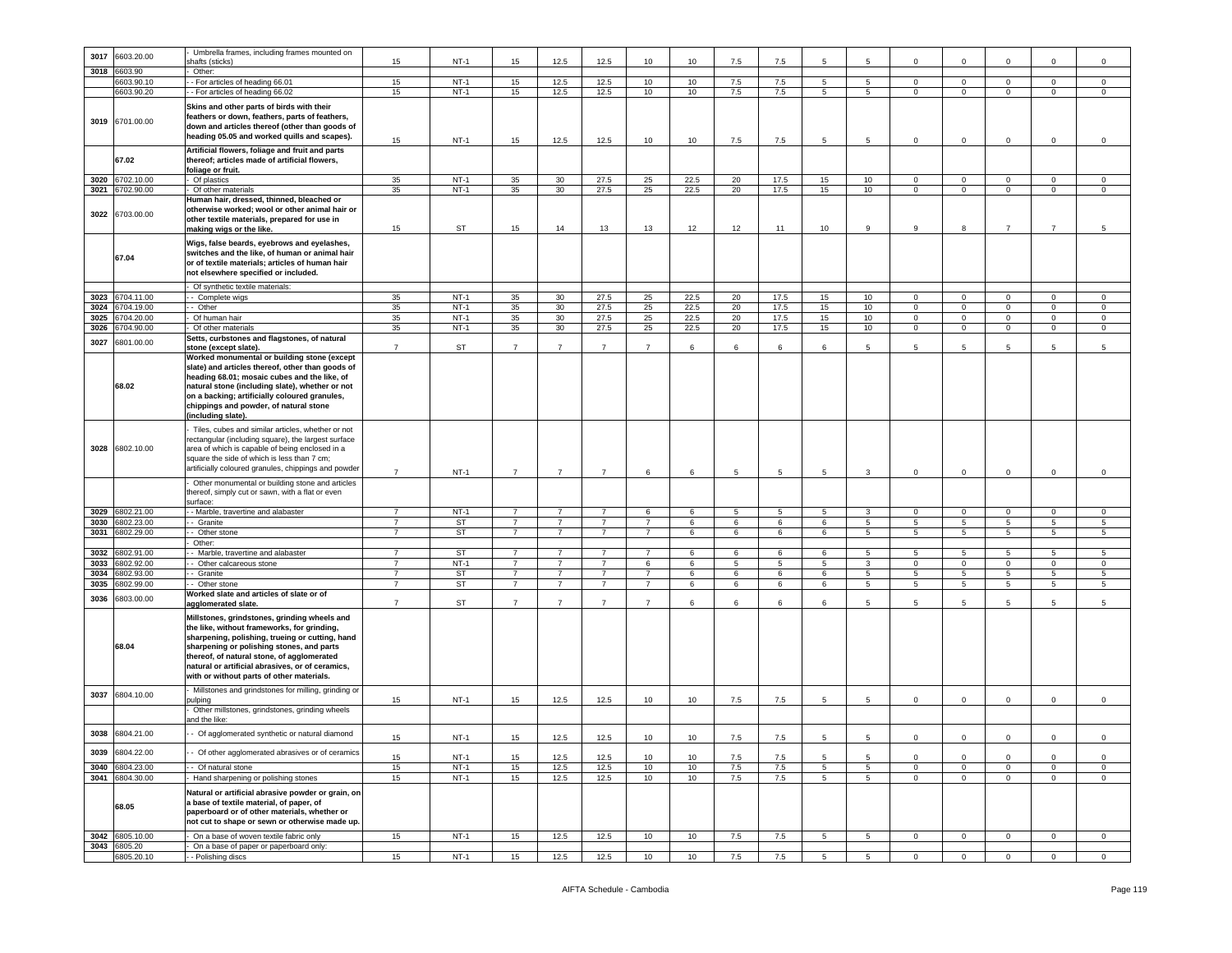|      |                 | Umbrella frames, including frames mounted on                                                                                                                                                                                                                                                                                               |                |           |                |                 |                |                |      |     |      |                  |                 |                |                 |                 |                 |                |
|------|-----------------|--------------------------------------------------------------------------------------------------------------------------------------------------------------------------------------------------------------------------------------------------------------------------------------------------------------------------------------------|----------------|-----------|----------------|-----------------|----------------|----------------|------|-----|------|------------------|-----------------|----------------|-----------------|-----------------|-----------------|----------------|
| 3017 | 6603.20.00      |                                                                                                                                                                                                                                                                                                                                            |                |           |                |                 |                |                |      |     |      |                  |                 |                |                 |                 |                 |                |
|      |                 | hafts (sticks)                                                                                                                                                                                                                                                                                                                             | 15             | $NT-1$    | 15             | 12.5            | 12.5           | 10             | 10   | 7.5 | 7.5  | 5                | 5               | $\mathbf 0$    | 0               | $\mathbf 0$     | $\mathbf 0$     | $\mathbf 0$    |
| 3018 | 6603.90         | Other:                                                                                                                                                                                                                                                                                                                                     |                |           |                |                 |                |                |      |     |      |                  |                 |                |                 |                 |                 |                |
|      | 6603.90.10      | - For articles of heading 66.01                                                                                                                                                                                                                                                                                                            | 15             | $NT-1$    | 15             | 12.5            | 12.5           | 10             | 10   | 7.5 | 7.5  | 5                | 5               | $\Omega$       | $\Omega$        | $\overline{0}$  | $\mathbf 0$     | $\mathbf 0$    |
|      | 6603.90.20      | - For articles of heading 66.02                                                                                                                                                                                                                                                                                                            | 15             | $NT-1$    | 15             | 12.5            | 12.5           | 10             | 10   | 7.5 | 7.5  | 5                | $5^{\circ}$     | 0              | $\mathbf 0$     | $\mathbf{0}$    | $\mathbf 0$     | $\mathbf 0$    |
|      |                 |                                                                                                                                                                                                                                                                                                                                            |                |           |                |                 |                |                |      |     |      |                  |                 |                |                 |                 |                 |                |
|      | 3019 6701.00.00 | Skins and other parts of birds with their<br>feathers or down, feathers, parts of feathers,<br>down and articles thereof (other than goods of<br>heading 05.05 and worked quills and scapes).                                                                                                                                              | 15             | $NT-1$    | 15             | 12.5            | 12.5           | 10             | 10   | 7.5 | 7.5  | 5                | 5               | $\mathbf 0$    | $\mathbf 0$     | $\mathbf 0$     | $\mathbf 0$     | $\mathsf 0$    |
|      | 67.02           | Artificial flowers, foliage and fruit and parts<br>thereof; articles made of artificial flowers,                                                                                                                                                                                                                                           |                |           |                |                 |                |                |      |     |      |                  |                 |                |                 |                 |                 |                |
|      |                 | foliage or fruit.                                                                                                                                                                                                                                                                                                                          |                | $NT-1$    |                |                 |                |                |      |     |      |                  |                 |                |                 |                 |                 |                |
|      | 3020 6702.10.00 | Of plastics                                                                                                                                                                                                                                                                                                                                | 35             |           | 35             | 30 <sup>°</sup> | 27.5           | 25             | 22.5 | 20  | 17.5 | 15               | 10              | $\mathbf 0$    | $\mathbf 0$     | $\mathbf{0}$    | $\mathbf 0$     | $\mathbf 0$    |
|      | 3021 6702.90.00 | Of other materials                                                                                                                                                                                                                                                                                                                         | 35             | $NT-1$    | 35             | 30              | 27.5           | 25             | 22.5 | 20  | 17.5 | 15 <sub>15</sub> | 10              | $\mathbf 0$    | $\mathbf{0}$    | $\overline{0}$  | $\mathbf{0}$    | $\circ$        |
| 3022 | 6703.00.00      | Human hair, dressed, thinned, bleached or<br>otherwise worked; wool or other animal hair or<br>other textile materials, prepared for use in<br>making wigs or the like.                                                                                                                                                                    | 15             | ST        | 15             | 14              | 13             | 13             | 12   | 12  | 11   | 10               | 9               | 9              | 8               | $\overline{7}$  | $\overline{7}$  | $\overline{5}$ |
|      | 67.04           | Wigs, false beards, eyebrows and eyelashes,<br>switches and the like, of human or animal hair<br>or of textile materials: articles of human hair<br>not elsewhere specified or included.                                                                                                                                                   |                |           |                |                 |                |                |      |     |      |                  |                 |                |                 |                 |                 |                |
|      |                 | Of synthetic textile materials:                                                                                                                                                                                                                                                                                                            |                |           |                |                 |                |                |      |     |      |                  |                 |                |                 |                 |                 |                |
|      | 3023 6704.11.00 | - Complete wigs                                                                                                                                                                                                                                                                                                                            | 35             | $NT-1$    | 35             | 30              | 27.5           | 25             | 22.5 | 20  | 17.5 | 15               | 10              | 0              | $\mathbf{0}$    | $\mathbf{0}$    | $\mathbf{0}$    | $\mathbf 0$    |
| 3024 | 6704.19.00      | - Other                                                                                                                                                                                                                                                                                                                                    | 35             | $NT-1$    | 35             | 30              | 27.5           | 25             | 22.5 | 20  | 17.5 | 15 <sub>15</sub> | 10              | $\mathbf 0$    | $\mathbf 0$     | $\overline{0}$  | $\mathsf 0$     | $\circ$        |
| 3025 | 6704.20.00      | Of human hair                                                                                                                                                                                                                                                                                                                              | 35             | $NT-1$    | 35             | 30              | 27.5           | 25             | 22.5 | 20  | 17.5 | 15               | 10              | $\mathsf 0$    | $\overline{0}$  | $\overline{0}$  | $\overline{0}$  | $\mathsf 0$    |
| 3026 | 6704.90.00      | Of other materials                                                                                                                                                                                                                                                                                                                         | 35             | $NT-1$    | 35             | 30              | 27.5           | 25             | 22.5 | 20  | 17.5 | 15               | 10              | $\mathbf 0$    | $\mathbf 0$     | $\mathbf{0}$    | $\mathbf 0$     | $\mathbf 0$    |
|      |                 | Setts, curbstones and flagstones, of natural                                                                                                                                                                                                                                                                                               |                |           |                |                 |                |                |      |     |      |                  |                 |                |                 |                 |                 |                |
| 3027 | 6801.00.00      | stone (except slate).                                                                                                                                                                                                                                                                                                                      | $\overline{7}$ | <b>ST</b> | $\overline{7}$ | $\overline{7}$  | $\overline{7}$ | $\overline{7}$ | 6    | 6   | 6    | 6                | 5               | 5              | 5               | 5               | 5               | 5              |
|      | 68.02           | Worked monumental or building stone (except<br>slate) and articles thereof, other than goods of<br>heading 68.01; mosaic cubes and the like, of<br>natural stone (including slate), whether or not<br>on a backing; artificially coloured granules,<br>chippings and powder, of natural stone<br>including slate).                         |                |           |                |                 |                |                |      |     |      |                  |                 |                |                 |                 |                 |                |
| 3028 | 6802.10.00      | Tiles, cubes and similar articles, whether or not<br>rectangular (including square), the largest surface<br>area of which is capable of being enclosed in a<br>square the side of which is less than 7 cm;<br>artificially coloured granules, chippings and powder<br>Other monumental or building stone and articles                      | $\overline{7}$ | $NT-1$    | $\overline{7}$ | $\overline{7}$  | $\overline{7}$ | 6              | 6    | 5   | 5    | 5                | $\mathbf{3}$    | $\mathbf 0$    | $\mathbf 0$     | $\mathbf 0$     | $\circ$         | $\circ$        |
|      |                 | thereof, simply cut or sawn, with a flat or even<br>surface:                                                                                                                                                                                                                                                                               |                |           |                |                 |                |                |      |     |      |                  |                 |                |                 |                 |                 |                |
| 3029 | 6802.21.00      | - Marble, travertine and alabaster                                                                                                                                                                                                                                                                                                         | $\overline{7}$ | $NT-1$    | 7              | 7               | $\overline{7}$ | 6              | 6    | 5   | 5    | 5                | 3               | $\mathbf{0}$   | $\mathbf{0}$    | $\mathbf{0}$    | $\mathbf{0}$    | 0              |
| 3030 | 6802.23.00      | - Granite                                                                                                                                                                                                                                                                                                                                  | $\overline{7}$ | ST        | $\overline{7}$ | $\overline{7}$  | $\overline{7}$ | $\overline{7}$ | 6    | 6   | 6    | 6                | $5\phantom{.0}$ | 5              | 5               | $5\phantom{.0}$ | 5               | 5              |
| 3031 | 6802.29.00      | - Other stone                                                                                                                                                                                                                                                                                                                              | $\overline{7}$ | <b>ST</b> | $\overline{7}$ | $\overline{7}$  | $\overline{7}$ | $\overline{7}$ | 6    | 6   | 6    | 6                | $5\overline{)}$ | 5              | $5\overline{)}$ | $5\overline{)}$ | $5\overline{)}$ | $\overline{5}$ |
|      |                 |                                                                                                                                                                                                                                                                                                                                            |                |           |                |                 |                |                |      |     |      |                  |                 |                |                 |                 |                 |                |
|      |                 | Other:                                                                                                                                                                                                                                                                                                                                     |                |           |                |                 |                |                |      |     |      |                  |                 |                |                 |                 |                 |                |
| 3032 | 6802.91.00      | Marble, travertine and alabaster                                                                                                                                                                                                                                                                                                           | $\overline{7}$ | ST        | $\overline{7}$ | $\overline{7}$  | $\overline{7}$ | $\overline{7}$ | 6    | 6   | 6    | 6                | 5               | -5             | 5               | 5               | $5\phantom{.0}$ | 5              |
| 3033 | 6802.92.00      | - Other calcareous stone                                                                                                                                                                                                                                                                                                                   | 7              | $NT-1$    | $\overline{7}$ | 7               | $\overline{7}$ | 6              | 6    | 5   | 5    | 5                | 3               | $\mathbf{0}$   | $\mathbf{0}$    | $\mathbf{0}$    | $\mathbf{0}$    | $\circ$        |
| 3034 | 6802.93.00      | Granite                                                                                                                                                                                                                                                                                                                                    | $\overline{7}$ | ST        | $\overline{7}$ | $\overline{7}$  | $\overline{7}$ | $\overline{7}$ | 6    | 6   | 6    | 6                | $5\overline{)}$ | 5              | 5 <sup>5</sup>  | $5\phantom{.0}$ | 5               | 5              |
| 3035 | 6802.99.00      | - Other stone                                                                                                                                                                                                                                                                                                                              | $\overline{7}$ | <b>ST</b> | $\overline{7}$ | $\overline{7}$  | $\overline{7}$ | $\overline{7}$ | 6    | 6   | 6    | 6                | $5\overline{)}$ | 5              | $5\overline{)}$ | $5\overline{)}$ | $5\phantom{.0}$ | 5              |
| 3036 |                 | Worked slate and articles of slate or of                                                                                                                                                                                                                                                                                                   |                |           |                |                 |                |                |      |     |      |                  |                 |                |                 |                 |                 |                |
|      | 3803.00.00      | agglomerated slate.                                                                                                                                                                                                                                                                                                                        | $\overline{7}$ | ST        | $\overline{7}$ | $\overline{7}$  | $\overline{7}$ | $\overline{7}$ | 6    | 6   | 6    | 6                | 5               | 5              | 5               | 5               | 5               | 5              |
|      | 68.04           | Millstones, grindstones, grinding wheels and<br>the like, without frameworks, for grinding,<br>sharpening, polishing, trueing or cutting, hand<br>sharpening or polishing stones, and parts<br>thereof, of natural stone, of agglomerated<br>natural or artificial abrasives, or of ceramics,<br>with or without parts of other materials. |                |           |                |                 |                |                |      |     |      |                  |                 |                |                 |                 |                 |                |
| 3037 | 6804.10.00      | Millstones and grindstones for milling, grinding or                                                                                                                                                                                                                                                                                        |                |           |                |                 |                |                |      |     |      |                  |                 |                |                 |                 |                 |                |
|      |                 | pulping<br>Other millstones, grindstones, grinding wheels<br>and the like:                                                                                                                                                                                                                                                                 | 15             | $NT-1$    | 15             | 12.5            | 12.5           | 10             | 10   | 7.5 | 7.5  | 5                | 5               | $\mathbf 0$    | $\mathbf 0$     | $\mathbf{0}$    | $\mathbf 0$     | $\mathbf 0$    |
| 3038 | 6804.21.00      | Of agglomerated synthetic or natural diamond                                                                                                                                                                                                                                                                                               | 15             | $NT-1$    | 15             | 12.5            | 12.5           | 10             | 10   | 7.5 | 7.5  | 5                | 5               | $\mathbf 0$    | $\mathbf 0$     | $\mathbf 0$     | $\mathsf 0$     | $\mathbf 0$    |
| 3039 | 6804.22.00      | - Of other agglomerated abrasives or of ceramics                                                                                                                                                                                                                                                                                           | 15             | $NT-1$    | 15             | 12.5            | 12.5           | 10             | 10   | 7.5 | 7.5  | 5                | 5               | $\mathbf 0$    | $\mathbf 0$     | $\mathbf 0$     | $\mathbf 0$     | $\mathbf 0$    |
| 3040 | 6804.23.00      | - Of natural stone                                                                                                                                                                                                                                                                                                                         | 15             | $NT-1$    | 15             | 12.5            | 12.5           | 10             | 10   | 7.5 | 7.5  | 5 <sub>5</sub>   | 5               | $\overline{0}$ | $\mathbf{0}$    | $\overline{0}$  | $\mathbf 0$     | $\mathbf{0}$   |
| 3041 | 6804.30.00      | Hand sharpening or polishing stones                                                                                                                                                                                                                                                                                                        | 15             | $NT-1$    | 15             | 12.5            | 12.5           | 10             | 10   | 7.5 | 7.5  | 5                | 5 <sub>5</sub>  | $\mathbf 0$    | $\mathbf{0}$    | $\mathbf{0}$    | $\mathbf 0$     | $\mathbf{0}$   |
|      | 68.05           | Natural or artificial abrasive powder or grain, on<br>a base of textile material, of paper, of<br>paperboard or of other materials, whether or<br>not cut to shape or sewn or otherwise made up.                                                                                                                                           |                |           |                |                 |                |                |      |     |      |                  |                 |                |                 |                 |                 |                |
|      | 3042 6805.10.00 | On a base of woven textile fabric only                                                                                                                                                                                                                                                                                                     | 15             | $NT-1$    | 15             | 12.5            | 12.5           | 10             | 10   | 7.5 | 7.5  | $5^{\circ}$      | $5\overline{5}$ | $\mathbf 0$    | $\overline{0}$  | $\overline{0}$  | $\overline{0}$  | $\mathbf 0$    |
|      | 3043 6805.20    | On a base of paper or paperboard only:                                                                                                                                                                                                                                                                                                     |                |           |                |                 |                |                |      |     |      |                  |                 |                |                 |                 |                 |                |
|      | 6805.20.10      | - Polishing discs                                                                                                                                                                                                                                                                                                                          | 15             | $NT-1$    | 15             | 12.5            | 12.5           | 10             | 10   | 7.5 | 7.5  | 5                | $5\overline{5}$ | $\mathbf{0}$   | $\overline{0}$  | $\overline{0}$  | $\overline{0}$  | $\mathbf{0}$   |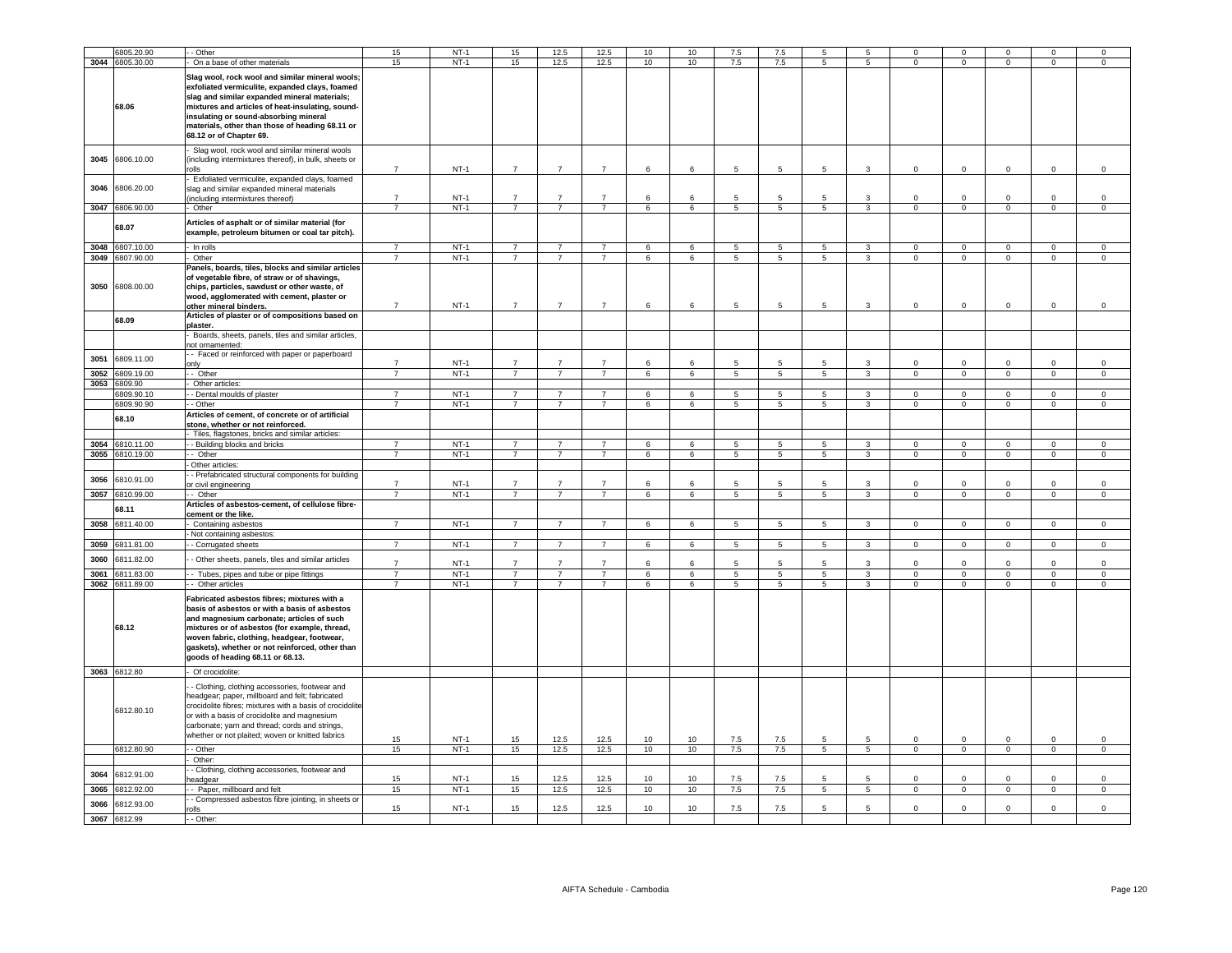|      | 6805.20.90                    | - Other                                                                                                                                                                                                                                                                                                                          | 15                               | $NT-1$           | 15                               | 12.5                             | 12.5                             | 10                   | 10               | 7.5            | 7.5                               | 5                |                         | $\mathbf 0$                | $^{\circ}$                 |                            |                               |                               |
|------|-------------------------------|----------------------------------------------------------------------------------------------------------------------------------------------------------------------------------------------------------------------------------------------------------------------------------------------------------------------------------|----------------------------------|------------------|----------------------------------|----------------------------------|----------------------------------|----------------------|------------------|----------------|-----------------------------------|------------------|-------------------------|----------------------------|----------------------------|----------------------------|-------------------------------|-------------------------------|
|      | 3044 6805.30.00               | On a base of other materials                                                                                                                                                                                                                                                                                                     | 15                               | $NT-1$           | 15                               | 12.5                             | 12.5                             | 10                   | 10               | 7.5            | 7.5                               | 5                | 5                       | $\mathbf 0$                | $\overline{0}$             | $\mathbf{0}$               | $\mathbf 0$                   | $\mathbf 0$                   |
|      | 68.06                         | Slag wool, rock wool and similar mineral wools;<br>exfoliated vermiculite, expanded clays, foamed<br>slag and similar expanded mineral materials;<br>mixtures and articles of heat-insulating, sound-<br>insulating or sound-absorbing mineral<br>materials, other than those of heading 68.11 or<br>68.12 or of Chapter 69.     |                                  |                  |                                  |                                  |                                  |                      |                  |                |                                   |                  |                         |                            |                            |                            |                               |                               |
| 3045 | 6806.10.00                    | Slag wool, rock wool and similar mineral wools<br>(including intermixtures thereof), in bulk, sheets or<br>rolls                                                                                                                                                                                                                 | $\overline{7}$                   | $NT-1$           | $\overline{7}$                   | $\overline{7}$                   | $\overline{7}$                   | $\,6\,$              | 6                | 5              | 5                                 | 5                | 3                       | $\mathsf{O}\xspace$        | $\mathbf 0$                | $\mathbf 0$                | $\mathbf 0$                   | $\mathsf 0$                   |
| 3046 | 6806.20.00                    | Exfoliated vermiculite, expanded clays, foamed<br>slag and similar expanded mineral materials<br>including intermixtures thereof)                                                                                                                                                                                                | $\overline{7}$                   | $NT-1$           | $\overline{7}$                   | $\overline{7}$                   | $\overline{7}$                   | 6                    | 6                | 5              | $\overline{5}$                    | 5                | 3                       | $\Omega$                   | $\mathbf 0$                | $\mathbf 0$                | $\Omega$                      | $\mathsf 0$                   |
|      | 3047 6806.90.00               | Other                                                                                                                                                                                                                                                                                                                            | $\overline{7}$                   | $NT-1$           | $\overline{7}$                   | $\overline{7}$                   | $\overline{7}$                   | 6                    | 6                | $\overline{5}$ | $\overline{5}$                    | $5\phantom{.0}$  | $\overline{\mathbf{3}}$ | $\overline{0}$             | $\mathbf 0$                | $\mathbf{0}$               | $\mathbf 0$                   | $\mathbf 0$                   |
|      | 68.07                         | Articles of asphalt or of similar material (for<br>example, petroleum bitumen or coal tar pitch).                                                                                                                                                                                                                                |                                  |                  |                                  |                                  |                                  |                      |                  |                |                                   |                  |                         |                            |                            |                            |                               |                               |
|      | 3048 6807.10.00               | - In rolls                                                                                                                                                                                                                                                                                                                       | $\overline{7}$                   | $NT-1$           | $\overline{7}$                   | $\overline{7}$                   | $\overline{7}$                   | 6                    | 6                | 5              | - 5                               | $5^{\circ}$      | $\mathbf{3}$            | $\overline{0}$             | $\overline{0}$             | $\overline{0}$             | $\mathbf{0}$                  | $\circ$                       |
| 3050 | 3049 6807.90.00<br>6808.00.00 | - Other<br>Panels, boards, tiles, blocks and similar articles<br>of vegetable fibre, of straw or of shavings,<br>chips, particles, sawdust or other waste, of<br>wood, agglomerated with cement, plaster or<br>other mineral binders.                                                                                            | $\overline{7}$<br>$\overline{7}$ | $NT-1$<br>$NT-1$ | $\overline{7}$<br>$\overline{7}$ | $\overline{7}$<br>$\overline{7}$ | $\overline{7}$<br>$\overline{7}$ | 6<br>$6\overline{6}$ | 6<br>6           | 5<br>5         | $5\phantom{.0}$<br>$\overline{5}$ | $5^{\circ}$<br>5 | $\mathbf{3}$<br>3       | $\overline{0}$<br>$\Omega$ | $\overline{0}$<br>$\Omega$ | $\mathbf{0}$<br>$\Omega$   | $\overline{0}$<br>$\mathsf 0$ | $\overline{0}$<br>$\mathsf 0$ |
|      | 68.09                         | Articles of plaster or of compositions based on<br>plaster.<br>Boards, sheets, panels, tiles and similar articles,                                                                                                                                                                                                               |                                  |                  |                                  |                                  |                                  |                      |                  |                |                                   |                  |                         |                            |                            |                            |                               |                               |
| 3051 | 6809.11.00                    | not ornamented:<br>- Faced or reinforced with paper or paperboard                                                                                                                                                                                                                                                                |                                  |                  |                                  |                                  |                                  |                      |                  |                |                                   |                  |                         |                            |                            |                            |                               |                               |
| 3052 | 6809.19.00                    | only<br>- Other                                                                                                                                                                                                                                                                                                                  | $\overline{7}$<br>$\overline{7}$ | $NT-1$<br>$NT-1$ | $\overline{7}$<br>$\overline{7}$ | $\overline{7}$<br>$\overline{7}$ | $\overline{7}$<br>$\overline{7}$ | 6<br>6               | 6<br>6           | 5              | $5\overline{)}$                   | 5                | 3<br>$\overline{3}$     | $\Omega$<br>$\overline{0}$ | $\Omega$<br>$\overline{0}$ | $\Omega$<br>$\overline{0}$ | $\Omega$<br>$\overline{0}$    | $\Omega$<br>$\overline{0}$    |
| 3053 | 6809.90                       | - Other articles:                                                                                                                                                                                                                                                                                                                |                                  |                  |                                  |                                  |                                  |                      |                  |                |                                   |                  |                         |                            |                            |                            |                               |                               |
|      | 6809.90.10                    | - - Dental moulds of plaster                                                                                                                                                                                                                                                                                                     | $\overline{7}$                   | $NT-1$           | $\overline{7}$                   | $\overline{7}$                   | $\overline{7}$                   | 6                    | $6^{\circ}$      | 5              | $5\phantom{.0}$                   | 5                | $\mathbf{3}$            | $\mathsf 0$                | $\mathbf 0$                | $\mathbf 0$                | $\mathbf 0$                   | $\mathsf 0$                   |
|      | 6809.90.90                    | - - Other                                                                                                                                                                                                                                                                                                                        | $\overline{7}$                   | $NT-1$           | $\overline{7}$                   | $\overline{7}$                   | $\overline{7}$                   | 6                    | 6                | 5              | 5                                 | 5 <sub>5</sub>   | $\mathbf{3}$            | $\Omega$                   | $\overline{0}$             | $\overline{0}$             | $\mathbf 0$                   | $\overline{0}$                |
|      | 68.10                         | Articles of cement, of concrete or of artificial<br>stone, whether or not reinforced.                                                                                                                                                                                                                                            |                                  |                  |                                  |                                  |                                  |                      |                  |                |                                   |                  |                         |                            |                            |                            |                               |                               |
|      |                               | Tiles, flagstones, bricks and similar articles:                                                                                                                                                                                                                                                                                  |                                  |                  |                                  |                                  |                                  |                      |                  |                |                                   |                  |                         |                            |                            |                            |                               |                               |
| 3054 | 810.11.00                     | - Building blocks and bricks                                                                                                                                                                                                                                                                                                     | $\overline{7}$<br>$\overline{7}$ | $NT-1$           | $\overline{7}$<br>7              | $\overline{7}$<br>$\overline{7}$ | $\overline{7}$<br>7              | 6                    | 6                | $\overline{5}$ | $\overline{5}$                    | 5                | $\overline{3}$          | $\overline{0}$             | $\overline{0}$             | $\overline{0}$             | $\overline{0}$                | $\overline{0}$                |
| 3055 | 3810.19.00                    | $\cdot$ - Other<br>Other articles                                                                                                                                                                                                                                                                                                |                                  | $NT-1$           |                                  |                                  |                                  | 6                    | 6                | 5              | $\overline{5}$                    | 5                | 3                       | $\overline{0}$             | $\overline{0}$             | $\overline{0}$             | $\overline{0}$                | $\overline{0}$                |
| 3056 | 6810.91.00                    | - Prefabricated structural components for building<br>or civil engineering                                                                                                                                                                                                                                                       | $\overline{7}$                   | $NT-1$           | $\overline{7}$                   | $\overline{7}$                   | $\overline{7}$                   | $6\overline{6}$      | 6                | 5              | 5                                 | 5                | $\mathbf{3}$            | $\Omega$                   | $\Omega$                   | $\Omega$                   | $\Omega$                      | $\mathsf 0$                   |
| 3057 | 6810.99.00                    | - Other                                                                                                                                                                                                                                                                                                                          | 7                                | $NT-1$           | 7                                | $\overline{7}$                   | 7                                | 6                    | 6                | 5              | $\overline{5}$                    | 5                | $\overline{3}$          | $\overline{0}$             | $\overline{0}$             | $\overline{0}$             | $\overline{0}$                | $\overline{0}$                |
|      | 68.11                         | Articles of asbestos-cement, of cellulose fibre-<br>cement or the like.                                                                                                                                                                                                                                                          |                                  |                  |                                  |                                  |                                  |                      |                  |                |                                   |                  |                         |                            |                            |                            |                               |                               |
|      | 3058 6811.40.00               | Containing asbestos                                                                                                                                                                                                                                                                                                              | $\overline{7}$                   | $NT-1$           | $\overline{7}$                   | $\overline{7}$                   | $\overline{7}$                   | 6                    | 6                | 5              | - 5                               | $5\overline{5}$  | 3                       | $\overline{0}$             | $\mathbf{0}$               | $\mathbf{0}$               | $\mathbf{0}$                  | $\mathsf 0$                   |
| 3059 | 6811.81.00                    | - Not containing asbestos:                                                                                                                                                                                                                                                                                                       | $\overline{7}$                   | $NT-1$           | $\overline{7}$                   | $\overline{7}$                   | $\overline{7}$                   | 6                    | $\,6\,$          | $\overline{5}$ | $\overline{\phantom{a}}$          | $\overline{5}$   | $\overline{3}$          | $\overline{0}$             | $\overline{0}$             | $\mathbf{0}$               | $\overline{0}$                | $\overline{0}$                |
| 3060 | 6811.82.00                    | - Corrugated sheets<br>- Other sheets, panels, tiles and similar articles                                                                                                                                                                                                                                                        | $\overline{7}$                   | $NT-1$           | $\overline{7}$                   | $\overline{7}$                   | $\overline{7}$                   | 6                    | 6                | 5              | 5                                 | 5                | 3                       | $\mathbf 0$                | $\overline{0}$             | $\mathbf 0$                | $\Omega$                      | $\mathsf 0$                   |
|      | 3061 6811.83.00               | - Tubes, pipes and tube or pipe fittings                                                                                                                                                                                                                                                                                         | $\overline{7}$                   | $NT-1$           | $\overline{7}$                   | $\overline{7}$                   | $\overline{7}$                   | 6                    | 6                | 5              | 5                                 | 5                | 3                       | $\mathbf 0$                | $\,0\,$                    | $\mathbf 0$                | $^{\circ}$                    | 0                             |
|      | 3062 6811.89.00               | Other articles                                                                                                                                                                                                                                                                                                                   | $\overline{7}$                   | $NT-1$           | $\overline{7}$                   | $\overline{7}$                   | $\overline{7}$                   | 6                    | 6                | 5              | 5                                 | $5\overline{5}$  | $\overline{3}$          | $\Omega$                   | $\overline{0}$             | $\overline{0}$             | $\overline{0}$                | $\overline{0}$                |
|      | 68.12                         | Fabricated asbestos fibres; mixtures with a<br>basis of asbestos or with a basis of asbestos<br>and magnesium carbonate; articles of such<br>mixtures or of asbestos (for example, thread,<br>woven fabric, clothing, headgear, footwear,<br>gaskets), whether or not reinforced, other than<br>goods of heading 68.11 or 68.13. |                                  |                  |                                  |                                  |                                  |                      |                  |                |                                   |                  |                         |                            |                            |                            |                               |                               |
|      | 3063 6812.80                  | Of crocidolite:                                                                                                                                                                                                                                                                                                                  |                                  |                  |                                  |                                  |                                  |                      |                  |                |                                   |                  |                         |                            |                            |                            |                               |                               |
|      | 6812.80.10                    | - Clothing, clothing accessories, footwear and<br>headgear; paper, millboard and felt; fabricated<br>crocidolite fibres; mixtures with a basis of crocidolite<br>or with a basis of crocidolite and magnesium<br>carbonate; yarn and thread; cords and strings,<br>whether or not plaited; woven or knitted fabrics              | 15                               | $NT-1$           | 15                               | 12.5                             | 12.5                             | 10                   | 10 <sup>1</sup>  | 7.5            | 7.5                               | 5                | 5                       | $\mathsf 0$                | $\overline{0}$             | $\Omega$                   | $\mathsf 0$                   | $\mathsf 0$                   |
|      | 6812.80.90                    | - Other                                                                                                                                                                                                                                                                                                                          | 15                               | $NT-1$           | 15                               | 12.5                             | 12.5                             | 10                   | 10               | 7.5            | 7.5                               | 5                | 5                       | $\Omega$                   | $\overline{0}$             | $\circ$                    | $\overline{0}$                | $\mathsf 0$                   |
|      |                               | - Other:                                                                                                                                                                                                                                                                                                                         |                                  |                  |                                  |                                  |                                  |                      |                  |                |                                   |                  |                         |                            |                            |                            |                               |                               |
| 3064 | 6812.91.00                    | - Clothing, clothing accessories, footwear and<br>headgear                                                                                                                                                                                                                                                                       | 15                               | $NT-1$           | 15                               | 12.5                             | 12.5                             | 10                   | 10 <sup>10</sup> | 7.5            | 7.5                               | 5                | -5                      | $\Omega$                   | $\Omega$                   | $\Omega$                   | $\Omega$                      | $\mathsf 0$                   |
| 3065 | 6812.92.00                    | - Paper, millboard and felt<br>Compressed asbestos fibre jointing, in sheets or                                                                                                                                                                                                                                                  | 15                               | $NT-1$           | 15                               | 12.5                             | 12.5                             | 10                   | 10               | 7.5            | 7.5                               | $\overline{5}$   | $\overline{5}$          | $\overline{0}$             | $\overline{0}$             | $\overline{0}$             | $\overline{0}$                | $\overline{0}$                |
| 3066 | 6812.93.00<br>3067 6812.99    | olls<br>- - Other:                                                                                                                                                                                                                                                                                                               | 15                               | $NT-1$           | 15                               | 12.5                             | 12.5                             | 10                   | 10 <sup>1</sup>  | 7.5            | 7.5                               | 5                | 5                       | $\mathbf 0$                | $\overline{0}$             | $\mathbf 0$                | $\Omega$                      | $\mathsf 0$                   |
|      |                               |                                                                                                                                                                                                                                                                                                                                  |                                  |                  |                                  |                                  |                                  |                      |                  |                |                                   |                  |                         |                            |                            |                            |                               |                               |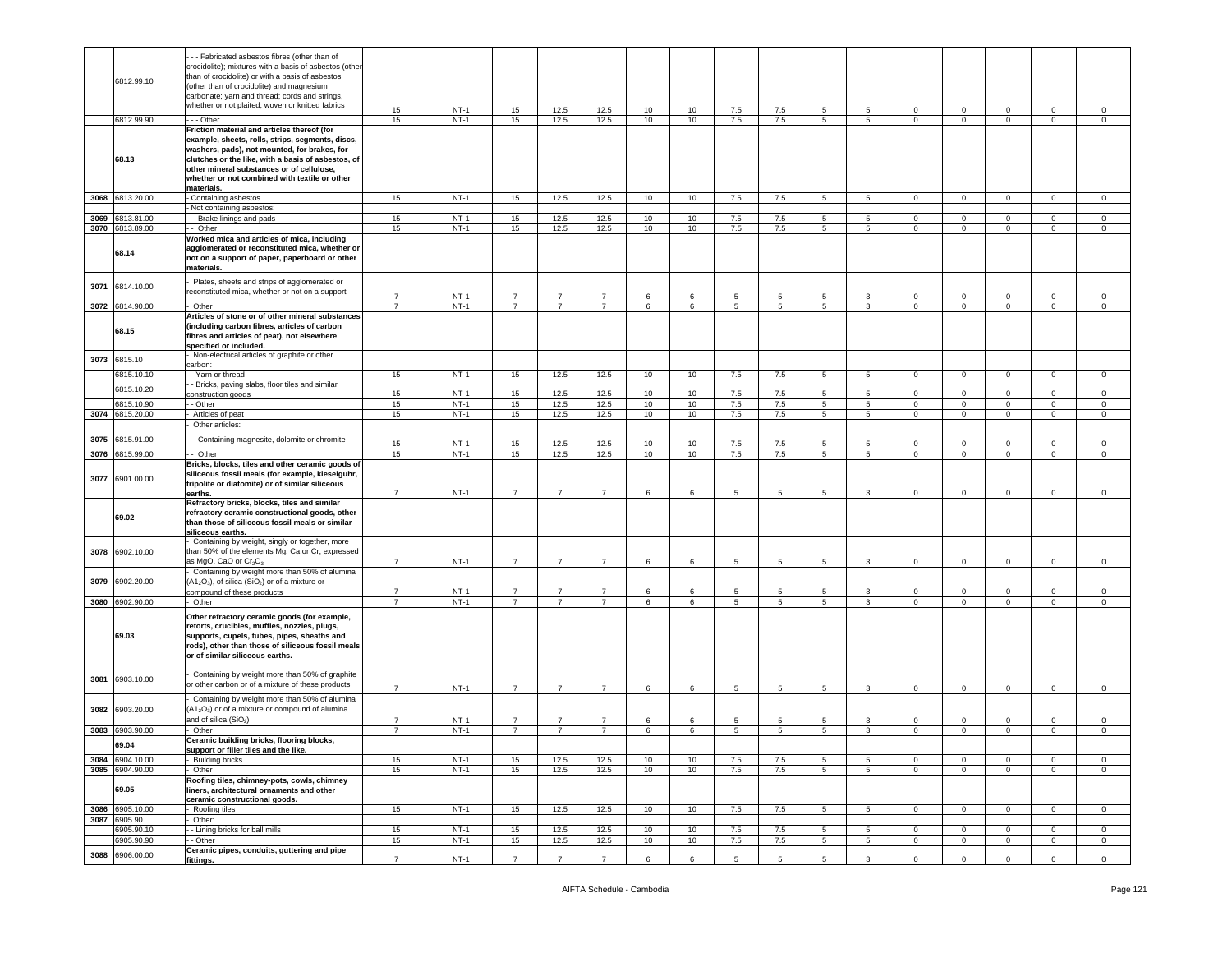|      | 6812.99.10      | - - Fabricated asbestos fibres (other than of<br>crocidolite); mixtures with a basis of asbestos (other<br>than of crocidolite) or with a basis of asbestos<br>(other than of crocidolite) and magnesium<br>carbonate; yarn and thread; cords and strings,<br>whether or not plaited; woven or knitted fabrics    | 15             | $NT-1$           | 15             | 12.5           | 12.5           | 10       | 10                    | 7.5             | 7.5             | 5               | 5                    | $\mathbf 0$                | $\mathsf 0$                | $\mathbf 0$                        | $\mathbf 0$                | 0                          |
|------|-----------------|-------------------------------------------------------------------------------------------------------------------------------------------------------------------------------------------------------------------------------------------------------------------------------------------------------------------|----------------|------------------|----------------|----------------|----------------|----------|-----------------------|-----------------|-----------------|-----------------|----------------------|----------------------------|----------------------------|------------------------------------|----------------------------|----------------------------|
|      | 6812.99.90      | --- Other                                                                                                                                                                                                                                                                                                         | 15             | $NT-1$           | 15             | 12.5           | 12.5           | 10       | 10 <sup>1</sup>       | 7.5             | 7.5             | 5               | 5                    | $\mathbf 0$                | $\mathbf 0$                | $\mathbf{0}$                       | $\mathsf 0$                | $\mathsf 0$                |
|      | 68.13           | Friction material and articles thereof (for<br>example, sheets, rolls, strips, segments, discs,<br>washers, pads), not mounted, for brakes, for<br>clutches or the like, with a basis of asbestos, of<br>other mineral substances or of cellulose,<br>whether or not combined with textile or other<br>materials. |                |                  |                |                |                |          |                       |                 |                 |                 |                      |                            |                            |                                    |                            |                            |
|      | 3068 6813.20.00 | Containing asbestos                                                                                                                                                                                                                                                                                               | 15             | $NT-1$           | 15             | 12.5           | 12.5           | 10       | 10                    | 7.5             | 7.5             | 5               | $5\overline{5}$      | $\overline{0}$             | $\mathbf{0}$               | $\overline{0}$                     | $\mathbf 0$                | $\mathbf 0$                |
|      |                 | Not containing asbestos:                                                                                                                                                                                                                                                                                          |                |                  |                |                |                |          |                       |                 |                 |                 |                      |                            |                            |                                    |                            |                            |
|      | 3069 6813.81.00 | - Brake linings and pads                                                                                                                                                                                                                                                                                          | 15             | $NT-1$           | 15             | 12.5           | 12.5           | 10       | 10                    | 7.5             | 7.5             | 5               | $5^{\circ}$          | $\mathbf{0}$               | $\mathbf{0}$               | $\overline{0}$                     | $\mathbf 0$                | $\circ$                    |
|      | 3070 6813.89.00 | - Other                                                                                                                                                                                                                                                                                                           | 15             | $NT-1$           | 15             | 12.5           | 12.5           | 10       | 10                    | 7.5             | 7.5             | $5^{\circ}$     | $5^{\circ}$          | $\mathbf 0$                | $\mathbf{0}$               | $\overline{0}$                     | $\circ$                    | $\circ$                    |
|      | 68.14           | Worked mica and articles of mica, including<br>agglomerated or reconstituted mica, whether or<br>not on a support of paper, paperboard or other<br>materials.                                                                                                                                                     |                |                  |                |                |                |          |                       |                 |                 |                 |                      |                            |                            |                                    |                            |                            |
| 3071 | 6814.10.00      | Plates, sheets and strips of agglomerated or<br>reconstituted mica, whether or not on a support                                                                                                                                                                                                                   | $\overline{7}$ | $NT-1$           | $\overline{7}$ | $\overline{7}$ | $\overline{7}$ | 6        | 6                     | 5               | 5               | 5               | 3                    | $\mathbf 0$                | $\mathsf 0$                | $\mathbf 0$                        | 0                          | $\mathsf 0$                |
|      | 3072 6814.90.00 | Other                                                                                                                                                                                                                                                                                                             | $\overline{7}$ | $NT-1$           | $\overline{7}$ | $\overline{7}$ | $\overline{7}$ | 6        | 6                     | 5               | $5\phantom{.0}$ | 5               | 3                    | $\circ$                    | $\mathbf{0}$               | $\mathbf{0}$                       | $\mathbf 0$                | $\mathbf 0$                |
|      | 68.15           | Articles of stone or of other mineral substances<br>(including carbon fibres, articles of carbon<br>fibres and articles of peat), not elsewhere<br>specified or included.                                                                                                                                         |                |                  |                |                |                |          |                       |                 |                 |                 |                      |                            |                            |                                    |                            |                            |
| 3073 | 6815.10         | Non-electrical articles of graphite or other<br>carbon:                                                                                                                                                                                                                                                           |                |                  |                |                |                |          |                       |                 |                 |                 |                      |                            |                            |                                    |                            |                            |
|      | 6815.10.10      | - Yarn or thread                                                                                                                                                                                                                                                                                                  | 15             | $NT-1$           | 15             | 12.5           | 12.5           | 10       | 10                    | 7.5             | 7.5             | 5               | 5                    | $\overline{0}$             | $\overline{0}$             | $\overline{0}$                     | $\circ$                    | $\mathbf 0$                |
|      | 6815.10.20      | - Bricks, paving slabs, floor tiles and similar                                                                                                                                                                                                                                                                   |                |                  |                |                |                |          |                       |                 |                 |                 |                      |                            |                            |                                    |                            |                            |
|      | 6815.10.90      | onstruction goods<br>- Other                                                                                                                                                                                                                                                                                      | 15<br>15       | $NT-1$<br>$NT-1$ | 15<br>15       | 12.5<br>12.5   | 12.5<br>12.5   | 10<br>10 | 10<br>10 <sup>1</sup> | $7.5\,$<br>7.5  | 7.5<br>7.5      | 5<br>5          | 5<br>$5\phantom{.0}$ | $\mathsf 0$<br>$\mathbf 0$ | $\mathsf 0$<br>$\mathsf 0$ | $\mathsf 0$<br>$\mathsf{O}\xspace$ | $\mathsf 0$<br>$\mathsf 0$ | $\mathsf 0$<br>$\,0\,$     |
| 3074 | 6815.20.00      | Articles of peat                                                                                                                                                                                                                                                                                                  | 15             | $NT-1$           | 15             | 12.5           | 12.5           | 10       | 10                    | 7.5             | 7.5             | 5               | 5                    | $\mathbf{0}$               | $\overline{0}$             | $\overline{0}$                     | $\mathbf 0$                | $\overline{0}$             |
|      |                 | Other articles:                                                                                                                                                                                                                                                                                                   |                |                  |                |                |                |          |                       |                 |                 |                 |                      |                            |                            |                                    |                            |                            |
|      |                 |                                                                                                                                                                                                                                                                                                                   |                |                  |                |                |                |          |                       |                 |                 |                 |                      |                            |                            |                                    |                            |                            |
| 3075 | 6815.91.00      | - Containing magnesite, dolomite or chromite                                                                                                                                                                                                                                                                      | 15             | $NT-1$           | 15             | 12.5           | 12.5           | 10       | 10                    | 7.5             | 7.5             | 5               | 5                    | $\circ$                    | $\mathbf 0$                | $\mathbf 0$                        | $\mathbf 0$                | $\mathsf 0$                |
| 3076 | 6815.99.00      | - Other                                                                                                                                                                                                                                                                                                           | 15             | $NT-1$           | 15             | 12.5           | 12.5           | 10       | 10                    | 7.5             | 7.5             | $5\overline{)}$ | $5\overline{)}$      | $\overline{0}$             | $\overline{0}$             | $\overline{0}$                     | $\overline{0}$             | $\mathsf 0$                |
| 3077 | 6901.00.00      | Bricks, blocks, tiles and other ceramic goods of<br>siliceous fossil meals (for example, kieselguhr,<br>tripolite or diatomite) or of similar siliceous<br>earths.                                                                                                                                                | $\overline{7}$ | $NT-1$           | $\overline{7}$ | $\overline{7}$ | $\overline{7}$ | 6        | 6                     | 5               | 5               | 5               | 3                    | $\mathbf 0$                | $\overline{0}$             | $\mathbf 0$                        | $\circ$                    | $\mathbf 0$                |
|      | 69.02           | Refractory bricks, blocks, tiles and similar<br>refractory ceramic constructional goods, other<br>than those of siliceous fossil meals or similar<br>siliceous earths.                                                                                                                                            |                |                  |                |                |                |          |                       |                 |                 |                 |                      |                            |                            |                                    |                            |                            |
| 3078 | 6902.10.00      | Containing by weight, singly or together, more<br>than 50% of the elements Mg, Ca or Cr, expressed<br>as MgO, CaO or Cr <sub>2</sub> O <sub>3</sub>                                                                                                                                                               | $\overline{7}$ | $NT-1$           | $\overline{7}$ | $\overline{7}$ | $\overline{7}$ | 6        | 6                     | 5               | 5               | 5               | 3                    | $\mathbf 0$                | $\mathbf 0$                | $\mathbf 0$                        | $\mathbf 0$                | $\,0\,$                    |
| 3079 | 6902.20.00      | Containing by weight more than 50% of alumina<br>(A1 <sub>2</sub> O <sub>3</sub> ), of silica (SiO <sub>2</sub> ) or of a mixture or                                                                                                                                                                              | $\overline{7}$ | $NT-1$           | $\overline{7}$ | $\overline{7}$ | $\overline{7}$ | 6        | 6                     | $5\overline{5}$ |                 | 5               |                      | $\circ$                    | $\mathbf 0$                |                                    |                            |                            |
|      | 3080 6902.90.00 | compound of these products<br>- Other                                                                                                                                                                                                                                                                             | $\overline{7}$ | $NT-1$           | $\overline{7}$ | 7              | $\overline{7}$ | 6        | 6                     | 5               | 5<br>5          | 5               | 3<br>3               | $\mathbf 0$                | $\mathbf{0}$               | $\mathbf 0$<br>$\overline{0}$      | 0<br>$\mathbf 0$           | $\mathsf 0$<br>$\mathbf 0$ |
|      | 69.03           | Other refractory ceramic goods (for example,<br>retorts, crucibles, muffles, nozzles, plugs,<br>supports, cupels, tubes, pipes, sheaths and<br>rods), other than those of siliceous fossil meals<br>or of similar siliceous earths.                                                                               |                |                  |                |                |                |          |                       |                 |                 |                 |                      |                            |                            |                                    |                            |                            |
| 3081 | 6903.10.00      | Containing by weight more than 50% of graphite<br>or other carbon or of a mixture of these products                                                                                                                                                                                                               | $\overline{7}$ | $NT-1$           | $\overline{7}$ | $\overline{7}$ | $\overline{7}$ | 6        | 6                     | 5               | 5               | 5               | 3                    | $\mathbf 0$                | $\mathsf 0$                | $\mathbf 0$                        | $\mathbf 0$                | $\mathsf 0$                |
| 3082 | 6903.20.00      | Containing by weight more than 50% of alumina<br>$(A12O3)$ or of a mixture or compound of alumina                                                                                                                                                                                                                 |                |                  |                |                |                |          |                       |                 |                 |                 |                      |                            |                            |                                    |                            |                            |
|      |                 | and of silica (SiO <sub>2</sub> )                                                                                                                                                                                                                                                                                 | $\overline{7}$ | $NT-1$           | $\overline{7}$ | $\overline{7}$ | $\overline{7}$ | 6        | 6                     | 5               | 5               | 5               | 3                    | $\mathbf 0$                | $\mathbf 0$                | $\mathbf 0$                        | $\Omega$                   | $\mathsf 0$                |
|      | 3083 6903.90.00 | Other                                                                                                                                                                                                                                                                                                             | $\overline{7}$ | $NT-1$           | $\overline{7}$ | $\overline{7}$ | $\overline{7}$ | 6        | 6                     | 5               | 5               | 5               | 3                    | $\mathbf 0$                | $\overline{0}$             | $\mathbf{0}$                       | $\mathbf 0$                | $\mathsf 0$                |
|      | 69.04           | Ceramic building bricks, flooring blocks,<br>support or filler tiles and the like.                                                                                                                                                                                                                                |                |                  |                |                |                |          |                       |                 |                 |                 |                      |                            |                            |                                    |                            |                            |
|      | 3084 6904.10.00 | - Building bricks                                                                                                                                                                                                                                                                                                 | 15             | $NT-1$           | 15             | 12.5           | 12.5           | 10       | 10                    | 7.5             | 7.5             | 5               | 5                    | $\circ$                    | $\mathbf 0$                | $^{\circ}$                         | 0                          | $\mathbf 0$                |
|      | 3085 6904.90.00 | Other                                                                                                                                                                                                                                                                                                             | 15             | $NT-1$           | 15             | 12.5           | 12.5           | 10       | 10                    | 7.5             | 7.5             | $5^{\circ}$     | 5 <sub>5</sub>       | $\mathbf{O}$               | $\mathbf{0}$               | $\mathbf{0}$                       | $\mathbf 0$                | $\circ$                    |
|      | 69.05           | Roofing tiles, chimney-pots, cowls, chimney<br>liners, architectural ornaments and other<br>ceramic constructional goods.                                                                                                                                                                                         |                |                  |                |                |                |          |                       |                 |                 |                 |                      |                            |                            |                                    |                            |                            |
|      | 3086 6905.10.00 | Roofing tiles                                                                                                                                                                                                                                                                                                     | 15             | $NT-1$           | 15             | 12.5           | 12.5           | 10       | 10                    | 7.5             | 7.5             | 5               | 5                    | $\overline{0}$             | $\overline{\mathbf{0}}$    | $\mathbf{0}$                       | $\mathbf{0}$               | $\mathbf{0}$               |
|      | 3087 6905.90    | Other:                                                                                                                                                                                                                                                                                                            |                |                  |                |                |                |          |                       |                 |                 |                 |                      |                            |                            |                                    |                            |                            |
|      | 6905.90.10      | - Lining bricks for ball mills                                                                                                                                                                                                                                                                                    | 15             | $NT-1$           | 15             | 12.5           | 12.5           | 10       | 10                    | 7.5             | 7.5             | 5               | 5                    | $\mathbf{0}$               | $\mathbf{0}$               | $\mathbf{0}$                       | $\mathbf 0$                | $\circ$                    |
|      | 6905.90.90      | - Other                                                                                                                                                                                                                                                                                                           | 15             | $NT-1$           | 15             | 12.5           | 12.5           | 10       | 10                    | 7.5             | 7.5             | 5               | 5 <sub>5</sub>       | $\mathbf 0$                | $\mathbf{0}$               | $\mathbf{0}$                       | $\mathbf 0$                | $\mathbf 0$                |
| 3088 | 6906.00.00      | Ceramic pipes, conduits, guttering and pipe<br>ittings.                                                                                                                                                                                                                                                           | $\overline{7}$ | $NT-1$           | $\overline{7}$ | $\overline{7}$ | $\overline{7}$ | 6        | 6                     | 5               | 5               | 5               | 3                    | $\mathbf 0$                | $\overline{0}$             | $\mathbf 0$                        | $\mathbf 0$                | $\mathbf 0$                |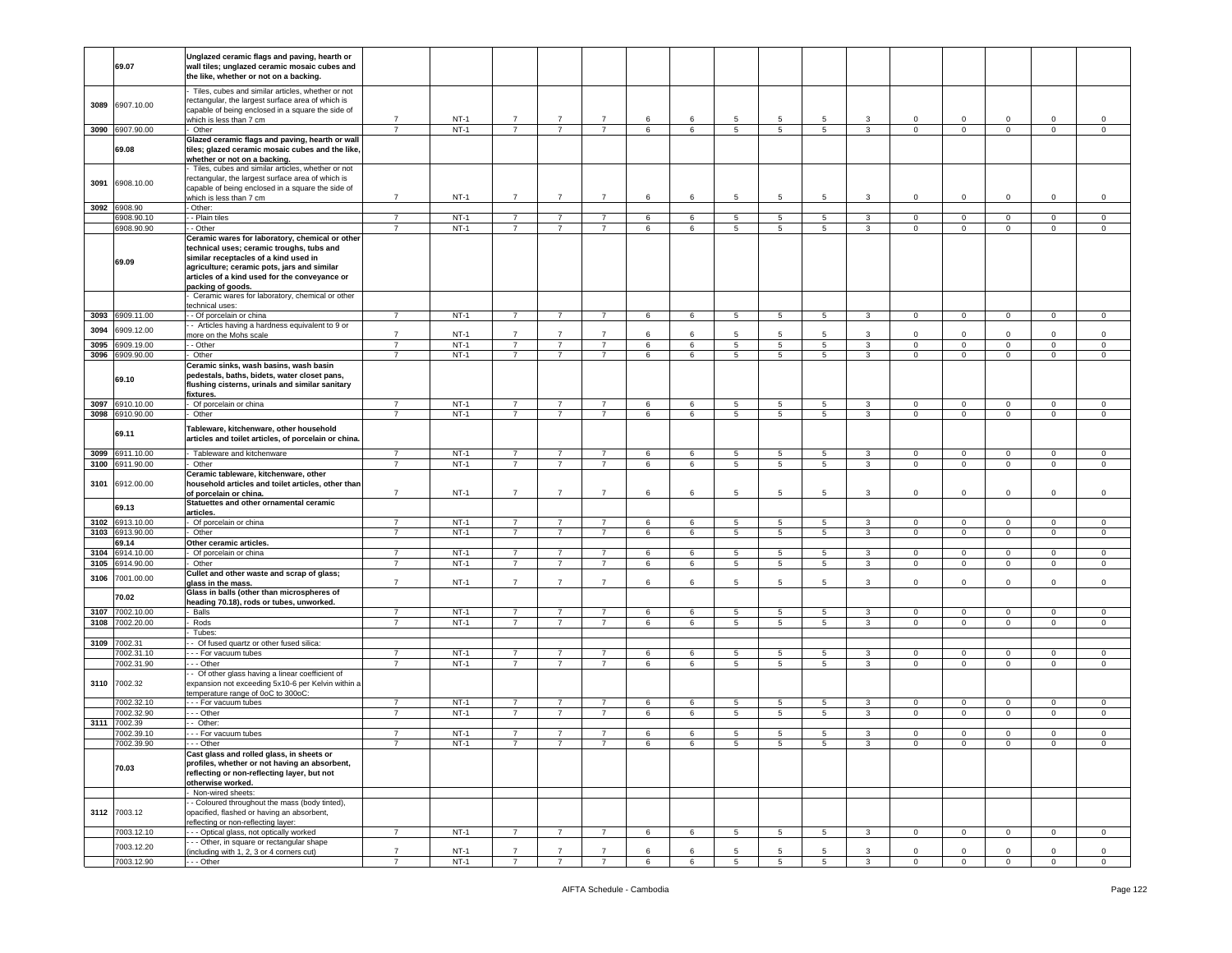|              | 69.07                    | Unglazed ceramic flags and paving, hearth or<br>wall tiles; unglazed ceramic mosaic cubes and<br>the like, whether or not on a backing.                                                                                                                    |                |        |                |                |                |   |   |                |                 |                |              |                |                         |                |             |             |
|--------------|--------------------------|------------------------------------------------------------------------------------------------------------------------------------------------------------------------------------------------------------------------------------------------------------|----------------|--------|----------------|----------------|----------------|---|---|----------------|-----------------|----------------|--------------|----------------|-------------------------|----------------|-------------|-------------|
| 3089         | 6907.10.00               | Tiles, cubes and similar articles, whether or not<br>rectangular, the largest surface area of which is<br>capable of being enclosed in a square the side of<br>which is less than 7 cm                                                                     | $\overline{7}$ | $NT-1$ | $\overline{7}$ | $\overline{7}$ | $\overline{7}$ | 6 | 6 | 5              | 5               | -5             | 3            | $\circ$        | $\mathsf 0$             | $\mathbf 0$    | 0           | 0           |
|              | 3090 6907.90.00          | Other                                                                                                                                                                                                                                                      | $\overline{7}$ | $NT-1$ | $\overline{7}$ | $\overline{7}$ | $\overline{7}$ | 6 | 6 | $\overline{5}$ | $\overline{5}$  | $5^{\circ}$    | 3            | $\mathbf 0$    | $\overline{0}$          | $\overline{0}$ | $\mathbf 0$ | $\circ$     |
|              |                          | Glazed ceramic flags and paving, hearth or wall                                                                                                                                                                                                            |                |        |                |                |                |   |   |                |                 |                |              |                |                         |                |             |             |
|              | 69.08                    | tiles; glazed ceramic mosaic cubes and the like,<br>whether or not on a backing.                                                                                                                                                                           |                |        |                |                |                |   |   |                |                 |                |              |                |                         |                |             |             |
| 3091         | 6908.10.00               | Tiles, cubes and similar articles, whether or not<br>rectangular, the largest surface area of which is<br>capable of being enclosed in a square the side of                                                                                                |                |        |                |                |                |   |   |                |                 |                |              |                |                         |                |             |             |
|              |                          | which is less than 7 cm                                                                                                                                                                                                                                    | $\overline{7}$ | $NT-1$ | $\overline{7}$ | $\overline{7}$ | $\overline{7}$ | 6 | 6 | 5              | 5               | 5              | 3            | $\mathbf 0$    | $\mathbf 0$             | $\mathbf 0$    | $\mathbf 0$ | $\mathsf 0$ |
| 3092         | 6908.90                  | Other:                                                                                                                                                                                                                                                     |                |        |                |                |                |   |   |                |                 |                |              |                |                         |                |             |             |
|              | 6908.90.10               | - Plain tiles                                                                                                                                                                                                                                              | $\overline{7}$ | $NT-1$ | $\overline{7}$ | $\overline{7}$ | $\overline{7}$ | 6 | 6 | 5              | $5\phantom{.0}$ | 5              | 3            | $\circ$        | $\mathbf{0}$            | $\mathbf{0}$   | $\mathbf 0$ | $\mathbf 0$ |
|              | 6908.90.90               | - Other                                                                                                                                                                                                                                                    | $\overline{7}$ | $NT-1$ | $\overline{7}$ | 7              | $\overline{7}$ | 6 | 6 | 5              | 5               | 5              | 3            | $\mathbf 0$    | $\mathbf{0}$            | $\mathbf{0}$   | $\mathbf 0$ | $\mathbf 0$ |
|              | 69.09                    | Ceramic wares for laboratory, chemical or other<br>technical uses; ceramic troughs, tubs and<br>similar receptacles of a kind used in<br>agriculture; ceramic pots, jars and similar<br>articles of a kind used for the conveyance or<br>packing of goods. |                |        |                |                |                |   |   |                |                 |                |              |                |                         |                |             |             |
|              |                          | Ceramic wares for laboratory, chemical or other<br>echnical uses:                                                                                                                                                                                          |                |        |                |                |                |   |   |                |                 |                |              |                |                         |                |             |             |
| 3093         | 6909.11.00               | - Of porcelain or china                                                                                                                                                                                                                                    | $\overline{7}$ | $NT-1$ | $\overline{7}$ |                |                | 6 | 6 | 5              | $5\phantom{.0}$ | 5              | 3            | $\mathbf 0$    | $\overline{\mathbf{0}}$ | $\mathbf 0$    | $\mathbf 0$ | $\,0\,$     |
|              |                          | - Articles having a hardness equivalent to 9 or                                                                                                                                                                                                            |                |        |                |                |                |   |   |                |                 |                |              |                |                         |                |             |             |
| 3094         | 6909.12.00               | more on the Mohs scale                                                                                                                                                                                                                                     | $\overline{7}$ | $NT-1$ | $\overline{7}$ | $\overline{7}$ | $\overline{7}$ | 6 | 6 | 5              | 5               | 5              | 3            | $\mathbf 0$    | $\mathsf 0$             | $\mathbf 0$    | $\mathbf 0$ | $\mathsf 0$ |
| 3095         | 6909.19.00               | - - Other                                                                                                                                                                                                                                                  | $\overline{7}$ | $NT-1$ | $\overline{7}$ | 7              | $\overline{7}$ | 6 | 6 | 5              | 5               | 5              | 3            | $\mathbf 0$    | $\mathbf{0}$            | $\mathbf{0}$   | 0           | $\circ$     |
| 3096         | 6909.90.00               | Other                                                                                                                                                                                                                                                      | $\overline{7}$ | $NT-1$ | $\overline{7}$ | $\overline{7}$ | $\overline{7}$ | 6 | 6 | 5              | 5               | 5              | $\mathbf{3}$ | $\circ$        | $\overline{0}$          | $\mathbf{0}$   | $\mathbf 0$ | $\mathsf 0$ |
|              | 69.10                    | Ceramic sinks, wash basins, wash basin<br>pedestals, baths, bidets, water closet pans,<br>flushing cisterns, urinals and similar sanitary<br>fixtures.                                                                                                     |                |        |                |                |                |   |   |                |                 |                |              |                |                         |                |             |             |
| 3097         | 6910.10.00               | Of porcelain or china                                                                                                                                                                                                                                      | $\overline{7}$ | $NT-1$ | $\overline{7}$ | $\overline{7}$ | $\overline{7}$ | 6 | 6 | 5              | $5\phantom{.0}$ | 5              | 3            | $\mathbf 0$    | $\mathsf 0$             | $\mathbf 0$    | $\mathbf 0$ | $\,0\,$     |
| 3098         | 6910.90.00               | Other                                                                                                                                                                                                                                                      | $\overline{7}$ | $NT-1$ | $\overline{7}$ | $\overline{7}$ | $\overline{7}$ | 6 | 6 | 5              | $5\overline{)}$ | 5 <sub>5</sub> | $\mathbf{3}$ | $\overline{0}$ | $\overline{0}$          | $\overline{0}$ | $\mathbf 0$ | $\circ$     |
|              | 69.11                    | Tableware, kitchenware, other household<br>articles and toilet articles, of porcelain or china.                                                                                                                                                            |                |        |                |                |                |   |   |                |                 |                |              |                |                         |                |             |             |
| 3099         | 6911.10.00               | Tableware and kitchenware                                                                                                                                                                                                                                  | $\overline{7}$ | $NT-1$ | $\overline{7}$ | $\overline{7}$ | $\overline{7}$ | 6 | 6 | 5              | 5               | 5              | $\mathbf{3}$ | $\mathbf 0$    | $\mathbf 0$             | $\mathbf 0$    | $\mathbf 0$ | $\,0\,$     |
|              | 3100 6911.90.00          | Other                                                                                                                                                                                                                                                      | $\overline{7}$ | $NT-1$ | $\overline{7}$ | $\overline{7}$ | $\overline{7}$ | 6 | 6 | 5              | 5               | 5              | 3            | $\mathbf{0}$   | $\overline{0}$          | $\mathbf{0}$   | $\mathbf 0$ | $\mathsf 0$ |
| 3101         | 6912.00.00               | Ceramic tableware, kitchenware, other<br>household articles and toilet articles, other than<br>of porcelain or china.                                                                                                                                      | $\overline{7}$ | $NT-1$ | $\overline{7}$ | $\overline{7}$ | $\overline{7}$ | 6 | 6 | 5              | 5               | 5              | 3            | $\circ$        | $\mathbf 0$             | $\mathbf 0$    | $\mathbf 0$ | $\mathbf 0$ |
|              | 69.13<br>3102 6913.10.00 | Statuettes and other ornamental ceramic<br>articles.<br>Of porcelain or china                                                                                                                                                                              | $\overline{7}$ | $NT-1$ | $\overline{7}$ | 7              | 7              | 6 | 6 | 5              | 5               | 5              | 3            | $\mathbf{0}$   | $\mathbf 0$             | $\mathbf{0}$   | 0           | $\mathbf 0$ |
| 3103         | 6913.90.00               | Other                                                                                                                                                                                                                                                      | $\overline{7}$ | $NT-1$ | $\overline{7}$ | $\overline{7}$ | $\overline{7}$ | 6 | 6 | 5              | 5               | 5              | $\mathbf{3}$ | $\circ$        | $\overline{0}$          | $\mathbf{0}$   | $\circ$     | $\mathsf 0$ |
|              |                          |                                                                                                                                                                                                                                                            |                |        |                |                |                |   |   |                |                 |                |              |                |                         |                |             |             |
|              | 69.14                    | Other ceramic articles.                                                                                                                                                                                                                                    |                |        |                |                |                |   |   |                |                 |                |              |                |                         |                |             |             |
| 3104         | 6914.10.00               | Of porcelain or china                                                                                                                                                                                                                                      | $\overline{7}$ | $NT-1$ | $\overline{7}$ | $\overline{7}$ | $\overline{7}$ | 6 | 6 | 5              | 5               | 5              | 3            | $\mathbf{0}$   | $\mathsf 0$             | $\mathbf 0$    | $\mathbf 0$ | 0           |
| 3105<br>3106 | 6914.90.00<br>7001.00.00 | Other<br>Cullet and other waste and scrap of glass;                                                                                                                                                                                                        | $\overline{7}$ | $NT-1$ | $\overline{7}$ | $\overline{7}$ | $\overline{7}$ | 6 | 6 | 5              | $5\phantom{.0}$ | 5              | $\mathbf{3}$ | $\mathbf 0$    | $\mathbf{0}$            | $\overline{0}$ | $\mathsf 0$ | $\mathsf 0$ |
|              | 70.02                    | glass in the mass.<br>Glass in balls (other than microspheres of                                                                                                                                                                                           | $\overline{7}$ | $NT-1$ | $\overline{7}$ | $\overline{7}$ | $\overline{7}$ | 6 | 6 | 5              | 5               | 5              | 3            | $\mathbf{0}$   | $\mathbf 0$             | $\mathbf 0$    | $\mathbf 0$ | $\mathsf 0$ |
|              |                          | heading 70.18), rods or tubes, unworked.                                                                                                                                                                                                                   |                |        |                |                |                |   |   |                |                 |                |              |                |                         |                |             |             |
| 3107         | 7002.10.00               | Balls                                                                                                                                                                                                                                                      | $\overline{7}$ | $NT-1$ | $\overline{7}$ | $\overline{7}$ | $\overline{7}$ | 6 | 6 | 5              | $\overline{5}$  | 5              | $\mathbf{3}$ | $\circ$        | $\overline{0}$          | $\mathbf{0}$   | $\mathbf 0$ | $\mathsf 0$ |
| 3108         | 7002.20.00               | Rods                                                                                                                                                                                                                                                       | $\overline{7}$ | $NT-1$ | $\overline{7}$ | $\overline{7}$ | $\overline{7}$ | 6 | 6 | 5              | $5\phantom{.0}$ | 5              | $\mathbf{3}$ | $\mathsf 0$    | $\mathbf 0$             | $\mathbf{0}$   | $\mathsf 0$ | $\mathbf 0$ |
|              |                          | Tubes:                                                                                                                                                                                                                                                     |                |        |                |                |                |   |   |                |                 |                |              |                |                         |                |             |             |
|              | 3109 7002.31             | Of fused quartz or other fused silica:                                                                                                                                                                                                                     |                |        |                |                |                |   |   |                |                 |                |              |                |                         |                |             |             |
|              | 7002.31.10               | - - For vacuum tubes                                                                                                                                                                                                                                       | $\overline{7}$ | $NT-1$ | 7              | 7              | 7              | 6 | 6 | 5              | 5               | 5              | 3            | $\mathbf{0}$   | $\mathbf 0$             | $\mathbf 0$    | 0           | 0           |
| 3110         | 7002.31.90<br>7002.32    | --- Other<br>- Of other glass having a linear coefficient of<br>expansion not exceeding 5x10-6 per Kelvin within a                                                                                                                                         | $\overline{7}$ | $NT-1$ | $\overline{7}$ | $\overline{7}$ | $\overline{7}$ | 6 | 6 | 5              | 5               | 5              | $\mathbf{3}$ | $\circ$        | $\overline{0}$          | $\mathbf{0}$   | $\circ$     | $\mathsf 0$ |
|              |                          | temperature range of 0oC to 300oC:                                                                                                                                                                                                                         |                |        |                |                |                |   |   |                |                 |                |              |                |                         |                |             |             |
|              | 002.32.10                | --- For vacuum tubes                                                                                                                                                                                                                                       | $\overline{7}$ | $NT-1$ | $\overline{7}$ | $\overline{7}$ | $\overline{7}$ | 6 | 6 | 5              | 5               | 5              | 3            | $\mathbf{0}$   | $\mathbf 0$             | $\mathbf 0$    | 0           | 0           |
|              | 7002.32.90               | - - Other                                                                                                                                                                                                                                                  | $\overline{7}$ | $NT-1$ | $\overline{7}$ | $\overline{7}$ | $\overline{7}$ | 6 | 6 | 5              | $5\phantom{.0}$ | 5              | $\mathbf{3}$ | $\mathbf{O}$   | $\mathbf 0$             | $\overline{0}$ | $\mathbf 0$ | $\mathsf 0$ |
| 3111         | 7002.39                  | -- Other:                                                                                                                                                                                                                                                  |                |        |                |                |                |   |   |                |                 |                |              |                |                         |                |             |             |
|              | 7002.39.10               | --- For vacuum tubes                                                                                                                                                                                                                                       | $\overline{7}$ | $NT-1$ | $\overline{7}$ | $\overline{7}$ | $\overline{7}$ | 6 | 6 | 5              | $5\phantom{.0}$ | 5              | 3            | $\Omega$       | $\overline{0}$          | $\mathbf 0$    | $\mathbf 0$ | 0           |
|              | 7002.39.90               | <b>Other</b>                                                                                                                                                                                                                                               |                | NT-    |                |                |                |   |   |                |                 |                |              |                |                         |                |             |             |
|              | 70.03                    | Cast glass and rolled glass, in sheets or<br>profiles, whether or not having an absorbent,<br>reflecting or non-reflecting layer, but not<br>otherwise worked.                                                                                             |                |        |                |                |                |   |   |                |                 |                |              |                |                         |                |             |             |
|              |                          | Non-wired sheets:                                                                                                                                                                                                                                          |                |        |                |                |                |   |   |                |                 |                |              |                |                         |                |             |             |
|              | 3112 7003.12             | - Coloured throughout the mass (body tinted),<br>opacified, flashed or having an absorbent,<br>reflecting or non-reflecting layer:                                                                                                                         |                |        |                |                |                |   |   |                |                 |                |              |                |                         |                |             |             |
|              | 7003.12.10               | - - Optical glass, not optically worked                                                                                                                                                                                                                    | $\overline{7}$ | $NT-1$ | $\overline{7}$ | $\overline{7}$ | $\overline{7}$ | 6 | 6 | 5              | $5\phantom{.0}$ | 5              | $\mathbf{3}$ | $\mathsf 0$    | $\mathbf 0$             | $\mathbf{0}$   | $\mathsf 0$ | $\mathsf 0$ |
|              | 7003.12.20               | - - Other, in square or rectangular shape                                                                                                                                                                                                                  | $\overline{7}$ | $NT-1$ | $\overline{7}$ | $\overline{7}$ | $\overline{7}$ | 6 | 6 | 5              | 5               | 5              | 3            | 0              | $\mathsf 0$             | $\mathbf 0$    | $\mathbf 0$ | $\mathbf 0$ |
|              |                          |                                                                                                                                                                                                                                                            |                |        |                |                |                |   |   |                |                 |                |              |                |                         |                |             |             |
|              | 7003.12.90               | (including with 1, 2, 3 or 4 corners cut)<br>- - Other                                                                                                                                                                                                     | $\overline{7}$ | $NT-1$ | $\overline{7}$ | $\overline{7}$ | $\overline{7}$ | 6 | 6 | 5              | 5               | 5              | $\mathbf{3}$ | $\mathbf 0$    | $\overline{0}$          | $\mathbf{0}$   | $\mathbf 0$ | $\mathbf 0$ |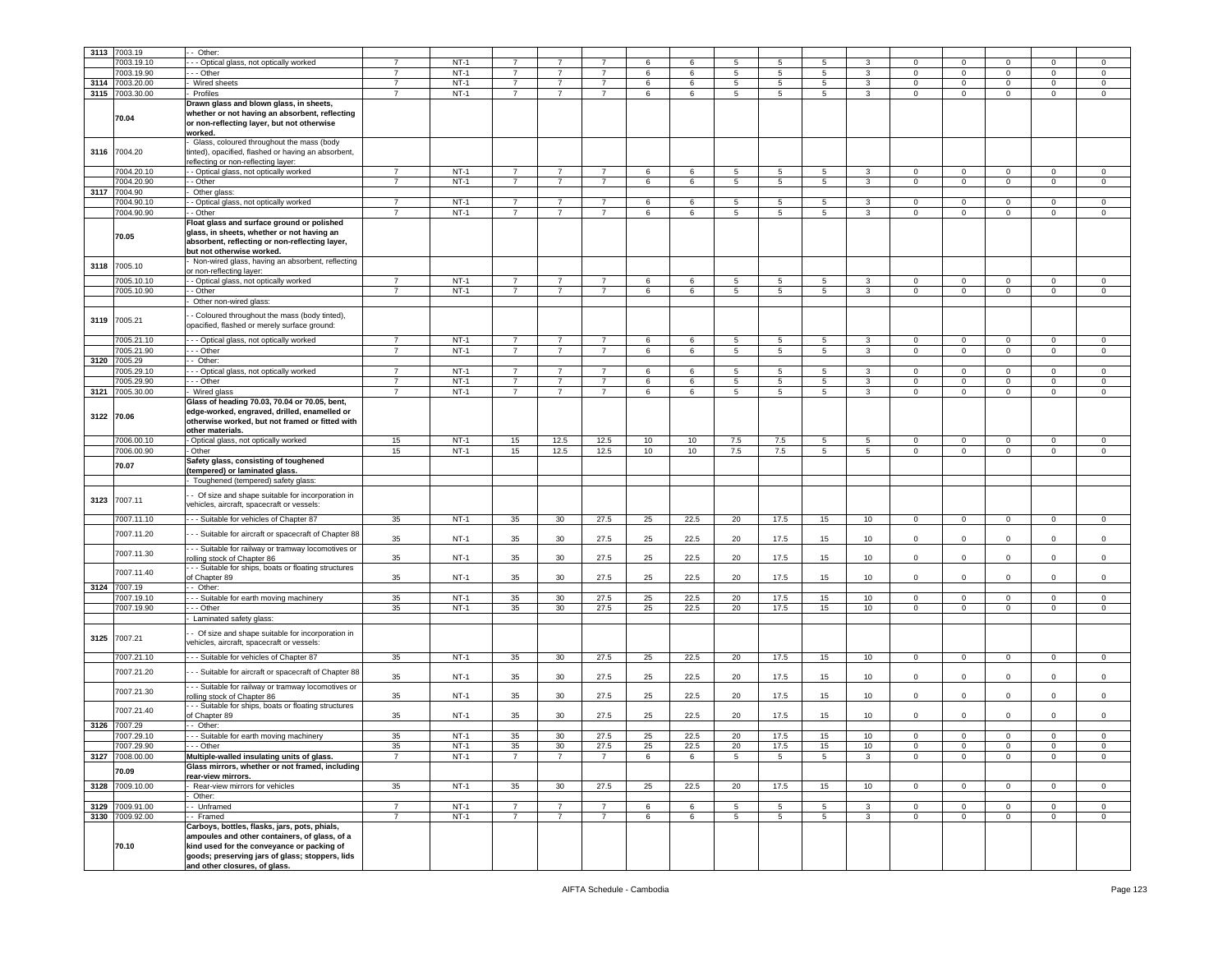| 3113       | 7003.19         | - Other:                                                                         |                |             |                |                 |                |       |      |                 |                |                 |                 |                |             |              |              |                |
|------------|-----------------|----------------------------------------------------------------------------------|----------------|-------------|----------------|-----------------|----------------|-------|------|-----------------|----------------|-----------------|-----------------|----------------|-------------|--------------|--------------|----------------|
|            |                 |                                                                                  |                |             |                |                 |                |       |      |                 |                |                 |                 |                |             |              |              |                |
|            | 003.19.10       | - - Optical glass, not optically worked                                          |                | $NT-1$      |                |                 |                | 6     | 6    | 5               | 5              | 5               | 3               | $\Omega$       | 0           | $\Omega$     | $\Omega$     | $\mathbf 0$    |
|            | 7003.19.90      | $\overline{\cdot}$ Other                                                         | $\overline{7}$ | $NT-1$      | $\overline{7}$ | $\overline{7}$  | $\overline{7}$ | 6     | 6    | $5\overline{5}$ | 5              | $5\overline{5}$ | $\mathbf{3}$    | $\mathbf 0$    | $\mathbf 0$ | $\Omega$     | $\mathbf{0}$ | $\mathsf 0$    |
| 3114       | 7003.20.00      | Wired sheets                                                                     | $\overline{7}$ | $NT-1$      | $\overline{7}$ | $\overline{7}$  | $\overline{7}$ | 6     | 6    | $5\overline{5}$ | 5              | $5\overline{5}$ | $\mathbf{3}$    | $\mathbf 0$    | $\mathbf 0$ | $\mathsf 0$  | $\mathbf 0$  | $\mathbf 0$    |
|            |                 |                                                                                  | $\overline{7}$ |             |                |                 |                |       |      |                 |                |                 |                 |                |             |              |              |                |
| 3115       | 7003.30.00      | Profiles                                                                         |                | $NT-1$      | $\overline{7}$ | $\overline{7}$  | $\overline{7}$ | 6     | 6    | $5\overline{5}$ | 5              | $5\overline{5}$ | $\mathbf{3}$    | $\mathsf 0$    | $\mathbf 0$ | $\mathbf 0$  | $\mathbf 0$  | $\mathbf 0$    |
|            |                 | Drawn glass and blown glass, in sheets,                                          |                |             |                |                 |                |       |      |                 |                |                 |                 |                |             |              |              |                |
|            |                 | whether or not having an absorbent, reflecting                                   |                |             |                |                 |                |       |      |                 |                |                 |                 |                |             |              |              |                |
|            | 70.04           | or non-reflecting layer, but not otherwise                                       |                |             |                |                 |                |       |      |                 |                |                 |                 |                |             |              |              |                |
|            |                 |                                                                                  |                |             |                |                 |                |       |      |                 |                |                 |                 |                |             |              |              |                |
|            |                 | worked.                                                                          |                |             |                |                 |                |       |      |                 |                |                 |                 |                |             |              |              |                |
|            |                 | Glass, coloured throughout the mass (body                                        |                |             |                |                 |                |       |      |                 |                |                 |                 |                |             |              |              |                |
|            | 3116 7004.20    | tinted), opacified, flashed or having an absorbent,                              |                |             |                |                 |                |       |      |                 |                |                 |                 |                |             |              |              |                |
|            |                 | reflecting or non-reflecting layer:                                              |                |             |                |                 |                |       |      |                 |                |                 |                 |                |             |              |              |                |
|            |                 |                                                                                  |                |             | $\overline{7}$ |                 |                |       |      |                 |                |                 |                 |                |             |              |              |                |
|            | 7004.20.10      | - - Optical glass, not optically worked                                          | $\overline{7}$ | $NT-1$      |                | 7               | 7              | 6     | 6    | 5               | 5              | 5               | 3               | 0              | 0           | 0            | 0            | $\mathbf 0$    |
|            | 7004.20.90      | - Other                                                                          | $\overline{7}$ | $NT-1$      | $\overline{7}$ | $\overline{7}$  | $\overline{7}$ | 6     | 6    | $5\overline{5}$ | 5              | $5\overline{5}$ | $\mathbf{3}$    | $\mathbf 0$    | $\mathbf 0$ | $\mathbf 0$  | $\mathbf 0$  | $\mathbf 0$    |
| 3117       | 7004.90         | Other glass:                                                                     |                |             |                |                 |                |       |      |                 |                |                 |                 |                |             |              |              |                |
|            | 7004.90.10      | - Optical glass, not optically worked                                            | $\overline{7}$ | $NT-1$      | $\overline{7}$ | 7               | $\overline{7}$ | 6     | 6    | 5               | 5              | 5               | 3               | $\mathbf 0$    | 0           | 0            | 0            | $\mathbf 0$    |
|            |                 |                                                                                  |                |             |                |                 |                |       |      |                 |                |                 |                 |                |             |              |              |                |
|            | 7004.90.90      | - Other                                                                          | $\overline{7}$ | $NT-1$      | $\overline{7}$ | $\overline{7}$  | $\overline{7}$ | 6     | 6    | $5\phantom{.0}$ | 5              | $5\phantom{.0}$ | 3               | $\mathbf 0$    | $\mathbf 0$ | $\mathbf 0$  | $\mathbf 0$  | $\mathsf 0$    |
|            |                 | Float glass and surface ground or polished                                       |                |             |                |                 |                |       |      |                 |                |                 |                 |                |             |              |              |                |
|            |                 | glass, in sheets, whether or not having an                                       |                |             |                |                 |                |       |      |                 |                |                 |                 |                |             |              |              |                |
|            | 70.05           | absorbent, reflecting or non-reflecting layer,                                   |                |             |                |                 |                |       |      |                 |                |                 |                 |                |             |              |              |                |
|            |                 |                                                                                  |                |             |                |                 |                |       |      |                 |                |                 |                 |                |             |              |              |                |
|            |                 | but not otherwise worked.                                                        |                |             |                |                 |                |       |      |                 |                |                 |                 |                |             |              |              |                |
| 3118       | 7005.10         | Non-wired glass, having an absorbent, reflecting                                 |                |             |                |                 |                |       |      |                 |                |                 |                 |                |             |              |              |                |
|            |                 | or non-reflecting layer:                                                         |                |             |                |                 |                |       |      |                 |                |                 |                 |                |             |              |              |                |
|            | 7005.10.10      | - Optical glass, not optically worked                                            | $\overline{7}$ | $NT-1$      | $\overline{7}$ | $\overline{7}$  | $\overline{7}$ | 6     | 6    | 5               | $\overline{5}$ | 5               | 3               | $\mathbf 0$    | $\mathbf 0$ | $\Omega$     | $\mathbf 0$  | $\mathbf 0$    |
|            |                 |                                                                                  | $\overline{7}$ |             | $\overline{7}$ |                 |                |       |      |                 |                |                 |                 |                |             |              |              |                |
|            | 7005.10.90      | - Other                                                                          |                | $NT-1$      |                | 7               | $\overline{7}$ | 6     | 6    | 5               | 5              | 5               | 3               | $\mathbf 0$    | 0           | 0            | 0            | $\mathbf 0$    |
|            |                 | Other non-wired glass:                                                           |                |             |                |                 |                |       |      |                 |                |                 |                 |                |             |              |              |                |
|            |                 |                                                                                  |                |             |                |                 |                |       |      |                 |                |                 |                 |                |             |              |              |                |
| 3119       | 7005.21         | - Coloured throughout the mass (body tinted),                                    |                |             |                |                 |                |       |      |                 |                |                 |                 |                |             |              |              |                |
|            |                 | opacified, flashed or merely surface ground:                                     |                |             |                |                 |                |       |      |                 |                |                 |                 |                |             |              |              |                |
|            |                 |                                                                                  |                |             |                |                 |                |       |      |                 |                |                 |                 |                |             |              |              |                |
|            | 7005.21.10      | - - - Optical glass, not optically worked                                        | $\overline{7}$ | $NT-1$      | $\overline{7}$ | $\overline{7}$  | $\overline{7}$ | 6     | 6    | 5               | 5              | 5               | 3               | 0              | 0           | 0            | 0            | $\mathbf 0$    |
|            | 7005.21.90      | -- Other                                                                         | $\overline{7}$ | $NT-1$      | $\overline{7}$ | $\overline{7}$  | $\overline{7}$ | $\,6$ | 6    | $5\phantom{.0}$ | 5              | $\sqrt{5}$      | 3               | $\mathbf 0$    | $\mathbf 0$ | $\mathbf 0$  | $\mathbf 0$  | $\mathsf 0$    |
| 3120       | 7005.29         | - Other:                                                                         |                |             |                |                 |                |       |      |                 |                |                 |                 |                |             |              |              |                |
|            |                 |                                                                                  |                |             |                |                 |                |       |      |                 |                |                 |                 |                |             |              |              |                |
|            | 005.29.10       | --- Optical glass, not optically worked                                          | $\overline{7}$ | $NT-1$      | $\overline{7}$ | 7               | $\overline{7}$ | 6     | 6    | 5               | -5             | 5               | 3               | $\Omega$       | 0           | $\Omega$     | $\Omega$     | $\mathbf 0$    |
|            | 005.29.90       | --- Other                                                                        | $\overline{7}$ | $NT-1$      | $\overline{7}$ | 7               | $\overline{7}$ | 6     | 6    | 5               | 5              | 5               | 3               | 0              | 0           | 0            | 0            | $\mathbf 0$    |
| 3121       | 7005.30.00      | Wired glass                                                                      | $\overline{7}$ | $NT-1$      | $\overline{7}$ | $\overline{7}$  | $\overline{7}$ | 6     | 6    | 5               | 5              | 5               | 3               | 0              | 0           | 0            | $\mathbf 0$  | $\mathbf 0$    |
|            |                 | Glass of heading 70.03, 70.04 or 70.05, bent,                                    |                |             |                |                 |                |       |      |                 |                |                 |                 |                |             |              |              |                |
|            |                 |                                                                                  |                |             |                |                 |                |       |      |                 |                |                 |                 |                |             |              |              |                |
| 3122 70.06 |                 | edge-worked, engraved, drilled, enamelled or                                     |                |             |                |                 |                |       |      |                 |                |                 |                 |                |             |              |              |                |
|            |                 | otherwise worked, but not framed or fitted with                                  |                |             |                |                 |                |       |      |                 |                |                 |                 |                |             |              |              |                |
|            |                 | other materials.                                                                 |                |             |                |                 |                |       |      |                 |                |                 |                 |                |             |              |              |                |
|            | 7006.00.10      | - Optical glass, not optically worked                                            | 15             | $NT-1$      | 15             | 12.5            | 12.5           | 10    | 10   | 7.5             | 7.5            | 5               | 5               | $\mathbf 0$    | 0           | 0            | 0            | $\mathbf 0$    |
|            |                 |                                                                                  |                |             |                |                 |                |       |      |                 |                |                 |                 |                |             |              |              |                |
|            | 7006.00.90      | Other                                                                            | 15             | $NT-1$      | 15             | 12.5            | 12.5           | 10    | 10   | 7.5             | 7.5            | $5\overline{5}$ | $5\overline{)}$ | $\overline{0}$ | $\mathbf 0$ | $\mathbf 0$  | $\mathbf{0}$ | $\mathbf 0$    |
|            | 70.07           | Safety glass, consisting of toughened                                            |                |             |                |                 |                |       |      |                 |                |                 |                 |                |             |              |              |                |
|            |                 | (tempered) or laminated glass.                                                   |                |             |                |                 |                |       |      |                 |                |                 |                 |                |             |              |              |                |
|            |                 | - Toughened (tempered) safety glass:                                             |                |             |                |                 |                |       |      |                 |                |                 |                 |                |             |              |              |                |
|            |                 |                                                                                  |                |             |                |                 |                |       |      |                 |                |                 |                 |                |             |              |              |                |
|            |                 | - Of size and shape suitable for incorporation in                                |                |             |                |                 |                |       |      |                 |                |                 |                 |                |             |              |              |                |
| 3123       | 7007.11         | vehicles, aircraft, spacecraft or vessels:                                       |                |             |                |                 |                |       |      |                 |                |                 |                 |                |             |              |              |                |
|            |                 |                                                                                  |                |             |                |                 |                |       |      |                 |                |                 |                 |                |             |              |              |                |
|            | 7007.11.10      | --- Suitable for vehicles of Chapter 87                                          | 35             | $NT-1$      | 35             | 30              | 27.5           | 25    | 22.5 | 20              | 17.5           | 15              | 10              | $\overline{0}$ | 0           | $\mathbf 0$  | 0            | $\mathbf 0$    |
|            |                 |                                                                                  |                |             |                |                 |                |       |      |                 |                |                 |                 |                |             |              |              |                |
|            | 7007.11.20      | - - Suitable for aircraft or spacecraft of Chapter 88                            | 35             | $NT-1$      | 35             | 30              | 27.5           | 25    | 22.5 | 20              | 17.5           | 15              | 10              | $\mathbf 0$    | 0           | 0            | $\mathbf 0$  | $\mathsf 0$    |
|            |                 |                                                                                  |                |             |                |                 |                |       |      |                 |                |                 |                 |                |             |              |              |                |
|            | 7007.11.30      | - - Suitable for railway or tramway locomotives or                               |                |             |                |                 |                |       |      |                 |                |                 |                 |                |             |              |              |                |
|            |                 | rolling stock of Chapter 86                                                      | 35             | $NT-1$      | 35             | 30              | 27.5           | 25    | 22.5 | 20              | 17.5           | 15              | 10              | $\mathbf 0$    | $\mathbf 0$ | $\mathbf 0$  | $\mathbf 0$  | $\mathsf 0$    |
|            | 7007.11.40      | - - Suitable for ships, boats or floating structures                             |                |             |                |                 |                |       |      |                 |                |                 |                 |                |             |              |              |                |
|            |                 | of Chapter 89                                                                    | 35             | $NT-1$      | 35             | 30 <sup>°</sup> | 27.5           |       |      |                 |                |                 |                 |                |             |              |              |                |
| 3124       | 7007.19         | - Other:                                                                         |                |             |                |                 |                | 25    | 22.5 | 20              | 17.5           | 15              | 10              | $\mathbf 0$    | 0           | $\Omega$     | $\Omega$     | $\mathbf 0$    |
|            | 7007.19.10      | - - Suitable for earth moving machinery                                          |                |             |                |                 |                |       |      |                 |                |                 |                 |                |             |              |              |                |
|            |                 |                                                                                  |                |             |                |                 |                |       |      |                 |                |                 |                 |                |             |              |              |                |
|            | 7007.19.90      |                                                                                  | 35             | $NT-1$      | 35             | 30              | 27.5           | 25    | 22.5 | 20              | 17.5           | 15              | 10              | $\mathbf 0$    | $\mathbf 0$ | $\Omega$     | $\mathbf 0$  | $\mathbf 0$    |
|            |                 | --- Other                                                                        | 35             | $NT-1$      | 35             | 30              | 27.5           | 25    | 22.5 | 20              | 17.5           | 15              | 10              | $\mathbf 0$    | 0           | 0            | 0            | $\mathbf 0$    |
|            |                 |                                                                                  |                |             |                |                 |                |       |      |                 |                |                 |                 |                |             |              |              |                |
|            |                 | Laminated safety glass:                                                          |                |             |                |                 |                |       |      |                 |                |                 |                 |                |             |              |              |                |
|            |                 | - Of size and shape suitable for incorporation in                                |                |             |                |                 |                |       |      |                 |                |                 |                 |                |             |              |              |                |
| 3125       | 7007.21         | vehicles, aircraft, spacecraft or vessels:                                       |                |             |                |                 |                |       |      |                 |                |                 |                 |                |             |              |              |                |
|            |                 |                                                                                  |                |             |                |                 |                |       |      |                 |                |                 |                 |                |             |              |              |                |
|            | 7007.21.10      | - - - Suitable for vehicles of Chapter 87                                        | 35             | $NT-1$      | 35             | 30              | 27.5           | 25    | 22.5 | 20              | 17.5           | 15              | 10              | $\mathbf{0}$   | $\mathbf 0$ | $\mathbf 0$  | $\mathbf 0$  | $\mathbf 0$    |
|            |                 |                                                                                  |                |             |                |                 |                |       |      |                 |                |                 |                 |                |             |              |              |                |
|            | 7007.21.20      | --- Suitable for aircraft or spacecraft of Chapter 88                            |                | $NT-1$      |                | 30              |                |       | 22.5 | 20              |                |                 |                 | $\overline{0}$ | $\mathbf 0$ | $\mathbf 0$  | $\mathbf{0}$ | $\circ$        |
|            |                 |                                                                                  | 35             |             | 35             |                 | 27.5           | 25    |      |                 | 17.5           | 15              | 10              |                |             |              |              |                |
|            | 7007.21.30      | --- Suitable for railway or tramway locomotives or                               |                |             |                |                 |                |       |      |                 |                |                 |                 |                |             |              |              |                |
|            |                 | rolling stock of Chapter 86                                                      | 35             | $NT-1$      | 35             | 30              | 27.5           | 25    | 22.5 | 20              | 17.5           | 15              | 10              | $\mathbf 0$    | $\mathbf 0$ | 0            | 0            | $\mathsf 0$    |
|            |                 | - - Suitable for ships, boats or floating structures                             |                |             |                |                 |                |       |      |                 |                |                 |                 |                |             |              |              |                |
|            | 7007.21.40      | of Chapter 89                                                                    | 35             | $NT-1$      | 35             | 30              | 27.5           | 25    | 22.5 | 20              | 17.5           | 15              | 10              | $\mathbf 0$    | 0           | 0            | 0            | $\mathsf 0$    |
| 3126       | 7007.29         | - Other:                                                                         |                |             |                |                 |                |       |      |                 |                |                 |                 |                |             |              |              |                |
|            |                 |                                                                                  |                |             |                |                 |                |       |      |                 |                |                 |                 |                |             |              |              |                |
|            | 7007.29.10      | --- Suitable for earth moving machinery                                          | 35             | $NT-1$      | 35             | 30              | 27.5           | 25    | 22.5 | 20              | 17.5           | 15              | 10              | $\mathsf 0$    | 0           | $\mathbf 0$  | 0            | 0              |
|            | 7007.29.90      | - - - Other                                                                      | 35             | <b>NT-1</b> | 35             | 30              | 27.5           | 25    | 22.5 | 20              | 17.5           | 15              | 10              | $\mathbf 0$    | 0           | 0            | 0            | $\mathbf 0$    |
|            | 3127 7008.00.00 |                                                                                  | $\overline{7}$ | $NT-1$      | $\overline{7}$ | $\overline{7}$  | $\overline{7}$ | 6     | 6    | 5               | 5              | 5               | 3               | $\mathbf 0$    | $\mathbf 0$ | $\mathbf{0}$ | $\mathbf 0$  | $\circ$        |
|            |                 | Multiple-walled insulating units of glass.                                       |                |             |                |                 |                |       |      |                 |                |                 |                 |                |             |              |              |                |
|            | 70.09           | Glass mirrors, whether or not framed, including                                  |                |             |                |                 |                |       |      |                 |                |                 |                 |                |             |              |              |                |
|            |                 | rear-view mirrors.                                                               |                |             |                |                 |                |       |      |                 |                |                 |                 |                |             |              |              |                |
| 3128       | 7009.10.00      | - Rear-view mirrors for vehicles                                                 | 35             | $NT-1$      | 35             | 30              | 27.5           | 25    | 22.5 | 20              | 17.5           | 15              | 10              | $\mathbf{0}$   | $\mathbf 0$ | $\mathbf 0$  | $\mathbf 0$  | $\mathbf 0$    |
|            |                 | Other:                                                                           |                |             |                |                 |                |       |      |                 |                |                 |                 |                |             |              |              |                |
|            |                 |                                                                                  |                |             | $\overline{7}$ |                 |                |       |      |                 |                |                 |                 |                |             |              |              |                |
| 3129       | 7009.91.00      | - - Unframed                                                                     | $\overline{7}$ | $NT-1$      |                | 7               | $\overline{7}$ | 6     | 6    | 5               | 5              | 5               | 3               | $\overline{0}$ | 0           | $\mathbf{0}$ | $\mathbf{0}$ | $\overline{0}$ |
| 3130       | 7009.92.00      | - Framed                                                                         | $\overline{7}$ | $NT-1$      | $\overline{7}$ | $\overline{7}$  | $\overline{7}$ | 6     | 6    | $5\overline{5}$ | 5              | $5\overline{5}$ | 3               | $\overline{0}$ | $\mathbf 0$ | $\mathbf 0$  | $\mathbf{0}$ | $\circ$        |
|            |                 | Carboys, bottles, flasks, jars, pots, phials,                                    |                |             |                |                 |                |       |      |                 |                |                 |                 |                |             |              |              |                |
|            |                 | ampoules and other containers, of glass, of a                                    |                |             |                |                 |                |       |      |                 |                |                 |                 |                |             |              |              |                |
|            |                 |                                                                                  |                |             |                |                 |                |       |      |                 |                |                 |                 |                |             |              |              |                |
|            | 70.10           | kind used for the conveyance or packing of                                       |                |             |                |                 |                |       |      |                 |                |                 |                 |                |             |              |              |                |
|            |                 | goods; preserving jars of glass; stoppers, lids<br>and other closures, of glass. |                |             |                |                 |                |       |      |                 |                |                 |                 |                |             |              |              |                |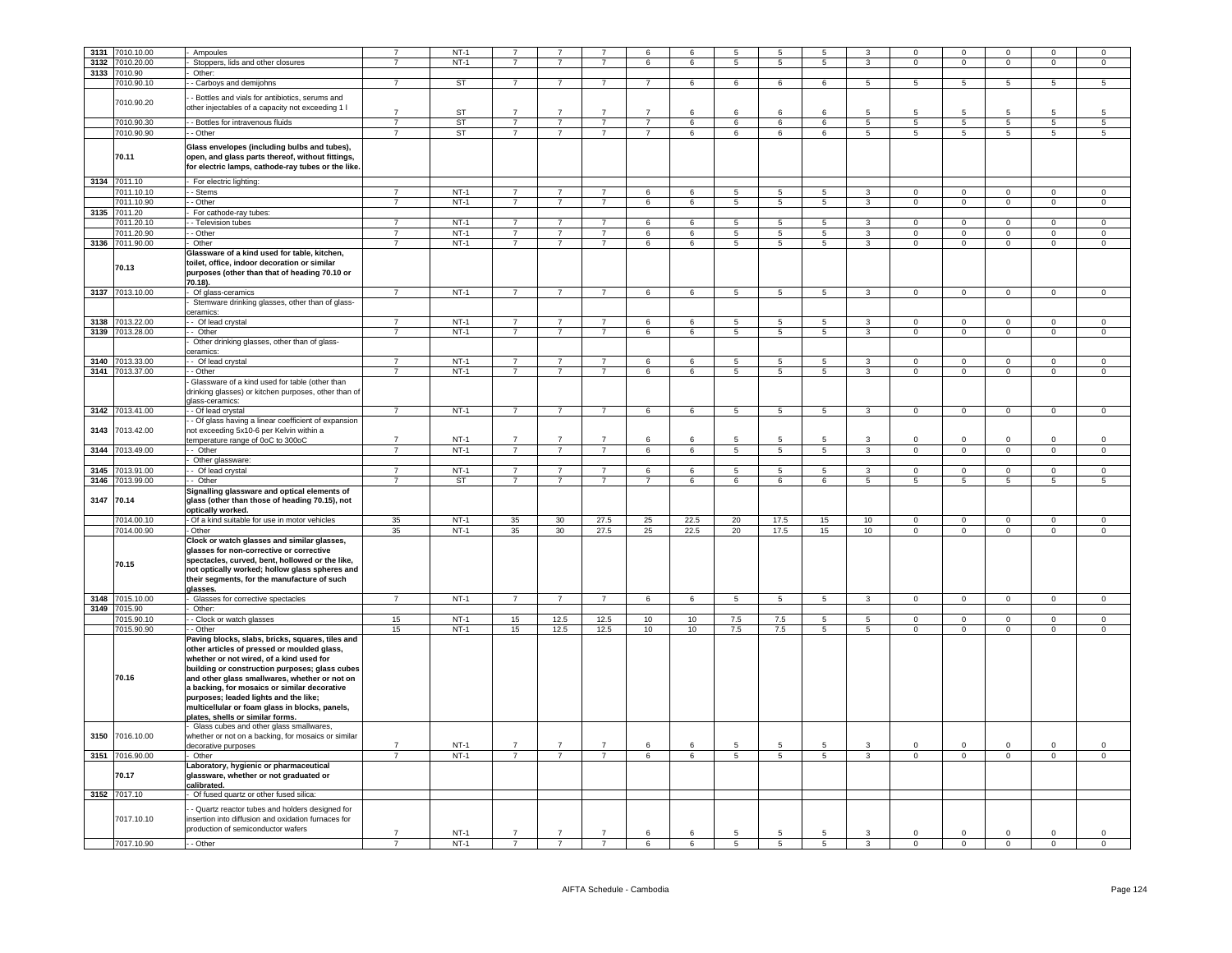| 3131 |                 |                                                      |                |                  |                     |                      |                                  |                 |                 |                 |                          |                 |                          |                         |                               |                           |                           |                            |
|------|-----------------|------------------------------------------------------|----------------|------------------|---------------------|----------------------|----------------------------------|-----------------|-----------------|-----------------|--------------------------|-----------------|--------------------------|-------------------------|-------------------------------|---------------------------|---------------------------|----------------------------|
|      | 7010.10.00      | Ampoules                                             | $\overline{7}$ | $NT-1$           |                     |                      |                                  | 6               |                 |                 | 5                        |                 |                          |                         | $\mathbf 0$                   | $\mathbf 0$               |                           | $\mathbf 0$                |
|      | 3132 7010.20.00 | Stoppers, lids and other closures                    | $\overline{7}$ | $NT-1$           | $\overline{7}$      | $\overline{7}$       | $\overline{7}$                   | 6               | 6               | 5               | $5\phantom{.0}$          | 5               | $\mathbf{3}$             | $\mathbf 0$             | $\mathbf 0$                   | $\mathsf 0$               | $\mathbf 0$               | $\,0\,$                    |
| 3133 | 7010.90         | Other:                                               |                |                  |                     |                      |                                  |                 |                 |                 |                          |                 |                          |                         |                               |                           |                           |                            |
|      |                 |                                                      | $\overline{7}$ |                  | $\overline{7}$      | $\overline{7}$       | $\overline{7}$                   | $\overline{7}$  |                 | $6\overline{6}$ |                          | 6               |                          | $\overline{5}$          |                               | 5                         | $\overline{5}$            | $\overline{5}$             |
|      | 7010.90.10      | - Carboys and demijohns                              |                | <b>ST</b>        |                     |                      |                                  |                 | $6\overline{6}$ |                 | 6                        |                 | $\overline{\phantom{a}}$ |                         | $\overline{5}$                |                           |                           |                            |
|      |                 | - Bottles and vials for antibiotics, serums and      |                |                  |                     |                      |                                  |                 |                 |                 |                          |                 |                          |                         |                               |                           |                           |                            |
|      | 7010.90.20      |                                                      |                |                  |                     |                      |                                  |                 |                 |                 |                          |                 |                          |                         |                               |                           |                           |                            |
|      |                 | other injectables of a capacity not exceeding 1 I    | $\overline{7}$ | ST               | $\overline{7}$      | $\overline{7}$       | $\overline{7}$                   | $\overline{7}$  | 6               | 6               | 6                        | 6               | $5\overline{5}$          | 5                       | 5                             | -5                        | -5                        | -5                         |
|      |                 |                                                      |                |                  |                     |                      |                                  |                 |                 |                 |                          |                 |                          |                         |                               |                           |                           |                            |
|      | 7010.90.30      | - Bottles for intravenous fluids                     | $\overline{7}$ | ST               | $\overline{7}$      | $\overline{7}$       | $\overline{7}$                   | $\overline{7}$  | $\,6\,$         | 6               | $\,6\,$                  | 6               | $5\phantom{.0}$          | $5\phantom{.0}$         | $\,$ 5 $\,$                   | $5\phantom{.0}$           | $\,$ 5 $\,$               | $\sqrt{5}$                 |
|      | 7010.90.90      | - Other                                              | $\overline{7}$ | <b>ST</b>        | $\overline{7}$      | $\overline{7}$       | $\overline{7}$                   | $\overline{7}$  | 6               | 6               | 6                        | 6               | $5\overline{)}$          | 5                       | $5\overline{5}$               | $5\overline{)}$           | 5                         | $\overline{5}$             |
|      |                 |                                                      |                |                  |                     |                      |                                  |                 |                 |                 |                          |                 |                          |                         |                               |                           |                           |                            |
|      |                 | Glass envelopes (including bulbs and tubes),         |                |                  |                     |                      |                                  |                 |                 |                 |                          |                 |                          |                         |                               |                           |                           |                            |
|      | 70.11           | open, and glass parts thereof, without fittings,     |                |                  |                     |                      |                                  |                 |                 |                 |                          |                 |                          |                         |                               |                           |                           |                            |
|      |                 |                                                      |                |                  |                     |                      |                                  |                 |                 |                 |                          |                 |                          |                         |                               |                           |                           |                            |
|      |                 | for electric lamps, cathode-ray tubes or the like.   |                |                  |                     |                      |                                  |                 |                 |                 |                          |                 |                          |                         |                               |                           |                           |                            |
|      | 3134 7011.10    | For electric lighting:                               |                |                  |                     |                      |                                  |                 |                 |                 |                          |                 |                          |                         |                               |                           |                           |                            |
|      |                 |                                                      |                |                  |                     |                      |                                  |                 |                 |                 |                          |                 |                          |                         |                               |                           |                           |                            |
|      | 7011.10.10      | - Stems                                              | $\overline{7}$ | $NT-1$           | $\overline{7}$      | $\overline{7}$       | $\overline{7}$                   | 6               | 6               | 5               | 5                        | 5               | $\mathbf{3}$             | $\mathbf 0$             | $\mathbf 0$                   | $\mathbf 0$               | $\mathbf 0$               | $\mathsf 0$                |
|      | 7011.10.90      | - Other                                              | $\overline{7}$ | $NT-1$           | $\overline{7}$      | $\overline{7}$       | $\overline{7}$                   | 6               | 6               | $\overline{5}$  | 5                        | $5\phantom{.0}$ | $\overline{\mathbf{3}}$  | $\Omega$                | $\overline{0}$                | $\overline{0}$            | $\Omega$                  | $\mathsf 0$                |
|      |                 |                                                      |                |                  |                     |                      |                                  |                 |                 |                 |                          |                 |                          |                         |                               |                           |                           |                            |
|      | 3135 7011.20    | For cathode-ray tubes:                               |                |                  |                     |                      |                                  |                 |                 |                 |                          |                 |                          |                         |                               |                           |                           |                            |
|      | 7011.20.10      | - Television tubes                                   | $\overline{7}$ | $NT-1$           | $\overline{7}$      | $\overline{7}$       | $\overline{7}$                   | 6               | 6               | $\overline{5}$  | $\overline{5}$           | $\overline{5}$  | $\overline{3}$           | $\overline{0}$          | $\overline{0}$                | $\overline{0}$            | $\Omega$                  | $\Omega$                   |
|      | 7011.20.90      | - Other                                              | $\overline{7}$ | $NT-1$           | $\overline{7}$      | $\overline{7}$       | $\overline{7}$                   | 6               | 6               | 5               | 5                        | 5               | 3                        | $\Omega$                | $\mathbf 0$                   | $\mathbf{0}$              | $\mathbf 0$               | $\mathbf 0$                |
|      |                 |                                                      |                |                  |                     |                      |                                  |                 |                 |                 |                          |                 |                          |                         |                               |                           |                           |                            |
|      | 3136 7011.90.00 | Other                                                | $\overline{7}$ | $NT-1$           | $\overline{7}$      | $\overline{7}$       | $\overline{7}$                   | 6               | 6               | 5               | $5\phantom{.0}$          | $5\phantom{.0}$ | $\mathbf{3}$             | $\mathsf 0$             | $\mathbf 0$                   | $\mathbf{0}$              | $\mathsf 0$               | $\mathsf 0$                |
|      |                 | Glassware of a kind used for table, kitchen,         |                |                  |                     |                      |                                  |                 |                 |                 |                          |                 |                          |                         |                               |                           |                           |                            |
|      |                 | toilet, office, indoor decoration or similar         |                |                  |                     |                      |                                  |                 |                 |                 |                          |                 |                          |                         |                               |                           |                           |                            |
|      | 70.13           |                                                      |                |                  |                     |                      |                                  |                 |                 |                 |                          |                 |                          |                         |                               |                           |                           |                            |
|      |                 | purposes (other than that of heading 70.10 or        |                |                  |                     |                      |                                  |                 |                 |                 |                          |                 |                          |                         |                               |                           |                           |                            |
|      |                 | 70.18).                                              |                |                  |                     |                      |                                  |                 |                 |                 |                          |                 |                          |                         |                               |                           |                           |                            |
|      | 3137 7013.10.00 | Of glass-ceramics                                    | $\overline{7}$ | $NT-1$           | $\overline{7}$      | $\overline{7}$       | $\overline{7}$                   | 6               | 6               | 5               | $5\phantom{.0}$          | 5               | $\mathbf{3}$             | $\Omega$                | $\mathsf 0$                   | $\mathsf 0$               | $\Omega$                  | $\mathsf 0$                |
|      |                 | Stemware drinking glasses, other than of glass-      |                |                  |                     |                      |                                  |                 |                 |                 |                          |                 |                          |                         |                               |                           |                           |                            |
|      |                 |                                                      |                |                  |                     |                      |                                  |                 |                 |                 |                          |                 |                          |                         |                               |                           |                           |                            |
|      |                 | ceramics:                                            |                |                  |                     |                      |                                  |                 |                 |                 |                          |                 |                          |                         |                               |                           |                           |                            |
|      | 3138 7013.22.00 | - Of lead crystal                                    | $\overline{7}$ | $NT-1$           | $\overline{7}$      | $\overline{7}$       | $\overline{7}$                   | 6               | 6               | 5               | $5\phantom{.0}$          | 5               | 3                        | $\mathsf 0$             | $\mathbf 0$                   | $\mathsf 0$               | $\mathbf 0$               | $\mathsf 0$                |
|      | 3139 7013.28.00 | - Other                                              | $\overline{7}$ | $NT-1$           | $\overline{7}$      | $\overline{7}$       | $\overline{7}$                   | 6               | 6               | 5               | $5\phantom{.0}$          | 5               | $\mathbf{3}$             | $\mathbf 0$             | $\mathsf 0$                   | $\mathsf 0$               | $\mathbf 0$               | $\mathsf 0$                |
|      |                 |                                                      |                |                  |                     |                      |                                  |                 |                 |                 |                          |                 |                          |                         |                               |                           |                           |                            |
|      |                 | Other drinking glasses, other than of glass-         |                |                  |                     |                      |                                  |                 |                 |                 |                          |                 |                          |                         |                               |                           |                           |                            |
|      |                 | ceramics:                                            |                |                  |                     |                      |                                  |                 |                 |                 |                          |                 |                          |                         |                               |                           |                           |                            |
|      | 3140 7013.33.00 | - Of lead crystal                                    | $\overline{7}$ | $NT-1$           | $\overline{7}$      | $\overline{7}$       | $\overline{7}$                   | 6               | 6               | 5               | 5                        | 5               | 3                        | $\mathbf 0$             | $\mathbf 0$                   | $\mathbf{0}$              | $\Omega$                  | $\mathbf 0$                |
|      | 3141 7013.37.00 | - Other                                              | $\overline{7}$ | $NT-1$           | $\overline{7}$      | $\overline{7}$       | $\overline{7}$                   | 6               | 6               | 5               | 5                        | $5\overline{5}$ | $\mathbf{3}$             | $\mathbf 0$             | $\overline{0}$                | $\overline{0}$            | $\mathsf 0$               | $\mathbf 0$                |
|      |                 |                                                      |                |                  |                     |                      |                                  |                 |                 |                 |                          |                 |                          |                         |                               |                           |                           |                            |
|      |                 | Glassware of a kind used for table (other than       |                |                  |                     |                      |                                  |                 |                 |                 |                          |                 |                          |                         |                               |                           |                           |                            |
|      |                 | drinking glasses) or kitchen purposes, other than of |                |                  |                     |                      |                                  |                 |                 |                 |                          |                 |                          |                         |                               |                           |                           |                            |
|      |                 | glass-ceramics:                                      |                |                  |                     |                      |                                  |                 |                 |                 |                          |                 |                          |                         |                               |                           |                           |                            |
|      |                 |                                                      | $\overline{7}$ | $NT-1$           | $\overline{7}$      | $\overline{7}$       | $\overline{7}$                   |                 |                 |                 |                          |                 |                          |                         |                               |                           |                           |                            |
|      | 3142 7013.41.00 | - Of lead crystal                                    |                |                  |                     |                      |                                  | 6               | 6               | $\overline{5}$  | 5                        | $\overline{5}$  | 3                        | $\overline{0}$          | $\overline{0}$                | $\overline{0}$            | $\overline{0}$            | $\overline{0}$             |
|      |                 | - Of glass having a linear coefficient of expansion  |                |                  |                     |                      |                                  |                 |                 |                 |                          |                 |                          |                         |                               |                           |                           |                            |
| 3143 | 7013.42.00      | not exceeding 5x10-6 per Kelvin within a             |                |                  |                     |                      |                                  |                 |                 |                 |                          |                 |                          |                         |                               |                           |                           |                            |
|      |                 |                                                      | $\overline{7}$ | $NT-1$           | $\overline{7}$      | $\overline{7}$       | $\overline{7}$                   | 6               | 6               | 5               | 5                        | 5               | 3                        | $\mathbf 0$             | $\mathsf 0$                   | $\mathbf 0$               | $\mathbf 0$               | $\mathsf 0$                |
|      |                 | temperature range of 0oC to 300oC                    |                |                  |                     |                      |                                  |                 |                 |                 |                          |                 |                          |                         |                               |                           |                           |                            |
| 3144 | 7013.49.00      | - Other                                              | $\overline{7}$ | $NT-1$           | $\overline{7}$      | $\overline{7}$       | $\overline{7}$                   | 6               | 6               | 5               | 5                        | 5               | $\mathbf{3}$             | $\mathbf 0$             | $\overline{0}$                | $\overline{0}$            | $\mathbf 0$               | $\mathbf 0$                |
|      |                 | Other glassware:                                     |                |                  |                     |                      |                                  |                 |                 |                 |                          |                 |                          |                         |                               |                           |                           |                            |
|      |                 |                                                      | $\overline{7}$ |                  |                     | $\overline{7}$       | $\overline{7}$                   |                 |                 | $\overline{5}$  |                          | $\overline{5}$  |                          | $\Omega$                | $\overline{0}$                |                           |                           |                            |
| 3145 | 7013.91.00      | - Of lead crystal                                    |                | $NT-1$           | $\overline{7}$      |                      |                                  | 6               | 6               |                 | $\overline{\phantom{a}}$ |                 | $\overline{\mathbf{3}}$  |                         |                               | $\mathbf 0$               | $\mathbf 0$               | $\,0\,$                    |
| 3146 | 7013.99.00      | - Other                                              |                | ST               | $\overline{7}$      | $\overline{7}$       | $\overline{7}$                   | $\overline{7}$  | 6               | 6               | 6                        | 6               | 5                        | 5                       | 5                             | 5                         | $\overline{5}$            | $\overline{5}$             |
|      |                 | Signalling glassware and optical elements of         |                |                  |                     |                      |                                  |                 |                 |                 |                          |                 |                          |                         |                               |                           |                           |                            |
| 3147 | 70.14           | glass (other than those of heading 70.15), not       |                |                  |                     |                      |                                  |                 |                 |                 |                          |                 |                          |                         |                               |                           |                           |                            |
|      |                 |                                                      |                |                  |                     |                      |                                  |                 |                 |                 |                          |                 |                          |                         |                               |                           |                           |                            |
|      |                 | optically worked.                                    |                |                  |                     |                      |                                  |                 |                 |                 |                          |                 |                          |                         |                               |                           |                           |                            |
|      | 7014.00.10      | Of a kind suitable for use in motor vehicles         | 35             | $NT-1$           | 35                  | 30                   | 27.5                             | 25              | 22.5            | 20              | 17.5                     | 15              | 10                       | $\mathbf 0$             | $\overline{\mathbf{0}}$       | $\mathbf 0$               | $\mathsf 0$               | $\mathsf 0$                |
|      | 7014.00.90      | - Other                                              | 35             | $NT-1$           | 35                  | 30                   | 27.5                             | 25              | 22.5            | 20              | 17.5                     | 15              | 10                       | $\mathsf 0$             | $\,0\,$                       |                           |                           |                            |
|      |                 | Clock or watch glasses and similar glasses,          |                |                  |                     |                      |                                  |                 |                 |                 |                          |                 |                          |                         |                               |                           |                           |                            |
|      |                 |                                                      |                |                  |                     |                      |                                  |                 |                 |                 |                          |                 |                          |                         |                               | $\mathsf 0$               | $\mathbf 0$               | $\mathbf 0$                |
|      |                 |                                                      |                |                  |                     |                      |                                  |                 |                 |                 |                          |                 |                          |                         |                               |                           |                           |                            |
|      |                 | glasses for non-corrective or corrective             |                |                  |                     |                      |                                  |                 |                 |                 |                          |                 |                          |                         |                               |                           |                           |                            |
|      |                 |                                                      |                |                  |                     |                      |                                  |                 |                 |                 |                          |                 |                          |                         |                               |                           |                           |                            |
|      | 70.15           | spectacles, curved, bent, hollowed or the like,      |                |                  |                     |                      |                                  |                 |                 |                 |                          |                 |                          |                         |                               |                           |                           |                            |
|      |                 | not optically worked; hollow glass spheres and       |                |                  |                     |                      |                                  |                 |                 |                 |                          |                 |                          |                         |                               |                           |                           |                            |
|      |                 | their segments, for the manufacture of such          |                |                  |                     |                      |                                  |                 |                 |                 |                          |                 |                          |                         |                               |                           |                           |                            |
|      |                 | glasses.                                             |                |                  |                     |                      |                                  |                 |                 |                 |                          |                 |                          |                         |                               |                           |                           |                            |
|      | 3148 7015.10.00 |                                                      | $\overline{7}$ | $NT-1$           | $\overline{7}$      | $\overline{7}$       | $\overline{7}$                   | 6               | 6               | 5               | $5\overline{)}$          | $5\overline{)}$ | $\overline{3}$           | $\overline{0}$          | $\overline{0}$                | $\overline{0}$            | $\overline{0}$            | $\mathsf 0$                |
|      |                 | Glasses for corrective spectacles                    |                |                  |                     |                      |                                  |                 |                 |                 |                          |                 |                          |                         |                               |                           |                           |                            |
|      | 3149 7015.90    | Other:                                               |                |                  |                     |                      |                                  |                 |                 |                 |                          |                 |                          |                         |                               |                           |                           |                            |
|      | 7015.90.10      | - Clock or watch glasses                             | 15             | $NT-1$           | 15                  | 12.5                 | 12.5                             | 10              | 10              | 7.5             | 7.5                      | 5               | $5\phantom{.0}$          | $\mathbf 0$             | $\mathbf 0$                   | $\mathsf 0$               | $\mathsf 0$               | $\mathsf 0$                |
|      |                 |                                                      |                |                  |                     |                      |                                  |                 |                 |                 |                          |                 |                          |                         |                               |                           |                           |                            |
|      | 7015.90.90      | - Other                                              | 15             | $NT-1$           | 15                  | 12.5                 | 12.5                             | 10              | 10              | 7.5             | 7.5                      | 5 <sub>5</sub>  | $5\overline{5}$          | $\overline{0}$          | $\overline{0}$                | $\overline{0}$            | $\overline{0}$            | $\overline{0}$             |
|      |                 | Paving blocks, slabs, bricks, squares, tiles and     |                |                  |                     |                      |                                  |                 |                 |                 |                          |                 |                          |                         |                               |                           |                           |                            |
|      |                 | other articles of pressed or moulded glass,          |                |                  |                     |                      |                                  |                 |                 |                 |                          |                 |                          |                         |                               |                           |                           |                            |
|      |                 | whether or not wired, of a kind used for             |                |                  |                     |                      |                                  |                 |                 |                 |                          |                 |                          |                         |                               |                           |                           |                            |
|      |                 |                                                      |                |                  |                     |                      |                                  |                 |                 |                 |                          |                 |                          |                         |                               |                           |                           |                            |
|      |                 | building or construction purposes; glass cubes       |                |                  |                     |                      |                                  |                 |                 |                 |                          |                 |                          |                         |                               |                           |                           |                            |
|      | 70.16           | and other glass smallwares, whether or not on        |                |                  |                     |                      |                                  |                 |                 |                 |                          |                 |                          |                         |                               |                           |                           |                            |
|      |                 | a backing, for mosaics or similar decorative         |                |                  |                     |                      |                                  |                 |                 |                 |                          |                 |                          |                         |                               |                           |                           |                            |
|      |                 | purposes; leaded lights and the like;                |                |                  |                     |                      |                                  |                 |                 |                 |                          |                 |                          |                         |                               |                           |                           |                            |
|      |                 |                                                      |                |                  |                     |                      |                                  |                 |                 |                 |                          |                 |                          |                         |                               |                           |                           |                            |
|      |                 | multicellular or foam glass in blocks, panels,       |                |                  |                     |                      |                                  |                 |                 |                 |                          |                 |                          |                         |                               |                           |                           |                            |
|      |                 | plates, shells or similar forms.                     |                |                  |                     |                      |                                  |                 |                 |                 |                          |                 |                          |                         |                               |                           |                           |                            |
|      |                 | Glass cubes and other glass smallwares,              |                |                  |                     |                      |                                  |                 |                 |                 |                          |                 |                          |                         |                               |                           |                           |                            |
| 3150 | 7016.10.00      | whether or not on a backing, for mosaics or similar  |                |                  |                     |                      |                                  |                 |                 |                 |                          |                 |                          |                         |                               |                           |                           |                            |
|      |                 |                                                      |                | $NT-1$           |                     | $\overline{7}$       | $\overline{7}$                   | 6               | 6               | 5               | 5                        | 5               | 3                        | $^{\circ}$              | $\mathbf 0$                   | $^{\circ}$                | $^{\circ}$                | 0                          |
|      |                 | lecorative purposes                                  |                |                  |                     |                      |                                  |                 |                 |                 |                          |                 |                          |                         |                               |                           |                           |                            |
|      | 3151 7016.90.00 | · Other                                              | $\overline{7}$ | $NT-1$           | $\overline{7}$      | $\overline{7}$       | $\overline{7}$                   | $6\overline{6}$ | 6               | $\overline{5}$  | $5\phantom{.0}$          | 5               | $\mathbf{3}$             | $\mathbf{0}$            | $\mathbf 0$                   | $\overline{0}$            | $\mathsf 0$               | $\mathsf 0$                |
|      |                 | Laboratory, hygienic or pharmaceutical               |                |                  |                     |                      |                                  |                 |                 |                 |                          |                 |                          |                         |                               |                           |                           |                            |
|      | 70.17           | glassware, whether or not graduated or               |                |                  |                     |                      |                                  |                 |                 |                 |                          |                 |                          |                         |                               |                           |                           |                            |
|      |                 | calibrated.                                          |                |                  |                     |                      |                                  |                 |                 |                 |                          |                 |                          |                         |                               |                           |                           |                            |
|      |                 |                                                      |                |                  |                     |                      |                                  |                 |                 |                 |                          |                 |                          |                         |                               |                           |                           |                            |
|      | 3152 7017.10    | Of fused quartz or other fused silica:               |                |                  |                     |                      |                                  |                 |                 |                 |                          |                 |                          |                         |                               |                           |                           |                            |
|      |                 |                                                      |                |                  |                     |                      |                                  |                 |                 |                 |                          |                 |                          |                         |                               |                           |                           |                            |
|      |                 | - Quartz reactor tubes and holders designed for      |                |                  |                     |                      |                                  |                 |                 |                 |                          |                 |                          |                         |                               |                           |                           |                            |
|      | 7017.10.10      | insertion into diffusion and oxidation furnaces for  |                |                  |                     |                      |                                  |                 |                 |                 |                          |                 |                          |                         |                               |                           |                           |                            |
|      |                 | production of semiconductor wafers                   |                |                  |                     |                      |                                  |                 |                 |                 |                          |                 |                          |                         |                               |                           |                           |                            |
|      | 7017.10.90      | - Other                                              | -7             | $NT-1$<br>$NT-1$ | 7<br>$\overline{7}$ | -7<br>$\overline{7}$ | $\overline{7}$<br>$\overline{7}$ | 6<br>6          | 6<br>6          | 5<br>5          | 5<br>5                   | -5<br>5         | 3<br>3                   | $\Omega$<br>$\mathsf 0$ | $\overline{0}$<br>$\mathbf 0$ | $^{\circ}$<br>$\mathsf 0$ | $^{\circ}$<br>$\mathsf 0$ | $\mathbf 0$<br>$\mathsf 0$ |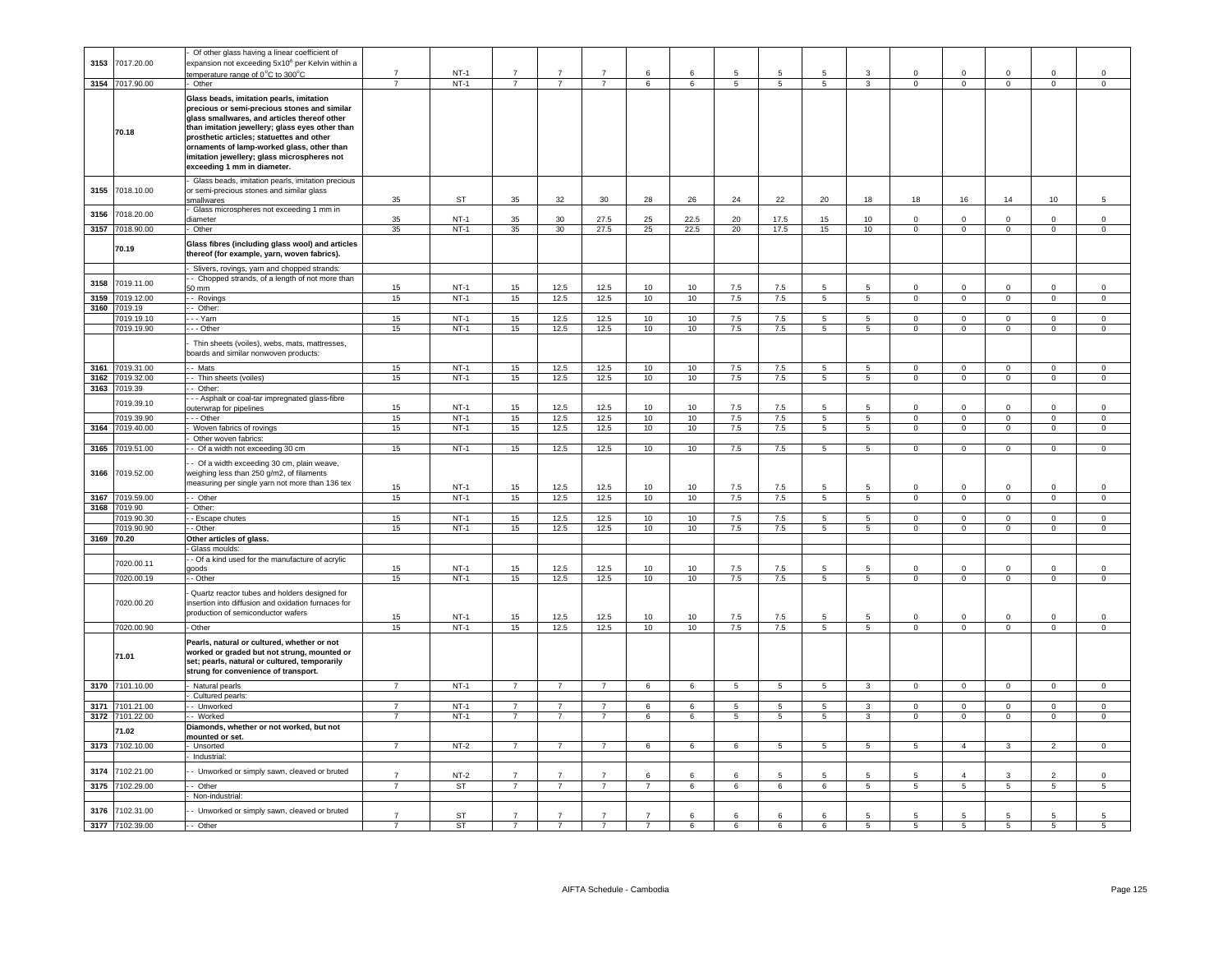|              |                          | Of other glass having a linear coefficient of                                                                                                                                                                                                                                                                                                                        |                                  |                  |                                  |                                  |                                  |                     |                 |                |                      |                  |                                |                                |                                   |                                  |                                  |                                |
|--------------|--------------------------|----------------------------------------------------------------------------------------------------------------------------------------------------------------------------------------------------------------------------------------------------------------------------------------------------------------------------------------------------------------------|----------------------------------|------------------|----------------------------------|----------------------------------|----------------------------------|---------------------|-----------------|----------------|----------------------|------------------|--------------------------------|--------------------------------|-----------------------------------|----------------------------------|----------------------------------|--------------------------------|
| 3153         | 7017.20.00               | expansion not exceeding 5x10 <sup>6</sup> per Kelvin within a                                                                                                                                                                                                                                                                                                        |                                  |                  |                                  |                                  |                                  |                     |                 |                |                      |                  |                                |                                |                                   |                                  |                                  |                                |
|              |                          | emperature range of 0°C to 300°C                                                                                                                                                                                                                                                                                                                                     | $\overline{7}$                   | $NT-1$           | $\overline{7}$                   | $\overline{7}$                   | $\overline{7}$                   | 6                   | 6               | 5              | 5                    |                  | 3                              | $\mathbf 0$                    | $\mathbf 0$                       | $\mathbf 0$                      | $\mathbf 0$                      | $\mathbf 0$                    |
| 3154         | 7017.90.00               | Other                                                                                                                                                                                                                                                                                                                                                                | $\overline{7}$                   | $NT-1$           | $\overline{7}$                   | $\overline{7}$                   | $\overline{7}$                   | 6                   | 6               | 5              | 5                    | 5                | $\overline{\mathbf{3}}$        | $\mathbf 0$                    | $\mathbf{0}$                      | $\overline{0}$                   | $\mathbf 0$                      | $\circ$                        |
|              | 70.18                    | Glass beads, imitation pearls, imitation<br>precious or semi-precious stones and similar<br>glass smallwares, and articles thereof other<br>than imitation jewellery; glass eyes other than<br>prosthetic articles; statuettes and other<br>ornaments of lamp-worked glass, other than<br>imitation jewellery; glass microspheres not<br>exceeding 1 mm in diameter. |                                  |                  |                                  |                                  |                                  |                     |                 |                |                      |                  |                                |                                |                                   |                                  |                                  |                                |
| 3155         | 7018.10.00               | Glass beads, imitation pearls, imitation precious<br>or semi-precious stones and similar glass<br>mallwares                                                                                                                                                                                                                                                          | 35                               | ST               | 35                               | 32                               | 30                               | 28                  | 26              | 24             | 22                   | 20               | 18                             | 18                             | 16                                | 14                               | 10                               | $5\phantom{.0}$                |
| 3156         | 7018.20.00               | Glass microspheres not exceeding 1 mm in                                                                                                                                                                                                                                                                                                                             |                                  |                  |                                  |                                  |                                  |                     |                 |                |                      |                  |                                |                                |                                   |                                  |                                  |                                |
|              |                          | diameter                                                                                                                                                                                                                                                                                                                                                             | 35                               | $NT-1$           | 35                               | 30                               | 27.5                             | 25                  | 22.5            | 20             | 17.5                 | 15               | 10                             | $\Omega$                       | $\Omega$                          | $\Omega$                         | $\Omega$                         | $\Omega$                       |
| 3157         | 7018.90.00               | Other                                                                                                                                                                                                                                                                                                                                                                | 35                               | $NT-1$           | 35                               | 30                               | 27.5                             | 25                  | 22.5            | 20             | 17.5                 | 15 <sub>15</sub> | 10                             | $\mathbf{0}$                   | $\overline{0}$                    | $\overline{0}$                   | $\overline{0}$                   | $\overline{0}$                 |
|              | 70.19                    | Glass fibres (including glass wool) and articles<br>thereof (for example, yarn, woven fabrics).                                                                                                                                                                                                                                                                      |                                  |                  |                                  |                                  |                                  |                     |                 |                |                      |                  |                                |                                |                                   |                                  |                                  |                                |
|              |                          | Slivers, rovings, yarn and chopped strands:                                                                                                                                                                                                                                                                                                                          |                                  |                  |                                  |                                  |                                  |                     |                 |                |                      |                  |                                |                                |                                   |                                  |                                  |                                |
| 3158         | 7019.11.00               | - Chopped strands, of a length of not more than<br>50 mm                                                                                                                                                                                                                                                                                                             | 15                               | $NT-1$           | 15                               | 12.5                             | 12.5                             | 10                  | 10              | 7.5            | 7.5                  |                  | 5                              | $\Omega$                       | $\Omega$                          | $\Omega$                         | $\Omega$                         | $\Omega$                       |
| 3159         | 7019.12.00               | - Rovings                                                                                                                                                                                                                                                                                                                                                            | 15                               | $NT-1$           | 15                               | 12.5                             | 12.5                             | 10                  | 10              | 7.5            | 7.5                  | $5\overline{5}$  | $5\overline{)}$                | $\mathsf 0$                    | $\mathbf 0$                       | $\overline{0}$                   | $\mathbf{0}$                     | $\Omega$                       |
| 3160         | 7019.19                  | $-$ Other:                                                                                                                                                                                                                                                                                                                                                           |                                  |                  |                                  |                                  |                                  |                     |                 |                |                      |                  |                                |                                |                                   |                                  |                                  |                                |
|              | 7019.19.10               | - - Yarn                                                                                                                                                                                                                                                                                                                                                             | 15                               | $NT-1$           | 15                               | 12.5                             | 12.5                             | 10                  | 10              | 7.5            | 7.5                  | 5                | $5\overline{5}$                | $\mathsf 0$                    | $\mathbf 0$                       | $\circ$                          | $\mathsf 0$                      | $\mathbf 0$                    |
|              | 7019.19.90               | - - Other                                                                                                                                                                                                                                                                                                                                                            | 15                               | $NT-1$           | 15                               | 12.5                             | 12.5                             | 10                  | 10              | 7.5            | 7.5                  | $5^{\circ}$      | $5\overline{5}$                | $\overline{0}$                 | $\overline{0}$                    | $\overline{0}$                   | $\Omega$                         | $\Omega$                       |
|              |                          | Thin sheets (voiles), webs, mats, mattresses,<br>boards and similar nonwoven products:                                                                                                                                                                                                                                                                               |                                  |                  |                                  |                                  |                                  |                     |                 |                |                      |                  |                                |                                |                                   |                                  |                                  |                                |
| 3161         | 7019.31.00               | - Mats                                                                                                                                                                                                                                                                                                                                                               | 15                               | $NT-1$           | 15                               | 12.5                             | 12.5                             | 10                  | 10              | 7.5            | $7.5\,$              | 5                | 5                              | $\mathbf 0$                    | $\mathbf 0$                       | $\mathbf 0$                      | $\mathbf 0$                      | $\mathbf 0$                    |
| 3163         | 3162 7019.32.00          | - Thin sheets (voiles)                                                                                                                                                                                                                                                                                                                                               | 15                               | $NT-1$           | 15                               | 12.5                             | 12.5                             | 10                  | 10              | 7.5            | 7.5                  | 5                | $\overline{5}$                 | $\Omega$                       | $\overline{0}$                    | $\overline{0}$                   | $\overline{0}$                   | $\overline{0}$                 |
|              | 7019.39                  | - Other:<br>- - Asphalt or coal-tar impregnated glass-fibre                                                                                                                                                                                                                                                                                                          |                                  |                  |                                  |                                  |                                  |                     |                 |                |                      |                  |                                |                                |                                   |                                  |                                  |                                |
|              | 7019.39.10               | outerwrap for pipelines                                                                                                                                                                                                                                                                                                                                              | 15                               | $NT-1$           | 15                               | 12.5                             | 12.5                             | 10                  | 10              | 7.5            | 7.5                  |                  | 5                              | $\Omega$                       | 0                                 | 0                                | $\mathbf 0$                      | $\Omega$                       |
|              | 7019.39.90               | - - Other                                                                                                                                                                                                                                                                                                                                                            | 15                               | $NT-1$           | 15                               | 12.5                             | 12.5                             | 10                  | 10              | 7.5            | 7.5                  | 5                | 5                              | $\overline{0}$                 | $\mathbf{0}$                      | $\overline{0}$                   | $\overline{0}$                   | $\circ$                        |
| 3164         | 7019.40.00               | Woven fabrics of rovings                                                                                                                                                                                                                                                                                                                                             | 15                               | $NT-1$           | 15                               | 12.5                             | 12.5                             | 10                  | 10              | 7.5            | 7.5                  | $5^{\circ}$      | $\overline{\phantom{a}}$       | $\overline{0}$                 | $\overline{0}$                    | $\overline{0}$                   | $\overline{0}$                   | $\mathbf{0}$                   |
| 3165         | 7019.51.00               | Other woven fabrics:<br>- Of a width not exceeding 30 cm                                                                                                                                                                                                                                                                                                             | 15                               | $NT-1$           | 15                               | 12.5                             | 12.5                             | 10                  | 10              | 7.5            | 7.5                  | $5^{\circ}$      | $5^{\circ}$                    | $\mathbf{0}$                   | $\overline{0}$                    | $\overline{0}$                   | $\overline{0}$                   | $\circ$                        |
| 3166         | 7019.52.00               | Of a width exceeding 30 cm, plain weave,                                                                                                                                                                                                                                                                                                                             |                                  |                  |                                  |                                  |                                  |                     |                 |                |                      |                  |                                |                                |                                   |                                  |                                  |                                |
|              |                          | veighing less than 250 g/m2, of filaments<br>neasuring per single yarn not more than 136 tex                                                                                                                                                                                                                                                                         | 15                               | $NT-1$           | 15                               | 12.5                             | 12.5                             | 10 <sub>1</sub>     | 10              | 7.5            | 7.5                  |                  |                                | $\Omega$                       | $\Omega$                          | $\Omega$                         | $\Omega$                         | $\Omega$                       |
| 3167         | 7019.59.00               | - Other                                                                                                                                                                                                                                                                                                                                                              | 15                               | $NT-1$           | 15                               | 12.5                             | 12.5                             | 10                  | 10              | 7.5            | 7.5                  | 5 <sup>5</sup>   | $5\overline{5}$                | $\mathbf{0}$                   | $\overline{0}$                    | $\overline{0}$                   | $\overline{0}$                   | $\mathbf{0}$                   |
|              | 3168 7019.90             | Other:                                                                                                                                                                                                                                                                                                                                                               |                                  |                  |                                  |                                  |                                  |                     |                 |                |                      |                  |                                |                                |                                   |                                  |                                  |                                |
|              | 7019.90.30               | - Escape chutes                                                                                                                                                                                                                                                                                                                                                      | 15                               | $NT-1$           | 15                               | 12.5                             | 12.5                             | 10                  | 10              | 7.5            | 7.5                  | $5^{\circ}$      | $5\overline{5}$                | $\Omega$                       | $\mathbf 0$                       | $\overline{0}$                   | $\mathbf 0$                      | $\Omega$                       |
|              | 7019.90.90<br>3169 70.20 | - Other<br>Other articles of glass.                                                                                                                                                                                                                                                                                                                                  | 15                               | $NT-1$           | 15                               | 12.5                             | 12.5                             | 10                  | 10              | 7.5            | 7.5                  | 5 <sub>5</sub>   | $5\overline{5}$                | $\overline{0}$                 | $\overline{0}$                    | $\overline{0}$                   | $\mathbf 0$                      | $\mathbf{0}$                   |
|              |                          | Glass moulds:                                                                                                                                                                                                                                                                                                                                                        |                                  |                  |                                  |                                  |                                  |                     |                 |                |                      |                  |                                |                                |                                   |                                  |                                  |                                |
|              | 7020.00.11               | - Of a kind used for the manufacture of acrylic                                                                                                                                                                                                                                                                                                                      |                                  |                  |                                  |                                  |                                  |                     |                 |                |                      |                  |                                |                                |                                   |                                  |                                  |                                |
|              | 7020.00.19               | oods<br>- Other                                                                                                                                                                                                                                                                                                                                                      | 15<br>15                         | $NT-1$<br>$NT-1$ | 15<br>15                         | 12.5<br>12.5                     | 12.5<br>12.5                     | 10<br>10            | 10<br>10        | 7.5<br>7.5     | 7.5<br>7.5           | 5<br>5           | 5<br>5                         | $\mathbf 0$<br>$\mathbf 0$     | $\mathbf 0$<br>$\mathbf 0$        | $\mathbf 0$<br>$\mathbf 0$       | $\mathsf 0$<br>$\mathbf 0$       | $\mathbf 0$<br>$^{\circ}$      |
|              | 7020.00.20               | Quartz reactor tubes and holders designed for<br>insertion into diffusion and oxidation furnaces for<br>production of semiconductor wafers                                                                                                                                                                                                                           |                                  |                  |                                  |                                  |                                  |                     |                 |                |                      |                  |                                |                                |                                   |                                  |                                  |                                |
|              | 7020.00.90               | Other                                                                                                                                                                                                                                                                                                                                                                | 15<br>15                         | $NT-1$<br>$NT-1$ | 15<br>15                         | 12.5<br>12.5                     | 12.5<br>12.5                     | 10<br>10            | 10<br>10        | 7.5<br>7.5     | 7.5<br>7.5           | -5<br>5          | $5\overline{5}$<br>5           | $\Omega$<br>$\overline{0}$     | $\Omega$<br>$\overline{0}$        | $\Omega$<br>$\overline{0}$       | $\mathbf 0$<br>$\overline{0}$    | $\Omega$<br>$\overline{0}$     |
|              | 71.01                    | Pearls, natural or cultured, whether or not<br>worked or graded but not strung, mounted or<br>set; pearls, natural or cultured, temporarily<br>strung for convenience of transport.                                                                                                                                                                                  |                                  |                  |                                  |                                  |                                  |                     |                 |                |                      |                  |                                |                                |                                   |                                  |                                  |                                |
|              | 3170 7101.10.00          | Natural pearls                                                                                                                                                                                                                                                                                                                                                       | $\overline{7}$                   | $NT-1$           | $\overline{7}$                   | 7                                | $\overline{7}$                   | 6                   | $6\overline{6}$ | $\overline{5}$ | 5                    | 5                | $\mathbf{3}$                   | $\overline{0}$                 | $\overline{0}$                    | $\overline{0}$                   | $\overline{0}$                   | $\overline{0}$                 |
|              |                          | Cultured pearls:                                                                                                                                                                                                                                                                                                                                                     |                                  |                  |                                  |                                  |                                  |                     |                 |                |                      |                  |                                |                                |                                   |                                  |                                  |                                |
| 3171         | 7101.21.00               | - Unworked<br>- Worked                                                                                                                                                                                                                                                                                                                                               | $\overline{7}$<br>$\overline{7}$ | $NT-1$<br>$NT-1$ | $\overline{7}$<br>$\overline{7}$ | $\overline{7}$<br>$\overline{7}$ | $\overline{7}$<br>$\overline{7}$ | 6<br>6              | 6<br>6          | 5<br>5         | 5<br>$5\overline{)}$ | $5^{\circ}$<br>5 | $\mathbf{3}$<br>$\overline{3}$ | $\mathbf{0}$<br>$\overline{0}$ | $\overline{0}$<br>$\overline{0}$  | $\overline{0}$<br>$\overline{0}$ | $\overline{0}$<br>$\overline{0}$ | $\mathbf{0}$<br>$\overline{0}$ |
|              | 3172 7101.22.00<br>71.02 | Diamonds, whether or not worked, but not<br>mounted or set.                                                                                                                                                                                                                                                                                                          |                                  |                  |                                  |                                  |                                  |                     |                 |                |                      |                  |                                |                                |                                   |                                  |                                  |                                |
| 3173         | 7102.10.00               | Unsorted<br>Industrial:                                                                                                                                                                                                                                                                                                                                              | $\overline{7}$                   | $NT-2$           | $\overline{7}$                   | $\overline{7}$                   | $\overline{7}$                   | 6                   | 6               | $\epsilon$     | $\overline{5}$       | 5 <sup>1</sup>   | $\overline{5}$                 | $\overline{5}$                 | $\overline{4}$                    | $\overline{\mathbf{3}}$          | $\overline{2}$                   | $\Omega$                       |
|              |                          |                                                                                                                                                                                                                                                                                                                                                                      |                                  |                  |                                  |                                  |                                  |                     |                 |                |                      |                  |                                |                                |                                   |                                  |                                  |                                |
| 3174<br>3175 | 7102.21.00<br>7102.29.00 | - Unworked or simply sawn, cleaved or bruted<br>- Other                                                                                                                                                                                                                                                                                                              | $\overline{7}$<br>$\overline{7}$ | $NT-2$<br>ST     | $\overline{7}$<br>$7^{\circ}$    | $\overline{7}$<br>$\overline{7}$ | $\overline{7}$<br>$\overline{7}$ | 6<br>$\overline{7}$ | 6<br>6          | 6<br>6         | 5<br>6               | 5<br>6           | 5<br>$5\overline{5}$           | -5<br>$5\overline{5}$          | $\overline{4}$<br>$5\overline{5}$ | 3<br>$5\overline{)}$             | $\overline{2}$<br>5              | $\Omega$<br>5 <sub>5</sub>     |
|              |                          | Non-industrial:                                                                                                                                                                                                                                                                                                                                                      |                                  |                  |                                  |                                  |                                  |                     |                 |                |                      |                  |                                |                                |                                   |                                  |                                  |                                |
| 3176         | 7102.31.00               | - Unworked or simply sawn, cleaved or bruted                                                                                                                                                                                                                                                                                                                         | $\overline{7}$                   | <b>ST</b>        |                                  |                                  | $\overline{7}$                   | $\overline{7}$      | 6               | 6              | 6                    |                  | 5                              | 5                              | 5                                 | 5                                | 5                                |                                |
|              | 3177 7102.39.00          | - - Other                                                                                                                                                                                                                                                                                                                                                            | $\overline{7}$                   | ST               | $\overline{7}$                   | $\overline{7}$                   | $\overline{7}$                   | $\overline{7}$      | 6               | 6              | 6                    | 6                | $\overline{5}$                 | $\overline{5}$                 | $5^{\circ}$                       | $\overline{5}$                   | 5                                | 5                              |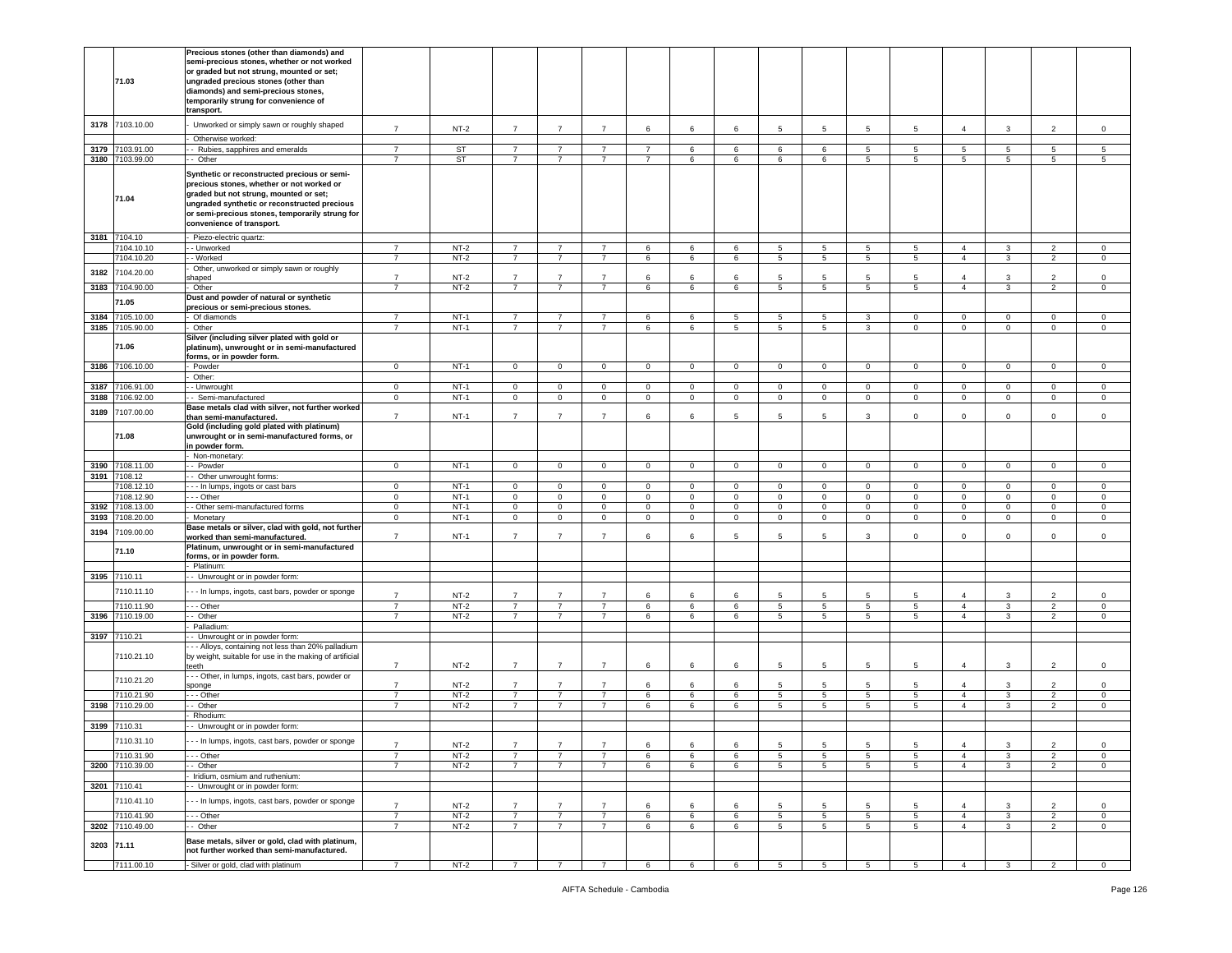|            | 71.03                      | Precious stones (other than diamonds) and<br>semi-precious stones, whether or not worked<br>or graded but not strung, mounted or set;<br>ungraded precious stones (other than<br>diamonds) and semi-precious stones,<br>temporarily strung for convenience of<br>transport.    |                                  |                  |                                  |                                  |                                  |                           |                            |                            |                            |                            |                            |                             |                                  |                            |                                  |                            |
|------------|----------------------------|--------------------------------------------------------------------------------------------------------------------------------------------------------------------------------------------------------------------------------------------------------------------------------|----------------------------------|------------------|----------------------------------|----------------------------------|----------------------------------|---------------------------|----------------------------|----------------------------|----------------------------|----------------------------|----------------------------|-----------------------------|----------------------------------|----------------------------|----------------------------------|----------------------------|
| 3178       | 7103.10.00                 | Unworked or simply sawn or roughly shaped                                                                                                                                                                                                                                      | $\overline{7}$                   | $NT-2$           | $\overline{7}$                   | $\overline{7}$                   | $\overline{7}$                   | 6                         | 6                          | 6                          | 5                          | 5                          | 5                          | 5                           | $\overline{4}$                   | 3                          | $\overline{2}$                   | $\mathbf 0$                |
|            |                            | Otherwise worked:                                                                                                                                                                                                                                                              |                                  |                  |                                  |                                  |                                  |                           |                            |                            |                            |                            |                            |                             |                                  |                            |                                  |                            |
| 3179       | 7103.91.00                 | - Rubies, sapphires and emeralds                                                                                                                                                                                                                                               | $\overline{7}$                   | ST               | $\overline{7}$                   | $\overline{7}$                   | $\overline{7}$                   | $\overline{7}$            | 6                          | 6                          | 6                          | 6                          | 5                          | 5                           | 5                                | 5                          | 5 <sup>5</sup>                   | 5                          |
|            | 3180 7103.99.00<br>71.04   | - Other<br>Synthetic or reconstructed precious or semi-<br>precious stones, whether or not worked or<br>graded but not strung, mounted or set;<br>ungraded synthetic or reconstructed precious<br>or semi-precious stones, temporarily strung for<br>convenience of transport. | $\overline{7}$                   | <b>ST</b>        | $\overline{7}$                   | $\overline{7}$                   | $\overline{7}$                   | $\overline{7}$            | 6                          | 6                          | 6                          | 6                          | $5\overline{5}$            | 5                           | $\,$ 5 $\,$                      | $5\overline{5}$            | 5                                | 5                          |
|            | 3181 7104.10               | Piezo-electric quartz:                                                                                                                                                                                                                                                         |                                  |                  |                                  |                                  |                                  |                           |                            |                            |                            |                            |                            |                             |                                  |                            |                                  |                            |
|            | 7104.10.10<br>7104.10.20   | - Unworked<br>- Worked                                                                                                                                                                                                                                                         | $\overline{7}$<br>$\overline{7}$ | $NT-2$<br>$NT-2$ | $\overline{7}$<br>$\overline{7}$ | $\overline{7}$<br>$\overline{7}$ | $\overline{7}$<br>$\overline{7}$ | 6<br>6                    | 6<br>6                     | 6<br>6                     | 5<br>5                     | 5<br>5                     | 5<br>5                     | 5<br>5                      | $\overline{4}$<br>$\overline{4}$ | 3<br>3                     | $\overline{2}$<br>2              | $\mathbf 0$<br>$\mathbf 0$ |
|            |                            | Other, unworked or simply sawn or roughly                                                                                                                                                                                                                                      |                                  |                  |                                  |                                  |                                  |                           |                            |                            |                            |                            |                            |                             |                                  |                            |                                  |                            |
| 3182       | 7104.20.00                 | haped                                                                                                                                                                                                                                                                          | $\overline{7}$                   | $NT-2$           | $\overline{7}$                   | $\overline{7}$                   | $\overline{7}$                   | 6                         | 6                          | 6                          | 5                          | 5                          | 5                          | 5                           | $\overline{4}$                   | 3                          | $\overline{2}$                   | $\mathbf 0$                |
|            | 3183 7104.90.00            | Other                                                                                                                                                                                                                                                                          | $\overline{7}$                   | $NT-2$           | $\overline{7}$                   | $\overline{7}$                   | $\overline{7}$                   | 6                         | 6                          | 6                          | 5                          | $5\phantom{.0}$            | 5                          | 5                           | $\overline{4}$                   | 3                          | $\overline{2}$                   | $\mathsf 0$                |
|            | 71.05                      | Dust and powder of natural or synthetic<br>precious or semi-precious stones.                                                                                                                                                                                                   |                                  |                  |                                  |                                  |                                  |                           |                            |                            |                            |                            |                            |                             |                                  |                            |                                  |                            |
| 3184       | 7105.10.00                 | Of diamonds                                                                                                                                                                                                                                                                    | $\overline{7}$                   | $NT-1$           | $\overline{7}$                   | $\overline{7}$                   | $\overline{7}$                   | 6                         | 6                          | 5                          | 5                          | 5                          | 3                          | 0                           | $\mathbf 0$                      | $\Omega$                   | $\mathbf 0$                      | $\mathsf 0$                |
|            | 3185 7105.90.00            | Other                                                                                                                                                                                                                                                                          | $\overline{7}$                   | $NT-1$           | $\overline{7}$                   | $\overline{7}$                   | $\overline{7}$                   | 6                         | 6                          | $\overline{5}$             | $\overline{5}$             | $5^{\circ}$                | 3                          | $\overline{0}$              | $\overline{0}$                   | $\overline{0}$             | $\overline{0}$                   | $\overline{0}$             |
|            | 71.06                      | Silver (including silver plated with gold or<br>platinum), unwrought or in semi-manufactured<br>forms, or in powder form.                                                                                                                                                      |                                  |                  |                                  |                                  |                                  |                           |                            |                            |                            |                            |                            |                             |                                  |                            |                                  |                            |
|            | 3186 7106.10.00            | Powder                                                                                                                                                                                                                                                                         | $\overline{0}$                   | $NT-1$           | $\mathbf{0}$                     | $\overline{0}$                   | $\overline{0}$                   | $\overline{0}$            | $\overline{0}$             | $\overline{0}$             | $\mathbf 0$                | $\mathbf{0}$               | $\overline{0}$             | $\overline{0}$              | $\overline{0}$                   | $\mathbf{0}$               | $\overline{0}$                   | $\mathsf 0$                |
| 3187       | 106.91.00                  | Other:<br>- Unwrought                                                                                                                                                                                                                                                          | $\mathbf 0$                      | $NT-1$           | $\mathbf 0$                      | $\circ$                          | $\mathbf 0$                      | $\mathbf{0}$              | $\mathbf{0}$               | $\circ$                    | $\mathbf 0$                | $\circ$                    | $\circ$                    | $\mathbf{O}$                | $\mathbf 0$                      | $\circ$                    | $\mathbf 0$                      | $\mathbf 0$                |
| 3188       | 7106.92.00                 | - Semi-manufactured                                                                                                                                                                                                                                                            | $\mathbf 0$                      | $NT-1$           | $\mathbf 0$                      | $\overline{0}$                   | $\mathbf 0$                      | $\,0\,$                   | $\mathbf 0$                | $\mathbf 0$                | $\mathbf 0$                | $\mathsf 0$                | $\mathsf 0$                | $\mathbf 0$                 | $\,0\,$                          | $\mathbf 0$                | $\mathbf 0$                      | $\mathsf 0$                |
|            |                            | Base metals clad with silver, not further worked                                                                                                                                                                                                                               |                                  |                  |                                  |                                  |                                  |                           |                            |                            |                            |                            |                            |                             |                                  |                            |                                  |                            |
| 3189       | 7107.00.00<br>71.08        | than semi-manufactured.<br>Gold (including gold plated with platinum)<br>unwrought or in semi-manufactured forms, or                                                                                                                                                           | $\overline{7}$                   | $NT-1$           | $\overline{7}$                   | $\overline{7}$                   | $\overline{7}$                   | 6                         | 6                          | 5                          | 5                          | 5                          | 3                          | 0                           | $\mathbf 0$                      | $\mathbf 0$                | $\mathbf 0$                      | $\mathsf 0$                |
|            |                            | in powder form.<br>Non-monetary:                                                                                                                                                                                                                                               |                                  |                  |                                  |                                  |                                  |                           |                            |                            |                            |                            |                            |                             |                                  |                            |                                  |                            |
| 3190       | 7108.11.00                 | - Powder                                                                                                                                                                                                                                                                       | $\mathbf 0$                      | $NT-1$           | $\mathbf 0$                      | $\mathbf 0$                      | $\mathbf 0$                      | $\circ$                   | $\mathbf{0}$               | $\mathbf 0$                | $\mathbf 0$                | $\mathbf 0$                | $\mathbf 0$                | $\mathbf{O}$                | $\mathbf 0$                      | $\mathbf 0$                | $\mathbf 0$                      | $\mathbf 0$                |
| 3191       | 7108.12                    | - Other unwrought forms:                                                                                                                                                                                                                                                       |                                  |                  |                                  |                                  |                                  |                           |                            |                            |                            |                            |                            |                             |                                  |                            |                                  |                            |
|            | 108.12.10                  | - - In lumps, ingots or cast bars                                                                                                                                                                                                                                              | $\mathbf 0$                      | $NT-1$           | $\mathbf 0$                      | $\circ$                          | $\mathbf 0$                      | $\circ$                   | $\mathbf 0$                | $\mathbf 0$                | 0                          | $\mathbf 0$                | $\mathbf 0$                | $\mathbf 0$                 | $\mathbf 0$                      | $\mathbf 0$                | 0                                | $\mathbf 0$                |
| 3192       | 108.12.90<br>7108.13.00    | - - Other<br>- Other semi-manufactured forms                                                                                                                                                                                                                                   | $\mathbf 0$<br>$\mathbf{0}$      | $NT-1$<br>$NT-1$ | $\mathbf 0$<br>$\mathbf{0}$      | $\mathbf 0$<br>$\mathbf 0$       | $\mathbf 0$<br>$\mathbf 0$       | $\circ$<br>$\overline{0}$ | $\mathbf 0$<br>$\mathbf 0$ | $\mathbf 0$<br>$\mathbf 0$ | $\mathbf 0$<br>$\mathbf 0$ | $\mathbf 0$<br>$\mathbf 0$ | $\mathbf 0$<br>$\mathbf 0$ | $\mathbf 0$<br>$\mathbf{0}$ | $\mathsf 0$<br>$\mathbf 0$       | $\mathbf 0$<br>$\mathbf 0$ | $\mathbf 0$<br>0                 | $\mathbf 0$<br>0           |
| 3193       | 7108.20.00                 | Monetary                                                                                                                                                                                                                                                                       | $\mathbf 0$                      | $NT-1$           | $\mathbf 0$                      | $\mathbf{0}$                     | $\mathbf 0$                      | $\mathbf{0}$              | $\mathbf 0$                | $\mathbf 0$                | $\mathbf 0$                | $\circ$                    | $\circ$                    | $\mathbf{0}$                | $\mathbf 0$                      | $\mathbf 0$                | $\mathbf 0$                      | $\mathbf 0$                |
| 3194       | 7109.00.00                 | Base metals or silver, clad with gold, not further                                                                                                                                                                                                                             |                                  |                  |                                  |                                  |                                  |                           |                            |                            |                            |                            |                            |                             |                                  |                            |                                  |                            |
|            | 71.10                      | worked than semi-manufactured.<br>Platinum, unwrought or in semi-manufactured<br>forms, or in powder form.<br>Platinum:                                                                                                                                                        | $\overline{7}$                   | $NT-1$           | $\overline{7}$                   | $\overline{7}$                   | $7^{\circ}$                      | 6                         | 6                          | 5                          | 5                          | 5                          | 3                          | $\mathbf{0}$                | $\mathsf 0$                      | $\circ$                    | $\mathbf{0}$                     | $\circ$                    |
|            | 3195 7110.11               | - Unwrought or in powder form:                                                                                                                                                                                                                                                 |                                  |                  |                                  |                                  |                                  |                           |                            |                            |                            |                            |                            |                             |                                  |                            |                                  |                            |
|            | 7110.11.10<br>7110.11.90   | - - In lumps, ingots, cast bars, powder or sponge<br>- - Other                                                                                                                                                                                                                 | $\overline{7}$<br>$\overline{7}$ | $NT-2$<br>$NT-2$ | $\overline{7}$<br>$\overline{7}$ | 7<br>$\overline{7}$              | $\overline{7}$<br>$\overline{7}$ | 6<br>6                    | 6<br>6                     | 6<br>6                     | -5<br>5                    | 5<br>5                     | -5<br>5                    | 5<br>5                      | $\overline{4}$<br>$\overline{4}$ | 3<br>3                     | $\overline{2}$<br>$\overline{2}$ | $\mathbf 0$<br>$\mathbf 0$ |
|            | 3196 7110.19.00            | - Other                                                                                                                                                                                                                                                                        | $\overline{7}$                   | $NT-2$           | $\overline{7}$                   | $\overline{7}$                   | $\overline{7}$                   | 6                         | 6                          | 6                          | 5                          | 5                          | $5^{\circ}$                | $5^{\circ}$                 | $\overline{4}$                   | 3                          | $\overline{2}$                   | $\circ$                    |
|            |                            | Palladium:                                                                                                                                                                                                                                                                     |                                  |                  |                                  |                                  |                                  |                           |                            |                            |                            |                            |                            |                             |                                  |                            |                                  |                            |
|            | 3197 7110.21<br>7110.21.10 | - Unwrought or in powder form:<br>- - Alloys, containing not less than 20% palladium<br>by weight, suitable for use in the making of artificial<br>teeth                                                                                                                       | $\overline{7}$                   | $NT-2$           | $\overline{7}$                   | $\overline{7}$                   | $\overline{7}$                   | 6                         | 6                          | 6                          | 5                          | 5                          | 5                          | 5                           | $\overline{4}$                   | 3                          | $\overline{2}$                   | $\mathbf 0$                |
|            | 7110.21.20                 | -- Other, in lumps, ingots, cast bars, powder or                                                                                                                                                                                                                               | $\overline{7}$                   | $NT-2$           | $\overline{7}$                   | $\overline{7}$                   | $\overline{7}$                   | 6                         | 6                          | 6                          | -5                         | 5                          | -5                         | 5                           | $\overline{4}$                   | 3                          | $\overline{\phantom{a}}$         | $\mathbf 0$                |
|            | 7110.21.90                 | sponge<br>- - - Other                                                                                                                                                                                                                                                          | $\overline{7}$                   | $NT-2$           | $\overline{7}$                   | $\overline{7}$                   | $\overline{7}$                   | 6                         | 6                          | 6                          | 5                          | 5                          | 5                          | 5                           | $\overline{4}$                   | 3                          | $\overline{2}$                   | $\mathbf 0$                |
| 3198       | 7110.29.00                 | - Other                                                                                                                                                                                                                                                                        | $\overline{7}$                   | $NT-2$           | $\overline{7}$                   | $\overline{7}$                   | $\overline{7}$                   | 6                         | 6                          | 6                          | 5                          | $\overline{5}$             | 5                          | $\overline{5}$              | $\overline{4}$                   | $\mathbf{3}$               | $\overline{2}$                   | $\overline{0}$             |
|            |                            | Rhodium:                                                                                                                                                                                                                                                                       |                                  |                  |                                  |                                  |                                  |                           |                            |                            |                            |                            |                            |                             |                                  |                            |                                  |                            |
|            | 3199 7110.31               | - Unwrought or in powder form:                                                                                                                                                                                                                                                 |                                  |                  |                                  |                                  |                                  |                           |                            |                            |                            |                            |                            |                             |                                  |                            |                                  |                            |
|            | 7110.31.10                 | - - In lumps, ingots, cast bars, powder or sponge                                                                                                                                                                                                                              |                                  | NT-2             |                                  |                                  |                                  | 6                         |                            |                            |                            |                            |                            |                             |                                  |                            |                                  | 0                          |
|            | 7110.31.90                 | - - Other                                                                                                                                                                                                                                                                      | $\overline{7}$                   | $NT-2$           | $\overline{7}$                   | $\overline{7}$                   | $\overline{7}$                   | 6                         | 6                          | 6                          | 5                          | 5                          | 5                          | 5                           | $\overline{4}$                   | 3                          | $\overline{2}$                   | $\mathbf 0$                |
|            | 3200 7110.39.00            | - Other<br>Iridium, osmium and ruthenium:                                                                                                                                                                                                                                      | $\overline{7}$                   | $NT-2$           | $\overline{7}$                   | $\overline{7}$                   | $\overline{7}$                   | 6                         | 6                          | 6                          | 5                          | 5                          | $5^{\circ}$                | 5                           | $\overline{4}$                   | 3                          | $\overline{2}$                   | $\mathbf 0$                |
|            | 3201 7110.41               | - Unwrought or in powder form:                                                                                                                                                                                                                                                 |                                  |                  |                                  |                                  |                                  |                           |                            |                            |                            |                            |                            |                             |                                  |                            |                                  |                            |
|            | 7110.41.10                 | - - In lumps, ingots, cast bars, powder or sponge                                                                                                                                                                                                                              | $\overline{7}$                   | $NT-2$           | $\overline{7}$                   | 7                                | $\overline{7}$                   | 6                         | $\epsilon$                 | 6                          | -5                         | 5                          |                            | 5                           | $\mathbf{A}$                     | $\mathcal{R}$              | $\overline{\phantom{a}}$         | $\circ$                    |
|            | 7110.41.90                 | - - - Other                                                                                                                                                                                                                                                                    | $\overline{7}$                   | $NT-2$           | 7                                | $\overline{7}$                   | $\overline{7}$                   | 6                         | 6                          | 6                          | 5                          | 5                          | 5                          | 5                           | $\overline{4}$                   | 3                          | $\overline{2}$                   | $\mathbf{0}$               |
| 3202       | 7110.49.00                 | - Other                                                                                                                                                                                                                                                                        | $\overline{7}$                   | $NT-2$           | $\overline{7}$                   | $\overline{7}$                   | $\overline{7}$                   | 6                         | 6                          | 6                          | 5                          | $5^{\circ}$                | $5\overline{5}$            | 5                           | $\overline{4}$                   | $\mathbf{3}$               | $\overline{2}$                   | $\mathbf 0$                |
| 3203 71.11 |                            | Base metals, silver or gold, clad with platinum,<br>not further worked than semi-manufactured.                                                                                                                                                                                 |                                  |                  |                                  |                                  |                                  |                           |                            |                            |                            |                            |                            |                             |                                  |                            |                                  |                            |
|            | 7111.00.10                 | Silver or gold, clad with platinum                                                                                                                                                                                                                                             | $\overline{7}$                   | $NT-2$           | $\overline{7}$                   | $\overline{7}$                   | $\overline{7}$                   | 6                         | 6                          | 6                          | 5                          | 5                          | 5                          | 5                           | $\overline{4}$                   | 3                          | $\overline{2}$                   | $\mathbf 0$                |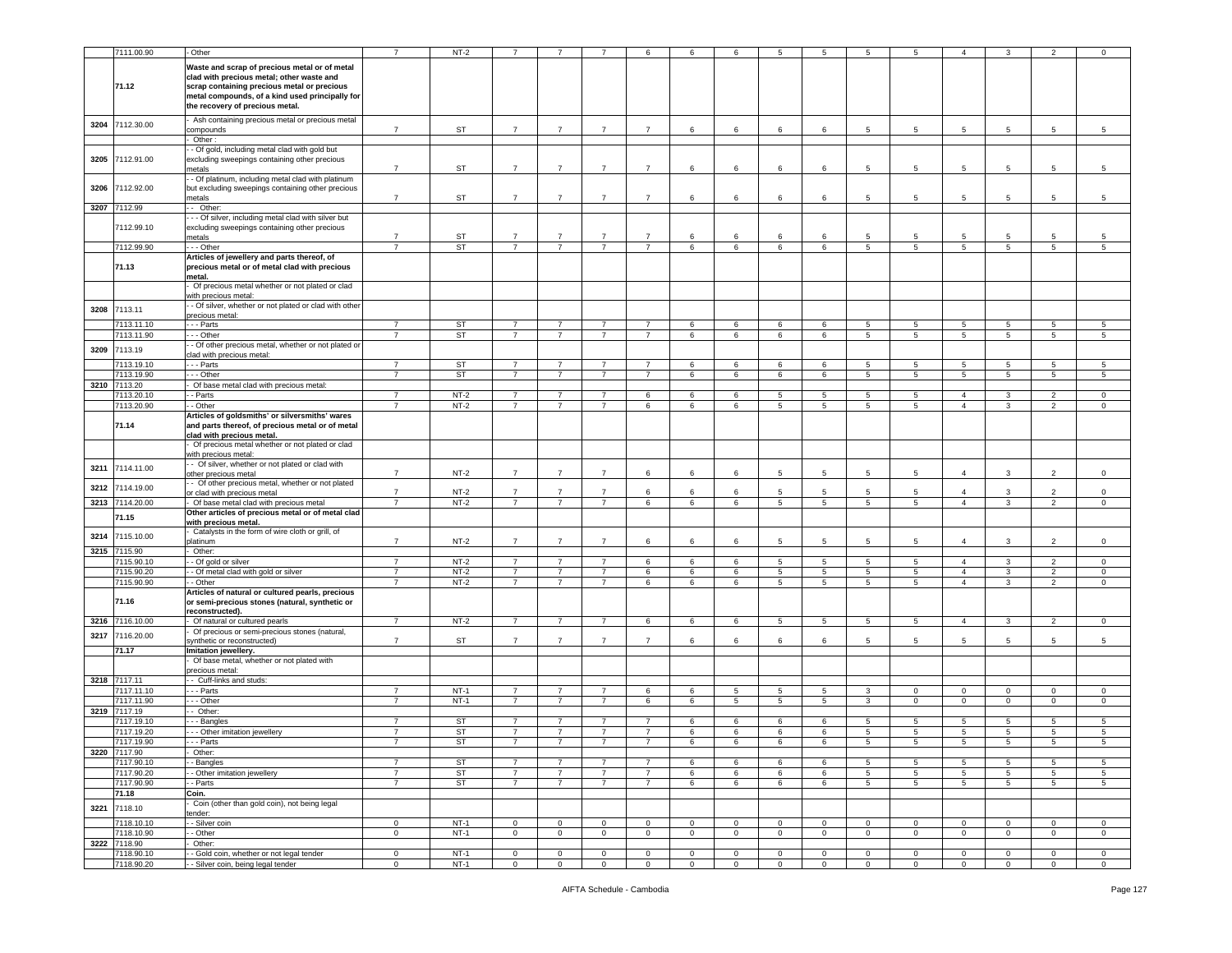|      | 7111.00.90      | Other                                                                   | $\overline{7}$ | $NT-2$    |                |                |                |                | 6           | 6              | 5               | 5               |                 | 5               | $\overline{4}$  |                 |                 |             |
|------|-----------------|-------------------------------------------------------------------------|----------------|-----------|----------------|----------------|----------------|----------------|-------------|----------------|-----------------|-----------------|-----------------|-----------------|-----------------|-----------------|-----------------|-------------|
|      |                 |                                                                         |                |           |                |                |                |                |             |                |                 |                 |                 |                 |                 |                 |                 |             |
|      |                 | Waste and scrap of precious metal or of metal                           |                |           |                |                |                |                |             |                |                 |                 |                 |                 |                 |                 |                 |             |
|      |                 | clad with precious metal; other waste and                               |                |           |                |                |                |                |             |                |                 |                 |                 |                 |                 |                 |                 |             |
|      | 71.12           | scrap containing precious metal or precious                             |                |           |                |                |                |                |             |                |                 |                 |                 |                 |                 |                 |                 |             |
|      |                 | metal compounds, of a kind used principally for                         |                |           |                |                |                |                |             |                |                 |                 |                 |                 |                 |                 |                 |             |
|      |                 | the recovery of precious metal.                                         |                |           |                |                |                |                |             |                |                 |                 |                 |                 |                 |                 |                 |             |
|      |                 | Ash containing precious metal or precious metal                         |                |           |                |                |                |                |             |                |                 |                 |                 |                 |                 |                 |                 |             |
| 3204 | 7112.30.00      | compounds                                                               | $\overline{7}$ | ST        | $\overline{7}$ | $\overline{7}$ | $\overline{7}$ | $\overline{7}$ | 6           | 6              | 6               | 6               | 5               | 5               | 5               | 5               | 5               | 5           |
|      |                 | Other:                                                                  |                |           |                |                |                |                |             |                |                 |                 |                 |                 |                 |                 |                 |             |
|      |                 | - Of gold, including metal clad with gold but                           |                |           |                |                |                |                |             |                |                 |                 |                 |                 |                 |                 |                 |             |
| 3205 | 7112.91.00      | excluding sweepings containing other precious                           |                |           |                |                |                |                |             |                |                 |                 |                 |                 |                 |                 |                 |             |
|      |                 | netals                                                                  | $\overline{7}$ | ST        | $\overline{7}$ | $\overline{7}$ | $\overline{7}$ | $\overline{7}$ | 6           | 6              | 6               | 6               | 5               | 5               | 5               | 5               | 5               | 5           |
|      |                 | - Of platinum, including metal clad with platinum                       |                |           |                |                |                |                |             |                |                 |                 |                 |                 |                 |                 |                 |             |
| 3206 | 7112.92.00      | but excluding sweepings containing other precious                       |                |           |                |                |                |                |             |                |                 |                 |                 |                 |                 |                 |                 |             |
|      |                 | netals                                                                  | $\overline{7}$ | ST        | $\overline{7}$ | $\overline{7}$ | $\overline{7}$ | $\overline{7}$ | 6           | 6              | 6               | 6               | 5               | 5               | 5               | 5               | 5               | 5           |
| 3207 | 7112.99         | - Other:                                                                |                |           |                |                |                |                |             |                |                 |                 |                 |                 |                 |                 |                 |             |
|      |                 | - - Of silver, including metal clad with silver but                     |                |           |                |                |                |                |             |                |                 |                 |                 |                 |                 |                 |                 |             |
|      | 7112.99.10      | excluding sweepings containing other precious                           |                |           |                |                |                |                |             |                |                 |                 |                 |                 |                 |                 |                 |             |
|      |                 | metals                                                                  | $\overline{7}$ | ST        | $\overline{7}$ | $\overline{7}$ | $\overline{7}$ | $\overline{7}$ | 6           | 6              | 6               | 6               | 5               | 5               | 5               | -5              | 5               |             |
|      | 7112.99.90      | - - Other                                                               | $\overline{7}$ | ST        | $\overline{7}$ | $\overline{7}$ | $\overline{7}$ | $\overline{7}$ | 6           | 6              | 6               | 6               | $5^{\circ}$     | 5               | 5               | 5               | 5               | 5           |
|      |                 | Articles of jewellery and parts thereof, of                             |                |           |                |                |                |                |             |                |                 |                 |                 |                 |                 |                 |                 |             |
|      | 71.13           | precious metal or of metal clad with precious                           |                |           |                |                |                |                |             |                |                 |                 |                 |                 |                 |                 |                 |             |
|      |                 | metal.                                                                  |                |           |                |                |                |                |             |                |                 |                 |                 |                 |                 |                 |                 |             |
|      |                 | Of precious metal whether or not plated or clad                         |                |           |                |                |                |                |             |                |                 |                 |                 |                 |                 |                 |                 |             |
|      |                 | vith precious metal:                                                    |                |           |                |                |                |                |             |                |                 |                 |                 |                 |                 |                 |                 |             |
|      |                 | - Of silver, whether or not plated or clad with other                   |                |           |                |                |                |                |             |                |                 |                 |                 |                 |                 |                 |                 |             |
| 3208 | 7113.11         | recious metal:                                                          |                |           |                |                |                |                |             |                |                 |                 |                 |                 |                 |                 |                 |             |
|      | 7113.11.10      | - - Parts                                                               | $\overline{7}$ | ST        | $\overline{7}$ | 7              | $\overline{7}$ | $\overline{7}$ | 6           | 6              | 6               | 6               | 5               | 5               | $5\phantom{.0}$ | -5              | 5               | 5           |
|      | 7113.11.90      | - - Other                                                               | $\overline{7}$ | ST        | 7              | $\overline{7}$ | $\overline{7}$ | $\overline{7}$ | 6           | 6              | 6               | 6               | 5               | 5               | 5               | 5               | 5               | 5           |
|      |                 | - Of other precious metal, whether or not plated or                     |                |           |                |                |                |                |             |                |                 |                 |                 |                 |                 |                 |                 |             |
| 3209 | 7113.19         | clad with precious metal:                                               |                |           |                |                |                |                |             |                |                 |                 |                 |                 |                 |                 |                 |             |
|      | 7113.19.10      | - - Parts                                                               | $\overline{7}$ | ST        | $\overline{7}$ | $\overline{7}$ | $\overline{7}$ | $\overline{7}$ | 6           | 6              | 6               | 6               | 5               | 5               | 5               | 5               | 5               | -5          |
|      | 7113.19.90      | - - Other                                                               | $\overline{7}$ | <b>ST</b> | $\overline{7}$ | $\overline{7}$ | $\overline{7}$ | 7              | 6           | 6              | 6               | 6               | 5               | 5               | 5               | 5               | $5\phantom{.0}$ | 5           |
|      | 3210 7113.20    | Of base metal clad with precious metal:                                 |                |           |                |                |                |                |             |                |                 |                 |                 |                 |                 |                 |                 |             |
|      | 7113.20.10      | - Parts                                                                 | $\overline{7}$ | $NT-2$    | $\overline{7}$ | 7              | $\overline{7}$ | 6              | 6           | 6              | 5               | 5               | 5               | 5               | $\overline{4}$  | 3               | $\overline{2}$  | 0           |
|      | 7113.20.90      | - Other                                                                 | $\overline{7}$ | $NT-2$    | $\overline{7}$ | $\overline{7}$ | $\overline{7}$ | 6              | 6           | 6              | 5               | 5               | $5^{\circ}$     | 5               | $\overline{4}$  | 3               | $\overline{2}$  | 0           |
|      |                 |                                                                         |                |           |                |                |                |                |             |                |                 |                 |                 |                 |                 |                 |                 |             |
|      |                 | Articles of goldsmiths' or silversmiths' wares                          |                |           |                |                |                |                |             |                |                 |                 |                 |                 |                 |                 |                 |             |
|      | 71.14           | and parts thereof, of precious metal or of metal                        |                |           |                |                |                |                |             |                |                 |                 |                 |                 |                 |                 |                 |             |
|      |                 | clad with precious metal.                                               |                |           |                |                |                |                |             |                |                 |                 |                 |                 |                 |                 |                 |             |
|      |                 | Of precious metal whether or not plated or clad<br>with precious metal: |                |           |                |                |                |                |             |                |                 |                 |                 |                 |                 |                 |                 |             |
|      |                 | - Of silver, whether or not plated or clad with                         |                |           |                |                |                |                |             |                |                 |                 |                 |                 |                 |                 |                 |             |
| 3211 | 7114.11.00      | other precious metal                                                    | $\overline{7}$ | $NT-2$    | $\overline{7}$ | $\overline{7}$ | $\overline{7}$ | 6              | 6           | 6              | 5               | 5               | 5               | 5               | $\overline{4}$  | 3               | $\overline{2}$  | 0           |
|      |                 | - Of other precious metal, whether or not plated                        |                |           |                |                |                |                |             |                |                 |                 |                 |                 |                 |                 |                 |             |
| 3212 | 7114.19.00      | or clad with precious metal                                             | $\overline{7}$ | $NT-2$    | $\overline{7}$ | $\overline{7}$ | $\overline{7}$ | 6              | 6           | 6              | 5               | 5               | 5               | 5               | $\overline{4}$  | 3               | $\overline{2}$  | $\circ$     |
|      | 3213 7114.20.00 | Of base metal clad with precious metal                                  | $\overline{7}$ | $NT-2$    | $\overline{7}$ | 7              | $\overline{7}$ | 6              | 6           | 6              | 5               | 5               | 5               | 5               | $\overline{4}$  | 3               | $\overline{2}$  | $\circ$     |
|      |                 | Other articles of precious metal or of metal clad                       |                |           |                |                |                |                |             |                |                 |                 |                 |                 |                 |                 |                 |             |
|      | 71.15           | with precious metal.                                                    |                |           |                |                |                |                |             |                |                 |                 |                 |                 |                 |                 |                 |             |
|      |                 | Catalysts in the form of wire cloth or grill, of                        |                |           |                |                |                |                |             |                |                 |                 |                 |                 |                 |                 |                 |             |
| 3214 | 7115.10.00      | <b>platinum</b>                                                         | $\overline{7}$ | $NT-2$    | $\overline{7}$ | $\overline{7}$ | $\overline{7}$ | 6              | 6           | 6              | 5               | 5               | 5               | 5               | $\overline{4}$  | 3               | $\overline{2}$  | $\Omega$    |
| 3215 | 7115.90         | Other:                                                                  |                |           |                |                |                |                |             |                |                 |                 |                 |                 |                 |                 |                 |             |
|      | 7115.90.10      | - Of gold or silver                                                     | $\overline{7}$ | $NT-2$    | $\overline{7}$ | $\overline{7}$ | $\overline{7}$ | 6              | 6           | 6              | 5               | 5               | 5               | 5               | $\overline{4}$  | 3               | $\overline{2}$  | 0           |
|      | 7115.90.20      | - Of metal clad with gold or silver                                     | $\overline{7}$ | $NT-2$    | $\overline{7}$ | $\overline{7}$ | $\overline{7}$ | 6              | 6           | 6              | $5\phantom{.0}$ | $5\overline{)}$ | $5\overline{5}$ | $5\phantom{.0}$ | $\overline{4}$  | 3               | $\overline{2}$  | $\mathsf 0$ |
|      | 7115.90.90      | - Other                                                                 | $\overline{7}$ | $NT-2$    | $\overline{7}$ | $\overline{7}$ | $\overline{7}$ | 6              | 6           | 6              | 5               | 5               | 5               | 5               | $\overline{4}$  | 3               | $\overline{2}$  | 0           |
|      |                 | Articles of natural or cultured pearls, precious                        |                |           |                |                |                |                |             |                |                 |                 |                 |                 |                 |                 |                 |             |
|      | 71.16           | or semi-precious stones (natural, synthetic or                          |                |           |                |                |                |                |             |                |                 |                 |                 |                 |                 |                 |                 |             |
|      |                 | reconstructed).                                                         |                |           |                |                |                |                |             |                |                 |                 |                 |                 |                 |                 |                 |             |
| 3216 | 7116.10.00      | Of natural or cultured pearls                                           | $\overline{7}$ | $NT-2$    | $\overline{7}$ | $\overline{7}$ | $\overline{7}$ | $\,6\,$        | 6           | 6              | $5\phantom{.0}$ | $\sqrt{5}$      | $5\phantom{.0}$ | $5\phantom{.0}$ | $\overline{4}$  | 3               | $\overline{2}$  | $\mathsf 0$ |
|      |                 | Of precious or semi-precious stones (natural,                           |                |           |                |                |                |                |             |                |                 |                 |                 |                 |                 |                 |                 |             |
| 3217 | 7116.20.00      | ynthetic or reconstructed)                                              | $\overline{7}$ | ST        | $\overline{7}$ | $\overline{7}$ | $\overline{7}$ | $\overline{7}$ | 6           | 6              | 6               | 6               | 5               | 5               | 5               | 5               | 5               | 5           |
|      | 71.17           | mitation jewellery.                                                     |                |           |                |                |                |                |             |                |                 |                 |                 |                 |                 |                 |                 |             |
|      |                 | Of base metal, whether or not plated with                               |                |           |                |                |                |                |             |                |                 |                 |                 |                 |                 |                 |                 |             |
|      |                 | precious metal:                                                         |                |           |                |                |                |                |             |                |                 |                 |                 |                 |                 |                 |                 |             |
|      | 3218 7117.11    | - Cuff-links and studs:                                                 |                |           |                |                |                |                |             |                |                 |                 |                 |                 |                 |                 |                 |             |
|      | 7117.11.10      | - - Parts                                                               | $\overline{7}$ | $NT-1$    | $\overline{7}$ | $\overline{7}$ | $\overline{7}$ | 6              | 6           | 5              | 5               | 5               | 3               | 0               | $\mathbf 0$     | $\mathbf 0$     | 0               | $^{\circ}$  |
|      | 7117.11.90      | $-$ Other                                                               | $\overline{7}$ | $NT-1$    | $\overline{7}$ | $\overline{7}$ | $\overline{7}$ | 6              | 6           | $\overline{5}$ | 5               | $\overline{5}$  | $\overline{3}$  | $\mathbf 0$     | $\overline{0}$  | $\circ$         | $\overline{0}$  | $\mathbf 0$ |
|      | 3219 7117.19    | Other:                                                                  |                |           |                |                |                |                |             |                |                 |                 |                 |                 |                 |                 |                 |             |
|      | 7117.19.10      | - - Bangles                                                             | $\overline{7}$ | ST        | $\overline{7}$ | $\overline{7}$ | $\overline{7}$ | $\overline{7}$ | 6           | 6              | 6               | 6               | 5               | 5               | 5               | 5               | 5               | 5           |
|      | 7117.19.20      |                                                                         | $\overline{7}$ | ST        | $\overline{7}$ | $\overline{7}$ | $\overline{7}$ | $\overline{7}$ | 6           | 6              |                 |                 |                 | 5               |                 | 5               |                 | 5           |
|      | 7117.19.90      | -- Other imitation jewellery<br>- Parts                                 |                | <b>ST</b> |                |                |                |                |             | 6              | 6               | 6               | 5<br>5          |                 | 5<br>5          |                 | 5<br>5          |             |
|      | 3220 7117.90    |                                                                         |                |           |                |                |                |                |             |                |                 |                 |                 |                 |                 |                 |                 |             |
|      |                 | Other:                                                                  |                |           |                |                |                |                |             |                |                 |                 |                 |                 |                 |                 |                 |             |
|      | 7117.90.10      | Bangles                                                                 | $\overline{7}$ | ST        | $\overline{7}$ | $\overline{7}$ | $\overline{7}$ | $\overline{7}$ | 6           | 6              | 6               | 6               | 5               | 5               | 5               | 5               | 5               | 5           |
|      | 7117.90.20      | - Other imitation jewellery                                             | $\overline{7}$ | ST        | $\overline{7}$ | $\overline{7}$ | $\overline{7}$ | $\overline{7}$ | 6           | 6              | 6               | 6               | 5               | 5               | $5\overline{)}$ | $5\phantom{.0}$ | 5               | 5           |
|      | 7117.90.90      | - Parts                                                                 | $\overline{7}$ | ST        | $\overline{7}$ | $\overline{7}$ | $\overline{7}$ | $\overline{7}$ | 6           | 6              | 6               | 6               | 5               | 5               | $5\overline{)}$ | 5               | 5               | 5           |
|      | 71.18           | Coin.                                                                   |                |           |                |                |                |                |             |                |                 |                 |                 |                 |                 |                 |                 |             |
| 3221 | 7118.10         | Coin (other than gold coin), not being legal                            |                |           |                |                |                |                |             |                |                 |                 |                 |                 |                 |                 |                 |             |
|      |                 | ender:                                                                  |                |           |                |                |                |                |             |                |                 |                 |                 |                 |                 |                 |                 |             |
|      | 7118.10.10      | - Silver coin                                                           | $\mathbf 0$    | NT-1      | $\mathbf{0}$   | $\mathbf 0$    | $\mathbf 0$    | $\mathbf{0}$   | $\mathbf 0$ | 0              | $\mathbf 0$     | 0               | $\mathbf 0$     | $\mathbf{0}$    | $\mathbf{0}$    | $\mathbf 0$     | $\mathbf 0$     | $\mathbf 0$ |
|      | 7118.10.90      | - Other                                                                 | $\mathbf 0$    | $NT-1$    | $\mathbf 0$    | $\mathbf 0$    | $\mathbf 0$    | $\overline{0}$ | $\mathbf 0$ | $\mathbf 0$    | $\mathsf 0$     | $\mathbf 0$     | $\mathbf 0$     | $\overline{0}$  | $\mathbf 0$     | $\mathbf 0$     | $\mathbf 0$     | $\mathsf 0$ |
|      | 3222 7118.90    | Other:                                                                  |                |           |                |                |                |                |             |                |                 |                 |                 |                 |                 |                 |                 |             |
|      | 7118.90.10      | - Gold coin, whether or not legal tender                                | $\mathbf 0$    | $NT-1$    | $\mathbf 0$    | $\mathbf 0$    | $\mathbf 0$    | $\mathbf{0}$   | $\mathbf 0$ | 0              | $\mathbf 0$     | $\mathbf 0$     | $\mathbf 0$     | $\overline{0}$  | $\mathbf 0$     | $\mathbf 0$     | $\mathbf 0$     | $\circ$     |
|      | 7118.90.20      | - Silver coin, being legal tender                                       | $\mathbf 0$    | $NT-1$    | $\mathbf 0$    | $\mathsf 0$    | $\mathbf 0$    | $\mathsf 0$    | 0           | $\mathbf 0$    | 0               | $\mathbf 0$     | $\mathsf 0$     | $\circ$         | $\mathbf 0$     | $\mathbf 0$     | $\mathbf 0$     | $^{\circ}$  |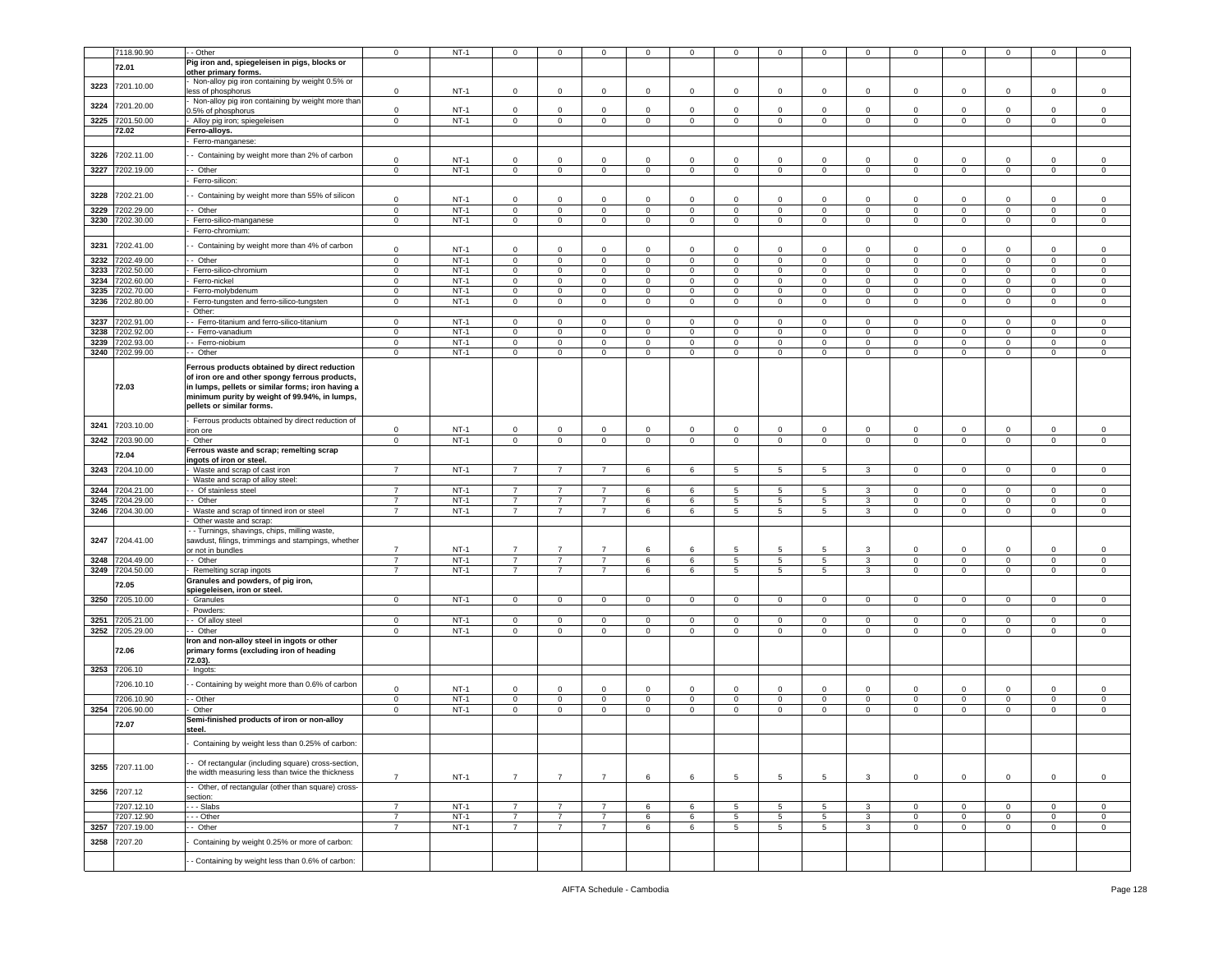|              | 7118.90.90              | - Other                                                                                                                                                                                                                            | $\mathbf 0$                | $NT-1$           | $\mathbf 0$                   | 0                      | $\Omega$                   | $\Omega$                         | $\Omega$                  | $\Omega$                   | 0                          | $\Omega$           | $\Omega$                      | $\Omega$                   | $\mathbf 0$                      |                              |                  | 0                          |
|--------------|-------------------------|------------------------------------------------------------------------------------------------------------------------------------------------------------------------------------------------------------------------------------|----------------------------|------------------|-------------------------------|------------------------|----------------------------|----------------------------------|---------------------------|----------------------------|----------------------------|--------------------|-------------------------------|----------------------------|----------------------------------|------------------------------|------------------|----------------------------|
|              |                         | Pig iron and, spiegeleisen in pigs, blocks or                                                                                                                                                                                      |                            |                  |                               |                        |                            |                                  |                           |                            |                            |                    |                               |                            |                                  |                              |                  |                            |
|              | 72.01                   | other primary forms.                                                                                                                                                                                                               |                            |                  |                               |                        |                            |                                  |                           |                            |                            |                    |                               |                            |                                  |                              |                  |                            |
| 3223         | 7201.10.00              | Non-alloy pig iron containing by weight 0.5% or                                                                                                                                                                                    |                            |                  |                               |                        |                            |                                  |                           |                            |                            |                    |                               |                            |                                  |                              |                  |                            |
|              |                         | less of phosphorus<br>Non-alloy pig iron containing by weight more than                                                                                                                                                            | 0                          | $NT-1$           | 0                             | $\Omega$               | 0                          | 0                                | $\mathbf 0$               | $\mathbf 0$                | $\mathbf 0$                | $\mathbf 0$        | $\mathbf 0$                   | 0                          | $\mathbf 0$                      | $\mathbf 0$                  | $\Omega$         | $\mathsf 0$                |
| 3224         | 7201.20.00              | 0.5% of phosphorus                                                                                                                                                                                                                 | $\mathbf 0$<br>$\circ$     | $NT-1$           | 0                             | $\Omega$               | $\Omega$                   | $\Omega$                         | $\Omega$                  | $\Omega$                   | $\Omega$                   | $\Omega$           | $\Omega$                      | $\Omega$<br>$\circ$        | $\Omega$                         | $\Omega$                     | $\Omega$         | 0                          |
| 3225         | 7201.50.00<br>72.02     | Alloy pig iron; spiegeleisen                                                                                                                                                                                                       |                            | $NT-1$           | $\mathbf 0$                   | $\mathsf 0$            | $\mathbf 0$                | $\mathbf 0$                      | $\mathsf 0$               | $\mathbf 0$                | $\mathsf 0$                | $\circ$            | $\mathbf 0$                   |                            | $\mathbf 0$                      | $\mathbf 0$                  | $\mathbf 0$      | $\,0\,$                    |
|              |                         | Ferro-alloys.<br>Ferro-manganese:                                                                                                                                                                                                  |                            |                  |                               |                        |                            |                                  |                           |                            |                            |                    |                               |                            |                                  |                              |                  |                            |
|              |                         |                                                                                                                                                                                                                                    |                            |                  |                               |                        |                            |                                  |                           |                            |                            |                    |                               |                            |                                  |                              |                  |                            |
| 3226         | 7202.11.00              | Containing by weight more than 2% of carbon                                                                                                                                                                                        | $\mathbf 0$                | $NT-1$           | $\mathbf 0$                   | $\mathbf 0$            | $\mathbf 0$                | $\mathbf 0$                      | $\Omega$                  | $\Omega$                   | $\mathbf 0$                | $\Omega$           | $\mathbf 0$                   | $\Omega$                   | $\mathsf 0$                      | $\Omega$                     | 0                | $\mathsf 0$                |
| 3227         | 7202.19.00              | - - Other                                                                                                                                                                                                                          | $\mathbf{0}$               | $NT-1$           | $\mathbf{0}$                  | $\mathbf{0}$           | $\mathbf 0$                | $\overline{0}$                   | $\overline{0}$            | 0                          | $\mathbf 0$                | $\mathbf 0$        | $\overline{0}$                | $\mathbf 0$                | $\overline{0}$                   | $\overline{0}$               | $\mathbf{0}$     | $\mathbf 0$                |
|              |                         | Ferro-silicon:                                                                                                                                                                                                                     |                            |                  |                               |                        |                            |                                  |                           |                            |                            |                    |                               |                            |                                  |                              |                  |                            |
| 3228         | 7202.21.00              | Containing by weight more than 55% of silicon                                                                                                                                                                                      | $\mathbf 0$                | $NT-1$           | 0                             | $\Omega$               | $\Omega$                   | $\mathsf 0$                      | $\Omega$                  | $\Omega$                   | $\mathbf 0$                | $\Omega$           | $\mathbf 0$                   | $\Omega$                   | $\mathbf 0$                      | $\Omega$                     | $\Omega$         | $\mathsf 0$                |
| 3229         | 202.29.00               | - Other                                                                                                                                                                                                                            | 0                          | $NT-1$           | 0                             | 0                      | $\mathbf 0$                | 0                                | 0                         | 0                          | $\mathbf 0$                | 0                  | 0                             | 0                          | $\overline{0}$                   | $\mathbf 0$                  | 0                | 0                          |
| 3230         | 7202.30.00              | Ferro-silico-manganese                                                                                                                                                                                                             | $\mathbf 0$                | $NT-1$           | $\mathbf 0$                   | $\mathsf 0$            | $\mathbf 0$                | $\mathbf 0$                      | $\mathbf 0$               | $\mathbf 0$                | $\mathsf 0$                | $\mathbf 0$        | $\mathsf 0$                   | $\mathbf 0$                | $\,0\,$                          | $\mathsf 0$                  | $\mathbf 0$      | $\,0\,$                    |
|              |                         | Ferro-chromium:                                                                                                                                                                                                                    |                            |                  |                               |                        |                            |                                  |                           |                            |                            |                    |                               |                            |                                  |                              |                  |                            |
| 3231         | 7202.41.00              | Containing by weight more than 4% of carbon                                                                                                                                                                                        |                            |                  |                               |                        |                            |                                  |                           |                            |                            |                    |                               |                            |                                  |                              |                  |                            |
|              |                         |                                                                                                                                                                                                                                    | 0                          | $NT-1$           | 0                             | 0                      | $\mathbf 0$                | $\mathbf 0$                      | $\mathbf 0$               | $\mathbf 0$                | $^{\circ}$                 | $\mathbf 0$        | $\mathbf 0$                   | 0                          | $\mathbf 0$                      | $\mathbf 0$                  | $\Omega$         | $\mathbf 0$                |
| 3232         | $\overline{202.49.00}$  | - Other                                                                                                                                                                                                                            | $\mathbf 0$                | $NT-1$           | $\mathbf 0$                   | $\mathsf 0$            | $\mathsf 0$                | $\mathbf 0$                      | $\mathbf 0$               | $\mathbf 0$                | $\mathbf 0$                | $\mathbf 0$        | $\mathbf 0$                   | $\mathbf 0$                | $\mathbf 0$                      | $\mathbf 0$                  | $\mathbf 0$      | $\mathsf 0$                |
| 3233         | 202.50.00               | Ferro-silico-chromium                                                                                                                                                                                                              | $\mathbf 0$                | $NT-1$           | $\mathsf 0$                   | $\overline{0}$         | $\mathbf 0$                | $\mathsf 0$                      | $\mathbf 0$               | $\mathsf 0$                | $\mathbf 0$                | $\mathsf 0$        | $\mathsf 0$                   | 0                          | $\overline{\mathbf{0}}$          | $\mathsf 0$                  | 0                | $\,0\,$                    |
| 3234         | 202.60.00               | Ferro-nickel                                                                                                                                                                                                                       | $\mathbf 0$                | $NT-1$<br>$NT-1$ | $\mathbf 0$                   | $\mathbf 0$            | $\mathbf 0$                | $\mathbf 0$                      | 0                         | 0                          | $\mathbf 0$                | $\mathbf 0$        | $\mathbf 0$                   | 0                          | $\mathbf 0$                      | $\mathbf 0$                  | $\mathbf 0$      | $\mathbf 0$                |
| 3235<br>3236 | 7202.70.00<br>202.80.00 | Ferro-molybdenum<br>Ferro-tungsten and ferro-silico-tungsten                                                                                                                                                                       | $\mathbf 0$<br>$\mathbf 0$ | $NT-1$           | $\mathbf 0$<br>$\mathbf 0$    | $\mathsf 0$<br>$\circ$ | $\mathbf 0$<br>$\mathbf 0$ | $\overline{0}$<br>$\overline{0}$ | $^{\circ}$<br>$\mathbf 0$ | 0<br>0                     | $\mathbf 0$<br>$\mathbf 0$ | $\circ$<br>$\circ$ | $\mathbf{0}$<br>$\mathbf{0}$  | $\mathbf 0$<br>$\mathbf 0$ | $\mathbf 0$<br>$\mathbf 0$       | $\mathbf{0}$<br>$\mathbf{0}$ | $\mathbf 0$<br>0 | $\mathsf 0$<br>$\mathbf 0$ |
|              |                         | Other:                                                                                                                                                                                                                             |                            |                  |                               |                        |                            |                                  |                           |                            |                            |                    |                               |                            |                                  |                              |                  |                            |
| 3237         | 7202.91.00              | - Ferro-titanium and ferro-silico-titanium                                                                                                                                                                                         | $\mathsf 0$                | $NT-1$           | $\overline{0}$                | $\overline{0}$         | $\mathbf 0$                | $\overline{0}$                   | 0                         | 0                          | $\mathbf 0$                | $\mathbf 0$        | $\mathbf 0$                   | $\mathbf 0$                | $\overline{\mathbf{0}}$          | $\mathbf 0$                  | $\mathbf 0$      | 0                          |
| 3238         | 202.92.00               | Ferro-vanadium                                                                                                                                                                                                                     | $\mathbf 0$                | $NT-1$           | 0                             | 0                      | $\mathbf 0$                | $\mathbf 0$                      | 0                         | 0                          | $\mathbf 0$                | $\mathbf 0$        | $\mathsf 0$                   | 0                          | $\mathbf 0$                      | 0                            | $\mathbf 0$      | $\mathsf 0$                |
| 3239         | 7202.93.00              | - Ferro-niobium                                                                                                                                                                                                                    | $\mathbf 0$                | $NT-1$           | $\mathbf 0$                   | $\mathbf 0$            | $\mathbf 0$                | $\mathbf 0$                      | $^{\circ}$                | 0                          | $\mathsf 0$                | $\mathbf 0$        | $\mathsf 0$                   | $\mathbf 0$                | $\mathbf 0$                      | $\mathbf 0$                  | $\mathsf 0$      | $\mathsf 0$                |
| 3240         | 7202.99.00              | - Other                                                                                                                                                                                                                            | $\mathbf 0$                | $NT-1$           | $\mathbf 0$                   | $\circ$                | $\mathbf 0$                | $\circ$                          | $\mathbf 0$               | 0                          | $\mathbf 0$                | $\circ$            | $\mathbf{0}$                  | $\mathbf 0$                | $\overline{0}$                   | $\mathbf{0}$                 | 0                | $\mathbf 0$                |
|              | 72.03                   | Ferrous products obtained by direct reduction<br>of iron ore and other spongy ferrous products,<br>in lumps, pellets or similar forms; iron having a<br>minimum purity by weight of 99.94%, in lumps,<br>pellets or similar forms. |                            |                  |                               |                        |                            |                                  |                           |                            |                            |                    |                               |                            |                                  |                              |                  |                            |
| 3241         | 7203.10.00              | Ferrous products obtained by direct reduction of                                                                                                                                                                                   |                            |                  |                               |                        |                            |                                  |                           |                            |                            |                    |                               |                            |                                  |                              |                  |                            |
| 3242         | 7203.90.00              | ron ore<br>Other                                                                                                                                                                                                                   | 0<br>$\mathbf 0$           | $NT-1$<br>$NT-1$ | $\mathbf 0$<br>$\overline{0}$ | 0<br>$\overline{0}$    | 0<br>$\mathbf 0$           | 0<br>$\overline{0}$              | 0<br>$\overline{0}$       | $\mathbf 0$<br>$\mathbf 0$ | $\mathbf 0$<br>$\mathbf 0$ | 0<br>$\circ$       | $\mathbf 0$<br>$\overline{0}$ | 0<br>$\mathbf 0$           | $\overline{0}$<br>$\overline{0}$ | 0<br>$\overline{0}$          | 0<br>$\mathbf 0$ | 0<br>$\mathsf 0$           |
|              |                         | Ferrous waste and scrap; remelting scrap                                                                                                                                                                                           |                            |                  |                               |                        |                            |                                  |                           |                            |                            |                    |                               |                            |                                  |                              |                  |                            |
|              | 72.04                   | ingots of iron or steel.                                                                                                                                                                                                           |                            |                  |                               |                        |                            |                                  |                           |                            |                            |                    |                               |                            |                                  |                              |                  |                            |
| 3243         | 7204.10.00              | - Waste and scrap of cast iron                                                                                                                                                                                                     | $\overline{7}$             | $NT-1$           | $\overline{7}$                | $\overline{7}$         | $\overline{7}$             | 6                                | 6                         | 5                          | 5                          | 5                  | $\mathbf{3}$                  | $\mathbf 0$                | $\mathbf 0$                      | $\circ$                      | $\mathbf{0}$     | $\mathbf 0$                |
|              |                         | Waste and scrap of alloy steel:                                                                                                                                                                                                    |                            |                  |                               |                        |                            |                                  |                           |                            |                            |                    |                               |                            |                                  |                              |                  |                            |
| 3244         | 204.21.00               | - Of stainless steel                                                                                                                                                                                                               | $\overline{7}$             | $NT-1$           | $\overline{7}$                | $\overline{7}$         | $\overline{7}$             | $\,6\,$                          | 6                         | $5\phantom{.0}$            | 5                          | 5                  | 3                             | $\mathbf{0}$               | $\mathbf 0$                      | $\mathsf 0$                  | $\mathbf 0$      | 0                          |
| 3245         | 204.29.00               | - Other                                                                                                                                                                                                                            | $\overline{7}$             | $NT-1$           | $\overline{7}$                | $\overline{7}$         | $\overline{7}$             | 6                                | 6                         | 5                          | 5                          | 5                  | $\mathbf{3}$                  | 0                          | $\mathbf 0$                      | 0                            | 0                | 0                          |
| 3246         | 7204.30.00              | Waste and scrap of tinned iron or steel                                                                                                                                                                                            | $\overline{7}$             | $NT-1$           | $\overline{7}$                | $\overline{7}$         | $\overline{7}$             | 6                                | 6                         | 5                          | $5\phantom{.0}$            | 5                  | $\mathbf{3}$                  | $\mathbf{0}$               | $\overline{0}$                   | $\overline{0}$               | $\mathbf 0$      | $\overline{0}$             |
| 3247         | 7204.41.00              | Other waste and scrap:<br>- - Turnings, shavings, chips, milling waste<br>sawdust, filings, trimmings and stampings, whether                                                                                                       |                            |                  |                               |                        |                            |                                  |                           |                            |                            |                    |                               |                            |                                  |                              |                  |                            |
|              |                         | or not in bundles                                                                                                                                                                                                                  | $\overline{7}$             | $NT-1$           | $\overline{7}$                | $\overline{7}$         | $\overline{7}$             | 6                                | 6                         | 5                          | 5                          | 5                  | 3                             | $\Omega$                   | $^{\circ}$                       | $\Omega$                     | $\Omega$         | $\mathsf 0$                |
| 3248         | 204.49.00               | - Other                                                                                                                                                                                                                            | $\overline{7}$             | $NT-1$           | $\overline{7}$                | $\overline{7}$         | $\overline{7}$             | 6                                | 6                         | $\sqrt{5}$                 | 5                          | 5                  | $\mathbf{3}$                  | 0                          | $\mathbf 0$                      | $\mathsf 0$                  | $\mathbf 0$      | $\,0\,$                    |
| 3249         | 7204.50.00              | Remelting scrap ingots                                                                                                                                                                                                             | $\overline{7}$             | $NT-1$           | $\overline{7}$                | $\overline{7}$         | $\overline{7}$             | 6                                | 6                         | 5                          | 5                          | 5                  | 3                             | $\mathbf 0$                | $\,0\,$                          | $\mathbf 0$                  | $\mathbf 0$      | $\mathsf 0$                |
|              | 72.05                   | Granules and powders, of pig iron,<br>spiegeleisen, iron or steel.                                                                                                                                                                 |                            |                  |                               |                        |                            |                                  |                           |                            |                            |                    |                               |                            |                                  |                              |                  |                            |
| 3250         | 7205.10.00              | - Granules                                                                                                                                                                                                                         | $\mathbf 0$                | $NT-1$           | $\mathbf 0$                   | $\mathbf{0}$           | $\mathbf{0}$               | $\overline{0}$                   | $\mathbf 0$               | 0                          | $\mathbf{0}$               | $\circ$            | $\mathbf{0}$                  | $\mathbf 0$                | $\overline{0}$                   | $\mathbf{0}$                 | $\mathbf 0$      | $\mathbf 0$                |
|              |                         | Powders:                                                                                                                                                                                                                           |                            |                  |                               |                        |                            |                                  |                           |                            |                            |                    |                               |                            |                                  |                              |                  |                            |
| 3251         | 7205.21.00              | - Of alloy steel                                                                                                                                                                                                                   | $\mathbf 0$                | $NT-1$           | $\overline{0}$                | $\overline{0}$         | $\mathbf 0$                | $\mathbf 0$                      | $\mathbf 0$               | 0                          | $\mathbf 0$                | $\mathbf 0$        | $\mathbf 0$                   | $\mathbf 0$                | $\,0\,$                          | $\mathbf 0$                  | $\mathbf 0$      | 0                          |
| 3252         | 7205.29.00              | - Other                                                                                                                                                                                                                            | $\mathbf 0$                | $NT-1$           | $\mathbf 0$                   | $\mathbf 0$            | $\mathbf 0$                | $\mathbf 0$                      | $\mathbf 0$               | 0                          | $\mathbf 0$                | $\mathbf 0$        | $\mathbf 0$                   | $\mathbf 0$                | $\mathsf 0$                      | $\mathbf 0$                  | $\mathbf 0$      | $\mathsf 0$                |
|              | 72.06<br>3253 7206.10   | Iron and non-alloy steel in ingots or other<br>primary forms (excluding iron of heading<br>72.03).<br>- Ingots:                                                                                                                    |                            |                  |                               |                        |                            |                                  |                           |                            |                            |                    |                               |                            |                                  |                              |                  |                            |
|              |                         |                                                                                                                                                                                                                                    |                            |                  |                               |                        |                            |                                  |                           |                            |                            |                    |                               |                            |                                  |                              |                  |                            |
|              | 7206.10.10              | - Containing by weight more than 0.6% of carbor                                                                                                                                                                                    | $\mathbf 0$                | $NT-1$           | $\mathbf 0$                   | $\Omega$               | $\Omega$                   | $\mathbf 0$                      | $\Omega$                  | $\Omega$                   | $^{\circ}$                 | $\Omega$           | $\Omega$                      | $\Omega$                   | $\mathbf 0$                      | $\Omega$                     | $\Omega$         | $\mathbf 0$                |
|              | 7206.10.90              | - Other                                                                                                                                                                                                                            | $\mathsf 0$                | $NT-1$           | $\circ$                       | $\mathsf{O}\xspace$    | $\mathbf 0$                | $\mathsf{O}\xspace$              | $\mathbf 0$               | $\mathbf 0$                | $\mathsf 0$                | $\mathbf 0$        | $\mathbf 0$                   | $\mathbf 0$                | $\mathbf 0$                      | $\mathbf 0$                  | $\mathbf 0$      | $\mathbf 0$                |
| 3254         | 7206.90.00              | Other                                                                                                                                                                                                                              | $\mathbf 0$                | $NT-1$           | $\mathbf 0$                   | $\mathbf 0$            | $\mathbf 0$                | 0                                | $\mathbf 0$               | 0                          | $\mathbf 0$                | 0                  | $\mathbf 0$                   | 0                          | $\,0\,$                          | $\mathbf 0$                  | 0                | $\mathsf 0$                |
|              | 72.07                   | Semi-finished products of iron or non-alloy<br>steel.                                                                                                                                                                              |                            |                  |                               |                        |                            |                                  |                           |                            |                            |                    |                               |                            |                                  |                              |                  |                            |
|              |                         | Containing by weight less than 0.25% of carbon:                                                                                                                                                                                    |                            |                  |                               |                        |                            |                                  |                           |                            |                            |                    |                               |                            |                                  |                              |                  |                            |
|              | 3255 7207.11.00         | - Of rectangular (including square) cross-section,<br>the width measuring less than twice the thickness                                                                                                                            | $\overline{7}$             | $NT-1$           | $\overline{7}$                | $\overline{7}$         | $\overline{7}$             | 6                                | 6                         | 5                          | 5                          | 5                  | 3                             | $\mathbf 0$                | $\mathsf 0$                      | $\circ$                      | $\mathbf{0}$     | $\overline{0}$             |
| 3256         | 7207.12                 | - Other, of rectangular (other than square) cross-<br>section:                                                                                                                                                                     |                            |                  |                               |                        |                            |                                  |                           |                            |                            |                    |                               |                            |                                  |                              |                  |                            |
|              | 7207.12.10              | $-$ - Slabs                                                                                                                                                                                                                        | $\overline{7}$             | $NT-1$           | $\overline{7}$                | $\overline{7}$         | $\overline{7}$             | 6                                | 6                         | 5                          | 5                          | 5                  | $\mathbf{3}$                  | $\circ$                    | $\mathbf 0$                      | $\circ$                      | $\mathbf 0$      | $\mathsf 0$                |
|              | 7207.12.90              | - - Other                                                                                                                                                                                                                          | $\overline{7}$             | $NT-1$           | $\overline{7}$                | $\overline{7}$         | $\overline{7}$             | $\,6\,$                          | 6                         | $\sqrt{5}$                 | 5                          | $5\phantom{.0}$    | $\mathbf{3}$                  | $\circ$                    | $\mathbf 0$                      | $\mathbf 0$                  | $\mathbf 0$      | $\mathsf 0$                |
| 3257         | 7207.19.00              | - Other                                                                                                                                                                                                                            | $\overline{7}$             | $NT-1$           | $\overline{7}$                | $\overline{7}$         | $\overline{7}$             | 6                                | 6                         | 5                          | 5                          | 5                  | $\mathbf{3}$                  | $\mathbf 0$                | $\mathbf 0$                      | $\circ$                      | $\mathbf 0$      | $\mathbf 0$                |
| 3258         | 7207.20                 | Containing by weight 0.25% or more of carbon:                                                                                                                                                                                      |                            |                  |                               |                        |                            |                                  |                           |                            |                            |                    |                               |                            |                                  |                              |                  |                            |
|              |                         | - Containing by weight less than 0.6% of carbon:                                                                                                                                                                                   |                            |                  |                               |                        |                            |                                  |                           |                            |                            |                    |                               |                            |                                  |                              |                  |                            |
|              |                         |                                                                                                                                                                                                                                    |                            |                  |                               |                        |                            |                                  |                           |                            |                            |                    |                               |                            |                                  |                              |                  |                            |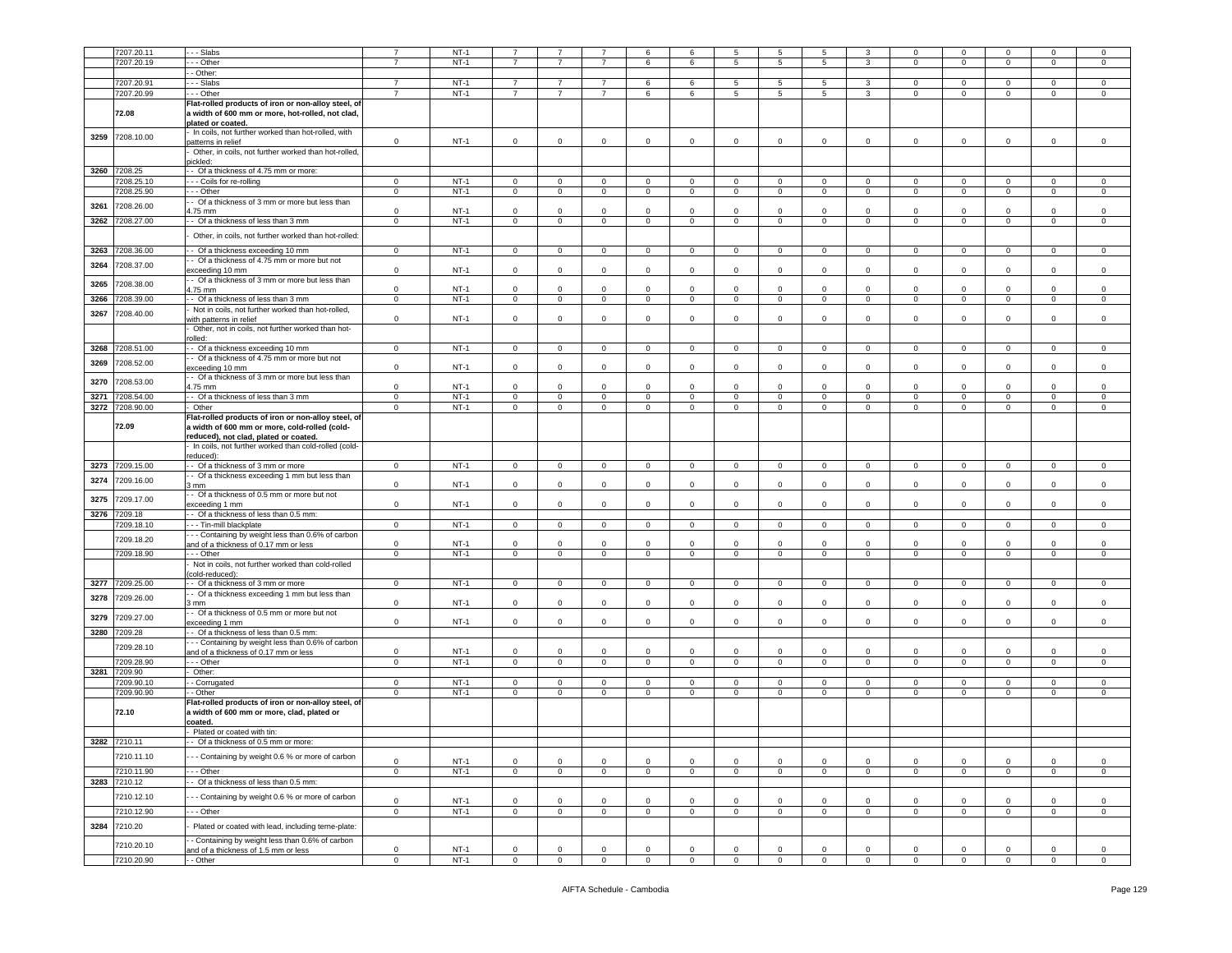|      | 7207.20.11   | - - Slabs                                            | $\overline{7}$ | $NT-1$ | $\overline{7}$ | $\overline{7}$ | $\overline{7}$ | 6              | 6              | 5              | 5              | 5              | 3              | $\mathbf 0$    | $\mathbf 0$    | $\mathbf 0$    | $\Omega$       | $\Omega$    |
|------|--------------|------------------------------------------------------|----------------|--------|----------------|----------------|----------------|----------------|----------------|----------------|----------------|----------------|----------------|----------------|----------------|----------------|----------------|-------------|
|      | 7207.20.19   | - - Other                                            | $\overline{7}$ | $NT-1$ | $\overline{7}$ | $\overline{7}$ | $\overline{7}$ | 6              | 6              | $\overline{5}$ | 5              | 5              | 3              | $\Omega$       | $\mathbf 0$    | $\mathsf 0$    | $\mathbf 0$    | $\Omega$    |
|      |              |                                                      |                |        |                |                |                |                |                |                |                |                |                |                |                |                |                |             |
|      |              | - Other:                                             |                |        |                |                |                |                |                |                |                |                |                |                |                |                |                |             |
|      | 7207.20.91   | $-$ Slabs                                            | $\overline{7}$ | $NT-1$ | $\overline{7}$ | 7              | 7              | 6              | 6              | 5              | -5             | 5              | 3              | $\Omega$       | $\mathbf 0$    | $\Omega$       | $\mathbf{0}$   | $^{\circ}$  |
|      | 7207.20.99   | - - Other                                            | $\overline{7}$ | $NT-1$ | 7              | 7              | 7              | 6              | 6              | 5              | 5              | 5              | 3              | $\mathbf{0}$   | $\mathbf 0$    | 0              | $\mathbf{0}$   | 0           |
|      |              | Flat-rolled products of iron or non-alloy steel, of  |                |        |                |                |                |                |                |                |                |                |                |                |                |                |                |             |
|      | 72.08        | a width of 600 mm or more, hot-rolled, not clad,     |                |        |                |                |                |                |                |                |                |                |                |                |                |                |                |             |
|      |              | plated or coated.                                    |                |        |                |                |                |                |                |                |                |                |                |                |                |                |                |             |
|      |              | In coils, not further worked than hot-rolled, with   |                |        |                |                |                |                |                |                |                |                |                |                |                |                |                |             |
| 3259 | 7208.10.00   | batterns in relief                                   | $\mathsf 0$    | $NT-1$ | $\mathbf 0$    | $\mathbf 0$    | $\mathbf 0$    | $\mathbf 0$    | 0              | $\mathbf 0$    | 0              | 0              | $\mathsf 0$    | 0              | $\mathbf 0$    | 0              | $\mathbf 0$    | $\mathsf 0$ |
|      |              | Other, in coils, not further worked than hot-rolled, |                |        |                |                |                |                |                |                |                |                |                |                |                |                |                |             |
|      |              | ickled:                                              |                |        |                |                |                |                |                |                |                |                |                |                |                |                |                |             |
|      |              |                                                      |                |        |                |                |                |                |                |                |                |                |                |                |                |                |                |             |
|      | 3260 7208.25 | - Of a thickness of 4.75 mm or more:                 |                |        |                |                |                |                |                |                |                |                |                |                |                |                |                |             |
|      | 7208.25.10   | - - Coils for re-rolling                             | $\mathbf 0$    | $NT-1$ | $\mathbf 0$    | $\mathbf 0$    | $\mathbf 0$    | $\overline{0}$ | $\mathbf{0}$   | $\circ$        | $\overline{0}$ | $\circ$        | $\circ$        | $\overline{0}$ | $\mathbf 0$    | 0              | $\mathbf{0}$   | $\circ$     |
|      | 7208.25.90   | - - Other                                            | $\mathbf 0$    | $NT-1$ | $\mathbf{0}$   | $\circ$        | $\overline{0}$ | $\overline{0}$ | $\overline{0}$ | 0              | $\overline{0}$ | $\overline{0}$ | $\circ$        | $\overline{0}$ | $\mathbf{0}$   | $\mathbf{0}$   | $\mathbf{0}$   | 0           |
|      |              | - Of a thickness of 3 mm or more but less than       |                |        |                |                |                |                |                |                |                |                |                |                |                |                |                |             |
| 3261 | 7208.26.00   | 1.75 mm                                              | $\mathsf 0$    | $NT-1$ | $\mathbf 0$    | $\mathbf 0$    | $\mathbf 0$    | $\circ$        | $\mathbf 0$    | $\mathbf 0$    | 0              | $\mathbf 0$    | $\mathsf 0$    | $\mathbf 0$    | $\mathbf 0$    | $\mathbf 0$    | $\mathbf 0$    | 0           |
| 3262 | 7208.27.00   | - Of a thickness of less than 3 mm                   | $\mathbf 0$    | $NT-1$ | $\circ$        | $\overline{0}$ | $\overline{0}$ | $\mathbf 0$    | $\mathbf 0$    | $\mathbf 0$    | $\mathbf 0$    | $\mathbf 0$    | $\mathbf 0$    | $\circ$        | $\mathbf 0$    | $\mathbf 0$    | $\overline{0}$ | $\mathsf 0$ |
|      |              |                                                      |                |        |                |                |                |                |                |                |                |                |                |                |                |                |                |             |
|      |              | Other, in coils, not further worked than hot-rolled: |                |        |                |                |                |                |                |                |                |                |                |                |                |                |                |             |
|      |              |                                                      |                | $NT-1$ |                |                |                |                |                |                |                |                |                |                |                |                |                |             |
| 3263 | 7208.36.00   | - Of a thickness exceeding 10 mm                     | $\mathbf 0$    |        | $\mathbf 0$    | $\mathsf 0$    | $\mathbf 0$    | $\overline{0}$ | $\mathbf 0$    | $\mathbf 0$    | $\mathsf 0$    | $\circ$        | $\mathbf 0$    | $\mathbf{0}$   | $\mathbf 0$    | $\mathbf 0$    | $\mathbf 0$    | $\mathbf 0$ |
| 3264 | 7208.37.00   | - Of a thickness of 4.75 mm or more but not          |                |        |                |                |                |                |                |                |                |                |                |                |                |                |                |             |
|      |              | exceeding 10 mm                                      | $\mathbf 0$    | $NT-1$ | $\mathbf 0$    | $\mathsf 0$    | $\mathbf 0$    | $\mathsf 0$    | $\mathbf 0$    | $\mathbf 0$    | $\mathbf 0$    | $\mathbf 0$    | $\mathsf 0$    | $\mathbf{0}$   | $\mathbf 0$    | $\mathbf 0$    | $\mathbf 0$    | $\mathsf 0$ |
| 3265 | 7208.38.00   | - Of a thickness of 3 mm or more but less than       |                |        |                |                |                |                |                |                |                |                |                |                |                |                |                |             |
|      |              | 1.75 mm                                              | $\mathsf 0$    | $NT-1$ | $\mathbf 0$    | $\Omega$       | $\mathbf 0$    | $\mathbf 0$    | $\Omega$       | $\mathbf 0$    | 0              | $\Omega$       | $\mathbf 0$    | $\mathbf 0$    | $\mathbf 0$    | $\Omega$       | $\mathbf 0$    | $\mathsf 0$ |
| 3266 | 7208.39.00   | - Of a thickness of less than 3 mm                   | $\mathbf 0$    | $NT-1$ | $\mathbf 0$    | $\mathbf 0$    | $\mathbf 0$    | $\circ$        | $\mathbf 0$    | $\mathbf 0$    | $\mathbf 0$    | $\circ$        | $\circ$        | $\mathbf 0$    | $\mathbf 0$    | $\mathbf 0$    | $\mathbf 0$    | $\mathsf 0$ |
|      |              | Not in coils, not further worked than hot-rolled,    |                |        |                |                |                |                |                |                |                |                |                |                |                |                |                |             |
| 3267 | 7208.40.00   | with patterns in relief                              | $\circ$        | $NT-1$ | $\mathbf 0$    | $\circ$        | $\circ$        | $\circ$        | $\mathbf 0$    | $\Omega$       | $\mathbf 0$    | $\mathbf 0$    | $\mathbf 0$    | $\mathbf 0$    | $\mathbf 0$    | $\circ$        | $\circ$        | $\Omega$    |
|      |              | Other, not in coils, not further worked than hot-    |                |        |                |                |                |                |                |                |                |                |                |                |                |                |                |             |
|      |              |                                                      |                |        |                |                |                |                |                |                |                |                |                |                |                |                |                |             |
|      |              | olled:                                               |                |        |                |                |                |                |                |                |                |                |                |                |                |                |                |             |
| 3268 | 7208.51.00   | - Of a thickness exceeding 10 mm                     | $\mathbf 0$    | $NT-1$ | $\circ$        | $\mathbf 0$    | $\mathbf{0}$   | $\circ$        | $\mathbf 0$    | $\mathbf 0$    | $\mathbf 0$    | $\circ$        | $\circ$        | $\mathbf{0}$   | $\mathbf 0$    | $\mathbf 0$    | $\mathbf 0$    | $\mathsf 0$ |
| 3269 | 7208.52.00   | - Of a thickness of 4.75 mm or more but not          |                |        |                |                |                |                |                |                |                |                |                |                |                |                |                |             |
|      |              | exceeding 10 mm                                      | $\mathbf 0$    | $NT-1$ | $\circ$        | $\circ$        | $\mathbf{0}$   | $\circ$        | $\mathbf{0}$   | $\mathbf 0$    | $\mathbf 0$    | $\mathbf 0$    | $\circ$        | $\mathbf{0}$   | $\mathbf 0$    | $\mathbf 0$    | $\circ$        | $\mathsf 0$ |
| 3270 | 7208.53.00   | - Of a thickness of 3 mm or more but less than       |                |        |                |                |                |                |                |                |                |                |                |                |                |                |                |             |
|      |              | 1.75 mm                                              | $\mathbf 0$    | $NT-1$ | $\Omega$       | $\circ$        | $\Omega$       | $\mathbf{0}$   | $\Omega$       | $\Omega$       | $\Omega$       | $\Omega$       | $\Omega$       | $\Omega$       | $\overline{0}$ | $\Omega$       | $\Omega$       | $\Omega$    |
| 3271 | 7208.54.00   | - Of a thickness of less than 3 mm                   | $\mathbf 0$    | $NT-1$ | $\mathbf 0$    | 0              | $\mathbf{0}$   | $\mathbf 0$    | $\mathbf{0}$   | 0              | 0              | $\mathbf{0}$   | $\mathbf{0}$   | $\mathbf{0}$   | $\mathbf 0$    | 0              | $\mathbf 0$    | 0           |
| 3272 | 7208.90.00   | Other                                                | $\mathbf 0$    | $NT-1$ | $\mathbf{0}$   | $\mathbf 0$    | $\mathbf 0$    | $\circ$        | $\mathbf 0$    | $\mathbf 0$    | $\mathbf 0$    | $\circ$        | $\mathbf 0$    | $\mathbf{0}$   | $\mathbf 0$    | $\mathbf 0$    | $\circ$        | $\mathsf 0$ |
|      |              |                                                      |                |        |                |                |                |                |                |                |                |                |                |                |                |                |                |             |
|      |              | Flat-rolled products of iron or non-alloy steel, of  |                |        |                |                |                |                |                |                |                |                |                |                |                |                |                |             |
|      | 72.09        | a width of 600 mm or more, cold-rolled (cold-        |                |        |                |                |                |                |                |                |                |                |                |                |                |                |                |             |
|      |              | reduced), not clad, plated or coated.                |                |        |                |                |                |                |                |                |                |                |                |                |                |                |                |             |
|      |              | In coils, not further worked than cold-rolled (cold- |                |        |                |                |                |                |                |                |                |                |                |                |                |                |                |             |
|      |              | educed):                                             |                |        |                |                |                |                |                |                |                |                |                |                |                |                |                |             |
| 3273 | 7209.15.00   | - Of a thickness of 3 mm or more                     | $\mathbf 0$    | $NT-1$ | $\mathbf 0$    | $\mathbf 0$    | $\mathbf 0$    | $\mathbf 0$    | $\mathbf 0$    | $\mathbf 0$    | $\mathsf 0$    | $\mathbf 0$    | 0              | $\mathbf{0}$   | $\mathbf 0$    | $\mathbf 0$    | $\mathbf 0$    | $\mathbf 0$ |
|      | 7209.16.00   | - Of a thickness exceeding 1 mm but less than        |                |        |                |                |                |                |                |                |                |                |                |                |                |                |                |             |
| 3274 |              | mm                                                   | $\mathbf 0$    | $NT-1$ | $\mathbf 0$    | $\mathbf 0$    | $\mathbf 0$    | $\mathsf 0$    | $\mathbf 0$    | $\mathbf 0$    | $\mathbf 0$    | $\mathbf 0$    | $\mathbf 0$    | $\mathbf{0}$   | $\mathbf 0$    | 0              | $\mathbf 0$    | $\mathsf 0$ |
|      |              | - Of a thickness of 0.5 mm or more but not           |                |        |                |                |                |                |                |                |                |                |                |                |                |                |                |             |
| 3275 | 7209.17.00   | exceeding 1 mm                                       | $\mathbf 0$    | $NT-1$ | $\mathbf 0$    | $\mathbf 0$    | $\mathbf 0$    | $\mathbf 0$    | 0              | $\mathbf 0$    | 0              | 0              | 0              | $\mathbf{0}$   | $\mathbf 0$    | $\Omega$       | $\mathbf 0$    | $\mathsf 0$ |
| 3276 | 7209.18      | - Of a thickness of less than 0.5 mm:                |                |        |                |                |                |                |                |                |                |                |                |                |                |                |                |             |
|      | 7209.18.10   | -- Tin-mill blackplate                               | $\overline{0}$ | $NT-1$ | $\overline{0}$ | $\overline{0}$ | $\overline{0}$ | $\overline{0}$ | $\mathbf{0}$   | $\mathbf 0$    | $\mathbf 0$    | $\mathbf{0}$   | $\mathbf{0}$   | $\mathbf{0}$   | $\overline{0}$ | $\mathbf 0$    | $\mathbf 0$    | 0           |
|      |              |                                                      |                |        |                |                |                |                |                |                |                |                |                |                |                |                |                |             |
|      | 7209.18.20   | - - Containing by weight less than 0.6% of carbon    |                |        |                |                |                |                |                |                |                |                |                |                |                |                |                |             |
|      |              | and of a thickness of 0.17 mm or less                | $\mathbf 0$    | $NT-1$ | 0              | 0              | $\mathbf 0$    | $\mathsf 0$    | 0              | $\mathbf 0$    | $^{\circ}$     | $\mathbf 0$    | 0              | 0              | $\mathbf 0$    | $\mathbf 0$    | 0              | $^{\circ}$  |
|      | 7209.18.90   | - - Other                                            | $\mathbf 0$    | $NT-1$ | $\mathbf 0$    | $\overline{0}$ | $\mathbf 0$    | $\overline{0}$ | $\mathbf{0}$   | $\mathbf 0$    | $\mathbf 0$    | $\circ$        | $\mathbf{0}$   | $\mathbf{0}$   | $\mathbf 0$    | $\mathbf 0$    | $\mathbf 0$    | $\mathsf 0$ |
|      |              | Not in coils, not further worked than cold-rolled    |                |        |                |                |                |                |                |                |                |                |                |                |                |                |                |             |
|      |              | cold-reduced):                                       |                |        |                |                |                |                |                |                |                |                |                |                |                |                |                |             |
| 3277 | 7209.25.00   | - Of a thickness of 3 mm or more                     | $\mathbf{0}$   | $NT-1$ | $\mathbf{0}$   | $\mathbf{0}$   | $\overline{0}$ | $\overline{0}$ | $\overline{0}$ | $\mathbf{0}$   | $\overline{0}$ | $\overline{0}$ | $\overline{0}$ | $\mathbf{0}$   | $\mathbf{0}$   | $\mathbf{0}$   | $\mathbf{0}$   | $\mathbf 0$ |
|      |              | - Of a thickness exceeding 1 mm but less than        |                |        |                |                |                |                |                |                |                |                |                |                |                |                |                |             |
| 3278 | 7209.26.00   | 3 mm                                                 | $\mathbf 0$    | $NT-1$ | $\mathbf 0$    | $\mathbf 0$    | $\mathbf 0$    | $\circ$        | 0              | $\mathbf 0$    | 0              | 0              | $\circ$        | $\mathbf 0$    | $\mathbf 0$    | 0              | $\mathbf 0$    | $\mathsf 0$ |
|      |              | - Of a thickness of 0.5 mm or more but not           |                |        |                |                |                |                |                |                |                |                |                |                |                |                |                |             |
| 3279 | 7209.27.00   |                                                      | $\mathbf 0$    | $NT-1$ | $\circ$        | $\mathbf{0}$   | $\circ$        | $\mathbf{0}$   | $\mathbf{0}$   | $\mathbf 0$    | $\mathbf 0$    | $\mathbf{0}$   | $\circ$        | $\mathbf{0}$   | $\mathbf 0$    | $\circ$        | $\circ$        | $\mathbf 0$ |
|      |              | exceeding 1 mm                                       |                |        |                |                |                |                |                |                |                |                |                |                |                |                |                |             |
| 3280 | 7209.28      | - Of a thickness of less than 0.5 mm:                |                |        |                |                |                |                |                |                |                |                |                |                |                |                |                |             |
|      | 7209.28.10   | - - Containing by weight less than 0.6% of carbon    |                |        |                |                |                |                |                |                |                |                |                |                |                |                |                |             |
|      |              | and of a thickness of 0.17 mm or less                | $\mathbf 0$    | $NT-1$ | $\mathbf 0$    | $\Omega$       | $\mathbf 0$    | $\mathsf 0$    | 0              | $\mathbf 0$    | 0              | $\mathbf 0$    | $\Omega$       | $\mathbf 0$    | $\mathbf 0$    | 0              | $\Omega$       | 0           |
|      | 7209.28.90   | - - Other                                            | $\mathbf 0$    | $NT-1$ | $\mathbf 0$    | $\overline{0}$ | $\mathbf{0}$   | $\overline{0}$ | $\mathbf{0}$   | $\mathbf 0$    | $\mathbf 0$    | $\circ$        | $\mathbf{0}$   | $\overline{0}$ | $\mathbf 0$    | $\mathbf 0$    | $\mathbf 0$    | $\mathbf 0$ |
| 3281 | 7209.90      | Other:                                               |                |        |                |                |                |                |                |                |                |                |                |                |                |                |                |             |
|      | 7209.90.10   | - Corrugated                                         | $\mathbf 0$    | $NT-1$ | 0              | $\circ$        | $\mathbf 0$    | $\circ$        | 0              | $\mathbf 0$    | 0              | 0              | 0              | $\mathbf 0$    | $\mathbf 0$    | $\mathbf 0$    | $\mathbf 0$    | 0           |
|      | 7209.90.90   | - Other                                              | $\overline{0}$ | $NT-1$ | $\mathbf 0$    | $\mathbf 0$    | $\mathbf 0$    | $\mathbf 0$    | $\mathbf 0$    | $\mathbf 0$    | $\mathbf 0$    | $\mathbf 0$    | $\mathbf 0$    | $\circ$        | $\overline{0}$ | $\mathbf 0$    | $\mathbf 0$    | $\mathsf 0$ |
|      |              |                                                      |                |        |                |                |                |                |                |                |                |                |                |                |                |                |                |             |
|      |              | Flat-rolled products of iron or non-alloy steel, of  |                |        |                |                |                |                |                |                |                |                |                |                |                |                |                |             |
|      | 72.10        | a width of 600 mm or more, clad, plated or           |                |        |                |                |                |                |                |                |                |                |                |                |                |                |                |             |
|      |              | coated.                                              |                |        |                |                |                |                |                |                |                |                |                |                |                |                |                |             |
|      |              | Plated or coated with tin:                           |                |        |                |                |                |                |                |                |                |                |                |                |                |                |                |             |
|      | 3282 7210.11 | - Of a thickness of 0.5 mm or more:                  |                |        |                |                |                |                |                |                |                |                |                |                |                |                |                |             |
|      |              |                                                      |                |        |                |                |                |                |                |                |                |                |                |                |                |                |                |             |
|      | 7210.11.10   | - - Containing by weight 0.6 % or more of carbon     | $\mathbf 0$    | $NT-1$ | 0              | $\mathbf 0$    | $\mathbf 0$    | $\circ$        | 0              | $\mathbf 0$    | 0              | $\mathbf 0$    | 0              | $\mathbf 0$    | $\mathbf 0$    | 0              | 0              | 0           |
|      | 7210.11.90   | - - Other                                            | $\overline{0}$ | $NT-1$ | $\mathbf 0$    | $\overline{0}$ | $\overline{0}$ | $\mathbf 0$    | $\mathbf{0}$   | $\mathbf 0$    | $\mathbf 0$    | $\mathbf 0$    | $\circ$        | $\mathbf{0}$   | $\overline{0}$ | $\overline{0}$ | $\overline{0}$ | $\mathbf 0$ |
|      |              | - Of a thickness of less than 0.5 mm:                |                |        |                |                |                |                |                |                |                |                |                |                |                |                |                |             |
|      | 3283 7210.12 |                                                      |                |        |                |                |                |                |                |                |                |                |                |                |                |                |                |             |
|      | 7210.12.10   | - Containing by weight 0.6 % or more of carbon       |                |        |                |                |                |                |                |                |                |                |                |                |                |                |                |             |
|      |              |                                                      | $\mathsf 0$    | $NT-1$ | $\mathbf 0$    | 0              | $\mathbf 0$    | $\mathsf 0$    | 0              | $\mathbf 0$    | 0              | $\mathbf 0$    | $\mathsf 0$    | $\mathbf{0}$   | $\mathbf 0$    | $\mathbf 0$    | $\mathbf 0$    | 0           |
|      | 7210.12.90   | $-$ Other                                            | $\mathsf 0$    | $NT-1$ | $\mathsf 0$    | $\circ$        | $\mathsf 0$    | $\mathbf 0$    | $\mathbf{0}$   | $\mathsf 0$    | $\mathbf 0$    | $\mathbf 0$    | $\mathbf 0$    | $\overline{0}$ | $\mathbf 0$    | $\mathbf 0$    | $\mathsf 0$    | $\mathbf 0$ |
| 3284 |              |                                                      |                |        |                |                |                |                |                |                |                |                |                |                |                |                |                |             |
|      | 7210.20      | Plated or coated with lead, including terne-plate:   |                |        |                |                |                |                |                |                |                |                |                |                |                |                |                |             |
|      |              | - Containing by weight less than 0.6% of carbon      |                |        |                |                |                |                |                |                |                |                |                |                |                |                |                |             |
|      | 7210.20.10   | and of a thickness of 1.5 mm or less                 | $\mathsf 0$    | $NT-1$ | 0              | 0              | $\mathbf 0$    | $\mathsf 0$    | 0              | $\mathbf 0$    | 0              | $\mathbf 0$    | 0              | 0              | $\mathbf 0$    | $\Omega$       | $\mathbf 0$    | 0           |
|      | 7210.20.90   | - Other                                              | $\circ$        | $NT-1$ | $\mathbf 0$    | $\circ$        | $\mathbf 0$    | $\mathbf{0}$   | $\mathbf{0}$   | $\mathbf 0$    | $\mathbf 0$    | $\mathbf{0}$   | $\circ$        | $\mathbf{0}$   | $\overline{0}$ | $\mathbf 0$    | $\mathbf 0$    | $\mathbf 0$ |
|      |              |                                                      |                |        |                |                |                |                |                |                |                |                |                |                |                |                |                |             |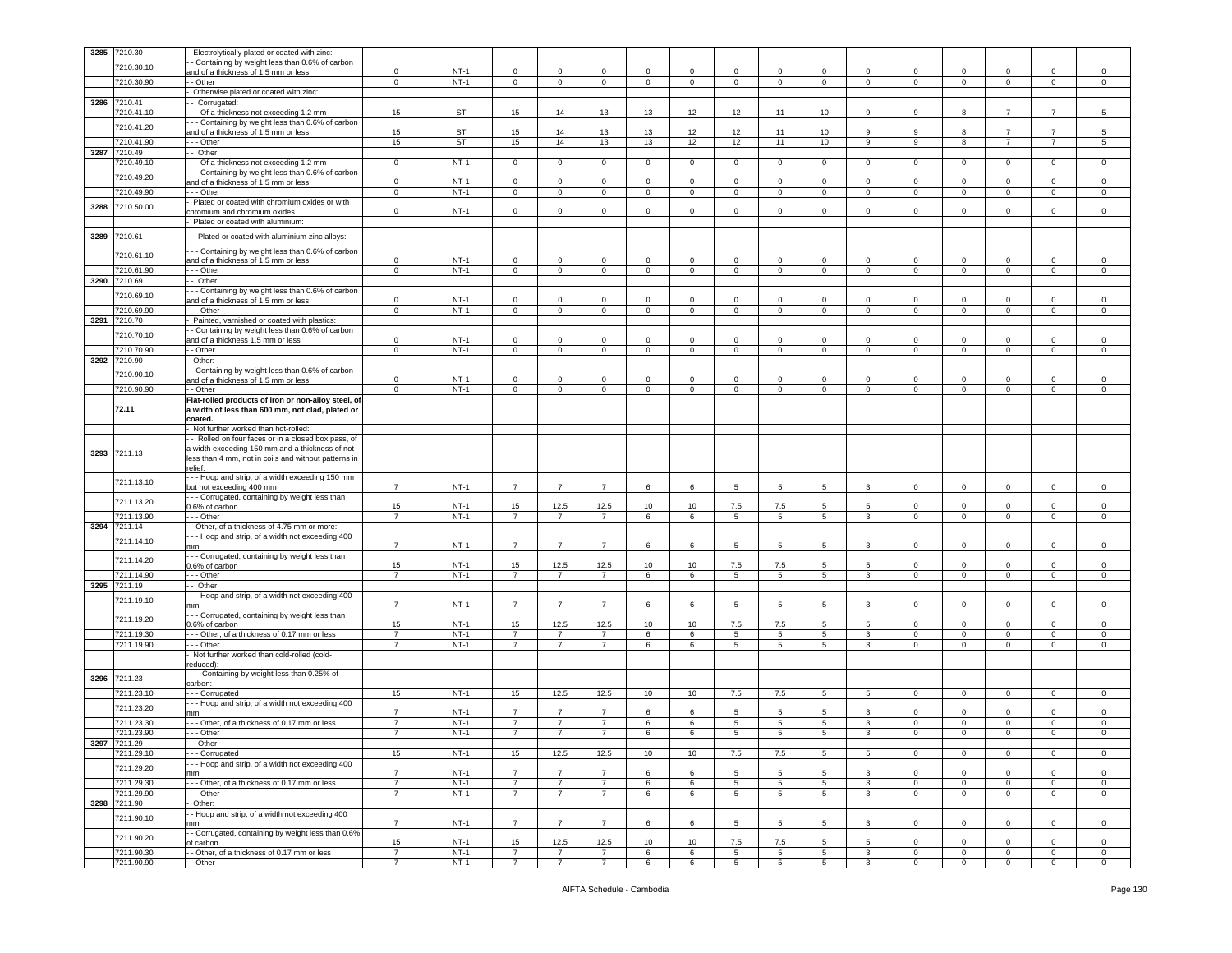|      | 3285 7210.30 | Electrolytically plated or coated with zinc:                                              |                      |                  |                      |                        |                        |                |              |             |                       |             |                   |                            |                            |                             |                  |                            |
|------|--------------|-------------------------------------------------------------------------------------------|----------------------|------------------|----------------------|------------------------|------------------------|----------------|--------------|-------------|-----------------------|-------------|-------------------|----------------------------|----------------------------|-----------------------------|------------------|----------------------------|
|      | 7210.30.10   | - Containing by weight less than 0.6% of carbon                                           |                      |                  |                      |                        |                        |                |              |             |                       |             |                   |                            |                            |                             |                  |                            |
|      |              | ind of a thickness of 1.5 mm or less                                                      | $\mathbf 0$          | $NT-1$           | 0                    | 0                      | $\mathsf 0$            | 0              | 0            | $\mathbf 0$ | $^{\circ}$            | 0           | $\Omega$          | $\mathbf 0$                | $\mathbf 0$                | $\Omega$                    | 0                | 0                          |
|      | 7210.30.90   | - Other                                                                                   | $\mathbf 0$          | $NT-1$           | $\mathbf 0$          | $\circ$                | $\overline{0}$         | $\circ$        | $\mathbf{0}$ | $\mathbf 0$ | $\mathbf{0}$          | $\circ$     | $\circ$           | $\mathbf 0$                | $\overline{0}$             | $\mathbf{0}$                | $\mathbf 0$      | $\circ$                    |
|      |              | Otherwise plated or coated with zinc:                                                     |                      |                  |                      |                        |                        |                |              |             |                       |             |                   |                            |                            |                             |                  |                            |
|      | 3286 7210.41 | - Corrugated:                                                                             |                      |                  |                      |                        |                        |                |              |             |                       |             |                   |                            |                            |                             |                  |                            |
|      | 7210.41.10   | - - Of a thickness not exceeding 1.2 mm                                                   | 15                   | <b>ST</b>        | 15                   | 14                     | 13                     | 13             | 12           | 12          | 11                    | 10          | 9                 | 9                          | 8                          | $\overline{7}$              |                  | 5                          |
|      | 7210.41.20   | - - Containing by weight less than 0.6% of carbon<br>and of a thickness of 1.5 mm or less | 15                   | <b>ST</b>        | 15                   | 14                     | 13                     | 13             | 12           | 12          | 11                    | 10          | 9                 | 9                          | 8                          | $\overline{7}$              | $\overline{7}$   | 5                          |
|      | 210.41.90    | $-$ Other                                                                                 | 15                   | <b>ST</b>        | 15                   | 14                     | 13                     | 13             | 12           | 12          | 11                    | 10          | 9                 | 9                          | 8                          | $\overline{7}$              | $\overline{7}$   | 5                          |
| 3287 | 7210.49      | - Other:                                                                                  |                      |                  |                      |                        |                        |                |              |             |                       |             |                   |                            |                            |                             |                  |                            |
|      | 7210.49.10   | - - Of a thickness not exceeding 1.2 mm                                                   | $\mathbf{0}$         | $NT-1$           | $\mathbf 0$          | $\mathbf 0$            | $\mathbf{0}$           | $\circ$        | $\mathbf{0}$ | $\circ$     | $\mathbf 0$           | $\circ$     | $\mathbf{0}$      | $\mathbf 0$                | $\overline{0}$             | $\mathbf{0}$                | 0                | 0                          |
|      |              | - - Containing by weight less than 0.6% of carbon                                         |                      |                  |                      |                        |                        |                |              |             |                       |             |                   |                            |                            |                             |                  |                            |
|      | 7210.49.20   | and of a thickness of 1.5 mm or less                                                      | $\mathbf 0$          | $NT-1$           | $\mathbf 0$          | $\mathbf 0$            | $\mathbf 0$            | $\mathbf 0$    | $\mathbf 0$  | $\mathbf 0$ | $\mathbf 0$           | $\Omega$    | $\mathbf 0$       | $\mathbf 0$                | $\mathsf 0$                | $\mathbf 0$                 | $\mathbf 0$      | $\mathsf 0$                |
|      | 7210.49.90   | - - Other                                                                                 | $\mathbf 0$          | $NT-1$           | $\mathsf 0$          | $\mathsf 0$            | $\mathbf 0$            | $\overline{0}$ | $\pmb{0}$    | $\mathsf 0$ | $\mathbf 0$           | $\mathbf 0$ | $\mathbf 0$       | $\mathsf 0$                | $\overline{0}$             | $\mathsf 0$                 | $\mathbf 0$      | 0                          |
| 3288 | 7210.50.00   | Plated or coated with chromium oxides or with                                             |                      |                  |                      |                        |                        |                |              |             |                       |             |                   |                            |                            |                             |                  |                            |
|      |              | chromium and chromium oxides                                                              | $\mathbf 0$          | $NT-1$           | 0                    | $\mathbf 0$            | $\mathbf 0$            | 0              | $\mathbf 0$  | $\mathbf 0$ | $^{\circ}$            | 0           | $\mathbf 0$       | $\mathbf 0$                | 0                          | $\mathbf 0$                 | 0                | 0                          |
|      |              | Plated or coated with aluminium:                                                          |                      |                  |                      |                        |                        |                |              |             |                       |             |                   |                            |                            |                             |                  |                            |
| 3289 | 7210.61      | - Plated or coated with aluminium-zinc alloys:                                            |                      |                  |                      |                        |                        |                |              |             |                       |             |                   |                            |                            |                             |                  |                            |
|      |              | - - Containing by weight less than 0.6% of carbon                                         |                      |                  |                      |                        |                        |                |              |             |                       |             |                   |                            |                            |                             |                  |                            |
|      | 7210.61.10   | and of a thickness of 1.5 mm or less                                                      | $\mathsf 0$          | $NT-1$           | 0                    | $\mathbf 0$            | $\mathsf 0$            | 0              | $\mathbf 0$  | $\mathbf 0$ | $^{\circ}$            | $\Omega$    | $\mathbf 0$       | $\Omega$                   | $\Omega$                   | $\mathbf 0$                 | $\mathbf 0$      | 0                          |
|      | 7210.61.90   | - - Other                                                                                 | $\mathbf{0}$         | $NT-1$           | $\mathbf 0$          | $\mathbf 0$            | $\mathbf 0$            | $\circ$        | $\mathbf{0}$ | $\mathbf 0$ | $\mathbf{0}$          | $\circ$     | $\circ$           | $\mathbf 0$                | $\overline{0}$             | $\mathbf{0}$                | $\mathbf 0$      | $\mathbf 0$                |
|      | 3290 7210.69 | - Other:                                                                                  |                      |                  |                      |                        |                        |                |              |             |                       |             |                   |                            |                            |                             |                  |                            |
|      | 7210.69.10   | - - Containing by weight less than 0.6% of carbon                                         |                      |                  |                      |                        |                        |                |              |             |                       |             |                   |                            |                            |                             |                  |                            |
|      |              | and of a thickness of 1.5 mm or less                                                      | $\mathsf 0$          | $NT-1$           | $\mathbf 0$          | $\mathbf 0$            | $\mathsf 0$            | 0              | $^{\circ}$   | $\mathbf 0$ | $^{\circ}$            | $\mathbf 0$ | $\mathbf 0$       | $\mathbf 0$                | $\mathbf 0$                | $\mathbf 0$                 | $\mathbf 0$      | 0                          |
|      | 210.69.90    | $-$ Other                                                                                 | $\mathbf 0$          | $NT-1$           | $\mathbf 0$          | $\mathbf 0$            | $\mathbf 0$            | $\mathbf 0$    | $\mathbf 0$  | $\mathbf 0$ | $\pmb{0}$             | $\mathbf 0$ | $\overline{0}$    | $\mathbf 0$                | $\overline{0}$             | $\mathbf{0}$                | $\mathbf 0$      | $\mathsf 0$                |
|      | 3291 7210.70 | Painted, varnished or coated with plastics:                                               |                      |                  |                      |                        |                        |                |              |             |                       |             |                   |                            |                            |                             |                  |                            |
|      | 7210.70.10   | - Containing by weight less than 0.6% of carbon<br>and of a thickness 1.5 mm or less      | $\mathbf 0$          | NT-1             | $\mathbf 0$          | $\mathbf 0$            | $\mathbf 0$            | $\mathbf 0$    | 0            | $\mathbf 0$ | $\mathbf 0$           |             | $\mathbf 0$       | $\mathbf 0$                | $\mathbf 0$                | 0                           | $\mathbf 0$      | $\mathbf 0$                |
|      | 7210.70.90   | - Other                                                                                   | $\mathbf 0$          | $NT-1$           | $\mathbf 0$          | $\mathsf 0$            | $\mathsf 0$            | $\mathbf{0}$   | $\mathbf{0}$ | $\mathbf 0$ | $\mathsf 0$           | $\circ$     | $\mathbf 0$       | $\circ$                    | $\overline{0}$             | $\mathbf{0}$                | $\mathbf 0$      | $\mathsf 0$                |
| 3292 | 7210.90      | Other:                                                                                    |                      |                  |                      |                        |                        |                |              |             |                       |             |                   |                            |                            |                             |                  |                            |
|      |              | - Containing by weight less than 0.6% of carbon                                           |                      |                  |                      |                        |                        |                |              |             |                       |             |                   |                            |                            |                             |                  |                            |
|      | 7210.90.10   | and of a thickness of 1.5 mm or less                                                      | $\mathsf 0$          | $NT-1$           | 0                    | $\mathbf 0$            | $\mathsf 0$            | 0              | $^{\circ}$   | $\mathbf 0$ | $^{\circ}$            | $\mathbf 0$ | $\mathbf 0$       | $\mathbf 0$                | $\mathbf 0$                | $\mathbf 0$                 | $\mathbf 0$      | 0                          |
|      | 7210.90.90   | - Other                                                                                   | $\mathbf 0$          | $NT-1$           | $\overline{0}$       | $\mathbf 0$            | $\mathbf 0$            | $\mathbf 0$    | $\mathbf 0$  | $\mathbf 0$ | $\mathbf 0$           | $\mathbf 0$ | $\circ$           | $\mathbf 0$                | $\overline{0}$             | $\mathbf{0}$                | $\mathbf 0$      | $\mathbf 0$                |
|      |              | Flat-rolled products of iron or non-alloy steel, of                                       |                      |                  |                      |                        |                        |                |              |             |                       |             |                   |                            |                            |                             |                  |                            |
|      | 72.11        | a width of less than 600 mm, not clad, plated or                                          |                      |                  |                      |                        |                        |                |              |             |                       |             |                   |                            |                            |                             |                  |                            |
|      |              | coated.                                                                                   |                      |                  |                      |                        |                        |                |              |             |                       |             |                   |                            |                            |                             |                  |                            |
|      |              | Not further worked than hot-rolled:<br>- Rolled on four faces or in a closed box pass, of |                      |                  |                      |                        |                        |                |              |             |                       |             |                   |                            |                            |                             |                  |                            |
|      |              | a width exceeding 150 mm and a thickness of not                                           |                      |                  |                      |                        |                        |                |              |             |                       |             |                   |                            |                            |                             |                  |                            |
| 3293 | 7211.13      | less than 4 mm, not in coils and without patterns in                                      |                      |                  |                      |                        |                        |                |              |             |                       |             |                   |                            |                            |                             |                  |                            |
|      |              | elief:                                                                                    |                      |                  |                      |                        |                        |                |              |             |                       |             |                   |                            |                            |                             |                  |                            |
|      | 7211.13.10   | - - Hoop and strip, of a width exceeding 150 mm                                           |                      |                  |                      |                        |                        |                |              |             |                       |             |                   |                            |                            |                             |                  |                            |
|      |              | out not exceeding 400 mm                                                                  | $\overline{7}$       | $NT-1$           | $\overline{7}$       | $\overline{7}$         | $\overline{7}$         | 6              | 6            | 5           | 5                     | 5           | 3                 | $\mathbf 0$                | $\mathbf 0$                | $\mathbf 0$                 | $\mathbf 0$      | $\mathsf 0$                |
|      | 7211.13.20   | - - Corrugated, containing by weight less than                                            |                      |                  |                      |                        |                        |                |              |             |                       |             |                   |                            |                            |                             |                  |                            |
|      | 7211.13.90   | 0.6% of carbon<br>- - Other                                                               | 15<br>$\overline{7}$ | $NT-1$<br>$NT-1$ | 15<br>$\overline{7}$ | 12.5<br>$\overline{7}$ | 12.5<br>$\overline{7}$ | 10<br>6        | 10<br>6      | 7.5<br>5    | 7.5<br>$\overline{5}$ | 5<br>5      | 5<br>$\mathbf{3}$ | $\mathsf 0$<br>$\mathsf 0$ | $\mathbf 0$<br>$\mathsf 0$ | $\mathbf 0$<br>$\mathbf{0}$ | 0<br>$\mathsf 0$ | $\mathsf 0$<br>$\mathsf 0$ |
| 3294 | 7211.14      | - Other, of a thickness of 4.75 mm or more:                                               |                      |                  |                      |                        |                        |                |              |             |                       |             |                   |                            |                            |                             |                  |                            |
|      |              | - - Hoop and strip, of a width not exceeding 400                                          |                      |                  |                      |                        |                        |                |              |             |                       |             |                   |                            |                            |                             |                  |                            |
|      | 7211.14.10   | mm                                                                                        | $\overline{7}$       | $NT-1$           | $\overline{7}$       | $\overline{7}$         | $\overline{7}$         | 6              | 6            | 5           | 5                     | 5           | 3                 | $\mathsf 0$                | $\mathsf 0$                | $\mathbf 0$                 | $\mathbf 0$      | $\mathsf 0$                |
|      | 7211.14.20   | - - Corrugated, containing by weight less than                                            |                      |                  |                      |                        |                        |                |              |             |                       |             |                   |                            |                            |                             |                  |                            |
|      |              | 0.6% of carbon                                                                            | 15                   | $NT-1$           | 15                   | 12.5                   | 12.5                   | 10             | 10           | 7.5         | 7.5                   | 5           | 5                 | $\mathbf 0$                | $\overline{0}$             | $\mathbf 0$                 | $\mathbf 0$      | $\mathsf 0$                |
|      | 7211.14.90   | - - Other                                                                                 | $\overline{7}$       | $NT-1$           | $\overline{7}$       | 7                      | $\overline{7}$         | 6              | 6            | 5           | $5\phantom{.0}$       | 5           | $\mathbf{3}$      | $\mathbf 0$                | $\mathbf 0$                | $\mathsf 0$                 | 0                | $\mathbf 0$                |
|      | 3295 7211.19 | - Other:                                                                                  |                      |                  |                      |                        |                        |                |              |             |                       |             |                   |                            |                            |                             |                  |                            |
|      | 7211.19.10   | - - Hoop and strip, of a width not exceeding 400                                          | $\overline{7}$       | $NT-1$           | $\overline{7}$       | $\overline{7}$         | $\overline{7}$         | 6              | 6            | 5           | 5                     | 5           | 3                 | $\mathbf 0$                | $\mathbf 0$                | $\mathbf 0$                 | 0                | $\mathsf 0$                |
|      |              | mm<br>- - Corrugated, containing by weight less than                                      |                      |                  |                      |                        |                        |                |              |             |                       |             |                   |                            |                            |                             |                  |                            |
|      | 7211.19.20   | 0.6% of carbon                                                                            | 15                   | $NT-1$           | 15                   | 12.5                   | 12.5                   | 10             | 10           | 7.5         | 7.5                   | 5           | 5                 | $\Omega$                   | $\Omega$                   | $\Omega$                    | $\Omega$         | $\mathsf 0$                |
|      | 7211.19.30   | - - Other, of a thickness of 0.17 mm or less                                              | $\overline{7}$       | $NT-1$           | $\overline{7}$       | $\overline{7}$         | $\overline{7}$         | 6              | 6            | 5           | 5                     | 5           | $\mathbf{3}$      | $\mathbf 0$                | $\mathbf 0$                | $\mathbf 0$                 | $\mathbf 0$      | $\mathsf 0$                |
|      | 7211.19.90   | - - Other                                                                                 | $\overline{7}$       | $NT-1$           | $\overline{7}$       | $\overline{7}$         | $\overline{7}$         | 6              | 6            | 5           | $\sqrt{5}$            | 5           | $\mathbf{3}$      | $\Omega$                   | $\mathsf 0$                | $\mathsf 0$                 | $\mathbf 0$      | $\,0\,$                    |
|      |              | Not further worked than cold-rolled (cold-                                                |                      |                  |                      |                        |                        |                |              |             |                       |             |                   |                            |                            |                             |                  |                            |
|      |              | educed):                                                                                  |                      |                  |                      |                        |                        |                |              |             |                       |             |                   |                            |                            |                             |                  |                            |
| 3296 | 7211.23      | - Containing by weight less than 0.25% of                                                 |                      |                  |                      |                        |                        |                |              |             |                       |             |                   |                            |                            |                             |                  |                            |
|      | 7211.23.10   | carbon:<br>-- Corrugated                                                                  | 15                   | $NT-1$           | 15                   | 12.5                   | 12.5                   | 10             | 10           | 7.5         | 7.5                   | $5^{\circ}$ | $5\overline{5}$   | $\mathbf 0$                | $\overline{0}$             | $\overline{0}$              | $\mathbf 0$      | $\circ$                    |
|      |              | - - Hoop and strip, of a width not exceeding 400                                          |                      |                  |                      |                        |                        |                |              |             |                       |             |                   |                            |                            |                             |                  |                            |
|      | 7211.23.20   | mm                                                                                        | -7                   | $NT-1$           | $\overline{7}$       | $\overline{7}$         | $\overline{7}$         | 6              | 6            | 5           | 5                     | 5.          | 3                 | $\Omega$                   | $\mathbf 0$                | $\Omega$                    | $\Omega$         | $\mathsf 0$                |
|      | 7211.23.30   | - - Other, of a thickness of 0.17 mm or less                                              | $\overline{7}$       | $NT-1$           | $\overline{7}$       | $\overline{7}$         | $\overline{7}$         | 6              | 6            | 5           | 5                     | 5           | $\mathbf{3}$      | $\mathbf 0$                | $\overline{0}$             | $\mathbf{0}$                | $\mathbf 0$      | $\mathsf 0$                |
|      | 7211.23.90   | - - Other                                                                                 | $\overline{7}$       | $NT-1$           | $\overline{7}$       | $\overline{7}$         | $\overline{7}$         | 6              | 6            | 5           | $5\phantom{.0}$       | $5^{\circ}$ | $\mathbf{3}$      | $\circ$                    | $\overline{\mathbf{0}}$    | $\mathsf 0$                 | $\mathbf 0$      | $\mathbf 0$                |
|      | 3297 7211.29 | Other:                                                                                    |                      |                  |                      |                        |                        |                |              |             |                       |             |                   |                            |                            |                             |                  |                            |
|      | 7211.29.10   | - - Corrugated                                                                            | 15                   | $NT-1$           | 15                   | 12.5                   | 12.5                   | 10             | 10           | 7.5         | 7.5                   | 5           | 5                 | $\mathbf 0$                | $\mathbf 0$                | $\mathbf 0$                 | $\mathbf 0$      | $\,0\,$                    |
|      | 7211.29.20   | - - Hoop and strip, of a width not exceeding 400                                          |                      |                  |                      |                        |                        |                |              |             |                       |             |                   |                            |                            |                             |                  |                            |
|      |              | mm                                                                                        | $\overline{7}$       | $NT-1$           | $\overline{7}$       | $\overline{7}$         | $\overline{7}$         | 6              | 6            | 5           | 5                     | 5           | 3                 | $\mathbf 0$                | $\mathbf 0$                | $\mathbf 0$                 | $\mathbf 0$      | $\mathbf 0$                |
|      | 7211.29.30   | -- Other, of a thickness of 0.17 mm or less                                               | $\overline{7}$       | $NT-1$           | 7                    | $\overline{7}$         | $\overline{7}$         | 6              | 6            | 5           | 5                     | 5           | $\mathbf{3}$      | $\mathbf{0}$               | $\mathbf 0$                | $\overline{0}$              | 0                | $\mathsf 0$                |
|      | 7211.29.90   | - - Other                                                                                 | $\overline{7}$       | $NT-1$           | $7^{\circ}$          | $\overline{7}$         | $\overline{7}$         | 6              | 6            | 5           | $5\phantom{.0}$       | $5^{\circ}$ | $\mathbf{3}$      | $\mathbf 0$                | $\overline{\mathbf{0}}$    | $\mathsf 0$                 | $\mathbf 0$      | $\,0\,$                    |
|      | 3298 7211.90 | Other:                                                                                    |                      |                  |                      |                        |                        |                |              |             |                       |             |                   |                            |                            |                             |                  |                            |
|      | 7211.90.10   | - Hoop and strip, of a width not exceeding 400<br>nm                                      | $\overline{7}$       | $NT-1$           | $\overline{7}$       | $\overline{7}$         | $\overline{7}$         | 6              | 6            | 5           | 5                     | 5           | 3                 | $\mathbf 0$                | $\mathsf 0$                | $\mathbf 0$                 | 0                | 0                          |
|      |              | - Corrugated, containing by weight less than 0.6%                                         |                      |                  |                      |                        |                        |                |              |             |                       |             |                   |                            |                            |                             |                  |                            |
|      | 7211.90.20   | of carbon                                                                                 | 15                   | $NT-1$           | 15                   | 12.5                   | 12.5                   | 10             | 10           | 7.5         | 7.5                   | 5           | 5                 | $\mathbf 0$                | $\mathbf 0$                | $\mathbf 0$                 | 0                | 0                          |
|      | 7211.90.30   | - Other, of a thickness of 0.17 mm or less                                                | $\overline{7}$       | $NT-1$           | $\overline{7}$       | $\overline{7}$         | $\overline{7}$         | 6              | 6            | 5           | $\overline{5}$        | 5           | $\mathbf{3}$      | $\mathbf 0$                | $\mathbf 0$                | $\mathsf 0$                 | $\mathsf 0$      | $\mathbf{0}$               |
|      | 7211.90.90   | - Other                                                                                   | $\overline{7}$       | $NT-1$           | $\overline{7}$       | $\overline{7}$         | $\overline{7}$         | 6              | 6            | 5           | $5\overline{5}$       | $5^{\circ}$ | $\mathbf{3}$      | $\mathbf 0$                | $\overline{0}$             | $\overline{0}$              | $\circ$          | $\circ$                    |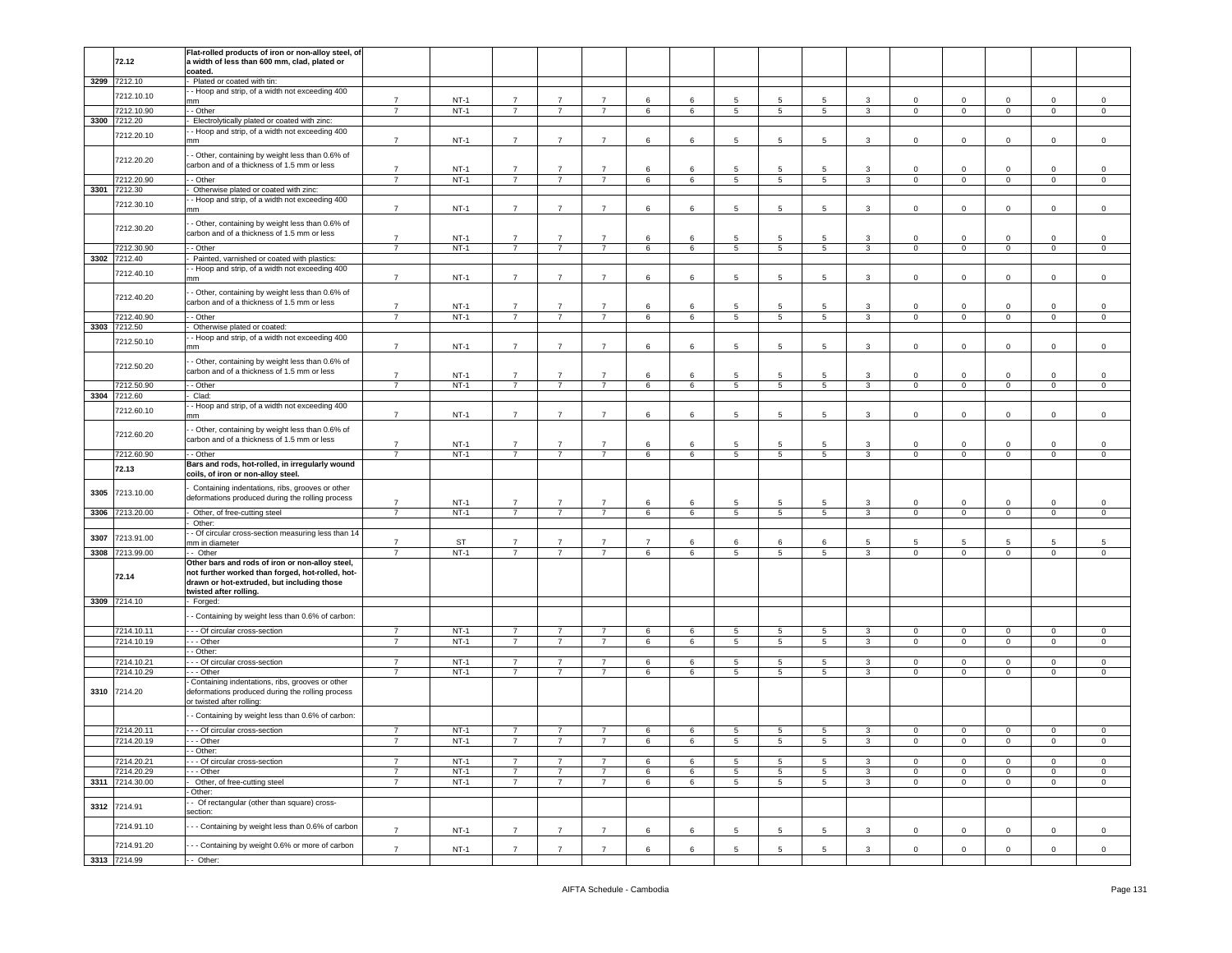|      |                            | Flat-rolled products of iron or non-alloy steel, of                                                 |                                  |                  |                                  |                                  |                                  |                 |                      |                 |                 |                 |                              |                               |                               |                               |                     |                                   |
|------|----------------------------|-----------------------------------------------------------------------------------------------------|----------------------------------|------------------|----------------------------------|----------------------------------|----------------------------------|-----------------|----------------------|-----------------|-----------------|-----------------|------------------------------|-------------------------------|-------------------------------|-------------------------------|---------------------|-----------------------------------|
|      | 72.12                      | a width of less than 600 mm, clad, plated or                                                        |                                  |                  |                                  |                                  |                                  |                 |                      |                 |                 |                 |                              |                               |                               |                               |                     |                                   |
|      |                            | coated.                                                                                             |                                  |                  |                                  |                                  |                                  |                 |                      |                 |                 |                 |                              |                               |                               |                               |                     |                                   |
|      | 3299 7212.10               | Plated or coated with tin:                                                                          |                                  |                  |                                  |                                  |                                  |                 |                      |                 |                 |                 |                              |                               |                               |                               |                     |                                   |
|      | 7212.10.10                 | - Hoop and strip, of a width not exceeding 400<br>mm                                                | $\overline{7}$                   | $NT-1$           | $\overline{7}$                   | $\overline{7}$                   | $\overline{7}$                   | 6               | 6                    | 5               | 5               | 5               | 3                            | 0                             | $^{\circ}$                    | $\mathbf 0$                   | $\mathbf 0$         | 0                                 |
|      | 7212.10.90                 | - Other                                                                                             | $\overline{7}$                   | $NT-1$           | $\overline{7}$                   | $\overline{7}$                   | $\overline{7}$                   | 6               | 6                    | $5\overline{5}$ | $\,$ 5 $\,$     | $5\overline{5}$ | $\mathbf{3}$                 | $\mathbf{0}$                  | $\mathbf 0$                   | $\mathbf 0$                   | $\mathbf 0$         | $\mathsf{O}\xspace$               |
| 3300 | 7212.20                    | Electrolytically plated or coated with zinc:                                                        |                                  |                  |                                  |                                  |                                  |                 |                      |                 |                 |                 |                              |                               |                               |                               |                     |                                   |
|      | 7212.20.10                 | - Hoop and strip, of a width not exceeding 400                                                      |                                  |                  |                                  |                                  |                                  |                 |                      |                 |                 |                 |                              |                               |                               |                               |                     |                                   |
|      |                            | nm                                                                                                  | $\overline{7}$                   | $NT-1$           | $\overline{7}$                   | $\overline{7}$                   | $\overline{7}$                   | 6               | 6                    | 5               | 5               | 5               | 3                            | $\mathbf 0$                   | $\mathbf 0$                   | $\mathbf 0$                   | $\mathbf 0$         | $^{\circ}$                        |
|      | 7212.20.20                 | - Other, containing by weight less than 0.6% of                                                     |                                  |                  |                                  |                                  |                                  |                 |                      |                 |                 |                 |                              |                               |                               |                               |                     |                                   |
|      |                            | carbon and of a thickness of 1.5 mm or less                                                         | $\overline{7}$                   | $NT-1$           | $\overline{7}$                   | $\overline{7}$                   | $\overline{7}$                   | 6               | 6                    | 5               | 5               | 5               | 3                            | $\mathbf 0$                   | $\overline{0}$                | $\circ$                       | $\mathbf 0$         | $\mathbf 0$                       |
|      | 7212.20.90                 | - - Other                                                                                           | $\overline{7}$                   | $NT-1$           | $\overline{7}$                   | $\overline{7}$                   | $\overline{7}$                   | 6               | 6                    | 5               | 5               | $5\overline{5}$ | $\mathbf{3}$                 | $\overline{0}$                | $\mathbf 0$                   | $\mathbf 0$                   | $\mathbf 0$         | $\mathsf 0$                       |
| 3301 | 7212.30                    | Otherwise plated or coated with zinc:                                                               |                                  |                  |                                  |                                  |                                  |                 |                      |                 |                 |                 |                              |                               |                               |                               |                     |                                   |
|      | 7212.30.10                 | - Hoop and strip, of a width not exceeding 400<br>mm                                                | $\overline{7}$                   | $NT-1$           | $\overline{7}$                   | $\overline{7}$                   | $\overline{7}$                   | 6               | 6                    | 5               | 5               | 5               | $\mathbf{3}$                 | $\mathbf{0}$                  | $\mathbf 0$                   | $\mathbf 0$                   | $\mathbf{0}$        | $\mathsf 0$                       |
|      |                            |                                                                                                     |                                  |                  |                                  |                                  |                                  |                 |                      |                 |                 |                 |                              |                               |                               |                               |                     |                                   |
|      | 7212.30.20                 | - Other, containing by weight less than 0.6% of<br>carbon and of a thickness of 1.5 mm or less      |                                  |                  |                                  |                                  |                                  |                 |                      |                 |                 |                 |                              |                               |                               |                               |                     |                                   |
|      |                            |                                                                                                     | $\overline{7}$                   | $NT-1$           | $\overline{7}$                   | $\overline{7}$                   | $\overline{7}$                   | 6               | 6                    | 5               | 5               | 5               | 3                            | $\mathbf 0$                   | $\mathbf 0$                   | $\mathsf 0$                   | $\mathbf 0$         | $\mathbf 0$                       |
|      | 7212.30.90<br>3302 7212.40 | - Other                                                                                             |                                  | $NT-1$           | $\overline{7}$                   | $\overline{7}$                   | $\overline{7}$                   | 6               | 6                    | 5               | 5               | 5               | 3                            | 0                             | $\mathbf 0$                   | $\mathbf 0$                   | $\mathbf 0$         | 0                                 |
|      |                            | Painted, varnished or coated with plastics:<br>- Hoop and strip, of a width not exceeding 400       |                                  |                  |                                  |                                  |                                  |                 |                      |                 |                 |                 |                              |                               |                               |                               |                     |                                   |
|      | 7212.40.10                 | nm                                                                                                  | $\overline{7}$                   | $NT-1$           | $\overline{7}$                   | $\overline{7}$                   | $\overline{7}$                   | 6               | 6                    | 5               | 5               | 5               | 3                            | $\mathbf 0$                   | $\mathbf 0$                   | $\Omega$                      | $\mathbf 0$         | $^{\circ}$                        |
|      |                            | - Other, containing by weight less than 0.6% of                                                     |                                  |                  |                                  |                                  |                                  |                 |                      |                 |                 |                 |                              |                               |                               |                               |                     |                                   |
|      | 7212.40.20                 | carbon and of a thickness of 1.5 mm or less                                                         | $\overline{7}$                   | $NT-1$           |                                  | $\overline{7}$                   | $\overline{7}$                   |                 |                      | 5               | 5               | 5               |                              |                               |                               |                               | $\circ$             |                                   |
|      | 7212.40.90                 | - Other                                                                                             | $\overline{\phantom{a}}$         | $NT-1$           | $\overline{7}$<br>$\overline{7}$ | $\overline{7}$                   | $\overline{7}$                   | 6<br>6          | 6<br>$6\overline{6}$ | 5               | $\overline{5}$  | $\overline{5}$  | 3<br>$\overline{3}$          | $\mathbf 0$<br>$\overline{0}$ | $\mathbf 0$<br>$\overline{0}$ | $\mathbf 0$<br>$\overline{0}$ | $\overline{0}$      | $\mathsf 0$<br>$\overline{0}$     |
| 3303 | 7212.50                    | Otherwise plated or coated:                                                                         |                                  |                  |                                  |                                  |                                  |                 |                      |                 |                 |                 |                              |                               |                               |                               |                     |                                   |
|      | 7212.50.10                 | - Hoop and strip, of a width not exceeding 400                                                      |                                  |                  |                                  |                                  |                                  |                 |                      |                 |                 |                 |                              |                               |                               |                               |                     |                                   |
|      |                            | mm                                                                                                  | $\overline{7}$                   | $NT-1$           | $\overline{7}$                   | $\overline{7}$                   | $\overline{7}$                   | 6               | 6                    | 5               | 5               | 5               | 3                            | $\mathbf 0$                   | $\mathbf 0$                   | $\mathbf 0$                   | $\circ$             | $\mathsf 0$                       |
|      | 7212.50.20                 | - Other, containing by weight less than 0.6% of                                                     |                                  |                  |                                  |                                  |                                  |                 |                      |                 |                 |                 |                              |                               |                               |                               |                     |                                   |
|      |                            | carbon and of a thickness of 1.5 mm or less                                                         | $\overline{7}$                   | $NT-1$           | $\overline{7}$                   | $\overline{7}$                   | $\overline{7}$                   | 6               | 6                    | 5               | 5               | 5               | 3                            | $\mathbf 0$                   | $\mathbf 0$                   | $\Omega$                      | 0                   | 0                                 |
|      | 7212.50.90                 | - Other                                                                                             | $\overline{7}$                   | $NT-1$           | $\overline{7}$                   | $\overline{7}$                   | $\overline{7}$                   | 6               | 6                    | $5\overline{5}$ | 5               | 5               | $\mathbf{3}$                 | $\overline{0}$                | $\overline{0}$                | $\mathbf 0$                   | $\mathbf 0$         | $\circ$                           |
| 3304 | 7212.60                    | Clad:                                                                                               |                                  |                  |                                  |                                  |                                  |                 |                      |                 |                 |                 |                              |                               |                               |                               |                     |                                   |
|      | 7212.60.10                 | - Hoop and strip, of a width not exceeding 400<br>nm                                                | $\overline{7}$                   | $NT-1$           | $\overline{7}$                   | $\overline{7}$                   | $\overline{7}$                   | 6               | 6                    | 5               | 5               | 5               | $\mathbf{3}$                 | $\mathbf 0$                   | $\mathbf 0$                   | $\pmb{0}$                     | $\mathsf 0$         | $\mathbf 0$                       |
|      |                            |                                                                                                     |                                  |                  |                                  |                                  |                                  |                 |                      |                 |                 |                 |                              |                               |                               |                               |                     |                                   |
|      | 7212.60.20                 | - Other, containing by weight less than 0.6% of<br>carbon and of a thickness of 1.5 mm or less      |                                  |                  |                                  |                                  |                                  |                 |                      |                 |                 |                 |                              |                               |                               |                               |                     |                                   |
|      |                            |                                                                                                     | $\overline{7}$                   | $NT-1$           | $\overline{7}$                   | $\overline{7}$                   | $\overline{7}$                   | 6               | 6                    | 5               | 5               | 5               | 3                            | $\mathbf 0$                   | $\mathbf 0$                   | $\mathbf 0$                   | $\mathbf 0$         | $^{\circ}$                        |
|      | 7212.60.90                 | - Other<br>Bars and rods, hot-rolled, in irregularly wound                                          | $\overline{7}$                   | $NT-1$           | $\overline{7}$                   | $\overline{7}$                   | $\overline{7}$                   | 6               | 6                    | 5               | $\,$ 5 $\,$     | 5               | 3                            | $\mathsf 0$                   | $\mathbf 0$                   | $\mathbf 0$                   | $\mathsf{O}\xspace$ | $\mathbf 0$                       |
|      | 72.13                      | coils, of iron or non-alloy steel.                                                                  |                                  |                  |                                  |                                  |                                  |                 |                      |                 |                 |                 |                              |                               |                               |                               |                     |                                   |
|      |                            | Containing indentations, ribs, grooves or other                                                     |                                  |                  |                                  |                                  |                                  |                 |                      |                 |                 |                 |                              |                               |                               |                               |                     |                                   |
| 3305 | 7213.10.00                 | deformations produced during the rolling process                                                    |                                  |                  |                                  |                                  |                                  |                 |                      |                 |                 |                 |                              |                               |                               |                               |                     |                                   |
| 3306 | 7213.20.00                 | Other, of free-cutting steel                                                                        | $\overline{7}$<br>$\overline{7}$ | $NT-1$<br>$NT-1$ | 7<br>$\overline{7}$              | $\overline{7}$<br>$\overline{7}$ | $\overline{7}$<br>$\overline{7}$ | 6<br>$\,6\,$    | 6<br>6               | 5<br>5          | 5<br>5          | 5<br>5          | $\mathbf{3}$<br>$\mathbf{3}$ | 0<br>$\mathsf 0$              | $^{\circ}$<br>$\,0\,$         | $\mathbf 0$<br>$\mathsf 0$    | 0<br>$\mathsf 0$    | $^{\circ}$<br>$\mathsf{O}\xspace$ |
|      |                            | Other:                                                                                              |                                  |                  |                                  |                                  |                                  |                 |                      |                 |                 |                 |                              |                               |                               |                               |                     |                                   |
|      |                            | - Of circular cross-section measuring less than 14                                                  |                                  |                  |                                  |                                  |                                  |                 |                      |                 |                 |                 |                              |                               |                               |                               |                     |                                   |
| 3307 | 7213.91.00                 | mm in diameter                                                                                      | $\overline{7}$                   | ST               | 7                                | $\overline{7}$                   | $\overline{7}$                   | $\overline{7}$  | 6                    | 6               | 6               | 6               | 5                            | 5                             | 5                             | 5                             | 5                   | 5                                 |
|      | 3308 7213.99.00            | - Other                                                                                             | $\overline{7}$                   | $NT-1$           | $\overline{7}$                   | $\overline{7}$                   | $\overline{7}$                   | $6\overline{6}$ | 6                    | $\overline{5}$  | $\overline{5}$  | $5\overline{5}$ | $\overline{3}$               | $\overline{0}$                | $\overline{0}$                | $\overline{0}$                | $\overline{0}$      | $\overline{0}$                    |
|      |                            | Other bars and rods of iron or non-alloy steel,<br>not further worked than forged, hot-rolled, hot- |                                  |                  |                                  |                                  |                                  |                 |                      |                 |                 |                 |                              |                               |                               |                               |                     |                                   |
|      | 72.14                      | drawn or hot-extruded, but including those                                                          |                                  |                  |                                  |                                  |                                  |                 |                      |                 |                 |                 |                              |                               |                               |                               |                     |                                   |
|      |                            | twisted after rolling.                                                                              |                                  |                  |                                  |                                  |                                  |                 |                      |                 |                 |                 |                              |                               |                               |                               |                     |                                   |
|      | 3309 7214.10               | Forged:                                                                                             |                                  |                  |                                  |                                  |                                  |                 |                      |                 |                 |                 |                              |                               |                               |                               |                     |                                   |
|      |                            | - Containing by weight less than 0.6% of carbon:                                                    |                                  |                  |                                  |                                  |                                  |                 |                      |                 |                 |                 |                              |                               |                               |                               |                     |                                   |
|      | 7214.10.11                 | - - Of circular cross-section                                                                       | $\overline{7}$                   | $NT-1$           | $\overline{7}$                   | $\overline{7}$                   | $\overline{7}$                   | 6               | 6                    | 5               | 5               | 5               | 3                            | $\mathbf 0$                   | $\mathbf 0$                   | $\mathbf 0$                   | $\mathbf 0$         | $\mathsf 0$                       |
|      | 7214.10.19                 | - - Other                                                                                           | $\overline{7}$                   | $NT-1$           | $\overline{7}$                   | $\overline{7}$                   | $\overline{7}$                   | 6               | 6                    | $5\overline{5}$ | $5\phantom{.0}$ | $5\overline{5}$ | $\mathbf{3}$                 | $\overline{0}$                | $\overline{0}$                | $\mathbf 0$                   | $\overline{0}$      | $\circ$                           |
|      |                            | - Other:                                                                                            |                                  |                  |                                  |                                  |                                  |                 |                      |                 |                 |                 |                              |                               |                               |                               |                     |                                   |
|      | 7214.10.21                 | - Of circular cross-section                                                                         | $\overline{7}$                   | $NT-1$           | $\overline{7}$                   | $\overline{7}$                   | $\overline{7}$                   | 6               | 6                    | 5               | 5               | 5 <sup>5</sup>  | 3                            | $\circ$                       | $\mathbf 0$                   | $\mathbf 0$                   | $\circ$             | $\mathsf 0$                       |
|      | 7214.10.29                 | - - Other<br>Containing indentations, ribs, grooves or other                                        | $\overline{7}$                   | $NT-1$           | $\overline{7}$                   | $\overline{7}$                   | $\overline{7}$                   | 6               | 6                    | 5               | $\,$ 5 $\,$     | 5               | $\mathbf{3}$                 | $\mathbf 0$                   | $\mathbf 0$                   | $\mathsf 0$                   | $\mathsf 0$         | $\mathsf 0$                       |
| 3310 | 7214.20                    | deformations produced during the rolling process                                                    |                                  |                  |                                  |                                  |                                  |                 |                      |                 |                 |                 |                              |                               |                               |                               |                     |                                   |
|      |                            | or twisted after rolling:                                                                           |                                  |                  |                                  |                                  |                                  |                 |                      |                 |                 |                 |                              |                               |                               |                               |                     |                                   |
|      |                            | - Containing by weight less than 0.6% of carbon:                                                    |                                  |                  |                                  |                                  |                                  |                 |                      |                 |                 |                 |                              |                               |                               |                               |                     |                                   |
|      | 7214.20.11                 | - - - Of circular cross-section                                                                     | $\overline{7}$                   | $NT-1$           | 7                                | $\overline{7}$                   | $\overline{7}$                   | 6               | 6                    | 5               | 5               | 5               | 3                            | $\mathbf{0}$                  | 0                             | $^{\circ}$                    | $\mathbf{0}$        | 0                                 |
|      | 7214.20.19                 | - Other                                                                                             | $\overline{7}$                   | $NT-1$           |                                  |                                  |                                  |                 |                      | 5               | 5               |                 |                              |                               |                               |                               |                     |                                   |
|      |                            | - Other:                                                                                            |                                  |                  |                                  |                                  |                                  |                 |                      |                 |                 |                 |                              |                               |                               |                               |                     |                                   |
|      | 7214.20.21                 | - - Of circular cross-section                                                                       | $\overline{7}$                   | $NT-1$           | $\overline{7}$                   | $\overline{7}$                   | $\overline{7}$                   | 6               | 6                    | 5               | 5               | $5\overline{5}$ | $\mathbf{3}$                 | $\mathbf 0$                   | $\mathbf 0$                   | $\mathbf 0$                   | $\mathbf 0$         | $\mathbf 0$                       |
|      | 7214.20.29                 | - - Other                                                                                           | $\overline{7}$                   | $NT-1$           | $\overline{7}$                   | $\overline{7}$                   | $\overline{7}$                   | 6               | 6                    | 5               | 5               | 5 <sub>5</sub>  | 3                            | $\mathbf{0}$                  | $\mathbf 0$                   | $\mathbf 0$                   | $\mathbf 0$         | $\circ$                           |
|      | 3311 7214.30.00            | Other, of free-cutting steel<br>Other:                                                              | $\overline{7}$                   | $NT-1$           | $\overline{7}$                   | $\overline{7}$                   | $\overline{7}$                   | 6               | 6                    | 5               | 5               | 5 <sub>5</sub>  | $\mathbf{3}$                 | $\mathbf{0}$                  | $\overline{0}$                | $\mathbf{0}$                  | $\mathbf 0$         | $\mathbf{0}$                      |
|      |                            | - Of rectangular (other than square) cross-                                                         |                                  |                  |                                  |                                  |                                  |                 |                      |                 |                 |                 |                              |                               |                               |                               |                     |                                   |
|      | 3312 7214.91               | section:                                                                                            |                                  |                  |                                  |                                  |                                  |                 |                      |                 |                 |                 |                              |                               |                               |                               |                     |                                   |
|      | 7214.91.10                 | - Containing by weight less than 0.6% of carbon                                                     | $\overline{7}$                   | $NT-1$           | $\overline{7}$                   | $\overline{7}$                   | $\overline{7}$                   | 6               | 6                    | 5               | 5               | 5               | $\mathbf{3}$                 | $\mathsf 0$                   | $\mathbf 0$                   | $\pmb{0}$                     | $\mathsf 0$         | $\mathsf 0$                       |
|      |                            |                                                                                                     |                                  |                  |                                  |                                  |                                  |                 |                      |                 |                 |                 |                              |                               |                               |                               |                     |                                   |
|      | 7214.91.20                 | - Containing by weight 0.6% or more of carbon                                                       | $\overline{7}$                   | $NT-1$           | $\overline{7}$                   | $\overline{7}$                   | $\overline{7}$                   | 6               | 6                    | 5               | 5               | 5               | 3                            | $\mathbf{0}$                  | $\mathsf 0$                   | 0                             | 0                   | $\mathbf 0$                       |
|      | 3313 7214.99               | -- Other:                                                                                           |                                  |                  |                                  |                                  |                                  |                 |                      |                 |                 |                 |                              |                               |                               |                               |                     |                                   |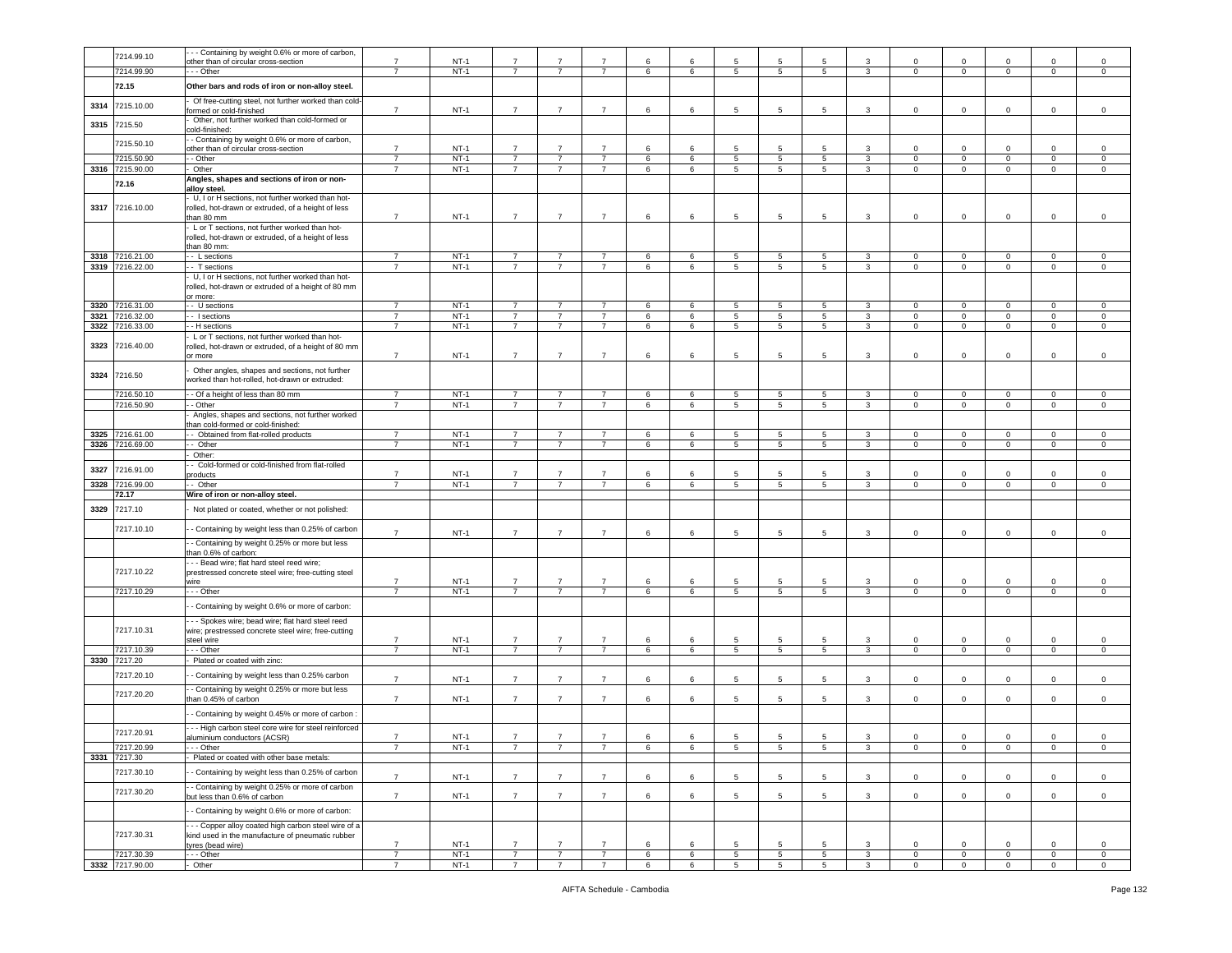|              | 7214.99.10                    | - - Containing by weight 0.6% or more of carbon,                                                                     |                                  |                  |                                  |                                  |                                  |        |                 |                                  |                      |                      |                              |                            |                                  |                            |                            |                                    |
|--------------|-------------------------------|----------------------------------------------------------------------------------------------------------------------|----------------------------------|------------------|----------------------------------|----------------------------------|----------------------------------|--------|-----------------|----------------------------------|----------------------|----------------------|------------------------------|----------------------------|----------------------------------|----------------------------|----------------------------|------------------------------------|
|              |                               | other than of circular cross-section                                                                                 | $\overline{7}$<br>$\overline{7}$ | $NT-1$           | $\overline{7}$                   | $\overline{7}$                   | 7                                | 6      | 6               | 5                                | $\overline{5}$       | 5                    | $\mathbf{3}$                 | $\mathbf 0$                | $\mathsf 0$                      | $\Omega$                   | $\Omega$                   | $\Omega$                           |
|              | 7214.99.90<br>72.15           | - - Other<br>Other bars and rods of iron or non-alloy steel.                                                         |                                  | $NT-1$           | $\overline{7}$                   | $\overline{7}$                   | $\overline{7}$                   | 6      | 6               | 5                                | 5                    | 5                    | 3                            | $\mathbf 0$                | $\mathbf 0$                      | $\mathbf 0$                | $\mathbf 0$                | $\circ$                            |
| 3314         | 7215.10.00                    | Of free-cutting steel, not further worked than cold-                                                                 |                                  |                  |                                  |                                  |                                  |        |                 |                                  |                      |                      |                              |                            |                                  |                            |                            |                                    |
| 3315         | 7215.50                       | ormed or cold-finished<br>Other, not further worked than cold-formed or                                              | $\overline{7}$                   | $NT-1$           | $\overline{7}$                   | $\overline{7}$                   | $\overline{7}$                   | 6      | 6               | $5\phantom{.0}$                  | 5                    | 5                    | 3                            | $\Omega$                   | $\circ$                          | 0                          | 0                          | $\circ$                            |
|              |                               | cold-finished:<br>- Containing by weight 0.6% or more of carbon,                                                     |                                  |                  |                                  |                                  |                                  |        |                 |                                  |                      |                      |                              |                            |                                  |                            |                            |                                    |
|              | 7215.50.10                    | other than of circular cross-section                                                                                 | $\overline{7}$                   | $NT-1$           | $\overline{7}$                   |                                  |                                  | 6      | 6               | 5                                | 5                    | 5                    | 3                            | $\Omega$                   | $\mathbf 0$                      | $\Omega$                   | $\Omega$                   | $\mathbf 0$                        |
|              | 7215.50.90<br>3316 7215.90.00 | - Other<br>Other                                                                                                     | $\overline{7}$                   | $NT-1$<br>$NT-1$ | $\overline{7}$<br>$\overline{7}$ | $\overline{7}$<br>$\overline{7}$ | $\overline{7}$<br>$\overline{7}$ | 6<br>6 | 6<br>6          | $\overline{5}$<br>$\overline{5}$ | 5<br>$5\phantom{.0}$ | $5\overline{5}$<br>5 | $\mathbf{3}$<br>$\mathbf{3}$ | $\mathbf 0$<br>$\mathsf 0$ | $\overline{0}$<br>$\overline{0}$ | $\mathbf 0$<br>$\mathbf 0$ | $\mathbf 0$<br>$\mathsf 0$ | $\overline{0}$<br>$\mathsf 0$      |
|              |                               | Angles, shapes and sections of iron or non-                                                                          |                                  |                  |                                  |                                  |                                  |        |                 |                                  |                      |                      |                              |                            |                                  |                            |                            |                                    |
|              | 72.16                         | alloy steel.                                                                                                         |                                  |                  |                                  |                                  |                                  |        |                 |                                  |                      |                      |                              |                            |                                  |                            |                            |                                    |
| 3317         | 7216.10.00                    | U, I or H sections, not further worked than hot-<br>rolled, hot-drawn or extruded, of a height of less<br>than 80 mm | $\overline{7}$                   | $NT-1$           | $\overline{7}$                   | $\overline{7}$                   | $\overline{7}$                   | 6      | 6               | $\sqrt{5}$                       | 5                    | 5                    | 3                            | $\mathbf 0$                | $\circ$                          | $\mathbf 0$                | $\mathbf 0$                | $\circ$                            |
|              |                               | L or T sections, not further worked than hot-<br>rolled, hot-drawn or extruded, of a height of less                  |                                  |                  |                                  |                                  |                                  |        |                 |                                  |                      |                      |                              |                            |                                  |                            |                            |                                    |
|              | 3318 7216.21.00               | than 80 mm:<br>- - L sections                                                                                        | $\overline{7}$                   | $NT-1$           | $\overline{7}$                   | $\overline{7}$                   | $\overline{7}$                   | 6      | 6               | 5                                | 5                    | 5                    | $\mathbf{3}$                 | $\mathbf 0$                | $\mathbf 0$                      | $\mathbf 0$                | $\mathbf 0$                | $\circ$                            |
|              | 3319 7216.22.00               | - T sections                                                                                                         | $\overline{\phantom{a}}$         | $NT-1$           | $\overline{7}$                   | $\overline{7}$                   | $\overline{7}$                   | 6      | $6\overline{6}$ | $\overline{5}$                   | $5\overline{)}$      | $\overline{5}$       | $\overline{\mathbf{3}}$      | $\overline{0}$             | $\overline{0}$                   | $\mathbf 0$                | $\mathbf 0$                | $\overline{0}$                     |
|              |                               | U, I or H sections, not further worked than hot-<br>rolled, hot-drawn or extruded of a height of 80 mm<br>or more:   |                                  |                  |                                  |                                  |                                  |        |                 |                                  |                      |                      |                              |                            |                                  |                            |                            |                                    |
|              | 3320 7216.31.00               | - U sections                                                                                                         | $\overline{7}$                   | $NT-1$           | $\overline{7}$                   | $\overline{7}$                   | $\overline{7}$                   | 6      | 6               | 5                                | 5                    | 5                    | $\mathbf{3}$                 | $\mathbf{0}$               | $\mathbf{0}$                     | $\mathbf 0$                | $\mathbf{0}$               | $\circ$                            |
| 3321<br>3322 | 216.32.00<br>216.33.00        | - I sections<br>- H sections                                                                                         | $\overline{7}$<br>$\overline{7}$ | $NT-1$<br>$NT-1$ | $\overline{7}$<br>$\overline{7}$ | $\overline{7}$<br>$\overline{7}$ | $\overline{7}$<br>$\overline{7}$ | 6<br>6 | 6<br>6          | 5<br>5                           | 5<br>5               | 5<br>$5\overline{5}$ | 3<br>$\mathbf{3}$            | $\mathbf 0$<br>$\mathbf 0$ | $\mathbf 0$<br>$\mathbf 0$       | $\mathbf 0$<br>$\mathbf 0$ | $\mathbf 0$<br>$\mathbf 0$ | $\mathbf 0$<br>$\circ$             |
|              |                               | L or T sections, not further worked than hot-                                                                        |                                  |                  |                                  |                                  |                                  |        |                 |                                  |                      |                      |                              |                            |                                  |                            |                            |                                    |
| 3323         | 7216.40.00                    | rolled, hot-drawn or extruded, of a height of 80 mm<br>or more                                                       | $\overline{7}$                   | $NT-1$           | $\overline{7}$                   | $\overline{7}$                   | $\overline{7}$                   | 6      | 6               | 5                                | 5                    | -5                   | 3                            | $\mathbf 0$                | $\mathbf 0$                      | $\mathbf 0$                | 0                          | $\circ$                            |
| 3324         | 7216.50                       | Other angles, shapes and sections, not further<br>vorked than hot-rolled, hot-drawn or extruded:                     |                                  |                  |                                  |                                  |                                  |        |                 |                                  |                      |                      |                              |                            |                                  |                            |                            |                                    |
|              | 7216.50.10                    | - Of a height of less than 80 mm                                                                                     | $\overline{7}$                   | $NT-1$           | $\overline{7}$                   | $\overline{7}$                   | $\overline{7}$                   | 6      | 6               | $5\overline{5}$                  | 5                    | 5                    | $\mathbf{3}$                 | $\mathbf{0}$               | $\overline{0}$                   | $\mathbf 0$                | $\mathbf 0$                | $\circ$                            |
|              | 7216.50.90                    | - Other<br>Angles, shapes and sections, not further worked                                                           | $\overline{7}$                   | $NT-1$           | $\overline{7}$                   | $\overline{7}$                   | $\overline{7}$                   | 6      | 6               | 5                                | 5                    | $5\overline{5}$      | $\mathbf{3}$                 | $\mathbf{0}$               | $\overline{0}$                   | $\mathbf 0$                | $\mathbf 0$                | $\mathbf 0$                        |
|              |                               | han cold-formed or cold-finished:                                                                                    |                                  |                  |                                  |                                  |                                  |        |                 |                                  |                      |                      |                              |                            |                                  |                            |                            |                                    |
| 3325         | 7216.61.00                    | - Obtained from flat-rolled products                                                                                 | $\overline{7}$                   | $NT-1$           | $\overline{7}$                   | $\overline{7}$                   | $\overline{7}$                   | 6      | 6               | 5                                | 5                    | 5                    | $\overline{3}$               | $\mathbf 0$                | $\mathbf 0$                      | $\circ$                    | $\mathbf 0$                | $\circ$                            |
| 3326         | 7216.69.00                    | - Other<br>Other:                                                                                                    | $\overline{7}$                   | $NT-1$           | $\overline{7}$                   | $\overline{7}$                   | $\overline{7}$                   | 6      | 6               | 5                                | 5                    | 5                    | 3                            | $\mathbf 0$                | $\mathbf 0$                      | $\mathbf 0$                | 0                          | $\mathsf 0$                        |
|              |                               | - Cold-formed or cold-finished from flat-rolled                                                                      |                                  |                  |                                  |                                  |                                  |        |                 |                                  |                      |                      |                              |                            |                                  |                            |                            |                                    |
| 3327         | 7216.91.00                    | roducts                                                                                                              | $\overline{7}$                   | $NT-1$           | $\overline{7}$                   | 7                                | $\overline{7}$                   | 6      | 6               | 5                                | 5                    | -5                   | 3                            | $\Omega$                   | $\mathbf 0$                      | $\Omega$                   | $\Omega$                   | $\circ$                            |
|              | 3328 7216.99.00<br>72.17      | - Other                                                                                                              | $\overline{7}$                   | $NT-1$           | $\overline{7}$                   | $\overline{7}$                   | $\overline{7}$                   | 6      | 6               | 5                                | 5                    | 5                    | 3                            | $\mathbf{0}$               | $\overline{0}$                   | $\mathbf 0$                | $\mathbf 0$                | $\mathbf{0}$                       |
| 3329         | 7217.10                       | Wire of iron or non-alloy steel.<br>Not plated or coated, whether or not polished:                                   |                                  |                  |                                  |                                  |                                  |        |                 |                                  |                      |                      |                              |                            |                                  |                            |                            |                                    |
|              | 7217.10.10                    | - Containing by weight less than 0.25% of carbon                                                                     |                                  |                  |                                  |                                  |                                  |        |                 |                                  |                      |                      |                              |                            |                                  |                            |                            |                                    |
|              |                               | - Containing by weight 0.25% or more but less                                                                        | $\overline{7}$                   | $NT-1$           | $\overline{7}$                   | $\overline{7}$                   | $\overline{7}$                   | 6      | 6               | 5                                | 5                    | 5                    | 3                            | $\mathbf 0$                | $\mathbf 0$                      | $\mathbf 0$                | 0                          | $\mathbf 0$                        |
|              |                               | han 0.6% of carbon:<br>- - Bead wire; flat hard steel reed wire;                                                     |                                  |                  |                                  |                                  |                                  |        |                 |                                  |                      |                      |                              |                            |                                  |                            |                            |                                    |
|              | 7217.10.22                    | prestressed concrete steel wire; free-cutting steel                                                                  |                                  |                  |                                  |                                  |                                  |        |                 |                                  |                      |                      |                              |                            |                                  |                            |                            |                                    |
|              |                               | wire                                                                                                                 | $\overline{7}$                   | $NT-1$           | $\overline{7}$                   | $\overline{7}$                   | $\overline{7}$                   | 6      | 6               | $5\phantom{.0}$                  | 5                    | 5                    | 3                            | $\mathbf 0$                | $\overline{0}$                   | $\mathbf 0$                | $\Omega$                   | $\circ$                            |
|              | 7217.10.29                    | - - Other                                                                                                            | $\overline{7}$                   | $NT-1$           | $\overline{7}$                   | $\overline{7}$                   | $\overline{7}$                   | 6      | 6               | $\overline{\phantom{0}}$         | $5\phantom{.0}$      | $5\overline{5}$      | $\mathbf{3}$                 | $\mathbf{0}$               | $\overline{0}$                   | $\mathbf 0$                | $\mathbf{O}$               | $\circ$                            |
|              |                               | - Containing by weight 0.6% or more of carbon:                                                                       |                                  |                  |                                  |                                  |                                  |        |                 |                                  |                      |                      |                              |                            |                                  |                            |                            |                                    |
|              | 7217.10.31                    | - - Spokes wire; bead wire; flat hard steel reed<br>wire; prestressed concrete steel wire; free-cutting              |                                  |                  |                                  |                                  |                                  |        |                 |                                  |                      |                      |                              |                            |                                  |                            |                            |                                    |
|              |                               | steel wire                                                                                                           | $\overline{7}$                   | $NT-1$           | $\overline{7}$                   | $\overline{7}$                   | $\overline{7}$                   | 6      | 6               | 5                                | 5                    | 5                    | $\overline{3}$               | $\mathbf 0$                | $\mathbf 0$                      | $\circ$                    | $\mathbf 0$                | $\circ$                            |
|              | 7217.10.39                    | - - Other                                                                                                            | $\overline{7}$                   | $NT-1$           | $\overline{7}$                   | $\overline{7}$                   | $\overline{7}$                   | 6      | 6               | $5\phantom{.0}$                  | $5\overline{5}$      | 5                    | 3                            | $\mathbf 0$                | $\overline{0}$                   | $\mathbf 0$                | 0                          | $\mathsf 0$                        |
|              | 3330 7217.20<br>7217.20.10    | Plated or coated with zinc:<br>- Containing by weight less than 0.25% carbon                                         | $\overline{7}$                   | $NT-1$           | $\overline{7}$                   | $\overline{7}$                   | $\overline{7}$                   | 6      | 6               | 5                                | 5                    | 5                    | 3                            | 0                          | $\mathbf 0$                      | $\Omega$                   | 0                          | $\mathbf 0$                        |
|              |                               |                                                                                                                      |                                  |                  |                                  |                                  |                                  |        |                 |                                  |                      |                      |                              |                            |                                  |                            |                            |                                    |
|              | 7217.20.20                    | - Containing by weight 0.25% or more but less<br>than 0.45% of carbon                                                | $\overline{7}$                   | $NT-1$           | $\overline{7}$                   | $\overline{7}$                   | $\overline{7}$                   | 6      | 6               | 5                                | 5                    | 5                    | 3                            | 0                          | $\mathbf 0$                      | $\mathbf 0$                | 0                          | $\mathbf 0$                        |
|              |                               | - Containing by weight 0.45% or more of carbon                                                                       |                                  |                  |                                  |                                  |                                  |        |                 |                                  |                      |                      |                              |                            |                                  |                            |                            |                                    |
|              |                               | --- High carbon steel core wire for steel reinforced                                                                 |                                  |                  |                                  |                                  |                                  |        |                 |                                  |                      |                      |                              |                            |                                  |                            |                            |                                    |
|              | 7217.20.91                    | aluminium conductors (ACSR)                                                                                          | $\overline{7}$                   | $NT-1$           | $\overline{7}$                   | $\overline{7}$                   | $\overline{7}$                   | 6      | 6               | 5                                | 5                    | 5                    | 3                            | $\mathbf 0$                | $\mathbf 0$                      | $\mathbf 0$                | $\mathbf 0$                | $\mathsf 0$                        |
|              | 7217.20.99<br>3331 7217.30    | $\cdots$ Other<br>Plated or coated with other base metals:                                                           | $\overline{\phantom{a}}$         | $NT-1$           | $\overline{7}$                   | $\overline{7}$                   | $\overline{7}$                   | 6      | 6               | 5                                | 5                    | 5                    | 3                            | $\overline{0}$             | $\overline{0}$                   | $\overline{0}$             | $\overline{0}$             | $\overline{0}$                     |
|              | 7217.30.10                    | - Containing by weight less than 0.25% of carbon                                                                     | $\overline{7}$                   |                  | $\overline{7}$                   | $\overline{7}$                   | $\overline{7}$                   | 6      | 6               |                                  | 5                    | 5                    | 3                            | $\mathsf 0$                | $\circ$                          | $\mathbf 0$                | $\mathbf 0$                | $\mathsf 0$                        |
|              | 7217.30.20                    | - Containing by weight 0.25% or more of carbon<br>out less than 0.6% of carbon                                       | $\overline{7}$                   | $NT-1$<br>$NT-1$ | $\overline{7}$                   | $\overline{7}$                   | $\overline{7}$                   | 6      | 6               | $\sqrt{5}$<br>$5\phantom{.0}$    | 5                    | $\overline{5}$       | 3                            | $\mathsf 0$                | $\mathbf 0$                      | $\mathbf 0$                | $\mathbf 0$                | $\mathsf{O}\xspace$                |
|              |                               | - Containing by weight 0.6% or more of carbon:                                                                       |                                  |                  |                                  |                                  |                                  |        |                 |                                  |                      |                      |                              |                            |                                  |                            |                            |                                    |
|              | 7217.30.31                    | - - Copper alloy coated high carbon steel wire of a<br>kind used in the manufacture of pneumatic rubber              |                                  |                  |                                  |                                  |                                  |        |                 |                                  |                      |                      |                              |                            |                                  |                            |                            |                                    |
|              |                               | yres (bead wire)                                                                                                     | $\overline{7}$                   | $NT-1$           | $\overline{7}$                   |                                  | $\overline{7}$                   | 6      | 6               | 5                                | $\overline{5}$       |                      | 3                            | $\Omega$                   | $\mathbf 0$                      | $\Omega$                   | $\mathbf 0$                | $\mathbf 0$                        |
|              | 7217.30.39<br>3332 7217.90.00 | - - Other<br>Other                                                                                                   | $\overline{7}$<br>$\overline{7}$ | $NT-1$<br>$NT-1$ | $\overline{7}$<br>$\overline{7}$ | $\overline{7}$<br>$\overline{7}$ | $\overline{7}$<br>$\overline{7}$ | 6<br>6 | 6<br>6          | $\sqrt{5}$<br>5                  | 5<br>5               | 5<br>5               | $\overline{3}$<br>3          | $\mathbf 0$<br>$\mathbf 0$ | $\mathbf 0$<br>$\mathbf{0}$      | $\circ$<br>$\mathbf 0$     | $\mathsf 0$<br>0           | $\mathsf{O}\xspace$<br>$\mathsf 0$ |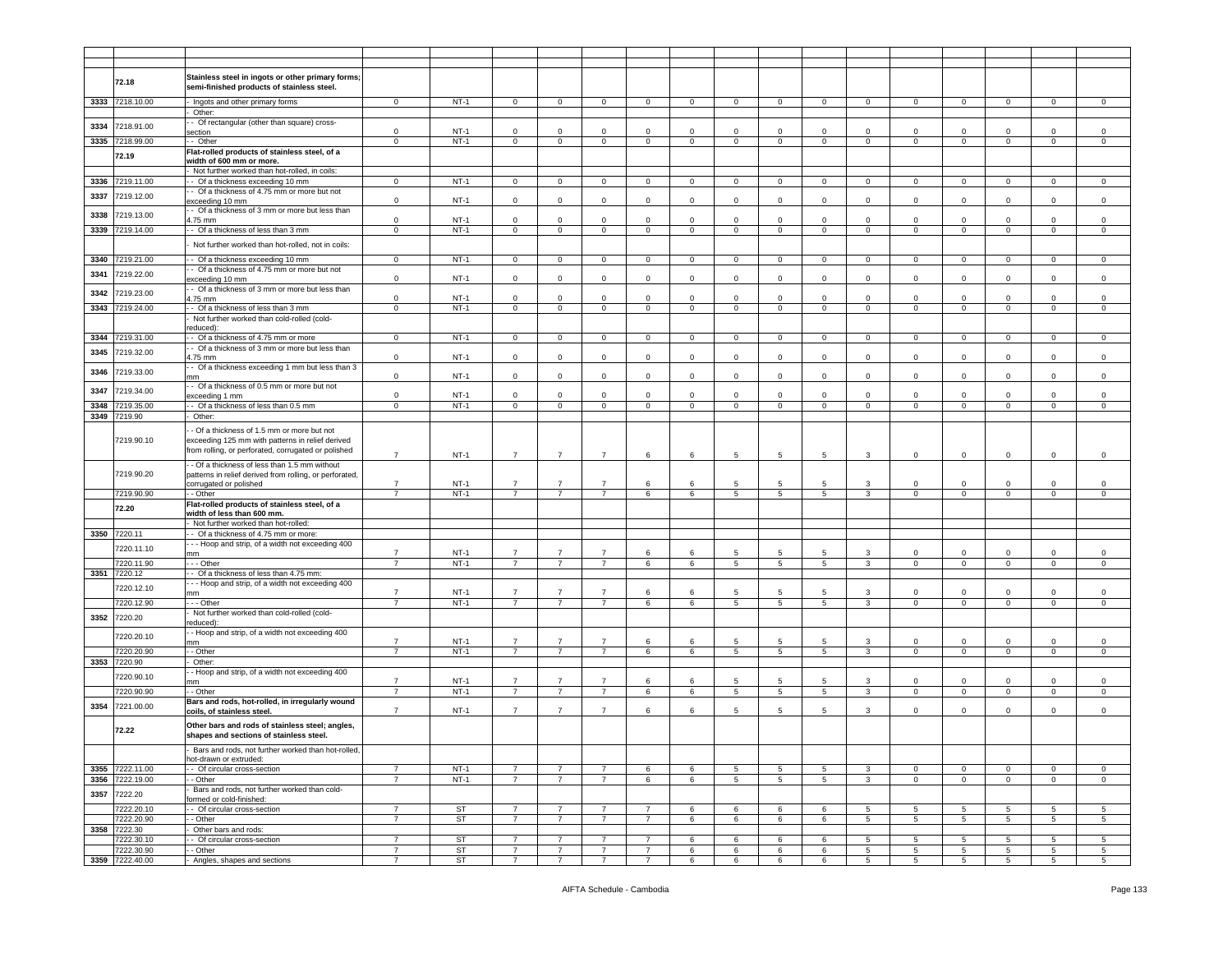|      | 72.18           | Stainless steel in ingots or other primary forms;       |                |           |                |                |                |                |              |                 |                |                |                 |                |                 |                |                 |                |
|------|-----------------|---------------------------------------------------------|----------------|-----------|----------------|----------------|----------------|----------------|--------------|-----------------|----------------|----------------|-----------------|----------------|-----------------|----------------|-----------------|----------------|
|      |                 | semi-finished products of stainless steel.              |                |           |                |                |                |                |              |                 |                |                |                 |                |                 |                |                 |                |
|      | 3333 7218.10.00 | Ingots and other primary forms                          | $\mathbf 0$    | $NT-1$    | $\mathbf{0}$   | $\circ$        | $\mathbf 0$    | $\mathbf{0}$   | $\mathbf 0$  | $\circ$         | $\mathbf 0$    | $\mathbf{0}$   | $\mathbf 0$     | $\mathbf{0}$   | $\mathbf 0$     | $\Omega$       | $\mathbf 0$     | $\mathbf 0$    |
|      |                 | Other:                                                  |                |           |                |                |                |                |              |                 |                |                |                 |                |                 |                |                 |                |
|      |                 | - Of rectangular (other than square) cross-             |                |           |                |                |                |                |              |                 |                |                |                 |                |                 |                |                 |                |
| 3334 | 7218.91.00      | ection                                                  | $\mathbf 0$    | $NT-1$    | $\mathbf 0$    | $\mathsf 0$    | $\mathbf 0$    | $\mathbf 0$    | $\Omega$     | $\mathbf 0$     | $\mathbf 0$    | $\mathsf 0$    | $\mathbf 0$     | $\mathbf 0$    | $\mathsf 0$     | $\Omega$       | $\mathbf 0$     | $\Omega$       |
| 3335 | 7218.99.00      | - Other                                                 | $\mathsf 0$    | $NT-1$    | $\mathbf{0}$   | $\mathbf 0$    | $\mathsf 0$    | $\mathbf 0$    | $\mathbf 0$  | $\circ$         | $\mathbf 0$    | $\mathbf 0$    | $\mathbf 0$     | $\mathbf 0$    | $\mathsf 0$     | $\mathbf 0$    | $\mathbf 0$     | $\mathbf 0$    |
|      |                 | Flat-rolled products of stainless steel, of a           |                |           |                |                |                |                |              |                 |                |                |                 |                |                 |                |                 |                |
|      | 72.19           |                                                         |                |           |                |                |                |                |              |                 |                |                |                 |                |                 |                |                 |                |
|      |                 | width of 600 mm or more.                                |                |           |                |                |                |                |              |                 |                |                |                 |                |                 |                |                 |                |
|      |                 | Not further worked than hot-rolled, in coils:           |                |           |                |                |                |                |              |                 |                |                |                 |                |                 |                |                 |                |
| 3336 | 7219.11.00      | - Of a thickness exceeding 10 mm                        | $\mathbf 0$    | $NT-1$    | $\mathbf{0}$   | $\circ$        | $\mathbf{0}$   | $\overline{0}$ | $\mathbf 0$  | $\mathbf{0}$    | $\mathbf 0$    | $\overline{0}$ | $\circ$         | $\mathbf{0}$   | $\mathbf 0$     | $\circ$        | $\mathbf{0}$    | $\mathbf 0$    |
| 3337 | 7219.12.00      | - Of a thickness of 4.75 mm or more but not             |                |           |                |                |                |                |              |                 |                |                |                 |                |                 |                |                 |                |
|      |                 | exceeding 10 mm                                         | $\mathbf 0$    | $NT-1$    | $\mathbf{0}$   | $\mathbf 0$    | $\mathsf 0$    | $\mathbf 0$    | $\mathbf 0$  | $\overline{0}$  | $\mathbf 0$    | $\mathbf 0$    | $\mathbf 0$     | $\mathbf{0}$   | $\mathsf 0$     | $\circ$        | $\mathbf 0$     | $\mathbf 0$    |
| 3338 | 7219.13.00      | - Of a thickness of 3 mm or more but less than          |                | $NT-1$    |                | $\mathbf 0$    | $\mathbf{0}$   | $\mathbf 0$    | $\circ$      | $\mathsf 0$     | $\Omega$       | $\mathbf 0$    |                 |                |                 | $\mathbf 0$    | $\mathbf{0}$    | $\mathbf 0$    |
|      |                 | 1.75 mm                                                 | $\mathbf 0$    |           | $\mathbf 0$    |                |                |                |              |                 |                |                | $\mathsf 0$     | $\mathbf 0$    | $\mathsf 0$     |                |                 |                |
| 3339 | 7219.14.00      | - Of a thickness of less than 3 mm                      | $\mathbf 0$    | $NT-1$    | 0              | $\circ$        | $\mathbf 0$    | $\mathbf 0$    | $\mathbf 0$  | $\mathbf 0$     | $\mathbf 0$    | 0              | $\mathbf 0$     | 0              | $\mathbf 0$     | $\mathbf 0$    | 0               | $\mathbf 0$    |
|      |                 | Not further worked than hot-rolled, not in coils:       |                |           |                |                |                |                |              |                 |                |                |                 |                |                 |                |                 |                |
|      |                 |                                                         |                |           |                |                |                |                |              |                 |                |                |                 |                |                 |                |                 |                |
|      | 3340 7219.21.00 | - Of a thickness exceeding 10 mm                        | $\mathbf 0$    | $NT-1$    | $\mathbf{0}$   | $\overline{0}$ | $\mathbf 0$    | $\mathsf 0$    | $\mathbf 0$  | $\mathsf 0$     | $\mathbf 0$    | $\circ$        | $\mathbf 0$     | $\mathbf{0}$   | $\mathbf 0$     | $\mathbf 0$    | $\mathbf 0$     | $\mathsf 0$    |
| 3341 | 7219.22.00      | - Of a thickness of 4.75 mm or more but not             |                |           |                |                |                |                |              |                 |                |                |                 |                |                 |                |                 |                |
|      |                 | exceeding 10 mm                                         | $\mathsf 0$    | $NT-1$    | 0              | $\overline{0}$ | $\mathbf 0$    | $\mathbf 0$    | $\mathbf 0$  | $\mathbf 0$     | $\mathbf 0$    | $\mathbf 0$    | $\mathbf 0$     | $\mathbf 0$    | $\mathsf 0$     | $\Omega$       | $\mathbf 0$     | $\mathbf 0$    |
| 3342 | 7219.23.00      | - Of a thickness of 3 mm or more but less than          |                |           |                |                |                |                |              |                 |                |                |                 |                |                 |                |                 |                |
|      |                 | $4.75$ mm                                               | $\mathsf 0$    | $NT-1$    | $\mathbf 0$    | $\mathbf 0$    | $\Omega$       | $\mathbf 0$    | $\Omega$     | $\Omega$        | $\Omega$       | $\mathbf 0$    | $\Omega$        | $\Omega$       | $\mathbf 0$     | $\Omega$       | $\Omega$        | $\Omega$       |
| 3343 | 7219.24.00      | - Of a thickness of less than 3 mm                      | $\circ$        | $NT-1$    | $\mathbf{0}$   | $\overline{0}$ | $\overline{0}$ | $\overline{0}$ | $\mathbf{0}$ | $\mathsf 0$     | $\mathbf 0$    | $\mathbf 0$    | $\circ$         | $\circ$        | $\mathbf 0$     | $\mathbf 0$    | $\mathbf 0$     | $\mathbf 0$    |
|      |                 | Not further worked than cold-rolled (cold-              |                |           |                |                |                |                |              |                 |                |                |                 |                |                 |                |                 |                |
|      |                 | reduced):                                               |                |           |                |                |                |                |              |                 |                |                |                 |                |                 |                |                 |                |
| 3344 | 7219.31.00      | - Of a thickness of 4.75 mm or more                     | $\circ$        | $NT-1$    | $\mathbf 0$    | $\circ$        | $\circ$        | $\overline{0}$ | $\mathbf 0$  | $\mathbf{0}$    | $\mathbf 0$    | $\circ$        | $\circ$         | $\mathbf 0$    | $\mathbf 0$     | $\mathbf 0$    | $\mathbf 0$     | $\mathbf 0$    |
| 3345 | 7219.32.00      | - Of a thickness of 3 mm or more but less than          |                |           |                |                |                |                |              |                 |                |                |                 |                |                 |                |                 |                |
|      |                 | 1.75 mm                                                 | $\mathsf 0$    | $NT-1$    | $\mathbf 0$    | $\mathbf 0$    | $\mathbf 0$    | $\mathbf 0$    | $\circ$      | $\mathsf 0$     | $\mathbf 0$    | $\mathsf 0$    | $\mathsf 0$     | $\mathsf 0$    | $\mathsf 0$     | $\mathbf{0}$   | $\mathbf{0}$    | $\mathbf 0$    |
| 3346 | 7219.33.00      | - Of a thickness exceeding 1 mm but less than 3         |                |           |                |                |                |                |              |                 |                |                |                 |                |                 |                |                 |                |
|      |                 | mm                                                      | $\mathbf 0$    | $NT-1$    | $\mathbf 0$    | $\mathbf 0$    | $\mathbf 0$    | $\mathbf 0$    | $\mathbf 0$  | $\mathsf 0$     | $\mathbf 0$    | $\mathsf 0$    | $\mathsf 0$     | $\mathsf 0$    | $\mathsf 0$     | $\mathbf{0}$   | $\mathbf{0}$    | $\mathsf 0$    |
| 3347 | 7219.34.00      | - Of a thickness of 0.5 mm or more but not              |                |           |                |                |                |                |              |                 |                |                |                 |                |                 |                |                 |                |
|      |                 | exceeding 1 mm                                          | $\mathbf 0$    | $NT-1$    | 0              | $\mathbf 0$    | $\mathbf 0$    | $\mathbf 0$    | $\mathbf 0$  | $\mathbf 0$     | $\Omega$       | 0              | $\Omega$        | 0              | $\mathbf 0$     | $\Omega$       | $\mathbf{0}$    | $\mathbf 0$    |
| 3348 | 7219.35.00      | - Of a thickness of less than 0.5 mm                    | $\circ$        | $NT-1$    | $\mathbf{0}$   | $\circ$        | $\circ$        | $\mathbf{0}$   | $\mathbf 0$  | $\circ$         | $\mathbf 0$    | $\circ$        | $\mathbf 0$     | $\circ$        | $\mathsf 0$     | $\mathbf 0$    | $\mathbf 0$     | $\mathbf 0$    |
| 3349 | 7219.90         | Other:                                                  |                |           |                |                |                |                |              |                 |                |                |                 |                |                 |                |                 |                |
|      |                 | - Of a thickness of 1.5 mm or more but not              |                |           |                |                |                |                |              |                 |                |                |                 |                |                 |                |                 |                |
|      | 7219.90.10      | exceeding 125 mm with patterns in relief derived        |                |           |                |                |                |                |              |                 |                |                |                 |                |                 |                |                 |                |
|      |                 | from rolling, or perforated, corrugated or polished     |                |           |                |                |                |                |              |                 |                |                |                 |                |                 |                |                 |                |
|      |                 |                                                         | $\overline{7}$ | $NT-1$    | $\overline{7}$ | $\overline{7}$ | $\overline{7}$ | 6              | 6            | 5               | 5              | 5              | 3               | $\overline{0}$ | $\mathbf 0$     | $\mathbf 0$    | $\mathbf{0}$    | $\mathbf 0$    |
|      |                 | - Of a thickness of less than 1.5 mm without            |                |           |                |                |                |                |              |                 |                |                |                 |                |                 |                |                 |                |
|      | 7219.90.20      | patterns in relief derived from rolling, or perforated, |                |           |                |                |                |                |              |                 |                |                |                 |                |                 |                |                 |                |
|      |                 | corrugated or polished                                  | $\overline{7}$ | $NT-1$    | $\overline{7}$ | -7             | $\overline{7}$ | 6              | $\epsilon$   | 5               | 5              | 5              | $\mathbf{R}$    | $\mathbf 0$    | $\mathbf 0$     | $\Omega$       | $\Omega$        | $\Omega$       |
|      | 7219.90.90      | - Other                                                 | $\overline{7}$ | $NT-1$    | $\overline{7}$ | $\overline{7}$ | $\overline{7}$ | 6              | 6            | 5               | 5              | 5              | $\mathbf{3}$    | $\mathbf 0$    | $\mathsf 0$     | $\mathbf 0$    | $\mathbf 0$     | $\mathbf 0$    |
|      | 72.20           | Flat-rolled products of stainless steel, of a           |                |           |                |                |                |                |              |                 |                |                |                 |                |                 |                |                 |                |
|      |                 | width of less than 600 mm.                              |                |           |                |                |                |                |              |                 |                |                |                 |                |                 |                |                 |                |
|      |                 | Not further worked than hot-rolled:                     |                |           |                |                |                |                |              |                 |                |                |                 |                |                 |                |                 |                |
| 3350 | 7220.11         | - Of a thickness of 4.75 mm or more:                    |                |           |                |                |                |                |              |                 |                |                |                 |                |                 |                |                 |                |
|      | 7220.11.10      | -- Hoop and strip, of a width not exceeding 400         |                |           |                |                |                |                |              |                 |                |                |                 |                |                 |                |                 |                |
|      |                 | mm                                                      | $\overline{7}$ | $NT-1$    | $\overline{7}$ | $\overline{7}$ | $\overline{7}$ | 6              | 6            | 5               | 5              | 5              | 3               | $\circ$        | $\mathbf 0$     | $\mathbf 0$    | $\mathbf{0}$    | $\Omega$       |
|      | 7220.11.90      | - - Other                                               | $\overline{7}$ | $NT-1$    | $\overline{7}$ | $\overline{7}$ | $\overline{7}$ | 6              | 6            | 5               | 5              | 5              | $\mathbf{3}$    | $\mathbf{0}$   | $\overline{0}$  | $\mathbf{0}$   | $\mathbf{0}$    | $\mathbf 0$    |
| 3351 | 7220.12         | - Of a thickness of less than 4.75 mm:                  |                |           |                |                |                |                |              |                 |                |                |                 |                |                 |                |                 |                |
|      | 7220.12.10      | -- Hoop and strip, of a width not exceeding 400         |                |           |                |                |                |                |              |                 |                |                |                 |                |                 |                |                 |                |
|      |                 | mm                                                      | $\overline{7}$ | $NT-1$    | $\overline{7}$ | $\overline{7}$ | $\overline{7}$ | 6              | 6            | 5               | 5              | 5              | 3               | $\circ$        | $\mathsf 0$     | $\Omega$       | $\mathbf{0}$    | $\Omega$       |
|      | 7220.12.90      | - - Other                                               | $\overline{7}$ | $NT-1$    | $\overline{7}$ | $\overline{7}$ | $\overline{7}$ | 6              | 6            | $\overline{5}$  | 5              | 5              | 3               | $\mathbf 0$    | $\mathbf 0$     | $\mathbf 0$    | $\mathbf 0$     | $\mathbf 0$    |
| 3352 | 7220.20         | Not further worked than cold-rolled (cold-              |                |           |                |                |                |                |              |                 |                |                |                 |                |                 |                |                 |                |
|      |                 | educed):                                                |                |           |                |                |                |                |              |                 |                |                |                 |                |                 |                |                 |                |
|      | 7220.20.10      | - Hoop and strip, of a width not exceeding 400          |                |           |                |                |                |                |              |                 |                |                |                 |                |                 |                |                 |                |
|      |                 | mm                                                      | $\overline{7}$ | $NT-1$    | $\overline{7}$ | $\overline{7}$ | $\overline{7}$ | 6              | 6            | 5               | 5              | 5              | 3               | $\mathbf 0$    | $\mathsf 0$     | 0              | $\mathbf 0$     | $\mathbf 0$    |
|      | 7220.20.90      | - Other                                                 | $\overline{7}$ | $NT-1$    | $\overline{7}$ | $\overline{7}$ | $\overline{7}$ | 6              | 6            | 5               | 5              | 5              | $\mathbf{3}$    | $\overline{0}$ | $\mathsf 0$     | $\mathbf 0$    | $\mathbf 0$     | $\mathsf 0$    |
| 3353 | 7220.90         | Other:                                                  |                |           |                |                |                |                |              |                 |                |                |                 |                |                 |                |                 |                |
|      | 7220.90.10      | - Hoop and strip, of a width not exceeding 400          |                |           |                |                |                |                |              |                 |                |                |                 |                |                 |                |                 |                |
|      |                 | mm                                                      | $\overline{7}$ | $NT-1$    | $\overline{7}$ | $\overline{7}$ | $\overline{7}$ | 6              | 6            | 5               | 5              | 5              | 3               | $\mathbf 0$    | $\mathsf 0$     | $\Omega$       | $\mathbf 0$     | $\mathbf 0$    |
|      | 7220.90.90      | - Other                                                 | 7              | $NT-1$    | $\overline{7}$ | $\overline{7}$ | $\overline{7}$ | 6              | 6            | $5\overline{)}$ | $\overline{5}$ | $\overline{5}$ | $\overline{3}$  | $\overline{0}$ | $\overline{0}$  | $\overline{0}$ | $\overline{0}$  | $\overline{0}$ |
| 3354 | 7221.00.00      | Bars and rods, hot-rolled, in irregularly wound         |                |           |                |                |                |                |              |                 |                |                |                 |                |                 |                |                 |                |
|      |                 | coils, of stainless steel.                              | $\overline{7}$ | $NT-1$    | $\overline{7}$ | $\overline{7}$ | $\overline{7}$ | 6              | 6            | 5               | 5              | 5              | 3               | $\mathbf 0$    | $\mathsf 0$     | $\mathbf 0$    | $\mathbf 0$     | $\mathbf 0$    |
|      |                 | Other bars and rods of stainless steel; angles,         |                |           |                |                |                |                |              |                 |                |                |                 |                |                 |                |                 |                |
|      | 72.22           | shapes and sections of stainless steel.                 |                |           |                |                |                |                |              |                 |                |                |                 |                |                 |                |                 |                |
|      |                 |                                                         |                |           |                |                |                |                |              |                 |                |                |                 |                |                 |                |                 |                |
|      |                 | Bars and rods, not further worked than hot-rolled,      |                |           |                |                |                |                |              |                 |                |                |                 |                |                 |                |                 |                |
|      |                 | hot-drawn or extruded:                                  |                |           |                |                |                |                |              |                 |                |                |                 |                |                 |                |                 |                |
|      | 3355 7222.11.00 | - Of circular cross-section                             | $\overline{7}$ | $NT-1$    | 7              | $\overline{7}$ | $\overline{7}$ | 6              | 6            | 5               | 5              | 5              | 3               | $\overline{0}$ | $\mathbf 0$     | $\mathbf{0}$   | $\mathbf{0}$    | $\mathbf{0}$   |
| 3356 | 7222.19.00      | - Other                                                 | $\overline{7}$ | $NT-1$    | $\overline{7}$ | $\overline{7}$ | $\overline{7}$ | 6              | 6            | 5               | 5              | 5              | $\mathbf{3}$    | $\mathbf{0}$   | $\mathsf 0$     | $\mathbf{0}$   | $\mathbf{0}$    | $\circ$        |
| 3357 | 7222.20         | Bars and rods, not further worked than cold-            |                |           |                |                |                |                |              |                 |                |                |                 |                |                 |                |                 |                |
|      |                 | ormed or cold-finished:                                 |                |           |                |                |                |                |              |                 |                |                |                 |                |                 |                |                 |                |
|      | 7222.20.10      | - Of circular cross-section                             | $\overline{7}$ | <b>ST</b> | $\overline{7}$ | $\overline{7}$ | 7              | $\overline{7}$ | 6            | 6               | 6              | 6              | 5               | 5              | 5               | 5              | 5               | 5              |
|      | 7222.20.90      | - Other                                                 | $\overline{7}$ | ST        | $\overline{7}$ | $\overline{7}$ | $\overline{7}$ | $\overline{7}$ | 6            | 6               | 6              | 6              | $5\overline{)}$ | 5              | $5\phantom{.0}$ | 5              | $5\phantom{.0}$ | 5              |
|      | 3358 7222.30    | Other bars and rods:                                    |                |           |                |                |                |                |              |                 |                |                |                 |                |                 |                |                 |                |
|      | 7222.30.10      | - Of circular cross-section                             | $\overline{7}$ | ST        | $\overline{7}$ | $\overline{7}$ | $\overline{7}$ | $\overline{7}$ | 6            | 6               | 6              | 6              | 5               | 5              | 5               | 5              | 5               | 5              |
|      | 7222.30.90      | - Other                                                 | $\overline{7}$ | ST        | $\overline{7}$ | $\overline{7}$ | $\overline{7}$ | $\overline{7}$ | 6            | 6               | 6              | 6              | 5               | 5              | 5               | 5              | 5               | 5              |
|      | 3359 7222.40.00 | Angles, shapes and sections                             | $\overline{7}$ | <b>ST</b> | $\overline{7}$ | $\overline{7}$ | $\overline{7}$ | 7              | 6            | 6               | 6              | 6              | 5               | 5              | $\overline{5}$  | 5              | 5               | $\overline{5}$ |
|      |                 |                                                         |                |           |                |                |                |                |              |                 |                |                |                 |                |                 |                |                 |                |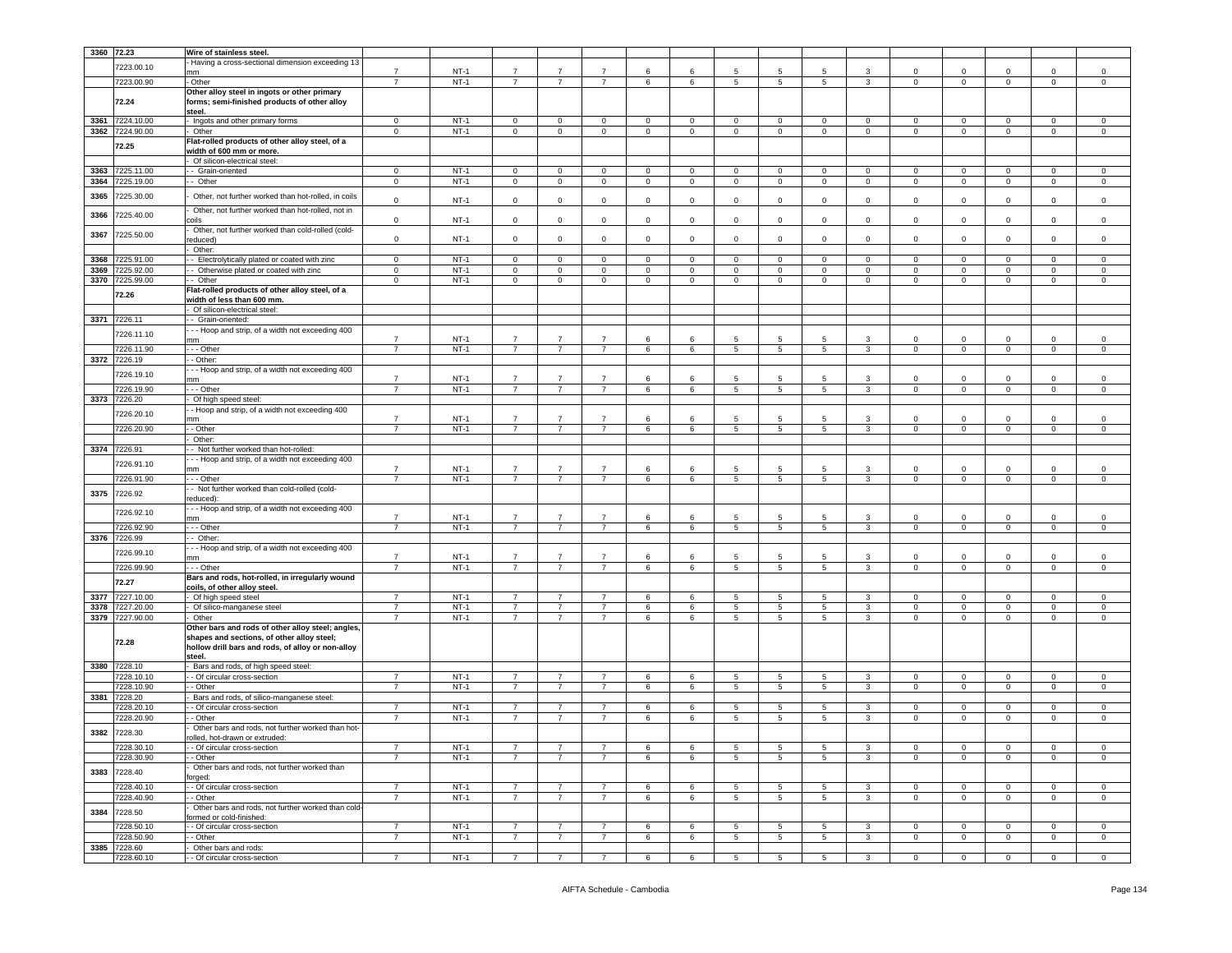| 3360 72.23 |              | Wire of stainless steel.                                                                     |                |        |                |                |                |             |                 |                 |                 |                 |                |                |                |                |                |                |
|------------|--------------|----------------------------------------------------------------------------------------------|----------------|--------|----------------|----------------|----------------|-------------|-----------------|-----------------|-----------------|-----------------|----------------|----------------|----------------|----------------|----------------|----------------|
|            |              | Having a cross-sectional dimension exceeding 13                                              |                |        |                |                |                |             |                 |                 |                 |                 |                |                |                |                |                |                |
|            | 7223.00.10   | nm                                                                                           | $\overline{7}$ | $NT-1$ | $\overline{7}$ | $\overline{7}$ | $\overline{7}$ | 6           | 6               | 5               | 5               | 5               | -3             | $\mathbf 0$    | $\mathbf 0$    | $\Omega$       | $\mathbf 0$    | $\Omega$       |
|            | 7223.00.90   | - Other                                                                                      | $\overline{7}$ | $NT-1$ | $\overline{7}$ | $\overline{7}$ | $\overline{7}$ | 6           | 6               | 5               | 5               | 5               | 3              | $\mathbf 0$    | $\mathbf 0$    | $\mathbf 0$    | $\mathbf 0$    | 0              |
|            |              |                                                                                              |                |        |                |                |                |             |                 |                 |                 |                 |                |                |                |                |                |                |
|            | 72.24        | Other alloy steel in ingots or other primary<br>forms; semi-finished products of other alloy |                |        |                |                |                |             |                 |                 |                 |                 |                |                |                |                |                |                |
|            |              | steel.                                                                                       |                |        |                |                |                |             |                 |                 |                 |                 |                |                |                |                |                |                |
|            |              |                                                                                              |                |        |                |                |                |             |                 |                 |                 |                 |                |                |                |                |                |                |
| 3361       | 7224.10.00   | Ingots and other primary forms                                                               | $\mathsf 0$    | $NT-1$ | $\mathbf 0$    | 0              | $\mathsf 0$    | $\mathbf 0$ | $\mathsf 0$     | $\mathbf 0$     | $\mathbf 0$     | $\mathsf 0$     | $\mathbf 0$    | $\mathbf 0$    | $\mathbf 0$    | 0              | $\mathsf 0$    | 0              |
| 3362       | 7224.90.00   | Other                                                                                        | $\mathbf 0$    | $NT-1$ | $\mathbf 0$    | $\mathbf 0$    | $\mathbf 0$    | $\mathbf 0$ | $\mathbf 0$     | $\mathbf 0$     | $\mathbf 0$     | $\mathbf 0$     | $\circ$        | $\mathbf 0$    | $\mathbf 0$    | $\mathbf 0$    | $\mathbf 0$    | $\mathsf 0$    |
|            | 72.25        | Flat-rolled products of other alloy steel, of a                                              |                |        |                |                |                |             |                 |                 |                 |                 |                |                |                |                |                |                |
|            |              | width of 600 mm or more.                                                                     |                |        |                |                |                |             |                 |                 |                 |                 |                |                |                |                |                |                |
|            |              | Of silicon-electrical steel:                                                                 |                |        |                |                |                |             |                 |                 |                 |                 |                |                |                |                |                |                |
| 3363       | 7225.11.00   | - Grain-oriented                                                                             | $\mathbf 0$    | $NT-1$ | $\mathbf 0$    | $\mathbf 0$    | $\mathbf 0$    | $\mathbf 0$ | $\mathbf 0$     | 0               | $\mathbf 0$     | $\mathbf 0$     | $\mathbf 0$    | 0              | $\mathbf 0$    | $\Omega$       | $\mathbf 0$    | 0              |
| 3364       | 225.19.00    | - Other                                                                                      | $\mathbf 0$    | $NT-1$ | $\mathsf 0$    | 0              | $\mathsf 0$    | $\mathbf 0$ | $\mathsf 0$     | $\mathbf 0$     | $\mathsf 0$     | $\circ$         | $\mathsf 0$    | $\mathbf 0$    | $\,0\,$        | $\mathsf 0$    | $\mathsf 0$    | $^{\circ}$     |
|            |              |                                                                                              |                |        |                |                |                |             |                 |                 |                 |                 |                |                |                |                |                |                |
| 3365       | 7225.30.00   | Other, not further worked than hot-rolled, in coils                                          | $\mathbf 0$    | $NT-1$ | $\mathbf 0$    | $\mathbf 0$    | $\mathbf 0$    | $\mathbf 0$ | $\mathbf 0$     | 0               | $\mathbf 0$     | 0               | $\mathsf 0$    | $\mathbf 0$    | $\mathbf 0$    | 0              | $\mathbf 0$    | $\mathsf 0$    |
|            |              | Other, not further worked than hot-rolled, not in                                            |                |        |                |                |                |             |                 |                 |                 |                 |                |                |                |                |                |                |
| 3366       | 7225.40.00   | coils                                                                                        | $\mathbf 0$    | $NT-1$ | $\mathbf 0$    | $\mathbf 0$    | $\mathbf 0$    | $\mathbf 0$ | $\mathbf 0$     | 0               | $\mathbf 0$     | $\mathbf 0$     | $\mathbf 0$    | $\mathbf 0$    | $\mathbf 0$    | $\mathbf 0$    | $\mathbf 0$    | $\mathsf 0$    |
|            |              | Other, not further worked than cold-rolled (cold-                                            |                |        |                |                |                |             |                 |                 |                 |                 |                |                |                |                |                |                |
| 3367       | 7225.50.00   | educed)                                                                                      | $\mathbf 0$    | $NT-1$ | $\mathbf 0$    | $\mathbf 0$    | $\mathbf{0}$   | $\circ$     | $\mathbf 0$     | $\mathbf 0$     | $\mathbf 0$     | $\mathbf 0$     | $\circ$        | $\circ$        | $\mathbf 0$    | $\mathbf 0$    | $\mathbf 0$    | $\mathbf 0$    |
|            |              | Other:                                                                                       |                |        |                |                |                |             |                 |                 |                 |                 |                |                |                |                |                |                |
|            |              |                                                                                              |                |        |                |                |                |             |                 |                 |                 |                 |                |                |                |                |                |                |
| 3368       | 7225.91.00   | - Electrolytically plated or coated with zinc                                                | $\mathbf 0$    | $NT-1$ | $\mathbf 0$    | $\mathbf 0$    | $\mathbf 0$    | $\mathbf 0$ | $\mathbf 0$     | 0               | $\mathbf 0$     | $\mathbf 0$     | $\mathbf 0$    | $\mathbf 0$    | $\mathbf 0$    | $\mathbf 0$    | $\mathbf 0$    | $\mathbf 0$    |
| 3369       | 7225.92.00   | Otherwise plated or coated with zinc                                                         | $\mathbf 0$    | $NT-1$ | $\mathsf 0$    | $\mathsf{O}$   | $\mathsf 0$    | $\mathsf 0$ | $\mathbf 0$     | $\mathbf 0$     | $\mathsf 0$     | $\mathbf 0$     | $\mathsf 0$    | $\mathbf 0$    | $\,0\,$        | $\mathsf 0$    | $\mathsf 0$    | $\mathsf 0$    |
| 3370       | 7225.99.00   | - Other                                                                                      | 0              | $NT-1$ | $\mathbf 0$    | $\mathbf 0$    | 0              | $\mathbf 0$ | $\mathbf 0$     | 0               | $\mathbf 0$     | 0               | $\mathbf 0$    | 0              | $\mathbf 0$    | $\mathbf 0$    | $\mathbf 0$    | $^{\circ}$     |
|            | 72.26        | Flat-rolled products of other alloy steel, of a                                              |                |        |                |                |                |             |                 |                 |                 |                 |                |                |                |                |                |                |
|            |              | width of less than 600 mm.                                                                   |                |        |                |                |                |             |                 |                 |                 |                 |                |                |                |                |                |                |
|            |              | Of silicon-electrical steel:                                                                 |                |        |                |                |                |             |                 |                 |                 |                 |                |                |                |                |                |                |
|            | 3371 7226.11 | - Grain-oriented:                                                                            |                |        |                |                |                |             |                 |                 |                 |                 |                |                |                |                |                |                |
|            |              | - - Hoop and strip, of a width not exceeding 400                                             |                |        |                |                |                |             |                 |                 |                 |                 |                |                |                |                |                |                |
|            | 7226.11.10   | mm                                                                                           | $\overline{7}$ | $NT-1$ | $\overline{7}$ | $\overline{7}$ | $\overline{7}$ | 6           | 6               | 5               | 5               | 5               | 3              | 0              | $^{\circ}$     | $\Omega$       | 0              | 0              |
|            | 7226.11.90   | - - Other                                                                                    | $\overline{7}$ | $NT-1$ | $\overline{7}$ | $\overline{7}$ | $\overline{7}$ | 6           | 6               | 5               | 5               | 5               | $\mathbf{3}$   | $\mathbf 0$    | $\mathbf 0$    | $\mathsf 0$    | $\mathbf 0$    | $\mathsf 0$    |
| 3372       | 7226.19      | - Other:                                                                                     |                |        |                |                |                |             |                 |                 |                 |                 |                |                |                |                |                |                |
|            |              |                                                                                              |                |        |                |                |                |             |                 |                 |                 |                 |                |                |                |                |                |                |
|            | 7226.19.10   | - - Hoop and strip, of a width not exceeding 400<br>mm                                       | $\overline{7}$ | $NT-1$ | $\overline{7}$ | $\overline{7}$ | $\overline{7}$ | 6           | 6               | 5               | 5               | 5               | 3              | $\mathbf 0$    | $\mathbf 0$    | $\mathbf 0$    | $\mathbf 0$    | $\mathsf 0$    |
|            |              |                                                                                              |                |        | $\overline{7}$ |                | $\overline{7}$ |             |                 |                 |                 |                 |                |                |                |                |                |                |
|            | 7226.19.90   | - - - Other                                                                                  | 7              | $NT-1$ |                | $\overline{7}$ |                | 6           | 6               | 5               | 5               | 5               | 3              | $\mathbf 0$    | $\overline{0}$ | $\mathbf 0$    | $\mathbf 0$    | $\mathbf 0$    |
|            | 3373 7226.20 | Of high speed steel:                                                                         |                |        |                |                |                |             |                 |                 |                 |                 |                |                |                |                |                |                |
|            | 7226.20.10   | - Hoop and strip, of a width not exceeding 400                                               |                |        |                |                |                |             |                 |                 |                 |                 |                |                |                |                |                |                |
|            |              | mm                                                                                           | $\overline{7}$ | $NT-1$ | $\overline{7}$ | $\overline{7}$ | $\overline{7}$ | 6           | 6               | 5               | 5               | 5               | 3              | $\mathbf 0$    | $\overline{0}$ | $\mathbf 0$    | $\circ$        | $\Omega$       |
|            | 7226.20.90   | - - Other                                                                                    |                | $NT-1$ | $\overline{7}$ | $\overline{7}$ | $\overline{7}$ | 6           | $6\overline{6}$ | 5               | $\overline{5}$  | $\overline{5}$  | $\overline{3}$ | $\overline{0}$ | $\overline{0}$ | $\overline{0}$ | $\overline{0}$ | $\Omega$       |
|            |              | Other:                                                                                       |                |        |                |                |                |             |                 |                 |                 |                 |                |                |                |                |                |                |
|            | 3374 7226.91 | - Not further worked than hot-rolled:                                                        |                |        |                |                |                |             |                 |                 |                 |                 |                |                |                |                |                |                |
|            |              | - - Hoop and strip, of a width not exceeding 400                                             |                |        |                |                |                |             |                 |                 |                 |                 |                |                |                |                |                |                |
|            | 7226.91.10   | mm                                                                                           | $\overline{7}$ | $NT-1$ | $\overline{7}$ | $\overline{7}$ | $\overline{7}$ | 6           | 6               | 5               | 5               | 5               | 3              | $\Omega$       | $\mathbf 0$    | $\Omega$       | 0              | $\mathsf 0$    |
|            | 7226.91.90   | - - - Other                                                                                  | $\overline{7}$ | $NT-1$ | $\overline{7}$ | $\overline{7}$ | $\overline{7}$ | 6           | 6               | 5               | 5               | $5\overline{5}$ | $\mathbf{3}$   | $\mathbf 0$    | $\mathbf 0$    | $\mathbf 0$    | $\mathbf{O}$   | $\mathsf 0$    |
|            |              | - Not further worked than cold-rolled (cold-                                                 |                |        |                |                |                |             |                 |                 |                 |                 |                |                |                |                |                |                |
| 3375       | 7226.92      | reduced):                                                                                    |                |        |                |                |                |             |                 |                 |                 |                 |                |                |                |                |                |                |
|            |              | -- Hoop and strip, of a width not exceeding 400                                              |                |        |                |                |                |             |                 |                 |                 |                 |                |                |                |                |                |                |
|            | 7226.92.10   | nm                                                                                           | $\overline{7}$ | $NT-1$ | $\overline{7}$ | $\overline{7}$ | $\overline{7}$ | 6           | 6               | 5               | 5               | 5               | 3              | $\mathbf 0$    | $\mathbf 0$    | $\Omega$       | $\circ$        | $\mathbf 0$    |
|            | 7226.92.90   | - - - Other                                                                                  | $\overline{7}$ | $NT-1$ | 7              | $\overline{7}$ | $\overline{7}$ |             | 6               |                 | 5               |                 | 3              | 0              |                |                | $\mathbf{0}$   | 0              |
|            |              |                                                                                              |                |        |                |                |                | 6           |                 | 5               |                 | 5               |                |                | $\mathbf 0$    | $\mathbf 0$    |                |                |
|            | 3376 7226.99 | - Other:                                                                                     |                |        |                |                |                |             |                 |                 |                 |                 |                |                |                |                |                |                |
|            | 7226.99.10   | - - Hoop and strip, of a width not exceeding 400                                             |                |        |                |                |                |             |                 |                 |                 |                 |                |                |                |                |                |                |
|            |              | mm                                                                                           | $\overline{7}$ | $NT-1$ | $\overline{7}$ | $\overline{7}$ | $\overline{7}$ | 6           | 6               | 5               | -5              | 5               | $\mathbf{3}$   | $\Omega$       | $\mathbf 0$    | $\Omega$       | $\mathbf 0$    | 0              |
|            | 7226.99.90   | - - - Other                                                                                  | $\overline{7}$ | $NT-1$ | $\overline{7}$ | $\overline{7}$ | $\overline{7}$ | 6           | 6               | 5               | 5               | $5\overline{5}$ | 3              | $\mathbf 0$    | $\mathbf 0$    | $\mathbf 0$    | $\mathbf 0$    | $\mathsf 0$    |
|            | 72.27        | Bars and rods, hot-rolled, in irregularly wound                                              |                |        |                |                |                |             |                 |                 |                 |                 |                |                |                |                |                |                |
|            |              | coils, of other alloy steel.                                                                 |                |        |                |                |                |             |                 |                 |                 |                 |                |                |                |                |                |                |
| 3377       | 7227.10.00   | - Of high speed steel                                                                        | $\overline{7}$ | $NT-1$ | $\overline{7}$ | $\overline{7}$ | $\overline{7}$ | 6           | 6               | $\overline{5}$  | 5               | $\overline{5}$  | 3              | $\circ$        | $\overline{0}$ | $\Omega$       | $\mathbf 0$    | 0              |
| 3378       | 7227.20.00   | Of silico-manganese steel                                                                    | $\overline{7}$ | $NT-1$ | $\overline{7}$ | $\overline{7}$ | $\overline{7}$ | 6           | 6               | 5               | 5               | 5               | $\mathbf{3}$   | $\mathbf 0$    | $\mathbf 0$    | $\mathbf 0$    | $\mathbf 0$    | $\mathbf 0$    |
| 3379       | 7227.90.00   | Other                                                                                        | $\overline{7}$ | $NT-1$ | $\overline{7}$ | $\overline{7}$ | $\overline{7}$ | 6           | 6               | $5\overline{)}$ | $5\phantom{.0}$ | $5^{\circ}$     | $\mathbf{3}$   | $\mathbf 0$    | $\mathbf 0$    | $\mathbf 0$    | $\mathbf 0$    | $\mathbf 0$    |
|            |              | Other bars and rods of other alloy steel; angles,                                            |                |        |                |                |                |             |                 |                 |                 |                 |                |                |                |                |                |                |
|            |              | shapes and sections, of other alloy steel;                                                   |                |        |                |                |                |             |                 |                 |                 |                 |                |                |                |                |                |                |
|            | 72.28        | hollow drill bars and rods, of alloy or non-alloy                                            |                |        |                |                |                |             |                 |                 |                 |                 |                |                |                |                |                |                |
|            |              | steel.                                                                                       |                |        |                |                |                |             |                 |                 |                 |                 |                |                |                |                |                |                |
|            | 3380 7228.10 | Bars and rods, of high speed steel:                                                          |                |        |                |                |                |             |                 |                 |                 |                 |                |                |                |                |                |                |
|            | 228.10.10    | - Of circular cross-section                                                                  | $\overline{7}$ | $NT-1$ | $\overline{7}$ | $\overline{7}$ | $\overline{7}$ | 6           | 6               | 5               | 5               | 5               | 3              | $\overline{0}$ | $\mathbf 0$    | $\mathbf 0$    | $\mathbf 0$    | $\mathbf 0$    |
|            | 7228.10.90   | - Other                                                                                      |                | $NT-1$ | $\overline{7}$ | $\overline{7}$ |                | 6           | 6               | 5               | 5               | 5               | 3              | 0              | $\mathbf 0$    | $\mathbf 0$    | $\mathbf 0$    | 0              |
|            |              |                                                                                              |                |        |                |                |                |             |                 |                 |                 |                 |                |                |                |                |                |                |
|            | 3381 7228.20 | Bars and rods, of silico-manganese steel:                                                    |                |        |                |                |                |             |                 |                 |                 |                 |                |                |                |                |                |                |
|            | 7228.20.10   | - Of circular cross-section                                                                  | $\overline{7}$ | $NT-1$ | $\overline{7}$ | $\overline{7}$ | $\overline{7}$ | 6           | 6               | 5               | 5               | 5               | 3              | 0              | $\mathbf 0$    | $\Omega$       | $\mathbf{0}$   | 0              |
|            | 7228.20.90   | - Other                                                                                      | $\overline{7}$ | $NT-1$ | $\overline{7}$ | $\overline{7}$ | $\overline{7}$ | 6           | 6               | 5               | 5               | $5^{\circ}$     | $\mathbf{3}$   | $\mathbf 0$    | $\mathbf 0$    | $\mathsf 0$    | $\mathbf 0$    | $\mathsf 0$    |
| 3382       | 7228.30      | Other bars and rods, not further worked than hot-                                            |                |        |                |                |                |             |                 |                 |                 |                 |                |                |                |                |                |                |
|            |              | rolled, hot-drawn or extruded:                                                               |                |        |                |                |                |             |                 |                 |                 |                 |                |                |                |                |                |                |
|            | 7228.30.10   | - Of circular cross-section                                                                  | $\overline{7}$ | $NT-1$ | 7              | 7              | 7              | 6           | 6               | 5               | 5               | 5               | 3              | $\mathbf 0$    | $\mathbf 0$    | $\mathbf 0$    | $\mathbf 0$    | $\mathbf 0$    |
|            | 7228.30.90   | - Other                                                                                      | $\overline{7}$ | $NT-1$ | $\overline{7}$ | $\overline{7}$ | $\overline{7}$ | 6           | 6               | 5               | 5               | $5^{\circ}$     | $\mathbf{3}$   | $\circ$        | $\mathbf 0$    | $\mathbf{0}$   | $\circ$        | $\circ$        |
|            |              | Other bars and rods, not further worked than                                                 |                |        |                |                |                |             |                 |                 |                 |                 |                |                |                |                |                |                |
|            | 3383 7228.40 | forged:                                                                                      |                |        |                |                |                |             |                 |                 |                 |                 |                |                |                |                |                |                |
|            | 7228.40.10   | - Of circular cross-section                                                                  | $\overline{7}$ | $NT-1$ | $\overline{7}$ | $\overline{7}$ | $\overline{7}$ | 6           | 6               | 5               | 5               | $5\overline{5}$ | $\mathbf{3}$   | $\mathbf 0$    | $\mathbf 0$    | $\mathbf 0$    | $\mathbf 0$    | $\mathbf 0$    |
|            | 7228.40.90   | - Other                                                                                      | $\overline{7}$ | $NT-1$ | $\overline{7}$ | $\overline{7}$ | $\overline{7}$ | 6           | 6               | 5               | 5               | $5\overline{5}$ | $\mathbf{3}$   | $\mathbf 0$    | $\mathbf 0$    | $\mathsf 0$    | $\mathsf 0$    | $\mathsf 0$    |
|            |              |                                                                                              |                |        |                |                |                |             |                 |                 |                 |                 |                |                |                |                |                |                |
| 3384       | 7228.50      | Other bars and rods, not further worked than cold                                            |                |        |                |                |                |             |                 |                 |                 |                 |                |                |                |                |                |                |
|            |              | ormed or cold-finished:                                                                      |                |        |                |                |                |             |                 |                 |                 |                 |                |                |                |                |                |                |
|            | 7228.50.10   | - Of circular cross-section                                                                  | $\overline{7}$ | $NT-1$ | $\overline{7}$ | $\overline{7}$ | $\overline{7}$ | 6           | 6               | 5               | 5               | 5               | 3              | 0              | $\mathbf 0$    | 0              | $\mathbf 0$    | $\circ$        |
|            | 7228.50.90   | - Other                                                                                      | $\overline{7}$ | $NT-1$ | $\overline{7}$ | $\overline{7}$ | $\overline{7}$ | 6           | 6               | $5\overline{)}$ | $5\phantom{.0}$ | $5\overline{5}$ | $\mathbf{3}$   | $\overline{0}$ | $\overline{0}$ | $\mathbf 0$    | $\mathbf 0$    | $\overline{0}$ |
|            | 3385 7228.60 | Other bars and rods:                                                                         |                |        |                |                |                |             |                 |                 |                 |                 |                |                |                |                |                |                |
|            | 7228.60.10   | - Of circular cross-section                                                                  | $\overline{7}$ | $NT-1$ | $7^{\circ}$    | $\overline{7}$ | $\overline{7}$ | 6           | 6               | $5^{\circ}$     | $5\phantom{.0}$ | $5^{\circ}$     | $\mathbf{3}$   | $\mathbf 0$    | $\mathbf 0$    | $\mathbf 0$    | $\mathbf 0$    | $\mathsf 0$    |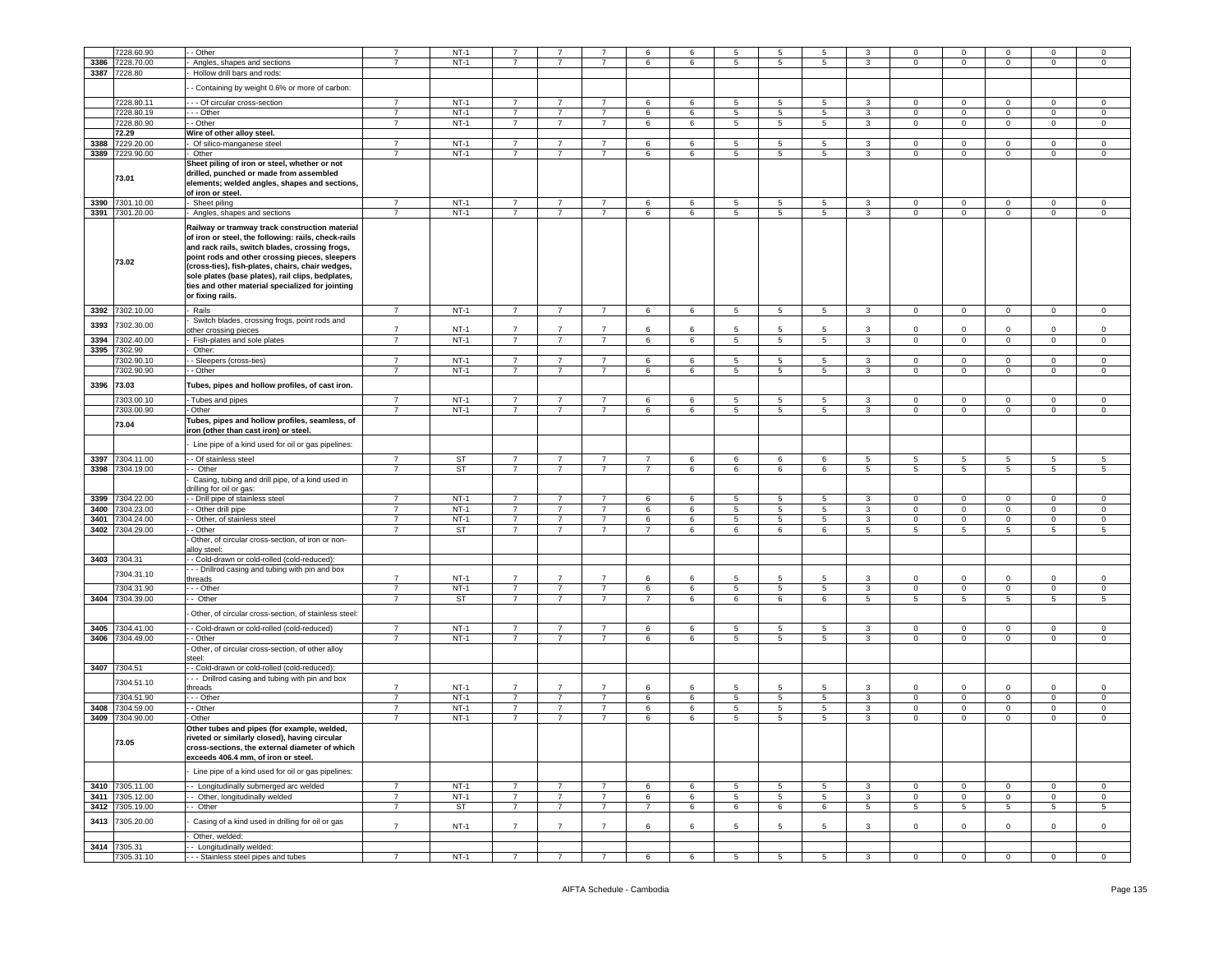|      | 228.60.90                  | - Other                                                                                                                                                                                                                                                                                                                                                                                    | $\overline{7}$ | $NT-1$      | 7              |                                  |                                  | 6                         | 6 | 5 | 5               | 5               | 3            | $\mathbf 0$    | $\mathbf 0$     | $\Omega$       | $\mathbf 0$         | $^{\circ}$     |
|------|----------------------------|--------------------------------------------------------------------------------------------------------------------------------------------------------------------------------------------------------------------------------------------------------------------------------------------------------------------------------------------------------------------------------------------|----------------|-------------|----------------|----------------------------------|----------------------------------|---------------------------|---|---|-----------------|-----------------|--------------|----------------|-----------------|----------------|---------------------|----------------|
| 3386 | 7228.70.00                 |                                                                                                                                                                                                                                                                                                                                                                                            | $\overline{7}$ | $NT-1$      | $\overline{7}$ | $\overline{7}$                   | $\overline{7}$                   | 6                         | 6 | 5 | $5\phantom{.0}$ | 5               | 3            | $\mathbf{0}$   | $\mathbf 0$     | $\mathbf 0$    | $\mathbf 0$         | $\mathbf 0$    |
|      |                            | Angles, shapes and sections                                                                                                                                                                                                                                                                                                                                                                |                |             |                |                                  |                                  |                           |   |   |                 |                 |              |                |                 |                |                     |                |
|      | 3387 7228.80               | Hollow drill bars and rods:                                                                                                                                                                                                                                                                                                                                                                |                |             |                |                                  |                                  |                           |   |   |                 |                 |              |                |                 |                |                     |                |
|      |                            | - Containing by weight 0.6% or more of carbon:                                                                                                                                                                                                                                                                                                                                             |                |             |                |                                  |                                  |                           |   |   |                 |                 |              |                |                 |                |                     |                |
|      | 7228.80.11                 | - - Of circular cross-section                                                                                                                                                                                                                                                                                                                                                              | $\overline{7}$ | $NT-1$      | $\overline{7}$ | $\overline{7}$                   | $\overline{7}$                   | 6                         | 6 | 5 | 5               | 5               | 3            | $\mathbf 0$    | $\mathbf 0$     | $\mathbf 0$    | $\circ$             | $\mathbf 0$    |
|      |                            |                                                                                                                                                                                                                                                                                                                                                                                            |                |             |                |                                  |                                  |                           |   |   |                 |                 |              |                |                 |                |                     |                |
|      | 7228.80.19                 | - - Other                                                                                                                                                                                                                                                                                                                                                                                  | $\overline{7}$ | $NT-1$      | $\overline{7}$ | $\overline{7}$                   | $\overline{7}$                   | 6                         | 6 | 5 | 5               | 5               | 3            | 0              | $\mathbf 0$     | $\mathbf 0$    | $\mathbf 0$         | $^{\circ}$     |
|      | 7228.80.90                 | - Other                                                                                                                                                                                                                                                                                                                                                                                    | $\overline{7}$ | $NT-1$      | $\overline{7}$ | $\overline{7}$                   | $\overline{7}$                   | 6                         | 6 | 5 | $5\phantom{.0}$ | 5               | 3            | $\mathbf{0}$   | $\mathbf 0$     | $\mathbf 0$    | $\mathsf 0$         | $\mathbf 0$    |
|      | 72.29                      | Wire of other alloy steel.                                                                                                                                                                                                                                                                                                                                                                 |                |             |                |                                  |                                  |                           |   |   |                 |                 |              |                |                 |                |                     |                |
| 3388 | 7229.20.00                 | Of silico-manganese steel                                                                                                                                                                                                                                                                                                                                                                  | $\overline{7}$ | $NT-1$      | $\overline{7}$ | $\overline{7}$                   | $\overline{7}$                   | 6                         | 6 | 5 | 5               | 5               | 3            | $\mathbf{0}$   | $\mathbf 0$     | $\mathbf 0$    | $\mathbf 0$         | $\circ$        |
| 3389 | 7229.90.00                 | Other                                                                                                                                                                                                                                                                                                                                                                                      | $\overline{7}$ | $NT-1$      | $\overline{7}$ | $\overline{7}$                   | $\overline{7}$                   | 6                         | 6 | 5 | 5               | $5^{\circ}$     | 3            | $\circ$        | $\mathbf 0$     | $\mathbf 0$    | $\mathbf 0$         | $\mathbf 0$    |
|      |                            | Sheet piling of iron or steel, whether or not                                                                                                                                                                                                                                                                                                                                              |                |             |                |                                  |                                  |                           |   |   |                 |                 |              |                |                 |                |                     |                |
|      | 73.01                      | drilled, punched or made from assembled                                                                                                                                                                                                                                                                                                                                                    |                |             |                |                                  |                                  |                           |   |   |                 |                 |              |                |                 |                |                     |                |
|      |                            | elements; welded angles, shapes and sections,                                                                                                                                                                                                                                                                                                                                              |                |             |                |                                  |                                  |                           |   |   |                 |                 |              |                |                 |                |                     |                |
|      |                            | of iron or steel.                                                                                                                                                                                                                                                                                                                                                                          |                |             |                |                                  |                                  |                           |   |   |                 |                 |              |                |                 |                |                     |                |
|      | 3390 7301.10.00            | Sheet piling                                                                                                                                                                                                                                                                                                                                                                               | $\overline{7}$ | $NT-1$      | $\overline{7}$ | $\overline{7}$                   | $\overline{7}$                   | 6                         | 6 | 5 | 5               | 5               | 3            | $\mathbf{0}$   | $\mathbf 0$     | 0              | $\mathbf 0$         | $\mathsf 0$    |
|      | 3391 7301.20.00            | Angles, shapes and sections                                                                                                                                                                                                                                                                                                                                                                | $\overline{7}$ | $NT-1$      | $\overline{7}$ | 7                                | $\overline{7}$                   | 6                         | 6 | 5 | 5               | 5               | 3            | $\mathbf{0}$   | $\mathbf 0$     | 0              | $\mathbf{0}$        | 0              |
|      | 73.02                      | Railway or tramway track construction material<br>of iron or steel, the following: rails, check-rails<br>and rack rails, switch blades, crossing frogs,<br>point rods and other crossing pieces, sleepers<br>(cross-ties), fish-plates, chairs, chair wedges,<br>sole plates (base plates), rail clips, bedplates,<br>ties and other material specialized for jointing<br>or fixing rails. |                |             |                |                                  |                                  |                           |   |   |                 |                 |              |                |                 |                |                     |                |
|      | 3392 7302.10.00            | Rails                                                                                                                                                                                                                                                                                                                                                                                      | $\overline{7}$ | $NT-1$      | $7^{\circ}$    | $\overline{7}$                   | $\overline{7}$                   | 6                         | 6 | 5 | $5\phantom{.0}$ | $5\overline{)}$ | $\mathbf{3}$ | $\overline{0}$ | $\mathbf{0}$    | $\mathbf{0}$   | $\mathbf 0$         | $\overline{0}$ |
|      |                            | Switch blades, crossing frogs, point rods and                                                                                                                                                                                                                                                                                                                                              |                |             |                |                                  |                                  |                           |   |   |                 |                 |              |                |                 |                |                     |                |
| 3393 | 7302.30.00                 | other crossing pieces                                                                                                                                                                                                                                                                                                                                                                      | $\overline{7}$ | $NT-1$      | $\overline{7}$ | $\overline{7}$                   | $\overline{7}$                   | 6                         | 6 | 5 | 5               | 5               | 3            | 0              | $\mathbf 0$     | $\Omega$       | 0                   | 0              |
| 3394 | 7302.40.00                 | Fish-plates and sole plates                                                                                                                                                                                                                                                                                                                                                                | $\overline{7}$ | $NT-1$      | $\overline{7}$ | $\overline{7}$                   | $\overline{7}$                   | 6                         | 6 | 5 | 5               | 5 <sup>5</sup>  | $\mathbf{3}$ | $\mathbf{0}$   | $\mathbf 0$     | $\mathbf{0}$   | $\circ$             | $\mathsf 0$    |
| 3395 | 7302.90                    | Other:                                                                                                                                                                                                                                                                                                                                                                                     |                |             |                |                                  |                                  |                           |   |   |                 |                 |              |                |                 |                |                     |                |
|      | 7302.90.10                 | - Sleepers (cross-ties)                                                                                                                                                                                                                                                                                                                                                                    | $\overline{7}$ | NT-1        | $\overline{7}$ | 7                                | $\overline{7}$                   | 6                         | 6 | 5 | 5               | 5               | 3            | $\mathbf 0$    | $\mathbf 0$     | $\mathbf 0$    | $\mathbf{0}$        | 0              |
|      | 7302.90.90                 | - Other                                                                                                                                                                                                                                                                                                                                                                                    | $\overline{7}$ | $NT-1$      | $\overline{7}$ | $\overline{7}$                   | $\overline{7}$                   | 6                         | 6 | 5 | 5               | 5               | 3            | $\Omega$       | $\mathbf 0$     | $\mathbf 0$    | $\mathbf 0$         | $\mathsf 0$    |
|      |                            |                                                                                                                                                                                                                                                                                                                                                                                            |                |             |                |                                  |                                  |                           |   |   |                 |                 |              |                |                 |                |                     |                |
| 3396 | 73.03                      | Tubes, pipes and hollow profiles, of cast iron.                                                                                                                                                                                                                                                                                                                                            |                |             |                |                                  |                                  |                           |   |   |                 |                 |              |                |                 |                |                     |                |
|      | 7303.00.10                 | Tubes and pipes                                                                                                                                                                                                                                                                                                                                                                            | $\overline{7}$ | $NT-1$      | $\overline{7}$ | $\overline{7}$                   | $\overline{7}$                   | 6                         | 6 | 5 | 5               | 5               | 3            | $\mathbf 0$    | $\mathbf 0$     | $\Omega$       | 0                   | 0              |
|      | 7303.00.90                 | Other                                                                                                                                                                                                                                                                                                                                                                                      | $\overline{7}$ | $NT-1$      | $\overline{7}$ | $\overline{7}$                   | $\overline{7}$                   | 6                         | 6 | 5 | 5               | $5^{\circ}$     | 3            | $\mathbf 0$    | $\mathbf 0$     | $\mathbf 0$    | $\circ$             | $\mathsf 0$    |
|      |                            | Tubes, pipes and hollow profiles, seamless, of                                                                                                                                                                                                                                                                                                                                             |                |             |                |                                  |                                  |                           |   |   |                 |                 |              |                |                 |                |                     |                |
|      | 73.04                      | iron (other than cast iron) or steel.                                                                                                                                                                                                                                                                                                                                                      |                |             |                |                                  |                                  |                           |   |   |                 |                 |              |                |                 |                |                     |                |
|      |                            |                                                                                                                                                                                                                                                                                                                                                                                            |                |             |                |                                  |                                  |                           |   |   |                 |                 |              |                |                 |                |                     |                |
|      |                            | Line pipe of a kind used for oil or gas pipelines:                                                                                                                                                                                                                                                                                                                                         |                |             |                |                                  |                                  |                           |   |   |                 |                 |              |                |                 |                |                     |                |
| 3397 | 7304.11.00                 | - Of stainless steel                                                                                                                                                                                                                                                                                                                                                                       | $\overline{7}$ | <b>ST</b>   | $\overline{7}$ | $\overline{7}$                   | $\overline{7}$                   | $\overline{7}$            | 6 | 6 | 6               | 6               | 5            | 5              | 5               | 5              | 5                   | 5              |
|      |                            |                                                                                                                                                                                                                                                                                                                                                                                            |                |             |                |                                  |                                  |                           |   |   |                 |                 |              |                |                 |                |                     |                |
| 3398 | 7304.19.00                 | - Other                                                                                                                                                                                                                                                                                                                                                                                    | $\overline{7}$ | ST          | $\overline{7}$ | $\overline{7}$                   | $\overline{7}$                   | $\overline{7}$            | 6 | 6 | 6               | 6               | 5            | 5              | $5\overline{)}$ | 5              | 5                   | 5              |
|      |                            |                                                                                                                                                                                                                                                                                                                                                                                            |                |             |                |                                  |                                  |                           |   |   |                 |                 |              |                |                 |                |                     |                |
|      |                            | Casing, tubing and drill pipe, of a kind used in<br>drilling for oil or gas:                                                                                                                                                                                                                                                                                                               |                |             |                |                                  |                                  |                           |   |   |                 |                 |              |                |                 |                |                     |                |
| 3399 | 7304.22.00                 |                                                                                                                                                                                                                                                                                                                                                                                            | $\overline{7}$ | $NT-1$      | $\overline{7}$ | $\overline{7}$                   | $\overline{7}$                   | 6                         | 6 | 5 | 5               | 5               | 3            | $\circ$        | $\mathbf 0$     | $\circ$        | $\circ$             | $\Omega$       |
| 3400 |                            | - Drill pipe of stainless steel                                                                                                                                                                                                                                                                                                                                                            | $\overline{7}$ |             | $\overline{7}$ | $\overline{7}$                   | $\overline{7}$                   |                           |   |   |                 |                 | 3            | $\mathbf 0$    |                 | $\mathbf 0$    | $\mathbf 0$         |                |
|      | 7304.23.00                 | - Other drill pipe                                                                                                                                                                                                                                                                                                                                                                         | $\overline{7}$ | $NT-1$      |                | $\overline{7}$                   |                                  | 6                         | 6 | 5 | 5               | 5               |              |                | $\mathbf 0$     |                |                     | 0              |
| 3401 | 7304.24.00                 | - Other, of stainless steel                                                                                                                                                                                                                                                                                                                                                                |                | $NT-1$      | $\overline{7}$ |                                  | $\overline{7}$                   | 6                         | 6 | 5 | 5               | 5               | 3            | 0              | $\mathbf 0$     | $\mathbf 0$    | $\mathbf 0$         | 0              |
|      | 3402 7304.29.00            | - Other                                                                                                                                                                                                                                                                                                                                                                                    | 7              | ST          | $\overline{7}$ | $\overline{7}$                   | $\overline{7}$                   | 7                         | 6 | 6 | 6               | 6               | 5            | 5              | $5\phantom{.0}$ | 5              | $5\phantom{.0}$     | 5              |
|      |                            | Other, of circular cross-section, of iron or non-                                                                                                                                                                                                                                                                                                                                          |                |             |                |                                  |                                  |                           |   |   |                 |                 |              |                |                 |                |                     |                |
|      |                            | alloy steel:                                                                                                                                                                                                                                                                                                                                                                               |                |             |                |                                  |                                  |                           |   |   |                 |                 |              |                |                 |                |                     |                |
|      | 3403 7304.31               | - Cold-drawn or cold-rolled (cold-reduced):                                                                                                                                                                                                                                                                                                                                                |                |             |                |                                  |                                  |                           |   |   |                 |                 |              |                |                 |                |                     |                |
|      | 7304.31.10                 | - - Drillrod casing and tubing with pin and box                                                                                                                                                                                                                                                                                                                                            | $\overline{7}$ | $NT-1$      | $\overline{7}$ | $\overline{7}$                   | $\overline{7}$                   | 6                         | 6 | 5 | 5               | 5               | 3            | $\mathbf 0$    | $\mathbf 0$     | $\Omega$       | $\circ$             | $\mathsf 0$    |
|      |                            | chreads                                                                                                                                                                                                                                                                                                                                                                                    |                |             |                |                                  |                                  |                           |   |   |                 |                 |              |                |                 |                |                     |                |
|      | 7304.31.90                 | - - Other                                                                                                                                                                                                                                                                                                                                                                                  | $\overline{7}$ | $NT-1$      | $\overline{7}$ | $\overline{7}$<br>$\overline{7}$ | $\overline{7}$<br>$\overline{7}$ | $\,6\,$<br>$\overline{7}$ | 6 | 5 | 5               | 5               | $\mathbf{3}$ | $\mathbf 0$    | $\,0\,$         | $\mathbf 0$    | $\mathsf{O}\xspace$ | $\mathsf 0$    |
| 3404 | 7304.39.00                 | - Other                                                                                                                                                                                                                                                                                                                                                                                    | $\overline{7}$ | ST          | $\overline{7}$ |                                  |                                  |                           | 6 | 6 | 6               | 6               | $5^{\circ}$  | 5              | 5               | 5              | 5                   | 5              |
|      |                            | Other, of circular cross-section, of stainless steel:                                                                                                                                                                                                                                                                                                                                      |                |             |                |                                  |                                  |                           |   |   |                 |                 |              |                |                 |                |                     |                |
| 3405 | 7304.41.00                 | - Cold-drawn or cold-rolled (cold-reduced)                                                                                                                                                                                                                                                                                                                                                 | $\overline{7}$ | $NT-1$      | $\overline{7}$ | $\overline{7}$                   | $\overline{7}$                   | 6                         | 6 | 5 | 5               | 5               | 3            | $\mathbf{0}$   | $\mathbf 0$     | 0              | $\mathbf 0$         | 0              |
| 3406 | 7304.49.00                 | - Other                                                                                                                                                                                                                                                                                                                                                                                    | $\overline{7}$ | $NT-1$      | $\overline{7}$ | $\overline{7}$                   | $\overline{7}$                   | 6                         | 6 | 5 | 5               | 5               | 3            | $\mathbf 0$    | $\mathbf 0$     | $\mathbf 0$    | $\circ$             | $\Omega$       |
|      |                            |                                                                                                                                                                                                                                                                                                                                                                                            |                |             |                |                                  |                                  |                           |   |   |                 |                 |              |                |                 |                |                     |                |
|      |                            | Other, of circular cross-section, of other alloy<br>steel:                                                                                                                                                                                                                                                                                                                                 |                |             |                |                                  |                                  |                           |   |   |                 |                 |              |                |                 |                |                     |                |
| 3407 | 7304.51                    | - Cold-drawn or cold-rolled (cold-reduced):                                                                                                                                                                                                                                                                                                                                                |                |             |                |                                  |                                  |                           |   |   |                 |                 |              |                |                 |                |                     |                |
|      |                            | - Drillrod casing and tubing with pin and box                                                                                                                                                                                                                                                                                                                                              |                |             |                |                                  |                                  |                           |   |   |                 |                 |              |                |                 |                |                     |                |
|      | 7304.51.10                 | hreads                                                                                                                                                                                                                                                                                                                                                                                     | $\overline{7}$ | $NT-1$      | $\overline{7}$ |                                  | $\overline{7}$                   | 6                         | 6 | 5 | 5               | 5               | 3            | 0              | $\mathbf 0$     | $\mathbf 0$    | $\mathbf 0$         | 0              |
|      | 7304.51.90                 | - - Other                                                                                                                                                                                                                                                                                                                                                                                  | $\overline{7}$ | $NT-1$      | $\overline{7}$ | $\overline{7}$                   | $\overline{7}$                   | 6                         | 6 | 5 | $5\phantom{.0}$ | 5               | 3            | $\mathbf{0}$   | $\mathbf 0$     | $\mathbf 0$    | $\mathsf 0$         | $\mathsf 0$    |
| 3408 | 7304.59.00                 | - Other                                                                                                                                                                                                                                                                                                                                                                                    | $\overline{7}$ | NT-1        | 7              | $\overline{7}$                   | $\overline{7}$                   | 6                         | 6 | 5 | 5               | 5               | 3            | $\mathbf{0}$   | $\mathbf 0$     | 0              | $\mathbf 0$         | 0              |
| 3409 | 7304.90.00                 | Other                                                                                                                                                                                                                                                                                                                                                                                      | $\overline{7}$ | $NT-1$      | $\overline{7}$ | $\overline{7}$                   | $\overline{7}$                   | 6                         | 6 | 5 | 5               | 5               | 3            | $\mathbf 0$    | $\mathbf 0$     | $\mathsf 0$    | $\mathbf 0$         | $\mathsf 0$    |
|      |                            | Other tubes and pipes (for example, welded,                                                                                                                                                                                                                                                                                                                                                |                |             |                |                                  |                                  |                           |   |   |                 |                 |              |                |                 |                |                     |                |
|      |                            | riveted or similarly closed), having circular                                                                                                                                                                                                                                                                                                                                              |                |             |                |                                  |                                  |                           |   |   |                 |                 |              |                |                 |                |                     |                |
|      | 3.05                       | cross-sections, the external diameter of which                                                                                                                                                                                                                                                                                                                                             |                |             |                |                                  |                                  |                           |   |   |                 |                 |              |                |                 |                |                     |                |
|      |                            | exceeds 406.4 mm, of iron or steel.                                                                                                                                                                                                                                                                                                                                                        |                |             |                |                                  |                                  |                           |   |   |                 |                 |              |                |                 |                |                     |                |
|      |                            | Line pipe of a kind used for oil or gas pipelines:                                                                                                                                                                                                                                                                                                                                         |                |             |                |                                  |                                  |                           |   |   |                 |                 |              |                |                 |                |                     |                |
|      | 3410 7305.11.00            | - Longitudinally submerged arc welded                                                                                                                                                                                                                                                                                                                                                      | $\overline{7}$ | $NT-1$      | $\overline{7}$ | $\overline{7}$                   | $\overline{7}$                   | 6                         | 6 | 5 | $5\phantom{.0}$ | $5\overline{)}$ | 3            | $\overline{0}$ | $\mathbf{0}$    | $\mathbf{0}$   | $\overline{0}$      | $\circ$        |
|      | 3411 7305.12.00            | - Other, longitudinally welded                                                                                                                                                                                                                                                                                                                                                             | $\overline{7}$ | $NT-1$      | 7              | 7                                | $\overline{7}$                   | 6                         | 6 | 5 | 5               | 5               | 3            | $\mathbf{0}$   | $\mathbf 0$     | $\mathbf{0}$   | $\mathbf{0}$        | $\mathbf 0$    |
| 3412 | 7305.19.00                 | - Other                                                                                                                                                                                                                                                                                                                                                                                    | $\overline{7}$ | ST          | $\overline{7}$ | $\overline{7}$                   | $\overline{7}$                   | $\overline{7}$            | 6 | 6 | 6               | 6               | 5            | 5 <sub>5</sub> | $5\phantom{.0}$ | 5 <sub>5</sub> | 5                   | 5              |
| 3413 | 7305.20.00                 | Casing of a kind used in drilling for oil or gas                                                                                                                                                                                                                                                                                                                                           | $\overline{7}$ | <b>NT-1</b> | $\overline{7}$ | $\overline{7}$                   | $\overline{7}$                   | 6                         | 6 | 5 | 5               | 5               | 3            | $\mathbf{0}$   | $\mathbf 0$     | $\mathsf 0$    | $\mathsf 0$         | $\mathbf 0$    |
|      |                            | Other, welded:                                                                                                                                                                                                                                                                                                                                                                             |                |             |                |                                  |                                  |                           |   |   |                 |                 |              |                |                 |                |                     |                |
|      | 3414 7305.31<br>7305.31.10 | - Longitudinally welded:<br>- - Stainless steel pipes and tubes                                                                                                                                                                                                                                                                                                                            |                | $NT-1$      |                |                                  |                                  |                           |   |   |                 |                 |              |                |                 |                |                     |                |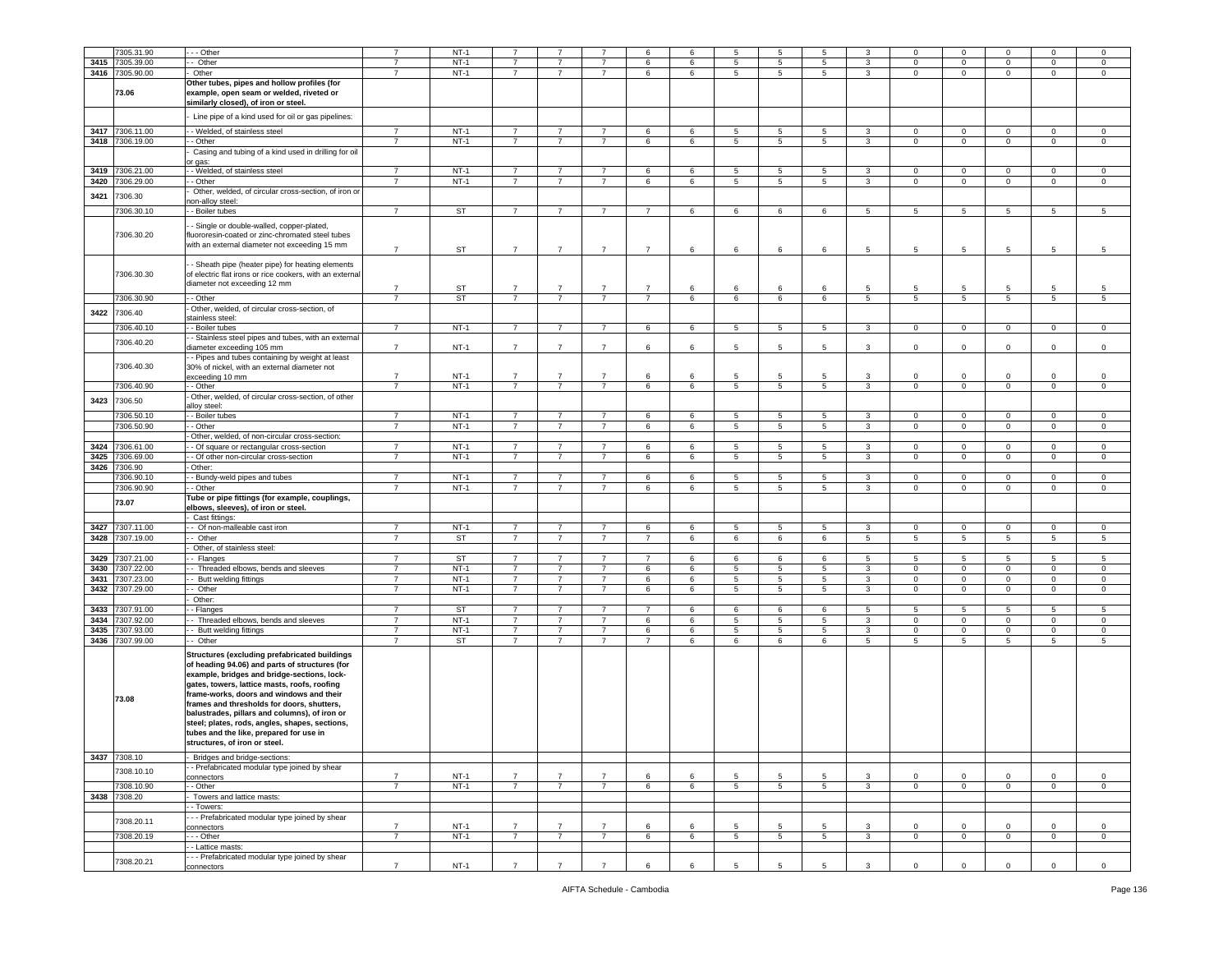|      | 7305.31.90            | - - Other                                                                                                                                                                                                                                                                                                                                                                                                                                                               | $\overline{7}$ | $NT-1$    | $\overline{7}$ |                |                | 6              | 6               | 5               | 5               | 5               | 3               | $\Omega$        | $\mathbf 0$     | $\Omega$       | $\mathbf 0$  | 0                   |
|------|-----------------------|-------------------------------------------------------------------------------------------------------------------------------------------------------------------------------------------------------------------------------------------------------------------------------------------------------------------------------------------------------------------------------------------------------------------------------------------------------------------------|----------------|-----------|----------------|----------------|----------------|----------------|-----------------|-----------------|-----------------|-----------------|-----------------|-----------------|-----------------|----------------|--------------|---------------------|
|      |                       |                                                                                                                                                                                                                                                                                                                                                                                                                                                                         | $\overline{7}$ |           | $\overline{7}$ |                | $\overline{7}$ | 6              | 6               |                 |                 |                 |                 |                 |                 |                |              | $\mathbf 0$         |
| 3415 | 7305.39.00            | Other                                                                                                                                                                                                                                                                                                                                                                                                                                                                   |                | $NT-1$    |                |                |                |                |                 | 5               | 5               | 5               | 3               | $\mathbf 0$     | $\mathbf 0$     | $\mathbf 0$    | 0            |                     |
|      | 3416 7305.90.00       | Other                                                                                                                                                                                                                                                                                                                                                                                                                                                                   | -7             | $NT-1$    | $\overline{7}$ | $\overline{7}$ | $\overline{7}$ | 6              | 6               | 5               | 5               | 5               | 3               | $\mathbf{0}$    | $\circ$         | $\mathbf 0$    | $\mathbf{O}$ | $\mathbf 0$         |
|      | 73.06                 | Other tubes, pipes and hollow profiles (for<br>example, open seam or welded, riveted or<br>similarly closed), of iron or steel.                                                                                                                                                                                                                                                                                                                                         |                |           |                |                |                |                |                 |                 |                 |                 |                 |                 |                 |                |              |                     |
|      |                       | Line pipe of a kind used for oil or gas pipelines:                                                                                                                                                                                                                                                                                                                                                                                                                      |                |           |                |                |                |                |                 |                 |                 |                 |                 |                 |                 |                |              |                     |
| 3417 | 7306.11.00            | - Welded, of stainless steel                                                                                                                                                                                                                                                                                                                                                                                                                                            | $\overline{7}$ | $NT-1$    | $\overline{7}$ | $\overline{7}$ | $\overline{7}$ | 6              | 6               | $\overline{5}$  | $5\overline{5}$ | $5\overline{5}$ | 3               | $\mathbf{0}$    | $\overline{0}$  | $\mathbf{0}$   | $\mathbf{0}$ | $\overline{0}$      |
| 3418 | 7306.19.00            | - Other                                                                                                                                                                                                                                                                                                                                                                                                                                                                 | $\overline{7}$ | $NT-1$    | $\overline{7}$ | $\overline{7}$ | $\overline{7}$ | 6              | 6               | 5               | $5\overline{5}$ | 5               | 3               | $\mathbf 0$     | $\mathbf 0$     | $\mathbf{0}$   | $\mathbf 0$  | $\mathbf 0$         |
|      |                       | Casing and tubing of a kind used in drilling for oil<br>or gas:                                                                                                                                                                                                                                                                                                                                                                                                         |                |           |                |                |                |                |                 |                 |                 |                 |                 |                 |                 |                |              |                     |
| 3419 | 7306.21.00            | - Welded, of stainless steel                                                                                                                                                                                                                                                                                                                                                                                                                                            | $\overline{7}$ | $NT-1$    | -7             | -7             | $\overline{7}$ | 6              | 6               | 5               | 5               | 5               | 3               | $^{\circ}$      | $\overline{0}$  | $^{\circ}$     | $\mathbf 0$  | $\mathbf{0}$        |
| 3420 | 7306.29.00            | - Other                                                                                                                                                                                                                                                                                                                                                                                                                                                                 | $\overline{7}$ | $NT-1$    | $\overline{7}$ | $\overline{7}$ | $\overline{7}$ | 6              | 6               | 5               | 5               | 5               | $\mathbf{3}$    | $\mathbf{0}$    | $\overline{0}$  | $\mathbf 0$    | $\mathbf{O}$ | $\mathbf 0$         |
| 3421 | 7306.30               | Other, welded, of circular cross-section, of iron or<br>non-alloy steel:                                                                                                                                                                                                                                                                                                                                                                                                |                |           |                |                |                |                |                 |                 |                 |                 |                 |                 |                 |                |              |                     |
|      | 7306.30.10            | - Boiler tubes                                                                                                                                                                                                                                                                                                                                                                                                                                                          | $\overline{7}$ | ST        | $\overline{7}$ | $\overline{7}$ | $\overline{7}$ | $\overline{7}$ | 6               | 6               | 6               | 6               | $5\phantom{.0}$ | 5               | $\overline{5}$  | 5              | 5            | $\overline{5}$      |
|      | 7306.30.20            | - Single or double-walled, copper-plated,<br>fluororesin-coated or zinc-chromated steel tubes<br>with an external diameter not exceeding 15 mm                                                                                                                                                                                                                                                                                                                          | $\overline{7}$ | <b>ST</b> | $\overline{7}$ | $\overline{7}$ | $\overline{7}$ | $\overline{7}$ | 6               | 6               | 6               | 6               | $\overline{5}$  | 5               | $5\overline{)}$ | 5              | 5            | 5                   |
|      | 7306.30.30            | - Sheath pipe (heater pipe) for heating elements<br>of electric flat irons or rice cookers, with an external<br>diameter not exceeding 12 mm                                                                                                                                                                                                                                                                                                                            | $\overline{7}$ | <b>ST</b> | $\overline{7}$ |                | $\overline{7}$ | $\overline{7}$ | 6               | 6               | 6               | 6               | 5               | 5               | 5               | 5              | 5            | 5                   |
|      | 7306.30.90            | - Other                                                                                                                                                                                                                                                                                                                                                                                                                                                                 | $\overline{7}$ | <b>ST</b> | $\overline{7}$ | $\overline{7}$ | $\overline{7}$ | $\overline{7}$ | 6               | 6               | 6               | 6               | $5\overline{5}$ | 5 <sup>5</sup>  | 5               | 5 <sub>5</sub> | $5^{\circ}$  | 5                   |
|      |                       | Other, welded, of circular cross-section, of                                                                                                                                                                                                                                                                                                                                                                                                                            |                |           |                |                |                |                |                 |                 |                 |                 |                 |                 |                 |                |              |                     |
| 3422 | 7306.40               | stainless steel:                                                                                                                                                                                                                                                                                                                                                                                                                                                        |                |           |                |                |                |                |                 |                 |                 |                 |                 |                 |                 |                |              |                     |
|      | 7306.40.10            | - Boiler tubes                                                                                                                                                                                                                                                                                                                                                                                                                                                          | $\overline{7}$ | $NT-1$    | $\overline{7}$ | $\overline{7}$ | $\overline{7}$ | 6              | 6               | 5               | 5               | $5\overline{5}$ | $\mathbf{3}$    | $\mathbf{0}$    | $\overline{0}$  | $\mathbf 0$    | $\mathbf 0$  | $\circ$             |
|      | 7306.40.20            | - Stainless steel pipes and tubes, with an external                                                                                                                                                                                                                                                                                                                                                                                                                     |                |           |                |                |                |                |                 |                 |                 |                 |                 |                 |                 |                |              |                     |
|      |                       | diameter exceeding 105 mm<br>- Pipes and tubes containing by weight at least                                                                                                                                                                                                                                                                                                                                                                                            | $\overline{7}$ | $NT-1$    | $\overline{7}$ | $\overline{7}$ | $\overline{7}$ | 6              | 6               | 5               | 5               | 5               | 3               | $\mathbf 0$     | $\mathbf 0$     | $\mathbf{0}$   | $\mathbf 0$  | $\mathsf 0$         |
|      | 7306.40.30            | 30% of nickel, with an external diameter not<br>exceeding 10 mm                                                                                                                                                                                                                                                                                                                                                                                                         | $\overline{7}$ | $NT-1$    | $\overline{7}$ | 7              | $\overline{7}$ | 6              | 6               | 5               | 5               | -5              | 3               | $\mathbf 0$     | $\mathbf 0$     | $\Omega$       | 0            | $\circ$             |
|      | 7306.40.90            | - - Other<br>Other, welded, of circular cross-section, of other                                                                                                                                                                                                                                                                                                                                                                                                         | $\overline{7}$ | $NT-1$    | $\overline{7}$ | $\overline{7}$ | $\overline{7}$ | 6              | 6               | $5\overline{)}$ | 5               | 5               | $\mathbf{3}$    | $\mathbf{0}$    | $\overline{0}$  | $\mathbf 0$    | $\mathbf{O}$ | $\circ$             |
| 3423 | 7306.50<br>7306.50.10 | alloy steel:                                                                                                                                                                                                                                                                                                                                                                                                                                                            | $\overline{7}$ | $NT-1$    | $\overline{7}$ | $\overline{7}$ | $\overline{7}$ | 6              | 6               | $\,$ 5          | 5               | 5               | 3               | $\mathbf 0$     | $\mathbf 0$     | $\mathbf{0}$   | $\mathsf 0$  | $\mathsf 0$         |
|      |                       | - Boiler tubes                                                                                                                                                                                                                                                                                                                                                                                                                                                          |                |           |                | $\overline{7}$ |                |                |                 |                 |                 |                 |                 |                 |                 |                |              |                     |
|      | 7306.50.90            | - Other                                                                                                                                                                                                                                                                                                                                                                                                                                                                 | $\overline{7}$ | $NT-1$    | $\overline{7}$ |                | $\overline{7}$ | 6              | 6               | $\sqrt{5}$      | 5               | 5               | 3               | $\mathbf{0}$    | $\,0\,$         | $\mathbf 0$    | 0            | $\mathbf 0$         |
|      |                       | Other, welded, of non-circular cross-section:                                                                                                                                                                                                                                                                                                                                                                                                                           |                |           |                |                |                |                |                 |                 |                 |                 |                 |                 |                 |                |              |                     |
| 3424 | 7306.61.00            | - Of square or rectangular cross-section                                                                                                                                                                                                                                                                                                                                                                                                                                | $\overline{7}$ | $NT-1$    | $\overline{7}$ | $\overline{7}$ | $\overline{7}$ | 6              | 6               | 5               | 5               | 5               | 3               | 0               | $\mathbf 0$     | $\mathbf 0$    | 0            | $\circ$             |
| 3425 | 7306.69.00            | - Of other non-circular cross-section                                                                                                                                                                                                                                                                                                                                                                                                                                   | $\overline{7}$ | $NT-1$    | $\overline{7}$ | $\overline{7}$ | $\overline{7}$ | 6              | 6               | 5               | 5               | $5^{\circ}$     | 3               | $\mathbf 0$     | $\mathbf 0$     | $\mathbf{0}$   | $\mathbf 0$  | $\mathbf 0$         |
| 3426 | 7306.90               | Other:                                                                                                                                                                                                                                                                                                                                                                                                                                                                  |                |           |                |                |                |                |                 |                 |                 |                 |                 |                 |                 |                |              |                     |
|      | 7306.90.10            | - Bundy-weld pipes and tubes                                                                                                                                                                                                                                                                                                                                                                                                                                            | 7              | $NT-1$    | $\overline{7}$ | $\overline{7}$ | $\overline{7}$ | 6              | 6               | 5               | 5               | 5               | 3               | $\mathbf 0$     | $\mathbf 0$     | $\mathbf 0$    | 0            | $\mathbf 0$         |
|      | 7306.90.90            | - Other                                                                                                                                                                                                                                                                                                                                                                                                                                                                 | $\overline{7}$ | $NT-1$    | $\overline{7}$ | $\overline{7}$ | $7^{\circ}$    | 6              | 6               | 5               | $5\overline{5}$ | $5\overline{5}$ | $\mathbf{3}$    | $\overline{0}$  | $\overline{0}$  | $\overline{0}$ | $\mathbf 0$  | $\mathbf 0$         |
|      | 73.07                 | Tube or pipe fittings (for example, couplings,<br>elbows, sleeves), of iron or steel.                                                                                                                                                                                                                                                                                                                                                                                   |                |           |                |                |                |                |                 |                 |                 |                 |                 |                 |                 |                |              |                     |
|      |                       | Cast fittings:                                                                                                                                                                                                                                                                                                                                                                                                                                                          |                |           |                |                |                |                |                 |                 |                 |                 |                 |                 |                 |                |              |                     |
| 3427 | 7307.11.00            | - Of non-malleable cast iron                                                                                                                                                                                                                                                                                                                                                                                                                                            | $\overline{7}$ | $NT-1$    | $\overline{7}$ | $\overline{7}$ | $\overline{7}$ | 6              | 6               | 5               | 5               | 5               | $\mathbf{3}$    | $\mathbf{0}$    | $\overline{0}$  | $\mathbf{0}$   | $\mathbf{0}$ | $\circ$             |
| 3428 | 7307.19.00            | - Other                                                                                                                                                                                                                                                                                                                                                                                                                                                                 | $\overline{7}$ | ST        | $\overline{7}$ | $\overline{7}$ | $\overline{7}$ | $\overline{7}$ | 6               | 6               | 6               | 6               | 5               | $5\phantom{.0}$ | 5               | 5              | 5            | 5                   |
|      |                       | Other, of stainless steel:                                                                                                                                                                                                                                                                                                                                                                                                                                              |                |           |                |                |                |                |                 |                 |                 |                 |                 |                 |                 |                |              |                     |
| 3429 | 7307.21.00            | - Flanges                                                                                                                                                                                                                                                                                                                                                                                                                                                               | 7              | <b>ST</b> | $\overline{7}$ | $\overline{7}$ | $\overline{7}$ | 7              | 6               | 6               | 6               | 6               | 5               | 5               | $5\overline{5}$ | 5              | 5            | 5                   |
| 3430 | 7307.22.00            | - Threaded elbows, bends and sleeves                                                                                                                                                                                                                                                                                                                                                                                                                                    | $\overline{7}$ | $NT-1$    | $\overline{7}$ | $\overline{7}$ | $\overline{7}$ | 6              | 6               | 5               | 5               | 5               | 3               | $\mathbf 0$     | $\mathbf 0$     | $\mathbf{0}$   | $\mathbf 0$  | $\mathbf 0$         |
| 3431 | 7307.23.00            | - Butt welding fittings                                                                                                                                                                                                                                                                                                                                                                                                                                                 | $\overline{7}$ | $NT-1$    | $\overline{7}$ | $\overline{7}$ | $\overline{7}$ | 6              | $6\overline{6}$ | 5               | 5               | 5               | $\mathbf{3}$    | $\mathbf{0}$    | $\mathbf 0$     | $\mathbf{0}$   | $\mathbf 0$  | $\circ$             |
| 3432 | 7307.29.00            | - Other                                                                                                                                                                                                                                                                                                                                                                                                                                                                 | $\overline{7}$ | $NT-1$    | $\overline{7}$ | $\overline{7}$ | $\overline{7}$ | 6              | 6               | 5               | 5               | 5               | $\mathbf{3}$    | $\mathsf 0$     | $\mathbf 0$     | $\mathbf{0}$   | $\mathbf 0$  | $\mathbf 0$         |
|      |                       | Other:                                                                                                                                                                                                                                                                                                                                                                                                                                                                  |                |           |                |                |                |                |                 |                 |                 |                 |                 |                 |                 |                |              |                     |
| 3433 | 7307.91.00            | - Flanges                                                                                                                                                                                                                                                                                                                                                                                                                                                               | $\overline{7}$ | <b>ST</b> | $\overline{7}$ | 7              | $\overline{7}$ | $\overline{7}$ | 6               | 6               | 6               | 6               | 5               | 5               | $5\overline{5}$ | 5              | 5            | 5                   |
| 3434 | 7307.92.00            | - Threaded elbows, bends and sleeves                                                                                                                                                                                                                                                                                                                                                                                                                                    | $\overline{7}$ | $NT-1$    | $\overline{7}$ | $\overline{7}$ | $\overline{7}$ | 6              | 6               | 5               | 5               | 5               | 3               | $\mathbf 0$     | $\mathbf 0$     | $\mathbf{0}$   | $\mathbf 0$  | $\mathbf 0$         |
| 3435 | 7307.93.00            | Butt welding fittings                                                                                                                                                                                                                                                                                                                                                                                                                                                   | $\overline{7}$ | $NT-1$    | $\overline{7}$ | $\overline{7}$ | $\overline{7}$ | 6              | 6               | 5               | 5               | 5               | $\mathbf{3}$    | $\mathbf{0}$    | $\mathbf 0$     | $\mathbf{0}$   | $\mathbf 0$  | $\mathbf 0$         |
| 3436 | 7307.99.00            | - Other                                                                                                                                                                                                                                                                                                                                                                                                                                                                 | $\overline{7}$ | <b>ST</b> | $\overline{7}$ | $\overline{7}$ | $\overline{7}$ | $\overline{7}$ | 6               | 6               | 6               | 6               | $5\overline{5}$ | $5\overline{5}$ | $\overline{5}$  | 5              | $\,$ 5 $\,$  | 5                   |
| 3437 | 73.08<br>7308.10      | Structures (excluding prefabricated buildings<br>of heading 94.06) and parts of structures (for<br>example, bridges and bridge-sections, lock-<br>gates, towers, lattice masts, roofs, roofing<br>frame-works, doors and windows and their<br>frames and thresholds for doors, shutters,<br>balustrades, pillars and columns), of iron or<br>steel; plates, rods, angles, shapes, sections,<br>tubes and the like, prepared for use in<br>structures, of iron or steel. |                |           |                |                |                |                |                 |                 |                 |                 |                 |                 |                 |                |              |                     |
|      |                       | Bridges and bridge-sections:                                                                                                                                                                                                                                                                                                                                                                                                                                            |                |           |                |                |                |                |                 |                 |                 |                 |                 |                 |                 |                |              |                     |
|      | 7308.10.10            | - Prefabricated modular type joined by shear<br>connectors                                                                                                                                                                                                                                                                                                                                                                                                              | $\overline{7}$ | $NT-1$    | $\overline{7}$ | $\overline{7}$ | $\overline{7}$ | 6              | 6               | 5               | 5               | 5               | 3               | $\mathbf 0$     | $\mathbf 0$     | $\mathbf{0}$   | $\mathbf 0$  | 0                   |
|      | 7308.10.90            | - Other                                                                                                                                                                                                                                                                                                                                                                                                                                                                 | $\overline{7}$ | $NT-1$    | $\overline{7}$ | $\overline{7}$ | $\overline{7}$ | 6              | 6               | $5\overline{)}$ | 5               | $5\overline{5}$ | $\mathbf{3}$    | $\overline{0}$  | $\overline{0}$  | $\overline{0}$ | $\mathbf{0}$ | $\circ$             |
|      |                       |                                                                                                                                                                                                                                                                                                                                                                                                                                                                         |                |           |                |                |                |                |                 |                 |                 |                 |                 |                 |                 |                |              |                     |
| 3438 | 7308.20               | Towers and lattice masts:                                                                                                                                                                                                                                                                                                                                                                                                                                               |                |           |                |                |                |                |                 |                 |                 |                 |                 |                 |                 |                |              |                     |
|      |                       | - Towers:                                                                                                                                                                                                                                                                                                                                                                                                                                                               |                |           |                |                |                |                |                 |                 |                 |                 |                 |                 |                 |                |              |                     |
|      | 7308.20.11            | - - Prefabricated modular type joined by shear<br>connectors                                                                                                                                                                                                                                                                                                                                                                                                            | $\overline{7}$ | $NT-1$    | $\overline{7}$ | $\overline{7}$ | $\overline{7}$ | 6              | 6               | 5               | 5               | 5               | $\mathbf{3}$    | $\mathbf{0}$    | $\mathbf{0}$    | $\mathbf{0}$   | $\mathbf 0$  | $\circ$             |
|      | 7308.20.19            | - - Other                                                                                                                                                                                                                                                                                                                                                                                                                                                               | $\overline{7}$ | $NT-1$    | $\overline{7}$ | $\overline{7}$ | $\overline{7}$ | 6              | 6               | 5               | $5\phantom{.0}$ | 5               | $\mathbf{3}$    | $\mathbf 0$     | $\mathbf 0$     | $\mathbf{0}$   | $\mathsf 0$  | $\mathsf{O}\xspace$ |
|      |                       | - Lattice masts:                                                                                                                                                                                                                                                                                                                                                                                                                                                        |                |           |                |                |                |                |                 |                 |                 |                 |                 |                 |                 |                |              |                     |
|      | 7308.20.21            | - - Prefabricated modular type joined by shear<br>connectors                                                                                                                                                                                                                                                                                                                                                                                                            | $\overline{7}$ | $NT-1$    | $\overline{7}$ | $\overline{7}$ | $\overline{7}$ | 6              | 6               | $\,$ 5          | 5               | 5               | $\mathbf{3}$    | $\mathbf 0$     | $\mathbf 0$     | $\mathbf{0}$   | $\mathbf 0$  | $\mathbf 0$         |
|      |                       |                                                                                                                                                                                                                                                                                                                                                                                                                                                                         |                |           |                |                |                |                |                 |                 |                 |                 |                 |                 |                 |                |              |                     |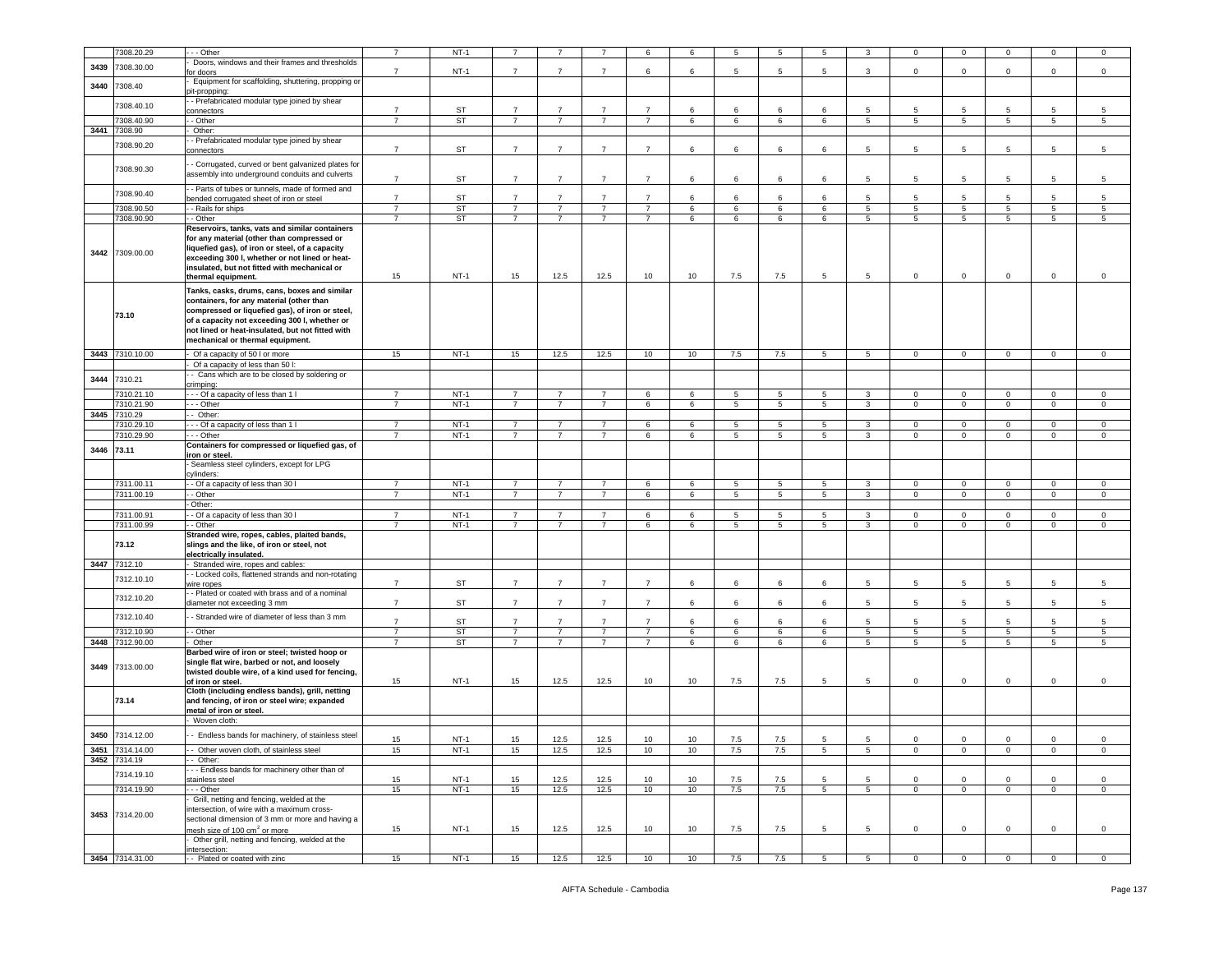|      | 7308.20.29      | - - Other                                                          | $\overline{7}$ | $NT-1$    |                |                |                | 6              | 6  | 5           |                 |                |                 | $\Omega$       | $\Omega$        |                 |             | 0               |
|------|-----------------|--------------------------------------------------------------------|----------------|-----------|----------------|----------------|----------------|----------------|----|-------------|-----------------|----------------|-----------------|----------------|-----------------|-----------------|-------------|-----------------|
|      |                 | Doors, windows and their frames and thresholds                     |                |           |                |                |                |                |    |             |                 |                |                 |                |                 |                 |             |                 |
| 3439 | 7308.30.00      | or doors                                                           | $\overline{7}$ | $NT-1$    | $\overline{7}$ | $\overline{7}$ | $\overline{7}$ | 6              | 6  | 5           | 5               | 5              | 3               | $\mathbf 0$    | $\mathbf 0$     | $\mathbf 0$     | $\mathsf 0$ | $\mathsf 0$     |
| 3440 | 7308.40         | Equipment for scaffolding, shuttering, propping or                 |                |           |                |                |                |                |    |             |                 |                |                 |                |                 |                 |             |                 |
|      |                 | bit-propping:<br>- Prefabricated modular type joined by shear      |                |           |                |                |                |                |    |             |                 |                |                 |                |                 |                 |             |                 |
|      | 7308.40.10      | connectors                                                         | $\overline{7}$ | ST        | $\overline{7}$ |                | $\overline{7}$ | $\overline{7}$ | 6  | 6           | 6               | 6              | 5               | 5              | 5               | 5               |             | 5               |
|      | 7308.40.90      | - Other                                                            | $\overline{7}$ | ST        | $7^{\circ}$    | $\overline{7}$ | $\overline{7}$ | $\overline{7}$ | 6  | 6           | 6               | 6              | $5\overline{5}$ | 5              | 5               | 5 <sub>5</sub>  | 5           | 5               |
| 3441 | 7308.90         | Other:                                                             |                |           |                |                |                |                |    |             |                 |                |                 |                |                 |                 |             |                 |
|      |                 | - Prefabricated modular type joined by shear                       |                |           |                |                |                |                |    |             |                 |                |                 |                |                 |                 |             |                 |
|      | 308.90.20       | onnectors                                                          | $\overline{7}$ | ST        | $\overline{7}$ | $\overline{7}$ | $\overline{7}$ | $\overline{7}$ | 6  | 6           | 6               | 6              | 5               | 5              | 5               | 5               | 5           | $5\overline{5}$ |
|      |                 |                                                                    |                |           |                |                |                |                |    |             |                 |                |                 |                |                 |                 |             |                 |
|      | 7308.90.30      | - Corrugated, curved or bent galvanized plates for                 |                |           |                |                |                |                |    |             |                 |                |                 |                |                 |                 |             |                 |
|      |                 | assembly into underground conduits and culverts                    | $\overline{7}$ | <b>ST</b> | $\overline{7}$ | $\overline{7}$ | $\overline{7}$ | $\overline{7}$ | 6  | 6           | 6               | 6              | 5               | 5              | 5               | 5               | 5           | 5               |
|      | 7308.90.40      | - Parts of tubes or tunnels, made of formed and                    |                |           |                |                |                |                |    |             |                 |                |                 |                |                 |                 |             |                 |
|      |                 | bended corrugated sheet of iron or steel                           | $\overline{7}$ | ST        | $\overline{7}$ | $\overline{7}$ | $\overline{7}$ | $\overline{7}$ | 6  | 6           | 6               | 6              | $5\overline{5}$ | 5              | 5               | 5               | 5           | $5\overline{5}$ |
|      | 7308.90.50      | - Rails for ships                                                  | $\overline{7}$ | <b>ST</b> | $\overline{7}$ | $\overline{7}$ | $\overline{7}$ | $\overline{7}$ | 6  | 6           | 6               | 6              | $5^{\circ}$     | 5              | 5               | $5\overline{5}$ | 5           | 5               |
|      | 7308.90.90      | - Other                                                            | $\overline{7}$ | ST        | $\overline{7}$ | $\overline{7}$ | $\overline{7}$ | $\overline{7}$ | 6  | 6           | $\,6\,$         | 6              | 5               | 5              | $\sqrt{5}$      | 5               | 5           | 5               |
|      |                 | Reservoirs, tanks, vats and similar containers                     |                |           |                |                |                |                |    |             |                 |                |                 |                |                 |                 |             |                 |
|      |                 | for any material (other than compressed or                         |                |           |                |                |                |                |    |             |                 |                |                 |                |                 |                 |             |                 |
| 3442 | 7309.00.00      | iquefied gas), of iron or steel, of a capacity                     |                |           |                |                |                |                |    |             |                 |                |                 |                |                 |                 |             |                 |
|      |                 | exceeding 300 I, whether or not lined or heat-                     |                |           |                |                |                |                |    |             |                 |                |                 |                |                 |                 |             |                 |
|      |                 | insulated, but not fitted with mechanical or<br>thermal equipment. | 15             | $NT-1$    | 15             | 12.5           | 12.5           | 10             | 10 | 7.5         | 7.5             | 5              | 5               | $\mathbf 0$    | $\mathbf 0$     | $\mathbf{0}$    | $\mathbf 0$ | $\mathbf 0$     |
|      |                 |                                                                    |                |           |                |                |                |                |    |             |                 |                |                 |                |                 |                 |             |                 |
|      |                 | Tanks, casks, drums, cans, boxes and similar                       |                |           |                |                |                |                |    |             |                 |                |                 |                |                 |                 |             |                 |
|      |                 | containers, for any material (other than                           |                |           |                |                |                |                |    |             |                 |                |                 |                |                 |                 |             |                 |
|      | 73.10           | compressed or liquefied gas), of iron or steel,                    |                |           |                |                |                |                |    |             |                 |                |                 |                |                 |                 |             |                 |
|      |                 | of a capacity not exceeding 300 I, whether or                      |                |           |                |                |                |                |    |             |                 |                |                 |                |                 |                 |             |                 |
|      |                 | not lined or heat-insulated, but not fitted with                   |                |           |                |                |                |                |    |             |                 |                |                 |                |                 |                 |             |                 |
|      |                 | mechanical or thermal equipment.                                   |                |           |                |                |                |                |    |             |                 |                |                 |                |                 |                 |             |                 |
|      | 3443 7310.10.00 | Of a capacity of 50 I or more                                      | 15             | $NT-1$    | 15             | 12.5           | 12.5           | 10             | 10 | 7.5         | 7.5             | $\overline{5}$ | 5               | $\overline{0}$ | $\overline{0}$  | $\mathbf{0}$    | $\mathbf 0$ | $\mathsf 0$     |
|      |                 | Of a capacity of less than 50 l:                                   |                |           |                |                |                |                |    |             |                 |                |                 |                |                 |                 |             |                 |
| 3444 | 7310.21         | - Cans which are to be closed by soldering or                      |                |           |                |                |                |                |    |             |                 |                |                 |                |                 |                 |             |                 |
|      |                 | crimping:                                                          |                |           |                |                |                |                |    |             |                 |                |                 |                |                 |                 |             |                 |
|      | 7310.21.10      | -- Of a capacity of less than 1 I                                  | 7              | $NT-1$    | 7              | 7              | 7              | 6              | 6  | 5           | 5               | 5              | 3               | $\overline{0}$ | $\overline{0}$  | $^{\circ}$      | $\mathbf 0$ | $\mathbf 0$     |
|      | 7310.21.90      | - - Other                                                          | $\overline{7}$ | $NT-1$    | $\overline{7}$ | $\overline{7}$ | $\overline{7}$ | 6              | 6  | $5^{\circ}$ | 5               | 5              | $\mathbf{3}$    | $\mathbf 0$    | $\mathbf 0$     | $\circ$         | $\mathbf 0$ | $\mathbf 0$     |
| 3445 | 7310.29         | Other:                                                             |                |           |                |                |                |                |    |             |                 |                |                 |                |                 |                 |             |                 |
|      | 7310.29.10      | - - Of a capacity of less than 1 I                                 | $\overline{7}$ | $NT-1$    | $\overline{7}$ | $\overline{7}$ | $\overline{7}$ | 6              | 6  | 5           | 5               | 5              | 3               | $\mathbf{0}$   | $\mathbf 0$     | $\mathbf 0$     | $\mathbf 0$ | $\mathbf 0$     |
|      | 7310.29.90      | - - Other                                                          | $\overline{7}$ | $NT-1$    | $\overline{7}$ | $\overline{7}$ | $\overline{7}$ | 6              | 6  | 5           | $5\phantom{.0}$ | 5              | $\mathbf{3}$    | $\Omega$       | $\mathbf 0$     | $\mathbf 0$     | $\mathsf 0$ | $\,0\,$         |
| 3446 | 73.11           | Containers for compressed or liquefied gas, of                     |                |           |                |                |                |                |    |             |                 |                |                 |                |                 |                 |             |                 |
|      |                 | ron or steel.<br>Seamless steel cylinders, except for LPG          |                |           |                |                |                |                |    |             |                 |                |                 |                |                 |                 |             |                 |
|      |                 | cylinders:                                                         |                |           |                |                |                |                |    |             |                 |                |                 |                |                 |                 |             |                 |
|      | 7311.00.11      | - Of a capacity of less than 30 l                                  | $\overline{7}$ | $NT-1$    | $\overline{7}$ | $\overline{7}$ | $\overline{7}$ | 6              | 6  | 5           | 5               | 5              | 3               | 0              | $\mathbf 0$     | 0               | 0           | $\mathbf 0$     |
|      | 7311.00.19      | - Other                                                            | $\overline{7}$ | $NT-1$    | $\overline{7}$ | $\overline{7}$ | $\overline{7}$ | 6              | 6  | 5           | $5\phantom{.0}$ | 5              | $\mathbf{3}$    | $\mathbf 0$    | $\mathbf 0$     | $\mathsf 0$     | $\mathbf 0$ | $\mathsf 0$     |
|      |                 | Other:                                                             |                |           |                |                |                |                |    |             |                 |                |                 |                |                 |                 |             |                 |
|      | 7311.00.91      | - Of a capacity of less than 30 I                                  | $\overline{7}$ | $NT-1$    | $\overline{7}$ | $\overline{7}$ | $\overline{7}$ | 6              | 6  | 5           | $5\phantom{.0}$ | 5              | 3               | $\mathbf 0$    | $\mathbf 0$     | $\circ$         | $\mathsf 0$ | $\mathsf 0$     |
|      | 7311.00.99      | - Other                                                            | $\overline{7}$ | $NT-1$    | $\overline{7}$ | $\overline{7}$ | $\overline{7}$ | 6              | 6  | 5           | 5               | 5              | 3               | $\mathbf{0}$   | $\mathbf{0}$    | $\overline{0}$  | $\mathbf 0$ | $\mathbf 0$     |
|      |                 | Stranded wire, ropes, cables, plaited bands,                       |                |           |                |                |                |                |    |             |                 |                |                 |                |                 |                 |             |                 |
|      | 73.12           | slings and the like, of iron or steel, not                         |                |           |                |                |                |                |    |             |                 |                |                 |                |                 |                 |             |                 |
|      |                 | electrically insulated.                                            |                |           |                |                |                |                |    |             |                 |                |                 |                |                 |                 |             |                 |
| 3447 | 7312.10         | Stranded wire, ropes and cables:                                   |                |           |                |                |                |                |    |             |                 |                |                 |                |                 |                 |             |                 |
|      | 7312.10.10      | - Locked coils, flattened strands and non-rotating                 |                |           |                |                |                |                |    |             |                 |                |                 |                |                 |                 |             |                 |
|      |                 | vire ropes                                                         | $\overline{7}$ | ST        | $\overline{7}$ | $\overline{7}$ | $\overline{7}$ | $\overline{7}$ | 6  | 6           | 6               | 6              | 5               | 5              | 5               | $5\overline{5}$ | 5           | 5               |
|      | 7312.10.20      | - Plated or coated with brass and of a nominal                     | $\overline{7}$ | ST        | $\overline{7}$ | $\overline{7}$ | $\overline{7}$ | $\overline{7}$ | 6  | 6           | 6               | 6              | 5               | 5              | 5               | 5               | 5           | 5               |
|      |                 | diameter not exceeding 3 mm                                        |                |           |                |                |                |                |    |             |                 |                |                 |                |                 |                 |             |                 |
|      | 7312.10.40      | - Stranded wire of diameter of less than 3 mm                      | $\overline{7}$ | <b>ST</b> | $\overline{7}$ | $\overline{7}$ | $\overline{7}$ | $\overline{7}$ | 6  | 6           | 6               | 6              | 5               | 5              | 5               | 5               | 5           | 5               |
|      | 7312.10.90      | - Other                                                            | $\overline{7}$ | <b>ST</b> | $\overline{7}$ | 7              | $\overline{7}$ | $\overline{7}$ | 6  | 6           | 6               | 6              | 5               | 5              | $5\overline{5}$ | 5               | 5           | 5               |
| 3448 | 7312.90.00      | Other                                                              | $\overline{7}$ | ST        | $\overline{7}$ | $\overline{7}$ | $\overline{7}$ | $\overline{7}$ | 6  | 6           | 6               | 6              | $5^{\circ}$     | 5              | 5               | $5\overline{5}$ | 5           | 5               |
|      |                 | Barbed wire of iron or steel; twisted hoop or                      |                |           |                |                |                |                |    |             |                 |                |                 |                |                 |                 |             |                 |
|      |                 | single flat wire, barbed or not, and loosely                       |                |           |                |                |                |                |    |             |                 |                |                 |                |                 |                 |             |                 |
|      | 3449 7313.00.00 | twisted double wire, of a kind used for fencing,                   |                |           |                |                |                |                |    |             |                 |                |                 |                |                 |                 |             |                 |
|      |                 | of iron or steel.                                                  | 15             | $NT-1$    | 15             | 12.5           | 12.5           | 10             | 10 | 7.5         | 7.5             | 5              | 5               | $\mathbf 0$    | $\,0\,$         | $\mathbf 0$     | 0           | 0               |
|      |                 | Cloth (including endless bands), grill, netting                    |                |           |                |                |                |                |    |             |                 |                |                 |                |                 |                 |             |                 |
|      | 73.14           | and fencing, of iron or steel wire; expanded                       |                |           |                |                |                |                |    |             |                 |                |                 |                |                 |                 |             |                 |
|      |                 | metal of iron or steel.                                            |                |           |                |                |                |                |    |             |                 |                |                 |                |                 |                 |             |                 |
|      |                 | Woven cloth:                                                       |                |           |                |                |                |                |    |             |                 |                |                 |                |                 |                 |             |                 |
|      | 3450 7314.12.00 | - Endless bands for machinery, of stainless steel                  |                |           |                |                |                |                |    |             |                 |                |                 |                |                 |                 |             |                 |
|      |                 |                                                                    | 15             | $NT-1$    | 15             | 12.5           | 12.5           | 10             | 10 | 7.5         | 7.5             | 5              | $\overline{5}$  | $\mathbf 0$    | $\mathbf 0$     | $\mathbf 0$     | $\mathbf 0$ | $\,0\,$         |
|      | 3451 7314.14.00 | - Other woven cloth, of stainless steel                            | 15             | $NT-1$    | 15             | 12.5           | 12.5           | 10             | 10 | 7.5         | 7.5             | 5              | $5\overline{5}$ | $\mathbf{O}$   | $\mathbf 0$     | $\mathbf{0}$    | $\mathbf 0$ | $\circ$         |
|      | 3452 7314.19    | - Other:<br>- - Endless bands for machinery other than of          |                |           |                |                |                |                |    |             |                 |                |                 |                |                 |                 |             |                 |
|      | 7314.19.10      | stainless steel                                                    | 15             | $NT-1$    | 15             | 12.5           | 12.5           | 10             | 10 | 7.5         | 7.5             | 5              | 5               | $\mathsf 0$    | $\mathbf 0$     | $\mathbf 0$     | $\mathsf 0$ | $\mathbf 0$     |
|      | 7314.19.90      | - - Other                                                          | 15             | $NT-1$    | 15             | 12.5           | 12.5           | 10             | 10 | 7.5         | 7.5             | 5              | 5               | $\mathbf{0}$   | $\mathbf 0$     | $\circ$         | $\mathbf 0$ | $\mathsf 0$     |
|      |                 | Grill, netting and fencing, welded at the                          |                |           |                |                |                |                |    |             |                 |                |                 |                |                 |                 |             |                 |
|      |                 | intersection, of wire with a maximum cross-                        |                |           |                |                |                |                |    |             |                 |                |                 |                |                 |                 |             |                 |
|      | 3453 7314.20.00 | sectional dimension of 3 mm or more and having a                   |                |           |                |                |                |                |    |             |                 |                |                 |                |                 |                 |             |                 |
|      |                 | mesh size of 100 cm <sup>2</sup> or more                           | 15             | $NT-1$    | 15             | 12.5           | 12.5           | 10             | 10 | 7.5         | 7.5             | 5              | 5               | $\mathbf 0$    | $\mathsf 0$     | 0               | $\mathbf 0$ | $\mathbf 0$     |
|      |                 | Other grill, netting and fencing, welded at the                    |                |           |                |                |                |                |    |             |                 |                |                 |                |                 |                 |             |                 |
|      |                 | ntersection:                                                       |                |           |                |                |                |                |    |             |                 |                |                 |                |                 |                 |             |                 |
|      | 3454 7314.31.00 | - Plated or coated with zinc                                       | 15             | $NT-1$    | 15             | 12.5           | 12.5           | 10             | 10 | 7.5         | 7.5             | 5              | 5               | $\mathbf 0$    | $\overline{0}$  | $\mathbf{0}$    | $\mathbf 0$ | $\mathbf 0$     |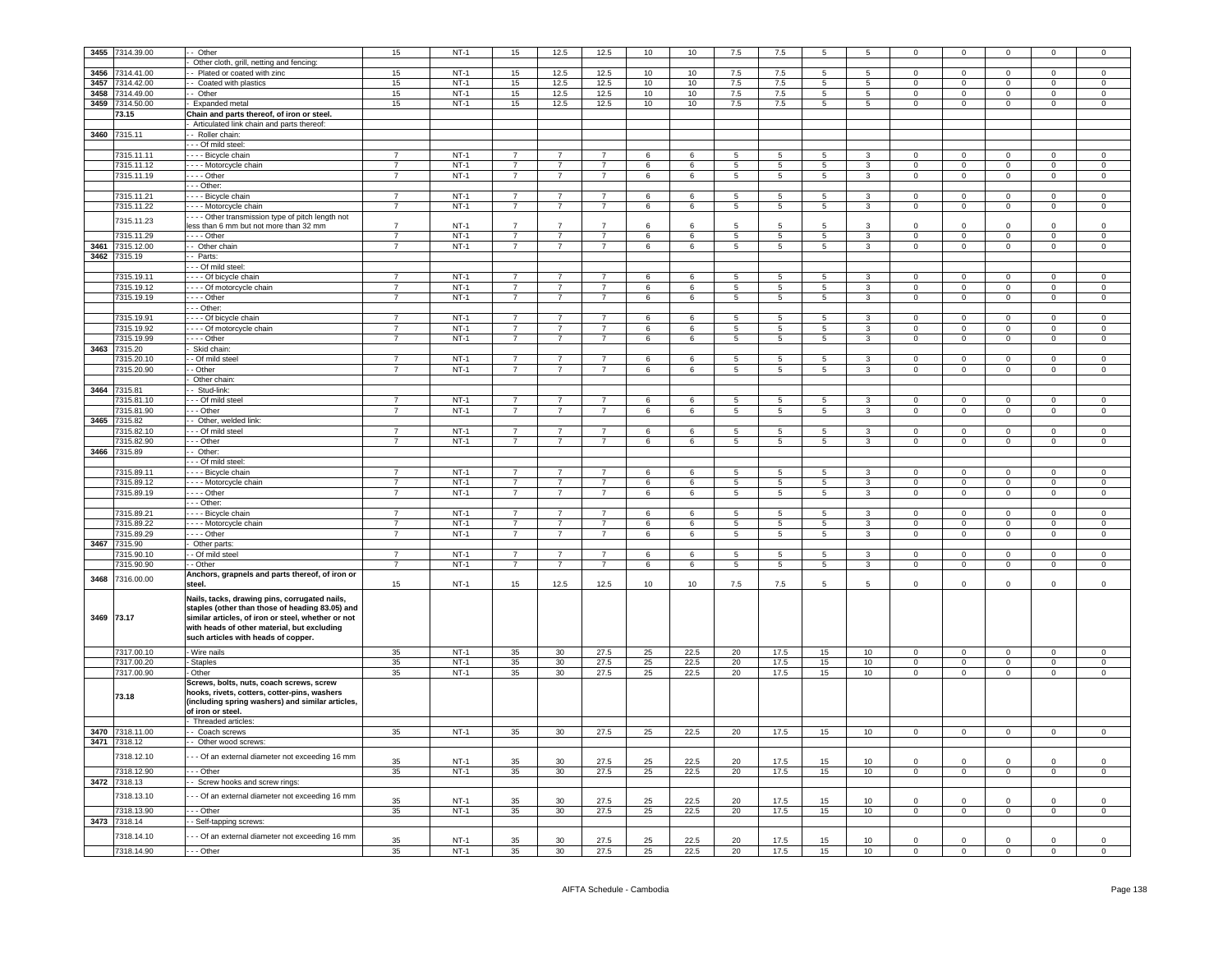| 3455       | 7314.39.00                 | - Other                                                                                                                                                                                                                                      | 15             | $NT-1$ | 15             | 12.5           | 12.5           | 10              | 10              | 7.5             | 7.5             | 5               | 5               | $\Omega$       | $\Omega$            |                     |                | $\Omega$       |
|------------|----------------------------|----------------------------------------------------------------------------------------------------------------------------------------------------------------------------------------------------------------------------------------------|----------------|--------|----------------|----------------|----------------|-----------------|-----------------|-----------------|-----------------|-----------------|-----------------|----------------|---------------------|---------------------|----------------|----------------|
|            |                            | - Other cloth, grill, netting and fencing:                                                                                                                                                                                                   |                |        |                |                |                |                 |                 |                 |                 |                 |                 |                |                     |                     |                |                |
|            | 3456 7314.41.00            |                                                                                                                                                                                                                                              | 15             | $NT-1$ | 15             | 12.5           | 12.5           | 10              | 10              | 7.5             | 7.5             | 5               | $5\phantom{.0}$ | $\mathsf 0$    | $\mathbf 0$         | $\mathbf{0}$        | $\mathbf 0$    | $\mathsf 0$    |
|            |                            | - - Plated or coated with zinc                                                                                                                                                                                                               |                |        |                |                |                |                 |                 |                 |                 |                 |                 |                |                     |                     |                |                |
|            | 3457 7314.42.00            | - Coated with plastics                                                                                                                                                                                                                       | 15             | $NT-1$ | 15             | 12.5           | 12.5           | 10              | 10              | 7.5             | 7.5             | $5\overline{5}$ | $5^{\circ}$     | $\overline{0}$ | $\mathbf 0$         | $\overline{0}$      | $\mathbf 0$    | $\overline{0}$ |
|            | 3458 7314.49.00            | - Other                                                                                                                                                                                                                                      | 15             | $NT-1$ | 15             | 12.5           | 12.5           | 10              | 10              | 7.5             | 7.5             | 5               | $5\overline{)}$ | $\mathbf{0}$   | $\mathbf 0$         | $\mathbf{0}$        | $^{\circ}$     | $\mathbf{0}$   |
| 3459       | 7314.50.00                 | Expanded metal                                                                                                                                                                                                                               | 15             | $NT-1$ | 15             | 12.5           | 12.5           | 10              | 10              | 7.5             | 7.5             | 5               | $5\overline{5}$ | $\mathsf 0$    | $\mathbf 0$         | $\mathsf 0$         | $\mathsf 0$    | $\mathsf 0$    |
|            | 73.15                      | Chain and parts thereof, of iron or steel.                                                                                                                                                                                                   |                |        |                |                |                |                 |                 |                 |                 |                 |                 |                |                     |                     |                |                |
|            |                            | Articulated link chain and parts thereof:                                                                                                                                                                                                    |                |        |                |                |                |                 |                 |                 |                 |                 |                 |                |                     |                     |                |                |
| 3460       | 7315.11                    | - Roller chain:                                                                                                                                                                                                                              |                |        |                |                |                |                 |                 |                 |                 |                 |                 |                |                     |                     |                |                |
|            |                            | --- Of mild steel:                                                                                                                                                                                                                           |                |        |                |                |                |                 |                 |                 |                 |                 |                 |                |                     |                     |                |                |
|            | 7315.11.11                 | - - - - Bicycle chain                                                                                                                                                                                                                        | $\overline{7}$ | $NT-1$ | $\overline{7}$ | $\overline{7}$ | $\overline{7}$ | 6               | $6\overline{6}$ | 5               | 5               | 5               | 3               | $\Omega$       | $\mathsf 0$         | $\Omega$            | $\Omega$       | $\Omega$       |
|            | 7315.11.12                 | - - - - Motorcycle chain                                                                                                                                                                                                                     | $\overline{7}$ | $NT-1$ | $\overline{7}$ | $\overline{7}$ | $\overline{7}$ | 6               | 6               | 5               | $\overline{5}$  | -5              | $\mathbf{3}$    | $\Omega$       | $\mathbf 0$         | $\mathsf 0$         | $\Omega$       | $\mathsf 0$    |
|            | 7315.11.19                 | $- - -$ Other                                                                                                                                                                                                                                | $\overline{7}$ | $NT-1$ | $\overline{7}$ | $\overline{7}$ | $\overline{7}$ | 6               | 6               | 5               | 5               | $5\phantom{.0}$ | $\mathbf{3}$    | $\overline{0}$ | $\mathbf 0$         | $\overline{0}$      | $\mathbf 0$    | $\overline{0}$ |
|            |                            | $- -$ Other:                                                                                                                                                                                                                                 |                |        |                |                |                |                 |                 |                 |                 |                 |                 |                |                     |                     |                |                |
|            | 7315.11.21                 | - - Bicycle chain                                                                                                                                                                                                                            | $\overline{7}$ | $NT-1$ | $\overline{7}$ | $\overline{7}$ | $\overline{7}$ | 6               | 6               | 5               | 5               | 5 <sup>5</sup>  | $\overline{3}$  | $\overline{0}$ | $\overline{0}$      | $\overline{0}$      | $\overline{0}$ | $\overline{0}$ |
|            |                            |                                                                                                                                                                                                                                              |                |        |                |                |                |                 |                 |                 |                 |                 |                 |                |                     |                     |                |                |
|            | 7315.11.22                 | - - - Motorcycle chain                                                                                                                                                                                                                       | $\overline{7}$ | $NT-1$ | $\overline{7}$ | $\overline{7}$ | $\overline{7}$ | 6               | 6               | 5               | $\overline{5}$  | 5               | $\mathbf{3}$    | $\mathsf 0$    | $\mathsf{O}\xspace$ | $\mathsf 0$         | $\mathsf 0$    | $\,0\,$        |
|            | 7315.11.23                 | - - - Other transmission type of pitch length not                                                                                                                                                                                            |                |        |                |                |                |                 |                 |                 |                 |                 |                 |                |                     |                     |                |                |
|            |                            | less than 6 mm but not more than 32 mm                                                                                                                                                                                                       | $\overline{7}$ | $NT-1$ | 7              | $\overline{7}$ | $\overline{7}$ | 6               |                 |                 |                 |                 | 3               | $\Omega$       | $\Omega$            | $\Omega$            | $\Omega$       | $\Omega$       |
|            | 7315.11.29                 | $- -$ Other                                                                                                                                                                                                                                  | $\overline{7}$ | $NT-1$ | $\overline{7}$ | $\overline{7}$ | $\overline{7}$ | 6               | 6               | $5\overline{)}$ | $5\phantom{.0}$ | $5\overline{5}$ | $\mathbf{3}$    | $\Omega$       | $\overline{0}$      | $\overline{0}$      | $\mathbf 0$    | $\overline{0}$ |
|            | 3461 7315.12.00            | - Other chain                                                                                                                                                                                                                                | $\overline{7}$ | $NT-1$ | $\overline{7}$ | $\overline{7}$ | $\overline{7}$ | 6               | 6               | 5               | 5               | $5\phantom{.0}$ | $\mathbf{3}$    | $\overline{0}$ | $\mathbf 0$         | $\overline{0}$      | $\overline{0}$ | $\overline{0}$ |
|            | 3462 7315.19               | - Parts:                                                                                                                                                                                                                                     |                |        |                |                |                |                 |                 |                 |                 |                 |                 |                |                     |                     |                |                |
|            |                            | - - Of mild steel                                                                                                                                                                                                                            |                |        |                |                |                |                 |                 |                 |                 |                 |                 |                |                     |                     |                |                |
|            | 315.19.11                  | - - - - Of bicycle chain                                                                                                                                                                                                                     | $\overline{7}$ | $NT-1$ | $\overline{7}$ | $\overline{7}$ |                | 6               | 6               | 5               | 5               | 5               | 3               | $\Omega$       | $\mathbf 0$         | $\mathbf 0$         | $\mathsf 0$    | $\,0\,$        |
|            | 7315.19.12                 | - - - - Of motorcycle chain                                                                                                                                                                                                                  | $\overline{7}$ | $NT-1$ | $\overline{7}$ | $\overline{7}$ | $\overline{7}$ | 6               | 6               | 5               | 5               | 5               | $\overline{3}$  | $\mathbf 0$    | $\overline{0}$      | $\mathsf 0$         | $\mathbf 0$    | $\mathsf 0$    |
|            | 7315.19.19                 | - - - - Other                                                                                                                                                                                                                                | $\overline{7}$ | $NT-1$ | $\overline{7}$ | $\overline{7}$ | $\overline{7}$ | 6               | 6               | $\overline{5}$  | 5               | $\overline{5}$  | $\overline{3}$  | $\Omega$       | $\mathbf 0$         | $\mathsf{O}\xspace$ | $\mathbf 0$    | $\mathbf 0$    |
|            |                            | $- -$ Other:                                                                                                                                                                                                                                 |                |        |                |                |                |                 |                 |                 |                 |                 |                 |                |                     |                     |                |                |
|            |                            |                                                                                                                                                                                                                                              |                |        |                |                |                |                 |                 |                 |                 |                 |                 |                |                     |                     |                |                |
|            | 7315.19.91                 | Of bicycle chain                                                                                                                                                                                                                             | $\overline{7}$ | $NT-1$ | $\overline{7}$ | $\overline{7}$ |                | 6               | 6               | 5               | 5               | 5               | 3               | $\Omega$       | $\Omega$            | $\Omega$            | $\Omega$       | $\Omega$       |
|            | 7315.19.92                 | - - - - Of motorcycle chain                                                                                                                                                                                                                  | $\overline{7}$ | $NT-1$ | $\overline{7}$ | $\overline{7}$ | $\overline{7}$ | 6               | 6               | 5               | $5\phantom{.0}$ | $5\overline{5}$ | $3 -$           | $\mathbf 0$    | $\mathbf 0$         | $\mathsf 0$         | $\mathbf 0$    | $\mathsf 0$    |
|            | 7315.19.99                 |                                                                                                                                                                                                                                              | $\overline{7}$ | $NT-1$ | $\overline{7}$ | $\overline{7}$ | $\overline{7}$ | 6               | 6               | 5               | $\overline{5}$  | $5\overline{5}$ | $\mathbf{3}$    | $\mathbf{0}$   | $\mathbf 0$         | $\overline{0}$      | $\mathbf{0}$   | $\overline{0}$ |
| 3463       | 7315.20                    | Skid chain:                                                                                                                                                                                                                                  |                |        |                |                |                |                 |                 |                 |                 |                 |                 |                |                     |                     |                |                |
|            | 7315.20.10                 | - Of mild steel                                                                                                                                                                                                                              | $\overline{7}$ | $NT-1$ | 7              | 7              |                | $6\overline{6}$ | 6               | $\overline{5}$  | 5               | 5               | 3               | $\overline{0}$ | $\overline{0}$      | $\overline{0}$      | $\overline{0}$ | $\overline{0}$ |
|            | 7315.20.90                 | - Other                                                                                                                                                                                                                                      | $\overline{7}$ | $NT-1$ |                | $\overline{7}$ |                | 6               | 6               | 5               | 5               | 5               | 3               | $\mathbf 0$    | $\mathbf 0$         | $\mathbf 0$         | $\mathsf 0$    | $\,0\,$        |
|            |                            | Other chain                                                                                                                                                                                                                                  |                |        |                |                |                |                 |                 |                 |                 |                 |                 |                |                     |                     |                |                |
|            | 3464 7315.81               | - Stud-link:                                                                                                                                                                                                                                 |                |        |                |                |                |                 |                 |                 |                 |                 |                 |                |                     |                     |                |                |
|            | 7315.81.10                 | - - Of mild steel                                                                                                                                                                                                                            | $\overline{7}$ | $NT-1$ | $\overline{7}$ | $\overline{7}$ | $\overline{7}$ | $\overline{6}$  | 6               | 5               | $\overline{5}$  | 5               | $\mathbf{3}$    | $\Omega$       | $\overline{0}$      | $\Omega$            | $\Omega$       | $\Omega$       |
|            | 7315.81.90                 | - - - Other                                                                                                                                                                                                                                  | $\overline{7}$ | $NT-1$ | $\overline{7}$ | $\overline{7}$ | $\overline{7}$ | 6               | 6               | 5               | $\overline{5}$  | $5\overline{)}$ | $\overline{3}$  | $\Omega$       | $\overline{0}$      | $\mathsf 0$         | $\Omega$       | $\overline{0}$ |
|            |                            |                                                                                                                                                                                                                                              |                |        |                |                |                |                 |                 |                 |                 |                 |                 |                |                     |                     |                |                |
| 3465       | 7315.82                    | -- Other, welded link:                                                                                                                                                                                                                       |                |        |                |                |                |                 |                 |                 |                 |                 |                 |                |                     |                     |                |                |
|            | 7315.82.10                 | - - Of mild steel                                                                                                                                                                                                                            | $\overline{7}$ | $NT-1$ | $\overline{7}$ | $\overline{7}$ | $\overline{7}$ | 6               | 6               | 5               | 5               | $5\overline{)}$ | $\mathbf{3}$    | $\mathsf 0$    | $\mathbf 0$         | $\mathbf 0$         | $\mathbf 0$    | $\mathsf 0$    |
|            | 7315.82.90                 | - - Other                                                                                                                                                                                                                                    | $\overline{7}$ | $NT-1$ | $\overline{7}$ | $\overline{7}$ | $\overline{7}$ | 6               | 6               | $5\phantom{.0}$ | 5               | $5\overline{)}$ | $\mathbf{3}$    | $\overline{0}$ | $\overline{0}$      | $\mathbf{0}$        | $\mathbf 0$    | $\overline{0}$ |
|            | 3466 7315.89               | Other:                                                                                                                                                                                                                                       |                |        |                |                |                |                 |                 |                 |                 |                 |                 |                |                     |                     |                |                |
|            |                            | - - Of mild steel                                                                                                                                                                                                                            |                |        |                |                |                |                 |                 |                 |                 |                 |                 |                |                     |                     |                |                |
|            | 7315.89.11                 | - - - Bicycle chain                                                                                                                                                                                                                          | $\overline{7}$ | $NT-1$ | $\overline{7}$ | $\overline{7}$ | $\overline{7}$ | 6               | 6               | 5               | 5               | 5               | $\mathbf{3}$    | $^{\circ}$     | $\,0\,$             | $^{\circ}$          | $\mathbf 0$    | $\mathbf 0$    |
|            | 7315.89.12                 | - - - - Motorcycle chain                                                                                                                                                                                                                     | $\overline{7}$ | $NT-1$ | $\overline{7}$ | $\overline{7}$ | $\overline{7}$ | $\,6\,$         | 6               | $\overline{5}$  | $\overline{5}$  | $\overline{5}$  | $\overline{3}$  | $\mathbf 0$    | $\overline{0}$      | $\mathsf{O}\xspace$ | $\mathsf 0$    | $\mathbf 0$    |
|            | 7315.89.19                 | $\cdots$ - Other                                                                                                                                                                                                                             | $\overline{7}$ | $NT-1$ | $\overline{7}$ | $\overline{7}$ | $\overline{7}$ | 6               | 6               | $\overline{5}$  | $\overline{5}$  | $\overline{5}$  | $\overline{3}$  | $\overline{0}$ | $\overline{0}$      | $\overline{0}$      | $\overline{0}$ | $\overline{0}$ |
|            |                            | $- -$ Other:                                                                                                                                                                                                                                 |                |        |                |                |                |                 |                 |                 |                 |                 |                 |                |                     |                     |                |                |
|            | 7315.89.21                 | - - - - Bicycle chain                                                                                                                                                                                                                        | $\overline{7}$ | $NT-1$ | $\overline{7}$ | $\overline{7}$ | $\overline{7}$ | 6               | 6               | 5               | 5               | 5               | 3               | $^{\circ}$     | $\mathbf 0$         | $^{\circ}$          | $\mathbf 0$    | $\mathbf 0$    |
|            |                            |                                                                                                                                                                                                                                              |                |        |                |                |                |                 |                 |                 |                 |                 |                 |                |                     |                     |                |                |
|            | 7315.89.22                 | - - - Motorcycle chain                                                                                                                                                                                                                       | $\overline{7}$ | $NT-1$ | $\overline{7}$ | $\overline{7}$ | $\overline{7}$ | 6               | 6               | 5               | $5\phantom{.0}$ | 5               | $\mathbf{3}$    | $\circ$        | $\overline{0}$      | $\mathbf 0$         | $\mathbf 0$    | $\mathsf 0$    |
|            | 7315.89.29                 | $--$ Other                                                                                                                                                                                                                                   | $\overline{7}$ | $NT-1$ | $\overline{7}$ | $\overline{7}$ | $\overline{7}$ | 6               | 6               | 5               | $\overline{5}$  | $5\phantom{.0}$ | $\mathbf{3}$    | $\mathbf 0$    | $\overline{0}$      | $\circ$             | $\mathbf 0$    | $\circ$        |
| 3467       | 7315.90                    | Other parts:                                                                                                                                                                                                                                 |                |        |                |                |                |                 |                 |                 |                 |                 |                 |                |                     |                     |                |                |
|            | 7315.90.10                 | - Of mild steel                                                                                                                                                                                                                              | $\overline{7}$ | $NT-1$ | $\overline{7}$ | $\overline{7}$ | $\overline{7}$ | 6               | 6               | $\overline{5}$  | 5               | 5               | 3               | $\mathbf 0$    | $\mathbf 0$         | $\mathbf 0$         | $\mathbf 0$    | $\mathsf 0$    |
|            | 7315.90.90                 | - Other                                                                                                                                                                                                                                      | $\overline{7}$ | $NT-1$ | $\overline{7}$ | $\overline{7}$ | $\overline{7}$ | 6               | 6               | 5               | $\,$ 5 $\,$     | 5               | $\mathbf{3}$    | $\mathsf 0$    | $\mathbf 0$         | $\mathsf 0$         | $\mathsf 0$    | $\,0\,$        |
| 3468       | 7316.00.00                 | Anchors, grapnels and parts thereof, of iron or                                                                                                                                                                                              |                |        |                |                |                |                 |                 |                 |                 |                 |                 |                |                     |                     |                |                |
|            |                            | steel.                                                                                                                                                                                                                                       | 15             | $NT-1$ | 15             | 12.5           | 12.5           | 10              | 10              | 7.5             | 7.5             | 5               | 5               | $\mathbf 0$    | $\mathbf 0$         | $\mathbf 0$         | $\mathbf 0$    | $\mathsf 0$    |
| 3469 73.17 |                            | Nails, tacks, drawing pins, corrugated nails,<br>staples (other than those of heading 83.05) and<br>similar articles, of iron or steel, whether or not<br>with heads of other material, but excluding<br>such articles with heads of copper. |                |        |                |                |                |                 |                 |                 |                 |                 |                 |                |                     |                     |                |                |
|            | 7317.00.10                 | - Wire nails                                                                                                                                                                                                                                 | 35             | $NT-1$ | 35             | 30             | 27.5           | 25              | 22.5            | 20              | 17.5            | 15              | 10              | $\mathsf 0$    | $\mathbf 0$         | $\mathbf 0$         | $\mathbf 0$    | $\mathsf 0$    |
|            | 7317.00.20                 | Staples                                                                                                                                                                                                                                      | 35             | $NT-1$ | 35             | 30             | 27.5           | 25              | 22.5            | 20              | 17.5            | 15              | 10              | $\mathbf 0$    | $\mathbf 0$         | $\mathsf 0$         | $\mathsf 0$    | $\mathbf 0$    |
|            | 7317.00.90                 | - Other                                                                                                                                                                                                                                      | 35             | $NT-1$ | 35             | 30             | 27.5           | 25              | 22.5            | 20              | 17.5            | 15              | 10              | $\Omega$       | $\overline{0}$      | $\circ$             | $\overline{0}$ | $\overline{0}$ |
|            | 73.18                      | Screws, bolts, nuts, coach screws, screw<br>hooks, rivets, cotters, cotter-pins, washers<br>(including spring washers) and similar articles,<br>of iron or steel.                                                                            |                |        |                |                |                |                 |                 |                 |                 |                 |                 |                |                     |                     |                |                |
|            | 7318.11.00                 | - Threaded articles:                                                                                                                                                                                                                         | 35             | $NT-1$ | 35             | 30             | 27.5           | 25              | 22.5            | 20              | 17.5            | 15              | 10              | $\Omega$       | $\overline{0}$      | $\Omega$            | $\overline{0}$ | $\Omega$       |
| 3470       |                            | - Coach screws                                                                                                                                                                                                                               |                |        |                |                |                |                 |                 |                 |                 |                 |                 |                |                     |                     |                |                |
|            | 3471 7318.12<br>7318.12.10 | - Other wood screws:<br>- - Of an external diameter not exceeding 16 mm                                                                                                                                                                      |                |        |                |                |                |                 |                 |                 |                 |                 |                 |                |                     |                     |                |                |
|            |                            |                                                                                                                                                                                                                                              | 35             | $NT-1$ | 35             | 30             | 27.5           | 25              | 22.5            | 20              | 17.5            | 15              | 10              | $\mathsf 0$    | $\mathbf 0$         | $\mathsf 0$         | $\mathbf 0$    | $\mathsf 0$    |
|            | 7318.12.90                 | $- -$ Other                                                                                                                                                                                                                                  | 35             | $NT-1$ | 35             | 30             | 27.5           | 25              | 22.5            | 20              | 17.5            | 15              | 10              | $\mathsf 0$    | $\,0\,$             | $\mathbf 0$         | $\mathbf 0$    | $\mathsf 0$    |
| 3472       | 7318.13                    | Screw hooks and screw rings:                                                                                                                                                                                                                 |                |        |                |                |                |                 |                 |                 |                 |                 |                 |                |                     |                     |                |                |
|            | 7318.13.10                 | - Of an external diameter not exceeding 16 mm                                                                                                                                                                                                |                |        |                |                |                |                 |                 |                 |                 |                 |                 |                |                     |                     |                |                |
|            |                            |                                                                                                                                                                                                                                              | 35             | $NT-1$ | 35             | 30             | 27.5           | 25              | 22.5            | 20              | 17.5            | 15              | 10              |                |                     |                     |                | $\Omega$       |
|            | 7318.13.90                 | $- -$ Other                                                                                                                                                                                                                                  | 35             | $NT-1$ | 35             | 30             | 27.5           | 25              | 22.5            | 20              | 17.5            | 15              | 10              | $\overline{0}$ | $\overline{0}$      | $\overline{0}$      | $\overline{0}$ | $\overline{0}$ |
|            | 3473 7318.14               | - - Self-tapping screws:                                                                                                                                                                                                                     |                |        |                |                |                |                 |                 |                 |                 |                 |                 |                |                     |                     |                |                |
|            |                            |                                                                                                                                                                                                                                              |                |        |                |                |                |                 |                 |                 |                 |                 |                 |                |                     |                     |                |                |
|            | 7318.14.10                 | - - Of an external diameter not exceeding 16 mm                                                                                                                                                                                              | 35             | $NT-1$ | 35             | 30             | 27.5           | 25              | 22.5            | 20              | 17.5            | 15              | 10              | $\Omega$       | $\overline{0}$      | $^{\circ}$          | $\Omega$       | $\mathsf 0$    |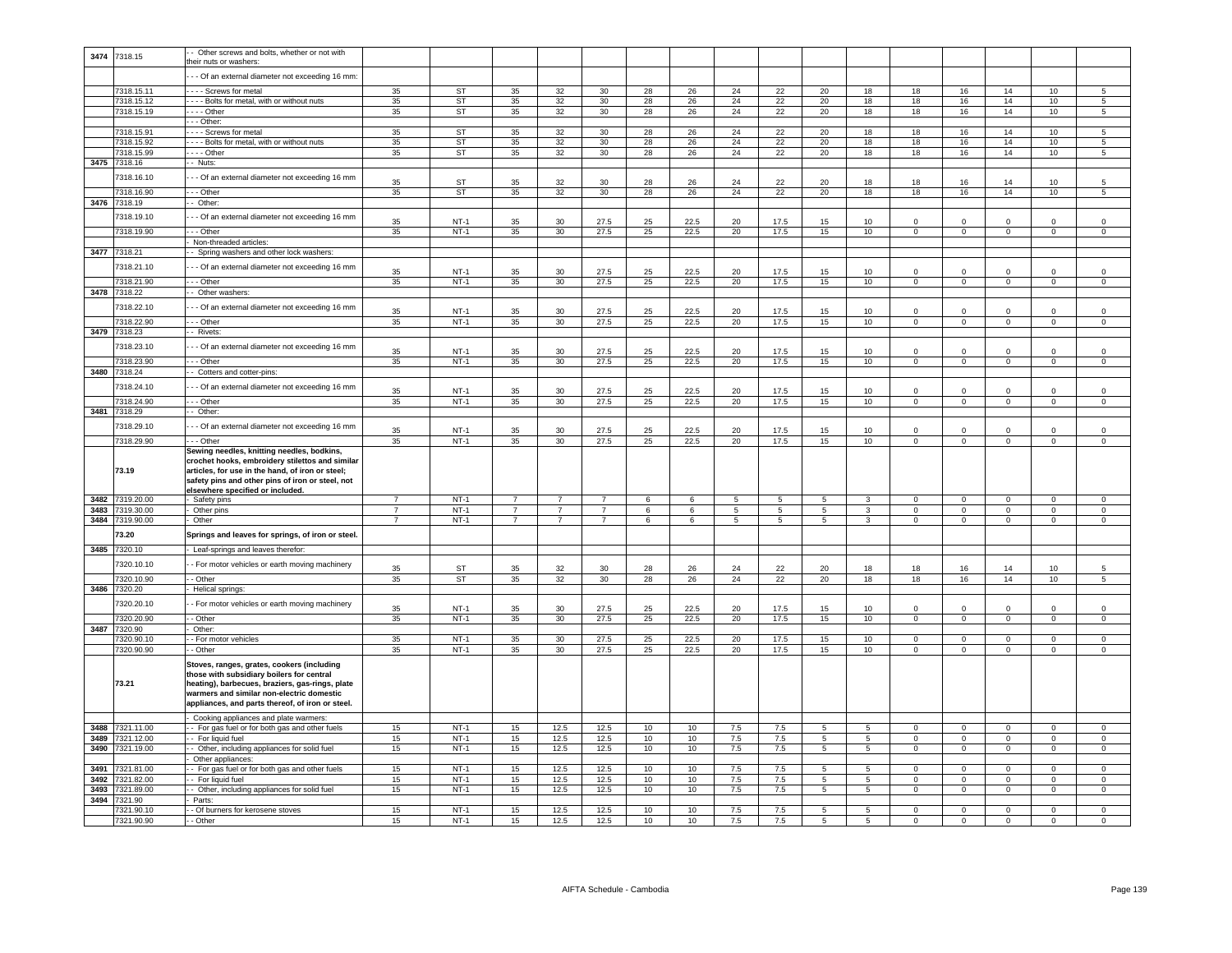| 3474 | 7318.15                 | Other screws and bolts, whether or not with       |                |                  |                |                |                |          |          |            |                 |                     |                     |                      |                         |                          |                         |                         |
|------|-------------------------|---------------------------------------------------|----------------|------------------|----------------|----------------|----------------|----------|----------|------------|-----------------|---------------------|---------------------|----------------------|-------------------------|--------------------------|-------------------------|-------------------------|
|      |                         | their nuts or washers:                            |                |                  |                |                |                |          |          |            |                 |                     |                     |                      |                         |                          |                         |                         |
|      |                         | - - Of an external diameter not exceeding 16 mm   |                |                  |                |                |                |          |          |            |                 |                     |                     |                      |                         |                          |                         |                         |
|      |                         |                                                   |                |                  |                |                |                |          |          |            |                 |                     |                     |                      |                         |                          |                         |                         |
|      | 7318.15.11              | - - - - Screws for metal                          | 35             | <b>ST</b>        | 35             | 32             | 30             | 28       | 26       | 24         | 22              | 20                  | 18                  | 18                   | 16                      | 14                       | 10                      | -5                      |
|      | 7318.15.12              | - - - - Bolts for metal, with or without nuts     | 35             | ST               | 35             | 32             | 30             | 28       | 26       | 24         | 22              | 20                  | 18                  | 18                   | 16                      | 14                       | 10                      | $5\overline{5}$         |
|      | 7318.15.19              | $- -$ Other                                       | 35             | <b>ST</b>        | 35             | 32             | 30             | 28       | 26       | 24         | 22              | 20                  | 18                  | 18                   | 16                      | 14                       | 10                      | $5\overline{5}$         |
|      |                         | $-$ - Other:                                      |                |                  |                |                |                |          |          |            |                 |                     |                     |                      |                         |                          |                         |                         |
|      | 7318.15.91              | - - - - Screws for metal                          | 35             | ST               | 35             | 32             | 30             | 28       | 26       | 24         | 22              | 20                  | 18                  | 18                   | 16                      | 14                       | 10                      | 5                       |
|      | 7318.15.92              | ---- Bolts for metal, with or without nuts        | 35             | ST               | 35             | 32             | 30             | 28       | 26       | 24         | 22              | 20                  | 18                  | 18                   | 16                      | 14                       | 10                      | $5\phantom{.0}$         |
|      | 7318.15.99              | $---$ Other                                       | 35             | ST               | 35             | 32             | 30             | 28       | 26       | 24         | 22              | 20                  | 18                  | 18                   | 16                      | 14                       | 10                      | $5\phantom{.0}$         |
| 3475 | 7318.16                 | - Nuts:                                           |                |                  |                |                |                |          |          |            |                 |                     |                     |                      |                         |                          |                         |                         |
|      |                         |                                                   |                |                  |                |                |                |          |          |            |                 |                     |                     |                      |                         |                          |                         |                         |
|      | 7318.16.10              | - - Of an external diameter not exceeding 16 mm   | 35             | ST               | 35             | 32             | 30             | 28       | 26       | 24         | 22              | 20                  | 18                  | 18                   | 16                      | 14                       | 10                      | 5                       |
|      | 7318.16.90              | $- -$ Other                                       | 35             | ST               | 35             | 32             | 30             | 28       | 26       | 24         | 22              | 20                  | 18                  | 18                   | 16                      | 14                       | 10                      | $\overline{5}$          |
|      |                         |                                                   |                |                  |                |                |                |          |          |            |                 |                     |                     |                      |                         |                          |                         |                         |
|      | 3476 7318.19            | -- Other:                                         |                |                  |                |                |                |          |          |            |                 |                     |                     |                      |                         |                          |                         |                         |
|      | 7318.19.10              | - - Of an external diameter not exceeding 16 mm   |                |                  |                |                |                |          |          |            |                 |                     |                     |                      |                         |                          |                         |                         |
|      |                         |                                                   | 35             | $NT-1$           | 35             | 30             | 27.5           | 25       | 22.5     | 20         | 17.5            | 15                  | 10                  |                      |                         | $\Omega$                 | $\Omega$                |                         |
|      | 7318.19.90              | --- Other                                         | 35             | NT-1             | 35             | 30             | 27.5           | 25       | 22.5     | 20         | 17.5            | 15                  | 10                  | $\mathbf{0}$         | $\circ$                 | $\mathbf{0}$             | $\mathbf{O}$            | $\mathbf{0}$            |
|      |                         | Non-threaded articles:                            |                |                  |                |                |                |          |          |            |                 |                     |                     |                      |                         |                          |                         |                         |
|      | 3477 7318.21            | - Spring washers and other lock washers:          |                |                  |                |                |                |          |          |            |                 |                     |                     |                      |                         |                          |                         |                         |
|      | 7318.21.10              | -- Of an external diameter not exceeding 16 mm    |                |                  |                |                |                |          |          |            |                 |                     |                     |                      |                         |                          |                         |                         |
|      |                         |                                                   | 35             | $NT-1$           | 35             | 30             | 27.5           | 25       | 22.5     | 20         | 17.5            | 15                  | 10                  | $\Omega$             | $\mathbf 0$             | $\mathbf 0$              | $\mathbf 0$             | $\mathsf 0$             |
|      | 7318.21.90              | - - Other                                         | 35             | $NT-1$           | 35             | 30             | 27.5           | 25       | 22.5     | 20         | 17.5            | 15                  | 10                  | $\mathbf 0$          | $\mathbf 0$             | $\mathbf 0$              | $\mathbf 0$             | $\mathbf 0$             |
| 3478 | 7318.22                 | Other washers:                                    |                |                  |                |                |                |          |          |            |                 |                     |                     |                      |                         |                          |                         |                         |
|      |                         |                                                   |                |                  |                |                |                |          |          |            |                 |                     |                     |                      |                         |                          |                         |                         |
|      | 7318.22.10              | - - Of an external diameter not exceeding 16 mm   | 35             | $NT-1$           | 35             | 30             | 27.5           | 25       | 22.5     | 20         | 17.5            | 15                  | 10                  | $\Omega$             | $\Omega$                | $\Omega$                 | $\Omega$                | $\Omega$                |
|      | 7318.22.90              | $-$ - Other                                       | 35             | $NT-1$           | 35             | 30             | 27.5           | 25       | 22.5     | 20         | 17.5            | 15                  | 10                  | $\overline{0}$       | $\overline{0}$          | $\overline{0}$           | $\overline{0}$          | $\overline{0}$          |
| 3479 | 7318.23                 | - Rivets:                                         |                |                  |                |                |                |          |          |            |                 |                     |                     |                      |                         |                          |                         |                         |
|      |                         |                                                   |                |                  |                |                |                |          |          |            |                 |                     |                     |                      |                         |                          |                         |                         |
|      | 7318.23.10              | - - Of an external diameter not exceeding 16 mm   | 35             | $NT-1$           | 35             | 30             | 27.5           | 25       | 22.5     | 20         | 17.5            | 15                  | 10 <sup>10</sup>    | $\Omega$             | $\Omega$                | $\Omega$                 | $\mathbf 0$             | $\Omega$                |
|      | 7318.23.90              | - - Other                                         | 35             | $NT-1$           | 35             | 30             | 27.5           | 25       | 22.5     | 20         | 17.5            | 15                  | 10                  | $\mathbf 0$          | $\mathbf{0}$            | $\mathbf{0}$             | $\circ$                 | $\mathbf 0$             |
| 3480 | 7318.24                 | - Cotters and cotter-pins:                        |                |                  |                |                |                |          |          |            |                 |                     |                     |                      |                         |                          |                         |                         |
|      |                         |                                                   |                |                  |                |                |                |          |          |            |                 |                     |                     |                      |                         |                          |                         |                         |
|      | 318.24.10               | - - Of an external diameter not exceeding 16 mm   | 35             | NT-1             | 35             | 30             | 27.5           | 25       | 22.5     | 20         | 17.5            | 15                  | 10                  | $\Omega$             | $\Omega$                | $\Omega$                 | $\Omega$                | $\Omega$                |
|      | 318,24.90               | $--$ Other                                        |                | $NT-1$           |                |                |                |          | 22.5     |            |                 |                     |                     | $\overline{0}$       | $\overline{0}$          |                          |                         | $\overline{0}$          |
|      |                         |                                                   | 35             |                  | 35             | 30             | 27.5           | 25       |          | 20         | 17.5            | 15                  | 10                  |                      |                         | $\overline{0}$           | $\mathbf 0$             |                         |
| 3481 | 7318.29                 | -- Other:                                         |                |                  |                |                |                |          |          |            |                 |                     |                     |                      |                         |                          |                         |                         |
|      | 7318.29.10              | - - Of an external diameter not exceeding 16 mm   |                |                  |                |                |                |          |          |            |                 |                     |                     |                      |                         |                          |                         |                         |
|      |                         |                                                   | 35             | $NT-1$           | 35             | 30             | 27.5           | 25       | 22.5     | 20         | 17.5            | 15                  | 10                  | $\Omega$             | $\Omega$                | $\Omega$                 | $\Omega$                | $\mathbf 0$             |
|      |                         |                                                   |                |                  |                |                |                |          |          |            |                 |                     |                     |                      |                         |                          |                         |                         |
|      | 7318.29.90              | - - - Other                                       | 35             | $NT-1$           | 35             | 30             | 27.5           | 25       | 22.5     | 20         | 17.5            | 15                  | 10                  | $\mathbf{0}$         | $\mathbf{0}$            | $\mathbf{0}$             | $\circ$                 | $\mathbf{0}$            |
|      |                         | Sewing needles, knitting needles, bodkins,        |                |                  |                |                |                |          |          |            |                 |                     |                     |                      |                         |                          |                         |                         |
|      |                         | crochet hooks, embroidery stilettos and similar   |                |                  |                |                |                |          |          |            |                 |                     |                     |                      |                         |                          |                         |                         |
|      | 73.19                   | articles, for use in the hand, of iron or steel;  |                |                  |                |                |                |          |          |            |                 |                     |                     |                      |                         |                          |                         |                         |
|      |                         | safety pins and other pins of iron or steel, not  |                |                  |                |                |                |          |          |            |                 |                     |                     |                      |                         |                          |                         |                         |
|      |                         | elsewhere specified or included.                  |                |                  |                |                |                |          |          |            |                 |                     |                     |                      |                         |                          |                         |                         |
|      | 3482 7319.20.00         | - Safety pins                                     | $\overline{7}$ | $NT-1$           | $\overline{7}$ | $\overline{7}$ | $\overline{7}$ | 6        | 6        | 5          | -5              | 5                   | 3                   | $^{\circ}$           | 0                       | $\mathbf{0}$             | $\circ$                 | $\mathbf{0}$            |
| 3483 | 7319.30.00              | Other pins                                        | $\overline{7}$ | $NT-1$           | $\overline{7}$ | $\overline{7}$ | $\overline{7}$ | 6        | 6        | 5          | $5\phantom{.0}$ | 5                   | $\mathbf{3}$        | $\mathbf 0$          | $\mathbf 0$             | $\mathbf{0}$             | $\mathsf 0$             | $\mathbf{0}$            |
|      | 3484 7319.90.00         | - Other                                           | $\overline{7}$ | $NT-1$           | $7^{\circ}$    | $\overline{7}$ | $\overline{7}$ | 6        | 6        | 5          | 5               | 5                   | $\mathbf{3}$        | $\circ$              | $\mathbf{0}$            | $\mathbf{0}$             | $\mathbf{0}$            | $\mathbf{0}$            |
|      |                         |                                                   |                |                  |                |                |                |          |          |            |                 |                     |                     |                      |                         |                          |                         |                         |
|      | 73.20                   | Springs and leaves for springs, of iron or steel. |                |                  |                |                |                |          |          |            |                 |                     |                     |                      |                         |                          |                         |                         |
| 3485 | 7320.10                 | Leaf-springs and leaves therefor:                 |                |                  |                |                |                |          |          |            |                 |                     |                     |                      |                         |                          |                         |                         |
|      |                         |                                                   |                |                  |                |                |                |          |          |            |                 |                     |                     |                      |                         |                          |                         |                         |
|      | 7320.10.10              | - For motor vehicles or earth moving machinery    | 35             | <b>ST</b>        | 35             | 32             | 30             | 28       | 26       | 24         | 22              | 20                  | 18                  | 18                   | 16                      | 14                       | 10 <sup>1</sup>         | 5                       |
|      | 320.10.90               | - Other                                           | 35             | <b>ST</b>        | 35             | 32             | 30             | 28       | 26       | 24         | 22              | 20                  | 18                  | 18                   | 16                      | 14                       | 10                      | $\overline{5}$          |
| 3486 | 7320.20                 | <b>Helical springs</b>                            |                |                  |                |                |                |          |          |            |                 |                     |                     |                      |                         |                          |                         |                         |
|      |                         |                                                   |                |                  |                |                |                |          |          |            |                 |                     |                     |                      |                         |                          |                         |                         |
|      | 7320.20.10              | - For motor vehicles or earth moving machinery    | 35             | $NT-1$           | 35             | 30             | 27.5           | 25       | 22.5     | 20         | 17.5            | 15                  | 10 <sup>1</sup>     | $\Omega$             | $\Omega$                | $\Omega$                 | $\Omega$                | $\Omega$                |
|      |                         | - Other                                           |                |                  |                |                |                |          |          |            |                 |                     |                     |                      |                         |                          |                         |                         |
|      | 320.20.90<br>320.90     |                                                   | 35             | $NT-1$           | 35             | 30             | 27.5           | 25       | 22.5     | 20         | 17.5            | 15                  | 10                  | $\mathbf{0}$         | $\mathsf 0$             | $\mathbf{0}$             | $\circ$                 | $\mathbf 0$             |
| 3487 |                         | Other:                                            |                |                  |                |                |                |          |          |            |                 |                     |                     |                      |                         |                          |                         |                         |
|      | 320.90.10               | - For motor vehicles                              | 35             | $NT-1$           | 35             | 30             | 27.5           | 25       | 22.5     | 20         | 17.5            | 15                  | 10                  | $\Omega$             | $\Omega$                | $\mathbf 0$              | $\Omega$                | $\mathbf 0$             |
|      | 7320.90.90              | - Other                                           | 35             | $NT-1$           | 35             | 30             | 27.5           | 25       | 22.5     | 20         | 17.5            | 15                  | 10                  | $\mathbf 0$          | $\mathbf 0$             | $\mathbf 0$              | $\mathbf 0$             | $\mathbf 0$             |
|      |                         | Stoves, ranges, grates, cookers (including        |                |                  |                |                |                |          |          |            |                 |                     |                     |                      |                         |                          |                         |                         |
|      |                         | those with subsidiary boilers for central         |                |                  |                |                |                |          |          |            |                 |                     |                     |                      |                         |                          |                         |                         |
|      | 73.21                   | heating), barbecues, braziers, gas-rings, plate   |                |                  |                |                |                |          |          |            |                 |                     |                     |                      |                         |                          |                         |                         |
|      |                         | warmers and similar non-electric domestic         |                |                  |                |                |                |          |          |            |                 |                     |                     |                      |                         |                          |                         |                         |
|      |                         | appliances, and parts thereof, of iron or steel.  |                |                  |                |                |                |          |          |            |                 |                     |                     |                      |                         |                          |                         |                         |
|      |                         |                                                   |                |                  |                |                |                |          |          |            |                 |                     |                     |                      |                         |                          |                         |                         |
|      |                         | Cooking appliances and plate warmers:             |                |                  |                |                |                |          |          |            |                 |                     |                     |                      |                         |                          |                         |                         |
| 3488 | 7321.11.00              | - For gas fuel or for both gas and other fuels    | 15             | $NT-1$           | 15             | 12.5           | 12.5           | 10       | 10       | 7.5        | 7.5             | 5                   | $5\phantom{.0}$     | $\mathsf 0$          | $\mathsf 0$             | $\mathbf 0$              | $\mathsf 0$             | $\mathsf 0$             |
| 3489 | 7321.12.00              | - For liquid fuel                                 | 15             | $NT-1$           | 15             | 12.5           | 12.5           | 10       | 10       | 7.5        | 7.5             | 5                   | $5\phantom{.0}$     | $\mathbf 0$          | $\mathsf 0$             | $\pmb{0}$                | $\mathbf 0$             | $\mathsf 0$             |
| 3490 | 7321.19.00              | - Other, including appliances for solid fuel      | 15             | $NT-1$           | 15             | 12.5           | 12.5           | 10       | 10       | 7.5        | 7.5             | 5                   | $\overline{5}$      | $\mathsf 0$          | $\mathbf 0$             | $\mathbf 0$              | $\mathbf 0$             | $\mathbf 0$             |
|      |                         | Other appliances:                                 |                |                  |                |                |                |          |          |            |                 |                     |                     |                      |                         |                          |                         |                         |
| 3491 | 7321.81.00              | - For gas fuel or for both gas and other fuels    | 15             | $NT-1$           | 15             | 12.5           | 12.5           | 10       | 10       | 7.5        | 7.5             | 5                   | 5                   | $\mathbf 0$          | $^{\circ}$              | $\mathbf 0$              | $^{\circ}$              | $\mathbf 0$             |
| 3492 | 7321.82.00              | For liquid fuel                                   | 15             | $NT-1$           | 15             | 12.5           | 12.5           | 10       | 10       |            |                 | 5                   | 5                   | $\Omega$             | $\mathbf 0$             | $\mathbf 0$              | $\mathbf 0$             | $\mathbf 0$             |
|      |                         |                                                   |                |                  |                |                |                |          |          | 7.5        | 7.5             |                     |                     | $\Omega$             |                         |                          |                         | $\Omega$                |
| 3493 | 7321.89.00              | Other, including appliances for solid fuel        | 15             | $NT-1$           | 15             | 12.5           | 12.5           | 10       | 10       | 7.5        | 7.5             | 5                   | $\overline{5}$      |                      | $\mathbf 0$             | $\mathbf 0$              | $\mathbf 0$             |                         |
| 3494 | 7321.90                 | Parts:                                            |                |                  |                |                |                |          |          |            |                 |                     |                     |                      |                         |                          |                         |                         |
|      | 321.90.10<br>7321.90.90 | - Of burners for kerosene stoves<br>- - Other     | 15<br>15       | $NT-1$<br>$NT-1$ | 15<br>15       | 12.5<br>12.5   | 12.5<br>12.5   | 10<br>10 | 10<br>10 | 7.5<br>7.5 | 7.5<br>7.5      | 5<br>$\overline{5}$ | 5<br>$\overline{5}$ | $\Omega$<br>$\Omega$ | $\mathbf 0$<br>$\Omega$ | $\pmb{0}$<br>$\mathbf 0$ | $\mathbf 0$<br>$\Omega$ | $\mathbf 0$<br>$\Omega$ |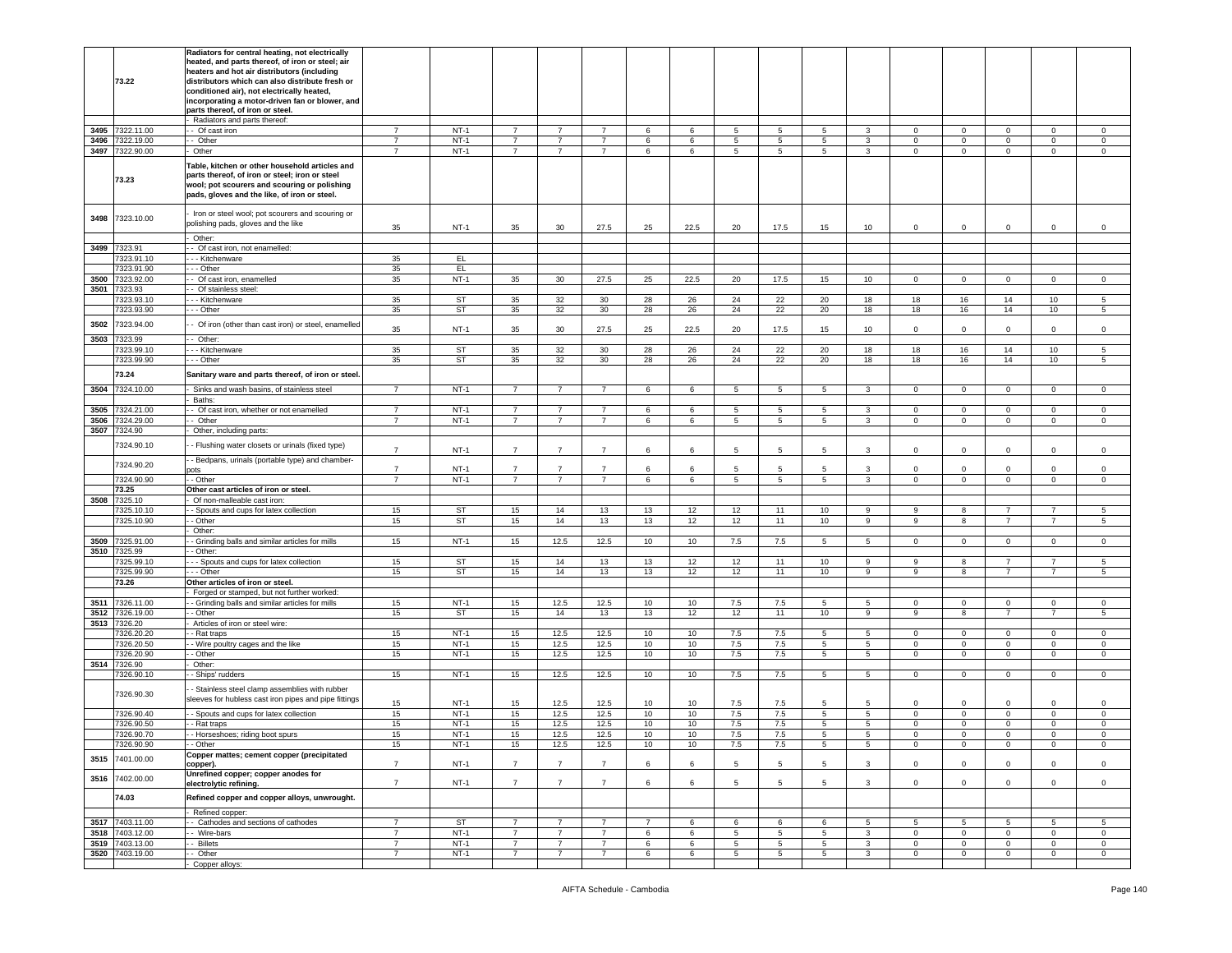|              | 73.22                    | Radiators for central heating, not electrically<br>heated, and parts thereof, of iron or steel; air<br>heaters and hot air distributors (including<br>distributors which can also distribute fresh or<br>conditioned air), not electrically heated,<br>incorporating a motor-driven fan or blower, and<br>parts thereof, of iron or steel. |                                  |                  |                                  |                                  |                                  |                |        |                     |                     |                  |                     |                             |                                  |                               |                               |                            |
|--------------|--------------------------|--------------------------------------------------------------------------------------------------------------------------------------------------------------------------------------------------------------------------------------------------------------------------------------------------------------------------------------------|----------------------------------|------------------|----------------------------------|----------------------------------|----------------------------------|----------------|--------|---------------------|---------------------|------------------|---------------------|-----------------------------|----------------------------------|-------------------------------|-------------------------------|----------------------------|
|              |                          | Radiators and parts thereof:                                                                                                                                                                                                                                                                                                               |                                  |                  |                                  |                                  |                                  |                |        |                     |                     |                  |                     |                             |                                  |                               |                               |                            |
| 3495         | 7322.11.00               | - Of cast iron                                                                                                                                                                                                                                                                                                                             | $\overline{7}$                   | $NT-1$           | 7                                | 7                                | 7                                | 6              | 6      | 5                   | 5                   | 5                | 3                   | $\mathbf 0$                 | $\mathbf{0}$                     | $\mathbf{0}$                  | 0                             | $\mathbf 0$                |
| 3496<br>3497 | 7322.19.00<br>7322.90.00 | - Other<br>Other                                                                                                                                                                                                                                                                                                                           | $\overline{7}$<br>$\overline{7}$ | $NT-1$<br>$NT-1$ | $\overline{7}$<br>$\overline{7}$ | $\overline{7}$<br>$\overline{7}$ | $\overline{7}$<br>$\overline{7}$ | 6<br>6         | 6<br>6 | 5<br>$\overline{5}$ | $\overline{5}$<br>5 | 5<br>$5^{\circ}$ | 3<br>$\overline{3}$ | $\circ$<br>$\mathbf 0$      | $\overline{0}$<br>$\overline{0}$ | $\mathsf 0$<br>$\overline{0}$ | $\mathbf 0$<br>$\overline{0}$ | $\,0\,$<br>$\mathsf 0$     |
|              | 73.23                    | Table, kitchen or other household articles and<br>parts thereof, of iron or steel; iron or steel<br>wool; pot scourers and scouring or polishing<br>pads, gloves and the like, of iron or steel.                                                                                                                                           |                                  |                  |                                  |                                  |                                  |                |        |                     |                     |                  |                     |                             |                                  |                               |                               |                            |
| 3498         | 7323.10.00               | Iron or steel wool; pot scourers and scouring or<br>polishing pads, gloves and the like                                                                                                                                                                                                                                                    | 35                               | $NT-1$           | 35                               | 30                               | 27.5                             | 25             | 22.5   | 20                  | 17.5                | 15               | 10                  | $\mathbf 0$                 | $\mathbf 0$                      | $\mathbf{0}$                  | $\mathbf 0$                   | $\mathbf 0$                |
|              | 7323.91                  | Other:                                                                                                                                                                                                                                                                                                                                     |                                  |                  |                                  |                                  |                                  |                |        |                     |                     |                  |                     |                             |                                  |                               |                               |                            |
| 3499         | 323.91.10                | - Of cast iron, not enamelled:<br>- - Kitchenware                                                                                                                                                                                                                                                                                          | 35                               | EL.              |                                  |                                  |                                  |                |        |                     |                     |                  |                     |                             |                                  |                               |                               |                            |
|              | 323.91.90                | - - Other                                                                                                                                                                                                                                                                                                                                  | 35                               | EL.              |                                  |                                  |                                  |                |        |                     |                     |                  |                     |                             |                                  |                               |                               |                            |
| 3500         | 7323.92.00               | - Of cast iron, enamelled                                                                                                                                                                                                                                                                                                                  | 35                               | $NT-1$           | 35                               | 30                               | 27.5                             | 25             | 22.5   | 20                  | 17.5                | 15               | 10                  | $\circ$                     | $\mathbf 0$                      | $\mathbf 0$                   | 0                             | $\mathbf 0$                |
| 3501         | 7323.93                  | - Of stainless steel:                                                                                                                                                                                                                                                                                                                      |                                  |                  |                                  |                                  |                                  |                |        |                     |                     |                  |                     |                             |                                  |                               |                               |                            |
|              | 323.93.10                | - Kitchenware                                                                                                                                                                                                                                                                                                                              | 35                               | ST               | 35                               | 32                               | 30                               | 28             | 26     | 24                  | 22                  | 20               | 18                  | 18                          | 16                               | 14                            | 10                            | 5                          |
|              | 7323.93.90               | .-- Other                                                                                                                                                                                                                                                                                                                                  | 35                               | <b>ST</b>        | 35                               | 32                               | 30                               | 28             | 26     | 24                  | 22                  | 20               | 18                  | 18                          | 16                               | 14                            | 10                            | 5                          |
| 3502         | 7323.94.00               | - Of iron (other than cast iron) or steel, enamelled                                                                                                                                                                                                                                                                                       | 35                               | $NT-1$           | 35                               | 30                               | 27.5                             | 25             | 22.5   | 20                  | 17.5                | 15               | 10                  | $\mathbf 0$                 | $\mathbf 0$                      | $\mathbf 0$                   | 0                             | 0                          |
| 3503         | 7323.99                  | - Other:                                                                                                                                                                                                                                                                                                                                   |                                  |                  |                                  |                                  |                                  |                |        |                     |                     |                  |                     |                             |                                  |                               |                               |                            |
|              | 7323.99.10               | - - Kitchenware                                                                                                                                                                                                                                                                                                                            | 35                               | ST               | 35                               | 32                               | 30                               | 28             | 26     | 24                  | 22                  | 20               | 18                  | 18                          | 16                               | 14                            | 10                            | 5                          |
|              | 7323.99.90               | - - Other                                                                                                                                                                                                                                                                                                                                  | 35                               | <b>ST</b>        | 35                               | 32                               | 30                               | 28             | 26     | 24                  | 22                  | 20               | 18                  | 18                          | 16                               | 14                            | 10                            | 5                          |
|              | 73.24                    | Sanitary ware and parts thereof, of iron or steel                                                                                                                                                                                                                                                                                          |                                  |                  |                                  |                                  |                                  |                |        |                     |                     |                  |                     |                             |                                  |                               |                               |                            |
| 3504         | 7324.10.00               | Sinks and wash basins, of stainless steel<br>Baths:                                                                                                                                                                                                                                                                                        | $\overline{7}$                   | $NT-1$           | $\overline{7}$                   | $\overline{7}$                   | $\overline{7}$                   | 6              | 6      | 5                   | 5                   | 5                | 3                   | $\mathbf 0$                 | $\overline{0}$                   | $\mathbf{0}$                  | $\mathbf 0$                   | 0                          |
| 3505         | 7324.21.00               | - Of cast iron, whether or not enamelled                                                                                                                                                                                                                                                                                                   | 7                                | $NT-1$           | $\overline{7}$                   | $\overline{7}$                   | $\overline{7}$                   | 6              | 6      | 5                   | 5                   | 5                | 3                   | $\mathbf 0$                 | $\mathbf 0$                      | $\mathbf 0$                   | 0                             | $\mathbf 0$                |
| 3506         | 324.29.00                | - Other                                                                                                                                                                                                                                                                                                                                    | $\overline{7}$                   | $NT-1$           | $\overline{7}$                   | $\overline{7}$                   | $\overline{7}$                   | 6              | 6      | 5                   | 5                   | $5^{\circ}$      | 3                   | $\mathbf 0$                 | $\overline{0}$                   | $\mathbf{0}$                  | $\mathbf 0$                   | $\mathsf 0$                |
| 3507         | 7324.90                  | Other, including parts:                                                                                                                                                                                                                                                                                                                    |                                  |                  |                                  |                                  |                                  |                |        |                     |                     |                  |                     |                             |                                  |                               |                               |                            |
|              | 7324.90.10               | - Flushing water closets or urinals (fixed type)                                                                                                                                                                                                                                                                                           |                                  |                  |                                  |                                  |                                  |                |        |                     |                     |                  |                     |                             |                                  |                               |                               |                            |
|              |                          |                                                                                                                                                                                                                                                                                                                                            | $\overline{7}$                   | $NT-1$           | $\overline{7}$                   | $\overline{7}$                   | $\overline{7}$                   | 6              | 6      | 5                   | 5                   | 5                | 3                   | 0                           | $\mathbf 0$                      | $\mathbf 0$                   | $\mathbf 0$                   | $\mathsf 0$                |
|              | 7324.90.20               | - Bedpans, urinals (portable type) and chamber-<br>ots                                                                                                                                                                                                                                                                                     | $\overline{7}$                   | $NT-1$           | $\overline{7}$                   | $\overline{7}$                   | $\overline{7}$                   | 6              | 6      | 5                   | 5                   | 5                | 3                   | 0                           | $\mathbf 0$                      | $\mathbf 0$                   | 0                             | 0                          |
|              | 7324.90.90               | - Other                                                                                                                                                                                                                                                                                                                                    | $\overline{7}$                   | $NT-1$           | $\overline{7}$                   | $\overline{7}$                   | $\overline{7}$                   | 6              | 6      | 5                   | 5                   | 5                | $\mathbf{3}$        | $\mathbf{O}$                | $\mathbf 0$                      | $\mathbf{0}$                  | $\mathbf{0}$                  | $\circ$                    |
|              | 73.25                    | Other cast articles of iron or steel.                                                                                                                                                                                                                                                                                                      |                                  |                  |                                  |                                  |                                  |                |        |                     |                     |                  |                     |                             |                                  |                               |                               |                            |
| 3508         | 7325.10                  | Of non-malleable cast iron:                                                                                                                                                                                                                                                                                                                |                                  |                  |                                  |                                  |                                  |                |        |                     |                     |                  |                     |                             |                                  |                               |                               |                            |
|              | 7325.10.10               | - Spouts and cups for latex collection                                                                                                                                                                                                                                                                                                     | 15                               | <b>ST</b>        | 15                               | 14                               | 13                               | 13             | 12     | 12                  | 11                  | 10               | 9                   | 9                           | 8                                | $\overline{7}$                | $\overline{7}$                | 5                          |
|              | 325.10.90                | - Other                                                                                                                                                                                                                                                                                                                                    | 15                               | ST               | 15                               | 14                               | 13                               | 13             | 12     | 12                  | 11                  | 10               | 9                   | 9                           | 8                                | $\overline{7}$                |                               | 5                          |
|              |                          | Other:                                                                                                                                                                                                                                                                                                                                     |                                  | $NT-1$           |                                  | 12.5                             | 12.5                             |                |        |                     |                     | 5                | $5^{\circ}$         | $\circ$                     | $\mathbf{0}$                     | $\mathbf{0}$                  | 0                             | $\mathbf 0$                |
| 3509<br>3510 | 7325.91.00<br>7325.99    | - Grinding balls and similar articles for mills<br>- Other:                                                                                                                                                                                                                                                                                | 15                               |                  | 15                               |                                  |                                  | 10             | 10     | 7.5                 | 7.5                 |                  |                     |                             |                                  |                               |                               |                            |
|              | 7325.99.10               | - - Spouts and cups for latex collection                                                                                                                                                                                                                                                                                                   | 15                               | <b>ST</b>        | 15                               | 14                               | 13                               | 13             | 12     | 12                  | 11                  | 10               | 9                   | 9                           | 8                                | $\overline{7}$                | $\overline{7}$                | 5                          |
|              | 7325.99.90               | - - Other                                                                                                                                                                                                                                                                                                                                  | 15                               | ST               | 15                               | 14                               | 13                               | 13             | 12     | 12                  | 11                  | 10               | 9                   | 9                           | 8                                | $\overline{7}$                | $\overline{7}$                | 5                          |
|              | 73.26                    | Other articles of iron or steel.                                                                                                                                                                                                                                                                                                           |                                  |                  |                                  |                                  |                                  |                |        |                     |                     |                  |                     |                             |                                  |                               |                               |                            |
|              |                          | Forged or stamped, but not further worked:                                                                                                                                                                                                                                                                                                 |                                  |                  |                                  |                                  |                                  |                |        |                     |                     |                  |                     |                             |                                  |                               |                               |                            |
| 3511         | 7326.11.00               | - Grinding balls and similar articles for mills                                                                                                                                                                                                                                                                                            | 15                               | $NT-1$           | 15                               | 12.5                             | 12.5                             | 10             | 10     | 7.5                 | 7.5                 | 5                | 5                   | $\circ$                     | $\overline{0}$                   | $\mathbf 0$<br>$\overline{7}$ | $\circ$<br>$\overline{7}$     | $\mathsf 0$                |
| 3512<br>3513 | 7326.19.00<br>326.20     | - Other<br>Articles of iron or steel wire:                                                                                                                                                                                                                                                                                                 | 15                               | <b>ST</b>        | 15                               | 14                               | 13                               | 13             | 12     | 12                  | 11                  | 10               | 9                   | 9                           | 8                                |                               |                               | $\sqrt{5}$                 |
|              | 7326.20.20               | - Rat traps                                                                                                                                                                                                                                                                                                                                | 15                               | $NT-1$           | 15                               | 12.5                             | 12.5                             | 10             | 10     | 7.5                 | 7.5                 | 5                | 5                   | $\mathbf{0}$                | $\mathbf{0}$                     | $\mathbf 0$                   | 0                             | $\mathbf 0$                |
|              | 326.20.50                | - Wire poultry cages and the like                                                                                                                                                                                                                                                                                                          | 15                               | $NT-1$           | 15                               | 12.5                             | 12.5                             | 10             | 10     | 7.5                 | 7.5                 | 5                | 5                   | $\circ$                     | $\mathbf{0}$                     | $\mathbf{0}$                  | 0                             | $\mathbf 0$                |
|              | 7326.20.90               | - Other                                                                                                                                                                                                                                                                                                                                    | 15                               | $NT-1$           | 15                               | 12.5                             | 12.5                             | 10             | 10     | 7.5                 | 7.5                 | 5                | 5 <sup>5</sup>      | $\circ$                     | $\overline{0}$                   | $\mathbf{0}$                  | $\mathbf 0$                   | $\mathsf 0$                |
| 3514         | 7326.90                  | Other:                                                                                                                                                                                                                                                                                                                                     |                                  |                  |                                  |                                  |                                  |                |        |                     |                     |                  |                     |                             |                                  |                               |                               |                            |
|              | 326.90.10                | - Ships' rudders                                                                                                                                                                                                                                                                                                                           | 15                               | $NT-1$           | 15                               | 12.5                             | 12.5                             | 10             | 10     | 7.5                 | 7.5                 | 5                | 5                   | $\mathbf 0$                 | $\mathbf 0$                      | $\mathbf{0}$                  | $\mathbf 0$                   | $\mathsf 0$                |
|              | 7326.90.30               | - Stainless steel clamp assemblies with rubber<br>sleeves for hubless cast iron pipes and pipe fittings                                                                                                                                                                                                                                    | 15                               | $NT-1$           | 15                               | 12.5                             | 12.5                             | 10             | 10     | 7.5                 | 7.5                 | 5                | 5                   | $\Omega$                    | $\mathbf 0$                      | $\Omega$                      | $\Omega$                      | 0                          |
|              | 7326.90.40               | - Spouts and cups for latex collection                                                                                                                                                                                                                                                                                                     | 15                               | $NT-1$           | 15                               | 12.5                             | 12.5                             | 10             | 10     | 7.5                 | 7.5                 | 5                | 5                   | $\circ$                     | $\mathbf{0}$                     | $\mathbf{0}$                  | $\mathbf{0}$                  | $\mathbf 0$                |
|              | 7326.90.50               | - Rat traps                                                                                                                                                                                                                                                                                                                                | 15                               | $NT-1$           | 15                               | 12.5                             | 12.5                             | 10             | 10     | 7.5                 | 7.5                 | 5                | 5                   | $\circ$                     | $\mathbf 0$                      | $\mathbf 0$                   | $\mathbf 0$                   | $\mathsf 0$                |
|              | 7326.90.70               | - Horseshoes; riding boot spurs                                                                                                                                                                                                                                                                                                            | 15                               | $NT-1$           | 15                               | 12.5                             | 12.5                             | 10             | 10     | 7.5                 | 7.5                 | 5                | 5                   | 0                           | $\mathbf 0$                      | $\mathsf 0$                   | $\mathbf 0$                   | 0                          |
|              | 326.90.90                | - Other<br>Copper mattes; cement copper (precipitated                                                                                                                                                                                                                                                                                      | 15                               | N I-1            | 15                               | 12.5                             | 12.5                             | 1υ.            | 1υ     | $\sim$              | $\sim$              |                  |                     |                             |                                  |                               |                               | 0                          |
| 3515         | 7401.00.00               | copper).                                                                                                                                                                                                                                                                                                                                   | $\overline{7}$                   | $NT-1$           | $\overline{7}$                   | $\overline{7}$                   | $\overline{7}$                   | 6              | 6      | 5                   | 5                   | 5                | 3                   | $\mathbf 0$                 | $\overline{0}$                   | $\mathbf 0$                   | $\mathbf{0}$                  | $\mathsf 0$                |
| 3516         | 7402.00.00               | Unrefined copper; copper anodes for<br>electrolytic refining.                                                                                                                                                                                                                                                                              | $\overline{7}$                   | $NT-1$           | $\overline{7}$                   | $\overline{7}$                   | $\overline{7}$                   | 6              | 6      | 5                   | 5                   | 5                | 3                   | $\mathbf 0$                 | $\mathbf 0$                      | $\mathbf 0$                   | $\mathbf 0$                   | $\mathsf 0$                |
|              | 74.03                    | Refined copper and copper alloys, unwrought.                                                                                                                                                                                                                                                                                               |                                  |                  |                                  |                                  |                                  |                |        |                     |                     |                  |                     |                             |                                  |                               |                               |                            |
|              |                          | Refined copper:                                                                                                                                                                                                                                                                                                                            |                                  |                  |                                  |                                  |                                  |                |        |                     |                     |                  |                     |                             |                                  |                               |                               |                            |
| 3517         | 7403.11.00               | - Cathodes and sections of cathodes                                                                                                                                                                                                                                                                                                        | $\overline{7}$                   | <b>ST</b>        | $\overline{7}$                   | $\overline{7}$                   | $\overline{7}$                   | $\overline{7}$ | 6      | 6                   | 6                   | 6                | 5                   | 5                           | 5                                | 5                             | 5                             | 5                          |
| 3518<br>3519 | 7403.12.00<br>7403.13.00 | - Wire-bars<br>- Billets                                                                                                                                                                                                                                                                                                                   | $\overline{7}$<br>$\overline{7}$ | $NT-1$<br>$NT-1$ | $\overline{7}$<br>$\overline{7}$ | $\overline{7}$<br>$\overline{7}$ | $\overline{7}$<br>$\overline{7}$ | 6<br>6         | 6<br>6 | 5<br>5              | 5<br>$\overline{5}$ | 5<br>5           | 3<br>$\mathbf{3}$   | $\mathbf 0$<br>$\mathbf{O}$ | $\mathbf 0$<br>$\overline{0}$    | $\mathbf{0}$<br>$\mathbf{0}$  | $\mathbf 0$<br>$\mathbf{0}$   | $\mathsf 0$<br>$\mathsf 0$ |
| 3520         | 7403.19.00               | - Other                                                                                                                                                                                                                                                                                                                                    | 7                                | $NT-1$           | $\overline{7}$                   | 7                                | $\overline{7}$                   | 6              | 6      | 5                   | 5                   | 5                | 3                   | $\mathbf{0}$                | $\mathbf{0}$                     | $\mathbf{0}$                  | $\mathbf{0}$                  | $\overline{0}$             |
|              |                          | Copper alloys:                                                                                                                                                                                                                                                                                                                             |                                  |                  |                                  |                                  |                                  |                |        |                     |                     |                  |                     |                             |                                  |                               |                               |                            |
|              |                          |                                                                                                                                                                                                                                                                                                                                            |                                  |                  |                                  |                                  |                                  |                |        |                     |                     |                  |                     |                             |                                  |                               |                               |                            |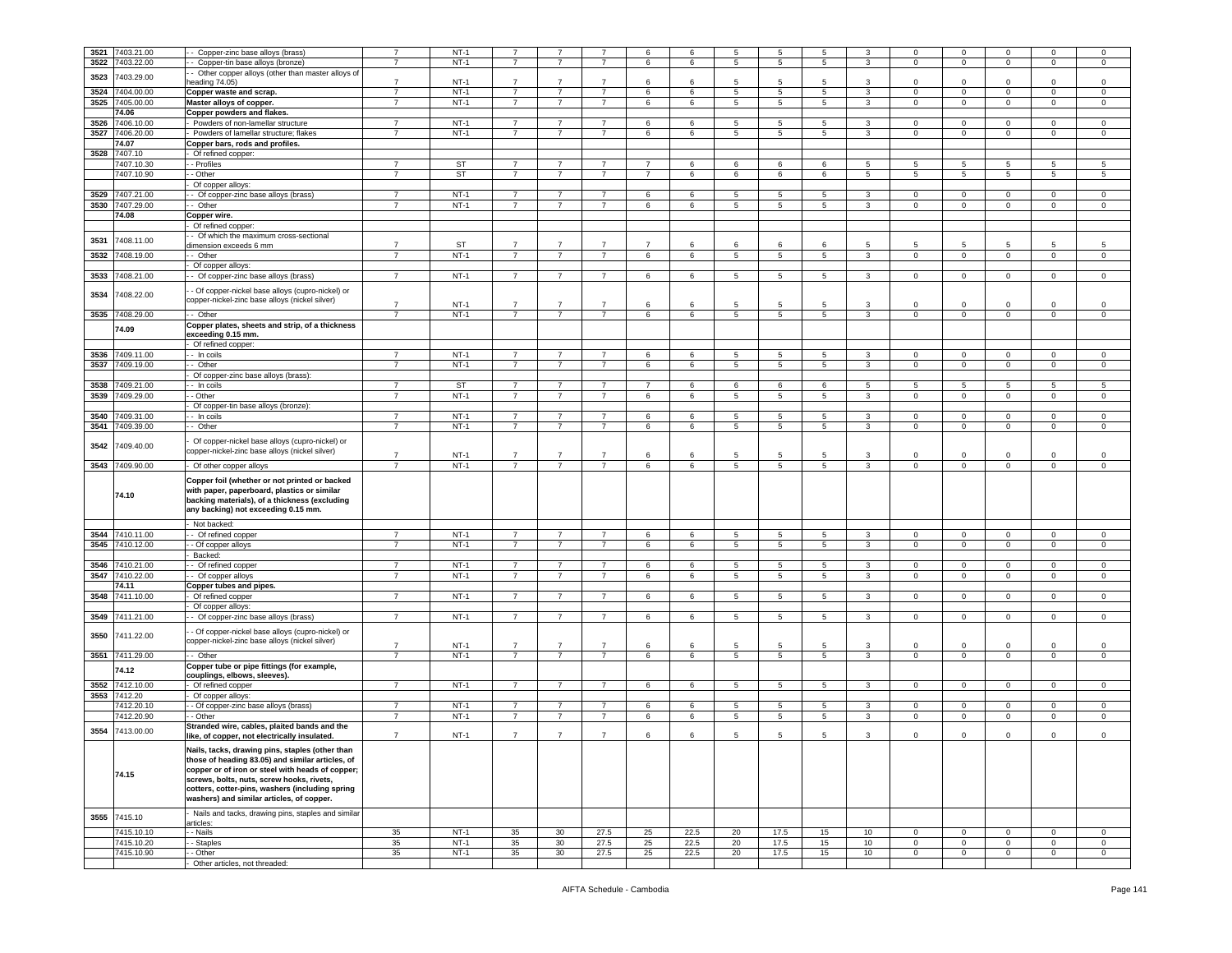| 3521 | 7403.21.00      | Copper-zinc base alloys (brass)                                                                                                                                                                                                                                                                         | $\overline{7}$ | $NT-1$      | $\overline{7}$ |                 | $\overline{7}$ | 6              | 6    | 5  | 5               | 5               | 3                | 0            | $\mathbf 0$             | 0              | $\mathbf 0$    | 0              |
|------|-----------------|---------------------------------------------------------------------------------------------------------------------------------------------------------------------------------------------------------------------------------------------------------------------------------------------------------|----------------|-------------|----------------|-----------------|----------------|----------------|------|----|-----------------|-----------------|------------------|--------------|-------------------------|----------------|----------------|----------------|
| 3522 | 7403.22.00      | - Copper-tin base alloys (bronze)                                                                                                                                                                                                                                                                       | $\overline{7}$ | $NT-1$      | $\overline{7}$ | $\overline{7}$  | $\overline{7}$ | 6              | 6    | 5  | $5\phantom{.0}$ | 5               | 3                | $\mathbf 0$  | $\mathbf 0$             | $\mathbf 0$    | $\mathbf 0$    | $\,0\,$        |
|      |                 | - Other copper alloys (other than master alloys of                                                                                                                                                                                                                                                      |                |             |                |                 |                |                |      |    |                 |                 |                  |              |                         |                |                |                |
| 3523 | 403.29.00       |                                                                                                                                                                                                                                                                                                         |                | $NT-1$      | $\overline{7}$ | $\overline{7}$  | $\overline{7}$ | 6              | -6   | 5  | -5              | 5               |                  | $\Omega$     | $\mathbf 0$             | $\Omega$       | $\Omega$       | $\mathsf 0$    |
|      |                 | heading 74.05)                                                                                                                                                                                                                                                                                          | 7              |             |                |                 |                |                |      |    |                 |                 | 3                |              |                         |                |                |                |
| 3524 | 7404.00.00      | Copper waste and scrap.                                                                                                                                                                                                                                                                                 | $\overline{7}$ | $NT-1$      | $\overline{7}$ | $\overline{7}$  | $\overline{7}$ | 6              | 6    | 5  | 5               | 5               | 3                | $\mathbf 0$  | $\mathbf 0$             | 0              | $\mathbf 0$    | $\mathsf 0$    |
| 3525 | 7405.00.00      | Master alloys of copper.                                                                                                                                                                                                                                                                                | $\overline{7}$ | $NT-1$      | $\overline{7}$ | $\overline{7}$  | $\overline{7}$ | 6              | 6    | 5  | 5               | 5               | 3                | $\mathbf 0$  | $\mathbf 0$             | $\mathsf 0$    | $\mathbf 0$    | $\,0\,$        |
|      |                 |                                                                                                                                                                                                                                                                                                         |                |             |                |                 |                |                |      |    |                 |                 |                  |              |                         |                |                |                |
|      | 74.06           | Copper powders and flakes.                                                                                                                                                                                                                                                                              |                |             |                |                 |                |                |      |    |                 |                 |                  |              |                         |                |                |                |
| 3526 | 7406.10.00      | Powders of non-lamellar structure                                                                                                                                                                                                                                                                       | $\overline{7}$ | $NT-1$      | $\overline{7}$ | $\overline{7}$  | $\overline{7}$ | 6              | 6    | 5  | 5               | 5               | 3                | $\mathbf 0$  | $\mathbf 0$             | $\Omega$       | $\mathbf 0$    | $\mathsf 0$    |
| 3527 | 7406.20.00      | - Powders of lamellar structure; flakes                                                                                                                                                                                                                                                                 | 7              | $NT-1$      | 7              | 7               | 7              | 6              | 6    | 5  | 5               | 5               | 3                | $\mathbf{0}$ | $\mathbf{0}$            | $\overline{0}$ | $\mathbf{0}$   | $\mathbf 0$    |
|      |                 |                                                                                                                                                                                                                                                                                                         |                |             |                |                 |                |                |      |    |                 |                 |                  |              |                         |                |                |                |
|      | 74.07           | Copper bars, rods and profiles.                                                                                                                                                                                                                                                                         |                |             |                |                 |                |                |      |    |                 |                 |                  |              |                         |                |                |                |
| 3528 | 7407.10         | Of refined copper:                                                                                                                                                                                                                                                                                      |                |             |                |                 |                |                |      |    |                 |                 |                  |              |                         |                |                |                |
|      |                 |                                                                                                                                                                                                                                                                                                         |                |             |                |                 |                |                |      |    |                 |                 |                  |              |                         |                |                |                |
|      | 7407.10.30      | - Profiles                                                                                                                                                                                                                                                                                              | 7              | <b>ST</b>   | $\overline{7}$ | 7               | $\overline{7}$ | 7              | 6    | 6  | 6               | 6               | 5                | 5            | 5                       | 5              | 5              | 5              |
|      | 7407.10.90      | - Other                                                                                                                                                                                                                                                                                                 | $\overline{7}$ | ST          | $\overline{7}$ | $\overline{7}$  | $\overline{7}$ | $\overline{7}$ | 6    | 6  | 6               | 6               | $\overline{5}$   | 5            | 5                       | $\overline{5}$ | 5              | $\sqrt{5}$     |
|      |                 |                                                                                                                                                                                                                                                                                                         |                |             |                |                 |                |                |      |    |                 |                 |                  |              |                         |                |                |                |
|      |                 | Of copper alloys:                                                                                                                                                                                                                                                                                       |                |             |                |                 |                |                |      |    |                 |                 |                  |              |                         |                |                |                |
| 3529 | 7407.21.00      | - Of copper-zinc base alloys (brass)                                                                                                                                                                                                                                                                    | $\overline{7}$ | $NT-1$      | $\overline{7}$ | $\overline{7}$  | $\overline{7}$ | 6              | 6    | 5  | 5               | 5               | 3                | 0            | $\mathbf 0$             | 0              | 0              | 0              |
| 3530 | 7407.29.00      | Other                                                                                                                                                                                                                                                                                                   | $\overline{7}$ | $NT-1$      | $\overline{7}$ | $\overline{7}$  | $\overline{7}$ | 6              | 6    | 5  | 5               | 5               | 3                | $\mathbf 0$  | $\mathbf 0$             | $\mathbf 0$    | $\Omega$       | $\,0\,$        |
|      |                 |                                                                                                                                                                                                                                                                                                         |                |             |                |                 |                |                |      |    |                 |                 |                  |              |                         |                |                |                |
|      | 74.08           | Copper wire.                                                                                                                                                                                                                                                                                            |                |             |                |                 |                |                |      |    |                 |                 |                  |              |                         |                |                |                |
|      |                 | Of refined copper:                                                                                                                                                                                                                                                                                      |                |             |                |                 |                |                |      |    |                 |                 |                  |              |                         |                |                |                |
|      |                 |                                                                                                                                                                                                                                                                                                         |                |             |                |                 |                |                |      |    |                 |                 |                  |              |                         |                |                |                |
| 3531 | 7408.11.00      | - Of which the maximum cross-sectional                                                                                                                                                                                                                                                                  |                |             |                |                 |                |                |      |    |                 |                 |                  |              |                         |                |                |                |
|      |                 | dimension exceeds 6 mm                                                                                                                                                                                                                                                                                  | 7              | ST          | $\overline{7}$ | 7               | 7              | 7              | 6    | 6  | 6               | 6               | 5                | 5            | 5                       | 5              | -5             | 5              |
| 3532 | 7408.19.00      | - - Other                                                                                                                                                                                                                                                                                               | $\overline{7}$ | $NT-1$      | $\overline{7}$ | $\overline{7}$  | $\overline{7}$ | 6              | 6    | 5  | 5               | 5               | 3                | $\mathbf{0}$ | $\mathbf 0$             | $\overline{0}$ | $\mathbf 0$    | $\mathbf 0$    |
|      |                 |                                                                                                                                                                                                                                                                                                         |                |             |                |                 |                |                |      |    |                 |                 |                  |              |                         |                |                |                |
|      |                 | - Of copper alloys:                                                                                                                                                                                                                                                                                     |                |             |                |                 |                |                |      |    |                 |                 |                  |              |                         |                |                |                |
| 3533 | 7408.21.00      | - Of copper-zinc base alloys (brass)                                                                                                                                                                                                                                                                    | $\overline{7}$ | $NT-1$      | $\overline{7}$ | $\overline{7}$  | $\overline{7}$ | 6              | 6    | 5  | $5\phantom{.0}$ | 5               | $\mathbf{3}$     | $\mathsf 0$  | $\,0\,$                 | $\overline{0}$ | $\mathbf 0$    | 0              |
|      |                 |                                                                                                                                                                                                                                                                                                         |                |             |                |                 |                |                |      |    |                 |                 |                  |              |                         |                |                |                |
|      | 7408.22.00      | - Of copper-nickel base alloys (cupro-nickel) or                                                                                                                                                                                                                                                        |                |             |                |                 |                |                |      |    |                 |                 |                  |              |                         |                |                |                |
| 3534 |                 | copper-nickel-zinc base alloys (nickel silver)                                                                                                                                                                                                                                                          |                |             |                |                 |                |                |      |    |                 |                 |                  |              |                         |                |                |                |
|      |                 |                                                                                                                                                                                                                                                                                                         | 7              | $NT-1$      | $\overline{7}$ | $\overline{7}$  | $\overline{7}$ | 6              | 6    | 5  | 5               | 5               | 3                | 0            | $\mathbf 0$             | 0              | $\mathbf 0$    | 0              |
|      | 3535 7408.29.00 | - Other                                                                                                                                                                                                                                                                                                 | $\overline{7}$ | $NT-1$      | $\overline{7}$ | $\overline{7}$  | $\overline{7}$ | 6              | 6    | 5  | 5               | 5               | $\mathbf{3}$     | $\mathbf 0$  | $\mathbf 0$             | $\mathbf 0$    | $\mathsf 0$    | $\mathsf 0$    |
|      |                 |                                                                                                                                                                                                                                                                                                         |                |             |                |                 |                |                |      |    |                 |                 |                  |              |                         |                |                |                |
|      | 74.09           | Copper plates, sheets and strip, of a thickness                                                                                                                                                                                                                                                         |                |             |                |                 |                |                |      |    |                 |                 |                  |              |                         |                |                |                |
|      |                 | exceeding 0.15 mm.                                                                                                                                                                                                                                                                                      |                |             |                |                 |                |                |      |    |                 |                 |                  |              |                         |                |                |                |
|      |                 | Of refined copper:                                                                                                                                                                                                                                                                                      |                |             |                |                 |                |                |      |    |                 |                 |                  |              |                         |                |                |                |
|      |                 |                                                                                                                                                                                                                                                                                                         |                |             |                |                 |                |                |      |    |                 |                 |                  |              |                         |                |                |                |
| 3536 | 7409.11.00      | - In coils                                                                                                                                                                                                                                                                                              | $\overline{7}$ | $NT-1$      | $\overline{7}$ |                 | $\overline{7}$ | 6              | 6    | 5  | 5               | 5               | 3                | 0            | $\overline{\mathbf{0}}$ | 0              | $\mathbf 0$    | 0              |
| 3537 | 7409.19.00      | - Other                                                                                                                                                                                                                                                                                                 | $\overline{7}$ | $NT-1$      | $\overline{7}$ | $\overline{7}$  | $\overline{7}$ | 6              | 6    | 5  | 5               | 5               | 3                | 0            | $\overline{0}$          | $\mathbf 0$    | 0              | 0              |
|      |                 | Of copper-zinc base alloys (brass):                                                                                                                                                                                                                                                                     |                |             |                |                 |                |                |      |    |                 |                 |                  |              |                         |                |                |                |
|      |                 |                                                                                                                                                                                                                                                                                                         |                |             |                |                 |                |                |      |    |                 |                 |                  |              |                         |                |                |                |
| 3538 | 7409.21.00      | - - In coils                                                                                                                                                                                                                                                                                            | 7              | ST          | $\overline{7}$ | 7               | $\overline{7}$ | 7              | 6    | 6  | 6               | 6               | 5                | 5            | 5                       | 5              | 5              | 5              |
| 3539 | 7409.29.00      | - Other                                                                                                                                                                                                                                                                                                 | $\overline{7}$ | $NT-1$      | $\overline{7}$ | $\overline{7}$  | $\overline{7}$ | 6              | 6    | 5  | 5               | 5               | 3                | 0            | $\mathbf 0$             | $\mathbf 0$    | $\Omega$       | $\mathbf 0$    |
|      |                 |                                                                                                                                                                                                                                                                                                         |                |             |                |                 |                |                |      |    |                 |                 |                  |              |                         |                |                |                |
|      |                 | Of copper-tin base alloys (bronze):                                                                                                                                                                                                                                                                     |                |             |                |                 |                |                |      |    |                 |                 |                  |              |                         |                |                |                |
| 3540 | 7409.31.00      | - In coils                                                                                                                                                                                                                                                                                              | $\overline{7}$ | NT-1        | $\overline{7}$ | 7               | $\overline{7}$ | 6              | 6    | 5  | 5               | 5               | 3                | $\mathbf 0$  | $\mathbf 0$             | $\mathbf 0$    | $\mathbf 0$    | 0              |
|      |                 |                                                                                                                                                                                                                                                                                                         |                |             |                |                 |                |                |      |    |                 |                 |                  |              |                         |                |                |                |
| 3541 | 7409.39.00      | - Other                                                                                                                                                                                                                                                                                                 | $\overline{7}$ | $NT-1$      | $\overline{7}$ | $\overline{7}$  | $\overline{7}$ | 6              | 6    | 5  | 5               | 5               | 3                | $\mathbf 0$  | $\mathbf 0$             | $\overline{0}$ | $\mathbf 0$    | $\mathsf 0$    |
|      |                 |                                                                                                                                                                                                                                                                                                         |                |             |                |                 |                |                |      |    |                 |                 |                  |              |                         |                |                |                |
| 3542 | 7409.40.00      | Of copper-nickel base alloys (cupro-nickel) or                                                                                                                                                                                                                                                          |                |             |                |                 |                |                |      |    |                 |                 |                  |              |                         |                |                |                |
|      |                 | copper-nickel-zinc base alloys (nickel silver)                                                                                                                                                                                                                                                          |                |             |                |                 |                |                |      |    |                 |                 |                  |              |                         |                |                |                |
|      |                 |                                                                                                                                                                                                                                                                                                         | $\overline{7}$ | <b>NT-1</b> | 7              | 7               | $\overline{7}$ | 6              | 6    | 5  | 5               | 5               | 3                | 0            | $\mathbf 0$             | 0              | $\mathbf 0$    | $\mathbf 0$    |
|      | 3543 7409.90.00 | Of other copper alloys                                                                                                                                                                                                                                                                                  | $\overline{7}$ | $NT-1$      | $\overline{7}$ | $\overline{7}$  | $\overline{7}$ | 6              | 6    | 5  | 5               | 5               | 3                | $\Omega$     | $\mathbf 0$             | $\circ$        | $\mathbf 0$    | $\mathsf 0$    |
|      |                 |                                                                                                                                                                                                                                                                                                         |                |             |                |                 |                |                |      |    |                 |                 |                  |              |                         |                |                |                |
|      | 74.10           | Copper foil (whether or not printed or backed<br>with paper, paperboard, plastics or similar<br>backing materials), of a thickness (excluding<br>any backing) not exceeding 0.15 mm.                                                                                                                    |                |             |                |                 |                |                |      |    |                 |                 |                  |              |                         |                |                |                |
|      |                 |                                                                                                                                                                                                                                                                                                         |                |             |                |                 |                |                |      |    |                 |                 |                  |              |                         |                |                |                |
|      |                 | Not backed:                                                                                                                                                                                                                                                                                             |                |             |                |                 |                |                |      |    |                 |                 |                  |              |                         |                |                |                |
| 3544 | 7410.11.00      | - Of refined copper                                                                                                                                                                                                                                                                                     | 7              | $NT-1$      | 7              | 7               | 7              | 6              | 6    | 5  | 5               | 5               | 3                | $^{\circ}$   | $\mathbf 0$             | $^{\circ}$     | 0              | $\mathbf 0$    |
|      |                 |                                                                                                                                                                                                                                                                                                         |                |             |                |                 |                |                |      |    |                 |                 |                  |              |                         |                |                |                |
| 3545 | 7410.12.00      | - - Of copper alloys                                                                                                                                                                                                                                                                                    | $\overline{7}$ | $NT-1$      | $\overline{7}$ | $\overline{7}$  | $\overline{7}$ | 6              | 6    | 5  | 5               | 5               | $\mathbf{3}$     | $\mathbf 0$  | $\mathbf 0$             | $\circ$        | $\mathbf 0$    | $\mathsf 0$    |
|      |                 | Backed:                                                                                                                                                                                                                                                                                                 |                |             |                |                 |                |                |      |    |                 |                 |                  |              |                         |                |                |                |
| 3546 | 7410.21.00      | - Of refined copper                                                                                                                                                                                                                                                                                     | $\overline{7}$ | $NT-1$      | $\overline{7}$ | $\overline{7}$  | $\overline{7}$ | 6              | 6    | 5  | 5               | 5               | 3                | $\mathbf 0$  | $\mathbf 0$             | $\mathbf 0$    | $\mathbf 0$    | 0              |
| 3547 | 7410.22.00      |                                                                                                                                                                                                                                                                                                         | $\overline{7}$ | $NT-1$      | $\overline{7}$ | $\overline{7}$  | $\overline{7}$ | 6              | 6    | 5  |                 | 5               |                  | 0            | $\mathbf 0$             | $\mathbf 0$    | 0              | $\mathbf 0$    |
|      |                 | Of copper alloys                                                                                                                                                                                                                                                                                        |                |             |                |                 |                |                |      |    | 5               |                 | 3                |              |                         |                |                |                |
|      | 74.11           | Copper tubes and pipes.                                                                                                                                                                                                                                                                                 |                |             |                |                 |                |                |      |    |                 |                 |                  |              |                         |                |                |                |
| 3548 | 7411.10.00      | Of refined copper                                                                                                                                                                                                                                                                                       | $\overline{7}$ | $NT-1$      | $\overline{7}$ | $\overline{7}$  | $\overline{7}$ | 6              | 6    | 5  | 5               | 5               | 3                | $\mathbf 0$  | $\mathbf 0$             | 0              | $\mathbf 0$    | $\mathbf 0$    |
|      |                 |                                                                                                                                                                                                                                                                                                         |                |             |                |                 |                |                |      |    |                 |                 |                  |              |                         |                |                |                |
|      |                 | Of copper alloys:                                                                                                                                                                                                                                                                                       |                |             |                |                 |                |                |      |    |                 |                 |                  |              |                         |                |                |                |
| 3549 | 7411.21.00      | - Of copper-zinc base alloys (brass)                                                                                                                                                                                                                                                                    | $\overline{7}$ | $NT-1$      | $\overline{7}$ | $\overline{7}$  | $\overline{7}$ | 6              | 6    | 5  | 5               | 5               | 3                | $\mathbf 0$  | $\mathbf 0$             | $\mathbf 0$    | $\mathbf 0$    | $\mathbf 0$    |
|      |                 |                                                                                                                                                                                                                                                                                                         |                |             |                |                 |                |                |      |    |                 |                 |                  |              |                         |                |                |                |
| 3550 | 7411.22.00      | - Of copper-nickel base alloys (cupro-nickel) or                                                                                                                                                                                                                                                        |                |             |                |                 |                |                |      |    |                 |                 |                  |              |                         |                |                |                |
|      |                 | copper-nickel-zinc base alloys (nickel silver)                                                                                                                                                                                                                                                          |                |             |                | $\overline{7}$  | $\overline{7}$ |                |      |    |                 |                 |                  |              |                         |                |                |                |
|      |                 |                                                                                                                                                                                                                                                                                                         | $\overline{7}$ | $NT-1$      | $\overline{7}$ |                 |                | 6              | 6    | 5  | 5               | 5               | 3                | 0            | $\mathbf 0$             | 0              | 0              | $\mathbf 0$    |
| 3551 | 7411.29.00      | - Other                                                                                                                                                                                                                                                                                                 | 7              | $NT-1$      | $\overline{7}$ | $\overline{7}$  | $\overline{7}$ | 6              | 6    | 5  | 5               | $5\phantom{.0}$ | $\mathbf{3}$     | $\mathbf 0$  | $\overline{0}$          | $\overline{0}$ | $\mathbf 0$    | $\circ$        |
|      |                 | Copper tube or pipe fittings (for example,                                                                                                                                                                                                                                                              |                |             |                |                 |                |                |      |    |                 |                 |                  |              |                         |                |                |                |
|      | 74.12           |                                                                                                                                                                                                                                                                                                         |                |             |                |                 |                |                |      |    |                 |                 |                  |              |                         |                |                |                |
|      |                 | couplings, elbows, sleeves).                                                                                                                                                                                                                                                                            |                |             |                |                 |                |                |      |    |                 |                 |                  |              |                         |                |                |                |
| 3552 | 7412.10.00      | Of refined copper                                                                                                                                                                                                                                                                                       | $\overline{7}$ | $NT-1$      | $\overline{7}$ | $\overline{7}$  | $\overline{7}$ | 6              | 6    | 5  | 5               | 5               | 3                | $\circ$      | $\mathbf 0$             | $\mathbf 0$    | $\mathbf 0$    | $\mathsf 0$    |
| 3553 | 7412.20         | Of copper alloys:                                                                                                                                                                                                                                                                                       |                |             |                |                 |                |                |      |    |                 |                 |                  |              |                         |                |                |                |
|      |                 |                                                                                                                                                                                                                                                                                                         |                |             |                |                 |                |                |      |    |                 |                 |                  |              |                         |                |                |                |
|      | 7412.20.10      | - Of copper-zinc base alloys (brass)                                                                                                                                                                                                                                                                    | $\overline{7}$ | $NT-1$      | $\overline{7}$ | $\overline{7}$  | $\overline{7}$ | 6              | 6    | 5  | 5               | 5               | 3                | $\mathbf 0$  | $\mathbf 0$             | $\mathbf 0$    | $\mathbf 0$    | $\mathbf 0$    |
|      | 7412.20.90      | - Other                                                                                                                                                                                                                                                                                                 | $\overline{7}$ | $NT-1$      | $\overline{7}$ | $\overline{7}$  | $\overline{7}$ | 6              | 6    | 5  | 5               | 5               | 3                | $\mathbf 0$  | $\mathbf 0$             | $\mathbf 0$    | $\mathbf 0$    | $\,0\,$        |
|      |                 | Stranded wire, cables, plaited bands and the                                                                                                                                                                                                                                                            |                |             |                |                 |                |                |      |    |                 |                 |                  |              |                         |                |                |                |
| 3554 | 7413.00.00      |                                                                                                                                                                                                                                                                                                         |                |             | $\overline{7}$ | $\overline{7}$  | $\overline{7}$ | 6              | 6    | 5  | 5               | 5               | 3                | $\Omega$     | $\mathbf 0$             | $\Omega$       | $\Omega$       |                |
|      | 74.15           | like, of copper, not electrically insulated.<br>Nails, tacks, drawing pins, staples (other than<br>those of heading 83.05) and similar articles, of<br>copper or of iron or steel with heads of copper;<br>screws, bolts, nuts, screw hooks, rivets,<br>cotters, cotter-pins, washers (including spring | $\overline{7}$ | $NT-1$      |                |                 |                |                |      |    |                 |                 |                  |              |                         |                |                | $\mathsf 0$    |
|      |                 | washers) and similar articles, of copper.                                                                                                                                                                                                                                                               |                |             |                |                 |                |                |      |    |                 |                 |                  |              |                         |                |                |                |
|      |                 |                                                                                                                                                                                                                                                                                                         |                |             |                |                 |                |                |      |    |                 |                 |                  |              |                         |                |                |                |
|      | 3555 7415.10    | Nails and tacks, drawing pins, staples and similar                                                                                                                                                                                                                                                      |                |             |                |                 |                |                |      |    |                 |                 |                  |              |                         |                |                |                |
|      |                 | articles:                                                                                                                                                                                                                                                                                               |                |             |                |                 |                |                |      |    |                 |                 |                  |              |                         |                |                |                |
|      | 7415.10.10      | - Nails                                                                                                                                                                                                                                                                                                 | 35             | $NT-1$      | 35             | 30 <sup>°</sup> | 27.5           | 25             | 22.5 | 20 | 17.5            | 15              | 10 <sup>10</sup> | $\mathbf 0$  | $\mathbf 0$             | $\mathbf 0$    | $\mathbf{0}$   | $\mathbf 0$    |
|      | 7415.10.20      |                                                                                                                                                                                                                                                                                                         |                | $NT-1$      |                |                 |                |                |      |    |                 |                 |                  | $\circ$      | $\overline{0}$          | $\mathbf{0}$   |                | $\overline{0}$ |
|      |                 | - Staples                                                                                                                                                                                                                                                                                               | 35             |             | 35             | 30              | 27.5           | 25             | 22.5 | 20 | 17.5            | 15              | 10               |              |                         |                | $\overline{0}$ |                |
|      | 7415.10.90      | - Other<br>Other articles, not threaded:                                                                                                                                                                                                                                                                | 35             | $NT-1$      | 35             | 30              | 27.5           | 25             | 22.5 | 20 | 17.5            | 15              | 10               | $\mathbf 0$  | $\mathbf 0$             | $\mathbf 0$    | $\mathbf{0}$   | $\circ$        |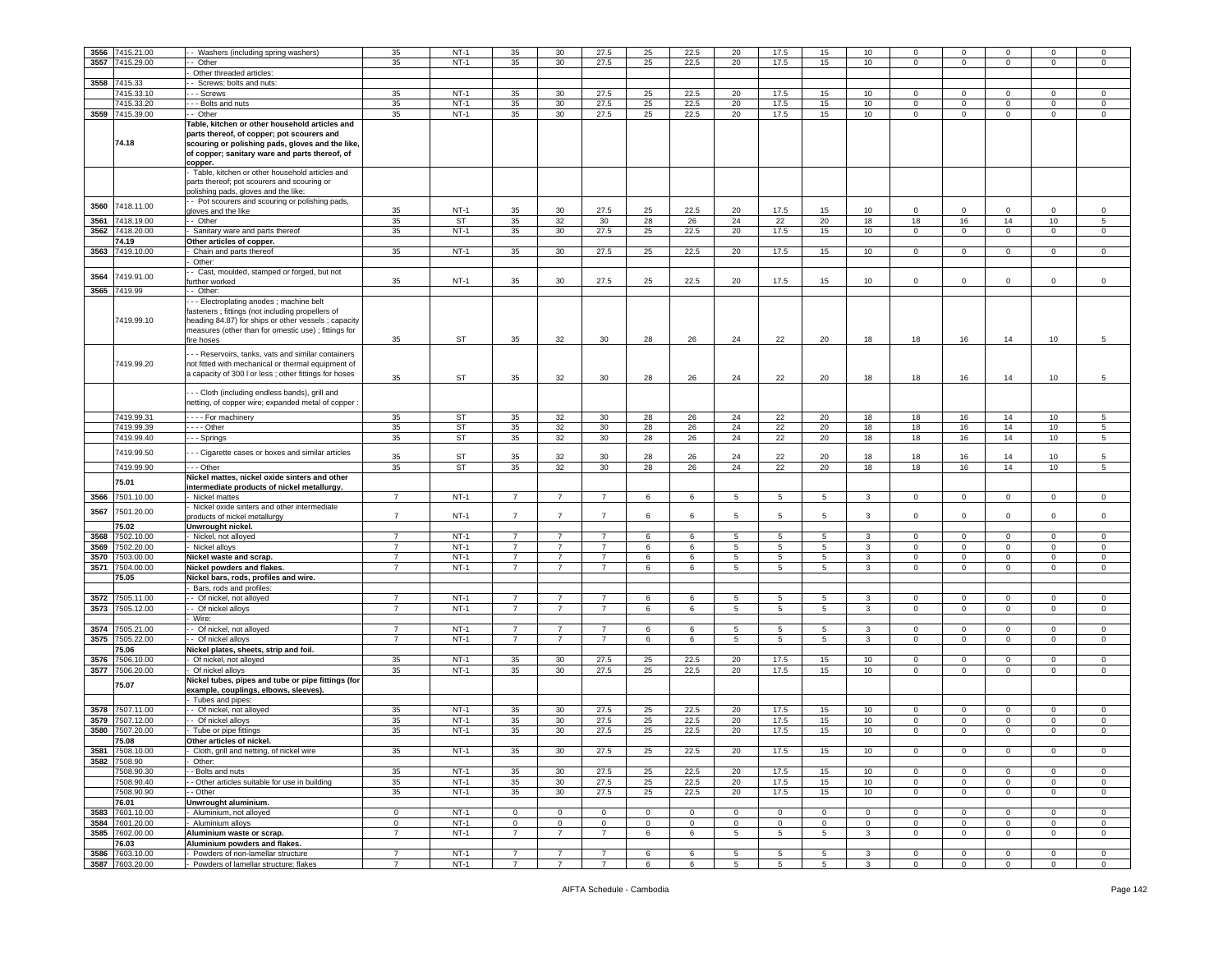| 3556 | 7415.21.00                    | - Washers (including spring washers)                                                                                                                                                                                        | 35                               | $NT-1$           | 35                               | 30                               | 27.5                             | 25           | 22.5         | 20              | 17.5            | 15                   | 10               | $\Omega$                    | $^{\circ}$              |                  | $\Omega$         | $\mathbf 0$      |
|------|-------------------------------|-----------------------------------------------------------------------------------------------------------------------------------------------------------------------------------------------------------------------------|----------------------------------|------------------|----------------------------------|----------------------------------|----------------------------------|--------------|--------------|-----------------|-----------------|----------------------|------------------|-----------------------------|-------------------------|------------------|------------------|------------------|
| 3557 | 7415.29.00                    | - Other                                                                                                                                                                                                                     | 35                               | $NT-1$           | 35                               | 30                               | 27.5                             | 25           | 22.5         | 20              | 17.5            | 15                   | 10               | $\mathbf 0$                 | $\mathbf{0}$            | $\mathbf{0}$     | $\mathbf 0$      | $\circ$          |
|      |                               | Other threaded articles:                                                                                                                                                                                                    |                                  |                  |                                  |                                  |                                  |              |              |                 |                 |                      |                  |                             |                         |                  |                  |                  |
| 3558 | 7415.33                       | Screws; bolts and nuts:                                                                                                                                                                                                     |                                  |                  |                                  |                                  |                                  |              |              |                 |                 |                      |                  |                             |                         |                  |                  |                  |
|      | 7415.33.10                    | - - Screws                                                                                                                                                                                                                  | 35                               | $NT-1$           | 35                               | 30                               | 27.5                             | 25           | 22.5         | 20              | 17.5            | 15                   | 10               | 0                           | $\mathbf 0$             | 0                | 0                | $\mathbf 0$      |
|      | 7415.33.20                    | - - Bolts and nuts                                                                                                                                                                                                          | 35                               | $NT-1$           | 35                               | 30                               | 27.5                             | 25           | 22.5         | 20              | 17.5            | 15                   | 10               | $\mathbf 0$                 | $\mathbf 0$             | $\mathbf 0$      | $\mathbf 0$      | $\mathsf 0$      |
|      |                               |                                                                                                                                                                                                                             |                                  |                  |                                  |                                  |                                  |              |              |                 |                 |                      |                  |                             |                         |                  |                  |                  |
|      | 3559 7415.39.00               | - Other                                                                                                                                                                                                                     | 35                               | $NT-1$           | 35                               | 30                               | 27.5                             | 25           | 22.5         | 20              | 17.5            | 15                   | 10               | $\mathbf 0$                 | $\mathbf 0$             | $\circ$          | $\mathbf{0}$     | $\circ$          |
|      | 74.18                         | Table, kitchen or other household articles and<br>parts thereof, of copper; pot scourers and<br>scouring or polishing pads, gloves and the like,<br>of copper; sanitary ware and parts thereof, of<br>copper.               |                                  |                  |                                  |                                  |                                  |              |              |                 |                 |                      |                  |                             |                         |                  |                  |                  |
|      |                               | Table, kitchen or other household articles and<br>parts thereof; pot scourers and scouring or<br>polishing pads, gloves and the like:                                                                                       |                                  |                  |                                  |                                  |                                  |              |              |                 |                 |                      |                  |                             |                         |                  |                  |                  |
| 3560 | 7418.11.00                    | - Pot scourers and scouring or polishing pads,<br>gloves and the like                                                                                                                                                       | 35                               | $NT-1$           | 35                               | 30                               | 27.5                             | 25           | 22.5         | 20              | 17.5            | 15                   | 10               | 0                           | $\mathbf 0$             | 0                | $\mathbf 0$      | $\mathbf 0$      |
| 3561 | 7418.19.00                    | - Other                                                                                                                                                                                                                     | 35                               | ST               | 35                               | 32                               | 30                               | 28           | 26           | 24              | 22              | 20                   | 18               | 18                          | 16                      | 14               | 10               | $\sqrt{5}$       |
| 3562 | 7418.20.00                    | Sanitary ware and parts thereof                                                                                                                                                                                             | 35                               | $NT-1$           | 35                               | 30                               | 27.5                             | 25           | 22.5         | 20              | 17.5            | 15                   | 10               | $\mathbf 0$                 | $\mathbf 0$             | $\mathbf 0$      | $\mathbf 0$      | $\mathbf 0$      |
|      | 74.19                         | Other articles of copper.                                                                                                                                                                                                   |                                  |                  |                                  |                                  |                                  |              |              |                 |                 |                      |                  |                             |                         |                  |                  |                  |
| 3563 | 7419.10.00                    | Chain and parts thereof                                                                                                                                                                                                     | 35                               | $NT-1$           | 35                               | 30                               | 27.5                             | 25           | 22.5         | 20              | 17.5            | 15                   | 10               | $\mathbf 0$                 | $\mathbf 0$             | $\mathbf 0$      | $\mathbf 0$      | 0                |
|      |                               | Other:                                                                                                                                                                                                                      |                                  |                  |                                  |                                  |                                  |              |              |                 |                 |                      |                  |                             |                         |                  |                  |                  |
| 3564 | 7419.91.00                    | - Cast, moulded, stamped or forged, but not<br>further worked                                                                                                                                                               | 35                               | $NT-1$           | 35                               | 30                               | 27.5                             | 25           | 22.5         | 20              | 17.5            | 15                   | 10               | $\mathbf 0$                 | $\mathbf 0$             | $\mathbf 0$      | $\mathbf 0$      | $\mathsf 0$      |
| 3565 | 7419.99                       | - - Other:                                                                                                                                                                                                                  |                                  |                  |                                  |                                  |                                  |              |              |                 |                 |                      |                  |                             |                         |                  |                  |                  |
|      | 7419.99.10                    | --- Electroplating anodes ; machine belt<br>fasteners ; fittings (not including propellers of<br>heading 84.87) for ships or other vessels ; capacity<br>measures (other than for omestic use) ; fittings for<br>fire hoses | 35                               | ST               | 35                               | 32                               | 30                               | 28           | 26           | 24              | 22              | 20                   | 18               | 18                          | 16                      | 14               | 10               | $\sqrt{5}$       |
|      |                               | - - Reservoirs, tanks, vats and similar containers                                                                                                                                                                          |                                  |                  |                                  |                                  |                                  |              |              |                 |                 |                      |                  |                             |                         |                  |                  |                  |
|      | 7419.99.20                    | not fitted with mechanical or thermal equipment of<br>a capacity of 300 I or less ; other fittings for hoses                                                                                                                | 35                               | <b>ST</b>        | 35                               | 32                               | 30                               | 28           | 26           | 24              | 22              | 20                   | 18               | 18                          | 16                      | 14               | 10               | 5                |
|      |                               | - - Cloth (including endless bands), grill and                                                                                                                                                                              |                                  |                  |                                  |                                  |                                  |              |              |                 |                 |                      |                  |                             |                         |                  |                  |                  |
|      | 7419.99.31                    | netting, of copper wire; expanded metal of copper                                                                                                                                                                           |                                  | <b>ST</b>        |                                  |                                  |                                  |              |              |                 |                 |                      |                  |                             |                         |                  |                  |                  |
|      |                               | - - - - For machinery                                                                                                                                                                                                       | 35                               |                  | 35                               | 32                               | 30                               | 28           | 26           | 24              | 22              | 20                   | 18               | 18                          | 16                      | 14               | 10               | 5                |
|      | 7419.99.39                    | $\cdots$ - Other                                                                                                                                                                                                            | 35                               | ST               | 35                               | 32                               | 30                               | 28           | 26           | 24              | 22              | 20                   | 18               | 18                          | 16                      | 14               | 10               | 5                |
|      | 7419.99.40                    | - - Springs                                                                                                                                                                                                                 | 35                               | ST               | 35                               | 32                               | 30                               | 28           | 26           | 24              | 22              | 20                   | 18               | 18                          | 16                      | 14               | 10               | 5                |
|      | 7419.99.50                    | - - Cigarette cases or boxes and similar articles                                                                                                                                                                           |                                  |                  |                                  |                                  |                                  |              |              |                 |                 |                      |                  |                             |                         |                  |                  |                  |
|      |                               |                                                                                                                                                                                                                             | 35                               | ST               | 35                               | 32                               | 30                               | 28           | 26           | 24              | 22              | 20                   | 18               | 18                          | 16                      | 14               | 10               | 5                |
|      | 7419.99.90                    | --- Other                                                                                                                                                                                                                   | 35                               | ST               | 35                               | 32                               | 30                               | 28           | 26           | 24              | 22              | 20                   | 18               | 18                          | 16                      | 14               | 10               | 5                |
|      | 75.01                         | Nickel mattes, nickel oxide sinters and other<br>intermediate products of nickel metallurgy.                                                                                                                                |                                  | $NT-1$           | $\overline{7}$                   |                                  |                                  |              |              |                 |                 |                      |                  |                             |                         |                  |                  |                  |
| 3566 | 7501.10.00                    | Nickel mattes<br>Nickel oxide sinters and other intermediate                                                                                                                                                                | $\overline{7}$                   |                  |                                  | $\overline{7}$                   | $\overline{7}$                   | 6            | 6            | $5\overline{)}$ | $5\phantom{.0}$ | 5 <sup>5</sup>       | $\mathbf{3}$     | $\overline{0}$              | $\mathbf{0}$            | $\overline{0}$   | $\mathbf{0}$     | $\circ$          |
| 3567 | 7501.20.00                    | products of nickel metallurgy                                                                                                                                                                                               | $\overline{7}$                   | $NT-1$           | $\overline{7}$                   | $\overline{7}$                   | $\overline{7}$                   | 6            | 6            | 5               | 5               | 5                    | 3                | $\mathbf 0$                 | $\mathbf 0$             | $\mathbf 0$      | $\mathbf 0$      | $\mathsf 0$      |
|      | 75.02                         | Unwrought nickel.                                                                                                                                                                                                           |                                  |                  |                                  |                                  |                                  |              |              |                 |                 |                      |                  |                             |                         |                  |                  |                  |
| 3568 | 7502.10.00                    | Nickel, not alloyed                                                                                                                                                                                                         | $\overline{7}$                   | $NT-1$           | $\overline{7}$                   | $\overline{7}$                   | $\overline{7}$                   | 6            | 6            | $5\overline{)}$ | $5\phantom{.0}$ | $5\phantom{.0}$      | $\mathbf{3}$     | $\mathbf 0$                 | $\overline{0}$          | $\mathsf 0$      | $\mathbf 0$      | $\,0\,$          |
| 3569 | 7502.20.00                    | Nickel alloys                                                                                                                                                                                                               | $\overline{7}$                   | $NT-1$           | $\overline{7}$                   | $\overline{7}$                   | $\overline{7}$                   | 6            | 6            | 5               | 5               | 5                    | 3                | 0                           | $\mathbf 0$             | $\mathbf 0$      | $\mathbf 0$      | $\mathsf 0$      |
| 3570 | 7503.00.00                    | Nickel waste and scrap.                                                                                                                                                                                                     | $\overline{7}$                   | $NT-1$           | $\overline{7}$                   | 7                                | $\overline{7}$                   | 6            | 6            | 5               | 5               | $5\overline{)}$      | 3                | $\mathbf 0$                 | $\mathbf 0$             | $\mathbf 0$      | $\mathbf 0$      | $\mathbf 0$      |
| 3571 | 7504.00.00                    | Nickel powders and flakes.                                                                                                                                                                                                  | 7                                | $NT-1$           | $\overline{7}$                   | 7                                | $\overline{7}$                   | 6            | 6            | 5               | 5               | 5                    | 3                | $\mathbf 0$                 | $\mathbf 0$             | $\mathbf{0}$     | 0                | $\mathbf 0$      |
|      | 75.05                         | Nickel bars, rods, profiles and wire.                                                                                                                                                                                       |                                  |                  |                                  |                                  |                                  |              |              |                 |                 |                      |                  |                             |                         |                  |                  |                  |
|      |                               | Bars, rods and profiles:                                                                                                                                                                                                    |                                  |                  |                                  |                                  |                                  |              |              |                 |                 |                      |                  |                             |                         |                  |                  |                  |
| 3572 | 7505.11.00                    | - Of nickel, not alloyed                                                                                                                                                                                                    | $\overline{7}$                   | $NT-1$           | $\overline{7}$                   | $\overline{7}$                   | $\overline{7}$                   | 6            | 6            | 5               | 5               | 5                    | 3                | 0                           | $\mathbf 0$             | $\mathbf 0$      | $\mathbf 0$      | 0                |
| 3573 | 7505.12.00                    | - Of nickel alloys                                                                                                                                                                                                          | $\overline{7}$                   | $NT-1$           | $\overline{7}$                   | $\overline{7}$                   | $\overline{7}$                   | 6            | 6            | 5               | $5\phantom{.0}$ | $5\overline{5}$      | $\mathbf{3}$     | $\mathbf{0}$                | $\mathbf 0$             | $\circ$          | $\mathbf 0$      | $\mathsf 0$      |
|      |                               | - Wire:                                                                                                                                                                                                                     |                                  |                  |                                  |                                  |                                  |              |              |                 |                 |                      |                  |                             |                         |                  |                  |                  |
|      | 505.21.00                     |                                                                                                                                                                                                                             | $\overline{7}$                   | $NT-1$           | $\overline{7}$                   | $\overline{7}$                   | $\overline{7}$                   |              | 6            | 5               | 5               | 5                    | 3                | $\mathbf 0$                 | $\mathbf 0$             | $\mathbf 0$      | $\mathbf 0$      | $\mathsf 0$      |
| 3574 |                               | - Of nickel, not alloyed                                                                                                                                                                                                    |                                  |                  |                                  | $\overline{7}$                   |                                  | 6            |              |                 |                 |                      |                  |                             |                         |                  |                  |                  |
| 3575 | 7505.22.00                    | - Of nickel alloys                                                                                                                                                                                                          | $\overline{7}$                   | $NT-1$           | $\overline{7}$                   |                                  | $\overline{7}$                   | 6            | 6            | $\overline{5}$  | $5\phantom{.0}$ | $5\overline{)}$      | $\overline{3}$   | $\mathbf 0$                 | $\mathbf 0$             | $\circ$          | $\mathbf 0$      | $\mathsf 0$      |
|      | 5.06                          | Nickel plates, sheets, strip and foil.                                                                                                                                                                                      |                                  |                  |                                  |                                  |                                  |              |              |                 |                 |                      |                  |                             |                         |                  |                  |                  |
| 3576 | 7506.10.00                    | Of nickel, not alloyed                                                                                                                                                                                                      | 35                               | $NT-1$           | 35                               | 30                               | 27.5                             | 25           | 22.5         | 20              | 17.5            | 15                   | 10               | $\circ$                     | $\mathbf 0$             | $\mathbf 0$      | 0                | $\mathbf 0$      |
|      | 3577 7506.20.00               | Of nickel alloys                                                                                                                                                                                                            | 35                               | $NT-1$           | 35                               | 30                               | 27.5                             | 25           | 22.5         | 20              | 17.5            | 15                   | 10 <sup>10</sup> | $\circ$                     | $\overline{0}$          | $\overline{0}$   | 0                | $\mathbf 0$      |
|      | 75.07                         | Nickel tubes, pipes and tube or pipe fittings (for<br>example, couplings, elbows, sleeves).                                                                                                                                 |                                  |                  |                                  |                                  |                                  |              |              |                 |                 |                      |                  |                             |                         |                  |                  |                  |
|      |                               | Tubes and pipes:                                                                                                                                                                                                            |                                  |                  |                                  |                                  |                                  |              |              |                 |                 |                      |                  |                             |                         |                  |                  |                  |
| 3578 | 7507.11.00                    | - Of nickel, not alloyed                                                                                                                                                                                                    | 35                               | $NT-1$           | 35                               | 30                               | 27.5                             | 25           | 22.5         | 20              | 17.5            | 15                   | 10               | 0                           | $\mathbf 0$             | 0                | 0                | 0                |
| 3579 | 7507.12.00                    |                                                                                                                                                                                                                             | 35                               | $NT-1$           | 35                               | 30                               | 27.5                             | 25           | 22.5         | 20              | 17.5            | 15                   | 10               | $\circ$                     | $\mathbf 0$             | $\circ$          | $\mathbf{0}$     | $\mathbf 0$      |
|      |                               | - - Of nickel alloys                                                                                                                                                                                                        |                                  |                  |                                  |                                  |                                  |              |              |                 |                 |                      |                  |                             |                         |                  |                  |                  |
| 3580 | 7507.20.00                    | - Tube or pipe fittings                                                                                                                                                                                                     | 35                               | $NT-1$           | 35                               | 30                               | 27.5                             | 25           | 22.5         | 20              | 17.5            | 15                   | 10               | $\mathbf 0$                 | $\overline{0}$          | $\mathbf 0$      | 0                | $\mathbf 0$      |
|      | 5.08                          | Other articles of nickel                                                                                                                                                                                                    |                                  |                  |                                  |                                  |                                  |              |              |                 |                 |                      |                  |                             |                         |                  |                  |                  |
| 3581 | 7508.10.00                    | Cloth, grill and netting, of nickel wire                                                                                                                                                                                    | 35                               | $NT-1$           | 35                               | 30                               | 27.5                             | 25           | 22.5         | 20              | 17.5            | 15                   | 10               | $\mathbf 0$                 | $\,0\,$                 | $\mathbf 0$      | $\mathsf 0$      | $\,0\,$          |
| 3582 | 7508.90                       | Other:                                                                                                                                                                                                                      |                                  |                  |                                  |                                  |                                  |              |              |                 |                 |                      |                  |                             |                         |                  |                  |                  |
|      |                               | - Bolts and nuts                                                                                                                                                                                                            | 35                               | $NT-1$           | 35                               | 30                               | 27.5                             | 25           | 22.5         | 20              | 17.5            | 15                   | 10               | $\mathbf 0$                 | $\mathbf 0$             | $\mathbf 0$      | $\mathbf{0}$     | $\mathbf 0$      |
|      | 7508.90.30                    |                                                                                                                                                                                                                             |                                  |                  |                                  |                                  |                                  |              |              |                 |                 |                      |                  |                             |                         |                  |                  |                  |
|      |                               |                                                                                                                                                                                                                             |                                  |                  |                                  |                                  |                                  |              |              |                 |                 |                      |                  |                             |                         |                  |                  |                  |
|      | 7508.90.40                    | - Other articles suitable for use in building                                                                                                                                                                               | 35                               | $NT-1$           | 35                               | 30                               | 27.5                             | 25           | 22.5         | 20              | 17.5            | 15                   | 10               | $\mathbf 0$                 | $\mathbf 0$             | $\mathbf 0$      | $\mathbf 0$      | $\mathbf 0$      |
|      | 7508.90.90                    | - Other                                                                                                                                                                                                                     | 35                               | $NT-1$           | 35                               | 30                               | 27.5                             | 25           | 22.5         | 20              | 17.5            | 15                   | 10               | $\mathbf 0$                 | $\mathbf 0$             | $\overline{0}$   | $\mathbf 0$      | $\mathbf 0$      |
|      | 76.01                         | Unwrought aluminium.                                                                                                                                                                                                        |                                  |                  |                                  |                                  |                                  |              |              |                 |                 |                      |                  |                             |                         |                  |                  |                  |
|      | 3583 7601.10.00               | Aluminium, not alloyed                                                                                                                                                                                                      | 0                                | $NT-1$           | 0                                | $\mathbf 0$                      | $\mathbf{0}$                     | $\mathbf 0$  | $\mathbf 0$  | $\mathbf 0$     | 0               | 0                    | $\mathbf 0$      | 0                           | $\mathbf 0$             | 0                | 0                | 0                |
|      | 3584 7601.20.00               | Aluminium alloys                                                                                                                                                                                                            | $\circ$                          | $NT-1$           | $\mathbf{0}$                     | $\mathbf{0}$                     | $\mathbf 0$                      | $\mathbf{0}$ | $\mathbf{0}$ | $\mathbf 0$     | $\mathbf 0$     | $\mathbf{0}$         | $\circ$          | $\mathbf{0}$                | $\mathbf 0$             | $\circ$          | $\mathbf{0}$     | $\mathbf 0$      |
| 3585 | 7602.00.00                    | Aluminium waste or scrap.                                                                                                                                                                                                   | $\overline{7}$                   | $NT-1$           | $\overline{7}$                   | 7                                | $\overline{7}$                   | 6            | 6            | 5               | 5               | 5                    | 3                | $\mathbf 0$                 | $\mathbf 0$             | $\mathbf 0$      | $\mathbf{0}$     | $\mathbf 0$      |
|      | 76.03                         | Aluminium powders and flakes.                                                                                                                                                                                               |                                  |                  |                                  |                                  |                                  |              |              |                 |                 |                      |                  |                             |                         |                  |                  |                  |
| 3586 | 7603.10.00<br>3587 7603.20.00 | Powders of non-lamellar structure<br>Powders of lamellar structure; flakes                                                                                                                                                  | $\overline{7}$<br>$\overline{7}$ | $NT-1$<br>$NT-1$ | $\overline{7}$<br>$\overline{7}$ | $\overline{7}$<br>$\overline{7}$ | $\overline{7}$<br>$\overline{7}$ | 6<br>6       | 6<br>6       | 5<br>5          | 5<br>5          | 5<br>$5\overline{5}$ | 3<br>3           | $\mathbf 0$<br>$\mathbf{0}$ | $\,0\,$<br>$\mathbf{0}$ | 0<br>$\mathbf 0$ | 0<br>$\mathbf 0$ | 0<br>$\mathbf 0$ |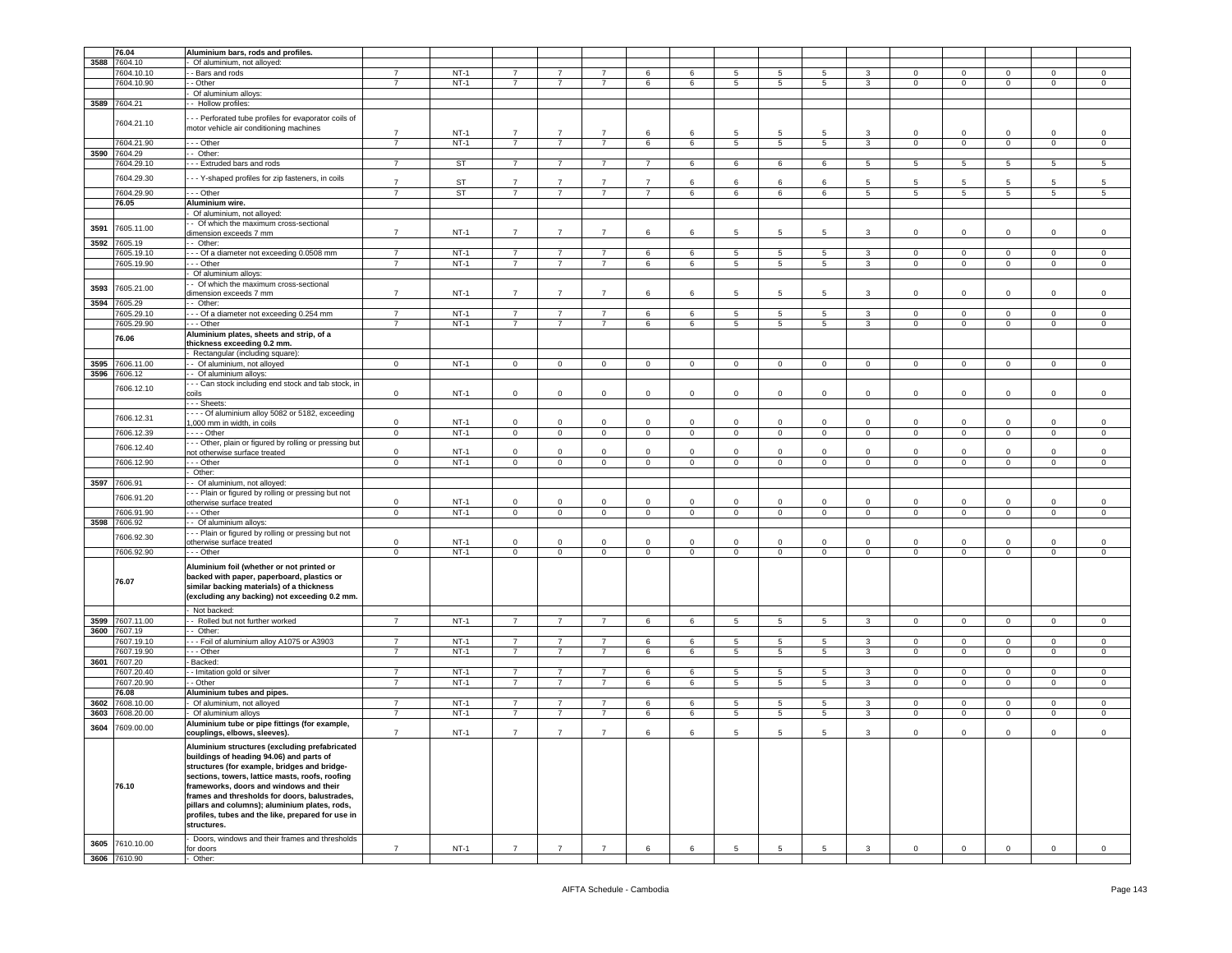|      | 76.04                      | Aluminium bars, rods and profiles.                                                                                                                                                                                                                                                                                                                                                                            |                |           |                |                |                |                |             |                 |                 |                 |                 |                |                |                 |              |             |
|------|----------------------------|---------------------------------------------------------------------------------------------------------------------------------------------------------------------------------------------------------------------------------------------------------------------------------------------------------------------------------------------------------------------------------------------------------------|----------------|-----------|----------------|----------------|----------------|----------------|-------------|-----------------|-----------------|-----------------|-----------------|----------------|----------------|-----------------|--------------|-------------|
| 3588 | 7604.10                    | Of aluminium, not alloyed:                                                                                                                                                                                                                                                                                                                                                                                    |                |           |                |                |                |                |             |                 |                 |                 |                 |                |                |                 |              |             |
|      | 7604.10.10                 | - Bars and rods                                                                                                                                                                                                                                                                                                                                                                                               | 7              | $NT-1$    | $\overline{7}$ | 7              | 7              | 6              | 6           | 5               | 5               | 5               |                 | 0              | $\mathbf 0$    | $\Omega$        | 0            | 0           |
|      |                            |                                                                                                                                                                                                                                                                                                                                                                                                               |                |           |                |                |                |                |             |                 |                 |                 |                 |                |                |                 |              |             |
|      | 7604.10.90                 | - Other                                                                                                                                                                                                                                                                                                                                                                                                       | $\overline{7}$ | $NT-1$    | $\overline{7}$ | $\overline{7}$ | $\overline{7}$ | 6              | 6           | 5               | 5               | 5               | 3               | $\mathbf 0$    | $\mathsf 0$    | $\mathbf{0}$    | $\mathbf 0$  | $\circ$     |
|      |                            | Of aluminium alloys:                                                                                                                                                                                                                                                                                                                                                                                          |                |           |                |                |                |                |             |                 |                 |                 |                 |                |                |                 |              |             |
|      |                            |                                                                                                                                                                                                                                                                                                                                                                                                               |                |           |                |                |                |                |             |                 |                 |                 |                 |                |                |                 |              |             |
| 3589 | 7604.21                    | - Hollow profiles:                                                                                                                                                                                                                                                                                                                                                                                            |                |           |                |                |                |                |             |                 |                 |                 |                 |                |                |                 |              |             |
|      |                            |                                                                                                                                                                                                                                                                                                                                                                                                               |                |           |                |                |                |                |             |                 |                 |                 |                 |                |                |                 |              |             |
|      | 7604.21.10                 | - - Perforated tube profiles for evaporator coils of                                                                                                                                                                                                                                                                                                                                                          |                |           |                |                |                |                |             |                 |                 |                 |                 |                |                |                 |              |             |
|      |                            | motor vehicle air conditioning machines                                                                                                                                                                                                                                                                                                                                                                       |                |           |                | $\overline{7}$ | $\overline{7}$ |                |             |                 |                 |                 |                 |                |                | $\Omega$        |              | $\mathbf 0$ |
|      |                            |                                                                                                                                                                                                                                                                                                                                                                                                               | $\overline{7}$ | $NT-1$    | $\overline{7}$ |                |                | 6              | 6           | 5               | 5               | 5               | 3               | $\mathbf{0}$   | $\mathbf 0$    |                 | 0            |             |
|      | 7604.21.90                 | - - Other                                                                                                                                                                                                                                                                                                                                                                                                     | $\overline{7}$ | $NT-1$    | $\overline{7}$ | $\overline{7}$ | $\overline{7}$ | 6              | 6           | $5\phantom{.0}$ | 5               | 5               | $\mathbf{3}$    | $\overline{0}$ | $\mathbf 0$    | $\mathbf 0$     | $\mathbf 0$  | $\mathsf 0$ |
|      | 7604.29                    | Other:                                                                                                                                                                                                                                                                                                                                                                                                        |                |           |                |                |                |                |             |                 |                 |                 |                 |                |                |                 |              |             |
| 3590 |                            |                                                                                                                                                                                                                                                                                                                                                                                                               |                |           |                |                |                |                |             |                 |                 |                 |                 |                |                |                 |              |             |
|      | 7604.29.10                 | -- Extruded bars and rods                                                                                                                                                                                                                                                                                                                                                                                     | $\overline{7}$ | <b>ST</b> | $\overline{7}$ | $\overline{7}$ | $\overline{7}$ | $\overline{7}$ | 6           | 6               | 6               | 6               | $5\overline{)}$ | 5              | $\overline{5}$ | $5\phantom{.0}$ | 5            | 5           |
|      |                            |                                                                                                                                                                                                                                                                                                                                                                                                               |                |           |                |                |                |                |             |                 |                 |                 |                 |                |                |                 |              |             |
|      | 7604.29.30                 | - - Y-shaped profiles for zip fasteners, in coils                                                                                                                                                                                                                                                                                                                                                             |                |           |                |                |                |                |             |                 |                 |                 |                 |                |                |                 |              |             |
|      |                            |                                                                                                                                                                                                                                                                                                                                                                                                               | $\overline{7}$ | ST        | $\overline{7}$ | $\overline{7}$ | $\overline{7}$ | $\overline{7}$ | 6           | 6               | 6               | 6               | 5               | 5              | 5              | 5               | 5            | 5           |
|      | 7604.29.90                 | - - Other                                                                                                                                                                                                                                                                                                                                                                                                     | $\overline{7}$ | ST        | $\overline{7}$ | $\overline{7}$ | $\overline{7}$ | $\overline{7}$ | 6           | 6               | 6               | 6               | 5               | 5              | $\overline{5}$ | 5               | 5            | 5           |
|      |                            |                                                                                                                                                                                                                                                                                                                                                                                                               |                |           |                |                |                |                |             |                 |                 |                 |                 |                |                |                 |              |             |
|      | 76.05                      | Aluminium wire.                                                                                                                                                                                                                                                                                                                                                                                               |                |           |                |                |                |                |             |                 |                 |                 |                 |                |                |                 |              |             |
|      |                            | Of aluminium, not alloyed:                                                                                                                                                                                                                                                                                                                                                                                    |                |           |                |                |                |                |             |                 |                 |                 |                 |                |                |                 |              |             |
|      |                            | - Of which the maximum cross-sectional                                                                                                                                                                                                                                                                                                                                                                        |                |           |                |                |                |                |             |                 |                 |                 |                 |                |                |                 |              |             |
| 3591 | 7605.11.00                 |                                                                                                                                                                                                                                                                                                                                                                                                               |                |           |                |                |                |                |             |                 |                 |                 |                 |                |                |                 |              |             |
|      |                            | dimension exceeds 7 mm                                                                                                                                                                                                                                                                                                                                                                                        | $\overline{7}$ | $NT-1$    | $\overline{7}$ | $\overline{7}$ | $\overline{7}$ | 6              | 6           | 5               | 5               | $5\overline{5}$ | 3               | $\circ$        | $\mathsf 0$    | $\mathbf 0$     | $\mathbf 0$  | $\mathbf 0$ |
| 3592 | 7605.19                    | - Other:                                                                                                                                                                                                                                                                                                                                                                                                      |                |           |                |                |                |                |             |                 |                 |                 |                 |                |                |                 |              |             |
|      |                            |                                                                                                                                                                                                                                                                                                                                                                                                               |                |           |                |                |                |                |             |                 |                 |                 |                 |                |                |                 |              |             |
|      | 7605.19.10                 | - - Of a diameter not exceeding 0.0508 mm                                                                                                                                                                                                                                                                                                                                                                     | $\overline{7}$ | $NT-1$    | $\overline{7}$ | $\overline{7}$ | $\overline{7}$ | 6              | 6           | 5               | 5               | 5               | 3               | 0              | $\mathsf 0$    | 0               | 0            | $\mathbf 0$ |
|      | 7605.19.90                 | - - Other                                                                                                                                                                                                                                                                                                                                                                                                     | $\overline{7}$ | $NT-1$    | $\overline{7}$ | 7              | $\overline{7}$ | 6              | 6           | 5               | 5               | $5\phantom{.0}$ | 3               | $\overline{0}$ | $\mathbf 0$    | $\mathsf 0$     | $\mathbf 0$  | $\mathsf 0$ |
|      |                            | Of aluminium alloys:                                                                                                                                                                                                                                                                                                                                                                                          |                |           |                |                |                |                |             |                 |                 |                 |                 |                |                |                 |              |             |
|      |                            |                                                                                                                                                                                                                                                                                                                                                                                                               |                |           |                |                |                |                |             |                 |                 |                 |                 |                |                |                 |              |             |
|      |                            | - Of which the maximum cross-sectional                                                                                                                                                                                                                                                                                                                                                                        |                |           |                |                |                |                |             |                 |                 |                 |                 |                |                |                 |              |             |
| 3593 | 7605.21.00                 | dimension exceeds 7 mm                                                                                                                                                                                                                                                                                                                                                                                        | $\overline{7}$ | $NT-1$    | $\overline{7}$ | 7              | $\overline{7}$ | 6              | 6           | 5               | 5               | 5               | 3               | 0              | $\mathbf 0$    | $\Omega$        | 0            | $\mathbf 0$ |
|      |                            |                                                                                                                                                                                                                                                                                                                                                                                                               |                |           |                |                |                |                |             |                 |                 |                 |                 |                |                |                 |              |             |
| 3594 | 7605.29                    | Other:                                                                                                                                                                                                                                                                                                                                                                                                        |                |           |                |                |                |                |             |                 |                 |                 |                 |                |                |                 |              |             |
|      | 7605.29.10                 | - - Of a diameter not exceeding 0.254 mm                                                                                                                                                                                                                                                                                                                                                                      | $\overline{7}$ | $NT-1$    | $\overline{7}$ | $\overline{7}$ | 7              | 6              | 6           | 5               | 5               | 5               | 3               | $\mathbf 0$    | $\mathbf 0$    | 0               | 0            | $\mathbf 0$ |
|      | 7605.29.90                 | - - Other                                                                                                                                                                                                                                                                                                                                                                                                     | $\overline{7}$ | $NT-1$    | $\overline{7}$ | $\overline{7}$ | $\overline{7}$ | 6              | 6           | 5               | 5               | 5               | 3               | $\mathbf 0$    | $\mathbf 0$    | $\mathbf 0$     | $\mathbf 0$  | $\mathbf 0$ |
|      |                            |                                                                                                                                                                                                                                                                                                                                                                                                               |                |           |                |                |                |                |             |                 |                 |                 |                 |                |                |                 |              |             |
|      | 76.06                      | Aluminium plates, sheets and strip, of a                                                                                                                                                                                                                                                                                                                                                                      |                |           |                |                |                |                |             |                 |                 |                 |                 |                |                |                 |              |             |
|      |                            | thickness exceeding 0.2 mm.                                                                                                                                                                                                                                                                                                                                                                                   |                |           |                |                |                |                |             |                 |                 |                 |                 |                |                |                 |              |             |
|      |                            |                                                                                                                                                                                                                                                                                                                                                                                                               |                |           |                |                |                |                |             |                 |                 |                 |                 |                |                |                 |              |             |
|      |                            | Rectangular (including square):                                                                                                                                                                                                                                                                                                                                                                               |                |           |                |                |                |                |             |                 |                 |                 |                 |                |                |                 |              |             |
| 3595 | 7606.11.00                 | - Of aluminium, not alloyed                                                                                                                                                                                                                                                                                                                                                                                   | $\mathbf{0}$   | $NT-1$    | $\mathbf{0}$   | $\circ$        | $\mathbf{0}$   | $\mathbf{0}$   | $\mathbf 0$ | $\mathbf{0}$    | $\mathbf 0$     | $\mathbf{0}$    | $\circ$         | $\circ$        | $\mathsf 0$    | $\mathbf{0}$    | $\mathbf 0$  | $\circ$     |
| 3596 |                            |                                                                                                                                                                                                                                                                                                                                                                                                               |                |           |                |                |                |                |             |                 |                 |                 |                 |                |                |                 |              |             |
|      | 7606.12                    | - Of aluminium alloys:                                                                                                                                                                                                                                                                                                                                                                                        |                |           |                |                |                |                |             |                 |                 |                 |                 |                |                |                 |              |             |
|      |                            | - - Can stock including end stock and tab stock, ir                                                                                                                                                                                                                                                                                                                                                           |                |           |                |                |                |                |             |                 |                 |                 |                 |                |                |                 |              |             |
|      | 7606.12.10                 | coils                                                                                                                                                                                                                                                                                                                                                                                                         | $\mathbf 0$    | $NT-1$    | $\mathbf 0$    | $\mathbf 0$    | $\mathbf 0$    | $\mathbf 0$    | $\mathbf 0$ | 0               | 0               | $\mathbf 0$     | $\mathbf 0$     | 0              | $\mathbf 0$    | 0               | 0            | $\mathbf 0$ |
|      |                            |                                                                                                                                                                                                                                                                                                                                                                                                               |                |           |                |                |                |                |             |                 |                 |                 |                 |                |                |                 |              |             |
|      |                            | - - Sheets:                                                                                                                                                                                                                                                                                                                                                                                                   |                |           |                |                |                |                |             |                 |                 |                 |                 |                |                |                 |              |             |
|      |                            | - - - Of aluminium alloy 5082 or 5182, exceeding                                                                                                                                                                                                                                                                                                                                                              |                |           |                |                |                |                |             |                 |                 |                 |                 |                |                |                 |              |             |
|      | 7606.12.31                 |                                                                                                                                                                                                                                                                                                                                                                                                               | $\mathsf 0$    | $NT-1$    | 0              | $\mathbf 0$    | 0              | $\mathbf 0$    | $\Omega$    | $\mathbf 0$     | $\Omega$        | $\mathbf 0$     | $\Omega$        | 0              | $\mathbf 0$    | $\Omega$        | $\Omega$     | $\mathsf 0$ |
|      |                            | ,000 mm in width, in coils                                                                                                                                                                                                                                                                                                                                                                                    |                |           |                |                |                |                |             |                 |                 |                 |                 |                |                |                 |              |             |
|      | 7606.12.39                 | $- -$ Other                                                                                                                                                                                                                                                                                                                                                                                                   | $\mathbf 0$    | $NT-1$    | $\mathbf{0}$   | $\circ$        | $\mathbf 0$    | $\mathbf{0}$   | $\mathbf 0$ | $\circ$         | $\mathbf 0$     | $\mathbf{0}$    | $\circ$         | $\overline{0}$ | $\mathbf 0$    | $\mathbf 0$     | $\mathbf 0$  | $\mathbf 0$ |
|      |                            | - - Other, plain or figured by rolling or pressing but                                                                                                                                                                                                                                                                                                                                                        |                |           |                |                |                |                |             |                 |                 |                 |                 |                |                |                 |              |             |
|      | 7606.12.40                 |                                                                                                                                                                                                                                                                                                                                                                                                               | $\mathbf 0$    |           | $\Omega$       | $\mathbf 0$    | $\mathbf{0}$   | $\mathbf{0}$   | $\mathbf 0$ | $\mathbf 0$     | $\Omega$        | $\mathbf 0$     | $\Omega$        | $\circ$        | $\mathbf 0$    | $\Omega$        | $\mathbf 0$  | $\mathbf 0$ |
|      |                            | not otherwise surface treated                                                                                                                                                                                                                                                                                                                                                                                 |                | $NT-1$    |                |                |                |                |             |                 |                 |                 |                 |                |                |                 |              |             |
|      | 7606.12.90                 | - - Other                                                                                                                                                                                                                                                                                                                                                                                                     | $\mathsf 0$    | $NT-1$    | $\mathbf 0$    | $\overline{0}$ | $\mathbf 0$    | $\overline{0}$ | $\mathbf 0$ | $\mathsf 0$     | 0               | 0               | $\mathsf 0$     | $\mathbf 0$    | $\mathbf 0$    | 0               | $\mathbf 0$  | $\mathbf 0$ |
|      |                            | Other:                                                                                                                                                                                                                                                                                                                                                                                                        |                |           |                |                |                |                |             |                 |                 |                 |                 |                |                |                 |              |             |
|      |                            |                                                                                                                                                                                                                                                                                                                                                                                                               |                |           |                |                |                |                |             |                 |                 |                 |                 |                |                |                 |              |             |
|      | 3597 7606.91               | - Of aluminium, not alloyed:                                                                                                                                                                                                                                                                                                                                                                                  |                |           |                |                |                |                |             |                 |                 |                 |                 |                |                |                 |              |             |
|      |                            | - - Plain or figured by rolling or pressing but not                                                                                                                                                                                                                                                                                                                                                           |                |           |                |                |                |                |             |                 |                 |                 |                 |                |                |                 |              |             |
|      | 7606.91.20                 |                                                                                                                                                                                                                                                                                                                                                                                                               |                |           |                |                |                |                | $\Omega$    |                 |                 |                 | $\Omega$        |                |                |                 |              |             |
|      |                            | otherwise surface treated                                                                                                                                                                                                                                                                                                                                                                                     | $\mathbf 0$    | $NT-1$    | 0              | 0              | $\mathbf 0$    | $\mathbf 0$    |             | 0               | $\Omega$        | $\mathbf 0$     |                 | $\mathbf 0$    | $\mathbf 0$    | $\Omega$        | 0            | $\mathbf 0$ |
|      | 7606.91.90                 | - - Other                                                                                                                                                                                                                                                                                                                                                                                                     | $\mathbf 0$    | $NT-1$    | $\mathbf 0$    | $\circ$        | $\mathbf 0$    | $\mathbf{0}$   | $\mathbf 0$ | $\mathbf 0$     | $\mathbf 0$     | $\mathbf 0$     | $\circ$         | $\mathbf 0$    | $\mathsf 0$    | $\mathbf 0$     | $\mathbf 0$  | $\mathbf 0$ |
| 3598 | 7606.92                    | - Of aluminium alloys:                                                                                                                                                                                                                                                                                                                                                                                        |                |           |                |                |                |                |             |                 |                 |                 |                 |                |                |                 |              |             |
|      |                            |                                                                                                                                                                                                                                                                                                                                                                                                               |                |           |                |                |                |                |             |                 |                 |                 |                 |                |                |                 |              |             |
|      | 7606.92.30                 | - - Plain or figured by rolling or pressing but not                                                                                                                                                                                                                                                                                                                                                           |                |           |                |                |                |                |             |                 |                 |                 |                 |                |                |                 |              |             |
|      |                            | therwise surface treated                                                                                                                                                                                                                                                                                                                                                                                      | $\mathbf 0$    | $NT-1$    | 0              | $\mathbf 0$    | $\mathbf 0$    | $\mathsf 0$    | $\mathbf 0$ | 0               | 0               | $\mathbf 0$     | $\mathbf 0$     | $\mathbf 0$    | $\mathbf 0$    | $\mathbf 0$     | 0            | $\mathbf 0$ |
|      | 7606.92.90                 | - - Other                                                                                                                                                                                                                                                                                                                                                                                                     | $\mathsf 0$    | $NT-1$    | $\mathbf{0}$   | $\mathbf 0$    | $\mathbf 0$    | $\mathbf 0$    | $\mathbf 0$ | $\overline{0}$  | $\mathbf 0$     | $\mathbf 0$     | $\mathbf 0$     | $\mathbf 0$    | $\mathsf 0$    | $\mathbf 0$     | $\mathbf 0$  | $\mathbf 0$ |
|      |                            |                                                                                                                                                                                                                                                                                                                                                                                                               |                |           |                |                |                |                |             |                 |                 |                 |                 |                |                |                 |              |             |
|      | 76.07                      | Aluminium foil (whether or not printed or<br>backed with paper, paperboard, plastics or<br>similar backing materials) of a thickness<br>(excluding any backing) not exceeding 0.2 mm.                                                                                                                                                                                                                         |                |           |                |                |                |                |             |                 |                 |                 |                 |                |                |                 |              |             |
|      |                            | Not backed:                                                                                                                                                                                                                                                                                                                                                                                                   |                |           |                |                |                |                |             |                 |                 |                 |                 |                |                |                 |              |             |
|      |                            |                                                                                                                                                                                                                                                                                                                                                                                                               | $\overline{7}$ | $NT-1$    | $\overline{7}$ | $\overline{7}$ | $\overline{7}$ | 6              |             | $5\overline{)}$ |                 | $5\overline{)}$ |                 |                |                | $\overline{0}$  | $\mathbf{0}$ |             |
| 3599 | 7607.11.00                 | - Rolled but not further worked                                                                                                                                                                                                                                                                                                                                                                               |                |           |                |                |                |                | 6           |                 | $5\phantom{.0}$ |                 | $\mathbf{3}$    | $\overline{0}$ | $\mathbf 0$    |                 |              | $\mathsf 0$ |
| 3600 | 7607.19                    | Other:                                                                                                                                                                                                                                                                                                                                                                                                        |                |           |                |                |                |                |             |                 |                 |                 |                 |                |                |                 |              |             |
|      | 7607.19.10                 | - - Foil of aluminium alloy A1075 or A3903                                                                                                                                                                                                                                                                                                                                                                    | $\overline{7}$ | $NT-1$    | $\overline{7}$ | $\overline{7}$ | $\overline{7}$ | 6              | 6           | 5               | 5               | 5               | 3               | $\circ$        | $\mathsf 0$    | $\Omega$        | $\mathbf 0$  | $\mathbf 0$ |
|      |                            |                                                                                                                                                                                                                                                                                                                                                                                                               |                |           |                |                |                |                |             |                 |                 |                 |                 |                |                |                 |              |             |
|      | 7607.19.90                 | - - Other                                                                                                                                                                                                                                                                                                                                                                                                     | $\overline{7}$ | $NT-1$    | $\overline{7}$ | 7              | $\overline{7}$ | 6              | 6           | 5               | 5               | 5               | 3               | $\mathbf 0$    | $\mathbf 0$    | $\mathbf 0$     | $\mathbf{0}$ | $\mathbf 0$ |
| 3601 | 7607.20                    | Backed:                                                                                                                                                                                                                                                                                                                                                                                                       |                |           |                |                |                |                |             |                 |                 |                 |                 |                |                |                 |              |             |
|      |                            |                                                                                                                                                                                                                                                                                                                                                                                                               | $\overline{7}$ | $NT-1$    | $\overline{7}$ | $\overline{7}$ | $\overline{7}$ | 6              |             | $\overline{5}$  | 5               | 5               | 3               |                |                |                 | $\mathbf 0$  |             |
|      | 7607.20.40                 | - Imitation gold or silver                                                                                                                                                                                                                                                                                                                                                                                    |                |           |                |                |                |                | 6           |                 |                 |                 |                 | $\mathbf{0}$   | $\mathbf 0$    | $\mathbf 0$     |              | $\mathbf 0$ |
|      | 7607.20.90                 | - Other                                                                                                                                                                                                                                                                                                                                                                                                       | $\overline{7}$ | $NT-1$    | $\overline{7}$ | $\overline{7}$ | $\overline{7}$ | 6              | 6           | 5               | 5               | 5               | 3               | $\mathbf 0$    | $\mathsf 0$    | $\mathbf 0$     | $\mathbf 0$  | $\mathsf 0$ |
|      | 76.08                      | Aluminium tubes and pipes.                                                                                                                                                                                                                                                                                                                                                                                    |                |           |                |                |                |                |             |                 |                 |                 |                 |                |                |                 |              |             |
|      |                            |                                                                                                                                                                                                                                                                                                                                                                                                               |                |           |                |                |                |                |             |                 |                 |                 |                 |                |                |                 |              |             |
| 3602 | 7608.10.00                 | Of aluminium, not alloyed                                                                                                                                                                                                                                                                                                                                                                                     | $\overline{7}$ | $NT-1$    | $\overline{7}$ | 7              | $\overline{7}$ | 6              | 6           | 5               | 5               | 5               | 3               | 0              | $\mathbf 0$    | 0               | $\mathbf{0}$ | $\mathbf 0$ |
| 3603 | 7608.20.00                 | Of aluminium alloys                                                                                                                                                                                                                                                                                                                                                                                           | $\overline{7}$ | $NT-1$    | $\overline{7}$ | $\overline{7}$ | $\overline{7}$ | 6              | 6           | 5               | 5               | 5               | 3               | $\mathbf 0$    | $\mathsf 0$    | $\mathbf{0}$    | $\mathbf 0$  | $\mathbf 0$ |
|      |                            |                                                                                                                                                                                                                                                                                                                                                                                                               |                |           |                |                |                |                |             |                 |                 |                 |                 |                |                |                 |              |             |
| 3604 | 7609.00.00                 | Aluminium tube or pipe fittings (for example,                                                                                                                                                                                                                                                                                                                                                                 |                |           |                |                |                |                |             |                 |                 |                 |                 |                |                |                 |              |             |
|      |                            | couplings, elbows, sleeves).                                                                                                                                                                                                                                                                                                                                                                                  | $\overline{7}$ | $NT-1$    | $\overline{7}$ | $\overline{7}$ | $\overline{7}$ | 6              | 6           | 5               | 5               | 5               | 3               | $\Omega$       | $\mathsf 0$    | $\Omega$        | $\mathbf 0$  | $\Omega$    |
|      | 76.10                      | Aluminium structures (excluding prefabricated<br>buildings of heading 94.06) and parts of<br>structures (for example, bridges and bridge-<br>sections, towers, lattice masts, roofs, roofing<br>frameworks, doors and windows and their<br>frames and thresholds for doors, balustrades,<br>pillars and columns); aluminium plates, rods,<br>profiles, tubes and the like, prepared for use in<br>structures. |                |           |                |                |                |                |             |                 |                 |                 |                 |                |                |                 |              |             |
| 3605 | 7610.10.00<br>3606 7610.90 | Doors, windows and their frames and thresholds<br>or doors<br>Other:                                                                                                                                                                                                                                                                                                                                          | $\overline{7}$ | $NT-1$    | $\overline{7}$ | $\overline{7}$ | $\overline{7}$ | 6              | 6           | 5               | 5               | 5               | 3               | $\mathbf 0$    | $\mathsf 0$    | $\Omega$        | $\mathbf 0$  | $\mathbf 0$ |
|      |                            |                                                                                                                                                                                                                                                                                                                                                                                                               |                |           |                |                |                |                |             |                 |                 |                 |                 |                |                |                 |              |             |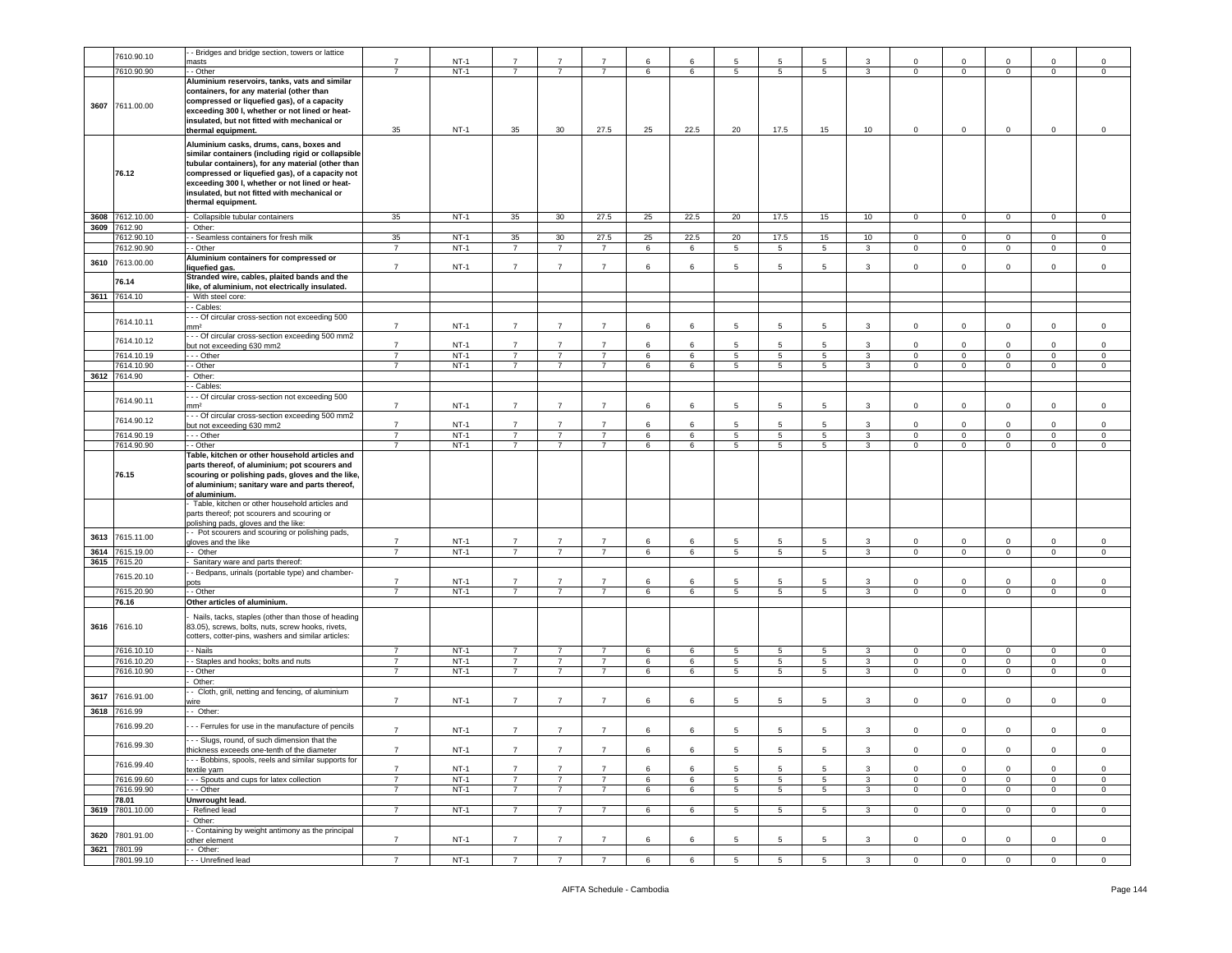|      | 7610.90.10      | - Bridges and bridge section, towers or lattice                                                                                                                                                        |                                  |                  |                                  | $\overline{7}$                   | $\overline{7}$                   |        |        |                 |                 |                |                         |                        |                            |                                |                            |                            |
|------|-----------------|--------------------------------------------------------------------------------------------------------------------------------------------------------------------------------------------------------|----------------------------------|------------------|----------------------------------|----------------------------------|----------------------------------|--------|--------|-----------------|-----------------|----------------|-------------------------|------------------------|----------------------------|--------------------------------|----------------------------|----------------------------|
|      |                 | nasts                                                                                                                                                                                                  | $\overline{7}$                   | $NT-1$           | 7                                |                                  |                                  | 6      | 6      | 5               | 5               |                | 3                       | $\Omega$               | $\Omega$                   | $\mathbf 0$                    | $\mathbf 0$                | $^{\circ}$                 |
|      | 7610.90.90      | - Other                                                                                                                                                                                                | $\overline{7}$                   | $NT-1$           | $\overline{7}$                   | $\overline{7}$                   | $\overline{7}$                   | 6      | 6      | 5               | 5               | 5              | 3                       | $\mathbf 0$            | $\mathbf 0$                | $\mathbf{0}$                   | $\mathsf 0$                | $\mathbf 0$                |
|      |                 | Aluminium reservoirs, tanks, vats and similar<br>containers, for any material (other than                                                                                                              |                                  |                  |                                  |                                  |                                  |        |        |                 |                 |                |                         |                        |                            |                                |                            |                            |
| 3607 | 7611.00.00      | compressed or liquefied gas), of a capacity<br>exceeding 300 I, whether or not lined or heat-                                                                                                          |                                  |                  |                                  |                                  |                                  |        |        |                 |                 |                |                         |                        |                            |                                |                            |                            |
|      |                 | insulated, but not fitted with mechanical or<br>thermal equipment.                                                                                                                                     | 35                               | $NT-1$           | 35                               | 30                               | 27.5                             | 25     | 22.5   | 20              | 17.5            | 15             | 10                      | 0                      | 0                          | $\mathbf 0$                    | $\mathsf 0$                | $\mathbf 0$                |
|      |                 | Aluminium casks, drums, cans, boxes and<br>similar containers (including rigid or collapsible                                                                                                          |                                  |                  |                                  |                                  |                                  |        |        |                 |                 |                |                         |                        |                            |                                |                            |                            |
|      | 76.12           | tubular containers), for any material (other than<br>compressed or liquefied gas), of a capacity not<br>exceeding 300 I, whether or not lined or heat-<br>insulated, but not fitted with mechanical or |                                  |                  |                                  |                                  |                                  |        |        |                 |                 |                |                         |                        |                            |                                |                            |                            |
|      |                 | thermal equipment.                                                                                                                                                                                     |                                  |                  |                                  |                                  |                                  |        |        |                 |                 |                |                         |                        |                            |                                |                            |                            |
|      | 3608 7612.10.00 | - Collapsible tubular containers                                                                                                                                                                       | 35                               | $NT-1$           | 35                               | 30                               | 27.5                             | 25     | 22.5   | 20              | 17.5            | 15             | 10                      | $\overline{0}$         | $\overline{0}$             | $\mathbf{0}$                   | $\overline{0}$             | $\mathbf{0}$               |
|      | 3609 7612.90    | Other:                                                                                                                                                                                                 |                                  |                  |                                  |                                  |                                  |        |        |                 |                 |                |                         |                        |                            |                                |                            |                            |
|      | 612.90.10       | - Seamless containers for fresh milk                                                                                                                                                                   | 35                               | $NT-1$           | 35                               | 30 <sup>°</sup>                  | 27.5                             | 25     | 22.5   | 20              | 17.5            | 15             | 10                      | $\mathbf 0$            | $\mathbf{0}$               | $\mathbf{0}$                   | $\mathbf 0$                | $\mathbf 0$                |
|      | 7612.90.90      | - Other                                                                                                                                                                                                | $\overline{7}$                   | $NT-1$           | $\overline{7}$                   | $\overline{7}$                   | $\overline{7}$                   | 6      | 6      | 5               | $\,$ 5          | 5              | $\mathbf{3}$            | 0                      | $\mathsf 0$                | $\mathsf 0$                    | $\mathbf 0$                | $\,0\,$                    |
| 3610 | 7613.00.00      | Aluminium containers for compressed or<br>iquefied gas.                                                                                                                                                | $\overline{7}$                   | $NT-1$           | $\overline{7}$                   | $\overline{7}$                   | $\overline{7}$                   | 6      | 6      | 5               | 5               | 5              | $\mathbf{3}$            | $\mathbf 0$            | 0                          | $\mathbf 0$                    | $\mathbf 0$                | $\mathsf 0$                |
|      | 76.14           | Stranded wire, cables, plaited bands and the                                                                                                                                                           |                                  |                  |                                  |                                  |                                  |        |        |                 |                 |                |                         |                        |                            |                                |                            |                            |
|      | 3611 7614.10    | like, of aluminium, not electrically insulated.<br>- With steel core:                                                                                                                                  |                                  |                  |                                  |                                  |                                  |        |        |                 |                 |                |                         |                        |                            |                                |                            |                            |
|      |                 | - Cables:                                                                                                                                                                                              |                                  |                  |                                  |                                  |                                  |        |        |                 |                 |                |                         |                        |                            |                                |                            |                            |
|      | 7614.10.11      | - - Of circular cross-section not exceeding 500<br>mm <sup>2</sup>                                                                                                                                     | $\overline{7}$                   | $NT-1$           | $\overline{7}$                   | $\overline{7}$                   | $\overline{7}$                   | 6      | 6      | 5               | 5               | 5              | 3                       | $\Omega$               | $\mathbf 0$                | $\Omega$                       | $\mathsf 0$                | $\mathsf 0$                |
|      | 7614.10.12      | - - Of circular cross-section exceeding 500 mm2                                                                                                                                                        | $\overline{7}$                   | $NT-1$           | $\overline{7}$                   | $\overline{7}$                   | $\overline{7}$                   | 6      | 6      | 5               | $\overline{5}$  | 5              | 3                       | $\circ$                | $\mathbf 0$                | $\mathbf 0$                    | $\mathbf 0$                | $\mathbf 0$                |
|      | 7614.10.19      | but not exceeding 630 mm2<br>- - - Other                                                                                                                                                               | $\overline{7}$                   | $NT-1$           | $\overline{7}$                   | $\overline{7}$                   | $\overline{7}$                   | 6      | 6      | $\overline{5}$  | 5               | 5              | $\overline{3}$          | $\mathbf 0$            | $\mathsf 0$                | $\overline{0}$                 | $\mathbf 0$                | $\overline{0}$             |
|      | 614.10.90       | - Other                                                                                                                                                                                                | $\overline{7}$                   | $NT-1$           | $\overline{7}$                   | $\overline{7}$                   | $\overline{7}$                   | 6      | 6      | 5               | 5               | 5              | $\mathbf{3}$            | $\mathbf 0$            | $\mathbf 0$                | $\mathbf{0}$                   | $\mathbf 0$                | $\mathbf 0$                |
|      | 3612 7614.90    | Other:                                                                                                                                                                                                 |                                  |                  |                                  |                                  |                                  |        |        |                 |                 |                |                         |                        |                            |                                |                            |                            |
|      |                 | - Cables:                                                                                                                                                                                              |                                  |                  |                                  |                                  |                                  |        |        |                 |                 |                |                         |                        |                            |                                |                            |                            |
|      | 7614.90.11      | - - Of circular cross-section not exceeding 500                                                                                                                                                        |                                  |                  |                                  |                                  |                                  |        |        |                 |                 |                |                         |                        |                            |                                |                            |                            |
|      | 7614.90.12      | mm <sup>2</sup><br>- - Of circular cross-section exceeding 500 mm2                                                                                                                                     | $\overline{7}$                   | $NT-1$           | $\overline{7}$                   | $\overline{7}$                   | $\overline{7}$                   | 6      | 6      | 5               | 5               | 5              | 3                       | 0                      | 0                          | $\mathbf 0$                    | $\mathbf 0$                | $\mathsf 0$                |
|      |                 | but not exceeding 630 mm2                                                                                                                                                                              | $\overline{7}$                   | $NT-1$           | $\overline{7}$                   | $\overline{7}$                   | $\overline{7}$                   | 6      | 6      | 5               | $\overline{5}$  | 5              | 3                       | $\mathbf 0$            | $\Omega$                   | $\mathbf{0}$                   | $\mathbf 0$                | $\circ$                    |
|      | 7614.90.19      | - - Other                                                                                                                                                                                              | $\overline{7}$                   | $NT-1$           | $\overline{7}$                   | $\overline{7}$                   | $\overline{7}$                   | 6      | 6      | 5               | 5               | 5              | $\mathbf{3}$            | 0                      | $\mathbf 0$                | $\mathbf{0}$                   | $\mathsf 0$                | $\mathbf 0$                |
|      | 7614.90.90      | - Other                                                                                                                                                                                                | $\overline{7}$                   | $NT-1$           | $\overline{7}$                   | $\overline{7}$                   | $\overline{7}$                   | 6      | 6      | 5               | 5               | 5              | 3                       | 0                      | $\mathbf 0$                | $\mathbf 0$                    | $\mathsf 0$                | $\mathbf 0$                |
|      | 76.15           | Table, kitchen or other household articles and<br>parts thereof, of aluminium; pot scourers and<br>scouring or polishing pads, gloves and the like,<br>of aluminium; sanitary ware and parts thereof,  |                                  |                  |                                  |                                  |                                  |        |        |                 |                 |                |                         |                        |                            |                                |                            |                            |
|      |                 | of aluminium.<br>Table, kitchen or other household articles and<br>parts thereof; pot scourers and scouring or                                                                                         |                                  |                  |                                  |                                  |                                  |        |        |                 |                 |                |                         |                        |                            |                                |                            |                            |
| 3613 | 7615.11.00      | polishing pads, gloves and the like:<br>- Pot scourers and scouring or polishing pads,                                                                                                                 |                                  |                  |                                  |                                  |                                  |        |        |                 |                 |                |                         |                        |                            |                                |                            |                            |
| 3614 | 7615.19.00      | gloves and the like<br>- Other                                                                                                                                                                         | $\overline{7}$<br>$\overline{7}$ | $NT-1$<br>$NT-1$ | $\overline{7}$<br>$\overline{7}$ | $\overline{7}$<br>$\overline{7}$ | $\overline{7}$<br>$\overline{7}$ | 6<br>6 | 6<br>6 | 5<br>5          | 5<br>5          | -5<br>5        | 3<br>$\mathbf{3}$       | $\circ$<br>$\mathbf 0$ | $\mathbf 0$<br>$\mathbf 0$ | $\mathbf{0}$<br>$\overline{0}$ | $\mathsf 0$<br>$\mathsf 0$ | $\mathbf 0$<br>$\mathbf 0$ |
|      | 3615 7615.20    |                                                                                                                                                                                                        |                                  |                  |                                  |                                  |                                  |        |        |                 |                 |                |                         |                        |                            |                                |                            |                            |
|      |                 | Sanitary ware and parts thereof:                                                                                                                                                                       |                                  |                  |                                  |                                  |                                  |        |        |                 |                 |                |                         |                        |                            |                                |                            |                            |
|      | 7615.20.10      | - Bedpans, urinals (portable type) and chamber-<br>pots                                                                                                                                                | -7                               | $NT-1$           | $\overline{7}$                   | 7                                | -7                               | 6      | 6      | 5               | 5               | -5             | 3                       | $\Omega$               | $\Omega$                   | $\mathbf 0$                    | $\mathbf 0$                | $\mathsf 0$                |
|      | 7615.20.90      | - Other                                                                                                                                                                                                | $\overline{7}$                   | $NT-1$           | $\overline{7}$                   | $\overline{7}$                   | $\overline{7}$                   | 6      | 6      | 5               | 5               | 5              | $\mathbf{3}$            | $\mathbf{0}$           | $\mathbf{0}$               | $\mathbf{0}$                   | $\mathbf{0}$               | $\circ$                    |
|      | 76.16           | Other articles of aluminium.                                                                                                                                                                           |                                  |                  |                                  |                                  |                                  |        |        |                 |                 |                |                         |                        |                            |                                |                            |                            |
|      |                 |                                                                                                                                                                                                        |                                  |                  |                                  |                                  |                                  |        |        |                 |                 |                |                         |                        |                            |                                |                            |                            |
|      | 3616 7616.10    | Nails, tacks, staples (other than those of heading<br>83.05), screws, bolts, nuts, screw hooks, rivets,<br>cotters, cotter-pins, washers and similar articles:                                         |                                  |                  |                                  |                                  |                                  |        |        |                 |                 |                |                         |                        |                            |                                |                            |                            |
|      | 7616.10.10      | - Nails                                                                                                                                                                                                | $\overline{7}$                   | $NT-1$           | $\overline{7}$                   | $\overline{7}$                   | $\overline{7}$                   | 6      | 6      | 5               | $5\phantom{.0}$ | 5              | 3                       | $\mathbf 0$            | $\mathbf 0$                | $\mathbf 0$                    | $\mathbf 0$                | $\mathsf 0$                |
|      | 7616.10.20      | - Staples and hooks; bolts and nuts                                                                                                                                                                    | $\overline{7}$                   | $NT-1$           | $\overline{7}$                   | $\overline{7}$                   | $\overline{7}$                   | 6      | 6      | $5\overline{)}$ | $5\overline{5}$ | $5^{\circ}$    | $\mathbf{3}$            | $\mathbf{0}$           | $\overline{0}$             | $\overline{0}$                 | $\overline{0}$             | $\overline{0}$             |
|      | 7616.10.90      | - Other                                                                                                                                                                                                | $\overline{7}$                   | $NT-1$           | $\overline{7}$                   | $\overline{7}$                   | $\overline{7}$                   | 6      | 6      | 5               | 5               | 5 <sub>5</sub> | $\mathbf{3}$            | $\Omega$               | $\mathbf{O}$               | $\circ$                        | $\mathbf 0$                | $\mathbf 0$                |
|      |                 | Other:                                                                                                                                                                                                 |                                  |                  |                                  |                                  |                                  |        |        |                 |                 |                |                         |                        |                            |                                |                            |                            |
| 3617 | 7616.91.00      | - Cloth, grill, netting and fencing, of aluminium<br>vire                                                                                                                                              | $\overline{7}$                   | $NT-1$           | $\overline{7}$                   | $\overline{7}$                   | $\overline{7}$                   | 6      | 6      | 5               | 5               | 5              | 3                       | $\mathbf 0$            | 0                          | $\overline{0}$                 | $\mathsf 0$                | $\mathbf 0$                |
| 3618 | 7616.99         | - Other:                                                                                                                                                                                               |                                  |                  |                                  |                                  |                                  |        |        |                 |                 |                |                         |                        |                            |                                |                            |                            |
|      | 7616.99.20      | - - Ferrules for use in the manufacture of pencils                                                                                                                                                     | $\overline{7}$                   | $NT-1$           | $\overline{7}$                   | $\overline{7}$                   | $\overline{7}$                   | 6      | 6      | 5               | 5               | 5              | 3                       | $\mathbf 0$            | $\mathbf 0$                | $\mathbf 0$                    | $\mathsf 0$                | $\mathsf 0$                |
|      | 7616.99.30      | --- Slugs, round, of such dimension that the                                                                                                                                                           |                                  |                  |                                  |                                  |                                  |        |        |                 |                 |                |                         |                        |                            |                                |                            |                            |
|      | 7616.99.40      | thickness exceeds one-tenth of the diameter<br>- - Bobbins, spools, reels and similar supports for                                                                                                     | $\overline{7}$                   | $NT-1$           | $\overline{7}$                   | $\overline{7}$                   | $\overline{7}$                   | 6      | 6      | 5               | 5               | 5              | $\mathbf{3}$            | $\overline{0}$         | $\mathbf{O}$               | $\overline{0}$                 | $\overline{0}$             | $\overline{0}$             |
|      |                 | textile yarn                                                                                                                                                                                           | $\overline{7}$                   | $NT-1$           | $\overline{7}$                   | $\overline{7}$                   | $\overline{7}$                   | 6      | 6      | 5               | 5               | -5             | 3                       | 0                      | $\Omega$                   | 0                              | $\mathbf{0}$               | $\mathsf 0$                |
|      | 7616.99.60      | - - Spouts and cups for latex collection                                                                                                                                                               | $\overline{7}$                   | $NT-1$           | $\overline{7}$                   | $\overline{7}$                   | $\overline{7}$                   | 6      | 6      | 5               | 5               | 5 <sub>5</sub> | $\mathbf{3}$            | $\mathbf{0}$           | $\mathbf{O}$               | $\circ$                        | $\mathbf 0$                | $\mathbf{0}$               |
|      | 7616.99.90      | - - - Other                                                                                                                                                                                            | $\overline{7}$                   | $NT-1$           | $\overline{7}$                   | $\overline{7}$                   | $\overline{7}$                   | 6      | 6      | 5               | 5               | 5              | $\overline{\mathbf{3}}$ | $\mathbf 0$            | $\overline{0}$             | $\overline{0}$                 | $\overline{0}$             | $\overline{0}$             |
|      | 78.01           | Unwrought lead.                                                                                                                                                                                        |                                  |                  |                                  |                                  |                                  |        |        |                 |                 |                |                         |                        |                            |                                |                            |                            |
|      | 3619 7801.10.00 | Refined lead                                                                                                                                                                                           | $\overline{7}$                   | $NT-1$           | $7^{\circ}$                      | $\overline{7}$                   | $\overline{7}$                   | 6      | 6      | 5               | $5\overline{5}$ | $5^{\circ}$    | $\mathbf{3}$            | $\mathbf 0$            | $\overline{0}$             | $\mathbf{0}$                   | $\overline{0}$             | $\overline{0}$             |
|      |                 | Other:                                                                                                                                                                                                 |                                  |                  |                                  |                                  |                                  |        |        |                 |                 |                |                         |                        |                            |                                |                            |                            |
| 3620 | 7801.91.00      | - Containing by weight antimony as the principal<br>other element                                                                                                                                      | $\overline{7}$                   | $NT-1$           | $\overline{7}$                   | $\overline{7}$                   | $\overline{7}$                   | 6      | 6      | 5               | 5               | 5              | 3                       | $\mathbf 0$            | $\mathbf 0$                | $\Omega$                       | $\mathbf 0$                | $\mathbf 0$                |
|      | 3621 7801.99    | - Other:                                                                                                                                                                                               |                                  |                  |                                  |                                  |                                  |        |        |                 |                 |                |                         |                        |                            |                                |                            |                            |
|      | 7801.99.10      | - - - Unrefined lead                                                                                                                                                                                   | $\overline{7}$                   | $NT-1$           | $\overline{7}$                   | $\overline{7}$                   | $\overline{7}$                   | 6      | 6      | 5               | 5               | 5              | $\mathbf{3}$            | $\mathbf 0$            | $\overline{0}$             | $\overline{0}$                 | $\overline{0}$             | $\overline{0}$             |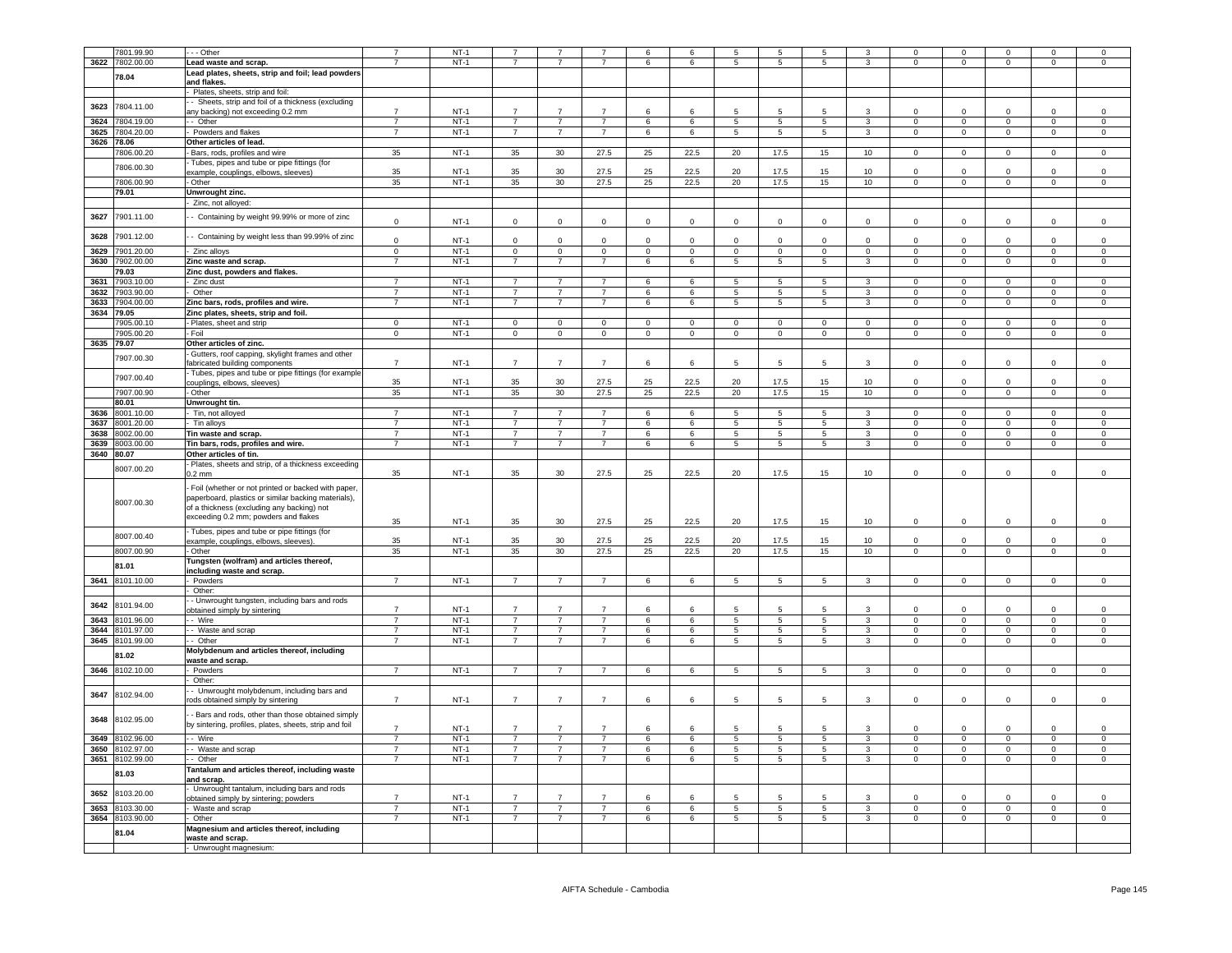|            | 7801.99.90      | - - Other                                              |                | $NT-1$ |                |                |                |                 |                 |                | 5               |                 |                         |                | $\circ$        |                |                | $\mathbf 0$         |
|------------|-----------------|--------------------------------------------------------|----------------|--------|----------------|----------------|----------------|-----------------|-----------------|----------------|-----------------|-----------------|-------------------------|----------------|----------------|----------------|----------------|---------------------|
| 3622       | 7802.00.00      | Lead waste and scrap.                                  | $\overline{7}$ | $NT-1$ |                | $\overline{7}$ | $\overline{7}$ | 6               | 6               | 5              | 5               | -5              | 3                       | $\Omega$       | $\Omega$       | $\mathbf 0$    | $\Omega$       | $\mathbf 0$         |
|            |                 | Lead plates, sheets, strip and foil; lead powders      |                |        |                |                |                |                 |                 |                |                 |                 |                         |                |                |                |                |                     |
|            | 78.04           | and flakes.                                            |                |        |                |                |                |                 |                 |                |                 |                 |                         |                |                |                |                |                     |
|            |                 |                                                        |                |        |                |                |                |                 |                 |                |                 |                 |                         |                |                |                |                |                     |
|            |                 | Plates, sheets, strip and foil:                        |                |        |                |                |                |                 |                 |                |                 |                 |                         |                |                |                |                |                     |
| 3623       | 7804.11.00      | - Sheets, strip and foil of a thickness (excluding     |                |        |                |                |                |                 |                 |                |                 |                 |                         |                |                |                |                |                     |
|            |                 | any backing) not exceeding 0.2 mm                      | $\overline{7}$ | $NT-1$ | $\overline{7}$ | $\overline{7}$ | $\overline{7}$ | 6               | 6               | 5.             | 5               | 5.              | 3                       | $\Omega$       | $\mathbf 0$    | $\mathbf 0$    | $\Omega$       | $\mathbf 0$         |
| 3624       | 7804.19.00      | - - Other                                              | $\overline{7}$ | $NT-1$ | $\overline{7}$ | $\overline{7}$ | $\overline{7}$ | 6               | 6               | $\overline{5}$ | $\overline{5}$  | $\overline{5}$  | $\overline{3}$          | $\overline{0}$ | $\overline{0}$ | $\overline{0}$ | $\overline{0}$ | $\overline{0}$      |
| 3625       | 7804.20.00      | - Powders and flakes                                   | $\overline{7}$ | $NT-1$ | $\overline{7}$ | $\overline{7}$ | $\overline{7}$ | 6               | 6               | $\overline{5}$ | 5               | $\overline{5}$  | $\overline{3}$          | $\overline{0}$ | $\overline{0}$ | $\overline{0}$ | $\overline{0}$ | $\overline{0}$      |
|            |                 |                                                        |                |        |                |                |                |                 |                 |                |                 |                 |                         |                |                |                |                |                     |
| 3626       | 78.06           | Other articles of lead.                                |                |        |                |                |                |                 |                 |                |                 |                 |                         |                |                |                |                |                     |
|            | 7806.00.20      | Bars, rods, profiles and wire                          | 35             | $NT-1$ | 35             | 30             | 27.5           | 25              | 22.5            | 20             | 17.5            | 15              | 10                      | $\mathbf{0}$   | $^{\circ}$     | $\mathbf 0$    | $\Omega$       | $\mathbf 0$         |
|            |                 | Tubes, pipes and tube or pipe fittings (for            |                |        |                |                |                |                 |                 |                |                 |                 |                         |                |                |                |                |                     |
|            | 7806.00.30      | example, couplings, elbows, sleeves)                   | 35             | $NT-1$ | 35             | 30             | 27.5           | 25              | 22.5            | 20             | 17.5            | 15              | 10                      | $\mathbf 0$    | $\mathbf 0$    | $\mathbf 0$    | $\mathbf 0$    | $\mathbf 0$         |
|            |                 |                                                        |                |        |                |                |                |                 |                 |                |                 |                 |                         | $\Omega$       |                |                |                |                     |
|            | 7806.00.90      | - Other                                                | 35             | $NT-1$ | 35             | 30             | 27.5           | 25              | 22.5            | 20             | 17.5            | 15              | 10                      |                | $\mathbf 0$    | $\mathbf 0$    | $\mathbf 0$    | $\mathsf 0$         |
|            | 79.01           | Unwrought zinc.                                        |                |        |                |                |                |                 |                 |                |                 |                 |                         |                |                |                |                |                     |
|            |                 | - Zinc, not alloyed                                    |                |        |                |                |                |                 |                 |                |                 |                 |                         |                |                |                |                |                     |
|            |                 |                                                        |                |        |                |                |                |                 |                 |                |                 |                 |                         |                |                |                |                |                     |
| 3627       | 7901.11.00      | - Containing by weight 99.99% or more of zinc          |                | $NT-1$ |                | $\Omega$       |                | $\Omega$        | $\Omega$        | $\Omega$       | $\Omega$        | $\Omega$        | $\Omega$                | $\Omega$       | $\Omega$       | $\Omega$       | $\Omega$       | $\mathsf 0$         |
|            |                 |                                                        | $\mathbf 0$    |        | $\mathbf 0$    |                | $\mathbf 0$    |                 |                 |                |                 |                 |                         |                |                |                |                |                     |
| 3628       | 7901.12.00      | - Containing by weight less than 99.99% of zinc        |                |        |                |                |                |                 |                 |                |                 |                 |                         |                |                |                |                |                     |
|            |                 |                                                        | $\mathbf 0$    | $NT-1$ | $\mathsf 0$    | $\Omega$       | $\mathbf 0$    | $\mathbf 0$     | $\overline{0}$  | $\Omega$       | $\overline{0}$  | $\Omega$        | $\mathbf 0$             | $\Omega$       | $\Omega$       | $^{\circ}$     | $\Omega$       | $\mathsf 0$         |
| 3629       | 7901.20.00      | Zinc alloys                                            | $\mathsf 0$    | $NT-1$ | $\overline{0}$ | $\mathbf 0$    | $\mathbf 0$    | $\mathbf 0$     | $\mathbf 0$     | $\mathsf 0$    | $\mathbf 0$     | $\mathbf 0$     | $\mathbf 0$             | $\Omega$       | $\mathbf 0$    | $\mathbf 0$    | $\mathsf 0$    | $\mathsf{O}\xspace$ |
|            | 7902.00.00      | Zinc waste and scrap.                                  | $\overline{7}$ | $NT-1$ | $\overline{7}$ | $\overline{7}$ | $\overline{7}$ | 6               | 6               | 5              | $\overline{5}$  | $\overline{5}$  | 3                       | $\overline{0}$ | $\overline{0}$ | $\overline{0}$ | $\overline{0}$ | $\overline{0}$      |
| 3630       |                 |                                                        |                |        |                |                |                |                 |                 |                |                 |                 |                         |                |                |                |                |                     |
|            | 79.03           | Zinc dust, powders and flakes.                         |                |        |                |                |                |                 |                 |                |                 |                 |                         |                |                |                |                |                     |
|            | 3631 7903.10.00 | Zinc dust                                              | $\overline{7}$ | $NT-1$ | $\overline{7}$ | $\overline{7}$ | $\overline{7}$ | 6               | 6               | 5              | 5               | 5               | $\mathbf{3}$            | $\mathbf 0$    | $\overline{0}$ | $\circ$        | $\Omega$       | $\circ$             |
| 3632       | 7903.90.00      | Other                                                  | $\overline{7}$ | $NT-1$ | $\overline{7}$ | $\overline{7}$ | $\overline{7}$ | 6               | 6               | 5              | 5               | 5               | 3                       | $\mathbf 0$    | $\overline{0}$ | 0              | $\mathbf 0$    | $\mathbf 0$         |
|            |                 |                                                        |                |        |                |                |                |                 |                 |                |                 |                 |                         |                |                |                |                |                     |
| 3633       | 7904.00.00      | Zinc bars, rods, profiles and wire.                    | $\overline{7}$ | $NT-1$ | $\overline{7}$ | $\overline{7}$ | $\overline{7}$ | 6               | 6               | 5              | $\,$ 5 $\,$     | 5               | $\mathbf{3}$            | $\mathbf 0$    | $\overline{0}$ | $\overline{0}$ | $\mathbf 0$    | $\mathsf 0$         |
| 3634       | 79.05           | Zinc plates, sheets, strip and foil.                   |                |        |                |                |                |                 |                 |                |                 |                 |                         |                |                |                |                |                     |
|            | 905.00.10       | Plates, sheet and strip                                | $\mathbf 0$    | $NT-1$ | $\Omega$       | $\mathbf 0$    | $\mathbf 0$    | $\mathsf 0$     | $\mathbf 0$     | $\mathsf 0$    | $\mathbf 0$     | $\mathbf 0$     | $\mathsf 0$             | $\Omega$       | $\mathbf 0$    | $\Omega$       | $\mathsf 0$    | $\,0\,$             |
|            | 7905.00.20      | - Foil                                                 | $\mathbf 0$    | $NT-1$ | $\mathbf 0$    | $\mathbf 0$    | $\mathbf 0$    | $\mathsf 0$     | $\mathbf 0$     | $\mathbf 0$    | $\pmb{0}$       | $\mathbf 0$     | $\mathsf 0$             | $\Omega$       | $\overline{0}$ | $\mathsf 0$    | $\mathbf 0$    | $\mathsf 0$         |
|            |                 |                                                        |                |        |                |                |                |                 |                 |                |                 |                 |                         |                |                |                |                |                     |
| 3635       | 79.07           | Other articles of zinc.                                |                |        |                |                |                |                 |                 |                |                 |                 |                         |                |                |                |                |                     |
|            | 7907.00.30      | - Gutters, roof capping, skylight frames and other     |                |        |                |                |                |                 |                 |                |                 |                 |                         |                |                |                |                |                     |
|            |                 | fabricated building components                         | $\overline{7}$ | $NT-1$ | $\overline{7}$ | $\overline{7}$ | $\overline{7}$ | 6               | 6               | 5              | 5               | 5               | 3                       | $\mathbf 0$    | $\mathsf 0$    | $\mathsf 0$    | $\mathbf 0$    | $\mathsf 0$         |
|            |                 | Tubes, pipes and tube or pipe fittings (for example    |                |        |                |                |                |                 |                 |                |                 |                 |                         |                |                |                |                |                     |
|            | 7907.00.40      |                                                        | 35             | $NT-1$ | 35             | 30             | 27.5           | 25              | 22.5            | 20             | 17.5            | 15              | 10                      | $\Omega$       | $\Omega$       | $\Omega$       | $\Omega$       | $\,0\,$             |
|            |                 | couplings, elbows, sleeves)                            |                |        |                |                |                |                 |                 |                |                 |                 |                         | $\overline{0}$ |                |                |                |                     |
|            | 7907.00.90      | - Other                                                | 35             | $NT-1$ | 35             | 30             | 27.5           | 25              | 22.5            | 20             | 17.5            | 15              | 10                      |                | $\overline{0}$ | $\overline{0}$ | $\overline{0}$ | $\overline{0}$      |
|            | 80.01           | Unwrought tin.                                         |                |        |                |                |                |                 |                 |                |                 |                 |                         |                |                |                |                |                     |
| 3636       | 8001.10.00      | - Tin, not alloyed                                     | $\overline{7}$ | $NT-1$ | $\overline{7}$ | $\overline{7}$ | $\overline{7}$ | 6               | 6               | 5.             | 5               | $\mathbf{5}$    | $\mathcal{R}$           | $\Omega$       | $\Omega$       | $\Omega$       | $\Omega$       | $\mathsf 0$         |
| 3637       | 8001.20.00      | Tin alloys                                             | $\overline{7}$ | $NT-1$ | $\overline{7}$ | $\overline{7}$ | $\overline{7}$ | 6               | 6               | 5              | $\overline{5}$  | 5               | 3                       | $\mathbf 0$    | $\overline{0}$ | $\circ$        | $\mathbf 0$    | $\overline{0}$      |
|            |                 |                                                        |                |        |                |                |                |                 |                 |                |                 |                 |                         |                |                |                |                |                     |
|            | 3638 8002.00.00 | Tin waste and scrap.                                   | $\overline{7}$ | $NT-1$ | $\overline{7}$ | $\overline{7}$ | $\overline{7}$ | 6               | 6               | 5              | $5\phantom{.0}$ | 5               | 3                       | $\mathsf 0$    | $\overline{0}$ | $\mathsf 0$    | $\mathsf 0$    | $\mathsf 0$         |
|            | 3639 8003.00.00 | Tin bars, rods, profiles and wire.                     | $\overline{7}$ | $NT-1$ | $\overline{7}$ | $\overline{7}$ | $\overline{7}$ | 6               | 6               | 5              | $5\phantom{.0}$ | $5\overline{5}$ | $\mathbf{3}$            | $\overline{0}$ | $\overline{0}$ | $\overline{0}$ | $\mathbf 0$    | $\mathbf{0}$        |
|            |                 |                                                        |                |        |                |                |                |                 |                 |                |                 |                 |                         |                |                |                |                |                     |
|            |                 |                                                        |                |        |                |                |                |                 |                 |                |                 |                 |                         |                |                |                |                |                     |
| 3640 80.07 |                 | Other articles of tin.                                 |                |        |                |                |                |                 |                 |                |                 |                 |                         |                |                |                |                |                     |
|            |                 | Plates, sheets and strip, of a thickness exceeding     |                |        |                |                |                |                 |                 |                |                 |                 |                         |                |                |                |                |                     |
|            | 8007.00.20      | $.2 \text{ mm}$                                        | 35             | $NT-1$ | 35             | 30             | 27.5           | 25              | 22.5            | 20             | 17.5            | 15              | 10                      | $\Omega$       | $\mathbf 0$    | $^{\circ}$     | $\mathbf 0$    | $\mathbf 0$         |
|            |                 |                                                        |                |        |                |                |                |                 |                 |                |                 |                 |                         |                |                |                |                |                     |
|            |                 | Foil (whether or not printed or backed with paper,     |                |        |                |                |                |                 |                 |                |                 |                 |                         |                |                |                |                |                     |
|            |                 | paperboard, plastics or similar backing materials),    |                |        |                |                |                |                 |                 |                |                 |                 |                         |                |                |                |                |                     |
|            | 8007.00.30      | of a thickness (excluding any backing) not             |                |        |                |                |                |                 |                 |                |                 |                 |                         |                |                |                |                |                     |
|            |                 |                                                        |                |        |                |                |                |                 |                 |                |                 |                 |                         |                |                |                |                |                     |
|            |                 | exceeding 0.2 mm; powders and flakes                   | 35             | $NT-1$ | 35             | 30             | 27.5           | 25              | 22.5            | 20             | 17.5            | 15              | 10                      | $\Omega$       | $\mathbf 0$    | $^{\circ}$     | $\Omega$       | $\mathsf 0$         |
|            |                 | Tubes, pipes and tube or pipe fittings (for            |                |        |                |                |                |                 |                 |                |                 |                 |                         |                |                |                |                |                     |
|            | 8007.00.40      | example, couplings, elbows, sleeves).                  | 35             | $NT-1$ | 35             | 30             | 27.5           | 25              | 22.5            | 20             | 17.5            | 15              | 10                      | $\Omega$       | $\mathbf 0$    | $\Omega$       | $\mathbf 0$    | $\mathbf 0$         |
|            | 8007.00.90      | Other                                                  | 35             | $NT-1$ | 35             | 30             | 27.5           | 25              | 22.5            | 20             | 17.5            | 15              | 10                      | $\overline{0}$ | $\overline{0}$ | $\overline{0}$ | $\overline{0}$ | $\overline{0}$      |
|            |                 |                                                        |                |        |                |                |                |                 |                 |                |                 |                 |                         |                |                |                |                |                     |
|            | 81.01           | Tungsten (wolfram) and articles thereof,               |                |        |                |                |                |                 |                 |                |                 |                 |                         |                |                |                |                |                     |
|            |                 | including waste and scrap.                             |                |        |                |                |                |                 |                 |                |                 |                 |                         |                |                |                |                |                     |
| 3641       | 8101.10.00      | Powders                                                | $\overline{7}$ | $NT-1$ | $\overline{7}$ | $\overline{7}$ | $\overline{7}$ | 6               | 6               | 5              | $5\phantom{.0}$ | 5               | $\mathbf{3}$            | $\mathsf 0$    | $\mathbf 0$    | $\mathbf 0$    | $\Omega$       | $\mathsf 0$         |
|            |                 | Other:                                                 |                |        |                |                |                |                 |                 |                |                 |                 |                         |                |                |                |                |                     |
|            |                 |                                                        |                |        |                |                |                |                 |                 |                |                 |                 |                         |                |                |                |                |                     |
| 3642       | 8101.94.00      | - Unwrought tungsten, including bars and rods          | $\overline{7}$ | $NT-1$ | $\overline{7}$ | $\overline{7}$ |                | 6               | 6               | 5              | 5               |                 | 3                       | $\mathbf 0$    | $\mathbf 0$    | $\mathbf 0$    | $\mathbf 0$    | $\mathsf 0$         |
|            |                 | bbtained simply by sintering                           |                |        |                |                |                |                 |                 |                |                 |                 |                         |                |                |                |                |                     |
| 3643       | 8101.96.00      | - Wire                                                 | $\overline{7}$ | $NT-1$ | $\overline{7}$ | $\overline{7}$ | $\overline{7}$ | 6               | 6               | 5              | $5\phantom{.0}$ | 5               | $\mathbf{3}$            | $\mathbf 0$    | $\mathbf 0$    | $\mathsf 0$    | $\mathsf 0$    | $\,0\,$             |
| 3644       | 8101.97.00      | - - Waste and scrap                                    | $\overline{7}$ | $NT-1$ | $\overline{7}$ | $\overline{7}$ | $\overline{7}$ | 6               | 6               | $\overline{5}$ | $\overline{5}$  | 5               | $\overline{\mathbf{3}}$ | $\mathbf 0$    | $\overline{0}$ | $\overline{0}$ | $\mathbf 0$    | $\overline{0}$      |
| 3645       | 8101.99.00      | - Other                                                | $\overline{7}$ | $NT-1$ | $\overline{7}$ | $\overline{7}$ | $\overline{7}$ | 6               | 6               | $\overline{5}$ | $\overline{5}$  | $\overline{5}$  | $\overline{3}$          | $\Omega$       | $\overline{0}$ | $\overline{0}$ | $\overline{0}$ | $\overline{0}$      |
|            |                 |                                                        |                |        |                |                |                |                 |                 |                |                 |                 |                         |                |                |                |                |                     |
|            | B1.02           | Molybdenum and articles thereof, including             |                |        |                |                |                |                 |                 |                |                 |                 |                         |                |                |                |                |                     |
|            |                 | waste and scrap.                                       |                |        |                |                |                |                 |                 |                |                 |                 |                         |                |                |                |                |                     |
| 3646       | 8102.10.00      | Powders                                                | $\overline{7}$ | $NT-1$ | $\overline{7}$ | $\overline{7}$ | $\overline{7}$ | 6               | 6               | 5              | 5               | $5^{\circ}$     | 3                       | $\Omega$       | $\overline{0}$ | $\mathbf{0}$   | $\mathbf 0$    | $\mathbf 0$         |
|            |                 | Other:                                                 |                |        |                |                |                |                 |                 |                |                 |                 |                         |                |                |                |                |                     |
|            |                 | - Unwrought molybdenum, including bars and             |                |        |                |                |                |                 |                 |                |                 |                 |                         |                |                |                |                |                     |
| 3647       | 8102.94.00      | rods obtained simply by sintering                      | $\overline{7}$ | $NT-1$ | $\overline{7}$ | $\overline{7}$ | $\overline{7}$ | 6               | 6               | 5              | 5               | 5               | 3                       | $\Omega$       | $\Omega$       | $\Omega$       | $\Omega$       | $\Omega$            |
|            |                 |                                                        |                |        |                |                |                |                 |                 |                |                 |                 |                         |                |                |                |                |                     |
|            |                 |                                                        |                |        |                |                |                |                 |                 |                |                 |                 |                         |                |                |                |                |                     |
| 3648       | 8102.95.00      | - Bars and rods, other than those obtained simply      |                |        |                |                |                |                 |                 |                |                 |                 |                         |                |                |                |                |                     |
|            |                 | by sintering, profiles, plates, sheets, strip and foil | $\overline{7}$ | $NT-1$ |                |                |                | 6               | 6               | 5              | 5               |                 |                         | $\mathbf 0$    | $\mathbf 0$    | $\mathbf 0$    |                | $\mathbf 0$         |
| 3649       |                 |                                                        | $\overline{7}$ | $NT-1$ | $\overline{7}$ | $\overline{7}$ | $\overline{7}$ | 6               | 6               | $\overline{5}$ |                 | 5               |                         | $\Omega$       | $\overline{0}$ | $\overline{0}$ | $\mathbf 0$    |                     |
|            | 8102.96.00      | - - Wire                                               |                |        |                |                |                |                 |                 |                | $\sqrt{5}$      |                 | $\overline{3}$          |                |                |                |                | $\mathsf{O}$        |
| 3650       | 8102.97.00      | - - Waste and scrap                                    | $\overline{7}$ | $NT-1$ | $\overline{7}$ | $\overline{7}$ | $\overline{7}$ | 6               | 6               | $\overline{5}$ | $5\overline{)}$ | 5               | $\overline{3}$          | $\Omega$       | $\overline{0}$ | $\overline{0}$ | $\mathbf 0$    | $\overline{0}$      |
| 3651       | 8102.99.00      | - Other                                                | $\overline{7}$ | $NT-1$ | $\overline{7}$ | $\overline{7}$ | $\overline{7}$ | 6               | 6               | $\overline{5}$ | $\overline{5}$  | $\overline{5}$  | $\overline{3}$          | $\Omega$       | $\overline{0}$ | $\overline{0}$ | $\Omega$       | $\overline{0}$      |
|            |                 | Tantalum and articles thereof, including waste         |                |        |                |                |                |                 |                 |                |                 |                 |                         |                |                |                |                |                     |
|            | 81.03           |                                                        |                |        |                |                |                |                 |                 |                |                 |                 |                         |                |                |                |                |                     |
|            |                 | and scrap.                                             |                |        |                |                |                |                 |                 |                |                 |                 |                         |                |                |                |                |                     |
| 3652       | 8103.20.00      | Unwrought tantalum, including bars and rods            |                |        |                |                |                |                 |                 |                |                 |                 |                         |                |                |                |                |                     |
|            |                 | obtained simply by sintering; powders                  |                | $NT-1$ | $\overline{7}$ | $\overline{7}$ |                | $6\overline{6}$ | 6               | 5              | 5               | 5               | 3                       | $\Omega$       | $\Omega$       | $\Omega$       | $\Omega$       | $\Omega$            |
| 3653       | 103.30.00       | Waste and scrap                                        | $\overline{7}$ | $NT-1$ | $\overline{7}$ | $\overline{7}$ | $\overline{7}$ | 6               | $6\overline{6}$ | 5              | $\overline{5}$  | $\overline{5}$  | $\overline{3}$          | $\overline{0}$ | $\overline{0}$ | $\overline{0}$ | $\overline{0}$ | $\overline{0}$      |
| 3654       | 8103.90.00      | Other                                                  | $\overline{7}$ | $NT-1$ | $\overline{7}$ | $\overline{7}$ | $\overline{7}$ | 6               | 6               | 5              | $\overline{5}$  | $5^{\circ}$     | $\mathbf{3}$            | $\Omega$       | $\mathsf 0$    | $\mathbf 0$    | $\mathsf 0$    | $\Omega$            |
|            |                 |                                                        |                |        |                |                |                |                 |                 |                |                 |                 |                         |                |                |                |                |                     |
|            | 81.04           | Magnesium and articles thereof, including              |                |        |                |                |                |                 |                 |                |                 |                 |                         |                |                |                |                |                     |
|            |                 | waste and scrap.<br>- Unwrought magnesium:             |                |        |                |                |                |                 |                 |                |                 |                 |                         |                |                |                |                |                     |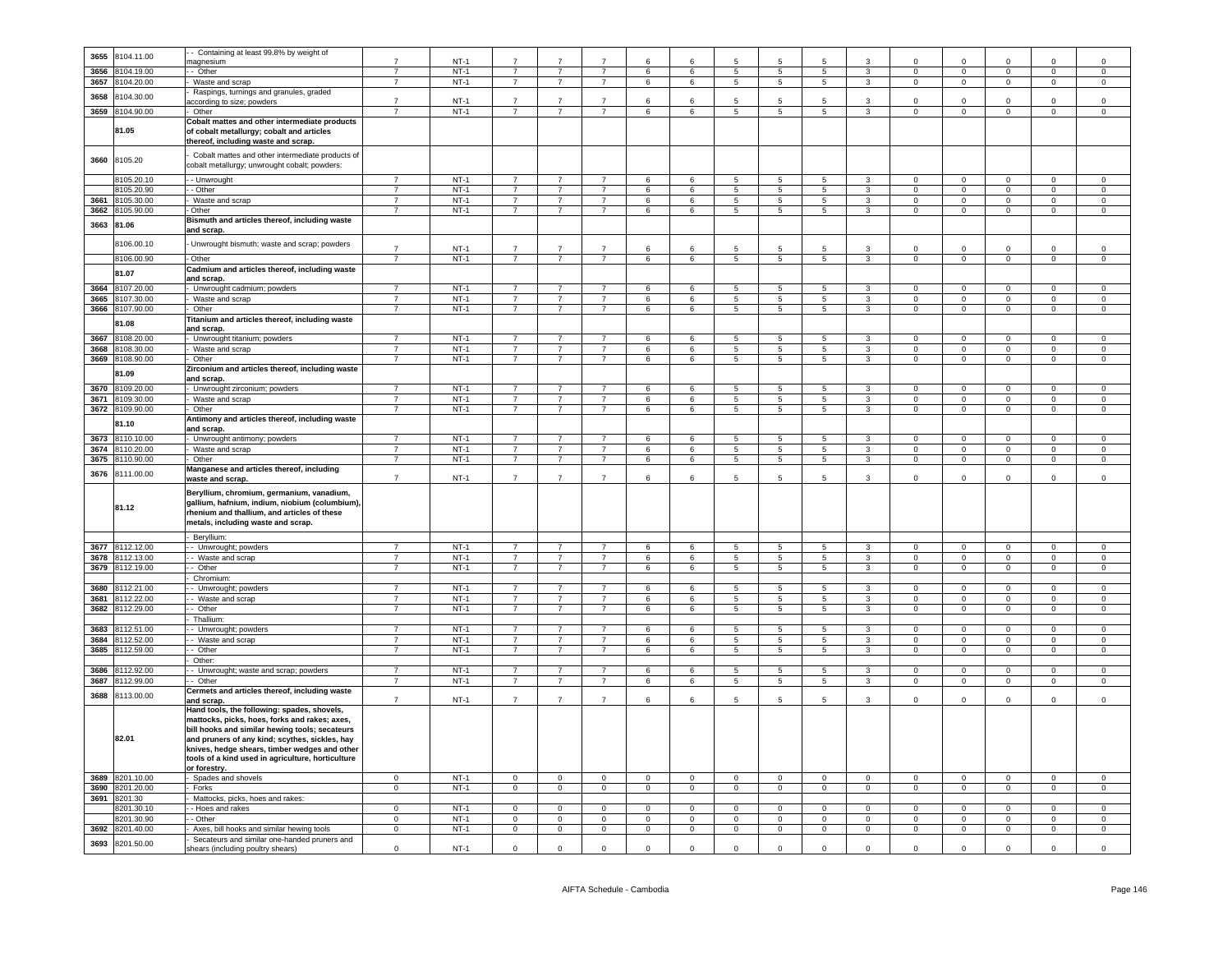| 3655 |                 | - Containing at least 99.8% by weight of                                                                                                                                                               |                |        |                |                |                |                     |                 |                     |                 |                 |                         |                |                |                |                |                |
|------|-----------------|--------------------------------------------------------------------------------------------------------------------------------------------------------------------------------------------------------|----------------|--------|----------------|----------------|----------------|---------------------|-----------------|---------------------|-----------------|-----------------|-------------------------|----------------|----------------|----------------|----------------|----------------|
|      | 8104.11.00      |                                                                                                                                                                                                        | $\overline{7}$ | $NT-1$ | $\overline{7}$ |                |                | $\epsilon$          | 6               | 5                   | 5               |                 | 3                       | $\Omega$       | $\Omega$       | $\Omega$       | $\Omega$       | $\Omega$       |
|      |                 | magnesium                                                                                                                                                                                              |                |        |                |                |                |                     |                 |                     |                 |                 |                         |                |                |                |                |                |
| 3656 | 8104.19.00      | - Other                                                                                                                                                                                                | $\overline{7}$ | $NT-1$ | $\overline{7}$ | $\overline{7}$ | $\overline{7}$ | $6\overline{6}$     | $\,6\,$         | 5                   | $5\phantom{.0}$ | $5\overline{5}$ | $\overline{3}$          | $\mathbf{0}$   | $\overline{0}$ | $\overline{0}$ | $\overline{0}$ | $\overline{0}$ |
| 3657 | 104.20.00       | Waste and scrap                                                                                                                                                                                        | $\overline{7}$ | $NT-1$ | $\overline{7}$ | $\overline{7}$ | $\overline{7}$ | 6                   | 6               | 5                   | 5               | 5               | 3                       | $\overline{0}$ | $\overline{0}$ | $\overline{0}$ | $\overline{0}$ | $\overline{0}$ |
|      |                 | Raspings, turnings and granules, graded                                                                                                                                                                |                |        |                |                |                |                     |                 |                     |                 |                 |                         |                |                |                |                |                |
| 3658 | 3104.30.00      | according to size; powders                                                                                                                                                                             | $\overline{7}$ | $NT-1$ | $\overline{7}$ |                |                | 6                   |                 | 5                   |                 |                 | 3                       |                | $\Omega$       | $\Omega$       | $\Omega$       | $\Omega$       |
| 3659 | 8104.90.00      | Other                                                                                                                                                                                                  | $\overline{7}$ | $NT-1$ | $\overline{7}$ | $\overline{7}$ | $\overline{7}$ | 6                   | $6\phantom{.0}$ | $\overline{5}$      | $\overline{5}$  | $5\overline{5}$ | $\overline{3}$          | $\mathsf 0$    | $\mathbf 0$    | $\mathsf 0$    | $\mathsf 0$    | $\mathsf 0$    |
|      |                 |                                                                                                                                                                                                        |                |        |                |                |                |                     |                 |                     |                 |                 |                         |                |                |                |                |                |
|      | 81.05           | Cobalt mattes and other intermediate products<br>of cobalt metallurgy; cobalt and articles<br>thereof, including waste and scrap.                                                                      |                |        |                |                |                |                     |                 |                     |                 |                 |                         |                |                |                |                |                |
| 3660 | 8105.20         | Cobalt mattes and other intermediate products of<br>cobalt metallurgy; unwrought cobalt; powders:                                                                                                      |                |        |                |                |                |                     |                 |                     |                 |                 |                         |                |                |                |                |                |
|      | 8105.20.10      | - Unwrought                                                                                                                                                                                            | $\overline{7}$ | $NT-1$ | $\overline{7}$ | $\overline{7}$ | $\overline{7}$ | 6                   | $6\phantom{.0}$ | 5                   | 5               | -5              | $\mathbf{3}$            | $\Omega$       | $\Omega$       | $\mathsf 0$    | $\mathbf{0}$   | $\Omega$       |
|      |                 |                                                                                                                                                                                                        | $\overline{7}$ | $NT-1$ | $\overline{7}$ |                |                |                     |                 |                     |                 |                 |                         |                |                |                |                |                |
|      | 3105.20.90      | - Other                                                                                                                                                                                                |                |        |                | $\overline{7}$ | $\overline{7}$ | 6                   | 6               | 5                   | 5               | 5               | 3                       | $\mathbf 0$    | $\mathbf{0}$   | $\mathbf{0}$   | $\mathbf 0$    | $\circ$        |
| 3661 | 8105.30.00      | Waste and scrap                                                                                                                                                                                        | $\overline{7}$ | $NT-1$ | $\overline{7}$ | $\overline{7}$ | $\overline{7}$ | 6                   | 6               | 5                   | 5               | 5               | $\mathbf{3}$            | $\Omega$       | $\mathsf 0$    | $\mathsf 0$    | $\mathbf 0$    | $\mathbf 0$    |
| 3662 | 8105.90.00      | Other                                                                                                                                                                                                  | $\overline{7}$ | $NT-1$ | $\overline{7}$ | $\overline{7}$ | $\overline{7}$ | 6                   | 6               | $\overline{5}$      | $5\overline{5}$ | 5               | $\overline{\mathbf{3}}$ | $\overline{0}$ | $\mathbf{0}$   | $\overline{0}$ | $\overline{0}$ | $\mathbf 0$    |
| 3663 | 81.06           | Bismuth and articles thereof, including waste<br>and scrap.                                                                                                                                            |                |        |                |                |                |                     |                 |                     |                 |                 |                         |                |                |                |                |                |
|      | 8106.00.10      | Unwrought bismuth; waste and scrap; powders                                                                                                                                                            | $\overline{7}$ | $NT-1$ | $\overline{7}$ | $\overline{7}$ | $\overline{7}$ | 6                   | 6               | 5                   | 5               |                 | 3                       | $\mathbf 0$    | $\mathbf 0$    | $\mathbf 0$    | $\mathsf 0$    | $\mathbf 0$    |
|      |                 |                                                                                                                                                                                                        | $\overline{7}$ |        |                | $\overline{7}$ | $\overline{7}$ |                     |                 |                     |                 |                 |                         |                |                |                |                |                |
|      | 8106.00.90      | - Other                                                                                                                                                                                                |                | $NT-1$ | $\overline{7}$ |                |                | 6                   | 6               | 5                   | 5               | $5^{\circ}$     | $\mathbf{3}$            | $^{\circ}$     | $\mathbf{0}$   | $\mathbf{0}$   | $\mathbf 0$    | $^{\circ}$     |
|      | 81.07           | Cadmium and articles thereof, including waste<br>and scrap.                                                                                                                                            |                |        |                |                |                |                     |                 |                     |                 |                 |                         |                |                |                |                |                |
| 3664 | 8107.20.00      | Unwrought cadmium; powders                                                                                                                                                                             | $\overline{7}$ | $NT-1$ | $\overline{7}$ | $\overline{7}$ | $\overline{7}$ | 6                   | 6               | 5                   | 5               | 5               | 3                       | $\overline{0}$ | $\mathbf 0$    | $\mathbf{0}$   | $\mathbf 0$    | $\mathbf 0$    |
| 3665 | 8107.30.00      | Waste and scrap                                                                                                                                                                                        | $\overline{7}$ | $NT-1$ | $\overline{7}$ | 7              | $\overline{7}$ | 6                   | 6               | 5                   | 5               | $5\overline{)}$ | $\mathbf{3}$            | $\mathbf 0$    | $\overline{0}$ | $\overline{0}$ | $\overline{0}$ | $\Omega$       |
| 3666 | 8107.90.00      | Other                                                                                                                                                                                                  | $\overline{7}$ | $NT-1$ | $\overline{7}$ | $\overline{7}$ | $\overline{7}$ | 6                   | $\,6\,$         | $\overline{5}$      | 5               | $5\overline{5}$ | $\overline{3}$          | $\mathbf{0}$   | $\overline{0}$ | $\overline{0}$ | $\overline{0}$ | $\overline{0}$ |
|      | 81.08           | Titanium and articles thereof, including waste                                                                                                                                                         |                |        |                |                |                |                     |                 |                     |                 |                 |                         |                |                |                |                |                |
|      |                 | and scrap.                                                                                                                                                                                             |                |        |                |                |                |                     |                 |                     |                 |                 |                         |                |                |                |                |                |
| 3667 | 108.20.00       | - Unwrought titanium; powders                                                                                                                                                                          | $\overline{7}$ | $NT-1$ | $\overline{7}$ | $\overline{7}$ | $\overline{7}$ | 6                   | $6\overline{6}$ | 5                   | $\overline{5}$  | 5               | 3                       | $\overline{0}$ | $\overline{0}$ | $\overline{0}$ | $\overline{0}$ | $\mathbf 0$    |
| 3668 | 8108.30.00      | Waste and scrap                                                                                                                                                                                        | $\overline{7}$ | $NT-1$ | $\overline{7}$ | $\overline{7}$ | $\overline{7}$ | 6                   | 6               | 5                   | 5               | $5^{\circ}$     | $\overline{3}$          | $\Omega$       | $\mathbf 0$    | $\mathbf{0}$   | $\mathbf 0$    | $\mathbf 0$    |
|      | 3669 8108.90.00 | Other                                                                                                                                                                                                  | $\overline{7}$ | $NT-1$ | $\overline{7}$ | $\overline{7}$ | $\overline{7}$ | 6                   | 6               | 5                   | $5\overline{5}$ | $5\overline{)}$ | $\mathbf{3}$            | $\mathsf 0$    | $\mathbf 0$    | $\overline{0}$ | $\overline{0}$ | $\Omega$       |
|      |                 |                                                                                                                                                                                                        |                |        |                |                |                |                     |                 |                     |                 |                 |                         |                |                |                |                |                |
|      | 81.09           | Zirconium and articles thereof, including waste<br>and scrap.                                                                                                                                          | $\overline{7}$ |        |                | 7              |                |                     |                 |                     |                 |                 |                         |                |                |                |                |                |
| 3670 | 8109.20.00      | Unwrought zirconium; powders                                                                                                                                                                           |                | $NT-1$ | $\overline{7}$ |                | $\overline{7}$ | 6                   | 6               | 5                   | 5               | $5\overline{5}$ | 3                       | $^{\circ}$     | $\mathbf 0$    | $\mathbf 0$    | $\mathbf 0$    | $^{\circ}$     |
| 3671 | 8109.30.00      | Waste and scrap                                                                                                                                                                                        | $\overline{7}$ | $NT-1$ | $\overline{7}$ | $\overline{7}$ | $\overline{7}$ | 6                   | 6               | 5                   | $\sqrt{5}$      | 5               | $\overline{\mathbf{3}}$ | $\mathbf 0$    | $\mathbf 0$    | $\overline{0}$ | $\mathbf 0$    | $\mathsf 0$    |
| 3672 | 8109.90.00      | Other                                                                                                                                                                                                  | $\overline{7}$ | $NT-1$ | $\overline{7}$ | $\overline{7}$ | $\overline{7}$ | $6\overline{6}$     | 6               | $\overline{5}$      | $\overline{5}$  | $\overline{5}$  | $\overline{\mathbf{3}}$ | $\overline{0}$ | $\overline{0}$ | $\overline{0}$ | $\overline{0}$ | $\Omega$       |
|      | 81.10           | Antimony and articles thereof, including waste<br>and scrap.                                                                                                                                           |                |        |                |                |                |                     |                 |                     |                 |                 |                         |                |                |                |                |                |
| 3673 | 8110.10.00      | Unwrought antimony; powders                                                                                                                                                                            | $\overline{7}$ | $NT-1$ | $\overline{7}$ | $\overline{7}$ | $\overline{7}$ | $6\overline{6}$     | 6               | 5                   | $5\phantom{.0}$ | $5\overline{5}$ | $\mathbf{3}$            | $\Omega$       | $\Omega$       | $\mathsf 0$    | $\mathbf{0}$   | $\Omega$       |
| 3674 | 110.20.00       | Waste and scrap                                                                                                                                                                                        | $\overline{7}$ | $NT-1$ | $\overline{7}$ | $\overline{7}$ | $\overline{7}$ | 6                   | 6               | 5                   | 5               | 5               | 3                       | $\mathbf 0$    | $\mathbf{0}$   | $\mathbf{0}$   | $\mathbf 0$    | $\circ$        |
| 3675 | 110.90.00       | Other                                                                                                                                                                                                  |                | $NT-1$ | $\overline{7}$ | $\overline{7}$ | $\overline{7}$ | 6                   | 6               | 5                   | $\overline{5}$  | $5\overline{)}$ | $\overline{3}$          | $\,0\,$        | $\overline{0}$ | $\overline{0}$ | $\overline{0}$ | $\overline{0}$ |
| 3676 | 8111.00.00      | Manganese and articles thereof, including<br>waste and scrap                                                                                                                                           | $\overline{7}$ | NT-1   | $\overline{7}$ | $\overline{7}$ | $\overline{7}$ | 6                   | 6               | 5                   | 5               | 5               | 3                       | $\Omega$       | $\mathbf 0$    | $\mathbf 0$    | $\mathbf 0$    | $\mathbf 0$    |
|      | 81.12           | Beryllium, chromium, germanium, vanadium,<br>gallium, hafnium, indium, niobium (columbium),<br>rhenium and thallium, and articles of these                                                             |                |        |                |                |                |                     |                 |                     |                 |                 |                         |                |                |                |                |                |
|      |                 | metals, including waste and scrap.                                                                                                                                                                     |                |        |                |                |                |                     |                 |                     |                 |                 |                         |                |                |                |                |                |
|      |                 | - Beryllium:                                                                                                                                                                                           |                |        |                |                |                |                     |                 |                     |                 |                 |                         |                |                |                |                |                |
| 3677 | 8112.12.00      | - - Unwrought; powders                                                                                                                                                                                 | $\overline{7}$ | $NT-1$ | $\overline{7}$ | $\overline{7}$ | $\overline{7}$ | 6                   | 6               | 5                   | 5               | 5               | 3                       | $\overline{0}$ | $\Omega$       | $\mathbf{0}$   | $\mathbf{0}$   | $\Omega$       |
| 3678 | 3112.13.00      | - Waste and scrap                                                                                                                                                                                      | $\overline{7}$ | $NT-1$ | $\overline{7}$ | $\overline{7}$ | $\overline{7}$ | $6^{\circ}$         | 6               | 5                   | 5               | 5               | $\overline{3}$          | $\Omega$       | $\overline{0}$ | $\overline{0}$ | $\Omega$       | $\overline{0}$ |
| 3679 | 8112.19.00      | - Other                                                                                                                                                                                                | $\overline{7}$ | $NT-1$ | $\overline{7}$ | $\overline{7}$ | $\overline{7}$ | 6                   | $6\phantom{.0}$ | 5                   | 5               | $5\overline{5}$ | $\mathbf{3}$            | $\mathbf 0$    | $\mathbf 0$    | $\circ$        | $\mathbf{0}$   | $\mathbf 0$    |
|      |                 | Chromium                                                                                                                                                                                               |                |        |                |                |                |                     |                 |                     |                 |                 |                         |                |                |                |                |                |
| 3680 | 3112.21.00      | - Unwrought; powders                                                                                                                                                                                   | $\overline{7}$ | $NT-1$ | $\overline{7}$ | $\overline{7}$ | $\overline{7}$ | 6                   | 6               | 5                   | $5\phantom{.0}$ | 5               | $\mathbf{3}$            | $\mathbf 0$    | $\mathbf 0$    | $\overline{0}$ | $\mathsf 0$    | $\mathsf 0$    |
| 3681 | 8112.22.00      | - Waste and scrap                                                                                                                                                                                      |                | $NT-1$ | $\overline{7}$ | $\overline{7}$ | $\overline{7}$ | 6                   | 6               | $\overline{5}$      | $\overline{5}$  | $\overline{5}$  | $\overline{3}$          | $^{\circ}$     | $\overline{0}$ | $\overline{0}$ | $\mathbf 0$    | $\overline{0}$ |
| 3682 | 3112.29.00      | - Other                                                                                                                                                                                                | $\overline{7}$ | $NT-1$ | $\overline{7}$ | $\overline{7}$ | $\overline{7}$ | 6                   | 6               | $\overline{5}$      | 5               | 5               | $\overline{3}$          | $\Omega$       | $\overline{0}$ | $\overline{0}$ | $\overline{0}$ | $\overline{0}$ |
|      |                 | Thallium:                                                                                                                                                                                              |                |        |                |                |                |                     |                 |                     |                 |                 |                         |                |                |                |                |                |
| 3683 | 8112.51.00      | - Unwrought; powders                                                                                                                                                                                   | $\overline{7}$ | $NT-1$ | $\overline{7}$ | 7              |                | 6                   | 6               | 5                   | 5               | 5               | 3                       | $\Omega$       | $\Omega$       | $\Omega$       | $\Omega$       | $\Omega$       |
|      | 3684 8112.52.00 | - Waste and scrap                                                                                                                                                                                      | $\overline{7}$ | $NT-1$ | $\overline{7}$ | $\overline{7}$ | $\overline{7}$ | 6                   | 6               | $5^{\circ}$         | -5              | $5^{\circ}$     | $\mathbf{3}$            | $\Omega$       | $\Omega$       | $\overline{0}$ | $\Omega$       | $\Omega$       |
|      |                 |                                                                                                                                                                                                        |                |        |                |                |                |                     |                 |                     |                 |                 |                         |                |                |                |                |                |
| 3685 | 8112.59.00      | - Other                                                                                                                                                                                                | $\overline{7}$ | $NT-1$ | $\overline{7}$ | $\overline{7}$ | $\overline{7}$ | 6                   | 6               | 5                   | $5\phantom{.0}$ | $5\phantom{.0}$ | $\mathbf{3}$            | $\overline{0}$ | $\overline{0}$ | $\overline{0}$ | $\mathbf 0$    | $\mathbf 0$    |
|      |                 | Other:                                                                                                                                                                                                 |                |        |                |                |                |                     |                 |                     |                 |                 |                         |                |                |                |                |                |
| 3686 | 112.92.00       | - Unwrought; waste and scrap; powders                                                                                                                                                                  | $\overline{7}$ | $NT-1$ | $\overline{7}$ | $\overline{7}$ | $\overline{7}$ | 6                   | 6               | 5                   | 5               | 5               | 3                       | $\overline{0}$ | $\mathbf 0$    | $\mathsf 0$    | $\mathsf 0$    | $\mathbf 0$    |
| 3687 | 112.99.00       | Other<br>Cermets and articles thereof, including waste                                                                                                                                                 | $\overline{7}$ | $NT-1$ | $\overline{7}$ | $\overline{7}$ | $\overline{7}$ | 6                   | 6               | 5                   | 5               | 5               | 3                       | $^{\circ}$     | $\mathbf 0$    | $\mathbf{0}$   | $\mathbf 0$    | $\mathsf 0$    |
| 3688 | 8113.00.00      | and scrap.<br>Hand tools, the following: spades, shovels,<br>mattocks, picks, hoes, forks and rakes; axes,                                                                                             | $\overline{7}$ | $NT-1$ | $\overline{7}$ | $\overline{7}$ | $\overline{7}$ | 6                   | 6               | 5                   | 5               | 5               | $\mathbf{3}$            | $\Omega$       | $\Omega$       | $\mathbf 0$    | $\mathbf 0$    | $\Omega$       |
|      | 82.01           | bill hooks and similar hewing tools; secateurs<br>and pruners of any kind; scythes, sickles, hay<br>knives, hedge shears, timber wedges and other<br>tools of a kind used in agriculture, horticulture |                |        |                |                |                |                     |                 |                     |                 |                 |                         |                |                |                |                |                |
|      |                 | or forestry.                                                                                                                                                                                           |                |        |                |                |                |                     |                 |                     |                 | $\mathbf 0$     |                         |                |                |                |                | $\mathbf 0$    |
| 3689 | 8201.10.00      | Spades and shovels                                                                                                                                                                                     | $\mathsf 0$    | $NT-1$ | $\mathsf 0$    | $\mathbf 0$    | $\mathbf 0$    | $\mathsf 0$         | $\pmb{0}$       | $\mathsf 0$         | $\mathbf 0$     |                 | $\mathsf 0$             | $\mathbf 0$    | $\mathbf 0$    | $\mathbf 0$    | $\mathbf 0$    |                |
| 3690 | 8201.20.00      | Forks                                                                                                                                                                                                  | $\mathbf 0$    | $NT-1$ | $\mathbf 0$    | $\mathbf 0$    | $\mathbf 0$    | $\mathbf 0$         | $\pmb{0}$       | $\mathsf 0$         | $\mathbf 0$     | $\mathbf 0$     | $\mathbf{0}$            | $\mathbf 0$    | $\overline{0}$ | $\overline{0}$ | $\mathbf 0$    | $\mathbf 0$    |
| 3691 | 8201.30         | Mattocks, picks, hoes and rakes:                                                                                                                                                                       |                |        |                |                |                |                     |                 |                     |                 |                 |                         |                |                |                |                |                |
|      | 1201.30.10      | - Hoes and rakes                                                                                                                                                                                       | $\Omega$       | $NT-1$ | $\Omega$       | $\Omega$       | $\Omega$       | $\Omega$            | $\Omega$        | $\Omega$            | $\Omega$        | $\Omega$        | $\overline{0}$          | $\Omega$       | $\Omega$       | $\overline{0}$ | $\Omega$       | $\Omega$       |
|      | 3201.30.90      | - Other                                                                                                                                                                                                | $\Omega$       | $NT-1$ | $\Omega$       | $\mathbf 0$    | $\mathsf 0$    | $\mathbf 0$         | $\Omega$        | $\mathsf 0$         | $\mathbf 0$     | $\mathbf 0$     | $\mathbf 0$             | $\Omega$       | $\mathbf 0$    | $\mathbf 0$    | $\mathbf 0$    | $\mathbf 0$    |
| 3692 | 8201.40.00      | Axes, bill hooks and similar hewing tools<br>Secateurs and similar one-handed pruners and                                                                                                              | $\mathsf 0$    | $NT-1$ | $\mathbf{0}$   | $\mathsf{O}$   | $\mathbf 0$    | $\mathsf{O}\xspace$ | $\mathbf{0}$    | $\mathsf{O}\xspace$ | $\mathbf 0$     | $\circ$         | $\mathsf{O}\xspace$     | $\Omega$       | $\mathbf{0}$   | $\mathbf 0$    | $\mathbf{0}$   | $\mathsf 0$    |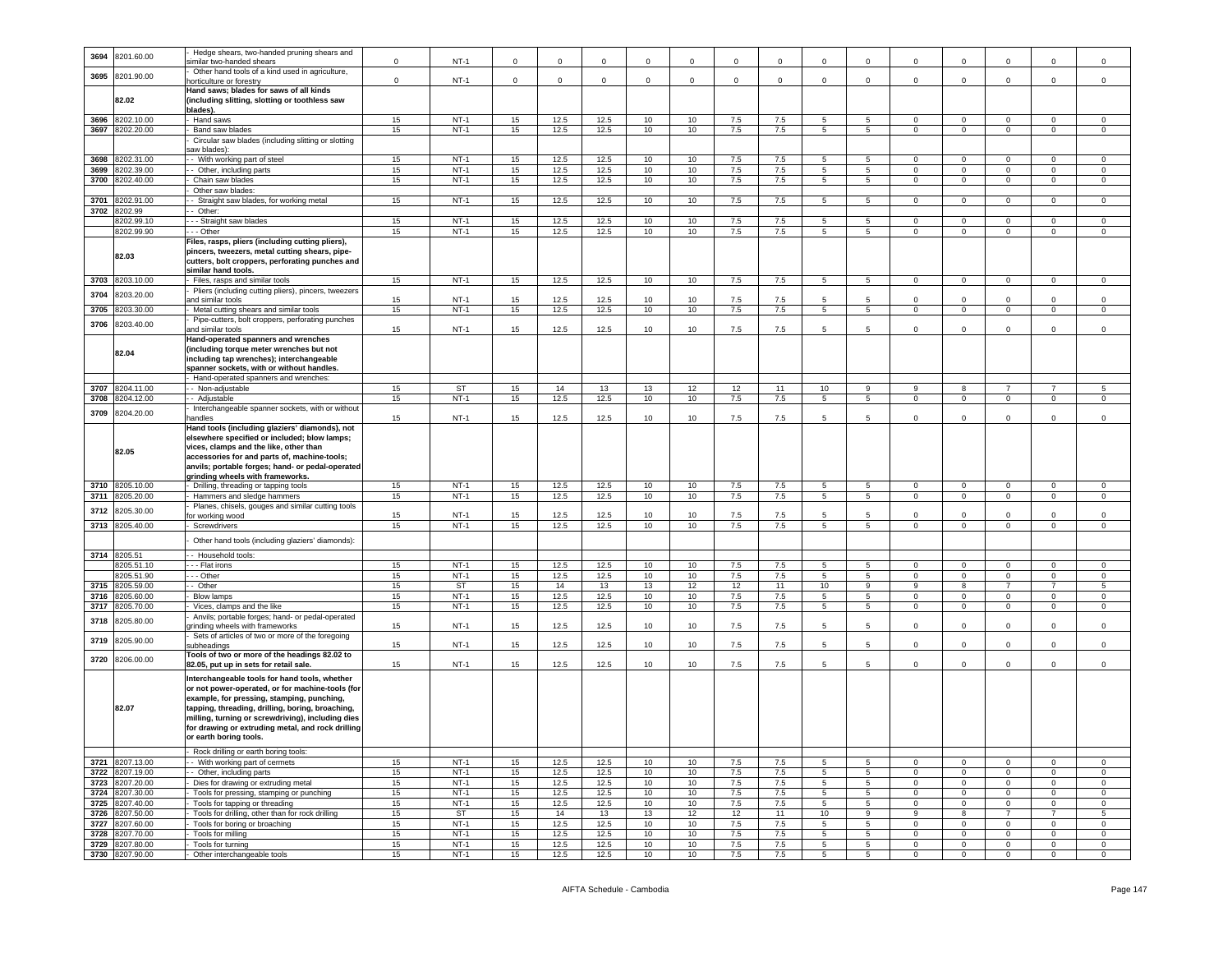| 3694         | 8201.60.00               | Hedge shears, two-handed pruning shears and<br>imilar two-handed shears                                                                                                                                                                                                                                                                                                           | $\mathsf 0$ | $NT-1$              | $\Omega$    | $\Omega$     | $\mathbf 0$  | $\Omega$        | $\mathbf 0$     | $\Omega$    | $\Omega$       |                       | $\Omega$            | $\mathsf 0$                | $\mathbf 0$                | $\Omega$                         | $\overline{0}$                |                            |
|--------------|--------------------------|-----------------------------------------------------------------------------------------------------------------------------------------------------------------------------------------------------------------------------------------------------------------------------------------------------------------------------------------------------------------------------------|-------------|---------------------|-------------|--------------|--------------|-----------------|-----------------|-------------|----------------|-----------------------|---------------------|----------------------------|----------------------------|----------------------------------|-------------------------------|----------------------------|
| 3695         | 8201.90.00               | Other hand tools of a kind used in agriculture,<br>horticulture or forestry                                                                                                                                                                                                                                                                                                       | $\mathbf 0$ | $NT-1$              | $\mathbf 0$ | $\mathbf 0$  | $\mathsf 0$  | $\mathbf 0$     | $\mathbf 0$     | $\mathbf 0$ | $\mathbf 0$    | $\mathbf 0$           | $\mathsf 0$         | $\mathbf 0$                | $\mathbf 0$                | $\mathsf 0$                      | $\mathsf 0$                   | $\mathbf 0$                |
|              | 82.02                    | Hand saws; blades for saws of all kinds<br>(including slitting, slotting or toothless saw                                                                                                                                                                                                                                                                                         |             |                     |             |              |              |                 |                 |             |                |                       |                     |                            |                            |                                  |                               |                            |
|              |                          | blades).                                                                                                                                                                                                                                                                                                                                                                          |             |                     |             |              |              |                 |                 |             |                |                       |                     |                            |                            |                                  |                               |                            |
| 3696         | 8202.10.00               | - Hand saws                                                                                                                                                                                                                                                                                                                                                                       | 15          | $NT-1$              | 15          | 12.5         | 12.5         | 10              | 10              | 7.5         | 7.5            | $\overline{5}$        | $\overline{5}$      | $\Omega$                   | $\Omega$                   | $\overline{0}$                   | $\overline{0}$                | $\Omega$                   |
| 3697         | 8202.20.00               | Band saw blades                                                                                                                                                                                                                                                                                                                                                                   | 15          | $NT-1$              | 15          | 12.5         | 12.5         | 10 <sub>1</sub> | 10              | 7.5         | 7.5            | 5                     | $5\overline{)}$     | $\mathbf 0$                | $\Omega$                   | $\mathsf 0$                      | $\mathbf 0$                   | $\Omega$                   |
|              |                          | Circular saw blades (including slitting or slotting<br>aw blades):                                                                                                                                                                                                                                                                                                                |             |                     |             |              |              |                 |                 |             |                |                       |                     |                            |                            |                                  |                               |                            |
| 3698         | 8202.31.00               | - With working part of steel                                                                                                                                                                                                                                                                                                                                                      | 15          | $NT-1$              | 15          | 12.5         | 12.5         | 10              | 10              | 7.5         | 7.5            | 5                     | $\overline{5}$      | $\overline{0}$             | $\overline{0}$             | $\overline{0}$                   | $\overline{0}$                | $^{\circ}$                 |
| 3699         | 8202.39.00               | - Other, including parts                                                                                                                                                                                                                                                                                                                                                          | 15          | $NT-1$              | 15          | 12.5         | 12.5         | 10              | 10              | 7.5         | 7.5            | 5                     | $5\phantom{.0}$     | $\mathbf 0$                | $\mathsf 0$                | $\mathsf 0$                      | $\mathbf 0$                   | $\circ$                    |
| 3700         | 8202.40.00               | Chain saw blades<br>Other saw blades:                                                                                                                                                                                                                                                                                                                                             | 15          | $NT-1$              | 15          | 12.5         | 12.5         | 10              | 10              | 7.5         | 7.5            | $\overline{5}$        | 5                   | $\Omega$                   | $\overline{0}$             | $\overline{0}$                   | $\overline{0}$                | $\overline{0}$             |
| 3701         | 8202.91.00               | - Straight saw blades, for working metal                                                                                                                                                                                                                                                                                                                                          | 15          | $NT-1$              | 15          | 12.5         | 12.5         | 10              | 10              | 7.5         | 7.5            | 5                     | 5 <sup>1</sup>      | $\Omega$                   | $\Omega$                   | $\Omega$                         | $\Omega$                      | $\Omega$                   |
|              | 3702 8202.99             | - Other:                                                                                                                                                                                                                                                                                                                                                                          |             |                     |             |              |              |                 |                 |             |                |                       |                     |                            |                            |                                  |                               |                            |
|              | 8202.99.10               | - - Straight saw blades                                                                                                                                                                                                                                                                                                                                                           | 15          | $NT-1$              | 15          | 12.5         | 12.5         | 10              | 10              | 7.5         | 7.5            | -5                    | 5                   | $\Omega$                   | $\Omega$                   | $\Omega$                         | $\Omega$                      | $\Omega$                   |
|              | 8202.99.90               | $-$ Other                                                                                                                                                                                                                                                                                                                                                                         | 15          | $NT-1$              | 15          | 12.5         | 12.5         | 10              | 10              | 7.5         | 7.5            | 5                     | $5\phantom{.0}$     | $\mathbf 0$                | $\mathsf 0$                | $\mathsf{O}\xspace$              | $\mathbf 0$                   | $\mathbf 0$                |
|              | 82.03                    | Files, rasps, pliers (including cutting pliers),<br>pincers, tweezers, metal cutting shears, pipe-<br>cutters, bolt croppers, perforating punches and<br>similar hand tools.                                                                                                                                                                                                      |             |                     |             |              |              |                 |                 |             |                |                       |                     |                            |                            |                                  |                               |                            |
| 3703         | 8203.10.00               | Files, rasps and similar tools                                                                                                                                                                                                                                                                                                                                                    | 15          | $NT-1$              | 15          | 12.5         | 12.5         | 10              | 10              | 7.5         | 7.5            | $5\overline{)}$       | $5\overline{)}$     | $\overline{0}$             | $\overline{0}$             | $\overline{0}$                   | $\overline{0}$                | $\overline{0}$             |
| 3704         | 3203.20.00               | Pliers (including cutting pliers), pincers, tweezers                                                                                                                                                                                                                                                                                                                              |             |                     |             |              |              |                 |                 |             |                |                       |                     |                            |                            |                                  |                               |                            |
| 3705         | 3203.30.00               | and similar tools<br>Metal cutting shears and similar tools                                                                                                                                                                                                                                                                                                                       | 15<br>15    | $NT-1$<br>$NT-1$    | 15<br>15    | 12.5<br>12.5 | 12.5<br>12.5 | 10<br>10        | 10<br>10        | 7.5<br>7.5  | 7.5<br>7.5     | -5<br>$5\overline{5}$ | 5<br>5              | $\Omega$<br>$\overline{0}$ | $\Omega$<br>$\overline{0}$ | $\mathbf{0}$<br>$\overline{0}$   | $\Omega$<br>$\overline{0}$    | $\Omega$<br>$\overline{0}$ |
|              |                          | Pipe-cutters, bolt croppers, perforating punches                                                                                                                                                                                                                                                                                                                                  |             |                     |             |              |              |                 |                 |             |                |                       |                     |                            |                            |                                  |                               |                            |
| 3706         | 8203.40.00               | and similar tools                                                                                                                                                                                                                                                                                                                                                                 | 15          | $NT-1$              | 15          | 12.5         | 12.5         | 10              | 10 <sup>1</sup> | 7.5         | 7.5            | 5                     | 5                   | $\Omega$                   | $\Omega$                   | $\mathbf{0}$                     | $\mathbf{0}$                  | $\mathbf 0$                |
|              | 82.04                    | Hand-operated spanners and wrenches<br>including torque meter wrenches but not<br>including tap wrenches): interchangeable<br>spanner sockets, with or without handles.                                                                                                                                                                                                           |             |                     |             |              |              |                 |                 |             |                |                       |                     |                            |                            |                                  |                               |                            |
|              |                          | Hand-operated spanners and wrenches:                                                                                                                                                                                                                                                                                                                                              |             |                     |             |              |              |                 |                 |             |                |                       |                     |                            |                            |                                  |                               |                            |
| 3707<br>3708 | 8204.11.00<br>8204.12.00 | - Non-adjustable<br>- Adjustable                                                                                                                                                                                                                                                                                                                                                  | 15<br>15    | <b>ST</b><br>$NT-1$ | 15<br>15    | 14<br>12.5   | 13<br>12.5   | 13<br>10        | 12<br>10        | 12<br>7.5   | 11<br>7.5      | 10<br>$5\phantom{.0}$ | 9<br>5              | 9<br>$\mathbf 0$           | 8<br>$\mathsf 0$           | $\overline{7}$<br>$\overline{0}$ | $\mathbf 0$                   | 5<br>$\mathsf 0$           |
|              |                          | Interchangeable spanner sockets, with or without                                                                                                                                                                                                                                                                                                                                  |             |                     |             |              |              |                 |                 |             |                |                       |                     |                            |                            |                                  |                               |                            |
| 3709         | 8204.20.00               | andles                                                                                                                                                                                                                                                                                                                                                                            | 15          | $NT-1$              | 15          | 12.5         | 12.5         | 10              | 10              | 7.5         | 7.5            |                       | 5                   | $\mathbf 0$                | 0                          | 0                                | $\overline{0}$                | $\mathbf 0$                |
|              | 82.05                    | Hand tools (including glaziers' diamonds), not<br>elsewhere specified or included; blow lamps;<br>vices, clamps and the like, other than<br>accessories for and parts of, machine-tools;<br>anvils; portable forges; hand- or pedal-operated<br>grinding wheels with frameworks.                                                                                                  |             |                     |             |              |              |                 |                 |             |                |                       |                     |                            |                            |                                  |                               |                            |
|              | 3710 8205.10.00          | Drilling, threading or tapping tools                                                                                                                                                                                                                                                                                                                                              | 15          | $NT-1$              | 15          | 12.5         | 12.5         | 10              | 10              | 7.5         | $7.5\,$        | 5                     | 5                   | $\mathbf 0$                | $\mathbf 0$                | $\mathbf 0$                      | $\overline{0}$                | $\mathbf 0$                |
|              | 3711 8205.20.00          | Hammers and sledge hammers                                                                                                                                                                                                                                                                                                                                                        | 15          | $NT-1$              | 15          | 12.5         | 12.5         | 10              | 10              | 7.5         | 7.5            | $5\overline{5}$       | $\overline{5}$      | $^{\circ}$                 | $\overline{0}$             | $\overline{0}$                   | $\overline{0}$                | $\overline{0}$             |
| 3712         | 8205.30.00               | Planes, chisels, gouges and similar cutting tools                                                                                                                                                                                                                                                                                                                                 |             | $NT-1$              |             | 12.5         | 12.5         | 10              |                 |             |                |                       | 5                   | $\Omega$                   | $\mathbf 0$                | 0                                | $\mathbf 0$                   | $\mathbf 0$                |
|              | 3713 8205.40.00          | or working wood<br>Screwdrivers                                                                                                                                                                                                                                                                                                                                                   | 15<br>15    | $NT-1$              | 15<br>15    | 12.5         | 12.5         | 10              | 10<br>10        | 7.5<br>7.5  | 7.5<br>$7.5\,$ | $5\overline{5}$       | $5\phantom{.0}$     | $\overline{0}$             | $\mathbf{0}$               | $\mathsf 0$                      | $\overline{0}$                | $\mathsf 0$                |
|              |                          | Other hand tools (including glaziers' diamonds):                                                                                                                                                                                                                                                                                                                                  |             |                     |             |              |              |                 |                 |             |                |                       |                     |                            |                            |                                  |                               |                            |
|              |                          |                                                                                                                                                                                                                                                                                                                                                                                   |             |                     |             |              |              |                 |                 |             |                |                       |                     |                            |                            |                                  |                               |                            |
| 3714         | 8205.51<br>8205.51.10    | - Household tools:<br>--- Flat irons                                                                                                                                                                                                                                                                                                                                              | 15          | $NT-1$              | 15          | 12.5         | 12.5         | 10              | 10              | 7.5         | 7.5            | $\overline{5}$        | $\overline{5}$      | $\overline{0}$             | $\overline{0}$             | $\overline{0}$                   | $\overline{0}$                | $\overline{0}$             |
|              | 8205.51.90               | --- Other                                                                                                                                                                                                                                                                                                                                                                         | 15          | $NT-1$              | 15          | 12.5         | 12.5         | 10              | 10              | 7.5         | 7.5            | 5                     | 5                   | $\mathbf 0$                | $\mathbf 0$                | $\mathbf 0$                      | $\mathbf{0}$                  | $\mathbf 0$                |
|              | 3715 8205.59.00          | - Other                                                                                                                                                                                                                                                                                                                                                                           | 15          | ST                  | 15          | 14           | 13           | 13              | 12              | 12          | 11             | 10                    | 9                   | 9                          | 8                          | $\overline{7}$                   | $\overline{7}$                | -5                         |
| 3716         | 8205.60.00               | <b>Blow lamps</b>                                                                                                                                                                                                                                                                                                                                                                 | 15          | $NT-1$              | 15          | 12.5         | 12.5         | 10              | 10              | $7.5\,$     | $7.5\,$        | 5                     | $5\phantom{.0}$     | $\Omega$                   | $\mathsf 0$                | $\mathsf 0$                      | $\mathbf 0$                   | $\mathbf 0$                |
| 3717         | 3205.70.00               | Vices, clamps and the like                                                                                                                                                                                                                                                                                                                                                        | 15          | $NT-1$              | 15          | 12.5         | 12.5         | 10              | 10              | 7.5         | 7.5            | $\overline{5}$        | $\overline{5}$      | $\mathbf 0$                | $\overline{0}$             | $\overline{0}$                   | $\overline{0}$                | $\overline{0}$             |
| 3718         | 8205.80.00               | Anvils; portable forges; hand- or pedal-operated<br>trinding wheels with frameworks                                                                                                                                                                                                                                                                                               | 15          | $NT-1$              | 15          | 12.5         | 12.5         | 10              | 10              | 7.5         | 7.5            | 5.                    | 5                   | $\mathsf 0$                | $\mathbf 0$                | $\mathbf 0$                      | $\mathbf 0$                   | $\mathbf 0$                |
| 3719         | 8205.90.00               | Sets of articles of two or more of the foregoing<br>subheadings                                                                                                                                                                                                                                                                                                                   | 15          | $NT-1$              | 15          | 12.5         | 12.5         | 10              | 10              | 7.5         | 7.5            | 5                     | 5                   | $\Omega$                   | $\mathbf 0$                | $\mathsf{O}\xspace$              | $\mathbf 0$                   | $\mathbf 0$                |
| 3720         | 8206.00.00               | Tools of two or more of the headings 82.02 to                                                                                                                                                                                                                                                                                                                                     |             |                     |             |              |              |                 |                 |             |                |                       |                     |                            |                            |                                  |                               |                            |
|              | 82.07                    | 82.05, put up in sets for retail sale.<br>Interchangeable tools for hand tools, whether<br>or not power-operated, or for machine-tools (for<br>example, for pressing, stamping, punching,<br>tapping, threading, drilling, boring, broaching,<br>milling, turning or screwdriving), including dies<br>for drawing or extruding metal, and rock drilling<br>or earth boring tools. | 15          | $NT-1$              | 15          | 12.5         | 12.5         | 10              | 10              | $7.5\,$     | 7.5            | 5                     | 5                   | $\mathbf 0$                | $\Omega$                   | $\mathsf{O}\xspace$              | $\mathsf 0$                   | $\mathsf 0$                |
|              |                          | Rock drilling or earth boring tools:                                                                                                                                                                                                                                                                                                                                              |             |                     |             |              |              |                 |                 |             |                |                       |                     |                            |                            |                                  |                               |                            |
|              | 3721 8207.13.00          | - With working part of cermets                                                                                                                                                                                                                                                                                                                                                    | 15          | $NT-1$              | 15          | 12.5         | 12.5         | 10              | 10              | 7.5         | 7.5            | -5                    | 5                   | $\Omega$                   | $\Omega$                   | $\overline{0}$                   | $\overline{0}$                | $\Omega$                   |
| 3722         | 8207.19.00               | - Other, including parts                                                                                                                                                                                                                                                                                                                                                          | 15          | $NT-1$              | 15          | 12.5         | 12.5         | 10              | 10              | 7.5         | 7.5            | 5                     | 5                   | $\Omega$                   | $\mathsf 0$                | $\mathsf 0$                      | $\mathbf 0$                   | $\mathsf{O}\xspace$        |
|              | 3723 8207.20.00          | Dies for drawing or extruding metal                                                                                                                                                                                                                                                                                                                                               | 15          | $NT-1$              | 15          | 12.5         | 12.5         | 10              | 10              | 7.5         | 7.5            | 5                     | 5                   | $\mathbf 0$                | $\overline{0}$             | $\overline{0}$                   | $\mathbf{0}$                  | $\overline{0}$             |
|              | 3724 8207.30.00          | Tools for pressing, stamping or punching                                                                                                                                                                                                                                                                                                                                          | 15          | $NT-1$              | 15          | 12.5         | 12.5         | 10              | 10              | 7.5         | 7.5            | 5                     | $5\phantom{.0}$     | $\mathbf 0$                | $\mathsf 0$                | $\mathsf 0$                      | $\mathbf 0$                   | $\Omega$                   |
| 3725         | 8207.40.00               | Tools for tapping or threading                                                                                                                                                                                                                                                                                                                                                    | 15          | $NT-1$              | 15          | 12.5         | 12.5         | 10              | 10              | 7.5         | 7.5            | 5                     | $5\overline{)}$     | $\mathbf 0$                | $\overline{0}$             | $\mathsf 0$                      | $\overline{0}$                | $\mathbf{0}$               |
| 3726<br>3727 | 8207.50.00<br>207.60.00  | Tools for drilling, other than for rock drilling<br>Tools for boring or broaching                                                                                                                                                                                                                                                                                                 | 15<br>15    | ST<br>$NT-1$        | 15<br>15    | 14<br>12.5   | 13<br>12.5   | 13<br>10        | 12<br>10        | 12<br>7.5   | 11<br>7.5      | 10<br>5               | $\overline{9}$<br>5 | 9<br>$^{\circ}$            | 8<br>$\mathsf 0$           | $\overline{7}$<br>$\mathbf 0$    | $\overline{7}$<br>$\mathsf 0$ | $5^{\circ}$<br>$\mathsf 0$ |
| 3728         | 3207.70.00               | Tools for milling                                                                                                                                                                                                                                                                                                                                                                 | 15          | $NT-1$              | 15          | 12.5         | 12.5         | 10              | 10              | 7.5         | 7.5            | 5                     | $\overline{5}$      | 0                          | $\mathsf 0$                | $\mathsf 0$                      | $\mathbf 0$                   | $\bf 0$                    |
|              | 3729 8207.80.00          | Tools for turning                                                                                                                                                                                                                                                                                                                                                                 | 15          | $NT-1$              | 15          | 12.5         | 12.5         | 10              | 10              | 7.5         | 7.5            | $\overline{5}$        | $\overline{5}$      | $^{\circ}$                 | $\mathsf 0$                | $\overline{0}$                   | $\mathsf 0$                   | $\Omega$                   |
|              | 3730 8207.90.00          | - Other interchangeable tools                                                                                                                                                                                                                                                                                                                                                     | 15          | $NT-1$              | 15          | 12.5         | 12.5         | 10              | 10              | 7.5         | 7.5            | $\overline{5}$        | $\overline{5}$      | $\Omega$                   | $\overline{0}$             | $\overline{0}$                   | $\overline{0}$                | $\Omega$                   |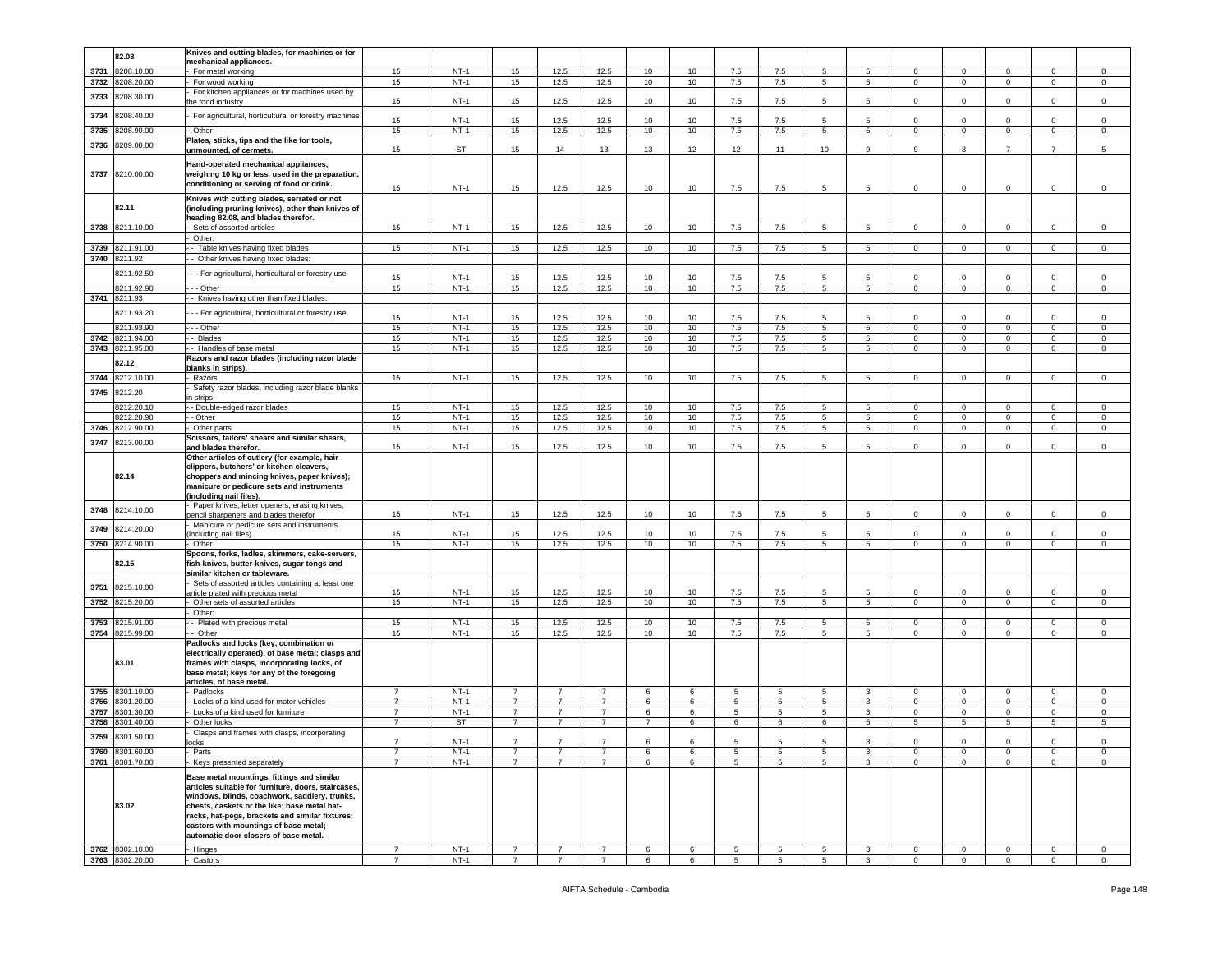|      |                                    | Knives and cutting blades, for machines or for       |                                  |                  |                |                |                |            |        |                     |        |                 |                 |                         |                         |                            |                         |                            |
|------|------------------------------------|------------------------------------------------------|----------------------------------|------------------|----------------|----------------|----------------|------------|--------|---------------------|--------|-----------------|-----------------|-------------------------|-------------------------|----------------------------|-------------------------|----------------------------|
|      | 82.08                              |                                                      |                                  |                  |                |                |                |            |        |                     |        |                 |                 |                         |                         |                            |                         |                            |
|      |                                    | mechanical appliances.                               |                                  |                  |                |                |                |            |        |                     |        |                 |                 |                         |                         |                            |                         |                            |
| 3731 | 3208.10.00                         | For metal working                                    | 15                               | $NT-1$           | 15             | 12.5           | 12.5           | 10         | 10     | 7.5                 | 7.5    | 5               | 5               | $\Omega$                | $\mathsf 0$             | $\mathbf 0$                | $\mathbf 0$             | $\mathsf 0$                |
| 3732 | 8208.20.00                         | For wood working                                     | 15                               | $NT-1$           | 15             | 12.5           | 12.5           | 10         | 10     | 7.5                 | 7.5    | $5^{\circ}$     | 5               | $\overline{0}$          | $\overline{0}$          | $\overline{0}$             | $\mathbf{0}$            | $\circ$                    |
| 3733 | 8208.30.00                         | For kitchen appliances or for machines used by       |                                  |                  |                |                |                |            |        |                     |        |                 |                 |                         |                         |                            |                         |                            |
|      |                                    | the food industry                                    | 15                               | $NT-1$           | 15             | 12.5           | 12.5           | 10         | 10     | 7.5                 | 7.5    | 5               | 5               | $\mathbf 0$             | $\mathsf 0$             | $\mathbf 0$                | $\mathbf 0$             | $\mathsf 0$                |
|      |                                    |                                                      |                                  |                  |                |                |                |            |        |                     |        |                 |                 |                         |                         |                            |                         |                            |
| 3734 | 8208.40.00                         | For agricultural, horticultural or forestry machines | 15                               | $NT-1$           | 15             | 12.5           | 12.5           | 10         | 10     | 7.5                 | 7.5    | 5               | 5               | $\Omega$                | $\mathbf 0$             | $\Omega$                   | $\Omega$                | $\mathbf 0$                |
| 3735 | 8208.90.00                         | Other                                                | 15                               | $NT-1$           | 15             | 12.5           | 12.5           | 10         | 10     | 7.5                 | 7.5    | 5               | $5\overline{5}$ | $\mathsf 0$             | $\mathbf 0$             | $\mathsf 0$                | $\mathsf 0$             | $\mathsf 0$                |
|      |                                    | Plates, sticks, tips and the like for tools,         |                                  |                  |                |                |                |            |        |                     |        |                 |                 |                         |                         |                            |                         |                            |
| 3736 | 3209.00.00                         | unmounted, of cermets.                               | 15                               | ST               | 15             | 14             | 13             | 13         | 12     | 12                  | 11     | 10              | 9               | 9                       | 8                       | $\overline{7}$             | $\overline{7}$          | 5                          |
|      |                                    |                                                      |                                  |                  |                |                |                |            |        |                     |        |                 |                 |                         |                         |                            |                         |                            |
|      |                                    | Hand-operated mechanical appliances,                 |                                  |                  |                |                |                |            |        |                     |        |                 |                 |                         |                         |                            |                         |                            |
|      | 3737 8210.00.00                    | weighing 10 kg or less, used in the preparation,     |                                  |                  |                |                |                |            |        |                     |        |                 |                 |                         |                         |                            |                         |                            |
|      |                                    | conditioning or serving of food or drink.            |                                  |                  |                |                |                |            |        |                     |        |                 |                 |                         |                         |                            |                         |                            |
|      |                                    |                                                      | 15                               | $NT-1$           | 15             | 12.5           | 12.5           | 10         | 10     | 7.5                 | 7.5    | 5               | $\overline{5}$  | $\mathbf 0$             | $\mathbf 0$             | $\mathbf 0$                | $\mathbf 0$             | $\,0\,$                    |
|      |                                    | Knives with cutting blades, serrated or not          |                                  |                  |                |                |                |            |        |                     |        |                 |                 |                         |                         |                            |                         |                            |
|      | 82.11                              | (including pruning knives), other than knives of     |                                  |                  |                |                |                |            |        |                     |        |                 |                 |                         |                         |                            |                         |                            |
|      |                                    | heading 82.08, and blades therefor.                  |                                  |                  |                |                |                |            |        |                     |        |                 |                 |                         |                         |                            |                         |                            |
| 3738 | 8211.10.00                         | Sets of assorted articles                            | 15                               | $NT-1$           | 15             | 12.5           | 12.5           | 10         | 10     | 7.5                 | 7.5    | 5               | 5 <sup>5</sup>  | $\circ$                 | $\mathbf 0$             | $\circ$                    | $\mathbf 0$             | $\Omega$                   |
|      |                                    | Other:                                               |                                  |                  |                |                |                |            |        |                     |        |                 |                 |                         |                         |                            |                         |                            |
| 3739 | 8211.91.00                         | - Table knives having fixed blades                   | 15                               | $NT-1$           | 15             | 12.5           | 12.5           | 10         | 10     | 7.5                 | 7.5    | 5               | 5               | $\mathbf 0$             | $\mathbf 0$             | $\mathbf 0$                | $\mathbf 0$             | 0                          |
|      |                                    |                                                      |                                  |                  |                |                |                |            |        |                     |        |                 |                 |                         |                         |                            |                         |                            |
|      | 3740 8211.92                       | - Other knives having fixed blades:                  |                                  |                  |                |                |                |            |        |                     |        |                 |                 |                         |                         |                            |                         |                            |
|      | 8211.92.50                         | - - For agricultural, horticultural or forestry use  |                                  |                  |                |                |                |            |        |                     |        |                 |                 |                         |                         |                            |                         |                            |
|      |                                    |                                                      | 15                               | $NT-1$           | 15             | 12.5           | 12.5           | 10         | 10     | 7.5                 | 7.5    | $5\overline{5}$ | 5               | $\mathbf 0$             | $\mathbf 0$             | $\mathbf 0$                | $\mathbf 0$             | $\mathsf 0$                |
|      | 8211.92.90                         | --- Other                                            | 15                               | $NT-1$           | 15             | 12.5           | 12.5           | 10         | 10     | 7.5                 | 7.5    | 5               | 5 <sub>5</sub>  | $\mathbf 0$             | $\mathbf 0$             | $\circ$                    | $\mathbf 0$             | $\mathbf 0$                |
| 3741 | 8211.93                            | - - Knives having other than fixed blades:           |                                  |                  |                |                |                |            |        |                     |        |                 |                 |                         |                         |                            |                         |                            |
|      |                                    |                                                      |                                  |                  |                |                |                |            |        |                     |        |                 |                 |                         |                         |                            |                         |                            |
|      | 8211.93.20                         | - - For agricultural, horticultural or forestry use  | 15                               | $NT-1$           | 15             | 12.5           | 12.5           | 10         | 10     | 7.5                 | 7.5    | $5\overline{5}$ | 5               | $\mathbf 0$             | $\mathbf 0$             | $\mathbf 0$                | $\mathbf 0$             | $\mathsf 0$                |
|      | 8211.93.90                         | - - - Other                                          | 15                               | $NT-1$           | 15             | 12.5           | 12.5           | 10         | 10     | 7.5                 | 7.5    | 5               | 5 <sub>5</sub>  | $\mathbf 0$             | $\mathbf 0$             | $\circ$                    | $\mathbf 0$             | $\mathsf 0$                |
| 3742 | 8211.94.00                         | - Blades                                             | 15                               | $NT-1$           | 15             | 12.5           | 12.5           | 10         | 10     | 7.5                 | 7.5    | 5               | $5\phantom{.0}$ | $\mathbf 0$             | $\mathbf 0$             | $\mathbf 0$                | $\mathbf 0$             | $\mathsf 0$                |
| 3743 |                                    |                                                      |                                  | $NT-1$           |                |                | 12.5           |            |        |                     | 7.5    | 5               | 5 <sub>5</sub>  |                         | $\mathbf 0$             |                            | $\mathbf{O}$            | $\mathbf 0$                |
|      | 8211.95.00                         | - Handles of base metal                              | 15                               |                  | 15             | 12.5           |                | 10         | 10     | 7.5                 |        |                 |                 | $\mathbf 0$             |                         | $\overline{0}$             |                         |                            |
|      | 82.12                              | Razors and razor blades (including razor blade       |                                  |                  |                |                |                |            |        |                     |        |                 |                 |                         |                         |                            |                         |                            |
|      |                                    | blanks in strips).                                   |                                  |                  |                |                |                |            |        |                     |        |                 |                 |                         |                         |                            |                         |                            |
| 3744 | 8212.10.00                         | Razors                                               | 15                               | $NT-1$           | 15             | 12.5           | 12.5           | 10         | 10     | 7.5                 | 7.5    | 5               | $5\overline{5}$ | $\mathbf 0$             | $\mathbf 0$             | $\circ$                    | $\mathbf 0$             | $\mathsf 0$                |
| 3745 | 8212.20                            | Safety razor blades, including razor blade blanks    |                                  |                  |                |                |                |            |        |                     |        |                 |                 |                         |                         |                            |                         |                            |
|      |                                    | n strips:                                            |                                  |                  |                |                |                |            |        |                     |        |                 |                 |                         |                         |                            |                         |                            |
|      | 8212.20.10                         | - Double-edged razor blades                          | 15                               | $NT-1$           | 15             | 12.5           | 12.5           | 10         | 10     | 7.5                 | 7.5    | 5               | 5               | $\mathbf 0$             | $\mathbf 0$             | 0                          | 0                       | $\mathbf 0$                |
|      | 8212.20.90                         | - Other                                              | 15                               | $NT-1$           | 15             | 12.5           | 12.5           | 10         | 10     | 7.5                 | 7.5    | 5               | 5               | $\mathbf{0}$            | $\mathbf 0$             | $\circ$                    | $\mathbf 0$             | $\mathbf 0$                |
| 3746 | 8212.90.00                         | Other parts                                          | 15                               | $NT-1$           | 15             | 12.5           | 12.5           | 10         | 10     | 7.5                 | 7.5    | 5               | 5               | $\mathbf 0$             | $\overline{0}$          | $\overline{0}$             | $\mathbf 0$             | $\mathbf 0$                |
|      |                                    |                                                      |                                  |                  |                |                |                |            |        |                     |        |                 |                 |                         |                         |                            |                         |                            |
| 3747 | 8213.00.00                         | Scissors, tailors' shears and similar shears,        |                                  |                  |                |                |                |            |        |                     |        | 5               | 5               |                         | $\mathbf 0$             |                            |                         |                            |
|      |                                    | and blades therefor.                                 | 15                               | $NT-1$           | 15             | 12.5           | 12.5           | 10         | 10     | 7.5                 | 7.5    |                 |                 | 0                       |                         | 0                          | $\mathbf 0$             | $\mathsf 0$                |
|      |                                    | Other articles of cutlery (for example, hair         |                                  |                  |                |                |                |            |        |                     |        |                 |                 |                         |                         |                            |                         |                            |
|      |                                    | clippers, butchers' or kitchen cleavers,             |                                  |                  |                |                |                |            |        |                     |        |                 |                 |                         |                         |                            |                         |                            |
|      | 82.14                              | choppers and mincing knives, paper knives);          |                                  |                  |                |                |                |            |        |                     |        |                 |                 |                         |                         |                            |                         |                            |
|      |                                    | manicure or pedicure sets and instruments            |                                  |                  |                |                |                |            |        |                     |        |                 |                 |                         |                         |                            |                         |                            |
|      |                                    | (including nail files).                              |                                  |                  |                |                |                |            |        |                     |        |                 |                 |                         |                         |                            |                         |                            |
|      |                                    | Paper knives, letter openers, erasing knives,        |                                  |                  |                |                |                |            |        |                     |        |                 |                 |                         |                         |                            |                         |                            |
| 3748 | 8214.10.00                         | bencil sharpeners and blades therefor                | 15                               | $NT-1$           | 15             | 12.5           | 12.5           | 10         | 10     | 7.5                 | 7.5    | 5               | 5               | $\mathbf 0$             | $\mathbf 0$             | $\mathbf 0$                | $\mathbf 0$             | $\mathsf 0$                |
|      |                                    | Manicure or pedicure sets and instruments            |                                  |                  |                |                |                |            |        |                     |        |                 |                 |                         |                         |                            |                         |                            |
| 3749 | 8214.20.00                         | including nail files)                                | 15                               | $NT-1$           | 15             | 12.5           | 12.5           | 10         | 10     | 7.5                 | 7.5    | 5               | 5               | $\circ$                 | $\mathsf 0$             | $\mathbf 0$                | $\mathbf 0$             | $\mathsf 0$                |
| 3750 | 8214.90.00                         | Other                                                | 15                               | $NT-1$           | 15             | 12.5           | 12.5           | 10         | 10     | 7.5                 | 7.5    | $\overline{5}$  | 5               | $\mathbf 0$             | $\overline{0}$          | $\overline{0}$             | $\overline{0}$          | $\overline{0}$             |
|      |                                    |                                                      |                                  |                  |                |                |                |            |        |                     |        |                 |                 |                         |                         |                            |                         |                            |
|      |                                    | Spoons, forks, ladles, skimmers, cake-servers,       |                                  |                  |                |                |                |            |        |                     |        |                 |                 |                         |                         |                            |                         |                            |
|      | 82.15                              | fish-knives, butter-knives, sugar tongs and          |                                  |                  |                |                |                |            |        |                     |        |                 |                 |                         |                         |                            |                         |                            |
|      |                                    | similar kitchen or tableware.                        |                                  |                  |                |                |                |            |        |                     |        |                 |                 |                         |                         |                            |                         |                            |
| 3751 | 8215.10.00                         | Sets of assorted articles containing at least one    |                                  |                  |                |                |                |            |        |                     |        |                 |                 |                         |                         |                            |                         |                            |
|      |                                    | article plated with precious metal                   | 15                               | $NT-1$           | 15             | 12.5           | 12.5           | 10         | 10     | 7.5                 | 7.5    | 5               | 5               | $\mathbf 0$             | $\overline{0}$          | $\mathbf 0$                | $\mathbf 0$             | $\mathsf 0$                |
| 3752 | 8215.20.00                         | Other sets of assorted articles                      | 15                               | $NT-1$           | 15             | 12.5           | 12.5           | 10         | 10     | 7.5                 | 7.5    | 5               | 5               | $\mathbf 0$             | $\overline{\mathbf{0}}$ | $\mathbf 0$                | $\mathbf 0$             | $\mathsf 0$                |
|      |                                    | Other:                                               |                                  |                  |                |                |                |            |        |                     |        |                 |                 |                         |                         |                            |                         |                            |
| 3753 | 8215.91.00                         | - Plated with precious metal                         | 15                               | $NT-1$           | 15             | 12.5           | 12.5           | 10         | 10     | 7.5                 | 7.5    | 5               | 5               | $\Omega$                | $\mathbf 0$             | $\mathbf 0$                | 0                       | $\mathbf 0$                |
|      | 3754 8215.99.00                    | - Other                                              | 15                               | $NT-1$           | 15             | 12.5           | 12.5           | 10         | 10     | 7.5                 | 7.5    | $5^{\circ}$     | $5^{\circ}$     | $\mathbf 0$             | $\overline{0}$          | $\overline{0}$             | 0                       | $\mathbf 0$                |
|      |                                    | Padlocks and locks (key, combination or              |                                  |                  |                |                |                |            |        |                     |        |                 |                 |                         |                         |                            |                         |                            |
|      |                                    |                                                      |                                  |                  |                |                |                |            |        |                     |        |                 |                 |                         |                         |                            |                         |                            |
|      |                                    | electrically operated), of base metal; clasps and    |                                  |                  |                |                |                |            |        |                     |        |                 |                 |                         |                         |                            |                         |                            |
|      | 83.01                              | frames with clasps, incorporating locks, of          |                                  |                  |                |                |                |            |        |                     |        |                 |                 |                         |                         |                            |                         |                            |
|      |                                    |                                                      |                                  |                  |                |                |                |            |        |                     |        |                 |                 |                         |                         |                            |                         |                            |
|      |                                    | base metal; keys for any of the foregoing            |                                  |                  |                |                |                |            |        |                     |        |                 |                 |                         |                         |                            |                         |                            |
|      |                                    | articles, of base metal.                             |                                  |                  |                |                |                |            |        |                     |        |                 |                 |                         |                         |                            |                         |                            |
| 3755 | 8301.10.00                         | Padlocks                                             | $\overline{7}$                   | $NT-1$           | $\overline{7}$ | $\overline{7}$ | $\overline{7}$ | 6          | 6      | 5                   | 5      | 5               | 3               | 0                       | $\mathbf 0$             | 0                          | 0                       | 0                          |
| 3756 | 8301.20.00                         | Locks of a kind used for motor vehicles              | $\overline{7}$                   | $NT-1$           | $\overline{7}$ | $\overline{7}$ | $\overline{7}$ | 6          | 6      | 5                   | 5      | 5               | 3               | $\circ$                 | $\mathbf 0$             | $\circ$                    | $\mathbf{0}$            | $\mathbf 0$                |
|      |                                    |                                                      |                                  |                  |                |                |                |            |        |                     |        |                 |                 |                         |                         |                            |                         |                            |
| 3757 | 301.30.00                          | Locks of a kind used for furniture                   | $\overline{7}$<br>$\overline{7}$ | $NT-1$           | $\overline{7}$ | $\overline{7}$ | $\overline{7}$ | 6          | 6      | 5                   | 5      | 5               | 3               | $\mathbf{0}$            | $\mathbf 0$             | $\mathbf 0$                | $\mathbf 0$             | $\mathbf 0$                |
| 3758 | 3301.40.00                         | Other locks                                          |                                  | ST               | $\overline{7}$ | $\overline{7}$ | $\overline{7}$ | 7          | 6      | 6                   | 6      | 6               | $5^{\circ}$     | 5                       | 5                       | $5\overline{5}$            | 5                       | 5                          |
| 3759 | 8301.50.00                         | Clasps and frames with clasps, incorporating         |                                  |                  |                |                |                |            |        |                     |        |                 |                 |                         |                         |                            |                         |                            |
|      |                                    | neke                                                 | $\overline{7}$                   | $NT-1$           | $\overline{7}$ | $\overline{7}$ | $\overline{7}$ | $\epsilon$ |        | 5                   | 5      | 5               | $\mathcal{R}$   | $\Omega$                | $\Omega$                | $\Omega$                   | $\Omega$                | $\Omega$                   |
| 3760 | 8301.60.00                         | Parts                                                | $\overline{7}$                   | $NT-1$           | $\overline{7}$ | $\overline{7}$ | $\overline{7}$ | 6          | 6      | 5                   | 5      | 5               | 3               | 0                       | $\overline{0}$          | $\Omega$                   | $\mathbf 0$             | $\mathsf 0$                |
|      | 3761 8301.70.00                    | Keys presented separately                            |                                  | $NT-1$           | $\overline{7}$ | $\overline{7}$ |                | 6          | 6      | 5                   | 5      | 5               | 3               | $\Omega$                | $\mathbf 0$             | $\mathbf 0$                | $\mathbf 0$             | $\mathsf 0$                |
|      |                                    |                                                      |                                  |                  |                |                |                |            |        |                     |        |                 |                 |                         |                         |                            |                         |                            |
|      |                                    | Base metal mountings, fittings and similar           |                                  |                  |                |                |                |            |        |                     |        |                 |                 |                         |                         |                            |                         |                            |
|      |                                    | articles suitable for furniture, doors, staircases,  |                                  |                  |                |                |                |            |        |                     |        |                 |                 |                         |                         |                            |                         |                            |
|      |                                    | windows, blinds, coachwork, saddlery, trunks,        |                                  |                  |                |                |                |            |        |                     |        |                 |                 |                         |                         |                            |                         |                            |
|      | 83.02                              | chests, caskets or the like; base metal hat-         |                                  |                  |                |                |                |            |        |                     |        |                 |                 |                         |                         |                            |                         |                            |
|      |                                    | racks, hat-pegs, brackets and similar fixtures;      |                                  |                  |                |                |                |            |        |                     |        |                 |                 |                         |                         |                            |                         |                            |
|      |                                    | castors with mountings of base metal;                |                                  |                  |                |                |                |            |        |                     |        |                 |                 |                         |                         |                            |                         |                            |
|      |                                    | automatic door closers of base metal.                |                                  |                  |                |                |                |            |        |                     |        |                 |                 |                         |                         |                            |                         |                            |
|      |                                    |                                                      |                                  |                  |                |                |                |            |        |                     |        |                 |                 |                         |                         |                            |                         |                            |
|      | 3762 8302.10.00<br>3763 8302.20.00 | - Hinges<br>Castors                                  | 7                                | $NT-1$<br>$NT-1$ | $\overline{7}$ | $\overline{7}$ | $\overline{7}$ | 6<br>6     | 6<br>6 | $\overline{5}$<br>5 | 5<br>5 | 5<br>-5         | 3               | $\mathsf 0$<br>$\Omega$ | $\,0\,$<br>$^{\circ}$   | $\overline{0}$<br>$\Omega$ | $\mathbf 0$<br>$\Omega$ | $\mathbf 0$<br>$\mathbf 0$ |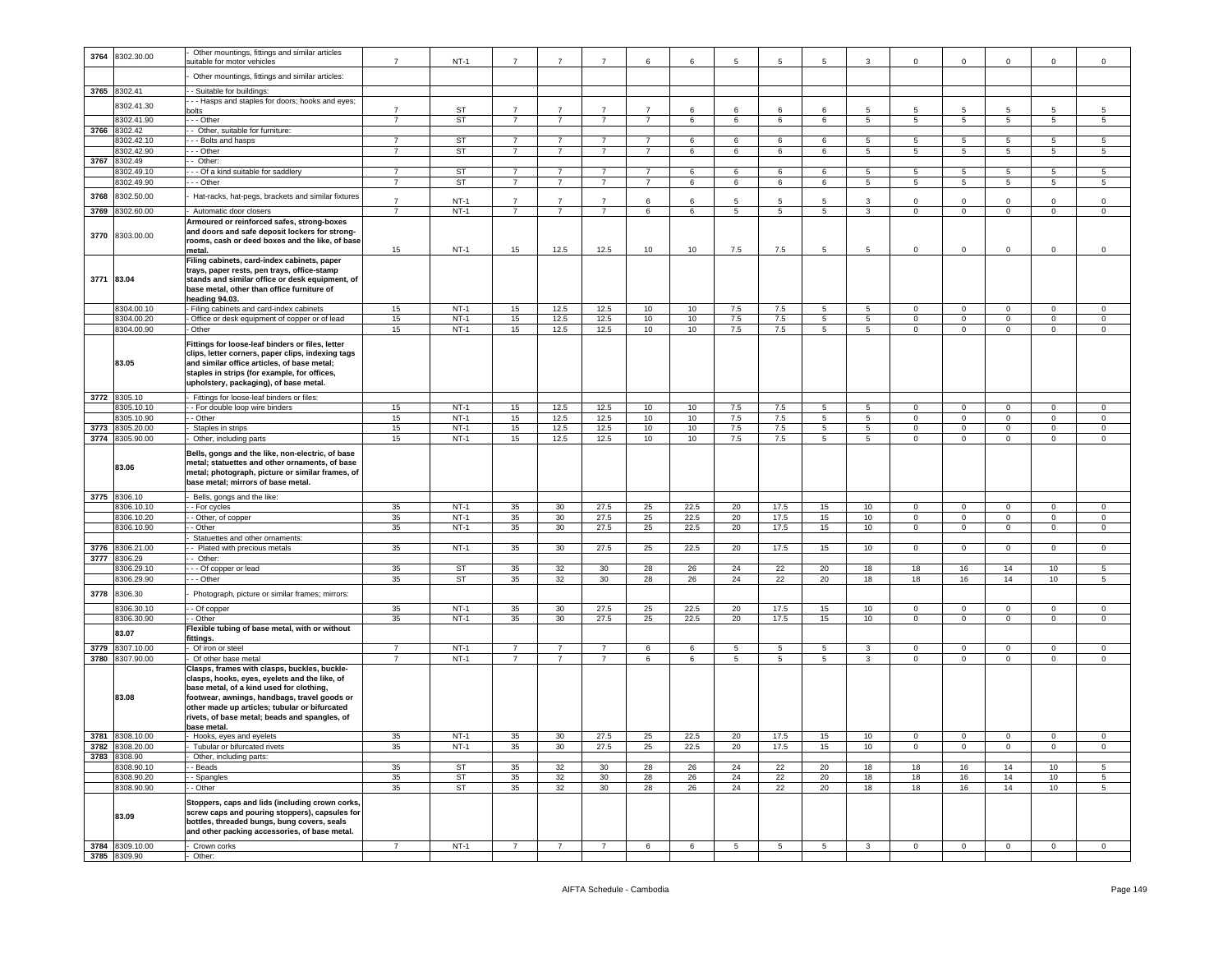| 3764       | 8302.30.00                      | Other mountings, fittings and similar articles                                                 |                |           |                | $\overline{7}$  | $\overline{7}$  |                |      |                |                 |    |                  |                            |                         |                 |                            |                 |
|------------|---------------------------------|------------------------------------------------------------------------------------------------|----------------|-----------|----------------|-----------------|-----------------|----------------|------|----------------|-----------------|----|------------------|----------------------------|-------------------------|-----------------|----------------------------|-----------------|
|            |                                 | uitable for motor vehicles                                                                     | $\overline{7}$ | $NT-1$    | 7              |                 |                 | 6              | 6    | 5              | 5               | 5  | 3                | $\mathbf 0$                | $\mathbf 0$             | 0               | 0                          | 0               |
|            |                                 | Other mountings, fittings and similar articles:                                                |                |           |                |                 |                 |                |      |                |                 |    |                  |                            |                         |                 |                            |                 |
|            | 3765 8302.41                    | - Suitable for buildings:                                                                      |                |           |                |                 |                 |                |      |                |                 |    |                  |                            |                         |                 |                            |                 |
|            |                                 | - - Hasps and staples for doors; hooks and eyes;                                               |                |           |                |                 |                 |                |      |                |                 |    |                  |                            |                         |                 |                            |                 |
|            | 8302.41.30                      | olts                                                                                           | $\overline{7}$ | ST        |                | $\overline{7}$  |                 | $\overline{7}$ | 6    | 6              | 6               |    | 5                | 5                          | 5                       | 5               |                            | 5               |
|            | 8302.41.90                      | - - Other                                                                                      | $\overline{7}$ | ST        | $\overline{7}$ | $\overline{7}$  | $\overline{7}$  | $\overline{7}$ | 6    | 6              | 6               | 6  | 5 <sub>5</sub>   | 5                          | 5                       | 5 <sub>5</sub>  | 5                          | 5               |
| 3766       | 8302.42                         | Other, suitable for furniture:                                                                 |                |           |                |                 |                 |                |      |                |                 |    |                  |                            |                         |                 |                            |                 |
|            | 8302.42.10                      | - - Bolts and hasps                                                                            | $\overline{7}$ | <b>ST</b> | 7              | $\overline{7}$  | $\overline{7}$  | $\overline{7}$ | 6    | 6              | 6               | 6  | 5                | 5                          | 5                       | 5               | 5                          | 5               |
|            | 3302.42.90                      | - - Other                                                                                      | $\overline{7}$ | <b>ST</b> | $\overline{7}$ | $\overline{7}$  | $\overline{7}$  | $\overline{7}$ | 6    | 6              | 6               | 6  | $5\overline{)}$  | $5\phantom{.0}$            | $5\overline{5}$         | $5\phantom{.0}$ | $5\phantom{.0}$            | 5               |
| 3767       | 8302.49                         | Other:                                                                                         |                |           |                |                 |                 |                |      |                |                 |    |                  |                            |                         |                 |                            |                 |
|            | 8302.49.1                       | - - Of a kind suitable for saddlery                                                            | $\overline{7}$ | ST        | $\overline{7}$ | $\overline{7}$  | $\overline{7}$  | $\overline{7}$ | 6    | 6              | 6               | 6  | 5                | 5                          | -5                      | 5               | -5                         | 5               |
|            | 8302.49.90                      | - - Other                                                                                      | $\overline{7}$ | ST        | $\overline{7}$ | $\overline{7}$  | $\overline{7}$  | $\overline{7}$ | 6    | 6              | 6               | 6  | 5                | 5                          | 5                       | 5               | 5                          | 5               |
| 3768       | 8302.50.00                      | Hat-racks, hat-pegs, brackets and similar fixtures                                             | $\overline{7}$ | $NT-1$    | $\overline{7}$ | $\overline{7}$  | $\overline{7}$  | 6              | 6    | 5              | 5               | 5  | 3                | 0                          | $\mathsf 0$             | $\mathbf 0$     | 0                          | $\mathbf 0$     |
| 3769       | 8302.60.00                      | Automatic door closers                                                                         |                | $NT-1$    | $\overline{7}$ | $\overline{7}$  |                 | 6              | 6    | 5              | 5               | 5  | 3                | $\mathbf 0$                | $\mathbf 0$             | 0               | 0                          | $\mathbf 0$     |
|            |                                 | Armoured or reinforced safes, strong-boxes                                                     |                |           |                |                 |                 |                |      |                |                 |    |                  |                            |                         |                 |                            |                 |
|            |                                 | and doors and safe deposit lockers for strong-                                                 |                |           |                |                 |                 |                |      |                |                 |    |                  |                            |                         |                 |                            |                 |
| 3770       | 8303.00.00                      | rooms, cash or deed boxes and the like, of base                                                |                |           |                |                 |                 |                |      |                |                 |    |                  |                            |                         |                 |                            |                 |
|            |                                 | metal.                                                                                         | 15             | $NT-1$    | 15             | 12.5            | 12.5            | 10             | 10   | 7.5            | 7.5             | 5  | 5                | $\mathbf 0$                | $\mathbf 0$             | 0               | 0                          | $\mathbf 0$     |
|            |                                 | Filing cabinets, card-index cabinets, paper                                                    |                |           |                |                 |                 |                |      |                |                 |    |                  |                            |                         |                 |                            |                 |
|            |                                 | trays, paper rests, pen trays, office-stamp                                                    |                |           |                |                 |                 |                |      |                |                 |    |                  |                            |                         |                 |                            |                 |
| 3771 83.04 |                                 | stands and similar office or desk equipment, of                                                |                |           |                |                 |                 |                |      |                |                 |    |                  |                            |                         |                 |                            |                 |
|            |                                 | base metal, other than office furniture of<br>heading 94.03.                                   |                |           |                |                 |                 |                |      |                |                 |    |                  |                            |                         |                 |                            |                 |
|            | 8304.00.10                      | Filing cabinets and card-index cabinets                                                        | 15             | $NT-1$    | 15             | 12.5            | 12.5            | 10             | 10   | 7.5            | 7.5             | 5  | 5                | $\circ$                    | $\mathbf 0$             | 0               | $\mathbf 0$                | $\mathbf 0$     |
|            | 8304.00.20                      | Office or desk equipment of copper or of lead                                                  | 15             | $NT-1$    | 15             | 12.5            | 12.5            | 10             | 10   | 7.5            | 7.5             | 5  | $\overline{5}$   | $\mathsf 0$                | $\mathbf 0$             | 0               | $\mathsf 0$                | $\,0\,$         |
|            | 8304.00.90                      | Other                                                                                          | 15             | $NT-1$    | 15             | 12.5            | 12.5            | 10             | 10   | 7.5            | 7.5             | 5  | 5                | $\mathbf 0$                | $\overline{0}$          | $\circ$         | $\mathbf 0$                | $\circ$         |
|            |                                 | Fittings for loose-leaf binders or files, letter                                               |                |           |                |                 |                 |                |      |                |                 |    |                  |                            |                         |                 |                            |                 |
|            |                                 | clips, letter corners, paper clips, indexing tags                                              |                |           |                |                 |                 |                |      |                |                 |    |                  |                            |                         |                 |                            |                 |
|            | 83.05                           | and similar office articles, of base metal;                                                    |                |           |                |                 |                 |                |      |                |                 |    |                  |                            |                         |                 |                            |                 |
|            |                                 | staples in strips (for example, for offices,                                                   |                |           |                |                 |                 |                |      |                |                 |    |                  |                            |                         |                 |                            |                 |
|            |                                 | upholstery, packaging), of base metal.                                                         |                |           |                |                 |                 |                |      |                |                 |    |                  |                            |                         |                 |                            |                 |
| 3772       | 8305.10                         | Fittings for loose-leaf binders or files:                                                      |                |           |                |                 |                 |                |      |                |                 |    |                  |                            |                         |                 |                            |                 |
|            | 3305.10.10                      | For double loop wire binders                                                                   | 15             | $NT-1$    | 15             | 12.5            | 12.5            | 10             | 10   | 7.5            | 7.5             | 5  | 5                | 0                          | $\mathbf 0$             | 0               | $\mathbf 0$                | $\mathbf 0$     |
|            | 8305.10.90                      | - Other                                                                                        | 15             | $NT-1$    | 15             | 12.5            | 12.5            | 10             | 10   | 7.5            | 7.5             | 5  | 5                | $\mathbf 0$                | $\overline{0}$          | $\circ$         | $\mathbf 0$                | $\mathbf 0$     |
| 3773       | 8305.20.00                      | Staples in strips                                                                              | 15             | $NT-1$    | 15             | 12.5            | 12.5            | 10             | 10   | 7.5            | 7.5             | 5  | $5^{\circ}$      | $\mathbf 0$                | $\mathbf 0$             | $\mathbf 0$     | $\mathbf 0$                | $\mathsf 0$     |
|            | 3774 8305.90.00                 | Other, including parts                                                                         | 15             | $NT-1$    | 15             | 12.5            | 12.5            | 10             | 10   | 7.5            | 7.5             | 5  | 5                | $\mathbf 0$                | $\mathbf 0$             | $\circ$         | $\Omega$                   | $\mathsf 0$     |
|            |                                 | Bells, gongs and the like, non-electric, of base                                               |                |           |                |                 |                 |                |      |                |                 |    |                  |                            |                         |                 |                            |                 |
|            |                                 | metal; statuettes and other ornaments, of base                                                 |                |           |                |                 |                 |                |      |                |                 |    |                  |                            |                         |                 |                            |                 |
|            | 83.06                           | metal; photograph, picture or similar frames, of                                               |                |           |                |                 |                 |                |      |                |                 |    |                  |                            |                         |                 |                            |                 |
|            |                                 |                                                                                                |                |           |                |                 |                 |                |      |                |                 |    |                  |                            |                         |                 |                            |                 |
|            |                                 | base metal; mirrors of base metal.                                                             |                |           |                |                 |                 |                |      |                |                 |    |                  |                            |                         |                 |                            |                 |
|            |                                 |                                                                                                |                |           |                |                 |                 |                |      |                |                 |    |                  |                            |                         |                 |                            |                 |
|            | 3775 8306.10                    | Bells, gongs and the like:                                                                     |                |           |                |                 |                 |                |      |                |                 |    |                  |                            |                         |                 |                            |                 |
|            | 8306.10.10                      | - For cycles                                                                                   | 35             | $NT-1$    | 35             | 30 <sup>°</sup> | 27.5            | 25             | 22.5 | 20             | 17.5            | 15 | 10               | $\mathbf{0}$               | $\mathbf 0$             | $\mathbf{0}$    | $\mathbf 0$                | $\mathbf 0$     |
|            | 8306.10.20                      | - Other, of copper                                                                             | 35             | $NT-1$    | 35             | 30              | 27.5            | 25             | 22.5 | 20             | 17.5            | 15 | 10               | $\mathbf 0$<br>$\mathbf 0$ | $\mathbf 0$             | $\mathbf 0$     | $\mathbf 0$<br>$\mathbf 0$ | $\mathsf 0$     |
|            | 8306.10.90                      | - Other<br>Statuettes and other ornaments:                                                     | 35             | $NT-1$    | 35             | 30              | 27.5            | 25             | 22.5 | 20             | 17.5            | 15 | 10               |                            | $\mathsf 0$             | $\mathbf 0$     |                            | 0               |
| 3776       | 8306.21.00                      | - Plated with precious metals                                                                  | 35             | $NT-1$    | 35             | 30              | 27.5            | 25             | 22.5 | 20             | 17.5            | 15 | 10               | $\circ$                    | $\mathbf 0$             | $\circ$         | $\mathbf 0$                | $\mathsf 0$     |
| 3777       | 8306.29                         | Other:                                                                                         |                |           |                |                 |                 |                |      |                |                 |    |                  |                            |                         |                 |                            |                 |
|            | 3306.29.10                      | - Of copper or lead                                                                            | 35             | <b>ST</b> | 35             | 32              | 30              | 28             | 26   | 24             | 22              | 20 | 18               | 18                         | 16                      | 14              | 10                         | 5               |
|            | 8306.29.90                      | - - Other                                                                                      | 35             | <b>ST</b> | 35             | 32              | 30              | 28             | 26   | 24             | 22              | 20 | 18               | 18                         | 16                      | 14              | 10                         | $\overline{5}$  |
| 3778       | 8306.30                         | Photograph, picture or similar frames; mirrors:                                                |                |           |                |                 |                 |                |      |                |                 |    |                  |                            |                         |                 |                            |                 |
|            |                                 |                                                                                                |                |           |                |                 |                 |                |      |                |                 |    |                  |                            |                         |                 |                            |                 |
|            | 3306.30.10                      | - Of copper                                                                                    | 35             | $NT-1$    | 35             | 30              | 27.5            | 25             | 22.5 | 20             | 17.5            | 15 | 10 <sup>10</sup> | $\mathbf 0$                | $\mathsf 0$             | $\mathbf 0$     | $\mathbf 0$                | $\mathsf 0$     |
|            | 8306.30.90                      | - Other                                                                                        | 35             | $NT-1$    | 35             | 30              | 27.5            | 25             | 22.5 | 20             | 17.5            | 15 | 10               | $\overline{0}$             | $\overline{0}$          | $\overline{0}$  | $\mathbf 0$                | $\mathbf 0$     |
|            | 83.07                           | Flexible tubing of base metal, with or without<br>ittings.                                     |                |           |                |                 |                 |                |      |                |                 |    |                  |                            |                         |                 |                            |                 |
| 3779       | 8307.10.00                      | Of iron or steel                                                                               | $\overline{7}$ | $NT-1$    | $\overline{7}$ | $\overline{7}$  | $\overline{7}$  | 6              | 6    | 5              | 5               | 5  | 3                | $\circ$                    | $\mathbf 0$             | $\mathbf 0$     | $\circ$                    | $\mathsf 0$     |
| 3780       | 8307.90.00                      | Of other base metal                                                                            | $\overline{7}$ | $NT-1$    | $\overline{7}$ | $\overline{7}$  | $\overline{7}$  | 6              | 6    | $\overline{5}$ | $5\phantom{.0}$ | 5  | 3                | $\mathbf 0$                | $\overline{\mathbf{0}}$ | $\mathsf 0$     | $\mathsf 0$                | 0               |
|            |                                 | Clasps, frames with clasps, buckles, buckle-                                                   |                |           |                |                 |                 |                |      |                |                 |    |                  |                            |                         |                 |                            |                 |
|            |                                 | clasps, hooks, eyes, eyelets and the like, of                                                  |                |           |                |                 |                 |                |      |                |                 |    |                  |                            |                         |                 |                            |                 |
|            |                                 | base metal, of a kind used for clothing,                                                       |                |           |                |                 |                 |                |      |                |                 |    |                  |                            |                         |                 |                            |                 |
|            | 83.08                           | footwear, awnings, handbags, travel goods or                                                   |                |           |                |                 |                 |                |      |                |                 |    |                  |                            |                         |                 |                            |                 |
|            |                                 | other made up articles; tubular or bifurcated<br>rivets, of base metal; beads and spangles, of |                |           |                |                 |                 |                |      |                |                 |    |                  |                            |                         |                 |                            |                 |
|            |                                 | base metal.                                                                                    |                |           |                |                 |                 |                |      |                |                 |    |                  |                            |                         |                 |                            |                 |
|            | 3781 8308.10.00                 | - Hooks, eyes and eyelets                                                                      | 35             | $NT-1$    | 35             | 30              | 27.5            | 25             | 22.5 | 20             | 17.5            | 15 | 10               | $\mathbf 0$                | $\mathbf 0$             | $\Omega$        | $\Omega$                   | $\mathsf 0$     |
|            | 3782 8308.20.00                 | Tubular or bifurcated rivets                                                                   | 35             | $NT-1$    | 35             | 30              | 27.5            | 25             | 22.5 | 20             | 17.5            | 15 | 10               | $\circ$                    | $\mathbf 0$             | $\mathbf 0$     | $\mathbf 0$                | $\,0\,$         |
|            | 3783 8308.90                    | Other, including parts:                                                                        |                |           |                |                 |                 |                |      |                |                 |    |                  |                            |                         |                 |                            |                 |
|            | 8308.90.10                      | - Beads                                                                                        | 35             | ST        | 35             | $32\,$          | 30              | 28             | 26   | 24             | 22              | 20 | 18               | 18                         | 16                      | 14              | 10                         | $\sqrt{5}$      |
|            | 8308.90.20                      | - Spangles                                                                                     | 35             | <b>ST</b> | 35             | 32              | 30 <sup>2</sup> | 28             | 26   | 24             | 22              | 20 | 18               | 18                         | 16                      | 14              | 10                         | $5\phantom{.0}$ |
|            | 8308.90.90                      | - Other                                                                                        | 35             | ST        | 35             | 32              | 30              | 28             | 26   | 24             | 22              | 20 | 18               | 18                         | 16                      | 14              | 10                         | 5               |
|            |                                 | Stoppers, caps and lids (including crown corks,                                                |                |           |                |                 |                 |                |      |                |                 |    |                  |                            |                         |                 |                            |                 |
|            | 83.09                           | screw caps and pouring stoppers), capsules for                                                 |                |           |                |                 |                 |                |      |                |                 |    |                  |                            |                         |                 |                            |                 |
|            |                                 | bottles, threaded bungs, bung covers, seals                                                    |                |           |                |                 |                 |                |      |                |                 |    |                  |                            |                         |                 |                            |                 |
|            |                                 | and other packing accessories, of base metal.                                                  |                |           |                |                 |                 |                |      |                |                 |    |                  |                            |                         |                 |                            |                 |
|            | 3784 8309.10.00<br>3785 8309.90 | Crown corks<br>Other:                                                                          | $\overline{7}$ | $NT-1$    | $\overline{7}$ | $\overline{7}$  | $\overline{7}$  | 6              | 6    | 5              | $5\phantom{.0}$ | 5  | $\mathbf{3}$     | $\overline{0}$             | $\overline{0}$          | $\mathbf{0}$    | $\mathbf 0$                | $\overline{0}$  |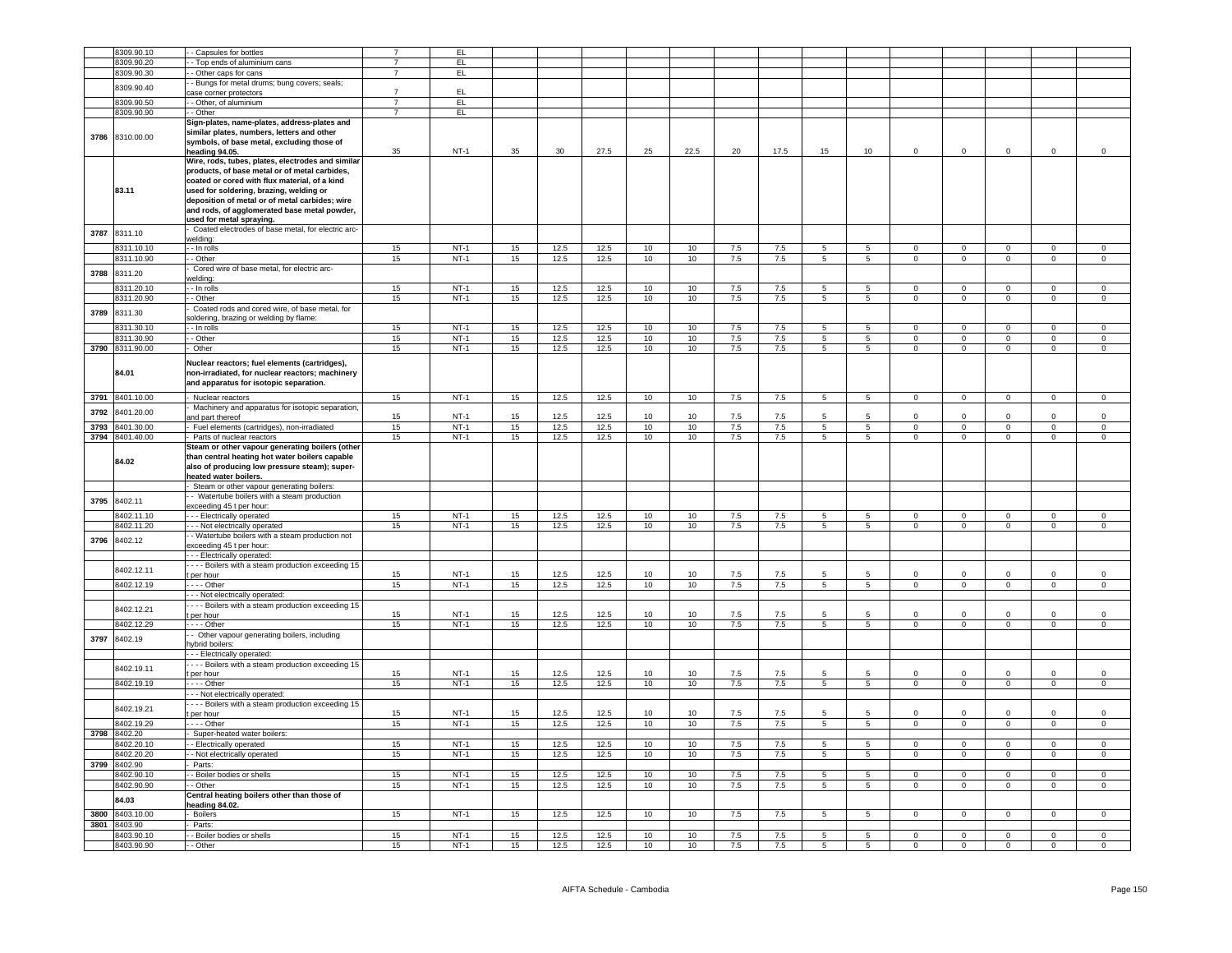|      | 8309.90.10               | - Capsules for bottles                             |                | EL.    |          |                 |              |          |                 |                |            |                 |                 |                |                |                |                |                     |
|------|--------------------------|----------------------------------------------------|----------------|--------|----------|-----------------|--------------|----------|-----------------|----------------|------------|-----------------|-----------------|----------------|----------------|----------------|----------------|---------------------|
|      | 8309.90.20               |                                                    | $\overline{7}$ | FL     |          |                 |              |          |                 |                |            |                 |                 |                |                |                |                |                     |
|      |                          | - Top ends of aluminium cans                       |                |        |          |                 |              |          |                 |                |            |                 |                 |                |                |                |                |                     |
|      | 8309.90.30               | - Other caps for cans                              | $\overline{7}$ | EL.    |          |                 |              |          |                 |                |            |                 |                 |                |                |                |                |                     |
|      |                          | - Bungs for metal drums; bung covers; seals;       |                |        |          |                 |              |          |                 |                |            |                 |                 |                |                |                |                |                     |
|      | 8309.90.40               | ase corner protectors                              | $\overline{7}$ | EL     |          |                 |              |          |                 |                |            |                 |                 |                |                |                |                |                     |
|      | 8309.90.50               | - Other, of aluminium                              | $\overline{7}$ | E      |          |                 |              |          |                 |                |            |                 |                 |                |                |                |                |                     |
|      |                          |                                                    |                |        |          |                 |              |          |                 |                |            |                 |                 |                |                |                |                |                     |
|      | 8309.90.90               | - Other                                            | $\overline{7}$ | EL     |          |                 |              |          |                 |                |            |                 |                 |                |                |                |                |                     |
|      |                          | Sign-plates, name-plates, address-plates and       |                |        |          |                 |              |          |                 |                |            |                 |                 |                |                |                |                |                     |
|      |                          | similar plates, numbers, letters and other         |                |        |          |                 |              |          |                 |                |            |                 |                 |                |                |                |                |                     |
|      | 3786 8310.00.00          | symbols, of base metal, excluding those of         |                |        |          |                 |              |          |                 |                |            |                 |                 |                |                |                |                |                     |
|      |                          | heading 94.05.                                     | 35             | $NT-1$ | 35       | 30 <sup>°</sup> | 27.5         | 25       | 22.5            | 20             | 17.5       | 15              | 10              | $\circ$        | $\mathsf 0$    | $\mathsf 0$    | $\mathsf 0$    | $\mathsf 0$         |
|      |                          | Wire, rods, tubes, plates, electrodes and similar  |                |        |          |                 |              |          |                 |                |            |                 |                 |                |                |                |                |                     |
|      |                          |                                                    |                |        |          |                 |              |          |                 |                |            |                 |                 |                |                |                |                |                     |
|      |                          | products, of base metal or of metal carbides,      |                |        |          |                 |              |          |                 |                |            |                 |                 |                |                |                |                |                     |
|      |                          | coated or cored with flux material, of a kind      |                |        |          |                 |              |          |                 |                |            |                 |                 |                |                |                |                |                     |
|      | 83.11                    | used for soldering, brazing, welding or            |                |        |          |                 |              |          |                 |                |            |                 |                 |                |                |                |                |                     |
|      |                          | deposition of metal or of metal carbides; wire     |                |        |          |                 |              |          |                 |                |            |                 |                 |                |                |                |                |                     |
|      |                          | and rods, of agglomerated base metal powder,       |                |        |          |                 |              |          |                 |                |            |                 |                 |                |                |                |                |                     |
|      |                          | used for metal spraying.                           |                |        |          |                 |              |          |                 |                |            |                 |                 |                |                |                |                |                     |
|      |                          |                                                    |                |        |          |                 |              |          |                 |                |            |                 |                 |                |                |                |                |                     |
| 3787 | 8311.10                  | Coated electrodes of base metal, for electric arc- |                |        |          |                 |              |          |                 |                |            |                 |                 |                |                |                |                |                     |
|      |                          | welding:                                           |                |        |          |                 |              |          |                 |                |            |                 |                 |                |                |                |                |                     |
|      | 3311.10.10               | - In rolls                                         | 15             | $NT-1$ | 15       | 12.5            | 12.5         | 10       | 10              | 7.5            | 7.5        | 5               | 5               | $\mathbf 0$    | $\mathsf 0$    | $\mathsf 0$    | $\mathsf 0$    | $\mathsf{O}\xspace$ |
|      | 3311.10.90               | - Other                                            | 15             | $NT-1$ | 15       | 12.5            | 12.5         | 10       | 10              | 7.5            | 7.5        | 5               | $5\phantom{.0}$ | $\mathbf 0$    | $\mathbf 0$    | $\mathsf 0$    | $\mathsf 0$    | $^{\circ}$          |
|      |                          | Cored wire of base metal, for electric arc-        |                |        |          |                 |              |          |                 |                |            |                 |                 |                |                |                |                |                     |
| 3788 | 8311.20                  | welding:                                           |                |        |          |                 |              |          |                 |                |            |                 |                 |                |                |                |                |                     |
|      |                          |                                                    |                |        |          |                 | 12.5         |          |                 |                |            |                 |                 |                |                |                |                | $^{\circ}$          |
|      | 8311.20.10               | - In rolls                                         | 15             | $NT-1$ | 15       | 12.5            |              | 10       | 10              | 7.5            | 7.5        | 5               | $5\phantom{.0}$ | $\overline{0}$ | $\mathbf 0$    | $\mathsf 0$    | $\mathbf 0$    |                     |
|      | 8311.20.90               | $\overline{-}$ Other                               | 15             | $NT-1$ | 15       | 12.5            | 12.5         | 10       | 10              | 7.5            | 7.5        | $5\overline{5}$ | $5\overline{5}$ | $\overline{0}$ | $\overline{0}$ | $\overline{0}$ | $\overline{0}$ | $\mathbf 0$         |
| 3789 | 8311.30                  | Coated rods and cored wire, of base metal, for     |                |        |          |                 |              |          |                 |                |            |                 |                 |                |                |                |                |                     |
|      |                          | oldering, brazing or welding by flame              |                |        |          |                 |              |          |                 |                |            |                 |                 |                |                |                |                |                     |
|      | 8311.30.10               | - - In rolls                                       | 15             | $NT-1$ | 15       | 12.5            | 12.5         | 10       | 10              | 7.5            | 7.5        | 5               | 5               | $\Omega$       | $\mathbf 0$    | $\Omega$       | $\Omega$       | $\Omega$            |
|      | 8311.30.90               | - Other                                            | 15             | $NT-1$ | 15       | 12.5            | 12.5         | 10       | 10              | 7.5            | 7.5        | $\overline{5}$  | $\overline{5}$  | $\overline{0}$ | $\overline{0}$ | $\overline{0}$ | $\overline{0}$ | $\overline{0}$      |
|      |                          |                                                    |                |        |          |                 |              |          |                 |                |            |                 |                 |                |                |                |                |                     |
|      | 3790 8311.90.00          | - Other                                            | 15             | $NT-1$ | 15       | 12.5            | 12.5         | 10       | 10              | 7.5            | 7.5        | 5               | 5               | $\overline{0}$ | $\overline{0}$ | $\overline{0}$ | $\overline{0}$ | $\Omega$            |
|      |                          | Nuclear reactors; fuel elements (cartridges),      |                |        |          |                 |              |          |                 |                |            |                 |                 |                |                |                |                |                     |
|      | 84.01                    | non-irradiated, for nuclear reactors; machinery    |                |        |          |                 |              |          |                 |                |            |                 |                 |                |                |                |                |                     |
|      |                          |                                                    |                |        |          |                 |              |          |                 |                |            |                 |                 |                |                |                |                |                     |
|      |                          | and apparatus for isotopic separation.             |                |        |          |                 |              |          |                 |                |            |                 |                 |                |                |                |                |                     |
| 3791 | 8401.10.00               | - Nuclear reactors                                 | 15             | $NT-1$ | 15       | 12.5            | 12.5         | 10       | 10              | 7.5            | 7.5        | $\overline{5}$  | 5 <sub>5</sub>  | $\mathbf{0}$   | $\overline{0}$ | $\overline{0}$ | $\mathbf{O}$   | $\circ$             |
|      |                          |                                                    |                |        |          |                 |              |          |                 |                |            |                 |                 |                |                |                |                |                     |
| 3792 | 8401.20.00               | Machinery and apparatus for isotopic separation,   |                |        |          |                 |              |          |                 |                |            |                 |                 |                |                |                |                |                     |
|      |                          | and part thereof                                   | 15             | $NT-1$ | 15       | 12.5            | 12.5         | 10       | 10              | 7.5            | 7.5        | 5               | 5.              | $\mathbf 0$    | $\mathsf 0$    | $\mathsf 0$    | $\mathsf 0$    | $\mathsf{O}\xspace$ |
| 3793 | 3401.30.00               | Fuel elements (cartridges), non-irradiated         | 15             | $NT-1$ | 15       | 12.5            | 12.5         | 10       | 10              | 7.5            | 7.5        | $\overline{5}$  | $5\overline{)}$ | $\mathbf 0$    | $\mathbf 0$    | $\mathbf{0}$   | $\mathbf 0$    | $\overline{0}$      |
|      | 3794 8401.40.00          | Parts of nuclear reactors                          | 15             | $NT-1$ | 15       | 12.5            | 12.5         | 10       | 10              | 7.5            | 7.5        | $5\overline{5}$ | $5\overline{5}$ | $\overline{0}$ | $\mathsf 0$    | $\mathsf 0$    | $\mathsf 0$    | $\mathsf 0$         |
|      |                          | Steam or other vapour generating boilers (other    |                |        |          |                 |              |          |                 |                |            |                 |                 |                |                |                |                |                     |
|      |                          | than central heating hot water boilers capable     |                |        |          |                 |              |          |                 |                |            |                 |                 |                |                |                |                |                     |
|      | 84.02                    |                                                    |                |        |          |                 |              |          |                 |                |            |                 |                 |                |                |                |                |                     |
|      |                          |                                                    |                |        |          |                 |              |          |                 |                |            |                 |                 |                |                |                |                |                     |
|      |                          | also of producing low pressure steam); super-      |                |        |          |                 |              |          |                 |                |            |                 |                 |                |                |                |                |                     |
|      |                          | heated water boilers.                              |                |        |          |                 |              |          |                 |                |            |                 |                 |                |                |                |                |                     |
|      |                          | Steam or other vapour generating boilers:          |                |        |          |                 |              |          |                 |                |            |                 |                 |                |                |                |                |                     |
|      |                          | - Watertube boilers with a steam production        |                |        |          |                 |              |          |                 |                |            |                 |                 |                |                |                |                |                     |
| 3795 | 8402.11                  |                                                    |                |        |          |                 |              |          |                 |                |            |                 |                 |                |                |                |                |                     |
|      |                          | exceeding 45 t per hour:                           |                |        |          |                 |              |          |                 |                |            |                 |                 |                |                |                |                |                     |
|      | 8402.11.10               | - - - Electrically operated                        | 15             | $NT-1$ | 15       | 12.5            | 12.5         | 10       | 10              | 7.5            | 7.5        | 5               | 5               | $\mathbf{0}$   | $\mathbf 0$    | $\mathbf 0$    | $\mathbf{O}$   | $^{\circ}$          |
|      | 8402.11.20               | - - - Not electrically operated                    | 15             | $NT-1$ | 15       | 12.5            | 12.5         | 10       | 10              | 7.5            | 7.5        | $5\overline{5}$ | $5\overline{5}$ | $\Omega$       | $\overline{0}$ | $\overline{0}$ | $\overline{0}$ | $\overline{0}$      |
|      |                          | - Watertube boilers with a steam production not    |                |        |          |                 |              |          |                 |                |            |                 |                 |                |                |                |                |                     |
| 3796 | 8402.12                  | exceeding 45 t per hour:                           |                |        |          |                 |              |          |                 |                |            |                 |                 |                |                |                |                |                     |
|      |                          | - - - Electrically operated:                       |                |        |          |                 |              |          |                 |                |            |                 |                 |                |                |                |                |                     |
|      |                          | --- Boilers with a steam production exceeding 15   |                |        |          |                 |              |          |                 |                |            |                 |                 |                |                |                |                |                     |
|      | 8402.12.11               |                                                    | 15             | $NT-1$ | 15       | 12.5            | 12.5         | 10       | 10              | 7.5            | 7.5        | 5               | 5               | $\Omega$       | $\mathbf 0$    | $\mathbf 0$    | $^{\circ}$     | $^{\circ}$          |
|      |                          | t per hour<br>$--$ Other                           |                | $NT-1$ |          |                 |              | 10       |                 |                | 7.5        | 5               |                 | $\overline{0}$ | $\overline{0}$ | $\overline{0}$ | $\overline{0}$ |                     |
|      | 8402.12.19               |                                                    | 15             |        | 15       | 12.5            | 12.5         |          | 10              | 7.5            |            |                 | $5\overline{)}$ |                |                |                |                | $\overline{0}$      |
|      |                          | - - Not electrically operated:                     |                |        |          |                 |              |          |                 |                |            |                 |                 |                |                |                |                |                     |
|      | 8402.12.21               | - - - Boilers with a steam production exceeding 15 |                |        |          |                 |              |          |                 |                |            |                 |                 |                |                |                |                |                     |
|      |                          | t per hour                                         | 15             | $NT-1$ | 15       | 12.5            | 12.5         | 10       | 10 <sup>1</sup> | 7.5            | 7.5        | 5               | -5              | $\Omega$       | $\Omega$       | $\Omega$       | $\Omega$       | $\Omega$            |
|      | 8402.12.29               | $- - -$ Other                                      | 15             | $NT-1$ | 15       | 12.5            | 12.5         | 10       | 10 <sup>1</sup> | 7.5            | 7.5        | $\overline{5}$  | 5               | $\mathbf 0$    | $\mathsf 0$    | $\mathbf{0}$   | $\mathsf 0$    | $\Omega$            |
|      |                          | - Other vapour generating boilers, including       |                |        |          |                 |              |          |                 |                |            |                 |                 |                |                |                |                |                     |
| 3797 | 8402.19                  | hybrid boilers:                                    |                |        |          |                 |              |          |                 |                |            |                 |                 |                |                |                |                |                     |
|      |                          |                                                    |                |        |          |                 |              |          |                 |                |            |                 |                 |                |                |                |                |                     |
|      |                          | - - Electrically operated:                         |                |        |          |                 |              |          |                 |                |            |                 |                 |                |                |                |                |                     |
|      | 8402.19.11               | --- Boilers with a steam production exceeding 15   |                |        |          |                 |              |          |                 |                |            |                 |                 |                |                |                |                |                     |
|      |                          | t per hour                                         | 15             | $NT-1$ | 15       | 12.5            | 12.5         | 10       | 10 <sup>1</sup> | 7.5            | 7.5        |                 |                 | $\Omega$       | $\Omega$       |                | $\Omega$       | $\Omega$            |
|      | 8402.19.19               | - - - - Other                                      | 15             | $NT-1$ | 15       | 12.5            | 12.5         | 10       | 10              | 7.5            | 7.5        | $5\overline{5}$ | $5\overline{5}$ | $\mathbf{0}$   | $\overline{0}$ | $\mathbf{0}$   | $\mathbf{0}$   | $\mathbf 0$         |
|      |                          | - - - Not electrically operated:                   |                |        |          |                 |              |          |                 |                |            |                 |                 |                |                |                |                |                     |
|      |                          | - - - Boilers with a steam production exceeding 15 |                |        |          |                 |              |          |                 |                |            |                 |                 |                |                |                |                |                     |
|      | 8402.19.21               | per hour                                           | 15             | $NT-1$ | 15       | 12.5            | 12.5         | 10       | 10              | 7.5            | 7.5        | 5               | $5\overline{5}$ | $\mathbf 0$    | $\mathbf 0$    | $\mathbf 0$    | $\Omega$       | $\mathbf 0$         |
|      | 8402.19.29               |                                                    |                |        |          |                 |              |          |                 |                |            | 5               | $\overline{5}$  | $\Omega$       |                | $\mathbf{0}$   | $\mathbf 0$    | $\Omega$            |
|      |                          | $- - -$ Other                                      | 15             | $NT-1$ | 15       | 12.5            | 12.5         | $10\,$   | 10              | 7.5            | 7.5        |                 |                 |                | $\mathsf 0$    |                |                |                     |
| 3798 | 8402.20                  | - Super-heated water boilers:                      |                |        |          |                 |              |          |                 |                |            |                 |                 |                |                |                |                |                     |
|      | 8402.20.10               | - Electrically operated                            | 15             | $NT-1$ | 15       | 12.5            | 12.5         | 10       | 10              | 7.5            | 7.5        | 5               | $\overline{5}$  | $\overline{0}$ | $\overline{0}$ | $\overline{0}$ | $\overline{0}$ | $\overline{0}$      |
|      | 8402.20.20               | - Not electrically operated                        | 15             | $NT-1$ | 15       | 12.5            | 12.5         | 10       | 10              | 7.5            | 7.5        | 5               | 5 <sub>5</sub>  | $\Omega$       | $\mathsf 0$    | $\mathbf{0}$   | $\mathsf 0$    | $\Omega$            |
|      | 3799 8402.90             | Parts:                                             |                |        |          |                 |              |          |                 |                |            |                 |                 |                |                |                |                |                     |
|      |                          |                                                    |                |        |          |                 |              |          |                 |                |            |                 |                 | $\Omega$       |                |                |                |                     |
|      | 8402.90.10               | - Boiler bodies or shells                          | 15             | $NT-1$ | 15       | 12.5            | 12.5         | 10       | 10              | 7.5            | 7.5        | 5               | 5               |                | $\mathbf 0$    | $\mathbf{0}$   | $\mathsf 0$    | $^{\circ}$          |
|      | 8402.90.90               | - Other                                            | 15             | $NT-1$ | 15       | 12.5            | 12.5         | 10       | 10              | 7.5            | 7.5        | 5               | 5               | $\overline{0}$ | $\overline{0}$ | $\overline{0}$ | $\overline{0}$ | $\overline{0}$      |
|      |                          | Central heating boilers other than those of        |                |        |          |                 |              |          |                 |                |            |                 |                 |                |                |                |                |                     |
|      | 84.03                    | heading 84.02.                                     |                |        |          |                 |              |          |                 |                |            |                 |                 |                |                |                |                |                     |
| 3800 | 3403.10.00               | - Boilers                                          | 15             | $NT-1$ | 15       | 12.5            | 12.5         | 10       | 10              | 7.5            | 7.5        | $\overline{5}$  | 5               | $\overline{0}$ | $\overline{0}$ | $\Omega$       | $\overline{0}$ | $\overline{0}$      |
| 3801 | 8403.90                  | Parts:                                             |                |        |          |                 |              |          |                 |                |            |                 |                 |                |                |                |                |                     |
|      |                          |                                                    |                | $NT-1$ |          |                 |              |          |                 |                |            | 5               | 5               | $\Omega$       | $\mathbf 0$    | $\mathbf 0$    | $\mathbf 0$    | $\Omega$            |
|      | 8403.90.10<br>8403.90.90 | - Boiler bodies or shells<br>- - Other             | 15<br>15       | $NT-1$ | 15<br>15 | 12.5<br>12.5    | 12.5<br>12.5 | 10<br>10 | 10<br>10        | 7.5<br>$7.5\,$ | 7.5<br>7.5 | $\,$ 5 $\,$     | 5               | $\mathbf 0$    | $\mathbf 0$    | $\mathsf 0$    | $\mathbf 0$    | $^{\circ}$          |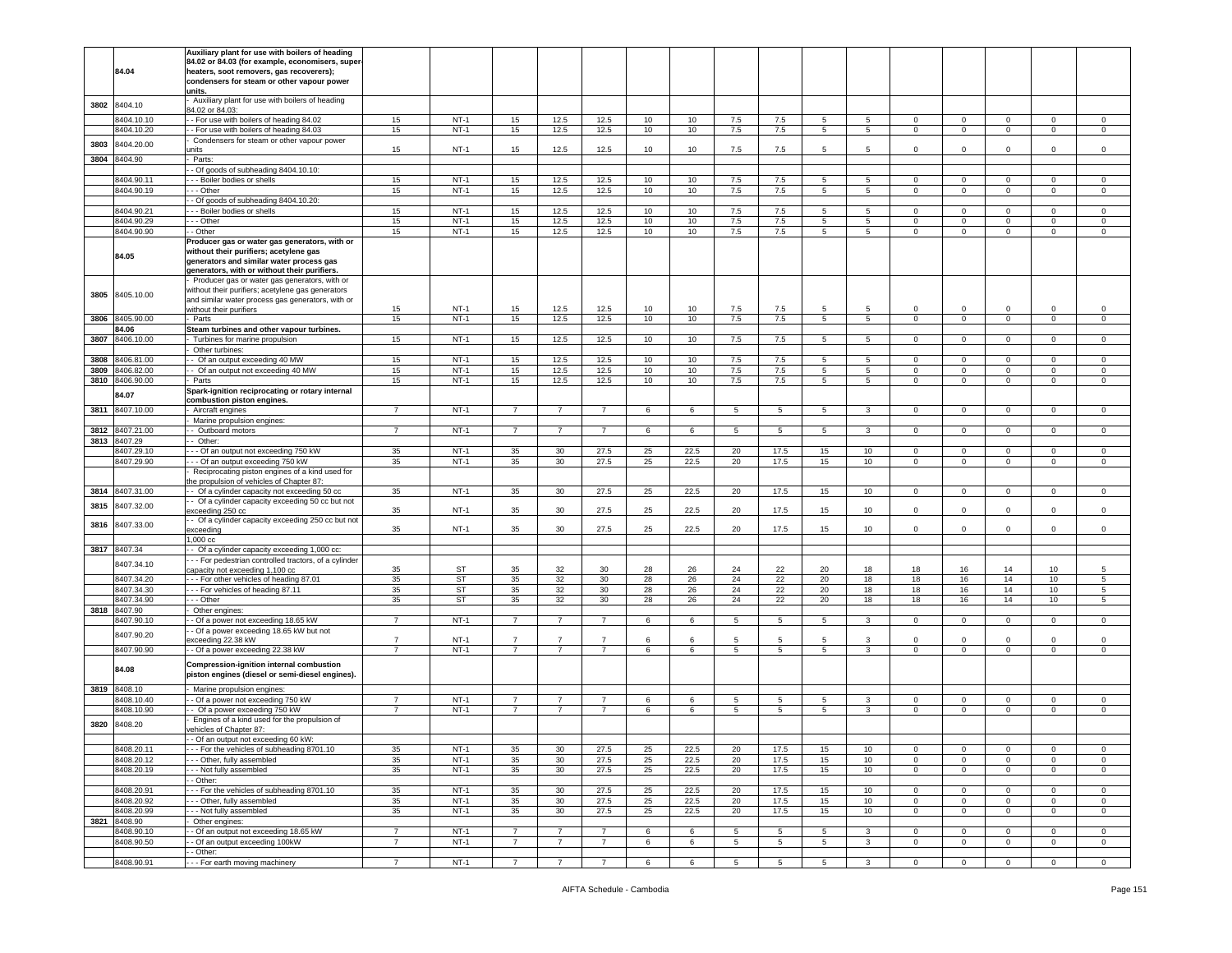|      |                 | Auxiliary plant for use with boilers of heading       |                |        |                |                 |                |    |      |                 |                 |                 |                 |                |                |              |                |                     |
|------|-----------------|-------------------------------------------------------|----------------|--------|----------------|-----------------|----------------|----|------|-----------------|-----------------|-----------------|-----------------|----------------|----------------|--------------|----------------|---------------------|
|      |                 | 84.02 or 84.03 (for example, economisers, super       |                |        |                |                 |                |    |      |                 |                 |                 |                 |                |                |              |                |                     |
|      | 84.04           |                                                       |                |        |                |                 |                |    |      |                 |                 |                 |                 |                |                |              |                |                     |
|      |                 | heaters, soot removers, gas recoverers);              |                |        |                |                 |                |    |      |                 |                 |                 |                 |                |                |              |                |                     |
|      |                 | condensers for steam or other vapour power            |                |        |                |                 |                |    |      |                 |                 |                 |                 |                |                |              |                |                     |
|      |                 | units.                                                |                |        |                |                 |                |    |      |                 |                 |                 |                 |                |                |              |                |                     |
|      |                 | Auxiliary plant for use with boilers of heading       |                |        |                |                 |                |    |      |                 |                 |                 |                 |                |                |              |                |                     |
| 3802 | 8404.10         |                                                       |                |        |                |                 |                |    |      |                 |                 |                 |                 |                |                |              |                |                     |
|      |                 | 84.02 or 84.03:                                       |                |        |                |                 |                |    |      |                 |                 |                 |                 |                |                |              |                |                     |
|      | 8404.10.10      | - For use with boilers of heading 84.02               | 15             | $NT-1$ | 15             | 12.5            | 12.5           | 10 | 10   | 7.5             | 7.5             | 5.              | -5              | $\mathbf 0$    | $\mathbf 0$    | $\Omega$     | $\Omega$       | 0                   |
|      | 8404.10.20      | - For use with boilers of heading 84.03               | 15             | $NT-1$ | 15             | 12.5            | 12.5           | 10 | 10   | 7.5             | 7.5             | 5               | $5\overline{5}$ | $\mathsf 0$    | $\mathbf 0$    | $\mathsf 0$  | $\mathsf 0$    | $\mathbf 0$         |
|      |                 |                                                       |                |        |                |                 |                |    |      |                 |                 |                 |                 |                |                |              |                |                     |
|      | 8404.20.00      | Condensers for steam or other vapour power            |                |        |                |                 |                |    |      |                 |                 |                 |                 |                |                |              |                |                     |
| 3803 |                 | nits                                                  | 15             | $NT-1$ | 15             | 12.5            | 12.5           | 10 | 10   | 7.5             | 7.5             | 5               | 5               | $\mathbf 0$    | $\mathbf 0$    | 0            | $\mathbf 0$    | $\mathbf 0$         |
| 3804 | 8404.90         |                                                       |                |        |                |                 |                |    |      |                 |                 |                 |                 |                |                |              |                |                     |
|      |                 | Parts:                                                |                |        |                |                 |                |    |      |                 |                 |                 |                 |                |                |              |                |                     |
|      |                 | - Of goods of subheading 8404.10.10:                  |                |        |                |                 |                |    |      |                 |                 |                 |                 |                |                |              |                |                     |
|      | 8404.90.11      | - - Boiler bodies or shells                           | 15             | $NT-1$ | 15             | 12.5            | 12.5           | 10 | 10   | 7.5             | 7.5             | $5^{\circ}$     | 5               | $\mathbf 0$    | $\mathbf 0$    | $\mathbf 0$  | 0              | 0                   |
|      |                 |                                                       |                |        |                |                 |                |    |      |                 |                 |                 |                 |                |                |              |                |                     |
|      | 8404.90.19      | - - Other                                             | 15             | $NT-1$ | 15             | 12.5            | 12.5           | 10 | 10   | 7.5             | 7.5             | 5               | $5^{\circ}$     | $\mathbf 0$    | $\overline{0}$ | $\mathbf{0}$ | $\mathbf 0$    | $\Omega$            |
|      |                 | - Of goods of subheading 8404.10.20:                  |                |        |                |                 |                |    |      |                 |                 |                 |                 |                |                |              |                |                     |
|      |                 |                                                       |                |        |                |                 |                |    |      |                 |                 |                 |                 |                |                |              |                |                     |
|      | 8404.90.21      | - - Boiler bodies or shells                           | 15             | $NT-1$ | 15             | 12.5            | 12.5           | 10 | 10   | 7.5             | 7.5             | 5               | 5               | $\mathbf 0$    | $^{\circ}$     | $\Omega$     | $\mathbf 0$    | $^{\circ}$          |
|      | 8404.90.29      | $-$ - Other                                           | 15             | $NT-1$ | 15             | 12.5            | 12.5           | 10 | 10   | 7.5             | 7.5             | $5^{\circ}$     | 5               | $\Omega$       | $\mathbf 0$    | 0            | $\mathbf 0$    | $\mathsf 0$         |
|      | 8404.90.90      | - Other                                               | 15             | $NT-1$ | 15             | 12.5            | 12.5           | 10 | 10   | 7.5             | 7.5             | $5\overline{5}$ | $5^{\circ}$     | $\mathbf 0$    | $\mathbf 0$    |              | $\mathbf 0$    | $\mathsf 0$         |
|      |                 |                                                       |                |        |                |                 |                |    |      |                 |                 |                 |                 |                |                | 0            |                |                     |
|      |                 | Producer gas or water gas generators, with or         |                |        |                |                 |                |    |      |                 |                 |                 |                 |                |                |              |                |                     |
|      |                 | without their purifiers; acetylene gas                |                |        |                |                 |                |    |      |                 |                 |                 |                 |                |                |              |                |                     |
|      | 84.05           |                                                       |                |        |                |                 |                |    |      |                 |                 |                 |                 |                |                |              |                |                     |
|      |                 | generators and similar water process gas              |                |        |                |                 |                |    |      |                 |                 |                 |                 |                |                |              |                |                     |
|      |                 | generators, with or without their purifiers.          |                |        |                |                 |                |    |      |                 |                 |                 |                 |                |                |              |                |                     |
|      |                 | Producer gas or water gas generators, with or         |                |        |                |                 |                |    |      |                 |                 |                 |                 |                |                |              |                |                     |
|      |                 |                                                       |                |        |                |                 |                |    |      |                 |                 |                 |                 |                |                |              |                |                     |
|      |                 | without their purifiers; acetylene gas generators     |                |        |                |                 |                |    |      |                 |                 |                 |                 |                |                |              |                |                     |
| 3805 | 8405.10.00      | and similar water process gas generators, with or     |                |        |                |                 |                |    |      |                 |                 |                 |                 |                |                |              |                |                     |
|      |                 |                                                       | 15             | $NT-1$ | 15             | 12.5            | 12.5           | 10 | 10   | 7.5             | 7.5             | 5               | 5               | 0              | $\mathbf 0$    | $\mathbf 0$  | $\mathbf 0$    | 0                   |
|      |                 | without their purifiers                               |                |        |                |                 |                |    |      |                 |                 |                 |                 |                |                |              |                |                     |
| 3806 | 8405.90.00      | Parts                                                 | 15             | $NT-1$ | 15             | 12.5            | 12.5           | 10 | 10   | 7.5             | 7.5             | 5               | $5\phantom{.0}$ | $\mathsf 0$    | $\mathbf 0$    | $\mathbf 0$  | $\mathsf 0$    | $\mathsf 0$         |
|      | 84.06           | Steam turbines and other vapour turbines.             |                |        |                |                 |                |    |      |                 |                 |                 |                 |                |                |              |                |                     |
|      |                 |                                                       |                |        |                |                 |                |    |      |                 |                 |                 |                 |                |                |              |                |                     |
| 3807 | 8406.10.00      | Turbines for marine propulsion                        | 15             | $NT-1$ | 15             | 12.5            | 12.5           | 10 | 10   | 7.5             | 7.5             | 5 <sup>5</sup>  | $5^{\circ}$     | $\circ$        | $\overline{0}$ | $\mathbf 0$  | $\mathbf 0$    | $\Omega$            |
|      |                 | Other turbines:                                       |                |        |                |                 |                |    |      |                 |                 |                 |                 |                |                |              |                |                     |
|      |                 |                                                       |                |        |                |                 |                |    |      |                 |                 |                 |                 |                |                |              |                |                     |
| 3808 | 8406.81.00      | Of an output exceeding 40 MW                          | 15             | $NT-1$ | 15             | 12.5            | 12.5           | 10 | 10   | 7.5             | 7.5             | 5               | 5               | 0              | $\mathbf 0$    | $\Omega$     | $\mathbf 0$    | $^{\circ}$          |
| 3809 | 8406.82.00      | - Of an output not exceeding 40 MW                    | 15             | $NT-1$ | 15             | 12.5            | 12.5           | 10 | 10   | 7.5             | 7.5             | 5               | 5               | $\mathbf 0$    | $\mathbf 0$    | 0            | $\mathsf 0$    | 0                   |
|      |                 |                                                       |                |        |                |                 |                |    |      |                 |                 |                 |                 |                |                |              |                |                     |
|      | 3810 8406.90.00 | Parts                                                 | 15             | $NT-1$ | 15             | 12.5            | 12.5           | 10 | 10   | 7.5             | 7.5             | 5               | 5               | $\mathbf 0$    | $\mathbf 0$    | 0            | 0              | 0                   |
|      |                 | Spark-ignition reciprocating or rotary internal       |                |        |                |                 |                |    |      |                 |                 |                 |                 |                |                |              |                |                     |
|      | 84.07           |                                                       |                |        |                |                 |                |    |      |                 |                 |                 |                 |                |                |              |                |                     |
|      |                 | combustion piston engines.                            |                |        |                |                 |                |    |      |                 |                 |                 |                 |                |                |              |                |                     |
| 3811 | 8407.10.00      | Aircraft engines                                      | $\overline{7}$ | $NT-1$ | $\overline{7}$ | $\overline{7}$  | $\overline{7}$ | 6  | 6    | 5               | 5               | 5               | 3               | $\circ$        | $\mathbf 0$    | $\mathbf 0$  | $\mathbf 0$    | $\mathbf 0$         |
|      |                 | Marine propulsion engines:                            |                |        |                |                 |                |    |      |                 |                 |                 |                 |                |                |              |                |                     |
|      |                 |                                                       |                |        |                |                 |                |    |      |                 |                 |                 |                 |                |                |              |                |                     |
| 3812 | 8407.21.00      | - Outboard motors                                     | $\overline{7}$ | $NT-1$ | $\overline{7}$ | $\overline{7}$  | $7^{\circ}$    | 6  | 6    | $5\overline{5}$ | $5\phantom{.0}$ | $5\overline{5}$ | $\mathbf{3}$    | $\overline{0}$ | $\mathbf 0$    | $\mathbf{0}$ | $\mathbf 0$    | $\circ$             |
| 3813 | 8407.29         | - Other:                                              |                |        |                |                 |                |    |      |                 |                 |                 |                 |                |                |              |                |                     |
|      |                 |                                                       |                |        |                |                 |                |    |      |                 |                 |                 |                 |                |                |              |                |                     |
|      | 8407.29.10      | - - Of an output not exceeding 750 kW                 | 35             | $NT-1$ | 35             | 30              | 27.5           | 25 | 22.5 | 20              | 17.5            | 15              | 10              | 0              | $\mathbf 0$    | 0            | $\mathbf{0}$   | 0                   |
|      | 8407.29.90      | - - Of an output exceeding 750 kW                     | 35             | $NT-1$ | 35             | 30              | 27.5           | 25 | 22.5 | 20              | 17.5            | 15              | 10              | $\mathbf 0$    | $\mathbf 0$    | $\Omega$     | $\mathbf 0$    | $\Omega$            |
|      |                 |                                                       |                |        |                |                 |                |    |      |                 |                 |                 |                 |                |                |              |                |                     |
|      |                 | Reciprocating piston engines of a kind used for       |                |        |                |                 |                |    |      |                 |                 |                 |                 |                |                |              |                |                     |
|      |                 | e propulsion of vehicles of Chapter 87:               |                |        |                |                 |                |    |      |                 |                 |                 |                 |                |                |              |                |                     |
| 3814 | 8407.31.00      | - Of a cylinder capacity not exceeding 50 cc          | 35             | $NT-1$ | 35             | 30              | 27.5           | 25 | 22.5 | 20              | 17.5            | 15              | 10              | $\mathbf 0$    | $\mathbf 0$    | $\mathbf 0$  | $\mathbf{0}$   | 0                   |
|      |                 |                                                       |                |        |                |                 |                |    |      |                 |                 |                 |                 |                |                |              |                |                     |
| 3815 | 8407.32.00      | - Of a cylinder capacity exceeding 50 cc but not      |                |        |                |                 |                |    |      |                 |                 |                 |                 |                |                |              |                |                     |
|      |                 | exceeding 250 cc                                      | 35             | $NT-1$ | 35             | 30              | 27.5           | 25 | 22.5 | 20              | 17.5            | 15              | 10 <sub>1</sub> | $\mathbf 0$    | $\mathbf 0$    | $\Omega$     | $\mathbf 0$    | $\mathsf 0$         |
|      |                 | - Of a cylinder capacity exceeding 250 cc but not     |                |        |                |                 |                |    |      |                 |                 |                 |                 |                |                |              |                |                     |
| 3816 | 8407.33.00      |                                                       |                |        |                |                 |                |    |      |                 |                 |                 |                 |                |                |              |                |                     |
|      |                 | exceeding                                             | 35             | $NT-1$ | 35             | 30 <sup>°</sup> | 27.5           | 25 | 22.5 | 20              | 17.5            | 15              | 10              | $\circ$        | $\mathbf 0$    | $\mathbf 0$  | $\mathbf 0$    | $\mathsf{O}\xspace$ |
|      |                 | 1,000 cc                                              |                |        |                |                 |                |    |      |                 |                 |                 |                 |                |                |              |                |                     |
|      |                 |                                                       |                |        |                |                 |                |    |      |                 |                 |                 |                 |                |                |              |                |                     |
| 3817 | 8407.34         | - Of a cylinder capacity exceeding 1,000 cc:          |                |        |                |                 |                |    |      |                 |                 |                 |                 |                |                |              |                |                     |
|      |                 | - - For pedestrian controlled tractors, of a cylinder |                |        |                |                 |                |    |      |                 |                 |                 |                 |                |                |              |                |                     |
|      | 8407.34.10      | capacity not exceeding 1,100 cc                       | 35             | ST     | 35             | 32              | 30             | 28 | 26   | 24              | 22              | 20              | 18              | 18             |                |              |                | 5                   |
|      | 8407.34.20      | - - For other vehicles of heading 87.01               | 35             | ST     | 35             | 32              | 30             | 28 | 26   | 24              | 22              |                 |                 |                |                |              |                |                     |
|      |                 |                                                       |                |        |                |                 |                |    |      |                 |                 |                 |                 |                | 16             | 14           | 10             |                     |
|      | 8407.34.30      | --- For vehicles of heading 87.11                     | 35             | ST     | 35             |                 |                |    |      |                 |                 | 20              | 18              | 18             | 16             | 14           | 10             | 5                   |
|      | 8407.34.90      | --- Other                                             |                |        |                | 32              | 30             | 28 | 26   | 24              | 22              | 20              | 18              | 18             | 16             | 14           | 10             | 5                   |
|      |                 |                                                       |                |        |                |                 |                |    |      |                 |                 |                 |                 |                |                |              |                |                     |
| 3818 | 8407.90         |                                                       | 35             | ST     | 35             | 32              | 30             | 28 | 26   | 24              | 22              | 20              | 18              | 18             | 16             | 14           | 10             | 5                   |
|      |                 | Other engines:                                        |                |        |                |                 |                |    |      |                 |                 |                 |                 |                |                |              |                |                     |
|      |                 |                                                       | $\overline{7}$ | $NT-1$ | $\overline{7}$ | $\overline{7}$  | $\overline{7}$ |    |      |                 |                 |                 | 3               | $\overline{0}$ |                | $\mathbf 0$  | $\mathbf 0$    | 0                   |
|      | 8407.90.10      | - Of a power not exceeding 18.65 kW                   |                |        |                |                 |                | 6  | 6    | 5               | 5               | $5\overline{5}$ |                 |                | $\,0\,$        |              |                |                     |
|      |                 | - Of a power exceeding 18.65 kW but not               |                |        |                |                 |                |    |      |                 |                 |                 |                 |                |                |              |                |                     |
|      | 8407.90.20      | exceeding 22.38 kW                                    | $\overline{7}$ | $NT-1$ | $\overline{7}$ | $\overline{7}$  | $\overline{7}$ | 6  | 6    | 5               | 5               | 5               | 3               | 0              | $^{\circ}$     | $\mathbf 0$  | $\mathbf 0$    | $^{\circ}$          |
|      |                 |                                                       | $\overline{7}$ |        |                | $\overline{7}$  |                |    |      |                 |                 |                 |                 |                |                |              |                |                     |
|      | 8407.90.90      | - Of a power exceeding 22.38 kW                       |                | $NT-1$ | $\overline{7}$ |                 | $\overline{7}$ | 6  | 6    | 5               | 5               | 5               | $\mathbf{3}$    | $\mathbf 0$    | $\mathbf 0$    | $\mathsf 0$  | $\mathsf 0$    | $\mathsf 0$         |
|      |                 |                                                       |                |        |                |                 |                |    |      |                 |                 |                 |                 |                |                |              |                |                     |
|      |                 | Compression-ignition internal combustion              |                |        |                |                 |                |    |      |                 |                 |                 |                 |                |                |              |                |                     |
|      | 84.08           | piston engines (diesel or semi-diesel engines).       |                |        |                |                 |                |    |      |                 |                 |                 |                 |                |                |              |                |                     |
|      |                 |                                                       |                |        |                |                 |                |    |      |                 |                 |                 |                 |                |                |              |                |                     |
| 3819 | 8408.10         | Marine propulsion engines:                            |                |        |                |                 |                |    |      |                 |                 |                 |                 |                |                |              |                |                     |
|      |                 |                                                       | $\overline{7}$ |        | $\overline{7}$ | $\overline{7}$  | $\overline{7}$ |    |      |                 | 5               |                 |                 |                |                | $\Omega$     |                | $^{\circ}$          |
|      | 8408.10.40      | - Of a power not exceeding 750 kW                     |                | $NT-1$ |                |                 |                | 6  | 6    | 5               |                 | 5               | 3               | 0              | $\mathbf 0$    |              | $\mathbf 0$    |                     |
|      | 3408.10.90      | - Of a power exceeding 750 kW                         | $\overline{7}$ | $NT-1$ | $\overline{7}$ | $\overline{7}$  | $\overline{7}$ | 6  | 6    | 5               | 5               | 5               | 3               | 0              | $\mathbf 0$    | 0            | $\mathbf 0$    | 0                   |
|      |                 |                                                       |                |        |                |                 |                |    |      |                 |                 |                 |                 |                |                |              |                |                     |
| 3820 | 8408.20         | Engines of a kind used for the propulsion of          |                |        |                |                 |                |    |      |                 |                 |                 |                 |                |                |              |                |                     |
|      |                 | vehicles of Chapter 87:                               |                |        |                |                 |                |    |      |                 |                 |                 |                 |                |                |              |                |                     |
|      |                 | - Of an output not exceeding 60 kW:                   |                |        |                |                 |                |    |      |                 |                 |                 |                 |                |                |              |                |                     |
|      |                 |                                                       |                |        |                |                 |                |    |      |                 |                 |                 |                 |                |                |              |                |                     |
|      | 8408.20.11      | -- For the vehicles of subheading 8701.10             | 35             | $NT-1$ | 35             | 30              | 27.5           | 25 | 22.5 | 20              | 17.5            | 15              | 10              | 0              | $\mathbf 0$    | 0            | $\Omega$       | 0                   |
|      | 8408.20.12      | --- Other, fully assembled                            | 35             | $NT-1$ | 35             | 30              | 27.5           | 25 | 22.5 | 20              | 17.5            | 15              | 10              | $\circ$        | $\mathbf 0$    | $\mathbf 0$  | $\circ$        | $\mathsf 0$         |
|      |                 |                                                       |                |        |                |                 |                |    |      |                 |                 |                 |                 |                |                |              |                |                     |
|      | 8408.20.19      | -- Not fully assembled                                | 35             | $NT-1$ | 35             | 30              | 27.5           | 25 | 22.5 | 20              | 17.5            | 15              | 10              | $\circ$        | $\mathbf 0$    | $\mathbf 0$  | $\mathsf 0$    | 0                   |
|      |                 | - Other:                                              |                |        |                |                 |                |    |      |                 |                 |                 |                 |                |                |              |                |                     |
|      |                 |                                                       |                |        |                |                 |                |    |      |                 |                 |                 |                 |                |                | $^{\circ}$   |                |                     |
|      | 8408.20.91      | --- For the vehicles of subheading 8701.10            | 35             | $NT-1$ | 35             | 30              | 27.5           | 25 | 22.5 | 20              | 17.5            | 15              | 10              | $\mathbf{0}$   | $\mathbf 0$    |              | $\mathbf 0$    | $\mathbf 0$         |
|      | 8408.20.92      | - - Other, fully assembled                            | 35             | $NT-1$ | 35             | 30              | 27.5           | 25 | 22.5 | 20              | 17.5            | 15              | 10              | $\circ$        | $\mathbf 0$    | $\mathbf 0$  | $\mathbf 0$    | $\mathbf 0$         |
|      |                 |                                                       | 35             | $NT-1$ | 35             | 30              | 27.5           |    | 22.5 | 20              |                 |                 |                 | $\circ$        | $\mathbf 0$    | $\mathbf 0$  | $\mathbf 0$    | $\mathsf 0$         |
|      | 8408.20.99      | - - Not fully assembled                               |                |        |                |                 |                | 25 |      |                 | 17.5            | 15              | 10              |                |                |              |                |                     |
| 3821 | 8408.90         | Other engines:                                        |                |        |                |                 |                |    |      |                 |                 |                 |                 |                |                |              |                |                     |
|      | 8408.90.10      | - Of an output not exceeding 18.65 kW                 | $\overline{7}$ | $NT-1$ | $\overline{7}$ | $\overline{7}$  | $\overline{7}$ | 6  | 6    | 5               | 5               | 5               | 3               | $\mathbf{0}$   | $\mathbf 0$    | 0            | $\mathbf 0$    | 0                   |
|      |                 |                                                       |                |        | $\overline{7}$ |                 |                |    |      |                 |                 |                 |                 |                |                |              |                |                     |
|      | 8408.90.50      | - Of an output exceeding 100kW                        | $\overline{7}$ | $NT-1$ |                | $\overline{7}$  | $\overline{7}$ | 6  | 6    | $5\phantom{.0}$ | 5               | $5\overline{5}$ | $\mathbf{3}$    | $\overline{0}$ | $\overline{0}$ | $\mathbf{0}$ | $\mathbf{0}$   | $\mathbf{0}$        |
|      | 8408.90.91      | - Other:<br>--- For earth moving machinery            | $\overline{7}$ | $NT-1$ | $\overline{7}$ | $\overline{7}$  | $\overline{7}$ | 6  | 6    | 5               | 5               | 5               | $\mathbf{3}$    | $\Omega$       | $\mathbf 0$    | $\mathbf 0$  | $\overline{0}$ | $\mathbf 0$         |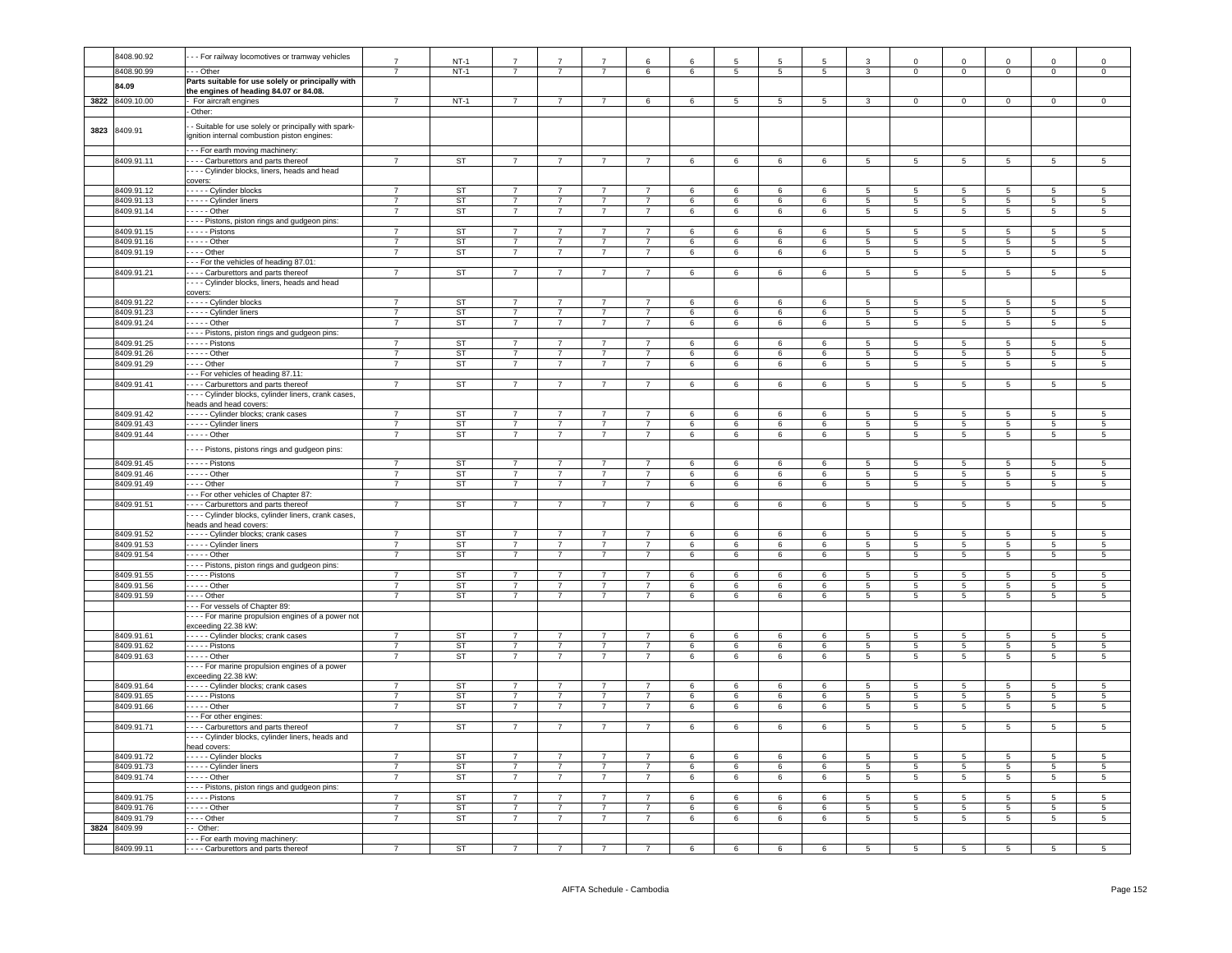|      | 8408.90.92      | - - For railway locomotives or tramway vehicles                                                      | $\overline{7}$ | $NT-1$    | $\overline{7}$ | 7              |                | $\epsilon$     | $\mathbf{6}$    | 5               | 5               | 5              | 3                       | $\Omega$        | $\Omega$                 | $\Omega$        | $\Omega$        | $\Omega$                 |
|------|-----------------|------------------------------------------------------------------------------------------------------|----------------|-----------|----------------|----------------|----------------|----------------|-----------------|-----------------|-----------------|----------------|-------------------------|-----------------|--------------------------|-----------------|-----------------|--------------------------|
|      | 8408.90.99      | $-$ Other                                                                                            | $\overline{7}$ | $NT-1$    | $\overline{7}$ | $\overline{7}$ | $\overline{7}$ | 6              | 6               | $\overline{5}$  | $\overline{5}$  | $\overline{5}$ | $\overline{\mathbf{3}}$ | $\Omega$        | $\overline{0}$           | $\overline{0}$  | $\overline{0}$  | $\overline{0}$           |
|      |                 | Parts suitable for use solely or principally with                                                    |                |           |                |                |                |                |                 |                 |                 |                |                         |                 |                          |                 |                 |                          |
|      | 84.09           |                                                                                                      |                |           |                |                |                |                |                 |                 |                 |                |                         |                 |                          |                 |                 |                          |
|      | 3822 8409.10.00 | the engines of heading 84.07 or 84.08.                                                               | $\overline{7}$ | $NT-1$    | $\overline{7}$ | $\overline{7}$ | $\overline{7}$ | 6              | $6\overline{6}$ | 5               | $\overline{5}$  | $\overline{5}$ | $\mathbf{R}$            | $\overline{0}$  | $\overline{0}$           | $\Omega$        | $\overline{0}$  | $\Omega$                 |
|      |                 | - For aircraft engines                                                                               |                |           |                |                |                |                |                 |                 |                 |                |                         |                 |                          |                 |                 |                          |
|      |                 | - Other:                                                                                             |                |           |                |                |                |                |                 |                 |                 |                |                         |                 |                          |                 |                 |                          |
| 3823 | 8409.91         | - Suitable for use solely or principally with spark-<br>ignition internal combustion piston engines: |                |           |                |                |                |                |                 |                 |                 |                |                         |                 |                          |                 |                 |                          |
|      |                 | - - - For earth moving machinery:                                                                    |                |           |                |                |                |                |                 |                 |                 |                |                         |                 |                          |                 |                 |                          |
|      | 8409.91.11      | - - - - Carburettors and parts thereof                                                               | $\overline{7}$ | <b>ST</b> | $\overline{7}$ | $\overline{7}$ | $\overline{7}$ | $\overline{7}$ | 6               | 6               | $6\overline{6}$ | 6              | 5                       | $\overline{5}$  | $5\overline{)}$          | 5               | $\overline{5}$  | $\overline{5}$           |
|      |                 | --- Cylinder blocks, liners, heads and head                                                          |                |           |                |                |                |                |                 |                 |                 |                |                         |                 |                          |                 |                 |                          |
|      |                 |                                                                                                      |                |           |                |                |                |                |                 |                 |                 |                |                         |                 |                          |                 |                 |                          |
|      | 8409.91.12      | covers:<br>- - - - Cylinder blocks                                                                   | $\overline{7}$ | ST        | $\overline{7}$ | $\overline{7}$ | $\overline{7}$ | $\overline{7}$ | 6               | 6               | $6\overline{6}$ | 6              | $5^{\circ}$             | $5^{\circ}$     | 5                        | $5^{\circ}$     | $5^{\circ}$     | 5                        |
|      | 8409.91.13      | - - - - Cylinder liners                                                                              | $\overline{7}$ | <b>ST</b> | $\overline{7}$ | $\overline{7}$ | $\overline{7}$ | $\overline{7}$ | 6               | 6               | 6               | 6              | $\overline{5}$          | 5               | 5                        | $\overline{5}$  | 5               | $\overline{5}$           |
|      | 8409.91.14      | $---$ Other                                                                                          | $\overline{7}$ | ST        | $\overline{7}$ | $\overline{7}$ | $\overline{7}$ | $\overline{7}$ | 6               | 6               | 6               | 6              | 5                       | 5               | $5\phantom{.0}$          | 5               | 5               | $\sqrt{5}$               |
|      |                 |                                                                                                      |                |           |                |                |                |                |                 |                 |                 |                |                         |                 |                          |                 |                 |                          |
|      |                 | --- Pistons, piston rings and gudgeon pins:                                                          | $\overline{7}$ | ST        |                | $\overline{7}$ | $\overline{7}$ | $\overline{7}$ |                 |                 |                 |                |                         | $\overline{5}$  |                          |                 | 5               |                          |
|      | 8409.91.15      | - - - - - Pistons                                                                                    |                |           | $\overline{7}$ |                |                |                | $6\phantom{1}$  | 6               | 6               | 6              | 5                       |                 | 5                        | 5               |                 | 5                        |
|      | 8409.91.16      | $---$ Other                                                                                          | $\overline{7}$ | <b>ST</b> | $\overline{7}$ | $\overline{7}$ | $\overline{7}$ | $\overline{7}$ | $6\overline{6}$ | $6\overline{6}$ | $6\overline{6}$ | 6              | $\overline{5}$          | $\overline{5}$  | 5                        | $5\overline{)}$ | 5               | 5                        |
|      | 8409.91.19      | $\cdots$ - Other                                                                                     | $\overline{7}$ | <b>ST</b> | $\overline{7}$ | $\overline{7}$ | $\overline{7}$ | $\overline{7}$ | 6               | 6               | 6               | 6              | 5                       | $\overline{5}$  | $\overline{5}$           | $\overline{5}$  | $\overline{5}$  | $\overline{5}$           |
|      |                 | --- For the vehicles of heading 87.01:                                                               |                |           |                |                |                |                |                 |                 |                 |                |                         |                 |                          |                 |                 |                          |
|      | 8409.91.21      | - - - - Carburettors and parts thereof                                                               | $\overline{7}$ | ST        | $\overline{7}$ | $\overline{7}$ | $\overline{7}$ | $\overline{7}$ | 6               | 6               | 6               | 6              | 5                       | 5               | $5\overline{5}$          | 5               | 5               | 5                        |
|      |                 | - - - Cylinder blocks, liners, heads and head                                                        |                |           |                |                |                |                |                 |                 |                 |                |                         |                 |                          |                 |                 |                          |
|      |                 | covers:                                                                                              |                |           |                |                |                |                |                 |                 |                 |                |                         |                 |                          |                 |                 |                          |
|      | 8409.91.22      | - - - - - Cylinder blocks                                                                            | $\overline{7}$ | <b>ST</b> | $\overline{7}$ | $\overline{7}$ | $\overline{7}$ | $\overline{7}$ | 6               | 6               | 6               | 6              | $\sqrt{5}$              | $5^{\circ}$     | 5                        | $5\overline{5}$ | $\overline{5}$  | $\sqrt{5}$               |
|      | 8409.91.23      | - - - - - Cylinder liners                                                                            | $\overline{7}$ | ST        | $\overline{7}$ | $\overline{7}$ | $\overline{7}$ | $\overline{7}$ | 6               | 6               | 6               | 6              | $\overline{5}$          | $\overline{5}$  | $\overline{5}$           | $\overline{5}$  | $\overline{5}$  | $\overline{5}$           |
|      | 8409.91.24      | $- - - -$ Other                                                                                      | $\overline{7}$ | <b>ST</b> | $\overline{7}$ | $\overline{7}$ | $\overline{7}$ | $\overline{7}$ | 6               | 6               | 6               | 6              | $5\overline{5}$         | 5               | $5\phantom{.0}$          | 5               | 5               | 5                        |
|      |                 | - - - - Pistons, piston rings and gudgeon pins:                                                      |                |           |                |                |                |                |                 |                 |                 |                |                         |                 |                          |                 |                 |                          |
|      | 8409.91.25      | Pistons                                                                                              | $\overline{7}$ | ST        | $\overline{7}$ | $\overline{7}$ | $\overline{7}$ | $\overline{7}$ | 6               | 6               | 6               | 6              | 5                       | $\overline{5}$  | 5                        | 5               | -5              | $\sqrt{5}$               |
|      | 8409.91.26      | $---$ Other                                                                                          | $\overline{7}$ | ST        | $\overline{7}$ | $\overline{7}$ | $\overline{7}$ | $\overline{7}$ | 6               | 6               | 6               | 6              | 5                       | $5\overline{)}$ | $5\overline{5}$          | 5               | $5\phantom{.0}$ | 5                        |
|      | 8409.91.29      | $- -$ Other                                                                                          | $\overline{7}$ | ST        | $\overline{7}$ | $\overline{7}$ | $\overline{7}$ | 7              | 6               | 6               | 6               | 6              | 5                       | 5               | $5\phantom{.0}$          | 5               | $5\phantom{.0}$ | 5                        |
|      |                 | -- For vehicles of heading 87.11:                                                                    |                |           |                |                |                |                |                 |                 |                 |                |                         |                 |                          |                 |                 |                          |
|      | 8409.91.41      | Carburettors and parts thereof                                                                       | $\overline{7}$ | <b>ST</b> | $\overline{7}$ | $\overline{7}$ | $\overline{7}$ | $\overline{7}$ | $6\overline{6}$ | 6               | 6               | 6              | $\overline{5}$          | $\overline{5}$  | $5\overline{)}$          | $\overline{5}$  | 5               | 5                        |
|      |                 | - - - Cylinder blocks, cylinder liners, crank cases,                                                 |                |           |                |                |                |                |                 |                 |                 |                |                         |                 |                          |                 |                 |                          |
|      |                 | heads and head covers:                                                                               |                |           |                |                |                |                |                 |                 |                 |                |                         |                 |                          |                 |                 |                          |
|      | 8409.91.42      | ----- Cylinder blocks; crank cases                                                                   | $\overline{7}$ | ST        | $\overline{7}$ | $\overline{7}$ | $\overline{7}$ | $\overline{7}$ | $6\phantom{.}6$ | 6               | 6               | 6              | 5                       | 5               | $5\overline{5}$          | $5\phantom{.0}$ | $\overline{5}$  | 5                        |
|      | 8409.91.43      | - Cylinder liners                                                                                    | $\overline{7}$ | ST        | $\overline{7}$ | $\overline{7}$ | $\overline{7}$ | $\overline{7}$ | 6               | 6               | 6               | 6              | 5                       | $5\phantom{.0}$ | $5\phantom{.0}$          | 5               | 5               | $\sqrt{5}$               |
|      | 8409.91.44      | - - - - - Other                                                                                      | $\overline{7}$ | <b>ST</b> | $\overline{7}$ | $\overline{7}$ | $\overline{7}$ | $\overline{7}$ | 6               | 6               | 6               | 6              | 5                       | 5               | $5\overline{)}$          | $5\phantom{.0}$ | $5\phantom{.0}$ | 5                        |
|      |                 | - Pistons, pistons rings and gudgeon pins:                                                           |                |           |                |                |                |                |                 |                 |                 |                |                         |                 |                          |                 |                 |                          |
|      | 8409.91.45      | $\overline{\cdots}$ Pistons                                                                          | $\overline{7}$ | <b>ST</b> | $\overline{7}$ | $\overline{7}$ | $\overline{7}$ | $\overline{7}$ | $\epsilon$      | $\kappa$        | 6               | $\kappa$       | 5                       | 5 <sup>1</sup>  | 5                        | 5               | $5\overline{2}$ | 5                        |
|      | 8409.91.46      | $---$ Other                                                                                          | $\overline{7}$ | ST        | $\overline{7}$ | $\overline{7}$ | $\overline{7}$ | $\overline{7}$ | $6\overline{6}$ | $6\overline{6}$ | 6               | 6              | $\overline{5}$          | $\overline{5}$  | $5\overline{)}$          | $5\overline{)}$ | $\overline{5}$  | $\overline{5}$           |
|      | 8409.91.49      | $\cdots$ - Other                                                                                     | $\overline{7}$ | ST        | $\overline{7}$ | $\overline{7}$ | $\overline{7}$ | $\overline{7}$ | 6               | 6               | 6               | 6              | 5                       | $5^{\circ}$     | $5\overline{5}$          | 5               | 5               | 5                        |
|      |                 | --- For other vehicles of Chapter 87:                                                                |                |           |                |                |                |                |                 |                 |                 |                |                         |                 |                          |                 |                 |                          |
|      | 8409.91.51      | - - - - Carburettors and parts thereof                                                               | $\overline{7}$ | ST        | $\overline{7}$ | $\overline{7}$ | $\overline{7}$ | $\overline{7}$ | 6               | 6               | 6               | 6              | 5                       | 5               | 5                        | $5\overline{5}$ | 5               | 5                        |
|      |                 | - - - Cylinder blocks, cylinder liners, crank cases,                                                 |                |           |                |                |                |                |                 |                 |                 |                |                         |                 |                          |                 |                 |                          |
|      |                 | heads and head covers:                                                                               |                |           |                |                |                |                |                 |                 |                 |                |                         |                 |                          |                 |                 |                          |
|      | 8409.91.52      | - - - - - Cylinder blocks; crank cases                                                               | $\overline{7}$ | ST        | $\overline{7}$ | $\overline{7}$ | $\overline{7}$ | $\overline{7}$ | $6\phantom{1}$  | 6               | 6               | 6              | 5                       | 5 <sup>1</sup>  | 5                        | 5               | $5\overline{5}$ | 5                        |
|      | 8409.91.53      | - - - - - Cylinder liners                                                                            | $\overline{7}$ | <b>ST</b> | $\overline{7}$ | $\overline{7}$ | $\overline{7}$ | $\overline{7}$ | $6\overline{6}$ | 6               | $6\overline{6}$ | 6              | 5                       | $\overline{5}$  | $5\overline{)}$          | $5\overline{)}$ | 5               | $\overline{5}$           |
|      | 8409.91.54      | $- - - -$ Other                                                                                      | $\overline{7}$ | <b>ST</b> | $\overline{7}$ | $\overline{7}$ | $\overline{7}$ | $\overline{7}$ | 6               | 6               | 6               | 6              | 5                       | $\overline{5}$  | $\overline{5}$           | 5               | $\overline{5}$  | $\overline{5}$           |
|      |                 | - - - - Pistons, piston rings and gudgeon pins:                                                      |                |           |                |                |                |                |                 |                 |                 |                |                         |                 |                          |                 |                 |                          |
|      | 8409.91.55      | $---$ Pistons                                                                                        | $\overline{7}$ | ST        | $\overline{7}$ | $\overline{7}$ | $\overline{7}$ | $\overline{7}$ | 6               | 6               | 6               | 6              | 5                       | 5               | 5                        | 5               | 5               | 5                        |
|      | 8409.91.56      | - - - - - Other                                                                                      | $\overline{7}$ | <b>ST</b> | $\overline{7}$ | $\overline{7}$ | $\overline{7}$ | $\overline{7}$ | 6               | 6               | 6               | 6              | 5                       | 5               | $5\phantom{.0}$          | 5               | 5               | 5                        |
|      | 8409.91.59      | $- -$ Other                                                                                          | $\overline{7}$ | ST        | $\overline{7}$ | $\overline{7}$ | $\overline{7}$ | $\overline{7}$ | 6               | 6               | 6               | 6              | $5\overline{)}$         | $5^{\circ}$     | 5                        | $5\overline{)}$ | $\overline{5}$  | $\overline{5}$           |
|      |                 | - - For vessels of Chapter 89:                                                                       |                |           |                |                |                |                |                 |                 |                 |                |                         |                 |                          |                 |                 |                          |
|      |                 | - - - For marine propulsion engines of a power not                                                   |                |           |                |                |                |                |                 |                 |                 |                |                         |                 |                          |                 |                 |                          |
|      |                 | exceeding 22.38 kW:                                                                                  |                |           |                |                |                |                |                 |                 |                 |                |                         |                 |                          |                 |                 |                          |
|      | 8409.91.61      | ----- Cylinder blocks; crank cases                                                                   | $\overline{7}$ | <b>ST</b> | $\overline{7}$ | $\overline{7}$ | $\overline{7}$ |                | 6               | 6               | 6               | 6              | $5\overline{)}$         | 5               | $\overline{5}$           | 5               | 5               | 5                        |
|      | 8409.91.62      | Pistons                                                                                              | $\overline{7}$ | ST        | $\overline{7}$ | $\overline{7}$ | $\overline{7}$ | $\overline{7}$ | 6               | 6               | 6               | 6              | $5^{\circ}$             | $5\overline{)}$ | $5\overline{5}$          | 5               | $5\phantom{.0}$ | $5\phantom{.0}$          |
|      | 8409.91.63      | $\cdots$ - Other                                                                                     | $\overline{7}$ | ST        | $7^{\circ}$    | $\overline{7}$ | $\overline{7}$ | $\overline{7}$ | 6               | 6               | 6               | 6              | $5\overline{5}$         | $5\overline{5}$ | $5\overline{5}$          | $5\phantom{.0}$ | $5\overline{5}$ | $\sqrt{5}$               |
|      |                 | - - - For marine propulsion engines of a power                                                       |                |           |                |                |                |                |                 |                 |                 |                |                         |                 |                          |                 |                 |                          |
|      |                 | exceeding 22.38 kW:                                                                                  |                |           |                |                |                |                |                 |                 |                 |                |                         |                 |                          |                 |                 |                          |
|      | 8409.91.64      | - - - - - Cylinder blocks; crank cases                                                               | $\overline{7}$ | ST        | $\overline{7}$ | $\overline{7}$ | $\overline{7}$ | $\overline{7}$ | 6               | 6               | 6               | 6              | 5                       | 5.              | 5                        | 5               | -5              | $\sqrt{5}$               |
|      | 8409.91.65      | $- - -$ Pistons                                                                                      | $\overline{7}$ | <b>ST</b> | $\overline{7}$ | $\overline{7}$ | $\overline{7}$ | $\overline{7}$ | 6               | 6               | 6               | 6              | $\overline{5}$          | $5^{\circ}$     | $\overline{5}$           | $\overline{5}$  | $\overline{5}$  | $\overline{5}$           |
|      | 8409.91.66      | $---$ Other                                                                                          | $\overline{7}$ | <b>ST</b> | $\overline{7}$ | $\overline{7}$ | $\overline{7}$ | $\overline{7}$ | 6               | 6               | 6               | 6              | 5                       | $5\phantom{.0}$ | $5\overline{)}$          | $5\overline{)}$ | $\overline{5}$  | $\overline{5}$           |
|      |                 | - - For other engines:                                                                               |                |           |                |                |                |                |                 |                 |                 |                |                         |                 |                          |                 |                 |                          |
|      | 8409.91.71      | --- Carburettors and parts thereof                                                                   | $\overline{7}$ | ST        | $\overline{7}$ |                | $\overline{7}$ | $\overline{7}$ | 6               | 6               | 6               | 6              | 5                       | $5\phantom{.0}$ | $5\phantom{.0}$          | 5               | $\overline{5}$  | $\sqrt{5}$               |
|      |                 | --- Cylinder blocks, cylinder liners, heads and                                                      |                |           |                |                |                |                |                 |                 |                 |                |                         |                 |                          |                 |                 |                          |
|      |                 | ead covers:                                                                                          |                |           |                |                |                |                |                 |                 |                 |                |                         |                 |                          |                 |                 |                          |
|      | 8409.91.72      | - - - - - Cylinder blocks                                                                            | $\overline{7}$ | ST        | $\overline{7}$ | $\overline{7}$ | $\overline{7}$ | $\overline{7}$ | 6               | 6               | 6               | 6              | 5                       | -5              | -5                       | -5              | -5              | 5                        |
|      | 8409.91.73      | - - - - - Cylinder liners                                                                            | $\overline{7}$ | <b>ST</b> | $\overline{7}$ | $\overline{7}$ | $\overline{7}$ | $\overline{7}$ | $\epsilon$      | $\kappa$        | $\,6\,$         | $\kappa$       | $\overline{5}$          | 5 <sup>1</sup>  | $\overline{5}$           | 5 <sup>1</sup>  | $\overline{5}$  | $\overline{5}$           |
|      | 8409.91.74      | $---$ Other                                                                                          | $\overline{7}$ | ST        | $\overline{7}$ | $\overline{7}$ | $\overline{7}$ | $\overline{7}$ | $6\overline{6}$ | $6\overline{6}$ | 6               | 6              | $\overline{5}$          | $\overline{5}$  | 5                        | $5\overline{)}$ | $\overline{5}$  | 5                        |
|      |                 | ---- Pistons, piston rings and gudgeon pins:                                                         |                |           |                |                |                |                |                 |                 |                 |                |                         |                 |                          |                 |                 |                          |
|      | 8409.91.75      | $- - -$ Pistons                                                                                      | $\overline{7}$ | ST        | $\overline{7}$ | $\overline{7}$ | $\overline{7}$ | $\overline{7}$ | 6               | 6               | 6               | 6              | 5                       | 5               | $\overline{5}$           | 5               | 5               | 5                        |
|      | 8409.91.76      | $\cdots$ - Other                                                                                     | $\overline{7}$ | ST        | $\overline{7}$ | $\overline{7}$ | $\overline{7}$ | 7              | 6               | 6               | 6               | 6              | 5                       | 5               | $5\overline{)}$          | 5               | 5               | 5                        |
|      | 8409.91.79      | $- -$ Other                                                                                          | $\overline{7}$ | <b>ST</b> | $\overline{7}$ | $\overline{7}$ | $\overline{7}$ | $\overline{7}$ | $\,6\,$         | 6               | $\,6\,$         | 6              | $5\phantom{.0}$         | $\sqrt{5}$      | $\overline{\phantom{a}}$ | $5\phantom{.0}$ | $5\phantom{.0}$ | $\overline{\phantom{0}}$ |
|      | 3824 8409.99    | - Other:                                                                                             |                |           |                |                |                |                |                 |                 |                 |                |                         |                 |                          |                 |                 |                          |
|      |                 | - - For earth moving machinery:                                                                      |                |           |                |                |                |                |                 |                 |                 |                |                         |                 |                          |                 |                 |                          |
|      | 8409.99.11      | - - - - Carburettors and parts thereof                                                               | $\overline{7}$ | <b>ST</b> |                |                |                |                | 6               |                 | 6               |                |                         |                 | 5                        | $\,$ 5 $\,$     |                 |                          |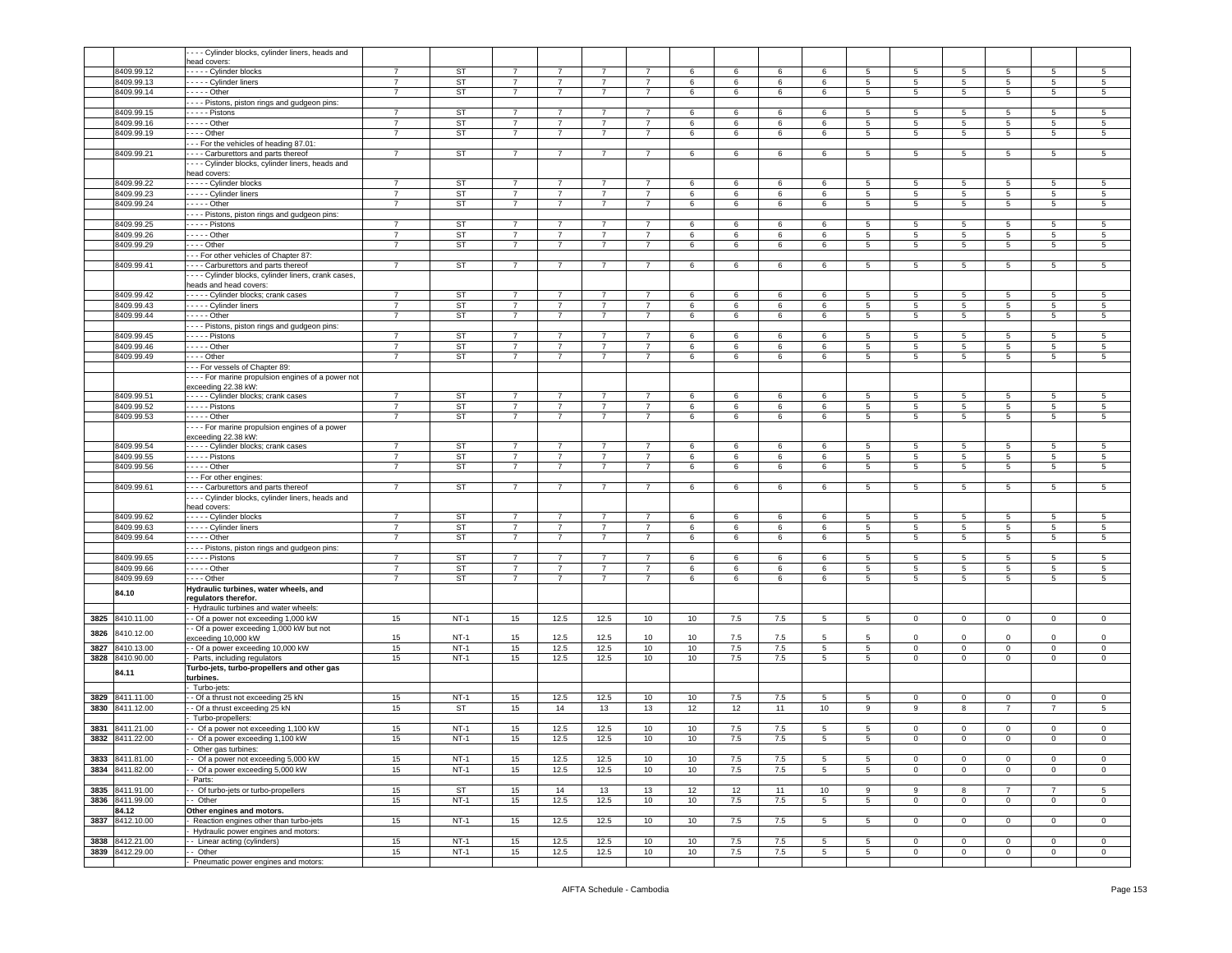|      |                          | - - - Cylinder blocks, cylinder liners, heads and   |                |                 |                |                |                |                |        |         |         |             |                      |                |                                    |                     |                 |                 |
|------|--------------------------|-----------------------------------------------------|----------------|-----------------|----------------|----------------|----------------|----------------|--------|---------|---------|-------------|----------------------|----------------|------------------------------------|---------------------|-----------------|-----------------|
|      |                          | lead covers:                                        |                |                 | $\overline{7}$ |                |                |                |        |         |         |             |                      |                |                                    |                     |                 |                 |
|      | 8409.99.12               | ---- Cylinder blocks                                | $\overline{7}$ | ST              |                | 7              | $\overline{7}$ | $\overline{7}$ | 6      | 6       | 6       | 6           | 5                    | 5              | 5                                  | 5                   | 5               | 5               |
|      | 8409.99.13               | Cylinder liners                                     | $\overline{7}$ | ST              | 7              | $\overline{7}$ | $\overline{7}$ | 7              | 6      | 6       | 6       | 6           | 5                    | 5              | $5\overline{5}$                    | 5                   | 5               | 5               |
|      | 8409.99.14               | - - - - Other                                       | $\overline{7}$ | ST              | $\overline{7}$ | $\overline{7}$ | $\overline{7}$ | $\overline{7}$ | 6      | 6       | 6       | 6           | $5\overline{5}$      | 5              | $5\phantom{.0}$                    | 5 <sub>5</sub>      | 5               | 5               |
|      |                          | --- Pistons, piston rings and gudgeon pins:         |                |                 |                |                |                |                |        |         |         |             |                      |                |                                    |                     |                 |                 |
|      | 8409.99.15               | $---$ Pistons                                       | $\overline{7}$ | ST              | 7              | $\overline{7}$ | $\overline{7}$ | $\overline{7}$ | 6      | 6       | 6       | 6           | 5                    | 5              | 5                                  | 5                   | 5               | 5               |
|      | 8409.99.16               | . - - - - Other                                     | $\overline{7}$ | ST              | $\overline{7}$ | $\overline{7}$ | $\overline{7}$ | $\overline{7}$ | 6      | 6       | 6       | 6           | 5                    | 5              | $5\phantom{.0}$                    | 5                   | 5               | 5               |
|      | 8409.99.19               | - - - - Other                                       | $\overline{7}$ | ST              | 7              | $\overline{7}$ | $\overline{7}$ | $\overline{7}$ | 6      | 6       | 6       | 6           | $5^{\circ}$          | 5              | 5                                  | 5                   | 5               | 5               |
|      |                          | - - For the vehicles of heading 87.01:              |                |                 |                |                |                |                |        |         |         |             |                      |                |                                    |                     |                 |                 |
|      | 8409.99.21               | - - - Carburettors and parts thereof                | $\overline{7}$ | <b>ST</b>       | $\overline{7}$ | $\overline{7}$ | $\overline{7}$ | $\overline{7}$ | 6      | 6       | 6       | 6           | 5                    | 5              | $5\phantom{.0}$                    | 5                   | 5               | 5               |
|      |                          | - - - Cylinder blocks, cylinder liners, heads and   |                |                 |                |                |                |                |        |         |         |             |                      |                |                                    |                     |                 |                 |
|      |                          | ead covers:                                         |                |                 |                |                |                |                |        |         |         |             |                      |                |                                    |                     |                 |                 |
|      | 8409.99.22               | ---- Cylinder blocks                                | $\overline{7}$ | ST              | $\overline{7}$ | $\overline{7}$ | $\overline{7}$ | $\overline{7}$ | 6      | 6       | 6       | 6           | 5                    | 5              | 5                                  | 5                   | 5               | 5               |
|      | 8409.99.23               | ---- Cylinder liners                                | $\overline{7}$ | ST              | $\overline{7}$ | $\overline{7}$ | $\overline{7}$ | $\overline{7}$ | 6      | 6       | 6       | 6           | 5                    | 5              | 5                                  | 5                   | 5               | 5               |
|      | 8409.99.24               | $- - -$ Other                                       | $\overline{7}$ | ST              | $\overline{7}$ | $\overline{7}$ | $\overline{7}$ | $\overline{7}$ | 6      | 6       | 6       | 6           | $5^{\circ}$          | 5              | 5                                  | $5\overline{5}$     | 5               | 5               |
|      |                          |                                                     |                |                 |                |                |                |                |        |         |         |             |                      |                |                                    |                     |                 |                 |
|      |                          | - - - Pistons, piston rings and gudgeon pins:       |                |                 |                |                |                |                |        |         |         |             |                      |                |                                    |                     |                 |                 |
|      | 8409.99.25               | . - - - - Pistons                                   | $\overline{7}$ | <b>ST</b>       | $\overline{7}$ | $\overline{7}$ | $\overline{7}$ | $\overline{7}$ | 6      | 6       | 6       | 6           | 5                    | 5              | 5                                  | 5                   | 5               | 5               |
|      | 8409.99.26               | - - - - - Other                                     | $\overline{7}$ | ST              | $\overline{7}$ | $\overline{7}$ | $\overline{7}$ | $\overline{7}$ | 6      | 6       | 6       | 6           | $5\phantom{.0}$      | 5              | $5\overline{5}$                    | 5                   | 5               | 5               |
|      | 8409.99.29               | $\cdots$ - Other                                    | $\overline{7}$ | ST              | 7              | $\overline{7}$ | $\overline{7}$ | $\overline{7}$ | 6      | 6       | 6       | 6           | 5                    | 5              | 5                                  | 5                   | 5               | 5               |
|      |                          | -- For other vehicles of Chapter 87:                |                |                 |                |                |                |                |        |         |         |             |                      |                |                                    |                     |                 |                 |
|      | 8409.99.41               | - - - Carburettors and parts thereof                | $\overline{7}$ | ST              | $\overline{7}$ | $\overline{7}$ | $\overline{7}$ | $\overline{7}$ | 6      | 6       | 6       | 6           | 5                    | 5              | $\,$ 5 $\,$                        | 5                   | 5               | $\,$ 5          |
|      |                          | ---- Cylinder blocks, cylinder liners, crank cases, |                |                 |                |                |                |                |        |         |         |             |                      |                |                                    |                     |                 |                 |
|      |                          | eads and head covers:                               |                |                 |                |                |                |                |        |         |         |             |                      |                |                                    |                     |                 |                 |
|      | 8409.99.42               | - - - - Cylinder blocks; crank cases                | $\overline{7}$ | ST              | $\overline{7}$ |                |                | $\overline{7}$ | 6      | 6       | 6       | 6           | 5                    | 5              | 5                                  | 5                   | 5               | 5               |
|      | 8409.99.43               | Cylinder liners                                     | $\overline{7}$ | ST              | 7              | 7              | -7             | $\overline{7}$ | 6      | 6       | 6       | 6           | 5                    | 5              | $5\overline{5}$                    | 5                   | 5               | 5               |
|      | 8409.99.44               | $---$ Other                                         | $\overline{7}$ | ST              | $\overline{7}$ | $\overline{7}$ | $\overline{7}$ | $\overline{7}$ | 6      | 6       | 6       | 6           | $5^{\circ}$          | 5              | 5                                  | $5\overline{5}$     | 5               | 5               |
|      |                          |                                                     |                |                 |                |                |                |                |        |         |         |             |                      |                |                                    |                     |                 |                 |
|      |                          | - - - Pistons, piston rings and gudgeon pins:       |                |                 |                |                |                |                |        |         |         |             |                      |                |                                    |                     |                 |                 |
|      | 8409.99.45               | $\cdots$ - Pistons                                  | $\overline{7}$ | ST              | $\overline{7}$ | $\overline{7}$ | $\overline{7}$ | $\overline{7}$ | 6      | 6       | 6       | 6           | 5                    | 5              | $\overline{5}$                     | 5                   | 5               | 5               |
|      | 8409.99.46               | $- - -$ Other                                       | $\overline{7}$ | ST              | 7              | $\overline{7}$ | $\overline{7}$ | 7              | 6      | 6       | 6       | 6           | 5                    | 5              | 5                                  | 5                   | 5               | 5               |
|      | 8409.99.49               | - Other                                             | $\overline{7}$ | <b>ST</b>       | $\overline{7}$ | $\overline{7}$ | $\overline{7}$ | $\overline{7}$ | 6      | 6       | 6       | 6           | $5\overline{)}$      | 5              | $5\phantom{.0}$                    | $5\phantom{.0}$     | 5               | $\overline{5}$  |
|      |                          | - - For vessels of Chapter 89:                      |                |                 |                |                |                |                |        |         |         |             |                      |                |                                    |                     |                 |                 |
|      |                          | ---- For marine propulsion engines of a power not   |                |                 |                |                |                |                |        |         |         |             |                      |                |                                    |                     |                 |                 |
|      |                          | exceeding 22.38 kW:                                 |                |                 |                |                |                |                |        |         |         |             |                      |                |                                    |                     |                 |                 |
|      | 8409.99.51               | ----- Cylinder blocks; crank cases                  | $\overline{7}$ | <b>ST</b>       | $\overline{7}$ | $\overline{7}$ | $\overline{7}$ | $\overline{7}$ | 6      | 6       | 6       | 6           | 5                    | 5              | $\overline{5}$                     | 5                   | 5               | $\overline{5}$  |
|      | 8409.99.52               | $---$ Pistons                                       | $\overline{7}$ | <b>ST</b>       | $\overline{7}$ | $\overline{7}$ | $\overline{7}$ | $\overline{7}$ | 6      | 6       | 6       | 6           | 5                    | 5              | 5                                  | 5                   | 5               | 5               |
|      | 8409.99.53               | . - - - - Other                                     | $\overline{7}$ | ST              | $\overline{7}$ | $\overline{7}$ | $\overline{7}$ | $\overline{7}$ | 6      | 6       | 6       | 6           | 5                    | 5              | $5\phantom{.0}$                    | 5                   | 5               | 5               |
|      |                          |                                                     |                |                 |                |                |                |                |        |         |         |             |                      |                |                                    |                     |                 |                 |
|      |                          | --- For marine propulsion engines of a power        |                |                 |                |                |                |                |        |         |         |             |                      |                |                                    |                     |                 |                 |
|      |                          | exceeding 22.38 kW:                                 | $\overline{7}$ |                 | $\overline{7}$ | $\overline{7}$ | $\overline{7}$ | $\overline{7}$ |        |         |         |             |                      |                |                                    |                     | -5              |                 |
|      | 8409.99.54               | ---- Cylinder blocks; crank cases                   |                | ST              |                |                |                |                | 6      | 6       | 6       | 6           | 5                    | 5              | 5                                  | 5                   |                 | 5               |
|      | 8409.99.55               | Pistons                                             | $\overline{7}$ | ST              | $\overline{7}$ | $\overline{7}$ | $\overline{7}$ | $\overline{7}$ | 6      | 6       | 6       | 6           | $5\overline{5}$      | 5              | $5\phantom{.0}$                    | 5                   | 5               | $\sqrt{5}$      |
|      | 8409.99.56               | - - - - - Other                                     | $\overline{7}$ | <b>ST</b>       | $\overline{7}$ | $\overline{7}$ | $\overline{7}$ | $\overline{7}$ | 6      | 6       | 6       | 6           | 5                    | 5              | $5\phantom{.0}$                    | $5^{\circ}$         | 5               | $\sqrt{5}$      |
|      |                          | - - For other engines:                              |                |                 |                |                |                |                |        |         |         |             |                      |                |                                    |                     |                 |                 |
|      | 8409.99.61               | - - - - Carburettors and parts thereof              | $\overline{7}$ | ST              | 7              | 7              | $\overline{7}$ | $\overline{7}$ | 6      | 6       | 6       | 6           | 5                    | 5              | $5\overline{5}$                    | 5                   | $5^{\circ}$     | $5\phantom{.0}$ |
|      |                          | - - - Cylinder blocks, cylinder liners, heads and   |                |                 |                |                |                |                |        |         |         |             |                      |                |                                    |                     |                 |                 |
|      |                          | ead covers:                                         |                |                 |                |                |                |                |        |         |         |             |                      |                |                                    |                     |                 |                 |
|      | 8409.99.62               | - - - - Cylinder blocks                             | $\overline{7}$ | ST              | $\overline{7}$ | $\overline{7}$ | $\overline{7}$ | $\overline{7}$ | 6      | 6       | 6       | 6           | 5                    | 5              | 5                                  | 5                   | 5               | 5               |
|      | 8409.99.63               | - - - - Cylinder liners                             | $\overline{7}$ | <b>ST</b>       | $\overline{7}$ | $\overline{7}$ | $\overline{7}$ | $\overline{7}$ | 6      | 6       | 6       | 6           | $5\overline{)}$      | 5              | $5\overline{5}$                    | $5\phantom{.0}$     | $5\phantom{.0}$ | 5               |
|      | 8409.99.64               | $--$ Other                                          | $\overline{7}$ | ST              | 7              | $\overline{7}$ | $\overline{7}$ | $\overline{7}$ | 6      | 6       | 6       | 6           | $5\overline{)}$      | 5              | 5                                  | $5\phantom{.0}$     | 5               | 5               |
|      |                          | - - - Pistons, piston rings and gudgeon pins:       |                |                 |                |                |                |                |        |         |         |             |                      |                |                                    |                     |                 |                 |
|      | 8409.99.65               | . - - - - Pistons                                   | $\overline{7}$ | ST              | 7              | 7              | 7              | 7              | 6      | 6       | -6      | 6           | 5                    | -5             | 5                                  | 5                   | -5              | 5               |
|      |                          |                                                     | $\overline{7}$ |                 | $\overline{7}$ | $\overline{7}$ | $\overline{7}$ | $\overline{7}$ |        |         |         |             |                      |                |                                    |                     |                 |                 |
|      | 8409.99.66<br>8409.99.69 | $---$ Other                                         | $\overline{7}$ | ST<br><b>ST</b> | $\overline{7}$ | $\overline{7}$ | $\overline{7}$ | $\overline{7}$ | 6<br>6 | 6<br>6  | 6<br>6  | 6<br>6      | 5<br>$5\overline{)}$ | 5<br>5         | $5\phantom{.0}$<br>$5\phantom{.0}$ | 5<br>$\overline{5}$ | 5<br>5          | $\sqrt{5}$<br>5 |
|      |                          | --- Other                                           |                |                 |                |                |                |                |        |         |         |             |                      |                |                                    |                     |                 |                 |
|      | 84.10                    | Hydraulic turbines, water wheels, and               |                |                 |                |                |                |                |        |         |         |             |                      |                |                                    |                     |                 |                 |
|      |                          | regulators therefor.                                |                |                 |                |                |                |                |        |         |         |             |                      |                |                                    |                     |                 |                 |
|      |                          | Hydraulic turbines and water wheels                 |                |                 |                |                |                |                |        |         |         |             |                      |                |                                    |                     |                 |                 |
| 3825 | 8410.11.00               | - Of a power not exceeding 1,000 kW                 | 15             | $NT-1$          | 15             | 12.5           | 12.5           | 10             | 10     | 7.5     | 7.5     | 5           | 5                    | $\mathbf{0}$   | $\overline{0}$                     | $\mathbf{0}$        | $\mathbf 0$     | $\circ$         |
| 3826 | 8410.12.00               | - Of a power exceeding 1,000 kW but not             |                |                 |                |                |                |                |        |         |         |             |                      |                |                                    |                     |                 |                 |
|      |                          | exceeding 10,000 kW                                 | 15             | $NT-1$          | 15             | 12.5           | 12.5           | 10             | 10     | 7.5     | 7.5     | 5           | 5                    | $\mathbf 0$    | $\mathbf 0$                        | 0                   | $\mathbf 0$     | $\mathbf 0$     |
| 3827 | 8410.13.00               | - Of a power exceeding 10,000 kW                    | 15             | $NT-1$          | 15             | 12.5           | 12.5           | 10             | 10     | 7.5     | 7.5     | 5           | $5^{\circ}$          | $\circ$        | $\mathbf 0$                        | $\mathbf 0$         | $\circ$         | $\,0\,$         |
| 3828 | 8410.90.00               | Parts, including regulators                         | 15             | $NT-1$          | 15             | 12.5           | 12.5           | 10             | 10     | $7.5\,$ | $7.5\,$ | 5           | 5                    | 0              | $\mathbf 0$                        | $\mathbf 0$         | 0               | $\mathsf 0$     |
|      | 84.11                    | Turbo-jets, turbo-propellers and other gas          |                |                 |                |                |                |                |        |         |         |             |                      |                |                                    |                     |                 |                 |
|      |                          | t <b>urbines.</b>                                   |                |                 |                |                |                |                |        |         |         |             |                      |                |                                    |                     |                 |                 |
|      |                          | Turbo-jets:                                         |                |                 |                |                |                |                |        |         |         |             |                      |                |                                    |                     |                 |                 |
|      | 3829 8411.11.00          | - Of a thrust not exceeding 25 kN                   | 15             | $NT-1$          | 15             | 12.5           | 12.5           | 10             | 10     | 7.5     | 7.5     | -5          | 5                    | $\mathbf{0}$   | $\mathbf 0$                        | $\mathbf 0$         | $^{\circ}$      | $\mathbf 0$     |
| 3830 | 8411.12.00               | - Of a thrust exceeding 25 kN                       | 15             | <b>ST</b>       | 15             | 14             | 13             | 13             | 12     | 12      | 11      | 10          | 9                    | 9              | 8                                  | $\overline{7}$      | $\overline{7}$  | 5               |
|      |                          | Turbo-propellers:                                   |                |                 |                |                |                |                |        |         |         |             |                      |                |                                    |                     |                 |                 |
| 3831 | 8411.21.00               | - Of a power not exceeding 1,100 kW                 | 15             | $NT-1$          | 15             | 12.5           | 12.5           | 10             | 10     | 7.5     | 7.5     | 5           | 5                    | 0              | $\mathsf 0$                        | $\mathbf 0$         | 0               | $\mathsf 0$     |
|      | 3832 8411.22.00          |                                                     |                | $NT-1$          |                |                |                |                |        |         |         |             |                      |                |                                    |                     |                 |                 |
|      |                          | - Of a power exceeding 1,100 kW                     | 15             |                 | 15             | 12.5           | 12.5           | 10             | 10     | 7.5     | 7.5     | 5           | 5                    | 0              | $\mathbf 0$                        | $\boldsymbol{0}$    | 0               | 0               |
|      |                          | Other gas turbines:                                 |                |                 |                |                |                |                |        |         |         |             |                      |                |                                    |                     |                 |                 |
|      | 3833 8411.81.00          | - Of a power not exceeding 5,000 kW                 | 15             | $NT-1$          | 15             | 12.5           | 12.5           | 10             | 10     | 7.5     | 7.5     | 5           | $5^{\circ}$          | $\circ$        | $\mathbf 0$                        | $\mathbf 0$         | $\mathbf 0$     | $\mathsf 0$     |
|      | 3834 8411.82.00          | - Of a power exceeding 5,000 kW                     | 15             | $NT-1$          | 15             | 12.5           | 12.5           | 10             | 10     | 7.5     | 7.5     | 5           | $\overline{5}$       | $\mathbf 0$    | $\mathbf 0$                        | $\overline{0}$      | $\mathbf 0$     | $\mathsf 0$     |
|      |                          | Parts:                                              |                |                 |                |                |                |                |        |         |         |             |                      |                |                                    |                     |                 |                 |
|      | 3835 8411.91.00          | - Of turbo-jets or turbo-propellers                 | 15             | ST              | 15             | 14             | 13             | 13             | 12     | 12      | 11      | 10          | 9                    | 9              | 8                                  | $\overline{7}$      | $\overline{7}$  | 5               |
|      | 3836 8411.99.00          | - Other                                             | 15             | $NT-1$          | 15             | 12.5           | 12.5           | 10             | 10     | 7.5     | 7.5     | $5^{\circ}$ | 5                    | $\mathbf 0$    | $\overline{0}$                     | $\mathbf{0}$        | $\mathbf 0$     | $\mathbf 0$     |
|      | 84.12                    | Other engines and motors.                           |                |                 |                |                |                |                |        |         |         |             |                      |                |                                    |                     |                 |                 |
|      | 3837 8412.10.00          | Reaction engines other than turbo-jets              | 15             | $NT-1$          | 15             | 12.5           | 12.5           | 10             | 10     | 7.5     | 7.5     | 5           | 5                    | $\mathbf{0}$   | $\overline{0}$                     | $\mathbf{0}$        | $\overline{0}$  | $\mathsf 0$     |
|      |                          | Hydraulic power engines and motors:                 |                |                 |                |                |                |                |        |         |         |             |                      |                |                                    |                     |                 |                 |
|      | 3838 8412.21.00          | - Linear acting (cylinders)                         | 15             | $NT-1$          | 15             | 12.5           | 12.5           | 10             | 10     | 7.5     | 7.5     | 5           |                      | $\mathbf{0}$   | $\overline{0}$                     | $\overline{0}$      | $\mathbf{0}$    | $\overline{0}$  |
|      |                          |                                                     |                |                 |                |                |                |                |        |         |         |             | 5                    |                |                                    |                     |                 |                 |
|      | 3839 8412.29.00          | - Other                                             | 15             | $NT-1$          | 15             | 12.5           | 12.5           | 10             | 10     | 7.5     | 7.5     | 5           | $5^{\circ}$          | $\overline{0}$ | $\overline{0}$                     | $\overline{0}$      | $\mathbf{0}$    | $\overline{0}$  |
|      |                          | Pneumatic power engines and motors:                 |                |                 |                |                |                |                |        |         |         |             |                      |                |                                    |                     |                 |                 |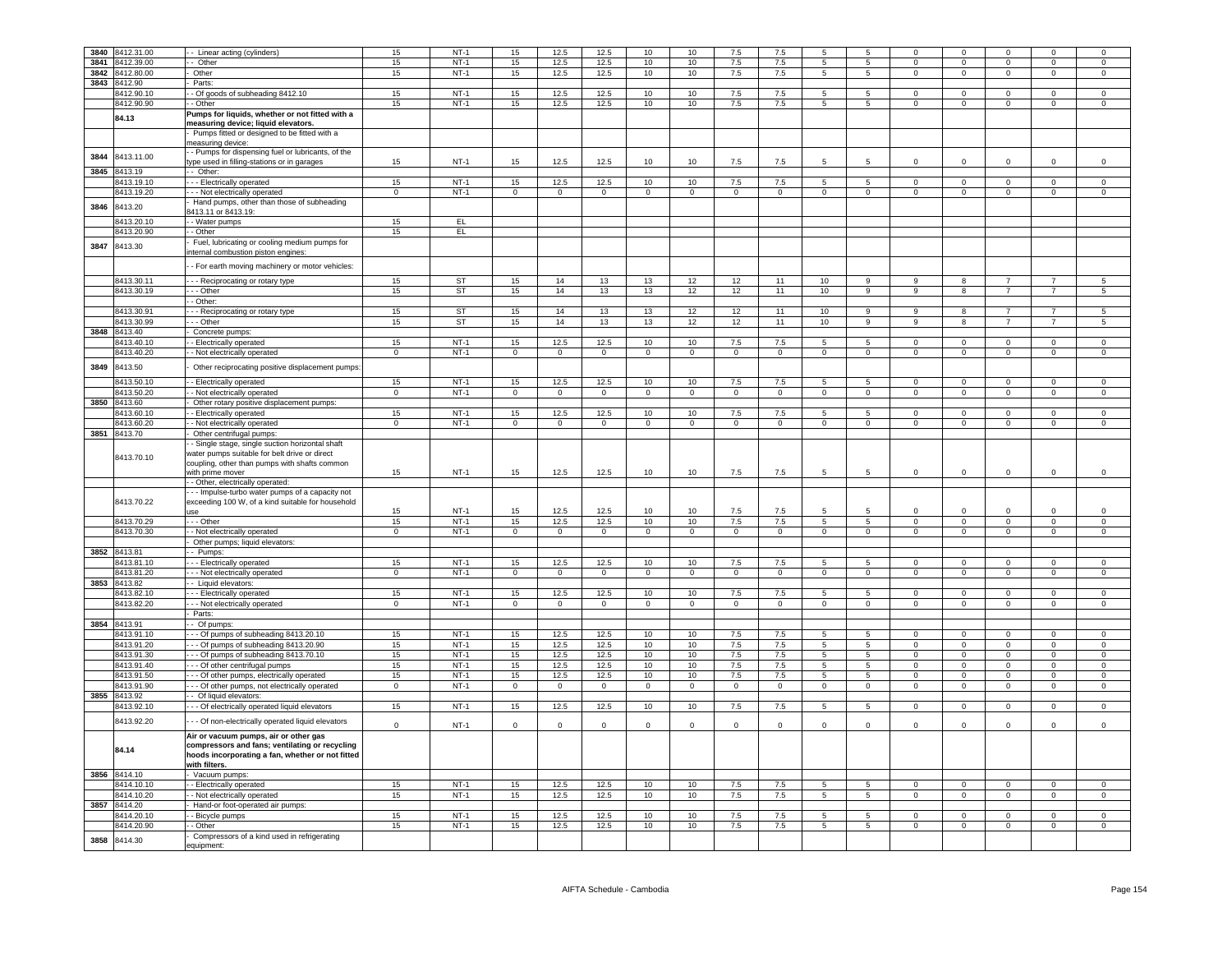| 3840 | 8412.31.00      | - Linear acting (cylinders)                                       | 15             | $NT-1$    | 15             | 12.5           | 12.5           | 10              | 10             | 7.5            | 7.5            |                |                 |                |                |                     |                | $\Omega$            |
|------|-----------------|-------------------------------------------------------------------|----------------|-----------|----------------|----------------|----------------|-----------------|----------------|----------------|----------------|----------------|-----------------|----------------|----------------|---------------------|----------------|---------------------|
|      | 3841 8412.39.00 | - Other                                                           | 15             | $NT-1$    | 15             | 12.5           | 12.5           | 10              | 10             | 7.5            | 7.5            | 5              | $5\phantom{.0}$ | $\Omega$       | $\Omega$       | $\mathsf 0$         | $\Omega$       | $\Omega$            |
|      |                 |                                                                   |                |           |                |                |                |                 |                |                |                |                |                 |                |                |                     |                |                     |
|      | 3842 8412.80.00 | Other                                                             | 15             | $NT-1$    | 15             | 12.5           | 12.5           | 10              | 10             | 7.5            | 7.5            | 5              | $5\overline{)}$ | $\overline{0}$ | $\overline{0}$ | $\overline{0}$      | $\overline{0}$ | $\mathbf{0}$        |
|      | 3843 8412.90    | Parts:                                                            |                |           |                |                |                |                 |                |                |                |                |                 |                |                |                     |                |                     |
|      | 8412.90.10      | - Of goods of subheading 8412.10                                  | 15             | $NT-1$    | 15             | 12.5           | 12.5           | 10              | 10             | 7.5            | 7.5            | $5^{\circ}$    | 5 <sup>5</sup>  | $\Omega$       | $\Omega$       | $\Omega$            | $\Omega$       | $\Omega$            |
|      | 8412.90.90      | - Other                                                           | 15             | $NT-1$    | 15             | 12.5           | 12.5           | 10              | 10             | 7.5            | 7.5            | 5              | 5               | $\mathsf 0$    | $\mathsf 0$    | $\mathsf 0$         | $\mathsf 0$    | $\mathsf 0$         |
|      | 84.13           | Pumps for liquids, whether or not fitted with a                   |                |           |                |                |                |                 |                |                |                |                |                 |                |                |                     |                |                     |
|      |                 | measuring device; liquid elevators.                               |                |           |                |                |                |                 |                |                |                |                |                 |                |                |                     |                |                     |
|      |                 | Pumps fitted or designed to be fitted with a                      |                |           |                |                |                |                 |                |                |                |                |                 |                |                |                     |                |                     |
|      |                 | neasuring device:                                                 |                |           |                |                |                |                 |                |                |                |                |                 |                |                |                     |                |                     |
| 3844 | 8413.11.00      | - Pumps for dispensing fuel or lubricants, of the                 |                |           |                |                |                |                 |                |                |                |                |                 |                |                |                     |                |                     |
|      |                 | ype used in filling-stations or in garages                        | 15             | $NT-1$    | 15             | 12.5           | 12.5           | 10              | 10             | 7.5            | 7.5            | 5.             | $5\overline{5}$ | $\Omega$       | $\Omega$       | $\Omega$            | $\Omega$       | $\mathsf 0$         |
| 3845 | 8413.19         | - Other:                                                          |                |           |                |                |                |                 |                |                |                |                |                 |                |                |                     |                |                     |
|      | 8413.19.10      | - - Electrically operated                                         | 15             | $NT-1$    | 15             | 12.5           | 12.5           | 10              | 10             | 7.5            | 7.5            | 5              | 5               | $\mathsf 0$    | $\mathsf 0$    | $\mathsf 0$         | $\mathsf 0$    | $\mathsf 0$         |
|      | 8413.19.20      | - - Not electrically operated                                     | $\overline{0}$ | $NT-1$    | $\overline{0}$ | $\mathbf{0}$   | $\overline{0}$ | $\mathbf{0}$    | $^{\circ}$     | $\mathbf{0}$   | $\overline{0}$ | $\mathbf{0}$   | $\overline{0}$  | $\mathbf{0}$   | $\overline{0}$ | $\mathbf{0}$        | $^{\circ}$     | $\overline{0}$      |
|      |                 | Hand pumps, other than those of subheading                        |                |           |                |                |                |                 |                |                |                |                |                 |                |                |                     |                |                     |
| 3846 | 8413.20         | 413.11 or 8413.19:                                                |                |           |                |                |                |                 |                |                |                |                |                 |                |                |                     |                |                     |
|      | 3413.20.10      | - Water pumps                                                     | 15             | EL        |                |                |                |                 |                |                |                |                |                 |                |                |                     |                |                     |
|      | 8413.20.90      | - Other                                                           | 15             | EL.       |                |                |                |                 |                |                |                |                |                 |                |                |                     |                |                     |
|      |                 | Fuel, lubricating or cooling medium pumps for                     |                |           |                |                |                |                 |                |                |                |                |                 |                |                |                     |                |                     |
| 3847 | 8413.30         | nternal combustion piston engines:                                |                |           |                |                |                |                 |                |                |                |                |                 |                |                |                     |                |                     |
|      |                 |                                                                   |                |           |                |                |                |                 |                |                |                |                |                 |                |                |                     |                |                     |
|      |                 | - For earth moving machinery or motor vehicles:                   |                |           |                |                |                |                 |                |                |                |                |                 |                |                |                     |                |                     |
|      |                 |                                                                   | 15             | <b>ST</b> | 15             | 14             | 13             | 13              | 12             | 12             | 11             | 10             | 9               | 9              | 8              | $\overline{7}$      |                | 5                   |
|      | 8413.30.11      | - - Reciprocating or rotary type                                  |                |           |                |                |                |                 |                |                |                |                |                 |                |                | $\overline{7}$      | $\overline{7}$ |                     |
|      | 8413.30.19      | - - Other                                                         | 15             | <b>ST</b> | 15             | 14             | 13             | 13              | 12             | 12             | 11             | 10             | $\overline{9}$  | 9              | 8              |                     |                | $\,$ 5              |
|      |                 | - Other:                                                          |                |           |                |                |                |                 |                |                |                |                |                 |                |                |                     |                |                     |
|      | 8413.30.91      | - Reciprocating or rotary type                                    | 15             | <b>ST</b> | 15             | 14             | 13             | 13              | 12             | 12             | 11             | 10             | 9               | $\mathsf{Q}$   | 8              | $\overline{7}$      |                | 5                   |
|      | 8413.30.99      | -- Other                                                          | 15             | <b>ST</b> | 15             | 14             | 13             | 13              | 12             | 12             | 11             | 10             | $\overline{9}$  | 9              | 8              | $\overline{7}$      | $\overline{7}$ | 5                   |
| 3848 | 8413.40         | Concrete pumps:                                                   |                |           |                |                |                |                 |                |                |                |                |                 |                |                |                     |                |                     |
|      | 8413.40.10      | - Electrically operated                                           | 15             | $NT-1$    | 15             | 12.5           | 12.5           | 10              | 10             | 7.5            | 7.5            | 5              | $5\phantom{.0}$ | $\mathsf 0$    | $\mathsf 0$    | $\mathsf 0$         | $\mathsf 0$    | $\mathsf 0$         |
|      | 8413.40.20      | - Not electrically operated                                       | $\overline{0}$ | $NT-1$    | $\mathbf{0}$   | $\circ$        | $\overline{0}$ | $\overline{0}$  | $\mathbf{0}$   | $\mathbf 0$    | $\overline{0}$ | $\overline{0}$ | $\overline{0}$  | $\Omega$       | $\overline{0}$ | $\circ$             | $\circ$        | $\overline{0}$      |
| 3849 | 8413.50         | Other reciprocating positive displacement pumps                   |                |           |                |                |                |                 |                |                |                |                |                 |                |                |                     |                |                     |
|      |                 |                                                                   |                |           |                |                |                |                 |                |                |                |                |                 |                |                |                     |                |                     |
|      | 8413.50.10      | - Electrically operated                                           | 15             | $NT-1$    | 15             | 12.5           | 12.5           | 10              | 10             | 7.5            | 7.5            | $5^{\circ}$    | $5^{\circ}$     | $\Omega$       | $\Omega$       | $\Omega$            | $\Omega$       | $\mathbf 0$         |
|      | 8413.50.20      | - Not electrically operated                                       | $\overline{0}$ | $NT-1$    | $\overline{0}$ | $\overline{0}$ | $\overline{0}$ | $\overline{0}$  | $\overline{0}$ | $\overline{0}$ | $\overline{0}$ | $\overline{0}$ | $\overline{0}$  | $\overline{0}$ | $\overline{0}$ | $\overline{0}$      | $\overline{0}$ | $\overline{0}$      |
| 3850 | 8413.60         | Other rotary positive displacement pumps:                         |                |           |                |                |                |                 |                |                |                |                |                 |                |                |                     |                |                     |
|      | 8413.60.10      | - Electrically operated                                           | 15             | $NT-1$    | 15             | 12.5           | 12.5           | 10              | 10             | 7.5            | 7.5            | 5              | 5               | $\mathbf 0$    | $\mathbf 0$    | $\mathbf 0$         | $\mathbf 0$    | $\mathbf 0$         |
|      | 8413.60.20      | - Not electrically operated                                       | $\overline{0}$ | NT-1      | $\overline{0}$ | $\overline{0}$ | $\overline{0}$ | $\overline{0}$  | $\overline{0}$ | $\circ$        | $\overline{0}$ | $\circ$        | $\overline{0}$  | $\mathbf{0}$   | $\overline{0}$ | $\overline{0}$      | $\mathbf{0}$   | $\overline{0}$      |
|      | 3851 8413.70    | Other centrifugal pumps:                                          |                |           |                |                |                |                 |                |                |                |                |                 |                |                |                     |                |                     |
|      |                 | - Single stage, single suction horizontal shaft                   |                |           |                |                |                |                 |                |                |                |                |                 |                |                |                     |                |                     |
|      |                 | vater pumps suitable for belt drive or direct                     |                |           |                |                |                |                 |                |                |                |                |                 |                |                |                     |                |                     |
|      | 8413.70.10      |                                                                   |                |           |                |                |                |                 |                |                |                |                |                 |                |                |                     |                |                     |
|      |                 | coupling, other than pumps with shafts common<br>with prime mover | 15             | $NT-1$    | 15             | 12.5           | 12.5           | 10              | 10             | 7.5            | 7.5            | 5              | 5               | $\mathbf 0$    | $\mathbf 0$    | $\mathbf 0$         | $\mathbf 0$    | $\circ$             |
|      |                 | - Other, electrically operated:                                   |                |           |                |                |                |                 |                |                |                |                |                 |                |                |                     |                |                     |
|      |                 | - - Impulse-turbo water pumps of a capacity not                   |                |           |                |                |                |                 |                |                |                |                |                 |                |                |                     |                |                     |
|      | 8413.70.22      | exceeding 100 W, of a kind suitable for household                 |                |           |                |                |                |                 |                |                |                |                |                 |                |                |                     |                |                     |
|      |                 | 921                                                               | 15             | $NT-1$    | 15             | 12.5           | 12.5           | 10 <sup>1</sup> | 10             | 7.5            | 7.5            |                | 5               | $\Omega$       | $\Omega$       | $\Omega$            | $\Omega$       | $\Omega$            |
|      | 8413.70.29      | - - Other                                                         | 15             | $NT-1$    | 15             | 12.5           | 12.5           | 10              | 10             | 7.5            | 7.5            | 5              | 5               | $\mathsf 0$    | $\mathsf 0$    | $\mathsf{O}\xspace$ | $\mathsf 0$    | $\mathsf 0$         |
|      | 8413.70.30      | - Not electrically operated                                       | $\circ$        | $NT-1$    | $\circ$        | $\circ$        | $\circ$        | $\circ$         | $\mathbf{0}$   | $\mathbf 0$    | $\overline{0}$ | $\circ$        | $\circ$         | $\circ$        | $\circ$        | $\mathbf{0}$        | $\mathbf 0$    | $\mathbf 0$         |
|      |                 |                                                                   |                |           |                |                |                |                 |                |                |                |                |                 |                |                |                     |                |                     |
|      |                 | Other pumps; liquid elevators:                                    |                |           |                |                |                |                 |                |                |                |                |                 |                |                |                     |                |                     |
|      | 3852 8413.81    | - Pumps:                                                          |                | $NT-1$    |                |                |                |                 |                |                |                |                |                 |                |                |                     |                |                     |
|      | 8413.81.10      | - Electrically operated                                           | 15             |           | 15             | 12.5           | 12.5           | 10              | 10             | 7.5            | 7.5            | .5             | -5              | $\Omega$       | $\Omega$       | $\Omega$            | $\Omega$       | $^{\circ}$          |
|      | 8413.81.20      | - Not electrically operated                                       | $\mathbf 0$    | $NT-1$    | $\circ$        | $\mathbf 0$    | $^{\circ}$     | $\mathbf{0}$    | $\mathbf{0}$   | $\mathbf 0$    | $\mathbf 0$    | $\mathbf 0$    | $\circ$         | $\mathbf 0$    | $\mathsf 0$    | $\mathbf 0$         | $\mathbf 0$    | $\mathsf 0$         |
| 3853 | 8413.82         | - Liquid elevators:                                               |                |           |                |                |                |                 |                |                |                |                |                 |                |                |                     |                |                     |
|      | 413.82.10       | - Electrically operated                                           | 15             | $NT-1$    | 15             | 12.5           | 12.5           | 10              | 10             | 7.5            | 7.5            | 5              | $\overline{5}$  | $\mathbf 0$    | $\overline{0}$ | $\overline{0}$      | $^{\circ}$     | $\mathbf 0$         |
|      | 8413.82.20      | - Not electrically operated                                       | $\mathbf 0$    | $NT-1$    | $\mathsf 0$    | $\mathsf 0$    | $\mathbf 0$    | $\mathsf 0$     | $\mathbf 0$    | $\mathbf 0$    | $\mathbf 0$    | $\mathsf 0$    | $\mathbf 0$     | $\Omega$       | $\mathsf 0$    | $\mathsf 0$         | $\mathbf 0$    | $\,0\,$             |
|      |                 | Parts:                                                            |                |           |                |                |                |                 |                |                |                |                |                 |                |                |                     |                |                     |
| 3854 | 8413.91         | - Of pumps:                                                       |                |           |                |                |                |                 |                |                |                |                |                 |                |                |                     |                |                     |
|      | 8413.91.10      | - - Of pumps of subheading 8413.20.10                             | 15             | $NT-1$    | 15             | 12.5           | 12.5           | 10              | 10             | 7.5            | 7.5            | 5              | 5               | $\Omega$       | $\Omega$       | $\Omega$            | $\Omega$       | $\Omega$            |
|      | 8413.91.20      | - - Of pumps of subheading 8413.20.90                             | 15             | $NT-1$    | 15             | 12.5           | 12.5           | 10              | 10             | 7.5            | 7.5            | 5              | 5               | $\mathbf 0$    | $\mathbf 0$    | $\mathbf 0$         | $\mathbf 0$    | $\mathbf 0$         |
|      | 8413.91.30      | - - Of pumps of subheading 8413.70.10                             | 15             | $NT-1$    | 15             | 12.5           | 12.5           | 10              | 10             | 7.5            | 7.5            | 5              | 5               | $\circ$        | $\overline{0}$ | $\mathbf{0}$        | $\mathbf 0$    | $\circ$             |
|      | 8413.91.40      | - - Of other centrifugal pumps                                    | 15             | $NT-1$    | 15             | 12.5           | 12.5           | 10              | 10             | 7.5            | $7.5\,$        | 5              | $5\overline{)}$ | $\mathbf{0}$   | $\mathsf 0$    | $\bf{0}$            | $\mathbf{0}$   | $\mathsf{O}\xspace$ |
|      | 8413.91.50      | - - Of other pumps, electrically operated                         | 15             | $NT-1$    | 15             | 12.5           | 12.5           | 10              | 10             | 7.5            | 7.5            | 5              | $5\phantom{.0}$ | $\mathbf 0$    | $\overline{0}$ | $\mathbf{0}$        | $\mathsf 0$    | $\mathsf{O}\xspace$ |
|      | 8413.91.90      | - - Of other pumps, not electrically operated                     | $\overline{0}$ | $NT-1$    | $\overline{0}$ | $\overline{0}$ | $\overline{0}$ | $\overline{0}$  | $\overline{0}$ | $\overline{0}$ | $\overline{0}$ | $\overline{0}$ | $\overline{0}$  | $\overline{0}$ | $\overline{0}$ | $\overline{0}$      | $\overline{0}$ | $\overline{0}$      |
|      | 3855 8413.92    | - Of liquid elevators:                                            |                |           |                |                |                |                 |                |                |                |                |                 |                |                |                     |                |                     |
|      | 8413.92.10      | - - Of electrically operated liquid elevators                     | 15             | $NT-1$    | 15             | 12.5           | 12.5           | 10              | 10             | $7.5\,$        | $7.5\,$        | 5              | 5               | $\mathbf 0$    | $\mathsf 0$    | $\mathsf 0$         | $\mathsf 0$    | $\,0\,$             |
|      | 8413.92.20      |                                                                   |                |           |                |                |                |                 |                |                |                |                |                 |                |                |                     |                |                     |
|      |                 |                                                                   |                |           | $\Omega$       | $\mathbf 0$    | $\Omega$       | $\Omega$        | $\Omega$       | $\Omega$       | $\Omega$       | $\Omega$       | $\Omega$        | $\Omega$       | $\Omega$       | $\Omega$            | $\Omega$       | $\Omega$            |
|      |                 | - - Of non-electrically operated liquid elevators                 | $\Omega$       | $NT-1$    |                |                |                |                 |                |                |                |                |                 |                |                |                     |                |                     |
|      |                 |                                                                   |                |           |                |                |                |                 |                |                |                |                |                 |                |                |                     |                |                     |
|      |                 | Air or vacuum pumps, air or other gas                             |                |           |                |                |                |                 |                |                |                |                |                 |                |                |                     |                |                     |
|      | 84.14           | compressors and fans; ventilating or recycling                    |                |           |                |                |                |                 |                |                |                |                |                 |                |                |                     |                |                     |
|      |                 | hoods incorporating a fan, whether or not fitted                  |                |           |                |                |                |                 |                |                |                |                |                 |                |                |                     |                |                     |
|      |                 | with filters                                                      |                |           |                |                |                |                 |                |                |                |                |                 |                |                |                     |                |                     |
|      | 3856 8414.10    | Vacuum pumps:                                                     |                |           |                |                |                |                 |                |                |                |                |                 |                |                |                     |                |                     |
|      | 8414.10.10      | - Electrically operated                                           | 15             | $NT-1$    | 15             | 12.5           | 12.5           | 10              | 10             | 7.5            | 7.5            | 5              | 5               | $\mathbf 0$    | $\mathbf 0$    | $\mathbf{0}$        | $\mathbf 0$    | $\mathbf 0$         |
|      | 8414.10.20      | - Not electrically operated                                       | 15             | $NT-1$    | 15             | 12.5           | 12.5           | 10              | 10             | 7.5            | 7.5            | $5^{\circ}$    | 5 <sub>5</sub>  | $\mathbf{0}$   | $\overline{0}$ | $\overline{0}$      | $\mathbf 0$    | $\circ$             |
|      | 3857 8414.20    | Hand-or foot-operated air pumps:                                  |                |           |                |                |                |                 |                |                |                |                |                 |                |                |                     |                |                     |
|      | 8414.20.10      | - Bicycle pumps                                                   | 15             | $NT-1$    | 15             | 12.5           | 12.5           | 10              | 10             | 7.5            | 7.5            | 5              | $5\phantom{.0}$ | $\mathbf 0$    | $\mathsf 0$    | $\mathbf{0}$        | $\circ$        | $\mathsf{O}\xspace$ |
|      | 8414.20.90      | - Other                                                           | 15             | $NT-1$    | 15             | 12.5           | 12.5           | 10              | 10             | 7.5            | 7.5            | $5^{\circ}$    | 5               | $\mathbf 0$    | $\mathbf 0$    | $\mathbf{0}$        | $\mathbf 0$    | $\circ$             |
| 3858 | 8414.30         | Compressors of a kind used in refrigerating<br>auipment           |                |           |                |                |                |                 |                |                |                |                |                 |                |                |                     |                |                     |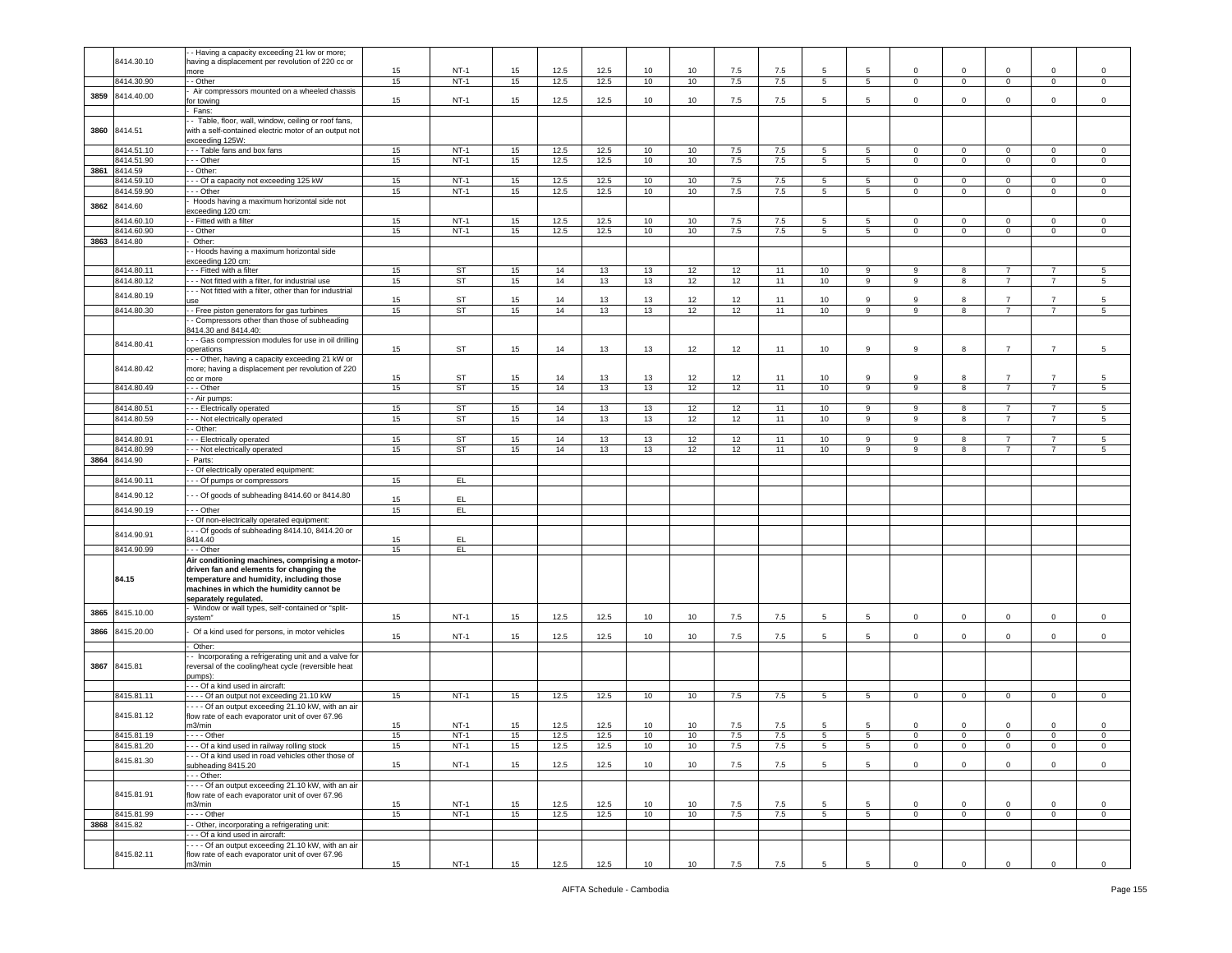|      |              | - Having a capacity exceeding 21 kw or more;              |    |           |    |      |      |    |    |     |     |                 |                 |                |                |                |                |                 |
|------|--------------|-----------------------------------------------------------|----|-----------|----|------|------|----|----|-----|-----|-----------------|-----------------|----------------|----------------|----------------|----------------|-----------------|
|      | 8414.30.10   | naving a displacement per revolution of 220 cc or         |    |           |    |      |      |    |    |     |     |                 |                 |                |                |                |                |                 |
|      |              | nore                                                      | 15 | $NT-1$    | 15 | 12.5 | 12.5 | 10 | 10 | 7.5 | 7.5 | 5               | 5               | $\circ$        | $\mathbf 0$    | $\mathbf 0$    | $\mathbf 0$    | $\mathsf 0$     |
|      | 8414.30.90   | - Other                                                   | 15 | $NT-1$    | 15 | 12.5 | 12.5 | 10 | 10 | 7.5 | 7.5 | $5^{\circ}$     | 5               | $\overline{0}$ | $\overline{0}$ | $\mathbf{0}$   | $\mathsf 0$    | $\overline{0}$  |
|      |              |                                                           |    |           |    |      |      |    |    |     |     |                 |                 |                |                |                |                |                 |
| 3859 | 8414.40.00   | Air compressors mounted on a wheeled chassis              |    |           |    |      |      |    |    |     |     |                 |                 |                |                |                |                |                 |
|      |              | or towing                                                 | 15 | $NT-1$    | 15 | 12.5 | 12.5 | 10 | 10 | 7.5 | 7.5 | 5               | 5               | 0              | $\mathsf 0$    | 0              | $\mathbf 0$    | $\mathbf 0$     |
|      |              | Fans:                                                     |    |           |    |      |      |    |    |     |     |                 |                 |                |                |                |                |                 |
|      |              | - Table, floor, wall, window, ceiling or roof fans,       |    |           |    |      |      |    |    |     |     |                 |                 |                |                |                |                |                 |
| 3860 | 8414.51      | with a self-contained electric motor of an output not     |    |           |    |      |      |    |    |     |     |                 |                 |                |                |                |                |                 |
|      |              | exceeding 125W:                                           |    |           |    |      |      |    |    |     |     |                 |                 |                |                |                |                |                 |
|      |              |                                                           |    |           |    |      |      |    |    |     |     |                 |                 |                |                |                |                |                 |
|      | 8414.51.10   | - - Table fans and box fans                               | 15 | $NT-1$    | 15 | 12.5 | 12.5 | 10 | 10 | 7.5 | 7.5 | 5               | 5               | 0              | $\mathbf 0$    | $\mathbf 0$    | 0              | 0               |
|      | 8414.51.90   | - - Other                                                 | 15 | $NT-1$    | 15 | 12.5 | 12.5 | 10 | 10 | 7.5 | 7.5 | $5\phantom{.0}$ | $5\overline{5}$ | $\overline{0}$ | $\mathbf 0$    | $\mathbf{0}$   | $\mathbf 0$    | $\mathbf{0}$    |
|      | 3861 8414.59 | - Other:                                                  |    |           |    |      |      |    |    |     |     |                 |                 |                |                |                |                |                 |
|      | 8414.59.10   | - - Of a capacity not exceeding 125 kW                    | 15 | $NT-1$    | 15 | 12.5 | 12.5 | 10 | 10 | 7.5 | 7.5 | 5               | 5               | $\circ$        | $\mathbf 0$    | $\mathbf 0$    | $\circ$        | $\mathsf 0$     |
|      |              |                                                           |    |           |    |      |      |    |    |     |     |                 |                 |                |                |                |                |                 |
|      | 8414.59.90   | - - Other                                                 | 15 | $NT-1$    | 15 | 12.5 | 12.5 | 10 | 10 | 7.5 | 7.5 | $\overline{5}$  | $\overline{5}$  | $\mathbf 0$    | $\,0\,$        | $\mathsf 0$    | $\mathbf 0$    | 0               |
|      |              | Hoods having a maximum horizontal side not                |    |           |    |      |      |    |    |     |     |                 |                 |                |                |                |                |                 |
| 3862 | 8414.60      | xceeding 120 cm:                                          |    |           |    |      |      |    |    |     |     |                 |                 |                |                |                |                |                 |
|      | 8414.60.10   | - Fitted with a filter                                    | 15 | $NT-1$    | 15 | 12.5 | 12.5 | 10 | 10 | 7.5 | 7.5 | 5               | 5               | $\mathbf 0$    | $\mathbf 0$    | $\overline{0}$ | $\mathbf 0$    | $\mathbf 0$     |
|      |              |                                                           |    |           |    |      |      |    |    |     |     |                 |                 |                |                |                |                |                 |
|      | 8414.60.90   | - Other                                                   | 15 | $NT-1$    | 15 | 12.5 | 12.5 | 10 | 10 | 7.5 | 7.5 | 5               | 5               | $\mathbf 0$    | $\mathbf 0$    | $\overline{0}$ | $\mathbf 0$    | $\circ$         |
|      | 3863 8414.80 | Other:                                                    |    |           |    |      |      |    |    |     |     |                 |                 |                |                |                |                |                 |
|      |              | - Hoods having a maximum horizontal side                  |    |           |    |      |      |    |    |     |     |                 |                 |                |                |                |                |                 |
|      |              |                                                           |    |           |    |      |      |    |    |     |     |                 |                 |                |                |                |                |                 |
|      |              | exceeding 120 cm:                                         |    |           |    |      |      |    |    |     |     |                 |                 |                |                |                |                |                 |
|      | 8414.80.11   | -- Fitted with a filter                                   | 15 | <b>ST</b> | 15 | 14   | 13   | 13 | 12 | 12  | 11  | 10              | 9               | 9              | 8              | $\overline{7}$ | $\overline{7}$ | 5               |
|      | 8414.80.12   | - - Not fitted with a filter, for industrial use          | 15 | ST        | 15 | 14   | 13   | 13 | 12 | 12  | 11  | 10              | 9               | 9              | 8              | $\overline{7}$ | $\overline{7}$ | 5               |
|      |              | - - Not fitted with a filter, other than for industrial   |    |           |    |      |      |    |    |     |     |                 |                 |                |                |                |                |                 |
|      | 8414.80.19   |                                                           | 15 | <b>ST</b> | 15 | 14   | 13   | 13 | 12 | 12  | 11  | 10              | 9               | 9              | 8              | $\overline{7}$ | $\overline{7}$ | 5               |
|      |              | <b>JSe</b>                                                |    |           |    |      |      |    |    |     |     |                 |                 |                |                |                |                |                 |
|      | 8414.80.30   | - Free piston generators for gas turbines                 | 15 | ST        | 15 | 14   | 13   | 13 | 12 | 12  | 11  | 10 <sub>1</sub> | 9               | 9              | 8              | $\overline{7}$ | $\overline{7}$ | 5               |
|      |              | - Compressors other than those of subheading              |    |           |    |      |      |    |    |     |     |                 |                 |                |                |                |                |                 |
|      |              | 8414.30 and 8414.40:                                      |    |           |    |      |      |    |    |     |     |                 |                 |                |                |                |                |                 |
|      |              | - - Gas compression modules for use in oil drilling       |    |           |    |      |      |    |    |     |     |                 |                 |                |                |                |                |                 |
|      | 8414.80.41   |                                                           |    |           |    |      |      |    |    |     |     |                 |                 |                |                |                |                |                 |
|      |              | operations                                                | 15 | <b>ST</b> | 15 | 14   | 13   | 13 | 12 | 12  | 11  | 10              | 9               | 9              | 8              | $\overline{7}$ | $\overline{7}$ | 5               |
|      |              | - - Other, having a capacity exceeding 21 kW or           |    |           |    |      |      |    |    |     |     |                 |                 |                |                |                |                |                 |
|      | 8414.80.42   | more; having a displacement per revolution of 220         |    |           |    |      |      |    |    |     |     |                 |                 |                |                |                |                |                 |
|      |              | cc or more                                                | 15 | ST        | 15 | 14   | 13   | 13 | 12 | 12  | 11  | 10              | 9               | 9              | 8              | $\overline{7}$ | $\overline{7}$ | $\sqrt{5}$      |
|      |              |                                                           |    |           |    |      |      |    |    |     |     |                 |                 |                |                |                |                |                 |
|      | 8414.80.49   | - - Other                                                 | 15 | ST        | 15 | 14   | 13   | 13 | 12 | 12  | 11  | 10              | 9               | 9              | 8              | $\overline{7}$ | $\overline{7}$ | 5               |
|      |              | - Air pumps:                                              |    |           |    |      |      |    |    |     |     |                 |                 |                |                |                |                |                 |
|      | 8414.80.51   | - - Electrically operated                                 | 15 | ST        | 15 | 14   | 13   | 13 | 12 | 12  | 11  | 10              | 9               | 9              | 8              | $\overline{7}$ | 7              | 5               |
|      | 8414.80.59   | - - Not electrically operated                             | 15 | <b>ST</b> | 15 | 14   | 13   | 13 | 12 | 12  | 11  | 10              | 9               | 9              | 8              | $\overline{7}$ | $\overline{7}$ | 5               |
|      |              |                                                           |    |           |    |      |      |    |    |     |     |                 |                 |                |                |                |                |                 |
|      |              | - Other:                                                  |    |           |    |      |      |    |    |     |     |                 |                 |                |                |                |                |                 |
|      | 8414.80.91   | - - Electrically operated                                 | 15 | ST        | 15 | 14   | 13   | 13 | 12 | 12  | 11  | 10              | 9               | 9              | 8              | $\overline{7}$ |                | 5               |
|      | 8414.80.99   | - - Not electrically operated                             | 15 | ST        | 15 | 14   | 13   | 13 | 12 | 12  | 11  | 10              | 9               | 9              | 8              | $\overline{7}$ | $\overline{7}$ | $5\phantom{.0}$ |
|      |              |                                                           |    |           |    |      |      |    |    |     |     |                 |                 |                |                |                |                |                 |
| 3864 | 8414.90      | Parts:                                                    |    |           |    |      |      |    |    |     |     |                 |                 |                |                |                |                |                 |
|      |              | - Of electrically operated equipment:                     |    |           |    |      |      |    |    |     |     |                 |                 |                |                |                |                |                 |
|      | 8414.90.11   | - - Of pumps or compressors                               | 15 | E         |    |      |      |    |    |     |     |                 |                 |                |                |                |                |                 |
|      |              |                                                           |    |           |    |      |      |    |    |     |     |                 |                 |                |                |                |                |                 |
|      | 8414.90.12   | - - Of goods of subheading 8414.60 or 8414.80             |    | EL.       |    |      |      |    |    |     |     |                 |                 |                |                |                |                |                 |
|      |              |                                                           | 15 |           |    |      |      |    |    |     |     |                 |                 |                |                |                |                |                 |
|      | 8414.90.19   | - - Other                                                 | 15 | EL.       |    |      |      |    |    |     |     |                 |                 |                |                |                |                |                 |
|      |              | - Of non-electrically operated equipment:                 |    |           |    |      |      |    |    |     |     |                 |                 |                |                |                |                |                 |
|      |              | - - Of goods of subheading 8414.10, 8414.20 or            |    |           |    |      |      |    |    |     |     |                 |                 |                |                |                |                |                 |
|      | 8414.90.91   | 3414.40                                                   | 15 | EL.       |    |      |      |    |    |     |     |                 |                 |                |                |                |                |                 |
|      |              |                                                           |    |           |    |      |      |    |    |     |     |                 |                 |                |                |                |                |                 |
|      | 8414.90.99   | - - Other                                                 | 15 | EL        |    |      |      |    |    |     |     |                 |                 |                |                |                |                |                 |
|      |              | Air conditioning machines, comprising a motor-            |    |           |    |      |      |    |    |     |     |                 |                 |                |                |                |                |                 |
|      |              | driven fan and elements for changing the                  |    |           |    |      |      |    |    |     |     |                 |                 |                |                |                |                |                 |
|      | 84.15        | temperature and humidity, including those                 |    |           |    |      |      |    |    |     |     |                 |                 |                |                |                |                |                 |
|      |              |                                                           |    |           |    |      |      |    |    |     |     |                 |                 |                |                |                |                |                 |
|      |              | machines in which the humidity cannot be                  |    |           |    |      |      |    |    |     |     |                 |                 |                |                |                |                |                 |
|      |              | separately regulated.                                     |    |           |    |      |      |    |    |     |     |                 |                 |                |                |                |                |                 |
| 3865 | 8415.10.00   | Window or wall types, self-contained or "split-           |    |           |    |      |      |    |    |     |     |                 |                 |                |                |                |                |                 |
|      |              | system"                                                   | 15 | $NT-1$    | 15 | 12.5 | 12.5 | 10 | 10 | 7.5 | 7.5 | 5               | 5               | $\circ$        | $\circ$        | $\circ$        | $\mathbf 0$    | $\mathbf 0$     |
|      |              |                                                           |    |           |    |      |      |    |    |     |     |                 |                 |                |                |                |                |                 |
| 3866 | 8415.20.00   | Of a kind used for persons, in motor vehicles             | 15 | $NT-1$    | 15 | 12.5 | 12.5 | 10 | 10 | 7.5 | 7.5 | 5               | 5               | $\mathbf 0$    | $\mathbf 0$    | $\circ$        | $\mathbf 0$    | $\mathsf 0$     |
|      |              | Other:                                                    |    |           |    |      |      |    |    |     |     |                 |                 |                |                |                |                |                 |
|      |              |                                                           |    |           |    |      |      |    |    |     |     |                 |                 |                |                |                |                |                 |
|      |              | - Incorporating a refrigerating unit and a valve for      |    |           |    |      |      |    |    |     |     |                 |                 |                |                |                |                |                 |
| 3867 | 8415.81      | reversal of the cooling/heat cycle (reversible heat       |    |           |    |      |      |    |    |     |     |                 |                 |                |                |                |                |                 |
|      |              | oumps):                                                   |    |           |    |      |      |    |    |     |     |                 |                 |                |                |                |                |                 |
|      |              | -- Of a kind used in aircraft:                            |    |           |    |      |      |    |    |     |     |                 |                 |                |                |                |                |                 |
|      |              |                                                           | 15 | $NT-1$    |    |      |      | 10 | 10 |     |     | 5               |                 |                | $\mathbf 0$    | $\mathbf 0$    | $\mathbf 0$    |                 |
|      | 8415.81.11   | --- Of an output not exceeding 21.10 kW                   |    |           | 15 | 12.5 | 12.5 |    |    | 7.5 | 7.5 |                 | 5               | $\mathbf{0}$   |                |                |                | 0               |
|      |              | - - - Of an output exceeding 21.10 kW, with an air        |    |           |    |      |      |    |    |     |     |                 |                 |                |                |                |                |                 |
|      | 8415.81.12   | flow rate of each evaporator unit of over 67.96           |    |           |    |      |      |    |    |     |     |                 |                 |                |                |                |                |                 |
|      |              | m3/min                                                    | 15 | $NT-1$    | 15 | 12.5 | 12.5 | 10 | 10 | 7.5 | 7.5 | 5               | 5               | $\Omega$       | $\mathbf 0$    | $\Omega$       | $\Omega$       | 0               |
|      | 8415.81.19   | - - - - Other                                             | 15 | $NT-1$    | 15 | 12.5 | 12.5 | 10 | 10 | 7.5 | 7.5 | 5               | 5               | $\mathbf{0}$   | $\overline{0}$ | $\mathbf 0$    | 0              | $\mathbf 0$     |
|      |              |                                                           |    |           |    |      |      |    |    |     |     |                 |                 |                |                |                |                |                 |
|      |              |                                                           | 15 | $NT-1$    | 15 | 12.5 | 12.5 | 10 | 10 | 7.5 | 7.5 | 5               | $\overline{5}$  | $\circ$        | $\,0\,$        | $\mathsf 0$    | $\mathsf 0$    | $\mathsf 0$     |
|      | 8415.81.20   | - - - Of a kind used in railway rolling stock             |    |           |    |      |      |    |    |     |     |                 |                 |                |                |                |                |                 |
|      |              | - - Of a kind used in road vehicles other those of        |    |           |    |      |      |    | 10 | 7.5 |     |                 |                 |                |                |                |                |                 |
|      | 8415.81.30   |                                                           |    | $NT-1$    |    |      |      |    |    |     |     | 5               | 5               | $\mathbf 0$    | $\mathbf 0$    | $\mathsf 0$    | $\mathbf{0}$   | $\mathsf 0$     |
|      |              | subheading 8415.20                                        | 15 |           | 15 | 12.5 | 12.5 | 10 |    |     | 7.5 |                 |                 |                |                |                |                |                 |
|      |              | - - Other:                                                |    |           |    |      |      |    |    |     |     |                 |                 |                |                |                |                |                 |
|      |              | --- Of an output exceeding 21.10 kW, with an air          |    |           |    |      |      |    |    |     |     |                 |                 |                |                |                |                |                 |
|      | 8415.81.91   | flow rate of each evaporator unit of over 67.96           |    |           |    |      |      |    |    |     |     |                 |                 |                |                |                |                |                 |
|      |              | m3/min                                                    | 15 | $NT-1$    | 15 | 12.5 | 12.5 | 10 | 10 | 7.5 | 7.5 | 5               | 5               | $\circ$        | $\mathbf{0}$   | $\mathbf{0}$   | $\mathbf 0$    | $\mathbf 0$     |
|      |              |                                                           |    |           |    |      |      |    |    |     |     |                 |                 |                |                |                |                |                 |
|      | 8415.81.99   | $--$ Other                                                | 15 | $NT-1$    | 15 | 12.5 | 12.5 | 10 | 10 | 7.5 | 7.5 | $5\overline{5}$ | $5\overline{5}$ | $\mathbf{O}$   | $\circ$        | $\overline{0}$ | $\mathbf{0}$   | $\circ$         |
|      | 3868 8415.82 | - Other, incorporating a refrigerating unit:              |    |           |    |      |      |    |    |     |     |                 |                 |                |                |                |                |                 |
|      |              | - - Of a kind used in aircraft:                           |    |           |    |      |      |    |    |     |     |                 |                 |                |                |                |                |                 |
|      |              | --- Of an output exceeding 21.10 kW, with an air          |    |           |    |      |      |    |    |     |     |                 |                 |                |                |                |                |                 |
|      |              |                                                           |    |           |    |      |      |    |    |     |     |                 |                 |                |                |                |                |                 |
|      | 8415.82.11   | flow rate of each evaporator unit of over 67.96<br>n3/min | 15 | $NT-1$    | 15 | 12.5 | 12.5 | 10 | 10 | 7.5 | 7.5 | 5               | $\overline{5}$  | $\mathsf 0$    | $\mathbf 0$    | $\mathsf 0$    | $\mathsf 0$    | $\mathsf 0$     |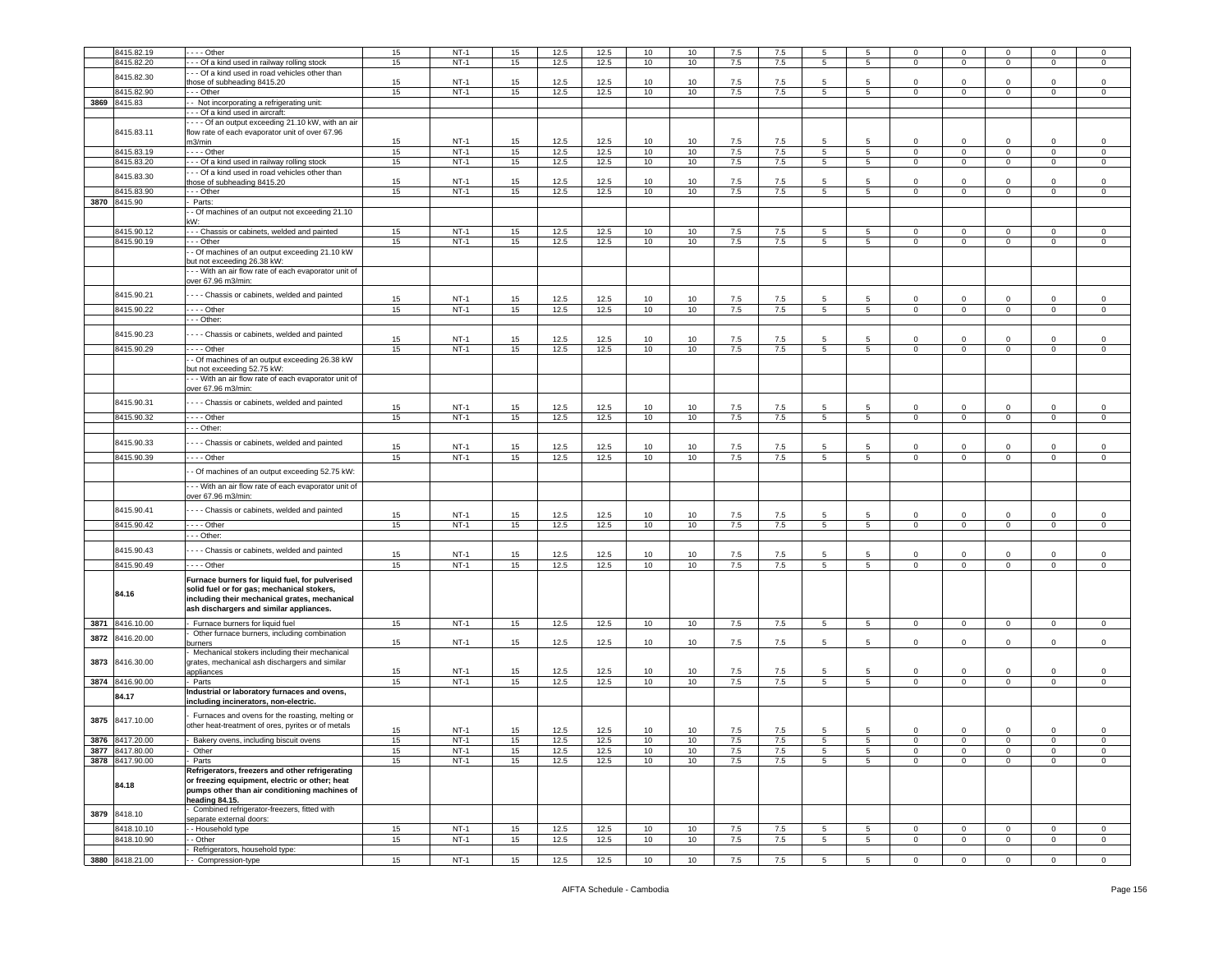|      | 8415.82.19      | - - - Other                                                                              | 15       | $NT-1$           | 15       | 12.5         | 12.5         | 10       | 10       | 7.5        | 7.5        | 5                   | 5                    | $\Omega$                | $\Omega$       | $\Omega$         | $\Omega$       | $\mathbf 0$            |
|------|-----------------|------------------------------------------------------------------------------------------|----------|------------------|----------|--------------|--------------|----------|----------|------------|------------|---------------------|----------------------|-------------------------|----------------|------------------|----------------|------------------------|
|      | 8415.82.20      | - - Of a kind used in railway rolling stock                                              | 15       | $NT-1$           | 15       | 12.5         | 12.5         | 10       | 10       | 7.5        | 7.5        | 5                   | 5                    | $\mathbf{0}$            | $\overline{0}$ | $\overline{0}$   | $\mathbf 0$    | $\mathsf 0$            |
|      |                 | - - Of a kind used in road vehicles other than                                           |          |                  |          |              |              |          |          |            |            |                     |                      |                         |                |                  |                |                        |
|      | 8415.82.30      | hose of subheading 8415.20                                                               | 15       | <b>NT-1</b>      | 15       | 12.5         | 12.5         | 10       | 10       | 7.5        | 7.5        | 5                   | 5                    | $\mathbf 0$             | $\mathbf 0$    | 0                | $\mathbf 0$    | $\mathbf 0$            |
|      | 8415.82.90      | - - Other                                                                                | 15       | $NT-1$           | 15       | 12.5         | 12.5         | 10       | 10       | 7.5        | 7.5        | 5                   | $5\overline{5}$      | $\circ$                 | $\mathbf 0$    | $\circ$          | $\mathbf 0$    | $\mathsf 0$            |
|      | 3869 8415.83    | - Not incorporating a refrigerating unit:                                                |          |                  |          |              |              |          |          |            |            |                     |                      |                         |                |                  |                |                        |
|      |                 | - Of a kind used in aircraft:                                                            |          |                  |          |              |              |          |          |            |            |                     |                      |                         |                |                  |                |                        |
|      |                 | - - - Of an output exceeding 21.10 kW, with an air                                       |          |                  |          |              |              |          |          |            |            |                     |                      |                         |                |                  |                |                        |
|      | 8415.83.11      | flow rate of each evaporator unit of over 67.96                                          |          |                  |          |              |              |          |          |            |            |                     |                      |                         |                |                  |                |                        |
|      |                 | m3/min                                                                                   | 15       | $NT-1$           | 15       | 12.5         | 12.5         | 10       | 10       | 7.5        | 7.5        | 5                   | -5                   | $\Omega$                | $\mathbf 0$    | 0                | $^{\circ}$     | 0                      |
|      | 8415.83.19      | - - - - Other                                                                            | 15       | $NT-1$           | 15       | 12.5         | 12.5         | 10       | 10       | 7.5        | 7.5        | 5                   | 5                    | $\mathbf{0}$            | $\mathbf 0$    | $\mathbf{0}$     | 0              | $\mathbf 0$            |
|      | 8415.83.20      | - - Of a kind used in railway rolling stock                                              | 15       | $NT-1$           | 15       | 12.5         | 12.5         | 10       | 10       | 7.5        | 7.5        | 5                   | 5                    | $\mathbf{0}$            | $\mathbf 0$    | $\mathbf 0$      | $\mathbf 0$    | $\mathsf 0$            |
|      | 8415.83.30      | - - Of a kind used in road vehicles other than                                           |          |                  |          |              |              |          |          |            |            |                     |                      |                         |                |                  |                |                        |
|      |                 | hose of subheading 8415.20                                                               | 15       | $NT-1$           | 15       | 12.5         | 12.5         | 10       | 10       | 7.5        | 7.5        | 5                   | 5                    | $\Omega$                | $\mathbf 0$    | 0                | $\Omega$       | $\mathbf 0$            |
|      | 8415.83.90      | - - Other                                                                                | 15       | $NT-1$           | 15       | 12.5         | 12.5         | 10       | 10       | 7.5        | 7.5        | 5                   | 5                    | 0                       | $\mathbf 0$    | $\mathbf 0$      | 0              | 0                      |
|      | 3870 8415.90    | Parts:                                                                                   |          |                  |          |              |              |          |          |            |            |                     |                      |                         |                |                  |                |                        |
|      |                 | - Of machines of an output not exceeding 21.10                                           |          |                  |          |              |              |          |          |            |            |                     |                      |                         |                |                  |                |                        |
|      |                 | :W٠                                                                                      |          |                  |          |              |              |          |          |            |            |                     |                      |                         |                |                  |                |                        |
|      | 8415.90.12      | - - Chassis or cabinets, welded and painted                                              | 15       | $NT-1$           | 15       | 12.5         | 12.5         | 10       | 10       | 7.5        | 7.5        | 5                   | 5                    | 0                       | $\mathbf 0$    | 0                | $\Omega$       | 0                      |
|      | 8415.90.19      | - - Other                                                                                | 15       | $NT-1$           | 15       | 12.5         | 12.5         | 10       | 10       | 7.5        | 7.5        | 5 <sup>5</sup>      | $5\overline{5}$      | $\circ$                 | $\mathbf 0$    | $\mathbf 0$      | $\mathbf 0$    | $\,0\,$                |
|      |                 | - Of machines of an output exceeding 21.10 kW                                            |          |                  |          |              |              |          |          |            |            |                     |                      |                         |                |                  |                |                        |
|      |                 | out not exceeding 26.38 kW:                                                              |          |                  |          |              |              |          |          |            |            |                     |                      |                         |                |                  |                |                        |
|      |                 | --- With an air flow rate of each evaporator unit of<br>over 67.96 m3/min:               |          |                  |          |              |              |          |          |            |            |                     |                      |                         |                |                  |                |                        |
|      |                 |                                                                                          |          |                  |          |              |              |          |          |            |            |                     |                      |                         |                |                  |                |                        |
|      | 8415.90.21      | --- Chassis or cabinets, welded and painted                                              | 15       | $NT-1$           | 15       | 12.5         | 12.5         | 10       | 10       | 7.5        | 7.5        | 5                   | 5                    | 0                       | $\mathbf 0$    | 0                | 0              | 0                      |
|      | 8415.90.22      | --- Other                                                                                | 15       | $NT-1$           | 15       | 12.5         | 12.5         | 10       | 10       | 7.5        | 7.5        | $5\phantom{.0}$     | $5\overline{5}$      | $\overline{0}$          | $\mathbf 0$    | $\overline{0}$   | $\mathbf 0$    | $\overline{0}$         |
|      |                 | - - Other:                                                                               |          |                  |          |              |              |          |          |            |            |                     |                      |                         |                |                  |                |                        |
|      | 8415.90.23      | - - - Chassis or cabinets, welded and painted                                            |          |                  |          |              |              |          |          |            |            |                     |                      |                         |                |                  |                |                        |
|      |                 |                                                                                          | 15       | $NT-1$           | 15       | 12.5         | 12.5         | 10       | 10       | 7.5        | 7.5        | 5                   | 5                    | $\Omega$                | $\mathbf 0$    | $\Omega$         | $\Omega$       | $\mathbf 0$            |
|      | 8415.90.29      | $- -$ Other                                                                              | 15       | $NT-1$           | 15       | 12.5         | 12.5         | 10       | 10       | 7.5        | 7.5        | 5                   | 5                    | $\mathsf 0$             | $\mathbf 0$    | $\mathbf 0$      | $\mathsf 0$    | $\,0\,$                |
|      |                 | - Of machines of an output exceeding 26.38 kW<br>ut not exceeding 52.75 kW:              |          |                  |          |              |              |          |          |            |            |                     |                      |                         |                |                  |                |                        |
|      |                 | - - With an air flow rate of each evaporator unit of                                     |          |                  |          |              |              |          |          |            |            |                     |                      |                         |                |                  |                |                        |
|      |                 | over 67.96 m3/min:                                                                       |          |                  |          |              |              |          |          |            |            |                     |                      |                         |                |                  |                |                        |
|      | 8415.90.31      |                                                                                          |          |                  |          |              |              |          |          |            |            |                     |                      |                         |                |                  |                |                        |
|      |                 | --- Chassis or cabinets, welded and painted                                              | 15       | $NT-1$           | 15       | 12.5         | 12.5         | 10       | 10       | 7.5        | 7.5        | 5                   | 5                    | $\circ$                 | $\mathbf 0$    | 0                | $\mathbf 0$    | $\mathsf 0$            |
|      | 8415.90.32      | $- -$ - Other                                                                            | 15       | $NT-1$           | 15       | 12.5         | 12.5         | 10       | 10       | 7.5        | 7.5        | $5\overline{5}$     | 5                    | $\mathbf{0}$            | $\overline{0}$ | $\mathbf{0}$     | $\mathbf 0$    | $\overline{0}$         |
|      |                 | - - Other:                                                                               |          |                  |          |              |              |          |          |            |            |                     |                      |                         |                |                  |                |                        |
|      | 8415.90.33      | - - - Chassis or cabinets, welded and painted                                            |          |                  |          |              |              |          |          |            |            |                     |                      |                         | $\Omega$       |                  | $\Omega$       |                        |
|      | 8415.90.39      | . - - - Other                                                                            | 15<br>15 | $NT-1$<br>$NT-1$ | 15<br>15 | 12.5<br>12.5 | 12.5<br>12.5 | 10<br>10 | 10<br>10 | 7.5<br>7.5 | 7.5<br>7.5 | 5<br>$\overline{5}$ | -5<br>$\overline{5}$ | $\Omega$<br>$\mathbf 0$ | $\overline{0}$ | 0<br>$\mathsf 0$ | $\mathsf 0$    | $\mathbf 0$<br>$\,0\,$ |
|      |                 |                                                                                          |          |                  |          |              |              |          |          |            |            |                     |                      |                         |                |                  |                |                        |
|      |                 | - Of machines of an output exceeding 52.75 kW:                                           |          |                  |          |              |              |          |          |            |            |                     |                      |                         |                |                  |                |                        |
|      |                 | - - With an air flow rate of each evaporator unit of                                     |          |                  |          |              |              |          |          |            |            |                     |                      |                         |                |                  |                |                        |
|      |                 | over 67.96 m3/min:                                                                       |          |                  |          |              |              |          |          |            |            |                     |                      |                         |                |                  |                |                        |
|      | 8415.90.41      | --- Chassis or cabinets, welded and painted                                              |          |                  |          |              |              |          |          |            |            |                     |                      |                         |                |                  |                |                        |
|      |                 |                                                                                          | 15       | $NT-1$           | 15       | 12.5         | 12.5         | 10       | 10       | 7.5        | 7.5        | -5                  | 5                    | $\Omega$                | $\mathbf 0$    | $\Omega$         | 0              | $\mathbf 0$            |
|      | 8415.90.42      | . - - - Other                                                                            | 15       | $NT-1$           | 15       | 12.5         | 12.5         | 10       | 10       | 7.5        | 7.5        | 5                   | $5\overline{5}$      | $\mathbf 0$             | $\overline{0}$ | $\mathbf{0}$     | $\mathbf 0$    | $\mathbf 0$            |
|      |                 | - - Other:                                                                               |          |                  |          |              |              |          |          |            |            |                     |                      |                         |                |                  |                |                        |
|      | 8415.90.43      | --- Chassis or cabinets, welded and painted                                              | 15       | $NT-1$           | 15       | 12.5         | 12.5         | 10       | 10       | 7.5        | 7.5        | 5                   | 5                    | 0                       | $\mathbf 0$    | 0                | $\mathbf 0$    | 0                      |
|      | 8415.90.49      | . - - - Other                                                                            | 15       | $NT-1$           | 15       | 12.5         | 12.5         | 10       | 10       | 7.5        | 7.5        | 5                   | 5                    | 0                       | $\mathbf 0$    | $\mathbf 0$      | 0              | 0                      |
|      |                 |                                                                                          |          |                  |          |              |              |          |          |            |            |                     |                      |                         |                |                  |                |                        |
|      |                 | Furnace burners for liquid fuel, for pulverised                                          |          |                  |          |              |              |          |          |            |            |                     |                      |                         |                |                  |                |                        |
|      | 84.16           | solid fuel or for gas; mechanical stokers,                                               |          |                  |          |              |              |          |          |            |            |                     |                      |                         |                |                  |                |                        |
|      |                 | including their mechanical grates, mechanical<br>ash dischargers and similar appliances. |          |                  |          |              |              |          |          |            |            |                     |                      |                         |                |                  |                |                        |
|      |                 |                                                                                          |          |                  |          |              |              |          |          |            |            |                     |                      |                         |                |                  |                |                        |
|      | 3871 8416.10.00 | Furnace burners for liquid fuel                                                          | 15       | $NT-1$           | 15       | 12.5         | 12.5         | 10       | 10       | 7.5        | 7.5        | 5                   | 5                    | $\mathbf 0$             | $\mathbf 0$    | $\overline{0}$   | 0              | $\mathbf 0$            |
| 3872 | 8416.20.00      | Other furnace burners, including combination<br>urners                                   | 15       | $NT-1$           | 15       | 12.5         | 12.5         | 10       | 10       | 7.5        | 7.5        | 5                   | $5\overline{5}$      | 0                       | $\mathbf 0$    | 0                | $\Omega$       | 0                      |
|      |                 | Mechanical stokers including their mechanical                                            |          |                  |          |              |              |          |          |            |            |                     |                      |                         |                |                  |                |                        |
| 3873 | 8416.30.00      | grates, mechanical ash dischargers and similar                                           |          |                  |          |              |              |          |          |            |            |                     |                      |                         |                |                  |                |                        |
|      |                 | ppliances                                                                                | 15       | $NT-1$           | 15       | 12.5         | 12.5         | 10       | 10       | 7.5        | 7.5        | 5                   | -5                   | 0                       | $\mathbf 0$    | $\mathbf 0$      | $\Omega$       | 0                      |
| 3874 | 8416.90.00      | Parts                                                                                    | 15       | $NT-1$           | 15       | 12.5         | 12.5         | 10       | 10       | 7.5        | 7.5        | 5                   | $5\overline{5}$      | $\mathbf 0$             | $\mathbf 0$    | $\overline{0}$   | $\mathbf 0$    | 0                      |
|      | 84.17           | ndustrial or laboratory furnaces and ovens,                                              |          |                  |          |              |              |          |          |            |            |                     |                      |                         |                |                  |                |                        |
|      |                 | including incinerators, non-electric.                                                    |          |                  |          |              |              |          |          |            |            |                     |                      |                         |                |                  |                |                        |
|      |                 | Furnaces and ovens for the roasting, melting or                                          |          |                  |          |              |              |          |          |            |            |                     |                      |                         |                |                  |                |                        |
| 3875 | 8417.10.00      | other heat-treatment of ores, pyrites or of metals                                       | 15       | $NT-1$           | 15       | 12.5         | 12.5         | 10       | 10       | 7.5        | 7.5        | 5                   | 5                    | 0                       | $\mathbf 0$    | 0                | 0              | 0                      |
| 3876 | 8417.20.00      | - Bakery ovens, including biscuit ovens                                                  | 15       | $NT-1$           | 15       | 12.5         | 12.5         | 10       | 10       | 7.5        | 7.5        | 5                   | 5                    | $\mathbf 0$             | $\overline{0}$ | $\mathbf{0}$     | $\circ$        | $\mathbf 0$            |
| 3877 | 8417.80.00      | Other                                                                                    | 15       | $NT-1$           | 15       | 12.5         | 12.5         | 10       | 10       | 7.5        | 7.5        | 5                   | 5                    | $\mathbf 0$             | $\mathbf 0$    | $\mathsf 0$      | $\mathsf 0$    | $\,0\,$                |
| 3878 | 8417.90.00      | Parts                                                                                    | 15       | $NT-1$           | 15       | 12.5         | 12.5         | 10       | 10       | 7.5        | 7.5        | 5                   | $5\overline{5}$      | $\mathbf 0$             | $\mathbf 0$    | $\mathsf 0$      | $\mathbf 0$    | $\mathsf 0$            |
|      |                 | Refrigerators, freezers and other refrigerating                                          |          |                  |          |              |              |          |          |            |            |                     |                      |                         |                |                  |                |                        |
|      | 84.18           | or freezing equipment, electric or other; heat                                           |          |                  |          |              |              |          |          |            |            |                     |                      |                         |                |                  |                |                        |
|      |                 | pumps other than air conditioning machines of                                            |          |                  |          |              |              |          |          |            |            |                     |                      |                         |                |                  |                |                        |
|      |                 | heading 84.15.                                                                           |          |                  |          |              |              |          |          |            |            |                     |                      |                         |                |                  |                |                        |
| 3879 | 8418.10         | Combined refrigerator-freezers, fitted with<br>separate external doors:                  |          |                  |          |              |              |          |          |            |            |                     |                      |                         |                |                  |                |                        |
|      | 8418.10.10      | - Household type                                                                         | 15       | $NT-1$           | 15       | 12.5         | 12.5         | 10       | 10       | 7.5        | 7.5        | 5                   | 5                    | $\circ$                 | $\mathbf 0$    | $\mathbf 0$      | $\mathbf 0$    | $\mathbf 0$            |
|      | 8418.10.90      | - Other                                                                                  | 15       | $NT-1$           | 15       | 12.5         | 12.5         | 10       | 10       | 7.5        | 7.5        | 5 <sub>5</sub>      | $5\overline{5}$      | $\circ$                 | $\mathbf 0$    | $\overline{0}$   | $\mathbf 0$    | $\mathsf 0$            |
|      |                 | Refrigerators, household type:                                                           |          |                  |          |              |              |          |          |            |            |                     |                      |                         |                |                  |                |                        |
|      | 3880 8418.21.00 | - Compression-type                                                                       | 15       | $NT-1$           | 15       | 12.5         | 12.5         | 10       | 10       | 7.5        | 7.5        | $5\phantom{.0}$     | $5\overline{5}$      | $\mathbf 0$             | $\overline{0}$ | $\mathbf{0}$     | $\overline{0}$ | $\overline{0}$         |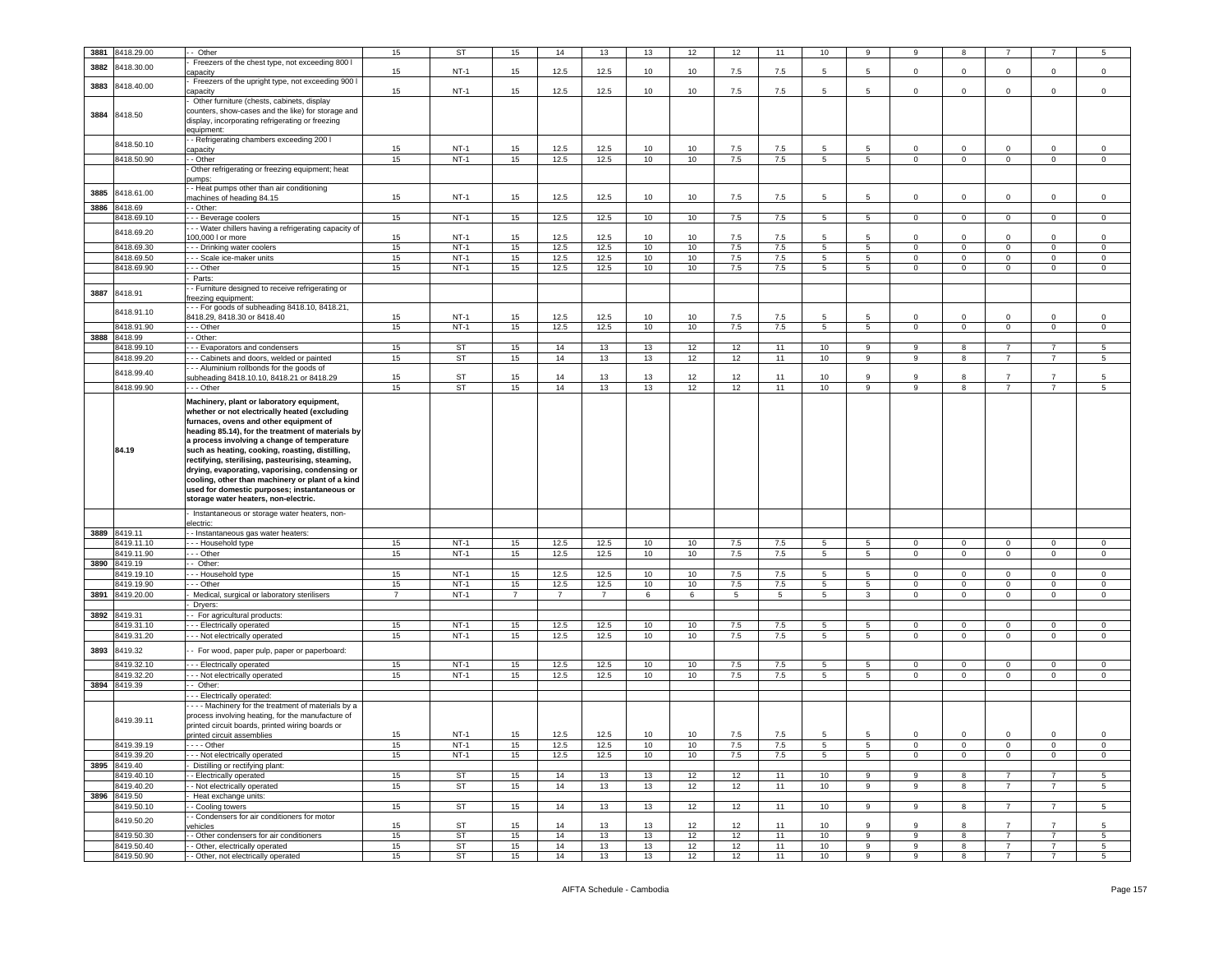| 3881 | 3418.29.00               | - Other                                                              | 15             | ST              | 15             | 14             | 13             | 13              | 12       | 12       | 11       | 10              | 9               | 9            | 8            |                                  |                                  | 5                                  |
|------|--------------------------|----------------------------------------------------------------------|----------------|-----------------|----------------|----------------|----------------|-----------------|----------|----------|----------|-----------------|-----------------|--------------|--------------|----------------------------------|----------------------------------|------------------------------------|
|      |                          | Freezers of the chest type, not exceeding 800 I                      |                |                 |                |                |                |                 |          |          |          |                 |                 |              |              |                                  |                                  |                                    |
| 3882 | 3418.30.00               | apacity                                                              | 15             | $NT-1$          | 15             | 12.5           | 12.5           | 10              | 10       | 7.5      | 7.5      | 5               | 5               | $\mathbf 0$  | 0            | $\mathbf 0$                      | $\mathbf 0$                      | $\mathbf 0$                        |
|      |                          | Freezers of the upright type, not exceeding 900 I                    |                |                 |                |                |                |                 |          |          |          |                 |                 |              |              |                                  |                                  |                                    |
| 3883 | 3418.40.00               | capacity                                                             | 15             | $NT-1$          | 15             | 12.5           | 12.5           | 10              | 10       | 7.5      | 7.5      | 5               | 5               | $\circ$      | $\mathbf 0$  | $\mathbf 0$                      | $\mathbf 0$                      | $\mathbf 0$                        |
|      |                          | Other furniture (chests, cabinets, display                           |                |                 |                |                |                |                 |          |          |          |                 |                 |              |              |                                  |                                  |                                    |
|      |                          |                                                                      |                |                 |                |                |                |                 |          |          |          |                 |                 |              |              |                                  |                                  |                                    |
| 3884 | 8418.50                  | counters, show-cases and the like) for storage and                   |                |                 |                |                |                |                 |          |          |          |                 |                 |              |              |                                  |                                  |                                    |
|      |                          | display, incorporating refrigerating or freezing                     |                |                 |                |                |                |                 |          |          |          |                 |                 |              |              |                                  |                                  |                                    |
|      |                          | eauipment:                                                           |                |                 |                |                |                |                 |          |          |          |                 |                 |              |              |                                  |                                  |                                    |
|      | 8418.50.10               | - Refrigerating chambers exceeding 200 I                             | 15             | $NT-1$          | 15             | 12.5           | 12.5           | 10              | 10       | 7.5      | 7.5      | 5               | 5               | $\Omega$     | $\mathbf 0$  | $\mathbf 0$                      | $\mathbf 0$                      | $^{\circ}$                         |
|      |                          | apacity                                                              |                | $NT-1$          | 15             |                | 12.5           | 10              |          |          |          | $5^{\circ}$     |                 | $\mathbf 0$  | $\mathbf 0$  |                                  | $\mathsf 0$                      | $\mathbf 0$                        |
|      | 8418.50.90               | - Other                                                              | 15             |                 |                | 12.5           |                |                 | 10       | 7.5      | 7.5      |                 | $5\overline{5}$ |              |              | $\mathbf 0$                      |                                  |                                    |
|      |                          | Other refrigerating or freezing equipment; heat                      |                |                 |                |                |                |                 |          |          |          |                 |                 |              |              |                                  |                                  |                                    |
|      |                          | umps:                                                                |                |                 |                |                |                |                 |          |          |          |                 |                 |              |              |                                  |                                  |                                    |
| 3885 | 8418.61.00               | - Heat pumps other than air conditioning                             |                |                 |                |                |                |                 |          |          |          |                 |                 |              |              |                                  |                                  |                                    |
|      |                          | nachines of heading 84.15                                            | 15             | NT-1            | 15             | 12.5           | 12.5           | 10              | 10       | 7.5      | 7.5      | 5               | 5               | 0            | 0            | $\mathbf 0$                      | $\mathbf 0$                      | $\mathbf 0$                        |
| 3886 | 8418.69                  | - Other:                                                             |                |                 |                |                |                |                 |          |          |          |                 |                 |              |              |                                  |                                  |                                    |
|      | 8418.69.10               | - - Beverage coolers                                                 | 15             | $NT-1$          | 15             | 12.5           | 12.5           | 10              | 10       | 7.5      | 7.5      | 5               | $5\overline{5}$ | $\mathbf 0$  | $\mathbf{0}$ | $\mathbf{0}$                     | $\mathbf{0}$                     | $\mathbf 0$                        |
|      | 8418.69.20               | - - Water chillers having a refrigerating capacity of                |                |                 |                |                |                |                 |          |          |          |                 |                 |              |              |                                  |                                  |                                    |
|      |                          | 100,000 l or more                                                    | 15             | $NT-1$          | 15             | 12.5           | 12.5           | 10              | 10       | 7.5      | 7.5      | 5               | 5               | $\Omega$     | $\mathbf 0$  | $\mathbf 0$                      | $\mathbf 0$                      | $\mathbf 0$                        |
|      | 8418.69.30               | - - Drinking water coolers                                           | 15             | $NT-1$          | 15             | 12.5           | 12.5           | 10              | 10       | 7.5      | 7.5      | 5               | $5\overline{5}$ | $\circ$      | $\mathbf 0$  | $\mathbf 0$                      | $\mathbf 0$                      | $\mathbf 0$                        |
|      | 8418.69.50               | - - Scale ice-maker units                                            | 15             | $NT-1$          | 15             | 12.5           | 12.5           | 10              | 10       | 7.5      | $7.5\,$  | 5               | 5               | $\mathbf 0$  | $\mathbf 0$  | $\mathbf 0$                      | $\mathbf 0$                      | $\mathbf 0$                        |
|      | 8418.69.90               | - - Other                                                            | 15             | $NT-1$          | 15             | 12.5           | 12.5           | 10              | 10       | 7.5      | 7.5      | 5               | 5               | 0            | 0            | $\mathbf 0$                      | $\mathbf 0$                      | $\mathbf 0$                        |
|      |                          | Parts:                                                               |                |                 |                |                |                |                 |          |          |          |                 |                 |              |              |                                  |                                  |                                    |
| 3887 | 8418.91                  | - Furniture designed to receive refrigerating or                     |                |                 |                |                |                |                 |          |          |          |                 |                 |              |              |                                  |                                  |                                    |
|      |                          | reezing equipment:                                                   |                |                 |                |                |                |                 |          |          |          |                 |                 |              |              |                                  |                                  |                                    |
|      | 8418.91.10               | - - For goods of subheading 8418.10, 8418.21,                        |                |                 |                |                |                |                 |          |          |          |                 |                 |              |              |                                  |                                  |                                    |
|      |                          | 3418.29, 8418.30 or 8418.40                                          | 15             | $NT-1$          | 15             | 12.5           | 12.5           | 10              | 10       | 7.5      | 7.5      | 5               | 5               | $\Omega$     | $\Omega$     | $\Omega$                         | $\Omega$                         | $^{\circ}$                         |
|      | 8418.91.90               | - - Other                                                            | 15             | $NT-1$          | 15             | 12.5           | 12.5           | 10              | 10       | 7.5      | 7.5      | 5 <sup>5</sup>  | $5\overline{5}$ | $\circ$      | $\mathbf 0$  | $\mathbf 0$                      | $\mathsf 0$                      | $\mathbf 0$                        |
| 3888 | 8418.99                  | - Other:                                                             |                |                 |                |                |                |                 |          |          |          |                 |                 |              |              |                                  |                                  |                                    |
|      | 3418.99.10               | - - Evaporators and condensers                                       | 15             | ST              | 15             | 14             | 13             | 13              | 12       | 12       | 11       | 10              | 9               | 9            | 8            | $\overline{7}$                   | $\overline{7}$                   | $5\phantom{.0}$                    |
|      | 8418.99.20               | - - Cabinets and doors, welded or painted                            | 15             | ST              | 15             | 14             | 13             | 13              | 12       | 12       | 11       | 10              | 9               | 9            | 8            | $\overline{7}$                   | -7                               | $5\overline{5}$                    |
|      | 8418.99.40               | - - Aluminium rollbonds for the goods of                             |                |                 |                |                |                |                 |          |          |          |                 |                 |              |              |                                  |                                  |                                    |
|      |                          | subheading 8418.10.10, 8418.21 or 8418.29                            | 15             | ST              | 15             | 14             | 13             | 13              | 12       | 12       | 11       | 10              | 9               | ۰q           | 8            |                                  | -7                               | 5                                  |
|      | 8418.99.90               | - - Other                                                            | 15             | <b>ST</b>       | 15             | 14             | 13             | 13              | 12       | 12       | 11       | 10              | 9               | q            | 8            | $\overline{7}$                   | $\overline{7}$                   | $5\overline{5}$                    |
|      |                          | Machinery, plant or laboratory equipment,                            |                |                 |                |                |                |                 |          |          |          |                 |                 |              |              |                                  |                                  |                                    |
|      |                          | whether or not electrically heated (excluding                        |                |                 |                |                |                |                 |          |          |          |                 |                 |              |              |                                  |                                  |                                    |
|      |                          | furnaces, ovens and other equipment of                               |                |                 |                |                |                |                 |          |          |          |                 |                 |              |              |                                  |                                  |                                    |
|      |                          | heading 85.14), for the treatment of materials by                    |                |                 |                |                |                |                 |          |          |          |                 |                 |              |              |                                  |                                  |                                    |
|      |                          | a process involving a change of temperature                          |                |                 |                |                |                |                 |          |          |          |                 |                 |              |              |                                  |                                  |                                    |
|      | 84.19                    | such as heating, cooking, roasting, distilling,                      |                |                 |                |                |                |                 |          |          |          |                 |                 |              |              |                                  |                                  |                                    |
|      |                          | rectifying, sterilising, pasteurising, steaming,                     |                |                 |                |                |                |                 |          |          |          |                 |                 |              |              |                                  |                                  |                                    |
|      |                          | drying, evaporating, vaporising, condensing or                       |                |                 |                |                |                |                 |          |          |          |                 |                 |              |              |                                  |                                  |                                    |
|      |                          | cooling, other than machinery or plant of a kind                     |                |                 |                |                |                |                 |          |          |          |                 |                 |              |              |                                  |                                  |                                    |
|      |                          | used for domestic purposes; instantaneous or                         |                |                 |                |                |                |                 |          |          |          |                 |                 |              |              |                                  |                                  |                                    |
|      |                          | storage water heaters, non-electric.                                 |                |                 |                |                |                |                 |          |          |          |                 |                 |              |              |                                  |                                  |                                    |
|      |                          |                                                                      |                |                 |                |                |                |                 |          |          |          |                 |                 |              |              |                                  |                                  |                                    |
|      |                          | Instantaneous or storage water heaters, non-<br>lectric:             |                |                 |                |                |                |                 |          |          |          |                 |                 |              |              |                                  |                                  |                                    |
|      | 3889 8419.11             | - Instantaneous gas water heaters:                                   |                |                 |                |                |                |                 |          |          |          |                 |                 |              |              |                                  |                                  |                                    |
|      | 3419.11.10               | - - Household type                                                   | 15             | $NT-1$          | 15             | 12.5           | 12.5           | 10              | 10       | 7.5      | 7.5      | 5               | 5               | $\mathbf 0$  | $\mathbf 0$  | $\mathbf 0$                      | $\mathbf 0$                      | $\circ$                            |
|      | 8419.11.90               | - - Other                                                            | 15             | $NT-1$          | 15             | 12.5           | 12.5           | 10              | 10       | 7.5      | 7.5      | $5\overline{)}$ | $5\overline{5}$ | $\mathbf{0}$ | $\mathbf{0}$ | $\mathbf 0$                      | $\overline{0}$                   | $\mathbf 0$                        |
| 3890 | 8419.19                  | - Other:                                                             |                |                 |                |                |                |                 |          |          |          |                 |                 |              |              |                                  |                                  |                                    |
|      | 8419.19.10               | - - Household type                                                   | 15             | $NT-1$          | 15             | 12.5           | 12.5           | 10              | 10       | 7.5      | 7.5      | 5               | 5               | $\mathbf 0$  | 0            | $\mathbf 0$                      | $\mathbf 0$                      | $\mathbf 0$                        |
|      | 8419.19.90               | - - Other                                                            | 15             | $NT-1$          | 15             | 12.5           | 12.5           | 10              | 10       | 7.5      | 7.5      | $5^{\circ}$     | $5^{\circ}$     | $\Omega$     | $\mathbf 0$  | $\pmb{0}$                        | $\mathsf 0$                      | $\mathsf 0$                        |
| 3891 | 8419.20.00               |                                                                      | $\overline{7}$ | $NT-1$          | $\overline{7}$ | $\overline{7}$ | $\overline{7}$ | 6               | 6        | 5        | 5        | 5               | 3               | 0            | $\mathbf 0$  | $\mathbf 0$                      | $\mathsf 0$                      | $\mathbf 0$                        |
|      |                          | Medical, surgical or laboratory sterilisers<br>Dryers:               |                |                 |                |                |                |                 |          |          |          |                 |                 |              |              |                                  |                                  |                                    |
| 3892 | 8419.31                  | - For agricultural products:                                         |                |                 |                |                |                |                 |          |          |          |                 |                 |              |              |                                  |                                  |                                    |
|      | 8419.31.10               | - - Electrically operated                                            | 15             | $NT-1$          | 15             | 12.5           | 12.5           | 10              | 10       | 7.5      | 7.5      | 5               | 5               | $\mathbf 0$  | $\mathbf{0}$ | 0                                | $\mathsf 0$                      | $\mathbf 0$                        |
|      | 8419.31.20               | - - Not electrically operated                                        | 15             | $NT-1$          | 15             | 12.5           | 12.5           | 10              | 10       | 7.5      | 7.5      | 5               | 5 <sup>1</sup>  | $\mathbf 0$  | $\mathbf 0$  | $\mathbf 0$                      | $\mathsf 0$                      | $\overline{0}$                     |
|      |                          |                                                                      |                |                 |                |                |                |                 |          |          |          |                 |                 |              |              |                                  |                                  |                                    |
| 3893 | 8419.32                  | - For wood, paper pulp, paper or paperboard:                         |                |                 |                |                |                |                 |          |          |          |                 |                 |              |              |                                  |                                  |                                    |
|      | 3419.32.10               | - - Electrically operated                                            | 15             | $NT-1$          | 15             | 12.5           | 12.5           | 10              | 10       | 7.5      | 7.5      | 5               | 5               | $\mathbf 0$  | $\mathbf 0$  | 0                                | $\mathbf 0$                      | $\mathsf 0$                        |
|      | 8419.32.20               | - - Not electrically operated                                        | 15             | $NT-1$          | 15             | 12.5           | 12.5           | 10 <sup>1</sup> | 10       | 7.5      | 7.5      | $5\overline{)}$ | $5\overline{5}$ | $\mathbf{0}$ | $\mathbf{0}$ | $\mathbf{0}$                     | $\overline{0}$                   | $\overline{0}$                     |
| 3894 | 8419.39                  |                                                                      |                |                 |                |                |                |                 |          |          |          |                 |                 |              |              |                                  |                                  |                                    |
|      |                          |                                                                      |                |                 |                |                |                |                 |          |          |          |                 |                 |              |              |                                  |                                  |                                    |
|      |                          | - Other:                                                             |                |                 |                |                |                |                 |          |          |          |                 |                 |              |              |                                  |                                  |                                    |
|      |                          | - - Electrically operated:                                           |                |                 |                |                |                |                 |          |          |          |                 |                 |              |              |                                  |                                  |                                    |
|      |                          | --- Machinery for the treatment of materials by a                    |                |                 |                |                |                |                 |          |          |          |                 |                 |              |              |                                  |                                  |                                    |
|      | 8419.39.11               | process involving heating, for the manufacture of                    |                |                 |                |                |                |                 |          |          |          |                 |                 |              |              |                                  |                                  |                                    |
|      |                          | printed circuit boards, printed wiring boards or                     |                |                 |                |                |                |                 |          |          |          |                 |                 |              |              |                                  |                                  |                                    |
|      |                          | printed circuit assemblies                                           | 15             | $NT-1$          | 15             | 12.5           | 12.5           | 10              | 10       | 7.5      | 7.5      | 5               | 5               | $\mathbf 0$  | 0            | $\mathbf 0$                      | $\mathsf 0$                      | $\mathsf 0$                        |
|      | 8419.39.19               | --- Other                                                            | 15             | NI-1            | 15             | 12.5           | 12.5           | 10.             | 10       | 7.5      | 7.5      |                 | 5               | 0            | 0            | 0                                | 0                                | 0                                  |
|      | 8419.39.20               | - - Not electrically operated                                        | 15             | $NT-1$          | 15             | 12.5           | 12.5           | 10              | 10       | 7.5      | 7.5      | 5               | $5\overline{5}$ | $\mathbf{0}$ | $\mathbf{O}$ | $\mathbf{0}$                     | $\mathbf{0}$                     | $\mathbf 0$                        |
|      | 3895 8419.40             | Distilling or rectifying plant:                                      |                |                 |                |                |                |                 |          |          |          |                 |                 |              |              |                                  |                                  |                                    |
|      | 8419.40.10               | - Electrically operated                                              | 15             | <b>ST</b>       | 15             | 14             | 13             | 13              | 12       | 12       | 11       | 10              | 9               | 9            | 8            | $\overline{7}$                   | $\overline{7}$                   | $5\overline{5}$                    |
|      | 8419.40.20               | - Not electrically operated                                          | 15             | ST              | 15             | 14             | 13             | 13              | 12       | 12       | 11       | 10              | 9               | 9            | 8            | $\overline{7}$                   | $\overline{7}$                   | $5\overline{5}$                    |
|      | 3896 8419.50             | Heat exchange units:                                                 |                |                 |                |                |                |                 |          |          |          |                 |                 |              |              |                                  |                                  |                                    |
|      | 8419.50.10               | - Cooling towers                                                     | 15             | ST              | 15             | 14             | 13             | 13              | 12       | 12       | 11       | 10              | 9               | 9            | 8            | $\overline{7}$                   | $\overline{7}$                   | $5\overline{5}$                    |
|      | 8419.50.20               | - Condensers for air conditioners for motor                          |                |                 |                |                |                |                 |          |          |          |                 |                 |              |              |                                  |                                  |                                    |
|      |                          | vehicles                                                             | 15             | ST              | 15             | 14             | 13             | 13              | 12       | 12       | 11       | 10              | 9               | 9            | 8            | $\overline{7}$                   | $\overline{7}$                   | 5                                  |
|      | 8419.50.30               | - Other condensers for air conditioners                              | 15             | <b>ST</b>       | 15             | 14             | 13             | 13              | 12       | 12       | 11       | 10              | 9               | 9            | 8            | $\overline{7}$                   | $\overline{7}$                   | $5\overline{5}$                    |
|      | 8419.50.40<br>8419.50.90 | - Other, electrically operated<br>- Other, not electrically operated | 15<br>15       | <b>ST</b><br>ST | 15<br>15       | 14<br>14       | 13<br>13       | 13<br>13        | 12<br>12 | 12<br>12 | 11<br>11 | 10<br>10        | 9<br>9          | 9<br>9       | 8<br>8       | $\overline{7}$<br>$\overline{7}$ | $\overline{7}$<br>$\overline{7}$ | $5\overline{5}$<br>$5\overline{)}$ |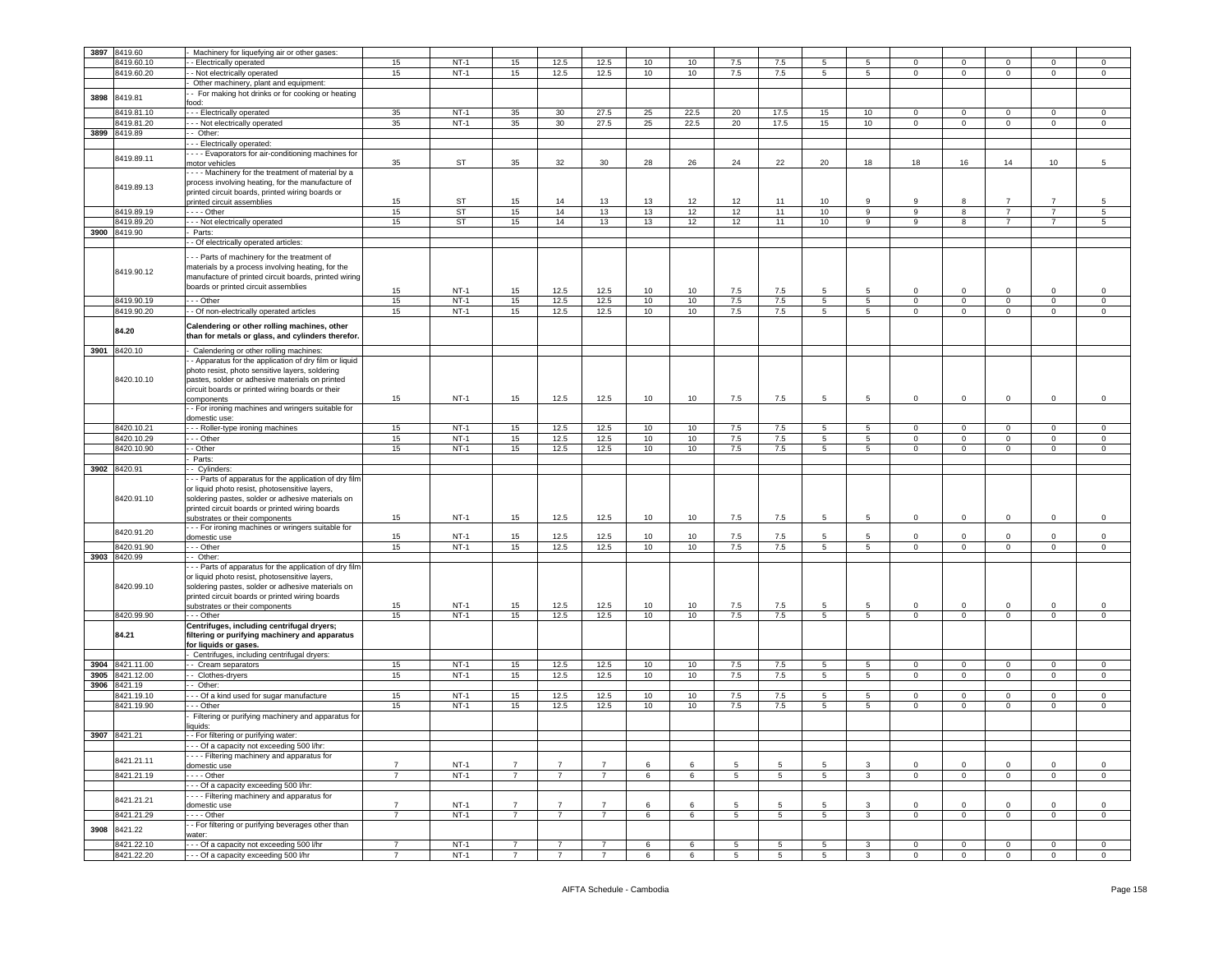| 3897 | 8419.60                  | Machinery for liquefying air or other gases:           |                |                  |                |                 |                |    |      |                 |                 |                 |                         |                |                |                |  |                |                |
|------|--------------------------|--------------------------------------------------------|----------------|------------------|----------------|-----------------|----------------|----|------|-----------------|-----------------|-----------------|-------------------------|----------------|----------------|----------------|--|----------------|----------------|
|      |                          |                                                        |                |                  |                |                 |                |    |      |                 |                 |                 |                         |                |                |                |  |                |                |
|      | 8419.60.10               | - Electrically operated                                | 15             | $NT-1$           | 15             | 12.5            | 12.5           | 10 | 10   | 7.5             | 7.5             | 5               | 5                       | $\mathbf 0$    | $\mathbf 0$    | 0              |  | $\mathbf 0$    | 0              |
|      | 8419.60.20               | - Not electrically operated                            | 15             | $NT-1$           | 15             | 12.5            | 12.5           | 10 | 10   | 7.5             | 7.5             | $5\phantom{.0}$ | 5                       | $\mathbf 0$    | $\overline{0}$ | $\mathbf{0}$   |  | $\mathbf 0$    | $\mathbf 0$    |
|      |                          | Other machinery, plant and equipment:                  |                |                  |                |                 |                |    |      |                 |                 |                 |                         |                |                |                |  |                |                |
|      |                          | - For making hot drinks or for cooking or heating      |                |                  |                |                 |                |    |      |                 |                 |                 |                         |                |                |                |  |                |                |
| 3898 | 8419.81                  | food:                                                  |                |                  |                |                 |                |    |      |                 |                 |                 |                         |                |                |                |  |                |                |
|      |                          |                                                        |                |                  |                |                 |                |    |      |                 |                 |                 |                         |                |                |                |  |                |                |
|      | 8419.81.10               | --- Electrically operated                              | 35             | $NT-1$           | 35             | 30              | 27.5           | 25 | 22.5 | 20              | 17.5            | 15              | 10                      | $\mathbf 0$    | $\overline{0}$ | $\mathbf 0$    |  | $\mathbf 0$    | $\mathsf 0$    |
|      | 8419.81.20               | - - Not electrically operated                          | 35             | $NT-1$           | 35             | 30 <sup>°</sup> | 27.5           | 25 | 22.5 | 20              | 17.5            | 15              | 10 <sub>1</sub>         | $\mathbf 0$    | $\mathbf 0$    | $\circ$        |  | $\mathbf 0$    | $\mathsf 0$    |
| 3899 | 8419.89                  | - Other:                                               |                |                  |                |                 |                |    |      |                 |                 |                 |                         |                |                |                |  |                |                |
|      |                          |                                                        |                |                  |                |                 |                |    |      |                 |                 |                 |                         |                |                |                |  |                |                |
|      |                          | - - Electrically operated:                             |                |                  |                |                 |                |    |      |                 |                 |                 |                         |                |                |                |  |                |                |
|      | 8419.89.11               | - - - Evaporators for air-conditioning machines for    |                |                  |                |                 |                |    |      |                 |                 |                 |                         |                |                |                |  |                |                |
|      |                          | motor vehicles                                         | 35             | ST               | 35             | 32              | 30             | 28 | 26   | 24              | 22              | 20              | 18                      | 18             | 16             | 14             |  | 10             | 5              |
|      |                          | --- Machinery for the treatment of material by a       |                |                  |                |                 |                |    |      |                 |                 |                 |                         |                |                |                |  |                |                |
|      |                          |                                                        |                |                  |                |                 |                |    |      |                 |                 |                 |                         |                |                |                |  |                |                |
|      | 8419.89.13               | process involving heating, for the manufacture of      |                |                  |                |                 |                |    |      |                 |                 |                 |                         |                |                |                |  |                |                |
|      |                          | printed circuit boards, printed wiring boards or       |                |                  |                |                 |                |    |      |                 |                 |                 |                         |                |                |                |  |                |                |
|      |                          | printed circuit assemblies                             | 15             | ST               | 15             | 14              | 13             | 13 | 12   | 12              | 11              | 10              | -9                      | 9              | 8              | $\overline{7}$ |  | $\overline{7}$ | 5              |
|      | 8419.89.19               | $- -$ Other                                            | 15             | ST               | 15             | 14              | 13             | 13 | 12   | 12              | 11              | 10              | 9                       | 9              | 8              | $\overline{7}$ |  | $\overline{7}$ | 5              |
|      | 8419.89.20               | - - Not electrically operated                          | 15             | ST               | 15             | 14              | 13             | 13 | 12   | 12              | 11              | 10              | 9                       | 9              | 8              | $\overline{7}$ |  | $\overline{7}$ | 5              |
|      |                          |                                                        |                |                  |                |                 |                |    |      |                 |                 |                 |                         |                |                |                |  |                |                |
|      | 3900 8419.90             | Parts:                                                 |                |                  |                |                 |                |    |      |                 |                 |                 |                         |                |                |                |  |                |                |
|      |                          | - Of electrically operated articles:                   |                |                  |                |                 |                |    |      |                 |                 |                 |                         |                |                |                |  |                |                |
|      |                          |                                                        |                |                  |                |                 |                |    |      |                 |                 |                 |                         |                |                |                |  |                |                |
|      |                          | - - Parts of machinery for the treatment of            |                |                  |                |                 |                |    |      |                 |                 |                 |                         |                |                |                |  |                |                |
|      |                          | materials by a process involving heating, for the      |                |                  |                |                 |                |    |      |                 |                 |                 |                         |                |                |                |  |                |                |
|      | 8419.90.12               | manufacture of printed circuit boards, printed wiring  |                |                  |                |                 |                |    |      |                 |                 |                 |                         |                |                |                |  |                |                |
|      |                          | boards or printed circuit assemblies                   |                |                  |                |                 |                |    |      |                 |                 |                 |                         |                |                |                |  |                |                |
|      |                          |                                                        | 15             | $NT-1$           | 15             | 12.5            | 12.5           | 10 | 10   | 7.5             | 7.5             | 5               | 5                       | 0              | $\mathbf 0$    | 0              |  | $\mathbf 0$    | 0              |
|      | 8419.90.19               | --- Other                                              | 15             | $NT-1$           | 15             | 12.5            | 12.5           | 10 | 10   | 7.5             | 7.5             | 5               | 5                       | $\circ$        | $\mathbf 0$    | $\mathbf 0$    |  | $\mathbf 0$    | $\mathsf 0$    |
|      | 8419.90.20               | - - Of non-electrically operated articles              | 15             | $NT-1$           | 15             | 12.5            | 12.5           | 10 | 10   | 7.5             | 7.5             | 5               | 5                       | $\mathbf 0$    | $\overline{0}$ | $\overline{0}$ |  | $\mathbf 0$    | $\mathbf 0$    |
|      |                          |                                                        |                |                  |                |                 |                |    |      |                 |                 |                 |                         |                |                |                |  |                |                |
|      |                          | Calendering or other rolling machines, other           |                |                  |                |                 |                |    |      |                 |                 |                 |                         |                |                |                |  |                |                |
|      | 84.20                    | than for metals or glass, and cylinders therefor.      |                |                  |                |                 |                |    |      |                 |                 |                 |                         |                |                |                |  |                |                |
|      |                          |                                                        |                |                  |                |                 |                |    |      |                 |                 |                 |                         |                |                |                |  |                |                |
| 3901 | 8420.10                  | - Calendering or other rolling machines:               |                |                  |                |                 |                |    |      |                 |                 |                 |                         |                |                |                |  |                |                |
|      |                          | - Apparatus for the application of dry film or liquid  |                |                  |                |                 |                |    |      |                 |                 |                 |                         |                |                |                |  |                |                |
|      |                          |                                                        |                |                  |                |                 |                |    |      |                 |                 |                 |                         |                |                |                |  |                |                |
|      |                          | photo resist, photo sensitive layers, soldering        |                |                  |                |                 |                |    |      |                 |                 |                 |                         |                |                |                |  |                |                |
|      | 8420.10.10               | pastes, solder or adhesive materials on printed        |                |                  |                |                 |                |    |      |                 |                 |                 |                         |                |                |                |  |                |                |
|      |                          | circuit boards or printed wiring boards or their       |                |                  |                |                 |                |    |      |                 |                 |                 |                         |                |                |                |  |                |                |
|      |                          | components                                             | 15             | $NT-1$           | 15             | 12.5            | 12.5           | 10 | 10   | 7.5             | 7.5             | 5               | 5                       | $\mathbf 0$    | $\mathbf 0$    | $\mathbf 0$    |  | $\mathbf 0$    | $\mathsf 0$    |
|      |                          |                                                        |                |                  |                |                 |                |    |      |                 |                 |                 |                         |                |                |                |  |                |                |
|      |                          | - For ironing machines and wringers suitable for       |                |                  |                |                 |                |    |      |                 |                 |                 |                         |                |                |                |  |                |                |
|      |                          | domestic use:                                          |                |                  |                |                 |                |    |      |                 |                 |                 |                         |                |                |                |  |                |                |
|      | 8420.10.21               | -- Roller-type ironing machines                        | 15             | $NT-1$           | 15             | 12.5            | 12.5           | 10 | 10   | 7.5             | 7.5             | 5               | 5                       | 0              | $\mathbf 0$    | 0              |  | 0              | 0              |
|      | 8420.10.29               | - - Other                                              | 15             | $NT-1$           | 15             | 12.5            | 12.5           | 10 | 10   | 7.5             | 7.5             | 5               | $5^{\circ}$             | 0              | $\mathbf 0$    | $\mathbf{0}$   |  | 0              | $\mathsf 0$    |
|      | 8420.10.90               | - Other                                                | 15             | $NT-1$           | 15             | 12.5            | 12.5           | 10 | 10   | 7.5             | 7.5             | 5               | $5\overline{5}$         | $\circ$        | $\mathbf 0$    | $\circ$        |  | $\mathsf 0$    | $\mathsf 0$    |
|      |                          |                                                        |                |                  |                |                 |                |    |      |                 |                 |                 |                         |                |                |                |  |                |                |
|      |                          | Parts:                                                 |                |                  |                |                 |                |    |      |                 |                 |                 |                         |                |                |                |  |                |                |
|      | 3902 8420.91             | - Cylinders:                                           |                |                  |                |                 |                |    |      |                 |                 |                 |                         |                |                |                |  |                |                |
|      |                          | -- Parts of apparatus for the application of dry film  |                |                  |                |                 |                |    |      |                 |                 |                 |                         |                |                |                |  |                |                |
|      |                          | or liquid photo resist, photosensitive layers,         |                |                  |                |                 |                |    |      |                 |                 |                 |                         |                |                |                |  |                |                |
|      |                          |                                                        |                |                  |                |                 |                |    |      |                 |                 |                 |                         |                |                |                |  |                |                |
|      | 8420.91.10               | soldering pastes, solder or adhesive materials on      |                |                  |                |                 |                |    |      |                 |                 |                 |                         |                |                |                |  |                |                |
|      |                          | printed circuit boards or printed wiring boards        |                |                  |                |                 |                |    |      |                 |                 |                 |                         |                |                |                |  |                |                |
|      |                          | substrates or their components                         | 15             | $NT-1$           | 15             | 12.5            | 12.5           | 10 | 10   | 7.5             | 7.5             | 5               | 5                       | $\mathbf 0$    | $\overline{0}$ | $\mathbf 0$    |  | $\mathbf 0$    | $\mathsf 0$    |
|      |                          | - - For ironing machines or wringers suitable for      |                |                  |                |                 |                |    |      |                 |                 |                 |                         |                |                |                |  |                |                |
|      | 8420.91.20               | domestic use                                           |                |                  |                |                 | 12.5           | 10 | 10   | 7.5             | 7.5             | 5               |                         |                |                |                |  |                |                |
|      |                          |                                                        |                |                  |                |                 |                |    |      |                 |                 |                 |                         |                |                |                |  |                |                |
|      | 8420.91.90               |                                                        | 15             | $NT-1$           | 15             | 12.5            |                |    |      |                 |                 |                 | 5                       | 0              | $\overline{0}$ | 0              |  | 0              | $\mathsf 0$    |
|      |                          | - - - Other                                            | 15             | $NT-1$           | 15             | 12.5            | 12.5           | 10 | 10   | 7.5             | 7.5             | $5\overline{)}$ | 5                       | $\mathbf 0$    | $\overline{0}$ | $\mathsf 0$    |  | $\mathbf 0$    | $\mathsf 0$    |
|      | 3903 8420.99             | Other:                                                 |                |                  |                |                 |                |    |      |                 |                 |                 |                         |                |                |                |  |                |                |
|      |                          |                                                        |                |                  |                |                 |                |    |      |                 |                 |                 |                         |                |                |                |  |                |                |
|      |                          | - - Parts of apparatus for the application of dry film |                |                  |                |                 |                |    |      |                 |                 |                 |                         |                |                |                |  |                |                |
|      |                          | or liquid photo resist, photosensitive layers,         |                |                  |                |                 |                |    |      |                 |                 |                 |                         |                |                |                |  |                |                |
|      | 8420.99.10               | soldering pastes, solder or adhesive materials on      |                |                  |                |                 |                |    |      |                 |                 |                 |                         |                |                |                |  |                |                |
|      |                          | printed circuit boards or printed wiring boards        |                |                  |                |                 |                |    |      |                 |                 |                 |                         |                |                |                |  |                |                |
|      |                          | substrates or their components                         | 15             | $NT-1$           | 15             | 12.5            | 12.5           | 10 | 10   | 7.5             | 7.5             | 5               | -5                      | $\Omega$       | $\mathbf 0$    | 0              |  | 0              | $\mathsf 0$    |
|      | 8420.99.90               | $--$ Other                                             | 15             | $NT-1$           | 15             | 12.5            | 12.5           | 10 | 10   | 7.5             | 7.5             | 5               | $5^{\circ}$             | $\circ$        | $\mathbf 0$    | $\mathbf 0$    |  | $\mathbf 0$    | $\mathsf 0$    |
|      |                          |                                                        |                |                  |                |                 |                |    |      |                 |                 |                 |                         |                |                |                |  |                |                |
|      |                          | Centrifuges, including centrifugal dryers;             |                |                  |                |                 |                |    |      |                 |                 |                 |                         |                |                |                |  |                |                |
|      | 84.21                    | filtering or purifying machinery and apparatus         |                |                  |                |                 |                |    |      |                 |                 |                 |                         |                |                |                |  |                |                |
|      |                          | for liquids or gases.                                  |                |                  |                |                 |                |    |      |                 |                 |                 |                         |                |                |                |  |                |                |
|      |                          | Centrifuges, including centrifugal dryers:             |                |                  |                |                 |                |    |      |                 |                 |                 |                         |                |                |                |  |                |                |
| 3904 | 8421.11.00               | - Cream separators                                     | 15             | $NT-1$           | 15             | 12.5            | 12.5           | 10 | 10   | 7.5             | 7.5             | 5               | $\overline{5}$          | $\mathbf 0$    | $\mathsf 0$    | $\mathbf 0$    |  | $\mathbf 0$    | $\,0\,$        |
|      |                          |                                                        |                | $NT-1$           |                |                 |                |    |      |                 |                 |                 |                         | $\mathbf{0}$   | $\overline{0}$ | $\overline{0}$ |  | $\mathbf{0}$   | $\circ$        |
| 3905 | 8421.12.00               | - Clothes-dryers                                       | 15             |                  | 15             | 12.5            | 12.5           | 10 | 10   | 7.5             | 7.5             | $5\overline{)}$ | $5\overline{)}$         |                |                |                |  |                |                |
| 3906 | 8421.19                  | - Other:                                               |                |                  |                |                 |                |    |      |                 |                 |                 |                         |                |                |                |  |                |                |
|      | 8421.19.10               | - Of a kind used for sugar manufacture                 | 15             | $NT-1$           | 15             | 12.5            | 12.5           | 10 | 10   | 7.5             | 7.5             | 5               | 5                       | $\mathbf 0$    | $\mathbf 0$    | $\mathbf 0$    |  | $\mathbf 0$    | $\,0\,$        |
|      | 8421.19.90               | - - Other                                              | 15             | $NT-1$           | 15             | 12.5            | 12.5           | 10 | 10   | 7.5             | 7.5             | 5               | 5                       | 0              | $\mathbf 0$    | $\mathbf 0$    |  | 0              | 0              |
|      |                          |                                                        |                |                  |                |                 |                |    |      |                 |                 |                 |                         |                |                |                |  |                |                |
|      |                          | Filtering or purifying machinery and apparatus for     |                |                  |                |                 |                |    |      |                 |                 |                 |                         |                |                |                |  |                |                |
|      |                          | iquids:                                                |                |                  |                |                 |                |    |      |                 |                 |                 |                         |                |                |                |  |                |                |
|      | 3907 8421.21             | - For filtering or purifying water:                    |                |                  |                |                 |                |    |      |                 |                 |                 |                         |                |                |                |  |                |                |
|      |                          | - - - Of a capacity not exceeding 500 l/hr:            |                |                  |                |                 |                |    |      |                 |                 |                 |                         |                |                |                |  |                |                |
|      |                          | - - - - Filtering machinery and apparatus for          |                |                  |                |                 |                |    |      |                 |                 |                 |                         |                |                |                |  |                |                |
|      | 8421.21.11               |                                                        |                |                  |                |                 |                |    |      | 5               |                 | $5\overline{5}$ |                         |                |                |                |  |                |                |
|      |                          | domestic use                                           | $\overline{7}$ | $NT-1$           | $\overline{7}$ | $\overline{7}$  | $\overline{7}$ | 6  | 6    |                 | 5               |                 | 3                       | $\mathbf 0$    | $^{\circ}$     | $\mathbf 0$    |  | $\mathbf 0$    | $\mathsf 0$    |
|      | 8421.21.19               | - - - - Other                                          | $\overline{7}$ | $NT-1$           | $\overline{7}$ | $\overline{7}$  | $\overline{7}$ | 6  | 6    | $5\phantom{.0}$ | 5               | $5\overline{5}$ | $\mathbf{3}$            | $\mathbf{0}$   | $\mathbf 0$    | $\mathbf{0}$   |  | $\mathsf 0$    | $\mathsf 0$    |
|      |                          | --- Of a capacity exceeding 500 l/hr:                  |                |                  |                |                 |                |    |      |                 |                 |                 |                         |                |                |                |  |                |                |
|      |                          |                                                        |                |                  |                |                 |                |    |      |                 |                 |                 |                         |                |                |                |  |                |                |
|      | 8421.21.21               | --- Filtering machinery and apparatus for              |                |                  | $\overline{7}$ | $\overline{7}$  | $\overline{7}$ |    | 6    | 5               | 5               | 5               |                         |                |                |                |  |                |                |
|      |                          | domestic use                                           | $\overline{7}$ | $NT-1$           |                |                 |                | 6  |      |                 |                 |                 | 3                       | $\mathbf 0$    | $\mathbf 0$    | $\mathbf 0$    |  | $\mathbf{O}$   | $\mathsf 0$    |
|      | 8421.21.29               | $- - -$ Other                                          | $\overline{7}$ | $NT-1$           | $7^{\circ}$    | $\overline{7}$  | $\overline{7}$ | 6  | 6    | $\sqrt{5}$      | $5\phantom{.0}$ | $5\overline{5}$ | $\mathbf{3}$            | $\overline{0}$ | $\circ$        | $\overline{0}$ |  | $\overline{0}$ | $\overline{0}$ |
|      |                          | - - For filtering or purifying beverages other than    |                |                  |                |                 |                |    |      |                 |                 |                 |                         |                |                |                |  |                |                |
| 3908 | 8421.22                  | water:                                                 |                |                  |                |                 |                |    |      |                 |                 |                 |                         |                |                |                |  |                |                |
|      |                          | - - - Of a capacity not exceeding 500 l/hr             | $\overline{7}$ |                  | $\overline{7}$ | $\overline{7}$  | $\overline{7}$ | 6  | 6    | 5               | 5               | 5               | 3                       | $\mathbf 0$    | $\mathbf 0$    | $\mathbf 0$    |  | $\mathbf 0$    | $\mathbf 0$    |
|      | 8421.22.10<br>8421.22.20 | - - - Of a capacity exceeding 500 l/hr                 | $\overline{7}$ | $NT-1$<br>$NT-1$ | $\overline{7}$ | $\overline{7}$  | $\overline{7}$ | 6  | 6    | $5\overline{5}$ | $5\overline{)}$ | $5\overline{)}$ | $\overline{\mathbf{3}}$ | $\overline{0}$ | $\overline{0}$ | $\overline{0}$ |  | $\overline{0}$ | $\mathbf{0}$   |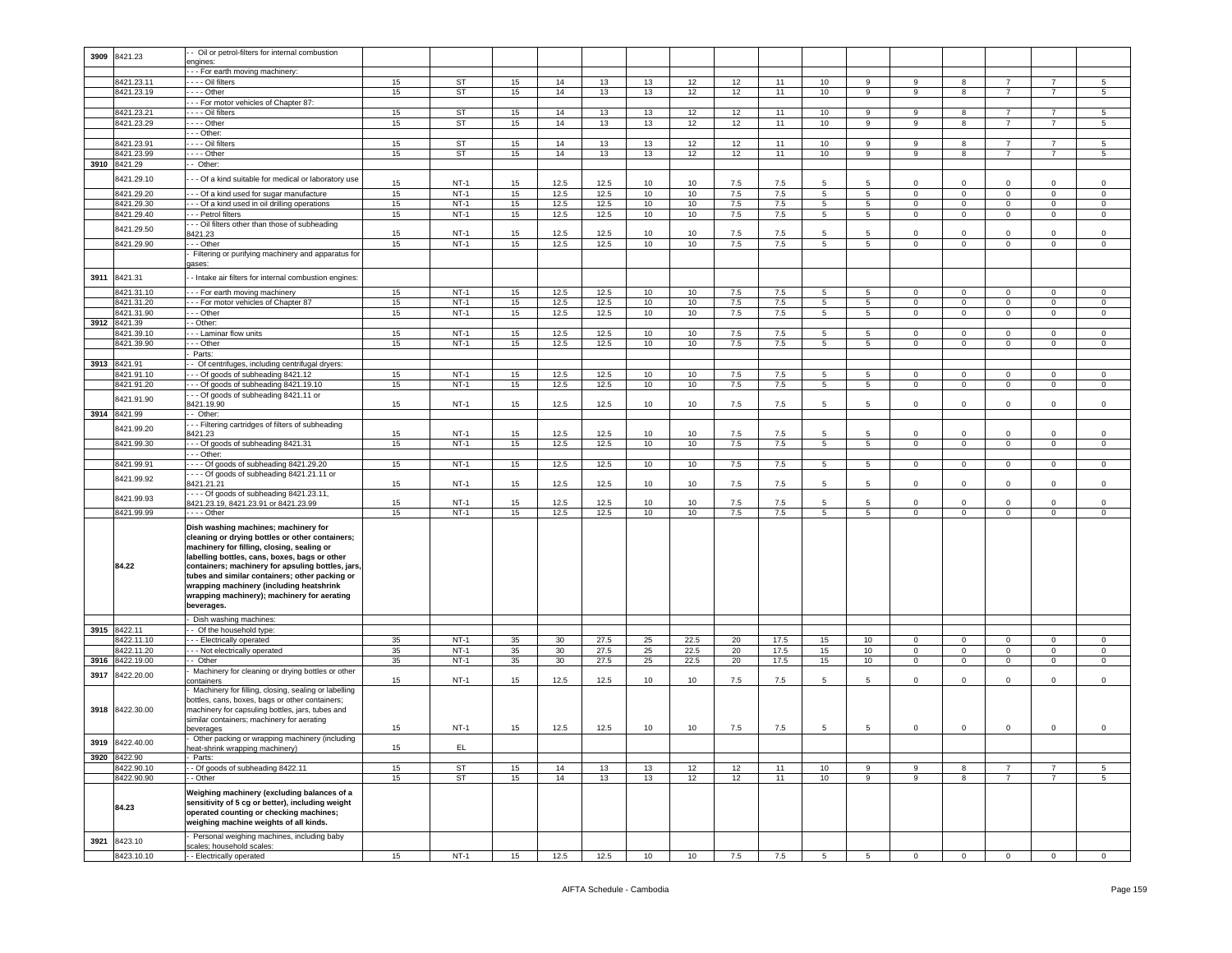| 3909 | 8421.23         | - Oil or petrol-filters for internal combustion                                         |    |             |    |      |      |    |      |     |      |                 |                 |              |                |                |                |             |
|------|-----------------|-----------------------------------------------------------------------------------------|----|-------------|----|------|------|----|------|-----|------|-----------------|-----------------|--------------|----------------|----------------|----------------|-------------|
|      |                 | engines:                                                                                |    |             |    |      |      |    |      |     |      |                 |                 |              |                |                |                |             |
|      |                 | -- For earth moving machinery:                                                          |    |             |    |      |      |    |      |     |      |                 |                 |              |                |                |                |             |
|      | 8421.23.11      | - - - Oil filters                                                                       | 15 | ST          | 15 | 14   | 13   | 13 | 12   | 12  | 11   | 10              | 9               | 9            | 8              |                |                | 5           |
|      | 8421.23.19      | $- - -$ Other                                                                           | 15 | ST          | 15 | 14   | 13   | 13 | 12   | 12  | 11   | 10              | 9               | 9            | 8              | $\overline{7}$ | $\overline{7}$ | 5           |
|      |                 | -- For motor vehicles of Chapter 87:                                                    |    |             |    |      |      |    |      |     |      |                 |                 |              |                |                |                |             |
|      | 8421.23.21      | - - - - Oil filters                                                                     | 15 | ST          | 15 | 14   | 13   | 13 | 12   | 12  | 11   | 10              | 9               | 9            | 8              | 7              | 7              | 5           |
|      | 8421.23.29      | - - - - Other                                                                           | 15 | ST          | 15 | 14   | 13   | 13 | 12   | 12  | 11   | 10              | 9               | 9            | 8              | $\overline{7}$ | 7              | 5           |
|      |                 | - - Other:                                                                              |    |             |    |      |      |    |      |     |      |                 |                 |              |                |                |                |             |
|      | 8421.23.91      | - - - Oil filters                                                                       | 15 | ST          | 15 | 14   | 13   | 13 | 12   | 12  | 11   | 10              | 9               | 9            | 8              | $\overline{7}$ | $\overline{7}$ | 5           |
|      | 8421.23.99      | --- Other                                                                               | 15 | <b>ST</b>   | 15 | 14   | 13   | 13 | 12   | 12  | 11   | 10              | 9               | 9            | 8              | $\overline{7}$ | 7              | 5           |
|      | 3910 8421.29    | - Other:                                                                                |    |             |    |      |      |    |      |     |      |                 |                 |              |                |                |                |             |
|      |                 |                                                                                         |    |             |    |      |      |    |      |     |      |                 |                 |              |                |                |                |             |
|      | 8421.29.10      | - - Of a kind suitable for medical or laboratory use                                    | 15 | $NT-1$      | 15 | 12.5 | 12.5 | 10 | 10   | 7.5 | 7.5  | 5               | 5               | $\Omega$     | $^{\circ}$     | $\Omega$       | $\Omega$       | 0           |
|      | 8421.29.20      | - - Of a kind used for sugar manufacture                                                | 15 | $NT-1$      | 15 | 12.5 | 12.5 | 10 | 10   | 7.5 | 7.5  | $5\overline{5}$ | $5^{\circ}$     | $\mathbf 0$  | $\mathbf 0$    | $\mathbf 0$    | $\mathbf 0$    | $\mathsf 0$ |
|      | 8421.29.30      | - - Of a kind used in oil drilling operations                                           | 15 | $NT-1$      | 15 | 12.5 | 12.5 | 10 | 10   | 7.5 | 7.5  | 5 <sup>5</sup>  | $5\overline{)}$ | $\mathbf 0$  | $\mathbf 0$    | $\mathbf 0$    | $\circ$        | $\mathsf 0$ |
|      |                 |                                                                                         |    |             |    |      |      |    |      |     |      |                 |                 |              |                |                |                |             |
|      | 8421.29.40      | - - Petrol filters                                                                      | 15 | $NT-1$      | 15 | 12.5 | 12.5 | 10 | 10   | 7.5 | 7.5  | 5               | $5\overline{5}$ | 0            | $\mathbf 0$    | $\mathsf 0$    | $\mathbf 0$    | $^{\circ}$  |
|      | 8421.29.50      | - - Oil filters other than those of subheading                                          |    |             |    |      |      |    |      |     |      |                 |                 |              |                |                |                |             |
|      |                 | 3421.23                                                                                 | 15 | $NT-1$      | 15 | 12.5 | 12.5 | 10 | 10   | 7.5 | 7.5  | 5               | 5               | 0            | $^{\circ}$     | $\mathbf 0$    | $\mathbf 0$    | 0           |
|      | 8421.29.90      | - - Other                                                                               | 15 | $NT-1$      | 15 | 12.5 | 12.5 | 10 | 10   | 7.5 | 7.5  | $5^{\circ}$     | $5\overline{)}$ | $\mathbf 0$  | $\mathbf 0$    | $\mathbf 0$    | $\mathsf 0$    | $\mathsf 0$ |
|      |                 | Filtering or purifying machinery and apparatus for                                      |    |             |    |      |      |    |      |     |      |                 |                 |              |                |                |                |             |
|      |                 | jases:                                                                                  |    |             |    |      |      |    |      |     |      |                 |                 |              |                |                |                |             |
| 3911 | 8421.31         | - Intake air filters for internal combustion engines:                                   |    |             |    |      |      |    |      |     |      |                 |                 |              |                |                |                |             |
|      |                 |                                                                                         |    |             |    |      |      |    |      |     |      |                 |                 |              |                |                |                |             |
|      | 8421.31.10      | - - For earth moving machinery                                                          | 15 | $NT-1$      | 15 | 12.5 | 12.5 | 10 | 10   | 7.5 | 7.5  | 5               | 5               | $\circ$      | $\mathbf 0$    | $\mathbf 0$    | $\mathbf 0$    | $\Omega$    |
|      | 8421.31.20      | - - For motor vehicles of Chapter 87                                                    | 15 | $NT-1$      | 15 | 12.5 | 12.5 | 10 | 10   | 7.5 | 7.5  | 5               | $5\overline{)}$ | 0            | $\mathbf 0$    | 0              | $\mathbf 0$    | 0           |
|      | 8421.31.90      | - Other                                                                                 | 15 | $NT-1$      | 15 | 12.5 | 12.5 | 10 | 10   | 7.5 | 7.5  | 5               | 5               | 0            | $\mathbf 0$    | $\mathbf 0$    | $\mathbf 0$    | 0           |
|      | 3912 8421.39    | - Other:                                                                                |    |             |    |      |      |    |      |     |      |                 |                 |              |                |                |                |             |
|      | 8421.39.10      | - - Laminar flow units                                                                  | 15 | $NT-1$      | 15 | 12.5 | 12.5 | 10 | 10   | 7.5 | 7.5  | 5               | 5               | 0            | $\mathbf 0$    | 0              | 0              | $^{\circ}$  |
|      | 8421.39.90      | - - Other                                                                               | 15 | $NT-1$      | 15 | 12.5 | 12.5 | 10 | 10   | 7.5 | 7.5  | 5 <sup>5</sup>  | $5^{\circ}$     | $\mathbf 0$  | $\overline{0}$ | $\mathbf 0$    | $\circ$        | $\mathbf 0$ |
|      |                 | Parts:                                                                                  |    |             |    |      |      |    |      |     |      |                 |                 |              |                |                |                |             |
| 3913 | 8421.91         | - Of centrifuges, including centrifugal dryers:                                         |    |             |    |      |      |    |      |     |      |                 |                 |              |                |                |                |             |
|      | 8421.91.10      | -- Of goods of subheading 8421.12                                                       | 15 | $NT-1$      | 15 | 12.5 | 12.5 | 10 | 10   | 7.5 | 7.5  | 5               | 5               | $^{\circ}$   | $\mathbf{0}$   | $^{\circ}$     | $\mathbf{0}$   | $\circ$     |
|      | 8421.91.20      | - - - Of goods of subheading 8421.19.10                                                 | 15 | $NT-1$      | 15 | 12.5 | 12.5 | 10 | 10   | 7.5 | 7.5  | $5\overline{5}$ | $5^{\circ}$     | $\mathbf{0}$ | $\mathbf 0$    | $\mathbf{0}$   | $\mathbf{0}$   | 0           |
|      |                 | - - Of goods of subheading 8421.11 or                                                   |    |             |    |      |      |    |      |     |      |                 |                 |              |                |                |                |             |
|      | 8421.91.90      | 421.19.90                                                                               | 15 | $NT-1$      | 15 | 12.5 | 12.5 | 10 | 10   | 7.5 | 7.5  | 5               | 5               | 0            | $^{\circ}$     | 0              | 0              | 0           |
| 3914 | 8421.99         | - Other:                                                                                |    |             |    |      |      |    |      |     |      |                 |                 |              |                |                |                |             |
|      |                 | - - Filtering cartridges of filters of subheading                                       |    |             |    |      |      |    |      |     |      |                 |                 |              |                |                |                |             |
|      | 8421.99.20      | 3421.23                                                                                 | 15 | <b>NT-1</b> | 15 | 12.5 | 12.5 | 10 | 10   | 7.5 | 7.5  | 5               | 5               | 0            | $^{\circ}$     | 0              | 0              | $^{\circ}$  |
|      | 8421.99.30      | - - Of goods of subheading 8421.31                                                      | 15 | $NT-1$      | 15 | 12.5 | 12.5 | 10 | 10   | 7.5 | 7.5  | 5               | 5               | $\mathbf 0$  | $\mathbf 0$    | $\mathbf 0$    | $\mathbf 0$    | 0           |
|      |                 |                                                                                         |    |             |    |      |      |    |      |     |      |                 |                 |              |                |                |                |             |
|      |                 | $- -$ Other:                                                                            |    |             |    |      |      |    |      |     |      |                 |                 |              |                |                |                |             |
|      | 8421.99.91      | --- Of goods of subheading 8421.29.20                                                   | 15 | $NT-1$      | 15 | 12.5 | 12.5 | 10 | 10   | 7.5 | 7.5  | $5^{\circ}$     | 5               | 0            | $\mathbf 0$    | $\mathbf 0$    | $\mathbf 0$    | 0           |
|      | 8421.99.92      | --- Of goods of subheading 8421.21.11 or                                                |    |             |    |      |      |    |      |     |      |                 |                 |              |                |                |                |             |
|      |                 | 8421.21.21                                                                              | 15 | $NT-1$      | 15 | 12.5 | 12.5 | 10 | 10   | 7.5 | 7.5  | 5               | 5               | $\mathbf 0$  | $\overline{0}$ | $\mathbf 0$    | $\mathbf 0$    | $\Omega$    |
|      | 8421.99.93      | $\cdots$ - Of goods of subheading 8421.23.11,                                           |    |             |    |      |      |    |      |     |      |                 |                 |              |                |                |                |             |
|      |                 | 8421.23.19, 8421.23.91 or 8421.23.99                                                    | 15 | $NT-1$      | 15 | 12.5 | 12.5 | 10 | 10   | 7.5 | 7.5  | 5               |                 | $\Omega$     | $^{\circ}$     | $\Omega$       | $\Omega$       | $^{\circ}$  |
|      | 8421.99.99      | - - - - Other                                                                           | 15 | $NT-1$      | 15 | 12.5 | 12.5 | 10 | 10   | 7.5 | 7.5  | 5               | $5^{\circ}$     | 0            | $\mathbf 0$    | $\mathbf 0$    | $\mathbf 0$    | 0           |
|      |                 | Dish washing machines; machinery for<br>cleaning or drying bottles or other containers; |    |             |    |      |      |    |      |     |      |                 |                 |              |                |                |                |             |
|      |                 | machinery for filling, closing, sealing or                                              |    |             |    |      |      |    |      |     |      |                 |                 |              |                |                |                |             |
|      |                 | labelling bottles, cans, boxes, bags or other                                           |    |             |    |      |      |    |      |     |      |                 |                 |              |                |                |                |             |
|      | 84.22           | containers; machinery for apsuling bottles, jars,                                       |    |             |    |      |      |    |      |     |      |                 |                 |              |                |                |                |             |
|      |                 | tubes and similar containers; other packing or                                          |    |             |    |      |      |    |      |     |      |                 |                 |              |                |                |                |             |
|      |                 | wrapping machinery (including heatshrink                                                |    |             |    |      |      |    |      |     |      |                 |                 |              |                |                |                |             |
|      |                 | wrapping machinery); machinery for aerating                                             |    |             |    |      |      |    |      |     |      |                 |                 |              |                |                |                |             |
|      |                 | beverages.                                                                              |    |             |    |      |      |    |      |     |      |                 |                 |              |                |                |                |             |
|      |                 |                                                                                         |    |             |    |      |      |    |      |     |      |                 |                 |              |                |                |                |             |
|      |                 | Dish washing machines:                                                                  |    |             |    |      |      |    |      |     |      |                 |                 |              |                |                |                |             |
|      | 3915 8422.11    | - Of the household type:                                                                |    |             |    |      |      |    |      |     |      |                 |                 |              |                |                |                |             |
|      | 8422.11.10      | - - Electrically operated                                                               | 35 | $NT-1$      | 35 | 30   | 27.5 | 25 | 22.5 | 20  | 17.5 | 15              | 10              | $\circ$      | $\,0\,$        | $\Omega$       | $\mathbf 0$    | $\mathsf 0$ |
|      | 8422.11.20      | -- Not electrically operated                                                            | 35 | $NT-1$      | 35 | 30   | 27.5 | 25 | 22.5 | 20  | 17.5 | 15              | 10              | 0            | $\mathbf 0$    | $^{\circ}$     | $\mathbf 0$    | 0           |
| 3916 | 8422.19.00      | - Other                                                                                 | 35 | $NT-1$      | 35 | 30   | 27.5 | 25 | 22.5 | 20  | 17.5 | 15              | 10 <sub>1</sub> | $\mathbf 0$  | $\mathbf 0$    | $\mathbf 0$    | $\circ$        | $\mathsf 0$ |
|      | 8422.20.00      | Machinery for cleaning or drying bottles or other                                       |    |             |    |      |      |    |      |     |      |                 |                 |              |                |                |                |             |
| 3917 |                 | ontainers                                                                               | 15 | $NT-1$      | 15 | 12.5 | 12.5 | 10 | 10   | 7.5 | 7.5  | 5               | -5              | 0            | $\mathbf 0$    | 0              | $\circ$        | $\mathbf 0$ |
|      |                 | Machinery for filling, closing, sealing or labelling                                    |    |             |    |      |      |    |      |     |      |                 |                 |              |                |                |                |             |
|      |                 | bottles, cans, boxes, bags or other containers;                                         |    |             |    |      |      |    |      |     |      |                 |                 |              |                |                |                |             |
|      | 3918 8422.30.00 | machinery for capsuling bottles, jars, tubes and                                        |    |             |    |      |      |    |      |     |      |                 |                 |              |                |                |                |             |
|      |                 | similar containers; machinery for aerating                                              |    |             |    |      |      |    |      |     |      |                 |                 |              |                |                |                |             |
|      |                 |                                                                                         | 15 | $NT-1$      | 15 | 12.5 | 12.5 | 10 | 10   | 7.5 | 7.5  | 5               | 5               | 0            | 0              | 0              | 0              | 0           |
|      |                 | beverages                                                                               |    |             |    |      |      |    |      |     |      |                 |                 |              |                |                |                |             |
|      |                 | Other packing or wrapping machinery (including                                          |    |             |    |      |      |    |      |     |      |                 |                 |              |                |                |                |             |
|      | 3919 8422.40.00 | heat-shrink wrapping machinery)                                                         | 15 | EL.         |    |      |      |    |      |     |      |                 |                 |              |                |                |                |             |
|      | 3920 8422.90    | - Parts:                                                                                |    |             |    |      |      |    |      |     |      |                 |                 |              |                |                |                |             |
|      | 8422.90.10      | - Of goods of subheading 8422.11                                                        | 15 | ST          | 15 | 14   | 13   | 13 | 12   | 12  | 11   | 10              | 9               | 9            | 8              | $\overline{7}$ | $\overline{7}$ | 5           |
|      |                 |                                                                                         |    |             |    |      |      |    |      |     |      |                 | 9               | 9            | 8              | $\overline{7}$ | $\overline{7}$ | 5           |
|      | 8422.90.90      | - Other                                                                                 | 15 | ST          | 15 | 14   | 13   | 13 | 12   | 12  | 11   | 10              |                 |              |                |                |                |             |
|      |                 | Weighing machinery (excluding balances of a                                             |    |             |    |      |      |    |      |     |      |                 |                 |              |                |                |                |             |
|      |                 | sensitivity of 5 cg or better), including weight                                        |    |             |    |      |      |    |      |     |      |                 |                 |              |                |                |                |             |
|      | 84.23           | operated counting or checking machines;                                                 |    |             |    |      |      |    |      |     |      |                 |                 |              |                |                |                |             |
|      |                 | weighing machine weights of all kinds.                                                  |    |             |    |      |      |    |      |     |      |                 |                 |              |                |                |                |             |
|      |                 |                                                                                         |    |             |    |      |      |    |      |     |      |                 |                 |              |                |                |                |             |
| 3921 | 8423.10         | Personal weighing machines, including baby<br>scales; household scales:                 |    |             |    |      |      |    |      |     |      |                 |                 |              |                |                |                |             |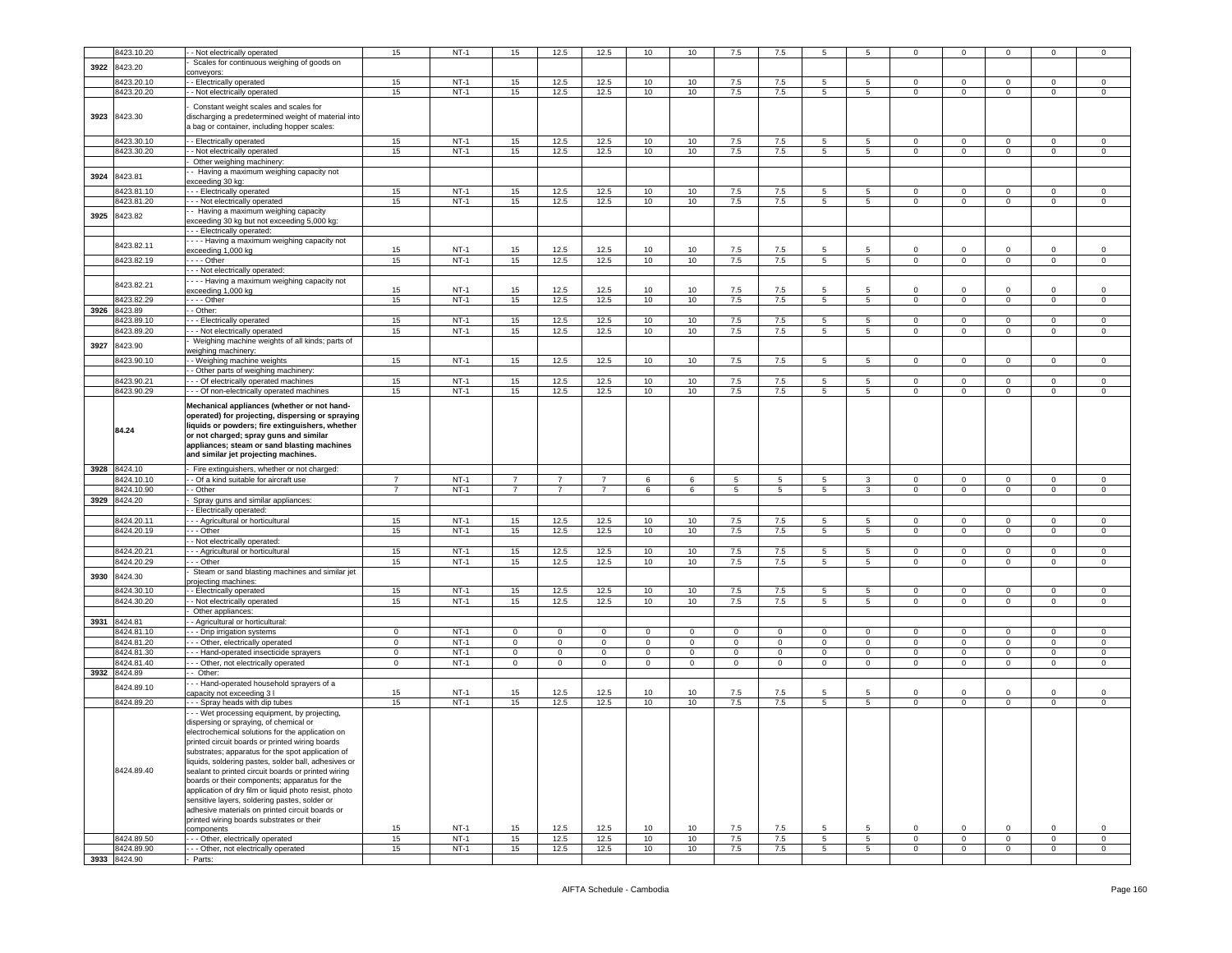|      | 8423.10.20                 | - Not electrically operated                                                                                                                                                                                                                                                                                                                                                                                                                                                                                                                                                                                                               | 15             | $NT-1$ | 15                         | 12.5           | 12.5           | 10                  | 10                     | $7.5\,$     | 7.5              | -5              | 5               | $\Omega$       | $\mathbf 0$    | $\mathbf 0$  | $\Omega$       | $\mathbf 0$    |
|------|----------------------------|-------------------------------------------------------------------------------------------------------------------------------------------------------------------------------------------------------------------------------------------------------------------------------------------------------------------------------------------------------------------------------------------------------------------------------------------------------------------------------------------------------------------------------------------------------------------------------------------------------------------------------------------|----------------|--------|----------------------------|----------------|----------------|---------------------|------------------------|-------------|------------------|-----------------|-----------------|----------------|----------------|--------------|----------------|----------------|
|      |                            |                                                                                                                                                                                                                                                                                                                                                                                                                                                                                                                                                                                                                                           |                |        |                            |                |                |                     |                        |             |                  |                 |                 |                |                |              |                |                |
| 3922 | 8423.20                    | Scales for continuous weighing of goods on                                                                                                                                                                                                                                                                                                                                                                                                                                                                                                                                                                                                |                |        |                            |                |                |                     |                        |             |                  |                 |                 |                |                |              |                |                |
|      |                            | conveyors:                                                                                                                                                                                                                                                                                                                                                                                                                                                                                                                                                                                                                                |                |        |                            |                |                |                     |                        |             |                  |                 |                 |                |                |              |                |                |
|      | 8423.20.10                 | - Electrically operated                                                                                                                                                                                                                                                                                                                                                                                                                                                                                                                                                                                                                   | 15             | $NT-1$ | 15                         | 12.5           | 12.5           | 10                  | 10                     | 7.5         | 7.5              | -5              | -5              | $\Omega$       | 0              | $\Omega$     | $\Omega$       | $\mathbf 0$    |
|      | 8423.20.20                 | - Not electrically operated                                                                                                                                                                                                                                                                                                                                                                                                                                                                                                                                                                                                               | 15             | $NT-1$ | 15                         | 12.5           | 12.5           | 10                  | 10                     | $7.5\,$     | 7.5              | 5               | 5               | $\mathsf 0$    | $\mathbf 0$    | $\mathbf 0$  | $\mathbf 0$    | $\mathsf 0$    |
| 3923 | 8423.30                    | Constant weight scales and scales for<br>discharging a predetermined weight of material into<br>a bag or container, including hopper scales:                                                                                                                                                                                                                                                                                                                                                                                                                                                                                              |                |        |                            |                |                |                     |                        |             |                  |                 |                 |                |                |              |                |                |
|      | 8423.30.10                 | - Electrically operated                                                                                                                                                                                                                                                                                                                                                                                                                                                                                                                                                                                                                   | 15             | $NT-1$ | 15                         | 12.5           | 12.5           | 10                  | 10                     | 7.5         | 7.5              | 5               | 5               | $\circ$        | $\overline{0}$ | $\mathbf 0$  | $\mathbf 0$    | $\overline{0}$ |
|      | 8423.30.20                 | - - Not electrically operated                                                                                                                                                                                                                                                                                                                                                                                                                                                                                                                                                                                                             | 15             | $NT-1$ | 15                         | 12.5           | 12.5           | 10                  | 10                     | 7.5         | 7.5              | 5               | 5               | $\circ$        | $\mathbf 0$    | $\mathbf 0$  | 0              | $\mathbf{0}$   |
|      |                            | Other weighing machinery                                                                                                                                                                                                                                                                                                                                                                                                                                                                                                                                                                                                                  |                |        |                            |                |                |                     |                        |             |                  |                 |                 |                |                |              |                |                |
|      |                            |                                                                                                                                                                                                                                                                                                                                                                                                                                                                                                                                                                                                                                           |                |        |                            |                |                |                     |                        |             |                  |                 |                 |                |                |              |                |                |
| 3924 | 8423.81                    | - Having a maximum weighing capacity not<br>exceeding 30 kg:                                                                                                                                                                                                                                                                                                                                                                                                                                                                                                                                                                              |                |        |                            |                |                |                     |                        |             |                  |                 |                 |                |                |              |                |                |
|      | 3423.81.10                 | --- Electrically operated                                                                                                                                                                                                                                                                                                                                                                                                                                                                                                                                                                                                                 | 15             | $NT-1$ | 15                         | 12.5           | 12.5           | 10                  | 10                     | 7.5         | 7.5              | -5              | 5               | $^{\circ}$     | 0              | $\mathbf 0$  | $\mathbf 0$    | $\mathbf 0$    |
|      |                            |                                                                                                                                                                                                                                                                                                                                                                                                                                                                                                                                                                                                                                           |                |        |                            |                |                |                     |                        | 7.5         |                  |                 |                 |                |                |              |                |                |
|      | 3423.81.20                 | - - - Not electrically operated                                                                                                                                                                                                                                                                                                                                                                                                                                                                                                                                                                                                           | 15             | $NT-1$ | 15                         | 12.5           | 12.5           | 10                  | 10                     |             | 7.5              | 5               | 5               | $\mathbf 0$    | $\mathbf 0$    | $\mathbf 0$  | $\mathbf 0$    | $\mathbf 0$    |
| 3925 | 8423.82                    | - Having a maximum weighing capacity                                                                                                                                                                                                                                                                                                                                                                                                                                                                                                                                                                                                      |                |        |                            |                |                |                     |                        |             |                  |                 |                 |                |                |              |                |                |
|      |                            | exceeding 30 kg but not exceeding 5,000 kg:                                                                                                                                                                                                                                                                                                                                                                                                                                                                                                                                                                                               |                |        |                            |                |                |                     |                        |             |                  |                 |                 |                |                |              |                |                |
|      |                            | - - Electrically operated:                                                                                                                                                                                                                                                                                                                                                                                                                                                                                                                                                                                                                |                |        |                            |                |                |                     |                        |             |                  |                 |                 |                |                |              |                |                |
|      | 8423.82.11                 | --- Having a maximum weighing capacity not                                                                                                                                                                                                                                                                                                                                                                                                                                                                                                                                                                                                |                |        |                            |                |                |                     |                        |             |                  |                 |                 |                |                |              |                |                |
|      |                            | exceeding 1,000 kg                                                                                                                                                                                                                                                                                                                                                                                                                                                                                                                                                                                                                        | 15             | $NT-1$ | 15                         | 12.5           | 12.5           | 10                  | 10                     | 7.5         | 7.5              | 5               | 5               | $\Omega$       | $\mathbf 0$    | $\mathbf 0$  | $\Omega$       | $\mathsf 0$    |
|      | 8423.82.19                 | - - - - Other                                                                                                                                                                                                                                                                                                                                                                                                                                                                                                                                                                                                                             | 15             | $NT-1$ | 15                         | 12.5           | 12.5           | 10                  | 10                     | 7.5         | 7.5              | 5               | $\overline{5}$  | $\mathbf 0$    | $\overline{0}$ | $\mathbf{0}$ | $\mathsf 0$    | $\mathsf 0$    |
|      |                            | - - - Not electrically operated:                                                                                                                                                                                                                                                                                                                                                                                                                                                                                                                                                                                                          |                |        |                            |                |                |                     |                        |             |                  |                 |                 |                |                |              |                |                |
|      | 8423.82.21                 | - - - Having a maximum weighing capacity not                                                                                                                                                                                                                                                                                                                                                                                                                                                                                                                                                                                              |                |        |                            |                |                |                     |                        |             |                  |                 |                 |                |                |              |                |                |
|      |                            | exceeding 1,000 kg                                                                                                                                                                                                                                                                                                                                                                                                                                                                                                                                                                                                                        | 15             | $NT-1$ | 15                         | 12.5           | 12.5           | 10                  | 10                     | 7.5         | 7.5              | -5              | 5               | $\Omega$       | $\mathbf 0$    | $\Omega$     | $\Omega$       | $\mathbf 0$    |
|      | 8423.82.29                 | $---$ Other                                                                                                                                                                                                                                                                                                                                                                                                                                                                                                                                                                                                                               | 15             | $NT-1$ | 15                         | 12.5           | 12.5           | 10                  | 10                     | 7.5         | 7.5              | 5               | 5               | $\mathbf{0}$   | $\mathbf 0$    | $\mathbf{0}$ | 0              | $\overline{0}$ |
| 3926 | 3423.89                    | - - Other:                                                                                                                                                                                                                                                                                                                                                                                                                                                                                                                                                                                                                                |                |        |                            |                |                |                     |                        |             |                  |                 |                 |                |                |              |                |                |
|      | 3423.89.10                 | - - Electrically operated                                                                                                                                                                                                                                                                                                                                                                                                                                                                                                                                                                                                                 | 15             | $NT-1$ | 15                         | 12.5           | 12.5           | 10                  | 10                     | 7.5         | 7.5              | 5               | 5               | 0              | $\mathbf 0$    | $\mathbf 0$  | $\mathbf 0$    | $\mathsf 0$    |
|      | 3423.89.20                 | - - Not electrically operated                                                                                                                                                                                                                                                                                                                                                                                                                                                                                                                                                                                                             | 15             | $NT-1$ | 15                         | 12.5           | 12.5           | 10                  | 10                     | 7.5         | 7.5              | 5               | 5               | 0              | $\mathbf 0$    | $\mathbf 0$  | 0              | $\mathbf 0$    |
|      |                            | Weighing machine weights of all kinds; parts of                                                                                                                                                                                                                                                                                                                                                                                                                                                                                                                                                                                           |                |        |                            |                |                |                     |                        |             |                  |                 |                 |                |                |              |                |                |
| 3927 | 3423.90                    | weighing machinery:                                                                                                                                                                                                                                                                                                                                                                                                                                                                                                                                                                                                                       |                |        |                            |                |                |                     |                        |             |                  |                 |                 |                |                |              |                |                |
|      | 8423.90.10                 | - Weighing machine weights                                                                                                                                                                                                                                                                                                                                                                                                                                                                                                                                                                                                                | 15             | $NT-1$ | 15                         | 12.5           | 12.5           | 10                  | 10                     | $7.5\,$     | 7.5              | 5               | 5               | $\circ$        | $\overline{0}$ | $\mathbf{0}$ | $\mathbf 0$    | $\circ$        |
|      |                            | - - Other parts of weighing machinery:                                                                                                                                                                                                                                                                                                                                                                                                                                                                                                                                                                                                    |                |        |                            |                |                |                     |                        |             |                  |                 |                 |                |                |              |                |                |
|      | 8423.90.21                 |                                                                                                                                                                                                                                                                                                                                                                                                                                                                                                                                                                                                                                           |                | $NT-1$ | 15                         | 12.5           | 12.5           | 10                  | 10                     | 7.5         | 7.5              | 5               | 5               | $\mathbf 0$    | $\circ$        | $\mathbf 0$  | $\Omega$       | $\mathsf 0$    |
|      |                            | --- Of electrically operated machines                                                                                                                                                                                                                                                                                                                                                                                                                                                                                                                                                                                                     | 15             |        |                            |                |                |                     |                        |             |                  |                 |                 |                |                |              |                |                |
|      | 8423.90.29                 | --- Of non-electrically operated machines<br>Mechanical appliances (whether or not hand-                                                                                                                                                                                                                                                                                                                                                                                                                                                                                                                                                  | 15             | $NT-1$ | 15                         | 12.5           | 12.5           | 10                  | 10                     | $7.5\,$     | $7.5\,$          | 5               | 5               | 0              | 0              | $\mathbf 0$  | $\mathbf 0$    | $\mathbf 0$    |
|      | 84.24                      | operated) for projecting, dispersing or spraying<br>liquids or powders; fire extinguishers, whether<br>or not charged; spray guns and similar<br>appliances; steam or sand blasting machines<br>and similar jet projecting machines.                                                                                                                                                                                                                                                                                                                                                                                                      |                |        |                            |                |                |                     |                        |             |                  |                 |                 |                |                |              |                |                |
| 3928 | 8424.10                    | - Fire extinguishers, whether or not charged:                                                                                                                                                                                                                                                                                                                                                                                                                                                                                                                                                                                             |                |        |                            |                |                |                     |                        |             |                  |                 |                 |                |                |              |                |                |
|      | 3424.10.10                 |                                                                                                                                                                                                                                                                                                                                                                                                                                                                                                                                                                                                                                           |                |        |                            |                |                |                     |                        |             |                  |                 |                 |                |                |              |                |                |
|      |                            |                                                                                                                                                                                                                                                                                                                                                                                                                                                                                                                                                                                                                                           |                |        |                            |                |                |                     |                        |             |                  |                 |                 |                |                |              |                |                |
|      |                            | - Of a kind suitable for aircraft use                                                                                                                                                                                                                                                                                                                                                                                                                                                                                                                                                                                                     | $\overline{7}$ | $NT-1$ | $\overline{7}$             | $\overline{7}$ | $\overline{7}$ | 6                   | 6                      | $\,$ 5 $\,$ | 5                | 5               | 3               | 0              | $\mathbf 0$    | $\mathbf 0$  | $\mathbf 0$    | $\mathbf 0$    |
|      | 3424.10.90                 | - Other                                                                                                                                                                                                                                                                                                                                                                                                                                                                                                                                                                                                                                   | $\overline{7}$ | $NT-1$ | $\overline{7}$             | $\overline{7}$ | $\overline{7}$ | 6                   | 6                      | 5           | 5                | 5               | 3               | $\mathbf 0$    | 0              | $\mathbf 0$  | $\mathbf 0$    | $\mathbf 0$    |
| 3929 | 3424.20                    | Spray guns and similar appliances:                                                                                                                                                                                                                                                                                                                                                                                                                                                                                                                                                                                                        |                |        |                            |                |                |                     |                        |             |                  |                 |                 |                |                |              |                |                |
|      |                            | - Electrically operated:                                                                                                                                                                                                                                                                                                                                                                                                                                                                                                                                                                                                                  |                |        |                            |                |                |                     |                        |             |                  |                 |                 |                |                |              |                |                |
|      | 8424.20.11                 | - - Agricultural or horticultural                                                                                                                                                                                                                                                                                                                                                                                                                                                                                                                                                                                                         | 15             | $NT-1$ | 15                         | 12.5           | 12.5           | 10                  | 10                     | 7.5         | 7.5              | 5               | 5               | $\Omega$       | 0              | $\mathbf 0$  | $\mathbf 0$    | $\mathbf 0$    |
|      | 8424.20.19                 | - - Other                                                                                                                                                                                                                                                                                                                                                                                                                                                                                                                                                                                                                                 | 15             | $NT-1$ | 15                         | 12.5           | 12.5           | 10                  | 10                     | $7.5\,$     | 7.5              | $\overline{5}$  | 5               | $\mathbf 0$    | $\mathbf 0$    | $\mathbf 0$  | $\Omega$       | $\mathsf 0$    |
|      |                            | - Not electrically operated:                                                                                                                                                                                                                                                                                                                                                                                                                                                                                                                                                                                                              |                |        |                            |                |                |                     |                        |             |                  |                 |                 |                |                |              |                |                |
|      | 3424.20.21                 | - - Agricultural or horticultural                                                                                                                                                                                                                                                                                                                                                                                                                                                                                                                                                                                                         | 15             | $NT-1$ | 15                         | 12.5           | 12.5           | 10                  | 10                     | 7.5         | 7.5              | $\overline{5}$  | 5               | 0              | $\mathbf 0$    | $\mathbf 0$  | $\mathbf 0$    | $\mathsf 0$    |
|      | 8424.20.29                 | - - Other                                                                                                                                                                                                                                                                                                                                                                                                                                                                                                                                                                                                                                 | 15             | $NT-1$ | 15                         | 12.5           | 12.5           | 10                  | 10                     | 7.5         | 7.5              | 5               | 5               | $\mathbf{0}$   | $\mathbf{0}$   | $\mathbf{0}$ | 0              | $\mathbf{0}$   |
|      |                            | Steam or sand blasting machines and similar jet                                                                                                                                                                                                                                                                                                                                                                                                                                                                                                                                                                                           |                |        |                            |                |                |                     |                        |             |                  |                 |                 |                |                |              |                |                |
| 3930 | 8424.30                    | projecting machines:                                                                                                                                                                                                                                                                                                                                                                                                                                                                                                                                                                                                                      |                |        |                            |                |                |                     |                        |             |                  |                 |                 |                |                |              |                |                |
|      | 3424.30.10                 | - Electrically operated                                                                                                                                                                                                                                                                                                                                                                                                                                                                                                                                                                                                                   | 15             | $NT-1$ | 15                         | 12.5           | 12.5           | 10                  | 10                     | 7.5         | 7.5              | 5               | 5               | $\mathbf 0$    | $\circ$        | $\mathbf 0$  | $\Omega$       | $\mathsf 0$    |
|      | 3424.30.20                 | - Not electrically operated                                                                                                                                                                                                                                                                                                                                                                                                                                                                                                                                                                                                               | 15             | $NT-1$ | 15                         | 12.5           | 12.5           | 10                  | 10                     | $7.5\,$     | 7.5              | 5               | 5               | 0              | $\mathbf 0$    | $\mathbf{0}$ | $\mathbf 0$    | $\mathsf 0$    |
|      |                            | Other appliances:                                                                                                                                                                                                                                                                                                                                                                                                                                                                                                                                                                                                                         |                |        |                            |                |                |                     |                        |             |                  |                 |                 |                |                |              |                |                |
| 3931 | 8424.81                    | - Agricultural or horticultural:                                                                                                                                                                                                                                                                                                                                                                                                                                                                                                                                                                                                          |                |        |                            |                |                |                     |                        |             |                  |                 |                 |                |                |              |                |                |
|      |                            |                                                                                                                                                                                                                                                                                                                                                                                                                                                                                                                                                                                                                                           |                |        |                            | $^{\circ}$     |                |                     |                        |             |                  |                 | 0               | $^{\circ}$     |                |              | $\mathbf 0$    |                |
|      | 8424.81.10                 | --- Drip irrigation systems                                                                                                                                                                                                                                                                                                                                                                                                                                                                                                                                                                                                               | $\mathbf 0$    | NT-1   | $\mathbf 0$<br>$\mathbf 0$ | $\mathbf 0$    | 0<br>$\circ$   | $\mathbf{0}$        | $\mathbf 0$<br>$\circ$ | $\mathbf 0$ | 0<br>$\mathbf 0$ | $\mathbf 0$     | $\Omega$        |                | 0              | $\mathbf 0$  | $\Omega$       | $\mathbf 0$    |
|      | 8424.81.20                 | - - Other, electrically operated                                                                                                                                                                                                                                                                                                                                                                                                                                                                                                                                                                                                          | $\mathbf 0$    | $NT-1$ |                            |                |                | $\circ$             |                        | $\mathsf 0$ |                  | $\mathsf 0$     |                 | $\mathbf 0$    | $\mathbf 0$    | $\mathbf 0$  |                | $\mathsf 0$    |
|      | 8424.81.30                 | --- Hand-operated insecticide sprayers                                                                                                                                                                                                                                                                                                                                                                                                                                                                                                                                                                                                    | $\mathbf 0$    | $NT-1$ | $\mathbf 0$                | $\mathbf 0$    | $\mathsf 0$    | $\mathsf{O}\xspace$ | $\mathsf 0$            | $\mathsf 0$ | 0                | $\mathsf 0$     | $\mathbf 0$     | $\mathbf 0$    | $\mathbf 0$    | $\mathbf{0}$ | $\mathbf 0$    | $\mathsf 0$    |
|      | 3424.81.40                 | --- Other, not electrically operated                                                                                                                                                                                                                                                                                                                                                                                                                                                                                                                                                                                                      | $\mathsf 0$    | $NT-1$ | $\mathsf 0$                | $\mathbf 0$    | $\mathbf 0$    | $\mathbf 0$         | $\mathsf 0$            | $\mathsf 0$ | 0                | $\mathbf 0$     | $\mathbf 0$     | $\mathbf 0$    | 0              | $\mathbf 0$  | 0              | $\mathsf 0$    |
| 3932 | 8424.89                    | - Other:                                                                                                                                                                                                                                                                                                                                                                                                                                                                                                                                                                                                                                  |                |        |                            |                |                |                     |                        |             |                  |                 |                 |                |                |              |                |                |
|      | 8424.89.10                 | --- Hand-operated household sprayers of a                                                                                                                                                                                                                                                                                                                                                                                                                                                                                                                                                                                                 |                |        |                            |                |                |                     |                        |             |                  |                 |                 |                |                |              |                |                |
|      |                            | capacity not exceeding 3 l                                                                                                                                                                                                                                                                                                                                                                                                                                                                                                                                                                                                                | 15             | NT-1   | 15                         | 12.5           | 12.5           | 10                  | 10                     | 7.5         | 7.5              | 5               | 5               | $^{\circ}$     | $\mathbf 0$    | $\mathbf 0$  | $\mathbf 0$    | $\mathbf 0$    |
|      | 8424.89.20                 | - - - Spray heads with dip tubes                                                                                                                                                                                                                                                                                                                                                                                                                                                                                                                                                                                                          | 15             | $NT-1$ | 15                         | 12.5           | 12.5           | 10                  | 10                     | 7.5         | 7.5              | 5               | 5               | $\circ$        | $\mathbf 0$    | $\mathbf 0$  | $\mathbf 0$    | $\mathbf 0$    |
|      | 8424.89.40                 | - - Wet processing equipment, by projecting,<br>dispersing or spraying, of chemical or<br>electrochemical solutions for the application on<br>rinted circuit boards or printed wiring boards<br>substrates; apparatus for the spot application of<br>liquids, soldering pastes, solder ball, adhesives or<br>sealant to printed circuit boards or printed wiring<br>boards or their components; apparatus for the<br>application of dry film or liquid photo resist, photo<br>sensitive layers, soldering pastes, solder or<br>adhesive materials on printed circuit boards or<br>printed wiring boards substrates or their<br>components | 15             | $NT-1$ | 15                         | 12.5           | 12.5           | 10                  | 10                     | 7.5         | 7.5              | 5               | 5               | 0              | $\mathbf 0$    | $\mathbf{0}$ | $\mathbf 0$    | $\mathsf 0$    |
|      | 8424.89.50                 | -- Other, electrically operated                                                                                                                                                                                                                                                                                                                                                                                                                                                                                                                                                                                                           | 15             | $NT-1$ | 15                         | 12.5           | 12.5           | 10                  | 10                     | 7.5         | 7.5              | $5\overline{)}$ | $5\overline{5}$ | $\overline{0}$ | $\overline{0}$ | $\mathbf{0}$ | $\overline{0}$ | $\overline{0}$ |
|      | 8424.89.90<br>3933 8424.90 | - - Other, not electrically operated<br>Parts:                                                                                                                                                                                                                                                                                                                                                                                                                                                                                                                                                                                            | 15             | $NT-1$ | 15                         | 12.5           | 12.5           | 10                  | 10                     | 7.5         | 7.5              | $5\overline{5}$ | 5               | $\mathsf 0$    | $\mathsf 0$    | $\mathbf 0$  | $\mathbf 0$    | $\mathsf 0$    |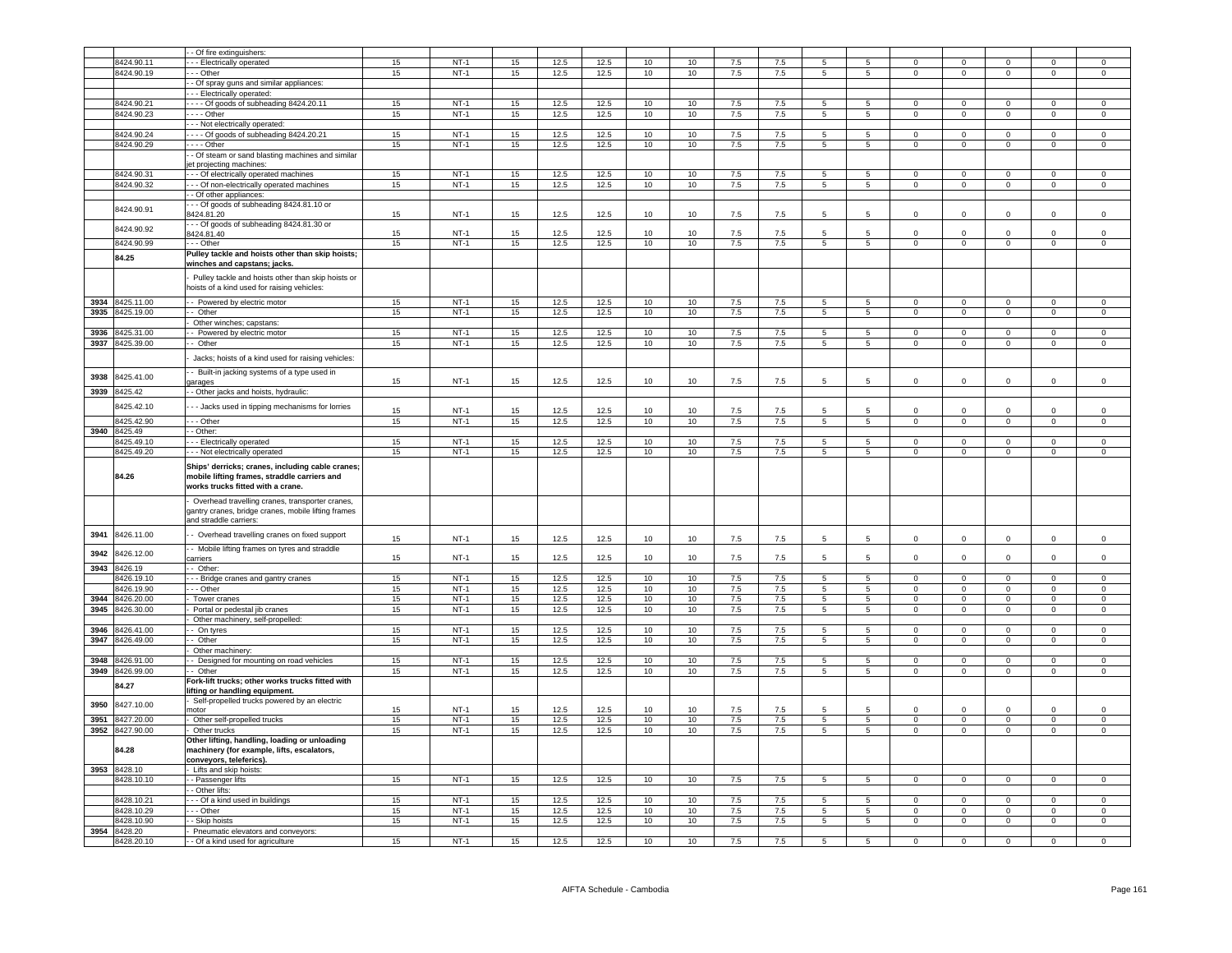|      |                       | Of fire extinguishers                                                                                                                                                  |    | $NT-1$ |          |              |              |                 | 10               | 7.5        |            |                 |                 |                |                |                |                |                |
|------|-----------------------|------------------------------------------------------------------------------------------------------------------------------------------------------------------------|----|--------|----------|--------------|--------------|-----------------|------------------|------------|------------|-----------------|-----------------|----------------|----------------|----------------|----------------|----------------|
|      | 8424.90.11            | - - Electrically operated                                                                                                                                              | 15 |        | 15       | 12.5         | 12.5         | 10              |                  |            | 7.5        | -5              | -5              | $\Omega$       | $\Omega$       | $\Omega$       | $\Omega$       | $\mathbf 0$    |
|      | 8424.90.19            | - Other                                                                                                                                                                | 15 | $NT-1$ | 15       | 12.5         | 12.5         | 10              | 10               | 7.5        | 7.5        | $\overline{5}$  | $\overline{5}$  | $\Omega$       | $\overline{0}$ | $\Omega$       | $\overline{0}$ | $\Omega$       |
|      |                       | - Of spray guns and similar appliances:                                                                                                                                |    |        |          |              |              |                 |                  |            |            |                 |                 |                |                |                |                |                |
|      |                       | --- Electrically operated:                                                                                                                                             |    |        |          |              |              |                 |                  |            |            |                 |                 |                |                |                |                |                |
|      | 8424.90.21            | ---- Of goods of subheading 8424.20.11                                                                                                                                 | 15 | $NT-1$ | 15       | 12.5         | 12.5         | 10              | 10               | 7.5        | 7.5        | 5               | 5               | $^{\circ}$     | $\overline{0}$ | $\mathbf 0$    | $\Omega$       | $\mathbf 0$    |
|      | 8424.90.23            | - - - - Other                                                                                                                                                          | 15 | $NT-1$ | 15       | 12.5         | 12.5         | 10              | 10               | 7.5        | 7.5        | 5               | 5               | $\mathbf 0$    | $\overline{0}$ | $\mathbf 0$    | $\mathbf 0$    | $\mathsf 0$    |
|      |                       | - - Not electrically operated:                                                                                                                                         |    |        |          |              |              |                 |                  |            |            |                 |                 |                |                |                |                |                |
|      | 8424.90.24            | ---- Of goods of subheading 8424.20.21                                                                                                                                 | 15 | $NT-1$ | 15       | 12.5         | 12.5         | 10              | 10 <sup>1</sup>  | 7.5        | 7.5        | 5               | $5\phantom{.0}$ | $\Omega$       | $\mathbf 0$    | $\circ$        | $\mathbf{0}$   | $\mathsf 0$    |
|      | 8424.90.29            | - - - - Other                                                                                                                                                          | 15 | $NT-1$ | 15       | 12.5         | 12.5         | 10              | 10               | 7.5        | 7.5        | 5               | $5\overline{)}$ | $\Omega$       | $\mathbf 0$    | $\mathsf 0$    | $\Omega$       | $\,0\,$        |
|      |                       | - Of steam or sand blasting machines and similar                                                                                                                       |    |        |          |              |              |                 |                  |            |            |                 |                 |                |                |                |                |                |
|      |                       | et projecting machines:                                                                                                                                                |    |        |          |              |              |                 |                  |            |            |                 |                 |                |                |                |                |                |
|      | 8424.90.31            | - - - Of electrically operated machines                                                                                                                                | 15 | $NT-1$ | 15       | 12.5         | 12.5         | 10              | 10               | 7.5        | 7.5        | 5               | 5               | $\Omega$       | $\Omega$       | $\Omega$       | $\Omega$       | $\Omega$       |
|      | 8424.90.32            | - - Of non-electrically operated machines                                                                                                                              | 15 | $NT-1$ | 15       | 12.5         | 12.5         | 10              | 10               | 7.5        | 7.5        | $5\overline{5}$ | $5^{\circ}$     | $\overline{0}$ | $\overline{0}$ | $\overline{0}$ | $\mathbf 0$    | $\overline{0}$ |
|      |                       | - Of other appliances:                                                                                                                                                 |    |        |          |              |              |                 |                  |            |            |                 |                 |                |                |                |                |                |
|      | 8424.90.91            | - - Of goods of subheading 8424.81.10 or                                                                                                                               |    |        |          |              |              |                 |                  |            |            |                 |                 |                |                |                |                |                |
|      |                       | 424.81.20                                                                                                                                                              | 15 | $NT-1$ | 15       | 12.5         | 12.5         | 10              | 10               | 7.5        | 7.5        | 5               | $\overline{5}$  | $^{\circ}$     | $\mathbf 0$    | $\mathbf 0$    | $\mathbf 0$    | $\,0\,$        |
|      | 8424.90.92            | - - Of goods of subheading 8424.81.30 or                                                                                                                               |    |        |          |              |              |                 |                  |            |            |                 |                 |                |                |                |                |                |
|      |                       | 8424.81.40                                                                                                                                                             | 15 | $NT-1$ | 15       | 12.5         | 12.5         | 10              | 10               | 7.5        | 7.5        |                 |                 |                |                |                |                | $\mathbf 0$    |
|      | 8424.90.99            | - - - Other                                                                                                                                                            | 15 | NT-1   | 15       | 12.5         | 12.5         | 10 <sup>1</sup> | 10               | 7.5        | 7.5        | $5\overline{5}$ | $5^{\circ}$     | $\mathbf{0}$   | $\overline{0}$ | $\overline{0}$ | $\mathbf{0}$   | $\overline{0}$ |
|      | 84.25                 | Pulley tackle and hoists other than skip hoists;                                                                                                                       |    |        |          |              |              |                 |                  |            |            |                 |                 |                |                |                |                |                |
|      |                       | winches and capstans; jacks.                                                                                                                                           |    |        |          |              |              |                 |                  |            |            |                 |                 |                |                |                |                |                |
|      |                       | Pulley tackle and hoists other than skip hoists or<br>hoists of a kind used for raising vehicles:                                                                      |    |        |          |              |              |                 |                  |            |            |                 |                 |                |                |                |                |                |
| 3934 | 3425.11.00            | - Powered by electric motor                                                                                                                                            | 15 | $NT-1$ | 15       | 12.5         | 12.5         | 10              | 10               | 7.5        | 7.5        | 5               | 5               | $\Omega$       | $\mathbf 0$    | $\Omega$       | $\Omega$       | $\mathsf 0$    |
| 3935 | 425.19.00             | - Other                                                                                                                                                                | 15 | $NT-1$ | 15       | 12.5         | 12.5         | 10              | 10               | 7.5        | 7.5        | 5               | 5               | $\circ$        | $\overline{0}$ | $\overline{0}$ | $\overline{0}$ | $\overline{0}$ |
|      |                       | Other winches; capstans:                                                                                                                                               |    |        |          |              |              |                 |                  |            |            |                 |                 |                |                |                |                |                |
| 3936 | 3425.31.00            | - Powered by electric motor                                                                                                                                            | 15 | $NT-1$ | 15       | 12.5         | 12.5         | 10              | 10               | 7.5        | $7.5\,$    | 5               | $\overline{5}$  | $\mathsf 0$    | $\mathsf 0$    | $^{\circ}$     | $\mathbf 0$    | $\,0\,$        |
| 3937 | 3425.39.00            | Other                                                                                                                                                                  | 15 | $NT-1$ | 15       | 12.5         | 12.5         | 10              | 10               | 7.5        | 7.5        | 5               | $5\overline{)}$ | $\mathbf 0$    | $\mathsf 0$    | $\mathsf 0$    | $\mathbf 0$    | $\,0\,$        |
|      |                       |                                                                                                                                                                        |    |        |          |              |              |                 |                  |            |            |                 |                 |                |                |                |                |                |
|      |                       | Jacks; hoists of a kind used for raising vehicles:                                                                                                                     |    |        |          |              |              |                 |                  |            |            |                 |                 |                |                |                |                |                |
| 3938 | 8425.41.00            | - Built-in jacking systems of a type used in                                                                                                                           |    |        |          |              |              |                 |                  |            |            |                 |                 |                |                |                |                |                |
| 3939 | 8425.42               | arages<br>- Other jacks and hoists, hydraulic:                                                                                                                         | 15 | $NT-1$ | 15       | 12.5         | 12.5         | 10              | 10               | 7.5        | 7.5        | 5               | 5               | $\Omega$       | $\Omega$       | $\Omega$       | $\Omega$       | $\Omega$       |
|      |                       |                                                                                                                                                                        |    |        |          |              |              |                 |                  |            |            |                 |                 |                |                |                |                |                |
|      | 425.42.10             | - Jacks used in tipping mechanisms for lorries                                                                                                                         | 15 | $NT-1$ | 15       | 12.5         | 12.5         | 10              | 10               | 7.5        | 7.5        | 5               | 5               | $\Omega$       | 0              | $\Omega$       | $\Omega$       | $\mathsf 0$    |
|      | 8425.42.90            | - - Other                                                                                                                                                              | 15 | $NT-1$ | 15       | 12.5         | 12.5         | 10              | 10               | 7.5        | 7.5        | $5\overline{5}$ | $5^{\circ}$     | $\overline{0}$ | $\overline{0}$ | $\overline{0}$ | $\Omega$       | $\overline{0}$ |
| 3940 | 8425.49               | - Other:                                                                                                                                                               |    |        |          |              |              |                 |                  |            |            |                 |                 |                |                |                |                |                |
|      | 8425.49.10            | - Electrically operated                                                                                                                                                | 15 | $NT-1$ | 15       | 12.5         | 12.5         | 10 <sup>1</sup> | 10               | 7.5        | 7.5        | 5               | 5               | $\Omega$       | $\overline{0}$ | $\mathbf{0}$   | $\Omega$       | $\Omega$       |
|      |                       |                                                                                                                                                                        |    |        |          |              |              |                 |                  |            |            |                 |                 |                |                |                |                |                |
|      | 3425.49.20            |                                                                                                                                                                        | 15 | $NT-1$ | 15       |              |              |                 | 10               | 7.5        | 7.5        | 5               | 5               | $\Omega$       | $\mathbf 0$    | $\Omega$       | $\mathsf 0$    | $\mathsf 0$    |
|      | 84.26                 | - - Not electrically operated<br>Ships' derricks; cranes, including cable cranes;<br>mobile lifting frames, straddle carriers and<br>works trucks fitted with a crane. |    |        |          | 12.5         | 12.5         | 10              |                  |            |            |                 |                 |                |                |                |                |                |
|      |                       | Overhead travelling cranes, transporter cranes,<br>gantry cranes, bridge cranes, mobile lifting frames<br>and straddle carriers:                                       |    |        |          |              |              |                 |                  |            |            |                 |                 |                |                |                |                |                |
| 3941 | 8426.11.00            | - Overhead travelling cranes on fixed support                                                                                                                          |    |        |          |              |              |                 |                  |            |            |                 |                 |                |                |                |                |                |
|      |                       |                                                                                                                                                                        | 15 | $NT-1$ | 15       | 12.5         | 12.5         | 10              | 10               | 7.5        | 7.5        | 5               | 5               | $\Omega$       | $\,0\,$        | $^{\circ}$     | $\mathbf 0$    | $\mathbf 0$    |
| 3942 | 426.12.00             | - Mobile lifting frames on tyres and straddle<br>arriers                                                                                                               |    |        |          |              |              |                 |                  |            |            | 5               | 5               | $\mathbf 0$    |                | $\mathbf 0$    | $\mathsf 0$    |                |
| 3943 | 3426.19               | $-$ Other:                                                                                                                                                             | 15 | $NT-1$ | 15       | 12.5         | 12.5         | 10              | 10               | 7.5        | 7.5        |                 |                 |                | $\mathbf 0$    |                |                | $\mathbf 0$    |
|      | 426.19.10             |                                                                                                                                                                        | 15 | $NT-1$ | 15       | 12.5         | 12.5         | 10              | 10 <sup>10</sup> | 7.5        | 7.5        | 5               | $5\overline{5}$ | $\Omega$       | $\mathbf 0$    | $\Omega$       | $\mathbf 0$    | $\mathbf 0$    |
|      | 3426.19.90            | - Bridge cranes and gantry cranes<br>- - - Other                                                                                                                       | 15 | $NT-1$ |          |              |              |                 |                  |            |            | 5               | 5               | $\mathbf 0$    | $\overline{0}$ | $\mathbf 0$    | $\mathbf 0$    | $\mathbf 0$    |
| 3944 | 3426.20.00            | - Tower cranes                                                                                                                                                         | 15 | $NT-1$ | 15<br>15 | 12.5<br>12.5 | 12.5<br>12.5 | 10<br>10        | 10<br>10         | 7.5<br>7.5 | 7.5<br>7.5 | 5               | 5               | $\mathbf 0$    | $\mathbf 0$    | $\mathbf 0$    | $\mathbf 0$    | $\mathbf 0$    |
|      |                       |                                                                                                                                                                        |    |        |          |              |              |                 |                  |            |            |                 |                 |                |                |                |                |                |
| 3945 | 8426.30.00            | Portal or pedestal jib cranes                                                                                                                                          | 15 | $NT-1$ | 15       | 12.5         | 12.5         | 10              | 10               | 7.5        | 7.5        | $5\overline{5}$ | $5\overline{5}$ | $\mathsf 0$    | $\overline{0}$ | $\overline{0}$ | $\mathbf 0$    | $\mathsf 0$    |
| 3946 | 426,41.00             | Other machinery, self-propelled:                                                                                                                                       | 15 | $NT-1$ | 15       | 12.5         | 12.5         | 10              | 10               | 7.5        | 7.5        | 5               |                 | $\Omega$       | $\overline{0}$ | $\circ$        | $\mathbf 0$    | $\mathbf 0$    |
|      |                       | - On tyres                                                                                                                                                             |    |        |          |              |              |                 |                  |            |            |                 | $5\overline{)}$ |                |                |                |                |                |
| 3947 | 426.49.00             | - Other                                                                                                                                                                | 15 | $NT-1$ | 15       | 12.5         | 12.5         | 10              | 10               | 7.5        | 7.5        | $\overline{5}$  | $5\phantom{.0}$ | $\mathsf 0$    | $\overline{0}$ | $\mathsf 0$    | $\mathbf 0$    | $\,0\,$        |
|      |                       | Other machinery                                                                                                                                                        |    |        |          |              |              |                 |                  |            |            | 5               |                 | $\mathbf 0$    |                | $^{\circ}$     | $\mathbf 0$    | $\mathbf 0$    |
| 3948 | 3426.91.00            | - Designed for mounting on road vehicles                                                                                                                               | 15 | $NT-1$ | 15       | 12.5         | 12.5         | 10              | 10               | 7.5        | 7.5        |                 | 5               | $\Omega$       | $\mathbf 0$    |                |                |                |
|      | 3949 8426.99.00       | - Other                                                                                                                                                                | 15 | $NT-1$ | 15       | 12.5         | 12.5         | 10              | 10               | 7.5        | 7.5        | $\overline{5}$  | $\overline{5}$  |                | $\overline{0}$ | $\overline{0}$ | $\overline{0}$ | $\overline{0}$ |
|      | 34.27                 | Fork-lift trucks; other works trucks fitted with<br>lifting or handling equipment.                                                                                     |    |        |          |              |              |                 |                  |            |            |                 |                 |                |                |                |                |                |
|      |                       | Self-propelled trucks powered by an electric                                                                                                                           |    |        |          |              |              |                 |                  |            |            |                 |                 |                |                |                |                |                |
| 3950 | 8427.10.00            | notor                                                                                                                                                                  | 15 | $NT-1$ | 15       | 12.5         | 12.5         | 10              | 10               | 7.5        | 7.5        | 5               |                 | $\mathbf 0$    | $\mathbf 0$    | $\Omega$       | $\Omega$       | $\mathbf 0$    |
| 3951 | 8427.20.00            | Other self-propelled trucks                                                                                                                                            | 15 | $NT-1$ | 15       | 12.5         | 12.5         | 10              | 10               | 7.5        | $7.5\,$    | $\overline{5}$  | $\overline{5}$  | $\mathbf 0$    | $\mathbf 0$    | $\mathbf 0$    | $\mathsf 0$    | $\,0\,$        |
| 3952 | 8427.90.00<br>B4.28   | Other trucks<br>Other lifting, handling, loading or unloading<br>machinery (for example, lifts, escalators,                                                            | 15 | $NT-1$ | 15       | 12.5         | 12.5         | 10              | 10               | 7.5        | 7.5        | $\overline{5}$  | $\overline{5}$  | $\overline{0}$ | $\overline{0}$ | $\overline{0}$ | $\overline{0}$ | $\overline{0}$ |
| 3953 | 8428.10               | conveyors, teleferics).<br>Lifts and skip hoists:                                                                                                                      |    |        |          |              |              |                 |                  |            |            |                 |                 |                |                |                |                |                |
|      | 8428.10.10            | - Passenger lifts                                                                                                                                                      | 15 | $NT-1$ | 15       | 12.5         | 12.5         | 10              | 10               | 7.5        | 7.5        | 5               | 5               | $^{\circ}$     | $\mathbf 0$    | $^{\circ}$     | $\mathbf 0$    | $\mathsf 0$    |
|      |                       |                                                                                                                                                                        |    |        |          |              |              |                 |                  |            |            |                 |                 |                |                |                |                |                |
|      | 8428.10.21            | Other lifts:<br>- - Of a kind used in buildings                                                                                                                        | 15 | $NT-1$ | 15       | 12.5         | 12.5         | 10              | 10               | 7.5        | 7.5        | $\overline{5}$  | $\overline{5}$  | $\Omega$       | $\overline{0}$ | $\Omega$       | $\Omega$       | $\Omega$       |
|      | 428.10.29             | - Other                                                                                                                                                                | 15 | $NT-1$ | 15       | 12.5         | 12.5         | 10              | 10               | 7.5        | 7.5        | 5               | 5               | $\Omega$       | $\Omega$       | $\Omega$       | $\Omega$       | $\Omega$       |
|      | 428.10.90             | Skip hoists                                                                                                                                                            | 15 | $NT-1$ | 15       | 12.5         | 12.5         | 10              | 10 <sup>10</sup> | 7.5        | 7.5        | 5               | $5\overline{5}$ | $\mathsf 0$    | $\mathsf 0$    | $\Omega$       | $\Omega$       | $\mathsf 0$    |
|      |                       |                                                                                                                                                                        |    |        |          |              |              |                 |                  |            |            |                 |                 |                |                |                |                |                |
| 3954 | 8428.20<br>8428.20.10 | Pneumatic elevators and conveyors:<br>- - Of a kind used for agriculture                                                                                               | 15 | $NT-1$ | 15       | 12.5         | 12.5         | 10              | 10               | 7.5        | 7.5        | 5               | 5               | $\Omega$       | $\Omega$       |                |                | $\Omega$       |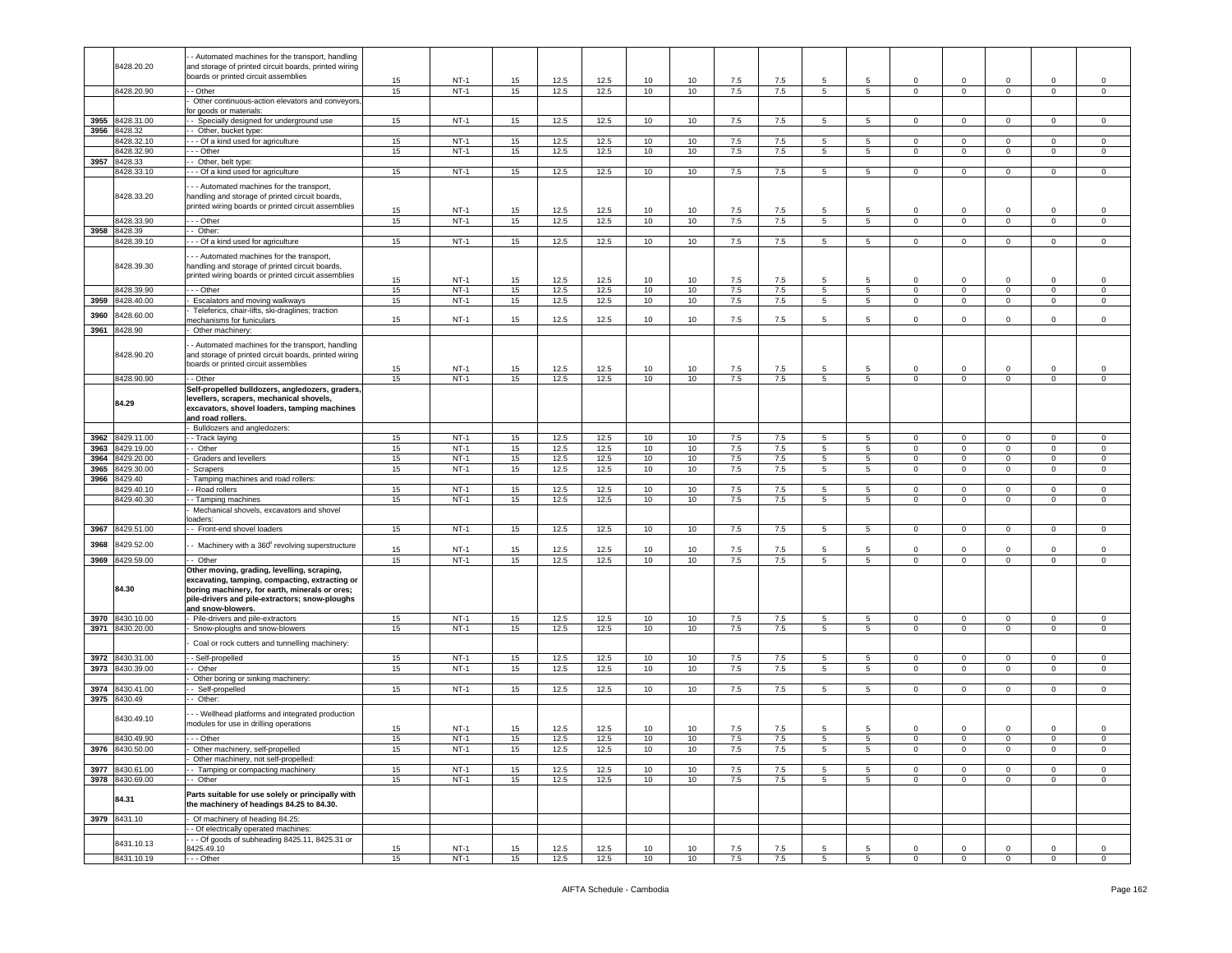|      |                 | - Automated machines for the transport, handling      |    |        |    |              |              |      |    |            |            |                 |                 |                |                |                |              |             |
|------|-----------------|-------------------------------------------------------|----|--------|----|--------------|--------------|------|----|------------|------------|-----------------|-----------------|----------------|----------------|----------------|--------------|-------------|
|      | 8428.20.20      | and storage of printed circuit boards, printed wiring |    |        |    |              |              |      |    |            |            |                 |                 |                |                |                |              |             |
|      |                 |                                                       |    |        |    |              |              |      |    |            |            |                 |                 |                |                |                |              |             |
|      |                 | boards or printed circuit assemblies                  | 15 | $NT-1$ | 15 | 12.5         | 12.5         | 10   | 10 | 7.5        | 7.5        | 5               | 5               | $\Omega$       | $\mathbf 0$    | $\Omega$       | 0            | 0           |
|      | 8428.20.90      | - - Other                                             | 15 | $NT-1$ | 15 | 12.5         | 12.5         | 10   | 10 | 7.5        | 7.5        | 5               | 5               | $\mathbf 0$    | $\mathbf 0$    | 0              | $\mathbf{0}$ | 0           |
|      |                 |                                                       |    |        |    |              |              |      |    |            |            |                 |                 |                |                |                |              |             |
|      |                 | Other continuous-action elevators and conveyors       |    |        |    |              |              |      |    |            |            |                 |                 |                |                |                |              |             |
|      |                 | or goods or materials:                                |    |        |    |              |              |      |    |            |            |                 |                 |                |                |                |              |             |
| 3955 | 8428.31.00      | - Specially designed for underground use              | 15 | $NT-1$ | 15 | 12.5         | 12.5         | 10   | 10 | $7.5\,$    | 7.5        | 5               | 5               | $\mathbf 0$    | $\mathbf 0$    | $\mathbf 0$    | $\mathbf 0$  | $\mathsf 0$ |
|      | 3956 8428.32    | -- Other, bucket type:                                |    |        |    |              |              |      |    |            |            |                 |                 |                |                |                |              |             |
|      |                 |                                                       |    |        |    |              |              |      |    |            |            |                 |                 |                |                |                |              |             |
|      | 8428.32.10      | - - Of a kind used for agriculture                    | 15 | $NT-1$ | 15 | 12.5         | 12.5         | 10   | 10 | 7.5        | 7.5        | 5               | $5\phantom{.0}$ | $\mathbf 0$    | $\mathsf 0$    | $\mathsf 0$    | $\mathbf 0$  | $\mathsf 0$ |
|      | 8428.32.90      | - - - Other                                           | 15 | $NT-1$ | 15 | 12.5         | 12.5         | 10   | 10 | 7.5        | 7.5        | $5\overline{)}$ | 5               | $\overline{0}$ | $\mathbf 0$    | $\mathbf 0$    | $\mathbf 0$  | 0           |
| 3957 | 8428.33         | - Other, belt type:                                   |    |        |    |              |              |      |    |            |            |                 |                 |                |                |                |              |             |
|      |                 |                                                       |    |        |    |              |              |      |    |            |            |                 |                 |                |                |                |              |             |
|      | 8428.33.10      | - - Of a kind used for agriculture                    | 15 | $NT-1$ | 15 | 12.5         | 12.5         | 10   | 10 | 7.5        | 7.5        | 5               | $5\phantom{.0}$ | $\mathbf 0$    | $\mathbf 0$    | $\mathsf 0$    | $\mathsf 0$  | $\mathsf 0$ |
|      |                 |                                                       |    |        |    |              |              |      |    |            |            |                 |                 |                |                |                |              |             |
|      |                 | - - Automated machines for the transport,             |    |        |    |              |              |      |    |            |            |                 |                 |                |                |                |              |             |
|      | 8428.33.20      | handling and storage of printed circuit boards,       |    |        |    |              |              |      |    |            |            |                 |                 |                |                |                |              |             |
|      |                 | printed wiring boards or printed circuit assemblies   |    |        |    |              |              |      |    |            |            |                 |                 |                |                |                |              |             |
|      |                 |                                                       | 15 | $NT-1$ | 15 | 12.5         | 12.5         | 10   | 10 | 7.5        | 7.5        | 5               | -5              | 0              | $^{\circ}$     | $\mathbf 0$    | $\mathbf 0$  | $^{\circ}$  |
|      | 8428.33.90      | - - Other                                             | 15 | $NT-1$ | 15 | 12.5         | 12.5         | 10   | 10 | 7.5        | 7.5        | $5^{\circ}$     | 5               | $\circ$        | $\mathsf 0$    | $\mathbf 0$    | $\mathsf 0$  | $\mathbf 0$ |
|      | 3958 8428.39    | - Other:                                              |    |        |    |              |              |      |    |            |            |                 |                 |                |                |                |              |             |
|      |                 | - - Of a kind used for agriculture                    | 15 | $NT-1$ |    | 12.5         | 12.5         | 10   | 10 |            |            | 5               | 5               | $\mathbf 0$    | $\mathbf 0$    | $\mathbf 0$    | $\Omega$     | $\Omega$    |
|      | 8428.39.10      |                                                       |    |        | 15 |              |              |      |    | 7.5        | 7.5        |                 |                 |                |                |                |              |             |
|      |                 |                                                       |    |        |    |              |              |      |    |            |            |                 |                 |                |                |                |              |             |
|      |                 | - - Automated machines for the transport,             |    |        |    |              |              |      |    |            |            |                 |                 |                |                |                |              |             |
|      | 8428.39.30      | handling and storage of printed circuit boards,       |    |        |    |              |              |      |    |            |            |                 |                 |                |                |                |              |             |
|      |                 | printed wiring boards or printed circuit assemblies   | 15 | $NT-1$ | 15 | 12.5         | 12.5         | 10   | 10 | 7.5        | 7.5        | 5               | 5               | 0              | $\mathbf 0$    | $\mathbf 0$    | $\mathbf 0$  | $^{\circ}$  |
|      |                 |                                                       |    |        |    |              |              |      |    |            |            |                 |                 |                |                |                |              |             |
|      | 8428.39.90      | - - Other                                             | 15 | $NT-1$ | 15 | 12.5         | 12.5         | 10   | 10 | 7.5        | 7.5        | 5               | $5\phantom{.0}$ | 0              | $\mathbf 0$    | $\mathbf 0$    | $\mathbf 0$  | $\mathsf 0$ |
| 3959 | 8428.40.00      | Escalators and moving walkways                        | 15 | $NT-1$ | 15 | 12.5         | 12.5         | 10   | 10 | 7.5        | 7.5        | $5\overline{)}$ | 5               | $\overline{0}$ | $\mathbf 0$    | $\mathbf 0$    | $\mathbf 0$  | $\mathsf 0$ |
|      |                 | Teleferics, chair-lifts, ski-draglines; traction      |    |        |    |              |              |      |    |            |            |                 |                 |                |                |                |              |             |
| 3960 | 3428.60.00      | nechanisms for funiculars                             | 15 | NT-1   | 15 | 12.5         | 12.5         | 10   | 10 | 7.5        | 7.5        | 5               | 5               | 0              | $\mathbf 0$    | $\mathbf 0$    | 0            | $^{\circ}$  |
|      |                 |                                                       |    |        |    |              |              |      |    |            |            |                 |                 |                |                |                |              |             |
| 3961 | 8428.90         | Other machinery:                                      |    |        |    |              |              |      |    |            |            |                 |                 |                |                |                |              |             |
|      |                 |                                                       |    |        |    |              |              |      |    |            |            |                 |                 |                |                |                |              |             |
|      |                 | - Automated machines for the transport, handling      |    |        |    |              |              |      |    |            |            |                 |                 |                |                |                |              |             |
|      | 8428.90.20      | and storage of printed circuit boards, printed wiring |    |        |    |              |              |      |    |            |            |                 |                 |                |                |                |              |             |
|      |                 | boards or printed circuit assemblies                  |    |        |    |              |              |      |    |            |            |                 |                 |                |                |                |              |             |
|      |                 |                                                       | 15 | $NT-1$ | 15 | 12.5         | 12.5         | 10   | 10 | 7.5        | 7.5        | 5               | 5               | 0              | $^{\circ}$     | $\mathbf 0$    | $\mathbf 0$  | $^{\circ}$  |
|      | 8428.90.90      | - Other                                               | 15 | $NT-1$ | 15 | 12.5         | 12.5         | 10   | 10 | 7.5        | 7.5        | 5               | 5               | $\mathbf 0$    | $^{\circ}$     | 0              | $\mathbf 0$  | 0           |
|      |                 | Self-propelled bulldozers, angledozers, graders,      |    |        |    |              |              |      |    |            |            |                 |                 |                |                |                |              |             |
|      |                 |                                                       |    |        |    |              |              |      |    |            |            |                 |                 |                |                |                |              |             |
|      | 84.29           | levellers, scrapers, mechanical shovels,              |    |        |    |              |              |      |    |            |            |                 |                 |                |                |                |              |             |
|      |                 | excavators, shovel loaders, tamping machines          |    |        |    |              |              |      |    |            |            |                 |                 |                |                |                |              |             |
|      |                 | and road rollers.                                     |    |        |    |              |              |      |    |            |            |                 |                 |                |                |                |              |             |
|      |                 | Bulldozers and angledozers:                           |    |        |    |              |              |      |    |            |            |                 |                 |                |                |                |              |             |
|      |                 |                                                       |    |        |    |              |              |      |    |            |            | 5               |                 |                |                |                |              |             |
| 3962 | 8429.11.00      | - Track laying                                        | 15 | $NT-1$ | 15 | 12.5         | 12.5         | 10   | 10 | 7.5        | 7.5        |                 | 5               | 0              | $\mathbf 0$    | $\mathbf 0$    | $\mathbf 0$  | $^{\circ}$  |
| 3963 | 8429.19.00      | - Other                                               | 15 | $NT-1$ | 15 | 12.5         | 12.5         | 10   | 10 | 7.5        | 7.5        | 5               | $5\phantom{.0}$ | 0              | $\mathbf 0$    | 0              | 0            | 0           |
| 3964 | 8429.20.00      | Graders and levellers                                 | 15 | $NT-1$ | 15 | 12.5         | 12.5         | 10   | 10 | 7.5        | 7.5        | $5^{\circ}$     | $5\phantom{.0}$ | $\circ$        | $\mathbf 0$    | $\mathbf 0$    | $\mathbf 0$  | $\mathbf 0$ |
| 3965 | 8429.30.00      |                                                       | 15 | $NT-1$ | 15 | 12.5         | 12.5         | 10   | 10 | 7.5        | 7.5        | 5               | 5               | $\mathbf 0$    | $\mathbf 0$    | 0              | $\mathbf 0$  | 0           |
|      |                 | Scrapers                                              |    |        |    |              |              |      |    |            |            |                 |                 |                |                |                |              |             |
| 3966 | 8429.40         | Tamping machines and road rollers:                    |    |        |    |              |              |      |    |            |            |                 |                 |                |                |                |              |             |
|      | 8429.40.10      |                                                       |    |        |    |              |              |      |    |            | 7.5        | 5               |                 |                |                |                |              |             |
|      |                 |                                                       |    |        |    |              |              |      |    |            |            |                 |                 |                |                |                |              |             |
|      |                 | - Road rollers                                        | 15 | $NT-1$ | 15 | 12.5         | 12.5         | 10   | 10 | 7.5        |            |                 | 5               | $\mathbf 0$    | $\mathbf 0$    | 0              | $\mathbf 0$  | 0           |
|      | 8429.40.30      | - Tamping machines                                    | 15 | $NT-1$ | 15 | 12.5         | 12.5         | 10   | 10 | 7.5        | 7.5        | $5\overline{)}$ | $5\overline{)}$ | 0              | $\mathbf 0$    | $\mathbf 0$    | $\mathsf 0$  | 0           |
|      |                 | Mechanical shovels, excavators and shovel             |    |        |    |              |              |      |    |            |            |                 |                 |                |                |                |              |             |
|      |                 | oaders:                                               |    |        |    |              |              |      |    |            |            |                 |                 |                |                |                |              |             |
|      |                 |                                                       |    |        |    |              |              |      |    |            |            |                 |                 |                |                |                |              |             |
|      | 3967 8429.51.00 | - - Front-end shovel loaders                          | 15 | $NT-1$ | 15 | 12.5         | 12.5         | 10   | 10 | 7.5        | 7.5        | 5               | 5               | $\mathbf 0$    | $\,0\,$        | $^{\circ}$     | $\mathbf 0$  | 0           |
|      |                 |                                                       |    |        |    |              |              |      |    |            |            |                 |                 |                |                |                |              |             |
| 3968 | 8429.52.00      | - Machinery with a 360° revolving superstructure      | 15 | $NT-1$ | 15 | 12.5         | 12.5         | 10   | 10 | 7.5        | 7.5        | 5               | 5               | $\mathbf 0$    | $\mathbf 0$    | $\mathbf 0$    | $\Omega$     | $^{\circ}$  |
|      |                 | - - Other                                             | 15 | $NT-1$ |    |              |              |      |    |            |            | $5\overline{5}$ | $5\overline{5}$ | $\mathbf 0$    | $\mathbf 0$    | $\mathsf 0$    | $\mathsf 0$  | $\mathsf 0$ |
| 3969 | 8429.59.00      |                                                       |    |        | 15 | 12.5         | 12.5         | 10   | 10 | 7.5        | 7.5        |                 |                 |                |                |                |              |             |
|      |                 | Other moving, grading, levelling, scraping,           |    |        |    |              |              |      |    |            |            |                 |                 |                |                |                |              |             |
|      |                 | excavating, tamping, compacting, extracting or        |    |        |    |              |              |      |    |            |            |                 |                 |                |                |                |              |             |
|      | 84.30           | boring machinery, for earth, minerals or ores;        |    |        |    |              |              |      |    |            |            |                 |                 |                |                |                |              |             |
|      |                 |                                                       |    |        |    |              |              |      |    |            |            |                 |                 |                |                |                |              |             |
|      |                 | pile-drivers and pile-extractors; snow-ploughs        |    |        |    |              |              |      |    |            |            |                 |                 |                |                |                |              |             |
|      |                 | and snow-blowers.                                     |    |        |    |              |              |      |    |            |            |                 |                 |                |                |                |              |             |
|      | 3970 8430.10.00 | - Pile-drivers and pile-extractors                    | 15 | $NT-1$ | 15 | 12.5         | 12.5         | 10   | 10 | 7.5        | 7.5        | 5               | 5               | $\mathbf 0$    | $\mathbf 0$    | $\mathbf 0$    | $\mathbf 0$  | 0           |
| 3971 | 8430.20.00      | Snow-ploughs and snow-blowers                         | 15 | $NT-1$ | 15 | 12.5         | 12.5         | 10   | 10 | 7.5        | 7.5        | 5               | $5\overline{)}$ | $\mathbf 0$    | $\mathbf 0$    | $\mathsf 0$    | $\mathbf 0$  | $\mathbf 0$ |
|      |                 |                                                       |    |        |    |              |              |      |    |            |            |                 |                 |                |                |                |              |             |
|      |                 | Coal or rock cutters and tunnelling machinery:        |    |        |    |              |              |      |    |            |            |                 |                 |                |                |                |              |             |
|      |                 |                                                       |    |        |    |              |              |      |    |            |            |                 |                 |                |                |                |              |             |
| 3972 | 8430.31.00      | - Self-propelled                                      | 15 | $NT-1$ | 15 | 12.5         | 12.5         | 10   | 10 | 7.5        | 7.5        | 5               | 5               | $\mathbf 0$    | $\mathbf 0$    | 0              | 0            | 0           |
|      | 3973 8430.39.00 | - Other                                               | 15 | $NT-1$ | 15 | 12.5         | 12.5         | 10   | 10 | 7.5        | 7.5        | 5               | $\overline{5}$  | $\mathbf 0$    | $\mathbf 0$    | $\mathsf 0$    | $\mathsf 0$  | $\mathsf 0$ |
|      |                 | Other boring or sinking machinery:                    |    |        |    |              |              |      |    |            |            |                 |                 |                |                |                |              |             |
|      |                 |                                                       |    |        |    |              |              |      |    |            |            |                 |                 |                |                |                |              |             |
| 3974 | 8430.41.00      | - Self-propelled                                      | 15 | $NT-1$ | 15 | 12.5         | 12.5         | 10   | 10 | 7.5        | 7.5        | $5^{\circ}$     | 5               | 0              | $\mathbf 0$    | $\mathbf 0$    | $\mathbf 0$  | 0           |
|      | 3975 8430.49    | - Other:                                              |    |        |    |              |              |      |    |            |            |                 |                 |                |                |                |              |             |
|      |                 |                                                       |    |        |    |              |              |      |    |            |            |                 |                 |                |                |                |              |             |
|      | 8430.49.10      | - Wellhead platforms and integrated production        |    |        |    |              |              |      |    |            |            |                 |                 |                |                |                |              |             |
|      |                 | modules for use in drilling operations                |    |        |    |              |              |      |    |            |            | 5               | 5               |                | $^{\circ}$     | 0              | $\mathbf 0$  | $^{\circ}$  |
|      |                 |                                                       | 15 | NT-1   | 15 | 12.5         | 12.5         | 10   | 10 | 7.5        | 7.5        |                 |                 | 0              |                |                |              |             |
|      | 8430.49.90      | - - Other                                             | 15 | $NT-1$ | 15 | 12.5         | 12.5         | $10$ | 10 | $7.5\,$    | $7.5\,$    | 5               | $\overline{5}$  | $\mathbf 0$    | $\pmb{0}$      | $\mathbf 0$    | $\mathbf 0$  | $\pmb{0}$   |
|      | 3976 8430.50.00 | Other machinery, self-propelled                       | 15 | $NT-1$ | 15 | 12.5         | 12.5         | 10   | 10 | 7.5        | 7.5        | 5 <sub>5</sub>  | 5               | $\overline{0}$ | $\mathbf{0}$   | $\overline{0}$ | $\mathbf{0}$ | $\circ$     |
|      |                 | Other machinery, not self-propelled:                  |    |        |    |              |              |      |    |            |            |                 |                 |                |                |                |              |             |
|      |                 |                                                       |    |        |    |              |              |      |    |            |            |                 |                 |                |                |                |              |             |
|      | 3977 8430.61.00 | Tamping or compacting machinery                       | 15 | $NT-1$ | 15 | 12.5         | 12.5         | 10   | 10 | 7.5        | 7.5        | $5\phantom{.0}$ | $5\overline{5}$ | $\circ$        | $\mathbf 0$    | $\mathbf 0$    | $\mathsf 0$  | $\mathsf 0$ |
|      | 3978 8430.69.00 | - Other                                               | 15 | $NT-1$ | 15 | 12.5         | 12.5         | 10   | 10 | 7.5        | 7.5        | $5^{\circ}$     | 5 <sub>5</sub>  | $\mathbf 0$    | $\mathbf 0$    | $\mathbf 0$    | $\mathbf 0$  | 0           |
|      |                 |                                                       |    |        |    |              |              |      |    |            |            |                 |                 |                |                |                |              |             |
|      | 84.31           | Parts suitable for use solely or principally with     |    |        |    |              |              |      |    |            |            |                 |                 |                |                |                |              |             |
|      |                 | the machinery of headings 84.25 to 84.30.             |    |        |    |              |              |      |    |            |            |                 |                 |                |                |                |              |             |
|      |                 |                                                       |    |        |    |              |              |      |    |            |            |                 |                 |                |                |                |              |             |
|      | 3979 8431.10    | Of machinery of heading 84.25:                        |    |        |    |              |              |      |    |            |            |                 |                 |                |                |                |              |             |
|      |                 | - Of electrically operated machines:                  |    |        |    |              |              |      |    |            |            |                 |                 |                |                |                |              |             |
|      |                 | - - Of goods of subheading 8425.11, 8425.31 or        |    |        |    |              |              |      |    |            |            |                 |                 |                |                |                |              |             |
|      | 8431.10.13      |                                                       | 15 | $NT-1$ | 15 |              |              | 10   | 10 |            |            | 5               | -5              | $\mathbf 0$    | $\mathbf 0$    | $\Omega$       | $\circ$      | $\mathsf 0$ |
|      | 8431.10.19      | 8425.49.10<br>--- Other                               | 15 | $NT-1$ | 15 | 12.5<br>12.5 | 12.5<br>12.5 | 10   | 10 | 7.5<br>7.5 | 7.5<br>7.5 | $5\overline{5}$ | $5\phantom{.0}$ | $\overline{0}$ | $\overline{0}$ | $\mathbf 0$    | $\mathbf 0$  | $\mathbf 0$ |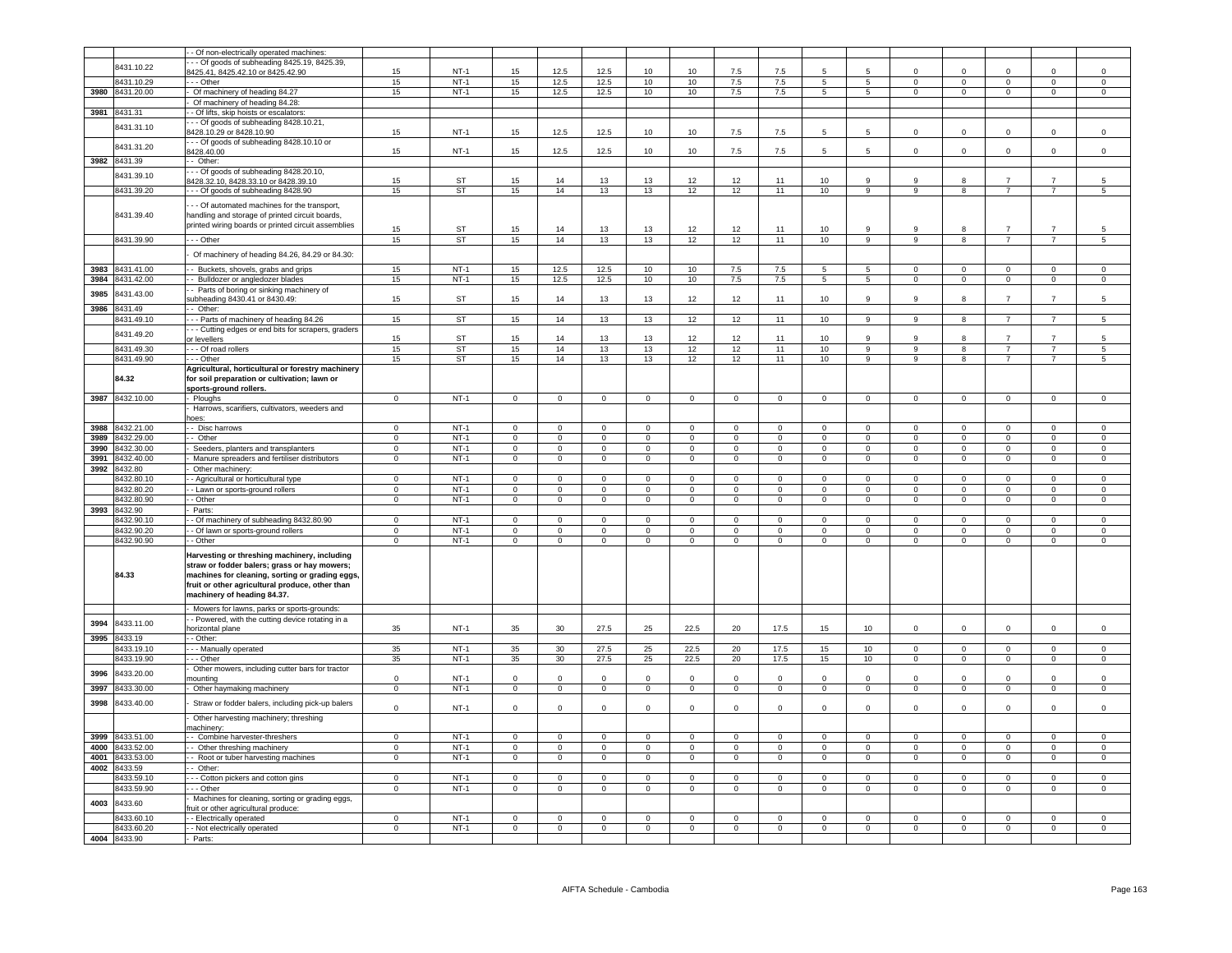|      |                 | - Of non-electrically operated machines:            |                |           |                |                     |                |                |                  |                |                |                     |                 |                |                         |                     |                |                     |
|------|-----------------|-----------------------------------------------------|----------------|-----------|----------------|---------------------|----------------|----------------|------------------|----------------|----------------|---------------------|-----------------|----------------|-------------------------|---------------------|----------------|---------------------|
|      | 8431.10.22      | - - Of goods of subheading 8425.19, 8425.39,        |                |           |                |                     |                |                |                  |                |                |                     |                 |                |                         |                     |                |                     |
|      |                 | 425.41, 8425.42.10 or 8425.42.90                    | 15             | $NT-1$    | 15             | 12.5                | 12.5           | 10             | 10 <sup>1</sup>  | 7.5            | 7.5            | 5                   |                 | $\Omega$       | $\Omega$                |                     | $\Omega$       | $\Omega$            |
|      | 8431.10.29      | $-$ - Other                                         | 15             | $NT-1$    | 15             | 12.5                | 12.5           | 10             | 10 <sup>1</sup>  | 7.5            | 7.5            | $5^{\circ}$         | 5               | $\Omega$       | $\Omega$                | $\mathbf 0$         | $\Omega$       | $\Omega$            |
| 3980 | 8431.20.00      | Of machinery of heading 84.27                       | 15             | $NT-1$    | 15             | 12.5                | 12.5           | 10             | 10               | 7.5            | 7.5            | $5\phantom{.0}$     | $5\overline{5}$ | $\Omega$       | $\mathbf 0$             | $\circ$             | $\mathsf 0$    | $\mathsf 0$         |
|      |                 | Of machinery of heading 84.28:                      |                |           |                |                     |                |                |                  |                |                |                     |                 |                |                         |                     |                |                     |
|      | 3981 8431.31    | - Of lifts, skip hoists or escalators               |                |           |                |                     |                |                |                  |                |                |                     |                 |                |                         |                     |                |                     |
|      |                 | - - Of goods of subheading 8428.10.21,              |                |           |                |                     |                |                |                  |                |                |                     |                 |                |                         |                     |                |                     |
|      | 8431.31.10      | 3428.10.29 or 8428.10.90                            | 15             | $NT-1$    | 15             | 12.5                | 12.5           | 10             | 10               | $7.5\,$        | 7.5            | 5                   | $5\overline{5}$ | $\Omega$       | $\mathbf 0$             | $\Omega$            | $\Omega$       | $\,0\,$             |
|      |                 | - - - Of goods of subheading 8428.10.10 or          |                |           |                |                     |                |                |                  |                |                |                     |                 |                |                         |                     |                |                     |
|      | 8431.31.20      | 3428.40.00                                          | 15             | $NT-1$    | 15             | 12.5                | 12.5           | 10             | 10               | 7.5            | 7.5            |                     | 5               | $\mathbf 0$    | $\mathbf 0$             | $\mathbf 0$         |                | $\mathbf 0$         |
|      | 3982 8431.39    | - Other:                                            |                |           |                |                     |                |                |                  |                |                |                     |                 |                |                         |                     |                |                     |
|      |                 |                                                     |                |           |                |                     |                |                |                  |                |                |                     |                 |                |                         |                     |                |                     |
|      | 8431.39.10      | - - Of goods of subheading 8428.20.10,              | 15             | ST        | 15             | 14                  | 13             | 13             | 12               | 12             | 11             | 10                  | 9               | 9              | 8                       |                     | $\overline{7}$ | 5                   |
|      |                 | 428.32.10, 8428.33.10 or 8428.39.10                 |                |           |                |                     |                |                |                  |                |                |                     |                 |                |                         |                     | $\overline{7}$ |                     |
|      | 8431.39.20      | - - Of goods of subheading 8428.90                  | 15             | ST        | 15             | 14                  | 13             | 13             | 12               | 12             | 11             | 10                  | 9               | 9              | 8                       | $\overline{7}$      |                | $\sqrt{5}$          |
|      |                 | - - Of automated machines for the transport,        |                |           |                |                     |                |                |                  |                |                |                     |                 |                |                         |                     |                |                     |
|      | 8431.39.40      | handling and storage of printed circuit boards,     |                |           |                |                     |                |                |                  |                |                |                     |                 |                |                         |                     |                |                     |
|      |                 | printed wiring boards or printed circuit assemblies |                |           |                |                     |                |                |                  |                |                |                     |                 |                |                         |                     |                |                     |
|      |                 |                                                     | 15             | <b>ST</b> | 15             | 14                  | 13             | 13             | 12               | 12             | 11             | 10                  | 9               | 9              | 8                       | $\overline{7}$      |                | 5                   |
|      | 8431.39.90      | - - Other                                           | 15             | <b>ST</b> | 15             | 14                  | 13             | 13             | 12               | 12             | 11             | 10                  | $\overline{9}$  | 9              | $\overline{\mathbf{8}}$ | $\overline{7}$      | $\overline{7}$ | 5                   |
|      |                 |                                                     |                |           |                |                     |                |                |                  |                |                |                     |                 |                |                         |                     |                |                     |
|      |                 | Of machinery of heading 84.26, 84.29 or 84.30:      |                |           |                |                     |                |                |                  |                |                |                     |                 |                |                         |                     |                |                     |
|      | 3983 8431.41.00 | - Buckets, shovels, grabs and grips                 | 15             | $NT-1$    | 15             | 12.5                | 12.5           | 10             | 10 <sup>10</sup> | 7.5            | 7.5            | $\overline{5}$      | 5               | $\Omega$       | $\Omega$                | $\Omega$            | $\Omega$       | $\Omega$            |
|      | 3984 8431.42.00 | - Bulldozer or angledozer blades                    | 15             | $NT-1$    | 15             | 12.5                | 12.5           | 10             | 10               | 7.5            | 7.5            | 5                   | 5               | $\mathbf{0}$   | $\overline{0}$          | $\overline{0}$      | $\mathbf 0$    | $\circ$             |
|      |                 | - Parts of boring or sinking machinery of           |                |           |                |                     |                |                |                  |                |                |                     |                 |                |                         |                     |                |                     |
| 3985 | 8431.43.00      | ubheading 8430.41 or 8430.49:                       | 15             | ST        | 15             | 14                  | 13             | 13             | 12               | 12             | 11             | 10                  | 9               | 9              | 8                       | $\overline{7}$      | $\overline{7}$ | 5                   |
| 3986 | 8431.49         | - Other:                                            |                |           |                |                     |                |                |                  |                |                |                     |                 |                |                         |                     |                |                     |
|      | 8431.49.10      |                                                     | 15             | ST        | 15             | 14                  | 13             | 13             | 12               | 12             | 11             | 10                  | 9               | -9             | 8                       | $\overline{7}$      | $\overline{7}$ | $\overline{5}$      |
|      |                 | - - Parts of machinery of heading 84.26             |                |           |                |                     |                |                |                  |                |                |                     |                 |                |                         |                     |                |                     |
|      | 8431.49.20      | - - Cutting edges or end bits for scrapers, graders |                |           |                |                     |                |                |                  |                | 11             |                     | q               | q              | 8                       |                     |                | 5                   |
|      |                 | or levellers                                        | 15             | ST        | 15             | 14                  | 13             | 13             | 12               | 12             |                | 10                  |                 |                |                         |                     |                |                     |
|      | 8431.49.30      | - - Of road rollers                                 | 15             | ST        | 15             | 14                  | 13             | 13             | 12               | 12             | 11             | 10                  | 9               | 9              | 8                       | $\overline{7}$      | $\overline{7}$ | 5                   |
|      | 8431.49.90      | - - Other                                           | 15             | <b>ST</b> | 15             | 14                  | 13             | 13             | 12               | 12             | 11             | 10                  | $\overline{9}$  | 9              | $\overline{8}$          | $\overline{7}$      | $\overline{7}$ | $\overline{5}$      |
|      |                 | Agricultural, horticultural or forestry machinery   |                |           |                |                     |                |                |                  |                |                |                     |                 |                |                         |                     |                |                     |
|      | 84.32           | for soil preparation or cultivation; lawn or        |                |           |                |                     |                |                |                  |                |                |                     |                 |                |                         |                     |                |                     |
|      |                 | sports-ground rollers.                              |                |           |                |                     |                |                |                  |                |                |                     |                 |                |                         |                     |                |                     |
|      | 3987 8432.10.00 | - Ploughs                                           | $\mathsf 0$    | $NT-1$    | $\Omega$       | $\mathsf 0$         | $\mathsf 0$    | $\mathsf 0$    | $\mathbf 0$      | $\mathsf 0$    | $\mathsf 0$    | $\mathsf 0$         | $\Omega$        | $\Omega$       | $\mathsf 0$             | $\Omega$            | $\Omega$       | $\mathsf 0$         |
|      |                 | Harrows, scarifiers, cultivators, weeders and       |                |           |                |                     |                |                |                  |                |                |                     |                 |                |                         |                     |                |                     |
|      |                 | ioes:                                               |                |           |                |                     |                |                |                  |                |                |                     |                 |                |                         |                     |                |                     |
| 3988 | 8432.21.00      | - Disc harrows                                      | $\mathbf 0$    | $NT-1$    | $\mathbf 0$    | $\mathbf 0$         | $\circ$        | $\circ$        | $\mathbf 0$      | $\mathbf 0$    | $\mathbf 0$    | $\mathbf 0$         | $\mathbf 0$     | $\mathbf 0$    | $\overline{0}$          | $\mathbf 0$         | $\mathbf 0$    | $\mathbf 0$         |
| 3989 | 3432.29.00      | - Other                                             | $\Omega$       | $NT-1$    | $\Omega$       | $\mathbf 0$         | $\mathbf 0$    | $\mathsf 0$    | $\Omega$         | $\Omega$       | $\mathbf 0$    | $\Omega$            | $\mathsf 0$     | $\Omega$       | $\pmb{0}$               | $\Omega$            | $\Omega$       | $\,0\,$             |
| 3990 | 8432.30.00      | Seeders, planters and transplanters                 | $\mathbf 0$    | $NT-1$    | $\mathbf 0$    | $\mathbf 0$         | $\mathsf 0$    | $\mathsf 0$    | $\pmb{0}$        | $\mathsf 0$    | $\mathbf 0$    | $\mathbf 0$         | $\mathsf 0$     | $\mathbf 0$    | $\overline{\mathbf{0}}$ | $\mathsf 0$         | $\mathsf 0$    | $\mathsf 0$         |
|      |                 |                                                     |                |           |                |                     |                |                |                  |                |                |                     |                 | $\Omega$       |                         |                     |                |                     |
| 3991 | 8432.40.00      | Manure spreaders and fertiliser distributors        | 0              | $NT-1$    | $^{\circ}$     | $\mathbf 0$         | $\mathbf 0$    | $\mathbf 0$    | $\mathbf 0$      | $^{\circ}$     | $\mathbf 0$    | $\mathbf{0}$        | $\mathbf{0}$    |                | $\overline{0}$          | $\mathbf{0}$        | $^{\circ}$     | 0                   |
| 3992 | 8432.80         | Other machinery                                     |                |           |                |                     |                |                |                  |                |                |                     |                 |                |                         |                     |                |                     |
|      | 8432.80.10      | - Agricultural or horticultural type                | $\overline{0}$ | $NT-1$    | $\overline{0}$ | $\overline{0}$      | $\overline{0}$ | $\overline{0}$ | $\mathbf 0$      | $\mathbf 0$    | $\overline{0}$ | $\mathbf 0$         | $\mathbf 0$     | $\Omega$       | $\overline{0}$          | $\mathbf 0$         | $\overline{0}$ | $\mathbf 0$         |
|      | 8432.80.20      | - Lawn or sports-ground rollers                     | $\Omega$       | $NT-1$    | $\mathsf 0$    | $\mathsf{O}\xspace$ | $\Omega$       | $\mathsf 0$    | $\Omega$         | $\Omega$       | $\Omega$       | $\mathsf{O}\xspace$ | $\Omega$        | $\Omega$       | $\mathsf 0$             | $\Omega$            | $\Omega$       | $\Omega$            |
|      | 8432.80.90      | - Other                                             | $\mathbf 0$    | $NT-1$    | $\mathbf{0}$   | $\circ$             | $\mathbf{0}$   | $\circ$        | $\mathbf{0}$     | $\mathbf 0$    | $\mathbf 0$    | $\circ$             | $\circ$         | $\circ$        | $\mathbf{0}$            | $\overline{0}$      | $\mathbf 0$    | $\circ$             |
|      | 3993 8432.90    | Parts:                                              |                |           |                |                     |                |                |                  |                |                |                     |                 |                |                         |                     |                |                     |
|      | 8432.90.10      | - Of machinery of subheading 8432.80.90             | $\mathbf 0$    | $NT-1$    | $\mathbf 0$    | $\mathbf 0$         | $\mathsf 0$    | $\mathsf 0$    | $\mathbf 0$      | $\mathbf 0$    | $\pmb{0}$      | $\mathbf 0$         | $\mathbf 0$     | $\mathbf 0$    | $\mathbf 0$             | $\mathsf 0$         | $\mathbf 0$    | $\mathbf 0$         |
|      | 8432.90.20      | - Of lawn or sports-ground rollers                  | $\overline{0}$ | $NT-1$    | $\overline{0}$ | $\mathbf{0}$        | $\mathbf{0}$   | $\overline{0}$ | $\mathbf{0}$     | $^{\circ}$     | $\mathbf{0}$   | $\mathbf{0}$        | $\mathbf{0}$    | $\mathbf 0$    | $\overline{0}$          | $\mathbf{0}$        | $\mathbf 0$    | $\overline{0}$      |
|      | 8432.90.90      | - Other                                             | $\Omega$       | $NT-1$    | $\mathsf 0$    | $\mathbf 0$         | $\mathsf 0$    | $\mathsf 0$    | $\mathbf{0}$     | $\mathbf 0$    | $\mathbf 0$    | $\mathsf{O}\xspace$ | $\mathsf 0$     | $\Omega$       | $\overline{0}$          | $\mathsf 0$         | $\mathbf 0$    | $\mathsf{O}\xspace$ |
|      |                 |                                                     |                |           |                |                     |                |                |                  |                |                |                     |                 |                |                         |                     |                |                     |
|      |                 | Harvesting or threshing machinery, including        |                |           |                |                     |                |                |                  |                |                |                     |                 |                |                         |                     |                |                     |
|      |                 | straw or fodder balers; grass or hay mowers;        |                |           |                |                     |                |                |                  |                |                |                     |                 |                |                         |                     |                |                     |
|      | 84.33           | machines for cleaning, sorting or grading eggs,     |                |           |                |                     |                |                |                  |                |                |                     |                 |                |                         |                     |                |                     |
|      |                 | fruit or other agricultural produce, other than     |                |           |                |                     |                |                |                  |                |                |                     |                 |                |                         |                     |                |                     |
|      |                 | machinery of heading 84.37.                         |                |           |                |                     |                |                |                  |                |                |                     |                 |                |                         |                     |                |                     |
|      |                 | Mowers for lawns, parks or sports-grounds:          |                |           |                |                     |                |                |                  |                |                |                     |                 |                |                         |                     |                |                     |
|      |                 |                                                     |                |           |                |                     |                |                |                  |                |                |                     |                 |                |                         |                     |                |                     |
| 3994 | 8433.11.00      | - Powered, with the cutting device rotating in a    | 35             | $NT-1$    | 35             | 30                  | 27.5           | 25             | 22.5             | 20             | 17.5           | 15                  | 10 <sub>1</sub> | $\mathbf 0$    | $\mathbf 0$             | $\mathbf 0$         | $\mathbf 0$    | $\mathbf 0$         |
|      |                 | orizontal plane                                     |                |           |                |                     |                |                |                  |                |                |                     |                 |                |                         |                     |                |                     |
|      | 3995 8433.19    | - Other:                                            |                |           |                |                     |                |                |                  |                |                |                     |                 |                |                         |                     |                |                     |
|      | 8433.19.10      | - - Manually operated                               | 35             | $NT-1$    | 35             | 30                  | 27.5           | 25             | 22.5             | 20             | 17.5           | 15                  | 10              | $\mathbf{0}$   | $\mathbf 0$             | $\mathbf{0}$        | $\mathbf{0}$   | $\mathsf 0$         |
|      | 8433.19.90      | - - Other                                           | 35             | $NT-1$    | 35             | 30 <sup>2</sup>     | 27.5           | 25             | 22.5             | 20             | 17.5           | 15                  | 10              | $\Omega$       | $\overline{0}$          | $\overline{0}$      | $\mathsf 0$    | $\overline{0}$      |
| 3996 | 3433.20.00      | Other mowers, including cutter bars for tractor     |                |           |                |                     |                |                |                  |                |                |                     |                 |                |                         |                     |                |                     |
|      |                 | nountinc                                            | $\mathbf 0$    | $NT-1$    | $\mathbf 0$    | $\Omega$            | $\mathbf 0$    | $\mathbf 0$    | $\overline{0}$   | $\mathbf 0$    | $\overline{0}$ | $\Omega$            | $\mathbf 0$     | $\Omega$       | $\mathbf 0$             | $\mathbf 0$         | $\Omega$       | $\,0\,$             |
| 3997 | 3433.30.00      | - Other haymaking machinery                         | $\overline{0}$ | $NT-1$    | $\overline{0}$ | $\overline{0}$      | $\overline{0}$ | $\overline{0}$ | $\overline{0}$   | $\overline{0}$ | $\overline{0}$ | $\Omega$            | $\overline{0}$  | $\overline{0}$ | $\overline{0}$          | $\overline{0}$      | $\overline{0}$ | $\overline{0}$      |
| 3998 | 8433.40.00      |                                                     |                |           |                |                     |                |                |                  |                |                |                     |                 |                |                         |                     |                |                     |
|      |                 | Straw or fodder balers, including pick-up balers    | $\mathbf 0$    | $NT-1$    | $\mathbf 0$    | $\mathbf 0$         | $\mathsf 0$    | $\mathsf 0$    | $\mathbf 0$      | $\Omega$       | $\mathsf 0$    | $\Omega$            | $\mathsf 0$     | $\Omega$       | $\mathbf 0$             | $\mathsf 0$         | $\mathbf 0$    | $\mathbf 0$         |
|      |                 | Other harvesting machinery; threshing               |                |           |                |                     |                |                |                  |                |                |                     |                 |                |                         |                     |                |                     |
|      |                 | machinery:                                          |                |           |                |                     |                |                |                  |                |                |                     |                 |                |                         |                     |                |                     |
| 3999 | 8433.51.00      | - - Combine harvester-threshers                     | $\overline{0}$ | $NT-1$    | $\overline{0}$ | $\mathbf 0$         | $\overline{0}$ | $\mathbf 0$    | $\mathbf 0$      | $\Omega$       | $\overline{0}$ | $\mathbf{0}$        | $\mathbf{0}$    | $\Omega$       | $\overline{0}$          | $\mathbf 0$         | $^{\circ}$     | $\overline{0}$      |
| 4000 | 8433.52.00      | - Other threshing machiner                          | $\Omega$       | $NT-1$    | $\Omega$       | $\Omega$            | $\Omega$       | $\Omega$       | $\Omega$         | $\Omega$       | $\Omega$       | $\Omega$            | $\Omega$        | $\Omega$       | $\Omega$                | $\Omega$            | $\Omega$       | $\Omega$            |
| 4001 | 8433.53.00      | - Root or tuber harvesting machines                 | $\mathsf 0$    | $NT-1$    | $\mathsf 0$    | $\overline{0}$      | $\mathsf 0$    | $\mathsf 0$    | $\mathbf 0$      | $\mathsf 0$    | $\mathsf 0$    | $\mathsf 0$         | $\mathsf 0$     | $\mathsf 0$    | $\mathbf 0$             | $\mathbf 0$         | $\mathsf 0$    | $\mathsf 0$         |
| 4002 | 8433.59         | - Other:                                            |                |           |                |                     |                |                |                  |                |                |                     |                 |                |                         |                     |                |                     |
|      |                 |                                                     |                |           |                |                     |                |                |                  |                |                |                     |                 |                |                         |                     |                |                     |
|      | 8433.59.10      | --- Cotton pickers and cotton gins                  | $\mathbf 0$    | $NT-1$    | $\mathbf{0}$   | $\mathbf{0}$        | $\mathbf 0$    | $\mathbf{0}$   | $\mathbf 0$      | $^{\circ}$     | $\mathbf 0$    | $\mathbf{0}$        | $\mathbf{0}$    | $\mathbf 0$    | $\mathbf{0}$            | $\mathbf{0}$        | $^{\circ}$     | $\mathbf 0$         |
|      | 8433.59.90      | - - - Other                                         | $\mathbf{0}$   | $NT-1$    | $\mathbf{0}$   | $\mathbf{0}$        | $\mathbf 0$    | $\mathbf{0}$   | $\mathbf{0}$     | 0              | $\overline{0}$ | $^{\circ}$          | $\mathbf{0}$    | $\mathbf{0}$   | $\overline{0}$          | $\overline{0}$      | $\mathbf{0}$   | $\mathbf{0}$        |
| 4003 | 8433.60         | Machines for cleaning, sorting or grading eggs,     |                |           |                |                     |                |                |                  |                |                |                     |                 |                |                         |                     |                |                     |
|      |                 | ruit or other agricultural produce:                 |                |           |                |                     |                |                |                  |                |                |                     |                 |                |                         |                     |                |                     |
|      | 8433.60.10      | - - Electrically operated                           | $^{\circ}$     | $NT-1$    | $\mathbf 0$    | $\Omega$            | $\mathbf 0$    | $^{\circ}$     | $\overline{0}$   | $^{\circ}$     | $^{\circ}$     | $^{\circ}$          | $^{\circ}$      | $\Omega$       | $^{\circ}$              | $^{\circ}$          | $\Omega$       | $\mathbf 0$         |
|      | 8433.60.20      | - - Not electrically operated                       | $\Omega$       | $NT-1$    | $\overline{0}$ | $\mathbf 0$         | $\mathbf 0$    | $\Omega$       | $\mathbf 0$      | $\mathbf 0$    | $\,0\,$        | $\mathbf 0$         | $\mathbf 0$     | $\Omega$       | $\overline{0}$          | $\mathsf{O}\xspace$ | $\Omega$       | $\mathbf 0$         |
|      | 4004 8433.90    | - Parts:                                            |                |           |                |                     |                |                |                  |                |                |                     |                 |                |                         |                     |                |                     |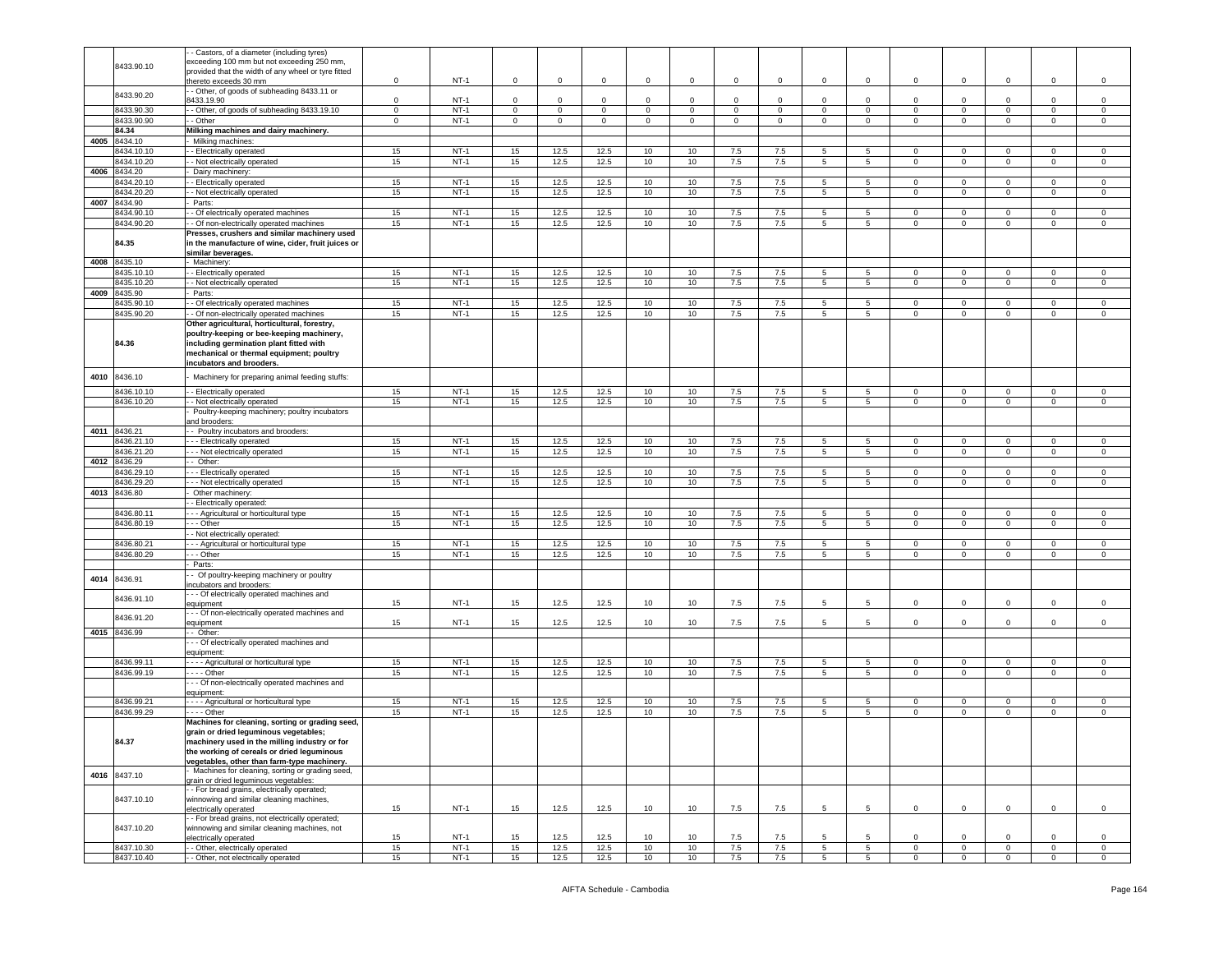|      |                          | - Castors, of a diameter (including tyres)                           |             |                  |              |                |              |             |             |             |             |                                    |                                    |                             |                             |                             |                        |                        |
|------|--------------------------|----------------------------------------------------------------------|-------------|------------------|--------------|----------------|--------------|-------------|-------------|-------------|-------------|------------------------------------|------------------------------------|-----------------------------|-----------------------------|-----------------------------|------------------------|------------------------|
|      |                          | exceeding 100 mm but not exceeding 250 mm,                           |             |                  |              |                |              |             |             |             |             |                                    |                                    |                             |                             |                             |                        |                        |
|      | 8433.90.10               | provided that the width of any wheel or tyre fitted                  |             |                  |              |                |              |             |             |             |             |                                    |                                    |                             |                             |                             |                        |                        |
|      |                          |                                                                      | $\mathbf 0$ | $NT-1$           | $\mathbf 0$  | 0              | $\mathbf 0$  | $\mathbf 0$ | $\mathsf 0$ | $\mathsf 0$ | $\mathsf 0$ | $\mathbf 0$                        | $\mathsf 0$                        | $\mathbf 0$                 | $\mathbf 0$                 | $\mathbf 0$                 | $\mathbf 0$            | $\mathsf 0$            |
|      |                          | hereto exceeds 30 mm                                                 |             |                  |              |                |              |             |             |             |             |                                    |                                    |                             |                             |                             |                        |                        |
|      | 8433.90.20               | - Other, of goods of subheading 8433.11 or                           |             |                  |              |                |              |             |             |             |             |                                    |                                    |                             |                             |                             |                        |                        |
|      |                          | 3433.19.90                                                           | $\mathbf 0$ | $NT-1$           | $\circ$      | $\mathbf{0}$   | $\mathbf 0$  | $\mathbf 0$ | $\mathbf 0$ | $\mathbf 0$ | $\mathbf 0$ | $\mathbf 0$                        | $\mathbf 0$                        | $\circ$                     | $\mathbf 0$                 | $\mathbf 0$                 | $\mathbf 0$            | $\mathsf 0$            |
|      | 8433.90.30               | - Other, of goods of subheading 8433.19.10                           | $\mathbf 0$ | $NT-1$           | $\mathbf{O}$ | $\mathbf 0$    | $\mathbf 0$  | $\circ$     | $\mathbf 0$ | $\mathbf 0$ | $\mathbf 0$ | $\mathbf 0$                        | $\circ$                            | $\mathbf 0$                 | $\mathbf 0$                 | $\circ$                     | $\mathbf 0$            | $\mathbf 0$            |
|      |                          |                                                                      |             |                  |              |                |              |             |             |             |             |                                    |                                    |                             |                             |                             |                        |                        |
|      | 8433.90.90               | - Other                                                              | $\mathbf 0$ | $NT-1$           | $\mathsf 0$  | $\overline{0}$ | $\mathbf 0$  | $\mathbf 0$ | $\mathbf 0$ | $\mathbf 0$ | $\mathbf 0$ | $\mathbf 0$                        | $\mathbf 0$                        | $\circ$                     | $\mathbf 0$                 | $\mathbf 0$                 | $\mathbf 0$            | $\,0\,$                |
|      | 84.34                    | Milking machines and dairy machinery.                                |             |                  |              |                |              |             |             |             |             |                                    |                                    |                             |                             |                             |                        |                        |
| 4005 | 8434.10                  | Milking machines:                                                    |             |                  |              |                |              |             |             |             |             |                                    |                                    |                             |                             |                             |                        |                        |
|      |                          |                                                                      |             |                  |              |                |              |             |             |             |             |                                    |                                    |                             |                             |                             |                        |                        |
|      | 8434.10.10               | - Electrically operated                                              | 15          | $NT-1$           | 15           | 12.5           | 12.5         | 10          | 10          | 7.5         | 7.5         | 5                                  | 5                                  | $\mathbf{0}$                | $\mathbf 0$                 | $^{\circ}$                  | $^{\circ}$             | $\mathbf 0$            |
|      | 8434.10.20               | - Not electrically operated                                          | 15          | $NT-1$           | 15           | 12.5           | 12.5         | 10          | 10          | 7.5         | 7.5         | 5                                  | $5^{\circ}$                        | $\mathbf 0$                 | $\mathbf 0$                 | $\mathbf{0}$                | $\mathbf 0$            | $\mathsf 0$            |
| 4006 | 8434.20                  | Dairy machinery                                                      |             |                  |              |                |              |             |             |             |             |                                    |                                    |                             |                             |                             |                        |                        |
|      |                          |                                                                      |             |                  |              |                |              |             |             |             |             |                                    |                                    |                             |                             |                             |                        |                        |
|      | 3434.20.10               | - Electrically operated                                              | 15          | $NT-1$           | 15           | 12.5           | 12.5         | 10          | 10          | 7.5         | 7.5         | 5                                  | $5^{\circ}$                        | $\circ$                     | $\mathbf 0$                 | $\mathbf{0}$                | 0                      | 0                      |
|      | 3434.20.20               | - Not electrically operated                                          | 15          | $NT-1$           | 15           | 12.5           | 12.5         | 10          | 10          | 7.5         | 7.5         | 5                                  | $\overline{5}$                     | $\mathsf 0$                 | $\mathbf 0$                 | $\mathsf 0$                 | $\mathbf 0$            | $\,0\,$                |
|      | 4007 8434.90             | Parts:                                                               |             |                  |              |                |              |             |             |             |             |                                    |                                    |                             |                             |                             |                        |                        |
|      |                          |                                                                      |             |                  |              |                |              |             |             |             |             |                                    |                                    |                             |                             |                             |                        |                        |
|      | 8434.90.10               | - Of electrically operated machines                                  | 15          | $NT-1$           | 15           | 12.5           | 12.5         | 10          | 10          | 7.5         | 7.5         | 5                                  | 5                                  | 0                           | $\mathbf 0$                 | $\mathbf 0$                 | $\mathbf 0$            | 0                      |
|      | 8434.90.20               | - Of non-electrically operated machines                              | 15          | $NT-1$           | 15           | 12.5           | 12.5         | 10          | 10          | 7.5         | 7.5         | 5                                  | 5                                  | $\mathbf 0$                 | $\mathbf 0$                 | $\mathsf{O}\xspace$         | $\mathbf 0$            | $\mathsf 0$            |
|      |                          | Presses, crushers and similar machinery used                         |             |                  |              |                |              |             |             |             |             |                                    |                                    |                             |                             |                             |                        |                        |
|      | 84.35                    | in the manufacture of wine, cider, fruit juices or                   |             |                  |              |                |              |             |             |             |             |                                    |                                    |                             |                             |                             |                        |                        |
|      |                          |                                                                      |             |                  |              |                |              |             |             |             |             |                                    |                                    |                             |                             |                             |                        |                        |
|      |                          | similar beverages.                                                   |             |                  |              |                |              |             |             |             |             |                                    |                                    |                             |                             |                             |                        |                        |
| 4008 | 8435.10                  | Machinery:                                                           |             |                  |              |                |              |             |             |             |             |                                    |                                    |                             |                             |                             |                        |                        |
|      | 8435.10.10               | - Electrically operated                                              | 15          | $NT-1$           | 15           | 12.5           | 12.5         | 10          | 10          | 7.5         | 7.5         | 5                                  | 5                                  | $\mathbf{0}$                | $\mathbf 0$                 | $^{\circ}$                  | $\mathbf 0$            | $\mathbf 0$            |
|      |                          |                                                                      |             |                  |              |                |              |             |             |             |             |                                    |                                    |                             |                             |                             |                        |                        |
|      | 8435.10.20               | - Not electrically operated                                          | 15          | $NT-1$           | 15           | 12.5           | 12.5         | 10          | 10          | 7.5         | 7.5         | 5                                  | $5^{\circ}$                        | $\mathbf 0$                 | $\mathbf 0$                 | $\circ$                     | $\mathbf 0$            | $\mathsf 0$            |
| 4009 | 8435.90                  | Parts:                                                               |             |                  |              |                |              |             |             |             |             |                                    |                                    |                             |                             |                             |                        |                        |
|      | 8435.90.10               | - Of electrically operated machines                                  | 15          | $NT-1$           | 15           | 12.5           | 12.5         | 10          | 10          | 7.5         | 7.5         | 5                                  | 5                                  | $\circ$                     | $\mathbf 0$                 | $\mathbf 0$                 | 0                      | 0                      |
|      |                          |                                                                      |             |                  |              |                |              |             |             |             |             |                                    |                                    |                             |                             |                             |                        |                        |
|      | 3435.90.20               | - Of non-electrically operated machines                              | 15          | $NT-1$           | 15           | 12.5           | 12.5         | 10          | 10          | 7.5         | 7.5         | 5                                  | $\overline{5}$                     | $\mathbf 0$                 | $\mathbf 0$                 | $\mathbf 0$                 | $\mathsf 0$            | $\mathsf 0$            |
|      |                          | Other agricultural, horticultural, forestry,                         |             |                  |              |                |              |             |             |             |             |                                    |                                    |                             |                             |                             |                        |                        |
|      |                          | poultry-keeping or bee-keeping machinery,                            |             |                  |              |                |              |             |             |             |             |                                    |                                    |                             |                             |                             |                        |                        |
|      | 84.36                    | including germination plant fitted with                              |             |                  |              |                |              |             |             |             |             |                                    |                                    |                             |                             |                             |                        |                        |
|      |                          |                                                                      |             |                  |              |                |              |             |             |             |             |                                    |                                    |                             |                             |                             |                        |                        |
|      |                          | mechanical or thermal equipment; poultry                             |             |                  |              |                |              |             |             |             |             |                                    |                                    |                             |                             |                             |                        |                        |
|      |                          | incubators and brooders.                                             |             |                  |              |                |              |             |             |             |             |                                    |                                    |                             |                             |                             |                        |                        |
|      |                          |                                                                      |             |                  |              |                |              |             |             |             |             |                                    |                                    |                             |                             |                             |                        |                        |
| 4010 | 8436.10                  | Machinery for preparing animal feeding stuffs:                       |             |                  |              |                |              |             |             |             |             |                                    |                                    |                             |                             |                             |                        |                        |
|      |                          |                                                                      |             |                  |              |                |              |             |             |             |             |                                    |                                    |                             |                             |                             |                        |                        |
|      | 8436.10.10               | - Electrically operated                                              | 15          | $NT-1$           | 15           | 12.5           | 12.5         | 10          | 10          | 7.5         | 7.5         | 5                                  | 5                                  | $\mathsf 0$                 | $\mathbf 0$                 | $\mathbf 0$                 | $\mathbf 0$            | 0                      |
|      | 8436.10.20               | - Not electrically operated                                          | 15          | $NT-1$           | 15           | 12.5           | 12.5         | 10          | 10          | 7.5         | 7.5         | 5                                  | 5                                  | 0                           | $\overline{0}$              | $\mathbf 0$                 | 0                      | $\,0\,$                |
|      |                          | Poultry-keeping machinery; poultry incubators                        |             |                  |              |                |              |             |             |             |             |                                    |                                    |                             |                             |                             |                        |                        |
|      |                          |                                                                      |             |                  |              |                |              |             |             |             |             |                                    |                                    |                             |                             |                             |                        |                        |
|      |                          | ind brooders:                                                        |             |                  |              |                |              |             |             |             |             |                                    |                                    |                             |                             |                             |                        |                        |
|      | 4011 8436.21             | - Poultry incubators and brooders:                                   |             |                  |              |                |              |             |             |             |             |                                    |                                    |                             |                             |                             |                        |                        |
|      | 8436.21.10               | - - Electrically operated                                            | 15          | $NT-1$           | 15           | 12.5           | 12.5         | 10          | 10          | 7.5         | 7.5         | 5                                  | 5                                  | $\mathbf 0$                 | $\mathbf 0$                 | $\mathbf 0$                 | $\mathbf 0$            | $\mathsf 0$            |
|      | 8436.21.20               | - - Not electrically operated                                        | 15          | $NT-1$           | 15           | 12.5           | 12.5         | 10          | 10          | 7.5         | 7.5         | 5                                  | $5^{\circ}$                        | $\circ$                     | $\overline{0}$              | $\circ$                     | $\mathbf 0$            | $\mathsf 0$            |
|      |                          |                                                                      |             |                  |              |                |              |             |             |             |             |                                    |                                    |                             |                             |                             |                        |                        |
| 4012 | 8436.29                  | Other:                                                               |             |                  |              |                |              |             |             |             |             |                                    |                                    |                             |                             |                             |                        |                        |
|      | 3436.29.10               | - - Electrically operated                                            | 15          | $NT-1$           | 15           | 12.5           | 12.5         | 10          | 10          | 7.5         | 7.5         | 5                                  | 5                                  | $\mathsf 0$                 | $\mathbf 0$                 | 0                           | $\mathbf 0$            | 0                      |
|      | 8436.29.20               | - - Not electrically operated                                        | 15          | $NT-1$           | 15           | 12.5           | 12.5         | 10          | 10          | 7.5         | 7.5         | 5                                  | 5                                  | $\mathbf 0$                 | $\mathbf 0$                 | $\mathbf{0}$                | 0                      | $\mathbf 0$            |
|      |                          |                                                                      |             |                  |              |                |              |             |             |             |             |                                    |                                    |                             |                             |                             |                        |                        |
|      | 4013 8436.80             | Other machinery:                                                     |             |                  |              |                |              |             |             |             |             |                                    |                                    |                             |                             |                             |                        |                        |
|      |                          | - Electrically operated:                                             |             |                  |              |                |              |             |             |             |             |                                    |                                    |                             |                             |                             |                        |                        |
|      | 8436.80.11               | - - Agricultural or horticultural type                               | 15          | $NT-1$           | 15           | 12.5           | 12.5         | 10          | 10          | 7.5         | 7.5         | 5                                  | 5                                  | $\circ$                     | $\mathbf 0$                 | $\mathbf 0$                 | $\mathbf 0$            | $\mathsf 0$            |
|      | 8436.80.19               |                                                                      |             | $NT-1$           |              |                |              | 10          | 10          |             |             | 5                                  |                                    |                             | $\mathbf 0$                 | $\circ$                     | $\mathbf 0$            | $\mathsf 0$            |
|      |                          | - - Other                                                            | 15          |                  | 15           | 12.5           | 12.5         |             |             | 7.5         | 7.5         |                                    | $5\overline{)}$                    | $\mathbf 0$                 |                             |                             |                        |                        |
|      |                          | - Not electrically operated:                                         |             |                  |              |                |              |             |             |             |             |                                    |                                    |                             |                             |                             |                        |                        |
|      | 8436.80.21               | - - Agricultural or horticultural type                               | 15          | $NT-1$           | 15           | 12.5           | 12.5         | 10          | 10          | 7.5         | 7.5         | 5                                  | 5                                  | $\mathbf 0$                 | $\mathbf 0$                 | $\mathbf 0$                 | $\mathbf 0$            | $\mathbf 0$            |
|      | 8436.80.29               | - - Other                                                            | 15          | $NT-1$           | 15           | 12.5           | 12.5         | 10          | 10          | 7.5         | 7.5         | 5                                  | $5^{\circ}$                        | $\circ$                     | $\overline{0}$              | $\circ$                     | $\mathbf 0$            | $\mathsf 0$            |
|      |                          |                                                                      |             |                  |              |                |              |             |             |             |             |                                    |                                    |                             |                             |                             |                        |                        |
|      |                          | Parts:                                                               |             |                  |              |                |              |             |             |             |             |                                    |                                    |                             |                             |                             |                        |                        |
|      |                          | - Of poultry-keeping machinery or poultry                            |             |                  |              |                |              |             |             |             |             |                                    |                                    |                             |                             |                             |                        |                        |
| 4014 | 8436.91                  | ncubators and brooders:                                              |             |                  |              |                |              |             |             |             |             |                                    |                                    |                             |                             |                             |                        |                        |
|      |                          | - - Of electrically operated machines and                            |             |                  |              |                |              |             |             |             |             |                                    |                                    |                             |                             |                             |                        |                        |
|      | 3436.91.10               |                                                                      |             |                  |              | 12.5           |              |             |             |             |             |                                    |                                    |                             |                             |                             |                        |                        |
|      |                          | equipment                                                            | 15          | $NT-1$           | 15           |                |              |             |             |             |             |                                    |                                    |                             |                             |                             |                        |                        |
|      | 3436.91.20               | - - Of non-electrically operated machines and                        |             |                  |              |                | 12.5         | 10          | 10          | 7.5         | 7.5         | 5                                  | 5                                  | $\mathbf 0$                 | $\mathbf 0$                 | $\mathbf 0$                 | $\mathbf 0$            | $\,0\,$                |
|      |                          |                                                                      |             |                  |              |                |              |             |             |             |             |                                    |                                    |                             |                             |                             |                        |                        |
|      |                          | equipment                                                            | 15          | $NT-1$           | 15           | 12.5           | 12.5         | 10          | 10          | 7.5         | 7.5         | 5                                  | 5                                  | $\mathsf 0$                 | $\mathbf 0$                 | $\mathbf 0$                 | $\mathbf 0$            | $\mathsf 0$            |
|      |                          |                                                                      |             |                  |              |                |              |             |             |             |             |                                    |                                    |                             |                             |                             |                        |                        |
|      | 4015 8436.99             | - Other:                                                             |             |                  |              |                |              |             |             |             |             |                                    |                                    |                             |                             |                             |                        |                        |
|      |                          | - - Of electrically operated machines and                            |             |                  |              |                |              |             |             |             |             |                                    |                                    |                             |                             |                             |                        |                        |
|      |                          | equipment:                                                           |             |                  |              |                |              |             |             |             |             |                                    |                                    |                             |                             |                             |                        |                        |
|      | 8436.99.11               | - - - Agricultural or horticultural type                             | 15          | $NT-1$           | 15           | 12.5           | 12.5         | 10          | 10          | 7.5         | 7.5         | 5                                  | $\overline{5}$                     | $\mathsf 0$                 | $\mathbf 0$                 | $\mathbf 0$                 | $\mathbf 0$            | $\,0\,$                |
|      |                          |                                                                      |             |                  |              |                |              |             |             |             |             |                                    |                                    |                             |                             |                             |                        |                        |
|      | 8436.99.19               | . - - - Other                                                        | 15          | $NT-1$           | 15           | 12.5           | 12.5         | 10          | 10          | 7.5         | 7.5         | 5                                  | $5\overline{)}$                    | 0                           | $\mathbf 0$                 | $\mathbf 0$                 | 0                      | $\mathbf 0$            |
|      |                          | - - Of non-electrically operated machines and                        |             |                  |              |                |              |             |             |             |             |                                    |                                    |                             |                             |                             |                        |                        |
|      |                          | equipment:                                                           |             |                  |              |                |              |             |             |             |             |                                    |                                    |                             |                             |                             |                        |                        |
|      | 8436.99.21               | --- Agricultural or horticultural type                               | 15          | $NT-1$           | 15           | 12.5           | 12.5         | 10          | 10          | 7.5         | 7.5         | 5                                  | 5                                  | $\mathbf 0$                 | $\mathbf 0$                 | $\mathbf{0}$                | $\mathbf 0$            | $\circ$                |
|      |                          |                                                                      |             |                  |              |                |              |             |             |             |             |                                    |                                    |                             |                             |                             |                        |                        |
|      | 8436.99.29               | $- -$ Other                                                          | 15          | $NT-1$           | 15           | 12.5           | 12.5         | 10          | 10          | 7.5         | 7.5         | 5                                  | $5^{\circ}$                        | $\mathbf 0$                 | $\mathbf 0$                 | $\circ$                     | $\mathbf 0$            | $\mathbf 0$            |
|      |                          | Machines for cleaning, sorting or grading seed,                      |             |                  |              |                |              |             |             |             |             |                                    |                                    |                             |                             |                             |                        |                        |
|      |                          | grain or dried leguminous vegetables;                                |             |                  |              |                |              |             |             |             |             |                                    |                                    |                             |                             |                             |                        |                        |
|      | 84.37                    | achinery used in the milling industry or for                         |             |                  |              |                |              |             |             |             |             |                                    |                                    |                             |                             |                             |                        |                        |
|      |                          |                                                                      |             |                  |              |                |              |             |             |             |             |                                    |                                    |                             |                             |                             |                        |                        |
|      |                          | the working of cereals or dried leguminous                           |             |                  |              |                |              |             |             |             |             |                                    |                                    |                             |                             |                             |                        |                        |
|      |                          | vegetables, other than farm-type machinery.                          |             |                  |              |                |              |             |             |             |             |                                    |                                    |                             |                             |                             |                        |                        |
|      |                          | Machines for cleaning, sorting or grading seed,                      |             |                  |              |                |              |             |             |             |             |                                    |                                    |                             |                             |                             |                        |                        |
|      | 4016 8437.10             | arain or dried leguminous vegetables:                                |             |                  |              |                |              |             |             |             |             |                                    |                                    |                             |                             |                             |                        |                        |
|      |                          |                                                                      |             |                  |              |                |              |             |             |             |             |                                    |                                    |                             |                             |                             |                        |                        |
|      |                          | - For bread grains, electrically operated;                           |             |                  |              |                |              |             |             |             |             |                                    |                                    |                             |                             |                             |                        |                        |
|      | 8437.10.10               | winnowing and similar cleaning machines,                             |             |                  |              |                |              |             |             |             |             |                                    |                                    |                             |                             |                             |                        |                        |
|      |                          | electrically operated                                                | 15          | $NT-1$           | 15           | 12.5           | 12.5         | 10          | 10          | 7.5         | 7.5         | 5                                  | 5                                  | $\overline{0}$              | $\circ$                     | $\mathbf{0}$                | $\mathbf 0$            | $\circ$                |
|      |                          | - For bread grains, not electrically operated;                       |             |                  |              |                |              |             |             |             |             |                                    |                                    |                             |                             |                             |                        |                        |
|      | 8437.10.20               | winnowing and similar cleaning machines, not                         |             |                  |              |                |              |             |             |             |             |                                    |                                    |                             |                             |                             |                        |                        |
|      |                          | electrically operated                                                | 15          | $NT-1$           | 15           | 12.5           | 12.5         | 10          | 10          | 7.5         | 7.5         | 5                                  | 5                                  | $\circ$                     | $\mathbf 0$                 | $\mathbf 0$                 | $\mathbf 0$            | $\circ$                |
|      |                          |                                                                      |             |                  |              |                |              |             |             |             |             |                                    |                                    |                             |                             |                             |                        |                        |
|      | 8437.10.30<br>8437.10.40 | - Other, electrically operated<br>- Other, not electrically operated | 15<br>15    | $NT-1$<br>$NT-1$ | 15<br>15     | 12.5<br>12.5   | 12.5<br>12.5 | 10<br>10    | 10<br>10    | 7.5<br>7.5  | 7.5<br>7.5  | $5\overline{5}$<br>$5\phantom{.0}$ | $5\overline{5}$<br>$5\overline{5}$ | $\mathbf{0}$<br>$\mathsf 0$ | $\mathbf{0}$<br>$\mathbf 0$ | $\mathbf{0}$<br>$\mathsf 0$ | $\circ$<br>$\mathbf 0$ | $\circ$<br>$\mathsf 0$ |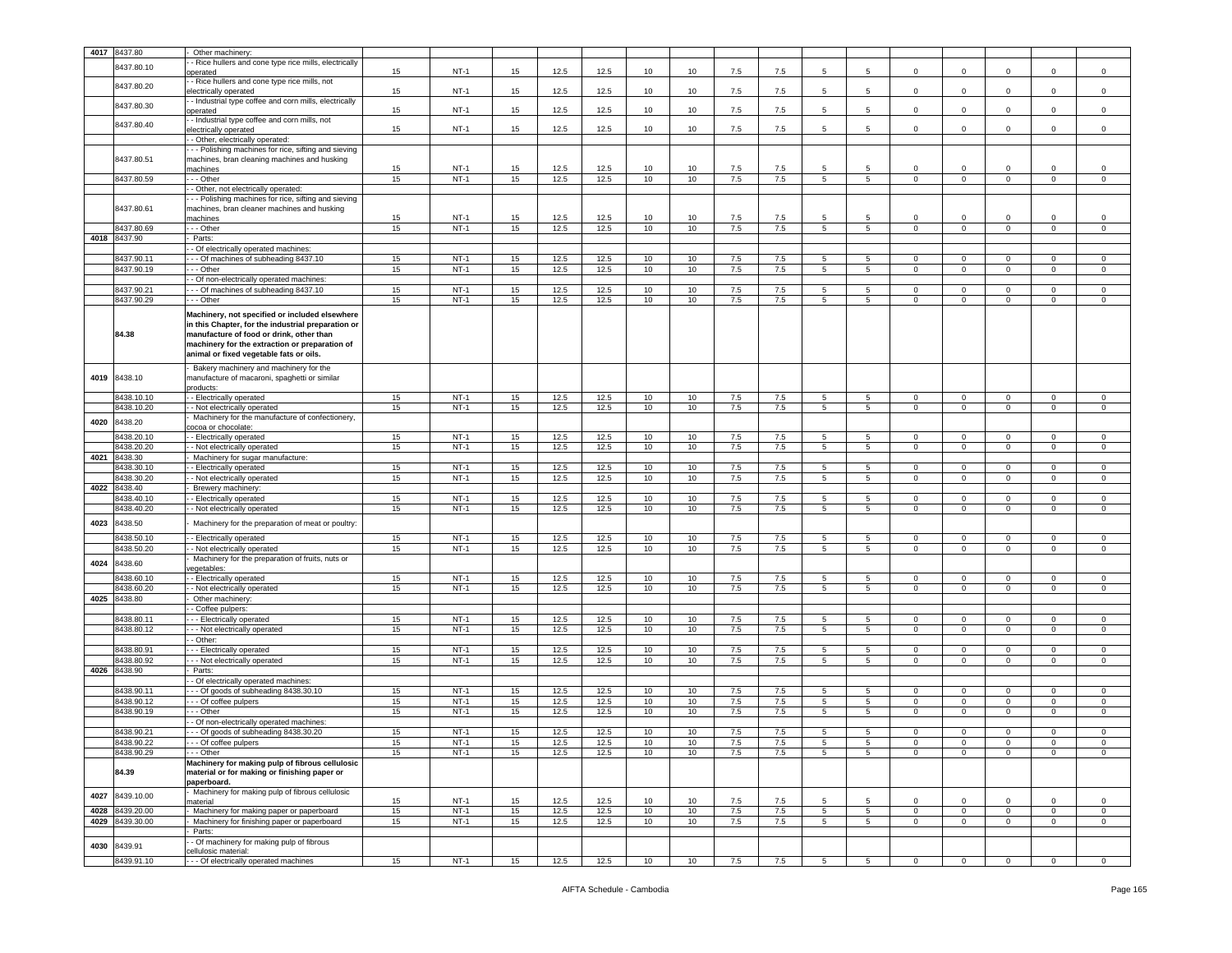|      | 4017 8437.80             | Other machinery:                                                  |          |                 |           |              |              |                  |                 |            |            |    |                 |                |                         |                     |                   |                     |
|------|--------------------------|-------------------------------------------------------------------|----------|-----------------|-----------|--------------|--------------|------------------|-----------------|------------|------------|----|-----------------|----------------|-------------------------|---------------------|-------------------|---------------------|
|      |                          |                                                                   |          |                 |           |              |              |                  |                 |            |            |    |                 |                |                         |                     |                   |                     |
|      | 8437.80.10               | - Rice hullers and cone type rice mills, electrically<br>operated | 15       | $NT-1$          | 15        | 12.5         | 12.5         | 10               | 10              | 7.5        | 7.5        | 5  | 5               | 0              | $\mathbf 0$             | $\mathbf 0$         | 0                 | $\mathsf 0$         |
|      |                          | - Rice hullers and cone type rice mills, not                      |          |                 |           |              |              |                  |                 |            |            |    |                 |                |                         |                     |                   |                     |
|      | 8437.80.20               | electrically operated                                             | 15       | $NT-1$          | 15        | 12.5         | 12.5         | 10               | 10              | 7.5        | 7.5        | 5  | 5               | 0              | $\mathbf 0$             | $\mathbf 0$         | $\Omega$          | $\mathsf 0$         |
|      |                          | - Industrial type coffee and corn mills, electrically             |          |                 |           |              |              |                  |                 |            |            |    |                 |                |                         |                     |                   |                     |
|      | 8437.80.30               | operated                                                          | 15       | $NT-1$          | 15        | 12.5         | 12.5         | 10               | 10              | 7.5        | 7.5        | -5 | 5               | $\circ$        | $\mathbf 0$             | $\mathbf 0$         | $\mathbf 0$       | $\mathsf 0$         |
|      |                          | - Industrial type coffee and corn mills, not                      |          |                 |           |              |              |                  |                 |            |            |    |                 |                |                         |                     |                   |                     |
|      | 8437.80.40               | electrically operated                                             | 15       | $NT-1$          | 15        | 12.5         | 12.5         | 10               | 10              | 7.5        | 7.5        | 5  | $5\overline{5}$ | $\Omega$       | $\mathsf 0$             | $\mathbf 0$         | $\mathbf 0$       | $\mathsf 0$         |
|      |                          | - Other, electrically operated:                                   |          |                 |           |              |              |                  |                 |            |            |    |                 |                |                         |                     |                   |                     |
|      |                          | - - Polishing machines for rice, sifting and sieving              |          |                 |           |              |              |                  |                 |            |            |    |                 |                |                         |                     |                   |                     |
|      | 8437.80.51               | machines, bran cleaning machines and husking                      |          |                 |           |              |              |                  |                 |            |            |    |                 |                |                         |                     |                   |                     |
|      |                          | machines                                                          | 15       | $NT-1$          | 15        | 12.5         | 12.5         | 10               | 10 <sup>1</sup> | 7.5        | 7.5        | -5 | 5               | $\Omega$       | $\mathbf 0$             | $\mathbf 0$         | $\Omega$          | $\mathbf 0$         |
|      | 8437.80.59               | --- Other                                                         | 15       | $NT-1$          | 15        | 12.5         | 12.5         | 10               | 10              | 7.5        | 7.5        | 5  | $5\phantom{.0}$ | $\mathsf 0$    | $\overline{\mathbf{0}}$ | $\mathbf{0}$        | $\mathsf 0$       | $\circ$             |
|      |                          | - Other, not electrically operated:                               |          |                 |           |              |              |                  |                 |            |            |    |                 |                |                         |                     |                   |                     |
|      |                          | - - Polishing machines for rice, sifting and sieving              |          |                 |           |              |              |                  |                 |            |            |    |                 |                |                         |                     |                   |                     |
|      | 8437.80.61               | machines, bran cleaner machines and husking                       |          |                 |           |              |              |                  |                 |            |            |    |                 |                |                         |                     |                   |                     |
|      |                          | nachines                                                          | 15       | $NT-1$          | 15        | 12.5         | 12.5         | 10               | 10              | 7.5        | 7.5        | 5  | 5               | $\mathbf 0$    | $\mathbf 0$             | $\mathbf 0$         | $\mathbf 0$       | $\,0\,$             |
|      | 8437.80.69               | - - Other                                                         | 15       | $NT-1$          | 15        | 12.5         | 12.5         | 10               | 10              | 7.5        | 7.5        | 5  | 5               | $\mathbf 0$    | $\mathbf 0$             | $\mathbf 0$         | 0                 | 0                   |
|      | 4018 8437.90             | Parts:                                                            |          |                 |           |              |              |                  |                 |            |            |    |                 |                |                         |                     |                   |                     |
|      |                          | - Of electrically operated machines:                              |          |                 |           |              |              |                  |                 |            |            |    |                 |                |                         |                     |                   |                     |
|      | 8437.90.1                | - - Of machines of subheading 8437.10                             | 15       | $NT-1$          | 15        | 12.5         | 12.5         | 10               | 10              | 7.5        | 7.5        | -5 | 5               | $\Omega$       | $\Omega$                | $\Omega$            | $\Omega$          | $\Omega$            |
|      | 8437.90.19               | - - Other                                                         | 15       | $NT-1$          | 15        | 12.5         | 12.5         | 10               | 10              | $7.5$      | $7.5\,$    | 5  | 5               | $\mathbf 0$    | $\mathbf 0$             | $\mathsf 0$         | $\Omega$          | $\mathsf 0$         |
|      |                          | - Of non-electrically operated machines:                          |          |                 |           |              |              |                  |                 |            |            |    |                 |                |                         |                     |                   |                     |
|      | 8437.90.21               | - - Of machines of subheading 8437.10                             | 15       | $NT-1$          | 15        | 12.5         | 12.5         | 10               | 10              | 7.5        | 7.5        | 5  | 5               | $\mathbf 0$    | $\mathbf 0$             | $\mathbf 0$         | $\mathbf 0$       | $\mathsf 0$         |
|      | 8437.90.29               | - - - Other                                                       | 15       | $NT-1$          | 15        | 12.5         | 12.5         | 10               | 10              | 7.5        | 7.5        | 5  | 5               | $\mathbf 0$    | $\mathbf 0$             | $\mathbf{0}$        | 0                 | $\mathbf 0$         |
|      |                          | Machinery, not specified or included elsewhere                    |          |                 |           |              |              |                  |                 |            |            |    |                 |                |                         |                     |                   |                     |
|      |                          | in this Chapter, for the industrial preparation or                |          |                 |           |              |              |                  |                 |            |            |    |                 |                |                         |                     |                   |                     |
|      | 84.38                    | manufacture of food or drink, other than                          |          |                 |           |              |              |                  |                 |            |            |    |                 |                |                         |                     |                   |                     |
|      |                          | machinery for the extraction or preparation of                    |          |                 |           |              |              |                  |                 |            |            |    |                 |                |                         |                     |                   |                     |
|      |                          | animal or fixed vegetable fats or oils.                           |          |                 |           |              |              |                  |                 |            |            |    |                 |                |                         |                     |                   |                     |
|      |                          |                                                                   |          |                 |           |              |              |                  |                 |            |            |    |                 |                |                         |                     |                   |                     |
|      |                          | Bakery machinery and machinery for the                            |          |                 |           |              |              |                  |                 |            |            |    |                 |                |                         |                     |                   |                     |
| 4019 | 8438.10                  | nanufacture of macaroni, spaghetti or similar                     |          |                 |           |              |              |                  |                 |            |            |    |                 |                |                         |                     |                   |                     |
|      |                          | roducts:                                                          |          |                 |           |              |              |                  |                 |            |            |    |                 |                |                         |                     |                   |                     |
|      | 8438.10.10               | - Electrically operated                                           | 15       | $NT-1$          | 15        | 12.5         | 12.5         | 10               | 10              | 7.5        | 7.5        | 5  | $\sqrt{5}$      | $\circ$        | $\overline{0}$          | $\mathbf 0$         | $\mathbf 0$       | $\mathsf 0$         |
|      | 8438.10.20               | - Not electrically operated                                       | 15       | $NT-1$          | 15        | 12.5         | 12.5         | 10               | 10              | 7.5        | 7.5        | 5  | 5               | $^{\circ}$     | $\mathbf 0$             | $\mathbf{0}$        | 0                 | $\mathbf 0$         |
| 4020 | 8438.20                  | Machinery for the manufacture of confectionery                    |          |                 |           |              |              |                  |                 |            |            |    |                 |                |                         |                     |                   |                     |
|      |                          | cocoa or chocolate:                                               |          |                 |           |              |              |                  |                 |            |            |    |                 |                |                         |                     |                   |                     |
|      | 8438.20.10               | - Electrically operated                                           | 15       | $NT-1$          | 15        | 12.5         | 12.5         | 10               | 10              | 7.5        | 7.5        | 5  | 5               | $\circ$        | $\overline{0}$          | $\mathbf 0$         | $\Omega$          | $\mathsf 0$         |
|      | 8438.20.20               | - Not electrically operated                                       | 15       | $NT-1$          | 15        | 12.5         | 12.5         | 10               | 10              | $7.5\,$    | 7.5        | 5  | 5               | $\mathbf 0$    | $\mathsf 0$             | $\mathsf{O}\xspace$ | $\mathbf 0$       | $\mathsf 0$         |
| 4021 | 8438.30                  | Machinery for sugar manufacture:                                  |          |                 |           |              |              |                  |                 |            |            |    |                 |                |                         |                     |                   |                     |
|      | 8438.30.10               | - Electrically operated                                           | 15       | $NT-1$          | 15        | 12.5         | 12.5         | 10               | 10              | 7.5        | 7.5        | 5  | 5               | $\circ$        | $\overline{0}$          | $\mathbf{0}$        | $\mathbf 0$       | $\mathbf 0$         |
|      | 8438.30.20               | - Not electrically operated                                       | 15       | $NT-1$          | 15        | 12.5         | 12.5         | 10               | 10              | 7.5        | 7.5        | 5  | $5^{\circ}$     | $\circ$        | $\mathbf{0}$            | $\mathbf{0}$        | 0                 | $\mathbf 0$         |
| 4022 | 8438.40                  | Brewery machinery:                                                |          |                 |           |              |              |                  |                 |            |            |    |                 |                |                         |                     |                   |                     |
|      | 3438.40.10               | - Electrically operated                                           | 15       | $NT-1$          | 15        | 12.5         | 12.5         | 10               | 10              | 7.5        | 7.5        | 5  | 5               | $\circ$        | $\overline{0}$          | $\mathbf 0$         | $\mathbf 0$       | 0                   |
|      | 3438.40.20               | - Not electrically operated                                       | 15       | $NT-1$          | 15        | 12.5         | 12.5         | 10               | 10              | 7.5        | 7.5        | 5  | 5               | 0              | $\mathbf 0$             | $\mathbf{0}$        | $\mathbf 0$       | 0                   |
| 4023 | 8438.50                  | Machinery for the preparation of meat or poultry:                 |          |                 |           |              |              |                  |                 |            |            |    |                 |                |                         |                     |                   |                     |
|      |                          |                                                                   |          |                 |           |              |              |                  |                 |            |            |    |                 |                |                         |                     |                   |                     |
|      | 8438.50.10               | - Electrically operated                                           | 15       | $NT-1$          | 15        | 12.5         | 12.5         | 10               | 10              | 7.5        | 7.5        | 5  | 5               | $\circ$        | $\mathbf 0$             | $\mathbf 0$         | 0                 | 0                   |
|      | 8438.50.20               | - Not electrically operated                                       | 15       | $NT-1$          | 15        | 12.5         | 12.5         | 10               | 10              | 7.5        | 7.5        | 5  | 5 <sub>5</sub>  | $\circ$        | $\overline{0}$          | $\mathbf{0}$        | $\mathbf 0$       | $\mathbf 0$         |
| 4024 | 8438.60                  | Machinery for the preparation of fruits, nuts or                  |          |                 |           |              |              |                  |                 |            |            |    |                 |                |                         |                     |                   |                     |
|      | 438.60.10                | egetables<br>- Electrically operated                              | 15       | $NT-1$          | 15        | 12.5         | 12.5         | 10               | 10              | 7.5        | 7.5        | 5  | 5               | 0              | $\mathbf 0$             | $\mathbf 0$         | 0                 | 0                   |
|      | 8438.60.20               | - Not electrically operated                                       | 15       | $NT-1$          | 15        | 12.5         | 12.5         | 10               | 10              | 7.5        | 7.5        | 5  | $\overline{5}$  | $\mathbf 0$    | $\overline{\mathbf{0}}$ | $\mathsf 0$         | $\mathsf 0$       | $\,0\,$             |
| 4025 | 8438.80                  | Other machinery:                                                  |          |                 |           |              |              |                  |                 |            |            |    |                 |                |                         |                     |                   |                     |
|      |                          | - Coffee pulpers:                                                 |          |                 |           |              |              |                  |                 |            |            |    |                 |                |                         |                     |                   |                     |
|      | 8438.80.11               | --- Electrically operated                                         | 15       | $NT-1$          | 15        | 12.5         | 12.5         | 10               | 10              | 7.5        | 7.5        | 5  | 5               | $\circ$        | $\overline{0}$          | $\mathbf{0}$        | $\circ$           | $\mathsf 0$         |
|      | 8438.80.12               | - - Not electrically operated                                     | 15       | $NT-1$          | 15        | 12.5         | 12.5         | 10               | 10              | $7.5\,$    | 7.5        | 5  | 5               | $\mathbf 0$    | $\mathbf 0$             | $\mathbf 0$         | $\mathbf 0$       | $\mathsf 0$         |
|      |                          | - Other:                                                          |          |                 |           |              |              |                  |                 |            |            |    |                 |                |                         |                     |                   |                     |
|      | 8438.80.91               | - - - Electrically operated                                       | 15       | $NT-1$          | 15        | 12.5         | 12.5         | 10               | 10              | 7.5        | 7.5        | 5  | 5               | $^{\circ}$     | $\mathbf 0$             | $^{\circ}$          | $^{\circ}$        | 0                   |
|      | 8438.80.92               | - - Not electrically operated                                     | 15       | $NT-1$          | 15        | 12.5         | 12.5         | 10               | 10              | 7.5        | 7.5        | 5  | 5               | $\mathbf 0$    | $\overline{0}$          | $\mathbf{0}$        | $\mathbf 0$       | $\mathbf 0$         |
|      | 4026 8438.90             | Parts:                                                            |          |                 |           |              |              |                  |                 |            |            |    |                 |                |                         |                     |                   |                     |
|      |                          | - Of electrically operated machines:                              |          |                 |           |              |              |                  |                 |            |            |    |                 |                |                         |                     |                   |                     |
|      | 8438.90.11               | - - Of goods of subheading 8438.30.10                             | 15       | $NT-1$          | 15        | 12.5         | 12.5         | 10               | 10              | 7.5        | 7.5        | 5  | 5               | 0              | $\mathbf 0$             | $\mathbf 0$         | 0                 | 0                   |
|      | 8438.90.12               | - - Of coffee pulpers                                             | 15       | $NT-1$          | 15        | 12.5         | 12.5         | 10 <sup>10</sup> | 10              | 7.5        | 7.5        | 5  | $5\phantom{.0}$ | $\mathbf 0$    | $\mathbf{0}$            | $\mathbf{0}$        | $\mathbf 0$       | $\circ$             |
|      | 8438.90.19               | - - Other                                                         | 15       | $NT-1$          | 15        | 12.5         | 12.5         | 10               | 10              | 7.5        | 7.5        | 5  | 5               | $\mathbf 0$    | $\overline{0}$          | $\mathbf 0$         | $\mathbf 0$       | 0                   |
|      |                          | - Of non-electrically operated machines:                          |          |                 |           |              |              |                  |                 |            |            |    |                 |                |                         |                     |                   |                     |
|      | 8438.90.21               | - - Of goods of subheading 8438.30.20                             | 15       | $NT-1$          | 15        | 12.5         | 12.5         | 10               | 10              | $7.5\,$    | $7.5\,$    | 5  | 5               | 0              | $\mathbf 0$             | $\mathbf 0$         | $\mathbf 0$       | $\mathbf 0$         |
|      |                          |                                                                   |          |                 |           |              |              |                  |                 |            |            |    |                 |                |                         |                     |                   |                     |
|      | 8438.90.22<br>8438.90.29 | - - Or corree pulpers<br>- - - Other                              | 15<br>15 | N I-1<br>$NT-1$ | 15.<br>15 | 12.5<br>12.5 | 12.5<br>12.5 | 10.<br>10        | 10<br>10        | 7.5<br>7.5 | 7.5<br>7.5 | 5  | 5<br>5          | $\overline{0}$ | $\overline{0}$          | U<br>$\overline{0}$ | υ.<br>$\mathbf 0$ | U<br>$\overline{0}$ |
|      |                          | Machinery for making pulp of fibrous cellulosic                   |          |                 |           |              |              |                  |                 |            |            |    |                 |                |                         |                     |                   |                     |
|      | 84.39                    | material or for making or finishing paper or                      |          |                 |           |              |              |                  |                 |            |            |    |                 |                |                         |                     |                   |                     |
|      |                          | paperboard.                                                       |          |                 |           |              |              |                  |                 |            |            |    |                 |                |                         |                     |                   |                     |
|      |                          | Machinery for making pulp of fibrous cellulosic                   |          |                 |           |              |              |                  |                 |            |            |    |                 |                |                         |                     |                   |                     |
| 4027 | 8439.10.00               | material                                                          | 15       | $NT-1$          | 15        | 12.5         | 12.5         | 10               | 10              | 7.5        | 7.5        | 5  | 5               | $\circ$        | $\overline{0}$          | $\mathbf 0$         | $\mathbf 0$       | $\mathsf 0$         |
| 4028 | 8439.20.00               | - Machinery for making paper or paperboard                        | 15       | $NT-1$          | 15        | 12.5         | 12.5         | 10               | 10              | 7.5        | 7.5        | 5  | $5\overline{)}$ | $\overline{0}$ | $\overline{0}$          | $\overline{0}$      | $\mathbf 0$       | $\mathsf 0$         |
|      | 4029 8439.30.00          | Machinery for finishing paper or paperboard                       | 15       | $NT-1$          | 15        | 12.5         | 12.5         | 10               | 10              | 7.5        | 7.5        | 5  | 5               | $\mathbf 0$    | $\overline{0}$          | $\mathbf{0}$        | $\mathbf 0$       | $\mathbf 0$         |
|      |                          | Parts:                                                            |          |                 |           |              |              |                  |                 |            |            |    |                 |                |                         |                     |                   |                     |
|      |                          | - Of machinery for making pulp of fibrous                         |          |                 |           |              |              |                  |                 |            |            |    |                 |                |                         |                     |                   |                     |
| 4030 | 8439.91                  | cellulosic material:                                              |          |                 |           |              |              |                  |                 |            |            |    |                 |                |                         |                     |                   |                     |
|      | 8439.91.10               | --- Of electrically operated machines                             | 15       | $NT-1$          | 15        | 12.5         | 12.5         | 10               | 10              | 7.5        | 7.5        | 5  | $5\overline{5}$ | $\circ$        | $\overline{0}$          | $\mathbf{0}$        | $\mathbf 0$       | $\mathbf 0$         |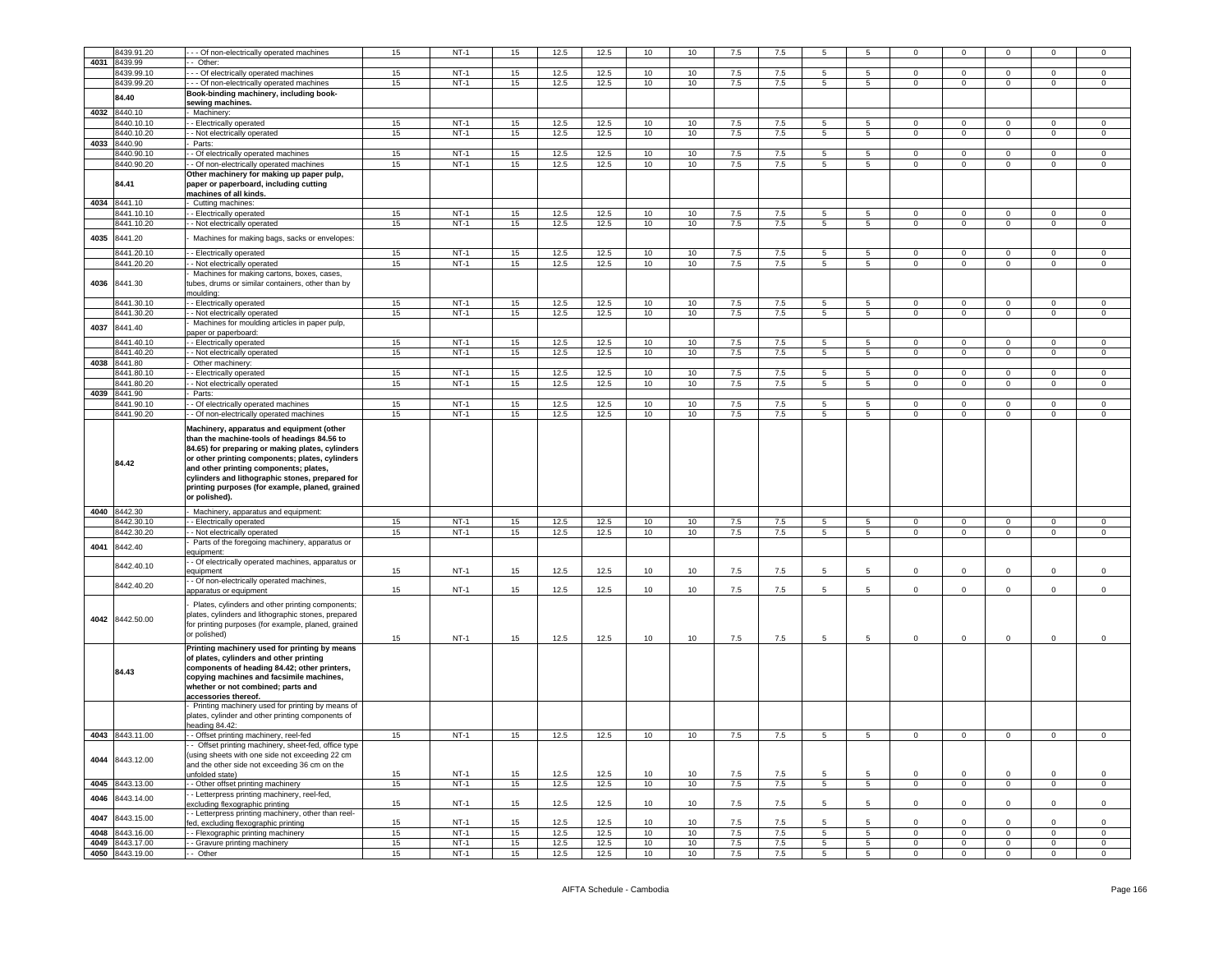|      | 8439.91.20      | -- Of non-electrically operated machines                                                                                                                                                                                                           | 15 | $NT-1$ | 15 | 12.5 | 12.5 | 10 | 10 | 7.5 | 7.5 | 5               |                 | $\mathbf 0$    | $\mathbf 0$    |                |                     | $\mathbf 0$    |
|------|-----------------|----------------------------------------------------------------------------------------------------------------------------------------------------------------------------------------------------------------------------------------------------|----|--------|----|------|------|----|----|-----|-----|-----------------|-----------------|----------------|----------------|----------------|---------------------|----------------|
| 4031 | 8439.99         | Other:                                                                                                                                                                                                                                             |    |        |    |      |      |    |    |     |     |                 |                 |                |                |                |                     |                |
|      | 8439.99.10      | - - Of electrically operated machines                                                                                                                                                                                                              | 15 | $NT-1$ | 15 | 12.5 | 12.5 | 10 | 10 | 7.5 | 7.5 | 5               | 5               | $\Omega$       | $\overline{0}$ | $\mathbf 0$    | 0                   | $\mathbf 0$    |
|      | 8439.99.20      | - - Of non-electrically operated machines                                                                                                                                                                                                          | 15 | $NT-1$ | 15 | 12.5 | 12.5 | 10 | 10 | 7.5 | 7.5 | 5               | $5^{\circ}$     | $\mathbf 0$    | $\mathbf 0$    | $\circ$        | $\mathbf 0$         | $\mathbf 0$    |
|      |                 |                                                                                                                                                                                                                                                    |    |        |    |      |      |    |    |     |     |                 |                 |                |                |                |                     |                |
|      | 84.40           | Book-binding machinery, including book-                                                                                                                                                                                                            |    |        |    |      |      |    |    |     |     |                 |                 |                |                |                |                     |                |
|      |                 | sewing machines.                                                                                                                                                                                                                                   |    |        |    |      |      |    |    |     |     |                 |                 |                |                |                |                     |                |
|      | 4032 8440.10    | Machinery                                                                                                                                                                                                                                          |    |        |    |      |      |    |    |     |     |                 |                 |                |                |                |                     |                |
|      | 8440.10.10      | - Electrically operated                                                                                                                                                                                                                            | 15 | $NT-1$ | 15 | 12.5 | 12.5 | 10 | 10 | 7.5 | 7.5 | 5               | 5               | $\circ$        | $\mathbf 0$    | $\mathbf 0$    | $\mathbf 0$         | 0              |
|      |                 |                                                                                                                                                                                                                                                    |    |        |    |      |      |    |    |     |     |                 |                 |                |                |                |                     |                |
|      | 3440.10.20      | - Not electrically operated                                                                                                                                                                                                                        | 15 | $NT-1$ | 15 | 12.5 | 12.5 | 10 | 10 | 7.5 | 7.5 | 5               | $5\phantom{.0}$ | $\circ$        | $\mathbf 0$    | $\overline{0}$ | $\mathbf 0$         | $\mathbf 0$    |
| 4033 | 8440.90         | Parts:                                                                                                                                                                                                                                             |    |        |    |      |      |    |    |     |     |                 |                 |                |                |                |                     |                |
|      | 8440.90.10      | - Of electrically operated machines                                                                                                                                                                                                                | 15 | $NT-1$ | 15 | 12.5 | 12.5 | 10 | 10 | 7.5 | 7.5 | 5               | $5^{\circ}$     | $\mathbf 0$    | $\mathbf 0$    | $\mathbf 0$    | 0                   | 0              |
|      |                 |                                                                                                                                                                                                                                                    |    |        |    |      |      |    |    |     |     | $5\overline{)}$ | 5               |                |                |                | $\overline{0}$      |                |
|      | 8440.90.20      | - Of non-electrically operated machines                                                                                                                                                                                                            | 15 | $NT-1$ | 15 | 12.5 | 12.5 | 10 | 10 | 7.5 | 7.5 |                 |                 | $\mathbf 0$    | $\,0\,$        | $\mathbf 0$    |                     | $\mathsf 0$    |
|      |                 | Other machinery for making up paper pulp,                                                                                                                                                                                                          |    |        |    |      |      |    |    |     |     |                 |                 |                |                |                |                     |                |
|      | 84.41           | paper or paperboard, including cutting                                                                                                                                                                                                             |    |        |    |      |      |    |    |     |     |                 |                 |                |                |                |                     |                |
|      |                 | machines of all kinds.                                                                                                                                                                                                                             |    |        |    |      |      |    |    |     |     |                 |                 |                |                |                |                     |                |
|      | 4034 8441.10    | Cutting machines:                                                                                                                                                                                                                                  |    |        |    |      |      |    |    |     |     |                 |                 |                |                |                |                     |                |
|      |                 |                                                                                                                                                                                                                                                    |    |        |    |      |      |    |    |     |     |                 |                 |                |                |                |                     |                |
|      | 8441.10.10      | - Electrically operated                                                                                                                                                                                                                            | 15 | $NT-1$ | 15 | 12.5 | 12.5 | 10 | 10 | 7.5 | 7.5 | 5               | 5               | $\mathbf 0$    | $\mathbf 0$    | 0              | 0                   | $\mathbf 0$    |
|      | 8441.10.20      | - Not electrically operated                                                                                                                                                                                                                        | 15 | $NT-1$ | 15 | 12.5 | 12.5 | 10 | 10 | 7.5 | 7.5 | 5 <sub>5</sub>  | 5 <sub>5</sub>  | $\mathbf 0$    | $\mathbf 0$    | $\circ$        | $\mathbf 0$         | $\mathbf 0$    |
|      |                 |                                                                                                                                                                                                                                                    |    |        |    |      |      |    |    |     |     |                 |                 |                |                |                |                     |                |
| 4035 | 8441.20         | Machines for making bags, sacks or envelopes:                                                                                                                                                                                                      |    |        |    |      |      |    |    |     |     |                 |                 |                |                |                |                     |                |
|      |                 |                                                                                                                                                                                                                                                    |    |        |    |      |      |    |    |     |     |                 |                 |                |                |                |                     |                |
|      | 8441.20.10      | - Electrically operated                                                                                                                                                                                                                            | 15 | $NT-1$ | 15 | 12.5 | 12.5 | 10 | 10 | 7.5 | 7.5 | 5               | 5               | $\mathbf 0$    | $\mathbf 0$    | $\mathbf 0$    | 0                   | 0              |
|      | 8441.20.20      | - Not electrically operated                                                                                                                                                                                                                        | 15 | $NT-1$ | 15 | 12.5 | 12.5 | 10 | 10 | 7.5 | 7.5 | 5               | $5\overline{5}$ | $\mathbf 0$    | $\mathsf 0$    | $\circ$        | $\mathsf{O}\xspace$ | $\mathsf 0$    |
|      |                 |                                                                                                                                                                                                                                                    |    |        |    |      |      |    |    |     |     |                 |                 |                |                |                |                     |                |
|      |                 | Machines for making cartons, boxes, cases,                                                                                                                                                                                                         |    |        |    |      |      |    |    |     |     |                 |                 |                |                |                |                     |                |
| 4036 | 8441.30         | tubes, drums or similar containers, other than by                                                                                                                                                                                                  |    |        |    |      |      |    |    |     |     |                 |                 |                |                |                |                     |                |
|      |                 | moulding:                                                                                                                                                                                                                                          |    |        |    |      |      |    |    |     |     |                 |                 |                |                |                |                     |                |
|      | 8441.30.10      | - Electrically operated                                                                                                                                                                                                                            | 15 | $NT-1$ | 15 | 12.5 | 12.5 | 10 | 10 | 7.5 | 7.5 | 5               | 5               | $\circ$        | $\mathbf 0$    | $\mathbf 0$    | $\mathbf 0$         | 0              |
|      | 8441.30.20      | - Not electrically operated                                                                                                                                                                                                                        | 15 | $NT-1$ | 15 | 12.5 | 12.5 | 10 | 10 | 7.5 | 7.5 | 5               | $5\overline{5}$ | $\circ$        | $\mathbf 0$    | $\mathbf 0$    | $\mathbf 0$         | $\mathsf 0$    |
|      |                 |                                                                                                                                                                                                                                                    |    |        |    |      |      |    |    |     |     |                 |                 |                |                |                |                     |                |
| 4037 | 8441.40         | Machines for moulding articles in paper pulp,                                                                                                                                                                                                      |    |        |    |      |      |    |    |     |     |                 |                 |                |                |                |                     |                |
|      |                 | paper or paperboard:                                                                                                                                                                                                                               |    |        |    |      |      |    |    |     |     |                 |                 |                |                |                |                     |                |
|      | 8441.40.10      | - Electrically operated                                                                                                                                                                                                                            | 15 | $NT-1$ | 15 | 12.5 | 12.5 | 10 | 10 | 7.5 | 7.5 | 5               | 5               | $\mathbf 0$    | $\mathbf 0$    | 0              | 0                   | 0              |
|      | 8441.40.20      | - Not electrically operated                                                                                                                                                                                                                        | 15 | $NT-1$ | 15 | 12.5 | 12.5 | 10 | 10 | 7.5 | 7.5 | $5\phantom{.0}$ | 5               | $\mathbf 0$    | $\overline{0}$ | $\overline{0}$ | $\mathbf 0$         | $\circ$        |
|      |                 |                                                                                                                                                                                                                                                    |    |        |    |      |      |    |    |     |     |                 |                 |                |                |                |                     |                |
| 4038 | 8441.80         | Other machinery:                                                                                                                                                                                                                                   |    |        |    |      |      |    |    |     |     |                 |                 |                |                |                |                     |                |
|      | 8441.80.10      | - Electrically operated                                                                                                                                                                                                                            | 15 | $NT-1$ | 15 | 12.5 | 12.5 | 10 | 10 | 7.5 | 7.5 | 5               | 5               | $\mathbf 0$    | $\mathbf 0$    | $\mathbf 0$    | $\Omega$            | $\mathsf 0$    |
|      | 8441.80.20      | - Not electrically operated                                                                                                                                                                                                                        | 15 | $NT-1$ | 15 | 12.5 | 12.5 | 10 | 10 | 7.5 | 7.5 | $\overline{5}$  | $5\overline{)}$ | $\mathbf 0$    | $\overline{0}$ | $\mathsf 0$    | $\mathbf 0$         | $\,0\,$        |
| 4039 | 8441.90         |                                                                                                                                                                                                                                                    |    |        |    |      |      |    |    |     |     |                 |                 |                |                |                |                     |                |
|      |                 | Parts:                                                                                                                                                                                                                                             |    |        |    |      |      |    |    |     |     |                 |                 |                |                |                |                     |                |
|      | 8441.90.10      | - Of electrically operated machines                                                                                                                                                                                                                | 15 | $NT-1$ | 15 | 12.5 | 12.5 | 10 | 10 | 7.5 | 7.5 | 5               | 5               | $\circ$        | $\mathbf 0$    | $\mathbf{0}$   | 0                   | $\mathbf 0$    |
|      | 8441.90.20      | - Of non-electrically operated machines                                                                                                                                                                                                            | 15 | $NT-1$ | 15 | 12.5 | 12.5 | 10 | 10 | 7.5 | 7.5 | 5               | $5^{\circ}$     | $\mathbf 0$    | $\overline{0}$ | $\mathbf{0}$   | $\mathbf 0$         | $\mathbf 0$    |
|      | 84.42           | Machinery, apparatus and equipment (other<br>than the machine-tools of headings 84.56 to<br>84.65) for preparing or making plates, cylinders<br>or other printing components; plates, cylinders<br>and other printing components; plates,          |    |        |    |      |      |    |    |     |     |                 |                 |                |                |                |                     |                |
|      |                 | cylinders and lithographic stones, prepared for<br>printing purposes (for example, planed, grained                                                                                                                                                 |    |        |    |      |      |    |    |     |     |                 |                 |                |                |                |                     |                |
|      |                 | or polished).                                                                                                                                                                                                                                      |    |        |    |      |      |    |    |     |     |                 |                 |                |                |                |                     |                |
|      | 4040 8442.30    | Machinery, apparatus and equipment:                                                                                                                                                                                                                |    |        |    |      |      |    |    |     |     |                 |                 |                |                |                |                     |                |
|      |                 |                                                                                                                                                                                                                                                    |    |        |    |      |      |    |    |     |     |                 |                 |                |                |                |                     |                |
|      | 8442.30.10      | - Electrically operated                                                                                                                                                                                                                            | 15 | $NT-1$ | 15 | 12.5 | 12.5 | 10 | 10 | 7.5 | 7.5 | 5               | 5               | $\mathbf 0$    | $\mathbf 0$    | $\mathbf 0$    | 0                   | 0              |
|      | 8442.30.20      | - Not electrically operated                                                                                                                                                                                                                        | 15 | $NT-1$ | 15 | 12.5 | 12.5 | 10 | 10 | 7.5 | 7.5 | 5               | $5\overline{5}$ | $\mathbf 0$    | $\mathbf 0$    | $\mathbf 0$    | $\circ$             | $\mathsf 0$    |
|      |                 | Parts of the foregoing machinery, apparatus or                                                                                                                                                                                                     |    |        |    |      |      |    |    |     |     |                 |                 |                |                |                |                     |                |
| 4041 | 8442.40         | equipment:                                                                                                                                                                                                                                         |    |        |    |      |      |    |    |     |     |                 |                 |                |                |                |                     |                |
|      |                 | - Of electrically operated machines, apparatus or                                                                                                                                                                                                  |    |        |    |      |      |    |    |     |     |                 |                 |                |                |                |                     |                |
|      | 8442.40.10      | equipment                                                                                                                                                                                                                                          | 15 | $NT-1$ | 15 | 12.5 | 12.5 | 10 | 10 | 7.5 | 7.5 | 5               | 5               | 0              | $\mathbf 0$    | 0              | 0                   | $\mathsf 0$    |
|      |                 |                                                                                                                                                                                                                                                    |    |        |    |      |      |    |    |     |     |                 |                 |                |                |                |                     |                |
|      | 8442.40.20      | - Of non-electrically operated machines,                                                                                                                                                                                                           |    |        |    |      |      |    |    |     |     |                 |                 |                |                |                |                     |                |
|      |                 | apparatus or equipment                                                                                                                                                                                                                             | 15 | $NT-1$ | 15 | 12.5 | 12.5 | 10 | 10 | 7.5 | 7.5 | 5               | 5               | 0              | $\mathbf 0$    | $\mathbf 0$    | 0                   | $\mathsf 0$    |
|      | 4042 8442.50.00 | Plates, cylinders and other printing components;<br>plates, cylinders and lithographic stones, prepared<br>for printing purposes (for example, planed, grained<br>or polished)                                                                     | 15 | $NT-1$ | 15 | 12.5 | 12.5 | 10 | 10 | 7.5 | 7.5 | 5               | 5               | $\mathbf 0$    | $\mathbf 0$    | $\overline{0}$ | $\mathbf 0$         | $\mathbf 0$    |
|      | 84.43           | Printing machinery used for printing by means<br>of plates, cylinders and other printing<br>components of heading 84.42; other printers,<br>copying machines and facsimile machines,<br>whether or not combined; parts and<br>accessories thereof. |    |        |    |      |      |    |    |     |     |                 |                 |                |                |                |                     |                |
|      |                 | Printing machinery used for printing by means of<br>plates, cylinder and other printing components of<br>eading 84.42:                                                                                                                             |    |        |    |      |      |    |    |     |     |                 |                 |                |                |                |                     |                |
|      | 4043 8443.11.00 | - - Offset printing machinery, reel-fed                                                                                                                                                                                                            | 15 | $NT-1$ | 15 | 12.5 | 12.5 | 10 | 10 | 7.5 | 7.5 | 5               | 5               | $\mathbf 0$    | $\mathbf 0$    | $\mathbf 0$    | $\mathbf 0$         | $\mathbf 0$    |
|      | 4044 8443.12.00 | Offset printing machinery, sheet-fed, office type<br>(using sheets with one side not exceeding 22 cm<br>and the other side not exceeding 36 cm on the<br>unfolded state)                                                                           | 15 | $NT-1$ | 15 | 12.5 | 12.5 | 10 | 10 | 7.5 | 7.5 | 5               | 5               | $\mathbf 0$    | $\mathbf 0$    | $\mathbf 0$    | $\circ$             | $\mathbf 0$    |
|      | 4045 8443.13.00 | - - Other offset printing machinery                                                                                                                                                                                                                | 15 | $NT-1$ | 15 | 12.5 | 12.5 | 10 | 10 | 7.5 | 7.5 | $5\overline{5}$ | $5\phantom{.0}$ | $\overline{0}$ | $\circ$        | $\mathbf{0}$   | $\mathbf 0$         | $\mathsf 0$    |
|      |                 |                                                                                                                                                                                                                                                    |    |        |    |      |      |    |    |     |     |                 |                 |                |                |                |                     |                |
|      | 4046 8443.14.00 | - Letterpress printing machinery, reel-fed,<br>excluding flexographic printing                                                                                                                                                                     | 15 | $NT-1$ | 15 | 12.5 | 12.5 | 10 | 10 | 7.5 | 7.5 | 5               | 5               | $\mathsf 0$    | $\mathbf 0$    | $\mathbf 0$    | $\mathbf{0}$        | $\,0\,$        |
|      |                 | - Letterpress printing machinery, other than reel-                                                                                                                                                                                                 |    |        |    |      |      |    |    |     |     |                 |                 |                |                |                |                     |                |
| 4047 | 8443.15.00      | fed, excluding flexographic printing                                                                                                                                                                                                               | 15 | $NT-1$ | 15 | 12.5 | 12.5 | 10 | 10 | 7.5 | 7.5 | 5               | 5               | $\mathbf 0$    | $\mathbf 0$    | $\mathbf 0$    | $\circ$             | $\mathsf 0$    |
|      | 4048 8443.16.00 | - - Flexographic printing machinery                                                                                                                                                                                                                | 15 | $NT-1$ | 15 | 12.5 | 12.5 | 10 | 10 | 7.5 | 7.5 | 5               | $5\overline{)}$ | $\circ$        | $\mathbf 0$    | $\circ$        | $\mathbf{0}$        | $\mathbf 0$    |
|      | 4049 8443.17.00 | - Gravure printing machinery                                                                                                                                                                                                                       | 15 | $NT-1$ | 15 | 12.5 | 12.5 | 10 | 10 | 7.5 | 7.5 | $5\phantom{.0}$ | $5\overline{5}$ | $\circ$        | $\mathbf 0$    | $\overline{0}$ | $\overline{0}$      | $\overline{0}$ |
|      | 4050 8443.19.00 | -- Other                                                                                                                                                                                                                                           | 15 | $NT-1$ | 15 | 12.5 | 12.5 | 10 | 10 | 7.5 | 7.5 | 5               | 5 <sub>5</sub>  | $\mathbf 0$    | $\mathbf{0}$   | $\mathbf{0}$   | $\mathbf{0}$        | $\circ$        |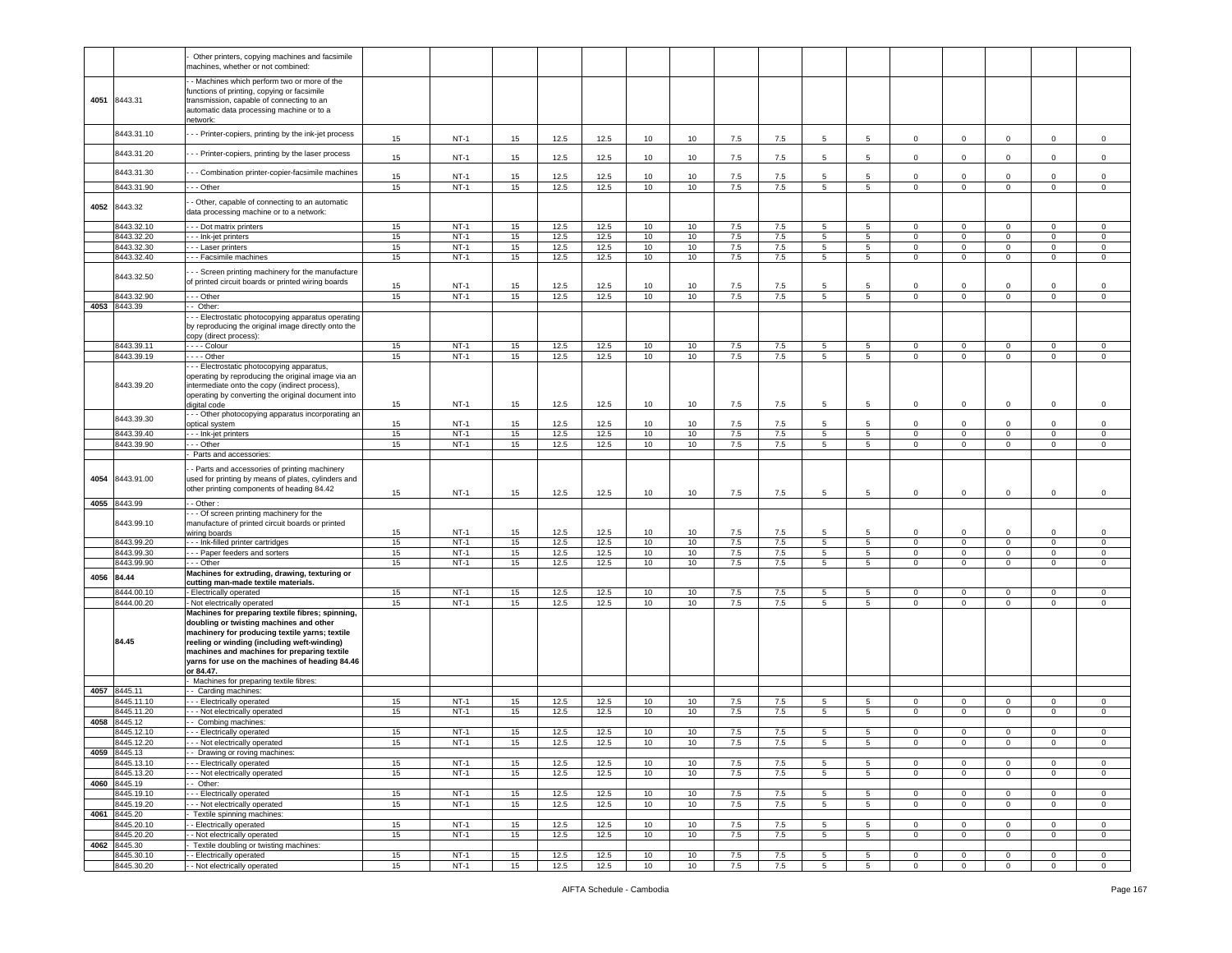|      |                          | Other printers, copying machines and facsimile<br>nachines, whether or not combined:                                                                                                                                                                                                                       |    |        |                  |      |      |    |    |         |     |                 |                 |                |              |              |              |                |
|------|--------------------------|------------------------------------------------------------------------------------------------------------------------------------------------------------------------------------------------------------------------------------------------------------------------------------------------------------|----|--------|------------------|------|------|----|----|---------|-----|-----------------|-----------------|----------------|--------------|--------------|--------------|----------------|
| 4051 | 8443.31                  | - Machines which perform two or more of the<br>functions of printing, copying or facsimile<br>transmission, capable of connecting to an<br>automatic data processing machine or to a<br>network:                                                                                                           |    |        |                  |      |      |    |    |         |     |                 |                 |                |              |              |              |                |
|      | 8443.31.10               | - - Printer-copiers, printing by the ink-jet process                                                                                                                                                                                                                                                       | 15 | $NT-1$ | 15               | 12.5 | 12.5 | 10 | 10 | 7.5     | 7.5 | 5               | 5               | $\mathbf 0$    | $\mathsf 0$  | 0            | $\mathbf 0$  | $\mathbf 0$    |
|      | 8443.31.20               | - - Printer-copiers, printing by the laser process                                                                                                                                                                                                                                                         | 15 | $NT-1$ | 15 <sub>1</sub>  | 12.5 | 12.5 | 10 | 10 | 7.5     | 7.5 | 5               | 5               | $\mathbf 0$    | $\mathsf 0$  | $\Omega$     | $\Omega$     | $\Omega$       |
|      | 8443.31.30               | - - Combination printer-copier-facsimile machines                                                                                                                                                                                                                                                          | 15 | $NT-1$ | 15               | 12.5 | 12.5 | 10 | 10 | 7.5     | 7.5 | 5               | 5               | $\mathbf 0$    | $\mathsf 0$  | $\mathbf 0$  | $\mathbf 0$  | $\Omega$       |
|      | 8443.31.90               | - - Other                                                                                                                                                                                                                                                                                                  | 15 | $NT-1$ | 15               | 12.5 | 12.5 | 10 | 10 | 7.5     | 7.5 | 5               | $5\overline{5}$ | $\mathbf 0$    | $\mathsf 0$  | $\mathsf 0$  | $\mathsf 0$  | $\mathbf 0$    |
| 4052 | 8443.32                  | - Other, capable of connecting to an automatic<br>data processing machine or to a network:                                                                                                                                                                                                                 |    |        |                  |      |      |    |    |         |     |                 |                 |                |              |              |              |                |
|      | 8443.32.10               | - - - Dot matrix printers                                                                                                                                                                                                                                                                                  | 15 | $NT-1$ | 15               | 12.5 | 12.5 | 10 | 10 | 7.5     | 7.5 | 5               | 5               | $\mathbf{0}$   | $\mathbf 0$  | 0            | $\mathbf{0}$ | $\mathbf 0$    |
|      | 8443.32.20               | - - - Ink-jet printers                                                                                                                                                                                                                                                                                     | 15 | $NT-1$ | 15               | 12.5 | 12.5 | 10 | 10 | 7.5     | 7.5 | 5               | 5               | $\mathbf{0}$   | $\mathbf 0$  | $\mathbf 0$  | $\mathbf 0$  | $\mathbf 0$    |
|      | 8443.32.30               | - - - Laser printers                                                                                                                                                                                                                                                                                       | 15 | $NT-1$ | 15               | 12.5 | 12.5 | 10 | 10 | 7.5     | 7.5 | 5               | 5 <sup>5</sup>  | $\mathbf{0}$   | $\mathbf 0$  | $\mathbf{0}$ | $\mathbf 0$  | $\mathbf 0$    |
|      | 8443.32.40               | -- Facsimile machines                                                                                                                                                                                                                                                                                      | 15 | $NT-1$ | 15               | 12.5 | 12.5 | 10 | 10 | $7.5\,$ | 7.5 | 5               | 5               | $\mathsf 0$    | $\mathsf 0$  | $\mathbf 0$  | $\mathbf 0$  | $\mathbf 0$    |
|      | 8443.32.50               | - - Screen printing machinery for the manufacture<br>of printed circuit boards or printed wiring boards                                                                                                                                                                                                    | 15 | $NT-1$ | 15               | 12.5 | 12.5 | 10 | 10 | 7.5     | 7.5 | 5               | 5               | $\mathbf 0$    | $\mathsf 0$  | $\mathbf 0$  | $\mathbf 0$  | $\mathbf 0$    |
|      | 8443.32.90               | $-$ - Other                                                                                                                                                                                                                                                                                                | 15 | $NT-1$ | 15               | 12.5 | 12.5 | 10 | 10 | 7.5     | 7.5 | 5               | 5               | $\mathbf{0}$   | $\mathbf{0}$ | $\mathbf 0$  | $\mathbf 0$  | $\overline{0}$ |
|      | 4053 8443.39             | - Other:                                                                                                                                                                                                                                                                                                   |    |        |                  |      |      |    |    |         |     |                 |                 |                |              |              |              |                |
|      |                          | - Electrostatic photocopying apparatus operating<br>by reproducing the original image directly onto the<br>copy (direct process):                                                                                                                                                                          |    |        |                  |      |      |    |    |         |     |                 |                 |                |              |              |              |                |
|      | 8443.39.11               | - - - - Colour                                                                                                                                                                                                                                                                                             | 15 | $NT-1$ | 15               | 12.5 | 12.5 | 10 | 10 | $7.5\,$ | 7.5 | 5               | 5               | 0              | $\mathsf 0$  | 0            | 0            | $\mathsf 0$    |
|      | 8443.39.19<br>8443.39.20 | - - - - Other<br>- - Electrostatic photocopying apparatus,<br>operating by reproducing the original image via an<br>intermediate onto the copy (indirect process),                                                                                                                                         | 15 | $NT-1$ | 15               | 12.5 | 12.5 | 10 | 10 | 7.5     | 7.5 | 5               | 5               | $\mathbf 0$    | $\mathsf 0$  | 0            | $\mathbf 0$  | $\mathbf 0$    |
|      |                          | operating by converting the original document into<br>digital code<br>- - Other photocopying apparatus incorporating an                                                                                                                                                                                    | 15 | $NT-1$ | 15               | 12.5 | 12.5 | 10 | 10 | 7.5     | 7.5 | 5               | 5               | $\mathbf 0$    | $\mathsf 0$  | $\mathbf 0$  | $\mathbf 0$  | $\mathbf 0$    |
|      | 8443.39.30               | optical system                                                                                                                                                                                                                                                                                             | 15 | $NT-1$ | 15               | 12.5 | 12.5 | 10 | 10 | 7.5     | 7.5 | 5               |                 | $\Omega$       | $\mathbf 0$  | $\Omega$     | $\Omega$     | $\Omega$       |
|      | 8443.39.40               | - - - Ink-jet printers                                                                                                                                                                                                                                                                                     | 15 | $NT-1$ | 15               | 12.5 | 12.5 | 10 | 10 | 7.5     | 7.5 | 5               | 5               | $\circ$        | $\mathbf 0$  | $\mathbf{0}$ | $\mathbf 0$  | $\mathbf 0$    |
|      | 8443.39.90               | - - Other                                                                                                                                                                                                                                                                                                  | 15 | $NT-1$ | 15               | 12.5 | 12.5 | 10 | 10 | 7.5     | 7.5 | 5               | 5 <sup>5</sup>  | $\mathbf{0}$   | $\mathbf 0$  | $\mathbf 0$  | $\mathbf 0$  | $\mathbf 0$    |
|      |                          | Parts and accessories:                                                                                                                                                                                                                                                                                     |    |        |                  |      |      |    |    |         |     |                 |                 |                |              |              |              |                |
| 4054 | 8443.91.00               | - Parts and accessories of printing machinery<br>used for printing by means of plates, cylinders and<br>other printing components of heading 84.42                                                                                                                                                         | 15 | $NT-1$ | 15               | 12.5 | 12.5 | 10 | 10 | 7.5     | 7.5 | 5               | 5               | 0              | $\mathsf 0$  | 0            | $\mathbf{0}$ | $\mathbf 0$    |
|      | 4055 8443.99             | - Other                                                                                                                                                                                                                                                                                                    |    |        |                  |      |      |    |    |         |     |                 |                 |                |              |              |              |                |
|      | 8443.99.10               | - - Of screen printing machinery for the<br>manufacture of printed circuit boards or printed<br>wiring boards                                                                                                                                                                                              | 15 | $NT-1$ | 15               | 12.5 | 12.5 | 10 | 10 | 7.5     | 7.5 | 5               | -5              | $\mathbf{0}$   | $\mathsf 0$  | $\Omega$     | $\Omega$     | $\mathbf 0$    |
|      | 8443.99.20               | -- Ink-filled printer cartridges                                                                                                                                                                                                                                                                           | 15 | $NT-1$ | 15               | 12.5 | 12.5 | 10 | 10 | 7.5     | 7.5 | 5               | 5 <sup>5</sup>  | $\mathbf 0$    | $\mathsf 0$  | $\mathbf 0$  | $\mathbf 0$  | $\mathbf 0$    |
|      | 8443.99.30               | --- Paper feeders and sorters                                                                                                                                                                                                                                                                              | 15 | $NT-1$ | 15               | 12.5 | 12.5 | 10 | 10 | 7.5     | 7.5 | 5               | 5 <sub>5</sub>  | $\mathbf{0}$   | $\mathsf 0$  | $\mathbf 0$  | $\mathbf 0$  | $\mathsf 0$    |
|      | 8443.99.90               | - - Other                                                                                                                                                                                                                                                                                                  | 15 | $NT-1$ | 15               | 12.5 | 12.5 | 10 | 10 | 7.5     | 7.5 | 5               | 5               | $\mathbf 0$    | $\mathbf{0}$ | $\mathbf{0}$ | $\mathbf 0$  | 0              |
| 4056 | 84.44                    | Machines for extruding, drawing, texturing or<br>cutting man-made textile materials.                                                                                                                                                                                                                       |    |        |                  |      |      |    |    |         |     |                 |                 |                |              |              |              |                |
|      | 8444.00.10               | - Electrically operated                                                                                                                                                                                                                                                                                    | 15 | $NT-1$ | 15               | 12.5 | 12.5 | 10 | 10 | 7.5     | 7.5 | 5               | 5               | $\circ$        | $\mathbf 0$  | $\circ$      | $\mathbf 0$  | $\mathbf 0$    |
|      | 8444.00.20               | - Not electrically operated                                                                                                                                                                                                                                                                                | 15 | $NT-1$ | 15               | 12.5 | 12.5 | 10 | 10 | 7.5     | 7.5 | $5^{\circ}$     | 5               | $\circ$        | $\mathbf 0$  | $\circ$      | $\mathbf 0$  | $\mathbf 0$    |
|      | 84.45                    | Machines for preparing textile fibres; spinning,<br>doubling or twisting machines and other<br>machinery for producing textile yarns; textile<br>reeling or winding (including weft-winding)<br>machines and machines for preparing textile<br>yarns for use on the machines of heading 84.46<br>or 84.47. |    |        |                  |      |      |    |    |         |     |                 |                 |                |              |              |              |                |
|      | 4057 8445.11             | Machines for preparing textile fibres:<br>- Carding machines:                                                                                                                                                                                                                                              |    |        |                  |      |      |    |    |         |     |                 |                 |                |              |              |              |                |
|      | 8445.11.10               | - - Electrically operated                                                                                                                                                                                                                                                                                  | 15 | $NT-1$ | 15               | 12.5 | 12.5 | 10 | 10 | 7.5     | 7.5 | 5               | 5               | $\mathbf 0$    | $\mathsf 0$  | $\mathbf 0$  | $\mathbf 0$  | $\mathsf 0$    |
|      | 8445.11.20               | - - Not electrically operated                                                                                                                                                                                                                                                                              | 15 | $NT-1$ | 15               | 12.5 | 12.5 | 10 | 10 | 7.5     | 7.5 | 5               | 5 <sub>5</sub>  | $\overline{0}$ | $\mathbf 0$  | 0            | $\mathbf 0$  | $\mathsf 0$    |
| 4058 | 8445.12                  | - Combing machines:                                                                                                                                                                                                                                                                                        |    |        |                  |      |      |    |    |         |     |                 |                 |                |              |              |              |                |
|      | 8445.12.10               | - - Electrically operated                                                                                                                                                                                                                                                                                  | 15 | $NT-1$ | 15               | 12.5 | 12.5 | 10 | 10 | 7.5     | 7.5 | 5               | 5               | $\Omega$       | $\mathbf 0$  | $\mathbf 0$  | $\mathbf 0$  | $\Omega$       |
|      | 3445.12.20               |                                                                                                                                                                                                                                                                                                            |    |        |                  |      | 12.5 |    |    |         |     |                 |                 |                |              |              |              |                |
|      | 4059 8445.13             | - Drawing or roving machines:                                                                                                                                                                                                                                                                              |    |        |                  |      |      |    |    |         |     |                 |                 |                |              |              |              |                |
|      | 8445.13.10               | - - Electrically operated                                                                                                                                                                                                                                                                                  | 15 | $NT-1$ | 15               | 12.5 | 12.5 | 10 | 10 | 7.5     | 7.5 | $5\overline{5}$ | 5               | $\mathbf{0}$   | $\mathbf 0$  | $\mathbf{0}$ | $\mathbf{0}$ | $\mathbf 0$    |
|      | 8445.13.20               | - - Not electrically operated                                                                                                                                                                                                                                                                              | 15 | $NT-1$ | 15 <sub>1</sub>  | 12.5 | 12.5 | 10 | 10 | 7.5     | 7.5 | 5               | 5               | $\mathbf 0$    | $\mathbf 0$  | $\mathbf 0$  | $\mathbf{0}$ | $\mathbf 0$    |
|      | 4060 8445.19             | - Other:                                                                                                                                                                                                                                                                                                   |    |        |                  |      |      |    |    |         |     |                 |                 |                |              |              |              |                |
|      | 8445.19.10               | --- Electrically operated                                                                                                                                                                                                                                                                                  | 15 | $NT-1$ | 15               | 12.5 | 12.5 | 10 | 10 | 7.5     | 7.5 | 5               | 5               | $\circ$        | $\mathsf 0$  | $\Omega$     | $\mathbf 0$  | $\mathbf 0$    |
|      | 8445.19.20               | - - Not electrically operated                                                                                                                                                                                                                                                                              | 15 | $NT-1$ | 15               | 12.5 | 12.5 | 10 | 10 | 7.5     | 7.5 | 5               | 5               | $\mathbf 0$    | $\mathsf 0$  | $\mathbf 0$  | $\mathbf 0$  | $\mathbf 0$    |
|      | 4061 8445.20             | Textile spinning machines:                                                                                                                                                                                                                                                                                 |    |        |                  |      |      |    |    |         |     |                 |                 |                |              |              |              |                |
|      | 8445.20.10               | - Electrically operated                                                                                                                                                                                                                                                                                    | 15 | $NT-1$ | 15               | 12.5 | 12.5 | 10 | 10 | 7.5     | 7.5 | 5               | 5               | $\mathbf 0$    | $\mathbf 0$  | $\mathbf 0$  | $\mathbf{0}$ | $\mathbf 0$    |
| 4062 | 8445.20.20               | - Not electrically operated<br>Textile doubling or twisting machines:                                                                                                                                                                                                                                      | 15 | $NT-1$ | 15               | 12.5 | 12.5 | 10 | 10 | 7.5     | 7.5 | 5               | 5               | $\mathbf{0}$   | $\mathsf 0$  | $\mathbf{0}$ | $\mathbf{0}$ | $\circ$        |
|      | 8445.30<br>8445.30.10    | - Electrically operated                                                                                                                                                                                                                                                                                    | 15 | $NT-1$ | 15               | 12.5 | 12.5 | 10 | 10 | 7.5     | 7.5 | 5               | 5               | $\mathbf 0$    | $\mathsf 0$  | $\mathbf 0$  | $\mathbf 0$  | $\mathbf 0$    |
|      | 8445.30.20               | - Not electrically operated                                                                                                                                                                                                                                                                                | 15 | NT-1   | 15 <sub>15</sub> | 12.5 | 12.5 | 10 | 10 | 7.5     | 7.5 | 5               | 5               | $\mathbf{0}$   | $\mathbf 0$  | $\mathbf 0$  | 0            | $\mathsf 0$    |
|      |                          |                                                                                                                                                                                                                                                                                                            |    |        |                  |      |      |    |    |         |     |                 |                 |                |              |              |              |                |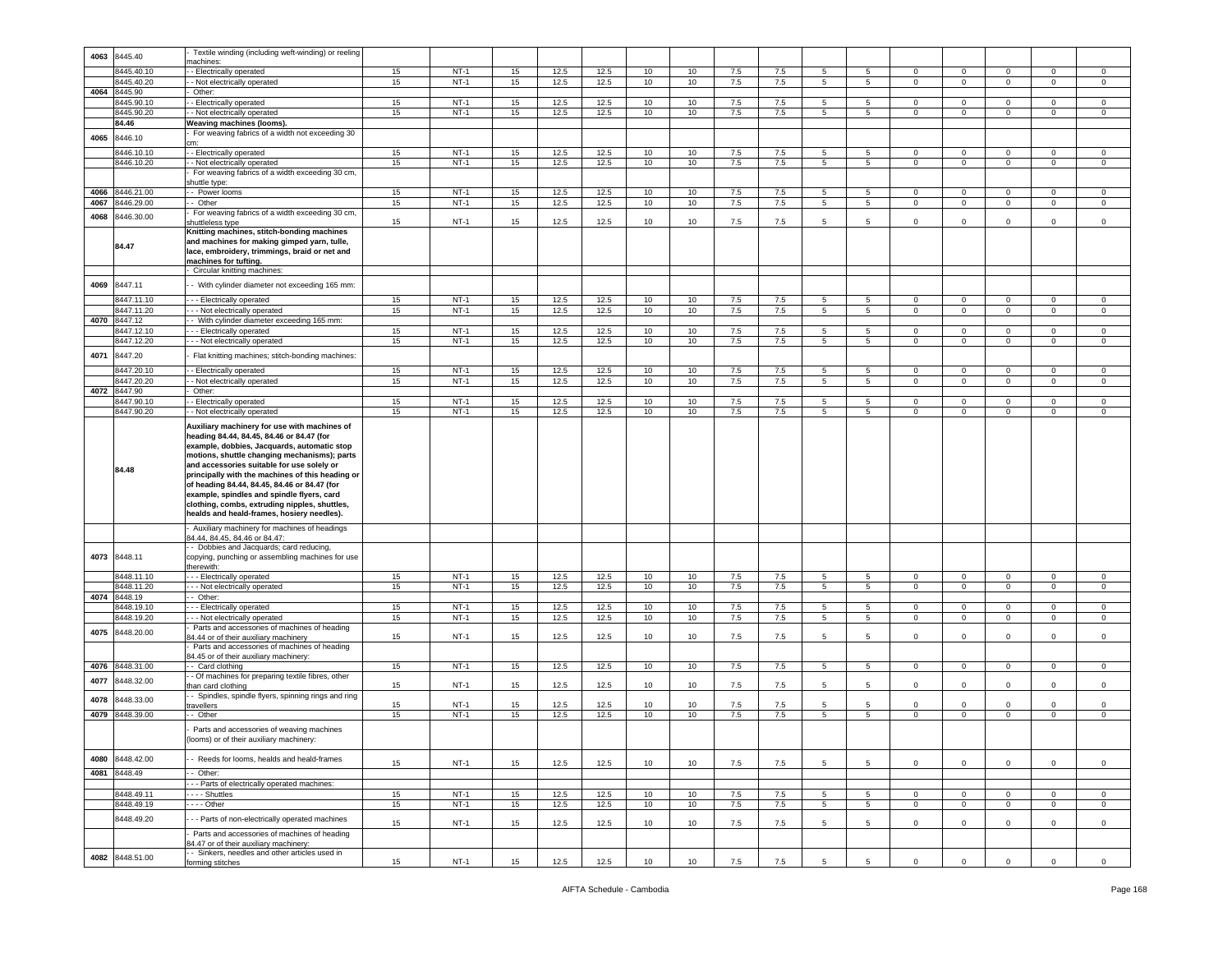|      |                          | Textile winding (including weft-winding) or reeling                                                                                                                                                                                                                                                                                        |    |        |    |              |              |          |                  |            |            |                 |                 |                |                               |                |                     |             |
|------|--------------------------|--------------------------------------------------------------------------------------------------------------------------------------------------------------------------------------------------------------------------------------------------------------------------------------------------------------------------------------------|----|--------|----|--------------|--------------|----------|------------------|------------|------------|-----------------|-----------------|----------------|-------------------------------|----------------|---------------------|-------------|
| 4063 | 8445.40                  | nachines:                                                                                                                                                                                                                                                                                                                                  |    |        |    |              |              |          |                  |            |            |                 |                 |                |                               |                |                     |             |
|      | 445.40.10                | - Electrically operated                                                                                                                                                                                                                                                                                                                    | 15 | $NT-1$ | 15 | 12.5         | 12.5         | 10       | 10               | 7.5        | 7.5        | 5               | 5               | $\mathbf 0$    | $\mathbf 0$                   | 0              | $\mathbf 0$         | $\mathsf 0$ |
|      | 445.40.20                | - Not electrically operated                                                                                                                                                                                                                                                                                                                | 15 | $NT-1$ | 15 | 12.5         | 12.5         | 10       | 10               | 7.5        | 7.5        | 5               | $5\overline{)}$ | $\circ$        | $\mathbf 0$                   | $\circ$        | $\mathbf 0$         | $\mathbf 0$ |
| 4064 | 8445.90                  | Other:                                                                                                                                                                                                                                                                                                                                     |    |        |    |              |              |          |                  |            |            |                 |                 |                |                               |                |                     |             |
|      | 8445.90.10               | - Electrically operated                                                                                                                                                                                                                                                                                                                    | 15 | $NT-1$ | 15 | 12.5         | 12.5         | 10       | 10               | 7.5        | 7.5        | $5^{\circ}$     | $5^{\circ}$     | $\mathbf 0$    | $\mathbf 0$                   | 0              | $\mathbf 0$         | 0           |
|      | 8445.90.20               | - Not electrically operated                                                                                                                                                                                                                                                                                                                | 15 | $NT-1$ | 15 | 12.5         | 12.5         | 10       | 10               | 7.5        | 7.5        | 5               | 5               | $\circ$        | $\overline{0}$                | $\circ$        | $\overline{0}$      | $\mathsf 0$ |
|      | 84.46                    | Weaving machines (looms).                                                                                                                                                                                                                                                                                                                  |    |        |    |              |              |          |                  |            |            |                 |                 |                |                               |                |                     |             |
|      |                          | For weaving fabrics of a width not exceeding 30                                                                                                                                                                                                                                                                                            |    |        |    |              |              |          |                  |            |            |                 |                 |                |                               |                |                     |             |
| 4065 | 8446.10                  |                                                                                                                                                                                                                                                                                                                                            |    |        |    |              |              |          |                  |            |            |                 |                 |                |                               |                |                     |             |
|      | 8446.10.10               | - - Electrically operated                                                                                                                                                                                                                                                                                                                  | 15 | $NT-1$ | 15 | 12.5         | 12.5         | 10       | 10               | 7.5        | 7.5        | 5               | 5               | $\mathbf{0}$   | $\overline{0}$                | $^{\circ}$     | $\mathbf{0}$        | $\mathbf 0$ |
|      | 8446.10.20               | - Not electrically operated                                                                                                                                                                                                                                                                                                                | 15 | $NT-1$ | 15 | 12.5         | 12.5         | 10       | 10               | 7.5        | 7.5        | $5^{\circ}$     | 5 <sub>5</sub>  | $\mathbf{0}$   | $\mathbf 0$                   | $\circ$        | $\mathbf 0$         | $\mathbf 0$ |
|      |                          | For weaving fabrics of a width exceeding 30 cm,                                                                                                                                                                                                                                                                                            |    |        |    |              |              |          |                  |            |            |                 |                 |                |                               |                |                     |             |
|      |                          | shuttle type:                                                                                                                                                                                                                                                                                                                              |    |        |    |              |              |          |                  |            |            |                 |                 |                |                               |                |                     |             |
| 4066 | 8446.21.00               | - Power looms                                                                                                                                                                                                                                                                                                                              | 15 | $NT-1$ | 15 | 12.5         | 12.5         | 10       | 10               | 7.5        | 7.5        | $5\phantom{.0}$ | $5\phantom{.0}$ | $\mathbf 0$    | $\mathsf 0$                   | $\mathbf 0$    | $\mathbf 0$         | 0           |
| 4067 | 3446.29.00               | Other                                                                                                                                                                                                                                                                                                                                      | 15 | $NT-1$ | 15 | 12.5         | 12.5         | 10       | 10               | 7.5        | 7.5        | 5               | $5^{\circ}$     | 0              | $\mathbf 0$                   | $\circ$        | $\mathbf 0$         | $\mathsf 0$ |
| 4068 | 3446.30.00               | For weaving fabrics of a width exceeding 30 cm,                                                                                                                                                                                                                                                                                            |    |        |    |              |              |          |                  |            |            |                 |                 |                |                               |                |                     |             |
|      |                          | huttleless type                                                                                                                                                                                                                                                                                                                            | 15 | $NT-1$ | 15 | 12.5         | 12.5         | 10       | 10               | 7.5        | 7.5        | 5               | 5               | $\mathbf 0$    | $\mathbf 0$                   | $\mathbf 0$    | $\mathsf 0$         | $\mathsf 0$ |
|      | 84.47                    | Knitting machines, stitch-bonding machines<br>and machines for making gimped yarn, tulle,<br>lace, embroidery, trimmings, braid or net and<br>machines for tufting.                                                                                                                                                                        |    |        |    |              |              |          |                  |            |            |                 |                 |                |                               |                |                     |             |
|      |                          | Circular knitting machines:                                                                                                                                                                                                                                                                                                                |    |        |    |              |              |          |                  |            |            |                 |                 |                |                               |                |                     |             |
| 4069 | 8447.11                  | - With cylinder diameter not exceeding 165 mm:                                                                                                                                                                                                                                                                                             |    |        |    |              |              |          |                  |            |            |                 |                 |                |                               |                |                     |             |
|      |                          | --- Electrically operated                                                                                                                                                                                                                                                                                                                  |    | $NT-1$ |    |              |              |          |                  |            |            |                 |                 |                |                               |                |                     |             |
|      | 8447.11.10<br>8447.11.20 |                                                                                                                                                                                                                                                                                                                                            | 15 | $NT-1$ | 15 | 12.5<br>12.5 | 12.5<br>12.5 | 10<br>10 | 10               | 7.5<br>7.5 | 7.5<br>7.5 | 5               | 5               | 0              | $\mathbf 0$<br>$\overline{0}$ | $^{\circ}$     | 0<br>$\overline{0}$ | 0           |
| 4070 |                          | - - Not electrically operated                                                                                                                                                                                                                                                                                                              | 15 |        | 15 |              |              |          | 10               |            |            | $5\overline{)}$ | $5\overline{)}$ | $\overline{0}$ |                               | $\overline{0}$ |                     | $\mathsf 0$ |
|      | 8447.12<br>8447.12.10    | - With cylinder diameter exceeding 165 mm:<br>--- Electrically operated                                                                                                                                                                                                                                                                    | 15 | $NT-1$ | 15 | 12.5         | 12.5         | 10       | 10               | 7.5        | 7.5        | $5^{\circ}$     | $5^{\circ}$     | $\mathbf 0$    | $\mathbf 0$                   | $\mathbf 0$    | $\mathbf 0$         | 0           |
|      |                          |                                                                                                                                                                                                                                                                                                                                            |    |        |    |              | 12.5         | 10       | 10 <sup>10</sup> |            |            | 5               | 5               | $\mathbf 0$    | $\mathbf 0$                   |                | $\Omega$            |             |
|      | 3447.12.20               | - - Not electrically operated                                                                                                                                                                                                                                                                                                              | 15 | $NT-1$ | 15 | 12.5         |              |          |                  | 7.5        | 7.5        |                 |                 |                |                               | $\mathbf 0$    |                     | $\mathsf 0$ |
| 4071 | 8447.20                  | Flat knitting machines; stitch-bonding machines:                                                                                                                                                                                                                                                                                           |    |        |    |              |              |          |                  |            |            |                 |                 |                |                               |                |                     |             |
|      | 3447.20.10               | - Electrically operated                                                                                                                                                                                                                                                                                                                    | 15 | $NT-1$ | 15 | 12.5         | 12.5         | 10       | 10               | 7.5        | 7.5        | 5               | -5              | $\mathbf 0$    | $\mathbf 0$                   | 0              | $\mathbf 0$         | 0           |
|      | 3447.20.20               | - Not electrically operated                                                                                                                                                                                                                                                                                                                | 15 | $NT-1$ | 15 | 12.5         | 12.5         | 10       | 10               | 7.5        | 7.5        | 5               | 5               | $\mathbf 0$    | $\overline{0}$                | $\mathbf{0}$   | $\mathbf 0$         | $\mathbf 0$ |
| 4072 | 8447.90                  | Other:                                                                                                                                                                                                                                                                                                                                     |    |        |    |              |              |          |                  |            |            |                 |                 |                |                               |                |                     |             |
|      | 8447.90.10               | - Electrically operated                                                                                                                                                                                                                                                                                                                    | 15 | $NT-1$ | 15 | 12.5         | 12.5         | 10       | 10               | 7.5        | 7.5        | 5 <sup>5</sup>  | $5^{\circ}$     | $\mathbf 0$    | $\mathbf 0$                   | $\circ$        | $\mathbf 0$         | $\,0\,$     |
|      | 8447.90.20               | - Not electrically operated                                                                                                                                                                                                                                                                                                                | 15 | $NT-1$ | 15 | 12.5         | 12.5         | 10       | 10               | 7.5        | 7.5        | 5               | $5\overline{5}$ | $\mathbf 0$    | $\mathbf 0$                   | $\mathbf 0$    | $\mathsf 0$         | $\mathsf 0$ |
|      | 84.48                    | Auxiliary machinery for use with machines of<br>heading 84.44, 84.45, 84.46 or 84.47 (for<br>example, dobbies, Jacquards, automatic stop<br>motions, shuttle changing mechanisms); parts<br>and accessories suitable for use solely or<br>principally with the machines of this heading or<br>of heading 84.44, 84.45, 84.46 or 84.47 (for |    |        |    |              |              |          |                  |            |            |                 |                 |                |                               |                |                     |             |
|      |                          | example, spindles and spindle flyers, card<br>clothing, combs, extruding nipples, shuttles,<br>healds and heald-frames, hosiery needles).                                                                                                                                                                                                  |    |        |    |              |              |          |                  |            |            |                 |                 |                |                               |                |                     |             |
| 4073 | 8448.11                  | Auxiliary machinery for machines of headings<br>34.44, 84.45, 84.46 or 84.47:<br>- Dobbies and Jacquards; card reducing,<br>copying, punching or assembling machines for use                                                                                                                                                               |    |        |    |              |              |          |                  |            |            |                 |                 |                |                               |                |                     |             |
|      |                          | herewith:                                                                                                                                                                                                                                                                                                                                  |    |        |    |              |              |          |                  |            |            |                 |                 |                |                               |                |                     |             |
|      | 8448.11.10               | - - Electrically operated                                                                                                                                                                                                                                                                                                                  | 15 | $NT-1$ | 15 | 12.5         | 12.5         | 10       | 10               | 7.5        | 7.5        | 5               | 5               | $\circ$        | $\mathbf 0$                   | $\mathbf{0}$   | $\mathbf 0$         | $\mathsf 0$ |
|      | 8448.11.20               | --- Not electrically operated                                                                                                                                                                                                                                                                                                              | 15 | $NT-1$ | 15 | 12.5         | 12.5         | 10       | 10               | 7.5        | 7.5        | 5               | 5 <sup>5</sup>  | $\mathbf 0$    | $\mathbf 0$                   | $\mathbf{0}$   | $\mathbf 0$         | $\circ$     |
| 4074 | 8448.19                  | - Other:                                                                                                                                                                                                                                                                                                                                   |    |        |    |              |              |          |                  |            |            |                 |                 |                |                               |                |                     |             |
|      | 3448.19.10               | - - Electrically operated                                                                                                                                                                                                                                                                                                                  | 15 | $NT-1$ | 15 | 12.5         | 12.5         | 10       | 10               | 7.5        | 7.5        | 5               | 5               | $\mathbf 0$    | $\,0\,$                       | 0              | $\Omega$            | 0           |
|      | 8448.19.20               | - - Not electrically operated                                                                                                                                                                                                                                                                                                              | 15 | $NT-1$ | 15 | 12.5         | 12.5         | 10       | 10               | 7.5        | 7.5        | 5               | $5\phantom{.0}$ | $\mathbf 0$    | $\mathbf 0$                   | $\mathbf 0$    | 0                   | 0           |
|      |                          | Parts and accessories of machines of heading                                                                                                                                                                                                                                                                                               |    |        |    |              |              |          |                  |            |            |                 |                 |                |                               |                |                     |             |
| 4075 | 8448.20.00               | 34.44 or of their auxiliary machinery                                                                                                                                                                                                                                                                                                      | 15 | $NT-1$ | 15 | 12.5         | 12.5         | 10       | 10               | 7.5        | 7.5        | 5               | 5               | $\mathbf 0$    | $\mathbf 0$                   | $\mathbf 0$    | $\mathbf 0$         | $\mathsf 0$ |
|      |                          | Parts and accessories of machines of heading                                                                                                                                                                                                                                                                                               |    |        |    |              |              |          |                  |            |            |                 |                 |                |                               |                |                     |             |
|      |                          | 34.45 or of their auxiliary machinery:                                                                                                                                                                                                                                                                                                     |    |        |    |              |              |          |                  |            |            |                 |                 |                |                               |                |                     |             |
| 4076 | 3448.31.00               | - Card clothing                                                                                                                                                                                                                                                                                                                            | 15 | $NT-1$ | 15 | 12.5         | 12.5         | 10       | 10               | 7.5        | 7.5        | $5^{\circ}$     | 5 <sup>5</sup>  | $\mathbf{0}$   | $\overline{0}$                | $\overline{0}$ | $\mathbf{0}$        | $\circ$     |
| 4077 | 3448.32.00               | - Of machines for preparing textile fibres, other                                                                                                                                                                                                                                                                                          | 15 | $NT-1$ | 15 | 12.5         | 12.5         | 10       | 10               | 7.5        | 7.5        | 5               | 5               | $\mathbf 0$    | $\mathbf 0$                   | $\mathbf 0$    | $\mathbf 0$         | $\mathsf 0$ |
|      |                          | than card clothing<br>- Spindles, spindle flyers, spinning rings and ring                                                                                                                                                                                                                                                                  |    |        |    |              |              |          |                  |            |            |                 |                 |                |                               |                |                     |             |
| 4078 | 8448.33.00               | ravellers                                                                                                                                                                                                                                                                                                                                  | 15 | $NT-1$ | 15 | 12.5         | 12.5         | 10       | 10               | 7.5        | 7.5        | 5               | 5               | $\mathbf 0$    | $\mathbf 0$                   | $\mathbf 0$    | $\mathbf 0$         | $\,0\,$     |
| 4079 | 8448.39.00               | - Other                                                                                                                                                                                                                                                                                                                                    | 15 | $NT-1$ | 15 | 12.5         | 12.5         | 10       | 10               | 7.5        | 7.5        | $5\overline{)}$ | $5\overline{)}$ | $\mathbf 0$    | $\,0\,$                       | $\mathsf 0$    | $\overline{0}$      | $\,0\,$     |
|      |                          | Parts and accessories of weaving machines<br>looms) or of their auxiliary machinery:                                                                                                                                                                                                                                                       |    |        |    |              |              |          |                  |            |            |                 |                 |                |                               |                |                     |             |
| 4080 | 8448.42.00               | - Reeds for looms, healds and heald-frames                                                                                                                                                                                                                                                                                                 |    |        |    |              |              |          |                  |            |            |                 |                 |                |                               |                |                     |             |
|      |                          |                                                                                                                                                                                                                                                                                                                                            | 15 | $NT-1$ | 15 | 12.5         | 12.5         | 10       | 10               | 7.5        | 7.5        | 5               | 5               | $\mathbf{0}$   | $\mathbf 0$                   | $\mathbf{0}$   | $\mathbf{0}$        | $\circ$     |
|      | 4081 8448.49             | - Other:                                                                                                                                                                                                                                                                                                                                   |    |        |    |              |              |          |                  |            |            |                 |                 |                |                               |                |                     |             |
|      | 8448.49.11               | --- Parts of electrically operated machines:                                                                                                                                                                                                                                                                                               |    |        |    |              |              |          |                  |            |            | 5               | 5               | $\mathbf 0$    |                               | $\Omega$       | $\mathbf 0$         |             |
|      |                          | - Shuttles                                                                                                                                                                                                                                                                                                                                 | 15 | $NT-1$ | 15 | 12.5         | 12.5         | 10       | 10               | $7.5\,$    | 7.5        |                 |                 |                | $\mathbf 0$                   |                |                     | $\,0\,$     |
|      | 8448.49.19               | $\cdots$ Other                                                                                                                                                                                                                                                                                                                             | 15 | $NT-1$ | 15 | 12.5         | 12.5         | 10       | 10               | 7.5        | 7.5        | $5\overline{5}$ | 5 <sub>5</sub>  | $\mathbf{0}$   | $\,0\,$                       | $\overline{0}$ | $\mathbf 0$         | 0           |
|      | 8448.49.20               | - - Parts of non-electrically operated machines                                                                                                                                                                                                                                                                                            | 15 | $NT-1$ | 15 | 12.5         | 12.5         | 10       | 10               | 7.5        | 7.5        | 5               | 5               | $\mathbf 0$    | $\mathbf 0$                   | $\mathbf 0$    | $\mathbf 0$         | $\mathsf 0$ |
| 4082 | 8448.51.00               | Parts and accessories of machines of heading<br>34.47 or of their auxiliary machinery:<br>- Sinkers, needles and other articles used in                                                                                                                                                                                                    |    |        |    |              |              |          |                  |            |            |                 |                 |                |                               |                |                     |             |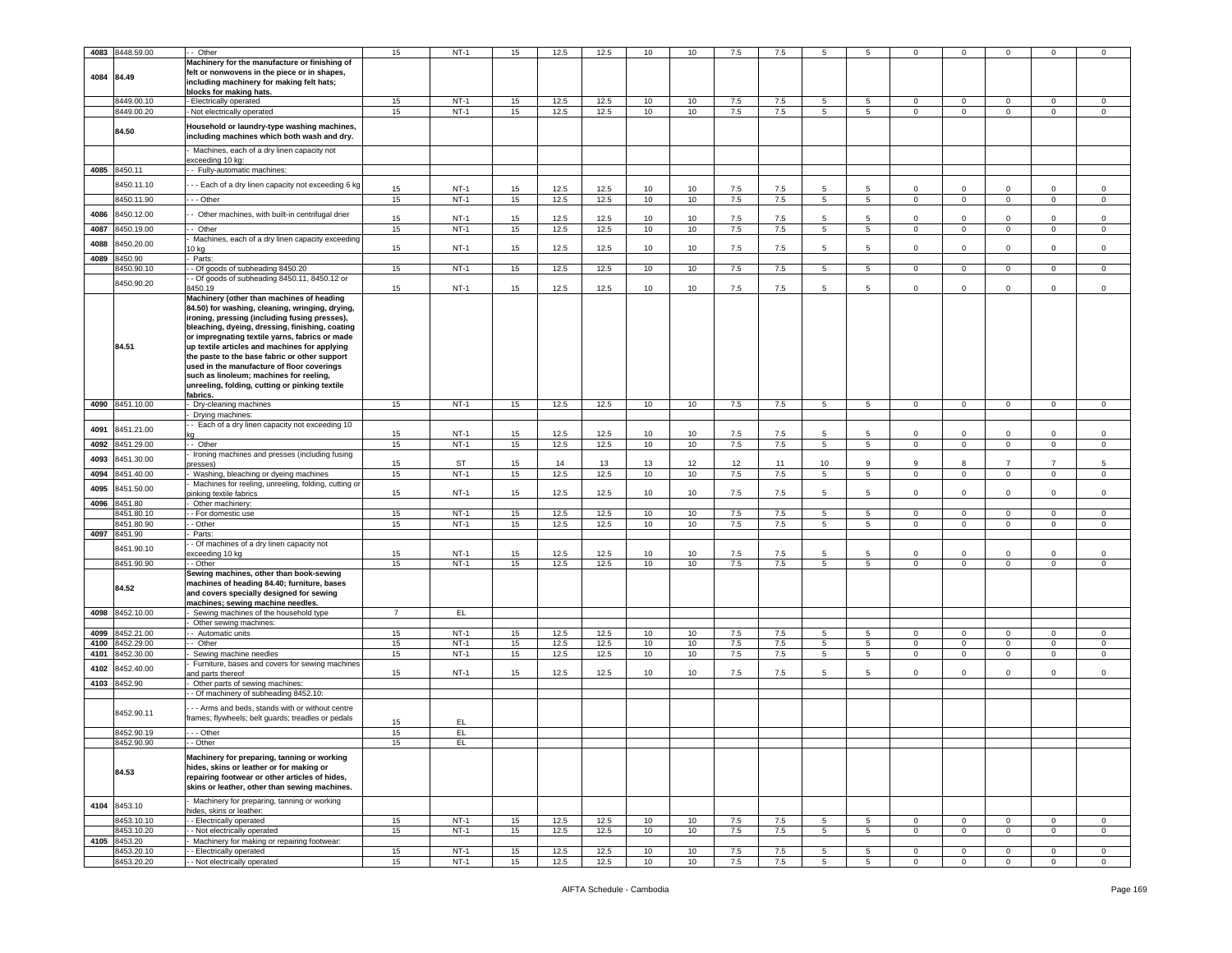| 4083       | 8448.59.00      | - Other                                                                  | 15             | NT-1        | 15       | 12.5 | 12.5 | 10 | 10              | 7.5     | 7.5 | 5               |                 |                | $^{\circ}$     |                |                | $\Omega$    |
|------------|-----------------|--------------------------------------------------------------------------|----------------|-------------|----------|------|------|----|-----------------|---------|-----|-----------------|-----------------|----------------|----------------|----------------|----------------|-------------|
|            |                 |                                                                          |                |             |          |      |      |    |                 |         |     |                 |                 |                |                |                |                |             |
|            |                 | Machinery for the manufacture or finishing of                            |                |             |          |      |      |    |                 |         |     |                 |                 |                |                |                |                |             |
| 4084 84.49 |                 | felt or nonwovens in the piece or in shapes,                             |                |             |          |      |      |    |                 |         |     |                 |                 |                |                |                |                |             |
|            |                 | including machinery for making felt hats;                                |                |             |          |      |      |    |                 |         |     |                 |                 |                |                |                |                |             |
|            |                 | blocks for making hats.                                                  |                |             |          |      |      |    |                 |         |     |                 |                 |                |                |                |                |             |
|            | 8449.00.10      | Electrically operated                                                    | 15             | <b>NT-1</b> | 15       | 12.5 | 12.5 | 10 | 10              | 7.5     | 7.5 | 5               | 5               | 0              | $\mathbf 0$    | 0              | 0              | $\mathbf 0$ |
|            | 8449.00.20      | Not electrically operated                                                | 15             | $NT-1$      | 15       | 12.5 | 12.5 | 10 | 10              | 7.5     | 7.5 | 5               | $5^{\circ}$     | $\circ$        | $\mathsf 0$    | $\mathbf 0$    | $\mathbf 0$    | $\mathbf 0$ |
|            |                 | Household or laundry-type washing machines,                              |                |             |          |      |      |    |                 |         |     |                 |                 |                |                |                |                |             |
|            | 84.50           | including machines which both wash and dry.                              |                |             |          |      |      |    |                 |         |     |                 |                 |                |                |                |                |             |
|            |                 |                                                                          |                |             |          |      |      |    |                 |         |     |                 |                 |                |                |                |                |             |
|            |                 | Machines, each of a dry linen capacity not                               |                |             |          |      |      |    |                 |         |     |                 |                 |                |                |                |                |             |
| 4085       | 8450.11         | exceeding 10 kg:<br>- Fully-automatic machines:                          |                |             |          |      |      |    |                 |         |     |                 |                 |                |                |                |                |             |
|            |                 |                                                                          |                |             |          |      |      |    |                 |         |     |                 |                 |                |                |                |                |             |
|            | 3450.11.10      | - - Each of a dry linen capacity not exceeding 6 kg                      | 15             | $NT-1$      | 15       | 12.5 | 12.5 | 10 | 10              | 7.5     | 7.5 | 5               | -5              | $\Omega$       | $\Omega$       | $\Omega$       | $\Omega$       | $\Omega$    |
|            | 8450.11.90      | - - Other                                                                | 15             | $NT-1$      | 15       | 12.5 | 12.5 | 10 | 10              | 7.5     | 7.5 | 5               | $5^{\circ}$     | $\overline{0}$ | $\mathbf{0}$   | $\mathbf 0$    | $\mathbf{0}$   | $\mathbf 0$ |
|            |                 |                                                                          |                |             |          |      |      |    |                 |         |     |                 |                 |                |                |                |                |             |
| 4086       | 8450.12.00      | Other machines, with built-in centrifugal drier                          | 15             | <b>NT-1</b> | 15       | 12.5 | 12.5 | 10 | 10              | 7.5     | 7.5 | 5               |                 | $\Omega$       | $\mathbf 0$    | $\Omega$       | $\Omega$       | $\Omega$    |
| 4087       | 3450.19.00      | - Other                                                                  | 15             | $NT-1$      | 15       | 12.5 | 12.5 | 10 | 10              | 7.5     | 7.5 | $5\phantom{.0}$ | $5\overline{)}$ | $\mathbf 0$    | $\,0\,$        | $\mathbf 0$    | $\mathbf 0$    | $\mathbf 0$ |
|            |                 | Machines, each of a dry linen capacity exceeding                         |                |             |          |      |      |    |                 |         |     |                 |                 |                |                |                |                |             |
| 4088       | 3450.20.00      | 0 kg                                                                     | 15             | $NT-1$      | 15       | 12.5 | 12.5 | 10 | 10              | 7.5     | 7.5 | 5               | 5               | $\mathsf 0$    | $\mathbf 0$    | $\mathbf 0$    | $\mathbf 0$    | $\mathsf 0$ |
| 4089       | 3450.90         | Parts:                                                                   |                |             |          |      |      |    |                 |         |     |                 |                 |                |                |                |                |             |
|            | 3450.90.10      | - Of goods of subheading 8450.20                                         | 15             | $NT-1$      | 15       | 12.5 | 12.5 | 10 | 10              | 7.5     | 7.5 | 5               | 5               | $\overline{0}$ | $\mathbf{0}$   | $\mathbf{0}$   | 0              | $\mathbf 0$ |
|            |                 | - Of goods of subheading 8450.11, 8450.12 or                             |                |             |          |      |      |    |                 |         |     |                 |                 |                |                |                |                |             |
|            | 8450.90.20      | 450.19                                                                   | 15             | NT-1        | 15       | 12.5 | 12.5 | 10 | 10              | 7.5     | 7.5 | 5               | 5               | 0              | $\mathbf 0$    | $\Omega$       | $\mathbf{0}$   | $\mathbf 0$ |
|            |                 | Machinery (other than machines of heading                                |                |             |          |      |      |    |                 |         |     |                 |                 |                |                |                |                |             |
|            |                 | 84.50) for washing, cleaning, wringing, drying,                          |                |             |          |      |      |    |                 |         |     |                 |                 |                |                |                |                |             |
|            |                 | ironing, pressing (including fusing presses),                            |                |             |          |      |      |    |                 |         |     |                 |                 |                |                |                |                |             |
|            |                 | bleaching, dyeing, dressing, finishing, coating                          |                |             |          |      |      |    |                 |         |     |                 |                 |                |                |                |                |             |
|            |                 | or impregnating textile yarns, fabrics or made                           |                |             |          |      |      |    |                 |         |     |                 |                 |                |                |                |                |             |
|            | 84.51           | up textile articles and machines for applying                            |                |             |          |      |      |    |                 |         |     |                 |                 |                |                |                |                |             |
|            |                 | the paste to the base fabric or other support                            |                |             |          |      |      |    |                 |         |     |                 |                 |                |                |                |                |             |
|            |                 | used in the manufacture of floor coverings                               |                |             |          |      |      |    |                 |         |     |                 |                 |                |                |                |                |             |
|            |                 | such as linoleum; machines for reeling,                                  |                |             |          |      |      |    |                 |         |     |                 |                 |                |                |                |                |             |
|            |                 | unreeling, folding, cutting or pinking textile                           |                |             |          |      |      |    |                 |         |     |                 |                 |                |                |                |                |             |
|            |                 | abrics.                                                                  |                |             |          |      |      |    |                 |         |     |                 |                 |                |                |                |                |             |
|            | 4090 8451.10.00 | Dry-cleaning machines                                                    | 15             | $NT-1$      | 15       | 12.5 | 12.5 | 10 | 10              | 7.5     | 7.5 | 5               | 5               | $\overline{0}$ | $\overline{0}$ | $\overline{0}$ | $\overline{0}$ | $\mathsf 0$ |
|            |                 | Drying machines:                                                         |                |             |          |      |      |    |                 |         |     |                 |                 |                |                |                |                |             |
| 4091       | 8451.21.00      | - Each of a dry linen capacity not exceeding 10                          |                | $NT-1$      |          | 12.5 | 12.5 | 10 | 10              | 7.5     | 7.5 | -5              | .5              | $\Omega$       | $\mathbf 0$    | $\Omega$       | $\Omega$       | $\Omega$    |
| 4092       | 8451.29.00      |                                                                          | 15<br>15       | $NT-1$      | 15<br>15 | 12.5 | 12.5 | 10 | 10              | 7.5     | 7.5 | 5               | 5               | 0              | $\mathbf 0$    | 0              | $\mathbf 0$    | $\mathbf 0$ |
|            |                 | - Other<br>Ironing machines and presses (including fusing                |                |             |          |      |      |    |                 |         |     |                 |                 |                |                |                |                |             |
| 4093       | 3451.30.00      | resses)                                                                  | 15             | ST          | 15       | 14   | 13   | 13 | 12              | 12      | 11  | 10              | 9               | 9              | 8              | $\overline{7}$ | $\overline{7}$ | 5           |
| 4094       | 8451.40.00      | Washing, bleaching or dyeing machines                                    | 15             | $NT-1$      | 15       | 12.5 | 12.5 | 10 | 10              | $7.5\,$ | 7.5 | $5\overline{5}$ | $5\overline{)}$ | $\overline{0}$ | $\mathbf 0$    | $\mathbf 0$    | $\mathbf{0}$   | $\mathsf 0$ |
|            |                 | Machines for reeling, unreeling, folding, cutting or                     |                |             |          |      |      |    |                 |         |     |                 |                 |                |                |                |                |             |
| 4095       | 3451.50.00      | vinking textile fabrics                                                  | 15             | $NT-1$      | 15       | 12.5 | 12.5 | 10 | 10              | 7.5     | 7.5 | 5               | -5              | 0              | $\mathsf 0$    | $\Omega$       | $\Omega$       | $\mathbf 0$ |
| 4096       | 8451.80         | Other machinery:                                                         |                |             |          |      |      |    |                 |         |     |                 |                 |                |                |                |                |             |
|            | 8451.80.10      | - For domestic use                                                       | 15             | $NT-1$      | 15       | 12.5 | 12.5 | 10 | 10              | 7.5     | 7.5 | 5               | 5 <sup>5</sup>  | $\circ$        | $\mathsf 0$    | $\circ$        | $\mathbf 0$    | $\circ$     |
|            | 3451.80.90      | - Other                                                                  | 15             | $NT-1$      | 15       | 12.5 | 12.5 | 10 | 10              | $7.5\,$ | 7.5 | 5               | 5 <sup>5</sup>  | $\mathbf 0$    | $\mathsf 0$    | 0              | $\mathbf 0$    | $\mathbf 0$ |
| 4097       | 8451.90         | Parts:                                                                   |                |             |          |      |      |    |                 |         |     |                 |                 |                |                |                |                |             |
|            |                 | - Of machines of a dry linen capacity not                                |                |             |          |      |      |    |                 |         |     |                 |                 |                |                |                |                |             |
|            | 8451.90.10      | exceeding 10 kg                                                          | 15             | $NT-1$      | 15       | 12.5 | 12.5 | 10 | 10 <sup>1</sup> | 7.5     | 7.5 | 5               | -5              | $\Omega$       | $\Omega$       | $\Omega$       | $\Omega$       | $\Omega$    |
|            | 8451.90.90      | - Other                                                                  | 15             | $NT-1$      | 15       | 12.5 | 12.5 | 10 | 10              | 7.5     | 7.5 | $5^{\circ}$     | $5^{\circ}$     | $\overline{0}$ | $\mathbf 0$    | $\mathbf 0$    | $\mathbf{0}$   | $\mathbf 0$ |
|            |                 | Sewing machines, other than book-sewing                                  |                |             |          |      |      |    |                 |         |     |                 |                 |                |                |                |                |             |
|            | 84.52           | machines of heading 84.40; furniture, bases                              |                |             |          |      |      |    |                 |         |     |                 |                 |                |                |                |                |             |
|            |                 | and covers specially designed for sewing                                 |                |             |          |      |      |    |                 |         |     |                 |                 |                |                |                |                |             |
|            |                 | machines; sewing machine needles                                         |                |             |          |      |      |    |                 |         |     |                 |                 |                |                |                |                |             |
| 4098       | 8452.10.00      | Sewing machines of the household type                                    | $\overline{7}$ | EL.         |          |      |      |    |                 |         |     |                 |                 |                |                |                |                |             |
|            |                 | Other sewing machines:                                                   |                |             |          |      |      |    |                 |         |     |                 |                 |                |                |                |                |             |
| 4099       | 8452.21.00      | - Automatic units                                                        | 15             | $NT-1$      | 15       | 12.5 | 12.5 | 10 | 10              | 7.5     | 7.5 | 5               | 5               | $^{\circ}$     | $\mathbf 0$    | $^{\circ}$     | $\mathbf{0}$   | 0           |
| 4100       | 8452.29.00      | Other                                                                    | 15             | $NT-1$      | 15       | 12.5 | 12.5 | 10 | 10              | 7.5     | 7.5 | 5               | 5               | $\mathbf{0}$   | $\mathsf 0$    | $\mathbf 0$    | $\mathbf 0$    | $\mathbf 0$ |
| 4101       | 8452.30.00      | Sewing machine needles                                                   | 15             | $NT-1$      | 15       | 12.5 | 12.5 | 10 | 10              | 7.5     | 7.5 | 5 <sub>5</sub>  | 5 <sup>5</sup>  | $\mathbf 0$    | $\mathsf 0$    | $\mathbf 0$    | $\mathbf 0$    | $\circ$     |
| 4102       | 3452.40.00      | Furniture, bases and covers for sewing machines                          |                |             |          |      |      |    |                 |         |     | 5               | -5              | $\mathbf 0$    |                | $\Omega$       | $\Omega$       | $\Omega$    |
| 4103       |                 | ind parts thereof                                                        | 15             | $NT-1$      | 15       | 12.5 | 12.5 | 10 | 10              | 7.5     | 7.5 |                 |                 |                | $\mathbf 0$    |                |                |             |
|            | 8452.90         | Other parts of sewing machines:<br>- Of machinery of subheading 8452.10: |                |             |          |      |      |    |                 |         |     |                 |                 |                |                |                |                |             |
|            |                 |                                                                          |                |             |          |      |      |    |                 |         |     |                 |                 |                |                |                |                |             |
|            | 8452.90.11      | - Arms and beds, stands with or without centre                           |                |             |          |      |      |    |                 |         |     |                 |                 |                |                |                |                |             |
|            |                 | frames; flywheels; belt guards; treadles or pedals                       | 15             | EL          |          |      |      |    |                 |         |     |                 |                 |                |                |                |                |             |
|            | 8452.90.19      | - - Other                                                                | 15             | EL.         |          |      |      |    |                 |         |     |                 |                 |                |                |                |                |             |
|            | 3452.90.9       |                                                                          |                |             |          |      |      |    |                 |         |     |                 |                 |                |                |                |                |             |
|            |                 |                                                                          |                |             |          |      |      |    |                 |         |     |                 |                 |                |                |                |                |             |
|            |                 | Machinery for preparing, tanning or working                              |                |             |          |      |      |    |                 |         |     |                 |                 |                |                |                |                |             |
|            | 84.53           | hides, skins or leather or for making or                                 |                |             |          |      |      |    |                 |         |     |                 |                 |                |                |                |                |             |
|            |                 | repairing footwear or other articles of hides,                           |                |             |          |      |      |    |                 |         |     |                 |                 |                |                |                |                |             |
|            |                 | skins or leather, other than sewing machines.                            |                |             |          |      |      |    |                 |         |     |                 |                 |                |                |                |                |             |
|            |                 | Machinery for preparing, tanning or working                              |                |             |          |      |      |    |                 |         |     |                 |                 |                |                |                |                |             |
| 4104       | 8453.10         | nides, skins or leather:                                                 |                |             |          |      |      |    |                 |         |     |                 |                 |                |                |                |                |             |
|            | 8453.10.10      | - Electrically operated                                                  | 15             | $NT-1$      | 15       | 12.5 | 12.5 | 10 | 10              | 7.5     | 7.5 | 5               | 5               | $\mathbf 0$    | $\mathbf 0$    | $^{\circ}$     | $\mathbf{0}$   | $\mathbf 0$ |
|            | 8453.10.20      | - Not electrically operated                                              | 15             | $NT-1$      | 15       | 12.5 | 12.5 | 10 | 10              | 7.5     | 7.5 | 5               | 5 <sup>5</sup>  | $\circ$        | $\mathbf 0$    | $\mathbf{0}$   | $\mathbf{0}$   | $\circ$     |
| 4105       | 8453.20         | Machinery for making or repairing footwear:                              |                |             |          |      |      |    |                 |         |     |                 |                 |                |                |                |                |             |
|            | 8453.20.10      | - Electrically operated                                                  | 15             | $NT-1$      | 15       | 12.5 | 12.5 | 10 | 10              | 7.5     | 7.5 | 5               | 5               | $\mathbf 0$    | $\mathbf 0$    | $\Omega$       | 0              | $\mathbf 0$ |
|            | 8453.20.20      | - Not electrically operated                                              | 15             | $NT-1$      | 15       | 12.5 | 12.5 | 10 | 10              | 7.5     | 7.5 | 5               | $5\overline{)}$ | $\circ$        | $\mathbf 0$    | $\mathbf 0$    | $\overline{0}$ | $\mathbf 0$ |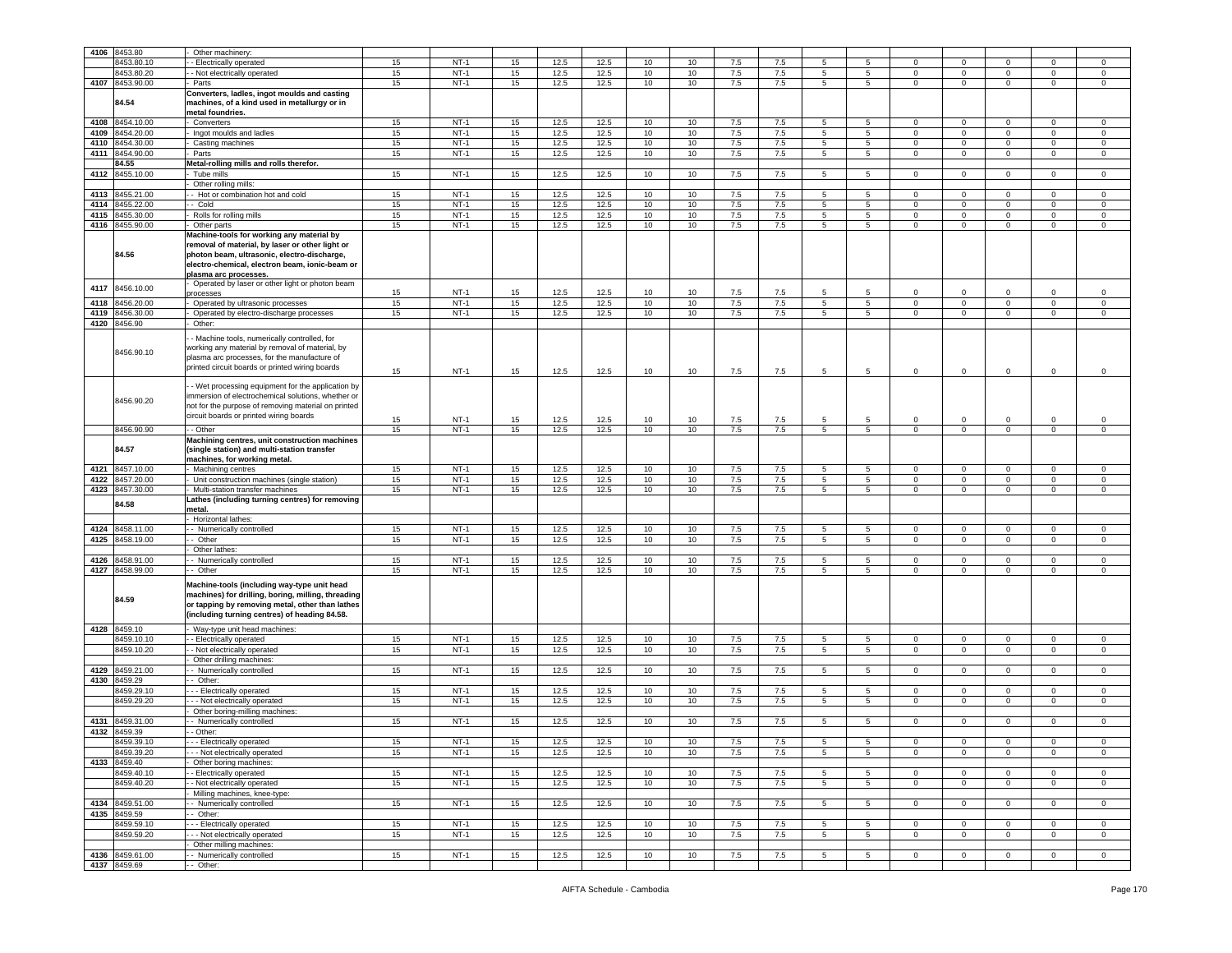| 4106 | 8453.80             | Other machinery:                                                                                                                                                                                                       |    |        |                  |      |      |                  |    |         |     |                 |                 |                |                |              |                |                     |
|------|---------------------|------------------------------------------------------------------------------------------------------------------------------------------------------------------------------------------------------------------------|----|--------|------------------|------|------|------------------|----|---------|-----|-----------------|-----------------|----------------|----------------|--------------|----------------|---------------------|
|      |                     |                                                                                                                                                                                                                        |    |        |                  |      |      |                  |    |         |     |                 |                 |                |                |              |                |                     |
|      | 3453.80.10          | - Electrically operated                                                                                                                                                                                                | 15 | $NT-1$ | 15               | 12.5 | 12.5 | 10               | 10 | 7.5     | 7.5 | 5               | 5               | $\mathbf 0$    | $\mathbf 0$    | $\Omega$     | 0              | $\mathbf 0$         |
|      | 8453.80.20          | - Not electrically operated                                                                                                                                                                                            | 15 | $NT-1$ | 15               | 12.5 | 12.5 | 10               | 10 | 7.5     | 7.5 | $5\overline{5}$ | 5               | $\mathbf 0$    | $\mathbf 0$    | $\mathbf 0$  | $\mathbf 0$    | $\mathsf 0$         |
|      | 4107 8453.90.00     | Parts                                                                                                                                                                                                                  | 15 | $NT-1$ | 15               | 12.5 | 12.5 | 10               | 10 | 7.5     | 7.5 | $5\overline{5}$ | 5               | $\mathbf{O}$   | $\mathbf 0$    | $\mathbf 0$  | $\mathbf 0$    | $\mathbf 0$         |
|      |                     | Converters, ladles, ingot moulds and casting                                                                                                                                                                           |    |        |                  |      |      |                  |    |         |     |                 |                 |                |                |              |                |                     |
|      | 84.54               | machines, of a kind used in metallurgy or in                                                                                                                                                                           |    |        |                  |      |      |                  |    |         |     |                 |                 |                |                |              |                |                     |
|      |                     | metal foundries.                                                                                                                                                                                                       |    |        |                  |      |      |                  |    |         |     |                 |                 |                |                |              |                |                     |
|      |                     |                                                                                                                                                                                                                        |    |        |                  |      |      |                  |    |         |     |                 |                 |                |                |              |                |                     |
| 4108 | 8454.10.00          | Converters                                                                                                                                                                                                             | 15 | $NT-1$ | 15               | 12.5 | 12.5 | 10               | 10 | 7.5     | 7.5 | 5               | 5               | $\mathbf{0}$   | $\mathsf 0$    | $\mathbf 0$  | 0              | $\mathbf 0$         |
| 4109 | 8454.20.00          | Ingot moulds and ladles                                                                                                                                                                                                | 15 | $NT-1$ | 15               | 12.5 | 12.5 | 10               | 10 | 7.5     | 7.5 | 5               | 5               | $\circ$        | $\mathsf 0$    | 0            | $\mathbf 0$    | $\mathsf 0$         |
| 4110 | 8454.30.00          | Casting machines                                                                                                                                                                                                       | 15 | $NT-1$ | 15               | 12.5 | 12.5 | 10               | 10 | $7.5\,$ | 7.5 | 5               | 5               | $\circ$        | $\mathbf 0$    | $\mathsf 0$  | $\mathbf 0$    | $\mathsf 0$         |
| 4111 | 8454.90.00          | Parts                                                                                                                                                                                                                  | 15 | $NT-1$ | 15               | 12.5 | 12.5 | 10               | 10 | 7.5     | 7.5 | $5^{\circ}$     | 5 <sup>5</sup>  | $\mathbf 0$    | $\mathsf 0$    | $\mathbf 0$  | $\mathbf 0$    | $\mathbf 0$         |
|      | 84.55               |                                                                                                                                                                                                                        |    |        |                  |      |      |                  |    |         |     |                 |                 |                |                |              |                |                     |
|      |                     | Metal-rolling mills and rolls therefor.                                                                                                                                                                                |    |        |                  |      |      |                  |    |         |     |                 |                 |                |                |              |                |                     |
| 4112 | 8455.10.00          | Tube mills                                                                                                                                                                                                             | 15 | $NT-1$ | 15               | 12.5 | 12.5 | 10               | 10 | 7.5     | 7.5 | $5\phantom{.0}$ | $5\overline{5}$ | $\mathbf 0$    | $\mathsf 0$    | $\mathbf 0$  | $\mathbf 0$    | $\mathbf 0$         |
|      |                     | Other rolling mills:                                                                                                                                                                                                   |    |        |                  |      |      |                  |    |         |     |                 |                 |                |                |              |                |                     |
| 4113 | 8455.21.00          | - Hot or combination hot and cold                                                                                                                                                                                      | 15 | $NT-1$ | 15               | 12.5 | 12.5 | 10               | 10 | 7.5     | 7.5 | 5               | 5               | $\mathbf{0}$   | $\mathbf 0$    | $\mathbf 0$  | $\mathbf{0}$   | $\mathbf 0$         |
| 4114 | 8455.22.00          | - Cold                                                                                                                                                                                                                 | 15 | $NT-1$ | 15               | 12.5 | 12.5 | 10               | 10 | 7.5     | 7.5 | $5^{\circ}$     | 5               | $\mathbf 0$    | $\mathsf 0$    | $\mathbf 0$  | $\mathbf 0$    | $\mathbf 0$         |
| 4115 |                     |                                                                                                                                                                                                                        |    | $NT-1$ |                  |      | 12.5 |                  | 10 |         | 7.5 | $5^{\circ}$     | 5 <sub>5</sub>  | $\mathbf 0$    |                | $\circ$      | $\mathbf 0$    | $\mathbf 0$         |
|      | 8455.30.00          | Rolls for rolling mills                                                                                                                                                                                                | 15 |        | 15               | 12.5 |      | 10               |    | 7.5     |     |                 |                 |                | $\mathbf 0$    |              |                |                     |
| 4116 | 8455.90.00          | Other parts                                                                                                                                                                                                            | 15 | $NT-1$ | 15               | 12.5 | 12.5 | 10               | 10 | 7.5     | 7.5 | 5               | 5               | $\mathbf 0$    | $\mathsf 0$    | $\mathbf 0$  | $\mathbf 0$    | $\mathbf 0$         |
|      | 84.56               | Machine-tools for working any material by<br>removal of material, by laser or other light or<br>photon beam, ultrasonic, electro-discharge,<br>electro-chemical, electron beam, ionic-beam or<br>plasma arc processes. |    |        |                  |      |      |                  |    |         |     |                 |                 |                |                |              |                |                     |
|      |                     | Operated by laser or other light or photon beam                                                                                                                                                                        |    |        |                  |      |      |                  |    |         |     |                 |                 |                |                |              |                |                     |
| 4117 | 8456.10.00          | <b>rocesses</b>                                                                                                                                                                                                        | 15 | $NT-1$ | 15               | 12.5 | 12.5 | 10               | 10 | 7.5     | 7.5 | 5               | -5              | 0              | $\mathsf 0$    | $\Omega$     | $\Omega$       | $\mathbf 0$         |
| 4118 | 8456.20.00          | Operated by ultrasonic processes                                                                                                                                                                                       | 15 | $NT-1$ | 15               | 12.5 | 12.5 | 10               | 10 | 7.5     | 7.5 | 5               | 5               | $\circ$        | $\mathsf 0$    | $\mathbf 0$  | $\mathbf 0$    | $\mathbf 0$         |
|      |                     |                                                                                                                                                                                                                        |    |        |                  |      |      |                  |    |         |     |                 |                 |                |                |              |                |                     |
| 4119 | 8456.30.00          | Operated by electro-discharge processes                                                                                                                                                                                | 15 | $NT-1$ | 15               | 12.5 | 12.5 | 10               | 10 | 7.5     | 7.5 | $5\phantom{.0}$ | 5               | $\circ$        | $\mathbf 0$    | $\mathbf 0$  | $\mathbf 0$    | $\mathbf 0$         |
|      | 4120 8456.90        | Other:                                                                                                                                                                                                                 |    |        |                  |      |      |                  |    |         |     |                 |                 |                |                |              |                |                     |
|      | 8456.90.10          | - Machine tools, numerically controlled, for<br>working any material by removal of material, by<br>plasma arc processes, for the manufacture of<br>printed circuit boards or printed wiring boards                     | 15 | $NT-1$ | 15               | 12.5 | 12.5 | 10               | 10 | 7.5     | 7.5 | 5               | 5               | $\mathbf 0$    | $\mathbf 0$    | 0            | $\mathbf{0}$   | $\mathsf 0$         |
|      | 8456.90.20          | - Wet processing equipment for the application by<br>immersion of electrochemical solutions, whether or<br>not for the purpose of removing material on printed<br>circuit boards or printed wiring boards              | 15 | $NT-1$ | 15               | 12.5 | 12.5 | 10               | 10 | 7.5     | 7.5 | 5               | 5               | $\mathbf 0$    | $\mathbf 0$    | $\Omega$     | 0              | $\mathbf 0$         |
|      | 8456.90.90          | - Other                                                                                                                                                                                                                | 15 | $NT-1$ | 15               | 12.5 | 12.5 | 10               | 10 | 7.5     | 7.5 | 5               | 5               | $\mathbf 0$    | $\mathsf 0$    | $\mathsf 0$  | $\mathsf 0$    | $\Omega$            |
|      |                     | Machining centres, unit construction machines                                                                                                                                                                          |    |        |                  |      |      |                  |    |         |     |                 |                 |                |                |              |                |                     |
|      | 84.57               | (single station) and multi-station transfer<br>machines, for working metal.                                                                                                                                            |    |        |                  |      |      |                  |    |         |     |                 |                 |                |                |              |                |                     |
|      |                     |                                                                                                                                                                                                                        |    |        |                  |      |      |                  |    |         |     |                 |                 |                |                |              |                |                     |
|      |                     |                                                                                                                                                                                                                        |    |        |                  |      |      |                  |    |         |     |                 |                 |                |                | $\Omega$     |                |                     |
|      | 4121 8457.10.00     | Machining centres                                                                                                                                                                                                      | 15 | $NT-1$ | 15               | 12.5 | 12.5 | 10               | 10 | 7.5     | 7.5 | 5               | 5               | $\mathbf{0}$   | $\mathbf 0$    |              | $\mathbf{0}$   | $\mathbf 0$         |
| 4122 | 8457.20.00          | Unit construction machines (single station)                                                                                                                                                                            | 15 | $NT-1$ | 15               | 12.5 | 12.5 | 10               | 10 | 7.5     | 7.5 | 5               | 5               | $\mathbf{0}$   | $\mathbf 0$    | $\mathbf 0$  | $\mathbf{0}$   | $\mathbf 0$         |
| 4123 | 8457.30.00          | Multi-station transfer machines                                                                                                                                                                                        | 15 | $NT-1$ | 15               | 12.5 | 12.5 | 10               | 10 | 7.5     | 7.5 | 5               | 5               | $\circ$        | $\mathbf 0$    | $\mathbf 0$  | $\mathbf 0$    | $\mathbf 0$         |
|      |                     | Lathes (including turning centres) for removing                                                                                                                                                                        |    |        |                  |      |      |                  |    |         |     |                 |                 |                |                |              |                |                     |
|      | 84.58               | metal.                                                                                                                                                                                                                 |    |        |                  |      |      |                  |    |         |     |                 |                 |                |                |              |                |                     |
|      |                     |                                                                                                                                                                                                                        |    |        |                  |      |      |                  |    |         |     |                 |                 |                |                |              |                |                     |
|      |                     | Horizontal lathes:                                                                                                                                                                                                     |    |        |                  |      |      |                  |    |         |     |                 |                 |                |                |              |                |                     |
| 4124 | 8458.11.00          | - Numerically controlled                                                                                                                                                                                               | 15 | $NT-1$ | 15               | 12.5 | 12.5 | 10               | 10 | 7.5     | 7.5 | 5               | 5               | $\mathbf 0$    | $\mathsf 0$    | 0            | $\mathbf 0$    | $\mathsf 0$         |
|      | 4125 8458.19.00     | - Other                                                                                                                                                                                                                | 15 | $NT-1$ | 15               | 12.5 | 12.5 | 10               | 10 | 7.5     | 7.5 | 5               | 5               | $\overline{0}$ | $\overline{0}$ | $\circ$      | $\mathbf 0$    | $\mathbf 0$         |
|      |                     | Other lathes:                                                                                                                                                                                                          |    |        |                  |      |      |                  |    |         |     |                 |                 |                |                |              |                |                     |
|      |                     |                                                                                                                                                                                                                        |    | $NT-1$ |                  |      |      |                  |    |         |     | 5               | 5               | $\circ$        |                | $\Omega$     | 0              | $\mathbf 0$         |
| 4126 | 8458.91.00          | - Numerically controlled                                                                                                                                                                                               | 15 |        | 15               | 12.5 | 12.5 | 10               | 10 | 7.5     | 7.5 |                 |                 | $\mathbf 0$    | $\mathbf 0$    |              |                |                     |
| 4127 | 8458.99.00<br>84.59 | - Other<br>Machine-tools (including way-type unit head<br>machines) for drilling, boring, milling, threading<br>or tapping by removing metal, other than lathes<br>(including turning centres) of heading 84.58.       | 15 | $NT-1$ | 15               | 12.5 | 12.5 | 10               | 10 | 7.5     | 7.5 | 5               | 5               |                | $\mathsf 0$    | $\mathbf 0$  | $\mathsf 0$    | $\mathsf{O}\xspace$ |
|      | 4128 8459.10        | Way-type unit head machines:                                                                                                                                                                                           |    |        |                  |      |      |                  |    |         |     |                 |                 |                |                |              |                |                     |
|      | 8459.10.10          | - Electrically operated                                                                                                                                                                                                | 15 | $NT-1$ | 15               | 12.5 | 12.5 | 10               | 10 | 7.5     | 7.5 | 5               | 5               | $\circ$        | $\mathsf 0$    | $\mathbf 0$  | $\mathbf 0$    | $\mathbf 0$         |
|      | 8459.10.20          | - Not electrically operated                                                                                                                                                                                            | 15 | $NT-1$ | 15               | 12.5 | 12.5 | 10               | 10 | 7.5     | 7.5 |                 | $5\phantom{.0}$ | $\circ$        | $\mathbf 0$    | $\mathbf 0$  | $\mathbf 0$    | $\mathbf 0$         |
|      |                     |                                                                                                                                                                                                                        |    |        |                  |      |      |                  |    |         |     | $5^{\circ}$     |                 |                |                |              |                |                     |
|      |                     | Other drilling machines:                                                                                                                                                                                               |    |        |                  |      |      |                  |    |         |     |                 |                 |                |                |              |                |                     |
|      | 4129 8459.21.00     | - Numerically controlled                                                                                                                                                                                               | 15 | $NT-1$ | 15               | 12.5 | 12.5 | 10               | 10 | 7.5     | 7.5 | $5\overline{5}$ | $5\phantom{.0}$ | $\circ$        | $\mathbf 0$    | $\mathbf 0$  | $\mathbf 0$    | $\mathbf 0$         |
|      | 4130 8459.29        | - Other:                                                                                                                                                                                                               |    |        |                  |      |      |                  |    |         |     |                 |                 |                |                |              |                |                     |
|      | 8459.29.10          | -- Electrically operated                                                                                                                                                                                               | 15 | $NT-1$ | 15               | 12.5 | 12.5 | 10               | 10 | 7.5     | 7.5 | 5               | 5               | $\mathbf 0$    | $\mathbf 0$    | $\Omega$     | 0              | $\mathbf 0$         |
|      | 8459.29.20          | - - - Not electrically operated                                                                                                                                                                                        | 15 | $NT-1$ | 15               | 12.5 | 12.5 | 10               | 10 | 7.5     | 7.5 | 5               | $\overline{5}$  | $\overline{0}$ | $\overline{0}$ | $\circ$      | $\overline{0}$ | $\overline{0}$      |
|      |                     | Other boring-milling machines:                                                                                                                                                                                         |    |        |                  |      |      |                  |    |         |     |                 |                 |                |                |              |                |                     |
|      |                     |                                                                                                                                                                                                                        |    |        |                  |      |      |                  |    |         |     |                 |                 |                |                |              |                |                     |
|      | 4131 8459.31.00     | - Numerically controlled                                                                                                                                                                                               | 15 | $NT-1$ | 15               | 12.5 | 12.5 | 10 <sup>10</sup> | 10 | 7.5     | 7.5 | $5\overline{5}$ | $5^{\circ}$     | $\overline{0}$ | $\mathbf 0$    | $\circ$      | $\mathbf 0$    | $\mathsf 0$         |
|      | 4132 8459.39        | - Other:                                                                                                                                                                                                               |    |        |                  |      |      |                  |    |         |     |                 |                 |                |                |              |                |                     |
|      | 8459.39.            | - Electrically operated                                                                                                                                                                                                | 15 | $NT-1$ | 15               | 12.5 | 12.5 | 10               | 10 | 7.5     | 7.5 |                 |                 |                |                |              |                |                     |
|      | 8459.39.20          | --- Not electrically operated                                                                                                                                                                                          | 15 | $NT-1$ | 15               | 12.5 | 12.5 | 10               | 10 | 7.5     | 7.5 | $\overline{5}$  | 5               | $\mathbf 0$    | $\mathsf 0$    | $\mathbf{0}$ | $\mathbf{0}$   | $\mathsf 0$         |
| 4133 | 8459.40             | Other boring machines:                                                                                                                                                                                                 |    |        |                  |      |      |                  |    |         |     |                 |                 |                |                |              |                |                     |
|      |                     |                                                                                                                                                                                                                        |    |        |                  |      |      |                  |    |         |     |                 |                 |                |                |              |                |                     |
|      | 8459.40.10          | - Electrically operated                                                                                                                                                                                                | 15 | $NT-1$ | 15               | 12.5 | 12.5 | 10               | 10 | 7.5     | 7.5 | $5^{\circ}$     | 5               | $\mathbf{0}$   | $\mathbf 0$    | $\mathbf 0$  | $\mathbf 0$    | $\mathsf 0$         |
|      | 8459.40.20          | - Not electrically operated                                                                                                                                                                                            | 15 | $NT-1$ | 15               | 12.5 | 12.5 | 10               | 10 | 7.5     | 7.5 | 5               | 5               | $\mathbf{0}$   | $\mathbf{0}$   | $\mathbf{0}$ | $\mathbf 0$    | $\mathbf 0$         |
|      |                     | Milling machines, knee-type:                                                                                                                                                                                           |    |        |                  |      |      |                  |    |         |     |                 |                 |                |                |              |                |                     |
|      | 4134 8459.51.00     | - Numerically controlled                                                                                                                                                                                               | 15 | $NT-1$ | 15               | 12.5 | 12.5 | 10               | 10 | 7.5     | 7.5 | 5               | 5               | $\circ$        | $\mathbf 0$    | $\mathbf 0$  | $\mathbf{0}$   | $\mathbf 0$         |
|      | 4135 8459.59        | - Other:                                                                                                                                                                                                               |    |        |                  |      |      |                  |    |         |     |                 |                 |                |                |              |                |                     |
|      |                     |                                                                                                                                                                                                                        |    |        |                  |      |      |                  |    |         |     |                 |                 |                |                | $\Omega$     |                |                     |
|      | 8459.59.10          | - Electrically operated                                                                                                                                                                                                | 15 | $NT-1$ | 15 <sub>15</sub> | 12.5 | 12.5 | 10               | 10 | 7.5     | 7.5 | $5^{\circ}$     | 5               | $\mathbf{0}$   | $\mathbf 0$    |              | $\mathbf{0}$   | $\mathsf 0$         |
|      | 8459.59.20          | - - Not electrically operated                                                                                                                                                                                          | 15 | $NT-1$ | 15               | 12.5 | 12.5 | 10               | 10 | 7.5     | 7.5 | 5               | 5               | $\mathbf 0$    | $\mathbf 0$    | $\mathbf 0$  | $\mathbf{0}$   | $\mathbf 0$         |
|      |                     | Other milling machines:                                                                                                                                                                                                |    |        |                  |      |      |                  |    |         |     |                 |                 |                |                |              |                |                     |
|      | 4136 8459.61.00     | - Numerically controlled                                                                                                                                                                                               | 15 | $NT-1$ | 15               | 12.5 | 12.5 | 10               | 10 | 7.5     | 7.5 | $5\overline{5}$ | $5^{\circ}$     | $\circ$        | $\mathbf 0$    | $\mathbf{0}$ | $\overline{0}$ | $\mathbf 0$         |
|      | 4137 8459.69        | - Other:                                                                                                                                                                                                               |    |        |                  |      |      |                  |    |         |     |                 |                 |                |                |              |                |                     |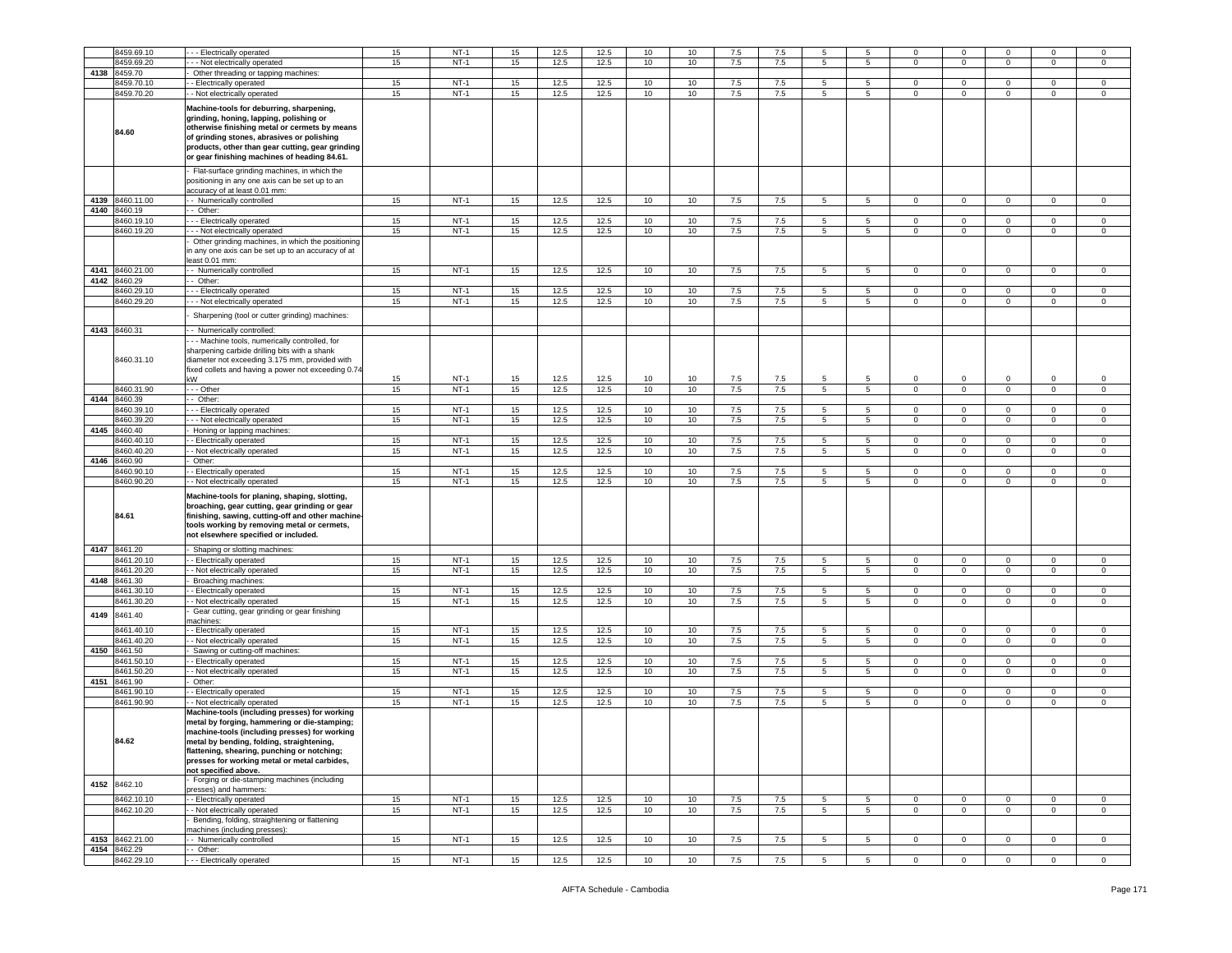|      | 8459.69.10                 | --- Electrically operated                                                                                                                                                                                                                                                                                                                         | 15 | $NT-1$ | 15 | 12.5 | 12.5 | 10 | 10 | 7.5 | 7.5 | 5               | 5               | $\mathbf 0$    | $\mathbf 0$             |                | $\Omega$       | $\mathbf 0$    |
|------|----------------------------|---------------------------------------------------------------------------------------------------------------------------------------------------------------------------------------------------------------------------------------------------------------------------------------------------------------------------------------------------|----|--------|----|------|------|----|----|-----|-----|-----------------|-----------------|----------------|-------------------------|----------------|----------------|----------------|
|      | 8459.69.20                 |                                                                                                                                                                                                                                                                                                                                                   | 15 | $NT-1$ | 15 | 12.5 | 12.5 | 10 | 10 | 7.5 | 7.5 | 5               | 5               | $\mathbf 0$    | $\mathbf 0$             | $\mathbf 0$    | $\mathbf 0$    | $\mathbf 0$    |
|      |                            | - - Not electrically operated                                                                                                                                                                                                                                                                                                                     |    |        |    |      |      |    |    |     |     |                 |                 |                |                         |                |                |                |
| 4138 | 8459.70                    | Other threading or tapping machines:                                                                                                                                                                                                                                                                                                              |    |        |    |      |      |    |    |     |     |                 |                 |                |                         |                |                |                |
|      | 8459.70.10                 | - Electrically operated                                                                                                                                                                                                                                                                                                                           | 15 | $NT-1$ | 15 | 12.5 | 12.5 | 10 | 10 | 7.5 | 7.5 | 5               | 5               | 0              | $\mathbf 0$             | 0              | 0              | $\mathbf 0$    |
|      | 8459.70.20                 | - - Not electrically operated                                                                                                                                                                                                                                                                                                                     | 15 | $NT-1$ | 15 | 12.5 | 12.5 | 10 | 10 | 7.5 | 7.5 | 5               | $5\overline{5}$ | $\mathbf 0$    | $\mathbf 0$             | $\mathbf 0$    | $\mathbf 0$    | $\mathsf 0$    |
|      | 84.60                      | Machine-tools for deburring, sharpening,<br>grinding, honing, lapping, polishing or<br>otherwise finishing metal or cermets by means<br>of grinding stones, abrasives or polishing<br>products, other than gear cutting, gear grinding<br>or gear finishing machines of heading 84.61.                                                            |    |        |    |      |      |    |    |     |     |                 |                 |                |                         |                |                |                |
|      |                            | Flat-surface grinding machines, in which the<br>positioning in any one axis can be set up to an<br>accuracy of at least 0.01 mm:                                                                                                                                                                                                                  |    |        |    |      |      |    |    |     |     |                 |                 |                |                         |                |                |                |
|      | 4139 8460.11.00            | - - Numerically controlled                                                                                                                                                                                                                                                                                                                        | 15 | $NT-1$ | 15 | 12.5 | 12.5 | 10 | 10 | 7.5 | 7.5 | 5               | -5              | $\mathbf 0$    | $\mathbf{0}$            | $\Omega$       | $\mathbf 0$    | $\circ$        |
| 4140 | 8460.19                    | - Other:                                                                                                                                                                                                                                                                                                                                          |    |        |    |      |      |    |    |     |     |                 |                 |                |                         |                |                |                |
|      | 8460.19.10                 | -- Electrically operated                                                                                                                                                                                                                                                                                                                          | 15 | NT-1   | 15 | 12.5 | 12.5 | 10 | 10 | 7.5 | 7.5 | 5               | 5               | $\mathbf 0$    | $\mathbf 0$             | $\mathbf 0$    | $\mathbf 0$    | $\mathbf 0$    |
|      | 8460.19.20                 | --- Not electrically operated                                                                                                                                                                                                                                                                                                                     | 15 | $NT-1$ | 15 | 12.5 | 12.5 | 10 | 10 | 7.5 | 7.5 | 5 <sup>5</sup>  | 5               | $\mathbf 0$    | $\overline{0}$          | $\overline{0}$ | $\mathbf 0$    | $\circ$        |
|      |                            |                                                                                                                                                                                                                                                                                                                                                   |    |        |    |      |      |    |    |     |     |                 |                 |                |                         |                |                |                |
|      |                            | Other grinding machines, in which the positioning<br>in any one axis can be set up to an accuracy of at<br>east 0.01 mm:                                                                                                                                                                                                                          |    |        |    |      |      |    |    |     |     |                 |                 |                |                         |                |                |                |
|      | 4141 8460.21.00            | - - Numerically controlled                                                                                                                                                                                                                                                                                                                        | 15 | $NT-1$ | 15 | 12.5 | 12.5 | 10 | 10 | 7.5 | 7.5 | -5              | -5              | $\Omega$       | $\Omega$                | $\Omega$       | $\Omega$       | $\Omega$       |
| 4142 | 8460.29                    | Other:                                                                                                                                                                                                                                                                                                                                            |    |        |    |      |      |    |    |     |     |                 |                 |                |                         |                |                |                |
|      | 8460.29.10                 | -- Electrically operated                                                                                                                                                                                                                                                                                                                          | 15 | $NT-1$ | 15 | 12.5 | 12.5 | 10 | 10 | 7.5 | 7.5 | 5               | 5               | 0              | $\overline{0}$          | $\mathbf 0$    | 0              | 0              |
|      | 8460.29.20                 | - - - Not electrically operated                                                                                                                                                                                                                                                                                                                   | 15 | $NT-1$ | 15 | 12.5 | 12.5 | 10 | 10 | 7.5 | 7.5 | 5               | $5\overline{)}$ | $\circ$        | $\mathbf 0$             | $\circ$        | $\mathbf{0}$   | $\mathbf 0$    |
|      |                            |                                                                                                                                                                                                                                                                                                                                                   |    |        |    |      |      |    |    |     |     |                 |                 |                |                         |                |                |                |
|      |                            | Sharpening (tool or cutter grinding) machines:                                                                                                                                                                                                                                                                                                    |    |        |    |      |      |    |    |     |     |                 |                 |                |                         |                |                |                |
|      | 4143 8460.31               | - - Numerically controlled:                                                                                                                                                                                                                                                                                                                       |    |        |    |      |      |    |    |     |     |                 |                 |                |                         |                |                |                |
|      | 8460.31.10                 | - - Machine tools, numerically controlled, for<br>sharpening carbide drilling bits with a shank<br>diameter not exceeding 3.175 mm, provided with<br>fixed collets and having a power not exceeding 0.74                                                                                                                                          |    |        |    |      |      |    |    |     |     |                 |                 |                |                         |                |                |                |
|      |                            | kW                                                                                                                                                                                                                                                                                                                                                | 15 | $NT-1$ | 15 | 12.5 | 12.5 | 10 | 10 | 7.5 | 7.5 | 5               | 5               | $\mathbf 0$    | $\mathbf 0$             | 0              | $\mathbf 0$    | $\,0\,$        |
|      | 8460.31.90                 | - - - Other                                                                                                                                                                                                                                                                                                                                       | 15 | $NT-1$ | 15 | 12.5 | 12.5 | 10 | 10 | 7.5 | 7.5 | 5               | 5               | $\mathbf 0$    | $\mathbf 0$             | $\circ$        | $\mathbf 0$    | $\mathsf 0$    |
| 4144 | 8460.39                    | - Other:                                                                                                                                                                                                                                                                                                                                          |    |        |    |      |      |    |    |     |     |                 |                 |                |                         |                |                |                |
|      | 8460.39.10                 | -- Electrically operated                                                                                                                                                                                                                                                                                                                          | 15 | $NT-1$ | 15 | 12.5 | 12.5 | 10 | 10 | 7.5 | 7.5 | 5               | 5               | $\mathbf 0$    | $\mathbf 0$             | 0              | 0              | $\mathbf 0$    |
|      | 8460.39.20                 | - - Not electrically operated                                                                                                                                                                                                                                                                                                                     | 15 | $NT-1$ | 15 | 12.5 | 12.5 | 10 | 10 | 7.5 | 7.5 | 5               | $5^{\circ}$     | $\circ$        | $\mathbf 0$             | $\mathbf{0}$   | $\mathbf 0$    | $\mathsf 0$    |
| 4145 | 8460.40                    | Honing or lapping machines:                                                                                                                                                                                                                                                                                                                       |    |        |    |      |      |    |    |     |     |                 |                 |                |                         |                |                |                |
|      | 8460.40.10                 | - Electrically operated                                                                                                                                                                                                                                                                                                                           | 15 | $NT-1$ | 15 | 12.5 | 12.5 | 10 | 10 | 7.5 | 7.5 | 5               | 5               | $\mathbf 0$    | $\mathbf 0$             | $\mathbf 0$    | $\mathbf 0$    | $\mathbf 0$    |
|      | 3460.40.20                 | - Not electrically operated                                                                                                                                                                                                                                                                                                                       | 15 | $NT-1$ | 15 | 12.5 | 12.5 | 10 | 10 | 7.5 | 7.5 | 5               | $5\overline{)}$ | $\circ$        | $\mathbf 0$             | $\circ$        | $\mathbf{O}$   | $\mathbf 0$    |
| 4146 |                            |                                                                                                                                                                                                                                                                                                                                                   |    |        |    |      |      |    |    |     |     |                 |                 |                |                         |                |                |                |
|      | 8460.90                    | Other:                                                                                                                                                                                                                                                                                                                                            |    |        |    |      |      |    |    |     |     |                 |                 |                |                         |                |                |                |
|      | 8460.90.10                 | - Electrically operated                                                                                                                                                                                                                                                                                                                           | 15 | $NT-1$ | 15 | 12.5 | 12.5 | 10 | 10 | 7.5 | 7.5 | 5               | 5               | $\mathbf 0$    | $\mathbf 0$             | 0              | $\mathbf 0$    | $\mathbf 0$    |
|      | 8460.90.20                 | - Not electrically operated                                                                                                                                                                                                                                                                                                                       | 15 | $NT-1$ | 15 | 12.5 | 12.5 | 10 | 10 | 7.5 | 7.5 | $\overline{5}$  | 5               | $\circ$        | $\overline{0}$          | $\mathbf 0$    | $\mathbf 0$    | $\mathsf 0$    |
|      | 84.61                      | Machine-tools for planing, shaping, slotting,<br>broaching, gear cutting, gear grinding or gear<br>finishing, sawing, cutting-off and other machine-<br>tools working by removing metal or cermets,<br>not elsewhere specified or included.                                                                                                       |    |        |    |      |      |    |    |     |     |                 |                 |                |                         |                |                |                |
|      | 4147 8461.20               | Shaping or slotting machines:                                                                                                                                                                                                                                                                                                                     |    |        |    |      |      |    |    |     |     |                 |                 |                |                         |                |                |                |
|      | 8461.20.10                 | - Electrically operated                                                                                                                                                                                                                                                                                                                           | 15 | $NT-1$ | 15 | 12.5 | 12.5 | 10 | 10 | 7.5 | 7.5 | 5               | 5               | $\mathbf 0$    | $\mathbf 0$             | 0              | $\Omega$       | $\mathbf 0$    |
|      | 8461.20.20                 | - Not electrically operated                                                                                                                                                                                                                                                                                                                       | 15 | $NT-1$ | 15 | 12.5 | 12.5 | 10 | 10 | 7.5 | 7.5 | 5               | 5               | $\circ$        | $\overline{\mathbf{0}}$ | $\circ$        | $\overline{0}$ | $\overline{0}$ |
| 4148 | 8461.30                    | Broaching machines:                                                                                                                                                                                                                                                                                                                               |    |        |    |      |      |    |    |     |     |                 |                 |                |                         |                |                |                |
|      | 3461.30.10                 | - Electrically operated                                                                                                                                                                                                                                                                                                                           | 15 | $NT-1$ | 15 | 12.5 | 12.5 | 10 | 10 | 7.5 | 7.5 | 5               | $5\overline{)}$ | $\circ$        | $\mathbf 0$             | $\overline{0}$ | $\mathbf{0}$   | $\mathbf{0}$   |
|      | 8461.30.20                 | - Not electrically operated                                                                                                                                                                                                                                                                                                                       | 15 | $NT-1$ | 15 | 12.5 | 12.5 | 10 | 10 | 7.5 | 7.5 | 5               | $5^{\circ}$     | $\mathbf 0$    | $\mathbf{0}$            | $\overline{0}$ | 0              | $\mathbf 0$    |
|      |                            | Gear cutting, gear grinding or gear finishing                                                                                                                                                                                                                                                                                                     |    |        |    |      |      |    |    |     |     |                 |                 |                |                         |                |                |                |
| 4149 | 8461.40                    | machines:                                                                                                                                                                                                                                                                                                                                         |    |        |    |      |      |    |    |     |     |                 |                 |                |                         |                |                |                |
|      | 8461.40.10                 | - Electrically operated                                                                                                                                                                                                                                                                                                                           | 15 | $NT-1$ | 15 | 12.5 | 12.5 | 10 | 10 | 7.5 | 7.5 | 5               | 5               | $\mathbf 0$    | $\mathbf 0$             | $\mathbf 0$    | $\mathbf 0$    | $\,0\,$        |
|      | 8461.40.20                 |                                                                                                                                                                                                                                                                                                                                                   |    |        |    |      |      |    |    |     |     |                 |                 | $\mathbf 0$    |                         |                | 0              | $\mathbf 0$    |
|      |                            | - Not electrically operated                                                                                                                                                                                                                                                                                                                       | 15 | $NT-1$ | 15 | 12.5 | 12.5 | 10 | 10 | 7.5 | 7.5 | $5\phantom{.0}$ | 5               |                | $\mathbf 0$             | $\mathbf 0$    |                |                |
| 4150 | 8461.50                    | Sawing or cutting-off machines:                                                                                                                                                                                                                                                                                                                   |    |        |    |      |      |    |    |     |     |                 |                 |                |                         |                |                |                |
|      | 8461.50.10                 | - Electrically operated                                                                                                                                                                                                                                                                                                                           | 15 | $NT-1$ | 15 | 12.5 | 12.5 | 10 | 10 | 7.5 | 7.5 | 5               | 5               | $\mathbf 0$    | $\mathbf 0$             | $\mathbf{0}$   | 0              | $\mathbf 0$    |
|      | 8461.50.20                 | - Not electrically operated                                                                                                                                                                                                                                                                                                                       | 15 | $NT-1$ | 15 | 12.5 | 12.5 | 10 | 10 | 7.5 | 7.5 | 5               | $5^{\circ}$     | $\mathbf 0$    | $\mathbf 0$             | $\mathbf 0$    | $\mathbf 0$    | $\mathsf 0$    |
| 4151 | 8461.90                    | Other:                                                                                                                                                                                                                                                                                                                                            |    |        |    |      |      |    |    |     |     |                 |                 |                |                         |                |                |                |
|      | 8461.90.10                 | - Electrically operated                                                                                                                                                                                                                                                                                                                           | 15 | $NT-1$ | 15 | 12.5 | 12.5 | 10 | 10 | 7.5 | 7.5 | 5               | 5               | $\mathbf 0$    | $\mathbf 0$             | 0              | 0              | 0              |
|      | 8461.90.90<br>84.62        | - Not electrically operated<br>Machine-tools (including presses) for working<br>metal by forging, hammering or die-stamping;<br>machine-tools (including presses) for working<br>metal by bending, folding, straightening,<br>flattening, shearing, punching or notching;<br>presses for working metal or metal carbides,<br>not specified above. | 15 | $NT-1$ | 15 | 12.5 | 12.5 | 10 | 10 | 7.5 | 7.5 | 5               | 5               | $\mathbf 0$    | $\mathbf 0$             | $\circ$        | $\mathbf 0$    | $\mathbf 0$    |
|      |                            | Forging or die-stamping machines (including                                                                                                                                                                                                                                                                                                       |    |        |    |      |      |    |    |     |     |                 |                 |                |                         |                |                |                |
|      | 4152 8462.10               | presses) and hammers:                                                                                                                                                                                                                                                                                                                             |    |        |    |      |      |    |    |     |     |                 |                 |                |                         |                |                |                |
|      | 8462.10.10                 | - Electrically operated                                                                                                                                                                                                                                                                                                                           | 15 | $NT-1$ | 15 | 12.5 | 12.5 | 10 | 10 | 7.5 | 7.5 | 5               | 5               | $\mathbf 0$    | $\mathbf 0$             | $\mathbf 0$    | $\mathbf 0$    | $\mathbf 0$    |
|      | 8462.10.20                 | - Not electrically operated                                                                                                                                                                                                                                                                                                                       | 15 | $NT-1$ | 15 | 12.5 | 12.5 | 10 | 10 | 7.5 | 7.5 | 5               | 5               | $\circ$        | $\mathbf 0$             | $\circ$        | $\mathbf 0$    | $\circ$        |
|      |                            | Bending, folding, straightening or flattening<br>machines (including presses):                                                                                                                                                                                                                                                                    |    |        |    |      |      |    |    |     |     |                 |                 |                |                         |                |                |                |
|      | 4153 8462.21.00            | -- Numerically controlled                                                                                                                                                                                                                                                                                                                         | 15 | $NT-1$ | 15 | 12.5 | 12.5 | 10 | 10 | 7.5 | 7.5 | 5               | 5               | $\mathbf 0$    | $\overline{0}$          | $\mathbf{0}$   | $\mathbf 0$    | $\mathbf{0}$   |
|      | 4154 8462.29<br>8462.29.10 | - - Other:<br>--- Electrically operated                                                                                                                                                                                                                                                                                                           | 15 | $NT-1$ | 15 | 12.5 | 12.5 | 10 | 10 | 7.5 | 7.5 | $5\overline{)}$ | 5               | $\overline{0}$ | $\overline{0}$          | $\mathbf 0$    | $\mathbf 0$    | $\overline{0}$ |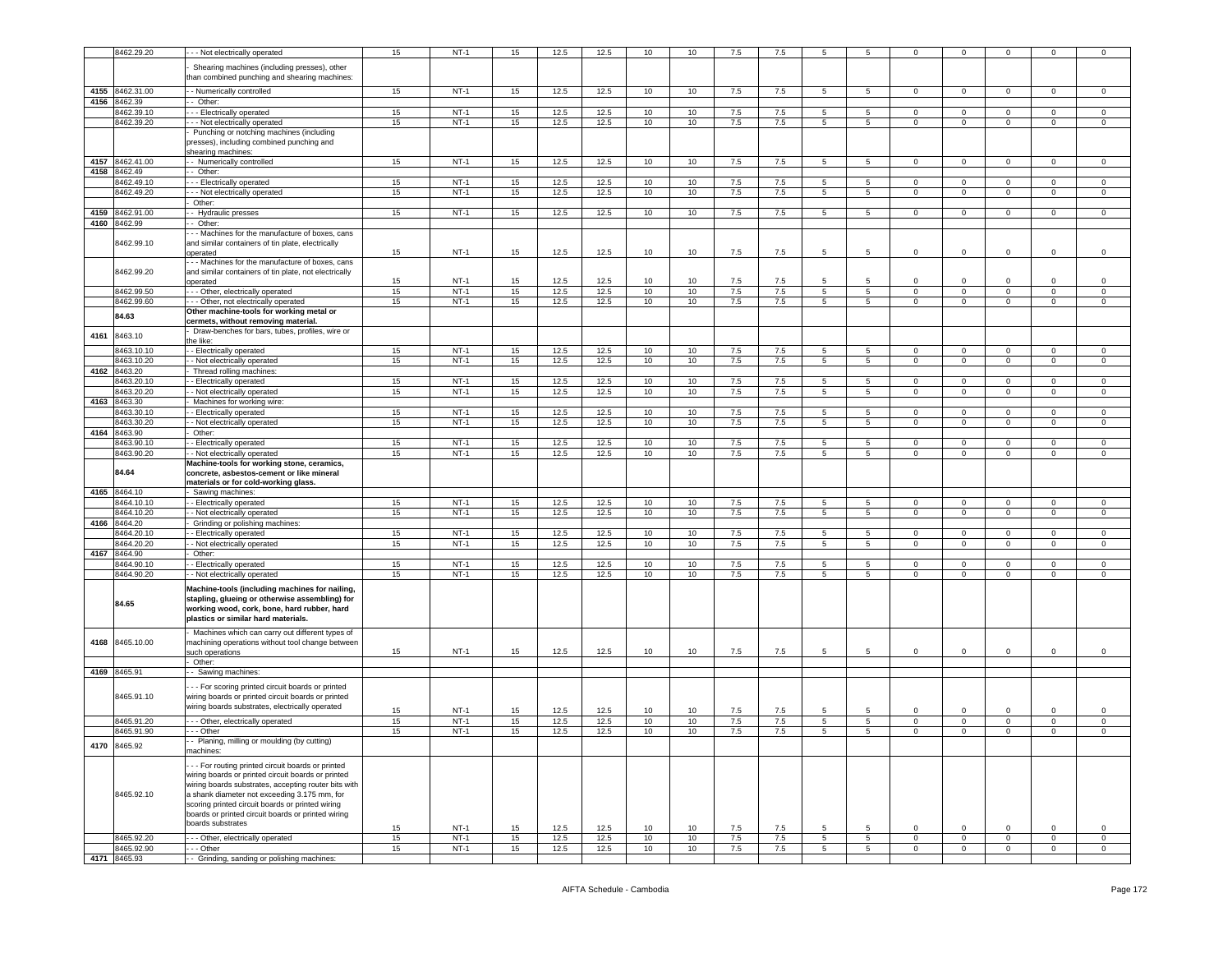|      | 8462.29.20                 | - - Not electrically operated                                                                                                                                                                                                                                                                                                                  | 15       | $NT-1$           | 15       | 12.5         | 12.5         | 10       | 10       | 7.5        | 7.5        | 5               | -5              | $\mathbf 0$    | $\mathbf 0$                   |                            |                            | $\mathbf 0$      |
|------|----------------------------|------------------------------------------------------------------------------------------------------------------------------------------------------------------------------------------------------------------------------------------------------------------------------------------------------------------------------------------------|----------|------------------|----------|--------------|--------------|----------|----------|------------|------------|-----------------|-----------------|----------------|-------------------------------|----------------------------|----------------------------|------------------|
|      |                            | Shearing machines (including presses), other<br>than combined punching and shearing machines:                                                                                                                                                                                                                                                  |          |                  |          |              |              |          |          |            |            |                 |                 |                |                               |                            |                            |                  |
|      | 4155 8462.31.00            | - Numerically controlled                                                                                                                                                                                                                                                                                                                       | 15       | $NT-1$           | 15       | 12.5         | 12.5         | 10       | 10       | 7.5        | 7.5        | 5               | 5               | $\circ$        | $\mathbf 0$                   | $\mathbf{0}$               | 0                          | $\circ$          |
| 4156 | 8462.39                    | - Other:                                                                                                                                                                                                                                                                                                                                       |          |                  |          |              |              |          |          |            |            |                 |                 |                |                               |                            |                            |                  |
|      | 8462.39.10                 | -- Electrically operated                                                                                                                                                                                                                                                                                                                       | 15       | $NT-1$           | 15       | 12.5         | 12.5         | 10       | 10       | 7.5        | 7.5        | 5               | 5               | $\mathbf 0$    | $\mathbf 0$                   | $\mathbf 0$                | $\mathbf 0$                | $\,0\,$          |
|      | 8462.39.20                 | - - Not electrically operated                                                                                                                                                                                                                                                                                                                  | 15       | $NT-1$           | 15       | 12.5         | 12.5         | 10       | 10       | 7.5        | 7.5        | 5               | $5\overline{5}$ | $\mathbf 0$    | $\mathbf 0$                   | $\mathbf 0$                | $\mathbf 0$                | $\mathsf 0$      |
|      |                            | Punching or notching machines (including<br>presses), including combined punching and                                                                                                                                                                                                                                                          |          |                  |          |              |              |          |          |            |            |                 |                 |                |                               |                            |                            |                  |
| 4157 | 8462.41.00                 | shearing machines:<br>- - Numerically controlled                                                                                                                                                                                                                                                                                               | 15       | $NT-1$           | 15       | 12.5         | 12.5         | 10       | 10       | 7.5        | 7.5        | $5\phantom{.0}$ | $5\overline{)}$ | $\overline{0}$ | $\circ$                       | $\mathbf{0}$               | $\mathbf{0}$               | $\circ$          |
| 4158 | 8462.49                    | -- Other:                                                                                                                                                                                                                                                                                                                                      |          |                  |          |              |              |          |          |            |            |                 |                 |                |                               |                            |                            |                  |
|      | 8462.49.10                 | --- Electrically operated                                                                                                                                                                                                                                                                                                                      | 15       | $NT-1$           | 15       | 12.5         | 12.5         | 10       | 10       | 7.5        | 7.5        | 5               | $5\overline{5}$ | $\circ$        | $\mathbf 0$                   | $\mathbf{0}$               | $\mathbf 0$                | $\mathsf 0$      |
|      | 8462.49.20                 | -- Not electrically operated                                                                                                                                                                                                                                                                                                                   | 15       | $NT-1$           | 15       | 12.5         | 12.5         | 10       | 10       | 7.5        | 7.5        | 5               | $5\overline{5}$ | $\mathbf 0$    | $\mathbf 0$                   | $\circ$                    | $\mathbf 0$                | $\mathsf 0$      |
|      |                            | Other:                                                                                                                                                                                                                                                                                                                                         |          |                  |          |              |              |          |          |            |            |                 |                 |                |                               |                            |                            |                  |
|      | 4159 8462.91.00            | - Hydraulic presses                                                                                                                                                                                                                                                                                                                            | 15       | $NT-1$           | 15       | 12.5         | 12.5         | 10       | 10       | 7.5        | 7.5        | 5               | 5               | $\circ$        | $\mathbf 0$                   | $\overline{0}$             | $\mathsf 0$                | $\mathbf 0$      |
|      | 4160 8462.99               | - Other:                                                                                                                                                                                                                                                                                                                                       |          |                  |          |              |              |          |          |            |            |                 |                 |                |                               |                            |                            |                  |
|      | 8462.99.10                 | - - Machines for the manufacture of boxes, cans<br>and similar containers of tin plate, electrically<br>operated                                                                                                                                                                                                                               | 15       | $NT-1$           | 15       | 12.5         | 12.5         | 10       | 10       | 7.5        | 7.5        | $5\overline{5}$ | 5               | $\mathbf 0$    | $\overline{0}$                | $\mathbf 0$                | $\Omega$                   | $\mathsf 0$      |
|      |                            | --- Machines for the manufacture of boxes, cans                                                                                                                                                                                                                                                                                                |          |                  |          |              |              |          |          |            |            |                 |                 |                |                               |                            |                            |                  |
|      | 8462.99.20                 | and similar containers of tin plate, not electrically                                                                                                                                                                                                                                                                                          |          |                  |          |              |              |          |          |            |            |                 | 5               |                |                               |                            |                            |                  |
|      | 8462.99.50                 | operated<br>-- Other, electrically operated                                                                                                                                                                                                                                                                                                    | 15<br>15 | $NT-1$<br>$NT-1$ | 15<br>15 | 12.5<br>12.5 | 12.5<br>12.5 | 10<br>10 | 10<br>10 | 7.5<br>7.5 | 7.5<br>7.5 | 5<br>5          | $5\overline{)}$ | 0<br>0         | $\mathbf 0$<br>$\overline{0}$ | 0<br>$\circ$               | $\mathbf 0$<br>$\mathbf 0$ | $\mathbf 0$<br>0 |
|      | 8462.99.60                 | - - Other, not electrically operated                                                                                                                                                                                                                                                                                                           | 15       | $NT-1$           | 15       | 12.5         | 12.5         | 10       | 10       | $7.5\,$    | $7.5\,$    | 5               | 5               | $\mathbf 0$    | $\mathsf 0$                   | $\mathbf 0$                | $\mathsf 0$                | $\mathsf 0$      |
|      | 84.63                      | Other machine-tools for working metal or                                                                                                                                                                                                                                                                                                       |          |                  |          |              |              |          |          |            |            |                 |                 |                |                               |                            |                            |                  |
| 4161 | 8463.10                    | cermets, without removing material.<br>Draw-benches for bars, tubes, profiles, wire or                                                                                                                                                                                                                                                         |          |                  |          |              |              |          |          |            |            |                 |                 |                |                               |                            |                            |                  |
|      | 8463.10.10                 | the like:<br>- Electrically operated                                                                                                                                                                                                                                                                                                           | 15       | $NT-1$           | 15       | 12.5         | 12.5         | 10       | 10       | 7.5        | 7.5        | 5               | 5               | $\circ$        | $\mathbf 0$                   | $\mathbf 0$                | $\mathbf 0$                | $\mathsf 0$      |
|      | 8463.10.20                 | - Not electrically operated                                                                                                                                                                                                                                                                                                                    | 15       | $NT-1$           | 15       | 12.5         | 12.5         | 10       | 10       | 7.5        | 7.5        | 5               | $5^{\circ}$     | $\mathbf 0$    | $\mathbf 0$                   | $\mathbf 0$                | 0                          | 0                |
| 4162 | 8463.20                    | Thread rolling machines:                                                                                                                                                                                                                                                                                                                       |          |                  |          |              |              |          |          |            |            |                 |                 |                |                               |                            |                            |                  |
|      | 8463.20.10                 | - Electrically operated                                                                                                                                                                                                                                                                                                                        | 15       | $NT-1$           | 15       | 12.5         | 12.5         | 10       | 10       | 7.5        | 7.5        | 5               | -5              | $\Omega$       | $\mathbf 0$                   | $^{\circ}$                 | 0                          | 0                |
|      | 8463.20.20                 | - Not electrically operated                                                                                                                                                                                                                                                                                                                    | 15       | $NT-1$           | 15       | 12.5         | 12.5         | 10       | 10       | 7.5        | 7.5        | 5               | $5^{\circ}$     | $\mathbf 0$    | $\mathbf 0$                   | $\mathbf 0$                | $\mathbf 0$                | $\mathsf 0$      |
| 4163 | 8463.30                    | Machines for working wire:                                                                                                                                                                                                                                                                                                                     |          |                  |          |              |              |          |          |            |            |                 |                 |                |                               |                            |                            |                  |
|      | 3463.30.10                 | - Electrically operated                                                                                                                                                                                                                                                                                                                        | 15       | $NT-1$           | 15       | 12.5         | 12.5         | 10       | 10       | 7.5        | 7.5        | 5               | 5               | $\mathbf 0$    | $\mathbf 0$                   | $\mathbf 0$                | 0                          | 0                |
|      | 3463.30.20                 | - Not electrically operated                                                                                                                                                                                                                                                                                                                    | 15       | $NT-1$           | 15       | 12.5         | 12.5         | 10       | 10       | 7.5        | 7.5        | 5               | 5               | $\circ$        | $\mathbf 0$                   | $\mathbf 0$                | $\mathbf 0$                | $\mathsf 0$      |
|      | 4164 8463.90<br>8463.90.10 | Other:<br>- Electrically operated                                                                                                                                                                                                                                                                                                              | 15       | $NT-1$           | 15       | 12.5         | 12.5         | 10       | 10       | 7.5        | 7.5        | 5               | 5               | $\mathbf 0$    | $\mathbf 0$                   | $\mathbf 0$                | $\mathbf 0$                | 0                |
|      | 8463.90.20                 | - Not electrically operated                                                                                                                                                                                                                                                                                                                    | 15       | $NT-1$           | 15       | 12.5         | 12.5         | 10       | 10       | 7.5        | 7.5        | 5               | 5               | $\mathbf 0$    | $\overline{0}$                | $\mathbf 0$                | $\mathbf 0$                | $\mathsf 0$      |
|      | 84.64                      | Machine-tools for working stone, ceramics,<br>concrete, asbestos-cement or like mineral                                                                                                                                                                                                                                                        |          |                  |          |              |              |          |          |            |            |                 |                 |                |                               |                            |                            |                  |
| 4165 | 8464.10                    | materials or for cold-working glass.<br>Sawing machines:                                                                                                                                                                                                                                                                                       |          |                  |          |              |              |          |          |            |            |                 |                 |                |                               |                            |                            |                  |
|      | 8464.10.10                 | - Electrically operated                                                                                                                                                                                                                                                                                                                        | 15       | $NT-1$           | 15       | 12.5         | 12.5         | 10       | 10       | 7.5        | 7.5        | 5               | 5               | $\circ$        | $\mathbf 0$                   | $\mathbf 0$                | 0                          | 0                |
|      | 8464.10.20                 | - Not electrically operated                                                                                                                                                                                                                                                                                                                    | 15       | $NT-1$           | 15       | 12.5         | 12.5         | 10       | 10       | 7.5        | 7.5        | 5               | $5^{\circ}$     | $\mathbf 0$    | $\mathbf 0$                   | $\mathbf 0$                | $\mathbf 0$                | $\mathsf 0$      |
| 4166 | 8464.20                    | Grinding or polishing machines:                                                                                                                                                                                                                                                                                                                |          |                  |          |              |              |          |          |            |            |                 |                 |                |                               |                            |                            |                  |
|      | 3464.20.10                 | - Electrically operated                                                                                                                                                                                                                                                                                                                        | 15       | $NT-1$           | 15       | 12.5         | 12.5         | 10       | 10       | 7.5        | 7.5        | 5               | 5               | $\mathbf 0$    | $\mathbf 0$                   | $\mathbf 0$                | 0                          | 0                |
|      | 3464.20.20                 | - Not electrically operated                                                                                                                                                                                                                                                                                                                    | 15       | $NT-1$           | 15       | 12.5         | 12.5         | 10       | 10       | 7.5        | 7.5        | 5               | 5               | $\mathbf 0$    | $\mathbf 0$                   | $\mathbf 0$                | $\mathbf 0$                | $\,0\,$          |
| 4167 | 8464.90<br>8464.90.10      | Other:                                                                                                                                                                                                                                                                                                                                         |          | $NT-1$           | 15       | 12.5         |              | 10       | 10       | 7.5        | 7.5        | 5               | 5               | $\mathbf 0$    | $\mathbf 0$                   |                            | $\mathbf 0$                |                  |
|      | 8464.90.20                 | - Electrically operated<br>- Not electrically operated                                                                                                                                                                                                                                                                                         | 15<br>15 | $NT-1$           | 15       | 12.5         | 12.5<br>12.5 | 10       | 10       | 7.5        | 7.5        | 5               | 5               | $\mathbf 0$    | $\overline{0}$                | $\mathbf 0$<br>$\mathbf 0$ | $\mathbf 0$                | 0<br>$\mathsf 0$ |
|      | 84.65                      | Machine-tools (including machines for nailing,<br>stapling, glueing or otherwise assembling) for<br>working wood, cork, bone, hard rubber, hard<br>plastics or similar hard materials.                                                                                                                                                         |          |                  |          |              |              |          |          |            |            |                 |                 |                |                               |                            |                            |                  |
| 4168 | 8465.10.00                 | Machines which can carry out different types of<br>machining operations without tool change between<br>such operations                                                                                                                                                                                                                         | 15       | $NT-1$           | 15       | 12.5         | 12.5         | 10       | 10       | 7.5        | 7.5        | 5               | 5               | $\mathbf 0$    | $\mathbf 0$                   | $\mathbf 0$                | 0                          | $\mathbf 0$      |
| 4169 | 8465.91                    | Other:<br>- - Sawing machines:                                                                                                                                                                                                                                                                                                                 |          |                  |          |              |              |          |          |            |            |                 |                 |                |                               |                            |                            |                  |
|      | 8465.91.10                 | -- For scoring printed circuit boards or printed<br>wiring boards or printed circuit boards or printed<br>wiring boards substrates, electrically operated                                                                                                                                                                                      | 15       | <b>NT-1</b>      | 15       |              |              |          | 10       |            |            | 5               | 5               | $\mathbf 0$    | $\mathbf 0$                   | $\Omega$                   | $\mathbf 0$                | $\mathbf 0$      |
|      | 8465.91.20                 | - - - Other, electrically operated                                                                                                                                                                                                                                                                                                             | 15       | $NT-1$           | 15       | 12.5<br>12.5 | 12.5<br>12.5 | 10<br>10 | 10       | 7.5<br>7.5 | 7.5<br>7.5 | 5               | $\overline{5}$  | $\mathbf 0$    | $\mathbf 0$                   | $\circ$                    | $\mathbf 0$                | $\mathsf 0$      |
|      | 8465.91.90                 | $- -$ Other                                                                                                                                                                                                                                                                                                                                    | 15       | $NT-1$           | 15       | 12.5         | 12.5         | 10       | 10       | 7.5        | 7.5        | 5               | 5               | $\mathbf 0$    | $\mathbf{0}$                  | $\mathbf{0}$               | 0                          | $\mathbf 0$      |
|      | 4170 8465.92               | Planing, milling or moulding (by cutting)<br>machines:                                                                                                                                                                                                                                                                                         |          |                  |          |              |              |          |          |            |            |                 |                 |                |                               |                            |                            |                  |
|      | 8465.92.10                 | --- For routing printed circuit boards or printed<br>wiring boards or printed circuit boards or printed<br>wiring boards substrates, accepting router bits with<br>a shank diameter not exceeding 3.175 mm, for<br>scoring printed circuit boards or printed wiring<br>boards or printed circuit boards or printed wiring<br>boards substrates | 15       | $NT-1$           | 15       | 12.5         | 12.5         | 10       | 10       | 7.5        | 7.5        | 5               | 5               | $\mathbf 0$    | $\overline{0}$                | $\mathbf 0$                | $\mathbf 0$                | $\mathsf 0$      |
|      | 8465.92.20                 | --- Other, electrically operated                                                                                                                                                                                                                                                                                                               | 15       | $NT-1$           | 15       | 12.5         | 12.5         | 10       | 10       | 7.5        | 7.5        | 5               | $5\overline{)}$ | $\mathbf{0}$   | $\mathbf 0$                   | $\circ$                    | $\mathbf{0}$               | $\circ$          |
|      | 8465.92.90<br>4171 8465.93 | --- Other<br>- Grinding, sanding or polishing machines:                                                                                                                                                                                                                                                                                        | 15       | $NT-1$           | 15       | 12.5         | 12.5         | 10       | 10       | 7.5        | 7.5        | 5               | 5 <sup>5</sup>  | $\mathbf{0}$   | $\overline{0}$                | $\mathbf{0}$               | $\overline{0}$             | $\overline{0}$   |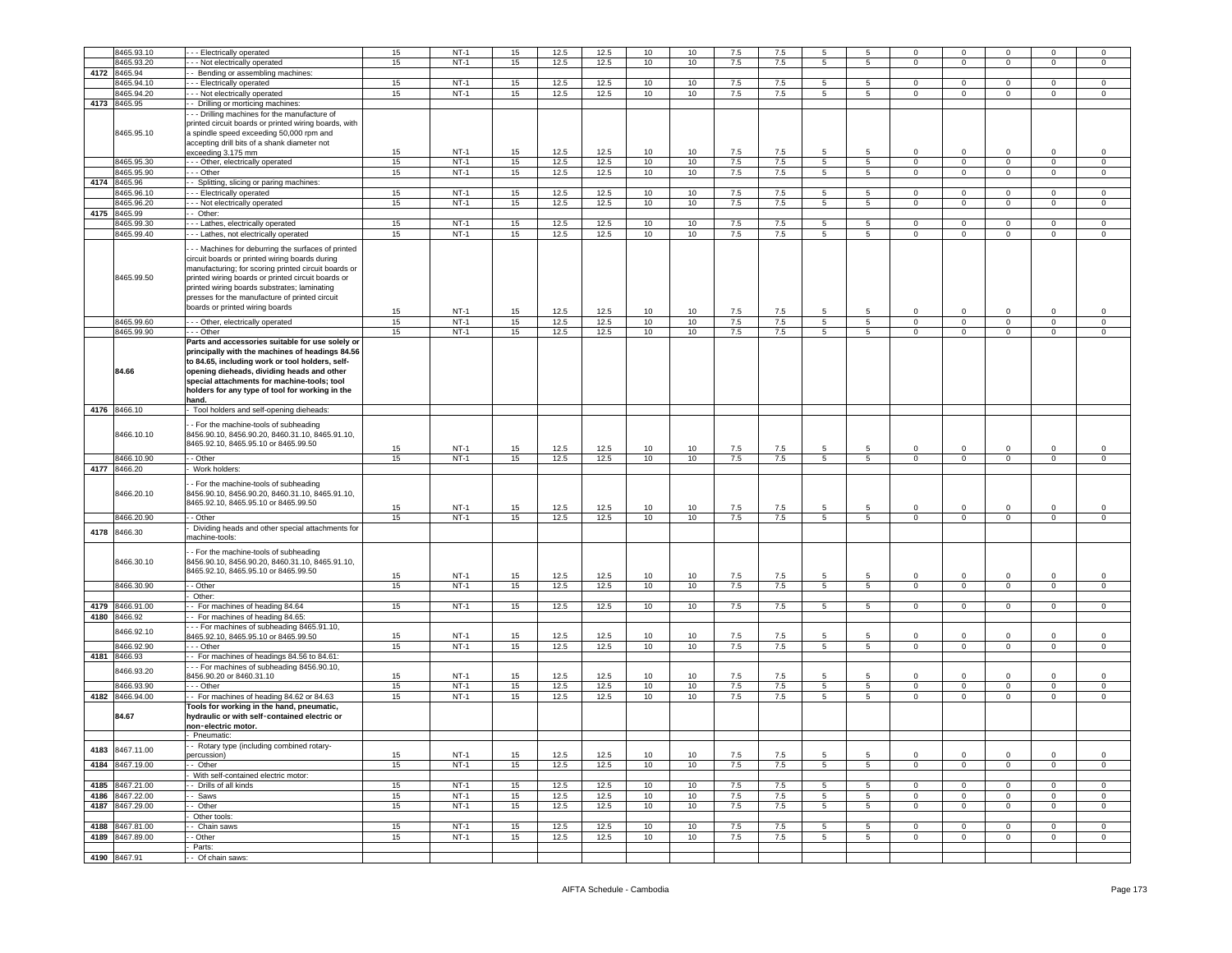|      | 8465.93.10               | --- Electrically operated                                                                                                                                                                                                                                                                                                                               | 15 | $NT-1$ | 15 | 12.5 | 12.5 | 10 | 10 | 7.5 | 7.5 | -5             | -5              | $\Omega$            | $\mathbf 0$    | $\Omega$       | $\Omega$       | $\mathbf 0$    |
|------|--------------------------|---------------------------------------------------------------------------------------------------------------------------------------------------------------------------------------------------------------------------------------------------------------------------------------------------------------------------------------------------------|----|--------|----|------|------|----|----|-----|-----|----------------|-----------------|---------------------|----------------|----------------|----------------|----------------|
|      |                          |                                                                                                                                                                                                                                                                                                                                                         |    |        |    |      |      |    |    |     |     |                |                 |                     |                |                |                |                |
|      | 8465.93.20               | - - Not electrically operated                                                                                                                                                                                                                                                                                                                           | 15 | $NT-1$ | 15 | 12.5 | 12.5 | 10 | 10 | 7.5 | 7.5 | 5              | 5               | $\circ$             | $\mathbf 0$    | $\mathbf{0}$   | 0              | $\mathbf 0$    |
| 4172 | 8465.94                  | - Bending or assembling machines:                                                                                                                                                                                                                                                                                                                       |    |        |    |      |      |    |    |     |     |                |                 |                     |                |                |                |                |
|      | 3465.94.10               | - - Electrically operated                                                                                                                                                                                                                                                                                                                               | 15 | $NT-1$ | 15 | 12.5 | 12.5 | 10 | 10 | 7.5 | 7.5 | 5              | 5               | $\circ$             | $\mathbf 0$    | $\mathbf 0$    | 0              | 0              |
|      | 3465.94.20               | - - Not electrically operated                                                                                                                                                                                                                                                                                                                           | 15 | $NT-1$ | 15 | 12.5 | 12.5 | 10 | 10 | 7.5 | 7.5 | 5              | $5\overline{)}$ | $\mathbf 0$         | $\mathbf 0$    | $\circ$        | $\mathbf 0$    | $\mathsf 0$    |
| 4173 | 8465.95                  | - Drilling or morticing machines:                                                                                                                                                                                                                                                                                                                       |    |        |    |      |      |    |    |     |     |                |                 |                     |                |                |                |                |
|      |                          |                                                                                                                                                                                                                                                                                                                                                         |    |        |    |      |      |    |    |     |     |                |                 |                     |                |                |                |                |
|      | 8465.95.10               | - - Drilling machines for the manufacture of<br>printed circuit boards or printed wiring boards, with<br>a spindle speed exceeding 50,000 rpm and<br>accepting drill bits of a shank diameter not<br>exceeding 3.175 mm                                                                                                                                 | 15 | $NT-1$ | 15 | 12.5 | 12.5 | 10 | 10 | 7.5 | 7.5 | 5              | 5               | 0                   | $\mathbf 0$    | 0              | 0              | 0              |
|      | 8465.95.30               |                                                                                                                                                                                                                                                                                                                                                         |    |        |    |      |      | 10 |    |     |     | 5              | 5               | $\mathsf{O}\xspace$ | $\mathbf 0$    | $\mathsf 0$    | $\mathsf 0$    |                |
|      |                          | - - Other, electrically operated                                                                                                                                                                                                                                                                                                                        | 15 | $NT-1$ | 15 | 12.5 | 12.5 |    | 10 | 7.5 | 7.5 |                |                 |                     |                |                |                | $\mathbf 0$    |
|      | 8465.95.90               | - - Other                                                                                                                                                                                                                                                                                                                                               | 15 | $NT-1$ | 15 | 12.5 | 12.5 | 10 | 10 | 7.5 | 7.5 | 5              | 5               | 0                   | $\mathbf 0$    | $\mathbf 0$    | 0              | 0              |
|      | 4174 8465.96             | Splitting, slicing or paring machines:                                                                                                                                                                                                                                                                                                                  |    |        |    |      |      |    |    |     |     |                |                 |                     |                |                |                |                |
|      | 8465.96.10               | - - Electrically operated                                                                                                                                                                                                                                                                                                                               | 15 | $NT-1$ | 15 | 12.5 | 12.5 | 10 | 10 | 7.5 | 7.5 | 5              | 5               | $\circ$             | $\mathbf 0$    | $\mathbf 0$    | 0              | $\mathbf 0$    |
|      | 8465.96.20               |                                                                                                                                                                                                                                                                                                                                                         | 15 | $NT-1$ | 15 | 12.5 | 12.5 | 10 | 10 | 7.5 | 7.5 | 5              | $5^{\circ}$     |                     | $\mathbf 0$    | $\circ$        | $\Omega$       | $\mathsf 0$    |
|      |                          | - - Not electrically operated                                                                                                                                                                                                                                                                                                                           |    |        |    |      |      |    |    |     |     |                |                 | $\circ$             |                |                |                |                |
| 4175 | 8465.99                  | - Other:                                                                                                                                                                                                                                                                                                                                                |    |        |    |      |      |    |    |     |     |                |                 |                     |                |                |                |                |
|      | 8465.99.30               | -- Lathes, electrically operated                                                                                                                                                                                                                                                                                                                        | 15 | $NT-1$ | 15 | 12.5 | 12.5 | 10 | 10 | 7.5 | 7.5 | 5              | 5               | $\mathbf 0$         | $\mathbf 0$    | $\mathbf 0$    | 0              | 0              |
|      | 8465.99.40               | - - Lathes, not electrically operated                                                                                                                                                                                                                                                                                                                   | 15 | $NT-1$ | 15 | 12.5 | 12.5 | 10 | 10 | 7.5 | 7.5 | 5              | $5\overline{)}$ | $\mathbf 0$         | $\mathbf{0}$   | $\overline{0}$ | $\mathbf 0$    | $\mathsf 0$    |
|      | 8465.99.50               | - - Machines for deburring the surfaces of printed<br>circuit boards or printed wiring boards during<br>manufacturing; for scoring printed circuit boards or<br>printed wiring boards or printed circuit boards or<br>printed wiring boards substrates; laminating<br>presses for the manufacture of printed circuit<br>boards or printed wiring boards | 15 | $NT-1$ | 15 | 12.5 | 12.5 | 10 | 10 | 7.5 | 7.5 | 5              | -5              | $\mathbf 0$         | $\mathbf 0$    | 0              | $\mathbf 0$    | 0              |
|      | 8465.99.60               | -- Other, electrically operated                                                                                                                                                                                                                                                                                                                         | 15 | $NT-1$ | 15 | 12.5 | 12.5 | 10 | 10 | 7.5 | 7.5 | 5              | 5               | 0                   | $\mathbf 0$    | $\mathbf 0$    | $\mathbf 0$    | 0              |
|      | 8465.99.90               | - - Other                                                                                                                                                                                                                                                                                                                                               | 15 | $NT-1$ | 15 | 12.5 | 12.5 | 10 | 10 | 7.5 | 7.5 | 5              | $\overline{5}$  | $\Omega$            | $\mathbf 0$    | $\mathbf 0$    | $\mathbf 0$    | $\mathsf 0$    |
|      | 84.66                    | Parts and accessories suitable for use solely or<br>principally with the machines of headings 84.56<br>to 84.65, including work or tool holders, self-<br>opening dieheads, dividing heads and other<br>special attachments for machine-tools; tool<br>holders for any type of tool for working in the<br>hand.                                         |    |        |    |      |      |    |    |     |     |                |                 |                     |                |                |                |                |
|      | 4176 8466.10             | Tool holders and self-opening dieheads:                                                                                                                                                                                                                                                                                                                 |    |        |    |      |      |    |    |     |     |                |                 |                     |                |                |                |                |
|      | 8466.10.10               | - For the machine-tools of subheading<br>3456.90.10, 8456.90.20, 8460.31.10, 8465.91.10,<br>8465.92.10, 8465.95.10 or 8465.99.50                                                                                                                                                                                                                        |    |        |    |      |      |    |    |     |     |                |                 |                     |                |                |                |                |
|      |                          |                                                                                                                                                                                                                                                                                                                                                         | 15 | $NT-1$ | 15 | 12.5 | 12.5 | 10 | 10 | 7.5 | 7.5 | 5              | 5               | 0                   | $\mathbf 0$    | 0              | 0              | 0              |
|      | 8466.10.90               | - Other                                                                                                                                                                                                                                                                                                                                                 | 15 | $NT-1$ | 15 | 12.5 | 12.5 | 10 | 10 | 7.5 | 7.5 | 5              | $\overline{5}$  | $\overline{0}$      | $\overline{0}$ | $\overline{0}$ | $\overline{0}$ | $\overline{0}$ |
|      |                          |                                                                                                                                                                                                                                                                                                                                                         |    |        |    |      |      |    |    |     |     |                |                 |                     |                |                |                |                |
|      |                          |                                                                                                                                                                                                                                                                                                                                                         |    |        |    |      |      |    |    |     |     |                |                 |                     |                |                |                |                |
| 4177 | 8466.20<br>8466.20.10    | Work holders:<br>- For the machine-tools of subheading<br>8456.90.10, 8456.90.20, 8460.31.10, 8465.91.10,<br>8465.92.10, 8465.95.10 or 8465.99.50                                                                                                                                                                                                       | 15 | $NT-1$ | 15 | 12.5 | 12.5 | 10 | 10 | 7.5 | 7.5 | 5              | 5               | $\mathbf 0$         | $\overline{0}$ | 0              | $\mathbf 0$    | 0              |
|      | 8466.20.90               | - Other                                                                                                                                                                                                                                                                                                                                                 | 15 | $NT-1$ | 15 | 12.5 | 12.5 | 10 | 10 | 7.5 | 7.5 | 5              | 5               | 0                   | $\mathbf 0$    | $\mathbf 0$    | 0              | $\mathbf 0$    |
|      |                          |                                                                                                                                                                                                                                                                                                                                                         |    |        |    |      |      |    |    |     |     |                |                 |                     |                |                |                |                |
| 4178 | 8466.30<br>8466.30.10    | Dividing heads and other special attachments for<br>nachine-tools:<br>- For the machine-tools of subheading<br>8456.90.10, 8456.90.20, 8460.31.10, 8465.91.10,                                                                                                                                                                                          |    |        |    |      |      |    |    |     |     |                |                 |                     |                |                |                |                |
|      |                          | 8465.92.10, 8465.95.10 or 8465.99.50                                                                                                                                                                                                                                                                                                                    | 15 | NT-1   | 15 | 12.5 | 12.5 | 10 | 10 | 7.5 | 7.5 | 5              | 5               | 0                   | $\mathbf 0$    | $\mathbf 0$    | $\mathbf 0$    | $\mathbf 0$    |
|      | 8466.30.90               | - Other                                                                                                                                                                                                                                                                                                                                                 | 15 | $NT-1$ | 15 | 12.5 | 12.5 | 10 | 10 | 7.5 | 7.5 | 5              | $5^{\circ}$     | $\circ$             | $\mathbf 0$    | $\circ$        | $\mathbf 0$    | $\mathbf 0$    |
|      |                          | Other:                                                                                                                                                                                                                                                                                                                                                  |    |        |    |      |      |    |    |     |     |                |                 |                     |                |                |                |                |
|      |                          |                                                                                                                                                                                                                                                                                                                                                         |    |        |    |      |      |    |    |     |     |                |                 |                     |                |                |                |                |
| 4179 | 8466.91.00               | - For machines of heading 84.64                                                                                                                                                                                                                                                                                                                         | 15 | $NT-1$ | 15 | 12.5 | 12.5 | 10 | 10 | 7.5 | 7.5 | 5              | $5\overline{5}$ | $\mathbf{0}$        | $\mathbf{0}$   | $\overline{0}$ | $\mathbf 0$    | $\mathbf 0$    |
|      | 4180 8466.92             | - For machines of heading 84.65:                                                                                                                                                                                                                                                                                                                        |    |        |    |      |      |    |    |     |     |                |                 |                     |                |                |                |                |
|      | 3466.92.10               | -- For machines of subheading 8465.91.10,                                                                                                                                                                                                                                                                                                               |    |        |    |      |      |    |    |     |     |                |                 |                     |                |                |                |                |
|      |                          | 3465.92.10, 8465.95.10 or 8465.99.50                                                                                                                                                                                                                                                                                                                    | 15 | $NT-1$ | 15 | 12.5 | 12.5 | 10 | 10 | 7.5 | 7.5 | 5              | 5               | $\Omega$            | $\mathsf 0$    | 0              | 0              | $\mathsf 0$    |
|      | 8466.92.90               | --- Other                                                                                                                                                                                                                                                                                                                                               | 15 | $NT-1$ | 15 | 12.5 | 12.5 | 10 | 10 | 7.5 | 7.5 | 5              | 5 <sub>5</sub>  | $\mathbf 0$         | $\mathbf 0$    | $\circ$        | $\mathbf 0$    | $\mathbf 0$    |
| 4181 | 8466.93                  | - For machines of headings 84.56 to 84.61:                                                                                                                                                                                                                                                                                                              |    |        |    |      |      |    |    |     |     |                |                 |                     |                |                |                |                |
|      |                          | -- For machines of subheading 8456.90.10,                                                                                                                                                                                                                                                                                                               |    |        |    |      |      |    |    |     |     |                |                 |                     |                |                |                |                |
|      | 3466.93.20               |                                                                                                                                                                                                                                                                                                                                                         | 15 | $NT-1$ | 15 | 12.5 | 12.5 | 10 | 10 | 7.5 | 7.5 | 5              | 5               | $\mathbf 0$         | $\mathbf 0$    | 0              | $\mathbf 0$    | $\mathsf 0$    |
|      |                          | 3456.90.20 or 8460.31.10                                                                                                                                                                                                                                                                                                                                |    |        |    |      |      |    |    |     |     |                |                 |                     |                |                |                |                |
|      | 8466.93.90               | - - Other                                                                                                                                                                                                                                                                                                                                               | 15 | $NT-1$ | 15 | 12.5 | 12.5 | 10 | 10 | 7.5 | 7.5 | 5              | 5               | $\mathbf 0$         | $\mathbf 0$    | $\mathbf 0$    | $\mathbf 0$    | $\mathsf 0$    |
|      | 4182 8466.94.00<br>84.67 | - For machines of heading 84.62 or 84.63<br>Tools for working in the hand, pneumatic,<br>hydraulic or with self-contained electric or<br>non-electric motor.                                                                                                                                                                                            | 15 | $NT-1$ | 15 | 12.5 | 12.5 | 10 | 10 | 7.5 | 7.5 | 5 <sup>5</sup> | 5               | $\mathbf 0$         | $\mathbf 0$    | $\circ$        | $\mathbf 0$    | $\mathbf 0$    |
|      |                          | Pneumatic:                                                                                                                                                                                                                                                                                                                                              |    |        |    |      |      |    |    |     |     |                |                 |                     |                |                |                |                |
|      |                          |                                                                                                                                                                                                                                                                                                                                                         |    |        |    |      |      |    |    |     |     |                |                 |                     |                |                |                |                |
|      | 4183 8467.11.00          | - Rotary type (including combined rotary-                                                                                                                                                                                                                                                                                                               |    |        |    |      |      |    |    |     |     | 5              | 5               | $\mathbf 0$         | $\mathbf 0$    | 0              | 0              |                |
|      |                          | ercussion)                                                                                                                                                                                                                                                                                                                                              | 15 | $NT-1$ | 15 | 12.5 | 12.5 | 10 | 10 | 7.5 | 7.5 |                |                 |                     |                |                |                | 0              |
|      | 4184 8467.19.00          | - Other                                                                                                                                                                                                                                                                                                                                                 | 15 | $NT-1$ | 15 | 12.5 | 12.5 | 10 | 10 | 7.5 | 7.5 | 5              | 5               | $\mathbf 0$         | $\mathbf 0$    | $\mathbf{0}$   | $\mathbf 0$    | $\mathbf 0$    |
|      |                          | With self-contained electric motor:                                                                                                                                                                                                                                                                                                                     |    |        |    |      |      |    |    |     |     |                |                 |                     |                |                |                |                |
|      | 4185 8467.21.00          | - Drills of all kinds                                                                                                                                                                                                                                                                                                                                   | 15 | $NT-1$ | 15 | 12.5 | 12.5 | 10 | 10 | 7.5 | 7.5 | 5              | 5               | $\mathbf 0$         | $\mathbf 0$    | $\mathbf{0}$   | $\mathbf 0$    | $\mathbf 0$    |
|      | 4186 8467.22.00          | - Saws                                                                                                                                                                                                                                                                                                                                                  | 15 | $NT-1$ | 15 | 12.5 | 12.5 | 10 | 10 | 7.5 | 7.5 | 5              | $5^{\circ}$     | $\mathbf 0$         | $\mathbf 0$    | $\mathbf 0$    | 0              | $\mathbf 0$    |
|      |                          |                                                                                                                                                                                                                                                                                                                                                         |    |        |    |      |      |    |    |     |     |                |                 |                     |                |                |                |                |
|      | 4187 8467.29.00          | - Other                                                                                                                                                                                                                                                                                                                                                 | 15 | $NT-1$ | 15 | 12.5 | 12.5 | 10 | 10 | 7.5 | 7.5 | 5 <sub>5</sub> | $5\overline{5}$ | $\overline{0}$      | $\mathbf 0$    | $\overline{0}$ | $\mathsf 0$    | $\mathsf 0$    |
|      |                          | Other tools:                                                                                                                                                                                                                                                                                                                                            |    |        |    |      |      |    |    |     |     |                |                 |                     |                |                |                |                |
|      | 4188 8467.81.00          | - Chain saws                                                                                                                                                                                                                                                                                                                                            | 15 | $NT-1$ | 15 | 12.5 | 12.5 | 10 | 10 | 7.5 | 7.5 | 5              | 5               | $\mathbf 0$         | $\mathbf 0$    | $\mathbf 0$    | $\mathbf 0$    | $\mathsf 0$    |
|      | 4189 8467.89.00          | - Other                                                                                                                                                                                                                                                                                                                                                 | 15 | $NT-1$ | 15 | 12.5 | 12.5 | 10 | 10 | 7.5 | 7.5 | $5^{\circ}$    | 5               | $\mathbf{0}$        | $\overline{0}$ | $\overline{0}$ | $\mathbf{0}$   | $\overline{0}$ |
|      |                          | Parts:                                                                                                                                                                                                                                                                                                                                                  |    |        |    |      |      |    |    |     |     |                |                 |                     |                |                |                |                |
|      | 4190 8467.91             | - Of chain saws:                                                                                                                                                                                                                                                                                                                                        |    |        |    |      |      |    |    |     |     |                |                 |                     |                |                |                |                |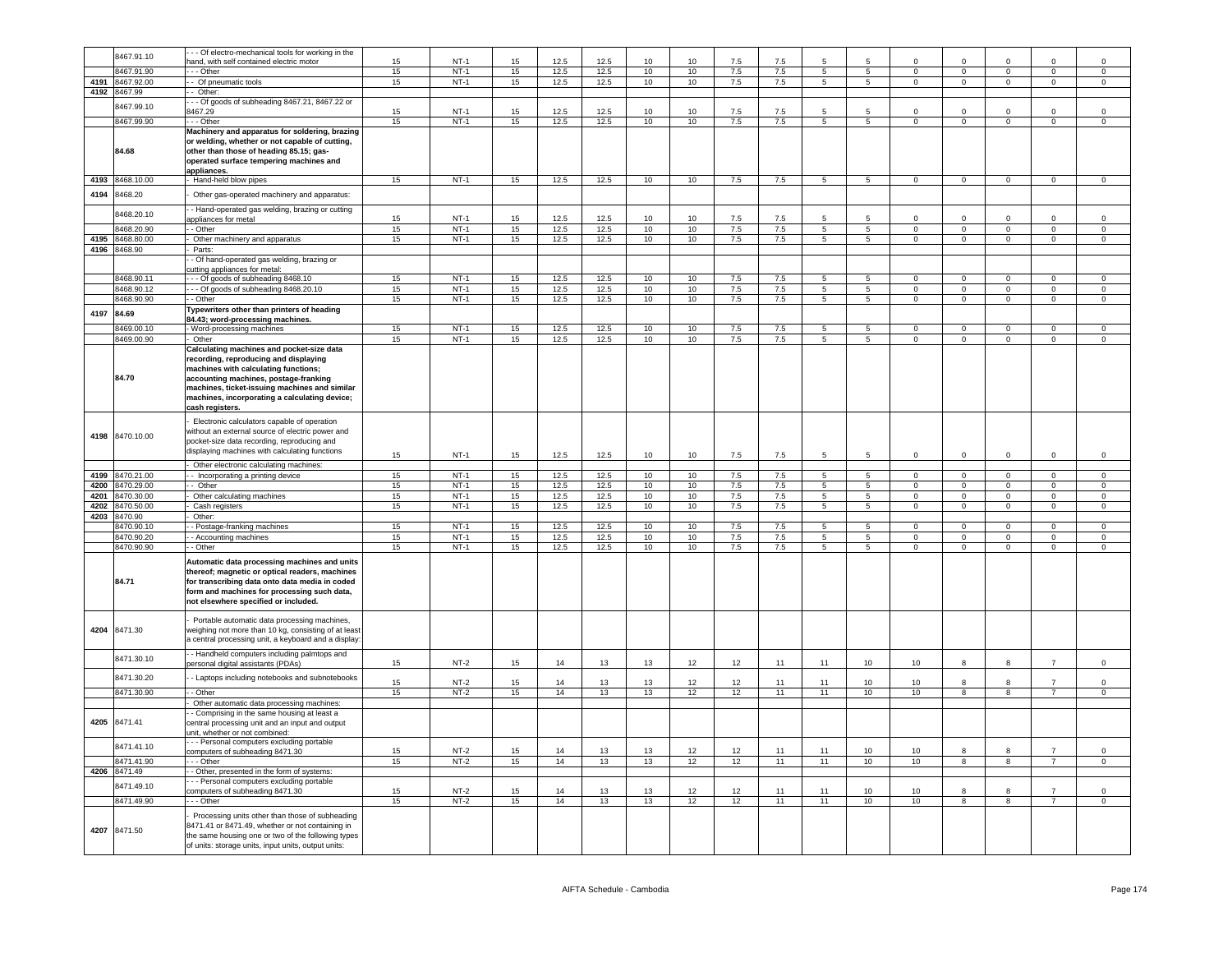|      | 8467.91.10                    | - - Of electro-mechanical tools for working in the                                                                                                                                                                                                                                       |          | $NT-1$           |          |              |              |          |          |            |                |                      |                                   |                            |                               |                               |                               |                               |
|------|-------------------------------|------------------------------------------------------------------------------------------------------------------------------------------------------------------------------------------------------------------------------------------------------------------------------------------|----------|------------------|----------|--------------|--------------|----------|----------|------------|----------------|----------------------|-----------------------------------|----------------------------|-------------------------------|-------------------------------|-------------------------------|-------------------------------|
|      | 3467.91.90                    | and, with self contained electric motor<br>- - Other                                                                                                                                                                                                                                     | 15<br>15 | $NT-1$           | 15<br>15 | 12.5<br>12.5 | 12.5<br>12.5 | 10<br>10 | 10<br>10 | 7.5<br>7.5 | 7.5<br>7.5     | 5                    | $5\phantom{.0}$                   | $\Omega$<br>$\mathbf 0$    | $\mathsf 0$                   | $\mathsf 0$                   | $\Omega$<br>$\mathbf 0$       | $\Omega$<br>$\,0\,$           |
| 4191 | 8467.92.00                    | - Of pneumatic tools                                                                                                                                                                                                                                                                     | 15       | $NT-1$           | 15       | 12.5         | 12.5         | 10       | 10       | 7.5        | 7.5            | 5                    | 5                                 | $\Omega$                   | $\overline{0}$                | $\overline{0}$                | $\circ$                       | $\mathbf 0$                   |
|      | 4192 8467.99                  | - Other:                                                                                                                                                                                                                                                                                 |          |                  |          |              |              |          |          |            |                |                      |                                   |                            |                               |                               |                               |                               |
|      | 8467.99.10                    | - - Of goods of subheading 8467.21, 8467.22 or                                                                                                                                                                                                                                           |          |                  |          |              |              |          |          |            |                |                      |                                   |                            |                               |                               |                               |                               |
|      | 8467.99.90                    | 467.29<br>- - Other                                                                                                                                                                                                                                                                      | 15<br>15 | $NT-1$<br>$NT-1$ | 15<br>15 | 12.5<br>12.5 | 12.5<br>12.5 | 10<br>10 | 10<br>10 | 7.5<br>7.5 | 7.5<br>7.5     | 5<br>$5\overline{)}$ | 5<br>$\overline{5}$               | $\Omega$<br>$\overline{0}$ | $\Omega$<br>$\overline{0}$    | $\Omega$<br>$\overline{0}$    | $^{\circ}$<br>$\overline{0}$  | $\mathbf 0$<br>$\overline{0}$ |
|      | 84.68                         | Machinery and apparatus for soldering, brazing<br>or welding, whether or not capable of cutting,<br>other than those of heading 85.15; gas-<br>operated surface tempering machines and                                                                                                   |          |                  |          |              |              |          |          |            |                |                      |                                   |                            |                               |                               |                               |                               |
| 4193 | 8468.10.00                    | appliances.<br>Hand-held blow pipes                                                                                                                                                                                                                                                      | 15       | $NT-1$           | 15       | 12.5         | 12.5         | 10       | 10       | 7.5        | 7.5            | 5                    | 5                                 | $\mathbf 0$                | $\mathbf 0$                   | $\mathsf{O}\xspace$           | $\mathsf 0$                   | $\mathbf 0$                   |
| 4194 | 8468.20                       | Other gas-operated machinery and apparatus:                                                                                                                                                                                                                                              |          |                  |          |              |              |          |          |            |                |                      |                                   |                            |                               |                               |                               |                               |
|      | 8468.20.10                    | - Hand-operated gas welding, brazing or cutting<br>appliances for metal                                                                                                                                                                                                                  | 15       | $NT-1$           | 15       | 12.5         | 12.5         | 10       | 10       | 7.5        | 7.5            | 5                    | 5                                 | $\Omega$                   | $\Omega$                      | $\Omega$                      | $\Omega$                      | $\Omega$                      |
|      | 8468.20.90                    | - Other                                                                                                                                                                                                                                                                                  | 15       | $NT-1$           | 15       | 12.5         | 12.5         | 10       | 10       | 7.5        | 7.5            | 5                    | $5\phantom{.0}$                   | $\mathbf 0$                | $\overline{0}$                | $\overline{0}$                | $\mathsf 0$                   | $\,0\,$                       |
|      | 4195 8468.80.00               | Other machinery and apparatus                                                                                                                                                                                                                                                            | 15       | $NT-1$           | 15       | 12.5         | 12.5         | 10       | 10       | 7.5        | 7.5            | 5                    | 5                                 | $\Omega$                   | $\mathsf 0$                   | $\mathbf 0$                   | $\mathbf 0$                   | $\mathsf 0$                   |
|      | 4196 8468.90                  | Parts:                                                                                                                                                                                                                                                                                   |          |                  |          |              |              |          |          |            |                |                      |                                   |                            |                               |                               |                               |                               |
|      |                               | - Of hand-operated gas welding, brazing or<br>cutting appliances for metal:                                                                                                                                                                                                              |          |                  |          |              |              |          |          |            |                |                      |                                   |                            |                               |                               |                               |                               |
|      | 8468.90.11                    | - - Of goods of subheading 8468.10                                                                                                                                                                                                                                                       | 15       | $NT-1$           | 15       | 12.5         | 12.5         | 10       | 10       | 7.5        | 7.5            | 5                    | $5\phantom{.0}$                   | $\mathbf 0$                | $\circ$                       | $\circ$                       | $\mathsf 0$                   | $\mathsf 0$                   |
|      | 8468.90.12                    | -- Of goods of subheading 8468.20.10                                                                                                                                                                                                                                                     | 15       | $NT-1$           | 15       | 12.5         | 12.5         | 10       | 10       | 7.5        | 7.5            | $\overline{5}$       | $\overline{5}$                    | $\overline{0}$             | $\overline{0}$                | $\overline{0}$                | $\overline{0}$                | $\overline{0}$                |
|      | 468.90.90                     | - Other                                                                                                                                                                                                                                                                                  | 15       | $NT-1$           | 15       | 12.5         | 12.5         | 10       | 10       | 7.5        | 7.5            | 5                    | $\overline{5}$                    | $\Omega$                   | $\Omega$                      | $\Omega$                      | $\Omega$                      | $\Omega$                      |
| 4197 | 84.69                         | ypewriters other than printers of heading<br>84.43; word-processing machines.                                                                                                                                                                                                            |          |                  |          |              |              |          |          |            |                |                      |                                   |                            |                               |                               |                               |                               |
|      | 8469.00.10                    | Word-processing machines                                                                                                                                                                                                                                                                 | 15       | $NT-1$           | 15       | 12.5         | 12.5         | 10       | 10       | 7.5        | 7.5            | 5                    | -5                                | $\Omega$                   | $\Omega$                      | $\Omega$                      | $\Omega$                      | $\Omega$                      |
|      | 8469.00.90                    | Other                                                                                                                                                                                                                                                                                    | 15       | $NT-1$           | 15       | 12.5         | 12.5         | 10       | 10       | 7.5        | 7.5            | 5                    | $5\overline{5}$                   | $\mathbf{0}$               | $\overline{0}$                | $\overline{0}$                | $\mathbf{0}$                  | $\mathbf{0}$                  |
|      | 84.70                         | Calculating machines and pocket-size data<br>recording, reproducing and displaying<br>machines with calculating functions;<br>accounting machines, postage-franking<br>machines, ticket-issuing machines and similar<br>machines, incorporating a calculating device;<br>cash registers. |          |                  |          |              |              |          |          |            |                |                      |                                   |                            |                               |                               |                               |                               |
|      | 4198 8470.10.00               | Electronic calculators capable of operation<br>without an external source of electric power and<br>pocket-size data recording, reproducing and<br>displaying machines with calculating functions                                                                                         | 15       | $NT-1$           | 15       | 12.5         | 12.5         | 10       | 10       | 7.5        | 7.5            | -5                   | 5                                 | $\mathbf 0$                | $\mathbf 0$                   | $\mathbf 0$                   | $\mathbf 0$                   | $\mathsf 0$                   |
|      |                               | Other electronic calculating machines:                                                                                                                                                                                                                                                   |          |                  |          |              |              |          |          |            |                |                      |                                   |                            |                               |                               |                               |                               |
| 4199 | 8470.21.00<br>4200 8470.29.00 | - Incorporating a printing device<br>- Other                                                                                                                                                                                                                                             | 15<br>15 | $NT-1$<br>$NT-1$ | 15<br>15 | 12.5<br>12.5 | 12.5<br>12.5 | 10<br>10 | 10<br>10 | 7.5<br>7.5 | 7.5<br>7.5     | 5<br>5               | 5<br>$5\phantom{.0}$              | $\mathsf 0$<br>$\mathbf 0$ | $\mathsf 0$<br>$\overline{0}$ | $\mathsf 0$<br>$\overline{0}$ | $\mathsf 0$<br>$\mathsf 0$    | $\mathsf 0$<br>$\overline{0}$ |
|      | 4201 8470.30.00               | Other calculating machines                                                                                                                                                                                                                                                               | 15       | $NT-1$           | 15       | 12.5         | 12.5         | 10       | 10       | 7.5        | 7.5            | 5 <sub>5</sub>       | $5\overline{5}$                   | $\overline{0}$             | $\overline{0}$                | $\overline{0}$                | $\mathbf{0}$                  | $\overline{0}$                |
| 4202 | 8470.50.00                    | Cash registers                                                                                                                                                                                                                                                                           | 15       | $NT-1$           | 15       | 12.5         | 12.5         | 10       | 10       | 7.5        | 7.5            | 5                    | $5\overline{ }$                   | $\mathbf 0$                | $\overline{0}$                | $\overline{0}$                | $\overline{0}$                | $\overline{0}$                |
| 4203 | 8470.90                       | Other:                                                                                                                                                                                                                                                                                   |          |                  |          |              |              |          |          |            |                |                      |                                   |                            |                               |                               |                               |                               |
|      | 470.90.10                     | - Postage-franking machines                                                                                                                                                                                                                                                              | 15       | $NT-1$           | 15       | 12.5         | 12.5         | 10       | 10       | 7.5        | 7.5            | 5                    | 5                                 | $\Omega$<br>$\Omega$       | $\mathbf 0$                   | $\mathbf 0$                   | $\mathbf 0$                   | $\mathsf 0$                   |
|      | 8470.90.20<br>8470.90.90      | - Accounting machines<br>- Other                                                                                                                                                                                                                                                         | 15<br>15 | $NT-1$<br>$NT-1$ | 15<br>15 | 12.5<br>12.5 | 12.5<br>12.5 | 10<br>10 | 10<br>10 | 7.5<br>7.5 | $7.5\,$<br>7.5 | 5<br>5               | $5\phantom{.0}$<br>$\overline{5}$ | $\Omega$                   | $\mathsf 0$<br>$\overline{0}$ | $\mathsf 0$<br>$\overline{0}$ | $\mathsf 0$<br>$\overline{0}$ | $\,0\,$<br>$\overline{0}$     |
|      | 84.71                         | Automatic data processing machines and units<br>thereof; magnetic or optical readers, machines<br>for transcribing data onto data media in coded<br>form and machines for processing such data,<br>not elsewhere specified or included.                                                  |          |                  |          |              |              |          |          |            |                |                      |                                   |                            |                               |                               |                               |                               |
| 4204 | 8471.30                       | Portable automatic data processing machines,<br>weighing not more than 10 kg, consisting of at least<br>a central processing unit, a keyboard and a display                                                                                                                              |          |                  |          |              |              |          |          |            |                |                      |                                   |                            |                               |                               |                               |                               |
|      | 8471.30.10                    | - Handheld computers including palmtops and<br>personal digital assistants (PDAs)                                                                                                                                                                                                        | 15       | $NT-2$           | 15       | 14           | 13           | 13       | 12       | 12         | 11             | 11                   | 10 <sup>10</sup>                  | 10                         | 8                             | 8                             | $\overline{7}$                | $\mathbf 0$                   |
|      | 8471.30.20                    | - Laptops including notebooks and subnotebooks                                                                                                                                                                                                                                           | 15       | $NT-2$           | 15       | 14           | 13           | 13       | 12       | 12         | 11             | 11                   | 10                                | 10                         | $\mathbf{8}$                  | 8                             | $\overline{7}$                | $\mathsf 0$                   |
|      | 8471.30.90                    | - Other                                                                                                                                                                                                                                                                                  | 15       | $NT-2$           | 15       | 14           | 13           | 13       | 12       | 12         | 11             | 11                   | 10                                | 10                         | $\overline{8}$                | $\overline{8}$                | $\overline{7}$                | $\overline{0}$                |
|      |                               | Other automatic data processing machines:                                                                                                                                                                                                                                                |          |                  |          |              |              |          |          |            |                |                      |                                   |                            |                               |                               |                               |                               |
| 4205 | 8471.41                       | - Comprising in the same housing at least a<br>central processing unit and an input and output<br>unit, whether or not combined:                                                                                                                                                         |          |                  |          |              |              |          |          |            |                |                      |                                   |                            |                               |                               |                               |                               |
|      | 8471.41.10                    | -- Personal computers excluding portable<br>computers of subheading 8471.30                                                                                                                                                                                                              | 15       | $NT-2$           | 15       | 14           | 13           | 13       | 12       | 12         | 11             | 11                   | 10                                | 10                         | 8                             |                               |                               | $\mathsf 0$                   |
|      | 8471.41.90                    | - - Other                                                                                                                                                                                                                                                                                | 15       | $NT-2$           | 15       | 14           | 13           | 13       | 12       | 12         | 11             | 11                   | 10                                | 10                         | 8                             | 8                             | $\overline{7}$                | $\overline{0}$                |
|      | 4206 8471.49                  | - Other, presented in the form of systems:                                                                                                                                                                                                                                               |          |                  |          |              |              |          |          |            |                |                      |                                   |                            |                               |                               |                               |                               |
|      | 8471.49.10                    | - - Personal computers excluding portable<br>omputers of subheading 8471.30                                                                                                                                                                                                              | 15       | $NT-2$           | 15       | 14           | 13           | 13       | 12       | 12         | 11             | 11                   | 10                                | 10 <sup>1</sup>            | R                             | 8                             | $\overline{7}$                | $\Omega$                      |
|      | 8471.49.90                    | -- Other                                                                                                                                                                                                                                                                                 | 15       | $NT-2$           | 15       | 14           | 13           | 13       | 12       | 12         | 11             | 11                   | 10                                | 10                         | $\mathbf{g}$                  | $\overline{8}$                | $\overline{7}$                | $\mathsf 0$                   |
| 4207 | 8471.50                       | Processing units other than those of subheading<br>3471.41 or 8471.49, whether or not containing in<br>the same housing one or two of the following types<br>of units: storage units, input units, output units:                                                                         |          |                  |          |              |              |          |          |            |                |                      |                                   |                            |                               |                               |                               |                               |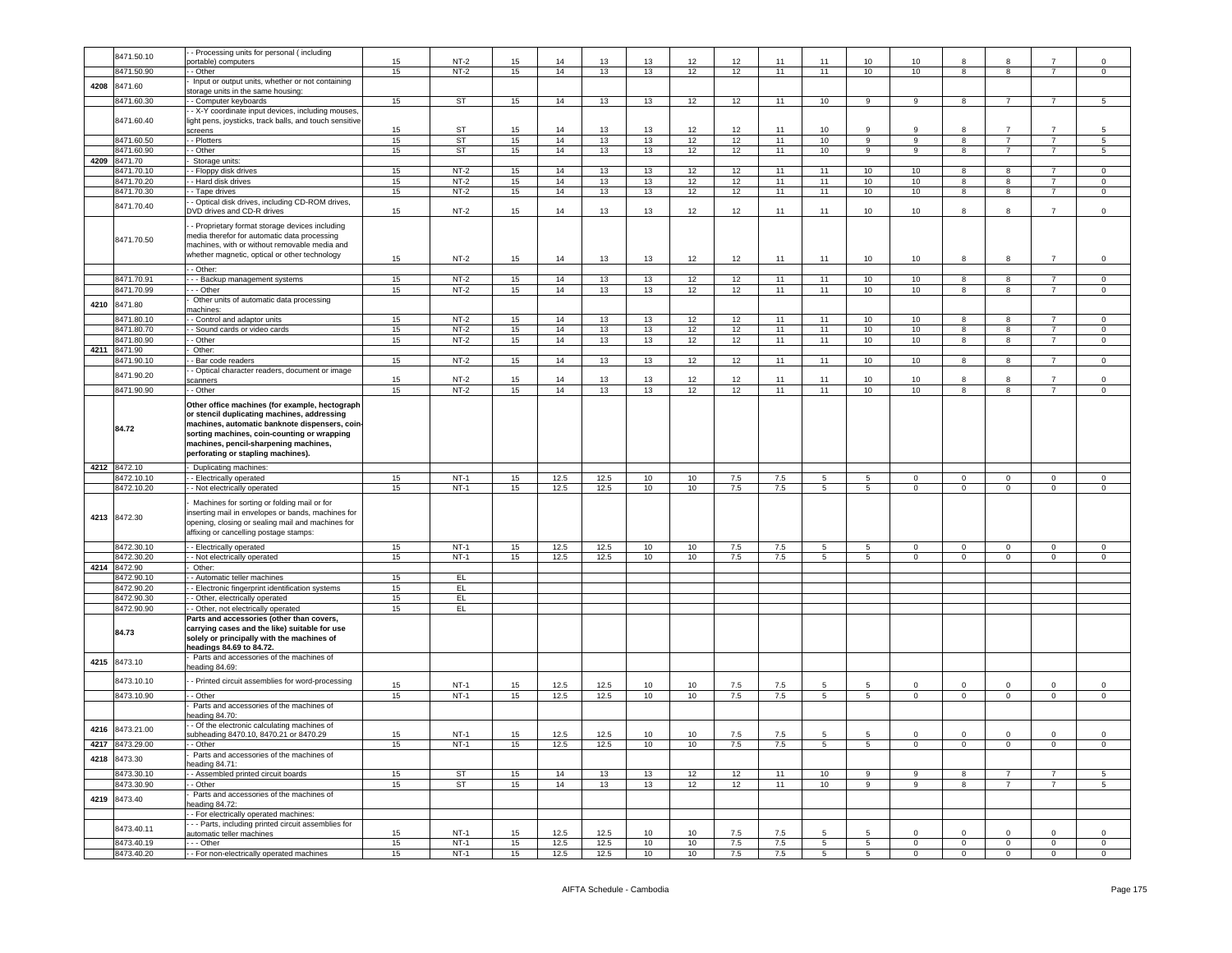|      | 8471.50.10               | - Processing units for personal (including                                                                                                                                                                                                                                    |          |                  |          |              |              |          |          |                |            |                      |                           |                        |                            |                           |                            |                            |
|------|--------------------------|-------------------------------------------------------------------------------------------------------------------------------------------------------------------------------------------------------------------------------------------------------------------------------|----------|------------------|----------|--------------|--------------|----------|----------|----------------|------------|----------------------|---------------------------|------------------------|----------------------------|---------------------------|----------------------------|----------------------------|
|      |                          | ortable) computers                                                                                                                                                                                                                                                            | 15       | $NT-2$           | 15       | 14           | 13           | 13       | 12       | 12             | 11         | 11                   | 10                        | 10                     | 8                          |                           |                            | 0                          |
|      | 8471.50.90               | - Other                                                                                                                                                                                                                                                                       | 15       | $NT-2$           | 15       | 14           | 13           | 13       | 12       | 12             | 11         | 11                   | 10                        | 10                     | 8                          | 8                         | $\overline{7}$             | $\mathbf 0$                |
| 4208 | 8471.60                  | Input or output units, whether or not containing                                                                                                                                                                                                                              |          |                  |          |              |              |          |          |                |            |                      |                           |                        |                            |                           |                            |                            |
|      |                          | storage units in the same housing:                                                                                                                                                                                                                                            |          |                  |          |              |              |          |          |                |            |                      |                           |                        |                            |                           |                            |                            |
|      | 8471.60.30               | - Computer keyboards                                                                                                                                                                                                                                                          | 15       | ST               | 15       | 14           | 13           | 13       | 12       | 12             | 11         | 10                   | 9                         | 9                      | 8                          |                           |                            | 5                          |
|      |                          | - X-Y coordinate input devices, including mouses                                                                                                                                                                                                                              |          |                  |          |              |              |          |          |                |            |                      |                           |                        |                            |                           |                            |                            |
|      | 8471.60.40               | light pens, joysticks, track balls, and touch sensitive                                                                                                                                                                                                                       |          |                  |          |              |              |          |          |                |            |                      |                           |                        |                            |                           |                            |                            |
|      |                          | creens                                                                                                                                                                                                                                                                        | 15       | ST               | 15       | 14           | 13           | 13       | 12       | 12             | 11         | 10                   | 9                         | 9                      | 8                          | $\overline{7}$            | $\overline{7}$             | -5                         |
|      | 8471.60.50               | - Plotters                                                                                                                                                                                                                                                                    | 15       | <b>ST</b>        | 15       | 14           | 13           | 13       | 12       | 12             | 11         | 10                   | 9                         | 9                      | 8                          | $\overline{7}$            | $\overline{7}$             | 5                          |
|      |                          |                                                                                                                                                                                                                                                                               |          |                  |          |              |              |          |          |                |            |                      |                           |                        |                            | $\overline{7}$            | $\overline{7}$             |                            |
|      | 8471.60.90               | - Other                                                                                                                                                                                                                                                                       | 15       | <b>ST</b>        | 15       | 14           | 13           | 13       | 12       | 12             | 11         | 10                   | 9                         | 9                      | 8                          |                           |                            | 5                          |
| 4209 | 8471.70                  | Storage units:                                                                                                                                                                                                                                                                |          |                  |          |              |              |          |          |                |            |                      |                           |                        |                            |                           |                            |                            |
|      | 8471.70.10               | - Floppy disk drives                                                                                                                                                                                                                                                          | 15       | $NT-2$           | 15       | 14           | 13           | 13       | 12       | 12             | 11         | 11                   | 10                        | 10                     | 8                          | 8                         | $\overline{7}$             | 0                          |
|      | 8471.70.20               | - Hard disk drives                                                                                                                                                                                                                                                            | 15       | $NT-2$           | 15       | 14           | 13           | 13       | 12       | 12             | 11         | 11                   | 10                        | 10                     | 8                          | 8                         | $\overline{7}$             | $\,0\,$                    |
|      | 8471.70.30               | - Tape drives                                                                                                                                                                                                                                                                 | 15       | $NT-2$           | 15       | 14           | 13           | 13       | 12       | 12             | 11         | 11                   | 10                        | 10                     | 8                          | 8                         | $\overline{7}$             | 0                          |
|      |                          | - Optical disk drives, including CD-ROM drives,                                                                                                                                                                                                                               |          |                  |          |              |              |          |          |                |            |                      |                           |                        |                            |                           |                            |                            |
|      | 8471.70.40               | DVD drives and CD-R drives                                                                                                                                                                                                                                                    | 15       | $NT-2$           | 15       | 14           | 13           | 13       | 12       | 12             | 11         | 11                   | 10                        | 10                     | 8                          | 8                         | $\overline{7}$             | $\mathsf 0$                |
|      |                          |                                                                                                                                                                                                                                                                               |          |                  |          |              |              |          |          |                |            |                      |                           |                        |                            |                           |                            |                            |
|      | 8471.70.50               | - Proprietary format storage devices including<br>media therefor for automatic data processing<br>machines, with or without removable media and<br>whether magnetic, optical or other technology                                                                              | 15       | NT-2             | 15       | 14           | 13           | 13       | 12       | 12             | 11         | 11                   | 10                        | 10                     | 8                          | 8                         | $\overline{7}$             | $\mathsf 0$                |
|      |                          | - Other:                                                                                                                                                                                                                                                                      |          |                  |          |              |              |          |          |                |            |                      |                           |                        |                            |                           |                            |                            |
|      | 8471.70.91               | - - Backup management systems                                                                                                                                                                                                                                                 | 15       | $NT-2$           | 15       | 14           | 13           | 13       | 12       | 12             | 11         | 11                   | 10                        | 10                     | 8                          | 8                         | $\overline{7}$             | 0                          |
|      | 8471.70.99               | - - Other                                                                                                                                                                                                                                                                     | 15       | $NT-2$           | 15       | 14           | 13           | 13       | 12       | 12             | 11         | 11                   | 10                        | 10                     | 8                          | 8                         | $\overline{7}$             | $\mathsf 0$                |
|      |                          | Other units of automatic data processing                                                                                                                                                                                                                                      |          |                  |          |              |              |          |          |                |            |                      |                           |                        |                            |                           |                            |                            |
| 4210 | 8471.80                  | machines:                                                                                                                                                                                                                                                                     |          |                  |          |              |              |          |          |                |            |                      |                           |                        |                            |                           |                            |                            |
|      | 8471.80.10               | - Control and adaptor units                                                                                                                                                                                                                                                   | 15       | $NT-2$           | 15       | 14           | 13           | 13       | 12       | 12             | 11         | 11                   | 10                        | 10                     | 8                          | 8                         | 7                          | $\mathbf 0$                |
|      |                          |                                                                                                                                                                                                                                                                               |          |                  |          |              |              |          |          |                |            |                      |                           |                        |                            |                           |                            |                            |
|      | 8471.80.70               | - Sound cards or video cards                                                                                                                                                                                                                                                  | 15       | $NT-2$           | 15       | 14           | 13           | 13       | 12       | 12             | 11         | 11                   | 10                        | 10                     | 8                          | 8                         | $\overline{7}$             | $\mathsf 0$                |
|      | 8471.80.90               | - Other                                                                                                                                                                                                                                                                       | 15       | $NT-2$           | 15       | 14           | 13           | 13       | 12       | 12             | 11         | 11                   | 10                        | 10                     | 8                          | 8                         | $\overline{7}$             | $\,0\,$                    |
| 4211 | 8471.90                  | Other:                                                                                                                                                                                                                                                                        |          |                  |          |              |              |          |          |                |            |                      |                           |                        |                            |                           |                            |                            |
|      | 8471.90.10               | - Bar code readers                                                                                                                                                                                                                                                            | 15       | $NT-2$           | 15       | 14           | 13           | 13       | 12       | 12             | 11         | 11                   | 10                        | 10                     | 8                          | 8                         | $\overline{7}$             | $\mathsf 0$                |
|      |                          | - Optical character readers, document or image                                                                                                                                                                                                                                |          |                  |          |              |              |          |          |                |            |                      |                           |                        |                            |                           |                            |                            |
|      | 8471.90.20               | scanners                                                                                                                                                                                                                                                                      | 15       | $NT-2$           | 15       | 14           | 13           | 13       | 12       | 12             | 11         | 11                   | 10                        | 10                     | 8                          | R                         | $\overline{7}$             | $\mathsf 0$                |
|      | 8471.90.90               | - - Other                                                                                                                                                                                                                                                                     | 15       | $NT-2$           | 15       | 14           | 13           | 13       | 12       | 12             | 11         | 11                   | 10                        | 10                     | 8                          | 8                         | $\overline{7}$             | $\circ$                    |
|      | 84.72                    | Other office machines (for example, hectograph<br>or stencil duplicating machines, addressing<br>machines, automatic banknote dispensers, coin-<br>sorting machines, coin-counting or wrapping<br>machines, pencil-sharpening machines,<br>perforating or stapling machines). |          |                  |          |              |              |          |          |                |            |                      |                           |                        |                            |                           |                            |                            |
|      | 4212 8472.10             | - Duplicating machines:                                                                                                                                                                                                                                                       |          |                  |          |              |              |          |          |                |            |                      |                           |                        |                            |                           |                            |                            |
|      |                          |                                                                                                                                                                                                                                                                               |          |                  |          |              |              |          |          |                |            |                      |                           |                        |                            |                           |                            |                            |
|      |                          |                                                                                                                                                                                                                                                                               |          |                  |          |              |              |          |          |                |            |                      |                           |                        |                            |                           |                            |                            |
|      | 8472.10.10               | - Electrically operated                                                                                                                                                                                                                                                       | 15       | NT-1             | 15       | 12.5         | 12.5         | 10       | 10       | 7.5            | 7.5        | 5                    | 5                         | $\mathbf{0}$           | $\mathbf{0}$               | $^{\circ}$                | 0                          | $^{\circ}$                 |
|      | 8472.10.20               | - Not electrically operated                                                                                                                                                                                                                                                   | 15       | $NT-1$           | 15       | 12.5         | 12.5         | 10       | 10       | 7.5            | 7.5        | 5                    | $5^{\circ}$               | $\mathbf 0$            | $\mathbf 0$                | $\mathbf{0}$              | $\mathbf{0}$               | $\mathbf 0$                |
|      | 4213 8472.30             | Machines for sorting or folding mail or for<br>inserting mail in envelopes or bands, machines for<br>opening, closing or sealing mail and machines for<br>affixing or cancelling postage stamps:                                                                              |          |                  |          |              |              |          |          |                |            |                      |                           |                        |                            |                           |                            |                            |
|      | 8472.30.10               | - Electrically operated                                                                                                                                                                                                                                                       | 15       | $NT-1$           | 15       | 12.5         | 12.5         | 10       | 10       | 7.5            | 7.5        | 5                    | 5                         | $\mathbf 0$            | $\mathbf 0$                | $\mathbf 0$               | $\mathbf 0$                | 0                          |
|      | 8472.30.20               | - Not electrically operated                                                                                                                                                                                                                                                   | 15       | $NT-1$           | 15       | 12.5         | 12.5         | 10       | 10       | 7.5            | 7.5        | $5\phantom{.0}$      | 5                         | $\mathbf 0$            | $\overline{0}$             | $\mathbf{0}$              | $\mathbf{0}$               | $\circ$                    |
|      | 4214 8472.90             | Other:                                                                                                                                                                                                                                                                        |          |                  |          |              |              |          |          |                |            |                      |                           |                        |                            |                           |                            |                            |
|      |                          |                                                                                                                                                                                                                                                                               | 15       | EL.              |          |              |              |          |          |                |            |                      |                           |                        |                            |                           |                            |                            |
|      | 8472.90.10               | - Automatic teller machines                                                                                                                                                                                                                                                   |          |                  |          |              |              |          |          |                |            |                      |                           |                        |                            |                           |                            |                            |
|      | 8472.90.20               | - Electronic fingerprint identification systems                                                                                                                                                                                                                               | 15       | E                |          |              |              |          |          |                |            |                      |                           |                        |                            |                           |                            |                            |
|      | 8472.90.30               | - Other, electrically operated                                                                                                                                                                                                                                                | 15       | EL.              |          |              |              |          |          |                |            |                      |                           |                        |                            |                           |                            |                            |
|      | 8472.90.90               | - Other, not electrically operated                                                                                                                                                                                                                                            | 15       | EL.              |          |              |              |          |          |                |            |                      |                           |                        |                            |                           |                            |                            |
|      | 84.73                    | Parts and accessories (other than covers,<br>carrying cases and the like) suitable for use<br>solely or principally with the machines of<br>headings 84.69 to 84.72.                                                                                                          |          |                  |          |              |              |          |          |                |            |                      |                           |                        |                            |                           |                            |                            |
| 4215 | 8473.10                  | Parts and accessories of the machines of                                                                                                                                                                                                                                      |          |                  |          |              |              |          |          |                |            |                      |                           |                        |                            |                           |                            |                            |
|      |                          | heading 84.69:                                                                                                                                                                                                                                                                |          |                  |          |              |              |          |          |                |            |                      |                           |                        |                            |                           |                            |                            |
|      | 8473.10.10               | - Printed circuit assemblies for word-processing                                                                                                                                                                                                                              | 15       | $NT-1$           | 15       | 12.5         | 12.5         | 10       | 10       | 7.5            | 7.5        | 5                    | 5                         | 0                      | $\mathbf 0$                | $^{\circ}$                | 0                          | 0                          |
|      |                          | - Other                                                                                                                                                                                                                                                                       |          |                  |          |              |              |          |          |                |            |                      |                           |                        |                            |                           |                            |                            |
|      | 8473.10.90               |                                                                                                                                                                                                                                                                               | 15       | $NT-1$           | 15       | 12.5         | 12.5         | 10       | 10       | 7.5            | 7.5        | 5                    | 5                         | 0                      | $\mathbf 0$                | $\mathbf 0$               | 0                          | 0                          |
|      |                          | Parts and accessories of the machines of                                                                                                                                                                                                                                      |          |                  |          |              |              |          |          |                |            |                      |                           |                        |                            |                           |                            |                            |
|      |                          | eading 84.70:                                                                                                                                                                                                                                                                 |          |                  |          |              |              |          |          |                |            |                      |                           |                        |                            |                           |                            |                            |
| 4216 | 8473.21.00               | - Of the electronic calculating machines of                                                                                                                                                                                                                                   |          |                  |          |              |              |          |          |                |            |                      |                           |                        |                            |                           |                            |                            |
|      |                          | subheading 8470.10, 8470.21 or 8470.29                                                                                                                                                                                                                                        | 15       | $NT-1$           | 15       | 12.5         | 12.5         | 10       | 10       | 7.5            | 7.5        | $5\overline{5}$      | 5                         | $\mathbf 0$            | $\mathsf 0$                | $\mathbf 0$               | $\Omega$                   | $\mathsf 0$                |
|      | 4217 8473.29.00          | - Other                                                                                                                                                                                                                                                                       | 15       | NT-1             | 15       | 12.5         | 12.5         | 10       | 10       | 7.5            | 7.5        | 5                    | 5                         |                        | 0                          | 0                         | $^{\circ}$                 | 0                          |
|      |                          | Parts and accessories of the machines of                                                                                                                                                                                                                                      |          |                  |          |              |              |          |          |                |            |                      |                           |                        |                            |                           |                            |                            |
|      | 4218 8473.30             | heading 84.71:                                                                                                                                                                                                                                                                |          |                  |          |              |              |          |          |                |            |                      |                           |                        |                            |                           |                            |                            |
|      | 8473.30.10               | - Assembled printed circuit boards                                                                                                                                                                                                                                            | 15       | <b>ST</b>        | 15       | 14           | 13           | 13       | 12       | 12             | 11         | 10                   | 9                         | 9                      | 8                          | $\overline{7}$            | $\overline{7}$             | $\sqrt{5}$                 |
|      |                          |                                                                                                                                                                                                                                                                               |          |                  |          |              |              |          |          |                |            |                      |                           |                        |                            |                           |                            |                            |
|      | 8473.30.90               | - Other                                                                                                                                                                                                                                                                       | 15       | <b>ST</b>        | 15       | 14           | 13           | 13       | 12       | 12             | 11         | 10                   | $\overline{9}$            | 9                      | 8                          | $\overline{7}$            | $\overline{7}$             | 5                          |
| 4219 | 8473.40                  | Parts and accessories of the machines of                                                                                                                                                                                                                                      |          |                  |          |              |              |          |          |                |            |                      |                           |                        |                            |                           |                            |                            |
|      |                          | heading 84.72:                                                                                                                                                                                                                                                                |          |                  |          |              |              |          |          |                |            |                      |                           |                        |                            |                           |                            |                            |
|      |                          | - For electrically operated machines:                                                                                                                                                                                                                                         |          |                  |          |              |              |          |          |                |            |                      |                           |                        |                            |                           |                            |                            |
|      |                          | -- Parts, including printed circuit assemblies for                                                                                                                                                                                                                            |          |                  |          |              |              |          |          |                |            |                      |                           |                        |                            |                           |                            |                            |
|      | 8473.40.11               | automatic teller machines                                                                                                                                                                                                                                                     | 15       | $NT-1$           | 15       | 12.5         | 12.5         | 10       | 10       | 7.5            | 7.5        | 5                    | 5                         | $\mathbf{0}$           | $\mathsf 0$                | 0                         | $\mathbf 0$                | $\mathbf 0$                |
|      | 8473.40.19<br>8473.40.20 | --- Other<br>- - For non-electrically operated machines                                                                                                                                                                                                                       | 15<br>15 | $NT-1$<br>$NT-1$ | 15<br>15 | 12.5<br>12.5 | 12.5<br>12.5 | 10<br>10 | 10<br>10 | 7.5<br>$7.5\,$ | 7.5<br>7.5 | 5<br>$5\phantom{.0}$ | $5^{\circ}$<br>$\sqrt{5}$ | $\mathbf 0$<br>$\circ$ | $\mathbf 0$<br>$\mathbf 0$ | $\circ$<br>$\overline{0}$ | $\mathbf 0$<br>$\mathbf 0$ | $\mathbf 0$<br>$\mathsf 0$ |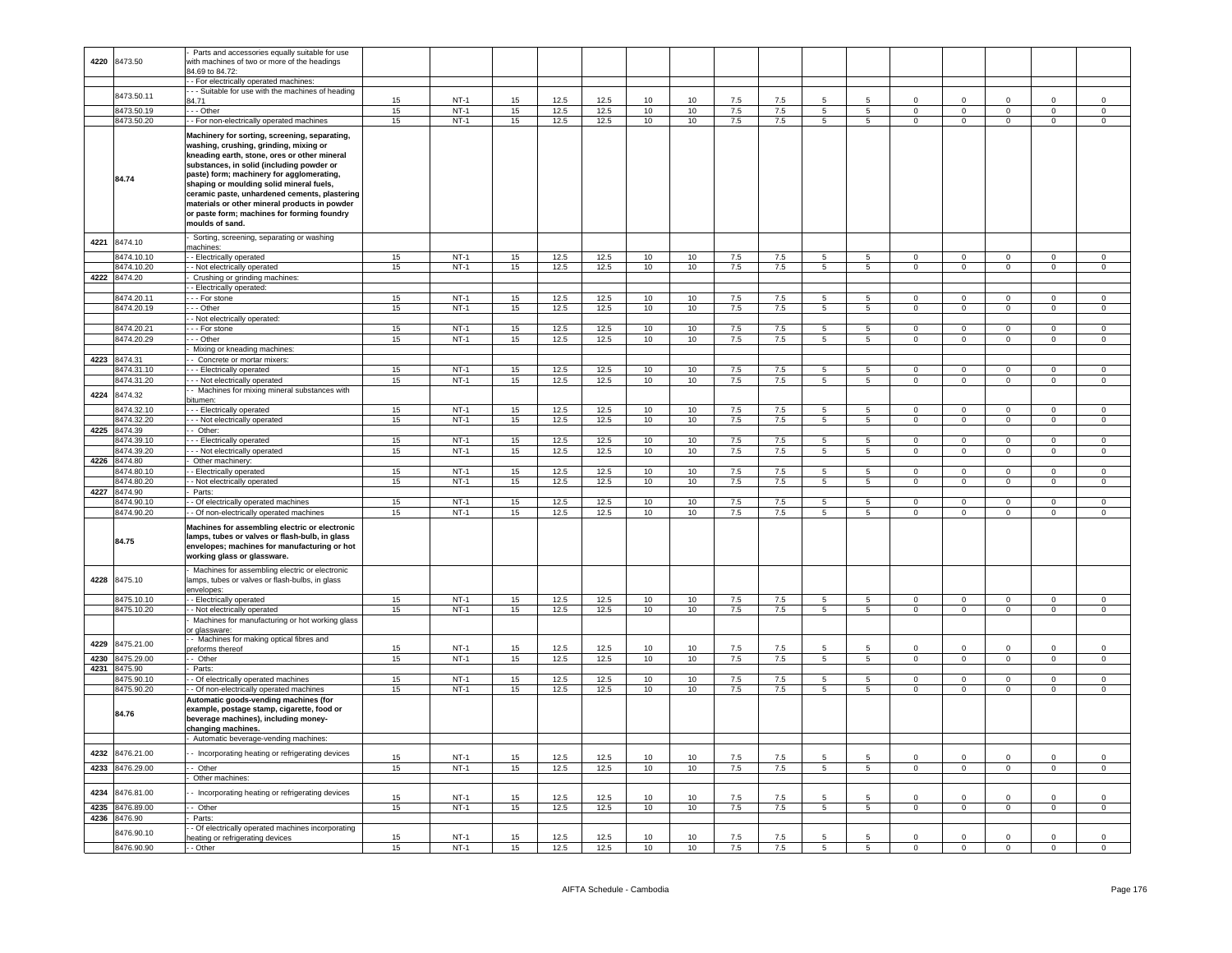|      |                 | Parts and accessories equally suitable for use    |          |             |          |              |      |                 |    |     |         |                 |                 |                |                |                |                |                |
|------|-----------------|---------------------------------------------------|----------|-------------|----------|--------------|------|-----------------|----|-----|---------|-----------------|-----------------|----------------|----------------|----------------|----------------|----------------|
| 4220 | 8473.50         | with machines of two or more of the headings      |          |             |          |              |      |                 |    |     |         |                 |                 |                |                |                |                |                |
|      |                 | 4.69 to 84.72                                     |          |             |          |              |      |                 |    |     |         |                 |                 |                |                |                |                |                |
|      |                 | - For electrically operated machines:             |          |             |          |              |      |                 |    |     |         |                 |                 |                |                |                |                |                |
|      |                 | - - Suitable for use with the machines of heading |          |             |          |              |      |                 |    |     |         |                 |                 |                |                |                |                |                |
|      | 8473.50.11      |                                                   |          |             |          |              |      |                 |    |     | 7.5     |                 |                 | $\Omega$       | $\Omega$       |                |                | $\Omega$       |
|      |                 | 34.71                                             | 15       | $NT-1$      | 15       | 12.5         | 12.5 | 10              | 10 | 7.5 |         |                 |                 |                |                | $\Omega$       |                |                |
|      | 8473.50.19      | - - Other                                         | 15       | $NT-1$      | 15       | 12.5         | 12.5 | 10              | 10 | 7.5 | 7.5     | 5               | 5               | $\mathbf 0$    | $\mathsf 0$    | $\mathbf 0$    | $\mathbf 0$    | $\mathbf 0$    |
|      | 8473.50.20      | - For non-electrically operated machines          | 15       | <b>NT-1</b> | 15       | 12.5         | 12.5 | 10              | 10 | 7.5 | 7.5     | $5\phantom{.0}$ | $5\overline{5}$ | $\circ$        | $\overline{0}$ | $\mathbf{0}$   | $\overline{0}$ | $\circ$        |
|      |                 |                                                   |          |             |          |              |      |                 |    |     |         |                 |                 |                |                |                |                |                |
|      |                 | Machinery for sorting, screening, separating,     |          |             |          |              |      |                 |    |     |         |                 |                 |                |                |                |                |                |
|      |                 | washing, crushing, grinding, mixing or            |          |             |          |              |      |                 |    |     |         |                 |                 |                |                |                |                |                |
|      |                 |                                                   |          |             |          |              |      |                 |    |     |         |                 |                 |                |                |                |                |                |
|      |                 | kneading earth, stone, ores or other mineral      |          |             |          |              |      |                 |    |     |         |                 |                 |                |                |                |                |                |
|      |                 | substances, in solid (including powder or         |          |             |          |              |      |                 |    |     |         |                 |                 |                |                |                |                |                |
|      |                 | paste) form; machinery for agglomerating,         |          |             |          |              |      |                 |    |     |         |                 |                 |                |                |                |                |                |
|      | 84.74           |                                                   |          |             |          |              |      |                 |    |     |         |                 |                 |                |                |                |                |                |
|      |                 | shaping or moulding solid mineral fuels,          |          |             |          |              |      |                 |    |     |         |                 |                 |                |                |                |                |                |
|      |                 | ceramic paste, unhardened cements, plastering     |          |             |          |              |      |                 |    |     |         |                 |                 |                |                |                |                |                |
|      |                 | materials or other mineral products in powder     |          |             |          |              |      |                 |    |     |         |                 |                 |                |                |                |                |                |
|      |                 |                                                   |          |             |          |              |      |                 |    |     |         |                 |                 |                |                |                |                |                |
|      |                 | or paste form; machines for forming foundry       |          |             |          |              |      |                 |    |     |         |                 |                 |                |                |                |                |                |
|      |                 | moulds of sand.                                   |          |             |          |              |      |                 |    |     |         |                 |                 |                |                |                |                |                |
|      |                 |                                                   |          |             |          |              |      |                 |    |     |         |                 |                 |                |                |                |                |                |
| 4221 | 8474.10         | Sorting, screening, separating or washing         |          |             |          |              |      |                 |    |     |         |                 |                 |                |                |                |                |                |
|      |                 | machines:                                         |          |             |          |              |      |                 |    |     |         |                 |                 |                |                |                |                |                |
|      | 8474.10.10      | - Electrically operated                           | 15       | $NT-1$      | 15       | 12.5         | 12.5 | 10              | 10 | 7.5 | 7.5     | 5               | $5\overline{)}$ | $\overline{0}$ | $\circ$        | $\circ$        | $\mathbf{0}$   | $\overline{0}$ |
|      |                 |                                                   |          | $NT-1$      | 15       | 12.5         | 12.5 |                 |    |     |         |                 | $\overline{5}$  |                | $\mathbf 0$    |                | $\mathbf{0}$   |                |
|      | 8474.10.20      | - Not electrically operated                       | 15       |             |          |              |      | 10              | 10 | 7.5 | 7.5     | 5               |                 | $\mathbf 0$    |                | $\mathbf 0$    |                | $\circ$        |
|      | 4222 8474.20    | Crushing or grinding machines:                    |          |             |          |              |      |                 |    |     |         |                 |                 |                |                |                |                |                |
|      |                 | Electrically operated:                            |          |             |          |              |      |                 |    |     |         |                 |                 |                |                |                |                |                |
|      | 8474.20.11      |                                                   | 15       | $NT-1$      | 15       | 12.5         | 12.5 | 10              | 10 |     |         | 5               | 5               | $\mathbf 0$    | $\mathbf 0$    | $\mathbf 0$    | $\mathbf 0$    | $\mathbf 0$    |
|      |                 | - - For stone                                     |          |             |          |              |      |                 |    | 7.5 | 7.5     |                 |                 |                |                |                |                |                |
|      | 8474.20.19      | - - Other                                         | 15       | $NT-1$      | 15       | 12.5         | 12.5 | 10              | 10 | 7.5 | 7.5     | $\overline{5}$  | 5               | $\overline{0}$ | $\overline{0}$ | $^{\circ}$     | $\Omega$       | $\mathbf{0}$   |
|      |                 | - Not electrically operated:                      |          |             |          |              |      |                 |    |     |         |                 |                 |                |                |                |                |                |
|      | 8474.20.21      | - - For stone                                     | 15       | $NT-1$      | 15       | 12.5         | 12.5 | 10              | 10 | 7.5 | 7.5     | $\overline{5}$  | 5               | $\overline{0}$ | $\overline{0}$ | $\overline{0}$ | $\overline{0}$ | $\overline{0}$ |
|      |                 |                                                   |          |             |          |              |      |                 |    |     |         |                 |                 |                |                |                |                |                |
|      | 8474.20.29      | - - Other                                         | 15       | $NT-1$      | 15       | 12.5         | 12.5 | 10              | 10 | 7.5 | $7.5\,$ | $\overline{5}$  | 5               | $\mathsf 0$    | $\Omega$       | $\Omega$       | $\Omega$       | $\Omega$       |
|      |                 | Mixing or kneading machines:                      |          |             |          |              |      |                 |    |     |         |                 |                 |                |                |                |                |                |
|      |                 |                                                   |          |             |          |              |      |                 |    |     |         |                 |                 |                |                |                |                |                |
|      | 4223 8474.31    | - Concrete or mortar mixers:                      |          |             |          |              |      |                 |    |     |         |                 |                 |                |                |                |                |                |
|      | 8474.31.10      | - - Electrically operated                         | 15       | $NT-1$      | 15       | 12.5         | 12.5 | 10              | 10 | 7.5 | 7.5     | 5               | 5               | $\Omega$       | $\Omega$       | $\overline{0}$ | $\Omega$       | $\Omega$       |
|      | 8474.31.20      | - - Not electrically operated                     | 15       | $NT-1$      | 15       | 12.5         | 12.5 | 10              | 10 | 7.5 | 7.5     | 5               | 5               | $\mathbf 0$    | 0              | $\mathbf 0$    | $\mathbf 0$    | $\circ$        |
|      |                 |                                                   |          |             |          |              |      |                 |    |     |         |                 |                 |                |                |                |                |                |
| 4224 | 8474.32         | - Machines for mixing mineral substances with     |          |             |          |              |      |                 |    |     |         |                 |                 |                |                |                |                |                |
|      |                 | bitumen:                                          |          |             |          |              |      |                 |    |     |         |                 |                 |                |                |                |                |                |
|      | 8474.32.10      | - - Electrically operated                         | 15       | $NT-1$      | 15       | 12.5         | 12.5 | 10              | 10 | 7.5 | 7.5     | $5\overline{5}$ | 5               | $\Omega$       | $\Omega$       | $\Omega$       | $\Omega$       | $\Omega$       |
|      |                 |                                                   |          |             |          |              |      |                 |    |     |         |                 |                 |                |                |                |                |                |
|      | 8474.32.20      | - - Not electrically operated                     | 15       | <b>NT-1</b> | 15       | 12.5         | 12.5 | 10              | 10 | 7.5 | 7.5     | 5               | $5\overline{5}$ | $\overline{0}$ | $\overline{0}$ | $\circ$        | $\overline{0}$ | $\overline{0}$ |
|      | 4225 8474.39    | - Other:                                          |          |             |          |              |      |                 |    |     |         |                 |                 |                |                |                |                |                |
|      | 8474.39.10      | - - Electrically operated                         | 15       | $NT-1$      | 15       | 12.5         | 12.5 | 10              | 10 | 7.5 | 7.5     | 5               | 5               | $\Omega$       | $\Omega$       | $\mathbf 0$    | $\Omega$       | $\Omega$       |
|      |                 |                                                   |          |             |          |              |      |                 |    |     |         |                 |                 |                |                |                |                |                |
|      | 3474.39.20      | - - Not electrically operated                     | 15       | $NT-1$      | 15       | 12.5         | 12.5 | 10              | 10 | 7.5 | 7.5     | 5               | 5               | $\mathbf 0$    | $\mathbf 0$    | $\mathbf 0$    | $\mathbf 0$    | $\circ$        |
| 4226 | 8474.80         | Other machinery:                                  |          |             |          |              |      |                 |    |     |         |                 |                 |                |                |                |                |                |
|      | 8474.80.1       | - Electrically operated                           | 15       | $NT-1$      | 15       | 12.5         | 12.5 | 10              | 10 | 7.5 | 7.5     | 5               | 5               | $\Omega$       | $\Omega$       | $\Omega$       | $\Omega$       | $\Omega$       |
|      |                 |                                                   |          |             |          |              |      |                 |    |     |         |                 |                 |                |                |                |                |                |
|      | 8474.80.20      | - Not electrically operated                       | 15       | $NT-1$      | 15       | 12.5         | 12.5 | 10              | 10 | 7.5 | 7.5     | $\overline{5}$  | 5               | $\overline{0}$ | $\overline{0}$ | $\overline{0}$ | $\overline{0}$ | $\overline{0}$ |
| 4227 | 8474.90         | Parts:                                            |          |             |          |              |      |                 |    |     |         |                 |                 |                |                |                |                |                |
|      | 8474.90.10      | - Of electrically operated machines               | 15       | $NT-1$      | 15       | 12.5         | 12.5 | 10              | 10 | 7.5 | 7.5     | 5               | 5               | $\mathbf 0$    | $\mathbf 0$    | 0              | $\mathbf 0$    | $\mathbf 0$    |
|      |                 |                                                   |          |             |          |              |      |                 |    |     |         |                 |                 |                |                |                |                |                |
|      | 8474.90.20      | - Of non-electrically operated machines           | 15       | $NT-1$      | 15       | 12.5         | 12.5 | 10              | 10 | 7.5 | 7.5     | 5               | 5               | $\circ$        | $\mathbf 0$    | $\mathbf 0$    | $\mathbf{0}$   | $\circ$        |
|      |                 |                                                   |          |             |          |              |      |                 |    |     |         |                 |                 |                |                |                |                |                |
|      |                 | Machines for assembling electric or electronic    |          |             |          |              |      |                 |    |     |         |                 |                 |                |                |                |                |                |
|      |                 | lamps, tubes or valves or flash-bulb, in glass    |          |             |          |              |      |                 |    |     |         |                 |                 |                |                |                |                |                |
|      | 84.75           | envelopes; machines for manufacturing or hot      |          |             |          |              |      |                 |    |     |         |                 |                 |                |                |                |                |                |
|      |                 |                                                   |          |             |          |              |      |                 |    |     |         |                 |                 |                |                |                |                |                |
|      |                 | working glass or glassware.                       |          |             |          |              |      |                 |    |     |         |                 |                 |                |                |                |                |                |
|      |                 | Machines for assembling electric or electronic    |          |             |          |              |      |                 |    |     |         |                 |                 |                |                |                |                |                |
|      |                 |                                                   |          |             |          |              |      |                 |    |     |         |                 |                 |                |                |                |                |                |
| 4228 | 8475.10         | amps, tubes or valves or flash-bulbs, in glass    |          |             |          |              |      |                 |    |     |         |                 |                 |                |                |                |                |                |
|      |                 | envelopes:                                        |          |             |          |              |      |                 |    |     |         |                 |                 |                |                |                |                |                |
|      | 8475.10.10      | - Electrically operated                           | 15       | $NT-1$      | 15       | 12.5         | 12.5 | 10              | 10 | 7.5 | 7.5     | $5\overline{5}$ | 5               | $\Omega$       | $\Omega$       | $\Omega$       | $\Omega$       | $\Omega$       |
|      | 8475.10.20      | - Not electrically operated                       | 15       | <b>NT-1</b> | 15       | 12.5         | 12.5 | 10              | 10 | 7.5 | 7.5     | 5               | $5\overline{5}$ | $\mathbf 0$    | $\overline{0}$ | $\overline{0}$ | $\overline{0}$ | $\overline{0}$ |
|      |                 |                                                   |          |             |          |              |      |                 |    |     |         |                 |                 |                |                |                |                |                |
|      |                 | Machines for manufacturing or hot working glass   |          |             |          |              |      |                 |    |     |         |                 |                 |                |                |                |                |                |
|      |                 | r glassware:                                      |          |             |          |              |      |                 |    |     |         |                 |                 |                |                |                |                |                |
|      |                 | - Machines for making optical fibres and          |          |             |          |              |      |                 |    |     |         |                 |                 |                |                |                |                |                |
| 4229 | 8475.21.00      | reforms thereof                                   | 15       | $NT-1$      | 15       | 12.5         | 12.5 | 10              | 10 | 7.5 | 7.5     |                 | 5               | $\Omega$       | $\Omega$       | $\Omega$       |                | $\Omega$       |
|      |                 |                                                   |          |             |          |              |      |                 |    |     |         |                 |                 |                |                |                |                |                |
|      | 4230 8475.29.00 | - Other                                           | 15       | $NT-1$      | 15       | 12.5         | 12.5 | 10              | 10 | 7.5 | 7.5     | 5               | $5\overline{5}$ | $\overline{0}$ | $\overline{0}$ | $\mathbf 0$    | $\overline{0}$ | $\overline{0}$ |
|      | 4231 8475.90    | Parts:                                            |          |             |          |              |      |                 |    |     |         |                 |                 |                |                |                |                |                |
|      | 8475.90.10      | - Of electrically operated machines               | 15       | $NT-1$      | 15       | 12.5         | 12.5 | 10              | 10 | 7.5 | 7.5     | -5              | 5               | $\Omega$       | $\Omega$       | $\Omega$       | $\Omega$       | $\Omega$       |
|      |                 |                                                   |          |             |          |              |      |                 |    |     |         |                 |                 |                |                |                |                |                |
|      | 8475.90.20      | - Of non-electrically operated machines           | 15       | $NT-1$      | 15       | 12.5         | 12.5 | 10              | 10 | 7.5 | 7.5     | 5               | 5               | $\mathsf 0$    | $\mathsf 0$    | $\mathsf 0$    | $\mathbf 0$    | $\mathbf 0$    |
|      |                 | Automatic goods-vending machines (for             |          |             |          |              |      |                 |    |     |         |                 |                 |                |                |                |                |                |
|      |                 | example, postage stamp, cigarette, food or        |          |             |          |              |      |                 |    |     |         |                 |                 |                |                |                |                |                |
|      | 84.76           |                                                   |          |             |          |              |      |                 |    |     |         |                 |                 |                |                |                |                |                |
|      |                 | beverage machines), including money-              |          |             |          |              |      |                 |    |     |         |                 |                 |                |                |                |                |                |
|      |                 | changing machines.                                |          |             |          |              |      |                 |    |     |         |                 |                 |                |                |                |                |                |
|      |                 | Automatic beverage-vending machines:              |          |             |          |              |      |                 |    |     |         |                 |                 |                |                |                |                |                |
|      |                 |                                                   |          |             |          |              |      |                 |    |     |         |                 |                 |                |                |                |                |                |
| 4232 | 8476.21.00      | - Incorporating heating or refrigerating devices  |          |             |          |              |      |                 |    |     |         |                 |                 |                |                |                |                |                |
|      |                 |                                                   | 15       | $NT-1$      | 15       | 12.5         | 12.5 | 10              | 10 | 7.5 | 7.5     |                 |                 | $\Omega$       | $\Omega$       | $\Omega$       | $\Omega$       | $\Omega$       |
| 4233 | 8476.29.00      | - Other                                           | 15       | $NT-1$      | 15       | 12.5         | 12.5 | 10              | 10 | 7.5 | 7.5     | 5               | $\overline{5}$  | $\overline{0}$ | $\overline{0}$ | $\mathbf 0$    | $\overline{0}$ | $\overline{0}$ |
|      |                 |                                                   |          |             |          |              |      |                 |    |     |         |                 |                 |                |                |                |                |                |
|      |                 | Other machines:                                   |          |             |          |              |      |                 |    |     |         |                 |                 |                |                |                |                |                |
|      |                 | - Incorporating heating or refrigerating devices  |          |             |          |              |      |                 |    |     |         |                 |                 |                |                |                |                |                |
|      |                 |                                                   | 15       | $NT-1$      | 15       | 12.5         | 12.5 | 10              | 10 | 7.5 | 7.5     |                 |                 | $\Omega$       | $\Omega$       |                |                | $\mathbf 0$    |
| 4234 | 8476.81.00      |                                                   |          |             |          |              |      |                 |    |     |         |                 |                 |                |                |                |                |                |
|      |                 |                                                   |          |             |          |              |      |                 |    |     |         | 5               |                 | $\Omega$       | $\Omega$       |                | $\Omega$       | $\Omega$       |
| 4235 | 8476.89.00      | - Other                                           | 15       | $NT-1$      | 15       | 12.5         | 12.5 | 10              | 10 | 7.5 | 7.5     |                 | 5               |                |                | $^{\circ}$     |                |                |
| 4236 | 8476.90         | Parts:                                            |          |             |          |              |      |                 |    |     |         |                 |                 |                |                |                |                |                |
|      |                 | - Of electrically operated machines incorporating |          |             |          |              |      |                 |    |     |         |                 |                 |                |                |                |                |                |
|      | 8476.90.10      |                                                   |          | $NT-1$      |          |              | 12.5 | 10 <sub>1</sub> | 10 | 7.5 | 7.5     | 5               | 5               | $\Omega$       | $\Omega$       | $\Omega$       | $\Omega$       | $\Omega$       |
|      | 8476.90.90      | eating or refrigerating devices<br>- Other        | 15<br>15 | $NT-1$      | 15<br>15 | 12.5<br>12.5 | 12.5 | 10              | 10 | 7.5 | 7.5     | 5               | $\overline{5}$  | $\overline{0}$ | $\overline{0}$ | $\overline{0}$ | $\overline{0}$ | $\mathbf 0$    |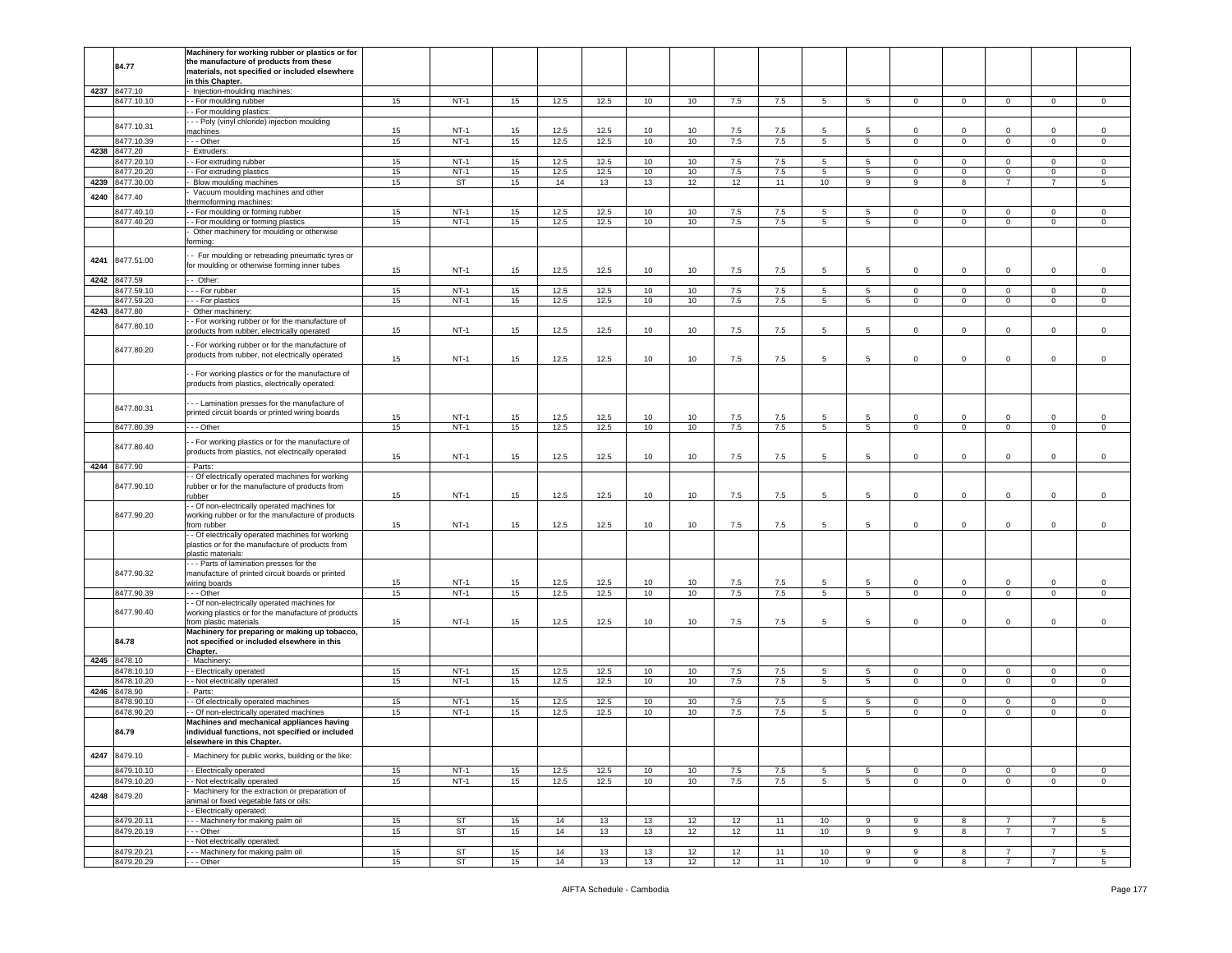|      |                          | Machinery for working rubber or plastics or for     |          |                        |          |          |          |          |          |          |          |                |                 |                |                         |                               |                                  |                                |
|------|--------------------------|-----------------------------------------------------|----------|------------------------|----------|----------|----------|----------|----------|----------|----------|----------------|-----------------|----------------|-------------------------|-------------------------------|----------------------------------|--------------------------------|
|      |                          | the manufacture of products from these              |          |                        |          |          |          |          |          |          |          |                |                 |                |                         |                               |                                  |                                |
|      | 84.77                    | naterials, not specified or included elsewhere      |          |                        |          |          |          |          |          |          |          |                |                 |                |                         |                               |                                  |                                |
|      |                          |                                                     |          |                        |          |          |          |          |          |          |          |                |                 |                |                         |                               |                                  |                                |
|      |                          | in this Chapter.                                    |          |                        |          |          |          |          |          |          |          |                |                 |                |                         |                               |                                  |                                |
|      | 4237 8477.10             | Injection-moulding machines:                        |          |                        |          |          |          |          |          |          |          |                |                 |                |                         |                               |                                  |                                |
|      | 8477.10.10               | - For moulding rubber                               | 15       | $NT-1$                 | 15       | 12.5     | 12.5     | 10       | 10       | 7.5      | 7.5      | $5^{\circ}$    | $5^{\circ}$     | $\circ$        | $\overline{0}$          | $\mathbf{0}$                  | $\mathbf 0$                      | $\mathbf 0$                    |
|      |                          |                                                     |          |                        |          |          |          |          |          |          |          |                |                 |                |                         |                               |                                  |                                |
|      |                          | - For moulding plastics:                            |          |                        |          |          |          |          |          |          |          |                |                 |                |                         |                               |                                  |                                |
|      |                          | - - Poly (vinyl chloride) injection moulding        |          |                        |          |          |          |          |          |          |          |                |                 |                |                         |                               |                                  |                                |
|      | 8477.10.31               |                                                     | 15       | $NT-1$                 | 15       | 12.5     | 12.5     |          |          | 7.5      |          | 5              | $5\overline{5}$ | $\mathbf 0$    | $\overline{0}$          | $\mathbf 0$                   | $\mathbf 0$                      | $\mathsf 0$                    |
|      |                          | nachines                                            |          |                        |          |          |          | 10       | 10       |          | 7.5      |                |                 |                |                         |                               |                                  |                                |
|      | 8477.10.39               | - - Other                                           | 15       | $NT-1$                 | 15       | 12.5     | 12.5     | 10       | 10       | 7.5      | 7.5      | 5              | $5\overline{)}$ | $\mathbf 0$    | $\mathbf 0$             | $\circ$                       | $\mathbf 0$                      | $\mathsf 0$                    |
| 4238 | 8477.20                  | Extruders:                                          |          |                        |          |          |          |          |          |          |          |                |                 |                |                         |                               |                                  |                                |
|      |                          |                                                     |          |                        |          |          |          |          |          |          |          |                |                 |                |                         |                               |                                  |                                |
|      | 8477.20.10               | - For extruding rubber                              | 15       | $NT-1$                 | 15       | 12.5     | 12.5     | 10       | 10       | 7.5      | 7.5      | 5              | 5               | $\circ$        | $\mathbf 0$             | $\mathbf 0$                   | 0                                | 0                              |
|      | 8477.20.20               | - For extruding plastics                            | 15       | $NT-1$                 | 15       | 12.5     | 12.5     | 10       | 10       | 7.5      | 7.5      | 5              | 5               | $\circ$        | $\mathbf 0$             | $\mathbf 0$                   | $\mathbf 0$                      | $\mathsf 0$                    |
|      |                          |                                                     |          |                        |          |          |          |          |          |          |          |                |                 |                |                         |                               |                                  |                                |
| 4239 | 8477.30.00               | Blow moulding machines                              | 15       | <b>ST</b>              | 15       | 14       | 13       | 13       | 12       | 12       | 11       | 10             | $\overline{9}$  | 9              | $\overline{\mathbf{8}}$ | $\overline{7}$                | $\overline{7}$                   | 5                              |
|      |                          | Vacuum moulding machines and other                  |          |                        |          |          |          |          |          |          |          |                |                 |                |                         |                               |                                  |                                |
| 4240 | 8477.40                  |                                                     |          |                        |          |          |          |          |          |          |          |                |                 |                |                         |                               |                                  |                                |
|      |                          | ermoforming machines:                               |          |                        |          |          |          |          |          |          |          |                |                 |                |                         |                               |                                  |                                |
|      | 3477.40.10               | - For moulding or forming rubber                    | 15       | $NT-1$                 | 15       | 12.5     | 12.5     | 10       | 10       | 7.5      | 7.5      | 5              | $\overline{5}$  | $\mathbf 0$    | $\mathbf 0$             | 0                             | $\mathbf 0$                      | $\mathsf 0$                    |
|      |                          |                                                     |          |                        |          |          |          |          |          |          |          |                |                 |                |                         |                               |                                  |                                |
|      | 8477.40.20               | - For moulding or forming plastics                  | 15       | $NT-1$                 | 15       | 12.5     | 12.5     | 10       | 10       | 7.5      | 7.5      | 5 <sup>5</sup> | 5               | $\circ$        | $\overline{0}$          | $\overline{0}$                | $\mathbf 0$                      | $\circ$                        |
|      |                          | Other machinery for moulding or otherwise           |          |                        |          |          |          |          |          |          |          |                |                 |                |                         |                               |                                  |                                |
|      |                          |                                                     |          |                        |          |          |          |          |          |          |          |                |                 |                |                         |                               |                                  |                                |
|      |                          | :primic                                             |          |                        |          |          |          |          |          |          |          |                |                 |                |                         |                               |                                  |                                |
|      |                          |                                                     |          |                        |          |          |          |          |          |          |          |                |                 |                |                         |                               |                                  |                                |
| 4241 | 8477.51.00               | - For moulding or retreading pneumatic tyres or     |          |                        |          |          |          |          |          |          |          |                |                 |                |                         |                               |                                  |                                |
|      |                          | for moulding or otherwise forming inner tubes       |          |                        |          |          |          |          |          |          |          |                |                 |                |                         |                               |                                  |                                |
|      |                          |                                                     | 15       | $NT-1$                 | 15       | 12.5     | 12.5     | 10       | 10       | 7.5      | 7.5      | 5              | 5               | $\circ$        | $\mathbf{0}$            | $\circ$                       | $\mathbf 0$                      | $\mathsf 0$                    |
| 4242 | 8477.59                  | - Other:                                            |          |                        |          |          |          |          |          |          |          |                |                 |                |                         |                               |                                  |                                |
|      |                          |                                                     |          |                        |          |          |          |          |          |          |          |                |                 |                |                         |                               |                                  |                                |
|      | 3477.59.10               | - - For rubber                                      | 15       | $NT-1$                 | 15       | 12.5     | 12.5     | 10       | 10       | 7.5      | 7.5      | 5              | 5               | $\mathbf 0$    | $\mathbf 0$             | $\mathbf 0$                   | $\mathbf 0$                      | $\mathsf 0$                    |
|      | 3477.59.20               | - - For plastics                                    | 15       | $NT-1$                 | 15       | 12.5     | 12.5     | 10       | 10       | 7.5      | 7.5      | 5              | $5\overline{)}$ | $\mathbf{O}$   | $\circ$                 | $\overline{0}$                | $\mathbf 0$                      | $\mathsf 0$                    |
|      |                          |                                                     |          |                        |          |          |          |          |          |          |          |                |                 |                |                         |                               |                                  |                                |
|      | 4243 8477.80             | Other machinery                                     |          |                        |          |          |          |          |          |          |          |                |                 |                |                         |                               |                                  |                                |
|      |                          | - For working rubber or for the manufacture of      |          |                        |          |          |          |          |          |          |          |                |                 |                |                         |                               |                                  |                                |
|      | 8477.80.10               |                                                     | 15       | $NT-1$                 | 15       | 12.5     | 12.5     | 10       | 10       | 7.5      | 7.5      | 5              | 5               | $\mathbf 0$    | $\mathbf 0$             | 0                             | $\mathbf 0$                      | $\mathsf 0$                    |
|      |                          | products from rubber, electrically operated         |          |                        |          |          |          |          |          |          |          |                |                 |                |                         |                               |                                  |                                |
|      |                          |                                                     |          |                        |          |          |          |          |          |          |          |                |                 |                |                         |                               |                                  |                                |
|      | 8477.80.20               | - For working rubber or for the manufacture of      |          |                        |          |          |          |          |          |          |          |                |                 |                |                         |                               |                                  |                                |
|      |                          | products from rubber, not electrically operated     |          |                        |          |          |          |          |          |          |          |                |                 |                |                         |                               |                                  |                                |
|      |                          |                                                     | 15       | $NT-1$                 | 15       | 12.5     | 12.5     | 10       | 10       | 7.5      | 7.5      | 5              | 5               | $\mathbf 0$    | $\,0\,$                 | $\mathbf 0$                   | $\mathbf 0$                      | $\,0\,$                        |
|      |                          |                                                     |          |                        |          |          |          |          |          |          |          |                |                 |                |                         |                               |                                  |                                |
|      |                          | - For working plastics or for the manufacture of    |          |                        |          |          |          |          |          |          |          |                |                 |                |                         |                               |                                  |                                |
|      |                          | products from plastics, electrically operated:      |          |                        |          |          |          |          |          |          |          |                |                 |                |                         |                               |                                  |                                |
|      |                          |                                                     |          |                        |          |          |          |          |          |          |          |                |                 |                |                         |                               |                                  |                                |
|      |                          |                                                     |          |                        |          |          |          |          |          |          |          |                |                 |                |                         |                               |                                  |                                |
|      |                          | - - Lamination presses for the manufacture of       |          |                        |          |          |          |          |          |          |          |                |                 |                |                         |                               |                                  |                                |
|      | 8477.80.31               |                                                     |          |                        |          |          |          |          |          |          |          |                |                 |                |                         |                               |                                  |                                |
|      |                          | printed circuit boards or printed wiring boards     | 15       | $NT-1$                 | 15       | 12.5     | 12.5     | 10       | 10       | 7.5      | 7.5      | 5              | -5              | $\circ$        | $\overline{0}$          | $\mathbf 0$                   | $\mathbf 0$                      | $\mathsf 0$                    |
|      |                          |                                                     |          |                        |          |          |          |          |          |          |          |                |                 |                |                         |                               |                                  |                                |
|      | 8477.80.39               | - - Other                                           | 15       | $NT-1$                 | 15       | 12.5     | 12.5     | 10       | 10       | 7.5      | 7.5      | 5              | 5               | $\mathbf 0$    | $\overline{0}$          | $\mathbf{0}$                  | 0                                | $\mathbf 0$                    |
|      |                          |                                                     |          |                        |          |          |          |          |          |          |          |                |                 |                |                         |                               |                                  |                                |
|      |                          | - For working plastics or for the manufacture of    |          |                        |          |          |          |          |          |          |          |                |                 |                |                         |                               |                                  |                                |
|      | 8477.80.40               | products from plastics, not electrically operated   |          |                        |          |          |          |          |          |          |          |                |                 |                |                         |                               |                                  |                                |
|      |                          |                                                     | 15       | $NT-1$                 | 15       | 12.5     | 12.5     | 10       | 10       | 7.5      | 7.5      | 5              | 5               | $\mathbf 0$    | $\mathbf 0$             | 0                             | 0                                | $\mathsf 0$                    |
|      |                          |                                                     |          |                        |          |          |          |          |          |          |          |                |                 |                |                         |                               |                                  |                                |
|      | 4244 8477.90             | Parts:                                              |          |                        |          |          |          |          |          |          |          |                |                 |                |                         |                               |                                  |                                |
|      |                          | - Of electrically operated machines for working     |          |                        |          |          |          |          |          |          |          |                |                 |                |                         |                               |                                  |                                |
|      | 8477.90.10               |                                                     |          |                        |          |          |          |          |          |          |          |                |                 |                |                         |                               |                                  |                                |
|      |                          | ubber or for the manufacture of products from       |          |                        |          |          |          |          |          |          |          |                |                 |                |                         |                               |                                  |                                |
|      |                          | ubber                                               | 15       | $NT-1$                 | 15       | 12.5     | 12.5     | 10       | 10       | 7.5      | 7.5      | 5              | 5               | 0              | $\mathbf 0$             | 0                             | $\mathbf 0$                      | $\mathsf 0$                    |
|      |                          | - Of non-electrically operated machines for         |          |                        |          |          |          |          |          |          |          |                |                 |                |                         |                               |                                  |                                |
|      |                          |                                                     |          |                        |          |          |          |          |          |          |          |                |                 |                |                         |                               |                                  |                                |
|      | 8477.90.20               | working rubber or for the manufacture of products   |          |                        |          |          |          |          |          |          |          |                |                 |                |                         |                               |                                  |                                |
|      |                          | rom rubber                                          | 15       | $NT-1$                 | 15       | 12.5     | 12.5     | 10       | 10       | 7.5      | 7.5      | 5              | 5               | $\circ$        | $\mathbf 0$             | $\mathbf 0$                   | $\mathbf 0$                      | $\mathsf 0$                    |
|      |                          |                                                     |          |                        |          |          |          |          |          |          |          |                |                 |                |                         |                               |                                  |                                |
|      |                          | - Of electrically operated machines for working     |          |                        |          |          |          |          |          |          |          |                |                 |                |                         |                               |                                  |                                |
|      |                          | plastics or for the manufacture of products from    |          |                        |          |          |          |          |          |          |          |                |                 |                |                         |                               |                                  |                                |
|      |                          | plastic materials:                                  |          |                        |          |          |          |          |          |          |          |                |                 |                |                         |                               |                                  |                                |
|      |                          |                                                     |          |                        |          |          |          |          |          |          |          |                |                 |                |                         |                               |                                  |                                |
|      |                          | - - Parts of lamination presses for the             |          |                        |          |          |          |          |          |          |          |                |                 |                |                         |                               |                                  |                                |
|      | 8477.90.32               | manufacture of printed circuit boards or printed    |          |                        |          |          |          |          |          |          |          |                |                 |                |                         |                               |                                  |                                |
|      |                          |                                                     | 15       | $NT-1$                 | 15       | 12.5     | 12.5     | 10       | 10       | 7.5      | 7.5      | 5              | 5               | 0              | $\mathbf 0$             | 0                             | 0                                | 0                              |
|      |                          | wiring boards                                       |          |                        |          |          |          |          |          |          |          |                |                 |                |                         |                               |                                  |                                |
|      | 8477.90.39               | - - Other                                           | 15       | $NT-1$                 | 15       | 12.5     | 12.5     | 10       | 10       | 7.5      | 7.5      | 5              | $5\overline{5}$ | $\mathbf 0$    | $\mathbf 0$             | $\mathsf 0$                   | $\mathbf 0$                      | $\mathsf 0$                    |
|      |                          | - Of non-electrically operated machines for         |          |                        |          |          |          |          |          |          |          |                |                 |                |                         |                               |                                  |                                |
|      |                          |                                                     |          |                        |          |          |          |          |          |          |          |                |                 |                |                         |                               |                                  |                                |
|      | 8477.90.40               | working plastics or for the manufacture of products |          |                        |          |          |          |          |          |          |          |                |                 |                |                         |                               |                                  |                                |
|      |                          | rom plastic materials                               | 15       | $NT-1$                 | 15       | 12.5     | 12.5     | 10       | 10       | 7.5      | 7.5      | 5              | 5               | $\mathsf 0$    | $\mathbf 0$             | $\mathbf 0$                   | 0                                | 0                              |
|      |                          | Machinery for preparing or making up tobacco,       |          |                        |          |          |          |          |          |          |          |                |                 |                |                         |                               |                                  |                                |
|      |                          |                                                     |          |                        |          |          |          |          |          |          |          |                |                 |                |                         |                               |                                  |                                |
|      | 84.78                    | not specified or included elsewhere in this         |          |                        |          |          |          |          |          |          |          |                |                 |                |                         |                               |                                  |                                |
|      |                          | Chapter.                                            |          |                        |          |          |          |          |          |          |          |                |                 |                |                         |                               |                                  |                                |
|      |                          |                                                     |          |                        |          |          |          |          |          |          |          |                |                 |                |                         |                               |                                  |                                |
|      | 4245 8478.10             | Machinery:                                          |          |                        |          |          |          |          |          |          |          |                |                 |                |                         |                               |                                  |                                |
|      | 8478.10.10               | - Electrically operated                             | 15       | $NT-1$                 | 15       | 12.5     | 12.5     | 10       | 10       | 7.5      | 7.5      | 5              | 5               | 0              | $\mathbf 0$             | $\mathbf 0$                   | $\Omega$                         | 0                              |
|      |                          |                                                     |          |                        |          |          |          |          |          |          |          |                |                 |                |                         |                               |                                  |                                |
|      |                          |                                                     |          |                        |          |          |          |          |          |          |          |                |                 |                |                         |                               |                                  |                                |
| 4246 | 8478.10.20               | - Not electrically operated                         | 15       | $NT-1$                 | 15       | 12.5     | 12.5     | 10       | 10       | $7.5\,$  | 7.5      | 5              | 5               | $\mathsf 0$    | $\mathbf 0$             | $\mathsf 0$                   | $\mathbf 0$                      | $\mathsf 0$                    |
|      | 8478.90                  | Parts:                                              |          |                        |          |          |          |          |          |          |          |                |                 |                |                         |                               |                                  |                                |
|      |                          |                                                     |          |                        |          |          |          |          |          |          |          |                |                 |                |                         |                               |                                  |                                |
|      | 8478.90.10               | - Of electrically operated machines                 | 15       | $NT-1$                 | 15       | 12.5     | 12.5     | 10       | 10       | 7.5      | 7.5      | 5              | 5               | $\circ$        | $\mathbf 0$             | $\circ$                       | $\mathbf 0$                      | $\mathsf 0$                    |
|      |                          |                                                     |          | $NT-1$                 |          | 12.5     | 12.5     | 10       | 10       |          |          | 5              | 5               | $\circ$        | $\mathbf{0}$            | $\mathbf{0}$                  | $\mathbf 0$                      | $\mathbf 0$                    |
|      | 8478.90.20               | - Of non-electrically operated machines             | 15       |                        | 15       |          |          |          |          | 7.5      | 7.5      |                |                 |                |                         |                               |                                  |                                |
|      |                          | Machines and mechanical appliances having           |          |                        |          |          |          |          |          |          |          |                |                 |                |                         |                               |                                  |                                |
|      | 84.79                    |                                                     |          |                        |          |          |          |          |          |          |          |                |                 |                |                         |                               |                                  |                                |
|      |                          | individual functions, not specified or included     |          |                        |          |          |          |          |          |          |          |                |                 |                |                         |                               |                                  |                                |
|      |                          | <b>Isewhere in this Chanter</b>                     |          |                        |          |          |          |          |          |          |          |                |                 |                |                         |                               |                                  |                                |
|      |                          |                                                     |          |                        |          |          |          |          |          |          |          |                |                 |                |                         |                               |                                  |                                |
| 4247 | 8479.10                  | Machinery for public works, building or the like:   |          |                        |          |          |          |          |          |          |          |                |                 |                |                         |                               |                                  |                                |
|      |                          |                                                     |          |                        |          |          |          |          |          |          |          |                |                 |                |                         |                               |                                  |                                |
|      | 8479.10.10               | - Electrically operated                             | 15       | $NT-1$                 | 15       | 12.5     | 12.5     | 10       | 10       | 7.5      | 7.5      | 5              | 5               | $\mathbf{0}$   | $\mathbf 0$             | $\mathbf 0$                   | $\mathbf 0$                      | $\mathbf 0$                    |
|      |                          |                                                     |          |                        |          |          |          |          |          |          |          |                |                 |                |                         |                               |                                  |                                |
|      | 8479.10.20               | - Not electrically operated                         | 15       | $NT-1$                 | 15       | 12.5     | 12.5     | 10       | 10       | 7.5      | 7.5      | 5              | 5               | $\mathbf 0$    | $\mathbf 0$             | $\mathbf 0$                   | $\mathbf 0$                      | $\mathbf 0$                    |
|      |                          | Machinery for the extraction or preparation of      |          |                        |          |          |          |          |          |          |          |                |                 |                |                         |                               |                                  |                                |
|      | 4248 8479.20             |                                                     |          |                        |          |          |          |          |          |          |          |                |                 |                |                         |                               |                                  |                                |
|      |                          | animal or fixed vegetable fats or oils:             |          |                        |          |          |          |          |          |          |          |                |                 |                |                         |                               |                                  |                                |
|      |                          | - Electrically operated:                            |          |                        |          |          |          |          |          |          |          |                |                 |                |                         |                               |                                  |                                |
|      |                          |                                                     |          |                        |          |          |          |          |          |          |          |                |                 |                | 8                       |                               |                                  |                                |
|      | 8479.20.11               | - - Machinery for making palm oil                   | 15       | ST                     | 15       | 14       | 13       | 13       | 12       | 12       | 11       | 10             | 9               | 9              |                         | $\overline{7}$                | $\overline{7}$                   | 5                              |
|      | 8479.20.19               | - - Other                                           | 15       | <b>ST</b>              | 15       | 14       | 13       | 13       | 12       | 12       | 11       | 10             | $\overline{9}$  | $\overline{9}$ | $\overline{\mathbf{8}}$ | $\overline{7}$                | $\overline{7}$                   | $\overline{5}$                 |
|      |                          |                                                     |          |                        |          |          |          |          |          |          |          |                |                 |                |                         |                               |                                  |                                |
|      |                          | - Not electrically operated:                        |          |                        |          |          |          |          |          |          |          |                |                 |                |                         |                               |                                  |                                |
|      | 8479.20.21<br>8479.20.29 | - - Machinery for making palm oil<br>- - Other      | 15<br>15 | <b>ST</b><br><b>ST</b> | 15<br>15 | 14<br>14 | 13<br>13 | 13<br>13 | 12<br>12 | 12<br>12 | 11<br>11 | 10<br>10       | 9<br>9          | 9<br>9         | 8<br>8                  | $7^{\circ}$<br>$\overline{7}$ | $\overline{7}$<br>$\overline{7}$ | $5\phantom{.0}$<br>$5^{\circ}$ |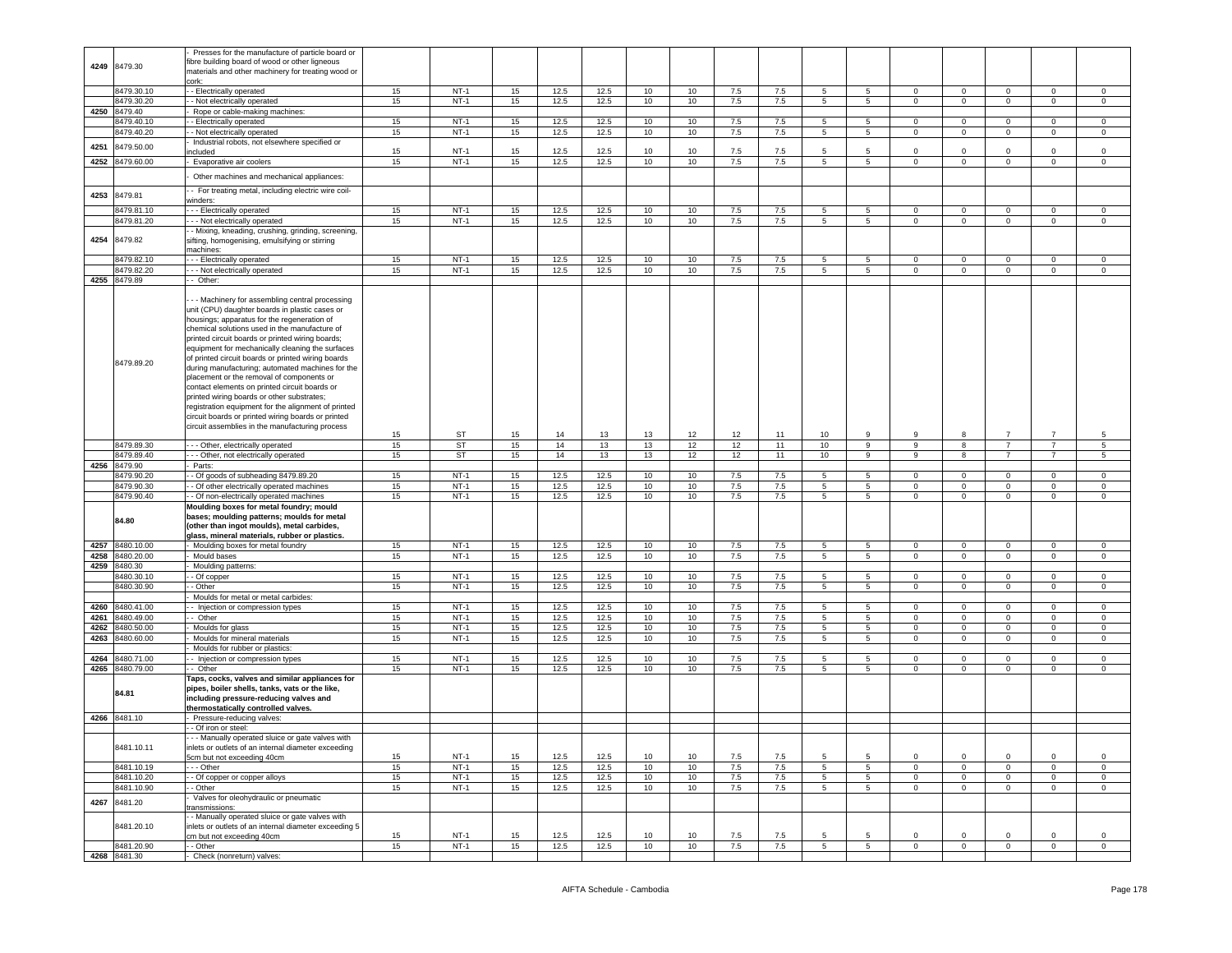|      |                            | Presses for the manufacture of particle board or      |    |           |    |      |      |    |    |       |     |                 |                 |                |                         |                |                |                |
|------|----------------------------|-------------------------------------------------------|----|-----------|----|------|------|----|----|-------|-----|-----------------|-----------------|----------------|-------------------------|----------------|----------------|----------------|
|      |                            |                                                       |    |           |    |      |      |    |    |       |     |                 |                 |                |                         |                |                |                |
| 4249 | 8479.30                    | ibre building board of wood or other ligneous         |    |           |    |      |      |    |    |       |     |                 |                 |                |                         |                |                |                |
|      |                            | materials and other machinery for treating wood or    |    |           |    |      |      |    |    |       |     |                 |                 |                |                         |                |                |                |
|      |                            | cork:                                                 |    |           |    |      |      |    |    |       |     |                 |                 |                |                         |                |                |                |
|      | 8479.30.10                 | - Electrically operated                               | 15 | $NT-1$    | 15 | 12.5 | 12.5 | 10 | 10 | 7.5   | 7.5 | 5               | 5               | $\circ$        | $\mathbf 0$             | $\mathbf 0$    | 0              | $\mathbf 0$    |
|      | 8479.30.20                 | - Not electrically operated                           | 15 | $NT-1$    | 15 | 12.5 | 12.5 | 10 | 10 | 7.5   | 7.5 | 5               | $5^{\circ}$     | $\mathbf 0$    | $\mathbf{0}$            | $\circ$        | $\circ$        | $\mathsf 0$    |
|      | 4250 8479.40               | Rope or cable-making machines:                        |    |           |    |      |      |    |    |       |     |                 |                 |                |                         |                |                |                |
|      | 3479.40.10                 | - Electrically operated                               | 15 | $NT-1$    | 15 | 12.5 | 12.5 | 10 | 10 | 7.5   | 7.5 | 5               | 5               | $\mathsf 0$    | $\mathbf 0$             | $\mathbf 0$    | $\mathbf 0$    | $\mathsf 0$    |
|      | 3479.40.20                 | - Not electrically operated                           | 15 | $NT-1$    | 15 | 12.5 | 12.5 | 10 | 10 | 7.5   | 7.5 | 5 <sub>5</sub>  | $5\overline{)}$ | $\circ$        | $\overline{0}$          | $\circ$        | $\mathsf 0$    | $\mathbf 0$    |
|      |                            | Industrial robots, not elsewhere specified or         |    |           |    |      |      |    |    |       |     |                 |                 |                |                         |                |                |                |
| 4251 | 8479.50.00                 | ncluded                                               | 15 | $NT-1$    | 15 | 12.5 | 12.5 | 10 | 10 | 7.5   | 7.5 | 5               | 5               | $\Omega$       | $\mathbf 0$             | $\Omega$       | $\Omega$       | $\mathsf 0$    |
| 4252 | 8479.60.00                 | Evaporative air coolers                               | 15 | $NT-1$    | 15 | 12.5 | 12.5 | 10 | 10 | 7.5   | 7.5 | 5               | $5^{\circ}$     | $\mathbf 0$    | $\mathbf 0$             | $\circ$        | $\mathbf 0$    | $\mathbf 0$    |
|      |                            |                                                       |    |           |    |      |      |    |    |       |     |                 |                 |                |                         |                |                |                |
|      |                            | Other machines and mechanical appliances:             |    |           |    |      |      |    |    |       |     |                 |                 |                |                         |                |                |                |
|      |                            | - For treating metal, including electric wire coil-   |    |           |    |      |      |    |    |       |     |                 |                 |                |                         |                |                |                |
| 4253 | 8479.81                    | vinders:                                              |    |           |    |      |      |    |    |       |     |                 |                 |                |                         |                |                |                |
|      | 8479.81.10                 | - - Electrically operated                             | 15 | $NT-1$    | 15 | 12.5 | 12.5 | 10 | 10 | 7.5   | 7.5 | 5               | 5               | $\mathbf{0}$   | $\mathbf 0$             | $\mathbf 0$    | $\mathbf 0$    | 0              |
|      |                            | -- Not electrically operated                          |    |           |    |      |      |    |    |       |     |                 |                 |                |                         |                |                |                |
|      | 8479.81.20                 |                                                       | 15 | $NT-1$    | 15 | 12.5 | 12.5 | 10 | 10 | 7.5   | 7.5 | 5               | 5               | $\mathbf 0$    | $\mathbf 0$             | $\circ$        | $\mathbf 0$    | $\mathbf 0$    |
|      |                            | - Mixing, kneading, crushing, grinding, screening,    |    |           |    |      |      |    |    |       |     |                 |                 |                |                         |                |                |                |
| 4254 | 8479.82                    | sifting, homogenising, emulsifying or stirring        |    |           |    |      |      |    |    |       |     |                 |                 |                |                         |                |                |                |
|      |                            | machines:                                             |    |           |    |      |      |    |    |       |     |                 |                 |                |                         |                |                |                |
|      | 8479.82.10                 | - - Electrically operated                             | 15 | $NT-1$    | 15 | 12.5 | 12.5 | 10 | 10 | 7.5   | 7.5 | -5              | -5              | $\Omega$       | $\Omega$                | $\Omega$       | $\Omega$       | 0              |
|      | 8479.82.20                 | - - Not electrically operated                         | 15 | $NT-1$    | 15 | 12.5 | 12.5 | 10 | 10 | $7.5$ | 7.5 | 5               | 5               | $\mathsf 0$    | $\mathbf 0$             | $\mathsf 0$    | $\mathbf 0$    | $\,0\,$        |
|      | 4255 8479.89               | - Other:                                              |    |           |    |      |      |    |    |       |     |                 |                 |                |                         |                |                |                |
|      |                            |                                                       |    |           |    |      |      |    |    |       |     |                 |                 |                |                         |                |                |                |
|      |                            | - - Machinery for assembling central processing       |    |           |    |      |      |    |    |       |     |                 |                 |                |                         |                |                |                |
|      |                            | unit (CPU) daughter boards in plastic cases or        |    |           |    |      |      |    |    |       |     |                 |                 |                |                         |                |                |                |
|      |                            | housings; apparatus for the regeneration of           |    |           |    |      |      |    |    |       |     |                 |                 |                |                         |                |                |                |
|      |                            | chemical solutions used in the manufacture of         |    |           |    |      |      |    |    |       |     |                 |                 |                |                         |                |                |                |
|      |                            | printed circuit boards or printed wiring boards;      |    |           |    |      |      |    |    |       |     |                 |                 |                |                         |                |                |                |
|      |                            | equipment for mechanically cleaning the surfaces      |    |           |    |      |      |    |    |       |     |                 |                 |                |                         |                |                |                |
|      |                            |                                                       |    |           |    |      |      |    |    |       |     |                 |                 |                |                         |                |                |                |
|      | 8479.89.20                 | of printed circuit boards or printed wiring boards    |    |           |    |      |      |    |    |       |     |                 |                 |                |                         |                |                |                |
|      |                            | during manufacturing; automated machines for the      |    |           |    |      |      |    |    |       |     |                 |                 |                |                         |                |                |                |
|      |                            | placement or the removal of components or             |    |           |    |      |      |    |    |       |     |                 |                 |                |                         |                |                |                |
|      |                            | contact elements on printed circuit boards or         |    |           |    |      |      |    |    |       |     |                 |                 |                |                         |                |                |                |
|      |                            | printed wiring boards or other substrates;            |    |           |    |      |      |    |    |       |     |                 |                 |                |                         |                |                |                |
|      |                            | registration equipment for the alignment of printed   |    |           |    |      |      |    |    |       |     |                 |                 |                |                         |                |                |                |
|      |                            | circuit boards or printed wiring boards or printed    |    |           |    |      |      |    |    |       |     |                 |                 |                |                         |                |                |                |
|      |                            | circuit assemblies in the manufacturing process       |    |           |    |      |      |    |    |       |     |                 |                 |                |                         |                |                |                |
|      |                            |                                                       | 15 | ST        | 15 | 14   | 13   | 13 | 12 | 12    | 11  | 10              | 9               | 9              | 8                       | $\overline{7}$ | $\overline{7}$ | 5              |
|      | 8479.89.30                 | - - Other, electrically operated                      | 15 | <b>ST</b> | 15 | 14   | 13   | 13 | 12 | 12    | 11  | 10 <sub>1</sub> | 9               | 9              | $\overline{\mathbf{8}}$ | $\overline{7}$ | $\overline{7}$ | $\overline{5}$ |
|      | 8479.89.40                 | - - Other, not electrically operated                  | 15 | ST        | 15 | 14   | 13   | 13 | 12 | 12    | 11  | 10              | 9               | 9              | 8                       | $\overline{7}$ | $\overline{7}$ | 5              |
| 4256 | 8479.90                    | Parts:                                                |    |           |    |      |      |    |    |       |     |                 |                 |                |                         |                |                |                |
|      | 8479.90.20                 | - Of goods of subheading 8479.89.20                   | 15 | $NT-1$    | 15 | 12.5 | 12.5 | 10 | 10 | 7.5   | 7.5 | 5               | 5               | 0              | $\mathbf 0$             | 0              | $\mathbf 0$    | 0              |
|      | 8479.90.30                 | - Of other electrically operated machines             | 15 | $NT-1$    | 15 | 12.5 | 12.5 | 10 | 10 | 7.5   | 7.5 | 5               | 5               | 0              | $\mathbf 0$             | 0              | $\mathbf 0$    | 0              |
|      | 8479.90.40                 | - Of non-electrically operated machines               | 15 | $NT-1$    | 15 | 12.5 | 12.5 | 10 | 10 | 7.5   | 7.5 | 5               | 5               | $\circ$        | $\mathbf 0$             | $\overline{0}$ | $\mathbf 0$    | $\mathbf 0$    |
|      |                            | Moulding boxes for metal foundry; mould               |    |           |    |      |      |    |    |       |     |                 |                 |                |                         |                |                |                |
|      |                            | bases; moulding patterns; moulds for metal            |    |           |    |      |      |    |    |       |     |                 |                 |                |                         |                |                |                |
|      | 84.80                      |                                                       |    |           |    |      |      |    |    |       |     |                 |                 |                |                         |                |                |                |
|      |                            | (other than ingot moulds), metal carbides,            |    |           |    |      |      |    |    |       |     |                 |                 |                |                         |                |                |                |
|      |                            |                                                       |    |           |    |      |      |    |    |       |     |                 |                 |                |                         |                |                |                |
| 4257 | 8480.10.00                 | glass, mineral materials, rubber or plastics.         |    |           |    |      |      |    |    |       |     |                 |                 |                |                         |                |                |                |
| 4258 |                            | Moulding boxes for metal foundry                      | 15 | $NT-1$    | 15 | 12.5 | 12.5 | 10 | 10 | 7.5   | 7.5 | 5               | 5               | $\circ$        | $\mathbf 0$             | $\mathbf 0$    | $\mathbf 0$    | $\,0\,$        |
|      | 8480.20.00                 | Mould bases                                           | 15 | $NT-1$    | 15 | 12.5 | 12.5 | 10 | 10 | 7.5   | 7.5 | 5               | 5               | 0              | $\overline{0}$          | $\mathbf 0$    | 0              | 0              |
|      | 4259 8480.30               | Moulding patterns:                                    |    |           |    |      |      |    |    |       |     |                 |                 |                |                         |                |                |                |
|      | 8480.30.10                 | - Of copper                                           | 15 | $NT-1$    | 15 | 12.5 | 12.5 | 10 | 10 | 7.5   | 7.5 | 5               | 5               | $\mathbf{0}$   | $\mathbf 0$             | 0              | 0              | $\mathbf 0$    |
|      | 8480.30.90                 | - Other                                               | 15 | $NT-1$    | 15 | 12.5 | 12.5 | 10 | 10 | 7.5   | 7.5 | 5               | $5^{\circ}$     | $\mathbf{0}$   | $\mathbf 0$             | $\overline{0}$ | 0              | $\mathsf 0$    |
|      |                            | Moulds for metal or metal carbides:                   |    |           |    |      |      |    |    |       |     |                 |                 |                |                         |                |                |                |
| 4260 | 8480.41.00                 | - Injection or compression types                      | 15 | $NT-1$    | 15 | 12.5 | 12.5 | 10 | 10 | 7.5   | 7.5 | 5               | 5               | $\mathbf 0$    | $\mathbf 0$             | $\mathbf 0$    | 0              | 0              |
| 4261 | 3480.49.00                 | - Other                                               | 15 | $NT-1$    | 15 | 12.5 |      | 10 | 10 | 7.5   | 7.5 | 5               |                 | $\mathbf 0$    | $\mathbf 0$             | $\mathbf 0$    | $\mathsf 0$    | $\mathsf 0$    |
|      |                            |                                                       |    |           |    |      | 12.5 |    |    |       |     |                 | $5\phantom{.0}$ |                |                         |                |                |                |
| 4262 | 3480.50.00                 | Moulds for glass                                      | 15 | $NT-1$    | 15 | 12.5 | 12.5 | 10 | 10 | 7.5   | 7.5 | 5               | 5               | $\mathbf{0}$   | $\mathbf 0$             | $\overline{0}$ | 0              | $\mathbf 0$    |
| 4263 | 8480.60.00                 | Moulds for mineral materials                          | 15 | $NT-1$    | 15 | 12.5 | 12.5 | 10 | 10 | 7.5   | 7.5 | 5               | 5 <sub>5</sub>  | 0              | $\mathbf 0$             | $\overline{0}$ | 0              | 0              |
|      |                            | Moulds for rubber or plastics:                        |    |           |    |      |      |    |    |       |     |                 |                 |                |                         |                |                |                |
| 4264 | 8480.71.00                 | - Injection or compression types                      | 15 | $NT-1$    | 15 | 12.5 | 12.5 | 10 | 10 | 7.5   | 7.5 | 5               | 5               | 0              | $\overline{0}$          | $\mathbf 0$    | 0              | 0              |
|      | 4265 8480.79.00            | - Other                                               | 15 | $NT-1$    | 15 | 12.5 | 12.5 | 10 | 10 | 7.5   | 7.5 | 5               | 5               | $\mathbf 0$    | $\mathbf 0$             | $\mathsf 0$    | $\mathbf 0$    | $\mathsf 0$    |
|      |                            | Taps, cocks, valves and similar appliances for        |    |           |    |      |      |    |    |       |     |                 |                 |                |                         |                |                |                |
|      | 84.81                      | pipes, boiler shells, tanks, vats or the like,        |    |           |    |      |      |    |    |       |     |                 |                 |                |                         |                |                |                |
|      |                            | including pressure-reducing valves and                |    |           |    |      |      |    |    |       |     |                 |                 |                |                         |                |                |                |
|      |                            | thermostatically controlled valves.                   |    |           |    |      |      |    |    |       |     |                 |                 |                |                         |                |                |                |
|      | 4266 8481.10               | Pressure-reducing valves:                             |    |           |    |      |      |    |    |       |     |                 |                 |                |                         |                |                |                |
|      |                            | - Of iron or steel:                                   |    |           |    |      |      |    |    |       |     |                 |                 |                |                         |                |                |                |
|      |                            | - - Manually operated sluice or gate valves with      |    |           |    |      |      |    |    |       |     |                 |                 |                |                         |                |                |                |
|      | 8481.10.11                 | inlets or outlets of an internal diameter exceeding   |    |           |    |      |      |    |    |       |     |                 |                 |                |                         |                |                |                |
|      |                            | 5cm but not exceeding 40cm                            | 15 | $NT-1$    | 15 | 12.5 | 12.5 | 10 | 10 | 7.5   | 7.5 | 5               | $5\overline{5}$ | 0              | $\mathbf 0$             | $\mathbf 0$    | 0              | 0              |
|      | 8481.10.19                 | - - Other                                             | 15 | $NT-1$    | 15 | 12.5 | 12.5 | 10 | 10 | 7.5   | 7.5 | 5               | $5\overline{5}$ | $\overline{0}$ | $\circ$                 | $\circ$        | $\mathbf{0}$   | $\circ$        |
|      | 8481.10.20                 |                                                       |    | $NT-1$    | 15 |      |      | 10 | 10 |       |     | 5               | 5               | $\mathbf 0$    | $\mathbf 0$             | $\overline{0}$ | 0              | $\mathbf 0$    |
|      |                            | - Of copper or copper alloys                          | 15 |           |    | 12.5 | 12.5 |    |    | 7.5   | 7.5 |                 |                 | $\circ$        |                         |                |                |                |
|      | 8481.10.90                 | - Other                                               | 15 | $NT-1$    | 15 | 12.5 | 12.5 | 10 | 10 | 7.5   | 7.5 | 5               | $5\overline{)}$ |                | $\mathbf 0$             | $\circ$        | $\mathbf 0$    | $\mathsf 0$    |
| 4267 | 8481.20                    | Valves for oleohydraulic or pneumatic                 |    |           |    |      |      |    |    |       |     |                 |                 |                |                         |                |                |                |
|      |                            | ransmissions:                                         |    |           |    |      |      |    |    |       |     |                 |                 |                |                         |                |                |                |
|      |                            | - Manually operated sluice or gate valves with        |    |           |    |      |      |    |    |       |     |                 |                 |                |                         |                |                |                |
|      | 8481.20.10                 | inlets or outlets of an internal diameter exceeding 5 |    |           |    |      |      |    |    |       |     |                 |                 |                |                         |                |                |                |
|      |                            | cm but not exceeding 40cm                             | 15 | $NT-1$    | 15 | 12.5 | 12.5 | 10 | 10 | 7.5   | 7.5 | 5               | 5               | $\mathbf 0$    | $\mathsf 0$             | $\mathbf 0$    | 0              | 0              |
|      | 8481.20.90<br>4268 8481.30 | - Other<br>Check (nonreturn) valves:                  | 15 | $NT-1$    | 15 | 12.5 | 12.5 | 10 | 10 | 7.5   | 7.5 | 5 <sub>5</sub>  | $5\overline{5}$ | $\mathbf{O}$   | $\overline{0}$          | $\overline{0}$ | $\overline{0}$ | $\overline{0}$ |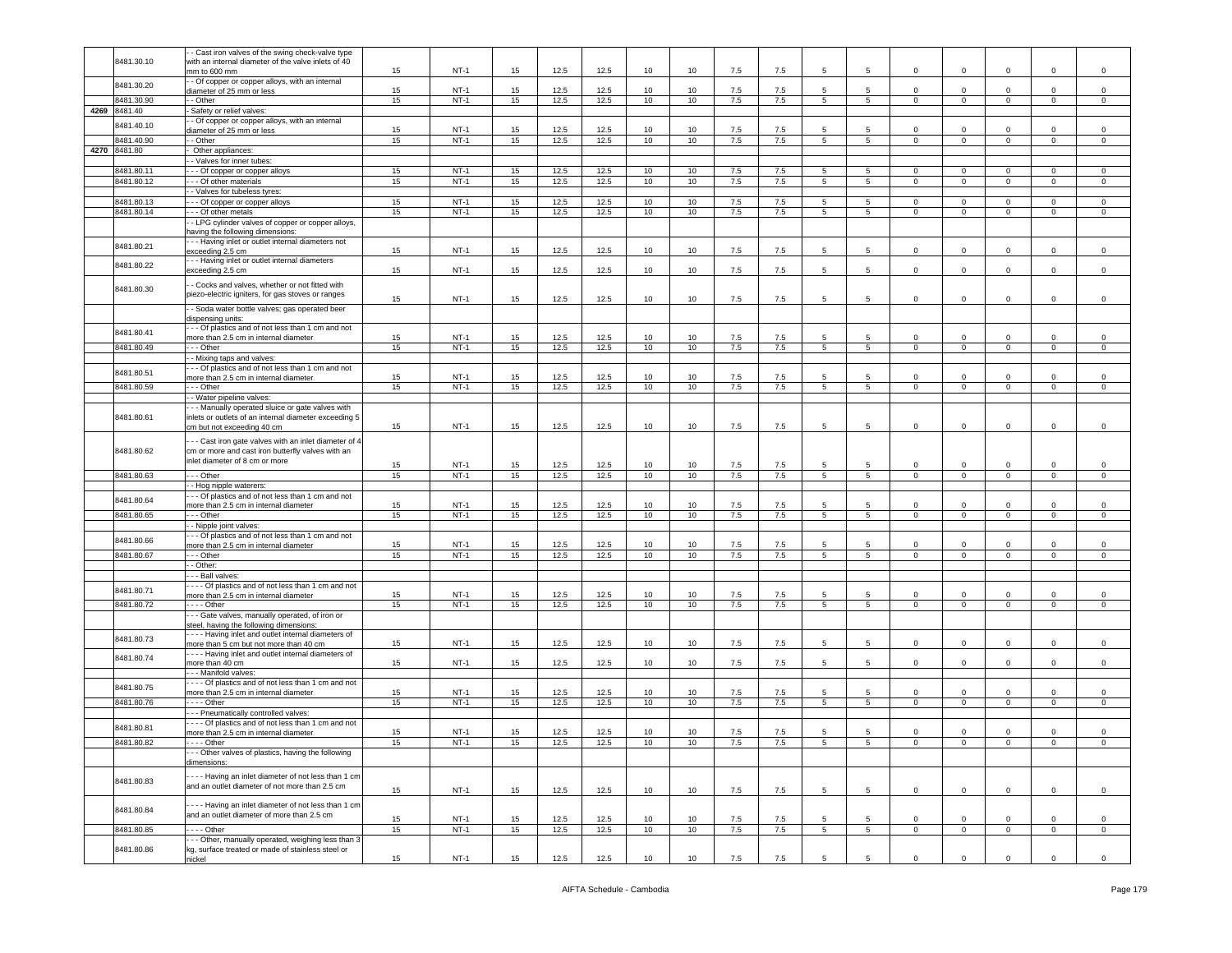|              | - Cast iron valves of the swing check-valve type      |    |        |    |      |      |    |    |       |     |                 |                 |                |                |                |                |                |
|--------------|-------------------------------------------------------|----|--------|----|------|------|----|----|-------|-----|-----------------|-----------------|----------------|----------------|----------------|----------------|----------------|
| 8481.30.10   | with an internal diameter of the valve inlets of 40   |    |        |    |      |      |    |    |       |     |                 |                 |                |                |                |                |                |
|              | nm to 600 mm                                          | 15 | $NT-1$ | 15 | 12.5 | 12.5 | 10 | 10 | 7.5   | 7.5 | 5               | 5               | $\mathbf 0$    | $\mathbf 0$    | $\mathbf 0$    | 0              | $\mathsf 0$    |
|              | - Of copper or copper alloys, with an internal        |    |        |    |      |      |    |    |       |     |                 |                 |                |                |                |                |                |
| 8481.30.20   |                                                       | 15 | $NT-1$ | 15 | 12.5 | 12.5 | 10 | 10 | 7.5   | 7.5 | 5               | 5               | $\circ$        | $\mathbf 0$    | $\mathbf 0$    | $\mathbf 0$    | $\mathbf 0$    |
|              | diameter of 25 mm or less                             |    |        |    |      |      |    |    |       |     |                 |                 |                |                |                |                |                |
| 8481.30.90   | - Other                                               | 15 | $NT-1$ | 15 | 12.5 | 12.5 | 10 | 10 | 7.5   | 7.5 | 5 <sub>5</sub>  | 5               | $\overline{0}$ | $\overline{0}$ | $\mathbf{0}$   | $\mathbf 0$    | $\circ$        |
| 4269 8481.40 | Safety or relief valves                               |    |        |    |      |      |    |    |       |     |                 |                 |                |                |                |                |                |
|              | - Of copper or copper alloys, with an internal        |    |        |    |      |      |    |    |       |     |                 |                 |                |                |                |                |                |
| 8481.40.10   | diameter of 25 mm or less                             | 15 | $NT-1$ | 15 | 12.5 | 12.5 | 10 | 10 | 7.5   | 7.5 | 5               | 5               | $\mathbf 0$    | $^{\circ}$     | $\mathbf 0$    | $\mathbf 0$    | $\mathsf 0$    |
|              |                                                       |    | $NT-1$ |    |      |      |    | 10 |       |     |                 | 5               | $\overline{0}$ |                |                |                |                |
| 8481.40.90   | $-$ Other                                             | 15 |        | 15 | 12.5 | 12.5 | 10 |    | 7.5   | 7.5 | $\overline{5}$  |                 |                | $\overline{0}$ | $\overline{0}$ | $\mathbf 0$    | $\mathsf 0$    |
| 4270 8481.80 | Other appliances:                                     |    |        |    |      |      |    |    |       |     |                 |                 |                |                |                |                |                |
|              | - Valves for inner tubes:                             |    |        |    |      |      |    |    |       |     |                 |                 |                |                |                |                |                |
| 8481.80.11   | - - Of copper or copper alloys                        | 15 | $NT-1$ | 15 | 12.5 | 12.5 | 10 | 10 | 7.5   | 7.5 | 5               | 5               | $\mathbf 0$    | $\mathbf 0$    | $\mathbf 0$    | $^{\circ}$     | $\mathbf 0$    |
|              |                                                       |    |        |    |      |      |    |    |       |     |                 |                 |                |                |                |                |                |
| 8481.80.12   | - - Of other materials                                | 15 | $NT-1$ | 15 | 12.5 | 12.5 | 10 | 10 | 7.5   | 7.5 | 5               | $5^{\circ}$     | $\circ$        | $\mathbf 0$    | $\mathbf 0$    | $\circ$        | $\mathsf 0$    |
|              | - Valves for tubeless tyres:                          |    |        |    |      |      |    |    |       |     |                 |                 |                |                |                |                |                |
| 8481.80.13   | - - Of copper or copper alloys                        | 15 | $NT-1$ | 15 | 12.5 | 12.5 | 10 | 10 | 7.5   | 7.5 | 5               | 5               | $\mathbf 0$    | $\mathbf 0$    | $\mathbf 0$    | $\mathbf 0$    | 0              |
| 8481.80.14   | - - Of other metals                                   | 15 | $NT-1$ | 15 | 12.5 | 12.5 | 10 | 10 | 7.5   | 7.5 | 5               | 5               | $\mathbf 0$    | $\circ$        | $\mathbf 0$    | $\mathbf 0$    | $\mathbf 0$    |
|              |                                                       |    |        |    |      |      |    |    |       |     |                 |                 |                |                |                |                |                |
|              | - LPG cylinder valves of copper or copper alloys,     |    |        |    |      |      |    |    |       |     |                 |                 |                |                |                |                |                |
|              | naving the following dimensions:                      |    |        |    |      |      |    |    |       |     |                 |                 |                |                |                |                |                |
| 8481.80.21   | - - Having inlet or outlet internal diameters not     |    |        |    |      |      |    |    |       |     |                 |                 |                |                |                |                |                |
|              | exceeding 2.5 cm                                      | 15 | $NT-1$ | 15 | 12.5 | 12.5 | 10 | 10 | 7.5   | 7.5 | 5               | 5               | $\mathbf{0}$   | $\mathbf 0$    | 0              | $\Omega$       | $\mathsf 0$    |
|              | -- Having inlet or outlet internal diameters          |    |        |    |      |      |    |    |       |     |                 |                 |                |                |                |                |                |
| 8481.80.22   | exceeding 2.5 cm                                      | 15 | $NT-1$ | 15 | 12.5 | 12.5 | 10 | 10 | 7.5   | 7.5 | 5               | 5               | $\circ$        | $\mathbf{0}$   | $\mathbf 0$    | $\mathbf 0$    | $\mathsf 0$    |
|              |                                                       |    |        |    |      |      |    |    |       |     |                 |                 |                |                |                |                |                |
|              | - Cocks and valves, whether or not fitted with        |    |        |    |      |      |    |    |       |     |                 |                 |                |                |                |                |                |
| 8481.80.30   | piezo-electric igniters, for gas stoves or ranges     |    |        |    |      |      |    |    |       |     |                 |                 |                |                |                |                |                |
|              |                                                       | 15 | $NT-1$ | 15 | 12.5 | 12.5 | 10 | 10 | 7.5   | 7.5 | 5               | 5               | $\mathbf 0$    | $\mathbf 0$    | $\mathbf 0$    | $\mathbf 0$    | $\,0\,$        |
|              | - Soda water bottle valves; gas operated beer         |    |        |    |      |      |    |    |       |     |                 |                 |                |                |                |                |                |
|              | dispensing units:                                     |    |        |    |      |      |    |    |       |     |                 |                 |                |                |                |                |                |
|              | - - Of plastics and of not less than 1 cm and not     |    |        |    |      |      |    |    |       |     |                 |                 |                |                |                |                |                |
| 8481.80.41   | more than 2.5 cm in internal diameter                 | 15 | $NT-1$ | 15 | 12.5 | 12.5 | 10 | 10 | 7.5   |     | 5               | 5               | 0              | $\mathbf 0$    | 0              | 0              | 0              |
|              |                                                       |    |        |    |      |      |    |    |       | 7.5 |                 |                 |                |                |                |                |                |
| 8481.80.49   | - - Other                                             | 15 | $NT-1$ | 15 | 12.5 | 12.5 | 10 | 10 | 7.5   | 7.5 | 5               | $5\overline{5}$ | $\circ$        | $\circ$        | $\mathbf{0}$   | $\mathsf 0$    | $\mathsf 0$    |
|              | - Mixing taps and valves:                             |    |        |    |      |      |    |    |       |     |                 |                 |                |                |                |                |                |
|              | - - Of plastics and of not less than 1 cm and not     |    |        |    |      |      |    |    |       |     |                 |                 |                |                |                |                |                |
| 8481.80.51   | more than 2.5 cm in internal diameter                 | 15 | $NT-1$ | 15 | 12.5 | 12.5 | 10 | 10 | 7.5   |     | 5               | 5               | $\mathbf 0$    | $\mathbf 0$    | 0              | 0              | 0              |
|              |                                                       |    |        |    |      |      |    |    |       | 7.5 |                 |                 |                |                |                |                |                |
| 8481.80.59   | - - Other                                             | 15 | $NT-1$ | 15 | 12.5 | 12.5 | 10 | 10 | $7.5$ | 7.5 | 5               | $5\overline{5}$ | $\mathbf 0$    | $\mathbf 0$    | $\mathbf 0$    | $\mathbf 0$    | $\mathbf 0$    |
|              | - Water pipeline valves:                              |    |        |    |      |      |    |    |       |     |                 |                 |                |                |                |                |                |
|              | - - Manually operated sluice or gate valves with      |    |        |    |      |      |    |    |       |     |                 |                 |                |                |                |                |                |
| 8481.80.61   | inlets or outlets of an internal diameter exceeding 5 |    |        |    |      |      |    |    |       |     |                 |                 |                |                |                |                |                |
|              |                                                       |    |        |    |      |      |    |    |       |     |                 |                 |                |                |                |                |                |
|              | cm but not exceeding 40 cm                            | 15 | $NT-1$ | 15 | 12.5 | 12.5 | 10 | 10 | 7.5   | 7.5 | 5               | 5               | $\circ$        | $\mathbf 0$    | $\mathbf 0$    | $\mathbf 0$    | $\,0\,$        |
|              | - - Cast iron gate valves with an inlet diameter of 4 |    |        |    |      |      |    |    |       |     |                 |                 |                |                |                |                |                |
|              |                                                       |    |        |    |      |      |    |    |       |     |                 |                 |                |                |                |                |                |
| 8481.80.62   | cm or more and cast iron butterfly valves with an     |    |        |    |      |      |    |    |       |     |                 |                 |                |                |                |                |                |
|              | inlet diameter of 8 cm or more                        | 15 | NT-1   | 15 | 12.5 | 12.5 | 10 | 10 | 7.5   | 7.5 | 5               | 5               | $\mathbf 0$    | $\mathbf 0$    | $\mathbf 0$    | $\mathbf 0$    | 0              |
|              |                                                       |    |        |    |      |      |    |    |       |     |                 |                 |                |                |                |                |                |
| 8481.80.63   | - - Other                                             | 15 | $NT-1$ | 15 | 12.5 | 12.5 | 10 | 10 | 7.5   | 7.5 | $5^{\circ}$     | $5\phantom{.0}$ | $\circ$        | $\mathbf 0$    | $\mathbf 0$    | $\mathsf 0$    | $\mathsf 0$    |
|              | - Hog nipple waterers:                                |    |        |    |      |      |    |    |       |     |                 |                 |                |                |                |                |                |
|              | - - Of plastics and of not less than 1 cm and not     |    |        |    |      |      |    |    |       |     |                 |                 |                |                |                |                |                |
| 8481.80.64   | nore than 2.5 cm in internal diameter                 | 15 | $NT-1$ | 15 | 12.5 | 12.5 | 10 | 10 | 7.5   | 7.5 | 5               | 5               | 0              | $\mathbf 0$    | 0              | $\mathbf 0$    | $\mathbf 0$    |
| 8481.80.65   | - - Other                                             | 15 | $NT-1$ | 15 | 12.5 | 12.5 | 10 |    | 7.5   | 7.5 |                 | 5               | $\mathbf 0$    | $\overline{0}$ | $\overline{0}$ | $\overline{0}$ |                |
|              |                                                       |    |        |    |      |      |    | 10 |       |     | $5^{\circ}$     |                 |                |                |                |                | $\mathsf 0$    |
|              | - Nipple joint valves:                                |    |        |    |      |      |    |    |       |     |                 |                 |                |                |                |                |                |
|              | - - Of plastics and of not less than 1 cm and not     |    |        |    |      |      |    |    |       |     |                 |                 |                |                |                |                |                |
| 8481.80.66   | more than 2.5 cm in internal diameter                 | 15 | $NT-1$ | 15 | 12.5 | 12.5 | 10 | 10 | 7.5   | 7.5 | 5               | 5               | $\mathbf 0$    | $\mathbf 0$    | 0              | 0              | 0              |
| 8481.80.67   | - - Other                                             | 15 | $NT-1$ | 15 | 12.5 | 12.5 | 10 | 10 | 7.5   | 7.5 | 5 <sup>5</sup>  | 5               | $\mathbf{0}$   | $\mathbf 0$    | $\overline{0}$ | $\overline{0}$ | $\mathsf 0$    |
|              |                                                       |    |        |    |      |      |    |    |       |     |                 |                 |                |                |                |                |                |
|              | - Other:                                              |    |        |    |      |      |    |    |       |     |                 |                 |                |                |                |                |                |
|              | - - Ball valves:                                      |    |        |    |      |      |    |    |       |     |                 |                 |                |                |                |                |                |
|              | --- Of plastics and of not less than 1 cm and not     |    |        |    |      |      |    |    |       |     |                 |                 |                |                |                |                |                |
| 8481.80.71   | nore than 2.5 cm in internal diameter                 | 15 | $NT-1$ | 15 | 12.5 | 12.5 | 10 | 10 | 7.5   | 7.5 | 5               | 5               | $\circ$        | $\mathbf 0$    | $\mathbf 0$    | $\mathbf 0$    | $\mathsf 0$    |
| 8481.80.72   | --- Other                                             | 15 | $NT-1$ | 15 | 12.5 | 12.5 | 10 | 10 | 7.5   | 7.5 | 5               | $5^{\circ}$     | $\mathbf{0}$   | $\mathbf 0$    | $\overline{0}$ | $\mathbf 0$    | $\mathbf 0$    |
|              |                                                       |    |        |    |      |      |    |    |       |     |                 |                 |                |                |                |                |                |
|              | - - Gate valves, manually operated, of iron or        |    |        |    |      |      |    |    |       |     |                 |                 |                |                |                |                |                |
|              | steel, having the following dimensions:               |    |        |    |      |      |    |    |       |     |                 |                 |                |                |                |                |                |
| 8481.80.73   | --- Having inlet and outlet internal diameters of     |    |        |    |      |      |    |    |       |     |                 |                 |                |                |                |                |                |
|              | more than 5 cm but not more than 40 cm                | 15 | $NT-1$ | 15 | 12.5 | 12.5 | 10 | 10 | 7.5   | 7.5 | 5               | 5               | $\circ$        | $\mathbf 0$    | $\mathbf 0$    | $\mathbf 0$    | $\mathsf 0$    |
|              | ---- Having inlet and outlet internal diameters of    |    |        |    |      |      |    |    |       |     |                 |                 |                |                |                |                |                |
| 8481.80.74   | more than 40 cm                                       | 15 | $NT-1$ | 15 | 12.5 | 12.5 | 10 | 10 | 7.5   | 7.5 | 5               | 5               | $\mathbf 0$    | $\mathbf 0$    | $\mathbf 0$    | $\mathbf 0$    | $\mathsf 0$    |
|              |                                                       |    |        |    |      |      |    |    |       |     |                 |                 |                |                |                |                |                |
|              | -- Manifold valves:                                   |    |        |    |      |      |    |    |       |     |                 |                 |                |                |                |                |                |
| 8481.80.75   | --- Of plastics and of not less than 1 cm and not     |    |        |    |      |      |    |    |       |     |                 |                 |                |                |                |                |                |
|              | more than 2.5 cm in internal diameter                 | 15 | $NT-1$ | 15 | 12.5 | 12.5 | 10 | 10 | 7.5   | 7.5 | 5               | 5               | 0              | $\mathbf 0$    | $\mathbf 0$    | 0              | 0              |
| 8481.80.76   | $- -$ - Other                                         | 15 | $NT-1$ | 15 | 12.5 | 12.5 | 10 | 10 | 7.5   | 7.5 | 5               | $5\overline{)}$ | $\mathbf 0$    | $\overline{0}$ | $\overline{0}$ | $\overline{0}$ | $\overline{0}$ |
|              | - - Pneumatically controlled valves:                  |    |        |    |      |      |    |    |       |     |                 |                 |                |                |                |                |                |
|              |                                                       |    |        |    |      |      |    |    |       |     |                 |                 |                |                |                |                |                |
| 8481.80.81   | --- Of plastics and of not less than 1 cm and not     |    |        |    |      |      |    |    |       |     |                 |                 |                |                |                |                |                |
|              | more than 2.5 cm in internal diameter                 | 15 | $NT-1$ | 15 | 12.5 | 12.5 | 10 | 10 | 7.5   | 7.5 | 5               | 5               | $\mathbf 0$    | $\mathbf 0$    | $\mathbf 0$    | $\mathsf 0$    | $\,0\,$        |
| 8481.80      |                                                       | 15 | NT-    | 15 |      |      |    |    |       |     |                 |                 |                |                |                |                |                |
|              | - - Other valves of plastics, having the following    |    |        |    |      |      |    |    |       |     |                 |                 |                |                |                |                |                |
|              | dimensions:                                           |    |        |    |      |      |    |    |       |     |                 |                 |                |                |                |                |                |
|              |                                                       |    |        |    |      |      |    |    |       |     |                 |                 |                |                |                |                |                |
|              | --- Having an inlet diameter of not less than 1 cm    |    |        |    |      |      |    |    |       |     |                 |                 |                |                |                |                |                |
| 8481.80.83   | and an outlet diameter of not more than 2.5 cm        |    |        |    |      |      |    |    |       |     |                 |                 |                |                |                |                |                |
|              |                                                       | 15 | $NT-1$ | 15 | 12.5 | 12.5 | 10 | 10 | 7.5   | 7.5 | 5               | 5               | $\mathbf 0$    | $\mathbf 0$    | $\mathbf 0$    | $\mathbf 0$    | $\mathsf 0$    |
|              |                                                       |    |        |    |      |      |    |    |       |     |                 |                 |                |                |                |                |                |
| 8481.80.84   | --- Having an inlet diameter of not less than 1 cm    |    |        |    |      |      |    |    |       |     |                 |                 |                |                |                |                |                |
|              | and an outlet diameter of more than 2.5 cm            |    | $NT-1$ |    |      |      |    |    |       |     | $5\overline{5}$ | $5\overline{5}$ |                | $\mathbf 0$    |                |                |                |
|              |                                                       | 15 |        | 15 | 12.5 | 12.5 | 10 | 10 | 7.5   | 7.5 |                 |                 | $\mathbf 0$    |                | $\mathbf 0$    | $\mathbf 0$    | $\mathbf 0$    |
| 8481.80.85   | $\cdots$ - Other                                      | 15 | $NT-1$ | 15 | 12.5 | 12.5 | 10 | 10 | 7.5   | 7.5 | 5               | 5 <sub>5</sub>  | $\mathbf{O}$   | $\overline{0}$ | $\circ$        | $\mathbf 0$    | $\circ$        |
|              | - - Other, manually operated, weighing less than 3    |    |        |    |      |      |    |    |       |     |                 |                 |                |                |                |                |                |
| 8481.80.86   | kg, surface treated or made of stainless steel or     |    |        |    |      |      |    |    |       |     |                 |                 |                |                |                |                |                |
|              |                                                       | 15 | $NT-1$ | 15 | 12.5 | 12.5 | 10 | 10 | 7.5   | 7.5 | 5               | 5               | $\mathsf 0$    | $\mathbf 0$    | $\mathbf 0$    | $\mathbf 0$    | $\mathsf 0$    |
|              | nickel                                                |    |        |    |      |      |    |    |       |     |                 |                 |                |                |                |                |                |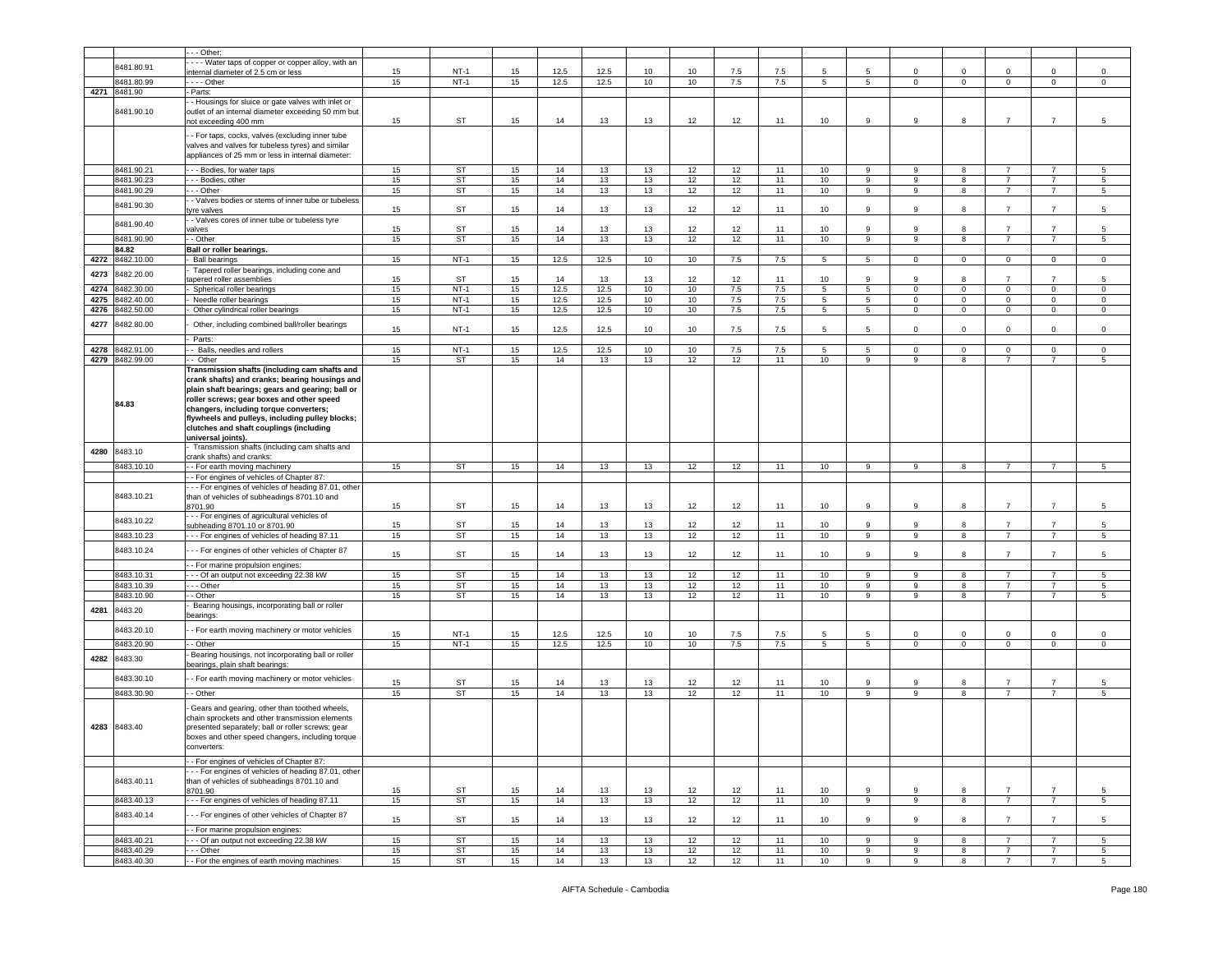|      |                 | - - Other:                                          |    |           |    |      |      |    |    |         |     |                  |                 |             |                |                |                |                 |
|------|-----------------|-----------------------------------------------------|----|-----------|----|------|------|----|----|---------|-----|------------------|-----------------|-------------|----------------|----------------|----------------|-----------------|
|      |                 | - - - Water taps of copper or copper alloy, with an |    |           |    |      |      |    |    |         |     |                  |                 |             |                |                |                |                 |
|      | 8481.80.91      | nternal diameter of 2.5 cm or less                  | 15 | $NT-1$    | 15 | 12.5 | 12.5 | 10 | 10 | 7.5     | 7.5 | 5                | 5               | $\mathbf 0$ | $^{\circ}$     | $\Omega$       | $\mathbf 0$    | $\Omega$        |
|      | 8481.80.99      | $- -$ Other                                         | 15 | $NT-1$    | 15 | 12.5 | 12.5 | 10 | 10 | 7.5     | 7.5 | $5^{\circ}$      | $5\overline{)}$ | $\mathbf 0$ | $\mathbf 0$    | $\mathbf 0$    | $\mathbf 0$    | $\circ$         |
|      | 4271 8481.90    | - Parts:                                            |    |           |    |      |      |    |    |         |     |                  |                 |             |                |                |                |                 |
|      |                 | - Housings for sluice or gate valves with inlet or  |    |           |    |      |      |    |    |         |     |                  |                 |             |                |                |                |                 |
|      | 8481.90.10      | outlet of an internal diameter exceeding 50 mm but  |    |           |    |      |      |    |    |         |     |                  |                 |             |                |                |                |                 |
|      |                 |                                                     | 15 | ST        | 15 | 14   | 13   | 13 | 12 | 12      | 11  | 10               | 9               | 9           | 8              | $\overline{7}$ | $\overline{7}$ | 5               |
|      |                 | not exceeding 400 mm                                |    |           |    |      |      |    |    |         |     |                  |                 |             |                |                |                |                 |
|      |                 | - For taps, cocks, valves (excluding inner tube     |    |           |    |      |      |    |    |         |     |                  |                 |             |                |                |                |                 |
|      |                 | valves and valves for tubeless tyres) and similar   |    |           |    |      |      |    |    |         |     |                  |                 |             |                |                |                |                 |
|      |                 | appliances of 25 mm or less in internal diameter:   |    |           |    |      |      |    |    |         |     |                  |                 |             |                |                |                |                 |
|      |                 |                                                     |    |           |    |      |      |    |    |         |     |                  |                 |             |                |                |                |                 |
|      | 8481.90.21      | -- Bodies, for water taps                           | 15 | ST        | 15 | 14   | 13   | 13 | 12 | 12      | 11  | 10               | 9               | 9           | 8              |                |                | 5               |
|      | 8481.90.23      | - - Bodies, other                                   | 15 | ST        | 15 | 14   | 13   | 13 | 12 | 12      | 11  | 10               | 9               | 9           | 8              | $\overline{7}$ | $\overline{7}$ | 5               |
|      | 8481.90.29      | - - Other                                           | 15 | ST        | 15 | 14   | 13   | 13 | 12 | 12      | 11  | 10               | 9               | 9           | 8              | $\overline{7}$ | $\overline{7}$ | 5               |
|      |                 | - Valves bodies or stems of inner tube or tubeless  |    |           |    |      |      |    |    |         |     |                  |                 |             |                |                |                |                 |
|      | 8481.90.30      | tyre valves                                         | 15 | ST        | 15 | 14   | 13   | 13 | 12 | 12      | 11  | 10               | 9               | 9           | 8              | $\overline{7}$ | $\overline{7}$ | 5               |
|      |                 | - Valves cores of inner tube or tubeless tyre       |    |           |    |      |      |    |    |         |     |                  |                 |             |                |                |                |                 |
|      | 8481.90.40      | valves                                              | 15 | <b>ST</b> | 15 | 14   | 13   | 13 | 12 | 12      | 11  | 10               | 9               | 9           | 8              | $\overline{7}$ | $\overline{7}$ | 5               |
|      | 8481.90.90      | - - Other                                           | 15 | <b>ST</b> | 15 | 14   | 13   | 13 | 12 | 12      | 11  | 10               | 9               | 9           | 8              | $\overline{7}$ | $\overline{7}$ | 5               |
|      |                 |                                                     |    |           |    |      |      |    |    |         |     |                  |                 |             |                |                |                |                 |
|      | 84.82           | Ball or roller bearings.                            |    |           |    |      |      |    |    |         |     |                  |                 |             |                |                |                |                 |
|      | 4272 8482.10.00 | <b>Ball bearings</b>                                | 15 | $NT-1$    | 15 | 12.5 | 12.5 | 10 | 10 | 7.5     | 7.5 | 5                | 5               | $\mathbf 0$ | $\overline{0}$ | $\mathbf 0$    | $\mathbf 0$    | 0               |
| 4273 | 8482.20.00      | Tapered roller bearings, including cone and         |    |           |    |      |      |    |    |         |     |                  |                 |             |                |                |                |                 |
|      |                 | apered roller assemblies                            | 15 | ST        | 15 | 14   | 13   | 13 | 12 | 12      | 11  | 10               | 9               | 9           | 8              |                | $\overline{7}$ | 5               |
| 4274 | 8482.30.00      | Spherical roller bearings                           | 15 | $NT-1$    | 15 | 12.5 | 12.5 | 10 | 10 | $7.5\,$ | 7.5 | 5 <sup>5</sup>   | 5 <sub>5</sub>  | $\mathbf 0$ | $\mathbf 0$    | $\mathbf 0$    | $\mathbf 0$    | $\mathbf 0$     |
| 4275 | 8482.40.00      | Needle roller bearings                              | 15 | $NT-1$    | 15 | 12.5 | 12.5 | 10 | 10 | 7.5     | 7.5 | $5\overline{)}$  | 5               | $\mathbf 0$ | $\overline{0}$ | $\mathbf 0$    | $\overline{0}$ | $\mathsf 0$     |
| 4276 | 8482.50.00      | Other cylindrical roller bearings                   | 15 | $NT-1$    | 15 | 12.5 | 12.5 | 10 | 10 | 7.5     | 7.5 | 5                | $5^{\circ}$     | $\mathbf 0$ | $\mathbf 0$    | $\mathbf 0$    | $\mathbf 0$    | 0               |
|      |                 |                                                     |    |           |    |      |      |    |    |         |     |                  |                 |             |                |                |                |                 |
| 4277 | 8482.80.00      | Other, including combined ball/roller bearings      | 15 | $NT-1$    | 15 | 12.5 | 12.5 | 10 | 10 | 7.5     | 7.5 | 5                | 5               | $\mathbf 0$ | $\Omega$       | $\mathbf 0$    | $\mathbf 0$    | $\mathbf 0$     |
|      |                 | Parts:                                              |    |           |    |      |      |    |    |         |     |                  |                 |             |                |                |                |                 |
|      |                 |                                                     |    |           |    |      |      |    |    |         |     |                  |                 |             |                |                |                |                 |
| 4278 | 8482.91.00      | - Balls, needles and rollers                        | 15 | $NT-1$    | 15 | 12.5 | 12.5 | 10 | 10 | 7.5     | 7.5 | 5                | $5^{\circ}$     | $\mathbf 0$ | $\mathbf 0$    | $\mathbf 0$    | $\mathbf 0$    | 0               |
|      | 4279 8482.99.00 | - Other                                             | 15 | <b>ST</b> | 15 | 14   | 13   | 13 | 12 | 12      | 11  | 10               | 9               | 9           | 8              | $\overline{7}$ | $\overline{7}$ | 5               |
|      |                 | Transmission shafts (including cam shafts and       |    |           |    |      |      |    |    |         |     |                  |                 |             |                |                |                |                 |
|      |                 | crank shafts) and cranks; bearing housings and      |    |           |    |      |      |    |    |         |     |                  |                 |             |                |                |                |                 |
|      |                 | plain shaft bearings; gears and gearing; ball or    |    |           |    |      |      |    |    |         |     |                  |                 |             |                |                |                |                 |
|      |                 | roller screws; gear boxes and other speed           |    |           |    |      |      |    |    |         |     |                  |                 |             |                |                |                |                 |
|      | 84.83           | changers, including torque converters;              |    |           |    |      |      |    |    |         |     |                  |                 |             |                |                |                |                 |
|      |                 | flywheels and pulleys, including pulley blocks;     |    |           |    |      |      |    |    |         |     |                  |                 |             |                |                |                |                 |
|      |                 |                                                     |    |           |    |      |      |    |    |         |     |                  |                 |             |                |                |                |                 |
|      |                 | clutches and shaft couplings (including             |    |           |    |      |      |    |    |         |     |                  |                 |             |                |                |                |                 |
|      |                 | universal joints).                                  |    |           |    |      |      |    |    |         |     |                  |                 |             |                |                |                |                 |
| 4280 | 8483.10         | Transmission shafts (including cam shafts and       |    |           |    |      |      |    |    |         |     |                  |                 |             |                |                |                |                 |
|      |                 | crank shafts) and cranks:                           |    |           |    |      |      |    |    |         |     |                  |                 |             |                |                |                |                 |
|      | 8483.10.10      | - For earth moving machinery                        | 15 | <b>ST</b> | 15 | 14   | 13   | 13 | 12 | 12      | 11  | 10               | 9               | 9           | 8              | $\overline{7}$ | $\overline{7}$ | 5               |
|      |                 | - For engines of vehicles of Chapter 87:            |    |           |    |      |      |    |    |         |     |                  |                 |             |                |                |                |                 |
|      |                 | - - For engines of vehicles of heading 87.01, other |    |           |    |      |      |    |    |         |     |                  |                 |             |                |                |                |                 |
|      | 8483.10.21      | than of vehicles of subheadings 8701.10 and         |    |           |    |      |      |    |    |         |     |                  |                 |             |                |                |                |                 |
|      |                 | 8701.90                                             | 15 | ST        | 15 | 14   | 13   | 13 | 12 | 12      | 11  | 10               | 9               | 9           | 8              | $\overline{7}$ | $\overline{7}$ | 5               |
|      |                 | - - For engines of agricultural vehicles of         |    |           |    |      |      |    |    |         |     |                  |                 |             |                |                |                |                 |
|      | 8483.10.22      | subheading 8701.10 or 8701.90                       | 15 | <b>ST</b> | 15 | 14   | 13   | 13 | 12 | 12      | 11  | 10               | 9               | 9           | 8              | $\overline{7}$ | $\overline{7}$ | 5               |
|      | 8483.10.23      | --- For engines of vehicles of heading 87.11        | 15 | ST        | 15 | 14   | 13   | 13 | 12 | 12      | 11  | 10               | 9               | 9           | 8              | $\overline{7}$ | $\overline{7}$ | 5               |
|      |                 |                                                     |    |           |    |      |      |    |    |         |     |                  |                 |             |                |                |                |                 |
|      | 8483.10.24      | - - For engines of other vehicles of Chapter 87     | 15 | ST        | 15 | 14   | 13   | 13 | 12 | 12      | 11  | 10               | 9               | 9           | 8              | $\overline{7}$ | $\overline{7}$ | 5               |
|      |                 |                                                     |    |           |    |      |      |    |    |         |     |                  |                 |             |                |                |                |                 |
|      |                 | - - For marine propulsion engines:                  |    |           |    |      |      |    |    |         |     |                  |                 |             |                |                |                |                 |
|      | 8483.10.31      | - - Of an output not exceeding 22.38 kW             | 15 | <b>ST</b> | 15 | 14   | 13   | 13 | 12 | 12      | 11  | 10               | 9               | 9           | 8              | $\overline{7}$ | $\overline{7}$ | 5               |
|      | 8483.10.39      | - - Other                                           | 15 | ST        | 15 | 14   | 13   | 13 | 12 | 12      | 11  | 10               | 9               | 9           | 8              | $\overline{7}$ | $\overline{7}$ | 5               |
|      | 8483.10.90      | - Other                                             | 15 | ST        | 15 | 14   | 13   | 13 | 12 | 12      | 11  | 10               | 9               | 9           | 8              | $\overline{7}$ | $\overline{7}$ | 5               |
| 4281 | 8483.20         | Bearing housings, incorporating ball or roller      |    |           |    |      |      |    |    |         |     |                  |                 |             |                |                |                |                 |
|      |                 | earings:                                            |    |           |    |      |      |    |    |         |     |                  |                 |             |                |                |                |                 |
|      |                 |                                                     |    |           |    |      |      |    |    |         |     |                  |                 |             |                |                |                |                 |
|      | 8483.20.10      | - For earth moving machinery or motor vehicles      | 15 | $NT-1$    | 15 | 12.5 | 12.5 | 10 | 10 | 7.5     | 7.5 | 5                |                 | $\Omega$    | $\mathbf 0$    | $\Omega$       | $\Omega$       | $^{\circ}$      |
|      | 8483.20.90      | - Other                                             | 15 | $NT-1$    | 15 | 12.5 | 12.5 | 10 | 10 | 7.5     | 7.5 | $5^{\circ}$      | $5\overline{5}$ | $\mathbf 0$ | $\mathbf 0$    | $\mathbf 0$    | $\circ$        | $\mathsf 0$     |
|      |                 | Bearing housings, not incorporating ball or roller  |    |           |    |      |      |    |    |         |     |                  |                 |             |                |                |                |                 |
| 4282 | 8483.30         |                                                     |    |           |    |      |      |    |    |         |     |                  |                 |             |                |                |                |                 |
|      |                 |                                                     |    |           |    |      |      |    |    |         |     |                  |                 |             |                |                |                |                 |
|      |                 | bearings, plain shaft bearings:                     |    |           |    |      |      |    |    |         |     |                  |                 |             |                |                |                |                 |
|      | 8483.30.10      | - For earth moving machinery or motor vehicles      |    |           |    |      |      |    |    |         |     |                  |                 |             |                |                |                |                 |
|      |                 |                                                     | 15 | ST        | 15 | 14   | 13   | 13 | 12 | 12      | 11  | 10               | 9               | 9           | 8              | $\overline{7}$ | $\overline{7}$ | 5               |
|      | 8483.30.90      | - Other                                             | 15 | ST        | 15 | 14   | 13   | 13 | 12 | 12      | 11  | 10               | 9               | 9           | 8              | $\overline{7}$ | $\overline{7}$ | 5               |
|      |                 |                                                     |    |           |    |      |      |    |    |         |     |                  |                 |             |                |                |                |                 |
|      |                 | Gears and gearing, other than toothed wheels,       |    |           |    |      |      |    |    |         |     |                  |                 |             |                |                |                |                 |
|      |                 | chain sprockets and other transmission elements     |    |           |    |      |      |    |    |         |     |                  |                 |             |                |                |                |                 |
|      | 4283 8483.40    | presented separately; ball or roller screws; gear   |    |           |    |      |      |    |    |         |     |                  |                 |             |                |                |                |                 |
|      |                 | boxes and other speed changers, including torque    |    |           |    |      |      |    |    |         |     |                  |                 |             |                |                |                |                 |
|      |                 | converters:                                         |    |           |    |      |      |    |    |         |     |                  |                 |             |                |                |                |                 |
|      |                 | - For engines of vehicles of Chapter 87:            |    |           |    |      |      |    |    |         |     |                  |                 |             |                |                |                |                 |
|      |                 |                                                     |    |           |    |      |      |    |    |         |     |                  |                 |             |                |                |                |                 |
|      |                 | - - For engines of vehicles of heading 87.01, other |    |           |    |      |      |    |    |         |     |                  |                 |             |                |                |                |                 |
|      | 8483.40.11      | than of vehicles of subheadings 8701.10 and         |    |           |    |      |      |    |    |         |     |                  |                 |             |                |                |                |                 |
|      |                 | 8701.90                                             | 15 | <b>ST</b> | 15 | 14   | 13   | 13 | 12 | 12      | 11  | 10               | 9               | 9           | 8              | $\overline{7}$ | $\overline{7}$ | 5               |
|      | 8483.40.13      | --- For engines of vehicles of heading 87.11        | 15 | ST        | 15 | 14   | 13   | 13 | 12 | 12      | 11  | 10 <sup>10</sup> | 9               | 9           | 8              | $\overline{7}$ | $\overline{7}$ | $5\overline{5}$ |
|      |                 |                                                     |    |           |    |      |      |    |    |         |     |                  |                 |             |                |                |                |                 |
|      | 8483.40.14      | - - For engines of other vehicles of Chapter 87     | 15 | <b>ST</b> | 15 | 14   | 13   | 13 | 12 | 12      | 11  | 10               | 9               | 9           | 8              | $\overline{7}$ | $\overline{7}$ | 5               |
|      |                 | - For marine propulsion engines:                    |    |           |    |      |      |    |    |         |     |                  |                 |             |                |                |                |                 |
|      | 8483.40.21      | - - Of an output not exceeding 22.38 kW             | 15 | <b>ST</b> | 15 | 14   | 13   | 13 | 12 | 12      | 11  | 10               | 9               | 9           | 8              | $\overline{7}$ | $\overline{7}$ | $5\overline{5}$ |
|      | 8483.40.29      | - - Other                                           | 15 | <b>ST</b> | 15 | 14   | 13   | 13 | 12 | 12      | 11  | 10               | 9               | 9           | 8              | $\overline{7}$ | $\overline{7}$ | 5               |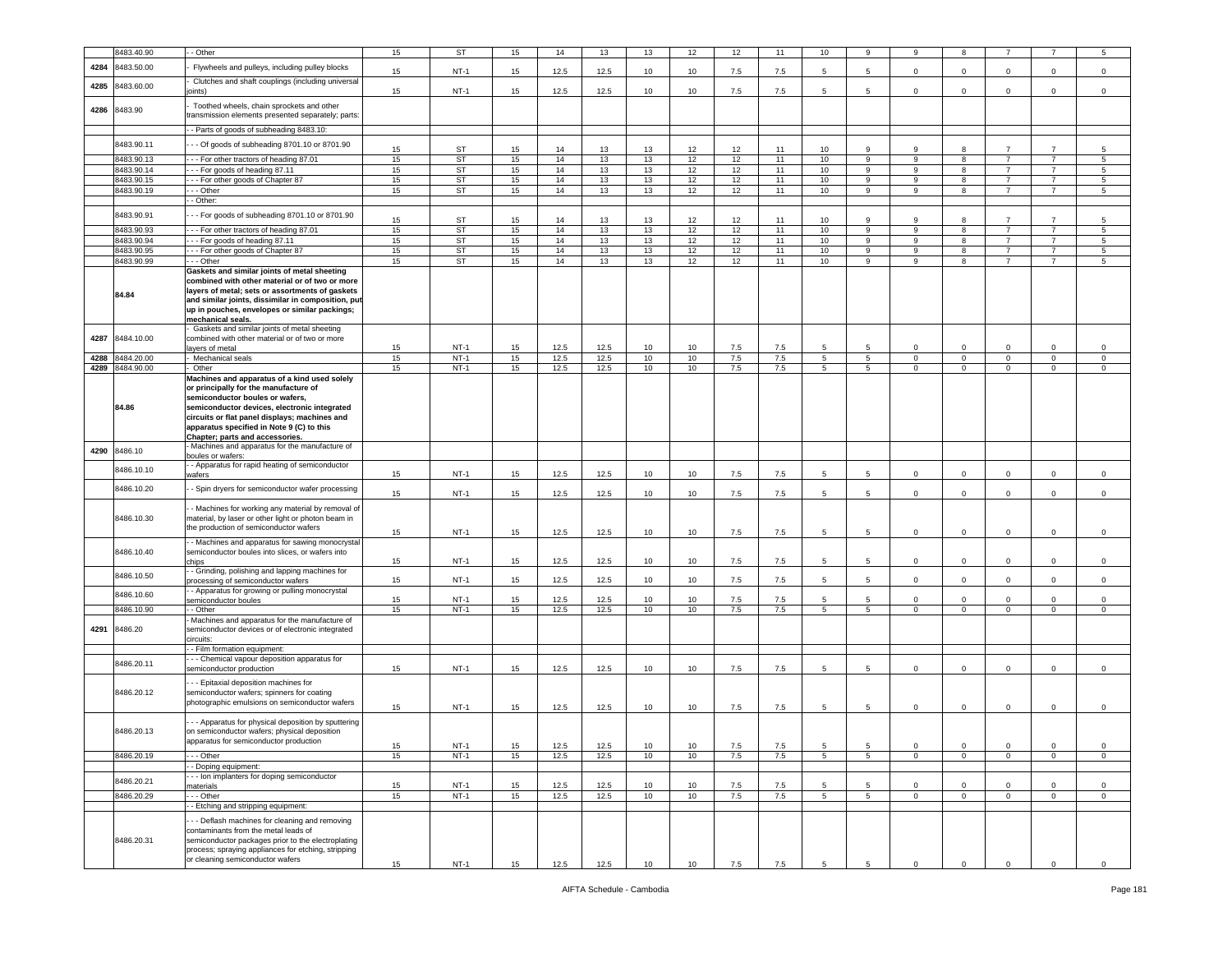|      | 8483.40.90            | - Other                                                                                                                                                                                                                                                                                                   | 15       | ST                    | 15       | 14           | 13           | 13       | 12       | 12         | 11         | 10              | 9                | 9                | 8                          |                |                            | 5                |
|------|-----------------------|-----------------------------------------------------------------------------------------------------------------------------------------------------------------------------------------------------------------------------------------------------------------------------------------------------------|----------|-----------------------|----------|--------------|--------------|----------|----------|------------|------------|-----------------|------------------|------------------|----------------------------|----------------|----------------------------|------------------|
| 4284 | 8483.50.00            | Flywheels and pulleys, including pulley blocks                                                                                                                                                                                                                                                            |          |                       |          |              |              |          |          |            |            |                 |                  |                  |                            |                |                            |                  |
|      |                       |                                                                                                                                                                                                                                                                                                           | 15       | $NT-1$                | 15       | 12.5         | 12.5         | 10       | 10       | 7.5        | 7.5        | 5               | 5                | $\circ$          | $\mathbf 0$                | $\mathbf 0$    | $\mathbf 0$                | $\mathbf 0$      |
| 4285 | 8483.60.00            | Clutches and shaft couplings (including universal<br>oints)                                                                                                                                                                                                                                               | 15       | $NT-1$                | 15       | 12.5         | 12.5         | 10       | 10       | 7.5        | 7.5        | 5               | -5               | $\mathbf 0$      | $\mathbf 0$                | $\mathbf 0$    | $\mathbf 0$                | $\mathsf 0$      |
| 4286 | 8483.90               | Toothed wheels, chain sprockets and other<br>transmission elements presented separately; parts:                                                                                                                                                                                                           |          |                       |          |              |              |          |          |            |            |                 |                  |                  |                            |                |                            |                  |
|      |                       |                                                                                                                                                                                                                                                                                                           |          |                       |          |              |              |          |          |            |            |                 |                  |                  |                            |                |                            |                  |
|      |                       | - - Parts of goods of subheading 8483.10:                                                                                                                                                                                                                                                                 |          |                       |          |              |              |          |          |            |            |                 |                  |                  |                            |                |                            |                  |
|      | 8483.90.11            | - - Of goods of subheading 8701.10 or 8701.90                                                                                                                                                                                                                                                             | 15       | ST                    | 15       | 14           | 13           | 13       | 12       | 12         | 11         | 10              | 9                | 9                | 8                          | $\overline{7}$ | $\overline{7}$             | 5                |
|      | 8483.90.13            | --- For other tractors of heading 87.01                                                                                                                                                                                                                                                                   | 15       | ST                    | 15       | 14           | 13           | 13       | 12       | 12         | 11         | 10              | 9                | 9                | 8                          | $\overline{7}$ | $\overline{7}$             | 5                |
|      | 8483.90.14            | --- For goods of heading 87.11                                                                                                                                                                                                                                                                            | 15       | ST                    | 15       | 14           | 13           | 13       | 12       | 12         | 11         | 10              | 9                | 9                | 8                          | $\overline{7}$ | $\overline{7}$             | 5                |
|      | 8483.90.15            | --- For other goods of Chapter 87                                                                                                                                                                                                                                                                         | 15       | ST                    | 15       | 14           | 13           | 13       | 12       | 12         | 11         | 10              | 9                | 9                | 8                          | $\overline{7}$ | $\overline{7}$             | 5                |
|      | 8483.90.19            | - - Other                                                                                                                                                                                                                                                                                                 | 15       | ST                    | 15       | 14           | 13           | 13       | 12       | 12         | 11         | 10              | 9                | 9                | 8                          | $\overline{7}$ | $\overline{7}$             | 5                |
|      |                       | - Other:                                                                                                                                                                                                                                                                                                  |          |                       |          |              |              |          |          |            |            |                 |                  |                  |                            |                |                            |                  |
|      | 8483.90.91            | -- For goods of subheading 8701.10 or 8701.90                                                                                                                                                                                                                                                             | 15       | ST                    | 15       | 14           | 13           | 13       | 12       | 12         | 11         | 10              | 9                | 9                | 8                          | $\overline{7}$ | $\overline{7}$             | 5                |
|      | 8483.90.93            | -- For other tractors of heading 87.01                                                                                                                                                                                                                                                                    | 15       | ST                    | 15       | 14           | 13           | 13       | 12       | 12         | 11         | 10              | 9                | 9                | 8                          | $\overline{7}$ |                            | 5                |
|      | 8483.90.94            | --- For goods of heading 87.11                                                                                                                                                                                                                                                                            | 15       | <b>ST</b>             | 15       | 14           | 13           | 13       | 12       | 12         | 11         | 10              | 9                | 9                | 8                          | $\overline{7}$ | 7                          | 5                |
|      | 8483.90.95            | --- For other goods of Chapter 87                                                                                                                                                                                                                                                                         | 15       | ST                    | 15       | 14           | 13           | 13       | 12       | 12         | 11         | 10              | 9                | 9                | 8                          | $\overline{7}$ | $\overline{7}$             | 5                |
|      | 8483.90.99            | - - - Other                                                                                                                                                                                                                                                                                               | 15       | ST                    | 15       | 14           | 13           | 13       | 12       | 12         | 11         | 10              | 9                | 9                | 8                          | $\overline{7}$ | $\overline{7}$             | 5                |
|      | 84.84                 | Gaskets and similar joints of metal sheeting<br>combined with other material or of two or more<br>layers of metal; sets or assortments of gaskets<br>and similar joints, dissimilar in composition, put<br>up in pouches, envelopes or similar packings;<br>mechanical seals.                             |          |                       |          |              |              |          |          |            |            |                 |                  |                  |                            |                |                            |                  |
| 4287 | 8484.10.00            | Gaskets and similar joints of metal sheeting<br>combined with other material or of two or more<br>layers of metal                                                                                                                                                                                         | 15       | $NT-1$                | 15       | 12.5         | 12.5         | 10       | 10       | 7.5        | 7.5        | 5               | 5                | $\Omega$         | $\Omega$                   | $\Omega$       | $\Omega$                   | $\mathsf 0$      |
| 4288 | 8484.20.00            | - Mechanical seals                                                                                                                                                                                                                                                                                        | 15       | $NT-1$                | 15       | 12.5         | 12.5         | 10       | 10       | 7.5        | 7.5        | 5               | $5^{\circ}$      | $\mathbf 0$      | $\mathbf 0$                | $\mathbf 0$    | $\mathbf 0$                | $\mathbf 0$      |
| 4289 | 8484.90.00            | Other                                                                                                                                                                                                                                                                                                     | 15       | $NT-1$                | 15       | 12.5         | 12.5         | 10       | 10       | 7.5        | 7.5        | 5               | $5^{\circ}$      | $\circ$          | $\mathbf{0}$               | $\mathbf{0}$   | $\mathbf 0$                | $\mathbf 0$      |
|      | 84.86                 | Machines and apparatus of a kind used solely<br>or principally for the manufacture of<br>semiconductor boules or wafers,<br>semiconductor devices, electronic integrated<br>circuits or flat panel displays; machines and<br>apparatus specified in Note 9 (C) to this<br>Chapter; parts and accessories. |          |                       |          |              |              |          |          |            |            |                 |                  |                  |                            |                |                            |                  |
| 4290 | 8486.10               | - Machines and apparatus for the manufacture of<br>boules or wafers:                                                                                                                                                                                                                                      |          |                       |          |              |              |          |          |            |            |                 |                  |                  |                            |                |                            |                  |
|      | 8486.10.10            | - Apparatus for rapid heating of semiconductor<br>wafers                                                                                                                                                                                                                                                  | 15       | $NT-1$                | 15       | 12.5         | 12.5         | 10       | 10       | 7.5        | 7.5        | 5               | 5                | $\mathbf{0}$     | $\mathsf 0$                | $\mathbf 0$    | $\mathbf 0$                | $\mathsf 0$      |
|      | 8486.10.20            | - Spin dryers for semiconductor wafer processing                                                                                                                                                                                                                                                          | 15       | $NT-1$                | 15       | 12.5         | 12.5         | 10       | 10       | 7.5        | 7.5        | 5               | 5                | $\mathbf 0$      | $\mathbf 0$                | 0              | $\mathbf 0$                | $\mathsf 0$      |
|      | 8486.10.30            | - Machines for working any material by removal of<br>material, by laser or other light or photon beam in<br>the production of semiconductor wafers                                                                                                                                                        | 15       | $NT-1$                | 15       | 12.5         | 12.5         | 10       | 10       | 7.5        | 7.5        | 5               | 5                | $\mathsf 0$      | $\overline{\mathbf{0}}$    | $\mathbf 0$    | $\mathbf 0$                | $\,0\,$          |
|      | 8486.10.40            | - Machines and apparatus for sawing monocrystal<br>semiconductor boules into slices, or wafers into<br>chips                                                                                                                                                                                              | 15       | $NT-1$                | 15       | 12.5         | 12.5         | 10       | 10       | 7.5        | 7.5        | 5               | 5                | $\mathbf 0$      | $\mathbf 0$                | $\mathbf 0$    | 0                          | $\mathsf 0$      |
|      | 8486.10.50            | - Grinding, polishing and lapping machines for<br>processing of semiconductor wafers                                                                                                                                                                                                                      | 15       | $NT-1$                | 15       | 12.5         | 12.5         | 10       | 10       | 7.5        | 7.5        | 5               | 5                | $\circ$          | $\mathbf 0$                | $\circ$        | $\mathbf{0}$               | $\mathbf 0$      |
|      | 8486.10.60            | - Apparatus for growing or pulling monocrystal                                                                                                                                                                                                                                                            |          |                       |          |              |              |          |          |            |            |                 |                  |                  |                            |                |                            |                  |
|      |                       | semiconductor boules                                                                                                                                                                                                                                                                                      | 15       | $NT-1$                | 15       | 12.5<br>12.5 | 12.5<br>12.5 | 10       | 10       | 7.5        | 7.5        | 5               | -5               | $\Omega$         | $\mathbf 0$                | $\Omega$       | $\Omega$                   | $\mathsf 0$      |
| 4291 | 8486.10.90<br>8486.20 | - Other<br>Machines and apparatus for the manufacture of<br>semiconductor devices or of electronic integrated<br>circuits:                                                                                                                                                                                | 15       | $NT-1$                | 15       |              |              | 10       | 10       | 7.5        | 7.5        | $5^{\circ}$     | $5^{\circ}$      | $\mathbf{0}$     | $\mathbf{0}$               | $\overline{0}$ | $\mathbf{0}$               | $\circ$          |
|      |                       | - - Film formation equipment:                                                                                                                                                                                                                                                                             |          |                       |          |              |              |          |          |            |            |                 |                  |                  |                            |                |                            |                  |
|      | 8486.20.11            | - - Chemical vapour deposition apparatus for<br>semiconductor production                                                                                                                                                                                                                                  | 15       | $NT-1$                | 15       | 12.5         | 12.5         | 10       | 10       | 7.5        | 7.5        | 5               | 5                | $\mathbf 0$      | $\mathbf 0$                | $\mathbf 0$    | $\mathbf 0$                | $\mathsf 0$      |
|      | 8486.20.12            | - - Epitaxial deposition machines for<br>semiconductor wafers; spinners for coating<br>photographic emulsions on semiconductor wafers                                                                                                                                                                     |          |                       |          |              |              |          |          |            |            |                 |                  |                  |                            |                |                            |                  |
|      | 8486.20.13            | -- Apparatus for physical deposition by sputtering<br>on semiconductor wafers; physical deposition<br>apparatus for semiconductor production                                                                                                                                                              | 15       | $NT-1$                | 15       | 12.5         | 12.5         | 10       | 10       | 7.5        | 7.5        | 5               | 5                | $\mathbf 0$      | $\mathsf 0$                | $\mathbf 0$    | $\mathbf 0$                | $\mathbf 0$      |
|      | 8486.20.19            | - - Other                                                                                                                                                                                                                                                                                                 | 15<br>15 | <b>NT-1</b><br>$NT-1$ | 15<br>15 | 12.5<br>12.5 | 12.5<br>12.5 | 10<br>10 | 10<br>10 | 7.5<br>7.5 | 7.5<br>7.5 | 5<br>5          | 5<br>$5^{\circ}$ | 0<br>$\mathbf 0$ | $\mathbf 0$<br>$\mathbf 0$ | 0<br>$\circ$   | $\mathbf 0$<br>$\mathbf 0$ | 0<br>$\mathsf 0$ |
|      |                       | - Doping equipment:                                                                                                                                                                                                                                                                                       |          |                       |          |              |              |          |          |            |            |                 |                  |                  |                            |                |                            |                  |
|      | 8486.20.21            | - - Ion implanters for doping semiconductor                                                                                                                                                                                                                                                               |          |                       |          |              |              |          |          |            |            |                 |                  |                  |                            |                |                            |                  |
|      |                       | naterials                                                                                                                                                                                                                                                                                                 | 15       | $NT-1$                | 15       | 12.5         | 12.5         | 10       | 10       | 7.5        | 7.5        | 5               | 5                | $\Omega$         | $\mathbf 0$                | $\mathbf 0$    | 0                          | 0                |
|      | 8486.20.29            | - - - Other                                                                                                                                                                                                                                                                                               | 15       | $NT-1$                | 15       | 12.5         | 12.5         | 10       | 10       | 7.5        | 7.5        | $5\phantom{.0}$ | $5\overline{5}$  | $\mathbf{0}$     | $\circ$                    | $\mathbf{0}$   | $\overline{0}$             | $\overline{0}$   |
|      | 8486.20.31            | - Etching and stripping equipment:<br>-- Deflash machines for cleaning and removing<br>contaminants from the metal leads of<br>semiconductor packages prior to the electroplating<br>process; spraying appliances for etching, stripping                                                                  |          |                       |          |              |              |          |          |            |            |                 |                  |                  |                            |                |                            |                  |
|      |                       | or cleaning semiconductor wafers                                                                                                                                                                                                                                                                          | 15       | <b>NT-1</b>           | 15       | 12.5         | 12.5         | 10       | 10       | 7.5        | 7.5        | 5               | 5                | $\mathsf 0$      | $\mathbf 0$                | $\mathbf 0$    | $\mathbf 0$                | $\mathsf 0$      |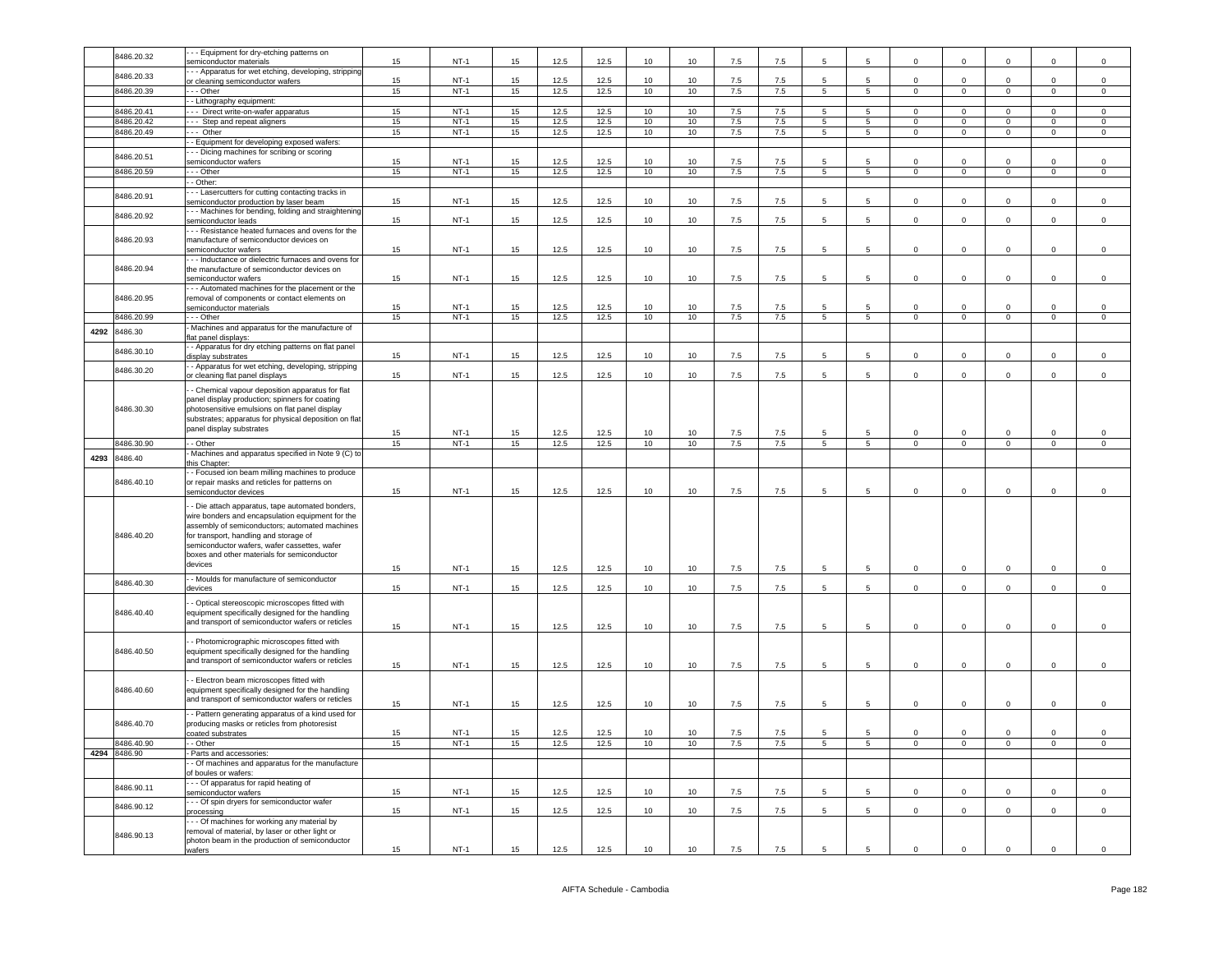|      | 8486.20.32   | - - Equipment for dry-etching patterns on                |    |        |    |      |      |    |                  |         |     | 5               | 5               | $\Omega$            | $\Omega$       |                     |                |                |
|------|--------------|----------------------------------------------------------|----|--------|----|------|------|----|------------------|---------|-----|-----------------|-----------------|---------------------|----------------|---------------------|----------------|----------------|
|      |              | semiconductor materials                                  | 15 | $NT-1$ | 15 | 12.5 | 12.5 | 10 | 10               | 7.5     | 7.5 |                 |                 |                     |                | $\mathbf 0$         | $\mathbf 0$    | $\mathbf 0$    |
|      | 8486.20.33   | - - Apparatus for wet etching, developing, stripping     |    |        |    |      |      |    |                  |         |     |                 |                 |                     |                |                     |                |                |
|      |              | or cleaning semiconductor wafers                         | 15 | $NT-1$ | 15 | 12.5 | 12.5 | 10 | 10               | 7.5     | 7.5 | 5               | $5\overline{5}$ | $\Omega$            | $\Omega$       | $\Omega$            | $\Omega$       | $\mathsf 0$    |
|      | 8486.20.39   | --- Other                                                | 15 | $NT-1$ | 15 | 12.5 | 12.5 | 10 | 10               | 7.5     | 7.5 | 5 <sup>5</sup>  | 5 <sup>5</sup>  | $\mathbf 0$         | $\overline{0}$ | $\overline{0}$      | $\mathbf 0$    | $\mathbf 0$    |
|      |              | - - Lithography equipment:                               |    |        |    |      |      |    |                  |         |     |                 |                 |                     |                |                     |                |                |
|      | 8486.20.41   | --- Direct write-on-wafer apparatus                      | 15 | $NT-1$ | 15 | 12.5 | 12.5 | 10 | 10               | 7.5     | 7.5 | 5               | 5               | $\Omega$            | $\mathbf 0$    | $\mathbf 0$         | $\Omega$       | $\mathbf 0$    |
|      | 8486.20.42   | --- Step and repeat aligners                             | 15 | $NT-1$ | 15 | 12.5 | 12.5 | 10 | 10               | 7.5     | 7.5 | 5               | 5               | $\Omega$            | $\Omega$       | $\mathbf 0$         | $\Omega$       | $\mathsf 0$    |
|      | 8486.20.49   | - Other                                                  | 15 | $NT-1$ | 15 | 12.5 | 12.5 | 10 | 10               | 7.5     | 7.5 | $\overline{5}$  | 5               | $^{\circ}$          | $\overline{0}$ | $\mathbf{0}$        | $\mathbf 0$    | $\mathbf{0}$   |
|      |              | - Equipment for developing exposed wafers:               |    |        |    |      |      |    |                  |         |     |                 |                 |                     |                |                     |                |                |
|      |              |                                                          |    |        |    |      |      |    |                  |         |     |                 |                 |                     |                |                     |                |                |
|      | 8486.20.51   | - - Dicing machines for scribing or scoring              | 15 | $NT-1$ | 15 | 12.5 | 12.5 | 10 | 10 <sup>10</sup> | 7.5     | 7.5 | 5               | 5               | $\Omega$            | $\Omega$       | $\Omega$            | $\Omega$       | $\Omega$       |
|      |              | emiconductor wafers                                      |    |        |    |      |      |    |                  |         |     |                 |                 |                     |                |                     |                |                |
|      | 8486.20.59   | - - - Other                                              | 15 | $NT-1$ | 15 | 12.5 | 12.5 | 10 | 10               | 7.5     | 7.5 | 5               | 5               | $\Omega$            | $\overline{0}$ | $\overline{0}$      | $\Omega$       | $\mathsf 0$    |
|      |              | - Other:                                                 |    |        |    |      |      |    |                  |         |     |                 |                 |                     |                |                     |                |                |
|      | 8486.20.91   | - - Lasercutters for cutting contacting tracks in        |    |        |    |      |      |    |                  |         |     |                 |                 |                     |                |                     |                |                |
|      |              | emiconductor production by laser beam                    | 15 | $NT-1$ | 15 | 12.5 | 12.5 | 10 | 10               | $7.5\,$ | 7.5 | 5               | 5               | $\mathsf{O}\xspace$ | $\mathbf 0$    | $\mathsf{O}\xspace$ | $\mathsf 0$    | $\mathsf 0$    |
|      | 8486.20.92   | - - Machines for bending, folding and straightening      |    |        |    |      |      |    |                  |         |     |                 |                 |                     |                |                     |                |                |
|      |              | emiconductor leads                                       | 15 | $NT-1$ | 15 | 12.5 | 12.5 | 10 | 10               | 7.5     | 7.5 | 5               | 5               | $\Omega$            | $\Omega$       | $\Omega$            | $\Omega$       | $\mathsf 0$    |
|      |              | - - Resistance heated furnaces and ovens for the         |    |        |    |      |      |    |                  |         |     |                 |                 |                     |                |                     |                |                |
|      | 8486.20.93   | manufacture of semiconductor devices on                  |    |        |    |      |      |    |                  |         |     |                 |                 |                     |                |                     |                |                |
|      |              | emiconductor wafers                                      | 15 | $NT-1$ | 15 | 12.5 | 12.5 | 10 | 10               | 7.5     | 7.5 | 5               | $\sqrt{5}$      | $\mathsf 0$         | $\mathbf 0$    | $\mathsf 0$         | $\mathsf 0$    | $\,0\,$        |
|      |              | - - Inductance or dielectric furnaces and ovens for      |    |        |    |      |      |    |                  |         |     |                 |                 |                     |                |                     |                |                |
|      | 8486.20.94   | the manufacture of semiconductor devices on              |    |        |    |      |      |    |                  |         |     |                 |                 |                     |                |                     |                |                |
|      |              | semiconductor wafers                                     | 15 | $NT-1$ | 15 | 12.5 | 12.5 | 10 | 10               | 7.5     | 7.5 | 5               | 5               | $\Omega$            | $\mathbf 0$    | $\mathbf 0$         | $\mathbf 0$    | $\mathbf 0$    |
|      |              | - - Automated machines for the placement or the          |    |        |    |      |      |    |                  |         |     |                 |                 |                     |                |                     |                |                |
|      | 8486.20.95   | removal of components or contact elements on             |    |        |    |      |      |    |                  |         |     |                 |                 |                     |                |                     |                |                |
|      |              | semiconductor materials                                  | 15 | $NT-1$ | 15 | 12.5 | 12.5 | 10 | 10 <sup>1</sup>  | 7.5     | 7.5 | 5               | 5               | $\Omega$            | $\Omega$       | $\Omega$            | $\Omega$       | $\Omega$       |
|      | 8486.20.99   | --- Other                                                | 15 | $NT-1$ | 15 | 12.5 | 12.5 | 10 | 10               | 7.5     | 7.5 | $5\overline{5}$ | 5               | $\overline{0}$      | $\overline{0}$ | $\overline{0}$      | $\overline{0}$ | $\overline{0}$ |
|      |              | Machines and apparatus for the manufacture of            |    |        |    |      |      |    |                  |         |     |                 |                 |                     |                |                     |                |                |
| 4292 | 8486.30      | flat panel displays:                                     |    |        |    |      |      |    |                  |         |     |                 |                 |                     |                |                     |                |                |
|      |              | - Apparatus for dry etching patterns on flat panel       |    |        |    |      |      |    |                  |         |     |                 |                 |                     |                |                     |                |                |
|      | 8486.30.10   | displav substrates                                       | 15 | $NT-1$ | 15 | 12.5 | 12.5 | 10 | 10               | 7.5     | 7.5 | 5               | 5               | $\Omega$            | $\Omega$       | $\Omega$            | $\Omega$       | $\mathsf 0$    |
|      |              | - Apparatus for wet etching, developing, stripping       |    |        |    |      |      |    |                  |         |     |                 |                 |                     |                |                     |                |                |
|      | 8486.30.20   |                                                          | 15 | $NT-1$ | 15 | 12.5 | 12.5 | 10 | 10               | 7.5     | 7.5 | 5               | 5               | $\mathsf 0$         | $\mathsf 0$    | $\mathsf 0$         | $\mathsf 0$    | $\mathsf 0$    |
|      |              | or cleaning flat panel displays                          |    |        |    |      |      |    |                  |         |     |                 |                 |                     |                |                     |                |                |
|      |              | - Chemical vapour deposition apparatus for flat          |    |        |    |      |      |    |                  |         |     |                 |                 |                     |                |                     |                |                |
|      |              | panel display production; spinners for coating           |    |        |    |      |      |    |                  |         |     |                 |                 |                     |                |                     |                |                |
|      | 8486.30.30   | photosensitive emulsions on flat panel display           |    |        |    |      |      |    |                  |         |     |                 |                 |                     |                |                     |                |                |
|      |              | substrates; apparatus for physical deposition on flat    |    |        |    |      |      |    |                  |         |     |                 |                 |                     |                |                     |                |                |
|      |              | panel display substrates                                 |    |        |    |      |      |    |                  |         |     |                 |                 |                     |                |                     |                |                |
|      |              |                                                          | 15 | $NT-1$ | 15 | 12.5 | 12.5 | 10 | 10               | 7.5     | 7.5 | 5               | 5               | $^{\circ}$          | $\mathbf 0$    | $^{\circ}$          | $\mathbf 0$    | 0              |
|      | 8486.30.90   | - - Other                                                | 15 | $NT-1$ | 15 | 12.5 | 12.5 | 10 | 10               | 7.5     | 7.5 | $\overline{5}$  | $\overline{5}$  | $\overline{0}$      | $\overline{0}$ | $\overline{0}$      | $\mathsf 0$    | $\mathsf 0$    |
| 4293 | 8486.40      | Machines and apparatus specified in Note 9 (C) to        |    |        |    |      |      |    |                  |         |     |                 |                 |                     |                |                     |                |                |
|      |              | this Chapter:                                            |    |        |    |      |      |    |                  |         |     |                 |                 |                     |                |                     |                |                |
|      |              |                                                          |    |        |    |      |      |    |                  |         |     |                 |                 |                     |                |                     |                |                |
|      |              | - Focused ion beam milling machines to produce           |    |        |    |      |      |    |                  |         |     |                 |                 |                     |                |                     |                |                |
|      | 8486.40.10   | or repair masks and reticles for patterns on             |    |        |    |      |      |    |                  |         |     |                 |                 |                     |                |                     |                |                |
|      |              | semiconductor devices                                    | 15 | $NT-1$ | 15 | 12.5 | 12.5 | 10 | 10               | 7.5     | 7.5 | 5               | 5               | $\mathsf 0$         | $\mathsf 0$    | $\mathsf 0$         | $\mathsf 0$    | $\mathsf 0$    |
|      |              |                                                          |    |        |    |      |      |    |                  |         |     |                 |                 |                     |                |                     |                |                |
|      |              | - Die attach apparatus, tape automated bonders,          |    |        |    |      |      |    |                  |         |     |                 |                 |                     |                |                     |                |                |
|      |              | wire bonders and encapsulation equipment for the         |    |        |    |      |      |    |                  |         |     |                 |                 |                     |                |                     |                |                |
|      |              | assembly of semiconductors; automated machines           |    |        |    |      |      |    |                  |         |     |                 |                 |                     |                |                     |                |                |
|      | 8486.40.20   | for transport, handling and storage of                   |    |        |    |      |      |    |                  |         |     |                 |                 |                     |                |                     |                |                |
|      |              | semiconductor wafers, wafer cassettes, wafer             |    |        |    |      |      |    |                  |         |     |                 |                 |                     |                |                     |                |                |
|      |              | boxes and other materials for semiconductor              |    |        |    |      |      |    |                  |         |     |                 |                 |                     |                |                     |                |                |
|      |              | devices                                                  | 15 | $NT-1$ | 15 | 12.5 | 12.5 | 10 | 10               | 7.5     | 7.5 | 5               | 5               | $\mathbf 0$         | $\mathsf 0$    | $\mathbf 0$         | $^{\circ}$     | $\mathbf 0$    |
|      |              | - - Moulds for manufacture of semiconductor              |    |        |    |      |      |    |                  |         |     |                 |                 |                     |                |                     |                |                |
|      | 8486.40.30   | devices                                                  | 15 | $NT-1$ | 15 | 12.5 | 12.5 | 10 | 10               | 7.5     | 7.5 | 5               | 5               | $\Omega$            | $\mathbf 0$    | $\mathbf 0$         | $\mathbf 0$    | $\mathbf 0$    |
|      |              |                                                          |    |        |    |      |      |    |                  |         |     |                 |                 |                     |                |                     |                |                |
|      |              | - Optical stereoscopic microscopes fitted with           |    |        |    |      |      |    |                  |         |     |                 |                 |                     |                |                     |                |                |
|      | 8486.40.40   | equipment specifically designed for the handling         |    |        |    |      |      |    |                  |         |     |                 |                 |                     |                |                     |                |                |
|      |              | and transport of semiconductor wafers or reticles        | 15 | $NT-1$ | 15 | 12.5 | 12.5 | 10 | 10               | 7.5     | 7.5 | 5               | 5               | $\mathsf 0$         | $\mathbf 0$    | $\mathsf 0$         | $\mathbf 0$    | $\mathsf 0$    |
|      |              |                                                          |    |        |    |      |      |    |                  |         |     |                 |                 |                     |                |                     |                |                |
|      |              | - Photomicrographic microscopes fitted with              |    |        |    |      |      |    |                  |         |     |                 |                 |                     |                |                     |                |                |
|      | 8486.40.50   | equipment specifically designed for the handling         |    |        |    |      |      |    |                  |         |     |                 |                 |                     |                |                     |                |                |
|      |              | and transport of semiconductor wafers or reticles        | 15 | $NT-1$ | 15 | 12.5 | 12.5 | 10 | 10               | 7.5     | 7.5 | -5              | 5               | $\Omega$            | $\mathbf 0$    | $\Omega$            | $\Omega$       | $\mathsf 0$    |
|      |              |                                                          |    |        |    |      |      |    |                  |         |     |                 |                 |                     |                |                     |                |                |
|      |              | - Electron beam microscopes fitted with                  |    |        |    |      |      |    |                  |         |     |                 |                 |                     |                |                     |                |                |
|      | 8486.40.60   | equipment specifically designed for the handling         |    |        |    |      |      |    |                  |         |     |                 |                 |                     |                |                     |                |                |
|      |              | and transport of semiconductor wafers or reticles        |    |        |    |      |      |    |                  |         |     | 5               | 5               |                     | $\mathbf 0$    |                     | $\mathbf 0$    |                |
|      |              |                                                          | 15 | $NT-1$ | 15 | 12.5 | 12.5 | 10 | 10               | 7.5     | 7.5 |                 |                 | $\mathbf 0$         |                | $\mathbf 0$         |                | $\mathsf 0$    |
|      |              | - Pattern generating apparatus of a kind used for        |    |        |    |      |      |    |                  |         |     |                 |                 |                     |                |                     |                |                |
|      | 8486.40.70   | producing masks or reticles from photoresist             | 15 |        | 15 |      |      |    | 10 <sup>1</sup>  |         |     | 5               | 5               | $\Omega$            | $\Omega$       | $\Omega$            | $\Omega$       |                |
|      |              | coated substrates                                        |    | $NT-1$ |    | 12.5 | 12.5 | 10 |                  | 7.5     | 7.5 |                 |                 |                     |                |                     |                | $\mathbf 0$    |
|      | 8486.40.90   | - Other                                                  | 15 | $NT-1$ | 15 | 12.5 | 12.5 | 10 | 10               | 7.5     | 7.5 | 5               | 5               | $\mathsf 0$         | $\mathbf{0}$   | $\circ$             | $\mathsf 0$    | $\mathsf 0$    |
|      | 4294 8486.90 | Parts and accessories:                                   |    |        |    |      |      |    |                  |         |     |                 |                 |                     |                |                     |                |                |
|      |              | - Of machines and apparatus for the manufacture          |    |        |    |      |      |    |                  |         |     |                 |                 |                     |                |                     |                |                |
|      |              | of boules or wafers:                                     |    |        |    |      |      |    |                  |         |     |                 |                 |                     |                |                     |                |                |
|      | 8486.90.11   | - - Of apparatus for rapid heating of                    |    |        |    |      |      |    |                  |         |     |                 |                 |                     |                |                     |                |                |
|      |              | semiconductor wafers                                     | 15 | $NT-1$ | 15 | 12.5 | 12.5 | 10 | 10               | 7.5     | 7.5 | 5               | 5               | $\mathsf 0$         | $\mathbf 0$    | $\mathsf 0$         | $\mathsf 0$    | $\mathsf 0$    |
|      | 8486.90.12   | - - Of spin dryers for semiconductor wafer               |    |        |    |      |      |    |                  |         |     |                 |                 |                     |                |                     |                |                |
|      |              | processing                                               | 15 | $NT-1$ | 15 | 12.5 | 12.5 | 10 | 10 <sup>10</sup> | 7.5     | 7.5 | 5               | 5               | $\mathsf 0$         | $\Omega$       | $\Omega$            | $\mathsf 0$    | $\mathsf 0$    |
|      |              | - - Of machines for working any material by              |    |        |    |      |      |    |                  |         |     |                 |                 |                     |                |                     |                |                |
|      |              | removal of material, by laser or other light or          |    |        |    |      |      |    |                  |         |     |                 |                 |                     |                |                     |                |                |
|      | 8486.90.13   | photon beam in the production of semiconductor<br>wafers | 15 | $NT-1$ | 15 | 12.5 | 12.5 | 10 | 10               | $7.5\,$ | 7.5 | 5               | 5               | $\mathsf 0$         | $\,0\,$        | $\mathbf 0$         | $\mathbf 0$    | $\mathbf 0$    |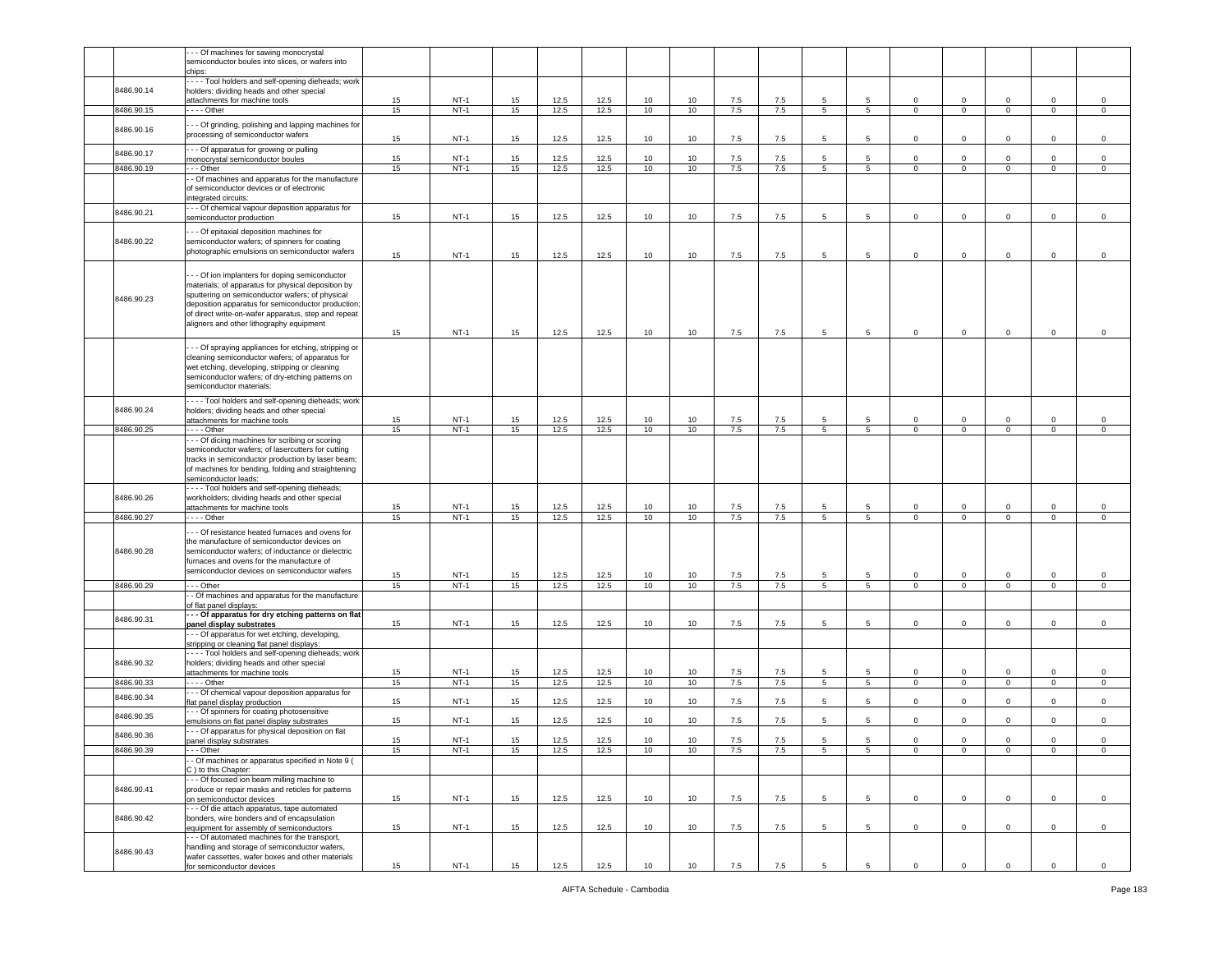|            | - - Of machines for sawing monocrystal<br>semiconductor boules into slices, or wafers into |          |                  |          |              |              |          |          |            |            |                     |                      |                            |                               |                               |                            |                        |
|------------|--------------------------------------------------------------------------------------------|----------|------------------|----------|--------------|--------------|----------|----------|------------|------------|---------------------|----------------------|----------------------------|-------------------------------|-------------------------------|----------------------------|------------------------|
|            | chips:                                                                                     |          |                  |          |              |              |          |          |            |            |                     |                      |                            |                               |                               |                            |                        |
| 8486.90.14 | --- Tool holders and self-opening dieheads; work                                           |          |                  |          |              |              |          |          |            |            |                     |                      |                            |                               |                               |                            |                        |
|            | holders; dividing heads and other special<br>attachments for machine tools                 | 15       | $NT-1$           | 15       | 12.5         | 12.5         | 10       | 10       | 7.5        | 7.5        | 5                   | 5                    | $\mathbf 0$                | $\mathbf 0$                   | $\mathbf 0$                   | 0                          | $\mathsf 0$            |
| 8486.90.15 | $- -$ Other                                                                                | 15       | $NT-1$           | 15       | 12.5         | 12.5         | 10       | 10       | 7.5        | 7.5        | 5                   | 5 <sub>5</sub>       | $\circ$                    | $\overline{0}$                | $\mathbf{0}$                  | $\mathbf 0$                | $\mathbf 0$            |
|            |                                                                                            |          |                  |          |              |              |          |          |            |            |                     |                      |                            |                               |                               |                            |                        |
| 8486.90.16 | - - Of grinding, polishing and lapping machines for<br>processing of semiconductor wafers  | 15       | $NT-1$           | 15       | 12.5         | 12.5         | 10       | 10       | 7.5        | 7.5        | 5                   | 5                    | $\mathsf 0$                | $\Omega$                      | $\mathbf 0$                   | $\mathbf 0$                | $\mathsf 0$            |
| 8486.90.17 | - - Of apparatus for growing or pulling<br>monocrystal semiconductor boules                | 15       | $NT-1$           | 15       | 12.5         | 12.5         | 10       | 10       | $7.5\,$    | 7.5        | 5                   | 5                    | $\mathsf 0$                | $\mathsf 0$                   | $\mathbf 0$                   | $\mathsf 0$                | $\,0\,$                |
| 8486.90.19 | - - Other                                                                                  | 15       | $NT-1$           | 15       | 12.5         | 12.5         | 10       | 10       | 7.5        | 7.5        | $5^{\circ}$         | 5 <sup>5</sup>       | $\mathbf 0$                | $\mathbf 0$                   | $\mathbf{0}$                  | $\mathbf 0$                | $\mathsf 0$            |
|            | - Of machines and apparatus for the manufacture                                            |          |                  |          |              |              |          |          |            |            |                     |                      |                            |                               |                               |                            |                        |
|            | of semiconductor devices or of electronic                                                  |          |                  |          |              |              |          |          |            |            |                     |                      |                            |                               |                               |                            |                        |
|            | ntegrated circuits:                                                                        |          |                  |          |              |              |          |          |            |            |                     |                      |                            |                               |                               |                            |                        |
| 8486.90.21 | - - Of chemical vapour deposition apparatus for                                            |          |                  |          |              |              |          |          |            |            |                     |                      |                            |                               |                               |                            |                        |
|            | semiconductor production                                                                   | 15       | $NT-1$           | 15       | 12.5         | 12.5         | 10       | 10       | 7.5        | 7.5        | 5                   | 5                    | $\mathbf 0$                | $\mathbf 0$                   | $\mathbf 0$                   | $\mathbf 0$                | $\mathbf 0$            |
|            | - - Of epitaxial deposition machines for                                                   |          |                  |          |              |              |          |          |            |            |                     |                      |                            |                               |                               |                            |                        |
| 8486.90.22 | semiconductor wafers; of spinners for coating                                              |          |                  |          |              |              |          |          |            |            |                     |                      |                            |                               |                               |                            |                        |
|            | photographic emulsions on semiconductor wafers                                             | 15       | $NT-1$           | 15       | 12.5         | 12.5         | 10       | 10       | 7.5        | 7.5        | 5                   | 5                    | $\mathbf 0$                | $\mathsf 0$                   | $\mathbf 0$                   | $\mathbf 0$                | $\,0\,$                |
|            |                                                                                            |          |                  |          |              |              |          |          |            |            |                     |                      |                            |                               |                               |                            |                        |
|            | - - Of ion implanters for doping semiconductor                                             |          |                  |          |              |              |          |          |            |            |                     |                      |                            |                               |                               |                            |                        |
|            | materials; of apparatus for physical deposition by                                         |          |                  |          |              |              |          |          |            |            |                     |                      |                            |                               |                               |                            |                        |
|            | sputtering on semiconductor wafers; of physical                                            |          |                  |          |              |              |          |          |            |            |                     |                      |                            |                               |                               |                            |                        |
| 8486.90.23 | deposition apparatus for semiconductor production;                                         |          |                  |          |              |              |          |          |            |            |                     |                      |                            |                               |                               |                            |                        |
|            | of direct write-on-wafer apparatus, step and repeat                                        |          |                  |          |              |              |          |          |            |            |                     |                      |                            |                               |                               |                            |                        |
|            | aligners and other lithography equipment                                                   |          |                  |          |              |              |          |          |            |            |                     |                      |                            |                               |                               |                            |                        |
|            |                                                                                            | 15       | $NT-1$           | 15       | 12.5         | 12.5         | 10       | 10       | 7.5        | 7.5        | 5                   | 5                    | $\mathbf 0$                | $\mathbf 0$                   | $\mathbf 0$                   | $\mathbf 0$                | $\mathbf 0$            |
|            | - - Of spraying appliances for etching, stripping or                                       |          |                  |          |              |              |          |          |            |            |                     |                      |                            |                               |                               |                            |                        |
|            | cleaning semiconductor wafers; of apparatus for                                            |          |                  |          |              |              |          |          |            |            |                     |                      |                            |                               |                               |                            |                        |
|            | wet etching, developing, stripping or cleaning                                             |          |                  |          |              |              |          |          |            |            |                     |                      |                            |                               |                               |                            |                        |
|            | semiconductor wafers; of dry-etching patterns on                                           |          |                  |          |              |              |          |          |            |            |                     |                      |                            |                               |                               |                            |                        |
|            | semiconductor materials:                                                                   |          |                  |          |              |              |          |          |            |            |                     |                      |                            |                               |                               |                            |                        |
|            | Tool holders and self-opening dieheads; work                                               |          |                  |          |              |              |          |          |            |            |                     |                      |                            |                               |                               |                            |                        |
| 8486.90.24 | holders; dividing heads and other special                                                  |          |                  |          |              |              |          |          |            |            |                     |                      |                            |                               |                               |                            |                        |
|            | attachments for machine tools                                                              | 15       | $NT-1$           | 15       | 12.5         | 12.5         | 10       | 10       | 7.5        | 7.5        | 5                   | 5                    | $\mathsf 0$                | $\mathsf 0$                   | $\mathbf 0$                   | $\mathbf 0$                | $\,0\,$                |
| 8486.90.25 | $- -$ Other                                                                                | 15       | $NT-1$           | 15       | 12.5         | 12.5         | 10       | 10       | 7.5        | 7.5        | 5                   | 5                    | $\mathsf 0$                | $\mathsf 0$                   | $\mathbf 0$                   | $\mathbf 0$                | $\mathsf 0$            |
|            | - - Of dicing machines for scribing or scoring                                             |          |                  |          |              |              |          |          |            |            |                     |                      |                            |                               |                               |                            |                        |
|            | semiconductor wafers; of lasercutters for cutting                                          |          |                  |          |              |              |          |          |            |            |                     |                      |                            |                               |                               |                            |                        |
|            | tracks in semiconductor production by laser beam;                                          |          |                  |          |              |              |          |          |            |            |                     |                      |                            |                               |                               |                            |                        |
|            | of machines for bending, folding and straightening                                         |          |                  |          |              |              |          |          |            |            |                     |                      |                            |                               |                               |                            |                        |
|            | semiconductor leads:                                                                       |          |                  |          |              |              |          |          |            |            |                     |                      |                            |                               |                               |                            |                        |
|            | - - - Tool holders and self-opening dieheads;                                              |          |                  |          |              |              |          |          |            |            |                     |                      |                            |                               |                               |                            |                        |
|            |                                                                                            |          |                  |          |              |              |          |          |            |            |                     |                      |                            |                               |                               |                            |                        |
| 8486.90.26 | workholders; dividing heads and other special                                              |          |                  |          |              |              |          |          |            |            |                     |                      |                            |                               |                               |                            |                        |
|            | attachments for machine tools                                                              | 15       | $NT-1$           | 15       | 12.5         | 12.5         | 10       | 10       | 7.5        | 7.5        | 5                   | 5                    | $\mathbf 0$                | $\mathbf 0$                   | $\mathbf 0$                   | 0                          | $\mathsf 0$            |
| 8486.90.27 | $- -$ - Other                                                                              | 15       | $NT-1$           | 15       | 12.5         | 12.5         | 10       | 10       | 7.5        | 7.5        | 5                   | 5                    | $\mathbf 0$                | $\mathbf 0$                   | $\mathsf 0$                   | $\mathsf 0$                | $\mathsf 0$            |
|            | - - Of resistance heated furnaces and ovens for                                            |          |                  |          |              |              |          |          |            |            |                     |                      |                            |                               |                               |                            |                        |
|            | the manufacture of semiconductor devices on                                                |          |                  |          |              |              |          |          |            |            |                     |                      |                            |                               |                               |                            |                        |
| 8486.90.28 | semiconductor wafers; of inductance or dielectric                                          |          |                  |          |              |              |          |          |            |            |                     |                      |                            |                               |                               |                            |                        |
|            | furnaces and ovens for the manufacture of                                                  |          |                  |          |              |              |          |          |            |            |                     |                      |                            |                               |                               |                            |                        |
|            | semiconductor devices on semiconductor wafers                                              |          |                  |          |              |              |          |          |            |            |                     |                      |                            |                               |                               |                            |                        |
| 8486.90.29 | - - Other                                                                                  | 15<br>15 | $NT-1$<br>$NT-1$ | 15<br>15 | 12.5<br>12.5 | 12.5<br>12.5 | 10<br>10 | 10<br>10 | 7.5<br>7.5 | 7.5<br>7.5 | 5<br>5 <sub>5</sub> | 5<br>$5\overline{5}$ | $\mathbf 0$<br>$\mathbf 0$ | $\mathbf 0$<br>$\overline{0}$ | $\mathbf 0$<br>$\overline{0}$ | $\mathbf 0$<br>$\mathbf 0$ | $\mathsf 0$<br>$\circ$ |
|            |                                                                                            |          |                  |          |              |              |          |          |            |            |                     |                      |                            |                               |                               |                            |                        |
|            | - Of machines and apparatus for the manufacture<br>of flat panel displays:                 |          |                  |          |              |              |          |          |            |            |                     |                      |                            |                               |                               |                            |                        |
|            | - - Of apparatus for dry etching patterns on flat                                          |          |                  |          |              |              |          |          |            |            |                     |                      |                            |                               |                               |                            |                        |
| 8486.90.31 | panel display substrates                                                                   | 15       | $NT-1$           | 15       | 12.5         | 12.5         | 10       | 10       | 7.5        | 7.5        | 5                   | 5                    | $\mathbf 0$                | $\mathbf 0$                   | $\mathbf 0$                   | $\mathbf 0$                | $\mathsf 0$            |
|            | - - Of apparatus for wet etching, developing,                                              |          |                  |          |              |              |          |          |            |            |                     |                      |                            |                               |                               |                            |                        |
|            | stripping or cleaning flat panel displays:                                                 |          |                  |          |              |              |          |          |            |            |                     |                      |                            |                               |                               |                            |                        |
|            | --- Tool holders and self-opening dieheads; work                                           |          |                  |          |              |              |          |          |            |            |                     |                      |                            |                               |                               |                            |                        |
| 8486.90.32 | holders; dividing heads and other special                                                  |          |                  |          |              |              |          |          |            |            | 5                   | 5                    |                            | $\overline{0}$                |                               | $\mathbf 0$                |                        |
| 8486.90.33 | attachments for machine tools<br>$- -$ Other                                               | 15       | $NT-1$<br>$NT-1$ | 15       | 12.5         | 12.5         | 10       | 10       | 7.5        | 7.5        |                     |                      | $\mathbf 0$<br>$\mathbf 0$ |                               | $\mathbf 0$<br>$\mathbf 0$    |                            | 0<br>$\mathsf 0$       |
|            |                                                                                            | 15       |                  | 15       | 12.5         | 12.5         | 10       | 10       | 7.5        | 7.5        | 5                   | $5\phantom{.0}$      |                            | $\mathbf 0$                   |                               | $\mathsf 0$                |                        |
| 8486.90.34 | - - Of chemical vapour deposition apparatus for<br>lat panel display production            | 15       | $NT-1$           | 15       | 12.5         | 12.5         | 10       | 10       | 7.5        | 7.5        | 5                   | 5                    | $\circ$                    | $\mathbf 0$                   | $\mathbf 0$                   | $\mathbf 0$                | $\mathsf 0$            |
|            | - - Of spinners for coating photosensitive                                                 |          |                  |          |              |              |          |          |            |            |                     |                      |                            |                               |                               |                            |                        |
| 8486.90.35 | emulsions on flat panel display substrates                                                 | 15       | $NT-1$           | 15       | 12.5         | 12.5         | 10       | 10       | 7.5        | 7.5        | 5                   | $5\phantom{.0}$      | $\mathbf 0$                | $\mathsf 0$                   | $\mathbf 0$                   | $\mathsf 0$                | $\mathsf 0$            |
|            | - - Of apparatus for physical deposition on flat                                           |          |                  |          |              |              |          |          |            |            |                     |                      |                            |                               |                               |                            |                        |
| 8486.90.36 | anel display substrates                                                                    | 15       | $NT-1$           | 15       | 12.5         | 12.5         | 10       | 10       | 7.5        | 7.5        | 5                   | 5                    | $\mathsf 0$                | $\mathbf 0$                   | $\mathbf 0$                   | $\mathbf 0$                | $\mathsf 0$            |
| 8486.90.39 | - - Other                                                                                  | 15       | $NT-1$           | 15       | 12.5         | 12.5         | 10       | 10       | 7.5        | 7.5        | 5                   | $5\overline{5}$      | $\mathbf 0$                | $\overline{\mathbf{0}}$       | $\mathbf{0}$                  | $\mathsf 0$                | $\,0\,$                |
|            | - Of machines or apparatus specified in Note 9 (                                           |          |                  |          |              |              |          |          |            |            |                     |                      |                            |                               |                               |                            |                        |
|            | C) to this Chapter:                                                                        |          |                  |          |              |              |          |          |            |            |                     |                      |                            |                               |                               |                            |                        |
|            | - - Of focused ion beam milling machine to                                                 |          |                  |          |              |              |          |          |            |            |                     |                      |                            |                               |                               |                            |                        |
| 8486.90.41 | produce or repair masks and reticles for patterns                                          |          |                  |          |              |              |          |          |            |            |                     |                      |                            |                               |                               |                            |                        |
|            | on semiconductor devices                                                                   | 15       | $NT-1$           | 15       | 12.5         | 12.5         | 10       | 10       | 7.5        | 7.5        | 5                   | $5\phantom{.0}$      | $\mathbf 0$                | $\mathbf 0$                   | $\mathbf{0}$                  | $\mathbf 0$                | $\,0\,$                |
|            | - - Of die attach apparatus, tape automated                                                |          |                  |          |              |              |          |          |            |            |                     |                      |                            |                               |                               |                            |                        |
| 8486.90.42 | bonders, wire bonders and of encapsulation<br>equipment for assembly of semiconductors     | 15       | $NT-1$           | 15       | 12.5         |              | 10       | 10       | 7.5        | 7.5        | 5                   | 5                    | $\mathbf 0$                | $\overline{0}$                | $\mathbf 0$                   | $\mathbf 0$                | $\overline{0}$         |
|            | - - Of automated machines for the transport,                                               |          |                  |          |              | 12.5         |          |          |            |            |                     |                      |                            |                               |                               |                            |                        |
|            | handling and storage of semiconductor wafers,                                              |          |                  |          |              |              |          |          |            |            |                     |                      |                            |                               |                               |                            |                        |
| 8486.90.43 | wafer cassettes, wafer boxes and other materials<br>for semiconductor devices              | 15       | $NT-1$           | 15       | 12.5         | 12.5         | 10       | 10       | 7.5        | 7.5        | 5                   | 5                    | $\mathbf 0$                | $\mathbf 0$                   | $\mathbf 0$                   | $\mathbf 0$                | $\circ$                |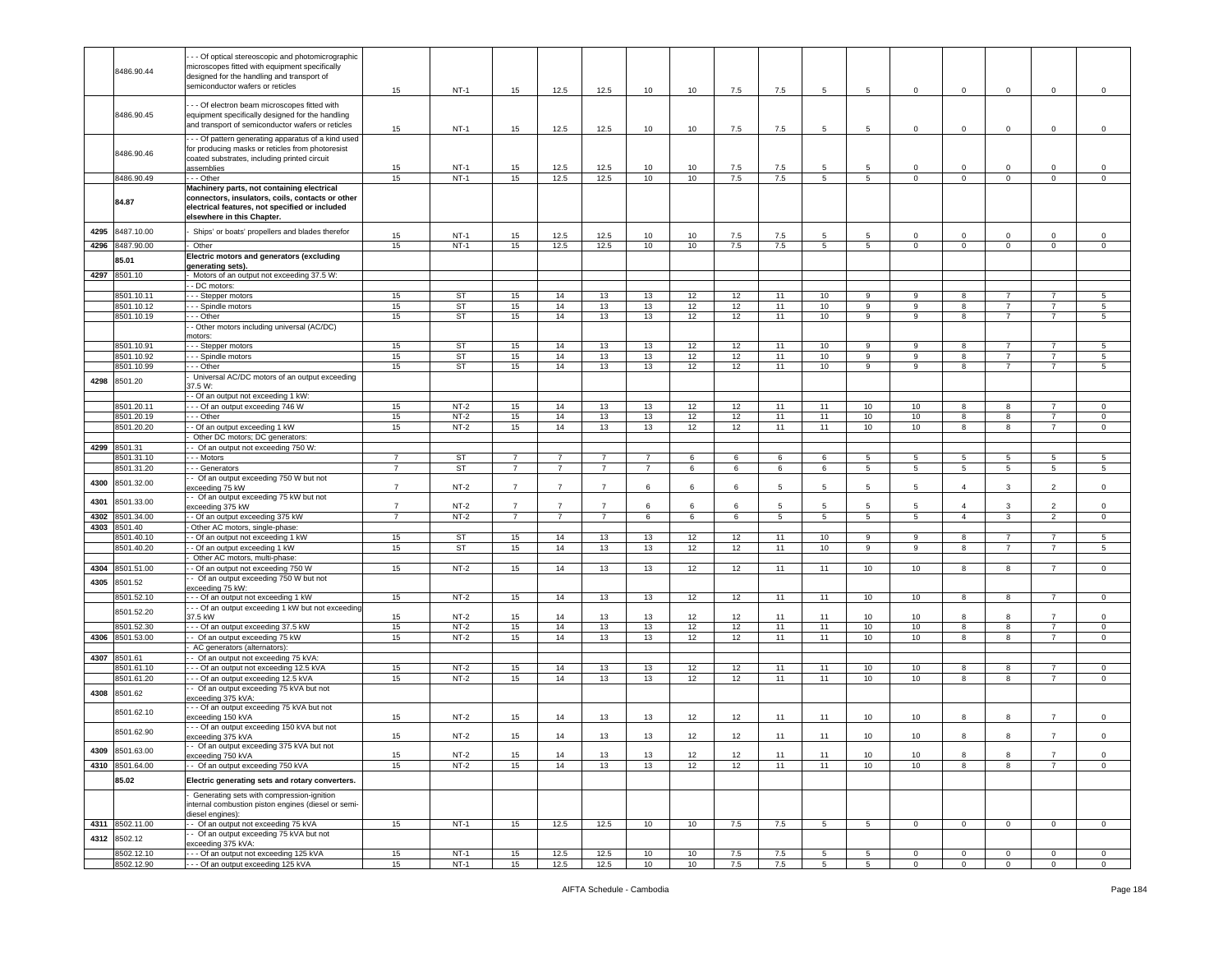|      | 8486.90.44      | - - Of optical stereoscopic and photomicrographic<br>microscopes fitted with equipment specifically<br>designed for the handling and transport of<br>semiconductor wafers or reticles | 15             | $NT-1$    | 15             | 12.5           | 12.5           | 10             | 10 | 7.5     | 7.5 | 5              | $\overline{5}$  | $\mathbf 0$    | $\overline{0}$ | $\mathsf 0$    | $\mathsf 0$    | $\mathsf 0$    |
|------|-----------------|---------------------------------------------------------------------------------------------------------------------------------------------------------------------------------------|----------------|-----------|----------------|----------------|----------------|----------------|----|---------|-----|----------------|-----------------|----------------|----------------|----------------|----------------|----------------|
|      | 8486.90.45      | - - Of electron beam microscopes fitted with<br>equipment specifically designed for the handling<br>and transport of semiconductor wafers or reticles                                 | 15             | $NT-1$    | 15             | 12.5           | 12.5           | 10             | 10 | 7.5     | 7.5 | 5              | 5               | $\mathbf 0$    | 0              | $\mathbf 0$    | $\mathbf 0$    | 0              |
|      | 8486.90.46      | - - Of pattern generating apparatus of a kind used<br>for producing masks or reticles from photoresist<br>coated substrates, including printed circuit<br>assemblies                  | 15             | $NT-1$    | 15             | 12.5           | 12.5           | 10             | 10 | 7.5     | 7.5 | 5              | 5               | $\Omega$       | $\Omega$       | $\Omega$       | $\Omega$       | $\mathbf 0$    |
|      | 8486.90.49      | - - - Other                                                                                                                                                                           | 15             | $NT-1$    | 15             | 12.5           | 12.5           | 10             | 10 | 7.5     | 7.5 | 5              | 5               | $\mathbf 0$    | $\mathbf 0$    | $\mathsf 0$    | $\mathbf 0$    | $\mathsf 0$    |
|      | 84.87           | Machinery parts, not containing electrical<br>connectors, insulators, coils, contacts or other<br>electrical features, not specified or included<br>elsewhere in this Chapter.        |                |           |                |                |                |                |    |         |     |                |                 |                |                |                |                |                |
| 4295 | 8487.10.00      | Ships' or boats' propellers and blades therefor                                                                                                                                       | 15             | $NT-1$    | 15             | 12.5           | 12.5           | 10             | 10 | 7.5     | 7.5 | 5              | 5               | $\Omega$       | $\Omega$       | $\Omega$       | 0              | $\mathbf 0$    |
| 4296 | 8487.90.00      | Other                                                                                                                                                                                 | 15             | $NT-1$    | 15             | 12.5           | 12.5           | 10             | 10 | 7.5     | 7.5 | $5^{\circ}$    | $5\overline{5}$ | $\mathbf 0$    | $\mathbf 0$    | $\mathbf{0}$   | $\mathbf 0$    | $\mathbf 0$    |
|      | 85.01           | Electric motors and generators (excluding<br>generating sets).                                                                                                                        |                |           |                |                |                |                |    |         |     |                |                 |                |                |                |                |                |
| 4297 | 8501.10         | Motors of an output not exceeding 37.5 W:                                                                                                                                             |                |           |                |                |                |                |    |         |     |                |                 |                |                |                |                |                |
|      |                 | - DC motors:                                                                                                                                                                          |                |           |                |                |                |                |    |         |     |                |                 |                |                |                |                |                |
|      | 8501.10.11      | - - Stepper motors                                                                                                                                                                    | 15             | <b>ST</b> | 15             | 14             | 13             | 13             | 12 | 12      | 11  | 10             | 9               | 9              | 8              | $\overline{7}$ | $\overline{7}$ | $\sqrt{5}$     |
|      | 8501.10.12      | - - Spindle motors                                                                                                                                                                    | 15             | <b>ST</b> | 15             | 14             | 13             | 13             | 12 | 12      | 11  | 10             | 9               | 9              | 8              | 7              | $\overline{7}$ | 5              |
|      | 8501.10.19      | - - Other                                                                                                                                                                             | 15             | <b>ST</b> | 15             | 14             | 13             | 13             | 12 | 12      | 11  | 10             | 9               | q              | 8              | $\overline{7}$ | $\overline{7}$ | 5              |
|      |                 | - Other motors including universal (AC/DC)                                                                                                                                            |                |           |                |                |                |                |    |         |     |                |                 |                |                |                |                |                |
|      |                 | notors:                                                                                                                                                                               |                |           |                |                |                |                |    |         |     |                |                 |                |                |                |                |                |
|      | 8501.10.91      | - - Stepper motors                                                                                                                                                                    | 15             | <b>ST</b> | 15             | 14             | 13             | 13             | 12 | 12      | 11  | 10             | 9               | 9              | 8              | 7              |                | -5             |
|      | 3501.10.92      | - - Spindle motors                                                                                                                                                                    | 15             | <b>ST</b> | 15             | 14             | 13             | 13             | 12 | 12      | 11  | 10             | 9               | 9              | 8              | $\overline{7}$ | $\overline{7}$ | $\sqrt{5}$     |
|      | 8501.10.99      | - - Other                                                                                                                                                                             | 15             | <b>ST</b> | 15             | 14             | 13             | 13             | 12 | 12      | 11  | 10             | 9               | 9              | 8              | $\overline{7}$ | $\overline{7}$ | 5              |
|      |                 | Universal AC/DC motors of an output exceeding                                                                                                                                         |                |           |                |                |                |                |    |         |     |                |                 |                |                |                |                |                |
| 4298 | 8501.20         | 37.5 W:                                                                                                                                                                               |                |           |                |                |                |                |    |         |     |                |                 |                |                |                |                |                |
|      |                 | - Of an output not exceeding 1 kW:                                                                                                                                                    |                |           |                |                |                |                |    |         |     |                |                 |                |                |                |                |                |
|      | 8501.20.11      | - - Of an output exceeding 746 W                                                                                                                                                      | 15             | $NT-2$    | 15             | 14             | 13             | 13             | 12 | 12      | 11  | 11             | 10              | 10             | 8              | 8              |                | 0              |
|      | 3501.20.19      | - - Other                                                                                                                                                                             | 15             | $NT-2$    | 15             | 14             | 13             | 13             | 12 | 12      | 11  | 11             | 10              | 10             | 8              | 8              | $\overline{7}$ | $\mathsf 0$    |
|      | 8501.20.20      | - Of an output exceeding 1 kW                                                                                                                                                         | 15             | $NT-2$    | 15             | 14             | 13             | 13             | 12 | 12      | 11  | 11             | 10              | 10             | 8              | 8              | $\overline{7}$ | $\circ$        |
|      |                 | Other DC motors; DC generators:                                                                                                                                                       |                |           |                |                |                |                |    |         |     |                |                 |                |                |                |                |                |
| 4299 | 8501.31         | - Of an output not exceeding 750 W:                                                                                                                                                   |                |           |                |                |                |                |    |         |     |                |                 |                |                |                |                |                |
|      | 8501.31.10      | - - Motors                                                                                                                                                                            | $\overline{7}$ | <b>ST</b> | $\overline{7}$ | $\overline{7}$ | $\overline{7}$ | $\overline{7}$ | 6  | 6       | 6   | 6              | $5\phantom{.0}$ | 5              | 5              | 5              | 5              | 5              |
|      | 3501.31.20      | - - Generators                                                                                                                                                                        | $\overline{7}$ | <b>ST</b> | $\overline{7}$ | $\overline{7}$ | $\overline{7}$ | $\overline{7}$ | 6  | 6       | 6   | 6              | 5               | 5              | 5              | 5              | 5              | 5              |
| 4300 | 8501.32.00      | - Of an output exceeding 750 W but not<br>xceeding 75 kW                                                                                                                              | $\overline{7}$ | $NT-2$    | $\overline{7}$ | $\overline{7}$ | $\overline{7}$ | 6              | 6  | 6       | 5   | 5              | 5               | 5              | $\overline{4}$ | 3              | 2              | $\mathsf 0$    |
| 4301 | 8501.33.00      | - Of an output exceeding 75 kW but not<br>exceeding 375 kW                                                                                                                            | $\overline{7}$ | $NT-2$    | $\overline{7}$ | $\overline{7}$ | -7             | 6              | 6  | 6       | 5   | 5              | 5               | -5             | $\Delta$       | 3              | $\overline{2}$ | $\mathsf 0$    |
| 4302 | 8501.34.00      | - Of an output exceeding 375 kW                                                                                                                                                       | $\overline{7}$ | $NT-2$    | $\overline{7}$ | $\overline{7}$ | $\overline{7}$ | 6              | 6  | 6       | 5   | $5^{\circ}$    | $5\overline{5}$ | 5              | $\overline{4}$ | 3              | 2              | $\mathbf 0$    |
| 4303 | 8501.40         | Other AC motors, single-phase:                                                                                                                                                        |                |           |                |                |                |                |    |         |     |                |                 |                |                |                |                |                |
|      | 3501.40.10      | - Of an output not exceeding 1 kW                                                                                                                                                     | 15             | <b>ST</b> | 15             | 14             | 13             | 13             | 12 | 12      | 11  | 10             | 9               | 9              | 8              | $\overline{7}$ | $\overline{7}$ | 5              |
|      | 3501.40.20      | - Of an output exceeding 1 kW                                                                                                                                                         | 15             | ST        | 15             | 14             | 13             | 13             | 12 | 12      | 11  | 10             | 9               | 9              | 8              | $\overline{7}$ |                | 5              |
|      |                 | Other AC motors, multi-phase:                                                                                                                                                         |                |           |                |                |                |                |    |         |     |                |                 |                |                |                |                |                |
| 4304 | 8501.51.00      | - Of an output not exceeding 750 W                                                                                                                                                    | 15             | $NT-2$    | 15             | 14             | 13             | 13             | 12 | 12      | 11  | 11             | 10              | 10             | 8              | 8              | $\overline{7}$ | $\mathbf 0$    |
|      |                 | - Of an output exceeding 750 W but not                                                                                                                                                |                |           |                |                |                |                |    |         |     |                |                 |                |                |                |                |                |
| 4305 | 8501.52         | exceeding 75 kW:                                                                                                                                                                      |                |           |                |                |                |                |    |         |     |                |                 |                |                |                |                |                |
|      | 8501.52.10      | - - Of an output not exceeding 1 kW                                                                                                                                                   | 15             | $NT-2$    | 15             | 14             | 13             | 13             | 12 | 12      | 11  | 11             | 10              | 10             | 8              | 8              | $\overline{7}$ | $\mathsf 0$    |
|      |                 | - - Of an output exceeding 1 kW but not exceeding                                                                                                                                     |                |           |                |                |                |                |    |         |     |                |                 |                |                |                |                |                |
|      | 8501.52.20      | 37.5 kW                                                                                                                                                                               | 15             | $NT-2$    | 15             | 14             | 13             | 13             | 12 | 12      | 11  | 11             | 10              | 10             | 8              | 8              | $\overline{7}$ | $\mathsf 0$    |
|      | 3501.52.30      | - - Of an output exceeding 37.5 kW                                                                                                                                                    | 15             | $NT-2$    | 15             | 14             | 13             | 13             | 12 | 12      | 11  | 11             | 10              | 10             | 8              | 8              | $\overline{7}$ | $\mathsf 0$    |
| 4306 | 8501.53.00      | - Of an output exceeding 75 kW                                                                                                                                                        | 15             | $NT-2$    | 15             | 14             | 13             | 13             | 12 | 12      | 11  | 11             | 10              | 10             | 8              | 8              | $\overline{7}$ | $\circ$        |
|      |                 | AC generators (alternators):                                                                                                                                                          |                |           |                |                |                |                |    |         |     |                |                 |                |                |                |                |                |
| 4307 | 8501.61         | - Of an output not exceeding 75 kVA:                                                                                                                                                  |                |           |                |                |                |                |    |         |     |                |                 |                |                |                |                |                |
|      | 501.61.10       | - - Of an output not exceeding 12.5 kVA                                                                                                                                               | 15             | $NT-2$    | 15             | 14             | 13             | 13             | 12 | 12      | 11  | 11             | 10              | 10             | 8              | 8              | $\overline{7}$ | $\mathbf 0$    |
|      | 3501.61.20      | - - Of an output exceeding 12.5 kVA                                                                                                                                                   | 15             | $NT-2$    | 15             | $14$           | 13             | 13             | 12 | 12      | 11  | 11             | 10              | 10             | 8              | 8              | $\overline{7}$ | $\,0\,$        |
| 4308 | 8501.62         | - Of an output exceeding 75 kVA but not<br>exceeding 375 kVA:                                                                                                                         |                |           |                |                |                |                |    |         |     |                |                 |                |                |                |                |                |
|      | 8501.62.10      | - - Of an output exceeding 75 kVA but not<br>exceeding 150 kVA                                                                                                                        | 15             | $NT-2$    | 15             | 14             | 13             | 13             | 12 | 12      | 11  | 11             | 10              | 10             | 8              |                |                | $\mathbf 0$    |
|      | 8501.62.90      | --- Of an output exceeding 150 kVA but not                                                                                                                                            |                |           |                |                |                |                |    |         |     |                |                 |                | 8              |                | $\overline{7}$ |                |
|      |                 | exceeding 375 kVA<br>- Of an output exceeding 375 kVA but not                                                                                                                         | 15             | $NT-2$    | 15             | 14             | 13             | 13             | 12 | 12      | 11  | 11             | 10              | 10             |                | 8              |                | $\mathbf 0$    |
| 4309 | 8501.63.00      | exceeding 750 kVA                                                                                                                                                                     | 15             | $NT-2$    | 15             | 14             | 13             | 13             | 12 | 12      | 11  | 11             | 10              | 10             | 8              | 8              | $\overline{7}$ | $\mathsf 0$    |
|      | 4310 8501.64.00 | - Of an output exceeding 750 kVA                                                                                                                                                      | 15             | $NT-2$    | 15             | 14             | 13             | 13             | 12 | 12      | 11  | 11             | 10              | 10             | 8              | 8              | $\overline{7}$ | $\mathsf 0$    |
|      | 85.02           | Electric generating sets and rotary converters.                                                                                                                                       |                |           |                |                |                |                |    |         |     |                |                 |                |                |                |                |                |
|      |                 | Generating sets with compression-ignition<br>internal combustion piston engines (diesel or semi-<br>diesel engines):                                                                  |                |           |                |                |                |                |    |         |     |                |                 |                |                |                |                |                |
|      | 4311 8502.11.00 | - Of an output not exceeding 75 kVA                                                                                                                                                   | 15             | $NT-1$    | 15             | 12.5           | 12.5           | 10             | 10 | 7.5     | 7.5 | 5 <sub>5</sub> | $5\overline{5}$ | $\overline{0}$ | $\overline{0}$ | $\overline{0}$ | $\overline{0}$ | $\overline{0}$ |
|      |                 | - Of an output exceeding 75 kVA but not                                                                                                                                               |                |           |                |                |                |                |    |         |     |                |                 |                |                |                |                |                |
| 4312 | 8502.12         | exceeding 375 kVA:                                                                                                                                                                    |                |           |                |                |                |                |    |         |     |                |                 |                |                |                |                |                |
|      | 8502.12.10      | - - Of an output not exceeding 125 kVA                                                                                                                                                | 15             | $NT-1$    | 15             | 12.5           | 12.5           | 10             | 10 | $7.5\,$ | 7.5 | 5              | 5               | $\circ$        | $\mathsf 0$    | $\mathbf 0$    | $\mathbf 0$    | $\,0\,$        |
|      | 8502.12.90      | - - Of an output exceeding 125 kVA                                                                                                                                                    | 15             | $NT-1$    | 15             | 12.5           | 12.5           | 10             | 10 | 7.5     | 7.5 | $5^{\circ}$    | $5\overline{)}$ | $\Omega$       | $\overline{0}$ | $\mathbf{0}$   | $\mathbf 0$    | $\mathbf 0$    |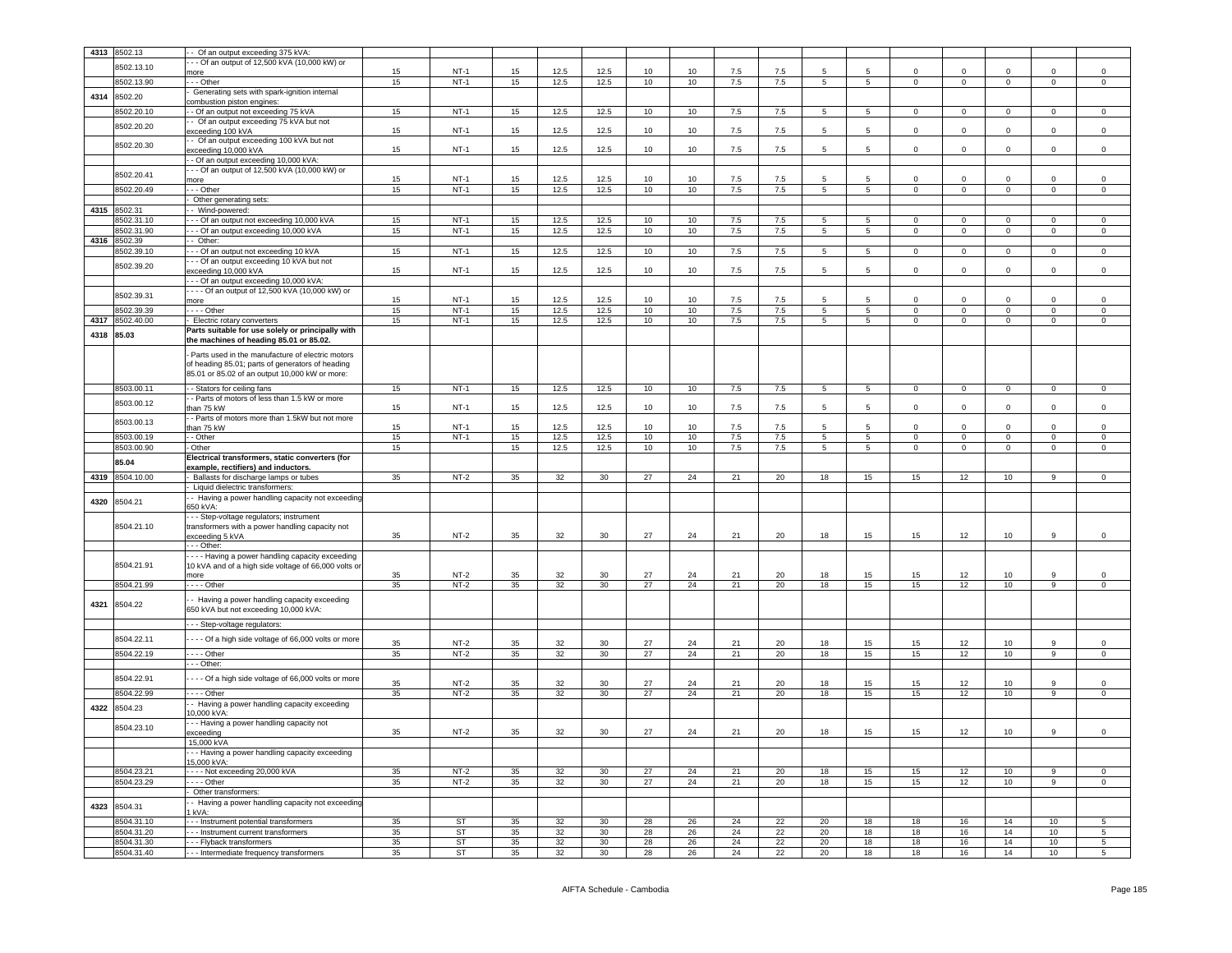| 4313 | 8502.13                  | Of an output exceeding 375 kVA:                                                    |          |                  |          |          |                 |          |          |          |          |                 |                 |              |                |                |                       |                            |
|------|--------------------------|------------------------------------------------------------------------------------|----------|------------------|----------|----------|-----------------|----------|----------|----------|----------|-----------------|-----------------|--------------|----------------|----------------|-----------------------|----------------------------|
|      |                          | - - Of an output of 12,500 kVA (10,000 kW) or                                      |          |                  |          |          |                 |          |          |          |          |                 |                 |              |                |                |                       |                            |
|      | 8502.13.10               | more                                                                               | 15       | $NT-1$           | 15       | 12.5     | 12.5            | 10       | 10       | 7.5      | 7.5      | 5               | -5              | $\Omega$     | $\mathsf 0$    | $\Omega$       | $\Omega$              | $\mathbf 0$                |
|      | 8502.13.90               | - - Other                                                                          | 15       | $NT-1$           | 15       | 12.5     | 12.5            | 10       | 10       | 7.5      | 7.5      | 5               | 5               | $\mathbf 0$  | $\overline{0}$ | $\mathbf{0}$   | 0                     | $\mathbf 0$                |
|      |                          | Generating sets with spark-ignition internal                                       |          |                  |          |          |                 |          |          |          |          |                 |                 |              |                |                |                       |                            |
| 4314 | 8502.20                  | ombustion piston engines:                                                          |          |                  |          |          |                 |          |          |          |          |                 |                 |              |                |                |                       |                            |
|      | 8502.20.10               | - Of an output not exceeding 75 kVA                                                | 15       | $NT-1$           | 15       | 12.5     | 12.5            | 10       | 10       | 7.5      | 7.5      | 5               | 5               | $\mathbf 0$  | $\mathbf 0$    | $\mathbf 0$    | $\Omega$              | $\mathsf 0$                |
|      | 8502.20.20               | - Of an output exceeding 75 kVA but not                                            |          |                  |          |          |                 |          |          |          |          |                 |                 |              |                |                |                       |                            |
|      |                          | xceeding 100 kVA                                                                   | 15       | $NT-1$           | 15       | 12.5     | 12.5            | 10       | 10       | 7.5      | 7.5      | 5               | 5               | $\mathbf 0$  | $\mathsf 0$    | 0              | 0                     | $\mathsf 0$                |
|      | 8502.20.30               | - Of an output exceeding 100 kVA but not                                           |          |                  |          |          |                 |          |          |          |          |                 |                 |              |                |                |                       |                            |
|      |                          | exceeding 10,000 kVA                                                               | 15       | $NT-1$           | 15       | 12.5     | 12.5            | 10       | 10       | 7.5      | 7.5      | 5               | 5               | 0            | $\mathbf 0$    | $\mathbf 0$    | 0                     | $\mathsf 0$                |
|      |                          | - Of an output exceeding 10,000 kVA:                                               |          |                  |          |          |                 |          |          |          |          |                 |                 |              |                |                |                       |                            |
|      | 8502.20.41               | - - Of an output of 12,500 kVA (10,000 kW) or                                      | 15       | $NT-1$           | 15       | 12.5     | 12.5            | 10       | 10       | 7.5      | 7.5      | 5               | 5               | $\Omega$     | $\mathsf 0$    | $\Omega$       | $\Omega$              | $\mathsf 0$                |
|      | 8502.20.49               | more<br>- - Other                                                                  | 15       | $NT-1$           | 15       | 12.5     | 12.5            | 10       | 10       | 7.5      | 7.5      | 5               | 5 <sup>5</sup>  | $\circ$      | $\mathbf 0$    | $\circ$        | $\mathbf 0$           | $\mathbf 0$                |
|      |                          |                                                                                    |          |                  |          |          |                 |          |          |          |          |                 |                 |              |                |                |                       |                            |
|      |                          | Other generating sets:                                                             |          |                  |          |          |                 |          |          |          |          |                 |                 |              |                |                |                       |                            |
| 4315 | 8502.31                  | - Wind-powered:                                                                    |          |                  |          |          |                 |          |          |          |          |                 |                 | $\Omega$     |                |                |                       |                            |
|      | 3502.31.10               | - - Of an output not exceeding 10,000 kVA<br>- - Of an output exceeding 10,000 kVA | 15       | $NT-1$<br>$NT-1$ | 15       | 12.5     | 12.5            | 10       | 10       | 7.5      | 7.5      | 5               | 5               |              | $\mathbf 0$    | $\mathbf 0$    | $\mathbf 0$           | $\mathsf 0$                |
|      | 8502.31.90               |                                                                                    | 15       |                  | 15       | 12.5     | 12.5            | 10       | 10       | 7.5      | 7.5      | $5\phantom{.0}$ | 5               | $\mathbf{0}$ | $\mathbf{0}$   | $\overline{0}$ | $\mathbf 0$           | $\circ$                    |
| 4316 | 8502.39                  | Other:                                                                             |          |                  |          |          |                 |          |          |          |          |                 |                 |              |                |                |                       |                            |
|      | 8502.39.10               | - Of an output not exceeding 10 kVA                                                | 15       | $NT-1$           | 15       | 12.5     | 12.5            | 10       | 10       | 7.5      | 7.5      | 5               | 5               | $\mathbf 0$  | $\mathbf 0$    | $\mathbf 0$    | $\Omega$              | $\mathbf 0$                |
|      | 8502.39.20               | - - Of an output exceeding 10 kVA but not                                          | 15       | $NT-1$           | 15       | 12.5     | 12.5            | 10       | 10       | 7.5      | 7.5      | 5               | 5               | $\mathbf 0$  | $\mathbf 0$    | $\mathbf 0$    | $\mathbf 0$           | $\,0\,$                    |
|      |                          | exceeding 10,000 kVA<br>-- Of an output exceeding 10,000 kVA:                      |          |                  |          |          |                 |          |          |          |          |                 |                 |              |                |                |                       |                            |
|      |                          | --- Of an output of 12,500 kVA (10,000 kW) or                                      |          |                  |          |          |                 |          |          |          |          |                 |                 |              |                |                |                       |                            |
|      | 8502.39.31               | more                                                                               | 15       | $NT-1$           | 15       | 12.5     | 12.5            | 10       | 10       | 7.5      | 7.5      | 5               | 5               | $\Omega$     | $\mathbf 0$    | $\Omega$       | $\Omega$              | $\mathsf 0$                |
|      | 8502.39.39               | $--$ Other                                                                         | 15       | $NT-1$           | 15       | 12.5     | 12.5            | 10       | 10       | 7.5      | 7.5      | 5               | $5\overline{)}$ | $\mathbf{0}$ | $\mathbf 0$    | $\mathbf 0$    | $\mathbf 0$           | $\mathbf 0$                |
| 4317 | 8502.40.00               | Electric rotary converters                                                         | 15       | $NT-1$           | 15       | 12.5     | 12.5            | 10       | 10       | 7.5      | 7.5      | 5               | $5^{\circ}$     | $\Omega$     | $\mathbf 0$    | $\mathbf 0$    | 0                     | $\mathbf 0$                |
|      |                          | Parts suitable for use solely or principally with                                  |          |                  |          |          |                 |          |          |          |          |                 |                 |              |                |                |                       |                            |
| 4318 | 85.03                    | the machines of heading 85.01 or 85.02.                                            |          |                  |          |          |                 |          |          |          |          |                 |                 |              |                |                |                       |                            |
|      |                          |                                                                                    |          |                  |          |          |                 |          |          |          |          |                 |                 |              |                |                |                       |                            |
|      |                          | Parts used in the manufacture of electric motors                                   |          |                  |          |          |                 |          |          |          |          |                 |                 |              |                |                |                       |                            |
|      |                          | of heading 85.01; parts of generators of heading                                   |          |                  |          |          |                 |          |          |          |          |                 |                 |              |                |                |                       |                            |
|      |                          | 85.01 or 85.02 of an output 10,000 kW or more:                                     |          |                  |          |          |                 |          |          |          |          |                 |                 |              |                |                |                       |                            |
|      | 8503.00.11               | - Stators for ceiling fans                                                         | 15       | $NT-1$           | 15       | 12.5     | 12.5            | 10       | 10       | 7.5      | 7.5      | 5               | 5               | $\mathbf{0}$ | $\overline{0}$ | $\overline{0}$ | $\mathbf{0}$          | $\mathsf 0$                |
|      |                          | - Parts of motors of less than 1.5 kW or more                                      |          |                  |          |          |                 |          |          |          |          |                 |                 |              |                |                |                       |                            |
|      | 8503.00.12               | han 75 kW                                                                          | 15       | $NT-1$           | 15       | 12.5     | 12.5            | 10       | 10       | 7.5      | 7.5      | 5               | 5               | $\mathbf 0$  | $\mathsf 0$    | $\mathbf 0$    | $\mathbf 0$           | $\mathsf 0$                |
|      | 8503.00.13               | - Parts of motors more than 1.5kW but not more                                     |          |                  |          |          |                 |          |          |          |          |                 |                 |              |                |                |                       |                            |
|      |                          | han 75 kW                                                                          | 15       | NT-1             | 15       | 12.5     | 12.5            | 10       | 10       | 7.5      | 7.5      | 5               | 5               | $\Omega$     | $\mathbf 0$    | $\mathbf 0$    | $\Omega$              | $\mathbf 0$                |
|      | 8503.00.19               | - Other                                                                            | 15       | $NT-1$           | 15       | 12.5     | 12.5            | 10       | 10       | 7.5      | 7.5      | 5               | $5^{\circ}$     | $\circ$      | $\mathbf 0$    | $\mathbf 0$    | $\circ$               | $\mathsf 0$                |
|      | 8503.00.90               | Other                                                                              | 15       |                  | 15       | 12.5     | 12.5            | 10       | 10       | 7.5      | 7.5      | $\overline{5}$  | 5               | $\mathbf 0$  | $\overline{0}$ | $\mathbf 0$    | $\mathbf 0$           | $\mathsf 0$                |
|      |                          |                                                                                    |          |                  |          |          |                 |          |          |          |          |                 |                 |              |                |                |                       |                            |
|      |                          | Electrical transformers, static converters (for                                    |          |                  |          |          |                 |          |          |          |          |                 |                 |              |                |                |                       |                            |
|      | 85.04                    | example, rectifiers) and inductors.                                                |          |                  |          |          |                 |          |          |          |          |                 |                 |              |                |                |                       |                            |
| 4319 | 8504.10.00               | Ballasts for discharge lamps or tubes                                              | 35       | $NT-2$           | 35       | 32       | 30              | 27       | 24       | 21       | 20       | 18              | 15              | 15           | 12             | 10             | 9                     | $\mathsf 0$                |
|      |                          | Liquid dielectric transformers:                                                    |          |                  |          |          |                 |          |          |          |          |                 |                 |              |                |                |                       |                            |
| 4320 | 8504.21                  | - Having a power handling capacity not exceeding                                   |          |                  |          |          |                 |          |          |          |          |                 |                 |              |                |                |                       |                            |
|      |                          | 350 kVA:                                                                           |          |                  |          |          |                 |          |          |          |          |                 |                 |              |                |                |                       |                            |
|      |                          | - - Step-voltage regulators; instrument                                            |          |                  |          |          |                 |          |          |          |          |                 |                 |              |                |                |                       |                            |
|      | 8504.21.10               | transformers with a power handling capacity not                                    |          |                  |          |          |                 |          |          |          |          |                 |                 |              |                |                |                       |                            |
|      |                          | exceeding 5 kVA                                                                    | 35       | $NT-2$           | 35       | 32       | 30              | 27       | 24       | 21       | 20       | 18              | 15              | 15           | 12             | 10             | 9                     | $\mathsf 0$                |
|      |                          | - - Other:                                                                         |          |                  |          |          |                 |          |          |          |          |                 |                 |              |                |                |                       |                            |
|      |                          | --- Having a power handling capacity exceeding                                     |          |                  |          |          |                 |          |          |          |          |                 |                 |              |                |                |                       |                            |
|      | 8504.21.91               | 10 kVA and of a high side voltage of 66,000 volts or<br>more                       | 35       | $NT-2$           | 35       | 32       | 30              | 27       | 24       | 21       | 20       | 18              | 15              | 15           | 12             | 10             | 9                     | $\mathbf 0$                |
|      |                          |                                                                                    |          |                  |          |          |                 |          |          |          |          |                 |                 |              |                |                |                       |                            |
|      | 8504.21.99               | $- -$ - Other                                                                      | 35       | $NT-2$           | 35       | 32       | 30              | 27       | 24       | 21       | 20       | 18              | 15              | 15           | 12             | 10             | 9                     | $\mathsf 0$                |
| 4321 | 8504.22                  | - Having a power handling capacity exceeding                                       |          |                  |          |          |                 |          |          |          |          |                 |                 |              |                |                |                       |                            |
|      |                          | 650 kVA but not exceeding 10,000 kVA:                                              |          |                  |          |          |                 |          |          |          |          |                 |                 |              |                |                |                       |                            |
|      |                          | - - Step-voltage regulators:                                                       |          |                  |          |          |                 |          |          |          |          |                 |                 |              |                |                |                       |                            |
|      |                          |                                                                                    |          |                  |          |          |                 |          |          |          |          |                 |                 |              |                |                |                       |                            |
|      | 8504.22.11               | - - - Of a high side voltage of 66,000 volts or more                               | 35       | $NT-2$           | 35       | 32       | 30              | 27       | 24       | 21       | 20       | 18              | 15              | 15           | 12             | 10             | 9                     | 0                          |
|      | 8504.22.19               | . - - - Other                                                                      | 35       | $NT-2$           | 35       | 32       | 30              | 27       | 24       | 21       | 20       | 18              | 15              | 15           | 12             | 10             | 9                     | $\mathbf 0$                |
|      |                          | - - Other:                                                                         |          |                  |          |          |                 |          |          |          |          |                 |                 |              |                |                |                       |                            |
|      |                          |                                                                                    |          |                  |          |          |                 |          |          |          |          |                 |                 |              |                |                |                       |                            |
|      | 8504.22.91               | - - - Of a high side voltage of 66,000 volts or more                               | 35       | $NT-2$           | 35       | 32       | 30              | 27       | 24       | 21       | 20       | 18              | 15              | 15           | 12             | 10             | 9                     | $\mathbf 0$                |
|      | 8504.22.99               | $\cdots$ - Other                                                                   | 35       | $NT-2$           | 35       | 32       | 30              | 27       | 24       | 21       | 20       | 18              | 15              | 15           | 12             | 10             | 9                     | $\mathsf 0$                |
|      |                          | - Having a power handling capacity exceeding                                       |          |                  |          |          |                 |          |          |          |          |                 |                 |              |                |                |                       |                            |
| 4322 | 8504.23                  | 10,000 kVA:                                                                        |          |                  |          |          |                 |          |          |          |          |                 |                 |              |                |                |                       |                            |
|      |                          | - - Having a power handling capacity not                                           |          |                  |          |          |                 |          |          |          |          |                 |                 |              |                |                |                       |                            |
|      | 8504.23.10               | exceeding                                                                          | 35       | $NT-2$           | 35       | 32       | 30              | 27       | 24       | 21       | 20       | 18              | 15              | 15           | 12             | 10             | 9                     | $\mathsf 0$                |
|      |                          | 15,000 kVA                                                                         |          |                  |          |          |                 |          |          |          |          |                 |                 |              |                |                |                       |                            |
|      |                          | -- Having a power handling capacity exceeding                                      |          |                  |          |          |                 |          |          |          |          |                 |                 |              |                |                |                       |                            |
|      |                          | 15.000 kVA:                                                                        |          |                  |          |          |                 |          |          |          |          |                 |                 |              |                |                |                       |                            |
|      | 8504.23.21               | --- Not exceeding 20,000 kVA                                                       | 35       | $NT-2$           | 35       | 32       | 30 <sup>°</sup> | 27       | 24       | 21       | 20       | 18              | 15              | 15           | 12             | 10             | 9                     | $\circ$                    |
|      | 8504.23.29               | . - - - Other                                                                      | 35       | $NT-2$           | 35       | 32       | 30 <sup>2</sup> | 27       | 24       | 21       | 20       | 18              | 15              | 15           | 12             | 10             | 9                     | $\mathbf{0}$               |
|      |                          | Other transformers:                                                                |          |                  |          |          |                 |          |          |          |          |                 |                 |              |                |                |                       |                            |
| 4323 | 8504.31                  | - Having a power handling capacity not exceeding                                   |          |                  |          |          |                 |          |          |          |          |                 |                 |              |                |                |                       |                            |
|      |                          | kVA:                                                                               |          |                  |          |          |                 |          |          |          |          |                 |                 |              |                |                |                       |                            |
|      | 8504.31.10               | - - Instrument potential transformers                                              | 35       | <b>ST</b>        | 35       | 32       | 30              | 28       | 26       | 24       | 22       | 20              | 18              | 18           | 16             | 14             | 10                    | 5                          |
|      | 8504.31.20               | - - Instrument current transformers                                                | 35       | <b>ST</b>        | 35       | 32       | 30 <sup>2</sup> | 28       | 26       | 24       | 22       | 20              | 18              | 18           | 16             | 14             | 10                    | 5 <sub>5</sub>             |
|      | 8504.31.30<br>8504.31.40 | - - Flyback transformers<br>- - Intermediate frequency transformers                | 35<br>35 | ST<br>ST         | 35<br>35 | 32<br>32 | 30<br>30        | 28<br>28 | 26<br>26 | 24<br>24 | 22<br>22 | 20<br>20        | 18<br>18        | 18<br>18     | 16<br>16       | 14<br>14       | 10<br>10 <sub>1</sub> | $5^{\circ}$<br>$5^{\circ}$ |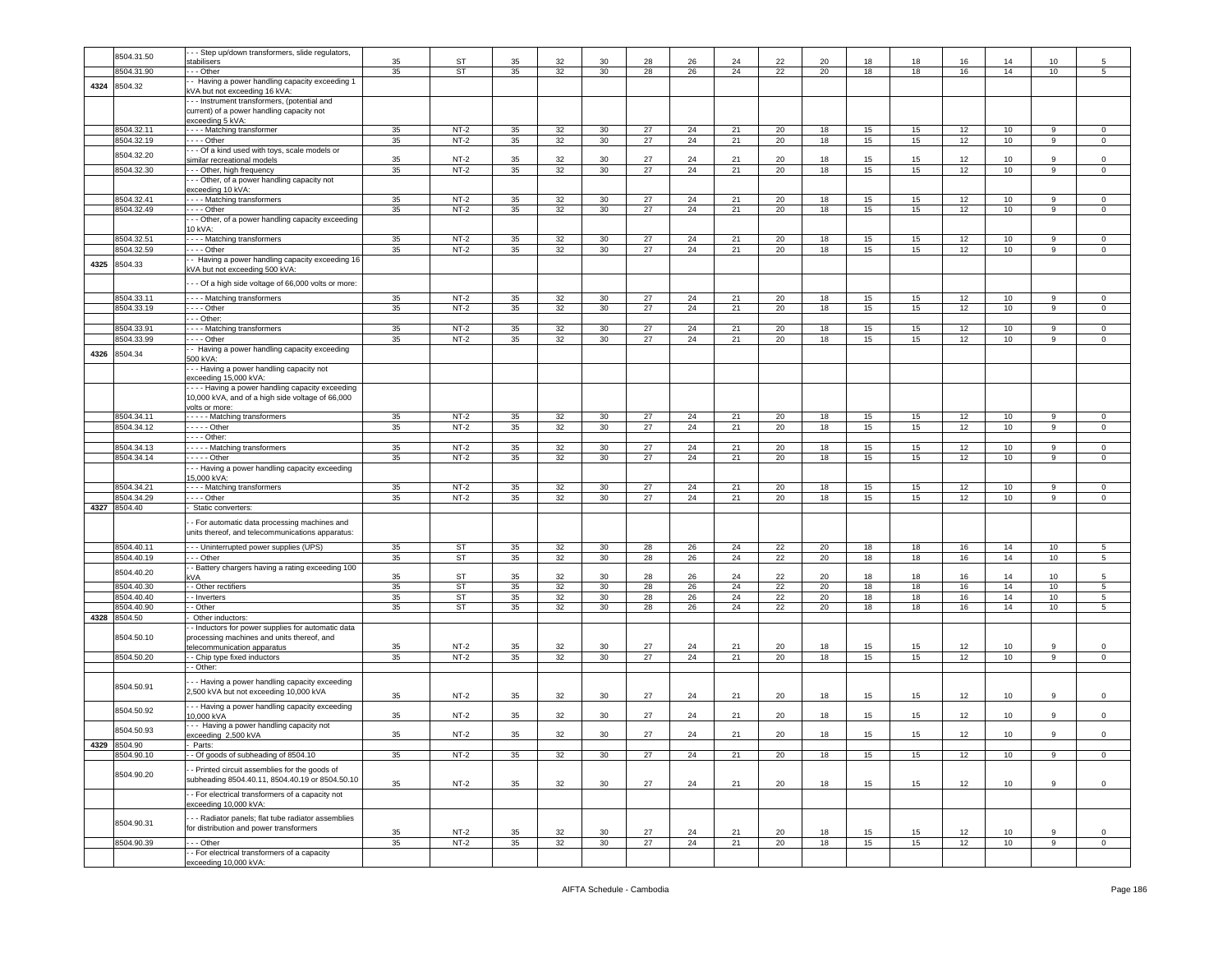|      | 8504.31.50                 | - - Step up/down transformers, slide regulators,                         |          |                        |          |          |          |          |          |          |          |          |          |          |          |                 |                |                |
|------|----------------------------|--------------------------------------------------------------------------|----------|------------------------|----------|----------|----------|----------|----------|----------|----------|----------|----------|----------|----------|-----------------|----------------|----------------|
|      |                            | stabilisers                                                              | 35       | ST                     | 35       | 32       | 30       | 28       | 26       | 24       | 22       | 20       | 18       | 18       | 16       | 14              | 10             |                |
|      | 8504.31.90                 | - - Other<br>- Having a power handling capacity exceeding 1              | 35       | <b>ST</b>              | 35       | 32       | 30       | 28       | 26       | 24       | 22       | 20       | 18       | 18       | 16       | 14              | 10             | 5 <sub>5</sub> |
| 4324 | 8504.32                    | VA but not exceeding 16 kVA:                                             |          |                        |          |          |          |          |          |          |          |          |          |          |          |                 |                |                |
|      |                            | - - Instrument transformers, (potential and                              |          |                        |          |          |          |          |          |          |          |          |          |          |          |                 |                |                |
|      |                            | current) of a power handling capacity not                                |          |                        |          |          |          |          |          |          |          |          |          |          |          |                 |                |                |
|      | 8504.32.11                 | exceeding 5 kVA:<br>--- Matching transformer                             | 35       | $NT-2$                 | 35       | 32       | 30       | 27       | 24       | 21       | 20       | 18       | 15       | 15       | 12       | 10              | 9              | $\Omega$       |
|      | 8504.32.19                 | - - - Other                                                              | 35       | $NT-2$                 | 35       | 32       | 30       | 27       | 24       | 21       | 20       | 18       | 15       | 15       | 12       | 10              | 9              | 0              |
|      |                            | - - Of a kind used with toys, scale models or                            |          |                        |          |          |          |          |          |          |          |          |          |          |          |                 |                |                |
|      | 8504.32.20                 | similar recreational models                                              | 35       | $NT-2$                 | 35       | 32       | 30       | 27       | 24       | 21       | 20       | 18       | 15       | 15       | 12       | 10              | 9              | $\mathbf 0$    |
|      | 8504.32.30                 | - - Other, high frequency                                                | 35       | $NT-2$                 | 35       | 32       | 30       | 27       | 24       | 21       | 20       | 18       | 15       | 15       | 12       | 10              | 9              | $\mathbf{0}$   |
|      |                            | - - Other, of a power handling capacity not<br>xceeding 10 kVA:          |          |                        |          |          |          |          |          |          |          |          |          |          |          |                 |                |                |
|      | 8504.32.41                 | --- Matching transformers                                                | 35       | $NT-2$                 | 35       | 32       | 30       | 27       | 24       | 21       | 20       | 18       | 15       | 15       | 12       | 10              | 9              | $\mathbf 0$    |
|      | 8504.32.49                 | $- - -$ Other                                                            | 35       | $NT-2$                 | 35       | 32       | 30       | 27       | 24       | 21       | 20       | 18       | 15       | 15       | 12       | 10 <sup>1</sup> | 9              | $\circ$        |
|      |                            | -- Other, of a power handling capacity exceeding                         |          |                        |          |          |          |          |          |          |          |          |          |          |          |                 |                |                |
|      | 8504.32.5                  | 10 kVA:                                                                  |          | $NT-2$                 | 35       |          | 30       | 27       | 24       | 21       | 20       |          |          |          | 12       |                 | 9              | $\Omega$       |
|      | 8504.32.59                 | - - - - Matching transformers                                            | 35<br>35 | $NT-2$                 | 35       | 32<br>32 | 30       | 27       | 24       | 21       | 20       | 18<br>18 | 15<br>15 | 15<br>15 | 12       | 10<br>10        | 9              | $\circ$        |
|      |                            | - Having a power handling capacity exceeding 16                          |          |                        |          |          |          |          |          |          |          |          |          |          |          |                 |                |                |
| 4325 | 8504.33                    | kVA but not exceeding 500 kVA:                                           |          |                        |          |          |          |          |          |          |          |          |          |          |          |                 |                |                |
|      |                            | - - Of a high side voltage of 66,000 volts or more:                      |          |                        |          |          |          |          |          |          |          |          |          |          |          |                 |                |                |
|      | 8504.33.11                 | --- Matching transformers                                                | 35       | $NT-2$                 | 35       | 32       | 30       | 27       | 24       | 21       | 20       | 18       | 15       | 15       | 12       | 10              | 9              | $\Omega$       |
|      | 8504.33.19                 |                                                                          | 35       | $NT-2$                 | 35       | 32       | 30       | 27       | 24       | 21       | 20       | 18       | 15       | 15       | 12       | 10              | 9              | $\mathbf 0$    |
|      |                            | - - Other:                                                               |          |                        |          |          |          |          |          |          |          |          |          |          |          |                 |                |                |
|      | 8504.33.91                 | - - - Matching transformers                                              | 35       | $NT-2$                 | 35       | 32       | $30\,$   | 27       | 24       | 21       | 20       | 18       | 15       | 15       | 12       | 10              | 9              | $\mathbf 0$    |
|      | 8504.33.99                 | . - - - Other                                                            | 35       | $NT-2$                 | 35       | 32       | 30       | 27       | 24       | 21       | 20       | 18       | 15       | 15       | 12       | 10              | 9              | $\mathbf 0$    |
| 4326 | 8504.34                    | - Having a power handling capacity exceeding<br>500 kVA:                 |          |                        |          |          |          |          |          |          |          |          |          |          |          |                 |                |                |
|      |                            | - - Having a power handling capacity not                                 |          |                        |          |          |          |          |          |          |          |          |          |          |          |                 |                |                |
|      |                            | exceeding 15,000 kVA:                                                    |          |                        |          |          |          |          |          |          |          |          |          |          |          |                 |                |                |
|      |                            | --- Having a power handling capacity exceeding                           |          |                        |          |          |          |          |          |          |          |          |          |          |          |                 |                |                |
|      |                            | 10,000 kVA, and of a high side voltage of 66,000                         |          |                        |          |          |          |          |          |          |          |          |          |          |          |                 |                |                |
|      | 8504.34.11                 | volts or more:<br>---- Matching transformers                             | 35       | $NT-2$                 | 35       | 32       | 30       | 27       | 24       | 21       | 20       | 18       | 15       | 15       | 12       | 10              | 9              | $\mathbf 0$    |
|      | 8504.34.12                 |                                                                          | 35       | $NT-2$                 | 35       | 32       | 30       | 27       | 24       | 21       | 20       | 18       | 15       | 15       | 12       | 10              | $\overline{9}$ | $\overline{0}$ |
|      |                            | - - - Other:                                                             |          |                        |          |          |          |          |          |          |          |          |          |          |          |                 |                |                |
|      | 8504.34.13                 | - - - - - Matching transformers                                          | 35       | $NT-2$                 | 35       | 32       | 30       | 27       | 24       | 21       | 20       | 18       | 15       | 15       | 12       | 10              | 9              | $\mathbf 0$    |
|      | 8504.34.14                 |                                                                          | 35       | $NT-2$                 | 35       | 32       | 30       | 27       | 24       | 21       | 20       | 18       | 15       | 15       | 12       | 10              | 9              | $\mathbf 0$    |
|      |                            | - - Having a power handling capacity exceeding<br>15,000 kVA:            |          |                        |          |          |          |          |          |          |          |          |          |          |          |                 |                |                |
|      | 8504.34.21                 | --- Matching transformers                                                | 35       | $NT-2$                 | 35       | 32       | 30       | 27       | 24       | 21       | 20       | 18       | 15       | 15       | 12       | 10              | 9              | $\mathbf 0$    |
|      | 8504.34.29                 | --- Other                                                                | 35       | $NT-2$                 | 35       | 32       | 30       | 27       | 24       | 21       | 20       | 18       | 15       | 15       | 12       | 10              | 9              | $\mathbf 0$    |
| 4327 | 8504.40                    | Static converters:                                                       |          |                        |          |          |          |          |          |          |          |          |          |          |          |                 |                |                |
|      |                            | - For automatic data processing machines and                             |          |                        |          |          |          |          |          |          |          |          |          |          |          |                 |                |                |
|      |                            | units thereof, and telecommunications apparatus:                         |          |                        |          |          |          |          |          |          |          |          |          |          |          |                 |                |                |
|      | 8504.40.1                  | --- Uninterrupted power supplies (UPS)                                   | 35       | ST                     | 35       | 32       | 30       | 28       | 26       | 24       | 22       | 20       | 18       | 18       | 16       | 14              | 10             | 5              |
|      | 8504.40.19                 | - - Other                                                                | 35       | ST                     | 35       | 32       | 30       | 28       | 26       | 24       | 22       | 20       | 18       | 18       | 16       | 14              | 10             | $5^{\circ}$    |
|      | 8504.40.20                 | - Battery chargers having a rating exceeding 100                         |          |                        |          |          |          |          |          |          |          |          |          |          |          |                 |                |                |
|      | 8504.40.30                 | :VA<br>- Other rectifiers                                                | 35<br>35 | <b>ST</b><br><b>ST</b> | 35<br>35 | 32<br>32 | 30<br>30 | 28<br>28 | 26<br>26 | 24<br>24 | 22<br>22 | 20<br>20 | 18<br>18 | 18<br>18 | 16<br>16 | 14<br>14        | 10<br>10       | 5<br>5         |
|      | 8504.40.40                 | - Inverters                                                              | 35       | <b>ST</b>              | 35       | 32       | 30       | 28       | 26       | 24       | 22       | 20       | 18       | 18       | 16       | 14              | 10             | 5              |
|      | 8504.40.90                 | - Other                                                                  | 35       | ST                     | 35       | 32       | 30       | 28       | 26       | 24       | 22       | 20       | 18       | 18       | 16       | 14              | 10             | 5              |
| 4328 | 8504.50                    | Other inductors:                                                         |          |                        |          |          |          |          |          |          |          |          |          |          |          |                 |                |                |
|      |                            | - Inductors for power supplies for automatic data                        |          |                        |          |          |          |          |          |          |          |          |          |          |          |                 |                |                |
|      | 8504.50.10                 | processing machines and units thereof, and<br>elecommunication apparatus | 35       | $NT-2$                 | 35       | 32       | 30       | 27       | 24       | 21       | 20       | 18       | 15       | 15       | 12       | 10              | 9              | $\Omega$       |
|      | 8504.50.20                 | - Chip type fixed inductors                                              | 35       | $NT-2$                 | 35       | 32       | 30       | 27       | 24       | 21       | 20       | 18       | 15       | 15       | 12       | 10              | 9              | $\mathbf 0$    |
|      |                            | - Other:                                                                 |          |                        |          |          |          |          |          |          |          |          |          |          |          |                 |                |                |
|      |                            | - - Having a power handling capacity exceeding                           |          |                        |          |          |          |          |          |          |          |          |          |          |          |                 |                |                |
|      | 8504.50.91                 | 2,500 kVA but not exceeding 10,000 kVA                                   |          |                        |          |          |          |          |          |          |          |          |          |          |          |                 |                |                |
|      |                            | - - Having a power handling capacity exceeding                           | 35       | $NT-2$                 | 35       | 32       | 30       | 27       | 24       | 21       | 20       | 18       | 15       | 15       | 12       | 10              | 9              | 0              |
|      | 8504.50.92                 | 0.000 kVA                                                                | 35       | $NT-2$                 | 35       | 32       | 30       | 27       | 24       | 21       | 20       | 18       | 15       | 15       | 12       | 10              | 9              | $\mathbf 0$    |
|      | 8504.50.93                 | -- Having a power handling capacity not                                  |          |                        |          |          |          |          |          |          |          |          |          |          |          |                 |                |                |
|      |                            | exceeding 2,500 kVA                                                      | 35       | $NT-2$                 | 35       | 32       | 30       | 27       | 24       | 21       | 20       | 18       | 15       | 15       | 12       | 10              | 9              | $\mathbf 0$    |
|      | 4329 8504.90<br>8504.90.10 | Parts:<br>- Of goods of subheading of 8504.10                            | 35       | $NT-2$                 | 35       | 32       | 30       | 27       | 24       | 21       | 20       | 18       | 15       | 15       | 12       | 10              | 9              | $\mathbf 0$    |
|      |                            |                                                                          |          |                        |          |          |          |          |          |          |          |          |          |          |          |                 |                |                |
|      | 8504.90.20                 | - Printed circuit assemblies for the goods of                            |          |                        |          |          |          |          |          |          |          |          |          |          |          |                 |                |                |
|      |                            | subheading 8504.40.11, 8504.40.19 or 8504.50.10                          | 35       | $NT-2$                 | 35       | 32       | 30       | 27       | 24       | 21       | 20       | 18       | 15       | 15       | 12       | 10              | 9              | $\circ$        |
|      |                            | - For electrical transformers of a capacity not                          |          |                        |          |          |          |          |          |          |          |          |          |          |          |                 |                |                |
|      |                            | exceeding 10,000 kVA:                                                    |          |                        |          |          |          |          |          |          |          |          |          |          |          |                 |                |                |
|      | 8504.90.31                 | - Radiator panels; flat tube radiator assemblies                         |          |                        |          |          |          |          |          |          |          |          |          |          |          |                 |                |                |
|      |                            | for distribution and power transformers                                  | 35       | $NT-2$                 | 35       | 32       | 30       | 27       | 24       | 21       | 20       | 18       | 15       | 15       | 12       | 10              | 9              | $\mathbf 0$    |
|      | 8504.90.39                 | --- Other                                                                | 35       | $NT-2$                 | 35       | 32       | 30       | 27       | 24       | 21       | 20       | 18       | 15       | 15       | 12       | 10              | $\overline{9}$ | $\overline{0}$ |
|      |                            | - For electrical transformers of a capacity<br>exceeding 10,000 kVA:     |          |                        |          |          |          |          |          |          |          |          |          |          |          |                 |                |                |
|      |                            |                                                                          |          |                        |          |          |          |          |          |          |          |          |          |          |          |                 |                |                |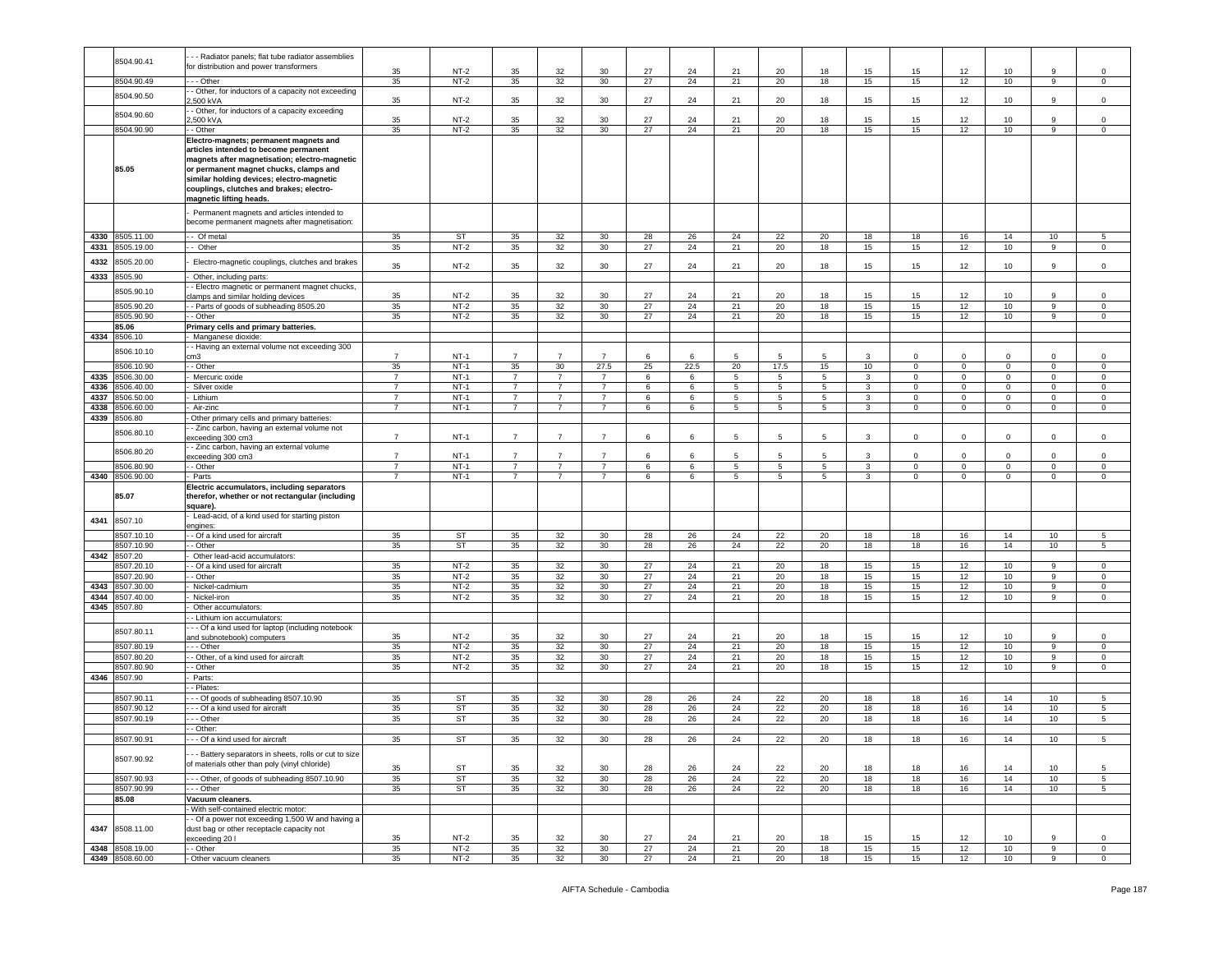|      |                 | - - Radiator panels; flat tube radiator assemblies     |                |           |                |                |                 |    |      |                |                 |             |                         |             |              |                |                 |                |
|------|-----------------|--------------------------------------------------------|----------------|-----------|----------------|----------------|-----------------|----|------|----------------|-----------------|-------------|-------------------------|-------------|--------------|----------------|-----------------|----------------|
|      | 8504.90.41      | for distribution and power transformers                |                |           |                |                |                 |    |      |                |                 |             |                         |             |              |                |                 |                |
|      |                 |                                                        | 35             | $NT-2$    | 35             | 32             | 30              | 27 | 24   | 21             | 20              | 18          | 15                      | 15          | 12           | 10             | 9               | $^{\circ}$     |
|      | 8504.90.49      | - Other                                                | 35             | $NT-2$    | 35             | 32             | 30              | 27 | 24   | 21             | 20              | 18          | 15                      | 15          | 12           | 10             | 9               | $\mathbf 0$    |
|      | 8504.90.50      | - Other, for inductors of a capacity not exceeding     |                |           |                |                |                 |    |      |                |                 |             |                         |             |              |                |                 |                |
|      |                 | ,500 kVA                                               | 35             | $NT-2$    | 35             | 32             | 30              | 27 | 24   | 21             | 20              | 18          | 15                      | 15          | 12           | 10             | 9               | $\mathbf 0$    |
|      |                 | - Other, for inductors of a capacity exceeding         |                |           |                |                |                 |    |      |                |                 |             |                         |             |              |                |                 |                |
|      | 8504.90.60      | .500 kVA                                               | 35             | $NT-2$    | 35             | 32             | 30              | 27 | 24   | 21             | 20              | 18          | 15                      | 15          | 12           | 10             | 9               | $\mathbf 0$    |
|      | 8504.90.90      | - Other                                                | 35             | $NT-2$    | 35             | 32             | 30              | 27 | 24   | 21             | 20              | 18          | 15                      | 15          | 12           | 10             | 9               | $\mathbf 0$    |
|      |                 |                                                        |                |           |                |                |                 |    |      |                |                 |             |                         |             |              |                |                 |                |
|      |                 | Electro-magnets; permanent magnets and                 |                |           |                |                |                 |    |      |                |                 |             |                         |             |              |                |                 |                |
|      |                 | articles intended to become permanent                  |                |           |                |                |                 |    |      |                |                 |             |                         |             |              |                |                 |                |
|      |                 | magnets after magnetisation; electro-magnetic          |                |           |                |                |                 |    |      |                |                 |             |                         |             |              |                |                 |                |
|      | 85.05           | or permanent magnet chucks, clamps and                 |                |           |                |                |                 |    |      |                |                 |             |                         |             |              |                |                 |                |
|      |                 | similar holding devices; electro-magnetic              |                |           |                |                |                 |    |      |                |                 |             |                         |             |              |                |                 |                |
|      |                 | couplings, clutches and brakes; electro-               |                |           |                |                |                 |    |      |                |                 |             |                         |             |              |                |                 |                |
|      |                 | magnetic lifting heads.                                |                |           |                |                |                 |    |      |                |                 |             |                         |             |              |                |                 |                |
|      |                 |                                                        |                |           |                |                |                 |    |      |                |                 |             |                         |             |              |                |                 |                |
|      |                 | Permanent magnets and articles intended to             |                |           |                |                |                 |    |      |                |                 |             |                         |             |              |                |                 |                |
|      |                 | become permanent magnets after magnetisation:          |                |           |                |                |                 |    |      |                |                 |             |                         |             |              |                |                 |                |
|      |                 |                                                        |                |           |                |                |                 |    |      |                |                 |             |                         |             |              |                |                 |                |
| 4330 | 8505.11.00      | - Of metal                                             | 35             | ST        | 35             | 32             | 30              | 28 | 26   | 24             | 22              | 20          | 18                      | 18          | 16           | 14             | 10              | 5              |
| 4331 | 8505.19.00      | - Other                                                | 35             | $NT-2$    | 35             | 32             | 30              | 27 | 24   | 21             | 20              | 18          | 15                      | 15          | 12           | 10             | 9               | $\mathbf 0$    |
|      |                 |                                                        |                |           |                |                |                 |    |      |                |                 |             |                         |             |              |                |                 |                |
| 4332 | 8505.20.00      | Electro-magnetic couplings, clutches and brakes        | 35             | $NT-2$    | 35             | 32             | 30              | 27 | 24   | 21             | 20              | 18          | 15                      | 15          | 12           | 10             | 9               | $\mathsf 0$    |
|      |                 |                                                        |                |           |                |                |                 |    |      |                |                 |             |                         |             |              |                |                 |                |
| 4333 | 8505.90         | Other, including parts:                                |                |           |                |                |                 |    |      |                |                 |             |                         |             |              |                |                 |                |
|      | 8505.90.10      | - Electro magnetic or permanent magnet chucks,         |                |           |                |                |                 |    |      |                |                 |             |                         |             |              |                |                 |                |
|      |                 | lamps and similar holding devices                      | 35             | $NT-2$    | 35             | 32             | 30              | 27 | 24   | 21             | 20              | 18          | 15                      | 15          | 12           | 10             | 9               | $\mathbf 0$    |
|      | 8505.90.20      | - Parts of goods of subheading 8505.20                 | 35             | $NT-2$    | 35             | 32             | 30              | 27 | 24   | 21             | 20              | 18          | 15                      | 15          | 12           | 10             | 9               | $\circ$        |
|      | 8505.90.90      | - Other                                                | 35             | $NT-2$    | 35             | 32             | 30              | 27 | 24   | 21             | 20              | 18          | 15                      | 15          | 12           | 10             | 9               | $\circ$        |
|      | 85.06           | Primary cells and primary batteries.                   |                |           |                |                |                 |    |      |                |                 |             |                         |             |              |                |                 |                |
| 4334 | 8506.10         | Manganese dioxide                                      |                |           |                |                |                 |    |      |                |                 |             |                         |             |              |                |                 |                |
|      |                 | - Having an external volume not exceeding 300          |                |           |                |                |                 |    |      |                |                 |             |                         |             |              |                |                 |                |
|      | 8506.10.10      | cm3                                                    | $\overline{7}$ | $NT-1$    | $\overline{7}$ | $\overline{7}$ | $\overline{7}$  | 6  | 6    | 5              | 5               | 5           | 3                       | 0           | 0            | $\mathbf 0$    | 0               | $^{\circ}$     |
|      |                 |                                                        |                |           |                |                |                 |    |      |                |                 |             |                         |             |              |                |                 |                |
|      | 8506.10.90      | - Other                                                | 35             | $NT-1$    | 35             | 30             | 27.5            | 25 | 22.5 | 20             | 17.5            | 15          | 10                      | $\mathbf 0$ | $\mathbf{0}$ | $\mathbf{0}$   | $\circ$         | $\circ$        |
| 4335 | 8506.30.00      | Mercuric oxide                                         | $\overline{7}$ | $NT-1$    | $\overline{7}$ | 7              | $\overline{7}$  | 6  | 6    | 5              | 5               | 5           | 3                       | 0           | 0            | $\mathbf{0}$   | $\circ$         | $\circ$        |
| 4336 | 8506.40.00      | Silver oxide                                           | $\overline{7}$ | $NT-1$    | $\overline{7}$ | $\overline{7}$ | $\overline{7}$  | 6  | 6    | 5              | 5               | 5.          | 3                       | 0           | 0            | $\mathbf 0$    | $\mathbf 0$     | 0              |
| 4337 | 8506.50.00      | Lithium                                                | $\overline{7}$ | $NT-1$    | $\overline{7}$ | $\overline{7}$ | $\overline{7}$  | 6  | 6    | 5              | $5\phantom{.0}$ | 5           | $\overline{\mathbf{3}}$ | $\Omega$    | $\mathbf{0}$ | $\mathsf 0$    | $\mathbf 0$     | $\mathbf 0$    |
| 4338 | 8506.60.00      | Air-zinc                                               | $\overline{7}$ | $NT-1$    | $\overline{7}$ | 7              | $\overline{7}$  | 6  | 6    | 5              | 5               | 5           | $\mathbf{3}$            | 0           | $\mathbf 0$  | $\mathsf 0$    | $\mathbf 0$     | 0              |
| 4339 | 8506.80         | Other primary cells and primary batteries:             |                |           |                |                |                 |    |      |                |                 |             |                         |             |              |                |                 |                |
|      |                 |                                                        |                |           |                |                |                 |    |      |                |                 |             |                         |             |              |                |                 |                |
|      | 8506.80.10      | - Zinc carbon, having an external volume not           | $\overline{7}$ | $NT-1$    | $\overline{7}$ | $\overline{7}$ | $\overline{7}$  | 6  | 6    | 5              | 5               | 5           | 3                       | 0           | 0            | $\mathbf 0$    | $\circ$         | $\mathsf 0$    |
|      |                 | exceeding 300 cm3                                      |                |           |                |                |                 |    |      |                |                 |             |                         |             |              |                |                 |                |
|      | 8506.80.20      | - Zinc carbon, having an external volume               |                |           |                |                |                 |    |      |                |                 |             |                         |             |              |                |                 |                |
|      |                 | exceeding 300 cm3                                      | $\overline{7}$ | $NT-1$    | $\overline{7}$ | $\overline{7}$ | $\overline{7}$  | 6  | 6    | 5              | 5               | 5           | 3                       | $^{\circ}$  | $\mathbf 0$  | 0              | $\mathbf 0$     | $\mathbf 0$    |
|      | 8506.80.90      | - Other                                                | $\overline{7}$ | $NT-1$    | $\overline{7}$ | $\overline{7}$ | $\overline{7}$  | 6  | 6    | 5              | 5               | $5^{\circ}$ | $\mathbf{3}$            | 0           | $\mathbf{0}$ | $\mathbf{0}$   | $\mathbf 0$     | $\circ$        |
|      | 4340 8506.90.00 | Parts                                                  | $\overline{7}$ | $NT-1$    | $\overline{7}$ | $\overline{7}$ | $\overline{7}$  | 6  | 6    | $\overline{5}$ | $\overline{5}$  | 5           | $\overline{3}$          | 0           | $\mathbf{0}$ | $\overline{0}$ | $\mathsf 0$     | $\mathsf 0$    |
|      |                 | Electric accumulators, including separators            |                |           |                |                |                 |    |      |                |                 |             |                         |             |              |                |                 |                |
|      | 85.07           | therefor, whether or not rectangular (including        |                |           |                |                |                 |    |      |                |                 |             |                         |             |              |                |                 |                |
|      |                 | square).                                               |                |           |                |                |                 |    |      |                |                 |             |                         |             |              |                |                 |                |
|      |                 | Lead-acid, of a kind used for starting piston          |                |           |                |                |                 |    |      |                |                 |             |                         |             |              |                |                 |                |
| 4341 | 8507.10         | engines:                                               |                |           |                |                |                 |    |      |                |                 |             |                         |             |              |                |                 |                |
|      | 8507.10.10      | - Of a kind used for aircraft                          | 35             | ST        | 35             | 32             | 30              | 28 | 26   | 24             | 22              | 20          | 18                      | 18          | 16           | 14             | 10 <sub>1</sub> | 5              |
|      | 8507.10.90      | - Other                                                | 35             | ST        | 35             | 32             | 30              | 28 | 26   | 24             | 22              | 20          | 18                      | 18          | 16           | 14             | 10              | 5              |
|      |                 |                                                        |                |           |                |                |                 |    |      |                |                 |             |                         |             |              |                |                 |                |
| 4342 | 8507.20         | Other lead-acid accumulators:                          |                |           |                |                |                 |    |      |                |                 |             |                         |             |              |                |                 |                |
|      | 8507.20.10      | - Of a kind used for aircraft                          | 35             | $NT-2$    | 35             | 32             | 30              | 27 | 24   | 21             | 20              | 18          | 15                      | 15          | 12           | 10             | 9               | $^{\circ}$     |
|      | 3507.20.90      | - Other                                                | 35             | $NT-2$    | 35             | 32             | 30              | 27 | 24   | 21             | 20              | 18          | 15                      | 15          | 12           | 10             | 9               | $\mathbf 0$    |
| 4343 | 8507.30.00      | Nickel-cadmium                                         | 35             | $NT-2$    | 35             | 32             | 30              | 27 | 24   | 21             | 20              | 18          | 15                      | 15          | 12           | 10             | 9               | $\circ$        |
| 4344 | 8507.40.00      | Nickel-iron                                            | 35             | $NT-2$    | 35             | 32             | 30              | 27 | 24   | 21             | 20              | 18          | 15                      | 15          | 12           | 10             | 9               | $\mathbf 0$    |
| 4345 | 8507.80         | Other accumulators                                     |                |           |                |                |                 |    |      |                |                 |             |                         |             |              |                |                 |                |
|      |                 |                                                        |                |           |                |                |                 |    |      |                |                 |             |                         |             |              |                |                 |                |
|      |                 | - Lithium ion accumulators                             |                |           |                |                |                 |    |      |                |                 |             |                         |             |              |                |                 |                |
|      | 8507.80.11      | - - Of a kind used for laptop (including notebook      |                |           |                |                |                 |    |      |                |                 |             |                         |             |              |                |                 |                |
|      |                 | and subnotebook) computers                             | 35             | $NT-2$    | 35             | 32             | 30              | 27 | 24   | 21             | 20              | 18          | 15                      | 15          | 12           | 10             | 9               | $\mathbf 0$    |
|      | 8507.80.19      | - - Other                                              | 35             | $NT-2$    | 35             | 32             | 30              | 27 | 24   | 21             | 20              | 18          | 15                      | 15          | 12           | 10             | 9               | $\mathbf 0$    |
|      | 8507.80.20      | - Other, of a kind used for aircraft                   | 35             | $NT-2$    | 35             | 32             | 30              | 27 | 24   | 21             | 20              | 18          | 15                      | 15          | 12           | 10             | 9               | $\circ$        |
|      | 8507.80.90      | - Other                                                | 35             | $NT-2$    | 35             | 32             | 30              | 27 | 24   | 21             | 20              | 18          | 15                      | 15          | 12           | 10             | 9               | $\mathbf 0$    |
| 4346 | 8507.90         | Parts:                                                 |                |           |                |                |                 |    |      |                |                 |             |                         |             |              |                |                 |                |
|      |                 |                                                        |                |           |                |                |                 |    |      |                |                 |             |                         |             |              |                |                 |                |
|      |                 | - Plates:                                              |                |           |                |                |                 |    |      |                |                 |             |                         |             |              |                |                 |                |
|      | 8507.90.11      | - - Of goods of subheading 8507.10.90                  | 35             | ST        | 35             | 32             | 30              | 28 | 26   | 24             | 22              | 20          | 18                      | 18          | 16           | 14             | 10 <sub>1</sub> | 5              |
|      | 8507.90.12      | -- Of a kind used for aircraft                         | 35             | ST        | 35             | 32             | 30              | 28 | 26   | 24             | 22              | 20          | 18                      | 18          | 16           | 14             | 10              | 5              |
|      | 8507.90.19      | - - Other                                              | 35             | ST        | 35             | 32             | 30              | 28 | 26   | 24             | 22              | 20          | 18                      | 18          | 16           | 14             | 10              | 5              |
|      |                 | - Other:                                               |                |           |                |                |                 |    |      |                |                 |             |                         |             |              |                |                 |                |
|      | 8507.90.91      | - - Of a kind used for aircraft                        | 35             | ST        | 35             | 32             | 30              | 28 | 26   | 24             | 22              | 20          | 18                      | 18          | 16           | 14             | 10              | 5              |
|      |                 |                                                        |                |           |                |                |                 |    |      |                |                 |             |                         |             |              |                |                 |                |
|      |                 | - - Battery separators in sheets, rolls or cut to size |                |           |                |                |                 |    |      |                |                 |             |                         |             |              |                |                 |                |
|      | 8507.90.92      | of materials other than poly (vinyl chloride)          |                |           |                |                |                 |    |      |                |                 |             |                         |             |              |                |                 |                |
|      |                 |                                                        | 35             | <b>ST</b> | 35             | 32             | 30              | 28 | 26   | 24             | 22              | 20          | 18                      | 18          | 16           | 14             | 10              | 5              |
|      | 8507.90.93      | --- Other, of goods of subheading 8507.10.90           | 35             | <b>ST</b> | 35             | 32             | 30              | 28 | 26   | 24             | 22              | 20          | 18                      | 18          | 16           | 14             | 10              | 5              |
|      | 8507.90.99      | - - - Other                                            | 35             | ST        | 35             | 32             | 30              | 28 | 26   | $24\,$         | 22              | 20          | 18                      | 18          | 16           | 14             | 10              | $5^{\circ}$    |
|      | 85.08           | Vacuum cleaners.                                       |                |           |                |                |                 |    |      |                |                 |             |                         |             |              |                |                 |                |
|      |                 | With self-contained electric motor:                    |                |           |                |                |                 |    |      |                |                 |             |                         |             |              |                |                 |                |
|      |                 | - Of a power not exceeding 1,500 W and having a        |                |           |                |                |                 |    |      |                |                 |             |                         |             |              |                |                 |                |
|      |                 |                                                        |                |           |                |                |                 |    |      |                |                 |             |                         |             |              |                |                 |                |
| 4347 | 8508.11.00      | dust bag or other receptacle capacity not              |                |           |                |                |                 |    |      |                |                 |             |                         |             |              |                |                 |                |
|      |                 | exceeding 20 l                                         | 35             | $NT-2$    | 35             | 32             | 30              | 27 | 24   | 21             | 20              | 18          | 15                      | 15          | 12           | 10             | 9               | $\mathbf 0$    |
|      | 4348 8508.19.00 | - - Other                                              | 35             | $NT-2$    | 35             | 32             | 30              | 27 | 24   | 21             | 20              | 18          | 15                      | 15          | 12           | 10             | 9               | $\mathbf{0}$   |
|      | 4349 8508.60.00 | - Other vacuum cleaners                                | 35             | $NT-2$    | 35             | 32             | 30 <sup>°</sup> | 27 | 24   | 21             | 20              | 18          | 15                      | 15          | 12           | 10             | 9               | $\overline{0}$ |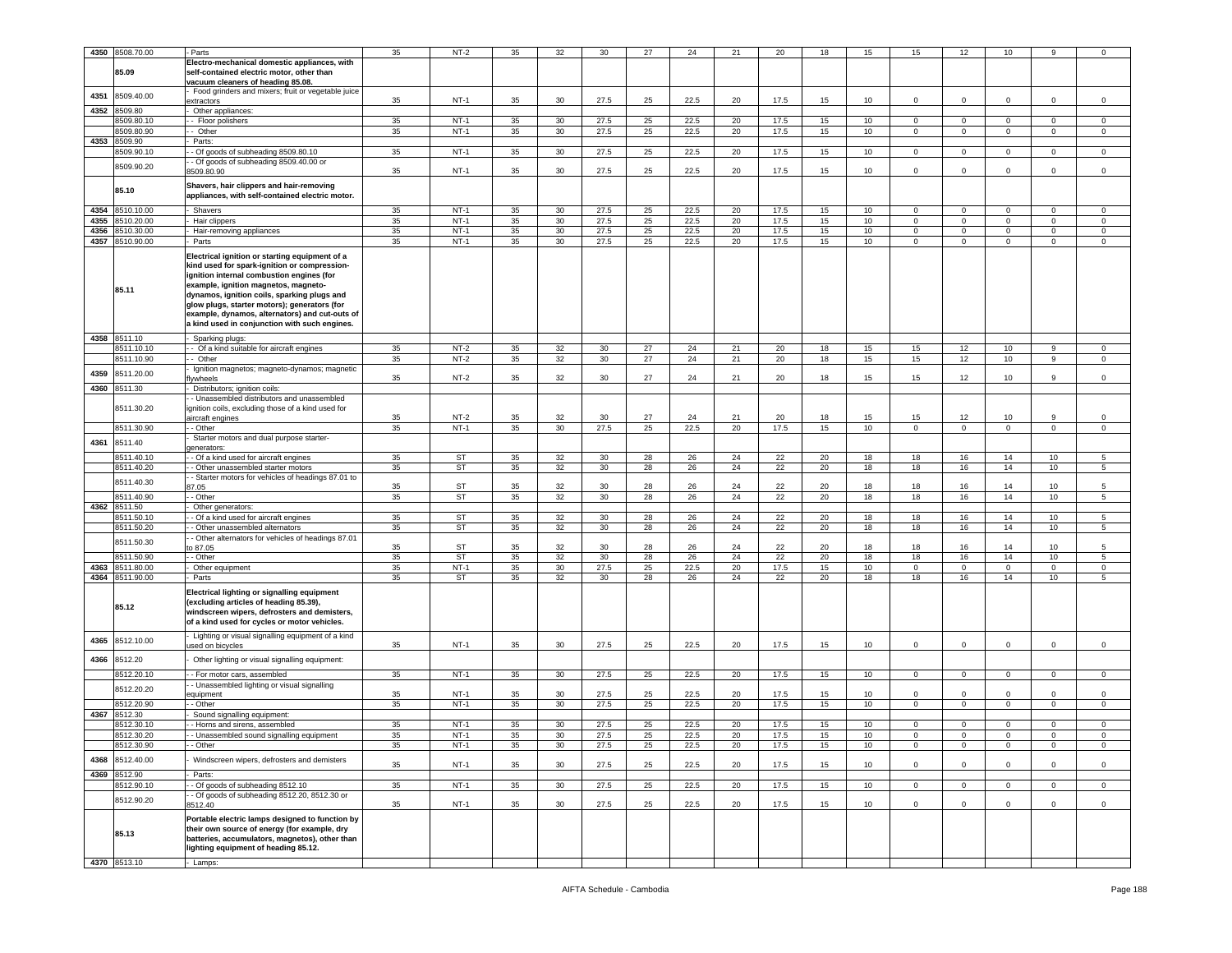|      |                 |                                                    |    |           |    |                 |      |    |      |    |      |    |                  |              |                | 10           |                |                     |
|------|-----------------|----------------------------------------------------|----|-----------|----|-----------------|------|----|------|----|------|----|------------------|--------------|----------------|--------------|----------------|---------------------|
|      | 4350 8508.70.00 | Parts                                              | 35 | $NT-2$    | 35 | 32              | 30   | 27 | 24   | 21 | 20   | 18 | 15               | 15           | 12             |              |                | $\Omega$            |
|      |                 | Electro-mechanical domestic appliances, with       |    |           |    |                 |      |    |      |    |      |    |                  |              |                |              |                |                     |
|      | 85.09           | self-contained electric motor, other than          |    |           |    |                 |      |    |      |    |      |    |                  |              |                |              |                |                     |
|      |                 | vacuum cleaners of heading 85.08.                  |    |           |    |                 |      |    |      |    |      |    |                  |              |                |              |                |                     |
| 4351 | 8509.40.00      | Food grinders and mixers; fruit or vegetable juice |    | $NT-1$    | 35 | 30              |      | 25 | 22.5 | 20 |      | 15 | 10               | $\mathbf{0}$ | $^{\circ}$     | $\Omega$     | 0              | 0                   |
| 4352 |                 | extractors                                         | 35 |           |    |                 | 27.5 |    |      |    | 17.5 |    |                  |              |                |              |                |                     |
|      | 509.80          | Other appliances:                                  |    |           |    |                 |      |    |      |    |      |    |                  |              |                |              |                |                     |
|      | 509.80.10       | - Floor polishers                                  | 35 | $NT-1$    | 35 | 30              | 27.5 | 25 | 22.5 | 20 | 17.5 | 15 | 10               | $\mathbf 0$  | $\mathsf 0$    | $^{\circ}$   | $\mathbf 0$    | 0                   |
|      | 509.80.90       | Other                                              | 35 | $NT-1$    | 35 | 30              | 27.5 | 25 | 22.5 | 20 | 17.5 | 15 | 10 <sup>10</sup> | 0            | $\mathbf 0$    | $\mathbf 0$  | $\mathbf 0$    | 0                   |
| 4353 | 8509.90         | Parts:                                             |    |           |    |                 |      |    |      |    |      |    |                  |              |                |              |                |                     |
|      | 8509.90.10      | - Of goods of subheading 8509.80.10                | 35 | $NT-1$    | 35 | 30              | 27.5 | 25 | 22.5 | 20 | 17.5 | 15 | 10               | $\mathbf 0$  | $\mathbf 0$    | $\mathbf 0$  | $\mathbf 0$    | 0                   |
|      | 8509.90.20      | - Of goods of subheading 8509.40.00 or             |    |           |    |                 |      |    |      |    |      |    |                  |              |                |              |                |                     |
|      |                 | 509.80.90                                          | 35 | $NT-1$    | 35 | 30              | 27.5 | 25 | 22.5 | 20 | 17.5 | 15 | 10 <sup>10</sup> | 0            | $\mathbf 0$    | 0            | 0              | 0                   |
|      |                 | Shavers, hair clippers and hair-removing           |    |           |    |                 |      |    |      |    |      |    |                  |              |                |              |                |                     |
|      | 85.10           | appliances, with self-contained electric motor.    |    |           |    |                 |      |    |      |    |      |    |                  |              |                |              |                |                     |
|      |                 |                                                    |    |           |    |                 |      |    |      |    |      |    |                  |              |                |              |                |                     |
| 4354 | 8510.10.00      | Shavers                                            | 35 | $NT-1$    | 35 | 30              | 27.5 | 25 | 22.5 | 20 | 17.5 | 15 | 10               | $\mathbf 0$  | $\mathbf 0$    | 0            | $\mathbf 0$    | 0                   |
| 4355 | 510.20.00       | Hair clippers                                      | 35 | $NT-1$    | 35 | 30              | 27.5 | 25 | 22.5 | 20 | 17.5 | 15 | 10               | $\Omega$     | $\mathbf 0$    | $\mathbf 0$  | $\mathbf 0$    | $\mathsf 0$         |
| 4356 | 1510.30.00      | Hair-removing appliances                           | 35 | $NT-1$    | 35 | 30              | 27.5 | 25 | 22.5 | 20 | 17.5 | 15 | 10               | $\mathbf 0$  | $\mathbf 0$    | 0            | $\mathbf{0}$   | 0                   |
| 4357 | 8510.90.00      | Parts                                              | 35 | $NT-1$    | 35 | 30              | 27.5 | 25 | 22.5 | 20 | 17.5 | 15 | 10               | $\Omega$     | $\mathbf 0$    | 0            | 0              | 0                   |
|      |                 |                                                    |    |           |    |                 |      |    |      |    |      |    |                  |              |                |              |                |                     |
|      |                 | Electrical ignition or starting equipment of a     |    |           |    |                 |      |    |      |    |      |    |                  |              |                |              |                |                     |
|      |                 | kind used for spark-ignition or compression-       |    |           |    |                 |      |    |      |    |      |    |                  |              |                |              |                |                     |
|      |                 | ignition internal combustion engines (for          |    |           |    |                 |      |    |      |    |      |    |                  |              |                |              |                |                     |
|      | 85.11           | example, ignition magnetos, magneto-               |    |           |    |                 |      |    |      |    |      |    |                  |              |                |              |                |                     |
|      |                 | dynamos, ignition coils, sparking plugs and        |    |           |    |                 |      |    |      |    |      |    |                  |              |                |              |                |                     |
|      |                 | glow plugs, starter motors); generators (for       |    |           |    |                 |      |    |      |    |      |    |                  |              |                |              |                |                     |
|      |                 | example, dynamos, alternators) and cut-outs of     |    |           |    |                 |      |    |      |    |      |    |                  |              |                |              |                |                     |
|      |                 | a kind used in conjunction with such engines.      |    |           |    |                 |      |    |      |    |      |    |                  |              |                |              |                |                     |
|      | 4358 8511.10    | Sparking plugs:                                    |    |           |    |                 |      |    |      |    |      |    |                  |              |                |              |                |                     |
|      | 3511.10.10      | - Of a kind suitable for aircraft engines          | 35 | $NT-2$    | 35 | 32              | 30   | 27 | 24   | 21 | 20   | 18 | 15               | 15           | 12             | 10           | 9              | $\mathbf 0$         |
|      | 1511.10.90      | - Other                                            | 35 | $NT-2$    | 35 | 32              | 30   | 27 | 24   | 21 | 20   | 18 | 15               | 15           | 12             | 10           | $\overline{9}$ | 0                   |
|      |                 | Ignition magnetos; magneto-dynamos; magnetic       |    |           |    |                 |      |    |      |    |      |    |                  |              |                |              |                |                     |
| 4359 | 8511.20.00      | ywheels                                            | 35 | $NT-2$    | 35 | 32              | 30   | 27 | 24   | 21 | 20   | 18 | 15               | 15           | 12             | 10           | 9              | 0                   |
|      | 4360 8511.30    | Distributors; ignition coils:                      |    |           |    |                 |      |    |      |    |      |    |                  |              |                |              |                |                     |
|      |                 |                                                    |    |           |    |                 |      |    |      |    |      |    |                  |              |                |              |                |                     |
|      | 8511.30.20      | - Unassembled distributors and unassembled         |    |           |    |                 |      |    |      |    |      |    |                  |              |                |              |                |                     |
|      |                 | gnition coils, excluding those of a kind used for  | 35 | $NT-2$    | 35 | 32              | 30   | 27 | 24   | 21 | 20   | 18 | 15               | 15           | 12             | 10           | 9              | $\Omega$            |
|      | 8511.30.90      | aircraft engines                                   | 35 | $NT-1$    | 35 | 30              | 27.5 | 25 | 22.5 | 20 | 17.5 | 15 | 10               | $\mathbf 0$  | $\mathbf 0$    | $\mathsf 0$  | $\mathbf 0$    | $\mathsf 0$         |
|      |                 | - Other                                            |    |           |    |                 |      |    |      |    |      |    |                  |              |                |              |                |                     |
| 4361 | 8511.40         | Starter motors and dual purpose starter-           |    |           |    |                 |      |    |      |    |      |    |                  |              |                |              |                |                     |
|      | 8511.40.10      | generators:                                        | 35 | <b>ST</b> | 35 | 32              | 30   | 28 | 26   | 24 | 22   | 20 | 18               | 18           | 16             | 14           | 10             | 5                   |
|      |                 | - Of a kind used for aircraft engines              |    |           |    |                 |      |    |      |    |      |    |                  |              |                |              |                |                     |
|      | 8511.40.20      | - Other unassembled starter motors                 | 35 | ST        | 35 | 32              | 30   | 28 | 26   | 24 | 22   | 20 | 18               | 18           | 16             | 14           | 10             | 5                   |
|      | 8511.40.30      | - Starter motors for vehicles of headings 87.01 to |    |           |    |                 |      |    |      |    |      |    |                  |              |                |              |                |                     |
|      |                 | 17.05                                              | 35 | <b>ST</b> | 35 | 32              | 30   | 28 | 26   | 24 | 22   | 20 | 18               | 18           | 16             | 14           | 10             | 5                   |
|      | 8511.40.90      | - Other                                            | 35 | ST        | 35 | 32              | 30   | 28 | 26   | 24 | 22   | 20 | 18               | 18           | 16             | 14           | 10             | 5                   |
| 4362 | 8511.50         | Other generators:                                  |    |           |    |                 |      |    |      |    |      |    |                  |              |                |              |                |                     |
|      | 8511.50.10      | Of a kind used for aircraft engines                | 35 | ST        | 35 | 32              | 30   | 28 | 26   | 24 | 22   | 20 | 18               | 18           | 16             | 14           | $10$           | 5                   |
|      | 8511.50.20      | - Other unassembled alternators                    | 35 | <b>ST</b> | 35 | 32              | 30   | 28 | 26   | 24 | 22   | 20 | 18               | 18           | 16             | 14           | 10             | 5                   |
|      | 8511.50.30      | - Other alternators for vehicles of headings 87.01 |    |           |    |                 |      |    |      |    |      |    |                  |              |                |              |                |                     |
|      |                 | ა 87.05                                            | 35 | ST        | 35 | 32              | 30   | 28 | 26   | 24 | 22   | 20 | 18               | 18           | 16             | 14           | 10             | 5                   |
|      | 8511.50.90      | - Other                                            | 35 | <b>ST</b> | 35 | 32              | 30   | 28 | 26   | 24 | 22   | 20 | 18               | 18           | 16             | 14           | 10             | 5                   |
| 4363 | 8511.80.00      | Other equipment                                    | 35 | $NT-1$    | 35 | 30              | 27.5 | 25 | 22.5 | 20 | 17.5 | 15 | 10               | $\mathbf 0$  | $\mathbf 0$    | 0            | 0              | $\mathsf 0$         |
|      | 4364 8511.90.00 | Parts                                              | 35 | <b>ST</b> | 35 | 32              | 30   | 28 | 26   | 24 | 22   | 20 | 18               | 18           | 16             | 14           | 10             | 5                   |
|      |                 | Electrical lighting or signalling equipment        |    |           |    |                 |      |    |      |    |      |    |                  |              |                |              |                |                     |
|      |                 | excluding articles of heading 85.39),              |    |           |    |                 |      |    |      |    |      |    |                  |              |                |              |                |                     |
|      | 85.12           |                                                    |    |           |    |                 |      |    |      |    |      |    |                  |              |                |              |                |                     |
|      |                 | windscreen wipers, defrosters and demisters,       |    |           |    |                 |      |    |      |    |      |    |                  |              |                |              |                |                     |
|      |                 | of a kind used for cycles or motor vehicles.       |    |           |    |                 |      |    |      |    |      |    |                  |              |                |              |                |                     |
| 4365 | 8512.10.00      | Lighting or visual signalling equipment of a kind  |    |           |    |                 |      |    |      |    |      |    |                  |              |                |              |                |                     |
|      |                 | used on bicycles                                   | 35 | $NT-1$    | 35 | 30              | 27.5 | 25 | 22.5 | 20 | 17.5 | 15 | 10               | $\mathbf 0$  | $\mathbf 0$    | $\mathbf 0$  | $\mathbf 0$    | $\mathsf 0$         |
| 4366 | 8512.20         | Other lighting or visual signalling equipment:     |    |           |    |                 |      |    |      |    |      |    |                  |              |                |              |                |                     |
|      |                 |                                                    |    |           |    |                 |      |    |      |    |      |    |                  |              |                |              |                |                     |
|      | 8512.20.10      | - For motor cars, assembled                        | 35 | $NT-1$    | 35 | 30              | 27.5 | 25 | 22.5 | 20 | 17.5 | 15 | 10               | $\mathbf{0}$ | $\overline{0}$ | $\mathbf 0$  | $\mathbf 0$    | $\circ$             |
|      | 8512.20.20      | - Unassembled lighting or visual signalling        |    |           |    |                 |      |    |      |    |      |    |                  |              |                |              |                |                     |
|      |                 | quipment                                           | 35 | NT-1      | 35 | 30              | 27.5 | 25 | 22.5 | 20 | 17.5 | 15 | 10               | $\Omega$     | $\Omega$       |              | $\Omega$       | $\Omega$            |
|      | 8512.20.90      | - Other                                            | 35 | $NT-1$    | 35 | 30              | 27.5 | 25 | 22.5 | 20 | 17.5 | 15 | 10               | $\mathbf 0$  | $\mathbf 0$    | $\Omega$     | $\Omega$       | $\Omega$            |
| 4367 | 8512.30         | Sound signalling equipment:                        |    |           |    |                 |      |    |      |    |      |    |                  |              |                |              |                |                     |
|      | 3512.30.10      | - Horns and sirens, assembled                      | 35 | $NT-1$    | 35 | 30              | 27.5 | 25 | 22.5 | 20 | 17.5 | 15 | 10               | $\Omega$     | 0              | 0            | $\mathbf 0$    | 0                   |
|      | 8512.30.20      | - Unassembled sound signalling equipment           | 35 | $NT-1$    | 35 | 30              | 27.5 | 25 | 22.5 | 20 | 17.5 | 15 | 10               | $\mathbf 0$  | $^{\circ}$     | 0            | $\mathbf 0$    | 0                   |
|      | 8512.30.90      | - Other                                            | 35 | NT-1      | 35 | 30              | 27.5 | 25 | 22.5 | 20 | 17.5 | 15 | 10               | 0            | $\mathbf 0$    | 0            | $\mathbf 0$    | 0                   |
|      |                 |                                                    |    |           |    |                 |      |    |      |    |      |    |                  |              |                |              |                |                     |
| 4368 | 8512.40.00      | Windscreen wipers, defrosters and demisters        | 35 | $NT-1$    | 35 | 30              | 27.5 | 25 | 22.5 | 20 | 17.5 | 15 | 10 <sub>1</sub>  | $\circ$      | $\mathbf 0$    | $\mathbf 0$  | $\mathbf 0$    | $\mathsf{O}\xspace$ |
| 4369 | 8512.90         | Parts:                                             |    |           |    |                 |      |    |      |    |      |    |                  |              |                |              |                |                     |
|      | 8512.90.10      | - Of goods of subheading 8512.10                   | 35 | $NT-1$    | 35 | 30 <sup>2</sup> | 27.5 | 25 | 22.5 | 20 | 17.5 | 15 | 10 <sup>10</sup> | $\mathbf 0$  | $\mathbf 0$    | $\mathbf{0}$ | $\mathbf 0$    | $\mathbf 0$         |
|      |                 | - Of goods of subheading 8512.20, 8512.30 or       |    |           |    |                 |      |    |      |    |      |    |                  |              |                |              |                |                     |
|      | 8512.90.20      | 3512.40                                            | 35 | $NT-1$    | 35 | 30 <sup>°</sup> | 27.5 | 25 | 22.5 | 20 | 17.5 | 15 | 10               | $\mathbf 0$  | $\mathbf 0$    | $\mathbf 0$  | $\mathsf 0$    | $\mathsf 0$         |
|      |                 |                                                    |    |           |    |                 |      |    |      |    |      |    |                  |              |                |              |                |                     |
|      |                 | Portable electric lamps designed to function by    |    |           |    |                 |      |    |      |    |      |    |                  |              |                |              |                |                     |
|      | 85.13           | their own source of energy (for example, dry       |    |           |    |                 |      |    |      |    |      |    |                  |              |                |              |                |                     |
|      |                 | batteries, accumulators, magnetos), other than     |    |           |    |                 |      |    |      |    |      |    |                  |              |                |              |                |                     |
|      |                 | lighting equipment of heading 85.12.               |    |           |    |                 |      |    |      |    |      |    |                  |              |                |              |                |                     |
|      | 4370 8513.10    | Lamps:                                             |    |           |    |                 |      |    |      |    |      |    |                  |              |                |              |                |                     |
|      |                 |                                                    |    |           |    |                 |      |    |      |    |      |    |                  |              |                |              |                |                     |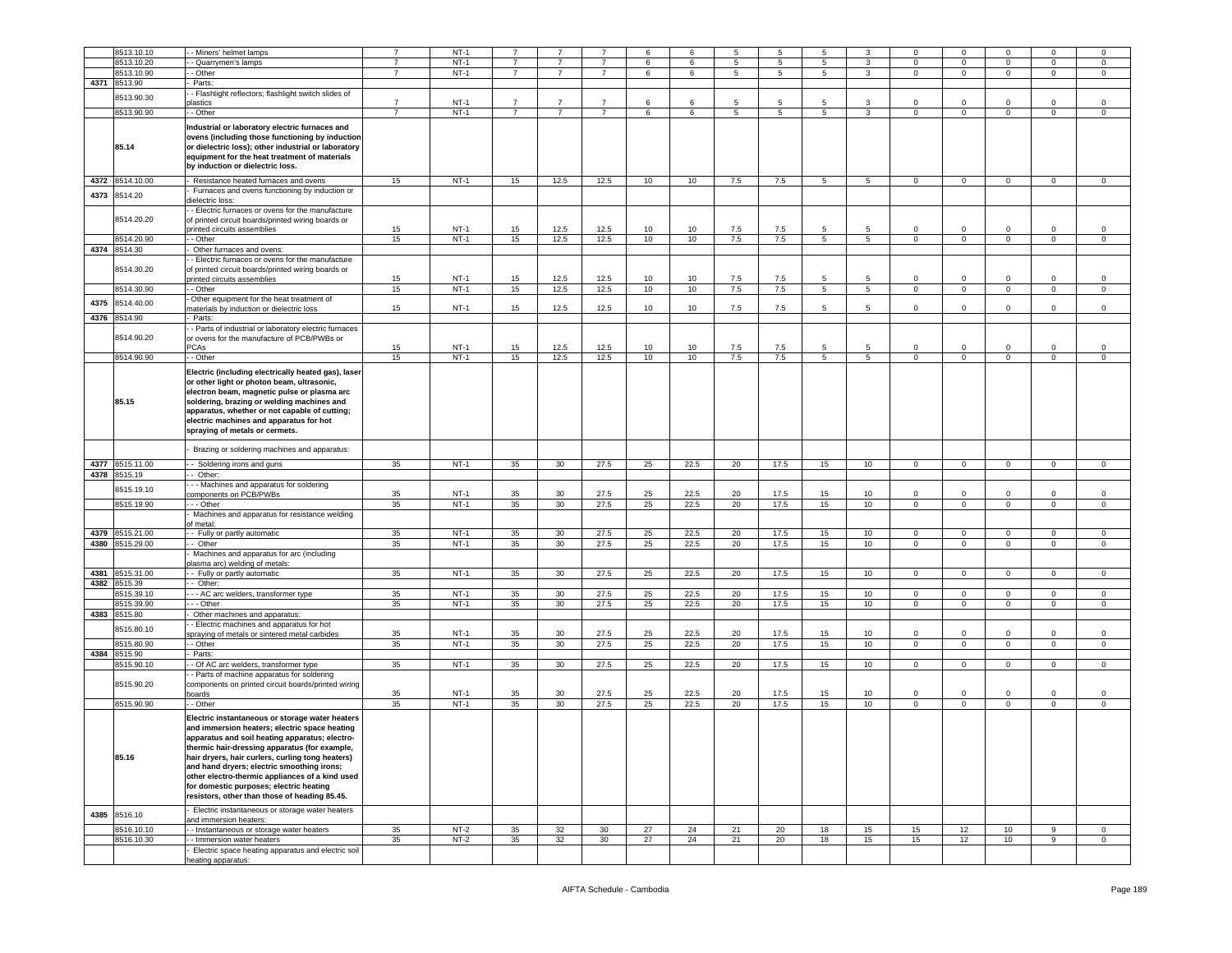|      | 8513.10.10      | - Miners' helmet lamps                                                                                                                                                                                                                                                                                                                                                                                                                               | $\overline{7}$ | $NT-1$ |                |                 |                | 6  | 6               | 5   | -5              | 5               |                 | $\Omega$       | $\mathbf 0$    |                | $\Omega$       |                |
|------|-----------------|------------------------------------------------------------------------------------------------------------------------------------------------------------------------------------------------------------------------------------------------------------------------------------------------------------------------------------------------------------------------------------------------------------------------------------------------------|----------------|--------|----------------|-----------------|----------------|----|-----------------|-----|-----------------|-----------------|-----------------|----------------|----------------|----------------|----------------|----------------|
|      |                 |                                                                                                                                                                                                                                                                                                                                                                                                                                                      |                |        |                |                 |                |    |                 |     |                 |                 |                 |                |                |                |                |                |
|      | 8513.10.20      | - Quarrymen's lamps                                                                                                                                                                                                                                                                                                                                                                                                                                  |                | $NT-1$ |                |                 |                | 6  | 6               | 5   | 5               | 5               | 3               | 0              | $^{\circ}$     | $\mathbf 0$    | $\mathbf 0$    | 0              |
|      | 8513.10.90      | - Other                                                                                                                                                                                                                                                                                                                                                                                                                                              | 7              | $NT-1$ | $\overline{7}$ | $\overline{7}$  | $\overline{7}$ | 6  | 6               | 5   | $5\phantom{.0}$ | $5^{\circ}$     | 3               | $\overline{0}$ | $\mathbf 0$    | $\mathbf 0$    | $\mathsf 0$    | $\mathbf 0$    |
|      | 4371 8513.90    | Parts:                                                                                                                                                                                                                                                                                                                                                                                                                                               |                |        |                |                 |                |    |                 |     |                 |                 |                 |                |                |                |                |                |
|      |                 |                                                                                                                                                                                                                                                                                                                                                                                                                                                      |                |        |                |                 |                |    |                 |     |                 |                 |                 |                |                |                |                |                |
|      | 8513.90.30      | - Flashlight reflectors; flashlight switch slides of                                                                                                                                                                                                                                                                                                                                                                                                 | $\overline{7}$ |        |                | $\overline{7}$  | $\overline{7}$ |    |                 |     |                 | 5               |                 |                |                |                |                |                |
|      |                 | <b>astics</b>                                                                                                                                                                                                                                                                                                                                                                                                                                        |                | $NT-1$ | $\overline{7}$ |                 |                | 6  | 6               | 5   | 5               |                 | 3               | $\mathbf 0$    | $\mathbf 0$    | $\Omega$       | $\mathbf 0$    | $\mathbf 0$    |
|      | 8513.90.90      | - - Other                                                                                                                                                                                                                                                                                                                                                                                                                                            |                | $NT-1$ | $\overline{7}$ | $\overline{7}$  | $\overline{7}$ | 6  | $6\overline{6}$ | 5   | $\overline{5}$  | 5               | 3               | $\overline{0}$ | $\overline{0}$ | $\overline{0}$ | $\overline{0}$ | $\overline{0}$ |
|      | 85.14           | Industrial or laboratory electric furnaces and<br>ovens (including those functioning by induction<br>or dielectric loss); other industrial or laboratory<br>equipment for the heat treatment of materials<br>by induction or dielectric loss.                                                                                                                                                                                                        |                |        |                |                 |                |    |                 |     |                 |                 |                 |                |                |                |                |                |
|      |                 |                                                                                                                                                                                                                                                                                                                                                                                                                                                      |                |        |                |                 |                |    |                 |     |                 |                 |                 |                |                |                |                |                |
|      | 4372 8514.10.00 | - Resistance heated furnaces and ovens                                                                                                                                                                                                                                                                                                                                                                                                               | 15             | $NT-1$ | 15             | 12.5            | 12.5           | 10 | 10              | 7.5 | 7.5             | 5 <sub>5</sub>  | 5 <sup>5</sup>  | $\overline{0}$ | $\overline{0}$ | $\mathbf 0$    | $\mathbf{O}$   | $\mathbf 0$    |
| 4373 | 8514.20         | Furnaces and ovens functioning by induction or<br>dielectric loss:                                                                                                                                                                                                                                                                                                                                                                                   |                |        |                |                 |                |    |                 |     |                 |                 |                 |                |                |                |                |                |
|      | 8514.20.20      | - Electric furnaces or ovens for the manufacture<br>of printed circuit boards/printed wiring boards or<br>printed circuits assemblies                                                                                                                                                                                                                                                                                                                | 15             | $NT-1$ | 15             | 12.5            | 12.5           | 10 | 10              | 7.5 | 7.5             | 5               | 5               | $\mathbf 0$    | $\mathbf 0$    | $\circ$        | $\mathbf 0$    | $\mathsf 0$    |
|      |                 |                                                                                                                                                                                                                                                                                                                                                                                                                                                      |                |        |                |                 |                |    |                 |     |                 |                 |                 |                |                |                |                |                |
|      | 8514.20.90      | - Other                                                                                                                                                                                                                                                                                                                                                                                                                                              | 15             | $NT-1$ | 15             | 12.5            | 12.5           | 10 | 10              | 7.5 | 7.5             | $5^{\circ}$     | 5               | $\mathbf 0$    | $\mathbf 0$    | $\mathbf 0$    | $\mathbf 0$    | 0              |
|      | 4374 8514.30    | Other furnaces and ovens:                                                                                                                                                                                                                                                                                                                                                                                                                            |                |        |                |                 |                |    |                 |     |                 |                 |                 |                |                |                |                |                |
|      | 8514.30.20      | - Electric furnaces or ovens for the manufacture<br>of printed circuit boards/printed wiring boards or<br>printed circuits assemblies                                                                                                                                                                                                                                                                                                                | 15             | $NT-1$ | 15             | 12.5            | 12.5           | 10 | 10              | 7.5 | 7.5             | 5               | 5               | $\Omega$       | $\mathbf 0$    | $\Omega$       | $\mathbf 0$    | $\Omega$       |
|      | 8514.30.90      | - Other                                                                                                                                                                                                                                                                                                                                                                                                                                              | 15             | $NT-1$ | 15             | 12.5            | 12.5           | 10 | 10              | 7.5 | 7.5             | $5\overline{5}$ | $5^{\circ}$     | $\mathbf 0$    | $\mathbf 0$    | $\mathsf 0$    | $\mathbf 0$    | $\mathsf 0$    |
| 4375 | 8514.40.00      | Other equipment for the heat treatment of                                                                                                                                                                                                                                                                                                                                                                                                            |                |        |                |                 |                |    |                 |     |                 |                 |                 |                |                |                |                |                |
|      |                 | naterials by induction or dielectric loss                                                                                                                                                                                                                                                                                                                                                                                                            | 15             | $NT-1$ | 15             | 12.5            | 12.5           | 10 | 10              | 7.5 | 7.5             | 5               | 5               | $\mathbf 0$    | $\mathbf 0$    | $\circ$        | $\circ$        | $\mathbf 0$    |
| 4376 | 8514.90         | Parts:                                                                                                                                                                                                                                                                                                                                                                                                                                               |                |        |                |                 |                |    |                 |     |                 |                 |                 |                |                |                |                |                |
|      | 8514.90.20      | - Parts of industrial or laboratory electric furnaces<br>or ovens for the manufacture of PCB/PWBs or                                                                                                                                                                                                                                                                                                                                                 |                |        |                |                 |                |    |                 |     |                 |                 |                 |                |                |                |                |                |
|      |                 | <b>PCAs</b>                                                                                                                                                                                                                                                                                                                                                                                                                                          | 15             | $NT-1$ | 15             | 12.5            | 12.5           | 10 | 10              | 7.5 | 7.5             | 5               | 5               | 0              | $\mathbf 0$    | $\mathbf 0$    | $\mathbf 0$    | 0              |
|      | 8514.90.90      | - Other                                                                                                                                                                                                                                                                                                                                                                                                                                              | 15             | $NT-1$ | 15             | 12.5            | 12.5           | 10 | 10              | 7.5 | 7.5             | $5\overline{5}$ | $5^{\circ}$     | $\mathbf 0$    | $\mathbf 0$    | $\mathbf 0$    | $\mathsf 0$    | $\mathbf 0$    |
|      | 85.15           | Electric (including electrically heated gas), laser<br>or other light or photon beam, ultrasonic,<br>electron beam, magnetic pulse or plasma arc<br>soldering, brazing or welding machines and<br>apparatus, whether or not capable of cutting;<br>electric machines and apparatus for hot<br>spraying of metals or cermets.                                                                                                                         |                |        |                |                 |                |    |                 |     |                 |                 |                 |                |                |                |                |                |
|      |                 | Brazing or soldering machines and apparatus:                                                                                                                                                                                                                                                                                                                                                                                                         |                |        |                |                 |                |    |                 |     |                 |                 |                 |                |                |                |                |                |
| 4377 | 8515.11.00      | - Soldering irons and guns                                                                                                                                                                                                                                                                                                                                                                                                                           | 35             | $NT-1$ | 35             | 30              | 27.5           | 25 | 22.5            | 20  | 17.5            | 15              | 10              | $\mathbf 0$    | $\mathbf 0$    | $\mathsf 0$    | $\mathbf 0$    | $\mathsf 0$    |
|      | 4378 8515.19    | - Other:                                                                                                                                                                                                                                                                                                                                                                                                                                             |                |        |                |                 |                |    |                 |     |                 |                 |                 |                |                |                |                |                |
|      |                 | - - Machines and apparatus for soldering                                                                                                                                                                                                                                                                                                                                                                                                             |                |        |                |                 |                |    |                 |     |                 |                 |                 |                |                |                |                |                |
|      | 8515.19.10      |                                                                                                                                                                                                                                                                                                                                                                                                                                                      |                |        |                |                 |                |    |                 |     |                 |                 |                 |                |                |                |                |                |
|      |                 | components on PCB/PWBs                                                                                                                                                                                                                                                                                                                                                                                                                               | 35             | $NT-1$ | 35             | 30              | 27.5           | 25 | 22.5            | 20  | 17.5            | 15              | 10              | 0              | $\mathbf 0$    |                | $\mathbf 0$    | $^{\circ}$     |
|      | 8515.19.90      | - - Other                                                                                                                                                                                                                                                                                                                                                                                                                                            | 35             | $NT-1$ | 35             | 30              | 27.5           | 25 | 22.5            | 20  | 17.5            | 15              | 10              | $\circ$        | $\mathbf 0$    | $\mathbf 0$    | $\mathbf 0$    | $\mathbf 0$    |
|      |                 | Machines and apparatus for resistance welding                                                                                                                                                                                                                                                                                                                                                                                                        |                |        |                |                 |                |    |                 |     |                 |                 |                 |                |                |                |                |                |
|      |                 | of metal:                                                                                                                                                                                                                                                                                                                                                                                                                                            |                |        |                |                 |                |    |                 |     |                 |                 |                 |                |                |                |                |                |
|      |                 |                                                                                                                                                                                                                                                                                                                                                                                                                                                      |                | $NT-1$ |                |                 | 27.5           |    |                 |     |                 |                 |                 |                |                |                |                |                |
|      | 4379 8515.21.00 | - Fully or partly automatic                                                                                                                                                                                                                                                                                                                                                                                                                          | 35             |        | 35             | 30              |                | 25 | 22.5            | 20  | 17.5            | 15              | 10              | $\mathbf{0}$   | $\mathbf 0$    | 0              | 0              | 0              |
|      | 4380 8515.29.00 | - Other                                                                                                                                                                                                                                                                                                                                                                                                                                              | 35             | $NT-1$ | 35             | 30              | 27.5           | 25 | 22.5            | 20  | 17.5            | 15              | 10              | $\mathbf 0$    | $\mathbf 0$    | $\overline{0}$ | $\overline{0}$ | $\mathsf 0$    |
|      |                 | Machines and apparatus for arc (including                                                                                                                                                                                                                                                                                                                                                                                                            |                |        |                |                 |                |    |                 |     |                 |                 |                 |                |                |                |                |                |
|      |                 | plasma arc) welding of metals:                                                                                                                                                                                                                                                                                                                                                                                                                       |                |        |                |                 |                |    |                 |     |                 |                 |                 |                |                |                |                |                |
|      |                 |                                                                                                                                                                                                                                                                                                                                                                                                                                                      |                |        |                |                 |                |    |                 |     |                 |                 |                 |                |                |                |                |                |
|      | 4381 8515.31.00 | - Fully or partly automatic                                                                                                                                                                                                                                                                                                                                                                                                                          | 35             | $NT-1$ | 35             | 30              | 27.5           | 25 | 22.5            | 20  | 17.5            | 15              | 10              | $\mathbf 0$    | $\mathbf 0$    | $\mathbf 0$    | $\mathbf 0$    | $\mathsf 0$    |
| 4382 | 8515.39         | - Other:                                                                                                                                                                                                                                                                                                                                                                                                                                             |                |        |                |                 |                |    |                 |     |                 |                 |                 |                |                |                |                |                |
|      | 3515.39.10      | - - AC arc welders, transformer type                                                                                                                                                                                                                                                                                                                                                                                                                 | 35             | $NT-1$ | 35             | 30 <sup>°</sup> | 27.5           | 25 | 22.5            | 20  | 17.5            | 15              | 10              | $\mathbf{0}$   | $\mathbf 0$    | $\mathbf 0$    | $\mathsf 0$    | 0              |
|      | 8515.39.90      | - Other                                                                                                                                                                                                                                                                                                                                                                                                                                              | 35             | $NT-1$ | 35             | 30              | 27.5           | 25 | 22.5            | 20  | 17.5            | 15              | 10              | 0              | $\mathbf 0$    | $\mathbf 0$    | $\mathbf 0$    | $\mathsf 0$    |
|      | 4383 8515.80    | Other machines and apparatus:                                                                                                                                                                                                                                                                                                                                                                                                                        |                |        |                |                 |                |    |                 |     |                 |                 |                 |                |                |                |                |                |
|      |                 |                                                                                                                                                                                                                                                                                                                                                                                                                                                      |                |        |                |                 |                |    |                 |     |                 |                 |                 |                |                |                |                |                |
|      | 8515.80.10      | - Electric machines and apparatus for hot                                                                                                                                                                                                                                                                                                                                                                                                            |                |        |                |                 |                |    |                 |     |                 |                 |                 |                |                |                |                |                |
|      |                 | praying of metals or sintered metal carbides                                                                                                                                                                                                                                                                                                                                                                                                         | 35             | $NT-1$ | 35             | 30              | 27.5           | 25 | 22.5            | 20  | 17.5            | 15              | 10              | 0              | $^{\circ}$     | $\Omega$       | $\mathbf 0$    | $^{\circ}$     |
|      | 8515.80.90      | - Other                                                                                                                                                                                                                                                                                                                                                                                                                                              | 35             | $NT-1$ | 35             | 30              | 27.5           | 25 | 22.5            | 20  | 17.5            | 15              | 10              | $\mathbf 0$    | $\mathbf 0$    | $\mathbf 0$    | $\mathbf 0$    | $\mathsf 0$    |
| 4384 | 8515.90         | Parts:                                                                                                                                                                                                                                                                                                                                                                                                                                               |                |        |                |                 |                |    |                 |     |                 |                 |                 |                |                |                |                |                |
|      | 8515.90.10      | - Of AC arc welders, transformer type                                                                                                                                                                                                                                                                                                                                                                                                                | 35             | $NT-1$ | 35             | 30              | 27.5           | 25 | 22.5            | 20  | 17.5            | 15              | 10              | $\mathbf 0$    | $\mathbf 0$    | $\mathbf 0$    | $\mathbf 0$    | 0              |
|      |                 |                                                                                                                                                                                                                                                                                                                                                                                                                                                      |                |        |                |                 |                |    |                 |     |                 |                 |                 |                |                |                |                |                |
|      | 8515.90.20      | - Parts of machine apparatus for soldering<br>components on printed circuit boards/printed wiring<br>boards                                                                                                                                                                                                                                                                                                                                          | 35             | $NT-1$ | 35             | 30              | 27.5           | 25 | 22.5            | 20  | 17.5            | 15              | 10              | $\Omega$       | $\Omega$       | $\Omega$       | $\Omega$       | 0              |
|      | 8515.90.90      | - Other                                                                                                                                                                                                                                                                                                                                                                                                                                              | 35             | $NT-1$ | 35             | 30              | 27.5           | 25 | 22.5            | 20  | 17.5            | 15              | 10 <sub>1</sub> | $\mathbf 0$    | $\mathbf 0$    | $\mathbf 0$    | $\mathbf 0$    | $\mathsf 0$    |
|      |                 |                                                                                                                                                                                                                                                                                                                                                                                                                                                      |                |        |                |                 |                |    |                 |     |                 |                 |                 |                |                |                |                |                |
|      | 85.16           | Electric instantaneous or storage water heaters<br>and immersion heaters; electric space heating<br>apparatus and soil heating apparatus; electro-<br>thermic hair-dressing apparatus (for example,<br>hair dryers, hair curlers, curling tong heaters)<br>and hand dryers; electric smoothing irons;<br>other electro-thermic appliances of a kind used<br>for domestic purposes; electric heating<br>resistors, other than those of heading 85.45. |                |        |                |                 |                |    |                 |     |                 |                 |                 |                |                |                |                |                |
| 4385 | 8516.10         | Electric instantaneous or storage water heaters<br>and immersion heaters:                                                                                                                                                                                                                                                                                                                                                                            |                |        |                |                 |                |    |                 |     |                 |                 |                 |                |                |                |                |                |
|      | 8516.10.10      | - Instantaneous or storage water heaters                                                                                                                                                                                                                                                                                                                                                                                                             | 35             | $NT-2$ | 35             | 32              | 30             | 27 | 24              | 21  | 20              | 18              | 15              | 15             | 12             | 10             | 9              | $\circ$        |
|      | 8516.10.30      | - Immersion water heaters                                                                                                                                                                                                                                                                                                                                                                                                                            | 35             | $NT-2$ | 35             | 32              | 30             | 27 | 24              | 21  | 20              | 18              | 15              | 15             | 12             | 10             | 9              | $\circ$        |
|      |                 | Electric space heating apparatus and electric soil<br>heating apparatus:                                                                                                                                                                                                                                                                                                                                                                             |                |        |                |                 |                |    |                 |     |                 |                 |                 |                |                |                |                |                |
|      |                 |                                                                                                                                                                                                                                                                                                                                                                                                                                                      |                |        |                |                 |                |    |                 |     |                 |                 |                 |                |                |                |                |                |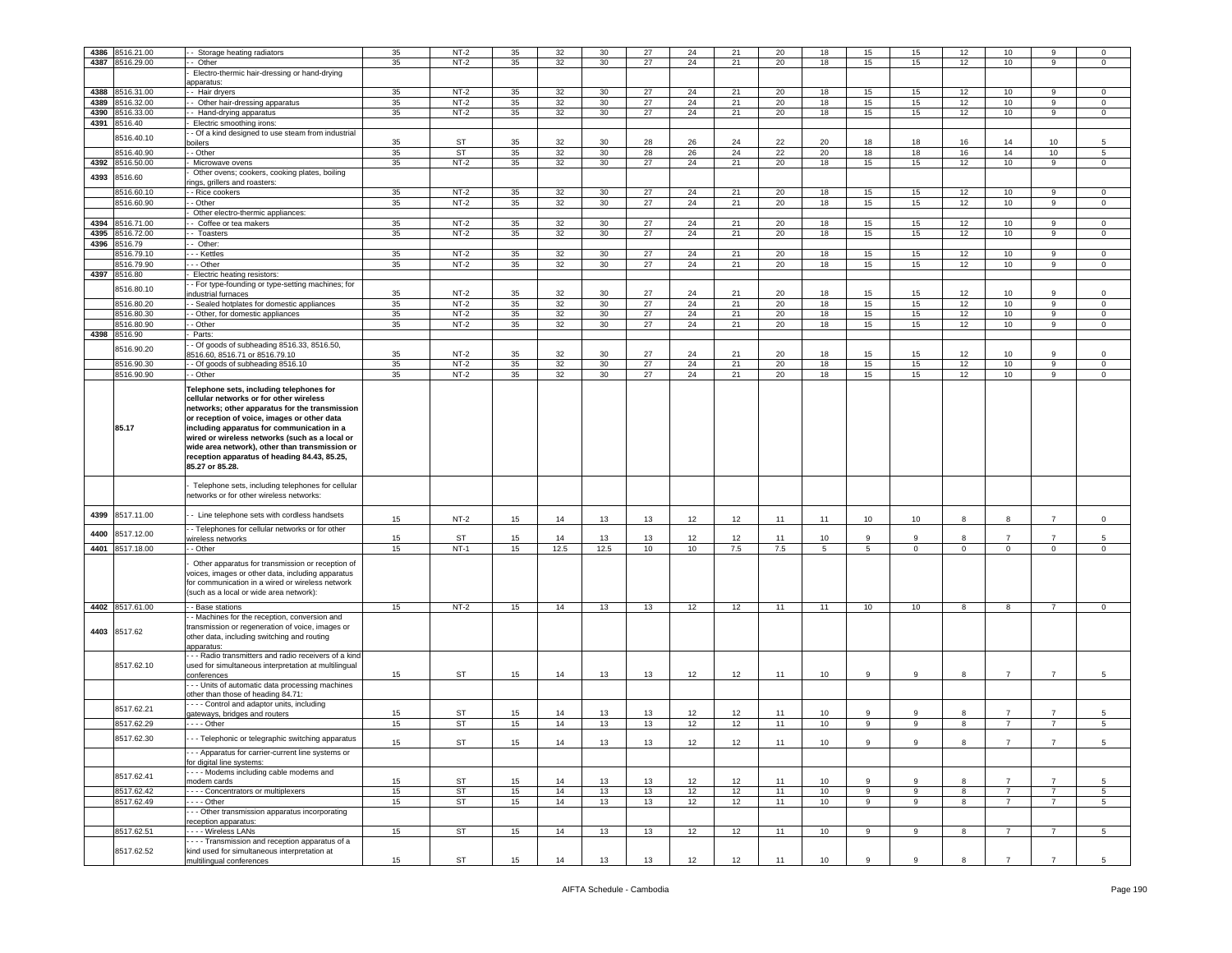| 4386 | 8516.21.00      | Storage heating radiators                            | 35 | $NT-2$    | 35 | 32   | 30              | 27 | 24 | 21  | 20  | 18 | 15           | 15 | 12          | 10             | 9              | $\Omega$            |
|------|-----------------|------------------------------------------------------|----|-----------|----|------|-----------------|----|----|-----|-----|----|--------------|----|-------------|----------------|----------------|---------------------|
|      | 4387 8516.29.00 | Other                                                | 35 | $NT-2$    | 35 | 32   | 30 <sup>2</sup> | 27 | 24 | 21  | 20  | 18 | 15           | 15 | 12          | 10             | 9              | 0                   |
|      |                 | Electro-thermic hair-dressing or hand-drying         |    |           |    |      |                 |    |    |     |     |    |              |    |             |                |                |                     |
|      |                 | apparatus:                                           |    |           |    |      |                 |    |    |     |     |    |              |    |             |                |                |                     |
| 4388 | 8516.31.00      | - Hair dryers                                        | 35 | $NT-2$    | 35 | 32   | 30              | 27 | 24 | 21  | 20  | 18 | 15           | 15 | 12          | 10             | 9              | $\Omega$            |
| 4389 | 8516.32.00      | - Other hair-dressing apparatus                      | 35 | $NT-2$    | 35 | 32   | 30              | 27 | 24 | 21  | 20  | 18 | 15           | 15 | 12          | 10             | $\overline{9}$ | $\mathsf 0$         |
| 4390 | 8516.33.00      |                                                      | 35 | $NT-2$    | 35 | 32   | 30              | 27 | 24 | 21  | 20  | 18 | 15           | 15 | 12          | 10             | 9              | $\mathbf 0$         |
|      |                 | Hand-drying apparatus                                |    |           |    |      |                 |    |    |     |     |    |              |    |             |                |                |                     |
|      | 4391 8516.40    | Electric smoothing irons:                            |    |           |    |      |                 |    |    |     |     |    |              |    |             |                |                |                     |
|      | 8516.40.10      | - Of a kind designed to use steam from industrial    |    |           |    |      |                 |    |    |     |     |    |              |    |             |                |                |                     |
|      |                 | oilers                                               | 35 | ST        | 35 | 32   | 30              | 28 | 26 | 24  | 22  | 20 | 18           | 18 | 16          | 14             | 10             | 5                   |
|      | 8516.40.90      | - Other                                              | 35 | ST        | 35 | 32   | 30              | 28 | 26 | 24  | 22  | 20 | 18           | 18 | 16          | 14             | 10             | 5                   |
| 4392 | 8516.50.00      | Microwave ovens                                      | 35 | $NT-2$    | 35 | 32   | 30              | 27 | 24 | 21  | 20  | 18 | 15           | 15 | 12          | 10             | 9              | $\mathbf 0$         |
|      |                 | Other ovens; cookers, cooking plates, boiling        |    |           |    |      |                 |    |    |     |     |    |              |    |             |                |                |                     |
| 4393 | 8516.60         | ngs, grillers and roasters:                          |    |           |    |      |                 |    |    |     |     |    |              |    |             |                |                |                     |
|      | 8516.60.10      | - Rice cookers                                       | 35 | $NT-2$    | 35 | 32   | 30              | 27 | 24 | 21  | 20  | 18 | 15           | 15 | 12          | 10             | 9              | $\mathbf 0$         |
|      |                 |                                                      |    |           |    |      |                 |    |    |     |     |    |              |    |             |                |                |                     |
|      | 8516.60.90      | - Other                                              | 35 | $NT-2$    | 35 | 32   | 30 <sup>2</sup> | 27 | 24 | 21  | 20  | 18 | 15           | 15 | 12          | 10             | 9              | $\mathbf 0$         |
|      |                 | Other electro-thermic appliances:                    |    |           |    |      |                 |    |    |     |     |    |              |    |             |                |                |                     |
| 4394 | 8516.71.00      | Coffee or tea makers                                 | 35 | $NT-2$    | 35 | 32   | 30              | 27 | 24 | 21  | 20  | 18 | 15           | 15 | 12          | 10             | 9              | $\mathbf 0$         |
| 4395 | 8516.72.00      | Toasters                                             | 35 | $NT-2$    | 35 | 32   | 30              | 27 | 24 | 21  | 20  | 18 | 15           | 15 | 12          | 10             | 9              | $\mathbf 0$         |
| 4396 | 8516.79         | Other:                                               |    |           |    |      |                 |    |    |     |     |    |              |    |             |                |                |                     |
|      | 8516.79.10      | - - Kettles                                          | 35 | $NT-2$    | 35 | 32   | 30              | 27 | 24 | 21  | 20  | 18 | 15           | 15 | 12          | 10             | 9              | $^{\circ}$          |
|      |                 |                                                      |    |           |    |      |                 |    |    |     |     |    |              |    |             |                |                |                     |
|      | 8516.79.90      | - - Other                                            | 35 | $NT-2$    | 35 | 32   | 30              | 27 | 24 | 21  | 20  | 18 | 15           | 15 | 12          | 10             | 9              | $\mathbf 0$         |
| 4397 | 8516.80         | Electric heating resistors:                          |    |           |    |      |                 |    |    |     |     |    |              |    |             |                |                |                     |
|      | 8516.80.10      | - For type-founding or type-setting machines; for    |    |           |    |      |                 |    |    |     |     |    |              |    |             |                |                |                     |
|      |                 | ndustrial furnaces                                   | 35 | $NT-2$    | 35 | 32   | 30              | 27 | 24 | 21  | 20  | 18 | 15           | 15 | 12          | 10             | 9              | $\Omega$            |
|      | 8516.80.20      | Sealed hotplates for domestic appliances             | 35 | $NT-2$    | 35 | 32   | 30              | 27 | 24 | 21  | 20  | 18 | 15           | 15 | 12          | 10             | 9              | $\mathsf 0$         |
|      | 8516.80.30      | - Other, for domestic appliances                     | 35 | $NT-2$    | 35 | 32   | 30              | 27 | 24 | 21  | 20  | 18 | 15           | 15 | 12          | 10             | 9              | $\mathsf 0$         |
|      | 8516.80.90      | - Other                                              | 35 | $NT-2$    | 35 | 32   | 30 <sup>°</sup> | 27 | 24 | 21  | 20  | 18 | 15           | 15 | 12          | 10             | 9              | $\mathbf 0$         |
|      |                 |                                                      |    |           |    |      |                 |    |    |     |     |    |              |    |             |                |                |                     |
| 4398 | 8516.90         | Parts:                                               |    |           |    |      |                 |    |    |     |     |    |              |    |             |                |                |                     |
|      | 8516.90.20      | - Of goods of subheading 8516.33, 8516.50,           |    |           |    |      |                 |    |    |     |     |    |              |    |             |                |                |                     |
|      |                 | 3516.60, 8516.71 or 8516.79.10                       | 35 | $NT-2$    | 35 | 32   | 30              | 27 | 24 | 21  | 20  | 18 | 15           | 15 | 12          | 10             | q              | $\Omega$            |
|      | 8516.90.30      | - Of goods of subheading 8516.10                     | 35 | $NT-2$    | 35 | 32   | 30              | 27 | 24 | 21  | 20  | 18 | 15           | 15 | 12          | 10             | 9              | $\mathbf 0$         |
|      | 3516.90.90      | - Other                                              | 35 | $NT-2$    | 35 | 32   | 30              | 27 | 24 | 21  | 20  | 18 | 15           | 15 | 12          | 10             | 9              | $\mathsf{O}\xspace$ |
|      |                 |                                                      |    |           |    |      |                 |    |    |     |     |    |              |    |             |                |                |                     |
|      |                 | Telephone sets, including telephones for             |    |           |    |      |                 |    |    |     |     |    |              |    |             |                |                |                     |
|      |                 | cellular networks or for other wireless              |    |           |    |      |                 |    |    |     |     |    |              |    |             |                |                |                     |
|      |                 | networks; other apparatus for the transmission       |    |           |    |      |                 |    |    |     |     |    |              |    |             |                |                |                     |
|      |                 | or reception of voice, images or other data          |    |           |    |      |                 |    |    |     |     |    |              |    |             |                |                |                     |
|      | 85.17           | including apparatus for communication in a           |    |           |    |      |                 |    |    |     |     |    |              |    |             |                |                |                     |
|      |                 | wired or wireless networks (such as a local or       |    |           |    |      |                 |    |    |     |     |    |              |    |             |                |                |                     |
|      |                 | wide area network), other than transmission or       |    |           |    |      |                 |    |    |     |     |    |              |    |             |                |                |                     |
|      |                 |                                                      |    |           |    |      |                 |    |    |     |     |    |              |    |             |                |                |                     |
|      |                 | reception apparatus of heading 84.43, 85.25,         |    |           |    |      |                 |    |    |     |     |    |              |    |             |                |                |                     |
|      |                 | 85.27 or 85.28.                                      |    |           |    |      |                 |    |    |     |     |    |              |    |             |                |                |                     |
|      |                 | Telephone sets, including telephones for cellular    |    |           |    |      |                 |    |    |     |     |    |              |    |             |                |                |                     |
|      |                 |                                                      |    |           |    |      |                 |    |    |     |     |    |              |    |             |                |                |                     |
|      |                 | networks or for other wireless networks:             |    |           |    |      |                 |    |    |     |     |    |              |    |             |                |                |                     |
| 4399 | 8517.11.00      |                                                      |    |           |    |      |                 |    |    |     |     |    |              |    |             |                |                |                     |
|      |                 | - Line telephone sets with cordless handsets         | 15 | $NT-2$    | 15 | 14   | 13              | 13 | 12 | 12  | 11  | 11 | 10           | 10 | 8           | 8              | $\overline{7}$ | $\circ$             |
|      |                 | - Telephones for cellular networks or for other      |    |           |    |      |                 |    |    |     |     |    |              |    |             |                |                |                     |
| 4400 | 8517.12.00      | vireless networks                                    | 15 | <b>ST</b> | 15 | 14   | 13              | 13 | 12 | 12  | 11  | 10 | <b>q</b>     | 9  | 8           | 7              | $\overline{7}$ | 5                   |
|      | 4401 8517.18.00 | - Other                                              | 15 | $NT-1$    | 15 | 12.5 | 12.5            | 10 | 10 | 7.5 | 7.5 | 5  | 5            | 0  | $\mathbf 0$ | $\mathbf 0$    | $\mathbf{0}$   | $\mathbf 0$         |
|      |                 |                                                      |    |           |    |      |                 |    |    |     |     |    |              |    |             |                |                |                     |
|      |                 | Other apparatus for transmission or reception of     |    |           |    |      |                 |    |    |     |     |    |              |    |             |                |                |                     |
|      |                 | voices, images or other data, including apparatus    |    |           |    |      |                 |    |    |     |     |    |              |    |             |                |                |                     |
|      |                 | or communication in a wired or wireless network      |    |           |    |      |                 |    |    |     |     |    |              |    |             |                |                |                     |
|      |                 | such as a local or wide area network):               |    |           |    |      |                 |    |    |     |     |    |              |    |             |                |                |                     |
|      |                 |                                                      |    |           |    |      |                 |    |    |     |     |    |              |    |             |                |                |                     |
|      | 4402 8517.61.00 | - Base stations                                      | 15 | $NT-2$    | 15 | 14   | 13              | 13 | 12 | 12  | 11  | 11 | 10           | 10 | 8           | 8              | $\overline{7}$ | 0                   |
|      |                 | - Machines for the reception, conversion and         |    |           |    |      |                 |    |    |     |     |    |              |    |             |                |                |                     |
|      | 4403 8517.62    | ransmission or regeneration of voice, images or      |    |           |    |      |                 |    |    |     |     |    |              |    |             |                |                |                     |
|      |                 | other data, including switching and routing          |    |           |    |      |                 |    |    |     |     |    |              |    |             |                |                |                     |
|      |                 | apparatus:                                           |    |           |    |      |                 |    |    |     |     |    |              |    |             |                |                |                     |
|      |                 | - - Radio transmitters and radio receivers of a kind |    |           |    |      |                 |    |    |     |     |    |              |    |             |                |                |                     |
|      | 8517.62.10      | used for simultaneous interpretation at multilingual |    |           |    |      |                 |    |    |     |     |    |              |    |             |                |                |                     |
|      |                 | conferences                                          | 15 | ST        | 15 | 14   | 13              | 13 | 12 | 12  | 11  | 10 | 9            | 9  | 8           | $\overline{7}$ | $\overline{7}$ | 5                   |
|      |                 | - - Units of automatic data processing machines      |    |           |    |      |                 |    |    |     |     |    |              |    |             |                |                |                     |
|      |                 | other than those of heading 84.71:                   |    |           |    |      |                 |    |    |     |     |    |              |    |             |                |                |                     |
|      |                 | --- Control and adaptor units, including             |    |           |    |      |                 |    |    |     |     |    |              |    |             |                |                |                     |
|      | 8517.62.21      | gateways, bridges and routers                        | 15 | <b>ST</b> | 15 | 14   | 13              | 13 | 12 | 12  | 11  | 10 | 9            | 9  | 8           | $\overline{7}$ | $\overline{7}$ | 5                   |
|      | 8517.62.29      | $--$ Other                                           | 15 | ST        | 15 | 14   | 13              | 13 | 12 | 12  | 11  | 10 | 9            | 9  | 8           | $\overline{7}$ | $\overline{7}$ | 5                   |
|      |                 |                                                      |    |           |    |      |                 |    |    |     |     |    |              |    |             |                |                |                     |
|      | 8517.62.30      | - - Telephonic or telegraphic switching apparatus    | 15 | ST        | 15 |      | 13              | 13 |    |     |     |    |              |    |             |                |                |                     |
|      |                 |                                                      |    |           |    | 14   |                 |    |    |     |     |    |              |    |             |                |                |                     |
|      |                 | - - Apparatus for carrier-current line systems or    |    |           |    |      |                 |    |    |     |     |    |              |    |             |                |                |                     |
|      |                 | or digital line systems:                             |    |           |    |      |                 |    |    |     |     |    |              |    |             |                |                |                     |
|      | 8517.62.41      | --- Modems including cable modems and                |    |           |    |      |                 |    |    |     |     |    |              |    |             |                |                |                     |
|      |                 | modem cards                                          | 15 | ST        | 15 | 14   | 13              | 13 | 12 | 12  | 11  | 10 | $\mathbf{Q}$ | 9  | 8           | $\overline{7}$ | $\overline{7}$ | 5                   |
|      | 8517.62.42      | ---- Concentrators or multiplexers                   | 15 | <b>ST</b> | 15 | 14   | 13              | 13 | 12 | 12  | 11  | 10 | 9            | 9  | 8           | 7              | 7              | $5\overline{)}$     |
|      | 8517.62.49      | $- -$ Other                                          | 15 | ST        | 15 | 14   | 13              | 13 | 12 | 12  | 11  | 10 | 9            | 9  | 8           | $\overline{7}$ | $\overline{7}$ | 5                   |
|      |                 | - - Other transmission apparatus incorporating       |    |           |    |      |                 |    |    |     |     |    |              |    |             |                |                |                     |
|      |                 | eception apparatus:                                  |    |           |    |      |                 |    |    |     |     |    |              |    |             |                |                |                     |
|      | 8517.62.51      |                                                      | 15 | <b>ST</b> |    | 14   | 13              | 13 |    |     |     |    |              |    |             |                |                |                     |
|      |                 | Wireless LANs                                        |    |           | 15 |      |                 |    | 12 | 12  | 11  | 10 | 9            | 9  | 8           | $\overline{7}$ | 7              | $5\overline{)}$     |
|      |                 | --- Transmission and reception apparatus of a        |    |           |    |      |                 |    |    |     |     |    |              |    |             |                |                |                     |
|      | 8517.62.52      | kind used for simultaneous interpretation at         |    |           |    |      |                 |    |    |     |     |    |              |    |             |                |                |                     |
|      |                 | multilingual conferences                             | 15 | <b>ST</b> | 15 | 14   | 13              | 13 | 12 | 12  | 11  | 10 | 9            | 9  | 8           | $\overline{7}$ | $\overline{7}$ | 5 <sup>5</sup>      |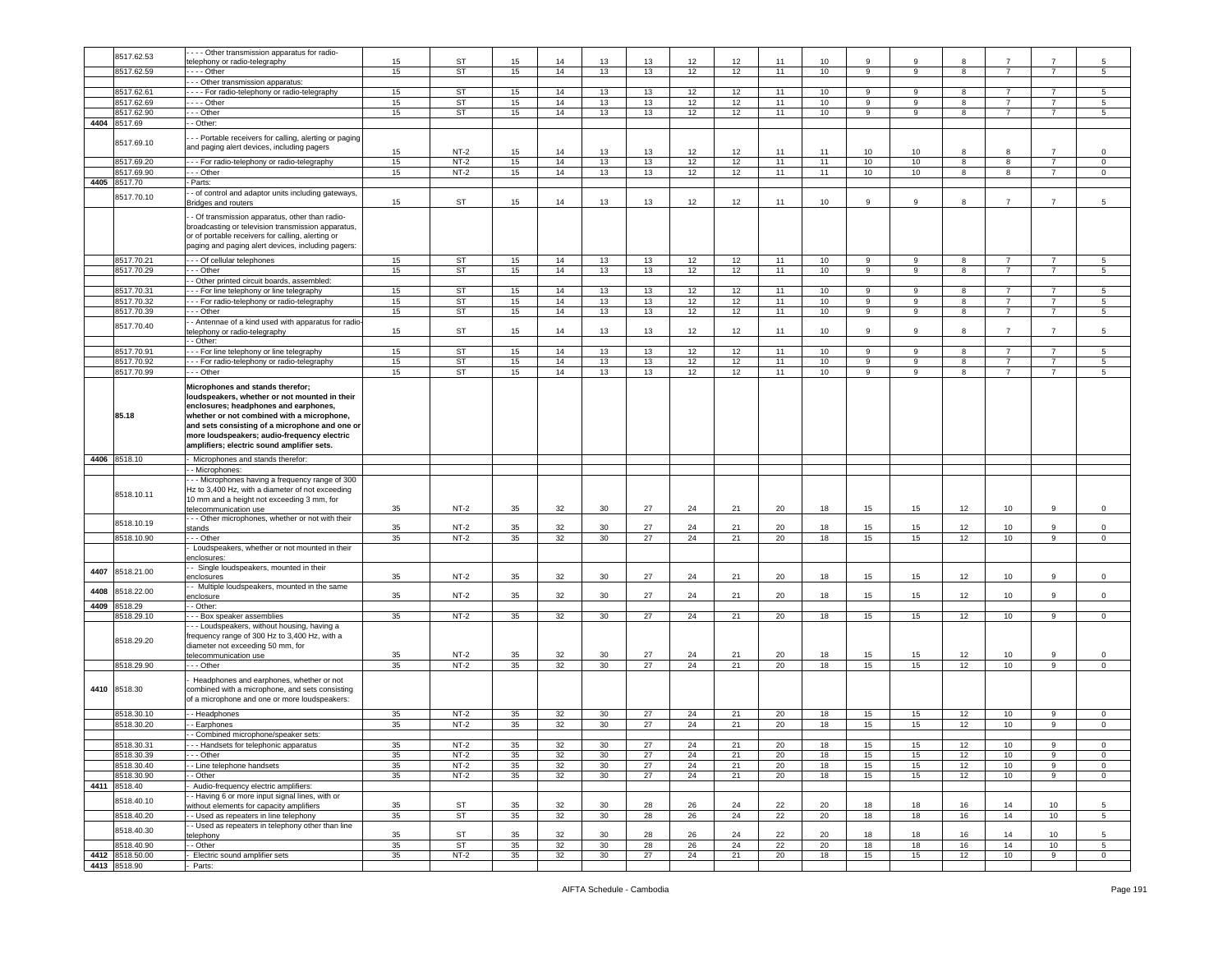|      |                                 | --- Other transmission apparatus for radio-            |    |           |    |    |                 |    |    |    |    |    |    |    |    |                |                |                |
|------|---------------------------------|--------------------------------------------------------|----|-----------|----|----|-----------------|----|----|----|----|----|----|----|----|----------------|----------------|----------------|
|      | 8517.62.53                      |                                                        | 15 | ST        | 15 | 14 | 13              | 13 | 12 | 12 | 11 | 10 | 9  | 9  | 8  |                |                | 5              |
|      |                                 | elephony or radio-telegraphy                           |    |           |    |    |                 |    |    |    |    |    |    |    |    |                |                |                |
|      | 8517.62.59                      | $- -$ - Other                                          | 15 | ST        | 15 | 14 | 13              | 13 | 12 | 12 | 11 | 10 | 9  | 9  | 8  | $\overline{7}$ | $\overline{7}$ | 5              |
|      |                                 | -- Other transmission apparatus:                       |    |           |    |    |                 |    |    |    |    |    |    |    |    |                |                |                |
|      | 8517.62.61                      | - - - For radio-telephony or radio-telegraphy          | 15 | <b>ST</b> | 15 | 14 | 13              | 13 | 12 | 12 | 11 | 10 | 9  | 9  | 8  | $\overline{7}$ |                | 5              |
|      | 8517.62.69                      | --- Other                                              | 15 | <b>ST</b> | 15 | 14 | 13              | 13 | 12 | 12 | 11 | 10 | 9  | 9  | 8  | $\overline{7}$ | $\overline{7}$ | $\sqrt{5}$     |
|      | 8517.62.90                      | - - Other                                              | 15 | ST        | 15 | 14 | 13              | 13 | 12 | 12 | 11 | 10 | 9  | 9  | 8  | $\overline{7}$ | $\overline{7}$ | 5              |
|      |                                 |                                                        |    |           |    |    |                 |    |    |    |    |    |    |    |    |                |                |                |
|      | 4404 8517.69                    | - Other:                                               |    |           |    |    |                 |    |    |    |    |    |    |    |    |                |                |                |
|      |                                 | - - Portable receivers for calling, alerting or paging |    |           |    |    |                 |    |    |    |    |    |    |    |    |                |                |                |
|      | 8517.69.10                      | and paging alert devices, including pagers             |    |           |    |    |                 |    |    |    |    |    |    |    |    |                |                |                |
|      |                                 |                                                        | 15 | $NT-2$    | 15 | 14 | 13              | 13 | 12 | 12 | 11 | 11 | 10 | 10 | 8  | 8              | $\overline{7}$ | 0              |
|      | 8517.69.20                      | - - For radio-telephony or radio-telegraphy            | 15 | $NT-2$    | 15 | 14 | 13              | 13 | 12 | 12 | 11 | 11 | 10 | 10 | 8  | 8              | $\overline{7}$ | $\mathsf 0$    |
|      | 8517.69.90                      | - - Other                                              | 15 | $NT-2$    | 15 | 14 | 13              | 13 | 12 | 12 | 11 | 11 | 10 | 10 | 8  | 8              | $\overline{7}$ | 0              |
| 4405 | 8517.70                         |                                                        |    |           |    |    |                 |    |    |    |    |    |    |    |    |                |                |                |
|      |                                 | Parts:                                                 |    |           |    |    |                 |    |    |    |    |    |    |    |    |                |                |                |
|      | 8517.70.10                      | - of control and adaptor units including gateways,     |    |           |    |    |                 |    |    |    |    |    |    |    |    |                |                |                |
|      |                                 | Bridges and routers                                    | 15 | ST        | 15 | 14 | 13              | 13 | 12 | 12 | 11 | 10 | 9  | 9  | 8  | $\overline{7}$ | $\overline{7}$ | 5              |
|      |                                 | - Of transmission apparatus, other than radio-         |    |           |    |    |                 |    |    |    |    |    |    |    |    |                |                |                |
|      |                                 |                                                        |    |           |    |    |                 |    |    |    |    |    |    |    |    |                |                |                |
|      |                                 | broadcasting or television transmission apparatus,     |    |           |    |    |                 |    |    |    |    |    |    |    |    |                |                |                |
|      |                                 | or of portable receivers for calling, alerting or      |    |           |    |    |                 |    |    |    |    |    |    |    |    |                |                |                |
|      |                                 | paging and paging alert devices, including pagers:     |    |           |    |    |                 |    |    |    |    |    |    |    |    |                |                |                |
|      | 8517.70.21                      | - - Of cellular telephones                             | 15 | ST        | 15 | 14 | 13              | 13 | 12 | 12 | 11 | 10 | 9  | 9  | 8  | $\overline{7}$ | $\overline{7}$ | $\sqrt{5}$     |
|      |                                 |                                                        |    |           |    |    |                 |    |    |    |    |    |    |    |    |                |                |                |
|      | 8517.70.29                      | - - Other                                              | 15 | <b>ST</b> | 15 | 14 | 13              | 13 | 12 | 12 | 11 | 10 | 9  | 9  | 8  | $\overline{7}$ | $\overline{7}$ | 5              |
|      |                                 | - Other printed circuit boards, assembled:             |    |           |    |    |                 |    |    |    |    |    |    |    |    |                |                |                |
|      | 8517.70.31                      | - - For line telephony or line telegraphy              | 15 | ST        | 15 | 14 | 13              | 13 | 12 | 12 | 11 | 10 | 9  | 9  | 8  | $\overline{7}$ | 7              | 5              |
|      | 8517.70.32                      | - - For radio-telephony or radio-telegraphy            | 15 | <b>ST</b> | 15 | 14 | 13              | 13 | 12 | 12 | 11 | 10 | 9  | 9  | 8  | $\overline{7}$ | $\overline{7}$ | 5              |
|      | 8517.70.39                      | - - Other                                              | 15 | ST        | 15 | 14 | 13              | 13 | 12 | 12 | 11 | 10 | 9  | 9  | 8  | $\overline{7}$ | $\overline{7}$ | 5              |
|      |                                 | - Antennae of a kind used with apparatus for radio-    |    |           |    |    |                 |    |    |    |    |    |    |    |    |                |                |                |
|      | 8517.70.40                      |                                                        | 15 | ST        | 15 | 14 | 13              | 13 | 12 | 12 | 11 | 10 | 9  | 9  | 8  | $\overline{7}$ | $\overline{7}$ | 5              |
|      |                                 | elephony or radio-telegraphy                           |    |           |    |    |                 |    |    |    |    |    |    |    |    |                |                |                |
|      |                                 | - Other:                                               |    |           |    |    |                 |    |    |    |    |    |    |    |    |                |                |                |
|      | 8517.70.91                      | - - For line telephony or line telegraphy              | 15 | ST        | 15 | 14 | 13              | 13 | 12 | 12 | 11 | 10 | 9  | 9  | 8  | $\overline{7}$ | $\overline{7}$ | $\sqrt{5}$     |
|      | 8517.70.92                      | - - For radio-telephony or radio-telegraphy            | 15 | ST        | 15 | 14 | 13              | 13 | 12 | 12 | 11 | 10 | 9  | 9  | 8  | $\overline{7}$ | 7              | 5              |
|      | 8517.70.99                      | - - Other                                              | 15 | <b>ST</b> | 15 | 14 | 13              | 13 | 12 | 12 | 11 | 10 | 9  | 9  | 8  | $\overline{7}$ | $\overline{7}$ | 5              |
|      |                                 |                                                        |    |           |    |    |                 |    |    |    |    |    |    |    |    |                |                |                |
|      |                                 | Microphones and stands therefor;                       |    |           |    |    |                 |    |    |    |    |    |    |    |    |                |                |                |
|      |                                 | loudspeakers, whether or not mounted in their          |    |           |    |    |                 |    |    |    |    |    |    |    |    |                |                |                |
|      |                                 | enclosures; headphones and earphones,                  |    |           |    |    |                 |    |    |    |    |    |    |    |    |                |                |                |
|      | 85.18                           | whether or not combined with a microphone,             |    |           |    |    |                 |    |    |    |    |    |    |    |    |                |                |                |
|      |                                 | and sets consisting of a microphone and one or         |    |           |    |    |                 |    |    |    |    |    |    |    |    |                |                |                |
|      |                                 | more loudspeakers; audio-frequency electric            |    |           |    |    |                 |    |    |    |    |    |    |    |    |                |                |                |
|      |                                 |                                                        |    |           |    |    |                 |    |    |    |    |    |    |    |    |                |                |                |
|      |                                 | amplifiers; electric sound amplifier sets.             |    |           |    |    |                 |    |    |    |    |    |    |    |    |                |                |                |
|      | 4406 8518.10                    | Microphones and stands therefor:                       |    |           |    |    |                 |    |    |    |    |    |    |    |    |                |                |                |
|      |                                 | - Microphones:                                         |    |           |    |    |                 |    |    |    |    |    |    |    |    |                |                |                |
|      |                                 |                                                        |    |           |    |    |                 |    |    |    |    |    |    |    |    |                |                |                |
|      |                                 |                                                        |    |           |    |    |                 |    |    |    |    |    |    |    |    |                |                |                |
|      |                                 | - - Microphones having a frequency range of 300        |    |           |    |    |                 |    |    |    |    |    |    |    |    |                |                |                |
|      | 8518.10.11                      | Hz to 3,400 Hz, with a diameter of not exceeding       |    |           |    |    |                 |    |    |    |    |    |    |    |    |                |                |                |
|      |                                 | 10 mm and a height not exceeding 3 mm, for             |    |           |    |    |                 |    |    |    |    |    |    |    |    |                |                |                |
|      |                                 | elecommunication use                                   | 35 | $NT-2$    | 35 | 32 | 30              | 27 | 24 | 21 | 20 | 18 | 15 | 15 | 12 | 10             | 9              | $\,0\,$        |
|      |                                 | - - Other microphones, whether or not with their       |    |           |    |    |                 |    |    |    |    |    |    |    |    |                |                |                |
|      | 8518.10.19                      | stands                                                 | 35 | $NT-2$    | 35 | 32 | 30              | 27 | 24 | 21 | 20 | 18 | 15 | 15 | 12 | 10             | 9              | $\mathsf 0$    |
|      | 8518.10.90                      | - - Other                                              | 35 | $NT-2$    | 35 | 32 | 30              | 27 | 24 | 21 | 20 | 18 | 15 | 15 | 12 | 10             | 9              | $\circ$        |
|      |                                 | Loudspeakers, whether or not mounted in their          |    |           |    |    |                 |    |    |    |    |    |    |    |    |                |                |                |
|      |                                 | enclosures:                                            |    |           |    |    |                 |    |    |    |    |    |    |    |    |                |                |                |
|      |                                 | - Single loudspeakers, mounted in their                |    |           |    |    |                 |    |    |    |    |    |    |    |    |                |                |                |
| 4407 | 8518.21.00                      |                                                        |    |           |    |    |                 |    |    |    |    |    |    |    |    |                | 9              |                |
|      |                                 | enclosures                                             | 35 | $NT-2$    | 35 | 32 | 30              | 27 | 24 | 21 | 20 | 18 | 15 | 15 | 12 | 10             |                | $\mathsf 0$    |
| 4408 | 8518.22.00                      | - Multiple loudspeakers, mounted in the same           |    |           |    |    |                 |    |    |    |    |    |    |    |    |                | 9              |                |
|      |                                 | enclosure                                              | 35 | $NT-2$    | 35 | 32 | 30              | 27 | 24 | 21 | 20 | 18 | 15 | 15 | 12 | 10             |                | $\mathsf 0$    |
| 4409 | 8518.29                         | - Other:                                               |    |           |    |    |                 |    |    |    |    |    |    |    |    |                |                |                |
|      | 8518.29.10                      | - - Box speaker assemblies                             | 35 | $NT-2$    | 35 | 32 | 30              | 27 | 24 | 21 | 20 | 18 | 15 | 15 | 12 | 10             | 9              | $\mathbf 0$    |
|      |                                 | - - Loudspeakers, without housing, having a            |    |           |    |    |                 |    |    |    |    |    |    |    |    |                |                |                |
|      |                                 | requency range of 300 Hz to 3,400 Hz, with a           |    |           |    |    |                 |    |    |    |    |    |    |    |    |                |                |                |
|      | 8518.29.20                      | diameter not exceeding 50 mm, for                      |    |           |    |    |                 |    |    |    |    |    |    |    |    |                |                |                |
|      |                                 | telecommunication use                                  | 35 | $NT-2$    | 35 | 32 | 30              | 27 | 24 | 21 | 20 | 18 | 15 | 15 | 12 | 10             | 9              | 0              |
|      | 8518.29.90                      | .-- Other                                              | 35 | $NT-2$    | 35 | 32 | 30              | 27 | 24 | 21 | 20 | 18 | 15 | 15 | 12 | 10             | 9              | $\circ$        |
|      |                                 |                                                        |    |           |    |    |                 |    |    |    |    |    |    |    |    |                |                |                |
|      |                                 | Headphones and earphones, whether or not               |    |           |    |    |                 |    |    |    |    |    |    |    |    |                |                |                |
|      | 4410 8518.30                    | combined with a microphone, and sets consisting        |    |           |    |    |                 |    |    |    |    |    |    |    |    |                |                |                |
|      |                                 | of a microphone and one or more loudspeakers:          |    |           |    |    |                 |    |    |    |    |    |    |    |    |                |                |                |
|      |                                 |                                                        |    |           |    |    |                 |    |    |    |    |    |    |    |    |                |                |                |
|      | 8518.30.10                      | - Headphones                                           | 35 | $NT-2$    | 35 | 32 | 30              | 27 | 24 | 21 | 20 | 18 | 15 | 15 | 12 | 10             | 9              | 0              |
|      | 8518.30.20                      | - Earphones                                            | 35 | $NT-2$    | 35 | 32 | 30              | 27 | 24 | 21 | 20 | 18 | 15 | 15 | 12 | 10             | 9              | 0              |
|      |                                 | - Combined microphone/speaker sets:                    |    |           |    |    |                 |    |    |    |    |    |    |    |    |                |                |                |
|      | 8518.30.31                      |                                                        | 35 | $NT-2$    | 35 | 32 | 30              | 27 | 24 | 21 | 20 | 18 | 15 | 15 | 12 | 10             | 9              | 0              |
|      |                                 | --- Handsets for telephonic apparatus                  |    |           |    |    |                 |    |    |    |    |    |    |    |    |                |                |                |
|      | 8518.30.39                      | - - Other                                              | 35 | $NT-2$    | 35 | 32 | 30              | 27 | 24 | 21 | 20 | 18 | 15 | 15 | 12 | 10             | 9              | $\mathsf 0$    |
|      | 8518.30.40                      | - Line telephone handsets                              | 35 | $NT-2$    | 35 | 32 | 30              | 27 | 24 | 21 | 20 | 18 | 15 | 15 | 12 | 10             | 9              | $\mathsf 0$    |
|      | 8518.30.90                      | - Other                                                | 35 | $NT-2$    | 35 | 32 | 30              | 27 | 24 | 21 | 20 | 18 | 15 | 15 | 12 | 10             | 9              | $\mathbf 0$    |
|      | 4411 8518.40                    | Audio-frequency electric amplifiers:                   |    |           |    |    |                 |    |    |    |    |    |    |    |    |                |                |                |
|      |                                 | - Having 6 or more input signal lines, with or         |    |           |    |    |                 |    |    |    |    |    |    |    |    |                |                |                |
|      | 8518.40.10                      | without elements for capacity amplifiers               | 35 | <b>ST</b> | 35 | 32 | 30              | 28 | 26 | 24 | 22 | 20 | 18 | 18 | 16 | 14             | 10             | 5              |
|      | 8518.40.20                      | - Used as repeaters in line telephony                  | 35 | <b>ST</b> | 35 |    | 30 <sup>°</sup> |    |    |    | 22 |    |    | 18 | 16 | 14             | 10             | 5              |
|      |                                 |                                                        |    |           |    | 32 |                 | 28 | 26 | 24 |    | 20 | 18 |    |    |                |                |                |
|      | 8518.40.30                      | - Used as repeaters in telephony other than line       |    |           |    |    |                 |    |    |    |    |    |    |    |    |                |                |                |
|      |                                 | elephony                                               | 35 | <b>ST</b> | 35 | 32 | 30              | 28 | 26 | 24 | 22 | 20 | 18 | 18 | 16 | 14             | 10             | 5              |
|      | 8518.40.90                      | - Other                                                | 35 | ST        | 35 | 32 | 30              | 28 | 26 | 24 | 22 | 20 | 18 | 18 | 16 | 14             | 10             | 5              |
|      | 4412 8518.50.00<br>4413 8518.90 | Electric sound amplifier sets<br>Parts:                | 35 | $NT-2$    | 35 | 32 | 30              | 27 | 24 | 21 | 20 | 18 | 15 | 15 | 12 | 10             | 9              | $\overline{0}$ |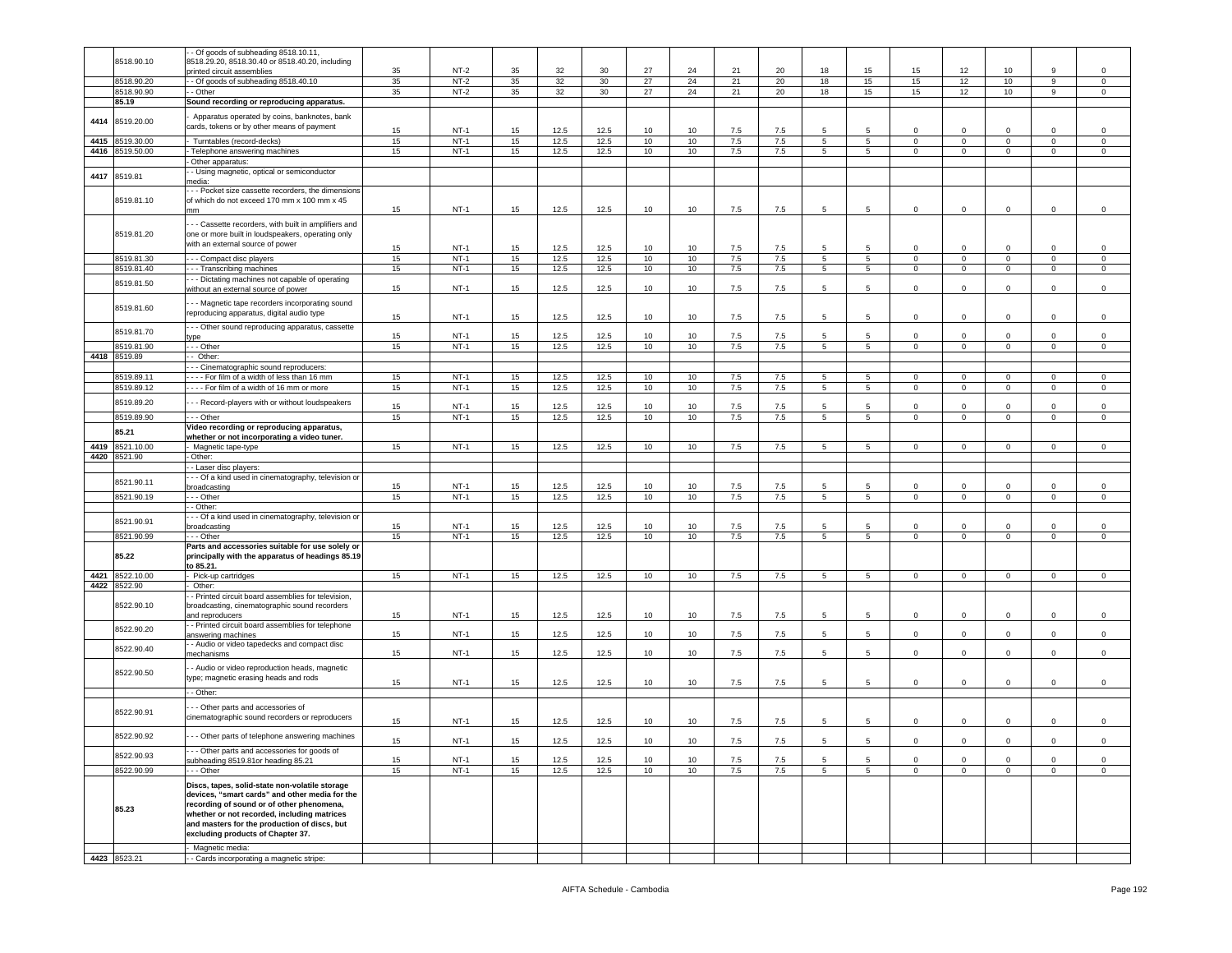|      |                          | - Of goods of subheading 8518.10.11,                                                         |          |                  |          |              |              |          |                 |            |            |                     |                 |                     |                               |                            |                        |                        |
|------|--------------------------|----------------------------------------------------------------------------------------------|----------|------------------|----------|--------------|--------------|----------|-----------------|------------|------------|---------------------|-----------------|---------------------|-------------------------------|----------------------------|------------------------|------------------------|
|      | 8518.90.10               | 8518.29.20, 8518.30.40 or 8518.40.20, including                                              |          |                  |          |              |              |          |                 |            |            |                     |                 |                     |                               |                            |                        |                        |
|      |                          | orinted circuit assemblies                                                                   | 35       | $NT-2$           | 35       | 32           | 30           | 27       | 24              | 21         | 20         | 18                  | 15              | 15                  | 12                            | 10                         | 9                      | $\mathsf 0$            |
|      | 8518.90.20<br>8518.90.90 | - Of goods of subheading 8518.40.10<br>- Other                                               | 35<br>35 | $NT-2$<br>$NT-2$ | 35<br>35 | 32<br>32     | 30<br>30     | 27<br>27 | 24<br>24        | 21<br>21   | 20<br>20   | 18<br>18            | 15<br>15        | 15<br>15            | 12<br>12                      | 10<br>10                   | 9<br>9                 | $\,0\,$<br>$\mathbf 0$ |
|      | 85.19                    | Sound recording or reproducing apparatus.                                                    |          |                  |          |              |              |          |                 |            |            |                     |                 |                     |                               |                            |                        |                        |
|      |                          |                                                                                              |          |                  |          |              |              |          |                 |            |            |                     |                 |                     |                               |                            |                        |                        |
| 4414 | 8519.20.00               | Apparatus operated by coins, banknotes, bank                                                 |          |                  |          |              |              |          |                 |            |            |                     |                 |                     |                               |                            |                        |                        |
|      |                          | cards, tokens or by other means of payment                                                   | 15       | NT-1             | 15       | 12.5         | 12.5         | 10       | 10              | 7.5        | 7.5        | 5                   | 5               | $\mathbf 0$         | $\mathbf 0$                   | 0                          | $\Omega$               | $\mathbf 0$            |
| 4415 | 8519.30.00               | Turntables (record-decks)                                                                    | 15       | $NT-1$           | 15       | 12.5         | 12.5         | 10       | 10              | $7.5\,$    | $7.5\,$    | 5                   | $5\overline{5}$ | $\mathbf 0$         | $\mathsf 0$                   | $\mathsf 0$                | $\mathbf 0$            | $\,0\,$                |
|      | 4416 8519.50.00          | Telephone answering machines                                                                 | 15       | $NT-1$           | 15       | 12.5         | 12.5         | 10       | 10              | 7.5        | 7.5        | $5\overline{)}$     | $5\overline{5}$ | $\mathbf 0$         | $\overline{0}$                | $\mathbf 0$                | $\mathbf 0$            | $\,0\,$                |
|      |                          | Other apparatus:                                                                             |          |                  |          |              |              |          |                 |            |            |                     |                 |                     |                               |                            |                        |                        |
| 4417 | 8519.81                  | - Using magnetic, optical or semiconductor                                                   |          |                  |          |              |              |          |                 |            |            |                     |                 |                     |                               |                            |                        |                        |
|      |                          | nedia:<br>- - Pocket size cassette recorders, the dimension:                                 |          |                  |          |              |              |          |                 |            |            |                     |                 |                     |                               |                            |                        |                        |
|      | 8519.81.10               | of which do not exceed 170 mm x 100 mm x 45                                                  |          |                  |          |              |              |          |                 |            |            |                     |                 |                     |                               |                            |                        |                        |
|      |                          | mm                                                                                           | 15       | $NT-1$           | 15       | 12.5         | 12.5         | 10       | 10              | 7.5        | 7.5        | 5                   | 5               | $\mathsf 0$         | $\mathbf 0$                   | $\mathbf 0$                | 0                      | $\mathsf 0$            |
|      |                          | - - Cassette recorders, with built in amplifiers and                                         |          |                  |          |              |              |          |                 |            |            |                     |                 |                     |                               |                            |                        |                        |
|      | 8519.81.20               | one or more built in loudspeakers, operating only                                            |          |                  |          |              |              |          |                 |            |            |                     |                 |                     |                               |                            |                        |                        |
|      |                          | with an external source of power                                                             |          |                  |          |              |              |          |                 |            |            |                     |                 |                     |                               |                            |                        |                        |
|      |                          |                                                                                              | 15       | $NT-1$           | 15       | 12.5         | 12.5         | 10       | 10              | 7.5        | 7.5        | 5<br>$\overline{5}$ | -5<br>5         | $\Omega$<br>$\circ$ | $\mathbf 0$<br>$\overline{0}$ | 0                          | $\mathbf 0$<br>$\circ$ | 0                      |
|      | 8519.81.30<br>8519.81.40 | -- Compact disc players                                                                      | 15<br>15 | $NT-1$<br>$NT-1$ | 15<br>15 | 12.5<br>12.5 | 12.5<br>12.5 | 10<br>10 | 10<br>10        | 7.5<br>7.5 | 7.5<br>7.5 | 5                   | 5               | $\mathsf 0$         | $\mathbf 0$                   | $\mathbf 0$<br>$\mathbf 0$ | $\mathbf 0$            | $\,0\,$<br>$\mathsf 0$ |
|      |                          | - - Transcribing machines<br>- - Dictating machines not capable of operating                 |          |                  |          |              |              |          |                 |            |            |                     |                 |                     |                               |                            |                        |                        |
|      | 8519.81.50               | without an external source of power                                                          | 15       | $NT-1$           | 15       | 12.5         | 12.5         | 10       | 10              | 7.5        | 7.5        | 5                   | 5               | $\circ$             | $\mathbf 0$                   | 0                          | $\mathbf 0$            | $\,0\,$                |
|      |                          |                                                                                              |          |                  |          |              |              |          |                 |            |            |                     |                 |                     |                               |                            |                        |                        |
|      | 8519.81.60               | - - Magnetic tape recorders incorporating sound<br>reproducing apparatus, digital audio type |          |                  |          |              |              |          |                 |            |            |                     |                 |                     |                               |                            |                        |                        |
|      |                          |                                                                                              | 15       | NT-1             | 15       | 12.5         | 12.5         | 10       | 10              | 7.5        | 7.5        | 5                   | 5               | $\Omega$            | $\mathbf 0$                   | 0                          | $\mathbf 0$            | 0                      |
|      | 8519.81.70               | - - Other sound reproducing apparatus, cassette                                              | 15       | NT-1             |          | 12.5         |              | 10       | 10              |            |            | 5                   | 5               | $\mathbf 0$         | $\mathbf 0$                   | 0                          | $\mathbf 0$            | 0                      |
|      | 8519.81.90               | vpe<br>- - Other                                                                             | 15       | $NT-1$           | 15<br>15 | 12.5         | 12.5<br>12.5 | 10       | 10              | 7.5<br>7.5 | 7.5<br>7.5 | 5                   | $5^{\circ}$     | $\circ$             | $\overline{0}$                | $\circ$                    | $\mathbf 0$            | $\mathsf 0$            |
| 4418 | 8519.89                  | - Other:                                                                                     |          |                  |          |              |              |          |                 |            |            |                     |                 |                     |                               |                            |                        |                        |
|      |                          | - - Cinematographic sound reproducers:                                                       |          |                  |          |              |              |          |                 |            |            |                     |                 |                     |                               |                            |                        |                        |
|      | 8519.89.11               | ---- For film of a width of less than 16 mm                                                  | 15       | $NT-1$           | 15       | 12.5         | 12.5         | 10       | 10              | 7.5        | 7.5        | 5                   | 5               | $^{\circ}$          | $\mathbf{0}$                  | $^{\circ}$                 | 0                      | $\mathbf 0$            |
|      | 8519.89.12               | ---- For film of a width of 16 mm or more                                                    | 15       | $NT-1$           | 15       | 12.5         | 12.5         | 10       | 10              | 7.5        | 7.5        | 5                   | 5               | $\overline{0}$      | $\mathbf{0}$                  | $\overline{0}$             | $\mathbf 0$            | $\mathbf 0$            |
|      | 8519.89.20               |                                                                                              |          |                  |          |              |              |          |                 |            |            |                     |                 |                     |                               |                            |                        |                        |
|      |                          | - - Record-players with or without loudspeakers                                              | 15       | $NT-1$           | 15       | 12.5         | 12.5         | 10       | 10              | 7.5        | 7.5        | 5                   | 5               | $\mathbf 0$         | $\mathbf 0$                   | $\mathbf 0$                | $\mathbf 0$            | $\mathsf 0$            |
|      | 8519.89.90               | - - Other                                                                                    | 15       | $NT-1$           | 15       | 12.5         | 12.5         | 10       | 10              | 7.5        | 7.5        | $\overline{5}$      | $\overline{5}$  | $\overline{0}$      | $\overline{0}$                | $\mathsf 0$                | $\mathbf 0$            | $\,0\,$                |
|      | 85.21                    | Video recording or reproducing apparatus,<br>whether or not incorporating a video tuner.     |          |                  |          |              |              |          |                 |            |            |                     |                 |                     |                               |                            |                        |                        |
| 4419 | 8521.10.00               | Magnetic tape-type                                                                           | 15       | $NT-1$           | 15       | 12.5         | 12.5         | 10       | 10              | 7.5        | 7.5        | 5                   | $\overline{5}$  | $\circ$             | $\mathbf 0$                   | $\mathbf 0$                | $\mathbf 0$            | $\mathsf 0$            |
|      | 4420 8521.90             | Other:                                                                                       |          |                  |          |              |              |          |                 |            |            |                     |                 |                     |                               |                            |                        |                        |
|      |                          | - Laser disc players:                                                                        |          |                  |          |              |              |          |                 |            |            |                     |                 |                     |                               |                            |                        |                        |
|      | 8521.90.11               | - - Of a kind used in cinematography, television o                                           |          |                  |          |              |              |          |                 |            |            |                     |                 |                     |                               |                            |                        |                        |
|      |                          | proadcasting                                                                                 | 15       | $NT-1$           | 15       | 12.5         | 12.5         | 10       | 10              | 7.5        | 7.5        | 5                   | 5               | $\mathbf 0$         | $\Omega$                      | $\Omega$                   | $\Omega$               | 0                      |
|      | 8521.90.19               | - - Other                                                                                    | 15       | $NT-1$           | 15       | 12.5         | 12.5         | 10       | 10              | 7.5        | 7.5        | $5\overline{)}$     | $\overline{5}$  | $\mathbf 0$         | $\overline{0}$                | $\overline{0}$             | $\mathbf 0$            | $\,0\,$                |
|      |                          | - Other:                                                                                     |          |                  |          |              |              |          |                 |            |            |                     |                 |                     |                               |                            |                        |                        |
|      | 8521.90.91               | - - Of a kind used in cinematography, television or<br>proadcasting                          | 15       | $NT-1$           | 15       | 12.5         | 12.5         | 10       | 10 <sup>1</sup> | 7.5        | 7.5        | 5                   | 5               | $\Omega$            | $\mathbf 0$                   | $\Omega$                   | 0                      | 0                      |
|      | 8521.90.99               | - - Other                                                                                    | 15       | $NT-1$           | 15       | 12.5         | 12.5         | 10       | 10              | 7.5        | 7.5        | 5 <sub>5</sub>      | $5\overline{)}$ | $\mathsf 0$         | $\overline{0}$                | $\overline{0}$             | $\mathsf 0$            | $\circ$                |
|      |                          | Parts and accessories suitable for use solely or                                             |          |                  |          |              |              |          |                 |            |            |                     |                 |                     |                               |                            |                        |                        |
|      | 85.22                    | principally with the apparatus of headings 85.19                                             |          |                  |          |              |              |          |                 |            |            |                     |                 |                     |                               |                            |                        |                        |
|      |                          | to 85.21.                                                                                    |          |                  |          |              |              |          |                 |            |            |                     |                 |                     |                               |                            |                        |                        |
| 4421 | 8522.10.00               | Pick-up cartridges                                                                           | 15       | $NT-1$           | 15       | 12.5         | 12.5         | 10       | 10              | 7.5        | 7.5        | $5\phantom{.0}$     | $5\phantom{.0}$ | $\mathsf 0$         | $\mathbf 0$                   | $\mathbf 0$                | $\mathbf 0$            | $\,0\,$                |
| 4422 | 8522.90                  | Other:                                                                                       |          |                  |          |              |              |          |                 |            |            |                     |                 |                     |                               |                            |                        |                        |
|      | 8522.90.10               | - Printed circuit board assemblies for television,                                           |          |                  |          |              |              |          |                 |            |            |                     |                 |                     |                               |                            |                        |                        |
|      |                          | proadcasting, cinematographic sound recorders<br>and reproducers                             | 15       | $NT-1$           | 15       | 12.5         | 12.5         | 10       | 10              | 7.5        | 7.5        | 5                   | 5               | $\mathbf 0$         | $\mathbf 0$                   | 0                          | 0                      | $\,0\,$                |
|      |                          | - Printed circuit board assemblies for telephone                                             |          |                  |          |              |              |          |                 |            |            |                     |                 |                     |                               |                            |                        |                        |
|      | 8522.90.20               | answering machines                                                                           | 15       | $NT-1$           | 15       | 12.5         | 12.5         | 10       | 10              | 7.5        | 7.5        | 5                   | 5               | $\mathbf 0$         | $\mathbf 0$                   | $\mathbf 0$                | $\mathbf 0$            | $\,0\,$                |
|      | 8522.90.40               | - Audio or video tapedecks and compact disc                                                  |          |                  |          |              |              |          |                 |            |            |                     |                 |                     |                               |                            |                        |                        |
|      |                          | nechanisms                                                                                   | 15       | <b>NT-1</b>      | 15       | 12.5         | 12.5         | 10       | 10              | 7.5        | 7.5        | 5                   | 5               | $\Omega$            | $\mathbf 0$                   | $\mathbf 0$                | 0                      | $\mathsf 0$            |
|      |                          |                                                                                              |          |                  |          |              |              |          |                 |            |            |                     |                 |                     |                               |                            |                        |                        |
|      |                          | - Audio or video reproduction heads, magnetic                                                |          |                  |          |              |              |          |                 |            |            |                     |                 |                     |                               |                            |                        |                        |
|      | 8522.90.50               | ype; magnetic erasing heads and rods                                                         | 15       | $NT-1$           | 15       | 12.5         | 12.5         | 10       | 10              | 7.5        | 7.5        | 5                   | $5\overline{5}$ | $\mathbf 0$         | $\overline{0}$                | 0                          | $\mathbf 0$            | $\mathsf 0$            |
|      |                          | - Other:                                                                                     |          |                  |          |              |              |          |                 |            |            |                     |                 |                     |                               |                            |                        |                        |
|      |                          |                                                                                              |          |                  |          |              |              |          |                 |            |            |                     |                 |                     |                               |                            |                        |                        |
|      | 8522.90.91               | - - Other parts and accessories of                                                           |          |                  |          |              |              |          |                 |            |            |                     |                 |                     |                               |                            |                        |                        |
|      |                          | cinematographic sound recorders or reproducers                                               | 15       | $NT-1$           | 15       | 12.5         | 12.5         | 10       | 10              | 7.5        | 7.5        | 5                   | 5               | 0                   | $\mathbf 0$                   | 0                          | 0                      | $\mathsf 0$            |
|      | 8522.90.92               | - - Other parts of telephone answering machines                                              |          |                  |          |              |              |          |                 |            |            |                     |                 |                     |                               |                            |                        |                        |
|      |                          | - - Other parts and accessories for goods of                                                 | 15       | $NT-1$           | 15       | 12.5         | 12.5         | 10       | 10              | 7.5        | $7.5\,$    | 5                   | 5               | $\mathbf 0$         | $\mathbf 0$                   | $\mathbf 0$                | $\mathbf 0$            | $\mathsf 0$            |
|      | 8522.90.93               | subheading 8519.81or heading 85.21                                                           | 15       | $NT-1$           | 15       | 12.5         | 12.5         | 10       | 10              | 7.5        | 7.5        | 5                   | 5               | $\Omega$            | $\mathbf 0$                   | $\Omega$                   | $\Omega$               | $\mathbf 0$            |
|      | 8522.90.99               | $\cdots$ Other                                                                               | 15       | $NT-1$           | 15       | 12.5         | 12.5         | 10       | 10              | 7.5        | 7.5        | $5^{\circ}$         | 5 <sup>5</sup>  | $\mathbf 0$         | $\mathbf{0}$                  | $\mathbf{0}$               | $\mathbf{0}$           | $\overline{0}$         |
|      |                          | Discs, tapes, solid-state non-volatile storage                                               |          |                  |          |              |              |          |                 |            |            |                     |                 |                     |                               |                            |                        |                        |
|      |                          | devices. "smart cards" and other media for the                                               |          |                  |          |              |              |          |                 |            |            |                     |                 |                     |                               |                            |                        |                        |
|      |                          | recording of sound or of other phenomena,                                                    |          |                  |          |              |              |          |                 |            |            |                     |                 |                     |                               |                            |                        |                        |
|      | 85.23                    | whether or not recorded, including matrices                                                  |          |                  |          |              |              |          |                 |            |            |                     |                 |                     |                               |                            |                        |                        |
|      |                          | and masters for the production of discs, but                                                 |          |                  |          |              |              |          |                 |            |            |                     |                 |                     |                               |                            |                        |                        |
|      |                          | excluding products of Chapter 37.                                                            |          |                  |          |              |              |          |                 |            |            |                     |                 |                     |                               |                            |                        |                        |
|      | 4423 8523.21             | Magnetic media:<br>- Cards incorporating a magnetic stripe:                                  |          |                  |          |              |              |          |                 |            |            |                     |                 |                     |                               |                            |                        |                        |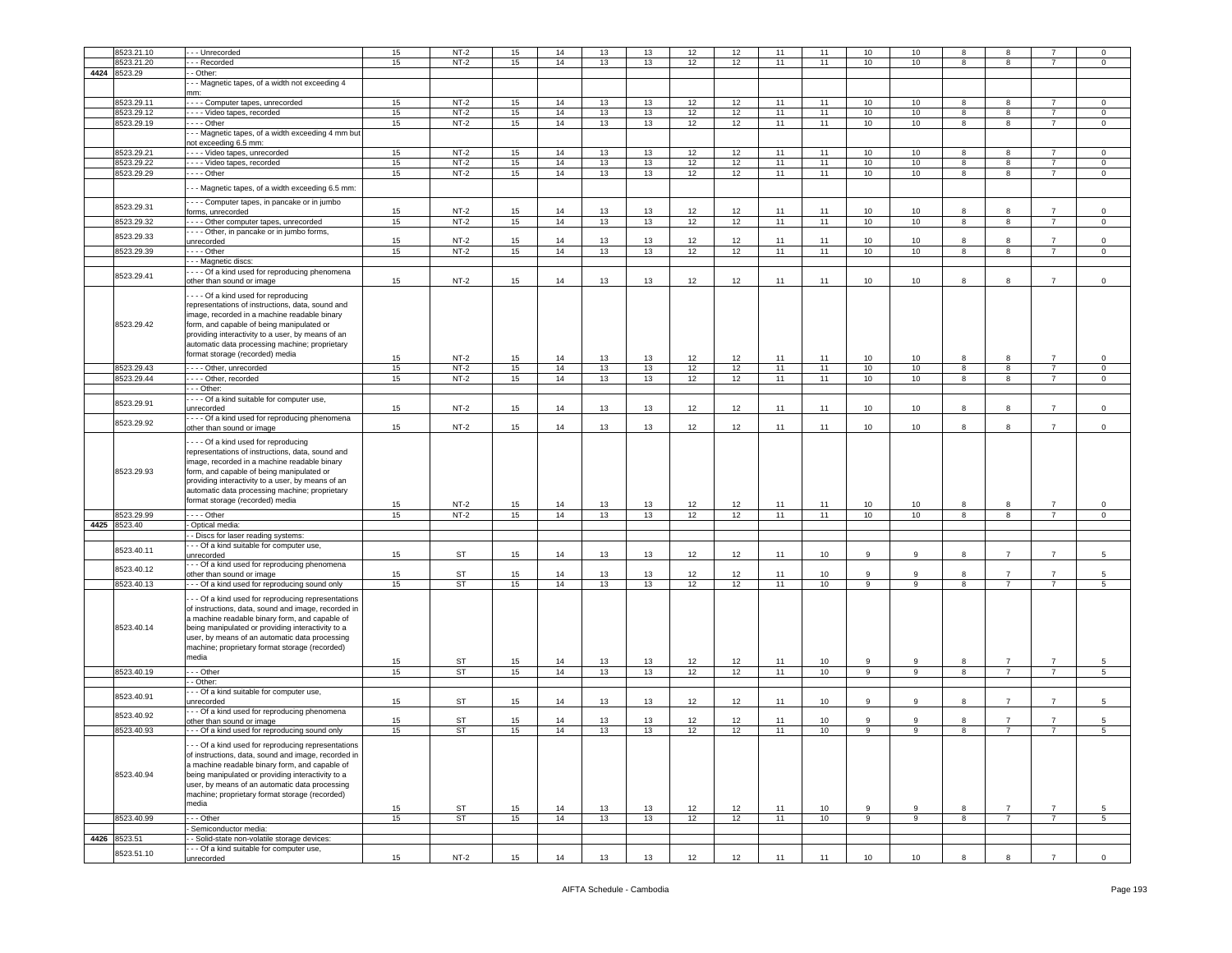|      | 8523.21.10   | - - Unrecorded                                                            | 15 | $NT-2$    | 15 | 14 | 13 | 13 | 12 | 12 | 11 | 11   | 10             | 10             | 8              | 8              |                | $\Omega$       |
|------|--------------|---------------------------------------------------------------------------|----|-----------|----|----|----|----|----|----|----|------|----------------|----------------|----------------|----------------|----------------|----------------|
|      | 8523.21.20   | - - Recorded                                                              | 15 | $NT-2$    | 15 | 14 | 13 | 13 | 12 | 12 | 11 | 11   | 10             | 10             | 8              | 8              | -7             | $\mathbf 0$    |
|      |              |                                                                           |    |           |    |    |    |    |    |    |    |      |                |                |                |                |                |                |
| 4424 | 8523.29      | - Other:                                                                  |    |           |    |    |    |    |    |    |    |      |                |                |                |                |                |                |
|      |              | - - Magnetic tapes, of a width not exceeding 4                            |    |           |    |    |    |    |    |    |    |      |                |                |                |                |                |                |
|      |              | mm:                                                                       |    |           |    |    |    |    |    |    |    |      |                |                |                |                |                |                |
|      | 8523.29.11   | ---- Computer tapes, unrecorded                                           | 15 | $NT-2$    | 15 | 14 | 13 | 13 | 12 | 12 | 11 | 11   | 10             | 10             | 8              | 8              | $\overline{7}$ | $\mathbf 0$    |
|      | 8523.29.12   | - - - Video tapes, recorded                                               | 15 | $NT-2$    | 15 | 14 | 13 | 13 | 12 | 12 | 11 | 11   | 10             | 10             | 8              | 8              | $\overline{7}$ | $\mathsf 0$    |
|      | 8523.29.19   | $- -$ - Other                                                             | 15 | $NT-2$    | 15 | 14 | 13 | 13 | 12 | 12 | 11 | 11   | 10             | 10             | 8              | 8              | $\overline{7}$ | $\circ$        |
|      |              | - - Magnetic tapes, of a width exceeding 4 mm but                         |    |           |    |    |    |    |    |    |    |      |                |                |                |                |                |                |
|      |              | not exceeding 6.5 mm:                                                     |    |           |    |    |    |    |    |    |    |      |                |                |                |                |                |                |
|      | 8523.29.21   | --- Video tapes, unrecorded                                               | 15 | $NT-2$    | 15 | 14 | 13 | 13 | 12 | 12 | 11 | 11   | 10             | 10             | 8              | 8              |                | 0              |
|      | 8523.29.22   | - - - Video tapes, recorded                                               | 15 | $NT-2$    | 15 | 14 | 13 | 13 | 12 | 12 | 11 | 11   | 10             | 10             | 8              | 8              | $\overline{7}$ | $\circ$        |
|      | 8523.29.29   | --- Other                                                                 | 15 | $NT-2$    | 15 | 14 | 13 | 13 | 12 | 12 | 11 | 11   | 10             | 10             | 8              | 8              | $\overline{7}$ | 0              |
|      |              |                                                                           |    |           |    |    |    |    |    |    |    |      |                |                |                |                |                |                |
|      |              | - - Magnetic tapes, of a width exceeding 6.5 mm:                          |    |           |    |    |    |    |    |    |    |      |                |                |                |                |                |                |
|      |              | - - - Computer tapes, in pancake or in jumbo                              |    |           |    |    |    |    |    |    |    |      |                |                |                |                |                |                |
|      | 8523.29.31   | orms, unrecorded                                                          | 15 | $NT-2$    | 15 | 14 | 13 | 13 | 12 | 12 | 11 | 11   | 10             | 10             | 8              | 8              | $\overline{7}$ | $\circ$        |
|      | 8523.29.32   | --- Other computer tapes, unrecorded                                      | 15 | $NT-2$    | 15 | 14 | 13 | 13 | 12 | 12 | 11 | 11   | 10             | 10             | 8              | 8              | $\overline{7}$ | $\mathbf 0$    |
|      |              | - - - Other, in pancake or in jumbo forms,                                |    |           |    |    |    |    |    |    |    |      |                |                |                |                |                |                |
|      | 8523.29.33   | unrecorded                                                                | 15 | NT-2      | 15 | 14 | 13 | 13 | 12 | 12 | 11 | 11   | 10             | 10             | 8              | 8              |                | $\mathsf 0$    |
|      | 8523.29.39   | --- Other                                                                 | 15 | $NT-2$    | 15 | 14 | 13 | 13 | 12 | 12 | 11 | 11   | $10$           | $10$           | 8              | 8              | $\overline{7}$ | $\mathbf 0$    |
|      |              | -- Magnetic discs:                                                        |    |           |    |    |    |    |    |    |    |      |                |                |                |                |                |                |
|      |              | --- Of a kind used for reproducing phenomena                              |    |           |    |    |    |    |    |    |    |      |                |                |                |                |                |                |
|      | 8523.29.41   | other than sound or image                                                 | 15 | $NT-2$    | 15 | 14 | 13 | 13 | 12 | 12 | 11 | 11   | 10             | 10             | 8              | 8              | $\overline{7}$ | $\mathsf 0$    |
|      |              |                                                                           |    |           |    |    |    |    |    |    |    |      |                |                |                |                |                |                |
|      |              | --- Of a kind used for reproducing                                        |    |           |    |    |    |    |    |    |    |      |                |                |                |                |                |                |
|      |              | representations of instructions, data, sound and                          |    |           |    |    |    |    |    |    |    |      |                |                |                |                |                |                |
|      |              | image, recorded in a machine readable binary                              |    |           |    |    |    |    |    |    |    |      |                |                |                |                |                |                |
|      | 8523.29.42   | form, and capable of being manipulated or                                 |    |           |    |    |    |    |    |    |    |      |                |                |                |                |                |                |
|      |              | providing interactivity to a user, by means of an                         |    |           |    |    |    |    |    |    |    |      |                |                |                |                |                |                |
|      |              | automatic data processing machine; proprietary                            |    |           |    |    |    |    |    |    |    |      |                |                |                |                |                |                |
|      |              | format storage (recorded) media                                           | 15 | $NT-2$    | 15 | 14 | 13 | 13 | 12 | 12 | 11 | 11   | 10             | 10             | 8              | 8              | $\overline{7}$ | $\mathbf 0$    |
|      | 8523.29.43   | ---- Other, unrecorded                                                    | 15 | $NT-2$    | 15 | 14 | 13 | 13 | 12 | 12 | 11 | 11   | 10             | 10             | 8              | 8              | $\overline{7}$ | $\circ$        |
|      | 8523.29.44   | --- Other, recorded                                                       | 15 | $NT-2$    | 15 | 14 | 13 | 13 | 12 | 12 | 11 | 11   | 10             | 10             | 8              | 8              | $\overline{7}$ | $\mathsf 0$    |
|      |              | - - Other:                                                                |    |           |    |    |    |    |    |    |    |      |                |                |                |                |                |                |
|      |              | ---- Of a kind suitable for computer use,                                 |    |           |    |    |    |    |    |    |    |      |                |                |                |                |                |                |
|      | 8523.29.91   | unrecorded                                                                | 15 | $NT-2$    | 15 | 14 | 13 | 13 | 12 | 12 | 11 | 11   | 10             | 10             | 8              | 8              | $\overline{7}$ | $\mathbf 0$    |
|      |              | --- Of a kind used for reproducing phenomena                              |    |           |    |    |    |    |    |    |    |      |                |                |                |                |                |                |
|      | 8523.29.92   | other than sound or image                                                 | 15 | $NT-2$    | 15 | 14 | 13 | 13 | 12 | 12 | 11 | 11   | 10             | 10             | 8              | 8              | $\overline{7}$ | $\mathsf 0$    |
|      |              |                                                                           |    |           |    |    |    |    |    |    |    |      |                |                |                |                |                |                |
|      |              | --- Of a kind used for reproducing                                        |    |           |    |    |    |    |    |    |    |      |                |                |                |                |                |                |
|      |              | representations of instructions, data, sound and                          |    |           |    |    |    |    |    |    |    |      |                |                |                |                |                |                |
|      |              | nage, recorded in a machine readable binary                               |    |           |    |    |    |    |    |    |    |      |                |                |                |                |                |                |
|      | 8523.29.93   | orm, and capable of being manipulated or                                  |    |           |    |    |    |    |    |    |    |      |                |                |                |                |                |                |
|      |              | providing interactivity to a user, by means of an                         |    |           |    |    |    |    |    |    |    |      |                |                |                |                |                |                |
|      |              | automatic data processing machine; proprietary                            |    |           |    |    |    |    |    |    |    |      |                |                |                |                |                |                |
|      |              | format storage (recorded) media                                           | 15 | $NT-2$    | 15 | 14 | 13 | 13 | 12 | 12 | 11 | 11   | 10             | 10             | 8              | 8              | $\overline{7}$ | 0              |
|      | 8523.29.99   | $- -$ Other                                                               | 15 | $NT-2$    | 15 | 14 | 13 | 13 | 12 | 12 | 11 | 11   | 10             | 10             | 8              | 8              | $\overline{7}$ | $\mathbf 0$    |
|      | 4425 8523.40 |                                                                           |    |           |    |    |    |    |    |    |    |      |                |                |                |                |                |                |
|      |              | Optical media:                                                            |    |           |    |    |    |    |    |    |    |      |                |                |                |                |                |                |
|      |              | - Discs for laser reading systems:                                        |    |           |    |    |    |    |    |    |    |      |                |                |                |                |                |                |
|      | 8523.40.11   | - - Of a kind suitable for computer use,                                  |    | ST        |    |    | 13 | 13 |    |    |    |      | 9              | 9              |                | $\overline{7}$ | $\overline{7}$ |                |
|      |              | unrecorded                                                                | 15 |           | 15 | 14 |    |    | 12 | 12 | 11 | $10$ |                |                | 8              |                |                | 5              |
|      | 8523.40.12   | - - Of a kind used for reproducing phenomena<br>other than sound or image | 15 | ST        | 15 | 14 | 13 | 13 | 12 | 12 | 11 | $10$ | 9              | 9              | 8              | $\overline{7}$ | $\overline{7}$ | 5              |
|      | 8523.40.13   | - - Of a kind used for reproducing sound only                             | 15 | <b>ST</b> | 15 | 14 | 13 | 13 | 12 | 12 | 11 | 10   | 9              | 9              | 8              | $\overline{7}$ | $\overline{7}$ | 5              |
|      |              |                                                                           |    |           |    |    |    |    |    |    |    |      |                |                |                |                |                |                |
|      |              | - - Of a kind used for reproducing representations                        |    |           |    |    |    |    |    |    |    |      |                |                |                |                |                |                |
|      |              | of instructions, data, sound and image, recorded in                       |    |           |    |    |    |    |    |    |    |      |                |                |                |                |                |                |
|      |              | a machine readable binary form, and capable of                            |    |           |    |    |    |    |    |    |    |      |                |                |                |                |                |                |
|      | 8523.40.14   | being manipulated or providing interactivity to a                         |    |           |    |    |    |    |    |    |    |      |                |                |                |                |                |                |
|      |              | user, by means of an automatic data processing                            |    |           |    |    |    |    |    |    |    |      |                |                |                |                |                |                |
|      |              | machine; proprietary format storage (recorded)                            |    |           |    |    |    |    |    |    |    |      |                |                |                |                |                |                |
|      |              | media                                                                     | 15 | ST        | 15 | 14 | 13 | 13 | 12 | 12 | 11 | $10$ | 9              | 9              | 8              | $\overline{7}$ | $\overline{7}$ | 5              |
|      | 8523.40.19   | $-$ Other                                                                 | 15 | ST        | 15 | 14 | 13 | 13 | 12 | 12 | 11 | 10   | $\overline{9}$ | $\overline{9}$ | $\overline{8}$ | $\overline{7}$ | $\overline{7}$ | $\overline{5}$ |
|      |              | - Other:                                                                  |    |           |    |    |    |    |    |    |    |      |                |                |                |                |                |                |
|      |              | - - Of a kind suitable for computer use,                                  |    |           |    |    |    |    |    |    |    |      |                |                |                |                |                |                |
|      | 8523.40.91   | unrecorded                                                                | 15 | <b>ST</b> | 15 | 14 | 13 | 13 | 12 | 12 | 11 | 10   | 9              | 9              | 8              | $\overline{7}$ | $\overline{7}$ | 5              |
|      |              | - - Of a kind used for reproducing phenomena                              |    |           |    |    |    |    |    |    |    |      |                |                |                |                |                |                |
|      | 8523.40.92   | other than sound or image                                                 | 15 | <b>ST</b> | 15 | 14 | 13 | 13 | 12 | 12 | 11 | 10   | -9             | 9              | 8              | $\overline{7}$ | $\overline{7}$ | 5              |
|      | 8523.40.93   | --- Of a kind used for reproducing sound only                             | 15 | ST        | 15 | 14 | 13 | 13 | 12 | 12 | 11 | 10   | 9              | 9              | 8              | 7              | 7              | 5              |
|      |              |                                                                           |    |           |    |    |    |    |    |    |    |      |                |                |                |                |                |                |
|      |              | - - Of a kind used for reproducing representations                        |    |           |    |    |    |    |    |    |    |      |                |                |                |                |                |                |
|      |              | of instructions, data, sound and image, recorded in                       |    |           |    |    |    |    |    |    |    |      |                |                |                |                |                |                |
|      |              | a machine readable binary form, and capable of                            |    |           |    |    |    |    |    |    |    |      |                |                |                |                |                |                |
|      | 8523.40.94   | being manipulated or providing interactivity to a                         |    |           |    |    |    |    |    |    |    |      |                |                |                |                |                |                |
|      |              | user, by means of an automatic data processing                            |    |           |    |    |    |    |    |    |    |      |                |                |                |                |                |                |
|      |              | machine; proprietary format storage (recorded)                            |    |           |    |    |    |    |    |    |    |      |                |                |                |                |                |                |
|      |              | media                                                                     | 15 | <b>ST</b> | 15 | 14 | 13 | 13 | 12 | 12 | 11 | 10   | 9              | 9              | 8              | $\overline{7}$ | $\overline{7}$ | 5              |
|      | 8523.40.99   | -- Other                                                                  | 15 | ST        | 15 | 14 | 13 | 13 | 12 | 12 | 11 | 10   | 9              | 9              | 8              | $\overline{7}$ | $\overline{7}$ | 5 <sub>5</sub> |
|      |              | Semiconductor media:                                                      |    |           |    |    |    |    |    |    |    |      |                |                |                |                |                |                |
|      | 4426 8523.51 | - Solid-state non-volatile storage devices:                               |    |           |    |    |    |    |    |    |    |      |                |                |                |                |                |                |
|      |              | - - Of a kind suitable for computer use,                                  |    |           |    |    |    |    |    |    |    |      |                |                |                |                |                |                |
|      | 8523.51.10   | unrecorded                                                                | 15 | $NT-2$    | 15 | 14 | 13 | 13 | 12 | 12 | 11 | 11   | 10             | 10             | 8              | 8              | $\overline{7}$ | $\mathsf 0$    |
|      |              |                                                                           |    |           |    |    |    |    |    |    |    |      |                |                |                |                |                |                |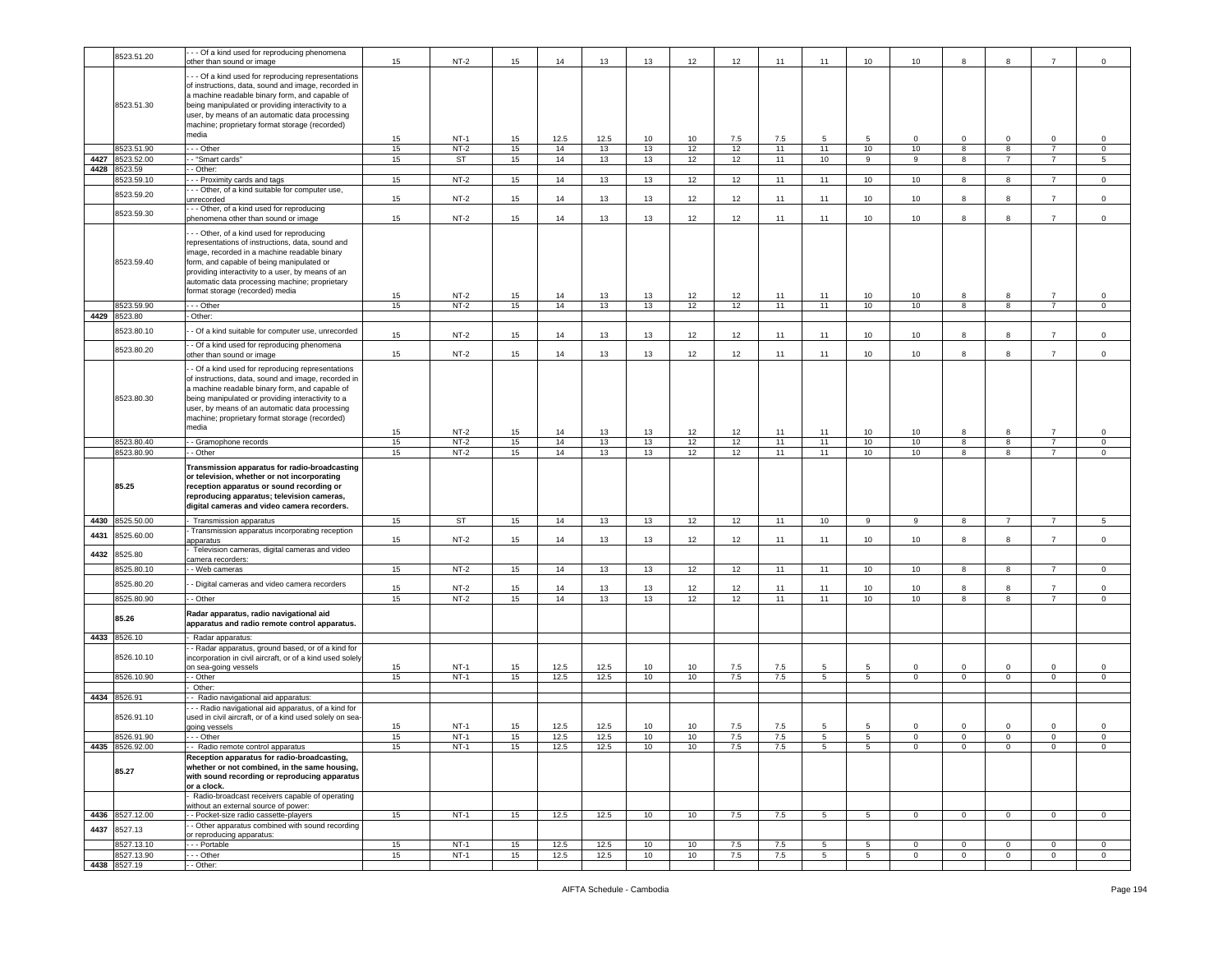|      | 8523.51.20                 | - - Of a kind used for reproducing phenomena<br>other than sound or image                                                                                                                                                                                                                                                            | 15       | $NT-2$           | 15       | 14           | 13         | 13       | 12       | 12         | 11         | 11             | 10              | 10           | 8                            | 8              | $\overline{7}$                   | $\mathsf 0$                   |
|------|----------------------------|--------------------------------------------------------------------------------------------------------------------------------------------------------------------------------------------------------------------------------------------------------------------------------------------------------------------------------------|----------|------------------|----------|--------------|------------|----------|----------|------------|------------|----------------|-----------------|--------------|------------------------------|----------------|----------------------------------|-------------------------------|
|      | 8523.51.30                 | - - - Of a kind used for reproducing representations<br>of instructions, data, sound and image, recorded in<br>a machine readable binary form, and capable of<br>being manipulated or providing interactivity to a<br>user, by means of an automatic data processing<br>machine; proprietary format storage (recorded)<br>media      |          |                  |          |              |            |          |          |            |            |                |                 |              |                              |                |                                  |                               |
|      | 8523.51.90                 | --- Other                                                                                                                                                                                                                                                                                                                            | 15<br>15 | $NT-1$<br>$NT-2$ | 15<br>15 | 12.5<br>14   | 12.5<br>13 | 10<br>13 | 10<br>12 | 7.5<br>12  | 7.5<br>11  | 5<br>11        | 5<br>10         | 0<br>10      | $\mathbf 0$<br>8             | 0<br>8         | 0<br>$\overline{7}$              | 0<br>$\mathbf 0$              |
| 4427 | 8523.52.00                 | - "Smart cards"                                                                                                                                                                                                                                                                                                                      | 15       | ST               | 15       | 14           | 13         | 13       | 12       | 12         | 11         | 10             | 9               | 9            | 8                            | $\overline{7}$ | $\overline{7}$                   | 5                             |
| 4428 | 8523.59                    | - Other:                                                                                                                                                                                                                                                                                                                             |          |                  |          |              |            |          |          |            |            |                |                 |              |                              |                |                                  |                               |
|      | 3523.59.10                 | - - Proximity cards and tags                                                                                                                                                                                                                                                                                                         | 15       | $NT-2$           | 15       | 14           | 13         | 13       | 12       | 12         | 11         | 11             | 10              | 10           | 8                            | 8              | $\overline{7}$                   | $\mathsf 0$                   |
|      | 8523.59.20                 | - - Other, of a kind suitable for computer use,<br>unrecorded                                                                                                                                                                                                                                                                        | 15       | $NT-2$           | 15       | 14           | 13         | 13       | 12       | 12         | 11         | 11             | 10              | 10           | 8                            | 8              | $\overline{7}$                   | $\mathsf 0$                   |
|      | 8523.59.30                 | -- Other, of a kind used for reproducing<br>phenomena other than sound or image                                                                                                                                                                                                                                                      | 15       | $NT-2$           | 15       | 14           | 13         | 13       | 12       | 12         | 11         | 11             | 10              | 10           | 8                            | 8              | $\overline{7}$                   | $\mathsf 0$                   |
|      | 8523.59.40                 | - - Other, of a kind used for reproducing<br>representations of instructions, data, sound and<br>image, recorded in a machine readable binary<br>form, and capable of being manipulated or<br>providing interactivity to a user, by means of an<br>automatic data processing machine; proprietary<br>format storage (recorded) media | 15       | $NT-2$           | 15       | 14           | 13         | 13       | 12       | 12         | 11         | 11             | 10              | 10           | 8                            | 8              | $\overline{7}$                   | 0                             |
|      | 8523.59.90                 | - - Other                                                                                                                                                                                                                                                                                                                            | 15       | $NT-2$           | 15       | 14           | 13         | 13       | 12       | 12         | 11         | 11             | 10              | 10           | 8                            | 8              | $\overline{7}$                   | 0                             |
|      | 4429 8523.80               | - Other:                                                                                                                                                                                                                                                                                                                             |          |                  |          |              |            |          |          |            |            |                |                 |              |                              |                |                                  |                               |
|      | 8523.80.10                 | - Of a kind suitable for computer use, unrecorded                                                                                                                                                                                                                                                                                    | 15       | $NT-2$           | 15       | 14           | 13         | 13       | 12       | 12         | 11         | 11             | 10              | 10           | 8                            | 8              |                                  | 0                             |
|      | 8523.80.20                 | - Of a kind used for reproducing phenomena<br>other than sound or image                                                                                                                                                                                                                                                              | 15       | $NT-2$           | 15       | 14           | 13         | 13       | 12       | 12         | 11         | 11             | 10              | 10           | 8                            | 8              | $\overline{7}$                   | $\mathsf 0$                   |
|      | 8523.80.30                 | - Of a kind used for reproducing representations<br>of instructions, data, sound and image, recorded in<br>a machine readable binary form, and capable of<br>being manipulated or providing interactivity to a<br>user, by means of an automatic data processing<br>machine; proprietary format storage (recorded)<br>media          | 15       | $NT-2$           | 15       | 14           | 13         | 13       | 12       | 12         | 11         | 11             | 10              | 10           | 8                            | 8              | $\overline{7}$                   | 0                             |
|      | 8523.80.40                 | - Gramophone records                                                                                                                                                                                                                                                                                                                 | 15       | $NT-2$           | 15       | 14           | 13         | 13       | 12       | 12         | 11         | 11             | 10              | 10           | 8                            | 8              | $\overline{7}$                   | $\mathsf 0$                   |
|      | 8523.80.90                 | - - Other                                                                                                                                                                                                                                                                                                                            | 15       | $NT-2$           | 15       | 14           | 13         | 13       | 12       | 12         | 11         | 11             | 10              | 10           | 8                            | 8              | $\overline{7}$                   | $\mathbf 0$                   |
|      |                            | Transmission apparatus for radio-broadcasting                                                                                                                                                                                                                                                                                        |          |                  |          |              |            |          |          |            |            |                |                 |              |                              |                |                                  |                               |
|      | 85.25                      | or television, whether or not incorporating<br>reception apparatus or sound recording or<br>reproducing apparatus; television cameras,<br>digital cameras and video camera recorders.                                                                                                                                                |          |                  |          |              |            |          |          |            |            |                |                 |              |                              |                |                                  |                               |
| 4430 | 8525.50.00                 | Transmission apparatus                                                                                                                                                                                                                                                                                                               | 15       | ST               | 15       | 14           | 13         | 13       | 12       | 12         | 11         | 10             | 9               | 9            | 8                            | $\overline{7}$ | $\overline{7}$                   | 5                             |
| 4431 | 8525.60.00                 | Transmission apparatus incorporating reception                                                                                                                                                                                                                                                                                       |          |                  |          |              |            |          |          |            |            |                |                 |              | 8                            |                | $\overline{7}$                   |                               |
| 4432 | 8525.80                    | apparatus<br>Television cameras, digital cameras and video                                                                                                                                                                                                                                                                           | 15       | $NT-2$           | 15       | 14           | 13         | 13       | 12       | 12         | 11         | 11             | 10              | 10           |                              | 8              |                                  | $\mathsf 0$                   |
|      |                            | camera recorders:                                                                                                                                                                                                                                                                                                                    |          | $NT-2$           |          |              |            |          |          |            |            | 11             |                 | 10           | -8                           | 8              |                                  | 0                             |
|      | 8525.80.10                 | - Web cameras                                                                                                                                                                                                                                                                                                                        | 15       |                  | 15       | 14           | 13         | 13       | 12       | 12         | 11         |                | 10              |              |                              |                |                                  |                               |
|      | 8525.80.20<br>8525.80.90   | - Digital cameras and video camera recorders<br>- Other                                                                                                                                                                                                                                                                              | 15<br>15 | $NT-2$<br>$NT-2$ | 15<br>15 | 14<br>14     | 13<br>13   | 13<br>13 | 12<br>12 | 12<br>12   | 11<br>11   | 11<br>11       | 10<br>10        | 10<br>10     | 8<br>$\overline{\mathbf{8}}$ | 8<br>8         | $\overline{7}$<br>$\overline{7}$ | $\mathsf 0$<br>$\overline{0}$ |
|      | 85.26                      | Radar apparatus, radio navigational aid<br>apparatus and radio remote control apparatus.                                                                                                                                                                                                                                             |          |                  |          |              |            |          |          |            |            |                |                 |              |                              |                |                                  |                               |
|      | 4433 8526.10               | Radar apparatus:                                                                                                                                                                                                                                                                                                                     |          |                  |          |              |            |          |          |            |            |                |                 |              |                              |                |                                  |                               |
|      | 8526.10.10                 | - Radar apparatus, ground based, or of a kind for<br>incorporation in civil aircraft, or of a kind used solely                                                                                                                                                                                                                       |          | NT-1             | 15       |              | 12.5       | 10       | 10       |            |            | 5              | 5               | 0            | $\mathbf 0$                  | $\mathbf 0$    | $\mathbf 0$                      | 0                             |
|      | 8526.10.90                 | on sea-going vessels<br>- - Other                                                                                                                                                                                                                                                                                                    | 15<br>15 | $NT-1$           | 15       | 12.5<br>12.5 | 12.5       | 10       | 10       | 7.5<br>7.5 | 7.5<br>7.5 | 5              | 5 <sup>5</sup>  | $\mathbf 0$  | $\mathbf 0$                  | $\circ$        | $\mathbf 0$                      | $\mathbf 0$                   |
|      |                            | Other:                                                                                                                                                                                                                                                                                                                               |          |                  |          |              |            |          |          |            |            |                |                 |              |                              |                |                                  |                               |
|      | 4434 8526.91               | Radio navigational aid apparatus:<br>- - Radio navigational aid apparatus, of a kind for                                                                                                                                                                                                                                             |          |                  |          |              |            |          |          |            |            |                |                 |              |                              |                |                                  |                               |
|      | 8526.91.10                 | used in civil aircraft, or of a kind used solely on sea-<br>going vessels                                                                                                                                                                                                                                                            | 15       | $NT-1$           | 15       | 12.5         | 12.5       | 10       | 10       | 7.5        | 7.5        | 5              | 5               | $\mathbf 0$  | $\mathbf 0$                  | $\Omega$       | $\Omega$                         | $\mathsf 0$                   |
|      | 8526.91.90                 | --- Other                                                                                                                                                                                                                                                                                                                            | 15       | $NT-1$           | 15       | 12.5         | 12.5       | 10       | 10       | 7.5        | 7.5        | 5              | 5               | 0            | $\mathbf 0$                  | $\mathbf 0$    | 0                                | $\mathbf 0$                   |
|      | 4435 8526.92.00<br>85.27   | - - Radio remote control apparatus<br>Reception apparatus for radio-broadcasting,<br>whether or not combined, in the same housing,<br>with sound recording or reproducing apparatus<br>or a clock.                                                                                                                                   | 15       | NT-1             | 15       | 12.5         | 12.5       | 10       | 10       | 7.5        | 7.5        | 5              | 5               | $\mathbf 0$  | $\circ$                      | 0              | 0                                | 0                             |
|      |                            | Radio-broadcast receivers capable of operating                                                                                                                                                                                                                                                                                       |          |                  |          |              |            |          |          |            |            |                |                 |              |                              |                |                                  |                               |
|      |                            | without an external source of power:                                                                                                                                                                                                                                                                                                 |          |                  |          |              |            |          |          |            |            |                |                 |              |                              |                |                                  |                               |
| 4437 | 4436 8527.12.00<br>8527.13 | - - Pocket-size radio cassette-players<br>- Other apparatus combined with sound recording                                                                                                                                                                                                                                            | 15       | $NT-1$           | 15       | 12.5         | 12.5       | 10       | 10       | 7.5        | 7.5        | 5 <sup>5</sup> | $5\overline{5}$ | $\mathbf{0}$ | $\mathbf{0}$                 | $\mathbf{0}$   | $\overline{0}$                   | $\overline{0}$                |
|      | 8527.13.10                 | or reproducing apparatus:<br>- - - Portable                                                                                                                                                                                                                                                                                          | 15       | $NT-1$           | 15       | 12.5         | 12.5       | 10       | 10       | 7.5        | 7.5        | 5              | 5               | $\mathbf 0$  | $\mathbf 0$                  | $\mathbf 0$    | $\mathbf{0}$                     | $\mathbf 0$                   |
|      | 8527.13.90<br>4438 8527.19 | - - Other<br>- - Other:                                                                                                                                                                                                                                                                                                              | 15       | $NT-1$           | 15       | 12.5         | 12.5       | 10       | 10       | 7.5        | 7.5        | 5              | $5\overline{5}$ | $\circ$      | $\mathbf 0$                  | $\mathbf 0$    | $\mathbf 0$                      | $\mathbf 0$                   |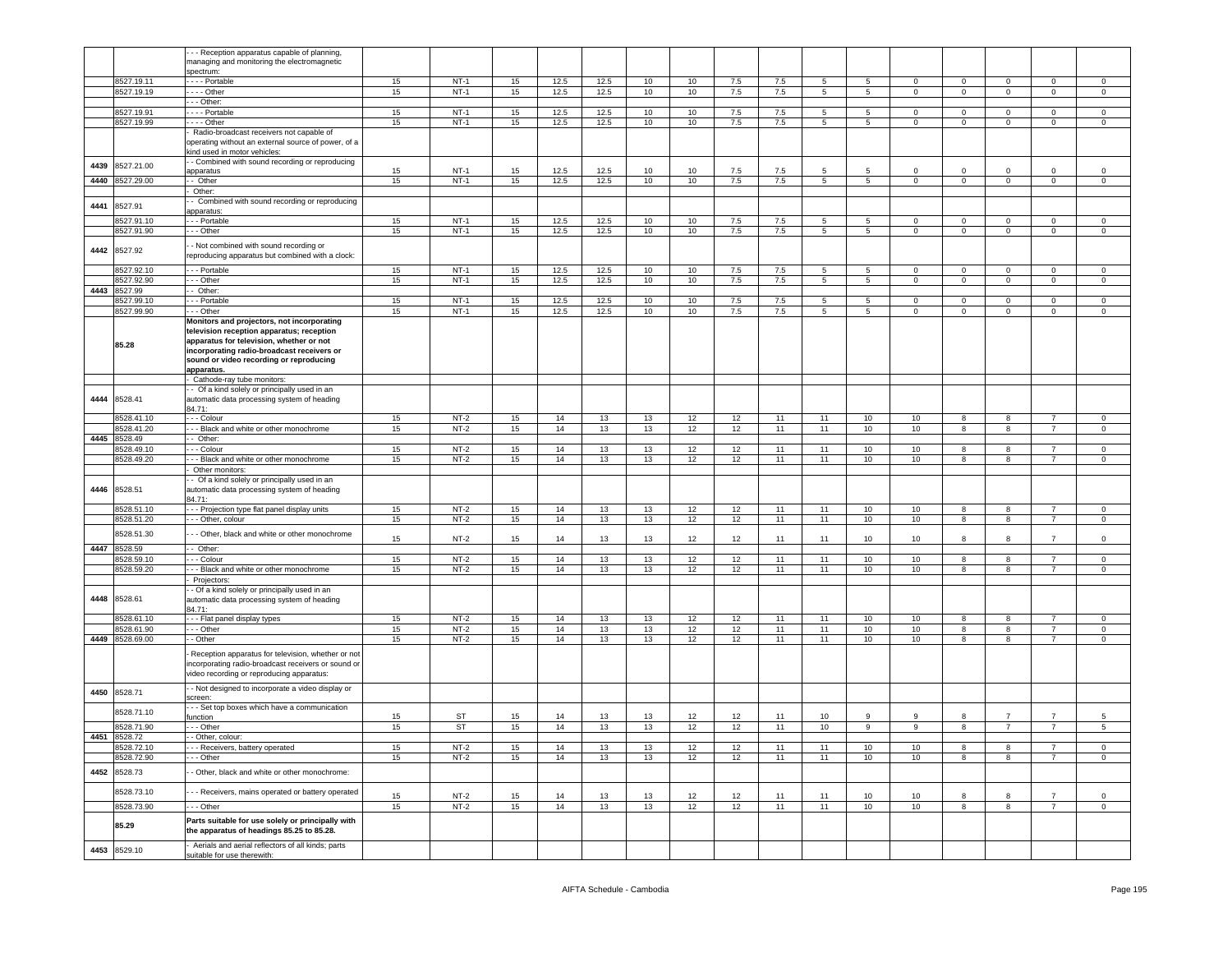|      |                            | - - Reception apparatus capable of planning,                                            |          |                  |          |          |          |          |          |          |          |                |                 |              |             |                |                                  |                        |
|------|----------------------------|-----------------------------------------------------------------------------------------|----------|------------------|----------|----------|----------|----------|----------|----------|----------|----------------|-----------------|--------------|-------------|----------------|----------------------------------|------------------------|
|      |                            | managing and monitoring the electromagnetic                                             |          |                  |          |          |          |          |          |          |          |                |                 |              |             |                |                                  |                        |
|      | 8527.19.11                 | spectrum:                                                                               | 15       | $NT-1$           | 15       | 12.5     | 12.5     | 10       | 10       | 7.5      | 7.5      | 5              |                 | $\mathbf 0$  | $\mathbf 0$ | $\mathbf 0$    | $\circ$                          | $\mathbf{0}$           |
|      | 3527.19.19                 | · - - - Portable<br>$- -$ Other                                                         | 15       | $NT-1$           | 15       | 12.5     | 12.5     | 10       | 10       | 7.5      | 7.5      | 5              | 5<br>5          | $\mathbf 0$  | 0           | $\mathbf 0$    | $\mathbf 0$                      | $\mathbf 0$            |
|      |                            | - - Other:                                                                              |          |                  |          |          |          |          |          |          |          |                |                 |              |             |                |                                  |                        |
|      | 8527.19.91                 | --- Portable                                                                            | 15       | $NT-1$           | 15       | 12.5     | 12.5     | 10       | 10       | 7.5      | 7.5      | 5              | 5               | 0            | 0           | $\mathbf 0$    | $^{\circ}$                       | $\mathbf 0$            |
|      | 8527.19.99                 | $- -$ Other                                                                             | 15       | $NT-1$           | 15       | 12.5     | 12.5     | 10       | 10       | 7.5      | 7.5      | 5              | 5               | $\mathbf 0$  | $\mathbf 0$ | $\mathbf 0$    | $\mathbf 0$                      | $\mathsf 0$            |
|      |                            | Radio-broadcast receivers not capable of                                                |          |                  |          |          |          |          |          |          |          |                |                 |              |             |                |                                  |                        |
|      |                            | operating without an external source of power, of a                                     |          |                  |          |          |          |          |          |          |          |                |                 |              |             |                |                                  |                        |
|      |                            | kind used in motor vehicles:                                                            |          |                  |          |          |          |          |          |          |          |                |                 |              |             |                |                                  |                        |
| 4439 | 3527.21.00                 | - Combined with sound recording or reproducing<br>apparatus                             | 15       | $NT-1$           | 15       | 12.5     | 12.5     | 10       | 10       | 7.5      | 7.5      | 5              | 5               | 0            | $\mathbf 0$ | $\mathbf 0$    | $\mathbf 0$                      | $\mathbf 0$            |
| 4440 | 8527.29.00                 | - Other                                                                                 | 15       | $NT-1$           | 15       | 12.5     | 12.5     | 10       | 10       | 7.5      | 7.5      | $\overline{5}$ | $5\phantom{.0}$ | $\mathbf 0$  | $\mathbf 0$ | $\mathsf 0$    | $\mathbf 0$                      | $\mathsf 0$            |
|      |                            | Other:                                                                                  |          |                  |          |          |          |          |          |          |          |                |                 |              |             |                |                                  |                        |
| 4441 | 8527.91                    | - Combined with sound recording or reproducing                                          |          |                  |          |          |          |          |          |          |          |                |                 |              |             |                |                                  |                        |
|      |                            | apparatus:                                                                              |          |                  |          |          |          |          |          |          |          |                |                 |              |             |                |                                  |                        |
|      | 3527.91.10                 | - - Portable                                                                            | 15       | $NT-1$           | 15       | 12.5     | 12.5     | 10       | 10       | 7.5      | 7.5      | 5              | 5               | $\mathbf 0$  | $\mathbf 0$ | $\mathbf 0$    | $\mathbf 0$                      | $\circ$                |
|      | 8527.91.90                 | - - Other                                                                               | 15       | $NT-1$           | 15       | 12.5     | 12.5     | 10       | 10       | 7.5      | 7.5      | $\overline{5}$ | $5\phantom{.0}$ | $\mathsf 0$  | $\mathbf 0$ | $\mathsf 0$    | $\mathbf 0$                      | $\mathbf 0$            |
| 4442 | 8527.92                    | - Not combined with sound recording or                                                  |          |                  |          |          |          |          |          |          |          |                |                 |              |             |                |                                  |                        |
|      |                            | reproducing apparatus but combined with a clock:                                        |          |                  |          |          |          |          |          |          |          |                |                 |              |             |                |                                  |                        |
|      | 8527.92.10                 | - - Portable                                                                            | 15       | $NT-1$           | 15       | 12.5     | 12.5     | 10       | 10       | 7.5      | 7.5      | 5              | $5\phantom{.0}$ | $\mathbf{0}$ | $\mathbf 0$ | $\mathbf{0}$   | $\mathbf 0$                      | $\mathbf 0$            |
|      | 8527.92.90                 | - - Other                                                                               | 15       | $NT-1$           | 15       | 12.5     | 12.5     | 10       | 10       | 7.5      | 7.5      | 5              | 5               | 0            | 0           | $\mathbf 0$    | $\mathbf 0$                      | $\mathbf 0$            |
| 4443 | 8527.99                    | - Other:                                                                                |          |                  |          |          |          |          |          |          |          |                |                 |              |             |                |                                  |                        |
|      | 8527.99.10                 | - - Portable                                                                            | 15       | $NT-1$           | 15       | 12.5     | 12.5     | 10       | 10       | 7.5      | 7.5      | 5              | 5               | 0            | $\mathbf 0$ | $\mathbf 0$    | $\mathbf 0$                      | $\mathbf 0$            |
|      | 3527.99.90                 | - - Other                                                                               | 15       | $NT-1$           | 15       | 12.5     | 12.5     | 10       | 10       | 7.5      | 7.5      | 5              | 5               | $\mathbf 0$  | $\mathbf 0$ | $\mathbf 0$    | $\mathbf{0}$                     | $\mathbf 0$            |
|      |                            | Monitors and projectors, not incorporating<br>television reception apparatus; reception |          |                  |          |          |          |          |          |          |          |                |                 |              |             |                |                                  |                        |
|      |                            | apparatus for television, whether or not                                                |          |                  |          |          |          |          |          |          |          |                |                 |              |             |                |                                  |                        |
|      | 85.28                      | incorporating radio-broadcast receivers or                                              |          |                  |          |          |          |          |          |          |          |                |                 |              |             |                |                                  |                        |
|      |                            | sound or video recording or reproducing                                                 |          |                  |          |          |          |          |          |          |          |                |                 |              |             |                |                                  |                        |
|      |                            | apparatus.                                                                              |          |                  |          |          |          |          |          |          |          |                |                 |              |             |                |                                  |                        |
|      |                            | Cathode-ray tube monitors:<br>- Of a kind solely or principally used in an              |          |                  |          |          |          |          |          |          |          |                |                 |              |             |                |                                  |                        |
| 4444 | 8528.41                    | automatic data processing system of heading                                             |          |                  |          |          |          |          |          |          |          |                |                 |              |             |                |                                  |                        |
|      |                            | 34.71:                                                                                  |          |                  |          |          |          |          |          |          |          |                |                 |              |             |                |                                  |                        |
|      | 3528.41.10                 | - - Colour                                                                              | 15       | $NT-2$           | 15       | 14       | 13       | 13       | 12       | 12       | 11       | 11             | 10              | 10           | 8           | 8              | $\overline{7}$                   | $\mathbf 0$            |
|      | 8528.41.20                 | - - Black and white or other monochrome                                                 | 15       | $NT-2$           | 15       | 14       | 13       | 13       | 12       | 12       | 11       | 11             | 10              | 10           | 8           | 8              | $\overline{7}$                   | $\mathbf{0}$           |
| 4445 | 8528.49                    | - Other:                                                                                |          |                  |          |          |          |          |          |          |          |                |                 |              |             |                |                                  |                        |
|      | 1528.49.10                 | - - Colour                                                                              | 15       | $NT-2$           | 15       | 14       | 13       | 13       | 12       | 12       | 11       | 11             | 10              | 10           | 8<br>8      | 8              | $\overline{7}$<br>$\overline{7}$ | $\mathbf 0$            |
|      | 3528.49.20                 | - - Black and white or other monochrome<br>Other monitors:                              | 15       | $NT-2$           | 15       | 14       | 13       | 13       | 12       | 12       | 11       | 11             | 10              | 10           |             | 8              |                                  | $\mathsf 0$            |
|      |                            | - Of a kind solely or principally used in an                                            |          |                  |          |          |          |          |          |          |          |                |                 |              |             |                |                                  |                        |
| 4446 | 8528.51                    | automatic data processing system of heading                                             |          |                  |          |          |          |          |          |          |          |                |                 |              |             |                |                                  |                        |
|      |                            | 84.71:                                                                                  |          |                  |          |          |          |          |          |          |          |                |                 |              |             |                |                                  |                        |
|      | 8528.51.10                 | - - Projection type flat panel display units                                            | 15       | $NT-2$           | 15       | 14       | 13       | 13       | 12       | 12       | 11       | 11             | 10              | 10           | 8           | 8              | 7                                | $\mathbf 0$            |
|      | 8528.51.20                 | - - Other, colour                                                                       | 15       | $NT-2$           | 15       | 14       | 13       | 13       | 12       | 12       | 11       | 11             | 10              | 10           | 8           | 8              | $\overline{7}$                   | $\mathbf 0$            |
|      | 8528.51.30                 | - - Other, black and white or other monochrome                                          | 15       | $NT-2$           | 15       | 14       | 13       | 13       | 12       | 12       | 11       | 11             | 10              | 10           | 8           | 8              | $\overline{7}$                   | $\mathsf 0$            |
| 4447 | 8528.59                    | - Other:                                                                                |          |                  |          |          |          |          |          |          |          |                |                 |              |             |                |                                  |                        |
|      | 3528.59.10                 | - - Colour                                                                              | 15       | $NT-2$           | 15       | 14       | 13       | 13       | 12       | 12       | 11       | 11             | 10              | 10           | 8           | 8              | $\overline{7}$                   | $\mathbf 0$            |
|      | 3528.59.20                 | - - Black and white or other monochrome                                                 | 15       | $NT-2$           | 15       | 14       | 13       | 13       | 12       | 12       | 11       | 11             | 10              | 10           | 8           | 8              | $\overline{7}$                   | $\mathbf 0$            |
|      |                            | Projectors:                                                                             |          |                  |          |          |          |          |          |          |          |                |                 |              |             |                |                                  |                        |
|      |                            | - Of a kind solely or principally used in an                                            |          |                  |          |          |          |          |          |          |          |                |                 |              |             |                |                                  |                        |
| 4448 | 8528.61                    | automatic data processing system of heading<br>84.71:                                   |          |                  |          |          |          |          |          |          |          |                |                 |              |             |                |                                  |                        |
|      | 3528.61.10                 | - - Flat panel display types                                                            | 15       | $NT-2$           | 15       | 14       | 13       | 13       | 12       | 12       | 11       | 11             | 10              | 10           | 8           | 8              | $\overline{7}$                   | $\mathbf 0$            |
|      | 3528.61.90                 | - - Other                                                                               | 15       | $NT-2$           | 15       | 14       | 13       | 13       | 12       | 12       | 11       | 11             | 10              | 10           | 8           | 8              | $7^{\circ}$                      | $\mathbf{0}$           |
| 4449 | 8528.69.00                 | - Other                                                                                 | 15       | $NT-2$           | 15       | 14       | 13       | 13       | 12       | 12       | 11       | 11             | 10              | 10           | 8           | 8              | $\overline{7}$                   | $\mathbf{0}$           |
|      |                            | Reception apparatus for television, whether or not                                      |          |                  |          |          |          |          |          |          |          |                |                 |              |             |                |                                  |                        |
|      |                            | incorporating radio-broadcast receivers or sound or                                     |          |                  |          |          |          |          |          |          |          |                |                 |              |             |                |                                  |                        |
|      |                            | video recording or reproducing apparatus:                                               |          |                  |          |          |          |          |          |          |          |                |                 |              |             |                |                                  |                        |
|      |                            | - Not designed to incorporate a video display or                                        |          |                  |          |          |          |          |          |          |          |                |                 |              |             |                |                                  |                        |
| 4450 | 8528.71                    | screen:                                                                                 |          |                  |          |          |          |          |          |          |          |                |                 |              |             |                |                                  |                        |
|      | 8528.71.10                 | - - Set top boxes which have a communication                                            |          |                  |          |          |          |          |          |          |          |                |                 |              |             |                |                                  |                        |
|      |                            | unction                                                                                 | 15       | ST               | 15       | 14       | 13       | 13       | 12       | 12       | 11       | 10             | 9               | 9            | 8           | $\overline{7}$ | $\overline{7}$                   | 5                      |
|      | 8528.71.90<br>4451 8528.72 | - - Other<br>- Other, colour:                                                           | 15       | ST               | 15       | 14       | 13       | 13       | 12       | 12       | 11       | 10             | 9               | 9            | 8           | $\overline{7}$ | $\overline{7}$                   | $\overline{5}$         |
|      | 8528.72.10                 | - - Receivers, battery operated                                                         | 15       | $NT-2$           | 15       | 14       | 13       | 13       | 12       | 12       | 11       | 11             | 10              | 10           | 8           | 8              |                                  | $\mathbf 0$            |
|      | 8528.72.90                 | - - Other                                                                               | 15       | $NT-2$           | 15       | 14       | 13       | 13       | 12       | 12       | 11       | 11             | 10              | 10           | 8           | 8              | $\overline{7}$                   | $\mathbf 0$            |
|      |                            |                                                                                         |          |                  |          |          |          |          |          |          |          |                |                 |              |             |                |                                  |                        |
| 4452 | 8528.73                    | Other, black and white or other monochrome:                                             |          |                  |          |          |          |          |          |          |          |                |                 |              |             |                |                                  |                        |
|      | 8528.73.10                 | - - Receivers, mains operated or battery operated                                       |          |                  |          |          |          |          |          |          |          |                |                 |              |             |                |                                  |                        |
|      | 8528.73.90                 | - - Other                                                                               | 15<br>15 | $NT-2$<br>$NT-2$ | 15<br>15 | 14<br>14 | 13<br>13 | 13<br>13 | 12<br>12 | 12<br>12 | 11<br>11 | 11<br>11       | 10<br>10        | 10<br>10     | 8<br>8      | 8<br>8         | $\overline{7}$<br>$\overline{7}$ | $\mathsf 0$<br>$\circ$ |
|      |                            |                                                                                         |          |                  |          |          |          |          |          |          |          |                |                 |              |             |                |                                  |                        |
|      |                            | Parts suitable for use solely or principally with                                       |          |                  |          |          |          |          |          |          |          |                |                 |              |             |                |                                  |                        |
|      | 85.29                      |                                                                                         |          |                  |          |          |          |          |          |          |          |                |                 |              |             |                |                                  |                        |
|      |                            | the apparatus of headings 85.25 to 85.28.                                               |          |                  |          |          |          |          |          |          |          |                |                 |              |             |                |                                  |                        |
| 4453 | 8529.10                    | Aerials and aerial reflectors of all kinds; parts<br>suitable for use therewith:        |          |                  |          |          |          |          |          |          |          |                |                 |              |             |                |                                  |                        |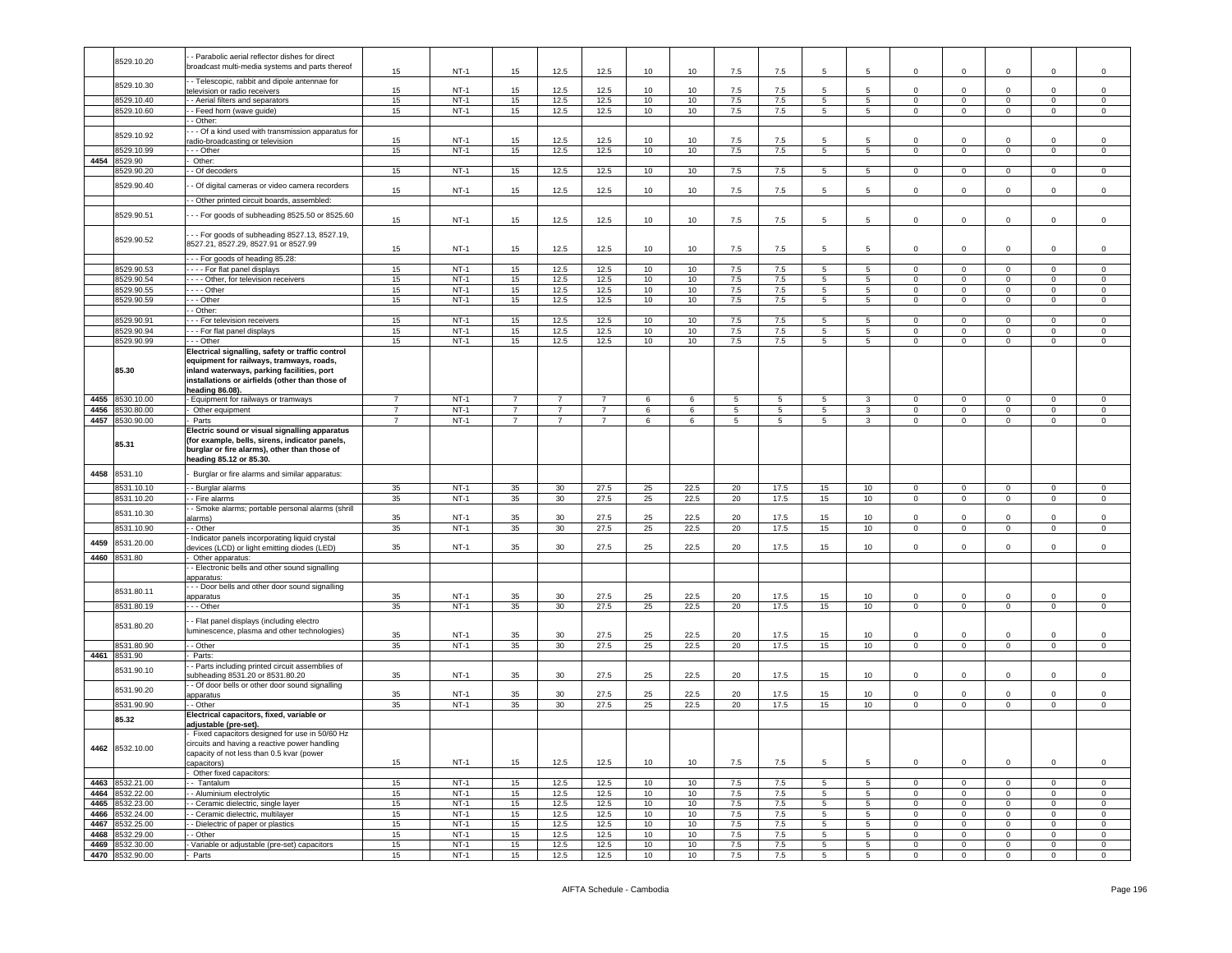|      | 8529.10.20                         | - Parabolic aerial reflector dishes for direct<br>proadcast multi-media systems and parts thereof                                                                          |                |                  |                |                |                |                  |          |            |                 |                      |                                    |                        |                                  |                                |                            |                            |
|------|------------------------------------|----------------------------------------------------------------------------------------------------------------------------------------------------------------------------|----------------|------------------|----------------|----------------|----------------|------------------|----------|------------|-----------------|----------------------|------------------------------------|------------------------|----------------------------------|--------------------------------|----------------------------|----------------------------|
|      |                                    | - Telescopic, rabbit and dipole antennae for                                                                                                                               | 15             | $NT-1$           | 15             | 12.5           | 12.5           | 10               | 10       | 7.5        | 7.5             | 5                    | 5                                  | $\mathbf 0$            | $\mathbf 0$                      | $\mathbf 0$                    | 0                          | $\mathsf 0$                |
|      | 8529.10.30                         | elevision or radio receivers                                                                                                                                               | 15             | $NT-1$           | 15             | 12.5           | 12.5           | 10               | 10       | 7.5        | 7.5             | 5                    | $5\overline{5}$                    | $\mathbf 0$            | $\mathbf 0$                      | $\mathbf 0$                    | $\Omega$                   | $\mathsf 0$                |
|      | 8529.10.40                         | - Aerial filters and separators                                                                                                                                            | 15             | $NT-1$           | 15             | 12.5           | 12.5           | 10               | 10       | 7.5        | 7.5             | 5                    | $5\phantom{.0}$                    | $\circ$                | $\overline{0}$                   | $\mathbf{0}$                   | $\mathbf 0$                | $\mathsf 0$                |
|      | 8529.10.60                         | - Feed horn (wave guide)                                                                                                                                                   | 15             | $NT-1$           | 15             | 12.5           | 12.5           | 10               | 10       | 7.5        | 7.5             | 5                    | 5                                  | $\circ$                | $\mathbf 0$                      | $\mathbf{0}$                   | 0                          | $\circ$                    |
|      |                                    | - Other:                                                                                                                                                                   |                |                  |                |                |                |                  |          |            |                 |                      |                                    |                        |                                  |                                |                            |                            |
|      | 8529.10.92                         | - - Of a kind used with transmission apparatus for<br>adio-broadcasting or television                                                                                      | 15             | $NT-1$           | 15             | 12.5           | 12.5           | 10               | 10       | 7.5        | 7.5             | 5                    | $5\overline{5}$                    | $\mathbf 0$            | $\Omega$                         | $\mathbf 0$                    | $\mathbf 0$                | $\mathsf 0$                |
|      | 8529.10.99                         | .-- Other                                                                                                                                                                  | 15             | $NT-1$           | 15             | 12.5           | 12.5           | 10               | 10       | 7.5        | 7.5             | 5                    | 5 <sup>5</sup>                     | $\mathbf 0$            | $\mathsf 0$                      | $\mathsf 0$                    | 0                          | $\mathsf 0$                |
| 4454 | 529.90                             | Other:                                                                                                                                                                     |                |                  |                |                |                |                  |          |            |                 |                      |                                    |                        |                                  |                                |                            |                            |
|      | 3529.90.20                         | - Of decoders                                                                                                                                                              | 15             | $NT-1$           | 15             | 12.5           | 12.5           | 10               | 10       | 7.5        | 7.5             | 5                    | 5                                  | $\mathbf{0}$           | $\mathbf{0}$                     | $\overline{0}$                 | $\overline{0}$             | $\circ$                    |
|      | 8529.90.40                         | - Of digital cameras or video camera recorders                                                                                                                             |                |                  |                |                |                |                  |          |            |                 |                      |                                    |                        |                                  |                                |                            |                            |
|      |                                    | - Other printed circuit boards, assembled:                                                                                                                                 | 15             | $NT-1$           | 15             | 12.5           | 12.5           | 10               | 10       | 7.5        | 7.5             | 5                    | 5                                  | $\mathbf 0$            | 0                                | $\mathbf 0$                    | 0                          | $\mathsf 0$                |
|      |                                    |                                                                                                                                                                            |                |                  |                |                |                |                  |          |            |                 |                      |                                    |                        |                                  |                                |                            |                            |
|      | 8529.90.51                         | -- For goods of subheading 8525.50 or 8525.60                                                                                                                              | 15             | $NT-1$           | 15             | 12.5           | 12.5           | 10               | 10       | 7.5        | 7.5             | 5                    | 5                                  | $\mathbf 0$            | $\mathbf 0$                      | $\mathbf 0$                    | $\mathbf 0$                | $\,0\,$                    |
|      | 8529.90.52                         | - - For goods of subheading 8527.13, 8527.19,<br>8527.21, 8527.29, 8527.91 or 8527.99                                                                                      |                |                  |                |                |                |                  |          |            |                 |                      |                                    |                        |                                  |                                |                            |                            |
|      |                                    |                                                                                                                                                                            | 15             | $NT-1$           | 15             | 12.5           | 12.5           | 10               | 10       | 7.5        | 7.5             | 5                    | 5                                  | $\mathbf 0$            | $\mathsf 0$                      | $\mathbf 0$                    | 0                          | $\mathsf 0$                |
|      |                                    | - - For goods of heading 85.28:                                                                                                                                            |                |                  |                |                |                |                  |          |            |                 |                      |                                    |                        |                                  |                                |                            |                            |
|      | 8529.90.53                         | - - - - For flat panel displays                                                                                                                                            | 15             | $NT-1$           | 15             | 12.5           | 12.5           | 10               | 10       | 7.5        | 7.5             | 5                    | 5                                  | $\mathbf 0$            | $\mathbf 0$                      | $\mathbf 0$                    | 0                          | $\mathbf 0$                |
|      | 8529.90.54                         | - - - - Other, for television receivers                                                                                                                                    | 15             | $NT-1$           | 15             | 12.5           | 12.5           | 10               | 10       | 7.5        | 7.5             | 5                    | 5                                  | $\Omega$               | $\mathsf 0$                      | $\mathbf{0}$                   | 0                          | $\mathbf 0$                |
|      | 8529.90.55                         | $- - -$ Other                                                                                                                                                              | 15             | $NT-1$           | 15             | 12.5           | 12.5           | 10               | 10       | $7.5\,$    | 7.5             | 5                    | $5\phantom{.0}$                    | $\circ$                | $\mathbf 0$                      | $\mathbf{0}$                   | $\mathbf 0$                | $\,0\,$                    |
|      | 8529.90.59                         | - - - Other<br>- Other:                                                                                                                                                    | 15             | $NT-1$           | 15             | 12.5           | 12.5           | 10               | 10       | 7.5        | 7.5             | 5                    | $5\phantom{.0}$                    | $\mathbf 0$            | $\mathbf 0$                      | $\mathsf 0$                    | 0                          | 0                          |
|      | 8529.90.91                         | - - - For television receivers                                                                                                                                             | 15             | $NT-1$           | 15             | 12.5           | 12.5           | 10               | 10       | 7.5        | 7.5             | 5                    | 5                                  | $\circ$                | $\mathbf 0$                      | $\mathbf 0$                    | 0                          | $\mathbf 0$                |
|      | 8529.90.94                         | --- For flat panel displays                                                                                                                                                | 15             | $NT-1$           | 15             | 12.5           | 12.5           | 10               | 10       | 7.5        | 7.5             | 5                    | 5                                  | $\mathbf 0$            | $\mathbf 0$                      | $\mathbf 0$                    | 0                          | $\mathbf 0$                |
|      | 8529.90.99                         | - - Other                                                                                                                                                                  | 15             | $NT-1$           | 15             | 12.5           | 12.5           | 10               | 10       | $7.5\,$    | 7.5             | 5                    | 5                                  | $\Omega$               | $\mathbf 0$                      | $\mathbf 0$                    | $\mathbf 0$                | $\mathsf 0$                |
|      |                                    | Electrical signalling, safety or traffic control                                                                                                                           |                |                  |                |                |                |                  |          |            |                 |                      |                                    |                        |                                  |                                |                            |                            |
|      | 85.30                              | equipment for railways, tramways, roads,<br>inland waterways, parking facilities, port<br>installations or airfields (other than those of                                  |                |                  |                |                |                |                  |          |            |                 |                      |                                    |                        |                                  |                                |                            |                            |
|      |                                    | heading 86.08)                                                                                                                                                             |                |                  |                |                |                |                  |          |            |                 |                      |                                    |                        |                                  |                                |                            |                            |
|      | 4455 8530.10.00                    | - Equipment for railways or tramways                                                                                                                                       | $\overline{7}$ | $NT-1$           | $\overline{7}$ | 7              | $\overline{7}$ | 6                | 6        | 5          | $5\phantom{.0}$ | 5                    | 3                                  | $\mathbf 0$            | $\mathbf 0$                      | $\mathbf 0$                    | 0                          | $\mathbf 0$                |
| 4456 | 8530.80.00                         | Other equipment                                                                                                                                                            | $\overline{7}$ | $NT-1$           | $\overline{7}$ | $\overline{7}$ | $\overline{7}$ | 6                | 6        | 5          | 5               | 5                    | 3                                  | $\mathbf 0$            | $\overline{0}$                   | $\mathbf 0$                    | $\mathbf 0$                | $\mathsf 0$                |
|      | 4457 8530.90.00                    | Parts                                                                                                                                                                      | $\overline{7}$ | $NT-1$           | $\overline{7}$ | $\overline{7}$ | $\overline{7}$ | 6                | 6        | 5          | 5               | 5                    | $\mathbf{3}$                       | $\Omega$               | $\mathbf 0$                      | $\mathbf{0}$                   | $\mathbf 0$                | $\mathsf 0$                |
|      | 85.31                              | Electric sound or visual signalling apparatus<br>(for example, bells, sirens, indicator panels,<br>burglar or fire alarms), other than those of<br>heading 85.12 or 85.30. |                |                  |                |                |                |                  |          |            |                 |                      |                                    |                        |                                  |                                |                            |                            |
| 4458 | 8531.10                            | Burglar or fire alarms and similar apparatus:                                                                                                                              |                |                  |                |                |                |                  |          |            |                 |                      |                                    |                        |                                  |                                |                            |                            |
|      | 8531.10.10                         | - Burglar alarms                                                                                                                                                           | 35             | $NT-1$           | 35             | 30             | 27.5           | 25               | 22.5     | 20         | 17.5            | 15                   | 10 <sub>1</sub>                    | $\mathbf 0$            | $\mathbf 0$                      | $\mathbf{0}$                   | $\mathbf 0$                | $\circ$                    |
|      | 8531.10.20                         | - Fire alarms                                                                                                                                                              | 35             | $NT-1$           | 35             | 30             | 27.5           | 25               | 22.5     | 20         | 17.5            | 15                   | 10 <sub>1</sub>                    | $\mathbf 0$            | $\overline{0}$                   | $\mathbf{0}$                   | $\circ$                    | $\mathbf 0$                |
|      | 8531.10.30                         | - Smoke alarms; portable personal alarms (shrill                                                                                                                           |                |                  |                |                |                |                  |          |            |                 |                      |                                    |                        |                                  |                                |                            |                            |
|      |                                    | alarms)                                                                                                                                                                    | 35             | $NT-1$           | 35             | 30             | 27.5           | 25               | 22.5     | 20         | 17.5            | 15                   | 10 <sub>1</sub>                    | 0                      | $\mathbf 0$                      | $\mathbf 0$                    | 0                          | $\mathsf 0$                |
|      | 8531.10.90                         | - Other                                                                                                                                                                    | 35             | $NT-1$           | 35             | 30             | 27.5           | 25               | 22.5     | 20         | 17.5            | 15                   | 10                                 | $\mathbf 0$            | $\overline{0}$                   | $\mathsf 0$                    | $\mathbf 0$                | $\mathsf 0$                |
| 4459 | 8531.20.00                         | Indicator panels incorporating liquid crystal<br>levices (LCD) or light emitting diodes (LED)                                                                              | 35             | $NT-1$           | 35             | 30             | 27.5           | 25               | 22.5     | 20         | 17.5            | 15                   | 10                                 | $\mathbf 0$            | $\mathbf 0$                      | $\mathbf 0$                    | $\mathbf 0$                | $\mathbf 0$                |
|      | 4460 8531.80                       | Other apparatus:                                                                                                                                                           |                |                  |                |                |                |                  |          |            |                 |                      |                                    |                        |                                  |                                |                            |                            |
|      |                                    | - Electronic bells and other sound signalling                                                                                                                              |                |                  |                |                |                |                  |          |            |                 |                      |                                    |                        |                                  |                                |                            |                            |
|      |                                    | apparatus:                                                                                                                                                                 |                |                  |                |                |                |                  |          |            |                 |                      |                                    |                        |                                  |                                |                            |                            |
|      | 8531.80.11                         | - - Door bells and other door sound signalling                                                                                                                             |                |                  |                |                |                |                  |          |            |                 |                      |                                    |                        |                                  |                                |                            |                            |
|      |                                    | apparatus                                                                                                                                                                  | 35             | <b>NT-1</b>      | 35             | 30             | 27.5           | 25               | 22.5     | 20         | 17.5            | 15                   | 10                                 | $\mathbf 0$            | $\Omega$                         | 0                              | $\mathbf 0$                | $\mathbf 0$                |
|      | 8531.80.19                         | - - - Other                                                                                                                                                                | 35             | $NT-1$           | 35             | 30             | 27.5           | 25               | 22.5     | 20         | 17.5            | 15                   | 10                                 | $\mathbf 0$            | $\overline{0}$                   | $\mathbf{0}$                   | $\mathbf 0$                | $\mathbf 0$                |
|      | 8531.80.20                         | - Flat panel displays (including electro<br>luminescence, plasma and other technologies)                                                                                   | 35             | $NT-1$           | 35             | 30             | 27.5           | 25               | 22.5     | 20         | 17.5            | 15                   | 10                                 | 0                      | $\mathbf 0$                      | $\mathbf 0$                    | $\mathbf 0$                | 0                          |
|      | 8531.80.90                         | - Other                                                                                                                                                                    | 35             | $NT-1$           | 35             | 30             | 27.5           | 25               | 22.5     | 20         | 17.5            | 15                   | 10 <sub>1</sub>                    | 0                      | $\overline{\mathbf{0}}$          | $\mathbf 0$                    | 0                          | 0                          |
|      | 4461 8531.90                       | Parts:                                                                                                                                                                     |                |                  |                |                |                |                  |          |            |                 |                      |                                    |                        |                                  |                                |                            |                            |
|      | 8531.90.10                         | - Parts including printed circuit assemblies of<br>subheading 8531.20 or 8531.80.20                                                                                        | 35             | $NT-1$           | 35             | 30             | 27.5           | 25               | 22.5     | 20         | 17.5            | 15                   | 10 <sub>1</sub>                    | $\mathbf 0$            | $\mathsf 0$                      | $\mathbf 0$                    | $\mathbf 0$                | $\mathsf 0$                |
|      | 8531.90.20                         | - Of door bells or other door sound signalling                                                                                                                             |                |                  |                |                |                |                  |          |            |                 |                      |                                    |                        |                                  |                                |                            |                            |
|      |                                    | apparatus                                                                                                                                                                  | 35             | <b>NT-1</b>      | 35             | 30             | 27.5           | 25               | 22.5     | 20         | 17.5            | 15                   | 10                                 | $\mathbf 0$<br>$\circ$ | $\mathbf 0$                      | 0                              | 0                          | 0                          |
|      | 8531.90.90<br>85.32                | - - Other<br>Electrical capacitors, fixed, variable or                                                                                                                     | 35             | $NT-1$           | 35             | 30             | 27.5           | 25               | 22.5     | 20         | 17.5            | 15                   | 10 <sub>1</sub>                    |                        | $\overline{0}$                   | $\mathbf{0}$                   | $\mathbf 0$                | $\mathbf 0$                |
|      |                                    | adjustable (pre-set).<br>Fixed capacitors designed for use in 50/60 Hz<br>ircuits and having a reactive power handling                                                     |                |                  |                |                |                |                  |          |            |                 |                      |                                    |                        |                                  |                                |                            |                            |
|      | 4462 8532.10.00                    | capacity of not less than 0.5 kvar (power<br>apacitors)                                                                                                                    | 15             | $NT-1$           | 15             | 12.5           | 12.5           | 10               | 10       | 7.5        | 7.5             | 5                    | 5                                  | $\circ$                | $\mathbf 0$                      | $\mathbf{0}$                   | $\mathbf{0}$               | $\mathbf 0$                |
|      |                                    | Other fixed capacitors:                                                                                                                                                    |                |                  |                |                |                |                  |          |            |                 |                      |                                    |                        |                                  |                                |                            |                            |
|      |                                    |                                                                                                                                                                            |                |                  |                |                | 12.5           | 10               |          |            | 7.5             | 5                    |                                    |                        | $\mathbf{0}$                     |                                |                            | $\circ$                    |
|      | 4463 8532.21.00                    | - Tantalum                                                                                                                                                                 | 15             | $NT-1$           | 15             | 12.5           |                |                  | 10       | 7.5        |                 |                      | 5                                  | $\mathbf 0$            |                                  | $\overline{0}$                 | $\mathbf 0$                |                            |
|      | 4464 8532.22.00                    | - Aluminium electrolytic                                                                                                                                                   | 15             | $NT-1$           | 15             | 12.5           | 12.5           | 10               | 10       | 7.5        | 7.5             | 5 <sub>5</sub>       | $5^{\circ}$                        | $\circ$                | $\overline{0}$                   | $\overline{0}$                 | $\circ$                    | $\mathbf 0$                |
|      | 4465 8532.23.00                    | - Ceramic dielectric, single layer                                                                                                                                         | 15             | $NT-1$           | 15             | 12.5           | 12.5           | 10               | 10       | 7.5        | 7.5             | $5\overline{)}$      | 5                                  | $\circ$                | $\overline{0}$                   | $\overline{0}$                 | $\overline{0}$             | $\mathsf 0$                |
|      | 4466 8532.24.00                    | - Ceramic dielectric, multilayer                                                                                                                                           | 15             | $NT-1$           | 15             | 12.5           | 12.5           | 10               | 10       | 7.5        | 7.5             | 5                    | $5\phantom{.0}$                    | $\mathbf 0$            | $\mathbf 0$                      | $\mathbf{0}$                   | $\circ$                    | $\mathbf 0$                |
|      | 4467 8532.25.00                    | - Dielectric of paper or plastics                                                                                                                                          | 15             | $NT-1$           | 15             | 12.5           | 12.5           | 10               | 10       | 7.5        | 7.5             | $5^{\circ}$          | $5\phantom{.0}$                    | $\circ$                | $\overline{0}$                   | $\mathbf 0$                    | $\mathbf 0$                | $\circ$                    |
|      | 4468 8532.29.00                    | - Other                                                                                                                                                                    | 15             | $NT-1$           | 15             | 12.5           | 12.5           | 10 <sup>10</sup> | 10       | 7.5        | 7.5             | 5                    | 5                                  | $\mathbf 0$            | $\mathbf{0}$                     | $\mathbf{0}$                   | $\mathbf{0}$               | $\mathbf 0$                |
|      | 4469 8532.30.00<br>4470 8532.90.00 | Variable or adjustable (pre-set) capacitors<br>Parts                                                                                                                       | 15<br>15       | $NT-1$<br>$NT-1$ | 15<br>15       | 12.5<br>12.5   | 12.5<br>12.5   | 10<br>10         | 10<br>10 | 7.5<br>7.5 | 7.5<br>7.5      | 5<br>$5\overline{)}$ | $5\phantom{.0}$<br>$5\overline{)}$ | $\circ$<br>$\circ$     | $\overline{0}$<br>$\overline{0}$ | $\mathbf{0}$<br>$\overline{0}$ | $\mathbf 0$<br>$\mathbf 0$ | $\mathbf 0$<br>$\mathbf 0$ |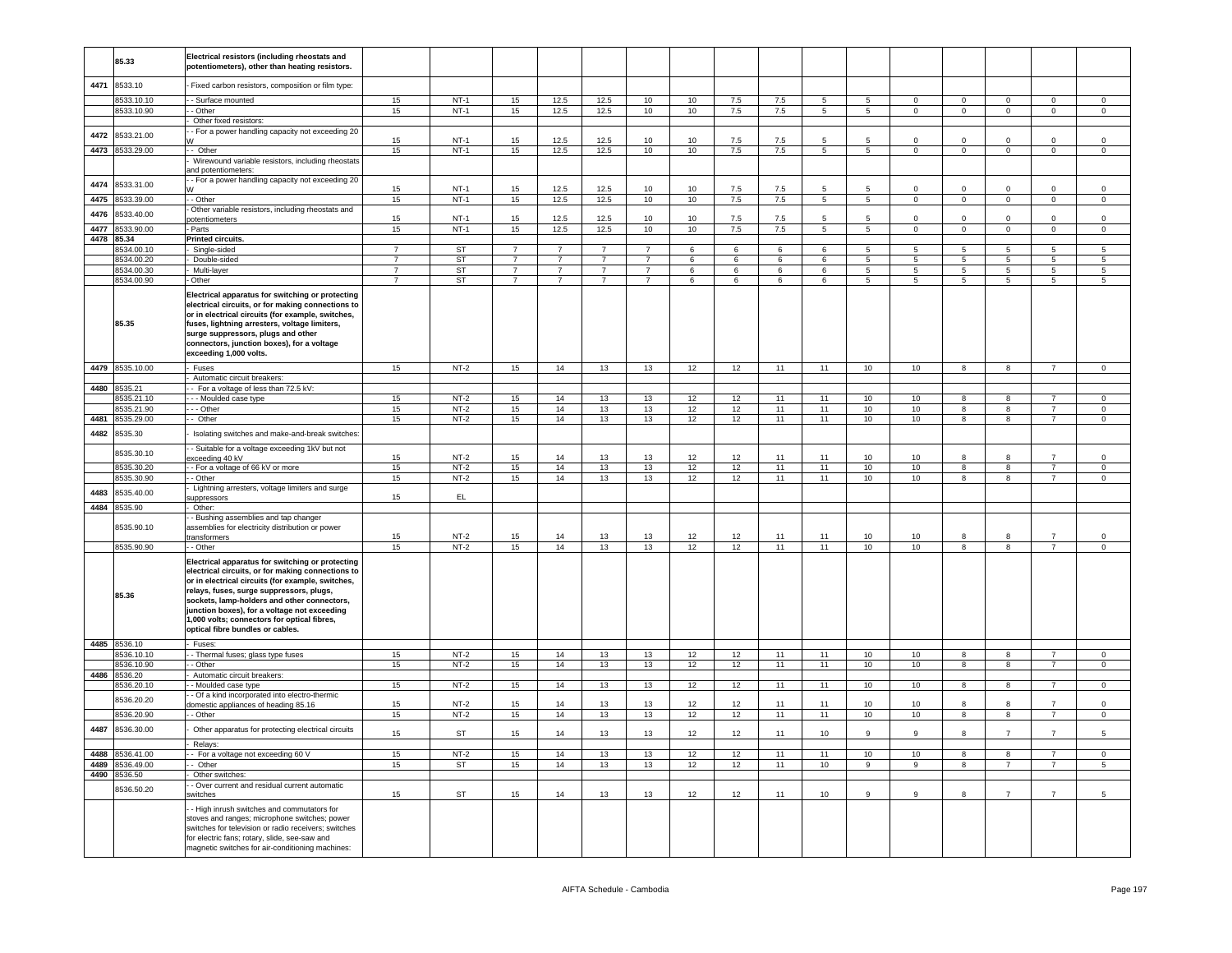|      | 85.33                      | Electrical resistors (including rheostats and<br>potentiometers), other than heating resistors.                                                                                                                                                                                                                                                                                          |                |                  |                                  |                                  |                                  |                                  |          |          |                 |                 |                                  |                                |                         |                                  |                                  |                                |
|------|----------------------------|------------------------------------------------------------------------------------------------------------------------------------------------------------------------------------------------------------------------------------------------------------------------------------------------------------------------------------------------------------------------------------------|----------------|------------------|----------------------------------|----------------------------------|----------------------------------|----------------------------------|----------|----------|-----------------|-----------------|----------------------------------|--------------------------------|-------------------------|----------------------------------|----------------------------------|--------------------------------|
| 4471 | 8533.10                    | Fixed carbon resistors, composition or film type:                                                                                                                                                                                                                                                                                                                                        |                |                  |                                  |                                  |                                  |                                  |          |          |                 |                 |                                  |                                |                         |                                  |                                  |                                |
|      | 8533.10.10                 | - Surface mounted                                                                                                                                                                                                                                                                                                                                                                        | 15             | $NT-1$           | 15                               | 12.5                             | 12.5                             | 10                               | 10       | 7.5      | 7.5             | 5 <sup>5</sup>  | $5^{\circ}$                      | $\Omega$                       | $\Omega$                | $\Omega$                         | $\Omega$                         | $\Omega$                       |
|      | 8533.10.90                 | - Other                                                                                                                                                                                                                                                                                                                                                                                  | 15             | $NT-1$           | 15                               | 12.5                             | 12.5                             | 10                               | 10       | 7.5      | 7.5             | $5\overline{5}$ | $5\phantom{.0}$                  | $\Omega$                       | $\mathsf 0$             | $\Omega$                         | $\mathsf 0$                      | $\mathbf 0$                    |
|      |                            | Other fixed resistors:<br>- For a power handling capacity not exceeding 20                                                                                                                                                                                                                                                                                                               |                |                  |                                  |                                  |                                  |                                  |          |          |                 |                 |                                  |                                |                         |                                  |                                  |                                |
| 4472 | 8533.21.00                 |                                                                                                                                                                                                                                                                                                                                                                                          | 15             | $NT-1$           | 15                               | 12.5                             | 12.5                             | 10                               | 10       | 7.5      | $7.5\,$         | 5               | 5                                | $\mathbf 0$                    | $\mathbf 0$             | $\mathsf 0$                      | $\mathsf 0$                      | $\mathsf 0$                    |
|      | 4473 8533.29.00            | - Other                                                                                                                                                                                                                                                                                                                                                                                  | 15             | $NT-1$           | 15                               | 12.5                             | 12.5                             | 10                               | 10       | 7.5      | 7.5             | 5 <sub>5</sub>  | 5 <sub>5</sub>                   | $\circ$                        | $\overline{0}$          | $\mathbf{0}$                     | $\mathbf 0$                      | $\mathbf{0}$                   |
|      |                            | Wirewound variable resistors, including rheostats                                                                                                                                                                                                                                                                                                                                        |                |                  |                                  |                                  |                                  |                                  |          |          |                 |                 |                                  |                                |                         |                                  |                                  |                                |
|      |                            | and potentiometers:<br>- For a power handling capacity not exceeding 20                                                                                                                                                                                                                                                                                                                  |                |                  |                                  |                                  |                                  |                                  |          |          |                 |                 |                                  |                                |                         |                                  |                                  |                                |
| 4474 | 8533.31.00                 |                                                                                                                                                                                                                                                                                                                                                                                          | 15             | $NT-1$           | 15                               | 12.5                             | 12.5                             | 10                               | 10       | 7.5      | 7.5             | 5               | 5                                | $\mathbf 0$                    | $\mathbf 0$             | $\mathbf 0$                      | $\mathsf 0$                      | $\mathbf 0$                    |
| 4475 | 8533.39.00                 | - Other                                                                                                                                                                                                                                                                                                                                                                                  | 15             | $NT-1$           | 15                               | 12.5                             | 12.5                             | 10                               | 10       | 7.5      | 7.5             | $5\overline{5}$ | $5\phantom{.0}$                  | $\Omega$                       | $\mathsf 0$             | $\mathbf{0}$                     | $\mathbf 0$                      | $\mathbb O$                    |
| 4476 | 8533.40.00                 | Other variable resistors, including rheostats and                                                                                                                                                                                                                                                                                                                                        | 15             | $NT-1$           | 15                               | 12.5                             | 12.5                             | 10                               | 10       | 7.5      | 7.5             | 5               | 5                                |                                | $\Omega$                | $\mathbf 0$                      | $\mathsf 0$                      | $\mathbf 0$                    |
|      | 4477 8533.90.00            | ootentiometers<br>Parts                                                                                                                                                                                                                                                                                                                                                                  | 15             | $NT-1$           | 15                               | 12.5                             | 12.5                             | 10                               | 10       | 7.5      | 7.5             | $5\overline{)}$ | $\overline{5}$                   | $\mathbf{0}$                   | $\overline{0}$          | $\overline{0}$                   | $\overline{0}$                   | $\overline{0}$                 |
|      | 4478 85.34                 | <b>Printed circuits.</b>                                                                                                                                                                                                                                                                                                                                                                 |                |                  |                                  |                                  |                                  |                                  |          |          |                 |                 |                                  |                                |                         |                                  |                                  |                                |
|      | 3534.00.10                 | Single-sided                                                                                                                                                                                                                                                                                                                                                                             |                | <b>ST</b>        | $\overline{7}$                   |                                  |                                  | $\overline{7}$                   | 6        | 6        | 6               | 6               | 5                                |                                | 5                       | 5                                | 5                                | $\overline{5}$                 |
|      | 8534.00.20                 | Double-sided                                                                                                                                                                                                                                                                                                                                                                             | $\overline{7}$ | <b>ST</b>        | $\overline{7}$                   | $\overline{7}$                   | $\overline{7}$                   | $\overline{7}$                   | 6        | 6        | 6               | 6               | 5                                | 5                              | 5                       | 5                                | 5                                | 5                              |
|      | 8534.00.30<br>8534.00.90   | Multi-layer<br>Other                                                                                                                                                                                                                                                                                                                                                                     | $\overline{7}$ | <b>ST</b><br>ST  | $\overline{7}$<br>$\overline{7}$ | $\overline{7}$<br>$\overline{7}$ | $\overline{7}$<br>$\overline{7}$ | $\overline{7}$<br>$\overline{7}$ | 6<br>6   | 6<br>6   | $\,6\,$<br>6    | 6<br>6          | $\overline{5}$<br>$\overline{5}$ | $\mathbf{r}$<br>$\overline{5}$ | 5<br>$\overline{5}$     | $\overline{5}$<br>$\overline{5}$ | $\sqrt{5}$<br>$\overline{5}$     | $\sqrt{5}$<br>$\overline{5}$   |
|      | 85.35                      | Electrical apparatus for switching or protecting<br>electrical circuits, or for making connections to<br>or in electrical circuits (for example, switches,<br>fuses, lightning arresters, voltage limiters,<br>surge suppressors, plugs and other<br>connectors, junction boxes), for a voltage<br>exceeding 1,000 volts.                                                                |                |                  |                                  |                                  |                                  |                                  |          |          |                 |                 |                                  |                                |                         |                                  |                                  |                                |
|      | 4479 8535.10.00            | - Fuses                                                                                                                                                                                                                                                                                                                                                                                  | 15             | $NT-2$           | 15                               | 14                               | 13                               | 13                               | 12       | 12       | 11              | 11              | 10                               | 10                             | $\overline{\mathbf{8}}$ | 8                                | $\overline{7}$                   | $\overline{0}$                 |
| 4480 | 8535.21                    | Automatic circuit breakers:<br>- For a voltage of less than 72.5 kV:                                                                                                                                                                                                                                                                                                                     |                |                  |                                  |                                  |                                  |                                  |          |          |                 |                 |                                  |                                |                         |                                  |                                  |                                |
|      | 8535.21.10                 | - - Moulded case type                                                                                                                                                                                                                                                                                                                                                                    | 15             | $NT-2$           | 15                               | 14                               | 13                               | 13                               | 12       | 12       | 11              | 11              | 10                               | 10                             | 8                       | 8                                | $\overline{7}$                   | $\mathbf{0}$                   |
|      | 8535.21.90                 | - - Other                                                                                                                                                                                                                                                                                                                                                                                | 15             | $NT-2$           | 15                               | 14                               | 13                               | 13                               | 12       | 12       | 11              | 11              | 10                               | 10                             | 8                       | 8                                | $\overline{7}$                   | $\overline{0}$                 |
| 4481 | 8535.29.00                 | - Other                                                                                                                                                                                                                                                                                                                                                                                  | 15             | $NT-2$           | 15                               | 14                               | 13                               | 13                               | 12       | 12       | 11              | 11              | 10                               | 10                             | $\overline{8}$          | $\overline{8}$                   | $\overline{7}$                   | $\overline{0}$                 |
| 4482 | 8535.30                    | Isolating switches and make-and-break switches                                                                                                                                                                                                                                                                                                                                           |                |                  |                                  |                                  |                                  |                                  |          |          |                 |                 |                                  |                                |                         |                                  |                                  |                                |
|      | 8535.30.10                 | - Suitable for a voltage exceeding 1kV but not                                                                                                                                                                                                                                                                                                                                           |                |                  |                                  |                                  |                                  |                                  |          |          |                 |                 |                                  |                                |                         |                                  |                                  |                                |
|      |                            | xceeding 40 kV                                                                                                                                                                                                                                                                                                                                                                           | 15             | $NT-2$           | 15                               | 14                               | 13                               | 13                               | 12       | 12       | 11              | 11              | 10 <sup>10</sup>                 | 10 <sup>1</sup>                | $\mathbf{R}$            | R                                | $\overline{7}$                   | $\Omega$                       |
|      | 8535.30.20<br>3535.30.90   | - For a voltage of 66 kV or more<br>- Other                                                                                                                                                                                                                                                                                                                                              | 15<br>15       | $NT-2$<br>$NT-2$ | 15<br>15                         | 14<br>14                         | 13<br>13                         | 13<br>13                         | 12<br>12 | 12<br>12 | 11<br>11        | 11<br>11        | 10<br>10                         | 10<br>10 <sub>1</sub>          | $\overline{8}$<br>8     | 8<br>$\mathbf{g}$                | $\overline{7}$<br>$\overline{7}$ | $\overline{0}$<br>$\mathbf{0}$ |
|      |                            | Lightning arresters, voltage limiters and surge                                                                                                                                                                                                                                                                                                                                          |                |                  |                                  |                                  |                                  |                                  |          |          |                 |                 |                                  |                                |                         |                                  |                                  |                                |
| 4483 | 8535.40.00                 | uppressors                                                                                                                                                                                                                                                                                                                                                                               | 15             | EL.              |                                  |                                  |                                  |                                  |          |          |                 |                 |                                  |                                |                         |                                  |                                  |                                |
| 4484 | 8535.90                    | Other:                                                                                                                                                                                                                                                                                                                                                                                   |                |                  |                                  |                                  |                                  |                                  |          |          |                 |                 |                                  |                                |                         |                                  |                                  |                                |
|      | 3535.90.10                 | - Bushing assemblies and tap changer<br>assemblies for electricity distribution or power                                                                                                                                                                                                                                                                                                 |                |                  |                                  |                                  |                                  |                                  |          |          |                 |                 |                                  |                                |                         |                                  |                                  |                                |
|      |                            | transformers                                                                                                                                                                                                                                                                                                                                                                             | 15             | $NT-2$           | 15                               | $14$                             | 13                               | 13                               | 12       | 12       | 11              | 11              | $10$                             | 10                             | 8                       | 8                                | $\overline{7}$                   | $\mathbf 0$                    |
|      | 8535.90.90                 | - Other                                                                                                                                                                                                                                                                                                                                                                                  | 15             | $NT-2$           | 15                               | 14                               | 13                               | 13                               | 12       | 12       | $\overline{11}$ | 11              | 10                               | 10                             | $\overline{8}$          | $_{8}$                           | $\overline{7}$                   | $\overline{0}$                 |
|      | 85.36                      | Electrical apparatus for switching or protecting<br>electrical circuits, or for making connections to<br>or in electrical circuits (for example, switches,<br>relays, fuses, surge suppressors, plugs,<br>sockets, lamp-holders and other connectors,<br>junction boxes), for a voltage not exceeding<br>1,000 volts; connectors for optical fibres,<br>optical fibre bundles or cables. |                |                  |                                  |                                  |                                  |                                  |          |          |                 |                 |                                  |                                |                         |                                  |                                  |                                |
|      | 4485 8536.10<br>8536.10.10 | Fuses<br>- Thermal fuses; glass type fuses                                                                                                                                                                                                                                                                                                                                               | 15             | $NT-2$           | 15                               | 14                               | 13                               | 13                               | 12       | 12       | 11              | 11              | 10                               | 10                             | 8                       | 8                                | $\overline{7}$                   | $\mathbf 0$                    |
|      | 8536.10.90                 | - Other                                                                                                                                                                                                                                                                                                                                                                                  | 15             | $NT-2$           | 15                               | 14                               | 13                               | 13                               | 12       | 12       | 11              | 11              | 10                               | 10                             | 8                       | 8                                | $\overline{7}$                   | $\overline{0}$                 |
|      | 4486 8536.20               | Automatic circuit breakers:                                                                                                                                                                                                                                                                                                                                                              |                |                  |                                  |                                  |                                  |                                  |          |          |                 |                 |                                  |                                |                         |                                  |                                  |                                |
|      | 8536.20.10                 | Moulded case type                                                                                                                                                                                                                                                                                                                                                                        | 15             | $NT-2$           | 15                               | 14                               | 13                               | 13                               | 12       | 12       | 11              | 11              | 10                               | 10                             | $\overline{\mathbf{8}}$ | $\overline{8}$                   | $\overline{7}$                   | $\overline{0}$                 |
|      | 8536.20.20                 | - Of a kind incorporated into electro-thermic<br>lomestic appliances of heading 85.16                                                                                                                                                                                                                                                                                                    | 15             | $NT-2$           | 15 <sub>15</sub>                 | 14                               | 13                               | 13                               | 12       | 12       | 11              | 11              | 10                               | 10                             | $\mathbf{R}$            | $\mathbf{R}$                     | $\overline{7}$                   | $\mathsf 0$                    |
|      | 8536.20.90                 | - Other                                                                                                                                                                                                                                                                                                                                                                                  | 15             | $NT-2$           | 15                               | 14                               | 13                               | 13                               | 12       | 12       | 11              | 11              | 10                               | 10                             | $\overline{8}$          | $\overline{8}$                   | $\overline{7}$                   | $\overline{0}$                 |
| 4487 | 8536.30.00                 | Other apparatus for protecting electrical circuits                                                                                                                                                                                                                                                                                                                                       | 15             | ST               | 15                               | 14                               | 13                               | 13                               | 12       | 12       | 11              | 10              | 9                                | $\mathsf g$                    | 8                       | $\overline{7}$                   | $\overline{7}$                   | 5                              |
|      | 4488 8536.41.00            | Relays:<br>- For a voltage not exceeding 60 V                                                                                                                                                                                                                                                                                                                                            | 15             | $NT-2$           | 15                               | 14                               | 13                               | 13                               | 12       | 12       | 11              | 11              | 10                               | 10                             | 8                       | 8                                | $\overline{7}$                   | $\mathbf 0$                    |
|      | 4489 8536.49.00            | - Other                                                                                                                                                                                                                                                                                                                                                                                  | 15             | ST               | 15                               | 14                               | 13                               | 13                               | 12       | 12       | 11              | 10              | $\overline{9}$                   | $\mathbf{Q}$                   | 8                       | $\overline{7}$                   | $\overline{7}$                   | $\sqrt{5}$                     |
|      | 4490 8536.50               | Other switches:                                                                                                                                                                                                                                                                                                                                                                          |                |                  |                                  |                                  |                                  |                                  |          |          |                 |                 |                                  |                                |                         |                                  |                                  |                                |
|      | 8536.50.20                 | - Over current and residual current automatic                                                                                                                                                                                                                                                                                                                                            |                |                  |                                  |                                  |                                  |                                  |          |          |                 |                 |                                  |                                |                         |                                  |                                  |                                |
|      |                            | witches<br>- High inrush switches and commutators for<br>stoves and ranges; microphone switches; power<br>switches for television or radio receivers; switches<br>for electric fans; rotary, slide, see-saw and<br>magnetic switches for air-conditioning machines:                                                                                                                      | 15             | <b>ST</b>        | 15                               | 14                               | 13                               | 13                               | 12       | 12       | 11              | 10              | 9                                | $\mathsf g$                    | 8                       | $\overline{7}$                   | $\overline{7}$                   | 5                              |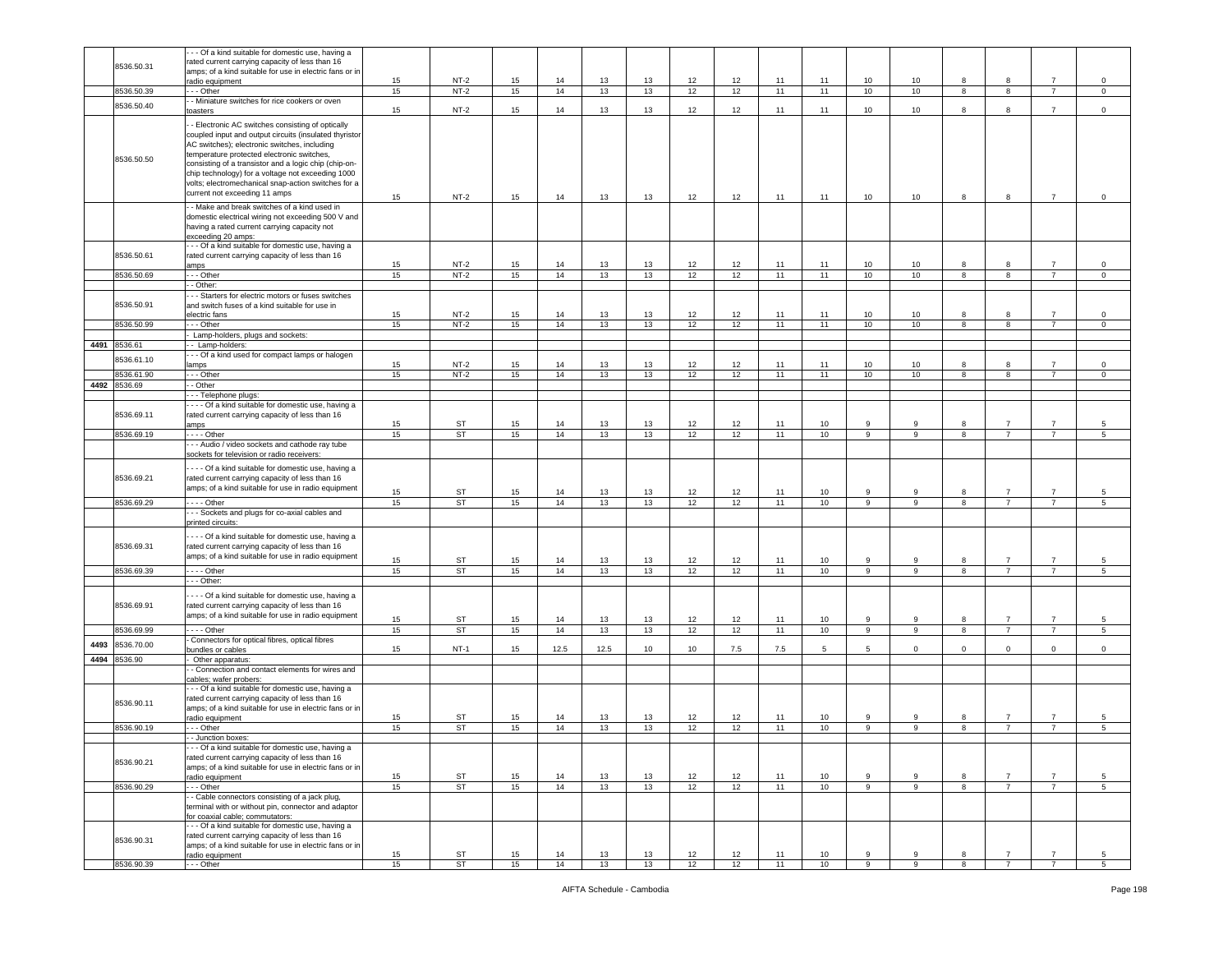|      |              | - - Of a kind suitable for domestic use, having a       |    |           |    |      |      |    |    |     |     |    |                |                |                         |                |                |                |
|------|--------------|---------------------------------------------------------|----|-----------|----|------|------|----|----|-----|-----|----|----------------|----------------|-------------------------|----------------|----------------|----------------|
|      | 8536.50.31   | rated current carrying capacity of less than 16         |    |           |    |      |      |    |    |     |     |    |                |                |                         |                |                |                |
|      |              | amps; of a kind suitable for use in electric fans or in |    |           |    |      |      |    |    |     |     |    |                |                |                         |                |                |                |
|      |              | radio equipment                                         | 15 | $NT-2$    | 15 | 14   | 13   | 13 | 12 | 12  | 11  | 11 | 10             | 10             | 8                       | 8              | $\overline{7}$ | $\mathbf 0$    |
|      | 8536.50.39   | - - Other                                               | 15 | $NT-2$    | 15 | 14   | 13   | 13 | 12 | 12  | 11  | 11 | 10             | 10             | 8                       | 8              | $\overline{7}$ | $\circ$        |
|      | 8536.50.40   | - Miniature switches for rice cookers or oven           |    |           |    |      |      |    |    |     |     |    |                |                |                         |                |                |                |
|      |              | oasters                                                 | 15 | $NT-2$    | 15 | 14   | 13   | 13 | 12 | 12  | 11  | 11 | 10             | 10             | 8                       | 8              | $\overline{7}$ | $\mathsf 0$    |
|      |              | - Electronic AC switches consisting of optically        |    |           |    |      |      |    |    |     |     |    |                |                |                         |                |                |                |
|      |              |                                                         |    |           |    |      |      |    |    |     |     |    |                |                |                         |                |                |                |
|      |              | coupled input and output circuits (insulated thyristor  |    |           |    |      |      |    |    |     |     |    |                |                |                         |                |                |                |
|      |              | AC switches); electronic switches, including            |    |           |    |      |      |    |    |     |     |    |                |                |                         |                |                |                |
|      | 8536.50.50   | temperature protected electronic switches,              |    |           |    |      |      |    |    |     |     |    |                |                |                         |                |                |                |
|      |              | consisting of a transistor and a logic chip (chip-on-   |    |           |    |      |      |    |    |     |     |    |                |                |                         |                |                |                |
|      |              | chip technology) for a voltage not exceeding 1000       |    |           |    |      |      |    |    |     |     |    |                |                |                         |                |                |                |
|      |              | volts; electromechanical snap-action switches for a     |    |           |    |      |      |    |    |     |     |    |                |                |                         |                |                |                |
|      |              | current not exceeding 11 amps                           |    |           |    |      |      |    |    |     |     |    |                |                |                         |                |                |                |
|      |              |                                                         | 15 | $NT-2$    | 15 | 14   | 13   | 13 | 12 | 12  | 11  | 11 | 10             | 10             | 8                       | 8              | $\overline{7}$ | $\mathsf 0$    |
|      |              | - Make and break switches of a kind used in             |    |           |    |      |      |    |    |     |     |    |                |                |                         |                |                |                |
|      |              | domestic electrical wiring not exceeding 500 V and      |    |           |    |      |      |    |    |     |     |    |                |                |                         |                |                |                |
|      |              | having a rated current carrying capacity not            |    |           |    |      |      |    |    |     |     |    |                |                |                         |                |                |                |
|      |              | exceeding 20 amps:                                      |    |           |    |      |      |    |    |     |     |    |                |                |                         |                |                |                |
|      |              | - - Of a kind suitable for domestic use, having a       |    |           |    |      |      |    |    |     |     |    |                |                |                         |                |                |                |
|      | 8536.50.61   | rated current carrying capacity of less than 16         |    |           |    |      |      |    |    |     |     |    |                |                |                         |                |                |                |
|      |              |                                                         |    |           |    |      |      |    |    |     |     |    |                |                |                         |                | $\overline{7}$ |                |
|      |              | ımps                                                    | 15 | $NT-2$    | 15 | 14   | 13   | 13 | 12 | 12  | 11  | 11 | 10             | 10             | 8                       | 8              |                | $\,0\,$        |
|      | 8536.50.69   | - - Other                                               | 15 | $NT-2$    | 15 | 14   | 13   | 13 | 12 | 12  | 11  | 11 | 10             | 10             | 8                       | $\overline{8}$ | $\overline{7}$ | $\mathsf 0$    |
|      |              | - Other:                                                |    |           |    |      |      |    |    |     |     |    |                |                |                         |                |                |                |
|      |              | - - Starters for electric motors or fuses switches      |    |           |    |      |      |    |    |     |     |    |                |                |                         |                |                |                |
|      | 8536.50.91   | and switch fuses of a kind suitable for use in          |    |           |    |      |      |    |    |     |     |    |                |                |                         |                |                |                |
|      |              | electric fans                                           | 15 | $NT-2$    | 15 | 14   | 13   | 13 | 12 | 12  | 11  | 11 | 10             | 10             | 8                       | 8              | $\overline{7}$ | $\mathsf 0$    |
|      | 8536.50.99   | - - Other                                               | 15 | $NT-2$    | 15 | 14   | 13   | 13 | 12 | 12  | 11  | 11 | 10             | 10             | 8                       | 8              | $\overline{7}$ | $\circ$        |
|      |              | Lamp-holders, plugs and sockets:                        |    |           |    |      |      |    |    |     |     |    |                |                |                         |                |                |                |
|      | 4491 8536.61 |                                                         |    |           |    |      |      |    |    |     |     |    |                |                |                         |                |                |                |
|      |              | - Lamp-holders:                                         |    |           |    |      |      |    |    |     |     |    |                |                |                         |                |                |                |
|      | 3536.61.10   | - - Of a kind used for compact lamps or halogen         |    |           |    |      |      |    |    |     |     |    |                |                |                         |                |                |                |
|      |              | amps                                                    | 15 | $NT-2$    | 15 | 14   | 13   | 13 | 12 | 12  | 11  | 11 | 10             | 10             | 8                       | 8              | $\overline{7}$ | $\mathsf 0$    |
|      | 8536.61.90   | - - Other                                               | 15 | $NT-2$    | 15 | 14   | 13   | 13 | 12 | 12  | 11  | 11 | 10             | 10             | 8                       | 8              | $\overline{7}$ | $\circ$        |
| 4492 | 8536.69      | - Other                                                 |    |           |    |      |      |    |    |     |     |    |                |                |                         |                |                |                |
|      |              | - - Telephone plugs:                                    |    |           |    |      |      |    |    |     |     |    |                |                |                         |                |                |                |
|      |              | - - - Of a kind suitable for domestic use, having a     |    |           |    |      |      |    |    |     |     |    |                |                |                         |                |                |                |
|      | 8536.69.11   | rated current carrying capacity of less than 16         |    |           |    |      |      |    |    |     |     |    |                |                |                         |                |                |                |
|      |              | <b>imps</b>                                             | 15 | ST        | 15 | 14   | 13   | 13 | 12 | 12  | 11  | 10 | 9              | 9              | 8                       | $\overline{7}$ | $\overline{7}$ | 5              |
|      | 8536.69.19   | $- -$ Other                                             | 15 | <b>ST</b> | 15 | 14   | 13   | 13 | 12 | 12  | 11  | 10 | 9              | 9              | 8                       | $\overline{7}$ | $\overline{7}$ | 5              |
|      |              | - - Audio / video sockets and cathode ray tube          |    |           |    |      |      |    |    |     |     |    |                |                |                         |                |                |                |
|      |              | sockets for television or radio receivers:              |    |           |    |      |      |    |    |     |     |    |                |                |                         |                |                |                |
|      |              |                                                         |    |           |    |      |      |    |    |     |     |    |                |                |                         |                |                |                |
|      |              | --- Of a kind suitable for domestic use, having a       |    |           |    |      |      |    |    |     |     |    |                |                |                         |                |                |                |
|      | 8536.69.21   | rated current carrying capacity of less than 16         |    |           |    |      |      |    |    |     |     |    |                |                |                         |                |                |                |
|      |              | amps; of a kind suitable for use in radio equipment     |    |           |    |      |      |    |    |     |     |    |                |                |                         |                |                |                |
|      |              |                                                         | 15 | ST        | 15 | 14   | 13   | 13 | 12 | 12  | 11  | 10 | 9              | 9              | 8                       | 7              | $\overline{7}$ | 5              |
|      | 8536.69.29   | $\cdots$ - Other                                        | 15 | ST        | 15 | 14   | 13   | 13 | 12 | 12  | 11  | 10 | 9              | 9              | 8                       |                | $\overline{7}$ | 5              |
|      |              | - - Sockets and plugs for co-axial cables and           |    |           |    |      |      |    |    |     |     |    |                |                |                         | $\overline{7}$ |                |                |
|      |              |                                                         |    |           |    |      |      |    |    |     |     |    |                |                |                         |                |                |                |
|      |              | printed circuits:                                       |    |           |    |      |      |    |    |     |     |    |                |                |                         |                |                |                |
|      |              |                                                         |    |           |    |      |      |    |    |     |     |    |                |                |                         |                |                |                |
|      |              | --- Of a kind suitable for domestic use, having a       |    |           |    |      |      |    |    |     |     |    |                |                |                         |                |                |                |
|      | 8536.69.31   | rated current carrying capacity of less than 16         |    |           |    |      |      |    |    |     |     |    |                |                |                         |                |                |                |
|      |              | amps; of a kind suitable for use in radio equipment     |    |           |    |      |      |    |    |     |     |    | 9              |                | 8                       |                | $\overline{7}$ |                |
|      |              |                                                         | 15 | ST        | 15 | 14   | 13   | 13 | 12 | 12  | 11  | 10 |                | 9              |                         |                |                | 5              |
|      | 8536.69.39   | $- -$ Other                                             | 15 | ST        | 15 | 14   | 13   | 13 | 12 | 12  | 11  | 10 | $\overline{9}$ | $\overline{9}$ | $\overline{\mathbf{8}}$ | $\overline{7}$ | $\overline{7}$ | 5              |
|      |              | - - Other:                                              |    |           |    |      |      |    |    |     |     |    |                |                |                         |                |                |                |
|      |              | --- Of a kind suitable for domestic use, having a       |    |           |    |      |      |    |    |     |     |    |                |                |                         |                |                |                |
|      | 8536.69.91   |                                                         |    |           |    |      |      |    |    |     |     |    |                |                |                         |                |                |                |
|      |              | rated current carrying capacity of less than 16         |    |           |    |      |      |    |    |     |     |    |                |                |                         |                |                |                |
|      |              | amps; of a kind suitable for use in radio equipment     | 15 | ST        | 15 | 14   | 13   | 13 | 12 | 12  | 11  | 10 | 9              | 9              | 8                       | $\overline{7}$ | $\overline{7}$ | 5              |
|      | 8536.69.99   | $\cdots$ - Other                                        | 15 | <b>ST</b> | 15 | 14   | 13   | 13 | 12 | 12  | 11  | 10 | $\overline{9}$ | 9              | 8                       | $\overline{7}$ | $\overline{7}$ | 5              |
|      |              | Connectors for optical fibres, optical fibres           |    |           |    |      |      |    |    |     |     |    |                |                |                         |                |                |                |
| 4493 | 3536.70.00   | oundles or cables                                       | 15 | $NT-1$    | 15 | 12.5 | 12.5 | 10 | 10 | 7.5 | 7.5 | 5  | 5              | $\mathbf 0$    | $\mathbf 0$             | $\mathbf{0}$   | $\mathsf 0$    | $\mathsf 0$    |
|      | 4494 8536.90 | Other apparatus:                                        |    |           |    |      |      |    |    |     |     |    |                |                |                         |                |                |                |
|      |              | - Connection and contact elements for wires and         |    |           |    |      |      |    |    |     |     |    |                |                |                         |                |                |                |
|      |              | ables; wafer probers:                                   |    |           |    |      |      |    |    |     |     |    |                |                |                         |                |                |                |
|      |              | - - Of a kind suitable for domestic use, having a       |    |           |    |      |      |    |    |     |     |    |                |                |                         |                |                |                |
|      |              | rated current carrying capacity of less than 16         |    |           |    |      |      |    |    |     |     |    |                |                |                         |                |                |                |
|      | 8536.90.11   |                                                         |    |           |    |      |      |    |    |     |     |    |                |                |                         |                |                |                |
|      |              | amps; of a kind suitable for use in electric fans or in |    |           |    |      |      |    |    |     |     |    | 9              | 9              | 8                       |                | $\overline{7}$ | 5              |
|      |              | radio equipment                                         | 15 | <b>ST</b> | 15 | 14   | 13   | 13 | 12 | 12  | 11  | 10 |                |                |                         |                |                |                |
|      | 8536.90.19   | - - Other                                               | 15 | <b>ST</b> | 15 | 14   | 13   | 13 | 12 | 12  | 11  | 10 | 9              | $\mathbf{9}$   | 8                       | $\overline{7}$ | $\overline{7}$ | 5              |
|      |              | - Junction boxes:                                       |    |           |    |      |      |    |    |     |     |    |                |                |                         |                |                |                |
|      |              | - - Of a kind suitable for domestic use, having a       |    |           |    |      |      |    |    |     |     |    |                |                |                         |                |                |                |
|      | 8536.90.21   | rated current carrying capacity of less than 16         |    |           |    |      |      |    |    |     |     |    |                |                |                         |                |                |                |
|      |              | amps; of a kind suitable for use in electric fans or in |    |           |    |      |      |    |    |     |     |    |                |                |                         |                |                |                |
|      |              | radio equipment                                         | 15 | ST        | 15 | 14   | 13   | 13 | 12 | 12  | 11  | 10 | 9              | -9             | 8                       | $\overline{7}$ | $\overline{7}$ | 5              |
|      | 8536.90.29   | - - - Other                                             | 15 | ST        | 15 | 14   | 13   | 13 | 12 | 12  | 11  | 10 | 9              | 9              | 8                       | $\overline{7}$ | $\overline{7}$ | 5 <sub>5</sub> |
|      |              | - Cable connectors consisting of a jack plug,           |    |           |    |      |      |    |    |     |     |    |                |                |                         |                |                |                |
|      |              | terminal with or without pin, connector and adaptor     |    |           |    |      |      |    |    |     |     |    |                |                |                         |                |                |                |
|      |              | for coaxial cable; commutators:                         |    |           |    |      |      |    |    |     |     |    |                |                |                         |                |                |                |
|      |              | --- Of a kind suitable for domestic use, having a       |    |           |    |      |      |    |    |     |     |    |                |                |                         |                |                |                |
|      |              | rated current carrying capacity of less than 16         |    |           |    |      |      |    |    |     |     |    |                |                |                         |                |                |                |
|      | 8536.90.31   | amps; of a kind suitable for use in electric fans or in |    |           |    |      |      |    |    |     |     |    |                |                |                         |                |                |                |
|      |              | adio equipment                                          | 15 | ST        | 15 | 14   | 13   | 13 | 12 | 12  | 11  | 10 | 9              | 9              | 8                       |                |                | 5              |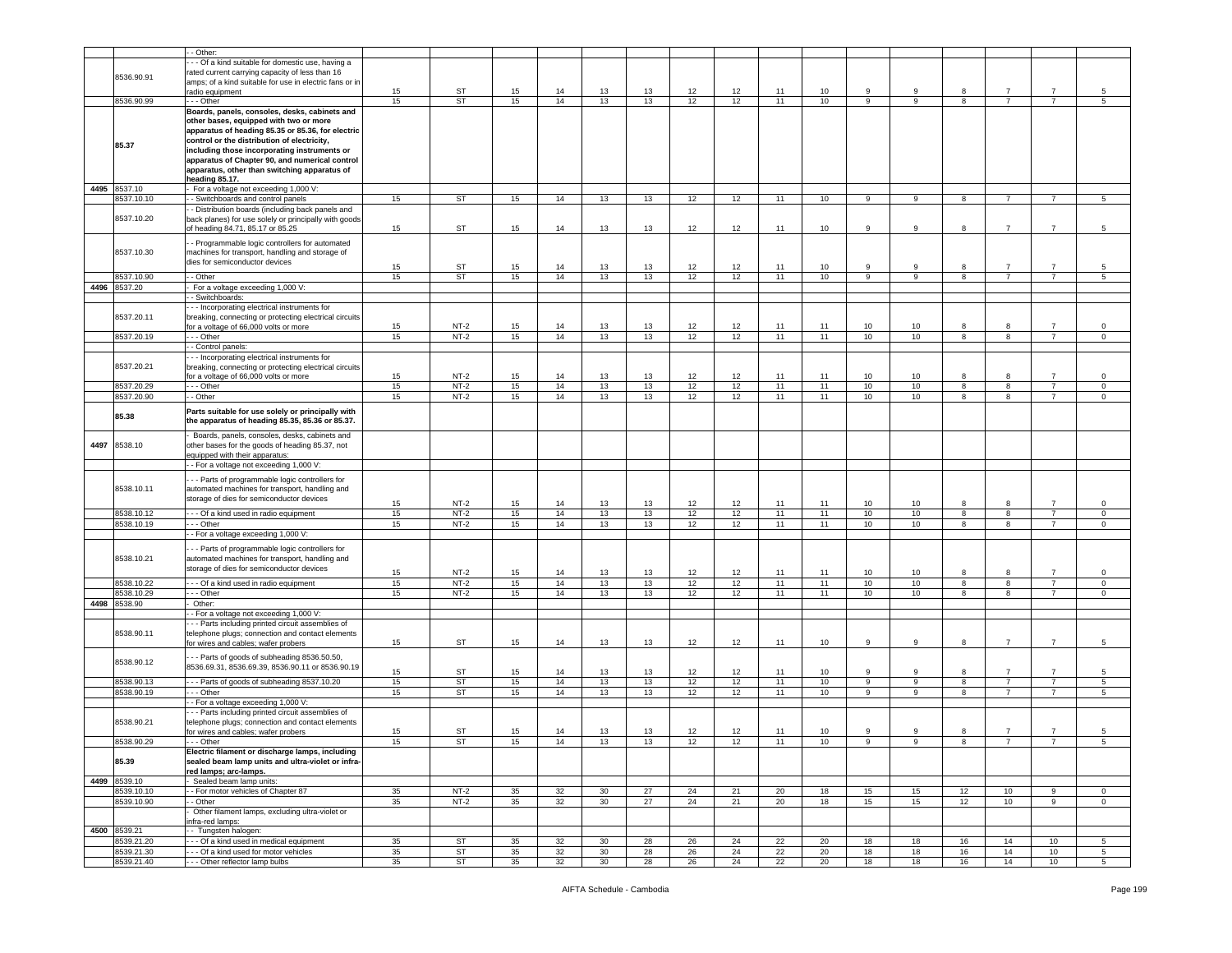|      |              | - Other:                                                |    |           |    |    |                 |    |    |    |    |    |                  |    |                         |                |                |                 |
|------|--------------|---------------------------------------------------------|----|-----------|----|----|-----------------|----|----|----|----|----|------------------|----|-------------------------|----------------|----------------|-----------------|
|      |              | - - Of a kind suitable for domestic use, having a       |    |           |    |    |                 |    |    |    |    |    |                  |    |                         |                |                |                 |
|      |              |                                                         |    |           |    |    |                 |    |    |    |    |    |                  |    |                         |                |                |                 |
|      | 8536.90.91   | rated current carrying capacity of less than 16         |    |           |    |    |                 |    |    |    |    |    |                  |    |                         |                |                |                 |
|      |              | amps; of a kind suitable for use in electric fans or in |    |           |    |    |                 |    |    |    |    |    | 9                | 9  | 8                       | $\overline{7}$ | $\overline{7}$ |                 |
|      |              | radio equipment                                         | 15 | ST        | 15 | 14 | 13              | 13 | 12 | 12 | 11 | 10 |                  |    |                         |                |                | 5               |
|      | 8536.90.99   | .-- Other                                               | 15 | ST        | 15 | 14 | 13              | 13 | 12 | 12 | 11 | 10 | 9                | 9  | 8                       | $\overline{7}$ | $\overline{7}$ | 5               |
|      |              | Boards, panels, consoles, desks, cabinets and           |    |           |    |    |                 |    |    |    |    |    |                  |    |                         |                |                |                 |
|      |              | other bases, equipped with two or more                  |    |           |    |    |                 |    |    |    |    |    |                  |    |                         |                |                |                 |
|      |              | apparatus of heading 85.35 or 85.36, for electric       |    |           |    |    |                 |    |    |    |    |    |                  |    |                         |                |                |                 |
|      |              | control or the distribution of electricity,             |    |           |    |    |                 |    |    |    |    |    |                  |    |                         |                |                |                 |
|      | 85.37        | including those incorporating instruments or            |    |           |    |    |                 |    |    |    |    |    |                  |    |                         |                |                |                 |
|      |              |                                                         |    |           |    |    |                 |    |    |    |    |    |                  |    |                         |                |                |                 |
|      |              | apparatus of Chapter 90, and numerical control          |    |           |    |    |                 |    |    |    |    |    |                  |    |                         |                |                |                 |
|      |              | apparatus, other than switching apparatus of            |    |           |    |    |                 |    |    |    |    |    |                  |    |                         |                |                |                 |
|      |              | heading 85.17.                                          |    |           |    |    |                 |    |    |    |    |    |                  |    |                         |                |                |                 |
|      | 4495 8537.10 | For a voltage not exceeding 1,000 V:                    |    |           |    |    |                 |    |    |    |    |    |                  |    |                         |                |                |                 |
|      | 8537.10.10   | - Switchboards and control panels                       | 15 | <b>ST</b> | 15 | 14 | 13              | 13 | 12 | 12 | 11 | 10 | 9                | 9  | 8                       | $\overline{7}$ | $\overline{7}$ | $5\phantom{.0}$ |
|      |              | - Distribution boards (including back panels and        |    |           |    |    |                 |    |    |    |    |    |                  |    |                         |                |                |                 |
|      | 8537.10.20   | back planes) for use solely or principally with goods   |    |           |    |    |                 |    |    |    |    |    |                  |    |                         |                |                |                 |
|      |              | of heading 84.71, 85.17 or 85.25                        | 15 | ST        | 15 | 14 | 13              | 13 | 12 | 12 | 11 | 10 | 9                | 9  | 8                       | $\overline{7}$ | $\overline{7}$ | 5               |
|      |              |                                                         |    |           |    |    |                 |    |    |    |    |    |                  |    |                         |                |                |                 |
|      |              | - Programmable logic controllers for automated          |    |           |    |    |                 |    |    |    |    |    |                  |    |                         |                |                |                 |
|      | 8537.10.30   | machines for transport, handling and storage of         |    |           |    |    |                 |    |    |    |    |    |                  |    |                         |                |                |                 |
|      |              | dies for semiconductor devices                          |    |           |    |    |                 |    |    |    |    |    |                  |    |                         |                |                |                 |
|      |              |                                                         | 15 | ST        | 15 | 14 | 13              | 13 | 12 | 12 | 11 | 10 | 9                | 9  | 8                       | 7              | $\overline{7}$ | 5               |
|      | 8537.10.90   | - Other                                                 | 15 | ST        | 15 | 14 | 13              | 13 | 12 | 12 | 11 | 10 | 9                | 9  | 8                       | $\overline{7}$ | $\overline{7}$ | 5               |
|      | 4496 8537.20 | For a voltage exceeding 1,000 V:                        |    |           |    |    |                 |    |    |    |    |    |                  |    |                         |                |                |                 |
|      |              | - Switchboards:                                         |    |           |    |    |                 |    |    |    |    |    |                  |    |                         |                |                |                 |
|      |              |                                                         |    |           |    |    |                 |    |    |    |    |    |                  |    |                         |                |                |                 |
|      |              | - - Incorporating electrical instruments for            |    |           |    |    |                 |    |    |    |    |    |                  |    |                         |                |                |                 |
|      | 8537.20.11   | breaking, connecting or protecting electrical circuits  |    |           |    |    |                 |    |    |    |    |    |                  |    |                         |                |                |                 |
|      |              | for a voltage of 66,000 volts or more                   | 15 | $NT-2$    | 15 | 14 | 13              | 13 | 12 | 12 | 11 | 11 | 10               | 10 | 8                       | 8              | $\overline{7}$ | 0               |
|      | 8537.20.19   | - - - Other                                             | 15 | $NT-2$    | 15 | 14 | 13              | 13 | 12 | 12 | 11 | 11 | 10               | 10 | $\overline{\mathbf{8}}$ | 8              | $\overline{7}$ | $\overline{0}$  |
|      |              | - Control panels:                                       |    |           |    |    |                 |    |    |    |    |    |                  |    |                         |                |                |                 |
|      |              | - - Incorporating electrical instruments for            |    |           |    |    |                 |    |    |    |    |    |                  |    |                         |                |                |                 |
|      | 8537.20.21   | breaking, connecting or protecting electrical circuits  |    |           |    |    |                 |    |    |    |    |    |                  |    |                         |                |                |                 |
|      |              | for a voltage of 66,000 volts or more                   | 15 | $NT-2$    | 15 | 14 | 13              | 13 | 12 | 12 | 11 | 11 | 10               | 10 | 8                       | 8              |                | 0               |
|      |              |                                                         | 15 | $NT-2$    |    | 14 | 13              | 13 |    | 12 | 11 | 11 | 10               |    | 8                       | 8              | $\overline{7}$ | $\mathbf 0$     |
|      | 8537.20.29   | - - - Other                                             |    |           | 15 |    |                 |    | 12 |    |    |    |                  | 10 |                         |                |                |                 |
|      | 8537.20.90   | - Other                                                 | 15 | $NT-2$    | 15 | 14 | 13              | 13 | 12 | 12 | 11 | 11 | 10 <sub>1</sub>  | 10 | 8                       | 8              | $\overline{7}$ | $\mathbf 0$     |
|      |              | Parts suitable for use solely or principally with       |    |           |    |    |                 |    |    |    |    |    |                  |    |                         |                |                |                 |
|      | 85.38        | the apparatus of heading 85.35, 85.36 or 85.37.         |    |           |    |    |                 |    |    |    |    |    |                  |    |                         |                |                |                 |
|      |              |                                                         |    |           |    |    |                 |    |    |    |    |    |                  |    |                         |                |                |                 |
|      |              | Boards, panels, consoles, desks, cabinets and           |    |           |    |    |                 |    |    |    |    |    |                  |    |                         |                |                |                 |
| 4497 | 8538.10      | other bases for the goods of heading 85.37, not         |    |           |    |    |                 |    |    |    |    |    |                  |    |                         |                |                |                 |
|      |              | equipped with their apparatus:                          |    |           |    |    |                 |    |    |    |    |    |                  |    |                         |                |                |                 |
|      |              | - - For a voltage not exceeding 1,000 V:                |    |           |    |    |                 |    |    |    |    |    |                  |    |                         |                |                |                 |
|      |              |                                                         |    |           |    |    |                 |    |    |    |    |    |                  |    |                         |                |                |                 |
|      |              | - - Parts of programmable logic controllers for         |    |           |    |    |                 |    |    |    |    |    |                  |    |                         |                |                |                 |
|      | 8538.10.11   | automated machines for transport, handling and          |    |           |    |    |                 |    |    |    |    |    |                  |    |                         |                |                |                 |
|      |              | storage of dies for semiconductor devices               |    |           |    |    |                 |    |    |    |    |    |                  |    |                         |                |                |                 |
|      |              |                                                         | 15 | $NT-2$    | 15 | 14 | 13              | 13 | 12 | 12 | 11 | 11 | 10               | 10 | 8                       |                | $\overline{7}$ | 0               |
|      | 8538.10.12   | --- Of a kind used in radio equipment                   | 15 | $NT-2$    | 15 | 14 | 13              | 13 | 12 | 12 | 11 | 11 | 10               | 10 | 8                       | 8              | $\overline{7}$ | $\mathsf 0$     |
|      | 8538.10.19   | .-- Other                                               | 15 | $NT-2$    | 15 | 14 | 13              | 13 | 12 | 12 | 11 | 11 | 10               | 10 | 8                       | 8              | $\overline{7}$ | $\mathsf 0$     |
|      |              | - For a voltage exceeding 1,000 V:                      |    |           |    |    |                 |    |    |    |    |    |                  |    |                         |                |                |                 |
|      |              |                                                         |    |           |    |    |                 |    |    |    |    |    |                  |    |                         |                |                |                 |
|      |              | - - Parts of programmable logic controllers for         |    |           |    |    |                 |    |    |    |    |    |                  |    |                         |                |                |                 |
|      | 8538.10.21   | automated machines for transport, handling and          |    |           |    |    |                 |    |    |    |    |    |                  |    |                         |                |                |                 |
|      |              | storage of dies for semiconductor devices               |    |           |    |    |                 |    |    |    |    |    |                  |    |                         |                |                |                 |
|      |              |                                                         | 15 | $NT-2$    | 15 | 14 | 13              | 13 | 12 | 12 | 11 | 11 | 10               | 10 | 8                       | 8              | $\overline{7}$ | 0               |
|      | 8538.10.22   | --- Of a kind used in radio equipment                   | 15 | $NT-2$    | 15 | 14 | 13              | 13 | 12 | 12 | 11 | 11 | 10               | 10 | 8                       | 8              | $\overline{7}$ | $\mathsf 0$     |
|      | 8538.10.29   | - - Other                                               | 15 | $NT-2$    | 15 | 14 | 13              | 13 | 12 | 12 | 11 | 11 | 10               | 10 | 8                       | 8              | $\overline{7}$ | $\mathsf 0$     |
|      | 4498 8538.90 | Other:                                                  |    |           |    |    |                 |    |    |    |    |    |                  |    |                         |                |                |                 |
|      |              | - For a voltage not exceeding 1,000 V:                  |    |           |    |    |                 |    |    |    |    |    |                  |    |                         |                |                |                 |
|      |              | - - Parts including printed circuit assemblies of       |    |           |    |    |                 |    |    |    |    |    |                  |    |                         |                |                |                 |
|      | 8538.90.11   | telephone plugs; connection and contact elements        |    |           |    |    |                 |    |    |    |    |    |                  |    |                         |                |                |                 |
|      |              |                                                         | 15 | ST        |    | 14 |                 |    |    | 12 | 11 |    | 9                | 9  | 8                       | $\overline{7}$ |                | 5               |
|      |              | for wires and cables; wafer probers                     |    |           | 15 |    | 13              | 13 | 12 |    |    | 10 |                  |    |                         |                |                |                 |
|      |              | -- Parts of goods of subheading 8536.50.50,             |    |           |    |    |                 |    |    |    |    |    |                  |    |                         |                |                |                 |
|      | 8538.90.12   | 8536.69.31, 8536.69.39, 8536.90.11 or 8536.90.19        |    |           |    |    |                 |    |    |    |    |    |                  |    |                         |                |                |                 |
|      |              |                                                         | 15 | ST        | 15 | 14 | 13              | 13 | 12 | 12 | 11 | 10 | 9                | 9  | 8                       |                | $\overline{7}$ | 5               |
|      | 8538.90.13   | -- Parts of goods of subheading 8537.10.20              | 15 | ST        | 15 | 14 | 13              | 13 | 12 | 12 | 11 | 10 | $\boldsymbol{9}$ | 9  | 8                       | $\overline{7}$ | $\overline{7}$ | $\,$ 5          |
|      | 8538.90.19   | - - Other                                               | 15 | <b>ST</b> | 15 | 14 | 13              | 13 | 12 | 12 | 11 | 10 | 9                | 9  | 8                       | $\overline{7}$ | $\overline{7}$ | $\sqrt{5}$      |
|      |              | - For a voltage exceeding 1,000 V:                      |    |           |    |    |                 |    |    |    |    |    |                  |    |                         |                |                |                 |
|      |              | - - Parts including printed circuit assemblies of       |    |           |    |    |                 |    |    |    |    |    |                  |    |                         |                |                |                 |
|      | 8538.90.21   | telephone plugs; connection and contact elements        |    |           |    |    |                 |    |    |    |    |    |                  |    |                         |                |                |                 |
|      |              |                                                         |    |           |    |    |                 |    |    |    |    |    | 9                | 9  | 8                       | $\overline{7}$ | $\overline{7}$ | 5               |
|      |              | for wires and cables; wafer probers                     | 15 | ST        | 15 | 14 | 13              | 13 | 12 | 12 | 11 | 10 |                  |    |                         |                |                |                 |
|      | 8538.90.29   | - - - Other                                             | 15 | <b>ST</b> | 15 | 14 | 13              | 13 | 12 | 12 | 11 | 10 | 9                | 9  | 8                       | $\overline{7}$ | $\overline{7}$ | 5               |
|      |              | Electric filament or discharge lamps, including         |    |           |    |    |                 |    |    |    |    |    |                  |    |                         |                |                |                 |
|      | 85.39        | sealed beam lamp units and ultra-violet or infra-       |    |           |    |    |                 |    |    |    |    |    |                  |    |                         |                |                |                 |
|      |              | red lamps; arc-lamps.                                   |    |           |    |    |                 |    |    |    |    |    |                  |    |                         |                |                |                 |
|      | 4499 8539.10 | Sealed beam lamp units:                                 |    |           |    |    |                 |    |    |    |    |    |                  |    |                         |                |                |                 |
|      | 8539.10.10   | - For motor vehicles of Chapter 87                      | 35 | $NT-2$    | 35 | 32 | 30              | 27 | 24 | 21 | 20 | 18 | 15               | 15 | 12                      | 10             | 9              | $\circ$         |
|      | 8539.10.90   | - Other                                                 | 35 | $NT-2$    | 35 | 32 | 30              | 27 | 24 | 21 | 20 | 18 | 15               | 15 | 12                      | 10             | 9              | $\circ$         |
|      |              | Other filament lamps, excluding ultra-violet or         |    |           |    |    |                 |    |    |    |    |    |                  |    |                         |                |                |                 |
|      |              | nfra-red lamps:                                         |    |           |    |    |                 |    |    |    |    |    |                  |    |                         |                |                |                 |
|      |              |                                                         |    |           |    |    |                 |    |    |    |    |    |                  |    |                         |                |                |                 |
|      | 4500 8539.21 | - Tungsten halogen:                                     |    |           |    |    |                 |    |    |    |    |    |                  |    |                         |                |                |                 |
|      | 8539.21.20   | Of a kind used in medical equipment                     | 35 | <b>ST</b> | 35 | 32 | 30              | 28 | 26 | 24 | 22 | 20 | 18               | 18 | 16                      | 14             | 10             | $\sqrt{5}$      |
|      | 8539.21.30   | - - Of a kind used for motor vehicles                   | 35 | ST        | 35 | 32 | 30              | 28 | 26 | 24 | 22 | 20 | 18               | 18 | 16                      | 14             | 10             | $\sqrt{5}$      |
|      | 8539.21.40   | --- Other reflector lamp bulbs                          | 35 | ST        | 35 | 32 | 30 <sup>°</sup> | 28 | 26 | 24 | 22 | 20 | 18               | 18 | 16                      | 14             | 10             | 5 <sub>5</sub>  |
|      |              |                                                         |    |           |    |    |                 |    |    |    |    |    |                  |    |                         |                |                |                 |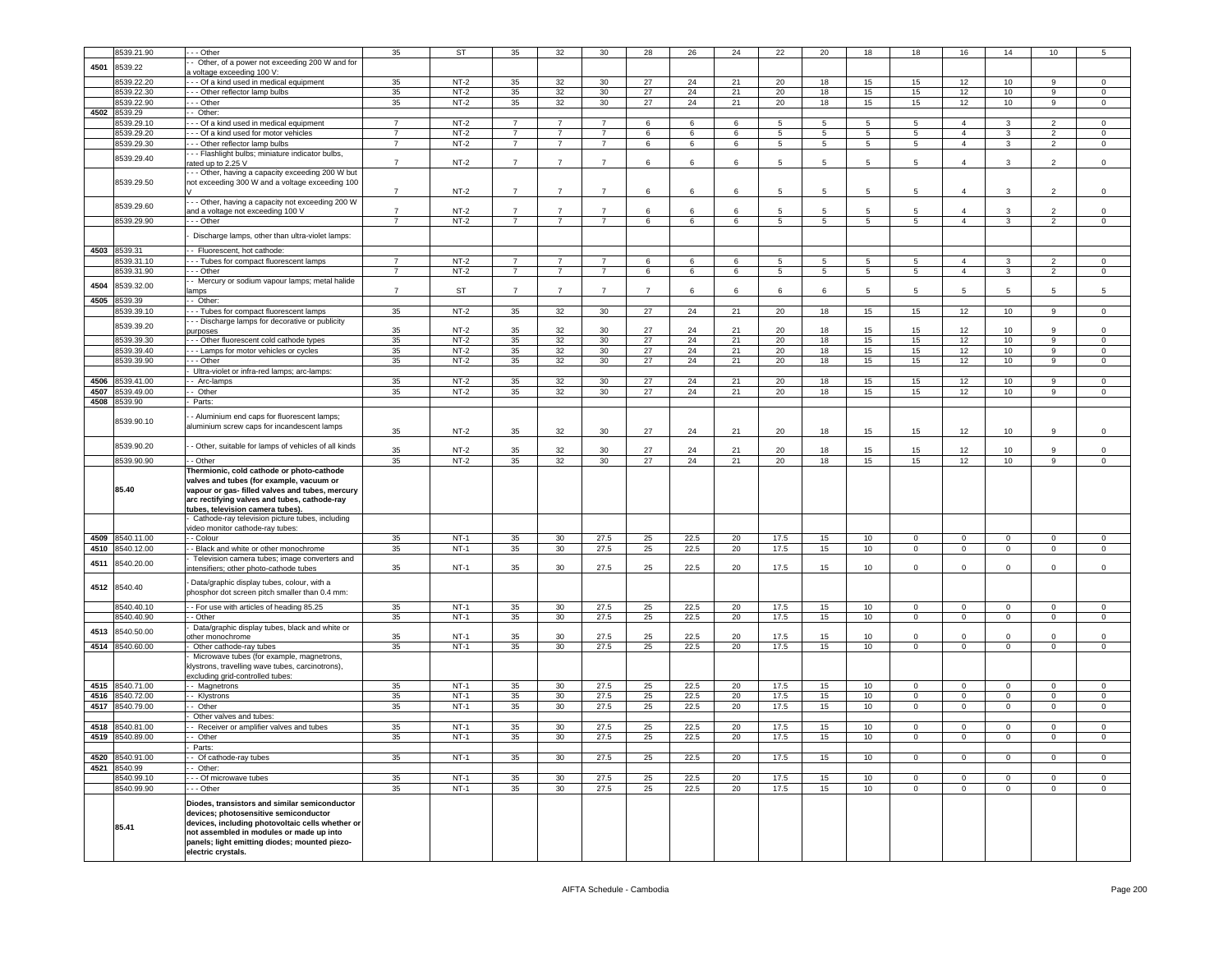|      | 3539.21.90      | - - Other                                                                                       | 35             | <b>ST</b> | 35             | 32              | 30             | 28 | 26   | 24 | 22              | 20 | 18              | 18          | 16                      | 14             | 10             | 5              |
|------|-----------------|-------------------------------------------------------------------------------------------------|----------------|-----------|----------------|-----------------|----------------|----|------|----|-----------------|----|-----------------|-------------|-------------------------|----------------|----------------|----------------|
|      |                 | Other, of a power not exceeding 200 W and for                                                   |                |           |                |                 |                |    |      |    |                 |    |                 |             |                         |                |                |                |
| 4501 | 8539.22         | voltage exceeding 100 V:                                                                        |                |           |                |                 |                |    |      |    |                 |    |                 |             |                         |                |                |                |
|      | 3539.22.20      |                                                                                                 | 35             | $NT-2$    | 35             | 32              | 30             | 27 | 24   | 21 | 20              | 18 |                 | 15          | 12                      | 10             | 9              | $\mathbf 0$    |
|      |                 | - - Of a kind used in medical equipment                                                         |                |           |                |                 |                |    |      |    |                 |    | 15              |             |                         |                |                |                |
|      | 8539.22.30      | - - Other reflector lamp bulbs                                                                  | 35             | $NT-2$    | 35             | 32              | 30             | 27 | 24   | 21 | 20              | 18 | 15              | 15          | 12                      | 10             | 9              | $\mathbf 0$    |
|      | 8539.22.90      | - - Other                                                                                       | 35             | $NT-2$    | 35             | 32              | 30             | 27 | 24   | 21 | 20              | 18 | 15              | 15          | 12                      | 10             | 9              | 0              |
| 4502 | 8539.29         | - Other:                                                                                        |                |           |                |                 |                |    |      |    |                 |    |                 |             |                         |                |                |                |
|      | 539.29.10       | - - Of a kind used in medical equipment                                                         | $\overline{7}$ | $NT-2$    | $\overline{7}$ | 7               | $\overline{7}$ | 6  | 6    | 6  | 5               | 5  | 5               | 5           | 4                       | 3              | 2              | 0              |
|      | 1539.29.20      | - - Of a kind used for motor vehicles                                                           | $\overline{7}$ | $NT-2$    | $7^{\circ}$    | $\overline{7}$  | $\overline{7}$ | 6  | 6    | 6  | $\overline{5}$  | 5  | $5\overline{5}$ | 5           | $\overline{4}$          | $\mathbf{3}$   | $\overline{2}$ | $\mathsf 0$    |
|      | 8539.29.30      | - - Other reflector lamp bulbs                                                                  | $\overline{7}$ | $NT-2$    | $\overline{7}$ | $\overline{7}$  | $\overline{7}$ | 6  | 6    | 6  | $5\phantom{.0}$ | 5  | $5\overline{5}$ | 5           | $\overline{4}$          | 3              | $\overline{2}$ | $\mathbf 0$    |
|      |                 | - - Flashlight bulbs; miniature indicator bulbs,                                                |                |           |                |                 |                |    |      |    |                 |    |                 |             |                         |                |                |                |
|      | 8539.29.40      | ated up to 2.25 V                                                                               | $\overline{7}$ | $NT-2$    | $\overline{7}$ | $\overline{7}$  | $\overline{7}$ | 6  | 6    | 6  | 5               | 5  | 5               | 5           | $\overline{4}$          | 3              | 2              | $\mathsf 0$    |
|      |                 | - - Other, having a capacity exceeding 200 W but                                                |                |           |                |                 |                |    |      |    |                 |    |                 |             |                         |                |                |                |
|      | 8539.29.50      | not exceeding 300 W and a voltage exceeding 100                                                 |                |           |                |                 |                |    |      |    |                 |    |                 |             |                         |                |                |                |
|      |                 |                                                                                                 | $\overline{7}$ | $NT-2$    | $\overline{7}$ | $\overline{7}$  | $\overline{7}$ | 6  | 6    | 6  | 5               | 5  | $5\phantom{.0}$ | 5           | $\overline{4}$          | 3              | 2              | $\,0\,$        |
|      |                 | - - Other, having a capacity not exceeding 200 W                                                |                |           |                |                 |                |    |      |    |                 |    |                 |             |                         |                |                |                |
|      | 8539.29.60      | ind a voltage not exceeding 100 V                                                               | $\overline{7}$ | NT-2      | $\overline{7}$ | $\overline{7}$  | $\overline{7}$ | 6  | 6    | 6  | 5               | 5  | 5               | 5           | $\overline{4}$          | 3              | 2              | 0              |
|      | 8539.29.90      | - - Other                                                                                       | $\overline{7}$ | $NT-2$    | $\overline{7}$ | $\overline{7}$  | $\overline{7}$ | 6  | 6    | 6  | 5               | 5  | 5               | 5           | $\overline{a}$          | 3              | $\overline{2}$ | 0              |
|      |                 |                                                                                                 |                |           |                |                 |                |    |      |    |                 |    |                 |             |                         |                |                |                |
|      |                 | Discharge lamps, other than ultra-violet lamps:                                                 |                |           |                |                 |                |    |      |    |                 |    |                 |             |                         |                |                |                |
|      |                 |                                                                                                 |                |           |                |                 |                |    |      |    |                 |    |                 |             |                         |                |                |                |
| 4503 | 8539.31         | - Fluorescent, hot cathode:                                                                     |                |           |                |                 |                |    |      |    |                 |    |                 |             |                         |                |                |                |
|      | 3539.31.10      | - - Tubes for compact fluorescent lamps                                                         | $\overline{7}$ | $NT-2$    | $\overline{7}$ |                 | $\overline{7}$ | 6  | 6    | 6  | 5               | 5  | -5              | 5           | $\overline{4}$          | 3              | $\overline{2}$ | $\Omega$       |
|      | 8539.31.90      | - - Other                                                                                       | $\overline{7}$ | $NT-2$    | $\overline{7}$ | $\overline{7}$  | $\overline{7}$ | 6  | 6    | 6  | $\sqrt{5}$      | 5  | $5\phantom{.0}$ | 5           | $\overline{4}$          | 3              | $\overline{2}$ | $\mathsf 0$    |
| 4504 | 3539.32.00      | - Mercury or sodium vapour lamps; metal halide                                                  |                |           |                |                 |                |    |      |    |                 |    |                 |             |                         |                |                |                |
|      |                 | amps                                                                                            | $\overline{7}$ | <b>ST</b> | $\overline{7}$ | $\overline{7}$  | $\overline{7}$ | 7  | 6    | 6  | 6               | 6  | 5               | 5           | 5                       | 5              | 5              | 5              |
| 4505 | 539.39          | - Other:                                                                                        |                |           |                |                 |                |    |      |    |                 |    |                 |             |                         |                |                |                |
|      | 1539.39.10      | - - Tubes for compact fluorescent lamps                                                         | 35             | $NT-2$    | 35             | 32              | 30             | 27 | 24   | 21 | 20              | 18 | 15              | 15          | 12                      | 10             | 9              | $\overline{0}$ |
|      |                 | - - Discharge lamps for decorative or publicity                                                 |                |           |                |                 |                |    |      |    |                 |    |                 |             |                         |                |                |                |
|      | 8539.39.20      | ourposes                                                                                        | 35             | $NT-2$    | 35             | 32              | 30             | 27 | 24   | 21 | 20              | 18 | 15              | 15          | 12                      | 10             | 9              | 0              |
|      | 8539.39.30      | - - Other fluorescent cold cathode types                                                        | 35             | $NT-2$    | 35             | 32              | 30             | 27 | 24   | 21 | 20              | 18 | 15              | 15          | 12                      | 10             | 9              | $\mathsf 0$    |
|      | 8539.39.40      | -- Lamps for motor vehicles or cycles                                                           | 35             | $NT-2$    | 35             | 32              | 30             | 27 | 24   | 21 | 20              | 18 | 15              | 15          | 12                      | 10             | 9              | $\mathsf 0$    |
|      | 8539.39.90      | - - Other                                                                                       | 35             | $NT-2$    | 35             | 32              | 30             | 27 | 24   | 21 | 20              | 18 | 15              | 15          | 12                      | 10             | 9              | 0              |
|      |                 | Ultra-violet or infra-red lamps; arc-lamps:                                                     |                |           |                |                 |                |    |      |    |                 |    |                 |             |                         |                |                |                |
|      |                 |                                                                                                 |                |           |                |                 |                |    |      |    |                 |    |                 |             |                         |                | 9              |                |
| 4506 | 539.41.00       | - Arc-lamps                                                                                     | 35             | $NT-2$    | 35             | 32              | 30             | 27 | 24   | 21 | 20              | 18 | 15              | 15          | 12                      | 10             |                | 0              |
| 4507 | 539.49.00       | - Other                                                                                         | 35             | $NT-2$    | 35             | 32              | 30             | 27 | 24   | 21 | 20              | 18 | 15              | 15          | 12                      | 10             | 9              | 0              |
| 4508 | 3539.90         | Parts:                                                                                          |                |           |                |                 |                |    |      |    |                 |    |                 |             |                         |                |                |                |
|      |                 | Aluminium end caps for fluorescent lamps;                                                       |                |           |                |                 |                |    |      |    |                 |    |                 |             |                         |                |                |                |
|      | 8539.90.10      | aluminium screw caps for incandescent lamps                                                     |                |           |                |                 |                |    |      |    |                 |    |                 |             |                         |                |                |                |
|      |                 |                                                                                                 | 35             | $NT-2$    | 35             | 32              | 30             | 27 | 24   | 21 | 20              | 18 | 15              | 15          | 12                      | 10             | 9              | 0              |
|      | 8539.90.20      | - Other, suitable for lamps of vehicles of all kinds                                            |                |           |                |                 |                |    |      |    |                 |    |                 |             |                         |                |                |                |
|      |                 |                                                                                                 | 35             | $NT-2$    | 35             | 32              | 30             | 27 | 24   | 21 | 20              | 18 | 15              | 15          | 12                      | 10             | 9              | 0              |
|      | 8539.90.90      | - Other                                                                                         | 35             | $NT-2$    | 35             | 32              |                |    |      |    |                 |    |                 |             |                         |                | 9              |                |
|      |                 |                                                                                                 |                |           |                |                 | 30             | 27 | 24   | 21 | 20              | 18 | 15              | 15          | 12                      | 10             |                | $\circ$        |
|      |                 | Thermionic, cold cathode or photo-cathode                                                       |                |           |                |                 |                |    |      |    |                 |    |                 |             |                         |                |                |                |
|      |                 | valves and tubes (for example, vacuum or                                                        |                |           |                |                 |                |    |      |    |                 |    |                 |             |                         |                |                |                |
|      | 85.40           |                                                                                                 |                |           |                |                 |                |    |      |    |                 |    |                 |             |                         |                |                |                |
|      |                 | vapour or gas- filled valves and tubes, mercury<br>arc rectifying valves and tubes, cathode-ray |                |           |                |                 |                |    |      |    |                 |    |                 |             |                         |                |                |                |
|      |                 | tubes, television camera tubes).                                                                |                |           |                |                 |                |    |      |    |                 |    |                 |             |                         |                |                |                |
|      |                 | Cathode-ray television picture tubes, including                                                 |                |           |                |                 |                |    |      |    |                 |    |                 |             |                         |                |                |                |
|      |                 | rideo monitor cathode-ray tubes:                                                                |                |           |                |                 |                |    |      |    |                 |    |                 |             |                         |                |                |                |
| 4509 | 8540.11.00      | - Colour                                                                                        | 35             | NT-1      | 35             | 30              | 27.5           | 25 | 22.5 | 20 | 17.5            | 15 | 10              | $\mathbf 0$ | $\overline{0}$          | $^{\circ}$     | $\mathbf 0$    | $\mathbf 0$    |
|      |                 |                                                                                                 |                |           |                |                 |                |    |      |    |                 |    |                 |             |                         |                |                |                |
| 4510 | 1540.12.00      | - Black and white or other monochrome                                                           | 35             | $NT-1$    | 35             | 30              | 27.5           | 25 | 22.5 | 20 | 17.5            | 15 | 10              | $\mathbf 0$ | $\overline{0}$          | $\overline{0}$ | $\mathsf 0$    | $\mathsf 0$    |
| 4511 | 8540.20.00      | Television camera tubes; image converters and                                                   | 35             | $NT-1$    | 35             | 30              | 27.5           | 25 | 22.5 | 20 | 17.5            | 15 | 10              | $\mathbf 0$ | 0                       | $\mathbf 0$    | $\mathbf 0$    | $\,0\,$        |
|      |                 | ntensifiers; other photo-cathode tubes                                                          |                |           |                |                 |                |    |      |    |                 |    |                 |             |                         |                |                |                |
|      |                 | Data/graphic display tubes, colour, with a                                                      |                |           |                |                 |                |    |      |    |                 |    |                 |             |                         |                |                |                |
| 4512 | 8540.40         | phosphor dot screen pitch smaller than 0.4 mm:                                                  |                |           |                |                 |                |    |      |    |                 |    |                 |             |                         |                |                |                |
|      |                 |                                                                                                 |                |           |                |                 |                |    |      |    |                 |    |                 | $\circ$     | $\overline{0}$          |                | $\Omega$       |                |
|      | 8540.40.10      | - For use with articles of heading 85.25                                                        | 35             | $NT-1$    | 35             | 30              | 27.5           | 25 | 22.5 | 20 | 17.5            | 15 | 10              |             |                         | $\mathbf 0$    |                | $\mathsf 0$    |
|      | 6540.40.90      | - Other                                                                                         | 35             | $NT-1$    | 35             | 30 <sup>°</sup> | 27.5           | 25 | 22.5 | 20 | 17.5            | 15 | 10              | $\mathbf 0$ | $\mathsf 0$             | $\mathbf 0$    | $\mathbf 0$    | $\mathsf 0$    |
| 4513 | 8540.50.00      | Data/graphic display tubes, black and white or                                                  |                |           |                |                 |                |    |      |    |                 |    |                 |             |                         |                |                |                |
|      |                 | other monochrome                                                                                | 35             | $NT-1$    | 35             | 30              | 27.5           | 25 | 22.5 | 20 | 17.5            | 15 | 10              | $\mathbf 0$ | $\mathbf 0$             | $\mathbf 0$    | $^{\circ}$     | 0              |
|      | 4514 8540.60.00 | Other cathode-ray tubes                                                                         | 35             | $NT-1$    | 35             | 30              | 27.5           | 25 | 22.5 | 20 | 17.5            | 15 | 10              | $\mathbf 0$ | $\overline{0}$          | $\overline{0}$ | $\mathbf{0}$   | $\circ$        |
|      |                 | Microwave tubes (for example, magnetrons,                                                       |                |           |                |                 |                |    |      |    |                 |    |                 |             |                         |                |                |                |
|      |                 | klystrons, travelling wave tubes, carcinotrons),                                                |                |           |                |                 |                |    |      |    |                 |    |                 |             |                         |                |                |                |
|      |                 | excluding grid-controlled tubes:                                                                |                |           |                |                 |                |    |      |    |                 |    |                 |             |                         |                |                |                |
| 4515 | 8540.71.00      | - Magnetrons                                                                                    | 35             | $NT-1$    | 35             | 30              | 27.5           | 25 | 22.5 | 20 | 17.5            | 15 | 10              | $\mathbf 0$ | $\overline{0}$          | $\mathbf 0$    | 0              | 0              |
| 4516 | 1540.72.00      | - Klystrons                                                                                     | 35             | $NT-1$    | 35             | 30              | 27.5           | 25 | 22.5 | 20 | 17.5            | 15 | 10              | $\mathbf 0$ | $\overline{\mathbf{0}}$ | $\mathbf 0$    | 0              | 0              |
| 4517 | 8540.79.00      | Other                                                                                           | 35             | $NT-1$    | 35             | 30              | 27.5           | 25 | 22.5 | 20 | 17.5            | 15 | 10              | $\mathbf 0$ | $\mathbf 0$             | $\mathbf 0$    | 0              | $\mathsf 0$    |
|      |                 | Other valves and tubes:                                                                         |                |           |                |                 |                |    |      |    |                 |    |                 |             |                         |                |                |                |
| 4518 | 8540.81.00      | Receiver or amplifier valves and tubes                                                          | 35             | $NT-1$    | 35             | 30              | 27.5           | 25 | 22.5 | 20 | 17.5            | 15 | 10              | 0           | $\mathbf 0$             | 0              |                | $\mathbf 0$    |
| 4519 | 8540.89.00      | Other                                                                                           | 35             | $NT-1$    | 35             | 30              | 27.5           | 25 | 22.5 | 20 | 17.5            | 15 | 10              | $\Omega$    | $\mathbf 0$             | $\mathbf 0$    | $\Omega$       | $\Omega$       |
|      |                 | Parts:                                                                                          |                |           |                |                 |                |    |      |    |                 |    |                 |             |                         |                |                |                |
|      |                 |                                                                                                 |                |           |                |                 |                |    |      |    |                 |    |                 |             |                         |                |                |                |
|      | 4520 8540.91.00 | - Of cathode-ray tubes                                                                          | 35             | $NT-1$    | 35             | 30              | 27.5           | 25 | 22.5 | 20 | 17.5            | 15 | 10              | $\mathbf 0$ | $\mathbf 0$             | $\mathbf 0$    | $\mathbf 0$    | 0              |
|      | 4521 8540.99    | - Other:                                                                                        |                |           |                |                 |                |    |      |    |                 |    |                 |             |                         |                |                |                |
|      | 8540.99.10      | - - Of microwave tubes                                                                          | 35             | $NT-1$    | 35             | 30              | 27.5           | 25 | 22.5 | 20 | 17.5            | 15 | 10              | $\mathbf 0$ | 0                       | $\mathbf{0}$   | $\mathbf 0$    | $\mathbf 0$    |
|      | 8540.99.90      | - - Other                                                                                       | 35             | $NT-1$    | 35             | 30              | 27.5           | 25 | 22.5 | 20 | 17.5            | 15 | 10              | $\mathbf 0$ | $\overline{0}$          | $\mathbf{0}$   | $\mathbf 0$    | $\mathbf 0$    |
|      |                 | Diodes, transistors and similar semiconductor                                                   |                |           |                |                 |                |    |      |    |                 |    |                 |             |                         |                |                |                |
|      |                 | devices; photosensitive semiconductor                                                           |                |           |                |                 |                |    |      |    |                 |    |                 |             |                         |                |                |                |
|      |                 |                                                                                                 |                |           |                |                 |                |    |      |    |                 |    |                 |             |                         |                |                |                |
|      | 85.41           | devices, including photovoltaic cells whether or<br>not assembled in modules or made up into    |                |           |                |                 |                |    |      |    |                 |    |                 |             |                         |                |                |                |
|      |                 |                                                                                                 |                |           |                |                 |                |    |      |    |                 |    |                 |             |                         |                |                |                |
|      |                 | panels; light emitting diodes; mounted piezo-<br>electric crystals.                             |                |           |                |                 |                |    |      |    |                 |    |                 |             |                         |                |                |                |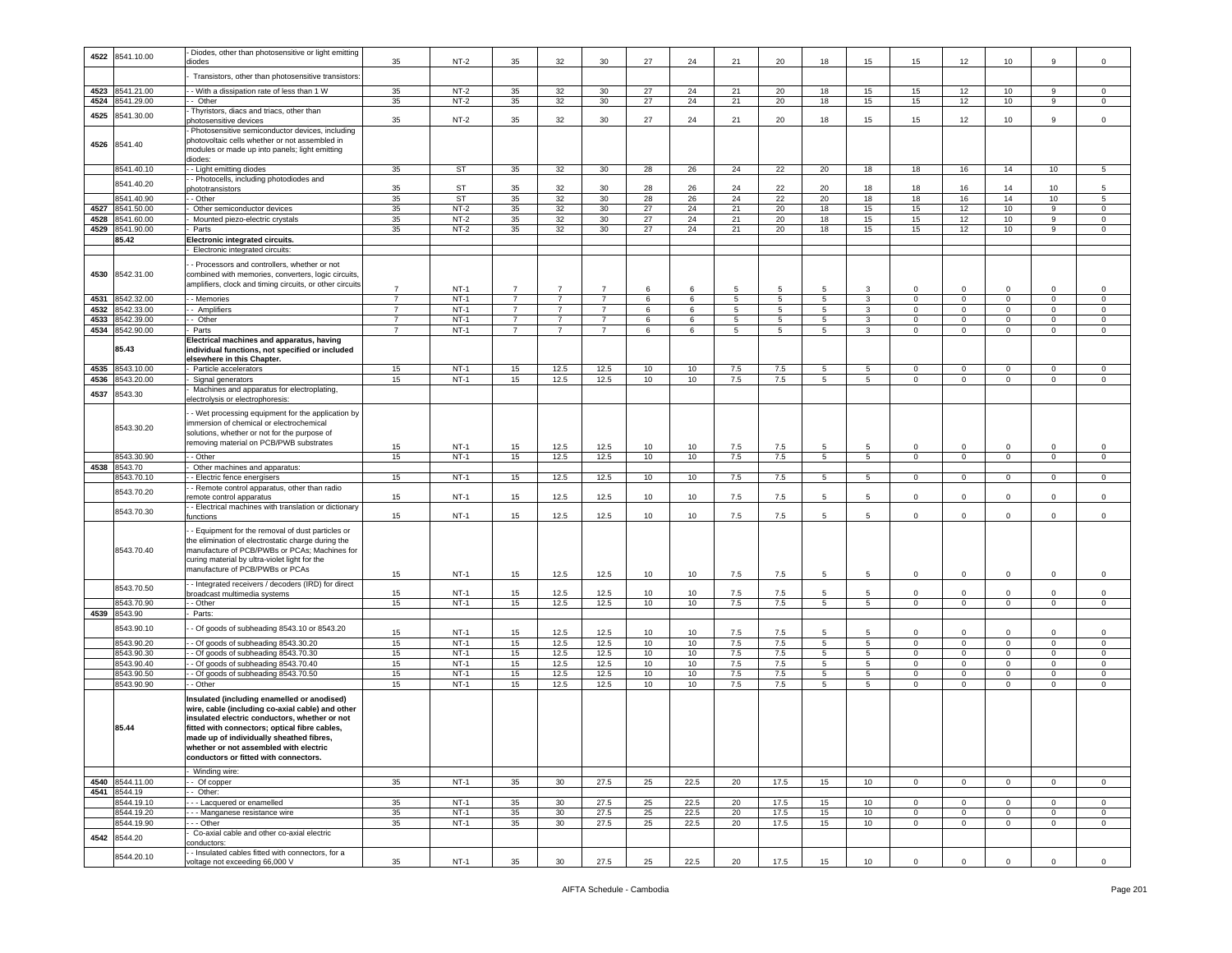|      |                 | Diodes, other than photosensitive or light emitting                                |                |           |                |                 |                 |    |      |                 |         |                |                |              |                |                |                 |                |
|------|-----------------|------------------------------------------------------------------------------------|----------------|-----------|----------------|-----------------|-----------------|----|------|-----------------|---------|----------------|----------------|--------------|----------------|----------------|-----------------|----------------|
| 4522 | 8541.10.00      | diodes                                                                             | 35             | $NT-2$    | 35             | 32              | 30              | 27 | 24   | 21              | 20      | 18             | 15             | 15           | 12             | 10             | 9               | $\mathsf 0$    |
|      |                 |                                                                                    |                |           |                |                 |                 |    |      |                 |         |                |                |              |                |                |                 |                |
|      |                 | Transistors, other than photosensitive transistors                                 |                |           |                |                 |                 |    |      |                 |         |                |                |              |                |                |                 |                |
|      |                 |                                                                                    |                |           |                |                 |                 |    |      |                 |         |                |                |              |                |                |                 |                |
|      | 4523 8541.21.00 | - With a dissipation rate of less than 1 W                                         | 35             | $NT-2$    | 35             | 32              | 30              | 27 | 24   | 21              | 20      | 18             | 15             | 15           | 12             | 10             | 9               | $\mathbf{0}$   |
|      | 4524 8541.29.00 | - Other                                                                            | 35             | $NT-2$    | 35             | 32              | 30              | 27 | 24   | 21              | 20      | 18             | 15             | 15           | 12             | 10             | 9               | $\mathbf 0$    |
|      |                 | Thyristors, diacs and triacs, other than                                           |                |           |                |                 |                 |    |      |                 |         |                |                |              |                |                |                 |                |
| 4525 | 8541.30.00      | ohotosensitive devices                                                             | 35             | $NT-2$    | 35             | 32              | 30              | 27 | 24   | 21              | 20      | 18             | 15             | 15           | 12             | 10             | 9               | $\mathsf 0$    |
|      |                 | Photosensitive semiconductor devices, including                                    |                |           |                |                 |                 |    |      |                 |         |                |                |              |                |                |                 |                |
|      |                 | photovoltaic cells whether or not assembled in                                     |                |           |                |                 |                 |    |      |                 |         |                |                |              |                |                |                 |                |
|      | 4526 8541.40    |                                                                                    |                |           |                |                 |                 |    |      |                 |         |                |                |              |                |                |                 |                |
|      |                 | modules or made up into panels; light emitting                                     |                |           |                |                 |                 |    |      |                 |         |                |                |              |                |                |                 |                |
|      |                 | diodes:                                                                            |                |           |                |                 |                 |    |      |                 |         |                |                |              |                |                |                 |                |
|      | 8541.40.10      | - Light emitting diodes                                                            | 35             | <b>ST</b> | 35             | 32              | 30              | 28 | 26   | 24              | 22      | 20             | 18             | 18           | 16             | 14             | 10 <sub>1</sub> | 5              |
|      | 8541.40.20      | - Photocells, including photodiodes and                                            |                |           |                |                 |                 |    |      |                 |         |                |                |              |                |                |                 |                |
|      |                 | phototransistors                                                                   | 35             | <b>ST</b> | 35             | 32              | 30              | 28 | 26   | 24              | 22      | 20             | 18             | 18           | 16             | 14             | 10              | 5              |
|      | 8541.40.90      | - Other                                                                            | 35             | <b>ST</b> | 35             | 32              | 30              | 28 | 26   | 24              | 22      | 20             | 18             | 18           | 16             | 14             | 10              | 5              |
| 4527 | 8541.50.00      | Other semiconductor devices                                                        | 35             | $NT-2$    | 35             | 32              | 30              | 27 | 24   | 21              | 20      | 18             | 15             | 15           | 12             | 10             | 9               | $\mathbf 0$    |
| 4528 | 8541.60.00      | Mounted piezo-electric crystals                                                    | 35             | $NT-2$    | 35             | 32              | 30              | 27 | 24   | 21              | 20      | 18             | 15             | 15           | 12             | 10             | 9               | $\mathsf 0$    |
|      |                 |                                                                                    |                |           |                |                 |                 |    |      |                 |         |                |                |              |                |                |                 |                |
| 4529 | 8541.90.00      | Parts                                                                              | 35             | $NT-2$    | 35             | 32              | 30 <sup>2</sup> | 27 | 24   | 21              | 20      | 18             | 15             | 15           | 12             | 10             | 9               | $\mathbf 0$    |
|      | 85.42           | Electronic integrated circuits.                                                    |                |           |                |                 |                 |    |      |                 |         |                |                |              |                |                |                 |                |
|      |                 | Electronic integrated circuits:                                                    |                |           |                |                 |                 |    |      |                 |         |                |                |              |                |                |                 |                |
|      |                 |                                                                                    |                |           |                |                 |                 |    |      |                 |         |                |                |              |                |                |                 |                |
|      |                 | - Processors and controllers, whether or not                                       |                |           |                |                 |                 |    |      |                 |         |                |                |              |                |                |                 |                |
|      | 4530 8542.31.00 | combined with memories, converters, logic circuits,                                |                |           |                |                 |                 |    |      |                 |         |                |                |              |                |                |                 |                |
|      |                 | amplifiers, clock and timing circuits, or other circuits                           | $\overline{7}$ | $NT-1$    | $\overline{7}$ | $\overline{7}$  | $\overline{7}$  | 6  | 6    | 5               | -5      | 5              | 3              | $\mathsf 0$  | $\mathbf{0}$   | $\mathbf 0$    | $\mathbf 0$     | $\mathbf 0$    |
| 4531 | 8542.32.00      | - Memories                                                                         | $\overline{7}$ | $NT-1$    | $\overline{7}$ | $\overline{7}$  | $\overline{7}$  | 6  | 6    | $\overline{5}$  | 5       | $\overline{5}$ | $\overline{3}$ | $\mathbf 0$  | $\overline{0}$ | $\pmb{0}$      | $\mathbf 0$     | $\mathsf 0$    |
|      |                 |                                                                                    |                |           |                |                 |                 |    |      |                 |         |                |                |              |                |                |                 |                |
| 4532 | 8542.33.00      | - Amplifiers                                                                       | $\overline{7}$ | $NT-1$    | $\overline{7}$ | $\overline{7}$  | $\overline{7}$  | 6  | 6    | 5               | 5       | 5              | 3              | $\mathbf 0$  | $\mathbf 0$    | $\mathbf 0$    | 0               | $\mathsf 0$    |
| 4533 | 8542.39.00      | Other                                                                              | $\overline{7}$ | $NT-1$    | $\overline{7}$ | $\overline{7}$  | $\overline{7}$  | 6  | 6    | $5\phantom{.0}$ | 5       | 5              | 3              | $\mathbf 0$  | $\mathbf{0}$   | $\mathbf 0$    | $\mathsf 0$     | $\mathsf 0$    |
| 4534 | 8542.90.00      | Parts                                                                              | -7             | NT-1      | 7              | 7               | $\overline{7}$  | 6  | 6    | 5               | 5       | 5              | 3              | $\mathbf{0}$ | $\mathbf{0}$   | $\mathbf 0$    | 0               | $\mathbf 0$    |
|      |                 | Electrical machines and apparatus, having                                          |                |           |                |                 |                 |    |      |                 |         |                |                |              |                |                |                 |                |
|      | 85.43           | individual functions, not specified or included                                    |                |           |                |                 |                 |    |      |                 |         |                |                |              |                |                |                 |                |
|      |                 | elsewhere in this Chapter.                                                         |                |           |                |                 |                 |    |      |                 |         |                |                |              |                |                |                 |                |
| 4535 | 8543.10.00      |                                                                                    | 15             | $NT-1$    | 15             | 12.5            | 12.5            | 10 | 10   | 7.5             | 7.5     | $\sqrt{5}$     | $\overline{5}$ | $\mathbf{0}$ | $\mathbf 0$    | $\mathbf 0$    | $\mathbf 0$     | $\mathbf 0$    |
|      |                 | Particle accelerators                                                              |                |           |                |                 |                 |    |      |                 |         |                |                |              |                |                |                 |                |
| 4536 | 8543.20.00      | Signal generators                                                                  | 15             | $NT-1$    | 15             | 12.5            | 12.5            | 10 | 10   | 7.5             | 7.5     | 5              | 5              | $\circ$      | 0              | $\mathbf 0$    | 0               | $\mathsf 0$    |
| 4537 | 8543.30         | Machines and apparatus for electroplating,                                         |                |           |                |                 |                 |    |      |                 |         |                |                |              |                |                |                 |                |
|      |                 | electrolysis or electrophoresis:                                                   |                |           |                |                 |                 |    |      |                 |         |                |                |              |                |                |                 |                |
|      |                 | - Wet processing equipment for the application by                                  |                |           |                |                 |                 |    |      |                 |         |                |                |              |                |                |                 |                |
|      |                 | mmersion of chemical or electrochemical                                            |                |           |                |                 |                 |    |      |                 |         |                |                |              |                |                |                 |                |
|      | 8543.30.20      |                                                                                    |                |           |                |                 |                 |    |      |                 |         |                |                |              |                |                |                 |                |
|      |                 | solutions, whether or not for the purpose of                                       |                |           |                |                 |                 |    |      |                 |         |                |                |              |                |                |                 |                |
|      |                 | removing material on PCB/PWB substrates                                            | 15             | $NT-1$    | 15             | 12.5            | 12.5            | 10 | 10   | 7.5             | 7.5     | 5              | 5              | $\Omega$     | 0              | $\Omega$       | $\Omega$        | $\Omega$       |
|      | 8543.30.90      | $-$ Other                                                                          | 15             | $NT-1$    | 15             | 12.5            | 12.5            | 10 | 10   | 7.5             | 7.5     | 5              | 5              | $\mathbf 0$  | $\overline{0}$ | $\mathbf 0$    | $\mathbf 0$     | $\mathsf 0$    |
|      |                 |                                                                                    |                |           |                |                 |                 |    |      |                 |         |                |                |              |                |                |                 |                |
|      | 8543.70         | Other machines and apparatus:                                                      |                |           |                |                 |                 |    |      |                 |         |                |                |              |                |                |                 |                |
| 4538 |                 |                                                                                    |                |           |                |                 |                 |    |      |                 |         |                |                |              |                |                |                 |                |
|      | 8543.70.10      | - Electric fence energisers                                                        | 15             | $NT-1$    | 15             | 12.5            | 12.5            | 10 | 10   | 7.5             | 7.5     | 5              | 5              | $\circ$      | $\mathbf{0}$   | $\mathbf 0$    | 0               | $\mathsf 0$    |
|      |                 | - Remote control apparatus, other than radio                                       |                |           |                |                 |                 |    |      |                 |         |                |                |              |                |                |                 |                |
|      | 8543.70.20      | emote control apparatus                                                            | 15             | $NT-1$    | 15             | 12.5            | 12.5            | 10 | 10   | 7.5             | 7.5     | 5              | 5              | $\mathbf 0$  | $\mathbf 0$    | $\mathbf 0$    | $\mathbf 0$     | $\mathbf 0$    |
|      |                 | - Electrical machines with translation or dictionary                               |                |           |                |                 |                 |    |      |                 |         |                |                |              |                |                |                 |                |
|      | 8543.70.30      | unctions                                                                           | 15             | $NT-1$    | 15             | 12.5            | 12.5            | 10 | 10   | 7.5             | 7.5     | 5              | 5              | $\mathsf 0$  | $\mathbf 0$    | $\mathbf 0$    | 0               | $\mathsf 0$    |
|      |                 |                                                                                    |                |           |                |                 |                 |    |      |                 |         |                |                |              |                |                |                 |                |
|      |                 | - Equipment for the removal of dust particles or                                   |                |           |                |                 |                 |    |      |                 |         |                |                |              |                |                |                 |                |
|      |                 | the elimination of electrostatic charge during the                                 |                |           |                |                 |                 |    |      |                 |         |                |                |              |                |                |                 |                |
|      | 8543.70.40      | manufacture of PCB/PWBs or PCAs; Machines for                                      |                |           |                |                 |                 |    |      |                 |         |                |                |              |                |                |                 |                |
|      |                 | curing material by ultra-violet light for the                                      |                |           |                |                 |                 |    |      |                 |         |                |                |              |                |                |                 |                |
|      |                 | manufacture of PCB/PWBs or PCAs                                                    |                |           |                |                 |                 |    |      |                 |         |                |                |              |                |                |                 |                |
|      |                 |                                                                                    | 15             | $NT-1$    | 15             | 12.5            | 12.5            | 10 | 10   | 7.5             | 7.5     | 5              | 5              | $\mathsf 0$  | $\mathbf 0$    | $\pmb{0}$      | $\mathbf 0$     | $\mathsf 0$    |
|      | 8543.70.50      | - Integrated receivers / decoders (IRD) for direct                                 |                |           |                |                 |                 |    |      |                 |         |                |                |              |                |                |                 |                |
|      |                 | roadcast multimedia systems                                                        | 15             | $NT-1$    | 15             | 12.5            | 12.5            | 10 | 10   | 7.5             | 7.5     | 5              | 5              | $\mathbf 0$  | $\mathbf 0$    | $\mathbf 0$    | 0               | $\mathbf 0$    |
|      | 8543.70.90      | - Other                                                                            | 15             | $NT-1$    | 15             | 12.5            | 12.5            | 10 | 10   | 7.5             | 7.5     | 5              | 5              | $\mathbf 0$  | $\mathbf 0$    | $\mathbf 0$    | 0               | $\mathbf 0$    |
|      | 4539 8543.90    | Parts:                                                                             |                |           |                |                 |                 |    |      |                 |         |                |                |              |                |                |                 |                |
|      |                 |                                                                                    |                |           |                |                 |                 |    |      |                 |         |                |                |              |                |                |                 |                |
|      | 8543.90.10      | - Of goods of subheading 8543.10 or 8543.20                                        | 15             | NT-1      | 15             | 12.5            | 12.5            | 10 | 10   | 7.5             | 7.5     | 5              | 5              | $\mathbf 0$  | 0              | $\mathbf 0$    | $\mathbf 0$     | $\mathbf 0$    |
|      | 8543.90.20      | - Of goods of subheading 8543.30.20                                                | 15             | $NT-1$    | 15             | 12.5            | 12.5            | 10 | 10   | 7.5             | 7.5     | 5              | 5              | $\circ$      | $\mathbf{0}$   | $\mathbf 0$    | $\mathbf 0$     | $\mathsf 0$    |
|      |                 |                                                                                    |                | $NT-1$    |                |                 |                 |    |      |                 |         | 5              | 5              | $\mathsf 0$  | $\mathbf 0$    | $\mathbf 0$    | $\mathbf 0$     | $\mathsf 0$    |
|      | 8543.90.30      | - Of goods of subheading 8543.70.30                                                | 15             |           | 15             | 12.5            | 12.5            | 10 | 10   | $7.5\,$         | $7.5\,$ |                |                |              |                |                |                 |                |
|      | 8543.90.40      | - Of goods of subheading 8543.70.40                                                | 15             | $NT-1$    | 15             | 12.5            | 12.5            | 10 | 10   | 7.5             | 7.5     | 5              | 5              | $\mathbf 0$  | 0              | $\overline{0}$ | 0               | $\mathbf 0$    |
|      | 8543.90.50      | - Of goods of subheading 8543.70.50                                                | 15             | $NT-1$    | 15             | 12.5            | 12.5            | 10 | 10   | 7.5             | 7.5     | 5              | 5              | $\circ$      | $\mathbf 0$    | $\mathbf 0$    | $\mathbf 0$     | $\mathsf 0$    |
|      | 8543.90.90      | - Other                                                                            | 15             | $NT-1$    | 15             | 12.5            | 12.5            | 10 | 10   | $7.5\,$         | 7.5     | 5              | 5              | $\mathbf{0}$ | $\mathbf{0}$   | $\mathbf 0$    | 0               | $\mathbf 0$    |
|      |                 |                                                                                    |                |           |                |                 |                 |    |      |                 |         |                |                |              |                |                |                 |                |
|      |                 | Insulated (including enamelled or anodised)                                        |                |           |                |                 |                 |    |      |                 |         |                |                |              |                |                |                 |                |
|      |                 | wire, cable (including co-axial cable) and other                                   |                |           |                |                 |                 |    |      |                 |         |                |                |              |                |                |                 |                |
|      |                 | insulated electric conductors, whether or not                                      |                |           |                |                 |                 |    |      |                 |         |                |                |              |                |                |                 |                |
|      | 85.44           | fitted with connectors; optical fibre cables,                                      |                |           |                |                 |                 |    |      |                 |         |                |                |              |                |                |                 |                |
|      |                 | made up of individually sheathed fibres,                                           |                |           |                |                 |                 |    |      |                 |         |                |                |              |                |                |                 |                |
|      |                 | whether or not assembled with electric                                             |                |           |                |                 |                 |    |      |                 |         |                |                |              |                |                |                 |                |
|      |                 | conductors or fitted with connectors.                                              |                |           |                |                 |                 |    |      |                 |         |                |                |              |                |                |                 |                |
|      |                 |                                                                                    |                |           |                |                 |                 |    |      |                 |         |                |                |              |                |                |                 |                |
|      |                 | Winding wire:                                                                      |                |           |                |                 |                 |    |      |                 |         |                |                |              |                |                |                 |                |
|      | 4540 8544.11.00 | - Of copper                                                                        | 35             | $NT-1$    | 35             | 30 <sup>2</sup> | 27.5            | 25 | 22.5 | 20              | 17.5    | 15             | 10             | $\mathbf{0}$ | $\overline{0}$ | $\overline{0}$ | $\mathbf 0$     | $\overline{0}$ |
|      | 4541 8544.19    | - Other:                                                                           |                |           |                |                 |                 |    |      |                 |         |                |                |              |                |                |                 |                |
|      | 8544.19.10      | - - Lacquered or enamelled                                                         | 35             | $NT-1$    | 35             | 30              | 27.5            | 25 | 22.5 | 20              | 17.5    | 15             | 10             | $\circ$      | $\overline{0}$ | $\mathbf{0}$   | $\mathbf 0$     | $\mathbf 0$    |
|      | 8544.19.20      | -- Manganese resistance wire                                                       | 35             | $NT-1$    | 35             | 30              | 27.5            | 25 | 22.5 | 20              | 17.5    | 15             | 10             | $\mathbf 0$  | $\mathbf 0$    | $\mathbf{0}$   | 0               | $\mathsf 0$    |
|      |                 |                                                                                    |                |           |                |                 |                 |    |      |                 |         |                |                |              |                |                |                 |                |
|      | 8544.19.90      | - - Other                                                                          | 35             | $NT-1$    | 35             | 30              | 27.5            | 25 | 22.5 | 20              | 17.5    | 15             | 10             | $\mathbf 0$  | $\mathbf 0$    | $\mathbf 0$    | $\mathbf 0$     | $\mathbf 0$    |
| 4542 | 8544.20         | Co-axial cable and other co-axial electric                                         |                |           |                |                 |                 |    |      |                 |         |                |                |              |                |                |                 |                |
|      |                 | conductors:                                                                        |                |           |                |                 |                 |    |      |                 |         |                |                |              |                |                |                 |                |
|      | 8544.20.10      | - Insulated cables fitted with connectors, for a<br>voltage not exceeding 66,000 V | 35             | $NT-1$    | 35             | 30              | 27.5            | 25 | 22.5 | 20              | 17.5    | 15             | 10             | $\mathbf{0}$ | $\mathbf 0$    | $\mathbf 0$    | $\mathbf 0$     | $\mathbf 0$    |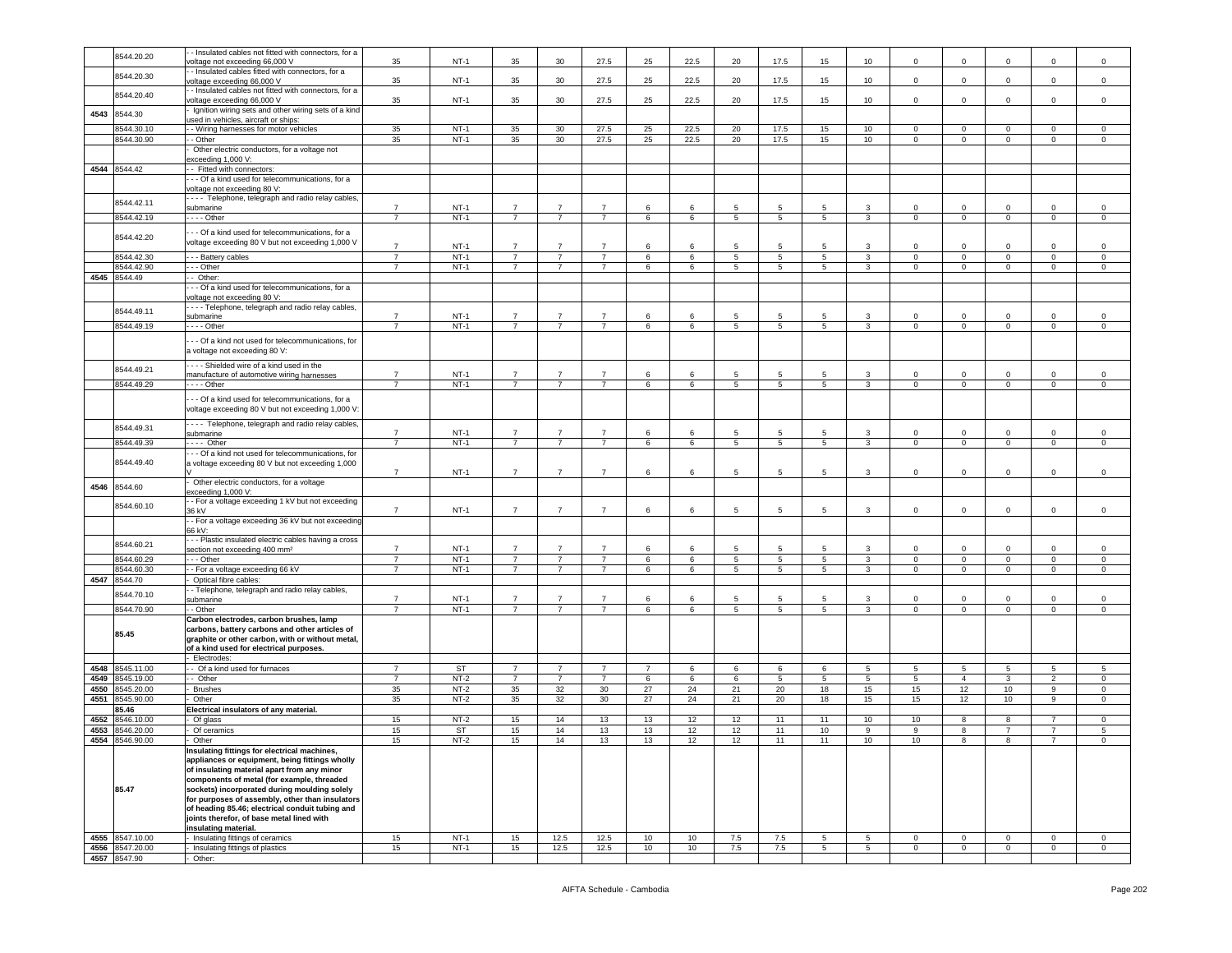|      |                                 | - Insulated cables not fitted with connectors, for a               |                                  |           |                                  |                                  |                                  |                |         |                |                 |             |                 |                |                |                 |                |                |
|------|---------------------------------|--------------------------------------------------------------------|----------------------------------|-----------|----------------------------------|----------------------------------|----------------------------------|----------------|---------|----------------|-----------------|-------------|-----------------|----------------|----------------|-----------------|----------------|----------------|
|      | 8544.20.20                      | voltage not exceeding 66,000 V                                     | 35                               | $NT-1$    | 35                               | 30                               | 27.5                             | 25             | 22.5    | 20             | 17.5            | 15          | 10              | $\mathbf 0$    | $\mathbf 0$    | 0               | $\mathbf 0$    | $\mathbf 0$    |
|      |                                 | - Insulated cables fitted with connectors, for a                   |                                  |           |                                  |                                  |                                  |                |         |                |                 |             |                 |                |                |                 |                |                |
|      | 8544.20.30                      | voltage exceeding 66,000 V                                         | 35                               | $NT-1$    | 35                               | 30                               | 27.5                             | 25             | 22.5    | 20             | 17.5            | 15          | 10              | $\mathbf 0$    | $\mathbf 0$    | $\mathsf 0$     | $\mathbf 0$    | $\mathbf 0$    |
|      |                                 | - Insulated cables not fitted with connectors, for a               |                                  |           |                                  |                                  |                                  |                |         |                |                 |             |                 |                |                |                 |                |                |
|      | 8544.20.40                      | voltage exceeding 66,000 V                                         | 35                               | $NT-1$    | 35                               | 30                               | 27.5                             | 25             | 22.5    | 20             | 17.5            | 15          | 10              | $\mathbf 0$    | $\mathbf 0$    | $\mathbf 0$     | $\mathbf 0$    | $\mathsf 0$    |
|      |                                 | Ignition wiring sets and other wiring sets of a kind               |                                  |           |                                  |                                  |                                  |                |         |                |                 |             |                 |                |                |                 |                |                |
| 4543 | 8544.30                         | used in vehicles, aircraft or ships:                               |                                  |           |                                  |                                  |                                  |                |         |                |                 |             |                 |                |                |                 |                |                |
|      | 8544.30.10                      | - Wiring harnesses for motor vehicles                              | 35                               | $NT-1$    | 35                               | 30                               | 27.5                             | 25             | 22.5    | 20             | 17.5            | 15          | 10              | $\mathbf 0$    | $\mathbf{0}$   | $\mathbf 0$     | $\circ$        | $\mathbf 0$    |
|      | 8544.30.90                      | - Other                                                            | 35                               | $NT-1$    | 35                               | 30                               | 27.5                             | 25             | 22.5    | 20             | 17.5            | 15          | 10              | 0              | $\mathbf{0}$   | $\mathbf{0}$    | $\mathbf 0$    | $\circ$        |
|      |                                 |                                                                    |                                  |           |                                  |                                  |                                  |                |         |                |                 |             |                 |                |                |                 |                |                |
|      |                                 | Other electric conductors, for a voltage not                       |                                  |           |                                  |                                  |                                  |                |         |                |                 |             |                 |                |                |                 |                |                |
|      |                                 | exceeding 1,000 V:                                                 |                                  |           |                                  |                                  |                                  |                |         |                |                 |             |                 |                |                |                 |                |                |
|      | 4544 8544.42                    | - Fitted with connectors:                                          |                                  |           |                                  |                                  |                                  |                |         |                |                 |             |                 |                |                |                 |                |                |
|      |                                 | -- Of a kind used for telecommunications, for a                    |                                  |           |                                  |                                  |                                  |                |         |                |                 |             |                 |                |                |                 |                |                |
|      |                                 | voltage not exceeding 80 V:                                        |                                  |           |                                  |                                  |                                  |                |         |                |                 |             |                 |                |                |                 |                |                |
|      | 8544.42.11                      | --- Telephone, telegraph and radio relay cables,                   |                                  |           |                                  | $\overline{7}$                   |                                  | 6              |         |                |                 |             |                 |                |                |                 |                |                |
|      |                                 | submarine                                                          | 7                                | $NT-1$    | $\overline{7}$                   |                                  |                                  |                | 6       | 5              | 5               | 5           | 3               | 0              | $\mathbf 0$    | 0               | $\mathbf 0$    | $\mathbf 0$    |
|      | 8544.42.19                      | - - - - Other                                                      | $\overline{7}$                   | $NT-1$    | $7^{\circ}$                      | $\overline{7}$                   | $\overline{7}$                   | 6              | 6       | 5              | $5\phantom{.0}$ | 5           | $\overline{3}$  | $\circ$        | $\mathbf{0}$   | $\overline{0}$  | $\overline{0}$ | $\mathbf{0}$   |
|      |                                 | - - Of a kind used for telecommunications, for a                   |                                  |           |                                  |                                  |                                  |                |         |                |                 |             |                 |                |                |                 |                |                |
|      | 8544.42.20                      | voltage exceeding 80 V but not exceeding 1,000 V                   | $\overline{7}$                   | $NT-1$    | $\overline{7}$                   | $\overline{7}$                   | $\overline{7}$                   | 6              | 6       | 5              | 5               | 5           | 3               |                | $\mathbf 0$    | 0               |                | $\mathbf 0$    |
|      |                                 |                                                                    |                                  |           |                                  |                                  |                                  |                |         |                |                 |             |                 |                |                |                 | $\mathbf 0$    |                |
|      | 8544.42.30                      | - - - Battery cables                                               | $\overline{7}$<br>$\overline{7}$ | $NT-1$    | $\overline{7}$<br>$\overline{7}$ | $\overline{7}$<br>$\overline{7}$ | $\overline{7}$<br>$\overline{7}$ | 6              | 6       | 5              | 5               | 5           | $\mathbf{3}$    | 0              | $\mathbf{0}$   | $\circ$         | $\mathbf 0$    | $\mathsf 0$    |
|      | 8544.42.90                      | - - - Other                                                        |                                  | $NT-1$    |                                  |                                  |                                  | 6              | 6       | $\overline{5}$ | 5               | 5           | $\overline{3}$  | $\mathbf 0$    | $\overline{0}$ | $\overline{0}$  | $\overline{0}$ | $\overline{0}$ |
| 4545 | 8544.49                         | - Other:                                                           |                                  |           |                                  |                                  |                                  |                |         |                |                 |             |                 |                |                |                 |                |                |
|      |                                 | - - Of a kind used for telecommunications, for a                   |                                  |           |                                  |                                  |                                  |                |         |                |                 |             |                 |                |                |                 |                |                |
|      |                                 | voltage not exceeding 80 V:                                        |                                  |           |                                  |                                  |                                  |                |         |                |                 |             |                 |                |                |                 |                |                |
|      | 8544.49.11                      | --- Telephone, telegraph and radio relay cables                    | $\overline{7}$                   | $NT-1$    | $\overline{7}$                   | $\overline{7}$                   | $\overline{7}$                   | 6              | 6       | 5              | 5               | 5           | 3               | $\Omega$       | $\Omega$       | 0               | $\mathbf 0$    | $\mathbf 0$    |
|      | 8544.49.19                      | submarine                                                          | 7                                | $NT-1$    | $\overline{7}$                   | $\overline{7}$                   | $\overline{7}$                   |                |         |                | 5               |             |                 |                |                |                 | $\circ$        |                |
|      |                                 | - - - - Other                                                      |                                  |           |                                  |                                  |                                  | 6              | 6       | 5              |                 | 5           | 3               | 0              | $\mathbf{0}$   | $\mathbf{0}$    |                | $\circ$        |
|      |                                 | -- Of a kind not used for telecommunications, for                  |                                  |           |                                  |                                  |                                  |                |         |                |                 |             |                 |                |                |                 |                |                |
|      |                                 | a voltage not exceeding 80 V:                                      |                                  |           |                                  |                                  |                                  |                |         |                |                 |             |                 |                |                |                 |                |                |
|      |                                 | ---- Shielded wire of a kind used in the                           |                                  |           |                                  |                                  |                                  |                |         |                |                 |             |                 |                |                |                 |                |                |
|      | 8544.49.21                      | manufacture of automotive wiring harnesses                         | $\overline{7}$                   | $NT-1$    | $\overline{7}$                   | $\overline{7}$                   | $\overline{7}$                   | 6              | 6       | 5              | 5               | 5           | 3               | $\Omega$       | $\mathbf 0$    | $\mathbf 0$     | $\mathsf 0$    | $\mathbf 0$    |
|      | 8544.49.29                      | - - - - Other                                                      | $\overline{7}$                   | $NT-1$    | $\overline{7}$                   | $\overline{7}$                   | $\overline{7}$                   | 6              | 6       | 5              | $5\phantom{.0}$ | $5^{\circ}$ | $\mathbf{3}$    | 0              | $\mathbf 0$    | $\mathbf{0}$    | $\mathbf 0$    | 0              |
|      |                                 |                                                                    |                                  |           |                                  |                                  |                                  |                |         |                |                 |             |                 |                |                |                 |                |                |
|      |                                 | - - Of a kind used for telecommunications, for a                   |                                  |           |                                  |                                  |                                  |                |         |                |                 |             |                 |                |                |                 |                |                |
|      |                                 | voltage exceeding 80 V but not exceeding 1,000 V:                  |                                  |           |                                  |                                  |                                  |                |         |                |                 |             |                 |                |                |                 |                |                |
|      |                                 | - - - - Telephone, telegraph and radio relay cables,               |                                  |           |                                  |                                  |                                  |                |         |                |                 |             |                 |                |                |                 |                |                |
|      | 8544.49.31                      | submarine                                                          | 7                                | $NT-1$    | $\overline{7}$                   | $\overline{7}$                   | $\overline{7}$                   | 6              | 6       | 5              | 5               | 5           | 3               | $\Omega$       | $\Omega$       | $\mathbf 0$     | $\mathbf 0$    | $\mathsf 0$    |
|      | 8544.49.39                      | $---$ Other                                                        | $\overline{7}$                   | $NT-1$    | $\overline{7}$                   | $\overline{7}$                   | $\overline{7}$                   | 6              | 6       | 5              | $5\overline{5}$ | 5           | $\mathbf{3}$    | $\mathbf 0$    | $\mathbf{0}$   | $\overline{0}$  | $\overline{0}$ | $\circ$        |
|      |                                 | -- Of a kind not used for telecommunications, for                  |                                  |           |                                  |                                  |                                  |                |         |                |                 |             |                 |                |                |                 |                |                |
|      | 8544.49.40                      | a voltage exceeding 80 V but not exceeding 1,000                   |                                  |           |                                  |                                  |                                  |                |         |                |                 |             |                 |                |                |                 |                |                |
|      |                                 |                                                                    | $\overline{7}$                   | $NT-1$    | $\overline{7}$                   | $\overline{7}$                   | $\overline{7}$                   | 6              | 6       | 5              | $5\phantom{.0}$ | 5           | 3               | $\mathbf 0$    | $\mathbf 0$    | $\mathbf 0$     | $\mathsf 0$    | $\mathsf 0$    |
|      |                                 | Other electric conductors, for a voltage                           |                                  |           |                                  |                                  |                                  |                |         |                |                 |             |                 |                |                |                 |                |                |
| 4546 | 8544.60                         | xceeding 1,000 V:                                                  |                                  |           |                                  |                                  |                                  |                |         |                |                 |             |                 |                |                |                 |                |                |
|      |                                 | - For a voltage exceeding 1 kV but not exceeding                   |                                  |           |                                  |                                  |                                  |                |         |                |                 |             |                 |                |                |                 |                |                |
|      | 8544.60.10                      | 36 kV                                                              | $\overline{7}$                   | $NT-1$    | $\overline{7}$                   | $\overline{7}$                   | $\overline{7}$                   | 6              | 6       | 5              | 5               | 5           | 3               | $\mathbf 0$    | 0              | $\mathbf 0$     | $\mathbf 0$    | $\mathsf 0$    |
|      |                                 | - For a voltage exceeding 36 kV but not exceeding                  |                                  |           |                                  |                                  |                                  |                |         |                |                 |             |                 |                |                |                 |                |                |
|      |                                 | 6 kV:                                                              |                                  |           |                                  |                                  |                                  |                |         |                |                 |             |                 |                |                |                 |                |                |
|      | 8544.60.21                      | - - Plastic insulated electric cables having a cross               |                                  |           |                                  |                                  |                                  |                |         |                |                 |             |                 |                |                |                 |                |                |
|      |                                 | section not exceeding 400 mm <sup>2</sup>                          | $\overline{7}$                   | $NT-1$    | $\overline{7}$                   | $\overline{7}$                   | $\overline{7}$                   | 6              | 6       | 5              | 5               | 5           | 3               | $\circ$        | $\mathbf 0$    | $\Omega$        | $\circ$        | $\mathsf 0$    |
|      | 8544.60.29                      | - - Other                                                          | 7                                | $NT-1$    | $\overline{7}$                   | 7                                | $\overline{7}$                   | 6              | 6       | 5              | $5\phantom{.0}$ | 5           | 3               | $\mathbf 0$    | $\mathbf{0}$   | $\overline{0}$  | $\circ$        | $\mathbf 0$    |
|      | 8544.60.30                      | - For a voltage exceeding 66 kV                                    | $\overline{7}$                   | $NT-1$    | $\overline{7}$                   | $\overline{7}$                   | $\overline{7}$                   | 6              | 6       | 5              | 5               | $5^{\circ}$ | $\mathbf{3}$    | 0              | $\mathbf 0$    | $\circ$         | $\mathbf 0$    | $\mathbf 0$    |
| 4547 | 8544.70                         | Optical fibre cables:                                              |                                  |           |                                  |                                  |                                  |                |         |                |                 |             |                 |                |                |                 |                |                |
|      | 8544.70.10                      | - Telephone, telegraph and radio relay cables,                     |                                  |           |                                  |                                  |                                  |                |         |                |                 |             |                 |                |                |                 |                |                |
|      |                                 | submarine                                                          | $\overline{7}$                   | $NT-1$    | $\overline{7}$                   | $\overline{7}$                   | $\overline{7}$                   | 6              | 6       | 5              | 5               | 5           | 3               | $\mathbf 0$    | $\mathbf 0$    | 0               | 0              | $\mathbf 0$    |
|      | 8544.70.90                      | - Other                                                            | $\overline{7}$                   | $NT-1$    | $\overline{7}$                   | $\overline{7}$                   | $\overline{7}$                   | 6              | 6       | 5              | 5               | 5           | $\mathbf{3}$    | $\mathbf 0$    | $\mathbf{0}$   | $\circ$         | $\circ$        | $\circ$        |
|      |                                 | Carbon electrodes, carbon brushes, lamp                            |                                  |           |                                  |                                  |                                  |                |         |                |                 |             |                 |                |                |                 |                |                |
|      | 85.45                           | carbons, battery carbons and other articles of                     |                                  |           |                                  |                                  |                                  |                |         |                |                 |             |                 |                |                |                 |                |                |
|      |                                 | graphite or other carbon, with or without metal,                   |                                  |           |                                  |                                  |                                  |                |         |                |                 |             |                 |                |                |                 |                |                |
|      |                                 | of a kind used for electrical purposes.                            |                                  |           |                                  |                                  |                                  |                |         |                |                 |             |                 |                |                |                 |                |                |
|      |                                 | - Electrodes:                                                      |                                  |           |                                  |                                  |                                  |                |         |                |                 |             |                 |                |                |                 |                |                |
| 4548 | 8545.11.00                      | Of a kind used for furnaces                                        | $\overline{7}$                   | <b>ST</b> | $\overline{7}$                   | $\overline{7}$                   | $\overline{7}$                   | $\overline{7}$ | $\,6\,$ | 6              | $\,6\,$         | 6           | $5\phantom{.0}$ | 5              | $\sqrt{5}$     | $5\phantom{.0}$ | $\,$ 5 $\,$    | $\overline{5}$ |
| 4549 | 8545.19.00                      | - Other                                                            | $\overline{7}$                   | $NT-2$    | $\overline{7}$                   | $\overline{7}$                   | $\overline{7}$                   | 6              | 6       | 6              | $5\phantom{.0}$ | 5           | 5               | 5              | $\overline{4}$ | $\mathbf{3}$    | $\overline{2}$ | $\mathbf 0$    |
| 4550 | 3545.20.00                      | <b>Brushes</b>                                                     | 35                               | $NT-2$    | 35                               | 32                               | 30                               | 27             | 24      | 21             | 20              | 18          | 15              | 15             | 12             | 10              | 9              | $\mathbf 0$    |
| 4551 | 8545.90.00                      | Other                                                              | 35                               | $NT-2$    | 35                               | 32                               | 30                               | 27             | 24      | 21             | 20              | 18          | 15              | 15             | 12             | 10              | 9              | $\circ$        |
|      | 85.46                           | Electrical insulators of any material.                             |                                  |           |                                  |                                  |                                  |                |         |                |                 |             |                 |                |                |                 |                |                |
| 4552 | 8546.10.00                      | Of glass                                                           | 15                               | $NT-2$    | 15                               | 14                               | 13                               | 13             | 12      | 12             | 11              | 11          | 10              | 10             | 8              | 8               | $\overline{7}$ | $\mathbf 0$    |
| 4553 | 8546.20.00                      | Of ceramics                                                        | 15                               | <b>ST</b> | 15                               | 14                               | 13                               | 13             | 12      | 12             | 11              | 10          | 9               | 9              | 8              | $\overline{7}$  | $\overline{7}$ | 5              |
|      | 4554 8546.90.00                 | Other                                                              | 15                               | $NT-2$    | 15                               | 14                               | 13                               | 13             | 12      | 12             | 11              | 11          | 10 <sub>1</sub> | 10             | 8              | 8               |                | $\mathbf 0$    |
|      |                                 | Insulating fittings for electrical machines,                       |                                  |           |                                  |                                  |                                  |                |         |                |                 |             |                 |                |                |                 |                |                |
|      |                                 | appliances or equipment, being fittings wholly                     |                                  |           |                                  |                                  |                                  |                |         |                |                 |             |                 |                |                |                 |                |                |
|      |                                 | of insulating material apart from any minor                        |                                  |           |                                  |                                  |                                  |                |         |                |                 |             |                 |                |                |                 |                |                |
|      |                                 | components of metal (for example, threaded                         |                                  |           |                                  |                                  |                                  |                |         |                |                 |             |                 |                |                |                 |                |                |
|      | 85.47                           | sockets) incorporated during moulding solely                       |                                  |           |                                  |                                  |                                  |                |         |                |                 |             |                 |                |                |                 |                |                |
|      |                                 | for purposes of assembly, other than insulators                    |                                  |           |                                  |                                  |                                  |                |         |                |                 |             |                 |                |                |                 |                |                |
|      |                                 | of heading 85.46; electrical conduit tubing and                    |                                  |           |                                  |                                  |                                  |                |         |                |                 |             |                 |                |                |                 |                |                |
|      |                                 | joints therefor, of base metal lined with                          |                                  |           |                                  |                                  |                                  |                |         |                |                 |             |                 |                |                |                 |                |                |
|      |                                 | insulating material.                                               |                                  |           |                                  |                                  |                                  |                |         |                |                 |             |                 |                |                |                 |                |                |
|      | 4555 8547.10.00                 | Insulating fittings of ceramics<br>Insulating fittings of plastics | 15                               | $NT-1$    | 15                               | 12.5                             | 12.5                             | 10             | 10      | 7.5            | 7.5             | 5           | $5^{\circ}$     | $\mathbf 0$    | $\mathbf 0$    | $\circ$         | $\mathbf 0$    | $\mathbf 0$    |
|      |                                 |                                                                    | 15                               | $NT-1$    | 15 <sub>15</sub>                 | 12.5                             | 12.5                             | 10             | 10      | 7.5            | 7.5             | $5^{\circ}$ | 5 <sub>5</sub>  | $\overline{0}$ | $\mathbf 0$    | $\mathbf{0}$    | $\overline{0}$ | $\circ$        |
|      | 4556 8547.20.00<br>4557 8547.90 | Other:                                                             |                                  |           |                                  |                                  |                                  |                |         |                |                 |             |                 |                |                |                 |                |                |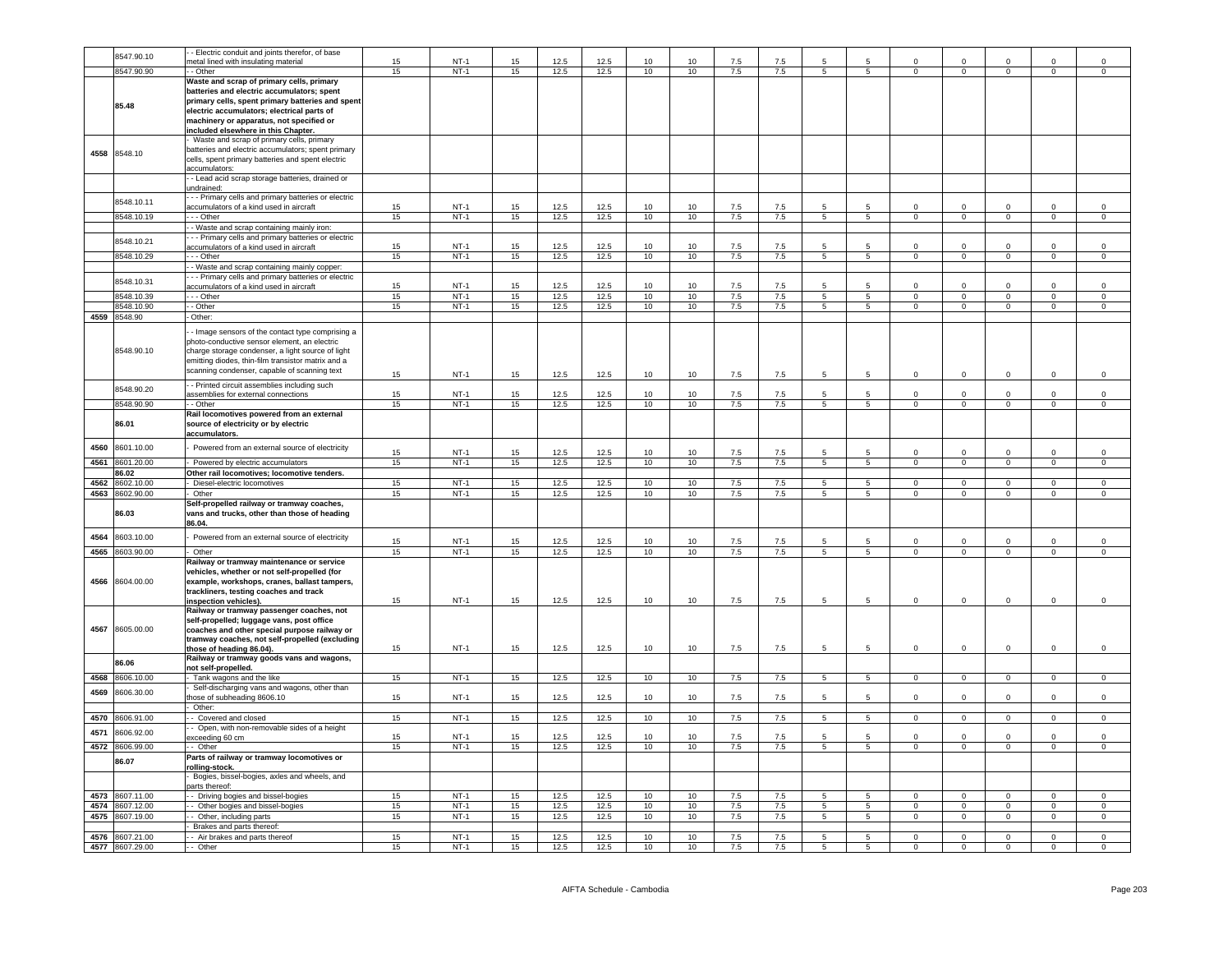|      |                 | - Electric conduit and joints therefor, of base                                                                                                                                                                      |    |        |    |              |              |    |                 |     |     |                 |                 |                |                |                |                |                     |
|------|-----------------|----------------------------------------------------------------------------------------------------------------------------------------------------------------------------------------------------------------------|----|--------|----|--------------|--------------|----|-----------------|-----|-----|-----------------|-----------------|----------------|----------------|----------------|----------------|---------------------|
|      | 8547.90.10      | metal lined with insulating material                                                                                                                                                                                 | 15 | $NT-1$ | 15 | 12.5         | 12.5         | 10 | 10 <sup>1</sup> | 7.5 | 7.5 | 5               |                 | $\Omega$       | $\Omega$       | $\Omega$       | $\Omega$       | $\Omega$            |
|      | 8547.90.90      | - Other                                                                                                                                                                                                              | 15 | $NT-1$ | 15 | 12.5         | 12.5         | 10 | 10              | 7.5 | 7.5 | $\overline{5}$  | 5               | $\overline{0}$ | $\overline{0}$ | $\overline{0}$ | $\overline{0}$ | $\overline{0}$      |
|      |                 |                                                                                                                                                                                                                      |    |        |    |              |              |    |                 |     |     |                 |                 |                |                |                |                |                     |
|      | 85.48           | Waste and scrap of primary cells, primary<br>batteries and electric accumulators; spent<br>primary cells, spent primary batteries and spent                                                                          |    |        |    |              |              |    |                 |     |     |                 |                 |                |                |                |                |                     |
|      |                 | electric accumulators; electrical parts of<br>machinery or apparatus, not specified or                                                                                                                               |    |        |    |              |              |    |                 |     |     |                 |                 |                |                |                |                |                     |
|      |                 | included elsewhere in this Chapter.                                                                                                                                                                                  |    |        |    |              |              |    |                 |     |     |                 |                 |                |                |                |                |                     |
|      |                 | - Waste and scrap of primary cells, primary                                                                                                                                                                          |    |        |    |              |              |    |                 |     |     |                 |                 |                |                |                |                |                     |
| 4558 | 8548.10         | batteries and electric accumulators: spent primary<br>cells, spent primary batteries and spent electric<br>accumulators:                                                                                             |    |        |    |              |              |    |                 |     |     |                 |                 |                |                |                |                |                     |
|      |                 | - Lead acid scrap storage batteries, drained or                                                                                                                                                                      |    |        |    |              |              |    |                 |     |     |                 |                 |                |                |                |                |                     |
|      |                 | undrained:                                                                                                                                                                                                           |    |        |    |              |              |    |                 |     |     |                 |                 |                |                |                |                |                     |
|      |                 | - - Primary cells and primary batteries or electric                                                                                                                                                                  |    |        |    |              |              |    |                 |     |     |                 |                 |                |                |                |                |                     |
|      | 8548.10.11      | accumulators of a kind used in aircraft                                                                                                                                                                              | 15 | $NT-1$ | 15 | 12.5         | 12.5         | 10 | 10 <sup>1</sup> | 7.5 | 7.5 | 5               | $5\overline{5}$ | $\Omega$       | $\mathbf 0$    | $\Omega$       | $\Omega$       | $\Omega$            |
|      | 8548.10.19      | - - Other                                                                                                                                                                                                            | 15 | $NT-1$ | 15 | 12.5         | 12.5         | 10 | 10              | 7.5 | 7.5 | 5               | 5               | $\mathbf 0$    | $\mathsf 0$    | $\circ$        | $\mathsf 0$    | $\mathsf{O}\xspace$ |
|      |                 |                                                                                                                                                                                                                      |    |        |    |              |              |    |                 |     |     |                 |                 |                |                |                |                |                     |
|      |                 | - Waste and scrap containing mainly iron:                                                                                                                                                                            |    |        |    |              |              |    |                 |     |     |                 |                 |                |                |                |                |                     |
|      | 8548.10.21      | - - Primary cells and primary batteries or electric                                                                                                                                                                  |    |        |    |              |              |    |                 |     |     |                 |                 |                |                |                |                |                     |
|      |                 | accumulators of a kind used in aircraft                                                                                                                                                                              | 15 | $NT-1$ | 15 | 12.5         | 12.5         | 10 | 10              | 7.5 | 7.5 |                 |                 | 0              | $\mathbf 0$    |                | $\mathbf 0$    | $\mathbf 0$         |
|      | 8548.10.29      | --- Other                                                                                                                                                                                                            | 15 | $NT-1$ | 15 | 12.5         | 12.5         | 10 | 10              | 7.5 | 7.5 | $5\overline{5}$ | 5 <sub>5</sub>  | $\overline{0}$ | $\overline{0}$ | $\mathbf{0}$   | $\mathbf{0}$   | $\mathbf 0$         |
|      |                 | - - Waste and scrap containing mainly copper:                                                                                                                                                                        |    |        |    |              |              |    |                 |     |     |                 |                 |                |                |                |                |                     |
|      | 8548.10.31      | - - Primary cells and primary batteries or electric                                                                                                                                                                  |    |        |    |              |              |    |                 |     |     |                 |                 |                |                |                |                |                     |
|      |                 | accumulators of a kind used in aircraft                                                                                                                                                                              | 15 | $NT-1$ | 15 | 12.5         | 12.5         | 10 | 10              | 7.5 | 7.5 | 5               | $5^{\circ}$     | $\Omega$       | $\mathsf 0$    | $\Omega$       | $\Omega$       | $\Omega$            |
|      | 8548.10.39      | $- -$ Other                                                                                                                                                                                                          | 15 | $NT-1$ | 15 | 12.5         | 12.5         | 10 | 10              | 7.5 | 7.5 | $5\overline{)}$ | $5\overline{)}$ | $\Omega$       | $\overline{0}$ | $\overline{0}$ | $\overline{0}$ | $\overline{0}$      |
|      | 8548.10.90      | - - Other                                                                                                                                                                                                            | 15 | $NT-1$ | 15 | 12.5         | 12.5         | 10 | 10              | 7.5 | 7.5 | $\overline{5}$  | $\overline{5}$  | $\overline{0}$ | $\overline{0}$ | $\overline{0}$ | $\overline{0}$ | $\Omega$            |
|      | 4559 8548.90    | - Other:                                                                                                                                                                                                             |    |        |    |              |              |    |                 |     |     |                 |                 |                |                |                |                |                     |
|      | 8548.90.10      | - Image sensors of the contact type comprising a<br>photo-conductive sensor element, an electric<br>charge storage condenser, a light source of light                                                                |    |        |    |              |              |    |                 |     |     |                 |                 |                |                |                |                |                     |
|      |                 | emitting diodes, thin-film transistor matrix and a                                                                                                                                                                   |    |        |    |              |              |    |                 |     |     |                 |                 |                |                |                |                |                     |
|      |                 | scanning condenser, capable of scanning text                                                                                                                                                                         | 15 | $NT-1$ | 15 | 12.5         | 12.5         | 10 | 10              | 7.5 | 7.5 | 5               | 5               | $\circ$        | $\mathbf 0$    | $\mathsf 0$    | $\mathsf 0$    | $\mathsf 0$         |
|      |                 | - Printed circuit assemblies including such                                                                                                                                                                          |    |        |    |              |              |    |                 |     |     |                 |                 |                |                |                |                |                     |
|      | 8548.90.20      | assemblies for external connections                                                                                                                                                                                  | 15 | $NT-1$ | 15 | 12.5         | 12.5         | 10 | 10              | 7.5 | 7.5 | 5               | 5.              | $\Omega$       | $\mathsf 0$    | $\Omega$       | $\Omega$       | $\mathsf{O}\xspace$ |
|      | 8548.90.90      | - - Other                                                                                                                                                                                                            | 15 | $NT-1$ | 15 | 12.5         | 12.5         | 10 | 10              | 7.5 | 7.5 | $5\overline{)}$ | 5               | $\overline{0}$ | $\overline{0}$ | $\overline{0}$ | $\overline{0}$ | $\overline{0}$      |
|      |                 | Rail locomotives powered from an external                                                                                                                                                                            |    |        |    |              |              |    |                 |     |     |                 |                 |                |                |                |                |                     |
|      | 86.01           | source of electricity or by electric<br>accumulators.                                                                                                                                                                |    |        |    |              |              |    |                 |     |     |                 |                 |                |                |                |                |                     |
| 4560 | 8601.10.00      | Powered from an external source of electricity                                                                                                                                                                       | 15 | $NT-1$ | 15 | 12.5         | 12.5         | 10 | 10              | 7.5 | 7.5 | 5               | -5              | $\Omega$       | $\mathbf 0$    | $\Omega$       | $\Omega$       | $\Omega$            |
|      |                 |                                                                                                                                                                                                                      |    | $NT-1$ |    |              |              |    |                 |     |     |                 |                 | $\Omega$       | $\overline{0}$ | $\overline{0}$ | $\overline{0}$ | $\overline{0}$      |
| 4561 | 8601.20.00      | - Powered by electric accumulators                                                                                                                                                                                   | 15 |        | 15 | 12.5         | 12.5         | 10 | 10              | 7.5 | 7.5 | $5\overline{)}$ | $5\overline{)}$ |                |                |                |                |                     |
|      | 86.02           | Other rail locomotives; locomotive tenders.                                                                                                                                                                          |    |        |    |              |              |    |                 |     |     |                 |                 |                |                |                |                |                     |
| 4562 | 8602.10.00      | - Diesel-electric locomotives                                                                                                                                                                                        | 15 | $NT-1$ | 15 | 12.5         | 12.5         | 10 | 10              | 7.5 | 7.5 | 5               | 5               | $\Omega$       | $\mathbf 0$    | $\mathbf{0}$   | $\mathbf 0$    | $^{\circ}$          |
| 4563 | 8602.90.00      | Other                                                                                                                                                                                                                | 15 | $NT-1$ | 15 | 12.5         | 12.5         | 10 | 10              | 7.5 | 7.5 | 5               | $5\phantom{.0}$ | $\Omega$       | $\overline{0}$ | $\overline{0}$ | $\overline{0}$ | $\mathsf 0$         |
|      | 86.03           | Self-propelled railway or tramway coaches,<br>vans and trucks, other than those of heading<br>86.04.                                                                                                                 |    |        |    |              |              |    |                 |     |     |                 |                 |                |                |                |                |                     |
| 4564 | 8603.10.00      | Powered from an external source of electricity                                                                                                                                                                       | 15 | $NT-1$ | 15 | 12.5         | 12.5         | 10 | 10              | 7.5 | 7.5 | 5               | $5\overline{5}$ | $\mathsf 0$    | $\mathsf 0$    | $\mathsf 0$    | $\mathbf 0$    | $\mathsf{O}\xspace$ |
| 4565 | 8603.90.00      | Other                                                                                                                                                                                                                | 15 | $NT-1$ | 15 | 12.5         | 12.5         | 10 | 10              | 7.5 | 7.5 | 5               | 5 <sub>5</sub>  | $\mathbf 0$    | $\mathsf 0$    | $\overline{0}$ | $\overline{0}$ | $\mathsf 0$         |
| 4566 | 8604.00.00      | Railway or tramway maintenance or service<br>vehicles, whether or not self-propelled (for<br>example, workshops, cranes, ballast tampers,<br>trackliners, testing coaches and track                                  |    |        |    |              |              |    |                 |     |     |                 |                 |                |                |                |                |                     |
|      |                 | inspection vehicles).                                                                                                                                                                                                | 15 | $NT-1$ | 15 | 12.5         | 12.5         | 10 | 10              | 7.5 | 7.5 | 5               | 5               | $\mathsf 0$    | $\mathsf 0$    | $\mathsf 0$    | $\mathbf 0$    | $\mathbf 0$         |
| 4567 | 8605.00.00      | Railway or tramway passenger coaches, not<br>self-propelled; luggage vans, post office<br>coaches and other special purpose railway or<br>tramway coaches, not self-propelled (excluding<br>those of heading 86.04). | 15 | $NT-1$ | 15 | 12.5         | 12.5         | 10 | 10              | 7.5 | 7.5 | 5               | 5               | $\circ$        | $\mathbf 0$    | $\mathsf 0$    | $\mathsf 0$    | $\mathsf{O}\xspace$ |
|      | 86.06           | Railway or tramway goods vans and wagons,                                                                                                                                                                            |    |        |    |              |              |    |                 |     |     |                 |                 |                |                |                |                |                     |
|      |                 | not self-propelled.                                                                                                                                                                                                  |    |        |    |              |              |    |                 |     |     |                 |                 |                |                |                |                |                     |
| 4568 | 8606.10.00      | - Tank wagons and the like                                                                                                                                                                                           | 15 | $NT-1$ | 15 | 12.5         | 12.5         | 10 | 10              | 7.5 | 7.5 | $5^{\circ}$     | 5 <sub>5</sub>  | $\overline{0}$ | $\mathbf{0}$   | $\mathbf{0}$   | $\overline{0}$ | $\mathbf 0$         |
| 4569 | 8606.30.00      | Self-discharging vans and wagons, other than                                                                                                                                                                         |    |        |    |              |              |    |                 |     |     |                 |                 |                |                |                |                |                     |
|      |                 | those of subheading 8606.10                                                                                                                                                                                          | 15 | $NT-1$ | 15 | 12.5         | 12.5         | 10 | 10              | 7.5 | 7.5 | 5               | 5               | $\mathbf 0$    | $\mathbf 0$    | $\Omega$       | $\Omega$       | $\Omega$            |
|      |                 | - Other                                                                                                                                                                                                              |    |        |    |              |              |    |                 |     |     |                 |                 |                |                |                |                |                     |
| 4570 | 8606.91.00      | - Covered and closed                                                                                                                                                                                                 | 15 | $NT-1$ | 15 | 12.5         | 12.5         | 10 | 10              | 7.5 | 7.5 | $\overline{5}$  | $\overline{5}$  | $\overline{0}$ | $\overline{0}$ | $\overline{0}$ | $\overline{0}$ | $\Omega$            |
| 4571 | 8606.92.00      | - Open, with non-removable sides of a height                                                                                                                                                                         |    |        |    |              |              |    |                 |     |     |                 |                 |                |                |                |                |                     |
| 4572 | 8606.99.00      | exceeding 60 cm                                                                                                                                                                                                      | 15 | $NT-1$ | 15 | 12.5<br>12.5 | 12.5<br>12.5 | 10 | 10              | 75  | 75  | 5               | 5               | $\Omega$       | $\Omega$       | $\Omega$       | $\Omega$       | $\Omega$            |
|      |                 | - Other<br>Parts of railway or tramway locomotives or                                                                                                                                                                | 15 | $NT-1$ | 15 |              |              | 10 | 10              | 7.5 | 7.5 | $\overline{5}$  | 5               | $\overline{0}$ | $\overline{0}$ | $\overline{0}$ | $\overline{0}$ | $\overline{0}$      |
|      | 86.07           | rolling-stock.<br>Bogies, bissel-bogies, axles and wheels, and                                                                                                                                                       |    |        |    |              |              |    |                 |     |     |                 |                 |                |                |                |                |                     |
|      |                 | parts thereof:                                                                                                                                                                                                       |    |        |    |              |              |    |                 |     |     |                 |                 |                |                |                |                |                     |
| 4573 | 8607.11.00      | - Driving bogies and bissel-bogies                                                                                                                                                                                   | 15 | $NT-1$ | 15 | 12.5         | 12.5         | 10 | 10              | 7.5 | 7.5 | $\overline{5}$  | $5 -$           | $\Omega$       | $\overline{0}$ | $\Omega$       | $\overline{0}$ | $\overline{0}$      |
| 4574 | 8607.12.00      | Other bogies and bissel-bogies                                                                                                                                                                                       | 15 | $NT-1$ | 15 | 12.5         | 12.5         | 10 | 10 <sup>1</sup> | 7.5 | 7.5 | 5               | 5               | $\mathsf 0$    | $\mathsf 0$    | $\mathsf 0$    | $\mathsf 0$    | $\mathsf{O}\xspace$ |
| 4575 | 8607.19.00      |                                                                                                                                                                                                                      | 15 | $NT-1$ | 15 | 12.5         | 12.5         | 10 | 10              | 7.5 | 7.5 | 5               | 5               | $\mathbf 0$    | $\mathsf 0$    | $\mathbf 0$    | $\mathbf 0$    | $\Omega$            |
|      |                 | - Other, including parts                                                                                                                                                                                             |    |        |    |              |              |    |                 |     |     |                 |                 |                |                |                |                |                     |
|      |                 | Brakes and parts thereof:                                                                                                                                                                                            |    |        |    |              |              |    |                 |     |     |                 |                 |                |                |                |                |                     |
| 4576 | 8607.21.00      | -- Air brakes and parts thereof                                                                                                                                                                                      | 15 | $NT-1$ | 15 | 12.5         | 12.5         | 10 | 10              | 7.5 | 7.5 | $\overline{5}$  | $\overline{5}$  | $\overline{0}$ | $\overline{0}$ | $\Omega$       | $\overline{0}$ | $\Omega$            |
|      | 4577 8607.29.00 | - Other                                                                                                                                                                                                              | 15 | $NT-1$ | 15 | 12.5         | 12.5         | 10 | 10              | 7.5 | 7.5 | $\overline{5}$  | 5               | $\overline{0}$ | $\overline{0}$ | $\overline{0}$ | $\overline{0}$ | $\overline{0}$      |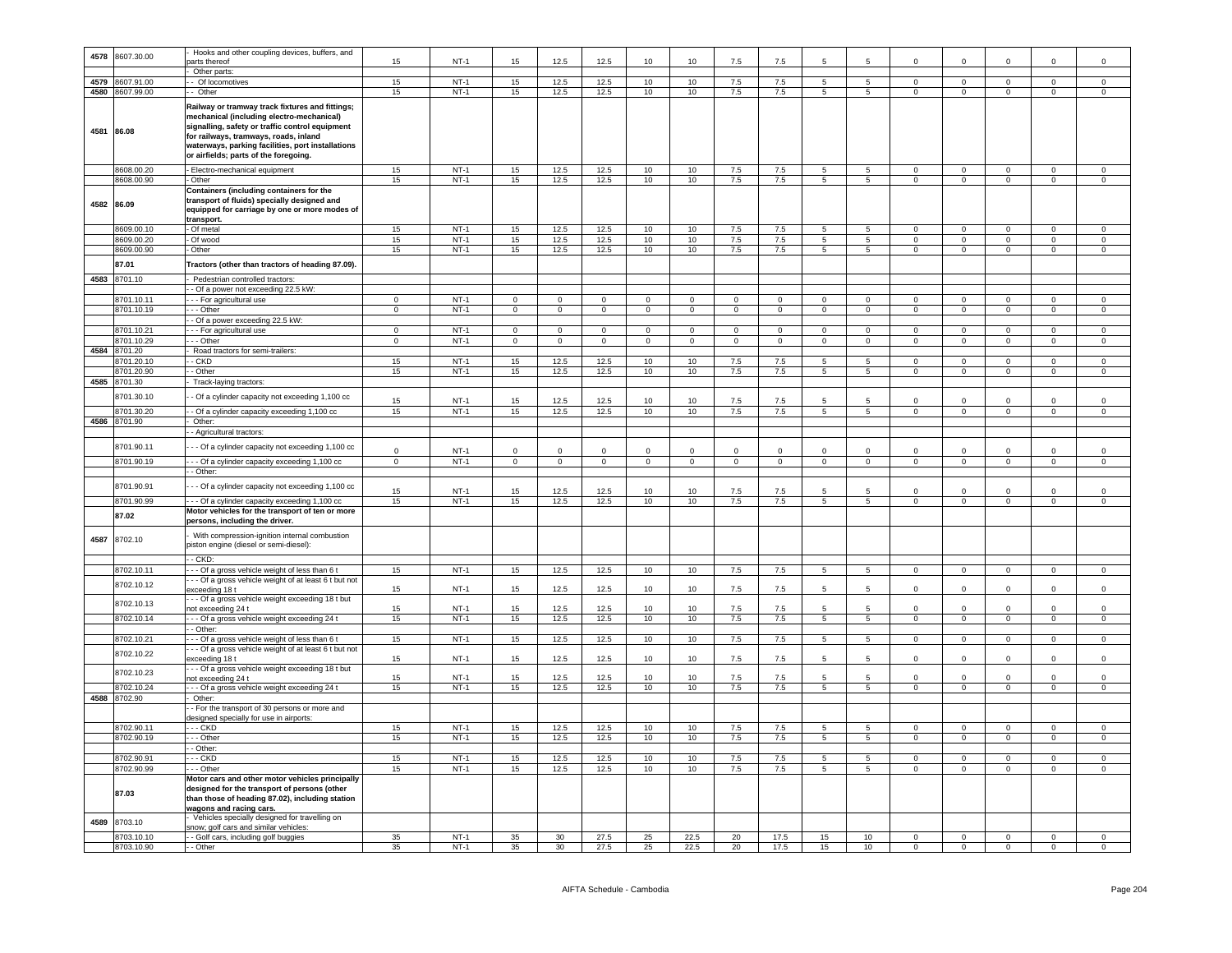| 4578       | 8607.30.00   | Hooks and other coupling devices, buffers, and                                                                                                                                                                                                                                         |             |        |                |                |                |                |                 |                |                |                 |                 |                |                |                |                |                |
|------------|--------------|----------------------------------------------------------------------------------------------------------------------------------------------------------------------------------------------------------------------------------------------------------------------------------------|-------------|--------|----------------|----------------|----------------|----------------|-----------------|----------------|----------------|-----------------|-----------------|----------------|----------------|----------------|----------------|----------------|
|            |              | arts thereof                                                                                                                                                                                                                                                                           | 15          | $NT-1$ | 15             | 12.5           | 12.5           | 10             | 10              | 7.5            | 7.5            | 5               | 5               | $\Omega$       | $\Omega$       | $\mathsf 0$    | $\Omega$       | $\Omega$       |
|            |              | Other parts:                                                                                                                                                                                                                                                                           |             |        |                |                |                |                |                 |                |                |                 |                 |                |                |                |                |                |
| 4579       | 3607.91.00   | - Of locomotives                                                                                                                                                                                                                                                                       | 15          | $NT-1$ | 15             | 12.5           | 12.5           | 10             | 10              | 7.5            | 7.5            | 5               | $5\overline{5}$ | $\circ$        | $\overline{0}$ | $\overline{0}$ | $\overline{0}$ | $\overline{0}$ |
| 4580       | 8607.99.00   | Other                                                                                                                                                                                                                                                                                  | 15          | $NT-1$ | 15             | 12.5           | 12.5           | 10             | 10              | 7.5            | 7.5            | 5               | 5               | $\mathbf 0$    | $\mathbf 0$    | $\mathbf 0$    | $\mathsf 0$    | $\mathbf 0$    |
|            |              |                                                                                                                                                                                                                                                                                        |             |        |                |                |                |                |                 |                |                |                 |                 |                |                |                |                |                |
| 4581       | 86.08        | Railway or tramway track fixtures and fittings;<br>mechanical (including electro-mechanical)<br>signalling, safety or traffic control equipment<br>for railways, tramways, roads, inland<br>waterways, parking facilities, port installations<br>or airfields; parts of the foregoing. |             |        |                |                |                |                |                 |                |                |                 |                 |                |                |                |                |                |
|            | 8608.00.20   | Electro-mechanical equipment                                                                                                                                                                                                                                                           | 15          | $NT-1$ | 15             | 12.5           | 12.5           | 10             | 10              | 7.5            | 7.5            | 5               | 5               | $\mathbf 0$    | $\mathbf 0$    | $\mathbf 0$    | $\mathbf 0$    | $\mathbf 0$    |
|            |              |                                                                                                                                                                                                                                                                                        |             |        |                |                |                |                |                 |                |                |                 |                 |                |                |                |                |                |
|            | 8608.00.90   | Other                                                                                                                                                                                                                                                                                  | 15          | $NT-1$ | 15             | 12.5           | 12.5           | 10             | 10              | 7.5            | 7.5            | 5 <sub>5</sub>  | 5               | $\mathbf{0}$   | $\mathbf{0}$   | $\mathbf{0}$   | $\mathbf{0}$   | $\circ$        |
| 4582 86.09 |              | Containers (including containers for the<br>transport of fluids) specially designed and<br>equipped for carriage by one or more modes of<br>transport.                                                                                                                                 |             |        |                |                |                |                |                 |                |                |                 |                 |                |                |                |                |                |
|            | 8609.00.10   | Of metal                                                                                                                                                                                                                                                                               | 15          | $NT-1$ | 15             | 12.5           | 12.5           | 10             | 10 <sup>1</sup> | 7.5            | 7.5            | 5               | 5               | $\Omega$       | $\Omega$       |                | $\Omega$       | $\Omega$       |
|            | 8609.00.20   | Of wood                                                                                                                                                                                                                                                                                | 15          | $NT-1$ | 15             | 12.5           | 12.5           | 10             | 10              | 7.5            | 7.5            | $5\overline{)}$ | $5\overline{5}$ | $\mathbf 0$    | $\Omega$       | $\mathbf{0}$   | $\mathbf 0$    | $\overline{0}$ |
|            |              |                                                                                                                                                                                                                                                                                        |             |        |                |                |                |                |                 |                |                |                 |                 |                |                |                |                |                |
|            | 8609.00.90   | Other                                                                                                                                                                                                                                                                                  | 15          | $NT-1$ | 15             | 12.5           | 12.5           | 10             | 10              | 7.5            | 7.5            | 5               | $5\overline{5}$ | $\mathbf{0}$   | $\overline{0}$ | $\overline{0}$ | $\overline{0}$ | $\overline{0}$ |
|            | 87.01        | Tractors (other than tractors of heading 87.09).                                                                                                                                                                                                                                       |             |        |                |                |                |                |                 |                |                |                 |                 |                |                |                |                |                |
| 4583       |              |                                                                                                                                                                                                                                                                                        |             |        |                |                |                |                |                 |                |                |                 |                 |                |                |                |                |                |
|            | 8701.10      | Pedestrian controlled tractors:                                                                                                                                                                                                                                                        |             |        |                |                |                |                |                 |                |                |                 |                 |                |                |                |                |                |
|            |              | - Of a power not exceeding 22.5 kW:                                                                                                                                                                                                                                                    |             |        |                |                |                |                |                 |                |                |                 |                 |                |                |                |                |                |
|            | 8701.10.1    | - - For agricultural use                                                                                                                                                                                                                                                               | $\Omega$    | $NT-1$ | $\mathbf 0$    | $\mathbf 0$    | $\Omega$       | $\Omega$       | $\Omega$        | $\Omega$       | $\Omega$       | $\Omega$        | $\Omega$        | $\Omega$       | $\Omega$       | $\Omega$       | $\Omega$       | $\Omega$       |
|            | 8701.10.19   | -- Other                                                                                                                                                                                                                                                                               | $\mathbf 0$ | $NT-1$ | $\overline{0}$ | $\mathbf 0$    | $\overline{0}$ | $\overline{0}$ | $\mathbf{0}$    | $\mathbf 0$    | $\mathbf{0}$   | $\mathbf{0}$    | $\mathbf{0}$    | $\mathbf{0}$   | $\mathbf{0}$   | $\mathbf{0}$   | $\mathbf{0}$   | $\overline{0}$ |
|            |              | - Of a power exceeding 22.5 kW:                                                                                                                                                                                                                                                        |             |        |                |                |                |                |                 |                |                |                 |                 |                |                |                |                |                |
|            |              |                                                                                                                                                                                                                                                                                        |             |        |                |                |                |                |                 |                |                |                 |                 |                |                |                |                |                |
|            | 8701.10.21   | - - For agricultural use                                                                                                                                                                                                                                                               | $\mathbf 0$ | $NT-1$ | $\mathbf 0$    | $\mathbf 0$    | $\mathsf 0$    | $\mathbf 0$    | $\mathbf 0$     | $^{\circ}$     | $^{\circ}$     | $\mathbf{0}$    | $\mathbf 0$     | $\Omega$       | $\mathbf 0$    | $\mathbf 0$    | $\mathsf 0$    | $\mathbf 0$    |
|            | 8701.10.29   | - - Other                                                                                                                                                                                                                                                                              | $\mathbf 0$ | $NT-1$ | $\overline{0}$ | $\overline{0}$ | $\overline{0}$ | $\overline{0}$ | $\mathbf 0$     | $\overline{0}$ | $\overline{0}$ | $\mathbf{0}$    | $\overline{0}$  | $\mathbf 0$    | $\overline{0}$ | $\overline{0}$ | $\overline{0}$ | $\overline{0}$ |
| 4584       | 8701.20      | Road tractors for semi-trailers:                                                                                                                                                                                                                                                       |             |        |                |                |                |                |                 |                |                |                 |                 |                |                |                |                |                |
|            | 3701.20.10   | - CKD                                                                                                                                                                                                                                                                                  | 15          | $NT-1$ | 15             | 12.5           | 12.5           | 10             | 10              | 7.5            | 7.5            | 5               | 5               | $\mathbf 0$    | $\mathbf 0$    | $\mathbf 0$    | $\mathbf 0$    | $\mathbf 0$    |
|            |              |                                                                                                                                                                                                                                                                                        |             |        |                |                |                |                |                 |                |                |                 |                 |                |                |                |                |                |
|            | 8701.20.90   | - Other                                                                                                                                                                                                                                                                                | 15          | $NT-1$ | 15             | 12.5           | 12.5           | 10             | 10              | 7.5            | $7.5\,$        | 5               | $5\phantom{.0}$ | $\mathbf 0$    | $\mathbf 0$    | $\mathbf 0$    | $\mathbf 0$    | $\mathsf 0$    |
| 4585       | 8701.30      | Track-laying tractors:                                                                                                                                                                                                                                                                 |             |        |                |                |                |                |                 |                |                |                 |                 |                |                |                |                |                |
|            | 8701.30.10   |                                                                                                                                                                                                                                                                                        |             |        |                |                |                |                |                 |                |                |                 |                 |                |                |                |                |                |
|            |              | - Of a cylinder capacity not exceeding 1,100 cc                                                                                                                                                                                                                                        | 15          | $NT-1$ | 15             | 12.5           | 12.5           | 10             | 10              | 7.5            | 7.5            |                 | 5               |                | $\Omega$       | 0              | $\mathsf 0$    | $\mathbf 0$    |
|            | 8701.30.20   | - Of a cylinder capacity exceeding 1,100 cc                                                                                                                                                                                                                                            | 15          | $NT-1$ | 15             | 12.5           | 12.5           | 10             | 10              | 7.5            | 7.5            | $5^{\circ}$     | $5^{\circ}$     | $\mathbf{0}$   | $\overline{0}$ | $\overline{0}$ | $\overline{0}$ | $\overline{0}$ |
|            | 4586 8701.90 | Other:                                                                                                                                                                                                                                                                                 |             |        |                |                |                |                |                 |                |                |                 |                 |                |                |                |                |                |
|            |              |                                                                                                                                                                                                                                                                                        |             |        |                |                |                |                |                 |                |                |                 |                 |                |                |                |                |                |
|            |              | - Agricultural tractors:                                                                                                                                                                                                                                                               |             |        |                |                |                |                |                 |                |                |                 |                 |                |                |                |                |                |
|            | 8701.90.11   | - - Of a cylinder capacity not exceeding 1,100 cc                                                                                                                                                                                                                                      |             |        |                |                |                |                |                 |                |                |                 |                 |                |                |                |                |                |
|            |              |                                                                                                                                                                                                                                                                                        | $\Omega$    | $NT-1$ | $\Omega$       | $\Omega$       | $\mathbf 0$    | $\Omega$       | $\mathbf 0$     | $\Omega$       | $^{\circ}$     | $\Omega$        | $\mathbf 0$     | $\Omega$       | $\Omega$       | $\mathbf 0$    | $\mathbf 0$    | $\mathbf 0$    |
|            | 8701.90.19   | - - Of a cylinder capacity exceeding 1,100 cc                                                                                                                                                                                                                                          | $\Omega$    | $NT-1$ | $\overline{0}$ | $\overline{0}$ | $\overline{0}$ | $\overline{0}$ | $\overline{0}$  | $\overline{0}$ | $\overline{0}$ | $\overline{0}$  | $\overline{0}$  | $\Omega$       | $\overline{0}$ | $\overline{0}$ | $\overline{0}$ | $\overline{0}$ |
|            |              | - Other:                                                                                                                                                                                                                                                                               |             |        |                |                |                |                |                 |                |                |                 |                 |                |                |                |                |                |
|            |              |                                                                                                                                                                                                                                                                                        |             |        |                |                |                |                |                 |                |                |                 |                 |                |                |                |                |                |
|            | 8701.90.91   | - - Of a cylinder capacity not exceeding 1,100 cc                                                                                                                                                                                                                                      |             |        |                |                |                |                |                 |                |                |                 |                 |                |                |                |                |                |
|            |              |                                                                                                                                                                                                                                                                                        | 15          | $NT-1$ | 15             | 12.5           | 12.5           | 10             | 10              | 7.5            | 7.5            | 5               | 5               | $\mathbf 0$    | $\mathbf 0$    | $\mathbf 0$    | $\mathsf 0$    | $\mathsf 0$    |
|            | 8701.90.99   | - - Of a cylinder capacity exceeding 1,100 cc                                                                                                                                                                                                                                          | 15          | $NT-1$ | 15             | 12.5           | 12.5           | 10             | 10              | 7.5            | 7.5            | 5               | $5\overline{5}$ | $\overline{0}$ | $\overline{0}$ | $\overline{0}$ | $\overline{0}$ | $\overline{0}$ |
|            |              | Motor vehicles for the transport of ten or more                                                                                                                                                                                                                                        |             |        |                |                |                |                |                 |                |                |                 |                 |                |                |                |                |                |
|            | 87.02        | persons, including the driver                                                                                                                                                                                                                                                          |             |        |                |                |                |                |                 |                |                |                 |                 |                |                |                |                |                |
| 4587       | 8702.10      | With compression-ignition internal combustion<br>oiston engine (diesel or semi-diesel):                                                                                                                                                                                                |             |        |                |                |                |                |                 |                |                |                 |                 |                |                |                |                |                |
|            |              | CKD:                                                                                                                                                                                                                                                                                   |             |        |                |                |                |                |                 |                |                |                 |                 |                |                |                |                |                |
|            | 8702.10.11   | - Of a gross vehicle weight of less than 6 t                                                                                                                                                                                                                                           | 15          | $NT-1$ | 15             | 12.5           | 12.5           | 10             | 10              | $7.5\,$        | 7.5            | $5\overline{5}$ | $5\phantom{.0}$ | $\mathbf 0$    | $\mathsf 0$    | $\mathbf 0$    | $\mathsf 0$    | $\mathbb O$    |
|            |              | - - Of a gross vehicle weight of at least 6 t but not                                                                                                                                                                                                                                  |             |        |                |                |                |                |                 |                |                |                 |                 |                |                |                |                |                |
|            | 8702.10.12   | xceeding 18 t                                                                                                                                                                                                                                                                          | 15          | $NT-1$ | 15             | 12.5           | 12.5           | 10             | 10              | 7.5            | 7.5            | 5               | 5               | $\mathbf 0$    | $\mathbf 0$    | $\mathbf 0$    | $\mathsf 0$    | $\mathsf 0$    |
|            |              | - - Of a gross vehicle weight exceeding 18 t but                                                                                                                                                                                                                                       |             |        |                |                |                |                |                 |                |                |                 |                 |                |                |                |                |                |
|            | 8702.10.13   |                                                                                                                                                                                                                                                                                        | 15          | $NT-1$ | 15             | 12.5           | 12.5           | 10             | 10              | 7.5            | 7.5            | 5               | 5               | $\Omega$       | $\mathbf 0$    | $\mathsf 0$    | $\Omega$       | $\mathbf 0$    |
|            |              | ot exceeding 24 t                                                                                                                                                                                                                                                                      |             |        |                |                |                |                |                 |                |                |                 |                 |                |                |                |                |                |
|            | 8702.10.14   | - - Of a gross vehicle weight exceeding 24 t                                                                                                                                                                                                                                           | 15          | $NT-1$ | 15             | 12.5           | 12.5           | 10             | 10              | 7.5            | 7.5            | $5\overline{5}$ | $5\overline{5}$ | $\mathsf 0$    | $\overline{0}$ | $\overline{0}$ | $\mathsf 0$    | $\overline{0}$ |
|            |              | - Other:                                                                                                                                                                                                                                                                               |             |        |                |                |                |                |                 |                |                |                 |                 |                |                |                |                |                |
|            | 8702.10.21   | - - Of a gross vehicle weight of less than 6 t                                                                                                                                                                                                                                         | 15          | $NT-1$ | 15             | 12.5           | 12.5           | 10             | 10              | 7.5            | 7.5            | 5               | $\overline{5}$  | $\Omega$       | $\overline{0}$ | $\overline{0}$ | $\overline{0}$ | $\overline{0}$ |
|            |              | - - Of a gross vehicle weight of at least 6 t but not                                                                                                                                                                                                                                  |             |        |                |                |                |                |                 |                |                |                 |                 |                |                |                |                |                |
|            | 8702.10.22   | exceeding 18 t                                                                                                                                                                                                                                                                         | 15          | $NT-1$ | 15             | 12.5           | 12.5           | 10             | 10              | $7.5\,$        | 7.5            | 5               | 5               | $\Omega$       | $\mathsf 0$    | $\mathbf 0$    | $\mathbf 0$    | $\mathbf 0$    |
|            |              | - - Of a gross vehicle weight exceeding 18 t but                                                                                                                                                                                                                                       |             |        |                |                |                |                |                 |                |                |                 |                 |                |                |                |                |                |
|            | 3702.10.23   | ot exceeding 24 t                                                                                                                                                                                                                                                                      | 15          | $NT-1$ | 15             | 12.5           | 12.5           | 10             | 10              | 7.5            | 7.5            | 5               | 5               | $\Omega$       | $^{\circ}$     | $\mathbf 0$    | $\mathbf 0$    | $\mathbf 0$    |
|            |              |                                                                                                                                                                                                                                                                                        | 15          | $NT-1$ | 15             | 12.5           | 12.5           |                |                 | 7.5            | 7.5            | 5               | $5\overline{)}$ | $\Omega$       | $\mathbf 0$    |                | $\Omega$       | $\overline{0}$ |
|            | 8702.10.24   | - - Of a gross vehicle weight exceeding 24 t                                                                                                                                                                                                                                           |             |        |                |                |                | 10             | 10              |                |                |                 |                 |                |                | $\circ$        |                |                |
| 4588       | 8702.90      | Other                                                                                                                                                                                                                                                                                  |             |        |                |                |                |                |                 |                |                |                 |                 |                |                |                |                |                |
|            |              | - For the transport of 30 persons or more and                                                                                                                                                                                                                                          |             |        |                |                |                |                |                 |                |                |                 |                 |                |                |                |                |                |
|            |              | designed specially for use in airports:                                                                                                                                                                                                                                                |             |        |                |                |                |                |                 |                |                |                 |                 |                |                |                |                |                |
|            | 8702.90.11   | - - CKD                                                                                                                                                                                                                                                                                | 15          | $NT-1$ | 15             | 12.5           | 12.5           | 10             | 10 <sup>1</sup> | 7.5            | 7.5            | -5              | $5^{\circ}$     | $\Omega$       | $\Omega$       | $\Omega$       | $\Omega$       | $\Omega$       |
|            | 8702.90.19   | - - Other                                                                                                                                                                                                                                                                              | 15          | $NT-1$ | 15             | 12.5           | 12.5           | 10             | 10              | 7.5            | 7.5            | 5               | $5\phantom{.0}$ | $\mathsf 0$    | $\mathbf 0$    | $\mathbf 0$    | $\mathsf 0$    | $\mathbf 0$    |
|            |              |                                                                                                                                                                                                                                                                                        |             |        |                |                |                |                |                 |                |                |                 |                 |                |                |                |                |                |
|            |              | Other:                                                                                                                                                                                                                                                                                 |             |        |                |                |                |                |                 |                |                |                 |                 |                |                |                |                |                |
|            | 8702.90.9    | - - CKD                                                                                                                                                                                                                                                                                | 15          | $NT-1$ | 15             | 12.5           | 12.5           | 10             | 10              | $7.5\,$        | $7.5\,$        | 5               | 5               | $\mathbf 0$    | $\mathbf 0$    | $\mathbf 0$    | $\mathbf 0$    | $\mathsf{O}$   |
|            | 8702.90.99   | - - Other                                                                                                                                                                                                                                                                              | 15          | $NT-1$ | 15             | 12.5           | 12.5           | 10             | 10              | 7.5            | 7.5            | $5\overline{5}$ | $\overline{5}$  | $\mathbf 0$    | $\mathsf 0$    | $\mathbf 0$    | $\mathbf 0$    | $\overline{0}$ |
|            |              | Motor cars and other motor vehicles principally                                                                                                                                                                                                                                        |             |        |                |                |                |                |                 |                |                |                 |                 |                |                |                |                |                |
|            | 87.03        | designed for the transport of persons (other<br>than those of heading 87.02), including station<br>wagons and racing cars.                                                                                                                                                             |             |        |                |                |                |                |                 |                |                |                 |                 |                |                |                |                |                |
| 4589       | 8703.10      | Vehicles specially designed for travelling on                                                                                                                                                                                                                                          |             |        |                |                |                |                |                 |                |                |                 |                 |                |                |                |                |                |
|            |              | snow; golf cars and similar vehicles:                                                                                                                                                                                                                                                  |             |        |                |                |                |                |                 |                |                |                 |                 |                |                |                |                |                |
|            | 8703.10.10   | - Golf cars, including golf buggies                                                                                                                                                                                                                                                    | 35          | $NT-1$ | 35             | 30             | 27.5           | 25             | 22.5            | 20             | 17.5           | 15              | 10              | $\mathbf 0$    | $\mathbf 0$    | $\mathbf 0$    | $\mathbf 0$    | $\mathbf 0$    |
|            | 8703.10.90   | - Other                                                                                                                                                                                                                                                                                | 35          | $NT-1$ | 35             | 30             | 27.5           | 25             | 22.5            | 20             | 17.5           | 15              | 10 <sup>1</sup> | $\Omega$       |                | $\Omega$       | $\Omega$       | $\Omega$       |
|            |              |                                                                                                                                                                                                                                                                                        |             |        |                |                |                |                |                 |                |                |                 |                 |                |                |                |                |                |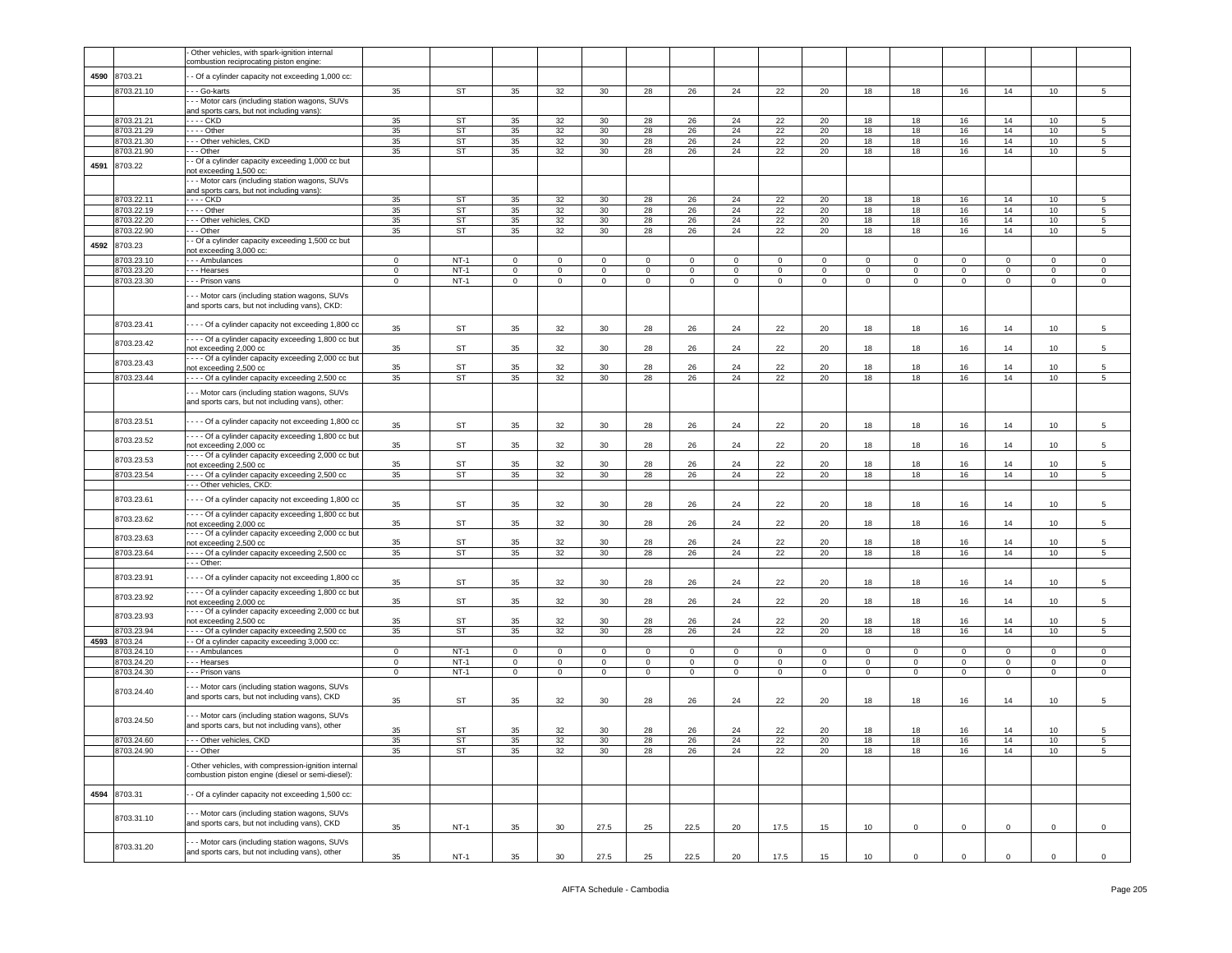|      |                          | - Other vehicles, with spark-ignition internal                                                          |                  |                  |                               |                  |                            |                            |                            |                        |             |                        |                 |                          |                               |              |                  |                            |
|------|--------------------------|---------------------------------------------------------------------------------------------------------|------------------|------------------|-------------------------------|------------------|----------------------------|----------------------------|----------------------------|------------------------|-------------|------------------------|-----------------|--------------------------|-------------------------------|--------------|------------------|----------------------------|
|      |                          | combustion reciprocating piston engine:                                                                 |                  |                  |                               |                  |                            |                            |                            |                        |             |                        |                 |                          |                               |              |                  |                            |
| 4590 | 8703.21                  | - Of a cylinder capacity not exceeding 1,000 cc:                                                        |                  |                  |                               |                  |                            |                            |                            |                        |             |                        |                 |                          |                               |              |                  |                            |
|      | 8703.21.10               | - - Go-karts                                                                                            | 35               | <b>ST</b>        | 35                            | 32               | 30                         | 28                         | 26                         | 24                     | 22          | 20                     | 18              | 18                       | 16                            | 14           | 10               | $\sqrt{5}$                 |
|      |                          | - - Motor cars (including station wagons, SUVs                                                          |                  |                  |                               |                  |                            |                            |                            |                        |             |                        |                 |                          |                               |              |                  |                            |
|      |                          | and sports cars, but not including vans):                                                               |                  |                  |                               |                  |                            |                            |                            |                        |             |                        |                 |                          |                               |              |                  |                            |
|      | 8703.21.21               | - - - - CKD                                                                                             | 35               | ST               | 35                            | 32               | 30                         | 28                         | 26                         | 24                     | 22          | 20                     | 18              | 18                       | 16                            | 14           | 10               | 5                          |
|      | 8703.21.29               | $\cdots$ - Other                                                                                        | 35               | <b>ST</b>        | 35                            | 32               | 30                         | 28                         | 26                         | 24                     | 22          | 20                     | 18              | 18                       | 16                            | 14           | 10               | 5                          |
|      | 8703.21.30<br>8703.21.90 | --- Other vehicles, CKD<br>- - Other                                                                    | 35<br>35         | <b>ST</b><br>ST  | 35<br>35                      | 32<br>32         | 30<br>30                   | 28<br>28                   | 26<br>26                   | 24<br>24               | 22<br>22    | 20<br>20               | 18<br>18        | 18<br>18                 | 16<br>16                      | 14<br>14     | 10<br>10         | 5<br>5                     |
|      |                          | - Of a cylinder capacity exceeding 1,000 cc but                                                         |                  |                  |                               |                  |                            |                            |                            |                        |             |                        |                 |                          |                               |              |                  |                            |
| 4591 | 8703.22                  | not exceeding 1,500 cc:                                                                                 |                  |                  |                               |                  |                            |                            |                            |                        |             |                        |                 |                          |                               |              |                  |                            |
|      |                          | - - - Motor cars (including station wagons, SUVs                                                        |                  |                  |                               |                  |                            |                            |                            |                        |             |                        |                 |                          |                               |              |                  |                            |
|      |                          | and sports cars, but not including vans):                                                               |                  |                  |                               |                  |                            |                            |                            |                        |             |                        |                 |                          |                               |              |                  |                            |
|      | 8703.22.11<br>8703.22.19 | - - - - CKD                                                                                             | 35<br>35         | ST<br>ST         | 35<br>35                      | 32<br>32         | 30<br>30                   | 28                         | 26<br>26                   | 24<br>24               | 22          | 20<br>20               | 18<br>18        | 18<br>18                 | 16<br>16                      | 14<br>14     | 10<br>10         | 5                          |
|      | 8703.22.20               | - - - - Other<br>--- Other vehicles, CKD                                                                | 35               | <b>ST</b>        | 35                            | 32               | 30                         | 28<br>28                   | 26                         | 24                     | 22<br>22    | 20                     | 18              | 18                       | 16                            | 14           | 10               | $\sqrt{5}$<br>$\,$ 5       |
|      | 8703.22.90               | - - Other                                                                                               | 35               | ST               | 35                            | 32               | 30                         | 28                         | 26                         | 24                     | 22          | 20                     | 18              | 18                       | 16                            | 14           | 10               | 5                          |
| 4592 | 8703.23                  | - Of a cylinder capacity exceeding 1,500 cc but                                                         |                  |                  |                               |                  |                            |                            |                            |                        |             |                        |                 |                          |                               |              |                  |                            |
|      |                          | not exceeding 3,000 cc:                                                                                 |                  |                  |                               |                  |                            |                            |                            |                        |             |                        |                 |                          |                               |              |                  |                            |
|      | 8703.23.10               | --- Ambulances                                                                                          | 0                | $NT-1$           | $\mathbf 0$                   | 0                | $\mathbf 0$                | $\mathbf 0$                | $\mathbf 0$                | 0                      | $\mathbf 0$ | 0                      | $\mathbf 0$     | 0                        | $\mathbf 0$                   | $\mathbf 0$  | $\Omega$         | 0                          |
|      | 8703.23.20               | --- Hearses                                                                                             | 0                | $NT-1$<br>$NT-1$ | $\mathbf 0$<br>$\overline{0}$ | $\mathbf 0$      | $\mathbf 0$                | $\mathbf 0$                | $\mathbf 0$                | 0                      | $\mathbf 0$ | 0                      | 0               | 0<br>$\mathbf 0$         | $\mathbf 0$<br>$\overline{0}$ | $\mathbf 0$  | 0                | $\mathsf 0$                |
|      | 8703.23.30               | - - - Prison vans                                                                                       | $\mathbf 0$      |                  |                               | $\mathbf 0$      | $\mathsf 0$                | $\mathbf 0$                | $\mathbf 0$                | $\mathbf 0$            | $\mathsf 0$ | $\circ$                | $\mathsf 0$     |                          |                               | $\mathsf 0$  | $\mathbf 0$      | $\,0\,$                    |
|      |                          | - - Motor cars (including station wagons, SUVs<br>and sports cars, but not including vans), CKD:        |                  |                  |                               |                  |                            |                            |                            |                        |             |                        |                 |                          |                               |              |                  |                            |
|      | 8703.23.41               | - - - Of a cylinder capacity not exceeding 1,800 cc                                                     | 35               | <b>ST</b>        | 35                            | 32               | 30                         | 28                         | 26                         | 24                     | 22          | 20                     | 18              | 18                       | 16                            | 14           | 10 <sub>1</sub>  | 5                          |
|      | 8703.23.42               | - - - Of a cylinder capacity exceeding 1,800 cc but                                                     |                  |                  |                               |                  |                            |                            |                            |                        |             |                        |                 |                          |                               |              |                  |                            |
|      |                          | not exceeding 2,000 cc                                                                                  | 35               | ST               | 35                            | 32               | 30                         | 28                         | 26                         | 24                     | 22          | 20                     | 18              | 18                       | 16                            | 14           | 10               | 5                          |
|      | 8703.23.43               | - - - - Of a cylinder capacity exceeding 2,000 cc but<br>not exceeding 2,500 cc                         | 35               | ST               | 35                            | 32               | 30                         | 28                         | 26                         | 24                     | 22          | 20                     | 18              | 18                       | 16                            | 14           | 10               | 5                          |
|      | 8703.23.44               | ---- Of a cylinder capacity exceeding 2,500 cc                                                          | 35               | ST               | 35                            | 32               | 30                         | 28                         | 26                         | 24                     | 22          | 20                     | 18              | 18                       | 16                            | 14           | 10 <sub>1</sub>  | 5                          |
|      |                          | --- Motor cars (including station wagons, SUVs                                                          |                  |                  |                               |                  |                            |                            |                            |                        |             |                        |                 |                          |                               |              |                  |                            |
|      |                          | and sports cars, but not including vans), other:                                                        |                  |                  |                               |                  |                            |                            |                            |                        |             |                        |                 |                          |                               |              |                  |                            |
|      | 8703.23.51               | - - - Of a cylinder capacity not exceeding 1,800 cc                                                     | 35               | ST               | 35                            | 32               | 30                         | 28                         | 26                         | 24                     | 22          | 20                     | 18              | 18                       | 16                            | 14           | 10 <sub>1</sub>  | 5                          |
|      | 8703.23.52               | - - - Of a cylinder capacity exceeding 1,800 cc but                                                     |                  |                  |                               |                  |                            |                            |                            |                        |             |                        |                 |                          |                               |              |                  |                            |
|      |                          | not exceeding 2,000 cc<br>--- Of a cylinder capacity exceeding 2,000 cc but                             | 35               | ST               | 35                            | 32               | 30                         | 28                         | 26                         | 24                     | 22          | 20                     | 18              | 18                       | 16                            | 14           | 10               | 5                          |
|      | 8703.23.53               | not exceeding 2,500 cc                                                                                  | 35               | <b>ST</b>        | 35                            | 32               | 30                         | 28                         | 26                         | 24                     | 22          | 20                     | 18              | 18                       | 16                            | 14           | 10               | 5                          |
|      | 8703.23.54               | - - - - Of a cylinder capacity exceeding 2,500 cc<br>- - Other vehicles, CKD:                           | 35               | <b>ST</b>        | 35                            | 32               | 30 <sup>2</sup>            | 28                         | 26                         | 24                     | 22          | 20                     | 18              | 18                       | 16                            | 14           | 10               | 5                          |
|      | 8703.23.61               | - - - - Of a cylinder capacity not exceeding 1,800 cc                                                   | 35               | <b>ST</b>        | 35                            | 32               | 30                         | 28                         | 26                         | 24                     | 22          | 20                     | 18              | 18                       | 16                            | 14           | 10               | 5                          |
|      | 8703.23.62               | - - - - Of a cylinder capacity exceeding 1,800 cc but<br>not exceeding 2,000 cc                         | 35               | <b>ST</b>        | 35                            | 32               | 30                         | 28                         | 26                         | 24                     | 22          | 20                     | 18              | 18                       | 16                            | 14           | 10               | 5                          |
|      | 8703.23.63               | ---- Of a cylinder capacity exceeding 2,000 cc but                                                      |                  |                  |                               |                  |                            |                            |                            |                        |             |                        |                 |                          |                               |              |                  |                            |
|      |                          | not exceeding 2,500 cc                                                                                  | 35<br>35         | ST<br>ST         | 35<br>35                      | 32               | 30<br>30                   | 28<br>28                   | 26                         | 24                     | 22<br>22    | 20<br>20               | 18              | 18<br>18                 | 16<br>16                      | 14<br>14     | 10<br>10         | 5<br>5                     |
|      | 8703.23.64               | ---- Of a cylinder capacity exceeding 2,500 cc<br>- - Other:                                            |                  |                  |                               | 32               |                            |                            | 26                         | 24                     |             |                        | 18              |                          |                               |              |                  |                            |
|      |                          |                                                                                                         |                  |                  |                               |                  |                            |                            |                            |                        |             |                        |                 |                          |                               |              |                  |                            |
|      | 8703.23.91               | - - - Of a cylinder capacity not exceeding 1,800 cc                                                     | 35               | ST               | 35                            | 32               | 30                         | 28                         | 26                         | 24                     | 22          | 20                     | 18              | 18                       | 16                            | 14           | 10               | 5                          |
|      | 8703.23.92               | - - - Of a cylinder capacity exceeding 1,800 cc but                                                     |                  |                  |                               |                  |                            |                            |                            |                        |             |                        |                 |                          |                               |              |                  |                            |
|      |                          | not exceeding 2,000 cc<br>- - - Of a cylinder capacity exceeding 2,000 cc but                           | 35               | ST               | 35                            | 32               | 30                         | 28                         | 26                         | 24                     | 22          | 20                     | 18              | 18                       | 16                            | 14           | 10               | 5                          |
|      | 8703.23.93               | not exceeding 2,500 cc                                                                                  | 35               | <b>ST</b>        | 35                            | 32               | 30                         | 28                         | 26                         | 24                     | 22          | 20                     | 18              | 18                       | 16                            | 14           | 10               | 5                          |
|      | 8703.23.94               | - - - - Of a cylinder capacity exceeding 2,500 cc                                                       | 35               | <b>ST</b>        | 35                            | 32               | 30                         | 28                         | 26                         | 24                     | 22          | 20                     | 18              | 18                       | 16                            | 14           | 10               | $\sqrt{5}$                 |
| 4593 | 8703.24                  | - Of a cylinder capacity exceeding 3,000 cc:                                                            |                  |                  |                               |                  |                            |                            |                            |                        |             |                        |                 |                          |                               |              |                  |                            |
|      | 8703.24.10               | --- Ambulances                                                                                          | 0                | $NT-1$           | 0                             | $\mathbf{0}$     | $\mathbf 0$                | $\mathbf 0$                | $\mathbf 0$                | $\circ$                | $\mathbf 0$ | $\Omega$               | $\mathbf 0$     | $\mathbf{0}$             | $\mathbf 0$                   | $\mathbf 0$  | 0                | $\mathbf 0$                |
|      | 8703.24.20               | - - - Hearses                                                                                           | 0<br>$\mathbf 0$ | $NT-1$<br>$NT-1$ | $\mathbf{0}$<br>$\mathbf 0$   | 0<br>$\mathbf 0$ | $\mathbf 0$<br>$\mathsf 0$ | $\mathbf 0$<br>$\mathbf 0$ | $\mathbf 0$<br>$\mathsf 0$ | $\circ$<br>$\mathbf 0$ | $\mathbf 0$ | $\circ$<br>$\mathbf 0$ | $\mathbf 0$     | $\mathbf{0}$<br>$\Omega$ | $\mathbf{0}$<br>$\mathsf 0$   | $\mathbf{0}$ | 0<br>$\mathbf 0$ | $\mathbf 0$<br>$\mathsf 0$ |
|      | 8703.24.30               | - Prison vans                                                                                           |                  |                  |                               |                  |                            |                            |                            |                        | $\mathsf 0$ |                        | $\mathbf 0$     |                          |                               | $\mathsf 0$  |                  |                            |
|      | 8703.24.40               | - - Motor cars (including station wagons, SUVs<br>and sports cars, but not including vans), CKD         | 35               | ST               | 35                            | 32               | 30                         | 28                         | 26                         | 24                     | 22          | 20                     | 18              | 18                       | 16                            | 14           | 10               | $\sqrt{5}$                 |
|      | 8703.24.50               | - - Motor cars (including station wagons, SUVs<br>and sports cars, but not including vans), other       |                  |                  |                               |                  |                            |                            |                            |                        |             |                        |                 |                          |                               |              |                  |                            |
|      |                          |                                                                                                         | 35               | ST               | 35                            | 32               | 30                         | 28                         | 26                         | 24                     | 22          | 20                     | 18              | 18                       | 16                            | 14           | 10               | 5                          |
|      | 8703.24.60<br>8703.24.90 | - - - Other vehicles, CKD<br>- - - Other                                                                | 35<br>35         | ST<br>ST         | 35<br>35                      | 32<br>32         | 30<br>30                   | 28<br>28                   | 26<br>26                   | 24<br>24               | 22<br>22    | 20<br>20               | 18<br>18        | 18<br>18                 | 16<br>16                      | 14<br>14     | 10<br>10         | $\sqrt{5}$<br>$5^{\circ}$  |
|      |                          |                                                                                                         |                  |                  |                               |                  |                            |                            |                            |                        |             |                        |                 |                          |                               |              |                  |                            |
|      |                          | Other vehicles, with compression-ignition internal<br>combustion piston engine (diesel or semi-diesel): |                  |                  |                               |                  |                            |                            |                            |                        |             |                        |                 |                          |                               |              |                  |                            |
| 4594 | 8703.31                  | - Of a cylinder capacity not exceeding 1,500 cc:                                                        |                  |                  |                               |                  |                            |                            |                            |                        |             |                        |                 |                          |                               |              |                  |                            |
|      | 8703.31.10               | - - Motor cars (including station wagons, SUVs<br>and sports cars, but not including vans), CKD         | 35               | $NT-1$           | 35                            | 30               | 27.5                       | 25                         | 22.5                       | 20                     | 17.5        | 15                     | 10 <sub>1</sub> | $\mathbf 0$              | $\mathbf 0$                   | $\mathbf 0$  | 0                | $\,0\,$                    |
|      | 8703.31.20               | - - Motor cars (including station wagons, SUVs<br>and sports cars, but not including vans), other       | 35               | $NT-1$           | 35                            | 30               | 27.5                       | 25                         | 22.5                       | 20                     | 17.5        | 15                     | 10              | $\mathbf{0}$             | $\overline{0}$                | $\mathbf{0}$ | $\mathbf{0}$     | $\circ$                    |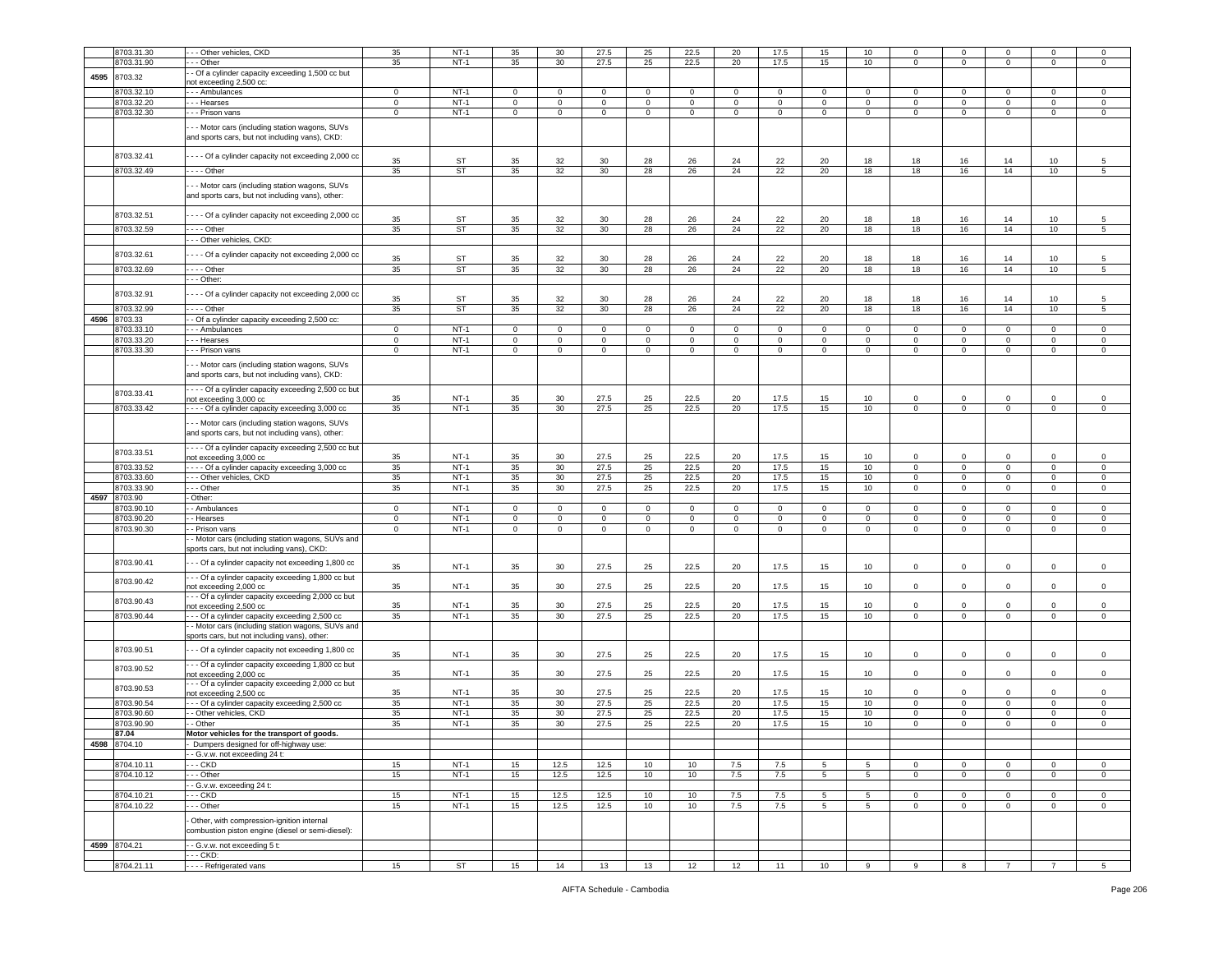|      | 8703.31.30   | - - Other vehicles, CKD                                                                            | 35           | $NT-1$      | 35             | 30             | 27.5         | 25             | 22.5           | 20             | 17.5        | 15             | 10              | $\circ$        | $^{\circ}$     |                | $\Omega$       | $\circ$         |
|------|--------------|----------------------------------------------------------------------------------------------------|--------------|-------------|----------------|----------------|--------------|----------------|----------------|----------------|-------------|----------------|-----------------|----------------|----------------|----------------|----------------|-----------------|
|      | 8703.31.90   | - - Other                                                                                          | 35           | $NT-1$      | 35             | 30             | 27.5         | 25             | 22.5           | 20             | 17.5        | 15             | 10              | $\mathbf{0}$   | $\mathbf 0$    | $^{\circ}$     | $\mathbf{0}$   | 0               |
|      |              | - Of a cylinder capacity exceeding 1,500 cc but                                                    |              |             |                |                |              |                |                |                |             |                |                 |                |                |                |                |                 |
| 4595 | 8703.32      | ot exceeding 2,500 cc:                                                                             |              |             |                |                |              |                |                |                |             |                |                 |                |                |                |                |                 |
|      | 8703.32.10   | - - Ambulances                                                                                     | $\mathsf 0$  | $NT-1$      | $\mathbf{0}$   | $\mathbf{0}$   | $\mathbf 0$  | $\mathbf 0$    | $\Omega$       | $\circ$        | 0           | $\mathbf 0$    | 0               | 0              | $\mathbf 0$    | $\Omega$       | $\Omega$       | $\mathbf 0$     |
|      |              |                                                                                                    |              | $NT-1$      |                |                |              |                |                |                |             |                |                 |                |                |                |                |                 |
|      | 8703.32.20   | - - Hearses                                                                                        | $\mathbf{0}$ |             | $\mathbf{0}$   | $\mathbf 0$    | $\mathbf{0}$ | $\overline{0}$ | $\mathbf 0$    | $\mathbf 0$    | 0           | $\mathbf 0$    | $\mathbf 0$     | $\mathbf 0$    | $\mathbf 0$    | $\mathbf 0$    | 0              | $\mathsf 0$     |
|      | 8703.32.30   | - - Prison vans                                                                                    | $\circ$      | $NT-1$      | $\mathbf{0}$   | $\overline{0}$ | $\mathbf 0$  | $\overline{0}$ | $\overline{0}$ | $\overline{0}$ | $\mathbf 0$ | $\overline{0}$ | $\overline{0}$  | $\overline{0}$ | $\overline{0}$ | $\mathbf 0$    | $\overline{0}$ | $\mathsf 0$     |
|      |              | - - Motor cars (including station wagons, SUVs<br>and sports cars, but not including vans), CKD:   |              |             |                |                |              |                |                |                |             |                |                 |                |                |                |                |                 |
|      | 8703.32.41   | --- Of a cylinder capacity not exceeding 2,000 cc                                                  | 35           | ST          | 35             | 32             | 30           | 28             | 26             | 24             | 22          | 20             | 18              | 18             | 16             | 14             | 10             | 5               |
|      | 8703.32.49   | $--$ Other                                                                                         | 35           | <b>ST</b>   | 35             | 32             | 30           | 28             | 26             | 24             | 22          | 20             | 18              | 18             | 16             | 14             | 10             | 5               |
|      |              |                                                                                                    |              |             |                |                |              |                |                |                |             |                |                 |                |                |                |                |                 |
|      |              | - - Motor cars (including station wagons, SUVs<br>and sports cars, but not including vans), other: |              |             |                |                |              |                |                |                |             |                |                 |                |                |                |                |                 |
|      | 8703.32.51   | - - - Of a cylinder capacity not exceeding 2,000 cc                                                |              |             |                |                |              |                |                |                |             |                |                 |                |                |                |                |                 |
|      |              |                                                                                                    | 35           | ST          | 35             | 32             | 30           | 28             | 26             | 24             | 22          | 20             | 18              | 18             | 16             | 14             | 10             | 5               |
|      | 8703.32.59   | $- -$ Other                                                                                        | 35           | ST          | 35             | 32             | 30           | 28             | 26             | 24             | 22          | 20             | 18              | 18             | 16             | 14             | 10             | 5               |
|      |              | - - Other vehicles, CKD:                                                                           |              |             |                |                |              |                |                |                |             |                |                 |                |                |                |                |                 |
|      | 8703.32.61   |                                                                                                    |              |             |                |                |              |                |                |                |             |                |                 |                |                |                |                |                 |
|      |              | - - - Of a cylinder capacity not exceeding 2,000 cc                                                | 35           | ST          | 35             | 32             | 30           | 28             | 26             | 24             | 22          | 20             | 18              | 18             | 16             | 14             | 10             | 5               |
|      | 8703.32.69   | $--$ Other                                                                                         | 35           | ST          | 35             | 32             | 30           | 28             | 26             | 24             | 22          | 20             | 18              | 18             | 16             | 14             | $10$           | 5               |
|      |              | - - Other:                                                                                         |              |             |                |                |              |                |                |                |             |                |                 |                |                |                |                |                 |
|      |              |                                                                                                    |              |             |                |                |              |                |                |                |             |                |                 |                |                |                |                |                 |
|      | 8703.32.91   | -- Of a cylinder capacity not exceeding 2,000 cc                                                   | 35           | ST          | 35             | 32             | 30           | 28             | 26             | 24             | 22          | 20             | 18              | 18             | 16             | 14             | 10             | 5               |
|      | 8703.32.99   | - - - Other                                                                                        | 35           | ST          | 35             | 32             | 30           | 28             | 26             | 24             | 22          | 20             | 18              | 18             | 16             | 14             | 10             | $5\overline{)}$ |
| 4596 | 8703.33      | - Of a cylinder capacity exceeding 2,500 cc:                                                       |              |             |                |                |              |                |                |                |             |                |                 |                |                |                |                |                 |
|      | 8703.33.10   |                                                                                                    | $\mathbf{0}$ | $NT-1$      | $\circ$        | $\circ$        | $\mathbf{0}$ | $\mathbf{0}$   | $\circ$        | $\mathbf{0}$   | $\Omega$    | $\mathbf 0$    | $\circ$         | $\circ$        | $\mathsf 0$    | $\Omega$       | $\mathbf 0$    | $\circ$         |
|      |              | - - Ambulances                                                                                     |              |             |                |                |              |                |                |                |             |                |                 |                |                |                |                |                 |
|      | 8703.33.20   | - - Hearses                                                                                        | $\mathbf 0$  | $NT-1$      | $\mathbf 0$    | $\circ$        | $\mathbf 0$  | $\mathbf 0$    | 0              | 0              | $\mathbf 0$ | $\mathbf 0$    | $\mathbf 0$     | $\mathbf 0$    | $\mathbf 0$    | 0              | $\mathbf 0$    | $\mathsf 0$     |
|      | 8703.33.30   | - - Prison vans                                                                                    | $\mathbf 0$  | $NT-1$      | 0              | $\mathbf 0$    | $\mathbf 0$  | $\mathbf 0$    | 0              | $\mathbf 0$    | 0           | 0              | $\mathbf 0$     | 0              | $\mathbf 0$    | $\mathbf 0$    | $\mathbf 0$    | $\mathbf 0$     |
|      |              | - - Motor cars (including station wagons, SUVs<br>and sports cars, but not including vans), CKD:   |              |             |                |                |              |                |                |                |             |                |                 |                |                |                |                |                 |
|      |              | - - - Of a cylinder capacity exceeding 2,500 cc but                                                |              |             |                |                |              |                |                |                |             |                |                 |                |                |                |                |                 |
|      | 8703.33.41   | not exceeding 3,000 cc                                                                             | 35           | <b>NT-1</b> | 35             | 30             | 27.5         | 25             | 22.5           | 20             | 17.5        | 15             | 10              | $\mathbf 0$    | $\mathbf 0$    |                | 0              | $\mathbf 0$     |
|      | 8703.33.42   | --- Of a cylinder capacity exceeding 3,000 cc                                                      | 35           | $NT-1$      | 35             | 30             | 27.5         | 25             | 22.5           | 20             | 17.5        | 15             | 10              | $\mathbf 0$    | $\mathbf 0$    | $\mathbf 0$    | $\mathbf 0$    | $\mathbf 0$     |
|      |              | - - Motor cars (including station wagons, SUVs<br>and sports cars, but not including vans), other: |              |             |                |                |              |                |                |                |             |                |                 |                |                |                |                |                 |
|      | 8703.33.51   | - - - - Of a cylinder capacity exceeding 2,500 cc but                                              |              |             |                |                |              |                |                |                |             |                |                 |                |                |                |                |                 |
|      |              | ot exceeding 3,000 cc                                                                              | 35           | <b>NT-1</b> | 35             | 30             | 27.5         | 25             | 22.5           | 20             | 17.5        | 15             | 10              | 0              | $\mathbf 0$    | $\mathbf 0$    | 0              | $\mathbf 0$     |
|      | 8703.33.52   | --- Of a cylinder capacity exceeding 3,000 cc                                                      | 35           | $NT-1$      | 35             | 30             | 27.5         | 25             | 22.5           | 20             | 17.5        | 15             | 10              | $\mathbf{0}$   | $\mathbf 0$    | $\mathbf 0$    | 0              | $\mathsf 0$     |
|      | 8703.33.60   | - - Other vehicles, CKD                                                                            | 35           | $NT-1$      | 35             | 30             | 27.5         | 25             | 22.5           | 20             | 17.5        | 15             | 10              | $\mathbf{0}$   | $\mathbf 0$    | $\mathbf 0$    | $\mathbf{0}$   | $\mathsf 0$     |
|      | 8703.33.90   | - - Other                                                                                          | 35           | $NT-1$      | 35             | 30             | 27.5         | 25             | 22.5           | 20             | 17.5        | 15             | 10              | $\mathbf 0$    | $\mathbf 0$    | $\mathbf 0$    | $\mathbf{0}$   | $\mathbf 0$     |
| 4597 | 8703.90      | Other:                                                                                             |              |             |                |                |              |                |                |                |             |                |                 |                |                |                |                |                 |
|      | 8703.90.10   |                                                                                                    | $\mathbf 0$  | $NT-1$      |                | $\circ$        | $\mathbf 0$  | $\mathbf 0$    |                | $\mathbf 0$    |             |                | $\mathbf 0$     |                |                |                |                |                 |
|      |              | - Ambulances                                                                                       |              |             | $\overline{0}$ |                |              |                | $\mathbf 0$    |                | $\mathbf 0$ | $\mathbf 0$    |                 | 0              | $\mathbf 0$    | 0              | 0              | $\mathbf 0$     |
|      | 8703.90.20   | - Hearses                                                                                          | $\mathbf 0$  | $NT-1$      | 0              | $\mathbf 0$    | $\mathbf 0$  | $\mathbf 0$    | 0              | 0              | $\mathbf 0$ | $\mathbf 0$    | $\mathbf 0$     | $\mathbf 0$    | $\mathbf 0$    | $\mathbf 0$    | 0              | $\mathbf 0$     |
|      | 8703.90.30   | - Prison vans                                                                                      | $\mathbf{0}$ | $NT-1$      | $\mathbf{0}$   | $\overline{0}$ | $\mathsf 0$  | $\overline{0}$ | $\mathbf{0}$   | $\mathbf{0}$   | $\mathbf 0$ | $\mathbf{0}$   | $\overline{0}$  | $\overline{0}$ | $\mathbf 0$    | $\overline{0}$ | 0              | 0               |
|      |              | - Motor cars (including station wagons, SUVs and<br>sports cars, but not including vans), CKD:     |              |             |                |                |              |                |                |                |             |                |                 |                |                |                |                |                 |
|      | 8703.90.41   | - Of a cylinder capacity not exceeding 1,800 cc                                                    | 35           | $NT-1$      | 35             | 30             | 27.5         | 25             | 22.5           | 20             | 17.5        | 15             | 10              | 0              | $\mathbf 0$    | $\Omega$       | 0              | $\Omega$        |
|      | 8703.90.42   | -- Of a cylinder capacity exceeding 1,800 cc but                                                   |              |             |                |                |              |                |                |                |             |                |                 |                |                |                |                | $\Omega$        |
|      |              | not exceeding 2,000 cc<br>- - Of a cylinder capacity exceeding 2,000 cc but                        | 35           | $NT-1$      | 35             | 30             | 27.5         | 25             | 22.5           | 20             | 17.5        | 15             | 10              | $\circ$        | $\mathbf 0$    | $\Omega$       | $\mathbf 0$    |                 |
|      | 8703.90.43   | not exceeding 2,500 cc                                                                             | 35           | $NT-1$      | 35             | 30             | 27.5         | 25             | 22.5           | 20             | 17.5        | 15             | 10              | $\mathbf 0$    | $\mathbf 0$    | $\Omega$       | $\Omega$       | $\mathbf 0$     |
|      | 8703.90.44   | - - Of a cylinder capacity exceeding 2,500 cc                                                      | 35           | $NT-1$      | 35             | 30             | 27.5         | 25             | 22.5           | 20             | 17.5        | 15             | 10              | 0              | $\mathbf 0$    | $\mathbf 0$    | 0              | $\mathbf 0$     |
|      |              | - Motor cars (including station wagons, SUVs and<br>sports cars, but not including vans), other    |              |             |                |                |              |                |                |                |             |                |                 |                |                |                |                |                 |
|      | 8703.90.51   | - - Of a cylinder capacity not exceeding 1,800 cc                                                  | 35           | $NT-1$      | 35             | 30             | 27.5         | 25             | 22.5           | 20             | 17.5        | 15             | 10              | $\mathbf 0$    | $\mathsf 0$    | $\mathbf 0$    | $\mathbf 0$    | $\mathbf 0$     |
|      | 8703.90.52   | - - Of a cylinder capacity exceeding 1,800 cc but<br>not exceeding 2,000 cc                        | 35           | $NT-1$      | 35             | 30             | 27.5         | 25             | 22.5           | 20             | 17.5        | 15             | 10              | $\mathbf{0}$   | $\mathbf 0$    | $\mathbf 0$    | $\mathbf{0}$   | $\mathsf 0$     |
|      | 8703.90.53   | - - Of a cylinder capacity exceeding 2,000 cc but<br>ot exceeding 2,500 cc                         | 35           | <b>NT-1</b> | 35             | 30             | 27.5         | 25             | 22.5           | 20             | 17.5        | 15             | 10              | $\mathbf 0$    | $\mathbf 0$    | $\Omega$       | $\Omega$       | $\Omega$        |
|      | 8703.90.54   | - Of a cylinder capacity exceeding 2,500 cc                                                        | 35           | $NT-1$      | 35             | 30             | 27.5         | 25             | 22.5           | 20             | 17.5        | 15             | 10              | $\Omega$       | $\mathsf 0$    | $\mathbf 0$    | $\mathbf 0$    | $\Omega$        |
|      | 8703.90.60   | Other vehicles, CKD                                                                                | 35           | $NT-1$      | 35             | 30             | 27.5         | 25             | 22.5           | 20             | 17.5        | 15             | 10              | $\mathbf 0$    | $\mathbf 0$    | $\mathbf 0$    | 0              | $\mathbf 0$     |
|      | 8703.90.90   | - Other                                                                                            | 35           | $NT-1$      | 35             | 30             | 27.5         | 25             | 22.5           | 20             | 17.5        | 15             | 10              | $\mathbf 0$    | $\mathbf 0$    | $\mathbf 0$    | 0              | $\mathbf 0$     |
|      |              |                                                                                                    |              |             |                |                |              |                |                |                |             |                |                 |                |                |                |                |                 |
|      | 87.04        | Motor vehicles for the transport of goods.                                                         |              |             |                |                |              |                |                |                |             |                |                 |                |                |                |                |                 |
|      | 4598 8704.10 | Dumpers designed for off-highway use:                                                              |              |             |                |                |              |                |                |                |             |                |                 |                |                |                |                |                 |
|      |              | - G.v.w. not exceeding 24 t:                                                                       |              |             |                |                |              |                |                |                |             |                |                 |                |                |                |                |                 |
|      | 8704.10.11   | $-$ CKD                                                                                            | 15           | $NT-1$      | 15             | 12.5           | 12.5         | 10             | 10             | 7.5            | 7.5         | 5              | $5\overline{5}$ | $\mathbf 0$    | $\mathbf 0$    | $\mathbf 0$    | $\mathbf 0$    | $\mathbf 0$     |
|      | 8704.10.12   | $-$ Other                                                                                          | 15           | $NT-1$      | 15             | 12.5           | 12.5         | 10             | 10             | 7.5            | 7.5         | 5              | 5 <sup>5</sup>  | $\overline{0}$ | $\mathsf 0$    | $\mathbf 0$    | $\mathbf 0$    | $\mathbf 0$     |
|      |              | - G.v.w. exceeding 24 t:                                                                           |              |             |                |                |              |                |                |                |             |                |                 |                |                |                |                |                 |
|      | 8704.10.21   | $-CKD$                                                                                             | 15           | $NT-1$      | 15             | 12.5           | 12.5         | 10             | 10             | 7.5            | 7.5         | 5              | 5               | $\mathbf 0$    | $\mathbf 0$    | $\mathbf 0$    | $\mathbf{0}$   | $\overline{0}$  |
|      | 8704.10.22   | - - Other                                                                                          | 15           | $NT-1$      | 15             | 12.5           | 12.5         | 10             | 10             | 7.5            | 7.5         | 5              | 5 <sub>5</sub>  | $\circ$        | $\mathsf 0$    | $\mathbf{0}$   | $\mathbf 0$    | $\circ$         |
|      |              | Other, with compression-ignition internal<br>combustion piston engine (diesel or semi-diesel):     |              |             |                |                |              |                |                |                |             |                |                 |                |                |                |                |                 |
|      | 4599 8704.21 | - G.v.w. not exceeding 5 t:                                                                        |              |             |                |                |              |                |                |                |             |                |                 |                |                |                |                |                 |
|      |              | - - CKD:                                                                                           |              |             |                |                |              |                |                |                |             |                |                 |                |                |                |                |                 |
|      | 8704.21.11   | ---- Refrigerated vans                                                                             | 15           | ST          | 15             | 14             | 13           | 13             | 12             | 12             | 11          | 10             | 9               | 9              | 8              | $\overline{7}$ | $\overline{7}$ | 5               |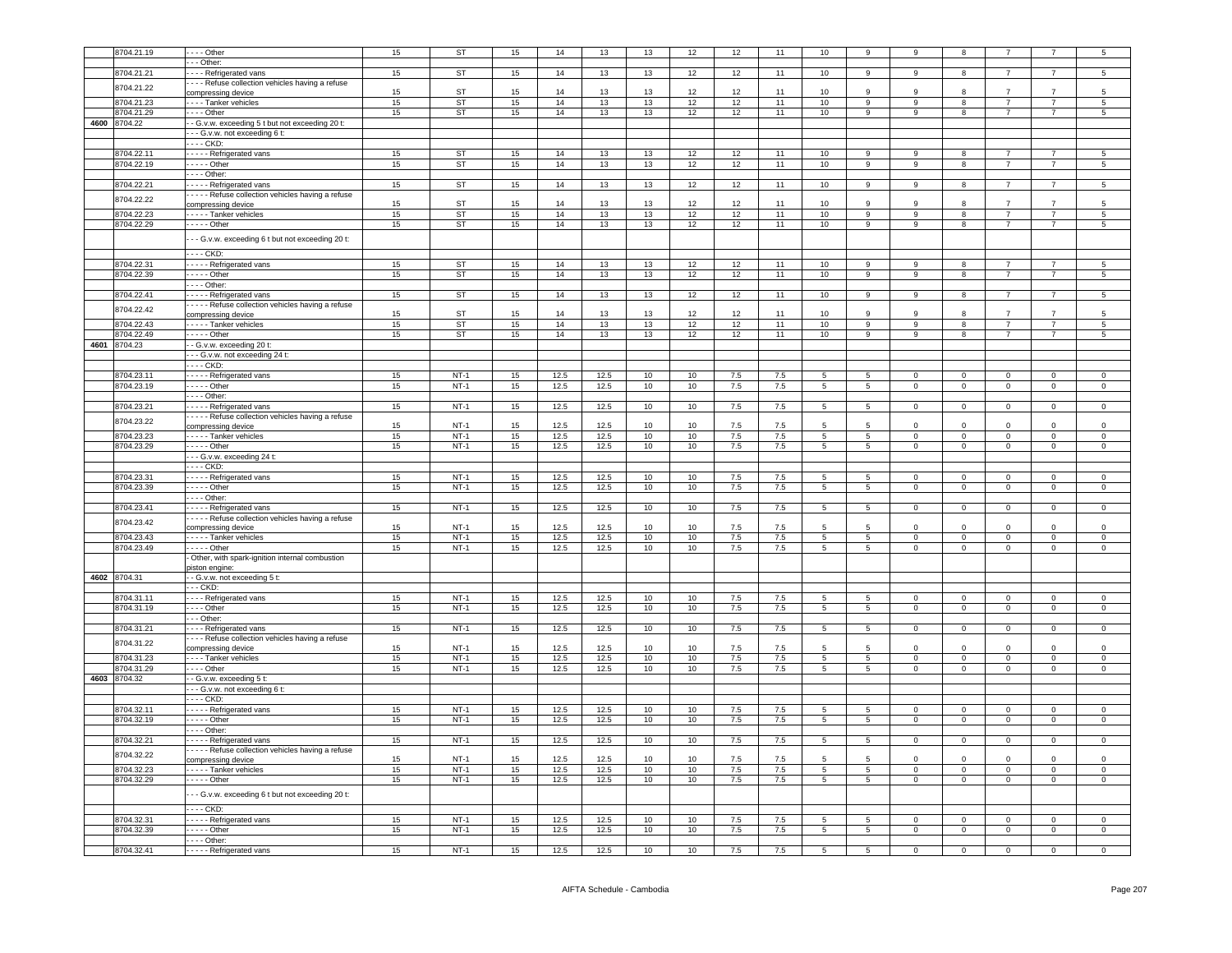| 8704.21.19   | $- -$ Other                                        | 15 | ST        | 15 | 14   | 13   | 13 | 12     | 12      | 11      | 10               | 9               | $\mathbf{Q}$   |                         |                |                     | 5                   |
|--------------|----------------------------------------------------|----|-----------|----|------|------|----|--------|---------|---------|------------------|-----------------|----------------|-------------------------|----------------|---------------------|---------------------|
|              | - - Other:                                         |    |           |    |      |      |    |        |         |         |                  |                 |                |                         |                |                     |                     |
|              |                                                    |    |           |    |      |      |    |        |         |         |                  |                 |                |                         |                |                     |                     |
| 8704.21.21   | --- Refrigerated vans                              | 15 | ST        | 15 | 14   | 13   | 13 | 12     | 12      | 11      | 10               | 9               | 9              | $\mathbf{g}$            |                |                     | 5                   |
| 8704.21.22   | --- Refuse collection vehicles having a refuse     |    |           |    |      |      |    |        |         |         |                  |                 |                |                         |                |                     |                     |
|              | compressing device                                 | 15 | ST        | 15 | 14   | 13   | 13 | 12     | 12      | 11      | 10               | 9               | 9              | 8                       |                |                     |                     |
| 8704.21.23   | - - - - Tanker vehicles                            | 15 | ST        | 15 | 14   | 13   | 13 | 12     | 12      | 11      | 10               | 9               | 9              | 8                       | $\overline{7}$ | $\overline{7}$      | 5                   |
| 8704.21.29   | $--$ Other                                         | 15 | <b>ST</b> | 15 | 14   | 13   | 13 | 12     | 12      | 11      | 10               | $\overline{9}$  | $\mathbf{Q}$   | 8                       | $\overline{7}$ | $\overline{7}$      | $\overline{5}$      |
| 4600 8704.22 |                                                    |    |           |    |      |      |    |        |         |         |                  |                 |                |                         |                |                     |                     |
|              | - - G.v.w. exceeding 5 t but not exceeding 20 t:   |    |           |    |      |      |    |        |         |         |                  |                 |                |                         |                |                     |                     |
|              | - - - G.v.w. not exceeding 6 t:                    |    |           |    |      |      |    |        |         |         |                  |                 |                |                         |                |                     |                     |
|              | - CKD:                                             |    |           |    |      |      |    |        |         |         |                  |                 |                |                         |                |                     |                     |
| 8704.22.11   | ----- Refrigerated vans                            | 15 | ST        | 15 | 14   | 13   | 13 | 12     | 12      | 11      | 10 <sup>10</sup> | 9               | 9              | 8                       | $\overline{7}$ | 7                   | 5                   |
| 8704.22.19   | $---$ Other                                        | 15 | <b>ST</b> | 15 | 14   | 13   | 13 | 12     | 12      | 11      | 10               | 9               | 9              | 8                       | $\overline{7}$ | $\overline{7}$      | $5\phantom{.0}$     |
|              | $- -$ Other:                                       |    |           |    |      |      |    |        |         |         |                  |                 |                |                         |                |                     |                     |
|              |                                                    |    |           |    |      |      |    |        |         |         |                  |                 |                |                         |                |                     |                     |
| 8704.22.21   | ----- Refrigerated vans                            | 15 | <b>ST</b> | 15 | 14   | 13   | 13 | 12     | 12      | 11      | 10               | 9               | 9              | 8                       |                |                     | 5                   |
| 8704.22.22   | - - - - Refuse collection vehicles having a refuse |    |           |    |      |      |    |        |         |         |                  |                 |                |                         |                |                     |                     |
|              | compressing device                                 | 15 | <b>ST</b> | 15 | 14   | 13   | 13 | 12     | 12      | 11      | 10 <sup>1</sup>  | 9               | q              |                         |                |                     |                     |
| 8704.22.23   | - - - - - Tanker vehicles                          | 15 | ST        | 15 | 14   | 13   | 13 | 12     | 12      | 11      | 10               | 9               | 9              | 8                       | $\overline{7}$ | $\overline{7}$      | 5                   |
| 8704.22.29   | $---$ Other                                        | 15 | ST        | 15 | 14   | 13   | 13 | 12     | 12      | 11      | 10               | 9               | 9              | 8                       | $\overline{7}$ | $\overline{7}$      | $5\overline{)}$     |
|              |                                                    |    |           |    |      |      |    |        |         |         |                  |                 |                |                         |                |                     |                     |
|              | - - G.v.w. exceeding 6 t but not exceeding 20 t:   |    |           |    |      |      |    |        |         |         |                  |                 |                |                         |                |                     |                     |
|              |                                                    |    |           |    |      |      |    |        |         |         |                  |                 |                |                         |                |                     |                     |
|              | - - - - CKD:                                       |    |           |    |      |      |    |        |         |         |                  |                 |                |                         |                |                     |                     |
| 8704.22.31   | Refrigerated vans                                  | 15 | <b>ST</b> | 15 | 14   | 13   | 13 | 12     | 12      | 11      | 10               | 9               | 9              | -8                      |                | $\overline{7}$      | 5                   |
| 8704.22.39   | $---$ Other                                        | 15 | <b>ST</b> | 15 | 14   | 13   | 13 | 12     | 12      | 11      | 10               | $\overline{9}$  | $\overline{9}$ | $\overline{\mathbf{8}}$ | $\overline{7}$ | $\overline{7}$      | $5\overline{)}$     |
|              | $- -$ Other:                                       |    |           |    |      |      |    |        |         |         |                  |                 |                |                         |                |                     |                     |
| 8704.22.41   |                                                    |    | <b>ST</b> |    | 14   |      |    |        |         | 11      | 10               |                 | 9              |                         | $\overline{7}$ | 7                   |                     |
|              | ----- Refrigerated vans                            | 15 |           | 15 |      | 13   | 13 | 12     | 12      |         |                  | 9               |                | 8                       |                |                     | 5                   |
| 8704.22.42   | - - - - Refuse collection vehicles having a refuse |    |           |    |      |      |    |        |         |         |                  |                 |                |                         |                |                     |                     |
|              | compressing device                                 | 15 | <b>ST</b> | 15 | 14   | 13   | 13 | 12     | 12      | 11      | 10               | 9               | $\mathbf{Q}$   | 8                       | $\overline{7}$ | $\overline{7}$      | 5                   |
| 8704.22.43   | - - - - - Tanker vehicles                          | 15 | ST        | 15 | 14   | 13   | 13 | 12     | 12      | 11      | 10               | $\overline{9}$  | $\overline{9}$ | $\overline{\mathbf{8}}$ | $\overline{7}$ | $\overline{7}$      | $\overline{5}$      |
| 8704.22.49   | $--$ Other                                         | 15 | <b>ST</b> | 15 | 14   | 13   | 13 | 12     | 12      | 11      | 10 <sup>10</sup> | 9               | $\mathsf{Q}$   | 8                       | $\overline{7}$ | $\overline{7}$      | 5                   |
| 4601 8704.23 | - - G.v.w. exceeding 20 t:                         |    |           |    |      |      |    |        |         |         |                  |                 |                |                         |                |                     |                     |
|              | - - G.v.w. not exceeding 24 t:                     |    |           |    |      |      |    |        |         |         |                  |                 |                |                         |                |                     |                     |
|              |                                                    |    |           |    |      |      |    |        |         |         |                  |                 |                |                         |                |                     |                     |
|              | $---$ CKD:                                         |    |           |    |      |      |    |        |         |         |                  |                 |                |                         |                |                     |                     |
| 8704.23.11   | ---- Refrigerated vans                             | 15 | $NT-1$    | 15 | 12.5 | 12.5 | 10 | 10     | 7.5     | 7.5     | 5                | $5\overline{)}$ | $\Omega$       | $\overline{0}$          | $\Omega$       | $\Omega$            | $\Omega$            |
| 8704.23.19   | $---$ Other                                        | 15 | $NT-1$    | 15 | 12.5 | 12.5 | 10 | 10     | 7.5     | 7.5     | $5\overline{)}$  | 5               | $\mathsf 0$    | $\mathbf 0$             | $\mathbf 0$    | $\mathsf 0$         | $\mathsf 0$         |
|              | $- -$ Other:                                       |    |           |    |      |      |    |        |         |         |                  |                 |                |                         |                |                     |                     |
|              |                                                    | 15 | $NT-1$    |    |      |      |    |        |         |         |                  |                 |                |                         |                |                     |                     |
| 8704.23.21   | - - - - - Refrigerated vans                        |    |           | 15 | 12.5 | 12.5 | 10 | 10     | 7.5     | 7.5     | $5\overline{5}$  | 5 <sub>5</sub>  | $\overline{0}$ | $\mathbf 0$             | $\mathbf 0$    | $\mathsf{O}\xspace$ | $\mathsf 0$         |
| 8704.23.22   | - - - - Refuse collection vehicles having a refuse |    |           |    |      |      |    |        |         |         |                  |                 |                |                         |                |                     |                     |
|              | compressing device                                 | 15 | $NT-1$    | 15 | 12.5 | 12.5 | 10 | 10     | 7.5     | 7.5     | 5                | 5               | $\Omega$       | $\mathbf 0$             | $\Omega$       | $\mathbf 0$         | $^{\circ}$          |
| 8704.23.23   | Tanker vehicles                                    | 15 | $NT-1$    | 15 | 12.5 | 12.5 | 10 | 10     | 7.5     | 7.5     | $5\overline{5}$  | $5\overline{)}$ | $\Omega$       | $\overline{0}$          | $\overline{0}$ | $\overline{0}$      | $\overline{0}$      |
| 8704.23.29   | - - - - Other                                      | 15 | $NT-1$    | 15 | 12.5 | 12.5 | 10 | 10     | 7.5     | 7.5     | 5                | 5               | $\circ$        | $\mathbf 0$             | $\mathbf 0$    | $\mathsf 0$         | $\mathsf 0$         |
|              | - - G.v.w. exceeding 24 t:                         |    |           |    |      |      |    |        |         |         |                  |                 |                |                         |                |                     |                     |
|              | - - - CKD:                                         |    |           |    |      |      |    |        |         |         |                  |                 |                |                         |                |                     |                     |
|              |                                                    |    |           |    |      |      |    |        |         |         |                  |                 |                |                         |                |                     |                     |
|              |                                                    |    |           |    |      |      |    |        |         |         |                  |                 |                |                         |                |                     |                     |
| 8704.23.31   | - - - - Refrigerated vans                          | 15 | $NT-1$    | 15 | 12.5 | 12.5 | 10 | 10     | 7.5     | 7.5     | 5                | 5               | $\Omega$       | $\mathbf 0$             | $\mathbf 0$    | $\mathsf 0$         | $^{\circ}$          |
| 8704.23.39   | $\cdots$ - Other                                   | 15 | $NT-1$    | 15 | 12.5 | 12.5 | 10 | 10     | 7.5     | 7.5     | $5\overline{5}$  | 5               | $\Omega$       | $\overline{0}$          | $\overline{0}$ | $\overline{0}$      | $\overline{0}$      |
|              | - - - - Other:                                     |    |           |    |      |      |    |        |         |         |                  |                 |                |                         |                |                     |                     |
|              |                                                    |    |           |    |      |      |    |        |         |         |                  |                 |                |                         |                |                     |                     |
| 8704.23.41   | - - - - Refrigerated vans                          | 15 | $NT-1$    | 15 | 12.5 | 12.5 | 10 | 10     | 7.5     | 7.5     | $5\phantom{.0}$  | 5 <sub>5</sub>  | $\mathbf 0$    | $\overline{0}$          | $\mathbf 0$    | $\mathbf 0$         | $\mathbf 0$         |
| 8704.23.42   | Refuse collection vehicles having a refuse         |    |           |    |      |      |    |        |         |         |                  |                 |                |                         |                |                     |                     |
|              | compressing device                                 | 15 | $NT-1$    | 15 | 12.5 | 12.5 | 10 | 10     | 7.5     | $7.5\,$ | 5                | 5               | $\mathbf 0$    | $\mathbf 0$             | $\mathbf 0$    | $\mathbf 0$         | $\mathbf 0$         |
| 8704.23.43   | - - - - - Tanker vehicles                          | 15 | $NT-1$    | 15 | 12.5 | 12.5 | 10 | 10     | 7.5     | 7.5     | $5\overline{5}$  | 5               | $\overline{0}$ | $\overline{0}$          | $\overline{0}$ | $\mathbf 0$         | $\mathsf 0$         |
| 8704.23.49   | $- - - -$ Other                                    | 15 | $NT-1$    | 15 | 12.5 | 12.5 | 10 | $10\,$ | 7.5     | 7.5     | $\overline{5}$   | $\overline{5}$  | $\Omega$       | $\overline{0}$          | $\mathbf 0$    | $\overline{0}$      | $\mathbf 0$         |
|              | Other, with spark-ignition internal combustion     |    |           |    |      |      |    |        |         |         |                  |                 |                |                         |                |                     |                     |
|              |                                                    |    |           |    |      |      |    |        |         |         |                  |                 |                |                         |                |                     |                     |
|              | viston engine:                                     |    |           |    |      |      |    |        |         |         |                  |                 |                |                         |                |                     |                     |
| 4602 8704.31 | - G.v.w. not exceeding 5 t:                        |    |           |    |      |      |    |        |         |         |                  |                 |                |                         |                |                     |                     |
|              | - - CKD:                                           |    |           |    |      |      |    |        |         |         |                  |                 |                |                         |                |                     |                     |
| 8704.31.11   | --- Refrigerated vans                              | 15 | $NT-1$    | 15 | 12.5 | 12.5 | 10 | 10     | $7.5\,$ | $7.5\,$ | $\overline{5}$   | 5               | $\mathsf 0$    | $\mathbf 0$             | $\mathbf 0$    | $\mathbf 0$         | $^{\circ}$          |
| 8704.31.19   | $- -$ Other                                        | 15 | $NT-1$    | 15 | 12.5 | 12.5 | 10 | 10     | 7.5     | 7.5     | 5                | $\overline{5}$  | $\mathbf 0$    | $\overline{0}$          | $\overline{0}$ | $\overline{0}$      | $\mathbf 0$         |
|              | - - - Other:                                       |    |           |    |      |      |    |        |         |         |                  |                 |                |                         |                |                     |                     |
| 8704.31.21   | --- Refrigerated vans                              | 15 | $NT-1$    | 15 | 12.5 | 12.5 | 10 | 10     | 7.5     | 7.5     | 5                | 5               | $\overline{0}$ | $\overline{0}$          | $\overline{0}$ | $\overline{0}$      | $\overline{0}$      |
|              |                                                    |    |           |    |      |      |    |        |         |         |                  |                 |                |                         |                |                     |                     |
| 8704.31.22   | - - - Refuse collection vehicles having a refuse   |    |           |    |      |      |    | 10     |         | 7.5     | 5                | 5               | $\mathbf 0$    | $\overline{0}$          | $\mathbf 0$    | $\mathbf 0$         | $\mathbf 0$         |
|              | compressing device                                 | 15 | $NT-1$    | 15 | 12.5 | 12.5 | 10 |        | 7.5     |         |                  |                 |                |                         |                |                     |                     |
| 8704.31.23   | --- Tanker vehicles                                | 15 | $NT-1$    | 15 | 12.5 | 12.5 | 10 | 10     | 7.5     | 7.5     | $5\overline{)}$  | $\overline{5}$  | $\mathbf 0$    | $\mathbf 0$             | $\mathbf 0$    | $\mathbf 0$         | $\mathsf 0$         |
| 8704.31.29   | $- -$ - Other                                      | 15 | $NT-1$    | 15 | 12.5 | 12.5 | 10 | 10     | 7.5     | 7.5     | $5\overline{)}$  | $5\overline{5}$ | $\mathbf 0$    | $\,0\,$                 | $\mathbf 0$    | $\mathsf 0$         | 0                   |
| 4603 8704.32 | - G.v.w. exceeding 5 t:                            |    |           |    |      |      |    |        |         |         |                  |                 |                |                         |                |                     |                     |
|              | - - - G.v.w. not exceeding 6 t:                    |    |           |    |      |      |    |        |         |         |                  |                 |                |                         |                |                     |                     |
|              | --- CKD:                                           |    |           |    |      |      |    |        |         |         |                  |                 |                |                         |                |                     |                     |
|              |                                                    |    |           |    |      |      |    |        |         |         |                  |                 |                |                         |                |                     |                     |
| 8704.32.11   | ---- Refrigerated vans                             | 15 | $NT-1$    | 15 | 12.5 | 12.5 | 10 | 10     | 7.5     | 7.5     | 5                | $5\overline{5}$ | $\mathbf 0$    | $\overline{0}$          | $\mathbf 0$    | $\mathbf 0$         | $\mathbf 0$         |
| 8704.32.19   | - - - - - Other                                    | 15 | $NT-1$    | 15 | 12.5 | 12.5 | 10 | 10     | 7.5     | 7.5     | $5\overline{5}$  | $5^{\circ}$     | $\mathbf{0}$   | $\overline{0}$          | $\overline{0}$ | $\mathbf 0$         | $\mathbf{0}$        |
|              | $--$ Other:                                        |    |           |    |      |      |    |        |         |         |                  |                 |                |                         |                |                     |                     |
| 8704.32.21   | - - - - Refrigerated vans                          | 15 | $NT-1$    | 15 | 12.5 | 12.5 | 10 | 10     | 7.5     | 7.5     | 5                | 5               | $\Omega$       | $\overline{0}$          | $\Omega$       | $\Omega$            | $\mathbf 0$         |
|              |                                                    |    |           |    |      |      |    |        |         |         |                  |                 |                |                         |                |                     |                     |
| 8704.32.22   | - - - - Refuse collection vehicles having a refuse | 15 |           | 15 | 12.5 |      | 10 | 10     | 7.5     | 7.5     | 5                | -5              | $\Omega$       | $\Omega$                | $\Omega$       | $\Omega$            | $\Omega$            |
|              | compressing device                                 |    | $NT-1$    |    |      | 12.5 |    |        |         |         |                  |                 |                |                         |                |                     |                     |
| 8704.32.23   | - - - - - Tanker vehicles                          | 15 | $NT-1$    | 15 | 12.5 | 12.5 | 10 | 10     | 7.5     | 7.5     | 5                | $5\phantom{.0}$ | $\Omega$       | $\,0\,$                 | $\mathsf 0$    | $\mathsf 0$         | $\mathsf 0$         |
| 8704.32.29   | - - - - - Other                                    | 15 | $NT-1$    | 15 | 12.5 | 12.5 | 10 | 10     | 7.5     | 7.5     | $5\phantom{.0}$  | $5\overline{5}$ | $\mathsf 0$    | $\circ$                 | $\mathbf{0}$   | $\mathsf 0$         | $\mathsf{O}\xspace$ |
|              |                                                    |    |           |    |      |      |    |        |         |         |                  |                 |                |                         |                |                     |                     |
|              | - - G.v.w. exceeding 6 t but not exceeding 20 t:   |    |           |    |      |      |    |        |         |         |                  |                 |                |                         |                |                     |                     |
|              | ---- CKD:                                          |    |           |    |      |      |    |        |         |         |                  |                 |                |                         |                |                     |                     |
|              |                                                    |    |           |    |      |      |    |        |         |         | 5 <sup>1</sup>   | 5 <sup>5</sup>  | $\Omega$       |                         | $\Omega$       | $\Omega$            | $\Omega$            |
| 8704.32.31   | ----- Refrigerated vans                            | 15 | $NT-1$    | 15 | 12.5 | 12.5 | 10 | 10     | 7.5     | 7.5     |                  |                 |                | $\mathbf 0$             |                |                     |                     |
| 8704.32.39   | $\cdots$ - Other                                   | 15 | $NT-1$    | 15 | 12.5 | 12.5 | 10 | 10     | 7.5     | 7.5     | $\overline{5}$   | $\overline{5}$  | $\Omega$       | $\overline{0}$          | $\Omega$       | $\overline{0}$      | $\overline{0}$      |
| 8704.32.41   | $---$ Other:<br>- - - - - Refrigerated vans        | 15 | $NT-1$    | 15 | 12.5 | 12.5 | 10 | 10     | 7.5     | 7.5     | 5                | 5               | $\Omega$       | $\mathbf 0$             |                | $\Omega$            |                     |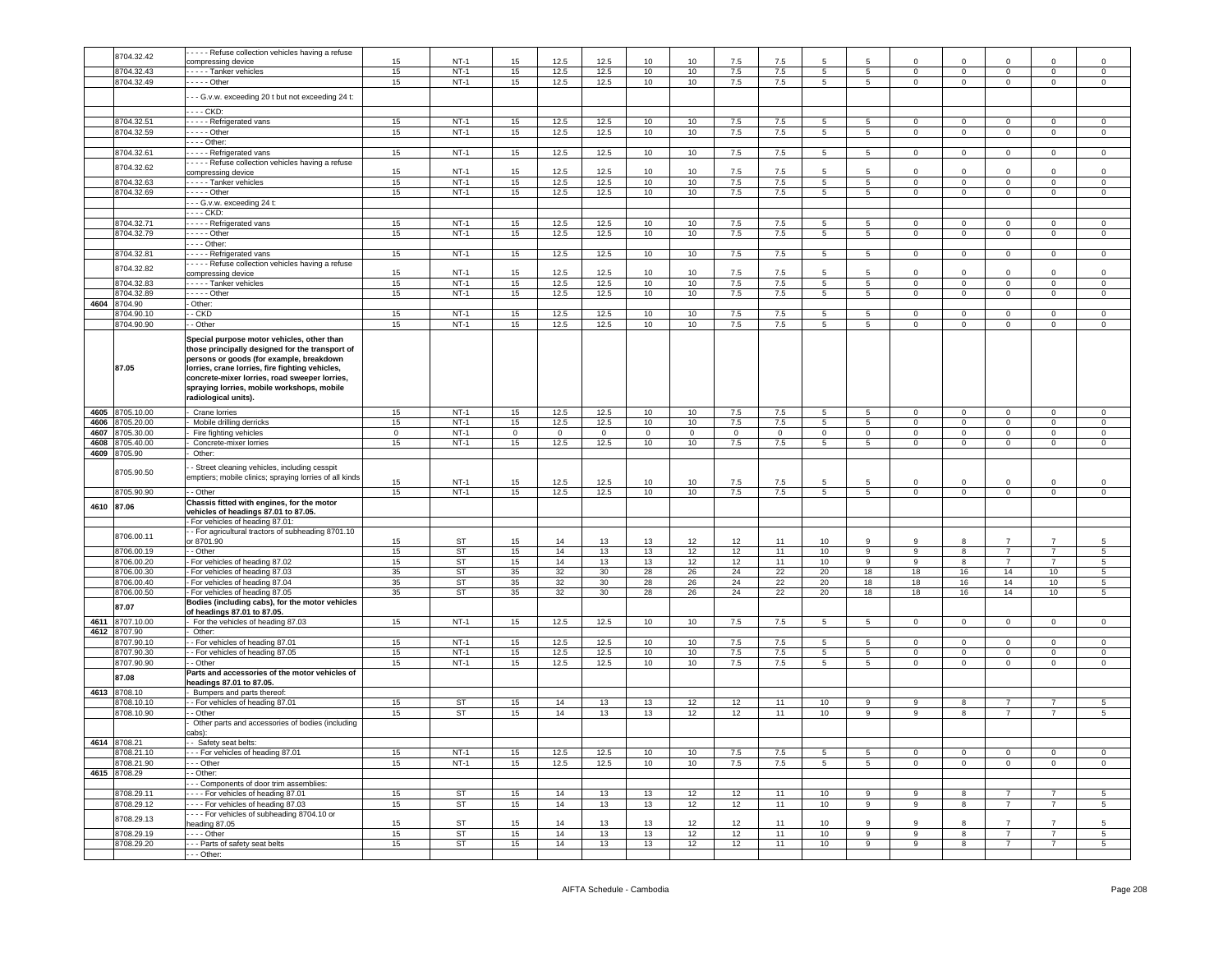|            |              | - - - - Refuse collection vehicles having a refuse      |             |             |              |                |                |              |              |         |                |                  |                 |                |                |                |                |                 |
|------------|--------------|---------------------------------------------------------|-------------|-------------|--------------|----------------|----------------|--------------|--------------|---------|----------------|------------------|-----------------|----------------|----------------|----------------|----------------|-----------------|
|            | 8704.32.42   | ompressing device                                       | 15          | $NT-1$      | 15           | 12.5           | 12.5           | 10           | 10           | 7.5     | 7.5            | 5                |                 | $\Omega$       | $\Omega$       | $\Omega$       | $\Omega$       | $\overline{0}$  |
|            | 8704.32.43   | - - - - Tanker vehicles                                 | 15          | $NT-1$      | 15           | 12.5           | 12.5           | 10           | 10           | 7.5     | 7.5            | 5                | 5               | 0              | $\mathbf 0$    | $\mathbf 0$    | $\mathbf 0$    | $\mathsf 0$     |
|            |              |                                                         |             | $NT-1$      |              |                |                | 10           | 10           |         | 7.5            | 5                |                 | $\mathbf 0$    | $\mathbf 0$    | $\circ$        | $\mathbf 0$    | $\mathbf 0$     |
|            | 8704.32.49   | . - - - - Other                                         | 15          |             | 15           | 12.5           | 12.5           |              |              | 7.5     |                |                  | 5               |                |                |                |                |                 |
|            |              | - - G.v.w. exceeding 20 t but not exceeding 24 t:       |             |             |              |                |                |              |              |         |                |                  |                 |                |                |                |                |                 |
|            |              |                                                         |             |             |              |                |                |              |              |         |                |                  |                 |                |                |                |                |                 |
|            |              | --- CKD:                                                |             |             |              |                |                |              |              |         |                |                  |                 |                |                |                |                |                 |
|            | 8704.32.51   | ---- Refrigerated vans                                  | 15          | $NT-1$      | 15           | 12.5           | 12.5           | 10           | 10           | 7.5     | 7.5            | 5                | 5               | $\circ$        | $\mathbf 0$    | $\mathbf 0$    | $\mathbf 0$    | 0               |
|            | 8704.32.59   | . - - - - Other                                         | 15          | $NT-1$      | 15           | 12.5           | 12.5           | 10           | 10           | 7.5     | 7.5            | 5                | $5^{\circ}$     | $\mathbf{0}$   | $\mathbf 0$    | $\mathbf 0$    | 0              | $\mathsf 0$     |
|            |              | --- Other:                                              |             |             |              |                |                |              |              |         |                |                  |                 |                |                |                |                |                 |
|            | 8704.32.61   | - Refrigerated vans                                     | 15          | $NT-1$      | 15           | 12.5           | 12.5           | 10           | 10           | 7.5     | 7.5            | 5                | 5               | $\overline{0}$ | $\overline{0}$ | $\overline{0}$ | $\overline{0}$ | $\mathbf 0$     |
|            |              | - - - - Refuse collection vehicles having a refuse      |             |             |              |                |                |              |              |         |                |                  |                 |                |                |                |                |                 |
|            | 8704.32.62   | compressing device                                      | 15          | <b>NT-1</b> | 15           | 12.5           | 12.5           | 10           | 10           | 7.5     | 7.5            | 5                | 5               | $\Omega$       | $\mathbf 0$    | 0              | $\mathbf 0$    | $\mathbf 0$     |
|            | 8704.32.63   | ---- Tanker vehicles                                    | 15          | $NT-1$      | 15           | 12.5           | 12.5           | 10           | 10           | 7.5     | 7.5            | 5                | $5^{\circ}$     | $\circ$        | $\mathbf 0$    | $\mathbf 0$    | $\mathbf 0$    | $\mathsf 0$     |
|            | 8704.32.69   | . - - - - Other                                         | 15          | $NT-1$      | 15           | 12.5           | 12.5           | 10           | 10           | 7.5     | 7.5            | $\overline{5}$   | $\overline{5}$  | $\mathbf 0$    | $\,0\,$        | $\mathsf 0$    | $\mathbf 0$    | 0               |
|            |              | - - G.v.w. exceeding 24 t:                              |             |             |              |                |                |              |              |         |                |                  |                 |                |                |                |                |                 |
|            |              | --- CKD:                                                |             |             |              |                |                |              |              |         |                |                  |                 |                |                |                |                |                 |
|            |              |                                                         |             |             |              |                |                |              |              |         |                |                  |                 |                |                |                |                |                 |
|            | 8704.32.71   | ---- Refrigerated vans                                  | 15          | $NT-1$      | 15           | 12.5           | 12.5           | 10           | 10           | 7.5     | 7.5            | 5                | -5              | $\mathbf 0$    | $\mathbf 0$    | $\mathbf{0}$   | $^{\circ}$     | 0               |
|            | 8704.32.79   | $--$ Other                                              | 15          | $NT-1$      | 15           | 12.5           | 12.5           | 10           | 10           | 7.5     | 7.5            | 5                | $5\overline{)}$ | $\circ$        | $\mathbf 0$    | $\mathsf 0$    | $\mathbf 0$    | $\mathsf 0$     |
|            |              | - - - Other:                                            |             |             |              |                |                |              |              |         |                |                  |                 |                |                |                |                |                 |
|            | 8704.32.81   | - - - - Refrigerated vans                               | 15          | $NT-1$      | 15           | 12.5           | 12.5           | 10           | 10           | 7.5     | 7.5            | 5                | 5               | 0              | $\mathbf 0$    | $\circ$        | $\mathbf 0$    | 0               |
|            |              | - - - - Refuse collection vehicles having a refuse      |             |             |              |                |                |              |              |         |                |                  |                 |                |                |                |                |                 |
|            | 8704.32.82   | compressing device                                      | 15          | $NT-1$      | 15           | 12.5           | 12.5           | 10           | 10           | 7.5     | 7.5            | $5\overline{5}$  | 5               | $\mathbf 0$    | $\Omega$       | $\mathbf 0$    | $\mathbf 0$    | $\mathsf 0$     |
|            | 8704.32.83   | ---- Tanker vehicles                                    | 15          | $NT-1$      | 15           | 12.5           | 12.5           | 10           | 10           | 7.5     | 7.5            | 5                | $5\overline{)}$ | $\mathbf 0$    | $\mathbf 0$    | $\overline{0}$ | 0              | $\mathbf 0$     |
|            | 8704.32.89   | $---$ Other                                             | 15          | $NT-1$      | 15           | 12.5           | 12.5           | 10           | 10           | 7.5     | 7.5            | 5                | $5^{\circ}$     | $\Omega$       | $\mathbf 0$    | $\circ$        | $\Omega$       | 0               |
| 4604       | 8704.90      | Other:                                                  |             |             |              |                |                |              |              |         |                |                  |                 |                |                |                |                |                 |
|            | 8704.90.10   | - CKD                                                   | 15          | $NT-1$      | 15           | 12.5           | 12.5           | 10           | 10           | 7.5     | 7.5            | 5                | 5               | 0              | $\mathbf 0$    | $\mathbf 0$    | 0              | 0               |
|            | 8704.90.90   | - Other                                                 | 15          | $NT-1$      | 15           | 12.5           | 12.5           | 10           | 10           | 7.5     | 7.5            | 5                | 5               | $\mathbf 0$    | $\mathbf 0$    | $\mathbf 0$    | $\mathbf 0$    | $\mathbf 0$     |
|            |              |                                                         |             |             |              |                |                |              |              |         |                |                  |                 |                |                |                |                |                 |
|            |              | Special purpose motor vehicles, other than              |             |             |              |                |                |              |              |         |                |                  |                 |                |                |                |                |                 |
|            |              | those principally designed for the transport of         |             |             |              |                |                |              |              |         |                |                  |                 |                |                |                |                |                 |
|            |              | persons or goods (for example, breakdown                |             |             |              |                |                |              |              |         |                |                  |                 |                |                |                |                |                 |
|            | 87.05        | lorries, crane lorries, fire fighting vehicles,         |             |             |              |                |                |              |              |         |                |                  |                 |                |                |                |                |                 |
|            |              | concrete-mixer lorries, road sweeper lorries,           |             |             |              |                |                |              |              |         |                |                  |                 |                |                |                |                |                 |
|            |              | spraying lorries, mobile workshops, mobile              |             |             |              |                |                |              |              |         |                |                  |                 |                |                |                |                |                 |
|            |              | radiological units).                                    |             |             |              |                |                |              |              |         |                |                  |                 |                |                |                |                |                 |
|            |              |                                                         |             |             |              |                |                |              |              |         |                |                  |                 |                |                |                |                |                 |
| 4605       | 8705.10.00   | Crane lorries                                           | 15          | $NT-1$      | 15           | 12.5           | 12.5           | 10           | 10           | 7.5     | 7.5            | 5                | 5               | $\mathbf{0}$   | $\mathbf 0$    | $\mathbf 0$    | 0              | 0               |
| 4606       | 8705.20.00   | Mobile drilling derricks                                | 15          | $NT-1$      | 15           | 12.5           | 12.5           | 10           | 10           | $7.5\,$ | 7.5            | 5                | $\overline{5}$  | $\mathbf 0$    | $\,0\,$        | $\mathbf 0$    | $\mathbf 0$    | $\,0\,$         |
| 4607       | 8705.30.00   | Fire fighting vehicles                                  | $\mathbf 0$ | $NT-1$      | $\mathbf{0}$ | $\overline{0}$ | $\overline{0}$ | $\mathbf{0}$ | $\mathbf{0}$ | $\circ$ | $\overline{0}$ | $\mathbf 0$      | $\circ$         | $\mathbf{0}$   | $\overline{0}$ | $\mathbf{0}$   | $\circ$        | $\circ$         |
| 4608       | 8705.40.00   | Concrete-mixer lorries                                  | 15          | $NT-1$      | 15           | 12.5           | 12.5           | 10           | 10           | 7.5     | 7.5            | 5                | $5^{\circ}$     | $\circ$        | $\mathbf 0$    | $\mathbf 0$    | $\mathbf 0$    | 0               |
| 4609       | 8705.90      | Other:                                                  |             |             |              |                |                |              |              |         |                |                  |                 |                |                |                |                |                 |
|            |              |                                                         |             |             |              |                |                |              |              |         |                |                  |                 |                |                |                |                |                 |
|            |              |                                                         |             |             |              |                |                |              |              |         |                |                  |                 |                |                |                |                |                 |
|            |              | - Street cleaning vehicles, including cesspit           |             |             |              |                |                |              |              |         |                |                  |                 |                |                |                |                |                 |
|            | 8705.90.50   | emptiers; mobile clinics; spraying lorries of all kinds |             |             |              |                |                |              |              |         |                |                  |                 |                |                |                |                |                 |
|            |              |                                                         | 15          | $NT-1$      | 15           | 12.5           | 12.5           | 10           | 10           | 7.5     | 7.5            | 5                | 5               | 0              | $\mathsf 0$    | 0              | $\mathbf 0$    | 0               |
|            | 8705.90.90   | - Other                                                 | 15          | $NT-1$      | 15           | 12.5           | 12.5           | 10           | 10           | 7.5     | 7.5            | 5                | $\overline{5}$  | $\mathbf 0$    | $\mathbf 0$    | $\mathbf 0$    | $\mathbf 0$    | $\mathsf 0$     |
| 4610 87.06 |              | Chassis fitted with engines, for the motor              |             |             |              |                |                |              |              |         |                |                  |                 |                |                |                |                |                 |
|            |              | vehicles of headings 87.01 to 87.05.                    |             |             |              |                |                |              |              |         |                |                  |                 |                |                |                |                |                 |
|            |              | For vehicles of heading 87.01:                          |             |             |              |                |                |              |              |         |                |                  |                 |                |                |                |                |                 |
|            | 8706.00.11   | - For agricultural tractors of subheading 8701.10       |             |             |              |                |                |              |              |         |                |                  |                 |                |                |                |                |                 |
|            |              | or 8701.90                                              | 15          | ST          | 15           | 14             | 13             | 13           | 12           | 12      | 11             | 10               | 9               | 9              | 8              |                |                | 5               |
|            | 8706.00.19   | - Other                                                 | 15          | ST          | 15           | 14             | 13             | 13           | 12           | 12      | 11             | 10               | 9               | 9              | 8              | $\overline{7}$ | $\overline{7}$ | $\,$ 5          |
|            | 8706.00.20   | For vehicles of heading 87.02                           | 15          | ST          | 15           | 14             | 13             | 13           | 12           | 12      | 11             | 10               | 9               | 9              | 8              | $\overline{7}$ | $\overline{7}$ | 5               |
|            | 8706.00.30   | For vehicles of heading 87.03                           | 35          | ST          | 35           | 32             | 30             | 28           | 26           | 24      | 22             | 20               | 18              | 18             | 16             | 14             | 10             | 5               |
|            | 8706.00.40   | For vehicles of heading 87.04                           | 35          | ST          | 35           | 32             | 30             | 28           | 26           | 24      | 22             | 20               | 18              | 18             | 16             | 14             | 10             | 5               |
|            | 8706.00.50   | For vehicles of heading 87.05                           | 35          | ST          | 35           | 32             | 30             | 28           | 26           | 24      | 22             | 20               | 18              | 18             | 16             | 14             | 10             | 5               |
|            |              | Bodies (including cabs), for the motor vehicles         |             |             |              |                |                |              |              |         |                |                  |                 |                |                |                |                |                 |
|            | 87.07        | of headings 87.01 to 87.05.                             |             |             |              |                |                |              |              |         |                |                  |                 |                |                |                |                |                 |
| 4611       | 8707.10.00   | For the vehicles of heading 87.03                       | 15          | $NT-1$      | 15           | 12.5           | 12.5           | 10           | 10           | 7.5     | 7.5            | 5                | $5\overline{5}$ | $\mathbf{0}$   | $\mathsf 0$    | $\circ$        | $\mathbf 0$    | $\mathsf 0$     |
| 4612       | 8707.90      | Other:                                                  |             |             |              |                |                |              |              |         |                |                  |                 |                |                |                |                |                 |
|            | 8707.90.10   | - For vehicles of heading 87.01                         | 15          | $NT-1$      | 15           | 12.5           | 12.5           | 10           | 10           | 7.5     | 7.5            | 5                | 5               | $\circ$        | $\mathbf 0$    | $\mathbf 0$    | 0              | $\mathsf 0$     |
|            |              |                                                         |             |             |              |                |                |              |              |         |                |                  |                 |                |                |                |                |                 |
|            | 8707.90.30   | - For vehicles of heading 87.05                         | 15          | $NT-1$      | 15           | 12.5           | 12.5           | 10           | 10           | 7.5     | 7.5            | 5                | 5               | $\mathsf 0$    | $\mathbf 0$    | $\mathbf 0$    | $\mathbf 0$    | $\mathsf 0$     |
|            | 8707.90.90   | - Other                                                 | 15          | $NT-1$      | 15           | 12.5           | 12.5           | 10           | 10           | 7.5     | 7.5            | 5                | $5\overline{)}$ | $\mathbf 0$    | $\mathbf 0$    | $\mathbf 0$    | $\mathbf 0$    | $\mathsf 0$     |
|            | 87.08        | Parts and accessories of the motor vehicles of          |             |             |              |                |                |              |              |         |                |                  |                 |                |                |                |                |                 |
|            |              | eadings 87.01 to 87.05.                                 |             |             |              |                |                |              |              |         |                |                  |                 |                |                |                |                |                 |
| 4613       | 8708.10      | Bumpers and parts thereof:                              |             |             |              |                |                |              |              |         |                |                  |                 |                |                |                |                |                 |
|            | 8708.10.10   | - For vehicles of heading 87.01                         | 15          | ST          | 15           | 14             | 13             | 13           | 12           | 12      | 11             | 10               | 9               | 9              | 8              | $\overline{7}$ | $\overline{7}$ | 5               |
|            | 8708.10.90   | - Other                                                 | 15          | ST          | 15           | 14             | 13             | 13           | 12           | 12      | 11             | 10               | 9               | 9              | 8              | $\overline{7}$ | $\overline{7}$ | 5               |
|            |              | Other parts and accessories of bodies (including        |             |             |              |                |                |              |              |         |                |                  |                 |                |                |                |                |                 |
|            |              | cabs):                                                  |             |             |              |                |                |              |              |         |                |                  |                 |                |                |                |                |                 |
|            | 4614 8708.21 | Safety seat helts:                                      |             |             |              |                |                |              |              |         |                |                  |                 |                |                |                |                |                 |
|            | 8708.21.10   | --- For vehicles of heading 87.01                       | 15          | $NT-1$      | 15           | 12.5           | 12.5           | 10           | 10           | 7.5     | 7.5            | 5                | 5               | $\circ$        | $\mathbf 0$    | 0              | $\mathbf 0$    | $\mathbf 0$     |
|            | 8708.21.90   | - - Other                                               | 15          | $NT-1$      | 15           | 12.5           | 12.5           | 10           | 10           | 7.5     | 7.5            | 5                | 5               | $\mathbf 0$    | $\overline{0}$ | $\mathbf{0}$   | $\circ$        | $\mathbf 0$     |
|            | 4615 8708.29 | - Other:                                                |             |             |              |                |                |              |              |         |                |                  |                 |                |                |                |                |                 |
|            |              |                                                         |             |             |              |                |                |              |              |         |                |                  |                 |                |                |                |                |                 |
|            |              | - - Components of door trim assemblies:                 |             |             |              |                |                |              |              |         |                |                  |                 | 9              |                | $\overline{7}$ | $\overline{7}$ |                 |
|            | 8708.29.11   | ---- For vehicles of heading 87.01                      | 15          | ST          | 15           | 14             | 13             | 13           | 12           | 12      | 11             | 10 <sup>10</sup> | 9               |                | 8              |                |                | 5               |
|            | 8708.29.12   | ---- For vehicles of heading 87.03                      | 15          | <b>ST</b>   | 15           | 14             | 13             | 13           | 12           | 12      | 11             | 10               | $\overline{9}$  | 9              | 8              | $\overline{7}$ | $\overline{7}$ | $5\phantom{.0}$ |
|            | 8708.29.13   | --- For vehicles of subheading 8704.10 or               |             |             |              |                |                |              |              |         |                |                  |                 |                |                |                |                |                 |
|            |              | eading 87.05                                            | 15          | ST          | 15           | 14             | 13             | 13           | 12           | 12      | 11             | 10               | 9               | 9              | 8              |                |                | 5               |
|            | 8708.29.19   | $\cdots$ Other                                          | 15          | ST          | 15           | 14             | 13             | 13           | 12           | 12      | 11             | 10               | 9               | 9              | 8              | $7^{\circ}$    | $\overline{7}$ | $5\phantom{.0}$ |
|            | 8708.29.20   | -- Parts of safety seat belts<br>- - Other:             | 15          | ST          | 15           | 14             | 13             | 13           | 12           | 12      | 11             | 10 <sup>1</sup>  | 9               | 9              | 8              | 7              | $\overline{7}$ | 5               |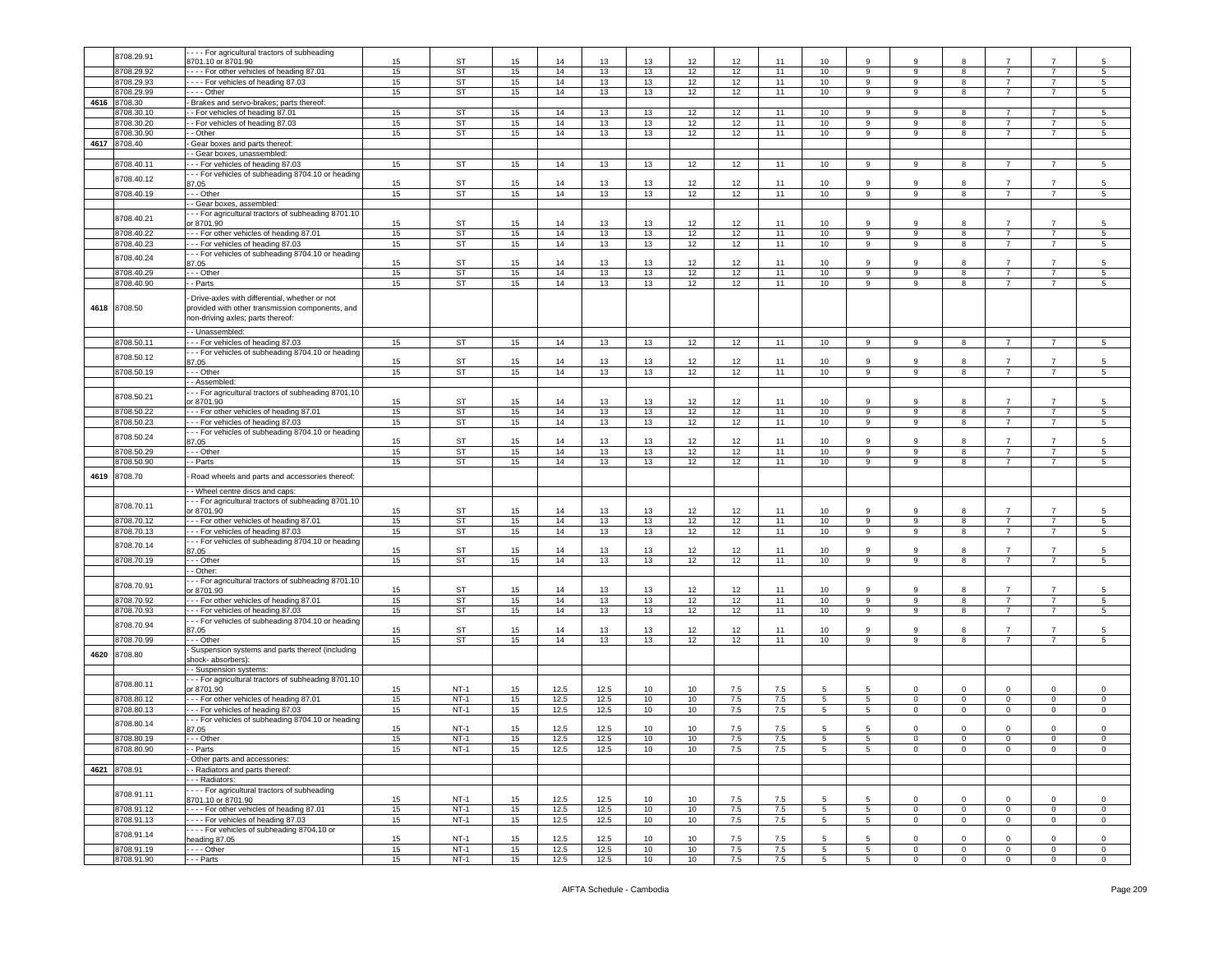|      | 8708.29.91   | - - - For agricultural tractors of subheading                                                                                          |    |             |    |      |      |    |      |         |     |                  |                  |                |              |                |                |                 |
|------|--------------|----------------------------------------------------------------------------------------------------------------------------------------|----|-------------|----|------|------|----|------|---------|-----|------------------|------------------|----------------|--------------|----------------|----------------|-----------------|
|      |              | 3701.10 or 8701.90                                                                                                                     | 15 | <b>ST</b>   | 15 | 14   | 13   | 13 | 12   | 12      | 11  | 10               | 9                | 9              |              |                |                | 5               |
|      | 8708.29.92   | --- For other vehicles of heading 87.01                                                                                                |    | <b>ST</b>   |    |      |      |    |      |         | 11  |                  | 9                |                | 8            | $\overline{7}$ | $\overline{7}$ |                 |
|      |              |                                                                                                                                        | 15 |             | 15 | 14   | 13   | 13 | 12   | 12      |     | 10               |                  | 9              |              |                |                | 5               |
|      | 8708.29.93   | ---- For vehicles of heading 87.03                                                                                                     | 15 | <b>ST</b>   | 15 | 14   | 13   | 13 | 12   | 12      | 11  | 10               | 9                | -9             | 8            | $\overline{7}$ | $\overline{7}$ | $5\phantom{.0}$ |
|      | 8708.29.99   | $- -$ Other                                                                                                                            | 15 | <b>ST</b>   | 15 | 14   | 13   | 13 | 12   | 12      | 11  | 10               | 9                | 9              | 8            | $\overline{7}$ | $\overline{7}$ | 5               |
|      |              |                                                                                                                                        |    |             |    |      |      |    |      |         |     |                  |                  |                |              |                |                |                 |
| 4616 | 8708.30      | Brakes and servo-brakes; parts thereof:                                                                                                |    |             |    |      |      |    |      |         |     |                  |                  |                |              |                |                |                 |
|      | 3708.30.10   | - For vehicles of heading 87.01                                                                                                        | 15 | <b>ST</b>   | 15 | 14   | 13   | 13 | 12   | 12      | 11  | 10               | 9                | 9              | 8            | $\overline{7}$ |                | 5               |
|      |              |                                                                                                                                        |    |             |    |      |      |    |      |         |     |                  |                  |                |              |                |                |                 |
|      | 8708.30.20   | - For vehicles of heading 87.03                                                                                                        | 15 | <b>ST</b>   | 15 | 14   | 13   | 13 | 12   | 12      | 11  | 10               | 9                | 9              | 8            | $\overline{7}$ | $\overline{7}$ | 5               |
|      | 8708.30.90   | - Other                                                                                                                                | 15 | <b>ST</b>   | 15 | 14   | 13   | 13 | 12   | 12      | 11  | 10               | 9                | 9              | 8            | 7              | -7             | $5\overline{5}$ |
|      |              |                                                                                                                                        |    |             |    |      |      |    |      |         |     |                  |                  |                |              |                |                |                 |
| 4617 | 8708.40      | Gear boxes and parts thereof:                                                                                                          |    |             |    |      |      |    |      |         |     |                  |                  |                |              |                |                |                 |
|      |              | - Gear boxes, unassembled:                                                                                                             |    |             |    |      |      |    |      |         |     |                  |                  |                |              |                |                |                 |
|      |              |                                                                                                                                        |    |             |    |      |      |    |      |         |     |                  |                  |                |              |                |                |                 |
|      | 8708.40.11   | - - For vehicles of heading 87.03                                                                                                      | 15 | <b>ST</b>   | 15 | 14   | 13   | 13 | 12   | 12      | 11  | 10               | 9                | 9              | 8            | 7              |                | 5               |
|      |              | - - For vehicles of subheading 8704.10 or heading                                                                                      |    |             |    |      |      |    |      |         |     |                  |                  |                |              |                |                |                 |
|      | 8708.40.12   | 37.05                                                                                                                                  | 15 | <b>ST</b>   | 15 | 14   | 13   | 13 | 12   | 12      | 11  | 10               | 9                | 9              | 8            | $\overline{7}$ | $\overline{7}$ | 5               |
|      |              |                                                                                                                                        |    |             |    |      |      |    |      |         |     |                  |                  |                |              |                |                |                 |
|      | 8708.40.19   | - - Other                                                                                                                              | 15 | <b>ST</b>   | 15 | 14   | 13   | 13 | 12   | 12      | 11  | 10               | 9                | 9              | 8            | $\overline{7}$ | $\overline{7}$ | $5\phantom{.0}$ |
|      |              | - Gear boxes, assembled:                                                                                                               |    |             |    |      |      |    |      |         |     |                  |                  |                |              |                |                |                 |
|      |              |                                                                                                                                        |    |             |    |      |      |    |      |         |     |                  |                  |                |              |                |                |                 |
|      | 8708.40.21   | - - For agricultural tractors of subheading 8701.10                                                                                    |    |             |    |      |      |    |      |         |     |                  |                  |                |              |                |                |                 |
|      |              | or 8701.90                                                                                                                             | 15 | <b>ST</b>   | 15 | 14   | 13   | 13 | 12   | 12      | 11  | 10               | 9                | 9              | 8            | $\overline{7}$ | 7              | 5               |
|      | 8708.40.22   | - - For other vehicles of heading 87.01                                                                                                | 15 | <b>ST</b>   | 15 | 14   | 13   | 13 | 12   | 12      | 11  | 10               | $\boldsymbol{9}$ | 9              | 8            | $\overline{7}$ | $\overline{7}$ | $\sqrt{5}$      |
|      |              |                                                                                                                                        |    |             |    |      |      |    |      |         |     |                  |                  |                |              |                |                |                 |
|      | 8708.40.23   | - - For vehicles of heading 87.03                                                                                                      | 15 | <b>ST</b>   | 15 | 14   | 13   | 13 | 12   | 12      | 11  | 10               | 9                | 9              | 8            | $\overline{7}$ | $\overline{7}$ | 5               |
|      |              | - - For vehicles of subheading 8704.10 or heading                                                                                      |    |             |    |      |      |    |      |         |     |                  |                  |                |              |                |                |                 |
|      | 8708.40.24   |                                                                                                                                        | 15 | <b>ST</b>   | 15 | 14   | 13   | 13 | 12   | 12      | 11  | 10               | 9                | 9              | 8            | $\overline{7}$ | -7             | 5               |
|      |              | 37.05                                                                                                                                  |    |             |    |      |      |    |      |         |     |                  |                  |                |              |                |                |                 |
|      | 8708.40.29   | - - Other                                                                                                                              | 15 | <b>ST</b>   | 15 | 14   | 13   | 13 | 12   | 12      | 11  | 10               | 9                | 9              | 8            | $\overline{7}$ | $\overline{7}$ | $5\overline{5}$ |
|      | 8708.40.90   | - Parts                                                                                                                                | 15 | <b>ST</b>   | 15 | 14   | 13   | 13 | 12   | 12      | 11  | 10               | 9                | 9              | 8            | $\overline{7}$ | $\overline{7}$ | 5               |
|      |              |                                                                                                                                        |    |             |    |      |      |    |      |         |     |                  |                  |                |              |                |                |                 |
|      | 4618 8708.50 | Drive-axles with differential, whether or not<br>provided with other transmission components, and<br>non-driving axles; parts thereof: |    |             |    |      |      |    |      |         |     |                  |                  |                |              |                |                |                 |
|      |              | - Unassembled:                                                                                                                         |    |             |    |      |      |    |      |         |     |                  |                  |                |              |                |                |                 |
|      | 8708.50.11   | - - For vehicles of heading 87.03                                                                                                      | 15 | ST          | 15 | 14   | 13   | 13 | 12   | 12      | 11  | 10               | 9                | 9              | 8            | $\overline{7}$ | $\overline{7}$ | $5\phantom{.0}$ |
|      |              |                                                                                                                                        |    |             |    |      |      |    |      |         |     |                  |                  |                |              |                |                |                 |
|      | 8708.50.12   | - - For vehicles of subheading 8704.10 or heading                                                                                      |    |             |    |      |      |    |      |         |     |                  |                  |                |              |                |                |                 |
|      |              | 37.05                                                                                                                                  | 15 | <b>ST</b>   | 15 | 14   | 13   | 13 | 12   | 12      | 11  | 10               | 9                | 9              | 8            | 7              | -7             | 5               |
|      | 8708.50.19   | - - Other                                                                                                                              | 15 | <b>ST</b>   | 15 | 14   | 13   | 13 | 12   | 12      | 11  | 10               | 9                | 9              | 8            | $\overline{7}$ | $\overline{7}$ | 5               |
|      |              |                                                                                                                                        |    |             |    |      |      |    |      |         |     |                  |                  |                |              |                |                |                 |
|      |              | - Assembled:                                                                                                                           |    |             |    |      |      |    |      |         |     |                  |                  |                |              |                |                |                 |
|      |              | --- For agricultural tractors of subheading 8701.10                                                                                    |    |             |    |      |      |    |      |         |     |                  |                  |                |              |                |                |                 |
|      | 8708.50.21   |                                                                                                                                        |    |             |    |      |      |    |      |         |     |                  |                  |                |              |                |                |                 |
|      |              | or 8701.90                                                                                                                             | 15 | <b>ST</b>   | 15 | 14   | 13   | 13 | 12   | 12      | 11  | 10               | 9                | 9              | 8            | $\overline{7}$ | $\overline{7}$ | 5               |
|      | 8708.50.22   | - - For other vehicles of heading 87.01                                                                                                | 15 | <b>ST</b>   | 15 | 14   | 13   | 13 | 12   | 12      | 11  | 10               | 9                | 9              | 8            | $\overline{7}$ | $\overline{7}$ | 5               |
|      |              |                                                                                                                                        |    |             |    |      |      |    |      |         |     |                  |                  |                |              |                |                |                 |
|      | 8708.50.23   | --- For vehicles of heading 87.03                                                                                                      | 15 | ST          | 15 | 14   | 13   | 13 | 12   | 12      | 11  | 10 <sup>10</sup> | 9                | 9              | 8            | $\overline{7}$ | $\overline{7}$ | $5\overline{5}$ |
|      |              | - - For vehicles of subheading 8704.10 or heading                                                                                      |    |             |    |      |      |    |      |         |     |                  |                  |                |              |                |                |                 |
|      | 8708.50.24   | 87.05                                                                                                                                  | 15 | ST          | 15 | 14   | 13   | 13 | 12   | 12      | 11  | 10               | 9                | -9             | 8            | -7             | 7              | 5               |
|      |              |                                                                                                                                        |    |             |    |      |      |    |      |         |     |                  |                  |                |              |                |                |                 |
|      | 8708.50.29   | --- Other                                                                                                                              | 15 | <b>ST</b>   | 15 | 14   | 13   | 13 | 12   | 12      | 11  | 10               | 9                | 9              | 8            | $\overline{7}$ | $\overline{7}$ | 5               |
|      | 8708.50.90   | - Parts                                                                                                                                | 15 | <b>ST</b>   | 15 | 14   | 13   | 13 | 12   | 12      | 11  | 10               | 9                | 9              | 8            | $\overline{7}$ | $\overline{7}$ | $5\phantom{.0}$ |
|      |              |                                                                                                                                        |    |             |    |      |      |    |      |         |     |                  |                  |                |              |                |                |                 |
|      |              |                                                                                                                                        |    |             |    |      |      |    |      |         |     |                  |                  |                |              |                |                |                 |
|      |              |                                                                                                                                        |    |             |    |      |      |    |      |         |     |                  |                  |                |              |                |                |                 |
| 4619 | 8708.70      | Road wheels and parts and accessories thereof:                                                                                         |    |             |    |      |      |    |      |         |     |                  |                  |                |              |                |                |                 |
|      |              |                                                                                                                                        |    |             |    |      |      |    |      |         |     |                  |                  |                |              |                |                |                 |
|      |              | - Wheel centre discs and caps:                                                                                                         |    |             |    |      |      |    |      |         |     |                  |                  |                |              |                |                |                 |
|      |              | - - For agricultural tractors of subheading 8701.10                                                                                    |    |             |    |      |      |    |      |         |     |                  |                  |                |              |                |                |                 |
|      | 8708.70.11   |                                                                                                                                        |    | <b>ST</b>   |    |      |      |    |      |         |     |                  | 9                | 9              | 8            | $\overline{7}$ | $\overline{7}$ | 5               |
|      |              | or 8701.90                                                                                                                             | 15 |             | 15 | 14   | 13   | 13 | 12   | 12      | 11  | 10               |                  |                |              |                |                |                 |
|      | 8708.70.12   | --- For other vehicles of heading 87.01                                                                                                | 15 | <b>ST</b>   | 15 | 14   | 13   | 13 | 12   | 12      | 11  | 10               | 9                | 9              | 8            | $\overline{7}$ | $\overline{7}$ | 5               |
|      | 8708.70.13   | - - For vehicles of heading 87.03                                                                                                      | 15 | ST          | 15 | 14   | 13   | 13 | 12   | 12      | 11  | 10               | 9                | 9              | 8            | $\overline{7}$ |                | 5               |
|      |              |                                                                                                                                        |    |             |    |      |      |    |      |         |     |                  |                  |                |              |                |                |                 |
|      |              | - - For vehicles of subheading 8704.10 or heading                                                                                      |    |             |    |      |      |    |      |         |     |                  |                  |                |              |                |                |                 |
|      | 8708.70.14   | 87.05                                                                                                                                  | 15 | ST          | 15 | 14   | 13   | 13 | 12   | 12      | 11  | 10               | 9                | 9              | 8            | $\overline{7}$ | $\overline{7}$ | 5               |
|      |              |                                                                                                                                        |    |             |    |      |      |    |      |         |     |                  |                  |                |              |                | $\overline{7}$ | 5               |
|      | 8708.70.19   | - - - Other                                                                                                                            | 15 | <b>ST</b>   | 15 | $14$ | 13   | 13 | 12   | 12      | 11  | 10               | 9                | 9              | 8            | $\overline{7}$ |                |                 |
|      |              | - Other:                                                                                                                               |    |             |    |      |      |    |      |         |     |                  |                  |                |              |                |                |                 |
|      |              | - - For agricultural tractors of subheading 8701.10                                                                                    |    |             |    |      |      |    |      |         |     |                  |                  |                |              |                |                |                 |
|      | 8708.70.91   |                                                                                                                                        |    |             |    |      |      |    |      |         |     |                  |                  |                |              |                |                |                 |
|      |              | or 8701.90                                                                                                                             | 15 | ST          | 15 | 14   | 13   | 13 | 12   | 12      | 11  | 10               | 9                | 9              | 8            | $\overline{7}$ | $\overline{7}$ | 5               |
|      | 8708.70.92   | --- For other vehicles of heading 87.01                                                                                                | 15 | ST          | 15 | 14   | 13   | 13 | 12   | 12      | 11  | 10               | 9                | 9              | 8            | $\overline{7}$ | $\overline{7}$ | 5               |
|      |              |                                                                                                                                        |    |             |    |      |      |    |      |         |     |                  |                  | 9              | 8            | $\overline{7}$ | $\overline{7}$ | 5               |
|      | 8708.70.93   | --- For vehicles of heading 87.03                                                                                                      | 15 | <b>ST</b>   | 15 | 14   | 13   | 13 | 12   | 12      | 11  | 10               | 9                |                |              |                |                |                 |
|      |              | · - - For vehicles of subheading 8704.10 or heading                                                                                    |    |             |    |      |      |    |      |         |     |                  |                  |                |              |                |                |                 |
|      | 8708.70.94   | 87.05                                                                                                                                  | 15 | <b>ST</b>   | 15 | 14   | 13   | 13 | 12   | 12      | 11  | 10               | 9                | 9              | 8            | $\overline{7}$ | $\overline{7}$ | 5               |
|      |              | - - Other                                                                                                                              |    |             |    |      |      |    |      |         |     |                  |                  | 9              |              | $\overline{7}$ | $\overline{7}$ | 5               |
|      | 8708.70.99   |                                                                                                                                        | 15 | <b>ST</b>   | 15 | 14   | 13   | 13 | 12   | 12      | 11  | 10               | 9                |                | 8            |                |                |                 |
|      |              | Suspension systems and parts thereof (including                                                                                        |    |             |    |      |      |    |      |         |     |                  |                  |                |              |                |                |                 |
| 4620 | 8708.80      | shock-absorbers):                                                                                                                      |    |             |    |      |      |    |      |         |     |                  |                  |                |              |                |                |                 |
|      |              |                                                                                                                                        |    |             |    |      |      |    |      |         |     |                  |                  |                |              |                |                |                 |
|      |              | - Suspension systems:                                                                                                                  |    |             |    |      |      |    |      |         |     |                  |                  |                |              |                |                |                 |
|      |              | - - For agricultural tractors of subheading 8701.10                                                                                    |    |             |    |      |      |    |      |         |     |                  |                  |                |              |                |                |                 |
|      | 8708.80.11   | or 8701.90                                                                                                                             | 15 | NT-1        | 15 | 12.5 | 12.5 | 10 | 10   | 7.5     | 7.5 |                  | 5                | $^{\circ}$     | 0            | 0              | $^{\circ}$     | $\Omega$        |
|      |              |                                                                                                                                        |    |             |    |      |      |    |      |         |     |                  |                  |                |              |                |                |                 |
|      | 8708.80.12   | --- For other vehicles of heading 87.01                                                                                                | 15 | $NT-1$      | 15 | 12.5 | 12.5 | 10 | 10   | 7.5     | 7.5 | 5                | 5                | 0              | 0            | $\mathbf 0$    | $\mathbf 0$    | $\mathbf 0$     |
|      | 8708.80.13   | - - For vehicles of heading 87.03                                                                                                      | 15 | $NT-1$      | 15 | 12.5 | 12.5 | 10 | $10$ | $7.5\,$ | 7.5 | 5                | 5                | $\mathsf 0$    | $\mathbf 0$  | $\mathsf 0$    | $\mathbf 0$    | $\mathbf 0$     |
|      |              |                                                                                                                                        |    |             |    |      |      |    |      |         |     |                  |                  |                |              |                |                |                 |
|      | 8708.80.14   | - - For vehicles of subheading 8704.10 or heading                                                                                      |    |             |    |      |      |    |      |         |     |                  |                  |                |              |                |                |                 |
|      |              | 37.05                                                                                                                                  | 15 | NT-1        | 15 | 12.5 | 12.5 | 10 | 10   | 7.5     | 7.5 | 5                | 5                | $\mathbf 0$    | $\mathbf 0$  | 0              | $\mathbf 0$    | $\mathbf 0$     |
|      | 8708.80.19   | - - Other                                                                                                                              | 15 | $NT-1$      | 15 | 12.5 | 12.5 | 10 | 10   | 7.5     | 7.5 | 5                | 5                | $\mathbf 0$    | $\mathbf 0$  | $\mathbf 0$    | $\mathbf 0$    | $\mathbf 0$     |
|      |              |                                                                                                                                        |    |             |    |      |      |    |      |         |     |                  |                  |                |              |                |                |                 |
|      | 8708.80.90   | - Parts                                                                                                                                | 15 | <b>NT-1</b> | 15 | 12.5 | 12.5 | 10 | 10   | 7.5     | 7.5 | 5                | 5 <sub>5</sub>   | $\overline{0}$ | $\mathbf{0}$ | $\overline{0}$ | $\overline{0}$ | $\overline{0}$  |
|      |              | Other parts and accessories:                                                                                                           |    |             |    |      |      |    |      |         |     |                  |                  |                |              |                |                |                 |
|      |              |                                                                                                                                        |    |             |    |      |      |    |      |         |     |                  |                  |                |              |                |                |                 |
|      | 4621 8708.91 | - Radiators and parts thereof:                                                                                                         |    |             |    |      |      |    |      |         |     |                  |                  |                |              |                |                |                 |
|      |              | - - Radiators:                                                                                                                         |    |             |    |      |      |    |      |         |     |                  |                  |                |              |                |                |                 |
|      |              |                                                                                                                                        |    |             |    |      |      |    |      |         |     |                  |                  |                |              |                |                |                 |
|      | 8708.91.11   | - - - For agricultural tractors of subheading                                                                                          |    |             |    |      |      |    |      |         |     |                  |                  |                |              |                |                |                 |
|      |              | 3701.10 or 8701.90                                                                                                                     | 15 | $NT-1$      | 15 | 12.5 | 12.5 | 10 | 10   | 7.5     | 7.5 | 5                | 5                | $\mathbf 0$    | $\mathbf 0$  | $\mathbf 0$    | $\mathbf 0$    | 0               |
|      | 8708.91.12   | ---- For other vehicles of heading 87.01                                                                                               | 15 | $NT-1$      | 15 | 12.5 | 12.5 | 10 | 10   | 7.5     | 7.5 | $5\overline{5}$  | $5\phantom{.0}$  | $\mathbf{0}$   | $\circ$      | $\mathbf{0}$   | $\mathbf 0$    | $\circ$         |
|      |              |                                                                                                                                        |    |             |    |      |      |    |      |         |     |                  |                  |                |              |                |                |                 |
|      | 8708.91.13   | ---- For vehicles of heading 87.03                                                                                                     | 15 | $NT-1$      | 15 | 12.5 | 12.5 | 10 | 10   | 7.5     | 7.5 | 5                | 5                | $\mathbf 0$    | $\mathbf{0}$ | $\mathbf{0}$   | $\mathbf{0}$   | $\circ$         |
|      |              | For vehicles of subheading 8704.10 or                                                                                                  |    |             |    |      |      |    |      |         |     |                  |                  |                |              |                |                |                 |
|      | 8708.91.14   | heading 87.05                                                                                                                          | 15 | $NT-1$      | 15 | 12.5 | 12.5 | 10 | 10   | 7.5     | 7.5 |                  | 5                | $\Omega$       | $\Omega$     | $\Omega$       | $\Omega$       | $\mathbf 0$     |
|      |              |                                                                                                                                        |    |             |    |      |      |    |      |         |     |                  |                  |                |              |                |                |                 |
|      | 8708.91.19   | - - - - Other                                                                                                                          | 15 | $NT-1$      | 15 | 12.5 | 12.5 | 10 | 10   | 7.5     | 7.5 | $5\overline{5}$  | 5                | $\mathbf 0$    | $\circ$      | $\mathsf 0$    | $\mathbf 0$    | $\mathbf 0$     |
|      | 8708.91.90   | $--$ Parts                                                                                                                             | 15 | $NT-1$      | 15 | 12.5 | 12.5 | 10 | 10   | 7.5     | 7.5 | $5^{\circ}$      | 5 <sub>5</sub>   | $\mathbf 0$    | $\mathsf 0$  | $\overline{0}$ | $\mathbf 0$    | $\overline{0}$  |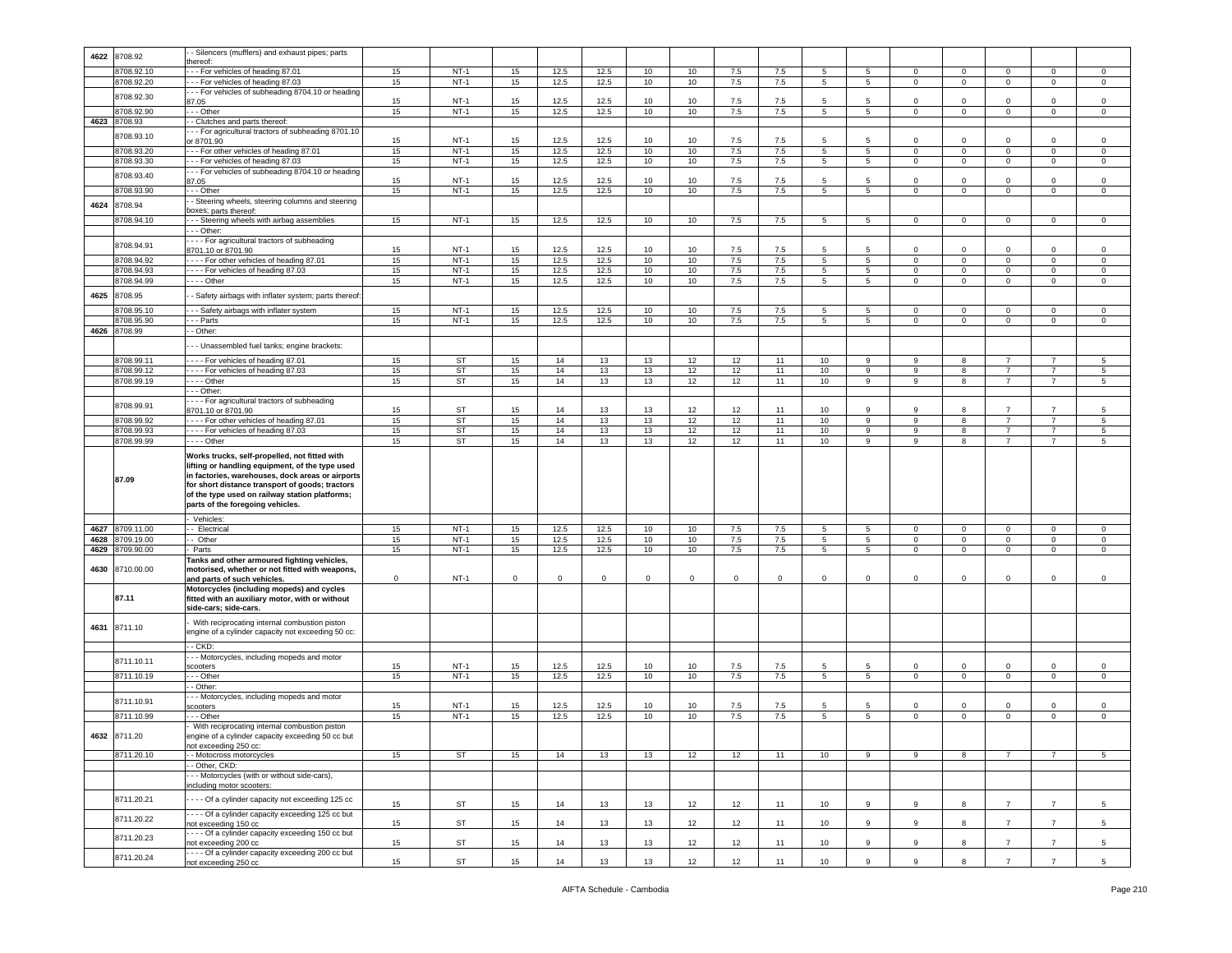| 4622 | 8708.92      | - Silencers (mufflers) and exhaust pipes; parts                          |    |        |              |      |      |    |                 |             |             |                |                 |              |                |                |                |                 |
|------|--------------|--------------------------------------------------------------------------|----|--------|--------------|------|------|----|-----------------|-------------|-------------|----------------|-----------------|--------------|----------------|----------------|----------------|-----------------|
|      |              | ereof:                                                                   |    |        |              |      |      |    |                 |             |             |                |                 |              |                |                |                |                 |
|      | 8708.92.10   | -- For vehicles of heading 87.01                                         | 15 | $NT-1$ | 15           | 12.5 | 12.5 | 10 | 10              | 7.5         | 7.5         | 5              | 5               | $\circ$      | $\mathbf 0$    | $\mathbf 0$    | 0              | $\circ$         |
|      | 8708.92.20   | - - For vehicles of heading 87.03                                        | 15 | $NT-1$ | 15           | 12.5 | 12.5 | 10 | 10              | 7.5         | 7.5         | $5^{\circ}$    | 5               | $\mathbf 0$  | $\overline{0}$ | $\overline{0}$ | 0              | $\mathbf 0$     |
|      |              | -- For vehicles of subheading 8704.10 or heading                         |    |        |              |      |      |    |                 |             |             |                |                 |              |                |                |                |                 |
|      | 8708.92.30   | 37.05                                                                    | 15 | $NT-1$ | 15           | 12.5 | 12.5 | 10 | 10              | 7.5         | 7.5         | 5              | 5               | $\Omega$     | $\mathbf 0$    | 0              | $\Omega$       | 0               |
|      | 8708.92.90   | - - Other                                                                | 15 | $NT-1$ | 15           | 12.5 | 12.5 | 10 | 10              | 7.5         | 7.5         | 5              | 5               | $\mathbf 0$  | $\mathbf 0$    | $\mathbf 0$    | $\Omega$       | $\mathsf 0$     |
| 4623 |              |                                                                          |    |        |              |      |      |    |                 |             |             |                |                 |              |                |                |                |                 |
|      | 8708.93      | - Clutches and parts thereof:                                            |    |        |              |      |      |    |                 |             |             |                |                 |              |                |                |                |                 |
|      | 3708.93.10   | -- For agricultural tractors of subheading 8701.10                       |    |        |              |      |      |    |                 |             |             |                |                 |              |                |                |                |                 |
|      |              | or 8701.90                                                               | 15 | $NT-1$ | 15           | 12.5 | 12.5 | 10 | 10              | 7.5         | 7.5         | 5              | $5\overline{5}$ | 0            | $\Omega$       | $\mathbf 0$    | 0              | 0               |
|      | 8708.93.20   | --- For other vehicles of heading 87.01                                  | 15 | $NT-1$ | 15           | 12.5 | 12.5 | 10 | 10              | 7.5         | 7.5         | 5              | 5               | $\mathbf{0}$ | $\mathbf 0$    | $\overline{0}$ | $\circ$        | $\mathbf 0$     |
|      | 8708.93.30   | - - For vehicles of heading 87.03                                        | 15 | $NT-1$ | 15           | 12.5 | 12.5 | 10 | 10              | 7.5         | 7.5         | 5              | $5^{\circ}$     | $\circ$      | $\mathbf 0$    | $\mathbf 0$    | $\mathbf 0$    | $\mathsf 0$     |
|      |              | -- For vehicles of subheading 8704.10 or heading                         |    |        |              |      |      |    |                 |             |             |                |                 |              |                |                |                |                 |
|      | 8708.93.40   | 87.05                                                                    | 15 | $NT-1$ | 15           | 12.5 | 12.5 | 10 | 10              | 7.5         | 7.5         | 5              | 5               | $\mathbf 0$  | $^{\circ}$     | $\mathbf 0$    | $\mathbf 0$    | $\mathsf 0$     |
|      | 8708.93.90   | - - Other                                                                | 15 | $NT-1$ | 15           | 12.5 | 12.5 | 10 | 10              | 7.5         | 7.5         | $\overline{5}$ | 5               | $\circ$      | $\overline{0}$ | $\mathbf 0$    | $\mathbf 0$    | $\mathsf 0$     |
|      |              | - Steering wheels, steering columns and steering                         |    |        |              |      |      |    |                 |             |             |                |                 |              |                |                |                |                 |
| 4624 | 8708.94      | oxes; parts thereof:                                                     |    |        |              |      |      |    |                 |             |             |                |                 |              |                |                |                |                 |
|      |              |                                                                          |    | $NT-1$ |              |      |      |    |                 |             |             |                |                 |              |                |                |                |                 |
|      | 3708.94.10   | - - Steering wheels with airbag assemblies                               | 15 |        | 15           | 12.5 | 12.5 | 10 | 10              | 7.5         | 7.5         | 5              | 5               | $\mathsf 0$  | $\mathbf 0$    | $\mathbf 0$    | $\mathbf 0$    | $\,0\,$         |
|      |              | - - Other:                                                               |    |        |              |      |      |    |                 |             |             |                |                 |              |                |                |                |                 |
|      | 8708.94.91   | --- For agricultural tractors of subheading                              |    |        |              |      |      |    |                 |             |             |                |                 |              |                |                |                |                 |
|      |              | 3701.10 or 8701.90                                                       | 15 | $NT-1$ | 15           | 12.5 | 12.5 | 10 | 10              | 7.5         | 7.5         | 5              | 5               | $\mathbf 0$  | $\Omega$       | $\Omega$       | $\Omega$       | 0               |
|      | 8708.94.92   | --- For other vehicles of heading 87.01                                  | 15 | $NT-1$ | 15           | 12.5 | 12.5 | 10 | 10              | $7.5\,$     | 7.5         | 5              | $5\overline{5}$ | $\mathbf 0$  | $\mathbf 0$    | $\circ$        | $\mathbf 0$    | $\,0\,$         |
|      | 8708.94.93   | --- For vehicles of heading 87.03                                        | 15 | $NT-1$ | 15           | 12.5 | 12.5 | 10 | 10              | 7.5         | 7.5         | 5              | 5               | $\mathbf 0$  | $\mathsf 0$    | $\mathbf 0$    | $\mathbf 0$    | $\,0\,$         |
|      | 3708.94.99   | $- -$ Other                                                              | 15 | $NT-1$ | 15           | 12.5 | 12.5 | 10 | 10              | 7.5         | 7.5         | 5              | $5^{\circ}$     | $\mathbf 0$  | $\mathbf 0$    | $\circ$        | $\mathbf 0$    | 0               |
|      |              |                                                                          |    |        |              |      |      |    |                 |             |             |                |                 |              |                |                |                |                 |
| 4625 | 8708.95      | - Safety airbags with inflater system; parts thereof.                    |    |        |              |      |      |    |                 |             |             |                |                 |              |                |                |                |                 |
|      | 8708.95.10   | - - Safety airbags with inflater system                                  | 15 | $NT-1$ | 15           | 12.5 | 12.5 | 10 | 10              | 7.5         | 7.5         | 5              | 5               | $\mathbf{0}$ | $\mathbf 0$    | $\mathbf 0$    | 0              | $\mathbf 0$     |
|      | 8708.95.90   | - - Parts                                                                | 15 | $NT-1$ | 15           | 12.5 | 12.5 | 10 | 10              | 7.5         | 7.5         | 5              | $5^{\circ}$     | $\Omega$     | $\mathbf 0$    | $\mathbf{0}$   | $\mathbf 0$    | 0               |
| 4626 | 8708.99      | - Other:                                                                 |    |        |              |      |      |    |                 |             |             |                |                 |              |                |                |                |                 |
|      |              |                                                                          |    |        |              |      |      |    |                 |             |             |                |                 |              |                |                |                |                 |
|      |              | - - Unassembled fuel tanks; engine brackets:                             |    |        |              |      |      |    |                 |             |             |                |                 |              |                |                |                |                 |
|      | 8708.99.11   | --- For vehicles of heading 87.01                                        | 15 | ST     | 15           | 14   | 13   | 13 | 12              | 12          | 11          | 10             | 9               | 9            | 8              |                |                |                 |
|      |              |                                                                          |    |        |              |      |      |    |                 |             |             |                |                 |              |                |                |                | 5               |
|      | 8708.99.12   | ---- For vehicles of heading 87.03                                       | 15 | ST     | 15           | 14   | 13   | 13 | 12              | 12          | 11          | 10             | 9               | 9            | 8              | $\overline{7}$ | $\overline{7}$ | $\sqrt{5}$      |
|      | 8708.99.19   | $- -$ Other                                                              | 15 | ST     | 15           | 14   | 13   | 13 | 12              | 12          | 11          | 10             | 9               | 9            | 8              | $\overline{7}$ | $\overline{7}$ | 5               |
|      |              | - - Other:                                                               |    |        |              |      |      |    |                 |             |             |                |                 |              |                |                |                |                 |
|      | 8708.99.91   | - - - For agricultural tractors of subheading                            |    |        |              |      |      |    |                 |             |             |                |                 |              |                |                |                |                 |
|      |              | 3701.10 or 8701.90                                                       | 15 | ST     | 15           | 14   | 13   | 13 | 12              | 12          | 11          | 10             | 9               | 9            | 8              | $\overline{7}$ | $\overline{7}$ | -5              |
|      | 8708.99.92   | --- For other vehicles of heading 87.01                                  | 15 | ST     | 15           | 14   | 13   | 13 | 12              | 12          | 11          | 10             | 9               | 9            | 8              | $\overline{7}$ | $\overline{7}$ | 5               |
|      | 8708.99.93   | ---- For vehicles of heading 87.03                                       | 15 | ST     | 15           | 14   | 13   | 13 | 12              | 12          | 11          | 10             | 9               | 9            | 8              | $\overline{7}$ | $\overline{7}$ | 5               |
|      | 8708.99.99   | - - - - Other                                                            | 15 | ST     | 15           | 14   | 13   | 13 | 12              | 12          | 11          | 10             | 9               | 9            | 8              | $\overline{7}$ | $\overline{7}$ | 5               |
|      |              |                                                                          |    |        |              |      |      |    |                 |             |             |                |                 |              |                |                |                |                 |
|      |              | Works trucks, self-propelled, not fitted with                            |    |        |              |      |      |    |                 |             |             |                |                 |              |                |                |                |                 |
|      |              | lifting or handling equipment, of the type used                          |    |        |              |      |      |    |                 |             |             |                |                 |              |                |                |                |                 |
|      |              |                                                                          |    |        |              |      |      |    |                 |             |             |                |                 |              |                |                |                |                 |
|      |              | in factories, warehouses, dock areas or airports                         |    |        |              |      |      |    |                 |             |             |                |                 |              |                |                |                |                 |
|      | 87.09        | for short distance transport of goods; tractors                          |    |        |              |      |      |    |                 |             |             |                |                 |              |                |                |                |                 |
|      |              | of the type used on railway station platforms;                           |    |        |              |      |      |    |                 |             |             |                |                 |              |                |                |                |                 |
|      |              | parts of the foregoing vehicles.                                         |    |        |              |      |      |    |                 |             |             |                |                 |              |                |                |                |                 |
|      |              |                                                                          |    |        |              |      |      |    |                 |             |             |                |                 |              |                |                |                |                 |
|      |              | Vehicles:                                                                |    |        |              |      |      |    |                 |             |             |                |                 |              |                |                |                |                 |
| 4627 | 8709.11.00   | - Electrical                                                             | 15 | $NT-1$ | 15           | 12.5 | 12.5 | 10 | 10              | 7.5         | 7.5         | 5              | 5               | $^{\circ}$   | $\mathbf{0}$   | $^{\circ}$     | $^{\circ}$     | 0               |
| 4628 | 8709.19.00   | - Other                                                                  | 15 | $NT-1$ | 15           | 12.5 | 12.5 | 10 | 10              | 7.5         | 7.5         | 5              | $5^{\circ}$     | $\mathbf 0$  | $\mathbf 0$    | $\mathbf 0$    | $\mathbf 0$    | $\mathsf 0$     |
| 4629 | 8709.90.00   | Parts                                                                    | 15 | $NT-1$ | 15           | 12.5 | 12.5 | 10 | 10              | 7.5         | 7.5         | 5 <sub>5</sub> | $5\overline{5}$ | $\circ$      | $\mathbf 0$    | $\mathbf 0$    | $\mathbf 0$    | $\,0\,$         |
|      |              | Tanks and other armoured fighting vehicles,                              |    |        |              |      |      |    |                 |             |             |                |                 |              |                |                |                |                 |
| 4630 | 8710.00.00   | motorised, whether or not fitted with weapons,                           |    |        |              |      |      |    |                 |             |             |                |                 |              |                |                |                |                 |
|      |              | and parts of such vehicles.                                              | 0  | $NT-1$ | $\mathbf{0}$ | 0    | 0    | 0  | $\mathbf 0$     | $\mathbf 0$ | $\mathbf 0$ | $\mathbf 0$    | $\mathbf 0$     | 0            | $\mathbf 0$    | 0              | 0              | 0               |
|      |              | Motorcycles (including mopeds) and cycles                                |    |        |              |      |      |    |                 |             |             |                |                 |              |                |                |                |                 |
|      | 87.11        | fitted with an auxiliary motor, with or without                          |    |        |              |      |      |    |                 |             |             |                |                 |              |                |                |                |                 |
|      |              | side-cars; side-cars.                                                    |    |        |              |      |      |    |                 |             |             |                |                 |              |                |                |                |                 |
|      |              |                                                                          |    |        |              |      |      |    |                 |             |             |                |                 |              |                |                |                |                 |
| 4631 | 8711.10      | With reciprocating internal combustion piston                            |    |        |              |      |      |    |                 |             |             |                |                 |              |                |                |                |                 |
|      |              | engine of a cylinder capacity not exceeding 50 cc:                       |    |        |              |      |      |    |                 |             |             |                |                 |              |                |                |                |                 |
|      |              | - CKD:                                                                   |    |        |              |      |      |    |                 |             |             |                |                 |              |                |                |                |                 |
|      |              | - - Motorcycles, including mopeds and motor                              |    |        |              |      |      |    |                 |             |             |                |                 |              |                |                |                |                 |
|      | 8711.10.11   | scooters                                                                 | 15 | $NT-1$ | 15           | 12.5 | 12.5 | 10 | 10              | 7.5         | 7.5         | -5             | -5              | $\circ$      | $\mathbf{0}$   | $\mathbf 0$    | $\mathbf 0$    | $\mathsf 0$     |
|      | 8711.10.19   | - - Other                                                                | 15 | $NT-1$ | 15           | 12.5 | 12.5 | 10 | 10              | 7.5         | 7.5         | $\overline{5}$ | 5               | $\mathbf{0}$ | $\mathbf 0$    | $\circ$        | $\mathbf 0$    | 0               |
|      |              | - Other:                                                                 |    |        |              |      |      |    |                 |             |             |                |                 |              |                |                |                |                 |
|      |              |                                                                          |    |        |              |      |      |    |                 |             |             |                |                 |              |                |                |                |                 |
|      | 8711.10.91   | - - Motorcycles, including mopeds and motor<br>scooters                  | 15 | $NT-1$ | 15           | 12.5 | 12.5 | 10 | 10 <sup>1</sup> | 7.5         | 7.5         | 5              | 5               | $\mathbf 0$  | $\Omega$       | $\Omega$       | $\Omega$       | $\mathsf 0$     |
|      | 8711.10.99   | - - Other                                                                | 15 | $NT-1$ | 15           | 12.5 | 12.5 | 10 | 10              | 7.5         | 7.5         | $5^{\circ}$    | 5               | $\mathbf 0$  | $\overline{0}$ | $\overline{0}$ | $\mathbf 0$    | $\circ$         |
|      |              |                                                                          |    |        |              |      |      |    |                 |             |             |                |                 |              |                |                |                |                 |
|      |              | With reciprocating internal combustion piston                            |    |        |              |      |      |    |                 |             |             |                |                 |              |                |                |                |                 |
|      | 4632 8711.20 | engine of a cylinder capacity exceeding 50 cc but                        |    |        |              |      |      |    |                 |             |             |                |                 |              |                |                |                |                 |
|      |              | not exceeding 250 cc:                                                    |    |        |              |      |      |    |                 |             |             |                |                 |              |                |                | $\overline{7}$ |                 |
|      | 8711.20.10   | - Motocross motorcycles                                                  | 15 | ST     | 15           | 14   | 13   | 13 | 12              | 12          | 11          | 10             | 9               | 9            | 8              | $\overline{7}$ |                | 5               |
|      |              | - Other, CKD:                                                            |    |        |              |      |      |    |                 |             |             |                |                 |              |                |                |                |                 |
|      |              | - - Motorcycles (with or without side-cars),                             |    |        |              |      |      |    |                 |             |             |                |                 |              |                |                |                |                 |
|      |              | ncluding motor scooters:                                                 |    |        |              |      |      |    |                 |             |             |                |                 |              |                |                |                |                 |
|      | 8711.20.21   | --- Of a cylinder capacity not exceeding 125 cc                          |    |        |              |      |      |    |                 |             |             |                |                 |              |                |                |                |                 |
|      |              |                                                                          | 15 | ST     | 15           | 14   | 13   | 13 | 12              | 12          | 11          | 10             | $\mathsf g$     | 9            | 8              | $\overline{7}$ | $\overline{7}$ | $\sqrt{5}$      |
|      | 8711.20.22   | --- Of a cylinder capacity exceeding 125 cc but                          |    |        |              |      |      |    |                 |             |             |                |                 |              |                |                |                |                 |
|      |              | not exceeding 150 cc                                                     | 15 | ST     | 15           | 14   | 13   | 13 | 12              | 12          | 11          | 10             | $\mathsf g$     | 9            | 8              | $\overline{7}$ | $\overline{7}$ | $\sqrt{5}$      |
|      | 8711.20.23   | --- Of a cylinder capacity exceeding 150 cc but                          |    |        |              |      |      |    |                 |             |             |                |                 |              |                |                |                |                 |
|      |              | not exceeding 200 cc                                                     | 15 | ST     | 15           | 14   | 13   | 13 | 12              | 12          | 11          | 10             | 9               | 9            | 8              | $\overline{7}$ | $7^{\circ}$    | $5\phantom{.0}$ |
|      | 8711.20.24   | - - - Of a cylinder capacity exceeding 200 cc but<br>ot exceeding 250 cc | 15 | ST     | 15           | 14   | 13   | 13 | 12              | 12          | 11          | 10             | 9               | 9            | 8              | $\overline{7}$ | $\overline{7}$ | 5 <sub>5</sub>  |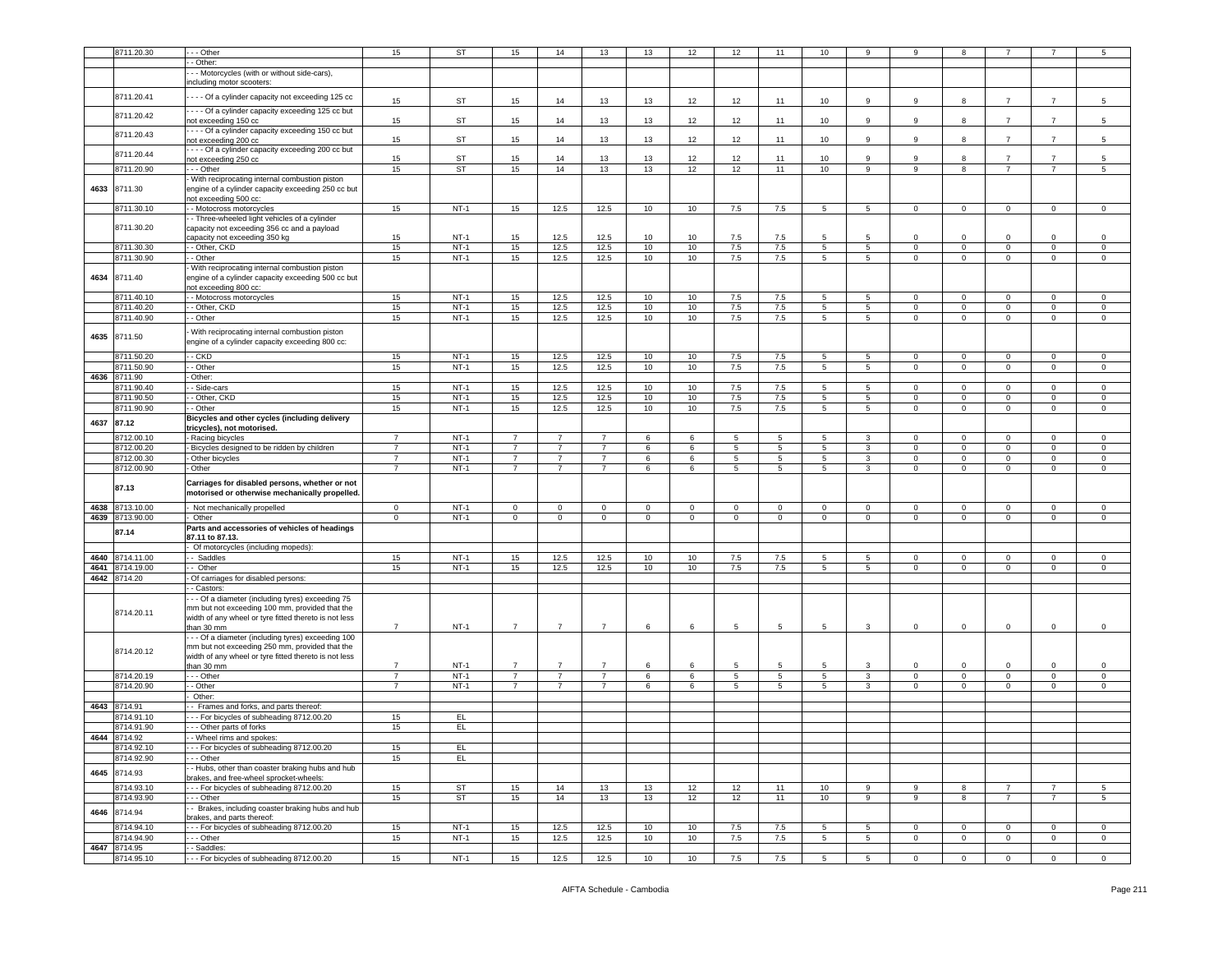|      | 8711.20.30      | - - Other                                             | 15             | ST        | 15             | 14             | 13             | 13          | 12           | 12             | 11              | 10             | 9               |                |                |                     |                | 5              |
|------|-----------------|-------------------------------------------------------|----------------|-----------|----------------|----------------|----------------|-------------|--------------|----------------|-----------------|----------------|-----------------|----------------|----------------|---------------------|----------------|----------------|
|      |                 |                                                       |                |           |                |                |                |             |              |                |                 |                |                 |                |                |                     |                |                |
|      |                 | - Other:                                              |                |           |                |                |                |             |              |                |                 |                |                 |                |                |                     |                |                |
|      |                 | - - Motorcycles (with or without side-cars),          |                |           |                |                |                |             |              |                |                 |                |                 |                |                |                     |                |                |
|      |                 | including motor scooters:                             |                |           |                |                |                |             |              |                |                 |                |                 |                |                |                     |                |                |
|      |                 |                                                       |                |           |                |                |                |             |              |                |                 |                |                 |                |                |                     |                |                |
|      | 8711.20.41      | --- Of a cylinder capacity not exceeding 125 cc       | 15             | ST        | 15             | 14             | 13             | 13          | 12           | 12             | 11              | 10             | 9               | 9              | 8              | $\overline{7}$      | $\overline{7}$ | $\sqrt{5}$     |
|      |                 | - - - - Of a cylinder capacity exceeding 125 cc but   |                |           |                |                |                |             |              |                |                 |                |                 |                |                |                     |                |                |
|      | 8711.20.42      |                                                       | 15             | ST        |                | 14             |                | 13          |              | 12             |                 |                | 9               | 9              | 8              | $\overline{7}$      | $\overline{7}$ | 5              |
|      |                 | not exceeding 150 cc                                  |                |           | 15             |                | 13             |             | 12           |                | 11              | 10             |                 |                |                |                     |                |                |
|      | 8711.20.43      | ---- Of a cylinder capacity exceeding 150 cc but      |                |           |                |                |                |             |              |                |                 |                |                 |                |                |                     |                |                |
|      |                 | not exceeding 200 cc                                  | 15             | ST        | 15             | 14             | 13             | 13          | 12           | 12             | 11              | 10             | 9               | 9              | 8              | $\overline{7}$      | $\overline{7}$ | 5              |
|      | 8711.20.44      | - - - - Of a cylinder capacity exceeding 200 cc but   |                |           |                |                |                |             |              |                |                 |                |                 |                |                |                     |                |                |
|      |                 | not exceeding 250 cc                                  | 15             | <b>ST</b> | 15             | 14             | 13             | 13          | 12           | 12             | 11              | 10             | 9               | 9              | 8              | $\overline{7}$      | $\overline{7}$ | $\sqrt{5}$     |
|      | 8711.20.90      | - - - Other                                           | 15             | <b>ST</b> | 15             | 14             | 13             | 13          | 12           | 12             | 11              | 10             | $\overline{9}$  | 9              | 8              | $\overline{7}$      | $\overline{7}$ | 5              |
|      |                 | With reciprocating internal combustion piston         |                |           |                |                |                |             |              |                |                 |                |                 |                |                |                     |                |                |
|      |                 |                                                       |                |           |                |                |                |             |              |                |                 |                |                 |                |                |                     |                |                |
| 4633 | 8711.30         | engine of a cylinder capacity exceeding 250 cc but    |                |           |                |                |                |             |              |                |                 |                |                 |                |                |                     |                |                |
|      |                 | not exceeding 500 cc:                                 |                |           |                |                |                |             |              |                |                 |                |                 |                |                |                     |                |                |
|      | 8711.30.10      | - Motocross motorcycles                               | 15             | $NT-1$    | 15             | 12.5           | 12.5           | 10          | 10           | 7.5            | 7.5             | 5 <sub>5</sub> | $5^{\circ}$     | $\overline{0}$ | $\overline{0}$ | $\overline{0}$      | $\overline{0}$ | $\mathbf{0}$   |
|      |                 | - Three-wheeled light vehicles of a cylinder          |                |           |                |                |                |             |              |                |                 |                |                 |                |                |                     |                |                |
|      | 8711.30.20      | capacity not exceeding 356 cc and a payload           |                |           |                |                |                |             |              |                |                 |                |                 |                |                |                     |                |                |
|      |                 | apacity not exceeding 350 kg                          | 15             | $NT-1$    | 15             | 12.5           | 12.5           | 10          | 10           | 7.5            | 7.5             | 5              | 5               | $\Omega$       | $\Omega$       | $\Omega$            | $\Omega$       | 0              |
|      |                 | - Other, CKD                                          |                |           |                |                |                |             |              |                |                 |                |                 |                |                |                     |                |                |
|      | 8711.30.30      |                                                       | 15             | $NT-1$    | 15             | 12.5           | 12.5           | 10          | 10           | 7.5            | 7.5             | 5              | $5\phantom{.0}$ | $\circ$        | $\mathbf 0$    | $\mathsf 0$         | $\mathbf 0$    | $\,0\,$        |
|      | 8711.30.90      | - Other                                               | 15             | $NT-1$    | 15             | 12.5           | 12.5           | 10          | 10           | 7.5            | 7.5             | 5              | 5               | $\mathsf 0$    | $\mathbf 0$    | $\mathsf{O}\xspace$ | $\mathbf 0$    | $\mathsf 0$    |
|      |                 | With reciprocating internal combustion piston         |                |           |                |                |                |             |              |                |                 |                |                 |                |                |                     |                |                |
| 4634 | 8711.40         | engine of a cylinder capacity exceeding 500 cc but    |                |           |                |                |                |             |              |                |                 |                |                 |                |                |                     |                |                |
|      |                 | not exceeding 800 cc:                                 |                |           |                |                |                |             |              |                |                 |                |                 |                |                |                     |                |                |
|      | 8711.40.10      |                                                       | 15             | $NT-1$    |                | 12.5           | 12.5           | 10          |              | 7.5            |                 |                |                 |                | $\mathbf{0}$   |                     |                | $\mathbf 0$    |
|      |                 | - Motocross motorcycles                               |                |           | 15             |                |                |             | 10           |                | 7.5             | 5              | 5               | $\mathbf 0$    |                | $\mathbf{0}$        | 0              |                |
|      | 8711.40.20      | - Other, CKD                                          | 15             | $NT-1$    | 15             | 12.5           | 12.5           | 10          | 10           | 7.5            | 7.5             | 5              | $5^{\circ}$     | $\mathbf 0$    | $\overline{0}$ | $\mathbf{0}$        | $\mathbf 0$    | $\mathbf 0$    |
|      | 8711.40.90      | - Other                                               | 15             | $NT-1$    | 15             | 12.5           | 12.5           | 10          | 10           | 7.5            | 7.5             | $5^{\circ}$    | $5\overline{5}$ | $\circ$        | $\overline{0}$ | $\mathbf{0}$        | $\mathbf 0$    | $\mathsf 0$    |
|      |                 |                                                       |                |           |                |                |                |             |              |                |                 |                |                 |                |                |                     |                |                |
| 4635 | 8711.50         | With reciprocating internal combustion piston         |                |           |                |                |                |             |              |                |                 |                |                 |                |                |                     |                |                |
|      |                 | engine of a cylinder capacity exceeding 800 cc:       |                |           |                |                |                |             |              |                |                 |                |                 |                |                |                     |                |                |
|      | 8711.50.20      | $-CKD$                                                | 15             | $NT-1$    | 15             |                |                | 10          |              |                |                 |                |                 |                |                |                     |                |                |
|      |                 |                                                       |                |           |                | 12.5           | 12.5           |             | 10           | 7.5            | 7.5             | 5              | 5               | $\mathbf 0$    | $\mathbf 0$    | $\mathbf 0$         | 0              | 0              |
|      | 8711.50.90      | - Other                                               | 15             | $NT-1$    | 15             | 12.5           | 12.5           | 10          | 10           | 7.5            | 7.5             | 5              | $5\phantom{.0}$ | $\mathsf 0$    | $\mathbf 0$    | $\mathbf{0}$        | $\mathbf 0$    | $\mathsf 0$    |
| 4636 | 8711.90         | Other:                                                |                |           |                |                |                |             |              |                |                 |                |                 |                |                |                     |                |                |
|      | 8711.90.40      | - Side-cars                                           | 15             | $NT-1$    | 15             | 12.5           | 12.5           | 10          | 10           | 7.5            | 7.5             | 5              | $5\phantom{.0}$ | $\circ$        | $\overline{0}$ | $\mathbf 0$         | $\mathbf 0$    | $\mathsf 0$    |
|      | 8711.90.50      |                                                       | 15             | $NT-1$    | 15             | 12.5           | 12.5           |             | 10           | $7.5\,$        | $7.5\,$         |                | $\sqrt{5}$      | $\mathbf 0$    |                | $\mathbf 0$         | $\mathbf 0$    |                |
|      |                 | - Other, CKD                                          |                |           |                |                |                | 10          |              |                |                 | 5              |                 |                | $\mathbf 0$    |                     |                | $\,0\,$        |
|      | 8711.90.90      | - Other                                               | 15             | $NT-1$    | 15             | 12.5           | 12.5           | 10          | 10           | 7.5            | 7.5             | 5              | 5               | 0              | $\overline{0}$ | $\mathbf{0}$        | $\mathbf 0$    | $\mathsf 0$    |
| 4637 | 87.12           | Bicycles and other cycles (including delivery         |                |           |                |                |                |             |              |                |                 |                |                 |                |                |                     |                |                |
|      |                 | tricycles), not motorised.                            |                |           |                |                |                |             |              |                |                 |                |                 |                |                |                     |                |                |
|      | 8712.00.10      | - Racing bicycles                                     | 7              | $NT-1$    | $\overline{7}$ | $\overline{7}$ | $\overline{7}$ | 6           | 6            | 5              | 5               | 5              | 3               | $\mathbf{0}$   | $\mathbf 0$    | $\mathbf 0$         | $\mathbf 0$    | 0              |
|      | 8712.00.20      | Bicycles designed to be ridden by children            | $\overline{7}$ | $NT-1$    | $\overline{7}$ | $\overline{7}$ | $\overline{7}$ | 6           | 6            | 5              | $5\phantom{.0}$ | 5              | 3               | $\mathbf{0}$   | $\mathbf 0$    | $\mathbf{0}$        | $\mathbf 0$    | $\mathsf 0$    |
|      |                 |                                                       |                |           |                |                |                |             |              |                |                 |                |                 |                |                |                     |                |                |
|      | 8712.00.30      | Other bicycles                                        | $\overline{7}$ | $NT-1$    | $\overline{7}$ | $\overline{7}$ | $\overline{7}$ | 6           | 6            | $\overline{5}$ | 5               | 5              | $\overline{3}$  | $\overline{0}$ | $\overline{0}$ | $\overline{0}$      | $\overline{0}$ | $\overline{0}$ |
|      | 8712.00.90      | Other                                                 | $\overline{7}$ | $NT-1$    | $\overline{7}$ | $\overline{7}$ | $\overline{7}$ | 6           | 6            | 5              | 5               | 5              | $\mathbf{3}$    | $\mathbf 0$    | $\mathbf 0$    | $\mathbf{0}$        | $\mathbf 0$    | $\mathsf 0$    |
|      |                 |                                                       |                |           |                |                |                |             |              |                |                 |                |                 |                |                |                     |                |                |
|      | 87.13           | Carriages for disabled persons, whether or not        |                |           |                |                |                |             |              |                |                 |                |                 |                |                |                     |                |                |
|      |                 | motorised or otherwise mechanically propelled.        |                |           |                |                |                |             |              |                |                 |                |                 |                |                |                     |                |                |
|      |                 |                                                       |                | $NT-1$    |                |                |                |             |              |                |                 |                |                 |                |                |                     |                |                |
|      | 4638 8713.10.00 | Not mechanically propelled                            | $\mathbf 0$    |           | $\mathbf 0$    | 0              | $\mathbf{0}$   | $\mathbf 0$ | $\mathbf 0$  | 0              | $\mathbf 0$     | 0              | $\mathbf 0$     | $\mathbf{0}$   | $\mathbf 0$    | $\mathbf{0}$        | 0              | $\mathbf 0$    |
| 4639 | 8713.90.00      | Other                                                 | $\mathbf 0$    | $NT-1$    | $\mathbf{0}$   | $\mathbf 0$    | $\mathsf 0$    | $\circ$     | $\mathbf{0}$ | $\mathbf 0$    | $\mathbf 0$     | $\mathbf 0$    | $\circ$         | $\mathbf{O}$   | $\mathbf{0}$   | $\mathbf{0}$        | $\mathbf 0$    | $\mathbf 0$    |
|      | 87.14           | Parts and accessories of vehicles of headings         |                |           |                |                |                |             |              |                |                 |                |                 |                |                |                     |                |                |
|      |                 | 87.11 to 87.13.                                       |                |           |                |                |                |             |              |                |                 |                |                 |                |                |                     |                |                |
|      |                 | Of motorcycles (including mopeds):                    |                |           |                |                |                |             |              |                |                 |                |                 |                |                |                     |                |                |
| 4640 | 8714.11.00      | - Saddles                                             | 15             | $NT-1$    | 15             | 12.5           | 12.5           | 10          | 10           | 7.5            | 7.5             | 5              | 5               | $\mathbf 0$    | $\mathbf 0$    | $\mathbf 0$         | $\mathbf 0$    | $\,0\,$        |
|      |                 |                                                       |                | $NT-1$    |                |                |                |             |              |                |                 |                |                 |                | $\overline{0}$ |                     |                |                |
| 4641 | 8714.19.00      | - Other                                               | 15             |           | 15             | 12.5           | 12.5           | 10          | 10           | 7.5            | 7.5             | $5^{\circ}$    | 5               | $\mathbf 0$    |                | $\overline{0}$      | $\mathbf 0$    | $\circ$        |
|      | 4642 8714.20    | Of carriages for disabled persons:                    |                |           |                |                |                |             |              |                |                 |                |                 |                |                |                     |                |                |
|      |                 | - Castors:                                            |                |           |                |                |                |             |              |                |                 |                |                 |                |                |                     |                |                |
|      |                 | - - Of a diameter (including tyres) exceeding 75      |                |           |                |                |                |             |              |                |                 |                |                 |                |                |                     |                |                |
|      |                 | mm but not exceeding 100 mm, provided that the        |                |           |                |                |                |             |              |                |                 |                |                 |                |                |                     |                |                |
|      | 8714.20.11      | width of any wheel or tyre fitted thereto is not less |                |           |                |                |                |             |              |                |                 |                |                 |                |                |                     |                |                |
|      |                 | than 30 mm                                            | $\overline{7}$ | $NT-1$    | $\overline{7}$ | $\overline{7}$ | $\overline{7}$ | 6           | 6            | 5              | 5               | 5              | 3               | $\mathbf 0$    | $\mathbf 0$    | $\mathbf 0$         | $\mathbf 0$    | $\mathbf 0$    |
|      |                 | - - Of a diameter (including tyres) exceeding 100     |                |           |                |                |                |             |              |                |                 |                |                 |                |                |                     |                |                |
|      |                 |                                                       |                |           |                |                |                |             |              |                |                 |                |                 |                |                |                     |                |                |
|      | 8714.20.12      | mm but not exceeding 250 mm, provided that the        |                |           |                |                |                |             |              |                |                 |                |                 |                |                |                     |                |                |
|      |                 | width of any wheel or tyre fitted thereto is not less |                |           |                |                |                |             |              |                |                 |                |                 |                |                |                     |                |                |
|      |                 | than 30 mm                                            | $\overline{7}$ | $NT-1$    | $\overline{7}$ | $\overline{7}$ | $\overline{7}$ | 6           | 6            | 5              | 5               | 5              | 3               | $\Omega$       | $\mathbf 0$    | $\Omega$            | $\Omega$       | 0              |
|      | 8714.20.19      | - - - Other                                           | $\overline{7}$ | $NT-1$    | $\overline{7}$ | $\overline{7}$ | $\overline{7}$ | 6           | 6            | 5              | 5               | 5              | 3               | $\mathbf 0$    | $\overline{0}$ | $\mathbf 0$         | $\mathbf 0$    | $\mathbf 0$    |
|      | 8714.20.90      | - Other                                               | $\overline{7}$ | $NT-1$    | $\overline{7}$ | $\overline{7}$ | $\overline{7}$ | 6           | 6            | 5              | $5\phantom{.0}$ | $5^{\circ}$    | $\mathbf{3}$    | $\circ$        | $\overline{0}$ | $\mathbf{0}$        | $\mathbf 0$    | $\mathsf 0$    |
|      |                 | Other:                                                |                |           |                |                |                |             |              |                |                 |                |                 |                |                |                     |                |                |
|      |                 |                                                       |                |           |                |                |                |             |              |                |                 |                |                 |                |                |                     |                |                |
|      | 4643 8714.91    | - Frames and forks, and parts thereof.                |                |           |                |                |                |             |              |                |                 |                |                 |                |                |                     |                |                |
|      | 8714.91.10      | - - For bicycles of subheading 8712.00.20             | 15             | EL        |                |                |                |             |              |                |                 |                |                 |                |                |                     |                |                |
|      | 8714.91.90      | - - Other parts of forks                              | 15             | EL.       |                |                |                |             |              |                |                 |                |                 |                |                |                     |                |                |
|      | 4644 8714.92    | - - Wheel rims and spokes:                            |                |           |                |                |                |             |              |                |                 |                |                 |                |                |                     |                |                |
|      |                 |                                                       |                |           |                |                |                |             |              |                |                 |                |                 |                |                |                     |                |                |
|      | 8714.92.10      | --- For bicycles of subheading 8712.00.20             | 15             | EL        |                |                |                |             |              |                |                 |                |                 |                |                |                     |                |                |
|      | 8714.92.90      | - - Other                                             | 15             | EL.       |                |                |                |             |              |                |                 |                |                 |                |                |                     |                |                |
|      |                 | - Hubs, other than coaster braking hubs and hub       |                |           |                |                |                |             |              |                |                 |                |                 |                |                |                     |                |                |
| 4645 | 8714.93         | brakes, and free-wheel sprocket-wheels:               |                |           |                |                |                |             |              |                |                 |                |                 |                |                |                     |                |                |
|      | 8714.93.10      | --- For bicycles of subheading 8712.00.20             | 15             | ST        | 15             | 14             | 13             | 13          | 12           | 12             | 11              | 10             | 9               | 9              | 8              | $\overline{7}$      | $\overline{7}$ | 5              |
|      | 8714.93.90      | -- Other                                              | 15             |           |                | 14             |                |             |              |                | 11              |                | 9               | 9              |                | $\overline{7}$      | $\overline{7}$ | 5              |
|      |                 |                                                       |                | ST        | 15             |                | 13             | 13          | 12           | 12             |                 | 10             |                 |                | 8              |                     |                |                |
|      | 4646 8714.94    | - Brakes, including coaster braking hubs and hub      |                |           |                |                |                |             |              |                |                 |                |                 |                |                |                     |                |                |
|      |                 | brakes, and parts thereof:                            |                |           |                |                |                |             |              |                |                 |                |                 |                |                |                     |                |                |
|      | 8714.94.10      | --- For bicycles of subheading 8712.00.20             | 15             | $NT-1$    | 15             | 12.5           | 12.5           | 10          | 10           | 7.5            | 7.5             | 5              | 5               | $\circ$        | $\mathbf 0$    | $\mathbf 0$         | $\mathbf 0$    | $\mathbf 0$    |
|      | 8714.94.90      | - - Other                                             | 15             | $NT-1$    | 15             | 12.5           | 12.5           | 10          | 10           | 7.5            | 7.5             | 5              | 5               | $\mathbf{O}$   | $\overline{0}$ | $\mathsf 0$         | $\mathsf 0$    | $\mathsf 0$    |
|      | 4647 8714.95    | - - Saddles:                                          |                |           |                |                |                |             |              |                |                 |                |                 |                |                |                     |                |                |
|      | 8714.95.10      | --- For bicycles of subheading 8712.00.20             |                |           |                |                |                |             |              |                |                 |                |                 |                |                |                     |                |                |
|      |                 |                                                       | 15             | $NT-1$    | 15             | 12.5           | 12.5           | 10          | 10           | 7.5            | 7.5             | 5              | $5\overline{5}$ | $\circ$        | $\mathbf{0}$   | $\mathbf{0}$        | $\mathbf 0$    | $\mathbf{0}$   |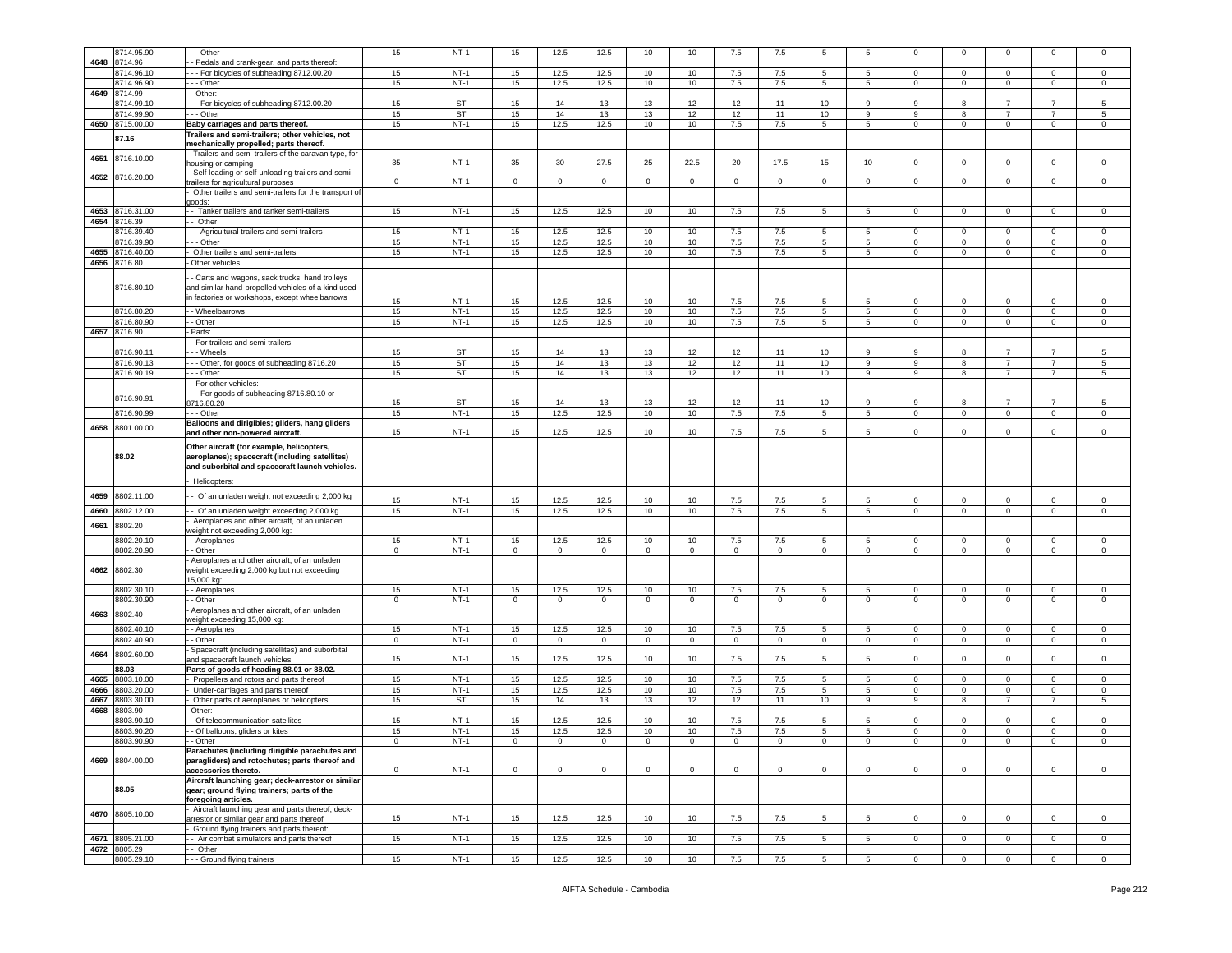|      | 8714.95.90 | - - - Other                                                                                                                                   | 15           | $NT-1$    | 15                      | 12.5        | 12.5         | 10             | 10             | 7.5            | 7.5          | 5               |                 |                         |             |                |                | $\Omega$     |
|------|------------|-----------------------------------------------------------------------------------------------------------------------------------------------|--------------|-----------|-------------------------|-------------|--------------|----------------|----------------|----------------|--------------|-----------------|-----------------|-------------------------|-------------|----------------|----------------|--------------|
|      |            |                                                                                                                                               |              |           |                         |             |              |                |                |                |              |                 |                 |                         |             |                |                |              |
| 4648 | 8714.96    | - Pedals and crank-gear, and parts thereof                                                                                                    |              |           |                         |             |              |                |                |                |              |                 |                 |                         |             |                |                |              |
|      | 8714.96.10 | - - For bicycles of subheading 8712.00.20                                                                                                     | 15           | $NT-1$    | 15                      | 12.5        | 12.5         | 10             | 10             | 7.5            | 7.5          | $5\overline{5}$ | 5               | $\mathbf{0}$            | 0           | $\Omega$       | $\mathbf{0}$   | $\mathbf 0$  |
|      | 8714.96.90 | --- Other                                                                                                                                     | 15           | $NT-1$    | 15                      | 12.5        | 12.5         | 10             | 10             | 7.5            | 7.5          | $5\overline{5}$ | $5^{\circ}$     | $\mathbf 0$             | $\mathbf 0$ | $\mathsf 0$    | $\mathbf 0$    | $\mathbf 0$  |
| 4649 | 8714.99    | - Other:                                                                                                                                      |              |           |                         |             |              |                |                |                |              |                 |                 |                         |             |                |                |              |
|      |            |                                                                                                                                               |              |           |                         |             |              |                |                |                |              |                 |                 |                         |             |                | $\overline{7}$ |              |
|      | 8714.99.10 | --- For bicycles of subheading 8712.00.20                                                                                                     | 15           | ST        | 15                      | 14          | 13           | 13             | 12             | 12             | 11           | 10              | 9               | 9                       | 8           | $\overline{7}$ |                | 5            |
|      | 8714.99.90 | - - Other                                                                                                                                     | 15           | ST        | 15                      | 14          | 13           | 13             | 12             | 12             | 11           | 10              | 9               | 9                       | 8           | $\overline{7}$ | $\overline{7}$ | 5            |
| 4650 | 8715.00.00 | Baby carriages and parts thereof.                                                                                                             | 15           | $NT-1$    | 15                      | 12.5        | 12.5         | 10             | 10             | $7.5\,$        | 7.5          | $\sqrt{5}$      | $5\phantom{.0}$ | $\mathsf 0$             | $\mathbf 0$ | $\mathbf 0$    | $\mathbf 0$    | $\mathsf 0$  |
|      |            | Trailers and semi-trailers; other vehicles, not                                                                                               |              |           |                         |             |              |                |                |                |              |                 |                 |                         |             |                |                |              |
|      | 87.16      |                                                                                                                                               |              |           |                         |             |              |                |                |                |              |                 |                 |                         |             |                |                |              |
|      |            | mechanically propelled; parts thereof.                                                                                                        |              |           |                         |             |              |                |                |                |              |                 |                 |                         |             |                |                |              |
| 4651 | 8716.10.00 | - Trailers and semi-trailers of the caravan type, for                                                                                         |              |           |                         |             |              |                |                |                |              |                 |                 |                         |             |                |                |              |
|      |            | housing or camping                                                                                                                            | 35           | $NT-1$    | 35                      | 30          | 27.5         | 25             | 22.5           | 20             | 17.5         | 15              | 10              | $\mathbf 0$             | 0           | $\Omega$       | $\mathbf 0$    | $\mathbf 0$  |
| 4652 | 8716.20.00 | Self-loading or self-unloading trailers and semi-                                                                                             |              |           |                         |             |              |                |                |                |              |                 |                 |                         |             |                |                |              |
|      |            | trailers for agricultural purposes                                                                                                            | $\mathbf 0$  | $NT-1$    | $\mathbf 0$             | $\circ$     | $\mathbf{O}$ | $\mathbf 0$    | $\circ$        | $\circ$        | $\mathbf 0$  | $\mathbf 0$     | $\circ$         | $\overline{0}$          | $\mathbf 0$ | $\mathbf{0}$   | $\mathbf{0}$   | $\circ$      |
|      |            | Other trailers and semi-trailers for the transport of                                                                                         |              |           |                         |             |              |                |                |                |              |                 |                 |                         |             |                |                |              |
|      |            | goods:                                                                                                                                        |              |           |                         |             |              |                |                |                |              |                 |                 |                         |             |                |                |              |
|      |            |                                                                                                                                               |              |           |                         |             |              |                |                |                |              |                 |                 |                         |             |                |                |              |
| 4653 | 8716.31.00 | - Tanker trailers and tanker semi-trailers                                                                                                    | 15           | $NT-1$    | 15                      | 12.5        | 12.5         | 10             | 10             | 7.5            | 7.5          | 5               | 5               | $\overline{0}$          | 0           | $\mathbf 0$    | $\mathbf{0}$   | $\mathbf 0$  |
| 4654 | 8716.39    | - Other:                                                                                                                                      |              |           |                         |             |              |                |                |                |              |                 |                 |                         |             |                |                |              |
|      | 8716.39.40 | --- Agricultural trailers and semi-trailers                                                                                                   | 15           | $NT-1$    | 15                      | 12.5        | 12.5         | 10             | 10             | 7.5            | 7.5          | 5               | 5               | $\mathbf 0$             | 0           | $\Omega$       | 0              | $\mathbf 0$  |
|      | 8716.39.90 | - - Other                                                                                                                                     | 15           | $NT-1$    | 15                      | 12.5        | 12.5         | 10             | 10             | 7.5            | 7.5          | 5               | 5               | 0                       | 0           | $\Omega$       | 0              | $\mathbf 0$  |
| 4655 | 8716.40.00 | Other trailers and semi-trailers                                                                                                              | 15           | $NT-1$    | 15                      | 12.5        | 12.5         | $10$           | 10             | $7.5\,$        | $7.5\,$      | $\overline{5}$  | 5               | $\mathsf 0$             | $\mathbf 0$ | $\mathsf 0$    | $\mathsf 0$    | $\mathbf 0$  |
|      |            |                                                                                                                                               |              |           |                         |             |              |                |                |                |              |                 |                 |                         |             |                |                |              |
| 4656 | 8716.80    | Other vehicles:                                                                                                                               |              |           |                         |             |              |                |                |                |              |                 |                 |                         |             |                |                |              |
|      |            |                                                                                                                                               |              |           |                         |             |              |                |                |                |              |                 |                 |                         |             |                |                |              |
|      |            | - Carts and wagons, sack trucks, hand trolleys                                                                                                |              |           |                         |             |              |                |                |                |              |                 |                 |                         |             |                |                |              |
|      | 8716.80.10 | and similar hand-propelled vehicles of a kind used                                                                                            |              |           |                         |             |              |                |                |                |              |                 |                 |                         |             |                |                |              |
|      |            | in factories or workshops, except wheelbarrows                                                                                                | 15           | $NT-1$    | 15                      | 12.5        | 12.5         | 10             | 10             | 7.5            | 7.5          | 5               | 5               | $^{\circ}$              | $^{\circ}$  | $\Omega$       | $\Omega$       | $\Omega$     |
|      |            |                                                                                                                                               |              |           |                         |             |              |                |                |                |              |                 |                 |                         |             |                |                |              |
|      | 8716.80.20 | - - Wheelbarrows                                                                                                                              | 15           | $NT-1$    | 15                      | 12.5        | 12.5         | 10             | 10             | 7.5            | 7.5          | 5               | 5               | $\mathbf 0$             | 0           | $\mathbf{0}$   | $\mathbf{0}$   | $\mathbf 0$  |
|      | 8716.80.90 | - Other                                                                                                                                       | 15           | $NT-1$    | 15                      | 12.5        | 12.5         | 10             | 10             | 7.5            | 7.5          | 5               | 5               | $\mathbf 0$             | $\mathbf 0$ | $\mathbf 0$    | $\mathbf 0$    | $\Omega$     |
| 4657 | 8716.90    | - Parts:                                                                                                                                      |              |           |                         |             |              |                |                |                |              |                 |                 |                         |             |                |                |              |
|      |            | - For trailers and semi-trailers:                                                                                                             |              |           |                         |             |              |                |                |                |              |                 |                 |                         |             |                |                |              |
|      | 8716.90.11 | - - Wheels                                                                                                                                    |              | <b>ST</b> |                         |             |              |                |                |                |              |                 |                 |                         |             |                |                |              |
|      |            |                                                                                                                                               | 15           |           | 15                      | 14          | 13           | 13             | 12             | 12             | 11           | 10              | 9               | 9                       | 8           |                | 7              | 5            |
|      | 8716.90.13 | --- Other, for goods of subheading 8716.20                                                                                                    | 15           | ST        | 15                      | 14          | 13           | 13             | 12             | 12             | 11           | 10              | 9               | 9                       | 8           | 7              | 7              | 5            |
|      | 8716.90.19 | - - - Other                                                                                                                                   | 15           | <b>ST</b> | 15                      | 14          | 13           | 13             | 12             | 12             | 11           | 10              | 9               | 9                       | 8           | $\overline{7}$ | $\overline{7}$ | 5            |
|      |            | - For other vehicles:                                                                                                                         |              |           |                         |             |              |                |                |                |              |                 |                 |                         |             |                |                |              |
|      |            | -- For goods of subheading 8716.80.10 or                                                                                                      |              |           |                         |             |              |                |                |                |              |                 |                 |                         |             |                |                |              |
|      | 8716.90.91 |                                                                                                                                               |              | <b>ST</b> |                         |             |              |                |                |                |              |                 | 9               | 9                       | 8           |                | 7              | 5            |
|      |            | 8716.80.20                                                                                                                                    | 15           |           | 15                      | 14          | 13           | 13             | 12             | 12             | 11           | 10              |                 |                         |             |                |                |              |
|      | 8716.90.99 | --- Other                                                                                                                                     | 15           | $NT-1$    | 15                      | 12.5        | 12.5         | 10             | 10             | 7.5            | 7.5          | $5\phantom{.0}$ | 5               | $\overline{0}$          | $\mathbf 0$ | $\mathbf{0}$   | $\mathbf 0$    | $\mathbf 0$  |
|      |            | Balloons and dirigibles; gliders, hang gliders                                                                                                |              |           |                         |             |              |                |                |                |              |                 |                 |                         |             |                |                |              |
| 4658 | 8801.00.00 | and other non-powered aircraft.                                                                                                               | 15           | $NT-1$    | 15                      | 12.5        | 12.5         | 10             | 10             | 7.5            | 7.5          | 5               | 5               | $\mathbf 0$             | 0           | $\mathbf{0}$   | $\mathbf{0}$   | $\mathbf 0$  |
|      |            |                                                                                                                                               |              |           |                         |             |              |                |                |                |              |                 |                 |                         |             |                |                |              |
|      | 88.02      | Other aircraft (for example, helicopters,<br>aeroplanes); spacecraft (including satellites)<br>and suborbital and spacecraft launch vehicles. |              |           |                         |             |              |                |                |                |              |                 |                 |                         |             |                |                |              |
|      |            | Helicopters:                                                                                                                                  |              |           |                         |             |              |                |                |                |              |                 |                 |                         |             |                |                |              |
|      |            |                                                                                                                                               |              |           |                         |             |              |                |                |                |              |                 |                 |                         |             |                |                |              |
| 4659 | 8802.11.00 | - Of an unladen weight not exceeding 2,000 kg                                                                                                 |              |           |                         |             |              |                |                |                |              |                 |                 |                         |             |                |                |              |
|      |            |                                                                                                                                               | 15           | $NT-1$    | 15                      | 12.5        | 12.5         | 10             | 10             | 7.5            | 7.5          | 5               | 5               | $\mathbf 0$             | $^{\circ}$  | $\mathbf 0$    | 0              | $\mathbf 0$  |
| 4660 | 8802.12.00 | - Of an unladen weight exceeding 2,000 kg                                                                                                     | 15           | $NT-1$    | 15                      | 12.5        | 12.5         | 10             | 10             | 7.5            | 7.5          | 5               | 5               | 0                       | 0           | 0              | 0              | $\mathbf 0$  |
|      |            | Aeroplanes and other aircraft, of an unladen                                                                                                  |              |           |                         |             |              |                |                |                |              |                 |                 |                         |             |                |                |              |
| 4661 | 8802.20    | veight not exceeding 2,000 kg:                                                                                                                |              |           |                         |             |              |                |                |                |              |                 |                 |                         |             |                |                |              |
|      | 8802.20.10 | - Aeroplanes                                                                                                                                  |              |           |                         |             |              |                |                |                |              |                 |                 |                         |             |                |                |              |
|      |            |                                                                                                                                               |              |           |                         |             |              |                |                |                |              |                 |                 |                         |             |                |                |              |
|      | 8802.20.90 |                                                                                                                                               | 15           | $NT-1$    | 15                      | 12.5        | 12.5         | 10             | 10             | 7.5            | 7.5          | 5               | 5               | 0                       | 0           | 0              | 0              | $\mathbf 0$  |
|      |            | - Other                                                                                                                                       | $\mathbf 0$  | $NT-1$    | $\mathbf 0$             | $\mathbf 0$ | $\mathbf{O}$ | $\mathbf 0$    | $\mathbf 0$    | $\mathbf 0$    | $\mathbf 0$  | $\mathbf 0$     | $\mathbf 0$     | $\mathbf 0$             | $\mathbf 0$ | $\mathbf{0}$   | $\mathbf 0$    | $\mathbf 0$  |
|      |            | Aeroplanes and other aircraft, of an unladen                                                                                                  |              |           |                         |             |              |                |                |                |              |                 |                 |                         |             |                |                |              |
| 4662 | 8802.30    | weight exceeding 2,000 kg but not exceeding                                                                                                   |              |           |                         |             |              |                |                |                |              |                 |                 |                         |             |                |                |              |
|      |            | 15,000 kg:                                                                                                                                    |              |           |                         |             |              |                |                |                |              |                 |                 |                         |             |                |                |              |
|      |            |                                                                                                                                               |              |           |                         |             |              |                |                |                |              |                 |                 |                         |             |                |                |              |
|      | 8802.30.10 | - - Aeroplanes                                                                                                                                | 15           | $NT-1$    | 15                      | 12.5        | 12.5         | 10             | 10             | 7.5            | 7.5          | 5               | 5               | $\mathbf 0$             | 0           | 0              | $\mathbf 0$    | $\mathbf 0$  |
|      | 8802.30.90 | - Other                                                                                                                                       | $\mathbf{0}$ | $NT-1$    | $\overline{0}$          | $\circ$     | $\mathbf 0$  | $\overline{0}$ | $\overline{0}$ | $\overline{0}$ | $\mathbf 0$  | $\overline{0}$  | $\overline{0}$  | $\overline{0}$          | $\mathbf 0$ | $\mathbf{0}$   | $\mathbf 0$    | $\mathbf 0$  |
| 4663 | 8802.40    | Aeroplanes and other aircraft, of an unladen                                                                                                  |              |           |                         |             |              |                |                |                |              |                 |                 |                         |             |                |                |              |
|      |            | weight exceeding 15,000 kg:                                                                                                                   |              |           |                         |             |              |                |                |                |              |                 |                 |                         |             |                |                |              |
|      | 8802.40.10 | - - Aeroplanes                                                                                                                                | 15           | $NT-1$    | 15                      | 12.5        | 12.5         | 10             | 10             | 7.5            | 7.5          | 5               | 5               | $\mathbf{0}$            | $\mathbf 0$ | 0              | $\mathbf{0}$   | $\mathbf 0$  |
|      | 8802.40.90 | - - Other                                                                                                                                     | $\mathbf 0$  | $NT-1$    | $\overline{\mathbf{0}}$ | $\mathsf 0$ | $\mathbf{O}$ | $\mathsf 0$    | $\mathbf{0}$   | $\mathbf 0$    | $\mathbf 0$  | $\mathsf 0$     | $\circ$         | $\overline{\mathbf{0}}$ | $\mathbf 0$ | $\mathbf 0$    | $\mathbf 0$    | $\mathsf 0$  |
|      |            |                                                                                                                                               |              |           |                         |             |              |                |                |                |              |                 |                 |                         |             |                |                |              |
| 4664 | 8802.60.00 | Spacecraft (including satellites) and suborbital                                                                                              |              |           |                         |             |              |                |                |                |              | 5               | 5               | $\mathbf 0$             | $\mathbf 0$ | 0              | $\mathbf{0}$   | $\mathbf 0$  |
|      |            | and spacecraft launch vehicles                                                                                                                | 15           | $NT-1$    | 15                      | 12.5        | 12.5         | 10             | 10             | 7.5            | 7.5          |                 |                 |                         |             |                |                |              |
|      | 88.03      | Parts of goods of heading 88.01 or 88.02.                                                                                                     |              |           |                         |             |              |                |                |                |              |                 |                 |                         |             |                |                |              |
| 4665 | 8803.10.00 | Propellers and rotors and parts thereof                                                                                                       | 15           | $NT-1$    | 15                      | 12.5        | 12.5         | 10             | 10             | 7.5            | 7.5          | $5\overline{5}$ | 5               | $\overline{0}$          | 0           | $\Omega$       | $\mathbf{0}$   | $\mathbf 0$  |
| 4666 | 8803.20.00 | Under-carriages and parts thereof                                                                                                             | 15           | $NT-1$    | 15                      | 12.5        | 12.5         | 10             | 10             | 7.5            | 7.5          | $5\overline{5}$ | 5               | $\mathbf 0$             | 0           | $\mathbf{0}$   | $\mathbf{0}$   | $\mathbf 0$  |
| 4667 | 8803.30.00 | Other parts of aeroplanes or helicopters                                                                                                      | 15           | ST        | 15                      | 14          | 13           | 13             | 12             | 12             | 11           | 10              | 9               | 9                       | 8           | $\overline{7}$ | $\overline{7}$ | 5            |
|      |            |                                                                                                                                               |              |           |                         |             |              |                |                |                |              |                 |                 |                         |             |                |                |              |
| 4668 | 8803.90    | Other:                                                                                                                                        |              |           |                         |             |              |                |                |                |              |                 |                 |                         |             |                |                |              |
|      | 3803.90.10 | - Of telecommunication satellites                                                                                                             | 15           | $NT-1$    | 15                      | 12.5        | 12.5         | 10             | 10             | 7.5            | 7.5          | 5               | 5               | 0                       | 0           | 0              | 0              | $\mathbf 0$  |
|      | 8803.90.20 | - Of balloons, gliders or kites                                                                                                               | 15           | $NT-1$    | 15                      | 12.5        | 12.5         | 10             | 10             | $7.5\,$        | 7.5          | $\sqrt{5}$      | 5               | $\mathsf 0$             | $\mathbf 0$ | $\mathsf 0$    | $\mathbf 0$    | $\mathsf 0$  |
|      | 8803.90.90 | - Other                                                                                                                                       | 0            | $NT-1$    | 0                       | $^{\circ}$  | 0            | $^{\circ}$     | 0              | 0              | 0            | 0               | 0               | 0                       | 0           | 0              | 0              |              |
|      |            |                                                                                                                                               |              |           |                         |             |              |                |                |                |              |                 |                 |                         |             |                |                |              |
|      |            | Parachutes (including dirigible parachutes and                                                                                                |              |           |                         |             |              |                |                |                |              |                 |                 |                         |             |                |                |              |
| 4669 | 8804.00.00 | paragliders) and rotochutes; parts thereof and                                                                                                |              |           |                         |             |              |                |                |                |              |                 |                 |                         |             |                |                |              |
|      |            | accessories thereto.                                                                                                                          | $\mathbf{0}$ | $NT-1$    | $\overline{0}$          | $\circ$     | $\mathbf{O}$ | $\mathsf 0$    | $\circ$        | $\circ$        | $\mathbf{0}$ | $\mathbf 0$     | $\circ$         | $\overline{0}$          | $\mathbf 0$ | $\mathbf{0}$   | $\mathbf{0}$   | $\mathbf 0$  |
|      |            | Aircraft launching gear; deck-arrestor or similar                                                                                             |              |           |                         |             |              |                |                |                |              |                 |                 |                         |             |                |                |              |
|      | 88.05      | gear; ground flying trainers; parts of the                                                                                                    |              |           |                         |             |              |                |                |                |              |                 |                 |                         |             |                |                |              |
|      |            | foregoing articles.                                                                                                                           |              |           |                         |             |              |                |                |                |              |                 |                 |                         |             |                |                |              |
|      |            |                                                                                                                                               |              |           |                         |             |              |                |                |                |              |                 |                 |                         |             |                |                |              |
| 4670 | 8805.10.00 | Aircraft launching gear and parts thereof; deck-                                                                                              |              |           |                         |             |              |                |                |                |              |                 |                 |                         |             |                |                |              |
|      |            | arrestor or similar gear and parts thereof                                                                                                    | 15           | $NT-1$    | 15                      | 12.5        | 12.5         | 10             | 10             | 7.5            | 7.5          | 5               | 5               | $\mathbf 0$             | $\mathbf 0$ | $\mathbf 0$    | $\mathbf 0$    | $\mathbf 0$  |
|      |            | Ground flying trainers and parts thereof:                                                                                                     |              |           |                         |             |              |                |                |                |              |                 |                 |                         |             |                |                |              |
| 4671 | 8805.21.00 | - Air combat simulators and parts thereof                                                                                                     | 15           | $NT-1$    | 15                      | 12.5        | 12.5         | 10             | 10             | 7.5            | 7.5          | 5               | 5               | $\mathbf{0}$            | 0           | $\mathbf{0}$   | $\mathbf{0}$   | $\mathbf{0}$ |
| 4672 | 8805.29    | - Other:                                                                                                                                      |              |           |                         |             |              |                |                |                |              |                 |                 |                         |             |                |                |              |
|      | 8805.29.10 | - - Ground flying trainers                                                                                                                    | 15           | $NT-1$    | 15                      | 12.5        | 12.5         | 10             | 10             | 7.5            | 7.5          | $\sqrt{5}$      | 5               | $\mathbf 0$             | $\mathbf 0$ | $\mathbf 0$    | $\mathsf 0$    | $\mathsf 0$  |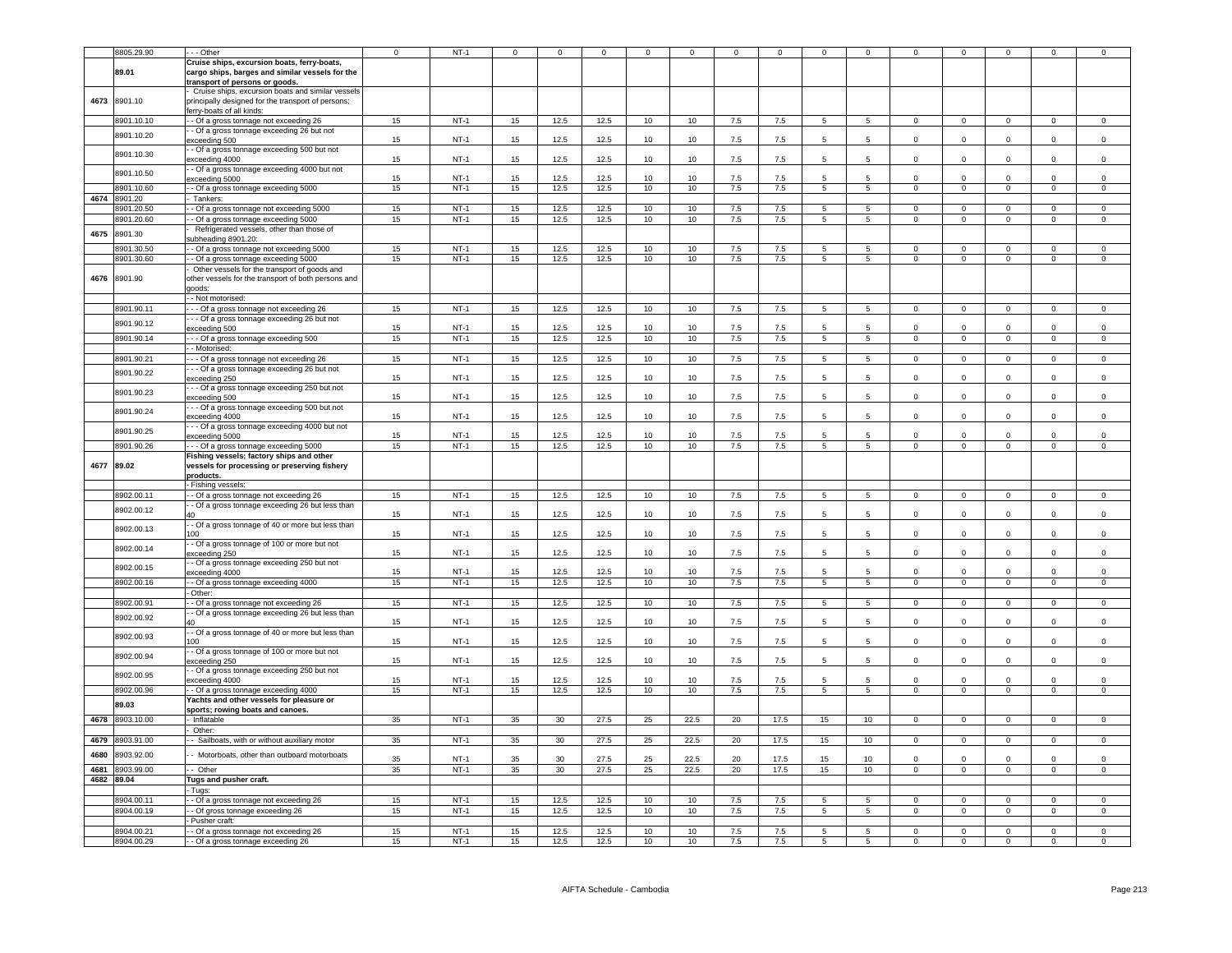|              | 8805.29.90               | --- Other                                                                                                                           | $^{\circ}$ | $NT-1$           | $\mathbf 0$      | $\mathbf 0$  | $\mathbf 0$  | $^{\circ}$      | $\mathbf 0$      | $^{\circ}$     | $\mathbf 0$  | $\mathbf 0$     | $^{\circ}$       | $\mathbf 0$                   | $\mathbf 0$                   | $\mathbf 0$                   | 0                             | $^{\circ}$                    |
|--------------|--------------------------|-------------------------------------------------------------------------------------------------------------------------------------|------------|------------------|------------------|--------------|--------------|-----------------|------------------|----------------|--------------|-----------------|------------------|-------------------------------|-------------------------------|-------------------------------|-------------------------------|-------------------------------|
|              |                          | Cruise ships, excursion boats, ferry-boats,                                                                                         |            |                  |                  |              |              |                 |                  |                |              |                 |                  |                               |                               |                               |                               |                               |
|              | 89.01                    | cargo ships, barges and similar vessels for the<br>transport of persons or goods.                                                   |            |                  |                  |              |              |                 |                  |                |              |                 |                  |                               |                               |                               |                               |                               |
| 4673         | 8901.10                  | Cruise ships, excursion boats and similar vessels<br>principally designed for the transport of persons;<br>erry-boats of all kinds: |            |                  |                  |              |              |                 |                  |                |              |                 |                  |                               |                               |                               |                               |                               |
|              | 8901.10.10               | - Of a gross tonnage not exceeding 26                                                                                               | 15         | $NT-1$           | 15               | 12.5         | 12.5         | 10              | $10\,$           | $7.5\,$        | $7.5\,$      | 5               | 5                | $\mathbf 0$                   | $\mathbf 0$                   | $\mathbf{0}$                  | $\Omega$                      | $\Omega$                      |
|              | 8901.10.20               | - Of a gross tonnage exceeding 26 but not<br>xceeding 500                                                                           | 15         | $NT-1$           | 15               | 12.5         | 12.5         | 10              | 10               | 7.5            | 7.5          | 5               | 5                | $\mathsf 0$                   | $\mathbf 0$                   | $\mathsf 0$                   | $\mathsf 0$                   | $\mathsf 0$                   |
|              | 8901.10.30               | - Of a gross tonnage exceeding 500 but not<br>exceeding 4000                                                                        | 15         | $NT-1$           | 15               | 12.5         | 12.5         | 10              | 10               | 7.5            | 7.5          | 5               | $\,$ 5 $\,$      | $\Omega$                      | $\mathbf 0$                   | $\mathsf 0$                   | $\mathbf{0}$                  | $\mathsf 0$                   |
|              | 8901.10.50               | - Of a gross tonnage exceeding 4000 but not<br>xceeding 5000                                                                        | 15         | $NT-1$           | 15               | 12.5         | 12.5         | 10              | 10               | 7.5            | 7.5          | 5               | 5                | $\Omega$                      | $\Omega$                      | $\Omega$                      | $\Omega$                      | $\mathsf 0$                   |
|              | 8901.10.60               | - - Of a gross tonnage exceeding 5000                                                                                               | 15         | $NT-1$           | 15               | 12.5         | 12.5         | 10              | 10               | 7.5            | 7.5          | 5               | $\overline{5}$   | $\overline{0}$                | $\overline{0}$                | $\overline{0}$                | $\overline{0}$                | $\overline{0}$                |
| 4674         | 8901.20                  | Tankers:                                                                                                                            |            |                  |                  |              |              |                 |                  |                |              |                 |                  |                               |                               |                               |                               |                               |
|              | 8901.20.50               | - Of a gross tonnage not exceeding 5000                                                                                             | 15         | $NT-1$           | 15               | 12.5         | 12.5         | 10              | 10               | 7.5            | 7.5          | $5^{\circ}$     | 5                | $\Omega$                      | $\Omega$                      | $\mathbf 0$                   | $\Omega$                      | $\Omega$                      |
|              | 8901.20.60               | - Of a gross tonnage exceeding 5000                                                                                                 | 15         | $NT-1$           | 15               | 12.5         | 12.5         | 10              | 10               | 7.5            | 7.5          | $5^{\circ}$     | 5 <sup>5</sup>   | $\Omega$                      | $\mathbf{0}$                  | $\Omega$                      | $\Omega$                      | $\Omega$                      |
| 4675         | 8901.30                  | Refrigerated vessels, other than those of<br>ubheading 8901.20:                                                                     |            |                  |                  |              |              |                 |                  |                |              |                 |                  |                               |                               |                               |                               |                               |
|              | 3901.30.50               | - Of a gross tonnage not exceeding 5000                                                                                             | 15         | $NT-1$           | 15               | 12.5         | 12.5         | 10              | 10               | 7.5            | 7.5          | 5               | 5                | $^{\circ}$                    | $\mathbf 0$                   | $^{\circ}$                    | $^{\circ}$                    | $\mathbf 0$                   |
|              | 8901.30.60               | - Of a gross tonnage exceeding 5000                                                                                                 | 15         | $NT-1$           | 15               | 12.5         | 12.5         | 10              | 10               | $7.5\,$        | 7.5          | 5               | 5                | $\mathsf 0$                   | $\mathbf 0$                   | $\mathsf 0$                   | $\mathsf 0$                   | $\,0\,$                       |
| 4676         | 8901.90                  | Other vessels for the transport of goods and<br>other vessels for the transport of both persons and<br>goods:<br>- Not motorised:   |            |                  |                  |              |              |                 |                  |                |              |                 |                  |                               |                               |                               |                               |                               |
|              | 8901.90.11               | - - Of a gross tonnage not exceeding 26                                                                                             | 15         | $NT-1$           | 15               | 12.5         | 12.5         | 10              | 10               | 7.5            | 7.5          | 5               | 5                | $\mathsf 0$                   | $\mathbf 0$                   | $\mathsf 0$                   | $\mathsf 0$                   | $\mathsf 0$                   |
|              | 8901.90.12               | - - Of a gross tonnage exceeding 26 but not<br>xceeding 500                                                                         | 15         | $NT-1$           | 15               | 12.5         | 12.5         | 10              | 10 <sup>10</sup> | 7.5            | 7.5          | 5               | $5\overline{5}$  | $\Omega$                      | $\Omega$                      | $\Omega$                      | $\Omega$                      | $\Omega$                      |
|              | 8901.90.14               | --- Of a gross tonnage exceeding 500                                                                                                | 15         | $NT-1$           | 15               | 12.5         | 12.5         | 10              | 10               | 7.5            | 7.5          | -5              | $5^{\circ}$      | $\Omega$                      | $\Omega$                      | $\Omega$                      | $\Omega$                      | $\mathbf 0$                   |
|              |                          | - Motorised:                                                                                                                        |            |                  |                  |              |              |                 |                  |                |              |                 |                  |                               |                               |                               |                               |                               |
|              | 8901.90.21               | - - Of a gross tonnage not exceeding 26                                                                                             | 15         | $NT-1$           | 15               | 12.5         | 12.5         | 10              | 10               | 7.5            | 7.5          | 5               | 5                | $\mathbf 0$                   | $\mathbf 0$                   | $\mathbf 0$                   | $\mathbf 0$                   | $\mathbf 0$                   |
|              |                          | - - Of a gross tonnage exceeding 26 but not                                                                                         |            |                  |                  |              |              |                 |                  |                |              |                 |                  |                               |                               |                               |                               |                               |
|              | 8901.90.22               | xceeding 250<br>- - Of a gross tonnage exceeding 250 but not                                                                        | 15         | $NT-1$           | 15               | 12.5         | 12.5         | 10              | 10               | $7.5\,$        | 7.5          | 5               | 5                | $\mathsf 0$                   | $\mathsf 0$                   | $\mathsf 0$                   | $\mathsf 0$                   | $\mathsf 0$                   |
|              | 8901.90.23               | exceeding 500<br>- - Of a gross tonnage exceeding 500 but not                                                                       | 15         | $NT-1$           | 15               | 12.5         | 12.5         | 10              | 10               | 7.5            | 7.5          | 5               | 5                | $\Omega$                      | $\Omega$                      | $\Omega$                      | $\Omega$                      | $\mathbf 0$                   |
|              | 8901.90.24               | exceeding 4000<br>- - Of a gross tonnage exceeding 4000 but not                                                                     | 15         | $NT-1$           | 15               | 12.5         | 12.5         | 10              | 10               | 7.5            | 7.5          | 5               | 5                | $\mathsf 0$                   | $\mathsf 0$                   | $\mathsf 0$                   | $\mathbf 0$                   | $\mathsf 0$                   |
|              | 8901.90.25<br>8901.90.26 | exceeding 5000<br>--- Of a gross tonnage exceeding 5000                                                                             | 15<br>15   | $NT-1$<br>$NT-1$ | 15<br>15         | 12.5<br>12.5 | 12.5<br>12.5 | 10<br>10        | 10<br>10         | $7.5\,$<br>7.5 | 7.5<br>7.5   | -5<br>5         | -5<br>5          | $\Omega$<br>$\overline{0}$    | $\mathsf 0$<br>$\overline{0}$ | $\mathsf 0$<br>$\overline{0}$ | $\Omega$<br>$\overline{0}$    | $\mathsf 0$<br>$\overline{0}$ |
|              |                          | Fishing vessels; factory ships and other                                                                                            |            |                  |                  |              |              |                 |                  |                |              |                 |                  |                               |                               |                               |                               |                               |
| 4677         | 89.02                    | vessels for processing or preserving fishery<br>products.<br>Fishing vessels:                                                       |            |                  |                  |              |              |                 |                  |                |              |                 |                  |                               |                               |                               |                               |                               |
|              | 8902.00.11               | - Of a gross tonnage not exceeding 26                                                                                               | 15         | $NT-1$           | 15               | 12.5         | 12.5         | 10              | 10               | 7.5            | 7.5          | $5\phantom{.0}$ | 5                | $\mathbf 0$                   | $\overline{\mathbf{0}}$       | $\mathsf 0$                   | $\mathsf 0$                   | $\mathsf 0$                   |
|              | 8902.00.12               | - Of a gross tonnage exceeding 26 but less than<br>40                                                                               | 15         | $NT-1$           | 15               | 12.5         | 12.5         | 10              | 10               | $7.5\,$        | 7.5          | 5               | 5                | $\mathbf 0$                   | $\mathbf 0$                   | $\mathbf 0$                   | $\mathbf 0$                   | $\mathsf 0$                   |
|              | 8902.00.13               | - Of a gross tonnage of 40 or more but less than<br>00                                                                              | 15         | $NT-1$           | 15 <sub>1</sub>  | 12.5         | 12.5         | 10              | 10               | 7.5            | 7.5          | 5               | 5                | $\mathbf 0$                   | $\mathbf 0$                   | $\mathbf 0$                   | $\Omega$                      | $\mathsf 0$                   |
|              | 8902.00.14               | - Of a gross tonnage of 100 or more but not<br>exceeding 250                                                                        | 15         | $NT-1$           | 15 <sup>15</sup> | 12.5         | 12.5         | 10              | 10 <sup>1</sup>  | 7.5            | 7.5          | 5               | $5\overline{5}$  | $\Omega$                      | $\Omega$                      | $\Omega$                      | $\Omega$                      | $\mathbf 0$                   |
|              | 8902.00.15               | - Of a gross tonnage exceeding 250 but not<br>xceeding 4000                                                                         | 15         | $NT-1$           | 15               | 12.5         | 12.5         | 10              | 10 <sup>1</sup>  | 7.5            | 7.5          | 5               | $5\overline{5}$  | $\Omega$                      | $\mathsf 0$                   | $\Omega$                      | $\Omega$                      | $\mathsf 0$                   |
|              | 8902.00.16               | - Of a gross tonnage exceeding 4000<br>Other:                                                                                       | 15         | $NT-1$           | 15               | 12.5         | 12.5         | 10              | 10               | 7.5            | 7.5          | $\overline{5}$  | 5                | $\overline{0}$                | $\overline{0}$                | $\overline{0}$                | $\overline{0}$                | $\overline{0}$                |
|              | 8902.00.91               | - Of a gross tonnage not exceeding 26                                                                                               | 15         | $NT-1$           | 15               | 12.5         | 12.5         | 10              | 10               | 7.5            | 7.5          | 5               | 5                | $\Omega$                      | $\mathbf 0$                   | $\mathsf 0$                   | $\mathsf 0$                   | $\,0\,$                       |
|              | 8902.00.92               | - Of a gross tonnage exceeding 26 but less than<br>40                                                                               | 15         | $NT-1$           | 15               | 12.5         | 12.5         | 10              | 10               | $7.5\,$        | 7.5          | 5               | 5                | $\mathbf 0$                   | $\mathbf 0$                   | $\mathsf 0$                   | $\mathsf 0$                   | $\mathsf 0$                   |
|              | 8902.00.93               | - Of a gross tonnage of 40 or more but less than<br>00                                                                              | 15         | $NT-1$           | 15               | 12.5         | 12.5         | 10              | 10               | 7.5            | 7.5          | 5               | 5                | $\Omega$                      | $\mathbf 0$                   | $\Omega$                      | $\Omega$                      | $\mathbf 0$                   |
|              | 8902.00.94               | - Of a gross tonnage of 100 or more but not<br>exceeding 250                                                                        | 15         | $NT-1$           | 15               | 12.5         | 12.5         | 10              | 10               | 7.5            | 7.5          | 5.              | $5\overline{2}$  | $\Omega$                      | $\Omega$                      | $\Omega$                      | $\Omega$                      | $\mathsf 0$                   |
|              | 8902.00.95               | - Of a gross tonnage exceeding 250 but not<br>xceeding 4000                                                                         | 15         | $NT-1$           | 15               | 12.5         | 12.5         | 10              | 10 <sup>10</sup> | 7.5            | 7.5          | $\overline{5}$  | $5\overline{5}$  | $\Omega$                      | $\Omega$                      | $\Omega$                      | $\Omega$                      | $\Omega$                      |
|              | 8902.00.96               | - Of a gross tonnage exceeding 4000                                                                                                 | 15         | $NT-1$           | 15               | 12.5         | 12.5         | 10              | 10 <sup>10</sup> | 7.5            | 7.5          | 5               | 5                | $\Omega$                      | $\mathbf 0$                   | $\mathsf 0$                   | $\mathsf 0$                   | $\mathsf 0$                   |
|              | 89.03                    | achts and other vessels for pleasure or                                                                                             |            |                  |                  |              |              |                 |                  |                |              |                 |                  |                               |                               |                               |                               |                               |
| 4678         | 8903.10.00               | sports; rowing boats and canoes.<br>- Inflatable                                                                                    | 35         | $NT-1$           | 35               | 30           | 27.5         | 25              | 22.5             | 20             | 17.5         | 15              | 10               | $\overline{0}$                | $\overline{0}$                | $\overline{0}$                | $\overline{0}$                | $\overline{0}$                |
|              |                          | Other:                                                                                                                              |            |                  |                  |              |              |                 |                  |                |              |                 |                  |                               |                               |                               |                               |                               |
| 4679         | 8903.91.00               | - Sailboats, with or without auxiliary motor                                                                                        | 35         | $NT-1$           | 35               | 30           | 27.5         | 25              | 22.5             | 20             | 17.5         | 15              | 10 <sub>10</sub> | $\Omega$                      | $\mathbf 0$                   | $\Omega$                      | $\Omega$                      | $\Omega$                      |
|              |                          |                                                                                                                                     |            |                  |                  |              |              |                 |                  |                |              |                 |                  |                               |                               |                               |                               |                               |
| 4680<br>4681 | 8903.92.00<br>8903.99.00 | - Motorboats, other than outboard motorboats<br>$-$ Other                                                                           | 35<br>35   | $NT-1$<br>$NT-1$ | 35<br>35         | 30<br>30     | 27.5<br>27.5 | 25<br>25        | 22.5<br>22.5     | 20<br>20       | 17.5<br>17.5 | 15<br>15        | 10<br>10         | $\mathsf 0$<br>$\overline{0}$ | $\mathbf 0$<br>$\overline{0}$ | $\Omega$<br>$\overline{0}$    | $\mathsf 0$<br>$\overline{0}$ | $\mathsf 0$<br>$\overline{0}$ |
|              | 4682 89.04               | Tugs and pusher craft.                                                                                                              |            |                  |                  |              |              |                 |                  |                |              |                 |                  |                               |                               |                               |                               |                               |
|              |                          | - Tugs:                                                                                                                             |            |                  |                  |              |              |                 |                  |                |              |                 |                  |                               |                               |                               |                               |                               |
|              | 8904.00.1                | - Of a gross tonnage not exceeding 26                                                                                               | 15         | $NT-1$           | 15               | 12.5         | 12.5         | 10              | 10               | 7.5            | 7.5          | $\overline{5}$  | $\overline{5}$   | $\overline{0}$                | $\overline{0}$                | $\Omega$                      | $\Omega$                      | $\overline{0}$                |
|              | 8904.00.19               | - Of gross tonnage exceeding 26                                                                                                     | 15         | $NT-1$           | 15 <sup>15</sup> | 12.5         | 12.5         | 10              | 10               | 7.5            | 7.5          | $5^{\circ}$     | 5.               | $\Omega$                      | $\Omega$                      | $\Omega$                      | $\Omega$                      | $\Omega$                      |
|              |                          | - Pusher craft:                                                                                                                     |            |                  |                  |              |              |                 |                  |                |              |                 |                  |                               |                               |                               |                               |                               |
|              | 8904.00.21               | - - Of a gross tonnage not exceeding 26                                                                                             | 15         | $NT-1$           | 15               | 12.5         | 12.5         | 10              | 10               | 7.5            | 7.5          | 5               | 5                | $\Omega$                      | $\Omega$                      | $^{\circ}$                    |                               | $\Omega$                      |
|              | 8904.00.29               | - - Of a gross tonnage exceeding 26                                                                                                 | 15         | $NT-1$           | 15               | 12.5         | 12.5         | 10 <sup>1</sup> | 10               | 7.5            | 7.5          | 5               | 5                | $\mathbf{0}$                  | $\mathbf{0}$                  | $\mathbf{0}$                  | $^{\circ}$                    | $\mathbf{0}$                  |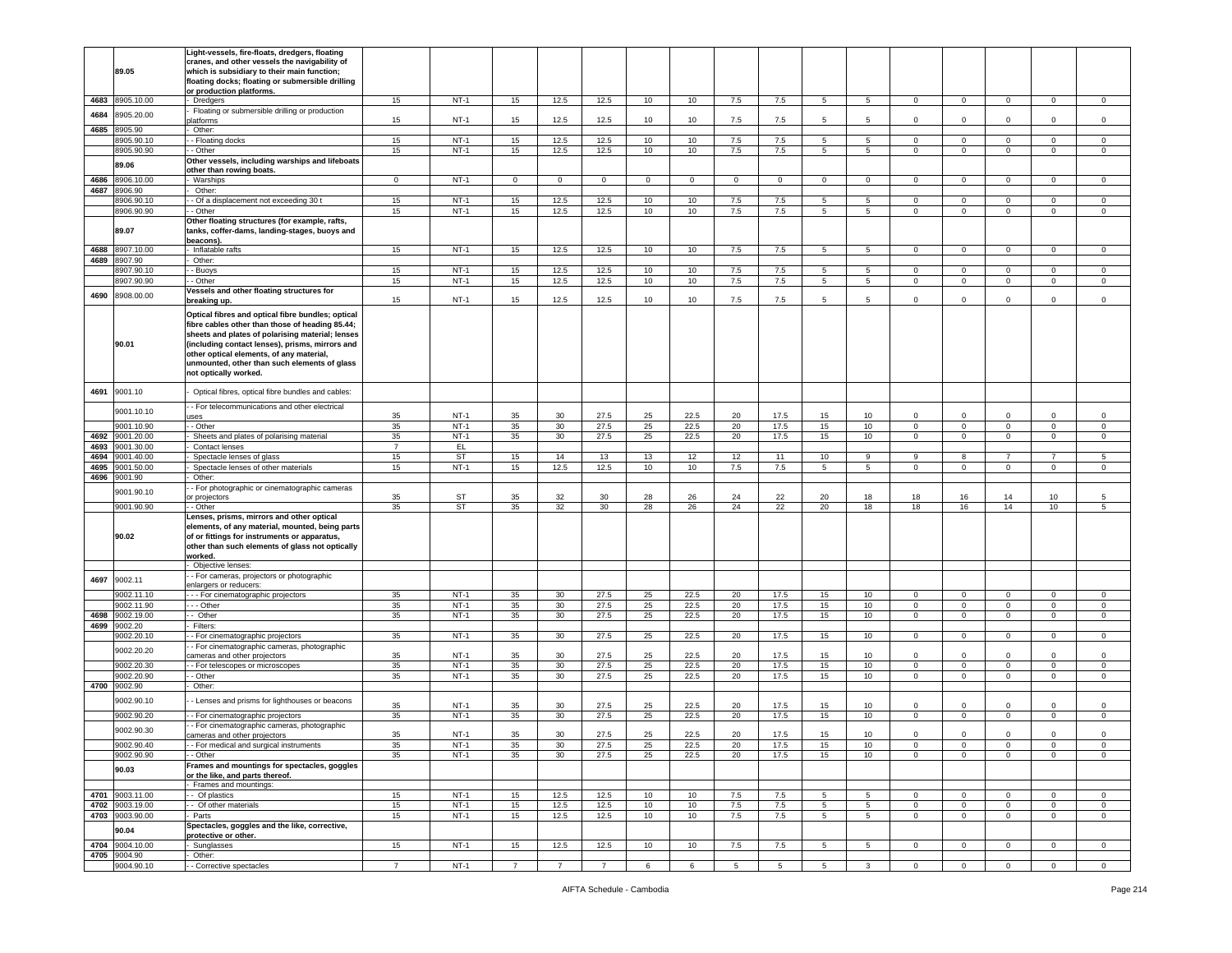|      |                 | Light-vessels, fire-floats, dredgers, floating    |                |           |                |                 |                |                  |              |             |             |                 |                 |                |              |              |                 |             |
|------|-----------------|---------------------------------------------------|----------------|-----------|----------------|-----------------|----------------|------------------|--------------|-------------|-------------|-----------------|-----------------|----------------|--------------|--------------|-----------------|-------------|
|      |                 | cranes, and other vessels the navigability of     |                |           |                |                 |                |                  |              |             |             |                 |                 |                |              |              |                 |             |
|      | 89.05           | which is subsidiary to their main function;       |                |           |                |                 |                |                  |              |             |             |                 |                 |                |              |              |                 |             |
|      |                 |                                                   |                |           |                |                 |                |                  |              |             |             |                 |                 |                |              |              |                 |             |
|      |                 | floating docks; floating or submersible drilling  |                |           |                |                 |                |                  |              |             |             |                 |                 |                |              |              |                 |             |
|      |                 | or production platforms.                          |                |           |                |                 |                |                  |              |             |             |                 |                 |                |              |              |                 |             |
|      | 4683 8905.10.00 | - Dredgers                                        | 15             | $NT-1$    | 15             | 12.5            | 12.5           | 10 <sup>1</sup>  | 10           | 7.5         | 7.5         | 5               | 5               | $\overline{0}$ | $\mathbf 0$  | $^{\circ}$   | $\mathbf{0}$    | $\mathbf 0$ |
|      |                 | Floating or submersible drilling or production    |                |           |                |                 |                |                  |              |             |             |                 |                 |                |              |              |                 |             |
| 4684 | 8905.20.00      | latforms                                          | 15             | $NT-1$    | 15             | 12.5            | 12.5           | 10               | 10           | 7.5         | 7.5         | 5               | 5               | $\mathbf 0$    | $\mathsf 0$  | $\Omega$     | $\Omega$        | $\Omega$    |
|      |                 |                                                   |                |           |                |                 |                |                  |              |             |             |                 |                 |                |              |              |                 |             |
| 4685 | 8905.90         | Other:                                            |                |           |                |                 |                |                  |              |             |             |                 |                 |                |              |              |                 |             |
|      | 3905.90.10      | - Floating docks                                  | 15             | $NT-1$    | 15             | 12.5            | 12.5           | 10               | 10           | 7.5         | 7.5         | 5               | 5               | 0              | $\mathbf 0$  | 0            | 0               | 0           |
|      |                 |                                                   |                | $NT-1$    |                |                 |                |                  |              |             |             |                 |                 |                |              |              |                 |             |
|      | 8905.90.90      | - Other                                           | 15             |           | 15             | 12.5            | 12.5           | 10               | 10           | 7.5         | 7.5         | $5^{\circ}$     | 5 <sub>5</sub>  | $\mathbf{O}$   | $\mathbf 0$  | $\mathbf 0$  | $\mathbf 0$     | $\mathbf 0$ |
|      | 89.06           | Other vessels, including warships and lifeboats   |                |           |                |                 |                |                  |              |             |             |                 |                 |                |              |              |                 |             |
|      |                 | other than rowing boats.                          |                |           |                |                 |                |                  |              |             |             |                 |                 |                |              |              |                 |             |
| 4686 | 8906.10.00      | - Warships                                        | $\mathbf 0$    | $NT-1$    | $\mathbf 0$    | $\mathbf 0$     | $\mathbf{0}$   | $\mathbf{0}$     | $\mathbf{0}$ | $\mathbf 0$ | $\mathbf 0$ | $\circ$         | $\circ$         | $\circ$        | $\mathbf 0$  | $\mathbf 0$  | $\mathbf 0$     | $\mathbf 0$ |
|      |                 |                                                   |                |           |                |                 |                |                  |              |             |             |                 |                 |                |              |              |                 |             |
| 4687 | 8906.90         | Other:                                            |                |           |                |                 |                |                  |              |             |             |                 |                 |                |              |              |                 |             |
|      | 8906.90.10      | - Of a displacement not exceeding 30 t            | 15             | $NT-1$    | 15             | 12.5            | 12.5           | 10               | 10           | $7.5\,$     | 7.5         | 5               | 5               | $\circ$        | $\mathsf 0$  | $\mathbf 0$  | $\mathbf 0$     | $\mathbf 0$ |
|      | 8906.90.90      | - Other                                           | 15             | $NT-1$    | 15             | 12.5            | 12.5           | 10               | 10           | 7.5         | 7.5         | 5               | 5               | 0              | $\mathbf 0$  | $\mathbf 0$  | $\mathbf 0$     | $\mathbf 0$ |
|      |                 |                                                   |                |           |                |                 |                |                  |              |             |             |                 |                 |                |              |              |                 |             |
|      |                 | Other floating structures (for example, rafts,    |                |           |                |                 |                |                  |              |             |             |                 |                 |                |              |              |                 |             |
|      | 89.07           | tanks, coffer-dams, landing-stages, buoys and     |                |           |                |                 |                |                  |              |             |             |                 |                 |                |              |              |                 |             |
|      |                 | beacons).                                         |                |           |                |                 |                |                  |              |             |             |                 |                 |                |              |              |                 |             |
| 4688 | 8907.10.00      | - Inflatable rafts                                | 15             | $NT-1$    | 15             | 12.5            | 12.5           | 10               | 10           | 7.5         | 7.5         | -5              | -5              | $\circ$        | $\mathsf 0$  | $\Omega$     | $\mathbf 0$     | $\mathbf 0$ |
|      |                 |                                                   |                |           |                |                 |                |                  |              |             |             |                 |                 |                |              |              |                 |             |
|      | 4689 8907.90    | Other:                                            |                |           |                |                 |                |                  |              |             |             |                 |                 |                |              |              |                 |             |
|      | 907.90.10       | - Buoys                                           | 15             | $NT-1$    | 15             | 12.5            | 12.5           | 10               | 10           | $7.5\,$     | 7.5         | 5               | 5               | $\mathbf 0$    | $\mathsf 0$  | $\mathbf 0$  | $\mathbf 0$     | $\mathsf 0$ |
|      | 8907.90.90      | - Other                                           | 15             | $NT-1$    | 15             | 12.5            | 12.5           | 10               | 10           | 7.5         | 7.5         | 5               | 5               | $\mathbf 0$    | $\mathsf 0$  | $\mathbf 0$  | $\mathbf 0$     | $\mathbf 0$ |
|      |                 |                                                   |                |           |                |                 |                |                  |              |             |             |                 |                 |                |              |              |                 |             |
| 4690 | 8908.00.00      | Vessels and other floating structures for         |                |           |                |                 |                |                  |              |             |             |                 |                 |                |              |              |                 |             |
|      |                 | breaking up.                                      | 15             | $NT-1$    | 15             | 12.5            | 12.5           | 10               | 10           | 7.5         | 7.5         | 5               | 5               | $\mathbf 0$    | $\mathsf 0$  | $\circ$      | $\mathbf 0$     | $\mathbf 0$ |
|      |                 |                                                   |                |           |                |                 |                |                  |              |             |             |                 |                 |                |              |              |                 |             |
|      |                 | Optical fibres and optical fibre bundles; optical |                |           |                |                 |                |                  |              |             |             |                 |                 |                |              |              |                 |             |
|      |                 | fibre cables other than those of heading 85.44;   |                |           |                |                 |                |                  |              |             |             |                 |                 |                |              |              |                 |             |
|      |                 | sheets and plates of polarising material; lenses  |                |           |                |                 |                |                  |              |             |             |                 |                 |                |              |              |                 |             |
|      |                 |                                                   |                |           |                |                 |                |                  |              |             |             |                 |                 |                |              |              |                 |             |
|      | 90.01           | (including contact lenses), prisms, mirrors and   |                |           |                |                 |                |                  |              |             |             |                 |                 |                |              |              |                 |             |
|      |                 | other optical elements, of any material,          |                |           |                |                 |                |                  |              |             |             |                 |                 |                |              |              |                 |             |
|      |                 | unmounted, other than such elements of glass      |                |           |                |                 |                |                  |              |             |             |                 |                 |                |              |              |                 |             |
|      |                 | not optically worked.                             |                |           |                |                 |                |                  |              |             |             |                 |                 |                |              |              |                 |             |
|      |                 |                                                   |                |           |                |                 |                |                  |              |             |             |                 |                 |                |              |              |                 |             |
|      |                 |                                                   |                |           |                |                 |                |                  |              |             |             |                 |                 |                |              |              |                 |             |
| 4691 | 9001.10         | Optical fibres, optical fibre bundles and cables: |                |           |                |                 |                |                  |              |             |             |                 |                 |                |              |              |                 |             |
|      |                 |                                                   |                |           |                |                 |                |                  |              |             |             |                 |                 |                |              |              |                 |             |
|      | 9001.10.10      | - For telecommunications and other electrical     |                |           |                |                 |                |                  |              |             |             |                 |                 |                |              |              |                 |             |
|      |                 | <b>ISes</b>                                       | 35             | $NT-1$    | 35             | 30              | 27.5           | 25               | 22.5         | 20          | 17.5        | 15              | 10              | $\mathbf 0$    | $\mathbf 0$  | $\Omega$     | $\Omega$        | $\mathbf 0$ |
|      | 9001.10.90      | - Other                                           | 35             | $NT-1$    | 35             | 30              | 27.5           | 25               | 22.5         | 20          | 17.5        | 15              | 10              | $\mathbf 0$    | $\mathbf 0$  | $\mathbf 0$  | $\mathbf 0$     | $\mathsf 0$ |
|      |                 |                                                   |                |           |                |                 |                |                  |              |             |             |                 |                 |                |              |              |                 |             |
| 4692 | 9001.20.00      | Sheets and plates of polarising material          | 35             | $NT-1$    | 35             | 30              | 27.5           | 25               | 22.5         | 20          | 17.5        | 15              | 10              | $\circ$        | $\mathbf 0$  | $\mathbf 0$  | $\mathbf{0}$    | $\mathbf 0$ |
| 4693 | 9001.30.00      | Contact lenses                                    | $\overline{7}$ | EL.       |                |                 |                |                  |              |             |             |                 |                 |                |              |              |                 |             |
| 4694 | 9001.40.00      | Spectacle lenses of glass                         | 15             | <b>ST</b> | 15             | 14              | 13             | 13               | 12           | 12          | 11          | 10              | 9               | $\overline{9}$ | 8            | 7            | $\overline{7}$  | -5          |
|      |                 |                                                   |                |           |                |                 |                |                  |              |             |             |                 |                 |                |              |              |                 |             |
| 4695 | 9001.50.00      | Spectacle lenses of other materials               | 15             | $NT-1$    | 15             | 12.5            | 12.5           | 10               | 10           | 7.5         | 7.5         | 5               | 5               | $\mathbf 0$    | $\mathsf 0$  | $\mathbf 0$  | $\mathbf 0$     | $\mathbf 0$ |
| 4696 | 9001.90         | Other:                                            |                |           |                |                 |                |                  |              |             |             |                 |                 |                |              |              |                 |             |
|      |                 | - For photographic or cinematographic cameras     |                |           |                |                 |                |                  |              |             |             |                 |                 |                |              |              |                 |             |
|      | 9001.90.10      |                                                   | 35             | ST        | 35             | 32              | 30             | 28               | 26           | 24          | 22          | 20              | 18              | 18             | 16           | 14           | 10              | 5           |
|      |                 | or projectors                                     |                |           |                |                 |                |                  |              |             |             |                 |                 |                |              |              |                 |             |
|      | 9001.90.90      | - Other                                           | 35             | ST        | 35             | 32              | 30             | 28               | 26           | 24          | 22          | 20              | 18              | 18             | 16           | 14           | 10 <sub>1</sub> | 5           |
|      |                 | Lenses, prisms, mirrors and other optical         |                |           |                |                 |                |                  |              |             |             |                 |                 |                |              |              |                 |             |
|      |                 | elements, of any material, mounted, being parts   |                |           |                |                 |                |                  |              |             |             |                 |                 |                |              |              |                 |             |
|      | 90.02           | of or fittings for instruments or apparatus,      |                |           |                |                 |                |                  |              |             |             |                 |                 |                |              |              |                 |             |
|      |                 |                                                   |                |           |                |                 |                |                  |              |             |             |                 |                 |                |              |              |                 |             |
|      |                 | other than such elements of glass not optically   |                |           |                |                 |                |                  |              |             |             |                 |                 |                |              |              |                 |             |
|      |                 | vorked.                                           |                |           |                |                 |                |                  |              |             |             |                 |                 |                |              |              |                 |             |
|      |                 | Objective lenses:                                 |                |           |                |                 |                |                  |              |             |             |                 |                 |                |              |              |                 |             |
|      |                 |                                                   |                |           |                |                 |                |                  |              |             |             |                 |                 |                |              |              |                 |             |
| 4697 | 9002.11         | - For cameras, projectors or photographic         |                |           |                |                 |                |                  |              |             |             |                 |                 |                |              |              |                 |             |
|      |                 | enlargers or reducers:                            |                |           |                |                 |                |                  |              |             |             |                 |                 |                |              |              |                 |             |
|      | 9002.11.10      | - - For cinematographic projectors                | 35             | $NT-1$    | 35             | 30              | 27.5           | 25               | 22.5         | 20          | 17.5        | 15              | 10              | $\circ$        | $\mathbf 0$  | 0            | 0               | $\mathbf 0$ |
|      | 9002.11.90      | - - Other                                         | 35             | $NT-1$    | 35             | 30              | 27.5           | 25               | 22.5         | 20          | 17.5        | 15              | 10              | 0              | $\mathsf 0$  | $\mathbf 0$  | $\mathbf 0$     | $\mathbf 0$ |
| 4698 | 9002.19.00      | - Other                                           | 35             | $NT-1$    | 35             | 30 <sup>°</sup> | 27.5           | 25               | 22.5         | 20          | 17.5        | 15              | 10              | $\mathbf 0$    | $\mathsf 0$  | $\mathsf 0$  | $\mathsf 0$     | $\mathsf 0$ |
|      |                 |                                                   |                |           |                |                 |                |                  |              |             |             |                 |                 |                |              |              |                 |             |
| 4699 | 9002.20         | Filters:                                          |                |           |                |                 |                |                  |              |             |             |                 |                 |                |              |              |                 |             |
|      | 9002.20.10      | - For cinematographic projectors                  | 35             | $NT-1$    | 35             | 30 <sup>°</sup> | 27.5           | 25               | 22.5         | 20          | 17.5        | 15              | 10 <sub>1</sub> | $\overline{0}$ | $\mathbf 0$  | $\mathbf 0$  | $\mathbf{0}$    | $\mathsf 0$ |
|      |                 | - For cinematographic cameras, photographic       |                |           |                |                 |                |                  |              |             |             |                 |                 |                |              |              |                 |             |
|      | 9002.20.20      | ameras and other projectors                       | 35             | $NT-1$    | 35             | 30              | 27.5           | 25               | 22.5         | 20          | 17.5        | 15              | 10              | 0              | $\mathbf 0$  | $\Omega$     | $\Omega$        | $\Omega$    |
|      |                 |                                                   |                |           |                |                 |                |                  |              |             |             |                 |                 |                |              |              |                 |             |
|      | 9002.20.30      | - For telescopes or microscopes                   | 35             | $NT-1$    | 35             | 30              | 27.5           | 25               | 22.5         | 20          | 17.5        | 15              | 10              | $\mathbf 0$    | $\mathsf 0$  | $\mathbf 0$  | $\mathbf 0$     | $\mathbf 0$ |
|      | 9002.20.90      | - Other                                           | 35             | $NT-1$    | 35             | 30              | 27.5           | 25               | 22.5         | 20          | 17.5        | 15              | 10              | $\mathbf 0$    | $\mathsf 0$  | $\mathbf{0}$ | $\mathbf{0}$    | $\Omega$    |
| 4700 | 9002.90         | Other:                                            |                |           |                |                 |                |                  |              |             |             |                 |                 |                |              |              |                 |             |
|      |                 |                                                   |                |           |                |                 |                |                  |              |             |             |                 |                 |                |              |              |                 |             |
|      | 9002.90.10      | - Lenses and prisms for lighthouses or beacons    |                |           |                |                 |                |                  |              |             |             |                 |                 |                |              |              |                 |             |
|      |                 |                                                   | 35             | $NT-1$    | 35             | 30              | 27.5           | 25               | 22.5         | 20          | 17.5        | 15              | 10              | $\mathbf 0$    | $\mathbf 0$  | $\Omega$     | $\Omega$        | $\mathbf 0$ |
|      | 9002.90.20      | - For cinematographic projectors                  | 35             | $NT-1$    | 35             | 30              | 27.5           | 25               | 22.5         | 20          | 17.5        | 15              | 10              | $\circ$        | $\mathbf 0$  | $\mathbf 0$  | $\mathbf 0$     | $\mathsf 0$ |
|      |                 |                                                   |                |           |                |                 |                |                  |              |             |             |                 |                 |                |              |              |                 |             |
|      | 9002.90.30      | - For cinematographic cameras, photographic       |                |           |                |                 |                |                  |              |             |             |                 |                 |                |              |              |                 | $\Omega$    |
|      |                 | cameras and other projectors                      | 35             | $NT-1$    | 35             | 30              | 27.5           | 25               | 22.5         | 20          | 17.5        | 15              | 10              | $\Omega$       | $\mathsf 0$  | $\Omega$     | $\Omega$        |             |
|      | 9002.90.40      | - - For medical and surgical instruments          | 35             | NT-1      | 35             | 30              | 27.5           | 25               | 22.5         | 20          | 17.5        | 15              | 10              | 0              | $\mathbf 0$  | 0            | 0               | $\mathbf 0$ |
|      | 9002.90.90      | - Other                                           | 35             | $NT-1$    | 35             | 30 <sup>°</sup> | 27.5           | 25               | 22.5         | 20          | 17.5        | 15              | 10              | $\mathbf 0$    | $\mathsf 0$  | $\mathsf 0$  | $\mathbf 0$     | $\mathbf 0$ |
|      |                 |                                                   |                |           |                |                 |                |                  |              |             |             |                 |                 |                |              |              |                 |             |
|      | 90.03           | Frames and mountings for spectacles, goggles      |                |           |                |                 |                |                  |              |             |             |                 |                 |                |              |              |                 |             |
|      |                 | or the like, and parts thereof.                   |                |           |                |                 |                |                  |              |             |             |                 |                 |                |              |              |                 |             |
|      |                 | Frames and mountings:                             |                |           |                |                 |                |                  |              |             |             |                 |                 |                |              |              |                 |             |
|      | 4701 9003.11.00 | - Of plastics                                     | 15             | $NT-1$    | 15             | 12.5            | 12.5           | 10               | 10           | 7.5         | 7.5         | 5               | 5               | $\mathbf{0}$   | $\mathbf{0}$ | $\mathbf 0$  | $\mathbf{0}$    | $\mathbf 0$ |
|      |                 |                                                   |                |           |                |                 |                |                  |              |             |             |                 |                 |                |              |              |                 |             |
|      | 4702 9003.19.00 | -- Of other materials                             | 15             | $NT-1$    | 15             | 12.5            | 12.5           | 10 <sup>10</sup> | 10           | 7.5         | 7.5         | 5               | $5^{\circ}$     | $\mathbf{0}$   | $\mathbf 0$  | $\mathbf{0}$ | $\mathbf{0}$    | $\mathbf 0$ |
|      | 4703 9003.90.00 | Parts                                             | 15             | $NT-1$    | 15             | 12.5            | 12.5           | 10               | 10           | 7.5         | 7.5         | $5\overline{5}$ | 5 <sub>5</sub>  | $\overline{0}$ | $\mathsf 0$  | $\circ$      | $\mathbf{0}$    | $\circ$     |
|      |                 | Spectacles, goggles and the like, corrective,     |                |           |                |                 |                |                  |              |             |             |                 |                 |                |              |              |                 |             |
|      | 90.04           |                                                   |                |           |                |                 |                |                  |              |             |             |                 |                 |                |              |              |                 |             |
|      |                 | protective or other.                              |                |           |                |                 |                |                  |              |             |             |                 |                 |                |              |              |                 |             |
|      | 4704 9004.10.00 | Sunglasses                                        | 15             | $NT-1$    | 15             | 12.5            | 12.5           | 10               | 10           | 7.5         | 7.5         | 5               | 5               | $\mathbf{0}$   | $\mathbf 0$  | $\mathbf 0$  | 0               | $\mathbf 0$ |
|      |                 |                                                   |                |           |                |                 |                |                  |              |             |             |                 |                 |                |              |              |                 |             |
|      | 4705 9004.90    | Other:                                            |                |           |                |                 |                |                  |              |             |             |                 |                 |                |              |              |                 |             |
|      | 9004.90.10      | - - Corrective spectacles                         | $\overline{7}$ | $NT-1$    | $\overline{7}$ | $\overline{7}$  | $\overline{7}$ | 6                | 6            | 5           | 5           | 5               | 3               | $\overline{0}$ | $\mathbf 0$  | $\mathbf 0$  | $\mathbf{0}$    | $\mathbf 0$ |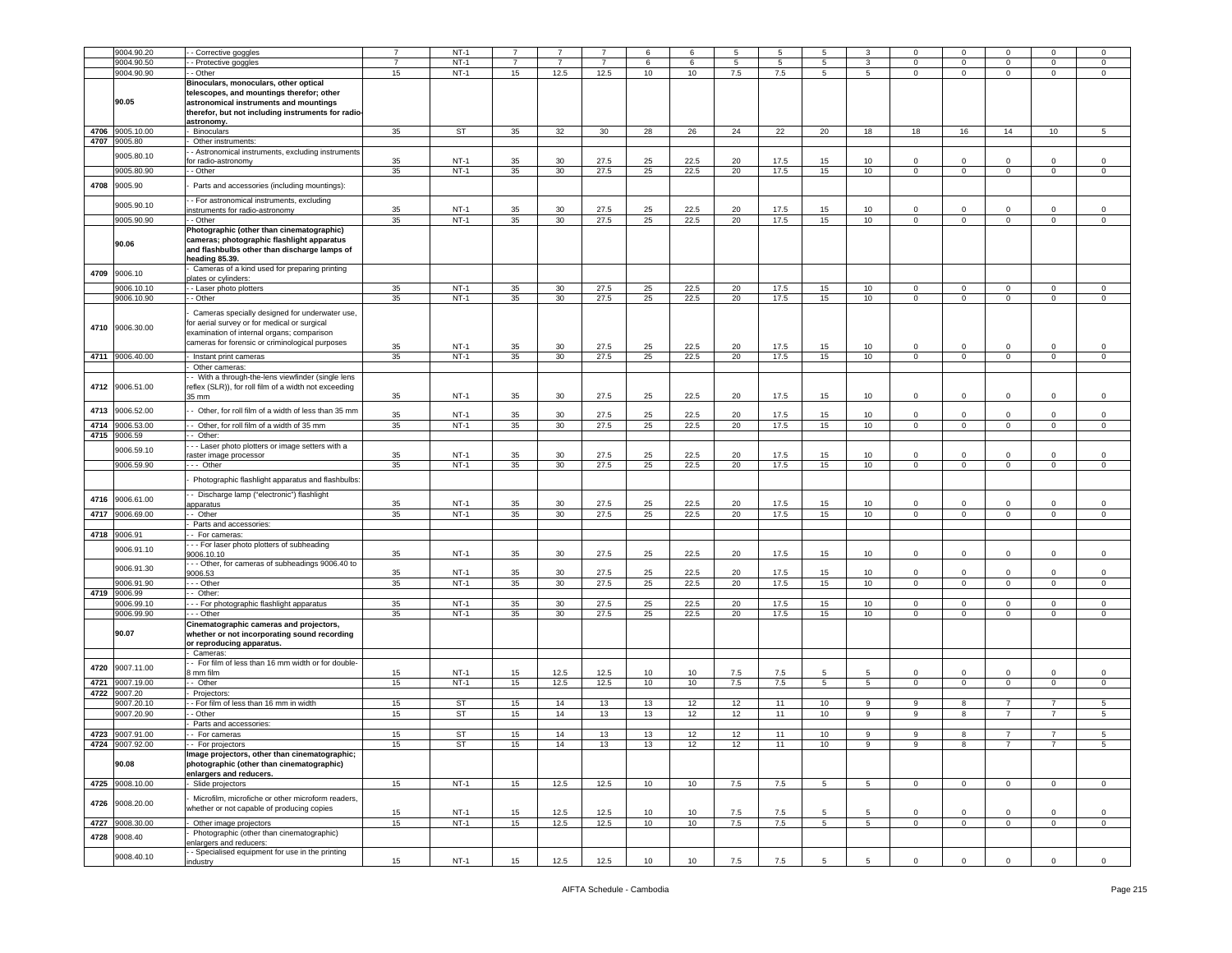|      | 9004.90.20      | - Corrective goggles                                                                                                                                                                             |                | $NT-1$    |                |                 |                | 6  |      | 5   | -5   | 5           |             |                | $\Omega$     |                |                | $\Omega$    |
|------|-----------------|--------------------------------------------------------------------------------------------------------------------------------------------------------------------------------------------------|----------------|-----------|----------------|-----------------|----------------|----|------|-----|------|-------------|-------------|----------------|--------------|----------------|----------------|-------------|
|      | 9004.90.50      | - Protective goggles                                                                                                                                                                             | $\overline{7}$ | $NT-1$    | $\overline{7}$ | $\overline{7}$  | $\overline{7}$ | 6  | 6    | 5   | 5    | 5           | 3           | $\Omega$       | $\mathbf 0$  | $\Omega$       | $\Omega$       | $\mathbf 0$ |
|      | 9004.90.90      | - Other                                                                                                                                                                                          | 15             | $NT-1$    | 15             | 12.5            | 12.5           | 10 | 10   | 7.5 | 7.5  | $5^{\circ}$ | 5           | $\mathbf{0}$   | $\mathbf 0$  | $\mathbf 0$    | $\mathbf{0}$   | $\mathbf 0$ |
|      | 90.05           | Binoculars, monoculars, other optical<br>telescopes, and mountings therefor; other<br>astronomical instruments and mountings<br>therefor, but not including instruments for radio-<br>astronomy. |                |           |                |                 |                |    |      |     |      |             |             |                |              |                |                |             |
| 4706 | 9005.10.00      | Binoculars                                                                                                                                                                                       | 35             | <b>ST</b> | 35             | 32              | 30             | 28 | 26   | 24  | 22   | 20          | 18          | 18             | 16           | 14             | 10             | 5           |
|      |                 |                                                                                                                                                                                                  |                |           |                |                 |                |    |      |     |      |             |             |                |              |                |                |             |
| 4707 | 9005.80         | Other instruments:                                                                                                                                                                               |                |           |                |                 |                |    |      |     |      |             |             |                |              |                |                |             |
|      |                 | - Astronomical instruments, excluding instruments                                                                                                                                                |                |           |                |                 |                |    |      |     |      |             |             |                |              |                |                |             |
|      | 9005.80.10      | for radio-astronomy                                                                                                                                                                              | 35             | NT-1      | 35             | 30              | 27.5           | 25 | 22.5 | 20  | 17.5 | 15          | 10          | $^{\circ}$     | $^{\circ}$   | $\Omega$       | $\Omega$       | $\mathbf 0$ |
|      |                 |                                                                                                                                                                                                  |                |           |                |                 |                |    |      |     |      |             |             |                |              |                |                |             |
|      | 9005.80.90      | - - Other                                                                                                                                                                                        | 35             | $NT-1$    | 35             | 30              | 27.5           | 25 | 22.5 | 20  | 17.5 | 15          | 10          | $\mathbf{0}$   | $\mathbf{0}$ | $\mathbf 0$    | $\mathbf{0}$   | $\mathbf 0$ |
|      |                 |                                                                                                                                                                                                  |                |           |                |                 |                |    |      |     |      |             |             |                |              |                |                |             |
| 4708 | 9005.90         | Parts and accessories (including mountings):                                                                                                                                                     |                |           |                |                 |                |    |      |     |      |             |             |                |              |                |                |             |
|      |                 |                                                                                                                                                                                                  |                |           |                |                 |                |    |      |     |      |             |             |                |              |                |                |             |
|      | 9005.90.10      | - For astronomical instruments, excluding                                                                                                                                                        |                |           |                |                 |                |    |      |     |      |             |             |                |              |                |                |             |
|      |                 | nstruments for radio-astronomy                                                                                                                                                                   | 35             | $NT-1$    | 35             | 30              | 27.5           | 25 | 22.5 | 20  | 17.5 | 15          | 10          | $\mathbf 0$    | $\Omega$     | $\Omega$       | $\Omega$       | $\Omega$    |
|      | 9005.90.90      | - Other                                                                                                                                                                                          | 35             | $NT-1$    | 35             | 30 <sup>°</sup> | 27.5           | 25 | 22.5 | 20  | 17.5 | 15          | 10          | $\mathbf 0$    | $\mathbf 0$  | 0              | $\mathbf 0$    | $\mathbf 0$ |
|      | 90.06           | Photographic (other than cinematographic)<br>cameras; photographic flashlight apparatus<br>and flashbulbs other than discharge lamps of<br>heading 85.39.                                        |                |           |                |                 |                |    |      |     |      |             |             |                |              |                |                |             |
| 4709 | 9006.10         | Cameras of a kind used for preparing printing                                                                                                                                                    |                |           |                |                 |                |    |      |     |      |             |             |                |              |                |                |             |
|      |                 | blates or cylinders:                                                                                                                                                                             |                |           |                |                 |                |    |      |     |      |             |             |                |              |                |                |             |
|      | 9006.10.10      | - Laser photo plotters                                                                                                                                                                           | 35             | $NT-1$    | 35             | 30              | 27.5           | 25 | 22.5 | 20  | 17.5 | 15          | 10          | $\mathbf 0$    | $\mathbf 0$  | 0              | 0              | $\mathbf 0$ |
|      | 9006.10.90      | - Other                                                                                                                                                                                          | 35             | $NT-1$    | 35             | 30              | 27.5           | 25 | 22.5 | 20  | 17.5 | 15          | 10          | $\mathbf 0$    | $\mathsf 0$  | $\mathbf{0}$   | $\mathbf{0}$   | $\circ$     |
|      | 4710 9006.30.00 | Cameras specially designed for underwater use,<br>or aerial survey or for medical or surgical<br>examination of internal organs; comparison<br>cameras for forensic or criminological purposes   | 35             | NT-1      | 35             | 30              | 27.5           |    | 22.5 | 20  | 17.5 | 15          | 10          | $\mathbf 0$    | $\mathbf 0$  | 0              | 0              | $\mathbf 0$ |
|      |                 |                                                                                                                                                                                                  |                |           |                |                 |                | 25 |      |     |      |             |             |                |              |                |                |             |
|      | 4711 9006.40.00 | - Instant print cameras                                                                                                                                                                          | 35             | $NT-1$    | 35             | 30 <sup>°</sup> | 27.5           | 25 | 22.5 | 20  | 17.5 | 15          | 10          | $\overline{0}$ | $\mathbf 0$  | $\overline{0}$ | $\mathbf 0$    | $\mathsf 0$ |
|      |                 | Other cameras:                                                                                                                                                                                   |                |           |                |                 |                |    |      |     |      |             |             |                |              |                |                |             |
|      | 4712 9006.51.00 | - With a through-the-lens viewfinder (single lens<br>reflex (SLR)), for roll film of a width not exceeding<br>35 mm                                                                              | 35             | $NT-1$    | 35             | 30 <sup>°</sup> | 27.5           | 25 | 22.5 | 20  | 17.5 | 15          | 10          | $\mathbf{0}$   | $\mathbf 0$  | $\mathbf 0$    | $\mathbf 0$    | $\mathbf 0$ |
| 4713 | 9006.52.00      | Other, for roll film of a width of less than 35 mm                                                                                                                                               |                |           |                |                 |                |    |      |     |      |             |             |                |              |                |                |             |
|      |                 |                                                                                                                                                                                                  | 35             | $NT-1$    | 35             | 30              | 27.5           | 25 | 22.5 | 20  | 17.5 | 15          | 10          | $\mathbf 0$    | $\mathbf 0$  | $\Omega$       | $\Omega$       | $\mathbf 0$ |
| 4714 | 9006.53.00      | - Other, for roll film of a width of 35 mm                                                                                                                                                       | 35             | NT-1      | 35             | 30 <sup>°</sup> | 27.5           | 25 | 22.5 | 20  | 17.5 | 15          | 10          | 0              | $\mathbf 0$  | $\mathbf 0$    | 0              | $\mathbf 0$ |
|      |                 |                                                                                                                                                                                                  |                |           |                |                 |                |    |      |     |      |             |             |                |              |                |                |             |
| 4715 | 9006.59         | Other:                                                                                                                                                                                           |                |           |                |                 |                |    |      |     |      |             |             |                |              |                |                |             |
|      |                 | - - Laser photo plotters or image setters with a                                                                                                                                                 |                |           |                |                 |                |    |      |     |      |             |             |                |              |                |                |             |
|      | 9006.59.10      | raster image processor                                                                                                                                                                           | 35             | $NT-1$    | 35             | 30              | 27.5           | 25 | 22.5 | 20  | 17.5 | 15          | 10          | 0              | $\mathbf 0$  | $\Omega$       | $\Omega$       | $\mathbf 0$ |
|      |                 |                                                                                                                                                                                                  |                |           | 35             |                 |                |    |      |     |      |             |             |                |              |                |                |             |
|      | 9006.59.90      | --- Other                                                                                                                                                                                        | 35             | $NT-1$    |                | 30              | 27.5           | 25 | 22.5 | 20  | 17.5 | 15          | 10          | $\mathbf{0}$   | $\mathbf 0$  | $\mathbf 0$    | $\mathbf{0}$   | $\mathbf 0$ |
|      |                 | Photographic flashlight apparatus and flashbulbs:<br>- Discharge lamp ("electronic") flashlight                                                                                                  |                |           |                |                 |                |    |      |     |      |             |             |                |              |                |                |             |
| 4716 | 9006.61.00      | pparatus                                                                                                                                                                                         | 35             | $NT-1$    | 35             | 30              | 27.5           | 25 | 22.5 | 20  | 17.5 | 15          | 10          | $\mathbf 0$    | $\mathbf 0$  | $\Omega$       | $\Omega$       | $\Omega$    |
|      |                 |                                                                                                                                                                                                  |                |           |                |                 |                |    |      |     |      |             |             |                |              |                |                |             |
| 4717 | 006.69.00       | - Other                                                                                                                                                                                          | 35             | $NT-1$    | 35             | 30 <sup>°</sup> | 27.5           | 25 | 22.5 | 20  | 17.5 | 15          | 10          | $\circ$        | $\mathbf 0$  | $\mathbf 0$    | $\mathbf 0$    | $\mathsf 0$ |
|      |                 | Parts and accessories:                                                                                                                                                                           |                |           |                |                 |                |    |      |     |      |             |             |                |              |                |                |             |
| 4718 | 9006.91         | - For cameras:                                                                                                                                                                                   |                |           |                |                 |                |    |      |     |      |             |             |                |              |                |                |             |
|      |                 |                                                                                                                                                                                                  |                |           |                |                 |                |    |      |     |      |             |             |                |              |                |                |             |
|      | 9006.91.10      | - - For laser photo plotters of subheading                                                                                                                                                       |                |           |                |                 |                |    |      |     |      |             |             |                |              |                |                |             |
|      |                 | 9006.10.10                                                                                                                                                                                       | 35             | NT-1      | 35             | 30              | 27.5           | 25 | 22.5 | 20  | 17.5 | 15          | 10          | 0              | $\mathbf 0$  | 0              | 0              | $\mathbf 0$ |
|      |                 | - - Other, for cameras of subheadings 9006.40 to                                                                                                                                                 |                |           |                |                 |                |    |      |     |      |             |             |                |              |                |                |             |
|      | 9006.91.30      | 9006.53                                                                                                                                                                                          | 35             | $NT-1$    | 35             | 30              | 27.5           | 25 | 22.5 | 20  | 17.5 | 15          | 10          | 0              | $\mathbf 0$  | $\Omega$       | $\Omega$       | $\Omega$    |
|      | 9006.91.90      | - - Other                                                                                                                                                                                        |                |           |                |                 |                |    |      |     |      |             |             | $\mathbf 0$    | $\mathsf 0$  | $\Omega$       | $\mathbf 0$    | $\mathbf 0$ |
|      |                 |                                                                                                                                                                                                  | 35             | $NT-1$    | 35             | 30              | 27.5           | 25 | 22.5 | 20  | 17.5 | 15          | 10          |                |              |                |                |             |
| 4719 | 9006.99         | - Other:                                                                                                                                                                                         |                |           |                |                 |                |    |      |     |      |             |             |                |              |                |                |             |
|      | 9006.99.10      | - - For photographic flashlight apparatus                                                                                                                                                        | 35             | $NT-1$    | 35             | 30              | 27.5           | 25 | 22.5 | 20  | 17.5 | 15          | 10          | $\,0\,$        | $\mathbf 0$  | $\Omega$       | $\mathbf 0$    | $\mathbf 0$ |
|      | 9006.99.90      | - - - Other                                                                                                                                                                                      | 35             | $NT-1$    | 35             | 30 <sup>°</sup> | 27.5           | 25 | 22.5 | 20  | 17.5 | 15          | 10          | $\mathbf{0}$   | $\mathbf{0}$ | $\mathbf 0$    | $\mathbf{0}$   | $\mathbf 0$ |
|      | 90.07           | Cinematographic cameras and projectors,<br>whether or not incorporating sound recording<br>or reproducing apparatus.<br>- Cameras:                                                               |                |           |                |                 |                |    |      |     |      |             |             |                |              |                |                |             |
|      |                 |                                                                                                                                                                                                  |                |           |                |                 |                |    |      |     |      |             |             |                |              |                |                |             |
| 4720 | 9007.11.00      | - For film of less than 16 mm width or for double-                                                                                                                                               |                |           |                |                 |                |    |      |     |      |             |             |                |              |                |                |             |
|      |                 | mm film                                                                                                                                                                                          | 15             | NT-1      | 15             | 12.5            | 12.5           | 10 | 10   | 7.5 | 7.5  | 5           | 5           | $\mathbf 0$    | $\mathbf 0$  | 0              | $\Omega$       | $\mathbf 0$ |
| 4721 | 9007.19.00      | - Other                                                                                                                                                                                          | 15             | $NT-1$    | 15             | 12.5            | 12.5           | 10 | 10   | 7.5 | 7.5  | 5           | $5^{\circ}$ | $\mathbf 0$    | $\mathsf 0$  | $\mathbf 0$    | $\mathbf 0$    | $\mathbf 0$ |
| 4722 | 9007.20         | Projectors:                                                                                                                                                                                      |                |           |                |                 |                |    |      |     |      |             |             |                |              |                |                |             |
|      |                 |                                                                                                                                                                                                  |                |           |                |                 |                |    |      |     |      |             |             |                |              |                |                |             |
|      | 9007.20.10      | - For film of less than 16 mm in width                                                                                                                                                           | 15             | ST        | 15             | 14              | 13             | 13 | 12   | 12  | 11   | 10          | 9           | 9              | 8            |                | 7              | 5           |
|      | 9007.20.90      | - Other                                                                                                                                                                                          | 15             | ST        | 15             | 14              | 13             | 13 | 12   | 12  | 11   | 10          | 9           | 9              | 8            | $\overline{7}$ | $\overline{7}$ | 5           |
|      |                 | Parts and accessories:                                                                                                                                                                           |                |           |                |                 |                |    |      |     |      |             |             |                |              |                |                |             |
|      |                 |                                                                                                                                                                                                  |                |           |                |                 |                |    |      |     |      |             |             |                |              |                |                |             |
| 4723 | 9007.91.00      | - For cameras                                                                                                                                                                                    | 15             | ST        | 15             | 14              | 13             | 13 | 12   | 12  | 11   | 10          | 9           | 9              | 8            |                |                | 5           |
|      | 4724 9007.92.00 | -- For projectors                                                                                                                                                                                | 15             | SТ        | 15             | 14              | 13             | 13 | 12   | 12  | 11   | 10          |             |                |              |                |                |             |
|      | 90.08           | Image projectors, other than cinematographic;<br>photographic (other than cinematographic)<br>enlargers and reducers.                                                                            |                |           |                |                 |                |    |      |     |      |             |             |                |              |                |                |             |
|      | 4725 9008.10.00 | - Slide projectors                                                                                                                                                                               | 15             | $NT-1$    | 15             | 12.5            | 12.5           | 10 | 10   | 7.5 | 7.5  | 5           | $5^{\circ}$ | $\mathbf{0}$   | $\mathsf 0$  | $\mathbf{0}$   | $\mathbf 0$    | $\mathbf 0$ |
|      |                 |                                                                                                                                                                                                  |                |           |                |                 |                |    |      |     |      |             |             |                |              |                |                |             |
|      |                 | Microfilm, microfiche or other microform readers,                                                                                                                                                |                |           |                |                 |                |    |      |     |      |             |             |                |              |                |                |             |
| 4726 | 9008.20.00      | whether or not capable of producing copies                                                                                                                                                       |                |           |                |                 |                |    |      |     |      |             |             |                |              |                |                |             |
|      |                 |                                                                                                                                                                                                  | 15             | $NT-1$    | 15             | 12.5            | 12.5           | 10 | 10   | 7.5 | 7.5  | 5           | 5           | $\mathbf 0$    | $\mathsf 0$  | $\Omega$       | $\mathbf{0}$   | $\mathsf 0$ |
| 4727 | 9008.30.00      | Other image projectors                                                                                                                                                                           | 15             | $NT-1$    | 15             | 12.5            | 12.5           | 10 | 10   | 7.5 | 7.5  | 5           | $5^{\circ}$ | $\circ$        | $\mathsf 0$  | $\mathbf 0$    | $\mathbf 0$    | $\mathbf 0$ |
|      |                 | Photographic (other than cinematographic)                                                                                                                                                        |                |           |                |                 |                |    |      |     |      |             |             |                |              |                |                |             |
| 4728 | 9008.40         |                                                                                                                                                                                                  |                |           |                |                 |                |    |      |     |      |             |             |                |              |                |                |             |
|      | 9008.40.10      | enlargers and reducers:<br>- Specialised equipment for use in the printing                                                                                                                       |                |           |                |                 |                |    |      |     |      |             |             |                |              |                |                |             |
|      |                 | industry                                                                                                                                                                                         | 15             | $NT-1$    | 15             | 12.5            | 12.5           | 10 | 10   | 7.5 | 7.5  | 5           | 5           | $\mathsf 0$    | $\mathsf 0$  | $\mathbf{0}$   | $\overline{0}$ | $\mathsf 0$ |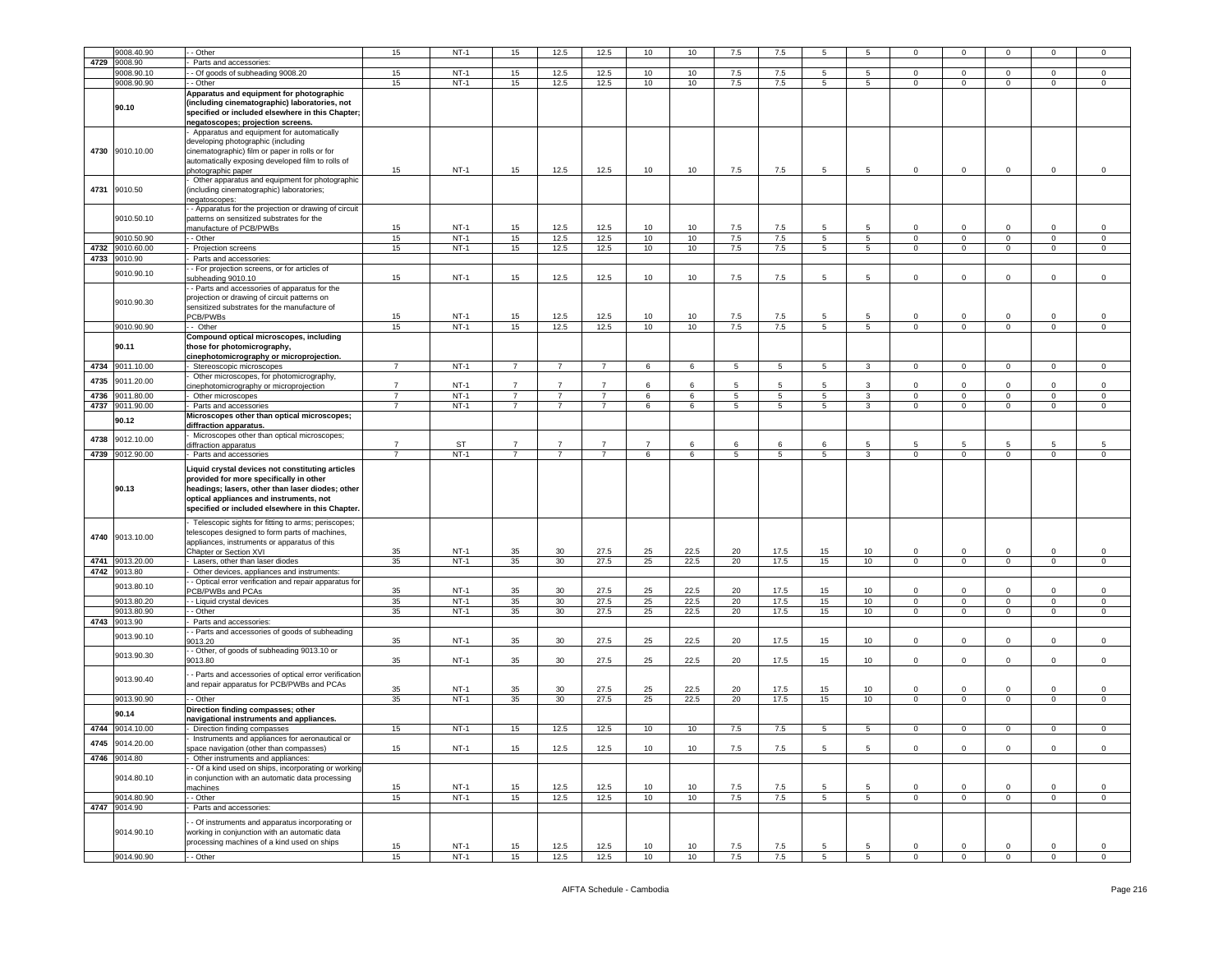|      | 9008.40.90                      | - Other                                                                                                                                                                                                                                        | 15             | $NT-1$           | 15                               | 12.5                             | 12.5                             | 10                  | 10           | 7.5             | 7.5             | 5               |                 | $\Omega$               | $\Omega$                                  |                               | $\Omega$         | 0                      |
|------|---------------------------------|------------------------------------------------------------------------------------------------------------------------------------------------------------------------------------------------------------------------------------------------|----------------|------------------|----------------------------------|----------------------------------|----------------------------------|---------------------|--------------|-----------------|-----------------|-----------------|-----------------|------------------------|-------------------------------------------|-------------------------------|------------------|------------------------|
| 4729 | 9008.90                         | Parts and accessories:                                                                                                                                                                                                                         |                |                  |                                  |                                  |                                  |                     |              |                 |                 |                 |                 |                        |                                           |                               |                  |                        |
|      |                                 |                                                                                                                                                                                                                                                |                |                  |                                  |                                  |                                  |                     |              |                 |                 |                 |                 |                        |                                           |                               |                  |                        |
|      | 9008.90.10                      | - Of goods of subheading 9008.20                                                                                                                                                                                                               | 15             | $NT-1$           | 15                               | 12.5                             | 12.5                             | 10                  | 10           | 7.5             | 7.5             | 5               | 5               | $\mathbf 0$            | $\mathbf{0}$                              | $\mathbf{0}$                  | 0                | $\mathbf 0$            |
|      | 9008.90.90                      | - Other                                                                                                                                                                                                                                        | 15             | $NT-1$           | 15                               | 12.5                             | 12.5                             | 10                  | 10           | 7.5             | 7.5             | $5^{\circ}$     | 5 <sub>5</sub>  | $\circ$                | $\mathbf{0}$                              | $\mathbf{0}$                  | $\mathbf 0$      | $\mathbf 0$            |
|      | 90.10                           | Apparatus and equipment for photographic<br>(including cinematographic) laboratories, not<br>specified or included elsewhere in this Chapter;<br>negatoscopes; projection screens.                                                             |                |                  |                                  |                                  |                                  |                     |              |                 |                 |                 |                 |                        |                                           |                               |                  |                        |
| 4730 | 9010.10.00                      | Apparatus and equipment for automatically<br>developing photographic (including<br>cinematographic) film or paper in rolls or for<br>automatically exposing developed film to rolls of<br>photographic paper                                   | 15             | $NT-1$           | 15                               | 12.5                             | 12.5                             | 10                  | 10           | 7.5             | 7.5             | 5               | 5               | $\mathbf 0$            | $\mathbf 0$                               | $\mathbf 0$                   | $\mathbf 0$      | 0                      |
| 4731 | 9010.50                         | Other apparatus and equipment for photographic<br>(including cinematographic) laboratories;<br>negatoscopes:                                                                                                                                   |                |                  |                                  |                                  |                                  |                     |              |                 |                 |                 |                 |                        |                                           |                               |                  |                        |
|      | 9010.50.10                      | - Apparatus for the projection or drawing of circuit<br>patterns on sensitized substrates for the<br>manufacture of PCB/PWBs                                                                                                                   | 15             | $NT-1$           | 15                               | 12.5                             | 12.5                             | 10                  | 10           | 7.5             | 7.5             | 5               | 5               | 0                      | $\mathbf 0$                               | $\mathbf 0$                   | 0                | 0                      |
|      | 9010.50.90                      | - Other                                                                                                                                                                                                                                        | 15             | $NT-1$           | 15                               | 12.5                             | 12.5                             | 10                  | 10           | 7.5             | 7.5             | 5               | 5               | $\circ$                | $\overline{0}$                            | $\mathbf{0}$                  | $\circ$          | $\mathsf 0$            |
| 4732 | 9010.60.00                      | Projection screens                                                                                                                                                                                                                             | 15             | $NT-1$           | 15                               | 12.5                             | 12.5                             | 10                  | 10           | $7.5\,$         | 7.5             | 5               | 5               | 0                      | $\mathbf 0$                               | $\mathbf 0$                   | 0                | $\mathsf 0$            |
|      | 4733 9010.90                    | Parts and accessories:                                                                                                                                                                                                                         |                |                  |                                  |                                  |                                  |                     |              |                 |                 |                 |                 |                        |                                           |                               |                  |                        |
|      | 9010.90.10                      | - For projection screens, or for articles of<br>subheading 9010.10                                                                                                                                                                             | 15             | $NT-1$           | 15                               | 12.5                             | 12.5                             | 10                  | 10           | 7.5             | 7.5             | 5               | 5               | $\circ$                | $\overline{0}$                            | $\mathbf 0$                   | $\circ$          | $\mathsf 0$            |
|      | 9010.90.30                      | - Parts and accessories of apparatus for the<br>projection or drawing of circuit patterns on<br>sensitized substrates for the manufacture of<br>PCB/PWBs                                                                                       | 15             | $NT-1$           | 15                               | 12.5                             | 12.5                             | 10                  | 10           | 7.5             | 7.5             | 5               | 5               | $\Omega$               | $\mathbf 0$                               | $\Omega$                      | $\Omega$         | $\mathbf 0$            |
|      | 9010.90.90                      | - Other                                                                                                                                                                                                                                        | 15             | $NT-1$           | 15                               | 12.5                             | 12.5                             | 10                  | 10           | 7.5             | 7.5             | $5\overline{5}$ | 5               | $\circ$                | $\mathbf 0$                               | $\mathsf 0$                   | $\mathbf 0$      | $\mathsf 0$            |
|      | 90.11                           | Compound optical microscopes, including<br>those for photomicrography,<br>cinephotomicrography or microprojection.                                                                                                                             |                |                  |                                  |                                  |                                  |                     |              |                 |                 |                 |                 |                        |                                           |                               |                  |                        |
| 4734 | 9011.10.00                      | Stereoscopic microscopes                                                                                                                                                                                                                       | $\overline{7}$ | $NT-1$           | $\overline{7}$                   | $\overline{7}$                   | $\overline{7}$                   | 6                   | 6            | 5               | 5               | 5               | 3               | $\mathbf 0$            | $\overline{0}$                            | $\mathbf{0}$                  | $\mathbf 0$      | $\mathsf 0$            |
| 4735 | 9011.20.00                      | Other microscopes, for photomicrography,<br>cinephotomicrography or microprojection                                                                                                                                                            | $\overline{7}$ | $NT-1$           | $\overline{7}$                   | $\overline{7}$                   | $\overline{7}$                   | 6                   | 6            | $5\overline{5}$ | 5               | 5               | 3               | $\mathbf 0$            | $\mathbf 0$                               | $\mathbf 0$                   | $\mathbf 0$      | $\mathbf 0$            |
| 4736 | 9011.80.00                      | Other microscopes                                                                                                                                                                                                                              | 7              | $NT-1$           | $\overline{7}$                   | 7                                | $\overline{7}$                   | 6                   | 6            | 5               | $5\phantom{.0}$ | 5               | 3               | $\mathbf{0}$           | $\overline{0}$                            | $\mathbf{0}$                  | $\mathbf 0$      | $\mathbf 0$            |
| 4737 | 9011.90.00                      | Parts and accessories                                                                                                                                                                                                                          | $\overline{7}$ | $NT-1$           | $\overline{7}$                   | $\overline{7}$                   | $\overline{7}$                   | 6                   | 6            | 5               | 5               | 5               | 3               | $\mathbf{0}$           | $\overline{0}$                            | $\mathbf 0$                   | $\mathbf 0$      | 0                      |
|      |                                 | Microscopes other than optical microscopes;                                                                                                                                                                                                    |                |                  |                                  |                                  |                                  |                     |              |                 |                 |                 |                 |                        |                                           |                               |                  |                        |
| 4738 | 90.12<br>9012.10.00             | diffraction apparatus.<br>Microscopes other than optical microscopes;                                                                                                                                                                          |                |                  |                                  |                                  |                                  |                     |              |                 |                 |                 |                 |                        |                                           |                               |                  |                        |
|      | 4739 9012.90.00                 | diffraction apparatus<br>Parts and accessories                                                                                                                                                                                                 | $\overline{7}$ | ST<br>$NT-1$     | $\overline{7}$<br>$\overline{7}$ | $\overline{7}$<br>$\overline{7}$ | $\overline{7}$<br>$\overline{7}$ | $\overline{7}$<br>6 | 6<br>6       | 6<br>5          | 6<br>5          | 6<br>5          | 5<br>3          | 5<br>$\Omega$          | 5<br>$\mathsf 0$                          | 5<br>$\mathbf{0}$             | 5<br>$\mathbf 0$ | 5<br>$\mathbf 0$       |
|      | 90.13                           | Liquid crystal devices not constituting articles<br>provided for more specifically in other<br>headings; lasers, other than laser diodes; other<br>optical appliances and instruments, not<br>specified or included elsewhere in this Chapter. |                |                  |                                  |                                  |                                  |                     |              |                 |                 |                 |                 |                        |                                           |                               |                  |                        |
| 4741 | 4740 9013.10.00<br>9013.20.00   | Telescopic sights for fitting to arms; periscopes;<br>telescopes designed to form parts of machines,<br>appliances, instruments or apparatus of this<br>Chapter or Section XVI<br>Lasers, other than laser diodes                              | 35<br>35       | $NT-1$<br>$NT-1$ | 35<br>35                         | 30<br>30                         | 27.5<br>27.5                     | 25<br>25            | 22.5<br>22.5 | 20<br>20        | 17.5<br>17.5    | 15<br>15        | 10<br>10        | $\mathbf 0$<br>$\circ$ | $\overline{\mathbf{0}}$<br>$\overline{0}$ | $\mathbf 0$<br>$\overline{0}$ | $\mathbf 0$<br>0 | $\,0\,$<br>$\mathbf 0$ |
|      | 4742 9013.80                    | Other devices, appliances and instruments:                                                                                                                                                                                                     |                |                  |                                  |                                  |                                  |                     |              |                 |                 |                 |                 |                        |                                           |                               |                  |                        |
|      | 9013.80.10                      | - Optical error verification and repair apparatus for<br>PCB/PWBs and PCAs                                                                                                                                                                     | 35             | $NT-1$           | 35                               | 30                               | 27.5                             | 25                  | 22.5         | 20              | 17.5            | 15              | 10 <sub>1</sub> | $\Omega$               | $\mathbf 0$                               | $\Omega$                      | $\Omega$         | $\mathsf 0$            |
|      | 9013.80.20                      | - - Liquid crystal devices                                                                                                                                                                                                                     | 35             | $NT-1$           | 35                               | 30 <sup>2</sup>                  | 27.5                             | 25                  | 22.5         | 20              | 17.5            | 15              | 10 <sub>1</sub> | $\mathbf{0}$           | $\mathbf{0}$                              | $\overline{0}$                | $\mathbf{0}$     | $\mathbf{0}$           |
|      | 9013.80.90                      | - Other                                                                                                                                                                                                                                        | 35             | $NT-1$           | 35                               | 30                               | 27.5                             | 25                  | 22.5         | 20              | 17.5            | 15              | 10              | $\circ$                | $\overline{0}$                            | $\mathbf{0}$                  | $\mathbf 0$      | $\mathsf 0$            |
| 4743 | 9013.90                         | Parts and accessories:                                                                                                                                                                                                                         |                |                  |                                  |                                  |                                  |                     |              |                 |                 |                 |                 |                        |                                           |                               |                  |                        |
|      | 9013.90.10                      | - Parts and accessories of goods of subheading<br>9013.20                                                                                                                                                                                      | 35             | $NT-1$           | 35                               | 30                               | 27.5                             | 25                  | 22.5         | 20              | 17.5            | 15              | 10              | $\mathbf{0}$           | $\mathbf 0$                               | $\mathbf 0$                   | 0                | $\mathbf 0$            |
|      | 9013.90.30                      | - Other, of goods of subheading 9013.10 or<br>9013.80                                                                                                                                                                                          | 35             | $NT-1$           | 35                               | 30                               | 27.5                             | 25                  | 22.5         | 20              | 17.5            | 15              | 10              | $\mathbf 0$            | $\overline{0}$                            | $\mathbf 0$                   | $\mathbf 0$      | $\mathsf 0$            |
|      | 9013.90.40                      | - Parts and accessories of optical error verification<br>and repair apparatus for PCB/PWBs and PCAs                                                                                                                                            | 35             | $NT-1$           | 35                               | 30                               | 27.5                             | 25                  | 22.5         | 20              | 17.5            | 15              | 10              | $\Omega$               | $\mathbf 0$                               | $\Omega$                      | $\Omega$         | $\mathbf 0$            |
|      | 9013.90.90                      | - Other                                                                                                                                                                                                                                        | 35             | $NT-1$           | 35                               | 30                               | 27.5                             | 25                  | 22.5         | 20              | 17.5            | 15              | 10 <sub>1</sub> | $\mathbf 0$            | $\overline{0}$                            | $\mathbf{0}$                  | $\mathbf 0$      | $\mathsf 0$            |
|      |                                 | Direction finding compasses; other                                                                                                                                                                                                             |                |                  |                                  |                                  |                                  |                     |              |                 |                 |                 |                 |                        |                                           |                               |                  |                        |
|      | 90.14                           | navigational instruments and appliances.                                                                                                                                                                                                       |                |                  |                                  |                                  |                                  |                     |              |                 |                 |                 |                 |                        |                                           |                               |                  |                        |
|      | 4744 9014.10.00                 | Direction finding compasses                                                                                                                                                                                                                    | 15             | $NT-1$           | 15                               | 12.5                             | 12.5                             | 10                  | 10           | 7.5             | 7.5             | 5               | 5               | $\mathbf 0$            | $\overline{0}$                            | $\mathbf 0$                   | $\Omega$         | $\mathbf 0$            |
|      |                                 | Instruments and appliances for aeronautical or                                                                                                                                                                                                 |                |                  |                                  |                                  |                                  |                     |              |                 |                 |                 |                 |                        |                                           |                               |                  |                        |
|      | 4745 9014.20.00<br>4746 9014.80 | space navigation (other than compasses)<br>Other instruments and appliances:                                                                                                                                                                   | 15             | $NT-1$           | 15                               | 12.5                             | 12.5                             | 10                  | 10           | 7.5             | 7.5             | 5               | 5               | $\mathbf 0$            | $\mathbf{0}$                              | $\mathbf 0$                   | 0                | $\mathbf{0}$           |
|      | 9014.80.10                      | - Of a kind used on ships, incorporating or working<br>in conjunction with an automatic data processing                                                                                                                                        |                |                  |                                  | 12.5                             | 12.5                             | 10                  |              | 7.5             |                 |                 |                 |                        | $\mathbf 0$                               |                               |                  |                        |
|      |                                 |                                                                                                                                                                                                                                                |                |                  |                                  |                                  |                                  |                     | 10           |                 | 7.5             | -5              | 5               | $\mathbf 0$            |                                           |                               |                  |                        |
|      |                                 | machines                                                                                                                                                                                                                                       | 15             | $NT-1$           | 15                               |                                  |                                  |                     |              |                 |                 |                 |                 |                        |                                           | $\mathbf 0$                   | $\mathbf 0$      | $\mathbf 0$            |
|      | 9014.80.90                      | - Other                                                                                                                                                                                                                                        | 15             | $NT-1$           | 15                               | 12.5                             | 12.5                             | 10                  | 10           | 7.5             | 7.5             | 5 <sup>5</sup>  | $5\overline{5}$ | $\mathbf{0}$           | $\mathbf{0}$                              | $\overline{0}$                | $\mathbf 0$      | $\circ$                |
|      | 4747 9014.90<br>9014.90.10      | Parts and accessories:<br>- Of instruments and apparatus incorporating or<br>working in conjunction with an automatic data                                                                                                                     |                |                  |                                  |                                  |                                  |                     |              |                 |                 |                 |                 |                        |                                           |                               |                  |                        |
|      | 9014.90.90                      | processing machines of a kind used on ships<br>- - Other                                                                                                                                                                                       | 15             | $NT-1$<br>$NT-1$ | 15                               | 12.5<br>12.5                     | 12.5                             | 10                  | 10           | 7.5             | 7.5             | 5               | 5               | $\mathbf 0$            | $\mathsf 0$                               | $\mathbf 0$                   | 0                | $\mathbf 0$            |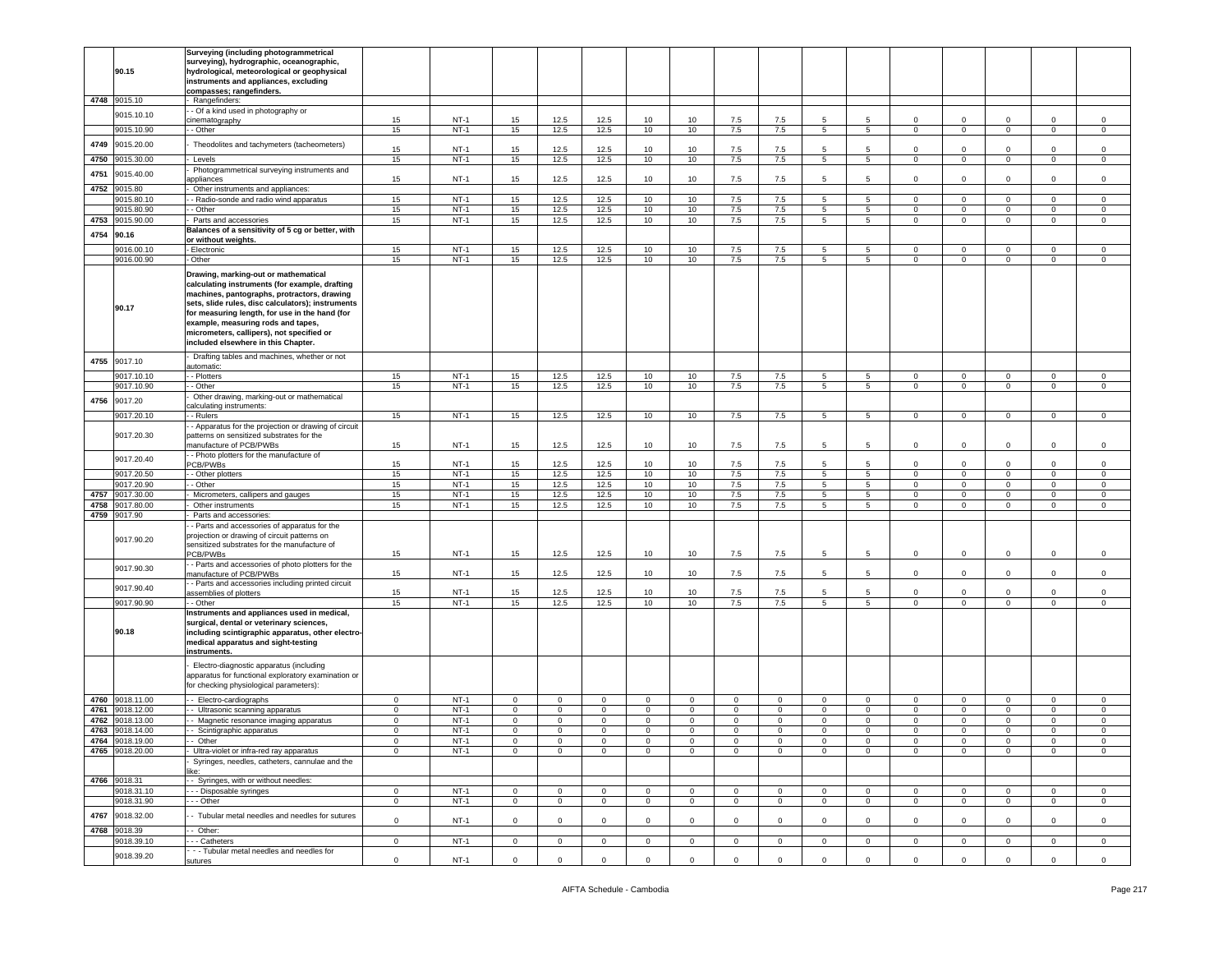| Surveying (including photogrammetrical<br>surveying), hydrographic, oceanographic,<br>90.15<br>hydrological, meteorological or geophysical<br>instruments and appliances, excluding<br>compasses; rangefinders.<br>4748 9015.10<br>Rangefinders:<br>- Of a kind used in photography or<br>9015.10.10<br>$NT-1$<br>12.5<br>12.5<br>cinematography<br>15<br>15<br>10<br>10<br>7.5<br>7.5<br>5<br>5<br>0<br>$\mathbf 0$<br>0<br>$\Omega$<br>$\Omega$<br>9015.10.90<br>$NT-1$<br>15<br>12.5<br>12.5<br>10<br>10<br>7.5<br>7.5<br>5<br>$\mathbf 0$<br>$\mathbf 0$<br>- Other<br>15<br>5 <sup>5</sup><br>$\mathbf{0}$<br>$\mathbf 0$<br>$\mathbf{0}$<br>4749<br>9015.20.00<br>Theodolites and tachymeters (tacheometers)<br>$NT-1$<br>12.5<br>12.5<br>15<br>15<br>10<br>10<br>7.5<br>7.5<br>5<br>$\mathbf 0$<br>$\mathbf 0$<br>$\mathbf 0$<br>$\Omega$<br>5<br>$\Omega$<br>$NT-1$<br>15<br>12.5<br>12.5<br>7.5<br>7.5<br>4750<br>10<br>10<br>5<br>9015.30.00<br>Levels<br>15<br>5<br>0<br>$\mathbf 0$<br>0<br>0<br>$\mathbf 0$<br>Photogrammetrical surveying instruments and<br>4751<br>9015.40.00<br>15<br>$NT-1$<br>15<br>12.5<br>12.5<br>10<br>7.5<br>7.5<br>5<br>$\mathbf 0$<br>$\mathbf 0$<br>$\mathbf 0$<br>$\mathbf 0$<br>$\mathbf 0$<br>10<br>5<br>appliances<br>4752<br>9015.80<br>Other instruments and appliances:<br>9015.80.10<br>- Radio-sonde and radio wind apparatus<br>15<br>$NT-1$<br>15<br>12.5<br>12.5<br>10<br>10<br>7.5<br>7.5<br>5<br>$\mathbf{0}$<br>$\mathbf 0$<br>5<br>$\mathbf 0$<br>$\mathbf 0$<br>$\mathbf{0}$<br>12.5<br>9015.80.90<br>- Other<br>15<br>$NT-1$<br>15<br>12.5<br>10<br>10<br>7.5<br>7.5<br>5<br>5<br>$\Omega$<br>$\mathsf 0$<br>$\mathbf 0$<br>$\mathbf 0$<br>$\mathbf 0$<br>15<br>12.5<br>$NT-1$<br>12.5<br>10<br>7.5<br>7.5<br>5<br>$5\overline{5}$<br>4753<br>9015.90.00<br>15<br>10<br>$\mathbf 0$<br>$\mathsf 0$<br>$\mathbf 0$<br>$\mathbf 0$<br>$\mathsf 0$<br>Parts and accessories<br>Balances of a sensitivity of 5 cg or better, with<br>4754<br>90.16<br>or without weights.<br>9016.00.10<br>- Electronic<br>15<br>$NT-1$<br>15<br>12.5<br>12.5<br>10<br>10<br>7.5<br>7.5<br>5<br>$\mathsf 0$<br>$\mathbf 0$<br>5<br>$\mathbf 0$<br>$\Omega$<br>$\Omega$<br>9016.00.90<br>12.5<br>- Other<br>$NT-1$<br>15<br>12.5<br>10<br>7.5<br>15<br>10<br>7.5<br>5<br>5<br>$\mathbf{0}$<br>$\mathbf 0$<br>$\mathbf 0$<br>$\mathbf{0}$<br>$\mathbf 0$<br>Drawing, marking-out or mathematical<br>calculating instruments (for example, drafting<br>machines, pantographs, protractors, drawing<br>sets, slide rules, disc calculators); instruments<br>90.17<br>for measuring length, for use in the hand (for<br>example, measuring rods and tapes,<br>micrometers, callipers), not specified or<br>included elsewhere in this Chapter.<br>Drafting tables and machines, whether or not<br>4755<br>9017.10<br>automatic:<br>9017.10.10<br>$NT-1$<br>15<br>12.5<br>12.5<br>- Plotters<br>15<br>10<br>10<br>7.5<br>7.5<br>5<br>5<br>$\mathbf{0}$<br>$\mathbf 0$<br>$\mathbf 0$<br>$\mathbf{0}$<br>$\mathbf 0$<br>9017.10.90<br>- Other<br>15<br>$NT-1$<br>15<br>12.5<br>12.5<br>10<br>10<br>7.5<br>7.5<br>5<br>5<br>$\mathbf 0$<br>$\mathsf 0$<br>$\mathbf 0$<br>$\mathbf 0$<br>$\Omega$<br>Other drawing, marking-out or mathematical<br>4756<br>9017.20<br>calculating instruments:<br>12.5<br>9017.20.10<br>$NT-1$<br>15<br>12.5<br>10<br>7.5<br>7.5<br>15<br>10<br>5<br>$5^{\circ}$<br>$\mathsf 0$<br>$\mathbf 0$<br>$\mathbf 0$<br>- Rulers<br>$\mathbf 0$<br>$\mathbf 0$<br>- Apparatus for the projection or drawing of circuit<br>9017.20.30<br>patterns on sensitized substrates for the<br>15<br>$NT-1$<br>15<br>12.5<br>12.5<br>10<br>10<br>7.5<br>7.5<br>5<br>$\mathsf 0$<br>$\mathbf 0$<br>$\mathsf 0$<br>manufacture of PCB/PWBs<br>5<br>$\mathbf 0$<br>0<br>- Photo plotters for the manufacture of<br>9017.20.40<br>$NT-1$<br>15<br>12.5<br>12.5<br>5<br>PCB/PWBs<br>15<br>10<br>10<br>7.5<br>7.5<br>5<br>$\circ$<br>$\mathbf 0$<br>$\mathbf 0$<br>$\mathbf 0$<br>$\mathbf 0$<br>$NT-1$<br>15<br>12.5<br>12.5<br>9017.20.50<br>- Other plotters<br>15<br>10<br>10<br>7.5<br>7.5<br>5<br>$\mathsf 0$<br>$\mathsf 0$<br>5<br>$\mathbf{0}$<br>0<br>0<br>9017.20.90<br>$NT-1$<br>15<br>12.5<br>12.5<br>7.5<br>7.5<br>- Other<br>15<br>10<br>10<br>5<br>5 <sup>5</sup><br>$\mathbf 0$<br>$\mathsf 0$<br>$\mathbf 0$<br>$\mathbf 0$<br>$\mathbf 0$<br>$NT-1$<br>15<br>12.5<br>12.5<br>10<br>7.5<br>7.5<br>$5\overline{)}$<br>5<br>4757<br>9017.30.00<br>Micrometers, callipers and gauges<br>15<br>10<br>$\mathsf 0$<br>$\mathbf 0$<br>$\mathbf 0$<br>$\mathbf 0$<br>$\mathbf 0$<br>$NT-1$<br>15<br>12.5<br>12.5<br>$7.5$<br>$7.5\,$<br>4758<br>9017.80.00<br>Other instruments<br>15<br>10<br>10<br>5<br>5<br>$\mathbf 0$<br>$\mathsf 0$<br>$\mathbf 0$<br>$\mathbf 0$<br>$\mathbf 0$<br>4759<br>9017.90<br>Parts and accessories:<br>- Parts and accessories of apparatus for the<br>projection or drawing of circuit patterns on<br>9017.90.20<br>sensitized substrates for the manufacture of<br>15<br>$NT-1$<br>15<br>12.5<br>12.5<br>10<br>10<br>7.5<br>7.5<br>5<br>$\mathbf 0$<br>$\mathsf 0$<br>$\mathbf 0$<br>$\mathbf 0$<br>PCB/PWBs<br>5<br>0<br>- Parts and accessories of photo plotters for the<br>9017.90.30<br>12.5<br>manufacture of PCB/PWBs<br>15<br>$NT-1$<br>15<br>12.5<br>10<br>10<br>7.5<br>7.5<br>5<br>5<br>$\mathbf{0}$<br>$\mathbf 0$<br>$\mathbf 0$<br>$\mathbf{0}$<br>$\circ$<br>- Parts and accessories including printed circuit<br>9017.90.40<br>15<br>$NT-1$<br>15<br>12.5<br>12.5<br>10<br>10<br>7.5<br>7.5<br>$5\overline{5}$<br>$\mathbf 0$<br>$\mathsf 0$<br>$\mathbf 0$<br>$\mathbf 0$<br>5<br>$\Omega$<br>assemblies of plotters<br>12.5<br>$NT-1$<br>15<br>12.5<br>9017.90.90<br>15<br>10<br>7.5<br>7.5<br>5<br>- Other<br>10<br>5<br>0<br>$\mathbf 0$<br>0<br>0<br>$\mathbf 0$<br>Instruments and appliances used in medical,<br>surgical, dental or veterinary sciences,<br>90.18<br>including scintigraphic apparatus, other electro-<br>medical apparatus and sight-testing<br>instruments.<br>Electro-diagnostic apparatus (including<br>apparatus for functional exploratory examination or<br>for checking physiological parameters):<br>4760<br>9018.11.00<br>- Electro-cardiographs<br>$\mathbf 0$<br>$NT-1$<br>$\mathbf 0$<br>$\mathbf 0$<br>$\circ$<br>$\mathbf 0$<br>$\circ$<br>$\mathbf 0$<br>$\mathbf 0$<br>$\mathbf 0$<br>$\circ$<br>$\mathbf 0$<br>$\mathsf 0$<br>$\mathbf 0$<br>$\circ$<br>$\Omega$<br>4761<br>9018.12.00<br>$NT-1$<br>$\circ$<br>$\mathsf 0$<br>$\mathsf 0$<br>$\mathsf 0$<br>- Ultrasonic scanning apparatus<br>0<br>0<br>$\mathbf 0$<br>$\mathbf 0$<br>$\mathbf 0$<br>$\mathbf 0$<br>$\mathbf 0$<br>0<br>$\mathbf 0$<br>0<br>0<br>4762<br>$NT-1$<br>9018.13.00<br>- Magnetic resonance imaging apparatus<br>$\mathbf 0$<br>$\mathbf 0$<br>$\mathbf 0$<br>$\mathbf 0$<br>$\mathbf 0$<br>$\mathbf 0$<br>$\mathbf 0$<br>$\mathbf 0$<br>$\mathsf 0$<br>$\circ$<br>$\circ$<br>$\mathsf 0$<br>$\mathbf 0$<br>$\mathbf{0}$<br>$\mathsf 0$<br>4763 9018.14.00<br>$NT-1$<br>$\mathbf 0$<br>$\overline{0}$<br>- Scintigraphic apparatus<br>$\mathbf 0$<br>$\mathbf{0}$<br>$\mathbf 0$<br>$\mathbf 0$<br>0<br>$\mathbf 0$<br>0<br>$\mathbf 0$<br>$\mathbf{0}$<br>$\mathbf 0$<br>$\mathbf 0$<br>$\mathbf{0}$<br>0<br>4764 9018.19.00<br>Other<br>$NT-1$<br>$\Omega$<br>0<br>$\Omega$<br>$\Omega$<br>$\Omega$<br>$\Omega$<br>$\Omega$<br>$\Omega$<br>$\Omega$<br>4765 9018.20.00<br>Ultra-violet or infra-red ray apparatus<br>$\mathbf 0$<br>$NT-1$<br>$\mathbf 0$<br>$\mathbf 0$<br>$\mathbf 0$<br>$\mathsf 0$<br>$\mathbf 0$<br>$\mathbf 0$<br>$\mathbf 0$<br>$\mathbf 0$<br>$\mathbf 0$<br>$\mathbf 0$<br>$\mathbf 0$<br>$\mathbf 0$<br>$\mathbf 0$<br>$\mathbf 0$<br>Syringes, needles, catheters, cannulae and the<br>ike:<br>- Syringes, with or without needles:<br>4766 9018.31<br>9018.31.10<br>- - Disposable syringes<br>$NT-1$<br>$\mathbf 0$<br>$\circ$<br>$\mathbf{0}$<br>$\mathsf 0$<br>$\overline{0}$<br>$\mathbf{0}$<br>$\overline{0}$<br>$\mathbf{0}$<br>$\circ$<br>$\mathbf 0$<br>$\mathsf 0$<br>$\mathbf 0$<br>$\mathbf 0$<br>$\mathbf{0}$<br>$\mathbf 0$<br>$NT-1$<br>9018.31.90<br>- - Other<br>$\mathbf 0$<br>$\mathbf 0$<br>$\overline{0}$<br>$\overline{0}$<br>$\overline{0}$<br>$\mathbf{0}$<br>$\overline{0}$<br>$\mathbf 0$<br>$\mathbf{0}$<br>$\mathbf{0}$<br>$\mathbf{0}$<br>$\mathbf 0$<br>$\mathbf 0$<br>$\mathbf{0}$<br>$\mathbf 0$<br>4767<br>9018.32.00<br>- Tubular metal needles and needles for sutures<br>$\mathbf 0$<br>$NT-1$<br>$\mathbf 0$<br>$\mathbf 0$<br>$\mathbf 0$<br>$\mathbf 0$<br>$\mathbf 0$<br>$\mathbf 0$<br>0<br>$\mathbf 0$<br>$^{\circ}$<br>$\Omega$<br>$\mathbf 0$<br>$\mathbf 0$<br>$\Omega$<br>$\mathbf 0$<br>4768<br>9018.39<br>- Other:<br>$NT-1$<br>9018.39.10<br>-- Catheters<br>$\mathbf{0}$<br>0<br>$\mathbf{0}$<br>$\mathbf 0$<br>$\mathbf 0$<br>$\mathbf 0$<br>$\mathbf{0}$<br>$\mathbf 0$<br>$\overline{\mathbf{0}}$<br>$\mathbf 0$<br>0<br>$\mathbf 0$<br>0<br>0<br>$\mathbf 0$<br>- - Tubular metal needles and needles for<br>9018.39.20<br>$\mathbf 0$<br>$NT-1$<br>$\mathbf{O}$<br>$\circ$<br>$\mathbf 0$<br>$\mathbf{0}$<br>$\mathbf 0$<br>$\mathbf 0$<br>$\mathbf 0$<br>$\mathbf 0$<br>$\mathbf 0$<br>$\mathbf 0$<br>$\mathsf 0$<br>$\mathbf 0$<br>$\mathbf 0$<br>$\mathbf 0$<br>sutures |  |  |  |  |  |  |  |  |  |  |
|----------------------------------------------------------------------------------------------------------------------------------------------------------------------------------------------------------------------------------------------------------------------------------------------------------------------------------------------------------------------------------------------------------------------------------------------------------------------------------------------------------------------------------------------------------------------------------------------------------------------------------------------------------------------------------------------------------------------------------------------------------------------------------------------------------------------------------------------------------------------------------------------------------------------------------------------------------------------------------------------------------------------------------------------------------------------------------------------------------------------------------------------------------------------------------------------------------------------------------------------------------------------------------------------------------------------------------------------------------------------------------------------------------------------------------------------------------------------------------------------------------------------------------------------------------------------------------------------------------------------------------------------------------------------------------------------------------------------------------------------------------------------------------------------------------------------------------------------------------------------------------------------------------------------------------------------------------------------------------------------------------------------------------------------------------------------------------------------------------------------------------------------------------------------------------------------------------------------------------------------------------------------------------------------------------------------------------------------------------------------------------------------------------------------------------------------------------------------------------------------------------------------------------------------------------------------------------------------------------------------------------------------------------------------------------------------------------------------------------------------------------------------------------------------------------------------------------------------------------------------------------------------------------------------------------------------------------------------------------------------------------------------------------------------------------------------------------------------------------------------------------------------------------------------------------------------------------------------------------------------------------------------------------------------------------------------------------------------------------------------------------------------------------------------------------------------------------------------------------------------------------------------------------------------------------------------------------------------------------------------------------------------------------------------------------------------------------------------------------------------------------------------------------------------------------------------------------------------------------------------------------------------------------------------------------------------------------------------------------------------------------------------------------------------------------------------------------------------------------------------------------------------------------------------------------------------------------------------------------------------------------------------------------------------------------------------------------------------------------------------------------------------------------------------------------------------------------------------------------------------------------------------------------------------------------------------------------------------------------------------------------------------------------------------------------------------------------------------------------------------------------------------------------------------------------------------------------------------------------------------------------------------------------------------------------------------------------------------------------------------------------------------------------------------------------------------------------------------------------------------------------------------------------------------------------------------------------------------------------------------------------------------------------------------------------------------------------------------------------------------------------------------------------------------------------------------------------------------------------------------------------------------------------------------------------------------------------------------------------------------------------------------------------------------------------------------------------------------------------------------------------------------------------------------------------------------------------------------------------------------------------------------------------------------------------------------------------------------------------------------------------------------------------------------------------------------------------------------------------------------------------------------------------------------------------------------------------------------------------------------------------------------------------------------------------------------------------------------------------------------------------------------------------------------------------------------------------------------------------------------------------------------------------------------------------------------------------------------------------------------------------------------------------------------------------------------------------------------------------------------------------------------------------------------------------------------------------------------------------------------------------------------------------------------------------------------------------------------------------------------------------------------------------------------------------------------------------------------------------------------------------------------------------------------------------------------------------------------------------------------------------------------------------------------------------------------------------------------------------------------------------------------------------------------------------------------------------------------------------------------------------------------------------------------------------------------------------------------------------------------------------------------------------------------------------------------------------------------------------------------------------------------------------------------------------------------------------------------------------------------------------------------------------------------------------------------------------------------------------------------------------------------------------------------------------------------------------------------------------------------------------------------------------------------------------------------------------------------------------------------------------------------------------------------------------------------------------------------------------------------------------------------------------------------------------------------------------------------------------------------------------------------------------------------------------------------------------------------------------------------------------------------------------------------------------------------------------------------------------------------------------------------------------------------------------------------------------------------------------------------------------------------------------------------------------------------------------------------------------------------------------------------------------------------------------------------------------------------------------------------------------------------------------------------------------------------------------------------------------------------------------------------------------------------------------------------------------------------------------------------------------------|--|--|--|--|--|--|--|--|--|--|
|                                                                                                                                                                                                                                                                                                                                                                                                                                                                                                                                                                                                                                                                                                                                                                                                                                                                                                                                                                                                                                                                                                                                                                                                                                                                                                                                                                                                                                                                                                                                                                                                                                                                                                                                                                                                                                                                                                                                                                                                                                                                                                                                                                                                                                                                                                                                                                                                                                                                                                                                                                                                                                                                                                                                                                                                                                                                                                                                                                                                                                                                                                                                                                                                                                                                                                                                                                                                                                                                                                                                                                                                                                                                                                                                                                                                                                                                                                                                                                                                                                                                                                                                                                                                                                                                                                                                                                                                                                                                                                                                                                                                                                                                                                                                                                                                                                                                                                                                                                                                                                                                                                                                                                                                                                                                                                                                                                                                                                                                                                                                                                                                                                                                                                                                                                                                                                                                                                                                                                                                                                                                                                                                                                                                                                                                                                                                                                                                                                                                                                                                                                                                                                                                                                                                                                                                                                                                                                                                                                                                                                                                                                                                                                                                                                                                                                                                                                                                                                                                                                                                                                                                                                                                                                                                                                                                                                                                                                                                                                                                                                                                                                                                                                                                                                                                                                                                                                                                                                                                                                                                                                                                                                                                                                                                                                                                                                                                                                                                                                                                                                                                                                                                                                                                                                                                                                                                                                                        |  |  |  |  |  |  |  |  |  |  |
|                                                                                                                                                                                                                                                                                                                                                                                                                                                                                                                                                                                                                                                                                                                                                                                                                                                                                                                                                                                                                                                                                                                                                                                                                                                                                                                                                                                                                                                                                                                                                                                                                                                                                                                                                                                                                                                                                                                                                                                                                                                                                                                                                                                                                                                                                                                                                                                                                                                                                                                                                                                                                                                                                                                                                                                                                                                                                                                                                                                                                                                                                                                                                                                                                                                                                                                                                                                                                                                                                                                                                                                                                                                                                                                                                                                                                                                                                                                                                                                                                                                                                                                                                                                                                                                                                                                                                                                                                                                                                                                                                                                                                                                                                                                                                                                                                                                                                                                                                                                                                                                                                                                                                                                                                                                                                                                                                                                                                                                                                                                                                                                                                                                                                                                                                                                                                                                                                                                                                                                                                                                                                                                                                                                                                                                                                                                                                                                                                                                                                                                                                                                                                                                                                                                                                                                                                                                                                                                                                                                                                                                                                                                                                                                                                                                                                                                                                                                                                                                                                                                                                                                                                                                                                                                                                                                                                                                                                                                                                                                                                                                                                                                                                                                                                                                                                                                                                                                                                                                                                                                                                                                                                                                                                                                                                                                                                                                                                                                                                                                                                                                                                                                                                                                                                                                                                                                                                                                        |  |  |  |  |  |  |  |  |  |  |
|                                                                                                                                                                                                                                                                                                                                                                                                                                                                                                                                                                                                                                                                                                                                                                                                                                                                                                                                                                                                                                                                                                                                                                                                                                                                                                                                                                                                                                                                                                                                                                                                                                                                                                                                                                                                                                                                                                                                                                                                                                                                                                                                                                                                                                                                                                                                                                                                                                                                                                                                                                                                                                                                                                                                                                                                                                                                                                                                                                                                                                                                                                                                                                                                                                                                                                                                                                                                                                                                                                                                                                                                                                                                                                                                                                                                                                                                                                                                                                                                                                                                                                                                                                                                                                                                                                                                                                                                                                                                                                                                                                                                                                                                                                                                                                                                                                                                                                                                                                                                                                                                                                                                                                                                                                                                                                                                                                                                                                                                                                                                                                                                                                                                                                                                                                                                                                                                                                                                                                                                                                                                                                                                                                                                                                                                                                                                                                                                                                                                                                                                                                                                                                                                                                                                                                                                                                                                                                                                                                                                                                                                                                                                                                                                                                                                                                                                                                                                                                                                                                                                                                                                                                                                                                                                                                                                                                                                                                                                                                                                                                                                                                                                                                                                                                                                                                                                                                                                                                                                                                                                                                                                                                                                                                                                                                                                                                                                                                                                                                                                                                                                                                                                                                                                                                                                                                                                                                                        |  |  |  |  |  |  |  |  |  |  |
|                                                                                                                                                                                                                                                                                                                                                                                                                                                                                                                                                                                                                                                                                                                                                                                                                                                                                                                                                                                                                                                                                                                                                                                                                                                                                                                                                                                                                                                                                                                                                                                                                                                                                                                                                                                                                                                                                                                                                                                                                                                                                                                                                                                                                                                                                                                                                                                                                                                                                                                                                                                                                                                                                                                                                                                                                                                                                                                                                                                                                                                                                                                                                                                                                                                                                                                                                                                                                                                                                                                                                                                                                                                                                                                                                                                                                                                                                                                                                                                                                                                                                                                                                                                                                                                                                                                                                                                                                                                                                                                                                                                                                                                                                                                                                                                                                                                                                                                                                                                                                                                                                                                                                                                                                                                                                                                                                                                                                                                                                                                                                                                                                                                                                                                                                                                                                                                                                                                                                                                                                                                                                                                                                                                                                                                                                                                                                                                                                                                                                                                                                                                                                                                                                                                                                                                                                                                                                                                                                                                                                                                                                                                                                                                                                                                                                                                                                                                                                                                                                                                                                                                                                                                                                                                                                                                                                                                                                                                                                                                                                                                                                                                                                                                                                                                                                                                                                                                                                                                                                                                                                                                                                                                                                                                                                                                                                                                                                                                                                                                                                                                                                                                                                                                                                                                                                                                                                                                        |  |  |  |  |  |  |  |  |  |  |
|                                                                                                                                                                                                                                                                                                                                                                                                                                                                                                                                                                                                                                                                                                                                                                                                                                                                                                                                                                                                                                                                                                                                                                                                                                                                                                                                                                                                                                                                                                                                                                                                                                                                                                                                                                                                                                                                                                                                                                                                                                                                                                                                                                                                                                                                                                                                                                                                                                                                                                                                                                                                                                                                                                                                                                                                                                                                                                                                                                                                                                                                                                                                                                                                                                                                                                                                                                                                                                                                                                                                                                                                                                                                                                                                                                                                                                                                                                                                                                                                                                                                                                                                                                                                                                                                                                                                                                                                                                                                                                                                                                                                                                                                                                                                                                                                                                                                                                                                                                                                                                                                                                                                                                                                                                                                                                                                                                                                                                                                                                                                                                                                                                                                                                                                                                                                                                                                                                                                                                                                                                                                                                                                                                                                                                                                                                                                                                                                                                                                                                                                                                                                                                                                                                                                                                                                                                                                                                                                                                                                                                                                                                                                                                                                                                                                                                                                                                                                                                                                                                                                                                                                                                                                                                                                                                                                                                                                                                                                                                                                                                                                                                                                                                                                                                                                                                                                                                                                                                                                                                                                                                                                                                                                                                                                                                                                                                                                                                                                                                                                                                                                                                                                                                                                                                                                                                                                                                                        |  |  |  |  |  |  |  |  |  |  |
|                                                                                                                                                                                                                                                                                                                                                                                                                                                                                                                                                                                                                                                                                                                                                                                                                                                                                                                                                                                                                                                                                                                                                                                                                                                                                                                                                                                                                                                                                                                                                                                                                                                                                                                                                                                                                                                                                                                                                                                                                                                                                                                                                                                                                                                                                                                                                                                                                                                                                                                                                                                                                                                                                                                                                                                                                                                                                                                                                                                                                                                                                                                                                                                                                                                                                                                                                                                                                                                                                                                                                                                                                                                                                                                                                                                                                                                                                                                                                                                                                                                                                                                                                                                                                                                                                                                                                                                                                                                                                                                                                                                                                                                                                                                                                                                                                                                                                                                                                                                                                                                                                                                                                                                                                                                                                                                                                                                                                                                                                                                                                                                                                                                                                                                                                                                                                                                                                                                                                                                                                                                                                                                                                                                                                                                                                                                                                                                                                                                                                                                                                                                                                                                                                                                                                                                                                                                                                                                                                                                                                                                                                                                                                                                                                                                                                                                                                                                                                                                                                                                                                                                                                                                                                                                                                                                                                                                                                                                                                                                                                                                                                                                                                                                                                                                                                                                                                                                                                                                                                                                                                                                                                                                                                                                                                                                                                                                                                                                                                                                                                                                                                                                                                                                                                                                                                                                                                                                        |  |  |  |  |  |  |  |  |  |  |
|                                                                                                                                                                                                                                                                                                                                                                                                                                                                                                                                                                                                                                                                                                                                                                                                                                                                                                                                                                                                                                                                                                                                                                                                                                                                                                                                                                                                                                                                                                                                                                                                                                                                                                                                                                                                                                                                                                                                                                                                                                                                                                                                                                                                                                                                                                                                                                                                                                                                                                                                                                                                                                                                                                                                                                                                                                                                                                                                                                                                                                                                                                                                                                                                                                                                                                                                                                                                                                                                                                                                                                                                                                                                                                                                                                                                                                                                                                                                                                                                                                                                                                                                                                                                                                                                                                                                                                                                                                                                                                                                                                                                                                                                                                                                                                                                                                                                                                                                                                                                                                                                                                                                                                                                                                                                                                                                                                                                                                                                                                                                                                                                                                                                                                                                                                                                                                                                                                                                                                                                                                                                                                                                                                                                                                                                                                                                                                                                                                                                                                                                                                                                                                                                                                                                                                                                                                                                                                                                                                                                                                                                                                                                                                                                                                                                                                                                                                                                                                                                                                                                                                                                                                                                                                                                                                                                                                                                                                                                                                                                                                                                                                                                                                                                                                                                                                                                                                                                                                                                                                                                                                                                                                                                                                                                                                                                                                                                                                                                                                                                                                                                                                                                                                                                                                                                                                                                                                                        |  |  |  |  |  |  |  |  |  |  |
|                                                                                                                                                                                                                                                                                                                                                                                                                                                                                                                                                                                                                                                                                                                                                                                                                                                                                                                                                                                                                                                                                                                                                                                                                                                                                                                                                                                                                                                                                                                                                                                                                                                                                                                                                                                                                                                                                                                                                                                                                                                                                                                                                                                                                                                                                                                                                                                                                                                                                                                                                                                                                                                                                                                                                                                                                                                                                                                                                                                                                                                                                                                                                                                                                                                                                                                                                                                                                                                                                                                                                                                                                                                                                                                                                                                                                                                                                                                                                                                                                                                                                                                                                                                                                                                                                                                                                                                                                                                                                                                                                                                                                                                                                                                                                                                                                                                                                                                                                                                                                                                                                                                                                                                                                                                                                                                                                                                                                                                                                                                                                                                                                                                                                                                                                                                                                                                                                                                                                                                                                                                                                                                                                                                                                                                                                                                                                                                                                                                                                                                                                                                                                                                                                                                                                                                                                                                                                                                                                                                                                                                                                                                                                                                                                                                                                                                                                                                                                                                                                                                                                                                                                                                                                                                                                                                                                                                                                                                                                                                                                                                                                                                                                                                                                                                                                                                                                                                                                                                                                                                                                                                                                                                                                                                                                                                                                                                                                                                                                                                                                                                                                                                                                                                                                                                                                                                                                                                        |  |  |  |  |  |  |  |  |  |  |
|                                                                                                                                                                                                                                                                                                                                                                                                                                                                                                                                                                                                                                                                                                                                                                                                                                                                                                                                                                                                                                                                                                                                                                                                                                                                                                                                                                                                                                                                                                                                                                                                                                                                                                                                                                                                                                                                                                                                                                                                                                                                                                                                                                                                                                                                                                                                                                                                                                                                                                                                                                                                                                                                                                                                                                                                                                                                                                                                                                                                                                                                                                                                                                                                                                                                                                                                                                                                                                                                                                                                                                                                                                                                                                                                                                                                                                                                                                                                                                                                                                                                                                                                                                                                                                                                                                                                                                                                                                                                                                                                                                                                                                                                                                                                                                                                                                                                                                                                                                                                                                                                                                                                                                                                                                                                                                                                                                                                                                                                                                                                                                                                                                                                                                                                                                                                                                                                                                                                                                                                                                                                                                                                                                                                                                                                                                                                                                                                                                                                                                                                                                                                                                                                                                                                                                                                                                                                                                                                                                                                                                                                                                                                                                                                                                                                                                                                                                                                                                                                                                                                                                                                                                                                                                                                                                                                                                                                                                                                                                                                                                                                                                                                                                                                                                                                                                                                                                                                                                                                                                                                                                                                                                                                                                                                                                                                                                                                                                                                                                                                                                                                                                                                                                                                                                                                                                                                                                                        |  |  |  |  |  |  |  |  |  |  |
|                                                                                                                                                                                                                                                                                                                                                                                                                                                                                                                                                                                                                                                                                                                                                                                                                                                                                                                                                                                                                                                                                                                                                                                                                                                                                                                                                                                                                                                                                                                                                                                                                                                                                                                                                                                                                                                                                                                                                                                                                                                                                                                                                                                                                                                                                                                                                                                                                                                                                                                                                                                                                                                                                                                                                                                                                                                                                                                                                                                                                                                                                                                                                                                                                                                                                                                                                                                                                                                                                                                                                                                                                                                                                                                                                                                                                                                                                                                                                                                                                                                                                                                                                                                                                                                                                                                                                                                                                                                                                                                                                                                                                                                                                                                                                                                                                                                                                                                                                                                                                                                                                                                                                                                                                                                                                                                                                                                                                                                                                                                                                                                                                                                                                                                                                                                                                                                                                                                                                                                                                                                                                                                                                                                                                                                                                                                                                                                                                                                                                                                                                                                                                                                                                                                                                                                                                                                                                                                                                                                                                                                                                                                                                                                                                                                                                                                                                                                                                                                                                                                                                                                                                                                                                                                                                                                                                                                                                                                                                                                                                                                                                                                                                                                                                                                                                                                                                                                                                                                                                                                                                                                                                                                                                                                                                                                                                                                                                                                                                                                                                                                                                                                                                                                                                                                                                                                                                                                        |  |  |  |  |  |  |  |  |  |  |
|                                                                                                                                                                                                                                                                                                                                                                                                                                                                                                                                                                                                                                                                                                                                                                                                                                                                                                                                                                                                                                                                                                                                                                                                                                                                                                                                                                                                                                                                                                                                                                                                                                                                                                                                                                                                                                                                                                                                                                                                                                                                                                                                                                                                                                                                                                                                                                                                                                                                                                                                                                                                                                                                                                                                                                                                                                                                                                                                                                                                                                                                                                                                                                                                                                                                                                                                                                                                                                                                                                                                                                                                                                                                                                                                                                                                                                                                                                                                                                                                                                                                                                                                                                                                                                                                                                                                                                                                                                                                                                                                                                                                                                                                                                                                                                                                                                                                                                                                                                                                                                                                                                                                                                                                                                                                                                                                                                                                                                                                                                                                                                                                                                                                                                                                                                                                                                                                                                                                                                                                                                                                                                                                                                                                                                                                                                                                                                                                                                                                                                                                                                                                                                                                                                                                                                                                                                                                                                                                                                                                                                                                                                                                                                                                                                                                                                                                                                                                                                                                                                                                                                                                                                                                                                                                                                                                                                                                                                                                                                                                                                                                                                                                                                                                                                                                                                                                                                                                                                                                                                                                                                                                                                                                                                                                                                                                                                                                                                                                                                                                                                                                                                                                                                                                                                                                                                                                                                                        |  |  |  |  |  |  |  |  |  |  |
|                                                                                                                                                                                                                                                                                                                                                                                                                                                                                                                                                                                                                                                                                                                                                                                                                                                                                                                                                                                                                                                                                                                                                                                                                                                                                                                                                                                                                                                                                                                                                                                                                                                                                                                                                                                                                                                                                                                                                                                                                                                                                                                                                                                                                                                                                                                                                                                                                                                                                                                                                                                                                                                                                                                                                                                                                                                                                                                                                                                                                                                                                                                                                                                                                                                                                                                                                                                                                                                                                                                                                                                                                                                                                                                                                                                                                                                                                                                                                                                                                                                                                                                                                                                                                                                                                                                                                                                                                                                                                                                                                                                                                                                                                                                                                                                                                                                                                                                                                                                                                                                                                                                                                                                                                                                                                                                                                                                                                                                                                                                                                                                                                                                                                                                                                                                                                                                                                                                                                                                                                                                                                                                                                                                                                                                                                                                                                                                                                                                                                                                                                                                                                                                                                                                                                                                                                                                                                                                                                                                                                                                                                                                                                                                                                                                                                                                                                                                                                                                                                                                                                                                                                                                                                                                                                                                                                                                                                                                                                                                                                                                                                                                                                                                                                                                                                                                                                                                                                                                                                                                                                                                                                                                                                                                                                                                                                                                                                                                                                                                                                                                                                                                                                                                                                                                                                                                                                                                        |  |  |  |  |  |  |  |  |  |  |
|                                                                                                                                                                                                                                                                                                                                                                                                                                                                                                                                                                                                                                                                                                                                                                                                                                                                                                                                                                                                                                                                                                                                                                                                                                                                                                                                                                                                                                                                                                                                                                                                                                                                                                                                                                                                                                                                                                                                                                                                                                                                                                                                                                                                                                                                                                                                                                                                                                                                                                                                                                                                                                                                                                                                                                                                                                                                                                                                                                                                                                                                                                                                                                                                                                                                                                                                                                                                                                                                                                                                                                                                                                                                                                                                                                                                                                                                                                                                                                                                                                                                                                                                                                                                                                                                                                                                                                                                                                                                                                                                                                                                                                                                                                                                                                                                                                                                                                                                                                                                                                                                                                                                                                                                                                                                                                                                                                                                                                                                                                                                                                                                                                                                                                                                                                                                                                                                                                                                                                                                                                                                                                                                                                                                                                                                                                                                                                                                                                                                                                                                                                                                                                                                                                                                                                                                                                                                                                                                                                                                                                                                                                                                                                                                                                                                                                                                                                                                                                                                                                                                                                                                                                                                                                                                                                                                                                                                                                                                                                                                                                                                                                                                                                                                                                                                                                                                                                                                                                                                                                                                                                                                                                                                                                                                                                                                                                                                                                                                                                                                                                                                                                                                                                                                                                                                                                                                                                                        |  |  |  |  |  |  |  |  |  |  |
|                                                                                                                                                                                                                                                                                                                                                                                                                                                                                                                                                                                                                                                                                                                                                                                                                                                                                                                                                                                                                                                                                                                                                                                                                                                                                                                                                                                                                                                                                                                                                                                                                                                                                                                                                                                                                                                                                                                                                                                                                                                                                                                                                                                                                                                                                                                                                                                                                                                                                                                                                                                                                                                                                                                                                                                                                                                                                                                                                                                                                                                                                                                                                                                                                                                                                                                                                                                                                                                                                                                                                                                                                                                                                                                                                                                                                                                                                                                                                                                                                                                                                                                                                                                                                                                                                                                                                                                                                                                                                                                                                                                                                                                                                                                                                                                                                                                                                                                                                                                                                                                                                                                                                                                                                                                                                                                                                                                                                                                                                                                                                                                                                                                                                                                                                                                                                                                                                                                                                                                                                                                                                                                                                                                                                                                                                                                                                                                                                                                                                                                                                                                                                                                                                                                                                                                                                                                                                                                                                                                                                                                                                                                                                                                                                                                                                                                                                                                                                                                                                                                                                                                                                                                                                                                                                                                                                                                                                                                                                                                                                                                                                                                                                                                                                                                                                                                                                                                                                                                                                                                                                                                                                                                                                                                                                                                                                                                                                                                                                                                                                                                                                                                                                                                                                                                                                                                                                                                        |  |  |  |  |  |  |  |  |  |  |
|                                                                                                                                                                                                                                                                                                                                                                                                                                                                                                                                                                                                                                                                                                                                                                                                                                                                                                                                                                                                                                                                                                                                                                                                                                                                                                                                                                                                                                                                                                                                                                                                                                                                                                                                                                                                                                                                                                                                                                                                                                                                                                                                                                                                                                                                                                                                                                                                                                                                                                                                                                                                                                                                                                                                                                                                                                                                                                                                                                                                                                                                                                                                                                                                                                                                                                                                                                                                                                                                                                                                                                                                                                                                                                                                                                                                                                                                                                                                                                                                                                                                                                                                                                                                                                                                                                                                                                                                                                                                                                                                                                                                                                                                                                                                                                                                                                                                                                                                                                                                                                                                                                                                                                                                                                                                                                                                                                                                                                                                                                                                                                                                                                                                                                                                                                                                                                                                                                                                                                                                                                                                                                                                                                                                                                                                                                                                                                                                                                                                                                                                                                                                                                                                                                                                                                                                                                                                                                                                                                                                                                                                                                                                                                                                                                                                                                                                                                                                                                                                                                                                                                                                                                                                                                                                                                                                                                                                                                                                                                                                                                                                                                                                                                                                                                                                                                                                                                                                                                                                                                                                                                                                                                                                                                                                                                                                                                                                                                                                                                                                                                                                                                                                                                                                                                                                                                                                                                                        |  |  |  |  |  |  |  |  |  |  |
|                                                                                                                                                                                                                                                                                                                                                                                                                                                                                                                                                                                                                                                                                                                                                                                                                                                                                                                                                                                                                                                                                                                                                                                                                                                                                                                                                                                                                                                                                                                                                                                                                                                                                                                                                                                                                                                                                                                                                                                                                                                                                                                                                                                                                                                                                                                                                                                                                                                                                                                                                                                                                                                                                                                                                                                                                                                                                                                                                                                                                                                                                                                                                                                                                                                                                                                                                                                                                                                                                                                                                                                                                                                                                                                                                                                                                                                                                                                                                                                                                                                                                                                                                                                                                                                                                                                                                                                                                                                                                                                                                                                                                                                                                                                                                                                                                                                                                                                                                                                                                                                                                                                                                                                                                                                                                                                                                                                                                                                                                                                                                                                                                                                                                                                                                                                                                                                                                                                                                                                                                                                                                                                                                                                                                                                                                                                                                                                                                                                                                                                                                                                                                                                                                                                                                                                                                                                                                                                                                                                                                                                                                                                                                                                                                                                                                                                                                                                                                                                                                                                                                                                                                                                                                                                                                                                                                                                                                                                                                                                                                                                                                                                                                                                                                                                                                                                                                                                                                                                                                                                                                                                                                                                                                                                                                                                                                                                                                                                                                                                                                                                                                                                                                                                                                                                                                                                                                                                        |  |  |  |  |  |  |  |  |  |  |
|                                                                                                                                                                                                                                                                                                                                                                                                                                                                                                                                                                                                                                                                                                                                                                                                                                                                                                                                                                                                                                                                                                                                                                                                                                                                                                                                                                                                                                                                                                                                                                                                                                                                                                                                                                                                                                                                                                                                                                                                                                                                                                                                                                                                                                                                                                                                                                                                                                                                                                                                                                                                                                                                                                                                                                                                                                                                                                                                                                                                                                                                                                                                                                                                                                                                                                                                                                                                                                                                                                                                                                                                                                                                                                                                                                                                                                                                                                                                                                                                                                                                                                                                                                                                                                                                                                                                                                                                                                                                                                                                                                                                                                                                                                                                                                                                                                                                                                                                                                                                                                                                                                                                                                                                                                                                                                                                                                                                                                                                                                                                                                                                                                                                                                                                                                                                                                                                                                                                                                                                                                                                                                                                                                                                                                                                                                                                                                                                                                                                                                                                                                                                                                                                                                                                                                                                                                                                                                                                                                                                                                                                                                                                                                                                                                                                                                                                                                                                                                                                                                                                                                                                                                                                                                                                                                                                                                                                                                                                                                                                                                                                                                                                                                                                                                                                                                                                                                                                                                                                                                                                                                                                                                                                                                                                                                                                                                                                                                                                                                                                                                                                                                                                                                                                                                                                                                                                                                                        |  |  |  |  |  |  |  |  |  |  |
|                                                                                                                                                                                                                                                                                                                                                                                                                                                                                                                                                                                                                                                                                                                                                                                                                                                                                                                                                                                                                                                                                                                                                                                                                                                                                                                                                                                                                                                                                                                                                                                                                                                                                                                                                                                                                                                                                                                                                                                                                                                                                                                                                                                                                                                                                                                                                                                                                                                                                                                                                                                                                                                                                                                                                                                                                                                                                                                                                                                                                                                                                                                                                                                                                                                                                                                                                                                                                                                                                                                                                                                                                                                                                                                                                                                                                                                                                                                                                                                                                                                                                                                                                                                                                                                                                                                                                                                                                                                                                                                                                                                                                                                                                                                                                                                                                                                                                                                                                                                                                                                                                                                                                                                                                                                                                                                                                                                                                                                                                                                                                                                                                                                                                                                                                                                                                                                                                                                                                                                                                                                                                                                                                                                                                                                                                                                                                                                                                                                                                                                                                                                                                                                                                                                                                                                                                                                                                                                                                                                                                                                                                                                                                                                                                                                                                                                                                                                                                                                                                                                                                                                                                                                                                                                                                                                                                                                                                                                                                                                                                                                                                                                                                                                                                                                                                                                                                                                                                                                                                                                                                                                                                                                                                                                                                                                                                                                                                                                                                                                                                                                                                                                                                                                                                                                                                                                                                                                        |  |  |  |  |  |  |  |  |  |  |
|                                                                                                                                                                                                                                                                                                                                                                                                                                                                                                                                                                                                                                                                                                                                                                                                                                                                                                                                                                                                                                                                                                                                                                                                                                                                                                                                                                                                                                                                                                                                                                                                                                                                                                                                                                                                                                                                                                                                                                                                                                                                                                                                                                                                                                                                                                                                                                                                                                                                                                                                                                                                                                                                                                                                                                                                                                                                                                                                                                                                                                                                                                                                                                                                                                                                                                                                                                                                                                                                                                                                                                                                                                                                                                                                                                                                                                                                                                                                                                                                                                                                                                                                                                                                                                                                                                                                                                                                                                                                                                                                                                                                                                                                                                                                                                                                                                                                                                                                                                                                                                                                                                                                                                                                                                                                                                                                                                                                                                                                                                                                                                                                                                                                                                                                                                                                                                                                                                                                                                                                                                                                                                                                                                                                                                                                                                                                                                                                                                                                                                                                                                                                                                                                                                                                                                                                                                                                                                                                                                                                                                                                                                                                                                                                                                                                                                                                                                                                                                                                                                                                                                                                                                                                                                                                                                                                                                                                                                                                                                                                                                                                                                                                                                                                                                                                                                                                                                                                                                                                                                                                                                                                                                                                                                                                                                                                                                                                                                                                                                                                                                                                                                                                                                                                                                                                                                                                                                                        |  |  |  |  |  |  |  |  |  |  |
|                                                                                                                                                                                                                                                                                                                                                                                                                                                                                                                                                                                                                                                                                                                                                                                                                                                                                                                                                                                                                                                                                                                                                                                                                                                                                                                                                                                                                                                                                                                                                                                                                                                                                                                                                                                                                                                                                                                                                                                                                                                                                                                                                                                                                                                                                                                                                                                                                                                                                                                                                                                                                                                                                                                                                                                                                                                                                                                                                                                                                                                                                                                                                                                                                                                                                                                                                                                                                                                                                                                                                                                                                                                                                                                                                                                                                                                                                                                                                                                                                                                                                                                                                                                                                                                                                                                                                                                                                                                                                                                                                                                                                                                                                                                                                                                                                                                                                                                                                                                                                                                                                                                                                                                                                                                                                                                                                                                                                                                                                                                                                                                                                                                                                                                                                                                                                                                                                                                                                                                                                                                                                                                                                                                                                                                                                                                                                                                                                                                                                                                                                                                                                                                                                                                                                                                                                                                                                                                                                                                                                                                                                                                                                                                                                                                                                                                                                                                                                                                                                                                                                                                                                                                                                                                                                                                                                                                                                                                                                                                                                                                                                                                                                                                                                                                                                                                                                                                                                                                                                                                                                                                                                                                                                                                                                                                                                                                                                                                                                                                                                                                                                                                                                                                                                                                                                                                                                                                        |  |  |  |  |  |  |  |  |  |  |
|                                                                                                                                                                                                                                                                                                                                                                                                                                                                                                                                                                                                                                                                                                                                                                                                                                                                                                                                                                                                                                                                                                                                                                                                                                                                                                                                                                                                                                                                                                                                                                                                                                                                                                                                                                                                                                                                                                                                                                                                                                                                                                                                                                                                                                                                                                                                                                                                                                                                                                                                                                                                                                                                                                                                                                                                                                                                                                                                                                                                                                                                                                                                                                                                                                                                                                                                                                                                                                                                                                                                                                                                                                                                                                                                                                                                                                                                                                                                                                                                                                                                                                                                                                                                                                                                                                                                                                                                                                                                                                                                                                                                                                                                                                                                                                                                                                                                                                                                                                                                                                                                                                                                                                                                                                                                                                                                                                                                                                                                                                                                                                                                                                                                                                                                                                                                                                                                                                                                                                                                                                                                                                                                                                                                                                                                                                                                                                                                                                                                                                                                                                                                                                                                                                                                                                                                                                                                                                                                                                                                                                                                                                                                                                                                                                                                                                                                                                                                                                                                                                                                                                                                                                                                                                                                                                                                                                                                                                                                                                                                                                                                                                                                                                                                                                                                                                                                                                                                                                                                                                                                                                                                                                                                                                                                                                                                                                                                                                                                                                                                                                                                                                                                                                                                                                                                                                                                                                                        |  |  |  |  |  |  |  |  |  |  |
|                                                                                                                                                                                                                                                                                                                                                                                                                                                                                                                                                                                                                                                                                                                                                                                                                                                                                                                                                                                                                                                                                                                                                                                                                                                                                                                                                                                                                                                                                                                                                                                                                                                                                                                                                                                                                                                                                                                                                                                                                                                                                                                                                                                                                                                                                                                                                                                                                                                                                                                                                                                                                                                                                                                                                                                                                                                                                                                                                                                                                                                                                                                                                                                                                                                                                                                                                                                                                                                                                                                                                                                                                                                                                                                                                                                                                                                                                                                                                                                                                                                                                                                                                                                                                                                                                                                                                                                                                                                                                                                                                                                                                                                                                                                                                                                                                                                                                                                                                                                                                                                                                                                                                                                                                                                                                                                                                                                                                                                                                                                                                                                                                                                                                                                                                                                                                                                                                                                                                                                                                                                                                                                                                                                                                                                                                                                                                                                                                                                                                                                                                                                                                                                                                                                                                                                                                                                                                                                                                                                                                                                                                                                                                                                                                                                                                                                                                                                                                                                                                                                                                                                                                                                                                                                                                                                                                                                                                                                                                                                                                                                                                                                                                                                                                                                                                                                                                                                                                                                                                                                                                                                                                                                                                                                                                                                                                                                                                                                                                                                                                                                                                                                                                                                                                                                                                                                                                                                        |  |  |  |  |  |  |  |  |  |  |
|                                                                                                                                                                                                                                                                                                                                                                                                                                                                                                                                                                                                                                                                                                                                                                                                                                                                                                                                                                                                                                                                                                                                                                                                                                                                                                                                                                                                                                                                                                                                                                                                                                                                                                                                                                                                                                                                                                                                                                                                                                                                                                                                                                                                                                                                                                                                                                                                                                                                                                                                                                                                                                                                                                                                                                                                                                                                                                                                                                                                                                                                                                                                                                                                                                                                                                                                                                                                                                                                                                                                                                                                                                                                                                                                                                                                                                                                                                                                                                                                                                                                                                                                                                                                                                                                                                                                                                                                                                                                                                                                                                                                                                                                                                                                                                                                                                                                                                                                                                                                                                                                                                                                                                                                                                                                                                                                                                                                                                                                                                                                                                                                                                                                                                                                                                                                                                                                                                                                                                                                                                                                                                                                                                                                                                                                                                                                                                                                                                                                                                                                                                                                                                                                                                                                                                                                                                                                                                                                                                                                                                                                                                                                                                                                                                                                                                                                                                                                                                                                                                                                                                                                                                                                                                                                                                                                                                                                                                                                                                                                                                                                                                                                                                                                                                                                                                                                                                                                                                                                                                                                                                                                                                                                                                                                                                                                                                                                                                                                                                                                                                                                                                                                                                                                                                                                                                                                                                                        |  |  |  |  |  |  |  |  |  |  |
|                                                                                                                                                                                                                                                                                                                                                                                                                                                                                                                                                                                                                                                                                                                                                                                                                                                                                                                                                                                                                                                                                                                                                                                                                                                                                                                                                                                                                                                                                                                                                                                                                                                                                                                                                                                                                                                                                                                                                                                                                                                                                                                                                                                                                                                                                                                                                                                                                                                                                                                                                                                                                                                                                                                                                                                                                                                                                                                                                                                                                                                                                                                                                                                                                                                                                                                                                                                                                                                                                                                                                                                                                                                                                                                                                                                                                                                                                                                                                                                                                                                                                                                                                                                                                                                                                                                                                                                                                                                                                                                                                                                                                                                                                                                                                                                                                                                                                                                                                                                                                                                                                                                                                                                                                                                                                                                                                                                                                                                                                                                                                                                                                                                                                                                                                                                                                                                                                                                                                                                                                                                                                                                                                                                                                                                                                                                                                                                                                                                                                                                                                                                                                                                                                                                                                                                                                                                                                                                                                                                                                                                                                                                                                                                                                                                                                                                                                                                                                                                                                                                                                                                                                                                                                                                                                                                                                                                                                                                                                                                                                                                                                                                                                                                                                                                                                                                                                                                                                                                                                                                                                                                                                                                                                                                                                                                                                                                                                                                                                                                                                                                                                                                                                                                                                                                                                                                                                                                        |  |  |  |  |  |  |  |  |  |  |
|                                                                                                                                                                                                                                                                                                                                                                                                                                                                                                                                                                                                                                                                                                                                                                                                                                                                                                                                                                                                                                                                                                                                                                                                                                                                                                                                                                                                                                                                                                                                                                                                                                                                                                                                                                                                                                                                                                                                                                                                                                                                                                                                                                                                                                                                                                                                                                                                                                                                                                                                                                                                                                                                                                                                                                                                                                                                                                                                                                                                                                                                                                                                                                                                                                                                                                                                                                                                                                                                                                                                                                                                                                                                                                                                                                                                                                                                                                                                                                                                                                                                                                                                                                                                                                                                                                                                                                                                                                                                                                                                                                                                                                                                                                                                                                                                                                                                                                                                                                                                                                                                                                                                                                                                                                                                                                                                                                                                                                                                                                                                                                                                                                                                                                                                                                                                                                                                                                                                                                                                                                                                                                                                                                                                                                                                                                                                                                                                                                                                                                                                                                                                                                                                                                                                                                                                                                                                                                                                                                                                                                                                                                                                                                                                                                                                                                                                                                                                                                                                                                                                                                                                                                                                                                                                                                                                                                                                                                                                                                                                                                                                                                                                                                                                                                                                                                                                                                                                                                                                                                                                                                                                                                                                                                                                                                                                                                                                                                                                                                                                                                                                                                                                                                                                                                                                                                                                                                                        |  |  |  |  |  |  |  |  |  |  |
|                                                                                                                                                                                                                                                                                                                                                                                                                                                                                                                                                                                                                                                                                                                                                                                                                                                                                                                                                                                                                                                                                                                                                                                                                                                                                                                                                                                                                                                                                                                                                                                                                                                                                                                                                                                                                                                                                                                                                                                                                                                                                                                                                                                                                                                                                                                                                                                                                                                                                                                                                                                                                                                                                                                                                                                                                                                                                                                                                                                                                                                                                                                                                                                                                                                                                                                                                                                                                                                                                                                                                                                                                                                                                                                                                                                                                                                                                                                                                                                                                                                                                                                                                                                                                                                                                                                                                                                                                                                                                                                                                                                                                                                                                                                                                                                                                                                                                                                                                                                                                                                                                                                                                                                                                                                                                                                                                                                                                                                                                                                                                                                                                                                                                                                                                                                                                                                                                                                                                                                                                                                                                                                                                                                                                                                                                                                                                                                                                                                                                                                                                                                                                                                                                                                                                                                                                                                                                                                                                                                                                                                                                                                                                                                                                                                                                                                                                                                                                                                                                                                                                                                                                                                                                                                                                                                                                                                                                                                                                                                                                                                                                                                                                                                                                                                                                                                                                                                                                                                                                                                                                                                                                                                                                                                                                                                                                                                                                                                                                                                                                                                                                                                                                                                                                                                                                                                                                                                        |  |  |  |  |  |  |  |  |  |  |
|                                                                                                                                                                                                                                                                                                                                                                                                                                                                                                                                                                                                                                                                                                                                                                                                                                                                                                                                                                                                                                                                                                                                                                                                                                                                                                                                                                                                                                                                                                                                                                                                                                                                                                                                                                                                                                                                                                                                                                                                                                                                                                                                                                                                                                                                                                                                                                                                                                                                                                                                                                                                                                                                                                                                                                                                                                                                                                                                                                                                                                                                                                                                                                                                                                                                                                                                                                                                                                                                                                                                                                                                                                                                                                                                                                                                                                                                                                                                                                                                                                                                                                                                                                                                                                                                                                                                                                                                                                                                                                                                                                                                                                                                                                                                                                                                                                                                                                                                                                                                                                                                                                                                                                                                                                                                                                                                                                                                                                                                                                                                                                                                                                                                                                                                                                                                                                                                                                                                                                                                                                                                                                                                                                                                                                                                                                                                                                                                                                                                                                                                                                                                                                                                                                                                                                                                                                                                                                                                                                                                                                                                                                                                                                                                                                                                                                                                                                                                                                                                                                                                                                                                                                                                                                                                                                                                                                                                                                                                                                                                                                                                                                                                                                                                                                                                                                                                                                                                                                                                                                                                                                                                                                                                                                                                                                                                                                                                                                                                                                                                                                                                                                                                                                                                                                                                                                                                                                                        |  |  |  |  |  |  |  |  |  |  |
|                                                                                                                                                                                                                                                                                                                                                                                                                                                                                                                                                                                                                                                                                                                                                                                                                                                                                                                                                                                                                                                                                                                                                                                                                                                                                                                                                                                                                                                                                                                                                                                                                                                                                                                                                                                                                                                                                                                                                                                                                                                                                                                                                                                                                                                                                                                                                                                                                                                                                                                                                                                                                                                                                                                                                                                                                                                                                                                                                                                                                                                                                                                                                                                                                                                                                                                                                                                                                                                                                                                                                                                                                                                                                                                                                                                                                                                                                                                                                                                                                                                                                                                                                                                                                                                                                                                                                                                                                                                                                                                                                                                                                                                                                                                                                                                                                                                                                                                                                                                                                                                                                                                                                                                                                                                                                                                                                                                                                                                                                                                                                                                                                                                                                                                                                                                                                                                                                                                                                                                                                                                                                                                                                                                                                                                                                                                                                                                                                                                                                                                                                                                                                                                                                                                                                                                                                                                                                                                                                                                                                                                                                                                                                                                                                                                                                                                                                                                                                                                                                                                                                                                                                                                                                                                                                                                                                                                                                                                                                                                                                                                                                                                                                                                                                                                                                                                                                                                                                                                                                                                                                                                                                                                                                                                                                                                                                                                                                                                                                                                                                                                                                                                                                                                                                                                                                                                                                                                        |  |  |  |  |  |  |  |  |  |  |
|                                                                                                                                                                                                                                                                                                                                                                                                                                                                                                                                                                                                                                                                                                                                                                                                                                                                                                                                                                                                                                                                                                                                                                                                                                                                                                                                                                                                                                                                                                                                                                                                                                                                                                                                                                                                                                                                                                                                                                                                                                                                                                                                                                                                                                                                                                                                                                                                                                                                                                                                                                                                                                                                                                                                                                                                                                                                                                                                                                                                                                                                                                                                                                                                                                                                                                                                                                                                                                                                                                                                                                                                                                                                                                                                                                                                                                                                                                                                                                                                                                                                                                                                                                                                                                                                                                                                                                                                                                                                                                                                                                                                                                                                                                                                                                                                                                                                                                                                                                                                                                                                                                                                                                                                                                                                                                                                                                                                                                                                                                                                                                                                                                                                                                                                                                                                                                                                                                                                                                                                                                                                                                                                                                                                                                                                                                                                                                                                                                                                                                                                                                                                                                                                                                                                                                                                                                                                                                                                                                                                                                                                                                                                                                                                                                                                                                                                                                                                                                                                                                                                                                                                                                                                                                                                                                                                                                                                                                                                                                                                                                                                                                                                                                                                                                                                                                                                                                                                                                                                                                                                                                                                                                                                                                                                                                                                                                                                                                                                                                                                                                                                                                                                                                                                                                                                                                                                                                                        |  |  |  |  |  |  |  |  |  |  |
|                                                                                                                                                                                                                                                                                                                                                                                                                                                                                                                                                                                                                                                                                                                                                                                                                                                                                                                                                                                                                                                                                                                                                                                                                                                                                                                                                                                                                                                                                                                                                                                                                                                                                                                                                                                                                                                                                                                                                                                                                                                                                                                                                                                                                                                                                                                                                                                                                                                                                                                                                                                                                                                                                                                                                                                                                                                                                                                                                                                                                                                                                                                                                                                                                                                                                                                                                                                                                                                                                                                                                                                                                                                                                                                                                                                                                                                                                                                                                                                                                                                                                                                                                                                                                                                                                                                                                                                                                                                                                                                                                                                                                                                                                                                                                                                                                                                                                                                                                                                                                                                                                                                                                                                                                                                                                                                                                                                                                                                                                                                                                                                                                                                                                                                                                                                                                                                                                                                                                                                                                                                                                                                                                                                                                                                                                                                                                                                                                                                                                                                                                                                                                                                                                                                                                                                                                                                                                                                                                                                                                                                                                                                                                                                                                                                                                                                                                                                                                                                                                                                                                                                                                                                                                                                                                                                                                                                                                                                                                                                                                                                                                                                                                                                                                                                                                                                                                                                                                                                                                                                                                                                                                                                                                                                                                                                                                                                                                                                                                                                                                                                                                                                                                                                                                                                                                                                                                                                        |  |  |  |  |  |  |  |  |  |  |
|                                                                                                                                                                                                                                                                                                                                                                                                                                                                                                                                                                                                                                                                                                                                                                                                                                                                                                                                                                                                                                                                                                                                                                                                                                                                                                                                                                                                                                                                                                                                                                                                                                                                                                                                                                                                                                                                                                                                                                                                                                                                                                                                                                                                                                                                                                                                                                                                                                                                                                                                                                                                                                                                                                                                                                                                                                                                                                                                                                                                                                                                                                                                                                                                                                                                                                                                                                                                                                                                                                                                                                                                                                                                                                                                                                                                                                                                                                                                                                                                                                                                                                                                                                                                                                                                                                                                                                                                                                                                                                                                                                                                                                                                                                                                                                                                                                                                                                                                                                                                                                                                                                                                                                                                                                                                                                                                                                                                                                                                                                                                                                                                                                                                                                                                                                                                                                                                                                                                                                                                                                                                                                                                                                                                                                                                                                                                                                                                                                                                                                                                                                                                                                                                                                                                                                                                                                                                                                                                                                                                                                                                                                                                                                                                                                                                                                                                                                                                                                                                                                                                                                                                                                                                                                                                                                                                                                                                                                                                                                                                                                                                                                                                                                                                                                                                                                                                                                                                                                                                                                                                                                                                                                                                                                                                                                                                                                                                                                                                                                                                                                                                                                                                                                                                                                                                                                                                                                                        |  |  |  |  |  |  |  |  |  |  |
|                                                                                                                                                                                                                                                                                                                                                                                                                                                                                                                                                                                                                                                                                                                                                                                                                                                                                                                                                                                                                                                                                                                                                                                                                                                                                                                                                                                                                                                                                                                                                                                                                                                                                                                                                                                                                                                                                                                                                                                                                                                                                                                                                                                                                                                                                                                                                                                                                                                                                                                                                                                                                                                                                                                                                                                                                                                                                                                                                                                                                                                                                                                                                                                                                                                                                                                                                                                                                                                                                                                                                                                                                                                                                                                                                                                                                                                                                                                                                                                                                                                                                                                                                                                                                                                                                                                                                                                                                                                                                                                                                                                                                                                                                                                                                                                                                                                                                                                                                                                                                                                                                                                                                                                                                                                                                                                                                                                                                                                                                                                                                                                                                                                                                                                                                                                                                                                                                                                                                                                                                                                                                                                                                                                                                                                                                                                                                                                                                                                                                                                                                                                                                                                                                                                                                                                                                                                                                                                                                                                                                                                                                                                                                                                                                                                                                                                                                                                                                                                                                                                                                                                                                                                                                                                                                                                                                                                                                                                                                                                                                                                                                                                                                                                                                                                                                                                                                                                                                                                                                                                                                                                                                                                                                                                                                                                                                                                                                                                                                                                                                                                                                                                                                                                                                                                                                                                                                                                        |  |  |  |  |  |  |  |  |  |  |
|                                                                                                                                                                                                                                                                                                                                                                                                                                                                                                                                                                                                                                                                                                                                                                                                                                                                                                                                                                                                                                                                                                                                                                                                                                                                                                                                                                                                                                                                                                                                                                                                                                                                                                                                                                                                                                                                                                                                                                                                                                                                                                                                                                                                                                                                                                                                                                                                                                                                                                                                                                                                                                                                                                                                                                                                                                                                                                                                                                                                                                                                                                                                                                                                                                                                                                                                                                                                                                                                                                                                                                                                                                                                                                                                                                                                                                                                                                                                                                                                                                                                                                                                                                                                                                                                                                                                                                                                                                                                                                                                                                                                                                                                                                                                                                                                                                                                                                                                                                                                                                                                                                                                                                                                                                                                                                                                                                                                                                                                                                                                                                                                                                                                                                                                                                                                                                                                                                                                                                                                                                                                                                                                                                                                                                                                                                                                                                                                                                                                                                                                                                                                                                                                                                                                                                                                                                                                                                                                                                                                                                                                                                                                                                                                                                                                                                                                                                                                                                                                                                                                                                                                                                                                                                                                                                                                                                                                                                                                                                                                                                                                                                                                                                                                                                                                                                                                                                                                                                                                                                                                                                                                                                                                                                                                                                                                                                                                                                                                                                                                                                                                                                                                                                                                                                                                                                                                                                                        |  |  |  |  |  |  |  |  |  |  |
|                                                                                                                                                                                                                                                                                                                                                                                                                                                                                                                                                                                                                                                                                                                                                                                                                                                                                                                                                                                                                                                                                                                                                                                                                                                                                                                                                                                                                                                                                                                                                                                                                                                                                                                                                                                                                                                                                                                                                                                                                                                                                                                                                                                                                                                                                                                                                                                                                                                                                                                                                                                                                                                                                                                                                                                                                                                                                                                                                                                                                                                                                                                                                                                                                                                                                                                                                                                                                                                                                                                                                                                                                                                                                                                                                                                                                                                                                                                                                                                                                                                                                                                                                                                                                                                                                                                                                                                                                                                                                                                                                                                                                                                                                                                                                                                                                                                                                                                                                                                                                                                                                                                                                                                                                                                                                                                                                                                                                                                                                                                                                                                                                                                                                                                                                                                                                                                                                                                                                                                                                                                                                                                                                                                                                                                                                                                                                                                                                                                                                                                                                                                                                                                                                                                                                                                                                                                                                                                                                                                                                                                                                                                                                                                                                                                                                                                                                                                                                                                                                                                                                                                                                                                                                                                                                                                                                                                                                                                                                                                                                                                                                                                                                                                                                                                                                                                                                                                                                                                                                                                                                                                                                                                                                                                                                                                                                                                                                                                                                                                                                                                                                                                                                                                                                                                                                                                                                                                        |  |  |  |  |  |  |  |  |  |  |
|                                                                                                                                                                                                                                                                                                                                                                                                                                                                                                                                                                                                                                                                                                                                                                                                                                                                                                                                                                                                                                                                                                                                                                                                                                                                                                                                                                                                                                                                                                                                                                                                                                                                                                                                                                                                                                                                                                                                                                                                                                                                                                                                                                                                                                                                                                                                                                                                                                                                                                                                                                                                                                                                                                                                                                                                                                                                                                                                                                                                                                                                                                                                                                                                                                                                                                                                                                                                                                                                                                                                                                                                                                                                                                                                                                                                                                                                                                                                                                                                                                                                                                                                                                                                                                                                                                                                                                                                                                                                                                                                                                                                                                                                                                                                                                                                                                                                                                                                                                                                                                                                                                                                                                                                                                                                                                                                                                                                                                                                                                                                                                                                                                                                                                                                                                                                                                                                                                                                                                                                                                                                                                                                                                                                                                                                                                                                                                                                                                                                                                                                                                                                                                                                                                                                                                                                                                                                                                                                                                                                                                                                                                                                                                                                                                                                                                                                                                                                                                                                                                                                                                                                                                                                                                                                                                                                                                                                                                                                                                                                                                                                                                                                                                                                                                                                                                                                                                                                                                                                                                                                                                                                                                                                                                                                                                                                                                                                                                                                                                                                                                                                                                                                                                                                                                                                                                                                                                                        |  |  |  |  |  |  |  |  |  |  |
|                                                                                                                                                                                                                                                                                                                                                                                                                                                                                                                                                                                                                                                                                                                                                                                                                                                                                                                                                                                                                                                                                                                                                                                                                                                                                                                                                                                                                                                                                                                                                                                                                                                                                                                                                                                                                                                                                                                                                                                                                                                                                                                                                                                                                                                                                                                                                                                                                                                                                                                                                                                                                                                                                                                                                                                                                                                                                                                                                                                                                                                                                                                                                                                                                                                                                                                                                                                                                                                                                                                                                                                                                                                                                                                                                                                                                                                                                                                                                                                                                                                                                                                                                                                                                                                                                                                                                                                                                                                                                                                                                                                                                                                                                                                                                                                                                                                                                                                                                                                                                                                                                                                                                                                                                                                                                                                                                                                                                                                                                                                                                                                                                                                                                                                                                                                                                                                                                                                                                                                                                                                                                                                                                                                                                                                                                                                                                                                                                                                                                                                                                                                                                                                                                                                                                                                                                                                                                                                                                                                                                                                                                                                                                                                                                                                                                                                                                                                                                                                                                                                                                                                                                                                                                                                                                                                                                                                                                                                                                                                                                                                                                                                                                                                                                                                                                                                                                                                                                                                                                                                                                                                                                                                                                                                                                                                                                                                                                                                                                                                                                                                                                                                                                                                                                                                                                                                                                                                        |  |  |  |  |  |  |  |  |  |  |
|                                                                                                                                                                                                                                                                                                                                                                                                                                                                                                                                                                                                                                                                                                                                                                                                                                                                                                                                                                                                                                                                                                                                                                                                                                                                                                                                                                                                                                                                                                                                                                                                                                                                                                                                                                                                                                                                                                                                                                                                                                                                                                                                                                                                                                                                                                                                                                                                                                                                                                                                                                                                                                                                                                                                                                                                                                                                                                                                                                                                                                                                                                                                                                                                                                                                                                                                                                                                                                                                                                                                                                                                                                                                                                                                                                                                                                                                                                                                                                                                                                                                                                                                                                                                                                                                                                                                                                                                                                                                                                                                                                                                                                                                                                                                                                                                                                                                                                                                                                                                                                                                                                                                                                                                                                                                                                                                                                                                                                                                                                                                                                                                                                                                                                                                                                                                                                                                                                                                                                                                                                                                                                                                                                                                                                                                                                                                                                                                                                                                                                                                                                                                                                                                                                                                                                                                                                                                                                                                                                                                                                                                                                                                                                                                                                                                                                                                                                                                                                                                                                                                                                                                                                                                                                                                                                                                                                                                                                                                                                                                                                                                                                                                                                                                                                                                                                                                                                                                                                                                                                                                                                                                                                                                                                                                                                                                                                                                                                                                                                                                                                                                                                                                                                                                                                                                                                                                                                                        |  |  |  |  |  |  |  |  |  |  |
|                                                                                                                                                                                                                                                                                                                                                                                                                                                                                                                                                                                                                                                                                                                                                                                                                                                                                                                                                                                                                                                                                                                                                                                                                                                                                                                                                                                                                                                                                                                                                                                                                                                                                                                                                                                                                                                                                                                                                                                                                                                                                                                                                                                                                                                                                                                                                                                                                                                                                                                                                                                                                                                                                                                                                                                                                                                                                                                                                                                                                                                                                                                                                                                                                                                                                                                                                                                                                                                                                                                                                                                                                                                                                                                                                                                                                                                                                                                                                                                                                                                                                                                                                                                                                                                                                                                                                                                                                                                                                                                                                                                                                                                                                                                                                                                                                                                                                                                                                                                                                                                                                                                                                                                                                                                                                                                                                                                                                                                                                                                                                                                                                                                                                                                                                                                                                                                                                                                                                                                                                                                                                                                                                                                                                                                                                                                                                                                                                                                                                                                                                                                                                                                                                                                                                                                                                                                                                                                                                                                                                                                                                                                                                                                                                                                                                                                                                                                                                                                                                                                                                                                                                                                                                                                                                                                                                                                                                                                                                                                                                                                                                                                                                                                                                                                                                                                                                                                                                                                                                                                                                                                                                                                                                                                                                                                                                                                                                                                                                                                                                                                                                                                                                                                                                                                                                                                                                                                        |  |  |  |  |  |  |  |  |  |  |
|                                                                                                                                                                                                                                                                                                                                                                                                                                                                                                                                                                                                                                                                                                                                                                                                                                                                                                                                                                                                                                                                                                                                                                                                                                                                                                                                                                                                                                                                                                                                                                                                                                                                                                                                                                                                                                                                                                                                                                                                                                                                                                                                                                                                                                                                                                                                                                                                                                                                                                                                                                                                                                                                                                                                                                                                                                                                                                                                                                                                                                                                                                                                                                                                                                                                                                                                                                                                                                                                                                                                                                                                                                                                                                                                                                                                                                                                                                                                                                                                                                                                                                                                                                                                                                                                                                                                                                                                                                                                                                                                                                                                                                                                                                                                                                                                                                                                                                                                                                                                                                                                                                                                                                                                                                                                                                                                                                                                                                                                                                                                                                                                                                                                                                                                                                                                                                                                                                                                                                                                                                                                                                                                                                                                                                                                                                                                                                                                                                                                                                                                                                                                                                                                                                                                                                                                                                                                                                                                                                                                                                                                                                                                                                                                                                                                                                                                                                                                                                                                                                                                                                                                                                                                                                                                                                                                                                                                                                                                                                                                                                                                                                                                                                                                                                                                                                                                                                                                                                                                                                                                                                                                                                                                                                                                                                                                                                                                                                                                                                                                                                                                                                                                                                                                                                                                                                                                                                                        |  |  |  |  |  |  |  |  |  |  |
|                                                                                                                                                                                                                                                                                                                                                                                                                                                                                                                                                                                                                                                                                                                                                                                                                                                                                                                                                                                                                                                                                                                                                                                                                                                                                                                                                                                                                                                                                                                                                                                                                                                                                                                                                                                                                                                                                                                                                                                                                                                                                                                                                                                                                                                                                                                                                                                                                                                                                                                                                                                                                                                                                                                                                                                                                                                                                                                                                                                                                                                                                                                                                                                                                                                                                                                                                                                                                                                                                                                                                                                                                                                                                                                                                                                                                                                                                                                                                                                                                                                                                                                                                                                                                                                                                                                                                                                                                                                                                                                                                                                                                                                                                                                                                                                                                                                                                                                                                                                                                                                                                                                                                                                                                                                                                                                                                                                                                                                                                                                                                                                                                                                                                                                                                                                                                                                                                                                                                                                                                                                                                                                                                                                                                                                                                                                                                                                                                                                                                                                                                                                                                                                                                                                                                                                                                                                                                                                                                                                                                                                                                                                                                                                                                                                                                                                                                                                                                                                                                                                                                                                                                                                                                                                                                                                                                                                                                                                                                                                                                                                                                                                                                                                                                                                                                                                                                                                                                                                                                                                                                                                                                                                                                                                                                                                                                                                                                                                                                                                                                                                                                                                                                                                                                                                                                                                                                                                        |  |  |  |  |  |  |  |  |  |  |
|                                                                                                                                                                                                                                                                                                                                                                                                                                                                                                                                                                                                                                                                                                                                                                                                                                                                                                                                                                                                                                                                                                                                                                                                                                                                                                                                                                                                                                                                                                                                                                                                                                                                                                                                                                                                                                                                                                                                                                                                                                                                                                                                                                                                                                                                                                                                                                                                                                                                                                                                                                                                                                                                                                                                                                                                                                                                                                                                                                                                                                                                                                                                                                                                                                                                                                                                                                                                                                                                                                                                                                                                                                                                                                                                                                                                                                                                                                                                                                                                                                                                                                                                                                                                                                                                                                                                                                                                                                                                                                                                                                                                                                                                                                                                                                                                                                                                                                                                                                                                                                                                                                                                                                                                                                                                                                                                                                                                                                                                                                                                                                                                                                                                                                                                                                                                                                                                                                                                                                                                                                                                                                                                                                                                                                                                                                                                                                                                                                                                                                                                                                                                                                                                                                                                                                                                                                                                                                                                                                                                                                                                                                                                                                                                                                                                                                                                                                                                                                                                                                                                                                                                                                                                                                                                                                                                                                                                                                                                                                                                                                                                                                                                                                                                                                                                                                                                                                                                                                                                                                                                                                                                                                                                                                                                                                                                                                                                                                                                                                                                                                                                                                                                                                                                                                                                                                                                                                                        |  |  |  |  |  |  |  |  |  |  |
|                                                                                                                                                                                                                                                                                                                                                                                                                                                                                                                                                                                                                                                                                                                                                                                                                                                                                                                                                                                                                                                                                                                                                                                                                                                                                                                                                                                                                                                                                                                                                                                                                                                                                                                                                                                                                                                                                                                                                                                                                                                                                                                                                                                                                                                                                                                                                                                                                                                                                                                                                                                                                                                                                                                                                                                                                                                                                                                                                                                                                                                                                                                                                                                                                                                                                                                                                                                                                                                                                                                                                                                                                                                                                                                                                                                                                                                                                                                                                                                                                                                                                                                                                                                                                                                                                                                                                                                                                                                                                                                                                                                                                                                                                                                                                                                                                                                                                                                                                                                                                                                                                                                                                                                                                                                                                                                                                                                                                                                                                                                                                                                                                                                                                                                                                                                                                                                                                                                                                                                                                                                                                                                                                                                                                                                                                                                                                                                                                                                                                                                                                                                                                                                                                                                                                                                                                                                                                                                                                                                                                                                                                                                                                                                                                                                                                                                                                                                                                                                                                                                                                                                                                                                                                                                                                                                                                                                                                                                                                                                                                                                                                                                                                                                                                                                                                                                                                                                                                                                                                                                                                                                                                                                                                                                                                                                                                                                                                                                                                                                                                                                                                                                                                                                                                                                                                                                                                                                        |  |  |  |  |  |  |  |  |  |  |
|                                                                                                                                                                                                                                                                                                                                                                                                                                                                                                                                                                                                                                                                                                                                                                                                                                                                                                                                                                                                                                                                                                                                                                                                                                                                                                                                                                                                                                                                                                                                                                                                                                                                                                                                                                                                                                                                                                                                                                                                                                                                                                                                                                                                                                                                                                                                                                                                                                                                                                                                                                                                                                                                                                                                                                                                                                                                                                                                                                                                                                                                                                                                                                                                                                                                                                                                                                                                                                                                                                                                                                                                                                                                                                                                                                                                                                                                                                                                                                                                                                                                                                                                                                                                                                                                                                                                                                                                                                                                                                                                                                                                                                                                                                                                                                                                                                                                                                                                                                                                                                                                                                                                                                                                                                                                                                                                                                                                                                                                                                                                                                                                                                                                                                                                                                                                                                                                                                                                                                                                                                                                                                                                                                                                                                                                                                                                                                                                                                                                                                                                                                                                                                                                                                                                                                                                                                                                                                                                                                                                                                                                                                                                                                                                                                                                                                                                                                                                                                                                                                                                                                                                                                                                                                                                                                                                                                                                                                                                                                                                                                                                                                                                                                                                                                                                                                                                                                                                                                                                                                                                                                                                                                                                                                                                                                                                                                                                                                                                                                                                                                                                                                                                                                                                                                                                                                                                                                                        |  |  |  |  |  |  |  |  |  |  |
|                                                                                                                                                                                                                                                                                                                                                                                                                                                                                                                                                                                                                                                                                                                                                                                                                                                                                                                                                                                                                                                                                                                                                                                                                                                                                                                                                                                                                                                                                                                                                                                                                                                                                                                                                                                                                                                                                                                                                                                                                                                                                                                                                                                                                                                                                                                                                                                                                                                                                                                                                                                                                                                                                                                                                                                                                                                                                                                                                                                                                                                                                                                                                                                                                                                                                                                                                                                                                                                                                                                                                                                                                                                                                                                                                                                                                                                                                                                                                                                                                                                                                                                                                                                                                                                                                                                                                                                                                                                                                                                                                                                                                                                                                                                                                                                                                                                                                                                                                                                                                                                                                                                                                                                                                                                                                                                                                                                                                                                                                                                                                                                                                                                                                                                                                                                                                                                                                                                                                                                                                                                                                                                                                                                                                                                                                                                                                                                                                                                                                                                                                                                                                                                                                                                                                                                                                                                                                                                                                                                                                                                                                                                                                                                                                                                                                                                                                                                                                                                                                                                                                                                                                                                                                                                                                                                                                                                                                                                                                                                                                                                                                                                                                                                                                                                                                                                                                                                                                                                                                                                                                                                                                                                                                                                                                                                                                                                                                                                                                                                                                                                                                                                                                                                                                                                                                                                                                                                        |  |  |  |  |  |  |  |  |  |  |
|                                                                                                                                                                                                                                                                                                                                                                                                                                                                                                                                                                                                                                                                                                                                                                                                                                                                                                                                                                                                                                                                                                                                                                                                                                                                                                                                                                                                                                                                                                                                                                                                                                                                                                                                                                                                                                                                                                                                                                                                                                                                                                                                                                                                                                                                                                                                                                                                                                                                                                                                                                                                                                                                                                                                                                                                                                                                                                                                                                                                                                                                                                                                                                                                                                                                                                                                                                                                                                                                                                                                                                                                                                                                                                                                                                                                                                                                                                                                                                                                                                                                                                                                                                                                                                                                                                                                                                                                                                                                                                                                                                                                                                                                                                                                                                                                                                                                                                                                                                                                                                                                                                                                                                                                                                                                                                                                                                                                                                                                                                                                                                                                                                                                                                                                                                                                                                                                                                                                                                                                                                                                                                                                                                                                                                                                                                                                                                                                                                                                                                                                                                                                                                                                                                                                                                                                                                                                                                                                                                                                                                                                                                                                                                                                                                                                                                                                                                                                                                                                                                                                                                                                                                                                                                                                                                                                                                                                                                                                                                                                                                                                                                                                                                                                                                                                                                                                                                                                                                                                                                                                                                                                                                                                                                                                                                                                                                                                                                                                                                                                                                                                                                                                                                                                                                                                                                                                                                                        |  |  |  |  |  |  |  |  |  |  |
|                                                                                                                                                                                                                                                                                                                                                                                                                                                                                                                                                                                                                                                                                                                                                                                                                                                                                                                                                                                                                                                                                                                                                                                                                                                                                                                                                                                                                                                                                                                                                                                                                                                                                                                                                                                                                                                                                                                                                                                                                                                                                                                                                                                                                                                                                                                                                                                                                                                                                                                                                                                                                                                                                                                                                                                                                                                                                                                                                                                                                                                                                                                                                                                                                                                                                                                                                                                                                                                                                                                                                                                                                                                                                                                                                                                                                                                                                                                                                                                                                                                                                                                                                                                                                                                                                                                                                                                                                                                                                                                                                                                                                                                                                                                                                                                                                                                                                                                                                                                                                                                                                                                                                                                                                                                                                                                                                                                                                                                                                                                                                                                                                                                                                                                                                                                                                                                                                                                                                                                                                                                                                                                                                                                                                                                                                                                                                                                                                                                                                                                                                                                                                                                                                                                                                                                                                                                                                                                                                                                                                                                                                                                                                                                                                                                                                                                                                                                                                                                                                                                                                                                                                                                                                                                                                                                                                                                                                                                                                                                                                                                                                                                                                                                                                                                                                                                                                                                                                                                                                                                                                                                                                                                                                                                                                                                                                                                                                                                                                                                                                                                                                                                                                                                                                                                                                                                                                                                        |  |  |  |  |  |  |  |  |  |  |
|                                                                                                                                                                                                                                                                                                                                                                                                                                                                                                                                                                                                                                                                                                                                                                                                                                                                                                                                                                                                                                                                                                                                                                                                                                                                                                                                                                                                                                                                                                                                                                                                                                                                                                                                                                                                                                                                                                                                                                                                                                                                                                                                                                                                                                                                                                                                                                                                                                                                                                                                                                                                                                                                                                                                                                                                                                                                                                                                                                                                                                                                                                                                                                                                                                                                                                                                                                                                                                                                                                                                                                                                                                                                                                                                                                                                                                                                                                                                                                                                                                                                                                                                                                                                                                                                                                                                                                                                                                                                                                                                                                                                                                                                                                                                                                                                                                                                                                                                                                                                                                                                                                                                                                                                                                                                                                                                                                                                                                                                                                                                                                                                                                                                                                                                                                                                                                                                                                                                                                                                                                                                                                                                                                                                                                                                                                                                                                                                                                                                                                                                                                                                                                                                                                                                                                                                                                                                                                                                                                                                                                                                                                                                                                                                                                                                                                                                                                                                                                                                                                                                                                                                                                                                                                                                                                                                                                                                                                                                                                                                                                                                                                                                                                                                                                                                                                                                                                                                                                                                                                                                                                                                                                                                                                                                                                                                                                                                                                                                                                                                                                                                                                                                                                                                                                                                                                                                                                                        |  |  |  |  |  |  |  |  |  |  |
|                                                                                                                                                                                                                                                                                                                                                                                                                                                                                                                                                                                                                                                                                                                                                                                                                                                                                                                                                                                                                                                                                                                                                                                                                                                                                                                                                                                                                                                                                                                                                                                                                                                                                                                                                                                                                                                                                                                                                                                                                                                                                                                                                                                                                                                                                                                                                                                                                                                                                                                                                                                                                                                                                                                                                                                                                                                                                                                                                                                                                                                                                                                                                                                                                                                                                                                                                                                                                                                                                                                                                                                                                                                                                                                                                                                                                                                                                                                                                                                                                                                                                                                                                                                                                                                                                                                                                                                                                                                                                                                                                                                                                                                                                                                                                                                                                                                                                                                                                                                                                                                                                                                                                                                                                                                                                                                                                                                                                                                                                                                                                                                                                                                                                                                                                                                                                                                                                                                                                                                                                                                                                                                                                                                                                                                                                                                                                                                                                                                                                                                                                                                                                                                                                                                                                                                                                                                                                                                                                                                                                                                                                                                                                                                                                                                                                                                                                                                                                                                                                                                                                                                                                                                                                                                                                                                                                                                                                                                                                                                                                                                                                                                                                                                                                                                                                                                                                                                                                                                                                                                                                                                                                                                                                                                                                                                                                                                                                                                                                                                                                                                                                                                                                                                                                                                                                                                                                                                        |  |  |  |  |  |  |  |  |  |  |
|                                                                                                                                                                                                                                                                                                                                                                                                                                                                                                                                                                                                                                                                                                                                                                                                                                                                                                                                                                                                                                                                                                                                                                                                                                                                                                                                                                                                                                                                                                                                                                                                                                                                                                                                                                                                                                                                                                                                                                                                                                                                                                                                                                                                                                                                                                                                                                                                                                                                                                                                                                                                                                                                                                                                                                                                                                                                                                                                                                                                                                                                                                                                                                                                                                                                                                                                                                                                                                                                                                                                                                                                                                                                                                                                                                                                                                                                                                                                                                                                                                                                                                                                                                                                                                                                                                                                                                                                                                                                                                                                                                                                                                                                                                                                                                                                                                                                                                                                                                                                                                                                                                                                                                                                                                                                                                                                                                                                                                                                                                                                                                                                                                                                                                                                                                                                                                                                                                                                                                                                                                                                                                                                                                                                                                                                                                                                                                                                                                                                                                                                                                                                                                                                                                                                                                                                                                                                                                                                                                                                                                                                                                                                                                                                                                                                                                                                                                                                                                                                                                                                                                                                                                                                                                                                                                                                                                                                                                                                                                                                                                                                                                                                                                                                                                                                                                                                                                                                                                                                                                                                                                                                                                                                                                                                                                                                                                                                                                                                                                                                                                                                                                                                                                                                                                                                                                                                                                                        |  |  |  |  |  |  |  |  |  |  |
|                                                                                                                                                                                                                                                                                                                                                                                                                                                                                                                                                                                                                                                                                                                                                                                                                                                                                                                                                                                                                                                                                                                                                                                                                                                                                                                                                                                                                                                                                                                                                                                                                                                                                                                                                                                                                                                                                                                                                                                                                                                                                                                                                                                                                                                                                                                                                                                                                                                                                                                                                                                                                                                                                                                                                                                                                                                                                                                                                                                                                                                                                                                                                                                                                                                                                                                                                                                                                                                                                                                                                                                                                                                                                                                                                                                                                                                                                                                                                                                                                                                                                                                                                                                                                                                                                                                                                                                                                                                                                                                                                                                                                                                                                                                                                                                                                                                                                                                                                                                                                                                                                                                                                                                                                                                                                                                                                                                                                                                                                                                                                                                                                                                                                                                                                                                                                                                                                                                                                                                                                                                                                                                                                                                                                                                                                                                                                                                                                                                                                                                                                                                                                                                                                                                                                                                                                                                                                                                                                                                                                                                                                                                                                                                                                                                                                                                                                                                                                                                                                                                                                                                                                                                                                                                                                                                                                                                                                                                                                                                                                                                                                                                                                                                                                                                                                                                                                                                                                                                                                                                                                                                                                                                                                                                                                                                                                                                                                                                                                                                                                                                                                                                                                                                                                                                                                                                                                                                        |  |  |  |  |  |  |  |  |  |  |
|                                                                                                                                                                                                                                                                                                                                                                                                                                                                                                                                                                                                                                                                                                                                                                                                                                                                                                                                                                                                                                                                                                                                                                                                                                                                                                                                                                                                                                                                                                                                                                                                                                                                                                                                                                                                                                                                                                                                                                                                                                                                                                                                                                                                                                                                                                                                                                                                                                                                                                                                                                                                                                                                                                                                                                                                                                                                                                                                                                                                                                                                                                                                                                                                                                                                                                                                                                                                                                                                                                                                                                                                                                                                                                                                                                                                                                                                                                                                                                                                                                                                                                                                                                                                                                                                                                                                                                                                                                                                                                                                                                                                                                                                                                                                                                                                                                                                                                                                                                                                                                                                                                                                                                                                                                                                                                                                                                                                                                                                                                                                                                                                                                                                                                                                                                                                                                                                                                                                                                                                                                                                                                                                                                                                                                                                                                                                                                                                                                                                                                                                                                                                                                                                                                                                                                                                                                                                                                                                                                                                                                                                                                                                                                                                                                                                                                                                                                                                                                                                                                                                                                                                                                                                                                                                                                                                                                                                                                                                                                                                                                                                                                                                                                                                                                                                                                                                                                                                                                                                                                                                                                                                                                                                                                                                                                                                                                                                                                                                                                                                                                                                                                                                                                                                                                                                                                                                                                                        |  |  |  |  |  |  |  |  |  |  |
|                                                                                                                                                                                                                                                                                                                                                                                                                                                                                                                                                                                                                                                                                                                                                                                                                                                                                                                                                                                                                                                                                                                                                                                                                                                                                                                                                                                                                                                                                                                                                                                                                                                                                                                                                                                                                                                                                                                                                                                                                                                                                                                                                                                                                                                                                                                                                                                                                                                                                                                                                                                                                                                                                                                                                                                                                                                                                                                                                                                                                                                                                                                                                                                                                                                                                                                                                                                                                                                                                                                                                                                                                                                                                                                                                                                                                                                                                                                                                                                                                                                                                                                                                                                                                                                                                                                                                                                                                                                                                                                                                                                                                                                                                                                                                                                                                                                                                                                                                                                                                                                                                                                                                                                                                                                                                                                                                                                                                                                                                                                                                                                                                                                                                                                                                                                                                                                                                                                                                                                                                                                                                                                                                                                                                                                                                                                                                                                                                                                                                                                                                                                                                                                                                                                                                                                                                                                                                                                                                                                                                                                                                                                                                                                                                                                                                                                                                                                                                                                                                                                                                                                                                                                                                                                                                                                                                                                                                                                                                                                                                                                                                                                                                                                                                                                                                                                                                                                                                                                                                                                                                                                                                                                                                                                                                                                                                                                                                                                                                                                                                                                                                                                                                                                                                                                                                                                                                                                        |  |  |  |  |  |  |  |  |  |  |
|                                                                                                                                                                                                                                                                                                                                                                                                                                                                                                                                                                                                                                                                                                                                                                                                                                                                                                                                                                                                                                                                                                                                                                                                                                                                                                                                                                                                                                                                                                                                                                                                                                                                                                                                                                                                                                                                                                                                                                                                                                                                                                                                                                                                                                                                                                                                                                                                                                                                                                                                                                                                                                                                                                                                                                                                                                                                                                                                                                                                                                                                                                                                                                                                                                                                                                                                                                                                                                                                                                                                                                                                                                                                                                                                                                                                                                                                                                                                                                                                                                                                                                                                                                                                                                                                                                                                                                                                                                                                                                                                                                                                                                                                                                                                                                                                                                                                                                                                                                                                                                                                                                                                                                                                                                                                                                                                                                                                                                                                                                                                                                                                                                                                                                                                                                                                                                                                                                                                                                                                                                                                                                                                                                                                                                                                                                                                                                                                                                                                                                                                                                                                                                                                                                                                                                                                                                                                                                                                                                                                                                                                                                                                                                                                                                                                                                                                                                                                                                                                                                                                                                                                                                                                                                                                                                                                                                                                                                                                                                                                                                                                                                                                                                                                                                                                                                                                                                                                                                                                                                                                                                                                                                                                                                                                                                                                                                                                                                                                                                                                                                                                                                                                                                                                                                                                                                                                                                                        |  |  |  |  |  |  |  |  |  |  |
|                                                                                                                                                                                                                                                                                                                                                                                                                                                                                                                                                                                                                                                                                                                                                                                                                                                                                                                                                                                                                                                                                                                                                                                                                                                                                                                                                                                                                                                                                                                                                                                                                                                                                                                                                                                                                                                                                                                                                                                                                                                                                                                                                                                                                                                                                                                                                                                                                                                                                                                                                                                                                                                                                                                                                                                                                                                                                                                                                                                                                                                                                                                                                                                                                                                                                                                                                                                                                                                                                                                                                                                                                                                                                                                                                                                                                                                                                                                                                                                                                                                                                                                                                                                                                                                                                                                                                                                                                                                                                                                                                                                                                                                                                                                                                                                                                                                                                                                                                                                                                                                                                                                                                                                                                                                                                                                                                                                                                                                                                                                                                                                                                                                                                                                                                                                                                                                                                                                                                                                                                                                                                                                                                                                                                                                                                                                                                                                                                                                                                                                                                                                                                                                                                                                                                                                                                                                                                                                                                                                                                                                                                                                                                                                                                                                                                                                                                                                                                                                                                                                                                                                                                                                                                                                                                                                                                                                                                                                                                                                                                                                                                                                                                                                                                                                                                                                                                                                                                                                                                                                                                                                                                                                                                                                                                                                                                                                                                                                                                                                                                                                                                                                                                                                                                                                                                                                                                                                        |  |  |  |  |  |  |  |  |  |  |
|                                                                                                                                                                                                                                                                                                                                                                                                                                                                                                                                                                                                                                                                                                                                                                                                                                                                                                                                                                                                                                                                                                                                                                                                                                                                                                                                                                                                                                                                                                                                                                                                                                                                                                                                                                                                                                                                                                                                                                                                                                                                                                                                                                                                                                                                                                                                                                                                                                                                                                                                                                                                                                                                                                                                                                                                                                                                                                                                                                                                                                                                                                                                                                                                                                                                                                                                                                                                                                                                                                                                                                                                                                                                                                                                                                                                                                                                                                                                                                                                                                                                                                                                                                                                                                                                                                                                                                                                                                                                                                                                                                                                                                                                                                                                                                                                                                                                                                                                                                                                                                                                                                                                                                                                                                                                                                                                                                                                                                                                                                                                                                                                                                                                                                                                                                                                                                                                                                                                                                                                                                                                                                                                                                                                                                                                                                                                                                                                                                                                                                                                                                                                                                                                                                                                                                                                                                                                                                                                                                                                                                                                                                                                                                                                                                                                                                                                                                                                                                                                                                                                                                                                                                                                                                                                                                                                                                                                                                                                                                                                                                                                                                                                                                                                                                                                                                                                                                                                                                                                                                                                                                                                                                                                                                                                                                                                                                                                                                                                                                                                                                                                                                                                                                                                                                                                                                                                                                                        |  |  |  |  |  |  |  |  |  |  |
|                                                                                                                                                                                                                                                                                                                                                                                                                                                                                                                                                                                                                                                                                                                                                                                                                                                                                                                                                                                                                                                                                                                                                                                                                                                                                                                                                                                                                                                                                                                                                                                                                                                                                                                                                                                                                                                                                                                                                                                                                                                                                                                                                                                                                                                                                                                                                                                                                                                                                                                                                                                                                                                                                                                                                                                                                                                                                                                                                                                                                                                                                                                                                                                                                                                                                                                                                                                                                                                                                                                                                                                                                                                                                                                                                                                                                                                                                                                                                                                                                                                                                                                                                                                                                                                                                                                                                                                                                                                                                                                                                                                                                                                                                                                                                                                                                                                                                                                                                                                                                                                                                                                                                                                                                                                                                                                                                                                                                                                                                                                                                                                                                                                                                                                                                                                                                                                                                                                                                                                                                                                                                                                                                                                                                                                                                                                                                                                                                                                                                                                                                                                                                                                                                                                                                                                                                                                                                                                                                                                                                                                                                                                                                                                                                                                                                                                                                                                                                                                                                                                                                                                                                                                                                                                                                                                                                                                                                                                                                                                                                                                                                                                                                                                                                                                                                                                                                                                                                                                                                                                                                                                                                                                                                                                                                                                                                                                                                                                                                                                                                                                                                                                                                                                                                                                                                                                                                                                        |  |  |  |  |  |  |  |  |  |  |
|                                                                                                                                                                                                                                                                                                                                                                                                                                                                                                                                                                                                                                                                                                                                                                                                                                                                                                                                                                                                                                                                                                                                                                                                                                                                                                                                                                                                                                                                                                                                                                                                                                                                                                                                                                                                                                                                                                                                                                                                                                                                                                                                                                                                                                                                                                                                                                                                                                                                                                                                                                                                                                                                                                                                                                                                                                                                                                                                                                                                                                                                                                                                                                                                                                                                                                                                                                                                                                                                                                                                                                                                                                                                                                                                                                                                                                                                                                                                                                                                                                                                                                                                                                                                                                                                                                                                                                                                                                                                                                                                                                                                                                                                                                                                                                                                                                                                                                                                                                                                                                                                                                                                                                                                                                                                                                                                                                                                                                                                                                                                                                                                                                                                                                                                                                                                                                                                                                                                                                                                                                                                                                                                                                                                                                                                                                                                                                                                                                                                                                                                                                                                                                                                                                                                                                                                                                                                                                                                                                                                                                                                                                                                                                                                                                                                                                                                                                                                                                                                                                                                                                                                                                                                                                                                                                                                                                                                                                                                                                                                                                                                                                                                                                                                                                                                                                                                                                                                                                                                                                                                                                                                                                                                                                                                                                                                                                                                                                                                                                                                                                                                                                                                                                                                                                                                                                                                                                                        |  |  |  |  |  |  |  |  |  |  |
|                                                                                                                                                                                                                                                                                                                                                                                                                                                                                                                                                                                                                                                                                                                                                                                                                                                                                                                                                                                                                                                                                                                                                                                                                                                                                                                                                                                                                                                                                                                                                                                                                                                                                                                                                                                                                                                                                                                                                                                                                                                                                                                                                                                                                                                                                                                                                                                                                                                                                                                                                                                                                                                                                                                                                                                                                                                                                                                                                                                                                                                                                                                                                                                                                                                                                                                                                                                                                                                                                                                                                                                                                                                                                                                                                                                                                                                                                                                                                                                                                                                                                                                                                                                                                                                                                                                                                                                                                                                                                                                                                                                                                                                                                                                                                                                                                                                                                                                                                                                                                                                                                                                                                                                                                                                                                                                                                                                                                                                                                                                                                                                                                                                                                                                                                                                                                                                                                                                                                                                                                                                                                                                                                                                                                                                                                                                                                                                                                                                                                                                                                                                                                                                                                                                                                                                                                                                                                                                                                                                                                                                                                                                                                                                                                                                                                                                                                                                                                                                                                                                                                                                                                                                                                                                                                                                                                                                                                                                                                                                                                                                                                                                                                                                                                                                                                                                                                                                                                                                                                                                                                                                                                                                                                                                                                                                                                                                                                                                                                                                                                                                                                                                                                                                                                                                                                                                                                                                        |  |  |  |  |  |  |  |  |  |  |
|                                                                                                                                                                                                                                                                                                                                                                                                                                                                                                                                                                                                                                                                                                                                                                                                                                                                                                                                                                                                                                                                                                                                                                                                                                                                                                                                                                                                                                                                                                                                                                                                                                                                                                                                                                                                                                                                                                                                                                                                                                                                                                                                                                                                                                                                                                                                                                                                                                                                                                                                                                                                                                                                                                                                                                                                                                                                                                                                                                                                                                                                                                                                                                                                                                                                                                                                                                                                                                                                                                                                                                                                                                                                                                                                                                                                                                                                                                                                                                                                                                                                                                                                                                                                                                                                                                                                                                                                                                                                                                                                                                                                                                                                                                                                                                                                                                                                                                                                                                                                                                                                                                                                                                                                                                                                                                                                                                                                                                                                                                                                                                                                                                                                                                                                                                                                                                                                                                                                                                                                                                                                                                                                                                                                                                                                                                                                                                                                                                                                                                                                                                                                                                                                                                                                                                                                                                                                                                                                                                                                                                                                                                                                                                                                                                                                                                                                                                                                                                                                                                                                                                                                                                                                                                                                                                                                                                                                                                                                                                                                                                                                                                                                                                                                                                                                                                                                                                                                                                                                                                                                                                                                                                                                                                                                                                                                                                                                                                                                                                                                                                                                                                                                                                                                                                                                                                                                                                                        |  |  |  |  |  |  |  |  |  |  |
|                                                                                                                                                                                                                                                                                                                                                                                                                                                                                                                                                                                                                                                                                                                                                                                                                                                                                                                                                                                                                                                                                                                                                                                                                                                                                                                                                                                                                                                                                                                                                                                                                                                                                                                                                                                                                                                                                                                                                                                                                                                                                                                                                                                                                                                                                                                                                                                                                                                                                                                                                                                                                                                                                                                                                                                                                                                                                                                                                                                                                                                                                                                                                                                                                                                                                                                                                                                                                                                                                                                                                                                                                                                                                                                                                                                                                                                                                                                                                                                                                                                                                                                                                                                                                                                                                                                                                                                                                                                                                                                                                                                                                                                                                                                                                                                                                                                                                                                                                                                                                                                                                                                                                                                                                                                                                                                                                                                                                                                                                                                                                                                                                                                                                                                                                                                                                                                                                                                                                                                                                                                                                                                                                                                                                                                                                                                                                                                                                                                                                                                                                                                                                                                                                                                                                                                                                                                                                                                                                                                                                                                                                                                                                                                                                                                                                                                                                                                                                                                                                                                                                                                                                                                                                                                                                                                                                                                                                                                                                                                                                                                                                                                                                                                                                                                                                                                                                                                                                                                                                                                                                                                                                                                                                                                                                                                                                                                                                                                                                                                                                                                                                                                                                                                                                                                                                                                                                                                        |  |  |  |  |  |  |  |  |  |  |
|                                                                                                                                                                                                                                                                                                                                                                                                                                                                                                                                                                                                                                                                                                                                                                                                                                                                                                                                                                                                                                                                                                                                                                                                                                                                                                                                                                                                                                                                                                                                                                                                                                                                                                                                                                                                                                                                                                                                                                                                                                                                                                                                                                                                                                                                                                                                                                                                                                                                                                                                                                                                                                                                                                                                                                                                                                                                                                                                                                                                                                                                                                                                                                                                                                                                                                                                                                                                                                                                                                                                                                                                                                                                                                                                                                                                                                                                                                                                                                                                                                                                                                                                                                                                                                                                                                                                                                                                                                                                                                                                                                                                                                                                                                                                                                                                                                                                                                                                                                                                                                                                                                                                                                                                                                                                                                                                                                                                                                                                                                                                                                                                                                                                                                                                                                                                                                                                                                                                                                                                                                                                                                                                                                                                                                                                                                                                                                                                                                                                                                                                                                                                                                                                                                                                                                                                                                                                                                                                                                                                                                                                                                                                                                                                                                                                                                                                                                                                                                                                                                                                                                                                                                                                                                                                                                                                                                                                                                                                                                                                                                                                                                                                                                                                                                                                                                                                                                                                                                                                                                                                                                                                                                                                                                                                                                                                                                                                                                                                                                                                                                                                                                                                                                                                                                                                                                                                                                                        |  |  |  |  |  |  |  |  |  |  |
|                                                                                                                                                                                                                                                                                                                                                                                                                                                                                                                                                                                                                                                                                                                                                                                                                                                                                                                                                                                                                                                                                                                                                                                                                                                                                                                                                                                                                                                                                                                                                                                                                                                                                                                                                                                                                                                                                                                                                                                                                                                                                                                                                                                                                                                                                                                                                                                                                                                                                                                                                                                                                                                                                                                                                                                                                                                                                                                                                                                                                                                                                                                                                                                                                                                                                                                                                                                                                                                                                                                                                                                                                                                                                                                                                                                                                                                                                                                                                                                                                                                                                                                                                                                                                                                                                                                                                                                                                                                                                                                                                                                                                                                                                                                                                                                                                                                                                                                                                                                                                                                                                                                                                                                                                                                                                                                                                                                                                                                                                                                                                                                                                                                                                                                                                                                                                                                                                                                                                                                                                                                                                                                                                                                                                                                                                                                                                                                                                                                                                                                                                                                                                                                                                                                                                                                                                                                                                                                                                                                                                                                                                                                                                                                                                                                                                                                                                                                                                                                                                                                                                                                                                                                                                                                                                                                                                                                                                                                                                                                                                                                                                                                                                                                                                                                                                                                                                                                                                                                                                                                                                                                                                                                                                                                                                                                                                                                                                                                                                                                                                                                                                                                                                                                                                                                                                                                                                                                        |  |  |  |  |  |  |  |  |  |  |
|                                                                                                                                                                                                                                                                                                                                                                                                                                                                                                                                                                                                                                                                                                                                                                                                                                                                                                                                                                                                                                                                                                                                                                                                                                                                                                                                                                                                                                                                                                                                                                                                                                                                                                                                                                                                                                                                                                                                                                                                                                                                                                                                                                                                                                                                                                                                                                                                                                                                                                                                                                                                                                                                                                                                                                                                                                                                                                                                                                                                                                                                                                                                                                                                                                                                                                                                                                                                                                                                                                                                                                                                                                                                                                                                                                                                                                                                                                                                                                                                                                                                                                                                                                                                                                                                                                                                                                                                                                                                                                                                                                                                                                                                                                                                                                                                                                                                                                                                                                                                                                                                                                                                                                                                                                                                                                                                                                                                                                                                                                                                                                                                                                                                                                                                                                                                                                                                                                                                                                                                                                                                                                                                                                                                                                                                                                                                                                                                                                                                                                                                                                                                                                                                                                                                                                                                                                                                                                                                                                                                                                                                                                                                                                                                                                                                                                                                                                                                                                                                                                                                                                                                                                                                                                                                                                                                                                                                                                                                                                                                                                                                                                                                                                                                                                                                                                                                                                                                                                                                                                                                                                                                                                                                                                                                                                                                                                                                                                                                                                                                                                                                                                                                                                                                                                                                                                                                                                                        |  |  |  |  |  |  |  |  |  |  |
|                                                                                                                                                                                                                                                                                                                                                                                                                                                                                                                                                                                                                                                                                                                                                                                                                                                                                                                                                                                                                                                                                                                                                                                                                                                                                                                                                                                                                                                                                                                                                                                                                                                                                                                                                                                                                                                                                                                                                                                                                                                                                                                                                                                                                                                                                                                                                                                                                                                                                                                                                                                                                                                                                                                                                                                                                                                                                                                                                                                                                                                                                                                                                                                                                                                                                                                                                                                                                                                                                                                                                                                                                                                                                                                                                                                                                                                                                                                                                                                                                                                                                                                                                                                                                                                                                                                                                                                                                                                                                                                                                                                                                                                                                                                                                                                                                                                                                                                                                                                                                                                                                                                                                                                                                                                                                                                                                                                                                                                                                                                                                                                                                                                                                                                                                                                                                                                                                                                                                                                                                                                                                                                                                                                                                                                                                                                                                                                                                                                                                                                                                                                                                                                                                                                                                                                                                                                                                                                                                                                                                                                                                                                                                                                                                                                                                                                                                                                                                                                                                                                                                                                                                                                                                                                                                                                                                                                                                                                                                                                                                                                                                                                                                                                                                                                                                                                                                                                                                                                                                                                                                                                                                                                                                                                                                                                                                                                                                                                                                                                                                                                                                                                                                                                                                                                                                                                                                                                        |  |  |  |  |  |  |  |  |  |  |
|                                                                                                                                                                                                                                                                                                                                                                                                                                                                                                                                                                                                                                                                                                                                                                                                                                                                                                                                                                                                                                                                                                                                                                                                                                                                                                                                                                                                                                                                                                                                                                                                                                                                                                                                                                                                                                                                                                                                                                                                                                                                                                                                                                                                                                                                                                                                                                                                                                                                                                                                                                                                                                                                                                                                                                                                                                                                                                                                                                                                                                                                                                                                                                                                                                                                                                                                                                                                                                                                                                                                                                                                                                                                                                                                                                                                                                                                                                                                                                                                                                                                                                                                                                                                                                                                                                                                                                                                                                                                                                                                                                                                                                                                                                                                                                                                                                                                                                                                                                                                                                                                                                                                                                                                                                                                                                                                                                                                                                                                                                                                                                                                                                                                                                                                                                                                                                                                                                                                                                                                                                                                                                                                                                                                                                                                                                                                                                                                                                                                                                                                                                                                                                                                                                                                                                                                                                                                                                                                                                                                                                                                                                                                                                                                                                                                                                                                                                                                                                                                                                                                                                                                                                                                                                                                                                                                                                                                                                                                                                                                                                                                                                                                                                                                                                                                                                                                                                                                                                                                                                                                                                                                                                                                                                                                                                                                                                                                                                                                                                                                                                                                                                                                                                                                                                                                                                                                                                                        |  |  |  |  |  |  |  |  |  |  |
|                                                                                                                                                                                                                                                                                                                                                                                                                                                                                                                                                                                                                                                                                                                                                                                                                                                                                                                                                                                                                                                                                                                                                                                                                                                                                                                                                                                                                                                                                                                                                                                                                                                                                                                                                                                                                                                                                                                                                                                                                                                                                                                                                                                                                                                                                                                                                                                                                                                                                                                                                                                                                                                                                                                                                                                                                                                                                                                                                                                                                                                                                                                                                                                                                                                                                                                                                                                                                                                                                                                                                                                                                                                                                                                                                                                                                                                                                                                                                                                                                                                                                                                                                                                                                                                                                                                                                                                                                                                                                                                                                                                                                                                                                                                                                                                                                                                                                                                                                                                                                                                                                                                                                                                                                                                                                                                                                                                                                                                                                                                                                                                                                                                                                                                                                                                                                                                                                                                                                                                                                                                                                                                                                                                                                                                                                                                                                                                                                                                                                                                                                                                                                                                                                                                                                                                                                                                                                                                                                                                                                                                                                                                                                                                                                                                                                                                                                                                                                                                                                                                                                                                                                                                                                                                                                                                                                                                                                                                                                                                                                                                                                                                                                                                                                                                                                                                                                                                                                                                                                                                                                                                                                                                                                                                                                                                                                                                                                                                                                                                                                                                                                                                                                                                                                                                                                                                                                                                        |  |  |  |  |  |  |  |  |  |  |
|                                                                                                                                                                                                                                                                                                                                                                                                                                                                                                                                                                                                                                                                                                                                                                                                                                                                                                                                                                                                                                                                                                                                                                                                                                                                                                                                                                                                                                                                                                                                                                                                                                                                                                                                                                                                                                                                                                                                                                                                                                                                                                                                                                                                                                                                                                                                                                                                                                                                                                                                                                                                                                                                                                                                                                                                                                                                                                                                                                                                                                                                                                                                                                                                                                                                                                                                                                                                                                                                                                                                                                                                                                                                                                                                                                                                                                                                                                                                                                                                                                                                                                                                                                                                                                                                                                                                                                                                                                                                                                                                                                                                                                                                                                                                                                                                                                                                                                                                                                                                                                                                                                                                                                                                                                                                                                                                                                                                                                                                                                                                                                                                                                                                                                                                                                                                                                                                                                                                                                                                                                                                                                                                                                                                                                                                                                                                                                                                                                                                                                                                                                                                                                                                                                                                                                                                                                                                                                                                                                                                                                                                                                                                                                                                                                                                                                                                                                                                                                                                                                                                                                                                                                                                                                                                                                                                                                                                                                                                                                                                                                                                                                                                                                                                                                                                                                                                                                                                                                                                                                                                                                                                                                                                                                                                                                                                                                                                                                                                                                                                                                                                                                                                                                                                                                                                                                                                                                                        |  |  |  |  |  |  |  |  |  |  |
|                                                                                                                                                                                                                                                                                                                                                                                                                                                                                                                                                                                                                                                                                                                                                                                                                                                                                                                                                                                                                                                                                                                                                                                                                                                                                                                                                                                                                                                                                                                                                                                                                                                                                                                                                                                                                                                                                                                                                                                                                                                                                                                                                                                                                                                                                                                                                                                                                                                                                                                                                                                                                                                                                                                                                                                                                                                                                                                                                                                                                                                                                                                                                                                                                                                                                                                                                                                                                                                                                                                                                                                                                                                                                                                                                                                                                                                                                                                                                                                                                                                                                                                                                                                                                                                                                                                                                                                                                                                                                                                                                                                                                                                                                                                                                                                                                                                                                                                                                                                                                                                                                                                                                                                                                                                                                                                                                                                                                                                                                                                                                                                                                                                                                                                                                                                                                                                                                                                                                                                                                                                                                                                                                                                                                                                                                                                                                                                                                                                                                                                                                                                                                                                                                                                                                                                                                                                                                                                                                                                                                                                                                                                                                                                                                                                                                                                                                                                                                                                                                                                                                                                                                                                                                                                                                                                                                                                                                                                                                                                                                                                                                                                                                                                                                                                                                                                                                                                                                                                                                                                                                                                                                                                                                                                                                                                                                                                                                                                                                                                                                                                                                                                                                                                                                                                                                                                                                                                        |  |  |  |  |  |  |  |  |  |  |
|                                                                                                                                                                                                                                                                                                                                                                                                                                                                                                                                                                                                                                                                                                                                                                                                                                                                                                                                                                                                                                                                                                                                                                                                                                                                                                                                                                                                                                                                                                                                                                                                                                                                                                                                                                                                                                                                                                                                                                                                                                                                                                                                                                                                                                                                                                                                                                                                                                                                                                                                                                                                                                                                                                                                                                                                                                                                                                                                                                                                                                                                                                                                                                                                                                                                                                                                                                                                                                                                                                                                                                                                                                                                                                                                                                                                                                                                                                                                                                                                                                                                                                                                                                                                                                                                                                                                                                                                                                                                                                                                                                                                                                                                                                                                                                                                                                                                                                                                                                                                                                                                                                                                                                                                                                                                                                                                                                                                                                                                                                                                                                                                                                                                                                                                                                                                                                                                                                                                                                                                                                                                                                                                                                                                                                                                                                                                                                                                                                                                                                                                                                                                                                                                                                                                                                                                                                                                                                                                                                                                                                                                                                                                                                                                                                                                                                                                                                                                                                                                                                                                                                                                                                                                                                                                                                                                                                                                                                                                                                                                                                                                                                                                                                                                                                                                                                                                                                                                                                                                                                                                                                                                                                                                                                                                                                                                                                                                                                                                                                                                                                                                                                                                                                                                                                                                                                                                                                                        |  |  |  |  |  |  |  |  |  |  |
|                                                                                                                                                                                                                                                                                                                                                                                                                                                                                                                                                                                                                                                                                                                                                                                                                                                                                                                                                                                                                                                                                                                                                                                                                                                                                                                                                                                                                                                                                                                                                                                                                                                                                                                                                                                                                                                                                                                                                                                                                                                                                                                                                                                                                                                                                                                                                                                                                                                                                                                                                                                                                                                                                                                                                                                                                                                                                                                                                                                                                                                                                                                                                                                                                                                                                                                                                                                                                                                                                                                                                                                                                                                                                                                                                                                                                                                                                                                                                                                                                                                                                                                                                                                                                                                                                                                                                                                                                                                                                                                                                                                                                                                                                                                                                                                                                                                                                                                                                                                                                                                                                                                                                                                                                                                                                                                                                                                                                                                                                                                                                                                                                                                                                                                                                                                                                                                                                                                                                                                                                                                                                                                                                                                                                                                                                                                                                                                                                                                                                                                                                                                                                                                                                                                                                                                                                                                                                                                                                                                                                                                                                                                                                                                                                                                                                                                                                                                                                                                                                                                                                                                                                                                                                                                                                                                                                                                                                                                                                                                                                                                                                                                                                                                                                                                                                                                                                                                                                                                                                                                                                                                                                                                                                                                                                                                                                                                                                                                                                                                                                                                                                                                                                                                                                                                                                                                                                                                        |  |  |  |  |  |  |  |  |  |  |
|                                                                                                                                                                                                                                                                                                                                                                                                                                                                                                                                                                                                                                                                                                                                                                                                                                                                                                                                                                                                                                                                                                                                                                                                                                                                                                                                                                                                                                                                                                                                                                                                                                                                                                                                                                                                                                                                                                                                                                                                                                                                                                                                                                                                                                                                                                                                                                                                                                                                                                                                                                                                                                                                                                                                                                                                                                                                                                                                                                                                                                                                                                                                                                                                                                                                                                                                                                                                                                                                                                                                                                                                                                                                                                                                                                                                                                                                                                                                                                                                                                                                                                                                                                                                                                                                                                                                                                                                                                                                                                                                                                                                                                                                                                                                                                                                                                                                                                                                                                                                                                                                                                                                                                                                                                                                                                                                                                                                                                                                                                                                                                                                                                                                                                                                                                                                                                                                                                                                                                                                                                                                                                                                                                                                                                                                                                                                                                                                                                                                                                                                                                                                                                                                                                                                                                                                                                                                                                                                                                                                                                                                                                                                                                                                                                                                                                                                                                                                                                                                                                                                                                                                                                                                                                                                                                                                                                                                                                                                                                                                                                                                                                                                                                                                                                                                                                                                                                                                                                                                                                                                                                                                                                                                                                                                                                                                                                                                                                                                                                                                                                                                                                                                                                                                                                                                                                                                                                                        |  |  |  |  |  |  |  |  |  |  |
|                                                                                                                                                                                                                                                                                                                                                                                                                                                                                                                                                                                                                                                                                                                                                                                                                                                                                                                                                                                                                                                                                                                                                                                                                                                                                                                                                                                                                                                                                                                                                                                                                                                                                                                                                                                                                                                                                                                                                                                                                                                                                                                                                                                                                                                                                                                                                                                                                                                                                                                                                                                                                                                                                                                                                                                                                                                                                                                                                                                                                                                                                                                                                                                                                                                                                                                                                                                                                                                                                                                                                                                                                                                                                                                                                                                                                                                                                                                                                                                                                                                                                                                                                                                                                                                                                                                                                                                                                                                                                                                                                                                                                                                                                                                                                                                                                                                                                                                                                                                                                                                                                                                                                                                                                                                                                                                                                                                                                                                                                                                                                                                                                                                                                                                                                                                                                                                                                                                                                                                                                                                                                                                                                                                                                                                                                                                                                                                                                                                                                                                                                                                                                                                                                                                                                                                                                                                                                                                                                                                                                                                                                                                                                                                                                                                                                                                                                                                                                                                                                                                                                                                                                                                                                                                                                                                                                                                                                                                                                                                                                                                                                                                                                                                                                                                                                                                                                                                                                                                                                                                                                                                                                                                                                                                                                                                                                                                                                                                                                                                                                                                                                                                                                                                                                                                                                                                                                                                        |  |  |  |  |  |  |  |  |  |  |
|                                                                                                                                                                                                                                                                                                                                                                                                                                                                                                                                                                                                                                                                                                                                                                                                                                                                                                                                                                                                                                                                                                                                                                                                                                                                                                                                                                                                                                                                                                                                                                                                                                                                                                                                                                                                                                                                                                                                                                                                                                                                                                                                                                                                                                                                                                                                                                                                                                                                                                                                                                                                                                                                                                                                                                                                                                                                                                                                                                                                                                                                                                                                                                                                                                                                                                                                                                                                                                                                                                                                                                                                                                                                                                                                                                                                                                                                                                                                                                                                                                                                                                                                                                                                                                                                                                                                                                                                                                                                                                                                                                                                                                                                                                                                                                                                                                                                                                                                                                                                                                                                                                                                                                                                                                                                                                                                                                                                                                                                                                                                                                                                                                                                                                                                                                                                                                                                                                                                                                                                                                                                                                                                                                                                                                                                                                                                                                                                                                                                                                                                                                                                                                                                                                                                                                                                                                                                                                                                                                                                                                                                                                                                                                                                                                                                                                                                                                                                                                                                                                                                                                                                                                                                                                                                                                                                                                                                                                                                                                                                                                                                                                                                                                                                                                                                                                                                                                                                                                                                                                                                                                                                                                                                                                                                                                                                                                                                                                                                                                                                                                                                                                                                                                                                                                                                                                                                                                                        |  |  |  |  |  |  |  |  |  |  |
|                                                                                                                                                                                                                                                                                                                                                                                                                                                                                                                                                                                                                                                                                                                                                                                                                                                                                                                                                                                                                                                                                                                                                                                                                                                                                                                                                                                                                                                                                                                                                                                                                                                                                                                                                                                                                                                                                                                                                                                                                                                                                                                                                                                                                                                                                                                                                                                                                                                                                                                                                                                                                                                                                                                                                                                                                                                                                                                                                                                                                                                                                                                                                                                                                                                                                                                                                                                                                                                                                                                                                                                                                                                                                                                                                                                                                                                                                                                                                                                                                                                                                                                                                                                                                                                                                                                                                                                                                                                                                                                                                                                                                                                                                                                                                                                                                                                                                                                                                                                                                                                                                                                                                                                                                                                                                                                                                                                                                                                                                                                                                                                                                                                                                                                                                                                                                                                                                                                                                                                                                                                                                                                                                                                                                                                                                                                                                                                                                                                                                                                                                                                                                                                                                                                                                                                                                                                                                                                                                                                                                                                                                                                                                                                                                                                                                                                                                                                                                                                                                                                                                                                                                                                                                                                                                                                                                                                                                                                                                                                                                                                                                                                                                                                                                                                                                                                                                                                                                                                                                                                                                                                                                                                                                                                                                                                                                                                                                                                                                                                                                                                                                                                                                                                                                                                                                                                                                                                        |  |  |  |  |  |  |  |  |  |  |
|                                                                                                                                                                                                                                                                                                                                                                                                                                                                                                                                                                                                                                                                                                                                                                                                                                                                                                                                                                                                                                                                                                                                                                                                                                                                                                                                                                                                                                                                                                                                                                                                                                                                                                                                                                                                                                                                                                                                                                                                                                                                                                                                                                                                                                                                                                                                                                                                                                                                                                                                                                                                                                                                                                                                                                                                                                                                                                                                                                                                                                                                                                                                                                                                                                                                                                                                                                                                                                                                                                                                                                                                                                                                                                                                                                                                                                                                                                                                                                                                                                                                                                                                                                                                                                                                                                                                                                                                                                                                                                                                                                                                                                                                                                                                                                                                                                                                                                                                                                                                                                                                                                                                                                                                                                                                                                                                                                                                                                                                                                                                                                                                                                                                                                                                                                                                                                                                                                                                                                                                                                                                                                                                                                                                                                                                                                                                                                                                                                                                                                                                                                                                                                                                                                                                                                                                                                                                                                                                                                                                                                                                                                                                                                                                                                                                                                                                                                                                                                                                                                                                                                                                                                                                                                                                                                                                                                                                                                                                                                                                                                                                                                                                                                                                                                                                                                                                                                                                                                                                                                                                                                                                                                                                                                                                                                                                                                                                                                                                                                                                                                                                                                                                                                                                                                                                                                                                                                                        |  |  |  |  |  |  |  |  |  |  |
|                                                                                                                                                                                                                                                                                                                                                                                                                                                                                                                                                                                                                                                                                                                                                                                                                                                                                                                                                                                                                                                                                                                                                                                                                                                                                                                                                                                                                                                                                                                                                                                                                                                                                                                                                                                                                                                                                                                                                                                                                                                                                                                                                                                                                                                                                                                                                                                                                                                                                                                                                                                                                                                                                                                                                                                                                                                                                                                                                                                                                                                                                                                                                                                                                                                                                                                                                                                                                                                                                                                                                                                                                                                                                                                                                                                                                                                                                                                                                                                                                                                                                                                                                                                                                                                                                                                                                                                                                                                                                                                                                                                                                                                                                                                                                                                                                                                                                                                                                                                                                                                                                                                                                                                                                                                                                                                                                                                                                                                                                                                                                                                                                                                                                                                                                                                                                                                                                                                                                                                                                                                                                                                                                                                                                                                                                                                                                                                                                                                                                                                                                                                                                                                                                                                                                                                                                                                                                                                                                                                                                                                                                                                                                                                                                                                                                                                                                                                                                                                                                                                                                                                                                                                                                                                                                                                                                                                                                                                                                                                                                                                                                                                                                                                                                                                                                                                                                                                                                                                                                                                                                                                                                                                                                                                                                                                                                                                                                                                                                                                                                                                                                                                                                                                                                                                                                                                                                                                        |  |  |  |  |  |  |  |  |  |  |
|                                                                                                                                                                                                                                                                                                                                                                                                                                                                                                                                                                                                                                                                                                                                                                                                                                                                                                                                                                                                                                                                                                                                                                                                                                                                                                                                                                                                                                                                                                                                                                                                                                                                                                                                                                                                                                                                                                                                                                                                                                                                                                                                                                                                                                                                                                                                                                                                                                                                                                                                                                                                                                                                                                                                                                                                                                                                                                                                                                                                                                                                                                                                                                                                                                                                                                                                                                                                                                                                                                                                                                                                                                                                                                                                                                                                                                                                                                                                                                                                                                                                                                                                                                                                                                                                                                                                                                                                                                                                                                                                                                                                                                                                                                                                                                                                                                                                                                                                                                                                                                                                                                                                                                                                                                                                                                                                                                                                                                                                                                                                                                                                                                                                                                                                                                                                                                                                                                                                                                                                                                                                                                                                                                                                                                                                                                                                                                                                                                                                                                                                                                                                                                                                                                                                                                                                                                                                                                                                                                                                                                                                                                                                                                                                                                                                                                                                                                                                                                                                                                                                                                                                                                                                                                                                                                                                                                                                                                                                                                                                                                                                                                                                                                                                                                                                                                                                                                                                                                                                                                                                                                                                                                                                                                                                                                                                                                                                                                                                                                                                                                                                                                                                                                                                                                                                                                                                                                                        |  |  |  |  |  |  |  |  |  |  |
|                                                                                                                                                                                                                                                                                                                                                                                                                                                                                                                                                                                                                                                                                                                                                                                                                                                                                                                                                                                                                                                                                                                                                                                                                                                                                                                                                                                                                                                                                                                                                                                                                                                                                                                                                                                                                                                                                                                                                                                                                                                                                                                                                                                                                                                                                                                                                                                                                                                                                                                                                                                                                                                                                                                                                                                                                                                                                                                                                                                                                                                                                                                                                                                                                                                                                                                                                                                                                                                                                                                                                                                                                                                                                                                                                                                                                                                                                                                                                                                                                                                                                                                                                                                                                                                                                                                                                                                                                                                                                                                                                                                                                                                                                                                                                                                                                                                                                                                                                                                                                                                                                                                                                                                                                                                                                                                                                                                                                                                                                                                                                                                                                                                                                                                                                                                                                                                                                                                                                                                                                                                                                                                                                                                                                                                                                                                                                                                                                                                                                                                                                                                                                                                                                                                                                                                                                                                                                                                                                                                                                                                                                                                                                                                                                                                                                                                                                                                                                                                                                                                                                                                                                                                                                                                                                                                                                                                                                                                                                                                                                                                                                                                                                                                                                                                                                                                                                                                                                                                                                                                                                                                                                                                                                                                                                                                                                                                                                                                                                                                                                                                                                                                                                                                                                                                                                                                                                                                        |  |  |  |  |  |  |  |  |  |  |
|                                                                                                                                                                                                                                                                                                                                                                                                                                                                                                                                                                                                                                                                                                                                                                                                                                                                                                                                                                                                                                                                                                                                                                                                                                                                                                                                                                                                                                                                                                                                                                                                                                                                                                                                                                                                                                                                                                                                                                                                                                                                                                                                                                                                                                                                                                                                                                                                                                                                                                                                                                                                                                                                                                                                                                                                                                                                                                                                                                                                                                                                                                                                                                                                                                                                                                                                                                                                                                                                                                                                                                                                                                                                                                                                                                                                                                                                                                                                                                                                                                                                                                                                                                                                                                                                                                                                                                                                                                                                                                                                                                                                                                                                                                                                                                                                                                                                                                                                                                                                                                                                                                                                                                                                                                                                                                                                                                                                                                                                                                                                                                                                                                                                                                                                                                                                                                                                                                                                                                                                                                                                                                                                                                                                                                                                                                                                                                                                                                                                                                                                                                                                                                                                                                                                                                                                                                                                                                                                                                                                                                                                                                                                                                                                                                                                                                                                                                                                                                                                                                                                                                                                                                                                                                                                                                                                                                                                                                                                                                                                                                                                                                                                                                                                                                                                                                                                                                                                                                                                                                                                                                                                                                                                                                                                                                                                                                                                                                                                                                                                                                                                                                                                                                                                                                                                                                                                                                                        |  |  |  |  |  |  |  |  |  |  |
|                                                                                                                                                                                                                                                                                                                                                                                                                                                                                                                                                                                                                                                                                                                                                                                                                                                                                                                                                                                                                                                                                                                                                                                                                                                                                                                                                                                                                                                                                                                                                                                                                                                                                                                                                                                                                                                                                                                                                                                                                                                                                                                                                                                                                                                                                                                                                                                                                                                                                                                                                                                                                                                                                                                                                                                                                                                                                                                                                                                                                                                                                                                                                                                                                                                                                                                                                                                                                                                                                                                                                                                                                                                                                                                                                                                                                                                                                                                                                                                                                                                                                                                                                                                                                                                                                                                                                                                                                                                                                                                                                                                                                                                                                                                                                                                                                                                                                                                                                                                                                                                                                                                                                                                                                                                                                                                                                                                                                                                                                                                                                                                                                                                                                                                                                                                                                                                                                                                                                                                                                                                                                                                                                                                                                                                                                                                                                                                                                                                                                                                                                                                                                                                                                                                                                                                                                                                                                                                                                                                                                                                                                                                                                                                                                                                                                                                                                                                                                                                                                                                                                                                                                                                                                                                                                                                                                                                                                                                                                                                                                                                                                                                                                                                                                                                                                                                                                                                                                                                                                                                                                                                                                                                                                                                                                                                                                                                                                                                                                                                                                                                                                                                                                                                                                                                                                                                                                                                        |  |  |  |  |  |  |  |  |  |  |
|                                                                                                                                                                                                                                                                                                                                                                                                                                                                                                                                                                                                                                                                                                                                                                                                                                                                                                                                                                                                                                                                                                                                                                                                                                                                                                                                                                                                                                                                                                                                                                                                                                                                                                                                                                                                                                                                                                                                                                                                                                                                                                                                                                                                                                                                                                                                                                                                                                                                                                                                                                                                                                                                                                                                                                                                                                                                                                                                                                                                                                                                                                                                                                                                                                                                                                                                                                                                                                                                                                                                                                                                                                                                                                                                                                                                                                                                                                                                                                                                                                                                                                                                                                                                                                                                                                                                                                                                                                                                                                                                                                                                                                                                                                                                                                                                                                                                                                                                                                                                                                                                                                                                                                                                                                                                                                                                                                                                                                                                                                                                                                                                                                                                                                                                                                                                                                                                                                                                                                                                                                                                                                                                                                                                                                                                                                                                                                                                                                                                                                                                                                                                                                                                                                                                                                                                                                                                                                                                                                                                                                                                                                                                                                                                                                                                                                                                                                                                                                                                                                                                                                                                                                                                                                                                                                                                                                                                                                                                                                                                                                                                                                                                                                                                                                                                                                                                                                                                                                                                                                                                                                                                                                                                                                                                                                                                                                                                                                                                                                                                                                                                                                                                                                                                                                                                                                                                                                                        |  |  |  |  |  |  |  |  |  |  |
|                                                                                                                                                                                                                                                                                                                                                                                                                                                                                                                                                                                                                                                                                                                                                                                                                                                                                                                                                                                                                                                                                                                                                                                                                                                                                                                                                                                                                                                                                                                                                                                                                                                                                                                                                                                                                                                                                                                                                                                                                                                                                                                                                                                                                                                                                                                                                                                                                                                                                                                                                                                                                                                                                                                                                                                                                                                                                                                                                                                                                                                                                                                                                                                                                                                                                                                                                                                                                                                                                                                                                                                                                                                                                                                                                                                                                                                                                                                                                                                                                                                                                                                                                                                                                                                                                                                                                                                                                                                                                                                                                                                                                                                                                                                                                                                                                                                                                                                                                                                                                                                                                                                                                                                                                                                                                                                                                                                                                                                                                                                                                                                                                                                                                                                                                                                                                                                                                                                                                                                                                                                                                                                                                                                                                                                                                                                                                                                                                                                                                                                                                                                                                                                                                                                                                                                                                                                                                                                                                                                                                                                                                                                                                                                                                                                                                                                                                                                                                                                                                                                                                                                                                                                                                                                                                                                                                                                                                                                                                                                                                                                                                                                                                                                                                                                                                                                                                                                                                                                                                                                                                                                                                                                                                                                                                                                                                                                                                                                                                                                                                                                                                                                                                                                                                                                                                                                                                                                        |  |  |  |  |  |  |  |  |  |  |
|                                                                                                                                                                                                                                                                                                                                                                                                                                                                                                                                                                                                                                                                                                                                                                                                                                                                                                                                                                                                                                                                                                                                                                                                                                                                                                                                                                                                                                                                                                                                                                                                                                                                                                                                                                                                                                                                                                                                                                                                                                                                                                                                                                                                                                                                                                                                                                                                                                                                                                                                                                                                                                                                                                                                                                                                                                                                                                                                                                                                                                                                                                                                                                                                                                                                                                                                                                                                                                                                                                                                                                                                                                                                                                                                                                                                                                                                                                                                                                                                                                                                                                                                                                                                                                                                                                                                                                                                                                                                                                                                                                                                                                                                                                                                                                                                                                                                                                                                                                                                                                                                                                                                                                                                                                                                                                                                                                                                                                                                                                                                                                                                                                                                                                                                                                                                                                                                                                                                                                                                                                                                                                                                                                                                                                                                                                                                                                                                                                                                                                                                                                                                                                                                                                                                                                                                                                                                                                                                                                                                                                                                                                                                                                                                                                                                                                                                                                                                                                                                                                                                                                                                                                                                                                                                                                                                                                                                                                                                                                                                                                                                                                                                                                                                                                                                                                                                                                                                                                                                                                                                                                                                                                                                                                                                                                                                                                                                                                                                                                                                                                                                                                                                                                                                                                                                                                                                                                                        |  |  |  |  |  |  |  |  |  |  |
|                                                                                                                                                                                                                                                                                                                                                                                                                                                                                                                                                                                                                                                                                                                                                                                                                                                                                                                                                                                                                                                                                                                                                                                                                                                                                                                                                                                                                                                                                                                                                                                                                                                                                                                                                                                                                                                                                                                                                                                                                                                                                                                                                                                                                                                                                                                                                                                                                                                                                                                                                                                                                                                                                                                                                                                                                                                                                                                                                                                                                                                                                                                                                                                                                                                                                                                                                                                                                                                                                                                                                                                                                                                                                                                                                                                                                                                                                                                                                                                                                                                                                                                                                                                                                                                                                                                                                                                                                                                                                                                                                                                                                                                                                                                                                                                                                                                                                                                                                                                                                                                                                                                                                                                                                                                                                                                                                                                                                                                                                                                                                                                                                                                                                                                                                                                                                                                                                                                                                                                                                                                                                                                                                                                                                                                                                                                                                                                                                                                                                                                                                                                                                                                                                                                                                                                                                                                                                                                                                                                                                                                                                                                                                                                                                                                                                                                                                                                                                                                                                                                                                                                                                                                                                                                                                                                                                                                                                                                                                                                                                                                                                                                                                                                                                                                                                                                                                                                                                                                                                                                                                                                                                                                                                                                                                                                                                                                                                                                                                                                                                                                                                                                                                                                                                                                                                                                                                                                        |  |  |  |  |  |  |  |  |  |  |
|                                                                                                                                                                                                                                                                                                                                                                                                                                                                                                                                                                                                                                                                                                                                                                                                                                                                                                                                                                                                                                                                                                                                                                                                                                                                                                                                                                                                                                                                                                                                                                                                                                                                                                                                                                                                                                                                                                                                                                                                                                                                                                                                                                                                                                                                                                                                                                                                                                                                                                                                                                                                                                                                                                                                                                                                                                                                                                                                                                                                                                                                                                                                                                                                                                                                                                                                                                                                                                                                                                                                                                                                                                                                                                                                                                                                                                                                                                                                                                                                                                                                                                                                                                                                                                                                                                                                                                                                                                                                                                                                                                                                                                                                                                                                                                                                                                                                                                                                                                                                                                                                                                                                                                                                                                                                                                                                                                                                                                                                                                                                                                                                                                                                                                                                                                                                                                                                                                                                                                                                                                                                                                                                                                                                                                                                                                                                                                                                                                                                                                                                                                                                                                                                                                                                                                                                                                                                                                                                                                                                                                                                                                                                                                                                                                                                                                                                                                                                                                                                                                                                                                                                                                                                                                                                                                                                                                                                                                                                                                                                                                                                                                                                                                                                                                                                                                                                                                                                                                                                                                                                                                                                                                                                                                                                                                                                                                                                                                                                                                                                                                                                                                                                                                                                                                                                                                                                                                                        |  |  |  |  |  |  |  |  |  |  |
|                                                                                                                                                                                                                                                                                                                                                                                                                                                                                                                                                                                                                                                                                                                                                                                                                                                                                                                                                                                                                                                                                                                                                                                                                                                                                                                                                                                                                                                                                                                                                                                                                                                                                                                                                                                                                                                                                                                                                                                                                                                                                                                                                                                                                                                                                                                                                                                                                                                                                                                                                                                                                                                                                                                                                                                                                                                                                                                                                                                                                                                                                                                                                                                                                                                                                                                                                                                                                                                                                                                                                                                                                                                                                                                                                                                                                                                                                                                                                                                                                                                                                                                                                                                                                                                                                                                                                                                                                                                                                                                                                                                                                                                                                                                                                                                                                                                                                                                                                                                                                                                                                                                                                                                                                                                                                                                                                                                                                                                                                                                                                                                                                                                                                                                                                                                                                                                                                                                                                                                                                                                                                                                                                                                                                                                                                                                                                                                                                                                                                                                                                                                                                                                                                                                                                                                                                                                                                                                                                                                                                                                                                                                                                                                                                                                                                                                                                                                                                                                                                                                                                                                                                                                                                                                                                                                                                                                                                                                                                                                                                                                                                                                                                                                                                                                                                                                                                                                                                                                                                                                                                                                                                                                                                                                                                                                                                                                                                                                                                                                                                                                                                                                                                                                                                                                                                                                                                                                        |  |  |  |  |  |  |  |  |  |  |
|                                                                                                                                                                                                                                                                                                                                                                                                                                                                                                                                                                                                                                                                                                                                                                                                                                                                                                                                                                                                                                                                                                                                                                                                                                                                                                                                                                                                                                                                                                                                                                                                                                                                                                                                                                                                                                                                                                                                                                                                                                                                                                                                                                                                                                                                                                                                                                                                                                                                                                                                                                                                                                                                                                                                                                                                                                                                                                                                                                                                                                                                                                                                                                                                                                                                                                                                                                                                                                                                                                                                                                                                                                                                                                                                                                                                                                                                                                                                                                                                                                                                                                                                                                                                                                                                                                                                                                                                                                                                                                                                                                                                                                                                                                                                                                                                                                                                                                                                                                                                                                                                                                                                                                                                                                                                                                                                                                                                                                                                                                                                                                                                                                                                                                                                                                                                                                                                                                                                                                                                                                                                                                                                                                                                                                                                                                                                                                                                                                                                                                                                                                                                                                                                                                                                                                                                                                                                                                                                                                                                                                                                                                                                                                                                                                                                                                                                                                                                                                                                                                                                                                                                                                                                                                                                                                                                                                                                                                                                                                                                                                                                                                                                                                                                                                                                                                                                                                                                                                                                                                                                                                                                                                                                                                                                                                                                                                                                                                                                                                                                                                                                                                                                                                                                                                                                                                                                                                                        |  |  |  |  |  |  |  |  |  |  |
|                                                                                                                                                                                                                                                                                                                                                                                                                                                                                                                                                                                                                                                                                                                                                                                                                                                                                                                                                                                                                                                                                                                                                                                                                                                                                                                                                                                                                                                                                                                                                                                                                                                                                                                                                                                                                                                                                                                                                                                                                                                                                                                                                                                                                                                                                                                                                                                                                                                                                                                                                                                                                                                                                                                                                                                                                                                                                                                                                                                                                                                                                                                                                                                                                                                                                                                                                                                                                                                                                                                                                                                                                                                                                                                                                                                                                                                                                                                                                                                                                                                                                                                                                                                                                                                                                                                                                                                                                                                                                                                                                                                                                                                                                                                                                                                                                                                                                                                                                                                                                                                                                                                                                                                                                                                                                                                                                                                                                                                                                                                                                                                                                                                                                                                                                                                                                                                                                                                                                                                                                                                                                                                                                                                                                                                                                                                                                                                                                                                                                                                                                                                                                                                                                                                                                                                                                                                                                                                                                                                                                                                                                                                                                                                                                                                                                                                                                                                                                                                                                                                                                                                                                                                                                                                                                                                                                                                                                                                                                                                                                                                                                                                                                                                                                                                                                                                                                                                                                                                                                                                                                                                                                                                                                                                                                                                                                                                                                                                                                                                                                                                                                                                                                                                                                                                                                                                                                                                        |  |  |  |  |  |  |  |  |  |  |
|                                                                                                                                                                                                                                                                                                                                                                                                                                                                                                                                                                                                                                                                                                                                                                                                                                                                                                                                                                                                                                                                                                                                                                                                                                                                                                                                                                                                                                                                                                                                                                                                                                                                                                                                                                                                                                                                                                                                                                                                                                                                                                                                                                                                                                                                                                                                                                                                                                                                                                                                                                                                                                                                                                                                                                                                                                                                                                                                                                                                                                                                                                                                                                                                                                                                                                                                                                                                                                                                                                                                                                                                                                                                                                                                                                                                                                                                                                                                                                                                                                                                                                                                                                                                                                                                                                                                                                                                                                                                                                                                                                                                                                                                                                                                                                                                                                                                                                                                                                                                                                                                                                                                                                                                                                                                                                                                                                                                                                                                                                                                                                                                                                                                                                                                                                                                                                                                                                                                                                                                                                                                                                                                                                                                                                                                                                                                                                                                                                                                                                                                                                                                                                                                                                                                                                                                                                                                                                                                                                                                                                                                                                                                                                                                                                                                                                                                                                                                                                                                                                                                                                                                                                                                                                                                                                                                                                                                                                                                                                                                                                                                                                                                                                                                                                                                                                                                                                                                                                                                                                                                                                                                                                                                                                                                                                                                                                                                                                                                                                                                                                                                                                                                                                                                                                                                                                                                                                                        |  |  |  |  |  |  |  |  |  |  |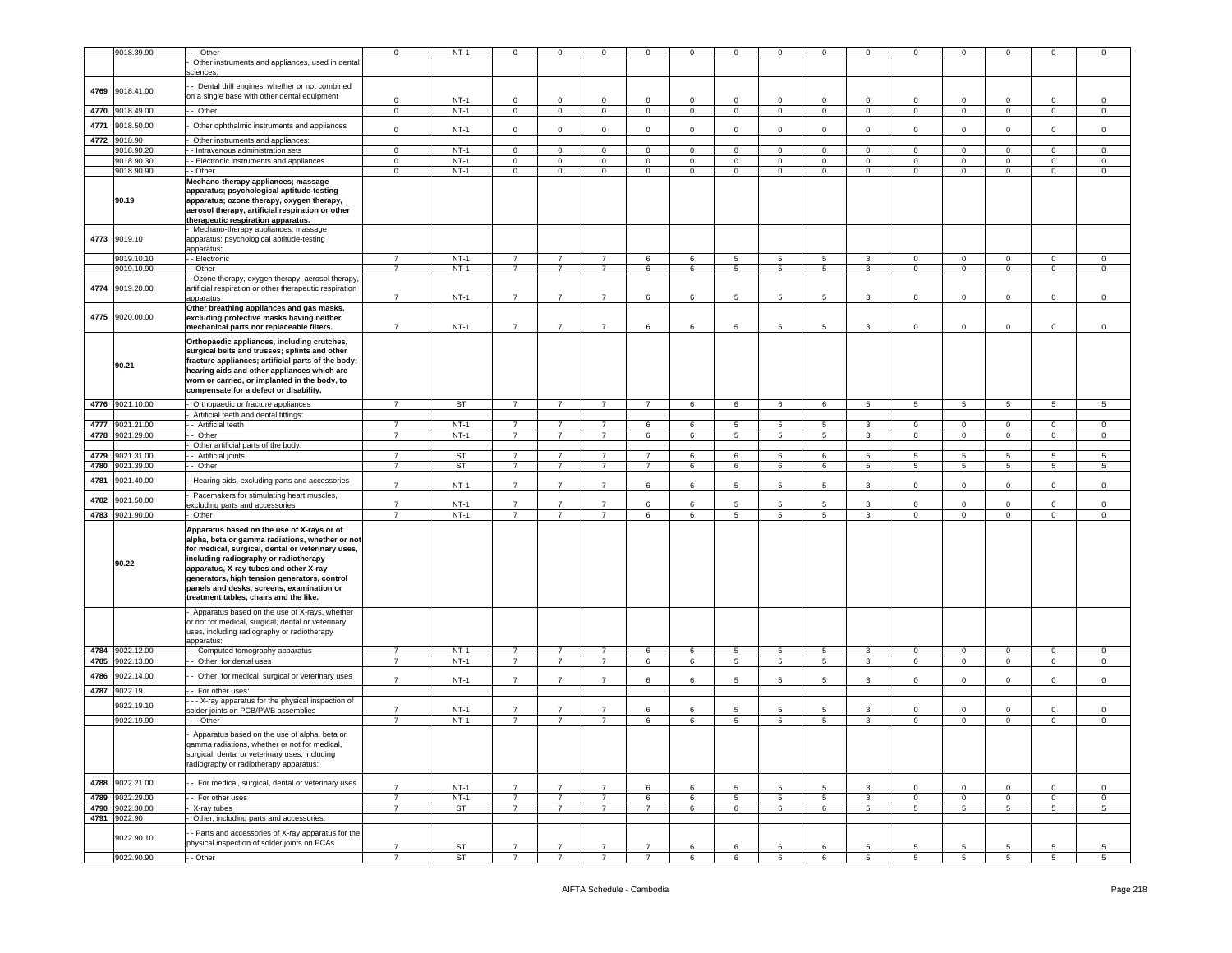|      | 9018.39.90      | - - Other                                                                                           | $\mathbf 0$                      | $NT-1$          | $\Omega$                         | 0                                | $\Omega$                         | $\mathbf 0$                      | $\Omega$    | $\Omega$        |                 |                 |              | $\Omega$       | $\Omega$             |                 |                | $\mathbf 0$ |
|------|-----------------|-----------------------------------------------------------------------------------------------------|----------------------------------|-----------------|----------------------------------|----------------------------------|----------------------------------|----------------------------------|-------------|-----------------|-----------------|-----------------|--------------|----------------|----------------------|-----------------|----------------|-------------|
|      |                 |                                                                                                     |                                  |                 |                                  |                                  |                                  |                                  |             |                 |                 |                 |              |                |                      |                 |                |             |
|      |                 | Other instruments and appliances, used in dental                                                    |                                  |                 |                                  |                                  |                                  |                                  |             |                 |                 |                 |              |                |                      |                 |                |             |
|      |                 | sciences:                                                                                           |                                  |                 |                                  |                                  |                                  |                                  |             |                 |                 |                 |              |                |                      |                 |                |             |
|      |                 | - Dental drill engines, whether or not combined                                                     |                                  |                 |                                  |                                  |                                  |                                  |             |                 |                 |                 |              |                |                      |                 |                |             |
| 4769 | 9018.41.00      | on a single base with other dental equipment                                                        |                                  |                 |                                  |                                  |                                  |                                  |             |                 |                 |                 |              |                |                      |                 |                |             |
|      |                 |                                                                                                     | 0                                | $NT-1$          | 0                                | 0                                | $\mathbf 0$                      | $\mathbf 0$                      | $\Omega$    | 0               | $^{\circ}$      | $\Omega$        | $\Omega$     | 0              | $\mathbf 0$          |                 | $\Omega$       | 0           |
| 4770 | 9018.49.00      | - Other                                                                                             | $\mathbf{0}$                     | $NT-1$          | $\mathbf 0$                      | $\mathbf 0$                      | $\mathbf 0$                      | $\mathsf 0$                      | $\circ$     | $\mathsf 0$     | $\mathbf 0$     | $\mathbf 0$     | $\mathbf 0$  | $\mathbf{0}$   | $\mathbf 0$          | $\mathbf 0$     | $\mathbf 0$    | $\mathsf 0$ |
| 4771 | 9018.50.00      | Other ophthalmic instruments and appliances                                                         |                                  |                 |                                  |                                  |                                  |                                  |             |                 |                 |                 |              |                |                      |                 |                |             |
|      |                 |                                                                                                     | $\mathsf 0$                      | $NT-1$          | $\mathbf 0$                      | $\mathbf 0$                      | $\mathbf 0$                      | $\mathsf 0$                      | $\circ$     | $\mathsf 0$     | $\mathbf 0$     | $\mathbf 0$     | $\mathsf 0$  | $\mathbf 0$    | $\mathbf 0$          | $\mathbf 0$     | $\mathbf 0$    | $\mathsf 0$ |
| 4772 | 9018.90         | Other instruments and appliances:                                                                   |                                  |                 |                                  |                                  |                                  |                                  |             |                 |                 |                 |              |                |                      |                 |                |             |
|      | 9018.90.20      | - Intravenous administration sets                                                                   | $\mathbf{0}$                     | $NT-1$          | $\mathbf 0$                      | $\mathbf 0$                      | $\mathbf 0$                      | $\mathbf{0}$                     | $\mathbf 0$ | $\mathbf{0}$    | $\mathbf 0$     | $\mathbf{0}$    | $\mathbf 0$  | $\mathbf{0}$   | $\mathbf 0$          | $\circ$         | $\mathbf{0}$   | $\mathbf 0$ |
|      | 9018.90.30      | - Electronic instruments and appliances                                                             | $\mathbf{0}$                     | $NT-1$          | 0                                | $\mathbf{0}$                     | $\mathbf 0$                      | $\mathbf 0$                      | 0           | $\circ$         | 0               | 0               | 0            | $\mathbf 0$    | $\mathbf 0$          | 0               | $\mathbf 0$    | $\mathbf 0$ |
|      | 9018.90.90      | - Other                                                                                             | $\mathbf 0$                      | $NT-1$          | $\mathbf 0$                      | $\mathbf{0}$                     | $\mathbf 0$                      | $\mathbf 0$                      | 0           | $\circ$         | 0               | 0               | $\circ$      | $\mathbf 0$    | $\mathbf 0$          | $\mathbf 0$     | $\mathbf 0$    | 0           |
|      |                 | Mechano-therapy appliances; massage                                                                 |                                  |                 |                                  |                                  |                                  |                                  |             |                 |                 |                 |              |                |                      |                 |                |             |
|      |                 | apparatus; psychological aptitude-testing                                                           |                                  |                 |                                  |                                  |                                  |                                  |             |                 |                 |                 |              |                |                      |                 |                |             |
|      | 90.19           | apparatus; ozone therapy, oxygen therapy,                                                           |                                  |                 |                                  |                                  |                                  |                                  |             |                 |                 |                 |              |                |                      |                 |                |             |
|      |                 | aerosol therapy, artificial respiration or other                                                    |                                  |                 |                                  |                                  |                                  |                                  |             |                 |                 |                 |              |                |                      |                 |                |             |
|      |                 | therapeutic respiration apparatus.                                                                  |                                  |                 |                                  |                                  |                                  |                                  |             |                 |                 |                 |              |                |                      |                 |                |             |
|      |                 | Mechano-therapy appliances; massage                                                                 |                                  |                 |                                  |                                  |                                  |                                  |             |                 |                 |                 |              |                |                      |                 |                |             |
| 4773 | 9019.10         | apparatus; psychological aptitude-testing                                                           |                                  |                 |                                  |                                  |                                  |                                  |             |                 |                 |                 |              |                |                      |                 |                |             |
|      |                 | apparatus:                                                                                          |                                  |                 |                                  |                                  |                                  |                                  |             |                 |                 |                 |              |                |                      |                 |                |             |
|      | 9019.10.10      | - Electronic                                                                                        | $\overline{7}$                   | $NT-1$          | 7                                | 7                                | $\overline{7}$                   | 6                                | 6           | 5               | -5              | 5               | 3            | $\mathbf 0$    | $\mathbf 0$          | $\Omega$        | $\mathbf 0$    | $\mathbf 0$ |
|      | 9019.10.90      | - Other                                                                                             | $\overline{7}$                   | $NT-1$          | $\overline{7}$                   | $\overline{7}$                   | $\overline{7}$                   | 6                                | 6           | 5               | 5               | $5\overline{5}$ | 3            | $\circ$        | $\mathbf 0$          | $\mathbf 0$     | $\mathbf 0$    | $\mathbf 0$ |
|      |                 | Ozone therapy, oxygen therapy, aerosol therapy                                                      |                                  |                 |                                  |                                  |                                  |                                  |             |                 |                 |                 |              |                |                      |                 |                |             |
| 4774 | 9019.20.00      | artificial respiration or other therapeutic respiration                                             |                                  |                 |                                  |                                  |                                  |                                  |             |                 |                 |                 |              |                |                      |                 |                |             |
|      |                 | apparatus                                                                                           | $\overline{7}$                   | $NT-1$          | $\overline{7}$                   | $\overline{7}$                   | $\overline{7}$                   | 6                                | 6           | 5               | 5               | 5               | 3            | $\mathbf 0$    | $\mathbf 0$          | $\mathbf 0$     | $\mathbf 0$    | $\mathsf 0$ |
|      |                 | Other breathing appliances and gas masks,                                                           |                                  |                 |                                  |                                  |                                  |                                  |             |                 |                 |                 |              |                |                      |                 |                |             |
| 4775 | 9020.00.00      | excluding protective masks having neither                                                           |                                  |                 |                                  |                                  |                                  |                                  |             |                 |                 |                 |              |                |                      |                 |                |             |
|      |                 | mechanical parts nor replaceable filters.                                                           | $\overline{7}$                   | $NT-1$          | $\overline{7}$                   | $\overline{7}$                   | $\overline{7}$                   | 6                                | 6           | 5               | 5               | 5               | 3            | 0              | $\mathbf 0$          | 0               | $\mathbf 0$    | $\mathsf 0$ |
|      |                 |                                                                                                     |                                  |                 |                                  |                                  |                                  |                                  |             |                 |                 |                 |              |                |                      |                 |                |             |
|      |                 | Orthopaedic appliances, including crutches,                                                         |                                  |                 |                                  |                                  |                                  |                                  |             |                 |                 |                 |              |                |                      |                 |                |             |
|      |                 | surgical belts and trusses; splints and other                                                       |                                  |                 |                                  |                                  |                                  |                                  |             |                 |                 |                 |              |                |                      |                 |                |             |
|      | 90.21           | fracture appliances; artificial parts of the body;                                                  |                                  |                 |                                  |                                  |                                  |                                  |             |                 |                 |                 |              |                |                      |                 |                |             |
|      |                 | hearing aids and other appliances which are                                                         |                                  |                 |                                  |                                  |                                  |                                  |             |                 |                 |                 |              |                |                      |                 |                |             |
|      |                 | worn or carried, or implanted in the body, to                                                       |                                  |                 |                                  |                                  |                                  |                                  |             |                 |                 |                 |              |                |                      |                 |                |             |
|      |                 | compensate for a defect or disability.                                                              |                                  |                 |                                  |                                  |                                  |                                  |             |                 |                 |                 |              |                |                      |                 |                |             |
|      | 4776 9021.10.00 | Orthopaedic or fracture appliances                                                                  | $\overline{7}$                   | ST              | $\overline{7}$                   | $\overline{7}$                   | $\overline{7}$                   | $\overline{7}$                   | 6           | 6               | 6               | 6               | $5^{\circ}$  | 5              | 5                    | $5\overline{5}$ | 5              | 5           |
|      |                 | Artificial teeth and dental fittings:                                                               |                                  |                 |                                  |                                  |                                  |                                  |             |                 |                 |                 |              |                |                      |                 |                |             |
| 4777 | 9021.21.00      | - Artificial teeth                                                                                  | $\overline{7}$                   | $NT-1$          | $\overline{7}$                   | $\overline{7}$                   | $\overline{7}$                   | 6                                | 6           | 5               | 5               | $5\overline{5}$ | 3            | $\mathbf{0}$   | $\mathbf 0$          | $\mathbf 0$     | $\mathbf 0$    | 0           |
| 4778 | 9021.29.00      | Other                                                                                               | $\overline{7}$                   | $NT-1$          | $\overline{7}$                   | $\overline{7}$                   | $\overline{7}$                   | 6                                | 6           | 5               | $5\phantom{.0}$ | 5               | 3            | $\circ$        | $\mathbf 0$          | $\mathbf 0$     | $\mathbf 0$    | $\mathsf 0$ |
|      |                 | Other artificial parts of the body:                                                                 |                                  |                 |                                  |                                  |                                  |                                  |             |                 |                 |                 |              |                |                      |                 |                |             |
| 4779 | 9021.31.00      | - Artificial joints                                                                                 | $\overline{7}$                   | ST              | $\overline{7}$                   | $\overline{7}$                   | $\overline{7}$                   | $\overline{7}$                   | 6           | 6               | 6               | 6               | -5           | -5             | 5                    | -5              | 5              | -5          |
| 4780 | 9021.39.00      | - Other                                                                                             | $\overline{7}$                   | <b>ST</b>       | $\overline{7}$                   | $\overline{7}$                   | $\overline{7}$                   | $\overline{7}$                   | 6           | 6               | 6               | 6               | 5            | 5              | 5                    | 5               | 5              | 5           |
|      |                 |                                                                                                     |                                  |                 |                                  |                                  |                                  |                                  |             |                 |                 |                 |              |                |                      |                 |                |             |
| 4781 | 9021.40.00      | Hearing aids, excluding parts and accessories                                                       | $\overline{7}$                   | $NT-1$          | $\overline{7}$                   | $\overline{7}$                   | $\overline{7}$                   | 6                                | 6           | 5               | 5               | 5               | 3            | $\mathbf 0$    | $\mathbf 0$          | $\mathbf 0$     | $\mathbf 0$    | $\mathsf 0$ |
| 4782 | 9021.50.00      | Pacemakers for stimulating heart muscles,                                                           |                                  |                 |                                  |                                  |                                  |                                  |             |                 |                 |                 |              |                |                      |                 |                |             |
|      |                 | xcluding parts and accessories                                                                      | $\overline{7}$                   | $NT-1$          | $\overline{7}$                   | $\overline{7}$                   | $\overline{7}$                   | 6                                | 6           | 5               | -5              | 5               | 3            | 0              | $\mathbf 0$          | 0               | $\mathbf 0$    | 0           |
| 4783 | 9021.90.00      | Other                                                                                               | $\overline{7}$                   | $NT-1$          | $\overline{7}$                   | $\overline{7}$                   | $\overline{7}$                   | 6                                | 6           | 5               | 5               | $5^{\circ}$     | 3            | $\mathbf 0$    | $\mathbf 0$          | $\circ$         | $\mathbf{0}$   | $\mathbf 0$ |
|      |                 | Apparatus based on the use of X-rays or of                                                          |                                  |                 |                                  |                                  |                                  |                                  |             |                 |                 |                 |              |                |                      |                 |                |             |
|      |                 | alpha, beta or gamma radiations, whether or not                                                     |                                  |                 |                                  |                                  |                                  |                                  |             |                 |                 |                 |              |                |                      |                 |                |             |
|      |                 | for medical, surgical, dental or veterinary uses,                                                   |                                  |                 |                                  |                                  |                                  |                                  |             |                 |                 |                 |              |                |                      |                 |                |             |
|      |                 | including radiography or radiotherapy                                                               |                                  |                 |                                  |                                  |                                  |                                  |             |                 |                 |                 |              |                |                      |                 |                |             |
|      | 90.22           | apparatus, X-ray tubes and other X-ray                                                              |                                  |                 |                                  |                                  |                                  |                                  |             |                 |                 |                 |              |                |                      |                 |                |             |
|      |                 | generators, high tension generators, control                                                        |                                  |                 |                                  |                                  |                                  |                                  |             |                 |                 |                 |              |                |                      |                 |                |             |
|      |                 | panels and desks, screens, examination or                                                           |                                  |                 |                                  |                                  |                                  |                                  |             |                 |                 |                 |              |                |                      |                 |                |             |
|      |                 | treatment tables, chairs and the like.                                                              |                                  |                 |                                  |                                  |                                  |                                  |             |                 |                 |                 |              |                |                      |                 |                |             |
|      |                 |                                                                                                     |                                  |                 |                                  |                                  |                                  |                                  |             |                 |                 |                 |              |                |                      |                 |                |             |
|      |                 | Apparatus based on the use of X-rays, whether<br>or not for medical, surgical, dental or veterinary |                                  |                 |                                  |                                  |                                  |                                  |             |                 |                 |                 |              |                |                      |                 |                |             |
|      |                 | uses, including radiography or radiotherapy                                                         |                                  |                 |                                  |                                  |                                  |                                  |             |                 |                 |                 |              |                |                      |                 |                |             |
|      |                 | apparatus:                                                                                          |                                  |                 |                                  |                                  |                                  |                                  |             |                 |                 |                 |              |                |                      |                 |                |             |
|      | 4784 9022.12.00 | - Computed tomography apparatus                                                                     | $\overline{7}$                   | $NT-1$          | $\overline{7}$                   | 7                                | $\overline{7}$                   | 6                                | 6           | 5               | -5              | 5               | 3            | $\mathbf 0$    | $\mathbf 0$          | $\Omega$        | $\mathbf 0$    | $\mathbf 0$ |
| 4785 | 9022.13.00      | - Other, for dental uses                                                                            | $\overline{7}$                   | $NT-1$          | $\overline{7}$                   | $\overline{7}$                   | $\overline{7}$                   | 6                                | 6           | 5               | 5               | $5\overline{5}$ | 3            | $\circ$        | $\mathbf 0$          | $\mathbf 0$     | $\mathbf 0$    | $\mathbf 0$ |
|      |                 |                                                                                                     |                                  |                 |                                  |                                  |                                  |                                  |             |                 |                 |                 |              |                |                      |                 |                |             |
| 4786 | 9022.14.00      | - Other, for medical, surgical or veterinary uses                                                   | $\overline{7}$                   | $NT-1$          | $\overline{7}$                   | $\overline{7}$                   | $\overline{7}$                   | 6                                | 6           | 5               | 5               | 5               | $\mathbf{3}$ | $\mathbf 0$    | $\mathbf{0}$         | $\mathbf 0$     | $\mathbf 0$    | $\mathbf 0$ |
| 4787 | 9022.19         | - For other uses:                                                                                   |                                  |                 |                                  |                                  |                                  |                                  |             |                 |                 |                 |              |                |                      |                 |                |             |
|      |                 | - - X-ray apparatus for the physical inspection of                                                  |                                  |                 |                                  |                                  |                                  |                                  |             |                 |                 |                 |              |                |                      |                 |                |             |
|      | 9022.19.10      | older joints on PCB/PWB assemblies                                                                  | $\overline{7}$                   | $NT-1$          | $\overline{7}$                   | $\overline{7}$                   | $\overline{7}$                   | 6                                | 6           | 5               | 5               | 5               | 3            | 0              | $\mathbf 0$          | $^{\circ}$      | $\mathbf 0$    | 0           |
|      | 9022.19.90      | - - Other                                                                                           | $\overline{7}$                   | $NT-1$          | $\overline{7}$                   | $\overline{7}$                   | $\overline{7}$                   | 6                                | 6           | $5\phantom{.0}$ | 5               | $5^{\circ}$     | 3            | $\mathbf{0}$   | $\mathbf 0$          | $\mathbf{0}$    | $\overline{0}$ | $\mathbf 0$ |
|      |                 |                                                                                                     |                                  |                 |                                  |                                  |                                  |                                  |             |                 |                 |                 |              |                |                      |                 |                |             |
|      |                 | Apparatus based on the use of alpha, beta or                                                        |                                  |                 |                                  |                                  |                                  |                                  |             |                 |                 |                 |              |                |                      |                 |                |             |
|      |                 | gamma radiations, whether or not for medical,                                                       |                                  |                 |                                  |                                  |                                  |                                  |             |                 |                 |                 |              |                |                      |                 |                |             |
|      |                 | surgical, dental or veterinary uses, including                                                      |                                  |                 |                                  |                                  |                                  |                                  |             |                 |                 |                 |              |                |                      |                 |                |             |
|      |                 | radiography or radiotherapy apparatus:                                                              |                                  |                 |                                  |                                  |                                  |                                  |             |                 |                 |                 |              |                |                      |                 |                |             |
| 4788 | 9022.21.00      | - For medical, surgical, dental or veterinary uses                                                  |                                  |                 |                                  |                                  |                                  |                                  |             |                 |                 |                 |              |                |                      |                 |                |             |
|      |                 |                                                                                                     | $\overline{7}$                   | $NT-1$          | $\overline{7}$                   | $\overline{7}$                   | $\overline{7}$                   | 6                                | 6           | 5               | -5              | 5               | 3            | $\mathbf{0}$   | $\mathbf{0}$         | $\circ$         | $\mathbf{0}$   | $\mathsf 0$ |
| 4789 | 9022.29.00      | - For other uses                                                                                    | $\overline{7}$                   | $NT-1$          | $\overline{7}$                   | $\overline{7}$                   | $\overline{7}$                   | $6\overline{6}$                  | 6           | $\overline{5}$  | 5               | $\overline{5}$  | $\mathbf{3}$ | $\overline{0}$ | $\overline{0}$       | $\mathbf 0$     | $\mathbf 0$    | 0           |
| 4790 | 9022.30.00      | X-ray tubes                                                                                         | $\overline{7}$                   | <b>ST</b>       | $\overline{7}$                   | $\overline{7}$                   | $\overline{7}$                   | $\overline{7}$                   | 6           | 6               | 6               | 6               | 5            | 5              | 5                    | 5               | 5              | 5           |
|      | 4791 9022.90    | Other, including parts and accessories:                                                             |                                  |                 |                                  |                                  |                                  |                                  |             |                 |                 |                 |              |                |                      |                 |                |             |
|      |                 |                                                                                                     |                                  |                 |                                  |                                  |                                  |                                  |             |                 |                 |                 |              |                |                      |                 |                |             |
|      |                 |                                                                                                     |                                  |                 |                                  |                                  |                                  |                                  |             |                 |                 |                 |              |                |                      |                 |                |             |
|      | 9022.90.10      | - Parts and accessories of X-ray apparatus for the                                                  |                                  |                 |                                  |                                  |                                  |                                  |             |                 |                 |                 |              |                |                      |                 |                |             |
|      | 9022.90.90      | physical inspection of solder joints on PCAs<br>- Other                                             | $\overline{7}$<br>$\overline{7}$ | ST<br><b>ST</b> | $\overline{7}$<br>$\overline{7}$ | $\overline{7}$<br>$\overline{7}$ | $\overline{7}$<br>$\overline{7}$ | $\overline{7}$<br>$\overline{7}$ | 6<br>-6     | 6<br>6          | 6<br>6          | 6<br>6          | 5<br>5       | 5<br>5         | 5<br>$5\phantom{.0}$ | 5<br>5          | 5<br>5         | 5<br>5      |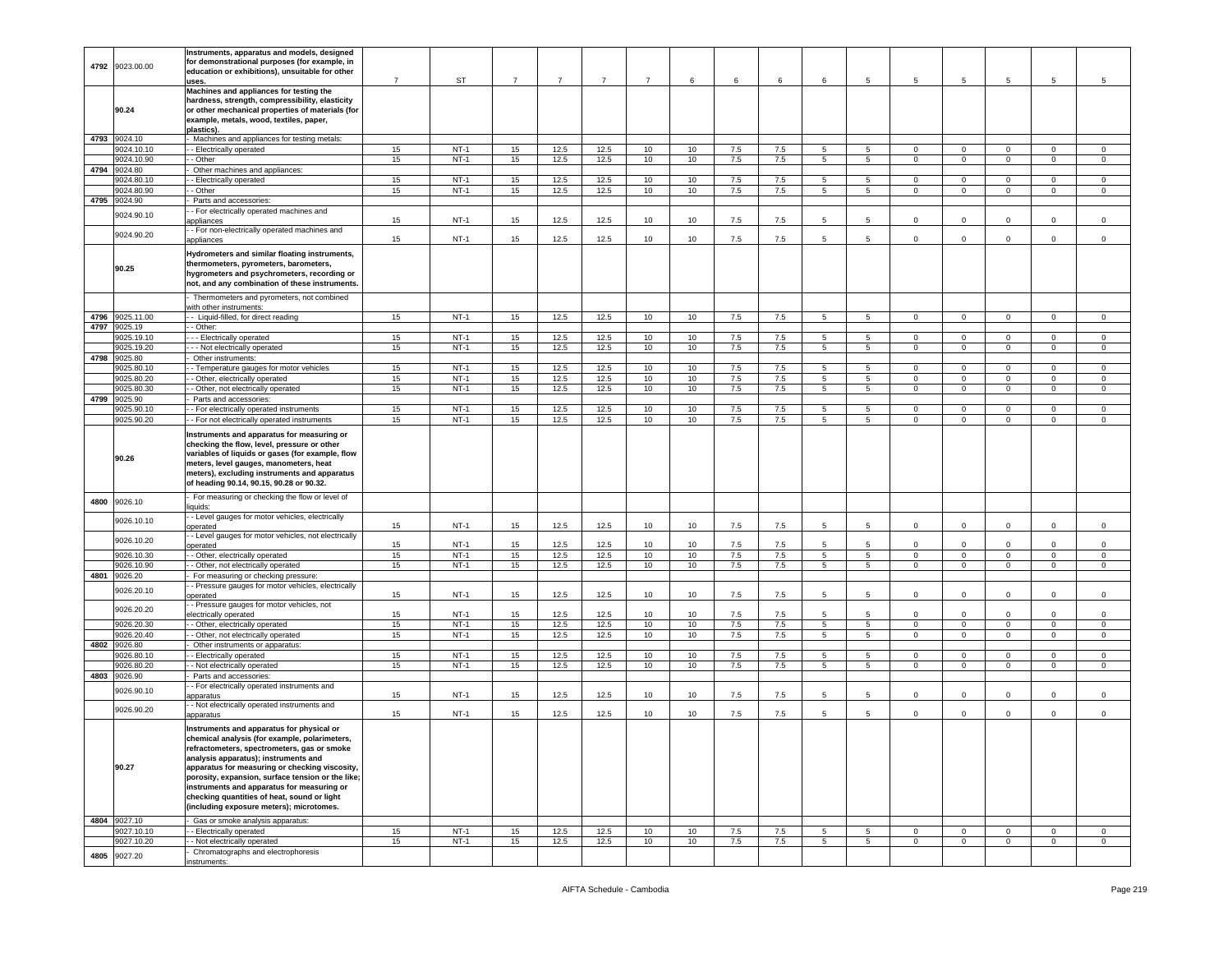|      |                            | Instruments, apparatus and models, designed                                                      |                |                  |                |                |                |                |          |            |            |                  |                  |                            |                             |                             |                               |                            |
|------|----------------------------|--------------------------------------------------------------------------------------------------|----------------|------------------|----------------|----------------|----------------|----------------|----------|------------|------------|------------------|------------------|----------------------------|-----------------------------|-----------------------------|-------------------------------|----------------------------|
|      | 4792 9023.00.00            | for demonstrational purposes (for example, in<br>education or exhibitions), unsuitable for other |                |                  |                |                |                |                |          |            |            |                  |                  |                            |                             |                             |                               |                            |
|      |                            | uses.                                                                                            | $\overline{7}$ | ST               | $\overline{7}$ | $\overline{7}$ | $\overline{7}$ | $\overline{7}$ | 6        | 6          | 6          | 6                | 5                | 5                          | 5                           | 5                           | $\overline{5}$                | 5                          |
|      |                            | Machines and appliances for testing the<br>hardness, strength, compressibility, elasticity       |                |                  |                |                |                |                |          |            |            |                  |                  |                            |                             |                             |                               |                            |
|      | 90.24                      | or other mechanical properties of materials (for                                                 |                |                  |                |                |                |                |          |            |            |                  |                  |                            |                             |                             |                               |                            |
|      |                            | example, metals, wood, textiles, paper,                                                          |                |                  |                |                |                |                |          |            |            |                  |                  |                            |                             |                             |                               |                            |
|      | 4793 9024.10               | plastics).<br>Machines and appliances for testing metals:                                        |                |                  |                |                |                |                |          |            |            |                  |                  |                            |                             |                             |                               |                            |
|      | 9024.10.10                 | - Electrically operated                                                                          | 15             | $NT-1$           | 15             | 12.5           | 12.5           | 10             | 10       | 7.5        | 7.5        | $5^{\circ}$      | $5^{\circ}$      | $\circ$                    | $\mathbf{0}$                | $\circ$                     | $\mathbf 0$                   | $\mathbf 0$                |
|      | 9024.10.90                 | - Other                                                                                          | 15             | $NT-1$           | 15             | 12.5           | 12.5           | 10             | 10       | 7.5        | 7.5        | 5                | $5\overline{5}$  | 0                          | $\mathbf 0$                 | $\mathbf 0$                 | $\mathsf 0$                   | $\mathsf 0$                |
|      | 4794 9024.80<br>9024.80.10 | Other machines and appliances:<br>- Electrically operated                                        | 15             | $NT-1$           | 15             | 12.5           | 12.5           | 10             | 10       | 7.5        | 7.5        | 5                | $5\overline{)}$  | $\mathbf 0$                | $\mathbf{0}$                | $\circ$                     | $\mathbf{0}$                  | $\overline{0}$             |
|      | 9024.80.90                 | - Other                                                                                          | 15             | $NT-1$           | 15             | 12.5           | 12.5           | 10             | 10       | 7.5        | 7.5        | 5                | $5^{\circ}$      | 0                          | $\circ$                     | $\circ$                     | $\mathbf 0$                   | $\mathbf 0$                |
| 4795 | 9024.90                    | Parts and accessories:                                                                           |                |                  |                |                |                |                |          |            |            |                  |                  |                            |                             |                             |                               |                            |
|      | 9024.90.10                 | - For electrically operated machines and                                                         |                |                  |                |                |                |                |          |            |            | 5                | 5                |                            |                             |                             |                               |                            |
|      |                            | appliances<br>- For non-electrically operated machines and                                       | 15             | $NT-1$           | 15             | 12.5           | 12.5           | 10             | 10       | 7.5        | 7.5        |                  |                  | $\mathbf 0$                | $\mathbf 0$                 | $\mathbf 0$                 | $\mathsf 0$                   | $\mathbf 0$                |
|      | 9024.90.20                 | appliances                                                                                       | 15             | $NT-1$           | 15             | 12.5           | 12.5           | 10             | 10       | 7.5        | 7.5        | 5                | 5                | $\mathbf 0$                | 0                           | $\mathbf 0$                 | $\mathsf 0$                   | $\mathsf 0$                |
|      |                            | Hydrometers and similar floating instruments,                                                    |                |                  |                |                |                |                |          |            |            |                  |                  |                            |                             |                             |                               |                            |
|      | 90.25                      | thermometers, pyrometers, barometers,                                                            |                |                  |                |                |                |                |          |            |            |                  |                  |                            |                             |                             |                               |                            |
|      |                            | hygrometers and psychrometers, recording or<br>not, and any combination of these instruments.    |                |                  |                |                |                |                |          |            |            |                  |                  |                            |                             |                             |                               |                            |
|      |                            |                                                                                                  |                |                  |                |                |                |                |          |            |            |                  |                  |                            |                             |                             |                               |                            |
|      |                            | Thermometers and pyrometers, not combined<br>with other instruments:                             |                |                  |                |                |                |                |          |            |            |                  |                  |                            |                             |                             |                               |                            |
| 4796 | 9025.11.00                 | - Liquid-filled, for direct reading                                                              | 15             | $NT-1$           | 15             | 12.5           | 12.5           | 10             | 10       | 7.5        | 7.5        | -5               | 5                | $\Omega$                   | 0                           | $\Omega$                    | $\Omega$                      | $\Omega$                   |
| 4797 | 9025.19<br>9025.19.10      | - Other:<br>- - Electrically operated                                                            | 15             | $NT-1$           | 15             | 12.5           | 12.5           | 10             | 10       | 7.5        | 7.5        | 5                | 5                | $\mathbf 0$                | $\mathbf 0$                 | $\mathbf 0$                 | $\mathbf 0$                   | $\mathbf 0$                |
|      | 9025.19.20                 | - - Not electrically operated                                                                    | 15             | $NT-1$           | 15             | 12.5           | 12.5           | 10             | 10       | 7.5        | 7.5        | $5^{\circ}$      | $5\phantom{.0}$  | $\mathsf 0$                | $\mathbf{O}$                | $\overline{0}$              | $\mathbf 0$                   | $\overline{0}$             |
| 4798 | 9025.80                    | Other instruments:                                                                               |                |                  |                |                |                |                |          |            |            |                  |                  |                            |                             |                             |                               |                            |
|      | 9025.80.10                 | - Temperature gauges for motor vehicles                                                          | 15             | $NT-1$           | 15             | 12.5           | 12.5           | 10             | 10       | 7.5        | 7.5        | 5                | 5                | $\Omega$                   | $\mathbf{0}$                | $\mathbf 0$                 | $\mathbf 0$                   | $\mathbf 0$                |
|      | 9025.80.20                 | - Other, electrically operated                                                                   | 15             | $NT-1$           | 15<br>15       | 12.5<br>12.5   | 12.5<br>12.5   | 10             | $10$     | 7.5        | $7.5\,$    | 5                | 5                | $\Omega$                   | $\mathbf 0$                 | $\mathbf 0$                 | $\mathsf 0$                   | $\mathbf 0$                |
|      | 9025.80.30<br>4799 9025.90 | - Other, not electrically operated<br>Parts and accessories:                                     | 15             | $NT-1$           |                |                |                | 10             | 10       | 7.5        | 7.5        | 5                | 5                | $\mathbf 0$                | 0                           | $\mathbf 0$                 | $\mathbf 0$                   | $\mathbf 0$                |
|      | 9025.90.10                 | - For electrically operated instruments                                                          | 15             | $NT-1$           | 15             | 12.5           | 12.5           | 10             | 10       | 7.5        | 7.5        | 5                | 5                | 0                          | $\mathbf{0}$                | $\mathbf 0$                 | $\mathbf 0$                   | $\circ$                    |
|      | 9025.90.20                 | - For not electrically operated instruments                                                      | 15             | $NT-1$           | 15             | 12.5           | 12.5           | 10             | 10       | 7.5        | 7.5        | 5                | $5^{\circ}$      | $\Omega$                   | $\mathbf 0$                 | $\mathbf{0}$                | $\mathbf 0$                   | $\mathbf 0$                |
|      |                            | Instruments and apparatus for measuring or                                                       |                |                  |                |                |                |                |          |            |            |                  |                  |                            |                             |                             |                               |                            |
|      |                            | checking the flow, level, pressure or other<br>variables of liquids or gases (for example, flow  |                |                  |                |                |                |                |          |            |            |                  |                  |                            |                             |                             |                               |                            |
|      | 90.26                      | meters, level gauges, manometers, heat                                                           |                |                  |                |                |                |                |          |            |            |                  |                  |                            |                             |                             |                               |                            |
|      |                            | meters), excluding instruments and apparatus                                                     |                |                  |                |                |                |                |          |            |            |                  |                  |                            |                             |                             |                               |                            |
|      |                            | of heading 90.14, 90.15, 90.28 or 90.32.                                                         |                |                  |                |                |                |                |          |            |            |                  |                  |                            |                             |                             |                               |                            |
| 4800 | 9026.10                    | For measuring or checking the flow or level of<br>iauids:                                        |                |                  |                |                |                |                |          |            |            |                  |                  |                            |                             |                             |                               |                            |
|      | 9026.10.10                 | - Level gauges for motor vehicles, electrically                                                  |                |                  |                |                |                |                |          |            |            |                  |                  |                            |                             |                             |                               |                            |
|      |                            | operated                                                                                         | 15             | $NT-1$           | 15             | 12.5           | 12.5           | 10             | 10       | 7.5        | 7.5        | -5               | 5                | $\mathbf 0$                | $\mathbf 0$                 | $\mathbf 0$                 | $\mathsf 0$                   | $\mathsf 0$                |
|      | 9026.10.20                 | - Level gauges for motor vehicles, not electrically<br>operated                                  | 15             | $NT-1$           | 15             | 12.5           | 12.5           | 10             | 10       | 7.5        | 7.5        | 5                | 5                | 0                          | $\Omega$                    | $\mathbf 0$                 | $\mathbf 0$                   | $\mathsf 0$                |
|      | 9026.10.30                 | - Other, electrically operated                                                                   | 15             | $NT-1$           | 15             | 12.5           | 12.5           | 10             | 10       | 7.5        | 7.5        | 5                | $5^{\circ}$      | $\Omega$                   | $\mathbf 0$                 | $\circ$                     | $\mathsf 0$                   | $\mathbf 0$                |
|      | 9026.10.90                 | - Other, not electrically operated                                                               | 15             | $NT-1$           | 15             | 12.5           | 12.5           | 10             | 10       | 7.5        | 7.5        | 5                | $5\overline{5}$  | $\mathbf 0$                | $\overline{0}$              | $\overline{0}$              | $\mathsf 0$                   | $\overline{0}$             |
|      | 4801 9026.20               | For measuring or checking pressure:<br>- Pressure gauges for motor vehicles, electrically        |                |                  |                |                |                |                |          |            |            |                  |                  |                            |                             |                             |                               |                            |
|      | 9026.20.10                 | operated                                                                                         | 15             | $NT-1$           | 15             | 12.5           | 12.5           | 10             | 10       | 7.5        | 7.5        | 5                | 5                | $\mathbf 0$                | $\circ$                     | $\mathbf 0$                 | $\mathbf 0$                   | $\mathbf 0$                |
|      | 9026.20.20                 | - Pressure gauges for motor vehicles, not                                                        |                |                  |                |                |                |                |          |            |            |                  |                  |                            |                             |                             |                               |                            |
|      | 9026.20.30                 | electrically operated<br>- Other, electrically operated                                          | 15<br>15       | $NT-1$<br>$NT-1$ | 15<br>15       | 12.5<br>12.5   | 12.5<br>12.5   | 10<br>10       | 10<br>10 | 7.5<br>7.5 | 7.5<br>7.5 | 5<br>$5^{\circ}$ | 5<br>5           | $\mathbf 0$<br>$\mathbf 0$ | $\Omega$<br>$\mathbf{0}$    | $\mathbf 0$<br>$\mathbf{0}$ | $\mathbf 0$<br>$\mathbf{0}$   | $\mathsf 0$<br>$\mathbf 0$ |
|      | 9026.20.40                 | - Other, not electrically operated                                                               | 15             | $NT-1$           | 15             | 12.5           | 12.5           | 10             | 10       | 7.5        | 7.5        | 5 <sup>5</sup>   | $5\overline{5}$  | $\mathbf 0$                | $\mathbf 0$                 | $\mathbf 0$                 | $\mathbf 0$                   | $\circ$                    |
| 4802 | 9026.80                    | Other instruments or apparatus:                                                                  |                |                  |                |                |                |                |          |            |            |                  |                  |                            |                             |                             |                               |                            |
|      | 026.80.10<br>9026.80.20    | - Electrically operated<br>- Not electrically operated                                           | 15<br>15       | $NT-1$<br>$NT-1$ | 15<br>15       | 12.5<br>12.5   | 12.5<br>12.5   | 10<br>10       | 10<br>10 | 7.5<br>7.5 | 7.5<br>7.5 | 5<br>$5^{\circ}$ | 5<br>$5^{\circ}$ | $\mathbf 0$<br>$\circ$     | $\mathbf 0$<br>$\mathbf{0}$ | $\mathbf 0$<br>$\mathbf{0}$ | $\mathsf 0$<br>$\overline{0}$ | $\mathbf 0$<br>$\mathbf 0$ |
|      | 4803 9026.90               | Parts and accessories:                                                                           |                |                  |                |                |                |                |          |            |            |                  |                  |                            |                             |                             |                               |                            |
|      | 9026.90.10                 | - For electrically operated instruments and                                                      |                |                  |                |                |                |                |          |            |            |                  |                  |                            |                             |                             |                               |                            |
|      |                            | apparatus                                                                                        | 15             | $NT-1$           | 15             | 12.5           | 12.5           | 10             | 10       | 7.5        | 7.5        | 5                | 5                | 0                          | $\mathbf 0$                 | $\mathbf 0$                 | $\mathbf 0$                   | $\mathsf 0$                |
|      | 9026.90.20                 | - Not electrically operated instruments and<br>apparatus                                         | 15             | $NT-1$           | 15             | 12.5           | 12.5           | 10             | 10       | 7.5        | 7.5        | 5                | 5                | $\circ$                    | $\mathbf 0$                 | $\mathbf{0}$                | $\mathbf 0$                   | $\mathbf 0$                |
|      |                            | Instruments and apparatus for physical or                                                        |                |                  |                |                |                |                |          |            |            |                  |                  |                            |                             |                             |                               |                            |
|      |                            | chemical analysis (for example, polarimeters,                                                    |                |                  |                |                |                |                |          |            |            |                  |                  |                            |                             |                             |                               |                            |
|      |                            | refractometers, spectrometers, gas or smoke                                                      |                |                  |                |                |                |                |          |            |            |                  |                  |                            |                             |                             |                               |                            |
|      | 90.27                      | analysis apparatus); instruments and<br>apparatus for measuring or checking viscosity,           |                |                  |                |                |                |                |          |            |            |                  |                  |                            |                             |                             |                               |                            |
|      |                            | porosity, expansion, surface tension or the like;                                                |                |                  |                |                |                |                |          |            |            |                  |                  |                            |                             |                             |                               |                            |
|      |                            | instruments and apparatus for measuring or                                                       |                |                  |                |                |                |                |          |            |            |                  |                  |                            |                             |                             |                               |                            |
|      |                            | checking quantities of heat, sound or light<br>(including exposure meters); microtomes.          |                |                  |                |                |                |                |          |            |            |                  |                  |                            |                             |                             |                               |                            |
|      |                            | Gas or smoke analysis apparatus:                                                                 |                |                  |                |                |                |                |          |            |            |                  |                  |                            |                             |                             |                               |                            |
|      | 4804 9027.10<br>9027.10.10 | - Electrically operated                                                                          | 15             | $NT-1$           | 15             | 12.5           | 12.5           | 10             | 10       | 7.5        | $7.5\,$    | 5                | 5                | $\mathbf 0$                | $\mathbf 0$                 | $\mathbf{0}$                | $\mathsf 0$                   | $\mathbf 0$                |
|      | 9027.10.20                 | - Not electrically operated                                                                      | 15             | $NT-1$           | 15             | 12.5           | 12.5           | 10             | 10       | 7.5        | 7.5        | 5                | $5\overline{)}$  | $\mathbf 0$                | 0                           | $\mathbf 0$                 | $\mathbf 0$                   | $\mathbf 0$                |
| 4805 | 9027.20                    | Chromatographs and electrophoresis                                                               |                |                  |                |                |                |                |          |            |            |                  |                  |                            |                             |                             |                               |                            |
|      |                            | instruments:                                                                                     |                |                  |                |                |                |                |          |            |            |                  |                  |                            |                             |                             |                               |                            |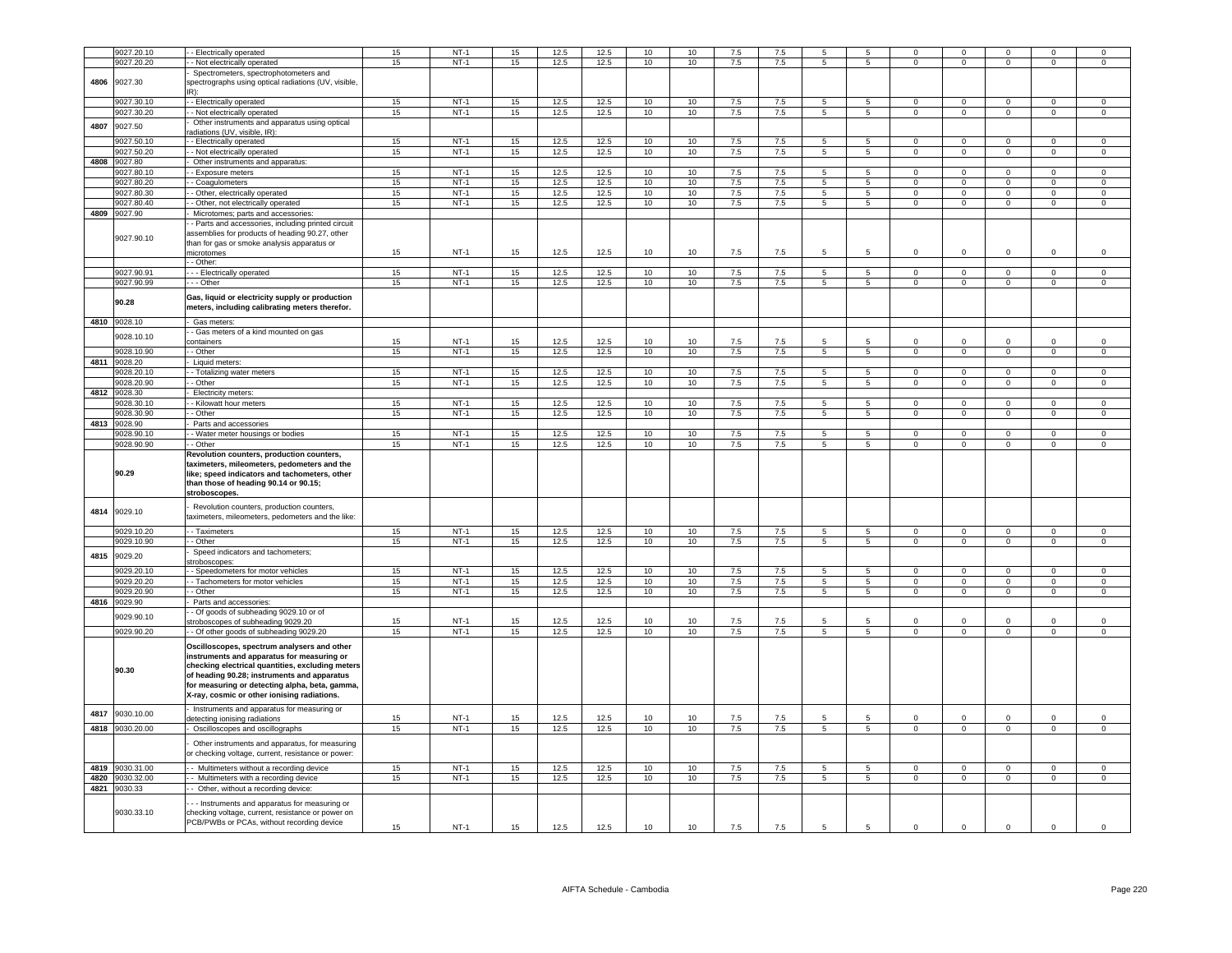|      | 9027.20.10      |                                                                                                 | 15 | $NT-1$ | 15 | 12.5 | 12.5 | 10 | 10 | 7.5     | 7.5 | 5               | 5               | $\Omega$       | $\Omega$       | $\Omega$       | $\Omega$            | $\Omega$            |
|------|-----------------|-------------------------------------------------------------------------------------------------|----|--------|----|------|------|----|----|---------|-----|-----------------|-----------------|----------------|----------------|----------------|---------------------|---------------------|
|      |                 | - Electrically operated                                                                         | 15 | $NT-1$ | 15 | 12.5 | 12.5 | 10 |    | 7.5     | 7.5 |                 |                 |                |                | $\Omega$       |                     |                     |
|      | 9027.20.20      | - Not electrically operated                                                                     |    |        |    |      |      |    | 10 |         |     | 5               | 5               | $\mathbf 0$    | $\mathbf 0$    |                | $\mathbf 0$         | $\mathsf 0$         |
|      |                 | Spectrometers, spectrophotometers and                                                           |    |        |    |      |      |    |    |         |     |                 |                 |                |                |                |                     |                     |
| 4806 | 9027.30         | spectrographs using optical radiations (UV, visible                                             |    |        |    |      |      |    |    |         |     |                 |                 |                |                |                |                     |                     |
|      |                 |                                                                                                 |    |        |    |      |      |    |    |         |     |                 |                 |                |                |                |                     |                     |
|      | 9027.30.10      | - - Electrically operated                                                                       | 15 | $NT-1$ | 15 | 12.5 | 12.5 | 10 | 10 | 7.5     | 7.5 | 5               | $\overline{5}$  | $\Omega$       | $\Omega$       | $\Omega$       | $\Omega$            | $\Omega$            |
|      | 9027.30.20      | - - Not electrically operated                                                                   | 15 | $NT-1$ | 15 | 12.5 | 12.5 | 10 | 10 | 7.5     | 7.5 | $5\overline{5}$ | 5 <sub>5</sub>  | $\mathbf{0}$   | $\mathbf 0$    | $\overline{0}$ | $\mathbf 0$         | $\mathbf 0$         |
| 4807 | 9027.50         | Other instruments and apparatus using optical                                                   |    |        |    |      |      |    |    |         |     |                 |                 |                |                |                |                     |                     |
|      |                 | adiations (UV, visible, IR):                                                                    |    |        |    |      |      |    |    |         |     |                 |                 |                |                |                |                     |                     |
|      | 9027.50.10      | - Electrically operated                                                                         | 15 | $NT-1$ | 15 | 12.5 | 12.5 | 10 | 10 | 7.5     | 7.5 | 5               | 5               | $\mathsf 0$    | $\mathsf 0$    | $\mathsf 0$    | $\mathsf 0$         | $\mathsf{O}\xspace$ |
|      | 9027.50.20      | - Not electrically operated                                                                     | 15 | $NT-1$ | 15 | 12.5 | 12.5 | 10 | 10 | 7.5     | 7.5 | $\overline{5}$  | 5               | $\overline{0}$ | $\overline{0}$ | $\overline{0}$ | $\overline{0}$      | $^{\circ}$          |
| 4808 | 9027.80         | Other instruments and apparatus:                                                                |    |        |    |      |      |    |    |         |     |                 |                 |                |                |                |                     |                     |
|      | 9027.80.10      | - Exposure meters                                                                               | 15 | $NT-1$ | 15 | 12.5 | 12.5 | 10 | 10 | 7.5     | 7.5 | 5               | 5               | $\mathbf 0$    | $\mathbf 0$    | $\Omega$       | $^{\circ}$          | $^{\circ}$          |
|      | 9027.80.20      | - Coagulometers                                                                                 | 15 | $NT-1$ | 15 | 12.5 | 12.5 | 10 | 10 | 7.5     | 7.5 | 5               | $\overline{5}$  | $\mathbf{0}$   | $\overline{0}$ | $\mathbf 0$    | $\mathbf 0$         | 0                   |
|      | 9027.80.30      | - Other, electrically operated                                                                  | 15 | $NT-1$ | 15 | 12.5 | 12.5 | 10 | 10 | 7.5     | 7.5 | $\overline{5}$  | 5               | $\mathbf 0$    | $\overline{0}$ | $\overline{0}$ | $\overline{0}$      | $\mathsf 0$         |
|      | 9027.80.40      | - Other, not electrically operated                                                              | 15 | $NT-1$ | 15 | 12.5 | 12.5 | 10 | 10 | 7.5     | 7.5 | $\overline{5}$  | $\overline{5}$  | $\overline{0}$ | $\overline{0}$ | $\overline{0}$ | $\overline{0}$      | $\mathsf 0$         |
| 4809 | 9027.90         | Microtomes; parts and accessories                                                               |    |        |    |      |      |    |    |         |     |                 |                 |                |                |                |                     |                     |
|      |                 | - Parts and accessories, including printed circuit                                              |    |        |    |      |      |    |    |         |     |                 |                 |                |                |                |                     |                     |
|      |                 |                                                                                                 |    |        |    |      |      |    |    |         |     |                 |                 |                |                |                |                     |                     |
|      | 9027.90.10      | assemblies for products of heading 90.27, other                                                 |    |        |    |      |      |    |    |         |     |                 |                 |                |                |                |                     |                     |
|      |                 | than for gas or smoke analysis apparatus or<br>nicrotomes                                       |    | $NT-1$ |    | 12.5 | 12.5 | 10 |    |         |     | 5               | $\overline{5}$  |                |                | $\Omega$       | $\Omega$            |                     |
|      |                 |                                                                                                 | 15 |        | 15 |      |      |    | 10 | 7.5     | 7.5 |                 |                 | $\mathbf 0$    | $\mathsf 0$    |                |                     | $\mathsf 0$         |
|      |                 | - Other:                                                                                        |    |        |    |      |      |    |    |         |     |                 |                 |                |                |                |                     |                     |
|      | 9027.90.91      | - - Electrically operated                                                                       | 15 | $NT-1$ | 15 | 12.5 | 12.5 | 10 | 10 | 7.5     | 7.5 | $5\phantom{.0}$ | $5^{\circ}$     | $\Omega$       | $\mathbf 0$    | $\Omega$       | $\mathsf 0$         | $\mathsf 0$         |
|      | 9027.90.99      | - - Other                                                                                       | 15 | $NT-1$ | 15 | 12.5 | 12.5 | 10 | 10 | $7.5$   | 7.5 | $5\phantom{.0}$ | $5\phantom{.0}$ | $\Omega$       | $\mathbf 0$    | $\mathsf 0$    | $\mathsf{O}\xspace$ | $\mathsf 0$         |
|      |                 | Gas, liquid or electricity supply or production                                                 |    |        |    |      |      |    |    |         |     |                 |                 |                |                |                |                     |                     |
|      | 90.28           | meters, including calibrating meters therefor.                                                  |    |        |    |      |      |    |    |         |     |                 |                 |                |                |                |                     |                     |
|      |                 |                                                                                                 |    |        |    |      |      |    |    |         |     |                 |                 |                |                |                |                     |                     |
|      | 4810 9028.10    | - Gas meters:                                                                                   |    |        |    |      |      |    |    |         |     |                 |                 |                |                |                |                     |                     |
|      | 9028.10.10      | - Gas meters of a kind mounted on gas                                                           |    |        |    |      |      |    |    |         |     |                 |                 |                |                |                |                     |                     |
|      |                 | ontainers                                                                                       | 15 | $NT-1$ | 15 | 12.5 | 12.5 | 10 | 10 | 7.5     | 7.5 | 5               |                 | $\mathbf 0$    | $\overline{0}$ | $\mathbf 0$    | $\mathbf 0$         | $^{\circ}$          |
|      | 9028.10.90      | - Other                                                                                         | 15 | $NT-1$ | 15 | 12.5 | 12.5 | 10 | 10 | $7.5$   | 7.5 | 5               | 5               | $\mathbf 0$    | $\mathsf 0$    | $\mathbf 0$    | $\mathbf 0$         | $\mathsf 0$         |
|      | 4811 9028.20    | Liquid meters                                                                                   |    |        |    |      |      |    |    |         |     |                 |                 |                |                |                |                     |                     |
|      | 9028.20.10      | - Totalizing water meters                                                                       | 15 | $NT-1$ | 15 | 12.5 | 12.5 | 10 | 10 | 7.5     | 7.5 | 5               | 5               | $\mathbf 0$    | $\mathsf 0$    | $\mathbf 0$    | $\mathbf 0$         | $\mathsf 0$         |
|      | 9028.20.90      | - Other                                                                                         | 15 | $NT-1$ | 15 | 12.5 | 12.5 | 10 | 10 | 7.5     | 7.5 | $\overline{5}$  | $5^{\circ}$     | $\mathbf{O}$   | $\overline{0}$ | $\overline{0}$ | $\overline{0}$      | $\mathsf 0$         |
| 4812 | 9028.30         | Electricity meters                                                                              |    |        |    |      |      |    |    |         |     |                 |                 |                |                |                |                     |                     |
|      | 9028.30.10      | - Kilowatt hour meters                                                                          | 15 | $NT-1$ | 15 | 12.5 | 12.5 | 10 | 10 | 7.5     | 7.5 | $\overline{5}$  | 5               | $\Omega$       | $\Omega$       | $\Omega$       | $\Omega$            | $\Omega$            |
|      | 028.30.90       | - Other                                                                                         | 15 | $NT-1$ | 15 | 12.5 | 12.5 | 10 | 10 | 7.5     | 7.5 | $5^{\circ}$     | $5 -$           | $\Omega$       | $\Omega$       | $\Omega$       | $\Omega$            | $\Omega$            |
| 4813 | 9028.90         | Parts and accessories                                                                           |    |        |    |      |      |    |    |         |     |                 |                 |                |                |                |                     |                     |
|      | 9028.90.10      | - Water meter housings or bodies                                                                | 15 | $NT-1$ | 15 | 12.5 | 12.5 | 10 | 10 | 7.5     | 7.5 | 5               | 5               | $\Omega$       | $\mathbf 0$    | $\Omega$       | $\Omega$            | $\Omega$            |
|      |                 |                                                                                                 |    |        |    |      |      |    |    |         |     |                 |                 |                |                |                |                     |                     |
|      |                 |                                                                                                 |    |        |    |      |      |    |    |         |     |                 |                 |                |                |                |                     |                     |
|      | 9028.90.90      | - Other                                                                                         | 15 | $NT-1$ | 15 | 12.5 | 12.5 | 10 | 10 | 7.5     | 7.5 | 5               | 5               | $\mathbf 0$    | $\mathbf 0$    | $\mathbf{0}$   | $\mathbf 0$         | $\mathsf 0$         |
|      |                 | Revolution counters, production counters,                                                       |    |        |    |      |      |    |    |         |     |                 |                 |                |                |                |                     |                     |
|      |                 | taximeters, mileometers, pedometers and the                                                     |    |        |    |      |      |    |    |         |     |                 |                 |                |                |                |                     |                     |
|      | 90.29           | like; speed indicators and tachometers, other                                                   |    |        |    |      |      |    |    |         |     |                 |                 |                |                |                |                     |                     |
|      |                 | than those of heading 90.14 or 90.15;                                                           |    |        |    |      |      |    |    |         |     |                 |                 |                |                |                |                     |                     |
|      |                 | stroboscopes.                                                                                   |    |        |    |      |      |    |    |         |     |                 |                 |                |                |                |                     |                     |
|      |                 | Revolution counters, production counters,                                                       |    |        |    |      |      |    |    |         |     |                 |                 |                |                |                |                     |                     |
| 4814 | 9029.10         | taximeters, mileometers, pedometers and the like:                                               |    |        |    |      |      |    |    |         |     |                 |                 |                |                |                |                     |                     |
|      |                 |                                                                                                 |    |        |    |      |      |    |    |         |     |                 |                 |                |                |                |                     |                     |
|      | 029.10.20       | - Taximeters                                                                                    | 15 | $NT-1$ | 15 | 12.5 | 12.5 | 10 | 10 | 7.5     | 7.5 | 5               | $\overline{5}$  | $\mathbf 0$    | $\mathsf 0$    | $\Omega$       | $\mathbf 0$         | $\mathsf 0$         |
|      | 9029.10.90      | - - Other                                                                                       | 15 | $NT-1$ | 15 | 12.5 | 12.5 | 10 | 10 | 7.5     | 7.5 | 5               | 5               | $\mathbf 0$    | $\mathsf 0$    | $\mathbf 0$    | $\mathbf 0$         | $^{\circ}$          |
| 4815 | 9029.20         | Speed indicators and tachometers;                                                               |    |        |    |      |      |    |    |         |     |                 |                 |                |                |                |                     |                     |
|      |                 | stroboscopes                                                                                    |    |        |    |      |      |    |    |         |     |                 |                 |                |                |                |                     |                     |
|      | 029.20.1        | - Speedometers for motor vehicles                                                               | 15 | $NT-1$ | 15 | 12.5 | 12.5 | 10 | 10 | 7.5     | 7.5 | 5               | $5\overline{5}$ | $\Omega$       | $\Omega$       | $\Omega$       | $\Omega$            | $\Omega$            |
|      | 9029.20.20      | - Tachometers for motor vehicles                                                                | 15 | $NT-1$ | 15 | 12.5 | 12.5 | 10 | 10 | 7.5     | 7.5 | 5               | $5 -$           | $\mathbf 0$    | $\mathsf 0$    | $\Omega$       | $\Omega$            | $\Omega$            |
|      | 9029.20.90      | - - Other                                                                                       | 15 | $NT-1$ | 15 | 12.5 | 12.5 | 10 | 10 | 7.5     | 7.5 | $5^{\circ}$     | 5 <sup>5</sup>  | $\mathbf{O}$   | $\mathbf 0$    | $\mathbf{0}$   | $\mathbf 0$         | $\mathsf 0$         |
|      | 4816 9029.90    | Parts and accessories:                                                                          |    |        |    |      |      |    |    |         |     |                 |                 |                |                |                |                     |                     |
|      | 9029.90.10      | - Of goods of subheading 9029.10 or of                                                          |    |        |    |      |      |    |    |         |     |                 |                 |                |                |                |                     |                     |
|      |                 | stroboscopes of subheading 9029.20                                                              | 15 | $NT-1$ | 15 | 12.5 | 12.5 | 10 | 10 | 7.5     | 7.5 | 5               | 5               | $\mathbf 0$    | $\mathsf 0$    | $\mathbf 0$    | $\mathbf 0$         | $^{\circ}$          |
|      | 9029.90.20      | - Of other goods of subheading 9029.20                                                          | 15 | $NT-1$ | 15 | 12.5 | 12.5 | 10 | 10 | 7.5     | 7.5 | $\overline{5}$  | $\overline{5}$  | $\mathbf 0$    | $\overline{0}$ | $\overline{0}$ | $\overline{0}$      | 0                   |
|      |                 | Oscilloscopes, spectrum analysers and other                                                     |    |        |    |      |      |    |    |         |     |                 |                 |                |                |                |                     |                     |
|      |                 | instruments and apparatus for measuring or                                                      |    |        |    |      |      |    |    |         |     |                 |                 |                |                |                |                     |                     |
|      |                 | checking electrical quantities, excluding meters                                                |    |        |    |      |      |    |    |         |     |                 |                 |                |                |                |                     |                     |
|      | 90.30           | of heading 90.28; instruments and apparatus                                                     |    |        |    |      |      |    |    |         |     |                 |                 |                |                |                |                     |                     |
|      |                 | for measuring or detecting alpha, beta, gamma,                                                  |    |        |    |      |      |    |    |         |     |                 |                 |                |                |                |                     |                     |
|      |                 | X-ray, cosmic or other ionising radiations.                                                     |    |        |    |      |      |    |    |         |     |                 |                 |                |                |                |                     |                     |
|      |                 |                                                                                                 |    |        |    |      |      |    |    |         |     |                 |                 |                |                |                |                     |                     |
| 4817 | 9030.10.00      | Instruments and apparatus for measuring or                                                      |    |        |    |      |      |    |    |         |     |                 |                 |                |                |                |                     |                     |
|      |                 | letecting ionising radiations                                                                   | 15 | $NT-1$ | 15 | 12.5 | 12.5 | 10 | 10 | 7.5     | 7.5 |                 |                 | 0              | $\mathbf 0$    |                | $\mathbf 0$         | $^{\circ}$          |
|      | 4818 9030.20.00 | - Oscilloscopes and oscillographs                                                               | 15 | $NT-1$ | 15 | 12.5 | 12.5 | 10 | 10 | 7.5     | 7.5 | $5\overline{5}$ | 5 <sup>5</sup>  | $\mathbf{0}$   | $\mathbf{0}$   | $\mathbf{0}$   | $\mathbf{0}$        | $\mathsf 0$         |
|      |                 | Other instruments and apparatus, for measuring                                                  |    |        |    |      |      |    |    |         |     |                 |                 |                |                |                |                     |                     |
|      |                 | or checking voltage, current, resistance or power:                                              |    |        |    |      |      |    |    |         |     |                 |                 |                |                |                |                     |                     |
|      |                 |                                                                                                 |    |        |    |      |      |    |    |         |     |                 |                 |                |                |                |                     |                     |
|      | 4819 9030.31.00 | - Multimeters without a recording device                                                        | 15 | $NT-1$ | 15 | 12.5 | 12.5 | 10 | 10 | 7.5     | 7.5 | $5\phantom{.0}$ | 5               | $\mathbf 0$    | $\mathbf 0$    | $\Omega$       | $\Omega$            | 0                   |
|      | 4820 9030.32.00 | - Multimeters with a recording device                                                           | 15 | $NT-1$ | 15 | 12.5 | 12.5 | 10 | 10 | $7.5\,$ | 7.5 | $\,$ 5 $\,$     | $\sqrt{5}$      | $\circ$        | $\mathbf 0$    | $\mathsf 0$    | $\mathsf 0$         | $\mathbf 0$         |
|      | 4821 9030.33    | - Other, without a recording device                                                             |    |        |    |      |      |    |    |         |     |                 |                 |                |                |                |                     |                     |
|      |                 |                                                                                                 |    |        |    |      |      |    |    |         |     |                 |                 |                |                |                |                     |                     |
|      |                 | - - Instruments and apparatus for measuring or                                                  |    |        |    |      |      |    |    |         |     |                 |                 |                |                |                |                     |                     |
|      | 9030.33.10      | checking voltage, current, resistance or power on<br>PCB/PWBs or PCAs, without recording device | 15 | $NT-1$ | 15 | 12.5 | 12.5 | 10 | 10 | 7.5     | 7.5 | 5               | 5               | $\mathbf 0$    | $\mathsf 0$    | $\Omega$       | $\mathsf 0$         | $\mathbf 0$         |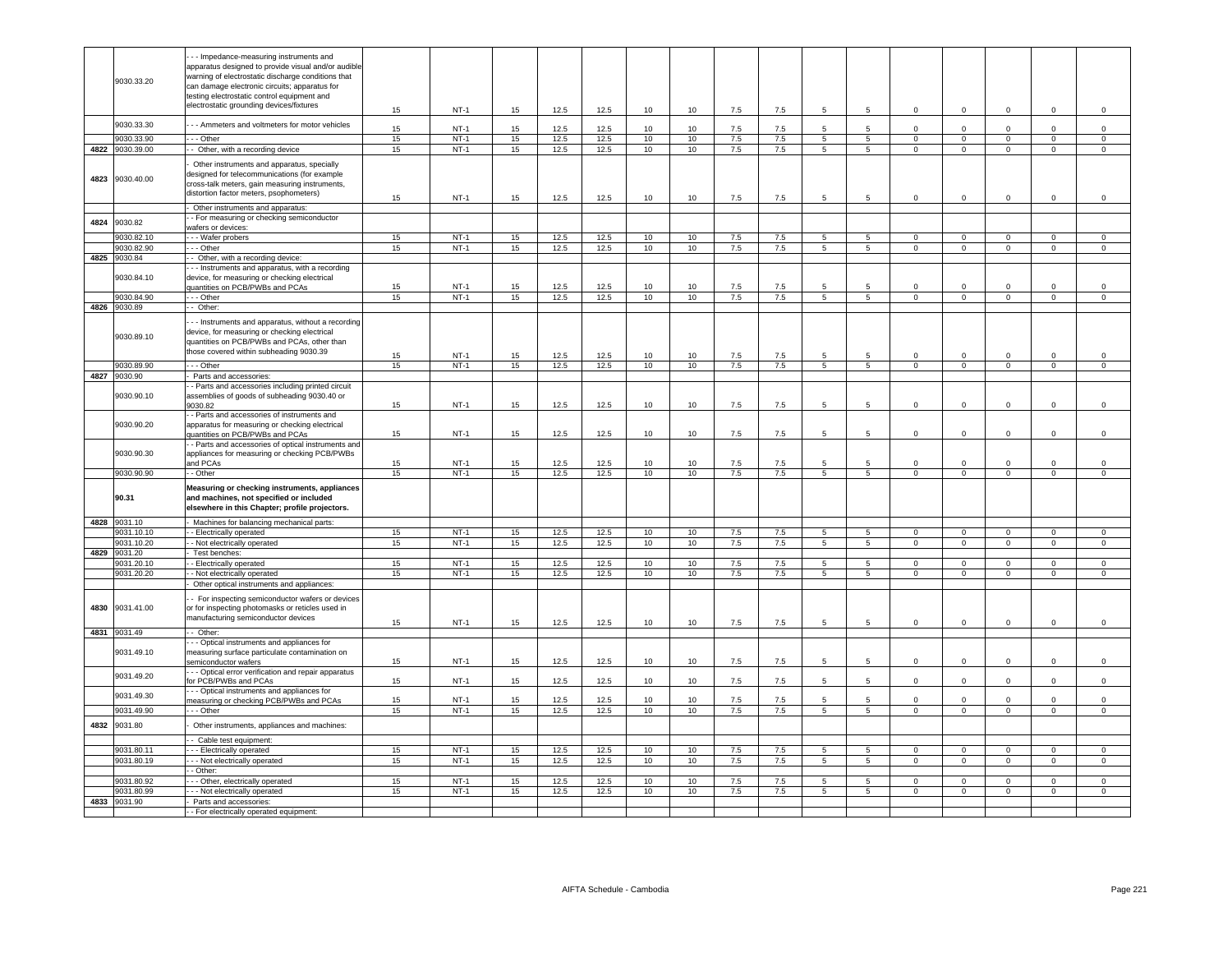|      | 9030.33.20                 | - - Impedance-measuring instruments and<br>apparatus designed to provide visual and/or audible<br>warning of electrostatic discharge conditions that<br>can damage electronic circuits; apparatus for<br>testing electrostatic control equipment and<br>electrostatic grounding devices/fixtures |          | $NT-1$           | 15       | 12.5         | 12.5         | 10       |                                     | 7.5        | 7.5        | -5                   | 5                    | $\Omega$                 |                          |                          |                             |                         |
|------|----------------------------|--------------------------------------------------------------------------------------------------------------------------------------------------------------------------------------------------------------------------------------------------------------------------------------------------|----------|------------------|----------|--------------|--------------|----------|-------------------------------------|------------|------------|----------------------|----------------------|--------------------------|--------------------------|--------------------------|-----------------------------|-------------------------|
|      | 9030.33.30                 | - - Ammeters and voltmeters for motor vehicles                                                                                                                                                                                                                                                   | 15       |                  |          |              |              |          | 10                                  |            |            |                      |                      |                          | $\mathbf 0$              | $\mathbf 0$              | $\mathsf 0$                 | $\mathsf 0$             |
|      | 9030.33.90                 | - - Other                                                                                                                                                                                                                                                                                        | 15<br>15 | $NT-1$<br>$NT-1$ | 15<br>15 | 12.5<br>12.5 | 12.5<br>12.5 | 10<br>10 | 10 <sup>1</sup><br>10 <sup>10</sup> | 7.5<br>7.5 | 7.5<br>7.5 | 5<br>$5\overline{5}$ | 5<br>$5\phantom{.0}$ | $\Omega$<br>$\mathbf{0}$ | $\Omega$<br>$\mathbf{0}$ | $\Omega$<br>$\mathbf{0}$ | $\mathbf 0$<br>$\mathbf{0}$ | $\Omega$<br>$\mathbf 0$ |
|      | 4822 9030.39.00            | - Other, with a recording device                                                                                                                                                                                                                                                                 | 15       | $NT-1$           | 15       | 12.5         | 12.5         | 10       | 10                                  | 7.5        | 7.5        | 5 <sup>5</sup>       | $5\overline{5}$      | $\mathbf 0$              | $\mathbf{0}$             | $\mathbf{0}$             | $\mathbf 0$                 | $\mathbf{0}$            |
| 4823 | 9030.40.00                 | Other instruments and apparatus, specially<br>designed for telecommunications (for example<br>cross-talk meters, gain measuring instruments,<br>distortion factor meters, psophometers)                                                                                                          | 15       | $NT-1$           | 15       | 12.5         | 12.5         | 10       | 10                                  | 7.5        | 7.5        | 5                    | $5\phantom{.0}$      | $\mathbf 0$              | $\mathbf 0$              | $\pmb{0}$                | $\mathbf 0$                 | $\mathbf 0$             |
|      |                            | Other instruments and apparatus:                                                                                                                                                                                                                                                                 |          |                  |          |              |              |          |                                     |            |            |                      |                      |                          |                          |                          |                             |                         |
| 4824 | 9030.82                    | - For measuring or checking semiconductor<br>wafers or devices:                                                                                                                                                                                                                                  |          |                  |          |              |              |          |                                     |            |            |                      |                      |                          |                          |                          |                             |                         |
|      | 9030.82.10                 | -- Wafer probers                                                                                                                                                                                                                                                                                 | 15       | $NT-1$           | 15       | 12.5         | 12.5         | 10       | 10                                  | 7.5        | 7.5        | 5                    | 5                    | $^{\circ}$               | $\mathbf 0$              | $\mathbf 0$              | $\mathbf{0}$                | $\mathbf 0$             |
|      | 9030.82.90                 | $-$ - Other                                                                                                                                                                                                                                                                                      | 15       | $NT-1$           | 15       | 12.5         | 12.5         | 10       | 10                                  | 7.5        | 7.5        | $5^{\circ}$          | $5\overline{5}$      | $\overline{0}$           | $\overline{0}$           | $\overline{0}$           | $\overline{0}$              | $\overline{0}$          |
|      | 4825 9030.84<br>9030.84.10 | - Other, with a recording device:<br>- - Instruments and apparatus, with a recording<br>device, for measuring or checking electrical<br>uantities on PCB/PWBs and PCAs                                                                                                                           | 15       | $NT-1$           | 15       | 12.5         | 12.5         | 10       | 10                                  | 7.5        | 7.5        | 5                    | 5                    | $\Omega$                 | $\Omega$                 | $\Omega$                 | $\Omega$                    | $\Omega$                |
|      | 9030.84.90                 | - - Other                                                                                                                                                                                                                                                                                        | 15       | $NT-1$           | 15       | 12.5         | 12.5         | 10       | 10                                  | 7.5        | 7.5        | 5                    | $5\overline{5}$      | $\mathbf 0$              | $\mathbf 0$              | $\mathbf{0}$             | $\mathsf 0$                 | $\mathbf 0$             |
| 4826 | 9030.89                    | - Other:                                                                                                                                                                                                                                                                                         |          |                  |          |              |              |          |                                     |            |            |                      |                      |                          |                          |                          |                             |                         |
|      | 9030.89.10                 | - - Instruments and apparatus, without a recording<br>device, for measuring or checking electrical<br>quantities on PCB/PWBs and PCAs, other than<br>those covered within subheading 9030.39                                                                                                     | 15       | $NT-1$           | 15       | 12.5         | 12.5         | 10       | 10                                  | $7.5\,$    | 7.5        | 5                    | 5                    | $^{\circ}$               | $\mathbf 0$              | $\overline{0}$           | $\mathsf 0$                 | $\mathbf 0$             |
|      | 9030.89.90                 | $-$ Other                                                                                                                                                                                                                                                                                        | 15       | $NT-1$           | 15       | 12.5         | 12.5         | 10       | 10                                  | 7.5        | 7.5        | $5\overline{)}$      | $5\overline{)}$      | $\overline{0}$           | $\overline{0}$           | $\overline{0}$           | $\overline{0}$              | $\overline{0}$          |
|      | 4827 9030.90               | Parts and accessories:                                                                                                                                                                                                                                                                           |          |                  |          |              |              |          |                                     |            |            |                      |                      |                          |                          |                          |                             |                         |
|      | 9030.90.10                 | - Parts and accessories including printed circuit<br>assemblies of goods of subheading 9030.40 or<br>9030.82                                                                                                                                                                                     | 15       | $NT-1$           | 15       | 12.5         | 12.5         | 10       | 10                                  | 7.5        | 7.5        | 5                    | 5                    | $\mathbf 0$              | $^{\circ}$               | $\mathbf 0$              | $\mathsf 0$                 | $\mathsf 0$             |
|      | 9030.90.20                 | - Parts and accessories of instruments and<br>apparatus for measuring or checking electrical<br>quantities on PCB/PWBs and PCAs                                                                                                                                                                  | 15       | $NT-1$           | 15       | 12.5         | 12.5         | 10       | 10                                  | 7.5        | 7.5        | 5                    | 5                    | $\mathbf 0$              | $\mathbf 0$              | $\mathbf{0}$             | $\mathsf 0$                 | $\mathsf 0$             |
|      | 9030.90.30                 | - Parts and accessories of optical instruments and<br>appliances for measuring or checking PCB/PWBs<br>and PCAs                                                                                                                                                                                  | 15       | $NT-1$           | 15       | 12.5         | 12.5         | 10       | 10                                  | 7.5        | 7.5        | 5                    | 5                    | $\mathsf 0$              | $\mathbf 0$              | $\mathbf 0$              | $\mathsf 0$                 | $\mathsf 0$             |
|      | 9030.90.90                 | - Other                                                                                                                                                                                                                                                                                          | 15       | $NT-1$           | 15       | 12.5         | 12.5         | 10       | 10                                  | 7.5        | 7.5        | 5                    | $5\overline{5}$      | $\overline{0}$           | $\overline{0}$           | $\overline{0}$           | $\overline{0}$              | $\overline{0}$          |
|      | 90.31                      | Measuring or checking instruments, appliances<br>and machines, not specified or included<br>elsewhere in this Chapter; profile projectors.                                                                                                                                                       |          |                  |          |              |              |          |                                     |            |            |                      |                      |                          |                          |                          |                             |                         |
|      | 4828 9031.10               | Machines for balancing mechanical parts:                                                                                                                                                                                                                                                         |          |                  |          |              |              |          |                                     |            |            |                      |                      |                          |                          |                          |                             |                         |
|      | 9031.10.10                 | - Electrically operated                                                                                                                                                                                                                                                                          | 15       | $NT-1$           | 15       | 12.5         | 12.5         | 10       | 10                                  | 7.5        | 7.5        | 5                    | $5\overline{5}$      | $\mathsf 0$              | $\Omega$                 | $\Omega$                 | $\mathbf 0$                 | $\mathbf 0$             |
|      | 9031.10.20<br>4829 9031.20 | - Not electrically operated<br>Test benches:                                                                                                                                                                                                                                                     | 15       | $NT-1$           | 15       | 12.5         | 12.5         | 10       | 10                                  | 7.5        | 7.5        | 5 <sub>5</sub>       | $5\overline{5}$      | $\circ$                  | $\overline{0}$           | $\mathbf{0}$             | $\mathbf{0}$                | $\mathbf{0}$            |
|      | 9031.20.10                 | - Electrically operated                                                                                                                                                                                                                                                                          | 15       | $NT-1$           | 15       | 12.5         | 12.5         | 10       | 10                                  | 7.5        | 7.5        | 5                    | 5                    | $\Omega$                 | $\mathbf{0}$             | $\mathbf{0}$             | $^{\circ}$                  | $\mathbf{0}$            |
|      | 9031.20.20                 | - Not electrically operated<br>Other optical instruments and appliances:                                                                                                                                                                                                                         | 15       | $NT-1$           | 15       | 12.5         | 12.5         | 10       | 10                                  | 7.5        | 7.5        | $5\overline{5}$      | $5\overline{5}$      | $\overline{0}$           | $\overline{0}$           | $\overline{0}$           | $\overline{0}$              | $\mathbf 0$             |
| 4830 | 9031.41.00                 | - For inspecting semiconductor wafers or devices<br>or for inspecting photomasks or reticles used in<br>manufacturing semiconductor devices                                                                                                                                                      | 15       | $NT-1$           | 15       | 12.5         | 12.5         | 10       | 10                                  | 7.5        | 7.5        | 5                    | $5\phantom{.0}$      | $\mathbf 0$              | $\mathbf 0$              | $\mathbf{0}$             | $\mathbf 0$                 | $\mathbf{0}$            |
| 4831 | 9031.49                    | - Other:                                                                                                                                                                                                                                                                                         |          |                  |          |              |              |          |                                     |            |            |                      |                      |                          |                          |                          |                             |                         |
|      | 9031.49.10                 | - - Optical instruments and appliances for<br>measuring surface particulate contamination on<br>semiconductor wafers                                                                                                                                                                             | 15       | $NT-1$           | 15       | 12.5         | 12.5         | 10       | 10                                  | 7.5        | 7.5        | 5                    | 5                    | $\mathbf 0$              | $\mathbf 0$              | $\mathbf{0}$             | $\mathsf 0$                 | $\mathbf 0$             |
|      | 9031.49.20                 | - - Optical error verification and repair apparatus<br>or PCB/PWBs and PCAs                                                                                                                                                                                                                      | 15       | $NT-1$           | 15       | 12.5         | 12.5         | 10       | 10 <sup>10</sup>                    | 7.5        | $7.5\,$    | 5                    | 5                    | $\mathsf 0$              | $\mathbf 0$              | $\mathbf 0$              | $\mathsf 0$                 | $\mathsf 0$             |
|      | 9031.49.30                 | - - Optical instruments and appliances for<br>neasuring or checking PCB/PWBs and PCAs                                                                                                                                                                                                            | 15       | $NT-1$           | 15       | 12.5         | 12.5         | 10       | 10                                  | 7.5        | 7.5        | 5                    | 5                    | $\Omega$                 | $\mathbf 0$              | $\mathbf 0$              | $\mathsf 0$                 | $\mathbf 0$             |
|      | 9031.49.90                 | --- Other                                                                                                                                                                                                                                                                                        | 15       | $NT-1$           | 15       | 12.5         | 12.5         | 10       | 10                                  | 7.5        | 7.5        | 5                    | $\overline{5}$       | $\overline{0}$           | $\overline{0}$           | $\overline{0}$           | $\overline{0}$              | $\overline{0}$          |
| 4832 | 9031.80                    | Other instruments, appliances and machines:                                                                                                                                                                                                                                                      |          |                  |          |              |              |          |                                     |            |            |                      |                      |                          |                          |                          |                             |                         |
|      |                            | - Cable test equipment:                                                                                                                                                                                                                                                                          |          |                  |          |              |              |          |                                     |            |            |                      |                      |                          |                          |                          |                             |                         |
|      | 9031.80.11                 | - - Electrically operated                                                                                                                                                                                                                                                                        | 15       | $NT-1$           | 15       | 12.5         | 12.5         | 10       | 10 <sup>1</sup>                     | 7.5        | 7.5        | 5                    | 5                    | $\Omega$                 | $\Omega$                 | $\Omega$                 | $\Omega$                    | $\Omega$                |
|      | 9031.80.19                 | - - Not electrically operated<br>- Other:                                                                                                                                                                                                                                                        | 15       | $NT-1$           | 15       | 12.5         | 12.5         | 10       | 10                                  | 7.5        | 7.5        | 5 <sub>5</sub>       | 5 <sub>5</sub>       | $\circ$                  | $\overline{0}$           | $\overline{0}$           | $\overline{0}$              | $\circ$                 |
|      | 9031.80.92                 | - - Other, electrically operated                                                                                                                                                                                                                                                                 | 15       | $NT-1$           | 15       | 12.5         | 12.5         | 10       | 10                                  | 7.5        | 7.5        | 5                    | 5                    | $\Omega$                 | $\Omega$                 | $\mathbf 0$              | $\mathbf 0$                 | $\mathbf 0$             |
|      | 9031.80.99                 | - - Not electrically operated                                                                                                                                                                                                                                                                    | 15       | $NT-1$           | 15       | 12.5         | 12.5         | 10       | 10                                  | 7.5        | 7.5        | $5^{\circ}$          | $5\overline{5}$      | $\circ$                  | $\overline{0}$           | $\mathbf{0}$             | $\mathbf{0}$                | $\mathbf{0}$            |
|      | 4833 9031.90               | Parts and accessories:                                                                                                                                                                                                                                                                           |          |                  |          |              |              |          |                                     |            |            |                      |                      |                          |                          |                          |                             |                         |
|      |                            | - - For electrically operated equipment:                                                                                                                                                                                                                                                         |          |                  |          |              |              |          |                                     |            |            |                      |                      |                          |                          |                          |                             |                         |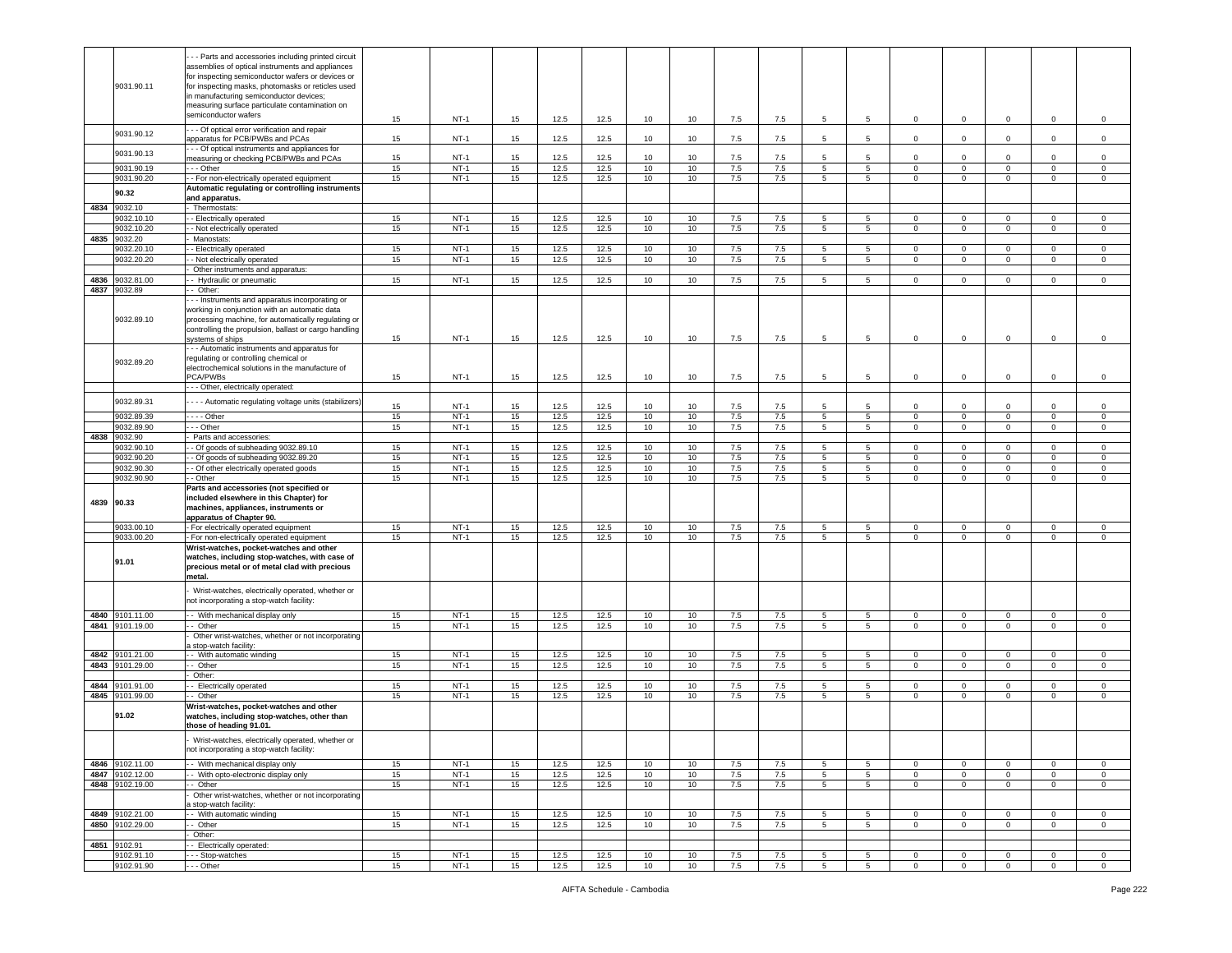|      |                          | - - Parts and accessories including printed circuit                                       |          |                  |                  |              |              |          |          |            |            |                                    |                               |                                |                               |                               |                               |                            |
|------|--------------------------|-------------------------------------------------------------------------------------------|----------|------------------|------------------|--------------|--------------|----------|----------|------------|------------|------------------------------------|-------------------------------|--------------------------------|-------------------------------|-------------------------------|-------------------------------|----------------------------|
|      |                          | assemblies of optical instruments and appliances                                          |          |                  |                  |              |              |          |          |            |            |                                    |                               |                                |                               |                               |                               |                            |
|      |                          | for inspecting semiconductor wafers or devices or                                         |          |                  |                  |              |              |          |          |            |            |                                    |                               |                                |                               |                               |                               |                            |
|      | 9031.90.11               | for inspecting masks, photomasks or reticles used                                         |          |                  |                  |              |              |          |          |            |            |                                    |                               |                                |                               |                               |                               |                            |
|      |                          | in manufacturing semiconductor devices;<br>measuring surface particulate contamination on |          |                  |                  |              |              |          |          |            |            |                                    |                               |                                |                               |                               |                               |                            |
|      |                          | semiconductor wafers                                                                      |          |                  |                  |              |              |          |          |            |            |                                    |                               |                                |                               |                               |                               |                            |
|      |                          |                                                                                           | 15       | $NT-1$           | 15               | 12.5         | 12.5         | 10       | 10       | 7.5        | 7.5        | 5                                  | 5                             | $\overline{0}$                 | $\mathbf 0$                   | $\pmb{0}$                     | $\mathsf 0$                   | $\mathsf 0$                |
|      | 9031.90.12               | - - Of optical error verification and repair                                              |          |                  |                  |              |              |          |          |            |            |                                    |                               |                                |                               |                               |                               |                            |
|      |                          | apparatus for PCB/PWBs and PCAs                                                           | 15       | $NT-1$           | 15               | 12.5         | 12.5         | 10       | 10       | 7.5        | 7.5        | 5                                  | 5                             | $\mathbf{0}$                   | $\mathsf 0$                   | $\mathsf 0$                   | $\mathbf 0$                   | $\mathsf 0$                |
|      | 9031.90.13               | - - Of optical instruments and appliances for<br>measuring or checking PCB/PWBs and PCAs  |          | $NT-1$           | 15               | 12.5         | 12.5         | 10       | 10       |            |            | 5                                  | 5                             | 0                              | $\mathbf 0$                   | $\Omega$                      | $\Omega$                      | $^{\circ}$                 |
|      | 9031.90.19               | - - Other                                                                                 | 15<br>15 | $NT-1$           | 15               | 12.5         | 12.5         | 10       | 10       | 7.5<br>7.5 | 7.5<br>7.5 | $5^{\circ}$                        | 5 <sub>5</sub>                | $\mathbf 0$                    | $\mathbf 0$                   | $\mathbf 0$                   | $\mathbf 0$                   | $\mathsf 0$                |
|      | 9031.90.20               | - For non-electrically operated equipment                                                 | 15       | $NT-1$           | 15               | 12.5         | 12.5         | 10       | 10       | 7.5        | 7.5        | 5                                  | 5                             | $\mathsf 0$                    | $\,0\,$                       | $\mathsf 0$                   | $\mathsf 0$                   | $\mathbf 0$                |
|      |                          | Automatic regulating or controlling instruments                                           |          |                  |                  |              |              |          |          |            |            |                                    |                               |                                |                               |                               |                               |                            |
|      | 90.32                    | and apparatus.                                                                            |          |                  |                  |              |              |          |          |            |            |                                    |                               |                                |                               |                               |                               |                            |
| 4834 | 9032.10                  | Thermostats:                                                                              |          |                  |                  |              |              |          |          |            |            |                                    |                               |                                |                               |                               |                               |                            |
|      | 9032.10.10               | - Electrically operated                                                                   | 15       | $NT-1$           | 15               | 12.5         | 12.5         | 10       | 10       | 7.5        | 7.5        | 5                                  | 5                             | $\overline{0}$                 | $\mathbf 0$                   | 0                             | $\mathbf 0$                   | 0                          |
|      | 9032.10.20               | - Not electrically operated                                                               | 15       | $NT-1$           | 15               | 12.5         | 12.5         | 10       | 10       | 7.5        | 7.5        | 5                                  | 5                             | $\mathbf{0}$                   | $\mathbf 0$                   | 0                             | $\mathbf{0}$                  | 0                          |
| 4835 | 9032.20                  | Manostats:                                                                                |          |                  |                  |              |              |          |          |            |            |                                    |                               |                                |                               |                               |                               |                            |
|      | 9032.20.10               | - Electrically operated                                                                   | 15       | $NT-1$           | 15               | 12.5         | 12.5         | 10       | 10       | $7.5\,$    | 7.5        | 5                                  | 5                             | $\mathbf 0$                    | $\mathbf 0$                   | $\mathbf 0$                   | $\mathbf 0$                   | $^{\circ}$                 |
|      | 9032.20.20               | - Not electrically operated                                                               | 15       | $NT-1$           | 15               | 12.5         | 12.5         | 10       | 10       | 7.5        | 7.5        | 5                                  | 5                             | 0                              | $\mathbf 0$                   | $\mathsf 0$                   | $\mathbf 0$                   | 0                          |
|      |                          | Other instruments and apparatus:                                                          |          |                  |                  |              |              |          |          |            |            |                                    |                               |                                |                               |                               |                               |                            |
| 4836 | 9032.81.00               | - Hydraulic or pneumatic                                                                  | 15       | $NT-1$           | 15               | 12.5         | 12.5         | 10       | 10       | 7.5        | 7.5        | 5                                  | 5                             | $\mathbf{0}$                   | $\mathbf 0$                   | $\mathbf 0$                   | $\mathbf{0}$                  | 0                          |
| 4837 | 9032.89                  | - Other:                                                                                  |          |                  |                  |              |              |          |          |            |            |                                    |                               |                                |                               |                               |                               |                            |
|      |                          | - - Instruments and apparatus incorporating or                                            |          |                  |                  |              |              |          |          |            |            |                                    |                               |                                |                               |                               |                               |                            |
|      |                          | working in conjunction with an automatic data                                             |          |                  |                  |              |              |          |          |            |            |                                    |                               |                                |                               |                               |                               |                            |
|      | 9032.89.10               | processing machine, for automatically regulating or                                       |          |                  |                  |              |              |          |          |            |            |                                    |                               |                                |                               |                               |                               |                            |
|      |                          | controlling the propulsion, ballast or cargo handling                                     |          |                  |                  |              |              |          |          |            |            |                                    |                               |                                |                               |                               |                               |                            |
|      |                          | systems of ships                                                                          | 15       | $NT-1$           | 15               | 12.5         | 12.5         | 10       | 10       | 7.5        | 7.5        | 5                                  | 5                             | $\mathbf 0$                    | $\mathbf 0$                   | $\mathbf 0$                   | $\mathbf 0$                   | 0                          |
|      |                          | - - Automatic instruments and apparatus for                                               |          |                  |                  |              |              |          |          |            |            |                                    |                               |                                |                               |                               |                               |                            |
|      | 9032.89.20               | regulating or controlling chemical or<br>electrochemical solutions in the manufacture of  |          |                  |                  |              |              |          |          |            |            |                                    |                               |                                |                               |                               |                               |                            |
|      |                          | PCA/PWBs                                                                                  | 15       | $NT-1$           | 15               | 12.5         | 12.5         | 10       | 10       | 7.5        | 7.5        | 5                                  | 5                             | $\mathbf{0}$                   | $\mathbf 0$                   | $\mathbf 0$                   | $\mathbf 0$                   | $\mathsf 0$                |
|      |                          | --- Other, electrically operated:                                                         |          |                  |                  |              |              |          |          |            |            |                                    |                               |                                |                               |                               |                               |                            |
|      |                          |                                                                                           |          |                  |                  |              |              |          |          |            |            |                                    |                               |                                |                               |                               |                               |                            |
|      | 9032.89.31               | - - - Automatic regulating voltage units (stabilizers)                                    | 15       | $NT-1$           | 15               | 12.5         | 12.5         | 10       | 10       | 7.5        | 7.5        | 5                                  | -5                            | $\mathbf 0$                    | $\mathbf 0$                   | $\mathbf 0$                   | $\mathbf 0$                   | $\mathsf 0$                |
|      | 9032.89.39               | $\overline{\cdots}$ - Other                                                               | 15       | $NT-1$           | 15               | 12.5         | 12.5         | 10       | 10       | 7.5        | 7.5        | $\overline{5}$                     | 5                             | $\circ$                        | $\overline{0}$                | $\circ$                       | $\overline{0}$                | $\mathsf 0$                |
|      | 9032.89.90               | - - Other                                                                                 | 15       | $NT-1$           | 15               | 12.5         | 12.5         | 10       | 10       | 7.5        | 7.5        | 5                                  | $5^{\circ}$                   | $\mathbf 0$                    | $\mathbf 0$                   | $\mathbf 0$                   | $\mathbf 0$                   | $\mathsf 0$                |
| 4838 | 9032.90                  | Parts and accessories:                                                                    |          |                  |                  |              |              |          |          |            |            |                                    |                               |                                |                               |                               |                               |                            |
|      | 9032.90.10               | - Of goods of subheading 9032.89.10                                                       | 15       | $NT-1$           | 15               | 12.5         | 12.5         | 10       | 10       | 7.5        | 7.5        | 5                                  | 5                             | 0                              | $\mathbf 0$                   | 0                             | 0                             | 0                          |
|      | 9032.90.20<br>9032.90.30 | - Of goods of subheading 9032.89.20<br>- Of other electrically operated goods             | 15<br>15 | $NT-1$<br>$NT-1$ | 15<br>15         | 12.5<br>12.5 | 12.5<br>12.5 | 10<br>10 | 10<br>10 | 7.5<br>7.5 | 7.5<br>7.5 | $5\overline{5}$<br>$5\overline{)}$ | 5 <sub>5</sub><br>$5^{\circ}$ | $\circ$<br>$\circ$             | $\mathbf 0$<br>$\overline{0}$ | $\mathbf 0$<br>$\overline{0}$ | $\mathbf 0$<br>$\overline{0}$ | $\mathsf 0$<br>$\mathsf 0$ |
|      | 9032.90.90               | - Other                                                                                   | 15       | $NT-1$           | 15 <sub>15</sub> | 12.5         | 12.5         | 10       | 10       | $7.5\,$    | 7.5        | 5                                  | 5                             | $\mathbf 0$                    |                               |                               | $\mathbf 0$                   | $\mathsf 0$                |
|      |                          |                                                                                           |          |                  |                  |              |              |          |          |            |            |                                    |                               |                                |                               |                               |                               |                            |
|      |                          |                                                                                           |          |                  |                  |              |              |          |          |            |            |                                    |                               |                                | $\mathbf 0$                   | $\mathsf 0$                   |                               |                            |
|      |                          | Parts and accessories (not specified or                                                   |          |                  |                  |              |              |          |          |            |            |                                    |                               |                                |                               |                               |                               |                            |
|      | 4839 90.33               | included elsewhere in this Chapter) for                                                   |          |                  |                  |              |              |          |          |            |            |                                    |                               |                                |                               |                               |                               |                            |
|      |                          | machines, appliances, instruments or<br>apparatus of Chapter 90.                          |          |                  |                  |              |              |          |          |            |            |                                    |                               |                                |                               |                               |                               |                            |
|      | 9033.00.10               | - For electrically operated equipment                                                     | 15       | $NT-1$           | 15               | 12.5         | 12.5         | 10       | 10       | 7.5        | 7.5        | 5                                  | 5                             | $\mathbf{0}$                   | $\mathbf{0}$                  | $\mathbf 0$                   | $\mathbf 0$                   | 0                          |
|      | 9033.00.20               | For non-electrically operated equipment                                                   | 15       | $NT-1$           | 15               | 12.5         | 12.5         | 10       | 10       | 7.5        | 7.5        | $5^{\circ}$                        | $5^{\circ}$                   | $\circ$                        | $\mathbf 0$                   | $\mathbf 0$                   | $\mathbf 0$                   | $\mathsf 0$                |
|      |                          | Wrist-watches, pocket-watches and other                                                   |          |                  |                  |              |              |          |          |            |            |                                    |                               |                                |                               |                               |                               |                            |
|      | 91.01                    | watches, including stop-watches, with case of                                             |          |                  |                  |              |              |          |          |            |            |                                    |                               |                                |                               |                               |                               |                            |
|      |                          | precious metal or of metal clad with precious                                             |          |                  |                  |              |              |          |          |            |            |                                    |                               |                                |                               |                               |                               |                            |
|      |                          | metal.                                                                                    |          |                  |                  |              |              |          |          |            |            |                                    |                               |                                |                               |                               |                               |                            |
|      |                          | Wrist-watches, electrically operated, whether or                                          |          |                  |                  |              |              |          |          |            |            |                                    |                               |                                |                               |                               |                               |                            |
|      |                          | not incorporating a stop-watch facility:                                                  |          |                  |                  |              |              |          |          |            |            |                                    |                               |                                |                               |                               |                               |                            |
|      | 4840 9101.11.00          | - With mechanical display only                                                            | 15       | $NT-1$           | 15               | 12.5         | 12.5         | 10       | 10       | 7.5        | 7.5        | 5                                  | 5                             | 0                              | $\mathbf 0$                   | 0                             | $\mathbf{0}$                  | 0                          |
|      | 4841 9101.19.00          | - Other                                                                                   | 15       | $NT-1$           | 15               | 12.5         | 12.5         | 10       | 10       | 7.5        | 7.5        | $5\overline{5}$                    | 5 <sub>5</sub>                | $\mathbf 0$                    | $\mathbf 0$                   | $\mathbf 0$                   | $\mathbf 0$                   | $\mathsf 0$                |
|      |                          | Other wrist-watches, whether or not incorporating                                         |          |                  |                  |              |              |          |          |            |            |                                    |                               |                                |                               |                               |                               |                            |
|      |                          | stop-watch facility                                                                       |          |                  |                  |              |              |          |          |            |            |                                    |                               |                                |                               |                               |                               |                            |
| 4842 | 9101.21.00               | - With automatic winding                                                                  | 15       | $NT-1$           | 15               | 12.5         | 12.5         | 10       | 10       | 7.5        | 7.5        | 5                                  | 5                             | $\mathbf 0$                    | $\mathbf 0$                   | $\mathbf 0$                   | $\mathbf 0$                   | $^{\circ}$                 |
| 4843 | 9101.29.00               | - Other                                                                                   | 15       | $NT-1$           | 15               | 12.5         | 12.5         | 10       | 10       | 7.5        | 7.5        | 5                                  | $5^{\circ}$                   | $\mathbf{0}$                   | $\mathbf 0$                   | $\mathbf 0$                   | $\mathbf 0$                   | $\mathsf 0$                |
| 4844 |                          | Other:                                                                                    |          |                  |                  |              |              |          | 10       |            |            |                                    |                               | $\mathbf{0}$                   |                               | $^{\circ}$                    | $\mathbf 0$                   | 0                          |
|      | 9101.91.00               | - Electrically operated                                                                   | 15       | NT-1             | 15               | 12.5         | 12.5         | 10       |          | 7.5        | 7.5        | 5                                  | 5                             |                                | $\mathbf 0$                   |                               |                               | $\Omega$                   |
| 4845 | 9101.99.00               | - Other                                                                                   | 15       | $NT-1$           | 15               | 12.5         | 12.5         | 10       | 10       | 7.5        | 7.5        | 5 <sup>5</sup>                     | $5^{\circ}$                   | $\circ$                        | $\mathbf 0$                   | $\mathbf 0$                   | $\circ$                       |                            |
|      | 91.02                    | Wrist-watches, pocket-watches and other<br>watches, including stop-watches, other than    |          |                  |                  |              |              |          |          |            |            |                                    |                               |                                |                               |                               |                               |                            |
|      |                          | those of heading 91.01.                                                                   |          |                  |                  |              |              |          |          |            |            |                                    |                               |                                |                               |                               |                               |                            |
|      |                          |                                                                                           |          |                  |                  |              |              |          |          |            |            |                                    |                               |                                |                               |                               |                               |                            |
|      |                          | Wrist-watches, electrically operated, whether or                                          |          |                  |                  |              |              |          |          |            |            |                                    |                               |                                |                               |                               |                               |                            |
|      |                          | not incorporating a stop-watch facility:                                                  |          |                  |                  |              |              |          |          |            |            |                                    |                               |                                |                               |                               |                               |                            |
|      | 4846 9102.11.00          | - With mechanical display only                                                            | 15       | $NT-1$           | 15               | 12.5         | 12.5         | 10       | 10       | 7.5        | 7.5        | 5                                  | 5                             | $\circ$                        | $\mathbf 0$                   | 0                             | $\mathbf 0$                   | $\mathbf 0$                |
|      | 4847 9102.12.00          | - With opto-electronic display only                                                       | 15       | $NT-1$           | 15               | 12.5         | 12.5         | 10       | 10       | 7.5        | 7.5        | 5                                  | 5                             | $\mathbf{0}$                   | $\mathbf 0$                   | 0                             | $\mathbf 0$                   | 0                          |
|      | 4848 9102.19.00          | - Other                                                                                   | 15       | $NT-1$           | 15               | 12.5         | 12.5         | 10       | 10       | 7.5        | 7.5        | 5 <sup>5</sup>                     | $5^{\circ}$                   | $\mathbf 0$                    | $\mathbf 0$                   | $\mathbf 0$                   | $\circ$                       | $\mathsf 0$                |
|      |                          | Other wrist-watches, whether or not incorporating                                         |          |                  |                  |              |              |          |          |            |            |                                    |                               |                                |                               |                               |                               |                            |
|      | 4849 9102.21.00          | stop-watch facility:<br>- With automatic winding                                          | 15       | $NT-1$           | 15               | 12.5         | 12.5         | 10       | 10       | 7.5        | 7.5        | 5                                  | 5                             | $\mathbf 0$                    | $\mathbf 0$                   | 0                             | 0                             | $\circ$                    |
|      | 4850 9102.29.00          | - Other                                                                                   | 15       | $NT-1$           | 15               | 12.5         | 12.5         | 10       | 10       | 7.5        | 7.5        | $5\overline{5}$                    | $5\overline{5}$               | $\mathbf{0}$                   | $\mathbf 0$                   | $\mathbf 0$                   | $\circ$                       | $\mathbf{0}$               |
|      |                          | Other:                                                                                    |          |                  |                  |              |              |          |          |            |            |                                    |                               |                                |                               |                               |                               |                            |
| 4851 | 9102.91                  | - Electrically operated:                                                                  |          |                  |                  |              |              |          |          |            |            |                                    |                               |                                |                               |                               |                               |                            |
|      | 9102.91.10<br>9102.91.90 | - - Stop-watches<br>- - Other                                                             | 15<br>15 | $NT-1$<br>$NT-1$ | 15<br>15         | 12.5<br>12.5 | 12.5<br>12.5 | 10<br>10 | 10<br>10 | 7.5<br>7.5 | 7.5<br>7.5 | 5<br>$5\overline{5}$               | 5<br>$5\overline{5}$          | $\overline{0}$<br>$\mathbf{0}$ | $\mathbf 0$<br>$\overline{0}$ | $\mathbf 0$<br>$\mathbf 0$    | $\mathbf 0$<br>$\mathbf 0$    | 0<br>$\circ$               |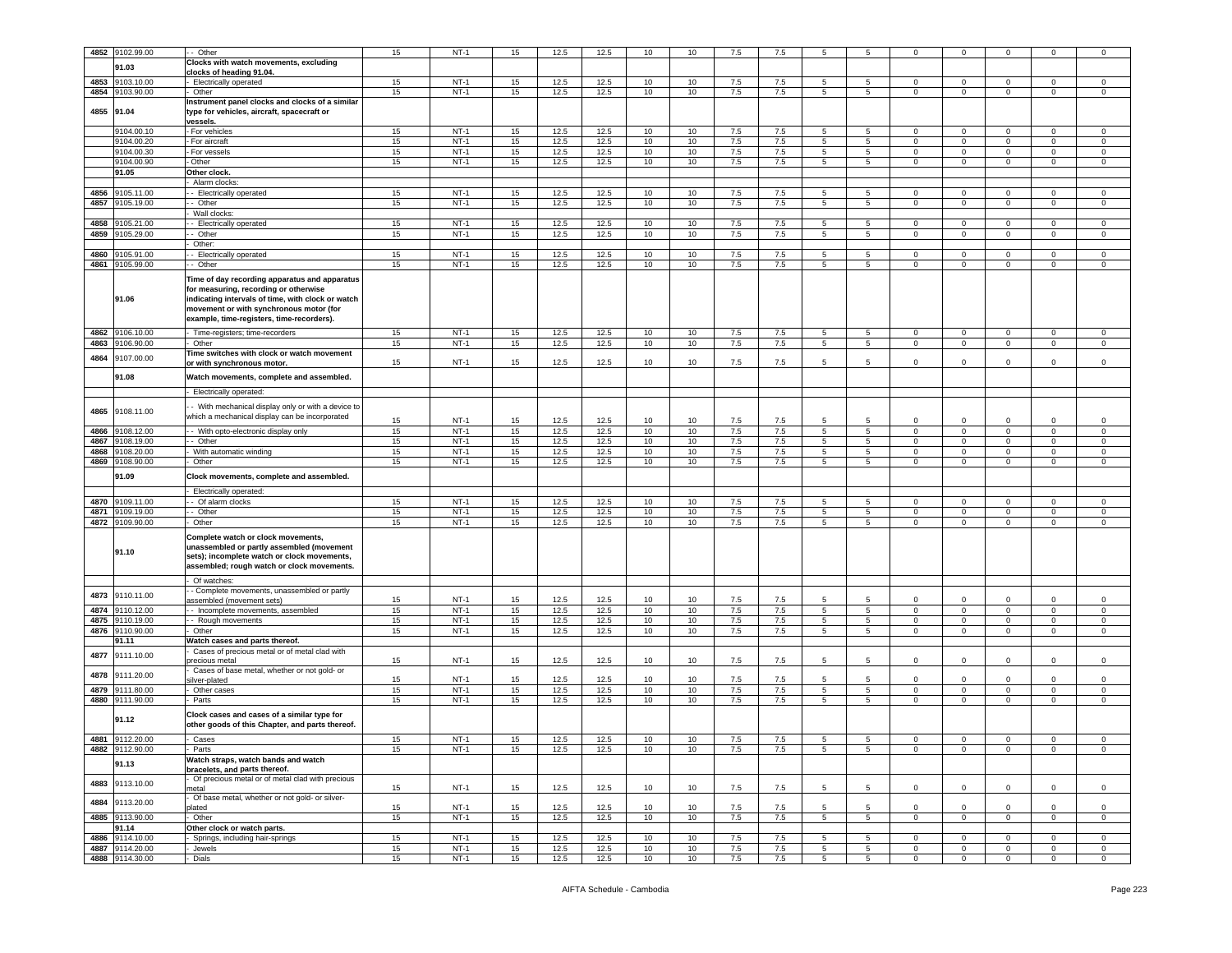| 4852 | 9102.99.00      | - Other                                            | 15 | $NT-1$ | 15 | 12.5 | 12.5 | 10              | 10              | 7.5     | 7.5 | 5              | 5               | $\mathbf 0$    | 0              | 0              | $\mathbf 0$    | 0              |
|------|-----------------|----------------------------------------------------|----|--------|----|------|------|-----------------|-----------------|---------|-----|----------------|-----------------|----------------|----------------|----------------|----------------|----------------|
|      |                 | Clocks with watch movements, excluding             |    |        |    |      |      |                 |                 |         |     |                |                 |                |                |                |                |                |
|      | 91.03           | clocks of heading 91.04.                           |    |        |    |      |      |                 |                 |         |     |                |                 |                |                |                |                |                |
| 4853 | 9103.10.00      | - Electrically operated                            | 15 | $NT-1$ | 15 | 12.5 | 12.5 | 10              | 10              | 7.5     | 7.5 | 5              | 5               | $\Omega$       | 0              | $\Omega$       | $\mathbf{0}$   | $\circ$        |
|      |                 |                                                    |    |        |    |      |      |                 |                 |         |     |                |                 |                |                |                |                |                |
| 4854 | 9103.90.00      | Other                                              | 15 | $NT-1$ | 15 | 12.5 | 12.5 | 10              | 10              | 7.5     | 7.5 | 5              | 5               | 0              | $\mathbf 0$    | $\mathbf 0$    | $\mathbf{0}$   | 0              |
|      |                 | Instrument panel clocks and clocks of a similar    |    |        |    |      |      |                 |                 |         |     |                |                 |                |                |                |                |                |
|      | 4855 91.04      | type for vehicles, aircraft, spacecraft or         |    |        |    |      |      |                 |                 |         |     |                |                 |                |                |                |                |                |
|      |                 | vessels.                                           |    |        |    |      |      |                 |                 |         |     |                |                 |                |                |                |                |                |
|      | 9104.00.10      | - For vehicles                                     | 15 | $NT-1$ | 15 | 12.5 | 12.5 | 10              | 10              | 7.5     | 7.5 | 5              | 5               | $\mathbf 0$    | $\mathbf 0$    | $\Omega$       | 0              | 0              |
|      | 9104.00.20      | For aircraft                                       | 15 | $NT-1$ | 15 | 12.5 | 12.5 | 10              | 10              | 7.5     | 7.5 | 5              | 5               | $\mathbf 0$    | $\mathsf 0$    | $\mathbf 0$    | $\mathbf 0$    | $\mathsf 0$    |
|      | 9104.00.30      | - For vessels                                      | 15 | $NT-1$ | 15 | 12.5 | 12.5 | 10              | 10              | 7.5     | 7.5 | 5              | 5               | $\mathbf{0}$   | $\mathbf 0$    | $\mathbf 0$    | $\mathsf 0$    | $\mathsf 0$    |
|      | 9104.00.90      | - Other                                            | 15 | $NT-1$ | 15 | 12.5 | 12.5 | 10              | 10              | 7.5     | 7.5 | 5              | 5               | $\mathbf{0}$   | $\mathbf 0$    | $\mathbf 0$    | $\mathbf{0}$   | 0              |
|      | 91.05           | Other clock.                                       |    |        |    |      |      |                 |                 |         |     |                |                 |                |                |                |                |                |
|      |                 | Alarm clocks                                       |    |        |    |      |      |                 |                 |         |     |                |                 |                |                |                |                |                |
| 4856 | 9105.11.00      | Electrically operated                              | 15 | $NT-1$ | 15 | 12.5 | 12.5 | 10              | 10              | 7.5     | 7.5 | 5              |                 |                |                |                | $\mathbf 0$    |                |
|      |                 |                                                    |    |        |    |      |      |                 |                 |         |     |                | 5               | 0              | 0              | $\mathbf 0$    |                | 0              |
| 4857 | 9105.19.00      | - Other                                            | 15 | $NT-1$ | 15 | 12.5 | 12.5 | 10              | 10              | 7.5     | 7.5 | 5              | 5               | $\mathbf{0}$   | $\mathbf 0$    | $\mathbf 0$    | $\mathbf 0$    | $\mathsf 0$    |
|      |                 | Wall clocks                                        |    |        |    |      |      |                 |                 |         |     |                |                 |                |                |                |                |                |
| 4858 | 9105.21.00      | - Electrically operated                            | 15 | $NT-1$ | 15 | 12.5 | 12.5 | 10              | 10              | 7.5     | 7.5 | 5              | 5               | 0              | 0              | $\mathbf 0$    | $\mathbf 0$    | $^{\circ}$     |
| 4859 | 9105.29.00      | - Other                                            | 15 | $NT-1$ | 15 | 12.5 | 12.5 | 10              | 10              | 7.5     | 7.5 | $\overline{5}$ | $\overline{5}$  | $\circ$        | $\mathsf 0$    | $\mathbf{0}$   | $\overline{0}$ | $\Omega$       |
|      |                 | Other:                                             |    |        |    |      |      |                 |                 |         |     |                |                 |                |                |                |                |                |
| 4860 | 105.91.00       | - Electrically operated                            | 15 | $NT-1$ | 15 | 12.5 | 12.5 | 10              | 10              | 7.5     | 7.5 | 5              | 5               | $\mathbf{0}$   | $\mathbf 0$    | $\mathbf 0$    | $\mathbf 0$    | 0              |
| 4861 | 9105.99.00      | - Other                                            | 15 | $NT-1$ | 15 | 12.5 | 12.5 | 10              | 10              | 7.5     | 7.5 | 5              | 5               | $\mathbf{0}$   | $\mathbf 0$    | $\mathbf 0$    | $\mathbf{0}$   | 0              |
|      |                 |                                                    |    |        |    |      |      |                 |                 |         |     |                |                 |                |                |                |                |                |
|      |                 | Time of day recording apparatus and apparatus      |    |        |    |      |      |                 |                 |         |     |                |                 |                |                |                |                |                |
|      | 91.06           | for measuring, recording or otherwise              |    |        |    |      |      |                 |                 |         |     |                |                 |                |                |                |                |                |
|      |                 | indicating intervals of time, with clock or watch  |    |        |    |      |      |                 |                 |         |     |                |                 |                |                |                |                |                |
|      |                 | movement or with synchronous motor (for            |    |        |    |      |      |                 |                 |         |     |                |                 |                |                |                |                |                |
|      |                 | example, time-registers, time-recorders).          |    |        |    |      |      |                 |                 |         |     |                |                 |                |                |                |                |                |
| 4862 | 9106.10.00      | Time-registers; time-recorders                     | 15 | $NT-1$ | 15 | 12.5 | 12.5 | 10              | 10              | 7.5     | 7.5 | 5              | 5               | $\mathbf 0$    | $\mathsf 0$    | $\mathbf 0$    | $\mathbf 0$    | $\mathbf 0$    |
| 4863 | 9106.90.00      | Other                                              | 15 | $NT-1$ | 15 | 12.5 | 12.5 | 10              | 10              | 7.5     | 7.5 | 5              | $5\overline{5}$ | $\overline{0}$ | $\mathbf 0$    | $\mathsf 0$    | $\mathsf 0$    | $\mathsf 0$    |
|      |                 | Time switches with clock or watch movement         |    |        |    |      |      |                 |                 |         |     |                |                 |                |                |                |                |                |
| 4864 | 9107.00.00      | or with synchronous motor.                         | 15 | $NT-1$ | 15 | 12.5 | 12.5 | 10              | 10              | 7.5     | 7.5 | 5              | 5               | 0              | $\mathbf 0$    | $\mathbf 0$    | $\mathbf 0$    | $\mathsf 0$    |
|      |                 |                                                    |    |        |    |      |      |                 |                 |         |     |                |                 |                |                |                |                |                |
|      | 91.08           | Watch movements, complete and assembled.           |    |        |    |      |      |                 |                 |         |     |                |                 |                |                |                |                |                |
|      |                 | - Electrically operated:                           |    |        |    |      |      |                 |                 |         |     |                |                 |                |                |                |                |                |
|      |                 |                                                    |    |        |    |      |      |                 |                 |         |     |                |                 |                |                |                |                |                |
| 4865 | 9108.11.00      | - With mechanical display only or with a device to |    |        |    |      |      |                 |                 |         |     |                |                 |                |                |                |                |                |
|      |                 | which a mechanical display can be incorporated     |    |        |    |      |      |                 |                 |         |     | 5              |                 |                |                |                | $\mathbf 0$    |                |
|      |                 |                                                    | 15 | $NT-1$ | 15 | 12.5 | 12.5 | 10              | 10              | 7.5     | 7.5 |                | 5               | $\mathbf 0$    | $\mathbf 0$    | $\mathbf 0$    |                | $\mathsf 0$    |
| 4866 | 108.12.00       | - With opto-electronic display only                | 15 | $NT-1$ | 15 | 12.5 | 12.5 | 10              | 10              | 7.5     | 7.5 | 5              | 5               | $\mathbf 0$    | $\mathsf 0$    | $\mathbf 0$    | $\mathbf{0}$   | $\mathsf 0$    |
| 4867 | 9108.19.00      | - Other                                            | 15 | $NT-1$ | 15 | 12.5 | 12.5 | 10              | 10              | $7.5\,$ | 7.5 | 5              | 5               | $\mathbf{0}$   | $\mathbf 0$    | $\mathbf 0$    | $\mathsf 0$    | $\mathsf 0$    |
| 4868 | 9108.20.00      | With automatic winding                             | 15 | NT-1   | 15 | 12.5 | 12.5 | 10              | 10              | 7.5     | 7.5 | 5              | 5               | $\mathbf{0}$   | $\mathbf 0$    | $\mathbf 0$    | $\mathbf{0}$   | 0              |
| 4869 | 108.90.00       | Other                                              | 15 | $NT-1$ | 15 | 12.5 | 12.5 | 10              | 10              | 7.5     | 7.5 | 5              | 5               | $\mathbf 0$    | $\mathsf 0$    | $\mathbf 0$    | $\mathbf 0$    | $\mathbf 0$    |
|      |                 |                                                    |    |        |    |      |      |                 |                 |         |     |                |                 |                |                |                |                |                |
|      | 91.09           | Clock movements, complete and assembled.           |    |        |    |      |      |                 |                 |         |     |                |                 |                |                |                |                |                |
|      |                 | Electrically operated:                             |    |        |    |      |      |                 |                 |         |     |                |                 |                |                |                |                |                |
| 4870 | 9109.11.00      | - Of alarm clocks                                  | 15 | $NT-1$ | 15 | 12.5 | 12.5 | 10              | 10              | 7.5     | 7.5 | 5              | 5               | $\Omega$       |                |                |                |                |
| 4871 | 9109.19.00      | - Other                                            |    |        |    | 12.5 |      | 10              | 10              |         |     |                |                 |                |                | $\Omega$       |                |                |
| 4872 | 9109.90.00      |                                                    |    |        |    |      |      |                 |                 |         |     |                |                 |                | $\mathsf 0$    |                | $\mathbf 0$    | $\mathbf 0$    |
|      |                 |                                                    | 15 | $NT-1$ | 15 |      | 12.5 |                 |                 | 7.5     | 7.5 | 5              | 5               | 0              | $\mathbf 0$    | $\mathbf 0$    | $\mathbf{0}$   | 0              |
|      |                 | Other                                              | 15 | $NT-1$ | 15 | 12.5 | 12.5 | 10              | 10              | 7.5     | 7.5 | $5^{\circ}$    | 5               | $\Omega$       | $\mathbf 0$    | $\mathbf 0$    | $\mathbf 0$    | $\mathsf 0$    |
|      |                 | Complete watch or clock movements,                 |    |        |    |      |      |                 |                 |         |     |                |                 |                |                |                |                |                |
|      |                 | unassembled or partly assembled (movement          |    |        |    |      |      |                 |                 |         |     |                |                 |                |                |                |                |                |
|      | 91.10           | sets); incomplete watch or clock movements,        |    |        |    |      |      |                 |                 |         |     |                |                 |                |                |                |                |                |
|      |                 | assembled; rough watch or clock movements.         |    |        |    |      |      |                 |                 |         |     |                |                 |                |                |                |                |                |
|      |                 |                                                    |    |        |    |      |      |                 |                 |         |     |                |                 |                |                |                |                |                |
|      |                 | Of watches:                                        |    |        |    |      |      |                 |                 |         |     |                |                 |                |                |                |                |                |
| 4873 | 9110.11.00      | - Complete movements, unassembled or partly        |    |        |    |      |      |                 |                 |         |     |                |                 |                |                |                |                |                |
|      |                 | assembled (movement sets)                          | 15 | $NT-1$ | 15 | 12.5 | 12.5 | 10              | 10 <sup>1</sup> | 7.5     | 7.5 | 5              | 5               | $\Omega$       | $\mathbf 0$    | $\Omega$       | $\Omega$       | $\Omega$       |
| 4874 | 9110.12.00      | - - Incomplete movements, assembled                | 15 | $NT-1$ | 15 | 12.5 | 12.5 | 10              | 10              | 7.5     | 7.5 | 5              | 5               | $\mathbf 0$    | 0              | $\mathbf 0$    | $\mathbf 0$    | 0              |
| 4875 | 9110.19.00      | - - Rough movements                                | 15 | $NT-1$ | 15 | 12.5 | 12.5 | 10              | 10              | 7.5     | 7.5 | 5              | 5               | $\mathbf 0$    | 0              | $\mathbf 0$    | $\mathbf 0$    | 0              |
| 4876 | 9110.90.00      | Other                                              | 15 | $NT-1$ | 15 | 12.5 | 12.5 | 10              | 10              | 7.5     | 7.5 | 5              | $\overline{5}$  | $\mathbf 0$    | $\mathsf 0$    | $\mathbf 0$    | $\mathbf 0$    | $^{\circ}$     |
|      | 91.11           | Watch cases and parts thereof.                     |    |        |    |      |      |                 |                 |         |     |                |                 |                |                |                |                |                |
|      |                 | Cases of precious metal or of metal clad with      |    |        |    |      |      |                 |                 |         |     |                |                 |                |                |                |                |                |
| 4877 | 9111.10.00      | precious metal                                     | 15 | $NT-1$ | 15 | 12.5 | 12.5 | 10              | 10              | 7.5     | 7.5 | 5              | -5              | $\circ$        | $\mathsf 0$    | $\mathbf{0}$   | $\mathbf 0$    | $\mathbf 0$    |
|      |                 | Cases of base metal, whether or not gold- or       |    |        |    |      |      |                 |                 |         |     |                |                 |                |                |                |                |                |
| 4878 | 9111.20.00      | silver-plated                                      | 15 | $NT-1$ | 15 | 12.5 | 12.5 | 10              | 10              | 7.5     | 7.5 | 5              | -5              | $\Omega$       | $\mathsf 0$    | $\Omega$       | $\Omega$       | $\mathbf 0$    |
| 4879 | 9111.80.00      | Other cases                                        | 15 | $NT-1$ | 15 | 12.5 | 12.5 | 10              | 10              | 7.5     | 7.5 | 5              | 5               | $\mathbf{0}$   | $\mathbf 0$    | $\mathbf 0$    | $\mathbf{0}$   | 0              |
| 4880 | 9111.90.00      | Parts                                              | 15 | $NT-1$ | 15 | 12.5 | 12.5 | 10              | 10              | $7.5\,$ | 7.5 | 5              | 5               | $\mathbf 0$    | $\mathsf 0$    | $\mathbf 0$    | $\mathbf 0$    | $\mathbf 0$    |
|      |                 |                                                    |    |        |    |      |      |                 |                 |         |     |                |                 |                |                |                |                |                |
|      | 91.12           | Clock cases and cases of a similar type for        |    |        |    |      |      |                 |                 |         |     |                |                 |                |                |                |                |                |
|      |                 | other goods of this Chapter, and parts thereof.    |    |        |    |      |      |                 |                 |         |     |                |                 |                |                |                |                |                |
|      |                 |                                                    |    |        |    |      |      |                 |                 |         |     |                | 5               |                | $\mathbf 0$    | $\Omega$       | $\mathbf 0$    | $^{\circ}$     |
|      | 4881 9112.20.00 | Cases                                              | 15 | $NT-1$ | 15 | 12.5 | 12.5 | 10              | 10              | 7.5     | 7.5 | 5              |                 | 0              |                |                |                |                |
|      | 4882 9112.90.00 | Parts                                              | 15 | $NT-1$ | 15 | 12.5 | 12.5 | 10 <sub>1</sub> | 10 <sup>1</sup> | 7.5     | 7.5 | 5              | 5               | $\overline{0}$ | $\overline{0}$ | $\mathbf{0}$   | $\overline{0}$ | $\overline{0}$ |
|      | 91.13           | Watch straps, watch bands and watch                |    |        |    |      |      |                 |                 |         |     |                |                 |                |                |                |                |                |
|      |                 | bracelets, and parts thereof.                      |    |        |    |      |      |                 |                 |         |     |                |                 |                |                |                |                |                |
| 4883 | 9113.10.00      | Of precious metal or of metal clad with precious   |    |        |    |      |      |                 |                 |         |     |                |                 |                |                |                |                |                |
|      |                 | metal                                              | 15 | $NT-1$ | 15 | 12.5 | 12.5 | 10              | 10              | 7.5     | 7.5 | 5              | 5               | $\mathbf{0}$   | $\mathsf 0$    | $\mathbf 0$    | $\mathbf 0$    | $\mathsf 0$    |
| 4884 | 9113.20.00      | Of base metal, whether or not gold- or silver-     |    |        |    |      |      |                 |                 |         |     |                |                 |                |                |                |                |                |
|      |                 | plated                                             | 15 | $NT-1$ | 15 | 12.5 | 12.5 | 10              | 10              | 7.5     | 7.5 | 5              | 5               | $\mathbf{0}$   | $\mathsf 0$    | $\mathbf 0$    | $\mathbf 0$    | $\mathsf 0$    |
|      | 4885 9113.90.00 | Other                                              | 15 | $NT-1$ | 15 | 12.5 | 12.5 | 10              | 10              | 7.5     | 7.5 | $\overline{5}$ | 5               | $\mathbf{0}$   | $\overline{0}$ | $\overline{0}$ | $\overline{0}$ | $\mathsf 0$    |
|      | 91.14           | Other clock or watch parts.                        |    |        |    |      |      |                 |                 |         |     |                |                 |                |                |                |                |                |
| 4886 | 9114.10.00      | Springs, including hair-springs                    | 15 | $NT-1$ | 15 | 12.5 | 12.5 | 10              | 10              | 7.5     | 7.5 | 5              | 5               | $\mathbf{0}$   | $\mathbf 0$    | $\mathbf 0$    | $\mathbf 0$    | $\mathbf 0$    |
| 4887 | 9114.20.00      | Jewels                                             | 15 | $NT-1$ | 15 | 12.5 | 12.5 | 10              | 10              | 7.5     | 7.5 | 5              | 5               | $\mathbf{0}$   | $\mathbf 0$    | $\mathbf 0$    | $\mathbf 0$    | $\mathbf 0$    |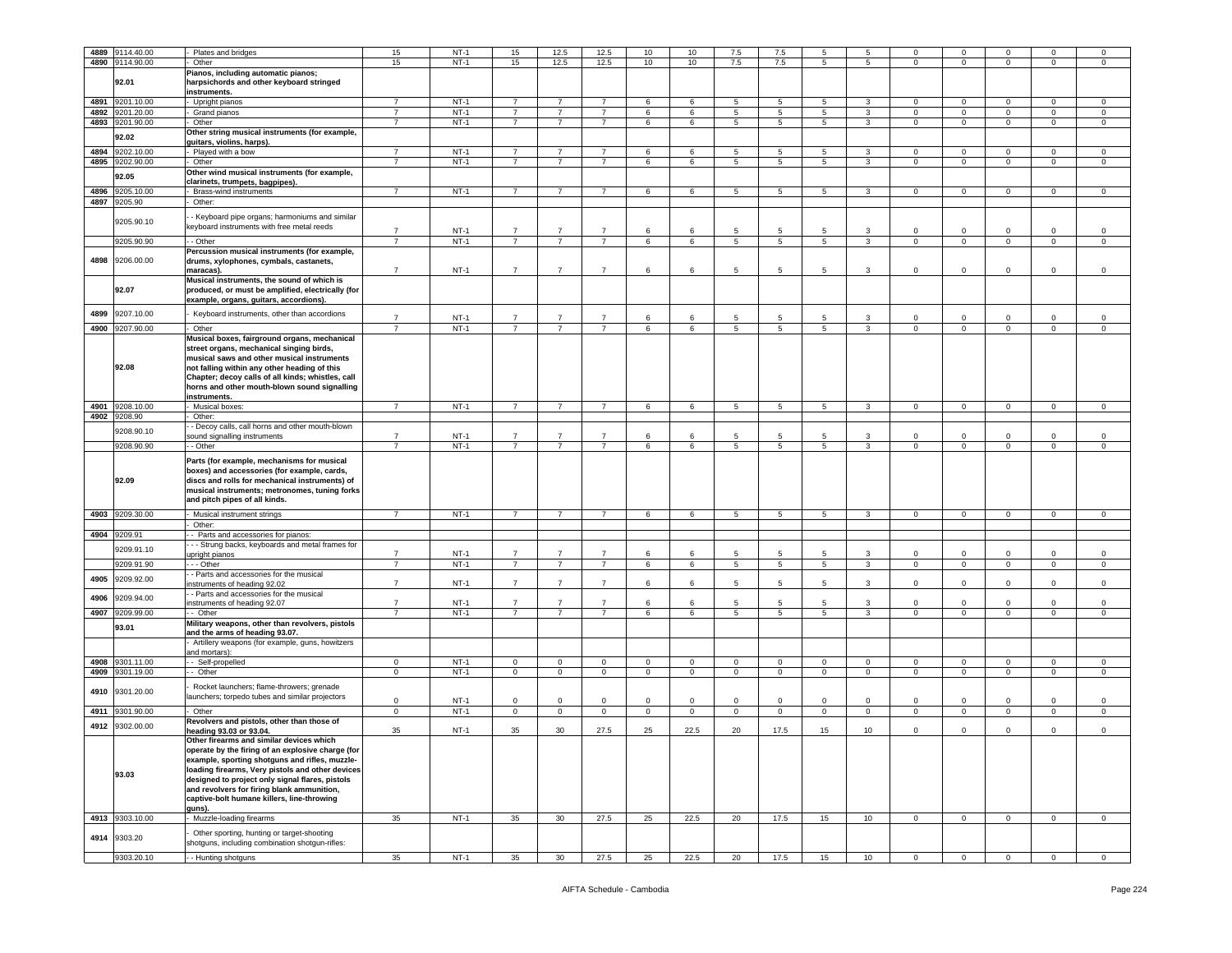|      | 4889 9114.40.00 | Plates and bridges                                                      | 15             | $NT-1$ | 15             | 12.5            | 12.5           | 10             | 10             | 7.5             | 7.5             | 5               |                 | $\Omega$       | $\mathbf 0$    |                | $\Omega$     | $\Omega$       |
|------|-----------------|-------------------------------------------------------------------------|----------------|--------|----------------|-----------------|----------------|----------------|----------------|-----------------|-----------------|-----------------|-----------------|----------------|----------------|----------------|--------------|----------------|
|      | 4890 9114.90.00 | Other                                                                   | 15             | $NT-1$ | 15             | 12.5            | 12.5           | 10             | 10             | 7.5             | 7.5             | 5               | 5               | $\overline{0}$ | $\mathbf{0}$   | $\mathbf 0$    | $\mathbf{0}$ | $\mathbf 0$    |
|      |                 | Pianos, including automatic pianos;                                     |                |        |                |                 |                |                |                |                 |                 |                 |                 |                |                |                |              |                |
|      | 92.01           | harpsichords and other keyboard stringed                                |                |        |                |                 |                |                |                |                 |                 |                 |                 |                |                |                |              |                |
|      |                 | instruments.                                                            |                |        |                |                 |                |                |                |                 |                 |                 |                 |                |                |                |              |                |
| 4891 | 9201.10.00      | Upright pianos                                                          | $\overline{7}$ | $NT-1$ | $\overline{7}$ | $\overline{7}$  | $\overline{7}$ | 6              | 6              | 5               | 5               | 5               | 3               | $\mathbf 0$    | $\mathsf 0$    | $\mathbf 0$    | $\mathbf 0$  | $\mathsf 0$    |
| 4892 | 9201.20.00      | Grand pianos                                                            | $\overline{7}$ | $NT-1$ | $\overline{7}$ | $\overline{7}$  | $\overline{7}$ | 6              | 6              | 5               | 5               | 5               | 3               | $\mathbf{0}$   | $\mathbf 0$    | $\mathbf 0$    | 0            | $\mathbf 0$    |
| 4893 | 9201.90.00      | Other                                                                   | $\overline{7}$ | $NT-1$ | $\overline{7}$ | $\overline{7}$  | $\overline{7}$ | 6              | 6              | 5               | $\overline{5}$  | 5               | 3               | $\mathbf 0$    | $\mathbf 0$    | $\mathsf 0$    | $\mathbf 0$  | $\mathsf 0$    |
|      |                 |                                                                         |                |        |                |                 |                |                |                |                 |                 |                 |                 |                |                |                |              |                |
|      | 92.02           | Other string musical instruments (for example,                          |                |        |                |                 |                |                |                |                 |                 |                 |                 |                |                |                |              |                |
|      |                 | guitars, violins, harps).                                               |                |        |                |                 |                |                |                |                 |                 |                 |                 |                |                |                |              |                |
| 4894 | 9202.10.00      | - Played with a bow                                                     | $\overline{7}$ | $NT-1$ | 7              | 7               | $\overline{7}$ | 6              | 6              | 5               | 5               | 5               | 3               | $\mathbf 0$    | $\mathbf 0$    | $\mathbf 0$    | $\mathbf{0}$ | $\mathbf 0$    |
| 4895 | 9202.90.00      | Other                                                                   | $\overline{7}$ | $NT-1$ | $\overline{7}$ | $\overline{7}$  | $\overline{7}$ | 6              | 6              | 5               | 5               | 5               | 3               | $\mathbf{0}$   | $\mathsf 0$    | $\circ$        | $\mathbf 0$  | $\circ$        |
|      | 92.05           | Other wind musical instruments (for example,                            |                |        |                |                 |                |                |                |                 |                 |                 |                 |                |                |                |              |                |
|      |                 | clarinets, trumpets, bagpipes).                                         |                |        |                |                 |                |                |                |                 |                 |                 |                 |                |                |                |              |                |
| 4896 | 9205.10.00      | Brass-wind instruments                                                  | $\overline{7}$ | $NT-1$ | $\overline{7}$ | $\overline{7}$  | $\overline{7}$ | 6              | 6              | 5               | 5               | 5               | 3               | $\mathbf 0$    | $\mathbf 0$    | $\mathbf 0$    | 0            | $\mathbf 0$    |
|      | 4897 9205.90    | Other:                                                                  |                |        |                |                 |                |                |                |                 |                 |                 |                 |                |                |                |              |                |
|      |                 |                                                                         |                |        |                |                 |                |                |                |                 |                 |                 |                 |                |                |                |              |                |
|      | 9205.90.10      | - Keyboard pipe organs; harmoniums and similar                          |                |        |                |                 |                |                |                |                 |                 |                 |                 |                |                |                |              |                |
|      |                 | keyboard instruments with free metal reeds                              | $\overline{7}$ | NT-1   | $\overline{7}$ | 7               | $\overline{7}$ | 6              | 6              | 5               | -5              | 5               |                 | 0              | $\mathbf 0$    | $\Omega$       | 0            | $\mathbf 0$    |
|      | 9205.90.90      | - Other                                                                 | $\overline{7}$ | $NT-1$ | $\overline{7}$ | $\overline{7}$  | $\overline{7}$ | 6              | 6              | 5               | 5               | 5               | 3               | $\mathbf 0$    | $\mathsf 0$    | $\mathbf 0$    | $\mathbf 0$  | $\circ$        |
|      |                 | Percussion musical instruments (for example,                            |                |        |                |                 |                |                |                |                 |                 |                 |                 |                |                |                |              |                |
| 4898 | 9206.00.00      |                                                                         |                |        |                |                 |                |                |                |                 |                 |                 |                 |                |                |                |              |                |
|      |                 | drums, xylophones, cymbals, castanets,<br>maracas).                     | $\overline{7}$ | $NT-1$ | $\overline{7}$ | $\overline{7}$  | $\overline{7}$ | 6              | 6              | 5               | 5               | 5               | 3               | $\mathbf 0$    | $\mathbf 0$    | 0              | 0            | $\mathsf 0$    |
|      |                 |                                                                         |                |        |                |                 |                |                |                |                 |                 |                 |                 |                |                |                |              |                |
|      | 92.07           | Musical instruments, the sound of which is                              |                |        |                |                 |                |                |                |                 |                 |                 |                 |                |                |                |              |                |
|      |                 | produced, or must be amplified, electrically (for                       |                |        |                |                 |                |                |                |                 |                 |                 |                 |                |                |                |              |                |
|      |                 | example, organs, guitars, accordions).                                  |                |        |                |                 |                |                |                |                 |                 |                 |                 |                |                |                |              |                |
| 4899 | 9207.10.00      | Keyboard instruments, other than accordions                             | $\overline{7}$ | $NT-1$ | $\overline{7}$ | $\overline{7}$  | $\overline{7}$ | 6              | 6              | 5               | 5               | 5               | 3               | 0              | $\mathbf 0$    | 0              | 0            | $\mathbf 0$    |
|      |                 |                                                                         |                |        |                |                 |                |                |                |                 |                 |                 |                 |                |                |                |              |                |
|      | 4900 9207.90.00 | Other                                                                   | $\overline{7}$ | $NT-1$ | $7^{\circ}$    | $\overline{7}$  | $\overline{7}$ | 6              | 6              | $5\overline{)}$ | $5\phantom{.0}$ | $5\overline{)}$ | $\mathbf{3}$    | $\mathbf{0}$   | $\overline{0}$ | $\overline{0}$ | $\mathbf{0}$ | $\overline{0}$ |
|      |                 | Musical boxes, fairground organs, mechanical                            |                |        |                |                 |                |                |                |                 |                 |                 |                 |                |                |                |              |                |
|      |                 | street organs, mechanical singing birds,                                |                |        |                |                 |                |                |                |                 |                 |                 |                 |                |                |                |              |                |
|      |                 | musical saws and other musical instruments                              |                |        |                |                 |                |                |                |                 |                 |                 |                 |                |                |                |              |                |
|      | 92.08           | not falling within any other heading of this                            |                |        |                |                 |                |                |                |                 |                 |                 |                 |                |                |                |              |                |
|      |                 | Chapter; decoy calls of all kinds; whistles, call                       |                |        |                |                 |                |                |                |                 |                 |                 |                 |                |                |                |              |                |
|      |                 | horns and other mouth-blown sound signalling                            |                |        |                |                 |                |                |                |                 |                 |                 |                 |                |                |                |              |                |
|      |                 | instruments.                                                            |                |        |                |                 |                |                |                |                 |                 |                 |                 |                |                |                |              |                |
| 4901 | 9208.10.00      | Musical boxes:                                                          | $\overline{7}$ | $NT-1$ | $\overline{7}$ | $\overline{7}$  | $\overline{7}$ | 6              | 6              | 5               | 5               | 5               | 3               | $\mathbf{0}$   | $\mathbf 0$    | $\mathbf 0$    | 0            | $\mathbf 0$    |
|      | 4902 9208.90    | Other:                                                                  |                |        |                |                 |                |                |                |                 |                 |                 |                 |                |                |                |              |                |
|      |                 | - Decoy calls, call horns and other mouth-blown                         |                |        |                |                 |                |                |                |                 |                 |                 |                 |                |                |                |              |                |
|      | 9208.90.10      | sound signalling instruments                                            | $\overline{7}$ | $NT-1$ | $\overline{7}$ | 7               | $\overline{7}$ | 6              | -6             | 5               | -5              | 5               | 3               | 0              | $\mathbf 0$    | $\Omega$       | $\Omega$     | $\mathbf 0$    |
|      | 9208.90.90      | - Other                                                                 | $\overline{7}$ | $NT-1$ | $\overline{7}$ | $\overline{7}$  | $\overline{7}$ | 6              | 6              | 5               | 5               | 5               | 3               | $\mathbf 0$    | $\mathbf 0$    | $\mathbf 0$    | $\mathbf 0$  | $\mathbf 0$    |
|      |                 |                                                                         |                |        |                |                 |                |                |                |                 |                 |                 |                 |                |                |                |              |                |
|      |                 | Parts (for example, mechanisms for musical                              |                |        |                |                 |                |                |                |                 |                 |                 |                 |                |                |                |              |                |
|      |                 | boxes) and accessories (for example, cards,                             |                |        |                |                 |                |                |                |                 |                 |                 |                 |                |                |                |              |                |
|      |                 |                                                                         |                |        |                |                 |                |                |                |                 |                 |                 |                 |                |                |                |              |                |
|      | 92.09           | discs and rolls for mechanical instruments) of                          |                |        |                |                 |                |                |                |                 |                 |                 |                 |                |                |                |              |                |
|      |                 | musical instruments; metronomes, tuning forks                           |                |        |                |                 |                |                |                |                 |                 |                 |                 |                |                |                |              |                |
|      |                 | and pitch pipes of all kinds.                                           |                |        |                |                 |                |                |                |                 |                 |                 |                 |                |                |                |              |                |
|      |                 |                                                                         |                |        |                |                 |                |                |                |                 |                 |                 |                 |                |                |                |              |                |
|      | 4903 9209.30.00 | Musical instrument strings                                              | $\overline{7}$ | $NT-1$ | $\overline{7}$ | $\overline{7}$  | $\overline{7}$ | 6              | 6              | $5\phantom{.0}$ | 5               | 5               | 3               | $\mathbf{0}$   | $\mathbf 0$    | $\mathbf 0$    | $\mathbf{0}$ | $\mathbf 0$    |
|      |                 | Other:                                                                  |                |        |                |                 |                |                |                |                 |                 |                 |                 |                |                |                |              |                |
| 4904 | 9209.91         | - Parts and accessories for pianos:                                     |                |        |                |                 |                |                |                |                 |                 |                 |                 |                |                |                |              |                |
|      |                 | - - Strung backs, keyboards and metal frames for                        |                |        |                |                 |                |                |                |                 |                 |                 |                 |                |                |                |              |                |
|      | 9209.91.10      | upright pianos                                                          | $\overline{7}$ | $NT-1$ | $\overline{7}$ | $\overline{7}$  | $\overline{7}$ | 6              | 6              | 5               | -5              | -5              | 3               | $\circ$        | $\mathsf 0$    | $\Omega$       | $\mathbf{0}$ | $\mathbf 0$    |
|      | 9209.91.90      | - - - Other                                                             | $\overline{7}$ | $NT-1$ | $\overline{7}$ | $\overline{7}$  | $\overline{7}$ | 6              | 6              | $\overline{5}$  | 5               | $\overline{5}$  | $\overline{3}$  | $\circ$        | $\,0\,$        | $\mathbf 0$    | $\mathbf 0$  | $\mathbf 0$    |
|      |                 | - Parts and accessories for the musical                                 |                |        |                |                 |                |                |                |                 |                 |                 |                 |                |                |                |              |                |
| 4905 | 9209.92.00      | struments of heading 92.02                                              | $\overline{7}$ | $NT-1$ | $\overline{7}$ | $\overline{7}$  | $\overline{7}$ | 6              | 6              | 5               | 5               | 5               | 3               | 0              | $\mathbf 0$    | 0              | 0            | $\mathsf 0$    |
|      |                 | - Parts and accessories for the musical                                 |                |        |                |                 |                |                |                |                 |                 |                 |                 |                |                |                |              |                |
| 4906 | 9209.94.00      | instruments of heading 92.07                                            | $\overline{7}$ | $NT-1$ | $\overline{7}$ | $\overline{7}$  | $\overline{7}$ | 6              | 6              | 5               | 5               | 5               | 3               | $\mathbf 0$    | $\mathbf 0$    | 0              | 0            | $\mathbf 0$    |
|      | 4907 9209.99.00 | - Other                                                                 | $\overline{7}$ | $NT-1$ | $\overline{7}$ | $\overline{7}$  | $\overline{7}$ | 6              | 6              | 5               | 5               | $5\phantom{.0}$ | 3               | $\overline{0}$ | $\mathbf{0}$   | $\mathbf{0}$   | $\mathbf 0$  | $\mathsf 0$    |
|      |                 | Military weapons, other than revolvers, pistols                         |                |        |                |                 |                |                |                |                 |                 |                 |                 |                |                |                |              |                |
|      | 93.01           | and the arms of heading 93.07.                                          |                |        |                |                 |                |                |                |                 |                 |                 |                 |                |                |                |              |                |
|      |                 | Artillery weapons (for example, guns, howitzers                         |                |        |                |                 |                |                |                |                 |                 |                 |                 |                |                |                |              |                |
|      |                 | and mortars):                                                           |                |        |                |                 |                |                |                |                 |                 |                 |                 |                |                |                |              |                |
|      | 4908 9301.11.00 | - Self-propelled                                                        | $\mathbf 0$    | $NT-1$ | $\circ$        | $\circ$         | $\circ$        | $\mathbf{0}$   | $\circ$        | $\mathbf{0}$    | $\mathbf 0$     | $\circ$         | $\circ$         | $\mathbf{0}$   | $\mathsf 0$    | $\mathbf{0}$   | $\mathbf 0$  | $\circ$        |
|      |                 | - Other                                                                 | $\mathbf 0$    | $NT-1$ | $\mathbf 0$    | $\mathsf 0$     | $\mathbf 0$    | $\mathsf 0$    | $\mathbf 0$    | $\mathbf 0$     | 0               | $\mathsf 0$     | $\mathbf 0$     | 0              | $\mathsf 0$    | $\mathbf 0$    | $\mathbf 0$  | $\mathsf 0$    |
| 4909 | 9301.19.00      |                                                                         |                |        |                |                 |                |                |                |                 |                 |                 |                 |                |                |                |              |                |
|      |                 | Rocket launchers; flame-throwers; grenade                               |                |        |                |                 |                |                |                |                 |                 |                 |                 |                |                |                |              |                |
| 4910 | 9301.20.00      | launchers; torpedo tubes and similar projectors                         | $\mathbf 0$    | $NT-1$ | 0              | $\mathbf 0$     | $\mathbf 0$    | $\mathbf 0$    | 0              | $\mathbf 0$     | 0               | $\mathbf 0$     | $\mathbf 0$     | 0              | $\mathsf 0$    | 0              | 0            | $\mathbf 0$    |
|      |                 |                                                                         |                |        |                |                 |                |                |                |                 |                 |                 |                 |                |                |                |              |                |
| 4911 | 9301.90.00      | Other                                                                   | $\mathsf 0$    | $NT-1$ | $\mathbf 0$    | $\mathbf{0}$    | $\mathbf 0$    | $\overline{0}$ | $\overline{0}$ | $\mathbf{0}$    | $\pmb{0}$       | $\mathbf 0$     | $\mathbf{0}$    | $\overline{0}$ | $\mathbf 0$    | $\mathbf 0$    | $\mathbf{0}$ | $\mathsf 0$    |
| 4912 | 9302.00.00      | Revolvers and pistols, other than those of                              |                |        |                |                 |                |                |                |                 |                 |                 |                 |                |                |                |              |                |
|      |                 | heading 93.03 or 93.04.                                                 | 35             | $NT-1$ | 35             | 30              | 27.5           | 25             | 22.5           | 20              | 17.5            | 15              | 10              | 0              | $\mathbf 0$    | $\Omega$       | $\mathbf{0}$ | $\mathbf 0$    |
|      |                 | Other firearms and similar devices which                                |                |        |                |                 |                |                |                |                 |                 |                 |                 |                |                |                |              |                |
|      |                 | operate by the firing of an explosive charge (for                       |                |        |                |                 |                |                |                |                 |                 |                 |                 |                |                |                |              |                |
|      |                 | example, sporting shotguns and rifles, muzzle-                          |                |        |                |                 |                |                |                |                 |                 |                 |                 |                |                |                |              |                |
|      | 93.03           | loading firearms, Very pistols and other devices                        |                |        |                |                 |                |                |                |                 |                 |                 |                 |                |                |                |              |                |
|      |                 | designed to project only signal flares, pistols                         |                |        |                |                 |                |                |                |                 |                 |                 |                 |                |                |                |              |                |
|      |                 | and revolvers for firing blank ammunition,                              |                |        |                |                 |                |                |                |                 |                 |                 |                 |                |                |                |              |                |
|      |                 | captive-bolt humane killers, line-throwing                              |                |        |                |                 |                |                |                |                 |                 |                 |                 |                |                |                |              |                |
|      |                 | guns).                                                                  |                |        |                |                 |                |                |                |                 |                 |                 |                 |                |                |                |              |                |
|      | 4913 9303.10.00 | Muzzle-loading firearms                                                 | 35             | $NT-1$ | 35             | 30 <sup>°</sup> | 27.5           | 25             | 22.5           | 20              | 17.5            | 15              | 10 <sub>1</sub> | $\circ$        | $\overline{0}$ | $\mathbf{0}$   | $\mathbf 0$  | $\mathbf 0$    |
|      |                 |                                                                         |                |        |                |                 |                |                |                |                 |                 |                 |                 |                |                |                |              |                |
|      | 4914 9303.20    | Other sporting, hunting or target-shooting                              |                |        |                |                 |                |                |                |                 |                 |                 |                 |                |                |                |              |                |
|      | 9303.20.10      | shotguns, including combination shotgun-rifles:<br>- - Hunting shotguns | 35             | $NT-1$ | 35             | 30              | 27.5           | 25             | 22.5           | 20              | 17.5            | 15              | 10              | $\Omega$       | $\mathbf 0$    |                | $\Omega$     | $\mathbf 0$    |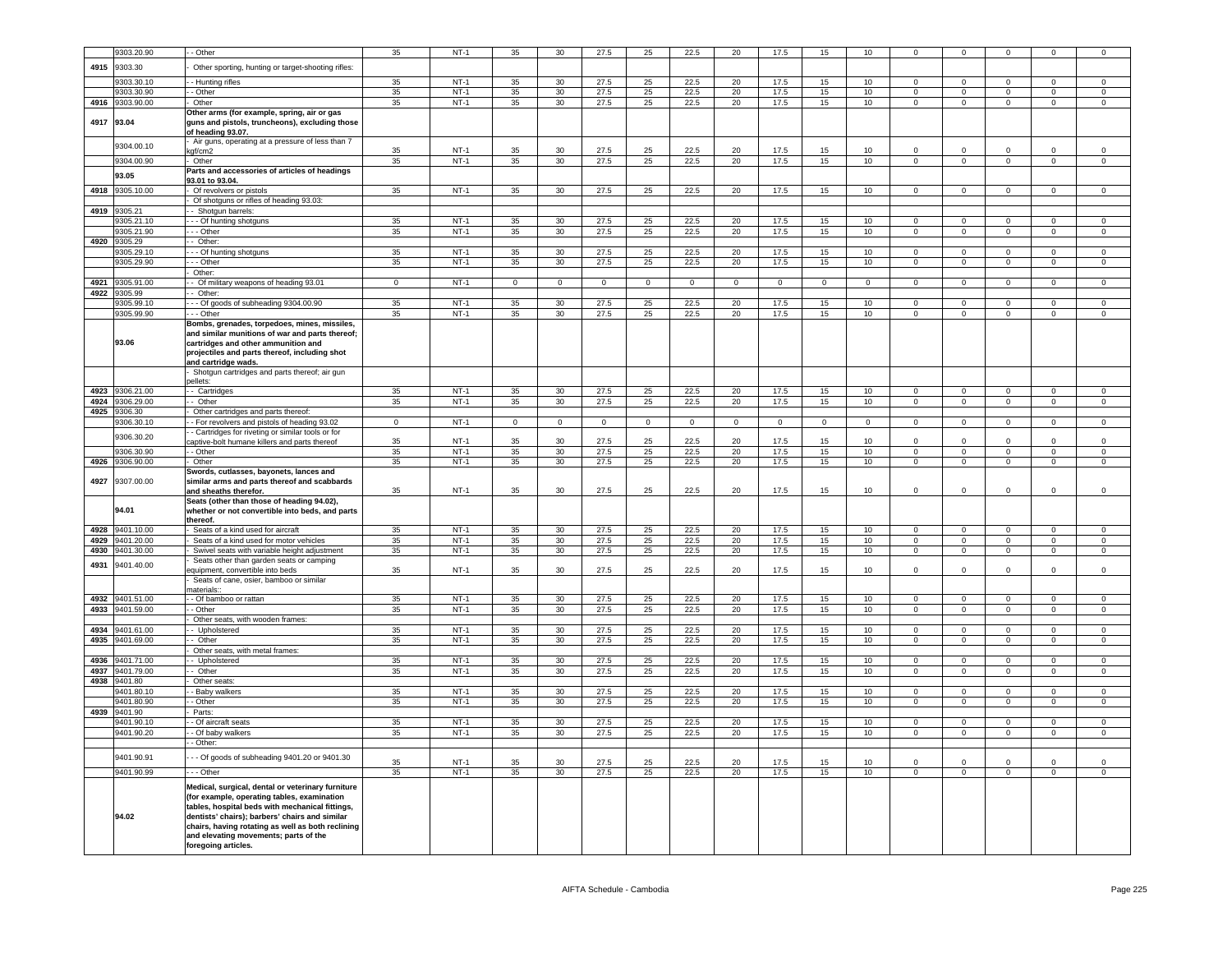|      | 9303.20.90      | - Other                                                                                           | 35          | $NT-1$           | 35           | 30              | 27.5           | 25           | 22.5           | 20          | 17.5        | 15           | 10               | $\mathbf 0$          | $\mathbf 0$                |                            | $\mathbf 0$                | $\mathbf 0$          |
|------|-----------------|---------------------------------------------------------------------------------------------------|-------------|------------------|--------------|-----------------|----------------|--------------|----------------|-------------|-------------|--------------|------------------|----------------------|----------------------------|----------------------------|----------------------------|----------------------|
|      |                 |                                                                                                   |             |                  |              |                 |                |              |                |             |             |              |                  |                      |                            |                            |                            |                      |
| 4915 | 9303.30         | Other sporting, hunting or target-shooting rifles:                                                |             |                  |              |                 |                |              |                |             |             |              |                  |                      |                            |                            |                            |                      |
|      | 9303.30.10      | - Hunting rifles                                                                                  | 35          | $NT-1$           | 35           | 30              | 27.5           | 25           | 22.5           | 20          | 17.5        | 15           | 10 <sup>10</sup> | $\mathbf{0}$         | $\mathbf{0}$               | $\mathbf{0}$               | $\mathbf{0}$               | $\mathbf{0}$         |
|      | 9303.30.90      | - Other                                                                                           | 35          | $NT-1$           | 35           | 30              | 27.5           | 25           | 22.5           | 20          | 17.5        | 15           | 10               | $\Omega$             | $\overline{0}$             | $\overline{0}$             | $\overline{0}$             | $\mathbf 0$          |
|      | 4916 9303.90.00 | Other                                                                                             | 35          | $NT-1$           | 35           | 30              | 27.5           | 25           | 22.5           | 20          | 17.5        | 15           | 10               | $\mathbf 0$          | $\mathbf 0$                | $\mathsf 0$                | $\mathbf 0$                | $\mathsf 0$          |
|      |                 | Other arms (for example, spring, air or gas                                                       |             |                  |              |                 |                |              |                |             |             |              |                  |                      |                            |                            |                            |                      |
|      | 4917 93.04      | guns and pistols, truncheons), excluding those                                                    |             |                  |              |                 |                |              |                |             |             |              |                  |                      |                            |                            |                            |                      |
|      |                 | of heading 93.07.                                                                                 |             |                  |              |                 |                |              |                |             |             |              |                  |                      |                            |                            |                            |                      |
|      | 9304.00.10      | Air guns, operating at a pressure of less than 7<br>:gf/cm2                                       | 35          | $NT-1$           | 35           | 30              | 27.5           | 25           | 22.5           | 20          | 17.5        | 15           | 10               | $\Omega$             | $\Omega$                   | $\Omega$                   | $\Omega$                   | $\Omega$             |
|      | 9304.00.90      | Other                                                                                             | 35          | $NT-1$           | 35           | 30              | 27.5           | 25           | 22.5           | 20          | 17.5        | 15           | 10 <sub>1</sub>  | $\mathsf 0$          | $\mathbf 0$                | $\mathbf 0$                | $\mathsf 0$                | $\mathsf{O}\xspace$  |
|      |                 | Parts and accessories of articles of headings                                                     |             |                  |              |                 |                |              |                |             |             |              |                  |                      |                            |                            |                            |                      |
|      | 93.05           | 93.01 to 93.04.                                                                                   |             |                  |              |                 |                |              |                |             |             |              |                  |                      |                            |                            |                            |                      |
|      | 4918 9305.10.00 | Of revolvers or pistols                                                                           | 35          | $NT-1$           | 35           | 30 <sup>2</sup> | 27.5           | 25           | 22.5           | 20          | 17.5        | 15           | 10               | $\overline{0}$       | $\overline{0}$             | $\overline{0}$             | $\overline{0}$             | $\mathbf{0}$         |
|      |                 | Of shotguns or rifles of heading 93.03:                                                           |             |                  |              |                 |                |              |                |             |             |              |                  |                      |                            |                            |                            |                      |
| 4919 | 9305.21         | - Shotqun barrels:                                                                                |             |                  |              |                 |                |              |                |             |             |              |                  |                      |                            |                            |                            |                      |
|      | 305.21.10       | - - Of hunting shotguns                                                                           | 35          | $NT-1$           | 35           | 30              | 27.5           | 25           | 22.5           | 20          | 17.5        | 15           | 10               | $\mathbf 0$          | $\mathbf 0$                | $\mathsf 0$                | $\mathbf 0$                | $\mathsf 0$          |
|      | 305.21.90       | - - Other                                                                                         | 35          | $NT-1$           | 35           | 30              | 27.5           | 25           | 22.5           | 20          | 17.5        | 15           | 10               | $\Omega$             | $\Omega$                   | $\Omega$                   | $\Omega$                   | $\Omega$             |
|      | 4920 9305.29    | - Other:                                                                                          |             |                  |              |                 |                |              |                |             |             |              |                  |                      |                            |                            |                            |                      |
|      | 9305.29.10      | - - Of hunting shotguns                                                                           | 35          | $NT-1$           | 35           | 30              | 27.5           | 25           | 22.5           | 20          | 17.5        | 15           | 10               | $\Omega$             | $\,0\,$                    | $\Omega$                   | $\mathbf 0$                | $\Omega$             |
|      | 9305.29.90      | $-$ Other                                                                                         | 35          | $NT-1$           | 35           | 30              | 27.5           | 25           | 22.5           | 20          | 17.5        | 15           | 10               | $\overline{0}$       | $\overline{0}$             | $\overline{0}$             | $\overline{0}$             | $\overline{0}$       |
|      |                 | Other:                                                                                            |             |                  |              |                 |                |              |                |             |             |              |                  |                      |                            |                            |                            |                      |
| 4921 | 9305.91.00      | - Of military weapons of heading 93.01                                                            | $\mathbf 0$ | $NT-1$           | $\mathbf{0}$ | $\mathbf 0$     | $\mathbf 0$    | $\mathbf 0$  | $\circ$        | $\mathbf 0$ | $\mathbf 0$ | $\mathbf{0}$ | $\circ$          | $\mathbf 0$          | $\mathbf 0$                | $\mathbf 0$                | $\mathbf 0$                | $\mathbf 0$          |
|      | 4922 9305.99    | - Other:                                                                                          |             |                  |              |                 |                |              |                |             |             |              |                  |                      |                            |                            |                            |                      |
|      | 9305.99.10      | - - Of goods of subheading 9304.00.90                                                             | 35          | $NT-1$           | 35           | 30 <sup>°</sup> | 27.5           | 25           | 22.5           | 20          | 17.5        | 15           | 10               | $\Omega$             | $\mathbf 0$                | $\Omega$                   | $\Omega$                   | $\mathsf 0$          |
|      | 9305.99.90      | - Other                                                                                           | 35          | $NT-1$           | 35           | 30              | 27.5           | 25           | 22.5           | 20          | 17.5        | 15           | 10               | $\overline{0}$       | $\overline{0}$             | $\overline{0}$             | $\overline{0}$             | $\overline{0}$       |
|      |                 | Bombs, grenades, torpedoes, mines, missiles,                                                      |             |                  |              |                 |                |              |                |             |             |              |                  |                      |                            |                            |                            |                      |
|      | 93.06           | and similar munitions of war and parts thereof;<br>cartridges and other ammunition and            |             |                  |              |                 |                |              |                |             |             |              |                  |                      |                            |                            |                            |                      |
|      |                 | projectiles and parts thereof, including shot                                                     |             |                  |              |                 |                |              |                |             |             |              |                  |                      |                            |                            |                            |                      |
|      |                 | and cartridge wads.                                                                               |             |                  |              |                 |                |              |                |             |             |              |                  |                      |                            |                            |                            |                      |
|      |                 | Shotgun cartridges and parts thereof; air gun                                                     |             |                  |              |                 |                |              |                |             |             |              |                  |                      |                            |                            |                            |                      |
|      |                 | ellets <sup>.</sup>                                                                               |             |                  |              |                 |                |              |                |             |             |              |                  |                      |                            |                            |                            |                      |
|      | 4923 9306.21.00 | - Cartridges                                                                                      | 35          | $NT-1$           | 35           | 30              | 27.5           | 25           | 22.5           | 20          | 17.5        | 15           | 10               | $\mathsf 0$          | $\mathbf 0$                | $\Omega$                   | $\Omega$                   | $\mathsf{O}\xspace$  |
|      | 4924 9306.29.00 | - Other                                                                                           | 35          | $NT-1$           | 35           | 30              | 27.5           | 25           | 22.5           | 20          | 17.5        | 15           | 10               | $\mathsf 0$          | $\mathbf 0$                | $\mathbf 0$                | $\mathsf 0$                | $\mathbf 0$          |
|      | 4925 9306.30    | Other cartridges and parts thereof:                                                               |             |                  |              |                 |                |              |                |             |             |              |                  |                      |                            |                            |                            |                      |
|      | 9306.30.10      | - For revolvers and pistols of heading 93.02                                                      | $\Omega$    | $NT-1$           | $\Omega$     | $\Omega$        | $\overline{0}$ | $\mathbf{0}$ | $\overline{0}$ | $\Omega$    | $\mathbf 0$ | $\Omega$     | $\Omega$         | $\Omega$             | $\overline{0}$             | $\Omega$                   | $\Omega$                   | $\Omega$             |
|      | 9306.30.20      | - Cartridges for riveting or similar tools or for                                                 |             |                  |              |                 |                |              |                |             |             |              |                  |                      |                            |                            |                            |                      |
|      |                 | aptive-bolt humane killers and parts thereof                                                      | 35          | $NT-1$           | 35           | 30              | 27.5           | 25           | 22.5           | 20          | 17.5        | 15           | 10               | $\Omega$             | $\Omega$                   | $\Omega$                   | $\Omega$                   | $\Omega$             |
|      | 9306.30.90      | - Other<br>Other                                                                                  | 35          | $NT-1$<br>$NT-1$ | 35<br>35     | 30              | 27.5           | 25           | 22.5           | 20          | 17.5        | 15           | 10               | $\Omega$<br>$\Omega$ | $\overline{0}$<br>$\Omega$ | $\overline{0}$<br>$\Omega$ | $\overline{0}$<br>$\Omega$ | $\Omega$<br>$\Omega$ |
| 4926 | 9306.90.00      |                                                                                                   | 35          |                  |              | 30              | 27.5           | 25           | 22.5           | 20          | 17.5        | 15           | 10               |                      |                            |                            |                            |                      |
| 4927 | 9307.00.00      | Swords, cutlasses, bayonets, lances and<br>similar arms and parts thereof and scabbards           |             |                  |              |                 |                |              |                |             |             |              |                  |                      |                            |                            |                            |                      |
|      |                 | and sheaths therefor.                                                                             | 35          | $NT-1$           | 35           | 30              | 27.5           | 25           | 22.5           | 20          | 17.5        | 15           | 10               | $\mathbf 0$          | $\mathbf 0$                | $\mathsf 0$                | $\mathbf 0$                | $\mathbf 0$          |
|      |                 | Seats (other than those of heading 94.02),                                                        |             |                  |              |                 |                |              |                |             |             |              |                  |                      |                            |                            |                            |                      |
|      | 94.01           | whether or not convertible into beds, and parts                                                   |             |                  |              |                 |                |              |                |             |             |              |                  |                      |                            |                            |                            |                      |
|      |                 | thereof.                                                                                          |             |                  |              |                 |                |              |                |             |             |              |                  |                      |                            |                            |                            |                      |
| 4928 | 9401.10.00      | Seats of a kind used for aircraft                                                                 | 35          | $NT-1$           | 35           | 30              | 27.5           | 25           | 22.5           | 20          | 17.5        | 15           | 10               | $\Omega$             | $\overline{0}$             | $\Omega$                   | $\Omega$                   | $\Omega$             |
| 4929 | 401.20.00       | Seats of a kind used for motor vehicles                                                           | 35          | $NT-1$           | 35           | 30              | 27.5           | 25           | 22.5           | 20          | 17.5        | 15           | 10               | $\mathbf 0$          | $\overline{0}$             | $\mathsf 0$                | $\mathbf 0$                | $\mathbf 0$          |
| 4930 | 9401.30.00      | Swivel seats with variable height adjustment                                                      | 35          | $NT-1$           | 35           | 30              | 27.5           | 25           | 22.5           | 20          | 17.5        | 15           | 10               | $^{\circ}$           | $\mathbf 0$                | $\mathbf 0$                | $\mathbf 0$                | $^{\circ}$           |
| 4931 | 9401.40.00      | Seats other than garden seats or camping                                                          |             | $NT-1$           |              |                 |                |              |                |             |             |              |                  | $\mathsf 0$          | $\mathbf 0$                | $\mathbf 0$                | $\mathbf 0$                | $\mathsf{O}\xspace$  |
|      |                 | equipment, convertible into beds<br>Seats of cane, osier, bamboo or similar                       | 35          |                  | 35           | 30              | 27.5           | 25           | 22.5           | 20          | 17.5        | 15           | 10               |                      |                            |                            |                            |                      |
|      |                 | naterials::                                                                                       |             |                  |              |                 |                |              |                |             |             |              |                  |                      |                            |                            |                            |                      |
| 4932 | 9401.51.00      | - Of bamboo or rattan                                                                             | 35          | $NT-1$           | 35           | 30 <sup>2</sup> | 27.5           | 25           | 22.5           | 20          | 17.5        | 15           | 10               | $\mathbf 0$          | $\,0\,$                    | $\mathbf 0$                | $\mathbf 0$                | $\mathsf 0$          |
| 4933 | 9401.59.00      | - Other                                                                                           | 35          | $NT-1$           | 35           | 30              | 27.5           | 25           | 22.5           | 20          | 17.5        | 15           | 10               | $\mathbf 0$          | $\mathbf 0$                | $\mathsf 0$                | $\mathbf 0$                | $^{\circ}$           |
|      |                 | Other seats, with wooden frames:                                                                  |             |                  |              |                 |                |              |                |             |             |              |                  |                      |                            |                            |                            |                      |
| 4934 | 9401.61.00      | - Upholstered                                                                                     | 35          | $NT-1$           | 35           | 30              | 27.5           | 25           | 22.5           | 20          | 17.5        | 15           | 10               | $\Omega$             | $\overline{0}$             | $\Omega$                   | $\Omega$                   | $\Omega$             |
|      | 4935 9401.69.00 | - Other                                                                                           | 35          | $NT-1$           | 35           | 30              | 27.5           | 25           | 22.5           | 20          | 17.5        | 15           | 10               | $\Omega$             | $\Omega$                   | $\Omega$                   | $\Omega$                   | $\Omega$             |
|      |                 | Other seats, with metal frames:                                                                   |             |                  |              |                 |                |              |                |             |             |              |                  |                      |                            |                            |                            |                      |
|      | 4936 9401.71.00 | - Upholstered                                                                                     | 35          | $NT-1$           | 35           | 30              | 27.5           | 25           | 22.5           | 20          | 17.5        | 15           | 10               | $\circ$              | $\mathbf 0$                | $\Omega$                   | $\mathbf 0$                | $\mathsf 0$          |
|      | 4937 9401.79.00 | - Other                                                                                           | 35          | $NT-1$           | 35           | 30 <sup>2</sup> | 27.5           | 25           | 22.5           | 20          | 17.5        | 15           | 10               | $\mathsf 0$          | $\overline{0}$             | $\overline{0}$             | $\mathbf 0$                | $\mathsf{O}$         |
| 4938 | 9401.80         | Other seats:                                                                                      |             |                  |              |                 |                |              |                |             |             |              |                  |                      |                            |                            |                            |                      |
|      | 401.80.10       | Baby walkers                                                                                      | 35          | $NT-1$           | 35           | 30              | 27.5           | 25           | 22.5           | 20          | 17.5        | 15           | 10               | $\mathbf 0$          | $\mathbf 0$                | $\mathsf 0$                | $\mathbf 0$                | $\mathsf 0$          |
|      | 9401.80.90      | - Other                                                                                           | 35          | $NT-1$           | 35           | 30              | 27.5           | 25           | 22.5           | 20          | 17.5        | 15           | 10               | $\mathsf 0$          | $\mathbf 0$                | $\pmb{0}$                  | $\mathbf 0$                | $\mathsf 0$          |
| 4939 | 9401.90         | Parts:                                                                                            |             |                  |              |                 |                |              |                |             |             |              |                  |                      |                            |                            |                            |                      |
|      | 9401.90.10      | - Of aircraft seats                                                                               | 35          | $NT-1$           | 35           | 30              | 27.5           | 25           | 22.5           | 20          | 17.5        | 15           | 10               | $\Omega$             | $\Omega$                   | $\Omega$                   | $\overline{0}$             | $\Omega$             |
|      | 9401.90.20      | - Of baby walkers                                                                                 | 35          | $NT-1$           | 35           | 30              | 27.5           | 25           | 22.5           | 20          | 17.5        | 15           | 10               | $\Omega$             | $\overline{0}$             | $\overline{0}$             | $\overline{0}$             | $\Omega$             |
|      |                 | - Other:                                                                                          |             |                  |              |                 |                |              |                |             |             |              |                  |                      |                            |                            |                            |                      |
|      | 9401.90.91      | - - Of goods of subheading 9401.20 or 9401.30                                                     | 35          | $NT-1$           | 35           | 30              | 27.5           | 25           | 22.5           | 20          | 17.5        | 15           | 10               | $\mathsf 0$          | $\overline{0}$             | $\mathbf 0$                | $\mathbf 0$                | $\mathbf 0$          |
|      | 9401.90.99      | $- -$ Other                                                                                       | 35          | $NT-1$           | 35           | 30              | 27.5           | 25           | 22.5           | 20          | 17.5        | 15           | 10               | $\mathbf 0$          | $\mathbf 0$                | $\mathbf 0$                | $\overline{0}$             | $\Omega$             |
|      |                 |                                                                                                   |             |                  |              |                 |                |              |                |             |             |              |                  |                      |                            |                            |                            |                      |
|      |                 | Medical, surgical, dental or veterinary furniture                                                 |             |                  |              |                 |                |              |                |             |             |              |                  |                      |                            |                            |                            |                      |
|      |                 | (for example, operating tables, examination                                                       |             |                  |              |                 |                |              |                |             |             |              |                  |                      |                            |                            |                            |                      |
|      | 94.02           | tables, hospital beds with mechanical fittings,<br>dentists' chairs); barbers' chairs and similar |             |                  |              |                 |                |              |                |             |             |              |                  |                      |                            |                            |                            |                      |
|      |                 | chairs, having rotating as well as both reclining                                                 |             |                  |              |                 |                |              |                |             |             |              |                  |                      |                            |                            |                            |                      |
|      |                 | and elevating movements; parts of the                                                             |             |                  |              |                 |                |              |                |             |             |              |                  |                      |                            |                            |                            |                      |
|      |                 | foregoing articles.                                                                               |             |                  |              |                 |                |              |                |             |             |              |                  |                      |                            |                            |                            |                      |
|      |                 |                                                                                                   |             |                  |              |                 |                |              |                |             |             |              |                  |                      |                            |                            |                            |                      |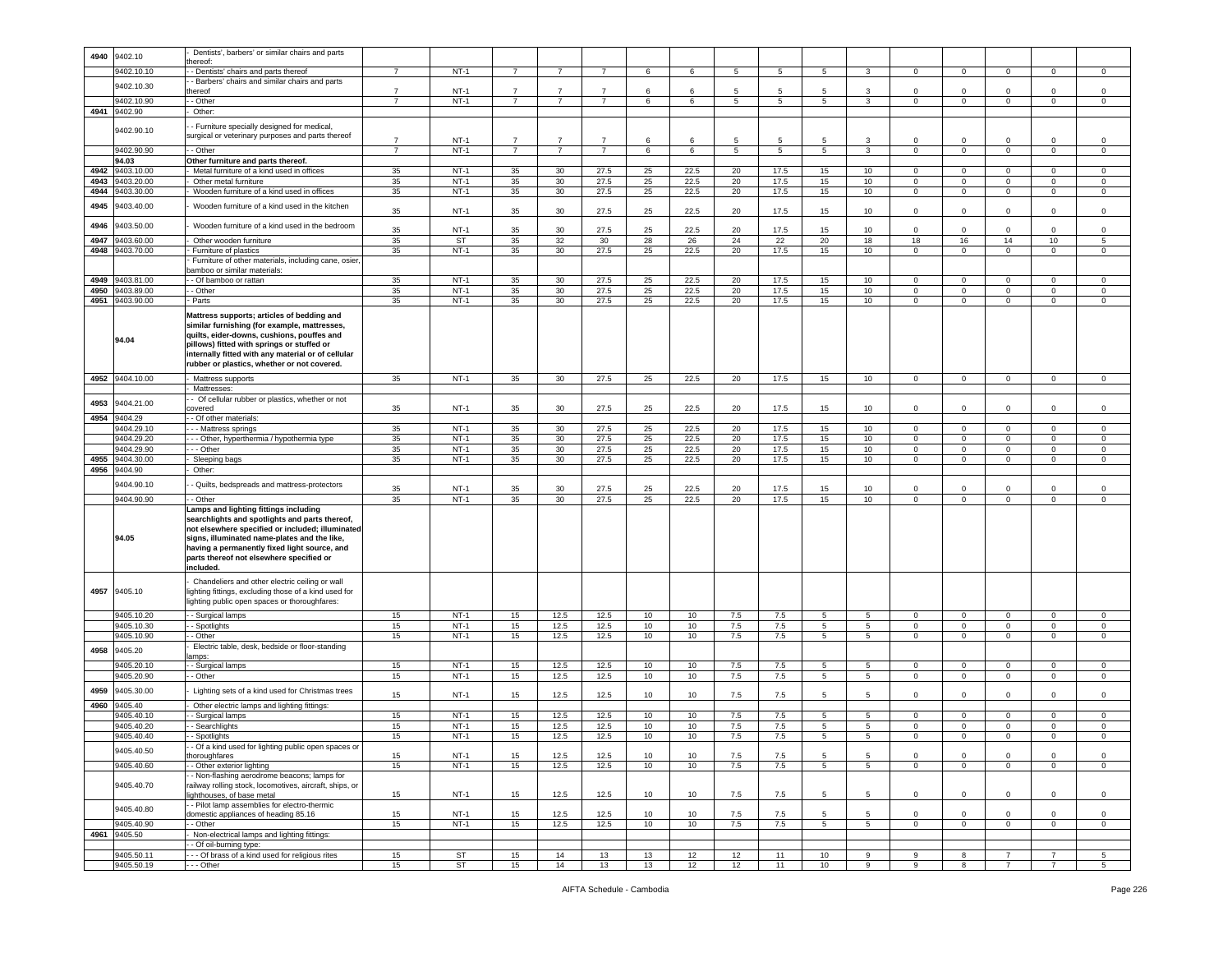| 4940 | 9402.10                  | Dentists', barbers' or similar chairs and parts                   |                |                        |                |                 |                |          |          |          |                |                  |                  |                |                |                                  |                |                      |
|------|--------------------------|-------------------------------------------------------------------|----------------|------------------------|----------------|-----------------|----------------|----------|----------|----------|----------------|------------------|------------------|----------------|----------------|----------------------------------|----------------|----------------------|
|      |                          | ereof:                                                            |                |                        |                |                 |                |          |          |          |                |                  |                  |                |                |                                  |                |                      |
|      | 9402.10.10               | - Dentists' chairs and parts thereof                              | $\overline{7}$ | $NT-1$                 | $\overline{7}$ | 7               | $\overline{7}$ | 6        | 6        | 5        | 5              | 5                | 3                | $\mathbf{0}$   | $\mathbf 0$    | $\mathbf{0}$                     | 0              | $\circ$              |
|      |                          | - Barbers' chairs and similar chairs and parts                    |                |                        |                |                 |                |          |          |          |                |                  |                  |                |                |                                  |                |                      |
|      | 9402.10.30               | nereof                                                            | $\overline{7}$ | <b>NT-1</b>            | $\overline{7}$ | $\overline{7}$  | $\overline{7}$ | 6        | 6        | 5        | 5              | 5                | 3                | $\Omega$       | $\Omega$       | $\mathbf 0$                      | $\Omega$       | 0                    |
|      | 9402.10.90               | - Other                                                           | $\overline{7}$ | $NT-1$                 | $\overline{7}$ | $\overline{7}$  | $\overline{7}$ | 6        | 6        | 5        | 5              | 5 <sup>5</sup>   | $\mathbf{3}$     | $\mathbf 0$    | $\mathbf 0$    | $\circ$                          | $\mathbf 0$    | $\mathbf 0$          |
| 4941 | 9402.90                  |                                                                   |                |                        |                |                 |                |          |          |          |                |                  |                  |                |                |                                  |                |                      |
|      |                          | Other:                                                            |                |                        |                |                 |                |          |          |          |                |                  |                  |                |                |                                  |                |                      |
|      |                          | - Furniture specially designed for medical,                       |                |                        |                |                 |                |          |          |          |                |                  |                  |                |                |                                  |                |                      |
|      | 9402.90.10               | surgical or veterinary purposes and parts thereof                 |                |                        |                |                 |                |          |          |          |                |                  |                  |                |                |                                  |                |                      |
|      |                          |                                                                   | $\overline{7}$ | $NT-1$                 | $\overline{7}$ | $\overline{7}$  | $\overline{7}$ | 6        | 6        | 5        | 5              | 5                | 3                | 0              | $\mathbf 0$    | 0                                | $\mathbf 0$    | $\mathbf 0$          |
|      | 9402.90.90               | - Other                                                           | $\overline{7}$ | $NT-1$                 | $\overline{7}$ | $\overline{7}$  | $\overline{7}$ | 6        | 6        | 5        | $\overline{5}$ | 5                | $\mathbf{3}$     | $\mathbf 0$    | $\mathbf 0$    | $\circ$                          | $\mathbf 0$    | $\mathbf 0$          |
|      | 94.03                    | Other furniture and parts thereof.                                |                |                        |                |                 |                |          |          |          |                |                  |                  |                |                |                                  |                |                      |
| 4942 | 9403.10.00               | Metal furniture of a kind used in offices                         | 35             | $NT-1$                 | 35             | 30              | 27.5           | 25       | 22.5     | 20       | 17.5           | 15               | 10               | $\Omega$       | $\mathbf 0$    | $\mathbf 0$                      | $\Omega$       | 0                    |
|      |                          |                                                                   |                |                        |                |                 |                |          |          |          |                |                  |                  |                |                |                                  |                |                      |
| 4943 | 9403.20.00               | Other metal furniture                                             | 35             | $NT-1$                 | 35             | 30              | 27.5           | 25       | 22.5     | 20       | 17.5           | 15               | 10               | $\mathbf 0$    | $\overline{0}$ | $\mathbf 0$                      | $\Omega$       | 0                    |
| 4944 | 9403.30.00               | Wooden furniture of a kind used in offices                        | 35             | $NT-1$                 | 35             | 30              | 27.5           | 25       | 22.5     | 20       | 17.5           | 15               | 10               | 0              | $\mathbf 0$    | $\mathbf 0$                      | 0              | 0                    |
|      |                          |                                                                   |                |                        |                |                 |                |          |          |          |                |                  |                  |                |                |                                  |                |                      |
| 4945 | 9403.40.00               | Wooden furniture of a kind used in the kitchen                    | 35             | $NT-1$                 | 35             | 30              | 27.5           | 25       | 22.5     | 20       | 17.5           | 15               | 10               | $\mathbf 0$    | $\mathbf 0$    | $\mathbf 0$                      | $\mathbf 0$    | $\mathsf 0$          |
|      |                          |                                                                   |                |                        |                |                 |                |          |          |          |                |                  |                  |                |                |                                  |                |                      |
| 4946 | 9403.50.00               | Wooden furniture of a kind used in the bedroom                    | 35             | $NT-1$                 | 35             | 30              | 27.5           | 25       | 22.5     | 20       | 17.5           | 15               | 10               | $\mathbf 0$    | $\mathbf 0$    | $\mathbf 0$                      | $\mathbf 0$    | $\mathsf 0$          |
| 4947 | 9403.60.00               | Other wooden furniture                                            | 35             | ST                     | 35             | 32              | 30             | 28       | 26       | 24       | 22             | 20               | 18               | 18             | 16             | 14                               | 10             | 5                    |
|      | 9403.70.00               |                                                                   |                | $NT-1$                 |                |                 |                |          | 22.5     |          |                |                  |                  | $\mathbf 0$    |                |                                  | $\mathbf 0$    |                      |
| 4948 |                          | Furniture of plastics                                             | 35             |                        | 35             | 30              | 27.5           | 25       |          | 20       | 17.5           | 15               | 10               |                | $\mathbf 0$    | $\mathbf 0$                      |                | $\mathsf 0$          |
|      |                          | Furniture of other materials, including cane, osier               |                |                        |                |                 |                |          |          |          |                |                  |                  |                |                |                                  |                |                      |
|      |                          | pamboo or similar materials:                                      |                |                        |                |                 |                |          |          |          |                |                  |                  |                |                |                                  |                |                      |
| 4949 | 9403.81.00               | - Of bamboo or rattan                                             | 35             | $NT-1$                 | 35             | 30              | 27.5           | 25       | 22.5     | 20       | 17.5           | 15               | 10               | 0              | $\mathbf 0$    | $\mathbf 0$                      | 0              | 0                    |
| 4950 | 9403.89.00               | - Other                                                           | 35             | $NT-1$                 | 35             | 30              | 27.5           | 25       | 22.5     | 20       | 17.5           | 15               | 10 <sup>10</sup> | $\circ$        | $\mathbf 0$    | $\mathbf 0$                      | $\mathbf 0$    | $\mathsf 0$          |
| 4951 | 9403.90.00               | Parts                                                             | 35             | $NT-1$                 | 35             | 30              | 27.5           | 25       | 22.5     | 20       | 17.5           | 15               | 10               | $\mathbf{0}$   | $\overline{0}$ | $\mathbf{0}$                     | $\mathbf 0$    | $\circ$              |
|      |                          |                                                                   |                |                        |                |                 |                |          |          |          |                |                  |                  |                |                |                                  |                |                      |
|      |                          | Mattress supports; articles of bedding and                        |                |                        |                |                 |                |          |          |          |                |                  |                  |                |                |                                  |                |                      |
|      |                          | similar furnishing (for example, mattresses,                      |                |                        |                |                 |                |          |          |          |                |                  |                  |                |                |                                  |                |                      |
|      |                          | quilts, eider-downs, cushions, pouffes and                        |                |                        |                |                 |                |          |          |          |                |                  |                  |                |                |                                  |                |                      |
|      | 94.04                    | pillows) fitted with springs or stuffed or                        |                |                        |                |                 |                |          |          |          |                |                  |                  |                |                |                                  |                |                      |
|      |                          |                                                                   |                |                        |                |                 |                |          |          |          |                |                  |                  |                |                |                                  |                |                      |
|      |                          | internally fitted with any material or of cellular                |                |                        |                |                 |                |          |          |          |                |                  |                  |                |                |                                  |                |                      |
|      |                          | rubber or plastics, whether or not covered.                       |                |                        |                |                 |                |          |          |          |                |                  |                  |                |                |                                  |                |                      |
| 4952 | 9404.10.00               | Mattress supports                                                 | 35             | $NT-1$                 | 35             | 30              | 27.5           | 25       | 22.5     | 20       | 17.5           | 15               | 10               | $\circ$        | $\mathbf 0$    | $\mathbf{0}$                     | $\mathbf 0$    | $\mathbf 0$          |
|      |                          | Mattresses:                                                       |                |                        |                |                 |                |          |          |          |                |                  |                  |                |                |                                  |                |                      |
|      |                          | - Of cellular rubber or plastics, whether or not                  |                |                        |                |                 |                |          |          |          |                |                  |                  |                |                |                                  |                |                      |
| 4953 | 9404.21.00               |                                                                   | 35             | $NT-1$                 | 35             | 30 <sup>°</sup> | 27.5           | 25       | 22.5     | 20       | 17.5           | 15               | 10               | $\mathbf 0$    | $\mathbf 0$    | $\mathbf 0$                      | $\mathbf 0$    | $\mathsf 0$          |
|      |                          | overed                                                            |                |                        |                |                 |                |          |          |          |                |                  |                  |                |                |                                  |                |                      |
| 4954 | 9404.29                  | - Of other materials:                                             |                |                        |                |                 |                |          |          |          |                |                  |                  |                |                |                                  |                |                      |
|      | 9404.29.10               | - - Mattress springs                                              | 35             | $NT-1$                 | 35             | 30              | 27.5           | 25       | 22.5     | 20       | 17.5           | 15               | 10               | $\mathbf 0$    | $\mathbf 0$    | $\mathbf 0$                      | $\mathbf 0$    | $\,0\,$              |
|      | 9404.29.20               | - - Other, hyperthermia / hypothermia type                        | 35             | $NT-1$                 | 35             | 30              | 27.5           | 25       | 22.5     | 20       | 17.5           | 15               | 10               | 0              | $\mathbf 0$    | $\overline{0}$                   | 0              | 0                    |
|      | 9404.29.90               | - - Other                                                         | 35             | $NT-1$                 | 35             | 30              | 27.5           | 25       | 22.5     | 20       | 17.5           | 15               | 10               | $\mathbf 0$    | $\mathsf 0$    | $\mathbf 0$                      | $\mathbf 0$    | $\,0\,$              |
| 4955 | 9404.30.00               | Sleeping bags                                                     | 35             | $NT-1$                 | 35             | 30              | 27.5           | 25       | 22.5     | 20       | 17.5           | 15 <sub>15</sub> | 10               | $\mathbf{0}$   | $\overline{0}$ | $\overline{0}$                   | $\mathbf 0$    | $\circ$              |
|      |                          |                                                                   |                |                        |                |                 |                |          |          |          |                |                  |                  |                |                |                                  |                |                      |
| 4956 | 9404.90                  | Other:                                                            |                |                        |                |                 |                |          |          |          |                |                  |                  |                |                |                                  |                |                      |
|      |                          |                                                                   |                |                        |                |                 |                |          |          |          |                |                  |                  |                |                |                                  |                |                      |
|      |                          |                                                                   |                |                        |                |                 |                |          |          |          |                |                  |                  |                |                |                                  |                |                      |
|      | 9404.90.10               | - Quilts, bedspreads and mattress-protectors                      | 35             | $NT-1$                 | 35             | 30              | 27.5           | 25       | 22.5     | 20       | 17.5           | 15               | 10               | $\mathbf 0$    | $\overline{0}$ | 0                                | $\mathbf 0$    | $\,0\,$              |
|      | 9404.90.90               | $-$ Other                                                         | 35             | $NT-1$                 | 35             | 30              | 27.5           | 25       | 22.5     | 20       | 17.5           | 15               | 10               | $\mathbf 0$    | $\,0\,$        | $\mathsf 0$                      | $\overline{0}$ | $\mathsf 0$          |
|      |                          | Lamps and lighting fittings including                             |                |                        |                |                 |                |          |          |          |                |                  |                  |                |                |                                  |                |                      |
|      |                          | searchlights and spotlights and parts thereof,                    |                |                        |                |                 |                |          |          |          |                |                  |                  |                |                |                                  |                |                      |
|      |                          | not elsewhere specified or included; illuminated                  |                |                        |                |                 |                |          |          |          |                |                  |                  |                |                |                                  |                |                      |
|      | 94.05                    |                                                                   |                |                        |                |                 |                |          |          |          |                |                  |                  |                |                |                                  |                |                      |
|      |                          | signs, illuminated name-plates and the like,                      |                |                        |                |                 |                |          |          |          |                |                  |                  |                |                |                                  |                |                      |
|      |                          | having a permanently fixed light source, and                      |                |                        |                |                 |                |          |          |          |                |                  |                  |                |                |                                  |                |                      |
|      |                          | parts thereof not elsewhere specified or                          |                |                        |                |                 |                |          |          |          |                |                  |                  |                |                |                                  |                |                      |
|      |                          | included.                                                         |                |                        |                |                 |                |          |          |          |                |                  |                  |                |                |                                  |                |                      |
|      |                          | Chandeliers and other electric ceiling or wall                    |                |                        |                |                 |                |          |          |          |                |                  |                  |                |                |                                  |                |                      |
| 4957 | 9405.10                  | ighting fittings, excluding those of a kind used for              |                |                        |                |                 |                |          |          |          |                |                  |                  |                |                |                                  |                |                      |
|      |                          |                                                                   |                |                        |                |                 |                |          |          |          |                |                  |                  |                |                |                                  |                |                      |
|      |                          | lighting public open spaces or thoroughfares:                     |                |                        |                |                 |                |          |          |          |                |                  |                  |                |                |                                  |                |                      |
|      | 9405.10.20               | - Surgical lamps                                                  | 15             | $NT-1$                 | 15             | 12.5            | 12.5           | 10       | 10       | 7.5      | 7.5            | 5                | 5                | $\mathbf{0}$   | $\,0\,$        | $\mathbf 0$                      | $\mathbf 0$    | 0                    |
|      | 9405.10.30               | - Spotlights                                                      | 15             | $NT-1$                 | 15             | 12.5            | 12.5           | 10       | 10       | 7.5      | 7.5            | 5                | $5\overline{)}$  | $\mathsf 0$    | $\mathbf 0$    | $\circ$                          | $\mathbf 0$    | $\mathsf 0$          |
|      | 9405.10.90               | - Other                                                           | 15             | $NT-1$                 | 15             | 12.5            | 12.5           | 10       | 10       | 7.5      | 7.5            | 5                | $5\overline{)}$  | $\mathbf{O}$   | $\overline{0}$ | $\circ$                          | $\mathbf 0$    | $\mathbf 0$          |
|      |                          | Electric table, desk, bedside or floor-standing                   |                |                        |                |                 |                |          |          |          |                |                  |                  |                |                |                                  |                |                      |
| 4958 | 9405.20                  | amps:                                                             |                |                        |                |                 |                |          |          |          |                |                  |                  |                |                |                                  |                |                      |
|      | 9405.20.10               |                                                                   |                | $NT-1$                 |                |                 |                | 10       | 10       | 7.5      |                | 5                | 5                | $\circ$        | $\mathbf 0$    | $\mathbf 0$                      | $\mathbf 0$    | 0                    |
|      |                          | - Surgical lamps                                                  | 15             |                        | 15             | 12.5            | 12.5           |          |          |          | 7.5            |                  |                  |                |                |                                  |                |                      |
|      | 9405.20.90               | - Other                                                           | 15             | $NT-1$                 | 15             | 12.5            | 12.5           | 10       | 10       | $7.5$    | 7.5            | 5                | 5                | $\mathbf 0$    | $\mathbf 0$    | $\mathsf 0$                      | $\mathbf 0$    | $\mathsf 0$          |
| 4959 | 9405.30.00               | Lighting sets of a kind used for Christmas trees                  |                |                        |                |                 |                |          |          |          |                |                  |                  |                |                |                                  |                |                      |
|      |                          |                                                                   | 15             | $NT-1$                 | 15             | 12.5            | 12.5           | 10       | 10       | 7.5      | 7.5            | 5                | 5                | $\mathbf 0$    | $\overline{0}$ | $\mathbf 0$                      | $\mathbf 0$    | $\,0\,$              |
| 4960 | 9405.40                  | Other electric lamps and lighting fittings:                       |                |                        |                |                 |                |          |          |          |                |                  |                  |                |                |                                  |                |                      |
|      | 9405.40.10               | Surgical lamps                                                    | 15             | $NT-1$                 | 15             | 12.5            | 12.5           | 10       | 10       | 7.5      | 7.5            | 5                | 5                | $\Omega$       | $\mathbf 0$    | $\mathbf 0$                      | 0              | $\mathsf 0$          |
|      | 9405.40.20               | - Searchlights                                                    | 15             | $NT-1$                 | 15             | 12.5            | 12.5           | 10       | 10       | 7.5      | 7.5            | 5                | 5                | 0              | $\mathbf 0$    | $\mathbf 0$                      | $\mathbf 0$    | 0                    |
|      | 9405.40.40               | - Spotlights                                                      | 15             | $NT-1$                 | 15             | 12.5            | 12.5           | 10       | 10       | 7.5      | 7.5            | 5                | 5                | $\Omega$       | $\Omega$       | $\Omega$                         | $\Omega$       | $\Omega$             |
|      |                          |                                                                   |                |                        |                |                 |                |          |          |          |                |                  |                  |                |                |                                  |                |                      |
|      | 9405.40.50               | - Of a kind used for lighting public open spaces or               |                |                        |                |                 |                |          |          |          |                |                  |                  |                |                |                                  |                |                      |
|      |                          | horoughfares                                                      | 15             | $NT-1$                 | 15             | 12.5            | 12.5           | 10       | 10       | 7.5      | 7.5            | 5                | 5                | $\mathbf 0$    | $\mathbf 0$    | $\mathbf 0$                      | $\mathbf 0$    | $\,0\,$              |
|      | 9405.40.60               | - Other exterior lighting                                         | 15             | $NT-1$                 | 15             | 12.5            | 12.5           | 10       | 10       | 7.5      | 7.5            | 5                | 5                | 0              | $\mathbf 0$    | $\mathbf 0$                      | 0              | 0                    |
|      |                          | - Non-flashing aerodrome beacons; lamps for                       |                |                        |                |                 |                |          |          |          |                |                  |                  |                |                |                                  |                |                      |
|      | 9405.40.70               | railway rolling stock, locomotives, aircraft, ships, or           |                |                        |                |                 |                |          |          |          |                |                  |                  |                |                |                                  |                |                      |
|      |                          | ighthouses, of base metal                                         | 15             | $NT-1$                 | 15             | 12.5            | 12.5           | 10       | 10       | 7.5      | 7.5            | 5                | 5                | $\mathbf{0}$   | $\mathbf 0$    | $\mathbf 0$                      | $\mathbf{0}$   | $\circ$              |
|      |                          | - Pilot lamp assemblies for electro-thermic                       |                |                        |                |                 |                |          |          |          |                |                  |                  |                |                |                                  |                |                      |
|      | 9405.40.80               | domestic appliances of heading 85.16                              | 15             | $NT-1$                 | 15             | 12.5            | 12.5           | 10       | 10       | 7.5      | 7.5            | 5                | 5                | $\circ$        | $\mathsf 0$    | $\circ$                          | $\mathbf{0}$   | $\mathbf 0$          |
|      | 9405.40.90               | - Other                                                           | 15             | $NT-1$                 | 15             | 12.5            | 12.5           | 10       | 10       | 7.5      | 7.5            | 5                | $5^{\circ}$      | $\overline{0}$ | $\overline{0}$ | $\circ$                          | $\mathbf 0$    | $\circ$              |
|      |                          |                                                                   |                |                        |                |                 |                |          |          |          |                |                  |                  |                |                |                                  |                |                      |
| 4961 | 9405.50                  | Non-electrical lamps and lighting fittings:                       |                |                        |                |                 |                |          |          |          |                |                  |                  |                |                |                                  |                |                      |
|      |                          | - Of oil-burning type:                                            |                |                        |                |                 |                |          |          |          |                |                  |                  |                |                |                                  |                |                      |
|      | 9405.50.11<br>9405.50.19 | - - Of brass of a kind used for religious rites<br>$\cdots$ Other | 15<br>15       | <b>ST</b><br><b>ST</b> | 15<br>15       | 14<br>14        | 13<br>13       | 13<br>13 | 12<br>12 | 12<br>12 | 11<br>11       | 10<br>10         | 9<br>9           | 9<br>9         | 8<br>8         | $\overline{7}$<br>$\overline{7}$ | 7              | 5<br>$5\overline{5}$ |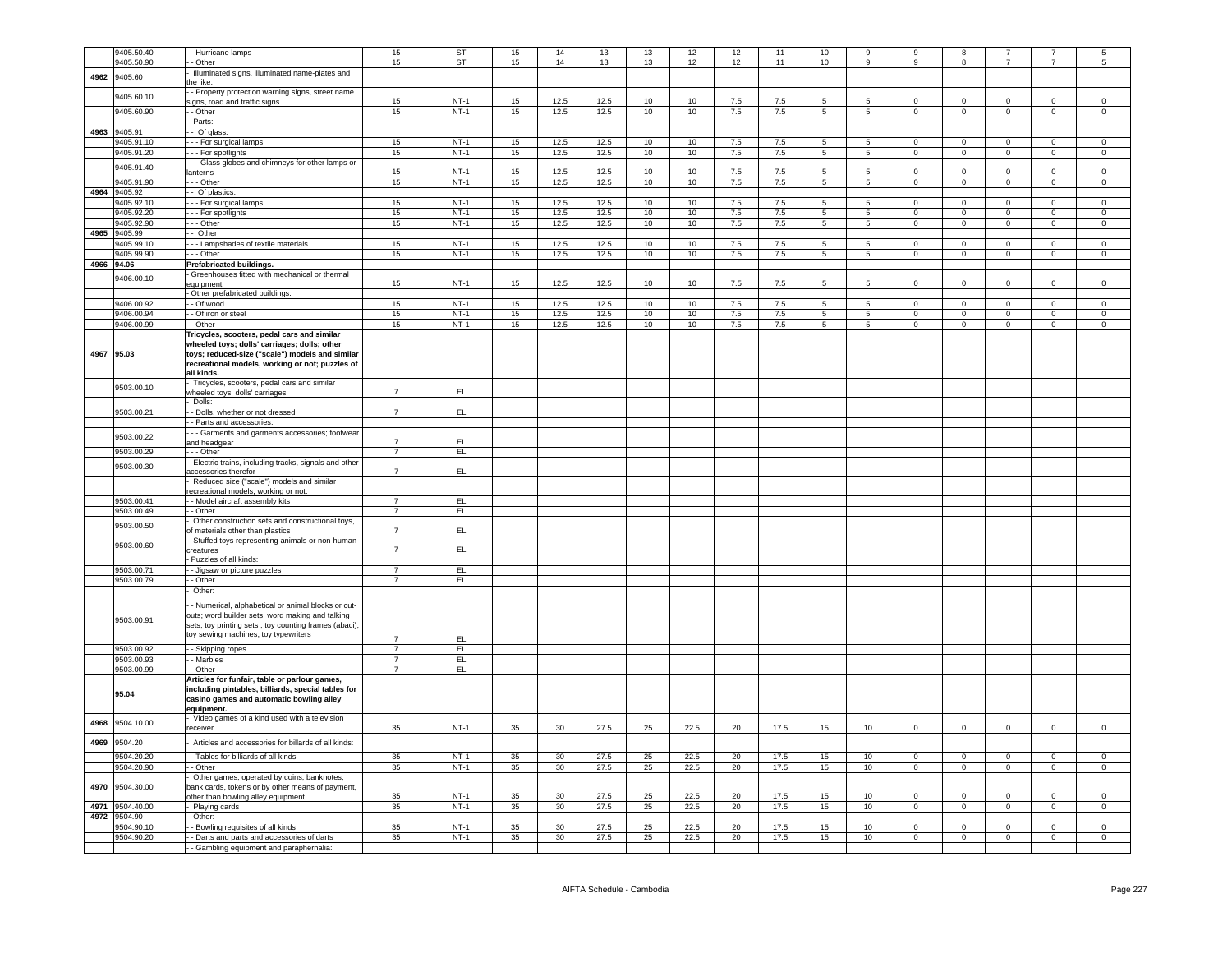|      | 9405.50.40      | - Hurricane lamps                                      | 15             | ST            | 15 | 14              | 13   | 13 | 12   | 12      | 11      | 10             | 9               | 9              | 8              |                |                | 5              |
|------|-----------------|--------------------------------------------------------|----------------|---------------|----|-----------------|------|----|------|---------|---------|----------------|-----------------|----------------|----------------|----------------|----------------|----------------|
|      | 9405.50.90      | - Other                                                | 15             | ST            | 15 | 14              | 13   | 13 | 12   | 12      | 11      | 10             | $\overline{9}$  | $\overline{9}$ | 8              | $\overline{7}$ | $\overline{7}$ | $\overline{5}$ |
|      |                 | Illuminated signs, illuminated name-plates and         |                |               |    |                 |      |    |      |         |         |                |                 |                |                |                |                |                |
| 4962 | 9405.60         | he like:                                               |                |               |    |                 |      |    |      |         |         |                |                 |                |                |                |                |                |
|      |                 | - Property protection warning signs, street name       |                |               |    |                 |      |    |      |         |         |                |                 |                |                |                |                |                |
|      | 9405.60.10      |                                                        |                |               |    |                 |      |    |      |         |         |                |                 |                |                |                |                |                |
|      |                 | igns, road and traffic signs                           | 15             | $NT-1$        | 15 | 12.5            | 12.5 | 10 | 10   | $7.5\,$ | 7.5     | 5              | 5               | $\Omega$       | $\mathbf 0$    | $\Omega$       | $\Omega$       | $\mathbf 0$    |
|      | 9405.60.90      | - - Other                                              | 15             | $NT-1$        | 15 | 12.5            | 12.5 | 10 | 10   | 7.5     | 7.5     | $\overline{5}$ | $\overline{5}$  | $\overline{0}$ | $\overline{0}$ | $\overline{0}$ | $\mathbf 0$    | $\mathbf 0$    |
|      |                 | Parts:                                                 |                |               |    |                 |      |    |      |         |         |                |                 |                |                |                |                |                |
|      |                 |                                                        |                |               |    |                 |      |    |      |         |         |                |                 |                |                |                |                |                |
|      | 4963 9405.91    | - Of glass:                                            |                |               |    |                 |      |    |      |         |         |                |                 |                |                |                |                |                |
|      | 9405.91.10      | --- For surgical lamps                                 | 15             | $NT-1$        | 15 | 12.5            | 12.5 | 10 | 10   | 7.5     | $7.5\,$ | 5              | 5               | $\mathbf 0$    | $\mathbf 0$    | $\circ$        | $\mathbf 0$    | $\mathbf 0$    |
|      | 9405.91.20      | - - For spotlights                                     | 15             | $NT-1$        | 15 | 12.5            | 12.5 | 10 | 10   | 7.5     | 7.5     | $5^{\circ}$    | 5               | $\overline{0}$ | $\overline{0}$ | $\overline{0}$ | $\overline{0}$ | $\overline{0}$ |
|      |                 |                                                        |                |               |    |                 |      |    |      |         |         |                |                 |                |                |                |                |                |
|      | 9405.91.40      | - - Glass globes and chimneys for other lamps or       |                |               |    |                 |      |    |      |         |         |                |                 |                |                |                |                |                |
|      |                 | anterns                                                | 15             | $NT-1$        | 15 | 12.5            | 12.5 | 10 | 10   | 7.5     | 7.5     | 5              | 5               | $\mathbf 0$    | $\mathbf 0$    | $\mathsf 0$    | $\Omega$       | $\,0\,$        |
|      | 9405.91.90      | - - Other                                              | 15             | $NT-1$        | 15 | 12.5            | 12.5 | 10 | 10   | 7.5     | 7.5     | $\overline{5}$ | $\overline{5}$  | $\Omega$       | $\mathbf 0$    | $\overline{0}$ | $\Omega$       | $\mathsf 0$    |
| 4964 | 9405.92         | - Of plastics:                                         |                |               |    |                 |      |    |      |         |         |                |                 |                |                |                |                |                |
|      |                 |                                                        |                |               |    |                 |      |    |      |         |         |                |                 |                |                |                |                |                |
|      | 9405.92.10      | - - For surgical lamps                                 | 15             | $NT-1$        | 15 | 12.5            | 12.5 | 10 | 10   | 7.5     | 7.5     | $\overline{5}$ | $\overline{5}$  | $\overline{0}$ | $\overline{0}$ | $\overline{0}$ | $\overline{0}$ | $\overline{0}$ |
|      | 9405.92.20      | - - For spotlights                                     | 15             | $NT-1$        | 15 | 12.5            | 12.5 | 10 | 10   | 7.5     | 7.5     | 5              | $\overline{5}$  | $\Omega$       | $\mathbf 0$    | $\mathbf 0$    | $\mathbf 0$    | $\mathbf 0$    |
|      | 9405.92.90      | - - Other                                              | 15             | $NT-1$        | 15 | 12.5            | 12.5 | 10 | 10   | 7.5     | 7.5     | $5^{\circ}$    | $5\overline{5}$ | $\overline{0}$ | $\overline{0}$ | $\overline{0}$ | $\Omega$       | $\overline{0}$ |
|      |                 |                                                        |                |               |    |                 |      |    |      |         |         |                |                 |                |                |                |                |                |
|      | 4965 9405.99    | - Other:                                               |                |               |    |                 |      |    |      |         |         |                |                 |                |                |                |                |                |
|      | 9405.99.10      | - - Lampshades of textile materials                    | 15             | $NT-1$        | 15 | 12.5            | 12.5 | 10 | 10   | 7.5     | 7.5     | $5^{\circ}$    | 5               | $\Omega$       | $\overline{0}$ | $\mathbf{0}$   | $\Omega$       | $\Omega$       |
|      | 1405.99.90      | - - Other                                              | 15             | $NT-1$        | 15 | 12.5            | 12.5 | 10 | 10   | 7.5     | 7.5     | $\overline{5}$ | $\overline{5}$  | $\overline{0}$ | $\overline{0}$ | $\overline{0}$ | $\overline{0}$ | $\overline{0}$ |
|      |                 |                                                        |                |               |    |                 |      |    |      |         |         |                |                 |                |                |                |                |                |
| 4966 | 94.06           | Prefabricated buildings.                               |                |               |    |                 |      |    |      |         |         |                |                 |                |                |                |                |                |
|      |                 | Greenhouses fitted with mechanical or thermal          |                |               |    |                 |      |    |      |         |         |                |                 |                |                |                |                |                |
|      | 9406.00.10      | equipment                                              | 15             | $NT-1$        | 15 | 12.5            | 12.5 | 10 | 10   | 7.5     | 7.5     | 5              | 5               | $\Omega$       | $\Omega$       | $\Omega$       | $\Omega$       | $\mathsf 0$    |
|      |                 | - Other prefabricated buildings:                       |                |               |    |                 |      |    |      |         |         |                |                 |                |                |                |                |                |
|      |                 |                                                        |                |               |    |                 |      |    |      |         |         |                |                 |                |                |                |                |                |
|      | 9406.00.92      | - Of wood                                              | 15             | $NT-1$        | 15 | 12.5            | 12.5 | 10 | 10   | 7.5     | 7.5     | 5              | 5               | $\Omega$       | $\mathbf 0$    | $\mathsf 0$    | $\Omega$       | $\mathsf 0$    |
|      | 9406.00.94      | - Of iron or steel                                     | 15             | $NT-1$        | 15 | 12.5            | 12.5 | 10 | 10   | 7.5     | 7.5     | 5 <sub>5</sub> | $5\phantom{.0}$ | $^{\circ}$     | $\overline{0}$ | $\overline{0}$ | $\circ$        | $\mathsf 0$    |
|      | 9406.00.99      | - Other                                                | 15             | $NT-1$        | 15 | 12.5            | 12.5 | 10 | 10   | 7.5     | 7.5     | 5              | 5               | $\Omega$       | $\overline{0}$ | $\mathbf{0}$   | $\mathbf 0$    | $\mathbf 0$    |
|      |                 |                                                        |                |               |    |                 |      |    |      |         |         |                |                 |                |                |                |                |                |
|      |                 | Tricycles, scooters, pedal cars and similar            |                |               |    |                 |      |    |      |         |         |                |                 |                |                |                |                |                |
|      |                 | wheeled toys; dolls' carriages; dolls; other           |                |               |    |                 |      |    |      |         |         |                |                 |                |                |                |                |                |
| 4967 | 95.03           | toys; reduced-size ("scale") models and similar        |                |               |    |                 |      |    |      |         |         |                |                 |                |                |                |                |                |
|      |                 | recreational models, working or not; puzzles of        |                |               |    |                 |      |    |      |         |         |                |                 |                |                |                |                |                |
|      |                 |                                                        |                |               |    |                 |      |    |      |         |         |                |                 |                |                |                |                |                |
|      |                 | all kinds.                                             |                |               |    |                 |      |    |      |         |         |                |                 |                |                |                |                |                |
|      | 9503.00.10      | Tricycles, scooters, pedal cars and similar            |                |               |    |                 |      |    |      |         |         |                |                 |                |                |                |                |                |
|      |                 | wheeled toys; dolls' carriages                         | $\overline{7}$ | EL.           |    |                 |      |    |      |         |         |                |                 |                |                |                |                |                |
|      |                 | - Dolls:                                               |                |               |    |                 |      |    |      |         |         |                |                 |                |                |                |                |                |
|      |                 |                                                        |                |               |    |                 |      |    |      |         |         |                |                 |                |                |                |                |                |
|      | 9503.00.21      | - Dolls, whether or not dressed                        | $\overline{7}$ | EL.           |    |                 |      |    |      |         |         |                |                 |                |                |                |                |                |
|      |                 | - Parts and accessories:                               |                |               |    |                 |      |    |      |         |         |                |                 |                |                |                |                |                |
|      |                 | - - Garments and garments accessories; footwear        |                |               |    |                 |      |    |      |         |         |                |                 |                |                |                |                |                |
|      | 9503.00.22      | and headgear                                           | $\overline{7}$ | EL.           |    |                 |      |    |      |         |         |                |                 |                |                |                |                |                |
|      |                 |                                                        | $\overline{7}$ |               |    |                 |      |    |      |         |         |                |                 |                |                |                |                |                |
|      | 9503.00.29      | · - - Other                                            |                | EL            |    |                 |      |    |      |         |         |                |                 |                |                |                |                |                |
|      | 9503.00.30      | Electric trains, including tracks, signals and other   |                |               |    |                 |      |    |      |         |         |                |                 |                |                |                |                |                |
|      |                 | accessories therefor                                   | $\overline{7}$ | EL.           |    |                 |      |    |      |         |         |                |                 |                |                |                |                |                |
|      |                 | Reduced size ("scale") models and similar              |                |               |    |                 |      |    |      |         |         |                |                 |                |                |                |                |                |
|      |                 |                                                        |                |               |    |                 |      |    |      |         |         |                |                 |                |                |                |                |                |
|      |                 | ecreational models, working or not:                    |                |               |    |                 |      |    |      |         |         |                |                 |                |                |                |                |                |
|      | 9503.00.41      | - - Model aircraft assembly kits                       | $\overline{7}$ | EL.           |    |                 |      |    |      |         |         |                |                 |                |                |                |                |                |
|      | 9503.00.49      | - Other                                                | $\overline{7}$ | EL            |    |                 |      |    |      |         |         |                |                 |                |                |                |                |                |
|      |                 | Other construction sets and constructional toys,       |                |               |    |                 |      |    |      |         |         |                |                 |                |                |                |                |                |
|      | 9503.00.50      |                                                        | $\overline{7}$ |               |    |                 |      |    |      |         |         |                |                 |                |                |                |                |                |
|      |                 | of materials other than plastics                       |                | $\mathsf{EL}$ |    |                 |      |    |      |         |         |                |                 |                |                |                |                |                |
|      |                 | Stuffed toys representing animals or non-human         |                |               |    |                 |      |    |      |         |         |                |                 |                |                |                |                |                |
|      | 9503.00.60      | reatures                                               | $\overline{7}$ | EL            |    |                 |      |    |      |         |         |                |                 |                |                |                |                |                |
|      |                 | Puzzles of all kinds:                                  |                |               |    |                 |      |    |      |         |         |                |                 |                |                |                |                |                |
|      |                 |                                                        |                |               |    |                 |      |    |      |         |         |                |                 |                |                |                |                |                |
|      | 9503.00.71      | - Jigsaw or picture puzzles                            | $\overline{7}$ | EL            |    |                 |      |    |      |         |         |                |                 |                |                |                |                |                |
|      | 9503.00.79      | - Other                                                | $\overline{7}$ | EL.           |    |                 |      |    |      |         |         |                |                 |                |                |                |                |                |
|      |                 | Other:                                                 |                |               |    |                 |      |    |      |         |         |                |                 |                |                |                |                |                |
|      |                 |                                                        |                |               |    |                 |      |    |      |         |         |                |                 |                |                |                |                |                |
|      |                 | - Numerical, alphabetical or animal blocks or cut-     |                |               |    |                 |      |    |      |         |         |                |                 |                |                |                |                |                |
|      |                 | outs; word builder sets; word making and talking       |                |               |    |                 |      |    |      |         |         |                |                 |                |                |                |                |                |
|      | 9503.00.91      |                                                        |                |               |    |                 |      |    |      |         |         |                |                 |                |                |                |                |                |
|      |                 | sets; toy printing sets ; toy counting frames (abaci); |                |               |    |                 |      |    |      |         |         |                |                 |                |                |                |                |                |
|      |                 | toy sewing machines; toy typewriters                   | $\overline{7}$ | EL.           |    |                 |      |    |      |         |         |                |                 |                |                |                |                |                |
|      |                 |                                                        |                |               |    |                 |      |    |      |         |         |                |                 |                |                |                |                |                |
|      | 9503.00.92      | - Skipping ropes                                       | $\overline{7}$ | EL            |    |                 |      |    |      |         |         |                |                 |                |                |                |                |                |
|      | 3503.00.93      | - Marbles                                              | $\overline{7}$ | EL            |    |                 |      |    |      |         |         |                |                 |                |                |                |                |                |
|      | 9503.00.99      | - Other                                                | $\overline{7}$ | EL            |    |                 |      |    |      |         |         |                |                 |                |                |                |                |                |
|      |                 |                                                        |                |               |    |                 |      |    |      |         |         |                |                 |                |                |                |                |                |
|      |                 | Articles for funfair, table or parlour games,          |                |               |    |                 |      |    |      |         |         |                |                 |                |                |                |                |                |
|      | 95.04           | including pintables, billiards, special tables for     |                |               |    |                 |      |    |      |         |         |                |                 |                |                |                |                |                |
|      |                 | casino games and automatic bowling alley               |                |               |    |                 |      |    |      |         |         |                |                 |                |                |                |                |                |
|      |                 | equipment.                                             |                |               |    |                 |      |    |      |         |         |                |                 |                |                |                |                |                |
|      |                 |                                                        |                |               |    |                 |      |    |      |         |         |                |                 |                |                |                |                |                |
| 4968 | 9504.10.00      | Video games of a kind used with a television           |                |               |    |                 |      |    |      |         |         |                |                 |                |                |                |                |                |
|      |                 | eceiver                                                | 35             | $NT-1$        | 35 | 30              | 27.5 | 25 | 22.5 | 20      | 17.5    | 15             | 10              | $\Omega$       | $\mathsf 0$    | $\Omega$       | $\mathbf{0}$   | $\mathsf 0$    |
|      | 9504.20         |                                                        |                |               |    |                 |      |    |      |         |         |                |                 |                |                |                |                |                |
| 4969 |                 | Articles and accessories for billards of all kinds:    |                |               |    |                 |      |    |      |         |         |                |                 |                |                |                |                |                |
|      | 9504.20.20      | - Tables for billiards of all kinds                    | 35             | $NT-1$        | 35 | 30              | 27.5 | 25 | 22.5 | 20      | 17.5    | 15             | 10              | $\overline{0}$ | $\overline{0}$ | $\overline{0}$ | $\overline{0}$ | $\overline{0}$ |
|      |                 |                                                        |                |               |    |                 |      |    |      |         |         |                |                 |                |                |                |                |                |
|      | 9504.20.90      | - Other                                                | 35             | $NT-1$        | 35 | 30              | 27.5 | 25 | 22.5 | 20      | 17.5    | 15             | 10              | $\overline{0}$ | $\overline{0}$ | $\overline{0}$ | $\overline{0}$ | $\overline{0}$ |
|      |                 | Other games, operated by coins, banknotes              |                |               |    |                 |      |    |      |         |         |                |                 |                |                |                |                |                |
| 4970 | 9504.30.00      | bank cards, tokens or by other means of payment,       |                |               |    |                 |      |    |      |         |         |                |                 |                |                |                |                |                |
|      |                 |                                                        | 35             | $NT-1$        | 35 | 30              | 27.5 | 25 | 22.5 | 20      | 17.5    | 15             | 10              |                | $\mathbf 0$    | 0              |                | $\mathbf 0$    |
|      |                 | other than bowling alley equipment                     |                |               |    |                 |      |    |      |         |         |                |                 |                |                |                |                |                |
|      | 4971 9504.40.00 | · Playing cards                                        | 35             | $NT-1$        | 35 | 30              | 27.5 | 25 | 22.5 | 20      | 17.5    | 15             | 10              | $\mathbf{0}$   | $\overline{0}$ | $\overline{0}$ | $\mathbf 0$    | $\mathbf 0$    |
|      | 4972 9504.90    | Other:                                                 |                |               |    |                 |      |    |      |         |         |                |                 |                |                |                |                |                |
|      | 1504.90.10      | - Bowling requisites of all kinds                      | 35             | $NT-1$        | 35 | 30 <sup>2</sup> | 27.5 | 25 | 22.5 | 20      | 17.5    | 15             | 10              | $\overline{0}$ | $\overline{0}$ | $\overline{0}$ | $\overline{0}$ | $\overline{0}$ |
|      |                 |                                                        |                |               |    |                 |      |    |      |         |         |                |                 |                |                |                |                |                |
|      | 3504.90.20      | - Darts and parts and accessories of darts             | 35             | $NT-1$        | 35 | 30              | 27.5 | 25 | 22.5 | 20      | 17.5    | 15             | 10              | $\mathbf 0$    | $\overline{0}$ | $\mathsf 0$    | $\mathsf 0$    | $\mathsf 0$    |
|      |                 | - Gambling equipment and paraphernalia:                |                |               |    |                 |      |    |      |         |         |                |                 |                |                |                |                |                |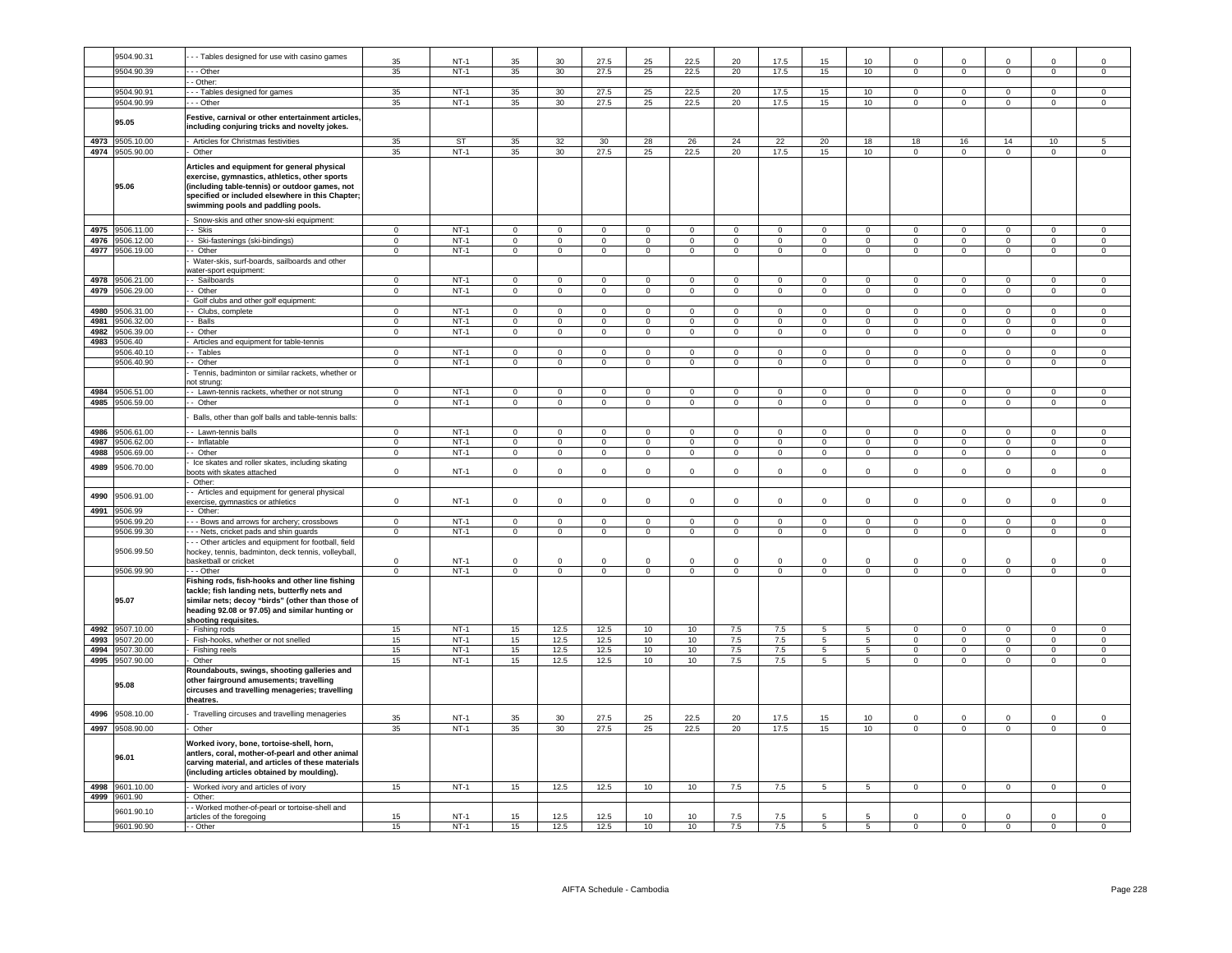|      | 9504.90.31      | - - Tables designed for use with casino games                                                                                                                                                                                            |                |                  |                | 30             | 27.5           | 25                  |                | 20             | 17.5           | 15             | 10               |                            |                            |                |                         |                     |
|------|-----------------|------------------------------------------------------------------------------------------------------------------------------------------------------------------------------------------------------------------------------------------|----------------|------------------|----------------|----------------|----------------|---------------------|----------------|----------------|----------------|----------------|------------------|----------------------------|----------------------------|----------------|-------------------------|---------------------|
|      | 9504.90.39      | . - - Other                                                                                                                                                                                                                              | 35<br>35       | $NT-1$<br>$NT-1$ | 35<br>35       | 30             | 27.5           | 25                  | 22.5<br>22.5   | 20             | 17.5           | 15             | 10               | $\Omega$<br>$\mathbf{0}$   | $\mathbf{0}$               | $\Omega$       | $\overline{0}$          | $\Omega$            |
|      |                 | - Other:                                                                                                                                                                                                                                 |                |                  |                |                |                |                     |                |                |                |                |                  |                            |                            |                |                         |                     |
|      | 9504.90.91      | --- Tables designed for games                                                                                                                                                                                                            | 35             | $NT-1$           | 35             | 30             | 27.5           | 25                  | 22.5           | 20             | 17.5           | 15             | 10               | $\overline{0}$             | $\overline{0}$             | $\mathbf 0$    | $\mathbf 0$             | $\mathbf 0$         |
|      | 9504.90.99      | - - - Other                                                                                                                                                                                                                              | 35             | $NT-1$           | 35             | 30             | 27.5           | 25                  | 22.5           | 20             | 17.5           | 15             | 10               | $\mathbf 0$                | $^{\circ}$                 | $\overline{0}$ | $\overline{0}$          | $^{\circ}$          |
|      | 95.05           | Festive, carnival or other entertainment articles,<br>including conjuring tricks and novelty jokes.                                                                                                                                      |                |                  |                |                |                |                     |                |                |                |                |                  |                            |                            |                |                         |                     |
| 4973 | 9505.10.00      | Articles for Christmas festivities                                                                                                                                                                                                       | 35             | ST               | 35             | 32             | 30             | 28                  | 26             | 24             | 22             | 20             | 18               | 18                         | 16                         | 14             | 10                      | 5 <sup>5</sup>      |
| 4974 | 9505.90.00      | Other                                                                                                                                                                                                                                    | 35             | $NT-1$           | 35             | 30             | 27.5           | 25                  | 22.5           | 20             | 17.5           | 15             | 10               | $\overline{0}$             | $\overline{0}$             | $\overline{0}$ | $\overline{0}$          | $\overline{0}$      |
|      | 95.06           | Articles and equipment for general physical<br>exercise, gymnastics, athletics, other sports<br>(including table-tennis) or outdoor games, not<br>specified or included elsewhere in this Chapter;<br>swimming pools and paddling pools. |                |                  |                |                |                |                     |                |                |                |                |                  |                            |                            |                |                         |                     |
|      |                 | - Snow-skis and other snow-ski equipment:                                                                                                                                                                                                |                |                  |                |                |                |                     |                |                |                |                |                  |                            |                            |                |                         |                     |
| 4975 | 9506.11.00      | -- Skis                                                                                                                                                                                                                                  | $\mathbf 0$    | $NT-1$           | $\circ$        | $\mathbf 0$    | $\mathbf{0}$   | $\mathbf 0$         | $\mathbf 0$    | $\mathbf 0$    | $\mathbf 0$    | $\mathbf 0$    | $\circ$          | $\mathbf 0$                | $\mathbf 0$                | $\mathbf 0$    | $\mathbf 0$             | $\mathbf 0$         |
|      | 4976 9506.12.00 | - - Ski-fastenings (ski-bindings)                                                                                                                                                                                                        | $\overline{0}$ | <b>NT-1</b>      | $\overline{0}$ | $\overline{0}$ | $\overline{0}$ | $\mathbf{0}$        | $\overline{0}$ | $\mathbf{0}$   | $\overline{0}$ | $\mathsf 0$    | $\overline{0}$   | $\overline{0}$             | $\overline{0}$             | $\circ$        | $\overline{0}$          | $\mathbf{0}$        |
|      | 4977 9506.19.00 | - Other                                                                                                                                                                                                                                  | $\mathbf 0$    | $NT-1$           | $\mathbf{0}$   | $\circ$        | $\overline{0}$ | $\mathsf{O}\xspace$ | $\overline{0}$ | $\mathbf{0}$   | $\overline{0}$ | $\mathsf 0$    | $\mathbf{0}$     | $\mathsf 0$                | $^{\circ}$                 | $\mathbf 0$    | $\mathbf 0$             | $\mathbf{0}$        |
|      | 4978 9506.21.00 | Water-skis, surf-boards, sailboards and other<br>vater-sport equipment:<br>-- Sailboards                                                                                                                                                 | $\overline{0}$ | $NT-1$           | $\mathbf 0$    | $\Omega$       | $^{\circ}$     | $\mathbf{0}$        | $\overline{0}$ | $\mathbf{0}$   | $\overline{0}$ | $\mathbf 0$    | $\mathbf 0$      | $^{\circ}$                 | $\overline{0}$             | $^{\circ}$     | $\Omega$                | $\Omega$            |
| 4979 | 9506.29.00      | - Other                                                                                                                                                                                                                                  | $\mathbf 0$    | $NT-1$           | $\overline{0}$ | $\overline{0}$ | $\overline{0}$ | $\overline{0}$      | $\overline{0}$ | $\overline{0}$ | $\overline{0}$ | $\overline{0}$ | $\overline{0}$   | $\overline{0}$             | $\overline{0}$             | $\mathbf 0$    | $\Omega$                | $\circ$             |
|      |                 | Golf clubs and other golf equipment:                                                                                                                                                                                                     |                |                  |                |                |                |                     |                |                |                |                |                  |                            |                            |                |                         |                     |
| 4980 | 3506.31.00      | - Clubs, complete                                                                                                                                                                                                                        | $\overline{0}$ | $NT-1$           | $\overline{0}$ | $\Omega$       | $\overline{0}$ | $\overline{0}$      | $\overline{0}$ | $\overline{0}$ | $\overline{0}$ | $\Omega$       | $\Omega$         | $\overline{0}$             | $\overline{0}$             | $\Omega$       | $\Omega$                | $\Omega$            |
| 4981 | 3506.32.00      | - Balls                                                                                                                                                                                                                                  | $\mathbf 0$    | $NT-1$           | $\mathbf 0$    | $\mathbf 0$    | $\mathbf 0$    | $\mathbf 0$         | $\mathbf 0$    | $\mathbf 0$    | $\mathbf 0$    | $\mathbf 0$    | $\Omega$         | $\mathbf{0}$               | $\mathbf 0$                | $\Omega$       | $\mathbf 0$             | $\circ$             |
| 4982 | 9506.39.00      | -- Other                                                                                                                                                                                                                                 | $\overline{0}$ | $NT-1$           | $\Omega$       | $\Omega$       | $\mathbf 0$    | $\overline{0}$      | $\mathbf 0$    | $\overline{0}$ | $\mathsf 0$    | $\mathsf 0$    | $\Omega$         | $\overline{0}$             | $\mathbf 0$                | $\Omega$       | $\Omega$                | $\mathbf 0$         |
| 4983 | 9506.40         | Articles and equipment for table-tennis                                                                                                                                                                                                  |                |                  |                |                |                |                     |                |                |                |                |                  |                            |                            |                |                         |                     |
|      | 9506.40.10      | - Tables                                                                                                                                                                                                                                 | $\mathsf 0$    | $NT-1$           | $\mathsf 0$    | $\mathbf 0$    | $\mathsf 0$    | $\mathsf 0$         | $\mathbf 0$    | $\mathsf 0$    | $\mathbf 0$    | $\mathbf 0$    | $\mathbf 0$      | $\mathbf 0$                | $\mathbf 0$                | $\mathbf 0$    | $\mathbf 0$             | $\mathbf 0$         |
|      | 9506.40.90      | - Other                                                                                                                                                                                                                                  | $\mathbf{0}$   | <b>NT-1</b>      | $\overline{0}$ | $\circ$        | $\mathbf{0}$   | $\mathbf 0$         | $\overline{0}$ | $\overline{0}$ | $\overline{0}$ | $\mathsf 0$    | $\overline{0}$   | $\mathbf{0}$               | $\overline{0}$             | $\mathbf{0}$   | $\circ$                 | $\overline{0}$      |
|      |                 | Tennis, badminton or similar rackets, whether or                                                                                                                                                                                         |                |                  |                |                |                |                     |                |                |                |                |                  |                            |                            |                |                         |                     |
|      |                 | ot strung:                                                                                                                                                                                                                               |                |                  |                |                |                |                     |                |                |                |                |                  |                            |                            |                |                         |                     |
| 4984 | 9506.51.00      | - Lawn-tennis rackets, whether or not strung                                                                                                                                                                                             | $\mathsf 0$    | $NT-1$           | $\mathsf 0$    | $\mathsf 0$    | $\mathbf 0$    | $\mathsf 0$         | $\,0\,$        | $\mathsf 0$    | $\mathbf 0$    | $\mathsf 0$    | $\mathsf 0$      | $\mathsf 0$                | $\mathsf 0$                | $^{\circ}$     | $\mathsf 0$             | $\mathbf 0$         |
|      | 4985 9506.59.00 | - Other                                                                                                                                                                                                                                  | $\mathbf 0$    | $NT-1$           | $\overline{0}$ | $\mathbf 0$    | $\overline{0}$ | $\overline{0}$      | $\overline{0}$ | $\mathbf{0}$   | $\overline{0}$ | $\mathbf{0}$   | $\overline{0}$   | $\overline{0}$             | $^{\circ}$                 | $^{\circ}$     | $^{\circ}$              | $\mathbf{0}$        |
|      |                 | Balls, other than golf balls and table-tennis balls:                                                                                                                                                                                     |                |                  |                |                |                |                     |                |                |                |                |                  |                            |                            |                |                         |                     |
| 4986 | 3506.61.00      | - - Lawn-tennis balls                                                                                                                                                                                                                    | $\mathbf 0$    | $NT-1$           | $\mathbf 0$    | $^{\circ}$     | $\mathbf{0}$   | $\mathbf 0$         | $\overline{0}$ | $\mathbf{0}$   | $\overline{0}$ | $\mathbf 0$    | $^{\circ}$       | $\mathbf{0}$               | $^{\circ}$                 | $^{\circ}$     | $\mathbf 0$             | $\mathbf{0}$        |
| 4987 | 9506.62.00      | - Inflatable                                                                                                                                                                                                                             | $\overline{0}$ | $NT-1$           | $\mathbf 0$    | $\circ$        | $\overline{0}$ | $\circ$             | $\overline{0}$ | $\circ$        | $\overline{0}$ | $\mathbf 0$    | $\circ$          | $\mathbf{0}$               | $\mathbf{0}$               | $\mathbf 0$    | $\mathbf{0}$            | $\circ$             |
| 4988 | 9506.69.00      | -- Other                                                                                                                                                                                                                                 | $\overline{0}$ | $NT-1$           | $\overline{0}$ | $\overline{0}$ | $\overline{0}$ | $\overline{0}$      | $\overline{0}$ | $\overline{0}$ | $\overline{0}$ | $\mathsf 0$    | $\overline{0}$   | $\overline{0}$             | $\overline{0}$             | $\overline{0}$ | $\overline{0}$          | $\overline{0}$      |
| 4989 | 9506.70.00      | Ice skates and roller skates, including skating<br>oots with skates attached                                                                                                                                                             | $\mathbf 0$    | $NT-1$           | $\mathsf 0$    | $\mathbf 0$    | $\mathbf 0$    | $\mathbf 0$         | $\mathbf 0$    | $\mathsf 0$    | $\mathbf 0$    | $\mathbf 0$    | $\mathsf 0$      | $\mathbf 0$                | $\mathbf 0$                | $\mathbf 0$    | $\mathbf 0$             | $\mathsf 0$         |
|      |                 | Other:                                                                                                                                                                                                                                   |                |                  |                |                |                |                     |                |                |                |                |                  |                            |                            |                |                         |                     |
| 4990 | 9506.91.00      | - Articles and equipment for general physical<br>exercise, gymnastics or athletics                                                                                                                                                       | $\Omega$       | $NT-1$           | $\Omega$       |                | $\Omega$       | $\Omega$            | $\Omega$       | $\Omega$       | $\Omega$       | $\Omega$       | $\Omega$         | $\Omega$                   | $\Omega$                   | $\Omega$       |                         | $\Omega$            |
| 4991 | 9506.99         | - Other:                                                                                                                                                                                                                                 |                |                  |                |                |                |                     |                |                |                |                |                  |                            |                            |                |                         |                     |
|      | 9506.99.20      | -- Bows and arrows for archery; crossbows                                                                                                                                                                                                | $\mathsf 0$    | $NT-1$           | $\overline{0}$ | $\mathsf 0$    | $\overline{0}$ | $\mathbf 0$         | $\overline{0}$ | $\mathsf 0$    | $\overline{0}$ | $\mathsf 0$    | $\mathbf 0$      | $\mathbf 0$                | $\overline{0}$             | $\mathbf 0$    | $\mathbf 0$             | $\mathsf 0$         |
|      | 9506.99.30      | - - Nets, cricket pads and shin guards                                                                                                                                                                                                   | $\Omega$       | $NT-1$           | $\overline{0}$ | $\overline{0}$ | $\overline{0}$ | $\mathbf 0$         | $\overline{0}$ | $\circ$        | $\mathbf{0}$   | 0              | $\overline{0}$   | $\mathbf 0$                | $^{\circ}$                 | $^{\circ}$     | $\mathbf{0}$            | $\mathbf{0}$        |
|      |                 | - - Other articles and equipment for football, field                                                                                                                                                                                     |                |                  |                |                |                |                     |                |                |                |                |                  |                            |                            |                |                         |                     |
|      | 9506.99.50      | nockey, tennis, badminton, deck tennis, volleyball,                                                                                                                                                                                      |                |                  |                |                |                |                     |                |                |                |                |                  |                            |                            |                |                         |                     |
|      |                 | basketball or cricket                                                                                                                                                                                                                    | $\Omega$       | $NT-1$           | $\mathbf 0$    | $\Omega$       | $\Omega$       | $\Omega$            | $\mathbf{0}$   | $\Omega$       | $\Omega$       | $\Omega$       | $\mathsf 0$      | $\Omega$                   | $\Omega$                   | $\Omega$       | $\Omega$                | $\Omega$            |
|      | 9506.99.90      | --- Other                                                                                                                                                                                                                                | $\Omega$       | $NT-1$           | $\mathbf 0$    | $\mathsf 0$    | $\overline{0}$ | $\overline{0}$      | $\overline{0}$ | $\overline{0}$ | $\overline{0}$ | $\mathsf 0$    | $\,0\,$          | $\Omega$                   | $\overline{0}$             | $\Omega$       | $\mathbf 0$             | $\mathsf{O}\xspace$ |
|      | 95.07           | Fishing rods, fish-hooks and other line fishing<br>tackle; fish landing nets, butterfly nets and<br>similar nets; decoy "birds" (other than those of<br>heading 92.08 or 97.05) and similar hunting or<br>shooting requisites.           |                |                  |                |                |                |                     |                |                |                |                |                  |                            |                            |                |                         |                     |
| 4992 | 9507.10.00      | - Fishing rods                                                                                                                                                                                                                           | 15             | $NT-1$           | 15             | 12.5           | 12.5           | 10                  | 10             | 7.5            | 7.5            | 5              | 5                | $\Omega$                   | $\overline{0}$             | $\Omega$       | $\Omega$                | $\mathsf 0$         |
| 4993 | 9507.20.00      | Fish-hooks, whether or not snelled                                                                                                                                                                                                       | 15             | $NT-1$           | 15             | 12.5           | 12.5           | 10                  | 10             | 7.5            | 7.5            | 5              | 5                | $\overline{0}$             | $\overline{0}$             | $\overline{0}$ | $\overline{0}$          | $\overline{0}$      |
| 4994 | 3507.30.00      | Fishing reels                                                                                                                                                                                                                            | 15             | $NT-1$           | 15             | 12.5           | 12.5           | 10                  | 10             | 7.5            | 7.5            | 5              | $\overline{5}$   | $\overline{0}$             | $\overline{0}$             | $\overline{0}$ | $\overline{0}$          | $\overline{0}$      |
| 4995 | 9507.90.00      | Other                                                                                                                                                                                                                                    | 15             | $NT-1$           | 15             | 12.5           | 12.5           | 10                  | 10             | 7.5            | 7.5            | 5              | 5                | $\mathsf 0$                | $\mathbf 0$                | $\Omega$       | $\mathsf 0$             | $\Omega$            |
|      | 95.08           | Roundabouts, swings, shooting galleries and<br>other fairground amusements; travelling<br>circuses and travelling menageries; travelling<br>theatres.                                                                                    |                |                  |                |                |                |                     |                |                |                |                |                  |                            |                            |                |                         |                     |
| 4996 | 9508.10.00      | Travelling circuses and travelling menageries                                                                                                                                                                                            | 35             | $NT-1$           | 35             | 30             | 27.5           | 25                  | 22.5           | 20             | 17.5           | 15             | 10               | $\mathbf 0$                | $\mathbf 0$                |                |                         | $\mathbf 0$         |
|      | 4997 9508.90.00 | Other                                                                                                                                                                                                                                    | 35             | <b>NT-1</b>      | 35             | 30             | 27.5           | 25                  | 22.5           | 20             | 17.5           | 15             | 10 <sup>10</sup> | $\overline{0}$             | $\overline{0}$             | $\overline{0}$ | $\overline{0}$          | $\overline{0}$      |
|      | 96.01           | Worked ivory, bone, tortoise-shell, horn,<br>antlers, coral, mother-of-pearl and other animal<br>carving material, and articles of these materials<br>(including articles obtained by moulding).                                         |                |                  |                |                |                |                     |                |                |                |                |                  |                            |                            |                |                         |                     |
|      | 4998 9601.10.00 | - Worked ivory and articles of ivory                                                                                                                                                                                                     | 15             | $NT-1$           | 15             | 12.5           | 12.5           | 10                  | 10             | 7.5            | 7.5            | 5              | 5                | $\mathbf 0$                | $\circ$                    | $\mathbf 0$    | $\mathbf 0$             | $\mathbf 0$         |
|      | 4999 9601.90    | Other:                                                                                                                                                                                                                                   |                |                  |                |                |                |                     |                |                |                |                |                  |                            |                            |                |                         |                     |
|      | 9601.90.10      | - Worked mother-of-pearl or tortoise-shell and                                                                                                                                                                                           |                |                  |                |                |                |                     |                |                |                |                |                  |                            |                            |                |                         |                     |
|      |                 | rticles of the foregoing                                                                                                                                                                                                                 | 15             | $NT-1$           | 15             | 12.5           | 12.5           | 10                  | $10$           | 7.5            | 7.5            | 5              | 5                | $\mathbf 0$<br>$\mathbf 0$ | $\mathbf 0$<br>$\mathbf 0$ | $\mathbf 0$    | $\mathbf 0$<br>$\Omega$ | $\mathbf 0$         |
|      | 9601.90.90      | - Other                                                                                                                                                                                                                                  | 15             | $NT-1$           | 15             | 12.5           | 12.5           | 10                  | 10             | 7.5            | 7.5            |                | 5                |                            |                            | $^{\circ}$     |                         |                     |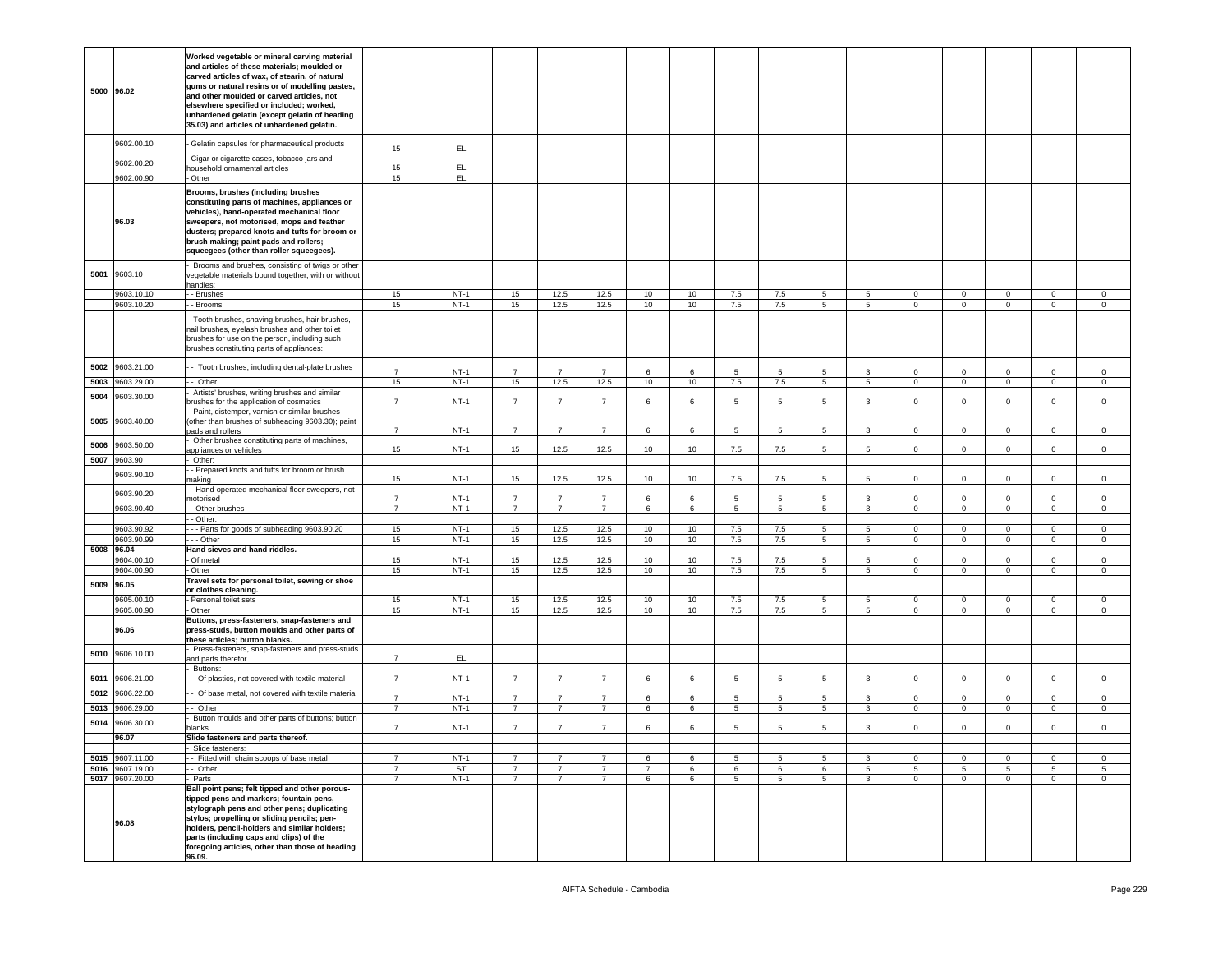|            | 5000 96.02               | Worked vegetable or mineral carving material<br>and articles of these materials; moulded or<br>carved articles of wax, of stearin, of natural<br>gums or natural resins or of modelling pastes,<br>and other moulded or carved articles, not<br>elsewhere specified or included; worked,<br>unhardened gelatin (except gelatin of heading<br>35.03) and articles of unhardened gelatin. |                                  |                     |                                  |                                  |                                  |                |                  |                 |                      |                               |                                  |                            |                               |                               |                               |                               |
|------------|--------------------------|-----------------------------------------------------------------------------------------------------------------------------------------------------------------------------------------------------------------------------------------------------------------------------------------------------------------------------------------------------------------------------------------|----------------------------------|---------------------|----------------------------------|----------------------------------|----------------------------------|----------------|------------------|-----------------|----------------------|-------------------------------|----------------------------------|----------------------------|-------------------------------|-------------------------------|-------------------------------|-------------------------------|
|            | 9602.00.10               | Gelatin capsules for pharmaceutical products                                                                                                                                                                                                                                                                                                                                            | 15                               | EL.                 |                                  |                                  |                                  |                |                  |                 |                      |                               |                                  |                            |                               |                               |                               |                               |
|            | 9602.00.20               | Cigar or cigarette cases, tobacco jars and                                                                                                                                                                                                                                                                                                                                              |                                  |                     |                                  |                                  |                                  |                |                  |                 |                      |                               |                                  |                            |                               |                               |                               |                               |
|            | 9602.00.90               | nousehold ornamental articles<br>Other                                                                                                                                                                                                                                                                                                                                                  | 15<br>15                         | EL.<br>EL.          |                                  |                                  |                                  |                |                  |                 |                      |                               |                                  |                            |                               |                               |                               |                               |
|            | 96.03                    | Brooms, brushes (including brushes<br>constituting parts of machines, appliances or<br>vehicles), hand-operated mechanical floor<br>sweepers, not motorised, mops and feather<br>dusters; prepared knots and tufts for broom or<br>brush making; paint pads and rollers;<br>squeegees (other than roller squeegees).                                                                    |                                  |                     |                                  |                                  |                                  |                |                  |                 |                      |                               |                                  |                            |                               |                               |                               |                               |
| 5001       | 9603.10                  | Brooms and brushes, consisting of twigs or other<br>vegetable materials bound together, with or without<br>andles:                                                                                                                                                                                                                                                                      |                                  |                     |                                  |                                  |                                  |                |                  |                 |                      |                               |                                  |                            |                               |                               |                               |                               |
|            | 9603.10.10<br>9603.10.20 | - Brushes<br>- Brooms                                                                                                                                                                                                                                                                                                                                                                   | 15<br>15                         | $NT-1$<br>$NT-1$    | 15<br>15                         | 12.5<br>12.5                     | 12.5<br>12.5                     | 10<br>10       | 10<br>10         | 7.5<br>7.5      | $7.5\,$<br>7.5       | 5<br>5                        | -5<br>$5\overline{)}$            | $^{\circ}$<br>$\Omega$     | $\mathbf 0$<br>$\overline{0}$ | $\mathbf 0$<br>$\overline{0}$ | 0<br>$\circ$                  | 0<br>$\circ$                  |
|            |                          | Tooth brushes, shaving brushes, hair brushes,<br>hail brushes, eyelash brushes and other toilet<br>brushes for use on the person, including such<br>brushes constituting parts of appliances:                                                                                                                                                                                           |                                  |                     |                                  |                                  |                                  |                |                  |                 |                      |                               |                                  |                            |                               |                               |                               |                               |
| 5002       | 9603.21.00               | - Tooth brushes, including dental-plate brushes                                                                                                                                                                                                                                                                                                                                         | $\overline{7}$                   | $NT-1$              | $\overline{7}$                   | $\overline{7}$                   | $\overline{7}$                   | 6              | 6                | 5.              | $5^{\circ}$          | 5.                            | $\mathbf{3}$                     | $\Omega$                   | $\Omega$                      | $\Omega$                      | $\Omega$                      | $\mathbf 0$                   |
| 5003       | 0603.29.00               | - Other<br>Artists' brushes, writing brushes and similar                                                                                                                                                                                                                                                                                                                                | 15                               | $NT-1$              | 15                               | 12.5                             | 12.5                             | 10             | 10               | 7.5             | 7.5                  | $\overline{5}$                | 5                                | $\overline{0}$             | $\overline{0}$                | $\overline{0}$                | $\overline{0}$                | $\overline{0}$                |
| 5004       | 9603.30.00               | rushes for the application of cosmetics                                                                                                                                                                                                                                                                                                                                                 | $\overline{7}$                   | $NT-1$              | $\overline{7}$                   | $\overline{7}$                   | $\overline{7}$                   | 6              | 6                | 5               | 5                    | 5                             | $\mathbf{3}$                     | $\mathbf 0$                | $\mathbf 0$                   | $\mathbf{0}$                  | $\mathbf 0$                   | $\mathbf 0$                   |
| 5005       | 9603.40.00               | Paint, distemper, varnish or similar brushes<br>(other than brushes of subheading 9603.30); paint<br>bads and rollers                                                                                                                                                                                                                                                                   | $\overline{7}$                   | $NT-1$              | $\overline{7}$                   | $\overline{7}$                   | $\overline{7}$                   | 6              | 6                | 5               | 5                    | 5                             | 3                                | $\mathsf 0$                | $\mathsf 0$                   | $\mathsf 0$                   | $\Omega$                      | $\mathsf 0$                   |
| 5006       | 9603.50.00               | Other brushes constituting parts of machines,                                                                                                                                                                                                                                                                                                                                           |                                  |                     |                                  |                                  |                                  |                |                  |                 |                      |                               |                                  |                            |                               |                               |                               |                               |
|            | 5007 9603.90             | appliances or vehicles<br>Other:                                                                                                                                                                                                                                                                                                                                                        | 15                               | $NT-1$              | 15                               | 12.5                             | 12.5                             | 10             | 10               | 7.5             | 7.5                  |                               | 5                                | $\Omega$                   | $\Omega$                      | $\Omega$                      | $\Omega$                      | $\Omega$                      |
|            | 9603.90.10               | - Prepared knots and tufts for broom or brush                                                                                                                                                                                                                                                                                                                                           |                                  |                     |                                  |                                  |                                  |                |                  |                 |                      |                               |                                  |                            |                               |                               |                               |                               |
|            | 9603.90.20               | naking<br>- Hand-operated mechanical floor sweepers, not                                                                                                                                                                                                                                                                                                                                | 15                               | $NT-1$              | 15 <sub>15</sub>                 | 12.5                             | 12.5                             | 10             | 10               | $7.5\,$         | $7.5\,$              | 5                             | $5\phantom{.0}$                  | $\mathbf 0$                | $\mathbf 0$                   | $\mathbf{0}$                  | $\mathbf 0$                   | $\mathbf 0$                   |
|            | 9603.90.40               | notorised<br>- Other brushes                                                                                                                                                                                                                                                                                                                                                            | $\overline{7}$<br>$\overline{7}$ | $NT-1$<br>$NT-1$    | $\overline{7}$<br>$\overline{7}$ | $\overline{7}$<br>$7^{\circ}$    | $\overline{7}$<br>7              | 6              | 6                | $5\phantom{.0}$ | 5<br>$5\overline{5}$ | 5 <sub>5</sub>                | 3<br>$\overline{3}$              | $\Omega$<br>$\overline{0}$ | $\Omega$<br>$\overline{0}$    | $\Omega$<br>$\overline{0}$    | $\Omega$<br>$\overline{0}$    | $\mathsf 0$<br>$\overline{0}$ |
|            |                          | - Other:                                                                                                                                                                                                                                                                                                                                                                                |                                  |                     |                                  |                                  |                                  |                |                  |                 |                      |                               |                                  |                            |                               |                               |                               |                               |
|            | 603.90.92<br>603.90.99   | - - Parts for goods of subheading 9603.90.20<br>- - Other                                                                                                                                                                                                                                                                                                                               | 15<br>15                         | $NT-1$<br>$NT-1$    | 15<br>15                         | 12.5<br>12.5                     | 12.5<br>12.5                     | 10<br>10       | 10<br>10         | 7.5<br>7.5      | 7.5<br>7.5           | $5^{\circ}$<br>$\overline{5}$ | $5\overline{5}$<br>5             | $\Omega$<br>$\mathsf 0$    | $\overline{0}$<br>$\mathsf 0$ | $\overline{0}$<br>$\circ$     | $\overline{0}$<br>$\mathsf 0$ | $\overline{0}$<br>$\mathsf 0$ |
| 5008 96.04 |                          | Hand sieves and hand riddles.                                                                                                                                                                                                                                                                                                                                                           |                                  |                     |                                  |                                  |                                  |                |                  |                 |                      |                               |                                  |                            |                               |                               |                               |                               |
|            | 9604.00.10               | - Of metal                                                                                                                                                                                                                                                                                                                                                                              | 15                               | $NT-1$              | 15                               | 12.5                             | 12.5                             | 10             | 10               | 7.5             | 7.5                  | 5                             | $\overline{5}$                   | $\Omega$                   | $\mathsf 0$                   | $\mathsf 0$                   | $\mathsf 0$                   | 0                             |
|            | 9604.00.90               | Other<br>Travel sets for personal toilet, sewing or shoe                                                                                                                                                                                                                                                                                                                                | 15                               | $NT-1$              | 15                               | 12.5                             | 12.5                             | 10             | 10               | 7.5             | 7.5                  | 5                             | $5\overline{)}$                  | $\overline{0}$             | $\overline{0}$                | $\overline{0}$                | $\overline{0}$                | $\overline{0}$                |
| 5009       | 96.05                    | or clothes cleaning.                                                                                                                                                                                                                                                                                                                                                                    |                                  |                     |                                  |                                  |                                  |                |                  |                 |                      |                               |                                  |                            |                               |                               |                               |                               |
|            | 9605.00.10<br>9605.00.90 | Personal toilet sets<br>Other                                                                                                                                                                                                                                                                                                                                                           | 15<br>15                         | $NT-1$<br>$NT-1$    | 15<br>15                         | 12.5<br>12.5                     | 12.5<br>12.5                     | 10<br>10       | 10<br>10         | 7.5<br>7.5      | 7.5<br>7.5           | 5<br>5                        | 5<br>$5^{\circ}$                 | $\circ$<br>$\Omega$        | $\overline{0}$<br>$\mathbf 0$ | $\overline{0}$<br>$\mathbf 0$ | $\overline{0}$<br>$\mathbf 0$ | $\overline{0}$<br>$\mathbf 0$ |
|            | 96.06                    | Buttons, press-fasteners, snap-fasteners and<br>press-studs, button moulds and other parts of                                                                                                                                                                                                                                                                                           |                                  |                     |                                  |                                  |                                  |                |                  |                 |                      |                               |                                  |                            |                               |                               |                               |                               |
|            |                          | these articles; button blanks.<br>Press-fasteners, snap-fasteners and press-studs                                                                                                                                                                                                                                                                                                       |                                  |                     |                                  |                                  |                                  |                |                  |                 |                      |                               |                                  |                            |                               |                               |                               |                               |
| 5010       | 9606.10.00               | ind parts therefor                                                                                                                                                                                                                                                                                                                                                                      | $\overline{7}$                   | EL.                 |                                  |                                  |                                  |                |                  |                 |                      |                               |                                  |                            |                               |                               |                               |                               |
| 5011       | 9606.21.00               | Buttons:<br>- Of plastics, not covered with textile material                                                                                                                                                                                                                                                                                                                            | $\overline{7}$                   | $NT-1$              | $\overline{7}$                   | $\overline{7}$                   | $\overline{7}$                   | 6              | 6                | $\overline{5}$  | $\overline{5}$       | $\overline{5}$                | $\overline{\mathbf{3}}$          | $\overline{0}$             | $\overline{0}$                | $\overline{0}$                | $\overline{0}$                | $\overline{0}$                |
|            |                          |                                                                                                                                                                                                                                                                                                                                                                                         |                                  |                     |                                  |                                  |                                  |                |                  |                 |                      |                               |                                  |                            |                               |                               |                               |                               |
| 5012       | 9606.22.00<br>9606.29.00 | - Of base metal, not covered with textile material<br>- Other                                                                                                                                                                                                                                                                                                                           | $\overline{7}$<br>$\overline{7}$ | $NT-1$<br>$NT-1$    | $\overline{7}$                   | $\overline{7}$                   | $\overline{7}$                   | 6              | 6                | 5               | 5                    | 5                             | $\mathbf{3}$                     | $\mathsf 0$                | $\mathsf 0$                   | $\mathsf 0$                   | $\mathsf 0$                   | $\mathsf 0$                   |
| 5013       |                          | Button moulds and other parts of buttons; button                                                                                                                                                                                                                                                                                                                                        |                                  |                     | $\overline{7}$                   | $\overline{7}$                   | $\overline{7}$                   | 6              | 6                | 5               | 5                    | 5                             | 3                                | $\mathbf 0$                | $\mathbf 0$                   | $\mathbf{0}$                  | $\mathbf 0$                   | $\mathbf 0$                   |
| 5014       | 9606.30.00               | <b>Janks</b>                                                                                                                                                                                                                                                                                                                                                                            | $\overline{7}$                   | $NT-1$              | $\overline{7}$                   | $\overline{7}$                   | $\overline{7}$                   | 6              | 6                | 5               | $\overline{5}$       | 5                             | $\mathbf{3}$                     | $\Omega$                   | $\Omega$                      | $\Omega$                      | $\mathbf{0}$                  | $\mathsf 0$                   |
|            | 96.07                    | Slide fasteners and parts thereof.<br>Slide fasteners:                                                                                                                                                                                                                                                                                                                                  |                                  |                     |                                  |                                  |                                  |                |                  |                 |                      |                               |                                  |                            |                               |                               |                               |                               |
| 5015       | 9607.11.00               | - Fitted with chain scoops of base metal                                                                                                                                                                                                                                                                                                                                                | $\overline{7}$                   | $NT-1$              | $\overline{7}$                   | $\overline{7}$                   | $\overline{7}$                   | 6              | 6                | 5               | 5                    | -5                            | 3                                | $\Omega$                   | $\Omega$                      | $\mathbf{0}$                  | $\mathsf 0$                   | $\overline{0}$                |
| 5016       | 9607.19.00               | - Other                                                                                                                                                                                                                                                                                                                                                                                 | $\overline{7}$<br>$\overline{7}$ | <b>ST</b><br>$NT-1$ | $\overline{7}$<br>$\overline{7}$ | $\overline{7}$<br>$\overline{7}$ | $\overline{7}$<br>$\overline{7}$ | $\overline{7}$ | 6<br>$6^{\circ}$ | 6<br>5          | 6                    | 6<br>$5^{\circ}$              | $\overline{5}$<br>$\overline{3}$ | 5<br>$\Omega$              | $\overline{5}$                | $5\overline{)}$               | $\overline{5}$                | $\overline{5}$<br>$\mathbf 0$ |
|            | 5017 9607.20.00          | Parts<br>Ball point pens; felt tipped and other porous-                                                                                                                                                                                                                                                                                                                                 |                                  |                     |                                  |                                  |                                  | 6              |                  |                 | $\sqrt{5}$           |                               |                                  |                            | $\mathsf{O}\xspace$           | $\mathsf 0$                   | $\mathsf{O}\xspace$           |                               |
|            | 96.08                    | tipped pens and markers; fountain pens,<br>stylograph pens and other pens; duplicating<br>stylos; propelling or sliding pencils; pen-<br>holders, pencil-holders and similar holders;<br>parts (including caps and clips) of the<br>foregoing articles, other than those of heading<br>96.09.                                                                                           |                                  |                     |                                  |                                  |                                  |                |                  |                 |                      |                               |                                  |                            |                               |                               |                               |                               |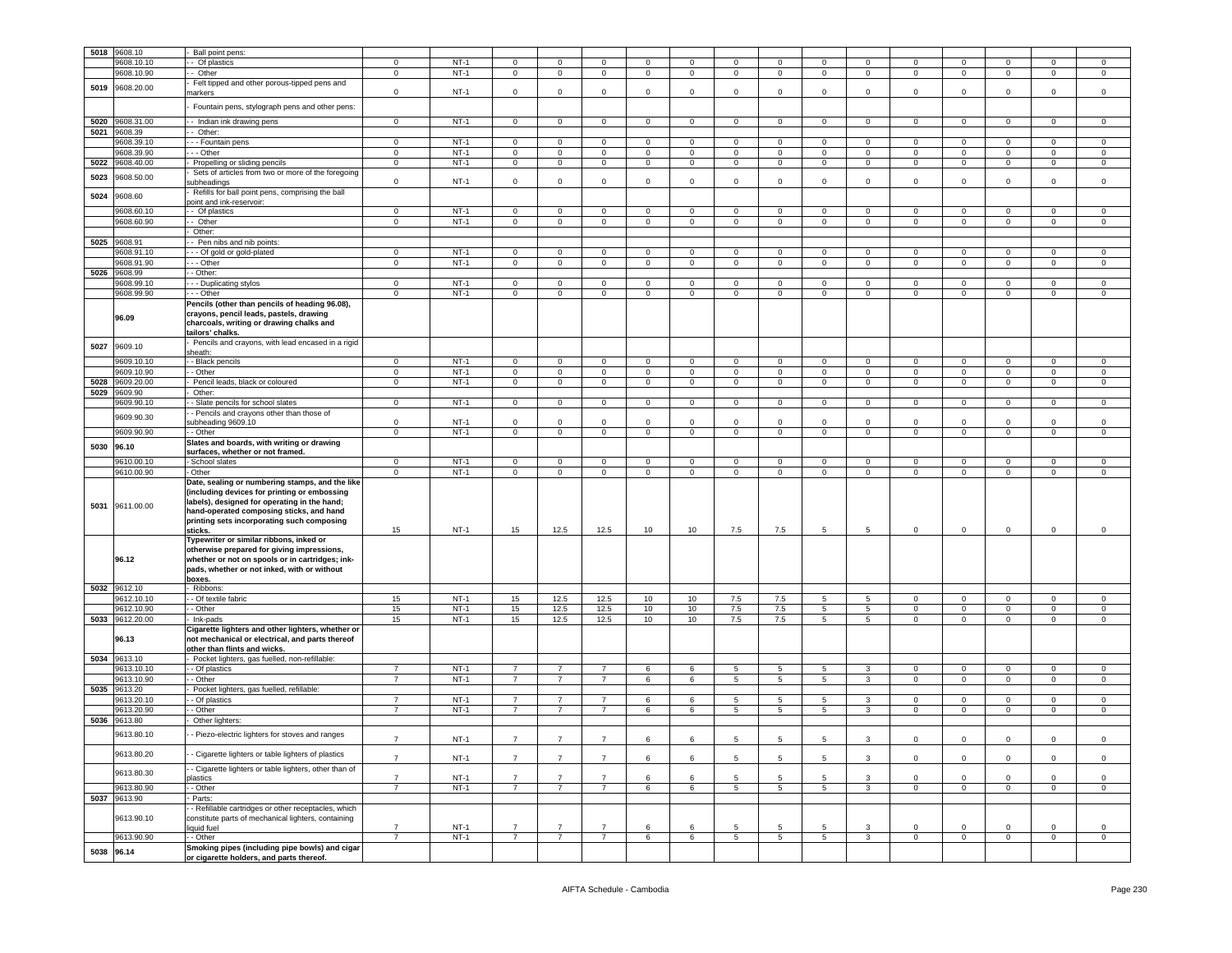| 5018 | 9608.10      | Ball point pens:                                                                           |                |        |                         |                     |                |                |                |                |                 |                 |                |                |                |                |                |                |
|------|--------------|--------------------------------------------------------------------------------------------|----------------|--------|-------------------------|---------------------|----------------|----------------|----------------|----------------|-----------------|-----------------|----------------|----------------|----------------|----------------|----------------|----------------|
|      | 9608.10.10   | - Of plastics                                                                              | $^{\circ}$     | NT-1   | $^{\circ}$              | $\circ$             | $\mathbf 0$    | $\mathbf 0$    | $^{\circ}$     | $\circ$        | $\mathbf 0$     | $^{\circ}$      | $^{\circ}$     | $\mathbf{0}$   | $\mathbf 0$    | $^{\circ}$     | $\mathbf 0$    | 0              |
|      | 9608.10.90   | Other                                                                                      | $\mathbf 0$    | $NT-1$ | $\mathbf 0$             | $\mathbf 0$         | $\mathbf 0$    | $\circ$        | $\mathbf{0}$   | $\mathbf 0$    | $\mathbf 0$     | $\mathbf 0$     | $\mathbf 0$    | $\mathbf{0}$   | $\mathbf 0$    | $\mathbf 0$    | $\mathbf 0$    | $\mathsf 0$    |
|      |              | Felt tipped and other porous-tipped pens and                                               |                |        |                         |                     |                |                |                |                |                 |                 |                |                |                |                |                |                |
| 5019 | 9608.20.00   | narkers                                                                                    | $\mathsf 0$    | $NT-1$ | $\mathbf 0$             | $\circ$             | $\circ$        | $\mathbf 0$    | $\mathbf 0$    | $\Omega$       | $\mathbf 0$     | $\mathbf 0$     | $\mathsf 0$    | $\mathbf 0$    | $\mathbf 0$    | $\circ$        | $\circ$        | $\mathbf 0$    |
|      |              |                                                                                            |                |        |                         |                     |                |                |                |                |                 |                 |                |                |                |                |                |                |
|      |              | Fountain pens, stylograph pens and other pens:                                             |                |        |                         |                     |                |                |                |                |                 |                 |                |                |                |                |                |                |
|      |              |                                                                                            |                |        |                         |                     |                |                |                |                |                 |                 |                |                |                |                |                |                |
| 5020 | 9608.31.00   | - Indian ink drawing pens                                                                  | $\mathbf 0$    | $NT-1$ | $\mathbf{0}$            | $\mathbf{0}$        | $\mathbf 0$    | $\mathbf{0}$   | $\mathbf 0$    | 0              | $\mathbf 0$     | $\mathbf 0$     | $\mathbf 0$    | $\mathbf{0}$   | $\mathbf{0}$   | $\mathbf 0$    | $\mathbf 0$    | 0              |
| 5021 | 9608.39      | - Other:                                                                                   |                |        |                         |                     |                |                |                |                |                 |                 |                |                |                |                |                |                |
|      | 9608.39.10   | - - Fountain pens                                                                          | $\mathbf 0$    | $NT-1$ | $\mathbf 0$             | $\circ$             | $\mathbf{0}$   | $\mathbf 0$    | $\mathbf 0$    | 0              | 0               | 0               | $\circ$        | $\mathbf{0}$   | $\mathbf 0$    | 0              | $\mathbf 0$    | 0              |
|      | 9608.39.90   | - - Other                                                                                  | $\mathbf 0$    | $NT-1$ | $\mathbf 0$             | $\mathbf 0$         | $\mathbf 0$    | $\mathbf 0$    | $\mathbf 0$    | 0              | 0               | 0               | $\circ$        | 0              | $\mathbf 0$    | 0              | $\mathbf 0$    | 0              |
|      |              |                                                                                            |                |        |                         |                     |                |                |                |                |                 |                 |                |                |                |                |                |                |
| 5022 | 9608.40.00   | Propelling or sliding pencils                                                              | $\mathbf 0$    | $NT-1$ | $\mathsf 0$             | $\mathsf{O}\xspace$ | $\mathbf 0$    | $\mathsf 0$    | $\mathbf 0$    | 0              | $\mathbf 0$     | $\mathbf 0$     | $\mathbf 0$    | $\mathbf 0$    | $\mathbf 0$    | $\pmb{0}$      | $\mathsf 0$    | 0              |
| 5023 | 0608.50.00   | Sets of articles from two or more of the foregoing                                         |                |        |                         |                     |                |                |                |                |                 |                 |                |                |                |                |                |                |
|      |              | ubheadings                                                                                 | $\mathbf 0$    | $NT-1$ | $\mathbf 0$             | $\mathbf 0$         | $\mathbf 0$    | $\circ$        | 0              | $\mathbf 0$    | 0               | 0               | 0              | $\mathbf 0$    | $\mathbf 0$    | $\mathbf 0$    | $\mathbf 0$    | $^{\circ}$     |
|      |              | Refills for ball point pens, comprising the ball                                           |                |        |                         |                     |                |                |                |                |                 |                 |                |                |                |                |                |                |
| 5024 | 9608.60      | oint and ink-reservoir:                                                                    |                |        |                         |                     |                |                |                |                |                 |                 |                |                |                |                |                |                |
|      | 9608.60.10   | - Of plastics                                                                              | $\mathbf 0$    | $NT-1$ | $\mathbf 0$             | $\circ$             | $\mathbf 0$    | $\circ$        | $\mathbf 0$    | $\mathbf 0$    | $\mathbf 0$     | $\mathbf 0$     | $\mathbf 0$    | $\mathbf{0}$   | $\mathbf 0$    | $\mathbf 0$    | $\mathbf 0$    | $\mathbf 0$    |
|      |              |                                                                                            |                |        |                         |                     |                |                |                |                |                 |                 |                |                |                |                |                |                |
|      | 9608.60.90   | - Other                                                                                    | $\mathbf 0$    | $NT-1$ | $\mathbf 0$             | $\circ$             | $\mathbf 0$    | $\mathbf 0$    | $\mathbf 0$    | 0              | 0               | $\mathbf{0}$    | $\circ$        | $\mathbf{0}$   | $\mathbf 0$    | $\mathbf 0$    | $\mathbf 0$    | 0              |
|      |              | Other:                                                                                     |                |        |                         |                     |                |                |                |                |                 |                 |                |                |                |                |                |                |
|      | 5025 9608.91 | - Pen nibs and nib points:                                                                 |                |        |                         |                     |                |                |                |                |                 |                 |                |                |                |                |                |                |
|      | 9608.91.10   | - - Of gold or gold-plated                                                                 | $\mathbf 0$    | $NT-1$ | $\mathbf 0$             | 0                   | $\mathbf 0$    | $\mathbf 0$    | 0              | $\mathbf 0$    | 0               | 0               | 0              | 0              | $\mathbf 0$    | 0              | $\mathbf 0$    | 0              |
|      |              |                                                                                            |                |        |                         |                     |                |                |                |                |                 |                 |                |                |                |                |                |                |
|      | 9608.91.90   | - - Other                                                                                  | $\mathbf 0$    | $NT-1$ | $\mathbf 0$             | $\mathbf 0$         | $\mathbf 0$    | $\overline{0}$ | $\overline{0}$ | 0              | $\mathbf 0$     | $\mathbf 0$     | $\circ$        | $\mathbf{0}$   | $\mathbf 0$    | $\mathbf 0$    | $\mathsf 0$    | $\mathsf 0$    |
| 5026 | 9608.99      | - Other:                                                                                   |                |        |                         |                     |                |                |                |                |                 |                 |                |                |                |                |                |                |
|      | 9608.99.10   | - - Duplicating stylos                                                                     | $\circ$        | $NT-1$ | $\mathbf 0$             | $\circ$             | $\circ$        | $\overline{0}$ | $\circ$        | $\circ$        | $\mathbf 0$     | $\circ$         | $\mathbf 0$    | $\circ$        | $\mathbf 0$    | $\circ$        | $\circ$        | $\mathbf 0$    |
|      | 9608.99.90   | - - Other                                                                                  | $\mathbf 0$    | $NT-1$ | $\mathbf 0$             | $\overline{0}$      | $\mathbf 0$    | $\mathsf 0$    | 0              | $\mathbf 0$    | $\mathbf 0$     | $\mathbf 0$     | $\mathsf 0$    | $\mathbf 0$    | $\mathbf 0$    | $\mathsf 0$    | $\overline{0}$ | $\mathsf 0$    |
|      |              | Pencils (other than pencils of heading 96.08),                                             |                |        |                         |                     |                |                |                |                |                 |                 |                |                |                |                |                |                |
|      |              |                                                                                            |                |        |                         |                     |                |                |                |                |                 |                 |                |                |                |                |                |                |
|      | 96.09        | crayons, pencil leads, pastels, drawing                                                    |                |        |                         |                     |                |                |                |                |                 |                 |                |                |                |                |                |                |
|      |              | charcoals, writing or drawing chalks and                                                   |                |        |                         |                     |                |                |                |                |                 |                 |                |                |                |                |                |                |
|      |              | ailors' chalks.                                                                            |                |        |                         |                     |                |                |                |                |                 |                 |                |                |                |                |                |                |
|      |              | Pencils and crayons, with lead encased in a rigid                                          |                |        |                         |                     |                |                |                |                |                 |                 |                |                |                |                |                |                |
| 5027 | 9609.10      | sheath:                                                                                    |                |        |                         |                     |                |                |                |                |                 |                 |                |                |                |                |                |                |
|      | 9609.10.10   | - Black pencils                                                                            | $\mathbf 0$    | $NT-1$ | $\mathbf 0$             | $\circ$             | $\mathbf 0$    | $\mathbf 0$    | $\mathbf 0$    | 0              | 0               | 0               | $^{\circ}$     | $\mathbf{0}$   | $\mathbf 0$    | $^{\circ}$     | $\mathbf 0$    | 0              |
|      | 9609.10.90   | - Other                                                                                    | $\mathbf 0$    | $NT-1$ | $\mathbf 0$             | $\mathbf 0$         | $\mathbf 0$    | $\mathbf 0$    | $\mathbf 0$    | $\mathbf 0$    | $\mathbf 0$     | $\mathbf 0$     | $\mathbf 0$    | $\circ$        | $\mathbf 0$    | $\mathsf 0$    | $\circ$        | $\mathsf 0$    |
|      |              |                                                                                            |                |        |                         |                     |                |                |                |                |                 |                 |                |                |                |                |                |                |
| 5028 | 9609.20.00   | Pencil leads, black or coloured                                                            | $\mathbf 0$    | $NT-1$ | $\overline{0}$          | $\overline{0}$      | $\overline{0}$ | $\overline{0}$ | $\overline{0}$ | $\overline{0}$ | $\mathbf 0$     | $\overline{0}$  | $\overline{0}$ | $\overline{0}$ | $\overline{0}$ | $\overline{0}$ | $\overline{0}$ | $\mathsf 0$    |
| 5029 | 9609.90      | Other:                                                                                     |                |        |                         |                     |                |                |                |                |                 |                 |                |                |                |                |                |                |
|      | 9609.90.10   | - Slate pencils for school slates                                                          | $\mathbf 0$    | $NT-1$ | $\mathbf{0}$            | $\overline{0}$      | $\overline{0}$ | $\overline{0}$ | $\overline{0}$ | $\circ$        | $\mathbf{0}$    | $\overline{0}$  | $\overline{0}$ | $\overline{0}$ | $\mathbf 0$    | $\overline{0}$ | $\mathbf 0$    | $\mathbf{0}$   |
|      |              | - Pencils and crayons other than those of                                                  |                |        |                         |                     |                |                |                |                |                 |                 |                |                |                |                |                |                |
|      | 9609.90.30   |                                                                                            | $\mathbf 0$    | $NT-1$ | $\mathbf 0$             | $\mathbf 0$         | $\circ$        | $\mathbf 0$    | $\Omega$       | $\Omega$       | $\Omega$        | $\Omega$        | $\Omega$       | $\Omega$       | $\mathbf 0$    | $\Omega$       | $\Omega$       | $\mathbf 0$    |
|      |              | subheading 9609.10                                                                         |                |        |                         |                     |                |                |                |                |                 |                 |                |                |                |                |                |                |
|      | 9609.90.90   | - Other                                                                                    | $\mathbf 0$    | $NT-1$ | $\mathbf 0$             | $\circ$             | $\mathbf{0}$   | $\circ$        | $\mathbf{0}$   | $\mathbf 0$    | $\mathbf 0$     | $\circ$         | $\circ$        | $\mathbf{0}$   | $\mathbf 0$    | $\mathbf 0$    | $\mathbf 0$    | $\mathsf 0$    |
| 5030 | 96.10        | Slates and boards, with writing or drawing                                                 |                |        |                         |                     |                |                |                |                |                 |                 |                |                |                |                |                |                |
|      |              | surfaces, whether or not framed.                                                           |                |        |                         |                     |                |                |                |                |                 |                 |                |                |                |                |                |                |
|      | 9610.00.10   | School slates                                                                              | $\mathbf 0$    | $NT-1$ | $\overline{\mathbf{0}}$ | 0                   | $\mathbf 0$    | $\mathbf 0$    | $\mathbf 0$    | 0              | 0               | $\mathbf 0$     | $^{\circ}$     | $\mathbf 0$    | $\mathbf 0$    | $\mathbf 0$    | $\mathbf 0$    | 0              |
|      | 9610.00.90   | Other                                                                                      | $\mathbf 0$    | $NT-1$ | $\mathbf 0$             | $\mathbf 0$         | $\mathbf 0$    | $\circ$        | $\mathbf 0$    | 0              | 0               | 0               | $\mathbf 0$    | 0              | $\mathbf 0$    | $\mathbf 0$    | $\mathbf 0$    | 0              |
|      |              |                                                                                            |                |        |                         |                     |                |                |                |                |                 |                 |                |                |                |                |                |                |
|      |              | Date, sealing or numbering stamps, and the like                                            |                |        |                         |                     |                |                |                |                |                 |                 |                |                |                |                |                |                |
|      |              |                                                                                            |                |        |                         |                     |                |                |                |                |                 |                 |                |                |                |                |                |                |
|      |              | (including devices for printing or embossing                                               |                |        |                         |                     |                |                |                |                |                 |                 |                |                |                |                |                |                |
|      |              | labels), designed for operating in the hand;                                               |                |        |                         |                     |                |                |                |                |                 |                 |                |                |                |                |                |                |
| 5031 | 9611.00.00   | hand-operated composing sticks, and hand                                                   |                |        |                         |                     |                |                |                |                |                 |                 |                |                |                |                |                |                |
|      |              |                                                                                            |                |        |                         |                     |                |                |                |                |                 |                 |                |                |                |                |                |                |
|      |              | printing sets incorporating such composing                                                 | 15             | NT-1   |                         | 12.5                |                |                |                |                |                 | 5               | 5              | 0              | $\mathbf 0$    | $\mathbf 0$    | $\mathbf{0}$   | 0              |
|      |              | sticks.                                                                                    |                |        | 15                      |                     | 12.5           | 10             | 10             | 7.5            | 7.5             |                 |                |                |                |                |                |                |
|      |              | Typewriter or similar ribbons, inked or                                                    |                |        |                         |                     |                |                |                |                |                 |                 |                |                |                |                |                |                |
|      |              | otherwise prepared for giving impressions,                                                 |                |        |                         |                     |                |                |                |                |                 |                 |                |                |                |                |                |                |
|      | 96.12        | whether or not on spools or in cartridges; ink-                                            |                |        |                         |                     |                |                |                |                |                 |                 |                |                |                |                |                |                |
|      |              | pads, whether or not inked, with or without                                                |                |        |                         |                     |                |                |                |                |                 |                 |                |                |                |                |                |                |
|      |              | boxes.                                                                                     |                |        |                         |                     |                |                |                |                |                 |                 |                |                |                |                |                |                |
| 5032 | 9612.10      | Ribbons:                                                                                   |                |        |                         |                     |                |                |                |                |                 |                 |                |                |                |                |                |                |
|      | 9612.10.10   | - Of textile fabric                                                                        | 15             | $NT-1$ | 15                      |                     |                | 10             | 10             | 7.5            | 7.5             | 5               | 5              | $\mathbf{0}$   | $\mathbf 0$    | $\mathbf 0$    | $\mathbf 0$    | $\mathbf 0$    |
|      |              |                                                                                            |                |        |                         | 12.5                | 12.5           |                |                |                |                 |                 |                |                |                |                |                |                |
|      | 9612.10.90   | - Other                                                                                    | 15             | $NT-1$ | 15                      | 12.5                | 12.5           | 10             | 10             | 7.5            | 7.5             | 5               | 5              | $\mathbf{0}$   | $\mathbf{0}$   | 0              | $\mathbf 0$    | 0              |
| 5033 | 9612.20.00   | Ink-pads                                                                                   | 15             | $NT-1$ | 15                      | 12.5                | 12.5           | 10             | 10             | 7.5            | 7.5             | 5               | $5^{\circ}$    | 0              | $\mathbf 0$    | 0              | $\mathbf 0$    | 0              |
|      |              | Cigarette lighters and other lighters, whether or                                          |                |        |                         |                     |                |                |                |                |                 |                 |                |                |                |                |                |                |
|      | 96.13        | not mechanical or electrical, and parts thereof                                            |                |        |                         |                     |                |                |                |                |                 |                 |                |                |                |                |                |                |
|      |              | other than flints and wicks.                                                               |                |        |                         |                     |                |                |                |                |                 |                 |                |                |                |                |                |                |
| 5034 | 9613.10      | Pocket lighters, gas fuelled, non-refillable:                                              |                |        |                         |                     |                |                |                |                |                 |                 |                |                |                |                |                |                |
|      | 9613.10.10   |                                                                                            | $\overline{7}$ | $NT-1$ | $\overline{7}$          | $\overline{7}$      | $\overline{7}$ |                | 6              |                |                 | $5^{\circ}$     | 3              | $\mathbf{0}$   |                | $\mathbf 0$    | $\mathbf 0$    | $\mathbf 0$    |
|      |              | - Of plastics                                                                              |                |        |                         |                     |                | 6              |                | 5              | $5\phantom{.0}$ |                 |                |                | $\mathbf 0$    |                |                |                |
|      | 9613.10.90   | - Other                                                                                    | $\overline{7}$ | $NT-1$ | $\overline{7}$          | $\overline{7}$      | $\overline{7}$ | 6              | 6              | 5              | 5               | 5               | 3              | $\mathbf{0}$   | $\mathbf 0$    | $\mathbf 0$    | $\mathbf 0$    | 0              |
| 5035 | 9613.20      | Pocket lighters, gas fuelled, refillable:                                                  |                |        |                         |                     |                |                |                |                |                 |                 |                |                |                |                |                |                |
|      | 9613.20.10   | - Of plastics                                                                              | $\overline{7}$ | $NT-1$ | $\overline{7}$          | $\overline{7}$      | $\overline{7}$ | 6              | 6              | 5              | 5               | 5               | 3              | $\mathbf 0$    | $\mathbf 0$    | $\Omega$       | $\circ$        | $^{\circ}$     |
|      | 9613.20.90   | - Other                                                                                    | $\overline{7}$ | $NT-1$ | $\overline{7}$          | $\overline{7}$      | $\overline{7}$ | 6              | 6              | 5              | 5               | 5               | 3              | 0              | $\mathbf 0$    | $\mathbf 0$    | $\mathbf 0$    | $^{\circ}$     |
|      |              |                                                                                            |                |        |                         |                     |                |                |                |                |                 |                 |                |                |                |                |                |                |
| 5036 | 9613.80      | Other lighters:                                                                            |                |        |                         |                     |                |                |                |                |                 |                 |                |                |                |                |                |                |
|      | 9613.80.10   | - Piezo-electric lighters for stoves and ranges                                            |                |        |                         |                     |                |                |                |                |                 |                 |                |                |                |                |                |                |
|      |              |                                                                                            | 7              | $NT-1$ | $\overline{7}$          | $\overline{7}$      | $\overline{7}$ | 6              | 6              | 5              | 5               | 5               | 3              | $\mathsf 0$    | $\mathbf 0$    | $\mathbf 0$    | $\mathbf 0$    | 0              |
|      |              |                                                                                            |                |        |                         |                     |                |                |                |                |                 |                 |                |                |                |                |                |                |
|      | 9613.80.20   | - Cigarette lighters or table lighters of plastics                                         | $\overline{7}$ | $NT-1$ | $\overline{7}$          | $\overline{7}$      | $\overline{7}$ | 6              | 6              | 5              | 5               | 5               | 3              | $\mathbf{0}$   | $\mathbf 0$    | $\mathsf 0$    | $\mathbf 0$    | $\mathsf 0$    |
|      |              | - Cigarette lighters or table lighters, other than of                                      |                |        |                         |                     |                |                |                |                |                 |                 |                |                |                |                |                |                |
|      | 9613.80.30   |                                                                                            | $\overline{7}$ | $NT-1$ | $\overline{7}$          | 7                   | $\overline{7}$ | 6              | 6              | 5              | 5               | 5               | 3              | $\mathbf 0$    | $\mathbf 0$    | $\mathbf 0$    | 0              | 0              |
|      |              | lastics                                                                                    |                |        |                         |                     |                |                |                |                |                 |                 |                |                |                |                |                |                |
|      | 9613.80.90   | - Other                                                                                    | $\overline{7}$ | $NT-1$ | $\overline{7}$          | $\overline{7}$      | $\overline{7}$ | 6              | 6              | 5              | $5\phantom{.0}$ | 5               | $\mathbf{3}$   | $\mathsf 0$    | $\,0\,$        | $\mathsf 0$    | $\mathsf 0$    | $\mathbf 0$    |
| 5037 | 9613.90      | Parts:                                                                                     |                |        |                         |                     |                |                |                |                |                 |                 |                |                |                |                |                |                |
|      |              | - Refillable cartridges or other receptacles, which                                        |                |        |                         |                     |                |                |                |                |                 |                 |                |                |                |                |                |                |
|      | 9613.90.10   | constitute parts of mechanical lighters, containing                                        |                |        |                         |                     |                |                |                |                |                 |                 |                |                |                |                |                |                |
|      |              | iquid fuel                                                                                 | $\overline{7}$ | $NT-1$ | $\overline{7}$          | $\overline{7}$      | $\overline{7}$ | 6              | 6              | 5              | 5               | 5               | 3              | $\mathbf{0}$   | $\mathbf 0$    | $\mathbf 0$    | $\mathbf 0$    | $\mathbf 0$    |
|      |              |                                                                                            | $\overline{7}$ |        |                         |                     |                |                |                |                |                 |                 |                |                |                |                |                |                |
|      | 9613.90.90   | - Other                                                                                    |                | $NT-1$ | $\overline{7}$          | 7                   | $\overline{7}$ | 6              | 6              | 5              | $5\phantom{.0}$ | $5\overline{)}$ | 3              | $\mathbf{0}$   | $\overline{0}$ | $\mathbf 0$    | $\mathbf 0$    | $\overline{0}$ |
|      | 5038 96.14   | Smoking pipes (including pipe bowls) and cigar<br>or cigarette holders, and parts thereof. |                |        |                         |                     |                |                |                |                |                 |                 |                |                |                |                |                |                |